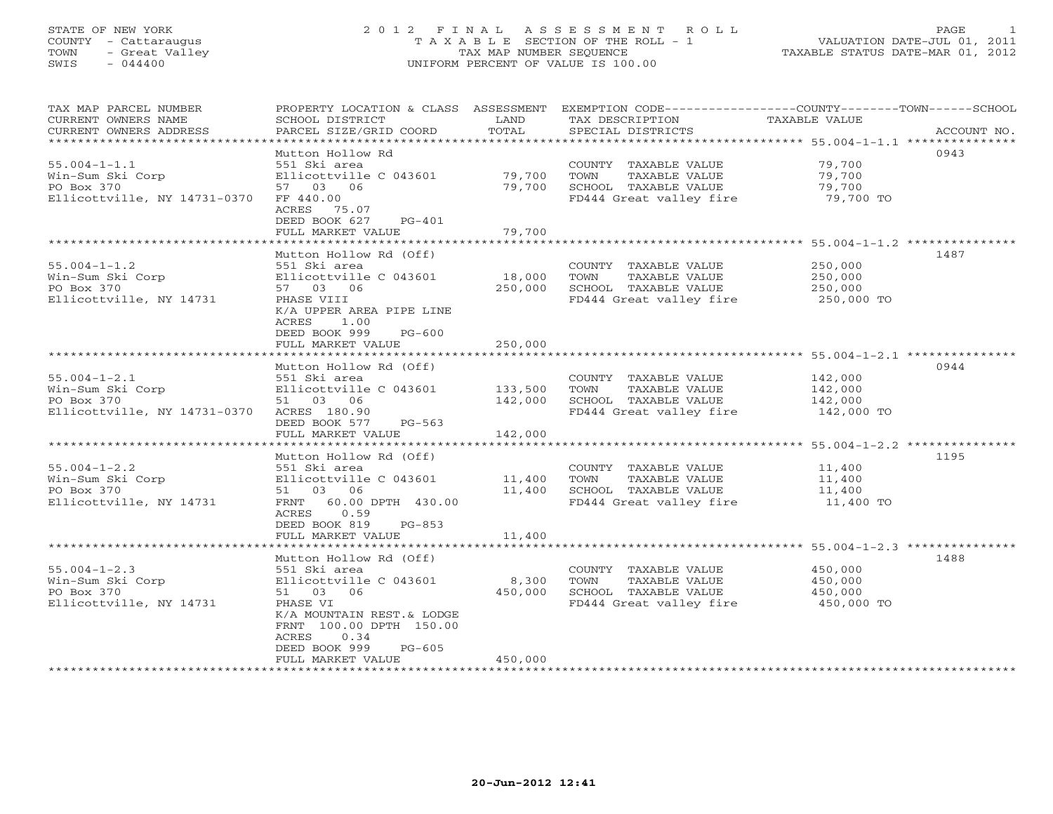# STATE OF NEW YORK 2 0 1 2 F I N A L A S S E S S M E N T R O L L PAGE 1 COUNTY - Cattaraugus T A X A B L E SECTION OF THE ROLL - 1 VALUATION DATE-JUL 01, 2011 TOWN - Great Valley TAX MAP NUMBER SEQUENCE TAXABLE STATUS DATE-MAR 01, 2012 SWIS - 044400 UNIFORM PERCENT OF VALUE IS 100.00UNIFORM PERCENT OF VALUE IS 100.00

| TAX MAP PARCEL NUMBER<br>CURRENT OWNERS NAME<br>CURRENT OWNERS ADDRESS | PROPERTY LOCATION & CLASS ASSESSMENT<br>SCHOOL DISTRICT<br>PARCEL SIZE/GRID COORD | LAND<br>TOTAL | TAX DESCRIPTION<br>SPECIAL DISTRICTS | EXEMPTION CODE-----------------COUNTY-------TOWN------SCHOOL<br>TAXABLE VALUE<br>ACCOUNT NO. |
|------------------------------------------------------------------------|-----------------------------------------------------------------------------------|---------------|--------------------------------------|----------------------------------------------------------------------------------------------|
|                                                                        |                                                                                   |               |                                      |                                                                                              |
|                                                                        | Mutton Hollow Rd                                                                  |               |                                      | 0943                                                                                         |
| $55.004 - 1 - 1.1$                                                     | 551 Ski area                                                                      |               | COUNTY TAXABLE VALUE                 | 79,700                                                                                       |
| Win-Sum Ski Corp                                                       | Ellicottville C 043601                                                            | 79,700        | TOWN<br>TAXABLE VALUE                | 79,700                                                                                       |
| PO Box 370                                                             | 57 03 06                                                                          | 79,700        | SCHOOL TAXABLE VALUE                 | 79,700                                                                                       |
| Ellicottville, NY 14731-0370                                           | FF 440.00<br>ACRES 75.07                                                          |               | FD444 Great valley fire              | 79,700 TO                                                                                    |
|                                                                        | DEED BOOK 627<br>$PG-401$                                                         |               |                                      |                                                                                              |
|                                                                        | FULL MARKET VALUE                                                                 | 79,700        |                                      |                                                                                              |
|                                                                        |                                                                                   |               |                                      |                                                                                              |
|                                                                        | Mutton Hollow Rd (Off)                                                            |               |                                      | 1487                                                                                         |
| $55.004 - 1 - 1.2$                                                     | 551 Ski area                                                                      |               | COUNTY TAXABLE VALUE                 | 250,000                                                                                      |
| Win-Sum Ski Corp                                                       | Ellicottville C 043601                                                            | 18,000        | TOWN<br>TAXABLE VALUE                | 250,000                                                                                      |
| PO Box 370                                                             | 57 03 06                                                                          | 250,000       | SCHOOL TAXABLE VALUE                 | 250,000                                                                                      |
| Ellicottville, NY 14731                                                | PHASE VIII                                                                        |               | FD444 Great valley fire 250,000 TO   |                                                                                              |
|                                                                        | K/A UPPER AREA PIPE LINE                                                          |               |                                      |                                                                                              |
|                                                                        | 1.00<br>ACRES<br>DEED BOOK 999<br>$PG-600$                                        |               |                                      |                                                                                              |
|                                                                        |                                                                                   |               |                                      |                                                                                              |
|                                                                        | FULL MARKET VALUE                                                                 | 250,000       |                                      |                                                                                              |
|                                                                        | Mutton Hollow Rd (Off)                                                            |               |                                      | 0944                                                                                         |
| $55.004 - 1 - 2.1$                                                     | 551 Ski area                                                                      |               | COUNTY TAXABLE VALUE                 | 142,000                                                                                      |
| Win-Sum Ski Corp                                                       | Ellicottville C 043601                                                            | 133,500       | TOWN<br>TAXABLE VALUE                | 142,000                                                                                      |
| PO Box 370                                                             | 51 03 06                                                                          | 142,000       | SCHOOL TAXABLE VALUE                 | 142,000                                                                                      |
| Ellicottville, NY 14731-0370                                           | ACRES 180.90                                                                      |               | FD444 Great valley fire              | 142,000 TO                                                                                   |
|                                                                        | DEED BOOK 577<br>PG-563                                                           |               |                                      |                                                                                              |
|                                                                        | FULL MARKET VALUE                                                                 | 142,000       |                                      |                                                                                              |
|                                                                        |                                                                                   |               |                                      |                                                                                              |
|                                                                        | Mutton Hollow Rd (Off)                                                            |               |                                      | 1195                                                                                         |
| $55.004 - 1 - 2.2$                                                     | 551 Ski area                                                                      |               | COUNTY TAXABLE VALUE                 | 11,400                                                                                       |
| Win-Sum Ski Corp                                                       | Ellicottville C 043601                                                            | 11,400        | TOWN<br>TAXABLE VALUE                | 11,400                                                                                       |
| PO Box 370                                                             | 51 03 06                                                                          | 11,400        | SCHOOL TAXABLE VALUE                 | 11,400                                                                                       |
| Ellicottville, NY 14731                                                | FRNT 60.00 DPTH 430.00                                                            |               | FD444 Great valley fire 11,400 TO    |                                                                                              |
|                                                                        | ACRES 0.59                                                                        |               |                                      |                                                                                              |
|                                                                        | DEED BOOK 819<br>$PG-853$                                                         |               |                                      |                                                                                              |
|                                                                        | FULL MARKET VALUE                                                                 | 11,400        |                                      |                                                                                              |
|                                                                        | ********************                                                              |               |                                      | ***********************************55.004-1-2.3 ***************                              |
|                                                                        | Mutton Hollow Rd (Off)                                                            |               |                                      | 1488                                                                                         |
| $55.004 - 1 - 2.3$                                                     | 551 Ski area                                                                      |               | COUNTY TAXABLE VALUE                 | 450,000                                                                                      |
| Win-Sum Ski Corp                                                       | Ellicottville C 043601                                                            | 8,300         | TOWN<br>TAXABLE VALUE                | 450,000                                                                                      |
| PO Box 370                                                             | 51 03 06                                                                          | 450,000       | SCHOOL TAXABLE VALUE                 | 450,000                                                                                      |
| Ellicottville, NY 14731                                                | PHASE VI                                                                          |               | FD444 Great valley fire              | 450,000 TO                                                                                   |
|                                                                        | K/A MOUNTAIN REST.& LODGE                                                         |               |                                      |                                                                                              |
|                                                                        | FRNT 100.00 DPTH 150.00                                                           |               |                                      |                                                                                              |
|                                                                        | 0.34<br>ACRES                                                                     |               |                                      |                                                                                              |
|                                                                        | DEED BOOK 999<br>$PG-605$                                                         |               |                                      |                                                                                              |
|                                                                        | FULL MARKET VALUE                                                                 | 450,000       |                                      |                                                                                              |
|                                                                        |                                                                                   |               |                                      |                                                                                              |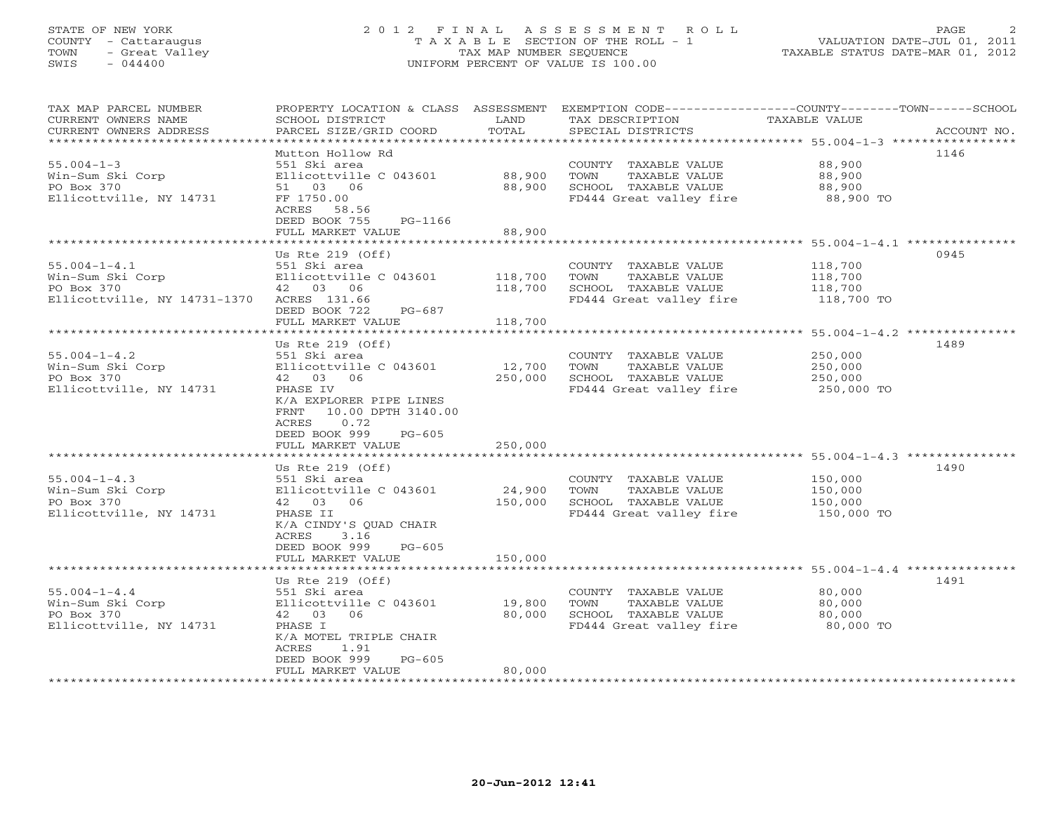# STATE OF NEW YORK 2 0 1 2 F I N A L A S S E S S M E N T R O L L PAGE 2 COUNTY - Cattaraugus T A X A B L E SECTION OF THE ROLL - 1 VALUATION DATE-JUL 01, 2011 TOWN - Great Valley TAX MAP NUMBER SEQUENCE TAXABLE STATUS DATE-MAR 01, 2012 SWIS - 044400 UNIFORM PERCENT OF VALUE IS 100.00UNIFORM PERCENT OF VALUE IS 100.00

| TAX MAP PARCEL NUMBER<br>CURRENT OWNERS NAME<br>CURRENT OWNERS ADDRESS<br>**********************      | PROPERTY LOCATION & CLASS ASSESSMENT<br>SCHOOL DISTRICT<br>PARCEL SIZE/GRID COORD<br>***************                                                                                                                                | LAND<br>TOTAL                | TAX DESCRIPTION<br>SPECIAL DISTRICTS                                                                                     | EXEMPTION CODE-----------------COUNTY-------TOWN------SCHOOL<br>TAXABLE VALUE<br>ACCOUNT NO. |
|-------------------------------------------------------------------------------------------------------|-------------------------------------------------------------------------------------------------------------------------------------------------------------------------------------------------------------------------------------|------------------------------|--------------------------------------------------------------------------------------------------------------------------|----------------------------------------------------------------------------------------------|
| $55.004 - 1 - 3$<br>Win-Sum Ski Corp<br>PO Box 370<br>Ellicottville, NY 14731                         | Mutton Hollow Rd<br>551 Ski area<br>Ellicottville C 043601<br>51 03 06<br>FF 1750.00<br>ACRES<br>58.56                                                                                                                              | 88,900<br>88,900             | COUNTY TAXABLE VALUE<br>TOWN<br>TAXABLE VALUE<br>SCHOOL TAXABLE VALUE<br>FD444 Great valley fire                         | 1146<br>88,900<br>88,900<br>88,900<br>88,900 TO                                              |
|                                                                                                       | DEED BOOK 755<br>PG-1166<br>FULL MARKET VALUE                                                                                                                                                                                       | 88,900                       |                                                                                                                          |                                                                                              |
|                                                                                                       |                                                                                                                                                                                                                                     |                              |                                                                                                                          |                                                                                              |
|                                                                                                       | Us Rte $219$ (Off)                                                                                                                                                                                                                  |                              |                                                                                                                          | 0945                                                                                         |
| $55.004 - 1 - 4.1$<br>Win-Sum Ski Corp<br>PO Box 370<br>Ellicottville, NY 14731-1370                  | 551 Ski area<br>Ellicottville C 043601<br>42 03 06<br>ACRES 131.66<br>DEED BOOK 722<br>PG-687                                                                                                                                       | 118,700<br>118,700           | COUNTY TAXABLE VALUE<br>TOWN<br>TAXABLE VALUE<br>SCHOOL TAXABLE VALUE<br>FD444 Great valley fire                         | 118,700<br>118,700<br>118,700<br>118,700 TO                                                  |
|                                                                                                       | FULL MARKET VALUE                                                                                                                                                                                                                   | 118,700                      |                                                                                                                          |                                                                                              |
|                                                                                                       | ***********************                                                                                                                                                                                                             | ************                 |                                                                                                                          | ******************************** 55.004-1-4.2 ***************                                |
|                                                                                                       | Us Rte $219$ (Off)                                                                                                                                                                                                                  |                              |                                                                                                                          | 1489                                                                                         |
| $55.004 - 1 - 4.2$<br>Win-Sum Ski Corp<br>PO Box 370<br>Ellicottville, NY 14731<br>$55.004 - 1 - 4.3$ | 551 Ski area<br>Ellicottville C 043601<br>42 03<br>06<br>PHASE IV<br>K/A EXPLORER PIPE LINES<br>10.00 DPTH 3140.00<br>FRNT<br>0.72<br>ACRES<br>DEED BOOK 999<br>$PG-605$<br>FULL MARKET VALUE<br>Us Rte $219$ (Off)<br>551 Ski area | 12,700<br>250,000<br>250,000 | COUNTY TAXABLE VALUE<br>TOWN<br>TAXABLE VALUE<br>SCHOOL TAXABLE VALUE<br>FD444 Great valley fire<br>COUNTY TAXABLE VALUE | 250,000<br>250,000<br>250,000<br>250,000 TO<br>1490<br>150,000                               |
| Win-Sum Ski Corp                                                                                      | Ellicottville C 043601                                                                                                                                                                                                              | 24,900                       | TAXABLE VALUE<br>TOWN                                                                                                    | 150,000                                                                                      |
| PO Box 370<br>Ellicottville, NY 14731                                                                 | 42 03<br>06<br>PHASE II<br>K/A CINDY'S QUAD CHAIR<br>ACRES<br>3.16<br>DEED BOOK 999<br>$PG-605$                                                                                                                                     | 150,000                      | SCHOOL TAXABLE VALUE<br>FD444 Great valley fire                                                                          | 150,000<br>150,000 TO                                                                        |
|                                                                                                       | FULL MARKET VALUE                                                                                                                                                                                                                   | 150,000                      |                                                                                                                          |                                                                                              |
|                                                                                                       |                                                                                                                                                                                                                                     |                              |                                                                                                                          |                                                                                              |
| $55.004 - 1 - 4.4$<br>Win-Sum Ski Corp<br>PO Box 370<br>Ellicottville, NY 14731                       | Us Rte $219$ (Off)<br>551 Ski area<br>Ellicottville C 043601<br>42 03<br>06<br>PHASE I<br>K/A MOTEL TRIPLE CHAIR<br>1.91<br>ACRES                                                                                                   | 19,800<br>80,000             | COUNTY TAXABLE VALUE<br>TOWN<br>TAXABLE VALUE<br>SCHOOL TAXABLE VALUE<br>FD444 Great valley fire                         | 1491<br>80,000<br>80,000<br>80,000<br>80,000 TO                                              |
|                                                                                                       | DEED BOOK 999<br>$PG-605$<br>FULL MARKET VALUE                                                                                                                                                                                      | 80,000                       |                                                                                                                          |                                                                                              |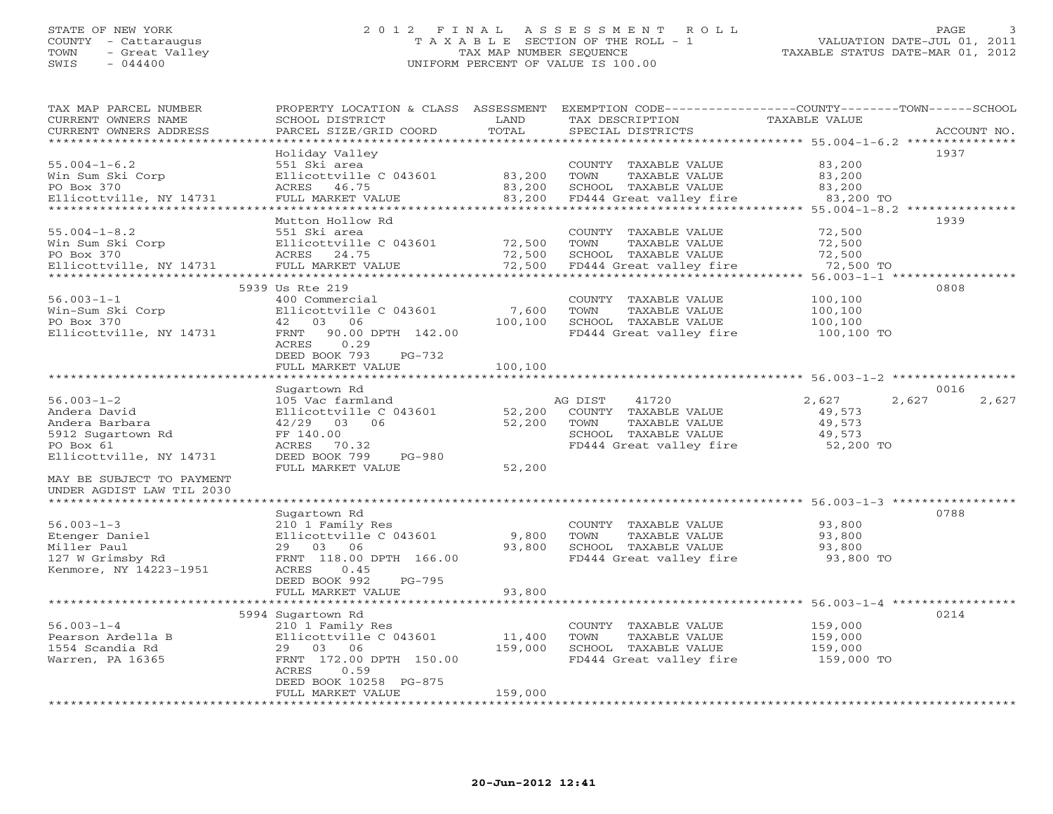#### STATE OF NEW YORK 2 0 1 2 F I N A L A S S E S S M E N T R O L L PAGE 3 COUNTY - Cattaraugus T A X A B L E SECTION OF THE ROLL - 1 VALUATION DATE-JUL 01, 2011 TOWN - Great Valley TAX MAP NUMBER SEQUENCE TAXABLE STATUS DATE-MAR 01, 2012 SWIS - 044400 UNIFORM PERCENT OF VALUE IS 100.00UNIFORM PERCENT OF VALUE IS 100.00

| TAX MAP PARCEL NUMBER<br>CURRENT OWNERS NAME<br>CURRENT OWNERS ADDRESS                                                            | PROPERTY LOCATION & CLASS ASSESSMENT<br>SCHOOL DISTRICT<br>PARCEL SIZE/GRID COORD | LAND<br>TOTAL           | TAX DESCRIPTION<br>SPECIAL DISTRICTS | EXEMPTION CODE----------------COUNTY-------TOWN------SCHOOL<br>TAXABLE VALUE | ACCOUNT NO. |
|-----------------------------------------------------------------------------------------------------------------------------------|-----------------------------------------------------------------------------------|-------------------------|--------------------------------------|------------------------------------------------------------------------------|-------------|
| **********************                                                                                                            |                                                                                   |                         |                                      |                                                                              |             |
|                                                                                                                                   | Holiday Valley                                                                    |                         |                                      |                                                                              | 1937        |
| $55.004 - 1 - 6.2$                                                                                                                | 551 Ski area                                                                      |                         | COUNTY TAXABLE VALUE                 | 83,200                                                                       |             |
| Win Sum Ski Corp                                                                                                                  | Ellicottville C 043601                                                            | 83,200                  | TOWN<br>TAXABLE VALUE                | 83,200                                                                       |             |
| PO Box 370                                                                                                                        | ACRES 46.75                                                                       | 83,200                  | SCHOOL TAXABLE VALUE                 | 83,200                                                                       |             |
| Ellicottville, NY 14731                                                                                                           | FULL MARKET VALUE                                                                 | 83,200<br>************* | FD444 Great valley fire              | $83,200$ TO                                                                  |             |
|                                                                                                                                   | Mutton Hollow Rd                                                                  |                         |                                      | ********************************** 55.004-1-8.2 ***************              | 1939        |
| $55.004 - 1 - 8.2$                                                                                                                | 551 Ski area                                                                      |                         | COUNTY TAXABLE VALUE                 | 72,500                                                                       |             |
| Win Sum Ski Corp                                                                                                                  |                                                                                   |                         | TOWN<br>TAXABLE VALUE                | 72,500                                                                       |             |
| PO Box 370                                                                                                                        | Ellicottville C 043601 72,500<br>ACRES 24.75 72,500<br>ACRES 24.75                | 72,500                  | SCHOOL TAXABLE VALUE                 | 72,500                                                                       |             |
| Ellicottville, NY 14731                                                                                                           | FULL MARKET VALUE                                                                 | 72,500                  | FD444 Great valley fire              | 72,500 TO                                                                    |             |
|                                                                                                                                   |                                                                                   |                         |                                      |                                                                              |             |
|                                                                                                                                   | 5939 Us Rte 219                                                                   |                         |                                      |                                                                              | 0808        |
| $56.003 - 1 - 1$                                                                                                                  | 400 Commercial                                                                    |                         | COUNTY TAXABLE VALUE                 | 100,100                                                                      |             |
| $\begin{bmatrix} \text{win-Sum} \\ \text{win-Sum} \end{bmatrix}$ = $\begin{bmatrix} \text{Step 1} \\ \text{Step 2} \end{bmatrix}$ | Ellicottville C 043601                                                            | 7,600                   | TOWN<br>TAXABLE VALUE                | 100,100                                                                      |             |
| PO Box 370                                                                                                                        | 42 03 06                                                                          | 100,100                 | SCHOOL TAXABLE VALUE                 | 100,100                                                                      |             |
| Ellicottville, NY 14731                                                                                                           | FRNT 90.00 DPTH 142.00                                                            |                         | FD444 Great valley fire              | 100,100 TO                                                                   |             |
|                                                                                                                                   | ACRES<br>0.29<br>DEED BOOK 793<br>PG-732                                          |                         |                                      |                                                                              |             |
|                                                                                                                                   | FULL MARKET VALUE                                                                 | 100,100                 |                                      |                                                                              |             |
|                                                                                                                                   | *************************                                                         |                         |                                      |                                                                              |             |
|                                                                                                                                   | Sugartown Rd                                                                      |                         |                                      |                                                                              | 0016        |
| $56.003 - 1 - 2$                                                                                                                  | 105 Vac farmland                                                                  |                         | AG DIST<br>41720                     | 2,627<br>2,627                                                               | 2,627       |
| Andera David                                                                                                                      | Ellicottville C 043601                                                            | 52,200                  | COUNTY TAXABLE VALUE                 | 49,573                                                                       |             |
| Andera Barbara                                                                                                                    | 42/29 03 06                                                                       | 52,200                  | TOWN<br>TAXABLE VALUE                | 49,573                                                                       |             |
| 5912 Sugartown Rd                                                                                                                 | FF 140.00                                                                         |                         | SCHOOL TAXABLE VALUE                 | 49,573                                                                       |             |
| PO Box 61                                                                                                                         | ACRES 70.32                                                                       |                         | FD444 Great valley fire              | 52,200 TO                                                                    |             |
| Ellicottville, NY 14731                                                                                                           | DEED BOOK 799<br>PG-980                                                           |                         |                                      |                                                                              |             |
|                                                                                                                                   | FULL MARKET VALUE                                                                 | 52,200                  |                                      |                                                                              |             |
| MAY BE SUBJECT TO PAYMENT<br>UNDER AGDIST LAW TIL 2030                                                                            |                                                                                   |                         |                                      |                                                                              |             |
|                                                                                                                                   |                                                                                   |                         |                                      |                                                                              |             |
|                                                                                                                                   | Sugartown Rd                                                                      |                         |                                      |                                                                              | 0788        |
| $56.003 - 1 - 3$                                                                                                                  | 210 1 Family Res                                                                  |                         | COUNTY TAXABLE VALUE                 | 93,800                                                                       |             |
| Etenger Daniel                                                                                                                    | Ellicottville C 043601 9,800                                                      |                         | TOWN<br>TAXABLE VALUE                | 93,800                                                                       |             |
| Miller Paul                                                                                                                       | 29 03 06                                                                          | 93,800                  | SCHOOL TAXABLE VALUE                 | 93,800                                                                       |             |
| 127 W Grimsby Rd                                                                                                                  | FRNT 118.00 DPTH 166.00                                                           |                         | FD444 Great valley fire 53,800 TO    |                                                                              |             |
| Kenmore, NY 14223-1951                                                                                                            | ACRES 0.45                                                                        |                         |                                      |                                                                              |             |
|                                                                                                                                   | DEED BOOK 992<br>PG-795                                                           |                         |                                      |                                                                              |             |
|                                                                                                                                   | FULL MARKET VALUE                                                                 | 93,800                  |                                      |                                                                              |             |
|                                                                                                                                   | 5994 Sugartown Rd                                                                 |                         |                                      |                                                                              | 0214        |
| $56.003 - 1 - 4$                                                                                                                  | 210 1 Family Res                                                                  |                         | COUNTY TAXABLE VALUE                 | 159,000                                                                      |             |
| Pearson Ardella B                                                                                                                 | Ellicottville C 043601                                                            | 11,400                  | TOWN<br>TAXABLE VALUE                | 159,000                                                                      |             |
| 1554 Scandia Rd                                                                                                                   | 29 03 06                                                                          | 159,000                 | SCHOOL TAXABLE VALUE                 | 159,000                                                                      |             |
| Warren, PA 16365                                                                                                                  | FRNT 172.00 DPTH 150.00                                                           |                         | FD444 Great valley fire              | 159,000 TO                                                                   |             |
|                                                                                                                                   | ACRES<br>0.59                                                                     |                         |                                      |                                                                              |             |
|                                                                                                                                   | DEED BOOK 10258 PG-875                                                            |                         |                                      |                                                                              |             |
|                                                                                                                                   | FULL MARKET VALUE<br>******************************                               | 159,000                 |                                      |                                                                              |             |
|                                                                                                                                   |                                                                                   |                         |                                      |                                                                              |             |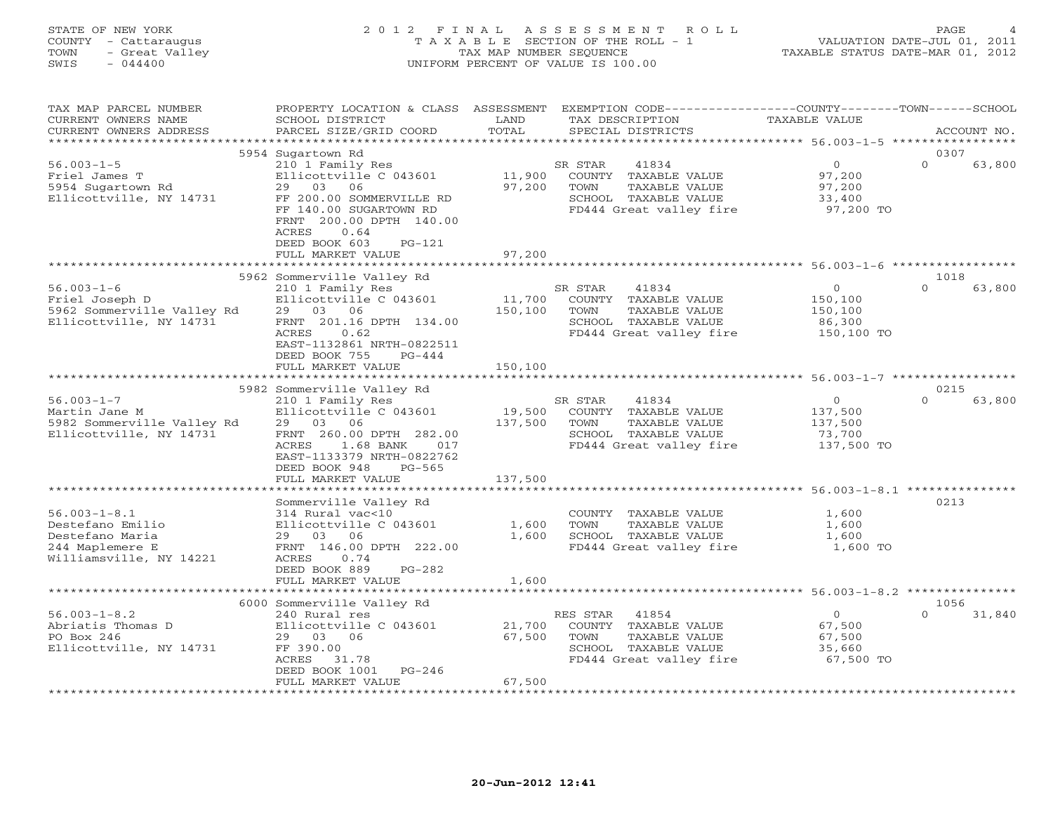| STATE OF NEW YORK<br>2 0 1 2<br>FINAL<br>ASSESSMENT<br>R O L L<br>COUNTY - Cattaraugus<br>T A X A B L E SECTION OF THE ROLL - 1<br>- Great Valley<br>TAX MAP NUMBER SEQUENCE<br>TOWN<br>$-044400$<br>UNIFORM PERCENT OF VALUE IS 100.00<br>SWIS |                                                                                                                                                                                                                                       |                              | TAXABLE STATUS DATE-MAR 01, 2012                                                                                     | PAGE<br>VALUATION DATE-JUL 01, 2011                    |                            |
|-------------------------------------------------------------------------------------------------------------------------------------------------------------------------------------------------------------------------------------------------|---------------------------------------------------------------------------------------------------------------------------------------------------------------------------------------------------------------------------------------|------------------------------|----------------------------------------------------------------------------------------------------------------------|--------------------------------------------------------|----------------------------|
| TAX MAP PARCEL NUMBER<br>CURRENT OWNERS NAME<br>CURRENT OWNERS ADDRESS                                                                                                                                                                          | PROPERTY LOCATION & CLASS ASSESSMENT<br>SCHOOL DISTRICT<br>PARCEL SIZE/GRID COORD                                                                                                                                                     | LAND<br>TOTAL                | EXEMPTION CODE-----------------COUNTY-------TOWN------SCHOOL<br>TAX DESCRIPTION<br>SPECIAL DISTRICTS                 | TAXABLE VALUE                                          | ACCOUNT NO.                |
| $56.003 - 1 - 5$<br>Friel James T<br>5954 Sugartown Rd<br>Ellicottville, NY 14731                                                                                                                                                               | 5954 Sugartown Rd<br>210 1 Family Res<br>Ellicottville C 043601<br>29 03<br>06<br>FF 200.00 SOMMERVILLE RD<br>FF 140.00 SUGARTOWN RD<br>200.00 DPTH 140.00<br>FRNT<br>ACRES<br>0.64<br>DEED BOOK 603<br>$PG-121$<br>FULL MARKET VALUE | 11,900<br>97,200<br>97,200   | SR STAR<br>41834<br>COUNTY TAXABLE VALUE<br>TOWN<br>TAXABLE VALUE<br>SCHOOL TAXABLE VALUE<br>FD444 Great valley fire | $\circ$<br>97,200<br>97,200<br>33,400<br>97,200 TO     | 0307<br>$\Omega$<br>63,800 |
|                                                                                                                                                                                                                                                 |                                                                                                                                                                                                                                       |                              |                                                                                                                      |                                                        |                            |
| $56.003 - 1 - 6$<br>Friel Joseph D<br>5962 Sommerville Valley Rd<br>Ellicottville, NY 14731                                                                                                                                                     | 5962 Sommerville Valley Rd<br>210 1 Family Res<br>Ellicottville C 043601<br>29 03 06<br>FRNT 201.16 DPTH 134.00<br>ACRES<br>0.62<br>EAST-1132861 NRTH-0822511<br>DEED BOOK 755<br>$PG-444$<br>FULL MARKET VALUE                       | 11,700<br>150,100<br>150,100 | SR STAR<br>41834<br>COUNTY TAXABLE VALUE<br>TOWN<br>TAXABLE VALUE<br>SCHOOL TAXABLE VALUE<br>FD444 Great valley fire | $\circ$<br>150,100<br>150,100<br>86,300<br>150,100 TO  | 1018<br>$\cap$<br>63,800   |
|                                                                                                                                                                                                                                                 |                                                                                                                                                                                                                                       |                              |                                                                                                                      |                                                        |                            |
| $56.003 - 1 - 7$<br>Martin Jane M<br>5982 Sommerville Valley Rd<br>Ellicottville, NY 14731                                                                                                                                                      | 5982 Sommerville Valley Rd<br>210 1 Family Res<br>Ellicottville C 043601<br>29 03 06<br>FRNT 260.00 DPTH 282.00<br>ACRES<br>1.68 BANK<br>017<br>EAST-1133379 NRTH-0822762<br>DEED BOOK 948<br>$PG-565$                                | 19,500<br>137,500            | SR STAR<br>41834<br>COUNTY TAXABLE VALUE<br>TOWN<br>TAXABLE VALUE<br>SCHOOL TAXABLE VALUE<br>FD444 Great valley fire | $\Omega$<br>137,500<br>137,500<br>73,700<br>137,500 TO | 0215<br>$\Omega$<br>63,800 |
|                                                                                                                                                                                                                                                 | FULL MARKET VALUE                                                                                                                                                                                                                     | 137,500                      |                                                                                                                      |                                                        |                            |
| $56.003 - 1 - 8.1$<br>Destefano Emilio<br>Destefano Maria<br>244 Maplemere E<br>Williamsville, NY 14221                                                                                                                                         | Sommerville Valley Rd<br>314 Rural vac<10<br>Ellicottville C 043601<br>29 03 06<br>FRNT 146.00 DPTH 222.00<br><b>ACRES</b><br>0.74<br>DEED BOOK 889<br>$PG-282$                                                                       | 1,600<br>1,600               | COUNTY TAXABLE VALUE<br>TOWN<br>TAXABLE VALUE<br>SCHOOL TAXABLE VALUE<br>FD444 Great valley fire                     | 1,600<br>1,600<br>1,600<br>1,600 TO                    | 0213                       |

|                         | FULL MARKET VALUE          | 1,600  |          |                         |           |          |        |
|-------------------------|----------------------------|--------|----------|-------------------------|-----------|----------|--------|
|                         |                            |        |          |                         |           |          |        |
|                         | 6000 Sommerville Valley Rd |        |          |                         |           | 1056     |        |
| $56.003 - 1 - 8.2$      | 240 Rural res              |        | RES STAR | 41854                   |           | $\Omega$ | 31,840 |
| Abriatis Thomas D       | Ellicottville C 043601     | 21,700 | COUNTY   | TAXABLE VALUE           | 67,500    |          |        |
| PO Box 246              | 03<br>06<br>29             | 67.500 | TOWN     | TAXABLE VALUE           | 67,500    |          |        |
| Ellicottville, NY 14731 | FF 390.00                  |        | SCHOOL   | TAXABLE VALUE           | 35,660    |          |        |
|                         | 31.78<br>ACRES             |        |          | FD444 Great valley fire | 67,500 TO |          |        |
|                         | DEED BOOK 1001<br>PG-246   |        |          |                         |           |          |        |
|                         | FULL MARKET VALUE          | 67,500 |          |                         |           |          |        |
|                         |                            |        |          |                         |           |          |        |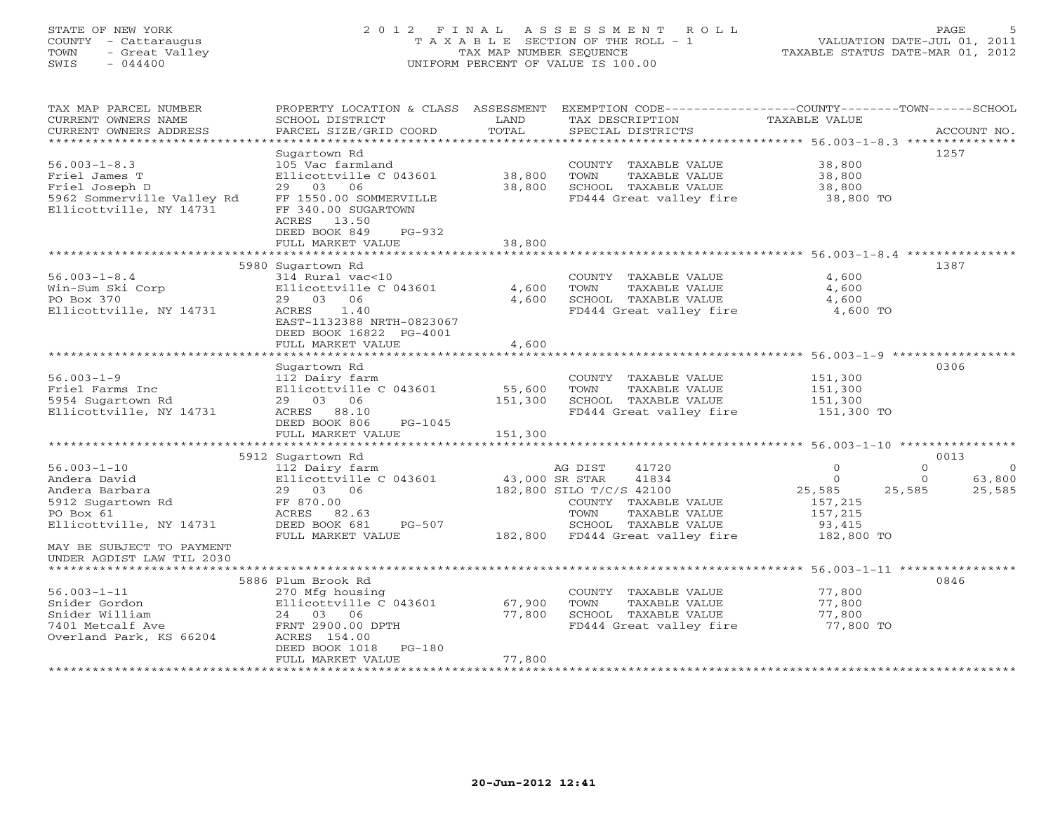# STATE OF NEW YORK 2 0 1 2 F I N A L A S S E S S M E N T R O L L PAGE 5 COUNTY - Cattaraugus T A X A B L E SECTION OF THE ROLL - 1 VALUATION DATE-JUL 01, 2011 TOWN - Great Valley TAX MAP NUMBER SEQUENCE TAXABLE STATUS DATE-MAR 01, 2012 SWIS - 044400 UNIFORM PERCENT OF VALUE IS 100.00UNIFORM PERCENT OF VALUE IS 100.00

| TAX MAP PARCEL NUMBER<br>CURRENT OWNERS NAME<br>CURRENT OWNERS ADDRESS          | PROPERTY LOCATION & CLASS ASSESSMENT<br>SCHOOL DISTRICT<br>PARCEL SIZE/GRID COORD                                               | LAND<br>TOTAL    | EXEMPTION CODE-----------------COUNTY-------TOWN------SCHOOL<br>TAX DESCRIPTION<br>SPECIAL DISTRICTS | <b>TAXABLE VALUE</b>                | ACCOUNT NO.          |
|---------------------------------------------------------------------------------|---------------------------------------------------------------------------------------------------------------------------------|------------------|------------------------------------------------------------------------------------------------------|-------------------------------------|----------------------|
|                                                                                 |                                                                                                                                 |                  |                                                                                                      |                                     |                      |
|                                                                                 | Sugartown Rd                                                                                                                    |                  |                                                                                                      |                                     | 1257                 |
| $56.003 - 1 - 8.3$<br>Friel James T<br>Friel Joseph D                           | 105 Vac farmland<br>Ellicottville C 043601<br>06<br>29 03                                                                       | 38,800<br>38,800 | COUNTY TAXABLE VALUE<br>TOWN<br>TAXABLE VALUE<br>SCHOOL TAXABLE VALUE                                | 38,800<br>38,800<br>38,800          |                      |
| 5962 Sommerville Valley Rd<br>Ellicottville, NY 14731                           | FF 1550.00 SOMMERVILLE<br>FF 340.00 SUGARTOWN<br>13.50<br>ACRES<br>DEED BOOK 849<br>$PG-932$                                    |                  | FD444 Great valley fire                                                                              | 38,800 TO                           |                      |
|                                                                                 | FULL MARKET VALUE                                                                                                               | 38,800           |                                                                                                      |                                     |                      |
|                                                                                 | 5980 Sugartown Rd                                                                                                               |                  |                                                                                                      |                                     | 1387                 |
| $56.003 - 1 - 8.4$<br>Win-Sum Ski Corp<br>PO Box 370<br>Ellicottville, NY 14731 | 314 Rural vac<10<br>Ellicottville C 043601<br>29 03 06<br>1.40<br>ACRES<br>EAST-1132388 NRTH-0823067<br>DEED BOOK 16822 PG-4001 | 4,600<br>4,600   | COUNTY TAXABLE VALUE<br>TOWN<br>TAXABLE VALUE<br>SCHOOL TAXABLE VALUE<br>FD444 Great valley fire     | 4,600<br>4,600<br>4,600<br>4,600 TO |                      |
|                                                                                 | FULL MARKET VALUE                                                                                                               | 4,600            |                                                                                                      |                                     |                      |
|                                                                                 |                                                                                                                                 |                  |                                                                                                      |                                     |                      |
|                                                                                 | Sugartown Rd                                                                                                                    |                  |                                                                                                      |                                     | 0306                 |
| $56.003 - 1 - 9$                                                                | 112 Dairy farm                                                                                                                  |                  | COUNTY TAXABLE VALUE                                                                                 | 151,300                             |                      |
| Friel Farms Inc                                                                 | Ellicottville C 043601                                                                                                          | 55,600           | TOWN<br>TAXABLE VALUE                                                                                | 151,300                             |                      |
| 5954 Sugartown Rd<br>Ellicottville, NY 14731                                    | 29 03 06<br>ACRES 88.10                                                                                                         | 151,300          | SCHOOL TAXABLE VALUE<br>FD444 Great valley fire                                                      | 151,300<br>151,300 TO               |                      |
|                                                                                 | DEED BOOK 806<br>PG-1045<br>FULL MARKET VALUE                                                                                   | 151,300          |                                                                                                      |                                     |                      |
|                                                                                 |                                                                                                                                 |                  |                                                                                                      |                                     |                      |
|                                                                                 | 5912 Sugartown Rd                                                                                                               |                  |                                                                                                      |                                     | 0013                 |
| $56.003 - 1 - 10$                                                               | 112 Dairy farm                                                                                                                  |                  | 41720<br>AG DIST                                                                                     | $\Omega$                            | $\Omega$<br>$\Omega$ |
| Andera David                                                                    | Ellicottville C 043601                                                                                                          | 43,000 SR STAR   | 41834                                                                                                | $\Omega$                            | 63,800<br>$\Omega$   |
| Andera Barbara<br>5912 Sugartown Rd                                             | 29 03 06<br>FF 870.00                                                                                                           |                  | 182,800 SILO T/C/S 42100<br>COUNTY TAXABLE VALUE                                                     | 25,585<br>157,215                   | 25,585<br>25,585     |
| PO Box 61                                                                       | ACRES 82.63                                                                                                                     |                  | TOWN<br>TAXABLE VALUE                                                                                | 157,215                             |                      |
| Ellicottville, NY 14731                                                         | DEED BOOK 681<br>PG-507                                                                                                         |                  | SCHOOL TAXABLE VALUE                                                                                 | 93,415                              |                      |
|                                                                                 | FULL MARKET VALUE                                                                                                               |                  | 182,800 FD444 Great valley fire                                                                      | 182,800 TO                          |                      |
| MAY BE SUBJECT TO PAYMENT<br>UNDER AGDIST LAW TIL 2030                          |                                                                                                                                 |                  |                                                                                                      |                                     |                      |
| *********************                                                           |                                                                                                                                 |                  |                                                                                                      |                                     |                      |
|                                                                                 | 5886 Plum Brook Rd                                                                                                              |                  |                                                                                                      |                                     | 0846                 |
| $56.003 - 1 - 11$<br>Snider Gordon                                              | 270 Mfg housing<br>Ellicottville C 043601                                                                                       | 67,900           | COUNTY TAXABLE VALUE<br>TOWN<br>TAXABLE VALUE                                                        | 77,800<br>77,800                    |                      |
| Snider William                                                                  | 24 03 06                                                                                                                        | 77,800           | SCHOOL TAXABLE VALUE                                                                                 | 77,800                              |                      |
| 7401 Metcalf Ave                                                                | FRNT 2900.00 DPTH                                                                                                               |                  | FD444 Great valley fire                                                                              | 77,800 TO                           |                      |
| Overland Park, KS 66204                                                         | ACRES 154.00<br>DEED BOOK 1018<br>$PG-180$                                                                                      |                  |                                                                                                      |                                     |                      |
|                                                                                 | FULL MARKET VALUE                                                                                                               | 77,800           |                                                                                                      |                                     |                      |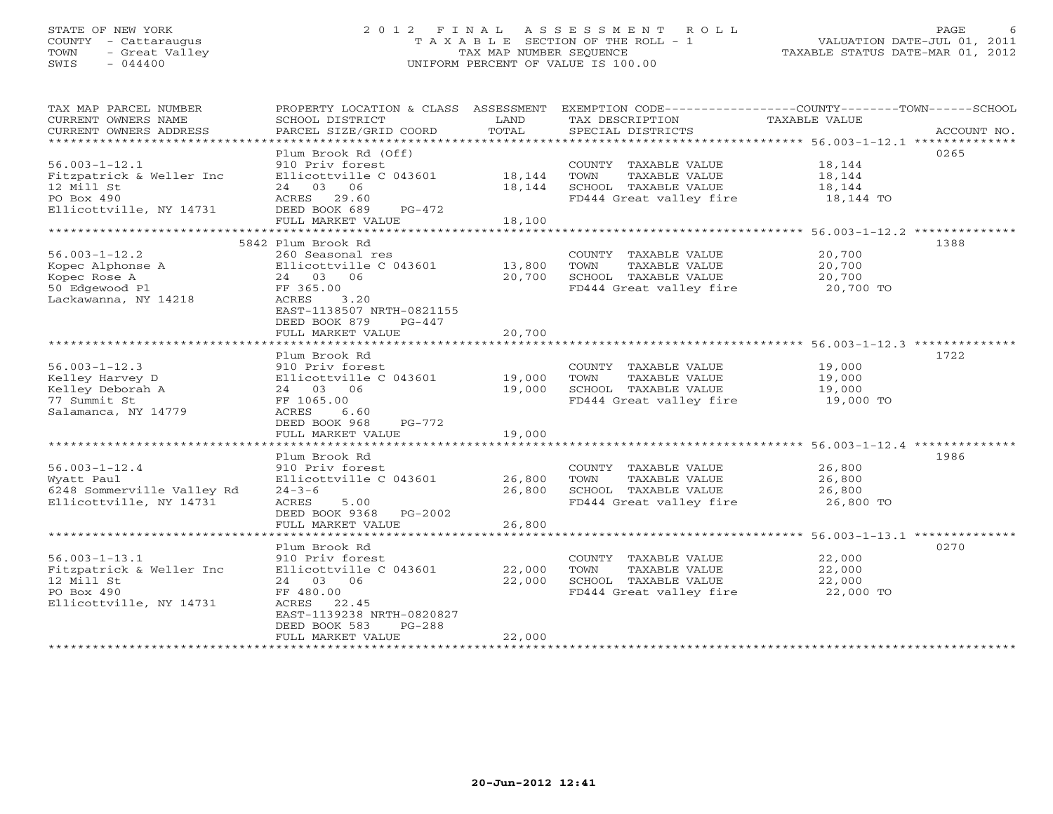# STATE OF NEW YORK 2 0 1 2 F I N A L A S S E S S M E N T R O L L PAGE 6 COUNTY - Cattaraugus T A X A B L E SECTION OF THE ROLL - 1 VALUATION DATE-JUL 01, 2011 TOWN - Great Valley TAX MAP NUMBER SEQUENCE TAXABLE STATUS DATE-MAR 01, 2012 SWIS - 044400 UNIFORM PERCENT OF VALUE IS 100.00UNIFORM PERCENT OF VALUE IS 100.00

| TAX MAP PARCEL NUMBER<br>CURRENT OWNERS NAME<br>CURRENT OWNERS ADDRESS                                 | PROPERTY LOCATION & CLASS ASSESSMENT<br>SCHOOL DISTRICT<br>PARCEL SIZE/GRID COORD                                                                                                       | LAND<br>TOTAL              | EXEMPTION CODE-----------------COUNTY-------TOWN------SCHOOL<br>TAX DESCRIPTION<br>SPECIAL DISTRICTS | TAXABLE VALUE                           | ACCOUNT NO. |
|--------------------------------------------------------------------------------------------------------|-----------------------------------------------------------------------------------------------------------------------------------------------------------------------------------------|----------------------------|------------------------------------------------------------------------------------------------------|-----------------------------------------|-------------|
| $56.003 - 1 - 12.1$<br>Fitzpatrick & Weller Inc<br>12 Mill St<br>PO Box 490                            | Plum Brook Rd (Off)<br>910 Priv forest<br>Ellicottville C 043601<br>24 03 06<br>29.60<br>ACRES                                                                                          | 18,144<br>18,144           | COUNTY TAXABLE VALUE<br>TOWN<br>TAXABLE VALUE<br>SCHOOL TAXABLE VALUE<br>FD444 Great valley fire     | 18,144<br>18,144<br>18,144<br>18,144 TO | 0265        |
| Ellicottville, NY 14731                                                                                | DEED BOOK 689<br>$PG-472$<br>FULL MARKET VALUE                                                                                                                                          | 18,100                     |                                                                                                      |                                         |             |
| ***********************                                                                                |                                                                                                                                                                                         |                            |                                                                                                      |                                         |             |
| $56.003 - 1 - 12.2$<br>Kopec Alphonse A<br>Kopec Rose A<br>50 Edgewood Pl<br>Lackawanna, NY 14218      | 5842 Plum Brook Rd<br>260 Seasonal res<br>Ellicottville C 043601<br>24 03 06<br>FF 365.00<br>3.20<br>ACRES<br>EAST-1138507 NRTH-0821155<br>DEED BOOK 879<br>PG-447<br>FULL MARKET VALUE | 13,800<br>20,700<br>20,700 | COUNTY TAXABLE VALUE<br>TAXABLE VALUE<br>TOWN<br>SCHOOL TAXABLE VALUE<br>FD444 Great valley fire     | 20,700<br>20,700<br>20,700<br>20,700 TO | 1388        |
|                                                                                                        |                                                                                                                                                                                         |                            |                                                                                                      |                                         |             |
| $56.003 - 1 - 12.3$<br>Kelley Harvey D<br>Kelley Deborah A<br>77 Summit St<br>Salamanca, NY 14779      | Plum Brook Rd<br>910 Priv forest<br>Ellicottville C 043601<br>24 03 06<br>FF 1065.00<br>ACRES<br>6.60<br>DEED BOOK 968<br>PG-772                                                        | 19,000<br>19,000           | COUNTY TAXABLE VALUE<br>TOWN<br>TAXABLE VALUE<br>SCHOOL TAXABLE VALUE<br>FD444 Great valley fire     | 19,000<br>19,000<br>19,000<br>19,000 TO | 1722        |
|                                                                                                        | FULL MARKET VALUE                                                                                                                                                                       | 19,000                     |                                                                                                      |                                         |             |
| $56.003 - 1 - 12.4$<br>Wyatt Paul<br>6248 Sommerville Valley Rd<br>Ellicottville, NY 14731             | ***************************<br>Plum Brook Rd<br>910 Priv forest<br>Ellicottville C 043601<br>$24 - 3 - 6$<br>ACRES<br>5.00<br>DEED BOOK 9368 PG-2002<br>FULL MARKET VALUE               | 26,800<br>26,800<br>26,800 | COUNTY TAXABLE VALUE<br>TAXABLE VALUE<br>TOWN<br>SCHOOL TAXABLE VALUE<br>FD444 Great valley fire     | 26,800<br>26,800<br>26,800<br>26,800 TO | 1986        |
|                                                                                                        |                                                                                                                                                                                         |                            |                                                                                                      |                                         |             |
| $56.003 - 1 - 13.1$<br>Fitzpatrick & Weller Inc<br>12 Mill St<br>PO Box 490<br>Ellicottville, NY 14731 | Plum Brook Rd<br>910 Priv forest<br>Ellicottville C 043601<br>24 03 06<br>FF 480.00<br>22.45<br>ACRES<br>EAST-1139238 NRTH-0820827<br>DEED BOOK 583<br>$PG-288$                         | 22,000<br>22,000           | COUNTY TAXABLE VALUE<br>TAXABLE VALUE<br>TOWN<br>SCHOOL TAXABLE VALUE<br>FD444 Great valley fire     | 22,000<br>22,000<br>22,000<br>22,000 TO | 0270        |
| *********************                                                                                  | FULL MARKET VALUE                                                                                                                                                                       | 22,000                     |                                                                                                      |                                         |             |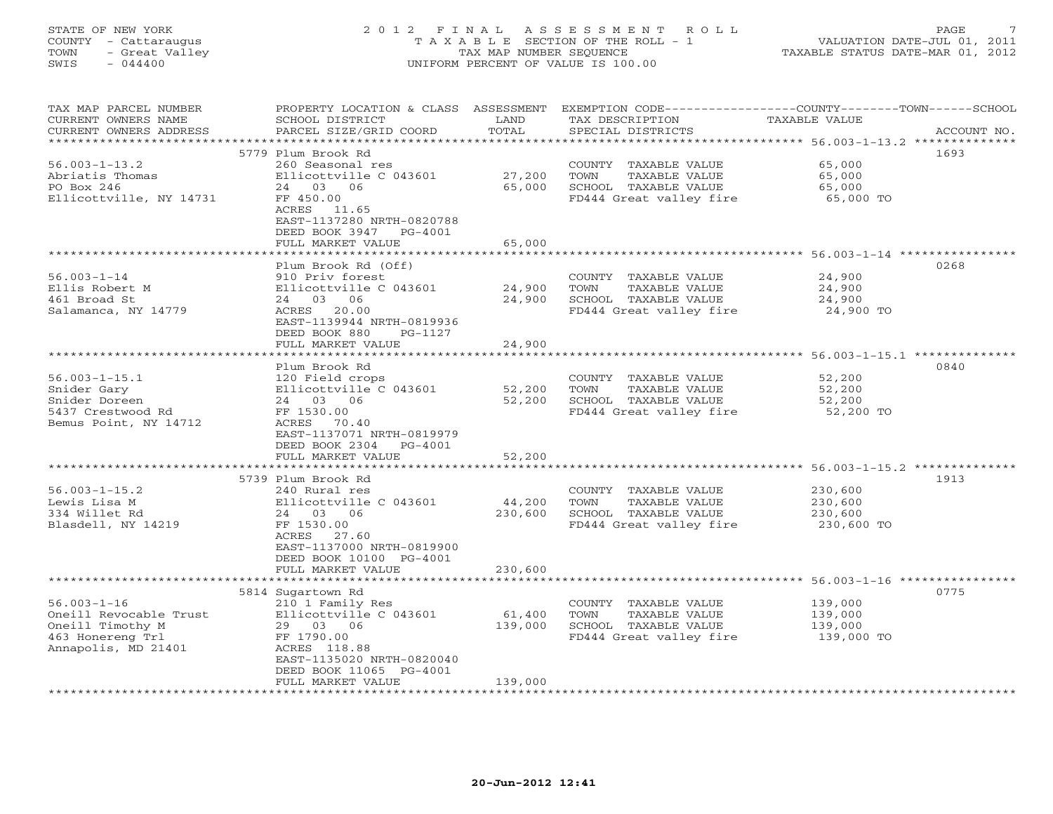# STATE OF NEW YORK 2 0 1 2 F I N A L A S S E S S M E N T R O L L PAGE 7 COUNTY - Cattaraugus T A X A B L E SECTION OF THE ROLL - 1 VALUATION DATE-JUL 01, 2011 TOWN - Great Valley TAX MAP NUMBER SEQUENCE TAXABLE STATUS DATE-MAR 01, 2012 SWIS - 044400 UNIFORM PERCENT OF VALUE IS 100.00UNIFORM PERCENT OF VALUE IS 100.00

| TAX MAP PARCEL NUMBER<br>CURRENT OWNERS NAME<br>CURRENT OWNERS ADDRESS                                     | PROPERTY LOCATION & CLASS ASSESSMENT<br>SCHOOL DISTRICT<br>PARCEL SIZE/GRID COORD                                                                                 | LAND<br>TOTAL       | TAX DESCRIPTION<br>SPECIAL DISTRICTS                                                             | EXEMPTION CODE-----------------COUNTY-------TOWN-----SCHOOL<br><b>TAXABLE VALUE</b><br>ACCOUNT NO. |
|------------------------------------------------------------------------------------------------------------|-------------------------------------------------------------------------------------------------------------------------------------------------------------------|---------------------|--------------------------------------------------------------------------------------------------|----------------------------------------------------------------------------------------------------|
| * * * * * * * * * * * * * * * * * * * *                                                                    |                                                                                                                                                                   | **************      |                                                                                                  | ********************************* 56.003-1-13.2 **************                                     |
| $56.003 - 1 - 13.2$<br>Abriatis Thomas<br>PO Box 246<br>Ellicottville, NY 14731                            | 5779 Plum Brook Rd<br>260 Seasonal res<br>Ellicottville C 043601<br>24 03 06<br>FF 450.00<br>ACRES 11.65<br>EAST-1137280 NRTH-0820788                             | 27,200<br>65,000    | COUNTY TAXABLE VALUE<br>TOWN<br>TAXABLE VALUE<br>SCHOOL TAXABLE VALUE<br>FD444 Great valley fire | 1693<br>65,000<br>65,000<br>65,000<br>65,000 TO                                                    |
|                                                                                                            | DEED BOOK 3947 PG-4001                                                                                                                                            |                     |                                                                                                  |                                                                                                    |
|                                                                                                            | FULL MARKET VALUE                                                                                                                                                 | 65,000<br>********* |                                                                                                  |                                                                                                    |
|                                                                                                            |                                                                                                                                                                   |                     |                                                                                                  | 0268                                                                                               |
| $56.003 - 1 - 14$<br>Ellis Robert M<br>461 Broad St<br>Salamanca, NY 14779                                 | Plum Brook Rd (Off)<br>910 Priv forest<br>Ellicottville C 043601<br>24 03 06<br>ACRES 20.00<br>EAST-1139944 NRTH-0819936<br>DEED BOOK 880<br>PG-1127              | 24,900<br>24,900    | COUNTY TAXABLE VALUE<br>TOWN<br>TAXABLE VALUE<br>SCHOOL TAXABLE VALUE<br>FD444 Great valley fire | 24,900<br>24,900<br>24,900<br>24,900 TO                                                            |
|                                                                                                            | FULL MARKET VALUE                                                                                                                                                 | 24,900              |                                                                                                  |                                                                                                    |
|                                                                                                            |                                                                                                                                                                   |                     |                                                                                                  |                                                                                                    |
| $56.003 - 1 - 15.1$<br>Snider Gary<br>Snider Doreen<br>5437 Crestwood Rd<br>Bemus Point, NY 14712          | Plum Brook Rd<br>120 Field crops<br>Ellicottville C 043601<br>24 03 06<br>FF 1530.00<br>ACRES 70.40<br>EAST-1137071 NRTH-0819979<br>DEED BOOK 2304 PG-4001        | 52,200<br>52,200    | COUNTY TAXABLE VALUE<br>TOWN<br>TAXABLE VALUE<br>SCHOOL TAXABLE VALUE<br>FD444 Great valley fire | 0840<br>52,200<br>52,200<br>52,200<br>52,200 TO                                                    |
|                                                                                                            | FULL MARKET VALUE                                                                                                                                                 | 52,200              |                                                                                                  |                                                                                                    |
|                                                                                                            |                                                                                                                                                                   |                     |                                                                                                  |                                                                                                    |
| $56.003 - 1 - 15.2$<br>Lewis Lisa M<br>334 Willet Rd<br>Blasdell, NY 14219                                 | 5739 Plum Brook Rd<br>240 Rural res<br>Ellicottville C 043601<br>24 03 06<br>FF 1530.00<br>ACRES 27.60<br>EAST-1137000 NRTH-0819900<br>DEED BOOK 10100 PG-4001    | 44,200<br>230,600   | COUNTY TAXABLE VALUE<br>TOWN<br>TAXABLE VALUE<br>SCHOOL TAXABLE VALUE<br>FD444 Great valley fire | 1913<br>230,600<br>230,600<br>230,600<br>230,600 TO                                                |
|                                                                                                            | FULL MARKET VALUE                                                                                                                                                 | 230,600             |                                                                                                  |                                                                                                    |
|                                                                                                            |                                                                                                                                                                   |                     |                                                                                                  | ******************************** 56.003-1-16 **************<br>0775                                |
| $56.003 - 1 - 16$<br>Oneill Revocable Trust<br>Oneill Timothy M<br>463 Honereng Trl<br>Annapolis, MD 21401 | 5814 Sugartown Rd<br>210 1 Family Res<br>Ellicottville C 043601<br>29 03 06<br>FF 1790.00<br>ACRES 118.88<br>EAST-1135020 NRTH-0820040<br>DEED BOOK 11065 PG-4001 | 61,400<br>139,000   | COUNTY TAXABLE VALUE<br>TOWN<br>TAXABLE VALUE<br>SCHOOL TAXABLE VALUE<br>FD444 Great valley fire | 139,000<br>139,000<br>139,000<br>139,000 TO                                                        |
|                                                                                                            | FULL MARKET VALUE                                                                                                                                                 | 139,000             |                                                                                                  |                                                                                                    |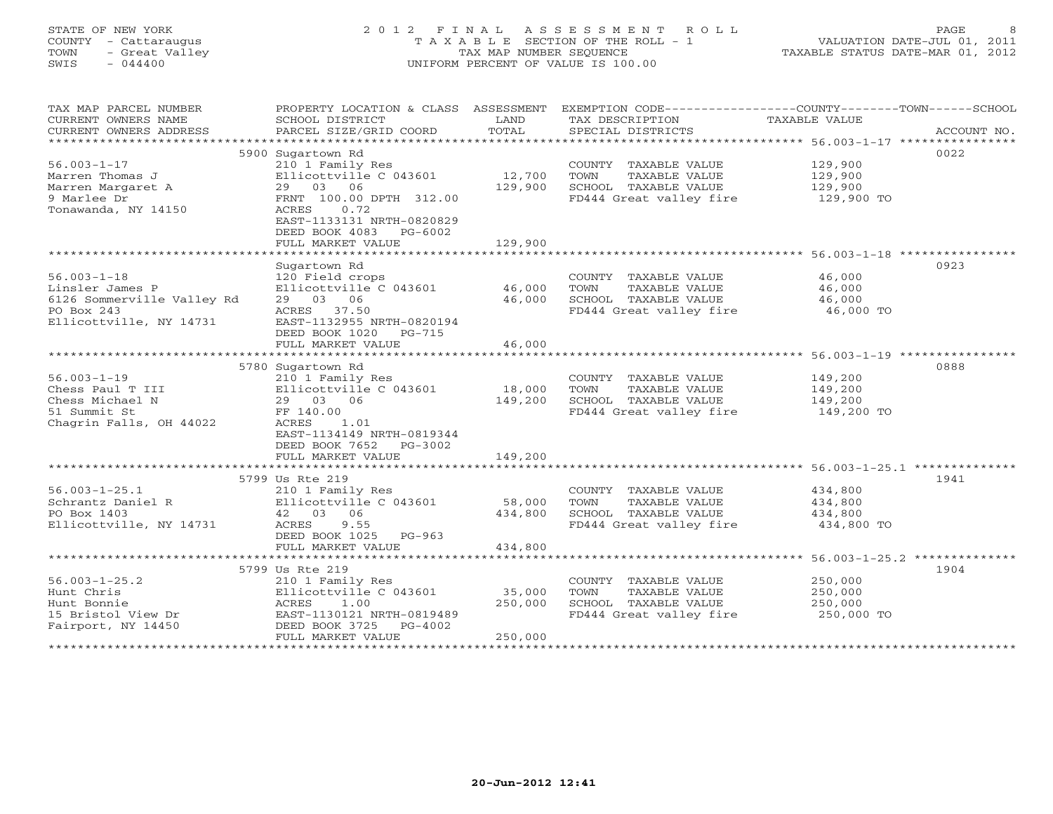# STATE OF NEW YORK 2 0 1 2 F I N A L A S S E S S M E N T R O L L PAGE 8 COUNTY - Cattaraugus T A X A B L E SECTION OF THE ROLL - 1 VALUATION DATE-JUL 01, 2011 TOWN - Great Valley TAX MAP NUMBER SEQUENCE TAXABLE STATUS DATE-MAR 01, 2012 SWIS - 044400 UNIFORM PERCENT OF VALUE IS 100.00UNIFORM PERCENT OF VALUE IS 100.00

| TAX MAP PARCEL NUMBER<br>CURRENT OWNERS NAME<br>CURRENT OWNERS ADDRESS                                      | PROPERTY LOCATION & CLASS ASSESSMENT<br>SCHOOL DISTRICT<br>PARCEL SIZE/GRID COORD                                                                               | LAND<br>TOTAL                | EXEMPTION CODE-----------------COUNTY-------TOWN------SCHOOL<br>TAX DESCRIPTION<br>SPECIAL DISTRICTS | TAXABLE VALUE                               | ACCOUNT NO. |
|-------------------------------------------------------------------------------------------------------------|-----------------------------------------------------------------------------------------------------------------------------------------------------------------|------------------------------|------------------------------------------------------------------------------------------------------|---------------------------------------------|-------------|
| $56.003 - 1 - 17$<br>Marren Thomas J<br>Marren Margaret A<br>9 Marlee Dr<br>Tonawanda, NY 14150             | 5900 Sugartown Rd<br>210 1 Family Res<br>Ellicottville C 043601<br>29 03 06<br>FRNT 100.00 DPTH 312.00<br>ACRES<br>0.72<br>EAST-1133131 NRTH-0820829            | 12,700<br>129,900            | COUNTY TAXABLE VALUE<br>TOWN<br>TAXABLE VALUE<br>SCHOOL TAXABLE VALUE<br>FD444 Great valley fire     | 129,900<br>129,900<br>129,900<br>129,900 TO | 0022        |
|                                                                                                             | DEED BOOK 4083<br>PG-6002<br>FULL MARKET VALUE                                                                                                                  | 129,900<br>***************   | *********************************** 56.003-1-18 ****************                                     |                                             |             |
|                                                                                                             |                                                                                                                                                                 |                              |                                                                                                      |                                             | 0923        |
| $56.003 - 1 - 18$<br>Linsler James P<br>6126 Sommerville Valley Rd<br>PO Box 243<br>Ellicottville, NY 14731 | Sugartown Rd<br>120 Field crops<br>Ellicottville C 043601<br>29 03 06<br>ACRES 37.50<br>EAST-1132955 NRTH-0820194                                               | 46,000<br>46,000             | COUNTY TAXABLE VALUE<br>TOWN<br>TAXABLE VALUE<br>SCHOOL TAXABLE VALUE<br>FD444 Great valley fire     | 46,000<br>46,000<br>46,000<br>46,000 TO     |             |
|                                                                                                             | DEED BOOK 1020<br>PG-715<br>FULL MARKET VALUE                                                                                                                   | 46,000                       |                                                                                                      |                                             |             |
|                                                                                                             |                                                                                                                                                                 |                              |                                                                                                      |                                             |             |
|                                                                                                             | 5780 Sugartown Rd                                                                                                                                               |                              |                                                                                                      |                                             | 0888        |
| $56.003 - 1 - 19$<br>Chess Paul T III<br>Chess Michael N<br>51 Summit St<br>Chagrin Falls, OH 44022         | 210 1 Family Res<br>Ellicottville C 043601<br>29 03 06<br>FF 140.00<br>ACRES<br>1.01<br>EAST-1134149 NRTH-0819344<br>DEED BOOK 7652<br>PG-3002                  | 18,000<br>149,200            | COUNTY TAXABLE VALUE<br>TOWN<br>TAXABLE VALUE<br>SCHOOL TAXABLE VALUE<br>FD444 Great valley fire     | 149,200<br>149,200<br>149,200<br>149,200 TO |             |
|                                                                                                             | FULL MARKET VALUE                                                                                                                                               | 149,200                      |                                                                                                      |                                             |             |
|                                                                                                             |                                                                                                                                                                 |                              |                                                                                                      |                                             |             |
| $56.003 - 1 - 25.1$<br>Schrantz Daniel R<br>PO Box 1403<br>Ellicottville, NY 14731                          | 5799 Us Rte 219<br>210 1 Family Res<br>Ellicottville C 043601<br>42 03 06<br>ACRES<br>9.55<br>DEED BOOK 1025<br>$PG-963$                                        | 58,000<br>434,800            | COUNTY TAXABLE VALUE<br>TOWN<br>TAXABLE VALUE<br>SCHOOL TAXABLE VALUE<br>FD444 Great valley fire     | 434,800<br>434,800<br>434,800<br>434,800 TO | 1941        |
|                                                                                                             | FULL MARKET VALUE                                                                                                                                               | 434,800                      |                                                                                                      |                                             |             |
|                                                                                                             |                                                                                                                                                                 |                              |                                                                                                      |                                             |             |
| $56.003 - 1 - 25.2$<br>Hunt Chris<br>Hunt Bonnie<br>15 Bristol View Dr<br>Fairport, NY 14450                | 5799 Us Rte 219<br>210 1 Family Res<br>Ellicottville C 043601<br>1.00<br>ACRES<br>EAST-1130121 NRTH-0819489<br>DEED BOOK 3725<br>$PG-4002$<br>FULL MARKET VALUE | 35,000<br>250,000<br>250,000 | COUNTY TAXABLE VALUE<br>TOWN<br>TAXABLE VALUE<br>SCHOOL TAXABLE VALUE<br>FD444 Great valley fire     | 250,000<br>250,000<br>250,000<br>250,000 TO | 1904        |
|                                                                                                             |                                                                                                                                                                 |                              |                                                                                                      |                                             |             |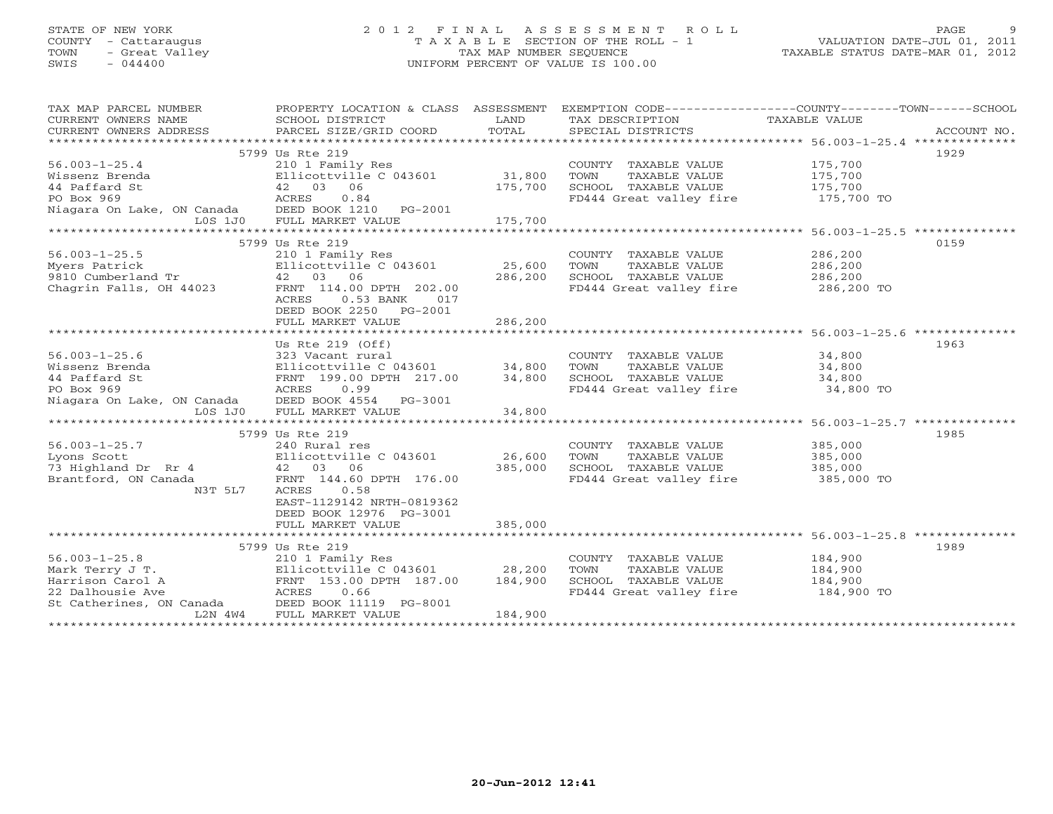# STATE OF NEW YORK 2 0 1 2 F I N A L A S S E S S M E N T R O L L PAGE 9 COUNTY - Cattaraugus T A X A B L E SECTION OF THE ROLL - 1 VALUATION DATE-JUL 01, 2011 TOWN - Great Valley TAX MAP NUMBER SEQUENCE TAXABLE STATUS DATE-MAR 01, 2012 SWIS - 044400 UNIFORM PERCENT OF VALUE IS 100.00UNIFORM PERCENT OF VALUE IS 100.00

| TAX MAP PARCEL NUMBER<br>CURRENT OWNERS NAME<br>CURRENT OWNERS ADDRESS | PROPERTY LOCATION & CLASS ASSESSMENT<br>SCHOOL DISTRICT<br>PARCEL SIZE/GRID COORD          | LAND<br>TOTAL | TAX DESCRIPTION<br>SPECIAL DISTRICTS | EXEMPTION CODE----------------COUNTY-------TOWN------SCHOOL<br>TAXABLE VALUE<br>ACCOUNT NO. |
|------------------------------------------------------------------------|--------------------------------------------------------------------------------------------|---------------|--------------------------------------|---------------------------------------------------------------------------------------------|
|                                                                        |                                                                                            |               |                                      |                                                                                             |
|                                                                        | 5799 Us Rte 219                                                                            |               |                                      | 1929                                                                                        |
| $56.003 - 1 - 25.4$                                                    | 210 1 Family Res                                                                           |               | COUNTY TAXABLE VALUE                 | 175,700                                                                                     |
| Wissenz Brenda                                                         | Ellicottville C 043601                                                                     | 31,800        | TOWN<br>TAXABLE VALUE                | 175,700                                                                                     |
| 44 Paffard St                                                          | 42 03 06                                                                                   | 175,700       | SCHOOL TAXABLE VALUE                 | 175,700                                                                                     |
| PO Box 969                                                             | ACRES<br>0.84                                                                              |               | FD444 Great valley fire              | 175,700 TO                                                                                  |
| Niagara On Lake, ON Canada DEED BOOK 1210 PG-2001                      |                                                                                            |               |                                      |                                                                                             |
| L0S 1J0                                                                | FULL MARKET VALUE                                                                          | 175,700       |                                      |                                                                                             |
|                                                                        |                                                                                            |               |                                      |                                                                                             |
|                                                                        | 5799 Us Rte 219                                                                            |               |                                      | 0159                                                                                        |
| $56.003 - 1 - 25.5$                                                    | 210 1 Family Res                                                                           |               | COUNTY TAXABLE VALUE                 | 286,200                                                                                     |
| Myers Patrick                                                          | Ellicottville C 043601                                                                     | 25,600        | TOWN<br>TAXABLE VALUE                | 286,200                                                                                     |
| 9810 Cumberland Tr                                                     | 42 03 06                                                                                   | 286,200       | SCHOOL TAXABLE VALUE                 | 286,200                                                                                     |
| Chagrin Falls, OH 44023                                                | FRNT 114.00 DPTH 202.00                                                                    |               | FD444 Great valley fire              | 286,200 TO                                                                                  |
|                                                                        | ACRES<br>$0.53$ BANK<br>017<br>DEED BOOK 2250 PG-2001                                      |               |                                      |                                                                                             |
|                                                                        | FULL MARKET VALUE                                                                          | 286,200       |                                      |                                                                                             |
|                                                                        |                                                                                            |               |                                      |                                                                                             |
|                                                                        | Us Rte $219$ (Off)                                                                         |               |                                      | 1963                                                                                        |
| $56.003 - 1 - 25.6$                                                    | 323 Vacant rural                                                                           |               | COUNTY TAXABLE VALUE                 | 34,800                                                                                      |
| Wissenz Brenda                                                         | Ellicottville C $043601$ 34,800                                                            |               | TOWN<br>TAXABLE VALUE                | 34,800                                                                                      |
| 44 Paffard St                                                          | FRNT 199.00 DPTH 217.00                                                                    | 34,800        | SCHOOL TAXABLE VALUE                 | 34,800                                                                                      |
| PO Box 969                                                             | ACRES<br>0.99                                                                              |               | FD444 Great valley fire              | 34,800 TO                                                                                   |
| Niagara On Lake, ON Canada DEED BOOK 4554<br>$LOS$ 1J $0$              | PG-3001<br>FULL MARKET VALUE                                                               | 34,800        |                                      |                                                                                             |
|                                                                        |                                                                                            |               |                                      |                                                                                             |
|                                                                        | 5799 Us Rte 219                                                                            |               |                                      | 1985                                                                                        |
| $56.003 - 1 - 25.7$                                                    | 240 Rural res                                                                              |               | COUNTY TAXABLE VALUE                 | 385,000                                                                                     |
| Lyons Scott                                                            | Ellicottville C 043601                                                                     | 26,600        | TOWN<br>TAXABLE VALUE                | 385,000                                                                                     |
| 73 Highland Dr Rr 4                                                    | 42 03 06                                                                                   | 385,000       | SCHOOL TAXABLE VALUE                 | 385,000                                                                                     |
| Brantford, ON Canada                                                   | FRNT 144.60 DPTH 176.00                                                                    |               | FD444 Great valley fire              | 385,000 TO                                                                                  |
| N3T 5L7                                                                | ACRES<br>0.58<br>EAST-1129142 NRTH-0819362<br>DEED BOOK 12976 PG-3001<br>FULL MARKET VALUE | 385,000       |                                      |                                                                                             |
|                                                                        |                                                                                            |               |                                      |                                                                                             |
|                                                                        | 5799 Us Rte 219                                                                            |               |                                      | 1989                                                                                        |
|                                                                        |                                                                                            |               |                                      |                                                                                             |
| $56.003 - 1 - 25.8$                                                    | 210 1 Family Res                                                                           |               | COUNTY TAXABLE VALUE                 | 184,900                                                                                     |
| Mark Terry J T.                                                        | Ellicottville C 043601 28,200                                                              |               | TOWN<br>TAXABLE VALUE                | 184,900                                                                                     |
| Harrison Carol A                                                       | FRNT 153.00 DPTH 187.00                                                                    | 184,900       | SCHOOL TAXABLE VALUE                 | 184,900                                                                                     |
| 22 Dalhousie Ave                                                       | ACRES<br>0.66                                                                              |               | FD444 Great valley fire              | 184,900 TO                                                                                  |
| St Catherines, ON Canada                                               | DEED BOOK 11119 PG-8001                                                                    |               |                                      |                                                                                             |
| L2N 4W4                                                                | FULL MARKET VALUE                                                                          | 184,900       |                                      |                                                                                             |
|                                                                        |                                                                                            |               |                                      |                                                                                             |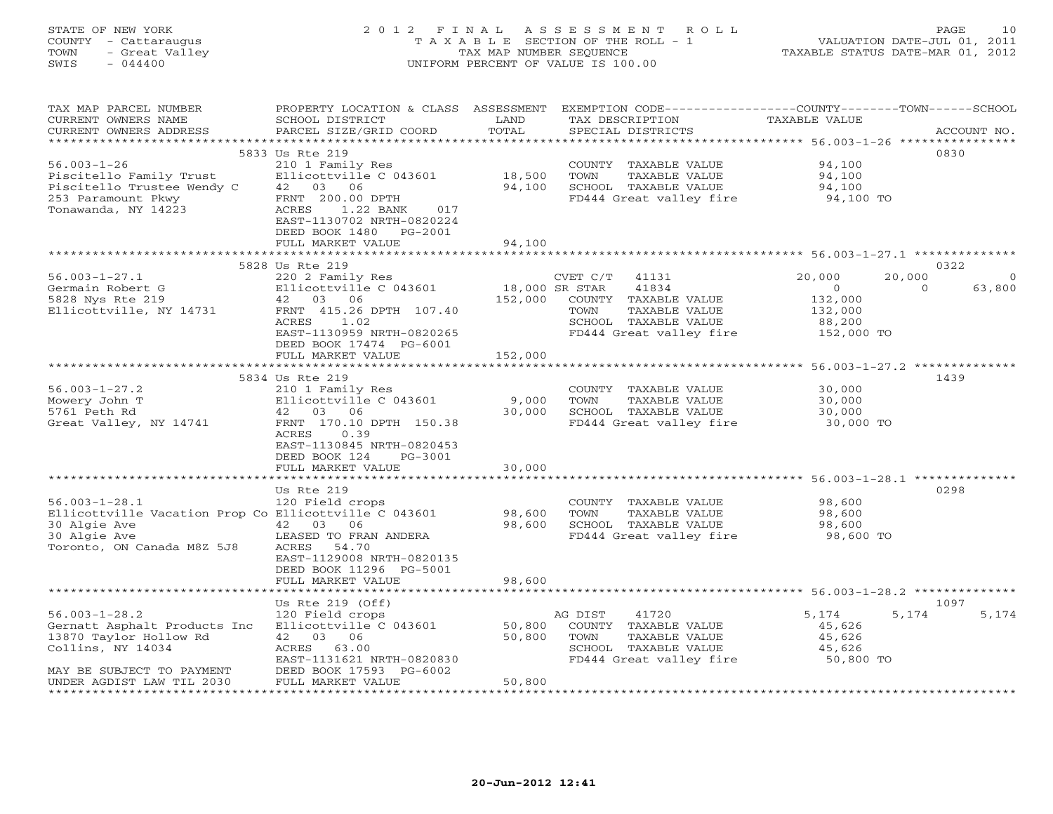# STATE OF NEW YORK 2 0 1 2 F I N A L A S S E S S M E N T R O L L PAGE 10 COUNTY - Cattaraugus T A X A B L E SECTION OF THE ROLL - 1 VALUATION DATE-JUL 01, 2011 TOWN - Great Valley TAX MAP NUMBER SEQUENCE TAXABLE STATUS DATE-MAR 01, 2012 SWIS - 044400 UNIFORM PERCENT OF VALUE IS 100.00UNIFORM PERCENT OF VALUE IS 100.00

| TAX MAP PARCEL NUMBER<br>CURRENT OWNERS NAME<br>CURRENT OWNERS ADDRESS | PROPERTY LOCATION & CLASS<br>SCHOOL DISTRICT<br>PARCEL SIZE/GRID COORD | ASSESSMENT<br>LAND<br>TOTAL | TAX DESCRIPTION<br>SPECIAL DISTRICTS     | EXEMPTION CODE-----------------COUNTY-------TOWN------SCHOOL<br>TAXABLE VALUE | ACCOUNT NO. |
|------------------------------------------------------------------------|------------------------------------------------------------------------|-----------------------------|------------------------------------------|-------------------------------------------------------------------------------|-------------|
| ****************                                                       |                                                                        | **********                  |                                          | ********************************* 56.003-1-26 ****************                |             |
|                                                                        | 5833 Us Rte 219                                                        |                             |                                          |                                                                               | 0830        |
| $56.003 - 1 - 26$                                                      | 210 1 Family Res                                                       |                             | COUNTY<br>TAXABLE VALUE                  | 94,100                                                                        |             |
| Piscitello Family Trust                                                | Ellicottville C 043601                                                 | 18,500                      | TOWN<br>TAXABLE VALUE                    | 94,100                                                                        |             |
| Piscitello Trustee Wendy C                                             | 42 03<br>06                                                            | 94,100                      | SCHOOL TAXABLE VALUE                     | 94,100                                                                        |             |
| 253 Paramount Pkwy                                                     | FRNT 200.00 DPTH                                                       |                             | FD444 Great valley fire                  | 94,100 TO                                                                     |             |
| Tonawanda, NY 14223                                                    | ACRES<br>017<br>1.22 BANK                                              |                             |                                          |                                                                               |             |
|                                                                        | EAST-1130702 NRTH-0820224                                              |                             |                                          |                                                                               |             |
|                                                                        | DEED BOOK 1480<br>PG-2001                                              |                             |                                          |                                                                               |             |
|                                                                        | FULL MARKET VALUE                                                      | 94,100                      |                                          | ******************** 56.003-1-27.1 **************                             |             |
|                                                                        | 5828 Us Rte 219                                                        |                             |                                          |                                                                               | 0322        |
| $56.003 - 1 - 27.1$                                                    | 220 2 Family Res                                                       |                             | CVET C/T<br>41131                        | 20,000<br>20,000                                                              | $\circ$     |
| Germain Robert G                                                       | Ellicottville C 043601                                                 |                             | 18,000 SR STAR<br>41834                  | $\circ$<br>$\circ$                                                            | 63,800      |
| 5828 Nys Rte 219                                                       | 42 03 06                                                               | 152,000                     | COUNTY TAXABLE VALUE                     | 132,000                                                                       |             |
| Ellicottville, NY 14731                                                | FRNT 415.26 DPTH 107.40                                                |                             | TOWN<br>TAXABLE VALUE                    | 132,000                                                                       |             |
|                                                                        | ACRES<br>1.02                                                          |                             | SCHOOL TAXABLE VALUE                     | 88,200                                                                        |             |
|                                                                        | EAST-1130959 NRTH-0820265                                              |                             | FD444 Great valley fire                  | 152,000 TO                                                                    |             |
|                                                                        | DEED BOOK 17474 PG-6001                                                |                             |                                          |                                                                               |             |
|                                                                        | FULL MARKET VALUE                                                      | 152,000                     |                                          |                                                                               |             |
|                                                                        |                                                                        |                             |                                          | $56.003 - 1 - 27.2$ **************                                            |             |
|                                                                        | 5834 Us Rte 219                                                        |                             |                                          |                                                                               | 1439        |
| $56.003 - 1 - 27.2$                                                    | 210 1 Family Res                                                       |                             | COUNTY TAXABLE VALUE                     | 30,000                                                                        |             |
| Mowery John T                                                          | Ellicottville C 043601                                                 | 9,000                       | TOWN<br>TAXABLE VALUE                    | 30,000                                                                        |             |
| 5761 Peth Rd                                                           | 03<br>42<br>06                                                         | 30,000                      | SCHOOL TAXABLE VALUE                     | 30,000                                                                        |             |
| Great Valley, NY 14741                                                 | FRNT 170.10 DPTH 150.38                                                |                             | FD444 Great valley fire                  | 30,000 TO                                                                     |             |
|                                                                        | ACRES<br>0.39<br>EAST-1130845 NRTH-0820453                             |                             |                                          |                                                                               |             |
|                                                                        | DEED BOOK 124<br>PG-3001                                               |                             |                                          |                                                                               |             |
|                                                                        | FULL MARKET VALUE                                                      | 30,000                      |                                          |                                                                               |             |
|                                                                        |                                                                        |                             |                                          | $56.003 - 1 - 28.1$ *************                                             |             |
|                                                                        | Us Rte 219                                                             |                             |                                          |                                                                               | 0298        |
| $56.003 - 1 - 28.1$                                                    | 120 Field crops                                                        |                             | COUNTY TAXABLE VALUE                     | 98,600                                                                        |             |
| Ellicottville Vacation Prop Co Ellicottville C 043601                  |                                                                        | 98,600                      | TOWN<br>TAXABLE VALUE                    | 98,600                                                                        |             |
| 30 Algie Ave                                                           | 42<br>03<br>06                                                         | 98,600                      | SCHOOL TAXABLE VALUE                     | 98,600                                                                        |             |
| 30 Algie Ave                                                           | LEASED TO FRAN ANDERA                                                  |                             | FD444 Great valley fire                  | 98,600 TO                                                                     |             |
| Toronto, ON Canada M8Z 5J8                                             | ACRES<br>54.70                                                         |                             |                                          |                                                                               |             |
|                                                                        | EAST-1129008 NRTH-0820135                                              |                             |                                          |                                                                               |             |
|                                                                        | DEED BOOK 11296 PG-5001                                                |                             |                                          |                                                                               |             |
|                                                                        | FULL MARKET VALUE                                                      | 98,600                      |                                          |                                                                               |             |
|                                                                        |                                                                        |                             |                                          | ***** 56.003-1-28.2 ********                                                  |             |
|                                                                        | Us Rte $219$ (Off)                                                     |                             |                                          |                                                                               | 1097        |
| $56.003 - 1 - 28.2$<br>Gernatt Asphalt Products Inc                    | 120 Field crops                                                        |                             | AG DIST<br>41720<br>COUNTY TAXABLE VALUE | 5,174<br>5,174                                                                | 5,174       |
| 13870 Taylor Hollow Rd                                                 | Ellicottville C 043601<br>42 03 06                                     | 50,800<br>50,800            | TOWN<br>TAXABLE VALUE                    | 45,626<br>45,626                                                              |             |
| Collins, NY 14034                                                      | ACRES<br>63.00                                                         |                             | SCHOOL TAXABLE VALUE                     | 45,626                                                                        |             |
|                                                                        | EAST-1131621 NRTH-0820830                                              |                             | FD444 Great valley fire                  | 50,800 TO                                                                     |             |
| MAY BE SUBJECT TO PAYMENT                                              | DEED BOOK 17593 PG-6002                                                |                             |                                          |                                                                               |             |
| UNDER AGDIST LAW TIL 2030                                              | FULL MARKET VALUE                                                      | 50,800                      |                                          |                                                                               |             |
|                                                                        |                                                                        |                             |                                          |                                                                               |             |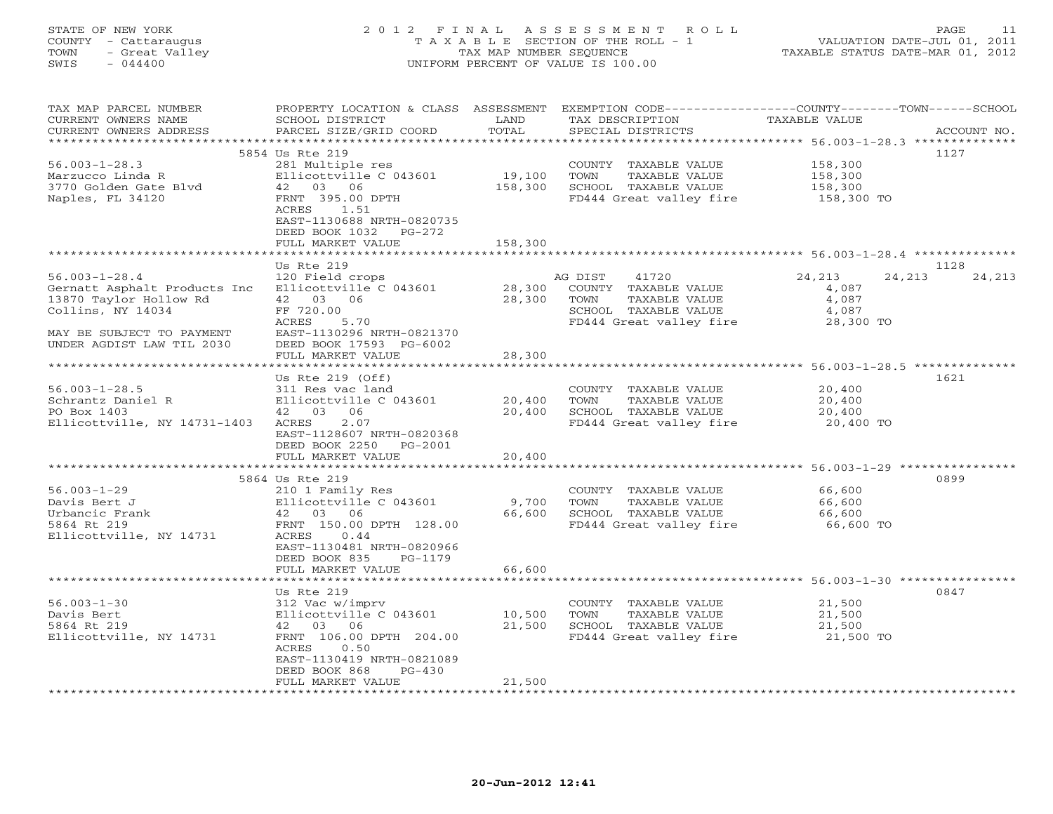# STATE OF NEW YORK 2 0 1 2 F I N A L A S S E S S M E N T R O L L PAGE 11 COUNTY - Cattaraugus T A X A B L E SECTION OF THE ROLL - 1 VALUATION DATE-JUL 01, 2011 TOWN - Great Valley TAX MAP NUMBER SEQUENCE TAXABLE STATUS DATE-MAR 01, 2012 SWIS - 044400 UNIFORM PERCENT OF VALUE IS 100.00UNIFORM PERCENT OF VALUE IS 100.00

| TAX MAP PARCEL NUMBER<br>CURRENT OWNERS NAME<br>CURRENT OWNERS ADDRESS                                                                                       | PROPERTY LOCATION & CLASS ASSESSMENT<br>SCHOOL DISTRICT<br>PARCEL SIZE/GRID COORD                                                                                                      | LAND<br>TOTAL              | EXEMPTION CODE-----------------COUNTY-------TOWN------SCHOOL<br>TAX DESCRIPTION<br>SPECIAL DISTRICTS                 | <b>TAXABLE VALUE</b>                                     | ACCOUNT NO.    |
|--------------------------------------------------------------------------------------------------------------------------------------------------------------|----------------------------------------------------------------------------------------------------------------------------------------------------------------------------------------|----------------------------|----------------------------------------------------------------------------------------------------------------------|----------------------------------------------------------|----------------|
| *************************                                                                                                                                    |                                                                                                                                                                                        |                            |                                                                                                                      |                                                          |                |
| $56.003 - 1 - 28.3$<br>Marzucco Linda R<br>3770 Golden Gate Blyd<br>Naples, FL 34120                                                                         | 5854 Us Rte 219<br>281 Multiple res<br>Ellicottville C 043601<br>42 03 06<br>FRNT 395.00 DPTH<br>ACRES<br>1.51<br>EAST-1130688 NRTH-0820735<br>DEED BOOK 1032<br>$PG-272$              | 19,100<br>158,300          | COUNTY TAXABLE VALUE<br>TOWN<br>TAXABLE VALUE<br>SCHOOL TAXABLE VALUE<br>FD444 Great valley fire                     | 158,300<br>158,300<br>158,300<br>158,300 TO              | 1127           |
|                                                                                                                                                              | FULL MARKET VALUE                                                                                                                                                                      | 158,300                    |                                                                                                                      |                                                          |                |
|                                                                                                                                                              |                                                                                                                                                                                        |                            |                                                                                                                      |                                                          |                |
|                                                                                                                                                              |                                                                                                                                                                                        |                            |                                                                                                                      |                                                          |                |
| $56.003 - 1 - 28.4$<br>Gernatt Asphalt Products Inc<br>13870 Taylor Hollow Rd<br>Collins, NY 14034<br>MAY BE SUBJECT TO PAYMENT<br>UNDER AGDIST LAW TIL 2030 | Us Rte 219<br>120 Field crops<br>Ellicottville C 043601<br>42 03 06<br>FF 720.00<br>ACRES<br>5.70<br>EAST-1130296 NRTH-0821370<br>DEED BOOK 17593 PG-6002                              | 28,300<br>28,300           | AG DIST<br>41720<br>COUNTY TAXABLE VALUE<br>TOWN<br>TAXABLE VALUE<br>SCHOOL TAXABLE VALUE<br>FD444 Great valley fire | 24,213<br>24,213<br>4,087<br>4,087<br>4,087<br>28,300 TO | 1128<br>24,213 |
|                                                                                                                                                              | FULL MARKET VALUE                                                                                                                                                                      | 28,300                     |                                                                                                                      |                                                          |                |
|                                                                                                                                                              |                                                                                                                                                                                        | ************               |                                                                                                                      | ******************** 56.003-1-28.5 ***************       |                |
| $56.003 - 1 - 28.5$<br>Schrantz Daniel R<br>PO Box 1403<br>Ellicottville, NY 14731-1403                                                                      | Us Rte $219$ (Off)<br>311 Res vac land<br>Ellicottville C 043601<br>42 03 06<br>2.07<br>ACRES<br>EAST-1128607 NRTH-0820368<br>DEED BOOK 2250<br>PG-2001<br>FULL MARKET VALUE           | 20,400<br>20,400<br>20,400 | COUNTY TAXABLE VALUE<br>TOWN<br>TAXABLE VALUE<br>SCHOOL TAXABLE VALUE<br>FD444 Great valley fire                     | 20,400<br>20,400<br>20,400<br>20,400 TO                  | 1621           |
|                                                                                                                                                              |                                                                                                                                                                                        |                            |                                                                                                                      |                                                          |                |
| $56.003 - 1 - 29$<br>Davis Bert J<br>Urbancic Frank<br>5864 Rt 219<br>Ellicottville, NY 14731                                                                | 5864 Us Rte 219<br>210 1 Family Res<br>Ellicottville C 043601<br>42 03 06<br>FRNT 150.00 DPTH 128.00<br>ACRES<br>0.44<br>EAST-1130481 NRTH-0820966<br>DEED BOOK 835<br>$PG-1179$       | 9,700<br>66,600            | COUNTY TAXABLE VALUE<br>TOWN<br><b>TAXABLE VALUE</b><br>SCHOOL TAXABLE VALUE<br>FD444 Great valley fire              | 66,600<br>66,600<br>66,600<br>66,600 TO                  | 0899           |
|                                                                                                                                                              | FULL MARKET VALUE                                                                                                                                                                      | 66,600                     |                                                                                                                      |                                                          |                |
|                                                                                                                                                              | Us Rte 219                                                                                                                                                                             |                            |                                                                                                                      |                                                          | 0847           |
| $56.003 - 1 - 30$<br>Davis Bert<br>5864 Rt 219<br>Ellicottville, NY 14731                                                                                    | 312 Vac w/imprv<br>Ellicottville C 043601<br>06<br>42<br>03<br>FRNT 106.00 DPTH 204.00<br>ACRES<br>0.50<br>EAST-1130419 NRTH-0821089<br>DEED BOOK 868<br>$PG-430$<br>FULL MARKET VALUE | 10,500<br>21,500<br>21,500 | COUNTY TAXABLE VALUE<br>TOWN<br>TAXABLE VALUE<br>SCHOOL TAXABLE VALUE<br>FD444 Great valley fire                     | 21,500<br>21,500<br>21,500<br>21,500 TO                  |                |
|                                                                                                                                                              |                                                                                                                                                                                        |                            |                                                                                                                      |                                                          |                |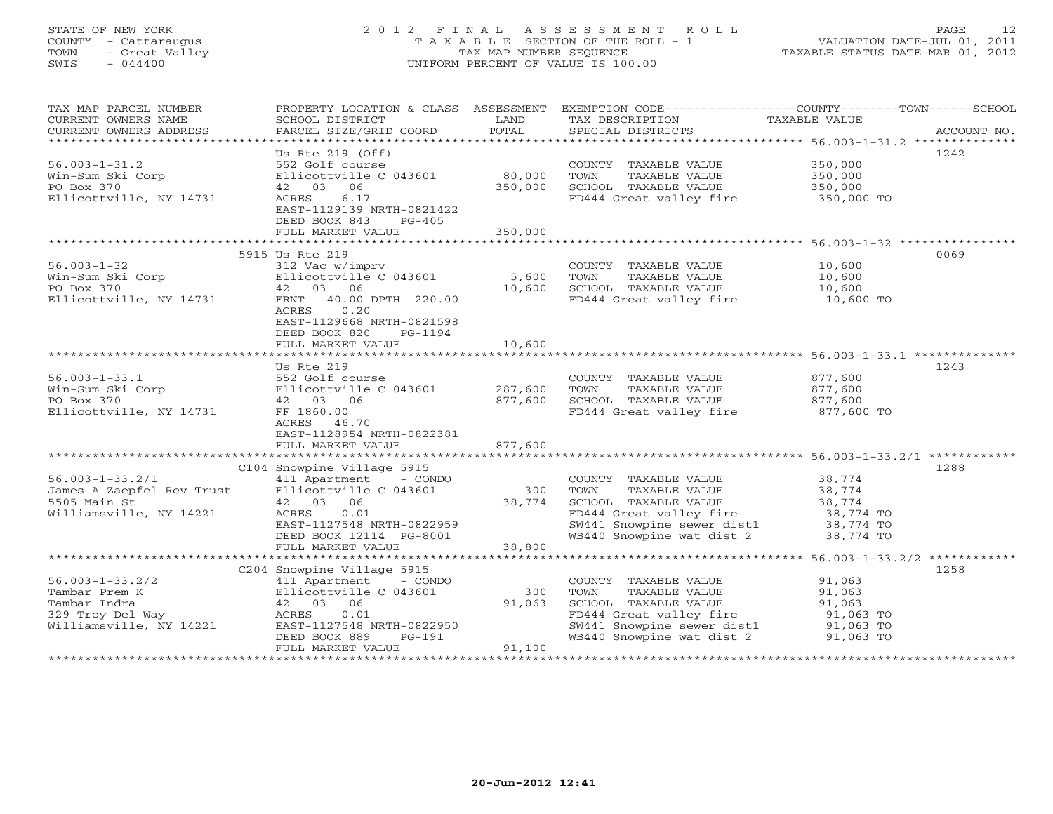# STATE OF NEW YORK 2 0 1 2 F I N A L A S S E S S M E N T R O L L PAGE 12 COUNTY - Cattaraugus T A X A B L E SECTION OF THE ROLL - 1 VALUATION DATE-JUL 01, 2011 TOWN - Great Valley TAX MAP NUMBER SEQUENCE TAXABLE STATUS DATE-MAR 01, 2012 SWIS - 044400 UNIFORM PERCENT OF VALUE IS 100.00UNIFORM PERCENT OF VALUE IS 100.00

| TAX MAP PARCEL NUMBER<br>CURRENT OWNERS NAME<br>CURRENT OWNERS ADDRESS | PROPERTY LOCATION & CLASS ASSESSMENT<br>SCHOOL DISTRICT<br>PARCEL SIZE/GRID COORD           | LAND<br>TOTAL   | TAX DESCRIPTION<br>SPECIAL DISTRICTS                                        | EXEMPTION CODE-----------------COUNTY-------TOWN------SCHOOL<br>TAXABLE VALUE<br>ACCOUNT NO. |
|------------------------------------------------------------------------|---------------------------------------------------------------------------------------------|-----------------|-----------------------------------------------------------------------------|----------------------------------------------------------------------------------------------|
|                                                                        |                                                                                             |                 |                                                                             |                                                                                              |
|                                                                        | Us Rte $219$ (Off)                                                                          |                 |                                                                             | 1242                                                                                         |
| $56.003 - 1 - 31.2$                                                    | 552 Golf course                                                                             |                 | COUNTY TAXABLE VALUE 350,000                                                |                                                                                              |
| Win-Sum Ski Corp                                                       | Ellicottville C 043601                                                                      | 80,000          | TOWN<br>TAXABLE VALUE                                                       | 350,000<br>350,000                                                                           |
| PO Box 370                                                             | 42 03 06                                                                                    | 350,000         | SCHOOL TAXABLE VALUE                                                        |                                                                                              |
| Ellicottville, NY 14731                                                | ACRES<br>6.17<br>EAST-1129139 NRTH-0821422<br>DEED BOOK 843<br>$PG-405$                     |                 | FD444 Great valley fire 350,000 TO                                          |                                                                                              |
|                                                                        | FULL MARKET VALUE                                                                           | 350,000         |                                                                             |                                                                                              |
|                                                                        |                                                                                             |                 |                                                                             |                                                                                              |
|                                                                        | 5915 Us Rte 219                                                                             |                 |                                                                             | 0069                                                                                         |
| $56.003 - 1 - 32$                                                      | 312 Vac w/imprv<br>Ellicottville C 043601                                                   |                 | COUNTY TAXABLE VALUE                                                        | 10,600<br>10,600                                                                             |
| Win-Sum Ski Corp<br>PO Box 370                                         | 42 03 06                                                                                    | 5,600<br>10,600 | TOWN<br>TAXABLE VALUE<br>SCHOOL TAXABLE VALUE                               | 10,600                                                                                       |
| Ellicottville, NY 14731                                                | FRNT 40.00 DPTH 220.00                                                                      |                 | FD444 Great valley fire                                                     | $10,600$ TO                                                                                  |
|                                                                        | ACRES<br>0.20<br>EAST-1129668 NRTH-0821598<br>DEED BOOK 820<br>PG-1194<br>FULL MARKET VALUE | 10,600          |                                                                             |                                                                                              |
|                                                                        |                                                                                             |                 |                                                                             |                                                                                              |
|                                                                        | Us Rte 219                                                                                  |                 |                                                                             | 1243                                                                                         |
| $56.003 - 1 - 33.1$                                                    | 552 Golf course<br>Ellicottville C 043601 287,600<br>42 03 06                               |                 | COUNTY TAXABLE VALUE                                                        |                                                                                              |
| Win-Sum Ski Corp                                                       |                                                                                             |                 | TAXABLE VALUE<br>TOWN                                                       | 877,600<br>877,600                                                                           |
| PO Box 370                                                             |                                                                                             | 877,600         | SCHOOL TAXABLE VALUE                                                        | 877,600                                                                                      |
| Ellicottville, NY 14731                                                | FF 1860.00<br>ACRES 46.70                                                                   |                 | FD444 Great valley fire                                                     | 877,600 TO                                                                                   |
|                                                                        | EAST-1128954 NRTH-0822381<br>FULL MARKET VALUE                                              | 877,600         |                                                                             |                                                                                              |
|                                                                        |                                                                                             |                 |                                                                             |                                                                                              |
|                                                                        | C104 Snowpine Village 5915                                                                  |                 |                                                                             | 1288                                                                                         |
| $56.003 - 1 - 33.2/1$                                                  | 411 Apartment - CONDO                                                                       |                 | COUNTY TAXABLE VALUE 38,774                                                 |                                                                                              |
| James A Zaepfel Rev Trust                                              | Ellicottville C 043601                                                                      |                 | 300 TOWN<br>TAXABLE VALUE                                                   | 38,774                                                                                       |
| 5505 Main St                                                           | 42 03<br>06                                                                                 | 38,774          | SCHOOL TAXABLE VALUE                                                        | 38,774                                                                                       |
| Williamsville, NY 14221                                                | 0.01<br>ACRES                                                                               |                 | FD444 Great valley fire 38,774 TO<br>SW441 Snowpine sewer dist1 38,774 TO   |                                                                                              |
|                                                                        | EAST-1127548 NRTH-0822959                                                                   |                 | WB440 Snowpine wat dist 2                                                   |                                                                                              |
|                                                                        | DEED BOOK 12114 PG-8001<br>FULL MARKET VALUE                                                | 38,800          |                                                                             | 38,774 TO                                                                                    |
|                                                                        |                                                                                             |                 |                                                                             |                                                                                              |
|                                                                        | C204 Snowpine Village 5915                                                                  |                 |                                                                             | 1258                                                                                         |
| $56.003 - 1 - 33.2/2$                                                  | 411 Apartment - CONDO                                                                       |                 | COUNTY TAXABLE VALUE                                                        | 91,063                                                                                       |
| Tambar Prem K                                                          | Ellicottville C 043601                                                                      | 300             | TAXABLE VALUE<br>TOWN                                                       | 91,063                                                                                       |
| Tambar Indra                                                           | 42 03 06                                                                                    | 91,063          | SCHOOL TAXABLE VALUE                                                        | 91,063                                                                                       |
| Tambar Indra<br>329 Troy Del Way                                       | ACRES<br>0.01                                                                               |                 | FD444 Great valley fire                                                     | 91,063 TO                                                                                    |
| Williamsville, NY 14221                                                | EAST-1127548 NRTH-0822950                                                                   |                 | SW441 Snowpine sewer dist1 91,063 TO<br>WB440 Snowpine wat dist 2 91,063 TO |                                                                                              |
|                                                                        | DEED BOOK 889<br>PG-191                                                                     |                 |                                                                             |                                                                                              |
|                                                                        | FULL MARKET VALUE                                                                           | 91,100          |                                                                             |                                                                                              |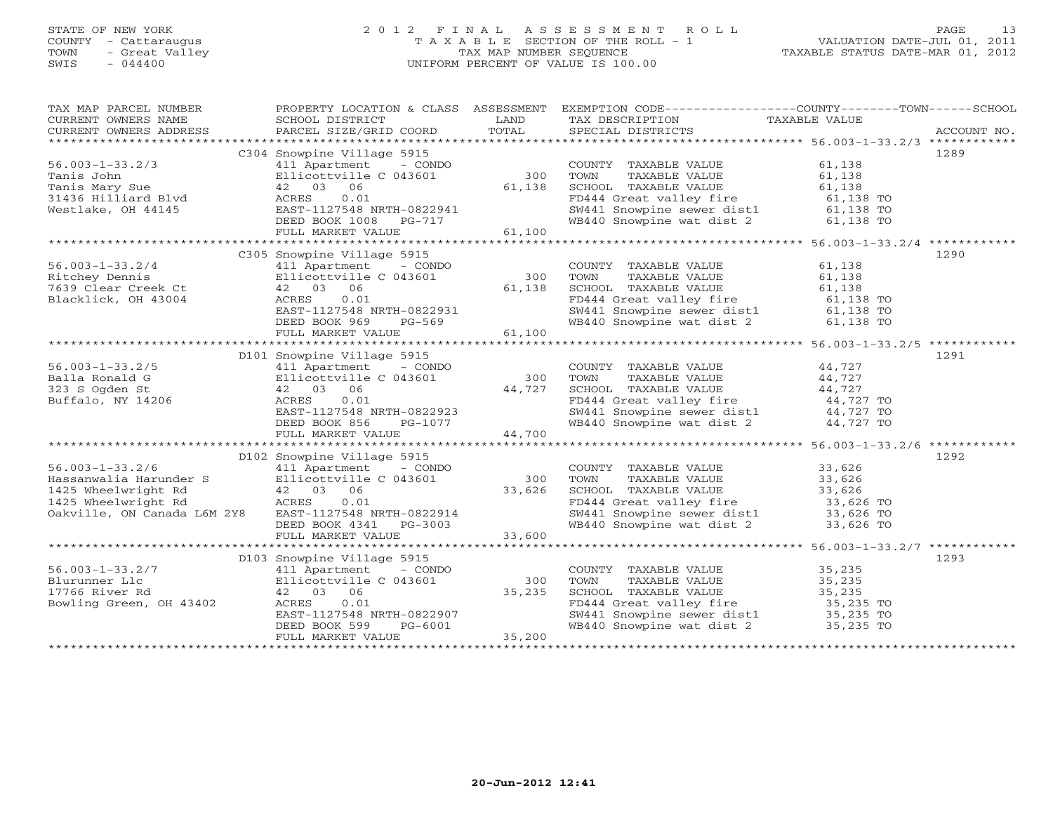# STATE OF NEW YORK 2 0 1 2 F I N A L A S S E S S M E N T R O L L PAGE 13 COUNTY - Cattaraugus T A X A B L E SECTION OF THE ROLL - 1 VALUATION DATE-JUL 01, 2011 TOWN - Great Valley TAX MAP NUMBER SEQUENCE TAXABLE STATUS DATE-MAR 01, 2012 SWIS - 044400 UNIFORM PERCENT OF VALUE IS 100.00UNIFORM PERCENT OF VALUE IS 100.00

| TAX MAP PARCEL NUMBER PROPERTY LOCATION & CLASS ASSESSMENT EXEMPTION CODE------------------COUNTY-------TOWN-----SCHOOL SCHOOL DISTRICT LAND TAX DESCRIPTION TANABLE VALUE<br>CURRENT OWNERS ADDRESS PARCEL SIZE/GRID COORD TOTAL                                                                                                                                                                    |                            |                                                                                                                                                                                                                                                      |                                   |      |
|------------------------------------------------------------------------------------------------------------------------------------------------------------------------------------------------------------------------------------------------------------------------------------------------------------------------------------------------------------------------------------------------------|----------------------------|------------------------------------------------------------------------------------------------------------------------------------------------------------------------------------------------------------------------------------------------------|-----------------------------------|------|
|                                                                                                                                                                                                                                                                                                                                                                                                      |                            |                                                                                                                                                                                                                                                      |                                   |      |
|                                                                                                                                                                                                                                                                                                                                                                                                      | C304 Snowpine Village 5915 |                                                                                                                                                                                                                                                      |                                   | 1289 |
|                                                                                                                                                                                                                                                                                                                                                                                                      |                            | COUNTY TAXABLE VALUE 61,138                                                                                                                                                                                                                          |                                   |      |
|                                                                                                                                                                                                                                                                                                                                                                                                      |                            |                                                                                                                                                                                                                                                      |                                   |      |
|                                                                                                                                                                                                                                                                                                                                                                                                      |                            |                                                                                                                                                                                                                                                      |                                   |      |
|                                                                                                                                                                                                                                                                                                                                                                                                      |                            |                                                                                                                                                                                                                                                      |                                   |      |
|                                                                                                                                                                                                                                                                                                                                                                                                      |                            |                                                                                                                                                                                                                                                      |                                   |      |
|                                                                                                                                                                                                                                                                                                                                                                                                      |                            | COUNTY TAXABLE VALUE<br>TOWN TAXABLE VALUE 61,138<br>SCHOOL TAXABLE VALUE 61,138<br>FD444 Great valley fire 61,138 TO<br>SW441 Snowpine sewer dist1 61,138 TO<br>WB440 Snowpine wat dist 2 61,138 TO                                                 |                                   |      |
|                                                                                                                                                                                                                                                                                                                                                                                                      |                            |                                                                                                                                                                                                                                                      |                                   |      |
| $\begin{tabular}{lllllllll} 56.003-1-33.2/3 & \text{c304} & \text{S1000} & \text{COUNT}\\ \text{Tanis John} & & & & & \text{E11} & \text{L11} & \text{L12} & \text{L12} & \text{L130} & \text{COUNT}\\ \text{Tanis John} & & & & & \text{E11} & \text{C0100} & \text{C01} & \text{S00} & \text{TOWN}\\ \text{Tanis Mary Sue} & & & & & 42 & 03 & 06 & 61,138 & \text{SCHOO1}\\ \text{Nestlike, OH 4$ |                            |                                                                                                                                                                                                                                                      |                                   |      |
|                                                                                                                                                                                                                                                                                                                                                                                                      | C305 Snowpine Village 5915 |                                                                                                                                                                                                                                                      |                                   | 1290 |
| $56.003 - 1 - 33.2/4$                                                                                                                                                                                                                                                                                                                                                                                | 411 Apartment - CONDO      | COUNTY TAXABLE VALUE 61,138                                                                                                                                                                                                                          |                                   |      |
|                                                                                                                                                                                                                                                                                                                                                                                                      |                            |                                                                                                                                                                                                                                                      |                                   |      |
|                                                                                                                                                                                                                                                                                                                                                                                                      |                            |                                                                                                                                                                                                                                                      |                                   |      |
|                                                                                                                                                                                                                                                                                                                                                                                                      |                            |                                                                                                                                                                                                                                                      |                                   |      |
|                                                                                                                                                                                                                                                                                                                                                                                                      |                            |                                                                                                                                                                                                                                                      |                                   |      |
|                                                                                                                                                                                                                                                                                                                                                                                                      |                            |                                                                                                                                                                                                                                                      |                                   |      |
|                                                                                                                                                                                                                                                                                                                                                                                                      |                            |                                                                                                                                                                                                                                                      |                                   |      |
|                                                                                                                                                                                                                                                                                                                                                                                                      |                            |                                                                                                                                                                                                                                                      |                                   |      |
|                                                                                                                                                                                                                                                                                                                                                                                                      |                            |                                                                                                                                                                                                                                                      |                                   |      |
|                                                                                                                                                                                                                                                                                                                                                                                                      | D101 Snowpine Village 5915 |                                                                                                                                                                                                                                                      |                                   | 1291 |
|                                                                                                                                                                                                                                                                                                                                                                                                      |                            |                                                                                                                                                                                                                                                      |                                   |      |
|                                                                                                                                                                                                                                                                                                                                                                                                      |                            |                                                                                                                                                                                                                                                      |                                   |      |
|                                                                                                                                                                                                                                                                                                                                                                                                      |                            |                                                                                                                                                                                                                                                      |                                   |      |
|                                                                                                                                                                                                                                                                                                                                                                                                      |                            |                                                                                                                                                                                                                                                      |                                   |      |
|                                                                                                                                                                                                                                                                                                                                                                                                      |                            |                                                                                                                                                                                                                                                      |                                   |      |
|                                                                                                                                                                                                                                                                                                                                                                                                      |                            | COUNTY TAXABLE VALUE<br>TOWN TAXABLE VALUE 44,727<br>SCHOOL TAXABLE VALUE 44,727<br>FD444 Great valley fire 44,727<br>SW441 Snowpine sewer dist1 44,727 TO<br>WB440 Snowpine wat dist 2 44,727 TO                                                    |                                   |      |
|                                                                                                                                                                                                                                                                                                                                                                                                      |                            |                                                                                                                                                                                                                                                      |                                   |      |
|                                                                                                                                                                                                                                                                                                                                                                                                      |                            |                                                                                                                                                                                                                                                      |                                   |      |
|                                                                                                                                                                                                                                                                                                                                                                                                      | D102 Snowpine Village 5915 |                                                                                                                                                                                                                                                      |                                   | 1292 |
|                                                                                                                                                                                                                                                                                                                                                                                                      |                            |                                                                                                                                                                                                                                                      |                                   |      |
|                                                                                                                                                                                                                                                                                                                                                                                                      |                            |                                                                                                                                                                                                                                                      |                                   |      |
|                                                                                                                                                                                                                                                                                                                                                                                                      |                            |                                                                                                                                                                                                                                                      |                                   |      |
|                                                                                                                                                                                                                                                                                                                                                                                                      |                            |                                                                                                                                                                                                                                                      |                                   |      |
|                                                                                                                                                                                                                                                                                                                                                                                                      |                            |                                                                                                                                                                                                                                                      |                                   |      |
|                                                                                                                                                                                                                                                                                                                                                                                                      |                            |                                                                                                                                                                                                                                                      |                                   |      |
|                                                                                                                                                                                                                                                                                                                                                                                                      |                            |                                                                                                                                                                                                                                                      |                                   |      |
|                                                                                                                                                                                                                                                                                                                                                                                                      |                            |                                                                                                                                                                                                                                                      |                                   |      |
|                                                                                                                                                                                                                                                                                                                                                                                                      | D103 Snowpine Village 5915 |                                                                                                                                                                                                                                                      |                                   | 1293 |
|                                                                                                                                                                                                                                                                                                                                                                                                      |                            |                                                                                                                                                                                                                                                      |                                   |      |
|                                                                                                                                                                                                                                                                                                                                                                                                      |                            |                                                                                                                                                                                                                                                      |                                   |      |
|                                                                                                                                                                                                                                                                                                                                                                                                      |                            | COUNTY TAXABLE VALUE<br>TOWN TAXABLE VALUE<br>SCHOOL TAXABLE VALUE<br>FD444 Great valley fire<br>SW441 Snowpine sewer dist1<br>THE 35,235 TO<br>SW441 Snowpine wat dist 2<br>THE 35,235 TO<br>THE 35,235 TO<br>THE 35,235 TO<br>THE 35,235 TO<br>THE |                                   |      |
|                                                                                                                                                                                                                                                                                                                                                                                                      |                            |                                                                                                                                                                                                                                                      |                                   |      |
|                                                                                                                                                                                                                                                                                                                                                                                                      |                            |                                                                                                                                                                                                                                                      |                                   |      |
|                                                                                                                                                                                                                                                                                                                                                                                                      |                            |                                                                                                                                                                                                                                                      |                                   |      |
| 56.003-1-33.2/7<br>Blurunner Llc and the showpine viringe 5915<br>17766 River Rd and Hall Apartment - CONDO<br>17766 River Rd 42 03 06 35,235<br>Bowling Green, OH 43402 ACRES 0.01<br>EAST-1127548 NRTH-0822907<br>DEED BOOK 599 PG-6001<br>                                                                                                                                                        |                            |                                                                                                                                                                                                                                                      |                                   |      |
|                                                                                                                                                                                                                                                                                                                                                                                                      |                            |                                                                                                                                                                                                                                                      | ********************************* |      |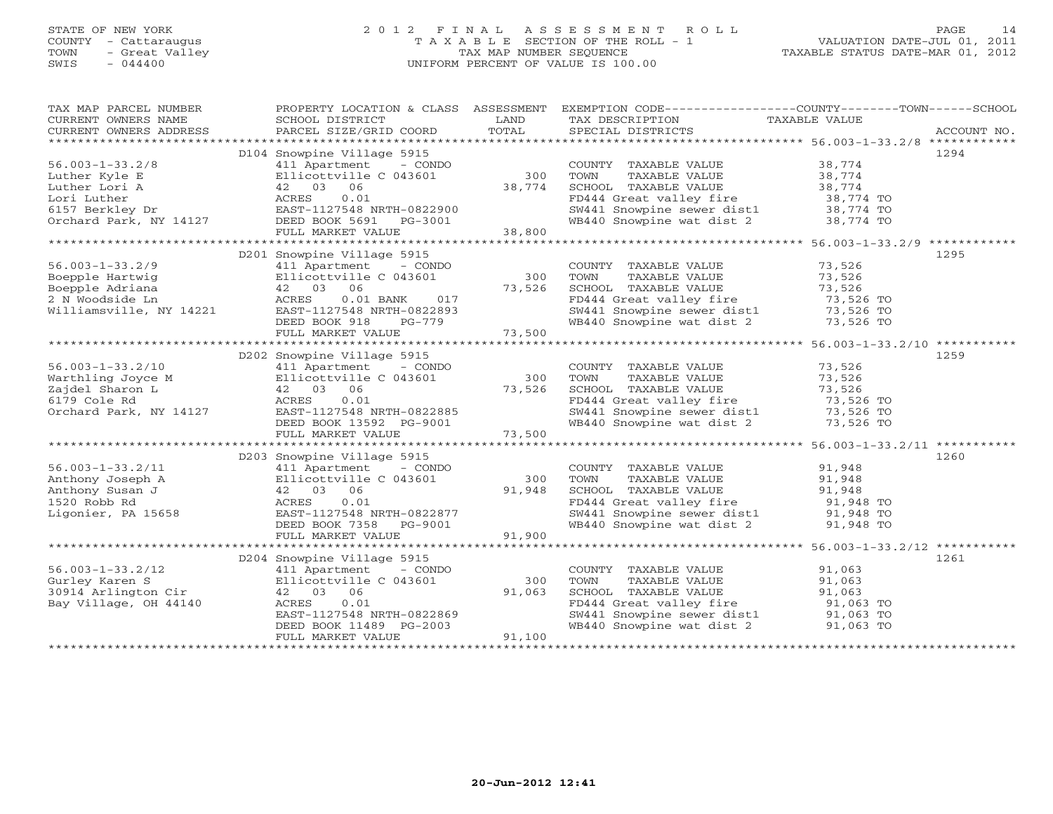### STATE OF NEW YORK 2 0 1 2 F I N A L A S S E S S M E N T R O L L PAGE 14 COUNTY - Cattaraugus T A X A B L E SECTION OF THE ROLL - 1 VALUATION DATE-JUL 01, 2011 TOWN - Great Valley TAX MAP NUMBER SEQUENCE TAXABLE STATUS DATE-MAR 01, 2012 SWIS - 044400 UNIFORM PERCENT OF VALUE IS 100.00UNIFORM PERCENT OF VALUE IS 100.00

| TAX MAP PARCEL NUMBER<br>CURRENT OWNERS NAME<br>CURRENT OWNERS ADDRESS                                                                                                                                                                                        | SCHOOL DISTRICT<br>PARCEL SIZE/GRID COORD                            | LAND<br>TOTAL        | PROPERTY LOCATION & CLASS ASSESSMENT EXEMPTION CODE---------------COUNTY-------TOWN------SCHOOL<br>TAX DESCRIPTION TAXABLE VALUE SPECIAL DISTRICTS |                     | ACCOUNT NO. |
|---------------------------------------------------------------------------------------------------------------------------------------------------------------------------------------------------------------------------------------------------------------|----------------------------------------------------------------------|----------------------|----------------------------------------------------------------------------------------------------------------------------------------------------|---------------------|-------------|
|                                                                                                                                                                                                                                                               |                                                                      |                      |                                                                                                                                                    |                     |             |
|                                                                                                                                                                                                                                                               | D104 Snowpine Village 5915                                           |                      |                                                                                                                                                    |                     | 1294        |
| $56.003 - 1 - 33.2/8$                                                                                                                                                                                                                                         | 411 Apartment - CONDO                                                |                      | COUNTY TAXABLE VALUE 38,774                                                                                                                        |                     |             |
| Ellicottville C 043601<br>Luther Kyle E<br>Luther Lori A<br>6157 Berkley Dr. England McRES 0.01<br>6157 Berkley Dr. EAST-1127548 NRTH-0822900<br>Orchard Park, NY 14127<br>DEED BOOK 5691 PG-3001                                                             |                                                                      | 300                  | TAXABLE VALUE 38, 774<br>TAXABLE VALUE 38, 774<br>TOWN                                                                                             |                     |             |
|                                                                                                                                                                                                                                                               |                                                                      | 38,774               |                                                                                                                                                    |                     |             |
|                                                                                                                                                                                                                                                               |                                                                      |                      |                                                                                                                                                    |                     |             |
|                                                                                                                                                                                                                                                               |                                                                      |                      |                                                                                                                                                    |                     |             |
|                                                                                                                                                                                                                                                               |                                                                      | PG-3001              | SCHOOL TAXABLE VALUE 38,774<br>FD444 Great valley fire 38,774 TO<br>SW441 Snowpine sewer dist1 38,774 TO<br>WB440 Snowpine wat dist 2 38,774 TO    |                     |             |
|                                                                                                                                                                                                                                                               | FULL MARKET VALUE                                                    | 38,800               |                                                                                                                                                    |                     |             |
|                                                                                                                                                                                                                                                               |                                                                      |                      |                                                                                                                                                    |                     |             |
|                                                                                                                                                                                                                                                               | D201 Snowpine Village 5915                                           |                      |                                                                                                                                                    |                     | 1295        |
| $56.003 - 1 - 33.2/9$                                                                                                                                                                                                                                         | 411 Apartment - CONDO                                                |                      | COUNTY TAXABLE VALUE 73,526                                                                                                                        |                     |             |
|                                                                                                                                                                                                                                                               | Ellicottville C 043601                                               | 300                  | TOWN TAXABLE VALUE 73,526<br>SCHOOL TAXABLE VALUE 73,526                                                                                           |                     |             |
| Boepple Hartwig<br>Boepple Adriana (1994)<br>2 N Woodside Ln (1994)<br>Williamsville, NY 14221 (1995)<br>EAST-112                                                                                                                                             | 06                                                                   | 73,526               |                                                                                                                                                    |                     |             |
|                                                                                                                                                                                                                                                               | 017<br>$0.01$ BANK                                                   |                      |                                                                                                                                                    |                     |             |
|                                                                                                                                                                                                                                                               | EAST-1127548 NRTH-0822893                                            |                      |                                                                                                                                                    |                     |             |
|                                                                                                                                                                                                                                                               | DEED BOOK 918                                                        | $PG-779$<br>E 73,500 | FD444 Great valley fire<br>SW441 Snowpine sewer dist1<br>WB440 Snowpine wat dist 2 73,526 TO<br>TO WB440 Snowpine wat dist 2 73,526 TO             |                     |             |
|                                                                                                                                                                                                                                                               | FULL MARKET VALUE                                                    |                      |                                                                                                                                                    |                     |             |
|                                                                                                                                                                                                                                                               |                                                                      |                      |                                                                                                                                                    |                     |             |
|                                                                                                                                                                                                                                                               | D202 Snowpine Village 5915                                           |                      |                                                                                                                                                    |                     | 1259        |
|                                                                                                                                                                                                                                                               |                                                                      |                      | COUNTY TAXABLE VALUE 73,526                                                                                                                        |                     |             |
|                                                                                                                                                                                                                                                               |                                                                      |                      | TOWN<br>TAXABLE VALUE                                                                                                                              | 73,526              |             |
|                                                                                                                                                                                                                                                               |                                                                      |                      | TOWN TAXABLE VALUE<br>SCHOOL TAXABLE VALUE 73,526<br>FD444 Great valley fire 73,526 TO<br>SW441 Snowpine sewer dist1 73,526 TO                     |                     |             |
|                                                                                                                                                                                                                                                               |                                                                      |                      |                                                                                                                                                    |                     |             |
|                                                                                                                                                                                                                                                               |                                                                      |                      |                                                                                                                                                    |                     |             |
|                                                                                                                                                                                                                                                               |                                                                      |                      | WB440 Snowpine wat dist 2 73,526 TO                                                                                                                |                     |             |
| 56.003-1-33.2/10<br>Warthling Joyce M<br>Zajdel Sharon L<br>2ajdel Sharon L<br>6179 Cole Rd<br>Corchard Park, NY 14127<br>2008 EAST-1127548 NRTH-0822885<br>DEED BOOK 13592 PG-9001<br>23,500<br>23,500<br>23,500<br>23,500<br>23,500<br>23,500<br>23,500<br> |                                                                      |                      |                                                                                                                                                    |                     |             |
|                                                                                                                                                                                                                                                               |                                                                      |                      |                                                                                                                                                    |                     |             |
|                                                                                                                                                                                                                                                               | D203 Snowpine Village 5915                                           |                      |                                                                                                                                                    |                     | 1260        |
|                                                                                                                                                                                                                                                               |                                                                      | $300$                | COUNTY TAXABLE VALUE<br>TOWN      TAXABLE VALUE                                                                                                    | 91,948<br>91,948    |             |
|                                                                                                                                                                                                                                                               |                                                                      |                      |                                                                                                                                                    |                     |             |
|                                                                                                                                                                                                                                                               |                                                                      | 91,948               |                                                                                                                                                    |                     |             |
| 56.003-1-33.2/11<br>Anthony Joseph A<br>Anthony Susan J 42 03 06 91,948<br>1520 Robb Rd ACRES 0.01 91,948<br>Ligonier, PA 15658 EAST-1127548 NRTH-0822877<br>DEED BOOK 7358 PG-9001                                                                           |                                                                      |                      | SCHOOL TAXABLE VALUE<br>FD444 Great valley fire 91,948 TO<br>SW441 Snowpine sewer dist1 91,948 TO                                                  |                     |             |
|                                                                                                                                                                                                                                                               |                                                                      |                      |                                                                                                                                                    |                     |             |
|                                                                                                                                                                                                                                                               |                                                                      |                      | WB440 Snowpine wat dist 2 91,948 TO                                                                                                                |                     |             |
|                                                                                                                                                                                                                                                               | FULL MARKET VALUE                                                    | 91,900               |                                                                                                                                                    |                     |             |
|                                                                                                                                                                                                                                                               |                                                                      |                      |                                                                                                                                                    |                     |             |
|                                                                                                                                                                                                                                                               | D204 Snowpine Village 5915                                           |                      |                                                                                                                                                    |                     | 1261        |
|                                                                                                                                                                                                                                                               |                                                                      |                      | COUNTY TAXABLE VALUE<br>TAXABLE VALUE                                                                                                              | 91,063<br>91,063    |             |
|                                                                                                                                                                                                                                                               |                                                                      | 300                  | TOWN                                                                                                                                               |                     |             |
| 56.003-1-33.2/12<br>Gurley Karen S<br>30914 Arlington Cir (12 03 06 Bay Village, OH 44140 ACRES 0.01                                                                                                                                                          |                                                                      | 91,063               | SCHOOL TAXABLE VALUE<br>FD444 Great valley fire                                                                                                    | 91,063<br>91,063 TO |             |
|                                                                                                                                                                                                                                                               |                                                                      |                      |                                                                                                                                                    |                     |             |
|                                                                                                                                                                                                                                                               |                                                                      |                      | SW441 Snowpine sewer dist1 91,063 TO<br>WB440 Snowpine wat dist 2 91,063 TO                                                                        |                     |             |
|                                                                                                                                                                                                                                                               | 112/048 NRTH-0822869<br>DEED BOOK 11489 PG-2003<br>FULL MARKET VALUE | 91,100               |                                                                                                                                                    |                     |             |
|                                                                                                                                                                                                                                                               |                                                                      |                      |                                                                                                                                                    |                     |             |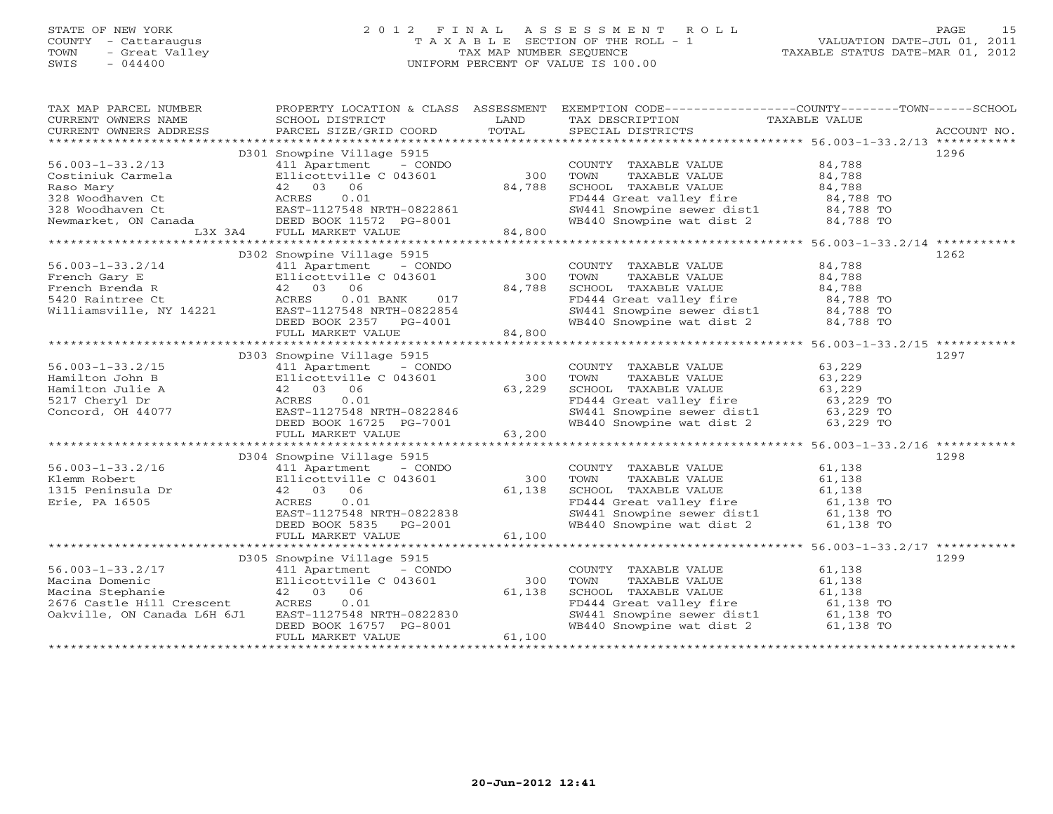# STATE OF NEW YORK 2 0 1 2 F I N A L A S S E S S M E N T R O L L PAGE 15 COUNTY - Cattaraugus T A X A B L E SECTION OF THE ROLL - 1 VALUATION DATE-JUL 01, 2011 TOWN - Great Valley TAX MAP NUMBER SEQUENCE TAXABLE STATUS DATE-MAR 01, 2012 SWIS - 044400 UNIFORM PERCENT OF VALUE IS 100.00UNIFORM PERCENT OF VALUE IS 100.00

| TAX MAP PARCEL NUMBER<br>CURRENT OWNERS NAME<br>CURRENT OWNERS ADDRESS | SCHOOL DISTRICT<br>PARCEL SIZE/GRID COORD | LAND<br>TOTAL | PROPERTY LOCATION & CLASS ASSESSMENT EXEMPTION CODE---------------COUNTY-------TOWN-----SCHOOL<br>TAX DESCRIPTION TAXABLE VALUE<br>SPECIAL DISTRICTS<br>SPECIAL DISTRICTS |                                     | ACCOUNT NO. |
|------------------------------------------------------------------------|-------------------------------------------|---------------|---------------------------------------------------------------------------------------------------------------------------------------------------------------------------|-------------------------------------|-------------|
|                                                                        |                                           |               |                                                                                                                                                                           |                                     |             |
|                                                                        | D301 Snowpine Village 5915                |               |                                                                                                                                                                           |                                     | 1296        |
| $56.003 - 1 - 33.2/13$                                                 | 411 Apartment - CONDO                     |               | COUNTY TAXABLE VALUE                                                                                                                                                      | 84,788                              |             |
| Costiniuk Carmela                                                      | Ellicottville C 043601                    | 300           | TOWN                                                                                                                                                                      |                                     |             |
|                                                                        | 42 03 06                                  | 84,788        | TAXABLE VALUE                                                                                                                                                             | 84,788                              |             |
| Raso Mary<br>--<br>ACRES<br>EAST-                                      |                                           |               | SCHOOL TAXABLE VALUE                                                                                                                                                      | 84,788                              |             |
| 328 Woodhaven Ct                                                       | 0.01                                      |               | FD444 Great valley fire                                                                                                                                                   | 84,788 TO                           |             |
|                                                                        |                                           |               | SW441 Snowpine sewer dist1 84,788 TO<br>WB440 Snowpine wat dist 2 84,788 TO                                                                                               |                                     |             |
|                                                                        |                                           |               |                                                                                                                                                                           |                                     |             |
| L3X 3A4                                                                | FULL MARKET VALUE                         | 84,800        |                                                                                                                                                                           |                                     |             |
|                                                                        |                                           |               |                                                                                                                                                                           |                                     |             |
|                                                                        | D302 Snowpine Village 5915                |               |                                                                                                                                                                           |                                     | 1262        |
| $56.003 - 1 - 33.2/14$                                                 | 411 Apartment - CONDO                     |               | COUNTY TAXABLE VALUE                                                                                                                                                      | 84,788                              |             |
| French Gary E                                                          | Ellicottville C 043601                    | 300           | TOWN<br>TAXABLE VALUE                                                                                                                                                     | 84,788                              |             |
| French Brenda R<br>5420 Raintree Ct<br>Williamsville, NY 14221         | 42 03 06                                  | 84,788        | SCHOOL TAXABLE VALUE                                                                                                                                                      | 84,788                              |             |
|                                                                        | ACRES<br>$0.01$ BANK<br>017               |               | FD444 Great valley fire 84,788 TO<br>SW441 Snowpine sewer dist1 84,788 TO                                                                                                 |                                     |             |
|                                                                        | EAST-1127548 NRTH-0822854                 |               |                                                                                                                                                                           |                                     |             |
|                                                                        | DEED BOOK 2357 PG-4001                    |               | WB440 Snowpine wat dist 2 84,788 TO                                                                                                                                       |                                     |             |
|                                                                        | FULL MARKET VALUE                         | 84,800        |                                                                                                                                                                           |                                     |             |
|                                                                        |                                           |               |                                                                                                                                                                           |                                     |             |
|                                                                        | D303 Snowpine Village 5915                |               |                                                                                                                                                                           |                                     | 1297        |
| $56.003 - 1 - 33.2/15$                                                 | 411 Apartment - CONDO                     |               | COUNTY TAXABLE VALUE                                                                                                                                                      | 63,229                              |             |
| Hamilton John B                                                        | Ellicottville C 043601                    | 300           | TOWN<br>TAXABLE VALUE                                                                                                                                                     | 63,229                              |             |
| Hamilton Julie A                                                       | 06<br>42 03                               | 63,229        | SCHOOL TAXABLE VALUE                                                                                                                                                      | 63,229                              |             |
| 5217 Cheryl Dr                                                         | ACRES<br>0.01                             |               | FD444 Great valley fire 63,229 TO<br>SW441 Snowpine sewer dist1 63,229 TO                                                                                                 |                                     |             |
| Concord, OH 44077                                                      | EAST-1127548 NRTH-0822846                 |               |                                                                                                                                                                           |                                     |             |
|                                                                        | DEED BOOK 16725 PG-7001                   |               | WB440 Snowpine wat dist 2 63,229 TO                                                                                                                                       |                                     |             |
|                                                                        | FULL MARKET VALUE                         | 63,200        |                                                                                                                                                                           |                                     |             |
|                                                                        |                                           |               |                                                                                                                                                                           |                                     |             |
|                                                                        | D304 Snowpine Village 5915                |               |                                                                                                                                                                           |                                     | 1298        |
| $56.003 - 1 - 33.2/16$                                                 | 411 Apartment<br>- CONDO                  |               | COUNTY TAXABLE VALUE                                                                                                                                                      | 61,138                              |             |
| Klemm Robert                                                           | Ellicottville C 043601                    | 300           | TOWN<br>TAXABLE VALUE                                                                                                                                                     |                                     |             |
| 1315 Peninsula Dr                                                      | 42 03 06                                  | 61,138        | SCHOOL TAXABLE VALUE                                                                                                                                                      |                                     |             |
| Erie, PA 16505                                                         | 0.01<br>ACRES                             |               | FD444 Great valley fire 61,138 TO<br>SW441 Snowpine sewer dist1 61,138 TO                                                                                                 | $61,130$<br>$61,138$ TO<br>$138$ TO |             |
|                                                                        | EAST-1127548 NRTH-0822838                 |               |                                                                                                                                                                           |                                     |             |
|                                                                        | DEED BOOK 5835<br>PG-2001                 |               | WB440 Snowpine wat dist 2 61,138 TO                                                                                                                                       |                                     |             |
|                                                                        | FULL MARKET VALUE                         | 61,100        |                                                                                                                                                                           |                                     |             |
|                                                                        |                                           |               |                                                                                                                                                                           |                                     |             |
|                                                                        | D305 Snowpine Village 5915                |               |                                                                                                                                                                           |                                     | 1299        |
| $56.003 - 1 - 33.2/17$                                                 | 411 Apartment - CONDO                     |               | COUNTY TAXABLE VALUE                                                                                                                                                      | 61,138                              |             |
| Macina Domenic                                                         | Ellicottville C 043601                    | 300           | TOWN<br>TAXABLE VALUE                                                                                                                                                     | 61,138                              |             |
| Macina Stephanie                                                       | 42 03 06                                  | 61,138        | SCHOOL TAXABLE VALUE                                                                                                                                                      | 61,138                              |             |
| 2676 Castle Hill Crescent                                              | 0.01<br>ACRES                             |               | FD444 Great valley fire                                                                                                                                                   | 61,138 TO                           |             |
| Oakville, ON Canada L6H 6J1                                            | EAST-1127548 NRTH-0822830                 |               | SW441 Snowpine sewer dist1 61,138 TO                                                                                                                                      |                                     |             |
|                                                                        | DEED BOOK 16757 PG-8001                   |               | WB440 Snowpine wat dist 2                                                                                                                                                 | 61,138 TO                           |             |
|                                                                        | FULL MARKET VALUE                         | 61,100        |                                                                                                                                                                           |                                     |             |
|                                                                        |                                           |               |                                                                                                                                                                           | **********************              |             |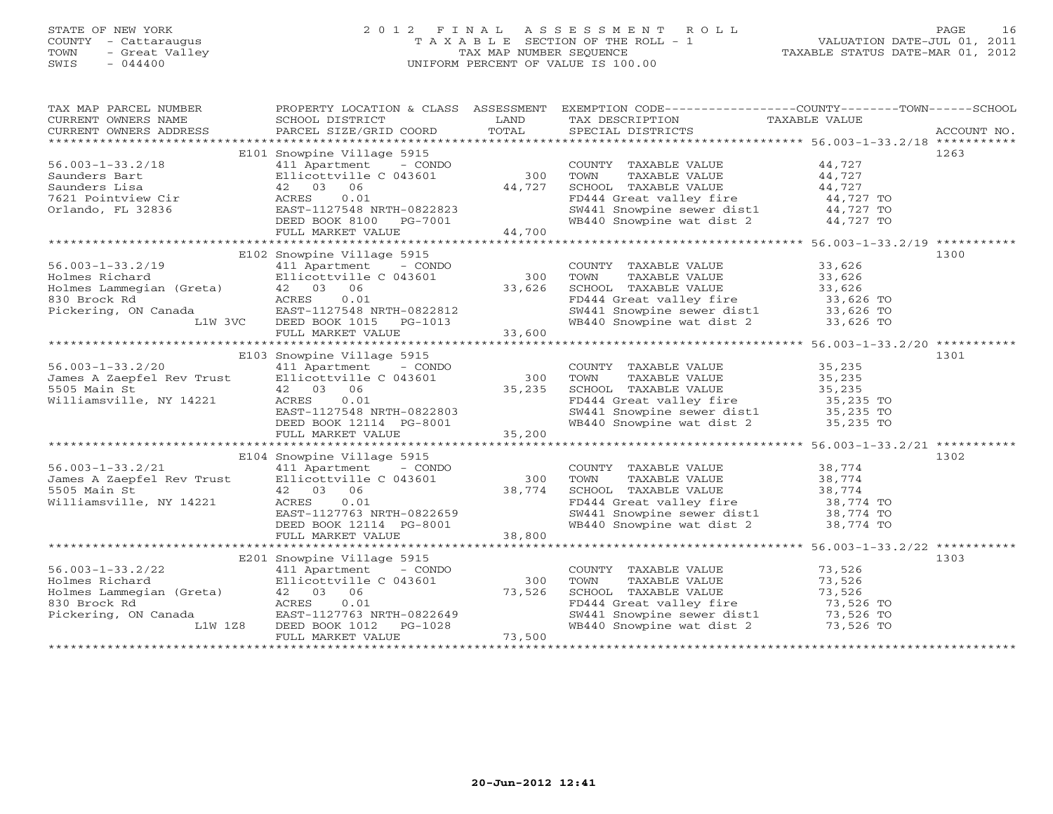# STATE OF NEW YORK 2 0 1 2 F I N A L A S S E S S M E N T R O L L PAGE 16 COUNTY - Cattaraugus T A X A B L E SECTION OF THE ROLL - 1 VALUATION DATE-JUL 01, 2011 TOWN - Great Valley TAX MAP NUMBER SEQUENCE TAXABLE STATUS DATE-MAR 01, 2012 SWIS - 044400 UNIFORM PERCENT OF VALUE IS 100.00

| TA PIE TAND TO THE TAND TO THE TAXING THE TANK CONTREST TO THE TAXING THE TAXING THE TAXING THE TAXING THE TAXING THE TAXING THE TAXING TAXABLE VALUE<br>CURRENT OWNERS ADDRESS PARCEL SIZE/GRID COORD TOTAL SPECIAL DISTRICTS AC                                                                                                         |  |
|-------------------------------------------------------------------------------------------------------------------------------------------------------------------------------------------------------------------------------------------------------------------------------------------------------------------------------------------|--|
|                                                                                                                                                                                                                                                                                                                                           |  |
| E101 Snowpine Village 5915<br>1263                                                                                                                                                                                                                                                                                                        |  |
| 411 Apartment - CONDO<br>COUNTY TAXABLE VALUE 44,727<br>56.003-1-33.2/18<br>Saunders Bart Ellicot<br>Saunders Lisa (1200)<br>7621 Pointview Cir (2200)<br>2003<br>7621 Pointview Cir (2201)<br>2008<br>2008<br>2008<br>2008<br>2008<br>2007<br>2008<br>2007<br>2008<br>2007<br>2007<br>2007<br>2007<br>2007<br>2007<br>2007<br>200        |  |
| TAXABLE VALUE 44,727<br>300<br>Ellicottville C 043601<br>TOWN                                                                                                                                                                                                                                                                             |  |
| 42 03 06<br>44,727                                                                                                                                                                                                                                                                                                                        |  |
| 0.01                                                                                                                                                                                                                                                                                                                                      |  |
| EAST-1127548 NRTH-0822823                                                                                                                                                                                                                                                                                                                 |  |
| SCHOOL TAXABLE VALUE 44,727<br>FD444 Great valley fire 44,727 TO<br>SW441 Snowpine sewer dist1 44,727 TO<br>WB440 Snowpine wat dist 2 44,727 TO<br>DEED BOOK 8100 PG-7001                                                                                                                                                                 |  |
| 44,700<br>FULL MARKET VALUE                                                                                                                                                                                                                                                                                                               |  |
|                                                                                                                                                                                                                                                                                                                                           |  |
| E102 Snowpine Village 5915<br>1300<br>56.003-1-33.2/19<br>Holmes Richard<br>Holmes Lammegian (Greta)<br>42 03 06<br>830 Brock Rd<br>Pickering, ON Canada<br>L1W 3VC<br>BEED BOOK 1015 PG-1013<br>FULL MARKET VALUE<br>PICKET 33,600<br>23,600<br>23,600<br>23,600<br>23,600<br>23,600<br>23,600<br>2                                      |  |
| COUNTY TAXABLE VALUE 33,626                                                                                                                                                                                                                                                                                                               |  |
|                                                                                                                                                                                                                                                                                                                                           |  |
|                                                                                                                                                                                                                                                                                                                                           |  |
|                                                                                                                                                                                                                                                                                                                                           |  |
|                                                                                                                                                                                                                                                                                                                                           |  |
| TOWN TAXABLE VALUE 33,626<br>SCHOOL TAXABLE VALUE 33,626<br>FD444 Great valley fire 33,626<br>SW441 Snowpine sewer dist1 33,626 TO<br>WB440 Snowpine wat dist 2 33,626 TO<br>33,626 TO                                                                                                                                                    |  |
|                                                                                                                                                                                                                                                                                                                                           |  |
|                                                                                                                                                                                                                                                                                                                                           |  |
| E103 Snowpine Village 5915<br>1301                                                                                                                                                                                                                                                                                                        |  |
| COUNTY TAXABLE VALUE 35,235<br>411 Apartment - CONDO                                                                                                                                                                                                                                                                                      |  |
| 56.003-1-33.2/20<br>James A Zaepfel Rev Trust<br>5505 Main St<br>Williamsville, NY 14221<br>TOWN TAXABLE VALUE 35,235<br>SCHOOL TAXABLE VALUE 35,235<br>FD444 Great valley fire 35,235 TO<br>SW441 Snowpine sewer dist1 35,235 TO                                                                                                         |  |
|                                                                                                                                                                                                                                                                                                                                           |  |
|                                                                                                                                                                                                                                                                                                                                           |  |
|                                                                                                                                                                                                                                                                                                                                           |  |
| WB440 Snowpine wat dist 2 35,235 TO                                                                                                                                                                                                                                                                                                       |  |
| Ellicottville C 043601 35,235 SCHOOL<br>42 03 06 35,235 SCHOOL<br>ACRES 0.01 FD444 G:<br>EAST-1127548 NRTH-0822803 SW441 S:<br>DEED BOOK 12114 PG-8001 35,200 WB440 S:<br>FULL MARKET VALUE 35,200                                                                                                                                        |  |
|                                                                                                                                                                                                                                                                                                                                           |  |
| E104 Snowpine Village 5915<br>1302                                                                                                                                                                                                                                                                                                        |  |
|                                                                                                                                                                                                                                                                                                                                           |  |
|                                                                                                                                                                                                                                                                                                                                           |  |
|                                                                                                                                                                                                                                                                                                                                           |  |
| 56.003-1-33.2/21<br>James A Zaepfel Rev Trust<br>5505 Main St<br>Williamsville, NY 14221<br>ACRES<br>$0.01$<br>ACRES<br>$0.01$<br>ACRES<br>$0.01$<br>ACRES<br>$0.01$<br>COUNTY TAXABLE VALUE 38,774<br>TOWN TAXABLE VALUE 38,774<br>SCHOOL TAXABLE VALUE 38,774<br>FD444 Great valley fire 38,774<br>SW441 Snowpine sewer dist1 38,774 TO |  |
|                                                                                                                                                                                                                                                                                                                                           |  |
| 42 03 06 38,774<br>ACRES 0.01 38,774<br>EAST-1127763 NRTH-0822659<br>DEED BOOK 12114 PG-8001<br>WILLIAM PG-8001<br>WB440 Snowpine wat dist 2 38,774 TO                                                                                                                                                                                    |  |
| 38,800<br>FULL MARKET VALUE                                                                                                                                                                                                                                                                                                               |  |
|                                                                                                                                                                                                                                                                                                                                           |  |
| 1303<br>E201 Snowpine Village 5915                                                                                                                                                                                                                                                                                                        |  |
| COUNTY TAXABLE VALUE<br>TOWN     TAXABLE VALUE                                                                                                                                                                                                                                                                                            |  |
| 73,526<br>73,526<br>$56.003-1-33.2/22$ $411$ Apartment - CONDO<br>Holmes Richard Ellicottville C 043601<br>$42$ 03 06<br>$33.0$ Brock Pd<br>300                                                                                                                                                                                           |  |
|                                                                                                                                                                                                                                                                                                                                           |  |
| 73,526<br>ACRES<br>830 Brock Rd<br>Pickering, ON Canada                                                                                                                                                                                                                                                                                   |  |
|                                                                                                                                                                                                                                                                                                                                           |  |
| CHOOL TAXABLE VALUE<br>FD444 Great valley fire<br>SW441 Snowpine sewer dist1<br>T3,526 TO<br>WB440 Snowpine wat dist 2<br>T3,526 TO<br>T3,526 TO<br>U.U.<br>EAST-1127763 NRTH-0822649<br>DEED BOOK 1012 PG-1028<br>FULL MARKET WATHER<br>L1W 1Z8                                                                                          |  |
| 73,500<br>FULL MARKET VALUE                                                                                                                                                                                                                                                                                                               |  |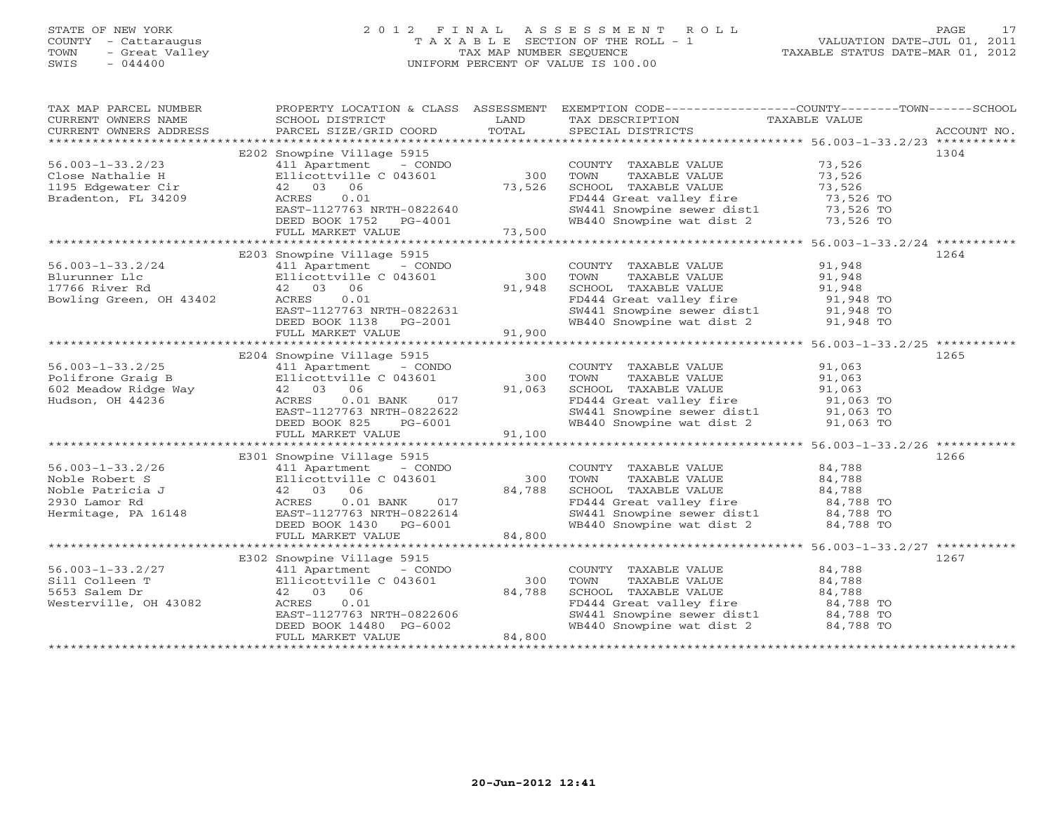# STATE OF NEW YORK 2 0 1 2 F I N A L A S S E S S M E N T R O L L PAGE 17 COUNTY - Cattaraugus T A X A B L E SECTION OF THE ROLL - 1 VALUATION DATE-JUL 01, 2011 TOWN - Great Valley TAX MAP NUMBER SEQUENCE TAXABLE STATUS DATE-MAR 01, 2012 SWIS - 044400 UNIFORM PERCENT OF VALUE IS 100.00UNIFORM PERCENT OF VALUE IS 100.00

| TAX MAP PARCEL NUMBER<br>CURRENT OWNERS NAME<br>CURRENT OWNERS ADDRESS                                                                                                                                                                          | SCHOOL DISTRICT<br><b>Example 12</b> LAND<br>PARCEL SIZE/GRID COORD                                                                                 | TOTAL                                         | PROPERTY LOCATION & CLASS ASSESSMENT EXEMPTION CODE---------------COUNTY-------TOWN------SCHOOL<br>TAX DESCRIPTION TAXABLE VALUE<br>SPECIAL DISTRICTS                                                                           |        | ACCOUNT NO. |
|-------------------------------------------------------------------------------------------------------------------------------------------------------------------------------------------------------------------------------------------------|-----------------------------------------------------------------------------------------------------------------------------------------------------|-----------------------------------------------|---------------------------------------------------------------------------------------------------------------------------------------------------------------------------------------------------------------------------------|--------|-------------|
|                                                                                                                                                                                                                                                 |                                                                                                                                                     |                                               |                                                                                                                                                                                                                                 |        |             |
|                                                                                                                                                                                                                                                 | E202 Snowpine Village 5915                                                                                                                          |                                               |                                                                                                                                                                                                                                 |        | 1304        |
| $56.003 - 1 - 33.2/23$                                                                                                                                                                                                                          | 411 Apartment - CONDO                                                                                                                               |                                               | COUNTY TAXABLE VALUE 73,526                                                                                                                                                                                                     |        |             |
|                                                                                                                                                                                                                                                 |                                                                                                                                                     |                                               |                                                                                                                                                                                                                                 |        |             |
|                                                                                                                                                                                                                                                 |                                                                                                                                                     |                                               |                                                                                                                                                                                                                                 |        |             |
| Close Nathalie H and Hillicottville C 043601 300<br>1195 Edgewater Cir 42 03 06 73,526<br>Bradenton, FL 34209 ACRES 0.01 73,526                                                                                                                 |                                                                                                                                                     |                                               |                                                                                                                                                                                                                                 |        |             |
|                                                                                                                                                                                                                                                 | EAST-1127763 NRTH-0822640                                                                                                                           |                                               |                                                                                                                                                                                                                                 |        |             |
|                                                                                                                                                                                                                                                 | DEED BOOK 1752 PG-4001                                                                                                                              |                                               | COUNTY TAXABLE VALUE<br>TOWN TAXABLE VALUE 73,526<br>SCHOOL TAXABLE VALUE 73,526<br>FD444 Great valley fire 73,526 TO<br>SW441 Snowpine sewer dist1 73,526 TO<br>WB440 Snowpine wat dist 2 73,526 TO                            |        |             |
|                                                                                                                                                                                                                                                 | FULL MARKET VALUE                                                                                                                                   | 73,500                                        |                                                                                                                                                                                                                                 |        |             |
|                                                                                                                                                                                                                                                 |                                                                                                                                                     |                                               |                                                                                                                                                                                                                                 |        |             |
|                                                                                                                                                                                                                                                 | E203 Snowpine Village 5915                                                                                                                          |                                               |                                                                                                                                                                                                                                 |        | 1264        |
| $56.003 - 1 - 33.2/24$                                                                                                                                                                                                                          | 411 Apartment - CONDO                                                                                                                               |                                               | COUNTY TAXABLE VALUE 91,948                                                                                                                                                                                                     |        |             |
|                                                                                                                                                                                                                                                 | Ellicottville C 043601                                                                                                                              |                                               |                                                                                                                                                                                                                                 |        |             |
|                                                                                                                                                                                                                                                 |                                                                                                                                                     | COUN <sup>1</sup><br>300 TOWN<br>91,948 SCHOO |                                                                                                                                                                                                                                 |        |             |
|                                                                                                                                                                                                                                                 |                                                                                                                                                     |                                               | TOWN TAXABLE VALUE<br>SCHOOL TAXABLE VALUE<br>FD444 Great valley fire<br>SW441 Snowpine sewer dist1<br>TAXABLE VALUE<br>91,948 TO<br>SW441 Snowpine wat dist 2<br>91,948 TO<br>91,948 TO<br>91,948 TO<br>91,948 TO<br>91,948 TO |        |             |
|                                                                                                                                                                                                                                                 | AURES 0.01<br>EAST-1127763 NRTH-0822631<br>DEED BOOK 1120 - DE SERI                                                                                 |                                               |                                                                                                                                                                                                                                 |        |             |
|                                                                                                                                                                                                                                                 | DEED BOOK 1138 PG-2001<br>FULL MARKET VALUE 91,900                                                                                                  |                                               |                                                                                                                                                                                                                                 |        |             |
|                                                                                                                                                                                                                                                 |                                                                                                                                                     |                                               |                                                                                                                                                                                                                                 |        |             |
|                                                                                                                                                                                                                                                 |                                                                                                                                                     |                                               |                                                                                                                                                                                                                                 |        |             |
|                                                                                                                                                                                                                                                 | E204 Snowpine Village 5915                                                                                                                          |                                               |                                                                                                                                                                                                                                 |        | 1265        |
|                                                                                                                                                                                                                                                 | 411 Apartment - CONDO                                                                                                                               |                                               | COUNTY TAXABLE VALUE 91,063                                                                                                                                                                                                     |        |             |
|                                                                                                                                                                                                                                                 | Ellicottville C 043601                                                                                                                              |                                               | 300 TOWN<br>TAXABLE VALUE                                                                                                                                                                                                       | 91,063 |             |
| Analysis and the matrix of the control of the control of the control of the control of the control of the control of the control of the control of the control of the control of the control of the control of the control of                   |                                                                                                                                                     |                                               | SCHOOL TAXABLE VALUE<br>SCHOOL TAXABLE VALUE 91,063<br>FD444 Great valley fire 91,063 TO<br>SW441 Snowpine sewer dist1 91,063 TO                                                                                                |        |             |
|                                                                                                                                                                                                                                                 |                                                                                                                                                     |                                               |                                                                                                                                                                                                                                 |        |             |
|                                                                                                                                                                                                                                                 |                                                                                                                                                     |                                               |                                                                                                                                                                                                                                 |        |             |
|                                                                                                                                                                                                                                                 |                                                                                                                                                     |                                               | WB440 Snowpine wat dist 2 91,063 TO                                                                                                                                                                                             |        |             |
|                                                                                                                                                                                                                                                 | Ellicottville C 043601 300<br>42 03 06 91,063<br>ACRES 0.01 BANK 017<br>EAST-1127763 NRTH-0822622<br>DEED BOOK 825 PG-6001 FULL MARKET VALUE 91,100 |                                               |                                                                                                                                                                                                                                 |        |             |
|                                                                                                                                                                                                                                                 |                                                                                                                                                     |                                               |                                                                                                                                                                                                                                 |        |             |
|                                                                                                                                                                                                                                                 | E301 Snowpine Village 5915                                                                                                                          |                                               |                                                                                                                                                                                                                                 |        | 1266        |
|                                                                                                                                                                                                                                                 |                                                                                                                                                     |                                               |                                                                                                                                                                                                                                 |        |             |
|                                                                                                                                                                                                                                                 |                                                                                                                                                     |                                               | COUNTY TAXABLE VALUE 84,788<br>TOWN TAXABLE VALUE 84,788                                                                                                                                                                        |        |             |
|                                                                                                                                                                                                                                                 |                                                                                                                                                     |                                               |                                                                                                                                                                                                                                 |        |             |
|                                                                                                                                                                                                                                                 |                                                                                                                                                     |                                               |                                                                                                                                                                                                                                 |        |             |
| 36.003-1-33.2/26<br>Noble Robert S<br>Noble Robert S<br>Noble Patrice of Martiment - CONDO<br>Noble Patrice of Martiment - CONDO TOWN TAXABLE VALUE<br>Noble Patrice of S4,788<br>2930 Lamor Rd<br>2930 Lamor Rd<br>ACRES 0.01 BANK 017<br>Herm |                                                                                                                                                     |                                               |                                                                                                                                                                                                                                 |        |             |
|                                                                                                                                                                                                                                                 |                                                                                                                                                     |                                               |                                                                                                                                                                                                                                 |        |             |
|                                                                                                                                                                                                                                                 |                                                                                                                                                     |                                               |                                                                                                                                                                                                                                 |        |             |
|                                                                                                                                                                                                                                                 |                                                                                                                                                     |                                               |                                                                                                                                                                                                                                 |        |             |
|                                                                                                                                                                                                                                                 | E302 Snowpine Village 5915                                                                                                                          |                                               |                                                                                                                                                                                                                                 |        | 1267        |
| 56.003-1-33.2/27                                                                                                                                                                                                                                | 411 Apartment - CONDO                                                                                                                               |                                               | COUNTY TAXABLE VALUE 84,788                                                                                                                                                                                                     |        |             |
| Sill Colleen T                                                                                                                                                                                                                                  |                                                                                                                                                     |                                               | TAXABLE VALUE 84,788<br>TOWN                                                                                                                                                                                                    |        |             |
| 5653 Salem Dr                                                                                                                                                                                                                                   | 411 Apartment - CONDO<br>Ellicottville C 043601<br>42 03 06<br>42 03 06                                                                             | 300<br>84,788                                 |                                                                                                                                                                                                                                 |        |             |
| Westerville, OH 43082                                                                                                                                                                                                                           | ACRES<br>0.01                                                                                                                                       |                                               | SCHOOL TAXABLE VALUE 34,788<br>FD444 Great valley fire 34,788 TO<br>SW441 Snowpine sewer dist1 34,788 TO<br>WB440 Snowpine wat dist 2 34,788 TO                                                                                 |        |             |
|                                                                                                                                                                                                                                                 |                                                                                                                                                     |                                               |                                                                                                                                                                                                                                 |        |             |
|                                                                                                                                                                                                                                                 | EAST-1127763 NRTH-0822606<br>DEED BOOK 14480 PG-6002                                                                                                |                                               |                                                                                                                                                                                                                                 |        |             |
|                                                                                                                                                                                                                                                 | FULL MARKET VALUE                                                                                                                                   | 84,800                                        |                                                                                                                                                                                                                                 |        |             |
|                                                                                                                                                                                                                                                 |                                                                                                                                                     |                                               |                                                                                                                                                                                                                                 |        |             |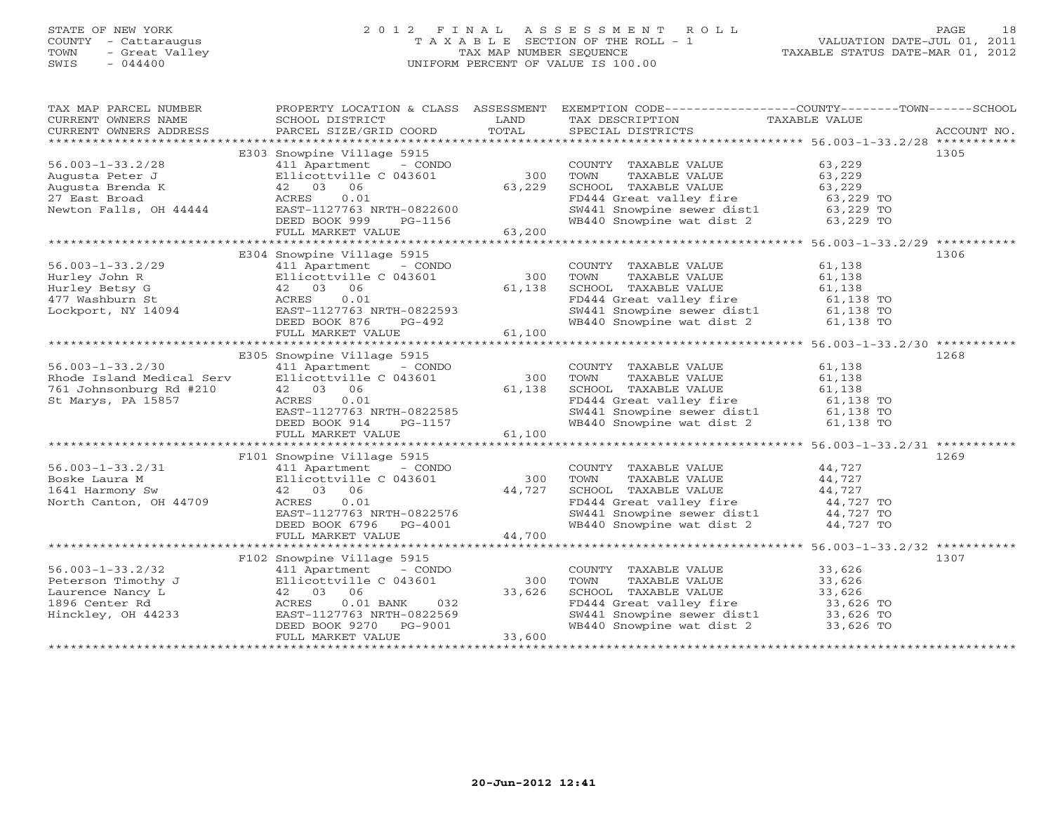# STATE OF NEW YORK 2 0 1 2 F I N A L A S S E S S M E N T R O L L PAGE 18 COUNTY - Cattaraugus T A X A B L E SECTION OF THE ROLL - 1 VALUATION DATE-JUL 01, 2011 TOWN - Great Valley TAX MAP NUMBER SEQUENCE TAXABLE STATUS DATE-MAR 01, 2012 SWIS - 044400 UNIFORM PERCENT OF VALUE IS 100.00UNIFORM PERCENT OF VALUE IS 100.00

| TAX MAP PARCEL NUMBER<br>TA PIE TAND TRINITY AND MULTICULARE TRINITY OF THE CONFIDENT OWNERS NOTES SCHOOL DISTRICT TO LAND TAXABLES TO TAXABLE VALUE<br>CURRENT OWNERS ADDRESS PARCEL SIZE/GRID COORD TOTAL SPECIAL DISTRICTS ACCOUNT NO.<br>**************** |                                                                                                                         |                                    | PROPERTY LOCATION & CLASS ASSESSMENT EXEMPTION CODE---------------COUNTY-------TOWN------SCHOOL                                                                                |                  |      |
|---------------------------------------------------------------------------------------------------------------------------------------------------------------------------------------------------------------------------------------------------------------|-------------------------------------------------------------------------------------------------------------------------|------------------------------------|--------------------------------------------------------------------------------------------------------------------------------------------------------------------------------|------------------|------|
|                                                                                                                                                                                                                                                               |                                                                                                                         |                                    |                                                                                                                                                                                |                  |      |
|                                                                                                                                                                                                                                                               | E303 Snowpine Village 5915                                                                                              |                                    |                                                                                                                                                                                |                  | 1305 |
| $56.003 - 1 - 33.2/28$                                                                                                                                                                                                                                        | 411 Apartment - CONDO                                                                                                   |                                    | COUNTY TAXABLE VALUE 63,229                                                                                                                                                    |                  |      |
|                                                                                                                                                                                                                                                               | Ellicottville C 043601                                                                                                  | 300                                | TAXABLE VALUE<br>TAXABLE VALUE 63,229<br>TAXABLE VALUE 63,229<br>TOWN                                                                                                          |                  |      |
|                                                                                                                                                                                                                                                               |                                                                                                                         | 63,229                             | SCHOOL TAXABLE VALUE                                                                                                                                                           |                  |      |
|                                                                                                                                                                                                                                                               | 0.01                                                                                                                    |                                    |                                                                                                                                                                                |                  |      |
| Bo.003-1-33.2/20<br>Augusta Peter J<br>Augusta Brenda K<br>27 East Broad<br>27 East Broad<br>27 East Broad<br>Newton Falls, OH 44444<br>EAST-1127763<br>Newton Falls, OH 44444<br>EAST-1127763<br>NEED BOOK 999                                               | EAST-1127763 NRTH-0822600                                                                                               |                                    |                                                                                                                                                                                |                  |      |
|                                                                                                                                                                                                                                                               | DEED BOOK 999                                                                                                           | PG-1156                            | ED444 Great valley fire<br>SW441 Snowpine sewer dist1 63,229 TO<br>WB440 Snowpine wat dist 2 63,229 TO                                                                         |                  |      |
|                                                                                                                                                                                                                                                               | FULL MARKET VALUE                                                                                                       | 63,200                             |                                                                                                                                                                                |                  |      |
|                                                                                                                                                                                                                                                               |                                                                                                                         |                                    |                                                                                                                                                                                |                  |      |
|                                                                                                                                                                                                                                                               | E304 Snowpine Village 5915                                                                                              |                                    |                                                                                                                                                                                |                  | 1306 |
| $56.003 - 1 - 33.2/29$                                                                                                                                                                                                                                        | 411 Apartment - CONDO                                                                                                   |                                    | COUNTY TAXABLE VALUE 61,138                                                                                                                                                    |                  |      |
|                                                                                                                                                                                                                                                               | Ellicottville C 043601                                                                                                  |                                    |                                                                                                                                                                                | 61,138           |      |
|                                                                                                                                                                                                                                                               |                                                                                                                         | LUUN'I<br>300 TOWN<br>61,138 SCHOO | TOWN       TAXABLE  VALUE<br>SCHOOL    TAXABLE  VALUE                                                                                                                          | 61,138<br>61,138 |      |
| Hurley John R<br>Hurley Betsy G<br>42 03 06<br>477 Washburn St<br>Lockport, NY 14094<br>EAST-1127763                                                                                                                                                          | 0.01                                                                                                                    |                                    | FD444 Great valley fire<br>SW441 Snowpine sewer dist1 61,138 TO<br>WB440 Snowpine wat dist 2 61,138 TO                                                                         |                  |      |
|                                                                                                                                                                                                                                                               | EAST-1127763 NRTH-0822593                                                                                               |                                    |                                                                                                                                                                                |                  |      |
|                                                                                                                                                                                                                                                               | DEED BOOK 876<br>PG-492                                                                                                 |                                    |                                                                                                                                                                                |                  |      |
|                                                                                                                                                                                                                                                               | FULL MARKET VALUE                                                                                                       | 61,100                             |                                                                                                                                                                                |                  |      |
|                                                                                                                                                                                                                                                               |                                                                                                                         |                                    |                                                                                                                                                                                |                  |      |
|                                                                                                                                                                                                                                                               | E305 Snowpine Village 5915                                                                                              |                                    |                                                                                                                                                                                |                  | 1268 |
| $56.003 - 1 - 33.2/30$                                                                                                                                                                                                                                        |                                                                                                                         |                                    | COUNTY TAXABLE VALUE 61,138                                                                                                                                                    |                  |      |
|                                                                                                                                                                                                                                                               |                                                                                                                         | 300 TOWN                           | TAXABLE VALUE                                                                                                                                                                  | 61,138           |      |
| Rhode Island Medical Serv<br>761 Johnsonburg Rd #210                                                                                                                                                                                                          | 411 Apartment - $\frac{100}{24}$ - $\frac{300}{61}$<br>Ellicottville C 043601 61,138                                    |                                    | SCHOOL TAXABLE VALUE<br>FD444 Great valley fire 61,138<br>FD444 Great valley fire 61,138 TO<br>SW441 Snowpine sewer dist1 61,138 TO                                            |                  |      |
| St Marys, PA 15857                                                                                                                                                                                                                                            | ACRES 0.01<br>EAST-1127763 NRTH-0822585<br>DEED DOOK 011                                                                |                                    |                                                                                                                                                                                |                  |      |
|                                                                                                                                                                                                                                                               |                                                                                                                         |                                    |                                                                                                                                                                                |                  |      |
|                                                                                                                                                                                                                                                               | PG-1157<br>DEED BOOK 914                                                                                                |                                    | WB440 Snowpine wat dist 2 61,138 TO                                                                                                                                            |                  |      |
|                                                                                                                                                                                                                                                               | FULL MARKET VALUE                                                                                                       | $157$ 61,100                       |                                                                                                                                                                                |                  |      |
|                                                                                                                                                                                                                                                               |                                                                                                                         |                                    |                                                                                                                                                                                |                  |      |
|                                                                                                                                                                                                                                                               | F101 Snowpine Village 5915                                                                                              |                                    |                                                                                                                                                                                |                  | 1269 |
| $56.003 - 1 - 33.2/31$                                                                                                                                                                                                                                        |                                                                                                                         |                                    |                                                                                                                                                                                |                  |      |
| Boske Laura M                                                                                                                                                                                                                                                 |                                                                                                                         |                                    | $\begin{tabular}{lllllll} \multicolumn{2}{c}{\textbf{COUNTY}} & \textbf{TAXABLE VALUE} & & & & 44,727\\ \textbf{TOWN} & \textbf{TAXABLE VALUE} & & & & 44,727\\ \end{tabular}$ |                  |      |
| 1641 Harmony Sw                                                                                                                                                                                                                                               | 411 Apartment - CONDO<br>Ellicottville C 043601<br>42 03 06                                                             |                                    |                                                                                                                                                                                |                  |      |
| North Canton, OH 44709                                                                                                                                                                                                                                        |                                                                                                                         |                                    |                                                                                                                                                                                |                  |      |
|                                                                                                                                                                                                                                                               |                                                                                                                         |                                    |                                                                                                                                                                                |                  |      |
|                                                                                                                                                                                                                                                               | 42 03 06 44,727<br>ACRES 0.01 44,727<br>EAST-1127763 NRTH-0822576<br>DEED BOOK 6796 PG-4001<br>FIII MARKER YANG PG-4001 |                                    | CHOOL TAXABLE VALUE<br>FD444 Great valley fire<br>SW441 Snowpine sewer dist1<br>WB440 Snowpine wat dist 2<br>44,727 TO<br>WB440 Snowpine wat dist 2<br>44,727 TO               |                  |      |
|                                                                                                                                                                                                                                                               | FULL MARKET VALUE                                                                                                       | 44,700                             |                                                                                                                                                                                |                  |      |
|                                                                                                                                                                                                                                                               |                                                                                                                         |                                    |                                                                                                                                                                                |                  |      |
|                                                                                                                                                                                                                                                               | F102 Snowpine Village 5915                                                                                              |                                    |                                                                                                                                                                                |                  | 1307 |
| $56.003 - 1 - 33.2/32$                                                                                                                                                                                                                                        | 411 Apartment - CONDO                                                                                                   |                                    | COUNTY TAXABLE VALUE 33,626                                                                                                                                                    |                  |      |
|                                                                                                                                                                                                                                                               |                                                                                                                         | 300                                | TAXABLE VALUE 33,626<br>TOWN                                                                                                                                                   |                  |      |
|                                                                                                                                                                                                                                                               |                                                                                                                         | $300$<br>$33,626$                  |                                                                                                                                                                                |                  |      |
| 56.003-1-33.2/32 411 Apartment - CONDO<br>Peterson Timothy J<br>Laurence Nancy L<br>1896 Center Rd<br>Hinckley, OH 44233 EAST-1127763 NRTH-0822569                                                                                                            | 032                                                                                                                     |                                    | SCHOOL TAXABLE VALUE<br>FD444 Great valley fire<br>SW441 Snowpine sewer dist1<br>WB440 Snowpine wat dist 2<br>33,626 TO<br>33,626 TO<br>33,626 TO                              |                  |      |
|                                                                                                                                                                                                                                                               | EAST-1127763 NRTH-0822569                                                                                               |                                    |                                                                                                                                                                                |                  |      |
|                                                                                                                                                                                                                                                               | DEED BOOK 9270<br>PG-9001                                                                                               |                                    |                                                                                                                                                                                |                  |      |
|                                                                                                                                                                                                                                                               | FULL MARKET VALUE                                                                                                       | 33,600                             |                                                                                                                                                                                |                  |      |
|                                                                                                                                                                                                                                                               |                                                                                                                         |                                    |                                                                                                                                                                                |                  |      |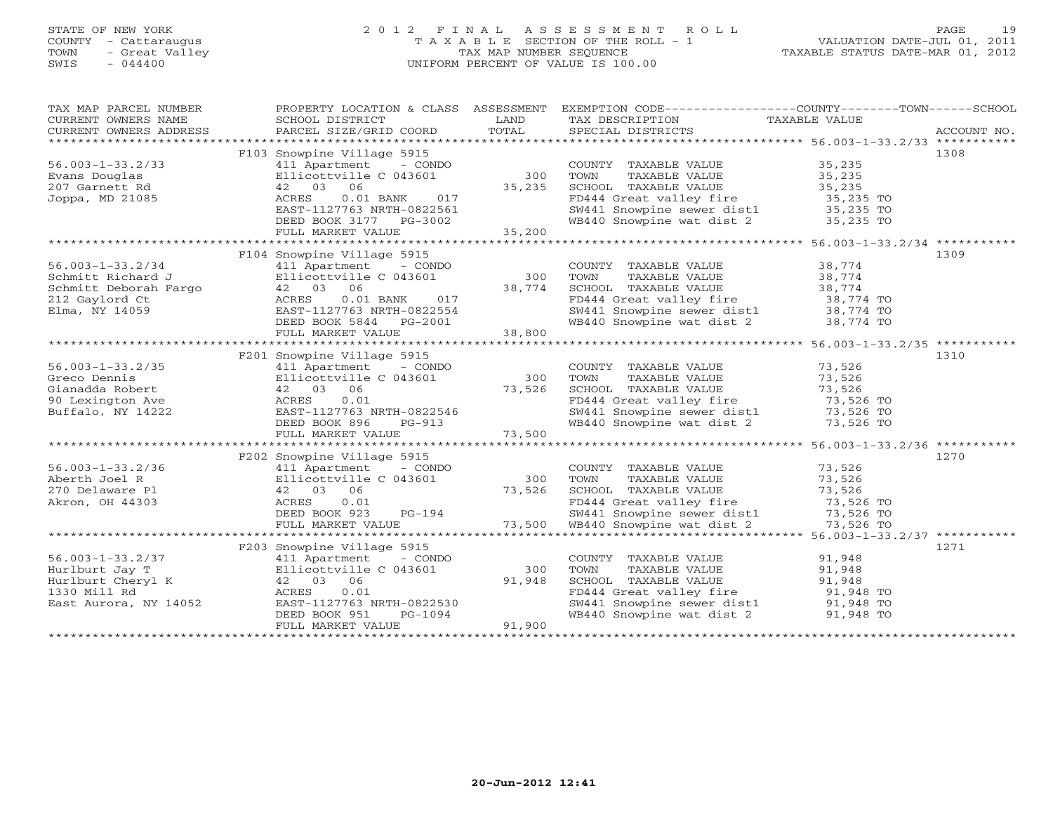# STATE OF NEW YORK 2 0 1 2 F I N A L A S S E S S M E N T R O L L PAGE 19 COUNTY - Cattaraugus T A X A B L E SECTION OF THE ROLL - 1 VALUATION DATE-JUL 01, 2011 TOWN - Great Valley TAX MAP NUMBER SEQUENCE TAXABLE STATUS DATE-MAR 01, 2012 SWIS - 044400 UNIFORM PERCENT OF VALUE IS 100.00

| TAXABLE STATUS DATE-MAR 01, 2012 |  |  |
|----------------------------------|--|--|
|----------------------------------|--|--|

| TAX MAP PARCEL NUMBER<br>CURRENT OWNERS NAME<br>CURRENT OWNERS ADDRESS | PROPERTY LOCATION & CLASS ASSESSMENT<br>SCHOOL DISTRICT<br>PARCEL SIZE/GRID COORD                       | LAND<br>TOTAL              | EXEMPTION CODE-----------------COUNTY-------TOWN------SCHOOL<br>TAX DESCRIPTION<br>SPECIAL DISTRICTS                       | TAXABLE VALUE       | ACCOUNT NO. |
|------------------------------------------------------------------------|---------------------------------------------------------------------------------------------------------|----------------------------|----------------------------------------------------------------------------------------------------------------------------|---------------------|-------------|
|                                                                        |                                                                                                         |                            |                                                                                                                            |                     |             |
|                                                                        | F103 Snowpine Village 5915                                                                              |                            |                                                                                                                            |                     | 1308        |
| $56.003 - 1 - 33.2/33$                                                 | 411 Apartment - CONDO                                                                                   |                            | COUNTY TAXABLE VALUE 35,235                                                                                                |                     |             |
| Evans Douglas                                                          | Ellicottville C 043601                                                                                  | 300                        | TAXABLE VALUE 35,235<br>TOWN                                                                                               |                     |             |
| 207 Garnett Rd                                                         | 42 03 06                                                                                                | 35,235                     | SCHOOL TAXABLE VALUE                                                                                                       | 35,235              |             |
| Joppa, MD 21085                                                        | $0.01$ BANK<br>017<br>ACRES                                                                             |                            | FD444 Great valley fire 35,235 TO                                                                                          |                     |             |
|                                                                        | EAST-1127763 NRTH-0822561                                                                               |                            | SW441 Snowpine sewer dist1 35,235 TO<br>WB440 Snowpine wat dist 2 35,235 TO                                                |                     |             |
|                                                                        | DEED BOOK 3177 PG-3002                                                                                  |                            |                                                                                                                            |                     |             |
|                                                                        | FULL MARKET VALUE                                                                                       | 35,200                     |                                                                                                                            |                     |             |
|                                                                        |                                                                                                         |                            |                                                                                                                            |                     |             |
|                                                                        | F104 Snowpine Village 5915                                                                              |                            |                                                                                                                            | 38,774              | 1309        |
| $56.003 - 1 - 33.2/34$                                                 | 411 Apartment - CONDO                                                                                   | 300                        | COUNTY TAXABLE VALUE<br>TOWN<br>TAXABLE VALUE                                                                              | 38,774              |             |
|                                                                        |                                                                                                         |                            | SCHOOL TAXABLE VALUE                                                                                                       |                     |             |
|                                                                        |                                                                                                         | $300$<br>$38,774$<br>$017$ | FD444 Great valley fire                                                                                                    | 38,774<br>38,774 TO |             |
| Elma, NY 14059                                                         | EAST-1127763 NRTH-0822554                                                                               |                            |                                                                                                                            |                     |             |
|                                                                        | DEED BOOK 5844 PG-2001                                                                                  |                            | SW441 Snowpine sewer dist1 38,774 TO<br>WB440 Snowpine wat dist 2 38,774 TO                                                |                     |             |
|                                                                        | FULL MARKET VALUE                                                                                       | 38,800                     |                                                                                                                            |                     |             |
|                                                                        |                                                                                                         |                            |                                                                                                                            |                     |             |
|                                                                        | F201 Snowpine Village 5915                                                                              |                            |                                                                                                                            |                     | 1310        |
| $56.003 - 1 - 33.2/35$                                                 | 411 Apartment - CONDO                                                                                   |                            | COUNTY TAXABLE VALUE                                                                                                       | 73,526              |             |
| Greco Dennis                                                           | Ellicottville C 043601                                                                                  | 300                        | TAXABLE VALUE<br>TOWN                                                                                                      | 73,526              |             |
| Gianadda Robert                                                        | 42 03 06                                                                                                | 73,526                     | SCHOOL TAXABLE VALUE                                                                                                       | 73,526              |             |
| 90 Lexington Ave                                                       | ACRES<br>0.01                                                                                           |                            | FD444 Great valley fire                                                                                                    | $73,526$ TO         |             |
| Buffalo, NY 14222                                                      | EAST-1127763 NRTH-0822546<br>DEED BOOK 896 PG-913                                                       |                            |                                                                                                                            |                     |             |
|                                                                        |                                                                                                         |                            | SW441 Snowpine sewer dist1 73,526 TO<br>WB440 Snowpine wat dist 2 73,526 TO                                                |                     |             |
|                                                                        | FULL MARKET VALUE                                                                                       | 73,500                     |                                                                                                                            |                     |             |
|                                                                        |                                                                                                         |                            |                                                                                                                            |                     |             |
|                                                                        | F202 Snowpine Village 5915                                                                              |                            |                                                                                                                            |                     | 1270        |
| $56.003 - 1 - 33.2/36$                                                 | 411 Apartment - CONDO                                                                                   |                            | COUNTY TAXABLE VALUE                                                                                                       | 73,526              |             |
| Aberth Joel R                                                          | Ellicottville C 043601                                                                                  | 300                        | TOWN<br>TAXABLE VALUE                                                                                                      | 73,526              |             |
| 270 Delaware Pl                                                        | 42 03 06                                                                                                | 73,526                     | SCHOOL TAXABLE VALUE<br>SCHOOL TAXABLE VALUE<br>FD444 Great valley fire 73,526 TO                                          | 73,526              |             |
| Akron, OH 44303                                                        | ACRES<br>0.01                                                                                           |                            |                                                                                                                            |                     |             |
|                                                                        | DEED BOOK 923                                                                                           |                            | FD444 Great valley fire 373,526 TO<br>FD444 Snowpine sewer dist1 373,526 TO<br>T3,500 WB440 Snowpine wat dist 2 373,526 TO |                     |             |
|                                                                        | FULL MARKET VALUE                                                                                       |                            |                                                                                                                            |                     |             |
|                                                                        | F203 Snowpine Village 5915                                                                              |                            |                                                                                                                            |                     | 1271        |
| $56.003 - 1 - 33.2/37$                                                 | - CONDO                                                                                                 |                            | COUNTY TAXABLE VALUE                                                                                                       | 91,948              |             |
| Hurlburt Jay T                                                         | 411 Apartment - COND<br>Ellicottville C 043601<br>42 03 06<br>ACRES 0.01<br>D52 EAST-1127763 NRTH-08225 | 300                        | TOWN<br>TAXABLE VALUE                                                                                                      | 91,948              |             |
| Hurlburt Cheryl K                                                      |                                                                                                         | 91,948                     | SCHOOL TAXABLE VALUE                                                                                                       | 91,948              |             |
| 1330 Mill Rd                                                           |                                                                                                         |                            |                                                                                                                            |                     |             |
| East Aurora, NY 14052                                                  | EAST-1127763 NRTH-0822530                                                                               |                            | FD444 Great valley fire 91,948 TO<br>SW441 Snowpine sewer dist1 91,948 TO                                                  |                     |             |
|                                                                        | DEED BOOK 951<br>PG-1094                                                                                |                            | WB440 Snowpine wat dist 2 91,948 TO                                                                                        |                     |             |
|                                                                        | FULL MARKET VALUE                                                                                       | 91,900                     |                                                                                                                            |                     |             |
|                                                                        |                                                                                                         |                            |                                                                                                                            |                     |             |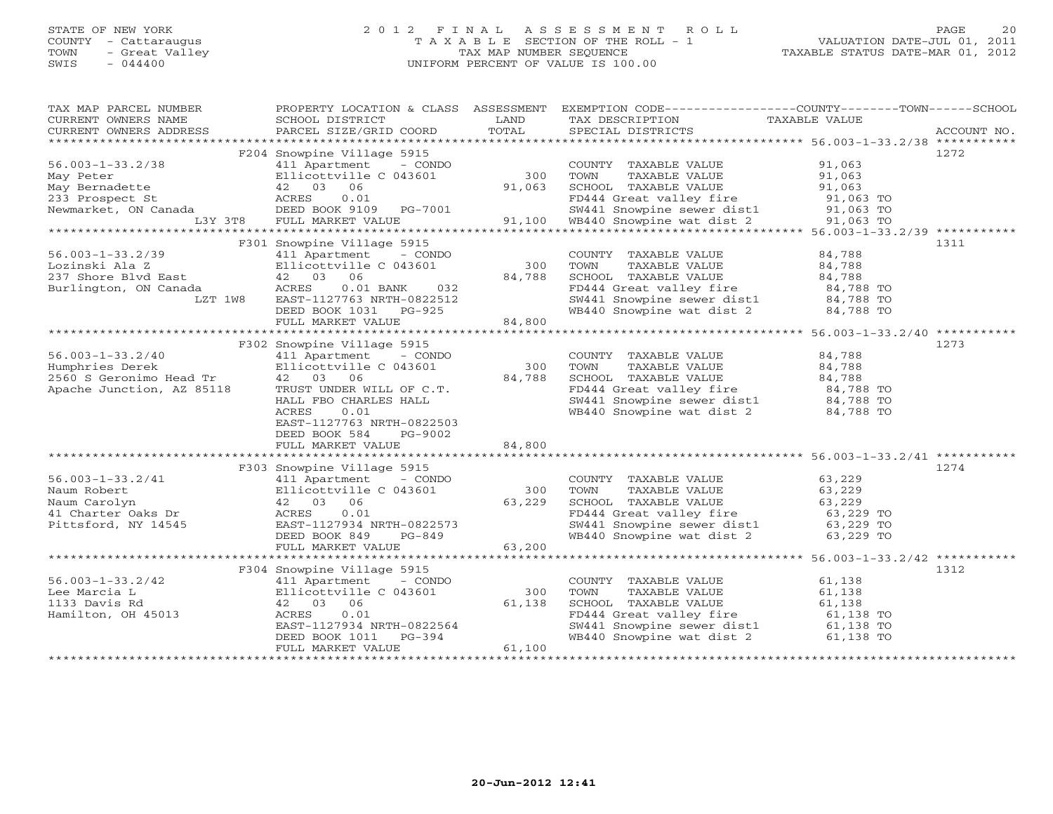# STATE OF NEW YORK 2 0 1 2 F I N A L A S S E S S M E N T R O L L PAGE 20 COUNTY - Cattaraugus T A X A B L E SECTION OF THE ROLL - 1 VALUATION DATE-JUL 01, 2011 TOWN - Great Valley TAX MAP NUMBER SEQUENCE TAXABLE STATUS DATE-MAR 01, 2012 SWIS - 044400 UNIFORM PERCENT OF VALUE IS 100.00UNIFORM PERCENT OF VALUE IS 100.00

| TAX MAP PARCEL NUMBER<br>CURRENT OWNERS NAME         | PROPERTY LOCATION & CLASS ASSESSMENT<br>SCHOOL DISTRICT | LAND   | EXEMPTION CODE-----------------COUNTY-------TOWN------SCHOOL<br>TAX DESCRIPTION                                  | TAXABLE VALUE    |             |
|------------------------------------------------------|---------------------------------------------------------|--------|------------------------------------------------------------------------------------------------------------------|------------------|-------------|
| CURRENT OWNERS ADDRESS                               | PARCEL SIZE/GRID COORD                                  | TOTAL  | SPECIAL DISTRICTS                                                                                                |                  | ACCOUNT NO. |
|                                                      | F204 Snowpine Village 5915                              |        |                                                                                                                  |                  | 1272        |
| $56.003 - 1 - 33.2/38$                               | 411 Apartment - CONDO                                   |        | COUNTY TAXABLE VALUE 91,063                                                                                      |                  |             |
| May Peter                                            | Ellicottville C 043601                                  | 300    | TOWN<br>TAXABLE VALUE                                                                                            |                  |             |
| May Bernadette                                       | Ellicottville<br>42     03     06                       | 91,063 | SCHOOL TAXABLE VALUE                                                                                             | 91,063<br>91,063 |             |
|                                                      |                                                         |        |                                                                                                                  |                  |             |
|                                                      |                                                         |        |                                                                                                                  |                  |             |
|                                                      |                                                         |        | FD444 Great valley fire 91,063 TO<br>SW441 Snowpine sewer dist1 91,063 TO<br>WB440 Snowpine wat dist 2 91,063 TO |                  |             |
|                                                      |                                                         |        |                                                                                                                  |                  |             |
|                                                      | F301 Snowpine Village 5915                              |        |                                                                                                                  |                  | 1311        |
| $56.003 - 1 - 33.2/39$                               | 411 Apartment - CONDO                                   |        | COUNTY TAXABLE VALUE                                                                                             | 84,788           |             |
| Lozinski Ala Z                                       | Ellicottville C 043601                                  | 300    | TOWN<br>TAXABLE VALUE                                                                                            | 84,788           |             |
| 237 Shore Blvd East                                  | 42 03 06                                                | 84,788 | SCHOOL TAXABLE VALUE                                                                                             | 84,788           |             |
| Burlington, ON Canada                                | 032<br>ACRES<br>$0.01$ BANK                             |        |                                                                                                                  |                  |             |
| LZT 1W8                                              | EAST-1127763 NRTH-0822512                               |        | FD444 Great valley fire 84,788 TO<br>SW441 Snowpine sewer dist1 84,788 TO                                        |                  |             |
|                                                      | DEED BOOK 1031 PG-925                                   |        | WB440 Snowpine wat dist 2 84,788 TO                                                                              |                  |             |
|                                                      | FULL MARKET VALUE                                       | 84,800 |                                                                                                                  |                  |             |
|                                                      |                                                         |        |                                                                                                                  |                  |             |
|                                                      | F302 Snowpine Village 5915                              |        |                                                                                                                  |                  | 1273        |
| $56.003 - 1 - 33.2/40$                               | 411 Apartment - CONDO                                   |        | COUNTY TAXABLE VALUE                                                                                             | 84,788           |             |
| Humphries Derek                                      | Ellicottville C 043601                                  | 300    | TAXABLE VALUE<br>TOWN                                                                                            | 84,788           |             |
| 2560 S Geronimo Head Tr<br>Apache Junction, AZ 85118 | 42 03 06                                                | 84,788 | SCHOOL TAXABLE VALUE                                                                                             |                  |             |
|                                                      | TRUST UNDER WILL OF C.T.                                |        |                                                                                                                  |                  |             |
|                                                      | HALL FBO CHARLES HALL                                   |        |                                                                                                                  |                  |             |
|                                                      | ACRES<br>0.01                                           |        | SW441 Snowpine sewer dist1 84,788 TO<br>WB440 Snowpine wat dist 2 84,788 TO                                      |                  |             |
|                                                      | EAST-1127763 NRTH-0822503                               |        |                                                                                                                  |                  |             |
|                                                      | DEED BOOK 584<br>PG-9002                                |        |                                                                                                                  |                  |             |
|                                                      | FULL MARKET VALUE                                       | 84,800 |                                                                                                                  |                  |             |
|                                                      |                                                         |        |                                                                                                                  |                  |             |
|                                                      | F303 Snowpine Village 5915                              |        |                                                                                                                  |                  | 1274        |
| $56.003 - 1 - 33.2/41$                               | 411 Apartment - CONDO                                   |        | COUNTY TAXABLE VALUE 63,229                                                                                      |                  |             |
| Naum Robert                                          | Ellicottville C 043601                                  | 300    | TOWN<br>TAXABLE VALUE                                                                                            | 63,229           |             |
| Naum Carolyn                                         | 42 03 06                                                | 63,229 | SCHOOL TAXABLE VALUE                                                                                             | 63,229           |             |
| 41 Charter Oaks Dr                                   | ACRES<br>0.01                                           |        | FD444 Great valley fire 63,229 TO<br>SW441 Snowpine sewer dist1 63,229 TO                                        |                  |             |
| Pittsford, NY 14545                                  | EAST-1127934 NRTH-0822573                               |        |                                                                                                                  |                  |             |
|                                                      | DEED BOOK 849<br>PG-849                                 |        | WB440 Snowpine wat dist 2 63,229 TO                                                                              |                  |             |
|                                                      | FULL MARKET VALUE                                       | 63,200 |                                                                                                                  |                  |             |
|                                                      |                                                         |        |                                                                                                                  |                  |             |
|                                                      | F304 Snowpine Village 5915                              |        |                                                                                                                  |                  | 1312        |
| $56.003 - 1 - 33.2/42$                               | 411 Apartment<br>- CONDO                                |        | COUNTY TAXABLE VALUE                                                                                             | 61,138           |             |
| Lee Marcia L                                         |                                                         | 300    | TAXABLE VALUE<br>TOWN                                                                                            | 61,138           |             |
| 1133 Davis Rd                                        | 411 Apartment<br>Ellicottville C 043601<br>42 03 06     | 61,138 | SCHOOL TAXABLE VALUE                                                                                             | 61,138           |             |
| Hamilton, OH 45013                                   | 0.01<br>ACRES                                           |        | FD444 Great valley fire                                                                                          | 61,138 TO        |             |
|                                                      | EAST-1127934 NRTH-0822564                               |        | SW441 Snowpine sewer dist1 61,138 TO<br>WB440 Snowpine wat dist 2 61,138 TO                                      |                  |             |
|                                                      | DEED BOOK 1011<br>$PG-394$                              |        |                                                                                                                  |                  |             |
|                                                      | FULL MARKET VALUE                                       | 61,100 |                                                                                                                  |                  |             |
|                                                      |                                                         |        |                                                                                                                  |                  |             |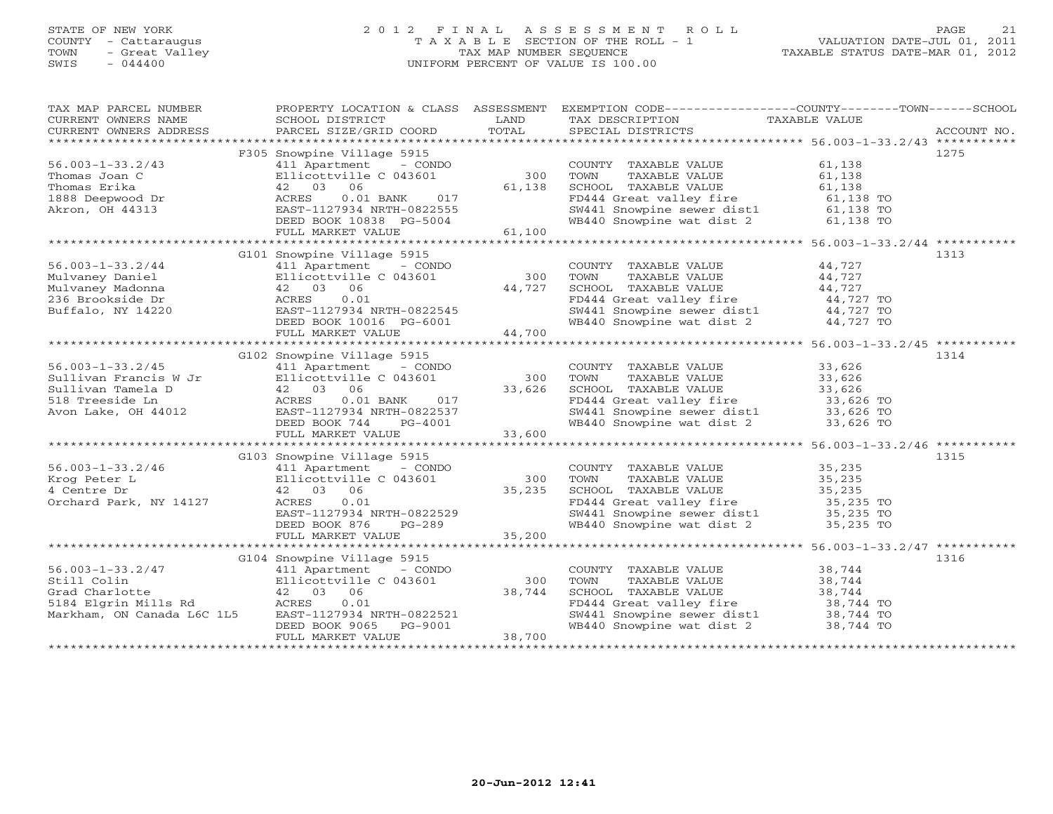# STATE OF NEW YORK 2 0 1 2 F I N A L A S S E S S M E N T R O L L PAGE 21 COUNTY - Cattaraugus T A X A B L E SECTION OF THE ROLL - 1 VALUATION DATE-JUL 01, 2011 TOWN - Great Valley TAX MAP NUMBER SEQUENCE TAXABLE STATUS DATE-MAR 01, 2012 SWIS - 044400 UNIFORM PERCENT OF VALUE IS 100.00UNIFORM PERCENT OF VALUE IS 100.00

| TAX MAP PARCEL NUMBER<br>CURRENT OWNERS NAME<br>CURRENT OWNERS ADDRESS                                                                                                                           | SCHOOL DISTRICT<br>PARCEL SIZE/GRID COORD                                   | LAND<br>TOTAL     | PROPERTY LOCATION & CLASS ASSESSMENT EXEMPTION CODE---------------COUNTY-------TOWN------SCHOOL<br>TAX DESCRIPTION TAXABLE VALUE SPECIAL DISTRICTS                          |                     | ACCOUNT NO. |
|--------------------------------------------------------------------------------------------------------------------------------------------------------------------------------------------------|-----------------------------------------------------------------------------|-------------------|-----------------------------------------------------------------------------------------------------------------------------------------------------------------------------|---------------------|-------------|
|                                                                                                                                                                                                  |                                                                             |                   |                                                                                                                                                                             |                     |             |
|                                                                                                                                                                                                  | F305 Snowpine Village 5915                                                  |                   |                                                                                                                                                                             |                     | 1275        |
| $56.003 - 1 - 33.2/43$                                                                                                                                                                           | 411 Apartment - CONDO                                                       |                   | COUNTY TAXABLE VALUE                                                                                                                                                        | 61,138              |             |
|                                                                                                                                                                                                  | Ellicottville C 043601                                                      | $300$ TOWN        | TAXABLE VALUE                                                                                                                                                               | 61,138              |             |
|                                                                                                                                                                                                  | 42 03 06                                                                    | 61,138            | SCHOOL TAXABLE VALUE                                                                                                                                                        | 61,138              |             |
|                                                                                                                                                                                                  | ACRES                                                                       |                   | SCHOOL TAXABLE VALUE<br>FD444 Great valley fire                                                                                                                             | 61,138 TO           |             |
|                                                                                                                                                                                                  |                                                                             |                   |                                                                                                                                                                             |                     |             |
|                                                                                                                                                                                                  | ACRES 0.01 BANK 017<br>EAST-1127934 NRTH-0822555<br>DEED BOOK 10838 PG-5004 |                   | SW441 Snowpine sewer dist1 61,138 TO<br>WB440 Snowpine wat dist 2 61,138 TO                                                                                                 |                     |             |
| --------as uoan C<br>Thomas Erika<br>1888 Deepwood Dr<br>Akron, OH 44313                                                                                                                         | FULL MARKET VALUE                                                           | 61,100            |                                                                                                                                                                             |                     |             |
|                                                                                                                                                                                                  |                                                                             |                   |                                                                                                                                                                             |                     |             |
|                                                                                                                                                                                                  | G101 Snowpine Village 5915                                                  |                   |                                                                                                                                                                             |                     | 1313        |
|                                                                                                                                                                                                  |                                                                             |                   | COUNTY TAXABLE VALUE 44,727                                                                                                                                                 |                     |             |
|                                                                                                                                                                                                  |                                                                             |                   | TOWN                                                                                                                                                                        |                     |             |
|                                                                                                                                                                                                  |                                                                             | $300$<br>$44,727$ | $\begin{tabular}{llll} \texttt{TAXABLE} & \texttt{VALUE} & \texttt{44,727} \\ \texttt{TAXABLE} & \texttt{VALUE} & \texttt{44,727} \\ \end{tabular}$<br>SCHOOL TAXABLE VALUE |                     |             |
|                                                                                                                                                                                                  |                                                                             |                   | FD444 Great valley fire<br>SW441 Snowpine sewer dist1 44,727 TO<br>WB440 Snowpine wat dist 2 44,727 TO                                                                      |                     |             |
|                                                                                                                                                                                                  |                                                                             |                   |                                                                                                                                                                             |                     |             |
|                                                                                                                                                                                                  |                                                                             |                   |                                                                                                                                                                             |                     |             |
|                                                                                                                                                                                                  |                                                                             |                   |                                                                                                                                                                             |                     |             |
| 96.003-1-33.2/44<br>Mulvaney Daniel Ellicottville C 045001<br>Mulvaney Madonna (12 03 06 14,727<br>236 Brookside Dr (127934 NRTH-0822545<br>DEED BOOK 10016 PG-6001 44,700<br>THIT, MARKET VALUE |                                                                             |                   |                                                                                                                                                                             |                     |             |
|                                                                                                                                                                                                  | G102 Snowpine Village 5915                                                  |                   |                                                                                                                                                                             |                     | 1314        |
| $56.003 - 1 - 33.2/45$                                                                                                                                                                           | 411 Apartment - CONDO                                                       |                   | COUNTY TAXABLE VALUE 33,626                                                                                                                                                 |                     |             |
|                                                                                                                                                                                                  |                                                                             | 300 TOWN          |                                                                                                                                                                             |                     |             |
| Sullivan Francis W Jr<br>Sullivan Tamela D (1994) 42 03 06<br>518 Treeside Ln (1995) 42 03 06<br>818 Treeside Ln (19934 NRTH-0822537<br>822537 NRTH-0822537<br>822537 NRTH-0822537               |                                                                             | 33,626            | SCHOOL TAXABLE VALUE 33,626<br>FD444 Great valley fire 33,626                                                                                                               |                     |             |
|                                                                                                                                                                                                  |                                                                             |                   | FD444 Great valley fire 33,626 TO<br>SW441 Snowpine sewer dist1 33,626 TO                                                                                                   |                     |             |
|                                                                                                                                                                                                  |                                                                             |                   |                                                                                                                                                                             |                     |             |
|                                                                                                                                                                                                  | DEED BOOK 744<br>PG-4001                                                    |                   | WB440 Snowpine wat dist 2 33,626 TO                                                                                                                                         |                     |             |
|                                                                                                                                                                                                  | FULL MARKET VALUE                                                           | $001$ 33,600      |                                                                                                                                                                             |                     |             |
|                                                                                                                                                                                                  |                                                                             |                   |                                                                                                                                                                             |                     |             |
|                                                                                                                                                                                                  | G103 Snowpine Village 5915                                                  |                   |                                                                                                                                                                             |                     | 1315        |
| $56.003 - 1 - 33.2/46$                                                                                                                                                                           | 411 Apartment - CONDO                                                       |                   | COUNTY TAXABLE VALUE                                                                                                                                                        |                     |             |
| Krog Peter L                                                                                                                                                                                     | 6 411 Apartment - CONDO<br>Ellicottville C 043601<br>42 03 06               |                   | TAXABLE VALUE                                                                                                                                                               | 35,235<br>35,235    |             |
| 4 Centre Dr                                                                                                                                                                                      |                                                                             | 35,235            |                                                                                                                                                                             |                     |             |
| Orchard Park, NY 14127                                                                                                                                                                           | EAST-1127934 NRTH-0822529<br>DEED BOOK 876 PG-289<br>FULL MARKET WAT        |                   | CONN TAXABLE VALUE<br>SCHOOL TAXABLE VALUE 35,235<br>FD444 Great valley fire 35,235 TO<br>SW441 Snowpine sewer dist1 35,235 TO                                              |                     |             |
|                                                                                                                                                                                                  |                                                                             |                   |                                                                                                                                                                             |                     |             |
|                                                                                                                                                                                                  |                                                                             |                   | WB440 Snowpine wat dist 2 35,235 TO                                                                                                                                         |                     |             |
|                                                                                                                                                                                                  | FULL MARKET VALUE                                                           | 35,200            |                                                                                                                                                                             |                     |             |
|                                                                                                                                                                                                  |                                                                             |                   |                                                                                                                                                                             |                     |             |
|                                                                                                                                                                                                  | G104 Snowpine Village 5915                                                  |                   |                                                                                                                                                                             |                     | 1316        |
| $56.003 - 1 - 33.2/47$                                                                                                                                                                           | 411 Apartment - CONDO                                                       |                   | COUNTY TAXABLE VALUE                                                                                                                                                        | 38,744              |             |
| 56.003-1-33.2/47 411 Apartment - CONDO<br>Still Colin Ellicottville C 043601<br>Grad Charlotte 42 03 06<br>5184 Elgrin Mills Rd ACRES 0.01                                                       |                                                                             | 300               | TOWN<br>TAXABLE VALUE                                                                                                                                                       | 38,744              |             |
|                                                                                                                                                                                                  |                                                                             | 38,744            |                                                                                                                                                                             |                     |             |
|                                                                                                                                                                                                  |                                                                             |                   | SCHOOL TAXABLE VALUE<br>FD444 Great valley fire                                                                                                                             | 38,744<br>38,744 TO |             |
| Markham, ON Canada L6C 1L5                                                                                                                                                                       |                                                                             |                   |                                                                                                                                                                             |                     |             |
|                                                                                                                                                                                                  | EAST-1127934 NRTH-0822521<br>DEED BOOK 9065 PG-9001                         |                   | SW441 Showpine sewer dist1 38,744 TO<br>WB440 Showpine wat dist 2 38,744 TO                                                                                                 |                     |             |
|                                                                                                                                                                                                  | FULL MARKET VALUE                                                           | 38,700            |                                                                                                                                                                             |                     |             |
|                                                                                                                                                                                                  |                                                                             |                   |                                                                                                                                                                             |                     |             |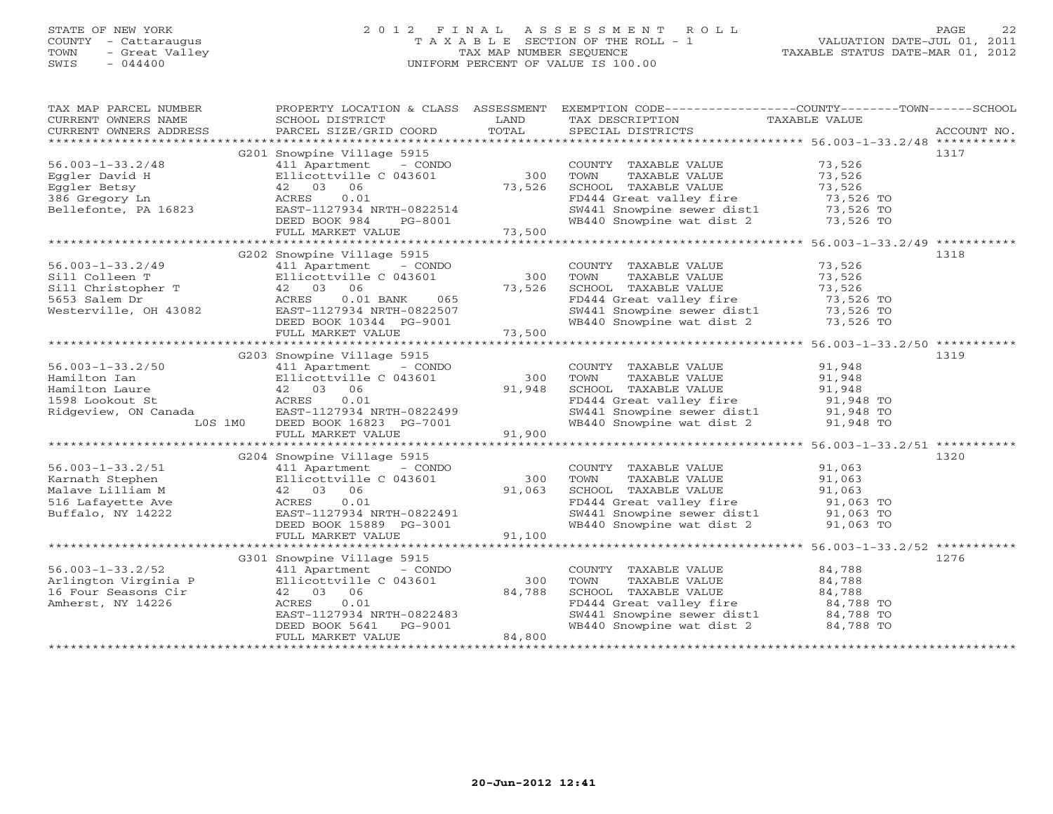# STATE OF NEW YORK 2 0 1 2 F I N A L A S S E S S M E N T R O L L PAGE 22 COUNTY - Cattaraugus T A X A B L E SECTION OF THE ROLL - 1 VALUATION DATE-JUL 01, 2011 TOWN - Great Valley TAX MAP NUMBER SEQUENCE TAXABLE STATUS DATE-MAR 01, 2012 SWIS - 044400 UNIFORM PERCENT OF VALUE IS 100.00UNIFORM PERCENT OF VALUE IS 100.00

| TAX MAP PARCEL NUMBER<br>CURRENT OWNERS NAME<br>CURRENT OWNERS ADDRESS | PROPERTY LOCATION & CLASS ASSESSMENT<br>SCHOOL DISTRICT<br>PARCEL SIZE/GRID COORD | LAND<br>TOTAL | EXEMPTION CODE-----------------COUNTY-------TOWN------SCHOOL<br>TAX DESCRIPTION<br>SPECIAL DISTRICTS | TAXABLE VALUE                | ACCOUNT NO. |
|------------------------------------------------------------------------|-----------------------------------------------------------------------------------|---------------|------------------------------------------------------------------------------------------------------|------------------------------|-------------|
|                                                                        |                                                                                   |               |                                                                                                      |                              |             |
|                                                                        | G201 Snowpine Village 5915                                                        |               |                                                                                                      |                              | 1317        |
| $56.003 - 1 - 33.2/48$                                                 | 411 Apartment - CONDO                                                             |               | COUNTY TAXABLE VALUE                                                                                 | 73,526                       |             |
| Eqqler David H                                                         | Ellicottville C 043601                                                            | 300           | TOWN<br>TAXABLE VALUE                                                                                | 73,526                       |             |
| Eggler Betsy                                                           | 42 03 06                                                                          | 73,526        | SCHOOL TAXABLE VALUE                                                                                 | 73,526                       |             |
| 386 Gregory Ln                                                         | 0.01<br>ACRES                                                                     |               | FD444 Great valley fire 73,526 TO                                                                    |                              |             |
| Bellefonte, PA 16823                                                   | EAST-1127934 NRTH-0822514                                                         |               |                                                                                                      |                              |             |
|                                                                        | DEED BOOK 984<br>PG-8001                                                          |               | SW441 Snowpine sewer dist1 73,526 TO<br>WB440 Snowpine wat dist 2 73,526 TO                          |                              |             |
|                                                                        | FULL MARKET VALUE                                                                 | 73,500        |                                                                                                      |                              |             |
|                                                                        |                                                                                   |               |                                                                                                      |                              |             |
|                                                                        | G202 Snowpine Village 5915                                                        |               |                                                                                                      |                              | 1318        |
| $56.003 - 1 - 33.2/49$                                                 | 411 Apartment - CONDO                                                             |               | COUNTY TAXABLE VALUE                                                                                 | 73,526                       |             |
| Sill Colleen T                                                         | Ellicottville C 043601                                                            | 300           | TAXABLE VALUE<br>TOWN                                                                                |                              |             |
| Sill Christopher T                                                     | 42 03<br>06                                                                       | 73,526        | SCHOOL TAXABLE VALUE                                                                                 | $\frac{73}{73}$ , 526        |             |
| 5653 Salem Dr                                                          | ACRES<br>$0.01$ BANK<br>065                                                       |               |                                                                                                      |                              |             |
| Westerville, OH 43082                                                  | EAST-1127934 NRTH-0822507                                                         |               | FD444 Great valley fire 73,526 TO<br>SW441 Snowpine sewer dist1 73,526 TO                            |                              |             |
|                                                                        | DEED BOOK 10344 PG-9001                                                           |               | $WB440$ Snowpine wat dist 2 $73,526$ TO                                                              |                              |             |
|                                                                        | FULL MARKET VALUE                                                                 | 73,500        |                                                                                                      |                              |             |
|                                                                        |                                                                                   |               |                                                                                                      |                              |             |
|                                                                        | G203 Snowpine Village 5915                                                        |               |                                                                                                      |                              | 1319        |
|                                                                        |                                                                                   |               |                                                                                                      |                              |             |
| $56.003 - 1 - 33.2/50$                                                 | 411 Apartment - CONDO                                                             |               | COUNTY TAXABLE VALUE                                                                                 | 91,948                       |             |
| Hamilton Ian                                                           | Ellicottville C 043601                                                            | 300           | TOWN<br>TAXABLE VALUE                                                                                | 91,948                       |             |
| Hamilton Laure                                                         | 42 03<br>06                                                                       | 91,948        | SCHOOL TAXABLE VALUE                                                                                 | 91,948                       |             |
| 1598 Lookout St<br>Ridgeview, ON Canada<br>Ridgeview, ON Canada        | 0.01<br>ACRES                                                                     |               | FD444 Great valley fire 91,948 TO<br>SW441 Snowpine sewer dist1 91,948 TO                            |                              |             |
|                                                                        | EAST-1127934 NRTH-0822499                                                         |               |                                                                                                      |                              |             |
| $LOS$ 1M $0$                                                           | DEED BOOK 16823 PG-7001                                                           |               | WB440 Snowpine wat dist 2 91,948 TO                                                                  |                              |             |
|                                                                        | FULL MARKET VALUE                                                                 | 91,900        |                                                                                                      |                              |             |
|                                                                        |                                                                                   |               |                                                                                                      |                              |             |
|                                                                        | G204 Snowpine Village 5915                                                        |               |                                                                                                      |                              | 1320        |
| $56.003 - 1 - 33.2/51$                                                 | - CONDO<br>411 Apartment                                                          |               | COUNTY TAXABLE VALUE                                                                                 | 91,063                       |             |
| Karnath Stephen                                                        | Ellicottville C 043601                                                            | 300           | TAXABLE VALUE<br>TOWN                                                                                | 91,063                       |             |
| Malave Lilliam M                                                       | 42 03 06                                                                          | 91,063        | SCHOOL TAXABLE VALUE                                                                                 |                              |             |
| 516 Lafayette Ave                                                      | ACRES<br>0.01                                                                     |               | FD444 Great valley fire                                                                              | 91,005<br>91,063 TO<br>23 TO |             |
| Buffalo, NY 14222                                                      | EAST-1127934 NRTH-0822491                                                         |               | SW441 Snowpine sewer dist1 91,063 TO                                                                 |                              |             |
|                                                                        | DEED BOOK 15889 PG-3001                                                           |               | WB440 Snowpine wat dist 2 91,063 TO                                                                  |                              |             |
|                                                                        | FULL MARKET VALUE                                                                 | 91,100        |                                                                                                      |                              |             |
|                                                                        |                                                                                   |               |                                                                                                      |                              |             |
|                                                                        | G301 Snowpine Village 5915                                                        |               |                                                                                                      |                              | 1276        |
| $56.003 - 1 - 33.2/52$                                                 | 411 Apartment<br>- CONDO                                                          |               | COUNTY TAXABLE VALUE                                                                                 | 84,788                       |             |
| Arlington Virginia P                                                   | Ellicottville C 043601                                                            | 300           | TOWN<br>TAXABLE VALUE                                                                                | 84,788                       |             |
| 16 Four Seasons Cir                                                    | 42 03 06                                                                          | 84,788        | SCHOOL TAXABLE VALUE                                                                                 | 84,788                       |             |
| Amherst, NY 14226                                                      | 0.01<br>ACRES                                                                     |               | FD444 Great valley fire                                                                              | 84,788 TO                    |             |
|                                                                        | EAST-1127934 NRTH-0822483                                                         |               | SW441 Snowpine sewer dist1 84,788 TO                                                                 |                              |             |
|                                                                        | DEED BOOK 5641<br>PG-9001                                                         |               | WB440 Snowpine wat dist 2                                                                            | 84,788 TO                    |             |
|                                                                        | FULL MARKET VALUE                                                                 | 84,800        |                                                                                                      |                              |             |
|                                                                        |                                                                                   |               |                                                                                                      |                              |             |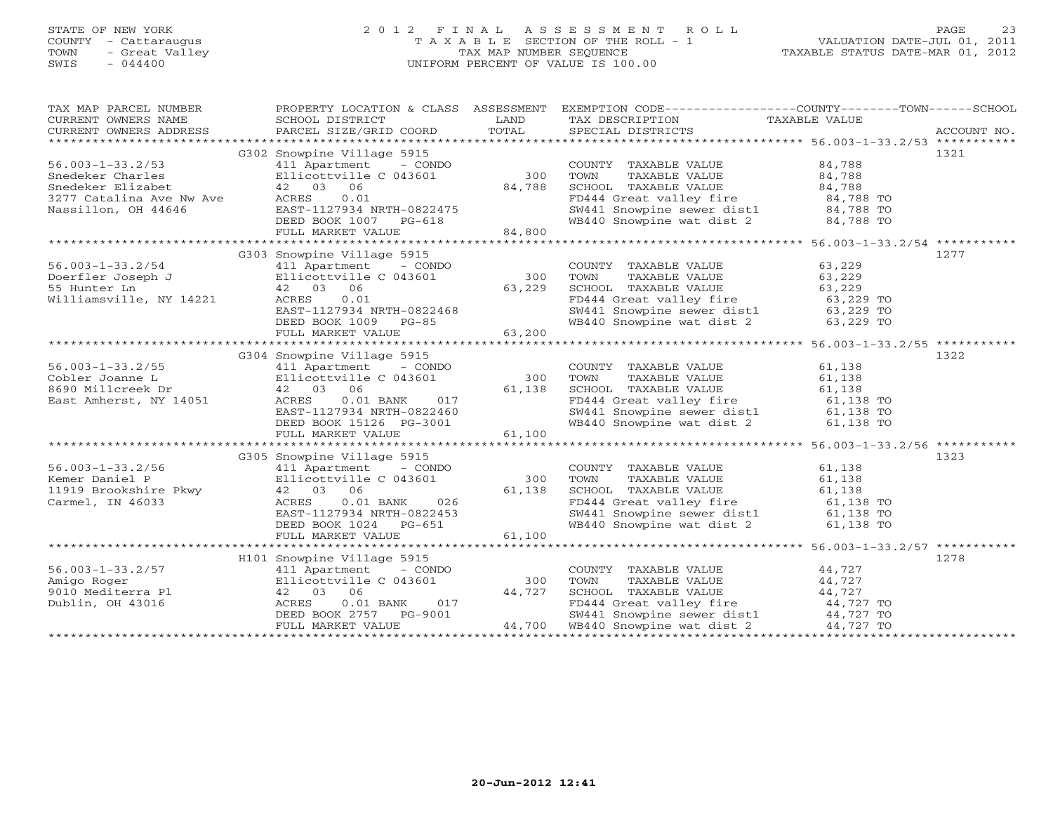# STATE OF NEW YORK 2 0 1 2 F I N A L A S S E S S M E N T R O L L PAGE 23 COUNTY - Cattaraugus T A X A B L E SECTION OF THE ROLL - 1 VALUATION DATE-JUL 01, 2011 TOWN - Great Valley TAX MAP NUMBER SEQUENCE TAXABLE STATUS DATE-MAR 01, 2012 SWIS - 044400 UNIFORM PERCENT OF VALUE IS 100.00UNIFORM PERCENT OF VALUE IS 100.00

| TAX MAP PARCEL NUMBER<br>CURRENT OWNERS NAME<br>CURRENT OWNERS ADDRESS | PROPERTY LOCATION & CLASS ASSESSMENT<br>SCHOOL DISTRICT<br>PARCEL SIZE/GRID COORD           | LAND<br>TOTAL   | EXEMPTION CODE-----------------COUNTY-------TOWN------SCHOOL<br>TAX DESCRIPTION TAXABLE VALUE<br>SPECIAL DISTRICTS<br>SPECIAL DISTRICTS |        | ACCOUNT NO. |
|------------------------------------------------------------------------|---------------------------------------------------------------------------------------------|-----------------|-----------------------------------------------------------------------------------------------------------------------------------------|--------|-------------|
|                                                                        |                                                                                             |                 |                                                                                                                                         |        |             |
|                                                                        | G302 Snowpine Village 5915                                                                  |                 |                                                                                                                                         |        | 1321        |
| $56.003 - 1 - 33.2/53$                                                 | 411 Apartment - CONDO                                                                       | 300             | COUNTY TAXABLE VALUE                                                                                                                    | 84,788 |             |
| Snedeker Charles                                                       | Ellicottville C 043601                                                                      |                 | TOWN<br>TAXABLE VALUE                                                                                                                   | 84,788 |             |
|                                                                        | 42 03 06                                                                                    | 84,788          | SCHOOL TAXABLE VALUE                                                                                                                    | 84,788 |             |
| Snedeker Elizabet<br>3277 Catalina Ave Nw Ave                          | 0.01<br>ACRES                                                                               |                 | FD444 Great valley fire 84,788 TO<br>SW441 Snowpine sewer dist1 84,788 TO                                                               |        |             |
| Nassillon, OH 44646                                                    |                                                                                             |                 |                                                                                                                                         |        |             |
|                                                                        |                                                                                             |                 | WB440 Snowpine wat dist 2 84,788 TO                                                                                                     |        |             |
|                                                                        | EAST-1127934 NRTH-0822475<br>DEED BOOK 1007 PG-618<br>FULL MARKET VALUE 84,800              |                 |                                                                                                                                         |        |             |
|                                                                        |                                                                                             |                 |                                                                                                                                         |        |             |
|                                                                        | G303 Snowpine Village 5915                                                                  |                 |                                                                                                                                         |        | 1277        |
| $56.003 - 1 - 33.2/54$                                                 | 411 Apartment - CONDO                                                                       |                 | COUNTY TAXABLE VALUE                                                                                                                    | 63,229 |             |
| Doerfler Joseph J                                                      |                                                                                             | 300             | TOWN<br>TAXABLE VALUE                                                                                                                   | 63,229 |             |
| 55 Hunter Ln                                                           |                                                                                             | $300$<br>63,229 | SCHOOL TAXABLE VALUE                                                                                                                    | 63,229 |             |
|                                                                        | 4<br>Ellicottville C 043601<br>42 03 06<br>NY 14221 ACRES 0.01                              |                 |                                                                                                                                         |        |             |
| Williamsville, NY 14221                                                |                                                                                             |                 | FD444 Great valley fire 63,229 TO<br>SW441 Snowpine sewer dist1 63,229 TO                                                               |        |             |
|                                                                        |                                                                                             |                 |                                                                                                                                         |        |             |
|                                                                        | ACRES 0.01<br>EAST-1127934 NRTH-0822468<br>DEED BOOK 1009 PG-85<br>FULL MARKET VALUE 63,200 |                 | WB440 Snowpine wat dist 2 63,229 TO                                                                                                     |        |             |
|                                                                        |                                                                                             |                 |                                                                                                                                         |        |             |
|                                                                        |                                                                                             |                 |                                                                                                                                         |        |             |
|                                                                        | G304 Snowpine Village 5915                                                                  |                 |                                                                                                                                         |        | 1322        |
| $56.003 - 1 - 33.2/55$                                                 | 411 Apartment - CONDO                                                                       |                 | COUNTY TAXABLE VALUE                                                                                                                    | 61,138 |             |
| Cobler Joanne L                                                        | Ellicottville C 043601                                                                      | 300             | TAXABLE VALUE<br>TOWN                                                                                                                   | 61,138 |             |
| 8690 Millcreek Dr                                                      | 411 Apartment<br>Ellicottville<br>42 03 06                                                  | 61,138          | SCHOOL TAXABLE VALUE                                                                                                                    | 61,138 |             |
| East Amherst, NY 14051                                                 | ACRES<br>$0.01$ BANK                                                                        | 017             | FD444 Great valley fire 61,138 TO<br>SW441 Snowpine sewer dist1 61,138 TO                                                               |        |             |
|                                                                        | EAST-1127934 NRTH-0822460                                                                   |                 |                                                                                                                                         |        |             |
|                                                                        | DEED BOOK 15126 PG-3001                                                                     |                 | WB440 Snowpine wat dist 2 61,138 TO                                                                                                     |        |             |
|                                                                        | FULL MARKET VALUE                                                                           | $3-3001$ 61,100 |                                                                                                                                         |        |             |
|                                                                        |                                                                                             |                 |                                                                                                                                         |        |             |
|                                                                        | G305 Snowpine Village 5915                                                                  |                 |                                                                                                                                         |        | 1323        |
| $56.003 - 1 - 33.2/56$                                                 | 411 Apartment - CONDO                                                                       |                 | COUNTY TAXABLE VALUE                                                                                                                    | 61,138 |             |
| Kemer Daniel P                                                         | Ellicottville C 043601                                                                      | 300             | TAXABLE VALUE<br>TOWN                                                                                                                   | 61,138 |             |
| 11919 Brookshire Pkwy                                                  | 42 03 06                                                                                    | 61,138          | SCHOOL TAXABLE VALUE                                                                                                                    | 61,138 |             |
| Carmel, IN 46033                                                       |                                                                                             |                 |                                                                                                                                         |        |             |
|                                                                        | ACRES<br>$0.01$ BANK                                                                        | $026$<br>2153   |                                                                                                                                         |        |             |
|                                                                        | EAST-1127934 NRTH-0822453                                                                   |                 | FD444 Great valley fire 61,138 TO<br>SW441 Snowpine sewer dist1 61,138 TO<br>WB440 Snowpine wat dist 2 61,138 TO                        |        |             |
|                                                                        | DEED BOOK 1024 PG-651                                                                       |                 |                                                                                                                                         |        |             |
|                                                                        | FULL MARKET VALUE                                                                           | 61,100          |                                                                                                                                         |        |             |
|                                                                        |                                                                                             |                 |                                                                                                                                         |        |             |
|                                                                        | H101 Snowpine Village 5915                                                                  |                 |                                                                                                                                         |        | 1278        |
| $56.003 - 1 - 33.2/57$                                                 | 411 Apartment - CONDO                                                                       |                 | COUNTY TAXABLE VALUE                                                                                                                    | 44,727 |             |
| Amigo Roger                                                            | Ellicottville C 043601                                                                      | 300             | TOWN<br>TAXABLE VALUE                                                                                                                   | 44,727 |             |
| 9010 Mediterra Pl                                                      | 42 03 06                                                                                    | 44,727          | SCHOOL TAXABLE VALUE                                                                                                                    | 44,727 |             |
| Dublin, OH 43016                                                       | ACRES 0.01 BANK 017<br>DEED BOOK 2757 PG-9001                                               |                 |                                                                                                                                         |        |             |
|                                                                        |                                                                                             |                 | FD444 Great valley fire 44,727 TO<br>SW441 Snowpine sewer dist1 44,727 TO                                                               |        |             |
|                                                                        | FULL MARKET VALUE                                                                           |                 | 44,700 WB440 Snowpine wat dist 2 $44,727$ TO                                                                                            |        |             |
|                                                                        |                                                                                             |                 |                                                                                                                                         |        |             |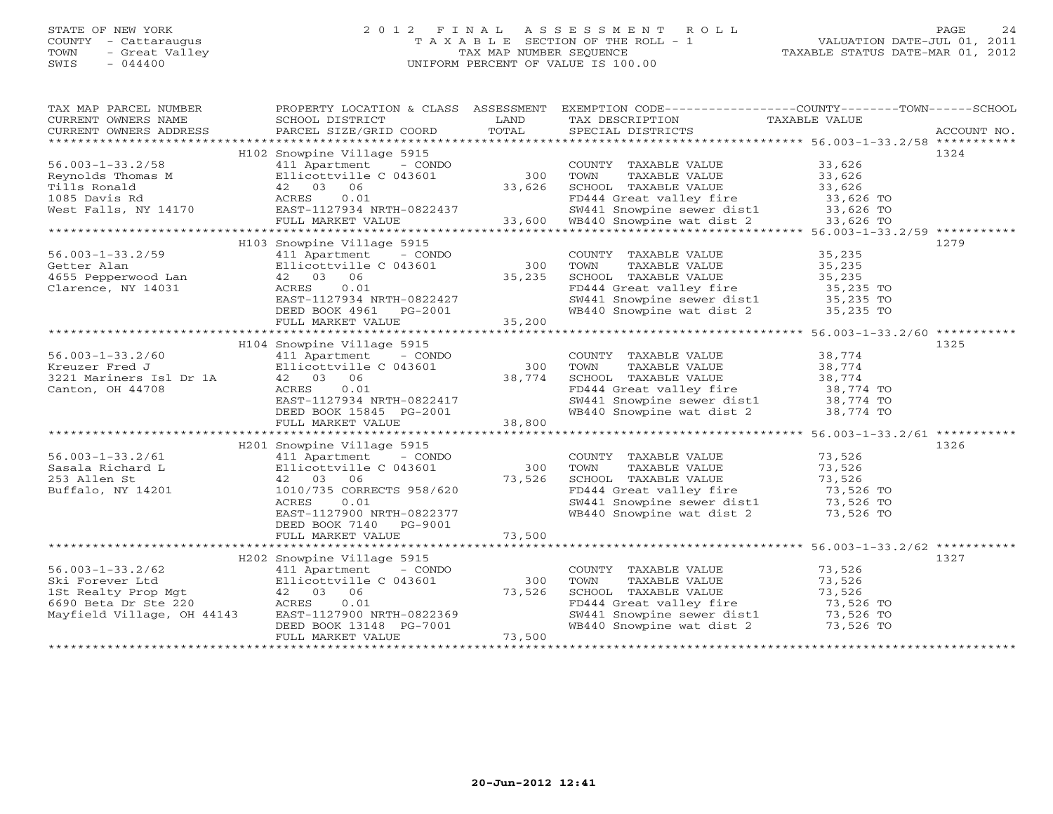# STATE OF NEW YORK 2 0 1 2 F I N A L A S S E S S M E N T R O L L PAGE 24 COUNTY - Cattaraugus T A X A B L E SECTION OF THE ROLL - 1 VALUATION DATE-JUL 01, 2011 TOWN - Great Valley TAX MAP NUMBER SEQUENCE TAXABLE STATUS DATE-MAR 01, 2012 SWIS - 044400 UNIFORM PERCENT OF VALUE IS 100.00UNIFORM PERCENT OF VALUE IS 100.00

| TAX MAP PARCEL NUMBER<br>CURRENT OWNERS NAME<br>CURRENT OWNERS ADDRESS                                                                                                                                                                                     | PROPERTY LOCATION & CLASS ASSESSMENT<br>SCHOOL DISTRICT<br>PARCEL SIZE/GRID COORD | LAND<br>TOTAL | EXEMPTION CODE-----------------COUNTY-------TOWN------SCHOOL<br>TAX DESCRIPTION<br>SPECIAL DISTRICTS<br>SPECIAL DISTRICTS |                            | ACCOUNT NO. |
|------------------------------------------------------------------------------------------------------------------------------------------------------------------------------------------------------------------------------------------------------------|-----------------------------------------------------------------------------------|---------------|---------------------------------------------------------------------------------------------------------------------------|----------------------------|-------------|
|                                                                                                                                                                                                                                                            |                                                                                   |               |                                                                                                                           |                            |             |
|                                                                                                                                                                                                                                                            | H102 Snowpine Village 5915                                                        |               |                                                                                                                           |                            | 1324        |
| $56.003 - 1 - 33.2/58$                                                                                                                                                                                                                                     | 411 Apartment - CONDO                                                             |               | COUNTY TAXABLE VALUE                                                                                                      | 33,626                     |             |
|                                                                                                                                                                                                                                                            |                                                                                   | 300           | TOWN<br>TAXABLE VALUE                                                                                                     | 33,626                     |             |
|                                                                                                                                                                                                                                                            |                                                                                   | 33,626        | SCHOOL TAXABLE VALUE                                                                                                      | 33,626                     |             |
|                                                                                                                                                                                                                                                            |                                                                                   |               |                                                                                                                           | 33,6∠6<br>33,626 TO        |             |
| Reynolds Thomas M<br>Tills Ronald<br>Tills Ronald<br>1085 Davis Rd<br>1085 Davis Rd<br>1085 Davis Rd<br>1085 Davis Rd<br>1085 Davis Rd<br>1085 Davis Rd<br>1085 Davis Rd<br>1085 Davis Rd<br>1085 Davis Rd<br>1085 Davis Rd<br>1087 Davis Rd<br>1087-11279 |                                                                                   |               |                                                                                                                           |                            |             |
|                                                                                                                                                                                                                                                            |                                                                                   |               |                                                                                                                           |                            |             |
| 1111s Ronald<br>1085 Davis Rd<br>Mest Falls, NY 14170 ACRES 0.01<br>ENGERENT MARKET VALUE 33,600 MB440 Groupine wat dist 2 33,626 TO<br>FULL MARKET VALUE 33,600 MB440 Snowpine wat dist 2 33,626 TO<br>FULL MARKET VALUE 33,600 MB440                     |                                                                                   |               |                                                                                                                           |                            |             |
|                                                                                                                                                                                                                                                            | H103 Snowpine Village 5915                                                        |               |                                                                                                                           |                            | 1279        |
| $56.003 - 1 - 33.2/59$                                                                                                                                                                                                                                     | 411 Apartment - CONDO                                                             |               | COUNTY TAXABLE VALUE                                                                                                      | 35,235<br>35,235           |             |
| Getter Alan                                                                                                                                                                                                                                                | Ellicottville C 043601                                                            | 300           | TAXABLE VALUE<br>TOWN                                                                                                     |                            |             |
| 4655 Pepperwood Lan                                                                                                                                                                                                                                        | $42$ 03 06                                                                        | 35,235        | SCHOOL TAXABLE VALUE                                                                                                      | 35,235                     |             |
| Clarence, NY 14031                                                                                                                                                                                                                                         | ACRES<br>0.01                                                                     |               | FD444 Great valley fire                                                                                                   | 35,235 TO                  |             |
|                                                                                                                                                                                                                                                            | EAST-1127934 NRTH-0822427<br>DEED BOOK 4961 PG-2001                               |               | SW441 Snowpine sewer dist1 35,235 TO<br>WB440 Snowpine wat dist 2 35,235 TO                                               |                            |             |
|                                                                                                                                                                                                                                                            |                                                                                   |               |                                                                                                                           |                            |             |
|                                                                                                                                                                                                                                                            | FULL MARKET VALUE                                                                 | 35,200        |                                                                                                                           |                            |             |
|                                                                                                                                                                                                                                                            |                                                                                   |               |                                                                                                                           |                            |             |
|                                                                                                                                                                                                                                                            | H104 Snowpine Village 5915                                                        |               |                                                                                                                           |                            | 1325        |
| $56.003 - 1 - 33.2/60$                                                                                                                                                                                                                                     | 411 Apartment - CONDO                                                             |               | COUNTY TAXABLE VALUE                                                                                                      | 38,774                     |             |
| Kreuzer Fred J                                                                                                                                                                                                                                             | Ellicottville C 043601                                                            | 300           | TOWN<br>TAXABLE VALUE                                                                                                     | 38,774                     |             |
| 3221 Mariners Isl Dr 1A                                                                                                                                                                                                                                    | 42 03 06                                                                          | 38,774        | SCHOOL TAXABLE VALUE                                                                                                      | 38,774                     |             |
| Canton, OH 44708                                                                                                                                                                                                                                           | 0.01<br>ACRES                                                                     |               | FD444 Great valley fire 38,774 TO                                                                                         |                            |             |
|                                                                                                                                                                                                                                                            | EAST-1127934 NRTH-0822417                                                         |               |                                                                                                                           |                            |             |
|                                                                                                                                                                                                                                                            | DEED BOOK 15845 PG-2001                                                           |               | SW441 Snowpine sewer dist1 38,774 TO<br>WB440 Snowpine wat dist 2 38,774 TO                                               |                            |             |
|                                                                                                                                                                                                                                                            | FULL MARKET VALUE                                                                 | 38,800        |                                                                                                                           |                            |             |
|                                                                                                                                                                                                                                                            |                                                                                   |               |                                                                                                                           |                            |             |
|                                                                                                                                                                                                                                                            |                                                                                   |               |                                                                                                                           |                            | 1326        |
|                                                                                                                                                                                                                                                            | H201 Snowpine Village 5915                                                        |               |                                                                                                                           |                            |             |
| $56.003 - 1 - 33.2/61$                                                                                                                                                                                                                                     | 411 Apartment - CONDO                                                             |               | COUNTY TAXABLE VALUE 73,526                                                                                               |                            |             |
| Sasala Richard L                                                                                                                                                                                                                                           | Ellicottville C 043601                                                            | 300           | TOWN<br>TAXABLE VALUE                                                                                                     |                            |             |
| 253 Allen St                                                                                                                                                                                                                                               | 42 03 06                                                                          | 73,526        | SCHOOL TAXABLE VALUE                                                                                                      | 73, J<br>73, 526<br>73, 52 |             |
| Buffalo, NY 14201                                                                                                                                                                                                                                          | 1010/735 CORRECTS 958/620                                                         |               |                                                                                                                           |                            |             |
|                                                                                                                                                                                                                                                            | ACRES<br>0.01                                                                     |               | FD444 Great valley fire<br>SW441 Snowpine sewer dist1 73,526 TO<br>WB440 Snowpine wat dist 2 73,526 TO                    |                            |             |
|                                                                                                                                                                                                                                                            | EAST-1127900 NRTH-0822377                                                         |               |                                                                                                                           |                            |             |
|                                                                                                                                                                                                                                                            | DEED BOOK 7140 PG-9001                                                            |               |                                                                                                                           |                            |             |
|                                                                                                                                                                                                                                                            | FULL MARKET VALUE                                                                 | 73,500        |                                                                                                                           |                            |             |
|                                                                                                                                                                                                                                                            |                                                                                   |               |                                                                                                                           |                            |             |
|                                                                                                                                                                                                                                                            | H202 Snowpine Village 5915                                                        |               |                                                                                                                           |                            | 1327        |
| $56.003 - 1 - 33.2/62$                                                                                                                                                                                                                                     | 411 Apartment - CONDO                                                             |               | COUNTY TAXABLE VALUE                                                                                                      | 73,526                     |             |
| Ski Forever Ltd                                                                                                                                                                                                                                            | Ellicottville C 043601                                                            | 300           | TOWN<br>TAXABLE VALUE                                                                                                     | 73,526                     |             |
| 1St Realty Prop Mgt                                                                                                                                                                                                                                        | 42 03 06<br>ACRES 0.01                                                            | 73,526        | SCHOOL TAXABLE VALUE                                                                                                      | 73,526                     |             |
| 6690 Beta Dr Ste 220                                                                                                                                                                                                                                       | 0.01                                                                              |               | FD444 Great valley fire                                                                                                   | 73,526 TO                  |             |
| Mayfield Village, OH 44143                                                                                                                                                                                                                                 | EAST-1127900 NRTH-0822369                                                         |               | SW441 Snowpine sewer dist1 73,526 TO<br>WB440 Snowpine wat dist 2 73,526 TO                                               |                            |             |
|                                                                                                                                                                                                                                                            | DEED BOOK 13148 PG-7001                                                           |               |                                                                                                                           |                            |             |
|                                                                                                                                                                                                                                                            | FULL MARKET VALUE                                                                 | 73,500        |                                                                                                                           |                            |             |
|                                                                                                                                                                                                                                                            |                                                                                   |               |                                                                                                                           |                            |             |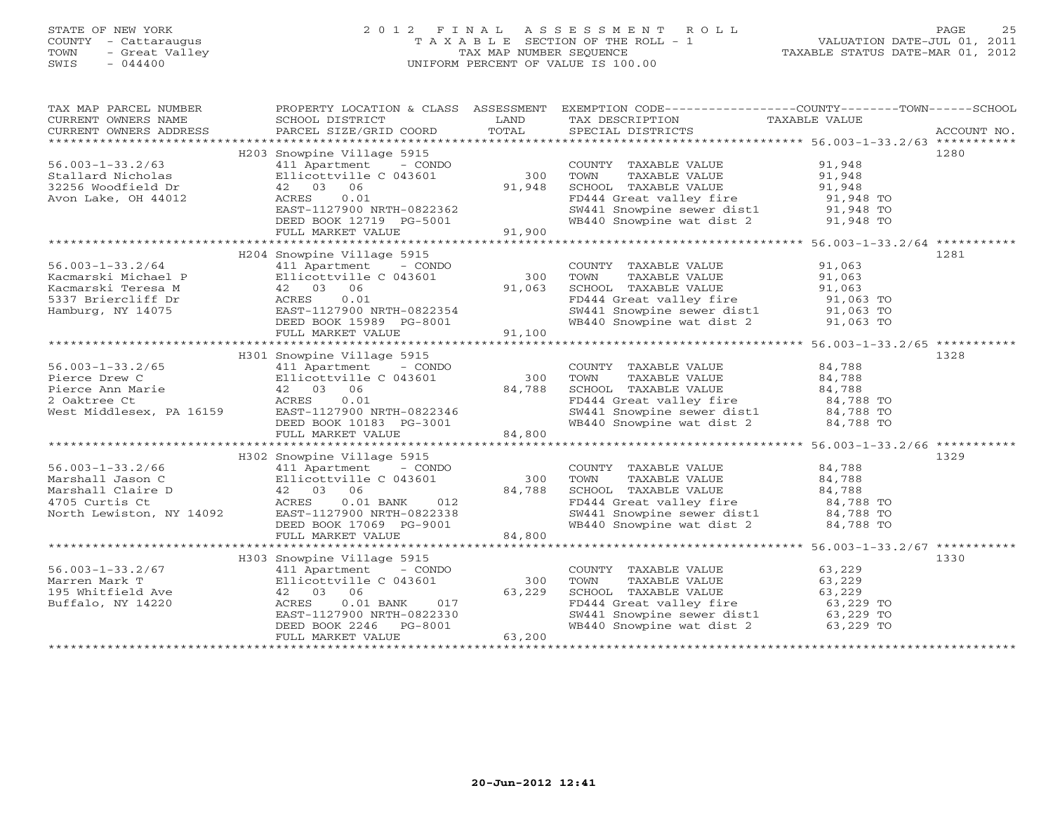# STATE OF NEW YORK 2 0 1 2 F I N A L A S S E S S M E N T R O L L PAGE 25COUNTY - Cattaraugus T A X A B L E SECTION OF THE ROLL - 1<br>
TOWN - Great Valley TAX MAP NUMBER SEQUENCE<br>
SWIS - 044400 SWIS - 044400 UNIFORM PERCENT OF VALUE IS 100.00

| TAX MAP PARCEL NUMBER  | PROPERTY LOCATION & CLASS ASSESSMENT<br>TAXIN'S PARCEL SUPERTY OF THE CONDUCTER CONSUMERT OF THE CONDUCTER CONSUMERT OF THE CONDUCTER CONSUMERT OF THE CONTRACT THE CONDUCTER CONDUCTER THE CONDUCTER CONDUCTER THE CONDUCTER CONDUCTER THE CONDUCTER CONDUCTER THE CO |        | EXEMPTION CODE----------------COUNTY-------TOWN------SCHOOL                                                                                                                                                           |      |
|------------------------|------------------------------------------------------------------------------------------------------------------------------------------------------------------------------------------------------------------------------------------------------------------------|--------|-----------------------------------------------------------------------------------------------------------------------------------------------------------------------------------------------------------------------|------|
|                        |                                                                                                                                                                                                                                                                        |        |                                                                                                                                                                                                                       |      |
|                        | H203 Snowpine Village 5915                                                                                                                                                                                                                                             |        |                                                                                                                                                                                                                       | 1280 |
| $56.003 - 1 - 33.2/63$ | 411 Apartment - CONDO                                                                                                                                                                                                                                                  |        | COUNTY TAXABLE VALUE 91,948                                                                                                                                                                                           |      |
|                        |                                                                                                                                                                                                                                                                        |        | COONT TAXABLE VALUE<br>TOWN TAXABLE VALUE<br>SCHOOL TAXABLE VALUE<br>FD444 Great valley fire 91,948 TO<br>SW441 Snowpine sewer dist1 91,948 TO<br>WB440 Snowpine wat dist 2 91,948 TO                                 |      |
|                        |                                                                                                                                                                                                                                                                        |        |                                                                                                                                                                                                                       |      |
|                        |                                                                                                                                                                                                                                                                        |        |                                                                                                                                                                                                                       |      |
|                        |                                                                                                                                                                                                                                                                        |        |                                                                                                                                                                                                                       |      |
|                        |                                                                                                                                                                                                                                                                        |        |                                                                                                                                                                                                                       |      |
|                        | 411 Apartment - CONDO<br>Ellicottville C 043601 300<br>42 03 06 91,948<br>ACRES 0.01 BAST-1127900 NRTH-0822362<br>DEED BOOK 12719 PG-5001 91,900<br>FULL MARKET VALUE                                                                                                  |        |                                                                                                                                                                                                                       |      |
|                        |                                                                                                                                                                                                                                                                        |        |                                                                                                                                                                                                                       |      |
|                        | H204 Snowpine Village 5915                                                                                                                                                                                                                                             |        |                                                                                                                                                                                                                       | 1281 |
| $56.003 - 1 - 33.2/64$ | 411 Apartment - CONDO                                                                                                                                                                                                                                                  |        | COUNTY TAXABLE VALUE 91,063                                                                                                                                                                                           |      |
|                        |                                                                                                                                                                                                                                                                        |        |                                                                                                                                                                                                                       |      |
|                        |                                                                                                                                                                                                                                                                        |        |                                                                                                                                                                                                                       |      |
|                        |                                                                                                                                                                                                                                                                        |        | FOWN TAXABLE VALUE<br>SCHOOL TAXABLE VALUE<br>SCHOOL TAXABLE VALUE<br>FD444 Great valley fire<br>SW441 Snowpine sewer dist1<br>WB440 Snowpine wat dist 2<br>91,063 TO<br>91,063 TO<br>91,063 TO                       |      |
|                        |                                                                                                                                                                                                                                                                        |        |                                                                                                                                                                                                                       |      |
|                        |                                                                                                                                                                                                                                                                        |        |                                                                                                                                                                                                                       |      |
|                        | 2008 1982 12/03 12/04 11 1994 11 1994 11 1994 11 1996 11 1996 11 1996 11 1997 11 1996 11 1997 11 1997 11 1997 1<br>Kacmarski Teresa M (2008) 1998 1,063 SCHOOL<br>5337 Briercliff Dr ACRES 0.01 FD444<br>Hamburg, NY 14075 EAST-1127                                   |        |                                                                                                                                                                                                                       |      |
|                        |                                                                                                                                                                                                                                                                        |        |                                                                                                                                                                                                                       |      |
|                        | H301 Snowpine Village 5915                                                                                                                                                                                                                                             |        |                                                                                                                                                                                                                       | 1328 |
|                        |                                                                                                                                                                                                                                                                        |        | COUNTY TAXABLE VALUE $84,788$<br>TOWN TAXABLE VALUE $84,788$<br>SCHOOL TAXABLE VALUE $84,788$<br>FD444 Great valley fire $84,788$<br>SW441 Snowpine sewer dist1 $84,788$ TO<br>SW441 Snowpine sewer dist1 $84,788$ TO |      |
|                        |                                                                                                                                                                                                                                                                        |        |                                                                                                                                                                                                                       |      |
|                        |                                                                                                                                                                                                                                                                        |        |                                                                                                                                                                                                                       |      |
|                        |                                                                                                                                                                                                                                                                        |        |                                                                                                                                                                                                                       |      |
|                        |                                                                                                                                                                                                                                                                        |        |                                                                                                                                                                                                                       |      |
|                        |                                                                                                                                                                                                                                                                        |        | WB440 Snowpine wat dist 2 84,788 TO                                                                                                                                                                                   |      |
|                        | 56.003-1-33.2/65<br>Pierce Drew C<br>Pierce Ann Marie (11.1 Apartment - CONDO)<br>2 Oaktree Ct<br>West Middlesex, PA 16159<br>COUNTY<br>Pierce Ann Marie (11.2090)<br>2 Oaktree Ct<br>Mest Middlesex, PA 16159<br>EAST-1127900 NRTH-0822346<br>DEE                     |        |                                                                                                                                                                                                                       |      |
|                        |                                                                                                                                                                                                                                                                        |        |                                                                                                                                                                                                                       |      |
|                        | H302 Snowpine Village 5915                                                                                                                                                                                                                                             |        |                                                                                                                                                                                                                       | 1329 |
|                        |                                                                                                                                                                                                                                                                        |        |                                                                                                                                                                                                                       |      |
|                        |                                                                                                                                                                                                                                                                        |        |                                                                                                                                                                                                                       |      |
|                        |                                                                                                                                                                                                                                                                        |        |                                                                                                                                                                                                                       |      |
|                        |                                                                                                                                                                                                                                                                        |        |                                                                                                                                                                                                                       |      |
|                        |                                                                                                                                                                                                                                                                        |        |                                                                                                                                                                                                                       |      |
|                        | 56.003-1-33.2/66<br>Marshall Jason C<br>Marshall Jason C<br>Marshall Claire D<br>42 03 06 84,788 SCHOOL TAXABLE VALUE 84,788<br>4705 Curtis Ct ACRES 0.01 BANK 012<br>North Lewiston, NY 14092 EAST-1127900 NRTH-0822338<br>DEED MARKET VA                             |        |                                                                                                                                                                                                                       |      |
|                        | FULL MARKET VALUE                                                                                                                                                                                                                                                      | 84,800 |                                                                                                                                                                                                                       |      |
|                        |                                                                                                                                                                                                                                                                        |        |                                                                                                                                                                                                                       |      |
|                        | H303 Snowpine Village 5915                                                                                                                                                                                                                                             |        |                                                                                                                                                                                                                       | 1330 |
|                        | 411 Apartment - CONDO                                                                                                                                                                                                                                                  |        | COUNTY TAXABLE VALUE 63,229                                                                                                                                                                                           |      |
|                        |                                                                                                                                                                                                                                                                        |        | TAXABLE VALUE 63,229<br>TOWN                                                                                                                                                                                          |      |
|                        |                                                                                                                                                                                                                                                                        |        |                                                                                                                                                                                                                       |      |
|                        |                                                                                                                                                                                                                                                                        |        |                                                                                                                                                                                                                       |      |
|                        |                                                                                                                                                                                                                                                                        |        |                                                                                                                                                                                                                       |      |
|                        |                                                                                                                                                                                                                                                                        |        | SCHOOL TAXABLE VALUE 63,229<br>FD444 Great valley fire 63,229 TO<br>SW441 Snowpine sewer dist1 63,229 TO<br>WB440 Snowpine wat dist 2 63,229 TO                                                                       |      |
|                        | 411 Apartment - CONDO<br>Ellicottville C 043601 300<br>42 03 06 53,229<br>ACRES 0.01 BANK 017<br>EAST-1127900 NRTH-0822330<br>DEED BOOK 2246 PG-8001 63,200<br>FULL MARKET VALUE 63,200                                                                                |        |                                                                                                                                                                                                                       |      |
|                        |                                                                                                                                                                                                                                                                        |        |                                                                                                                                                                                                                       |      |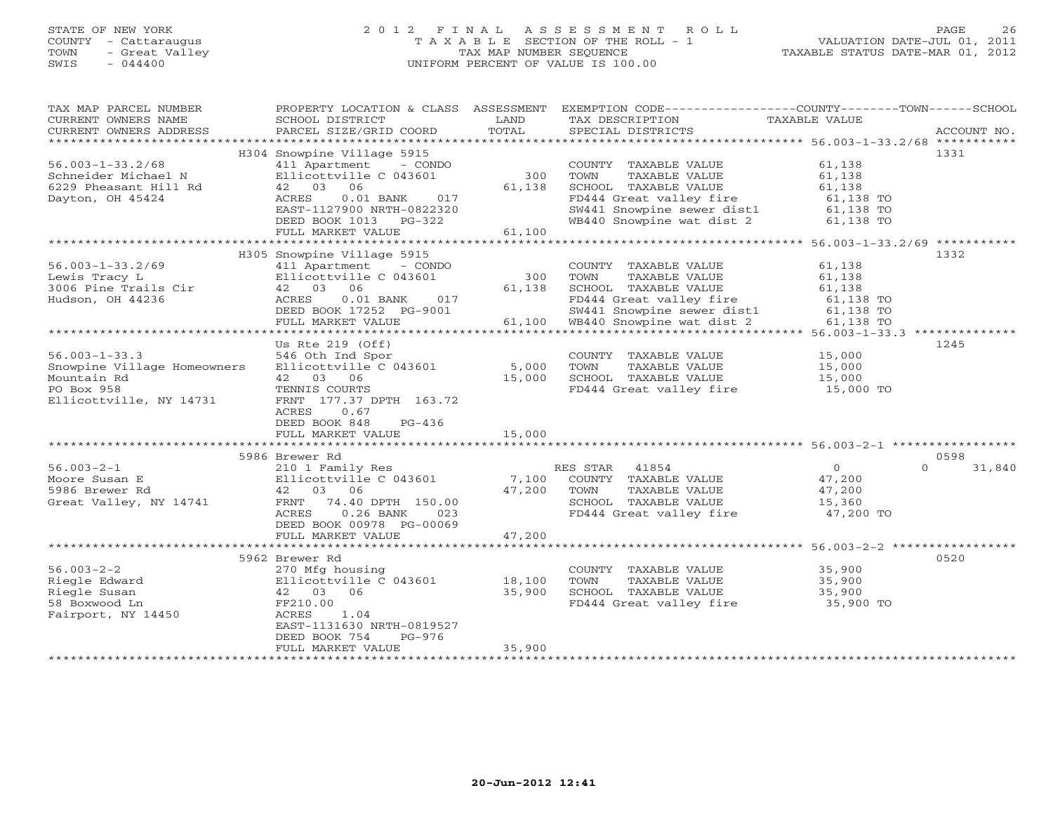# STATE OF NEW YORK 2 0 1 2 F I N A L A S S E S S M E N T R O L L PAGE 26 COUNTY - Cattaraugus T A X A B L E SECTION OF THE ROLL - 1 VALUATION DATE-JUL 01, 2011 TOWN - Great Valley TAX MAP NUMBER SEQUENCE TAXABLE STATUS DATE-MAR 01, 2012 SWIS - 044400 UNIFORM PERCENT OF VALUE IS 100.00UNIFORM PERCENT OF VALUE IS 100.00

| TAX MAP PARCEL NUMBER<br>CURRENT OWNERS NAME<br>CURRENT OWNERS ADDRESS<br>**********************           | PROPERTY LOCATION & CLASS ASSESSMENT<br>SCHOOL DISTRICT<br>PARCEL SIZE/GRID COORD                                                                                                                                         | LAND<br>TOTAL              | EXEMPTION CODE-----------------COUNTY-------TOWN-----SCHOOL<br>TAX DESCRIPTION<br>SPECIAL DISTRICTS                                                         | TAXABLE VALUE                                                                                           | ACCOUNT NO. |
|------------------------------------------------------------------------------------------------------------|---------------------------------------------------------------------------------------------------------------------------------------------------------------------------------------------------------------------------|----------------------------|-------------------------------------------------------------------------------------------------------------------------------------------------------------|---------------------------------------------------------------------------------------------------------|-------------|
| $56.003 - 1 - 33.2/68$<br>Schneider Michael N<br>6229 Pheasant Hill Rd<br>Dayton, OH 45424                 | H304 Snowpine Village 5915<br>411 Apartment - CONDO<br>Ellicottville C 043601<br>06<br>42 03<br>$0.01$ BANK<br>ACRES<br>017<br>EAST-1127900 NRTH-0822320                                                                  | 300<br>61,138              | COUNTY TAXABLE VALUE<br>TAXABLE VALUE<br>TOWN<br>SCHOOL TAXABLE VALUE<br>FD444 Great valley fire<br>SW441 Snowpine sewer dist1                              | 61,138<br>61,138<br>61,138<br>61,138 TO<br>61,138 TO                                                    | 1331        |
| **********************                                                                                     | DEED BOOK 1013 PG-322<br>FULL MARKET VALUE<br>***************************                                                                                                                                                 | 61,100                     | WB440 Snowpine wat dist 2                                                                                                                                   | 61,138 TO                                                                                               |             |
| $56.003 - 1 - 33.2/69$<br>Lewis Tracy L<br>3006 Pine Trails Cir<br>Hudson, OH 44236                        | H305 Snowpine Village 5915<br>411 Apartment<br>- CONDO<br>Ellicottville C 043601<br>06<br>42 03<br>ACRES<br>$0.01$ BANK<br>017<br>DEED BOOK 17252 PG-9001<br>FULL MARKET VALUE<br>* * * * * * * * * * * * * * * * * * * * | 300<br>61,138<br>61,100    | COUNTY TAXABLE VALUE<br>TOWN<br>TAXABLE VALUE<br>SCHOOL TAXABLE VALUE<br>FD444 Great valley fire<br>SW441 Snowpine sewer dist1<br>WB440 Snowpine wat dist 2 | 61,138<br>61,138<br>61,138<br>61,138 TO<br>61,138 TO<br>61,138 TO<br>$56.003 - 1 - 33.3$ ************** | 1332        |
| $56.003 - 1 - 33.3$<br>Snowpine Village Homeowners<br>Mountain Rd<br>PO Box 958<br>Ellicottville, NY 14731 | Us Rte $219$ (Off)<br>546 Oth Ind Spor<br>Ellicottville C 043601<br>42 03 06<br>TENNIS COURTS<br>FRNT 177.37 DPTH 163.72<br>ACRES<br>0.67<br>DEED BOOK 848<br>$PG-436$<br>FULL MARKET VALUE                               | 5,000<br>15,000<br>15,000  | COUNTY TAXABLE VALUE<br>TOWN<br>TAXABLE VALUE<br>SCHOOL TAXABLE VALUE<br>FD444 Great valley fire                                                            | 15,000<br>15,000<br>15,000<br>15,000 TO                                                                 | 1245        |
|                                                                                                            | 5986 Brewer Rd                                                                                                                                                                                                            |                            |                                                                                                                                                             |                                                                                                         | 0598        |
| $56.003 - 2 - 1$<br>Moore Susan E<br>5986 Brewer Rd<br>Great Valley, NY 14741                              | 210 1 Family Res<br>Ellicottville C 043601<br>42 03 06<br>74.40 DPTH 150.00<br>FRNT<br>ACRES<br>$0.26$ BANK<br>023<br>DEED BOOK 00978 PG-00069                                                                            | 7,100<br>47,200            | RES STAR<br>41854<br>COUNTY TAXABLE VALUE<br>TOWN<br>TAXABLE VALUE<br>SCHOOL TAXABLE VALUE<br>FD444 Great valley fire                                       | $\circ$<br>$\Omega$<br>47,200<br>47,200<br>15,360<br>47,200 TO                                          | 31,840      |
|                                                                                                            | FULL MARKET VALUE                                                                                                                                                                                                         | 47,200                     |                                                                                                                                                             |                                                                                                         |             |
| $56.003 - 2 - 2$<br>Riegle Edward<br>Riegle Susan<br>58 Boxwood Ln<br>Fairport, NY 14450                   | 5962 Brewer Rd<br>270 Mfg housing<br>Ellicottville C 043601<br>42 03<br>06<br>FF210.00<br>1.04<br>ACRES<br>EAST-1131630 NRTH-0819527<br>DEED BOOK 754<br>$PG-976$                                                         | 18,100<br>35,900<br>35,900 | COUNTY TAXABLE VALUE<br>TOWN<br>TAXABLE VALUE<br>SCHOOL TAXABLE VALUE<br>FD444 Great valley fire                                                            | 35,900<br>35,900<br>35,900<br>35,900 TO                                                                 | 0520        |
|                                                                                                            | FULL MARKET VALUE                                                                                                                                                                                                         |                            |                                                                                                                                                             |                                                                                                         |             |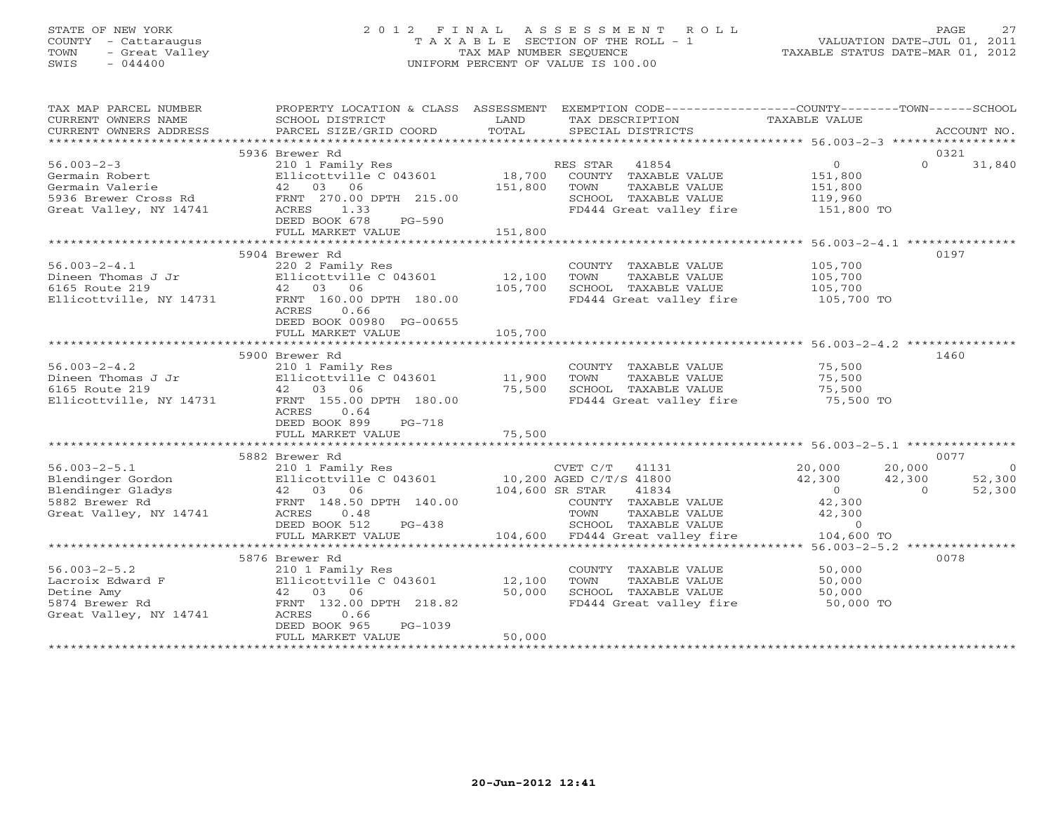# STATE OF NEW YORK 2 0 1 2 F I N A L A S S E S S M E N T R O L L PAGE 27 COUNTY - Cattaraugus T A X A B L E SECTION OF THE ROLL - 1 VALUATION DATE-JUL 01, 2011 TOWN - Great Valley TAX MAP NUMBER SEQUENCE TAXABLE STATUS DATE-MAR 01, 2012 SWIS - 044400 UNIFORM PERCENT OF VALUE IS 100.00UNIFORM PERCENT OF VALUE IS 100.00

| TAX MAP PARCEL NUMBER<br>CURRENT OWNERS NAME                                          | PROPERTY LOCATION & CLASS ASSESSMENT EXEMPTION CODE---------------COUNTY-------TOWN------SCHOOL<br>SCHOOL DISTRICT                                                                                                                                               | LAND                         | TAX DESCRIPTION                                                                                                                                                       | TAXABLE VALUE                                                                      |                                                                |
|---------------------------------------------------------------------------------------|------------------------------------------------------------------------------------------------------------------------------------------------------------------------------------------------------------------------------------------------------------------|------------------------------|-----------------------------------------------------------------------------------------------------------------------------------------------------------------------|------------------------------------------------------------------------------------|----------------------------------------------------------------|
| CURRENT OWNERS ADDRESS                                                                | PARCEL SIZE/GRID COORD                                                                                                                                                                                                                                           | TOTAL                        | SPECIAL DISTRICTS                                                                                                                                                     |                                                                                    | ACCOUNT NO.                                                    |
|                                                                                       | 5936 Brewer Rd                                                                                                                                                                                                                                                   |                              |                                                                                                                                                                       |                                                                                    | 0321                                                           |
| $56.003 - 2 - 3$<br>Germain Robert<br>Germain Valerie                                 | 210 1 Family Res<br>Ellicottville C 043601<br>Ellicottville<br>42 03 06<br>DEED BOOK 678<br>PG-590<br>FULL MARKET VALUE                                                                                                                                          | 18,700<br>151,800<br>151,800 | RES STAR 41854<br>COUNTY TAXABLE VALUE<br>TAXABLE VALUE<br>TOWN<br>-<br>SCHOOL TAXABLE VALUE 119,960<br>FD444 Great valley fire 151,800 TO<br>FD444 Great valley fire | $\overline{0}$<br>151,800<br>151,800                                               | $\Omega$<br>31,840                                             |
|                                                                                       |                                                                                                                                                                                                                                                                  |                              |                                                                                                                                                                       |                                                                                    |                                                                |
| $56.003 - 2 - 4.1$<br>56.003-2-4.1<br>Dineen Thomas J Jr<br>6165 Route 219            | 5904 Brewer Rd<br>220 2 Family Res<br>Ellicottville C 043601<br>42 03 06<br>Ellicottville, NY 14731 FRNT 160.00 DPTH 180.00<br>0.66<br>ACRES<br>DEED BOOK 00980 PG-00655                                                                                         | 12,100<br>105,700            | COUNTY TAXABLE VALUE<br>TOWN<br>TAXABLE VALUE<br>SCHOOL TAXABLE VALUE<br>FD444 Great valley fire 105,700 TO                                                           | 105,700<br>105,700<br>105,700                                                      | 0197                                                           |
|                                                                                       | FULL MARKET VALUE                                                                                                                                                                                                                                                | 105,700                      |                                                                                                                                                                       |                                                                                    |                                                                |
|                                                                                       |                                                                                                                                                                                                                                                                  |                              |                                                                                                                                                                       |                                                                                    |                                                                |
| $56.003 - 2 - 4.2$<br>Dineen Thomas J Jr<br>6165 Route 219<br>Ellicottville, NY 14731 | 5900 Brewer Rd<br>210 1 Family Res<br>210 1 Family Res<br>Ellicottville C 043601 11,900<br>42 03 06 100 100 15,500<br>FRNT 155.00 DPTH 180.00<br>ACRES<br>0.64<br>DEED BOOK 899<br>$PG-718$                                                                      |                              | COUNTY TAXABLE VALUE<br>TAXABLE VALUE<br>TOWN                                                                                                                         | 75,500<br>75,500                                                                   | 1460                                                           |
|                                                                                       | FULL MARKET VALUE                                                                                                                                                                                                                                                | 75,500                       |                                                                                                                                                                       |                                                                                    |                                                                |
|                                                                                       |                                                                                                                                                                                                                                                                  |                              |                                                                                                                                                                       |                                                                                    |                                                                |
|                                                                                       | 5882 Brewer Rd                                                                                                                                                                                                                                                   |                              |                                                                                                                                                                       |                                                                                    | 0077                                                           |
| $56.003 - 2 - 5.1$<br>Great Valley, NY 14741                                          | 210 1 Family Res<br>56.003-2-5.1 210 1 Family Res<br>Blendinger Gordon Ellicottville C 043601 10,200 AGED C/T/S 41800<br>Blendinger Gladys 42 03 06 104,600 SR STAR 41834<br>5882 Brewer Rd 1911<br>ACRES 0.48<br>DEED BOOK 512<br>$PG-438$<br>FULL MARKET VALUE |                              | $CVET C/T$ 41131<br>COUNTY TAXABLE VALUE<br>TOWN<br>TAXABLE VALUE<br>SCHOOL TAXABLE VALUE<br>104,600 FD444 Great valley fire 104,600 TO                               | 20,000<br>42,300<br>42,300<br>$\overline{0}$<br>42,300<br>42,300<br>$\overline{0}$ | 20,000<br>$\overline{0}$<br>52,300<br>52,300<br>$\overline{0}$ |
|                                                                                       |                                                                                                                                                                                                                                                                  |                              |                                                                                                                                                                       |                                                                                    |                                                                |
| $56.003 - 2 - 5.2$                                                                    | 5876 Brewer Rd<br>210 1 Family Res<br>Ellicottville $C$ 043601 12,100<br>DEED BOOK 965<br>PG-1039<br>FULL MARKET VALUE                                                                                                                                           | 50,000<br>50,000             | COUNTY TAXABLE VALUE<br>TOWN<br>TAXABLE VALUE<br>SCHOOL TAXABLE VALUE<br>FD444 Great valley fire 50,000 TO                                                            | 50,000<br>50,000<br>50,000                                                         | 0078                                                           |
|                                                                                       |                                                                                                                                                                                                                                                                  |                              |                                                                                                                                                                       |                                                                                    |                                                                |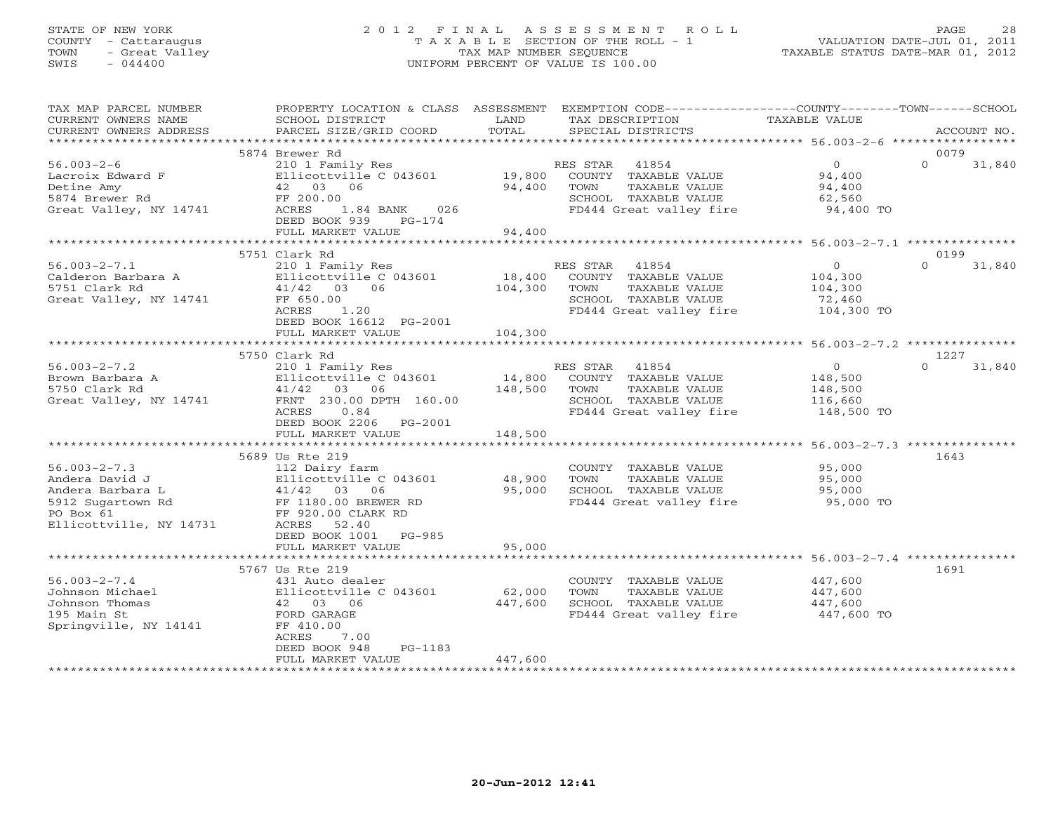# STATE OF NEW YORK 2 0 1 2 F I N A L A S S E S S M E N T R O L L PAGE 28 COUNTY - Cattaraugus T A X A B L E SECTION OF THE ROLL - 1 VALUATION DATE-JUL 01, 2011 TOWN - Great Valley TAX MAP NUMBER SEQUENCE TAXABLE STATUS DATE-MAR 01, 2012 SWIS - 044400 UNIFORM PERCENT OF VALUE IS 100.00UNIFORM PERCENT OF VALUE IS 100.00

| TAX MAP PARCEL NUMBER<br>CURRENT OWNERS NAME<br>CURRENT OWNERS ADDRESS                                                | PROPERTY LOCATION & CLASS ASSESSMENT<br>SCHOOL DISTRICT<br>PARCEL SIZE/GRID COORD                                                                                             | LAND<br>TOTAL                | EXEMPTION CODE-----------------COUNTY-------TOWN------SCHOOL<br>TAX DESCRIPTION<br>SPECIAL DISTRICTS                  | TAXABLE VALUE                                                 | ACCOUNT NO.        |
|-----------------------------------------------------------------------------------------------------------------------|-------------------------------------------------------------------------------------------------------------------------------------------------------------------------------|------------------------------|-----------------------------------------------------------------------------------------------------------------------|---------------------------------------------------------------|--------------------|
|                                                                                                                       |                                                                                                                                                                               |                              |                                                                                                                       |                                                               |                    |
|                                                                                                                       | 5874 Brewer Rd                                                                                                                                                                |                              |                                                                                                                       |                                                               | 0079               |
| $56.003 - 2 - 6$<br>Lacroix Edward F<br>Detine Amy<br>5874 Brewer Rd<br>Great Valley, NY 14741                        | 210 1 Family Res<br>Ellicottville C 043601<br>42 03 06<br>FF 200.00<br>ACRES<br>1.84 BANK<br>026<br>DEED BOOK 939<br>PG-174                                                   | 19,800<br>94,400             | RES STAR<br>41854<br>COUNTY TAXABLE VALUE<br>TAXABLE VALUE<br>TOWN<br>SCHOOL TAXABLE VALUE<br>FD444 Great valley fire | $\overline{0}$<br>94,400<br>94,400<br>62,560<br>94,400 TO     | $\Omega$<br>31,840 |
|                                                                                                                       | FULL MARKET VALUE                                                                                                                                                             | 94,400                       |                                                                                                                       |                                                               |                    |
|                                                                                                                       | 5751 Clark Rd                                                                                                                                                                 |                              |                                                                                                                       |                                                               | 0199               |
| $56.003 - 2 - 7.1$<br>Calderon Barbara A<br>5751 Clark Rd<br>Great Valley, NY 14741                                   | 210 1 Family Res<br>Ellicottville C 043601<br>41/42 03 06<br>FF 650.00<br>1.20<br>ACRES<br>DEED BOOK 16612 PG-2001<br>FULL MARKET VALUE                                       | 18,400<br>104,300<br>104,300 | RES STAR 41854<br>COUNTY TAXABLE VALUE<br>TOWN<br>TAXABLE VALUE<br>SCHOOL TAXABLE VALUE<br>FD444 Great valley fire    | $\circ$<br>104,300<br>104,300<br>72,460<br>104,300 TO         | $\Omega$<br>31,840 |
|                                                                                                                       |                                                                                                                                                                               |                              |                                                                                                                       |                                                               |                    |
|                                                                                                                       | 5750 Clark Rd                                                                                                                                                                 |                              |                                                                                                                       |                                                               | 1227               |
| $56.003 - 2 - 7.2$<br>Brown Barbara A<br>5750 Clark Rd<br>Great Valley, NY 14741                                      | 210 1 Family Res<br>Ellicottville C 043601<br>41/42<br>03 06<br>FRNT 230.00 DPTH 160.00<br>ACRES<br>0.84<br>DEED BOOK 2206 PG-2001<br>FULL MARKET VALUE                       | 14,800<br>148,500<br>148,500 | RES STAR 41854<br>COUNTY TAXABLE VALUE<br>TOWN<br>TAXABLE VALUE<br>SCHOOL TAXABLE VALUE<br>FD444 Great valley fire    | $\overline{0}$<br>148,500<br>148,500<br>116,660<br>148,500 TO | $\Omega$<br>31,840 |
|                                                                                                                       |                                                                                                                                                                               |                              |                                                                                                                       |                                                               |                    |
| $56.003 - 2 - 7.3$<br>Andera David J<br>Andera Barbara L<br>5912 Sugartown Rd<br>PO Box 61<br>Ellicottville, NY 14731 | 5689 Us Rte 219<br>112 Dairy farm<br>Ellicottville C 043601<br>41/42 03 06<br>FF 1180.00 BREWER RD<br>FF 920.00 CLARK RD<br>ACRES<br>52.40<br>DEED BOOK 1001<br><b>PG-985</b> | 48,900<br>95,000             | COUNTY TAXABLE VALUE<br>TAXABLE VALUE<br>TOWN<br>SCHOOL TAXABLE VALUE<br>FD444 Great valley fire 95,000 TO            | 95,000<br>95,000<br>95,000                                    | 1643               |
|                                                                                                                       | FULL MARKET VALUE                                                                                                                                                             | 95,000                       |                                                                                                                       |                                                               |                    |
|                                                                                                                       |                                                                                                                                                                               |                              |                                                                                                                       |                                                               |                    |
| $56.003 - 2 - 7.4$<br>Johnson Michael<br>Johnson Thomas<br>195 Main St<br>Springville, NY 14141                       | 5767 Us Rte 219<br>431 Auto dealer<br>Ellicottville C 043601<br>42 03 06<br>FORD GARAGE<br>FF 410.00<br>ACRES<br>7.00<br>DEED BOOK 948<br>PG-1183                             | 62,000<br>447,600            | COUNTY TAXABLE VALUE<br>TAXABLE VALUE<br>TOWN<br>SCHOOL TAXABLE VALUE<br>FD444 Great valley fire                      | 447,600<br>447,600<br>447,600<br>447,600 TO                   | 1691               |
|                                                                                                                       | FULL MARKET VALUE<br>**********************                                                                                                                                   | 447,600                      |                                                                                                                       |                                                               |                    |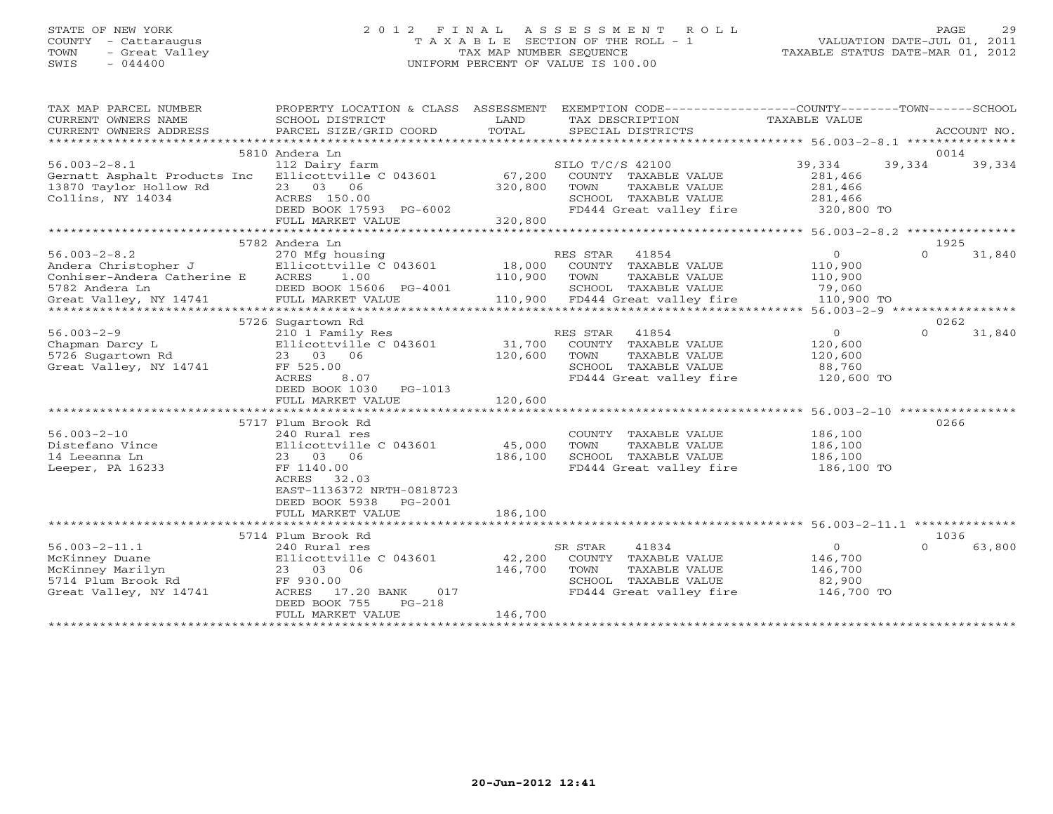# STATE OF NEW YORK 2 0 1 2 F I N A L A S S E S S M E N T R O L L PAGE 29 COUNTY - Cattaraugus T A X A B L E SECTION OF THE ROLL - 1 VALUATION DATE-JUL 01, 2011 TOWN - Great Valley TAX MAP NUMBER SEQUENCE TAXABLE STATUS DATE-MAR 01, 2012 SWIS - 044400 UNIFORM PERCENT OF VALUE IS 100.00UNIFORM PERCENT OF VALUE IS 100.00

| TAX MAP PARCEL NUMBER        | PROPERTY LOCATION & CLASS   | ASSESSMENT | EXEMPTION CODE-----------------COUNTY-------TOWN------SCHOOL |                      |                    |
|------------------------------|-----------------------------|------------|--------------------------------------------------------------|----------------------|--------------------|
| CURRENT OWNERS NAME          | SCHOOL DISTRICT             | LAND       | TAX DESCRIPTION                                              | TAXABLE VALUE        |                    |
| CURRENT OWNERS ADDRESS       | PARCEL SIZE/GRID COORD      | TOTAL      | SPECIAL DISTRICTS                                            |                      | ACCOUNT NO.        |
| *************************    |                             |            |                                                              |                      |                    |
|                              | 5810 Andera Ln              |            |                                                              |                      | 0014               |
| $56.003 - 2 - 8.1$           | 112 Dairy farm              |            | SILO T/C/S 42100                                             | 39,334               | 39,334<br>39,334   |
| Gernatt Asphalt Products Inc | Ellicottville C 043601      | 67,200     | COUNTY TAXABLE VALUE                                         | 281,466              |                    |
| 13870 Taylor Hollow Rd       | 23 03 06                    | 320,800    | TOWN<br>TAXABLE VALUE                                        | 281,466              |                    |
| Collins, NY 14034            | ACRES 150.00                |            | SCHOOL TAXABLE VALUE                                         | 281,466              |                    |
|                              | DEED BOOK 17593 PG-6002     |            | FD444 Great valley fire                                      | 320,800 TO           |                    |
|                              | FULL MARKET VALUE           | 320,800    |                                                              |                      |                    |
|                              |                             |            |                                                              |                      |                    |
|                              | 5782 Andera Ln              |            |                                                              |                      | 1925               |
| $56.003 - 2 - 8.2$           | 270 Mfg housing             |            | RES STAR<br>41854                                            | $\Omega$             | $\Omega$<br>31,840 |
| Andera Christopher J         | Ellicottville C 043601      | 18,000     | COUNTY<br>TAXABLE VALUE                                      | 110,900              |                    |
| Conhiser-Andera Catherine E  | <b>ACRES</b><br>1.00        | 110,900    | TOWN<br>TAXABLE VALUE                                        | 110,900              |                    |
| 5782 Andera Ln               | DEED BOOK 15606 PG-4001     |            | SCHOOL TAXABLE VALUE                                         | 79,060               |                    |
| Great Valley, NY 14741       | FULL MARKET VALUE           | 110,900    | FD444 Great valley fire                                      | 110,900 TO           |                    |
|                              |                             |            |                                                              |                      |                    |
|                              | 5726 Sugartown Rd           |            |                                                              |                      | 0262               |
| $56.003 - 2 - 9$             | 210 1 Family Res            |            | RES STAR<br>41854                                            | $\Omega$             | $\Omega$<br>31,840 |
| Chapman Darcy L              | Ellicottville C 043601      | 31,700     | COUNTY<br>TAXABLE VALUE                                      | 120,600              |                    |
| 5726 Sugartown Rd            | 23 03 06                    | 120,600    | TOWN<br>TAXABLE VALUE                                        | 120,600              |                    |
| Great Valley, NY 14741       | FF 525.00                   |            | SCHOOL TAXABLE VALUE                                         | 88,760               |                    |
|                              | ACRES<br>8.07               |            | FD444 Great valley fire                                      | 120,600 TO           |                    |
|                              | DEED BOOK 1030<br>$PG-1013$ |            |                                                              |                      |                    |
|                              | FULL MARKET VALUE           | 120,600    |                                                              |                      |                    |
|                              |                             |            |                                                              | $56.003 - 2 - 10$ ** |                    |
|                              | 5717 Plum Brook Rd          |            |                                                              |                      | 0266               |
| $56.003 - 2 - 10$            | 240 Rural res               |            | COUNTY<br>TAXABLE VALUE                                      | 186,100              |                    |
| Distefano Vince              | Ellicottville C 043601      | 45,000     | TOWN<br>TAXABLE VALUE                                        | 186,100              |                    |
| 14 Leeanna Ln                | 23 03<br>06                 | 186,100    | SCHOOL TAXABLE VALUE                                         | 186,100              |                    |
| Leeper, PA 16233             | FF 1140.00                  |            | FD444 Great valley fire                                      | 186,100 TO           |                    |
|                              | ACRES<br>32.03              |            |                                                              |                      |                    |
|                              | EAST-1136372 NRTH-0818723   |            |                                                              |                      |                    |
|                              | DEED BOOK 5938<br>PG-2001   |            |                                                              |                      |                    |
|                              | FULL MARKET VALUE           | 186,100    |                                                              |                      |                    |
|                              | ***********************     |            |                                                              |                      |                    |
|                              | 5714 Plum Brook Rd          |            |                                                              |                      | 1036               |
| $56.003 - 2 - 11.1$          | 240 Rural res               |            | 41834<br>SR STAR                                             | $\mathbf{0}$         | $\Omega$<br>63,800 |
| McKinney Duane               | Ellicottville C 043601      | 42,200     | COUNTY TAXABLE VALUE                                         | 146,700              |                    |
| McKinney Marilyn             | 06<br>23 03                 | 146,700    | TOWN<br>TAXABLE VALUE                                        | 146,700              |                    |
| 5714 Plum Brook Rd           | FF 930.00                   |            | SCHOOL TAXABLE VALUE                                         | 82,900               |                    |
| Great Valley, NY 14741       | ACRES<br>017<br>17.20 BANK  |            | FD444 Great valley fire                                      | 146,700 TO           |                    |
|                              | DEED BOOK 755<br>$PG-218$   |            |                                                              |                      |                    |
|                              | FULL MARKET VALUE           | 146,700    |                                                              |                      |                    |
|                              | *******************         |            |                                                              |                      |                    |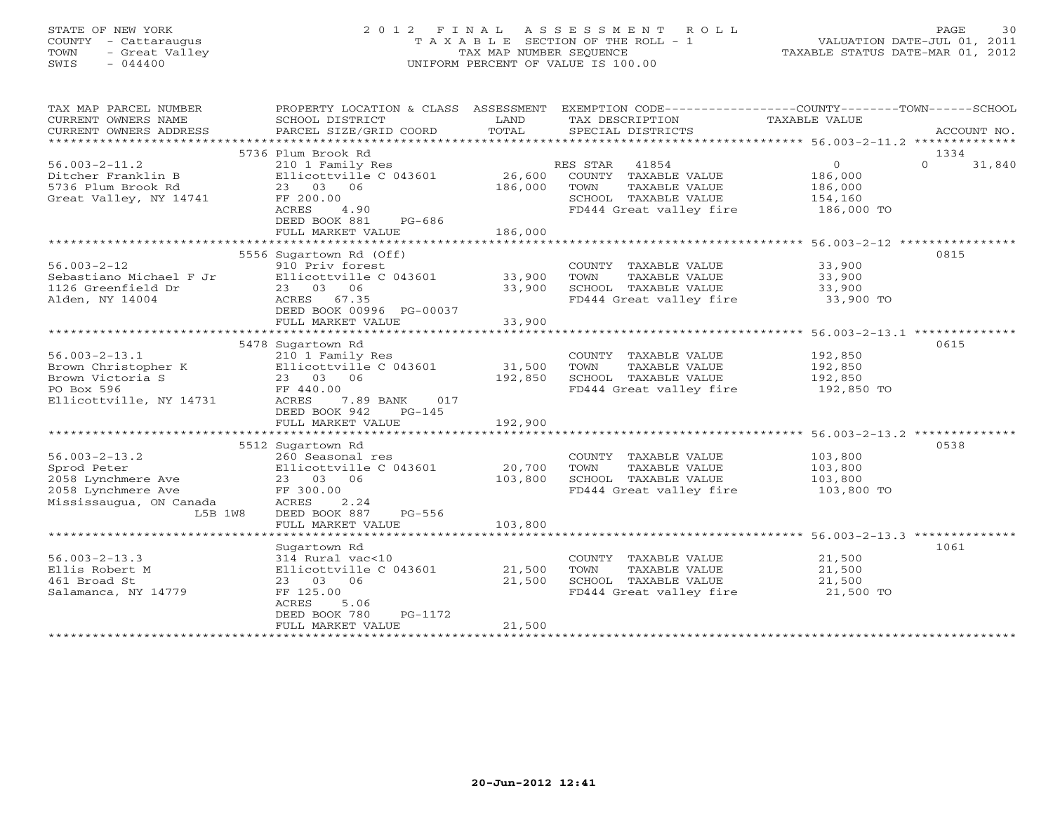# STATE OF NEW YORK 2 0 1 2 F I N A L A S S E S S M E N T R O L L PAGE 30 COUNTY - Cattaraugus T A X A B L E SECTION OF THE ROLL - 1 VALUATION DATE-JUL 01, 2011 TOWN - Great Valley TAX MAP NUMBER SEQUENCE TAXABLE STATUS DATE-MAR 01, 2012 SWIS - 044400 UNIFORM PERCENT OF VALUE IS 100.00UNIFORM PERCENT OF VALUE IS 100.00

| TAX MAP PARCEL NUMBER   | PROPERTY LOCATION & CLASS ASSESSMENT |         | EXEMPTION CODE-----------------COUNTY-------TOWN------SCHOOL |                                                       |             |
|-------------------------|--------------------------------------|---------|--------------------------------------------------------------|-------------------------------------------------------|-------------|
| CURRENT OWNERS NAME     | SCHOOL DISTRICT                      | LAND    | TAX DESCRIPTION                                              | TAXABLE VALUE                                         |             |
| CURRENT OWNERS ADDRESS  | PARCEL SIZE/GRID COORD               | TOTAL   | SPECIAL DISTRICTS                                            |                                                       | ACCOUNT NO. |
|                         |                                      |         |                                                              |                                                       |             |
|                         | 5736 Plum Brook Rd                   |         |                                                              |                                                       | 1334        |
| $56.003 - 2 - 11.2$     | 210 1 Family Res                     |         | 41854<br>RES STAR                                            | $\overline{0}$<br>$\Omega$                            | 31,840      |
| Ditcher Franklin B      | Ellicottville C 043601               | 26,600  | COUNTY TAXABLE VALUE                                         | 186,000                                               |             |
| 5736 Plum Brook Rd      | 23 03 06                             | 186,000 | TOWN<br>TAXABLE VALUE                                        | 186,000                                               |             |
| Great Valley, NY 14741  | FF 200.00                            |         | SCHOOL TAXABLE VALUE                                         | 154,160                                               |             |
|                         | ACRES<br>4.90                        |         | FD444 Great valley fire                                      | 186,000 TO                                            |             |
|                         | DEED BOOK 881<br>PG-686              |         |                                                              |                                                       |             |
|                         | FULL MARKET VALUE                    | 186,000 |                                                              |                                                       |             |
|                         |                                      |         |                                                              | ************************ 56.003-2-12 **************** |             |
|                         | 5556 Sugartown Rd (Off)              |         |                                                              |                                                       | 0815        |
| $56.003 - 2 - 12$       | 910 Priv forest                      |         | COUNTY TAXABLE VALUE                                         | 33,900                                                |             |
| Sebastiano Michael F Jr | Ellicottville C 043601               | 33,900  | TOWN<br>TAXABLE VALUE                                        | 33,900                                                |             |
| 1126 Greenfield Dr      | 23 03<br>06                          | 33,900  | SCHOOL TAXABLE VALUE                                         | 33,900                                                |             |
| Alden, NY 14004         | ACRES<br>67.35                       |         | FD444 Great valley fire                                      | 33,900 TO                                             |             |
|                         | DEED BOOK 00996 PG-00037             |         |                                                              |                                                       |             |
|                         | FULL MARKET VALUE                    | 33,900  |                                                              |                                                       |             |
|                         |                                      |         |                                                              |                                                       |             |
|                         | 5478 Sugartown Rd                    |         |                                                              |                                                       | 0615        |
| $56.003 - 2 - 13.1$     | 210 1 Family Res                     |         | COUNTY TAXABLE VALUE                                         | 192,850                                               |             |
| Brown Christopher K     | Ellicottville C 043601               | 31,500  | TAXABLE VALUE<br>TOWN                                        | 192,850                                               |             |
| Brown Victoria S        | 23 03 06                             | 192,850 | SCHOOL TAXABLE VALUE                                         | 192,850                                               |             |
| PO Box 596              | FF 440.00                            |         | FD444 Great valley fire                                      | 192,850 TO                                            |             |
| Ellicottville, NY 14731 | ACRES<br>7.89 BANK<br>017            |         |                                                              |                                                       |             |
|                         | $PG-145$<br>DEED BOOK 942            | 192,900 |                                                              |                                                       |             |
|                         | FULL MARKET VALUE                    |         |                                                              |                                                       |             |
|                         | 5512 Sugartown Rd                    |         |                                                              |                                                       | 0538        |
| $56.003 - 2 - 13.2$     | 260 Seasonal res                     |         | COUNTY TAXABLE VALUE                                         | 103,800                                               |             |
| Sprod Peter             | Ellicottville C 043601               | 20,700  | TOWN<br>TAXABLE VALUE                                        | 103,800                                               |             |
| 2058 Lynchmere Ave      | 23 03 06                             | 103,800 | SCHOOL TAXABLE VALUE                                         | 103,800                                               |             |
| 2058 Lynchmere Ave      | FF 300.00                            |         | FD444 Great valley fire                                      | 103,800 TO                                            |             |
| Mississaugua, ON Canada | ACRES<br>2.24                        |         |                                                              |                                                       |             |
| L5B 1W8                 | DEED BOOK 887<br>PG-556              |         |                                                              |                                                       |             |
|                         | FULL MARKET VALUE                    | 103,800 |                                                              |                                                       |             |
|                         |                                      |         |                                                              |                                                       |             |
|                         | Sugartown Rd                         |         |                                                              |                                                       | 1061        |
| $56.003 - 2 - 13.3$     | 314 Rural vac<10                     |         | COUNTY TAXABLE VALUE                                         | 21,500                                                |             |
| Ellis Robert M          | Ellicottville C 043601               | 21,500  | TOWN<br>TAXABLE VALUE                                        | 21,500                                                |             |
| 461 Broad St            | 23 03 06                             | 21,500  | SCHOOL TAXABLE VALUE                                         | 21,500                                                |             |
| Salamanca, NY 14779     | FF 125.00                            |         | FD444 Great valley fire                                      | 21,500 TO                                             |             |
|                         | ACRES<br>5.06                        |         |                                                              |                                                       |             |
|                         | DEED BOOK 780<br>PG-1172             |         |                                                              |                                                       |             |
|                         | FULL MARKET VALUE                    | 21,500  |                                                              |                                                       |             |
|                         |                                      |         |                                                              |                                                       |             |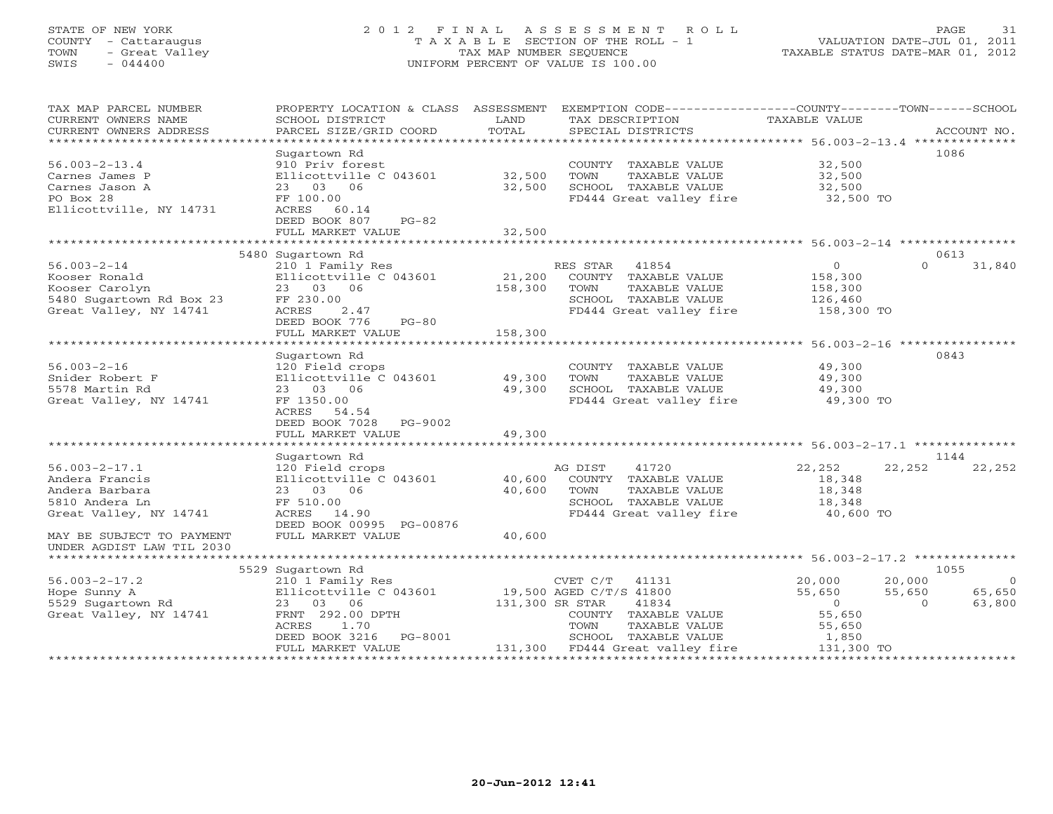# STATE OF NEW YORK 2 0 1 2 F I N A L A S S E S S M E N T R O L L PAGE 31 COUNTY - Cattaraugus T A X A B L E SECTION OF THE ROLL - 1 VALUATION DATE-JUL 01, 2011 TOWN - Great Valley TAX MAP NUMBER SEQUENCE TAXABLE STATUS DATE-MAR 01, 2012 SWIS - 044400 UNIFORM PERCENT OF VALUE IS 100.00

| TAX MAP PARCEL NUMBER                           | PROPERTY LOCATION & CLASS ASSESSMENT |                  | EXEMPTION CODE-----------------COUNTY-------TOWN------SCHOOL |                                                    |                          |
|-------------------------------------------------|--------------------------------------|------------------|--------------------------------------------------------------|----------------------------------------------------|--------------------------|
| CURRENT OWNERS NAME                             | SCHOOL DISTRICT                      | LAND             | TAX DESCRIPTION                                              | TAXABLE VALUE                                      |                          |
| CURRENT OWNERS ADDRESS<br>********************* | PARCEL SIZE/GRID COORD               | TOTAL            | SPECIAL DISTRICTS                                            |                                                    | ACCOUNT NO.              |
|                                                 |                                      |                  |                                                              |                                                    |                          |
|                                                 | Sugartown Rd                         |                  |                                                              |                                                    | 1086                     |
| $56.003 - 2 - 13.4$                             | 910 Priv forest                      |                  | COUNTY TAXABLE VALUE                                         | 32,500                                             |                          |
| Carnes James P                                  | Ellicottville C 043601               | 32,500<br>32,500 | TOWN<br>TAXABLE VALUE<br>SCHOOL TAXABLE VALUE                | 32,500                                             |                          |
| Carnes Jason A<br>PO Box 28                     | 23 03 06<br>FF 100.00                |                  | FD444 Great valley fire                                      | 32,500                                             |                          |
| Ellicottville, NY 14731                         | ACRES 60.14                          |                  |                                                              | 32,500 TO                                          |                          |
|                                                 | DEED BOOK 807<br>PG-82               |                  |                                                              |                                                    |                          |
|                                                 | FULL MARKET VALUE                    | 32,500           |                                                              |                                                    |                          |
|                                                 |                                      |                  |                                                              |                                                    |                          |
|                                                 | 5480 Sugartown Rd                    |                  |                                                              |                                                    | 0613                     |
| $56.003 - 2 - 14$                               | 210 1 Family Res                     |                  | RES STAR<br>41854                                            | $\circ$                                            | $\Omega$<br>31,840       |
| Kooser Ronald                                   | Ellicottville C 043601               | 21,200           | COUNTY TAXABLE VALUE                                         | 158,300                                            |                          |
| Kooser Carolyn                                  | 23 03 06                             | 158,300          | TOWN<br>TAXABLE VALUE                                        | 158,300                                            |                          |
| 5480 Sugartown Rd Box 23                        | FF 230.00                            |                  | SCHOOL TAXABLE VALUE                                         | 126,460                                            |                          |
| Great Valley, NY 14741                          | 2.47<br>ACRES                        |                  | FD444 Great valley fire                                      | 158,300 TO                                         |                          |
|                                                 | DEED BOOK 776<br>$PG-80$             |                  |                                                              |                                                    |                          |
|                                                 | FULL MARKET VALUE                    | 158,300          |                                                              |                                                    |                          |
|                                                 | ************************             |                  |                                                              | ************************ 56.003-2-16 ************* |                          |
|                                                 | Sugartown Rd                         |                  |                                                              |                                                    | 0843                     |
| $56.003 - 2 - 16$                               | 120 Field crops                      |                  | COUNTY TAXABLE VALUE                                         | 49,300                                             |                          |
| Snider Robert F                                 | Ellicottville C 043601               | 49,300           | TOWN<br>TAXABLE VALUE                                        | 49,300                                             |                          |
| 5578 Martin Rd                                  | 23 03 06                             | 49,300           | SCHOOL TAXABLE VALUE                                         | 49,300                                             |                          |
| Great Valley, NY 14741                          | FF 1350.00                           |                  | FD444 Great valley fire                                      | 49,300 TO                                          |                          |
|                                                 | ACRES<br>54.54                       |                  |                                                              |                                                    |                          |
|                                                 | DEED BOOK 7028<br>PG-9002            |                  |                                                              |                                                    |                          |
|                                                 | FULL MARKET VALUE                    | 49,300           |                                                              |                                                    |                          |
|                                                 |                                      |                  |                                                              |                                                    |                          |
|                                                 | Sugartown Rd                         |                  |                                                              |                                                    | 1144                     |
| $56.003 - 2 - 17.1$                             | 120 Field crops                      |                  | AG DIST<br>41720                                             | 22,252                                             | 22,252<br>22,252         |
| Andera Francis                                  | Ellicottville C 043601               | 40,600           | COUNTY TAXABLE VALUE                                         | 18,348                                             |                          |
| Andera Barbara<br>5810 Andera Ln                | 23 03 06                             | 40,600           | TOWN<br>TAXABLE VALUE<br>SCHOOL TAXABLE VALUE                | 18,348                                             |                          |
| Great Valley, NY 14741                          | FF 510.00<br>14.90<br>ACRES          |                  | FD444 Great valley fire                                      | 18,348<br>40,600 TO                                |                          |
|                                                 | DEED BOOK 00995 PG-00876             |                  |                                                              |                                                    |                          |
| MAY BE SUBJECT TO PAYMENT                       | FULL MARKET VALUE                    | 40,600           |                                                              |                                                    |                          |
| UNDER AGDIST LAW TIL 2030                       |                                      |                  |                                                              |                                                    |                          |
|                                                 |                                      |                  |                                                              |                                                    |                          |
|                                                 | 5529 Sugartown Rd                    |                  |                                                              |                                                    | 1055                     |
| $56.003 - 2 - 17.2$                             | 210 1 Family Res                     |                  | CVET C/T<br>41131                                            | 20,000                                             | 20,000<br>$\overline{0}$ |
| Hope Sunny A                                    | Ellicottville C 043601               |                  | 19,500 AGED C/T/S 41800                                      | 55,650                                             | 55,650<br>65,650         |
| 5529 Sugartown Rd                               | 23 03 06                             | 131,300 SR STAR  | 41834                                                        | $\Omega$                                           | $\Omega$<br>63,800       |
| Great Valley, NY 14741                          | FRNT 292.00 DPTH                     |                  | COUNTY TAXABLE VALUE                                         | 55,650                                             |                          |
|                                                 | 1.70<br>ACRES                        |                  | TAXABLE VALUE<br>TOWN                                        | 55,650                                             |                          |
|                                                 | DEED BOOK 3216 PG-8001               |                  | SCHOOL TAXABLE VALUE                                         | 1,850                                              |                          |
|                                                 | FULL MARKET VALUE                    |                  | 131,300 FD444 Great valley fire                              | 131,300 TO                                         |                          |
|                                                 |                                      |                  |                                                              |                                                    |                          |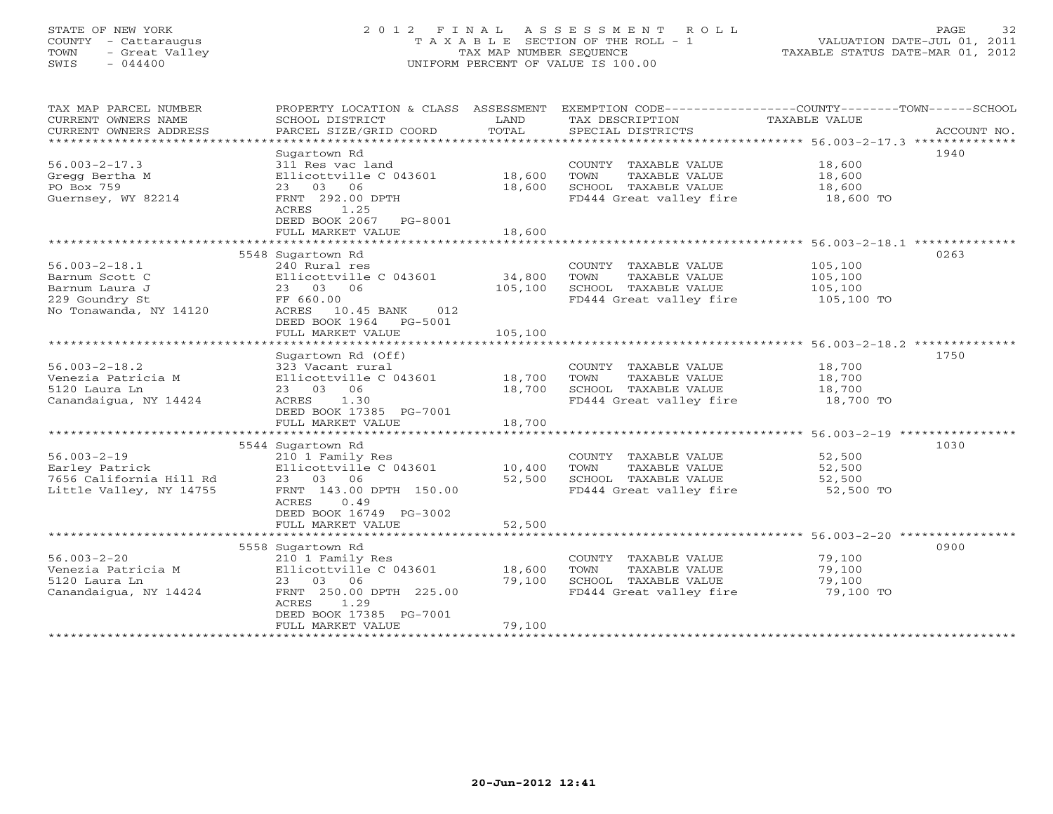# STATE OF NEW YORK 2 0 1 2 F I N A L A S S E S S M E N T R O L L PAGE 32 COUNTY - Cattaraugus T A X A B L E SECTION OF THE ROLL - 1 VALUATION DATE-JUL 01, 2011 TOWN - Great Valley TAX MAP NUMBER SEQUENCE TAXABLE STATUS DATE-MAR 01, 2012 SWIS - 044400 UNIFORM PERCENT OF VALUE IS 100.00UNIFORM PERCENT OF VALUE IS 100.00

| TAX MAP PARCEL NUMBER   | PROPERTY LOCATION & CLASS ASSESSMENT |         |                                    | EXEMPTION CODE----------------COUNTY-------TOWN------SCHOOL |
|-------------------------|--------------------------------------|---------|------------------------------------|-------------------------------------------------------------|
| CURRENT OWNERS NAME     | SCHOOL DISTRICT                      | LAND    | TAX DESCRIPTION                    | TAXABLE VALUE                                               |
| CURRENT OWNERS ADDRESS  | PARCEL SIZE/GRID COORD               | TOTAL   | SPECIAL DISTRICTS                  | ACCOUNT NO.                                                 |
| *******************     |                                      |         |                                    |                                                             |
|                         | Sugartown Rd                         |         |                                    | 1940                                                        |
| $56.003 - 2 - 17.3$     | 311 Res vac land                     |         | COUNTY TAXABLE VALUE               | 18,600                                                      |
| Gregg Bertha M          | Ellicottville C 043601               | 18,600  | TOWN<br>TAXABLE VALUE              | 18,600                                                      |
| PO Box 759              | 23 03 06                             | 18,600  | SCHOOL TAXABLE VALUE               | 18,600                                                      |
| Guernsey, WY 82214      | FRNT 292.00 DPTH                     |         | FD444 Great valley fire 18,600 TO  |                                                             |
|                         | 1.25<br>ACRES                        |         |                                    |                                                             |
|                         | DEED BOOK 2067 PG-8001               |         |                                    |                                                             |
|                         | FULL MARKET VALUE                    | 18,600  |                                    |                                                             |
|                         |                                      |         |                                    |                                                             |
|                         | 5548 Sugartown Rd                    |         |                                    | 0263                                                        |
| $56.003 - 2 - 18.1$     | 240 Rural res                        |         | COUNTY TAXABLE VALUE               | 105,100                                                     |
| Barnum Scott C          | Ellicottville C 043601               | 34,800  | TOWN<br>TAXABLE VALUE              | 105,100                                                     |
| Barnum Laura J          | 23 03 06                             | 105,100 | SCHOOL TAXABLE VALUE               | 105,100                                                     |
| 229 Goundry St          | FF 660.00                            |         | FD444 Great valley fire 105,100 TO |                                                             |
| No Tonawanda, NY 14120  | ACRES 10.45 BANK<br>012              |         |                                    |                                                             |
|                         | DEED BOOK 1964<br>PG-5001            |         |                                    |                                                             |
|                         | FULL MARKET VALUE                    | 105,100 |                                    |                                                             |
|                         |                                      |         |                                    |                                                             |
|                         | Sugartown Rd (Off)                   |         |                                    | 1750                                                        |
| $56.003 - 2 - 18.2$     |                                      |         |                                    |                                                             |
|                         | 323 Vacant rural                     |         | COUNTY TAXABLE VALUE               | 18,700                                                      |
| Venezia Patricia M      | Ellicottville C 043601               | 18,700  | TOWN<br>TAXABLE VALUE              | 18,700                                                      |
| 5120 Laura Ln           | 23 03 06                             | 18,700  | SCHOOL TAXABLE VALUE               | 18,700                                                      |
| Canandaigua, NY 14424   | 1.30<br>ACRES                        |         | FD444 Great valley fire            | 18,700 TO                                                   |
|                         | DEED BOOK 17385 PG-7001              |         |                                    |                                                             |
|                         | FULL MARKET VALUE                    | 18,700  |                                    |                                                             |
|                         |                                      |         |                                    |                                                             |
|                         | 5544 Sugartown Rd                    |         |                                    | 1030                                                        |
| $56.003 - 2 - 19$       | 210 1 Family Res                     |         | COUNTY TAXABLE VALUE               | 52,500                                                      |
| Earley Patrick          | Ellicottville C 043601               | 10,400  | TOWN<br>TAXABLE VALUE              | 52,500                                                      |
| 7656 California Hill Rd | 23 03 06                             | 52,500  | SCHOOL TAXABLE VALUE               | 52,500                                                      |
| Little Valley, NY 14755 | FRNT 143.00 DPTH 150.00              |         | FD444 Great valley fire            | 52,500 TO                                                   |
|                         | ACRES<br>0.49                        |         |                                    |                                                             |
|                         | DEED BOOK 16749 PG-3002              |         |                                    |                                                             |
|                         | FULL MARKET VALUE                    | 52,500  |                                    |                                                             |
|                         |                                      |         |                                    |                                                             |
|                         | 5558 Sugartown Rd                    |         |                                    | 0900                                                        |
| $56.003 - 2 - 20$       | 210 1 Family Res                     |         | COUNTY TAXABLE VALUE               | 79,100                                                      |
| Venezia Patricia M      | Ellicottville C 043601               | 18,600  | TAXABLE VALUE<br>TOWN              | 79,100                                                      |
| 5120 Laura Ln           |                                      | 79,100  | SCHOOL TAXABLE VALUE               | 79,100                                                      |
|                         | 23 03 06                             |         |                                    |                                                             |
| Canandaigua, NY 14424   | FRNT 250.00 DPTH 225.00              |         | FD444 Great valley fire            | 79,100 TO                                                   |
|                         | 1.29<br>ACRES                        |         |                                    |                                                             |
|                         | DEED BOOK 17385 PG-7001              |         |                                    |                                                             |
|                         | FULL MARKET VALUE                    | 79,100  |                                    |                                                             |
| ********************    |                                      |         |                                    |                                                             |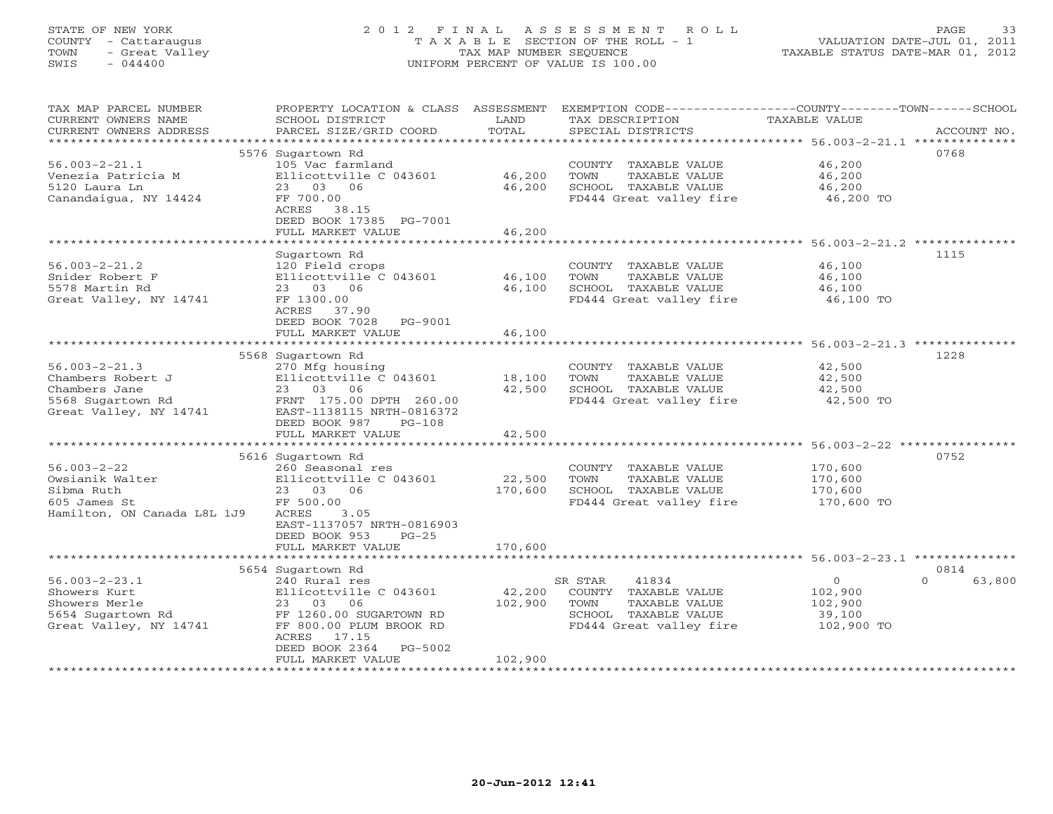# STATE OF NEW YORK 2 0 1 2 F I N A L A S S E S S M E N T R O L L PAGE 33 COUNTY - Cattaraugus T A X A B L E SECTION OF THE ROLL - 1 VALUATION DATE-JUL 01, 2011 TOWN - Great Valley TAX MAP NUMBER SEQUENCE TAXABLE STATUS DATE-MAR 01, 2012 SWIS - 044400 UNIFORM PERCENT OF VALUE IS 100.00UNIFORM PERCENT OF VALUE IS 100.00

| TAX MAP PARCEL NUMBER<br>CURRENT OWNERS NAME<br>CURRENT OWNERS ADDRESS | PROPERTY LOCATION & CLASS ASSESSMENT<br>SCHOOL DISTRICT<br>PARCEL SIZE/GRID COORD | LAND<br>TOTAL    | TAX DESCRIPTION<br>SPECIAL DISTRICTS                                  | EXEMPTION CODE----------------COUNTY-------TOWN------SCHOOL<br>TAXABLE VALUE<br>ACCOUNT NO. |
|------------------------------------------------------------------------|-----------------------------------------------------------------------------------|------------------|-----------------------------------------------------------------------|---------------------------------------------------------------------------------------------|
| *************************                                              |                                                                                   |                  |                                                                       |                                                                                             |
|                                                                        | 5576 Sugartown Rd                                                                 |                  |                                                                       | 0768                                                                                        |
| $56.003 - 2 - 21.1$<br>Venezia Patricia M<br>5120 Laura Ln             | 105 Vac farmland<br>Ellicottville C 043601<br>23 03 06                            | 46,200<br>46,200 | COUNTY TAXABLE VALUE<br>TOWN<br>TAXABLE VALUE<br>SCHOOL TAXABLE VALUE | 46,200<br>46,200<br>46,200                                                                  |
| Canandaigua, NY 14424                                                  | FF 700.00<br>ACRES 38.15<br>DEED BOOK 17385 PG-7001                               |                  | FD444 Great valley fire                                               | 46,200 TO                                                                                   |
|                                                                        | FULL MARKET VALUE                                                                 | 46,200           |                                                                       |                                                                                             |
|                                                                        |                                                                                   |                  |                                                                       |                                                                                             |
| $56.003 - 2 - 21.2$                                                    | Sugartown Rd<br>120 Field crops                                                   |                  |                                                                       | 1115<br>46,100                                                                              |
| Snider Robert F                                                        | Ellicottville C 043601                                                            | 46,100           | COUNTY TAXABLE VALUE<br>TOWN<br>TAXABLE VALUE                         | 46,100                                                                                      |
| 5578 Martin Rd                                                         | 23 03 06                                                                          | 46,100           | SCHOOL TAXABLE VALUE                                                  | 46,100                                                                                      |
| Great Valley, NY 14741                                                 | FF 1300.00                                                                        |                  | FD444 Great valley fire                                               | 46,100 TO                                                                                   |
|                                                                        | ACRES 37.90                                                                       |                  |                                                                       |                                                                                             |
|                                                                        | DEED BOOK 7028<br>PG-9001                                                         |                  |                                                                       |                                                                                             |
|                                                                        | FULL MARKET VALUE                                                                 | 46,100           |                                                                       |                                                                                             |
|                                                                        |                                                                                   |                  |                                                                       |                                                                                             |
|                                                                        | 5568 Sugartown Rd                                                                 |                  |                                                                       | 1228                                                                                        |
| $56.003 - 2 - 21.3$                                                    | 270 Mfg housing                                                                   |                  | COUNTY TAXABLE VALUE                                                  | 42,500                                                                                      |
| Chambers Robert J                                                      | Ellicottville C 043601                                                            | 18,100           | TAXABLE VALUE<br>TOWN                                                 | 42,500                                                                                      |
| Chambers Jane<br>5568 Sugartown Rd                                     | 23 03 06<br>FRNT 175.00 DPTH 260.00                                               | 42,500           | SCHOOL TAXABLE VALUE<br>FD444 Great valley fire                       | 42,500<br>42,500 TO                                                                         |
| Great Valley, NY 14741                                                 | EAST-1138115 NRTH-0816372                                                         |                  |                                                                       |                                                                                             |
|                                                                        | DEED BOOK 987<br>$PG-108$                                                         |                  |                                                                       |                                                                                             |
|                                                                        | FULL MARKET VALUE                                                                 | 42,500           |                                                                       |                                                                                             |
|                                                                        |                                                                                   |                  |                                                                       |                                                                                             |
|                                                                        | 5616 Sugartown Rd                                                                 |                  |                                                                       | 0752                                                                                        |
| $56.003 - 2 - 22$                                                      | 260 Seasonal res                                                                  |                  | COUNTY TAXABLE VALUE                                                  | 170,600                                                                                     |
| Owsianik Walter                                                        | Ellicottville C 043601                                                            | 22,500           | TAXABLE VALUE<br>TOWN                                                 | 170,600                                                                                     |
| Sibma Ruth                                                             | 23 03 06                                                                          | 170,600          | SCHOOL TAXABLE VALUE                                                  | 170,600                                                                                     |
| 605 James St                                                           | FF 500.00                                                                         |                  | FD444 Great valley fire                                               | 170,600 TO                                                                                  |
| Hamilton, ON Canada L8L 1J9                                            | ACRES<br>3.05<br>EAST-1137057 NRTH-0816903                                        |                  |                                                                       |                                                                                             |
|                                                                        | DEED BOOK 953<br>$PG-25$                                                          |                  |                                                                       |                                                                                             |
|                                                                        | FULL MARKET VALUE                                                                 | 170,600          |                                                                       |                                                                                             |
|                                                                        |                                                                                   |                  |                                                                       |                                                                                             |
|                                                                        | 5654 Sugartown Rd                                                                 |                  |                                                                       | 0814                                                                                        |
| $56.003 - 2 - 23.1$                                                    | 240 Rural res                                                                     |                  | 41834<br>SR STAR                                                      | $\circ$<br>$\Omega$<br>63,800                                                               |
| Showers Kurt                                                           | Ellicottville C 043601                                                            | 42,200           | COUNTY TAXABLE VALUE                                                  | 102,900                                                                                     |
| Showers Merle                                                          | 06<br>23 03                                                                       | 102,900          | TAXABLE VALUE<br>TOWN                                                 | 102,900                                                                                     |
| 5654 Sugartown Rd                                                      | FF 1260.00 SUGARTOWN RD                                                           |                  | SCHOOL TAXABLE VALUE                                                  | 39,100                                                                                      |
| Great Valley, NY 14741                                                 | FF 800.00 PLUM BROOK RD<br>ACRES 17.15                                            |                  | FD444 Great valley fire                                               | 102,900 TO                                                                                  |
|                                                                        | DEED BOOK 2364<br>PG-5002                                                         |                  |                                                                       |                                                                                             |
|                                                                        | FULL MARKET VALUE                                                                 | 102,900          |                                                                       |                                                                                             |
|                                                                        |                                                                                   |                  |                                                                       |                                                                                             |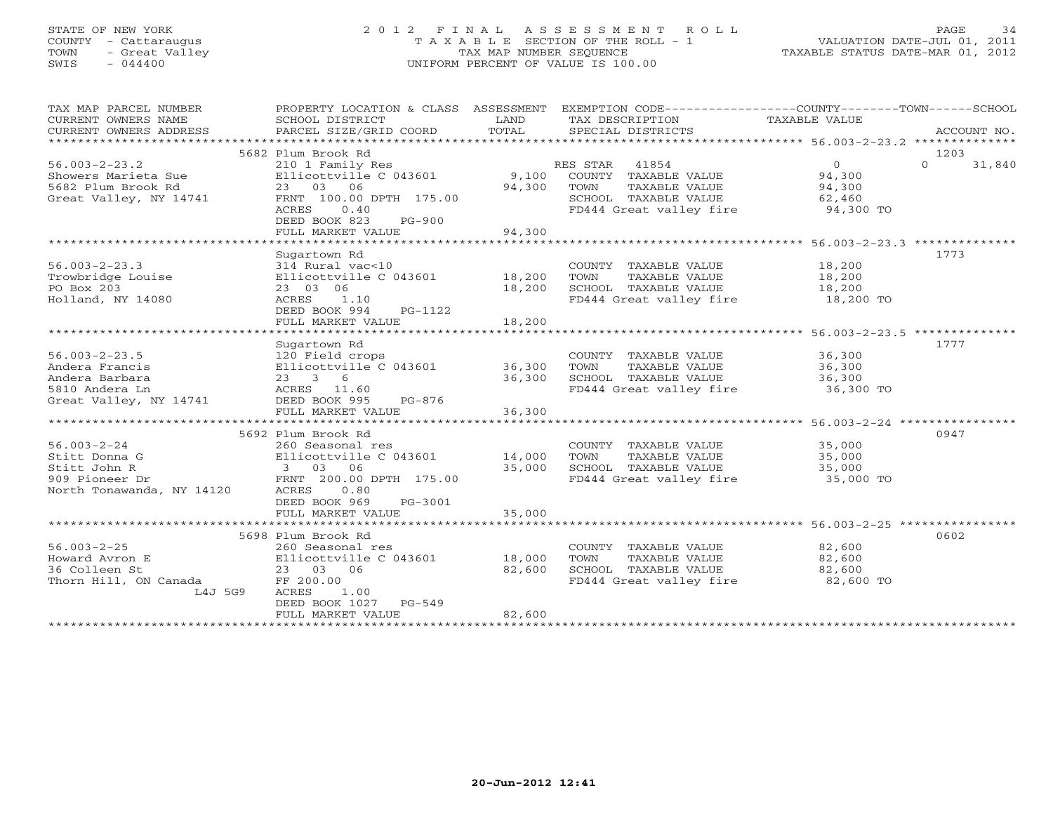# STATE OF NEW YORK 2 0 1 2 F I N A L A S S E S S M E N T R O L L PAGE 34 COUNTY - Cattaraugus T A X A B L E SECTION OF THE ROLL - 1 VALUATION DATE-JUL 01, 2011 TOWN - Great Valley TAX MAP NUMBER SEQUENCE TAXABLE STATUS DATE-MAR 01, 2012 SWIS - 044400 UNIFORM PERCENT OF VALUE IS 100.00UNIFORM PERCENT OF VALUE IS 100.00

| TAX MAP PARCEL NUMBER<br>CURRENT OWNERS NAME<br>CURRENT OWNERS ADDRESS | PROPERTY LOCATION & CLASS ASSESSMENT<br>SCHOOL DISTRICT<br>PARCEL SIZE/GRID COORD | LAND<br>TOTAL | EXEMPTION CODE----------------COUNTY-------TOWN------SCHOOL<br>TAX DESCRIPTION TAXABLE VALUE<br>SPECIAL DISTRICTS |           | ACCOUNT NO.        |
|------------------------------------------------------------------------|-----------------------------------------------------------------------------------|---------------|-------------------------------------------------------------------------------------------------------------------|-----------|--------------------|
|                                                                        |                                                                                   |               |                                                                                                                   |           |                    |
|                                                                        | 5682 Plum Brook Rd                                                                |               |                                                                                                                   |           | 1203               |
| $56.003 - 2 - 23.2$                                                    | 210 1 Family Res                                                                  |               | RES STAR<br>41854                                                                                                 | $\Omega$  | $\Omega$<br>31,840 |
| Showers Marieta Sue                                                    | Ellicottville C 043601                                                            | 9,100         | COUNTY TAXABLE VALUE                                                                                              | 94,300    |                    |
| 5682 Plum Brook Rd                                                     | 23 03 06                                                                          | 94,300        | TAXABLE VALUE<br>TOWN                                                                                             | 94,300    |                    |
| Great Valley, NY 14741                                                 | FRNT 100.00 DPTH 175.00                                                           |               | SCHOOL TAXABLE VALUE                                                                                              | 62,460    |                    |
|                                                                        | 0.40<br>ACRES                                                                     |               | FD444 Great valley fire                                                                                           | 94,300 TO |                    |
|                                                                        | DEED BOOK 823<br>$PG-900$                                                         |               |                                                                                                                   |           |                    |
|                                                                        | FULL MARKET VALUE                                                                 | 94,300        |                                                                                                                   |           |                    |
|                                                                        |                                                                                   |               |                                                                                                                   |           |                    |
|                                                                        | Sugartown Rd                                                                      |               |                                                                                                                   |           | 1773               |
| $56.003 - 2 - 23.3$                                                    | 314 Rural vac<10                                                                  |               | COUNTY TAXABLE VALUE                                                                                              | 18,200    |                    |
| Trowbridge Louise                                                      | Ellicottville C 043601                                                            | 18,200        | TAXABLE VALUE<br>TOWN                                                                                             | 18,200    |                    |
| PO Box 203                                                             | 23 03 06                                                                          | 18,200        | SCHOOL TAXABLE VALUE                                                                                              | 18,200    |                    |
| Holland, NY 14080                                                      | ACRES<br>1.10                                                                     |               | FD444 Great valley fire 18,200 TO                                                                                 |           |                    |
|                                                                        | DEED BOOK 994<br>PG-1122                                                          |               |                                                                                                                   |           |                    |
|                                                                        | FULL MARKET VALUE                                                                 | 18,200        |                                                                                                                   |           |                    |
|                                                                        |                                                                                   |               |                                                                                                                   |           |                    |
|                                                                        | Sugartown Rd                                                                      |               |                                                                                                                   |           | 1777               |
| $56.003 - 2 - 23.5$                                                    | 120 Field crops                                                                   |               | COUNTY TAXABLE VALUE                                                                                              | 36,300    |                    |
| Andera Francis                                                         | Ellicottville C 043601                                                            | 36,300        | TOWN<br>TAXABLE VALUE                                                                                             | 36,300    |                    |
| Andera Barbara                                                         | $23 \t 3 \t 6$                                                                    | 36,300        | SCHOOL TAXABLE VALUE                                                                                              | 36,300    |                    |
| 5810 Andera Ln                                                         | ACRES 11.60                                                                       |               | FD444 Great valley fire                                                                                           | 36,300 TO |                    |
| Great Valley, NY 14741                                                 | DEED BOOK 995<br>PG-876                                                           |               |                                                                                                                   |           |                    |
|                                                                        | FULL MARKET VALUE                                                                 | 36,300        |                                                                                                                   |           |                    |
|                                                                        |                                                                                   |               |                                                                                                                   |           |                    |
|                                                                        | 5692 Plum Brook Rd                                                                |               |                                                                                                                   |           | 0947               |
| $56.003 - 2 - 24$                                                      | 260 Seasonal res                                                                  |               | COUNTY TAXABLE VALUE                                                                                              | 35,000    |                    |
| Stitt Donna G                                                          | Ellicottville C 043601                                                            | 14,000        | TAXABLE VALUE<br>TOWN                                                                                             | 35,000    |                    |
| Stitt John R                                                           | 3 03 06                                                                           | 35,000        | SCHOOL TAXABLE VALUE                                                                                              | 35,000    |                    |
| 909 Pioneer Dr                                                         | FRNT 200.00 DPTH 175.00                                                           |               | FD444 Great valley fire                                                                                           | 35,000 TO |                    |
| North Tonawanda, NY 14120                                              | ACRES<br>0.80                                                                     |               |                                                                                                                   |           |                    |
|                                                                        | DEED BOOK 969<br>PG-3001                                                          |               |                                                                                                                   |           |                    |
|                                                                        | FULL MARKET VALUE                                                                 | 35,000        |                                                                                                                   |           |                    |
|                                                                        |                                                                                   |               |                                                                                                                   |           |                    |
|                                                                        | 5698 Plum Brook Rd                                                                |               |                                                                                                                   |           | 0602               |
| $56.003 - 2 - 25$                                                      | 260 Seasonal res                                                                  |               | COUNTY TAXABLE VALUE                                                                                              | 82,600    |                    |
| Howard Avron E                                                         | Ellicottville C 043601                                                            | 18,000        | TAXABLE VALUE<br>TOWN                                                                                             | 82,600    |                    |
| 36 Colleen St                                                          | 23 03 06                                                                          | 82,600        | SCHOOL TAXABLE VALUE                                                                                              | 82,600    |                    |
| Thorn Hill, ON Canada                                                  | FF 200.00                                                                         |               | FD444 Great valley fire                                                                                           | 82,600 TO |                    |
| L4J 5G9                                                                | ACRES<br>1.00                                                                     |               |                                                                                                                   |           |                    |
|                                                                        | DEED BOOK 1027 PG-549                                                             |               |                                                                                                                   |           |                    |
|                                                                        | FULL MARKET VALUE                                                                 | 82,600        |                                                                                                                   |           |                    |
|                                                                        | ************************                                                          |               |                                                                                                                   |           |                    |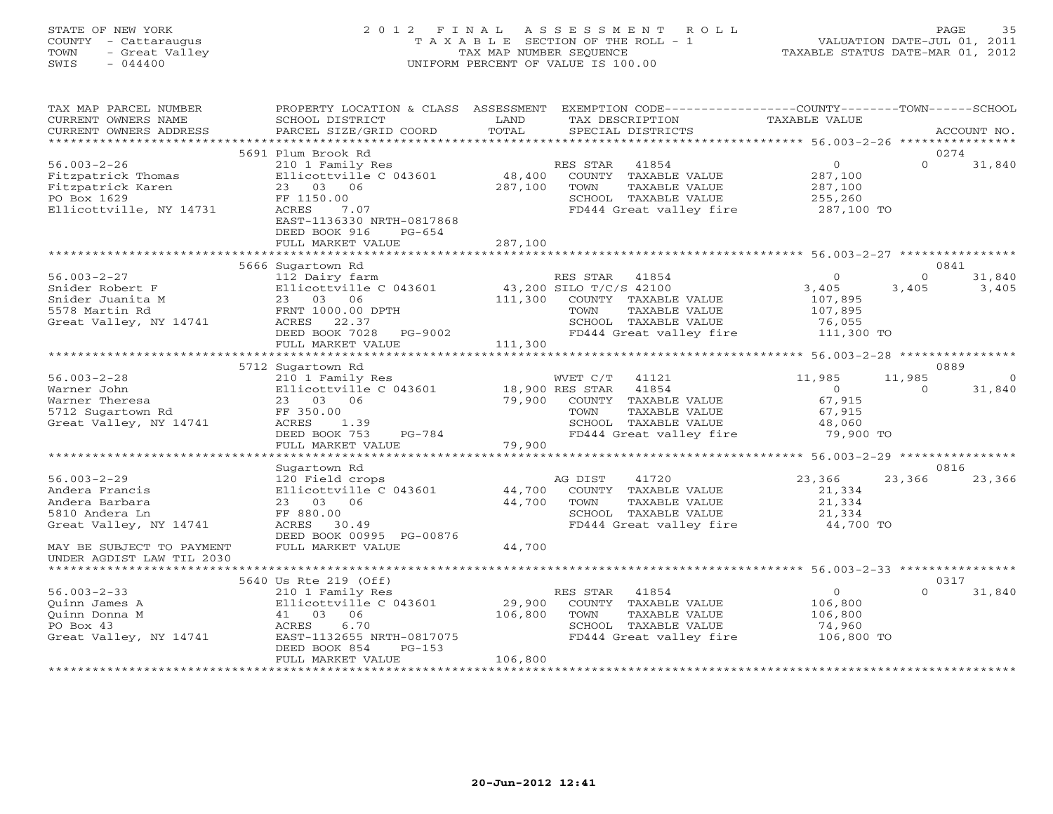# STATE OF NEW YORK 2 0 1 2 F I N A L A S S E S S M E N T R O L L PAGE 35 COUNTY - Cattaraugus T A X A B L E SECTION OF THE ROLL - 1 VALUATION DATE-JUL 01, 2011 TOWN - Great Valley TAX MAP NUMBER SEQUENCE TAXABLE STATUS DATE-MAR 01, 2012 SWIS - 044400 UNIFORM PERCENT OF VALUE IS 100.00UNIFORM PERCENT OF VALUE IS 100.00

| TAX MAP PARCEL NUMBER<br>CURRENT OWNERS NAME<br>CURRENT OWNERS ADDRESS                                 | PROPERTY LOCATION & CLASS ASSESSMENT<br>SCHOOL DISTRICT<br>PARCEL SIZE/GRID COORD                                                                                                  | LAND<br>TOTAL                | EXEMPTION CODE-----------------COUNTY-------TOWN------SCHOOL<br>TAX DESCRIPTION<br>SPECIAL DISTRICTS                                                 | TAXABLE VALUE                                                  |                    | ACCOUNT NO.     |  |  |  |
|--------------------------------------------------------------------------------------------------------|------------------------------------------------------------------------------------------------------------------------------------------------------------------------------------|------------------------------|------------------------------------------------------------------------------------------------------------------------------------------------------|----------------------------------------------------------------|--------------------|-----------------|--|--|--|
| 5691 Plum Brook Rd<br>0274                                                                             |                                                                                                                                                                                    |                              |                                                                                                                                                      |                                                                |                    |                 |  |  |  |
| $56.003 - 2 - 26$<br>Fitzpatrick Thomas<br>Fitzpatrick Karen<br>PO Box 1629<br>Ellicottville, NY 14731 | 210 1 Family Res<br>Ellicottville C 043601<br>23 03 06<br>FF 1150.00<br>ACRES<br>7.07<br>EAST-1136330 NRTH-0817868<br>DEED BOOK 916<br>$PG-654$                                    | 48,400<br>287,100            | RES STAR<br>41854<br>COUNTY TAXABLE VALUE<br>TOWN<br>TAXABLE VALUE<br>SCHOOL TAXABLE VALUE<br>FD444 Great valley fire                                | $\circ$<br>287,100<br>287,100<br>255,260<br>287,100 TO         | $\Omega$           | 31,840          |  |  |  |
|                                                                                                        | FULL MARKET VALUE                                                                                                                                                                  | 287,100                      |                                                                                                                                                      |                                                                |                    |                 |  |  |  |
| ******************************** 56.003-2-27 ****************<br>********************<br>0841          |                                                                                                                                                                                    |                              |                                                                                                                                                      |                                                                |                    |                 |  |  |  |
| $56.003 - 2 - 27$<br>Snider Robert F<br>Snider Juanita M<br>5578 Martin Rd<br>Great Valley, NY 14741   | 5666 Sugartown Rd<br>112 Dairy farm<br>Ellicottville C 043601<br>23 03 06<br>FRNT 1000.00 DPTH<br>ACRES<br>22.37<br>DEED BOOK 7028<br>PG-9002<br>FULL MARKET VALUE                 | 111,300<br>111,300           | RES STAR<br>41854<br>43,200 SILO T/C/S 42100<br>COUNTY TAXABLE VALUE<br>TOWN<br>TAXABLE VALUE<br>SCHOOL TAXABLE VALUE<br>FD444 Great valley fire     | $\circ$<br>3,405<br>107,895<br>107,895<br>76,055<br>111,300 TO | $\Omega$<br>3,405  | 31,840<br>3,405 |  |  |  |
|                                                                                                        |                                                                                                                                                                                    |                              |                                                                                                                                                      | ********************* 56.003-2-28 **************               |                    |                 |  |  |  |
|                                                                                                        | 5712 Sugartown Rd                                                                                                                                                                  |                              |                                                                                                                                                      |                                                                |                    | 0889            |  |  |  |
| $56.003 - 2 - 28$<br>Warner John<br>Warner Theresa<br>5712 Sugartown Rd<br>Great Valley, NY 14741      | 210 1 Family Res<br>Ellicottville C 043601<br>23 03 06<br>FF 350.00<br>ACRES<br>1.39<br>DEED BOOK 753<br>PG-784<br>FULL MARKET VALUE                                               | 79,900<br>79,900             | WVET C/T<br>41121<br>18,900 RES STAR<br>41854<br>COUNTY<br>TAXABLE VALUE<br>TAXABLE VALUE<br>TOWN<br>SCHOOL TAXABLE VALUE<br>FD444 Great valley fire | 11,985<br>$\Omega$<br>67,915<br>67,915<br>48,060<br>79,900 TO  | 11,985<br>$\Omega$ | 31,840          |  |  |  |
|                                                                                                        |                                                                                                                                                                                    | ***********************      |                                                                                                                                                      | ****************** 56.003-2-29 ****************                |                    |                 |  |  |  |
|                                                                                                        | Sugartown Rd                                                                                                                                                                       |                              |                                                                                                                                                      |                                                                |                    | 0816            |  |  |  |
| $56.003 - 2 - 29$<br>Andera Francis<br>Andera Barbara<br>5810 Andera Ln<br>Great Valley, NY 14741      | 120 Field crops<br>Ellicottville C 043601<br>23 03<br>06<br>FF 880.00<br>ACRES<br>30.49<br>DEED BOOK 00995 PG-00876                                                                | 44,700<br>44,700             | 41720<br>AG DIST<br>COUNTY TAXABLE VALUE<br>TOWN<br>TAXABLE VALUE<br>SCHOOL TAXABLE VALUE<br>FD444 Great valley fire                                 | 23,366<br>21,334<br>21,334<br>21,334<br>44,700 TO              | 23,366             | 23,366          |  |  |  |
| MAY BE SUBJECT TO PAYMENT<br>UNDER AGDIST LAW TIL 2030                                                 | FULL MARKET VALUE                                                                                                                                                                  | 44,700                       |                                                                                                                                                      |                                                                |                    |                 |  |  |  |
|                                                                                                        |                                                                                                                                                                                    |                              |                                                                                                                                                      |                                                                |                    |                 |  |  |  |
| $56.003 - 2 - 33$<br>Ouinn James A<br>Quinn Donna M<br>PO Box 43<br>Great Valley, NY 14741             | 5640 Us Rte 219 (Off)<br>210 1 Family Res<br>Ellicottville C 043601<br>41 03<br>06<br>6.70<br>ACRES<br>EAST-1132655 NRTH-0817075<br>DEED BOOK 854<br>$PG-153$<br>FULL MARKET VALUE | 29,900<br>106,800<br>106,800 | RES STAR<br>41854<br>COUNTY TAXABLE VALUE<br>TOWN<br>TAXABLE VALUE<br>SCHOOL TAXABLE VALUE<br>FD444 Great valley fire                                | $\overline{0}$<br>106,800<br>106,800<br>74,960<br>106,800 TO   | $\Omega$           | 0317<br>31,840  |  |  |  |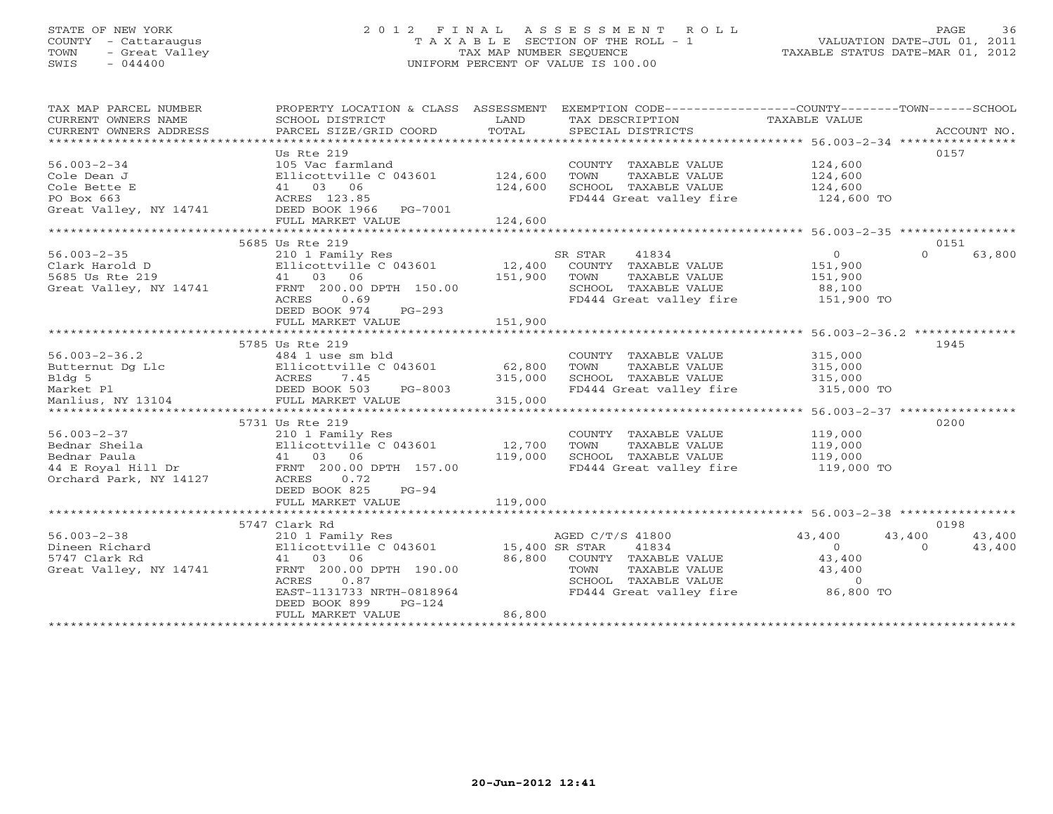# STATE OF NEW YORK 2 0 1 2 F I N A L A S S E S S M E N T R O L L PAGE 36 COUNTY - Cattaraugus T A X A B L E SECTION OF THE ROLL - 1 VALUATION DATE-JUL 01, 2011 TOWN - Great Valley TAX MAP NUMBER SEQUENCE TAXABLE STATUS DATE-MAR 01, 2012 SWIS - 044400 UNIFORM PERCENT OF VALUE IS 100.00UNIFORM PERCENT OF VALUE IS 100.00

| TAX MAP PARCEL NUMBER<br>CURRENT OWNERS NAME<br>CURRENT OWNERS ADDRESS | PROPERTY LOCATION & CLASS ASSESSMENT EXEMPTION CODE---------------COUNTY-------TOWN------SCHOOL<br>SCHOOL DISTRICT<br>PARCEL SIZE/GRID COORD | LAND<br>TOTAL  | TAX DESCRIPTION<br>SPECIAL DISTRICTS | TAXABLE VALUE              | ACCOUNT NO. |
|------------------------------------------------------------------------|----------------------------------------------------------------------------------------------------------------------------------------------|----------------|--------------------------------------|----------------------------|-------------|
|                                                                        |                                                                                                                                              |                |                                      |                            |             |
|                                                                        | Us Rte 219                                                                                                                                   |                |                                      |                            | 0157        |
| $56.003 - 2 - 34$                                                      | 105 Vac farmland                                                                                                                             |                | COUNTY TAXABLE VALUE                 | 124,600                    |             |
| Cole Dean J                                                            | Ellicottville C 043601                                                                                                                       | 124,600        | TAXABLE VALUE<br>TOWN                | 124,600                    |             |
| Cole Bette E                                                           | 41 03 06                                                                                                                                     | 124,600        | SCHOOL TAXABLE VALUE                 | 124,600                    |             |
| PO Box 663                                                             | ACRES 123.85                                                                                                                                 |                | FD444 Great valley fire              | 124,600 TO                 |             |
| Great Valley, NY 14741                                                 | DEED BOOK 1966 PG-7001                                                                                                                       |                |                                      |                            |             |
|                                                                        | FULL MARKET VALUE                                                                                                                            | 124,600        |                                      |                            |             |
|                                                                        |                                                                                                                                              |                |                                      |                            |             |
|                                                                        | 5685 Us Rte 219                                                                                                                              |                |                                      |                            | 0151        |
| $56.003 - 2 - 35$                                                      | 210 1 Family Res                                                                                                                             |                | SR STAR<br>41834                     | $\overline{0}$<br>$\cap$   | 63,800      |
| Clark Harold D                                                         | Ellicottville C 043601                                                                                                                       | 12,400         | COUNTY TAXABLE VALUE                 | 151,900                    |             |
| 5685 Us Rte 219                                                        | 41 03 06                                                                                                                                     | 151,900        | TOWN<br>TAXABLE VALUE                | 151,900                    |             |
| Great Valley, NY 14741                                                 | FRNT 200.00 DPTH 150.00                                                                                                                      |                | SCHOOL TAXABLE VALUE                 | 88,100                     |             |
|                                                                        | ACRES<br>0.69                                                                                                                                |                | FD444 Great valley fire 151,900 TO   |                            |             |
|                                                                        | $PG-293$<br>DEED BOOK 974                                                                                                                    |                |                                      |                            |             |
|                                                                        | FULL MARKET VALUE                                                                                                                            | 151,900        |                                      |                            |             |
|                                                                        |                                                                                                                                              |                |                                      |                            |             |
|                                                                        | 5785 Us Rte 219                                                                                                                              |                |                                      |                            | 1945        |
| $56.003 - 2 - 36.2$                                                    | 484 1 use sm bld                                                                                                                             |                | COUNTY TAXABLE VALUE                 | 315,000                    |             |
| Butternut Dg Llc                                                       | Ellicottville C 043601                                                                                                                       | 62,800         | TOWN<br>TAXABLE VALUE                | 315,000                    |             |
| Bldg 5                                                                 |                                                                                                                                              | 315,000        | SCHOOL TAXABLE VALUE                 | 315,000                    |             |
| Market Pl                                                              | PG-8003                                                                                                                                      |                | FD444 Great valley fire              | 315,000 TO                 |             |
| Manlius, NY 13104                                                      | ACRES 7.45<br>DEED BOOK 503 P<br>FULL MARKET VALUE                                                                                           | 315,000        |                                      |                            |             |
|                                                                        |                                                                                                                                              |                |                                      |                            |             |
|                                                                        | 5731 Us Rte 219                                                                                                                              |                |                                      |                            | 0200        |
| $56.003 - 2 - 37$                                                      | 210 1 Family Res                                                                                                                             |                | COUNTY TAXABLE VALUE                 | 119,000                    |             |
| Bednar Sheila                                                          | Ellicottville C 043601<br>$\begin{array}{cc}\n\text{Ell} & 03 & 06 \\ \text{41} & 03 & 06\n\end{array}$                                      | 12,700         | TOWN<br>TAXABLE VALUE                | 119,000                    |             |
| Bednar Paula                                                           |                                                                                                                                              | 119,000        | SCHOOL TAXABLE VALUE                 | 119,000                    |             |
| 44 E Royal Hill Dr                                                     | FRNT 200.00 DPTH 157.00                                                                                                                      |                | FD444 Great valley fire              | 119,000 TO                 |             |
| Orchard Park, NY 14127                                                 | ACRES<br>0.72<br>DEED BOOK 825                                                                                                               |                |                                      |                            |             |
|                                                                        | $PG-94$                                                                                                                                      | 119,000        |                                      |                            |             |
|                                                                        | FULL MARKET VALUE                                                                                                                            |                |                                      |                            |             |
|                                                                        | 5747 Clark Rd                                                                                                                                |                |                                      |                            | 0198        |
| $56.003 - 2 - 38$                                                      | 210 1 Family Res                                                                                                                             |                | AGED C/T/S 41800                     | 43,400<br>43,400           | 43,400      |
| Dineen Richard                                                         | Ellicottville C 043601                                                                                                                       | 15,400 SR STAR | 41834                                | $\overline{0}$<br>$\Omega$ | 43,400      |
| 5747 Clark Rd                                                          | 41 03 06                                                                                                                                     | 86,800         | COUNTY TAXABLE VALUE                 | 43,400                     |             |
| Great Valley, NY 14741                                                 | FRNT 200.00 DPTH 190.00                                                                                                                      |                | TAXABLE VALUE<br>TOWN                | 43,400                     |             |
|                                                                        | ACRES<br>0.87                                                                                                                                |                | SCHOOL TAXABLE VALUE                 | $\Omega$                   |             |
|                                                                        | EAST-1131733 NRTH-0818964                                                                                                                    |                | FD444 Great valley fire              | 86,800 TO                  |             |
|                                                                        | DEED BOOK 899<br>$PG-124$                                                                                                                    |                |                                      |                            |             |
|                                                                        | FULL MARKET VALUE                                                                                                                            | 86,800         |                                      |                            |             |
|                                                                        |                                                                                                                                              |                |                                      |                            |             |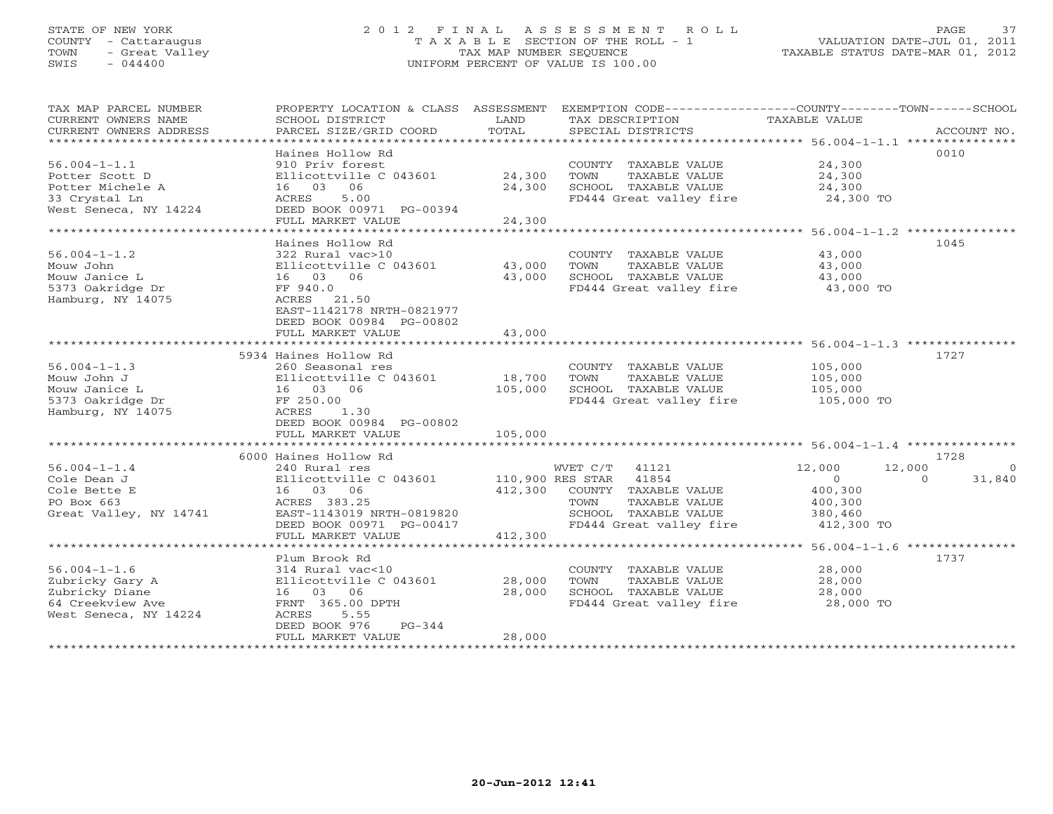## STATE OF NEW YORK 2 0 1 2 F I N A L A S S E S S M E N T R O L L PAGE 37 COUNTY - Cattaraugus T A X A B L E SECTION OF THE ROLL - 1 VALUATION DATE-JUL 01, 2011 TOWN - Great Valley TAX MAP NUMBER SEQUENCE TAXABLE STATUS DATE-MAR 01, 2012 SWIS - 044400 UNIFORM PERCENT OF VALUE IS 100.00UNIFORM PERCENT OF VALUE IS 100.00

| TAX MAP PARCEL NUMBER<br>CURRENT OWNERS NAME<br>CURRENT OWNERS ADDRESS                                                       | PROPERTY LOCATION & CLASS ASSESSMENT<br>SCHOOL DISTRICT<br>PARCEL SIZE/GRID COORD                                                                              | LAND<br>TOTAL              | TAX DESCRIPTION<br>SPECIAL DISTRICTS                                                                                                            | EXEMPTION CODE----------------COUNTY-------TOWN------SCHOOL<br><b>TAXABLE VALUE</b>            | ACCOUNT NO.       |
|------------------------------------------------------------------------------------------------------------------------------|----------------------------------------------------------------------------------------------------------------------------------------------------------------|----------------------------|-------------------------------------------------------------------------------------------------------------------------------------------------|------------------------------------------------------------------------------------------------|-------------------|
| $56.004 - 1 - 1.1$<br>Potter Scott D<br>Potter Michele A<br>33 Crystal Ln<br>West Seneca, NY 14224                           | Haines Hollow Rd<br>910 Priv forest<br>Ellicottville C 043601<br>16 03 06<br>5.00<br>ACRES<br>DEED BOOK 00971 PG-00394<br>FULL MARKET VALUE                    | 24,300<br>24,300<br>24,300 | COUNTY TAXABLE VALUE<br>TOWN<br>TAXABLE VALUE<br>SCHOOL TAXABLE VALUE<br>FD444 Great valley fire                                                | 0010<br>24,300<br>24,300<br>24,300<br>24,300 TO                                                |                   |
| $56.004 - 1 - 1.2$<br>Mouw John<br>Mouw Janice L<br>5373 Oakridge Dr<br>Hamburg, NY 14075                                    | Haines Hollow Rd<br>322 Rural vac>10<br>Ellicottville C 043601<br>16 03 06<br>FF 940.0<br>ACRES 21.50<br>EAST-1142178 NRTH-0821977                             | 43,000<br>43,000           | COUNTY TAXABLE VALUE<br>TOWN<br>TAXABLE VALUE<br>SCHOOL TAXABLE VALUE<br>FD444 Great valley fire                                                | 1045<br>43,000<br>43,000<br>43,000<br>43,000 TO                                                |                   |
|                                                                                                                              | DEED BOOK 00984 PG-00802<br>FULL MARKET VALUE<br>5934 Haines Hollow Rd                                                                                         | 43,000                     |                                                                                                                                                 | 1727                                                                                           |                   |
| $56.004 - 1 - 1.3$<br>Mouw John J<br>Mouw Janice L<br>5373 Oakridge Dr<br>Hamburg, NY 14075                                  | 260 Seasonal res<br>Ellicottville C 043601<br>16 03 06<br>FF 250.00<br>ACRES<br>1.30<br>DEED BOOK 00984 PG-00802                                               | 18,700<br>105,000          | COUNTY TAXABLE VALUE<br>TOWN<br>TAXABLE VALUE<br>SCHOOL TAXABLE VALUE<br>FD444 Great valley fire                                                | 105,000<br>105,000<br>105,000<br>105,000 TO                                                    |                   |
|                                                                                                                              | FULL MARKET VALUE                                                                                                                                              | 105,000                    |                                                                                                                                                 |                                                                                                |                   |
| $56.004 - 1 - 1.4$<br>Cole Dean J<br>Cole Bette E<br>PO Box 663<br>Great Valley, NY 14741                                    | 6000 Haines Hollow Rd<br>240 Rural res<br>Ellicottville C 043601<br>16 03 06<br>ACRES 383.25<br>EAST-1143019 NRTH-0819820<br>DEED BOOK 00971 PG-00417          | 412,300                    | WVET C/T<br>41121<br>110,900 RES STAR 41854<br>COUNTY TAXABLE VALUE<br>TAXABLE VALUE<br>TOWN<br>SCHOOL TAXABLE VALUE<br>FD444 Great valley fire | 1728<br>12,000<br>12,000<br>$\circ$<br>$\Omega$<br>400,300<br>400,300<br>380,460<br>412,300 TO | $\circ$<br>31,840 |
|                                                                                                                              | FULL MARKET VALUE                                                                                                                                              | 412,300                    |                                                                                                                                                 |                                                                                                |                   |
| $56.004 - 1 - 1.6$<br>Zubricky Gary A<br>Zubricky Diane<br>64 Creekview Ave<br>West Seneca, NY 14224<br>******************** | Plum Brook Rd<br>314 Rural vac<10<br>Ellicottville C 043601<br>16 03 06<br>FRNT 365.00 DPTH<br>ACRES<br>5.55<br>DEED BOOK 976<br>$PG-344$<br>FULL MARKET VALUE | 28,000<br>28,000<br>28,000 | COUNTY TAXABLE VALUE<br>TOWN<br>TAXABLE VALUE<br>SCHOOL TAXABLE VALUE<br>FD444 Great valley fire                                                | 1737<br>28,000<br>28,000<br>28,000<br>28,000 TO                                                |                   |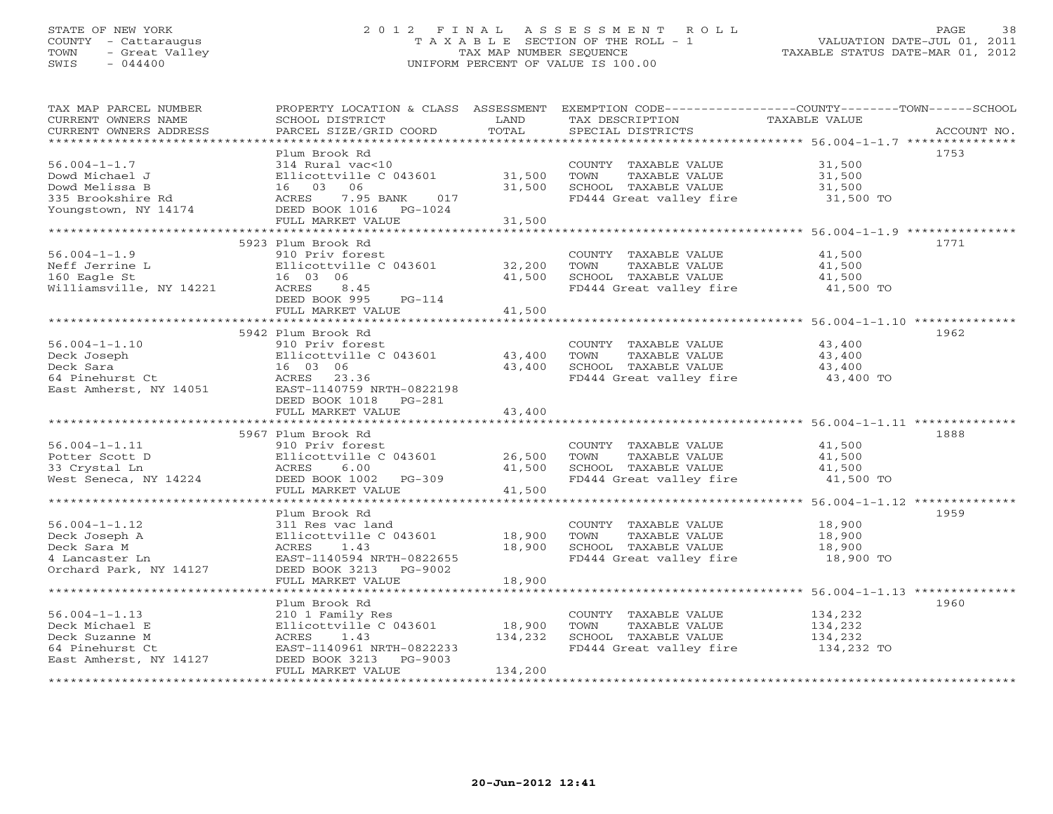### STATE OF NEW YORK 2 0 1 2 F I N A L A S S E S S M E N T R O L L PAGE 38 COUNTY - Cattaraugus T A X A B L E SECTION OF THE ROLL - 1 VALUATION DATE-JUL 01, 2011 TOWN - Great Valley TAX MAP NUMBER SEQUENCE TAXABLE STATUS DATE-MAR 01, 2012 SWIS - 044400 UNIFORM PERCENT OF VALUE IS 100.00UNIFORM PERCENT OF VALUE IS 100.00

| TAX MAP PARCEL NUMBER<br>CURRENT OWNERS NAME | PROPERTY LOCATION & CLASS ASSESSMENT<br>SCHOOL DISTRICT | LAND              | TAX DESCRIPTION                                            | EXEMPTION CODE-----------------COUNTY-------TOWN------SCHOOL<br>TAXABLE VALUE |
|----------------------------------------------|---------------------------------------------------------|-------------------|------------------------------------------------------------|-------------------------------------------------------------------------------|
| CURRENT OWNERS ADDRESS                       | PARCEL SIZE/GRID COORD                                  | TOTAL             | SPECIAL DISTRICTS                                          | ACCOUNT NO.                                                                   |
| *************************                    |                                                         |                   |                                                            |                                                                               |
|                                              | Plum Brook Rd                                           |                   |                                                            | 1753                                                                          |
| $56.004 - 1 - 1.7$                           | 314 Rural vac<10                                        |                   | COUNTY TAXABLE VALUE                                       | 31,500                                                                        |
| Dowd Michael J                               | Ellicottville C 043601                                  | 31,500            | TOWN<br>TAXABLE VALUE                                      | 31,500                                                                        |
| Dowd Melissa B                               | 06<br>16 03                                             | 31,500            | SCHOOL TAXABLE VALUE                                       | 31,500                                                                        |
| 335 Brookshire Rd                            | ACRES<br>7.95 BANK<br>017                               |                   | FD444 Great valley fire                                    | 31,500 TO                                                                     |
| Youngstown, NY 14174                         | DEED BOOK 1016 PG-1024                                  |                   |                                                            |                                                                               |
|                                              | FULL MARKET VALUE                                       | 31,500            |                                                            |                                                                               |
|                                              | *****************************                           |                   |                                                            |                                                                               |
|                                              | 5923 Plum Brook Rd                                      |                   |                                                            | 1771                                                                          |
| $56.004 - 1 - 1.9$                           | 910 Priv forest                                         |                   | COUNTY TAXABLE VALUE                                       | 41,500                                                                        |
| Neff Jerrine L                               | Ellicottville C 043601                                  | 32,200            | TAXABLE VALUE<br>TOWN                                      | 41,500                                                                        |
| 160 Eagle St                                 | 16 03 06                                                | 41,500            | SCHOOL TAXABLE VALUE                                       | 41,500                                                                        |
| Williamsville, NY 14221                      | ACRES<br>8.45                                           |                   | FD444 Great valley fire 41,500 TO                          |                                                                               |
|                                              | DEED BOOK 995<br>$PG-114$                               |                   |                                                            |                                                                               |
|                                              | FULL MARKET VALUE                                       | 41,500            |                                                            |                                                                               |
|                                              | 5942 Plum Brook Rd                                      |                   |                                                            | 1962                                                                          |
| $56.004 - 1 - 1.10$                          | 910 Priv forest                                         |                   |                                                            |                                                                               |
| Deck Joseph                                  | Ellicottville C 043601                                  | 43,400            | COUNTY TAXABLE VALUE<br>TAXABLE VALUE<br>TOWN              | 43,400<br>43,400                                                              |
| Deck Sara                                    | 16 03 06                                                | 43,400            | SCHOOL TAXABLE VALUE                                       | 43,400                                                                        |
| 64 Pinehurst Ct                              | ACRES<br>23.36                                          |                   | FD444 Great valley fire                                    | 43,400 TO                                                                     |
| East Amherst, NY 14051                       | EAST-1140759 NRTH-0822198                               |                   |                                                            |                                                                               |
|                                              | DEED BOOK 1018 PG-281                                   |                   |                                                            |                                                                               |
|                                              | FULL MARKET VALUE                                       | 43,400            |                                                            |                                                                               |
|                                              |                                                         |                   |                                                            |                                                                               |
|                                              | 5967 Plum Brook Rd                                      |                   |                                                            | 1888                                                                          |
| $56.004 - 1 - 1.11$                          | 910 Priv forest                                         |                   | COUNTY TAXABLE VALUE                                       | 41,500                                                                        |
| Potter Scott D                               | Ellicottville C 043601                                  | 26,500            | TOWN<br>TAXABLE VALUE                                      | 41,500                                                                        |
| 33 Crystal Ln                                | ACRES<br>6.00                                           | 41,500            | SCHOOL TAXABLE VALUE                                       | 41,500                                                                        |
| West Seneca, NY 14224                        | DEED BOOK 1002<br>$PG-309$                              |                   | FD444 Great valley fire                                    | 41,500 TO                                                                     |
|                                              | FULL MARKET VALUE                                       | 41,500            |                                                            |                                                                               |
|                                              |                                                         |                   |                                                            |                                                                               |
|                                              | Plum Brook Rd                                           |                   |                                                            | 1959                                                                          |
| $56.004 - 1 - 1.12$                          | 311 Res vac land                                        |                   | COUNTY TAXABLE VALUE                                       | 18,900                                                                        |
| Deck Joseph A                                | Ellicottville C 043601                                  | 18,900            | TOWN<br>TAXABLE VALUE                                      | 18,900                                                                        |
| Deck Sara M                                  | ACRES<br>1.43                                           | 18,900            | SCHOOL TAXABLE VALUE                                       | 18,900                                                                        |
| 4 Lancaster Ln                               | EAST-1140594 NRTH-0822655                               |                   | FD444 Great valley fire                                    | 18,900 TO                                                                     |
| Orchard Park, NY 14127                       | DEED BOOK 3213<br>PG-9002                               |                   |                                                            |                                                                               |
|                                              | FULL MARKET VALUE                                       | 18,900            |                                                            |                                                                               |
|                                              | *************************                               | ***********       |                                                            | ******************************* 56.004-1-1.13 **************                  |
|                                              | Plum Brook Rd                                           |                   |                                                            | 1960                                                                          |
| $56.004 - 1 - 1.13$                          | 210 1 Family Res                                        |                   | COUNTY TAXABLE VALUE                                       | 134,232                                                                       |
| Deck Michael E                               | Ellicottville C 043601                                  | 18,900<br>134,232 | TOWN<br>TAXABLE VALUE                                      | 134,232                                                                       |
| Deck Suzanne M                               | ACRES<br>1.43                                           |                   | SCHOOL TAXABLE VALUE<br>FD444 Great valley fire 134,232 TO | 134,232                                                                       |
| 64 Pinehurst Ct<br>East Amherst, NY 14127    | EAST-1140961 NRTH-0822233<br>$PG-9003$                  |                   |                                                            |                                                                               |
|                                              | DEED BOOK 3213<br>FULL MARKET VALUE                     | 134,200           |                                                            |                                                                               |
|                                              |                                                         |                   |                                                            |                                                                               |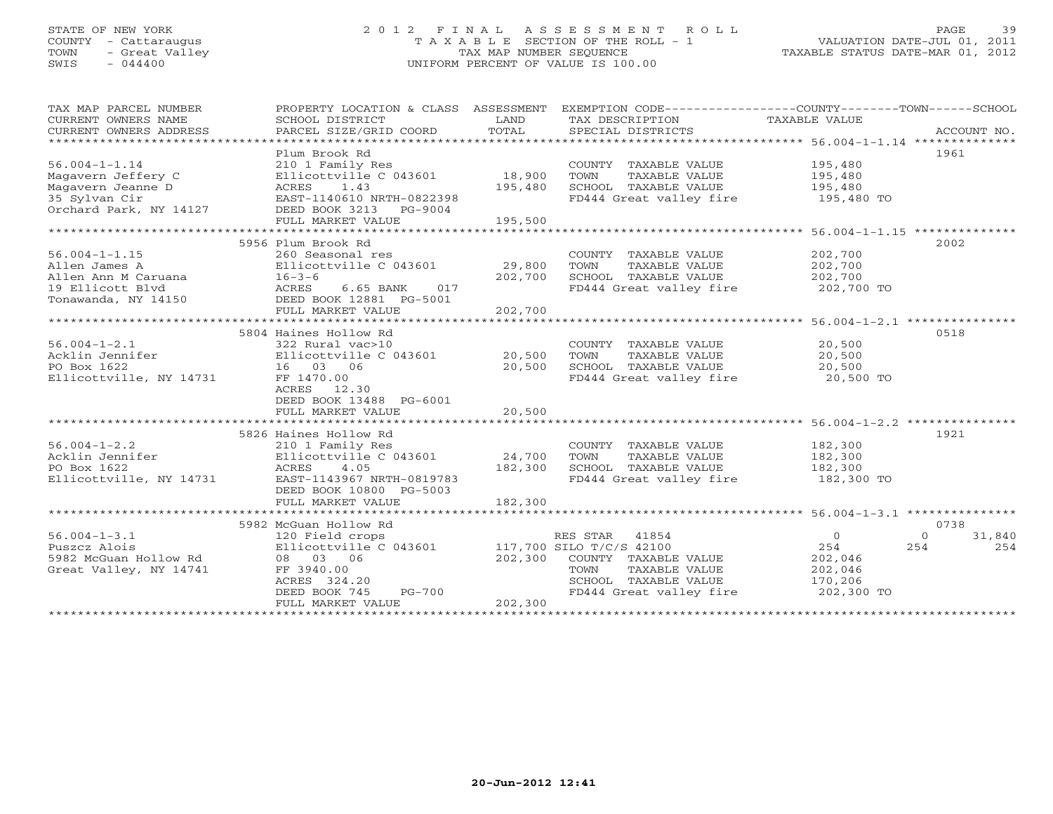# STATE OF NEW YORK 2 0 1 2 F I N A L A S S E S S M E N T R O L L PAGE 39COUNTY - Cattaraugus T A X A B L E SECTION OF THE ROLL - 1<br>
TOWN - Great Valley TAX MAP NUMBER SEQUENCE<br>
SWIS - 044400 SWIS - 044400 UNIFORM PERCENT OF VALUE IS 100.00

| TAX MAP PARCEL NUMBER<br>CURRENT OWNERS NAME<br>CURRENT OWNERS ADDRESS | PROPERTY LOCATION & CLASS ASSESSMENT<br>SCHOOL DISTRICT<br>PARCEL SIZE/GRID COORD | LAND<br>TOTAL    | EXEMPTION CODE----------------COUNTY-------TOWN------SCHOOL<br>TAX DESCRIPTION<br>SPECIAL DISTRICTS | TAXABLE VALUE | ACCOUNT NO.       |
|------------------------------------------------------------------------|-----------------------------------------------------------------------------------|------------------|-----------------------------------------------------------------------------------------------------|---------------|-------------------|
|                                                                        |                                                                                   |                  |                                                                                                     |               |                   |
|                                                                        | Plum Brook Rd                                                                     |                  |                                                                                                     |               | 1961              |
| $56.004 - 1 - 1.14$                                                    | 210 1 Family Res                                                                  |                  | COUNTY TAXABLE VALUE                                                                                | 195,480       |                   |
| Magavern Jeffery C                                                     | Ellicottville C 043601                                                            | 18,900           | TAXABLE VALUE<br>TOWN<br>SCHOOL TAXABLE VALUE                                                       | 195,480       |                   |
| Maqavern Jeanne D                                                      | ACRES<br>1.43                                                                     | 195,480          |                                                                                                     | 195,480       |                   |
| 35 Sylvan Cir<br>Orchard Park, NY 14127                                | EAST-1140610 NRTH-0822398<br>DEED BOOK 3213<br>PG-9004                            |                  | FD444 Great valley fire                                                                             | 195,480 TO    |                   |
|                                                                        | FULL MARKET VALUE                                                                 | 195,500          |                                                                                                     |               |                   |
|                                                                        |                                                                                   | **************** | ************************************ 56.004-1-1.15 ***************                                  |               |                   |
|                                                                        | 5956 Plum Brook Rd                                                                |                  |                                                                                                     |               | 2002              |
| $56.004 - 1 - 1.15$                                                    | 260 Seasonal res                                                                  |                  | COUNTY TAXABLE VALUE                                                                                | 202,700       |                   |
| Allen James A                                                          | Ellicottville C 043601                                                            | 29,800           | TOWN<br>TAXABLE VALUE                                                                               | 202,700       |                   |
| Allen Ann M Caruana                                                    | $16 - 3 - 6$                                                                      | 202,700          | SCHOOL TAXABLE VALUE                                                                                | 202,700       |                   |
| 19 Ellicott Blvd                                                       | ACRES<br>6.65 BANK<br>017                                                         |                  | FD444 Great valley fire                                                                             | 202,700 TO    |                   |
| Tonawanda, NY 14150                                                    | DEED BOOK 12881 PG-5001                                                           |                  |                                                                                                     |               |                   |
|                                                                        | FULL MARKET VALUE                                                                 | 202,700          |                                                                                                     |               |                   |
|                                                                        | ****************************                                                      |                  |                                                                                                     |               |                   |
|                                                                        | 5804 Haines Hollow Rd                                                             |                  |                                                                                                     |               | 0518              |
| $56.004 - 1 - 2.1$                                                     | 322 Rural vac>10                                                                  |                  | COUNTY TAXABLE VALUE                                                                                | 20,500        |                   |
| Acklin Jennifer                                                        | Ellicottville C 043601                                                            | 20,500           | TOWN<br>TAXABLE VALUE                                                                               | 20,500        |                   |
| PO Box 1622                                                            | 16 03 06                                                                          | 20,500           | SCHOOL TAXABLE VALUE                                                                                | 20,500        |                   |
| Ellicottville, NY 14731                                                | FF 1470.00                                                                        |                  | FD444 Great valley fire                                                                             | 20,500 TO     |                   |
|                                                                        | ACRES 12.30                                                                       |                  |                                                                                                     |               |                   |
|                                                                        | DEED BOOK 13488 PG-6001                                                           |                  |                                                                                                     |               |                   |
|                                                                        | FULL MARKET VALUE                                                                 | 20,500           |                                                                                                     |               |                   |
|                                                                        |                                                                                   |                  |                                                                                                     |               |                   |
|                                                                        | 5826 Haines Hollow Rd                                                             |                  |                                                                                                     |               | 1921              |
| $56.004 - 1 - 2.2$                                                     | 210 1 Family Res                                                                  |                  | COUNTY TAXABLE VALUE                                                                                | 182,300       |                   |
| Acklin Jennifer                                                        | Ellicottville C 043601                                                            | 24,700           | TAXABLE VALUE<br>TOWN                                                                               | 182,300       |                   |
| PO Box 1622                                                            | ACRES<br>4.05                                                                     | 182,300          | SCHOOL TAXABLE VALUE                                                                                | 182,300       |                   |
| Ellicottville, NY 14731                                                | EAST-1143967 NRTH-0819783                                                         |                  | FD444 Great valley fire                                                                             | 182,300 TO    |                   |
|                                                                        | DEED BOOK 10800 PG-5003                                                           |                  |                                                                                                     |               |                   |
|                                                                        | FULL MARKET VALUE                                                                 | 182,300          |                                                                                                     |               |                   |
|                                                                        | *************************************                                             |                  |                                                                                                     |               |                   |
|                                                                        | 5982 McGuan Hollow Rd                                                             |                  |                                                                                                     |               | 0738              |
| 56.004-1-3.1                                                           | 120 Field crops                                                                   |                  | RES STAR<br>41854                                                                                   | $\circ$       | 31,840<br>$\circ$ |
| Puszcz Alois                                                           | Ellicottville C 043601                                                            |                  | 117,700 SILO T/C/S 42100                                                                            | 254           | 254<br>254        |
| 5982 McGuan Hollow Rd                                                  | 08 03 06                                                                          | 202,300          | COUNTY TAXABLE VALUE                                                                                | 202,046       |                   |
| Great Valley, NY 14741                                                 | FF 3940.00                                                                        |                  | TAXABLE VALUE<br>TOWN                                                                               | 202,046       |                   |
|                                                                        | ACRES 324.20                                                                      |                  | SCHOOL TAXABLE VALUE                                                                                | 170,206       |                   |
|                                                                        | $PG-700$<br>DEED BOOK 745                                                         |                  | FD444 Great valley fire                                                                             | 202,300 TO    |                   |
|                                                                        | FULL MARKET VALUE                                                                 | 202,300          |                                                                                                     |               |                   |
|                                                                        | *************************                                                         |                  |                                                                                                     |               |                   |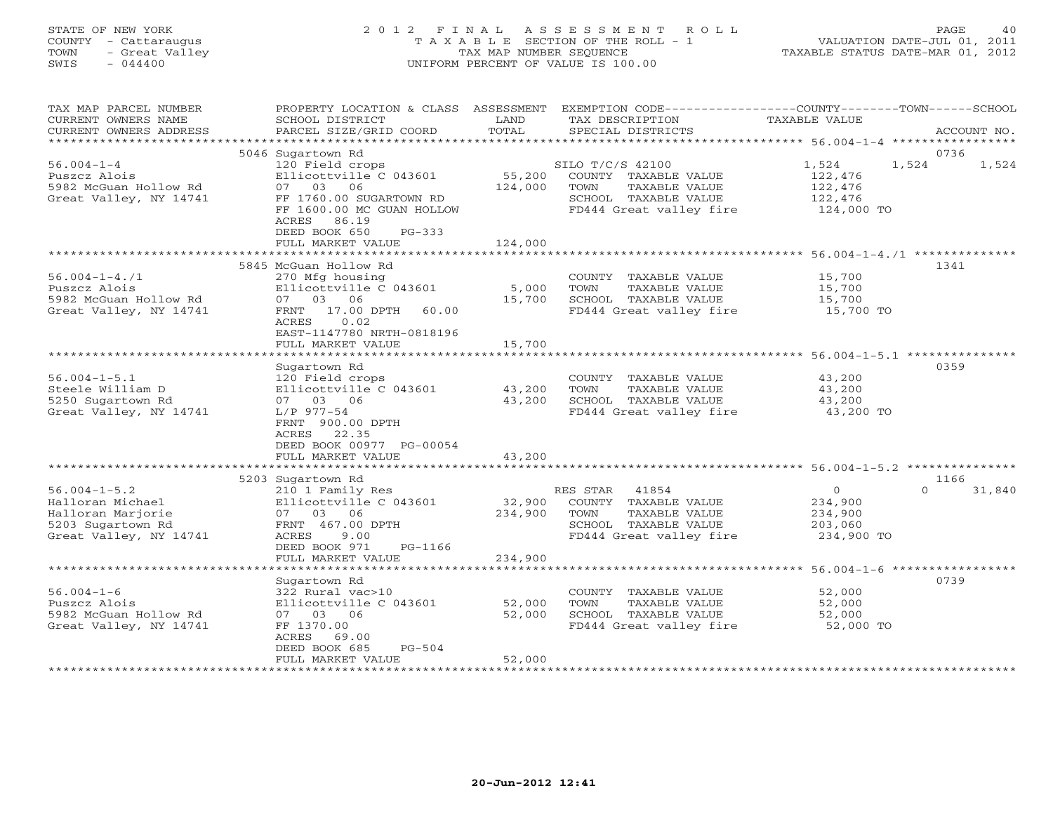# STATE OF NEW YORK 2 0 1 2 F I N A L A S S E S S M E N T R O L L PAGE 40 COUNTY - Cattaraugus T A X A B L E SECTION OF THE ROLL - 1 VALUATION DATE-JUL 01, 2011 TOWN - Great Valley TAX MAP NUMBER SEQUENCE TAXABLE STATUS DATE-MAR 01, 2012 SWIS - 044400 UNIFORM PERCENT OF VALUE IS 100.00UNIFORM PERCENT OF VALUE IS 100.00

| TAX MAP PARCEL NUMBER<br>CURRENT OWNERS NAME<br>CURRENT OWNERS ADDRESS | PROPERTY LOCATION & CLASS ASSESSMENT<br>SCHOOL DISTRICT<br>PARCEL SIZE/GRID COORD | LAND<br>TOTAL | EXEMPTION CODE-----------------COUNTY-------TOWN------SCHOOL<br>TAX DESCRIPTION<br>SPECIAL DISTRICTS | TAXABLE VALUE                    | ACCOUNT NO.        |
|------------------------------------------------------------------------|-----------------------------------------------------------------------------------|---------------|------------------------------------------------------------------------------------------------------|----------------------------------|--------------------|
| ************************                                               |                                                                                   |               |                                                                                                      |                                  |                    |
| $56.004 - 1 - 4$<br>Puszcz Alois                                       | 5046 Sugartown Rd<br>120 Field crops<br>Ellicottville C 043601                    | 55,200        | SILO T/C/S 42100<br>COUNTY TAXABLE VALUE                                                             | 1,524<br>1,524<br>122,476        | 0736<br>1,524      |
| 5982 McGuan Hollow Rd<br>Great Valley, NY 14741                        | 07 03<br>06<br>FF 1760.00 SUGARTOWN RD<br>FF 1600.00 MC GUAN HOLLOW               | 124,000       | TAXABLE VALUE<br>TOWN<br>SCHOOL TAXABLE VALUE<br>FD444 Great valley fire                             | 122,476<br>122,476<br>124,000 TO |                    |
|                                                                        | 86.19<br>ACRES<br>DEED BOOK 650<br>$PG-333$<br>FULL MARKET VALUE                  | 124,000       |                                                                                                      |                                  |                    |
|                                                                        |                                                                                   |               |                                                                                                      |                                  |                    |
|                                                                        | 5845 McGuan Hollow Rd                                                             |               |                                                                                                      |                                  | 1341               |
| $56.004 - 1 - 4.71$                                                    | 270 Mfg housing                                                                   |               | COUNTY TAXABLE VALUE                                                                                 | 15,700                           |                    |
| Puszcz Alois                                                           | Ellicottville C 043601                                                            | 5,000         | TOWN<br>TAXABLE VALUE                                                                                | 15,700                           |                    |
| 5982 McGuan Hollow Rd                                                  | 07 03 06                                                                          | 15,700        | SCHOOL TAXABLE VALUE                                                                                 | 15,700                           |                    |
| Great Valley, NY 14741                                                 | 17.00 DPTH<br>FRNT<br>60.00<br>ACRES<br>0.02<br>EAST-1147780 NRTH-0818196         |               | FD444 Great valley fire                                                                              | 15,700 TO                        |                    |
|                                                                        | FULL MARKET VALUE                                                                 | 15,700        |                                                                                                      |                                  |                    |
|                                                                        |                                                                                   |               | ******************************* 56.004-1-5.1 ***************                                         |                                  |                    |
|                                                                        | Sugartown Rd                                                                      |               |                                                                                                      |                                  | 0359               |
| $56.004 - 1 - 5.1$<br>Steele William D                                 | 120 Field crops<br>Ellicottville C 043601                                         | 43,200        | COUNTY TAXABLE VALUE<br>TOWN<br>TAXABLE VALUE                                                        | 43,200                           |                    |
| 5250 Sugartown Rd                                                      | 07 03 06                                                                          | 43,200        | SCHOOL TAXABLE VALUE                                                                                 | 43,200<br>43,200                 |                    |
| Great Valley, NY 14741                                                 | $L/P$ 977-54                                                                      |               | FD444 Great valley fire                                                                              | 43,200 TO                        |                    |
|                                                                        | FRNT 900.00 DPTH                                                                  |               |                                                                                                      |                                  |                    |
|                                                                        | 22.35<br>ACRES                                                                    |               |                                                                                                      |                                  |                    |
|                                                                        | DEED BOOK 00977 PG-00054                                                          |               |                                                                                                      |                                  |                    |
|                                                                        | FULL MARKET VALUE                                                                 | 43,200        |                                                                                                      |                                  |                    |
|                                                                        |                                                                                   |               |                                                                                                      |                                  |                    |
|                                                                        | 5203 Sugartown Rd                                                                 |               |                                                                                                      |                                  | 1166               |
| $56.004 - 1 - 5.2$                                                     | 210 1 Family Res                                                                  |               | RES STAR<br>41854                                                                                    | $\Omega$                         | $\Omega$<br>31,840 |
| Halloran Michael                                                       | Ellicottville C 043601                                                            | 32,900        | COUNTY TAXABLE VALUE                                                                                 | 234,900                          |                    |
| Halloran Marjorie                                                      | 07 03 06                                                                          | 234,900       | TOWN<br>TAXABLE VALUE                                                                                | 234,900                          |                    |
| 5203 Sugartown Rd                                                      | FRNT 467.00 DPTH                                                                  |               | SCHOOL TAXABLE VALUE                                                                                 | 203,060                          |                    |
| Great Valley, NY 14741                                                 | ACRES<br>9.00                                                                     |               | FD444 Great valley fire                                                                              | 234,900 TO                       |                    |
|                                                                        | DEED BOOK 971<br>PG-1166                                                          |               |                                                                                                      |                                  |                    |
|                                                                        | FULL MARKET VALUE                                                                 | 234,900       |                                                                                                      |                                  |                    |
| **************************                                             |                                                                                   |               |                                                                                                      |                                  |                    |
|                                                                        | Sugartown Rd                                                                      |               |                                                                                                      |                                  | 0739               |
| $56.004 - 1 - 6$                                                       | 322 Rural vac>10                                                                  |               | COUNTY TAXABLE VALUE                                                                                 | 52,000                           |                    |
| Puszcz Alois                                                           | Ellicottville C 043601                                                            | 52,000        | TAXABLE VALUE<br>TOWN                                                                                | 52,000                           |                    |
| 5982 McGuan Hollow Rd                                                  | 07 03 06                                                                          | 52,000        | SCHOOL TAXABLE VALUE                                                                                 | 52,000                           |                    |
| Great Valley, NY 14741                                                 | FF 1370.00<br>ACRES<br>69.00                                                      |               | FD444 Great valley fire                                                                              | 52,000 TO                        |                    |
|                                                                        | DEED BOOK 685<br>$PG-504$                                                         |               |                                                                                                      |                                  |                    |
|                                                                        | FULL MARKET VALUE                                                                 | 52,000        |                                                                                                      |                                  |                    |
|                                                                        |                                                                                   |               |                                                                                                      |                                  |                    |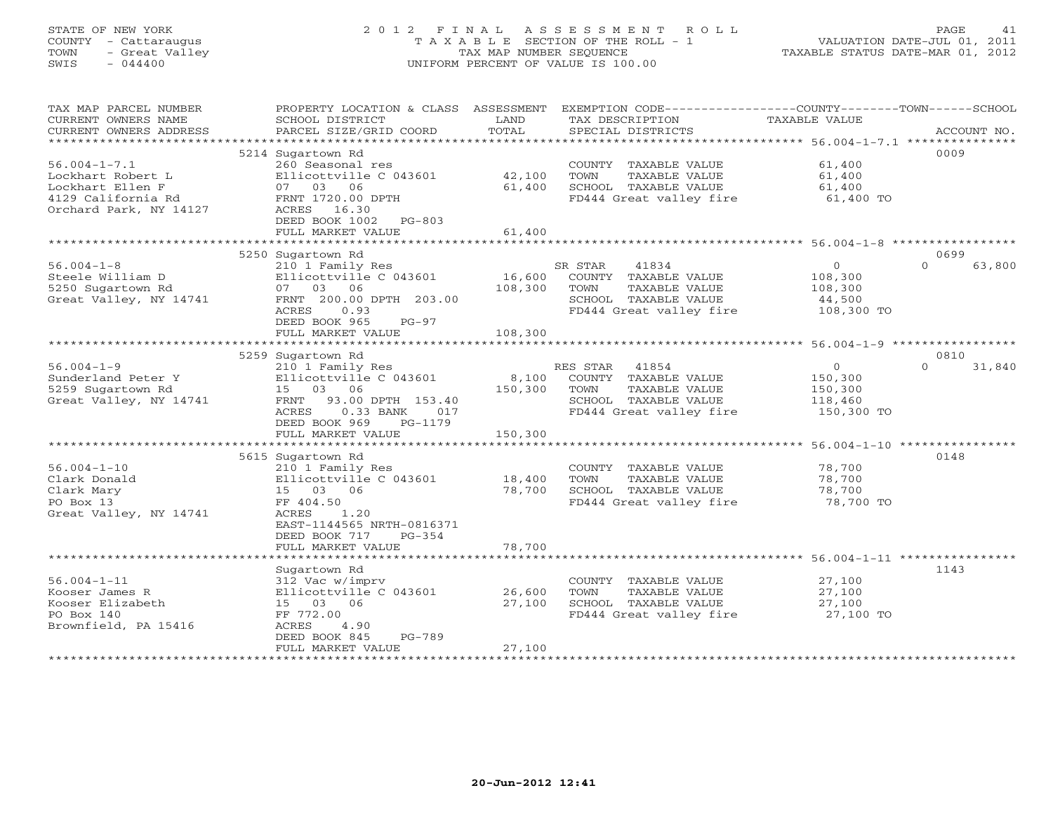# STATE OF NEW YORK 2 0 1 2 F I N A L A S S E S S M E N T R O L L PAGE 41 COUNTY - Cattaraugus T A X A B L E SECTION OF THE ROLL - 1 VALUATION DATE-JUL 01, 2011 TOWN - Great Valley TAX MAP NUMBER SEQUENCE TAXABLE STATUS DATE-MAR 01, 2012 SWIS - 044400 UNIFORM PERCENT OF VALUE IS 100.00UNIFORM PERCENT OF VALUE IS 100.00

| TAX MAP PARCEL NUMBER     | PROPERTY LOCATION & CLASS ASSESSMENT |         | EXEMPTION CODE----------------COUNTY-------TOWN------SCHOOL |               |                    |
|---------------------------|--------------------------------------|---------|-------------------------------------------------------------|---------------|--------------------|
| CURRENT OWNERS NAME       | SCHOOL DISTRICT                      | LAND    | TAX DESCRIPTION                                             | TAXABLE VALUE |                    |
| CURRENT OWNERS ADDRESS    | PARCEL SIZE/GRID COORD               | TOTAL   | SPECIAL DISTRICTS                                           |               | ACCOUNT NO.        |
| ************************* |                                      |         |                                                             |               |                    |
|                           | 5214 Sugartown Rd                    |         |                                                             |               | 0009               |
| $56.004 - 1 - 7.1$        | 260 Seasonal res                     |         | COUNTY TAXABLE VALUE                                        | 61,400        |                    |
| Lockhart Robert L         | Ellicottville C 043601               | 42,100  | TOWN<br>TAXABLE VALUE                                       | 61,400        |                    |
| Lockhart Ellen F          | 07 03 06                             | 61,400  | SCHOOL TAXABLE VALUE                                        | 61,400        |                    |
| 4129 California Rd        | FRNT 1720.00 DPTH                    |         | FD444 Great valley fire                                     | 61,400 TO     |                    |
| Orchard Park, NY 14127    | ACRES 16.30                          |         |                                                             |               |                    |
|                           | DEED BOOK 1002 PG-803                |         |                                                             |               |                    |
|                           | FULL MARKET VALUE                    | 61,400  |                                                             |               |                    |
|                           |                                      |         |                                                             |               |                    |
|                           |                                      |         |                                                             |               | 0699               |
|                           | 5250 Sugartown Rd                    |         |                                                             | $\Omega$      | $\cap$             |
| $56.004 - 1 - 8$          | 210 1 Family Res                     |         | SR STAR<br>41834                                            |               | 63,800             |
| Steele William D          | Ellicottville C 043601               | 16,600  | COUNTY TAXABLE VALUE                                        | 108,300       |                    |
| 5250 Sugartown Rd         | 07 03 06                             | 108,300 | TAXABLE VALUE<br>TOWN                                       | 108,300       |                    |
| Great Valley, NY 14741    | FRNT 200.00 DPTH 203.00              |         | SCHOOL TAXABLE VALUE                                        | 44,500        |                    |
|                           | 0.93<br>ACRES                        |         | FD444 Great valley fire                                     | 108,300 TO    |                    |
|                           | DEED BOOK 965<br>$PG-97$             |         |                                                             |               |                    |
|                           | FULL MARKET VALUE                    | 108,300 |                                                             |               |                    |
|                           |                                      |         |                                                             |               |                    |
|                           | 5259 Sugartown Rd                    |         |                                                             |               | 0810               |
| $56.004 - 1 - 9$          | 210 1 Family Res                     |         | RES STAR<br>41854                                           | $\Omega$      | $\Omega$<br>31,840 |
| Sunderland Peter Y        | Ellicottville C 043601               | 8,100   | COUNTY TAXABLE VALUE                                        | 150,300       |                    |
| 5259 Sugartown Rd         | 15 03 06                             | 150,300 | TOWN<br>TAXABLE VALUE                                       | 150,300       |                    |
| Great Valley, NY 14741    | FRNT 93.00 DPTH 153.40               |         | SCHOOL TAXABLE VALUE                                        | 118,460       |                    |
|                           | $0.33$ BANK<br>017<br>ACRES          |         | FD444 Great valley fire                                     | 150,300 TO    |                    |
|                           | DEED BOOK 969<br>PG-1179             |         |                                                             |               |                    |
|                           | FULL MARKET VALUE                    | 150,300 |                                                             |               |                    |
|                           |                                      |         |                                                             |               |                    |
|                           | 5615 Sugartown Rd                    |         |                                                             |               | 0148               |
| $56.004 - 1 - 10$         | 210 1 Family Res                     |         | COUNTY TAXABLE VALUE                                        | 78,700        |                    |
| Clark Donald              | Ellicottville C 043601               | 18,400  | TOWN<br>TAXABLE VALUE                                       | 78,700        |                    |
| Clark Mary                | 15 03 06                             | 78,700  | SCHOOL TAXABLE VALUE                                        | 78,700        |                    |
|                           |                                      |         |                                                             |               |                    |
| PO Box 13                 | FF 404.50<br>1.20<br>ACRES           |         | FD444 Great valley fire                                     | 78,700 TO     |                    |
| Great Valley, NY 14741    |                                      |         |                                                             |               |                    |
|                           | EAST-1144565 NRTH-0816371            |         |                                                             |               |                    |
|                           | DEED BOOK 717<br>PG-354              |         |                                                             |               |                    |
|                           | FULL MARKET VALUE                    | 78,700  |                                                             |               |                    |
|                           |                                      |         |                                                             |               |                    |
|                           | Sugartown Rd                         |         |                                                             |               | 1143               |
| $56.004 - 1 - 11$         | 312 Vac w/imprv                      |         | COUNTY TAXABLE VALUE                                        | 27,100        |                    |
| Kooser James R            | Ellicottville C 043601               | 26,600  | TOWN<br>TAXABLE VALUE                                       | 27,100        |                    |
| Kooser Elizabeth          | 15 03 06                             | 27,100  | SCHOOL TAXABLE VALUE                                        | 27,100        |                    |
| PO Box 140                | FF 772.00                            |         | FD444 Great valley fire 27,100 TO                           |               |                    |
| Brownfield, PA 15416      | ACRES<br>4.90                        |         |                                                             |               |                    |
|                           | DEED BOOK 845<br>PG-789              |         |                                                             |               |                    |
|                           | FULL MARKET VALUE                    | 27,100  |                                                             |               |                    |
|                           |                                      |         |                                                             |               |                    |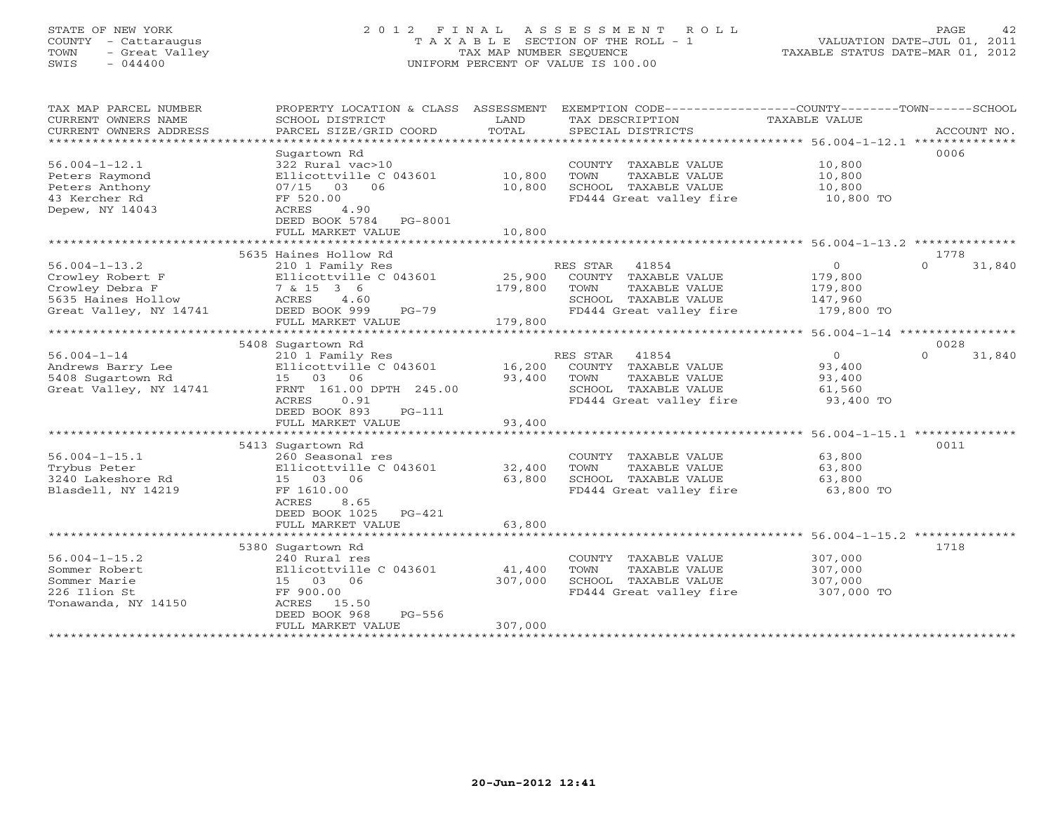# STATE OF NEW YORK 2 0 1 2 F I N A L A S S E S S M E N T R O L L PAGE 42 COUNTY - Cattaraugus T A X A B L E SECTION OF THE ROLL - 1 VALUATION DATE-JUL 01, 2011 TOWN - Great Valley TAX MAP NUMBER SEQUENCE TAXABLE STATUS DATE-MAR 01, 2012 SWIS - 044400 UNIFORM PERCENT OF VALUE IS 100.00UNIFORM PERCENT OF VALUE IS 100.00

| SCHOOL DISTRICT<br>PARCEL SIZE/GRID COORD                                                                                                                 | LAND<br>TOTAL                                                                                                                                                               | TAX DESCRIPTION<br>SPECIAL DISTRICTS                                                                                  | TAXABLE VALUE                                             | ACCOUNT NO.                                                  |
|-----------------------------------------------------------------------------------------------------------------------------------------------------------|-----------------------------------------------------------------------------------------------------------------------------------------------------------------------------|-----------------------------------------------------------------------------------------------------------------------|-----------------------------------------------------------|--------------------------------------------------------------|
| Sugartown Rd<br>322 Rural vac>10<br>Ellicottville C 043601<br>07/15 03 06<br>FF 520.00<br>ACRES<br>4.90<br>DEED BOOK 5784<br>PG-8001<br>FULL MARKET VALUE | 10,800<br>10,800<br>10,800                                                                                                                                                  | COUNTY TAXABLE VALUE<br>TOWN<br>TAXABLE VALUE<br>SCHOOL TAXABLE VALUE<br>FD444 Great valley fire                      | 10,800<br>10,800<br>10,800<br>10,800 TO                   | 0006                                                         |
|                                                                                                                                                           |                                                                                                                                                                             |                                                                                                                       |                                                           | 1778                                                         |
| 210 1 Family Res<br>Ellicottville C 043601<br>7 & 15 3 6<br>ACRES<br>4.60<br>DEED BOOK 999<br>PG-79<br>FULL MARKET VALUE                                  | 25,900<br>179,800<br>179,800                                                                                                                                                | 41854<br>COUNTY TAXABLE VALUE<br>TOWN<br>TAXABLE VALUE<br>SCHOOL TAXABLE VALUE<br>FD444 Great valley fire             | $\circ$<br>179,800<br>179,800<br>147,960<br>179,800 TO    | $\Omega$<br>31,840                                           |
|                                                                                                                                                           |                                                                                                                                                                             |                                                                                                                       |                                                           | 0028                                                         |
| 210 1 Family Res<br>Ellicottville C 043601<br>15 03 06<br>FRNT 161.00 DPTH 245.00<br>0.91<br>ACRES<br>DEED BOOK 893<br>$PG-111$<br>FULL MARKET VALUE      | 16,200<br>93,400<br>93,400                                                                                                                                                  | RES STAR<br>41854<br>COUNTY TAXABLE VALUE<br>TAXABLE VALUE<br>TOWN<br>SCHOOL TAXABLE VALUE<br>FD444 Great valley fire | $\overline{0}$<br>93,400<br>93,400<br>61,560<br>93,400 TO | 31,840<br>$\Omega$                                           |
|                                                                                                                                                           |                                                                                                                                                                             |                                                                                                                       |                                                           | 0011                                                         |
| 260 Seasonal res<br>Ellicottville C 043601<br>15 03 06<br>FF 1610.00<br>8.65<br>ACRES                                                                     | 32,400<br>63,800                                                                                                                                                            | COUNTY TAXABLE VALUE<br>TOWN<br>TAXABLE VALUE<br>SCHOOL TAXABLE VALUE<br>FD444 Great valley fire                      | 63,800<br>63,800<br>63,800<br>63,800 TO                   |                                                              |
| FULL MARKET VALUE                                                                                                                                         | 63,800                                                                                                                                                                      |                                                                                                                       |                                                           |                                                              |
|                                                                                                                                                           |                                                                                                                                                                             |                                                                                                                       |                                                           |                                                              |
| 240 Rural res<br>Ellicottville C 043601<br>15 03 06<br>FF 900.00<br>ACRES<br>15.50<br>$PG-556$<br>DEED BOOK 968<br>FULL MARKET VALUE                      | 41,400<br>307,000<br>307,000                                                                                                                                                | COUNTY TAXABLE VALUE<br>TOWN<br>TAXABLE VALUE<br>SCHOOL TAXABLE VALUE<br>FD444 Great valley fire                      | 307,000<br>307,000<br>307,000<br>307,000 TO               | 1718                                                         |
|                                                                                                                                                           | ***********************<br>5635 Haines Hollow Rd<br>5408 Sugartown Rd<br>5413 Sugartown Rd<br>DEED BOOK 1025<br>$PG-421$<br>**************************<br>5380 Sugartown Rd | PROPERTY LOCATION & CLASS ASSESSMENT                                                                                  | RES STAR                                                  | EXEMPTION CODE-----------------COUNTY-------TOWN------SCHOOL |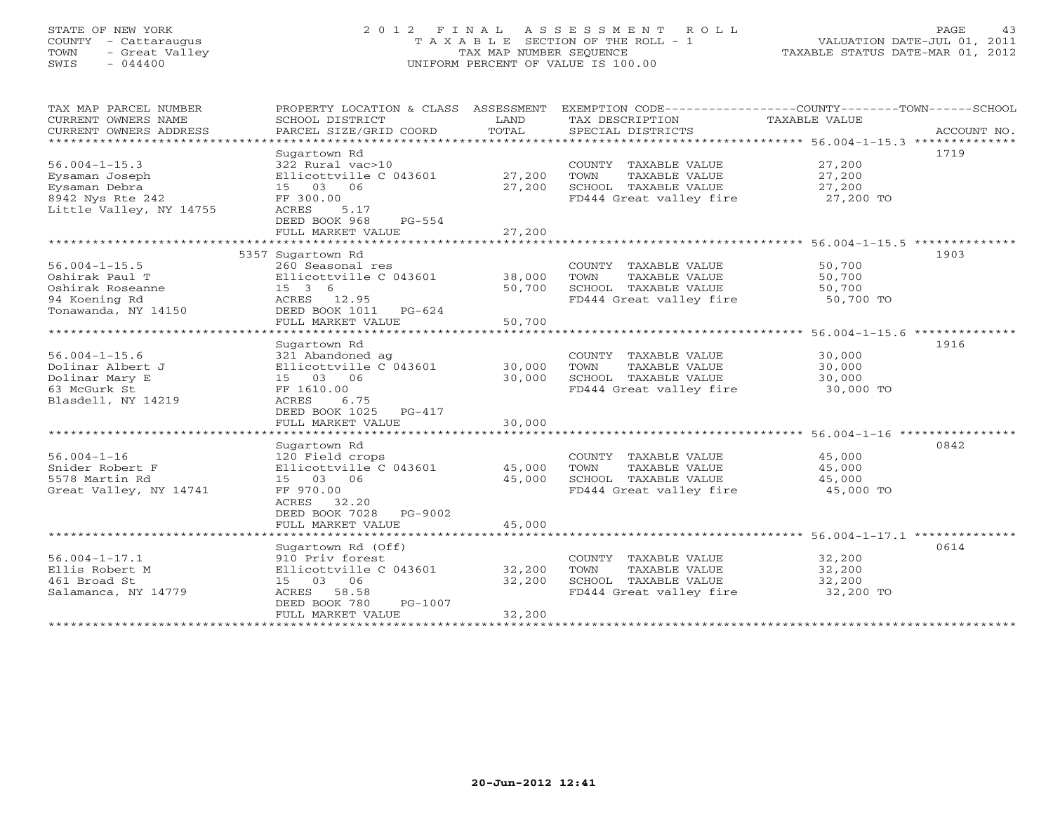# STATE OF NEW YORK 2 0 1 2 F I N A L A S S E S S M E N T R O L L PAGE 43 COUNTY - Cattaraugus T A X A B L E SECTION OF THE ROLL - 1 VALUATION DATE-JUL 01, 2011 TOWN - Great Valley TAX MAP NUMBER SEQUENCE TAXABLE STATUS DATE-MAR 01, 2012 SWIS - 044400 UNIFORM PERCENT OF VALUE IS 100.00UNIFORM PERCENT OF VALUE IS 100.00

| TAX MAP PARCEL NUMBER     | PROPERTY LOCATION & CLASS ASSESSMENT |        | EXEMPTION CODE-----------------COUNTY-------TOWN------SCHOOL |                      |             |
|---------------------------|--------------------------------------|--------|--------------------------------------------------------------|----------------------|-------------|
| CURRENT OWNERS NAME       | SCHOOL DISTRICT                      | LAND   | TAX DESCRIPTION                                              | <b>TAXABLE VALUE</b> |             |
| CURRENT OWNERS ADDRESS    | PARCEL SIZE/GRID COORD               | TOTAL  | SPECIAL DISTRICTS                                            |                      | ACCOUNT NO. |
| ************************* |                                      |        |                                                              |                      |             |
|                           | Sugartown Rd                         |        |                                                              |                      | 1719        |
| $56.004 - 1 - 15.3$       | 322 Rural vac>10                     |        | COUNTY TAXABLE VALUE                                         | 27,200               |             |
| Eysaman Joseph            | Ellicottville C 043601               | 27,200 | TOWN<br>TAXABLE VALUE                                        | 27,200               |             |
| Eysaman Debra             | 15 03 06                             | 27,200 | SCHOOL TAXABLE VALUE                                         | 27,200               |             |
| 8942 Nys Rte 242          | FF 300.00                            |        | FD444 Great valley fire                                      | 27,200 TO            |             |
| Little Valley, NY 14755   | ACRES<br>5.17                        |        |                                                              |                      |             |
|                           | DEED BOOK 968<br>$PG-554$            |        |                                                              |                      |             |
|                           | FULL MARKET VALUE                    | 27,200 |                                                              |                      |             |
|                           |                                      |        |                                                              |                      |             |
|                           | 5357 Sugartown Rd                    |        |                                                              |                      | 1903        |
| $56.004 - 1 - 15.5$       | 260 Seasonal res                     |        | COUNTY TAXABLE VALUE                                         | 50,700               |             |
| Oshirak Paul T            | Ellicottville C 043601               | 38,000 | TAXABLE VALUE<br>TOWN                                        | 50,700               |             |
| Oshirak Roseanne          | 15 3 6                               | 50,700 | SCHOOL TAXABLE VALUE                                         | 50,700               |             |
| 94 Koening Rd             | ACRES 12.95                          |        | FD444 Great valley fire                                      | 50,700 TO            |             |
| Tonawanda, NY 14150       | DEED BOOK 1011<br>PG-624             |        |                                                              |                      |             |
|                           | FULL MARKET VALUE                    | 50,700 |                                                              |                      |             |
|                           |                                      |        |                                                              |                      |             |
|                           | Sugartown Rd                         |        |                                                              |                      | 1916        |
| $56.004 - 1 - 15.6$       | 321 Abandoned ag                     |        | COUNTY TAXABLE VALUE                                         | 30,000               |             |
| Dolinar Albert J          | Ellicottville C 043601               | 30,000 | TOWN<br>TAXABLE VALUE                                        | 30,000               |             |
| Dolinar Mary E            | 15 03 06                             | 30,000 | SCHOOL TAXABLE VALUE                                         | 30,000               |             |
| 63 McGurk St              | FF 1610.00                           |        | FD444 Great valley fire                                      | 30,000 TO            |             |
| Blasdell, NY 14219        | ACRES<br>6.75                        |        |                                                              |                      |             |
|                           | DEED BOOK 1025<br>PG-417             |        |                                                              |                      |             |
|                           | FULL MARKET VALUE                    | 30,000 |                                                              |                      |             |
|                           |                                      |        |                                                              |                      |             |
|                           | Sugartown Rd                         |        |                                                              |                      | 0842        |
| $56.004 - 1 - 16$         | 120 Field crops                      |        | COUNTY TAXABLE VALUE                                         | 45,000               |             |
| Snider Robert F           | Ellicottville C 043601               | 45,000 | TOWN<br>TAXABLE VALUE                                        | 45,000               |             |
| 5578 Martin Rd            | 15 03 06                             | 45,000 | SCHOOL TAXABLE VALUE                                         | 45,000               |             |
| Great Valley, NY 14741    | FF 970.00                            |        | FD444 Great valley fire                                      | 45,000 TO            |             |
|                           | ACRES<br>32.20                       |        |                                                              |                      |             |
|                           | DEED BOOK 7028<br>PG-9002            |        |                                                              |                      |             |
|                           | FULL MARKET VALUE                    | 45,000 |                                                              |                      |             |
|                           |                                      |        |                                                              |                      |             |
|                           | Sugartown Rd (Off)                   |        |                                                              |                      | 0614        |
| 56.004-1-17.1             | 910 Priv forest                      |        | COUNTY TAXABLE VALUE                                         | 32,200               |             |
| Ellis Robert M            | Ellicottville C 043601               | 32,200 | TOWN<br>TAXABLE VALUE                                        | 32,200               |             |
| 461 Broad St              | 15 03 06                             | 32,200 | SCHOOL TAXABLE VALUE                                         | 32,200               |             |
| Salamanca, NY 14779       | ACRES<br>58.58                       |        | FD444 Great valley fire                                      | 32,200 TO            |             |
|                           | DEED BOOK 780<br>PG-1007             |        |                                                              |                      |             |
|                           | FULL MARKET VALUE                    | 32,200 |                                                              |                      |             |
|                           | *************************            |        |                                                              |                      |             |
|                           |                                      |        |                                                              |                      |             |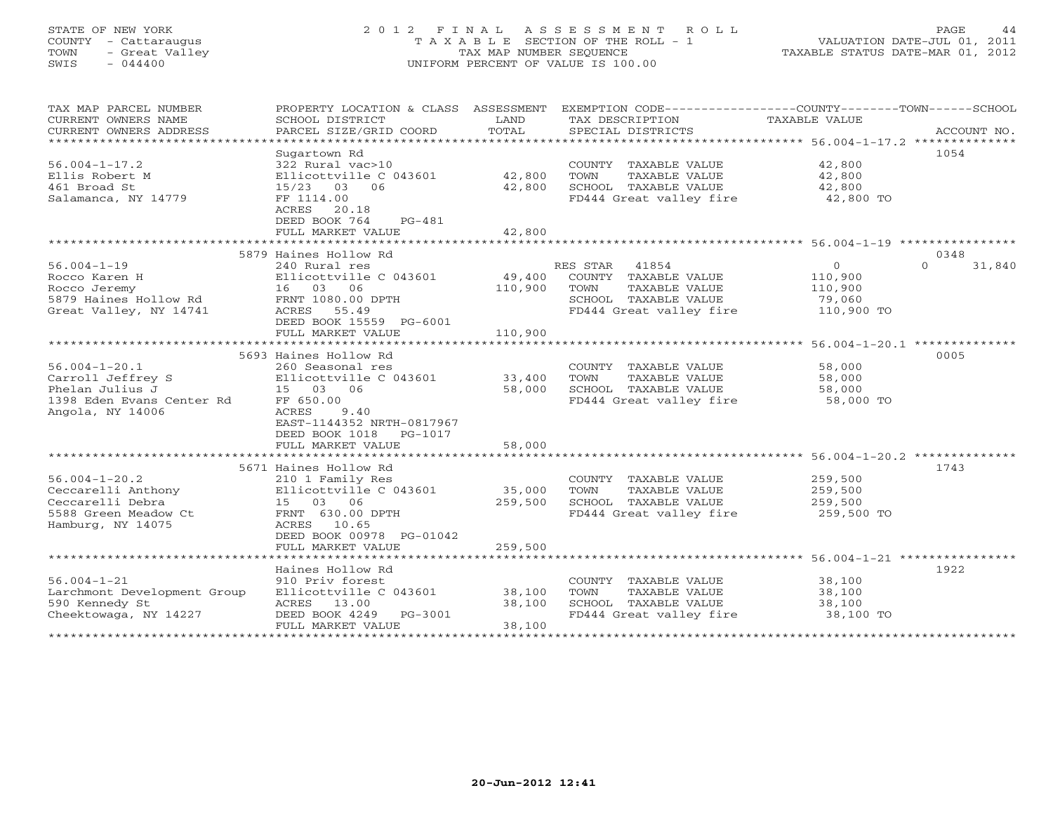# STATE OF NEW YORK 2 0 1 2 F I N A L A S S E S S M E N T R O L L PAGE 44 COUNTY - Cattaraugus T A X A B L E SECTION OF THE ROLL - 1 VALUATION DATE-JUL 01, 2011 TOWN - Great Valley TAX MAP NUMBER SEQUENCE TAXABLE STATUS DATE-MAR 01, 2012 SWIS - 044400 UNIFORM PERCENT OF VALUE IS 100.00UNIFORM PERCENT OF VALUE IS 100.00

| TAX MAP PARCEL NUMBER<br>CURRENT OWNERS NAME<br>CURRENT OWNERS ADDRESS<br>*************************          | PROPERTY LOCATION & CLASS ASSESSMENT<br>SCHOOL DISTRICT<br>PARCEL SIZE/GRID COORD                                                                                                               | LAND<br>TOTAL                | EXEMPTION CODE-----------------COUNTY-------TOWN------SCHOOL<br>TAX DESCRIPTION<br>SPECIAL DISTRICTS                  | TAXABLE VALUE                                          | ACCOUNT NO.                |
|--------------------------------------------------------------------------------------------------------------|-------------------------------------------------------------------------------------------------------------------------------------------------------------------------------------------------|------------------------------|-----------------------------------------------------------------------------------------------------------------------|--------------------------------------------------------|----------------------------|
| $56.004 - 1 - 17.2$<br>Ellis Robert M<br>461 Broad St<br>Salamanca, NY 14779                                 | Sugartown Rd<br>322 Rural vac>10<br>Ellicottville C 043601<br>$15/23$ 03<br>06<br>FF 1114.00<br>ACRES<br>20.18<br>DEED BOOK 764<br>$PG-481$<br>FULL MARKET VALUE                                | 42,800<br>42,800<br>42,800   | COUNTY TAXABLE VALUE<br>TOWN<br>TAXABLE VALUE<br>SCHOOL TAXABLE VALUE<br>FD444 Great valley fire                      | 42,800<br>42,800<br>42,800<br>42,800 TO                | 1054                       |
|                                                                                                              |                                                                                                                                                                                                 |                              |                                                                                                                       |                                                        |                            |
| $56.004 - 1 - 19$<br>Rocco Karen H<br>Rocco Jeremy<br>5879 Haines Hollow Rd<br>Great Valley, NY 14741        | 5879 Haines Hollow Rd<br>240 Rural res<br>Ellicottville C 043601<br>16 03 06<br>FRNT 1080.00 DPTH<br>ACRES<br>55.49<br>DEED BOOK 15559 PG-6001<br>FULL MARKET VALUE                             | 49,400<br>110,900<br>110,900 | RES STAR<br>41854<br>COUNTY TAXABLE VALUE<br>TOWN<br>TAXABLE VALUE<br>SCHOOL TAXABLE VALUE<br>FD444 Great valley fire | $\Omega$<br>110,900<br>110,900<br>79,060<br>110,900 TO | 0348<br>$\Omega$<br>31,840 |
|                                                                                                              |                                                                                                                                                                                                 |                              |                                                                                                                       |                                                        |                            |
| $56.004 - 1 - 20.1$<br>Carroll Jeffrey S<br>Phelan Julius J<br>1398 Eden Evans Center Rd<br>Angola, NY 14006 | 5693 Haines Hollow Rd<br>260 Seasonal res<br>Ellicottville C 043601<br>15 03<br>06<br>FF 650.00<br>ACRES<br>9.40<br>EAST-1144352 NRTH-0817967<br>DEED BOOK 1018<br>PG-1017<br>FULL MARKET VALUE | 33,400<br>58,000<br>58,000   | COUNTY<br>TAXABLE VALUE<br>TOWN<br>TAXABLE VALUE<br>SCHOOL TAXABLE VALUE<br>FD444 Great valley fire                   | 58,000<br>58,000<br>58,000<br>58,000 TO                | 0005                       |
|                                                                                                              |                                                                                                                                                                                                 |                              |                                                                                                                       | ************************ 56.004-1-20.2 **************  |                            |
| $56.004 - 1 - 20.2$<br>Ceccarelli Anthony<br>Ceccarelli Debra<br>5588 Green Meadow Ct<br>Hamburg, NY 14075   | 5671 Haines Hollow Rd<br>210 1 Family Res<br>Ellicottville C 043601<br>15 03 06<br>FRNT 630.00 DPTH<br>ACRES 10.65<br>DEED BOOK 00978 PG-01042                                                  | 35,000<br>259,500            | COUNTY TAXABLE VALUE<br>TOWN<br>TAXABLE VALUE<br>SCHOOL TAXABLE VALUE<br>FD444 Great valley fire                      | 259,500<br>259,500<br>259,500<br>259,500 TO            | 1743                       |
|                                                                                                              | FULL MARKET VALUE                                                                                                                                                                               | 259,500                      |                                                                                                                       |                                                        |                            |
| $56.004 - 1 - 21$<br>Larchmont Development Group<br>590 Kennedy St<br>Cheektowaga, NY 14227                  | Haines Hollow Rd<br>910 Priv forest<br>Ellicottville C 043601<br>ACRES 13.00<br>PG-3001<br>DEED BOOK 4249                                                                                       | 38,100<br>38,100             | COUNTY TAXABLE VALUE<br>TOWN<br>TAXABLE VALUE<br>SCHOOL TAXABLE VALUE<br>FD444 Great valley fire                      | 38,100<br>38,100<br>38,100<br>38,100 TO                | 1922                       |
|                                                                                                              | FULL MARKET VALUE                                                                                                                                                                               | 38,100                       |                                                                                                                       |                                                        |                            |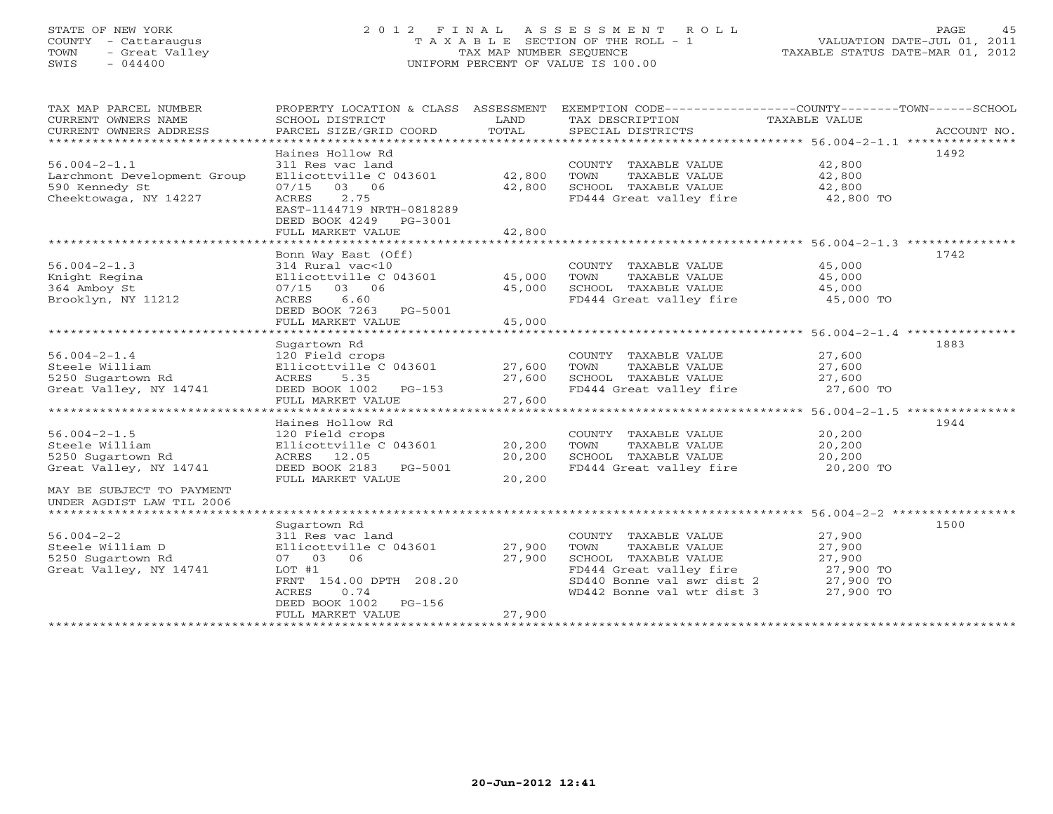# STATE OF NEW YORK 2 0 1 2 F I N A L A S S E S S M E N T R O L L PAGE 45 COUNTY - Cattaraugus T A X A B L E SECTION OF THE ROLL - 1 VALUATION DATE-JUL 01, 2011 TOWN - Great Valley TAX MAP NUMBER SEQUENCE TAXABLE STATUS DATE-MAR 01, 2012 SWIS - 044400 UNIFORM PERCENT OF VALUE IS 100.00UNIFORM PERCENT OF VALUE IS 100.00

| TAX MAP PARCEL NUMBER<br>CURRENT OWNERS NAME<br>CURRENT OWNERS ADDRESS<br>****************************** | PROPERTY LOCATION & CLASS ASSESSMENT<br>SCHOOL DISTRICT<br>PARCEL SIZE/GRID COORD                | LAND<br>TOTAL | TAX DESCRIPTION<br>SPECIAL DISTRICTS | EXEMPTION CODE-----------------COUNTY-------TOWN------SCHOOL<br>TAXABLE VALUE | ACCOUNT NO. |
|----------------------------------------------------------------------------------------------------------|--------------------------------------------------------------------------------------------------|---------------|--------------------------------------|-------------------------------------------------------------------------------|-------------|
|                                                                                                          | Haines Hollow Rd                                                                                 |               |                                      | 1492                                                                          |             |
| $56.004 - 2 - 1.1$                                                                                       | 311 Res vac land                                                                                 |               | COUNTY TAXABLE VALUE                 | 42,800                                                                        |             |
|                                                                                                          |                                                                                                  | 42,800        | TAXABLE VALUE                        | 42,800                                                                        |             |
| Larchmont Development Group<br>590 Kennedy St                                                            | Ellicottville C 043601<br>03 06                                                                  |               | TOWN<br>SCHOOL TAXABLE VALUE         | 42,800                                                                        |             |
|                                                                                                          | 07/15                                                                                            | 42,800        |                                      |                                                                               |             |
| Cheektowaga, NY 14227                                                                                    | <b>ACRES</b><br>2.75<br>EAST-1144719 NRTH-0818289<br>DEED BOOK 4249 PG-3001<br>FULL MARKET VALUE | 42,800        | FD444 Great valley fire              | 42,800 TO                                                                     |             |
|                                                                                                          |                                                                                                  |               |                                      |                                                                               |             |
|                                                                                                          | Bonn Way East (Off)                                                                              |               |                                      | 1742                                                                          |             |
| $56.004 - 2 - 1.3$                                                                                       | 314 Rural vac<10                                                                                 |               | COUNTY TAXABLE VALUE                 | 45,000                                                                        |             |
| Knight Regina                                                                                            | Ellicottville C 043601                                                                           | 45,000        | TAXABLE VALUE<br>TOWN                | 45,000                                                                        |             |
| 364 Amboy St                                                                                             | 07/15<br>03 06                                                                                   | 45,000        | SCHOOL TAXABLE VALUE                 | 45,000                                                                        |             |
| Brooklyn, NY 11212                                                                                       | ACRES<br>6.60                                                                                    |               | FD444 Great valley fire              | 45,000 TO                                                                     |             |
|                                                                                                          | DEED BOOK 7263 PG-5001                                                                           |               |                                      |                                                                               |             |
|                                                                                                          | FULL MARKET VALUE                                                                                |               |                                      |                                                                               |             |
|                                                                                                          |                                                                                                  | 45,000        |                                      |                                                                               |             |
|                                                                                                          |                                                                                                  |               |                                      |                                                                               |             |
|                                                                                                          | Sugartown Rd                                                                                     |               |                                      | 1883                                                                          |             |
| $56.004 - 2 - 1.4$                                                                                       | 120 Field crops                                                                                  |               | COUNTY TAXABLE VALUE                 | 27,600                                                                        |             |
| Steele William                                                                                           | Ellicottville C 043601                                                                           | 27,600        | TOWN<br>TAXABLE VALUE                | 27,600                                                                        |             |
| 5250 Sugartown Rd                                                                                        | 5.35<br>ACRES                                                                                    | 27,600        | SCHOOL TAXABLE VALUE                 | 27,600                                                                        |             |
| Great Valley, NY 14741                                                                                   | DEED BOOK 1002<br>PG-153                                                                         |               | FD444 Great valley fire              | 27,600 TO                                                                     |             |
|                                                                                                          | FULL MARKET VALUE                                                                                | 27,600        |                                      |                                                                               |             |
|                                                                                                          |                                                                                                  |               |                                      |                                                                               |             |
|                                                                                                          | Haines Hollow Rd                                                                                 |               |                                      | 1944                                                                          |             |
| $56.004 - 2 - 1.5$                                                                                       | 120 Field crops                                                                                  |               | COUNTY TAXABLE VALUE                 | 20,200                                                                        |             |
| Steele William                                                                                           | Ellicottville C 043601                                                                           | 20,200        | TAXABLE VALUE<br>TOWN                | 20,200                                                                        |             |
| 5250 Sugartown Rd                                                                                        | ACRES 12.05                                                                                      | 20,200        | SCHOOL TAXABLE VALUE                 | 20,200                                                                        |             |
| Great Valley, NY 14741                                                                                   | DEED BOOK 2183 PG-5001                                                                           |               | FD444 Great valley fire              | 20,200 TO                                                                     |             |
|                                                                                                          | FULL MARKET VALUE                                                                                | 20,200        |                                      |                                                                               |             |
| MAY BE SUBJECT TO PAYMENT                                                                                |                                                                                                  |               |                                      |                                                                               |             |
| UNDER AGDIST LAW TIL 2006                                                                                |                                                                                                  |               |                                      |                                                                               |             |
|                                                                                                          |                                                                                                  |               |                                      |                                                                               |             |
|                                                                                                          | Sugartown Rd                                                                                     |               |                                      | 1500                                                                          |             |
| $56.004 - 2 - 2$                                                                                         | 311 Res vac land                                                                                 |               | COUNTY TAXABLE VALUE                 | 27,900                                                                        |             |
| Steele William D                                                                                         | Ellicottville C 043601                                                                           | 27,900        | TOWN<br>TAXABLE VALUE                | 27,900                                                                        |             |
| 5250 Sugartown Rd                                                                                        | 07 03 06                                                                                         | 27,900        | SCHOOL TAXABLE VALUE                 | 27,900                                                                        |             |
| Great Valley, NY 14741                                                                                   | LOT #1                                                                                           |               | FD444 Great valley fire              | 27,900 TO                                                                     |             |
|                                                                                                          | FRNT 154.00 DPTH 208.20                                                                          |               | SD440 Bonne val swr dist 2           | 27,900 TO                                                                     |             |
|                                                                                                          | 0.74<br>ACRES                                                                                    |               | WD442 Bonne val wtr dist 3           | 27,900 TO                                                                     |             |
|                                                                                                          | PG-156                                                                                           |               |                                      |                                                                               |             |
|                                                                                                          | DEED BOOK 1002<br>FULL MARKET VALUE                                                              | 27,900        |                                      |                                                                               |             |
|                                                                                                          |                                                                                                  |               |                                      |                                                                               |             |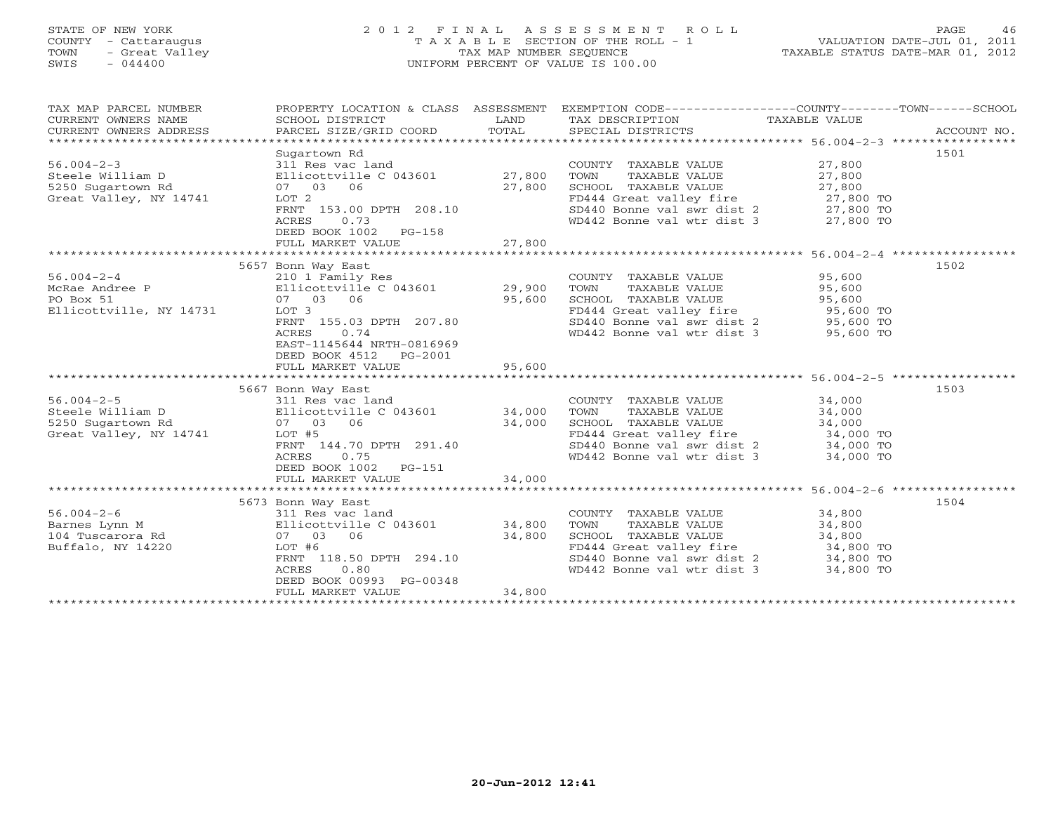# STATE OF NEW YORK 2 0 1 2 F I N A L A S S E S S M E N T R O L L PAGE 46 COUNTY - Cattaraugus T A X A B L E SECTION OF THE ROLL - 1 VALUATION DATE-JUL 01, 2011 TOWN - Great Valley TAX MAP NUMBER SEQUENCE TAXABLE STATUS DATE-MAR 01, 2012 SWIS - 044400 UNIFORM PERCENT OF VALUE IS 100.00UNIFORM PERCENT OF VALUE IS 100.00

| TAX MAP PARCEL NUMBER<br>CURRENT OWNERS NAME<br>CURRENT OWNERS ADDRESS              | SCHOOL DISTRICT<br>PARCEL SIZE/GRID COORD                                                                                                                                                        | LAND<br>TOTAL    | PROPERTY LOCATION & CLASS ASSESSMENT EXEMPTION CODE---------------COUNTY-------TOWN------SCHOOL<br>TAX DESCRIPTION TAXABLE VALUE<br>SPECIAL DISTRICTS                                             |                                         | ACCOUNT NO. |
|-------------------------------------------------------------------------------------|--------------------------------------------------------------------------------------------------------------------------------------------------------------------------------------------------|------------------|---------------------------------------------------------------------------------------------------------------------------------------------------------------------------------------------------|-----------------------------------------|-------------|
| $56.004 - 2 - 3$<br>Steele William D<br>5250 Sugartown Rd<br>Great Valley, NY 14741 | Sugartown Rd<br>311 Res vac land<br>Ellicottville C 043601 27,800<br>07 03 06<br>FRNT 153.00 DPTH 208.10<br>DEED BOOK 1002 PG-158<br>FULL MARKET VALUE                                           | 27,800<br>27,800 | COUNTY TAXABLE VALUE<br>TOWN<br>TAXABLE VALUE<br>SCHOOL TAXABLE VALUE<br>FD444 Great valley fire 27,800 TO<br>SD440 Bonne val swr dist 2 27,800 TO<br>WD442 Bonne val wtr dist 3 27,800 TO        | 27,800<br>27,800<br>27,800              | 1501        |
|                                                                                     | 5657 Bonn Way East                                                                                                                                                                               |                  |                                                                                                                                                                                                   |                                         | 1502        |
| $56.004 - 2 - 4$<br>McRae Andree P<br>PO Box 51<br>Ellicottville, NY 14731          | 210 1 Family Res<br>Ellicottville C $043601$ 29,900<br>07 03 06<br>LOT 3<br>FRNT 155.03 DPTH 207.80<br>ACRES<br>0.74<br>EAST-1145644 NRTH-0816969<br>DEED BOOK 4512 PG-2001                      | 95,600           | COUNTY TAXABLE VALUE 95,600<br>TOWN<br>TAXABLE VALUE<br>SCHOOL TAXABLE VALUE<br>FD444 Great valley fire 95,600 TO<br>SD440 Bonne val swr dist 2 95,600 TO<br>WD442 Bonne val wtr dist 3 95,600 TO | 95,600<br>95,600                        |             |
|                                                                                     | FULL MARKET VALUE                                                                                                                                                                                | 95,600           | ******************************* 56.004-2-5 *****************                                                                                                                                      |                                         |             |
| $56.004 - 2 - 5$<br>Steele William D<br>5250 Sugartown Rd<br>Great Valley, NY 14741 | 5667 Bonn Way East<br>311 Res vac land<br>Ellicottville C $043601$ 34,000<br>07 03 06<br>LOT #5<br>FRNT 144.70 DPTH 291.40<br><b>ACRES</b><br>0.75<br>DEED BOOK 1002 PG-151<br>FULL MARKET VALUE | 34,000<br>34,000 | COUNTY TAXABLE VALUE<br>TOWN<br>TAXABLE VALUE<br>SCHOOL TAXABLE VALUE<br>FD444 Great valley fire 34,000 TO<br>$SD440$ Bonne val swr dist 2 34,000 TO<br>WD442 Bonne val wtr dist 3                | 34,000<br>34,000<br>34,000<br>34,000 TO | 1503        |
|                                                                                     |                                                                                                                                                                                                  |                  |                                                                                                                                                                                                   |                                         |             |
| $56.004 - 2 - 6$<br>Barnes Lynn M<br>104 Tuscarora Rd<br>Buffalo, NY 14220          | 5673 Bonn Way East<br>311 Res vac land<br>Ellicottville C 043601 34,800<br>07 03 06<br>LOT #6<br>FRNT 118.50 DPTH 294.10<br>0.80<br>ACRES<br>DEED BOOK 00993 PG-00348<br>FULL MARKET VALUE       | 34,800<br>34,800 | COUNTY TAXABLE VALUE<br>TOWN<br>TAXABLE VALUE<br>SCHOOL TAXABLE VALUE<br>FD444 Great valley fire 34,800 TO<br>SD440 Bonne val swr dist 2 34,800 TO<br>WD442 Bonne val wtr dist 3                  | 34,800<br>34,800<br>34,800<br>34,800 TO | 1504        |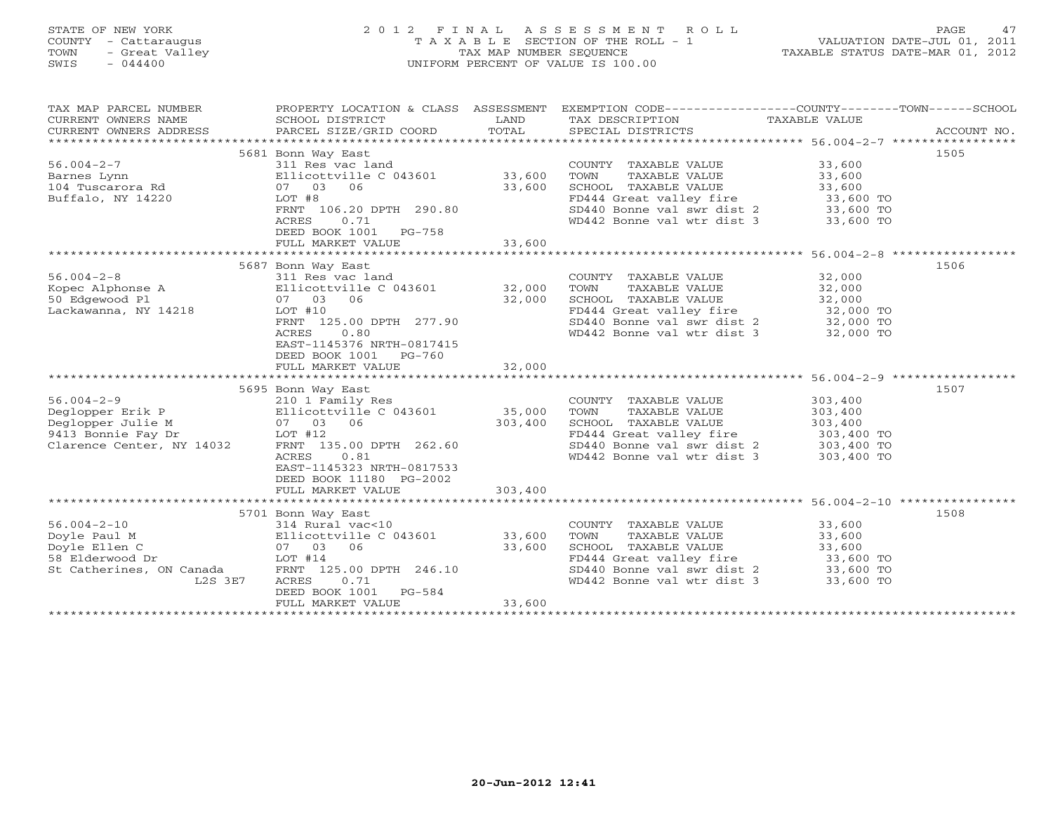# STATE OF NEW YORK 2 0 1 2 F I N A L A S S E S S M E N T R O L L PAGE 47 COUNTY - Cattaraugus T A X A B L E SECTION OF THE ROLL - 1 VALUATION DATE-JUL 01, 2011 TOWN - Great Valley TAX MAP NUMBER SEQUENCE TAXABLE STATUS DATE-MAR 01, 2012 SWIS - 044400 UNIFORM PERCENT OF VALUE IS 100.00UNIFORM PERCENT OF VALUE IS 100.00

| TAX MAP PARCEL NUMBER<br>CURRENT OWNERS NAME<br>CURRENT OWNERS ADDRESS                                       | PROPERTY LOCATION & CLASS ASSESSMENT<br>SCHOOL DISTRICT<br>PARCEL SIZE/GRID COORD                                                                                                                                             | LAND<br>TOTAL              | TAX DESCRIPTION TAXABLE VALUE<br>SPECIAL DISTRICTS                                                                                                                                       | EXEMPTION CODE----------------COUNTY-------TOWN-----SCHOOL<br>ACCOUNT NO. |
|--------------------------------------------------------------------------------------------------------------|-------------------------------------------------------------------------------------------------------------------------------------------------------------------------------------------------------------------------------|----------------------------|------------------------------------------------------------------------------------------------------------------------------------------------------------------------------------------|---------------------------------------------------------------------------|
| $56.004 - 2 - 7$<br>Barnes Lynn<br>104 Tuscarora Rd<br>Buffalo, NY 14220                                     | 5681 Bonn Way East<br>311 Res vac land<br>Ellicottville C $043601$ 33,600<br>07 03 06<br>LOT #8<br>FRNT 106.20 DPTH 290.80<br>0.71<br>ACRES<br>DEED BOOK 1001<br>PG-758<br>FULL MARKET VALUE                                  | 33,600<br>33,600           | COUNTY TAXABLE VALUE<br>TOWN<br>TAXABLE VALUE<br>SCHOOL TAXABLE VALUE<br>FD444 Great valley fire<br>SD440 Bonne val swr dist 2 33,600 TO<br>WD442 Bonne val wtr dist 3                   | 1505<br>33,600<br>33,600<br>33,600<br>33,600 TO<br>33,600 TO              |
|                                                                                                              |                                                                                                                                                                                                                               |                            |                                                                                                                                                                                          |                                                                           |
| $56.004 - 2 - 8$<br>Kopec Alphonse A<br>50 Edgewood Pl<br>Lackawanna, NY 14218                               | 5687 Bonn Way East<br>311 Res vac land<br>Ellicottville C 043601 32,000<br>07 03<br>06<br>$LOT$ #10<br>FRNT 125.00 DPTH 277.90<br>0.80<br>ACRES<br>EAST-1145376 NRTH-0817415<br>DEED BOOK 1001<br>PG-760<br>FULL MARKET VALUE | 32,000<br>32,000           | COUNTY TAXABLE VALUE<br>TOWN<br>TAXABLE VALUE<br>SCHOOL TAXABLE VALUE<br>FD444 Great valley fire<br>SD440 Bonne val swr dist 2<br>WD442 Bonne val wtr dist 3                             | 1506<br>32,000<br>32,000<br>32,000<br>32,000 TO<br>32,000 TO<br>32,000 TO |
|                                                                                                              |                                                                                                                                                                                                                               |                            |                                                                                                                                                                                          |                                                                           |
| $56.004 - 2 - 9$<br>Deglopper Erik P<br>Deglopper Julie M<br>9413 Bonnie Fay Dr<br>Clarence Center, NY 14032 | 5695 Bonn Way East<br>210 1 Family Res<br>Ellicottville C 043601<br>07 03 06<br>LOT #12<br>FRNT 135.00 DPTH 262.60<br>0.81<br>ACRES<br>EAST-1145323 NRTH-0817533<br>DEED BOOK 11180 PG-2002                                   | 35,000<br>303,400          | COUNTY TAXABLE VALUE<br>TOWN<br>TAXABLE VALUE<br>SCHOOL TAXABLE VALUE<br>FD444 Great valley fire 303,400 TO<br>$SD440$ Bonne val swr dist 2 303,400 TO<br>WD442 Bonne val wtr dist 3     | 1507<br>303,400<br>303,400<br>303,400<br>303,400 TO                       |
|                                                                                                              | FULL MARKET VALUE                                                                                                                                                                                                             | 303,400                    |                                                                                                                                                                                          |                                                                           |
|                                                                                                              |                                                                                                                                                                                                                               |                            |                                                                                                                                                                                          |                                                                           |
| $56.004 - 2 - 10$<br>Doyle Paul M<br>Doyle Ellen C<br>58 Elderwood Dr<br>St Catherines, ON Canada<br>L2S 3E7 | 5701 Bonn Way East<br>314 Rural vac<10<br>Ellicottville C 043601<br>07 03<br>06<br>LOT #14<br>FRNT 125.00 DPTH 246.10<br><b>ACRES</b><br>0.71<br>DEED BOOK 1001<br>PG-584<br>FULL MARKET VALUE                                | 33,600<br>33,600<br>33,600 | COUNTY TAXABLE VALUE<br>TOWN<br>TAXABLE VALUE<br>SCHOOL TAXABLE VALUE<br>SCHOOD finance<br>FD444 Great valley fire<br>Aist 2<br>SD440 Bonne val swr dist 2<br>WD442 Bonne val wtr dist 3 | 1508<br>33,600<br>33,600<br>33,600<br>33,600 TO<br>33,600 TO<br>33,600 TO |
|                                                                                                              |                                                                                                                                                                                                                               |                            |                                                                                                                                                                                          |                                                                           |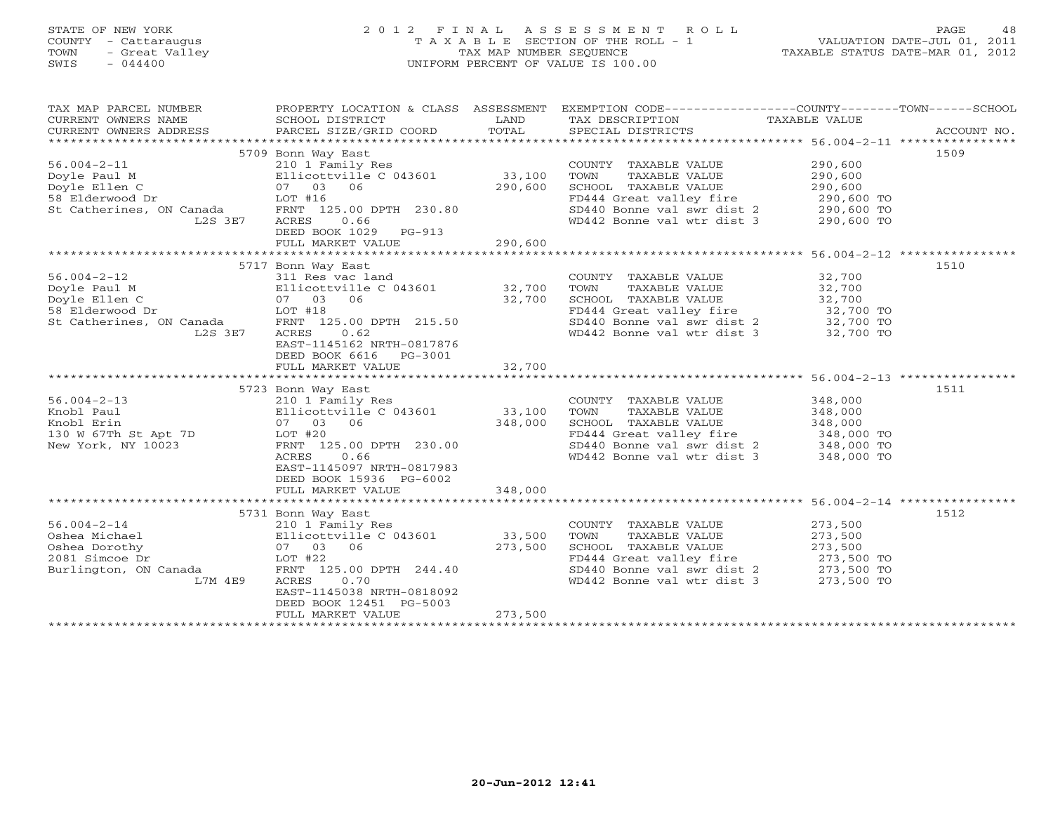## STATE OF NEW YORK 2 0 1 2 F I N A L A S S E S S M E N T R O L L PAGE 48 COUNTY - Cattaraugus T A X A B L E SECTION OF THE ROLL - 1 VALUATION DATE-JUL 01, 2011 TOWN - Great Valley TAX MAP NUMBER SEQUENCE TAXABLE STATUS DATE-MAR 01, 2012 SWIS - 044400 UNIFORM PERCENT OF VALUE IS 100.00UNIFORM PERCENT OF VALUE IS 100.00

| TAX MAP PARCEL NUMBER<br>CURRENT OWNERS NAME<br>CURRENT OWNERS ADDRESS | PROPERTY LOCATION & CLASS ASSESSMENT<br>SCHOOL DISTRICT<br>PARCEL SIZE/GRID COORD | LAND<br>TOTAL | EXEMPTION CODE-----------------COUNTY-------TOWN------SCHOOL<br>TAX DESCRIPTION TAXABLE VALUE<br>SPECIAL DISTRICTS |                     | ACCOUNT NO. |
|------------------------------------------------------------------------|-----------------------------------------------------------------------------------|---------------|--------------------------------------------------------------------------------------------------------------------|---------------------|-------------|
|                                                                        |                                                                                   |               |                                                                                                                    |                     |             |
|                                                                        | 5709 Bonn Way East                                                                |               |                                                                                                                    |                     | 1509        |
| $56.004 - 2 - 11$                                                      | 210 1 Family Res                                                                  |               | COUNTY TAXABLE VALUE                                                                                               | 290,600             |             |
| Doyle Paul M                                                           | Ellicottville C 043601                                                            | 33,100        | TOWN<br>TAXABLE VALUE                                                                                              | 290,600             |             |
| Doyle Ellen C                                                          | 07 03 06                                                                          | 290,600       | SCHOOL TAXABLE VALUE                                                                                               | 290,600             |             |
| 58 Elderwood Dr                                                        | $LOT$ #16                                                                         |               | FD444 Great valley fire                                                                                            | 290,600 TO          |             |
| St Catherines, ON Canada                                               | FRNT 125.00 DPTH 230.80                                                           |               | $SD440$ Bonne val swr dist 2 290,600 TO                                                                            |                     |             |
| L2S 3E7                                                                | ACRES<br>0.66                                                                     |               | WD442 Bonne val wtr dist 3                                                                                         |                     |             |
|                                                                        |                                                                                   |               |                                                                                                                    | 290,600 TO          |             |
|                                                                        | DEED BOOK 1029<br>$PG-913$                                                        |               |                                                                                                                    |                     |             |
|                                                                        | FULL MARKET VALUE                                                                 | 290,600       |                                                                                                                    |                     |             |
|                                                                        |                                                                                   |               |                                                                                                                    |                     |             |
|                                                                        | 5717 Bonn Way East                                                                |               |                                                                                                                    |                     | 1510        |
| $56.004 - 2 - 12$                                                      | 311 Res vac land                                                                  |               | COUNTY TAXABLE VALUE                                                                                               | 32,700              |             |
| Doyle Paul M                                                           | Ellicottville C $043601$ 32,700                                                   |               | TOWN<br>TAXABLE VALUE                                                                                              | 32,700              |             |
| Doyle Ellen C                                                          | 07 03 06                                                                          | 32,700        | SCHOOL TAXABLE VALUE                                                                                               |                     |             |
| 58 Elderwood Dr                                                        | $LOT$ #18                                                                         |               | FD444 Great valley fire                                                                                            | 32,700<br>32,700 TO |             |
| St Catherines, ON Canada                                               | FRNT 125.00 DPTH 215.50                                                           |               |                                                                                                                    |                     |             |
| L2S 3E7                                                                | 0.62                                                                              |               | SD440 Bonne val swr dist 2 32,700 TO<br>WD442 Bonne val wtr dist 3                                                 |                     |             |
|                                                                        | ACRES                                                                             |               |                                                                                                                    | 32,700 TO           |             |
|                                                                        | EAST-1145162 NRTH-0817876                                                         |               |                                                                                                                    |                     |             |
|                                                                        | DEED BOOK 6616 PG-3001                                                            |               |                                                                                                                    |                     |             |
|                                                                        | FULL MARKET VALUE                                                                 | 32,700        |                                                                                                                    |                     |             |
|                                                                        |                                                                                   |               |                                                                                                                    |                     |             |
|                                                                        | 5723 Bonn Way East                                                                |               |                                                                                                                    |                     | 1511        |
| $56.004 - 2 - 13$                                                      | 210 1 Family Res                                                                  |               | COUNTY TAXABLE VALUE                                                                                               | 348,000             |             |
| Knobl Paul                                                             | Ellicottville C 043601                                                            | 33,100        | TOWN<br>TAXABLE VALUE                                                                                              | 348,000             |             |
| Knobl Erin                                                             | 07 03 06                                                                          | 348,000       | SCHOOL TAXABLE VALUE                                                                                               | 348,000             |             |
| 130 W 67Th St Apt 7D                                                   | LOT #20                                                                           |               |                                                                                                                    |                     |             |
| New York, NY 10023                                                     | FRNT 125.00 DPTH 230.00                                                           |               | FD444 Great valley fire 348,000 TO<br>SD440 Bonne val swr dist 2 348,000 TO                                        |                     |             |
|                                                                        | ACRES<br>0.66                                                                     |               | WD442 Bonne val wtr dist 3                                                                                         | 348,000 TO          |             |
|                                                                        | EAST-1145097 NRTH-0817983                                                         |               |                                                                                                                    |                     |             |
|                                                                        |                                                                                   |               |                                                                                                                    |                     |             |
|                                                                        | DEED BOOK 15936 PG-6002                                                           |               |                                                                                                                    |                     |             |
|                                                                        | FULL MARKET VALUE                                                                 | 348,000       |                                                                                                                    |                     |             |
|                                                                        |                                                                                   |               |                                                                                                                    |                     |             |
|                                                                        | 5731 Bonn Way East                                                                |               |                                                                                                                    |                     | 1512        |
| $56.004 - 2 - 14$                                                      | 210 1 Family Res                                                                  |               | COUNTY TAXABLE VALUE                                                                                               | 273,500             |             |
| Oshea Michael                                                          | Ellicottville C 043601                                                            | 33,500        | TOWN<br>TAXABLE VALUE                                                                                              | 273,500             |             |
| Oshea Dorothy                                                          | 07 03 06                                                                          | 273,500       | SCHOOL TAXABLE VALUE                                                                                               | 273,500             |             |
| 2081 Simcoe Dr                                                         | $LOT$ #22                                                                         |               | FD444 Great valley fire 273,500 TO                                                                                 |                     |             |
| Burlington, ON Canada                                                  | FRNT 125.00 DPTH 244.40                                                           |               |                                                                                                                    |                     |             |
|                                                                        | 0.70                                                                              |               | SD440 Bonne val swr dist 2 273,500 TO<br>WD442 Bonne val wtr dist 3 273.500 TO<br>WD442 Bonne val wtr dist 3       |                     |             |
| L7M 4E9                                                                | ACRES                                                                             |               |                                                                                                                    | 273,500 TO          |             |
|                                                                        | EAST-1145038 NRTH-0818092                                                         |               |                                                                                                                    |                     |             |
|                                                                        | DEED BOOK 12451 PG-5003                                                           |               |                                                                                                                    |                     |             |
|                                                                        | FULL MARKET VALUE                                                                 | 273,500       |                                                                                                                    |                     |             |
|                                                                        |                                                                                   |               |                                                                                                                    |                     |             |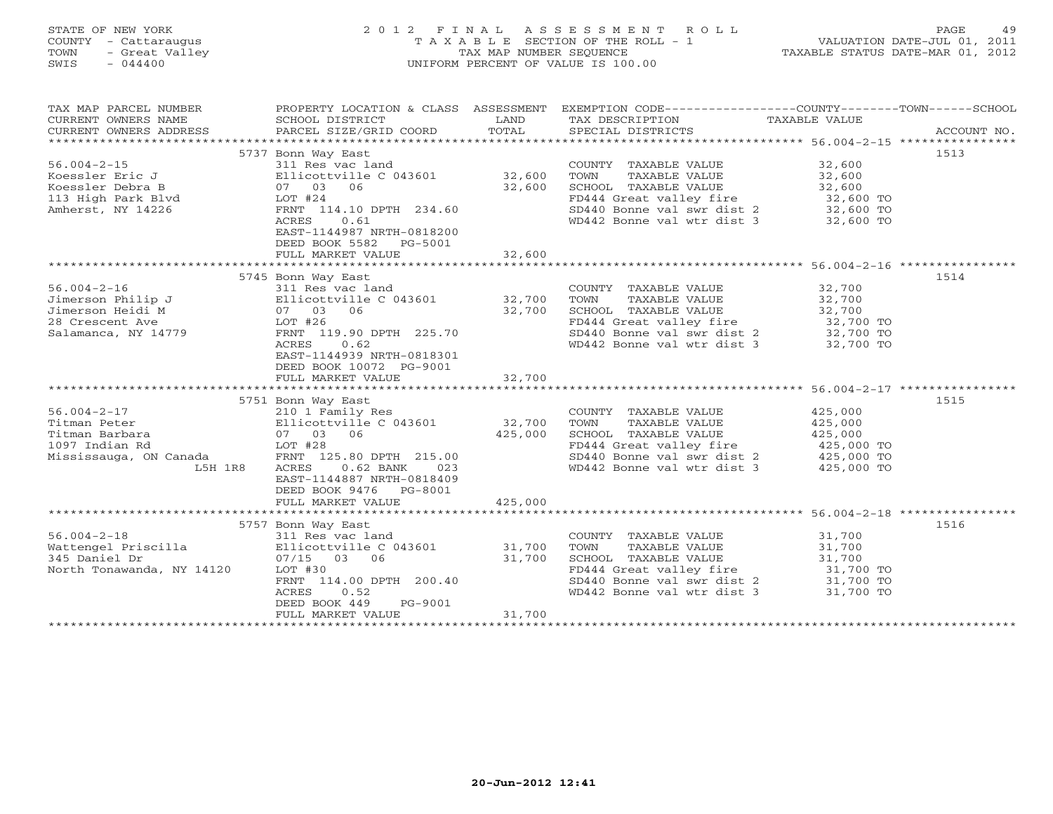# STATE OF NEW YORK 2 0 1 2 F I N A L A S S E S S M E N T R O L L PAGE 49 COUNTY - Cattaraugus T A X A B L E SECTION OF THE ROLL - 1 VALUATION DATE-JUL 01, 2011 TOWN - Great Valley TAX MAP NUMBER SEQUENCE TAXABLE STATUS DATE-MAR 01, 2012 SWIS - 044400 UNIFORM PERCENT OF VALUE IS 100.00UNIFORM PERCENT OF VALUE IS 100.00

| TAX MAP PARCEL NUMBER<br>CURRENT OWNERS NAME<br>CURRENT OWNERS ADDRESS | SCHOOL DISTRICT<br>PARCEL SIZE/GRID COORD                                                               | LAND<br>TOTAL     | PROPERTY LOCATION & CLASS ASSESSMENT EXEMPTION CODE---------------COUNTY-------TOWN------SCHOOL<br>TAX DESCRIPTION<br>SPECIAL DISTRICTS | TAXABLE VALUE            | ACCOUNT NO. |
|------------------------------------------------------------------------|---------------------------------------------------------------------------------------------------------|-------------------|-----------------------------------------------------------------------------------------------------------------------------------------|--------------------------|-------------|
|                                                                        |                                                                                                         |                   |                                                                                                                                         |                          |             |
| $56.004 - 2 - 15$                                                      | 5737 Bonn Way East<br>311 Res vac land                                                                  |                   | COUNTY TAXABLE VALUE                                                                                                                    | 32,600                   | 1513        |
| Koessler Eric J                                                        | Ellicottville C 043601                                                                                  | 32,600            | TOWN<br>TAXABLE VALUE                                                                                                                   | 32,600                   |             |
| Koessler Debra B                                                       | 07 03<br>06                                                                                             | 32,600            | SCHOOL TAXABLE VALUE                                                                                                                    | 32,600                   |             |
| 113 High Park Blvd                                                     | $LOT$ #24                                                                                               |                   | FD444 Great valley fire                                                                                                                 | 32,600 TO                |             |
| Amherst, NY 14226                                                      | FRNT 114.10 DPTH 234.60                                                                                 |                   | SD440 Bonne val swr dist 2                                                                                                              | 32,600 TO                |             |
|                                                                        | <b>ACRES</b><br>0.61<br>EAST-1144987 NRTH-0818200<br>DEED BOOK 5582<br>PG-5001                          |                   | WD442 Bonne val wtr dist 3                                                                                                              | 32,600 TO                |             |
|                                                                        | FULL MARKET VALUE                                                                                       | 32,600            |                                                                                                                                         |                          |             |
|                                                                        |                                                                                                         |                   |                                                                                                                                         |                          |             |
|                                                                        | 5745 Bonn Way East                                                                                      |                   |                                                                                                                                         |                          | 1514        |
| $56.004 - 2 - 16$                                                      | 311 Res vac land                                                                                        |                   | COUNTY TAXABLE VALUE                                                                                                                    | 32,700                   |             |
| Jimerson Philip J                                                      | Ellicottville C 043601 32,700                                                                           |                   | TOWN<br>TAXABLE VALUE                                                                                                                   | 32,700                   |             |
| Jimerson Heidi M                                                       | 07 03 06                                                                                                | 32,700            | SCHOOL TAXABLE VALUE                                                                                                                    | 32,700                   |             |
| 28 Crescent Ave                                                        | LOT #26                                                                                                 |                   | FD444 Great valley fire                                                                                                                 | 32,700 TO                |             |
| Salamanca, NY 14779                                                    | FRNT 119.90 DPTH 225.70                                                                                 |                   | SD440 Bonne val swr dist 2                                                                                                              | 32,700 TO<br>$32,700$ TO |             |
|                                                                        | 0.62<br>ACRES<br>EAST-1144939 NRTH-0818301<br>DEED BOOK 10072 PG-9001                                   |                   | WD442 Bonne val wtr dist 3                                                                                                              |                          |             |
|                                                                        | FULL MARKET VALUE                                                                                       | 32,700            |                                                                                                                                         |                          |             |
|                                                                        |                                                                                                         |                   |                                                                                                                                         |                          |             |
| $56.004 - 2 - 17$                                                      | 5751 Bonn Way East                                                                                      |                   |                                                                                                                                         |                          | 1515        |
|                                                                        | 210 1 Family Res                                                                                        |                   | COUNTY TAXABLE VALUE                                                                                                                    | 425,000                  |             |
| Titman Peter                                                           | Ellicottville C 043601                                                                                  | 32,700<br>425,000 | TOWN<br>TAXABLE VALUE                                                                                                                   | 425,000                  |             |
| Titman Barbara                                                         | 07 03 06                                                                                                |                   | SCHOOL TAXABLE VALUE                                                                                                                    | 425,000                  |             |
| 1097 Indian Rd                                                         | LOT #28                                                                                                 |                   | FD444 Great valley fire                                                                                                                 | 425,000 TO               |             |
| Mississauga, ON Canada                                                 | FRNT 125.80 DPTH 215.00                                                                                 |                   | SD440 Bonne val swr dist 2                                                                                                              | 425,000 TO               |             |
| L5H 1R8                                                                | ACRES<br>$0.62$ BANK<br>023<br>EAST-1144887 NRTH-0818409<br>DEED BOOK 9476 PG-8001<br>FULL MARKET VALUE | 425,000           | WD442 Bonne val wtr dist 3                                                                                                              | 425,000 TO               |             |
|                                                                        |                                                                                                         |                   |                                                                                                                                         |                          |             |
|                                                                        | 5757 Bonn Way East                                                                                      |                   |                                                                                                                                         |                          | 1516        |
| $56.004 - 2 - 18$                                                      | 311 Res vac land                                                                                        |                   | COUNTY TAXABLE VALUE                                                                                                                    | 31,700                   |             |
| Wattengel Priscilla                                                    | Ellicottville C 043601                                                                                  | 31,700            | TOWN<br>TAXABLE VALUE                                                                                                                   | 31,700                   |             |
| 345 Daniel Dr                                                          | $07/15$ 03<br>06                                                                                        | 31,700            | SCHOOL TAXABLE VALUE                                                                                                                    | 31,700                   |             |
| North Tonawanda, NY 14120                                              | LOT #30                                                                                                 |                   | FD444 Great valley fire                                                                                                                 | 31,700 TO                |             |
|                                                                        | FRNT 114.00 DPTH 200.40                                                                                 |                   | SD440 Bonne val swr dist 2                                                                                                              | 31,700 TO                |             |
|                                                                        | ACRES<br>0.52<br>DEED BOOK 449<br>PG-9001<br>FULL MARKET VALUE                                          | 31,700            | WD442 Bonne val wtr dist 3                                                                                                              | 31,700 TO                |             |
|                                                                        |                                                                                                         |                   |                                                                                                                                         |                          |             |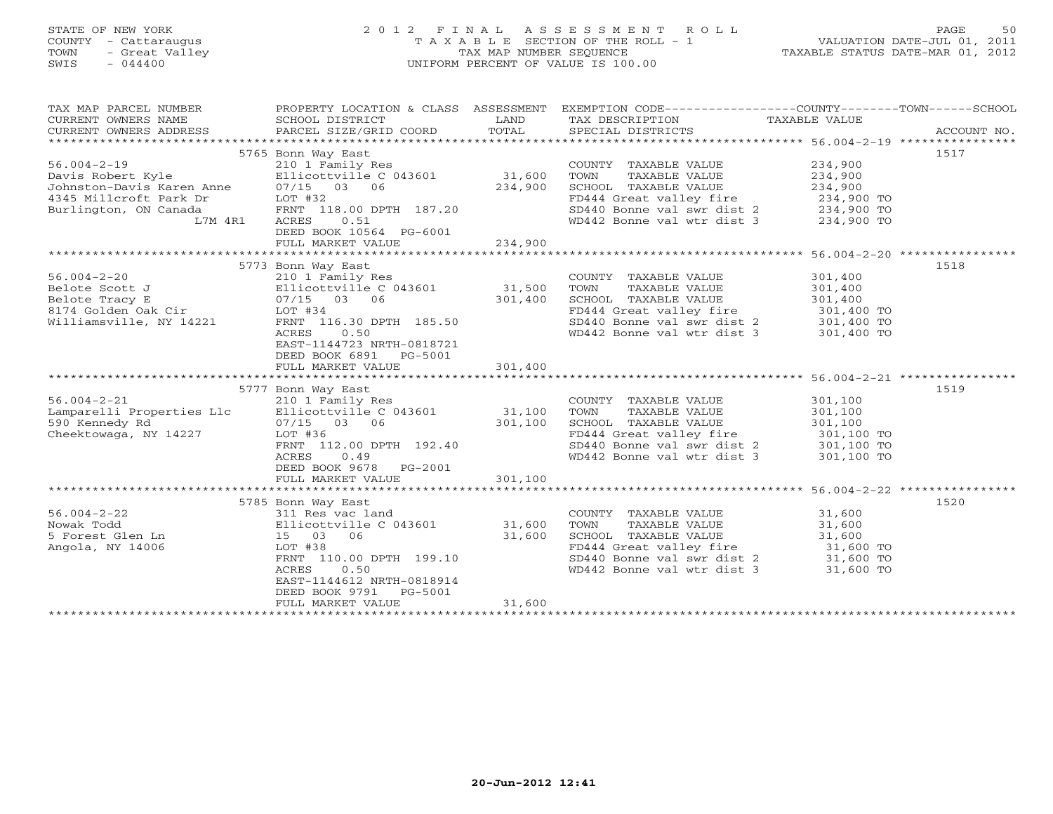## STATE OF NEW YORK 2 0 1 2 F I N A L A S S E S S M E N T R O L L PAGE 50 COUNTY - Cattaraugus T A X A B L E SECTION OF THE ROLL - 1 VALUATION DATE-JUL 01, 2011 TOWN - Great Valley TAX MAP NUMBER SEQUENCE TAXABLE STATUS DATE-MAR 01, 2012 SWIS - 044400 UNIFORM PERCENT OF VALUE IS 100.00UNIFORM PERCENT OF VALUE IS 100.00

| TAX MAP PARCEL NUMBER<br>CURRENT OWNERS NAME<br>CURRENT OWNERS ADDRESS | PROPERTY LOCATION & CLASS ASSESSMENT<br>SCHOOL DISTRICT<br>PARCEL SIZE/GRID COORD | LAND<br>TOTAL | EXEMPTION CODE-----------------COUNTY-------TOWN------SCHOOL<br>TAX DESCRIPTION<br>SPECIAL DISTRICTS | TAXABLE VALUE | ACCOUNT NO. |
|------------------------------------------------------------------------|-----------------------------------------------------------------------------------|---------------|------------------------------------------------------------------------------------------------------|---------------|-------------|
| *************************                                              |                                                                                   |               |                                                                                                      |               |             |
|                                                                        | 5765 Bonn Way East                                                                |               |                                                                                                      |               | 1517        |
| $56.004 - 2 - 19$                                                      | 210 1 Family Res                                                                  |               | COUNTY TAXABLE VALUE                                                                                 | 234,900       |             |
| Davis Robert Kyle                                                      | Ellicottville C 043601                                                            | 31,600        | TOWN<br>TAXABLE VALUE                                                                                | 234,900       |             |
| Johnston-Davis Karen Anne                                              | 07/15 03 06                                                                       | 234,900       | SCHOOL TAXABLE VALUE                                                                                 | 234,900       |             |
| 4345 Millcroft Park Dr                                                 | LOT #32                                                                           |               | FD444 Great valley fire                                                                              | 234,900 TO    |             |
| Burlington, ON Canada                                                  | FRNT 118.00 DPTH 187.20                                                           |               | SD440 Bonne val swr dist 2                                                                           | 234,900 TO    |             |
| L7M 4R1                                                                | 0.51<br>ACRES                                                                     |               | WD442 Bonne val wtr dist 3                                                                           | 234,900 TO    |             |
|                                                                        | DEED BOOK 10564 PG-6001                                                           |               |                                                                                                      |               |             |
|                                                                        | FULL MARKET VALUE                                                                 | 234,900       |                                                                                                      |               |             |
|                                                                        |                                                                                   |               |                                                                                                      |               |             |
|                                                                        | 5773 Bonn Way East                                                                |               |                                                                                                      |               | 1518        |
| $56.004 - 2 - 20$                                                      | 210 1 Family Res                                                                  |               | COUNTY TAXABLE VALUE                                                                                 | 301,400       |             |
| Belote Scott J                                                         | Ellicottville C 043601                                                            | 31,500        | TOWN<br>TAXABLE VALUE                                                                                | 301,400       |             |
| Belote Tracy E                                                         | $07/15$ 03 06                                                                     | 301,400       | SCHOOL TAXABLE VALUE                                                                                 | 301,400       |             |
| 8174 Golden Oak Cir                                                    | $LOT$ #34                                                                         |               | FD444 Great valley fire                                                                              | 301,400 TO    |             |
| Williamsville, NY 14221                                                | FRNT 116.30 DPTH 185.50                                                           |               | SD440 Bonne val swr dist 2                                                                           | 301,400 TO    |             |
|                                                                        | ACRES<br>0.50                                                                     |               | WD442 Bonne val wtr dist 3                                                                           | 301,400 TO    |             |
|                                                                        | EAST-1144723 NRTH-0818721                                                         |               |                                                                                                      |               |             |
|                                                                        | DEED BOOK 6891 PG-5001                                                            |               |                                                                                                      |               |             |
|                                                                        | FULL MARKET VALUE                                                                 | 301,400       |                                                                                                      |               |             |
|                                                                        |                                                                                   |               |                                                                                                      |               |             |
|                                                                        | 5777 Bonn Way East                                                                |               |                                                                                                      |               | 1519        |
| $56.004 - 2 - 21$                                                      | 210 1 Family Res                                                                  |               | COUNTY TAXABLE VALUE                                                                                 | 301,100       |             |
| Lamparelli Properties Llc                                              | Ellicottville C 043601                                                            | 31,100        | TOWN<br>TAXABLE VALUE                                                                                | 301,100       |             |
| 590 Kennedy Rd                                                         | 07/15 03 06                                                                       | 301,100       | SCHOOL TAXABLE VALUE                                                                                 | 301,100       |             |
| Cheektowaga, NY 14227                                                  | LOT #36                                                                           |               | FD444 Great valley fire                                                                              | 301,100 TO    |             |
|                                                                        | FRNT 112.00 DPTH 192.40                                                           |               | SD440 Bonne val swr dist 2                                                                           | 301,100 TO    |             |
|                                                                        | 0.49<br>ACRES                                                                     |               | WD442 Bonne val wtr dist 3                                                                           | 301,100 TO    |             |
|                                                                        | DEED BOOK 9678 PG-2001                                                            |               |                                                                                                      |               |             |
|                                                                        | FULL MARKET VALUE                                                                 | 301,100       |                                                                                                      |               |             |
|                                                                        | 5785 Bonn Way East                                                                |               |                                                                                                      |               | 1520        |
| $56.004 - 2 - 22$                                                      | 311 Res vac land                                                                  |               | COUNTY TAXABLE VALUE                                                                                 | 31,600        |             |
| Nowak Todd                                                             | Ellicottville C 043601                                                            | 31,600        | TOWN<br>TAXABLE VALUE                                                                                | 31,600        |             |
| 5 Forest Glen Ln                                                       | 15 03<br>06                                                                       | 31,600        | SCHOOL TAXABLE VALUE                                                                                 | 31,600        |             |
| Angola, NY 14006                                                       | LOT #38                                                                           |               | FD444 Great valley fire                                                                              | 31,600 TO     |             |
|                                                                        | FRNT 110.00 DPTH 199.10                                                           |               | SD440 Bonne val swr dist 2                                                                           | 31,600 TO     |             |
|                                                                        | 0.50<br>ACRES                                                                     |               | WD442 Bonne val wtr dist 3                                                                           | 31,600 TO     |             |
|                                                                        | EAST-1144612 NRTH-0818914                                                         |               |                                                                                                      |               |             |
|                                                                        | DEED BOOK 9791<br>PG-5001                                                         |               |                                                                                                      |               |             |
|                                                                        | FULL MARKET VALUE                                                                 | 31,600        |                                                                                                      |               |             |
|                                                                        |                                                                                   |               |                                                                                                      |               |             |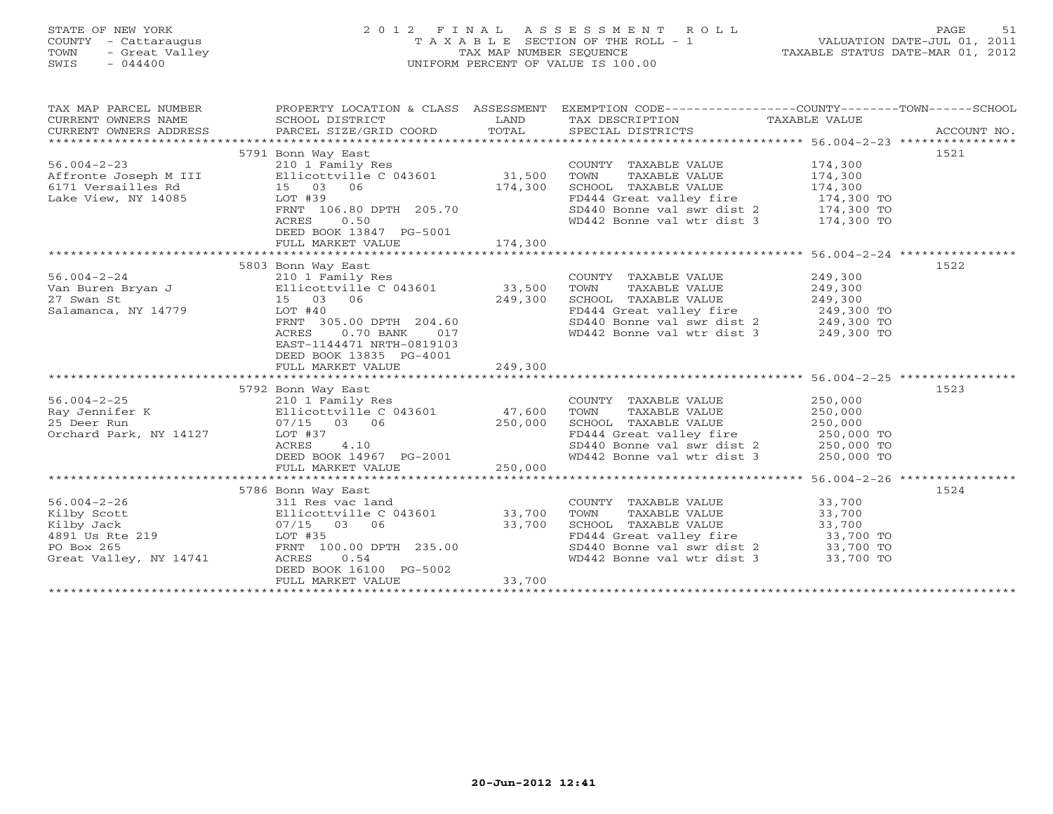# STATE OF NEW YORK 2 0 1 2 F I N A L A S S E S S M E N T R O L L PAGE 51 COUNTY - Cattaraugus T A X A B L E SECTION OF THE ROLL - 1 VALUATION DATE-JUL 01, 2011 TOWN - Great Valley TAX MAP NUMBER SEQUENCE TAXABLE STATUS DATE-MAR 01, 2012 SWIS - 044400 UNIFORM PERCENT OF VALUE IS 100.00UNIFORM PERCENT OF VALUE IS 100.00

| TAX MAP PARCEL NUMBER                               | PROPERTY LOCATION & CLASS ASSESSMENT                                    |         | EXEMPTION CODE-----------------COUNTY-------TOWN------SCHOOL                |                            |      |
|-----------------------------------------------------|-------------------------------------------------------------------------|---------|-----------------------------------------------------------------------------|----------------------------|------|
|                                                     | 5791 Bonn Way East                                                      |         |                                                                             |                            | 1521 |
| $56.004 - 2 - 23$                                   | 210 1 Family Res                                                        |         | COUNTY TAXABLE VALUE                                                        | 174,300                    |      |
| Affronte Joseph M III Ellicottville C 043601 31,500 |                                                                         |         | TOWN<br>TAXABLE VALUE                                                       | 174,300                    |      |
| 6171 Versailles Rd                                  | 15 03 06                                                                |         | SCHOOL TAXABLE VALUE                                                        | 174,300                    |      |
| Lake View, NY 14085                                 | $LOT$ #39                                                               | 174,300 |                                                                             | $174,300$ TO               |      |
|                                                     | LOT #39<br>FRNT 106.80 DPTH 205.70                                      |         | FD444 Great valley fire 174,300 TO<br>SD440 Bonne val swr dist 2 174,300 TO |                            |      |
|                                                     | 0.50<br>ACRES                                                           |         | WD442 Bonne val wtr dist 3 174,300 TO                                       |                            |      |
|                                                     | DEED BOOK 13847 PG-5001                                                 |         |                                                                             |                            |      |
|                                                     | FULL MARKET VALUE                                                       | 174,300 |                                                                             |                            |      |
|                                                     |                                                                         |         |                                                                             |                            |      |
|                                                     | 5803 Bonn Way East                                                      |         |                                                                             |                            | 1522 |
| $56.004 - 2 - 24$                                   | 210 1 Family Res                                                        |         | COUNTY TAXABLE VALUE                                                        | 249,300                    |      |
| Van Buren Bryan J Ellicottville C 043601 33,500     |                                                                         |         | TOWN<br>TAXABLE VALUE                                                       | 249,300                    |      |
| 27 Swan St                                          | 15 03 06                                                                | 249,300 | SCHOOL TAXABLE VALUE                                                        | 249,300                    |      |
| Salamanca, NY 14779                                 | LOT #40                                                                 |         | FD444 Great valley fire                                                     | $249,300$ TO<br>249,300 TO |      |
|                                                     | FRNT 305.00 DPTH 204.60                                                 |         | $SD440$ Bonne val swr dist 2 249,300 TO                                     |                            |      |
|                                                     | ACRES<br>$0.70$ BANK<br>017                                             |         | WD442 Bonne val wtr dist 3 249,300 TO                                       |                            |      |
|                                                     | EAST-1144471 NRTH-0819103                                               |         |                                                                             |                            |      |
|                                                     | DEED BOOK 13835 PG-4001                                                 |         |                                                                             |                            |      |
|                                                     | FULL MARKET VALUE                                                       | 249,300 |                                                                             |                            |      |
|                                                     |                                                                         |         |                                                                             |                            |      |
|                                                     | 5792 Bonn Way East                                                      |         |                                                                             |                            | 1523 |
| $56.004 - 2 - 25$                                   | 210 1 Family Res                                                        |         | COUNTY TAXABLE VALUE                                                        | 250,000                    |      |
| Ray Jennifer K                                      | 210 1 Family Res<br>Ellicottville C 043601 (27,600)<br>250 000 (26,000) |         | TOWN<br>TAXABLE VALUE                                                       | 250,000                    |      |
| 25 Deer Run                                         | 07/15 03 06                                                             | 250,000 | SCHOOL TAXABLE VALUE                                                        | 250,000                    |      |
| Orchard Park, NY 14127                              | LOT #37                                                                 |         | FD444 Great valley fire 250,000 TO                                          |                            |      |
|                                                     | 4.10<br>ACRES                                                           |         | SD440 Bonne val swr dist 2 250,000 TO                                       |                            |      |
|                                                     | DEED BOOK 14967 PG-2001                                                 |         | WD442 Bonne val wtr dist 3                                                  | 250,000 TO                 |      |
|                                                     | FULL MARKET VALUE                                                       | 250,000 |                                                                             |                            |      |
|                                                     |                                                                         |         |                                                                             |                            |      |
|                                                     | 5786 Bonn Way East                                                      |         |                                                                             |                            | 1524 |
| $56.004 - 2 - 26$                                   | 311 Res vac land                                                        |         | COUNTY TAXABLE VALUE                                                        | 33,700                     |      |
| Kilby Scott                                         | Ellicottville C 043601 33,700                                           |         | TAXABLE VALUE<br>TOWN                                                       | 33,700                     |      |
| Kilby Jack                                          | 07/15 03 06                                                             | 33,700  |                                                                             |                            |      |
| 4891 Us Rte 219                                     | LOT #35                                                                 |         | SCHOOL TAXABLE VALUE 33,700<br>FD444 Great valley fire 33,700 TO            |                            |      |
| 219<br>PO Box 265                                   | FRNT 100.00 DPTH 235.00                                                 |         | $SD440$ Bonne val swr dist 2 33,700 TO                                      |                            |      |
| Great Valley, NY 14741                              | ACRES<br>0.54                                                           |         | WD442 Bonne val wtr dist 3 33,700 TO                                        |                            |      |
|                                                     | DEED BOOK 16100 PG-5002                                                 |         |                                                                             |                            |      |
|                                                     | FULL MARKET VALUE                                                       | 33,700  |                                                                             |                            |      |
|                                                     |                                                                         |         |                                                                             |                            |      |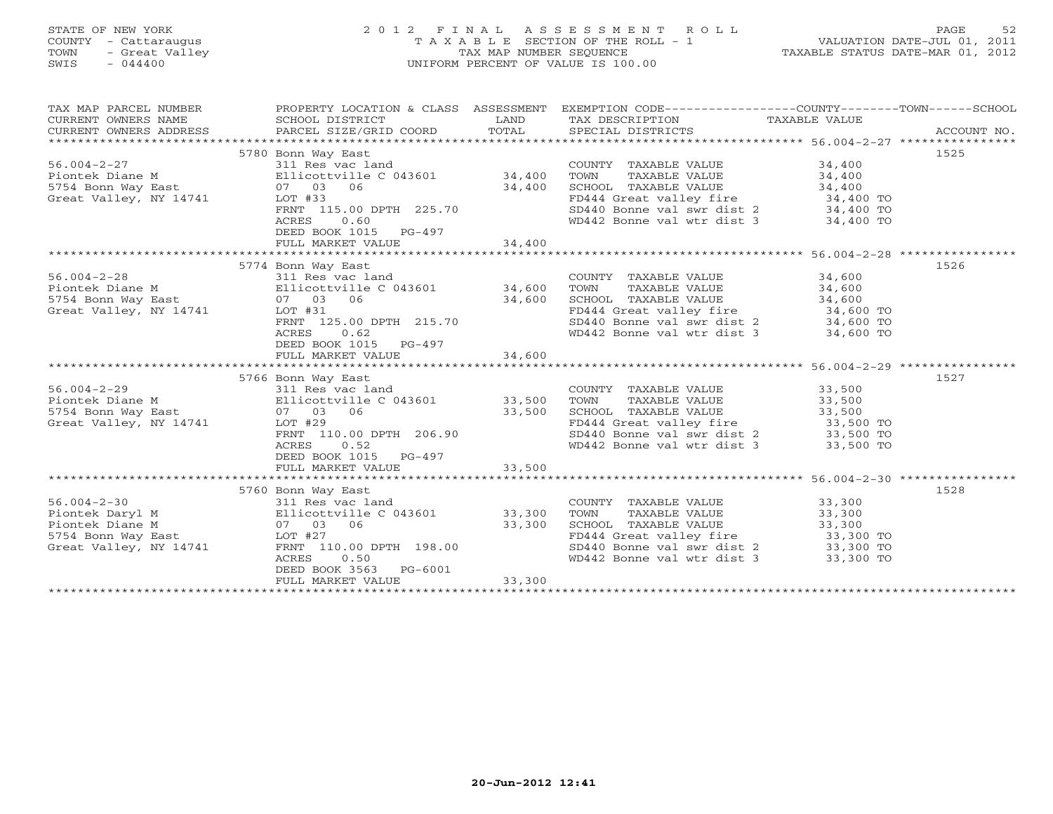# STATE OF NEW YORK 2 0 1 2 F I N A L A S S E S S M E N T R O L L PAGE 52 COUNTY - Cattaraugus T A X A B L E SECTION OF THE ROLL - 1 VALUATION DATE-JUL 01, 2011 TOWN - Great Valley TAX MAP NUMBER SEQUENCE TAXABLE STATUS DATE-MAR 01, 2012 SWIS - 044400 UNIFORM PERCENT OF VALUE IS 100.00UNIFORM PERCENT OF VALUE IS 100.00

| TAX MAP PARCEL NUMBER<br>CURRENT OWNERS NAME<br>CURRENT OWNERS ADDRESS | SCHOOL DISTRICT<br>PARCEL SIZE/GRID COORD         | LAND<br>TOTAL | PROPERTY LOCATION & CLASS ASSESSMENT EXEMPTION CODE----------------COUNTY-------TOWN------SCHOOL<br>TAX DESCRIPTION TAXABLE VALUE<br>SPECIAL DISTRICTS |           | ACCOUNT NO. |
|------------------------------------------------------------------------|---------------------------------------------------|---------------|--------------------------------------------------------------------------------------------------------------------------------------------------------|-----------|-------------|
|                                                                        |                                                   |               |                                                                                                                                                        |           |             |
|                                                                        | 5780 Bonn Way East                                |               |                                                                                                                                                        |           | 1525        |
|                                                                        |                                                   |               | COUNTY TAXABLE VALUE                                                                                                                                   | 34,400    |             |
|                                                                        |                                                   |               | TOWN<br>TAXABLE VALUE                                                                                                                                  | 34,400    |             |
| 5754 Bonn Way East 67 07 03 06                                         |                                                   | 34,400        | SCHOOL TAXABLE VALUE                                                                                                                                   | 34,400    |             |
| Great Valley, NY 14741                                                 | LOT #33                                           |               | FD444 Great valley fire 34,400 TO<br>SD440 Bonne val swr dist 2 34,400 TO                                                                              |           |             |
|                                                                        | FRNT 115.00 DPTH 225.70                           |               |                                                                                                                                                        |           |             |
|                                                                        | 0.60<br>ACRES                                     |               | WD442 Bonne val wtr dist 3 34,400 TO                                                                                                                   |           |             |
|                                                                        | DEED BOOK 1015 PG-497                             |               |                                                                                                                                                        |           |             |
|                                                                        | FULL MARKET VALUE                                 | 34,400        |                                                                                                                                                        |           |             |
|                                                                        |                                                   |               |                                                                                                                                                        |           |             |
|                                                                        | 5774 Bonn Way East<br>311 Res vac land            |               |                                                                                                                                                        |           | 1526        |
| $56.004 - 2 - 28$                                                      | Piontek Diane M Ellicottville C 043601 34,600     |               | COUNTY TAXABLE VALUE                                                                                                                                   | 34,600    |             |
| Plonter Didney --<br>5754 Bonn Way East                                | 07 03 06                                          |               | TOWN<br>TAXABLE VALUE                                                                                                                                  | 34,600    |             |
| Great Valley, NY 14741                                                 | LOT #31                                           | 34,600        |                                                                                                                                                        |           |             |
|                                                                        | FRNT 125.00 DPTH 215.70                           |               | SCHOOL TAXABLE VALUE 34,600<br>FD444 Great valley fire 34,600 TO<br>SD440 Bonne val swr dist 2 34,600 TO                                               |           |             |
|                                                                        | 0.62<br>ACRES                                     |               | WD442 Bonne val wtr dist 3 34,600 TO                                                                                                                   |           |             |
|                                                                        | DEED BOOK 1015 PG-497                             |               |                                                                                                                                                        |           |             |
|                                                                        | FULL MARKET VALUE                                 | 34,600        |                                                                                                                                                        |           |             |
|                                                                        |                                                   |               |                                                                                                                                                        |           |             |
|                                                                        | 5766 Bonn Way East                                |               |                                                                                                                                                        |           | 1527        |
| $56.004 - 2 - 29$                                                      | 311 Res vac land                                  |               | COUNTY TAXABLE VALUE                                                                                                                                   | 33,500    |             |
| Piontek Diane M                                                        | 311 Res vac land<br>Ellicottville C 043601 33,500 |               | TAXABLE VALUE<br>TOWN                                                                                                                                  | 33,500    |             |
| 5754 Bonn Way East                                                     | 07 03 06                                          | 33,500        | SCHOOL TAXABLE VALUE                                                                                                                                   | 33,500    |             |
| Great Valley, NY 14741                                                 | $LOT$ #29                                         |               | FD444 Great valley fire 33,500 TO                                                                                                                      |           |             |
|                                                                        | FRNT 110.00 DPTH 206.90                           |               | SD440 Bonne val swr dist 2 33,500 TO                                                                                                                   |           |             |
|                                                                        | 0.52<br>ACRES                                     |               | WD442 Bonne val wtr dist 3                                                                                                                             | 33,500 TO |             |
|                                                                        | DEED BOOK 1015 PG-497                             |               |                                                                                                                                                        |           |             |
|                                                                        | FULL MARKET VALUE                                 | 33,500        |                                                                                                                                                        |           |             |
|                                                                        |                                                   |               |                                                                                                                                                        |           |             |
|                                                                        | 5760 Bonn Way East                                |               |                                                                                                                                                        |           | 1528        |
| $56.004 - 2 - 30$                                                      | 311 Res vac land                                  |               | COUNTY TAXABLE VALUE 33,300                                                                                                                            |           |             |
| Piontek Daryl M<br>Piontek Diane M                                     | Ellicottville C 043601 33,300<br>07 03 06 33,300  |               | TOWN<br>TAXABLE VALUE                                                                                                                                  | 33,300    |             |
| 5754 Bonn Way East LOT #27                                             |                                                   | 33,300        | SCHOOL TAXABLE VALUE<br>FD444 Great valley fire 33,300 TO                                                                                              | 33,300    |             |
| Great Valley, NY 14741                                                 | FRNT 110.00 DPTH 198.00                           |               |                                                                                                                                                        |           |             |
|                                                                        | 0.50<br>ACRES                                     |               | SD440 Bonne val swr dist $2$ 33,300 TO<br>WD442 Bonne val wtr dist 3                                                                                   | 33,300 TO |             |
|                                                                        | DEED BOOK 3563<br>PG-6001                         |               |                                                                                                                                                        |           |             |
|                                                                        | FULL MARKET VALUE                                 | 33,300        |                                                                                                                                                        |           |             |
|                                                                        |                                                   |               |                                                                                                                                                        |           |             |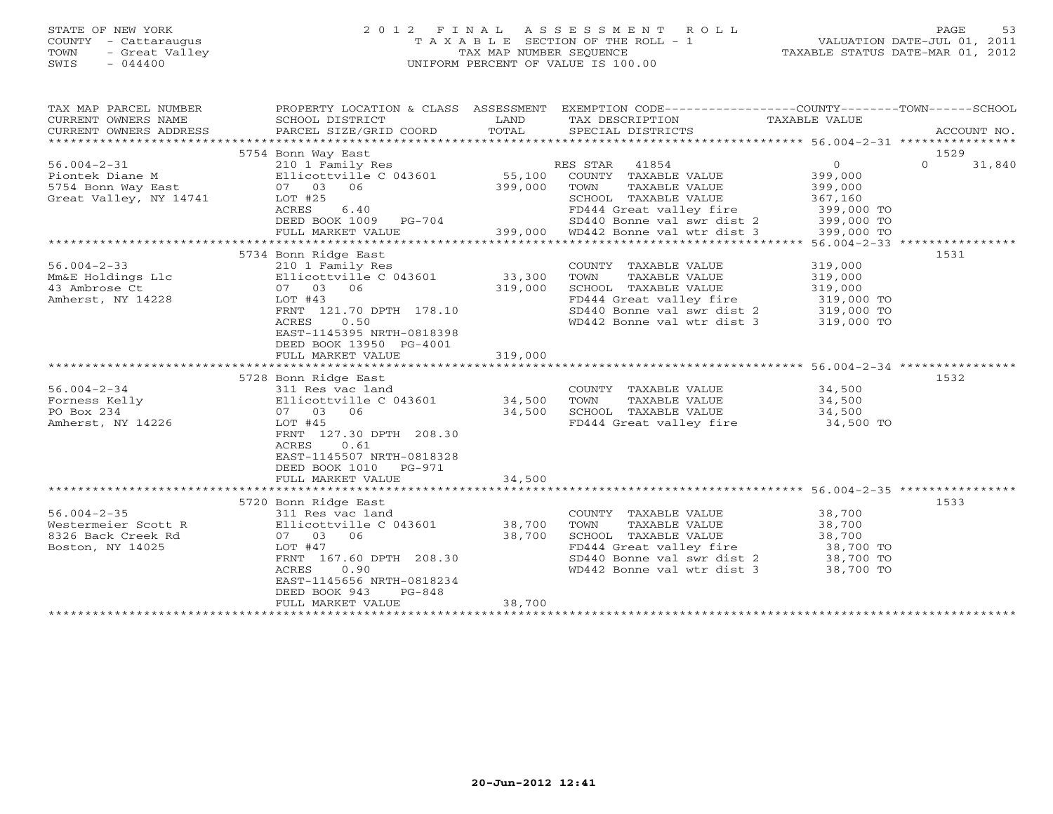# STATE OF NEW YORK 2 0 1 2 F I N A L A S S E S S M E N T R O L L PAGE 53 COUNTY - Cattaraugus T A X A B L E SECTION OF THE ROLL - 1 VALUATION DATE-JUL 01, 2011 TOWN - Great Valley TAX MAP NUMBER SEQUENCE TAXABLE STATUS DATE-MAR 01, 2012 SWIS - 044400 UNIFORM PERCENT OF VALUE IS 100.00UNIFORM PERCENT OF VALUE IS 100.00

| TAX MAP PARCEL NUMBER  | PROPERTY LOCATION & CLASS ASSESSMENT |         | EXEMPTION CODE-----------------COUNTY-------TOWN------SCHOOL                              |                  |                    |
|------------------------|--------------------------------------|---------|-------------------------------------------------------------------------------------------|------------------|--------------------|
| CURRENT OWNERS NAME    | SCHOOL DISTRICT                      | LAND    | TAX DESCRIPTION                                                                           | TAXABLE VALUE    |                    |
| CURRENT OWNERS ADDRESS | PARCEL SIZE/GRID COORD               | TOTAL   | SPECIAL DISTRICTS                                                                         |                  | ACCOUNT NO.        |
|                        |                                      |         |                                                                                           |                  |                    |
|                        | 5754 Bonn Way East                   |         |                                                                                           |                  | 1529               |
| $56.004 - 2 - 31$      | 210 1 Family Res                     |         | RES STAR 41854                                                                            | $\overline{0}$   | $\Omega$<br>31,840 |
| Piontek Diane M        | Ellicottville C 043601               | 55,100  | COUNTY TAXABLE VALUE                                                                      | 399,000          |                    |
| 5754 Bonn Way East     | 07 03 06                             | 399,000 | TOWN<br>TAXABLE VALUE                                                                     | 399,000          |                    |
| Great Valley, NY 14741 | LOT #25                              |         | SCHOOL TAXABLE VALUE                                                                      | 367,160          |                    |
|                        | ACRES<br>6.40                        |         | FD444 Great valley fire 399,000 TO                                                        |                  |                    |
|                        | DEED BOOK 1009 PG-704                |         |                                                                                           |                  |                    |
|                        | FULL MARKET VALUE                    |         | 04 5D440 Bonne val swr dist 2 399,000 TO<br>399,000 6D442 Bonne val wtr dist 3 399,000 TO |                  |                    |
|                        |                                      |         |                                                                                           |                  |                    |
|                        | 5734 Bonn Ridge East                 |         |                                                                                           |                  | 1531               |
| $56.004 - 2 - 33$      | 210 1 Family Res                     |         | COUNTY TAXABLE VALUE                                                                      | 319,000          |                    |
| Mm&E Holdings Llc      | Ellicottville C 043601               | 33,300  | TAXABLE VALUE<br>TOWN                                                                     | 319,000          |                    |
| 43 Ambrose Ct          | 07 03 06                             | 319,000 | SCHOOL TAXABLE VALUE                                                                      | 319,000          |                    |
| Amherst, NY 14228      | LOT #43                              |         | FD444 Great valley fire 319,000 TO                                                        |                  |                    |
|                        | FRNT 121.70 DPTH 178.10              |         |                                                                                           |                  |                    |
|                        | ACRES<br>0.50                        |         | $SD440$ Bonne val swr dist 2 319,000 TO<br>WD442 Bonne val wtr dist 3 319,000 TO          |                  |                    |
|                        | EAST-1145395 NRTH-0818398            |         |                                                                                           |                  |                    |
|                        | DEED BOOK 13950 PG-4001              |         |                                                                                           |                  |                    |
|                        |                                      | 319,000 |                                                                                           |                  |                    |
|                        | FULL MARKET VALUE                    |         |                                                                                           |                  |                    |
|                        |                                      |         |                                                                                           |                  |                    |
|                        | 5728 Bonn Ridge East                 |         |                                                                                           |                  | 1532               |
| $56.004 - 2 - 34$      | 311 Res vac land                     |         | COUNTY TAXABLE VALUE 34,500                                                               |                  |                    |
| Forness Kelly          | Ellicottville C 043601               | 34,500  | TAXABLE VALUE<br>TOWN                                                                     | 34,500<br>34,500 |                    |
| PO Box 234             | 07 03 06                             | 34,500  | SCHOOL TAXABLE VALUE                                                                      |                  |                    |
| Amherst, NY 14226      | $LOT$ #45                            |         | FD444 Great valley fire 34,500 TO                                                         |                  |                    |
|                        | FRNT 127.30 DPTH 208.30              |         |                                                                                           |                  |                    |
|                        | ACRES<br>0.61                        |         |                                                                                           |                  |                    |
|                        | EAST-1145507 NRTH-0818328            |         |                                                                                           |                  |                    |
|                        | DEED BOOK 1010 PG-971                |         |                                                                                           |                  |                    |
|                        | FULL MARKET VALUE                    | 34,500  |                                                                                           |                  |                    |
|                        |                                      |         |                                                                                           |                  |                    |
|                        | 5720 Bonn Ridge East                 |         |                                                                                           |                  | 1533               |
| $56.004 - 2 - 35$      | 311 Res vac land                     |         | COUNTY TAXABLE VALUE                                                                      | 38,700           |                    |
| Westermeier Scott R    | Ellicottville C 043601               | 38,700  | TOWN<br>TAXABLE VALUE                                                                     | 38,700           |                    |
| 8326 Back Creek Rd     | 07 03 06                             | 38,700  | SCHOOL TAXABLE VALUE                                                                      | 38,700           |                    |
| Boston, NY 14025       | LOT #47                              |         | FD444 Great valley fire 38,700 TO                                                         |                  |                    |
|                        | FRNT 167.60 DPTH 208.30              |         | SD440 Bonne val swr dist 2 38,700 TO<br>WD442 Bonne val wtr dist 3 38,700 TO              |                  |                    |
|                        | 0.90<br>ACRES                        |         |                                                                                           |                  |                    |
|                        | EAST-1145656 NRTH-0818234            |         |                                                                                           |                  |                    |
|                        | DEED BOOK 943<br>$PG-848$            |         |                                                                                           |                  |                    |
|                        | FULL MARKET VALUE                    | 38,700  |                                                                                           |                  |                    |
|                        |                                      |         |                                                                                           |                  |                    |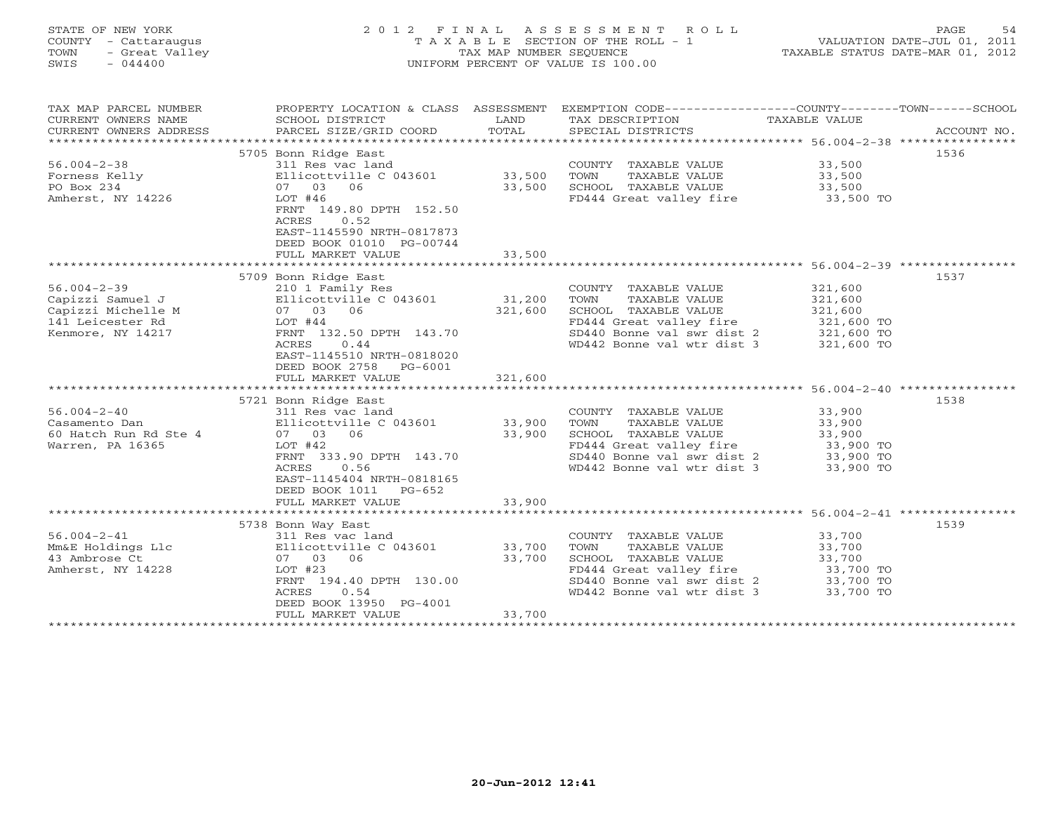## STATE OF NEW YORK 2 0 1 2 F I N A L A S S E S S M E N T R O L L PAGE 54 COUNTY - Cattaraugus T A X A B L E SECTION OF THE ROLL - 1 VALUATION DATE-JUL 01, 2011 TOWN - Great Valley TAX MAP NUMBER SEQUENCE TAXABLE STATUS DATE-MAR 01, 2012 SWIS - 044400 UNIFORM PERCENT OF VALUE IS 100.00UNIFORM PERCENT OF VALUE IS 100.00

| TAX MAP PARCEL NUMBER<br>CURRENT OWNERS NAME<br>CURRENT OWNERS ADDRESS | PROPERTY LOCATION & CLASS ASSESSMENT<br>SCHOOL DISTRICT<br>PARCEL SIZE/GRID COORD | LAND<br>TOTAL | EXEMPTION CODE-----------------COUNTY-------TOWN------SCHOOL<br>TAX DESCRIPTION TAXABLE VALUE<br>SPECIAL DISTRICTS |            | ACCOUNT NO. |
|------------------------------------------------------------------------|-----------------------------------------------------------------------------------|---------------|--------------------------------------------------------------------------------------------------------------------|------------|-------------|
|                                                                        |                                                                                   |               |                                                                                                                    |            |             |
|                                                                        | 5705 Bonn Ridge East                                                              |               |                                                                                                                    |            | 1536        |
| $56.004 - 2 - 38$                                                      | 311 Res vac land                                                                  |               | COUNTY TAXABLE VALUE                                                                                               | 33,500     |             |
| Forness Kelly                                                          | Ellicottville C $043601$ 33,500                                                   |               | TAXABLE VALUE<br>TOWN                                                                                              | 33,500     |             |
| PO Box 234                                                             | 07 03<br>06                                                                       | 33,500        | SCHOOL TAXABLE VALUE                                                                                               | 33,500     |             |
| Amherst, NY 14226                                                      | LOT $#46$                                                                         |               | FD444 Great valley fire 33,500 TO                                                                                  |            |             |
|                                                                        | FRNT 149.80 DPTH 152.50                                                           |               |                                                                                                                    |            |             |
|                                                                        | ACRES<br>0.52                                                                     |               |                                                                                                                    |            |             |
|                                                                        | EAST-1145590 NRTH-0817873                                                         |               |                                                                                                                    |            |             |
|                                                                        | DEED BOOK 01010 PG-00744                                                          |               |                                                                                                                    |            |             |
|                                                                        |                                                                                   |               |                                                                                                                    |            |             |
|                                                                        | FULL MARKET VALUE                                                                 | 33,500        |                                                                                                                    |            |             |
|                                                                        |                                                                                   |               |                                                                                                                    |            |             |
|                                                                        | 5709 Bonn Ridge East                                                              |               |                                                                                                                    |            | 1537        |
| $56.004 - 2 - 39$                                                      | 210 1 Family Res                                                                  |               | COUNTY TAXABLE VALUE                                                                                               | 321,600    |             |
| Capizzi Samuel J                                                       | Ellicottville C 043601 31,200                                                     |               | TOWN<br>TAXABLE VALUE                                                                                              | 321,600    |             |
| Capizzi Michelle M                                                     | 07 03 06                                                                          | 321,600       | SCHOOL TAXABLE VALUE                                                                                               | 321,600    |             |
| 141 Leicester Rd                                                       | LOT #44                                                                           |               | FD444 Great valley fire                                                                                            | 321,600 TO |             |
| Kenmore, NY 14217                                                      | FRNT 132.50 DPTH 143.70                                                           |               |                                                                                                                    |            |             |
|                                                                        | ACRES<br>0.44                                                                     |               | $SD440$ Bonne val swr dist 2 321,600 TO<br>WD442 Bonne val wtr dist 3 321,600 TO                                   |            |             |
|                                                                        | EAST-1145510 NRTH-0818020                                                         |               |                                                                                                                    |            |             |
|                                                                        | DEED BOOK 2758 PG-6001                                                            |               |                                                                                                                    |            |             |
|                                                                        | FULL MARKET VALUE                                                                 | 321,600       |                                                                                                                    |            |             |
|                                                                        |                                                                                   |               |                                                                                                                    |            |             |
|                                                                        | 5721 Bonn Ridge East                                                              |               |                                                                                                                    |            | 1538        |
| $56.004 - 2 - 40$                                                      | 311 Res vac land                                                                  |               |                                                                                                                    | 33,900     |             |
| Casamento Dan                                                          | Ellicottville C 043601 33,900                                                     |               | COUNTY TAXABLE VALUE<br>TOWN<br>TAXABLE VALUE                                                                      | 33,900     |             |
| 60 Hatch Run Rd Ste 4                                                  | 07 03 06                                                                          | 33,900        |                                                                                                                    |            |             |
|                                                                        |                                                                                   |               | SCHOOL TAXABLE VALUE 33,900<br>FD444 Great valley fire 33,900 TO<br>SD440 Bonne val swr dist 2 33,900 TO           |            |             |
| Warren, PA 16365                                                       | $LOT$ #42                                                                         |               |                                                                                                                    |            |             |
|                                                                        | FRNT 333.90 DPTH 143.70                                                           |               |                                                                                                                    |            |             |
|                                                                        | ACRES<br>0.56                                                                     |               | WD442 Bonne val wtr dist 3                                                                                         | 33,900 TO  |             |
|                                                                        | EAST-1145404 NRTH-0818165                                                         |               |                                                                                                                    |            |             |
|                                                                        | DEED BOOK 1011 PG-652                                                             |               |                                                                                                                    |            |             |
|                                                                        | FULL MARKET VALUE                                                                 | 33,900        |                                                                                                                    |            |             |
|                                                                        |                                                                                   |               |                                                                                                                    |            |             |
|                                                                        | 5738 Bonn Way East                                                                |               |                                                                                                                    |            | 1539        |
| $56.004 - 2 - 41$                                                      | 311 Res vac land                                                                  |               | COUNTY TAXABLE VALUE                                                                                               | 33,700     |             |
| Mm&E Holdings Llc                                                      | Ellicottville C 043601 33,700                                                     |               | TAXABLE VALUE<br>TOWN                                                                                              | 33,700     |             |
| 43 Ambrose Ct                                                          | 07 03 06                                                                          | 33,700        | SCHOOL TAXABLE VALUE                                                                                               | 33,700     |             |
| Amherst, NY 14228                                                      | LOT #23                                                                           |               | FD444 Great valley fire 33,700 TO                                                                                  |            |             |
|                                                                        | FRNT 194.40 DPTH 130.00                                                           |               |                                                                                                                    |            |             |
|                                                                        | ACRES<br>0.54                                                                     |               | $SD440$ Bonne val swr dist 2 33,700 TO<br>WD442 Bonne val wtr dist 3 33,700 TO                                     | 33,700 TO  |             |
|                                                                        | DEED BOOK 13950 PG-4001                                                           |               |                                                                                                                    |            |             |
|                                                                        | FULL MARKET VALUE                                                                 | 33,700        |                                                                                                                    |            |             |
|                                                                        |                                                                                   |               |                                                                                                                    |            |             |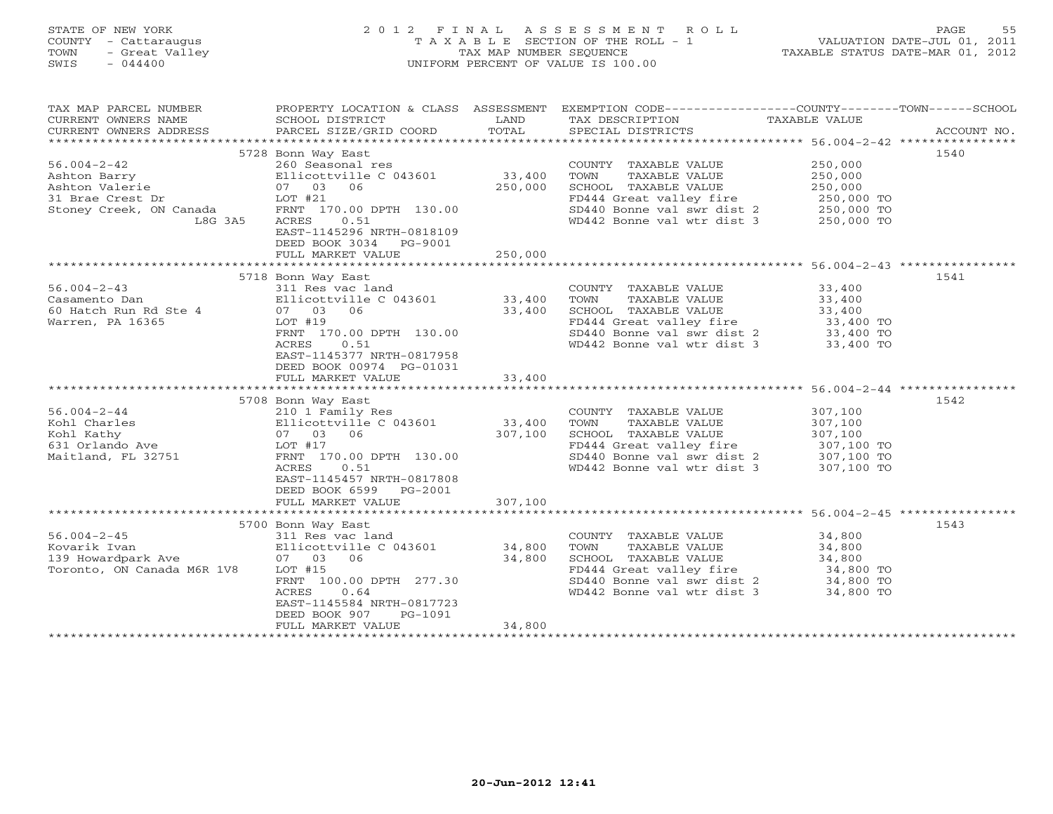## STATE OF NEW YORK 2 0 1 2 F I N A L A S S E S S M E N T R O L L PAGE 55 COUNTY - Cattaraugus T A X A B L E SECTION OF THE ROLL - 1 VALUATION DATE-JUL 01, 2011 TOWN - Great Valley TAX MAP NUMBER SEQUENCE TAXABLE STATUS DATE-MAR 01, 2012 SWIS - 044400 UNIFORM PERCENT OF VALUE IS 100.00UNIFORM PERCENT OF VALUE IS 100.00

| TAX MAP PARCEL NUMBER<br>CURRENT OWNERS NAME<br>CURRENT OWNERS ADDRESS                                        | PROPERTY LOCATION & CLASS ASSESSMENT<br>SCHOOL DISTRICT<br>PARCEL SIZE/GRID COORD                                                                                                                                    | LAND<br>TOTAL                | EXEMPTION CODE-----------------COUNTY-------TOWN------SCHOOL<br>TAX DESCRIPTION<br>SPECIAL DISTRICTS                                                                             | TAXABLE VALUE                                                           | ACCOUNT NO. |
|---------------------------------------------------------------------------------------------------------------|----------------------------------------------------------------------------------------------------------------------------------------------------------------------------------------------------------------------|------------------------------|----------------------------------------------------------------------------------------------------------------------------------------------------------------------------------|-------------------------------------------------------------------------|-------------|
| $56.004 - 2 - 42$<br>Ashton Barry<br>Ashton Valerie<br>31 Brae Crest Dr<br>Stoney Creek, ON Canada<br>L8G 3A5 | 5728 Bonn Way East<br>260 Seasonal res<br>Ellicottville C 043601<br>07 03 06<br>LOT #21<br>FRNT 170.00 DPTH 130.00<br>ACRES<br>0.51<br>EAST-1145296 NRTH-0818109<br>DEED BOOK 3034<br>PG-9001<br>FULL MARKET VALUE   | 33,400<br>250,000<br>250,000 | COUNTY TAXABLE VALUE<br>TOWN<br>TAXABLE VALUE<br>SCHOOL TAXABLE VALUE<br>FD444 Great valley fire<br>SD440 Bonne val swr dist 2 250,000 TO<br>WD442 Bonne val wtr dist 3          | 250,000<br>250,000<br>250,000<br>250,000 TO<br>250,000 TO               | 1540        |
|                                                                                                               | 5718 Bonn Way East                                                                                                                                                                                                   |                              |                                                                                                                                                                                  |                                                                         | 1541        |
| $56.004 - 2 - 43$<br>Casamento Dan<br>60 Hatch Run Rd Ste 4<br>Warren, PA 16365                               | 311 Res vac land<br>Ellicottville C 043601<br>07 03<br>06<br>$LOT$ #19<br>FRNT 170.00 DPTH 130.00<br>ACRES<br>0.51<br>EAST-1145377 NRTH-0817958<br>DEED BOOK 00974 PG-01031<br>FULL MARKET VALUE                     | 33,400<br>33,400<br>33,400   | COUNTY TAXABLE VALUE<br>TOWN<br>TAXABLE VALUE<br>SCHOOL TAXABLE VALUE<br>FD444 Great valley fire 33,400 TO<br>SD440 Bonne val swr dist 2 33,400 TO<br>WD442 Bonne val wtr dist 3 | 33,400<br>33,400<br>33,400<br>33,400 TO                                 |             |
|                                                                                                               |                                                                                                                                                                                                                      |                              |                                                                                                                                                                                  |                                                                         |             |
| $56.004 - 2 - 44$<br>Kohl Charles<br>Kohl Kathy<br>631 Orlando Ave<br>Maitland, FL 32751                      | 5708 Bonn Way East<br>210 1 Family Res<br>Ellicottville C 043601<br>07 03 06<br>LOT #17<br>FRNT 170.00 DPTH 130.00<br>0.51<br>ACRES<br>EAST-1145457 NRTH-0817808<br>DEED BOOK 6599 PG-2001<br>FULL MARKET VALUE      | 33,400<br>307,100<br>307,100 | COUNTY TAXABLE VALUE<br>TOWN<br>TAXABLE VALUE<br>SCHOOL TAXABLE VALUE<br>FD444 Great valley fire<br>SD440 Bonne val swr dist 2<br>WD442 Bonne val wtr dist 3                     | 307,100<br>307,100<br>307,100<br>307,100 TO<br>307,100 TO<br>307,100 TO | 1542        |
|                                                                                                               |                                                                                                                                                                                                                      |                              |                                                                                                                                                                                  |                                                                         |             |
| $56.004 - 2 - 45$<br>Kovarik Ivan<br>139 Howardpark Ave<br>Toronto, ON Canada M6R 1V8                         | 5700 Bonn Way East<br>311 Res vac land<br>Ellicottville C 043601<br>06<br>07 03<br>LOT #15<br>FRNT 100.00 DPTH 277.30<br>ACRES<br>0.64<br>EAST-1145584 NRTH-0817723<br>DEED BOOK 907<br>PG-1091<br>FULL MARKET VALUE | 34,800<br>34,800<br>34,800   | COUNTY TAXABLE VALUE<br>TOWN<br>TAXABLE VALUE<br>SCHOOL TAXABLE VALUE<br>FD444 Great valley fire<br>sp440 Bonne val swr dist 2 34,800 TO<br>WD442 Bonne val wtr dist 3           | 34,800<br>34,800<br>34,800<br>34,800 TO<br>34,800 TO                    | 1543        |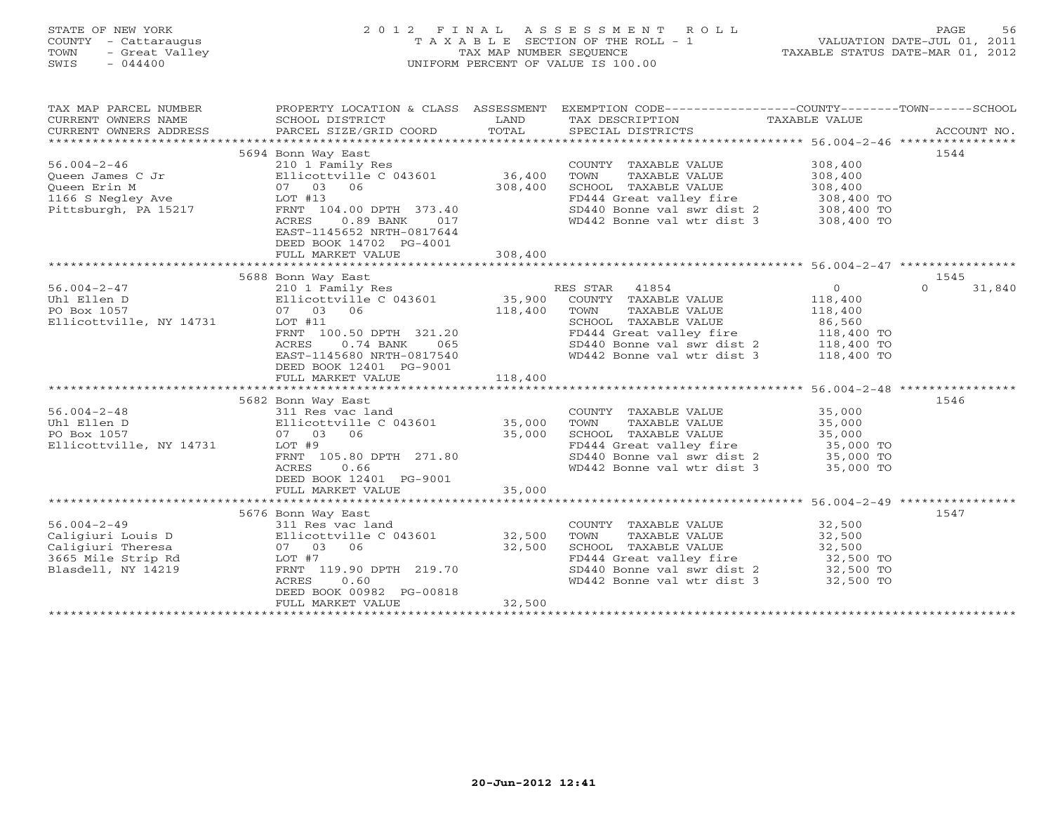## STATE OF NEW YORK 2 0 1 2 F I N A L A S S E S S M E N T R O L L PAGE 56 COUNTY - Cattaraugus T A X A B L E SECTION OF THE ROLL - 1 VALUATION DATE-JUL 01, 2011 TOWN - Great Valley TAX MAP NUMBER SEQUENCE TAXABLE STATUS DATE-MAR 01, 2012 SWIS - 044400 UNIFORM PERCENT OF VALUE IS 100.00UNIFORM PERCENT OF VALUE IS 100.00

| TAX MAP PARCEL NUMBER   | PROPERTY LOCATION & CLASS ASSESSMENT |         | EXEMPTION CODE-----------------COUNTY-------TOWN------SCHOOL |                |                    |
|-------------------------|--------------------------------------|---------|--------------------------------------------------------------|----------------|--------------------|
| CURRENT OWNERS NAME     | SCHOOL DISTRICT                      | LAND    | TAX DESCRIPTION                                              | TAXABLE VALUE  |                    |
| CURRENT OWNERS ADDRESS  | PARCEL SIZE/GRID COORD               | TOTAL   | SPECIAL DISTRICTS                                            |                | ACCOUNT NO.        |
|                         |                                      |         |                                                              |                |                    |
|                         | 5694 Bonn Way East                   |         |                                                              |                | 1544               |
| $56.004 - 2 - 46$       | 210 1 Family Res                     |         | COUNTY TAXABLE VALUE                                         | 308,400        |                    |
| Queen James C Jr        | Ellicottville C 043601               | 36,400  | TOWN<br>TAXABLE VALUE                                        | 308,400        |                    |
| Queen Erin M            | 06<br>07 03                          | 308,400 | SCHOOL TAXABLE VALUE                                         | 308,400        |                    |
| 1166 S Negley Ave       | LOT #13                              |         | FD444 Great valley fire                                      | 308,400 TO     |                    |
| Pittsburgh, PA 15217    | FRNT 104.00 DPTH 373.40              |         | SD440 Bonne val swr dist 2                                   | 308,400 TO     |                    |
|                         | $0.89$ BANK<br>ACRES<br>017          |         | WD442 Bonne val wtr dist 3                                   | 308,400 TO     |                    |
|                         | EAST-1145652 NRTH-0817644            |         |                                                              |                |                    |
|                         | DEED BOOK 14702 PG-4001              |         |                                                              |                |                    |
|                         | FULL MARKET VALUE                    | 308,400 |                                                              |                |                    |
|                         |                                      |         |                                                              |                |                    |
|                         | 5688 Bonn Way East                   |         |                                                              |                | 1545               |
| $56.004 - 2 - 47$       | 210 1 Family Res                     |         | RES STAR<br>41854                                            | $\overline{0}$ | $\Omega$<br>31,840 |
| Uhl Ellen D             | Ellicottville C 043601               | 35,900  | COUNTY TAXABLE VALUE                                         | 118,400        |                    |
| PO Box 1057             | 07 03<br>06                          | 118,400 | TOWN<br>TAXABLE VALUE                                        | 118,400        |                    |
| Ellicottville, NY 14731 | LOT #11                              |         | SCHOOL TAXABLE VALUE                                         | 86,560         |                    |
|                         | FRNT 100.50 DPTH 321.20              |         | FD444 Great valley fire                                      | 118,400 TO     |                    |
|                         | ACRES<br>$0.74$ BANK<br>065          |         | SD440 Bonne val swr dist 2                                   | 118,400 TO     |                    |
|                         | EAST-1145680 NRTH-0817540            |         | WD442 Bonne val wtr dist 3                                   | 118,400 TO     |                    |
|                         | DEED BOOK 12401 PG-9001              |         |                                                              |                |                    |
|                         | FULL MARKET VALUE                    | 118,400 |                                                              |                |                    |
|                         |                                      |         |                                                              |                |                    |
|                         | 5682 Bonn Way East                   |         |                                                              |                | 1546               |
| $56.004 - 2 - 48$       | 311 Res vac land                     |         | COUNTY TAXABLE VALUE                                         | 35,000         |                    |
| Uhl Ellen D             | Ellicottville C 043601               | 35,000  | TAXABLE VALUE<br>TOWN                                        | 35,000         |                    |
| PO Box 1057             | 07 03 06                             | 35,000  | SCHOOL TAXABLE VALUE                                         | 35,000         |                    |
| Ellicottville, NY 14731 | LOT #9                               |         | FD444 Great valley fire                                      | 35,000 TO      |                    |
|                         | FRNT 105.80 DPTH 271.80              |         | SD440 Bonne val swr dist 2                                   | 35,000 TO      |                    |
|                         | 0.66<br>ACRES                        |         | WD442 Bonne val wtr dist 3                                   | 35,000 TO      |                    |
|                         | DEED BOOK 12401 PG-9001              |         |                                                              |                |                    |
|                         | FULL MARKET VALUE                    | 35,000  |                                                              |                |                    |
|                         |                                      |         |                                                              |                |                    |
|                         | 5676 Bonn Way East                   |         |                                                              |                | 1547               |
| $56.004 - 2 - 49$       | 311 Res vac land                     |         | COUNTY TAXABLE VALUE                                         | 32,500         |                    |
| Caligiuri Louis D       | Ellicottville C 043601               | 32,500  | TOWN<br>TAXABLE VALUE                                        | 32,500         |                    |
| Caligiuri Theresa       | 06<br>07 03                          | 32,500  | SCHOOL TAXABLE VALUE                                         | 32,500         |                    |
| 3665 Mile Strip Rd      | LOT #7                               |         | FD444 Great valley fire                                      | 32,500 TO      |                    |
| Blasdell, NY 14219      | FRNT 119.90 DPTH 219.70              |         | SD440 Bonne val swr dist 2                                   | 32,500 TO      |                    |
|                         | 0.60<br>ACRES                        |         | WD442 Bonne val wtr dist 3                                   | 32,500 TO      |                    |
|                         | DEED BOOK 00982 PG-00818             |         |                                                              |                |                    |
|                         | FULL MARKET VALUE                    | 32,500  |                                                              |                |                    |
|                         | *************************            |         |                                                              |                |                    |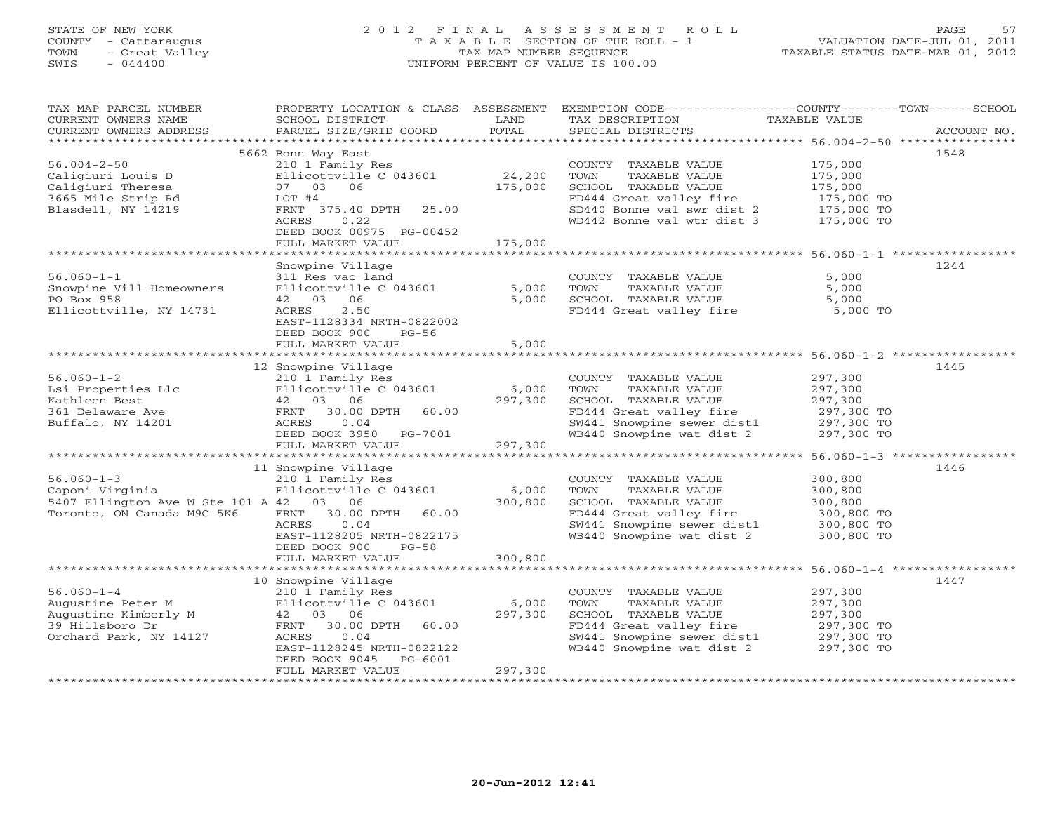# STATE OF NEW YORK 2 0 1 2 F I N A L A S S E S S M E N T R O L L PAGE 57 COUNTY - Cattaraugus T A X A B L E SECTION OF THE ROLL - 1 VALUATION DATE-JUL 01, 2011 TOWN - Great Valley TAX MAP NUMBER SEQUENCE TAXABLE STATUS DATE-MAR 01, 2012 SWIS - 044400 UNIFORM PERCENT OF VALUE IS 100.00UNIFORM PERCENT OF VALUE IS 100.00

| TAX MAP PARCEL NUMBER<br>CURRENT OWNERS NAME<br>CURRENT OWNERS ADDRESS                                       | PROPERTY LOCATION & CLASS ASSESSMENT<br>SCHOOL DISTRICT<br>PARCEL SIZE/GRID COORD                                                                                                    | LAND<br>TOTAL               | EXEMPTION CODE-----------------COUNTY-------TOWN------SCHOOL<br>TAX DESCRIPTION<br>SPECIAL DISTRICTS                                                                                   | TAXABLE VALUE                                                           | ACCOUNT NO. |
|--------------------------------------------------------------------------------------------------------------|--------------------------------------------------------------------------------------------------------------------------------------------------------------------------------------|-----------------------------|----------------------------------------------------------------------------------------------------------------------------------------------------------------------------------------|-------------------------------------------------------------------------|-------------|
| ***********************                                                                                      |                                                                                                                                                                                      |                             |                                                                                                                                                                                        |                                                                         |             |
| $56.004 - 2 - 50$<br>Caligiuri Louis D<br>Caligiuri Theresa<br>3665 Mile Strip Rd<br>Blasdell, NY 14219      | 5662 Bonn Way East<br>210 1 Family Res<br>Ellicottville C 043601<br>07 03 06<br>LOT #4<br>FRNT 375.40 DPTH 25.00<br>ACRES<br>0.22<br>DEED BOOK 00975 PG-00452                        | 24,200<br>175,000           | COUNTY TAXABLE VALUE<br>TOWN<br>TAXABLE VALUE<br>SCHOOL TAXABLE VALUE<br>FD444 Great valley fire<br>$SD440$ Bonne val $swr$ dist 2 175,000 TO<br>WD442 Bonne val wtr dist 3 175,000 TO | 175,000<br>175,000<br>175,000<br>175,000 TO                             | 1548        |
|                                                                                                              | FULL MARKET VALUE                                                                                                                                                                    | 175,000                     |                                                                                                                                                                                        |                                                                         |             |
| $56.060 - 1 - 1$<br>Snowpine Vill Homeowners<br>PO Box 958<br>Ellicottville, NY 14731                        | Snowpine Village<br>311 Res vac land<br>Ellicottville C 043601<br>42 03 06<br>2.50<br>ACRES                                                                                          | 5,000<br>5,000              | COUNTY TAXABLE VALUE<br>TOWN<br>TAXABLE VALUE<br>SCHOOL TAXABLE VALUE<br>FD444 Great valley fire 5,000 TO                                                                              | 5,000<br>5,000<br>5,000                                                 | 1244        |
|                                                                                                              | EAST-1128334 NRTH-0822002<br>DEED BOOK 900<br>$PG-56$<br>FULL MARKET VALUE                                                                                                           | 5,000                       |                                                                                                                                                                                        |                                                                         |             |
|                                                                                                              |                                                                                                                                                                                      |                             |                                                                                                                                                                                        |                                                                         |             |
| $56.060 - 1 - 2$<br>Lsi Properties Llc<br>Kathleen Best<br>361 Delaware Ave<br>Buffalo, NY 14201             | 12 Snowpine Village<br>210 1 Family Res<br>Ellicottville C 043601<br>42 03 06<br>FRNT 30.00 DPTH<br>60.00<br>ACRES<br>0.04<br>DEED BOOK 3950 PG-7001<br>FULL MARKET VALUE            | 6,000<br>297,300<br>297,300 | COUNTY TAXABLE VALUE<br>TOWN<br>TAXABLE VALUE<br>SCHOOL TAXABLE VALUE<br>FD444 Great valley fire<br>SW441 Snowpine sewer dist1 297,300 TO<br>WB440 Snowpine wat dist 2                 | 297,300<br>297,300<br>297,300<br>297,300 TO<br>297,300 TO               | 1445        |
|                                                                                                              |                                                                                                                                                                                      |                             |                                                                                                                                                                                        |                                                                         |             |
| $56.060 - 1 - 3$<br>Caponi Virginia<br>5407 Ellington Ave W Ste 101 A 42 03 06<br>Toronto, ON Canada M9C 5K6 | 11 Snowpine Village<br>210 1 Family Res<br>Ellicottville C 043601<br>30.00 DPTH 60.00<br>FRNT<br>0.04<br>ACRES<br>EAST-1128205 NRTH-0822175<br>DEED BOOK 900<br>$PG-58$              | 6,000<br>300,800            | COUNTY TAXABLE VALUE<br>TOWN<br>TAXABLE VALUE<br>SCHOOL TAXABLE VALUE<br>FD444 Great valley fire<br>SW441 Snowpine sewer dist1 300,800 TO<br>WB440 Snowpine wat dist 2                 | 300,800<br>300,800<br>300,800<br>300,800 TO<br>300,800 TO               | 1446        |
|                                                                                                              | FULL MARKET VALUE                                                                                                                                                                    | 300,800                     |                                                                                                                                                                                        |                                                                         |             |
|                                                                                                              |                                                                                                                                                                                      |                             |                                                                                                                                                                                        |                                                                         |             |
| $56.060 - 1 - 4$<br>Augustine Peter M<br>Augustine Kimberly M<br>39 Hillsboro Dr<br>Orchard Park, NY 14127   | 10 Snowpine Village<br>210 1 Family Res<br>Ellicottville C 043601<br>42 03 06<br>FRNT 30.00 DPTH<br>60.00<br>ACRES<br>0.04<br>EAST-1128245 NRTH-0822122<br>PG-6001<br>DEED BOOK 9045 | 6,000<br>297,300            | COUNTY TAXABLE VALUE<br>TOWN<br>TAXABLE VALUE<br>SCHOOL TAXABLE VALUE<br>FD444 Great valley fire<br>SW441 Snowpine sewer dist1<br>WB440 Snowpine wat dist 2                            | 297,300<br>297,300<br>297,300<br>297,300 TO<br>297,300 TO<br>297,300 TO | 1447        |
|                                                                                                              | FULL MARKET VALUE                                                                                                                                                                    | 297,300                     |                                                                                                                                                                                        |                                                                         |             |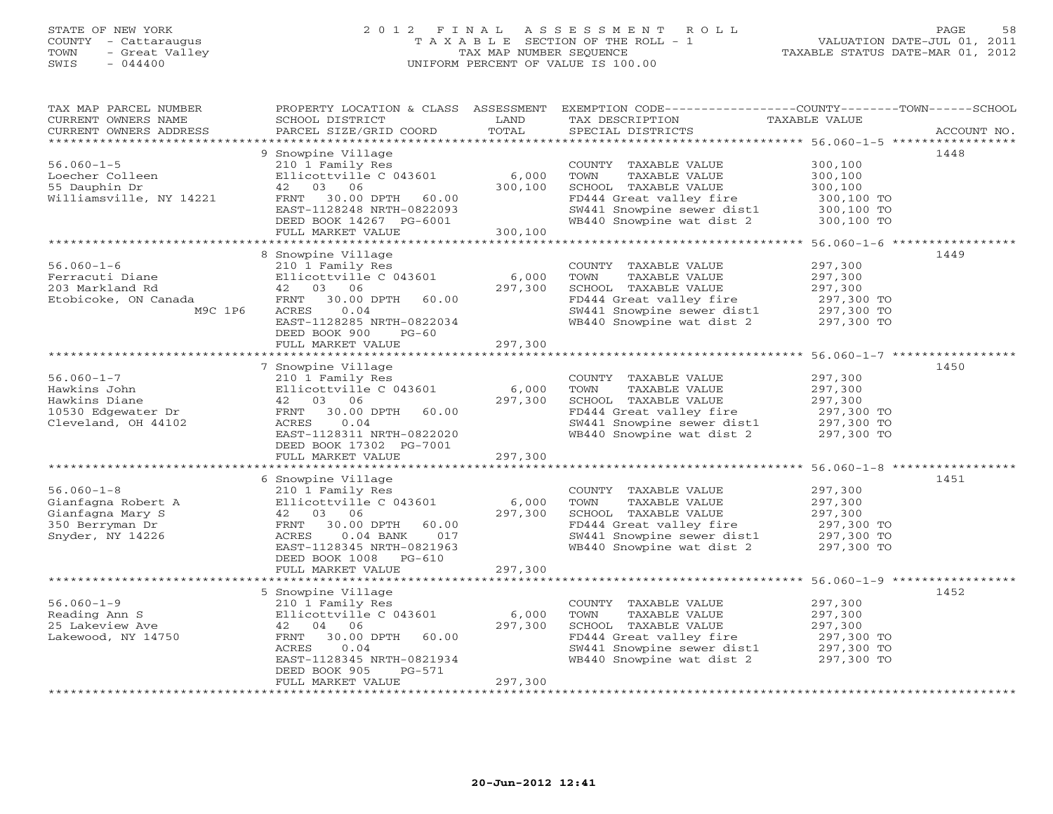# STATE OF NEW YORK 2 0 1 2 F I N A L A S S E S S M E N T R O L L PAGE 58 COUNTY - Cattaraugus T A X A B L E SECTION OF THE ROLL - 1 VALUATION DATE-JUL 01, 2011 TOWN - Great Valley TAX MAP NUMBER SEQUENCE TAXABLE STATUS DATE-MAR 01, 2012 SWIS - 044400 UNIFORM PERCENT OF VALUE IS 100.00UNIFORM PERCENT OF VALUE IS 100.00

| ********************<br>1448<br>9 Snowpine Village<br>$56.060 - 1 - 5$<br>300,100<br>210 1 Family Res<br>COUNTY TAXABLE VALUE<br>Loecher Colleen<br>Ellicottville C 043601<br>6,000<br>300,100<br>TOWN<br>TAXABLE VALUE<br>55 Dauphin Dr<br>03<br>06<br>300,100<br>SCHOOL TAXABLE VALUE<br>42<br>300,100<br>Williamsville, NY 14221<br>30.00 DPTH<br>FD444 Great valley fire<br>300,100 TO<br>FRNT<br>60.00<br>EAST-1128248 NRTH-0822093<br>SW441 Snowpine sewer dist1<br>300,100 TO<br>WB440 Snowpine wat dist 2<br>DEED BOOK 14267 PG-6001<br>300,100 TO<br>300,100<br>FULL MARKET VALUE<br>8 Snowpine Village<br>1449<br>$56.060 - 1 - 6$<br>297,300<br>210 1 Family Res<br>COUNTY TAXABLE VALUE<br>Ferracuti Diane<br>Ellicottville C 043601<br>6,000<br>297,300<br>TOWN<br>TAXABLE VALUE<br>203 Markland Rd<br>42 03 06<br>297,300<br>SCHOOL TAXABLE VALUE<br>297,300<br>FD444 Great valley fire<br>Etobicoke, ON Canada<br>FRNT<br>30.00 DPTH<br>60.00<br>297,300 TO<br>SW441 Snowpine sewer dist1 297,300 TO<br>M9C 1P6<br>ACRES<br>0.04<br>WB440 Snowpine wat dist 2<br>EAST-1128285 NRTH-0822034<br>297,300 TO<br>DEED BOOK 900<br>$PG-60$<br>297,300<br>FULL MARKET VALUE<br>7 Snowpine Village<br>1450<br>$56.060 - 1 - 7$<br>210 1 Family Res<br>297,300<br>COUNTY TAXABLE VALUE<br>Ellicottville C 043601<br>6,000<br>Hawkins John<br>TOWN<br>TAXABLE VALUE<br>297,300<br>Hawkins Diane<br>42 03 06<br>297,300<br>SCHOOL TAXABLE VALUE<br>297,300<br>FD444 Great valley fire<br>10530 Edgewater Dr<br>30.00 DPTH<br>60.00<br>297,300 TO<br>FRNT<br>297,300 TO<br>Cleveland, OH 44102<br>0.04<br>SW441 Snowpine sewer dist1<br>ACRES<br>WB440 Snowpine wat dist 2<br>EAST-1128311 NRTH-0822020<br>297,300 TO<br>DEED BOOK 17302 PG-7001<br>297,300<br>FULL MARKET VALUE<br>6 Snowpine Village<br>1451<br>$56.060 - 1 - 8$<br>297,300<br>210 1 Family Res<br>COUNTY TAXABLE VALUE<br>Ellicottville C 043601<br>297,300<br>Gianfagna Robert A<br>6,000<br>TOWN<br>TAXABLE VALUE<br>Gianfagna Mary S<br>297,300<br>SCHOOL TAXABLE VALUE<br>297,300<br>42 03 06<br>350 Berryman Dr<br>FD444 Great valley fire<br>FRNT<br>30.00 DPTH<br>60.00<br>297,300 TO<br>$297,300$ TO<br>Snyder, NY 14226<br>SW441 Snowpine sewer dist1<br>ACRES<br>$0.04$ BANK<br>017<br>WB440 Snowpine wat dist 2<br>EAST-1128345 NRTH-0821963<br>297,300 TO<br>DEED BOOK 1008 PG-610<br>297,300<br>FULL MARKET VALUE<br>************************* 56.060-1-9 ***********<br>* * * * * * * * * * * * * * * * * * *<br>5 Snowpine Village<br>1452<br>$56.060 - 1 - 9$<br>297,300<br>210 1 Family Res<br>COUNTY TAXABLE VALUE<br>Reading Ann S<br>Ellicottville C 043601<br>297,300<br>6,000<br>TOWN<br>TAXABLE VALUE<br>25 Lakeview Ave<br>04 06<br>297,300<br>SCHOOL TAXABLE VALUE<br>297,300<br>42 | TAX MAP PARCEL NUMBER<br>CURRENT OWNERS NAME<br>CURRENT OWNERS ADDRESS | PROPERTY LOCATION & CLASS ASSESSMENT<br>SCHOOL DISTRICT<br>PARCEL SIZE/GRID COORD | LAND<br>TOTAL | EXEMPTION CODE-----------------COUNTY-------TOWN------SCHOOL<br>TAX DESCRIPTION<br>SPECIAL DISTRICTS | TAXABLE VALUE | ACCOUNT NO. |
|------------------------------------------------------------------------------------------------------------------------------------------------------------------------------------------------------------------------------------------------------------------------------------------------------------------------------------------------------------------------------------------------------------------------------------------------------------------------------------------------------------------------------------------------------------------------------------------------------------------------------------------------------------------------------------------------------------------------------------------------------------------------------------------------------------------------------------------------------------------------------------------------------------------------------------------------------------------------------------------------------------------------------------------------------------------------------------------------------------------------------------------------------------------------------------------------------------------------------------------------------------------------------------------------------------------------------------------------------------------------------------------------------------------------------------------------------------------------------------------------------------------------------------------------------------------------------------------------------------------------------------------------------------------------------------------------------------------------------------------------------------------------------------------------------------------------------------------------------------------------------------------------------------------------------------------------------------------------------------------------------------------------------------------------------------------------------------------------------------------------------------------------------------------------------------------------------------------------------------------------------------------------------------------------------------------------------------------------------------------------------------------------------------------------------------------------------------------------------------------------------------------------------------------------------------------------------------------------------------------------------------------------------------------------------------------------------------------------------------------------------------------------------------|------------------------------------------------------------------------|-----------------------------------------------------------------------------------|---------------|------------------------------------------------------------------------------------------------------|---------------|-------------|
|                                                                                                                                                                                                                                                                                                                                                                                                                                                                                                                                                                                                                                                                                                                                                                                                                                                                                                                                                                                                                                                                                                                                                                                                                                                                                                                                                                                                                                                                                                                                                                                                                                                                                                                                                                                                                                                                                                                                                                                                                                                                                                                                                                                                                                                                                                                                                                                                                                                                                                                                                                                                                                                                                                                                                                                    |                                                                        |                                                                                   |               |                                                                                                      |               |             |
|                                                                                                                                                                                                                                                                                                                                                                                                                                                                                                                                                                                                                                                                                                                                                                                                                                                                                                                                                                                                                                                                                                                                                                                                                                                                                                                                                                                                                                                                                                                                                                                                                                                                                                                                                                                                                                                                                                                                                                                                                                                                                                                                                                                                                                                                                                                                                                                                                                                                                                                                                                                                                                                                                                                                                                                    |                                                                        |                                                                                   |               |                                                                                                      |               |             |
|                                                                                                                                                                                                                                                                                                                                                                                                                                                                                                                                                                                                                                                                                                                                                                                                                                                                                                                                                                                                                                                                                                                                                                                                                                                                                                                                                                                                                                                                                                                                                                                                                                                                                                                                                                                                                                                                                                                                                                                                                                                                                                                                                                                                                                                                                                                                                                                                                                                                                                                                                                                                                                                                                                                                                                                    |                                                                        |                                                                                   |               |                                                                                                      |               |             |
|                                                                                                                                                                                                                                                                                                                                                                                                                                                                                                                                                                                                                                                                                                                                                                                                                                                                                                                                                                                                                                                                                                                                                                                                                                                                                                                                                                                                                                                                                                                                                                                                                                                                                                                                                                                                                                                                                                                                                                                                                                                                                                                                                                                                                                                                                                                                                                                                                                                                                                                                                                                                                                                                                                                                                                                    |                                                                        |                                                                                   |               |                                                                                                      |               |             |
|                                                                                                                                                                                                                                                                                                                                                                                                                                                                                                                                                                                                                                                                                                                                                                                                                                                                                                                                                                                                                                                                                                                                                                                                                                                                                                                                                                                                                                                                                                                                                                                                                                                                                                                                                                                                                                                                                                                                                                                                                                                                                                                                                                                                                                                                                                                                                                                                                                                                                                                                                                                                                                                                                                                                                                                    |                                                                        |                                                                                   |               |                                                                                                      |               |             |
|                                                                                                                                                                                                                                                                                                                                                                                                                                                                                                                                                                                                                                                                                                                                                                                                                                                                                                                                                                                                                                                                                                                                                                                                                                                                                                                                                                                                                                                                                                                                                                                                                                                                                                                                                                                                                                                                                                                                                                                                                                                                                                                                                                                                                                                                                                                                                                                                                                                                                                                                                                                                                                                                                                                                                                                    |                                                                        |                                                                                   |               |                                                                                                      |               |             |
|                                                                                                                                                                                                                                                                                                                                                                                                                                                                                                                                                                                                                                                                                                                                                                                                                                                                                                                                                                                                                                                                                                                                                                                                                                                                                                                                                                                                                                                                                                                                                                                                                                                                                                                                                                                                                                                                                                                                                                                                                                                                                                                                                                                                                                                                                                                                                                                                                                                                                                                                                                                                                                                                                                                                                                                    |                                                                        |                                                                                   |               |                                                                                                      |               |             |
|                                                                                                                                                                                                                                                                                                                                                                                                                                                                                                                                                                                                                                                                                                                                                                                                                                                                                                                                                                                                                                                                                                                                                                                                                                                                                                                                                                                                                                                                                                                                                                                                                                                                                                                                                                                                                                                                                                                                                                                                                                                                                                                                                                                                                                                                                                                                                                                                                                                                                                                                                                                                                                                                                                                                                                                    |                                                                        |                                                                                   |               |                                                                                                      |               |             |
|                                                                                                                                                                                                                                                                                                                                                                                                                                                                                                                                                                                                                                                                                                                                                                                                                                                                                                                                                                                                                                                                                                                                                                                                                                                                                                                                                                                                                                                                                                                                                                                                                                                                                                                                                                                                                                                                                                                                                                                                                                                                                                                                                                                                                                                                                                                                                                                                                                                                                                                                                                                                                                                                                                                                                                                    |                                                                        |                                                                                   |               |                                                                                                      |               |             |
|                                                                                                                                                                                                                                                                                                                                                                                                                                                                                                                                                                                                                                                                                                                                                                                                                                                                                                                                                                                                                                                                                                                                                                                                                                                                                                                                                                                                                                                                                                                                                                                                                                                                                                                                                                                                                                                                                                                                                                                                                                                                                                                                                                                                                                                                                                                                                                                                                                                                                                                                                                                                                                                                                                                                                                                    |                                                                        |                                                                                   |               |                                                                                                      |               |             |
|                                                                                                                                                                                                                                                                                                                                                                                                                                                                                                                                                                                                                                                                                                                                                                                                                                                                                                                                                                                                                                                                                                                                                                                                                                                                                                                                                                                                                                                                                                                                                                                                                                                                                                                                                                                                                                                                                                                                                                                                                                                                                                                                                                                                                                                                                                                                                                                                                                                                                                                                                                                                                                                                                                                                                                                    |                                                                        |                                                                                   |               |                                                                                                      |               |             |
|                                                                                                                                                                                                                                                                                                                                                                                                                                                                                                                                                                                                                                                                                                                                                                                                                                                                                                                                                                                                                                                                                                                                                                                                                                                                                                                                                                                                                                                                                                                                                                                                                                                                                                                                                                                                                                                                                                                                                                                                                                                                                                                                                                                                                                                                                                                                                                                                                                                                                                                                                                                                                                                                                                                                                                                    |                                                                        |                                                                                   |               |                                                                                                      |               |             |
|                                                                                                                                                                                                                                                                                                                                                                                                                                                                                                                                                                                                                                                                                                                                                                                                                                                                                                                                                                                                                                                                                                                                                                                                                                                                                                                                                                                                                                                                                                                                                                                                                                                                                                                                                                                                                                                                                                                                                                                                                                                                                                                                                                                                                                                                                                                                                                                                                                                                                                                                                                                                                                                                                                                                                                                    |                                                                        |                                                                                   |               |                                                                                                      |               |             |
|                                                                                                                                                                                                                                                                                                                                                                                                                                                                                                                                                                                                                                                                                                                                                                                                                                                                                                                                                                                                                                                                                                                                                                                                                                                                                                                                                                                                                                                                                                                                                                                                                                                                                                                                                                                                                                                                                                                                                                                                                                                                                                                                                                                                                                                                                                                                                                                                                                                                                                                                                                                                                                                                                                                                                                                    |                                                                        |                                                                                   |               |                                                                                                      |               |             |
|                                                                                                                                                                                                                                                                                                                                                                                                                                                                                                                                                                                                                                                                                                                                                                                                                                                                                                                                                                                                                                                                                                                                                                                                                                                                                                                                                                                                                                                                                                                                                                                                                                                                                                                                                                                                                                                                                                                                                                                                                                                                                                                                                                                                                                                                                                                                                                                                                                                                                                                                                                                                                                                                                                                                                                                    |                                                                        |                                                                                   |               |                                                                                                      |               |             |
|                                                                                                                                                                                                                                                                                                                                                                                                                                                                                                                                                                                                                                                                                                                                                                                                                                                                                                                                                                                                                                                                                                                                                                                                                                                                                                                                                                                                                                                                                                                                                                                                                                                                                                                                                                                                                                                                                                                                                                                                                                                                                                                                                                                                                                                                                                                                                                                                                                                                                                                                                                                                                                                                                                                                                                                    |                                                                        |                                                                                   |               |                                                                                                      |               |             |
|                                                                                                                                                                                                                                                                                                                                                                                                                                                                                                                                                                                                                                                                                                                                                                                                                                                                                                                                                                                                                                                                                                                                                                                                                                                                                                                                                                                                                                                                                                                                                                                                                                                                                                                                                                                                                                                                                                                                                                                                                                                                                                                                                                                                                                                                                                                                                                                                                                                                                                                                                                                                                                                                                                                                                                                    |                                                                        |                                                                                   |               |                                                                                                      |               |             |
|                                                                                                                                                                                                                                                                                                                                                                                                                                                                                                                                                                                                                                                                                                                                                                                                                                                                                                                                                                                                                                                                                                                                                                                                                                                                                                                                                                                                                                                                                                                                                                                                                                                                                                                                                                                                                                                                                                                                                                                                                                                                                                                                                                                                                                                                                                                                                                                                                                                                                                                                                                                                                                                                                                                                                                                    |                                                                        |                                                                                   |               |                                                                                                      |               |             |
|                                                                                                                                                                                                                                                                                                                                                                                                                                                                                                                                                                                                                                                                                                                                                                                                                                                                                                                                                                                                                                                                                                                                                                                                                                                                                                                                                                                                                                                                                                                                                                                                                                                                                                                                                                                                                                                                                                                                                                                                                                                                                                                                                                                                                                                                                                                                                                                                                                                                                                                                                                                                                                                                                                                                                                                    |                                                                        |                                                                                   |               |                                                                                                      |               |             |
|                                                                                                                                                                                                                                                                                                                                                                                                                                                                                                                                                                                                                                                                                                                                                                                                                                                                                                                                                                                                                                                                                                                                                                                                                                                                                                                                                                                                                                                                                                                                                                                                                                                                                                                                                                                                                                                                                                                                                                                                                                                                                                                                                                                                                                                                                                                                                                                                                                                                                                                                                                                                                                                                                                                                                                                    |                                                                        |                                                                                   |               |                                                                                                      |               |             |
|                                                                                                                                                                                                                                                                                                                                                                                                                                                                                                                                                                                                                                                                                                                                                                                                                                                                                                                                                                                                                                                                                                                                                                                                                                                                                                                                                                                                                                                                                                                                                                                                                                                                                                                                                                                                                                                                                                                                                                                                                                                                                                                                                                                                                                                                                                                                                                                                                                                                                                                                                                                                                                                                                                                                                                                    |                                                                        |                                                                                   |               |                                                                                                      |               |             |
|                                                                                                                                                                                                                                                                                                                                                                                                                                                                                                                                                                                                                                                                                                                                                                                                                                                                                                                                                                                                                                                                                                                                                                                                                                                                                                                                                                                                                                                                                                                                                                                                                                                                                                                                                                                                                                                                                                                                                                                                                                                                                                                                                                                                                                                                                                                                                                                                                                                                                                                                                                                                                                                                                                                                                                                    |                                                                        |                                                                                   |               |                                                                                                      |               |             |
|                                                                                                                                                                                                                                                                                                                                                                                                                                                                                                                                                                                                                                                                                                                                                                                                                                                                                                                                                                                                                                                                                                                                                                                                                                                                                                                                                                                                                                                                                                                                                                                                                                                                                                                                                                                                                                                                                                                                                                                                                                                                                                                                                                                                                                                                                                                                                                                                                                                                                                                                                                                                                                                                                                                                                                                    |                                                                        |                                                                                   |               |                                                                                                      |               |             |
|                                                                                                                                                                                                                                                                                                                                                                                                                                                                                                                                                                                                                                                                                                                                                                                                                                                                                                                                                                                                                                                                                                                                                                                                                                                                                                                                                                                                                                                                                                                                                                                                                                                                                                                                                                                                                                                                                                                                                                                                                                                                                                                                                                                                                                                                                                                                                                                                                                                                                                                                                                                                                                                                                                                                                                                    |                                                                        |                                                                                   |               |                                                                                                      |               |             |
|                                                                                                                                                                                                                                                                                                                                                                                                                                                                                                                                                                                                                                                                                                                                                                                                                                                                                                                                                                                                                                                                                                                                                                                                                                                                                                                                                                                                                                                                                                                                                                                                                                                                                                                                                                                                                                                                                                                                                                                                                                                                                                                                                                                                                                                                                                                                                                                                                                                                                                                                                                                                                                                                                                                                                                                    |                                                                        |                                                                                   |               |                                                                                                      |               |             |
|                                                                                                                                                                                                                                                                                                                                                                                                                                                                                                                                                                                                                                                                                                                                                                                                                                                                                                                                                                                                                                                                                                                                                                                                                                                                                                                                                                                                                                                                                                                                                                                                                                                                                                                                                                                                                                                                                                                                                                                                                                                                                                                                                                                                                                                                                                                                                                                                                                                                                                                                                                                                                                                                                                                                                                                    |                                                                        |                                                                                   |               |                                                                                                      |               |             |
|                                                                                                                                                                                                                                                                                                                                                                                                                                                                                                                                                                                                                                                                                                                                                                                                                                                                                                                                                                                                                                                                                                                                                                                                                                                                                                                                                                                                                                                                                                                                                                                                                                                                                                                                                                                                                                                                                                                                                                                                                                                                                                                                                                                                                                                                                                                                                                                                                                                                                                                                                                                                                                                                                                                                                                                    |                                                                        |                                                                                   |               |                                                                                                      |               |             |
|                                                                                                                                                                                                                                                                                                                                                                                                                                                                                                                                                                                                                                                                                                                                                                                                                                                                                                                                                                                                                                                                                                                                                                                                                                                                                                                                                                                                                                                                                                                                                                                                                                                                                                                                                                                                                                                                                                                                                                                                                                                                                                                                                                                                                                                                                                                                                                                                                                                                                                                                                                                                                                                                                                                                                                                    |                                                                        |                                                                                   |               |                                                                                                      |               |             |
|                                                                                                                                                                                                                                                                                                                                                                                                                                                                                                                                                                                                                                                                                                                                                                                                                                                                                                                                                                                                                                                                                                                                                                                                                                                                                                                                                                                                                                                                                                                                                                                                                                                                                                                                                                                                                                                                                                                                                                                                                                                                                                                                                                                                                                                                                                                                                                                                                                                                                                                                                                                                                                                                                                                                                                                    |                                                                        |                                                                                   |               |                                                                                                      |               |             |
|                                                                                                                                                                                                                                                                                                                                                                                                                                                                                                                                                                                                                                                                                                                                                                                                                                                                                                                                                                                                                                                                                                                                                                                                                                                                                                                                                                                                                                                                                                                                                                                                                                                                                                                                                                                                                                                                                                                                                                                                                                                                                                                                                                                                                                                                                                                                                                                                                                                                                                                                                                                                                                                                                                                                                                                    |                                                                        |                                                                                   |               |                                                                                                      |               |             |
|                                                                                                                                                                                                                                                                                                                                                                                                                                                                                                                                                                                                                                                                                                                                                                                                                                                                                                                                                                                                                                                                                                                                                                                                                                                                                                                                                                                                                                                                                                                                                                                                                                                                                                                                                                                                                                                                                                                                                                                                                                                                                                                                                                                                                                                                                                                                                                                                                                                                                                                                                                                                                                                                                                                                                                                    |                                                                        |                                                                                   |               |                                                                                                      |               |             |
|                                                                                                                                                                                                                                                                                                                                                                                                                                                                                                                                                                                                                                                                                                                                                                                                                                                                                                                                                                                                                                                                                                                                                                                                                                                                                                                                                                                                                                                                                                                                                                                                                                                                                                                                                                                                                                                                                                                                                                                                                                                                                                                                                                                                                                                                                                                                                                                                                                                                                                                                                                                                                                                                                                                                                                                    |                                                                        |                                                                                   |               |                                                                                                      |               |             |
|                                                                                                                                                                                                                                                                                                                                                                                                                                                                                                                                                                                                                                                                                                                                                                                                                                                                                                                                                                                                                                                                                                                                                                                                                                                                                                                                                                                                                                                                                                                                                                                                                                                                                                                                                                                                                                                                                                                                                                                                                                                                                                                                                                                                                                                                                                                                                                                                                                                                                                                                                                                                                                                                                                                                                                                    |                                                                        |                                                                                   |               |                                                                                                      |               |             |
|                                                                                                                                                                                                                                                                                                                                                                                                                                                                                                                                                                                                                                                                                                                                                                                                                                                                                                                                                                                                                                                                                                                                                                                                                                                                                                                                                                                                                                                                                                                                                                                                                                                                                                                                                                                                                                                                                                                                                                                                                                                                                                                                                                                                                                                                                                                                                                                                                                                                                                                                                                                                                                                                                                                                                                                    |                                                                        |                                                                                   |               |                                                                                                      |               |             |
|                                                                                                                                                                                                                                                                                                                                                                                                                                                                                                                                                                                                                                                                                                                                                                                                                                                                                                                                                                                                                                                                                                                                                                                                                                                                                                                                                                                                                                                                                                                                                                                                                                                                                                                                                                                                                                                                                                                                                                                                                                                                                                                                                                                                                                                                                                                                                                                                                                                                                                                                                                                                                                                                                                                                                                                    |                                                                        |                                                                                   |               |                                                                                                      |               |             |
|                                                                                                                                                                                                                                                                                                                                                                                                                                                                                                                                                                                                                                                                                                                                                                                                                                                                                                                                                                                                                                                                                                                                                                                                                                                                                                                                                                                                                                                                                                                                                                                                                                                                                                                                                                                                                                                                                                                                                                                                                                                                                                                                                                                                                                                                                                                                                                                                                                                                                                                                                                                                                                                                                                                                                                                    |                                                                        |                                                                                   |               |                                                                                                      |               |             |
| Lakewood, NY 14750<br>FRNT<br>30.00 DPTH<br>60.00<br>297,300 TO                                                                                                                                                                                                                                                                                                                                                                                                                                                                                                                                                                                                                                                                                                                                                                                                                                                                                                                                                                                                                                                                                                                                                                                                                                                                                                                                                                                                                                                                                                                                                                                                                                                                                                                                                                                                                                                                                                                                                                                                                                                                                                                                                                                                                                                                                                                                                                                                                                                                                                                                                                                                                                                                                                                    |                                                                        |                                                                                   |               | FD444 Great valley fire                                                                              |               |             |
| SW441 Snowpine sewer dist1<br>0.04<br>ACRES<br>297,300 TO                                                                                                                                                                                                                                                                                                                                                                                                                                                                                                                                                                                                                                                                                                                                                                                                                                                                                                                                                                                                                                                                                                                                                                                                                                                                                                                                                                                                                                                                                                                                                                                                                                                                                                                                                                                                                                                                                                                                                                                                                                                                                                                                                                                                                                                                                                                                                                                                                                                                                                                                                                                                                                                                                                                          |                                                                        |                                                                                   |               |                                                                                                      |               |             |
| WB440 Snowpine wat dist 2<br>EAST-1128345 NRTH-0821934<br>297,300 TO                                                                                                                                                                                                                                                                                                                                                                                                                                                                                                                                                                                                                                                                                                                                                                                                                                                                                                                                                                                                                                                                                                                                                                                                                                                                                                                                                                                                                                                                                                                                                                                                                                                                                                                                                                                                                                                                                                                                                                                                                                                                                                                                                                                                                                                                                                                                                                                                                                                                                                                                                                                                                                                                                                               |                                                                        |                                                                                   |               |                                                                                                      |               |             |
| DEED BOOK 905<br>$PG-571$                                                                                                                                                                                                                                                                                                                                                                                                                                                                                                                                                                                                                                                                                                                                                                                                                                                                                                                                                                                                                                                                                                                                                                                                                                                                                                                                                                                                                                                                                                                                                                                                                                                                                                                                                                                                                                                                                                                                                                                                                                                                                                                                                                                                                                                                                                                                                                                                                                                                                                                                                                                                                                                                                                                                                          |                                                                        |                                                                                   |               |                                                                                                      |               |             |
| 297,300<br>FULL MARKET VALUE                                                                                                                                                                                                                                                                                                                                                                                                                                                                                                                                                                                                                                                                                                                                                                                                                                                                                                                                                                                                                                                                                                                                                                                                                                                                                                                                                                                                                                                                                                                                                                                                                                                                                                                                                                                                                                                                                                                                                                                                                                                                                                                                                                                                                                                                                                                                                                                                                                                                                                                                                                                                                                                                                                                                                       |                                                                        |                                                                                   |               |                                                                                                      |               |             |
|                                                                                                                                                                                                                                                                                                                                                                                                                                                                                                                                                                                                                                                                                                                                                                                                                                                                                                                                                                                                                                                                                                                                                                                                                                                                                                                                                                                                                                                                                                                                                                                                                                                                                                                                                                                                                                                                                                                                                                                                                                                                                                                                                                                                                                                                                                                                                                                                                                                                                                                                                                                                                                                                                                                                                                                    |                                                                        |                                                                                   |               |                                                                                                      |               |             |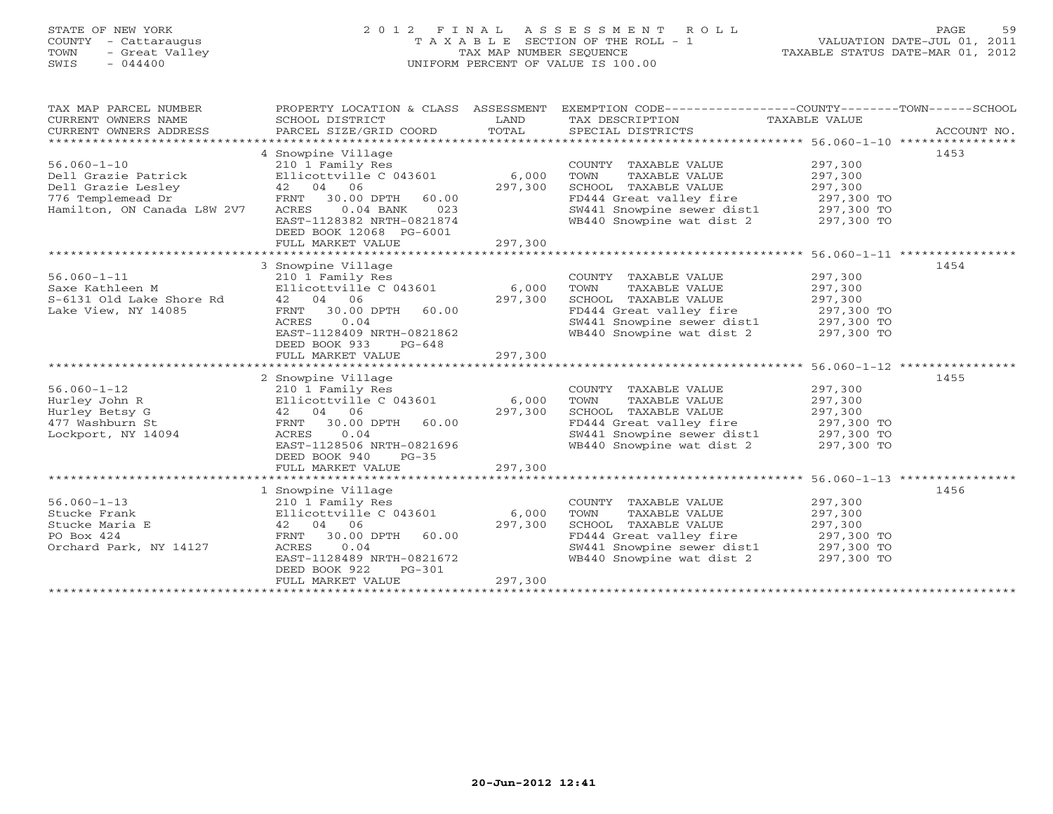# STATE OF NEW YORK 2 0 1 2 F I N A L A S S E S S M E N T R O L L PAGE 59 COUNTY - Cattaraugus T A X A B L E SECTION OF THE ROLL - 1 VALUATION DATE-JUL 01, 2011 TOWN - Great Valley TAX MAP NUMBER SEQUENCE TAXABLE STATUS DATE-MAR 01, 2012 SWIS - 044400 UNIFORM PERCENT OF VALUE IS 100.00UNIFORM PERCENT OF VALUE IS 100.00

| TAX MAP PARCEL NUMBER<br>CURRENT OWNERS NAME<br>CURRENT OWNERS ADDRESS                                             | PROPERTY LOCATION & CLASS ASSESSMENT<br>SCHOOL DISTRICT<br>PARCEL SIZE/GRID COORD                                                                                                                                    | LAND<br>TOTAL               | EXEMPTION CODE-----------------COUNTY-------TOWN------SCHOOL<br>TAX DESCRIPTION TAXABLE VALUE<br>SPECIAL DISTRICTS                                                                           |                                                     | ACCOUNT NO. |
|--------------------------------------------------------------------------------------------------------------------|----------------------------------------------------------------------------------------------------------------------------------------------------------------------------------------------------------------------|-----------------------------|----------------------------------------------------------------------------------------------------------------------------------------------------------------------------------------------|-----------------------------------------------------|-------------|
| $56.060 - 1 - 10$<br>Dell Grazie Patrick<br>Dell Grazie Lesley<br>776 Templemead Dr<br>Hamilton, ON Canada L8W 2V7 | 4 Snowpine Village<br>210 1 Family Res<br>Ellicottville C 043601<br>42 04 06<br>FRNT 30.00 DPTH<br>60.00<br>$0.04$ BANK<br>023<br>ACRES<br>EAST-1128382 NRTH-0821874<br>DEED BOOK 12068 PG-6001<br>FULL MARKET VALUE | 6,000<br>297,300<br>297,300 | COUNTY TAXABLE VALUE<br>TAXABLE VALUE<br>TOWN<br>SCHOOL TAXABLE VALUE<br>FD444 Great valley fire<br>SW441 Showpine sewer dist1 297,300 TO<br>WB440 Snowpine wat dist 2 297,300 TO            | 297,300<br>297,300<br>297,300<br>297,300 TO         | 1453        |
|                                                                                                                    |                                                                                                                                                                                                                      |                             |                                                                                                                                                                                              |                                                     |             |
| $56.060 - 1 - 11$<br>Saxe Kathleen M<br>S-6131 Old Lake Shore Rd<br>Lake View, NY 14085                            | 3 Snowpine Village<br>210 1 Family Res<br>Ellicottville $C$ 043601 6,000<br>42 04 06<br>FRNT 30.00 DPTH<br>60.00<br>0.04<br>ACRES<br>EAST-1128409 NRTH-0821862<br>DEED BOOK 933<br>$PG-648$<br>FULL MARKET VALUE     | 297,300<br>297,300          | COUNTY TAXABLE VALUE<br>TAXABLE VALUE<br>TOWN<br>SCHOOL TAXABLE VALUE<br>FD444 Great valley fire 297,300 TO<br>SW441 Snowpine sewer dist1 297,300 TO<br>WB440 Snowpine wat dist 2 297,300 TO | 297,300<br>297,300<br>297,300                       | 1454        |
|                                                                                                                    |                                                                                                                                                                                                                      |                             |                                                                                                                                                                                              |                                                     |             |
| $56.060 - 1 - 12$<br>Hurley John R<br>Hurley Betsy G<br>477 Washburn St<br>Lockport, NY 14094                      | 2 Snowpine Village<br>210 1 Family Res<br>Ellicottville $C$ 043601 6,000<br>42 04 06<br>FRNT 30.00 DPTH 60.00<br>0.04<br>ACRES<br>EAST-1128506 NRTH-0821696<br>DEED BOOK 940<br>$PG-35$<br>FULL MARKET VALUE         | 297,300<br>297,300          | COUNTY TAXABLE VALUE<br>TOWN<br>TAXABLE VALUE<br>SCHOOL TAXABLE VALUE<br>FD444 Great valley fire<br>SW441 Snowpine sewer dist1 297,300 TO<br>WB440 Snowpine wat dist 2 297,300 TO            | 297,300<br>297,300<br>297,300<br>297,300 TO         | 1455        |
|                                                                                                                    |                                                                                                                                                                                                                      |                             |                                                                                                                                                                                              | ********************** 56.060-1-13 **************** |             |
| $56.060 - 1 - 13$<br>Stucke Frank<br>Stucke Maria E<br>PO Box 424<br>Orchard Park, NY 14127                        | 1 Snowpine Village<br>210 1 Family Res<br>Ellicottville C 043601<br>42 04 06<br>FRNT 30.00 DPTH 60.00<br>0.04<br>ACRES<br>EAST-1128489 NRTH-0821672<br>DEED BOOK 922<br>$PG-301$<br>FULL MARKET VALUE                | 6,000<br>297,300<br>297,300 | COUNTY TAXABLE VALUE<br>TOWN<br>TAXABLE VALUE<br>SCHOOL TAXABLE VALUE<br>FD444 Great valley fire<br>SW441 Snowpine sewer dist1 297,300 TO<br>WB440 Snowpine wat dist 2 297,300 TO            | 297,300<br>297,300<br>297,300<br>$297,300$ TO       | 1456        |
|                                                                                                                    |                                                                                                                                                                                                                      |                             |                                                                                                                                                                                              |                                                     |             |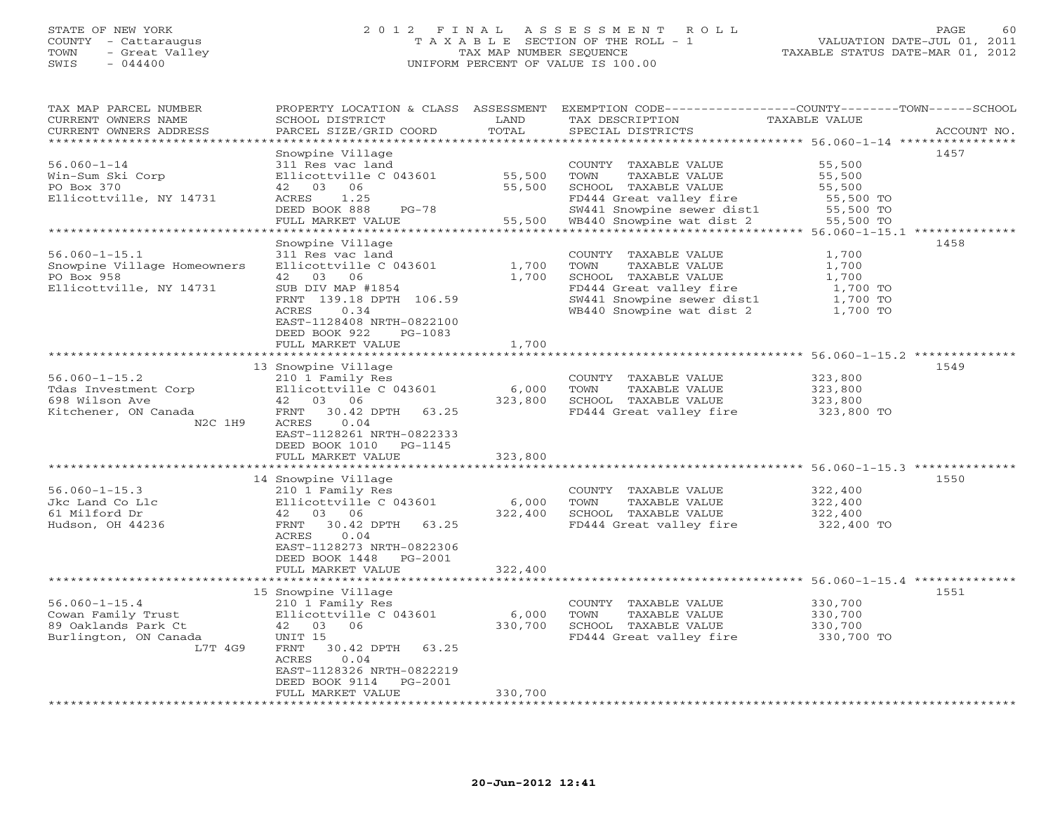#### STATE OF NEW YORK 2 0 1 2 F I N A L A S S E S S M E N T R O L L PAGE 60 COUNTY - Cattaraugus T A X A B L E SECTION OF THE ROLL - 1 VALUATION DATE-JUL 01, 2011 TOWN - Great Valley TAX MAP NUMBER SEQUENCE TAXABLE STATUS DATE-MAR 01, 2012 SWIS - 044400 UNIFORM PERCENT OF VALUE IS 100.00UNIFORM PERCENT OF VALUE IS 100.00

| TAX MAP PARCEL NUMBER<br>CURRENT OWNERS NAME   | PROPERTY LOCATION & CLASS ASSESSMENT<br>SCHOOL DISTRICT | LAND                               | TAX DESCRIPTION                               | EXEMPTION CODE----------------COUNTY-------TOWN------SCHOOL<br>TAXABLE VALUE    |
|------------------------------------------------|---------------------------------------------------------|------------------------------------|-----------------------------------------------|---------------------------------------------------------------------------------|
| CURRENT OWNERS ADDRESS<br>******************** | PARCEL SIZE/GRID COORD                                  | TOTAL<br>*********                 | SPECIAL DISTRICTS                             | ACCOUNT NO.<br>************************************56.060-1-14 **************** |
|                                                | Snowpine Village                                        |                                    |                                               | 1457                                                                            |
| $56.060 - 1 - 14$                              | 311 Res vac land                                        |                                    | COUNTY TAXABLE VALUE                          | 55,500                                                                          |
| Win-Sum Ski Corp                               | Ellicottville C 043601                                  | 55,500                             | TOWN<br>TAXABLE VALUE                         | 55,500                                                                          |
| PO Box 370                                     | 42 03 06                                                | 55,500                             | SCHOOL TAXABLE VALUE                          | 55,500                                                                          |
| Ellicottville, NY 14731                        | ACRES<br>1.25                                           |                                    | FD444 Great valley fire                       | 55,500 TO                                                                       |
|                                                | DEED BOOK 888<br>$PG-78$                                |                                    | SW441 Snowpine sewer dist1                    | 55,500 TO                                                                       |
|                                                | FULL MARKET VALUE                                       | 55,500                             | WB440 Snowpine wat dist 2                     | 55,500 TO                                                                       |
|                                                |                                                         |                                    |                                               | ********************************* 56.060-1-15.1 **************                  |
|                                                | Snowpine Village                                        |                                    |                                               | 1458                                                                            |
| $56.060 - 1 - 15.1$                            | 311 Res vac land                                        |                                    | COUNTY TAXABLE VALUE                          | 1,700                                                                           |
| Snowpine Village Homeowners                    | Ellicottville C 043601                                  | 1,700                              | TOWN<br>TAXABLE VALUE                         | 1,700                                                                           |
| PO Box 958                                     | 42 03 06                                                | 1,700                              | SCHOOL TAXABLE VALUE                          | 1,700                                                                           |
| Ellicottville, NY 14731                        | SUB DIV MAP #1854                                       |                                    | FD444 Great valley fire                       | 1,700 TO                                                                        |
|                                                | FRNT 139.18 DPTH 106.59                                 |                                    | SW441 Snowpine sewer dist1                    | 1,700 TO                                                                        |
|                                                | 0.34<br>ACRES                                           |                                    | WB440 Snowpine wat dist 2                     | 1,700 TO                                                                        |
|                                                | EAST-1128408 NRTH-0822100                               |                                    |                                               |                                                                                 |
|                                                | DEED BOOK 922<br>PG-1083                                |                                    |                                               |                                                                                 |
|                                                | FULL MARKET VALUE                                       | 1,700                              |                                               |                                                                                 |
|                                                | ****************************                            |                                    |                                               |                                                                                 |
|                                                | 13 Snowpine Village                                     |                                    |                                               | 1549                                                                            |
| $56.060 - 1 - 15.2$                            | 210 1 Family Res                                        |                                    | COUNTY TAXABLE VALUE                          | 323,800                                                                         |
| Tdas Investment Corp                           | Ellicottville C 043601                                  | 6,000                              | TOWN<br>TAXABLE VALUE                         | 323,800                                                                         |
| 698 Wilson Ave                                 | 42 03 06                                                | 323,800                            | SCHOOL TAXABLE VALUE                          | 323,800                                                                         |
| Kitchener, ON Canada                           | FRNT<br>30.42 DPTH<br>63.25                             |                                    | FD444 Great valley fire                       | 323,800 TO                                                                      |
| N2C 1H9                                        | 0.04<br>ACRES                                           |                                    |                                               |                                                                                 |
|                                                |                                                         |                                    |                                               |                                                                                 |
|                                                | EAST-1128261 NRTH-0822333                               |                                    |                                               |                                                                                 |
|                                                | DEED BOOK 1010<br>PG-1145                               |                                    |                                               |                                                                                 |
|                                                | FULL MARKET VALUE                                       | 323,800<br>************            |                                               | ******************************** 56.060-1-15.3 **************                   |
|                                                | 14 Snowpine Village                                     |                                    |                                               | 1550                                                                            |
| $56.060 - 1 - 15.3$                            | 210 1 Family Res                                        |                                    | COUNTY TAXABLE VALUE                          | 322,400                                                                         |
| Jkc Land Co Llc                                | Ellicottville C 043601                                  | 6,000                              | TAXABLE VALUE<br>TOWN                         | 322,400                                                                         |
|                                                | 42 03 06                                                | 322,400                            |                                               |                                                                                 |
| 61 Milford Dr                                  |                                                         |                                    | SCHOOL TAXABLE VALUE                          | 322,400                                                                         |
| Hudson, OH 44236                               | 30.42 DPTH 63.25<br>FRNT                                |                                    | FD444 Great valley fire                       | 322,400 TO                                                                      |
|                                                | ACRES<br>0.04                                           |                                    |                                               |                                                                                 |
|                                                | EAST-1128273 NRTH-0822306                               |                                    |                                               |                                                                                 |
|                                                | DEED BOOK 1448<br>PG-2001                               |                                    |                                               |                                                                                 |
|                                                | FULL MARKET VALUE                                       | 322,400<br>* * * * * * * * * * * * |                                               | ******************************** 56.060–1–15.4 **************                   |
|                                                | 15 Snowpine Village                                     |                                    |                                               | 1551                                                                            |
|                                                |                                                         |                                    |                                               |                                                                                 |
| $56.060 - 1 - 15.4$                            | 210 1 Family Res<br>Ellicottville C 043601              | 6,000                              | COUNTY TAXABLE VALUE<br>TOWN<br>TAXABLE VALUE | 330,700<br>330,700                                                              |
| Cowan Family Trust<br>89 Oaklands Park Ct      | 42 03 06                                                | 330,700                            | SCHOOL TAXABLE VALUE                          | 330,700                                                                         |
|                                                |                                                         |                                    |                                               |                                                                                 |
| Burlington, ON Canada                          | UNIT 15                                                 |                                    | FD444 Great valley fire                       | 330,700 TO                                                                      |
| L7T 4G9                                        | FRNT<br>30.42 DPTH 63.25                                |                                    |                                               |                                                                                 |
|                                                | 0.04<br>ACRES                                           |                                    |                                               |                                                                                 |
|                                                | EAST-1128326 NRTH-0822219                               |                                    |                                               |                                                                                 |
|                                                | DEED BOOK 9114<br>PG-2001                               |                                    |                                               |                                                                                 |
|                                                | FULL MARKET VALUE                                       | 330,700                            |                                               |                                                                                 |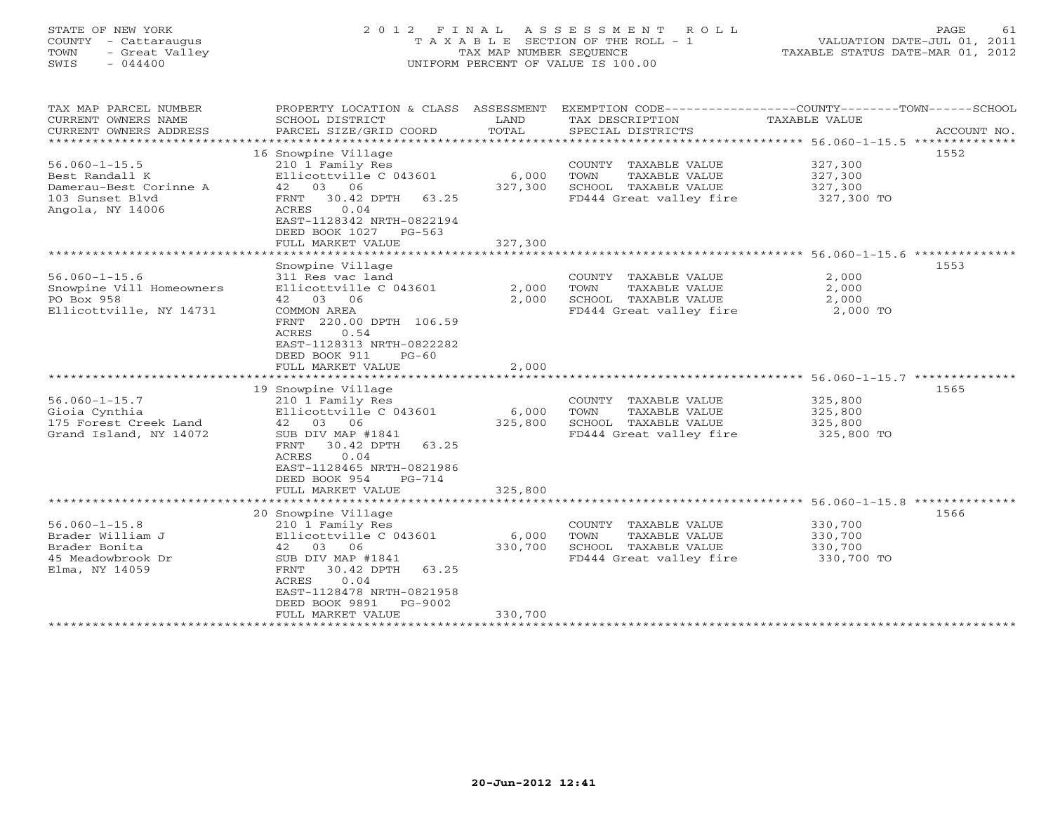# STATE OF NEW YORK 2 0 1 2 F I N A L A S S E S S M E N T R O L L PAGE 61 COUNTY - Cattaraugus T A X A B L E SECTION OF THE ROLL - 1 VALUATION DATE-JUL 01, 2011 TOWN - Great Valley TAX MAP NUMBER SEQUENCE TAXABLE STATUS DATE-MAR 01, 2012 SWIS - 044400 UNIFORM PERCENT OF VALUE IS 100.00UNIFORM PERCENT OF VALUE IS 100.00

| TAX MAP PARCEL NUMBER<br>CURRENT OWNERS NAME<br>CURRENT OWNERS ADDRESS<br>*****************            | PROPERTY LOCATION & CLASS ASSESSMENT<br>SCHOOL DISTRICT<br>PARCEL SIZE/GRID COORD                                                                                                           | LAND<br>TOTAL    | TAX DESCRIPTION<br>SPECIAL DISTRICTS                                                             | EXEMPTION CODE-----------------COUNTY-------TOWN------SCHOOL<br>TAXABLE VALUE                         | ACCOUNT NO. |
|--------------------------------------------------------------------------------------------------------|---------------------------------------------------------------------------------------------------------------------------------------------------------------------------------------------|------------------|--------------------------------------------------------------------------------------------------|-------------------------------------------------------------------------------------------------------|-------------|
| $56.060 - 1 - 15.5$<br>Best Randall K<br>Damerau-Best Corinne A<br>103 Sunset Blyd<br>Angola, NY 14006 | 16 Snowpine Village<br>210 1 Family Res<br>Ellicottville C 043601<br>42 03 06<br>30.42 DPTH<br>FRNT<br>63.25<br>0.04<br>ACRES<br>EAST-1128342 NRTH-0822194<br>DEED BOOK 1027<br>$PG-563$    | 6,000<br>327,300 | COUNTY TAXABLE VALUE<br>TAXABLE VALUE<br>TOWN<br>SCHOOL TAXABLE VALUE<br>FD444 Great valley fire | 327,300<br>327,300<br>327,300<br>327,300 TO                                                           | 1552        |
|                                                                                                        | FULL MARKET VALUE                                                                                                                                                                           | 327,300          |                                                                                                  |                                                                                                       |             |
| $56.060 - 1 - 15.6$<br>Snowpine Vill Homeowners<br>PO Box 958<br>Ellicottville, NY 14731               | Snowpine Village<br>311 Res vac land<br>Ellicottville C 043601<br>42 03 06<br>COMMON AREA<br>FRNT 220.00 DPTH 106.59<br>ACRES<br>0.54<br>EAST-1128313 NRTH-0822282                          | 2,000<br>2,000   | COUNTY TAXABLE VALUE<br>TOWN<br>TAXABLE VALUE<br>SCHOOL TAXABLE VALUE<br>FD444 Great valley fire | ******************************** 56.060-1-15.6 ***************<br>2,000<br>2,000<br>2,000<br>2,000 TO | 1553        |
|                                                                                                        | DEED BOOK 911<br>$PG-60$<br>FULL MARKET VALUE                                                                                                                                               | 2,000            |                                                                                                  |                                                                                                       |             |
|                                                                                                        |                                                                                                                                                                                             |                  |                                                                                                  |                                                                                                       |             |
|                                                                                                        | 19 Snowpine Village                                                                                                                                                                         |                  |                                                                                                  |                                                                                                       | 1565        |
| $56.060 - 1 - 15.7$<br>Gioia Cynthia<br>175 Forest Creek Land<br>Grand Island, NY 14072                | 210 1 Family Res<br>Ellicottville C 043601<br>03<br>42<br>06<br>SUB DIV MAP #1841<br>FRNT<br>30.42 DPTH<br>63.25<br>ACRES<br>0.04<br>EAST-1128465 NRTH-0821986<br>DEED BOOK 954<br>$PG-714$ | 6,000<br>325,800 | COUNTY TAXABLE VALUE<br>TOWN<br>TAXABLE VALUE<br>SCHOOL TAXABLE VALUE<br>FD444 Great valley fire | 325,800<br>325,800<br>325,800<br>325,800 TO                                                           |             |
|                                                                                                        | FULL MARKET VALUE                                                                                                                                                                           | 325,800          |                                                                                                  |                                                                                                       |             |
|                                                                                                        | 20 Snowpine Village                                                                                                                                                                         |                  |                                                                                                  |                                                                                                       | 1566        |
| $56.060 - 1 - 15.8$<br>Brader William J<br>Brader Bonita<br>45 Meadowbrook Dr<br>Elma, NY 14059        | 210 1 Family Res<br>Ellicottville C 043601<br>42<br>03<br>06<br>SUB DIV MAP #1841<br>30.42 DPTH<br>63.25<br>FRNT<br>0.04<br>ACRES<br>EAST-1128478 NRTH-0821958<br>DEED BOOK 9891<br>PG-9002 | 6,000<br>330,700 | COUNTY TAXABLE VALUE<br>TOWN<br>TAXABLE VALUE<br>SCHOOL TAXABLE VALUE<br>FD444 Great valley fire | 330,700<br>330,700<br>330,700<br>330,700 TO                                                           |             |
|                                                                                                        | FULL MARKET VALUE                                                                                                                                                                           | 330,700          |                                                                                                  |                                                                                                       |             |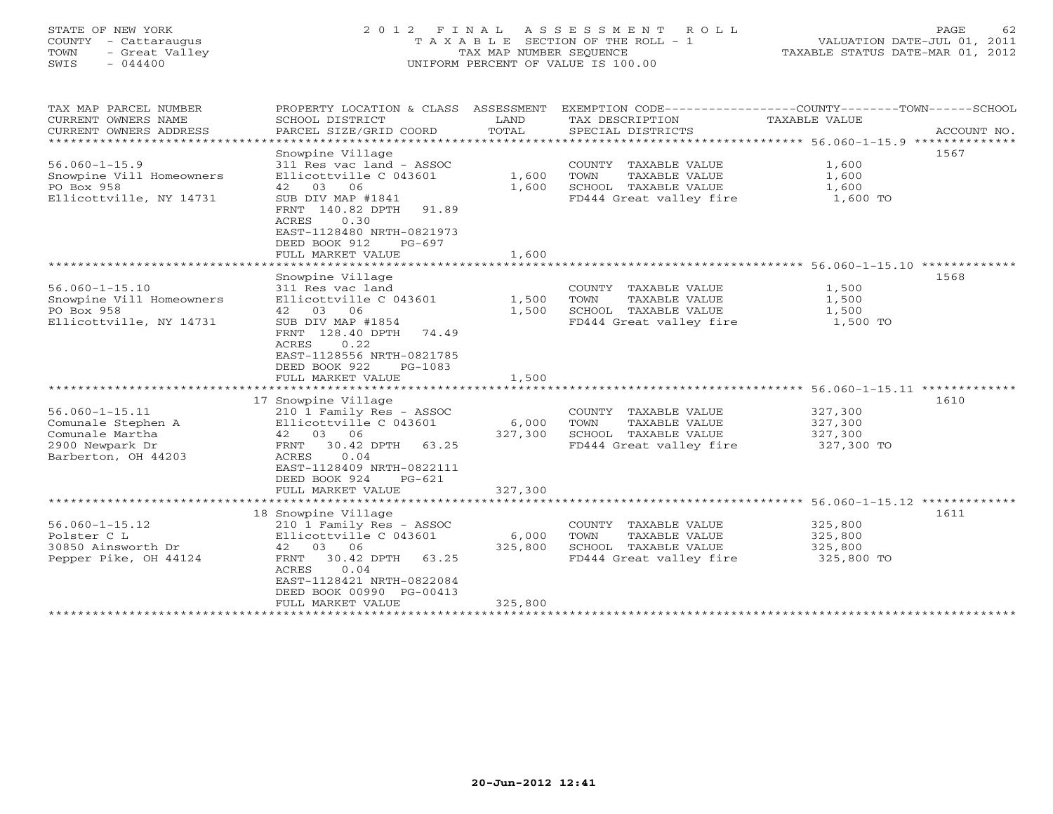# STATE OF NEW YORK 2 0 1 2 F I N A L A S S E S S M E N T R O L L PAGE 62 COUNTY - Cattaraugus T A X A B L E SECTION OF THE ROLL - 1 VALUATION DATE-JUL 01, 2011 TOWN - Great Valley TAX MAP NUMBER SEQUENCE TAXABLE STATUS DATE-MAR 01, 2012 SWIS - 044400 UNIFORM PERCENT OF VALUE IS 100.00UNIFORM PERCENT OF VALUE IS 100.00

| TAX MAP PARCEL NUMBER<br>CURRENT OWNERS NAME<br>CURRENT OWNERS ADDRESS | PROPERTY LOCATION & CLASS ASSESSMENT<br>SCHOOL DISTRICT<br>PARCEL SIZE/GRID COORD | LAND<br>TOTAL | TAX DESCRIPTION<br>SPECIAL DISTRICTS | EXEMPTION CODE-----------------COUNTY-------TOWN------SCHOOL<br>TAXABLE VALUE | ACCOUNT NO. |  |
|------------------------------------------------------------------------|-----------------------------------------------------------------------------------|---------------|--------------------------------------|-------------------------------------------------------------------------------|-------------|--|
|                                                                        |                                                                                   |               |                                      |                                                                               |             |  |
|                                                                        | Snowpine Village                                                                  |               |                                      | 1567                                                                          |             |  |
| $56.060 - 1 - 15.9$                                                    | 311 Res vac land - ASSOC                                                          |               | COUNTY TAXABLE VALUE                 | 1,600                                                                         |             |  |
| Snowpine Vill Homeowners                                               | Ellicottville C 043601                                                            | 1,600         | TAXABLE VALUE<br>TOWN                | 1,600                                                                         |             |  |
| PO Box 958                                                             | 42 03 06                                                                          | 1,600         | SCHOOL TAXABLE VALUE                 | 1,600                                                                         |             |  |
| Ellicottville, NY 14731                                                | SUB DIV MAP #1841                                                                 |               | FD444 Great valley fire              | 1,600 TO                                                                      |             |  |
|                                                                        | FRNT 140.82 DPTH<br>91.89                                                         |               |                                      |                                                                               |             |  |
|                                                                        | ACRES<br>0.30                                                                     |               |                                      |                                                                               |             |  |
|                                                                        | EAST-1128480 NRTH-0821973                                                         |               |                                      |                                                                               |             |  |
|                                                                        | DEED BOOK 912<br>$PG-697$                                                         |               |                                      |                                                                               |             |  |
|                                                                        | FULL MARKET VALUE                                                                 | 1,600         |                                      |                                                                               |             |  |
|                                                                        |                                                                                   |               |                                      |                                                                               |             |  |
|                                                                        | Snowpine Village                                                                  |               |                                      | 1568                                                                          |             |  |
| $56.060 - 1 - 15.10$                                                   | 311 Res vac land                                                                  |               | COUNTY TAXABLE VALUE                 | 1,500                                                                         |             |  |
|                                                                        |                                                                                   |               |                                      |                                                                               |             |  |
| Snowpine Vill Homeowners                                               | Ellicottville C 043601                                                            | 1,500         | TAXABLE VALUE<br>TOWN                | 1,500                                                                         |             |  |
| PO Box 958                                                             | 42 03 06                                                                          | 1,500         | SCHOOL TAXABLE VALUE                 | 1,500                                                                         |             |  |
| Ellicottville, NY 14731                                                | SUB DIV MAP #1854                                                                 |               | FD444 Great valley fire              | 1,500 TO                                                                      |             |  |
|                                                                        | FRNT 128.40 DPTH<br>74.49                                                         |               |                                      |                                                                               |             |  |
|                                                                        | <b>ACRES</b><br>0.22                                                              |               |                                      |                                                                               |             |  |
|                                                                        | EAST-1128556 NRTH-0821785                                                         |               |                                      |                                                                               |             |  |
|                                                                        | DEED BOOK 922<br>PG-1083                                                          |               |                                      |                                                                               |             |  |
|                                                                        | FULL MARKET VALUE                                                                 | 1,500         |                                      |                                                                               |             |  |
|                                                                        |                                                                                   |               |                                      |                                                                               |             |  |
|                                                                        | 17 Snowpine Village                                                               |               |                                      | 1610                                                                          |             |  |
| $56.060 - 1 - 15.11$                                                   | 210 1 Family Res - ASSOC                                                          |               | COUNTY TAXABLE VALUE                 | 327,300                                                                       |             |  |
| Comunale Stephen A                                                     | Ellicottville C 043601                                                            | 6,000         | TOWN<br>TAXABLE VALUE                | 327,300                                                                       |             |  |
| Comunale Martha                                                        | 42 03 06                                                                          | 327,300       | SCHOOL TAXABLE VALUE                 | 327,300                                                                       |             |  |
| 2900 Newpark Dr                                                        | FRNT<br>30.42 DPTH<br>63.25                                                       |               | FD444 Great valley fire              | 327,300 TO                                                                    |             |  |
| Barberton, OH 44203                                                    | 0.04<br>ACRES                                                                     |               |                                      |                                                                               |             |  |
|                                                                        | EAST-1128409 NRTH-0822111                                                         |               |                                      |                                                                               |             |  |
|                                                                        | DEED BOOK 924<br>$PG-621$                                                         |               |                                      |                                                                               |             |  |
|                                                                        | FULL MARKET VALUE                                                                 | 327,300       |                                      |                                                                               |             |  |
| ******************************                                         |                                                                                   |               |                                      |                                                                               |             |  |
|                                                                        | 18 Snowpine Village                                                               |               |                                      | 1611                                                                          |             |  |
| $56.060 - 1 - 15.12$                                                   | 210 1 Family Res - ASSOC                                                          |               | COUNTY TAXABLE VALUE                 | 325,800                                                                       |             |  |
| Polster C L                                                            | Ellicottville C 043601                                                            | 6,000         | TOWN<br>TAXABLE VALUE                | 325,800                                                                       |             |  |
|                                                                        |                                                                                   |               |                                      |                                                                               |             |  |
| 30850 Ainsworth Dr                                                     | 42<br>03 06                                                                       | 325,800       | SCHOOL TAXABLE VALUE                 | 325,800                                                                       |             |  |
| Pepper Pike, OH 44124                                                  | 30.42 DPTH<br>FRNT<br>63.25                                                       |               | FD444 Great valley fire              | 325,800 TO                                                                    |             |  |
|                                                                        | ACRES<br>0.04                                                                     |               |                                      |                                                                               |             |  |
|                                                                        | EAST-1128421 NRTH-0822084                                                         |               |                                      |                                                                               |             |  |
|                                                                        | DEED BOOK 00990 PG-00413                                                          |               |                                      |                                                                               |             |  |
|                                                                        | FULL MARKET VALUE                                                                 | 325,800       |                                      |                                                                               |             |  |
|                                                                        |                                                                                   |               |                                      |                                                                               |             |  |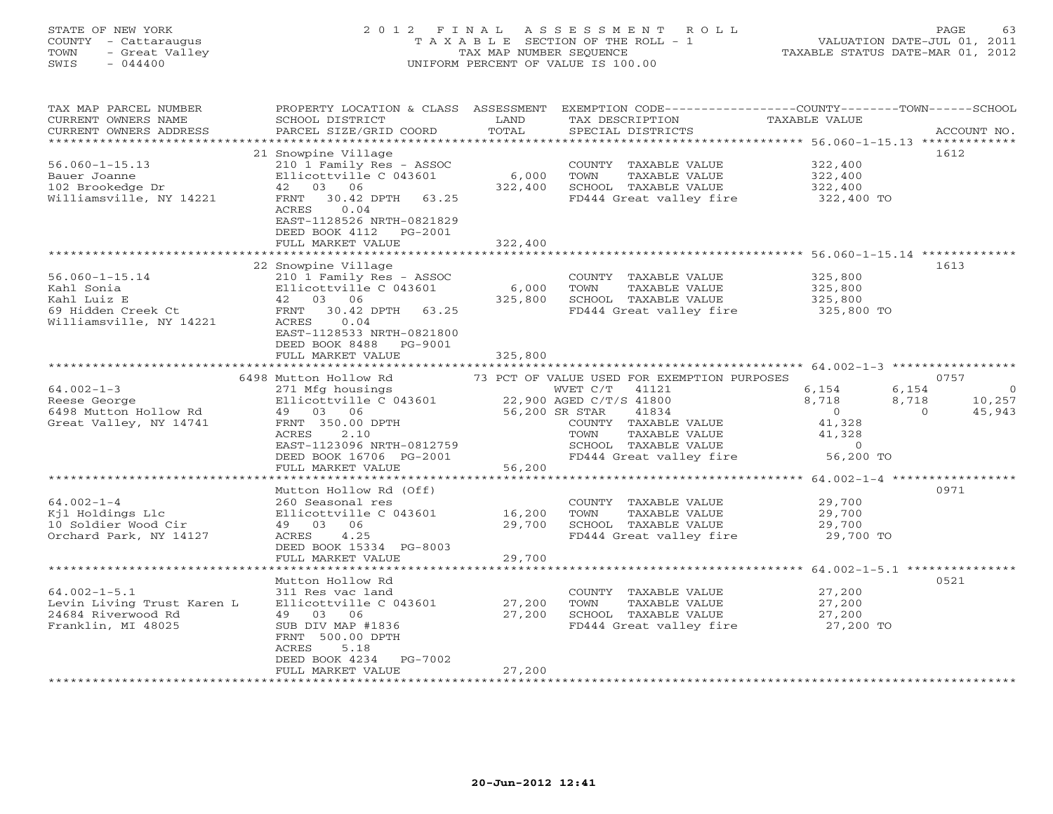# STATE OF NEW YORK 2 0 1 2 F I N A L A S S E S S M E N T R O L L PAGE 63 COUNTY - Cattaraugus T A X A B L E SECTION OF THE ROLL - 1 VALUATION DATE-JUL 01, 2011 TOWN - Great Valley TAX MAP NUMBER SEQUENCE TAXABLE STATUS DATE-MAR 01, 2012 SWIS - 044400 UNIFORM PERCENT OF VALUE IS 100.00UNIFORM PERCENT OF VALUE IS 100.00

| TAX MAP PARCEL NUMBER<br>CURRENT OWNERS NAME<br>CURRENT OWNERS ADDRESS<br>*******************      | PROPERTY LOCATION & CLASS<br>SCHOOL DISTRICT<br>PARCEL SIZE/GRID COORD<br>****************                                                                                                                           | ASSESSMENT<br>LAND<br>TOTAL | TAX DESCRIPTION<br>SPECIAL DISTRICTS                                                                                                                      | EXEMPTION CODE-----------------COUNTY-------TOWN------SCHOOL<br>TAXABLE VALUE                              | ACCOUNT NO.                        |
|----------------------------------------------------------------------------------------------------|----------------------------------------------------------------------------------------------------------------------------------------------------------------------------------------------------------------------|-----------------------------|-----------------------------------------------------------------------------------------------------------------------------------------------------------|------------------------------------------------------------------------------------------------------------|------------------------------------|
| $56.060 - 1 - 15.13$<br>Bauer Joanne<br>102 Brookedge Dr<br>Williamsville, NY 14221                | 21 Snowpine Village<br>210 1 Family Res - ASSOC<br>Ellicottville C 043601<br>42 03 06<br>30.42 DPTH<br>63.25<br>FRNT<br>ACRES<br>0.04<br>EAST-1128526 NRTH-0821829<br>DEED BOOK 4112<br>PG-2001<br>FULL MARKET VALUE | 6,000<br>322,400<br>322,400 | COUNTY TAXABLE VALUE<br>TOWN<br>TAXABLE VALUE<br>SCHOOL TAXABLE VALUE<br>FD444 Great valley fire                                                          | 1612<br>322,400<br>322,400<br>322,400<br>322,400 TO                                                        |                                    |
|                                                                                                    |                                                                                                                                                                                                                      |                             |                                                                                                                                                           |                                                                                                            |                                    |
| $56.060 - 1 - 15.14$<br>Kahl Sonia<br>Kahl Luiz E<br>69 Hidden Creek Ct<br>Williamsville, NY 14221 | 22 Snowpine Village<br>210 1 Family Res - ASSOC<br>Ellicottville C 043601<br>42 03 06<br>30.42 DPTH<br>63.25<br>FRNT<br>0.04<br>ACRES<br>EAST-1128533 NRTH-0821800<br>DEED BOOK 8488<br>PG-9001                      | 6,000<br>325,800            | COUNTY TAXABLE VALUE<br>TOWN<br>TAXABLE VALUE<br>SCHOOL TAXABLE VALUE<br>FD444 Great valley fire                                                          | 1613<br>325,800<br>325,800<br>325,800<br>325,800 TO                                                        |                                    |
|                                                                                                    | FULL MARKET VALUE                                                                                                                                                                                                    | 325,800                     |                                                                                                                                                           |                                                                                                            |                                    |
|                                                                                                    | 6498 Mutton Hollow Rd                                                                                                                                                                                                |                             | 73 PCT OF VALUE USED FOR EXEMPTION PURPOSES                                                                                                               | ************************************** 64.002-1-3 *****************<br>0757                                |                                    |
| $64.002 - 1 - 3$<br>Reese George<br>6498 Mutton Hollow Rd<br>Great Valley, NY 14741                | 271 Mfg housings<br>Ellicottville C 043601<br>49 03 06<br>FRNT 350.00 DPTH<br>ACRES<br>2.10<br>EAST-1123096 NRTH-0812759<br>DEED BOOK 16706 PG-2001                                                                  | 56,200 SR STAR              | WVET C/T<br>41121<br>22,900 AGED C/T/S 41800<br>41834<br>COUNTY TAXABLE VALUE<br>TOWN<br>TAXABLE VALUE<br>SCHOOL TAXABLE VALUE<br>FD444 Great valley fire | 6,154<br>6,154<br>8,718<br>8,718<br>$\overline{0}$<br>$\Omega$<br>41,328<br>41,328<br>$\circ$<br>56,200 TO | $\overline{0}$<br>10,257<br>45,943 |
|                                                                                                    | FULL MARKET VALUE                                                                                                                                                                                                    | 56,200                      |                                                                                                                                                           |                                                                                                            |                                    |
| $64.002 - 1 - 4$<br>Kjl Holdings Llc<br>10 Soldier Wood Cir<br>Orchard Park, NY 14127              | Mutton Hollow Rd (Off)<br>260 Seasonal res<br>Ellicottville C 043601<br>49 03 06<br>ACRES<br>4.25<br>DEED BOOK 15334 PG-8003                                                                                         | 16,200<br>29,700            | COUNTY TAXABLE VALUE<br>TAXABLE VALUE<br>TOWN<br>SCHOOL TAXABLE VALUE<br>FD444 Great valley fire                                                          | 0971<br>29,700<br>29,700<br>29,700<br>29,700 TO                                                            |                                    |
|                                                                                                    | FULL MARKET VALUE                                                                                                                                                                                                    | 29,700                      |                                                                                                                                                           |                                                                                                            |                                    |
| **********************                                                                             |                                                                                                                                                                                                                      |                             |                                                                                                                                                           |                                                                                                            |                                    |
| $64.002 - 1 - 5.1$<br>Levin Living Trust Karen L<br>24684 Riverwood Rd<br>Franklin, MI 48025       | Mutton Hollow Rd<br>311 Res vac land<br>Ellicottville C 043601<br>49 03 06<br>SUB DIV MAP #1836<br>FRNT 500.00 DPTH<br>5.18<br>ACRES                                                                                 | 27,200<br>27,200            | COUNTY TAXABLE VALUE<br>TAXABLE VALUE<br>TOWN<br>SCHOOL TAXABLE VALUE<br>FD444 Great valley fire                                                          | 0521<br>27,200<br>27,200<br>27,200<br>27,200 TO                                                            |                                    |
|                                                                                                    | DEED BOOK 4234<br>PG-7002<br>FULL MARKET VALUE                                                                                                                                                                       | 27,200                      |                                                                                                                                                           |                                                                                                            |                                    |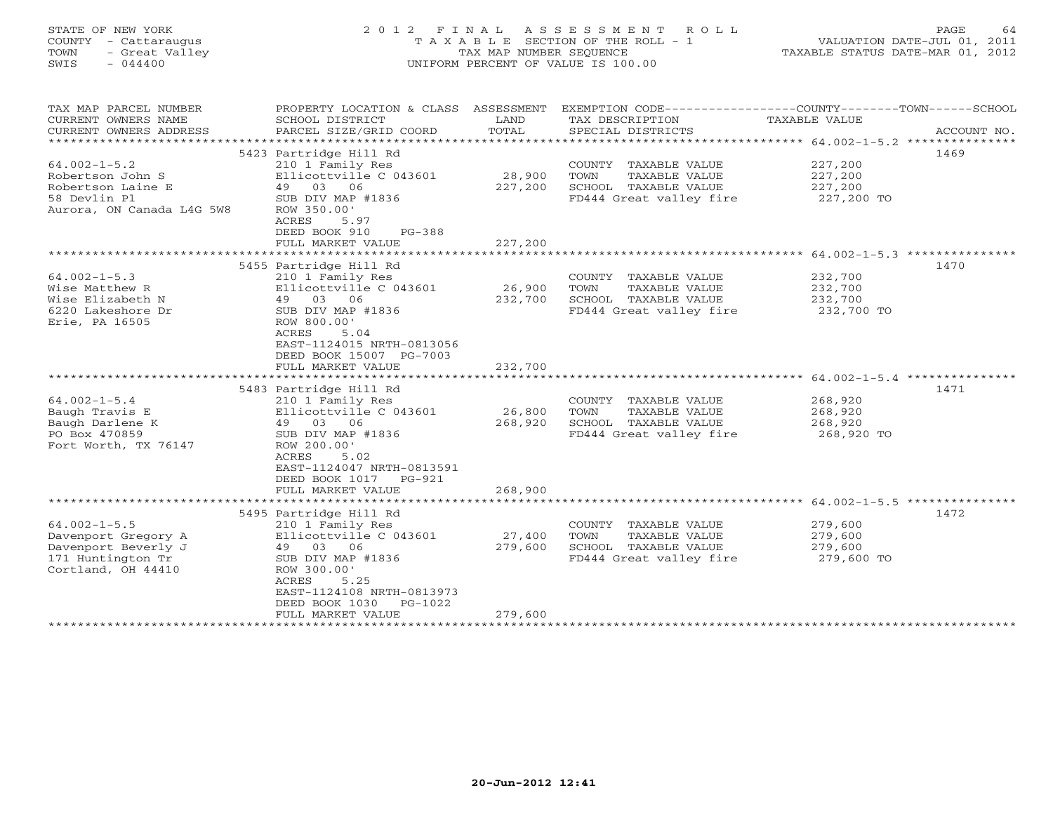## STATE OF NEW YORK 2 0 1 2 F I N A L A S S E S S M E N T R O L L PAGE 64 COUNTY - Cattaraugus T A X A B L E SECTION OF THE ROLL - 1 VALUATION DATE-JUL 01, 2011 TOWN - Great Valley TAX MAP NUMBER SEQUENCE TAXABLE STATUS DATE-MAR 01, 2012 SWIS - 044400 UNIFORM PERCENT OF VALUE IS 100.00UNIFORM PERCENT OF VALUE IS 100.00

| TAX MAP PARCEL NUMBER<br>CURRENT OWNERS NAME<br>CURRENT OWNERS ADDRESS<br>**************        | PROPERTY LOCATION & CLASS<br>SCHOOL DISTRICT<br>PARCEL SIZE/GRID COORD<br>*****************                                              | ASSESSMENT<br>LAND<br>TOTAL<br>********** | TAX DESCRIPTION<br>SPECIAL DISTRICTS                                                                | EXEMPTION CODE----------------COUNTY-------TOWN-----SCHOOL<br>TAXABLE VALUE<br>ACCOUNT NO.<br>***********************************64.002-1-5.2 **************** |
|-------------------------------------------------------------------------------------------------|------------------------------------------------------------------------------------------------------------------------------------------|-------------------------------------------|-----------------------------------------------------------------------------------------------------|----------------------------------------------------------------------------------------------------------------------------------------------------------------|
| $64.002 - 1 - 5.2$                                                                              | 5423 Partridge Hill Rd<br>210 1 Family Res                                                                                               |                                           | COUNTY TAXABLE VALUE                                                                                | 1469<br>227,200                                                                                                                                                |
| Robertson John S<br>Robertson Laine E<br>58 Devlin Pl<br>Aurora, ON Canada L4G 5W8              | Ellicottville C 043601<br>49 03<br>06<br>SUB DIV MAP #1836<br>ROW 350.00'                                                                | 28,900<br>227,200                         | TAXABLE VALUE<br>TOWN<br>SCHOOL TAXABLE VALUE<br>FD444 Great valley fire                            | 227,200<br>227,200<br>227,200 TO                                                                                                                               |
|                                                                                                 | ACRES<br>5.97<br>PG-388<br>DEED BOOK 910<br>FULL MARKET VALUE                                                                            | 227,200<br>********************           |                                                                                                     | ************************ 64.002-1-5.3 ***************                                                                                                          |
|                                                                                                 | 5455 Partridge Hill Rd                                                                                                                   |                                           |                                                                                                     | 1470                                                                                                                                                           |
| $64.002 - 1 - 5.3$<br>Wise Matthew R<br>Wise Elizabeth N<br>6220 Lakeshore Dr<br>Erie, PA 16505 | 210 1 Family Res<br>Ellicottville C 043601<br>49 03 06<br>SUB DIV MAP #1836<br>ROW 800.00'<br>5.04<br>ACRES<br>EAST-1124015 NRTH-0813056 | 26,900<br>232,700                         | COUNTY<br>TAXABLE VALUE<br>TOWN<br>TAXABLE VALUE<br>SCHOOL TAXABLE VALUE<br>FD444 Great valley fire | 232,700<br>232,700<br>232,700<br>232,700 TO                                                                                                                    |
|                                                                                                 | DEED BOOK 15007 PG-7003<br>FULL MARKET VALUE                                                                                             | 232,700                                   |                                                                                                     |                                                                                                                                                                |
|                                                                                                 |                                                                                                                                          |                                           |                                                                                                     | $64.002 - 1 - 5.4$ ***************                                                                                                                             |
|                                                                                                 | 5483 Partridge Hill Rd                                                                                                                   |                                           |                                                                                                     | 1471                                                                                                                                                           |
| $64.002 - 1 - 5.4$                                                                              | 210 1 Family Res                                                                                                                         |                                           | COUNTY TAXABLE VALUE                                                                                | 268,920                                                                                                                                                        |
| Baugh Travis E                                                                                  | Ellicottville C 043601<br>03<br>49<br>06                                                                                                 | 26,800<br>268,920                         | TOWN<br>TAXABLE VALUE<br>SCHOOL TAXABLE VALUE                                                       | 268,920<br>268,920                                                                                                                                             |
| Baugh Darlene K<br>PO Box 470859<br>Fort Worth, TX 76147                                        | SUB DIV MAP #1836<br>ROW 200.00'<br>ACRES<br>5.02<br>EAST-1124047 NRTH-0813591<br>DEED BOOK 1017<br>PG-921                               |                                           | FD444 Great valley fire                                                                             | 268,920 TO                                                                                                                                                     |
|                                                                                                 | FULL MARKET VALUE                                                                                                                        | 268,900                                   |                                                                                                     |                                                                                                                                                                |
|                                                                                                 |                                                                                                                                          |                                           |                                                                                                     |                                                                                                                                                                |
| $64.002 - 1 - 5.5$                                                                              | 5495 Partridge Hill Rd<br>210 1 Family Res                                                                                               |                                           | COUNTY TAXABLE VALUE                                                                                | 1472<br>279,600                                                                                                                                                |
| Davenport Gregory A                                                                             | Ellicottville C 043601                                                                                                                   | 27,400                                    | TOWN<br>TAXABLE VALUE                                                                               | 279,600                                                                                                                                                        |
| Davenport Beverly J                                                                             | 49<br>03 06                                                                                                                              | 279,600                                   | SCHOOL TAXABLE VALUE                                                                                | 279,600                                                                                                                                                        |
| 171 Huntington Tr<br>Cortland, OH 44410                                                         | SUB DIV MAP #1836<br>ROW 300.00'<br>ACRES<br>5.25<br>EAST-1124108 NRTH-0813973<br>DEED BOOK 1030<br>PG-1022                              |                                           | FD444 Great valley fire                                                                             | 279,600 TO                                                                                                                                                     |
|                                                                                                 | FULL MARKET VALUE                                                                                                                        | 279,600                                   |                                                                                                     |                                                                                                                                                                |
|                                                                                                 | *******************                                                                                                                      |                                           | ********************                                                                                |                                                                                                                                                                |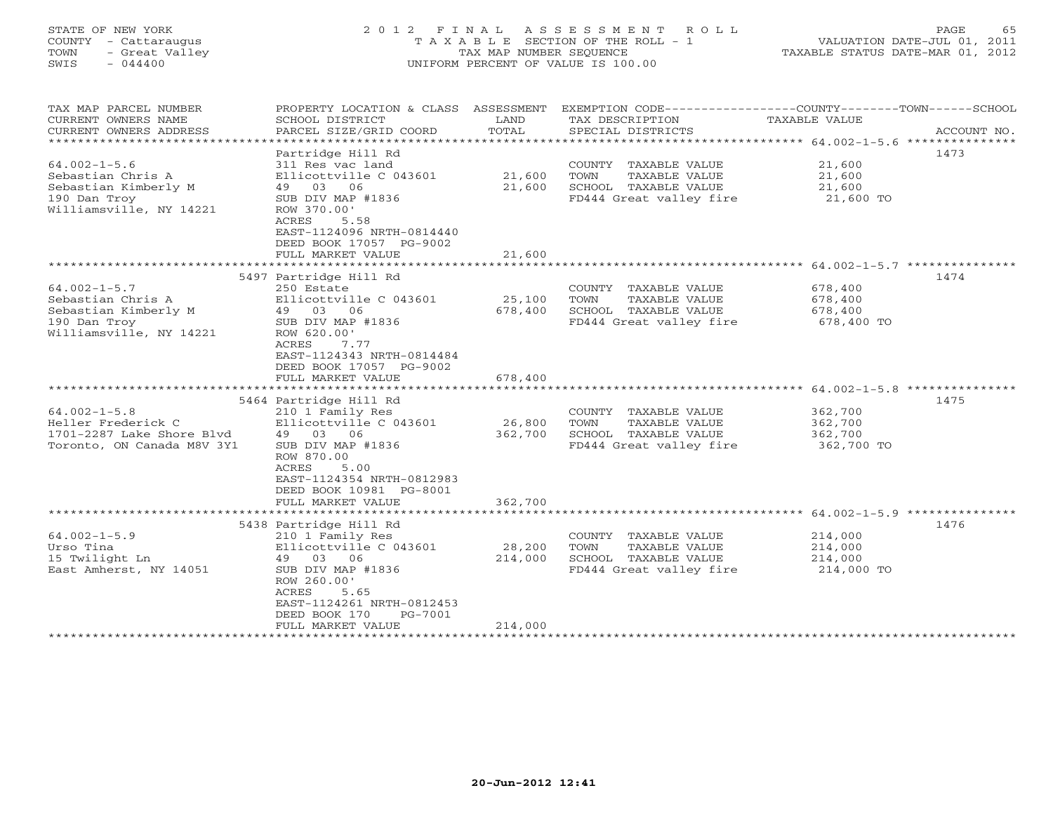## STATE OF NEW YORK 2 0 1 2 F I N A L A S S E S S M E N T R O L L PAGE 65 COUNTY - Cattaraugus T A X A B L E SECTION OF THE ROLL - 1 VALUATION DATE-JUL 01, 2011 TOWN - Great Valley TAX MAP NUMBER SEQUENCE TAXABLE STATUS DATE-MAR 01, 2012 SWIS - 044400 UNIFORM PERCENT OF VALUE IS 100.00UNIFORM PERCENT OF VALUE IS 100.00

| TAX MAP PARCEL NUMBER<br>CURRENT OWNERS NAME<br>CURRENT OWNERS ADDRESS                                                                   | PROPERTY LOCATION & CLASS ASSESSMENT<br>SCHOOL DISTRICT<br>PARCEL SIZE/GRID COORD                                                                                                                                        | LAND<br>TOTAL                            | TAX DESCRIPTION<br>SPECIAL DISTRICTS                                                                | EXEMPTION CODE-----------------COUNTY-------TOWN------SCHOOL<br>TAXABLE VALUE<br>ACCOUNT NO.                |
|------------------------------------------------------------------------------------------------------------------------------------------|--------------------------------------------------------------------------------------------------------------------------------------------------------------------------------------------------------------------------|------------------------------------------|-----------------------------------------------------------------------------------------------------|-------------------------------------------------------------------------------------------------------------|
| **************************<br>$64.002 - 1 - 5.6$<br>Sebastian Chris A<br>Sebastian Kimberly M<br>190 Dan Troy<br>Williamsville, NY 14221 | Partridge Hill Rd<br>311 Res vac land<br>Ellicottville C 043601<br>03<br>06<br>49<br>SUB DIV MAP #1836<br>ROW 370.00'<br>ACRES<br>5.58<br>EAST-1124096 NRTH-0814440<br>DEED BOOK 17057 PG-9002<br>FULL MARKET VALUE      | 21,600<br>21,600<br>21,600               | COUNTY TAXABLE VALUE<br>TOWN<br>TAXABLE VALUE<br>SCHOOL TAXABLE VALUE<br>FD444 Great valley fire    | 1473<br>21,600<br>21,600<br>21,600<br>21,600 TO                                                             |
|                                                                                                                                          |                                                                                                                                                                                                                          |                                          |                                                                                                     | ******************************** 64.002-1-5.7 ***************                                               |
| $64.002 - 1 - 5.7$<br>Sebastian Chris A<br>Sebastian Kimberly M<br>190 Dan Troy<br>Williamsville, NY 14221                               | 5497 Partridge Hill Rd<br>250 Estate<br>Ellicottville C 043601<br>49 03<br>06<br>SUB DIV MAP #1836<br>ROW 620.00'<br>ACRES<br>7.77<br>EAST-1124343 NRTH-0814484<br>DEED BOOK 17057 PG-9002<br>FULL MARKET VALUE          | 25,100<br>678,400<br>678,400             | COUNTY TAXABLE VALUE<br>TOWN<br>TAXABLE VALUE<br>SCHOOL TAXABLE VALUE<br>FD444 Great valley fire    | 1474<br>678,400<br>678,400<br>678,400<br>678,400 TO                                                         |
|                                                                                                                                          | 5464 Partridge Hill Rd                                                                                                                                                                                                   |                                          |                                                                                                     | 1475                                                                                                        |
| $64.002 - 1 - 5.8$<br>Heller Frederick C<br>1701-2287 Lake Shore Blyd<br>Toronto, ON Canada M8V 3Y1                                      | 210 1 Family Res<br>Ellicottville C 043601<br>49 03 06<br>SUB DIV MAP #1836<br>ROW 870.00<br>ACRES<br>5.00<br>EAST-1124354 NRTH-0812983<br>DEED BOOK 10981 PG-8001                                                       | 26,800<br>362,700                        | COUNTY TAXABLE VALUE<br>TOWN<br>TAXABLE VALUE<br>SCHOOL TAXABLE VALUE<br>FD444 Great valley fire    | 362,700<br>362,700<br>362,700<br>362,700 TO                                                                 |
|                                                                                                                                          | FULL MARKET VALUE                                                                                                                                                                                                        | 362,700                                  |                                                                                                     |                                                                                                             |
| $64.002 - 1 - 5.9$<br>Urso Tina<br>15 Twilight Ln<br>East Amherst, NY 14051                                                              | .<br>5438 Partridge Hill Rd<br>210 1 Family Res<br>Ellicottville C 043601<br>49 03 06<br>SUB DIV MAP #1836<br>ROW 260.00'<br>ACRES<br>5.65<br>EAST-1124261 NRTH-0812453<br>DEED BOOK 170<br>PG-7001<br>FULL MARKET VALUE | ********<br>28,200<br>214,000<br>214,000 | COUNTY<br>TAXABLE VALUE<br>TOWN<br>TAXABLE VALUE<br>SCHOOL TAXABLE VALUE<br>FD444 Great valley fire | *********************** 64.002-1-5.9 ***************<br>1476<br>214,000<br>214,000<br>214,000<br>214,000 TO |
|                                                                                                                                          |                                                                                                                                                                                                                          |                                          |                                                                                                     |                                                                                                             |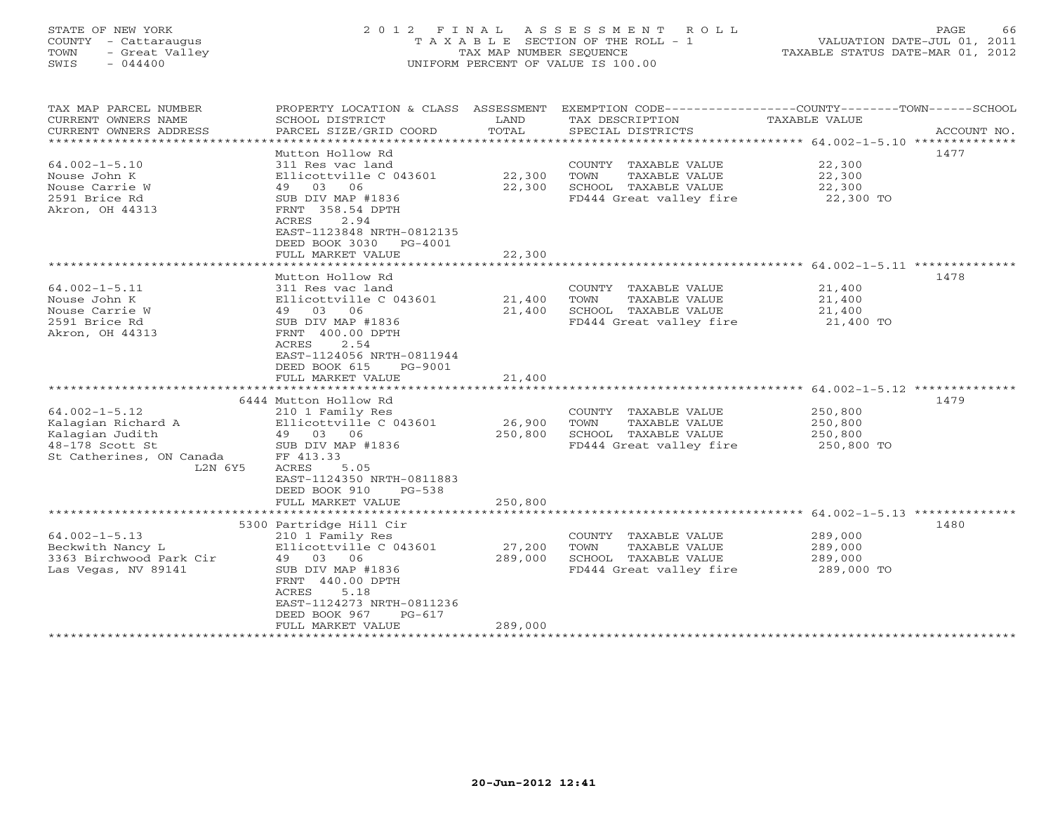## STATE OF NEW YORK 2 0 1 2 F I N A L A S S E S S M E N T R O L L PAGE 66 COUNTY - Cattaraugus T A X A B L E SECTION OF THE ROLL - 1 VALUATION DATE-JUL 01, 2011 TOWN - Great Valley TAX MAP NUMBER SEQUENCE TAXABLE STATUS DATE-MAR 01, 2012 SWIS - 044400 UNIFORM PERCENT OF VALUE IS 100.00UNIFORM PERCENT OF VALUE IS 100.00

| TAX MAP PARCEL NUMBER<br>CURRENT OWNERS NAME<br>CURRENT OWNERS ADDRESS<br>*************************                    | PROPERTY LOCATION & CLASS ASSESSMENT<br>SCHOOL DISTRICT<br>PARCEL SIZE/GRID COORD                                                                                                                                      | LAND<br>TOTAL              | TAX DESCRIPTION<br>SPECIAL DISTRICTS                                                             | EXEMPTION CODE-----------------COUNTY-------TOWN------SCHOOL<br>TAXABLE VALUE<br>ACCOUNT NO. |
|------------------------------------------------------------------------------------------------------------------------|------------------------------------------------------------------------------------------------------------------------------------------------------------------------------------------------------------------------|----------------------------|--------------------------------------------------------------------------------------------------|----------------------------------------------------------------------------------------------|
| $64.002 - 1 - 5.10$<br>Nouse John K<br>Nouse Carrie W<br>2591 Brice Rd<br>Akron, OH 44313                              | Mutton Hollow Rd<br>311 Res vac land<br>Ellicottville C 043601<br>03 06<br>49<br>SUB DIV MAP #1836<br>FRNT 358.54 DPTH<br>2.94<br>ACRES<br>EAST-1123848 NRTH-0812135<br>DEED BOOK 3030<br>PG-4001<br>FULL MARKET VALUE | 22,300<br>22,300<br>22,300 | COUNTY TAXABLE VALUE<br>TOWN<br>TAXABLE VALUE<br>SCHOOL TAXABLE VALUE<br>FD444 Great valley fire | 1477<br>22,300<br>22,300<br>22,300<br>22,300 TO                                              |
|                                                                                                                        |                                                                                                                                                                                                                        |                            |                                                                                                  |                                                                                              |
| $64.002 - 1 - 5.11$<br>Nouse John K<br>Nouse Carrie W<br>2591 Brice Rd<br>Akron, OH 44313                              | Mutton Hollow Rd<br>311 Res vac land<br>Ellicottville C 043601<br>49 03 06<br>SUB DIV MAP #1836<br>FRNT 400.00 DPTH<br>ACRES<br>2.54<br>EAST-1124056 NRTH-0811944<br>DEED BOOK 615<br>PG-9001<br>FULL MARKET VALUE     | 21,400<br>21,400<br>21,400 | COUNTY TAXABLE VALUE<br>TOWN<br>TAXABLE VALUE<br>SCHOOL TAXABLE VALUE<br>FD444 Great valley fire | 1478<br>21,400<br>21,400<br>21,400<br>21,400 TO                                              |
|                                                                                                                        | *********************                                                                                                                                                                                                  |                            |                                                                                                  | **************************** 64.002-1-5.12 **************                                    |
| $64.002 - 1 - 5.12$<br>Kalagian Richard A<br>Kalagian Judith<br>48-178 Scott St<br>St Catherines, ON Canada<br>L2N 6Y5 | 6444 Mutton Hollow Rd<br>210 1 Family Res<br>Ellicottville C 043601<br>49 03 06<br>SUB DIV MAP #1836<br>FF 413.33<br>ACRES<br>5.05<br>EAST-1124350 NRTH-0811883<br>DEED BOOK 910<br>$PG-538$                           | 26,900<br>250,800          | COUNTY TAXABLE VALUE<br>TOWN<br>TAXABLE VALUE<br>SCHOOL TAXABLE VALUE<br>FD444 Great valley fire | 1479<br>250,800<br>250,800<br>250,800<br>250,800 TO                                          |
|                                                                                                                        | FULL MARKET VALUE                                                                                                                                                                                                      | 250,800                    |                                                                                                  |                                                                                              |
| $64.002 - 1 - 5.13$<br>Beckwith Nancy L<br>3363 Birchwood Park Cir<br>Las Vegas, NV 89141                              | 5300 Partridge Hill Cir<br>210 1 Family Res<br>Ellicottville C 043601<br>49 03 06<br>SUB DIV MAP #1836<br>FRNT 440.00 DPTH<br>ACRES<br>5.18<br>EAST-1124273 NRTH-0811236                                               | 27,200<br>289,000          | COUNTY TAXABLE VALUE<br>TOWN<br>TAXABLE VALUE<br>SCHOOL TAXABLE VALUE<br>FD444 Great valley fire | 1480<br>289,000<br>289,000<br>289,000<br>289,000 TO                                          |
|                                                                                                                        | DEED BOOK 967<br>$PG-617$                                                                                                                                                                                              |                            |                                                                                                  |                                                                                              |
|                                                                                                                        | FULL MARKET VALUE                                                                                                                                                                                                      | 289,000                    | ************************                                                                         |                                                                                              |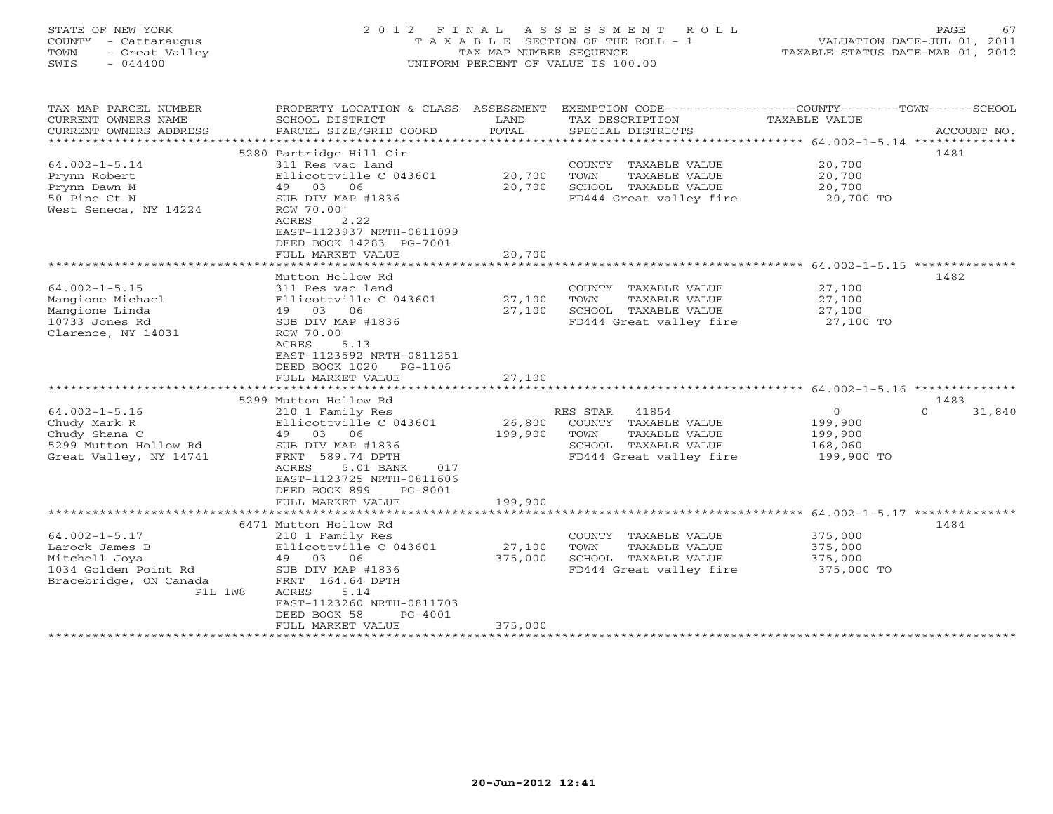| STATE OF NEW YORK<br>COUNTY - Cattaraugus<br>- Great Valley<br>TOWN<br>SWIS<br>$-044400$ | 2012 FINAL ASSESSMENT ROLL<br>T A X A B L E SECTION OF THE ROLL - 1<br>TAX MAP NUMBER SEOUENCE<br>UNIFORM PERCENT OF VALUE IS 100.00 | 67<br><b>PAGE</b><br>VALUATION DATE-JUL 01, 2011<br>TAXABLE STATUS DATE-MAR 01, 2012 |
|------------------------------------------------------------------------------------------|--------------------------------------------------------------------------------------------------------------------------------------|--------------------------------------------------------------------------------------|
|                                                                                          |                                                                                                                                      |                                                                                      |

| TAX MAP PARCEL NUMBER<br>CURRENT OWNERS NAME                     | PROPERTY LOCATION & CLASS<br>SCHOOL DISTRICT                                                                     | ASSESSMENT<br>LAND | TAX DESCRIPTION                                                  | TAXABLE VALUE |                    |
|------------------------------------------------------------------|------------------------------------------------------------------------------------------------------------------|--------------------|------------------------------------------------------------------|---------------|--------------------|
| CURRENT OWNERS ADDRESS                                           | PARCEL SIZE/GRID COORD                                                                                           | TOTAL              | SPECIAL DISTRICTS                                                |               | ACCOUNT NO.        |
| ************                                                     | *************************<br>5280 Partridge Hill Cir                                                             | ***************    |                                                                  |               | 1481               |
| $64.002 - 1 - 5.14$                                              | 311 Res vac land                                                                                                 |                    | COUNTY TAXABLE VALUE                                             | 20,700        |                    |
| Prynn Robert                                                     | Ellicottville C 043601                                                                                           | 20,700             | TOWN<br>TAXABLE VALUE                                            | 20,700        |                    |
| Prynn Dawn M                                                     | 03<br>49<br>06                                                                                                   | 20,700             | SCHOOL TAXABLE VALUE                                             | 20,700        |                    |
| 50 Pine Ct N                                                     | SUB DIV MAP #1836                                                                                                |                    | FD444 Great valley fire                                          | 20,700 TO     |                    |
| West Seneca, NY 14224                                            | ROW 70.00'<br>ACRES<br>2.22<br>EAST-1123937 NRTH-0811099<br>DEED BOOK 14283 PG-7001<br>FULL MARKET VALUE         | 20,700             |                                                                  |               |                    |
|                                                                  | ***************************                                                                                      | ************       | ***********************************64.002-1-5.15 *************** |               |                    |
|                                                                  | Mutton Hollow Rd                                                                                                 |                    |                                                                  |               | 1482               |
| $64.002 - 1 - 5.15$                                              | 311 Res vac land                                                                                                 |                    | COUNTY TAXABLE VALUE                                             | 27,100        |                    |
| Mangione Michael                                                 | Ellicottville C 043601                                                                                           | 27,100             | TOWN<br>TAXABLE VALUE                                            | 27,100        |                    |
| Mangione Linda                                                   | 49 03 06                                                                                                         | 27,100             | SCHOOL TAXABLE VALUE                                             | 27,100        |                    |
| 10733 Jones Rd                                                   | SUB DIV MAP #1836                                                                                                |                    | FD444 Great valley fire                                          | 27,100 TO     |                    |
| Clarence, NY 14031                                               | ROW 70.00<br>ACRES<br>5.13<br>EAST-1123592 NRTH-0811251<br>DEED BOOK 1020<br>PG-1106<br>FULL MARKET VALUE        | 27,100             |                                                                  |               |                    |
|                                                                  |                                                                                                                  |                    |                                                                  |               |                    |
|                                                                  | 5299 Mutton Hollow Rd                                                                                            |                    |                                                                  |               | 1483               |
| $64.002 - 1 - 5.16$                                              | 210 1 Family Res                                                                                                 |                    | 41854<br>RES STAR                                                | $\circ$       | $\Omega$<br>31,840 |
| Chudy Mark R                                                     | Ellicottville C 043601                                                                                           | 26,800             | COUNTY TAXABLE VALUE                                             | 199,900       |                    |
| Chudy Shana C                                                    | 49 03 06                                                                                                         | 199,900            | TOWN<br>TAXABLE VALUE                                            | 199,900       |                    |
| 5299 Mutton Hollow Rd                                            | SUB DIV MAP #1836                                                                                                |                    | SCHOOL TAXABLE VALUE                                             | 168,060       |                    |
| Great Valley, NY 14741                                           | FRNT 589.74 DPTH<br>ACRES<br>5.01 BANK<br>017<br>EAST-1123725 NRTH-0811606<br>DEED BOOK 899<br>PG-8001           |                    | FD444 Great valley fire                                          | 199,900 TO    |                    |
|                                                                  | FULL MARKET VALUE                                                                                                | 199,900            |                                                                  |               |                    |
|                                                                  | ************************                                                                                         |                    |                                                                  |               |                    |
|                                                                  | 6471 Mutton Hollow Rd                                                                                            |                    |                                                                  |               | 1484               |
| $64.002 - 1 - 5.17$                                              | 210 1 Family Res                                                                                                 |                    | COUNTY TAXABLE VALUE                                             | 375,000       |                    |
| Larock James B                                                   | Ellicottville C 043601                                                                                           | 27,100             | TAXABLE VALUE<br>TOWN                                            | 375,000       |                    |
| Mitchell Joya                                                    | 49 03 06                                                                                                         | 375,000            | SCHOOL TAXABLE VALUE                                             | 375,000       |                    |
| 1034 Golden Point Rd<br>Bracebridge, ON Canada<br><b>P1L 1W8</b> | SUB DIV MAP #1836<br>FRNT 164.64 DPTH<br>5.14<br>ACRES<br>EAST-1123260 NRTH-0811703<br>DEED BOOK 58<br>$PG-4001$ |                    | FD444 Great valley fire                                          | 375,000 TO    |                    |
|                                                                  | FULL MARKET VALUE                                                                                                | 375,000            |                                                                  |               |                    |
|                                                                  |                                                                                                                  |                    |                                                                  |               |                    |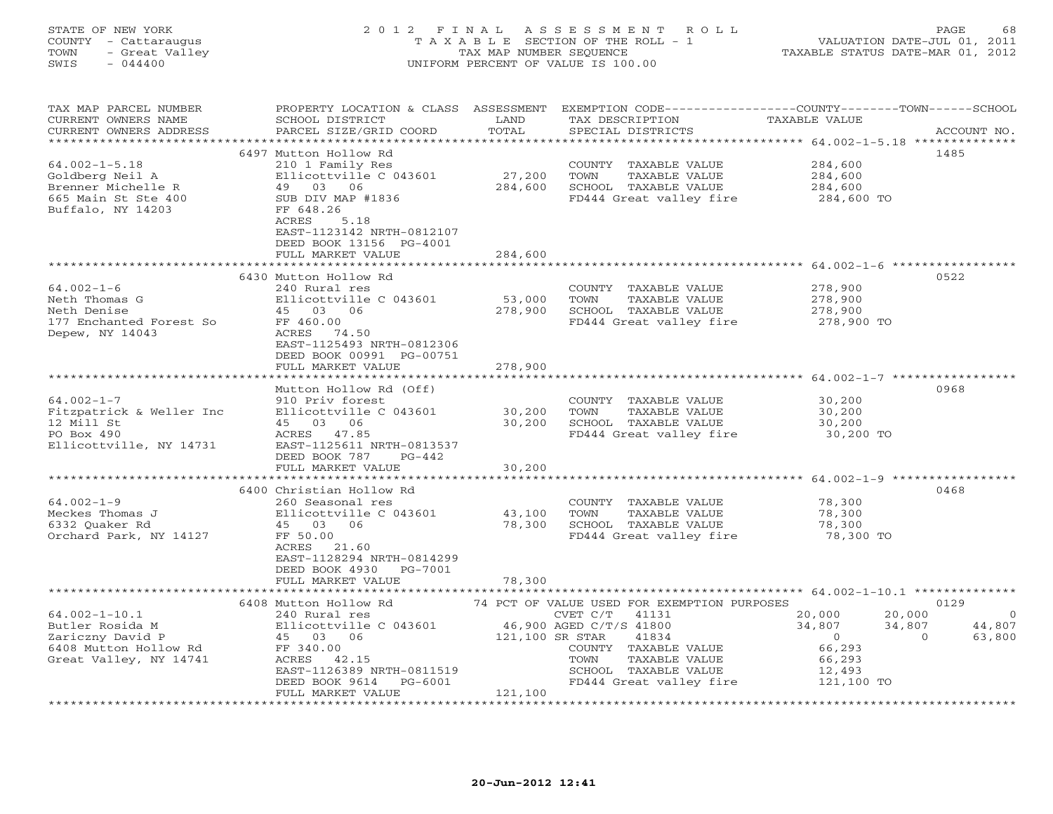#### STATE OF NEW YORK 2 0 1 2 F I N A L A S S E S S M E N T R O L L PAGE 68 COUNTY - Cattaraugus T A X A B L E SECTION OF THE ROLL - 1 VALUATION DATE-JUL 01, 2011 TOWN - Great Valley TAX MAP NUMBER SEQUENCE TAXABLE STATUS DATE-MAR 01, 2012 SWIS - 044400 UNIFORM PERCENT OF VALUE IS 100.00UNIFORM PERCENT OF VALUE IS 100.00

| TAX MAP PARCEL NUMBER<br>CURRENT OWNERS NAME     | PROPERTY LOCATION & CLASS ASSESSMENT<br>SCHOOL DISTRICT | LAND            | TAX DESCRIPTION                             | EXEMPTION CODE----------------COUNTY-------TOWN------SCHOOL<br><b>TAXABLE VALUE</b> |            |
|--------------------------------------------------|---------------------------------------------------------|-----------------|---------------------------------------------|-------------------------------------------------------------------------------------|------------|
| CURRENT OWNERS ADDRESS<br>********************** | PARCEL SIZE/GRID COORD                                  | TOTAL           | SPECIAL DISTRICTS                           | ACCOUNT NO.                                                                         |            |
|                                                  | 6497 Mutton Hollow Rd                                   |                 |                                             | 1485                                                                                |            |
| $64.002 - 1 - 5.18$                              | 210 1 Family Res                                        |                 | COUNTY TAXABLE VALUE                        | 284,600                                                                             |            |
| Goldberg Neil A                                  | Ellicottville C 043601                                  | 27,200          | TOWN<br>TAXABLE VALUE                       | 284,600                                                                             |            |
|                                                  | 49 03 06                                                | 284,600         | SCHOOL TAXABLE VALUE                        | 284,600                                                                             |            |
| Brenner Michelle R<br>665 Main St Ste 400        | SUB DIV MAP #1836                                       |                 | FD444 Great valley fire                     | 284,600 TO                                                                          |            |
|                                                  |                                                         |                 |                                             |                                                                                     |            |
| Buffalo, NY 14203                                | FF 648.26<br>ACRES<br>5.18                              |                 |                                             |                                                                                     |            |
|                                                  | EAST-1123142 NRTH-0812107                               |                 |                                             |                                                                                     |            |
|                                                  | DEED BOOK 13156 PG-4001                                 |                 |                                             |                                                                                     |            |
|                                                  | FULL MARKET VALUE                                       | 284,600         |                                             |                                                                                     |            |
|                                                  |                                                         |                 |                                             |                                                                                     |            |
|                                                  | 6430 Mutton Hollow Rd                                   |                 |                                             | 0522                                                                                |            |
| $64.002 - 1 - 6$                                 | 240 Rural res                                           |                 | COUNTY TAXABLE VALUE                        | 278,900                                                                             |            |
| Neth Thomas G                                    | Ellicottville C 043601                                  |                 | TOWN                                        |                                                                                     |            |
|                                                  |                                                         | 53,000          | TAXABLE VALUE                               | 278,900                                                                             |            |
| Neth Denise                                      | 45 03 06                                                | 278,900         | SCHOOL TAXABLE VALUE                        | 278,900                                                                             |            |
| 177 Enchanted Forest So                          | FF 460.00                                               |                 | FD444 Great valley fire                     | 278,900 TO                                                                          |            |
| Depew, NY 14043                                  | ACRES 74.50                                             |                 |                                             |                                                                                     |            |
|                                                  | EAST-1125493 NRTH-0812306                               |                 |                                             |                                                                                     |            |
|                                                  | DEED BOOK 00991 PG-00751                                |                 |                                             |                                                                                     |            |
|                                                  | FULL MARKET VALUE                                       | 278,900         |                                             |                                                                                     |            |
|                                                  |                                                         |                 |                                             |                                                                                     |            |
|                                                  | Mutton Hollow Rd (Off)                                  |                 |                                             | 0968                                                                                |            |
| $64.002 - 1 - 7$                                 | 910 Priv forest                                         |                 | COUNTY TAXABLE VALUE                        | 30,200                                                                              |            |
| Fitzpatrick & Weller Inc                         | Ellicottville C 043601                                  | 30,200          | TOWN<br>TAXABLE VALUE                       | 30,200                                                                              |            |
| 12 Mill St                                       | 45 03 06                                                | 30,200          | SCHOOL TAXABLE VALUE                        | 30,200                                                                              |            |
| PO Box 490                                       | ACRES 47.85                                             |                 | FD444 Great valley fire                     | 30,200 TO                                                                           |            |
| Ellicottville, NY 14731                          | EAST-1125611 NRTH-0813537                               |                 |                                             |                                                                                     |            |
|                                                  | DEED BOOK 787<br>$PG-442$                               |                 |                                             |                                                                                     |            |
|                                                  | FULL MARKET VALUE                                       | 30,200          |                                             |                                                                                     |            |
|                                                  |                                                         |                 |                                             |                                                                                     |            |
|                                                  | 6400 Christian Hollow Rd                                |                 |                                             | 0468                                                                                |            |
| $64.002 - 1 - 9$                                 | 260 Seasonal res                                        |                 | COUNTY TAXABLE VALUE                        | 78,300                                                                              |            |
| Meckes Thomas J                                  | Ellicottville C 043601                                  | 43,100          | TOWN<br>TAXABLE VALUE                       | 78,300                                                                              |            |
| 6332 Quaker Rd                                   | 45 03 06                                                | 78,300          | SCHOOL TAXABLE VALUE                        | 78,300                                                                              |            |
| Orchard Park, NY 14127                           | FF 50.00                                                |                 | FD444 Great valley fire                     | 78,300 TO                                                                           |            |
|                                                  | ACRES 21.60                                             |                 |                                             |                                                                                     |            |
|                                                  | EAST-1128294 NRTH-0814299                               |                 |                                             |                                                                                     |            |
|                                                  | DEED BOOK 4930 PG-7001                                  |                 |                                             |                                                                                     |            |
|                                                  | FULL MARKET VALUE<br>**************************         | 78,300          |                                             |                                                                                     |            |
|                                                  |                                                         |                 |                                             |                                                                                     |            |
|                                                  | 6408 Mutton Hollow Rd                                   |                 | 74 PCT OF VALUE USED FOR EXEMPTION PURPOSES | 0129                                                                                |            |
| $64.002 - 1 - 10.1$                              | 240 Rural res                                           |                 | CVET C/T<br>41131                           | 20,000<br>20,000                                                                    | $\bigcirc$ |
| Butler Rosida M                                  | Ellicottville C 043601                                  |                 | 46,900 AGED C/T/S 41800                     | 34,807<br>34,807                                                                    | 44,807     |
| Zariczny David P                                 | 45 03 06                                                | 121,100 SR STAR | 41834                                       | $\overline{0}$<br>$\Omega$                                                          | 63,800     |
| 6408 Mutton Hollow Rd                            | FF 340.00                                               |                 | COUNTY TAXABLE VALUE                        | 66,293                                                                              |            |
| Great Valley, NY 14741                           | ACRES 42.15                                             |                 | TOWN<br>TAXABLE VALUE                       | 66,293                                                                              |            |
|                                                  | EAST-1126389 NRTH-0811519                               |                 | SCHOOL TAXABLE VALUE                        | 12,493                                                                              |            |
|                                                  | DEED BOOK 9614 PG-6001                                  |                 | FD444 Great valley fire                     | 121,100 TO                                                                          |            |
|                                                  | FULL MARKET VALUE                                       | 121,100         |                                             |                                                                                     |            |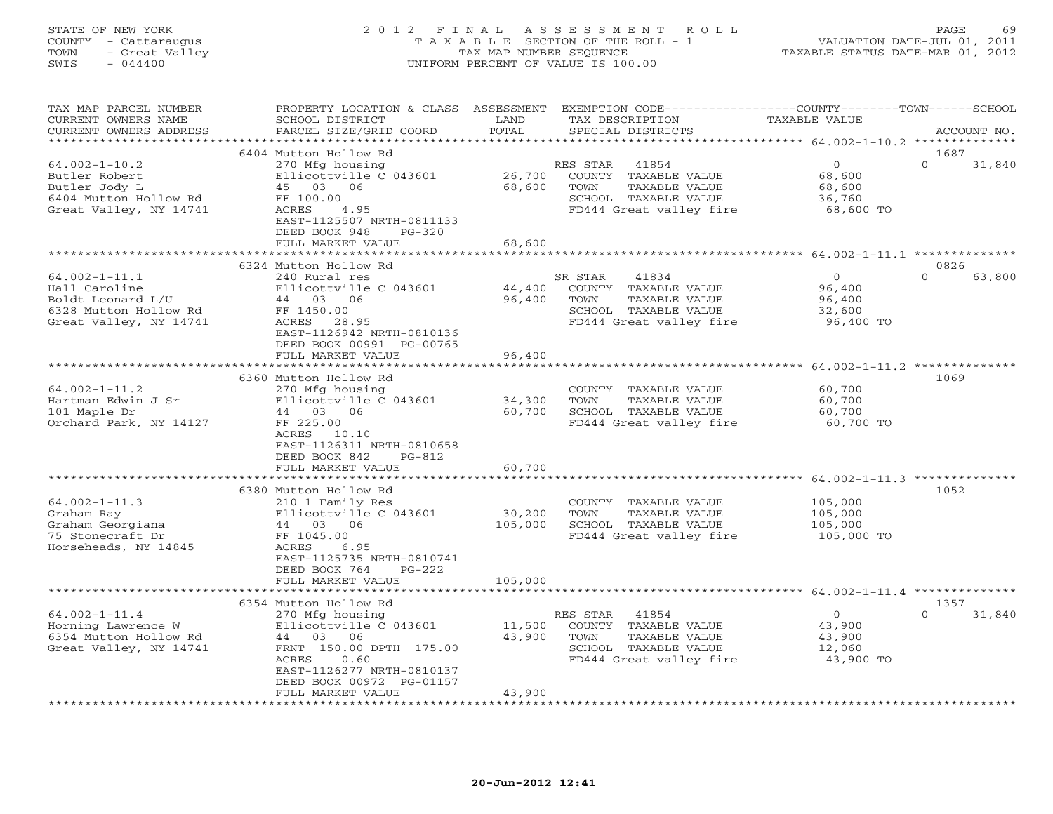#### STATE OF NEW YORK 2 0 1 2 F I N A L A S S E S S M E N T R O L L PAGE 69 COUNTY - Cattaraugus T A X A B L E SECTION OF THE ROLL - 1 VALUATION DATE-JUL 01, 2011 TOWN - Great Valley TAX MAP NUMBER SEQUENCE TAXABLE STATUS DATE-MAR 01, 2012 SWIS - 044400 UNIFORM PERCENT OF VALUE IS 100.00UNIFORM PERCENT OF VALUE IS 100.00

| TAX MAP PARCEL NUMBER<br>CURRENT OWNERS NAME<br>CURRENT OWNERS ADDRESS                                       | PROPERTY LOCATION & CLASS ASSESSMENT<br>SCHOOL DISTRICT<br>PARCEL SIZE/GRID COORD                                                                                       | LAND<br>TOTAL          | TAX DESCRIPTION<br>SPECIAL DISTRICTS                                                                                     | EXEMPTION CODE----------------COUNTY-------TOWN-----SCHOOL<br><b>TAXABLE VALUE</b> | ACCOUNT NO.                |
|--------------------------------------------------------------------------------------------------------------|-------------------------------------------------------------------------------------------------------------------------------------------------------------------------|------------------------|--------------------------------------------------------------------------------------------------------------------------|------------------------------------------------------------------------------------|----------------------------|
| *********************                                                                                        |                                                                                                                                                                         |                        |                                                                                                                          |                                                                                    |                            |
| $64.002 - 1 - 10.2$<br>Butler Robert<br>Butler Jody L<br>6404 Mutton Hollow Rd<br>Great Valley, NY 14741     | 6404 Mutton Hollow Rd<br>270 Mfg housing<br>Ellicottville C 043601<br>45 03 06<br>FF 100.00<br>ACRES<br>4.95<br>EAST-1125507 NRTH-0811133                               | 26,700<br>68,600       | RES STAR<br>41854<br>COUNTY TAXABLE VALUE<br>TAXABLE VALUE<br>TOWN<br>SCHOOL TAXABLE VALUE<br>FD444 Great valley fire    | $\circ$<br>68,600<br>68,600<br>36,760<br>68,600 TO                                 | 1687<br>$\Omega$<br>31,840 |
|                                                                                                              | DEED BOOK 948<br>$PG-320$<br>FULL MARKET VALUE<br>.                                                                                                                     | 68,600<br>*******      |                                                                                                                          |                                                                                    |                            |
|                                                                                                              | 6324 Mutton Hollow Rd                                                                                                                                                   |                        |                                                                                                                          | ********************* 64.002-1-11.1 **************                                 | 0826                       |
| $64.002 - 1 - 11.1$<br>Hall Caroline<br>Boldt Leonard L/U<br>6328 Mutton Hollow Rd<br>Great Valley, NY 14741 | 240 Rural res<br>Ellicottville C 043601<br>44 03<br>06<br>FF 1450.00<br>28.95<br>ACRES<br>EAST-1126942 NRTH-0810136<br>DEED BOOK 00991 PG-00765                         | 44,400<br>96,400       | 41834<br>SR STAR<br>TAXABLE VALUE<br>COUNTY<br>TOWN<br>TAXABLE VALUE<br>SCHOOL TAXABLE VALUE<br>FD444 Great valley fire  | $\circ$<br>96,400<br>96,400<br>32,600<br>96,400 TO                                 | $\Omega$<br>63,800         |
|                                                                                                              | FULL MARKET VALUE<br>***********************                                                                                                                            | 96,400<br>************ |                                                                                                                          | ****************************** 64.002-1-11.2 **************                        |                            |
| $64.002 - 1 - 11.2$<br>Hartman Edwin J Sr<br>101 Maple Dr<br>Orchard Park, NY 14127                          | 6360 Mutton Hollow Rd<br>270 Mfg housing<br>Ellicottville C 043601<br>44 03 06<br>FF 225.00<br>ACRES<br>10.10<br>EAST-1126311 NRTH-0810658<br>DEED BOOK 842<br>$PG-812$ | 34,300<br>60,700       | COUNTY TAXABLE VALUE<br>TOWN<br>TAXABLE VALUE<br>SCHOOL TAXABLE VALUE<br>FD444 Great valley fire                         | 60,700<br>60,700<br>60,700<br>60,700 TO                                            | 1069                       |
|                                                                                                              | FULL MARKET VALUE                                                                                                                                                       | 60,700                 |                                                                                                                          |                                                                                    |                            |
| $64.002 - 1 - 11.3$<br>Graham Ray<br>Graham Georgiana<br>75 Stonecraft Dr<br>Horseheads, NY 14845            | **************************<br>6380 Mutton Hollow Rd<br>210 1 Family Res<br>Ellicottville C 043601<br>44 03<br>06<br>FF 1045.00<br>ACRES<br>6.95                         | 30,200<br>105,000      | COUNTY TAXABLE VALUE<br>TAXABLE VALUE<br>TOWN<br>SCHOOL TAXABLE VALUE<br>FD444 Great valley fire                         | 105,000<br>105,000<br>105,000<br>105,000 TO                                        | 1052                       |
|                                                                                                              | EAST-1125735 NRTH-0810741<br>DEED BOOK 764<br>$PG-222$<br>FULL MARKET VALUE                                                                                             | 105,000                |                                                                                                                          |                                                                                    |                            |
|                                                                                                              | 6354 Mutton Hollow Rd                                                                                                                                                   |                        |                                                                                                                          | ********* 64.002-1-11.4 ********                                                   | 1357                       |
| $64.002 - 1 - 11.4$<br>Horning Lawrence W<br>6354 Mutton Hollow Rd<br>Great Valley, NY 14741                 | 270 Mfg housing<br>Ellicottville C 043601<br>44 03 06<br>FRNT 150.00 DPTH 175.00<br>ACRES<br>0.60<br>EAST-1126277 NRTH-0810137                                          | 11,500<br>43,900       | 41854<br>RES STAR<br>COUNTY<br>TAXABLE VALUE<br>TOWN<br>TAXABLE VALUE<br>SCHOOL TAXABLE VALUE<br>FD444 Great valley fire | $\circ$<br>43,900<br>43,900<br>12,060<br>43,900 TO                                 | 31,840<br>$\Omega$         |
|                                                                                                              | DEED BOOK 00972 PG-01157<br>FULL MARKET VALUE                                                                                                                           | 43,900                 |                                                                                                                          |                                                                                    |                            |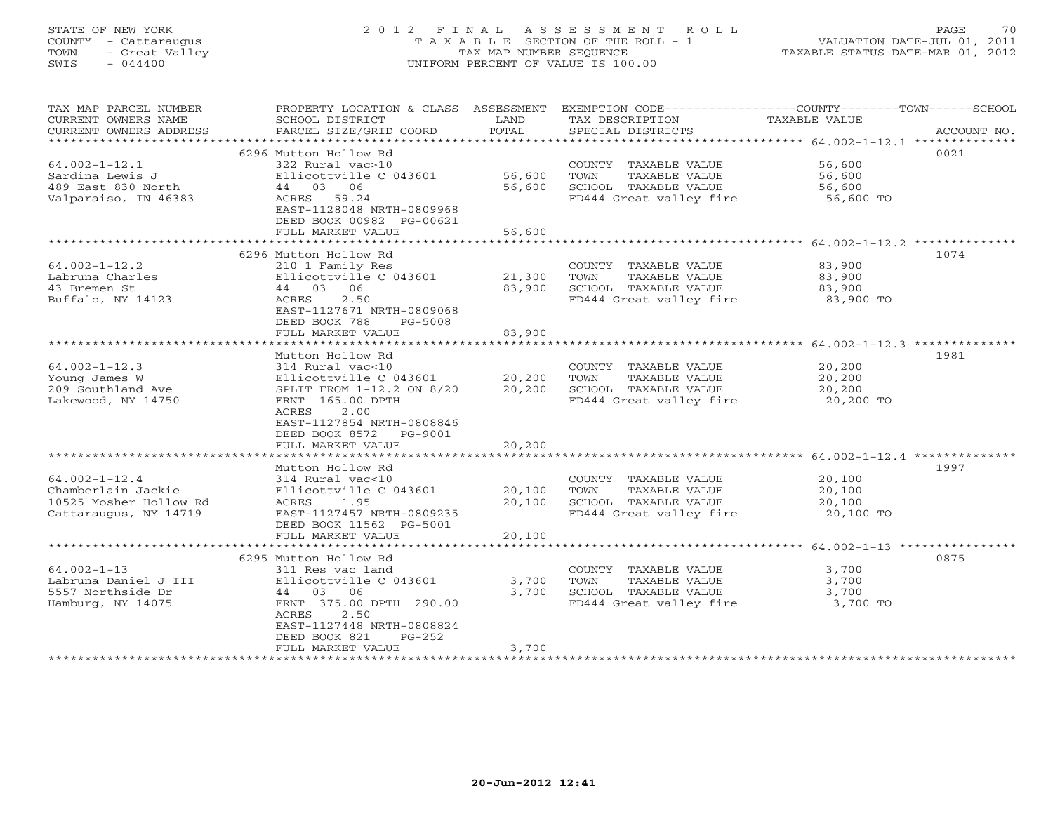# STATE OF NEW YORK 2 0 1 2 F I N A L A S S E S S M E N T R O L L PAGE 70 COUNTY - Cattaraugus T A X A B L E SECTION OF THE ROLL - 1 VALUATION DATE-JUL 01, 2011 TOWN - Great Valley TAX MAP NUMBER SEQUENCE TAXABLE STATUS DATE-MAR 01, 2012 SWIS - 044400 UNIFORM PERCENT OF VALUE IS 100.00UNIFORM PERCENT OF VALUE IS 100.00

| TAX MAP PARCEL NUMBER   |                                 |                |                         | PROPERTY LOCATION & CLASS ASSESSMENT EXEMPTION CODE---------------COUNTY-------TOWN-----SCHOOL |
|-------------------------|---------------------------------|----------------|-------------------------|------------------------------------------------------------------------------------------------|
| CURRENT OWNERS NAME     | SCHOOL DISTRICT                 | LAND           | TAX DESCRIPTION         | TAXABLE VALUE                                                                                  |
| CURRENT OWNERS ADDRESS  | PARCEL SIZE/GRID COORD          | TOTAL          | SPECIAL DISTRICTS       | ACCOUNT NO.                                                                                    |
| *********************** |                                 |                |                         |                                                                                                |
|                         | 6296 Mutton Hollow Rd           |                |                         | 0021                                                                                           |
| $64.002 - 1 - 12.1$     | 322 Rural vac>10                |                | COUNTY TAXABLE VALUE    | 56,600                                                                                         |
| Sardina Lewis J         | Ellicottville C 043601          | 56,600         | TOWN<br>TAXABLE VALUE   | 56,600                                                                                         |
| 489 East 830 North      | 44 03 06                        | 56,600         | SCHOOL TAXABLE VALUE    | 56,600                                                                                         |
| Valparaiso, IN 46383    | ACRES 59.24                     |                | FD444 Great valley fire | 56,600 TO                                                                                      |
|                         | EAST-1128048 NRTH-0809968       |                |                         |                                                                                                |
|                         | DEED BOOK 00982 PG-00621        |                |                         |                                                                                                |
|                         | FULL MARKET VALUE               | 56,600         |                         |                                                                                                |
|                         |                                 |                |                         |                                                                                                |
|                         | 6296 Mutton Hollow Rd           |                |                         | 1074                                                                                           |
| $64.002 - 1 - 12.2$     | 210 1 Family Res                |                | COUNTY TAXABLE VALUE    | 83,900                                                                                         |
|                         |                                 |                |                         |                                                                                                |
| Labruna Charles         | Ellicottville C 043601          | 21,300         | TAXABLE VALUE<br>TOWN   | 83,900                                                                                         |
| 43 Bremen St            | 44 03 06                        | 83,900         | SCHOOL TAXABLE VALUE    | 83,900                                                                                         |
| Buffalo, NY 14123       | 2.50<br>ACRES                   |                | FD444 Great valley fire | 83,900 TO                                                                                      |
|                         | EAST-1127671 NRTH-0809068       |                |                         |                                                                                                |
|                         | DEED BOOK 788<br><b>PG-5008</b> |                |                         |                                                                                                |
|                         | FULL MARKET VALUE               | 83,900         |                         |                                                                                                |
|                         |                                 |                |                         |                                                                                                |
|                         | Mutton Hollow Rd                |                |                         | 1981                                                                                           |
| $64.002 - 1 - 12.3$     | 314 Rural vac<10                |                | COUNTY TAXABLE VALUE    | 20,200                                                                                         |
| Young James W           | Ellicottville C 043601          | 20,200         | TAXABLE VALUE<br>TOWN   | 20,200                                                                                         |
| 209 Southland Ave       | SPLIT FROM 1-12.2 ON 8/20       | 20,200         | SCHOOL TAXABLE VALUE    | 20,200                                                                                         |
| Lakewood, NY 14750      | FRNT 165.00 DPTH                |                | FD444 Great valley fire | 20,200 TO                                                                                      |
|                         | ACRES<br>2.00                   |                |                         |                                                                                                |
|                         | EAST-1127854 NRTH-0808846       |                |                         |                                                                                                |
|                         | DEED BOOK 8572 PG-9001          |                |                         |                                                                                                |
|                         | FULL MARKET VALUE               | 20,200         |                         |                                                                                                |
|                         | ********************            | ************** |                         |                                                                                                |
|                         | Mutton Hollow Rd                |                |                         | 1997                                                                                           |
| $64.002 - 1 - 12.4$     | 314 Rural vac<10                |                | COUNTY TAXABLE VALUE    | 20,100                                                                                         |
| Chamberlain Jackie      | Ellicottville C 043601          | 20,100         | TAXABLE VALUE<br>TOWN   | 20,100                                                                                         |
| 10525 Mosher Hollow Rd  | ACRES<br>1.95                   | 20,100         | SCHOOL TAXABLE VALUE    | 20,100                                                                                         |
| Cattaraugus, NY 14719   | EAST-1127457 NRTH-0809235       |                | FD444 Great valley fire | 20,100 TO                                                                                      |
|                         | DEED BOOK 11562 PG-5001         |                |                         |                                                                                                |
|                         | FULL MARKET VALUE               | 20,100         |                         |                                                                                                |
|                         |                                 |                |                         |                                                                                                |
|                         |                                 |                |                         | 0875                                                                                           |
|                         | 6295 Mutton Hollow Rd           |                |                         |                                                                                                |
| $64.002 - 1 - 13$       | 311 Res vac land                |                | COUNTY TAXABLE VALUE    | 3,700                                                                                          |
| Labruna Daniel J III    | Ellicottville C 043601          | 3,700          | TAXABLE VALUE<br>TOWN   | 3,700                                                                                          |
| 5557 Northside Dr       | 44 03 06                        | 3,700          | SCHOOL TAXABLE VALUE    | 3,700                                                                                          |
| Hamburg, NY 14075       | FRNT 375.00 DPTH 290.00         |                | FD444 Great valley fire | 3,700 TO                                                                                       |
|                         | ACRES<br>2.50                   |                |                         |                                                                                                |
|                         | EAST-1127448 NRTH-0808824       |                |                         |                                                                                                |
|                         | DEED BOOK 821<br>PG-252         |                |                         |                                                                                                |
|                         | FULL MARKET VALUE               | 3,700          |                         |                                                                                                |
|                         |                                 |                |                         |                                                                                                |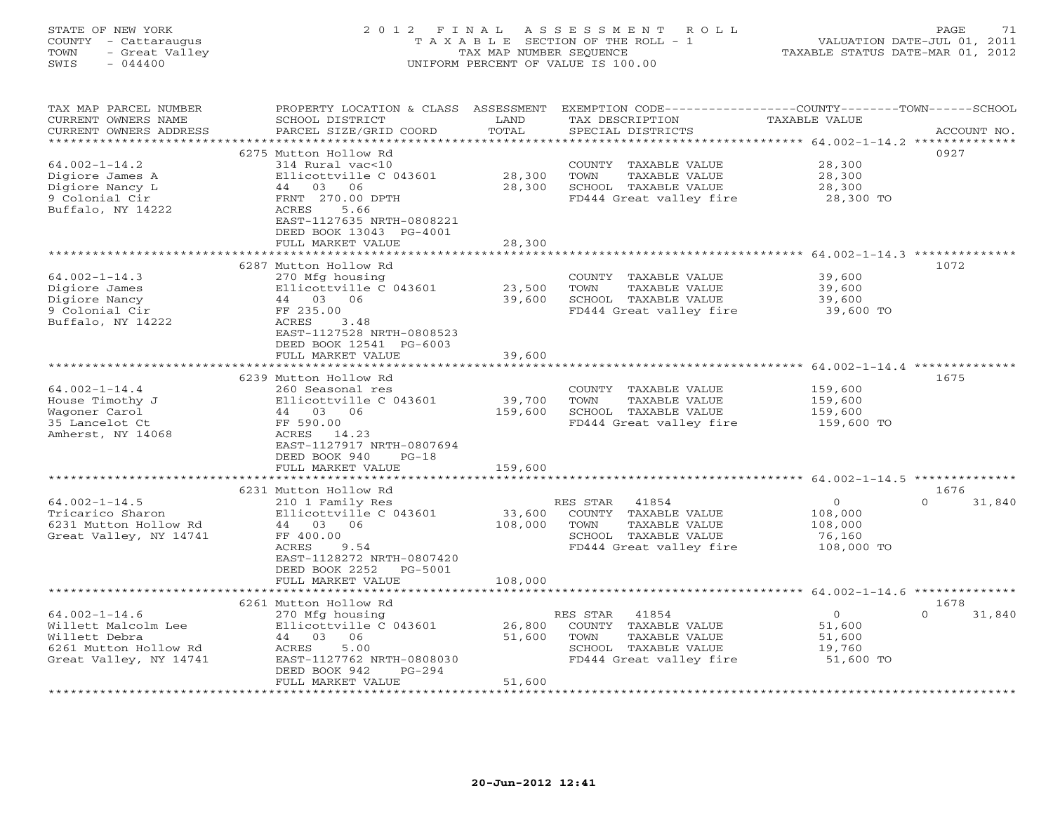#### STATE OF NEW YORK 2 0 1 2 F I N A L A S S E S S M E N T R O L L PAGE 71 COUNTY - Cattaraugus T A X A B L E SECTION OF THE ROLL - 1 VALUATION DATE-JUL 01, 2011 TOWN - Great Valley TAX MAP NUMBER SEQUENCE TAXABLE STATUS DATE-MAR 01, 2012 SWIS - 044400 UNIFORM PERCENT OF VALUE IS 100.00UNIFORM PERCENT OF VALUE IS 100.00

| TAX MAP PARCEL NUMBER<br>CURRENT OWNERS NAME<br>CURRENT OWNERS ADDRESS<br>*********************                | PROPERTY LOCATION & CLASS ASSESSMENT<br>SCHOOL DISTRICT<br>PARCEL SIZE/GRID COORD                                                                                                                    | LAND<br>TOTAL                | EXEMPTION CODE-----------------COUNTY-------TOWN------SCHOOL<br>TAX DESCRIPTION<br>SPECIAL DISTRICTS                  | TAXABLE VALUE                                                | ACCOUNT NO.                |
|----------------------------------------------------------------------------------------------------------------|------------------------------------------------------------------------------------------------------------------------------------------------------------------------------------------------------|------------------------------|-----------------------------------------------------------------------------------------------------------------------|--------------------------------------------------------------|----------------------------|
| $64.002 - 1 - 14.2$<br>Digiore James A<br>Digiore Nancy L<br>9 Colonial Cir<br>Buffalo, NY 14222               | 6275 Mutton Hollow Rd<br>314 Rural vac<10<br>Ellicottville C 043601<br>44 03<br>06<br>FRNT 270.00 DPTH<br>ACRES<br>5.66<br>EAST-1127635 NRTH-0808221<br>DEED BOOK 13043 PG-4001<br>FULL MARKET VALUE | 28,300<br>28,300<br>28,300   | COUNTY TAXABLE VALUE<br>TOWN<br>TAXABLE VALUE<br>SCHOOL TAXABLE VALUE<br>FD444 Great valley fire                      | 28,300<br>28,300<br>28,300<br>28,300 TO                      | 0927                       |
|                                                                                                                |                                                                                                                                                                                                      | ************                 |                                                                                                                       | $64.002 - 1 - 14.3$ *********                                |                            |
| $64.002 - 1 - 14.3$<br>Digiore James<br>Digiore Nancy<br>9 Colonial Cir<br>Buffalo, NY 14222                   | 6287 Mutton Hollow Rd<br>270 Mfg housing<br>Ellicottville C 043601<br>44 03 06<br>FF 235.00<br>ACRES<br>3.48<br>EAST-1127528 NRTH-0808523<br>DEED BOOK 12541 PG-6003<br>FULL MARKET VALUE            | 23,500<br>39,600<br>39,600   | COUNTY TAXABLE VALUE<br>TOWN<br>TAXABLE VALUE<br>SCHOOL TAXABLE VALUE<br>FD444 Great valley fire                      | 39,600<br>39,600<br>39,600<br>39,600 TO                      | 1072                       |
|                                                                                                                |                                                                                                                                                                                                      |                              | ***********************                                                                                               | ***************** 64.002-1-14.4 **************               |                            |
| $64.002 - 1 - 14.4$<br>House Timothy J<br>Wagoner Carol<br>35 Lancelot Ct<br>Amherst, NY 14068                 | 6239 Mutton Hollow Rd<br>260 Seasonal res<br>Ellicottville C 043601<br>44 03 06<br>FF 590.00<br>ACRES 14.23<br>EAST-1127917 NRTH-0807694<br>DEED BOOK 940<br>$PG-18$<br>FULL MARKET VALUE            | 39,700<br>159,600<br>159,600 | COUNTY TAXABLE VALUE<br>TOWN<br>TAXABLE VALUE<br>SCHOOL TAXABLE VALUE<br>FD444 Great valley fire                      | 159,600<br>159,600<br>159,600<br>159,600 TO                  | 1675                       |
|                                                                                                                |                                                                                                                                                                                                      |                              |                                                                                                                       |                                                              |                            |
| $64.002 - 1 - 14.5$<br>Tricarico Sharon<br>6231 Mutton Hollow Rd<br>Great Valley, NY 14741                     | 6231 Mutton Hollow Rd<br>210 1 Family Res<br>Ellicottville C 043601<br>44 03 06<br>FF 400.00<br>ACRES<br>9.54<br>EAST-1128272 NRTH-0807420<br>DEED BOOK 2252<br>PG-5001                              | 33,600<br>108,000            | 41854<br>RES STAR<br>COUNTY TAXABLE VALUE<br>TOWN<br>TAXABLE VALUE<br>SCHOOL TAXABLE VALUE<br>FD444 Great valley fire | $\overline{O}$<br>108,000<br>108,000<br>76,160<br>108,000 TO | 1676<br>$\Omega$<br>31,840 |
|                                                                                                                | FULL MARKET VALUE                                                                                                                                                                                    | 108,000                      |                                                                                                                       |                                                              |                            |
|                                                                                                                | * * * * * * * * * * * * * * * * * *                                                                                                                                                                  |                              |                                                                                                                       |                                                              |                            |
|                                                                                                                | 6261 Mutton Hollow Rd                                                                                                                                                                                |                              |                                                                                                                       |                                                              | 1678                       |
| $64.002 - 1 - 14.6$<br>Willett Malcolm Lee<br>Willett Debra<br>6261 Mutton Hollow Rd<br>Great Valley, NY 14741 | 270 Mfg housing<br>Ellicottville C 043601<br>44 03<br>06<br>ACRES<br>5.00<br>EAST-1127762 NRTH-0808030<br>DEED BOOK 942<br>$PG-294$<br>FULL MARKET VALUE                                             | 26,800<br>51,600<br>51,600   | RES STAR<br>41854<br>COUNTY TAXABLE VALUE<br>TOWN<br>TAXABLE VALUE<br>SCHOOL TAXABLE VALUE<br>FD444 Great valley fire | $\circ$<br>51,600<br>51,600<br>19,760<br>51,600 TO           | $\Omega$<br>31,840         |
| ******************                                                                                             |                                                                                                                                                                                                      |                              |                                                                                                                       |                                                              |                            |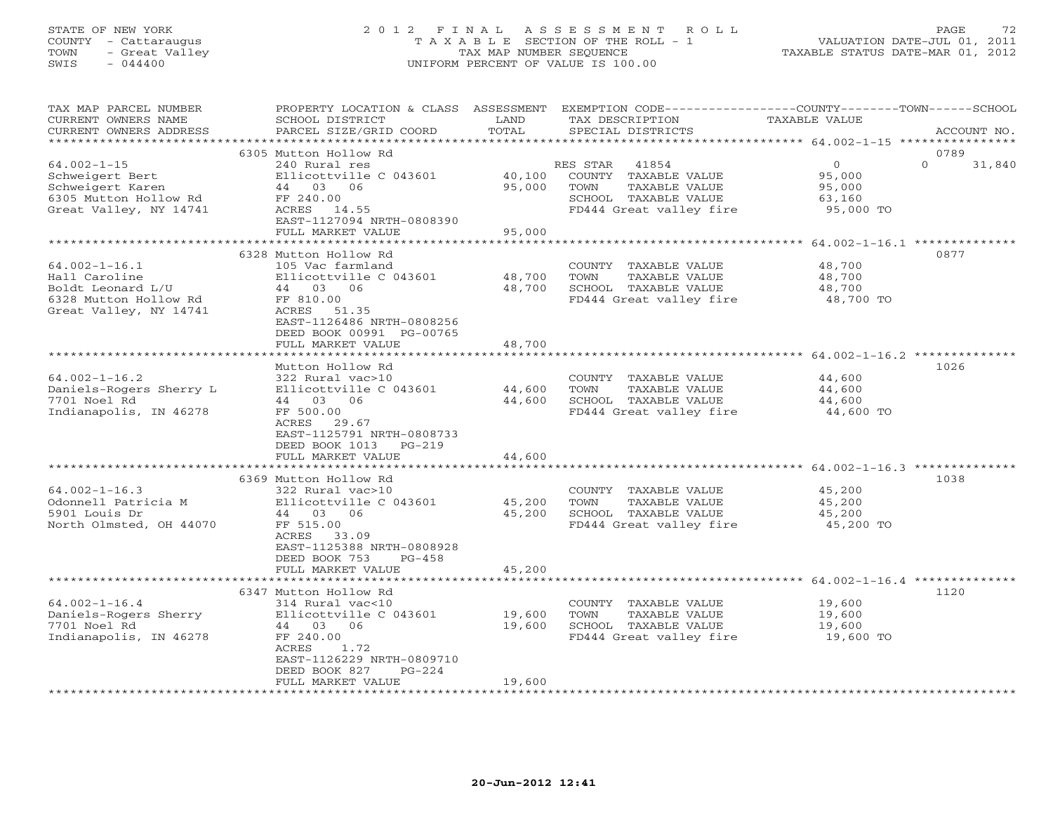# STATE OF NEW YORK 2 0 1 2 F I N A L A S S E S S M E N T R O L L PAGE 72 COUNTY - Cattaraugus T A X A B L E SECTION OF THE ROLL - 1 VALUATION DATE-JUL 01, 2011 TOWN - Great Valley TAX MAP NUMBER SEQUENCE TAXABLE STATUS DATE-MAR 01, 2012 SWIS - 044400 UNIFORM PERCENT OF VALUE IS 100.00UNIFORM PERCENT OF VALUE IS 100.00

| TAX MAP PARCEL NUMBER<br>CURRENT OWNERS NAME<br>CURRENT OWNERS ADDRESS                     | PROPERTY LOCATION & CLASS ASSESSMENT<br>SCHOOL DISTRICT<br>PARCEL SIZE/GRID COORD | LAND<br>TOTAL | TAX DESCRIPTION<br>SPECIAL DISTRICTS | EXEMPTION CODE-----------------COUNTY-------TOWN------SCHOOL<br>TAXABLE VALUE<br>ACCOUNT NO. |        |
|--------------------------------------------------------------------------------------------|-----------------------------------------------------------------------------------|---------------|--------------------------------------|----------------------------------------------------------------------------------------------|--------|
|                                                                                            | *****************                                                                 | *********     |                                      | ********** 64.002-1-15 *****************                                                     |        |
|                                                                                            | 6305 Mutton Hollow Rd                                                             |               |                                      | 0789                                                                                         |        |
| $64.002 - 1 - 15$                                                                          | 240 Rural res                                                                     |               | 41854<br>RES STAR                    | $\mathbf{O}$<br>$\Omega$                                                                     | 31,840 |
| Schweigert Bert                                                                            | Ellicottville C 043601                                                            | 40,100        | COUNTY TAXABLE VALUE                 | 95,000                                                                                       |        |
| Schweigert Karen                                                                           | 03<br>06<br>44                                                                    | 95,000        | TAXABLE VALUE<br>TOWN                | 95,000                                                                                       |        |
| 6305 Mutton Hollow Rd                                                                      | FF 240.00                                                                         |               | SCHOOL TAXABLE VALUE                 | 63,160                                                                                       |        |
| Great Valley, NY 14741                                                                     | 14.55<br>ACRES                                                                    |               | FD444 Great valley fire              | 95,000 TO                                                                                    |        |
|                                                                                            | EAST-1127094 NRTH-0808390<br>FULL MARKET VALUE                                    | 95,000        |                                      |                                                                                              |        |
|                                                                                            | ***************************                                                       |               |                                      |                                                                                              |        |
|                                                                                            | 6328 Mutton Hollow Rd                                                             |               |                                      | 0877                                                                                         |        |
| $64.002 - 1 - 16.1$                                                                        | 105 Vac farmland                                                                  |               | COUNTY TAXABLE VALUE                 | 48,700                                                                                       |        |
| Hall Caroline                                                                              | Ellicottville C 043601                                                            | 48,700        | TOWN<br>TAXABLE VALUE                | 48,700                                                                                       |        |
| Boldt Leonard L/U                                                                          | 44 03 06                                                                          | 48,700        | SCHOOL TAXABLE VALUE                 | 48,700                                                                                       |        |
| 6328 Mutton Hollow Rd                                                                      | FF 810.00                                                                         |               | FD444 Great valley fire              | 48,700 TO                                                                                    |        |
| Great Valley, NY 14741                                                                     | ACRES<br>51.35                                                                    |               |                                      |                                                                                              |        |
|                                                                                            | EAST-1126486 NRTH-0808256                                                         |               |                                      |                                                                                              |        |
|                                                                                            | DEED BOOK 00991 PG-00765                                                          |               |                                      |                                                                                              |        |
|                                                                                            | FULL MARKET VALUE<br>***************************                                  | 48,700        |                                      |                                                                                              |        |
|                                                                                            | Mutton Hollow Rd                                                                  |               |                                      | 1026                                                                                         |        |
| $64.002 - 1 - 16.2$                                                                        | 322 Rural vac>10                                                                  |               | COUNTY TAXABLE VALUE                 | 44,600                                                                                       |        |
| Daniels-Rogers Sherry L                                                                    | Ellicottville C 043601                                                            | 44,600        | TOWN<br>TAXABLE VALUE                | 44,600                                                                                       |        |
| 7701 Noel Rd                                                                               | 44 03<br>06                                                                       | 44,600        | SCHOOL TAXABLE VALUE                 | 44,600                                                                                       |        |
| Indianapolis, IN 46278                                                                     | FF 500.00                                                                         |               | FD444 Great valley fire              | 44,600 TO                                                                                    |        |
|                                                                                            | 29.67<br>ACRES                                                                    |               |                                      |                                                                                              |        |
|                                                                                            | EAST-1125791 NRTH-0808733                                                         |               |                                      |                                                                                              |        |
|                                                                                            | DEED BOOK 1013<br>$PG-219$                                                        |               |                                      |                                                                                              |        |
|                                                                                            | FULL MARKET VALUE                                                                 | 44,600        |                                      |                                                                                              |        |
| **************************************64.002-1-16.3 ***************<br>******************* |                                                                                   |               |                                      |                                                                                              |        |
|                                                                                            | 6369 Mutton Hollow Rd                                                             |               |                                      | 1038                                                                                         |        |
| $64.002 - 1 - 16.3$                                                                        | 322 Rural vac>10                                                                  |               | COUNTY TAXABLE VALUE                 | 45,200                                                                                       |        |
| Odonnell Patricia M                                                                        | Ellicottville C 043601                                                            | 45,200        | TOWN<br>TAXABLE VALUE                | 45,200                                                                                       |        |
| 5901 Louis Dr                                                                              | 44 03<br>06                                                                       | 45,200        | SCHOOL TAXABLE VALUE                 | 45,200                                                                                       |        |
| North Olmsted, OH 44070                                                                    | FF 515.00<br>ACRES<br>33.09                                                       |               | FD444 Great valley fire              | 45,200 TO                                                                                    |        |
|                                                                                            | EAST-1125388 NRTH-0808928                                                         |               |                                      |                                                                                              |        |
|                                                                                            | DEED BOOK 753<br>$PG-458$                                                         |               |                                      |                                                                                              |        |
|                                                                                            | FULL MARKET VALUE                                                                 | 45,200        |                                      |                                                                                              |        |
|                                                                                            |                                                                                   |               |                                      |                                                                                              |        |
|                                                                                            | 6347 Mutton Hollow Rd                                                             |               |                                      | 1120                                                                                         |        |
| $64.002 - 1 - 16.4$                                                                        | 314 Rural vac<10                                                                  |               | COUNTY TAXABLE VALUE                 | 19,600                                                                                       |        |
| Daniels-Rogers Sherry                                                                      | Ellicottville C 043601                                                            | 19,600        | TAXABLE VALUE<br>TOWN                | 19,600                                                                                       |        |
| 7701 Noel Rd                                                                               | 03<br>44<br>06                                                                    | 19,600        | SCHOOL TAXABLE VALUE                 | 19,600                                                                                       |        |
| Indianapolis, IN 46278                                                                     | FF 240.00                                                                         |               | FD444 Great valley fire              | 19,600 TO                                                                                    |        |
|                                                                                            | ACRES<br>1.72                                                                     |               |                                      |                                                                                              |        |
|                                                                                            | EAST-1126229 NRTH-0809710                                                         |               |                                      |                                                                                              |        |
|                                                                                            | DEED BOOK 827<br>$PG-224$<br>FULL MARKET VALUE                                    | 19,600        |                                      |                                                                                              |        |
|                                                                                            |                                                                                   |               |                                      |                                                                                              |        |
|                                                                                            |                                                                                   |               |                                      |                                                                                              |        |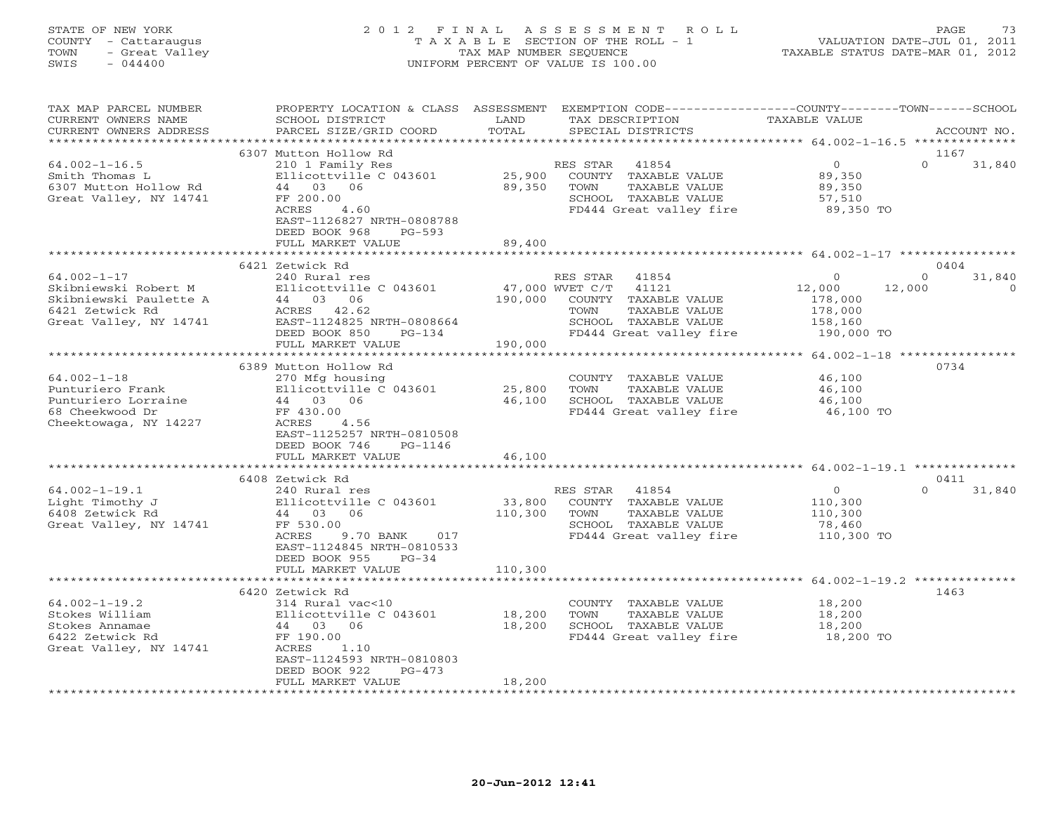## STATE OF NEW YORK 2 0 1 2 F I N A L A S S E S S M E N T R O L L PAGE 73 COUNTY - Cattaraugus T A X A B L E SECTION OF THE ROLL - 1 VALUATION DATE-JUL 01, 2011 TOWN - Great Valley TAX MAP NUMBER SEQUENCE TAXABLE STATUS DATE-MAR 01, 2012 SWIS - 044400 UNIFORM PERCENT OF VALUE IS 100.00UNIFORM PERCENT OF VALUE IS 100.00

| TAX MAP PARCEL NUMBER<br>CURRENT OWNERS NAME<br>CURRENT OWNERS ADDRESS                                           | PROPERTY LOCATION & CLASS<br>SCHOOL DISTRICT<br>PARCEL SIZE/GRID COORD                                                                                                                         | ASSESSMENT<br>LAND<br>TOTAL  | EXEMPTION CODE-----------------COUNTY-------TOWN------SCHOOL<br>TAX DESCRIPTION<br>SPECIAL DISTRICTS                                              | <b>TAXABLE VALUE</b>                                                       | ACCOUNT NO.                            |
|------------------------------------------------------------------------------------------------------------------|------------------------------------------------------------------------------------------------------------------------------------------------------------------------------------------------|------------------------------|---------------------------------------------------------------------------------------------------------------------------------------------------|----------------------------------------------------------------------------|----------------------------------------|
|                                                                                                                  |                                                                                                                                                                                                | **********                   |                                                                                                                                                   | ******************* 64.002-1-16.5 ***************                          |                                        |
| $64.002 - 1 - 16.5$<br>Smith Thomas L<br>6307 Mutton Hollow Rd<br>Great Valley, NY 14741                         | 6307 Mutton Hollow Rd<br>210 1 Family Res<br>Ellicottville C 043601<br>44 03 06<br>FF 200.00<br>ACRES<br>4.60<br>EAST-1126827 NRTH-0808788<br>DEED BOOK 968<br>$PG-593$                        | 25,900<br>89,350             | RES STAR<br>41854<br>COUNTY TAXABLE VALUE<br>TOWN<br>TAXABLE VALUE<br>SCHOOL TAXABLE VALUE<br>FD444 Great valley fire                             | $\overline{0}$<br>89,350<br>89,350<br>57,510<br>89,350 TO                  | 1167<br>$\Omega$<br>31,840             |
|                                                                                                                  | FULL MARKET VALUE                                                                                                                                                                              | 89,400                       |                                                                                                                                                   |                                                                            |                                        |
|                                                                                                                  |                                                                                                                                                                                                |                              |                                                                                                                                                   |                                                                            |                                        |
| $64.002 - 1 - 17$<br>Skibniewski Robert M<br>Skibniewski Paulette A<br>6421 Zetwick Rd<br>Great Valley, NY 14741 | 6421 Zetwick Rd<br>240 Rural res<br>Ellicottville C 043601<br>44 03 06<br>ACRES 42.62<br>EAST-1124825 NRTH-0808664<br>DEED BOOK 850<br>$PG-134$                                                | 190,000                      | RES STAR<br>41854<br>47,000 WVET C/T<br>41121<br>COUNTY TAXABLE VALUE<br>TOWN<br>TAXABLE VALUE<br>SCHOOL TAXABLE VALUE<br>FD444 Great valley fire | $\circ$<br>12,000<br>12,000<br>178,000<br>178,000<br>158,160<br>190,000 TO | 0404<br>31,840<br>$\Omega$<br>$\Omega$ |
|                                                                                                                  | FULL MARKET VALUE                                                                                                                                                                              | 190,000                      |                                                                                                                                                   |                                                                            |                                        |
|                                                                                                                  |                                                                                                                                                                                                |                              |                                                                                                                                                   |                                                                            |                                        |
| $64.002 - 1 - 18$<br>Punturiero Frank<br>Punturiero Lorraine<br>68 Cheekwood Dr<br>Cheektowaga, NY 14227         | 6389 Mutton Hollow Rd<br>270 Mfg housing<br>Ellicottville C 043601<br>44 03 06<br>FF 430.00<br>ACRES<br>4.56<br>EAST-1125257 NRTH-0810508<br>DEED BOOK 746<br>PG-1146<br>FULL MARKET VALUE     | 25,800<br>46,100<br>46,100   | COUNTY TAXABLE VALUE<br>TAXABLE VALUE<br>TOWN<br>SCHOOL TAXABLE VALUE<br>FD444 Great valley fire                                                  | 46,100<br>46,100<br>46,100<br>46,100 TO                                    | 0734                                   |
|                                                                                                                  | **********************                                                                                                                                                                         |                              |                                                                                                                                                   |                                                                            |                                        |
| $64.002 - 1 - 19.1$<br>Light Timothy J<br>6408 Zetwick Rd<br>Great Valley, NY 14741                              | 6408 Zetwick Rd<br>240 Rural res<br>Ellicottville C 043601<br>44 03 06<br>FF 530.00<br>9.70 BANK<br>ACRES<br>017<br>EAST-1124845 NRTH-0810533<br>DEED BOOK 955<br>$PG-34$<br>FULL MARKET VALUE | 33,800<br>110,300<br>110,300 | RES STAR<br>41854<br>COUNTY TAXABLE VALUE<br>TOWN<br>TAXABLE VALUE<br>SCHOOL TAXABLE VALUE<br>FD444 Great valley fire                             | $\overline{O}$<br>110,300<br>110,300<br>78,460<br>110,300 TO               | 0411<br>$\Omega$<br>31,840             |
|                                                                                                                  | ************************                                                                                                                                                                       |                              |                                                                                                                                                   |                                                                            |                                        |
| $64.002 - 1 - 19.2$<br>Stokes William<br>Stokes Annamae<br>6422 Zetwick Rd<br>Great Valley, NY 14741             | 6420 Zetwick Rd<br>314 Rural vac<10<br>Ellicottville C 043601<br>44 03 06<br>FF 190.00<br>ACRES<br>1.10<br>EAST-1124593 NRTH-0810803<br>DEED BOOK 922<br>$PG-473$                              | 18,200<br>18,200             | COUNTY TAXABLE VALUE<br>TOWN<br>TAXABLE VALUE<br>SCHOOL TAXABLE VALUE<br>FD444 Great valley fire                                                  | 18,200<br>18,200<br>18,200<br>18,200 TO                                    | 1463                                   |
|                                                                                                                  | FULL MARKET VALUE                                                                                                                                                                              | 18,200                       |                                                                                                                                                   |                                                                            |                                        |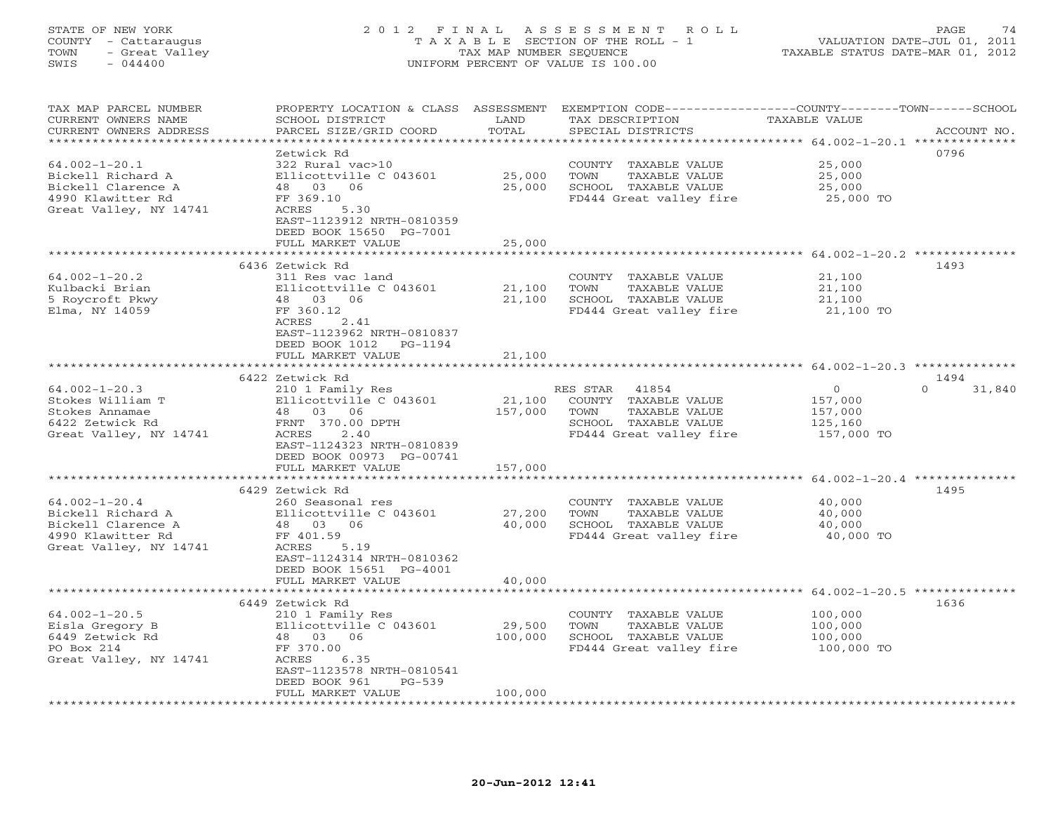#### STATE OF NEW YORK 2 0 1 2 F I N A L A S S E S S M E N T R O L L PAGE 74 COUNTY - Cattaraugus T A X A B L E SECTION OF THE ROLL - 1 VALUATION DATE-JUL 01, 2011 TOWN - Great Valley TAX MAP NUMBER SEQUENCE TAXABLE STATUS DATE-MAR 01, 2012 SWIS - 044400 UNIFORM PERCENT OF VALUE IS 100.00UNIFORM PERCENT OF VALUE IS 100.00

| TAX MAP PARCEL NUMBER<br>CURRENT OWNERS NAME     | PROPERTY LOCATION & CLASS ASSESSMENT<br>SCHOOL DISTRICT | LAND                  | TAX DESCRIPTION                               | EXEMPTION CODE-----------------COUNTY-------TOWN------SCHOOL<br>TAXABLE VALUE |             |
|--------------------------------------------------|---------------------------------------------------------|-----------------------|-----------------------------------------------|-------------------------------------------------------------------------------|-------------|
| CURRENT OWNERS ADDRESS<br>********************** | PARCEL SIZE/GRID COORD<br>***********************       | TOTAL<br>************ | SPECIAL DISTRICTS                             | ********************************** 64.002-1-20.1 **************               | ACCOUNT NO. |
|                                                  | Zetwick Rd                                              |                       |                                               | 0796                                                                          |             |
| $64.002 - 1 - 20.1$                              | 322 Rural vac>10                                        |                       | COUNTY TAXABLE VALUE                          | 25,000                                                                        |             |
| Bickell Richard A                                | Ellicottville C 043601                                  | 25,000                | TOWN<br>TAXABLE VALUE                         | 25,000                                                                        |             |
| Bickell Clarence A                               | 48 03 06                                                | 25,000                | SCHOOL TAXABLE VALUE                          | 25,000                                                                        |             |
| 4990 Klawitter Rd                                | FF 369.10                                               |                       | FD444 Great valley fire                       | 25,000 TO                                                                     |             |
| Great Valley, NY 14741                           | 5.30<br>ACRES                                           |                       |                                               |                                                                               |             |
|                                                  | EAST-1123912 NRTH-0810359                               |                       |                                               |                                                                               |             |
|                                                  | DEED BOOK 15650 PG-7001                                 |                       |                                               |                                                                               |             |
|                                                  | FULL MARKET VALUE                                       | 25,000                |                                               |                                                                               |             |
|                                                  |                                                         | ********              |                                               | ************************* 64.002-1-20.2 **************                        |             |
|                                                  | 6436 Zetwick Rd                                         |                       |                                               | 1493                                                                          |             |
| $64.002 - 1 - 20.2$                              | 311 Res vac land                                        |                       | COUNTY TAXABLE VALUE                          | 21,100                                                                        |             |
| Kulbacki Brian                                   | Ellicottville C 043601                                  | 21,100                | TOWN<br>TAXABLE VALUE                         | 21,100                                                                        |             |
| 5 Roycroft Pkwy                                  | 48 03 06                                                | 21,100                | SCHOOL TAXABLE VALUE                          | 21,100                                                                        |             |
| Elma, NY 14059                                   | FF 360.12                                               |                       | FD444 Great valley fire                       | 21,100 TO                                                                     |             |
|                                                  | 2.41<br>ACRES<br>EAST-1123962 NRTH-0810837              |                       |                                               |                                                                               |             |
|                                                  | DEED BOOK 1012<br>PG-1194                               |                       |                                               |                                                                               |             |
|                                                  | FULL MARKET VALUE                                       | 21,100                |                                               |                                                                               |             |
|                                                  | **********************                                  | ***********           |                                               |                                                                               |             |
|                                                  | 6422 Zetwick Rd                                         |                       |                                               | 1494                                                                          |             |
| $64.002 - 1 - 20.3$                              | 210 1 Family Res                                        |                       | RES STAR 41854                                | $\circ$<br>$\Omega$                                                           | 31,840      |
| Stokes William T                                 | Ellicottville C 043601                                  | 21,100                | COUNTY TAXABLE VALUE                          | 157,000                                                                       |             |
| Stokes Annamae                                   | 48 03 06                                                | 157,000               | TOWN<br>TAXABLE VALUE                         | 157,000                                                                       |             |
| 6422 Zetwick Rd                                  | FRNT 370.00 DPTH                                        |                       | SCHOOL TAXABLE VALUE                          | 125,160                                                                       |             |
| Great Valley, NY 14741                           | ACRES<br>2.40                                           |                       | FD444 Great valley fire                       | 157,000 TO                                                                    |             |
|                                                  | EAST-1124323 NRTH-0810839                               |                       |                                               |                                                                               |             |
|                                                  | DEED BOOK 00973 PG-00741                                |                       |                                               |                                                                               |             |
|                                                  | FULL MARKET VALUE                                       | 157,000               |                                               |                                                                               |             |
|                                                  |                                                         | *************         |                                               |                                                                               |             |
|                                                  | 6429 Zetwick Rd                                         |                       |                                               | 1495                                                                          |             |
| $64.002 - 1 - 20.4$<br>Bickell Richard A         | 260 Seasonal res<br>Ellicottville C 043601              | 27,200                | COUNTY TAXABLE VALUE<br>TOWN<br>TAXABLE VALUE | 40,000<br>40,000                                                              |             |
| Bickell Clarence A                               | 48 03 06                                                | 40,000                | SCHOOL TAXABLE VALUE                          | 40,000                                                                        |             |
| 4990 Klawitter Rd                                | FF 401.59                                               |                       | FD444 Great valley fire                       | 40,000 TO                                                                     |             |
| Great Valley, NY 14741                           | ACRES<br>5.19                                           |                       |                                               |                                                                               |             |
|                                                  | EAST-1124314 NRTH-0810362                               |                       |                                               |                                                                               |             |
|                                                  | DEED BOOK 15651 PG-4001                                 |                       |                                               |                                                                               |             |
|                                                  | FULL MARKET VALUE                                       | 40,000                |                                               |                                                                               |             |
|                                                  |                                                         |                       |                                               |                                                                               |             |
|                                                  | 6449 Zetwick Rd                                         |                       |                                               | 1636                                                                          |             |
| $64.002 - 1 - 20.5$                              | 210 1 Family Res                                        |                       | COUNTY TAXABLE VALUE                          | 100,000                                                                       |             |
| Eisla Gregory B                                  | Ellicottville C 043601                                  | 29,500                | <b>TAXABLE VALUE</b><br>TOWN                  | 100,000                                                                       |             |
| 6449 Zetwick Rd                                  | 48 03 06                                                | 100,000               | SCHOOL TAXABLE VALUE                          | 100,000                                                                       |             |
| PO Box 214                                       | FF 370.00                                               |                       | FD444 Great valley fire                       | 100,000 TO                                                                    |             |
| Great Valley, NY 14741                           | ACRES<br>6.35                                           |                       |                                               |                                                                               |             |
|                                                  | EAST-1123578 NRTH-0810541<br>$PG-539$                   |                       |                                               |                                                                               |             |
|                                                  | DEED BOOK 961<br>FULL MARKET VALUE                      | 100,000               |                                               |                                                                               |             |
|                                                  | * * * * * * * * * * * * * * * * * *                     |                       |                                               |                                                                               |             |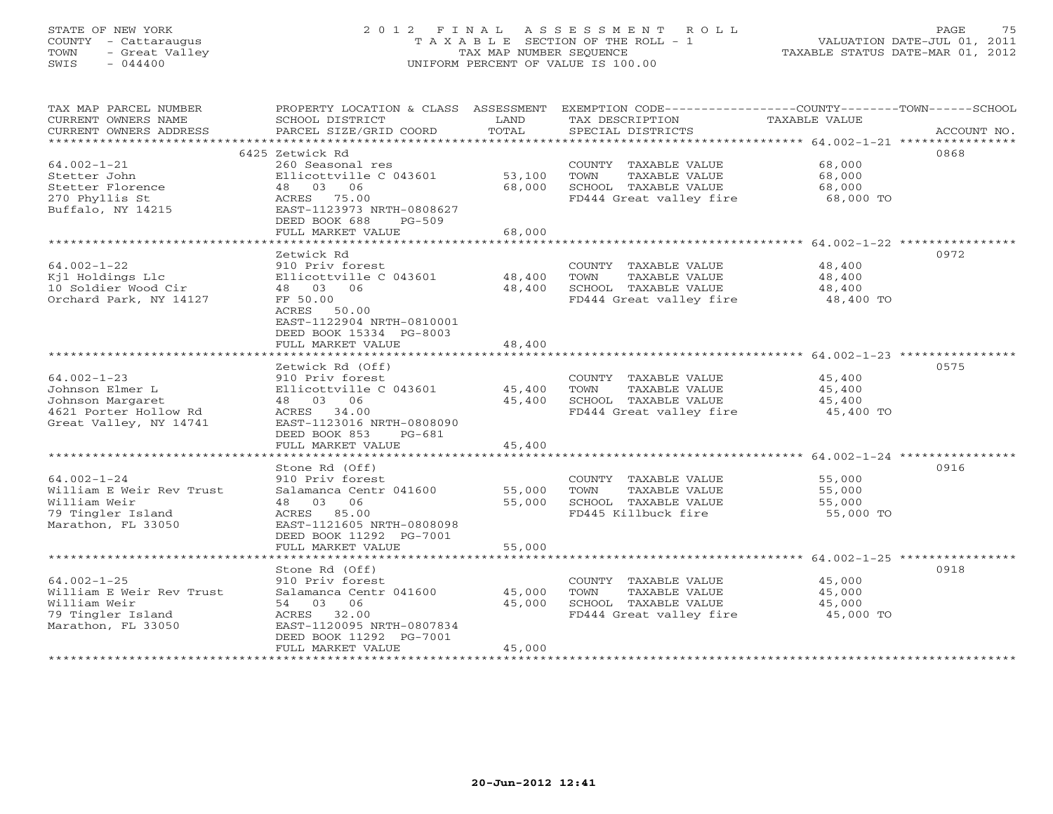## STATE OF NEW YORK 2 0 1 2 F I N A L A S S E S S M E N T R O L L PAGE 75 COUNTY - Cattaraugus T A X A B L E SECTION OF THE ROLL - 1 VALUATION DATE-JUL 01, 2011 TOWN - Great Valley TAX MAP NUMBER SEQUENCE TAXABLE STATUS DATE-MAR 01, 2012 SWIS - 044400 UNIFORM PERCENT OF VALUE IS 100.00UNIFORM PERCENT OF VALUE IS 100.00

| TAX MAP PARCEL NUMBER<br>CURRENT OWNERS NAME<br>CURRENT OWNERS ADDRESS | PROPERTY LOCATION & CLASS ASSESSMENT<br>SCHOOL DISTRICT<br>PARCEL SIZE/GRID COORD | <b>T,AND</b><br>TOTAL | EXEMPTION CODE-----------------COUNTY-------TOWN------SCHOOL<br>TAX DESCRIPTION<br>SPECIAL DISTRICTS | <b>TAXABLE VALUE</b>                          | ACCOUNT NO. |
|------------------------------------------------------------------------|-----------------------------------------------------------------------------------|-----------------------|------------------------------------------------------------------------------------------------------|-----------------------------------------------|-------------|
|                                                                        | 6425 Zetwick Rd                                                                   |                       |                                                                                                      |                                               | 0868        |
| $64.002 - 1 - 21$                                                      | 260 Seasonal res                                                                  |                       | COUNTY TAXABLE VALUE                                                                                 | 68,000                                        |             |
| Stetter John                                                           | Ellicottville C 043601                                                            | 53,100                | TOWN<br>TAXABLE VALUE                                                                                | 68,000                                        |             |
| Stetter Florence                                                       | 48 03 06                                                                          | 68,000                | SCHOOL TAXABLE VALUE                                                                                 | 68,000                                        |             |
| 270 Phyllis St                                                         | ACRES 75.00                                                                       |                       | FD444 Great valley fire                                                                              | 68,000 TO                                     |             |
| Buffalo, NY 14215                                                      | EAST-1123973 NRTH-0808627                                                         |                       |                                                                                                      |                                               |             |
|                                                                        | DEED BOOK 688<br>$PG-509$                                                         |                       |                                                                                                      |                                               |             |
|                                                                        | FULL MARKET VALUE                                                                 | 68,000                |                                                                                                      |                                               |             |
|                                                                        | *******************                                                               | * * * * * * * * * * * |                                                                                                      | ********************* 64.002-1-22 *********** |             |
|                                                                        | Zetwick Rd                                                                        |                       |                                                                                                      |                                               | 0972        |
| $64.002 - 1 - 22$                                                      | 910 Priv forest                                                                   |                       | COUNTY TAXABLE VALUE                                                                                 | 48,400                                        |             |
| Kjl Holdings Llc                                                       | Ellicottville C 043601                                                            | 48,400                | TOWN<br>TAXABLE VALUE                                                                                | 48,400                                        |             |
| 10 Soldier Wood Cir                                                    | 48 03 06                                                                          | 48,400                | SCHOOL TAXABLE VALUE                                                                                 | 48,400                                        |             |
| Orchard Park, NY 14127                                                 | FF 50.00                                                                          |                       | FD444 Great valley fire                                                                              | 48,400 TO                                     |             |
|                                                                        | ACRES 50.00                                                                       |                       |                                                                                                      |                                               |             |
|                                                                        | EAST-1122904 NRTH-0810001                                                         |                       |                                                                                                      |                                               |             |
|                                                                        | DEED BOOK 15334 PG-8003                                                           |                       |                                                                                                      |                                               |             |
|                                                                        | FULL MARKET VALUE                                                                 | 48,400                |                                                                                                      |                                               |             |
|                                                                        |                                                                                   |                       |                                                                                                      |                                               | 0575        |
| $64.002 - 1 - 23$                                                      | Zetwick Rd (Off)<br>910 Priv forest                                               |                       | COUNTY TAXABLE VALUE                                                                                 | 45,400                                        |             |
| Johnson Elmer L                                                        | Ellicottville C 043601                                                            | 45,400                | TOWN<br>TAXABLE VALUE                                                                                | 45,400                                        |             |
| Johnson Margaret                                                       | 48 03 06                                                                          | 45,400                | SCHOOL TAXABLE VALUE                                                                                 | 45,400                                        |             |
| 4621 Porter Hollow Rd                                                  | ACRES 34.00                                                                       |                       | FD444 Great valley fire                                                                              | 45,400 TO                                     |             |
| Great Valley, NY 14741                                                 | EAST-1123016 NRTH-0808090                                                         |                       |                                                                                                      |                                               |             |
|                                                                        | DEED BOOK 853<br>$PG-681$                                                         |                       |                                                                                                      |                                               |             |
|                                                                        | FULL MARKET VALUE                                                                 | 45,400                |                                                                                                      |                                               |             |
|                                                                        |                                                                                   |                       |                                                                                                      |                                               |             |
|                                                                        | Stone Rd (Off)                                                                    |                       |                                                                                                      |                                               | 0916        |
| $64.002 - 1 - 24$                                                      | 910 Priv forest                                                                   |                       | COUNTY TAXABLE VALUE                                                                                 | 55,000                                        |             |
| William E Weir Rev Trust                                               | Salamanca Centr 041600                                                            | 55,000                | TOWN<br>TAXABLE VALUE                                                                                | 55,000                                        |             |
| William Weir                                                           | 48 03 06                                                                          | 55,000                | SCHOOL TAXABLE VALUE                                                                                 | 55,000                                        |             |
| 79 Tingler Island                                                      | ACRES 85.00                                                                       |                       | FD445 Killbuck fire                                                                                  | 55,000 TO                                     |             |
| Marathon, FL 33050                                                     | EAST-1121605 NRTH-0808098                                                         |                       |                                                                                                      |                                               |             |
|                                                                        | DEED BOOK 11292 PG-7001                                                           |                       |                                                                                                      |                                               |             |
|                                                                        | FULL MARKET VALUE                                                                 | 55,000                |                                                                                                      |                                               |             |
|                                                                        | Stone Rd (Off)                                                                    |                       |                                                                                                      |                                               | 0918        |
| $64.002 - 1 - 25$                                                      | 910 Priv forest                                                                   |                       | COUNTY TAXABLE VALUE                                                                                 | 45,000                                        |             |
| William E Weir Rev Trust                                               | Salamanca Centr 041600                                                            | 45,000                | TOWN<br>TAXABLE VALUE                                                                                | 45,000                                        |             |
| William Weir                                                           | 54 03 06                                                                          | 45,000                | SCHOOL TAXABLE VALUE                                                                                 | 45,000                                        |             |
| 79 Tingler Island                                                      | ACRES 32.00                                                                       |                       | FD444 Great valley fire                                                                              | 45,000 TO                                     |             |
| Marathon, FL 33050                                                     | EAST-1120095 NRTH-0807834                                                         |                       |                                                                                                      |                                               |             |
|                                                                        | DEED BOOK 11292 PG-7001                                                           |                       |                                                                                                      |                                               |             |
|                                                                        | FULL MARKET VALUE                                                                 | 45,000                |                                                                                                      |                                               |             |
|                                                                        |                                                                                   |                       |                                                                                                      |                                               |             |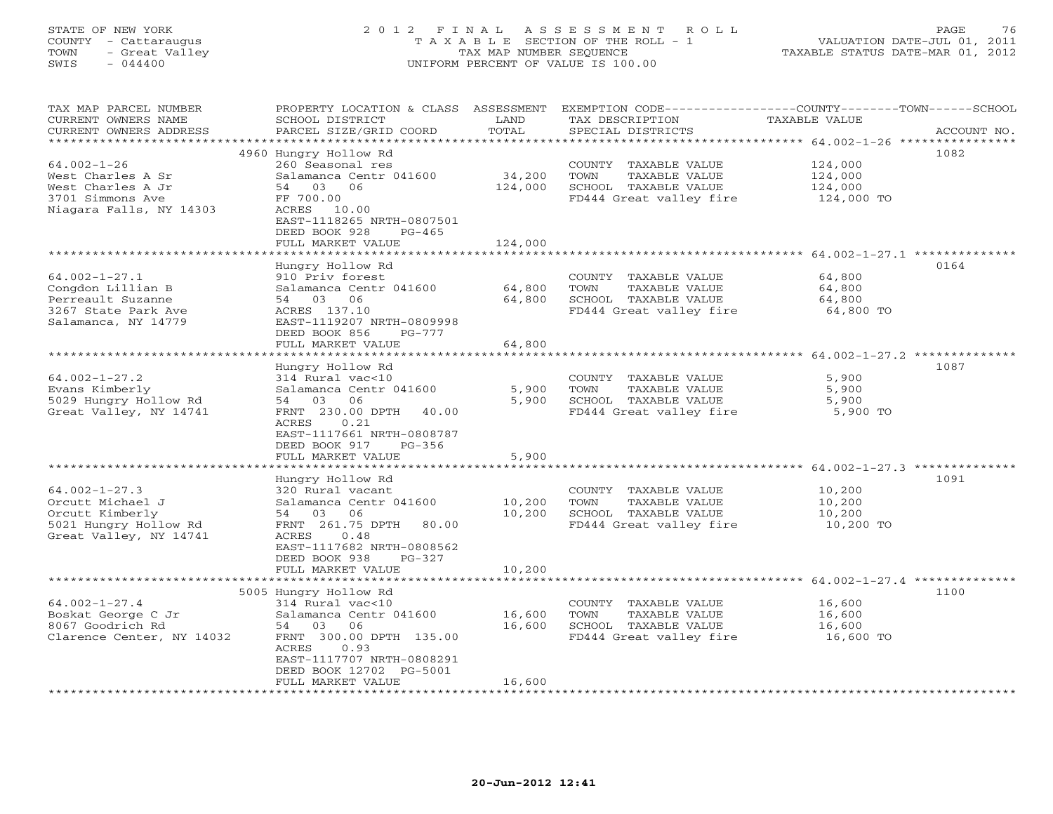## STATE OF NEW YORK 2 0 1 2 F I N A L A S S E S S M E N T R O L L PAGE 76 COUNTY - Cattaraugus T A X A B L E SECTION OF THE ROLL - 1 VALUATION DATE-JUL 01, 2011 TOWN - Great Valley TAX MAP NUMBER SEQUENCE TAXABLE STATUS DATE-MAR 01, 2012 SWIS - 044400 UNIFORM PERCENT OF VALUE IS 100.00UNIFORM PERCENT OF VALUE IS 100.00

| TAX MAP PARCEL NUMBER                      | PROPERTY LOCATION & CLASS ASSESSMENT            |         |                                               | EXEMPTION CODE-----------------COUNTY-------TOWN------SCHOOL |
|--------------------------------------------|-------------------------------------------------|---------|-----------------------------------------------|--------------------------------------------------------------|
| CURRENT OWNERS NAME                        | SCHOOL DISTRICT                                 | LAND    | TAX DESCRIPTION                               | TAXABLE VALUE                                                |
| CURRENT OWNERS ADDRESS                     | PARCEL SIZE/GRID COORD                          | TOTAL   | SPECIAL DISTRICTS                             | ACCOUNT NO.                                                  |
| ************************                   |                                                 |         |                                               |                                                              |
|                                            | 4960 Hungry Hollow Rd                           |         |                                               | 1082                                                         |
| $64.002 - 1 - 26$<br>West Charles A Sr     | 260 Seasonal res<br>Salamanca Centr 041600      | 34,200  | COUNTY TAXABLE VALUE<br>TOWN<br>TAXABLE VALUE | 124,000<br>124,000                                           |
| West Charles A Jr                          | 54 03<br>06                                     | 124,000 | SCHOOL TAXABLE VALUE                          | 124,000                                                      |
| 3701 Simmons Ave                           | FF 700.00                                       |         | FD444 Great valley fire                       | 124,000 TO                                                   |
| Niagara Falls, NY 14303                    | ACRES<br>10.00                                  |         |                                               |                                                              |
|                                            | EAST-1118265 NRTH-0807501                       |         |                                               |                                                              |
|                                            | DEED BOOK 928<br>$PG-465$                       |         |                                               |                                                              |
|                                            | FULL MARKET VALUE                               | 124,000 |                                               |                                                              |
|                                            |                                                 |         |                                               |                                                              |
|                                            | Hungry Hollow Rd                                |         |                                               | 0164                                                         |
| $64.002 - 1 - 27.1$                        | 910 Priv forest                                 |         | COUNTY TAXABLE VALUE                          | 64,800                                                       |
| Congdon Lillian B                          | Salamanca Centr 041600                          | 64,800  | TAXABLE VALUE<br>TOWN                         | 64,800                                                       |
| Perreault Suzanne                          | 54 03 06                                        | 64,800  | SCHOOL TAXABLE VALUE                          | 64,800                                                       |
| 3267 State Park Ave<br>Salamanca, NY 14779 | ACRES 137.10<br>EAST-1119207 NRTH-0809998       |         | FD444 Great valley fire                       | 64,800 TO                                                    |
|                                            | DEED BOOK 856<br>$PG-777$                       |         |                                               |                                                              |
|                                            | FULL MARKET VALUE                               | 64,800  |                                               |                                                              |
|                                            | ************************                        |         |                                               |                                                              |
|                                            | Hungry Hollow Rd                                |         |                                               | 1087                                                         |
| $64.002 - 1 - 27.2$                        | 314 Rural vac<10                                |         | COUNTY TAXABLE VALUE                          | 5,900                                                        |
| Evans Kimberly                             | Salamanca Centr 041600                          | 5,900   | TOWN<br>TAXABLE VALUE                         | 5,900                                                        |
| 5029 Hungry Hollow Rd                      | 54 03<br>06                                     | 5,900   | SCHOOL TAXABLE VALUE                          | 5,900                                                        |
| Great Valley, NY 14741                     | FRNT 230.00 DPTH<br>40.00                       |         | FD444 Great valley fire                       | 5,900 TO                                                     |
|                                            | ACRES<br>0.21                                   |         |                                               |                                                              |
|                                            | EAST-1117661 NRTH-0808787                       |         |                                               |                                                              |
|                                            | DEED BOOK 917<br>PG-356                         |         |                                               |                                                              |
|                                            | FULL MARKET VALUE                               | 5,900   |                                               |                                                              |
|                                            | Hungry Hollow Rd                                |         |                                               | 1091                                                         |
| $64.002 - 1 - 27.3$                        | 320 Rural vacant                                |         | COUNTY TAXABLE VALUE                          | 10,200                                                       |
| Orcutt Michael J                           | Salamanca Centr 041600                          | 10,200  | TOWN<br>TAXABLE VALUE                         | 10,200                                                       |
| Orcutt Kimberly                            | 54 03 06                                        | 10,200  | SCHOOL TAXABLE VALUE                          | 10,200                                                       |
| 5021 Hungry Hollow Rd                      | FRNT 261.75 DPTH<br>80.00                       |         | FD444 Great valley fire                       | 10,200 TO                                                    |
| Great Valley, NY 14741                     | ACRES<br>0.48                                   |         |                                               |                                                              |
|                                            | EAST-1117682 NRTH-0808562                       |         |                                               |                                                              |
|                                            | DEED BOOK 938<br>$PG-327$                       |         |                                               |                                                              |
|                                            | FULL MARKET VALUE<br>************************** | 10,200  |                                               |                                                              |
|                                            | 5005 Hungry Hollow Rd                           |         |                                               | 1100                                                         |
| $64.002 - 1 - 27.4$                        | 314 Rural vac<10                                |         | COUNTY TAXABLE VALUE                          | 16,600                                                       |
| Boskat George C Jr                         | Salamanca Centr 041600                          | 16,600  | TOWN<br>TAXABLE VALUE                         | 16,600                                                       |
| 8067 Goodrich Rd                           | 54<br>03<br>06                                  | 16,600  | SCHOOL TAXABLE VALUE                          | 16,600                                                       |
| Clarence Center, NY 14032                  | FRNT 300.00 DPTH 135.00                         |         | FD444 Great valley fire                       | 16,600 TO                                                    |
|                                            | 0.93<br>ACRES                                   |         |                                               |                                                              |
|                                            | EAST-1117707 NRTH-0808291                       |         |                                               |                                                              |
|                                            | DEED BOOK 12702 PG-5001                         |         |                                               |                                                              |
|                                            | FULL MARKET VALUE                               | 16,600  |                                               |                                                              |
|                                            |                                                 |         |                                               |                                                              |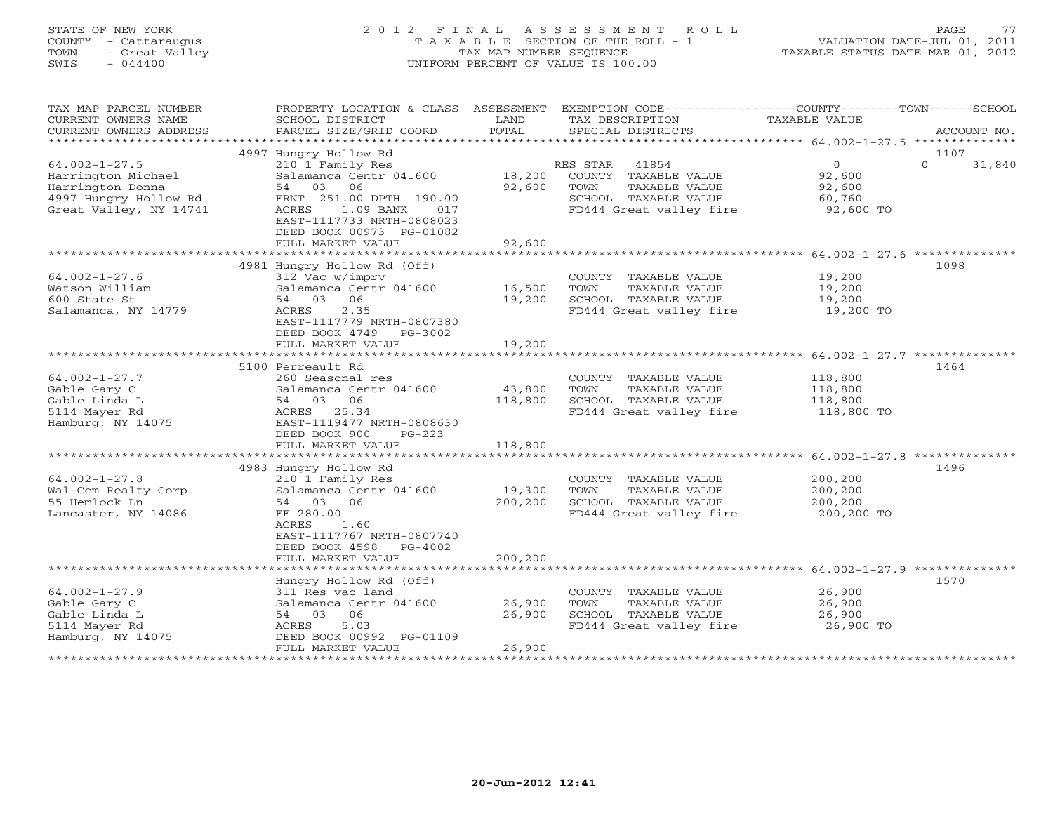## STATE OF NEW YORK 2 0 1 2 F I N A L A S S E S S M E N T R O L L PAGE 77 COUNTY - Cattaraugus T A X A B L E SECTION OF THE ROLL - 1 VALUATION DATE-JUL 01, 2011 TOWN - Great Valley TAX MAP NUMBER SEQUENCE TAXABLE STATUS DATE-MAR 01, 2012 SWIS - 044400 UNIFORM PERCENT OF VALUE IS 100.00UNIFORM PERCENT OF VALUE IS 100.00

| TAX MAP PARCEL NUMBER<br>CURRENT OWNERS NAME<br>CURRENT OWNERS ADDRESS                                           | PROPERTY LOCATION & CLASS ASSESSMENT<br>SCHOOL DISTRICT<br>PARCEL SIZE/GRID COORD                                                                                             | LAND<br>TOTAL     | EXEMPTION CODE-----------------COUNTY-------TOWN------SCHOOL<br>TAX DESCRIPTION<br>SPECIAL DISTRICTS                  | TAXABLE VALUE                                             | ACCOUNT NO.        |
|------------------------------------------------------------------------------------------------------------------|-------------------------------------------------------------------------------------------------------------------------------------------------------------------------------|-------------------|-----------------------------------------------------------------------------------------------------------------------|-----------------------------------------------------------|--------------------|
| *************************                                                                                        |                                                                                                                                                                               |                   |                                                                                                                       |                                                           |                    |
|                                                                                                                  | 4997 Hungry Hollow Rd                                                                                                                                                         |                   |                                                                                                                       |                                                           | 1107               |
| $64.002 - 1 - 27.5$<br>Harrington Michael<br>Harrington Donna<br>4997 Hungry Hollow Rd<br>Great Valley, NY 14741 | 210 1 Family Res<br>Salamanca Centr 041600<br>06<br>54<br>03<br>FRNT 251.00 DPTH 190.00<br>1.09 BANK<br>ACRES<br>017<br>EAST-1117733 NRTH-0808023<br>DEED BOOK 00973 PG-01082 | 18,200<br>92,600  | RES STAR<br>41854<br>COUNTY TAXABLE VALUE<br>TOWN<br>TAXABLE VALUE<br>SCHOOL TAXABLE VALUE<br>FD444 Great valley fire | $\overline{O}$<br>92,600<br>92,600<br>60,760<br>92,600 TO | $\Omega$<br>31,840 |
|                                                                                                                  | FULL MARKET VALUE                                                                                                                                                             | 92,600            |                                                                                                                       |                                                           |                    |
|                                                                                                                  |                                                                                                                                                                               |                   |                                                                                                                       |                                                           |                    |
| $64.002 - 1 - 27.6$<br>Watson William<br>600 State St<br>Salamanca, NY 14779                                     | 4981 Hungry Hollow Rd (Off)<br>312 Vac w/imprv<br>Salamanca Centr 041600<br>54 03<br>06<br>2.35<br>ACRES<br>EAST-1117779 NRTH-0807380<br>DEED BOOK 4749 PG-3002               | 16,500<br>19,200  | COUNTY TAXABLE VALUE<br>TOWN<br>TAXABLE VALUE<br>SCHOOL TAXABLE VALUE<br>FD444 Great valley fire                      | 19,200<br>19,200<br>19,200<br>19,200 TO                   | 1098               |
|                                                                                                                  | FULL MARKET VALUE                                                                                                                                                             | 19,200            |                                                                                                                       |                                                           |                    |
|                                                                                                                  |                                                                                                                                                                               |                   |                                                                                                                       |                                                           |                    |
| $64.002 - 1 - 27.7$<br>Gable Gary C<br>Gable Linda L<br>5114 Mayer Rd<br>Hamburg, NY 14075                       | 5100 Perreault Rd<br>260 Seasonal res<br>Salamanca Centr 041600<br>54 03 06<br>ACRES 25.34<br>EAST-1119477 NRTH-0808630<br>DEED BOOK 900<br>$PG-223$                          | 43,800<br>118,800 | COUNTY TAXABLE VALUE<br>TOWN<br>TAXABLE VALUE<br>SCHOOL TAXABLE VALUE<br>FD444 Great valley fire                      | 118,800<br>118,800<br>118,800<br>118,800 TO               | 1464               |
|                                                                                                                  | FULL MARKET VALUE                                                                                                                                                             | 118,800           |                                                                                                                       |                                                           |                    |
| $64.002 - 1 - 27.8$<br>Wal-Cem Realty Corp<br>55 Hemlock Ln<br>Lancaster, NY 14086                               | 4983 Hungry Hollow Rd<br>210 1 Family Res<br>Salamanca Centr 041600<br>54 03 06<br>FF 280.00<br>1.60<br>ACRES<br>EAST-1117767 NRTH-0807740<br>DEED BOOK 4598<br>PG-4002       | 19,300<br>200,200 | COUNTY TAXABLE VALUE<br>TOWN<br>TAXABLE VALUE<br>SCHOOL TAXABLE VALUE<br>FD444 Great valley fire                      | 200,200<br>200,200<br>200,200<br>200,200 TO               | 1496               |
|                                                                                                                  | FULL MARKET VALUE                                                                                                                                                             | 200,200           |                                                                                                                       |                                                           |                    |
|                                                                                                                  | Hungry Hollow Rd (Off)                                                                                                                                                        |                   |                                                                                                                       |                                                           | 1570               |
| $64.002 - 1 - 27.9$<br>Gable Gary C<br>Gable Linda L<br>5114 Mayer Rd<br>Hamburg, NY 14075                       | 311 Res vac land<br>Salamanca Centr 041600<br>54 03<br>06<br>ACRES<br>5.03<br>DEED BOOK 00992 PG-01109                                                                        | 26,900<br>26,900  | COUNTY TAXABLE VALUE<br>TOWN<br>TAXABLE VALUE<br>SCHOOL TAXABLE VALUE<br>FD444 Great valley fire                      | 26,900<br>26,900<br>26,900<br>26,900 TO                   |                    |
|                                                                                                                  | FULL MARKET VALUE                                                                                                                                                             | 26,900            |                                                                                                                       |                                                           |                    |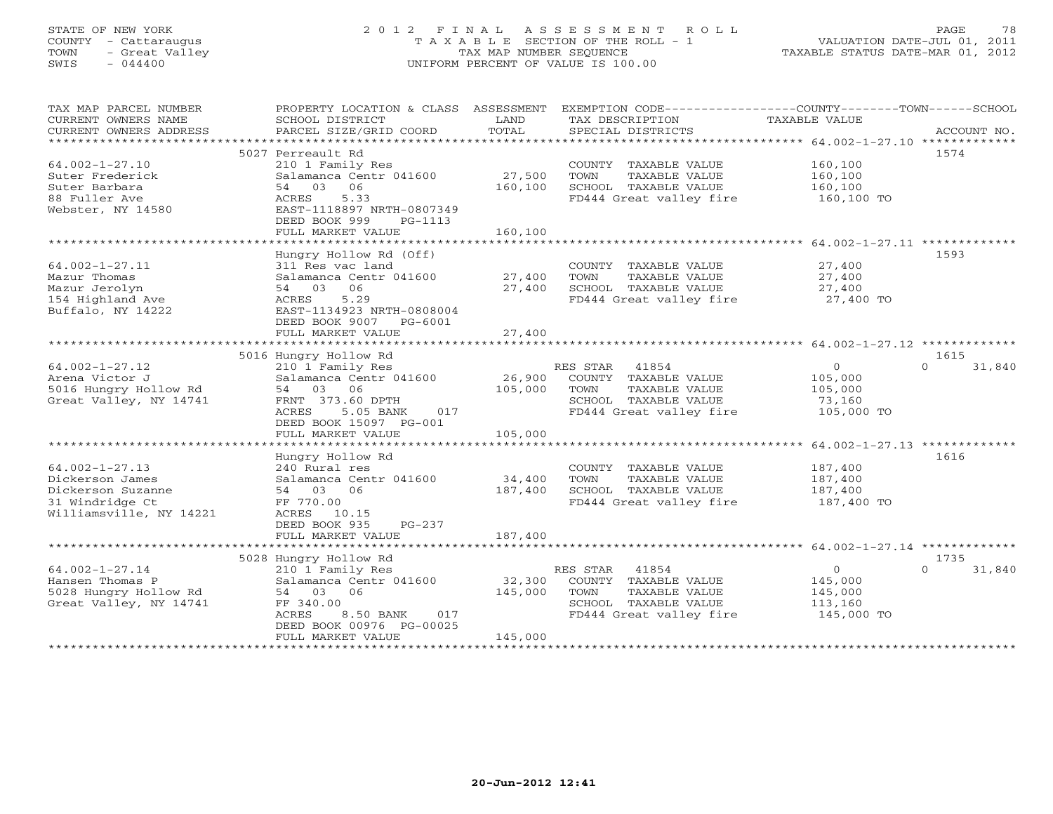## STATE OF NEW YORK 2 0 1 2 F I N A L A S S E S S M E N T R O L L PAGE 78 COUNTY - Cattaraugus T A X A B L E SECTION OF THE ROLL - 1 VALUATION DATE-JUL 01, 2011 TOWN - Great Valley TAX MAP NUMBER SEQUENCE TAXABLE STATUS DATE-MAR 01, 2012 SWIS - 044400 UNIFORM PERCENT OF VALUE IS 100.00UNIFORM PERCENT OF VALUE IS 100.00

| TAX MAP PARCEL NUMBER<br>CURRENT OWNERS NAME<br>CURRENT OWNERS ADDRESS | SCHOOL DISTRICT<br>PARCEL SIZE/GRID COORD                                                   | LAND<br>TOTAL     | PROPERTY LOCATION & CLASS ASSESSMENT EXEMPTION CODE----------------COUNTY-------TOWN------SCHOOL<br>TAX DESCRIPTION<br>SPECIAL DISTRICTS | TAXABLE VALUE                 | ACCOUNT NO.        |
|------------------------------------------------------------------------|---------------------------------------------------------------------------------------------|-------------------|------------------------------------------------------------------------------------------------------------------------------------------|-------------------------------|--------------------|
| $64.002 - 1 - 27.10$<br>Suter Frederick<br>Suter Barbara               | 5027 Perreault Rd<br>210 1 Family Res<br>Salamanca Centr 041600<br>54 03 06                 | 27,500<br>160,100 | COUNTY TAXABLE VALUE<br>TOWN<br>TAXABLE VALUE<br>SCHOOL TAXABLE VALUE                                                                    | 160,100<br>160,100<br>160,100 | 1574               |
| 88 Fuller Ave<br>Webster, NY 14580                                     | ACRES<br>5.33<br>EAST-1118897 NRTH-0807349<br>DEED BOOK 999<br>PG-1113<br>FULL MARKET VALUE | 160,100           | FD444 Great valley fire                                                                                                                  | 160,100 TO                    |                    |
|                                                                        |                                                                                             |                   |                                                                                                                                          |                               |                    |
|                                                                        | Hungry Hollow Rd (Off)                                                                      |                   |                                                                                                                                          |                               | 1593               |
| $64.002 - 1 - 27.11$                                                   | 311 Res vac land                                                                            |                   | COUNTY TAXABLE VALUE                                                                                                                     | 27,400                        |                    |
| Mazur Thomas                                                           | Salamanca Centr 041600 27,400                                                               |                   | TOWN<br>TAXABLE VALUE                                                                                                                    | 27,400                        |                    |
| Mazur Jerolyn                                                          | 54 03 06                                                                                    | 27,400            | SCHOOL TAXABLE VALUE                                                                                                                     | 27,400                        |                    |
| 154 Highland Ave<br>Buffalo, NY 14222                                  | ACRES<br>5.29<br>EAST-1134923 NRTH-0808004<br>DEED BOOK 9007 PG-6001                        |                   | FD444 Great valley fire 27,400 TO                                                                                                        |                               |                    |
|                                                                        | FULL MARKET VALUE                                                                           | 27,400            |                                                                                                                                          |                               |                    |
|                                                                        |                                                                                             |                   |                                                                                                                                          |                               | 1615               |
| $64.002 - 1 - 27.12$                                                   | 5016 Hungry Hollow Rd<br>210 1 Family Res                                                   |                   | RES STAR<br>41854                                                                                                                        | $\circ$                       | $\Omega$<br>31,840 |
| Arena Victor J                                                         | Salamanca Centr 041600                                                                      | 26,900            | COUNTY TAXABLE VALUE                                                                                                                     | 105,000                       |                    |
| 5016 Hungry Hollow Rd                                                  | 54 03 06                                                                                    | 105,000           | TOWN<br>TAXABLE VALUE                                                                                                                    | 105,000                       |                    |
| Great Valley, NY 14741                                                 | FRNT 373.60 DPTH                                                                            |                   | SCHOOL TAXABLE VALUE                                                                                                                     | 73,160                        |                    |
|                                                                        | ACRES<br>5.05 BANK<br>017                                                                   |                   | FD444 Great valley fire                                                                                                                  | 105,000 TO                    |                    |
|                                                                        | DEED BOOK 15097 PG-001                                                                      |                   |                                                                                                                                          |                               |                    |
|                                                                        | FULL MARKET VALUE                                                                           | 105,000           |                                                                                                                                          |                               |                    |
|                                                                        |                                                                                             |                   |                                                                                                                                          |                               |                    |
|                                                                        | Hungry Hollow Rd                                                                            |                   |                                                                                                                                          |                               | 1616               |
| $64.002 - 1 - 27.13$                                                   | 240 Rural res                                                                               |                   | COUNTY TAXABLE VALUE                                                                                                                     | 187,400                       |                    |
| Dickerson James                                                        | Salamanca Centr 041600                                                                      | 34,400            | TOWN<br>TAXABLE VALUE                                                                                                                    | 187,400                       |                    |
| Dickerson Suzanne                                                      | 54 03 06                                                                                    | 187,400           | SCHOOL TAXABLE VALUE                                                                                                                     | 187,400                       |                    |
| 31 Windridge Ct                                                        | FF 770.00                                                                                   |                   | FD444 Great valley fire                                                                                                                  | 187,400 TO                    |                    |
| Williamsville, NY 14221                                                | ACRES 10.15                                                                                 |                   |                                                                                                                                          |                               |                    |
|                                                                        | PG-237<br>DEED BOOK 935                                                                     | 187,400           |                                                                                                                                          |                               |                    |
|                                                                        | FULL MARKET VALUE                                                                           |                   |                                                                                                                                          |                               |                    |
|                                                                        | 5028 Hungry Hollow Rd                                                                       |                   |                                                                                                                                          |                               | 1735               |
| $64.002 - 1 - 27.14$                                                   | 210 1 Family Res                                                                            |                   | RES STAR 41854                                                                                                                           | $\circ$                       | $\Omega$<br>31,840 |
| Hansen Thomas P                                                        | Salamanca Centr 041600                                                                      | 32,300            | COUNTY TAXABLE VALUE                                                                                                                     | 145,000                       |                    |
| 5028 Hungry Hollow Rd                                                  | 54 03 06                                                                                    | 145,000           | TOWN<br>TAXABLE VALUE                                                                                                                    | 145,000                       |                    |
| Great Valley, NY 14741                                                 | FF 340.00                                                                                   |                   | SCHOOL TAXABLE VALUE                                                                                                                     | 113,160                       |                    |
|                                                                        | ACRES<br>8.50 BANK<br>017                                                                   |                   | FD444 Great valley fire                                                                                                                  | 145,000 TO                    |                    |
|                                                                        | DEED BOOK 00976 PG-00025                                                                    |                   |                                                                                                                                          |                               |                    |
|                                                                        | FULL MARKET VALUE                                                                           | 145,000           |                                                                                                                                          |                               |                    |
|                                                                        |                                                                                             |                   |                                                                                                                                          |                               |                    |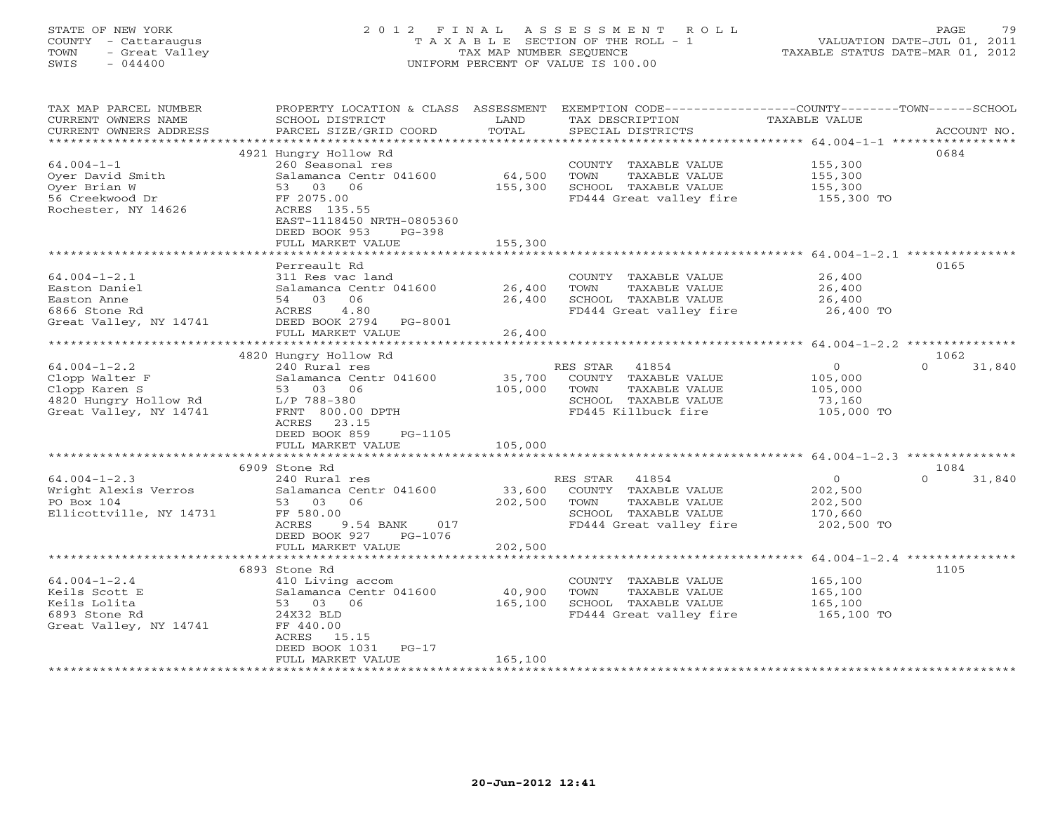## STATE OF NEW YORK 2 0 1 2 F I N A L A S S E S S M E N T R O L L PAGE 79 COUNTY - Cattaraugus T A X A B L E SECTION OF THE ROLL - 1 VALUATION DATE-JUL 01, 2011 TOWN - Great Valley TAX MAP NUMBER SEQUENCE TAXABLE STATUS DATE-MAR 01, 2012<br>SWIS - 044400 - 2012 SWIS - 044400 SWIS - 044400 UNIFORM PERCENT OF VALUE IS 100.00

TAX MAP PARCEL NUMBER PROPERTY LOCATION & CLASS ASSESSMENT EXEMPTION CODE------------------COUNTY--------TOWN------SCHOOL

| CURRENT OWNERS NAME     | SCHOOL DISTRICT           | LAND    | TAX DESCRIPTION                                        | TAXABLE VALUE                  |                    |
|-------------------------|---------------------------|---------|--------------------------------------------------------|--------------------------------|--------------------|
| CURRENT OWNERS ADDRESS  | PARCEL SIZE/GRID COORD    | TOTAL   | SPECIAL DISTRICTS                                      |                                | ACCOUNT NO.        |
|                         |                           |         |                                                        | ********** 64.004-1-1 ******** |                    |
|                         | 4921 Hungry Hollow Rd     |         |                                                        |                                | 0684               |
| $64.004 - 1 - 1$        | 260 Seasonal res          |         | COUNTY TAXABLE VALUE                                   | 155,300                        |                    |
| Oyer David Smith        | Salamanca Centr 041600    | 64,500  | TOWN<br>TAXABLE VALUE                                  | 155,300                        |                    |
| Oyer Brian W            | 53 03 06                  | 155,300 | SCHOOL TAXABLE VALUE                                   | 155,300                        |                    |
| 56 Creekwood Dr         | FF 2075.00                |         | FD444 Great valley fire                                | 155,300 TO                     |                    |
| Rochester, NY 14626     | ACRES 135.55              |         |                                                        |                                |                    |
|                         | EAST-1118450 NRTH-0805360 |         |                                                        |                                |                    |
|                         | DEED BOOK 953<br>$PG-398$ |         |                                                        |                                |                    |
|                         | FULL MARKET VALUE         | 155,300 |                                                        |                                |                    |
|                         | ***********************   |         |                                                        |                                |                    |
|                         | Perreault Rd              |         |                                                        |                                | 0165               |
| $64.004 - 1 - 2.1$      | 311 Res vac land          |         | COUNTY TAXABLE VALUE                                   | 26,400                         |                    |
| Easton Daniel           | Salamanca Centr 041600    | 26,400  | TAXABLE VALUE<br>TOWN                                  | 26,400                         |                    |
| Easton Anne             | 54 03<br>06               | 26,400  | SCHOOL TAXABLE VALUE                                   | 26,400                         |                    |
| 6866 Stone Rd           | 4.80<br>ACRES             |         | FD444 Great valley fire                                | 26,400 TO                      |                    |
| Great Valley, NY 14741  | DEED BOOK 2794<br>PG-8001 |         |                                                        |                                |                    |
|                         | FULL MARKET VALUE         | 26,400  |                                                        |                                |                    |
|                         |                           |         |                                                        |                                |                    |
|                         | 4820 Hungry Hollow Rd     |         |                                                        |                                | 1062               |
| $64.004 - 1 - 2.2$      | 240 Rural res             |         | 41854<br>RES STAR                                      | $\circ$                        | $\Omega$<br>31,840 |
| Clopp Walter F          | Salamanca Centr 041600    | 35,700  | COUNTY TAXABLE VALUE                                   | 105,000                        |                    |
| Clopp Karen S           | 53 03 06                  | 105,000 | TOWN<br>TAXABLE VALUE                                  | 105,000                        |                    |
| 4820 Hungry Hollow Rd   | L/P 788-380               |         | SCHOOL TAXABLE VALUE                                   | 73,160                         |                    |
| Great Valley, NY 14741  | FRNT 800.00 DPTH          |         | FD445 Killbuck fire                                    | 105,000 TO                     |                    |
|                         | 23.15<br>ACRES            |         |                                                        |                                |                    |
|                         | DEED BOOK 859<br>PG-1105  |         |                                                        |                                |                    |
|                         | FULL MARKET VALUE         | 105,000 |                                                        |                                |                    |
|                         |                           |         |                                                        |                                |                    |
|                         | 6909 Stone Rd             |         |                                                        |                                | 1084               |
| $64.004 - 1 - 2.3$      | 240 Rural res             |         | RES STAR<br>41854                                      | $\circ$                        | $\cap$<br>31,840   |
| Wright Alexis Verros    | Salamanca Centr 041600    | 33,600  | COUNTY TAXABLE VALUE                                   | 202,500                        |                    |
| PO Box 104              | 53 03<br>06               | 202,500 | TOWN<br>TAXABLE VALUE                                  | 202,500                        |                    |
| Ellicottville, NY 14731 | FF 580.00                 |         | SCHOOL TAXABLE VALUE                                   | 170,660                        |                    |
|                         | 017<br>ACRES<br>9.54 BANK |         | FD444 Great valley fire                                | 202,500 TO                     |                    |
|                         | DEED BOOK 927<br>PG-1076  |         |                                                        |                                |                    |
|                         | FULL MARKET VALUE         | 202,500 |                                                        |                                |                    |
|                         | **********************    |         | ************************* 64.004-1-2.4 *************** |                                |                    |
|                         | 6893 Stone Rd             |         |                                                        |                                | 1105               |
| $64.004 - 1 - 2.4$      | 410 Living accom          |         | COUNTY TAXABLE VALUE                                   | 165,100                        |                    |
| Keils Scott E           | Salamanca Centr 041600    | 40,900  | TOWN<br>TAXABLE VALUE                                  | 165,100                        |                    |
| Keils Lolita            | 53 03 06                  | 165,100 | SCHOOL TAXABLE VALUE                                   | 165,100                        |                    |
| 6893 Stone Rd           | 24X32 BLD                 |         | FD444 Great valley fire                                | 165,100 TO                     |                    |
|                         |                           |         |                                                        |                                |                    |
| Great Valley, NY 14741  | FF 440.00                 |         |                                                        |                                |                    |
|                         | ACRES 15.15               |         |                                                        |                                |                    |
|                         | DEED BOOK 1031<br>$PG-17$ |         |                                                        |                                |                    |
|                         | FULL MARKET VALUE         | 165,100 |                                                        |                                |                    |
|                         |                           |         |                                                        |                                |                    |
|                         |                           |         |                                                        |                                |                    |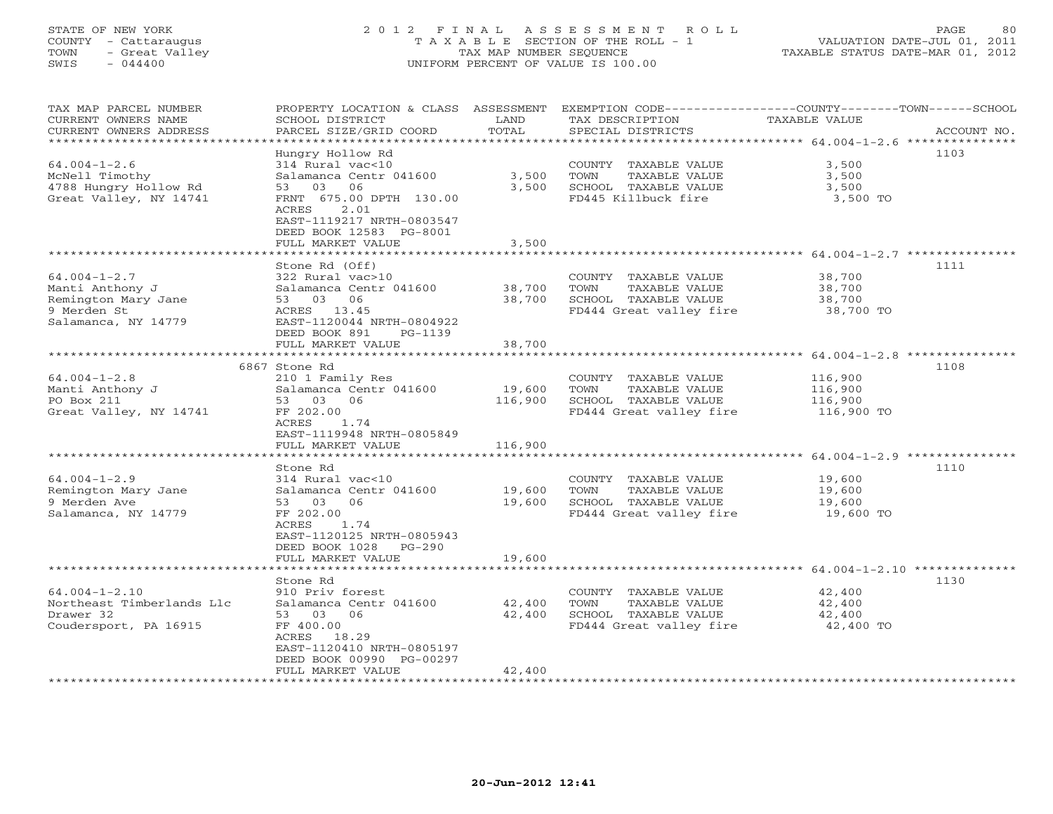## STATE OF NEW YORK 2 0 1 2 F I N A L A S S E S S M E N T R O L L PAGE 80 COUNTY - Cattaraugus T A X A B L E SECTION OF THE ROLL - 1 VALUATION DATE-JUL 01, 2011 TOWN - Great Valley TAX MAP NUMBER SEQUENCE TAXABLE STATUS DATE-MAR 01, 2012 SWIS - 044400 UNIFORM PERCENT OF VALUE IS 100.00UNIFORM PERCENT OF VALUE IS 100.00

| TAX MAP PARCEL NUMBER<br>CURRENT OWNERS NAME<br>CURRENT OWNERS ADDRESS                             | PROPERTY LOCATION & CLASS ASSESSMENT<br>SCHOOL DISTRICT<br>PARCEL SIZE/GRID COORD                                                                                                                         | LAND<br>TOTAL                | TAX DESCRIPTION<br>SPECIAL DISTRICTS                                                             | EXEMPTION CODE-----------------COUNTY-------TOWN------SCHOOL<br><b>TAXABLE VALUE</b><br>ACCOUNT NO. |
|----------------------------------------------------------------------------------------------------|-----------------------------------------------------------------------------------------------------------------------------------------------------------------------------------------------------------|------------------------------|--------------------------------------------------------------------------------------------------|-----------------------------------------------------------------------------------------------------|
| ******************************                                                                     |                                                                                                                                                                                                           |                              |                                                                                                  |                                                                                                     |
| $64.004 - 1 - 2.6$<br>McNell Timothy<br>4788 Hungry Hollow Rd<br>Great Valley, NY 14741            | Hungry Hollow Rd<br>314 Rural vac<10<br>Salamanca Centr 041600<br>06<br>53<br>03<br>FRNT 675.00 DPTH 130.00<br>ACRES<br>2.01<br>EAST-1119217 NRTH-0803547<br>DEED BOOK 12583 PG-8001<br>FULL MARKET VALUE | 3,500<br>3,500<br>3,500      | COUNTY TAXABLE VALUE<br>TOWN<br>TAXABLE VALUE<br>SCHOOL TAXABLE VALUE<br>FD445 Killbuck fire     | 1103<br>3,500<br>3,500<br>3,500<br>3,500 TO                                                         |
|                                                                                                    |                                                                                                                                                                                                           |                              |                                                                                                  |                                                                                                     |
| $64.004 - 1 - 2.7$<br>Manti Anthony J<br>Remington Mary Jane<br>9 Merden St<br>Salamanca, NY 14779 | Stone Rd (Off)<br>322 Rural vac>10<br>Salamanca Centr 041600<br>53 03 06<br>ACRES 13.45<br>EAST-1120044 NRTH-0804922<br>DEED BOOK 891<br>PG-1139                                                          | 38,700<br>38,700             | COUNTY TAXABLE VALUE<br>TAXABLE VALUE<br>TOWN<br>SCHOOL TAXABLE VALUE<br>FD444 Great valley fire | 1111<br>38,700<br>38,700<br>38,700<br>38,700 TO                                                     |
|                                                                                                    | FULL MARKET VALUE                                                                                                                                                                                         | 38,700                       |                                                                                                  |                                                                                                     |
| $64.004 - 1 - 2.8$<br>Manti Anthony J<br>PO Box 211<br>Great Valley, NY 14741                      | 6867 Stone Rd<br>210 1 Family Res<br>Salamanca Centr 041600<br>53 03<br>06<br>FF 202.00<br>ACRES<br>1.74<br>EAST-1119948 NRTH-0805849<br>FULL MARKET VALUE<br>Stone Rd                                    | 19,600<br>116,900<br>116,900 | COUNTY TAXABLE VALUE<br>TOWN<br>TAXABLE VALUE<br>SCHOOL TAXABLE VALUE<br>FD444 Great valley fire | 1108<br>116,900<br>116,900<br>116,900<br>116,900 TO<br>1110                                         |
| $64.004 - 1 - 2.9$<br>Remington Mary Jane<br>9 Merden Ave<br>Salamanca, NY 14779                   | 314 Rural vac<10<br>Salamanca Centr 041600<br>06<br>03<br>53<br>FF 202.00<br>1.74<br>ACRES<br>EAST-1120125 NRTH-0805943<br>DEED BOOK 1028<br>$PG-290$<br>FULL MARKET VALUE                                | 19,600<br>19,600<br>19,600   | COUNTY TAXABLE VALUE<br>TOWN<br>TAXABLE VALUE<br>SCHOOL TAXABLE VALUE<br>FD444 Great valley fire | 19,600<br>19,600<br>19,600<br>19,600 TO                                                             |
|                                                                                                    |                                                                                                                                                                                                           |                              |                                                                                                  | ***************** $64.004-1-2.10$ **                                                                |
| $64.004 - 1 - 2.10$<br>Northeast Timberlands Llc<br>Drawer 32<br>Coudersport, PA 16915             | Stone Rd<br>910 Priv forest<br>Salamanca Centr 041600<br>53 03<br>06<br>FF 400.00<br>ACRES<br>18.29<br>EAST-1120410 NRTH-0805197<br>DEED BOOK 00990 PG-00297<br>FULL MARKET VALUE                         | 42,400<br>42,400<br>42,400   | COUNTY TAXABLE VALUE<br>TAXABLE VALUE<br>TOWN<br>SCHOOL TAXABLE VALUE<br>FD444 Great valley fire | 1130<br>42,400<br>42,400<br>42,400<br>42,400 TO                                                     |
|                                                                                                    |                                                                                                                                                                                                           |                              |                                                                                                  |                                                                                                     |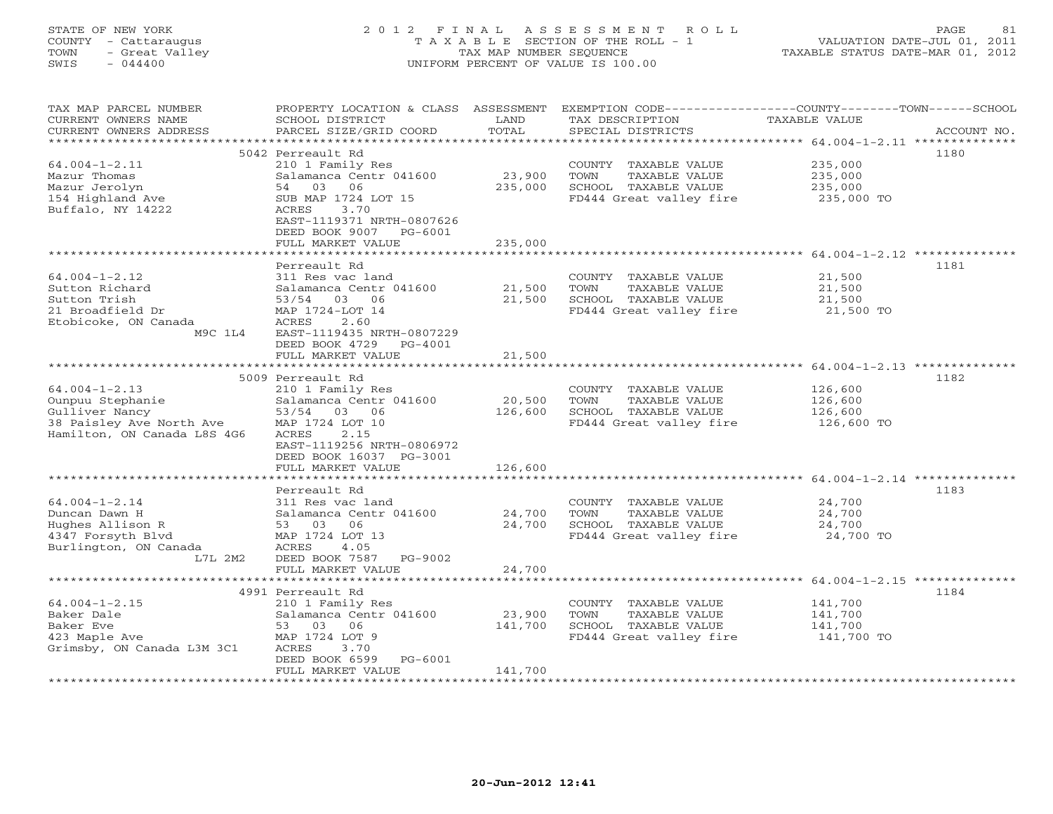## STATE OF NEW YORK 2 0 1 2 F I N A L A S S E S S M E N T R O L L PAGE 81 COUNTY - Cattaraugus T A X A B L E SECTION OF THE ROLL - 1 VALUATION DATE-JUL 01, 2011 TOWN - Great Valley TAX MAP NUMBER SEQUENCE TAXABLE STATUS DATE-MAR 01, 2012 SWIS - 044400 UNIFORM PERCENT OF VALUE IS 100.00UNIFORM PERCENT OF VALUE IS 100.00

| TAX MAP PARCEL NUMBER<br>CURRENT OWNERS NAME<br>CURRENT OWNERS ADDRESS                                               | PROPERTY LOCATION & CLASS ASSESSMENT<br>SCHOOL DISTRICT<br>PARCEL SIZE/GRID COORD                                                                                                                        | LAND<br>TOTAL                | TAX DESCRIPTION<br>SPECIAL DISTRICTS                                                             | EXEMPTION CODE-----------------COUNTY-------TOWN------SCHOOL<br>TAXABLE VALUE<br>ACCOUNT NO. |
|----------------------------------------------------------------------------------------------------------------------|----------------------------------------------------------------------------------------------------------------------------------------------------------------------------------------------------------|------------------------------|--------------------------------------------------------------------------------------------------|----------------------------------------------------------------------------------------------|
| *******************                                                                                                  |                                                                                                                                                                                                          |                              |                                                                                                  |                                                                                              |
| $64.004 - 1 - 2.11$<br>Mazur Thomas<br>Mazur Jerolyn<br>154 Highland Ave<br>Buffalo, NY 14222                        | 5042 Perreault Rd<br>210 1 Family Res<br>Salamanca Centr 041600<br>54<br>03<br>06<br>SUB MAP 1724 LOT 15<br>ACRES<br>3.70<br>EAST-1119371 NRTH-0807626<br>DEED BOOK 9007<br>PG-6001<br>FULL MARKET VALUE | 23,900<br>235,000<br>235,000 | COUNTY TAXABLE VALUE<br>TOWN<br>TAXABLE VALUE<br>SCHOOL TAXABLE VALUE<br>FD444 Great valley fire | 1180<br>235,000<br>235,000<br>235,000<br>235,000 TO                                          |
|                                                                                                                      | ******************                                                                                                                                                                                       |                              |                                                                                                  |                                                                                              |
| $64.004 - 1 - 2.12$<br>Sutton Richard<br>Sutton Trish<br>21 Broadfield Dr<br>Etobicoke, ON Canada<br>M9C 1L4         | Perreault Rd<br>311 Res vac land<br>Salamanca Centr 041600<br>53/54 03 06<br>MAP 1724-LOT 14<br>2.60<br>ACRES<br>EAST-1119435 NRTH-0807229<br>DEED BOOK 4729<br>$PG-4001$                                | 21,500<br>21,500             | COUNTY TAXABLE VALUE<br>TOWN<br>TAXABLE VALUE<br>SCHOOL TAXABLE VALUE<br>FD444 Great valley fire | 1181<br>21,500<br>21,500<br>21,500<br>21,500 TO                                              |
|                                                                                                                      | FULL MARKET VALUE                                                                                                                                                                                        | 21,500                       |                                                                                                  |                                                                                              |
|                                                                                                                      | ******************                                                                                                                                                                                       |                              |                                                                                                  | ***************************** 64.004-1-2.13 **************                                   |
| $64.004 - 1 - 2.13$<br>Ounpuu Stephanie<br>Gulliver Nancy<br>38 Paisley Ave North Ave<br>Hamilton, ON Canada L8S 4G6 | 5009 Perreault Rd<br>210 1 Family Res<br>Salamanca Centr 041600<br>53/54 03 06<br>MAP 1724 LOT 10<br>2.15<br>ACRES<br>EAST-1119256 NRTH-0806972<br>DEED BOOK 16037 PG-3001<br>FULL MARKET VALUE          | 20,500<br>126,600<br>126,600 | COUNTY TAXABLE VALUE<br>TAXABLE VALUE<br>TOWN<br>SCHOOL TAXABLE VALUE<br>FD444 Great valley fire | 1182<br>126,600<br>126,600<br>126,600<br>126,600 TO                                          |
|                                                                                                                      | ******************                                                                                                                                                                                       | ***************              |                                                                                                  |                                                                                              |
| $64.004 - 1 - 2.14$<br>Duncan Dawn H<br>Hughes Allison R<br>4347 Forsyth Blvd<br>Burlington, ON Canada<br>L7L 2M2    | Perreault Rd<br>311 Res vac land<br>Salamanca Centr 041600<br>53 03<br>06<br>MAP 1724 LOT 13<br>ACRES<br>4.05<br>DEED BOOK 7587<br>PG-9002<br>FULL MARKET VALUE                                          | 24,700<br>24,700<br>24,700   | COUNTY TAXABLE VALUE<br>TOWN<br>TAXABLE VALUE<br>SCHOOL TAXABLE VALUE<br>FD444 Great valley fire | 1183<br>24,700<br>24,700<br>24,700<br>24,700 TO                                              |
|                                                                                                                      | ***************************                                                                                                                                                                              |                              |                                                                                                  |                                                                                              |
| $64.004 - 1 - 2.15$<br>Baker Dale<br>Baker Eve<br>423 Maple Ave<br>Grimsby, ON Canada L3M 3C1                        | 4991 Perreault Rd<br>210 1 Family Res<br>Salamanca Centr 041600<br>53 03<br>06<br>MAP 1724 LOT 9<br>ACRES<br>3.70<br>DEED BOOK 6599<br>$PG-6001$<br>FULL MARKET VALUE                                    | 23,900<br>141,700<br>141,700 | COUNTY TAXABLE VALUE<br>TOWN<br>TAXABLE VALUE<br>SCHOOL TAXABLE VALUE<br>FD444 Great valley fire | 1184<br>141,700<br>141,700<br>141,700<br>141,700 TO                                          |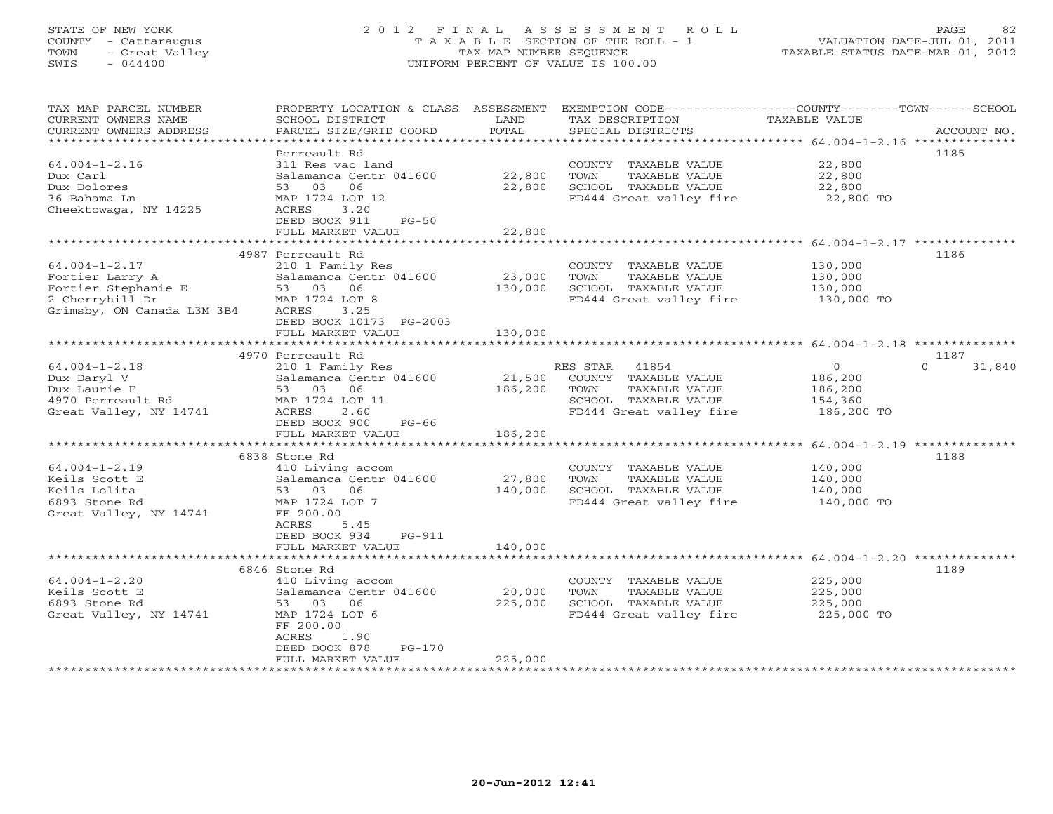## STATE OF NEW YORK 2 0 1 2 F I N A L A S S E S S M E N T R O L L PAGE 82 COUNTY - Cattaraugus T A X A B L E SECTION OF THE ROLL - 1 VALUATION DATE-JUL 01, 2011 TOWN - Great Valley TAX MAP NUMBER SEQUENCE TAXABLE STATUS DATE-MAR 01, 2012 SWIS - 044400 UNIFORM PERCENT OF VALUE IS 100.00UNIFORM PERCENT OF VALUE IS 100.00

| TAX MAP PARCEL NUMBER<br>CURRENT OWNERS NAME<br>CURRENT OWNERS ADDRESS<br>************************             | PROPERTY LOCATION & CLASS ASSESSMENT<br>SCHOOL DISTRICT<br>PARCEL SIZE/GRID COORD                                                                                         | LAND<br>TOTAL                | EXEMPTION CODE-----------------COUNTY-------TOWN------SCHOOL<br>TAX DESCRIPTION<br>SPECIAL DISTRICTS               | TAXABLE VALUE                                                 | ACCOUNT NO.        |
|----------------------------------------------------------------------------------------------------------------|---------------------------------------------------------------------------------------------------------------------------------------------------------------------------|------------------------------|--------------------------------------------------------------------------------------------------------------------|---------------------------------------------------------------|--------------------|
| $64.004 - 1 - 2.16$<br>Dux Carl<br>Dux Dolores<br>36 Bahama Ln<br>Cheektowaga, NY 14225                        | Perreault Rd<br>311 Res vac land<br>Salamanca Centr 041600<br>53 03<br>06<br>MAP 1724 LOT 12<br>3.20<br>ACRES<br>DEED BOOK 911<br>$PG-50$                                 | 22,800<br>22,800             | COUNTY TAXABLE VALUE<br>TOWN<br>TAXABLE VALUE<br>SCHOOL TAXABLE VALUE<br>FD444 Great valley fire 22,800 TO         | 22,800<br>22,800<br>22,800                                    | 1185               |
|                                                                                                                | FULL MARKET VALUE                                                                                                                                                         | 22,800                       |                                                                                                                    |                                                               |                    |
|                                                                                                                |                                                                                                                                                                           |                              |                                                                                                                    |                                                               |                    |
| $64.004 - 1 - 2.17$<br>Fortier Larry A<br>Fortier Stephanie E<br>2 Cherryhill Dr<br>Grimsby, ON Canada L3M 3B4 | 4987 Perreault Rd<br>210 1 Family Res<br>Salamanca Centr 041600<br>53 03 06<br>MAP 1724 LOT 8<br>3.25<br>ACRES<br>DEED BOOK 10173 PG-2003                                 | 23,000<br>130,000            | COUNTY TAXABLE VALUE<br>TOWN<br>TAXABLE VALUE<br>SCHOOL TAXABLE VALUE<br>FD444 Great valley fire 130,000 TO        | 130,000<br>130,000<br>130,000                                 | 1186               |
|                                                                                                                | FULL MARKET VALUE                                                                                                                                                         | 130,000                      |                                                                                                                    |                                                               |                    |
|                                                                                                                |                                                                                                                                                                           |                              |                                                                                                                    |                                                               |                    |
|                                                                                                                | 4970 Perreault Rd                                                                                                                                                         |                              |                                                                                                                    |                                                               | 1187               |
| $64.004 - 1 - 2.18$<br>Dux Daryl V<br>Dux Laurie F<br>4970 Perreault Rd<br>Great Valley, NY 14741              | 210 1 Family Res<br>Salamanca Centr 041600<br>53 03 06<br>MAP 1724 LOT 11<br>ACRES<br>2.60<br>DEED BOOK 900<br>PG-66<br>FULL MARKET VALUE                                 | 21,500<br>186,200<br>186,200 | RES STAR 41854<br>COUNTY TAXABLE VALUE<br>TOWN<br>TAXABLE VALUE<br>SCHOOL TAXABLE VALUE<br>FD444 Great valley fire | $\overline{0}$<br>186,200<br>186,200<br>154,360<br>186,200 TO | $\Omega$<br>31,840 |
|                                                                                                                |                                                                                                                                                                           |                              |                                                                                                                    |                                                               |                    |
| $64.004 - 1 - 2.19$<br>Keils Scott E<br>Keils Lolita<br>6893 Stone Rd<br>Great Valley, NY 14741                | 6838 Stone Rd<br>410 Living accom<br>Salamanca Centr 041600<br>53 03<br>06<br>MAP 1724 LOT 7<br>FF 200.00<br>ACRES<br>5.45<br>DEED BOOK 934<br>PG-911                     | 27,800<br>140,000            | COUNTY TAXABLE VALUE<br>TOWN<br>TAXABLE VALUE<br>SCHOOL TAXABLE VALUE<br>FD444 Great valley fire 140,000 TO        | 140,000<br>140,000<br>140,000                                 | 1188               |
|                                                                                                                | FULL MARKET VALUE                                                                                                                                                         | 140,000                      |                                                                                                                    |                                                               |                    |
|                                                                                                                |                                                                                                                                                                           |                              |                                                                                                                    |                                                               |                    |
| $64.004 - 1 - 2.20$<br>Keils Scott E<br>6893 Stone Rd<br>Great Valley, NY 14741                                | 6846 Stone Rd<br>410 Living accom<br>Salamanca Centr 041600<br>53 03 06<br>MAP 1724 LOT 6<br>FF 200.00<br>ACRES<br>1.90<br>DEED BOOK 878<br>$PG-170$<br>FULL MARKET VALUE | 20,000<br>225,000<br>225,000 | COUNTY TAXABLE VALUE<br>TOWN<br>TAXABLE VALUE<br>SCHOOL TAXABLE VALUE<br>FD444 Great valley fire                   | 225,000<br>225,000<br>225,000<br>225,000 TO                   | 1189               |
|                                                                                                                |                                                                                                                                                                           |                              |                                                                                                                    |                                                               |                    |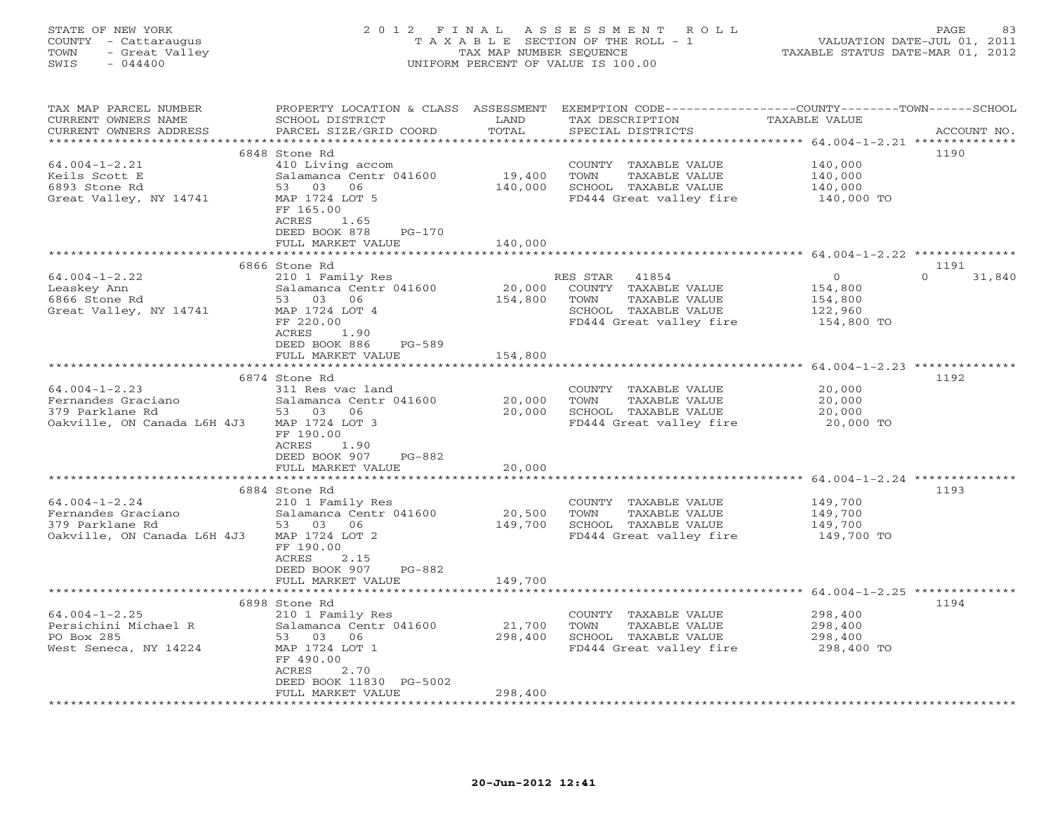| COUNTY<br>- Cattaraugus<br>TOWN<br>- Great Valley<br>SWIS<br>$-044400$ |                                            | TAX MAP NUMBER SEQUENCE | T A X A B L E SECTION OF THE ROLL - 1<br>UNIFORM PERCENT OF VALUE IS 100.00                                        | VALUATION DATE-JUL 01, 2011<br>TAXABLE STATUS DATE-MAR 01, 2012 |                    |
|------------------------------------------------------------------------|--------------------------------------------|-------------------------|--------------------------------------------------------------------------------------------------------------------|-----------------------------------------------------------------|--------------------|
| TAX MAP PARCEL NUMBER<br>CURRENT OWNERS NAME                           | SCHOOL DISTRICT                            | LAND                    | PROPERTY LOCATION & CLASS ASSESSMENT EXEMPTION CODE---------------COUNTY-------TOWN------SCHOOL<br>TAX DESCRIPTION | TAXABLE VALUE                                                   |                    |
| CURRENT OWNERS ADDRESS                                                 | PARCEL SIZE/GRID COORD                     | TOTAL                   | SPECIAL DISTRICTS                                                                                                  |                                                                 | ACCOUNT NO.        |
|                                                                        |                                            |                         |                                                                                                                    |                                                                 |                    |
|                                                                        | 6848 Stone Rd                              |                         |                                                                                                                    |                                                                 | 1190               |
| $64.004 - 1 - 2.21$                                                    | 410 Living accom                           |                         | COUNTY TAXABLE VALUE                                                                                               | 140,000                                                         |                    |
| Keils Scott E                                                          | Salamanca Centr 041600<br>53 03 06         | 19,400                  | TOWN<br>TAXABLE VALUE                                                                                              | 140,000                                                         |                    |
| 6893 Stone Rd<br>Great Valley, NY 14741                                | MAP 1724 LOT 5                             | 140,000                 | SCHOOL TAXABLE VALUE<br>FD444 Great valley fire                                                                    | 140,000<br>140,000 TO                                           |                    |
|                                                                        | FF 165.00                                  |                         |                                                                                                                    |                                                                 |                    |
|                                                                        | ACRES<br>1.65                              |                         |                                                                                                                    |                                                                 |                    |
|                                                                        | DEED BOOK 878<br>PG-170                    |                         |                                                                                                                    |                                                                 |                    |
|                                                                        | FULL MARKET VALUE                          | 140,000                 |                                                                                                                    |                                                                 |                    |
|                                                                        |                                            |                         |                                                                                                                    |                                                                 |                    |
|                                                                        | 6866 Stone Rd                              |                         |                                                                                                                    |                                                                 | 1191               |
| $64.004 - 1 - 2.22$                                                    | 210 1 Family Res                           |                         | RES STAR<br>41854                                                                                                  | $\Omega$                                                        | $\Omega$<br>31,840 |
| Leaskey Ann<br>6866 Stone Rd                                           | Salamanca Centr 041600<br>53 03 06         | 20,000<br>154,800       | COUNTY TAXABLE VALUE<br>TOWN<br>TAXABLE VALUE                                                                      | 154,800                                                         |                    |
| Great Valley, NY 14741                                                 | MAP 1724 LOT 4                             |                         | SCHOOL TAXABLE VALUE                                                                                               | 154,800<br>122,960                                              |                    |
|                                                                        | FF 220.00                                  |                         | FD444 Great valley fire                                                                                            | 154,800 TO                                                      |                    |
|                                                                        | ACRES<br>1.90                              |                         |                                                                                                                    |                                                                 |                    |
|                                                                        | DEED BOOK 886<br>PG-589                    |                         |                                                                                                                    |                                                                 |                    |
|                                                                        | FULL MARKET VALUE                          | 154,800                 |                                                                                                                    |                                                                 |                    |
|                                                                        | **************************                 |                         |                                                                                                                    |                                                                 |                    |
|                                                                        | 6874 Stone Rd                              |                         |                                                                                                                    |                                                                 | 1192               |
| $64.004 - 1 - 2.23$<br>Fernandes Graciano                              | 311 Res vac land<br>Salamanca Centr 041600 | 20,000                  | COUNTY TAXABLE VALUE<br>TAXABLE VALUE<br>TOWN                                                                      | 20,000<br>20,000                                                |                    |
| 379 Parklane Rd                                                        | 53 03 06                                   | 20,000                  | SCHOOL TAXABLE VALUE                                                                                               | 20,000                                                          |                    |
| Oakville, ON Canada L6H 4J3                                            | MAP 1724 LOT 3                             |                         | FD444 Great valley fire                                                                                            | 20,000 TO                                                       |                    |
|                                                                        | FF 190.00                                  |                         |                                                                                                                    |                                                                 |                    |
|                                                                        | ACRES<br>1.90                              |                         |                                                                                                                    |                                                                 |                    |
|                                                                        | DEED BOOK 907<br>PG-882                    |                         |                                                                                                                    |                                                                 |                    |
|                                                                        | FULL MARKET VALUE                          | 20,000                  |                                                                                                                    |                                                                 |                    |
|                                                                        |                                            |                         |                                                                                                                    |                                                                 |                    |
| $64.004 - 1 - 2.24$                                                    | 6884 Stone Rd                              |                         | COUNTY TAXABLE VALUE                                                                                               |                                                                 | 1193               |
| Fernandes Graciano                                                     | 210 1 Family Res<br>Salamanca Centr 041600 | 20,500                  | TOWN<br>TAXABLE VALUE                                                                                              | 149,700<br>149,700                                              |                    |
| 379 Parklane Rd                                                        | 53 03 06                                   | 149,700                 | SCHOOL TAXABLE VALUE                                                                                               | 149,700                                                         |                    |
| Oakville, ON Canada L6H 4J3                                            | MAP 1724 LOT 2                             |                         | FD444 Great valley fire                                                                                            | 149,700 TO                                                      |                    |
|                                                                        | FF 190.00                                  |                         |                                                                                                                    |                                                                 |                    |
|                                                                        | ACRES<br>2.15                              |                         |                                                                                                                    |                                                                 |                    |
|                                                                        | DEED BOOK 907<br>PG-882                    |                         |                                                                                                                    |                                                                 |                    |
|                                                                        | FULL MARKET VALUE                          | 149,700                 |                                                                                                                    |                                                                 |                    |
|                                                                        | 6898 Stone Rd                              |                         |                                                                                                                    | ************** 64.004-1-2.25 **************                     | 1194               |
| $64.004 - 1 - 2.25$                                                    | 210 1 Family Res                           |                         | COUNTY TAXABLE VALUE                                                                                               | 298,400                                                         |                    |
| Persichini Michael R                                                   | Salamanca Centr 041600                     | 21,700                  | TOWN<br>TAXABLE VALUE                                                                                              | 298,400                                                         |                    |
| PO Box 285                                                             | 53 03 06                                   | 298,400                 | SCHOOL TAXABLE VALUE                                                                                               | 298,400                                                         |                    |
| West Seneca, NY 14224                                                  | MAP 1724 LOT 1                             |                         | FD444 Great valley fire                                                                                            | 298,400 TO                                                      |                    |
|                                                                        | FF 490.00                                  |                         |                                                                                                                    |                                                                 |                    |
|                                                                        | ACRES<br>2.70                              |                         |                                                                                                                    |                                                                 |                    |
|                                                                        | DEED BOOK 11830 PG-5002                    |                         |                                                                                                                    |                                                                 |                    |
|                                                                        | FULL MARKET VALUE                          | 298,400                 |                                                                                                                    |                                                                 |                    |

STATE OF NEW YORK 2 0 1 2 F I N A L A S S E S S M E N T R O L L PAGE 83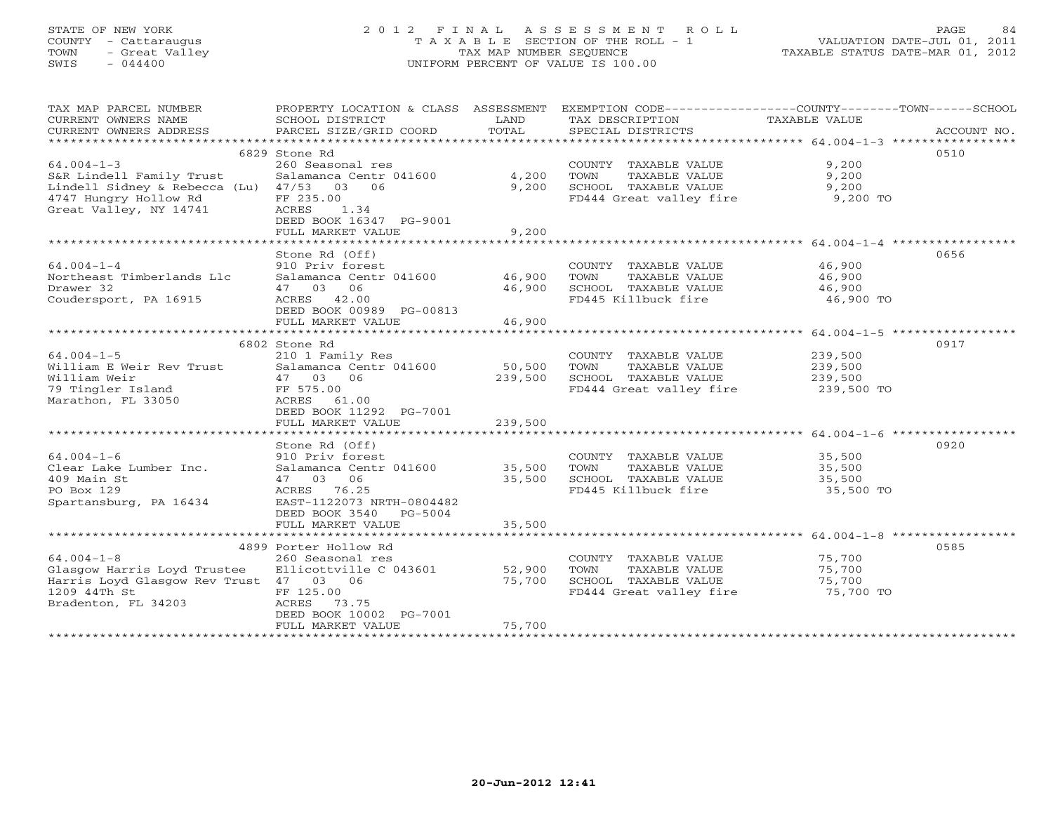## STATE OF NEW YORK 2 0 1 2 F I N A L A S S E S S M E N T R O L L PAGE 84 COUNTY - Cattaraugus T A X A B L E SECTION OF THE ROLL - 1 VALUATION DATE-JUL 01, 2011 TOWN - Great Valley TAX MAP NUMBER SEQUENCE TAXABLE STATUS DATE-MAR 01, 2012 SWIS - 044400 UNIFORM PERCENT OF VALUE IS 100.00UNIFORM PERCENT OF VALUE IS 100.00

| TAX MAP PARCEL NUMBER<br>CURRENT OWNERS NAME<br>CURRENT OWNERS ADDRESS                                                                       | PROPERTY LOCATION & CLASS ASSESSMENT<br>SCHOOL DISTRICT<br>PARCEL SIZE/GRID COORD                                                                                        | LAND<br>TOTAL                | EXEMPTION CODE-----------------COUNTY-------TOWN------SCHOOL<br>TAX DESCRIPTION<br>SPECIAL DISTRICTS | TAXABLE VALUE                               | ACCOUNT NO. |
|----------------------------------------------------------------------------------------------------------------------------------------------|--------------------------------------------------------------------------------------------------------------------------------------------------------------------------|------------------------------|------------------------------------------------------------------------------------------------------|---------------------------------------------|-------------|
|                                                                                                                                              |                                                                                                                                                                          |                              |                                                                                                      |                                             |             |
| $64.004 - 1 - 3$<br>S&R Lindell Family Trust<br>Lindell Sidney & Rebecca (Lu) 47/53 03 06<br>4747 Hungry Hollow Rd<br>Great Valley, NY 14741 | 6829 Stone Rd<br>260 Seasonal res<br>Salamanca Centr 041600<br>FF 235.00<br>ACRES<br>1.34<br>DEED BOOK 16347 PG-9001                                                     | 4,200<br>9,200               | COUNTY TAXABLE VALUE<br>TOWN<br>TAXABLE VALUE<br>SCHOOL TAXABLE VALUE<br>FD444 Great valley fire     | 9,200<br>9,200<br>9,200<br>9,200 TO         | 0510        |
|                                                                                                                                              | FULL MARKET VALUE                                                                                                                                                        | 9,200                        |                                                                                                      |                                             |             |
| $64.004 - 1 - 4$<br>Northeast Timberlands Llc<br>Drawer 32<br>Coudersport, PA 16915                                                          | Stone Rd (Off)<br>910 Priv forest<br>Salamanca Centr 041600 46,900<br>47 03 06<br>ACRES 42.00<br>DEED BOOK 00989 PG-00813<br>FULL MARKET VALUE                           | 46,900<br>46,900             | COUNTY TAXABLE VALUE<br>TOWN<br>TAXABLE VALUE<br>SCHOOL TAXABLE VALUE<br>FD445 Killbuck fire         | 46,900<br>46,900<br>46,900<br>46,900 TO     | 0656        |
|                                                                                                                                              | ************************                                                                                                                                                 |                              |                                                                                                      |                                             |             |
| $64.004 - 1 - 5$<br>William E Weir Rev Trust<br>William Weir<br>79 Tingler Island<br>Marathon, FL 33050                                      | 6802 Stone Rd<br>210 1 Family Res<br>Salamanca Centr 041600<br>47 03<br>06<br>FF 575.00<br>ACRES 61.00<br>DEED BOOK 11292 PG-7001<br>FULL MARKET VALUE                   | 50,500<br>239,500<br>239,500 | COUNTY TAXABLE VALUE<br>TOWN<br>TAXABLE VALUE<br>SCHOOL TAXABLE VALUE<br>FD444 Great valley fire     | 239,500<br>239,500<br>239,500<br>239,500 TO | 0917        |
|                                                                                                                                              |                                                                                                                                                                          |                              |                                                                                                      |                                             |             |
| $64.004 - 1 - 6$<br>Clear Lake Lumber Inc.<br>409 Main St<br>PO Box 129<br>Spartansburg, PA 16434                                            | Stone Rd (Off)<br>910 Priv forest<br>Salamanca Centr 041600<br>06<br>47 03<br>ACRES 76.25<br>EAST-1122073 NRTH-0804482<br>DEED BOOK 3540<br>PG-5004<br>FULL MARKET VALUE | 35,500<br>35,500<br>35,500   | COUNTY TAXABLE VALUE<br>TOWN<br>TAXABLE VALUE<br>SCHOOL TAXABLE VALUE<br>FD445 Killbuck fire         | 35,500<br>35,500<br>35,500<br>35,500 TO     | 0920        |
|                                                                                                                                              |                                                                                                                                                                          |                              |                                                                                                      |                                             |             |
| $64.004 - 1 - 8$<br>Glasgow Harris Loyd Trustee<br>Harris Loyd Glasgow Rev Trust 47 03 06<br>1209 44Th St<br>Bradenton, FL 34203             | 4899 Porter Hollow Rd<br>260 Seasonal res<br>Ellicottville C 043601<br>FF 125.00<br>ACRES<br>73.75<br>DEED BOOK 10002 PG-7001<br>FULL MARKET VALUE                       | 52,900<br>75,700<br>75,700   | COUNTY TAXABLE VALUE<br>TOWN<br>TAXABLE VALUE<br>SCHOOL TAXABLE VALUE<br>FD444 Great valley fire     | 75,700<br>75,700<br>75,700<br>75,700 TO     | 0585        |
|                                                                                                                                              |                                                                                                                                                                          |                              |                                                                                                      |                                             |             |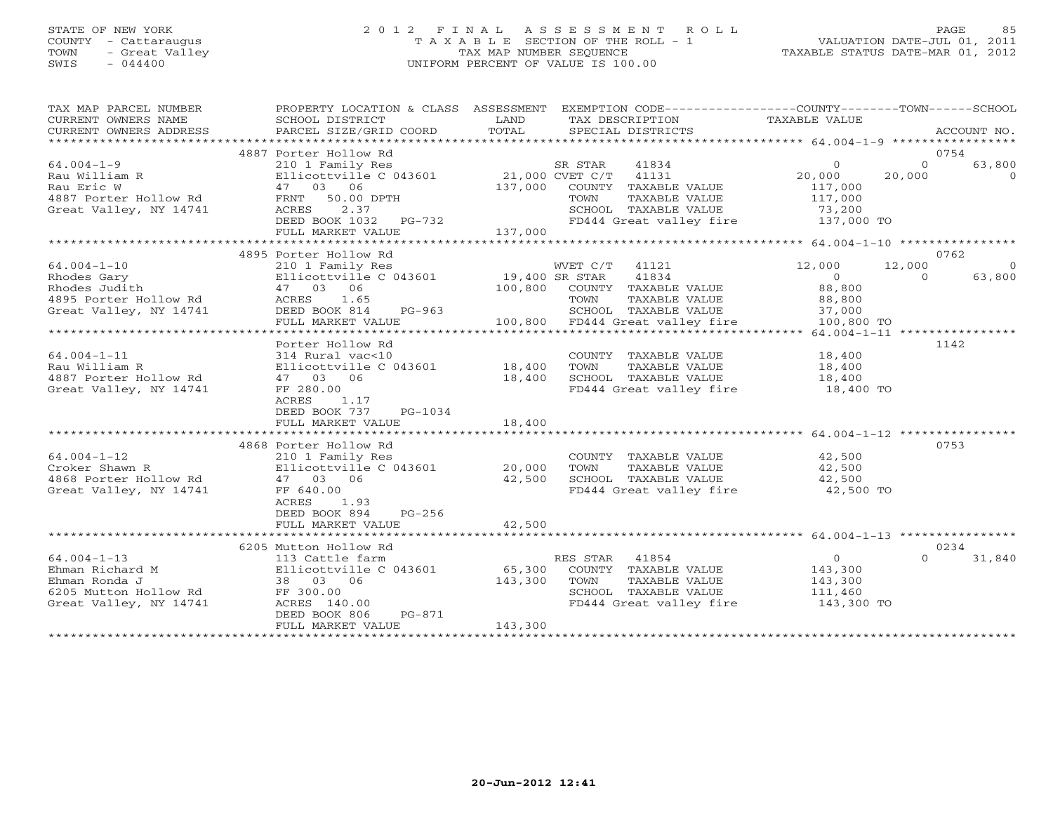## STATE OF NEW YORK 2 0 1 2 F I N A L A S S E S S M E N T R O L L PAGE 85 COUNTY - Cattaraugus T A X A B L E SECTION OF THE ROLL - 1 VALUATION DATE-JUL 01, 2011 TOWN - Great Valley TAX MAP NUMBER SEQUENCE TAXABLE STATUS DATE-MAR 01, 2012 SWIS - 044400 UNIFORM PERCENT OF VALUE IS 100.00UNIFORM PERCENT OF VALUE IS 100.00

| TAX MAP PARCEL NUMBER<br>CURRENT OWNERS NAME | PROPERTY LOCATION & CLASS ASSESSMENT EXEMPTION CODE---------------COUNTY-------TOWN------SCHOOL<br>SCHOOL DISTRICT | LAND           |                                               | TAX DESCRIPTION TAXABLE VALUE     |                                          |
|----------------------------------------------|--------------------------------------------------------------------------------------------------------------------|----------------|-----------------------------------------------|-----------------------------------|------------------------------------------|
| CURRENT OWNERS ADDRESS                       | PARCEL SIZE/GRID COORD                                                                                             | TOTAL          | SPECIAL DISTRICTS                             |                                   | ACCOUNT NO.                              |
|                                              | 4887 Porter Hollow Rd                                                                                              |                |                                               |                                   | 0754                                     |
| $64.004 - 1 - 9$                             | 210 1 Family Res                                                                                                   |                | SR STAR<br>41834                              | $\circ$                           | 63,800<br>$\Omega$                       |
| Rau William R                                | Ellicottville C 043601                                                                                             |                | 21,000 CVET C/T 41131                         | 20,000                            | 20,000<br>$\Omega$                       |
| Rau Eric W                                   | 47 03 06                                                                                                           | 137,000        | COUNTY TAXABLE VALUE                          | 117,000                           |                                          |
| 4887 Porter Hollow Rd                        | FRNT<br>50.00 DPTH                                                                                                 |                | TOWN<br>TAXABLE VALUE                         | 117,000                           |                                          |
| Great Valley, NY 14741                       | ACRES<br>2.37                                                                                                      |                | SCHOOL TAXABLE VALUE                          | 73,200                            |                                          |
|                                              | DEED BOOK 1032 PG-732<br>FULL MARKET VALUE                                                                         | 137,000        | FD444 Great valley fire                       | 137,000 TO                        |                                          |
|                                              |                                                                                                                    |                |                                               |                                   |                                          |
|                                              | 4895 Porter Hollow Rd                                                                                              |                |                                               |                                   | 0762                                     |
| $64.004 - 1 - 10$                            | 210 1 Family Res                                                                                                   |                | 41121<br>WVET C/T                             | 12,000                            | 12,000                                   |
| Rhodes Gary                                  | Ellicottville C 043601                                                                                             | 19,400 SR STAR | 41834                                         | $\overline{0}$                    | $\Omega$<br>63,800                       |
| Rhodes Judith                                | 47 03 06                                                                                                           | 100,800        | COUNTY TAXABLE VALUE                          | 88,800                            |                                          |
| 4895 Porter Hollow Rd                        | 1.65<br>ACRES                                                                                                      |                | TAXABLE VALUE<br>TOWN                         | 88,800                            |                                          |
| Great Valley, NY 14741                       | DEED BOOK 814<br>PG-963                                                                                            |                | SCHOOL TAXABLE VALUE                          | 37,000                            |                                          |
|                                              | FULL MARKET VALUE                                                                                                  |                | 100,800 FD444 Great valley fire               | 100,800 TO                        | ********** 64.004-1-11 ***************** |
|                                              | Porter Hollow Rd                                                                                                   |                |                                               |                                   | 1142                                     |
| $64.004 - 1 - 11$                            | 314 Rural vac<10                                                                                                   |                | COUNTY TAXABLE VALUE                          | 18,400                            |                                          |
| Rau William R                                | Ellicottville C 043601                                                                                             | 18,400         | TOWN<br>TAXABLE VALUE                         | 18,400                            |                                          |
| 4887 Porter Hollow Rd                        | 47 03 06                                                                                                           | 18,400         | SCHOOL TAXABLE VALUE                          | 18,400                            |                                          |
| Great Valley, NY 14741                       | FF 280.00                                                                                                          |                | FD444 Great valley fire                       | 18,400 TO                         |                                          |
|                                              | ACRES<br>1.17                                                                                                      |                |                                               |                                   |                                          |
|                                              | DEED BOOK 737<br>PG-1034                                                                                           |                |                                               |                                   |                                          |
|                                              | FULL MARKET VALUE                                                                                                  | 18,400         |                                               |                                   |                                          |
|                                              |                                                                                                                    |                |                                               |                                   |                                          |
| $64.004 - 1 - 12$                            | 4868 Porter Hollow Rd<br>210 1 Family Res                                                                          |                | COUNTY TAXABLE VALUE                          | 42,500                            | 0753                                     |
| Croker Shawn R                               | Ellicottville C 043601                                                                                             | 20,000         | TAXABLE VALUE<br>TOWN                         | 42,500                            |                                          |
| 4868 Porter Hollow Rd                        | 47 03 06                                                                                                           | 42,500         | SCHOOL TAXABLE VALUE                          | 42,500                            |                                          |
| Great Valley, NY 14741                       | FF 640.00                                                                                                          |                |                                               | FD444 Great valley fire 42,500 TO |                                          |
|                                              | 1.93<br>ACRES                                                                                                      |                |                                               |                                   |                                          |
|                                              | DEED BOOK 894<br>$PG-256$                                                                                          |                |                                               |                                   |                                          |
|                                              | FULL MARKET VALUE                                                                                                  | 42,500         |                                               |                                   |                                          |
|                                              |                                                                                                                    |                |                                               |                                   |                                          |
|                                              | 6205 Mutton Hollow Rd                                                                                              |                |                                               |                                   | 0234                                     |
| $64.004 - 1 - 13$                            | 113 Cattle farm                                                                                                    |                | RES STAR<br>41854                             | $\circ$                           | 31,840<br>$\Omega$                       |
| Ehman Richard M                              | Ellicottville C 043601                                                                                             | 65,300         | COUNTY TAXABLE VALUE                          | 143,300                           |                                          |
| Ehman Ronda J<br>6205 Mutton Hollow Rd       | 38 03 06<br>FF 300.00                                                                                              | 143,300        | TOWN<br>TAXABLE VALUE<br>SCHOOL TAXABLE VALUE | 143,300<br>111,460                |                                          |
| Great Valley, NY 14741                       | ACRES 140.00                                                                                                       |                | FD444 Great valley fire                       | 143,300 TO                        |                                          |
|                                              | DEED BOOK 806<br>PG-871                                                                                            |                |                                               |                                   |                                          |
|                                              | FULL MARKET VALUE                                                                                                  | 143,300        |                                               |                                   |                                          |
|                                              |                                                                                                                    |                |                                               |                                   |                                          |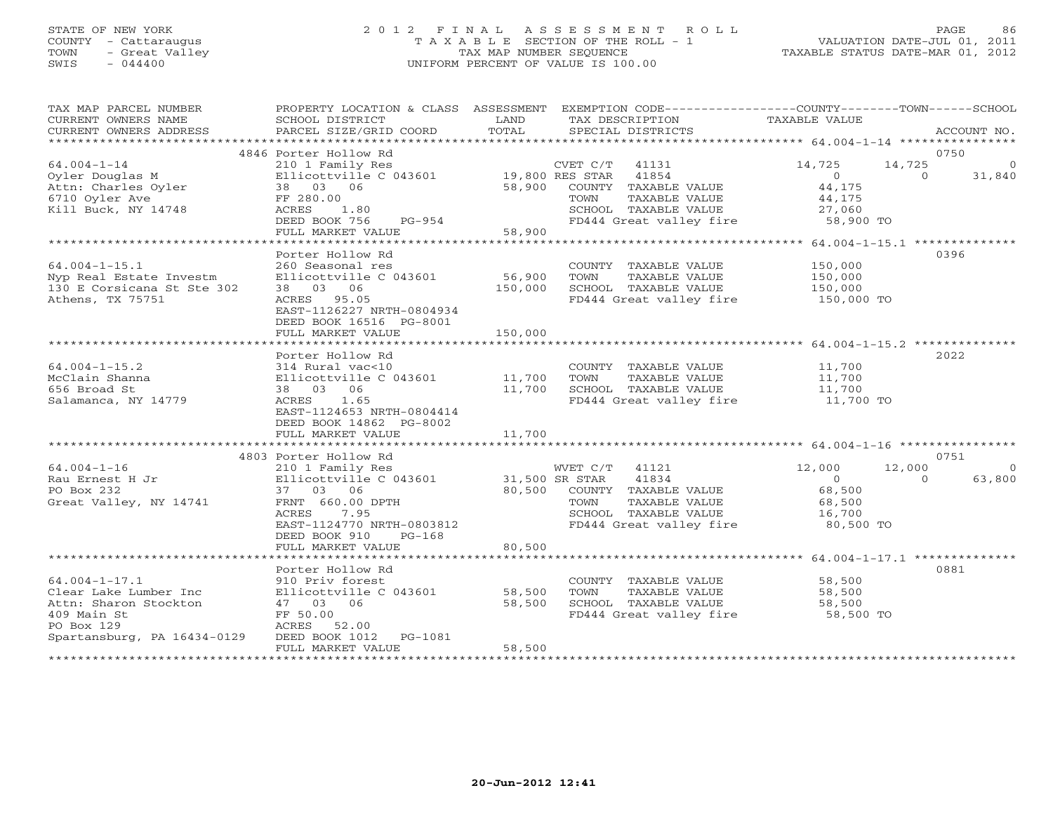# STATE OF NEW YORK 2 0 1 2 F I N A L A S S E S S M E N T R O L L PAGE 86 COUNTY - Cattaraugus T A X A B L E SECTION OF THE ROLL - 1 VALUATION DATE-JUL 01, 2011 TOWN - Great Valley TAX MAP NUMBER SEQUENCE TAXABLE STATUS DATE-MAR 01, 2012 SWIS - 044400 UNIFORM PERCENT OF VALUE IS 100.00

TAX MAP PARCEL NUMBER PROPERTY LOCATION & CLASS ASSESSMENT EXEMPTION CODE------------------COUNTY--------TOWN------SCHOOL CURRENT OWNERS NAME SCHOOL DISTRICT LAND TAX DESCRIPTION TAXABLE VALUE CURRENT OWNERS ADDRESS BARCEL SIZE/GRID COORD TOTAL SPECIAL DISTRICTS SACCOUNT NO. \*\*\*\*\*\*\*\*\*\*\*\*\*\*\*\*\*\*\*\*\*\*\*\*\*\*\*\*\*\*\*\*\*\*\*\*\*\*\*\*\*\*\*\*\*\*\*\*\*\*\*\*\*\*\*\*\*\*\*\*\*\*\*\*\*\*\*\*\*\*\*\*\*\*\*\*\*\*\*\*\*\*\*\*\*\*\*\*\*\*\*\*\*\*\*\*\*\*\*\*\*\*\* 64.004-1-14 \*\*\*\*\*\*\*\*\*\*\*\*\*\*\*\* 4846 Porter Hollow Rd 0750 64.004-1-14 210 1 Family Res CVET C/T 41131 14,725 14,725 0 Oyler Douglas M Ellicottville C 043601 19,800 RES STAR 41854 0 0 31,840 Attn: Charles Oyler 38 03 06 58,900 COUNTY TAXABLE VALUE 44,175 6710 Oyler Ave FF 280.00 TOWN TAXABLE VALUE 44,175 Kill Buck, NY 14748 ACRES 1.80 SCHOOL TAXABLE VALUE 27,060 DEED BOOK 756 PG-954 FD444 Great valley fire 58,900 TO FULL MARKET VALUE 58,900 \*\*\*\*\*\*\*\*\*\*\*\*\*\*\*\*\*\*\*\*\*\*\*\*\*\*\*\*\*\*\*\*\*\*\*\*\*\*\*\*\*\*\*\*\*\*\*\*\*\*\*\*\*\*\*\*\*\*\*\*\*\*\*\*\*\*\*\*\*\*\*\*\*\*\*\*\*\*\*\*\*\*\*\*\*\*\*\*\*\*\*\*\*\*\*\*\*\*\*\*\*\*\* 64.004-1-15.1 \*\*\*\*\*\*\*\*\*\*\*\*\*\* Porter Hollow Rd 039664.004-1-15.1 260 Seasonal res COUNTY TAXABLE VALUE 150,000 Nyp Real Estate Investm Ellicottville C 043601 56,900 TOWN TAXABLE VALUE 150,000 130 E Corsicana St Ste 302 38 03 06 150,000 SCHOOL TAXABLE VALUE 150,000 Athens, TX 75751 ACRES 95.05 FD444 Great valley fire 150,000 TO EAST-1126227 NRTH-0804934 DEED BOOK 16516 PG-8001 FULL MARKET VALUE 150,000 \*\*\*\*\*\*\*\*\*\*\*\*\*\*\*\*\*\*\*\*\*\*\*\*\*\*\*\*\*\*\*\*\*\*\*\*\*\*\*\*\*\*\*\*\*\*\*\*\*\*\*\*\*\*\*\*\*\*\*\*\*\*\*\*\*\*\*\*\*\*\*\*\*\*\*\*\*\*\*\*\*\*\*\*\*\*\*\*\*\*\*\*\*\*\*\*\*\*\*\*\*\*\* 64.004-1-15.2 \*\*\*\*\*\*\*\*\*\*\*\*\*\* Porter Hollow Rd 202264.004-1-15.2 314 Rural vac<10 COUNTY TAXABLE VALUE 11,700 McClain Shanna Ellicottville C 043601 11,700 TOWN TAXABLE VALUE 11,700 656 Broad St 38 03 06 11,700 SCHOOL TAXABLE VALUE 11,700 Salamanca, NY 14779 ACRES 1.65 FD444 Great valley fire 11,700 TO EAST-1124653 NRTH-0804414 DEED BOOK 14862 PG-8002 FULL MARKET VALUE 11,700 \*\*\*\*\*\*\*\*\*\*\*\*\*\*\*\*\*\*\*\*\*\*\*\*\*\*\*\*\*\*\*\*\*\*\*\*\*\*\*\*\*\*\*\*\*\*\*\*\*\*\*\*\*\*\*\*\*\*\*\*\*\*\*\*\*\*\*\*\*\*\*\*\*\*\*\*\*\*\*\*\*\*\*\*\*\*\*\*\*\*\*\*\*\*\*\*\*\*\*\*\*\*\* 64.004-1-16 \*\*\*\*\*\*\*\*\*\*\*\*\*\*\*\* 4803 Porter Hollow Rd 0751 64.004-1-16 210 1 Family Res WVET C/T 41121 12,000 12,000 0 Rau Ernest H Jr Ellicottville C 043601 31,500 SR STAR 41834 0 0 63,800 PO Box 232 37 03 06 80,500 COUNTY TAXABLE VALUE 68,500 Great Valley, NY 14741 FRNT 660.00 DPTH TOWN TAXABLE VALUE 68,500 ACRES 7.95 SCHOOL TAXABLE VALUE 16,700 EAST-1124770 NRTH-0803812 FD444 Great valley fire 80,500 TO DEED BOOK 910 PG-168 FULL MARKET VALUE 80,500 \*\*\*\*\*\*\*\*\*\*\*\*\*\*\*\*\*\*\*\*\*\*\*\*\*\*\*\*\*\*\*\*\*\*\*\*\*\*\*\*\*\*\*\*\*\*\*\*\*\*\*\*\*\*\*\*\*\*\*\*\*\*\*\*\*\*\*\*\*\*\*\*\*\*\*\*\*\*\*\*\*\*\*\*\*\*\*\*\*\*\*\*\*\*\*\*\*\*\*\*\*\*\* 64.004-1-17.1 \*\*\*\*\*\*\*\*\*\*\*\*\*\* Porter Hollow Rd 088164.004-1-17.1 910 Priv forest COUNTY TAXABLE VALUE 58,500 Clear Lake Lumber Inc Ellicottville C 043601 58,500 TOWN TAXABLE VALUE 58,500 Attn: Sharon Stockton 47 03 06 58,500 SCHOOL TAXABLE VALUE 58,500 409 Main St FF 50.00 FD444 Great valley fire 58,500 TO PO Box 129 ACRES 52.00 Spartansburg, PA 16434-0129 DEED BOOK 1012 PG-1081 FULL MARKET VALUE 58,500 \*\*\*\*\*\*\*\*\*\*\*\*\*\*\*\*\*\*\*\*\*\*\*\*\*\*\*\*\*\*\*\*\*\*\*\*\*\*\*\*\*\*\*\*\*\*\*\*\*\*\*\*\*\*\*\*\*\*\*\*\*\*\*\*\*\*\*\*\*\*\*\*\*\*\*\*\*\*\*\*\*\*\*\*\*\*\*\*\*\*\*\*\*\*\*\*\*\*\*\*\*\*\*\*\*\*\*\*\*\*\*\*\*\*\*\*\*\*\*\*\*\*\*\*\*\*\*\*\*\*\*\*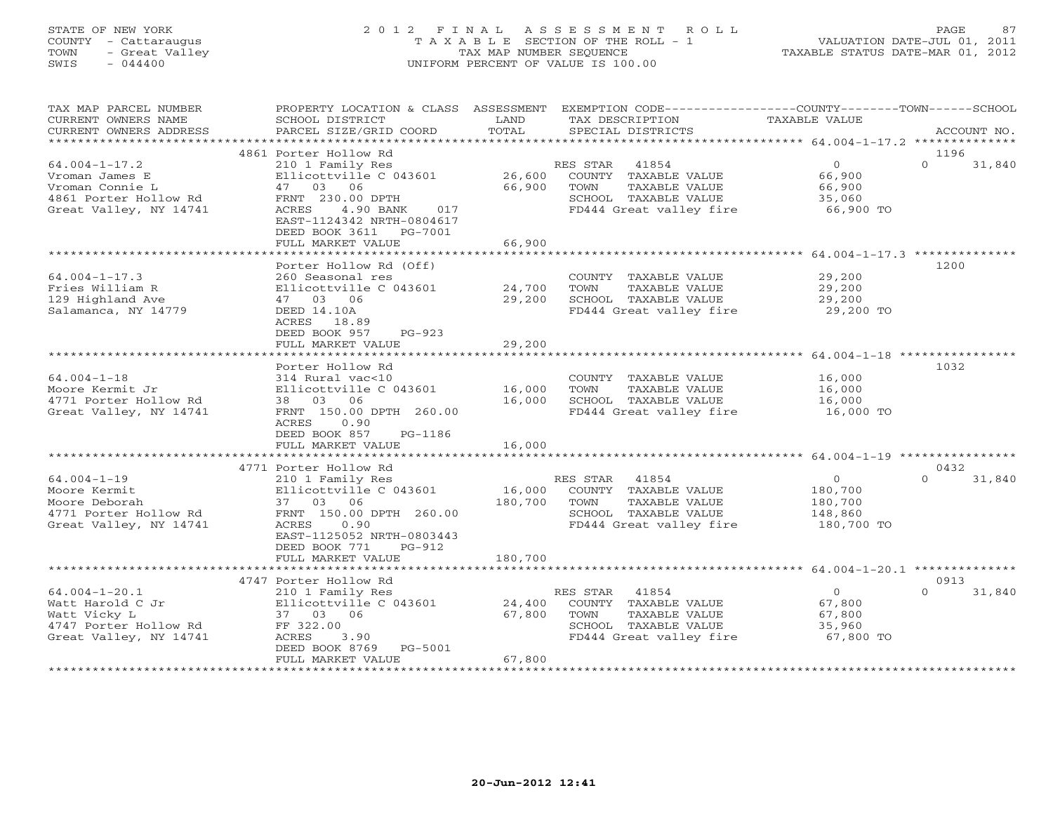## STATE OF NEW YORK 2 0 1 2 F I N A L A S S E S S M E N T R O L L PAGE 87 COUNTY - Cattaraugus T A X A B L E SECTION OF THE ROLL - 1 VALUATION DATE-JUL 01, 2011 TOWN - Great Valley TAX MAP NUMBER SEQUENCE TAXABLE STATUS DATE-MAR 01, 2012 SWIS - 044400 UNIFORM PERCENT OF VALUE IS 100.00UNIFORM PERCENT OF VALUE IS 100.00

| TAX MAP PARCEL NUMBER<br>CURRENT OWNERS NAME<br>CURRENT OWNERS ADDRESS                                      | PROPERTY LOCATION & CLASS ASSESSMENT<br>SCHOOL DISTRICT<br>PARCEL SIZE/GRID COORD                                                                                                                | LAND<br>TOTAL              | EXEMPTION CODE-----------------COUNTY-------TOWN------SCHOOL<br>TAX DESCRIPTION<br>SPECIAL DISTRICTS                  | TAXABLE VALUE                                                                | ACCOUNT NO.                |
|-------------------------------------------------------------------------------------------------------------|--------------------------------------------------------------------------------------------------------------------------------------------------------------------------------------------------|----------------------------|-----------------------------------------------------------------------------------------------------------------------|------------------------------------------------------------------------------|----------------------------|
| ******************                                                                                          |                                                                                                                                                                                                  |                            |                                                                                                                       |                                                                              |                            |
| $64.004 - 1 - 17.2$<br>Vroman James E<br>Vroman Connie L<br>4861 Porter Hollow Rd<br>Great Valley, NY 14741 | 4861 Porter Hollow Rd<br>210 1 Family Res<br>Ellicottville C 043601<br>03<br>06<br>47<br>FRNT 230.00 DPTH<br>4.90 BANK<br>ACRES<br>017<br>EAST-1124342 NRTH-0804617<br>DEED BOOK 3611<br>PG-7001 | 26,600<br>66,900           | RES STAR<br>41854<br>COUNTY TAXABLE VALUE<br>TAXABLE VALUE<br>TOWN<br>SCHOOL TAXABLE VALUE<br>FD444 Great valley fire | $\circ$<br>66,900<br>66,900<br>35,060<br>66,900 TO                           | 1196<br>$\Omega$<br>31,840 |
|                                                                                                             | FULL MARKET VALUE<br>*****************                                                                                                                                                           | 66,900                     |                                                                                                                       |                                                                              |                            |
| $64.004 - 1 - 17.3$<br>Fries William R<br>129 Highland Ave<br>Salamanca, NY 14779                           | Porter Hollow Rd (Off)<br>260 Seasonal res<br>Ellicottville C 043601<br>47 03 06<br>DEED 14.10A<br>ACRES 18.89<br>DEED BOOK 957<br>$PG-923$<br>FULL MARKET VALUE                                 | 24,700<br>29,200<br>29,200 | COUNTY TAXABLE VALUE<br>TOWN<br>TAXABLE VALUE<br>SCHOOL TAXABLE VALUE<br>FD444 Great valley fire                      | *************** 64.004-1-17.3 ***<br>29,200<br>29,200<br>29,200<br>29,200 TO | 1200                       |
|                                                                                                             |                                                                                                                                                                                                  | <b>++++++++++</b>          |                                                                                                                       | *********************** 64.004-1-18 ****************                         |                            |
| $64.004 - 1 - 18$<br>Moore Kermit Jr<br>4771 Porter Hollow Rd<br>Great Valley, NY 14741                     | Porter Hollow Rd<br>314 Rural vac<10<br>Ellicottville C 043601<br>03 06<br>38<br>FRNT 150.00 DPTH 260.00<br><b>ACRES</b><br>0.90<br>DEED BOOK 857<br>PG-1186<br>FULL MARKET VALUE                | 16,000<br>16,000<br>16,000 | COUNTY TAXABLE VALUE<br>TOWN<br>TAXABLE VALUE<br>SCHOOL TAXABLE VALUE<br>FD444 Great valley fire                      | 16,000<br>16,000<br>16,000<br>16,000 TO                                      | 1032                       |
|                                                                                                             |                                                                                                                                                                                                  |                            |                                                                                                                       |                                                                              |                            |
| $64.004 - 1 - 19$<br>Moore Kermit<br>Moore Deborah<br>4771 Porter Hollow Rd<br>Great Valley, NY 14741       | 4771 Porter Hollow Rd<br>210 1 Family Res<br>Ellicottville C 043601<br>37 03 06<br>FRNT 150.00 DPTH 260.00<br>ACRES<br>0.90<br>EAST-1125052 NRTH-0803443                                         | 16,000<br>180,700          | 41854<br>RES STAR<br>COUNTY TAXABLE VALUE<br>TOWN<br>TAXABLE VALUE<br>SCHOOL TAXABLE VALUE<br>FD444 Great valley fire | $\circ$<br>180,700<br>180,700<br>148,860<br>180,700 TO                       | 0432<br>$\Omega$<br>31,840 |
|                                                                                                             | DEED BOOK 771<br>$PG-912$<br>FULL MARKET VALUE                                                                                                                                                   | 180,700                    |                                                                                                                       | $64.004 - 1 - 20.1$ *********                                                |                            |
| $64.004 - 1 - 20.1$<br>Watt Harold C Jr<br>Watt Vicky L<br>4747 Porter Hollow Rd<br>Great Valley, NY 14741  | 4747 Porter Hollow Rd<br>210 1 Family Res<br>Ellicottville C 043601<br>37 03 06<br>FF 322.00<br>ACRES<br>3.90<br>DEED BOOK 8769<br>PG-5001<br>FULL MARKET VALUE                                  | 24,400<br>67,800<br>67,800 | 41854<br>RES STAR<br>COUNTY TAXABLE VALUE<br>TOWN<br>TAXABLE VALUE<br>SCHOOL TAXABLE VALUE<br>FD444 Great valley fire | $\circ$<br>67,800<br>67,800<br>35,960<br>67,800 TO                           | 0913<br>$\Omega$<br>31,840 |
|                                                                                                             |                                                                                                                                                                                                  |                            |                                                                                                                       |                                                                              |                            |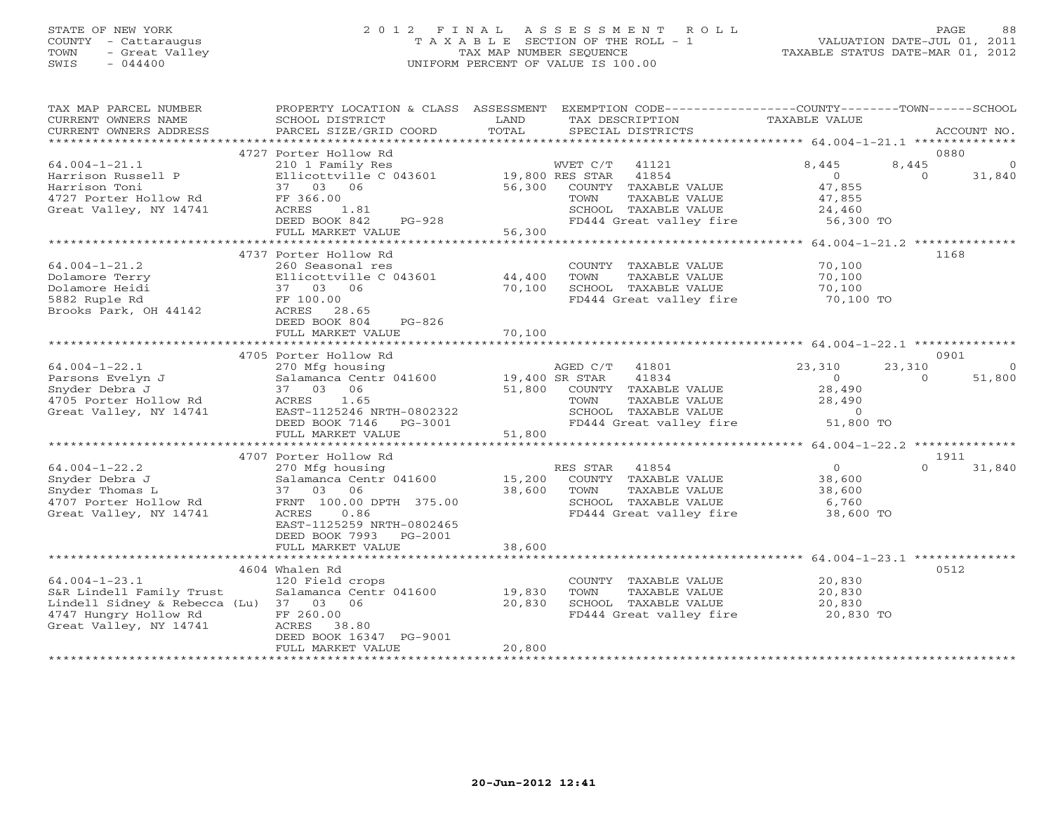## STATE OF NEW YORK 2 0 1 2 F I N A L A S S E S S M E N T R O L L PAGE 88 COUNTY - Cattaraugus T A X A B L E SECTION OF THE ROLL - 1 VALUATION DATE-JUL 01, 2011 TOWN - Great Valley TAX MAP NUMBER SEQUENCE TAXABLE STATUS DATE-MAR 01, 2012 SWIS - 044400 UNIFORM PERCENT OF VALUE IS 100.00UNIFORM PERCENT OF VALUE IS 100.00

| TAX MAP PARCEL NUMBER<br>CURRENT OWNERS NAME                                                                                                 | PROPERTY LOCATION & CLASS<br>SCHOOL DISTRICT                                                                                                                                      | ASSESSMENT<br>TAX DESCRIPTION<br>LAND                                                                                                                                | EXEMPTION CODE-----------------COUNTY-------TOWN------SCHOOL<br>TAXABLE VALUE                                            |
|----------------------------------------------------------------------------------------------------------------------------------------------|-----------------------------------------------------------------------------------------------------------------------------------------------------------------------------------|----------------------------------------------------------------------------------------------------------------------------------------------------------------------|--------------------------------------------------------------------------------------------------------------------------|
| CURRENT OWNERS ADDRESS                                                                                                                       | PARCEL SIZE/GRID COORD                                                                                                                                                            | TOTAL<br>SPECIAL DISTRICTS                                                                                                                                           | ACCOUNT NO.                                                                                                              |
| ***********************                                                                                                                      | 4727 Porter Hollow Rd                                                                                                                                                             |                                                                                                                                                                      | 0880                                                                                                                     |
| $64.004 - 1 - 21.1$<br>Harrison Russell P<br>Harrison Toni<br>4727 Porter Hollow Rd<br>Great Valley, NY 14741                                | 210 1 Family Res<br>Ellicottville C 043601<br>37 03 06<br>FF 366.00<br>ACRES<br>1.81                                                                                              | WVET C/T<br>41121<br>19,800 RES STAR<br>41854<br>56,300<br>COUNTY TAXABLE VALUE<br>TOWN<br>TAXABLE VALUE<br>SCHOOL TAXABLE VALUE                                     | 8,445<br>8,445<br>0<br>$\Omega$<br>31,840<br>$\overline{0}$<br>47,855<br>47,855<br>24,460                                |
|                                                                                                                                              | DEED BOOK 842<br>PG-928<br>FULL MARKET VALUE                                                                                                                                      | FD444 Great valley fire<br>56,300                                                                                                                                    | 56,300 TO                                                                                                                |
|                                                                                                                                              | ************************                                                                                                                                                          | *************                                                                                                                                                        | ********** 64.004-1-21.2 **************                                                                                  |
| $64.004 - 1 - 21.2$<br>Dolamore Terry<br>Dolamore Heidi<br>5882 Ruple Rd<br>Brooks Park, OH 44142                                            | 4737 Porter Hollow Rd<br>260 Seasonal res<br>Ellicottville C 043601<br>37 03 06<br>FF 100.00<br>ACRES 28.65<br>DEED BOOK 804<br>PG-826<br>FULL MARKET VALUE                       | COUNTY TAXABLE VALUE<br>44,400<br>TAXABLE VALUE<br>TOWN<br>70,100<br>SCHOOL TAXABLE VALUE<br>FD444 Great valley fire<br>70,100                                       | 1168<br>70,100<br>70,100<br>70,100<br>70,100 TO                                                                          |
|                                                                                                                                              |                                                                                                                                                                                   |                                                                                                                                                                      |                                                                                                                          |
| $64.004 - 1 - 22.1$<br>Parsons Evelyn J<br>Snyder Debra J<br>4705 Porter Hollow Rd<br>Great Valley, NY 14741                                 | 4705 Porter Hollow Rd<br>270 Mfg housing<br>Salamanca Centr 041600<br>37 03<br>06<br>ACRES<br>1.65<br>EAST-1125246 NRTH-0802322<br>DEED BOOK 7146 PG-3001<br>FULL MARKET VALUE    | AGED C/T<br>41801<br>19,400 SR STAR<br>41834<br>51,800<br>COUNTY TAXABLE VALUE<br>TOWN<br>TAXABLE VALUE<br>SCHOOL TAXABLE VALUE<br>FD444 Great valley fire<br>51,800 | 0901<br>23,310<br>23,310<br>$\circ$<br>$\Omega$<br>51,800<br>$\overline{O}$<br>28,490<br>28,490<br>$\Omega$<br>51,800 TO |
|                                                                                                                                              | *******************************                                                                                                                                                   |                                                                                                                                                                      |                                                                                                                          |
| $64.004 - 1 - 22.2$<br>Snyder Debra J<br>Snyder Thomas L<br>4707 Porter Hollow Rd<br>Great Valley, NY 14741                                  | 4707 Porter Hollow Rd<br>270 Mfg housing<br>Salamanca Centr 041600<br>37 03 06<br>FRNT 100.00 DPTH 375.00<br>0.86<br>ACRES<br>EAST-1125259 NRTH-0802465<br>DEED BOOK 7993 PG-2001 | RES STAR 41854<br>15,200<br>COUNTY TAXABLE VALUE<br>38,600<br>TOWN<br>TAXABLE VALUE<br>SCHOOL TAXABLE VALUE<br>FD444 Great valley fire                               | 1911<br>0<br>$\Omega$<br>31,840<br>38,600<br>38,600<br>6,760<br>38,600 TO                                                |
|                                                                                                                                              | FULL MARKET VALUE                                                                                                                                                                 | 38,600                                                                                                                                                               |                                                                                                                          |
| $64.004 - 1 - 23.1$<br>S&R Lindell Family Trust<br>Lindell Sidney & Rebecca (Lu) 37 03 06<br>4747 Hungry Hollow Rd<br>Great Valley, NY 14741 | 4604 Whalen Rd<br>120 Field crops<br>Salamanca Centr 041600<br>FF 260.00<br>ACRES 38.80<br>DEED BOOK 16347 PG-9001<br>FULL MARKET VALUE                                           | COUNTY TAXABLE VALUE<br>19,830<br>TOWN<br>TAXABLE VALUE<br>20,830<br>SCHOOL TAXABLE VALUE<br>FD444 Great valley fire<br>20,800                                       | 0512<br>20,830<br>20,830<br>20,830<br>20,830 TO                                                                          |
|                                                                                                                                              |                                                                                                                                                                                   |                                                                                                                                                                      |                                                                                                                          |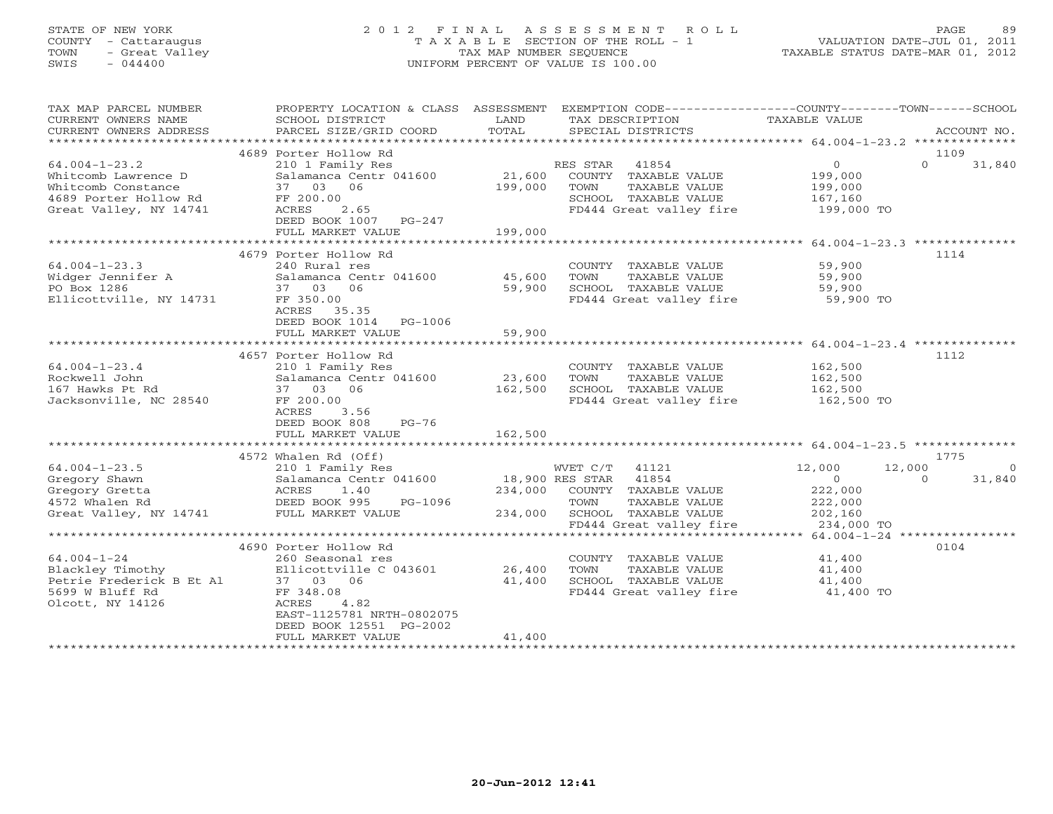## STATE OF NEW YORK 2 0 1 2 F I N A L A S S E S S M E N T R O L L PAGE 89 COUNTY - Cattaraugus T A X A B L E SECTION OF THE ROLL - 1 VALUATION DATE-JUL 01, 2011 TOWN - Great Valley TAX MAP NUMBER SEQUENCE TAXABLE STATUS DATE-MAR 01, 2012 SWIS - 044400 UNIFORM PERCENT OF VALUE IS 100.00UNIFORM PERCENT OF VALUE IS 100.00

| TAX MAP PARCEL NUMBER<br>CURRENT OWNERS NAME<br>CURRENT OWNERS ADDRESS                                               | PROPERTY LOCATION & CLASS ASSESSMENT<br>SCHOOL DISTRICT<br>PARCEL SIZE/GRID COORD                                                                                                          | LAND<br>TOTAL                   | EXEMPTION CODE-----------------COUNTY-------TOWN------SCHOOL<br>TAX DESCRIPTION<br>SPECIAL DISTRICTS                                        | TAXABLE VALUE                                                                     | ACCOUNT NO.                    |
|----------------------------------------------------------------------------------------------------------------------|--------------------------------------------------------------------------------------------------------------------------------------------------------------------------------------------|---------------------------------|---------------------------------------------------------------------------------------------------------------------------------------------|-----------------------------------------------------------------------------------|--------------------------------|
|                                                                                                                      |                                                                                                                                                                                            |                                 |                                                                                                                                             |                                                                                   |                                |
| $64.004 - 1 - 23.2$<br>Whitcomb Lawrence D<br>Whitcomb Constance<br>4689 Porter Hollow Rd<br>Great Valley, NY 14741  | 4689 Porter Hollow Rd<br>210 1 Family Res<br>Salamanca Centr 041600<br>37 03 06<br>FF 200.00<br>ACRES<br>2.65<br>DEED BOOK 1007<br>$PG-247$<br>FULL MARKET VALUE                           | 21,600<br>199,000<br>199,000    | RES STAR<br>41854<br>COUNTY TAXABLE VALUE<br>TOWN<br>TAXABLE VALUE<br>SCHOOL TAXABLE VALUE<br>FD444 Great valley fire                       | $\circ$<br>199,000<br>199,000<br>167,160<br>199,000 TO                            | 1109<br>$\Omega$<br>31,840     |
|                                                                                                                      | 4679 Porter Hollow Rd                                                                                                                                                                      |                                 |                                                                                                                                             |                                                                                   | 1114                           |
| $64.004 - 1 - 23.3$<br>Widger Jennifer A<br>PO Box 1286<br>Ellicottville, NY 14731                                   | 240 Rural res<br>Salamanca Centr 041600<br>37 03 06<br>FF 350.00<br>ACRES<br>35.35<br>DEED BOOK 1014 PG-1006                                                                               | 45,600<br>59,900                | COUNTY TAXABLE VALUE<br>TOWN<br>TAXABLE VALUE<br>SCHOOL TAXABLE VALUE<br>FD444 Great valley fire 59,900 TO                                  | 59,900<br>59,900<br>59,900                                                        |                                |
|                                                                                                                      | FULL MARKET VALUE<br>************************                                                                                                                                              | 59,900<br>* * * * * * * * * * * |                                                                                                                                             | ********************* 64.004-1-23.4 *********                                     |                                |
| $64.004 - 1 - 23.4$<br>Rockwell John<br>167 Hawks Pt Rd<br>Jacksonville, NC 28540                                    | 4657 Porter Hollow Rd<br>210 1 Family Res<br>Salamanca Centr 041600<br>37 03<br>06<br>FF 200.00<br>ACRES<br>3.56<br>DEED BOOK 808<br>PG-76                                                 | 23,600<br>162,500               | COUNTY TAXABLE VALUE<br>TOWN<br>TAXABLE VALUE<br>SCHOOL TAXABLE VALUE<br>FD444 Great valley fire                                            | 162,500<br>162,500<br>162,500<br>162,500 TO                                       | 1112                           |
|                                                                                                                      | FULL MARKET VALUE                                                                                                                                                                          | 162,500                         |                                                                                                                                             |                                                                                   |                                |
|                                                                                                                      | 4572 Whalen Rd (Off)                                                                                                                                                                       |                                 |                                                                                                                                             |                                                                                   | 1775                           |
| $64.004 - 1 - 23.5$<br>Gregory Shawn<br>Gregory Gretta<br>4572 Whalen Rd<br>Great Valley, NY 14741 FULL MARKET VALUE | 210 1 Family Res<br>Salamanca Centr 041600<br>ACRES 1.40<br>DEED BOOK 995<br>PG-1096                                                                                                       | 234,000<br>234,000              | WVET C/T 41121<br>18,900 RES STAR 41854<br>COUNTY TAXABLE VALUE<br>TOWN<br>TAXABLE VALUE<br>SCHOOL TAXABLE VALUE<br>FD444 Great valley fire | 12,000<br>12,000<br>$\overline{O}$<br>222,000<br>222,000<br>202,160<br>234,000 TO | $\Omega$<br>31,840<br>$\Omega$ |
|                                                                                                                      |                                                                                                                                                                                            |                                 |                                                                                                                                             |                                                                                   |                                |
| $64.004 - 1 - 24$<br>Blackley Timothy<br>Petrie Frederick B Et Al<br>5699 W Bluff Rd<br>Olcott, NY 14126             | 4690 Porter Hollow Rd<br>260 Seasonal res<br>Ellicottville C 043601<br>37 03 06<br>FF 348.08<br>4.82<br>ACRES<br>EAST-1125781 NRTH-0802075<br>DEED BOOK 12551 PG-2002<br>FULL MARKET VALUE | 26,400<br>41,400<br>41,400      | COUNTY TAXABLE VALUE<br>TOWN<br>TAXABLE VALUE<br>SCHOOL TAXABLE VALUE<br>FD444 Great valley fire                                            | 41,400<br>41,400<br>41,400<br>41,400 TO                                           | 0104                           |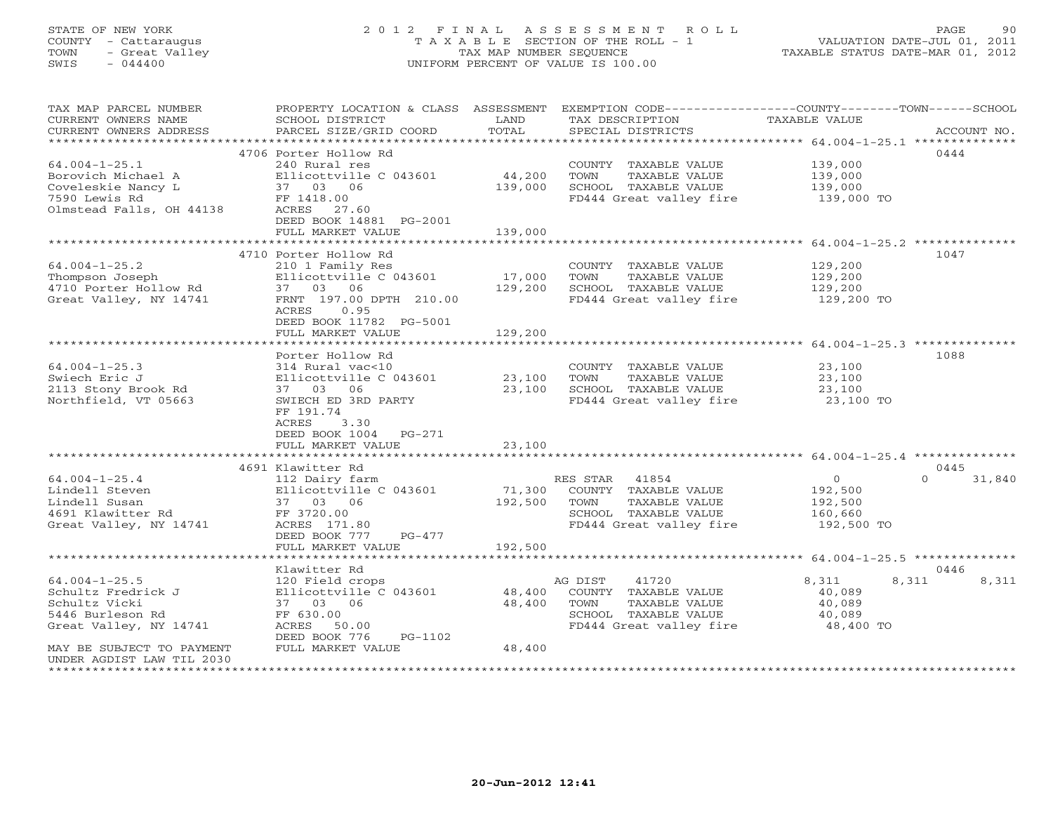## STATE OF NEW YORK 2 0 1 2 F I N A L A S S E S S M E N T R O L L PAGE 90 COUNTY - Cattaraugus T A X A B L E SECTION OF THE ROLL - 1 VALUATION DATE-JUL 01, 2011 TOWN - Great Valley TAX MAP NUMBER SEQUENCE TAXABLE STATUS DATE-MAR 01, 2012 SWIS - 044400 UNIFORM PERCENT OF VALUE IS 100.00UNIFORM PERCENT OF VALUE IS 100.00

| TAX MAP PARCEL NUMBER<br>CURRENT OWNERS NAME<br>CURRENT OWNERS ADDRESS | PROPERTY LOCATION & CLASS ASSESSMENT<br>SCHOOL DISTRICT<br>PARCEL SIZE/GRID COORD | LAND<br>TOTAL | EXEMPTION CODE----------------COUNTY-------TOWN------SCHOOL<br>TAX DESCRIPTION<br>SPECIAL DISTRICTS | <b>TAXABLE VALUE</b>  | ACCOUNT NO.        |
|------------------------------------------------------------------------|-----------------------------------------------------------------------------------|---------------|-----------------------------------------------------------------------------------------------------|-----------------------|--------------------|
|                                                                        |                                                                                   |               |                                                                                                     |                       |                    |
|                                                                        | 4706 Porter Hollow Rd                                                             |               |                                                                                                     |                       | 0444               |
| $64.004 - 1 - 25.1$                                                    | 240 Rural res                                                                     |               | COUNTY TAXABLE VALUE                                                                                | 139,000               |                    |
| Borovich Michael A                                                     | Ellicottville C 043601                                                            | 44,200        | TOWN<br>TAXABLE VALUE                                                                               | 139,000               |                    |
| Coveleskie Nancy L<br>7590 Lewis Rd                                    | 37 03 06<br>FF 1418.00                                                            | 139,000       | SCHOOL TAXABLE VALUE<br>FD444 Great valley fire                                                     | 139,000<br>139,000 TO |                    |
| Olmstead Falls, OH 44138                                               | ACRES 27.60                                                                       |               |                                                                                                     |                       |                    |
|                                                                        | DEED BOOK 14881 PG-2001                                                           |               |                                                                                                     |                       |                    |
|                                                                        | FULL MARKET VALUE                                                                 | 139,000       |                                                                                                     |                       |                    |
|                                                                        |                                                                                   |               |                                                                                                     |                       |                    |
|                                                                        | 4710 Porter Hollow Rd                                                             |               |                                                                                                     |                       | 1047               |
| $64.004 - 1 - 25.2$                                                    | 210 1 Family Res                                                                  |               | COUNTY TAXABLE VALUE                                                                                | 129,200               |                    |
| Thompson Joseph                                                        | Ellicottville C 043601                                                            | 17,000        | TOWN<br>TAXABLE VALUE                                                                               | 129,200               |                    |
| 4710 Porter Hollow Rd                                                  | 37 03 06                                                                          | 129,200       | SCHOOL TAXABLE VALUE                                                                                | 129,200               |                    |
| Great Valley, NY 14741                                                 | FRNT 197.00 DPTH 210.00                                                           |               | FD444 Great valley fire                                                                             | 129,200 TO            |                    |
|                                                                        | ACRES<br>0.95                                                                     |               |                                                                                                     |                       |                    |
|                                                                        | DEED BOOK 11782 PG-5001                                                           |               |                                                                                                     |                       |                    |
|                                                                        | FULL MARKET VALUE                                                                 | 129,200       |                                                                                                     |                       |                    |
|                                                                        | Porter Hollow Rd                                                                  |               |                                                                                                     |                       | 1088               |
| $64.004 - 1 - 25.3$                                                    | 314 Rural vac<10                                                                  |               | COUNTY TAXABLE VALUE                                                                                | 23,100                |                    |
| Swiech Eric J                                                          | Ellicottville C 043601                                                            | 23,100        | TOWN<br>TAXABLE VALUE                                                                               | 23,100                |                    |
| 2113 Stony Brook Rd                                                    | 37 03 06                                                                          | 23,100        | SCHOOL TAXABLE VALUE                                                                                | 23,100                |                    |
| Northfield, VT 05663                                                   | SWIECH ED 3RD PARTY                                                               |               | FD444 Great valley fire                                                                             | 23,100 TO             |                    |
|                                                                        | FF 191.74                                                                         |               |                                                                                                     |                       |                    |
|                                                                        | ACRES<br>3.30                                                                     |               |                                                                                                     |                       |                    |
|                                                                        | DEED BOOK 1004 PG-271                                                             |               |                                                                                                     |                       |                    |
|                                                                        | FULL MARKET VALUE                                                                 | 23,100        |                                                                                                     |                       |                    |
|                                                                        |                                                                                   |               |                                                                                                     |                       |                    |
|                                                                        | 4691 Klawitter Rd                                                                 |               |                                                                                                     |                       | 0445               |
| $64.004 - 1 - 25.4$                                                    | 112 Dairy farm                                                                    |               | RES STAR 41854                                                                                      | $\overline{O}$        | $\Omega$<br>31,840 |
| Lindell Steven                                                         | Ellicottville C 043601                                                            | 71,300        | COUNTY TAXABLE VALUE                                                                                | 192,500               |                    |
| Lindell Susan                                                          | 37 03 06                                                                          | 192,500       | TAXABLE VALUE<br>TOWN                                                                               | 192,500               |                    |
| 4691 Klawitter Rd                                                      | FF 3720.00                                                                        |               | SCHOOL TAXABLE VALUE                                                                                | 160,660               |                    |
| Great Valley, NY 14741                                                 | ACRES 171.80                                                                      |               | FD444 Great valley fire                                                                             | 192,500 TO            |                    |
|                                                                        | DEED BOOK 777<br>PG-477<br>FULL MARKET VALUE                                      | 192,500       |                                                                                                     |                       |                    |
|                                                                        |                                                                                   |               |                                                                                                     |                       |                    |
|                                                                        | Klawitter Rd                                                                      |               |                                                                                                     |                       | 0446               |
| $64.004 - 1 - 25.5$                                                    | 120 Field crops                                                                   |               | AG DIST<br>41720                                                                                    | 8,311<br>8,311        | 8,311              |
| Schultz Fredrick J                                                     | Ellicottville C 043601                                                            | 48,400        | COUNTY TAXABLE VALUE                                                                                | 40,089                |                    |
| Schultz Vicki                                                          | 37 03 06                                                                          | 48,400        | TOWN<br>TAXABLE VALUE                                                                               | 40,089                |                    |
| 5446 Burleson Rd                                                       | FF 630.00                                                                         |               | SCHOOL TAXABLE VALUE                                                                                | 40,089                |                    |
| Great Valley, NY 14741                                                 | ACRES 50.00                                                                       |               | FD444 Great valley fire                                                                             | 48,400 TO             |                    |
|                                                                        | DEED BOOK 776<br>PG-1102                                                          |               |                                                                                                     |                       |                    |
| MAY BE SUBJECT TO PAYMENT                                              | FULL MARKET VALUE                                                                 | 48,400        |                                                                                                     |                       |                    |
| UNDER AGDIST LAW TIL 2030                                              |                                                                                   |               |                                                                                                     |                       |                    |
|                                                                        |                                                                                   |               |                                                                                                     |                       |                    |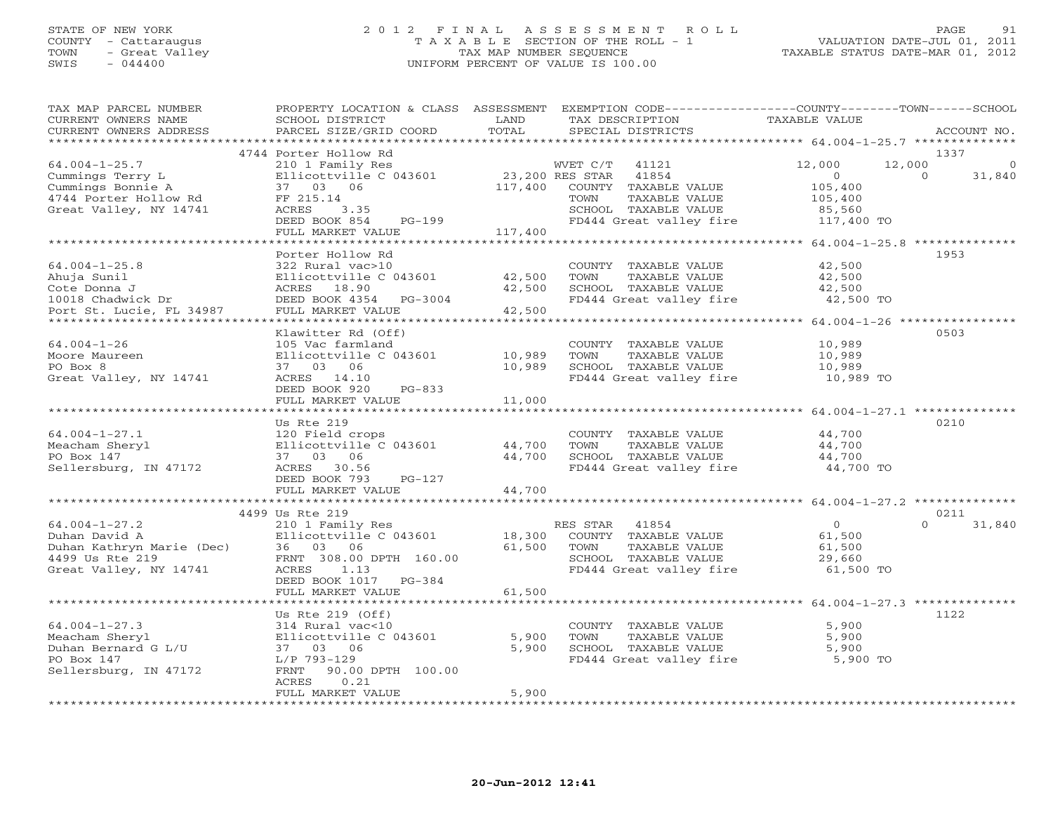## STATE OF NEW YORK 2 0 1 2 F I N A L A S S E S S M E N T R O L L PAGE 91 COUNTY - Cattaraugus T A X A B L E SECTION OF THE ROLL - 1 VALUATION DATE-JUL 01, 2011 TOWN - Great Valley TAX MAP NUMBER SEQUENCE TAXABLE STATUS DATE-MAR 01, 2012 SWIS - 044400 UNIFORM PERCENT OF VALUE IS 100.00UNIFORM PERCENT OF VALUE IS 100.00

| TAX MAP PARCEL NUMBER<br>CURRENT OWNERS NAME<br>CURRENT OWNERS ADDRESS | PROPERTY LOCATION & CLASS<br>SCHOOL DISTRICT<br>PARCEL SIZE/GRID COORD | ASSESSMENT<br>LAND<br>TOTAL | EXEMPTION CODE-----------------COUNTY-------TOWN------SCHOOL<br>TAX DESCRIPTION<br>SPECIAL DISTRICTS | TAXABLE VALUE                                        |                              | ACCOUNT NO. |
|------------------------------------------------------------------------|------------------------------------------------------------------------|-----------------------------|------------------------------------------------------------------------------------------------------|------------------------------------------------------|------------------------------|-------------|
|                                                                        | * * * * * * * * * * * * * * * * * *                                    | * * * * * * * *             |                                                                                                      | *********** 64.004-1-25.7 ***************            |                              |             |
|                                                                        | 4744 Porter Hollow Rd                                                  |                             |                                                                                                      |                                                      | 1337                         |             |
| $64.004 - 1 - 25.7$                                                    | 210 1 Family Res                                                       |                             | WVET C/T<br>41121                                                                                    | 12,000                                               | 12,000                       | $\Omega$    |
| Cummings Terry L                                                       | Ellicottville C 043601                                                 |                             | 23,200 RES STAR<br>41854                                                                             | $\circ$                                              | $\Omega$                     | 31,840      |
| Cummings Bonnie A<br>4744 Porter Hollow Rd                             | 37 03 06                                                               | 117,400                     | COUNTY TAXABLE VALUE                                                                                 | 105,400                                              |                              |             |
| Great Valley, NY 14741                                                 | FF 215.14<br>ACRES<br>3.35                                             |                             | TOWN<br>TAXABLE VALUE<br>SCHOOL TAXABLE VALUE                                                        | 105,400<br>85,560                                    |                              |             |
|                                                                        | DEED BOOK 854<br>$PG-199$                                              |                             | FD444 Great valley fire                                                                              | 117,400 TO                                           |                              |             |
|                                                                        | FULL MARKET VALUE                                                      | 117,400                     |                                                                                                      |                                                      |                              |             |
|                                                                        |                                                                        |                             |                                                                                                      |                                                      |                              |             |
|                                                                        | Porter Hollow Rd                                                       |                             |                                                                                                      |                                                      | 1953                         |             |
| $64.004 - 1 - 25.8$                                                    | 322 Rural vac>10                                                       |                             | COUNTY TAXABLE VALUE                                                                                 | 42,500                                               |                              |             |
| Ahuja Sunil                                                            | Ellicottville C 043601                                                 | 42,500                      | TOWN<br>TAXABLE VALUE                                                                                | 42,500                                               |                              |             |
| Cote Donna J                                                           | ACRES 18.90                                                            | 42,500                      | SCHOOL TAXABLE VALUE                                                                                 | 42,500                                               |                              |             |
| 10018 Chadwick Dr                                                      | DEED BOOK 4354<br>PG-3004                                              |                             | FD444 Great valley fire                                                                              | 42,500 TO                                            |                              |             |
| Port St. Lucie, FL 34987                                               | FULL MARKET VALUE                                                      | 42,500                      |                                                                                                      |                                                      |                              |             |
|                                                                        |                                                                        |                             |                                                                                                      |                                                      | $64.004 - 1 - 26$ *********  |             |
|                                                                        | Klawitter Rd (Off)                                                     |                             |                                                                                                      |                                                      | 0503                         |             |
| $64.004 - 1 - 26$<br>Moore Maureen                                     | 105 Vac farmland<br>Ellicottville C 043601                             | 10,989                      | COUNTY TAXABLE VALUE<br>TOWN<br>TAXABLE VALUE                                                        | 10,989<br>10,989                                     |                              |             |
| PO Box 8                                                               | 37 03 06                                                               | 10,989                      | SCHOOL TAXABLE VALUE                                                                                 | 10,989                                               |                              |             |
| Great Valley, NY 14741                                                 | ACRES 14.10                                                            |                             | FD444 Great valley fire                                                                              | 10,989 TO                                            |                              |             |
|                                                                        | DEED BOOK 920<br>$PG-833$                                              |                             |                                                                                                      |                                                      |                              |             |
|                                                                        | FULL MARKET VALUE                                                      | 11,000                      |                                                                                                      |                                                      |                              |             |
|                                                                        |                                                                        |                             |                                                                                                      | ***********                                          | $64.004 - 1 - 27.1$ ******** |             |
|                                                                        | Us Rte 219                                                             |                             |                                                                                                      |                                                      | 0210                         |             |
| $64.004 - 1 - 27.1$                                                    | 120 Field crops                                                        |                             | COUNTY TAXABLE VALUE                                                                                 | 44,700                                               |                              |             |
| Meacham Sheryl                                                         | Ellicottville C 043601                                                 | 44,700                      | TAXABLE VALUE<br>TOWN                                                                                | 44,700                                               |                              |             |
| PO Box 147                                                             | 06<br>37 03                                                            | 44,700                      | SCHOOL TAXABLE VALUE                                                                                 | 44,700                                               |                              |             |
| Sellersburg, IN 47172                                                  | ACRES<br>30.56                                                         |                             | FD444 Great valley fire                                                                              | 44,700 TO                                            |                              |             |
|                                                                        | DEED BOOK 793<br>$PG-127$                                              |                             |                                                                                                      |                                                      |                              |             |
|                                                                        | FULL MARKET VALUE                                                      | 44,700<br>**********        |                                                                                                      | *********************** 64.004-1-27.2 ************** |                              |             |
|                                                                        | 4499 Us Rte 219                                                        |                             |                                                                                                      |                                                      | 0211                         |             |
| $64.004 - 1 - 27.2$                                                    | 210 1 Family Res                                                       |                             | RES STAR<br>41854                                                                                    | $\Omega$                                             | $\Omega$                     | 31,840      |
| Duhan David A                                                          | Ellicottville C 043601                                                 | 18,300                      | COUNTY TAXABLE VALUE                                                                                 | 61,500                                               |                              |             |
| Duhan Kathryn Marie (Dec)                                              | 36 03<br>06                                                            | 61,500                      | TOWN<br>TAXABLE VALUE                                                                                | 61,500                                               |                              |             |
| 4499 Us Rte 219                                                        | FRNT 308.00 DPTH 160.00                                                |                             | SCHOOL TAXABLE VALUE                                                                                 | 29,660                                               |                              |             |
| Great Valley, NY 14741                                                 | ACRES<br>1.13                                                          |                             | FD444 Great valley fire                                                                              | 61,500 TO                                            |                              |             |
|                                                                        | DEED BOOK 1017<br>$PG-384$                                             |                             |                                                                                                      |                                                      |                              |             |
|                                                                        | FULL MARKET VALUE                                                      | 61,500                      |                                                                                                      |                                                      |                              |             |
|                                                                        |                                                                        |                             |                                                                                                      | ********************** 64.004-1-27.3 **************  |                              |             |
|                                                                        | Us Rte $219$ (Off)                                                     |                             |                                                                                                      |                                                      | 1122                         |             |
| $64.004 - 1 - 27.3$                                                    | 314 Rural vac<10                                                       |                             | COUNTY TAXABLE VALUE                                                                                 | 5,900                                                |                              |             |
| Meacham Sheryl<br>Duhan Bernard G L/U                                  | Ellicottville C 043601<br>37 03 06                                     | 5,900<br>5,900              | TOWN<br>TAXABLE VALUE<br>SCHOOL TAXABLE VALUE                                                        | 5,900<br>5,900                                       |                              |             |
| PO Box 147                                                             | L/P 793-129                                                            |                             | FD444 Great valley fire                                                                              | 5,900 TO                                             |                              |             |
| Sellersburg, IN 47172                                                  | 90.00 DPTH 100.00<br>FRNT                                              |                             |                                                                                                      |                                                      |                              |             |
|                                                                        | ACRES<br>0.21                                                          |                             |                                                                                                      |                                                      |                              |             |
|                                                                        | FULL MARKET VALUE                                                      | 5,900                       |                                                                                                      |                                                      |                              |             |
|                                                                        |                                                                        |                             |                                                                                                      |                                                      |                              |             |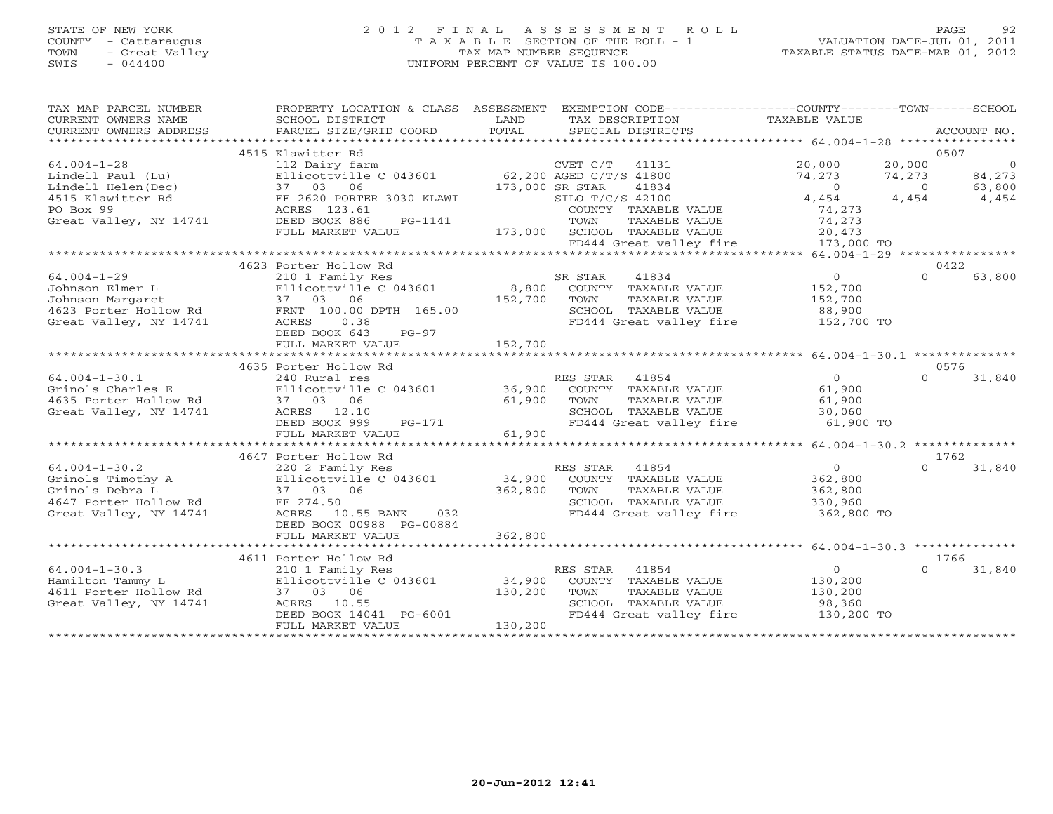### STATE OF NEW YORK 2 0 1 2 F I N A L A S S E S S M E N T R O L L PAGE 92 COUNTY - Cattaraugus T A X A B L E SECTION OF THE ROLL - 1 VALUATION DATE-JUL 01, 2011 TOWN - Great Valley TAX MAP NUMBER SEQUENCE TAXABLE STATUS DATE-MAR 01, 2012 SWIS - 044400 UNIFORM PERCENT OF VALUE IS 100.00UNIFORM PERCENT OF VALUE IS 100.00

| TAX MAP PARCEL NUMBER<br>CURRENT OWNERS NAME | PROPERTY LOCATION & CLASS ASSESSMENT<br>SCHOOL DISTRICT | LAND<br>TAX DESCRIPTION                                           | EXEMPTION CODE-----------------COUNTY-------TOWN------SCHOOL<br>TAXABLE VALUE |
|----------------------------------------------|---------------------------------------------------------|-------------------------------------------------------------------|-------------------------------------------------------------------------------|
| CURRENT OWNERS ADDRESS                       | PARCEL SIZE/GRID COORD                                  | TOTAL<br>SPECIAL DISTRICTS                                        | ACCOUNT NO.                                                                   |
|                                              | 4515 Klawitter Rd                                       |                                                                   | 0507                                                                          |
| $64.004 - 1 - 28$<br>Lindell Paul (Lu)       | 112 Dairy farm<br>Ellicottville C 043601                | CVET C/T<br>41131<br>62,200 AGED C/T/S 41800                      | 20,000<br>20,000<br>$\circ$<br>74,273<br>84,273<br>74,273                     |
| Lindell Helen(Dec)                           | 37 03 06                                                | 173,000 SR STAR<br>41834                                          | 63,800<br>$\Omega$<br>$\Omega$                                                |
| 4515 Klawitter Rd<br>PO Box 99               | FF 2620 PORTER 3030 KLAWI<br>ACRES 123.61               | SILO T/C/S 42100<br>COUNTY TAXABLE VALUE                          | 4,454<br>4,454<br>4,454<br>74,273                                             |
| Great Valley, NY 14741                       | DEED BOOK 886<br>PG-1141<br>FULL MARKET VALUE           | TOWN<br>TAXABLE VALUE<br>173,000<br>SCHOOL TAXABLE VALUE          | 74,273<br>20,473                                                              |
|                                              |                                                         | FD444 Great valley fire                                           | 173,000 TO<br>**************************** 64.004-1-29 ****************       |
|                                              | 4623 Porter Hollow Rd                                   |                                                                   | 0422                                                                          |
| $64.004 - 1 - 29$                            | 210 1 Family Res                                        | 41834<br>SR STAR                                                  | $\overline{0}$<br>$\Omega$<br>63,800                                          |
| Johnson Elmer L<br>Johnson Margaret          | Ellicottville C 043601<br>37<br>03 06                   | 8,800<br>COUNTY TAXABLE VALUE<br>152,700<br>TOWN<br>TAXABLE VALUE | 152,700<br>152,700                                                            |
| 4623 Porter Hollow Rd                        | FRNT 100.00 DPTH 165.00                                 | SCHOOL TAXABLE VALUE                                              | 88,900                                                                        |
| Great Valley, NY 14741                       | 0.38<br>ACRES<br>DEED BOOK 643<br>$PG-97$               | FD444 Great valley fire                                           | 152,700 TO                                                                    |
|                                              | FULL MARKET VALUE                                       | 152,700                                                           |                                                                               |
|                                              | 4635 Porter Hollow Rd                                   |                                                                   | 0576                                                                          |
| $64.004 - 1 - 30.1$<br>Grinols Charles E     | 240 Rural res<br>Ellicottville C 043601                 | RES STAR<br>41854<br>36,900<br>COUNTY TAXABLE VALUE               | $\overline{O}$<br>$\Omega$<br>31,840<br>61,900                                |
| 4635 Porter Hollow Rd                        | 37 03<br>06                                             | 61,900<br>TAXABLE VALUE<br>TOWN                                   | 61,900                                                                        |
| Great Valley, NY 14741                       | ACRES 12.10<br>DEED BOOK 999<br>$PG-171$                | SCHOOL TAXABLE VALUE<br>FD444 Great valley fire                   | 30,060<br>61,900 TO                                                           |
|                                              | FULL MARKET VALUE                                       | 61,900                                                            |                                                                               |
|                                              | 4647 Porter Hollow Rd                                   |                                                                   | 1762                                                                          |
| $64.004 - 1 - 30.2$                          | 220 2 Family Res                                        | RES STAR<br>41854                                                 | $\circ$<br>31,840<br>$\Omega$                                                 |
| Grinols Timothy A                            | Ellicottville C 043601                                  | 34,900<br>COUNTY TAXABLE VALUE                                    | 362,800                                                                       |
| Grinols Debra L<br>4647 Porter Hollow Rd     | 37 03 06<br>FF 274.50                                   | 362,800<br>TOWN<br>TAXABLE VALUE<br>SCHOOL TAXABLE VALUE          | 362,800<br>330,960                                                            |
| Great Valley, NY 14741                       | ACRES<br>10.55 BANK<br>032<br>DEED BOOK 00988 PG-00884  | FD444 Great valley fire                                           | 362,800 TO                                                                    |
|                                              | FULL MARKET VALUE                                       | 362,800                                                           |                                                                               |
|                                              | ******************************                          |                                                                   | ********************************** 64.004-1-30.3 *******                      |
| $64.004 - 1 - 30.3$                          | 4611 Porter Hollow Rd<br>210 1 Family Res               | 41854<br>RES STAR                                                 | 1766<br>$\circ$<br>31,840<br>$\Omega$                                         |
| Hamilton Tammy L                             | Ellicottville C 043601                                  | 34,900<br>COUNTY TAXABLE VALUE                                    | 130,200                                                                       |
| 4611 Porter Hollow Rd                        | 37 03 06                                                | 130,200<br>TOWN<br>TAXABLE VALUE                                  | 130,200                                                                       |
| Great Valley, NY 14741                       | ACRES 10.55                                             | SCHOOL TAXABLE VALUE                                              | 98,360                                                                        |
|                                              | DEED BOOK 14041 PG-6001<br>FULL MARKET VALUE            | FD444 Great valley fire<br>130,200                                | 130,200 TO                                                                    |
|                                              |                                                         |                                                                   |                                                                               |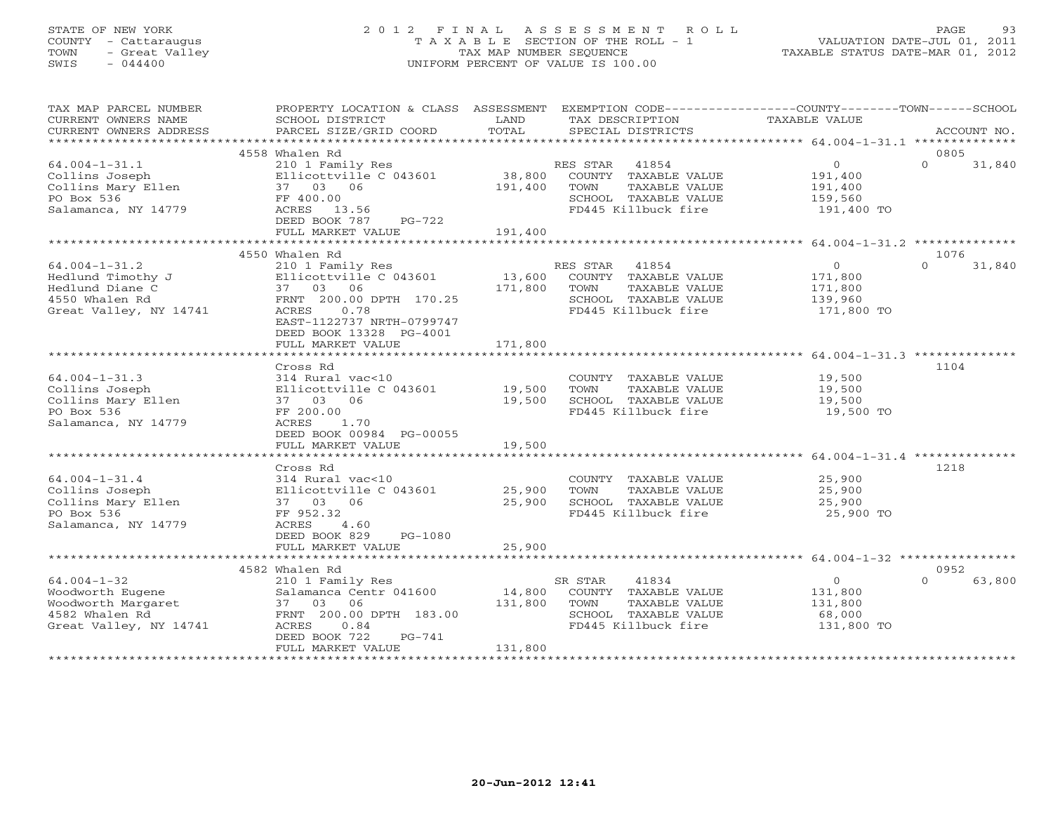#### STATE OF NEW YORK 2 0 1 2 F I N A L A S S E S S M E N T R O L L PAGE 93 COUNTY - Cattaraugus T A X A B L E SECTION OF THE ROLL - 1 VALUATION DATE-JUL 01, 2011 TOWN - Great Valley TAX MAP NUMBER SEQUENCE TAXABLE STATUS DATE-MAR 01, 2012 SWIS - 044400 UNIFORM PERCENT OF VALUE IS 100.00UNIFORM PERCENT OF VALUE IS 100.00

| TAX MAP PARCEL NUMBER  | PROPERTY LOCATION & CLASS                    | ASSESSMENT | EXEMPTION CODE-----------------COUNTY-------TOWN------SCHOOL |                |          |             |
|------------------------|----------------------------------------------|------------|--------------------------------------------------------------|----------------|----------|-------------|
| CURRENT OWNERS NAME    | SCHOOL DISTRICT                              | LAND       | TAX DESCRIPTION                                              | TAXABLE VALUE  |          |             |
| CURRENT OWNERS ADDRESS | PARCEL SIZE/GRID COORD                       | TOTAL      | SPECIAL DISTRICTS                                            |                |          | ACCOUNT NO. |
|                        | 4558 Whalen Rd                               |            |                                                              |                | 0805     |             |
| $64.004 - 1 - 31.1$    | 210 1 Family Res                             |            | RES STAR<br>41854                                            | $\overline{0}$ | $\Omega$ | 31,840      |
| Collins Joseph         | Ellicottville C 043601                       | 38,800     | COUNTY TAXABLE VALUE                                         | 191,400        |          |             |
| Collins Mary Ellen     | 37 03 06                                     | 191,400    | TOWN<br>TAXABLE VALUE                                        | 191,400        |          |             |
| PO Box 536             | FF 400.00                                    |            | SCHOOL TAXABLE VALUE                                         | 159,560        |          |             |
| Salamanca, NY 14779    | 13.56<br>ACRES                               |            | FD445 Killbuck fire                                          | 191,400 TO     |          |             |
|                        | DEED BOOK 787<br>$PG-722$                    |            |                                                              |                |          |             |
|                        | FULL MARKET VALUE                            | 191,400    |                                                              |                |          |             |
|                        |                                              |            |                                                              |                |          |             |
|                        | 4550 Whalen Rd                               |            |                                                              |                | 1076     |             |
| $64.004 - 1 - 31.2$    | 210 1 Family Res                             |            | RES STAR<br>41854                                            | $\overline{0}$ | $\Omega$ | 31,840      |
| Hedlund Timothy J      | Ellicottville C 043601                       | 13,600     | COUNTY TAXABLE VALUE                                         | 171,800        |          |             |
| Hedlund Diane C        | 37 03 06                                     | 171,800    | TAXABLE VALUE<br>TOWN                                        | 171,800        |          |             |
| 4550 Whalen Rd         | FRNT 200.00 DPTH 170.25                      |            | SCHOOL TAXABLE VALUE                                         | 139,960        |          |             |
| Great Valley, NY 14741 | 0.78<br>ACRES                                |            | FD445 Killbuck fire                                          | 171,800 TO     |          |             |
|                        | EAST-1122737 NRTH-0799747                    |            |                                                              |                |          |             |
|                        | DEED BOOK 13328 PG-4001<br>FULL MARKET VALUE | 171,800    |                                                              |                |          |             |
|                        |                                              |            |                                                              |                |          |             |
|                        | Cross Rd                                     |            |                                                              |                | 1104     |             |
| $64.004 - 1 - 31.3$    | 314 Rural vac<10                             |            | COUNTY TAXABLE VALUE                                         | 19,500         |          |             |
| Collins Joseph         | Ellicottville C 043601                       | 19,500     | TOWN<br>TAXABLE VALUE                                        | 19,500         |          |             |
| Collins Mary Ellen     | 37 03 06                                     | 19,500     | SCHOOL TAXABLE VALUE                                         | 19,500         |          |             |
| PO Box 536             | FF 200.00                                    |            | FD445 Killbuck fire                                          | 19,500 TO      |          |             |
| Salamanca, NY 14779    | ACRES<br>1.70                                |            |                                                              |                |          |             |
|                        | DEED BOOK 00984 PG-00055                     |            |                                                              |                |          |             |
|                        | FULL MARKET VALUE                            | 19,500     |                                                              |                |          |             |
|                        |                                              |            |                                                              |                |          |             |
|                        | Cross Rd                                     |            |                                                              |                | 1218     |             |
| $64.004 - 1 - 31.4$    | 314 Rural vac<10                             |            | COUNTY TAXABLE VALUE                                         | 25,900         |          |             |
| Collins Joseph         | Ellicottville C 043601                       | 25,900     | TOWN<br>TAXABLE VALUE                                        | 25,900         |          |             |
| Collins Mary Ellen     | 37 03 06                                     | 25,900     | SCHOOL TAXABLE VALUE                                         | 25,900         |          |             |
| PO Box 536             | FF 952.32                                    |            | FD445 Killbuck fire                                          | 25,900 TO      |          |             |
| Salamanca, NY 14779    | ACRES<br>4.60                                |            |                                                              |                |          |             |
|                        | DEED BOOK 829<br>PG-1080                     |            |                                                              |                |          |             |
|                        | FULL MARKET VALUE                            | 25,900     |                                                              |                |          |             |
|                        |                                              |            |                                                              |                |          |             |
|                        | 4582 Whalen Rd                               |            |                                                              |                | 0952     |             |
| $64.004 - 1 - 32$      | 210 1 Family Res                             |            | SR STAR<br>41834                                             | $\overline{0}$ | $\Omega$ | 63,800      |
| Woodworth Eugene       | Salamanca Centr 041600                       | 14,800     | COUNTY TAXABLE VALUE                                         | 131,800        |          |             |
| <br>Woodworth Margaret | 37 03<br>06                                  | 131,800    | TOWN<br>TAXABLE VALUE                                        | 131,800        |          |             |
| 4582 Whalen Rd         | FRNT 200.00 DPTH 183.00                      |            | SCHOOL TAXABLE VALUE                                         | 68,000         |          |             |
| Great Valley, NY 14741 | ACRES<br>0.84<br>DEED BOOK 722<br>$PG-741$   |            | FD445 Killbuck fire                                          | 131,800 TO     |          |             |
|                        | FULL MARKET VALUE                            | 131,800    |                                                              |                |          |             |
|                        |                                              |            |                                                              |                |          |             |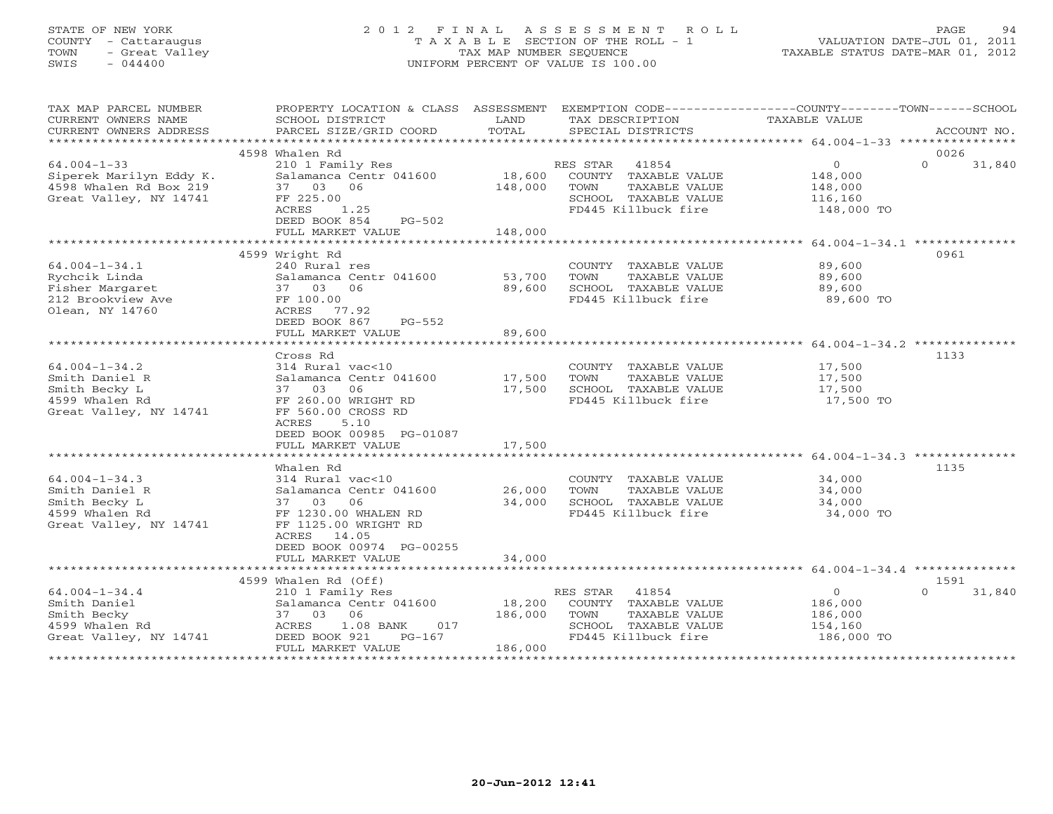## STATE OF NEW YORK 2 0 1 2 F I N A L A S S E S S M E N T R O L L PAGE 94 COUNTY - Cattaraugus T A X A B L E SECTION OF THE ROLL - 1 VALUATION DATE-JUL 01, 2011 TOWN - Great Valley TAX MAP NUMBER SEQUENCE TAXABLE STATUS DATE-MAR 01, 2012 SWIS - 044400 UNIFORM PERCENT OF VALUE IS 100.00UNIFORM PERCENT OF VALUE IS 100.00

| TAX MAP PARCEL NUMBER<br>CURRENT OWNERS NAME<br>CURRENT OWNERS ADDRESS                             | PROPERTY LOCATION & CLASS ASSESSMENT<br>SCHOOL DISTRICT<br>PARCEL SIZE/GRID COORD                                                                                 | LAND<br>TOTAL     | EXEMPTION CODE-----------------COUNTY-------TOWN------SCHOOL<br>TAX DESCRIPTION<br>SPECIAL DISTRICTS              | TAXABLE VALUE                                                 | ACCOUNT NO.        |
|----------------------------------------------------------------------------------------------------|-------------------------------------------------------------------------------------------------------------------------------------------------------------------|-------------------|-------------------------------------------------------------------------------------------------------------------|---------------------------------------------------------------|--------------------|
|                                                                                                    |                                                                                                                                                                   |                   |                                                                                                                   |                                                               |                    |
|                                                                                                    | 4598 Whalen Rd                                                                                                                                                    |                   |                                                                                                                   |                                                               | 0026               |
| $64.004 - 1 - 33$<br>Siperek Marilyn Eddy K.<br>4598 Whalen Rd Box 219<br>Great Valley, NY 14741   | 210 1 Family Res<br>Salamanca Centr 041600<br>37 03 06<br>FF 225.00<br>ACRES<br>1.25<br>DEED BOOK 854<br>$PG-502$                                                 | 18,600<br>148,000 | 41854<br>RES STAR<br>COUNTY TAXABLE VALUE<br>TOWN<br>TAXABLE VALUE<br>SCHOOL TAXABLE VALUE<br>FD445 Killbuck fire | $\overline{0}$<br>148,000<br>148,000<br>116,160<br>148,000 TO | $\Omega$<br>31,840 |
|                                                                                                    | FULL MARKET VALUE                                                                                                                                                 | 148,000           |                                                                                                                   |                                                               |                    |
|                                                                                                    |                                                                                                                                                                   |                   |                                                                                                                   |                                                               |                    |
| $64.004 - 1 - 34.1$<br>Rychcik Linda<br>Fisher Margaret<br>212 Brookview Ave<br>Olean, NY 14760    | 4599 Wright Rd<br>240 Rural res<br>Salamanca Centr 041600<br>37 03 06<br>FF 100.00<br>ACRES 77.92                                                                 | 53,700<br>89,600  | COUNTY TAXABLE VALUE<br>TOWN<br>TAXABLE VALUE<br>SCHOOL TAXABLE VALUE<br>FD445 Killbuck fire                      | 89,600<br>89,600<br>89,600<br>89,600 TO                       | 0961               |
|                                                                                                    | DEED BOOK 867<br>PG-552<br>FULL MARKET VALUE                                                                                                                      | 89,600            |                                                                                                                   |                                                               |                    |
|                                                                                                    |                                                                                                                                                                   |                   |                                                                                                                   |                                                               |                    |
|                                                                                                    | Cross Rd                                                                                                                                                          |                   |                                                                                                                   |                                                               | 1133               |
| $64.004 - 1 - 34.2$<br>Smith Daniel R<br>Smith Becky L<br>4599 Whalen Rd<br>Great Valley, NY 14741 | 314 Rural vac<10<br>Salamanca Centr 041600<br>37 03<br>06<br>FF 260.00 WRIGHT RD<br>FF 560.00 CROSS RD<br>ACRES<br>5.10<br>DEED BOOK 00985 PG-01087               | 17,500<br>17,500  | COUNTY TAXABLE VALUE<br>TAXABLE VALUE<br>TOWN<br>SCHOOL TAXABLE VALUE<br>FD445 Killbuck fire                      | 17,500<br>17,500<br>17,500<br>17,500 TO                       |                    |
|                                                                                                    | FULL MARKET VALUE<br>*****************************                                                                                                                | 17,500            |                                                                                                                   |                                                               |                    |
| $64.004 - 1 - 34.3$<br>Smith Daniel R<br>Smith Becky L<br>4599 Whalen Rd<br>Great Valley, NY 14741 | Whalen Rd<br>314 Rural vac<10<br>Salamanca Centr 041600<br>37 03 06<br>FF 1230.00 WHALEN RD<br>FF 1125.00 WRIGHT RD<br>ACRES<br>14.05<br>DEED BOOK 00974 PG-00255 | 26,000<br>34,000  | COUNTY TAXABLE VALUE<br>TOWN<br>TAXABLE VALUE<br>SCHOOL TAXABLE VALUE<br>FD445 Killbuck fire                      | 34,000<br>34,000<br>34,000<br>34,000 TO                       | 1135               |
|                                                                                                    | FULL MARKET VALUE                                                                                                                                                 | 34,000            |                                                                                                                   |                                                               |                    |
|                                                                                                    |                                                                                                                                                                   |                   |                                                                                                                   |                                                               |                    |
|                                                                                                    | 4599 Whalen Rd (Off)                                                                                                                                              |                   |                                                                                                                   |                                                               | 1591               |
| $64.004 - 1 - 34.4$<br>Smith Daniel<br>Smith Becky<br>4599 Whalen Rd<br>Great Valley, NY 14741     | 210 1 Family Res<br>Salamanca Centr 041600<br>37 03<br>06<br>ACRES<br>1.08 BANK<br>017<br>$PG-167$<br>DEED BOOK 921                                               | 18,200<br>186,000 | 41854<br>RES STAR<br>COUNTY TAXABLE VALUE<br>TOWN<br>TAXABLE VALUE<br>SCHOOL TAXABLE VALUE<br>FD445 Killbuck fire | $\circ$<br>186,000<br>186,000<br>154,160<br>186,000 TO        | $\cap$<br>31,840   |
|                                                                                                    | FULL MARKET VALUE                                                                                                                                                 | 186,000           |                                                                                                                   |                                                               |                    |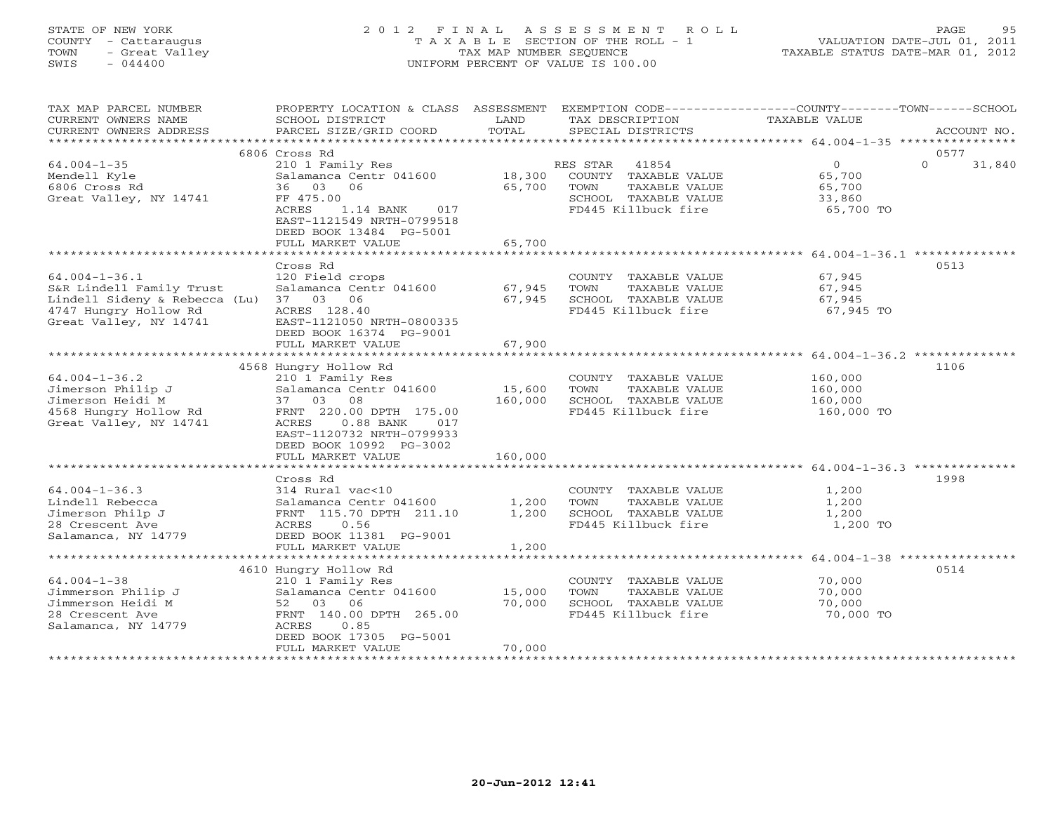## STATE OF NEW YORK 2 0 1 2 F I N A L A S S E S S M E N T R O L L PAGE 95 COUNTY - Cattaraugus T A X A B L E SECTION OF THE ROLL - 1 VALUATION DATE-JUL 01, 2011 TOWN - Great Valley TAX MAP NUMBER SEQUENCE<br>SWIS - 044400 - SWIS - 044400 SWIS - 044400 UNIFORM PERCENT OF VALUE IS 100.00

|  |  |  | TAXABLE STATUS DATE-MAR 01, 2012 |  |  |
|--|--|--|----------------------------------|--|--|
|--|--|--|----------------------------------|--|--|

| TAX MAP PARCEL NUMBER                                           | PROPERTY LOCATION & CLASS ASSESSMENT EXEMPTION CODE----------------COUNTY-------TOWN------SCHOOL |         |                                               |                   |                    |
|-----------------------------------------------------------------|--------------------------------------------------------------------------------------------------|---------|-----------------------------------------------|-------------------|--------------------|
| CURRENT OWNERS NAME                                             | SCHOOL DISTRICT                                                                                  | LAND    | TAX DESCRIPTION                               | TAXABLE VALUE     |                    |
| CURRENT OWNERS ADDRESS                                          | PARCEL SIZE/GRID COORD                                                                           | TOTAL   | SPECIAL DISTRICTS                             |                   | ACCOUNT NO.        |
|                                                                 |                                                                                                  |         |                                               |                   |                    |
|                                                                 | 6806 Cross Rd                                                                                    |         |                                               |                   | 0577               |
| $64.004 - 1 - 35$                                               | 210 1 Family Res                                                                                 |         | RES STAR<br>41854                             | $0 \qquad \qquad$ | $\Omega$<br>31,840 |
| Mendell Kyle                                                    | Salamanca Centr 041600                                                                           |         | 18,300 COUNTY TAXABLE VALUE                   | 65,700            |                    |
| 6806 Cross Rd                                                   | 36 03<br>06                                                                                      | 65,700  | TAXABLE VALUE<br>TOWN                         | 65,700            |                    |
| Great Valley, NY 14741                                          | FF 475.00                                                                                        |         | SCHOOL TAXABLE VALUE                          | 33,860            |                    |
|                                                                 | ACRES<br>1.14 BANK 017                                                                           |         | FD445 Killbuck fire                           | 65,700 TO         |                    |
|                                                                 | EAST-1121549 NRTH-0799518                                                                        |         |                                               |                   |                    |
|                                                                 | DEED BOOK 13484 PG-5001                                                                          | 65,700  |                                               |                   |                    |
|                                                                 | FULL MARKET VALUE                                                                                |         |                                               |                   |                    |
|                                                                 |                                                                                                  |         |                                               |                   |                    |
|                                                                 | Cross Rd                                                                                         |         |                                               |                   | 0513               |
| $64.004 - 1 - 36.1$<br>S&R Lindell Family Trust                 | 120 Field crops<br>Salamanca Centr 041600                                                        | 67,945  | COUNTY TAXABLE VALUE<br>TOWN<br>TAXABLE VALUE | 67,945<br>67,945  |                    |
|                                                                 |                                                                                                  |         | SCHOOL TAXABLE VALUE                          |                   |                    |
| Lindell Sideny & Rebecca (Lu) 37 03 06<br>4747 Hungry Hollow Rd | ACRES 128.40                                                                                     | 67,945  | FD445 Killbuck fire                           | 67,945            |                    |
| Great Valley, NY 14741                                          | EAST-1121050 NRTH-0800335                                                                        |         |                                               | 67,945 TO         |                    |
|                                                                 | DEED BOOK 16374 PG-9001                                                                          |         |                                               |                   |                    |
|                                                                 | FULL MARKET VALUE                                                                                | 67,900  |                                               |                   |                    |
|                                                                 |                                                                                                  |         |                                               |                   |                    |
|                                                                 | 4568 Hungry Hollow Rd                                                                            |         |                                               |                   | 1106               |
| $64.004 - 1 - 36.2$                                             | 210 1 Family Res                                                                                 |         | COUNTY TAXABLE VALUE                          | 160,000           |                    |
| Jimerson Philip J                                               | Salamanca Centr 041600                                                                           | 15,600  | TOWN<br>TAXABLE VALUE                         | 160,000           |                    |
| Jimerson Heidi M                                                | 37 03 08                                                                                         | 160,000 | SCHOOL TAXABLE VALUE                          | 160,000           |                    |
| 4568 Hungry Hollow Rd                                           | FRNT 220.00 DPTH 175.00                                                                          |         | FD445 Killbuck fire                           | 160,000 TO        |                    |
| Great Valley, NY 14741                                          | $0.88$ BANK<br>ACRES<br>017                                                                      |         |                                               |                   |                    |
|                                                                 | EAST-1120732 NRTH-0799933                                                                        |         |                                               |                   |                    |
|                                                                 | DEED BOOK 10992 PG-3002                                                                          |         |                                               |                   |                    |
|                                                                 | FULL MARKET VALUE                                                                                | 160,000 |                                               |                   |                    |
|                                                                 |                                                                                                  |         |                                               |                   |                    |
|                                                                 | Cross Rd                                                                                         |         |                                               |                   | 1998               |
| $64.004 - 1 - 36.3$                                             | 314 Rural vac<10                                                                                 |         | COUNTY TAXABLE VALUE                          | 1,200             |                    |
| Lindell Rebecca                                                 | Salamanca Centr 041600                                                                           | 1,200   | TOWN<br>TAXABLE VALUE                         | 1,200             |                    |
| Jimerson Philp J                                                | FRNT 115.70 DPTH 211.10                                                                          | 1,200   | SCHOOL TAXABLE VALUE                          | 1,200             |                    |
| 28 Crescent Ave                                                 | ACRES<br>0.56                                                                                    |         | FD445 Killbuck fire                           | 1,200 TO          |                    |
| Salamanca, NY 14779                                             | DEED BOOK 11381 PG-9001                                                                          |         |                                               |                   |                    |
|                                                                 | FULL MARKET VALUE                                                                                | 1,200   |                                               |                   |                    |
|                                                                 |                                                                                                  |         |                                               |                   |                    |
|                                                                 | 4610 Hungry Hollow Rd                                                                            |         |                                               |                   | 0514               |
| $64.004 - 1 - 38$                                               | 210 1 Family Res                                                                                 |         | COUNTY TAXABLE VALUE                          | 70,000            |                    |
| Jimmerson Philip J                                              | Salamanca Centr 041600                                                                           | 15,000  | TAXABLE VALUE<br>TOWN                         | 70,000            |                    |
| Jimmerson Heidi M                                               | 52 03<br>06                                                                                      | 70,000  | SCHOOL TAXABLE VALUE                          | 70,000            |                    |
| 28 Crescent Ave                                                 | FRNT 140.00 DPTH 265.00                                                                          |         | FD445 Killbuck fire                           | 70,000 TO         |                    |
| Salamanca, NY 14779                                             | ACRES<br>0.85                                                                                    |         |                                               |                   |                    |
|                                                                 | DEED BOOK 17305 PG-5001                                                                          |         |                                               |                   |                    |
|                                                                 | FULL MARKET VALUE                                                                                | 70,000  |                                               |                   |                    |
|                                                                 |                                                                                                  |         |                                               |                   |                    |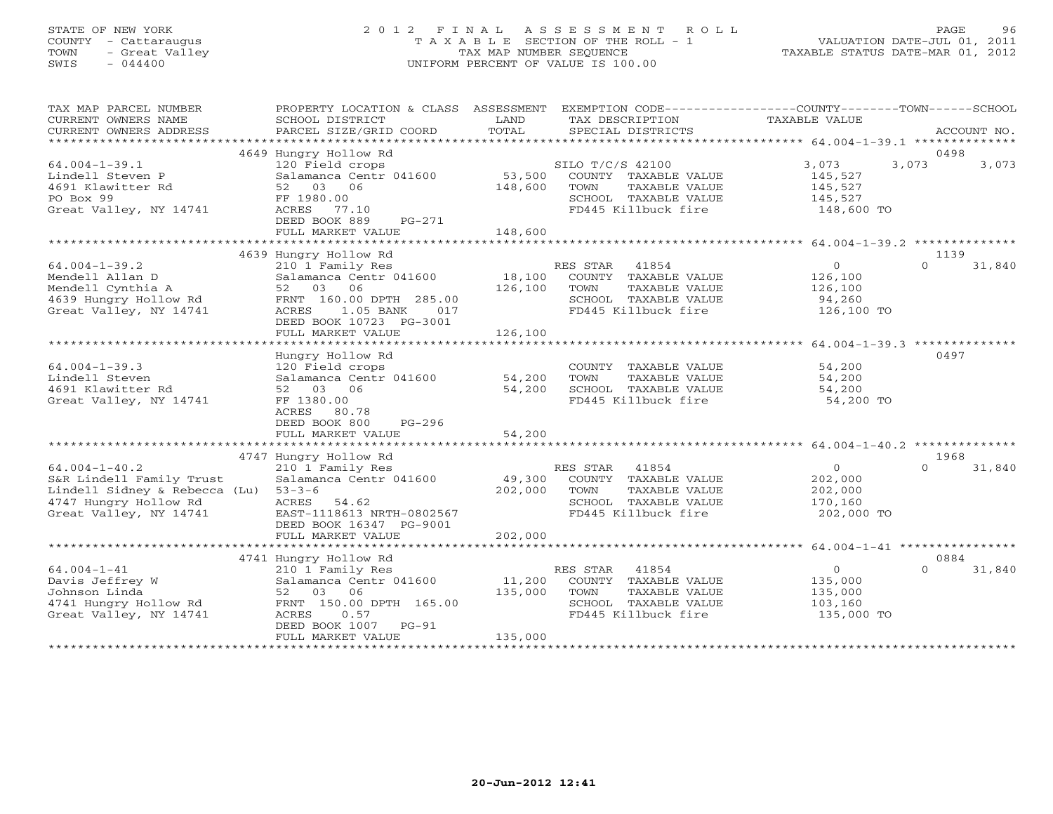## STATE OF NEW YORK 2 0 1 2 F I N A L A S S E S S M E N T R O L L PAGE 96 COUNTY - Cattaraugus T A X A B L E SECTION OF THE ROLL - 1 VALUATION DATE-JUL 01, 2011 TOWN - Great Valley TAX MAP NUMBER SEQUENCE TAXABLE STATUS DATE-MAR 01, 2012 SWIS - 044400 UNIFORM PERCENT OF VALUE IS 100.00UNIFORM PERCENT OF VALUE IS 100.00

| TAX MAP PARCEL NUMBER<br>CURRENT OWNERS NAME<br>CURRENT OWNERS ADDRESS                                                              | PROPERTY LOCATION & CLASS ASSESSMENT EXEMPTION CODE----------------COUNTY-------TOWN------SCHOOL<br>SCHOOL DISTRICT<br>PARCEL SIZE/GRID COORD                 | LAND<br>TOTAL                | TAX DESCRIPTION<br>SPECIAL DISTRICTS                                                                             | TAXABLE VALUE                                                 | ACCOUNT NO.                |
|-------------------------------------------------------------------------------------------------------------------------------------|---------------------------------------------------------------------------------------------------------------------------------------------------------------|------------------------------|------------------------------------------------------------------------------------------------------------------|---------------------------------------------------------------|----------------------------|
|                                                                                                                                     |                                                                                                                                                               |                              |                                                                                                                  |                                                               | 0498                       |
| $64.004 - 1 - 39.1$<br>Lindell Steven P<br>4691 Klawitter Rd<br>PO Box 99<br>Great Valley, NY 14741                                 | 4649 Hungry Hollow Rd<br>120 Field crops<br>Salamanca Centr 041600<br>52 03 06<br>FF 1980.00<br>ACRES 77.10<br>DEED BOOK 889<br>$PG-271$<br>FULL MARKET VALUE | 53,500<br>148,600<br>148,600 | SILO T/C/S 42100<br>COUNTY TAXABLE VALUE<br>TOWN<br>TAXABLE VALUE<br>SCHOOL TAXABLE VALUE<br>FD445 Killbuck fire | 3,073<br>145,527<br>145,527<br>145,527<br>148,600 TO          | 3,073<br>3,073             |
|                                                                                                                                     | 4639 Hungry Hollow Rd                                                                                                                                         |                              |                                                                                                                  |                                                               | 1139                       |
| $64.004 - 1 - 39.2$<br>Mendell Allan D<br>Mendell Cynthia A<br>4639 Hungry Hollow Rd<br>Great Valley, NY 14741                      | 210 1 Family Res<br>Salamanca Centr 041600<br>52 03 06<br>FRNT 160.00 DPTH 285.00<br>ACRES 1.05 BANK<br>017<br>DEED BOOK 10723 PG-3001<br>FULL MARKET VALUE   | 18,100<br>126,100<br>126,100 | RES STAR 41854<br>COUNTY TAXABLE VALUE<br>TAXABLE VALUE<br>TOWN<br>SCHOOL TAXABLE VALUE<br>FD445 Killbuck fire   | $\overline{0}$<br>126,100<br>126,100<br>94,260<br>126,100 TO  | $\Omega$<br>31,840         |
|                                                                                                                                     |                                                                                                                                                               |                              |                                                                                                                  |                                                               |                            |
| $64.004 - 1 - 39.3$<br>Lindell Steven<br>4691 Klawitter Rd<br>Great Valley, NY 14741                                                | Hungry Hollow Rd<br>120 Field crops<br>Salamanca Centr 041600<br>06<br>52 03<br>FF 1380.00<br>ACRES 80.78<br>DEED BOOK 800<br>$PG-296$                        | 54,200<br>54,200             | COUNTY TAXABLE VALUE<br>TOWN<br>TAXABLE VALUE<br>SCHOOL TAXABLE VALUE<br>FD445 Killbuck fire                     | 54,200<br>54,200<br>54,200<br>54,200 TO                       | 0497                       |
|                                                                                                                                     | FULL MARKET VALUE                                                                                                                                             | 54,200                       |                                                                                                                  |                                                               |                            |
|                                                                                                                                     |                                                                                                                                                               |                              |                                                                                                                  |                                                               |                            |
| $64.004 - 1 - 40.2$<br>S&R Lindell Family Trust<br>Lindell Sidney & Rebecca (Lu)<br>4747 Hungry Hollow Rd<br>Great Valley, NY 14741 | 4747 Hungry Hollow Rd<br>210 1 Family Res<br>Salamanca Centr 041600<br>$53 - 3 - 6$<br>ACRES 54.62<br>EAST-1118613 NRTH-0802567<br>DEED BOOK 16347 PG-9001    | 49,300<br>202,000            | RES STAR 41854<br>COUNTY TAXABLE VALUE<br>TOWN<br>TAXABLE VALUE<br>SCHOOL TAXABLE VALUE<br>FD445 Killbuck fire   | $\overline{0}$<br>202,000<br>202,000<br>170,160<br>202,000 TO | 1968<br>$\Omega$<br>31,840 |
|                                                                                                                                     | FULL MARKET VALUE                                                                                                                                             | 202,000                      |                                                                                                                  |                                                               |                            |
|                                                                                                                                     | 4741 Hungry Hollow Rd                                                                                                                                         |                              |                                                                                                                  |                                                               | 0884                       |
| $64.004 - 1 - 41$<br>Davis Jeffrey W<br>Johnson Linda<br>4741 Hungry Hollow Rd<br>Great Valley, NY 14741                            | 210 1 Family Res<br>Salamanca Centr 041600<br>52 03 06<br>FRNT 150.00 DPTH 165.00<br>ACRES<br>0.57<br>DEED BOOK 1007<br>$PG-91$<br>FULL MARKET VALUE          | 11,200<br>135,000<br>135,000 | RES STAR 41854<br>COUNTY TAXABLE VALUE<br>TOWN<br>TAXABLE VALUE<br>SCHOOL TAXABLE VALUE<br>FD445 Killbuck fire   | $\circ$<br>135,000<br>135,000<br>103,160<br>135,000 TO        | $\Omega$<br>31,840         |
|                                                                                                                                     |                                                                                                                                                               |                              |                                                                                                                  |                                                               |                            |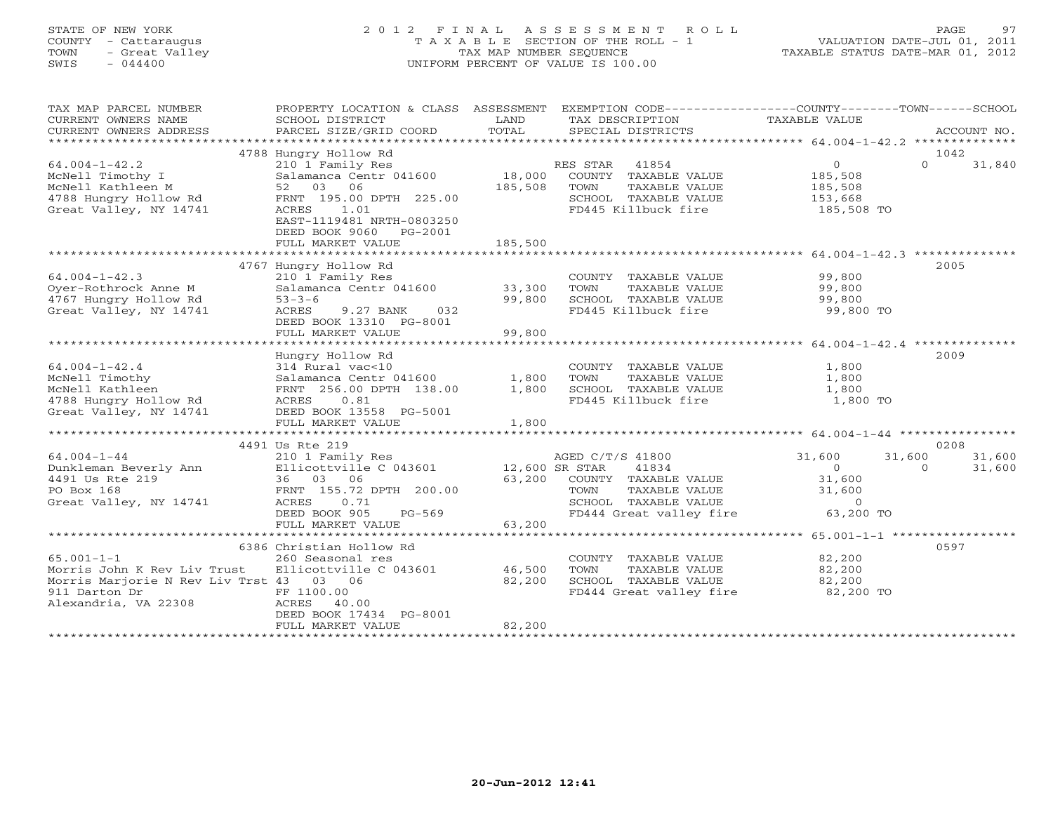## STATE OF NEW YORK 2 0 1 2 F I N A L A S S E S S M E N T R O L L PAGE 97 COUNTY - Cattaraugus T A X A B L E SECTION OF THE ROLL - 1 VALUATION DATE-JUL 01, 2011 TOWN - Great Valley TAX MAP NUMBER SEQUENCE TAXABLE STATUS DATE-MAR 01, 2012 SWIS - 044400 UNIFORM PERCENT OF VALUE IS 100.00UNIFORM PERCENT OF VALUE IS 100.00

| TAX MAP PARCEL NUMBER<br>CURRENT OWNERS NAME<br>CURRENT OWNERS ADDRESS | PROPERTY LOCATION & CLASS ASSESSMENT<br>SCHOOL DISTRICT<br>PARCEL SIZE/GRID COORD | LAND<br>TOTAL  | TAX DESCRIPTION<br>SPECIAL DISTRICTS | EXEMPTION CODE-----------------COUNTY-------TOWN------SCHOOL<br>TAXABLE VALUE | ACCOUNT NO.        |
|------------------------------------------------------------------------|-----------------------------------------------------------------------------------|----------------|--------------------------------------|-------------------------------------------------------------------------------|--------------------|
|                                                                        |                                                                                   |                |                                      |                                                                               |                    |
|                                                                        | 4788 Hungry Hollow Rd                                                             |                |                                      |                                                                               | 1042               |
| $64.004 - 1 - 42.2$                                                    | 210 1 Family Res                                                                  |                | RES STAR<br>41854                    | $0 \qquad \qquad$                                                             | $\Omega$<br>31,840 |
| McNell Timothy I                                                       | Salamanca Centr 041600                                                            | 18,000         | COUNTY TAXABLE VALUE                 | 185,508                                                                       |                    |
| McNell Kathleen M                                                      | 52 03 06                                                                          | 185,508        | TOWN<br>TAXABLE VALUE                | 185,508                                                                       |                    |
| 4788 Hungry Hollow Rd                                                  | FRNT 195.00 DPTH 225.00                                                           |                | SCHOOL TAXABLE VALUE                 | 153,668                                                                       |                    |
| Great Valley, NY 14741                                                 | ACRES<br>1.01                                                                     |                | FD445 Killbuck fire                  | 185,508 TO                                                                    |                    |
|                                                                        | EAST-1119481 NRTH-0803250                                                         |                |                                      |                                                                               |                    |
|                                                                        | DEED BOOK 9060<br>PG-2001                                                         |                |                                      |                                                                               |                    |
|                                                                        | FULL MARKET VALUE                                                                 | 185,500        |                                      |                                                                               |                    |
|                                                                        |                                                                                   |                |                                      |                                                                               |                    |
|                                                                        | 4767 Hungry Hollow Rd                                                             |                |                                      |                                                                               | 2005               |
| $64.004 - 1 - 42.3$                                                    | 210 1 Family Res                                                                  |                | COUNTY TAXABLE VALUE                 | 99,800                                                                        |                    |
| Oyer-Rothrock Anne M                                                   | Salamanca Centr 041600                                                            | 33,300         | TOWN<br>TAXABLE VALUE                | 99,800                                                                        |                    |
| 4767 Hungry Hollow Rd                                                  | $53 - 3 - 6$                                                                      | 99,800         | SCHOOL TAXABLE VALUE                 | 99,800                                                                        |                    |
| Great Valley, NY 14741                                                 | ACRES<br>9.27 BANK<br>032                                                         |                | FD445 Killbuck fire                  | 99,800 TO                                                                     |                    |
|                                                                        | DEED BOOK 13310 PG-8001                                                           |                |                                      |                                                                               |                    |
|                                                                        | FULL MARKET VALUE                                                                 | 99,800         |                                      |                                                                               |                    |
|                                                                        |                                                                                   |                |                                      |                                                                               |                    |
|                                                                        | Hungry Hollow Rd                                                                  |                |                                      |                                                                               | 2009               |
| $64.004 - 1 - 42.4$                                                    | 314 Rural vac<10                                                                  |                | COUNTY TAXABLE VALUE                 | 1,800                                                                         |                    |
|                                                                        |                                                                                   |                |                                      |                                                                               |                    |
| McNell Timothy                                                         | Salamanca Centr 041600                                                            | 1,800          | TAXABLE VALUE<br>TOWN                | 1,800                                                                         |                    |
| McNell Kathleen                                                        | FRNT 256.00 DPTH 138.00                                                           | 1,800          | SCHOOL TAXABLE VALUE                 | 1,800                                                                         |                    |
| 4788 Hungry Hollow Rd                                                  | ACRES 0.81                                                                        |                | FD445 Killbuck fire                  | 1,800 TO                                                                      |                    |
| Great Valley, NY 14741                                                 | DEED BOOK 13558 PG-5001                                                           |                |                                      |                                                                               |                    |
|                                                                        | FULL MARKET VALUE                                                                 | 1,800          |                                      |                                                                               |                    |
|                                                                        |                                                                                   |                |                                      |                                                                               |                    |
|                                                                        | 4491 Us Rte 219                                                                   |                |                                      |                                                                               | 0208               |
| $64.004 - 1 - 44$                                                      | 210 1 Family Res                                                                  |                | AGED C/T/S 41800                     | 31,600<br>31,600                                                              | 31,600             |
| Dunkleman Beverly Ann                                                  | Ellicottville C 043601                                                            | 12,600 SR STAR | 41834                                | $\Omega$                                                                      | $\Omega$<br>31,600 |
| 4491 Us Rte 219                                                        | 36 03 06                                                                          | 63,200         | COUNTY TAXABLE VALUE                 | 31,600                                                                        |                    |
| PO Box 168                                                             | FRNT 155.72 DPTH 200.00                                                           |                | TAXABLE VALUE<br>TOWN                | 31,600                                                                        |                    |
| Great Valley, NY 14741                                                 | ACRES<br>0.71                                                                     |                | SCHOOL TAXABLE VALUE                 | $\circ$                                                                       |                    |
|                                                                        | DEED BOOK 905<br>$PG-569$                                                         |                | FD444 Great valley fire              | 63,200 TO                                                                     |                    |
|                                                                        | FULL MARKET VALUE                                                                 | 63,200         |                                      |                                                                               |                    |
|                                                                        |                                                                                   |                |                                      |                                                                               |                    |
|                                                                        | 6386 Christian Hollow Rd                                                          |                |                                      |                                                                               | 0597               |
| $65.001 - 1 - 1$                                                       | 260 Seasonal res                                                                  |                | COUNTY TAXABLE VALUE                 | 82,200                                                                        |                    |
| Morris John K Rev Liv Trust                                            | Ellicottville C 043601                                                            | 46,500         | TOWN<br>TAXABLE VALUE                | 82,200                                                                        |                    |
| Morris Marjorie N Rev Liv Trst 43 03 06                                |                                                                                   | 82,200         | SCHOOL TAXABLE VALUE                 | 82,200                                                                        |                    |
| 911 Darton Dr                                                          | FF 1100.00                                                                        |                | FD444 Great valley fire 82,200 TO    |                                                                               |                    |
| Alexandria, VA 22308                                                   | ACRES 40.00                                                                       |                |                                      |                                                                               |                    |
|                                                                        | DEED BOOK 17434 PG-8001                                                           |                |                                      |                                                                               |                    |
|                                                                        | FULL MARKET VALUE                                                                 | 82,200         |                                      |                                                                               |                    |
|                                                                        |                                                                                   |                | *******************************      |                                                                               |                    |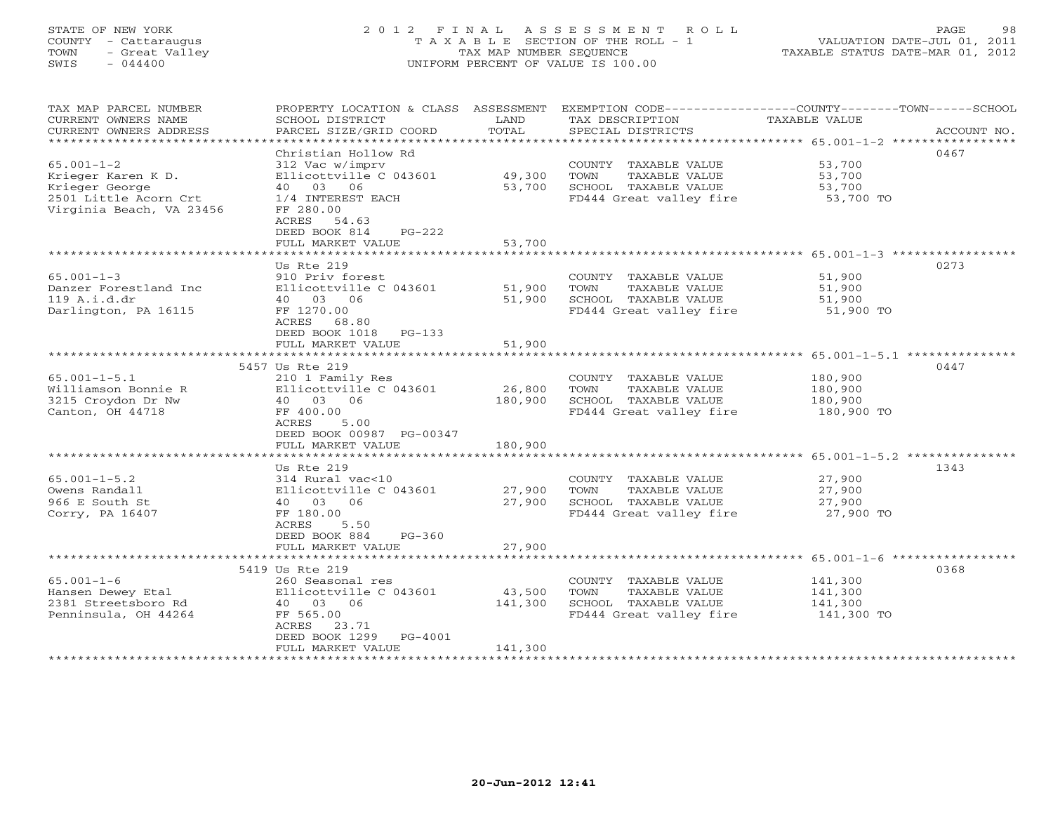## STATE OF NEW YORK 2 0 1 2 F I N A L A S S E S S M E N T R O L L PAGE 98 COUNTY - Cattaraugus T A X A B L E SECTION OF THE ROLL - 1 VALUATION DATE-JUL 01, 2011 TOWN - Great Valley TAX MAP NUMBER SEQUENCE TAXABLE STATUS DATE-MAR 01, 2012 SWIS - 044400 UNIFORM PERCENT OF VALUE IS 100.00UNIFORM PERCENT OF VALUE IS 100.00

| TAX MAP PARCEL NUMBER<br>CURRENT OWNERS NAME<br>CURRENT OWNERS ADDRESS | PROPERTY LOCATION & CLASS ASSESSMENT<br>SCHOOL DISTRICT<br>PARCEL SIZE/GRID COORD | LAND<br>TOTAL | TAX DESCRIPTION<br>SPECIAL DISTRICTS                      | EXEMPTION CODE-----------------COUNTY-------TOWN------SCHOOL<br>TAXABLE VALUE<br>ACCOUNT NO. |
|------------------------------------------------------------------------|-----------------------------------------------------------------------------------|---------------|-----------------------------------------------------------|----------------------------------------------------------------------------------------------|
| ***********************                                                |                                                                                   |               |                                                           |                                                                                              |
|                                                                        | Christian Hollow Rd                                                               |               |                                                           | 0467                                                                                         |
| $65.001 - 1 - 2$                                                       | 312 Vac w/imprv                                                                   |               | COUNTY TAXABLE VALUE                                      | 53,700                                                                                       |
| Krieger Karen K D.                                                     | Ellicottville C 043601                                                            | 49,300        | TOWN<br>TAXABLE VALUE                                     | 53,700                                                                                       |
| Krieger George                                                         | 40 03 06                                                                          | 53,700        | SCHOOL TAXABLE VALUE                                      | 53,700                                                                                       |
| 2501 Little Acorn Crt<br>Virginia Beach, VA 23456                      | 1/4 INTEREST EACH<br>FF 280.00<br>ACRES 54.63<br>PG-222<br>DEED BOOK 814          |               | FD444 Great valley fire                                   | 53,700 TO                                                                                    |
|                                                                        | FULL MARKET VALUE                                                                 | 53,700        |                                                           |                                                                                              |
|                                                                        |                                                                                   |               |                                                           |                                                                                              |
|                                                                        | Us Rte 219                                                                        |               |                                                           | 0273                                                                                         |
| $65.001 - 1 - 3$                                                       | 910 Priv forest                                                                   |               | COUNTY TAXABLE VALUE                                      | 51,900                                                                                       |
| Danzer Forestland Inc                                                  | Ellicottville C 043601                                                            | 51,900        | TAXABLE VALUE<br>TOWN                                     | 51,900                                                                                       |
| 119 A.i.d.dr<br>Darlington, PA 16115                                   | 40 03 06<br>FF 1270.00                                                            | 51,900        | SCHOOL TAXABLE VALUE<br>FD444 Great valley fire 51,900 TO | 51,900                                                                                       |
|                                                                        | ACRES<br>68.80                                                                    |               |                                                           |                                                                                              |
|                                                                        | DEED BOOK 1018 PG-133                                                             |               |                                                           |                                                                                              |
|                                                                        | FULL MARKET VALUE                                                                 | 51,900        |                                                           |                                                                                              |
|                                                                        |                                                                                   |               |                                                           |                                                                                              |
|                                                                        | 5457 Us Rte 219                                                                   |               |                                                           | 0447                                                                                         |
| $65.001 - 1 - 5.1$                                                     | 210 1 Family Res                                                                  |               | COUNTY TAXABLE VALUE                                      | 180,900                                                                                      |
| Williamson Bonnie R                                                    | Ellicottville C 043601                                                            | 26,800        | TOWN<br>TAXABLE VALUE                                     | 180,900                                                                                      |
| 3215 Croydon Dr Nw<br>Canton, OH 44718                                 | 40 03 06                                                                          | 180,900       | SCHOOL TAXABLE VALUE                                      | 180,900                                                                                      |
|                                                                        | FF 400.00<br>ACRES<br>5.00                                                        |               | FD444 Great valley fire                                   | 180,900 TO                                                                                   |
|                                                                        | DEED BOOK 00987 PG-00347                                                          |               |                                                           |                                                                                              |
|                                                                        | FULL MARKET VALUE                                                                 | 180,900       |                                                           |                                                                                              |
|                                                                        |                                                                                   |               |                                                           |                                                                                              |
|                                                                        | Us Rte 219                                                                        |               |                                                           | 1343                                                                                         |
| $65.001 - 1 - 5.2$                                                     | 314 Rural vac<10                                                                  |               | COUNTY TAXABLE VALUE                                      | 27,900                                                                                       |
| Owens Randall                                                          | Ellicottville C 043601                                                            | 27,900        | TOWN<br>TAXABLE VALUE                                     | 27,900                                                                                       |
| 966 E South St                                                         | 40 03 06                                                                          | 27,900        | SCHOOL TAXABLE VALUE                                      | 27,900                                                                                       |
| Corry, PA 16407                                                        | FF 180.00<br>ACRES<br>5.50                                                        |               | FD444 Great valley fire                                   | 27,900 TO                                                                                    |
|                                                                        | DEED BOOK 884<br>$PG-360$                                                         |               |                                                           |                                                                                              |
|                                                                        | FULL MARKET VALUE                                                                 | 27,900        |                                                           |                                                                                              |
|                                                                        |                                                                                   |               |                                                           |                                                                                              |
|                                                                        | 5419 Us Rte 219                                                                   |               |                                                           | 0368                                                                                         |
| $65.001 - 1 - 6$                                                       | 260 Seasonal res                                                                  |               | COUNTY TAXABLE VALUE                                      | 141,300                                                                                      |
| Hansen Dewey Etal                                                      | Ellicottville C 043601                                                            | 43,500        | TAXABLE VALUE<br>TOWN                                     | 141,300                                                                                      |
| 2381 Streetsboro Rd                                                    | 40 03 06                                                                          | 141,300       | SCHOOL TAXABLE VALUE                                      | 141,300                                                                                      |
| Penninsula, OH 44264                                                   | FF 565.00                                                                         |               | FD444 Great valley fire                                   | 141,300 TO                                                                                   |
|                                                                        | ACRES<br>23.71<br>DEED BOOK 1299<br>PG-4001                                       |               |                                                           |                                                                                              |
|                                                                        | FULL MARKET VALUE                                                                 | 141,300       |                                                           |                                                                                              |
|                                                                        | ********************                                                              |               |                                                           |                                                                                              |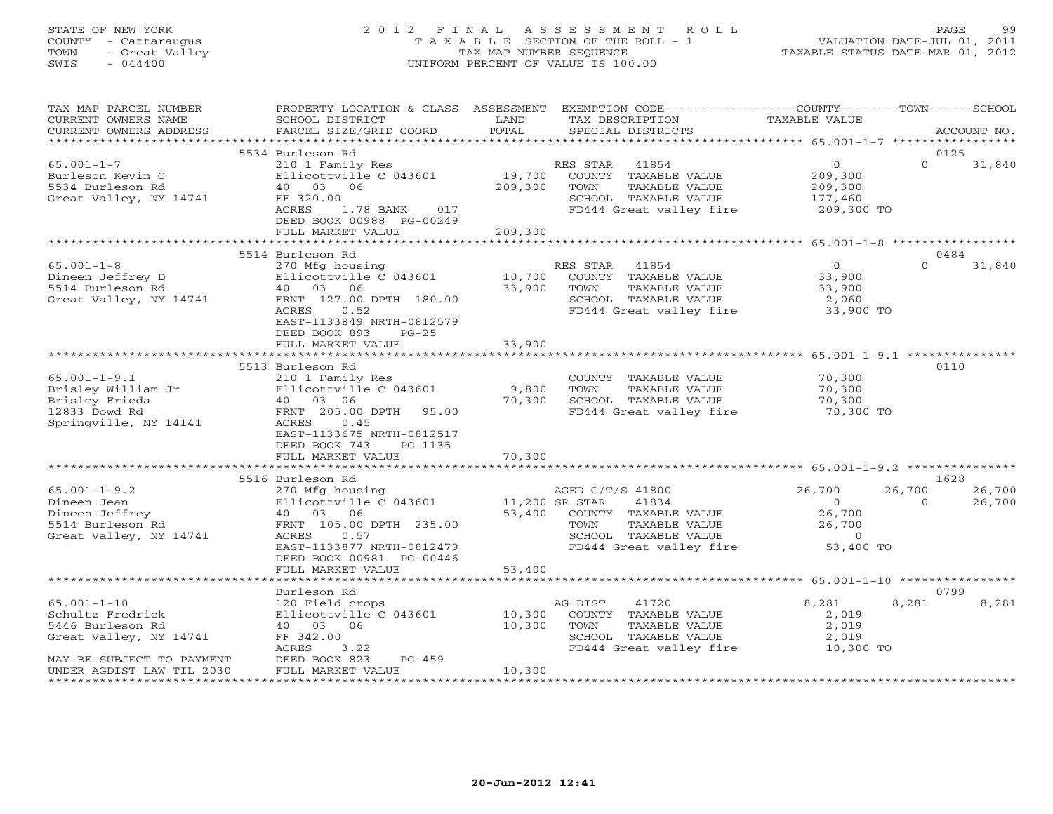## STATE OF NEW YORK 2 0 1 2 F I N A L A S S E S S M E N T R O L L PAGE 99 COUNTY - Cattaraugus T A X A B L E SECTION OF THE ROLL - 1 VALUATION DATE-JUL 01, 2011 TOWN - Great Valley TAX MAP NUMBER SEQUENCE TAXABLE STATUS DATE-MAR 01, 2012 SWIS - 044400 UNIFORM PERCENT OF VALUE IS 100.00UNIFORM PERCENT OF VALUE IS 100.00

| TAX MAP PARCEL NUMBER<br>CURRENT OWNERS NAME<br>CURRENT OWNERS ADDRESS                                           | SCHOOL DISTRICT<br>PARCEL SIZE/GRID COORD                                                                                                                                                        | LAND<br>TOTAL                      | PROPERTY LOCATION & CLASS ASSESSMENT EXEMPTION CODE---------------COUNTY-------TOWN------SCHOOL<br>TAX DESCRIPTION<br>SPECIAL DISTRICTS | TAXABLE VALUE                                                               | ACCOUNT NO.                |                  |
|------------------------------------------------------------------------------------------------------------------|--------------------------------------------------------------------------------------------------------------------------------------------------------------------------------------------------|------------------------------------|-----------------------------------------------------------------------------------------------------------------------------------------|-----------------------------------------------------------------------------|----------------------------|------------------|
|                                                                                                                  |                                                                                                                                                                                                  |                                    |                                                                                                                                         |                                                                             |                            |                  |
| $65.001 - 1 - 7$<br>Burleson Kevin C<br>5534 Burleson Rd<br>Great Valley, NY 14741                               | 5534 Burleson Rd<br>210 1 Family Res<br>Ellicottville C 043601<br>40 03 06<br>FF 320.00<br>1.78 BANK 017<br>ACRES<br>DEED BOOK 00988 PG-00249<br>FULL MARKET VALUE                               | 209,300<br>209,300                 | RES STAR<br>41854<br>19,700 COUNTY TAXABLE VALUE<br>TOWN<br>TAXABLE VALUE<br>SCHOOL TAXABLE VALUE<br>FD444 Great valley fire 209,300 TO | $\overline{0}$<br>209,300<br>209,300<br>177,460                             | 0125<br>$\Omega$           | 31,840           |
|                                                                                                                  |                                                                                                                                                                                                  |                                    |                                                                                                                                         |                                                                             |                            |                  |
|                                                                                                                  | 5514 Burleson Rd                                                                                                                                                                                 |                                    |                                                                                                                                         |                                                                             | 0484                       |                  |
| $65.001 - 1 - 8$<br>Dineen Jeffrey D<br>5514 Burleson Rd<br>Great Valley, NY 14741                               | 270 Mfg housing<br>Ellicottville C 043601<br>40  03  06<br>FRNT 127.00 DPTH 180.00<br>ACRES<br>0.52<br>EAST-1133849 NRTH-0812579<br>DEED BOOK 893<br>$PG-25$                                     | 10,700<br>33,900                   | RES STAR<br>41854<br>COUNTY TAXABLE VALUE<br>TOWN<br>TAXABLE VALUE<br>SCHOOL TAXABLE VALUE<br>FD444 Great valley fire 33,900 TO         | $\overline{O}$<br>33,900<br>33,900<br>2,060                                 | $\Omega$                   | 31,840           |
|                                                                                                                  | FULL MARKET VALUE                                                                                                                                                                                | 33,900                             |                                                                                                                                         |                                                                             |                            |                  |
|                                                                                                                  | 5513 Burleson Rd                                                                                                                                                                                 |                                    |                                                                                                                                         |                                                                             | 0110                       |                  |
| $65.001 - 1 - 9.1$<br>Brisley William Jr<br>Brisley Frieda<br>12833 Dowd Rd<br>Springville, NY 14141             | 210 1 Family Res<br>Ellicottville C 043601<br>40 03 06<br>FRNT 205.00 DPTH 95.00<br>ACRES<br>0.45<br>EAST-1133675 NRTH-0812517<br>DEED BOOK 743<br>PG-1135                                       | 9,800<br>70,300                    | COUNTY TAXABLE VALUE<br>TOWN<br>TAXABLE VALUE<br>SCHOOL TAXABLE VALUE<br>FD444 Great valley fire 50,300 TO                              | 70,300<br>70,300<br>70,300                                                  |                            |                  |
|                                                                                                                  | FULL MARKET VALUE                                                                                                                                                                                | 70,300                             |                                                                                                                                         |                                                                             |                            |                  |
|                                                                                                                  |                                                                                                                                                                                                  |                                    |                                                                                                                                         |                                                                             |                            |                  |
| $65.001 - 1 - 9.2$<br>Dineen Jean<br>Dineen Jeffrey<br>5514 Burleson Rd<br>Great Valley, NY 14741                | 5516 Burleson Rd<br>270 Mfg housing<br>Ellicottville C 043601<br>40 03 06<br>FRNT 105.00 DPTH 235.00<br>ACRES 0.57<br>EAST-1133877 NRTH-0812479<br>DEED BOOK 00981 PG-00446<br>FULL MARKET VALUE | 11,200 SR STAR<br>53,400<br>53,400 | AGED C/T/S 41800<br>41834<br>COUNTY TAXABLE VALUE<br>TAXABLE VALUE<br>TOWN<br>SCHOOL TAXABLE VALUE<br>FD444 Great valley fire           | 26,700<br>$\overline{0}$<br>26,700<br>26,700<br>$\overline{0}$<br>53,400 TO | 1628<br>26,700<br>$\Omega$ | 26,700<br>26,700 |
|                                                                                                                  |                                                                                                                                                                                                  |                                    |                                                                                                                                         |                                                                             |                            |                  |
|                                                                                                                  | Burleson Rd                                                                                                                                                                                      |                                    |                                                                                                                                         |                                                                             | 0799                       |                  |
| $65.001 - 1 - 10$<br>Schultz Fredrick<br>5446 Burleson Rd<br>Great Valley, NY 14741<br>MAY BE SUBJECT TO PAYMENT | 120 Field crops<br>Ellicottville C 043601<br>40 03 06<br>FF 342.00<br>ACRES<br>3.22<br>DEED BOOK 823<br>PG-459                                                                                   | 10,300<br>10,300                   | AG DIST<br>41720<br>COUNTY TAXABLE VALUE<br>TOWN<br>TAXABLE VALUE<br>SCHOOL TAXABLE VALUE<br>FD444 Great valley fire                    | 8,281<br>2,019<br>2,019<br>2,019<br>10,300 TO                               | 8,281                      | 8,281            |
| UNDER AGDIST LAW TIL 2030<br>**************************                                                          | FULL MARKET VALUE                                                                                                                                                                                | 10,300                             |                                                                                                                                         |                                                                             |                            |                  |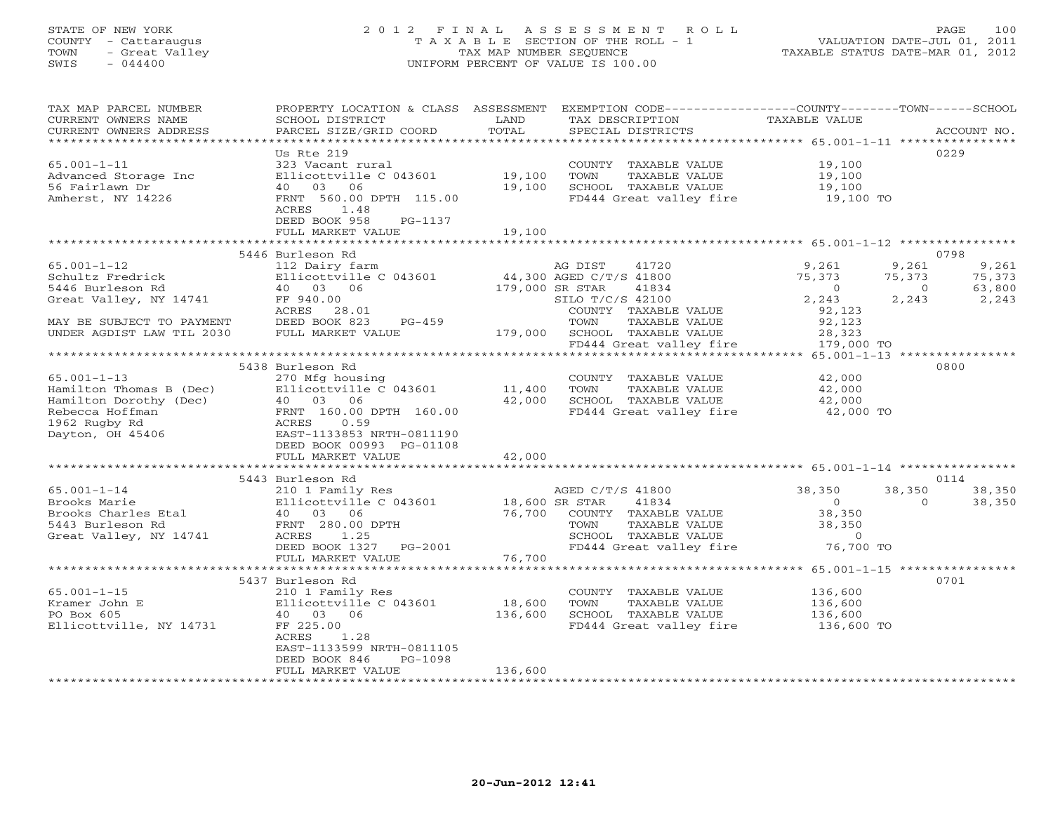## STATE OF NEW YORK 2 0 1 2 F I N A L A S S E S S M E N T R O L L PAGE 100 COUNTY - Cattaraugus T A X A B L E SECTION OF THE ROLL - 1 VALUATION DATE-JUL 01, 2011 TOWN - Great Valley TAX MAP NUMBER SEQUENCE TAXABLE STATUS DATE-MAR 01, 2012 SWIS - 044400 UNIFORM PERCENT OF VALUE IS 100.00

| TAX MAP PARCEL NUMBER<br>CURRENT OWNERS NAME<br>CURRENT OWNERS ADDRESS | PROPERTY LOCATION & CLASS ASSESSMENT<br>SCHOOL DISTRICT<br>PARCEL SIZE/GRID COORD | LAND<br>TOTAL        | EXEMPTION CODE-----------------COUNTY-------TOWN------SCHOOL<br>TAX DESCRIPTION<br>SPECIAL DISTRICTS | TAXABLE VALUE       | ACCOUNT NO.              |
|------------------------------------------------------------------------|-----------------------------------------------------------------------------------|----------------------|------------------------------------------------------------------------------------------------------|---------------------|--------------------------|
|                                                                        |                                                                                   |                      |                                                                                                      |                     |                          |
|                                                                        | Us Rte 219                                                                        |                      |                                                                                                      |                     | 0229                     |
| $65.001 - 1 - 11$                                                      | 323 Vacant rural                                                                  |                      | COUNTY TAXABLE VALUE                                                                                 | 19,100              |                          |
| Advanced Storage Inc                                                   | Ellicottville C 043601<br>40 03<br>06                                             | 19,100<br>19,100     | TOWN<br>TAXABLE VALUE<br>SCHOOL TAXABLE VALUE                                                        | 19,100              |                          |
| 56 Fairlawn Dr<br>Amherst, NY 14226                                    | FRNT 560.00 DPTH 115.00                                                           |                      | FD444 Great valley fire                                                                              | 19,100<br>19,100 TO |                          |
|                                                                        | ACRES<br>1.48                                                                     |                      |                                                                                                      |                     |                          |
|                                                                        | DEED BOOK 958<br>PG-1137                                                          |                      |                                                                                                      |                     |                          |
|                                                                        | FULL MARKET VALUE                                                                 | 19,100               |                                                                                                      |                     |                          |
|                                                                        |                                                                                   |                      |                                                                                                      |                     |                          |
|                                                                        | 5446 Burleson Rd                                                                  |                      |                                                                                                      |                     | 0798                     |
| $65.001 - 1 - 12$                                                      | 112 Dairy farm                                                                    |                      | AG DIST<br>41720                                                                                     | 9,261               | 9,261<br>9,261           |
| Schultz Fredrick                                                       | Ellicottville C 043601                                                            |                      | 44,300 AGED C/T/S 41800                                                                              | 75,373              | 75,373<br>75,373         |
| 5446 Burleson Rd                                                       | 40  03  06                                                                        | 179,000 SR STAR      | 41834                                                                                                | $\overline{0}$      | 63,800<br>$\overline{0}$ |
| Great Valley, NY 14741                                                 | FF 940.00                                                                         |                      | SILO T/C/S 42100                                                                                     | 2,243               | 2,243<br>2,243           |
|                                                                        | ACRES 28.01                                                                       |                      | COUNTY TAXABLE VALUE                                                                                 | 92,123              |                          |
| MAY BE SUBJECT TO PAYMENT                                              | DEED BOOK 823<br>$PG-459$                                                         |                      | TAXABLE VALUE<br>TOWN                                                                                | 92,123              |                          |
| UNDER AGDIST LAW TIL 2030                                              | FULL MARKET VALUE                                                                 | 179,000              | SCHOOL TAXABLE VALUE                                                                                 | 28,323              |                          |
|                                                                        |                                                                                   |                      | FD444 Great valley fire                                                                              | 179,000 TO          |                          |
|                                                                        |                                                                                   |                      |                                                                                                      |                     |                          |
|                                                                        | 5438 Burleson Rd                                                                  |                      |                                                                                                      |                     | 0800                     |
| $65.001 - 1 - 13$                                                      | 270 Mfg housing                                                                   |                      | COUNTY TAXABLE VALUE                                                                                 | 42,000              |                          |
| Hamilton Thomas B (Dec)                                                | Ellicottville C 043601                                                            | 11,400               | TOWN<br>TAXABLE VALUE                                                                                | 42,000              |                          |
| Hamilton Dorothy (Dec)                                                 | 40 03 06                                                                          | 42,000               | SCHOOL TAXABLE VALUE                                                                                 | 42,000              |                          |
| Rebecca Hoffman                                                        | FRNT 160.00 DPTH 160.00                                                           |                      | FD444 Great valley fire                                                                              | 42,000 TO           |                          |
| 1962 Rugby Rd                                                          | ACRES<br>0.59                                                                     |                      |                                                                                                      |                     |                          |
| Dayton, OH 45406                                                       | EAST-1133853 NRTH-0811190                                                         |                      |                                                                                                      |                     |                          |
|                                                                        | DEED BOOK 00993 PG-01108                                                          |                      |                                                                                                      |                     |                          |
|                                                                        | FULL MARKET VALUE                                                                 | 42,000<br>********** |                                                                                                      |                     |                          |
|                                                                        | 5443 Burleson Rd                                                                  |                      |                                                                                                      |                     | 0114                     |
| $65.001 - 1 - 14$                                                      | 210 1 Family Res                                                                  |                      | AGED C/T/S 41800                                                                                     | 38,350              | 38,350<br>38,350         |
| Brooks Marie                                                           | Ellicottville C 043601                                                            |                      | 41834<br>18,600 SR STAR                                                                              | $\overline{O}$      | $\Omega$<br>38,350       |
| Brooks Charles Etal                                                    | 40 03 06                                                                          | 76,700               | COUNTY TAXABLE VALUE                                                                                 | 38,350              |                          |
| 5443 Burleson Rd                                                       | FRNT 280.00 DPTH                                                                  |                      | TAXABLE VALUE<br>TOWN                                                                                | 38,350              |                          |
| Great Valley, NY 14741                                                 | ACRES<br>1.25                                                                     |                      | SCHOOL TAXABLE VALUE                                                                                 | $\circ$             |                          |
|                                                                        | DEED BOOK 1327 PG-2001                                                            |                      | FD444 Great valley fire                                                                              | 76,700 TO           |                          |
|                                                                        | FULL MARKET VALUE                                                                 | 76,700               |                                                                                                      |                     |                          |
|                                                                        | ***************************                                                       |                      |                                                                                                      |                     |                          |
|                                                                        | 5437 Burleson Rd                                                                  |                      |                                                                                                      |                     | 0701                     |
| $65.001 - 1 - 15$                                                      | 210 1 Family Res                                                                  |                      | COUNTY TAXABLE VALUE                                                                                 | 136,600             |                          |
| Kramer John E                                                          | Ellicottville C 043601                                                            | 18,600               | TOWN<br>TAXABLE VALUE                                                                                | 136,600             |                          |
| PO Box 605                                                             | 40 03 06                                                                          | 136,600              | SCHOOL TAXABLE VALUE                                                                                 | 136,600             |                          |
| Ellicottville, NY 14731                                                | FF 225.00                                                                         |                      | FD444 Great valley fire                                                                              | 136,600 TO          |                          |
|                                                                        | ACRES<br>1.28                                                                     |                      |                                                                                                      |                     |                          |
|                                                                        | EAST-1133599 NRTH-0811105                                                         |                      |                                                                                                      |                     |                          |
|                                                                        | DEED BOOK 846<br>PG-1098                                                          |                      |                                                                                                      |                     |                          |
|                                                                        | FULL MARKET VALUE                                                                 | 136,600              | *******************************                                                                      |                     |                          |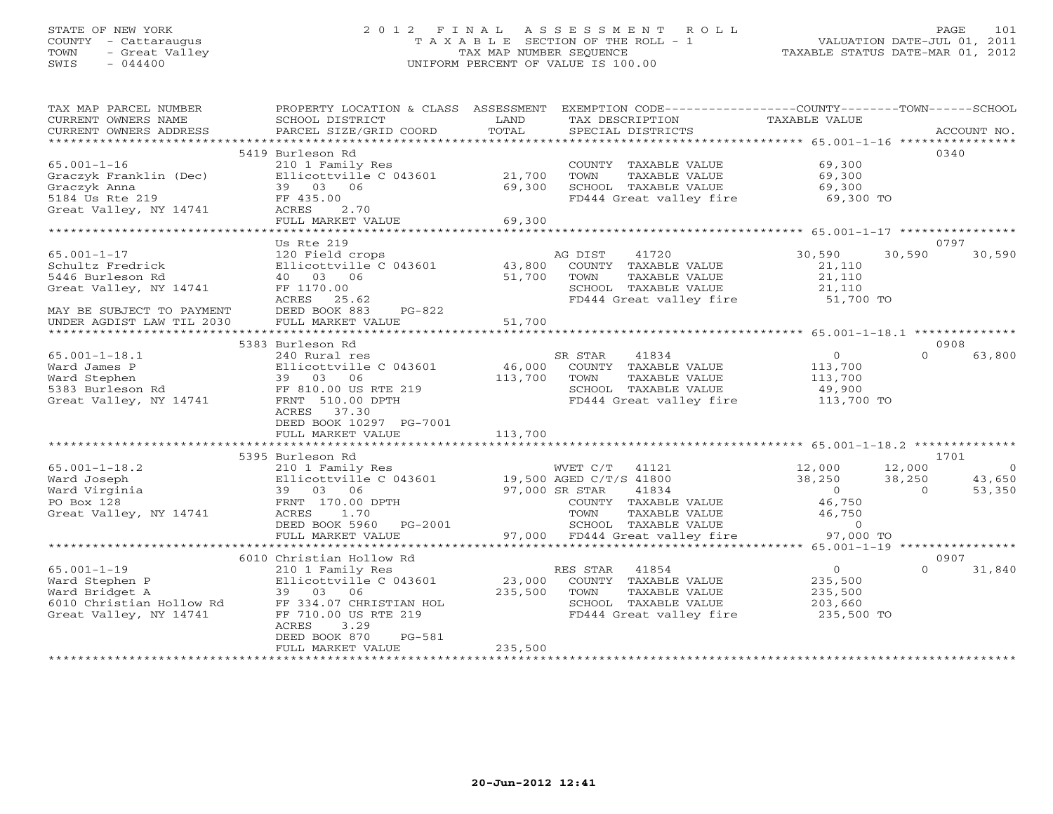# STATE OF NEW YORK 2 0 1 2 F I N A L A S S E S S M E N T R O L L PAGE 101 COUNTY - Cattaraugus T A X A B L E SECTION OF THE ROLL - 1 VALUATION DATE-JUL 01, 2011 TOWN - Great Valley TAX MAP NUMBER SEQUENCE TAXABLE STATUS DATE-MAR 01, 2012 SWIS - 044400 UNIFORM PERCENT OF VALUE IS 100.00

| TAX MAP PARCEL NUMBER<br>CURRENT OWNERS NAME       | PROPERTY LOCATION & CLASS ASSESSMENT<br>SCHOOL DISTRICT | LAND                      | EXEMPTION CODE----------------COUNTY-------TOWN-----SCHOOL<br>TAX DESCRIPTION | TAXABLE VALUE                                       |                      |
|----------------------------------------------------|---------------------------------------------------------|---------------------------|-------------------------------------------------------------------------------|-----------------------------------------------------|----------------------|
| CURRENT OWNERS ADDRESS<br>************************ | PARCEL SIZE/GRID COORD                                  | TOTAL                     | SPECIAL DISTRICTS                                                             |                                                     | ACCOUNT NO.          |
|                                                    | 5419 Burleson Rd                                        |                           |                                                                               |                                                     | 0340                 |
| $65.001 - 1 - 16$                                  | 210 1 Family Res                                        |                           | COUNTY TAXABLE VALUE                                                          | 69,300                                              |                      |
| Graczyk Franklin (Dec)                             | Ellicottville C 043601                                  | 21,700                    | TOWN<br>TAXABLE VALUE                                                         | 69,300                                              |                      |
| Graczyk Anna                                       | 39 03 06                                                | 69,300                    | SCHOOL TAXABLE VALUE                                                          | 69,300                                              |                      |
| 5184 Us Rte 219                                    | FF 435.00                                               |                           | FD444 Great valley fire                                                       | 69,300 TO                                           |                      |
| Great Valley, NY 14741                             | ACRES<br>2.70                                           |                           |                                                                               |                                                     |                      |
|                                                    | FULL MARKET VALUE                                       | 69,300                    |                                                                               |                                                     |                      |
|                                                    | ****************************                            | * * * * * * * * * * * * * |                                                                               | ********************* 65.001-1-17 ***************** |                      |
|                                                    | Us Rte 219                                              |                           |                                                                               |                                                     | 0797                 |
| $65.001 - 1 - 17$                                  | 120 Field crops                                         |                           | 41720<br>AG DIST                                                              | 30,590                                              | 30,590<br>30,590     |
| Schultz Fredrick                                   | Ellicottville C 043601                                  | 43,800                    | COUNTY TAXABLE VALUE                                                          | 21,110                                              |                      |
| 5446 Burleson Rd                                   | 40 03 06                                                | 51,700                    | TAXABLE VALUE<br>TOWN                                                         | 21,110                                              |                      |
| Great Valley, NY 14741                             | FF 1170.00                                              |                           | SCHOOL TAXABLE VALUE                                                          | 21,110                                              |                      |
|                                                    | ACRES<br>25.62                                          |                           | FD444 Great valley fire                                                       | 51,700 TO                                           |                      |
| MAY BE SUBJECT TO PAYMENT                          | DEED BOOK 883<br>$PG-822$                               |                           |                                                                               |                                                     |                      |
| UNDER AGDIST LAW TIL 2030                          | FULL MARKET VALUE                                       | 51,700                    |                                                                               |                                                     |                      |
|                                                    | 5383 Burleson Rd                                        |                           |                                                                               |                                                     | 0908                 |
| $65.001 - 1 - 18.1$                                | 240 Rural res                                           |                           | SR STAR<br>41834                                                              | $\circ$                                             | $\Omega$<br>63,800   |
| Ward James P                                       | Ellicottville C 043601                                  | 46,000                    | COUNTY TAXABLE VALUE                                                          | 113,700                                             |                      |
| Ward Stephen                                       | 39 03 06                                                | 113,700                   | TAXABLE VALUE<br>TOWN                                                         | 113,700                                             |                      |
| 5383 Burleson Rd                                   | FF 810.00 US RTE 219                                    |                           | SCHOOL TAXABLE VALUE                                                          | 49,900                                              |                      |
| Great Valley, NY 14741                             | FRNT 510.00 DPTH                                        |                           | FD444 Great valley fire                                                       | 113,700 TO                                          |                      |
|                                                    | ACRES 37.30                                             |                           |                                                                               |                                                     |                      |
|                                                    | DEED BOOK 10297 PG-7001                                 |                           |                                                                               |                                                     |                      |
|                                                    | FULL MARKET VALUE                                       | 113,700                   |                                                                               |                                                     |                      |
|                                                    |                                                         |                           |                                                                               |                                                     |                      |
|                                                    | 5395 Burleson Rd                                        |                           |                                                                               |                                                     | 1701                 |
| $65.001 - 1 - 18.2$                                | 210 1 Family Res                                        |                           | WVET C/T<br>41121                                                             | 12,000                                              | 12,000<br>$\bigcirc$ |
| Ward Joseph                                        | Ellicottville C 043601                                  |                           | 19,500 AGED C/T/S 41800                                                       | 38,250                                              | 38,250<br>43,650     |
| Ward Virginia                                      | 39 03 06                                                |                           | 97,000 SR STAR<br>41834                                                       | $\Omega$                                            | 53,350<br>$\Omega$   |
| PO Box 128                                         | FRNT 170.00 DPTH                                        |                           | COUNTY TAXABLE VALUE                                                          | 46,750                                              |                      |
| Great Valley, NY 14741                             | ACRES<br>1.70                                           |                           | TOWN<br>TAXABLE VALUE                                                         | 46,750                                              |                      |
|                                                    | DEED BOOK 5960<br>PG-2001                               |                           | SCHOOL TAXABLE VALUE                                                          | $\circ$                                             |                      |
|                                                    | FULL MARKET VALUE                                       |                           | 97,000 FD444 Great valley fire                                                | 97,000 TO                                           |                      |
|                                                    | 6010 Christian Hollow Rd                                |                           |                                                                               |                                                     | 0907                 |
| $65.001 - 1 - 19$                                  | 210 1 Family Res                                        |                           | RES STAR<br>41854                                                             | $\circ$                                             | $\Omega$<br>31,840   |
| Ward Stephen P                                     | Ellicottville C 043601                                  | 23,000                    | COUNTY TAXABLE VALUE                                                          | 235,500                                             |                      |
| Ward Bridget A                                     | 39 03<br>06                                             | 235,500                   | TOWN<br>TAXABLE VALUE                                                         | 235,500                                             |                      |
| 6010 Christian Hollow Rd                           | FF 334.07 CHRISTIAN HOL                                 |                           | SCHOOL TAXABLE VALUE                                                          | 203,660                                             |                      |
| Great Valley, NY 14741                             | FF 710.00 US RTE 219                                    |                           | FD444 Great valley fire                                                       | 235,500 TO                                          |                      |
|                                                    | ACRES<br>3.29                                           |                           |                                                                               |                                                     |                      |
|                                                    | DEED BOOK 870<br>$PG-581$                               |                           |                                                                               |                                                     |                      |
|                                                    | FULL MARKET VALUE                                       | 235,500                   |                                                                               |                                                     |                      |
|                                                    |                                                         |                           |                                                                               |                                                     |                      |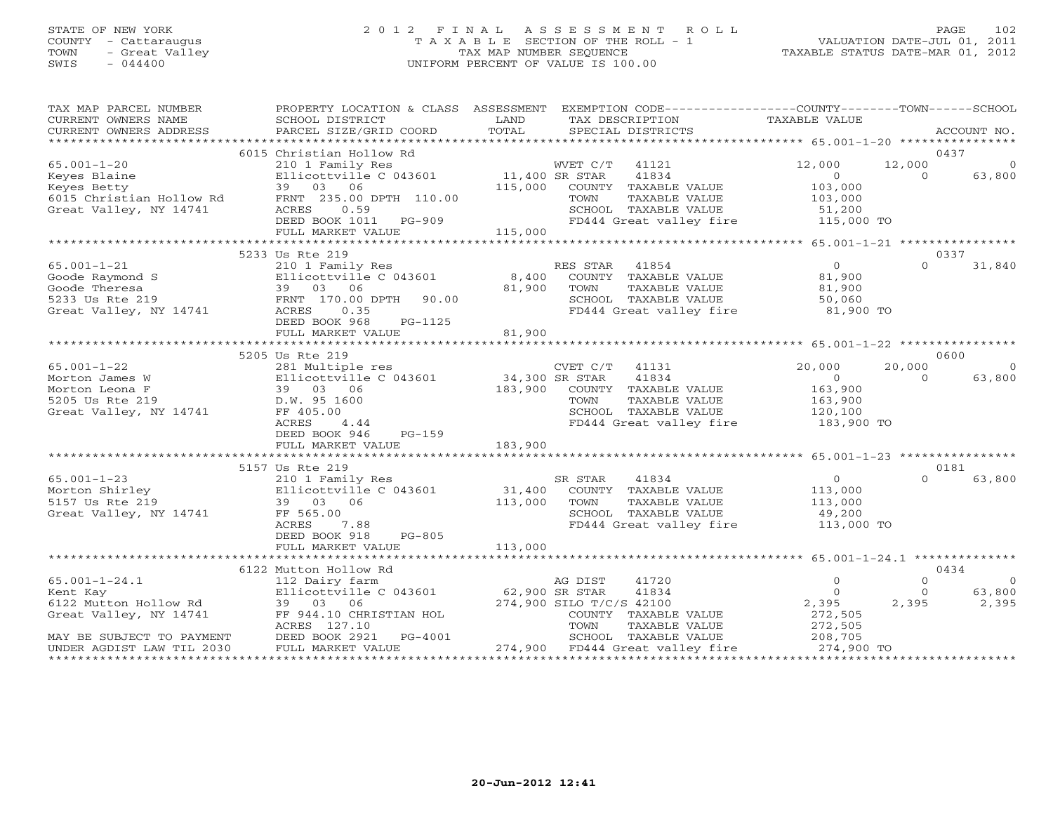### STATE OF NEW YORK 2 0 1 2 F I N A L A S S E S S M E N T R O L L PAGE 102 COUNTY - Cattaraugus T A X A B L E SECTION OF THE ROLL - 1 VALUATION DATE-JUL 01, 2011 TOWN - Great Valley TAX MAP NUMBER SEQUENCE TAXABLE STATUS DATE-MAR 01, 2012 SWIS - 044400 UNIFORM PERCENT OF VALUE IS 100.00UNIFORM PERCENT OF VALUE IS 100.00

| TAX MAP PARCEL NUMBER                              |                                                                                                                                                                                                                                                                                                                                                                                                                                                                                                                        |                  | PROPERTY LOCATION & CLASS ASSESSMENT EXEMPTION CODE---------------COUNTY-------TOWN------SCHOOL |                    |                |                |
|----------------------------------------------------|------------------------------------------------------------------------------------------------------------------------------------------------------------------------------------------------------------------------------------------------------------------------------------------------------------------------------------------------------------------------------------------------------------------------------------------------------------------------------------------------------------------------|------------------|-------------------------------------------------------------------------------------------------|--------------------|----------------|----------------|
| CURRENT OWNERS NAME                                | SCHOOL DISTRICT                                                                                                                                                                                                                                                                                                                                                                                                                                                                                                        | LAND             | TAX DESCRIPTION                                                                                 | TAXABLE VALUE      |                |                |
|                                                    | $\begin{minipage}{.45\textwidth} \begin{minipage}{.45\textwidth} \begin{minipage}{.45\textwidth} \begin{minipage}{.45\textwidth} \begin{minipage}{.45\textwidth} \begin{minipage}{.45\textwidth} \begin{minipage}{.45\textwidth} \begin{minipage}{.45\textwidth} \begin{minipage}{.45\textwidth} \begin{minipage}{.45\textwidth} \begin{minipage}{.45\textwidth} \begin{minipage}{.45\textwidth} \begin{minipage}{.45\textwidth} \begin{minipage}{.45\textwidth} \begin{minipage}{.45\textwidth} \begin{minipage}{.45$ |                  |                                                                                                 |                    |                |                |
|                                                    |                                                                                                                                                                                                                                                                                                                                                                                                                                                                                                                        |                  |                                                                                                 |                    |                |                |
|                                                    | 6015 Christian Hollow Rd                                                                                                                                                                                                                                                                                                                                                                                                                                                                                               |                  |                                                                                                 |                    | 0437           |                |
| $65.001 - 1 - 20$                                  | 210 1 Family Res<br>210 1 Family Res<br>Ellicottville C 043601 11,400 SR STAR<br>39 03 06 115,000 COUNTY                                                                                                                                                                                                                                                                                                                                                                                                               |                  | WVET C/T<br>41121                                                                               | 12,000             | 12,000         | $\Omega$       |
| Keyes Blaine                                       |                                                                                                                                                                                                                                                                                                                                                                                                                                                                                                                        |                  | 41834                                                                                           | $\overline{0}$     | $\overline{0}$ | 63,800         |
| Keyes Betty                                        |                                                                                                                                                                                                                                                                                                                                                                                                                                                                                                                        |                  | COUNTY TAXABLE VALUE                                                                            | 103,000            |                |                |
| 6015 Christian Hollow Rd<br>Great Valley, NY 14741 | FRNT 235.00 DPTH 110.00<br>ACRES<br>0.59                                                                                                                                                                                                                                                                                                                                                                                                                                                                               |                  | TAXABLE VALUE<br>TOWN<br>SCHOOL TAXABLE VALUE                                                   | 103,000<br>51,200  |                |                |
|                                                    | DEED BOOK 1011 PG-909                                                                                                                                                                                                                                                                                                                                                                                                                                                                                                  |                  | FD444 Great valley fire 115,000 TO                                                              |                    |                |                |
|                                                    | FULL MARKET VALUE                                                                                                                                                                                                                                                                                                                                                                                                                                                                                                      | 115,000          |                                                                                                 |                    |                |                |
|                                                    |                                                                                                                                                                                                                                                                                                                                                                                                                                                                                                                        |                  |                                                                                                 |                    |                |                |
|                                                    | 5233 Us Rte 219                                                                                                                                                                                                                                                                                                                                                                                                                                                                                                        |                  |                                                                                                 |                    | 0337           |                |
| $65.001 - 1 - 21$                                  | 210 1 Family Res                                                                                                                                                                                                                                                                                                                                                                                                                                                                                                       |                  | RES STAR<br>41854                                                                               | $\overline{0}$     | $\Omega$       | 31,840         |
|                                                    |                                                                                                                                                                                                                                                                                                                                                                                                                                                                                                                        | 8,400            | COUNTY TAXABLE VALUE                                                                            | 81,900             |                |                |
|                                                    |                                                                                                                                                                                                                                                                                                                                                                                                                                                                                                                        | 81,900           | TOWN<br>TAXABLE VALUE                                                                           | 81,900             |                |                |
|                                                    |                                                                                                                                                                                                                                                                                                                                                                                                                                                                                                                        |                  | SCHOOL TAXABLE VALUE                                                                            | $0 + 7 = 50,060$   |                |                |
|                                                    | Goode Raymond S<br>Goode Theresa<br>5233 Us Rte 219<br>Great Valley, NY 14741<br>Great Valley, NY 14741<br>ACRES 0.35                                                                                                                                                                                                                                                                                                                                                                                                  |                  | FD444 Great valley fire 81,900 TO                                                               |                    |                |                |
|                                                    | PG-1125<br>DEED BOOK 968                                                                                                                                                                                                                                                                                                                                                                                                                                                                                               |                  |                                                                                                 |                    |                |                |
|                                                    | FULL MARKET VALUE                                                                                                                                                                                                                                                                                                                                                                                                                                                                                                      | 81,900           |                                                                                                 |                    |                |                |
|                                                    |                                                                                                                                                                                                                                                                                                                                                                                                                                                                                                                        |                  |                                                                                                 |                    |                |                |
|                                                    | 5205 Us Rte 219                                                                                                                                                                                                                                                                                                                                                                                                                                                                                                        |                  |                                                                                                 |                    | 0600           |                |
| $65.001 - 1 - 22$                                  | 281 Multiple res                                                                                                                                                                                                                                                                                                                                                                                                                                                                                                       |                  | CVET C/T<br>41131                                                                               | 20,000             | 20,000         | $\overline{0}$ |
| Morton James W                                     | Ellicottville C 043601                                                                                                                                                                                                                                                                                                                                                                                                                                                                                                 | $34,300$ SR STAR | 41834                                                                                           | 0                  | $\Omega$       | 63,800         |
| Morton Leona F                                     | 39 03 06                                                                                                                                                                                                                                                                                                                                                                                                                                                                                                               | 183,900          | COUNTY TAXABLE VALUE                                                                            | 163,900            |                |                |
| 5205 Us Rte 219                                    | D.W. 95 1600                                                                                                                                                                                                                                                                                                                                                                                                                                                                                                           |                  | TOWN<br>TAXABLE VALUE                                                                           | 163,900<br>120,100 |                |                |
| Great Valley, NY 14741                             | FF 405.00                                                                                                                                                                                                                                                                                                                                                                                                                                                                                                              |                  | SCHOOL TAXABLE VALUE                                                                            |                    |                |                |
|                                                    | ACRES<br>4.44                                                                                                                                                                                                                                                                                                                                                                                                                                                                                                          |                  | FD444 Great valley fire 183,900 TO                                                              |                    |                |                |
|                                                    | PG-159<br>DEED BOOK 946                                                                                                                                                                                                                                                                                                                                                                                                                                                                                                |                  |                                                                                                 |                    |                |                |
|                                                    | FULL MARKET VALUE                                                                                                                                                                                                                                                                                                                                                                                                                                                                                                      | 183,900          |                                                                                                 |                    |                |                |
|                                                    |                                                                                                                                                                                                                                                                                                                                                                                                                                                                                                                        |                  |                                                                                                 |                    |                |                |
|                                                    | 5157 Us Rte 219                                                                                                                                                                                                                                                                                                                                                                                                                                                                                                        |                  |                                                                                                 |                    | 0181           |                |
| $65.001 - 1 - 23$                                  | 210 1 Family Res                                                                                                                                                                                                                                                                                                                                                                                                                                                                                                       |                  | SR STAR<br>41834                                                                                | $\overline{0}$     | $\Omega$       | 63,800         |
| Morton Shirley                                     | Ellicottville C 043601                                                                                                                                                                                                                                                                                                                                                                                                                                                                                                 | 31,400           | COUNTY TAXABLE VALUE                                                                            | 113,000            |                |                |
| 5157 Us Rte 219                                    | 39 03 06                                                                                                                                                                                                                                                                                                                                                                                                                                                                                                               | 113,000          | TOWN<br>TAXABLE VALUE                                                                           | 113,000            |                |                |
| Great Valley, NY 14741                             | FF 565.00                                                                                                                                                                                                                                                                                                                                                                                                                                                                                                              |                  | SCHOOL TAXABLE VALUE                                                                            | 49,200             |                |                |
|                                                    | ACRES<br>7.88<br>DEED BOOK 918<br>PG-805                                                                                                                                                                                                                                                                                                                                                                                                                                                                               |                  | FD444 Great valley fire                                                                         | 113,000 TO         |                |                |
|                                                    | FULL MARKET VALUE                                                                                                                                                                                                                                                                                                                                                                                                                                                                                                      | 113,000          |                                                                                                 |                    |                |                |
|                                                    |                                                                                                                                                                                                                                                                                                                                                                                                                                                                                                                        |                  |                                                                                                 |                    |                |                |
|                                                    | 6122 Mutton Hollow Rd                                                                                                                                                                                                                                                                                                                                                                                                                                                                                                  |                  |                                                                                                 |                    | 0434           |                |
| $65.001 - 1 - 24.1$                                |                                                                                                                                                                                                                                                                                                                                                                                                                                                                                                                        |                  | 41720                                                                                           | $\circ$            | $\Omega$       | $\overline{0}$ |
| Kent Kay                                           | 112 Dairy farm AG DIST<br>Ellicottville C 043601 62,900 SR STAR                                                                                                                                                                                                                                                                                                                                                                                                                                                        |                  | 41834                                                                                           | $\circ$            | $\Omega$       | 63,800         |
| Kent Kay<br>6122 Mutton Hollow Rd                  | 39 03 06                                                                                                                                                                                                                                                                                                                                                                                                                                                                                                               |                  | 274,900 SILO T/C/S 42100                                                                        | 2,395              | 2,395          | 2,395          |
| Great Valley, NY 14741                             | FF 944.10 CHRISTIAN HOL                                                                                                                                                                                                                                                                                                                                                                                                                                                                                                |                  | COUNTY TAXABLE VALUE                                                                            | 272,505            |                |                |
|                                                    | ACRES 127.10                                                                                                                                                                                                                                                                                                                                                                                                                                                                                                           |                  | TOWN<br>TAXABLE VALUE                                                                           | 272,505            |                |                |
| MAY BE SUBJECT TO PAYMENT                          | PG-4001<br>DEED BOOK 2921                                                                                                                                                                                                                                                                                                                                                                                                                                                                                              |                  | SCHOOL TAXABLE VALUE                                                                            | 208,705            |                |                |
| UNDER AGDIST LAW TIL 2030                          | FULL MARKET VALUE                                                                                                                                                                                                                                                                                                                                                                                                                                                                                                      |                  | 274,900 FD444 Great valley fire                                                                 | 274,900 TO         |                |                |
|                                                    |                                                                                                                                                                                                                                                                                                                                                                                                                                                                                                                        |                  |                                                                                                 |                    |                |                |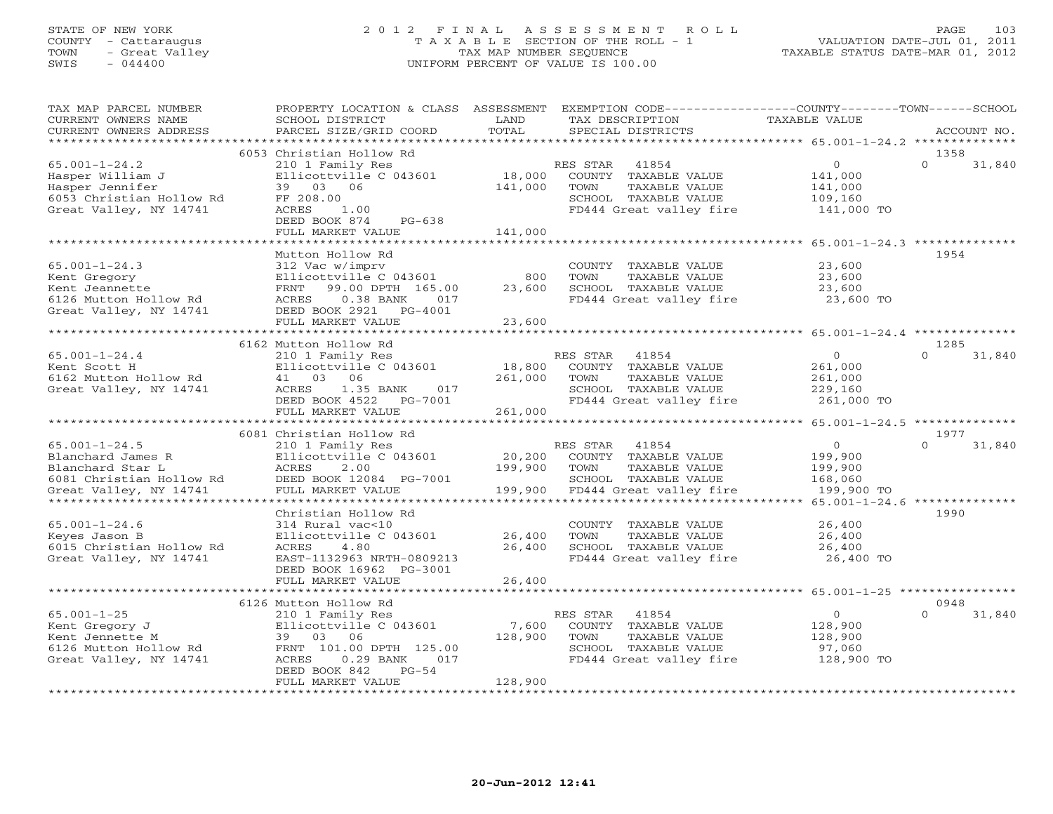## STATE OF NEW YORK 2 0 1 2 F I N A L A S S E S S M E N T R O L L PAGE 103 COUNTY - Cattaraugus T A X A B L E SECTION OF THE ROLL - 1 VALUATION DATE-JUL 01, 2011 TOWN - Great Valley TAX MAP NUMBER SEQUENCE TAXABLE STATUS DATE-MAR 01, 2012 SWIS - 044400 UNIFORM PERCENT OF VALUE IS 100.00UNIFORM PERCENT OF VALUE IS 100.00

| TAX MAP PARCEL NUMBER<br>CURRENT OWNERS NAME<br>CURRENT OWNERS ADDRESS                                             | PROPERTY LOCATION & CLASS<br>SCHOOL DISTRICT<br>PARCEL SIZE/GRID COORD                                                                                                        | ASSESSMENT<br>LAND<br>TOTAL  | TAX DESCRIPTION<br>SPECIAL DISTRICTS |                                                                                                   | EXEMPTION CODE-----------------COUNTY-------TOWN------SCHOOL<br>TAXABLE VALUE | ACCOUNT NO.                |
|--------------------------------------------------------------------------------------------------------------------|-------------------------------------------------------------------------------------------------------------------------------------------------------------------------------|------------------------------|--------------------------------------|---------------------------------------------------------------------------------------------------|-------------------------------------------------------------------------------|----------------------------|
| *********************                                                                                              |                                                                                                                                                                               |                              |                                      |                                                                                                   |                                                                               |                            |
| $65.001 - 1 - 24.2$<br>Hasper William J<br>Hasper Jennifer<br>6053 Christian Hollow Rd<br>Great Valley, NY 14741   | 6053 Christian Hollow Rd<br>210 1 Family Res<br>Ellicottville C 043601<br>39 03 06<br>FF 208.00<br>ACRES<br>1.00<br>DEED BOOK 874<br>PG-638<br>FULL MARKET VALUE              | 18,000<br>141,000<br>141,000 | RES STAR<br>TOWN                     | 41854<br>COUNTY TAXABLE VALUE<br>TAXABLE VALUE<br>SCHOOL TAXABLE VALUE<br>FD444 Great valley fire | $\overline{0}$<br>141,000<br>141,000<br>109,160<br>141,000 TO                 | 1358<br>$\Omega$<br>31,840 |
|                                                                                                                    |                                                                                                                                                                               |                              |                                      |                                                                                                   |                                                                               |                            |
| $65.001 - 1 - 24.3$<br>Kent Gregory<br>Kent Jeannette<br>6126 Mutton Hollow Rd<br>Great Valley, NY 14741           | Mutton Hollow Rd<br>312 Vac w/imprv<br>Ellicottville C 043601<br>99.00 DPTH 165.00<br>FRNT<br>ACRES<br>$0.38$ BANK<br>017<br>DEED BOOK 2921<br>$PG-4001$<br>FULL MARKET VALUE | 800<br>23,600<br>23,600      | TOWN                                 | COUNTY TAXABLE VALUE<br>TAXABLE VALUE<br>SCHOOL TAXABLE VALUE<br>FD444 Great valley fire          | 23,600<br>23,600<br>23,600<br>23,600 TO                                       | 1954                       |
|                                                                                                                    |                                                                                                                                                                               |                              |                                      |                                                                                                   |                                                                               |                            |
| $65.001 - 1 - 24.4$<br>Kent Scott H<br>6162 Mutton Hollow Rd<br>Great Valley, NY 14741                             | 6162 Mutton Hollow Rd<br>210 1 Family Res<br>Ellicottville C 043601<br>41 03 06<br>ACRES<br>1.35 BANK<br>017<br>DEED BOOK 4522<br>PG-7001                                     | 18,800<br>261,000            | RES STAR<br>TOWN                     | 41854<br>COUNTY TAXABLE VALUE<br>TAXABLE VALUE<br>SCHOOL TAXABLE VALUE<br>FD444 Great valley fire | $\overline{O}$<br>261,000<br>261,000<br>229,160<br>261,000 TO                 | 1285<br>$\Omega$<br>31,840 |
|                                                                                                                    | FULL MARKET VALUE                                                                                                                                                             | 261,000                      |                                      |                                                                                                   |                                                                               |                            |
|                                                                                                                    | 6081 Christian Hollow Rd                                                                                                                                                      |                              |                                      |                                                                                                   | ********* 65.001-1-24.5 ***************                                       | 1977                       |
| $65.001 - 1 - 24.5$<br>Blanchard James R<br>Blanchard Star L<br>6081 Christian Hollow Rd<br>Great Valley, NY 14741 | 210 1 Family Res<br>Ellicottville C 043601<br>2.00<br>ACRES<br>DEED BOOK 12084 PG-7001<br>FULL MARKET VALUE                                                                   | 20,200<br>199,900<br>199,900 | RES STAR<br>TOWN                     | 41854<br>COUNTY TAXABLE VALUE<br>TAXABLE VALUE<br>SCHOOL TAXABLE VALUE<br>FD444 Great valley fire | $\circ$<br>199,900<br>199,900<br>168,060<br>199,900 TO                        | $\Omega$<br>31,840         |
|                                                                                                                    |                                                                                                                                                                               |                              |                                      |                                                                                                   |                                                                               |                            |
| $65.001 - 1 - 24.6$<br>Keyes Jason B<br>6015 Christian Hollow Rd<br>Great Valley, NY 14741                         | Christian Hollow Rd<br>314 Rural vac<10<br>Ellicottville C 043601<br>4.80<br>ACRES<br>EAST-1132963 NRTH-0809213<br>DEED BOOK 16962 PG-3001<br>FULL MARKET VALUE               | 26,400<br>26,400<br>26,400   | TOWN                                 | COUNTY TAXABLE VALUE<br>TAXABLE VALUE<br>SCHOOL TAXABLE VALUE<br>FD444 Great valley fire          | 26,400<br>26,400<br>26,400<br>26,400 TO                                       | 1990                       |
|                                                                                                                    |                                                                                                                                                                               |                              |                                      |                                                                                                   |                                                                               |                            |
|                                                                                                                    | 6126 Mutton Hollow Rd                                                                                                                                                         |                              |                                      |                                                                                                   |                                                                               | 0948                       |
| $65.001 - 1 - 25$<br>Kent Gregory J<br>Kent Jennette M<br>6126 Mutton Hollow Rd<br>Great Valley, NY 14741          | 210 1 Family Res<br>Ellicottville C 043601<br>39<br>03 06<br>FRNT 101.00 DPTH 125.00<br>$0.29$ BANK<br>ACRES<br>017<br>DEED BOOK 842<br>$PG-54$                               | 7,600<br>128,900             | RES STAR<br>TOWN                     | 41854<br>COUNTY TAXABLE VALUE<br>TAXABLE VALUE<br>SCHOOL TAXABLE VALUE<br>FD444 Great valley fire | $\Omega$<br>128,900<br>128,900<br>97,060<br>128,900 TO                        | $\Omega$<br>31,840         |
| ********************                                                                                               | FULL MARKET VALUE                                                                                                                                                             | 128,900                      |                                      |                                                                                                   |                                                                               |                            |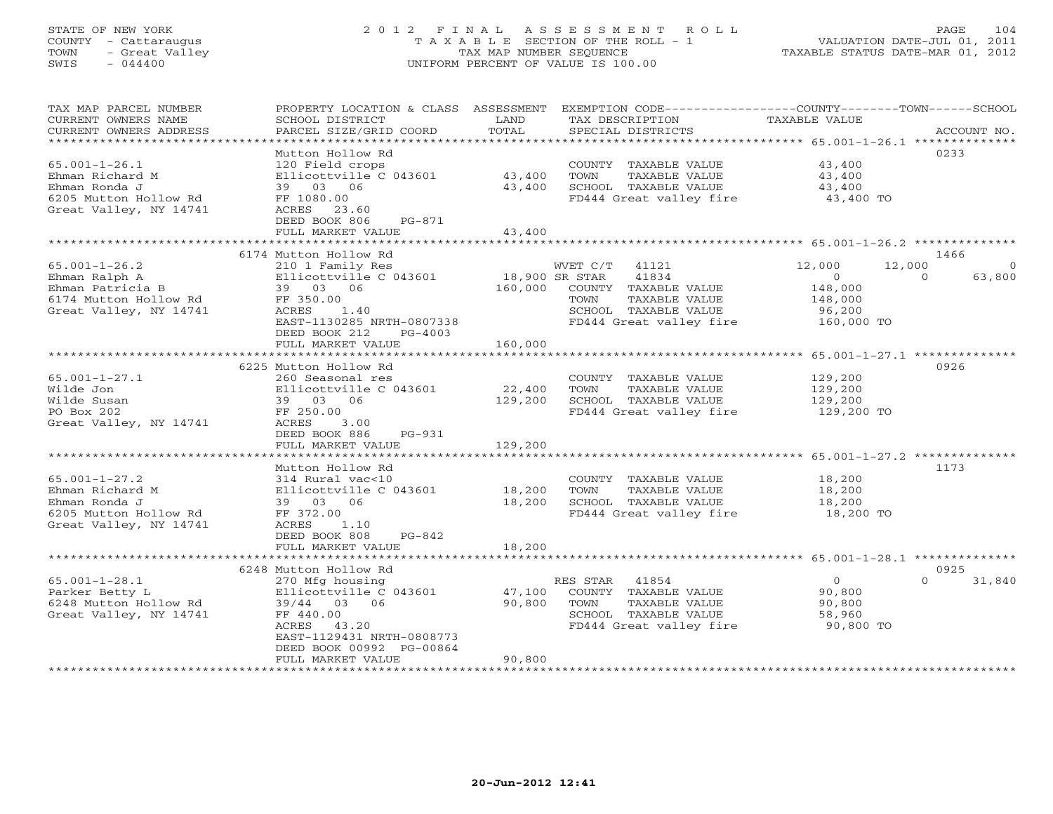# STATE OF NEW YORK 2 0 1 2 F I N A L A S S E S S M E N T R O L L PAGE 104 COUNTY - Cattaraugus T A X A B L E SECTION OF THE ROLL - 1 VALUATION DATE-JUL 01, 2011 TOWN - Great Valley TAX MAP NUMBER SEQUENCE TAXABLE STATUS DATE-MAR 01, 2012 SWIS - 044400 UNIFORM PERCENT OF VALUE IS 100.00

| Mutton Hollow Rd<br>0233<br>$65.001 - 1 - 26.1$<br>120 Field crops<br>COUNTY TAXABLE VALUE<br>43,400<br>Ehman Richard M<br>43,400<br>TOWN<br>43,400<br>Ellicottville C 043601<br>TAXABLE VALUE<br>Ehman Ronda J<br>43,400<br>SCHOOL TAXABLE VALUE<br>43,400<br>39 03 06<br>6205 Mutton Hollow Rd<br>FD444 Great valley fire<br>FF 1080.00<br>43,400 TO<br>Great Valley, NY 14741<br>ACRES 23.60<br>DEED BOOK 806<br>PG-871<br>43,400<br>FULL MARKET VALUE<br>************************ 65.001-1-26.2 **************<br>*************<br>6174 Mutton Hollow Rd<br>1466<br>$65.001 - 1 - 26.2$<br>12,000<br>210 1 Family Res<br>WVET C/T<br>41121<br>12,000<br>Ehman Ralph A<br>Ellicottville C 043601<br>18,900 SR STAR<br>41834<br>$\overline{0}$<br>$\Omega$<br>160,000<br>Ehman Patricia B<br>39 03 06<br>148,000<br>COUNTY TAXABLE VALUE<br>6174 Mutton Hollow Rd<br>FF 350.00<br>TOWN<br>TAXABLE VALUE<br>148,000<br>Great Valley, NY 14741<br>ACRES<br>1.40<br>SCHOOL TAXABLE VALUE<br>96,200<br>EAST-1130285 NRTH-0807338<br>FD444 Great valley fire<br>160,000 TO<br>DEED BOOK 212<br>$PG-4003$<br>FULL MARKET VALUE<br>160,000<br>*************<br>******************************** 65.001-1-27.1 **************<br>0926<br>6225 Mutton Hollow Rd<br>$65.001 - 1 - 27.1$<br>129,200<br>260 Seasonal res<br>COUNTY TAXABLE VALUE<br>22,400<br>TOWN<br>Wilde Jon<br>Ellicottville C 043601<br>TAXABLE VALUE<br>129,200<br>Wilde Susan<br>39 03 06<br>129,200<br>SCHOOL TAXABLE VALUE<br>129,200<br>FD444 Great valley fire<br>PO Box 202<br>FF 250.00<br>129,200 TO<br>Great Valley, NY 14741<br>ACRES<br>3.00<br>DEED BOOK 886<br>$PG-931$<br>129,200<br>FULL MARKET VALUE<br>Mutton Hollow Rd<br>1173<br>$65.001 - 1 - 27.2$<br>314 Rural vac<10<br>18,200<br>COUNTY TAXABLE VALUE<br>Ehman Richard M<br>Ellicottville C 043601<br>18,200<br>TOWN<br>TAXABLE VALUE<br>18,200<br>18,200<br>SCHOOL TAXABLE VALUE<br>Ehman Ronda J<br>39 03 06<br>18,200<br>6205 Mutton Hollow Rd<br>FF 372.00<br>FD444 Great valley fire<br>18,200 TO<br>Great Valley, NY 14741<br>ACRES<br>1.10<br>DEED BOOK 808<br>$PG-842$<br>FULL MARKET VALUE<br>18,200<br>*********** 65.001-1-28.1 ***************<br>6248 Mutton Hollow Rd<br>0925<br>$65.001 - 1 - 28.1$<br>41854<br>$\overline{0}$<br>$\Omega$<br>270 Mfg housing<br>RES STAR<br>Ellicottville C 043601<br>47,100<br>90,800<br>Parker Betty L<br>COUNTY TAXABLE VALUE<br>6248 Mutton Hollow Rd<br>90,800<br>TAXABLE VALUE<br>39/44<br>03<br>06<br>TOWN<br>90,800<br>Great Valley, NY 14741<br>SCHOOL TAXABLE VALUE<br>FF 440.00<br>58,960<br>43.20<br>FD444 Great valley fire<br>90,800 TO<br>ACRES<br>EAST-1129431 NRTH-0808773<br>DEED BOOK 00992 PG-00864<br>90,800<br>FULL MARKET VALUE | TAX MAP PARCEL NUMBER<br>CURRENT OWNERS NAME<br>CURRENT OWNERS ADDRESS | PROPERTY LOCATION & CLASS ASSESSMENT<br>SCHOOL DISTRICT<br>PARCEL SIZE/GRID COORD | LAND<br>TOTAL | EXEMPTION CODE-----------------COUNTY-------TOWN------SCHOOL<br>TAX DESCRIPTION<br>SPECIAL DISTRICTS | TAXABLE VALUE | ACCOUNT NO.        |
|--------------------------------------------------------------------------------------------------------------------------------------------------------------------------------------------------------------------------------------------------------------------------------------------------------------------------------------------------------------------------------------------------------------------------------------------------------------------------------------------------------------------------------------------------------------------------------------------------------------------------------------------------------------------------------------------------------------------------------------------------------------------------------------------------------------------------------------------------------------------------------------------------------------------------------------------------------------------------------------------------------------------------------------------------------------------------------------------------------------------------------------------------------------------------------------------------------------------------------------------------------------------------------------------------------------------------------------------------------------------------------------------------------------------------------------------------------------------------------------------------------------------------------------------------------------------------------------------------------------------------------------------------------------------------------------------------------------------------------------------------------------------------------------------------------------------------------------------------------------------------------------------------------------------------------------------------------------------------------------------------------------------------------------------------------------------------------------------------------------------------------------------------------------------------------------------------------------------------------------------------------------------------------------------------------------------------------------------------------------------------------------------------------------------------------------------------------------------------------------------------------------------------------------------------------------------------------------------------------------------------------------------------------------------------------------------------------------------------------------------|------------------------------------------------------------------------|-----------------------------------------------------------------------------------|---------------|------------------------------------------------------------------------------------------------------|---------------|--------------------|
|                                                                                                                                                                                                                                                                                                                                                                                                                                                                                                                                                                                                                                                                                                                                                                                                                                                                                                                                                                                                                                                                                                                                                                                                                                                                                                                                                                                                                                                                                                                                                                                                                                                                                                                                                                                                                                                                                                                                                                                                                                                                                                                                                                                                                                                                                                                                                                                                                                                                                                                                                                                                                                                                                                                                            | *********************                                                  |                                                                                   |               |                                                                                                      |               |                    |
|                                                                                                                                                                                                                                                                                                                                                                                                                                                                                                                                                                                                                                                                                                                                                                                                                                                                                                                                                                                                                                                                                                                                                                                                                                                                                                                                                                                                                                                                                                                                                                                                                                                                                                                                                                                                                                                                                                                                                                                                                                                                                                                                                                                                                                                                                                                                                                                                                                                                                                                                                                                                                                                                                                                                            |                                                                        |                                                                                   |               |                                                                                                      |               |                    |
|                                                                                                                                                                                                                                                                                                                                                                                                                                                                                                                                                                                                                                                                                                                                                                                                                                                                                                                                                                                                                                                                                                                                                                                                                                                                                                                                                                                                                                                                                                                                                                                                                                                                                                                                                                                                                                                                                                                                                                                                                                                                                                                                                                                                                                                                                                                                                                                                                                                                                                                                                                                                                                                                                                                                            |                                                                        |                                                                                   |               |                                                                                                      |               |                    |
|                                                                                                                                                                                                                                                                                                                                                                                                                                                                                                                                                                                                                                                                                                                                                                                                                                                                                                                                                                                                                                                                                                                                                                                                                                                                                                                                                                                                                                                                                                                                                                                                                                                                                                                                                                                                                                                                                                                                                                                                                                                                                                                                                                                                                                                                                                                                                                                                                                                                                                                                                                                                                                                                                                                                            |                                                                        |                                                                                   |               |                                                                                                      |               |                    |
|                                                                                                                                                                                                                                                                                                                                                                                                                                                                                                                                                                                                                                                                                                                                                                                                                                                                                                                                                                                                                                                                                                                                                                                                                                                                                                                                                                                                                                                                                                                                                                                                                                                                                                                                                                                                                                                                                                                                                                                                                                                                                                                                                                                                                                                                                                                                                                                                                                                                                                                                                                                                                                                                                                                                            |                                                                        |                                                                                   |               |                                                                                                      |               | $\Omega$<br>63,800 |
|                                                                                                                                                                                                                                                                                                                                                                                                                                                                                                                                                                                                                                                                                                                                                                                                                                                                                                                                                                                                                                                                                                                                                                                                                                                                                                                                                                                                                                                                                                                                                                                                                                                                                                                                                                                                                                                                                                                                                                                                                                                                                                                                                                                                                                                                                                                                                                                                                                                                                                                                                                                                                                                                                                                                            |                                                                        |                                                                                   |               |                                                                                                      |               |                    |
|                                                                                                                                                                                                                                                                                                                                                                                                                                                                                                                                                                                                                                                                                                                                                                                                                                                                                                                                                                                                                                                                                                                                                                                                                                                                                                                                                                                                                                                                                                                                                                                                                                                                                                                                                                                                                                                                                                                                                                                                                                                                                                                                                                                                                                                                                                                                                                                                                                                                                                                                                                                                                                                                                                                                            |                                                                        |                                                                                   |               |                                                                                                      |               |                    |
|                                                                                                                                                                                                                                                                                                                                                                                                                                                                                                                                                                                                                                                                                                                                                                                                                                                                                                                                                                                                                                                                                                                                                                                                                                                                                                                                                                                                                                                                                                                                                                                                                                                                                                                                                                                                                                                                                                                                                                                                                                                                                                                                                                                                                                                                                                                                                                                                                                                                                                                                                                                                                                                                                                                                            |                                                                        |                                                                                   |               |                                                                                                      |               |                    |
|                                                                                                                                                                                                                                                                                                                                                                                                                                                                                                                                                                                                                                                                                                                                                                                                                                                                                                                                                                                                                                                                                                                                                                                                                                                                                                                                                                                                                                                                                                                                                                                                                                                                                                                                                                                                                                                                                                                                                                                                                                                                                                                                                                                                                                                                                                                                                                                                                                                                                                                                                                                                                                                                                                                                            |                                                                        |                                                                                   |               |                                                                                                      |               |                    |
|                                                                                                                                                                                                                                                                                                                                                                                                                                                                                                                                                                                                                                                                                                                                                                                                                                                                                                                                                                                                                                                                                                                                                                                                                                                                                                                                                                                                                                                                                                                                                                                                                                                                                                                                                                                                                                                                                                                                                                                                                                                                                                                                                                                                                                                                                                                                                                                                                                                                                                                                                                                                                                                                                                                                            |                                                                        |                                                                                   |               |                                                                                                      |               |                    |
|                                                                                                                                                                                                                                                                                                                                                                                                                                                                                                                                                                                                                                                                                                                                                                                                                                                                                                                                                                                                                                                                                                                                                                                                                                                                                                                                                                                                                                                                                                                                                                                                                                                                                                                                                                                                                                                                                                                                                                                                                                                                                                                                                                                                                                                                                                                                                                                                                                                                                                                                                                                                                                                                                                                                            |                                                                        |                                                                                   |               |                                                                                                      |               |                    |
|                                                                                                                                                                                                                                                                                                                                                                                                                                                                                                                                                                                                                                                                                                                                                                                                                                                                                                                                                                                                                                                                                                                                                                                                                                                                                                                                                                                                                                                                                                                                                                                                                                                                                                                                                                                                                                                                                                                                                                                                                                                                                                                                                                                                                                                                                                                                                                                                                                                                                                                                                                                                                                                                                                                                            |                                                                        |                                                                                   |               |                                                                                                      |               |                    |
|                                                                                                                                                                                                                                                                                                                                                                                                                                                                                                                                                                                                                                                                                                                                                                                                                                                                                                                                                                                                                                                                                                                                                                                                                                                                                                                                                                                                                                                                                                                                                                                                                                                                                                                                                                                                                                                                                                                                                                                                                                                                                                                                                                                                                                                                                                                                                                                                                                                                                                                                                                                                                                                                                                                                            |                                                                        |                                                                                   |               |                                                                                                      |               | 31,840             |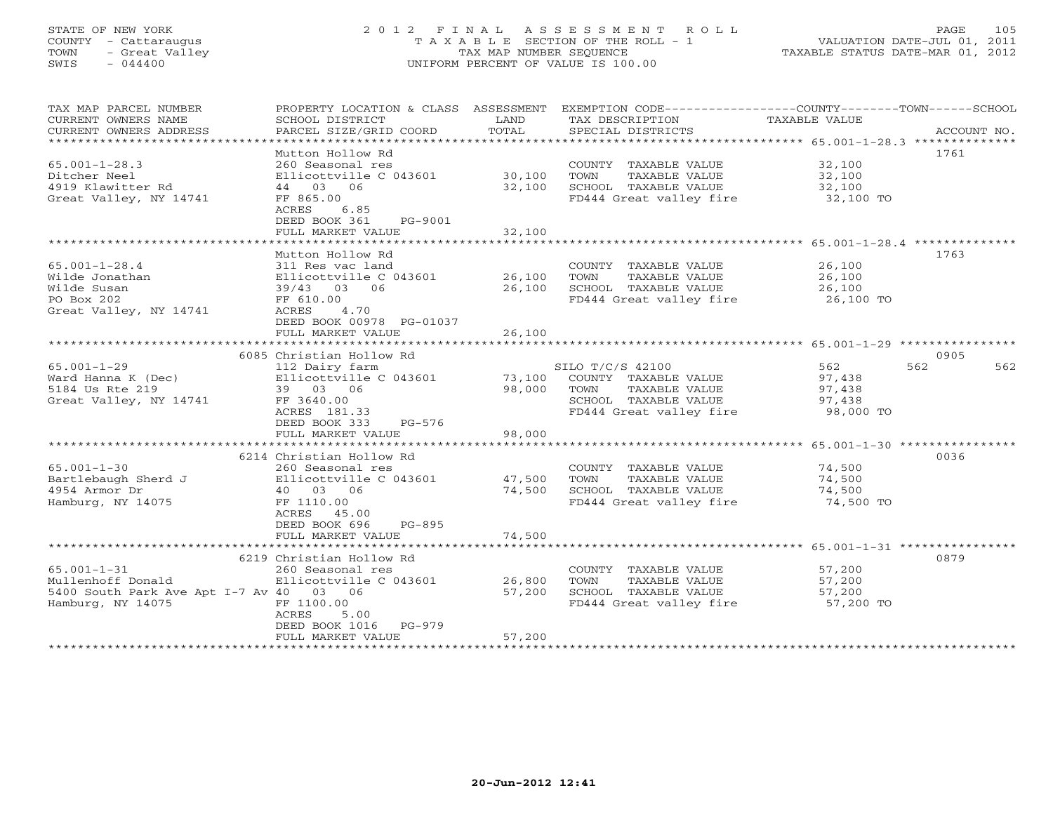## STATE OF NEW YORK 2 0 1 2 F I N A L A S S E S S M E N T R O L L PAGE 105 COUNTY - Cattaraugus T A X A B L E SECTION OF THE ROLL - 1 VALUATION DATE-JUL 01, 2011 TOWN - Great Valley TAX MAP NUMBER SEQUENCE TAXABLE STATUS DATE-MAR 01, 2012 SWIS - 044400 UNIFORM PERCENT OF VALUE IS 100.00UNIFORM PERCENT OF VALUE IS 100.00

| TAX MAP PARCEL NUMBER<br>CURRENT OWNERS NAME<br>CURRENT OWNERS ADDRESS                                 | PROPERTY LOCATION & CLASS ASSESSMENT EXEMPTION CODE---------------COUNTY-------TOWN-----SCHOOL<br>SCHOOL DISTRICT<br>PARCEL SIZE/GRID COORD                       | LAND<br>TOTAL              | TAX DESCRIPTION<br>SPECIAL DISTRICTS                                                                                 | TAXABLE VALUE                                  | ACCOUNT NO. |
|--------------------------------------------------------------------------------------------------------|-------------------------------------------------------------------------------------------------------------------------------------------------------------------|----------------------------|----------------------------------------------------------------------------------------------------------------------|------------------------------------------------|-------------|
| $65.001 - 1 - 28.3$<br>Ditcher Neel<br>4919 Klawitter Rd<br>Great Valley, NY 14741                     | Mutton Hollow Rd<br>260 Seasonal res<br>Ellicottville C 043601<br>44 03 06<br>FF 865.00<br>ACRES<br>6.85<br>DEED BOOK 361<br>PG-9001<br>FULL MARKET VALUE         | 30,100<br>32,100<br>32,100 | COUNTY TAXABLE VALUE<br>TAXABLE VALUE<br>TOWN<br>SCHOOL TAXABLE VALUE<br>FD444 Great valley fire                     | 32,100<br>32,100<br>32,100<br>32,100 TO        | 1761        |
|                                                                                                        |                                                                                                                                                                   |                            |                                                                                                                      |                                                |             |
| $65.001 - 1 - 28.4$<br>Wilde Jonathan<br>Wilde Susan<br>PO Box 202<br>Great Valley, NY 14741           | Mutton Hollow Rd<br>311 Res vac land<br>Ellicottville C 043601<br>39/43 03 06<br>FF 610.00<br>4.70<br>ACRES<br>DEED BOOK 00978 PG-01037<br>FULL MARKET VALUE      | 26,100<br>26,100<br>26,100 | COUNTY TAXABLE VALUE<br>TOWN<br>TAXABLE VALUE<br>SCHOOL TAXABLE VALUE<br>FD444 Great valley fire                     | 26,100<br>26,100<br>26,100<br>26,100 TO        | 1763        |
|                                                                                                        |                                                                                                                                                                   |                            |                                                                                                                      |                                                |             |
|                                                                                                        | 6085 Christian Hollow Rd                                                                                                                                          |                            |                                                                                                                      |                                                | 0905        |
| $65.001 - 1 - 29$<br>Ward Hanna K (Dec)<br>5184 Us Rte 219<br>Great Valley, NY 14741                   | 112 Dairy farm<br>Ellicottville C 043601<br>39 03 06<br>FF 3640.00<br>ACRES 181.33<br>DEED BOOK 333<br>PG-576                                                     | 73,100<br>98,000           | SILO T/C/S 42100<br>COUNTY TAXABLE VALUE<br>TOWN<br>TAXABLE VALUE<br>SCHOOL TAXABLE VALUE<br>FD444 Great valley fire | 562<br>97,438<br>97,438<br>97,438<br>98,000 TO | 562<br>562  |
|                                                                                                        | FULL MARKET VALUE                                                                                                                                                 | 98,000                     |                                                                                                                      |                                                |             |
|                                                                                                        |                                                                                                                                                                   |                            |                                                                                                                      |                                                |             |
| $65.001 - 1 - 30$<br>Bartlebaugh Sherd J<br>4954 Armor Dr<br>Hamburg, NY 14075                         | 6214 Christian Hollow Rd<br>260 Seasonal res<br>Ellicottville C 043601<br>40 03 06<br>FF 1110.00<br>ACRES 45.00<br>DEED BOOK 696<br>$PG-895$<br>FULL MARKET VALUE | 47,500<br>74,500<br>74,500 | COUNTY TAXABLE VALUE<br>TAXABLE VALUE<br>TOWN<br>SCHOOL TAXABLE VALUE<br>FD444 Great valley fire                     | 74,500<br>74,500<br>74,500<br>74,500 TO        | 0036        |
|                                                                                                        |                                                                                                                                                                   |                            |                                                                                                                      |                                                |             |
| $65.001 - 1 - 31$<br>Mullenhoff Donald<br>5400 South Park Ave Apt I-7 Av 40 03 06<br>Hamburg, NY 14075 | 6219 Christian Hollow Rd<br>260 Seasonal res<br>Ellicottville C 043601<br>FF 1100.00<br>ACRES<br>5.00<br>DEED BOOK 1016 PG-979<br>FULL MARKET VALUE               | 26,800<br>57,200<br>57,200 | COUNTY TAXABLE VALUE<br>TAXABLE VALUE<br>TOWN<br>SCHOOL TAXABLE VALUE<br>FD444 Great valley fire 57,200 TO           | 57,200<br>57,200<br>57,200                     | 0879        |
|                                                                                                        |                                                                                                                                                                   |                            |                                                                                                                      |                                                |             |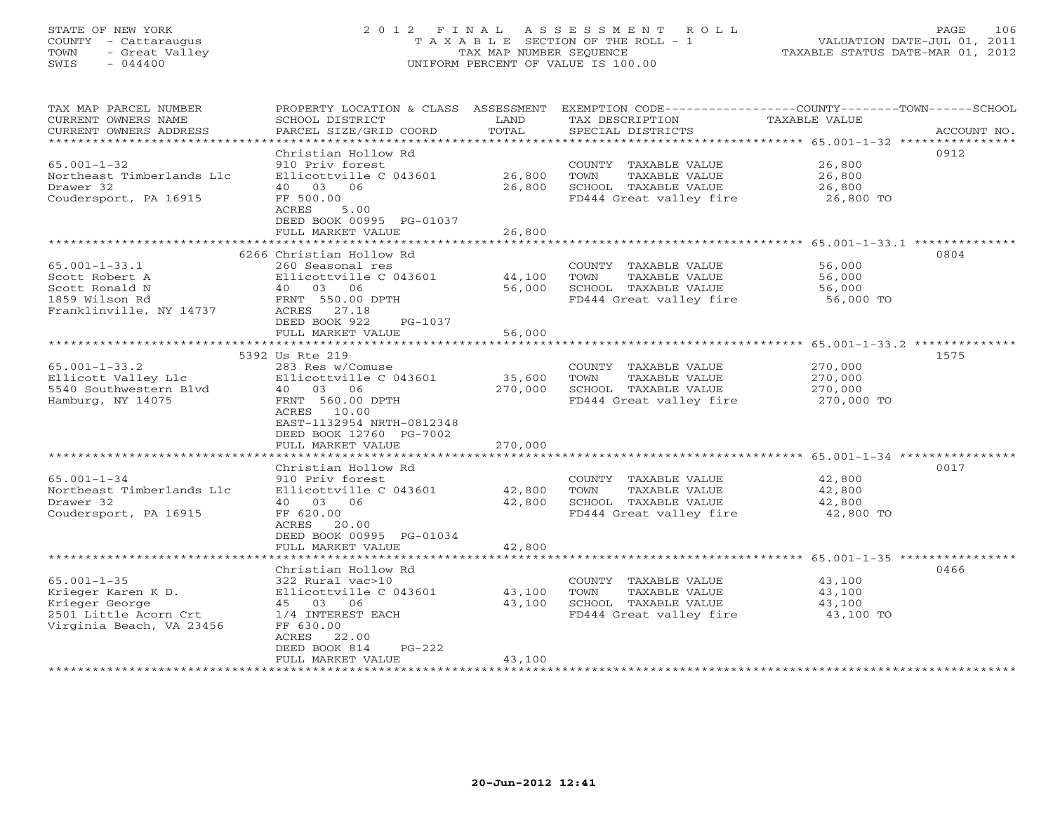# STATE OF NEW YORK 2 0 1 2 F I N A L A S S E S S M E N T R O L L PAGE 106 COUNTY - Cattaraugus T A X A B L E SECTION OF THE ROLL - 1 VALUATION DATE-JUL 01, 2011 TOWN - Great Valley TAX MAP NUMBER SEQUENCE TAXABLE STATUS DATE-MAR 01, 2012 SWIS - 044400 UNIFORM PERCENT OF VALUE IS 100.00

| TAX MAP PARCEL NUMBER<br>CURRENT OWNERS NAME<br>CURRENT OWNERS ADDRESS | PROPERTY LOCATION & CLASS ASSESSMENT<br>SCHOOL DISTRICT<br>PARCEL SIZE/GRID COORD | LAND<br>TOTAL | TAX DESCRIPTION<br>SPECIAL DISTRICTS          | EXEMPTION CODE-----------------COUNTY-------TOWN------SCHOOL<br>TAXABLE VALUE | ACCOUNT NO. |
|------------------------------------------------------------------------|-----------------------------------------------------------------------------------|---------------|-----------------------------------------------|-------------------------------------------------------------------------------|-------------|
| ************************                                               |                                                                                   |               |                                               |                                                                               |             |
|                                                                        | Christian Hollow Rd                                                               |               |                                               | 0912                                                                          |             |
| $65.001 - 1 - 32$                                                      | 910 Priv forest                                                                   |               | COUNTY TAXABLE VALUE                          | 26,800                                                                        |             |
| Northeast Timberlands Llc                                              | Ellicottville C 043601                                                            | 26,800        | TOWN<br>TAXABLE VALUE                         | 26,800                                                                        |             |
| Drawer 32                                                              | 03<br>06<br>40                                                                    | 26,800        | SCHOOL TAXABLE VALUE                          | 26,800                                                                        |             |
| Coudersport, PA 16915                                                  | FF 500.00                                                                         |               | FD444 Great valley fire                       | 26,800 TO                                                                     |             |
|                                                                        | 5.00<br>ACRES                                                                     |               |                                               |                                                                               |             |
|                                                                        | DEED BOOK 00995 PG-01037                                                          |               |                                               |                                                                               |             |
|                                                                        | FULL MARKET VALUE                                                                 | 26,800        |                                               |                                                                               |             |
|                                                                        | *******************************                                                   |               |                                               |                                                                               |             |
|                                                                        | 6266 Christian Hollow Rd                                                          |               |                                               | 0804                                                                          |             |
| $65.001 - 1 - 33.1$                                                    | 260 Seasonal res                                                                  |               | COUNTY TAXABLE VALUE                          | 56,000                                                                        |             |
| Scott Robert A                                                         | Ellicottville C 043601                                                            | 44,100        | TOWN<br>TAXABLE VALUE                         | 56,000                                                                        |             |
| Scott Ronald N                                                         | 40 03 06                                                                          | 56,000        | SCHOOL TAXABLE VALUE                          | 56,000                                                                        |             |
| 1859 Wilson Rd                                                         | FRNT 550.00 DPTH                                                                  |               | FD444 Great valley fire                       | 56,000 TO                                                                     |             |
| Franklinville, NY 14737                                                | ACRES 27.18                                                                       |               |                                               |                                                                               |             |
|                                                                        | DEED BOOK 922<br>PG-1037                                                          |               |                                               |                                                                               |             |
|                                                                        | FULL MARKET VALUE                                                                 | 56,000        |                                               |                                                                               |             |
|                                                                        | ****************************                                                      |               |                                               |                                                                               |             |
|                                                                        | 5392 Us Rte 219                                                                   |               |                                               | 1575                                                                          |             |
| $65.001 - 1 - 33.2$                                                    | 283 Res w/Comuse                                                                  |               | COUNTY TAXABLE VALUE                          | 270,000                                                                       |             |
| Ellicott Valley Llc                                                    | Ellicottville C 043601                                                            | 35,600        | TOWN<br>TAXABLE VALUE                         | 270,000                                                                       |             |
| 5540 Southwestern Blvd                                                 | 40 03 06                                                                          | 270,000       | SCHOOL TAXABLE VALUE                          | 270,000                                                                       |             |
| Hamburg, NY 14075                                                      | FRNT 560.00 DPTH                                                                  |               | FD444 Great valley fire                       | 270,000 TO                                                                    |             |
|                                                                        | ACRES 10.00                                                                       |               |                                               |                                                                               |             |
|                                                                        | EAST-1132954 NRTH-0812348                                                         |               |                                               |                                                                               |             |
|                                                                        | DEED BOOK 12760 PG-7002                                                           |               |                                               |                                                                               |             |
|                                                                        | FULL MARKET VALUE                                                                 | 270,000       |                                               |                                                                               |             |
|                                                                        | Christian Hollow Rd                                                               |               |                                               | 0017                                                                          |             |
| $65.001 - 1 - 34$                                                      | 910 Priv forest                                                                   |               |                                               |                                                                               |             |
| Northeast Timberlands Llc                                              | Ellicottville C 043601                                                            | 42,800        | COUNTY TAXABLE VALUE<br>TOWN<br>TAXABLE VALUE | 42,800<br>42,800                                                              |             |
| Drawer 32                                                              | 03<br>06<br>40                                                                    | 42,800        | SCHOOL TAXABLE VALUE                          | 42,800                                                                        |             |
| Coudersport, PA 16915                                                  | FF 620.00                                                                         |               | FD444 Great valley fire                       | 42,800 TO                                                                     |             |
|                                                                        | ACRES<br>20.00                                                                    |               |                                               |                                                                               |             |
|                                                                        | DEED BOOK 00995 PG-01034                                                          |               |                                               |                                                                               |             |
|                                                                        | FULL MARKET VALUE                                                                 | 42,800        |                                               |                                                                               |             |
|                                                                        |                                                                                   |               |                                               |                                                                               |             |
|                                                                        | Christian Hollow Rd                                                               |               |                                               | 0466                                                                          |             |
| $65.001 - 1 - 35$                                                      | 322 Rural vac>10                                                                  |               | COUNTY TAXABLE VALUE                          | 43,100                                                                        |             |
| Krieger Karen K D.                                                     | Ellicottville C 043601                                                            | 43,100        | TOWN<br>TAXABLE VALUE                         | 43,100                                                                        |             |
| Krieger George                                                         | 06<br>45 03                                                                       | 43,100        | SCHOOL TAXABLE VALUE                          | 43,100                                                                        |             |
| 2501 Little Acorn Crt                                                  | 1/4 INTEREST EACH                                                                 |               | FD444 Great valley fire                       | 43,100 TO                                                                     |             |
| Virginia Beach, VA 23456                                               | FF 630.00                                                                         |               |                                               |                                                                               |             |
|                                                                        | ACRES<br>22.00                                                                    |               |                                               |                                                                               |             |
|                                                                        | DEED BOOK 814<br>$PG-222$                                                         |               |                                               |                                                                               |             |
|                                                                        | FULL MARKET VALUE                                                                 | 43,100        |                                               |                                                                               |             |
|                                                                        |                                                                                   |               |                                               |                                                                               |             |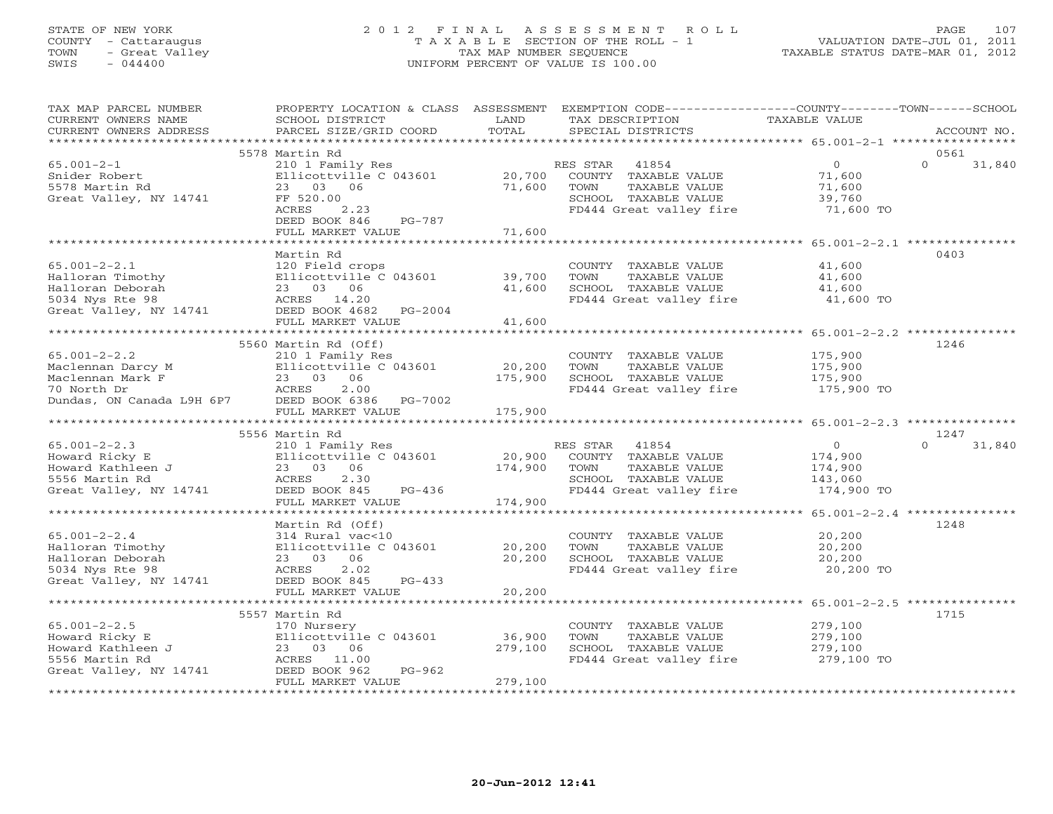## STATE OF NEW YORK 2 0 1 2 F I N A L A S S E S S M E N T R O L L PAGE 107 COUNTY - Cattaraugus T A X A B L E SECTION OF THE ROLL - 1 VALUATION DATE-JUL 01, 2011 TOWN - Great Valley TAX MAP NUMBER SEQUENCE TAXABLE STATUS DATE-MAR 01, 2012 SWIS - 044400 UNIFORM PERCENT OF VALUE IS 100.00UNIFORM PERCENT OF VALUE IS 100.00

| TAX MAP PARCEL NUMBER                                                                               | PROPERTY LOCATION & CLASS ASSESSMENT EXEMPTION CODE---------------COUNTY-------TOWN------SCHOOL | LAND         |                                      | TAXABLE VALUE                                        |          |             |
|-----------------------------------------------------------------------------------------------------|-------------------------------------------------------------------------------------------------|--------------|--------------------------------------|------------------------------------------------------|----------|-------------|
| CURRENT OWNERS NAME<br>CURRENT OWNERS ADDRESS                                                       | SCHOOL DISTRICT<br>PARCEL SIZE/GRID COORD                                                       | TOTAL        | TAX DESCRIPTION<br>SPECIAL DISTRICTS |                                                      |          | ACCOUNT NO. |
|                                                                                                     |                                                                                                 |              |                                      |                                                      |          |             |
|                                                                                                     | 5578 Martin Rd                                                                                  |              |                                      |                                                      | 0561     |             |
| $65.001 - 2 - 1$                                                                                    | 210 1 Family Res                                                                                |              | RES STAR<br>41854                    | $\circ$                                              | $\Omega$ | 31,840      |
| Snider Robert                                                                                       | Ellicottville C 043601                                                                          | 20,700       | COUNTY TAXABLE VALUE                 | 71,600                                               |          |             |
| 5578 Martin Rd                                                                                      | 23 03 06                                                                                        | 71,600       | TOWN<br>TAXABLE VALUE                | 71,600                                               |          |             |
| Great Valley, NY 14741                                                                              | FF 520.00                                                                                       |              | SCHOOL TAXABLE VALUE                 | 39,760                                               |          |             |
|                                                                                                     | 2.23<br>ACRES                                                                                   |              | FD444 Great valley fire              | 71,600 TO                                            |          |             |
|                                                                                                     | DEED BOOK 846<br>PG-787                                                                         |              |                                      |                                                      |          |             |
|                                                                                                     | FULL MARKET VALUE                                                                               | 71,600       |                                      |                                                      |          |             |
|                                                                                                     |                                                                                                 |              |                                      |                                                      |          |             |
|                                                                                                     | Martin Rd                                                                                       |              |                                      |                                                      | 0403     |             |
| $65.001 - 2 - 2.1$                                                                                  | 120 Field crops                                                                                 |              | COUNTY TAXABLE VALUE                 | 41,600                                               |          |             |
|                                                                                                     | Ellicottville C 043601                                                                          | 39,700       | TOWN<br>TAXABLE VALUE                | 41,600                                               |          |             |
|                                                                                                     |                                                                                                 | 41,600       | SCHOOL TAXABLE VALUE                 | 41,600                                               |          |             |
| mailoran Timothy<br>Halloran Deborah<br>5034 Nys Rte 98<br>Great Valley, NY 14741<br>DEED BOOK 4682 |                                                                                                 |              | FD444 Great valley fire              | 41,600 TO                                            |          |             |
|                                                                                                     | DEED BOOK 4682 PG-2004                                                                          |              |                                      |                                                      |          |             |
|                                                                                                     | FULL MARKET VALUE                                                                               | 41,600       |                                      |                                                      |          |             |
|                                                                                                     | ************************                                                                        |              |                                      | ********************* 65.001-2-2.2 ***************   |          |             |
|                                                                                                     | 5560 Martin Rd (Off)                                                                            |              |                                      |                                                      | 1246     |             |
| $65.001 - 2 - 2.2$                                                                                  | 210 1 Family Res                                                                                |              | COUNTY TAXABLE VALUE                 | 175,900                                              |          |             |
| Maclennan Darcy M                                                                                   | Ellicottville C 043601                                                                          | 20,200       | TAXABLE VALUE<br>TOWN                | 175,900                                              |          |             |
| Maclennan Mark F                                                                                    | 23 03 06                                                                                        | 175,900      | SCHOOL TAXABLE VALUE                 | 175,900                                              |          |             |
| 70 North Dr                                                                                         | 2.00<br>ACRES                                                                                   |              | FD444 Great valley fire 175,900 TO   |                                                      |          |             |
| Dundas, ON Canada L9H 6P7                                                                           | DEED BOOK 6386 PG-7002                                                                          |              |                                      |                                                      |          |             |
|                                                                                                     | FULL MARKET VALUE                                                                               | 175,900      |                                      |                                                      |          |             |
|                                                                                                     |                                                                                                 |              |                                      |                                                      |          |             |
|                                                                                                     | 5556 Martin Rd                                                                                  |              |                                      |                                                      | 1247     |             |
| $65.001 - 2 - 2.3$                                                                                  | 210 1 Family Res                                                                                |              | RES STAR<br>41854                    | $\overline{0}$                                       | $\cap$   | 31,840      |
| Howard Ricky E                                                                                      | Ellicottv<br>23 03 06<br>ACRES 2.3<br>Ellicottville C 043601                                    | 20,900       | COUNTY TAXABLE VALUE                 | 174,900                                              |          |             |
| Howard Kathleen J                                                                                   |                                                                                                 | 174,900      | TOWN<br>TAXABLE VALUE                | 174,900                                              |          |             |
| 5556 Martin Rd<br>pppb Martin Rd<br>Great Valley, NY 14741                                          | 2.30                                                                                            |              | SCHOOL TAXABLE VALUE                 | 143,060                                              |          |             |
|                                                                                                     | DEED BOOK 845<br>$PG-436$                                                                       |              | FD444 Great valley fire              | 174,900 TO                                           |          |             |
|                                                                                                     | FULL MARKET VALUE                                                                               | 174,900      |                                      |                                                      |          |             |
|                                                                                                     |                                                                                                 |              |                                      |                                                      |          |             |
|                                                                                                     | Martin Rd (Off)                                                                                 |              |                                      |                                                      | 1248     |             |
| $65.001 - 2 - 2.4$                                                                                  | 314 Rural vac<10                                                                                |              | COUNTY TAXABLE VALUE                 | 20,200                                               |          |             |
| Halloran Timothy                                                                                    | Ellicottville C 043601                                                                          | 20,200       | TOWN<br>TAXABLE VALUE                | 20,200                                               |          |             |
| Halloran Deborah                                                                                    | 23 03 06                                                                                        | 20,200       | SCHOOL TAXABLE VALUE                 | 20,200                                               |          |             |
| 5034 Nys Rte 98                                                                                     | ACRES<br>2.02                                                                                   |              | FD444 Great valley fire              | 20,200 TO                                            |          |             |
| Great Valley, NY 14741                                                                              | DEED BOOK 845<br>$PG-433$<br>FULL MARKET VALUE                                                  | 20,200       |                                      |                                                      |          |             |
|                                                                                                     |                                                                                                 | ************ |                                      | ********************** 65.001-2-2.5 **************** |          |             |
|                                                                                                     | 5557 Martin Rd                                                                                  |              |                                      |                                                      | 1715     |             |
| $65.001 - 2 - 2.5$                                                                                  | 170 Nursery                                                                                     |              | COUNTY TAXABLE VALUE                 | 279,100                                              |          |             |
| Howard Ricky E                                                                                      | Ellicottville C 043601                                                                          | 36,900       | TOWN<br>TAXABLE VALUE                | 279,100                                              |          |             |
| Howard Kathleen J                                                                                   | 23 03 06                                                                                        | 279,100      | SCHOOL TAXABLE VALUE                 | 279,100                                              |          |             |
| 5556 Martin Rd                                                                                      | ACRES 11.00                                                                                     |              | FD444 Great valley fire              | 279,100 TO                                           |          |             |
| Great Valley, NY 14741                                                                              | $PG-962$<br>DEED BOOK 962                                                                       |              |                                      |                                                      |          |             |
|                                                                                                     | FULL MARKET VALUE                                                                               | 279,100      |                                      |                                                      |          |             |
|                                                                                                     |                                                                                                 |              |                                      |                                                      |          |             |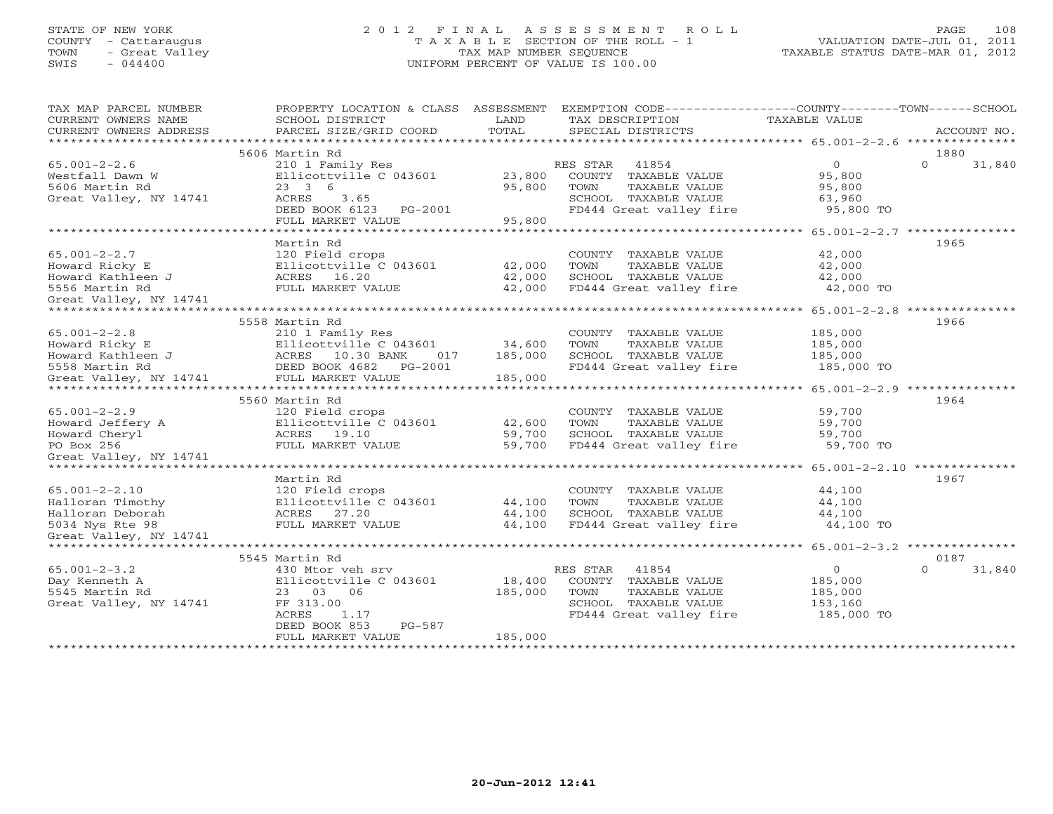# STATE OF NEW YORK 2 0 1 2 F I N A L A S S E S S M E N T R O L L PAGE 108 COUNTY - Cattaraugus T A X A B L E SECTION OF THE ROLL - 1 VALUATION DATE-JUL 01, 2011 TOWN - Great Valley TAX MAP NUMBER SEQUENCE TAXABLE STATUS DATE-MAR 01, 2012 SWIS - 044400 UNIFORM PERCENT OF VALUE IS 100.00

| TAX MAP PARCEL NUMBER<br>CURRENT OWNERS NAME<br>CURRENT OWNERS ADDRESS | PROPERTY LOCATION & CLASS ASSESSMENT<br>SCHOOL DISTRICT<br>PARCEL SIZE/GRID COORD | LAND<br>TOTAL |          | TAX DESCRIPTION<br>SPECIAL DISTRICTS | EXEMPTION CODE----------------COUNTY-------TOWN------SCHOOL<br><b>TAXABLE VALUE</b> | ACCOUNT NO.        |
|------------------------------------------------------------------------|-----------------------------------------------------------------------------------|---------------|----------|--------------------------------------|-------------------------------------------------------------------------------------|--------------------|
| *************************                                              |                                                                                   |               |          |                                      |                                                                                     |                    |
|                                                                        | 5606 Martin Rd                                                                    |               |          |                                      |                                                                                     | 1880               |
| $65.001 - 2 - 2.6$                                                     | 210 1 Family Res                                                                  |               | RES STAR | 41854                                | $\circ$                                                                             | $\Omega$<br>31,840 |
| Westfall Dawn W                                                        | Ellicottville C 043601                                                            | 23,800        |          | COUNTY TAXABLE VALUE                 | 95,800                                                                              |                    |
| 5606 Martin Rd                                                         | 23 3 6                                                                            | 95,800        | TOWN     | TAXABLE VALUE                        | 95,800                                                                              |                    |
| Great Valley, NY 14741                                                 | 3.65<br>ACRES                                                                     |               |          | SCHOOL TAXABLE VALUE                 | 63,960                                                                              |                    |
|                                                                        | DEED BOOK 6123<br>PG-2001                                                         |               |          | FD444 Great valley fire              | 95,800 TO                                                                           |                    |
|                                                                        | FULL MARKET VALUE                                                                 | 95,800        |          |                                      |                                                                                     |                    |
|                                                                        | Martin Rd                                                                         |               |          |                                      |                                                                                     | 1965               |
| $65.001 - 2 - 2.7$                                                     | 120 Field crops                                                                   |               |          | COUNTY TAXABLE VALUE                 | 42,000                                                                              |                    |
| Howard Ricky E                                                         | Ellicottville C 043601                                                            | 42,000        | TOWN     | TAXABLE VALUE                        | 42,000                                                                              |                    |
| Howard Kathleen J                                                      | ACRES 16.20                                                                       | 42,000        |          | SCHOOL TAXABLE VALUE                 | 42,000                                                                              |                    |
| 5556 Martin Rd                                                         | FULL MARKET VALUE                                                                 | 42,000        |          | FD444 Great valley fire              | 42,000 TO                                                                           |                    |
| Great Valley, NY 14741                                                 |                                                                                   |               |          |                                      |                                                                                     |                    |
|                                                                        |                                                                                   |               |          |                                      |                                                                                     |                    |
|                                                                        | 5558 Martin Rd                                                                    |               |          |                                      |                                                                                     | 1966               |
| $65.001 - 2 - 2.8$                                                     | 210 1 Family Res                                                                  |               |          | COUNTY TAXABLE VALUE                 | 185,000                                                                             |                    |
| Howard Ricky E                                                         | Ellicottville C 043601                                                            | 34,600        | TOWN     | TAXABLE VALUE                        | 185,000                                                                             |                    |
| Howard Kathleen J                                                      | ACRES 10.30 BANK<br>017                                                           | 185,000       |          | SCHOOL TAXABLE VALUE                 | 185,000                                                                             |                    |
| 5558 Martin Rd                                                         | DEED BOOK 4682<br>PG-2001                                                         |               |          | FD444 Great valley fire              | 185,000 TO                                                                          |                    |
| Great Valley, NY 14741                                                 | FULL MARKET VALUE                                                                 | 185,000       |          |                                      |                                                                                     |                    |
|                                                                        |                                                                                   |               |          |                                      | ********************* 65.001-2-2.9 ***************                                  |                    |
|                                                                        | 5560 Martin Rd                                                                    |               |          |                                      |                                                                                     | 1964               |
| $65.001 - 2 - 2.9$                                                     | 120 Field crops                                                                   |               |          | COUNTY TAXABLE VALUE                 | 59,700                                                                              |                    |
| Howard Jeffery A                                                       | Ellicottville C 043601                                                            | 42,600        | TOWN     | TAXABLE VALUE                        | 59,700                                                                              |                    |
| Howard Cheryl                                                          | ACRES 19.10                                                                       | 59,700        |          | SCHOOL TAXABLE VALUE                 | 59,700                                                                              |                    |
| PO Box 256                                                             | FULL MARKET VALUE                                                                 | 59,700        |          | FD444 Great valley fire              | 59,700 TO                                                                           |                    |
| Great Valley, NY 14741                                                 |                                                                                   |               |          |                                      |                                                                                     |                    |
|                                                                        |                                                                                   |               |          |                                      |                                                                                     | 1967               |
| $65.001 - 2 - 2.10$                                                    | Martin Rd<br>120 Field crops                                                      |               |          | COUNTY TAXABLE VALUE                 | 44,100                                                                              |                    |
| Halloran Timothy                                                       | Ellicottville C 043601                                                            | 44,100        | TOWN     | TAXABLE VALUE                        | 44,100                                                                              |                    |
| Halloran Deborah                                                       | ACRES 27.20                                                                       | 44,100        |          | SCHOOL TAXABLE VALUE                 | 44,100                                                                              |                    |
| 5034 Nys Rte 98                                                        | FULL MARKET VALUE                                                                 | 44,100        |          | FD444 Great valley fire              | 44,100 TO                                                                           |                    |
| Great Valley, NY 14741                                                 |                                                                                   |               |          |                                      |                                                                                     |                    |
|                                                                        |                                                                                   |               |          |                                      | *********** 65.001-2-3.2 ***************                                            |                    |
|                                                                        | 5545 Martin Rd                                                                    |               |          |                                      |                                                                                     | 0187               |
| $65.001 - 2 - 3.2$                                                     | 430 Mtor veh srv                                                                  |               | RES STAR | 41854                                | $\circ$                                                                             | $\Omega$<br>31,840 |
| Day Kenneth A                                                          | Ellicottville C 043601                                                            | 18,400        |          | COUNTY TAXABLE VALUE                 | 185,000                                                                             |                    |
| 5545 Martin Rd                                                         | 23 03 06                                                                          | 185,000       | TOWN     | TAXABLE VALUE                        | 185,000                                                                             |                    |
| Great Valley, NY 14741                                                 | FF 313.00                                                                         |               |          | SCHOOL TAXABLE VALUE                 | 153,160                                                                             |                    |
|                                                                        | ACRES<br>1.17                                                                     |               |          | FD444 Great valley fire              | 185,000 TO                                                                          |                    |
|                                                                        | DEED BOOK 853<br>$PG-587$                                                         |               |          |                                      |                                                                                     |                    |
|                                                                        | FULL MARKET VALUE                                                                 | 185,000       |          |                                      |                                                                                     |                    |
|                                                                        |                                                                                   |               |          |                                      |                                                                                     |                    |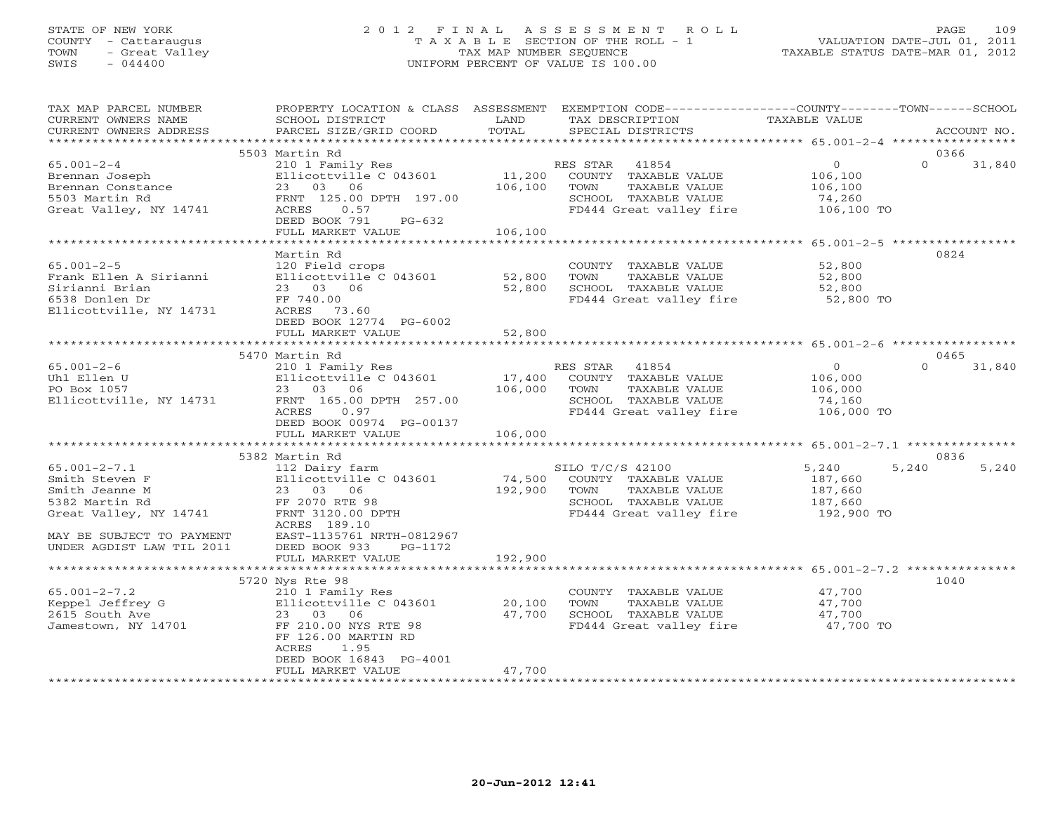# STATE OF NEW YORK 2 0 1 2 F I N A L A S S E S S M E N T R O L L PAGE 109 COUNTY - Cattaraugus T A X A B L E SECTION OF THE ROLL - 1 VALUATION DATE-JUL 01, 2011 TOWN - Great Valley TAX MAP NUMBER SEQUENCE TAXABLE STATUS DATE-MAR 01, 2012 SWIS - 044400 UNIFORM PERCENT OF VALUE IS 100.00

| TAX MAP PARCEL NUMBER<br>CURRENT OWNERS NAME<br>CURRENT OWNERS ADDRESS                                                                                       | PROPERTY LOCATION & CLASS ASSESSMENT<br>SCHOOL DISTRICT<br>PARCEL SIZE/GRID COORD                                                                                                      | LAND<br>TOTAL                | TAX DESCRIPTION<br>SPECIAL DISTRICTS                                                                                  | EXEMPTION CODE----------------COUNTY-------TOWN-----SCHOOL<br>TAXABLE VALUE | ACCOUNT NO.    |
|--------------------------------------------------------------------------------------------------------------------------------------------------------------|----------------------------------------------------------------------------------------------------------------------------------------------------------------------------------------|------------------------------|-----------------------------------------------------------------------------------------------------------------------|-----------------------------------------------------------------------------|----------------|
| **********************                                                                                                                                       |                                                                                                                                                                                        |                              |                                                                                                                       |                                                                             |                |
| $65.001 - 2 - 4$<br>Brennan Joseph<br>Brennan Constance<br>5503 Martin Rd<br>Great Valley, NY 14741                                                          | 5503 Martin Rd<br>210 1 Family Res<br>Ellicottville C 043601<br>23 03 06<br>FRNT 125.00 DPTH 197.00<br>ACRES<br>0.57<br>DEED BOOK 791<br>$PG-632$<br>FULL MARKET VALUE                 | 11,200<br>106,100<br>106,100 | RES STAR<br>41854<br>COUNTY TAXABLE VALUE<br>TOWN<br>TAXABLE VALUE<br>SCHOOL TAXABLE VALUE<br>FD444 Great valley fire | $\circ$<br>$\Omega$<br>106,100<br>106,100<br>74,260<br>106,100 TO           | 0366<br>31,840 |
|                                                                                                                                                              |                                                                                                                                                                                        |                              |                                                                                                                       |                                                                             |                |
| $65.001 - 2 - 5$<br>Frank Ellen A Sirianni<br>Sirianni Brian<br>6538 Donlen Dr<br>Ellicottville, NY 14731                                                    | Martin Rd<br>120 Field crops<br>Ellicottville C 043601<br>23 03 06<br>FF 740.00<br>ACRES 73.60<br>DEED BOOK 12774 PG-6002                                                              | 52,800<br>52,800             | COUNTY TAXABLE VALUE<br>TOWN<br>TAXABLE VALUE<br>SCHOOL TAXABLE VALUE<br>FD444 Great valley fire                      | 52,800<br>52,800<br>52,800<br>52,800 TO                                     | 0824           |
|                                                                                                                                                              | FULL MARKET VALUE<br>***************************                                                                                                                                       | 52,800<br>**************     |                                                                                                                       |                                                                             |                |
|                                                                                                                                                              | 5470 Martin Rd                                                                                                                                                                         |                              |                                                                                                                       |                                                                             | 0465           |
| $65.001 - 2 - 6$<br>Uhl Ellen U<br>PO Box 1057<br>Ellicottville, NY 14731                                                                                    | 210 1 Family Res<br>Ellicottville C 043601<br>23 03 06<br>FRNT 165.00 DPTH 257.00<br>ACRES<br>0.97<br>DEED BOOK 00974 PG-00137<br>FULL MARKET VALUE                                    | 17,400<br>106,000<br>106,000 | RES STAR<br>41854<br>COUNTY TAXABLE VALUE<br>TOWN<br>TAXABLE VALUE<br>SCHOOL TAXABLE VALUE<br>FD444 Great valley fire | $\overline{O}$<br>$\Omega$<br>106,000<br>106,000<br>74,160<br>106,000 TO    | 31,840         |
|                                                                                                                                                              |                                                                                                                                                                                        |                              |                                                                                                                       |                                                                             |                |
| $65.001 - 2 - 7.1$<br>Smith Steven F<br>Smith Jeanne M<br>5382 Martin Rd<br>Great Valley, NY 14741<br>MAY BE SUBJECT TO PAYMENT<br>UNDER AGDIST LAW TIL 2011 | 5382 Martin Rd<br>112 Dairy farm<br>Ellicottville C 043601<br>23 03 06<br>FF 2070 RTE 98<br>FRNT 3120.00 DPTH<br>ACRES 189.10<br>EAST-1135761 NRTH-0812967<br>DEED BOOK 933<br>PG-1172 | 74,500<br>192,900            | SILO T/C/S 42100<br>COUNTY TAXABLE VALUE<br>TOWN<br>TAXABLE VALUE<br>SCHOOL TAXABLE VALUE<br>FD444 Great valley fire  | 5,240<br>5,240<br>187,660<br>187,660<br>187,660<br>192,900 TO               | 0836<br>5,240  |
|                                                                                                                                                              | FULL MARKET VALUE                                                                                                                                                                      | 192,900                      |                                                                                                                       |                                                                             |                |
|                                                                                                                                                              | 5720 Nys Rte 98                                                                                                                                                                        |                              |                                                                                                                       |                                                                             | 1040           |
| $65.001 - 2 - 7.2$<br>Keppel Jeffrey G<br>2615 South Ave<br>Jamestown, NY 14701                                                                              | 210 1 Family Res<br>Ellicottville C 043601<br>23 03 06<br>FF 210.00 NYS RTE 98<br>FF 126.00 MARTIN RD<br>ACRES<br>1.95<br>DEED BOOK 16843 PG-4001<br>FULL MARKET VALUE                 | 20,100<br>47,700<br>47,700   | COUNTY TAXABLE VALUE<br>TAXABLE VALUE<br>TOWN<br>SCHOOL TAXABLE VALUE<br>FD444 Great valley fire                      | 47,700<br>47,700<br>47,700<br>47,700 TO                                     |                |
|                                                                                                                                                              |                                                                                                                                                                                        |                              |                                                                                                                       |                                                                             |                |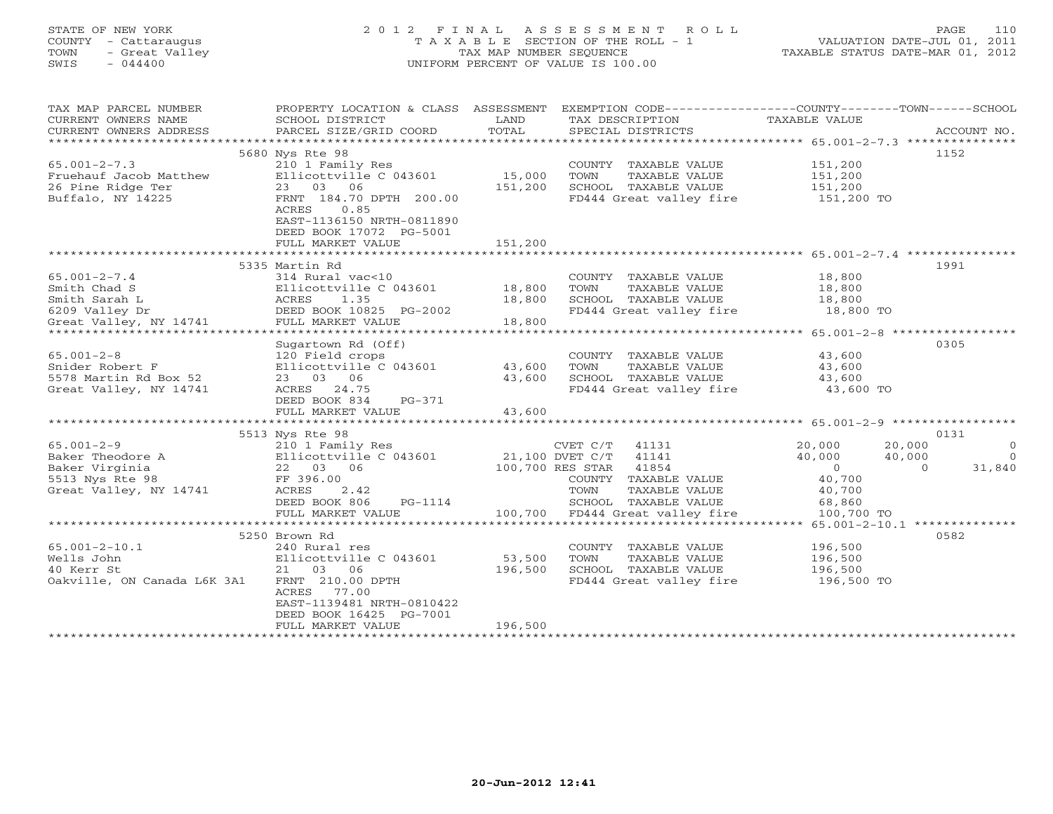# STATE OF NEW YORK 2 0 1 2 F I N A L A S S E S S M E N T R O L L PAGE 110 COUNTY - Cattaraugus T A X A B L E SECTION OF THE ROLL - 1 VALUATION DATE-JUL 01, 2011 TOWN - Great Valley TAX MAP NUMBER SEQUENCE TAXABLE STATUS DATE-MAR 01, 2012 SWIS - 044400 UNIFORM PERCENT OF VALUE IS 100.00

| TAX MAP PARCEL NUMBER                       |                                                                                     |         | PROPERTY LOCATION & CLASS ASSESSMENT EXEMPTION CODE---------------COUNTY-------TOWN------SCHOOL |                        |                          |
|---------------------------------------------|-------------------------------------------------------------------------------------|---------|-------------------------------------------------------------------------------------------------|------------------------|--------------------------|
| CURRENT OWNERS NAME                         | SCHOOL DISTRICT                                                                     | LAND    | TAX DESCRIPTION                                                                                 | TAXABLE VALUE          |                          |
| CURRENT OWNERS ADDRESS                      | PARCEL SIZE/GRID COORD                                                              | TOTAL   | SPECIAL DISTRICTS                                                                               |                        | ACCOUNT NO.              |
|                                             |                                                                                     |         |                                                                                                 |                        |                          |
|                                             | 5680 Nys Rte 98                                                                     |         |                                                                                                 |                        | 1152                     |
| $65.001 - 2 - 7.3$                          | 210 1 Family Res                                                                    |         | COUNTY TAXABLE VALUE                                                                            | 151,200                |                          |
| Fruehauf Jacob Matthew                      | Ellicottville C 043601                                                              | 15,000  | TOWN<br>TAXABLE VALUE                                                                           | 151,200                |                          |
| 26 Pine Ridge Ter                           | 23 03 06                                                                            | 151,200 | SCHOOL TAXABLE VALUE                                                                            | 151,200                |                          |
| Buffalo, NY 14225                           | FRNT 184.70 DPTH 200.00                                                             |         | FD444 Great valley fire 151,200 TO                                                              |                        |                          |
|                                             | ACRES<br>0.85                                                                       |         |                                                                                                 |                        |                          |
|                                             | EAST-1136150 NRTH-0811890                                                           |         |                                                                                                 |                        |                          |
|                                             | DEED BOOK 17072 PG-5001                                                             |         |                                                                                                 |                        |                          |
|                                             | FULL MARKET VALUE                                                                   | 151,200 |                                                                                                 |                        |                          |
|                                             |                                                                                     |         |                                                                                                 |                        |                          |
|                                             | 5335 Martin Rd                                                                      |         |                                                                                                 |                        | 1991                     |
| $65.001 - 2 - 7.4$                          | 314 Rural vac<10                                                                    |         | COUNTY TAXABLE VALUE                                                                            | 18,800                 |                          |
| Smith Chad S                                | Ellicottville C 043601 18,800                                                       |         | TOWN<br>TAXABLE VALUE                                                                           | 18,800                 |                          |
| Smith Sarah L                               | 314 Kurai vac<10<br>Ellicottville C 043601<br>ACRES 1.35<br>DEED BOOK 10825 PG-2002 | 18,800  | SCHOOL TAXABLE VALUE 18,800<br>FD444 Great valley fire 18,800 TO                                |                        |                          |
| 6209 Valley Dr                              |                                                                                     |         | FD444 Great valley fire                                                                         |                        |                          |
| Great Valley, NY 14741                      | FULL MARKET VALUE                                                                   | 18,800  |                                                                                                 |                        |                          |
|                                             |                                                                                     |         |                                                                                                 |                        |                          |
|                                             | Sugartown Rd (Off)                                                                  |         |                                                                                                 |                        | 0305                     |
| $65.001 - 2 - 8$                            | 120 Field crops                                                                     |         | COUNTY TAXABLE VALUE                                                                            | 43,600                 |                          |
| Snider Robert F                             | Ellicottville C 043601 43,600                                                       |         | TOWN<br>TAXABLE VALUE                                                                           | 43,600                 |                          |
| 5578 Martin Rd Box 52                       | 23 03 06                                                                            | 43,600  | SCHOOL TAXABLE VALUE                                                                            | 43,600                 |                          |
| Great Valley, NY 14741                      | ACRES 24.75                                                                         |         | FD444 Great valley fire                                                                         | 43,600 TO              |                          |
|                                             | DEED BOOK 834<br>PG-371                                                             |         |                                                                                                 |                        |                          |
|                                             | FULL MARKET VALUE                                                                   | 43,600  |                                                                                                 |                        |                          |
|                                             |                                                                                     |         |                                                                                                 |                        |                          |
|                                             | 5513 Nys Rte 98                                                                     |         |                                                                                                 |                        | 0131                     |
| $65.001 - 2 - 9$                            | 210 1 Family Res                                                                    |         | $CVET C/T$ 41131                                                                                | 20,000                 | 20,000<br>$\Omega$       |
| Baker Theodore A                            | 210 1 Family Res<br>Ellicottville C 043601<br>22   03   06                          |         | $21,100$ DVET C/T $41141$                                                                       | 40,000                 | 40,000<br>$\Omega$       |
| Baker Virginia                              |                                                                                     |         | 100,700 RES STAR 41854                                                                          | $\overline{0}$         | 31,840<br>$\overline{0}$ |
| FF 396.00<br>14741 ACRES<br>5513 Nys Rte 98 |                                                                                     |         | COUNTY TAXABLE VALUE                                                                            | 40,700                 |                          |
| Great Valley, NY 14741                      | 2.42<br>ACRES                                                                       |         | TOWN<br>TAXABLE VALUE                                                                           | 40,700                 |                          |
|                                             | DEED BOOK 806                                                                       |         | PG-1114 SCHOOL TAXABLE VALUE<br>TJIE 100,700 FD444 Great valley fire                            | 68,860<br>e 100,700 TO |                          |
|                                             | FULL MARKET VALUE                                                                   |         |                                                                                                 |                        |                          |
|                                             |                                                                                     |         |                                                                                                 |                        |                          |
|                                             | 5250 Brown Rd                                                                       |         |                                                                                                 |                        | 0582                     |
| $65.001 - 2 - 10.1$                         | 240 Rural res                                                                       |         | COUNTY TAXABLE VALUE                                                                            | 196,500                |                          |
| Wells John                                  | Ellicottville C 043601                                                              | 53,500  | TOWN<br>TAXABLE VALUE                                                                           | 196,500                |                          |
| 40 Kerr St                                  | 21 03 06                                                                            | 196,500 | SCHOOL TAXABLE VALUE                                                                            | 196,500                |                          |
| Oakville, ON Canada L6K 3A1                 | FRNT 210.00 DPTH                                                                    |         | FD444 Great valley fire                                                                         | 196,500 TO             |                          |
|                                             | ACRES 77.00                                                                         |         |                                                                                                 |                        |                          |
|                                             | EAST-1139481 NRTH-0810422                                                           |         |                                                                                                 |                        |                          |
|                                             | DEED BOOK 16425 PG-7001                                                             |         |                                                                                                 |                        |                          |
|                                             | FULL MARKET VALUE                                                                   | 196,500 |                                                                                                 |                        |                          |
|                                             |                                                                                     |         |                                                                                                 |                        |                          |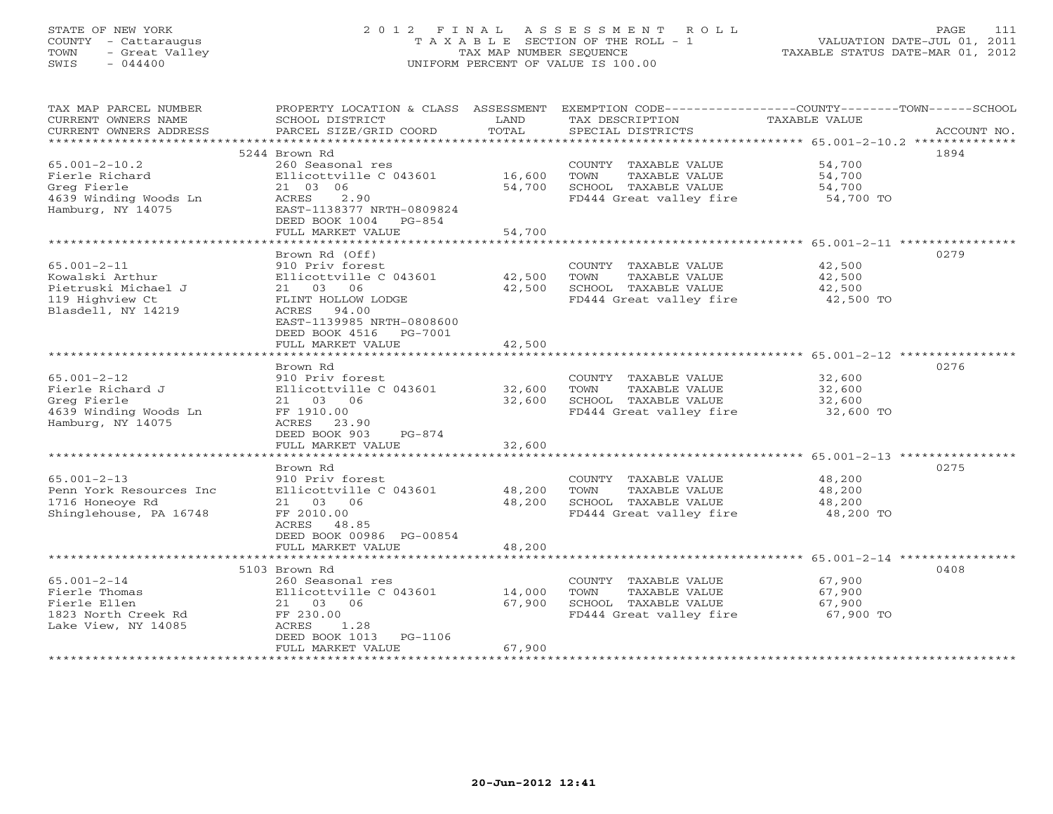# STATE OF NEW YORK 2 0 1 2 F I N A L A S S E S S M E N T R O L L PAGE 111 COUNTY - Cattaraugus T A X A B L E SECTION OF THE ROLL - 1 VALUATION DATE-JUL 01, 2011 TOWN - Great Valley TAX MAP NUMBER SEQUENCE TAXABLE STATUS DATE-MAR 01, 2012 SWIS - 044400 UNIFORM PERCENT OF VALUE IS 100.00

| TAX MAP PARCEL NUMBER                         | PROPERTY LOCATION & CLASS ASSESSMENT          |               | EXEMPTION CODE-----------------COUNTY-------TOWN------SCHOOL |                      |             |
|-----------------------------------------------|-----------------------------------------------|---------------|--------------------------------------------------------------|----------------------|-------------|
| CURRENT OWNERS NAME<br>CURRENT OWNERS ADDRESS | SCHOOL DISTRICT<br>PARCEL SIZE/GRID COORD     | LAND<br>TOTAL | TAX DESCRIPTION<br>SPECIAL DISTRICTS                         | <b>TAXABLE VALUE</b> | ACCOUNT NO. |
|                                               |                                               |               |                                                              |                      |             |
|                                               | 5244 Brown Rd                                 |               |                                                              |                      | 1894        |
| $65.001 - 2 - 10.2$                           | 260 Seasonal res                              |               | COUNTY TAXABLE VALUE                                         | 54,700               |             |
| Fierle Richard                                | Ellicottville C 043601                        | 16,600        | TOWN<br>TAXABLE VALUE                                        | 54,700               |             |
| Greg Fierle                                   | 21 03 06                                      | 54,700        | SCHOOL TAXABLE VALUE                                         | 54,700               |             |
| 4639 Winding Woods Ln<br>Hamburg, NY 14075    | ACRES<br>2.90<br>EAST-1138377 NRTH-0809824    |               | FD444 Great valley fire                                      | 54,700 TO            |             |
|                                               | DEED BOOK 1004 PG-854                         |               |                                                              |                      |             |
|                                               | FULL MARKET VALUE                             | 54,700        |                                                              |                      |             |
|                                               |                                               |               |                                                              |                      |             |
|                                               | Brown Rd (Off)                                |               |                                                              |                      | 0279        |
| $65.001 - 2 - 11$<br>Kowalski Arthur          | 910 Priv forest<br>Ellicottville C 043601     | 42,500        | COUNTY TAXABLE VALUE<br>TOWN<br>TAXABLE VALUE                | 42,500<br>42,500     |             |
| Pietruski Michael J                           | 21 03 06                                      | 42,500        | SCHOOL TAXABLE VALUE                                         | 42,500               |             |
| 119 Highview Ct                               | FLINT HOLLOW LODGE                            |               | FD444 Great valley fire                                      | 42,500 TO            |             |
| Blasdell, NY 14219                            | ACRES 94.00                                   |               |                                                              |                      |             |
|                                               | EAST-1139985 NRTH-0808600                     |               |                                                              |                      |             |
|                                               | DEED BOOK 4516 PG-7001                        |               |                                                              |                      |             |
|                                               | FULL MARKET VALUE                             | 42,500        |                                                              |                      |             |
|                                               |                                               |               |                                                              |                      |             |
|                                               | Brown Rd                                      |               |                                                              |                      | 0276        |
| $65.001 - 2 - 12$<br>Fierle Richard J         | 910 Priv forest<br>Ellicottville C 043601     | 32,600        | COUNTY TAXABLE VALUE<br>TOWN<br>TAXABLE VALUE                | 32,600<br>32,600     |             |
| Greg Fierle                                   | 21 03 06                                      | 32,600        | SCHOOL TAXABLE VALUE                                         | 32,600               |             |
| 4639 Winding Woods Ln                         | FF 1910.00                                    |               | FD444 Great valley fire                                      | 32,600 TO            |             |
| Hamburg, NY 14075                             | ACRES 23.90                                   |               |                                                              |                      |             |
|                                               | DEED BOOK 903<br>$PG-874$                     |               |                                                              |                      |             |
|                                               | FULL MARKET VALUE                             | 32,600        |                                                              |                      |             |
|                                               |                                               |               |                                                              |                      |             |
|                                               | Brown Rd                                      |               |                                                              |                      | 0275        |
| $65.001 - 2 - 13$                             | 910 Priv forest                               |               | COUNTY TAXABLE VALUE                                         | 48,200               |             |
| Penn York Resources Inc                       | Ellicottville C 043601                        | 48,200        | TOWN<br>TAXABLE VALUE                                        | 48,200               |             |
| 1716 Honeoye Rd                               | 21 03 06                                      | 48,200        | SCHOOL TAXABLE VALUE                                         | 48,200               |             |
| Shinglehouse, PA 16748                        | FF 2010.00                                    |               | FD444 Great valley fire                                      | 48,200 TO            |             |
|                                               | ACRES 48.85                                   |               |                                                              |                      |             |
|                                               | DEED BOOK 00986 PG-00854<br>FULL MARKET VALUE | 48,200        |                                                              |                      |             |
|                                               |                                               |               |                                                              |                      |             |
|                                               | 5103 Brown Rd                                 |               |                                                              |                      | 0408        |
| $65.001 - 2 - 14$                             | 260 Seasonal res                              |               | COUNTY TAXABLE VALUE                                         | 67,900               |             |
| Fierle Thomas                                 | Ellicottville C 043601                        | 14,000        | TOWN<br>TAXABLE VALUE                                        | 67,900               |             |
| Fierle Ellen                                  | 21 03 06                                      | 67,900        | SCHOOL TAXABLE VALUE                                         | 67,900               |             |
| 1823 North Creek Rd                           | FF 230.00                                     |               | FD444 Great valley fire                                      | 67,900 TO            |             |
| Lake View, NY 14085                           | ACRES<br>1.28                                 |               |                                                              |                      |             |
|                                               | DEED BOOK 1013 PG-1106                        |               |                                                              |                      |             |
|                                               | FULL MARKET VALUE                             | 67,900        |                                                              |                      |             |
|                                               |                                               |               |                                                              |                      |             |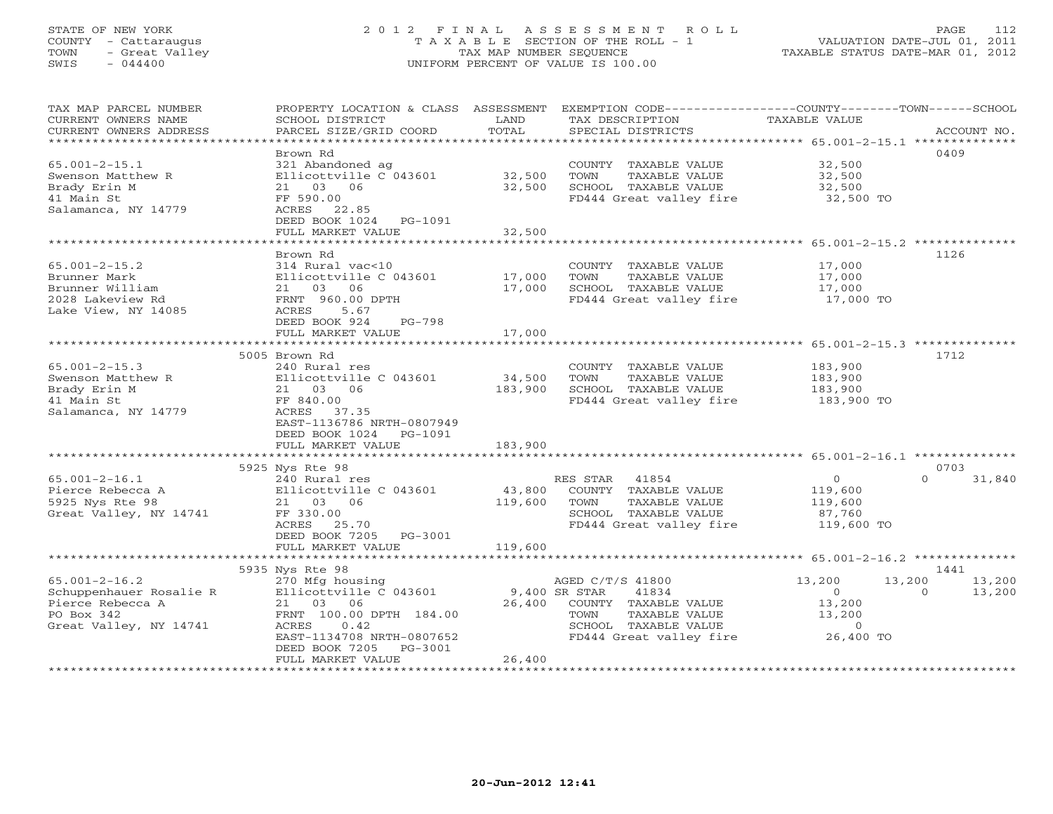# STATE OF NEW YORK 2 0 1 2 F I N A L A S S E S S M E N T R O L L PAGE 112 COUNTY - Cattaraugus T A X A B L E SECTION OF THE ROLL - 1 VALUATION DATE-JUL 01, 2011 TOWN - Great Valley TAX MAP NUMBER SEQUENCE TAXABLE STATUS DATE-MAR 01, 2012 SWIS - 044400 UNIFORM PERCENT OF VALUE IS 100.00

| TAX MAP PARCEL NUMBER<br>CURRENT OWNERS NAME<br>CURRENT OWNERS ADDRESS | PROPERTY LOCATION & CLASS ASSESSMENT<br>SCHOOL DISTRICT<br>PARCEL SIZE/GRID COORD | LAND<br>TOTAL | EXEMPTION CODE-----------------COUNTY-------TOWN------SCHOOL<br>TAX DESCRIPTION<br>SPECIAL DISTRICTS | TAXABLE VALUE      | ACCOUNT NO.                |
|------------------------------------------------------------------------|-----------------------------------------------------------------------------------|---------------|------------------------------------------------------------------------------------------------------|--------------------|----------------------------|
| ************************                                               |                                                                                   |               |                                                                                                      |                    |                            |
| $65.001 - 2 - 15.1$                                                    | Brown Rd                                                                          |               |                                                                                                      |                    | 0409                       |
| Swenson Matthew R                                                      | 321 Abandoned ag<br>Ellicottville C 043601                                        | 32,500        | COUNTY TAXABLE VALUE<br>TOWN<br>TAXABLE VALUE                                                        | 32,500<br>32,500   |                            |
| Brady Erin M                                                           | 21 03 06                                                                          | 32,500        | SCHOOL TAXABLE VALUE                                                                                 | 32,500             |                            |
| 41 Main St                                                             | FF 590.00                                                                         |               | FD444 Great valley fire                                                                              | 32,500 TO          |                            |
| Salamanca, NY 14779                                                    | ACRES<br>22.85                                                                    |               |                                                                                                      |                    |                            |
|                                                                        | DEED BOOK 1024<br>PG-1091                                                         |               |                                                                                                      |                    |                            |
|                                                                        | FULL MARKET VALUE                                                                 | 32,500        |                                                                                                      |                    |                            |
|                                                                        | *******************                                                               | ************* | ********************************* 65.001-2-15.2 *********                                            |                    |                            |
| $65.001 - 2 - 15.2$                                                    | Brown Rd<br>314 Rural vac<10                                                      |               | COUNTY TAXABLE VALUE                                                                                 | 17,000             | 1126                       |
| Brunner Mark                                                           | Ellicottville C 043601                                                            | 17,000        | TOWN<br>TAXABLE VALUE                                                                                | 17,000             |                            |
| Brunner William                                                        | 21 03<br>06                                                                       | 17,000        | SCHOOL TAXABLE VALUE                                                                                 | 17,000             |                            |
| 2028 Lakeview Rd                                                       | FRNT 960.00 DPTH                                                                  |               | FD444 Great valley fire                                                                              | 17,000 TO          |                            |
| Lake View, NY 14085                                                    | ACRES<br>5.67                                                                     |               |                                                                                                      |                    |                            |
|                                                                        | DEED BOOK 924<br>$PG-798$                                                         |               |                                                                                                      |                    |                            |
|                                                                        | FULL MARKET VALUE                                                                 | 17,000        |                                                                                                      |                    |                            |
|                                                                        |                                                                                   |               |                                                                                                      |                    |                            |
|                                                                        | 5005 Brown Rd                                                                     |               |                                                                                                      |                    | 1712                       |
| $65.001 - 2 - 15.3$<br>Swenson Matthew R                               | 240 Rural res<br>Ellicottville C 043601                                           | 34,500        | COUNTY TAXABLE VALUE<br>TAXABLE VALUE<br>TOWN                                                        | 183,900<br>183,900 |                            |
| Brady Erin M                                                           | 21 03 06                                                                          | 183,900       | SCHOOL TAXABLE VALUE                                                                                 | 183,900            |                            |
| 41 Main St                                                             | FF 840.00                                                                         |               | FD444 Great valley fire                                                                              | 183,900 TO         |                            |
| Salamanca, NY 14779                                                    | ACRES<br>37.35                                                                    |               |                                                                                                      |                    |                            |
|                                                                        | EAST-1136786 NRTH-0807949                                                         |               |                                                                                                      |                    |                            |
|                                                                        | DEED BOOK 1024<br>PG-1091                                                         |               |                                                                                                      |                    |                            |
|                                                                        | FULL MARKET VALUE                                                                 | 183,900       |                                                                                                      |                    |                            |
|                                                                        |                                                                                   |               |                                                                                                      |                    |                            |
| $65.001 - 2 - 16.1$                                                    | 5925 Nys Rte 98<br>240 Rural res                                                  |               | RES STAR<br>41854                                                                                    | $\circ$            | 0703<br>$\Omega$<br>31,840 |
| Pierce Rebecca A                                                       | Ellicottville C 043601                                                            | 43,800        | COUNTY TAXABLE VALUE                                                                                 | 119,600            |                            |
| 5925 Nys Rte 98                                                        | 21 03 06                                                                          | 119,600       | TOWN<br>TAXABLE VALUE                                                                                | 119,600            |                            |
| Great Valley, NY 14741                                                 | FF 330.00                                                                         |               | SCHOOL TAXABLE VALUE                                                                                 | 87,760             |                            |
|                                                                        | ACRES<br>25.70                                                                    |               | FD444 Great valley fire                                                                              | 119,600 TO         |                            |
|                                                                        | DEED BOOK 7205<br>PG-3001                                                         |               |                                                                                                      |                    |                            |
|                                                                        | FULL MARKET VALUE                                                                 | 119,600       |                                                                                                      |                    |                            |
|                                                                        |                                                                                   |               |                                                                                                      |                    |                            |
| $65.001 - 2 - 16.2$                                                    | 5935 Nys Rte 98                                                                   |               | AGED C/T/S 41800                                                                                     | 13,200             | 1441<br>13,200             |
| Schuppenhauer Rosalie R                                                | 270 Mfg housing<br>Ellicottville C 043601                                         |               | 9,400 SR STAR<br>41834                                                                               | 13,200<br>$\circ$  | 13,200<br>$\Omega$         |
| Pierce Rebecca A                                                       | 06<br>21 03                                                                       | 26,400        | COUNTY TAXABLE VALUE                                                                                 | 13,200             |                            |
| PO Box 342                                                             | FRNT 100.00 DPTH 184.00                                                           |               | TAXABLE VALUE<br>TOWN                                                                                | 13,200             |                            |
| Great Valley, NY 14741                                                 | 0.42<br>ACRES                                                                     |               | SCHOOL TAXABLE VALUE                                                                                 | $\circ$            |                            |
|                                                                        | EAST-1134708 NRTH-0807652                                                         |               | FD444 Great valley fire                                                                              | 26,400 TO          |                            |
|                                                                        | DEED BOOK 7205<br>PG-3001                                                         |               |                                                                                                      |                    |                            |
|                                                                        | FULL MARKET VALUE                                                                 | 26,400        |                                                                                                      |                    |                            |
|                                                                        |                                                                                   |               |                                                                                                      |                    |                            |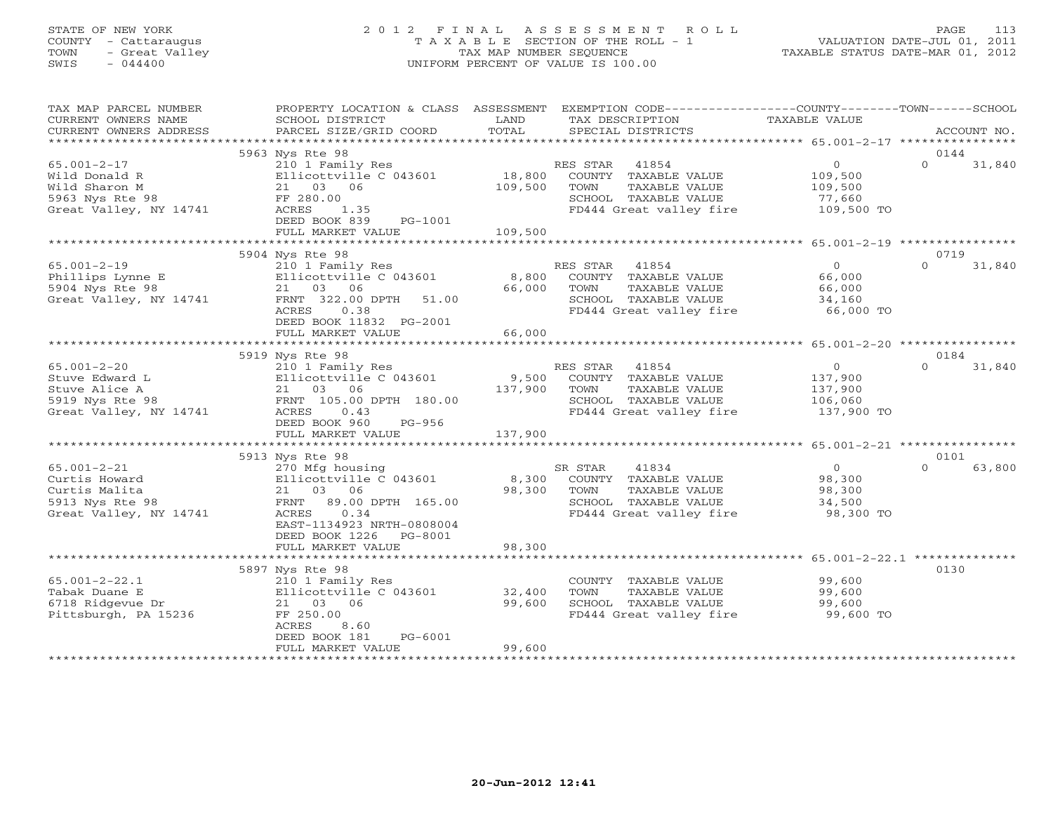# STATE OF NEW YORK 2 0 1 2 F I N A L A S S E S S M E N T R O L L PAGE 113 COUNTY - Cattaraugus T A X A B L E SECTION OF THE ROLL - 1 VALUATION DATE-JUL 01, 2011 TOWN - Great Valley TAX MAP NUMBER SEQUENCE TAXABLE STATUS DATE-MAR 01, 2012 SWIS - 044400 UNIFORM PERCENT OF VALUE IS 100.00

| TAX MAP PARCEL NUMBER<br>CURRENT OWNERS NAME<br>CURRENT OWNERS ADDRESS                            | PROPERTY LOCATION & CLASS ASSESSMENT<br>SCHOOL DISTRICT<br>PARCEL SIZE/GRID COORD                                                                                             | LAND<br>TOTAL                | EXEMPTION CODE-----------------COUNTY-------TOWN------SCHOOL<br>TAX DESCRIPTION<br>SPECIAL DISTRICTS                  | TAXABLE VALUE                                                 | ACCOUNT NO.                |
|---------------------------------------------------------------------------------------------------|-------------------------------------------------------------------------------------------------------------------------------------------------------------------------------|------------------------------|-----------------------------------------------------------------------------------------------------------------------|---------------------------------------------------------------|----------------------------|
|                                                                                                   | 5963 Nys Rte 98                                                                                                                                                               |                              |                                                                                                                       |                                                               | 0144                       |
| $65.001 - 2 - 17$<br>Wild Donald R<br>Wild Sharon M<br>5963 Nys Rte 98<br>Great Valley, NY 14741  | 210 1 Family Res<br>Ellicottville C 043601<br>21 03 06<br>FF 280.00<br>1.35<br>ACRES<br>DEED BOOK 839<br>PG-1001<br>FULL MARKET VALUE                                         | 18,800<br>109,500<br>109,500 | RES STAR 41854<br>COUNTY TAXABLE VALUE<br>TOWN<br>TAXABLE VALUE<br>SCHOOL TAXABLE VALUE<br>FD444 Great valley fire    | $\overline{0}$<br>109,500<br>109,500<br>77,660<br>109,500 TO  | $\Omega$<br>31,840         |
|                                                                                                   |                                                                                                                                                                               |                              |                                                                                                                       |                                                               |                            |
| $65.001 - 2 - 19$<br>Phillips Lynne E<br>5904 Nys Rte 98<br>Great Valley, NY 14741                | 5904 Nys Rte 98<br>210 1 Family Res<br>Ellicottville C 043601<br>21 03 06<br>FRNT 322.00 DPTH<br>51.00<br>ACRES<br>0.38<br>DEED BOOK 11832 PG-2001                            | 8,800<br>66,000              | RES STAR<br>41854<br>COUNTY TAXABLE VALUE<br>TOWN<br>TAXABLE VALUE<br>SCHOOL TAXABLE VALUE<br>FD444 Great valley fire | $\overline{0}$<br>66,000<br>66,000<br>34,160<br>66,000 TO     | 0719<br>$\Omega$<br>31,840 |
|                                                                                                   | FULL MARKET VALUE                                                                                                                                                             | 66,000                       |                                                                                                                       |                                                               |                            |
|                                                                                                   |                                                                                                                                                                               |                              |                                                                                                                       |                                                               |                            |
| $65.001 - 2 - 20$<br>Stuve Edward L<br>Stuve Alice A<br>5919 Nys Rte 98<br>Great Valley, NY 14741 | 5919 Nys Rte 98<br>210 1 Family Res<br>Ellicottville C 043601<br>21 03 06<br>FRNT 105.00 DPTH 180.00<br>0.43<br>ACRES<br>DEED BOOK 960<br>PG-956<br>FULL MARKET VALUE         | 9,500<br>137,900<br>137,900  | RES STAR 41854<br>COUNTY TAXABLE VALUE<br>TOWN<br>TAXABLE VALUE<br>SCHOOL TAXABLE VALUE<br>FD444 Great valley fire    | $\overline{0}$<br>137,900<br>137,900<br>106,060<br>137,900 TO | 0184<br>$\Omega$<br>31,840 |
|                                                                                                   |                                                                                                                                                                               |                              |                                                                                                                       |                                                               | 0101                       |
| $65.001 - 2 - 21$<br>Curtis Howard<br>Curtis Malita<br>5913 Nys Rte 98<br>Great Valley, NY 14741  | 5913 Nys Rte 98<br>270 Mfg housing<br>Ellicottville C 043601<br>21 03 06<br>FRNT 89.00 DPTH 165.00<br>ACRES<br>0.34<br>EAST-1134923 NRTH-0808004<br>DEED BOOK 1226<br>PG-8001 | 8,300<br>98,300              | 41834<br>SR STAR<br>COUNTY TAXABLE VALUE<br>TOWN<br>TAXABLE VALUE<br>SCHOOL TAXABLE VALUE<br>FD444 Great valley fire  | $\Omega$<br>98,300<br>98,300<br>34,500<br>98,300 TO           | $\Omega$<br>63,800         |
|                                                                                                   | FULL MARKET VALUE                                                                                                                                                             | 98,300                       |                                                                                                                       |                                                               |                            |
|                                                                                                   |                                                                                                                                                                               |                              |                                                                                                                       |                                                               |                            |
| $65.001 - 2 - 22.1$<br>Tabak Duane E<br>6718 Ridgevue Dr<br>Pittsburgh, PA 15236                  | 5897 Nys Rte 98<br>210 1 Family Res<br>Ellicottville C 043601<br>21 03 06<br>FF 250.00<br>ACRES<br>8.60<br>$PG-6001$<br>DEED BOOK 181<br>FULL MARKET VALUE                    | 32,400<br>99,600<br>99,600   | COUNTY TAXABLE VALUE<br>TAXABLE VALUE<br>TOWN<br>SCHOOL TAXABLE VALUE<br>FD444 Great valley fire                      | 99,600<br>99,600<br>99,600<br>99,600 TO                       | 0130                       |
|                                                                                                   |                                                                                                                                                                               |                              |                                                                                                                       |                                                               |                            |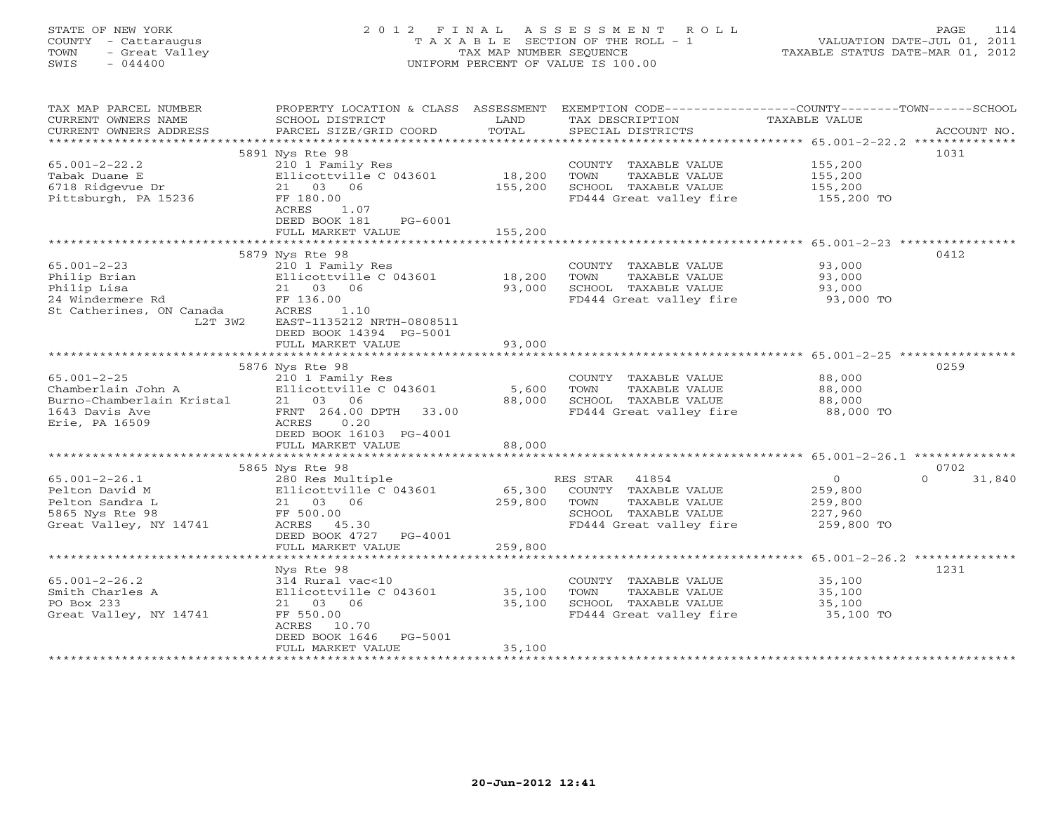# STATE OF NEW YORK 2 0 1 2 F I N A L A S S E S S M E N T R O L L PAGE 114 COUNTY - Cattaraugus T A X A B L E SECTION OF THE ROLL - 1 VALUATION DATE-JUL 01, 2011 TOWN - Great Valley TAX MAP NUMBER SEQUENCE TAXABLE STATUS DATE-MAR 01, 2012 SWIS - 044400 UNIFORM PERCENT OF VALUE IS 100.00

| TAX MAP PARCEL NUMBER<br>CURRENT OWNERS NAME<br>CURRENT OWNERS ADDRESS | PROPERTY LOCATION & CLASS ASSESSMENT<br>SCHOOL DISTRICT<br>PARCEL SIZE/GRID COORD | LAND<br>TOTAL | EXEMPTION CODE-----------------COUNTY-------TOWN------SCHOOL<br>TAX DESCRIPTION<br>SPECIAL DISTRICTS | TAXABLE VALUE             | ACCOUNT NO.                |
|------------------------------------------------------------------------|-----------------------------------------------------------------------------------|---------------|------------------------------------------------------------------------------------------------------|---------------------------|----------------------------|
| ***********************                                                |                                                                                   |               |                                                                                                      |                           |                            |
|                                                                        | 5891 Nys Rte 98                                                                   |               |                                                                                                      |                           | 1031                       |
| $65.001 - 2 - 22.2$                                                    | 210 1 Family Res                                                                  |               | COUNTY TAXABLE VALUE                                                                                 | 155,200                   |                            |
| Tabak Duane E                                                          | Ellicottville C 043601                                                            | 18,200        | TOWN<br>TAXABLE VALUE                                                                                | 155,200<br>155,200        |                            |
| 6718 Ridgevue Dr                                                       | 21 03 06                                                                          | 155,200       | SCHOOL TAXABLE VALUE                                                                                 |                           |                            |
| Pittsburgh, PA 15236                                                   | FF 180.00<br>1.07<br>ACRES                                                        |               | FD444 Great valley fire 155,200 TO                                                                   |                           |                            |
|                                                                        | DEED BOOK 181<br>PG-6001                                                          |               |                                                                                                      |                           |                            |
|                                                                        | FULL MARKET VALUE                                                                 | 155,200       |                                                                                                      |                           |                            |
|                                                                        |                                                                                   |               |                                                                                                      |                           |                            |
|                                                                        | 5879 Nys Rte 98                                                                   |               |                                                                                                      |                           | 0412                       |
| $65.001 - 2 - 23$                                                      | 210 1 Family Res                                                                  |               | COUNTY TAXABLE VALUE                                                                                 | 93,000                    |                            |
| Philip Brian                                                           | Ellicottville C 043601                                                            | 18,200        | TOWN<br>TAXABLE VALUE                                                                                | 93,000                    |                            |
| Philip Lisa                                                            | 21 03 06                                                                          | 93,000        | SCHOOL TAXABLE VALUE                                                                                 | 93,000                    |                            |
| 24 Windermere Rd                                                       | FF 136.00                                                                         |               | FD444 Great valley fire                                                                              | 93,000 TO                 |                            |
| St Catherines, ON Canada                                               | ACRES<br>1.10                                                                     |               |                                                                                                      |                           |                            |
| L2T 3W2                                                                | EAST-1135212 NRTH-0808511                                                         |               |                                                                                                      |                           |                            |
|                                                                        | DEED BOOK 14394 PG-5001                                                           | 93,000        |                                                                                                      |                           |                            |
|                                                                        | FULL MARKET VALUE                                                                 |               |                                                                                                      |                           |                            |
|                                                                        | 5876 Nys Rte 98                                                                   |               |                                                                                                      |                           | 0259                       |
| $65.001 - 2 - 25$                                                      | 210 1 Family Res                                                                  |               | COUNTY TAXABLE VALUE                                                                                 | 88,000                    |                            |
|                                                                        |                                                                                   | 5,600         | TOWN<br>TAXABLE VALUE                                                                                | 88,000                    |                            |
|                                                                        |                                                                                   | 88,000        | SCHOOL TAXABLE VALUE                                                                                 | 88,000                    |                            |
|                                                                        |                                                                                   |               | FD444 Great valley fire                                                                              | 88,000 TO                 |                            |
| Erie, PA 16509                                                         | ACRES<br>0.20                                                                     |               |                                                                                                      |                           |                            |
|                                                                        | DEED BOOK 16103 PG-4001                                                           |               |                                                                                                      |                           |                            |
|                                                                        | FULL MARKET VALUE                                                                 | 88,000        |                                                                                                      |                           |                            |
|                                                                        |                                                                                   |               |                                                                                                      |                           |                            |
|                                                                        | 5865 Nys Rte 98<br>280 Res Multiple                                               |               | RES STAR 41854                                                                                       |                           | 0702<br>$\Omega$<br>31,840 |
| $65.001 - 2 - 26.1$<br>Pelton David M                                  | Ellicottville C 043601                                                            |               | 65,300 COUNTY TAXABLE VALUE                                                                          | $\overline{0}$<br>259,800 |                            |
| Pelton Sandra L                                                        | 21 03 06                                                                          | 259,800       | TAXABLE VALUE<br>TOWN                                                                                | 259,800                   |                            |
| 5865 Nys Rte 98                                                        | FF 500.00                                                                         |               | SCHOOL TAXABLE VALUE                                                                                 | 227,960                   |                            |
| Great Valley, NY 14741                                                 | ACRES<br>45.30                                                                    |               | FD444 Great valley fire                                                                              | 259,800 TO                |                            |
|                                                                        | DEED BOOK 4727 PG-4001                                                            |               |                                                                                                      |                           |                            |
|                                                                        | FULL MARKET VALUE                                                                 | 259,800       |                                                                                                      |                           |                            |
|                                                                        |                                                                                   |               |                                                                                                      |                           |                            |
|                                                                        | Nys Rte 98                                                                        |               |                                                                                                      |                           | 1231                       |
| $65.001 - 2 - 26.2$                                                    | 314 Rural vac<10                                                                  |               | COUNTY TAXABLE VALUE                                                                                 | 35,100                    |                            |
| Smith Charles A                                                        | Ellicottville C 043601 35,100                                                     |               | TOWN<br>TAXABLE VALUE                                                                                | 35,100                    |                            |
| PO Box 233                                                             | 21 03 06                                                                          | 35,100        | SCHOOL TAXABLE VALUE<br>UCHOOD TAXABLE VALUE<br>FD444 Great valley fire                              | 35,100                    |                            |
| Great Valley, NY 14741                                                 | FF 550.00<br>ACRES 10.70                                                          |               |                                                                                                      | 35,100 TO                 |                            |
|                                                                        | DEED BOOK 1646<br>PG-5001                                                         |               |                                                                                                      |                           |                            |
|                                                                        | FULL MARKET VALUE                                                                 | 35,100        |                                                                                                      |                           |                            |
|                                                                        | ************************                                                          |               |                                                                                                      |                           |                            |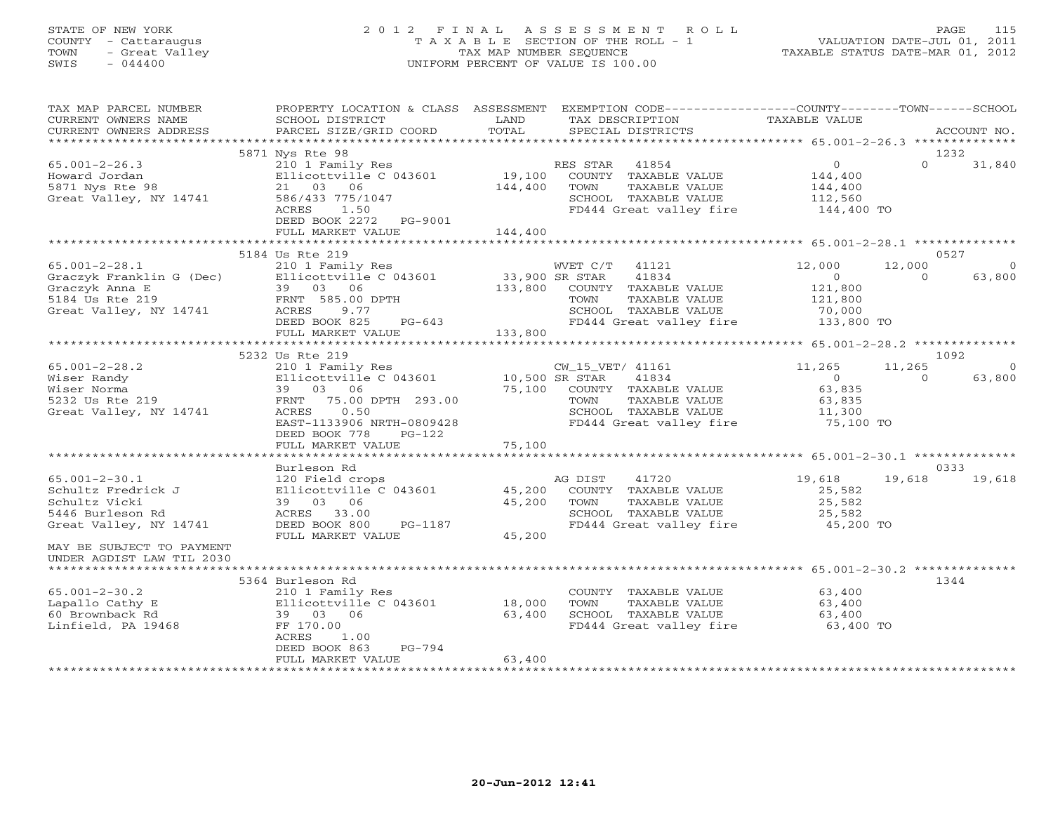#### STATE OF NEW YORK 2 0 1 2 F I N A L A S S E S S M E N T R O L L PAGE 115 COUNTY - Cattaraugus T A X A B L E SECTION OF THE ROLL - 1 VALUATION DATE-JUL 01, 2011 TOWN - Great Valley TAX MAP NUMBER SEQUENCE TAXABLE STATUS DATE-MAR 01, 2012 SWIS - 044400 UNIFORM PERCENT OF VALUE IS 100.00UNIFORM PERCENT OF VALUE IS 100.00

| TAX MAP PARCEL NUMBER<br>CURRENT OWNERS NAME                                                                                                                                                                                      | SCHOOL DISTRICT                                                                                                                                                                                                                                   | LAND                       | PROPERTY LOCATION & CLASS ASSESSMENT EXEMPTION CODE----------------COUNTY-------TOWN------SCHOOL<br>TAX DESCRIPTION                                                   | TAXABLE VALUE                                          |                                            |                |
|-----------------------------------------------------------------------------------------------------------------------------------------------------------------------------------------------------------------------------------|---------------------------------------------------------------------------------------------------------------------------------------------------------------------------------------------------------------------------------------------------|----------------------------|-----------------------------------------------------------------------------------------------------------------------------------------------------------------------|--------------------------------------------------------|--------------------------------------------|----------------|
| CURRENT OWNERS ADDRESS                                                                                                                                                                                                            | PARCEL SIZE/GRID COORD                                                                                                                                                                                                                            | TOTAL                      | SPECIAL DISTRICTS                                                                                                                                                     |                                                        | ACCOUNT NO.                                |                |
|                                                                                                                                                                                                                                   | 5871 Nys Rte 98                                                                                                                                                                                                                                   |                            |                                                                                                                                                                       |                                                        | 1232                                       |                |
| $65.001 - 2 - 26.3$<br>Howard Jordan<br>5871 Nys Rte 98<br>Great Valley, NY 14741                                                                                                                                                 | 210 1 Family Res<br>Ellicottville C 043601 19,100 COUNTY TAXABLE VALUE<br>21 03 06 144,400 TOWN TAXABLE VALUE<br>586/433 775/1047<br>ACRES 1.50<br>DEED BOOK 2272 PG-9001                                                                         |                            | RES STAR 41854<br>SCHOOL TAXABLE VALUE 112,560<br>FD444 Great valley fire 144,400 TO                                                                                  | $\overline{0}$<br>144,400<br>144,400                   | $\Omega$<br>31,840                         |                |
|                                                                                                                                                                                                                                   | FULL MARKET VALUE                                                                                                                                                                                                                                 | 144,400                    |                                                                                                                                                                       |                                                        |                                            |                |
|                                                                                                                                                                                                                                   |                                                                                                                                                                                                                                                   |                            |                                                                                                                                                                       |                                                        |                                            |                |
| $65.001 - 2 - 28.1$<br>Graczyk Franklin G (Dec)<br>Graczyk Franklin G (Dec)<br>Graczyk Anna E 39 03 06 133,900 SR STAR 41834<br>S184 Us Rte 219 FRNT 585.00 DPTH TOWN TAXABLE<br>Great Valley, NY 14741 ACRES 9.77 SCHOOL TAXABLE | 5184 Us Rte 219<br>210 1 Family Res<br>$PG-643$<br>DEED BOOK 825<br>FULL MARKET VALUE                                                                                                                                                             | $-643$ 133,800             | WVET C/T 41121<br>COUNTY TAXABLE VALUE<br>TAXABLE VALUE<br>SCHOOL TAXABLE VALUE<br>FD444 Great valley fire 133,800 TO                                                 | 12,000<br>$\sim$ 0<br>121,800<br>121,800<br>70,000     | 0527<br>12,000<br>$\overline{0}$<br>63,800 | $\overline{0}$ |
|                                                                                                                                                                                                                                   |                                                                                                                                                                                                                                                   |                            |                                                                                                                                                                       |                                                        |                                            |                |
|                                                                                                                                                                                                                                   | 5232 Us Rte 219                                                                                                                                                                                                                                   |                            |                                                                                                                                                                       |                                                        | 1092                                       |                |
| $65.001 - 2 - 28.2$<br>Wiser Randy<br>Wiser Norma<br>5232 Us Rte 219<br>Great Valley, NY 14741                                                                                                                                    | 210 1 Family Res<br>Ellicottville C 043601 10,500 SR STAR<br>Ellicottville C 043601<br>Ellicottville C 043601<br>39 03 06<br>FRNT 75.00 DPTH 293.00<br>0.50<br>ACRES<br>EAST-1133906 NRTH-0809428<br>DEED BOOK 778<br>PG-122<br>FULL MARKET VALUE | 75,100                     | CW_15_VET/ 41161<br>41834<br>75,100 COUNTY TAXABLE VALUE<br>75,100 COUNTY TAXABLE VALUE<br>TAXABLE VALUE<br>SCHOOL TAXABLE VALUE<br>FD444 Great valley fire 75,100 TO | 11,265<br>$\overline{0}$<br>63,835<br>63,835<br>11,300 | 11,265<br>63,800<br>$\Omega$               | $\overline{0}$ |
|                                                                                                                                                                                                                                   |                                                                                                                                                                                                                                                   |                            |                                                                                                                                                                       |                                                        |                                            |                |
| $65.001 - 2 - 30.1$<br>Schultz Fredrick J<br>Schultz Vicki<br>5446 Burleson Rd<br>Great Valley, NY 14741<br>MAY BE SUBJECT TO PAYMENT<br>UNDER AGDIST LAW TIL 2030                                                                | Burleson Rd<br>120 Field crops<br>Ellicottville C 043601<br>39 03 06<br>ACRES 33.00<br>DEED BOOK 800<br>PG-1187<br>FULL MARKET VALUE                                                                                                              | 45,200<br>45,200<br>45,200 | 41720<br>AG DIST<br>COUNTY TAXABLE VALUE<br>TAXABLE VALUE<br>TOWN<br>SCHOOL TAXABLE VALUE 25,582<br>FD444 Great valley fire 45,200 TO                                 | 19,618<br>25,582<br>25,582                             | 0333<br>19,618 19,618                      |                |
|                                                                                                                                                                                                                                   | 5364 Burleson Rd                                                                                                                                                                                                                                  |                            |                                                                                                                                                                       |                                                        | 1344                                       |                |
| $65.001 - 2 - 30.2$<br>Lapallo Cathy E<br>60 Brownback Rd<br>Linfield, PA 19468                                                                                                                                                   | 210 1 Family Res<br>Ellicottville C 043601 18,000<br>39 03 06<br>FF 170.00<br>ACRES<br>1.00<br>PG-794<br>DEED BOOK 863<br>FULL MARKET VALUE                                                                                                       | 63,400<br>63,400           | COUNTY TAXABLE VALUE<br>TOWN<br>TAXABLE VALUE<br>SCHOOL TAXABLE VALUE<br>FD444 Great valley fire                                                                      | 63,400<br>63,400<br>63,400<br>63,400 TO                |                                            |                |
|                                                                                                                                                                                                                                   |                                                                                                                                                                                                                                                   |                            |                                                                                                                                                                       |                                                        |                                            |                |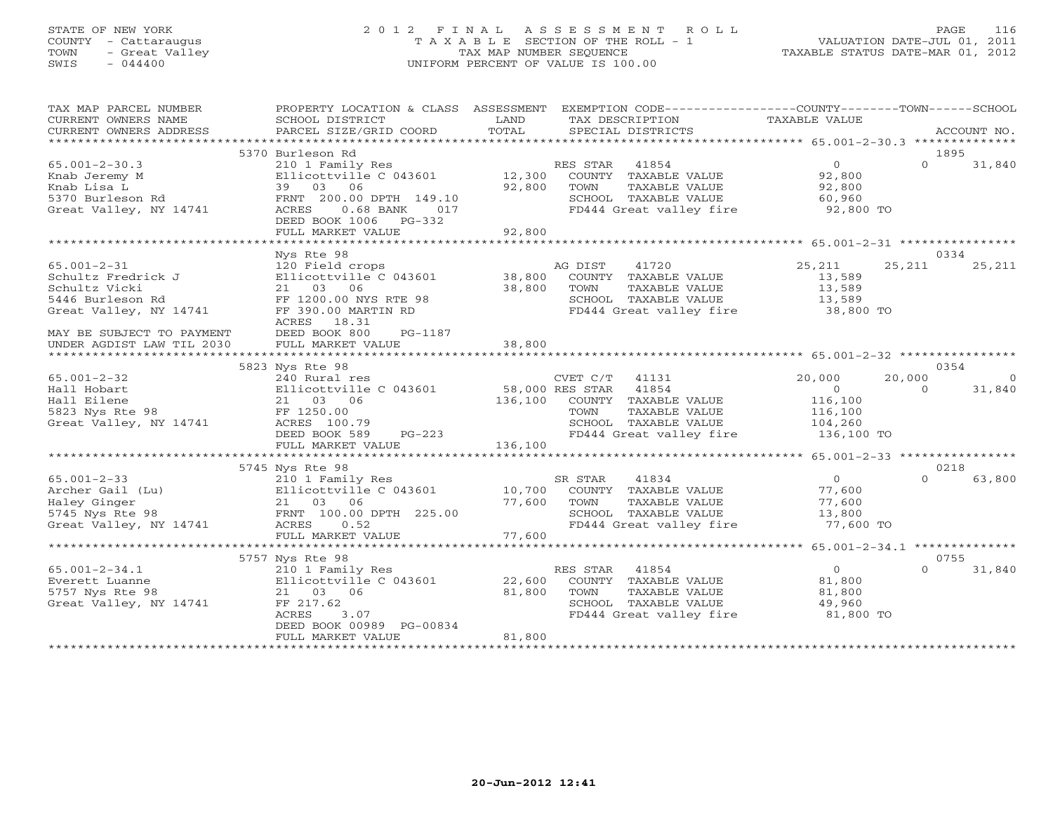# STATE OF NEW YORK 2 0 1 2 F I N A L A S S E S S M E N T R O L L PAGE 116 COUNTY - Cattaraugus T A X A B L E SECTION OF THE ROLL - 1 VALUATION DATE-JUL 01, 2011 TOWN - Great Valley TAX MAP NUMBER SEQUENCE TAXABLE STATUS DATE-MAR 01, 2012 SWIS - 044400 UNIFORM PERCENT OF VALUE IS 100.00

| TAX MAP PARCEL NUMBER<br>CURRENT OWNERS NAME<br>CURRENT OWNERS ADDRESS                                                                                                 | PROPERTY LOCATION & CLASS ASSESSMENT EXEMPTION CODE---------------COUNTY-------TOWN------SCHOOL<br>SCHOOL DISTRICT<br>PARCEL SIZE/GRID COORD                                                                                                | LAND<br>TOTAL              | TAX DESCRIPTION<br>SPECIAL DISTRICTS |                                                                                          | TAXABLE VALUE                                                                                                                                 |                    | ACCOUNT NO.              |
|------------------------------------------------------------------------------------------------------------------------------------------------------------------------|---------------------------------------------------------------------------------------------------------------------------------------------------------------------------------------------------------------------------------------------|----------------------------|--------------------------------------|------------------------------------------------------------------------------------------|-----------------------------------------------------------------------------------------------------------------------------------------------|--------------------|--------------------------|
|                                                                                                                                                                        |                                                                                                                                                                                                                                             |                            |                                      |                                                                                          |                                                                                                                                               |                    |                          |
| $65.001 - 2 - 30.3$<br>Knab Jeremy M<br>Knab Lisa L<br>- 1991 - 1991 - 1992<br>Sayo Burleson Rd 19910<br>Great Valley, NY 14741 1991 - 1992<br>ACRES 1992068 BANK 1917 | 5370 Burleson Rd<br>210 1 Family Res<br>Ellicottville C 043601<br>39 03 06<br>017<br>DEED BOOK 1006 PG-332<br>FULL MARKET VALUE                                                                                                             | 12,300<br>92,800<br>92,800 | RES STAR 41854<br>TOWN               | COUNTY TAXABLE VALUE<br>TAXABLE VALUE                                                    | $\overline{O}$<br>92,800<br>92,800<br>SCHOOL TAXABLE VALUE 60,960<br>FD444 Great valley fire 92,800 TO                                        | $\Omega$           | 1895<br>31,840           |
|                                                                                                                                                                        |                                                                                                                                                                                                                                             |                            |                                      |                                                                                          |                                                                                                                                               |                    |                          |
| $65.001 - 2 - 31$<br>Schultz Fredrick J<br>Schultz Vicki<br>Schultz Vicki<br>5446 Burleson Rd<br>Great Valley, NY 14741<br>MAY BE SUBJECT TO PAYMENT                   | Nys Rte 98<br>120 Field crops<br>Ellicottville C 043601 38,800 COUNTY TAXABLE VALUE<br>21 03 06 38,800 TOWN TAXABLE VALUE<br>FF 1200.00 NYS RTE 98<br>FF 390.00 MARTIN RD<br>FF 390.00 MARTIN RD<br>ACRES 18.31<br>DEED BOOK 800<br>PG-1187 |                            | AG DIST                              | 41720                                                                                    | 25,211<br>13,589<br>13,589<br>SCHOOL TAXABLE VALUE 13,589<br>FD444 Great valley fire 38,800 TO                                                | 25,211             | 0334<br>25,211           |
| UNDER AGDIST LAW TIL 2030                                                                                                                                              | FULL MARKET VALUE                                                                                                                                                                                                                           | 38,800                     |                                      |                                                                                          |                                                                                                                                               |                    |                          |
|                                                                                                                                                                        | 5823 Nys Rte 98                                                                                                                                                                                                                             |                            |                                      |                                                                                          |                                                                                                                                               |                    | 0354                     |
| $65.001 - 2 - 32$<br>Hall Hobart<br>Hall Eilene<br>Great Valley, NY 14741                                                                                              | 240 Rural res<br>Ellicottville C 043601 58,000 RES STAR 41854<br>21 03 06<br>ACRES 100.79<br>DEED BOOK 589                                                                                                                                  | $PG-223$<br>E 136,100      | CVET C/T 41131                       | 136,100 COUNTY TAXABLE VALUE                                                             | 20,000<br>$\overline{0}$<br>116,100<br>TOWN TAXABLE VALUE $116,100$<br>SCHOOL TAXABLE VALUE $104,260$<br>FD444 Great valley fire $136,100$ TO | 20,000<br>$\Omega$ | $\overline{0}$<br>31,840 |
|                                                                                                                                                                        | FULL MARKET VALUE                                                                                                                                                                                                                           |                            |                                      |                                                                                          |                                                                                                                                               |                    |                          |
|                                                                                                                                                                        | 5745 Nys Rte 98                                                                                                                                                                                                                             |                            |                                      |                                                                                          |                                                                                                                                               |                    | 0218                     |
|                                                                                                                                                                        | 210 1 Family Res                                                                                                                                                                                                                            |                            |                                      |                                                                                          | $\overline{0}$<br>77,600<br>77,600<br>SCHOOL TAXABLE VALUE $13,800$<br>FD444 Great valley fire 77,600 TO                                      | $\Omega$           | 63,800                   |
|                                                                                                                                                                        | FULL MARKET VALUE                                                                                                                                                                                                                           | 77,600                     |                                      |                                                                                          |                                                                                                                                               |                    |                          |
|                                                                                                                                                                        | 5757 Nys Rte 98                                                                                                                                                                                                                             |                            |                                      |                                                                                          |                                                                                                                                               |                    | 0755                     |
| $65.001 - 2 - 34.1$<br>Everett Luanne<br>5757 Nys Rte 98<br>Great Valley, NY 14741                                                                                     | 210 1 Family Res<br>Ellicottville C $043601$ 22,600<br>21 03 06<br>FF 217.62<br>ACRES<br>3.07<br>DEED BOOK 00989 PG-00834<br>FULL MARKET VALUE                                                                                              | 81,800<br>81,800           | RES STAR 41854<br>TOWN               | COUNTY TAXABLE VALUE<br>TAXABLE VALUE<br>SCHOOL TAXABLE VALUE<br>FD444 Great valley fire | $\overline{0}$<br>81,800<br>81,800<br>49,960<br>81,800 TO                                                                                     | $\Omega$           | 31,840                   |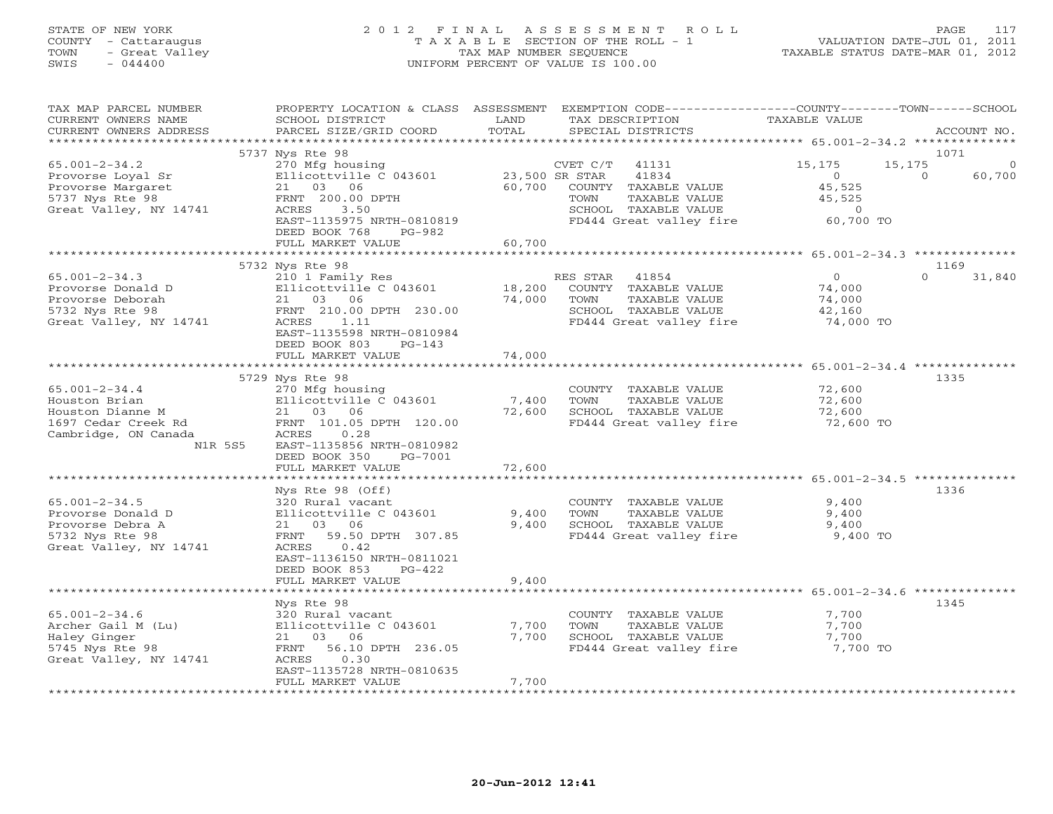#### STATE OF NEW YORK 2 0 1 2 F I N A L A S S E S S M E N T R O L L PAGE 117 COUNTY - Cattaraugus T A X A B L E SECTION OF THE ROLL - 1 VALUATION DATE-JUL 01, 2011 TOWN - Great Valley TAX MAP NUMBER SEQUENCE TAXABLE STATUS DATE-MAR 01, 2012 SWIS - 044400 UNIFORM PERCENT OF VALUE IS 100.00UNIFORM PERCENT OF VALUE IS 100.00

| TAX MAP PARCEL NUMBER<br>CURRENT OWNERS NAME<br>CURRENT OWNERS ADDRESS                                             | PROPERTY LOCATION & CLASS ASSESSMENT<br>SCHOOL DISTRICT<br>PARCEL SIZE/GRID COORD                                                                                                        | LAND<br>TOTAL                         | EXEMPTION CODE----------------COUNTY-------TOWN-----SCHOOL<br>TAX DESCRIPTION<br>SPECIAL DISTRICTS                                               | <b>TAXABLE VALUE</b>                                                         | ACCOUNT NO.                            |
|--------------------------------------------------------------------------------------------------------------------|------------------------------------------------------------------------------------------------------------------------------------------------------------------------------------------|---------------------------------------|--------------------------------------------------------------------------------------------------------------------------------------------------|------------------------------------------------------------------------------|----------------------------------------|
|                                                                                                                    |                                                                                                                                                                                          |                                       |                                                                                                                                                  |                                                                              |                                        |
| $65.001 - 2 - 34.2$<br>Provorse Loyal Sr<br>Provorse Margaret<br>5737 Nys Rte 98<br>Great Valley, NY 14741         | 5737 Nys Rte 98<br>270 Mfg housing<br>Ellicottville C 043601<br>21 03 06<br>FRNT 200.00 DPTH<br>ACRES<br>3.50<br>EAST-1135975 NRTH-0810819<br>DEED BOOK 768<br>PG-982                    | 60,700                                | CVET C/T<br>41131<br>23,500 SR STAR<br>41834<br>COUNTY TAXABLE VALUE<br>TOWN<br>TAXABLE VALUE<br>SCHOOL TAXABLE VALUE<br>FD444 Great valley fire | 15,175<br>15,175<br>$\Omega$<br>45,525<br>45,525<br>$\circ$<br>60,700 TO     | 1071<br>$\Omega$<br>60,700<br>$\Omega$ |
|                                                                                                                    | FULL MARKET VALUE                                                                                                                                                                        | 60,700                                |                                                                                                                                                  |                                                                              |                                        |
|                                                                                                                    |                                                                                                                                                                                          | * * * * * * * * * * * * * * * * * * * |                                                                                                                                                  | ************************ 65.001-2-34.3 **************                        |                                        |
| $65.001 - 2 - 34.3$<br>Provorse Donald D<br>Provorse Deborah<br>5732 Nys Rte 98<br>Great Valley, NY 14741          | 5732 Nys Rte 98<br>210 1 Family Res<br>Ellicottville C 043601<br>21 03<br>06<br>FRNT 210.00 DPTH 230.00<br>ACRES<br>1.11<br>EAST-1135598 NRTH-0810984<br>DEED BOOK 803<br>$PG-143$       | 18,200<br>74,000                      | 41854<br>RES STAR<br>COUNTY TAXABLE VALUE<br>TOWN<br>TAXABLE VALUE<br>SCHOOL TAXABLE VALUE<br>FD444 Great valley fire                            | $\Omega$<br>74,000<br>74,000<br>42,160<br>74,000 TO                          | 1169<br>$\Omega$<br>31,840             |
|                                                                                                                    | FULL MARKET VALUE<br>*******************************                                                                                                                                     | 74,000                                |                                                                                                                                                  |                                                                              |                                        |
|                                                                                                                    |                                                                                                                                                                                          |                                       |                                                                                                                                                  |                                                                              |                                        |
| $65.001 - 2 - 34.4$<br>Houston Brian<br>Houston Dianne M<br>1697 Cedar Creek Rd<br>Cambridge, ON Canada<br>N1R 5S5 | 5729 Nys Rte 98<br>270 Mfg housing<br>Ellicottville C 043601<br>21<br>03<br>06<br>FRNT 101.05 DPTH 120.00<br>ACRES<br>0.28<br>EAST-1135856 NRTH-0810982<br>DEED BOOK 350<br>PG-7001      | 7,400<br>72,600                       | COUNTY TAXABLE VALUE<br>TOWN<br>TAXABLE VALUE<br>SCHOOL TAXABLE VALUE<br>FD444 Great valley fire                                                 | 72,600<br>72,600<br>72,600<br>72,600 TO                                      | 1335                                   |
|                                                                                                                    | FULL MARKET VALUE                                                                                                                                                                        | 72,600                                |                                                                                                                                                  |                                                                              |                                        |
| $65.001 - 2 - 34.5$<br>Provorse Donald D<br>Provorse Debra A<br>5732 Nys Rte 98<br>Great Valley, NY 14741          | Nys Rte 98 (Off)<br>320 Rural vacant<br>Ellicottville C 043601<br>03<br>06<br>21<br>59.50 DPTH 307.85<br>FRNT<br>0.42<br>ACRES<br>EAST-1136150 NRTH-0811021<br>DEED BOOK 853<br>$PG-422$ | 9,400<br>9,400                        | COUNTY TAXABLE VALUE<br>TOWN<br>TAXABLE VALUE<br>SCHOOL TAXABLE VALUE<br>FD444 Great valley fire                                                 | *************** 65.001-2-34.5 *******<br>9,400<br>9,400<br>9,400<br>9,400 TO | 1336                                   |
|                                                                                                                    | FULL MARKET VALUE                                                                                                                                                                        | 9,400                                 |                                                                                                                                                  |                                                                              |                                        |
| $65.001 - 2 - 34.6$<br>Archer Gail M (Lu)<br>Haley Ginger<br>5745 Nys Rte 98<br>Great Valley, NY 14741             | Nys Rte 98<br>320 Rural vacant<br>Ellicottville C 043601<br>03<br>06<br>21<br>56.10 DPTH 236.05<br>FRNT<br>0.30<br>ACRES<br>EAST-1135728 NRTH-0810635<br>FULL MARKET VALUE               | 7,700<br>7,700<br>7,700               | COUNTY TAXABLE VALUE<br>TOWN<br>TAXABLE VALUE<br>SCHOOL TAXABLE VALUE<br>FD444 Great valley fire                                                 | 7,700<br>7,700<br>7,700<br>7,700 TO                                          | 1345                                   |
|                                                                                                                    |                                                                                                                                                                                          |                                       |                                                                                                                                                  |                                                                              |                                        |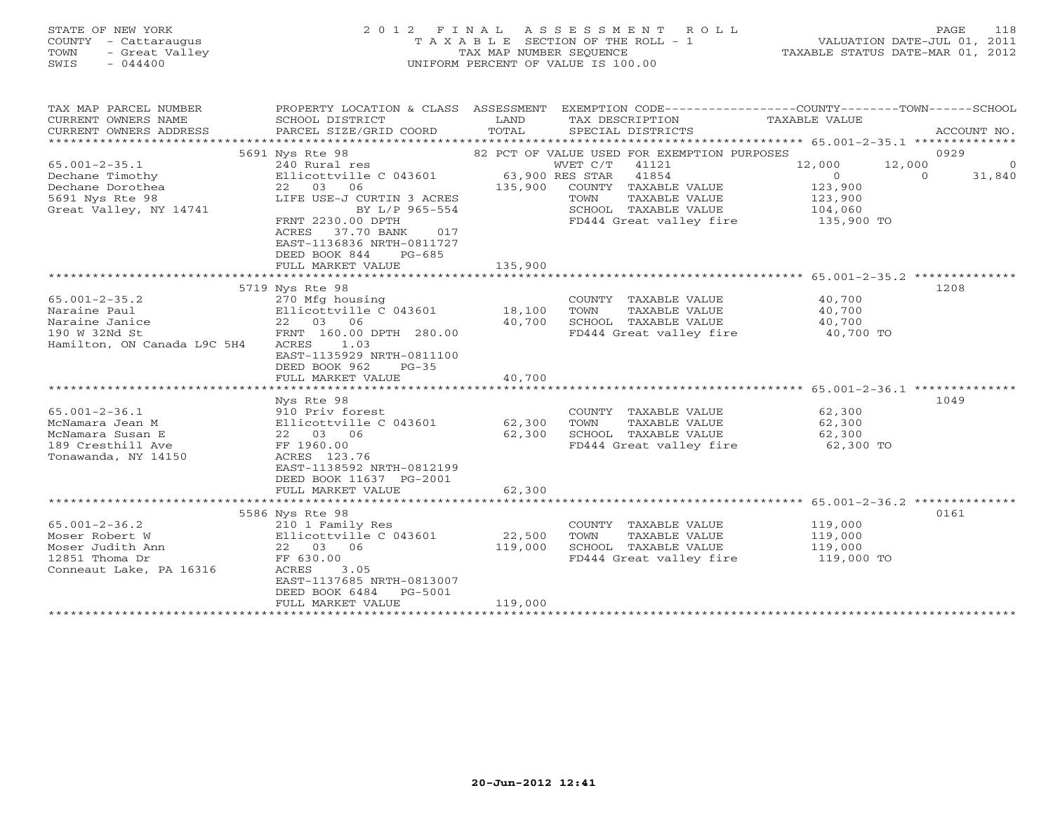# STATE OF NEW YORK 2 0 1 2 F I N A L A S S E S S M E N T R O L L PAGE 118 COUNTY - Cattaraugus T A X A B L E SECTION OF THE ROLL - 1 VALUATION DATE-JUL 01, 2011 TOWN - Great Valley TAX MAP NUMBER SEQUENCE TAXABLE STATUS DATE-MAR 01, 2012 SWIS - 044400 UNIFORM PERCENT OF VALUE IS 100.00

| TAX MAP PARCEL NUMBER<br>CURRENT OWNERS NAME<br>CURRENT OWNERS ADDRESS | PROPERTY LOCATION & CLASS ASSESSMENT<br>SCHOOL DISTRICT<br>PARCEL SIZE/GRID COORD | LAND<br>TOTAL   | EXEMPTION CODE-----------------COUNTY-------TOWN------SCHOOL<br>TAX DESCRIPTION<br>SPECIAL DISTRICTS | TAXABLE VALUE        | ACCOUNT NO. |
|------------------------------------------------------------------------|-----------------------------------------------------------------------------------|-----------------|------------------------------------------------------------------------------------------------------|----------------------|-------------|
|                                                                        | 5691 Nys Rte 98                                                                   |                 | 82 PCT OF VALUE USED FOR EXEMPTION PURPOSES                                                          |                      | 0929        |
| $65.001 - 2 - 35.1$                                                    | 240 Rural res                                                                     |                 | WVET C/T<br>41121                                                                                    | 12,000<br>12,000     | $\Omega$    |
| Dechane Timothy                                                        | Ellicottville C 043601                                                            | 63,900 RES STAR | 41854                                                                                                | $\Omega$<br>$\Omega$ | 31,840      |
| Dechane Dorothea                                                       | 22 03 06                                                                          | 135,900         | COUNTY TAXABLE VALUE                                                                                 | 123,900              |             |
| 5691 Nys Rte 98                                                        | LIFE USE-J CURTIN 3 ACRES                                                         |                 | TAXABLE VALUE<br>TOWN                                                                                | 123,900              |             |
| Great Valley, NY 14741                                                 | BY L/P 965-554                                                                    |                 | SCHOOL TAXABLE VALUE                                                                                 | 104,060              |             |
|                                                                        | FRNT 2230.00 DPTH                                                                 |                 | FD444 Great valley fire                                                                              | 135,900 TO           |             |
|                                                                        | 017<br>ACRES<br>37.70 BANK                                                        |                 |                                                                                                      |                      |             |
|                                                                        | EAST-1136836 NRTH-0811727                                                         |                 |                                                                                                      |                      |             |
|                                                                        | DEED BOOK 844<br>$PG-685$                                                         |                 |                                                                                                      |                      |             |
|                                                                        | FULL MARKET VALUE                                                                 | 135,900         |                                                                                                      |                      |             |
|                                                                        |                                                                                   |                 |                                                                                                      |                      |             |
|                                                                        | 5719 Nys Rte 98                                                                   |                 |                                                                                                      |                      | 1208        |
| $65.001 - 2 - 35.2$                                                    | 270 Mfg housing                                                                   |                 | COUNTY TAXABLE VALUE                                                                                 | 40,700               |             |
| Naraine Paul                                                           | Ellicottville C 043601                                                            | 18,100          | TOWN<br>TAXABLE VALUE                                                                                | 40,700               |             |
| Naraine Janice                                                         | 22 03 06                                                                          | 40,700          | SCHOOL TAXABLE VALUE                                                                                 | 40,700               |             |
| 190 W 32Nd St                                                          | FRNT 160.00 DPTH 280.00                                                           |                 | FD444 Great valley fire                                                                              | 40,700 TO            |             |
| Hamilton, ON Canada L9C 5H4                                            | ACRES<br>1.03                                                                     |                 |                                                                                                      |                      |             |
|                                                                        | EAST-1135929 NRTH-0811100                                                         |                 |                                                                                                      |                      |             |
|                                                                        | DEED BOOK 962<br>$PG-35$                                                          |                 |                                                                                                      |                      |             |
|                                                                        | FULL MARKET VALUE                                                                 | 40,700          |                                                                                                      |                      |             |
|                                                                        |                                                                                   |                 |                                                                                                      |                      |             |
|                                                                        | Nys Rte 98                                                                        |                 |                                                                                                      |                      | 1049        |
| $65.001 - 2 - 36.1$                                                    | 910 Priv forest                                                                   |                 | COUNTY TAXABLE VALUE                                                                                 | 62,300               |             |
| McNamara Jean M                                                        | Ellicottville C 043601                                                            | 62,300          | TOWN<br>TAXABLE VALUE                                                                                | 62,300               |             |
| McNamara Susan E                                                       | 22 03 06                                                                          | 62,300          | SCHOOL TAXABLE VALUE                                                                                 | 62,300               |             |
| 189 Cresthill Ave                                                      | FF 1960.00                                                                        |                 | FD444 Great valley fire                                                                              | 62,300 TO            |             |
| Tonawanda, NY 14150                                                    | ACRES 123.76<br>EAST-1138592 NRTH-0812199                                         |                 |                                                                                                      |                      |             |
|                                                                        | DEED BOOK 11637 PG-2001                                                           |                 |                                                                                                      |                      |             |
|                                                                        | FULL MARKET VALUE                                                                 | 62,300          |                                                                                                      |                      |             |
|                                                                        |                                                                                   |                 |                                                                                                      |                      |             |
|                                                                        | 5586 Nys Rte 98                                                                   |                 |                                                                                                      |                      | 0161        |
| $65.001 - 2 - 36.2$                                                    | 210 1 Family Res                                                                  |                 | COUNTY TAXABLE VALUE                                                                                 | 119,000              |             |
| Moser Robert W                                                         | Ellicottville C 043601                                                            | 22,500          | TOWN<br>TAXABLE VALUE                                                                                | 119,000              |             |
| Moser Judith Ann                                                       | 22 03 06                                                                          | 119,000         | SCHOOL TAXABLE VALUE                                                                                 | 119,000              |             |
| 12851 Thoma Dr                                                         | FF 630.00                                                                         |                 | FD444 Great valley fire                                                                              | 119,000 TO           |             |
| Conneaut Lake, PA 16316                                                | 3.05<br>ACRES                                                                     |                 |                                                                                                      |                      |             |
|                                                                        | EAST-1137685 NRTH-0813007                                                         |                 |                                                                                                      |                      |             |
|                                                                        | DEED BOOK 6484<br>$PG-5001$                                                       |                 |                                                                                                      |                      |             |
|                                                                        | FULL MARKET VALUE                                                                 | 119,000         |                                                                                                      |                      |             |
|                                                                        |                                                                                   |                 |                                                                                                      |                      |             |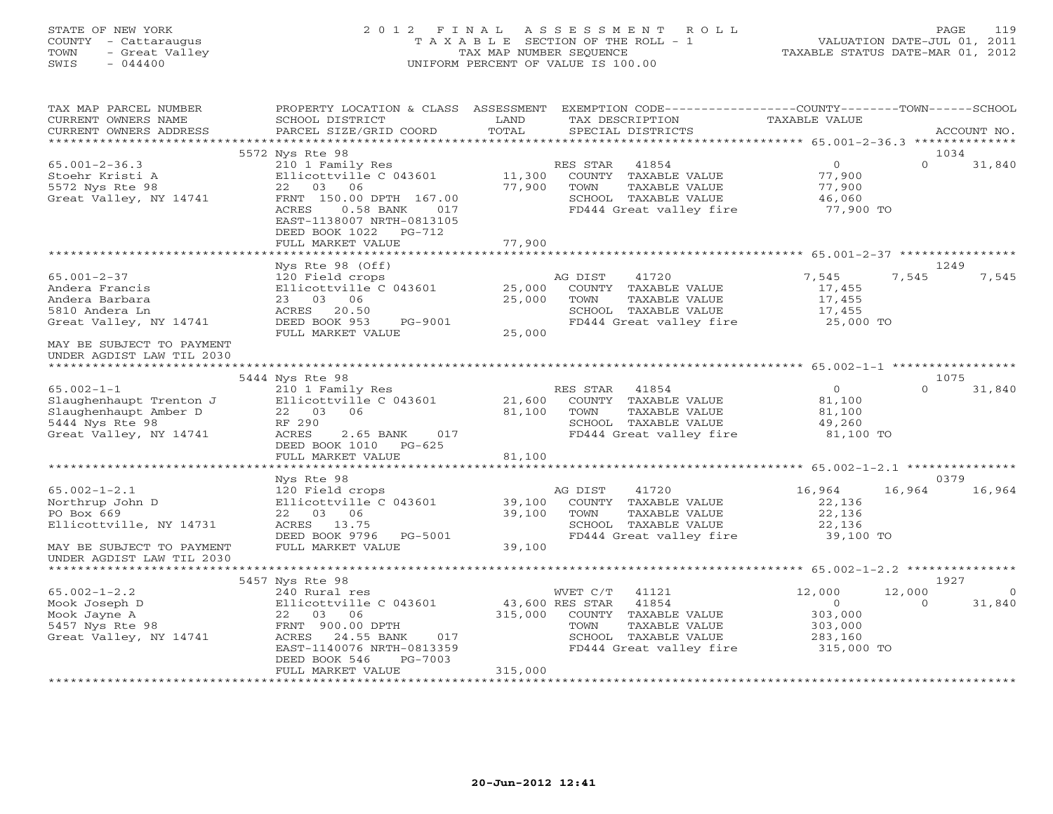# STATE OF NEW YORK 2 0 1 2 F I N A L A S S E S S M E N T R O L L PAGE 119 COUNTY - Cattaraugus T A X A B L E SECTION OF THE ROLL - 1 VALUATION DATE-JUL 01, 2011 TOWN - Great Valley TAX MAP NUMBER SEQUENCE TAXABLE STATUS DATE-MAR 01, 2012 SWIS - 044400 UNIFORM PERCENT OF VALUE IS 100.00

| TAX MAP PARCEL NUMBER<br>CURRENT OWNERS NAME<br>CURRENT OWNERS ADDRESS                                                         | PROPERTY LOCATION & CLASS ASSESSMENT<br>SCHOOL DISTRICT<br>PARCEL SIZE/GRID COORD                                                                              | LAND<br>TOTAL              | EXEMPTION CODE-----------------COUNTY-------TOWN------SCHOOL<br>TAX DESCRIPTION<br>SPECIAL DISTRICTS                           | TAXABLE VALUE                                                    | ACCOUNT NO.                             |
|--------------------------------------------------------------------------------------------------------------------------------|----------------------------------------------------------------------------------------------------------------------------------------------------------------|----------------------------|--------------------------------------------------------------------------------------------------------------------------------|------------------------------------------------------------------|-----------------------------------------|
| ************************                                                                                                       |                                                                                                                                                                |                            |                                                                                                                                |                                                                  |                                         |
| $65.001 - 2 - 36.3$<br>Stoehr Kristi A                                                                                         | 5572 Nys Rte 98<br>210 1 Family Res<br>Ellicottville C 043601                                                                                                  | 11,300                     | RES STAR<br>41854<br>COUNTY TAXABLE VALUE                                                                                      | $\overline{O}$<br>77,900                                         | 1034<br>$\Omega$<br>31,840              |
| 5572 Nys Rte 98<br>Great Valley, NY 14741                                                                                      | 22 03 06<br>FRNT 150.00 DPTH 167.00<br>ACRES<br>$0.58$ BANK<br>017<br>EAST-1138007 NRTH-0813105<br>DEED BOOK 1022<br>PG-712                                    | 77,900                     | TAXABLE VALUE<br>TOWN<br>SCHOOL TAXABLE VALUE<br>FD444 Great valley fire                                                       | 77,900<br>46,060<br>77,900 TO                                    |                                         |
|                                                                                                                                | FULL MARKET VALUE<br>**************************                                                                                                                | 77,900                     |                                                                                                                                |                                                                  |                                         |
|                                                                                                                                | Nys Rte 98 (Off)                                                                                                                                               |                            |                                                                                                                                |                                                                  | 1249                                    |
| $65.001 - 2 - 37$<br>Andera Francis<br>Andera Barbara<br>5810 Andera Ln<br>Great Valley, NY 14741<br>MAY BE SUBJECT TO PAYMENT | 120 Field crops<br>Ellicottville C 043601<br>23 03<br>06<br>ACRES<br>20.50<br>DEED BOOK 953<br>PG-9001<br>FULL MARKET VALUE                                    | 25,000<br>25,000<br>25,000 | AG DIST<br>41720<br>COUNTY TAXABLE VALUE<br>TAXABLE VALUE<br>TOWN<br>SCHOOL TAXABLE VALUE<br>FD444 Great valley fire           | 7,545<br>17,455<br>17,455<br>17,455<br>25,000 TO                 | 7,545<br>7,545                          |
| UNDER AGDIST LAW TIL 2030                                                                                                      |                                                                                                                                                                |                            |                                                                                                                                |                                                                  |                                         |
|                                                                                                                                | 5444 Nys Rte 98                                                                                                                                                |                            |                                                                                                                                |                                                                  | 1075                                    |
| $65.002 - 1 - 1$<br>Slaughenhaupt Trenton J<br>Slaughenhaupt Amber D<br>5444 Nys Rte 98<br>Great Valley, NY 14741              | 210 1 Family Res<br>Ellicottville C 043601<br>22 03 06<br>RF 290<br>ACRES<br>2.65 BANK<br>017<br>DEED BOOK 1010 PG-625                                         | 21,600<br>81,100           | RES STAR<br>41854<br>COUNTY TAXABLE VALUE<br>TOWN<br>TAXABLE VALUE<br>SCHOOL TAXABLE VALUE<br>FD444 Great valley fire          | $\overline{0}$<br>81,100<br>81,100<br>49,260<br>81,100 TO        | $\Omega$<br>31,840                      |
|                                                                                                                                | FULL MARKET VALUE                                                                                                                                              | 81,100                     |                                                                                                                                |                                                                  |                                         |
|                                                                                                                                |                                                                                                                                                                |                            |                                                                                                                                |                                                                  |                                         |
|                                                                                                                                | Nys Rte 98                                                                                                                                                     |                            |                                                                                                                                |                                                                  | 0379                                    |
| $65.002 - 1 - 2.1$<br>Northrup John D<br>PO Box 669<br>Ellicottville, NY 14731                                                 | 120 Field crops<br>Ellicottville C 043601<br>22 03 06<br>ACRES 13.75<br>DEED BOOK 9796 PG-5001                                                                 | 39,100<br>39,100           | AG DIST<br>41720<br>COUNTY TAXABLE VALUE<br>TOWN<br>TAXABLE VALUE<br>SCHOOL TAXABLE VALUE<br>FD444 Great valley fire           | 16,964<br>22,136<br>22,136<br>22,136<br>39,100 TO                | 16,964<br>16,964                        |
| MAY BE SUBJECT TO PAYMENT<br>UNDER AGDIST LAW TIL 2030                                                                         | FULL MARKET VALUE                                                                                                                                              | 39,100                     |                                                                                                                                |                                                                  |                                         |
|                                                                                                                                | 5457 Nys Rte 98                                                                                                                                                |                            |                                                                                                                                |                                                                  | 1927                                    |
| $65.002 - 1 - 2.2$<br>Mook Joseph D<br>Mook Jayne A<br>5457 Nys Rte 98<br>Great Valley, NY 14741                               | 240 Rural res<br>Ellicottville C 043601<br>22 03 06<br>FRNT 900.00 DPTH<br>ACRES<br>24.55 BANK<br>017<br>EAST-1140076 NRTH-0813359<br>DEED BOOK 546<br>PG-7003 | 43,600 RES STAR<br>315,000 | WVET C/T<br>41121<br>41854<br>COUNTY TAXABLE VALUE<br>TOWN<br>TAXABLE VALUE<br>SCHOOL TAXABLE VALUE<br>FD444 Great valley fire | 12,000<br>$\circ$<br>303,000<br>303,000<br>283,160<br>315,000 TO | 12,000<br>$\circ$<br>$\Omega$<br>31,840 |
| ***********************                                                                                                        | FULL MARKET VALUE                                                                                                                                              | 315,000                    |                                                                                                                                |                                                                  |                                         |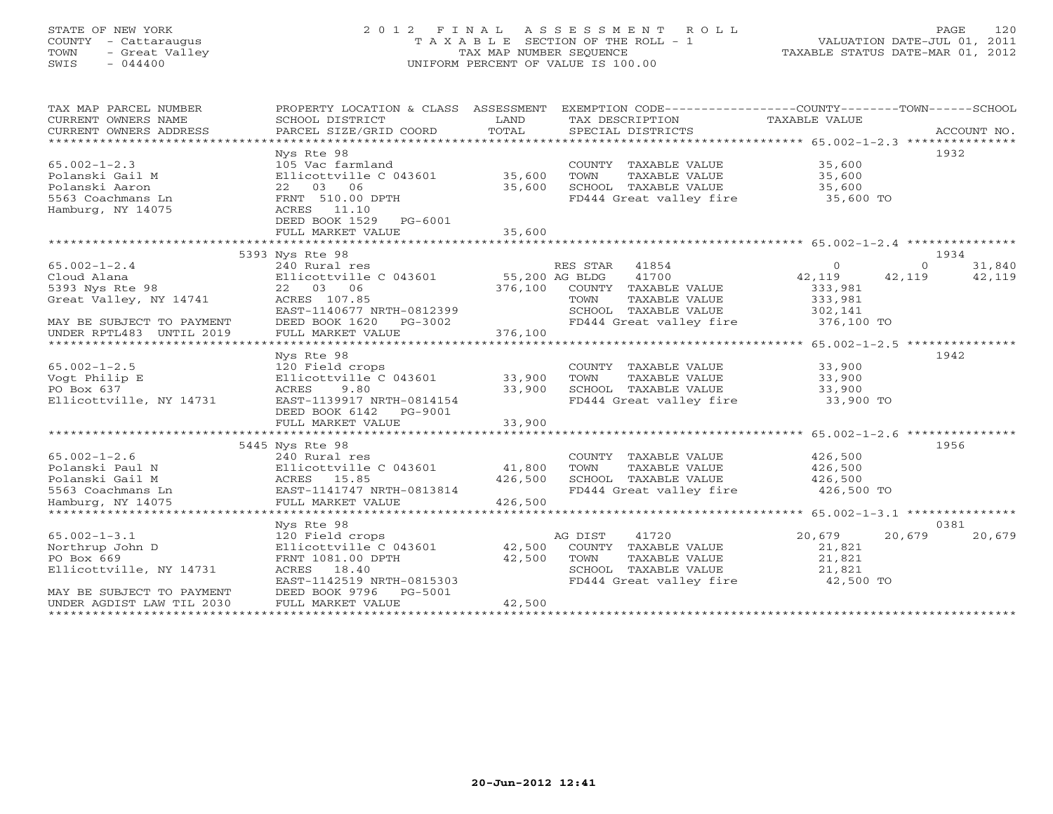# STATE OF NEW YORK 2 0 1 2 F I N A L A S S E S S M E N T R O L L PAGE 120 COUNTY - Cattaraugus T A X A B L E SECTION OF THE ROLL - 1 VALUATION DATE-JUL 01, 2011 TOWN - Great Valley TAX MAP NUMBER SEQUENCE TAXABLE STATUS DATE-MAR 01, 2012 SWIS - 044400 UNIFORM PERCENT OF VALUE IS 100.00

| TAX MAP PARCEL NUMBER<br>CURRENT OWNERS NAME<br>CURRENT OWNERS ADDRESS | PROPERTY LOCATION & CLASS ASSESSMENT<br>SCHOOL DISTRICT<br>PARCEL SIZE/GRID COORD | LAND<br>TOTAL  | EXEMPTION CODE-----------------COUNTY-------TOWN------SCHOOL<br>TAX DESCRIPTION<br>SPECIAL DISTRICTS | <b>TAXABLE VALUE</b> | ACCOUNT NO.        |
|------------------------------------------------------------------------|-----------------------------------------------------------------------------------|----------------|------------------------------------------------------------------------------------------------------|----------------------|--------------------|
| ************************                                               |                                                                                   |                |                                                                                                      |                      |                    |
|                                                                        | Nys Rte 98                                                                        |                |                                                                                                      |                      | 1932               |
| $65.002 - 1 - 2.3$                                                     | 105 Vac farmland                                                                  |                | COUNTY TAXABLE VALUE                                                                                 | 35,600               |                    |
| Polanski Gail M                                                        | Ellicottville C 043601                                                            | 35,600         | TOWN<br>TAXABLE VALUE                                                                                | 35,600               |                    |
| Polanski Aaron                                                         | 22 03 06                                                                          | 35,600         | SCHOOL TAXABLE VALUE                                                                                 | 35,600               |                    |
| 5563 Coachmans Ln                                                      |                                                                                   |                |                                                                                                      |                      |                    |
|                                                                        | FRNT 510.00 DPTH<br>11.10                                                         |                | FD444 Great valley fire                                                                              | 35,600 TO            |                    |
| Hamburg, NY 14075                                                      | ACRES                                                                             |                |                                                                                                      |                      |                    |
|                                                                        | DEED BOOK 1529<br>$PG-6001$                                                       |                |                                                                                                      |                      |                    |
|                                                                        | FULL MARKET VALUE                                                                 | 35,600         |                                                                                                      |                      |                    |
|                                                                        |                                                                                   |                |                                                                                                      |                      |                    |
|                                                                        | 5393 Nys Rte 98                                                                   |                |                                                                                                      |                      | 1934               |
| $65.002 - 1 - 2.4$                                                     | 240 Rural res                                                                     |                | RES STAR 41854                                                                                       | $\Omega$             | 31,840<br>$\Omega$ |
| Cloud Alana                                                            | Ellicottville C 043601                                                            | 55,200 AG BLDG | 41700                                                                                                | 42,119               | 42,119<br>42,119   |
| 5393 Nys Rte 98                                                        | 22 03 06                                                                          | 376,100        | COUNTY TAXABLE VALUE                                                                                 | 333,981              |                    |
| Great Valley, NY 14741                                                 | ACRES 107.85                                                                      |                | TOWN<br>TAXABLE VALUE                                                                                | 333,981              |                    |
|                                                                        | EAST-1140677 NRTH-0812399                                                         |                | SCHOOL TAXABLE VALUE                                                                                 | 302,141              |                    |
| MAY BE SUBJECT TO PAYMENT                                              | DEED BOOK 1620<br>PG-3002                                                         |                | FD444 Great valley fire                                                                              | 376,100 TO           |                    |
| UNDER RPTL483 UNTIL 2019                                               | FULL MARKET VALUE                                                                 | 376,100        |                                                                                                      |                      |                    |
|                                                                        |                                                                                   |                |                                                                                                      |                      |                    |
|                                                                        | Nys Rte 98                                                                        |                |                                                                                                      |                      | 1942               |
| $65.002 - 1 - 2.5$                                                     | 120 Field crops                                                                   |                | COUNTY TAXABLE VALUE                                                                                 | 33,900               |                    |
| Vogt Philip E                                                          | Ellicottville C 043601                                                            | 33,900         | TOWN<br>TAXABLE VALUE                                                                                | 33,900               |                    |
| PO Box 637                                                             | 9.80<br>ACRES                                                                     | 33,900         | SCHOOL TAXABLE VALUE                                                                                 | 33,900               |                    |
| Ellicottville, NY 14731                                                | EAST-1139917 NRTH-0814154                                                         |                | FD444 Great valley fire                                                                              | 33,900 TO            |                    |
|                                                                        | DEED BOOK 6142 PG-9001                                                            |                |                                                                                                      |                      |                    |
|                                                                        | FULL MARKET VALUE                                                                 | 33,900         |                                                                                                      |                      |                    |
|                                                                        | **************************                                                        |                |                                                                                                      |                      |                    |
|                                                                        | 5445 Nys Rte 98                                                                   |                |                                                                                                      |                      | 1956               |
| $65.002 - 1 - 2.6$                                                     | 240 Rural res                                                                     |                | COUNTY TAXABLE VALUE                                                                                 | 426,500              |                    |
| Polanski Paul N                                                        | Ellicottville C 043601                                                            | 41,800         | TAXABLE VALUE<br>TOWN                                                                                | 426,500              |                    |
| Polanski Gail M                                                        | ACRES 15.85                                                                       | 426,500        | SCHOOL TAXABLE VALUE                                                                                 | 426,500              |                    |
| 5563 Coachmans Ln                                                      | EAST-1141747 NRTH-0813814                                                         |                | FD444 Great valley fire                                                                              | 426,500 TO           |                    |
| Hamburg, NY 14075                                                      | FULL MARKET VALUE                                                                 | 426,500        |                                                                                                      |                      |                    |
| ********************                                                   | ********************                                                              |                |                                                                                                      |                      |                    |
|                                                                        | Nys Rte 98                                                                        |                |                                                                                                      |                      | 0381               |
| $65.002 - 1 - 3.1$                                                     | 120 Field crops                                                                   |                | 41720<br>AG DIST                                                                                     | 20,679               | 20,679<br>20,679   |
|                                                                        |                                                                                   |                |                                                                                                      |                      |                    |
| Northrup John D                                                        | Ellicottville C 043601                                                            | 42,500         | COUNTY TAXABLE VALUE                                                                                 | 21,821               |                    |
| PO Box 669                                                             | FRNT 1081.00 DPTH                                                                 | 42,500         | TOWN<br>TAXABLE VALUE                                                                                | 21,821               |                    |
| Ellicottville, NY 14731                                                | ACRES 18.40                                                                       |                | SCHOOL TAXABLE VALUE                                                                                 | 21,821               |                    |
|                                                                        | EAST-1142519 NRTH-0815303                                                         |                | FD444 Great valley fire                                                                              | 42,500 TO            |                    |
| MAY BE SUBJECT TO PAYMENT                                              | DEED BOOK 9796<br>PG-5001                                                         |                |                                                                                                      |                      |                    |
| UNDER AGDIST LAW TIL 2030                                              | FULL MARKET VALUE                                                                 | 42,500         |                                                                                                      |                      |                    |
|                                                                        |                                                                                   |                |                                                                                                      |                      |                    |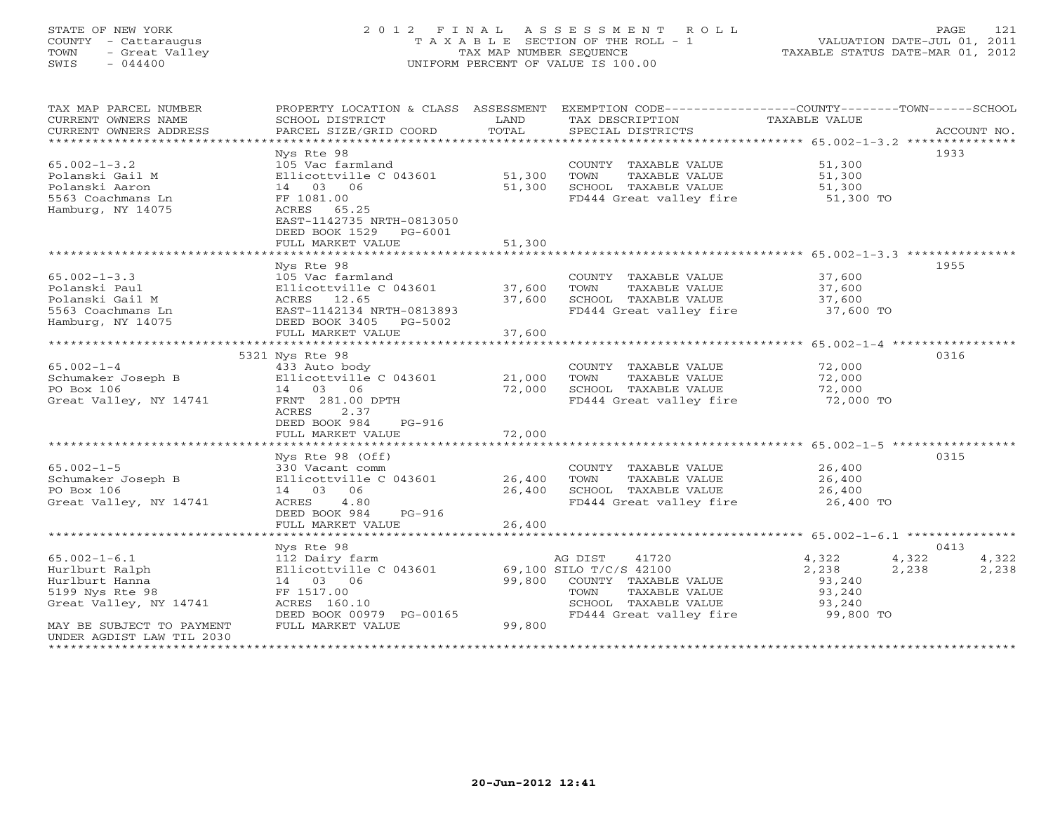# STATE OF NEW YORK 2 0 1 2 F I N A L A S S E S S M E N T R O L L PAGE 121 COUNTY - Cattaraugus T A X A B L E SECTION OF THE ROLL - 1 VALUATION DATE-JUL 01, 2011 TOWN - Great Valley TAX MAP NUMBER SEQUENCE TAXABLE STATUS DATE-MAR 01, 2012 SWIS - 044400 UNIFORM PERCENT OF VALUE IS 100.00

| TAX MAP PARCEL NUMBER     |                                          |        | PROPERTY LOCATION & CLASS ASSESSMENT EXEMPTION CODE----------------COUNTY-------TOWN------SCHOOL |               |                |
|---------------------------|------------------------------------------|--------|--------------------------------------------------------------------------------------------------|---------------|----------------|
| CURRENT OWNERS NAME       | SCHOOL DISTRICT                          | LAND   | TAX DESCRIPTION                                                                                  | TAXABLE VALUE |                |
| CURRENT OWNERS ADDRESS    | PARCEL SIZE/GRID COORD                   | TOTAL  | SPECIAL DISTRICTS                                                                                |               | ACCOUNT NO.    |
|                           |                                          |        |                                                                                                  |               | 1933           |
| $65.002 - 1 - 3.2$        | Nys Rte 98                               |        |                                                                                                  | 51,300        |                |
|                           | 105 Vac farmland                         |        | COUNTY TAXABLE VALUE                                                                             |               |                |
| Polanski Gail M           | Ellicottville C 043601                   | 51,300 | TOWN<br>TAXABLE VALUE                                                                            | 51,300        |                |
| Polanski Aaron            | 14 03 06                                 | 51,300 | SCHOOL TAXABLE VALUE                                                                             | 51,300        |                |
| 5563 Coachmans Ln         | FF 1081.00                               |        | FD444 Great valley fire                                                                          | 51,300 TO     |                |
| Hamburg, NY 14075         | ACRES 65.25                              |        |                                                                                                  |               |                |
|                           | EAST-1142735 NRTH-0813050                |        |                                                                                                  |               |                |
|                           | DEED BOOK 1529<br>PG-6001                |        |                                                                                                  |               |                |
|                           | FULL MARKET VALUE                        | 51,300 |                                                                                                  |               |                |
|                           |                                          |        |                                                                                                  |               |                |
|                           | Nys Rte 98                               |        |                                                                                                  |               | 1955           |
| $65.002 - 1 - 3.3$        | 105 Vac farmland                         |        | COUNTY TAXABLE VALUE                                                                             | 37,600        |                |
| Polanski Paul             | Ellicottville C 043601                   | 37,600 | TAXABLE VALUE<br>TOWN                                                                            | 37,600        |                |
| Polanski Gail M           | ACRES 12.65<br>EAST-1142134 NRTH-0813893 | 37,600 | SCHOOL TAXABLE VALUE                                                                             | 37,600        |                |
| 5563 Coachmans Ln         |                                          |        | FD444 Great valley fire                                                                          | 37,600 TO     |                |
| Hamburg, NY 14075         | DEED BOOK 3405<br>PG-5002                |        |                                                                                                  |               |                |
|                           | FULL MARKET VALUE                        | 37,600 |                                                                                                  |               |                |
|                           |                                          |        |                                                                                                  |               |                |
|                           | 5321 Nys Rte 98                          |        |                                                                                                  |               | 0316           |
| $65.002 - 1 - 4$          | 433 Auto body                            |        | COUNTY TAXABLE VALUE                                                                             | 72,000        |                |
| Schumaker Joseph B        | Ellicottville C 043601                   | 21,000 | TOWN<br>TAXABLE VALUE                                                                            | 72,000        |                |
| PO Box 106                | 14 03 06                                 | 72,000 | SCHOOL TAXABLE VALUE                                                                             | 72,000        |                |
| Great Valley, NY 14741    | FRNT 281.00 DPTH                         |        | FD444 Great valley fire                                                                          | 72,000 TO     |                |
|                           | ACRES<br>2.37                            |        |                                                                                                  |               |                |
|                           | DEED BOOK 984<br>$PG-916$                |        |                                                                                                  |               |                |
|                           | FULL MARKET VALUE                        | 72,000 |                                                                                                  |               |                |
|                           |                                          |        |                                                                                                  |               |                |
|                           | Nys Rte 98 (Off)                         |        |                                                                                                  |               | 0315           |
| $65.002 - 1 - 5$          | 330 Vacant comm                          |        | COUNTY TAXABLE VALUE                                                                             | 26,400        |                |
| Schumaker Joseph B        | Ellicottville C 043601                   | 26,400 | TAXABLE VALUE<br>TOWN                                                                            | 26,400        |                |
| PO Box 106                | 14 03 06                                 | 26,400 | SCHOOL TAXABLE VALUE                                                                             | 26,400        |                |
| Great Valley, NY 14741    | 4.80<br>ACRES                            |        | FD444 Great valley fire                                                                          | 26,400 TO     |                |
|                           | DEED BOOK 984<br>PG-916                  |        |                                                                                                  |               |                |
|                           | FULL MARKET VALUE                        | 26,400 |                                                                                                  |               |                |
|                           | ************************                 |        |                                                                                                  |               |                |
|                           | Nys Rte 98                               |        |                                                                                                  |               | 0413           |
| $65.002 - 1 - 6.1$        | 112 Dairy farm                           |        | AG DIST<br>41720                                                                                 | 4,322         | 4,322<br>4,322 |
| Hurlburt Ralph            | Ellicottville C 043601                   |        | 69,100 SILO T/C/S 42100                                                                          | 2,238         | 2,238<br>2,238 |
| Hurlburt Hanna            | 14 03 06                                 | 99,800 | COUNTY TAXABLE VALUE                                                                             | 93,240        |                |
| 5199 Nys Rte 98           | FF 1517.00                               |        | TOWN<br>TAXABLE VALUE                                                                            | 93,240        |                |
| Great Valley, NY 14741    | ACRES 160.10                             |        | SCHOOL TAXABLE VALUE                                                                             | 93,240        |                |
|                           | DEED BOOK 00979 PG-00165                 |        | FD444 Great valley fire                                                                          | 99,800 TO     |                |
| MAY BE SUBJECT TO PAYMENT | FULL MARKET VALUE                        | 99,800 |                                                                                                  |               |                |
| UNDER AGDIST LAW TIL 2030 |                                          |        |                                                                                                  |               |                |
|                           |                                          |        |                                                                                                  |               |                |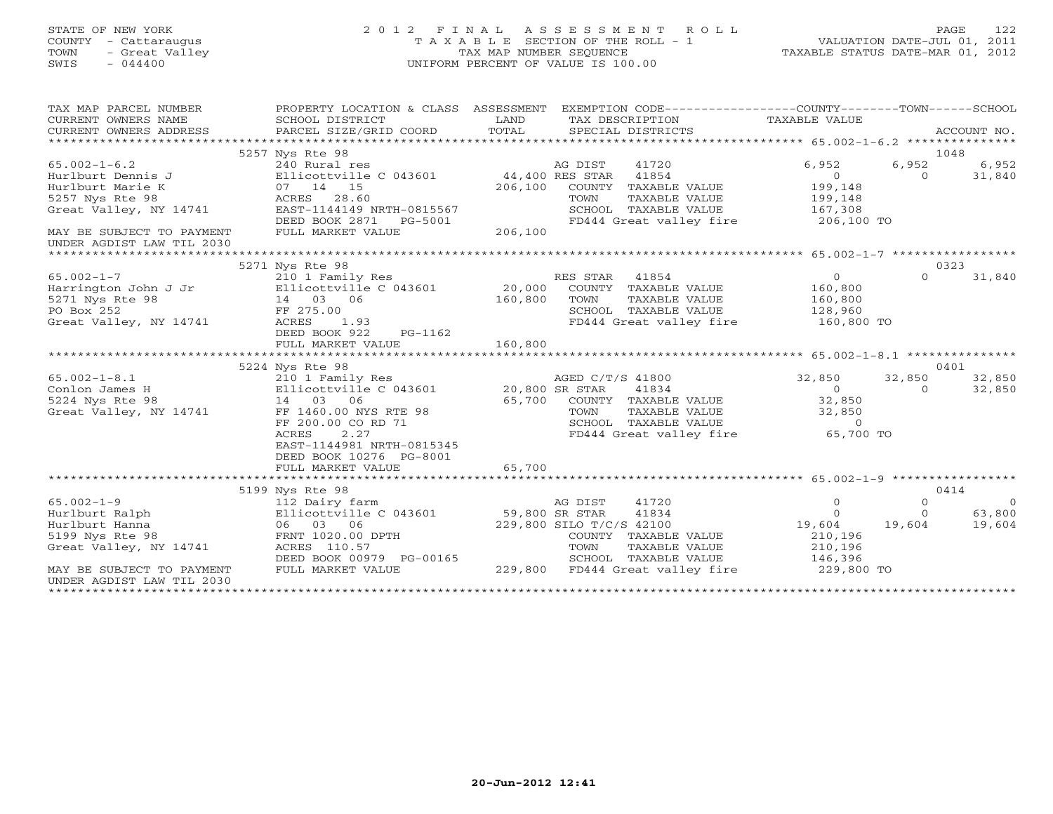# STATE OF NEW YORK 2 0 1 2 F I N A L A S S E S S M E N T R O L L PAGE 122 COUNTY - Cattaraugus T A X A B L E SECTION OF THE ROLL - 1 VALUATION DATE-JUL 01, 2011 TOWN - Great Valley TAX MAP NUMBER SEQUENCE TAXABLE STATUS DATE-MAR 01, 2012 SWIS - 044400 UNIFORM PERCENT OF VALUE IS 100.00

| TAX MAP PARCEL NUMBER<br>CURRENT OWNERS NAME<br>CURRENT OWNERS ADDRESS                                                                                             | PROPERTY LOCATION & CLASS ASSESSMENT<br>SCHOOL DISTRICT<br>PARCEL SIZE/GRID COORD                                                                                                                 | LAND<br>TOTAL<br>SPECIAL DISTRICTS                                                                                                                                                     | EXEMPTION CODE-----------------COUNTY-------TOWN------SCHOOL<br>TAX DESCRIPTION TAXABLE VALUE<br>ACCOUNT NO.                                            |
|--------------------------------------------------------------------------------------------------------------------------------------------------------------------|---------------------------------------------------------------------------------------------------------------------------------------------------------------------------------------------------|----------------------------------------------------------------------------------------------------------------------------------------------------------------------------------------|---------------------------------------------------------------------------------------------------------------------------------------------------------|
| $65.002 - 1 - 6.2$<br>Hurlburt Dennis J<br>Hurlburt Marie K<br>5257 Nys Rte 98<br>Great Valley, NY 14741<br>MAY BE SUBJECT TO PAYMENT<br>UNDER AGDIST LAW TIL 2030 | 5257 Nys Rte 98<br>240 Rural res<br>Ellicottville C 043601<br>07 14 15<br>ACRES 28.60<br>EAST-1144149 NRTH-0815567<br>DEED BOOK 2871 PG-5001<br>FULL MARKET VALUE                                 | AG DIST<br>41720<br>44,400 RES STAR 41854<br>206,100<br>COUNTY TAXABLE VALUE<br>TOWN<br>TAXABLE VALUE<br>SCHOOL TAXABLE VALUE<br>FD444 Great valley fire<br>206,100                    | 1048<br>6,952<br>6,952<br>6,952<br>$\overline{0}$<br>31,840<br>$\Omega$<br>199,148<br>199,148<br>167,308<br>206,100 TO                                  |
|                                                                                                                                                                    |                                                                                                                                                                                                   |                                                                                                                                                                                        |                                                                                                                                                         |
|                                                                                                                                                                    | 5271 Nys Rte 98                                                                                                                                                                                   |                                                                                                                                                                                        | 0323                                                                                                                                                    |
| $65.002 - 1 - 7$<br>Harrington John J Jr Ellicottville C 043601 20,000<br>5271 Nys Rte 98<br>PO Box 252<br>Great Valley, NY 14741                                  | 210 1 Family Res<br>14 03 06<br>FF 275.00<br>1.93<br>ACRES<br>DEED BOOK 922<br>PG-1162<br>FULL MARKET VALUE                                                                                       | RES STAR 41854<br>COUNTY TAXABLE VALUE<br>160,800<br>TAXABLE VALUE<br>TOWN<br>SCHOOL TAXABLE VALUE<br>FD444 Great valley fire<br>160,800                                               | $\overline{0}$<br>$\Omega$<br>31,840<br>160,800<br>160,800<br>128,960<br>160,800 TO                                                                     |
|                                                                                                                                                                    |                                                                                                                                                                                                   |                                                                                                                                                                                        |                                                                                                                                                         |
| $65.002 - 1 - 8.1$<br>Conlon James H<br>5224 Nys Rte 98<br>Great Valley, NY 14741                                                                                  | 5224 Nys Rte 98<br>210 1 Family Res<br>Ellicottville C 043601<br>14 03 06<br>FF 1460.00 NYS RTE 98<br>FF 200.00 CO RD 71<br>2.27<br>ACRES<br>EAST-1144981 NRTH-0815345<br>DEED BOOK 10276 PG-8001 | AGED C/T/S 41800<br>20,800 SR STAR<br>41834<br>65,700 COUNTY TAXABLE VALUE<br>TAXABLE VALUE<br>TOWN<br>SCHOOL TAXABLE VALUE<br>FD444 Great valley fire                                 | 0401<br>32,850<br>32,850<br>32,850<br>$\overline{0}$<br>32,850<br>$\circ$<br>32,850<br>32,850<br>$\Omega$<br>65,700 TO                                  |
|                                                                                                                                                                    | FULL MARKET VALUE                                                                                                                                                                                 | 65,700                                                                                                                                                                                 |                                                                                                                                                         |
|                                                                                                                                                                    |                                                                                                                                                                                                   |                                                                                                                                                                                        |                                                                                                                                                         |
| $65.002 - 1 - 9$<br>Hurlburt Ralph<br>Hurlburt Hanna<br>5199 Nys Rte 98<br>Great Valley, NY 14741<br>MAY BE SUBJECT TO PAYMENT<br>UNDER AGDIST LAW TIL 2030        | 5199 Nys Rte 98<br>112 Dairy farm<br>Ellicottville C 043601<br>06 03 06<br>FRNT 1020.00 DPTH<br>ACRES 110.57<br>DEED BOOK 00979 PG-00165<br>FULL MARKET VALUE                                     | 41720<br>AG DIST<br>59,800 SR STAR<br>41834<br>229,800 SILO T/C/S 42100<br>COUNTY TAXABLE VALUE<br>TOWN<br>TAXABLE VALUE<br>SCHOOL TAXABLE VALUE<br>229,800<br>FD444 Great valley fire | 0414<br>$\Omega$<br>$\circ$<br>$\bigcirc$<br>63,800<br>$\circ$<br>$\Omega$<br>19,604<br>19,604<br>19,604<br>210,196<br>210,196<br>146,396<br>229,800 TO |
|                                                                                                                                                                    |                                                                                                                                                                                                   |                                                                                                                                                                                        |                                                                                                                                                         |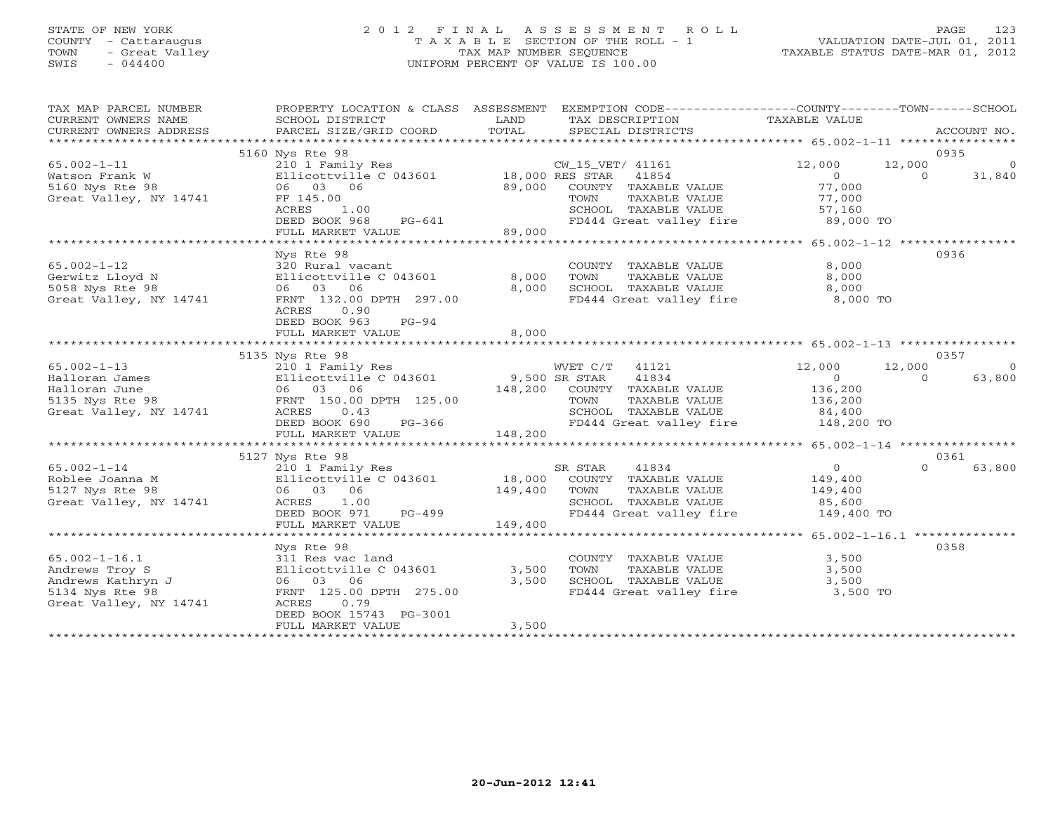# STATE OF NEW YORK 2 0 1 2 F I N A L A S S E S S M E N T R O L L PAGE 123 COUNTY - Cattaraugus T A X A B L E SECTION OF THE ROLL - 1 VALUATION DATE-JUL 01, 2011 TOWN - Great Valley TAX MAP NUMBER SEQUENCE TAXABLE STATUS DATE-MAR 01, 2012 SWIS - 044400 UNIFORM PERCENT OF VALUE IS 100.00

| TAX MAP PARCEL NUMBER<br>CURRENT OWNERS NAME | PROPERTY LOCATION & CLASS ASSESSMENT<br>SCHOOL DISTRICT | LAND            | EXEMPTION CODE-----------------COUNTY-------TOWN------SCHOOL<br>TAX DESCRIPTION | TAXABLE VALUE                                    |                    |
|----------------------------------------------|---------------------------------------------------------|-----------------|---------------------------------------------------------------------------------|--------------------------------------------------|--------------------|
| CURRENT OWNERS ADDRESS                       | PARCEL SIZE/GRID COORD                                  | TOTAL           | SPECIAL DISTRICTS                                                               |                                                  | ACCOUNT NO.        |
| *************************                    |                                                         |                 |                                                                                 |                                                  | 0935               |
| $65.002 - 1 - 11$                            | 5160 Nys Rte 98<br>210 1 Family Res                     |                 | CW_15_VET/ 41161                                                                | 12,000<br>12,000                                 | $\Omega$           |
| Watson Frank W                               | Ellicottville C 043601                                  | 18,000 RES STAR | 41854                                                                           | $\Omega$                                         | 31,840<br>$\Omega$ |
| 5160 Nys Rte 98                              | 06 03 06                                                | 89,000          | COUNTY TAXABLE VALUE                                                            | 77,000                                           |                    |
| Great Valley, NY 14741                       | FF 145.00                                               |                 | TAXABLE VALUE<br>TOWN                                                           | 77,000                                           |                    |
|                                              | ACRES<br>1.00                                           |                 | SCHOOL TAXABLE VALUE                                                            | 57,160                                           |                    |
|                                              | DEED BOOK 968<br>PG-641                                 |                 | FD444 Great valley fire                                                         | 89,000 TO                                        |                    |
|                                              | FULL MARKET VALUE                                       | 89,000          |                                                                                 |                                                  |                    |
|                                              |                                                         |                 |                                                                                 |                                                  |                    |
|                                              | Nys Rte 98                                              |                 |                                                                                 |                                                  | 0936               |
| $65.002 - 1 - 12$                            | 320 Rural vacant                                        |                 | COUNTY TAXABLE VALUE                                                            | 8,000                                            |                    |
| Gerwitz Lloyd N                              | Ellicottville C 043601                                  | 8,000           | TOWN<br>TAXABLE VALUE                                                           | 8,000                                            |                    |
| 5058 Nys Rte 98                              | 06 03 06                                                | 8,000           | SCHOOL TAXABLE VALUE                                                            | 8,000                                            |                    |
| Great Valley, NY 14741                       | FRNT 132.00 DPTH 297.00                                 |                 | FD444 Great valley fire                                                         | 8,000 TO                                         |                    |
|                                              | ACRES<br>0.90                                           |                 |                                                                                 |                                                  |                    |
|                                              | DEED BOOK 963<br>$PG-94$                                |                 |                                                                                 |                                                  |                    |
|                                              | FULL MARKET VALUE                                       | 8,000           |                                                                                 |                                                  |                    |
|                                              |                                                         |                 |                                                                                 |                                                  |                    |
|                                              | 5135 Nys Rte 98                                         |                 |                                                                                 |                                                  | 0357               |
| $65.002 - 1 - 13$                            | 210 1 Family Res                                        |                 | WVET C/T<br>41121                                                               | 12,000<br>12,000                                 | $\Omega$           |
| Halloran James                               | Ellicottville C 043601                                  | 9,500 SR STAR   | 41834                                                                           | $\overline{0}$                                   | $\cap$<br>63,800   |
| Halloran June                                | 06 03 06                                                | 148,200         | COUNTY TAXABLE VALUE                                                            | 136,200                                          |                    |
| 5135 Nys Rte 98                              | FRNT 150.00 DPTH 125.00                                 |                 | TOWN<br>TAXABLE VALUE                                                           | 136,200                                          |                    |
| Great Valley, NY 14741                       | ACRES<br>0.43                                           |                 | SCHOOL TAXABLE VALUE                                                            | 84,400                                           |                    |
|                                              | DEED BOOK 690<br>$PG-366$                               |                 | FD444 Great valley fire                                                         | 148,200 TO                                       |                    |
|                                              | FULL MARKET VALUE                                       | 148,200         |                                                                                 |                                                  |                    |
|                                              |                                                         |                 |                                                                                 |                                                  |                    |
|                                              | 5127 Nys Rte 98                                         |                 |                                                                                 |                                                  | 0361               |
| $65.002 - 1 - 14$                            | 210 1 Family Res                                        |                 | SR STAR<br>41834                                                                | $\circ$                                          | $\Omega$<br>63,800 |
| Roblee Joanna M                              | Ellicottville C 043601                                  | 18,000          | COUNTY TAXABLE VALUE                                                            | 149,400                                          |                    |
| 5127 Nys Rte 98                              | 06 03 06                                                | 149,400         | TOWN<br>TAXABLE VALUE                                                           | 149,400                                          |                    |
| Great Valley, NY 14741                       | ACRES<br>1.00                                           |                 | SCHOOL TAXABLE VALUE                                                            | 85,600                                           |                    |
|                                              | DEED BOOK 971<br>PG-499                                 |                 | FD444 Great valley fire                                                         | 149,400 TO                                       |                    |
|                                              | FULL MARKET VALUE                                       | 149,400         |                                                                                 |                                                  |                    |
|                                              |                                                         |                 |                                                                                 | ****************** 65.002-1-16.1 *************** |                    |
|                                              | Nys Rte 98                                              |                 |                                                                                 |                                                  | 0358               |
| $65.002 - 1 - 16.1$                          | 311 Res vac land                                        |                 | COUNTY TAXABLE VALUE                                                            | 3,500                                            |                    |
| Andrews Troy S                               | Ellicottville C 043601                                  | 3,500           | TOWN<br>TAXABLE VALUE                                                           | 3,500                                            |                    |
| Andrews Kathryn J                            | 06 03<br>06                                             | 3,500           | SCHOOL TAXABLE VALUE                                                            | 3,500                                            |                    |
| 5134 Nys Rte 98                              | FRNT 125.00 DPTH 275.00                                 |                 | FD444 Great valley fire                                                         | 3,500 TO                                         |                    |
| Great Valley, NY 14741                       | 0.79<br>ACRES                                           |                 |                                                                                 |                                                  |                    |
|                                              | DEED BOOK 15743 PG-3001                                 |                 |                                                                                 |                                                  |                    |
|                                              | FULL MARKET VALUE                                       | 3,500           |                                                                                 |                                                  |                    |
|                                              | * * * * * * * * * * * * * * * * * * *                   |                 |                                                                                 |                                                  |                    |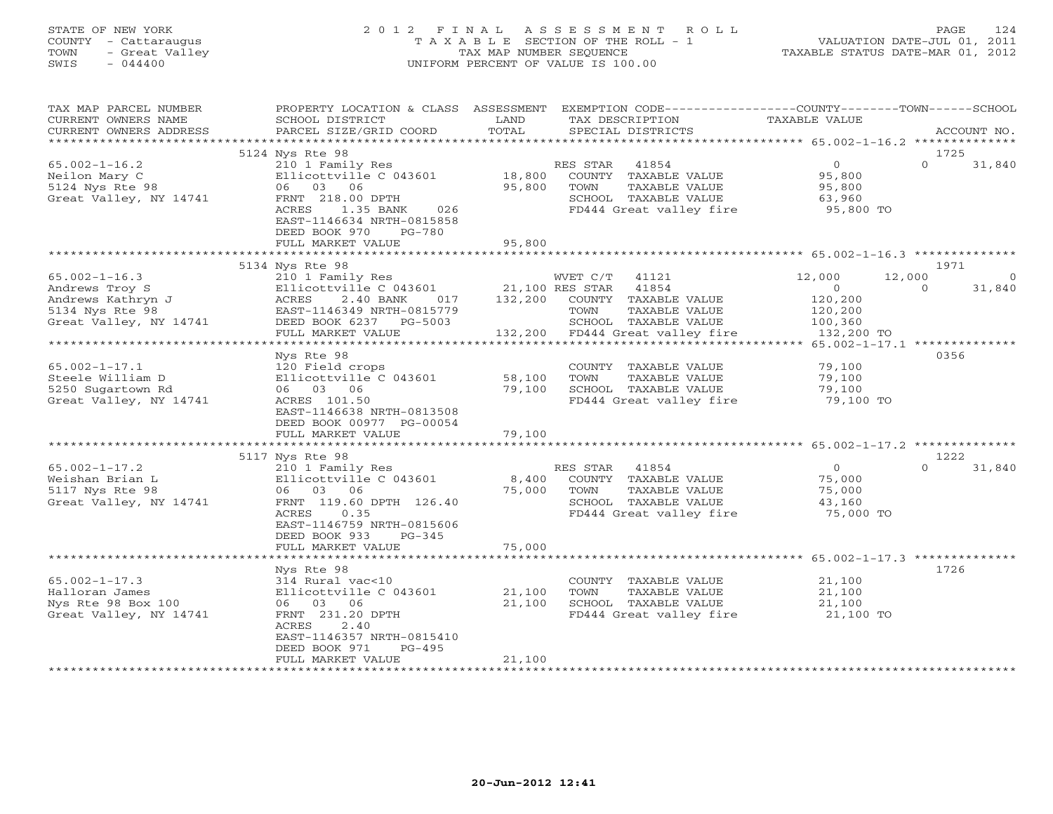# STATE OF NEW YORK 2 0 1 2 F I N A L A S S E S S M E N T R O L L PAGE 124 COUNTY - Cattaraugus T A X A B L E SECTION OF THE ROLL - 1 VALUATION DATE-JUL 01, 2011 TOWN - Great Valley TAX MAP NUMBER SEQUENCE TAXABLE STATUS DATE-MAR 01, 2012 SWIS - 044400 UNIFORM PERCENT OF VALUE IS 100.00

| TAX MAP PARCEL NUMBER<br>CURRENT OWNERS NAME | PROPERTY LOCATION & CLASS ASSESSMENT<br>SCHOOL DISTRICT | LAND            | EXEMPTION CODE-----------------COUNTY-------TOWN------SCHOOL<br>TAX DESCRIPTION | TAXABLE VALUE                           |                    |
|----------------------------------------------|---------------------------------------------------------|-----------------|---------------------------------------------------------------------------------|-----------------------------------------|--------------------|
| CURRENT OWNERS ADDRESS                       | PARCEL SIZE/GRID COORD                                  | TOTAL           | SPECIAL DISTRICTS                                                               |                                         | ACCOUNT NO.        |
| *********************                        |                                                         |                 |                                                                                 |                                         |                    |
|                                              | 5124 Nys Rte 98                                         |                 |                                                                                 |                                         | 1725               |
| $65.002 - 1 - 16.2$                          | 210 1 Family Res                                        |                 | 41854<br>RES STAR                                                               | 0                                       | $\Omega$<br>31,840 |
| Neilon Mary C                                | Ellicottville C 043601                                  | 18,800          | COUNTY TAXABLE VALUE                                                            | 95,800                                  |                    |
| 5124 Nys Rte 98                              | 06 03 06                                                | 95,800          | TOWN<br>TAXABLE VALUE                                                           | 95,800                                  |                    |
| Great Valley, NY 14741                       | FRNT 218.00 DPTH                                        |                 | SCHOOL TAXABLE VALUE                                                            | 63,960                                  |                    |
|                                              | 026<br>ACRES<br>1.35 BANK                               |                 | FD444 Great valley fire                                                         | 95,800 TO                               |                    |
|                                              | EAST-1146634 NRTH-0815858                               |                 |                                                                                 |                                         |                    |
|                                              | DEED BOOK 970<br>$PG-780$                               |                 |                                                                                 |                                         |                    |
|                                              | FULL MARKET VALUE                                       | 95,800          |                                                                                 |                                         |                    |
|                                              | 5134 Nys Rte 98                                         |                 |                                                                                 |                                         | 1971               |
| $65.002 - 1 - 16.3$                          | 210 1 Family Res                                        |                 | WVET C/T 41121                                                                  | 12,000                                  | 12,000<br>$\Omega$ |
| Andrews Troy S                               | Ellicottville C 043601                                  | 21,100 RES STAR | 41854                                                                           | $\Omega$                                | 31,840<br>$\Omega$ |
| Andrews Kathryn J                            | 2.40 BANK<br>ACRES<br>017                               |                 | 132,200 COUNTY TAXABLE VALUE                                                    | 120,200                                 |                    |
| 5134 Nys Rte 98                              | EAST-1146349 NRTH-0815779                               |                 | TAXABLE VALUE<br>TOWN                                                           | 120,200                                 |                    |
| Great Valley, NY 14741                       | DEED BOOK 6237 PG-5003                                  |                 | SCHOOL TAXABLE VALUE                                                            | 100,360                                 |                    |
|                                              | FULL MARKET VALUE                                       |                 | 132,200 FD444 Great valley fire                                                 | 132,200 TO                              |                    |
|                                              |                                                         |                 |                                                                                 |                                         |                    |
|                                              | Nys Rte 98                                              |                 |                                                                                 |                                         | 0356               |
| $65.002 - 1 - 17.1$                          | 120 Field crops                                         |                 | COUNTY TAXABLE VALUE                                                            | 79,100                                  |                    |
| Steele William D                             | Ellicottville C 043601                                  | 58,100          | TOWN<br>TAXABLE VALUE                                                           | 79,100                                  |                    |
| 5250 Sugartown Rd<br>Great Valley, NY 14741  | 06 03 06<br>ACRES 101.50                                | 79,100          | SCHOOL TAXABLE VALUE<br>FD444 Great valley fire                                 | 79,100<br>79,100 TO                     |                    |
|                                              | EAST-1146638 NRTH-0813508                               |                 |                                                                                 |                                         |                    |
|                                              | DEED BOOK 00977 PG-00054                                |                 |                                                                                 |                                         |                    |
|                                              | FULL MARKET VALUE                                       | 79,100          |                                                                                 |                                         |                    |
|                                              | **********************                                  |                 |                                                                                 |                                         |                    |
|                                              | 5117 Nys Rte 98                                         |                 |                                                                                 |                                         | 1222               |
| $65.002 - 1 - 17.2$                          | 210 1 Family Res                                        |                 | RES STAR 41854                                                                  | $\circ$                                 | $\Omega$<br>31,840 |
| Weishan Brian L                              | Ellicottville C 043601                                  | 8,400           | COUNTY TAXABLE VALUE                                                            | 75,000                                  |                    |
| 5117 Nys Rte 98                              | 06 03 06                                                | 75,000          | TOWN<br>TAXABLE VALUE                                                           | 75,000                                  |                    |
| Great Valley, NY 14741                       | FRNT 119.60 DPTH 126.40                                 |                 | SCHOOL TAXABLE VALUE                                                            | 43,160                                  |                    |
|                                              | ACRES<br>0.35                                           |                 | FD444 Great valley fire                                                         | 75,000 TO                               |                    |
|                                              | EAST-1146759 NRTH-0815606                               |                 |                                                                                 |                                         |                    |
|                                              | DEED BOOK 933<br>$PG-345$<br>FULL MARKET VALUE          | 75,000          |                                                                                 |                                         |                    |
|                                              |                                                         |                 |                                                                                 | ********** 65.002-1-17.3 ************** |                    |
|                                              | Nys Rte 98                                              |                 |                                                                                 |                                         | 1726               |
| $65.002 - 1 - 17.3$                          | 314 Rural vac<10                                        |                 | COUNTY TAXABLE VALUE                                                            | 21,100                                  |                    |
| Halloran James                               | Ellicottville C 043601                                  | 21,100          | TOWN<br>TAXABLE VALUE                                                           | 21,100                                  |                    |
| Nys Rte 98 Box 100                           | 06 03 06                                                | 21,100          | SCHOOL TAXABLE VALUE                                                            | 21,100                                  |                    |
| Great Valley, NY 14741                       | FRNT 231.20 DPTH                                        |                 | FD444 Great valley fire                                                         | 21,100 TO                               |                    |
|                                              | 2.40<br>ACRES                                           |                 |                                                                                 |                                         |                    |
|                                              | EAST-1146357 NRTH-0815410                               |                 |                                                                                 |                                         |                    |
|                                              | DEED BOOK 971<br>$PG-495$                               |                 |                                                                                 |                                         |                    |
|                                              | FULL MARKET VALUE<br>***********************            | 21,100          |                                                                                 |                                         |                    |
|                                              |                                                         |                 |                                                                                 |                                         |                    |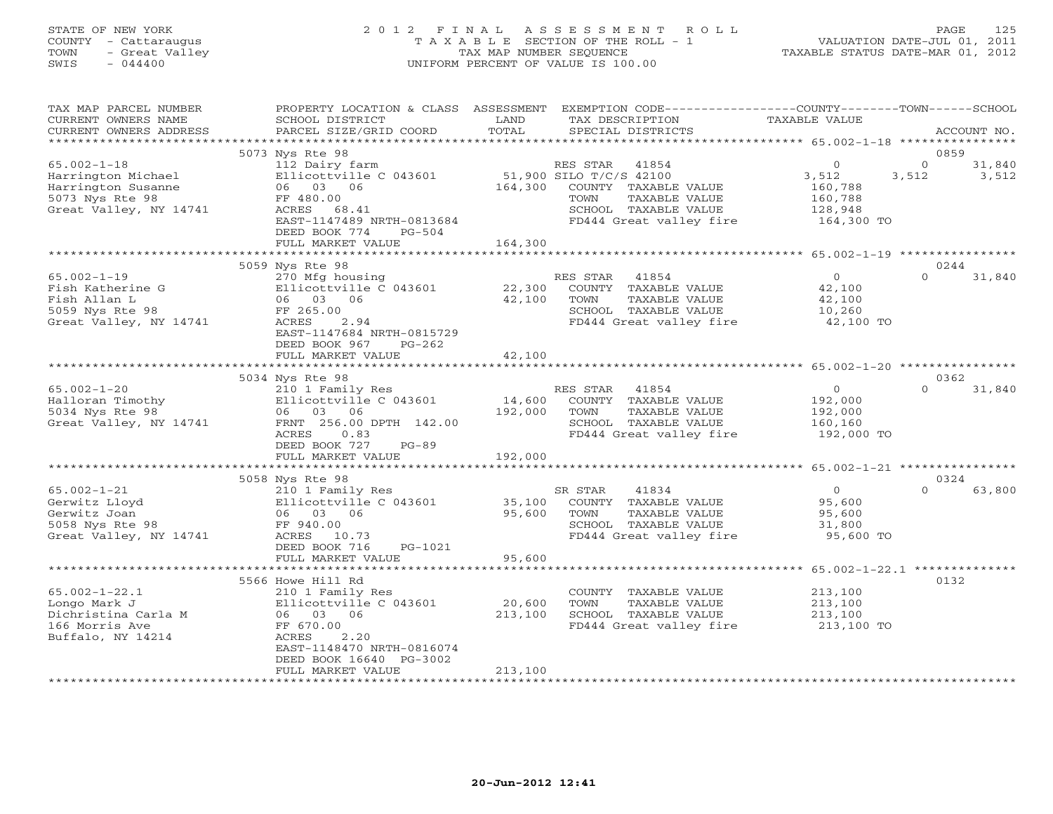#### STATE OF NEW YORK 2 0 1 2 F I N A L A S S E S S M E N T R O L L PAGE 125 COUNTY - Cattaraugus T A X A B L E SECTION OF THE ROLL - 1 VALUATION DATE-JUL 01, 2011 TOWN - Great Valley TAX MAP NUMBER SEQUENCE TAXABLE STATUS DATE-MAR 01, 2012 SWIS - 044400 UNIFORM PERCENT OF VALUE IS 100.00UNIFORM PERCENT OF VALUE IS 100.00

| TAX MAP PARCEL NUMBER<br>CURRENT OWNERS NAME<br>CURRENT OWNERS ADDRESS                                     | SCHOOL DISTRICT<br>PARCEL SIZE/GRID COORD                                                                                                                                          | LAND<br>TOTAL                | PROPERTY LOCATION & CLASS ASSESSMENT EXEMPTION CODE---------------COUNTY-------TOWN-----SCHOOL<br>TAX DESCRIPTION<br>SPECIAL DISTRICTS           | TAXABLE VALUE                                                              | ACCOUNT NO.                                  |
|------------------------------------------------------------------------------------------------------------|------------------------------------------------------------------------------------------------------------------------------------------------------------------------------------|------------------------------|--------------------------------------------------------------------------------------------------------------------------------------------------|----------------------------------------------------------------------------|----------------------------------------------|
| ***********************                                                                                    |                                                                                                                                                                                    |                              |                                                                                                                                                  |                                                                            |                                              |
| $65.002 - 1 - 18$<br>Harrington Michael<br>Harrington Susanne<br>5073 Nys Rte 98<br>Great Valley, NY 14741 | 5073 Nys Rte 98<br>112 Dairy farm<br>Ellicottville C 043601<br>06 03 06<br>FF 480.00<br>ACRES 68.41<br>EAST-1147489 NRTH-0813684<br>DEED BOOK 774<br>$PG-504$<br>FULL MARKET VALUE | 164,300<br>164,300           | RES STAR<br>41854<br>51,900 SILO T/C/S 42100<br>COUNTY TAXABLE VALUE<br>TOWN<br>TAXABLE VALUE<br>SCHOOL TAXABLE VALUE<br>FD444 Great valley fire | $\circ$<br>3,512<br>160,788<br>160,788<br>128,948<br>164,300 TO            | 0859<br>$\Omega$<br>31,840<br>3,512<br>3,512 |
|                                                                                                            |                                                                                                                                                                                    |                              |                                                                                                                                                  |                                                                            |                                              |
| $65.002 - 1 - 19$<br>Fish Katherine G<br>Fish Allan L<br>5059 Nys Rte 98<br>Great Valley, NY 14741         | 5059 Nys Rte 98<br>270 Mfg housing<br>Ellicottville C 043601<br>06 03 06<br>FF 265.00<br>ACRES<br>2.94<br>EAST-1147684 NRTH-0815729<br>DEED BOOK 967<br>$PG-262$                   | 22,300<br>42,100             | RES STAR<br>41854<br>COUNTY TAXABLE VALUE<br>TAXABLE VALUE<br>TOWN<br>SCHOOL TAXABLE VALUE<br>FD444 Great valley fire                            | $\overline{0}$<br>42,100<br>42,100<br>10,260<br>42,100 TO                  | 0244<br>$\Omega$<br>31,840                   |
|                                                                                                            | FULL MARKET VALUE                                                                                                                                                                  | 42,100                       |                                                                                                                                                  |                                                                            |                                              |
|                                                                                                            |                                                                                                                                                                                    |                              |                                                                                                                                                  |                                                                            | 0362                                         |
| $65.002 - 1 - 20$<br>Halloran Timothy<br>5034 Nys Rte 98<br>Great Valley, NY 14741                         | 5034 Nys Rte 98<br>210 1 Family Res<br>Ellicottville C 043601<br>06 03 06<br>FRNT 256.00 DPTH 142.00<br>ACRES<br>0.83<br>DEED BOOK 727<br>$PG-89$<br>FULL MARKET VALUE             | 14,600<br>192,000<br>192,000 | RES STAR<br>41854<br>COUNTY TAXABLE VALUE<br>TOWN<br>TAXABLE VALUE<br>SCHOOL TAXABLE VALUE<br>FD444 Great valley fire                            | $\overline{O}$<br>192,000<br>192,000<br>160,160<br>192,000 TO              | $\Omega$<br>31,840                           |
|                                                                                                            |                                                                                                                                                                                    |                              |                                                                                                                                                  | ********** 65.002-1-21 *****************                                   |                                              |
| $65.002 - 1 - 21$<br>Gerwitz Lloyd<br>Gerwitz Joan<br>5058 Nys Rte 98<br>Great Valley, NY 14741            | 5058 Nys Rte 98<br>210 1 Family Res<br>Ellicottville C 043601<br>06 03 06<br>FF 940.00<br>ACRES 10.73<br>DEED BOOK 716<br>PG-1021                                                  | 35,100<br>95,600             | 41834<br>SR STAR<br>COUNTY TAXABLE VALUE<br>TOWN<br>TAXABLE VALUE<br>SCHOOL TAXABLE VALUE<br>FD444 Great valley fire                             | $\overline{0}$<br>95,600<br>95,600<br>31,800<br>95,600 TO                  | 0324<br>$\cap$<br>63,800                     |
|                                                                                                            | FULL MARKET VALUE                                                                                                                                                                  | 95,600                       |                                                                                                                                                  |                                                                            |                                              |
| $65.002 - 1 - 22.1$<br>Longo Mark J<br>Dichristina Carla M<br>166 Morris Ave<br>Buffalo, NY 14214          | 5566 Howe Hill Rd<br>210 1 Family Res<br>Ellicottville C 043601<br>06 03 06<br>FF 670.00<br>2.20<br>ACRES<br>EAST-1148470 NRTH-0816074<br>DEED BOOK 16640 PG-3002                  | 20,600<br>213,100            | COUNTY TAXABLE VALUE<br>TOWN<br>TAXABLE VALUE<br>SCHOOL TAXABLE VALUE<br>FD444 Great valley fire                                                 | ********** 65.002-1-22.1 **<br>213,100<br>213,100<br>213,100<br>213,100 TO | 0132                                         |
|                                                                                                            | FULL MARKET VALUE                                                                                                                                                                  | 213,100                      |                                                                                                                                                  |                                                                            |                                              |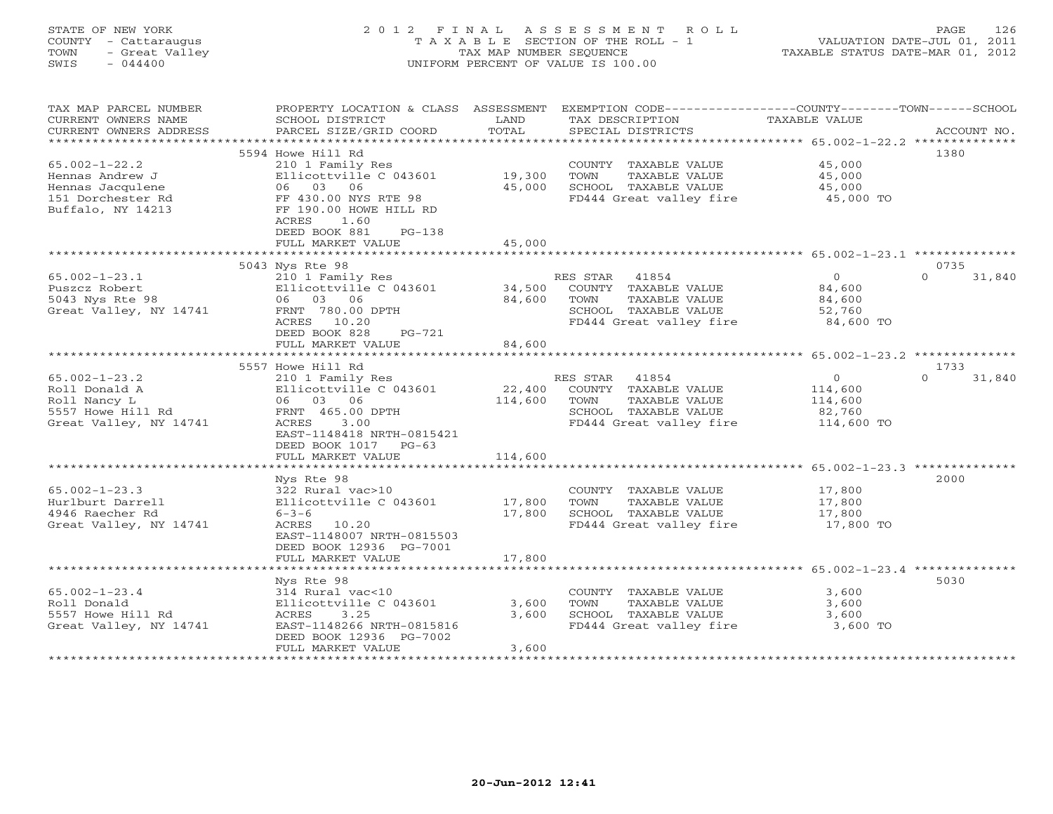# STATE OF NEW YORK 2 0 1 2 F I N A L A S S E S S M E N T R O L L PAGE 126 COUNTY - Cattaraugus T A X A B L E SECTION OF THE ROLL - 1 VALUATION DATE-JUL 01, 2011 TOWN - Great Valley TAX MAP NUMBER SEQUENCE TAXABLE STATUS DATE-MAR 01, 2012 SWIS - 044400 UNIFORM PERCENT OF VALUE IS 100.00

| TAX MAP PARCEL NUMBER<br>CURRENT OWNERS NAME<br>CURRENT OWNERS ADDRESS<br>*********************** | PROPERTY LOCATION & CLASS ASSESSMENT<br>SCHOOL DISTRICT<br>PARCEL SIZE/GRID COORD            | LAND<br>TOTAL    | EXEMPTION CODE-----------------COUNTY-------TOWN------SCHOOL<br>TAX DESCRIPTION<br>SPECIAL DISTRICTS | TAXABLE VALUE    | ACCOUNT NO.        |
|---------------------------------------------------------------------------------------------------|----------------------------------------------------------------------------------------------|------------------|------------------------------------------------------------------------------------------------------|------------------|--------------------|
| $65.002 - 1 - 22.2$                                                                               | 5594 Howe Hill Rd<br>210 1 Family Res                                                        |                  | COUNTY TAXABLE VALUE                                                                                 | 45,000           | 1380               |
| Hennas Andrew J<br>Hennas Jacqulene                                                               | Ellicottville C 043601<br>06 03 06                                                           | 19,300<br>45,000 | TOWN<br>TAXABLE VALUE<br>SCHOOL TAXABLE VALUE                                                        | 45,000<br>45,000 |                    |
| 151 Dorchester Rd<br>Buffalo, NY 14213                                                            | FF 430.00 NYS RTE 98<br>FF 190.00 HOWE HILL RD<br>1.60<br>ACRES<br>DEED BOOK 881<br>$PG-138$ |                  | FD444 Great valley fire                                                                              | 45,000 TO        |                    |
|                                                                                                   | FULL MARKET VALUE                                                                            | 45,000           |                                                                                                      |                  |                    |
|                                                                                                   | 5043 Nys Rte 98                                                                              |                  |                                                                                                      |                  | 0735               |
| $65.002 - 1 - 23.1$                                                                               | 210 1 Family Res                                                                             |                  | RES STAR 41854                                                                                       | $\circ$          | $\Omega$<br>31,840 |
| Puszcz Robert                                                                                     | Ellicottville C 043601                                                                       | 34,500           | COUNTY TAXABLE VALUE                                                                                 | 84,600           |                    |
| 5043 Nys Rte 98                                                                                   | 06 03 06                                                                                     | 84,600           | TOWN<br>TAXABLE VALUE                                                                                | 84,600           |                    |
| Great Valley, NY 14741                                                                            | FRNT 780.00 DPTH                                                                             |                  | SCHOOL TAXABLE VALUE                                                                                 | 52,760           |                    |
|                                                                                                   | ACRES 10.20<br>DEED BOOK 828<br>PG-721                                                       |                  | FD444 Great valley fire                                                                              | 84,600 TO        |                    |
|                                                                                                   | FULL MARKET VALUE                                                                            | 84,600           |                                                                                                      |                  |                    |
|                                                                                                   |                                                                                              |                  |                                                                                                      |                  |                    |
|                                                                                                   | 5557 Howe Hill Rd                                                                            |                  |                                                                                                      |                  | 1733               |
| $65.002 - 1 - 23.2$                                                                               | 210 1 Family Res                                                                             |                  | RES STAR<br>41854                                                                                    | $\circ$          | 31,840<br>$\Omega$ |
| Roll Donald A                                                                                     | Ellicottville C 043601                                                                       | 22,400           | COUNTY TAXABLE VALUE                                                                                 | 114,600          |                    |
| Roll Nancy L                                                                                      | 06 03 06                                                                                     | 114,600          | TOWN<br>TAXABLE VALUE                                                                                | 114,600          |                    |
| 5557 Howe Hill Rd                                                                                 | FRNT 465.00 DPTH                                                                             |                  | SCHOOL TAXABLE VALUE                                                                                 | 82,760           |                    |
| Great Valley, NY 14741                                                                            | ACRES<br>3.00                                                                                |                  | FD444 Great valley fire                                                                              | 114,600 TO       |                    |
|                                                                                                   | EAST-1148418 NRTH-0815421                                                                    |                  |                                                                                                      |                  |                    |
|                                                                                                   | DEED BOOK 1017 PG-63                                                                         | 114,600          |                                                                                                      |                  |                    |
|                                                                                                   | FULL MARKET VALUE<br>**************************                                              | ************     |                                                                                                      |                  |                    |
|                                                                                                   | Nys Rte 98                                                                                   |                  |                                                                                                      |                  | 2000               |
| $65.002 - 1 - 23.3$                                                                               | 322 Rural vac>10                                                                             |                  | COUNTY TAXABLE VALUE                                                                                 | 17,800           |                    |
| Hurlburt Darrell                                                                                  | Ellicottville C 043601                                                                       | 17,800           | TOWN<br>TAXABLE VALUE                                                                                | 17,800           |                    |
| 4946 Raecher Rd                                                                                   | $6 - 3 - 6$                                                                                  | 17,800           | SCHOOL TAXABLE VALUE                                                                                 | 17,800           |                    |
| Great Valley, NY 14741                                                                            | ACRES 10.20                                                                                  |                  | FD444 Great valley fire                                                                              | 17,800 TO        |                    |
|                                                                                                   | EAST-1148007 NRTH-0815503                                                                    |                  |                                                                                                      |                  |                    |
|                                                                                                   | DEED BOOK 12936 PG-7001                                                                      |                  |                                                                                                      |                  |                    |
|                                                                                                   | FULL MARKET VALUE                                                                            | 17,800           |                                                                                                      |                  |                    |
|                                                                                                   |                                                                                              |                  |                                                                                                      |                  |                    |
| $65.002 - 1 - 23.4$                                                                               | Nys Rte 98<br>314 Rural vac<10                                                               |                  | COUNTY TAXABLE VALUE                                                                                 | 3,600            | 5030               |
| Roll Donald                                                                                       | Ellicottville C 043601                                                                       | 3,600            | TOWN<br>TAXABLE VALUE                                                                                | 3,600            |                    |
| 5557 Howe Hill Rd                                                                                 | ACRES<br>3.25                                                                                | 3,600            | SCHOOL TAXABLE VALUE                                                                                 | 3,600            |                    |
| Great Valley, NY 14741                                                                            | EAST-1148266 NRTH-0815816                                                                    |                  | FD444 Great valley fire                                                                              | 3,600 TO         |                    |
|                                                                                                   | DEED BOOK 12936 PG-7002                                                                      |                  |                                                                                                      |                  |                    |
|                                                                                                   | FULL MARKET VALUE                                                                            | 3,600            |                                                                                                      |                  |                    |
|                                                                                                   |                                                                                              |                  |                                                                                                      |                  |                    |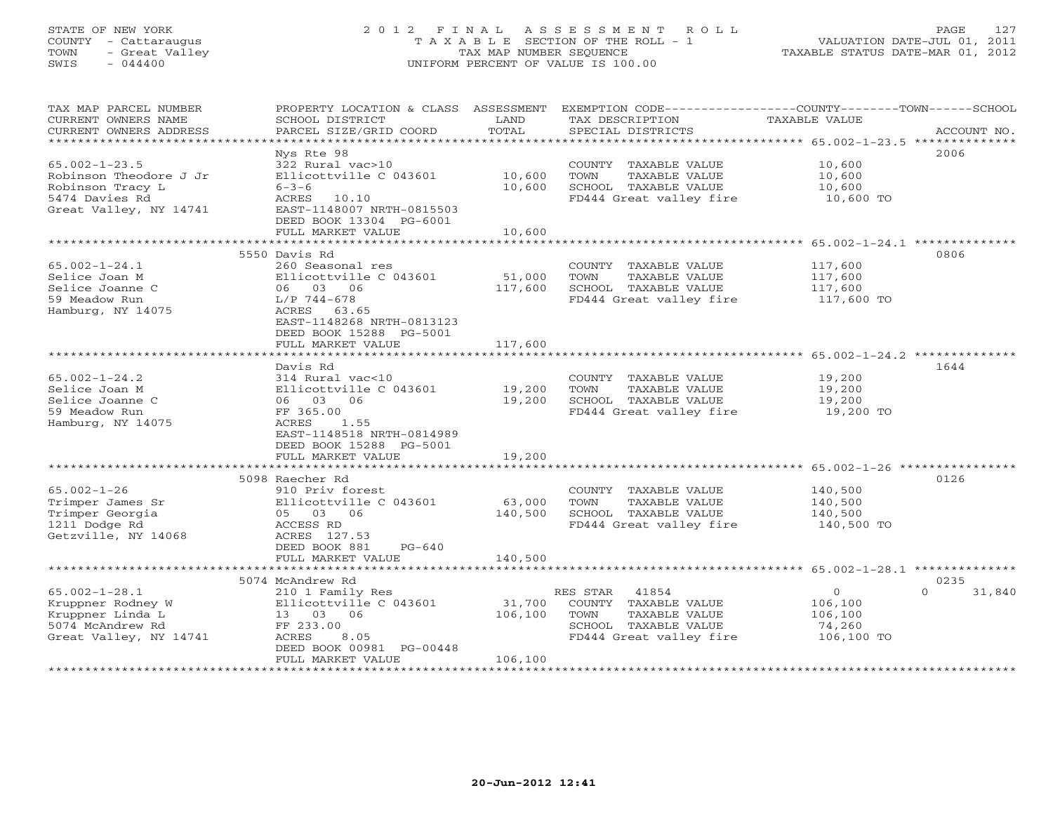#### STATE OF NEW YORK 2 0 1 2 F I N A L A S S E S S M E N T R O L L PAGE 127 COUNTY - Cattaraugus T A X A B L E SECTION OF THE ROLL - 1 VALUATION DATE-JUL 01, 2011 TOWN - Great Valley TAX MAP NUMBER SEQUENCE TAXABLE STATUS DATE-MAR 01, 2012 SWIS - 044400 UNIFORM PERCENT OF VALUE IS 100.00UNIFORM PERCENT OF VALUE IS 100.00

| TAX MAP PARCEL NUMBER<br>CURRENT OWNERS NAME<br>CURRENT OWNERS ADDRESS                           | PROPERTY LOCATION & CLASS ASSESSMENT<br>SCHOOL DISTRICT<br>PARCEL SIZE/GRID COORD                                             | LAND<br>TOTAL     | TAX DESCRIPTION<br>SPECIAL DISTRICTS                                                                    | EXEMPTION CODE-----------------COUNTY-------TOWN-----SCHOOL<br><b>TAXABLE VALUE</b><br>ACCOUNT NO. |
|--------------------------------------------------------------------------------------------------|-------------------------------------------------------------------------------------------------------------------------------|-------------------|---------------------------------------------------------------------------------------------------------|----------------------------------------------------------------------------------------------------|
| *************************                                                                        |                                                                                                                               |                   |                                                                                                         |                                                                                                    |
|                                                                                                  | Nys Rte 98                                                                                                                    |                   |                                                                                                         | 2006                                                                                               |
| $65.002 - 1 - 23.5$<br>Robinson Theodore J Jr<br>Robinson Tracy L                                | 322 Rural vac>10<br>Ellicottville C 043601<br>$6 - 3 - 6$                                                                     | 10,600<br>10,600  | COUNTY TAXABLE VALUE<br>TOWN<br>TAXABLE VALUE<br>SCHOOL TAXABLE VALUE                                   | 10,600<br>10,600<br>10,600                                                                         |
| 5474 Davies Rd<br>Great Valley, NY 14741                                                         | 10.10<br>ACRES<br>EAST-1148007 NRTH-0815503<br>DEED BOOK 13304 PG-6001<br>FULL MARKET VALUE                                   | 10,600            | FD444 Great valley fire                                                                                 | 10,600 TO                                                                                          |
|                                                                                                  | *********************                                                                                                         | ***********       |                                                                                                         | ******************** 65.002-1-24.1 ********                                                        |
|                                                                                                  | 5550 Davis Rd                                                                                                                 |                   |                                                                                                         | 0806                                                                                               |
| $65.002 - 1 - 24.1$<br>Selice Joan M<br>Selice Joanne C<br>59 Meadow Run<br>Hamburg, NY 14075    | 260 Seasonal res<br>Ellicottville C 043601<br>06 03 06<br>L/P 744-678<br>ACRES 63.65                                          | 51,000<br>117,600 | COUNTY TAXABLE VALUE<br>TOWN<br>TAXABLE VALUE<br>SCHOOL TAXABLE VALUE<br>FD444 Great valley fire        | 117,600<br>117,600<br>117,600<br>117,600 TO                                                        |
|                                                                                                  | EAST-1148268 NRTH-0813123<br>DEED BOOK 15288 PG-5001<br>FULL MARKET VALUE<br>**********************                           | 117,600           |                                                                                                         | ******************** 65.002-1-24.2 **************                                                  |
|                                                                                                  |                                                                                                                               |                   |                                                                                                         | 1644                                                                                               |
| $65.002 - 1 - 24.2$<br>Selice Joan M<br>Selice Joanne C<br>59 Meadow Run<br>Hamburg, NY 14075    | Davis Rd<br>314 Rural vac<10<br>Ellicottville C 043601<br>06 03 06<br>FF 365.00<br>ACRES<br>1.55<br>EAST-1148518 NRTH-0814989 | 19,200<br>19,200  | COUNTY TAXABLE VALUE<br>TOWN<br>TAXABLE VALUE<br>SCHOOL TAXABLE VALUE<br>FD444 Great valley fire        | 19,200<br>19,200<br>19,200<br>19,200 TO                                                            |
|                                                                                                  | DEED BOOK 15288 PG-5001<br>FULL MARKET VALUE                                                                                  | 19,200            |                                                                                                         |                                                                                                    |
|                                                                                                  | ****************************                                                                                                  | *************     |                                                                                                         | ********************************* 65.002-1-26 **********                                           |
|                                                                                                  | 5098 Raecher Rd                                                                                                               |                   |                                                                                                         | 0126                                                                                               |
| $65.002 - 1 - 26$<br>Trimper James Sr<br>Trimper Georgia<br>1211 Dodge Rd<br>Getzville, NY 14068 | 910 Priv forest<br>Ellicottville C 043601<br>05 03 06<br>ACCESS RD<br>ACRES 127.53                                            | 63,000<br>140,500 | COUNTY TAXABLE VALUE<br><b>TAXABLE VALUE</b><br>TOWN<br>SCHOOL TAXABLE VALUE<br>FD444 Great valley fire | 140,500<br>140,500<br>140,500<br>140,500 TO                                                        |
|                                                                                                  | DEED BOOK 881<br>$PG-640$                                                                                                     |                   |                                                                                                         |                                                                                                    |
|                                                                                                  | FULL MARKET VALUE                                                                                                             | 140,500           |                                                                                                         |                                                                                                    |
|                                                                                                  | 5074 McAndrew Rd                                                                                                              |                   |                                                                                                         | 0235                                                                                               |
| $65.002 - 1 - 28.1$                                                                              | 210 1 Family Res                                                                                                              |                   | RES STAR<br>41854                                                                                       | $\circ$<br>$\Omega$<br>31,840                                                                      |
| Kruppner Rodney W<br>Kruppner Linda L<br>5074 McAndrew Rd<br>Great Valley, NY 14741              | Ellicottville C 043601<br>13 03 06<br>FF 233.00<br>ACRES<br>8.05                                                              | 31,700<br>106,100 | COUNTY TAXABLE VALUE<br>TOWN<br>TAXABLE VALUE<br>SCHOOL TAXABLE VALUE<br>FD444 Great valley fire        | 106,100<br>106,100<br>74,260<br>106,100 TO                                                         |
|                                                                                                  | DEED BOOK 00981 PG-00448                                                                                                      |                   |                                                                                                         |                                                                                                    |
| *******************                                                                              | FULL MARKET VALUE                                                                                                             | 106,100           |                                                                                                         |                                                                                                    |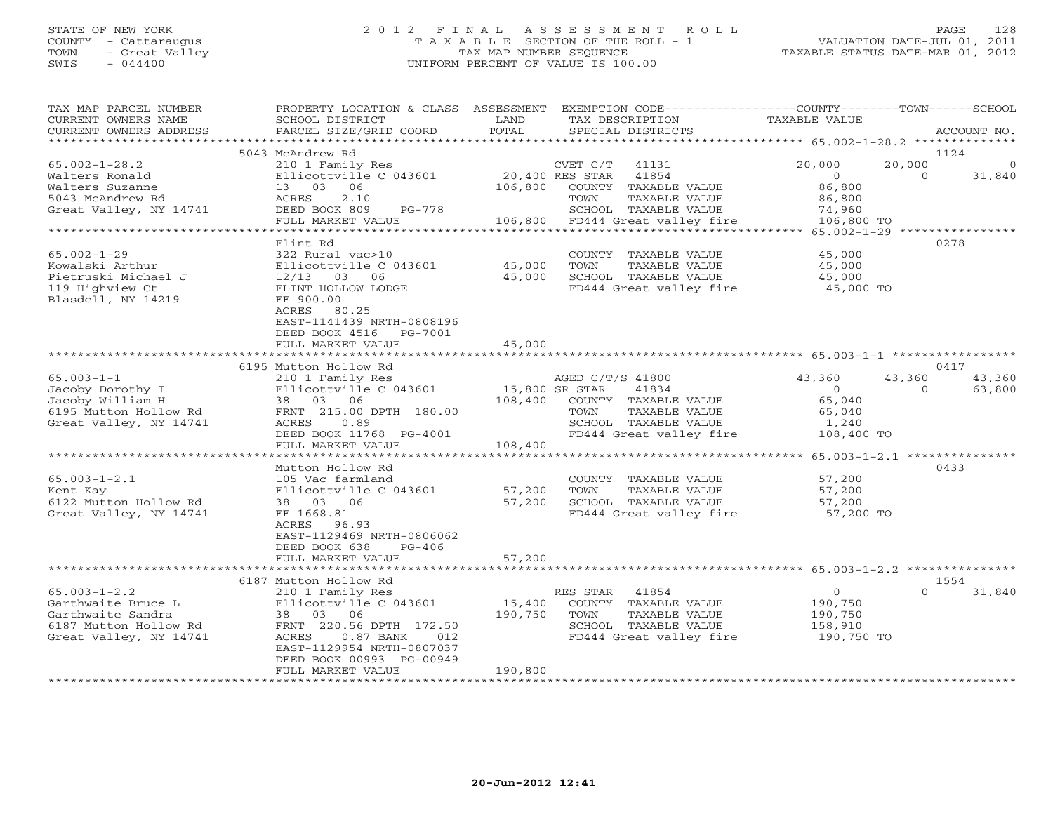# STATE OF NEW YORK 2 0 1 2 F I N A L A S S E S S M E N T R O L L PAGE 128 COUNTY - Cattaraugus T A X A B L E SECTION OF THE ROLL - 1 VALUATION DATE-JUL 01, 2011 TOWN - Great Valley TAX MAP NUMBER SEQUENCE TAXABLE STATUS DATE-MAR 01, 2012 SWIS - 044400 UNIFORM PERCENT OF VALUE IS 100.00

| TAX MAP PARCEL NUMBER<br>CURRENT OWNERS NAME<br>CURRENT OWNERS ADDRESS | PROPERTY LOCATION & CLASS<br>SCHOOL DISTRICT<br>PARCEL SIZE/GRID COORD | ASSESSMENT<br>LAND<br>TOTAL | EXEMPTION CODE-----------------COUNTY-------TOWN------SCHOOL<br>TAX DESCRIPTION<br>SPECIAL DISTRICTS | TAXABLE VALUE                            | ACCOUNT NO.                   |
|------------------------------------------------------------------------|------------------------------------------------------------------------|-----------------------------|------------------------------------------------------------------------------------------------------|------------------------------------------|-------------------------------|
|                                                                        |                                                                        |                             |                                                                                                      | ***************** 65.002-1-28.2 ******** |                               |
|                                                                        | 5043 McAndrew Rd                                                       |                             |                                                                                                      |                                          | 1124                          |
| $65.002 - 1 - 28.2$<br>Walters Ronald                                  | 210 1 Family Res<br>Ellicottville C 043601                             |                             | CVET C/T<br>41131<br>20,400 RES STAR<br>41854                                                        | 20,000<br>$\circ$                        | 20,000<br>$\Omega$<br>31,840  |
| Walters Suzanne<br>5043 McAndrew Rd                                    | 13 03<br>06<br>2.10<br>ACRES                                           | 106,800                     | COUNTY<br>TAXABLE VALUE<br><b>TAXABLE VALUE</b><br>TOWN                                              | 86,800<br>86,800                         |                               |
| Great Valley, NY 14741                                                 | DEED BOOK 809<br>PG-778                                                |                             | SCHOOL TAXABLE VALUE                                                                                 | 74,960                                   |                               |
|                                                                        | FULL MARKET VALUE                                                      | 106,800                     | FD444 Great valley fire                                                                              | 106,800 TO                               |                               |
|                                                                        |                                                                        |                             |                                                                                                      | $65.002 - 1 - 29$ ***                    |                               |
|                                                                        | Flint Rd                                                               |                             |                                                                                                      |                                          | 0278                          |
| $65.002 - 1 - 29$                                                      | 322 Rural vac>10                                                       |                             | COUNTY<br>TAXABLE VALUE                                                                              | 45,000                                   |                               |
| Kowalski Arthur                                                        | Ellicottville C 043601                                                 | 45,000                      | TOWN<br><b>TAXABLE VALUE</b>                                                                         | 45,000                                   |                               |
| Pietruski Michael J                                                    | $12/13$ 03<br>06                                                       | 45,000                      | SCHOOL TAXABLE VALUE                                                                                 | 45,000                                   |                               |
| 119 Highview Ct                                                        | FLINT HOLLOW LODGE                                                     |                             | FD444 Great valley fire                                                                              | 45,000 TO                                |                               |
| Blasdell, NY 14219                                                     | FF 900.00                                                              |                             |                                                                                                      |                                          |                               |
|                                                                        | ACRES<br>80.25                                                         |                             |                                                                                                      |                                          |                               |
|                                                                        | EAST-1141439 NRTH-0808196                                              |                             |                                                                                                      |                                          |                               |
|                                                                        | DEED BOOK 4516<br>PG-7001                                              |                             |                                                                                                      |                                          |                               |
|                                                                        | FULL MARKET VALUE<br>***********************                           | 45,000<br>************      | ******************************** 65.003-1-1 *****************                                        |                                          |                               |
|                                                                        | 6195 Mutton Hollow Rd                                                  |                             |                                                                                                      |                                          | 0417                          |
| $65.003 - 1 - 1$                                                       | 210 1 Family Res                                                       |                             | AGED C/T/S 41800                                                                                     | 43,360                                   | 43,360<br>43,360              |
| Jacoby Dorothy I                                                       | Ellicottville C 043601                                                 |                             | 15,800 SR STAR<br>41834                                                                              | $\overline{0}$                           | 63,800<br>$\Omega$            |
| Jacoby William H                                                       | 38 03 06                                                               | 108,400                     | COUNTY TAXABLE VALUE                                                                                 | 65,040                                   |                               |
| 6195 Mutton Hollow Rd                                                  | FRNT 215.00 DPTH 180.00                                                |                             | TOWN<br>TAXABLE VALUE                                                                                | 65,040                                   |                               |
| Great Valley, NY 14741                                                 | ACRES<br>0.89                                                          |                             | SCHOOL TAXABLE VALUE                                                                                 | 1,240                                    |                               |
|                                                                        | DEED BOOK 11768 PG-4001                                                |                             | FD444 Great valley fire                                                                              | 108,400 TO                               |                               |
|                                                                        | FULL MARKET VALUE                                                      | 108,400                     |                                                                                                      |                                          |                               |
| . * * * * * * * * * * * * * * * * *                                    | *********************                                                  | * * * * * * * * * * * * * * |                                                                                                      | ***********                              | 65.003-1-2.1 **************** |
|                                                                        | Mutton Hollow Rd                                                       |                             |                                                                                                      |                                          | 0433                          |
| $65.003 - 1 - 2.1$                                                     | 105 Vac farmland                                                       |                             | COUNTY<br>TAXABLE VALUE                                                                              | 57,200                                   |                               |
| Kent Kay                                                               | Ellicottville C 043601                                                 | 57,200                      | TAXABLE VALUE<br>TOWN                                                                                | 57,200                                   |                               |
| 6122 Mutton Hollow Rd                                                  | 38 03 06                                                               | 57,200                      | SCHOOL TAXABLE VALUE                                                                                 | 57,200                                   |                               |
| Great Valley, NY 14741                                                 | FF 1668.81                                                             |                             | FD444 Great valley fire                                                                              | 57,200 TO                                |                               |
|                                                                        | ACRES<br>96.93                                                         |                             |                                                                                                      |                                          |                               |
|                                                                        | EAST-1129469 NRTH-0806062                                              |                             |                                                                                                      |                                          |                               |
|                                                                        | DEED BOOK 638<br>$PG-406$                                              |                             |                                                                                                      |                                          |                               |
|                                                                        | FULL MARKET VALUE                                                      | 57,200                      |                                                                                                      |                                          |                               |
|                                                                        |                                                                        |                             |                                                                                                      |                                          |                               |
|                                                                        | 6187 Mutton Hollow Rd                                                  |                             |                                                                                                      |                                          | 1554                          |
| $65.003 - 1 - 2.2$                                                     | 210 1 Family Res                                                       |                             | RES STAR<br>41854                                                                                    | $\circ$                                  | $\Omega$<br>31,840            |
| Garthwaite Bruce L                                                     | Ellicottville C 043601                                                 | 15,400<br>190,750           | COUNTY TAXABLE VALUE                                                                                 | 190,750                                  |                               |
| Garthwaite Sandra<br>6187 Mutton Hollow Rd                             | 38 03 06<br>FRNT 220.56 DPTH 172.50                                    |                             | TOWN<br>TAXABLE VALUE<br>SCHOOL TAXABLE VALUE                                                        | 190,750<br>158,910                       |                               |
| Great Valley, NY 14741                                                 | ACRES<br>$0.87$ BANK<br>012                                            |                             | FD444 Great valley fire                                                                              | 190,750 TO                               |                               |
|                                                                        | EAST-1129954 NRTH-0807037                                              |                             |                                                                                                      |                                          |                               |
|                                                                        | DEED BOOK 00993 PG-00949                                               |                             |                                                                                                      |                                          |                               |
|                                                                        | FULL MARKET VALUE                                                      | 190,800                     |                                                                                                      |                                          |                               |
|                                                                        | *******************                                                    | ***********                 |                                                                                                      |                                          |                               |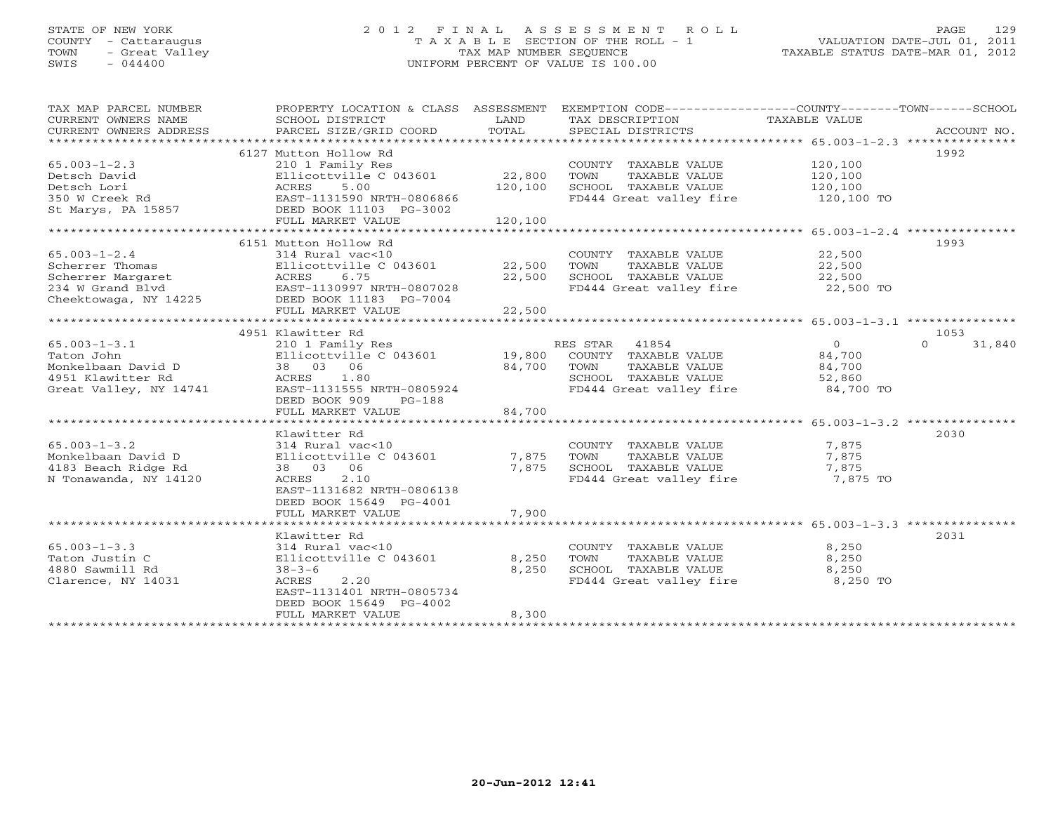# STATE OF NEW YORK 2 0 1 2 F I N A L A S S E S S M E N T R O L L PAGE 129 COUNTY - Cattaraugus T A X A B L E SECTION OF THE ROLL - 1 VALUATION DATE-JUL 01, 2011 TOWN - Great Valley TAX MAP NUMBER SEQUENCE TAXABLE STATUS DATE-MAR 01, 2012 SWIS - 044400 UNIFORM PERCENT OF VALUE IS 100.00

| TAX MAP PARCEL NUMBER<br>CURRENT OWNERS NAME<br>CURRENT OWNERS ADDRESS | PROPERTY LOCATION & CLASS ASSESSMENT<br>SCHOOL DISTRICT<br>PARCEL SIZE/GRID COORD | LAND<br>TOTAL | TAX DESCRIPTION<br>SPECIAL DISTRICTS | EXEMPTION CODE----------------COUNTY-------TOWN------SCHOOL<br>TAXABLE VALUE<br>ACCOUNT NO. |
|------------------------------------------------------------------------|-----------------------------------------------------------------------------------|---------------|--------------------------------------|---------------------------------------------------------------------------------------------|
|                                                                        |                                                                                   |               |                                      |                                                                                             |
|                                                                        | 6127 Mutton Hollow Rd                                                             |               |                                      | 1992                                                                                        |
| $65.003 - 1 - 2.3$                                                     | 210 1 Family Res                                                                  |               | COUNTY TAXABLE VALUE                 | 120,100                                                                                     |
| Detsch David                                                           | Ellicottville C 043601                                                            | 22,800        | TOWN<br>TAXABLE VALUE                | 120,100                                                                                     |
| Detsch Lori                                                            | 5.00<br>ACRES                                                                     | 120,100       | SCHOOL TAXABLE VALUE                 | 120,100                                                                                     |
| 350 W Creek Rd                                                         | EAST-1131590 NRTH-0806866                                                         |               | FD444 Great valley fire              | 120,100 TO                                                                                  |
| St Marys, PA 15857                                                     | DEED BOOK 11103 PG-3002                                                           |               |                                      |                                                                                             |
|                                                                        | FULL MARKET VALUE                                                                 | 120,100       |                                      |                                                                                             |
|                                                                        | ************************                                                          |               |                                      | ************************ 65.003-1-2.4 ***************                                       |
|                                                                        | 6151 Mutton Hollow Rd                                                             |               |                                      | 1993                                                                                        |
| $65.003 - 1 - 2.4$                                                     | 314 Rural vac<10                                                                  |               |                                      | 22,500                                                                                      |
|                                                                        |                                                                                   |               | COUNTY TAXABLE VALUE                 |                                                                                             |
| Scherrer Thomas                                                        | Ellicottville C 043601                                                            | 22,500        | TOWN<br>TAXABLE VALUE                | 22,500                                                                                      |
| Scherrer Margaret                                                      | 6.75<br>ACRES                                                                     | 22,500        | SCHOOL TAXABLE VALUE                 | 22,500                                                                                      |
| 234 W Grand Blvd                                                       | EAST-1130997 NRTH-0807028                                                         |               | FD444 Great valley fire              | 22,500 TO                                                                                   |
| Cheektowaga, NY 14225                                                  | DEED BOOK 11183 PG-7004                                                           |               |                                      |                                                                                             |
|                                                                        | FULL MARKET VALUE                                                                 | 22,500        |                                      |                                                                                             |
|                                                                        |                                                                                   |               |                                      |                                                                                             |
|                                                                        | 4951 Klawitter Rd                                                                 |               |                                      | 1053                                                                                        |
| $65.003 - 1 - 3.1$                                                     | 210 1 Family Res                                                                  |               | RES STAR 41854                       | $\Omega$<br>$\Omega$<br>31,840                                                              |
| Taton John                                                             | Ellicottville C 043601                                                            | 19,800        | COUNTY TAXABLE VALUE                 | 84,700                                                                                      |
| Monkelbaan David D                                                     | 38 03 06                                                                          | 84,700        | TOWN<br>TAXABLE VALUE                | 84,700                                                                                      |
| 4951 Klawitter Rd                                                      | ACRES<br>1.80                                                                     |               | SCHOOL TAXABLE VALUE                 | 52,860                                                                                      |
| Great Valley, NY 14741                                                 | EAST-1131555 NRTH-0805924                                                         |               | FD444 Great valley fire              | 84,700 TO                                                                                   |
|                                                                        | DEED BOOK 909<br>$PG-188$                                                         |               |                                      |                                                                                             |
|                                                                        | FULL MARKET VALUE                                                                 | 84,700        |                                      |                                                                                             |
|                                                                        |                                                                                   |               |                                      |                                                                                             |
|                                                                        |                                                                                   |               |                                      |                                                                                             |
|                                                                        | Klawitter Rd                                                                      |               |                                      | 2030                                                                                        |
| $65.003 - 1 - 3.2$                                                     | 314 Rural vac<10                                                                  |               | COUNTY TAXABLE VALUE                 | 7,875                                                                                       |
| Monkelbaan David D                                                     | Ellicottville C 043601                                                            | 7,875         | TAXABLE VALUE<br>TOWN                | 7,875                                                                                       |
| 4183 Beach Ridge Rd                                                    | 38 03 06                                                                          | 7,875         | SCHOOL TAXABLE VALUE                 | 7,875                                                                                       |
| N Tonawanda, NY 14120                                                  | 2.10<br>ACRES                                                                     |               | FD444 Great valley fire              | 7,875 TO                                                                                    |
|                                                                        | EAST-1131682 NRTH-0806138                                                         |               |                                      |                                                                                             |
|                                                                        | DEED BOOK 15649 PG-4001                                                           |               |                                      |                                                                                             |
|                                                                        | FULL MARKET VALUE                                                                 | 7,900         |                                      |                                                                                             |
|                                                                        |                                                                                   |               |                                      |                                                                                             |
|                                                                        | Klawitter Rd                                                                      |               |                                      | 2031                                                                                        |
| $65.003 - 1 - 3.3$                                                     | 314 Rural vac<10                                                                  |               | COUNTY TAXABLE VALUE                 | 8,250                                                                                       |
| Taton Justin C                                                         | Ellicottville C 043601                                                            | 8,250         | TOWN<br>TAXABLE VALUE                | 8,250                                                                                       |
| 4880 Sawmill Rd                                                        | $38 - 3 - 6$                                                                      | 8,250         | SCHOOL TAXABLE VALUE                 | 8,250                                                                                       |
| Clarence, NY 14031                                                     | ACRES<br>2.20                                                                     |               | FD444 Great valley fire              | 8,250 TO                                                                                    |
|                                                                        | EAST-1131401 NRTH-0805734                                                         |               |                                      |                                                                                             |
|                                                                        |                                                                                   |               |                                      |                                                                                             |
|                                                                        | DEED BOOK 15649 PG-4002                                                           | 8,300         |                                      |                                                                                             |
|                                                                        | FULL MARKET VALUE                                                                 |               |                                      |                                                                                             |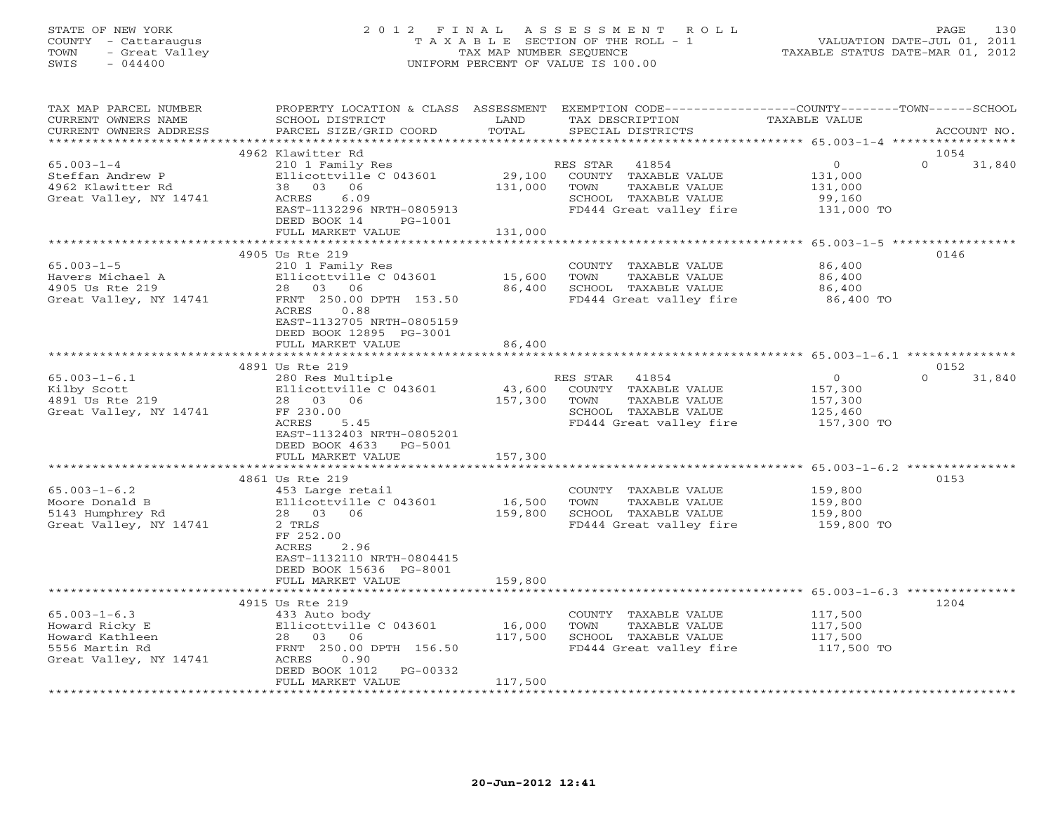# STATE OF NEW YORK 2 0 1 2 F I N A L A S S E S S M E N T R O L L PAGE 130 COUNTY - Cattaraugus T A X A B L E SECTION OF THE ROLL - 1 VALUATION DATE-JUL 01, 2011 TOWN - Great Valley TAX MAP NUMBER SEQUENCE TAXABLE STATUS DATE-MAR 01, 2012 SWIS - 044400 UNIFORM PERCENT OF VALUE IS 100.00

| TAX MAP PARCEL NUMBER<br>CURRENT OWNERS NAME<br>CURRENT OWNERS ADDRESS                              | PROPERTY LOCATION & CLASS ASSESSMENT<br>SCHOOL DISTRICT<br>PARCEL SIZE/GRID COORD                                                                                                                                   | LAND<br>TOTAL                | EXEMPTION CODE-----------------COUNTY-------TOWN------SCHOOL<br>TAX DESCRIPTION<br>SPECIAL DISTRICTS                                                                               | TAXABLE VALUE                                                 | ACCOUNT NO.                |
|-----------------------------------------------------------------------------------------------------|---------------------------------------------------------------------------------------------------------------------------------------------------------------------------------------------------------------------|------------------------------|------------------------------------------------------------------------------------------------------------------------------------------------------------------------------------|---------------------------------------------------------------|----------------------------|
| *************************                                                                           |                                                                                                                                                                                                                     |                              |                                                                                                                                                                                    |                                                               |                            |
| $65.003 - 1 - 4$<br>Steffan Andrew P<br>4962 Klawitter Rd<br>Great Valley, NY 14741                 | 4962 Klawitter Rd<br>210 1 Family Res<br>Ellicottville C 043601<br>38 03 06<br>6.09<br>ACRES<br>EAST-1132296 NRTH-0805913<br>DEED BOOK 14<br>PG-1001<br>FULL MARKET VALUE                                           | 29,100<br>131,000<br>131,000 | RES STAR<br>41854<br>COUNTY TAXABLE VALUE<br>TAXABLE VALUE<br>TOWN<br>SCHOOL TAXABLE VALUE<br>FD444 Great valley fire                                                              | $\circ$<br>131,000<br>131,000<br>99,160<br>131,000 TO         | 1054<br>$\Omega$<br>31,840 |
|                                                                                                     |                                                                                                                                                                                                                     |                              | ********************************* 65.003-1-5 ******************                                                                                                                    |                                                               |                            |
| $65.003 - 1 - 5$<br>Havers Michael A<br>4905 Us Rte 219<br>Great Valley, NY 14741                   | 4905 Us Rte 219<br>210 1 Family Res<br>Ellicottville C 043601<br>28 03 06<br>FRNT 250.00 DPTH 153.50<br>ACRES<br>0.88<br>EAST-1132705 NRTH-0805159<br>DEED BOOK 12895 PG-3001<br>FULL MARKET VALUE                  | 15,600<br>86,400<br>86,400   | COUNTY TAXABLE VALUE<br>TAXABLE VALUE<br>TOWN<br>SCHOOL TAXABLE VALUE<br>FD444 Great valley fire                                                                                   | 86,400<br>86,400<br>86,400<br>86,400 TO                       | 0146                       |
|                                                                                                     |                                                                                                                                                                                                                     |                              |                                                                                                                                                                                    |                                                               |                            |
| $65.003 - 1 - 6.1$<br>Kilby Scott<br>4891 Us Rte 219<br>Great Valley, NY 14741                      | 4891 Us Rte 219<br>280 Res Multiple<br>Ellicottville C 043601<br>28  03  06<br>FF 230.00<br><b>ACRES</b><br>5.45<br>EAST-1132403 NRTH-0805201<br>DEED BOOK 4633 PG-5001<br>FULL MARKET VALUE<br>******************* | 43,600<br>157,300<br>157,300 | RES STAR<br>41854<br>COUNTY TAXABLE VALUE<br>TAXABLE VALUE<br>TOWN<br>SCHOOL TAXABLE VALUE<br>FD444 Great valley fire<br>******************************** 65.003-1-6.2 *********** | $\overline{O}$<br>157,300<br>157,300<br>125,460<br>157,300 TO | 0152<br>$\Omega$<br>31,840 |
|                                                                                                     | 4861 Us Rte 219                                                                                                                                                                                                     |                              |                                                                                                                                                                                    |                                                               | 0153                       |
| $65.003 - 1 - 6.2$<br>Moore Donald B<br>5143 Humphrey Rd<br>Great Valley, NY 14741                  | 453 Large retail<br>Ellicottville C 043601<br>28 03 06<br>2 TRLS<br>FF 252.00<br>2.96<br>ACRES<br>EAST-1132110 NRTH-0804415<br>DEED BOOK 15636 PG-8001                                                              | 16,500<br>159,800            | COUNTY TAXABLE VALUE<br>TOWN<br>TAXABLE VALUE<br>SCHOOL TAXABLE VALUE<br>FD444 Great valley fire                                                                                   | 159,800<br>159,800<br>159,800<br>159,800 TO                   |                            |
|                                                                                                     | FULL MARKET VALUE                                                                                                                                                                                                   | 159,800                      |                                                                                                                                                                                    |                                                               |                            |
|                                                                                                     |                                                                                                                                                                                                                     |                              |                                                                                                                                                                                    |                                                               |                            |
| $65.003 - 1 - 6.3$<br>Howard Ricky E<br>Howard Kathleen<br>5556 Martin Rd<br>Great Valley, NY 14741 | 4915 Us Rte 219<br>433 Auto body<br>Ellicottville C 043601<br>28 03 06<br>FRNT 250.00 DPTH 156.50<br>ACRES<br>0.90<br>DEED BOOK 1012<br>PG-00332<br>FULL MARKET VALUE                                               | 16,000<br>117,500<br>117,500 | COUNTY TAXABLE VALUE<br>TAXABLE VALUE<br>TOWN<br>SCHOOL TAXABLE VALUE<br>FD444 Great valley fire                                                                                   | 117,500<br>117,500<br>117,500<br>117,500 TO                   | 1204                       |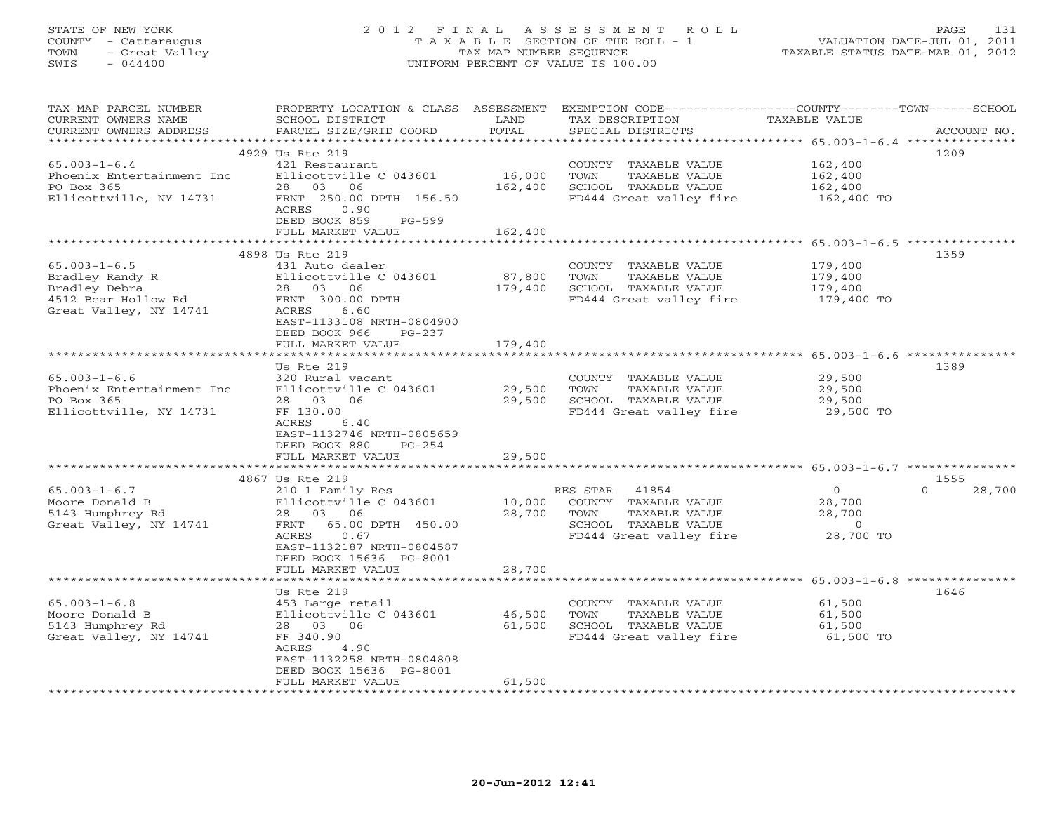# STATE OF NEW YORK 2 0 1 2 F I N A L A S S E S S M E N T R O L L PAGE 131 COUNTY - Cattaraugus T A X A B L E SECTION OF THE ROLL - 1 VALUATION DATE-JUL 01, 2011 TOWN - Great Valley TAX MAP NUMBER SEQUENCE TAXABLE STATUS DATE-MAR 01, 2012 SWIS - 044400 UNIFORM PERCENT OF VALUE IS 100.00

| TAX MAP PARCEL NUMBER<br>CURRENT OWNERS NAME<br>CURRENT OWNERS ADDRESS                                  | PROPERTY LOCATION & CLASS ASSESSMENT<br>SCHOOL DISTRICT<br>PARCEL SIZE/GRID COORD                                                                                                 | LAND<br>TOTAL                | EXEMPTION CODE-----------------COUNTY-------TOWN------SCHOOL<br>TAX DESCRIPTION<br>SPECIAL DISTRICTS               | TAXABLE VALUE                                              | ACCOUNT NO.        |
|---------------------------------------------------------------------------------------------------------|-----------------------------------------------------------------------------------------------------------------------------------------------------------------------------------|------------------------------|--------------------------------------------------------------------------------------------------------------------|------------------------------------------------------------|--------------------|
| *********************                                                                                   |                                                                                                                                                                                   |                              |                                                                                                                    |                                                            |                    |
| $65.003 - 1 - 6.4$<br>Phoenix Entertainment Inc<br>PO Box 365<br>Ellicottville, NY 14731                | 4929 Us Rte 219<br>421 Restaurant<br>Ellicottville C 043601<br>28 03 06<br>FRNT 250.00 DPTH 156.50<br>ACRES<br>0.90                                                               | 16,000<br>162,400            | COUNTY TAXABLE VALUE<br>TOWN<br>TAXABLE VALUE<br>SCHOOL TAXABLE VALUE<br>FD444 Great valley fire                   | 162,400<br>162,400<br>162,400<br>162,400 TO                | 1209               |
|                                                                                                         | DEED BOOK 859<br>PG-599                                                                                                                                                           |                              |                                                                                                                    |                                                            |                    |
|                                                                                                         | FULL MARKET VALUE                                                                                                                                                                 | 162,400                      |                                                                                                                    |                                                            |                    |
|                                                                                                         | 4898 Us Rte 219                                                                                                                                                                   |                              |                                                                                                                    |                                                            | 1359               |
| $65.003 - 1 - 6.5$<br>Bradley Randy R<br>Bradley Debra<br>4512 Bear Hollow Rd<br>Great Valley, NY 14741 | 431 Auto dealer<br>Ellicottville C 043601<br>28 03 06<br>FRNT 300.00 DPTH<br>ACRES<br>6.60<br>EAST-1133108 NRTH-0804900<br>DEED BOOK 966<br>PG-237<br>FULL MARKET VALUE           | 87,800<br>179,400<br>179,400 | COUNTY TAXABLE VALUE<br>TOWN<br>TAXABLE VALUE<br>SCHOOL TAXABLE VALUE<br>FD444 Great valley fire                   | 179,400<br>179,400<br>179,400<br>179,400 TO                |                    |
|                                                                                                         |                                                                                                                                                                                   |                              |                                                                                                                    |                                                            |                    |
| $65.003 - 1 - 6.6$<br>Phoenix Entertainment Inc<br>PO Box 365<br>Ellicottville, NY 14731                | Us Rte 219<br>320 Rural vacant<br>Ellicottville C 043601<br>28 03 06<br>FF 130.00<br>ACRES<br>6.40<br>EAST-1132746 NRTH-0805659<br>DEED BOOK 880<br>$PG-254$<br>FULL MARKET VALUE | 29,500<br>29,500<br>29,500   | COUNTY TAXABLE VALUE<br>TOWN<br>TAXABLE VALUE<br>SCHOOL TAXABLE VALUE<br>FD444 Great valley fire                   | 29,500<br>29,500<br>29,500<br>29,500 TO                    | 1389               |
|                                                                                                         | 4867 Us Rte 219                                                                                                                                                                   |                              |                                                                                                                    |                                                            | 1555               |
| $65.003 - 1 - 6.7$<br>Moore Donald B<br>5143 Humphrey Rd<br>Great Valley, NY 14741                      | 210 1 Family Res<br>Ellicottville C 043601<br>28 03 06<br>FRNT 65.00 DPTH 450.00<br>ACRES<br>0.67<br>EAST-1132187 NRTH-0804587<br>DEED BOOK 15636 PG-8001                         | 10,000<br>28,700             | RES STAR 41854<br>COUNTY TAXABLE VALUE<br>TOWN<br>TAXABLE VALUE<br>SCHOOL TAXABLE VALUE<br>FD444 Great valley fire | $\circ$<br>28,700<br>28,700<br>$\overline{0}$<br>28,700 TO | 28,700<br>$\Omega$ |
|                                                                                                         | FULL MARKET VALUE                                                                                                                                                                 | 28,700                       |                                                                                                                    |                                                            |                    |
| $65.003 - 1 - 6.8$<br>Moore Donald B<br>5143 Humphrey Rd<br>Great Valley, NY 14741                      | Us Rte 219<br>453 Large retail<br>Ellicottville C 043601<br>28 03 06<br>FF 340.90<br>ACRES<br>4.90<br>EAST-1132258 NRTH-0804808<br>DEED BOOK 15636 PG-8001<br>FULL MARKET VALUE   | 46,500<br>61,500<br>61,500   | COUNTY TAXABLE VALUE<br>TOWN<br>TAXABLE VALUE<br>SCHOOL TAXABLE VALUE<br>FD444 Great valley fire                   | 61,500<br>61,500<br>61,500<br>61,500 TO                    | 1646               |
|                                                                                                         |                                                                                                                                                                                   |                              |                                                                                                                    |                                                            |                    |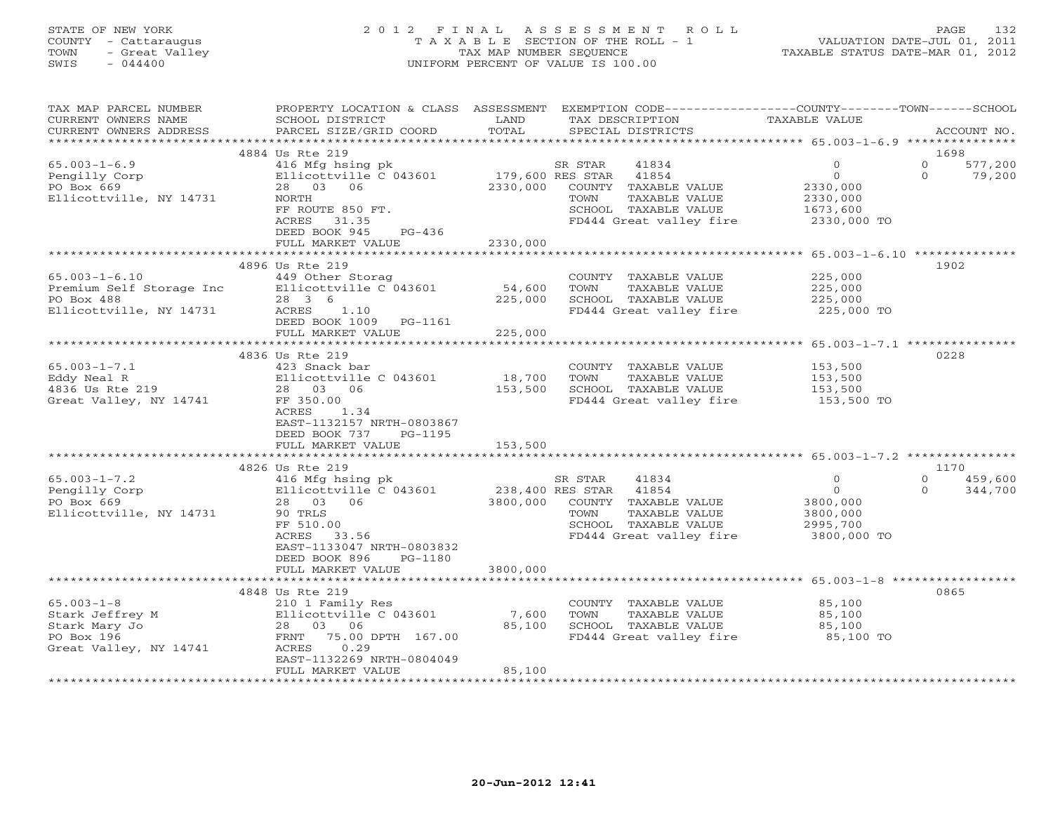## STATE OF NEW YORK 2 0 1 2 F I N A L A S S E S S M E N T R O L L PAGE 132 COUNTY - Cattaraugus T A X A B L E SECTION OF THE ROLL - 1 VALUATION DATE-JUL 01, 2011 TOWN - Great Valley TAX MAP NUMBER SEQUENCE TAXABLE STATUS DATE-MAR 01, 2012 SWIS - 044400 UNIFORM PERCENT OF VALUE IS 100.00

| EXEMPTION CODE-----------------COUNTY-------TOWN------SCHOOL<br>TAX MAP PARCEL NUMBER<br>PROPERTY LOCATION & CLASS ASSESSMENT<br>TAXABLE VALUE<br>CURRENT OWNERS NAME<br>SCHOOL DISTRICT<br>LAND<br>TAX DESCRIPTION |                                 |
|---------------------------------------------------------------------------------------------------------------------------------------------------------------------------------------------------------------------|---------------------------------|
| TOTAL<br>CURRENT OWNERS ADDRESS<br>PARCEL SIZE/GRID COORD<br>SPECIAL DISTRICTS                                                                                                                                      | ACCOUNT NO.                     |
|                                                                                                                                                                                                                     |                                 |
| 4884 Us Rte 219                                                                                                                                                                                                     | 1698                            |
| $65.003 - 1 - 6.9$<br>416 Mfg hsing pk 5R STAR 41834<br>Ellicottville C 043601 179,600 RES STAR 41854<br>41834<br>$\circ$                                                                                           | $\circ$<br>577,200              |
| $\circ$<br>Pengilly Corp                                                                                                                                                                                            | $\Omega$<br>79,200              |
| PO Box 669<br>2330,000<br>28 03 06<br>COUNTY TAXABLE VALUE<br>2330,000                                                                                                                                              |                                 |
| Ellicottville, NY 14731<br>2330,000<br>NORTH<br>TOWN<br>TAXABLE VALUE                                                                                                                                               |                                 |
| FF ROUTE 850 FT.<br>1673,600<br>SCHOOL TAXABLE VALUE 1673,600<br>FD444 Great valley fire 2330,000 TO                                                                                                                |                                 |
| ACRES<br>31.35<br>$PG-436$                                                                                                                                                                                          |                                 |
| DEED BOOK 945<br>2330,000                                                                                                                                                                                           |                                 |
| FULL MARKET VALUE                                                                                                                                                                                                   |                                 |
| 4896 Us Rte 219                                                                                                                                                                                                     | 1902                            |
| COUNTY TAXABLE VALUE 225,000<br>$65.003 - 1 - 6.10$<br>449 Other Storag                                                                                                                                             |                                 |
| 54,600<br>Ellicottville C 043601                                                                                                                                                                                    |                                 |
| Premium Self Storage Inc<br>PO Box 488<br>28 3 6<br>225,000                                                                                                                                                         |                                 |
| TOWN TAXABLE VALUE<br>SCHOOL TAXABLE VALUE 225,000<br>FD444 Great valley fire 225,000 TO<br>Ellicottville, NY 14731<br>ACRES 1.10                                                                                   |                                 |
| DEED BOOK 1009 PG-1161                                                                                                                                                                                              |                                 |
| 225,000<br>FULL MARKET VALUE                                                                                                                                                                                        |                                 |
| **************                                                                                                                                                                                                      |                                 |
| 4836 Us Rte 219                                                                                                                                                                                                     | 0228                            |
| $65.003 - 1 - 7.1$<br>423 Snack bar<br>COUNTY TAXABLE VALUE<br>153,500<br>153,500                                                                                                                                   |                                 |
| 18,700<br>Eddy Neal R<br>TOWN<br>TAXABLE VALUE                                                                                                                                                                      |                                 |
| 423 SHACA DUL<br>Ellicottville C 043601<br>28 03 06<br>$4836$ Us Rte 219<br>153,500<br>SCHOOL TAXABLE VALUE 153,500<br>FD444 Great valley fire 153,500 TO                                                           |                                 |
| Great Valley, NY 14741<br>FF 350.00                                                                                                                                                                                 |                                 |
| ACRES 1.34                                                                                                                                                                                                          |                                 |
| EAST-1132157 NRTH-0803867                                                                                                                                                                                           |                                 |
| DEED BOOK 737 PG-1195                                                                                                                                                                                               |                                 |
| FULL MARKET VALUE<br>153,500                                                                                                                                                                                        |                                 |
|                                                                                                                                                                                                                     |                                 |
| 4826 Us Rte 219                                                                                                                                                                                                     | 1170                            |
| 416 Mfg hsing pk<br>$65.003 - 1 - 7.2$<br>SR STAR<br>41834<br>$\Omega$<br>41834 ADORES STAR 41854<br>238,400 RES STAR 41854<br>$\overline{O}$                                                                       | $\Omega$<br>459,600<br>$\Omega$ |
| Pengilly Corp<br>Ellicottville C 043601                                                                                                                                                                             | 344,700                         |
| PO Box 669<br>3800,000 COUNTY TAXABLE VALUE<br>3800,000<br>28 03 06<br>Ellicottville, NY 14731<br>TAXABLE VALUE<br>3800,000<br>90 TRLS<br>TOWN                                                                      |                                 |
| SCHOOL TAXABLE VALUE<br>2995,700<br>FF 510.00                                                                                                                                                                       |                                 |
| ACRES 33.56<br>FD444 Great valley fire<br>3800,000 TO                                                                                                                                                               |                                 |
| EAST-1133047 NRTH-0803832                                                                                                                                                                                           |                                 |
| DEED BOOK 896 PG-1180                                                                                                                                                                                               |                                 |
| 3800,000<br>FULL MARKET VALUE                                                                                                                                                                                       |                                 |
|                                                                                                                                                                                                                     |                                 |
| 4848 Us Rte 219                                                                                                                                                                                                     | 0865                            |
| 210 1 Family Res<br>$65.003 - 1 - 8$<br>COUNTY TAXABLE VALUE 85,100                                                                                                                                                 |                                 |
| Ellicottville C 043601<br>Stark Jeffrey M<br>7,600                                                                                                                                                                  |                                 |
| 85,100<br>28 03 06<br>Stark Mary Jo                                                                                                                                                                                 |                                 |
| TOWN TAXABLE VALUE<br>SCHOOL TAXABLE VALUE 85,100<br>CHOOL TAXABLE VALUE 85,100 TO<br>PO Box 196<br>FRNT 75.00 DPTH 167.00                                                                                          |                                 |
| Great Valley, NY 14741<br>ACRES<br>0.29                                                                                                                                                                             |                                 |
| EAST-1132269 NRTH-0804049                                                                                                                                                                                           |                                 |
| 85,100<br>FULL MARKET VALUE                                                                                                                                                                                         |                                 |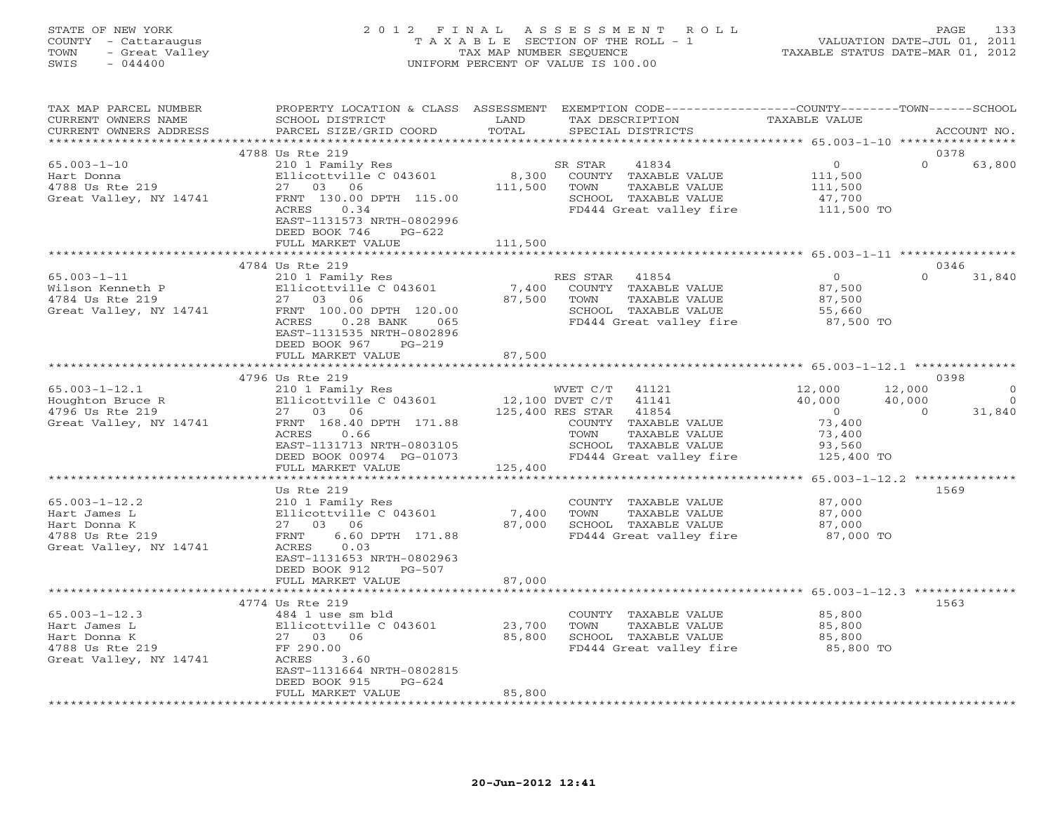#### STATE OF NEW YORK 2 0 1 2 F I N A L A S S E S S M E N T R O L L PAGE 133 COUNTY - Cattaraugus T A X A B L E SECTION OF THE ROLL - 1 VALUATION DATE-JUL 01, 2011 TOWN - Great Valley TAX MAP NUMBER SEQUENCE TAXABLE STATUS DATE-MAR 01, 2012 SWIS - 044400 UNIFORM PERCENT OF VALUE IS 100.00UNIFORM PERCENT OF VALUE IS 100.00

| TAX MAP PARCEL NUMBER<br>CURRENT OWNERS NAME<br>CURRENT OWNERS ADDRESS                           | PROPERTY LOCATION & CLASS ASSESSMENT<br>SCHOOL DISTRICT<br>PARCEL SIZE/GRID COORD                                                                                                                                  | LAND<br>TOTAL               | EXEMPTION CODE-----------------COUNTY-------TOWN-----SCHOOL<br>TAX DESCRIPTION<br>SPECIAL DISTRICTS                                                                      | TAXABLE VALUE                                                                  | ACCOUNT NO.                                                       |
|--------------------------------------------------------------------------------------------------|--------------------------------------------------------------------------------------------------------------------------------------------------------------------------------------------------------------------|-----------------------------|--------------------------------------------------------------------------------------------------------------------------------------------------------------------------|--------------------------------------------------------------------------------|-------------------------------------------------------------------|
| ***********************                                                                          |                                                                                                                                                                                                                    |                             |                                                                                                                                                                          |                                                                                |                                                                   |
| $65.003 - 1 - 10$<br>Hart Donna<br>4788 Us Rte 219<br>Great Valley, NY 14741                     | 4788 Us Rte 219<br>210 1 Family Res<br>Ellicottville C 043601<br>27 03 06<br>FRNT 130.00 DPTH 115.00<br>ACRES<br>0.34<br>EAST-1131573 NRTH-0802996<br>DEED BOOK 746<br>$PG-622$<br>FULL MARKET VALUE               | 8,300<br>111,500<br>111,500 | SR STAR<br>41834<br>COUNTY TAXABLE VALUE<br>TAXABLE VALUE<br>TOWN<br>SCHOOL TAXABLE VALUE<br>FD444 Great valley fire                                                     | $\circ$<br>111,500<br>111,500<br>47,700<br>111,500 TO                          | 0378<br>$\Omega$<br>63,800                                        |
|                                                                                                  |                                                                                                                                                                                                                    |                             |                                                                                                                                                                          |                                                                                |                                                                   |
| $65.003 - 1 - 11$<br>Wilson Kenneth P<br>4784 Us Rte 219<br>Great Valley, NY 14741               | 4784 Us Rte 219<br>210 1 Family Res<br>Ellicottville C 043601<br>27 03 06<br>FRNT 100.00 DPTH 120.00<br>ACRES<br>$0.28$ BANK<br>065<br>EAST-1131535 NRTH-0802896<br>DEED BOOK 967<br>$PG-219$<br>FULL MARKET VALUE | 7,400<br>87,500<br>87,500   | RES STAR<br>41854<br>COUNTY TAXABLE VALUE<br>TOWN<br>TAXABLE VALUE<br>SCHOOL TAXABLE VALUE<br>FD444 Great valley fire                                                    | $\overline{0}$<br>87,500<br>87,500<br>55,660<br>87,500 TO                      | 0346<br>$\Omega$<br>31,840                                        |
|                                                                                                  |                                                                                                                                                                                                                    |                             |                                                                                                                                                                          |                                                                                |                                                                   |
|                                                                                                  | 4796 Us Rte 219                                                                                                                                                                                                    |                             |                                                                                                                                                                          |                                                                                | 0398                                                              |
| $65.003 - 1 - 12.1$<br>Houghton Bruce R<br>4796 Us Rte 219<br>Great Valley, NY 14741             | 210 1 Family Res<br>Ellicottville C 043601<br>27 03 06<br>FRNT 168.40 DPTH 171.88<br>ACRES<br>0.66<br>EAST-1131713 NRTH-0803105<br>DEED BOOK 00974 PG-01073                                                        |                             | WVET C/T 41121<br>12,100 DVET C/T 41141<br>125,400 RES STAR<br>41854<br>COUNTY TAXABLE VALUE<br>TOWN<br>TAXABLE VALUE<br>SCHOOL TAXABLE VALUE<br>FD444 Great valley fire | 12,000<br>40,000<br>$\overline{0}$<br>73,400<br>73,400<br>93,560<br>125,400 TO | 12,000<br>$\mathbf 0$<br>$\Omega$<br>40,000<br>$\Omega$<br>31,840 |
|                                                                                                  | FULL MARKET VALUE                                                                                                                                                                                                  | 125,400                     |                                                                                                                                                                          |                                                                                |                                                                   |
|                                                                                                  | *************************                                                                                                                                                                                          |                             | *******************************                                                                                                                                          | *********** 65.003-1-12.2 **************                                       |                                                                   |
| $65.003 - 1 - 12.2$<br>Hart James L<br>Hart Donna K<br>4788 Us Rte 219<br>Great Valley, NY 14741 | Us Rte 219<br>210 1 Family Res<br>Ellicottville C 043601<br>27 03 06<br>6.60 DPTH 171.88<br>FRNT<br>ACRES<br>0.03<br>EAST-1131653 NRTH-0802963<br>DEED BOOK 912<br>PG-507                                          | 7,400<br>87,000             | COUNTY TAXABLE VALUE<br>TOWN<br>TAXABLE VALUE<br>SCHOOL TAXABLE VALUE<br>FD444 Great valley fire                                                                         | 87,000<br>87,000<br>87,000<br>87,000 TO                                        | 1569                                                              |
|                                                                                                  | FULL MARKET VALUE                                                                                                                                                                                                  | 87,000                      |                                                                                                                                                                          |                                                                                |                                                                   |
| $65.003 - 1 - 12.3$<br>Hart James L<br>Hart Donna K<br>4788 Us Rte 219<br>Great Valley, NY 14741 | 4774 Us Rte 219<br>484 1 use sm bld<br>Ellicottville C 043601<br>27 03 06<br>FF 290.00<br>ACRES<br>3.60<br>EAST-1131664 NRTH-0802815<br>DEED BOOK 915<br>$PG-624$<br>FULL MARKET VALUE                             | 23,700<br>85,800<br>85,800  | COUNTY TAXABLE VALUE<br>TOWN<br>TAXABLE VALUE<br>SCHOOL TAXABLE VALUE<br>FD444 Great valley fire                                                                         | 85,800<br>85,800<br>85,800<br>85,800 TO                                        | 1563                                                              |
|                                                                                                  |                                                                                                                                                                                                                    |                             |                                                                                                                                                                          |                                                                                |                                                                   |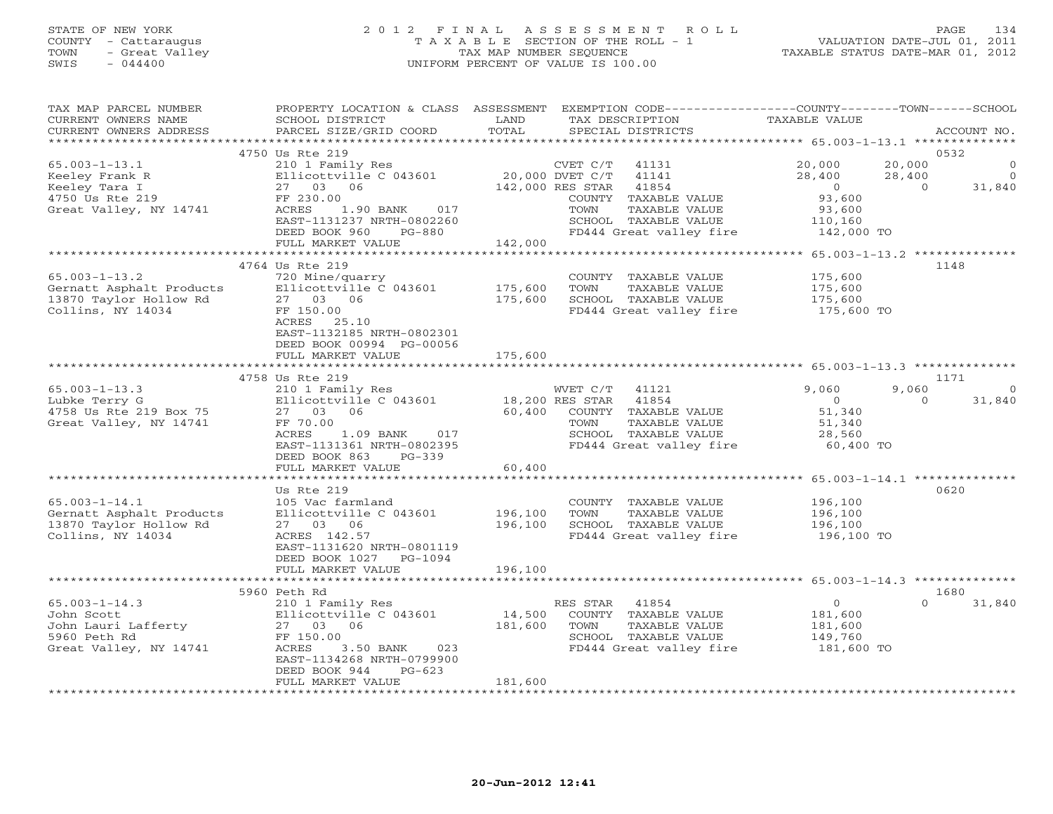# STATE OF NEW YORK 2 0 1 2 F I N A L A S S E S S M E N T R O L L PAGE 134 COUNTY - Cattaraugus T A X A B L E SECTION OF THE ROLL - 1 VALUATION DATE-JUL 01, 2011 TOWN - Great Valley TAX MAP NUMBER SEQUENCE TAXABLE STATUS DATE-MAR 01, 2012 SWIS - 044400 UNIFORM PERCENT OF VALUE IS 100.00

| TAX MAP PARCEL NUMBER<br>CURRENT OWNERS NAME<br>CURRENT OWNERS ADDRESS                              | PROPERTY LOCATION & CLASS ASSESSMENT<br>SCHOOL DISTRICT<br>PARCEL SIZE/GRID COORD                                                                                                           | LAND<br>TOTAL                 | EXEMPTION CODE----------------COUNTY-------TOWN-----SCHOOL<br>TAX DESCRIPTION<br>SPECIAL DISTRICTS                                                                             | <b>TAXABLE VALUE</b>                                                                                  | ACCOUNT NO.                                        |
|-----------------------------------------------------------------------------------------------------|---------------------------------------------------------------------------------------------------------------------------------------------------------------------------------------------|-------------------------------|--------------------------------------------------------------------------------------------------------------------------------------------------------------------------------|-------------------------------------------------------------------------------------------------------|----------------------------------------------------|
| ************************                                                                            |                                                                                                                                                                                             |                               |                                                                                                                                                                                |                                                                                                       |                                                    |
| $65.003 - 1 - 13.1$<br>Keeley Frank R<br>Keeley Tara I<br>4750 Us Rte 219<br>Great Valley, NY 14741 | 4750 Us Rte 219<br>210 1 Family Res<br>Ellicottville C 043601<br>27 03 06<br>FF 230.00<br>ACRES<br>1.90 BANK<br>017<br>EAST-1131237 NRTH-0802260<br>DEED BOOK 960<br><b>PG-880</b>          |                               | CVET C/T<br>41131<br>20,000 DVET C/T<br>41141<br>142,000 RES STAR<br>41854<br>COUNTY TAXABLE VALUE<br>TOWN<br>TAXABLE VALUE<br>SCHOOL TAXABLE VALUE<br>FD444 Great valley fire | 20,000<br>20,000<br>28,400<br>28,400<br>$\overline{O}$<br>93,600<br>93,600<br>110,160<br>142,000 TO   | 0532<br>$\Omega$<br>$\Omega$<br>31,840<br>$\Omega$ |
|                                                                                                     | FULL MARKET VALUE                                                                                                                                                                           | 142,000                       |                                                                                                                                                                                |                                                                                                       |                                                    |
| $65.003 - 1 - 13.2$<br>Gernatt Asphalt Products<br>13870 Taylor Hollow Rd<br>Collins, NY 14034      | 4764 Us Rte 219<br>720 Mine/quarry<br>Ellicottville C 043601<br>27 03 06<br>FF 150.00<br>ACRES 25.10<br>EAST-1132185 NRTH-0802301<br>DEED BOOK 00994 PG-00056                               | 175,600<br>175,600            | COUNTY TAXABLE VALUE<br>TOWN<br>TAXABLE VALUE<br>SCHOOL TAXABLE VALUE<br>FD444 Great valley fire                                                                               | ************************* 65.003-1-13.2 **************<br>175,600<br>175,600<br>175,600<br>175,600 TO | 1148                                               |
|                                                                                                     | FULL MARKET VALUE                                                                                                                                                                           | 175,600                       |                                                                                                                                                                                |                                                                                                       |                                                    |
|                                                                                                     |                                                                                                                                                                                             |                               |                                                                                                                                                                                |                                                                                                       |                                                    |
| $65.003 - 1 - 13.3$                                                                                 | 4758 Us Rte 219                                                                                                                                                                             |                               |                                                                                                                                                                                | 9,060                                                                                                 | 1171<br>9,060<br>$\Omega$                          |
| Lubke Terry G<br>4758 Us Rte 219 Box 75<br>Great Valley, NY 14741                                   | 210 1 Family Res<br>Ellicottville C 043601<br>27 03<br>06<br>FF 70.00<br>1.09 BANK<br>ACRES<br>017<br>EAST-1131361 NRTH-0802395<br>DEED BOOK 863<br>$PG-339$                                | 60,400                        | WVET C/T<br>41121<br>18,200 RES STAR<br>41854<br>COUNTY TAXABLE VALUE<br>TOWN<br>TAXABLE VALUE<br>SCHOOL TAXABLE VALUE<br>FD444 Great valley fire                              | $\Omega$<br>51,340<br>51,340<br>28,560<br>60,400 TO                                                   | 31,840<br>$\Omega$                                 |
|                                                                                                     | FULL MARKET VALUE                                                                                                                                                                           | 60,400                        |                                                                                                                                                                                |                                                                                                       |                                                    |
| $65.003 - 1 - 14.1$<br>Gernatt Asphalt Products<br>13870 Taylor Hollow Rd<br>Collins, NY 14034      | ***********************<br>Us Rte 219<br>105 Vac farmland<br>Ellicottville C 043601<br>27 03 06<br>ACRES 142.57<br>EAST-1131620 NRTH-0801119<br>DEED BOOK 1027 PG-1094<br>FULL MARKET VALUE | 196,100<br>196,100<br>196,100 | COUNTY TAXABLE VALUE<br>TOWN<br>TAXABLE VALUE<br>SCHOOL TAXABLE VALUE<br>FD444 Great valley fire                                                                               | 196,100<br>196,100<br>196,100<br>196,100 TO                                                           | 0620                                               |
|                                                                                                     |                                                                                                                                                                                             |                               |                                                                                                                                                                                |                                                                                                       |                                                    |
|                                                                                                     | 5960 Peth Rd                                                                                                                                                                                |                               |                                                                                                                                                                                |                                                                                                       | 1680                                               |
| $65.003 - 1 - 14.3$<br>John Scott<br>John Lauri Lafferty<br>5960 Peth Rd<br>Great Valley, NY 14741  | 210 1 Family Res<br>Ellicottville C 043601<br>27 03 06<br>FF 150.00<br>ACRES<br>3.50 BANK<br>023<br>EAST-1134268 NRTH-0799900<br>DEED BOOK 944<br>$PG-623$                                  | 14,500<br>181,600             | RES STAR<br>41854<br>COUNTY TAXABLE VALUE<br>TOWN<br>TAXABLE VALUE<br>SCHOOL TAXABLE VALUE<br>FD444 Great valley fire                                                          | $\circ$<br>181,600<br>181,600<br>149,760<br>181,600 TO                                                | $\Omega$<br>31,840                                 |
|                                                                                                     | FULL MARKET VALUE                                                                                                                                                                           | 181,600                       |                                                                                                                                                                                |                                                                                                       |                                                    |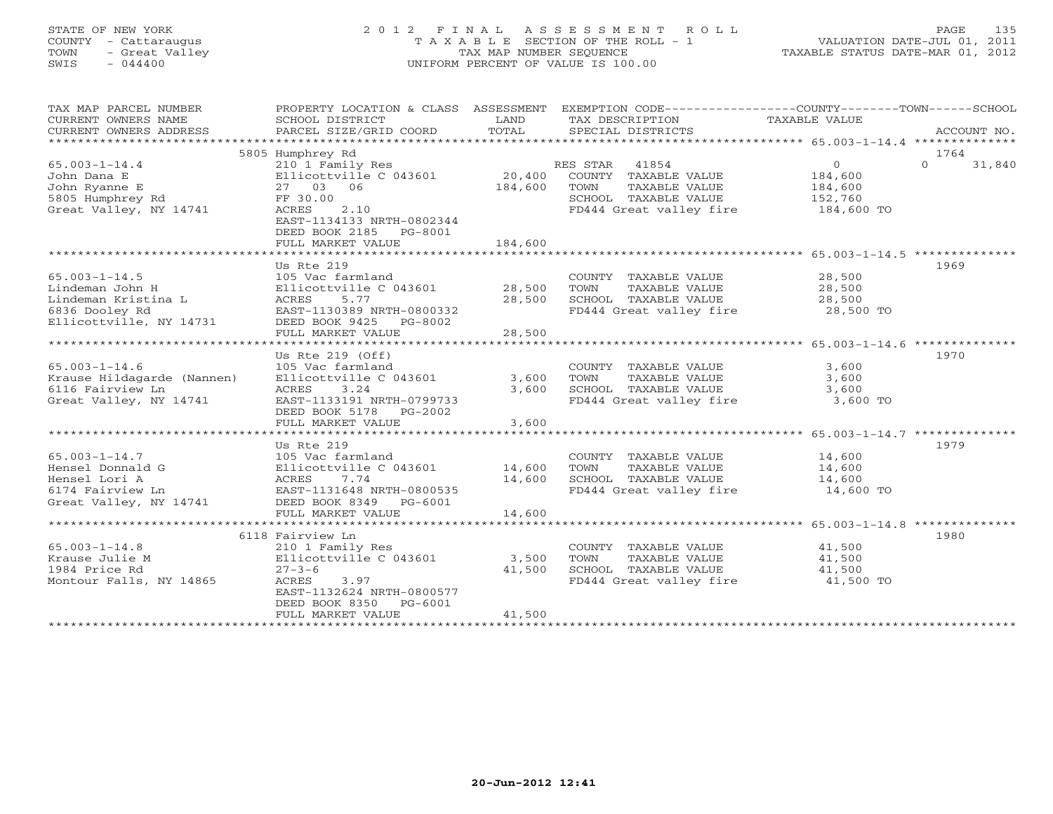#### STATE OF NEW YORK 2 0 1 2 F I N A L A S S E S S M E N T R O L L PAGE 135 COUNTY - Cattaraugus T A X A B L E SECTION OF THE ROLL - 1 VALUATION DATE-JUL 01, 2011 TOWN - Great Valley TAX MAP NUMBER SEQUENCE TAXABLE STATUS DATE-MAR 01, 2012 SWIS - 044400 UNIFORM PERCENT OF VALUE IS 100.00UNIFORM PERCENT OF VALUE IS 100.00

| TAX MAP PARCEL NUMBER<br>CURRENT OWNERS NAME<br>CURRENT OWNERS ADDRESS<br>********************** | PROPERTY LOCATION & CLASS ASSESSMENT<br>SCHOOL DISTRICT<br>PARCEL SIZE/GRID COORD            | LAND<br>TOTAL | TAX DESCRIPTION<br>SPECIAL DISTRICTS          | EXEMPTION CODE-----------------COUNTY-------TOWN------SCHOOL<br>TAXABLE VALUE<br>ACCOUNT NO. |
|--------------------------------------------------------------------------------------------------|----------------------------------------------------------------------------------------------|---------------|-----------------------------------------------|----------------------------------------------------------------------------------------------|
|                                                                                                  |                                                                                              |               |                                               |                                                                                              |
|                                                                                                  | 5805 Humphrey Rd                                                                             |               |                                               | 1764                                                                                         |
| $65.003 - 1 - 14.4$                                                                              | 210 1 Family Res                                                                             |               | RES STAR<br>41854                             | $\mathbf{O}$<br>$\Omega$<br>31,840                                                           |
| John Dana E                                                                                      | Ellicottville C 043601                                                                       | 20,400        | COUNTY TAXABLE VALUE                          | 184,600                                                                                      |
| John Ryanne E                                                                                    | 27 03 06                                                                                     | 184,600       | TOWN<br>TAXABLE VALUE                         | 184,600                                                                                      |
| 5805 Humphrey Rd                                                                                 | FF 30.00                                                                                     |               | SCHOOL TAXABLE VALUE                          | 152,760                                                                                      |
| Great Valley, NY 14741                                                                           | 2.10<br>ACRES<br>EAST-1134133 NRTH-0802344<br>DEED BOOK 2185<br>PG-8001<br>FULL MARKET VALUE | 184,600       | FD444 Great valley fire                       | 184,600 TO                                                                                   |
|                                                                                                  |                                                                                              |               |                                               |                                                                                              |
|                                                                                                  | Us Rte 219                                                                                   |               |                                               | 1969                                                                                         |
| $65.003 - 1 - 14.5$                                                                              |                                                                                              |               |                                               |                                                                                              |
| Lindeman John H                                                                                  | 105 Vac farmland<br>Ellicottville C 043601                                                   | 28,500        | COUNTY TAXABLE VALUE<br>TOWN<br>TAXABLE VALUE | 28,500<br>28,500                                                                             |
| Lindeman Kristina L                                                                              | ACRES<br>5.77                                                                                | 28,500        | SCHOOL TAXABLE VALUE                          | 28,500                                                                                       |
|                                                                                                  |                                                                                              |               | FD444 Great valley fire                       |                                                                                              |
| 6836 Dooley Rd                                                                                   | EAST-1130389 NRTH-0800332                                                                    |               |                                               | 28,500 TO                                                                                    |
| Ellicottville, NY 14731                                                                          | DEED BOOK 9425<br>PG-8002<br>FULL MARKET VALUE                                               | 28,500        |                                               |                                                                                              |
| ******************************                                                                   |                                                                                              |               |                                               |                                                                                              |
|                                                                                                  | Us Rte $219$ (Off)                                                                           |               |                                               | 1970                                                                                         |
| $65.003 - 1 - 14.6$                                                                              | 105 Vac farmland                                                                             |               | COUNTY TAXABLE VALUE                          | 3,600                                                                                        |
| Krause Hildagarde (Nannen)                                                                       | Ellicottville C 043601                                                                       | 3,600         | TOWN<br>TAXABLE VALUE                         | 3,600                                                                                        |
| 6116 Fairview Ln                                                                                 | 3.24<br>ACRES                                                                                | 3,600         | SCHOOL TAXABLE VALUE                          | 3,600                                                                                        |
| Great Valley, NY 14741                                                                           | EAST-1133191 NRTH-0799733                                                                    |               | FD444 Great valley fire                       | 3,600 TO                                                                                     |
|                                                                                                  | DEED BOOK 5178<br>PG-2002                                                                    |               |                                               |                                                                                              |
|                                                                                                  | FULL MARKET VALUE                                                                            | 3,600         |                                               |                                                                                              |
|                                                                                                  | * * * * * * * * * * * * * * * * * * *                                                        | *********     |                                               | ***************** 65.003-1-14.7 **************                                               |
|                                                                                                  | Us Rte 219                                                                                   |               |                                               | 1979                                                                                         |
| $65.003 - 1 - 14.7$                                                                              | 105 Vac farmland                                                                             |               | COUNTY TAXABLE VALUE                          | 14,600                                                                                       |
| Hensel Donnald G                                                                                 | Ellicottville C 043601                                                                       | 14,600        | TOWN<br>TAXABLE VALUE                         | 14,600                                                                                       |
| Hensel Lori A                                                                                    | 7.74<br>ACRES                                                                                | 14,600        | SCHOOL TAXABLE VALUE                          | 14,600                                                                                       |
| 6174 Fairview Ln                                                                                 | EAST-1131648 NRTH-0800535                                                                    |               | FD444 Great valley fire                       | 14,600 TO                                                                                    |
| Great Valley, NY 14741                                                                           | DEED BOOK 8349 PG-6001                                                                       |               |                                               |                                                                                              |
|                                                                                                  | FULL MARKET VALUE                                                                            | 14,600        |                                               |                                                                                              |
|                                                                                                  |                                                                                              |               |                                               |                                                                                              |
|                                                                                                  | 6118 Fairview Ln                                                                             |               |                                               | 1980                                                                                         |
| $65.003 - 1 - 14.8$                                                                              | 210 1 Family Res                                                                             |               | COUNTY TAXABLE VALUE                          | 41,500                                                                                       |
| Krause Julie M                                                                                   | Ellicottville C 043601                                                                       | 3,500         | TAXABLE VALUE<br>TOWN                         | 41,500                                                                                       |
| 1984 Price Rd                                                                                    | $27 - 3 - 6$                                                                                 | 41,500        | SCHOOL TAXABLE VALUE                          | 41,500                                                                                       |
| Montour Falls, NY 14865                                                                          | ACRES<br>3.97                                                                                |               | FD444 Great valley fire                       | 41,500 TO                                                                                    |
|                                                                                                  | EAST-1132624 NRTH-0800577                                                                    |               |                                               |                                                                                              |
|                                                                                                  | DEED BOOK 8350<br>$PG-6001$                                                                  |               |                                               |                                                                                              |
|                                                                                                  | FULL MARKET VALUE                                                                            | 41,500        |                                               |                                                                                              |
|                                                                                                  | ********************                                                                         |               |                                               |                                                                                              |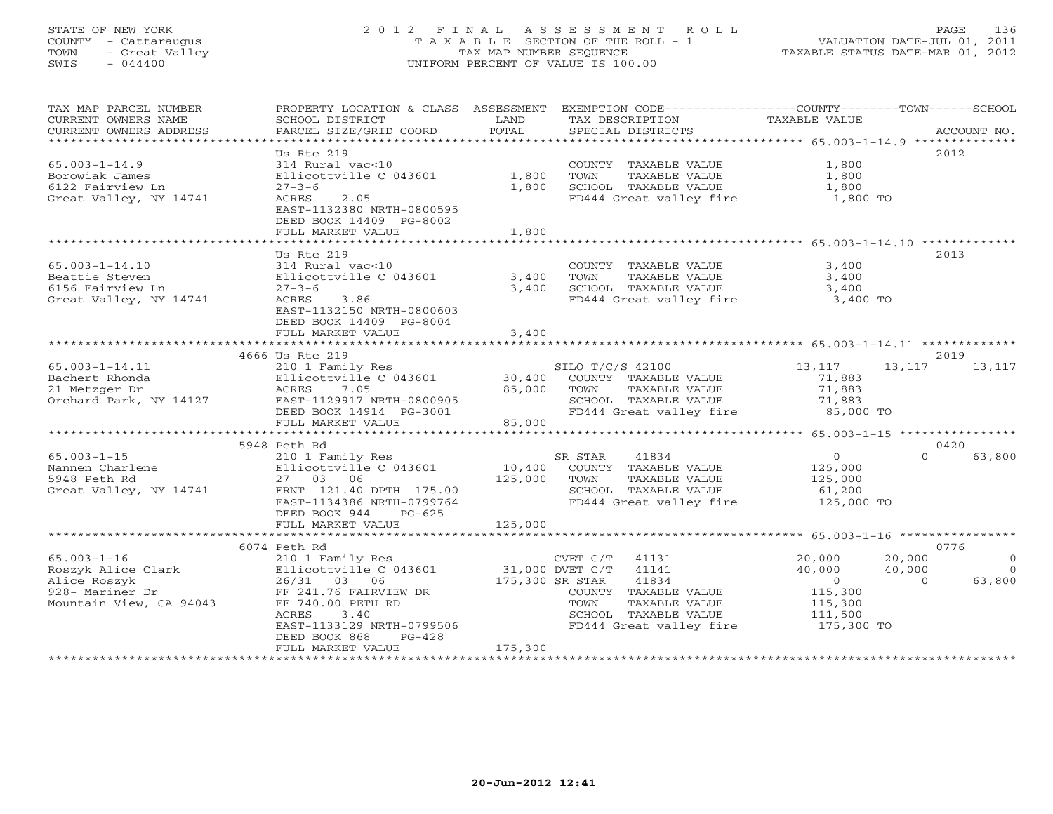# STATE OF NEW YORK 2 0 1 2 F I N A L A S S E S S M E N T R O L L PAGE 136 COUNTY - Cattaraugus T A X A B L E SECTION OF THE ROLL - 1 VALUATION DATE-JUL 01, 2011 TOWN - Great Valley TAX MAP NUMBER SEQUENCE TAXABLE STATUS DATE-MAR 01, 2012 SWIS - 044400 UNIFORM PERCENT OF VALUE IS 100.00

| TAX MAP PARCEL NUMBER   | PROPERTY LOCATION & CLASS ASSESSMENT       |                 | EXEMPTION CODE-----------------COUNTY-------TOWN------SCHOOL |                  |                                            |
|-------------------------|--------------------------------------------|-----------------|--------------------------------------------------------------|------------------|--------------------------------------------|
| CURRENT OWNERS NAME     | SCHOOL DISTRICT                            | LAND            | TAX DESCRIPTION                                              | TAXABLE VALUE    |                                            |
| CURRENT OWNERS ADDRESS  | PARCEL SIZE/GRID COORD                     | TOTAL           | SPECIAL DISTRICTS                                            |                  | ACCOUNT NO.                                |
| *********************   | **********************                     |                 |                                                              |                  |                                            |
|                         | Us Rte 219                                 |                 |                                                              |                  | 2012                                       |
| $65.003 - 1 - 14.9$     | 314 Rural vac<10                           |                 | COUNTY TAXABLE VALUE                                         | 1,800            |                                            |
| Borowiak James          | Ellicottville C 043601                     | 1,800           | TOWN<br>TAXABLE VALUE                                        | 1,800            |                                            |
| 6122 Fairview Ln        | $27 - 3 - 6$                               | 1,800           | SCHOOL TAXABLE VALUE                                         | 1,800            |                                            |
| Great Valley, NY 14741  | 2.05<br>ACRES                              |                 | FD444 Great valley fire                                      | 1,800 TO         |                                            |
|                         | EAST-1132380 NRTH-0800595                  |                 |                                                              |                  |                                            |
|                         | DEED BOOK 14409 PG-8002                    |                 |                                                              |                  |                                            |
|                         | FULL MARKET VALUE                          | 1,800           |                                                              |                  |                                            |
|                         |                                            |                 |                                                              |                  |                                            |
|                         | Us Rte 219                                 |                 |                                                              |                  | 2013                                       |
| $65.003 - 1 - 14.10$    | 314 Rural vac<10                           |                 | COUNTY TAXABLE VALUE                                         | 3,400            |                                            |
| Beattie Steven          | Ellicottville C 043601                     | 3,400           | TAXABLE VALUE<br>TOWN                                        | 3,400            |                                            |
| 6156 Fairview Ln        | $27 - 3 - 6$                               | 3,400           | SCHOOL TAXABLE VALUE                                         | 3,400            |                                            |
| Great Valley, NY 14741  | 3.86<br>ACRES                              |                 | FD444 Great valley fire 3,400 TO                             |                  |                                            |
|                         | EAST-1132150 NRTH-0800603                  |                 |                                                              |                  |                                            |
|                         | DEED BOOK 14409 PG-8004                    |                 |                                                              |                  |                                            |
|                         | FULL MARKET VALUE                          | 3,400           |                                                              |                  |                                            |
|                         |                                            |                 |                                                              |                  |                                            |
|                         | 4666 Us Rte 219                            |                 |                                                              |                  | 2019                                       |
| $65.003 - 1 - 14.11$    | 210 1 Family Res                           |                 | SILO T/C/S 42100                                             | 13,117           | 13,117<br>13,117                           |
| Bachert Rhonda          | Ellicottville C 043601                     |                 | 30,400 COUNTY TAXABLE VALUE                                  | 71,883           |                                            |
| 21 Metzger Dr           | ACRES<br>7.05                              | 85,000 TOWN     | TAXABLE VALUE                                                | 71,883           |                                            |
| Orchard Park, NY 14127  | EAST-1129917 NRTH-0800905                  |                 | SCHOOL TAXABLE VALUE                                         | 71,883           |                                            |
|                         | DEED BOOK 14914 PG-3001                    |                 | FD444 Great valley fire 35,000 TO                            |                  |                                            |
|                         | FULL MARKET VALUE                          | 85,000          |                                                              |                  |                                            |
|                         |                                            |                 |                                                              |                  |                                            |
|                         | 5948 Peth Rd                               |                 |                                                              |                  | 0420                                       |
| $65.003 - 1 - 15$       | 210 1 Family Res                           |                 | SR STAR<br>41834                                             | $\overline{0}$   | $\Omega$<br>63,800                         |
| Nannen Charlene         | Ellicottville C 043601                     |                 | 10,400 COUNTY TAXABLE VALUE                                  | 125,000          |                                            |
| 5948 Peth Rd            | 27 03 06                                   | 125,000 TOWN    | TAXABLE VALUE                                                | 125,000          |                                            |
| Great Valley, NY 14741  | FRNT 121.40 DPTH 175.00                    |                 | SCHOOL TAXABLE VALUE                                         | 61,200           |                                            |
|                         | EAST-1134386 NRTH-0799764                  |                 | FD444 Great valley fire                                      | 125,000 TO       |                                            |
|                         | DEED BOOK 944<br>$PG-625$                  |                 |                                                              |                  |                                            |
|                         | FULL MARKET VALUE                          | 125,000         |                                                              |                  |                                            |
|                         |                                            |                 |                                                              |                  | 0776                                       |
| $65.003 - 1 - 16$       | 6074 Peth Rd                               |                 |                                                              |                  | 20,000                                     |
| Roszyk Alice Clark      | 210 1 Family Res<br>Ellicottville C 043601 |                 | 41131<br>CVET C/T<br>31,000 DVET C/T 41141                   | 20,000<br>40,000 | $\overline{0}$<br>40,000<br>$\overline{0}$ |
| Alice Roszyk            | 26/31 03 06                                | 175,300 SR STAR | 41834                                                        | $\overline{0}$   | 63,800<br>$\Omega$                         |
| 928- Mariner Dr         | FF 241.76 FAIRVIEW DR                      |                 | COUNTY TAXABLE VALUE                                         | 115,300          |                                            |
| Mountain View, CA 94043 | FF 740.00 PETH RD                          |                 | TAXABLE VALUE<br>TOWN                                        | 115,300          |                                            |
|                         | ACRES<br>3.40                              |                 | SCHOOL TAXABLE VALUE                                         | 111,500          |                                            |
|                         | EAST-1133129 NRTH-0799506                  |                 | FD444 Great valley fire                                      | 175,300 TO       |                                            |
|                         | DEED BOOK 868<br>$PG-428$                  |                 |                                                              |                  |                                            |
|                         | FULL MARKET VALUE                          | 175,300         |                                                              |                  |                                            |
|                         |                                            |                 |                                                              |                  |                                            |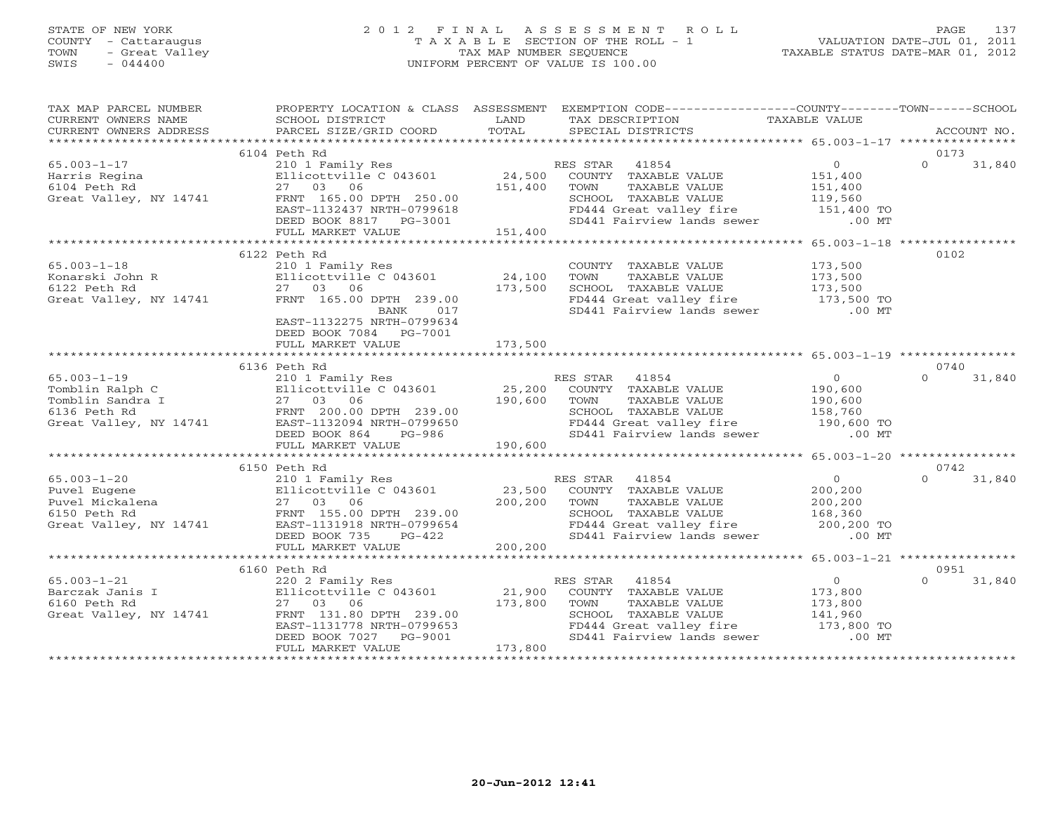#### STATE OF NEW YORK 2 0 1 2 F I N A L A S S E S S M E N T R O L L PAGE 137 COUNTY - Cattaraugus T A X A B L E SECTION OF THE ROLL - 1 VALUATION DATE-JUL 01, 2011 TOWN - Great Valley TAX MAP NUMBER SEQUENCE TAXABLE STATUS DATE-MAR 01, 2012 SWIS - 044400 UNIFORM PERCENT OF VALUE IS 100.00UNIFORM PERCENT OF VALUE IS 100.00

| TAX MAP PARCEL NUMBER  |                                                                                                                                                                                                                                            |         | PROPERTY LOCATION & CLASS ASSESSMENT EXEMPTION CODE---------------COUNTY-------TOWN------SCHOOL                                                                               |                    |          |             |
|------------------------|--------------------------------------------------------------------------------------------------------------------------------------------------------------------------------------------------------------------------------------------|---------|-------------------------------------------------------------------------------------------------------------------------------------------------------------------------------|--------------------|----------|-------------|
| CURRENT OWNERS NAME    | SCHOOL DISTRICT<br><b>Example 12</b> LAND                                                                                                                                                                                                  |         | TAX DESCRIPTION                                                                                                                                                               | TAXABLE VALUE      |          |             |
| CURRENT OWNERS ADDRESS | PARCEL SIZE/GRID COORD                                                                                                                                                                                                                     | TOTAL   | SPECIAL DISTRICTS                                                                                                                                                             |                    |          | ACCOUNT NO. |
|                        | 6104 Peth Rd                                                                                                                                                                                                                               |         |                                                                                                                                                                               |                    | 0173     |             |
| $65.003 - 1 - 17$      | 210 1 Family Res                                                                                                                                                                                                                           |         | RES STAR 41854                                                                                                                                                                | $\overline{0}$     | $\Omega$ | 31,840      |
| Harris Regina          | Ellicottville C 043601                                                                                                                                                                                                                     |         |                                                                                                                                                                               |                    |          |             |
| 6104 Peth Rd           | 27 03 06                                                                                                                                                                                                                                   |         | 24,500 COUNTY TAXABLE VALUE<br>151,400 TOWN TAXABLE VALUE                                                                                                                     | 151,400<br>151,400 |          |             |
| Great Valley, NY 14741 |                                                                                                                                                                                                                                            |         |                                                                                                                                                                               |                    |          |             |
|                        |                                                                                                                                                                                                                                            |         | SCHOOL TAXABLE VALUE 119,560<br>FD444 Great valley fire 151,400 TO                                                                                                            |                    |          |             |
|                        | 27 55.00 DPTH 250.00<br>EAST-1132437 NRTH-0799618<br>DEED BOOK 8817 PG-3001                                                                                                                                                                |         | SD441 Fairview lands sewer .00 MT                                                                                                                                             |                    |          |             |
|                        | FULL MARKET VALUE                                                                                                                                                                                                                          | 151,400 |                                                                                                                                                                               |                    |          |             |
|                        |                                                                                                                                                                                                                                            |         |                                                                                                                                                                               |                    |          |             |
|                        |                                                                                                                                                                                                                                            |         |                                                                                                                                                                               |                    | 0102     |             |
|                        |                                                                                                                                                                                                                                            |         | COUNTY TAXABLE VALUE                                                                                                                                                          | 173,500<br>173,500 |          |             |
|                        |                                                                                                                                                                                                                                            |         | TAXABLE VALUE<br>TOWN                                                                                                                                                         |                    |          |             |
|                        |                                                                                                                                                                                                                                            |         | SCHOOL TAXABLE VALUE 173,500<br>FD444 Great valley fire 173,500 TO                                                                                                            |                    |          |             |
|                        |                                                                                                                                                                                                                                            |         |                                                                                                                                                                               |                    |          |             |
|                        |                                                                                                                                                                                                                                            |         | SD441 Fairview lands sewer .00 MT                                                                                                                                             |                    |          |             |
|                        | EAST-1132275 NRTH-0799634                                                                                                                                                                                                                  |         |                                                                                                                                                                               |                    |          |             |
|                        | DEED BOOK 7084 PG-7001                                                                                                                                                                                                                     |         |                                                                                                                                                                               |                    |          |             |
|                        | FULL MARKET VALUE                                                                                                                                                                                                                          | 173,500 |                                                                                                                                                                               |                    |          |             |
|                        |                                                                                                                                                                                                                                            |         |                                                                                                                                                                               |                    |          |             |
|                        | 6136 Peth Rd                                                                                                                                                                                                                               |         | Peth Rd<br>210 1 Family Res<br>Ellicottville C 043601 25,200 COUNTY TAXABLE VALUE<br>25,200 COUNTY TAXABLE VALUE<br>25,200 COUNTY TAXABLE VALUE<br>290,600 TOWN TAXABLE VALUE |                    | 0740     |             |
| $65.003 - 1 - 19$      |                                                                                                                                                                                                                                            |         |                                                                                                                                                                               | $\overline{0}$     | $\Omega$ | 31,840      |
|                        |                                                                                                                                                                                                                                            |         |                                                                                                                                                                               | 190,600            |          |             |
|                        |                                                                                                                                                                                                                                            |         |                                                                                                                                                                               | 190,600<br>158,760 |          |             |
|                        |                                                                                                                                                                                                                                            |         | SCHOOL TAXABLE VALUE                                                                                                                                                          |                    |          |             |
|                        | 65.003-1-19 210 1 Family Res<br>Tomblin Ralph C Ellicottville C 043601 25,200<br>Tomblin Sandra I 27 03 06 190,600<br>6136 Peth Rd FRNT 200.00 DPTH 239.00<br>Great Valley, NY 14741 EAST-1132094 NRTH-0799650<br>DEED BOOK 864 PG-986     |         | FD444 Great valley fire 190,600 TO<br>SD441 Fairview lands sewer .00 MT                                                                                                       |                    |          |             |
|                        |                                                                                                                                                                                                                                            | 190,600 |                                                                                                                                                                               |                    |          |             |
|                        | FULL MARKET VALUE                                                                                                                                                                                                                          |         |                                                                                                                                                                               |                    |          |             |
|                        | 6150 Peth Rd                                                                                                                                                                                                                               |         |                                                                                                                                                                               |                    | 0742     |             |
|                        | 210 1 Family Res                                                                                                                                                                                                                           |         |                                                                                                                                                                               | $\overline{0}$     | $\cap$   | 31,840      |
|                        |                                                                                                                                                                                                                                            |         | ALS STAR 41854<br>23,500 COUNTY TAXABLE VALUE<br>200,200 TOWN TAYABLE WALLE                                                                                                   | 200,200            |          |             |
|                        |                                                                                                                                                                                                                                            |         |                                                                                                                                                                               | 200,200<br>200,200 |          |             |
|                        | 65.003-1-20 210 1 Family Res<br>Puvel Eugene Ellicottville C 043601 23,<br>Puvel Mickalena 27 03 06 200,<br>6150 Peth Rd FRNT 155.00 DPTH 239.00<br>Great Valley, NY 14741 BAST-1131918 NRTH-0799654<br>FRNT 155.00 NRTH-0799654<br>FRST-1 |         | FORD TAXABLE VALUE<br>FD444 Great valley fire the control of 168,360<br>FD444 Great valley fire 200,200 TO<br>SD441 Fairview lands sewer .00 MT                               |                    |          |             |
|                        |                                                                                                                                                                                                                                            |         |                                                                                                                                                                               |                    |          |             |
|                        | DEED BOOK 735<br>PG-422                                                                                                                                                                                                                    |         |                                                                                                                                                                               |                    |          |             |
|                        | FULL MARKET VALUE                                                                                                                                                                                                                          | 200,200 |                                                                                                                                                                               |                    |          |             |
|                        |                                                                                                                                                                                                                                            |         |                                                                                                                                                                               |                    |          |             |
|                        | 6160 Peth Rd                                                                                                                                                                                                                               |         |                                                                                                                                                                               |                    | 0951     |             |
|                        | 65.003-1-21<br>Barczak Janis I 220 2 Family Res<br>6160 Peth Rd 27 03 06 173,800<br>Great Valley, NY 14741 FRNT 131.80 DPTH 239.00<br>EAST-1131778 NRTH-0799653<br>DEED BOOK 7027 PG-9001                                                  |         | RES STAR<br>41854                                                                                                                                                             | $\overline{0}$     | $\Omega$ | 31,840      |
|                        |                                                                                                                                                                                                                                            |         | COUNTY TAXABLE VALUE                                                                                                                                                          | 173,800            |          |             |
|                        |                                                                                                                                                                                                                                            |         | TAXABLE VALUE<br>TOWN                                                                                                                                                         |                    |          |             |
|                        |                                                                                                                                                                                                                                            |         | SCHOOL TAXABLE VALUE                                                                                                                                                          | 173,800<br>141,960 |          |             |
|                        |                                                                                                                                                                                                                                            |         | FD444 Great valley fire<br>SD444 Great valley fire 173,800 TO<br>SD441 Fairview lands sewer 100 MT                                                                            |                    |          |             |
|                        |                                                                                                                                                                                                                                            |         |                                                                                                                                                                               |                    |          |             |
|                        | FULL MARKET VALUE                                                                                                                                                                                                                          | 173,800 |                                                                                                                                                                               |                    |          |             |
|                        |                                                                                                                                                                                                                                            |         |                                                                                                                                                                               |                    |          |             |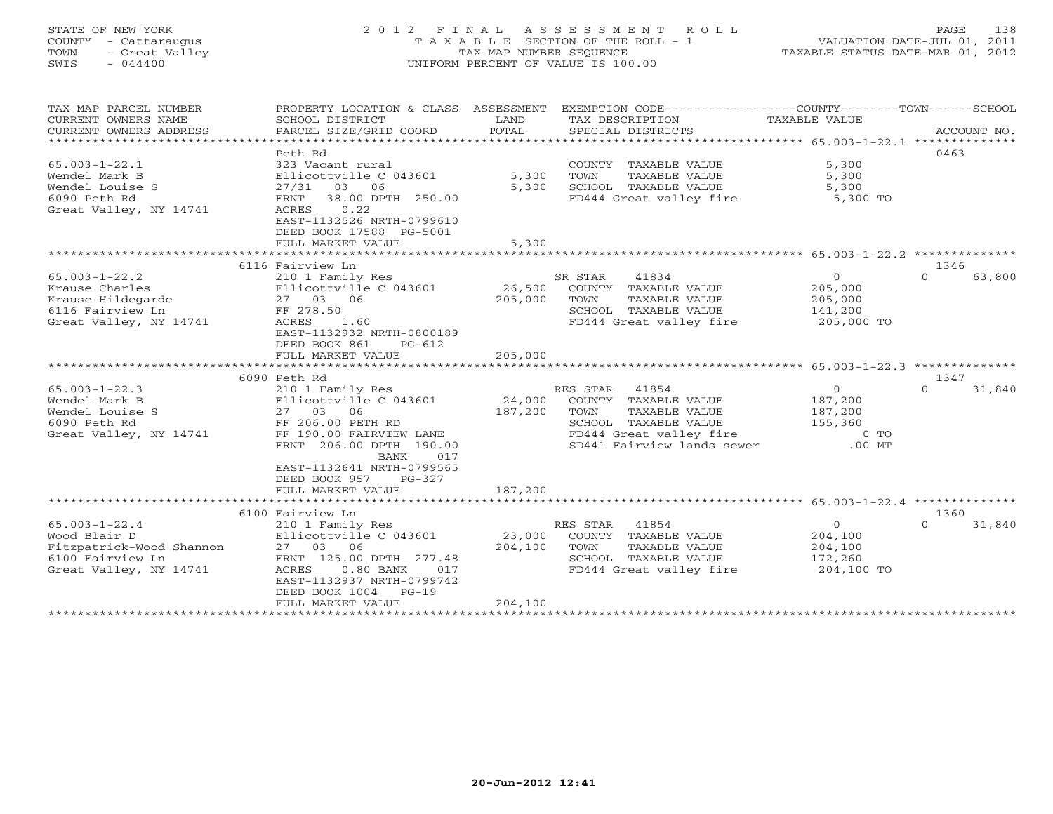# STATE OF NEW YORK 2 0 1 2 F I N A L A S S E S S M E N T R O L L PAGE 138 COUNTY - Cattaraugus T A X A B L E SECTION OF THE ROLL - 1 VALUATION DATE-JUL 01, 2011 TOWN - Great Valley TAX MAP NUMBER SEQUENCE TAXABLE STATUS DATE-MAR 01, 2012 SWIS - 044400 UNIFORM PERCENT OF VALUE IS 100.00

| TAX MAP PARCEL NUMBER<br>CURRENT OWNERS NAME<br>CURRENT OWNERS ADDRESS | PROPERTY LOCATION & CLASS ASSESSMENT<br>SCHOOL DISTRICT<br>PARCEL SIZE/GRID COORD | LAND<br>TOTAL | EXEMPTION CODE----------------COUNTY-------TOWN------SCHOOL<br>TAX DESCRIPTION<br>SPECIAL DISTRICTS | TAXABLE VALUE  | ACCOUNT NO.        |
|------------------------------------------------------------------------|-----------------------------------------------------------------------------------|---------------|-----------------------------------------------------------------------------------------------------|----------------|--------------------|
|                                                                        |                                                                                   |               |                                                                                                     |                | 0463               |
|                                                                        | Peth Rd                                                                           |               |                                                                                                     |                |                    |
| $65.003 - 1 - 22.1$                                                    | 323 Vacant rural                                                                  |               | COUNTY TAXABLE VALUE                                                                                | 5,300          |                    |
| Wendel Mark B                                                          | Ellicottville C 043601                                                            | 5,300         | TOWN<br>TAXABLE VALUE<br>SCHOOL TAXABLE VALUE                                                       | 5,300          |                    |
| Wendel Louise S                                                        | 27/31 03 06                                                                       | 5,300         |                                                                                                     | 5,300          |                    |
| 6090 Peth Rd                                                           | 38.00 DPTH 250.00<br>FRNT<br>0.22                                                 |               | FD444 Great valley fire                                                                             | 5,300 TO       |                    |
| Great Valley, NY 14741                                                 | ACRES<br>EAST-1132526 NRTH-0799610                                                |               |                                                                                                     |                |                    |
|                                                                        | DEED BOOK 17588 PG-5001                                                           |               |                                                                                                     |                |                    |
|                                                                        |                                                                                   |               |                                                                                                     |                |                    |
|                                                                        | FULL MARKET VALUE                                                                 | 5,300         |                                                                                                     |                |                    |
|                                                                        | 6116 Fairview Ln                                                                  |               |                                                                                                     |                | 1346               |
| $65.003 - 1 - 22.2$                                                    | 210 1 Family Res                                                                  |               | SR STAR<br>41834                                                                                    | $\overline{0}$ | 63,800<br>$\Omega$ |
| Krause Charles                                                         | Ellicottville C 043601                                                            | 26,500        | COUNTY TAXABLE VALUE                                                                                | 205,000        |                    |
| Krause Hildegarde                                                      | 27 03 06                                                                          | 205,000       | TOWN<br>TAXABLE VALUE                                                                               | 205,000        |                    |
| 6116 Fairview Ln                                                       | FF 278.50                                                                         |               | SCHOOL TAXABLE VALUE                                                                                | 141,200        |                    |
| Great Valley, NY 14741                                                 | ACRES<br>1.60                                                                     |               | FD444 Great valley fire                                                                             | 205,000 TO     |                    |
|                                                                        | EAST-1132932 NRTH-0800189                                                         |               |                                                                                                     |                |                    |
|                                                                        | DEED BOOK 861<br>$PG-612$                                                         |               |                                                                                                     |                |                    |
|                                                                        | FULL MARKET VALUE                                                                 | 205,000       |                                                                                                     |                |                    |
|                                                                        |                                                                                   |               |                                                                                                     |                |                    |
|                                                                        | 6090 Peth Rd                                                                      |               |                                                                                                     |                | 1347               |
| $65.003 - 1 - 22.3$                                                    | 210 1 Family Res                                                                  |               | RES STAR 41854                                                                                      | $\overline{0}$ | $\Omega$<br>31,840 |
| Wendel Mark B                                                          | Ellicottville C 043601                                                            | 24,000        | COUNTY TAXABLE VALUE                                                                                | 187,200        |                    |
| Wendel Louise S                                                        | 27 03 06                                                                          | 187,200       | TOWN<br>TAXABLE VALUE                                                                               | 187,200        |                    |
| 6090 Peth Rd                                                           | FF 206.00 PETH RD                                                                 |               | SCHOOL TAXABLE VALUE                                                                                | 155,360        |                    |
| Great Valley, NY 14741                                                 | FF 190.00 FAIRVIEW LANE                                                           |               | FD444 Great valley fire                                                                             | $0$ TO         |                    |
|                                                                        | FRNT 206.00 DPTH 190.00                                                           |               | SD441 Fairview lands sewer                                                                          | $.00$ MT       |                    |
|                                                                        | BANK<br>017                                                                       |               |                                                                                                     |                |                    |
|                                                                        | EAST-1132641 NRTH-0799565                                                         |               |                                                                                                     |                |                    |
|                                                                        | DEED BOOK 957<br>$PG-327$                                                         |               |                                                                                                     |                |                    |
|                                                                        | FULL MARKET VALUE                                                                 | 187,200       |                                                                                                     |                |                    |
|                                                                        |                                                                                   |               |                                                                                                     |                |                    |
|                                                                        | 6100 Fairview Ln                                                                  |               |                                                                                                     |                | 1360               |
| $65.003 - 1 - 22.4$                                                    | 210 1 Family Res                                                                  |               | RES STAR<br>41854                                                                                   | $\overline{0}$ | $\Omega$<br>31,840 |
| Wood Blair D                                                           | Ellicottville C 043601                                                            | 23,000        | COUNTY TAXABLE VALUE                                                                                | 204,100        |                    |
| Fitzpatrick-Wood Shannon                                               | 27 03 06                                                                          | 204,100       | TAXABLE VALUE<br>TOWN                                                                               | 204,100        |                    |
| 6100 Fairview Ln                                                       | FRNT 125.00 DPTH 277.48                                                           |               | SCHOOL TAXABLE VALUE                                                                                | 172,260        |                    |
| Great Valley, NY 14741                                                 | $0.80$ BANK<br>ACRES<br>017                                                       |               | FD444 Great valley fire                                                                             | 204,100 TO     |                    |
|                                                                        | EAST-1132937 NRTH-0799742                                                         |               |                                                                                                     |                |                    |
|                                                                        | DEED BOOK 1004<br>$PG-19$                                                         |               |                                                                                                     |                |                    |
|                                                                        | FULL MARKET VALUE                                                                 | 204,100       |                                                                                                     |                |                    |
|                                                                        |                                                                                   |               |                                                                                                     |                |                    |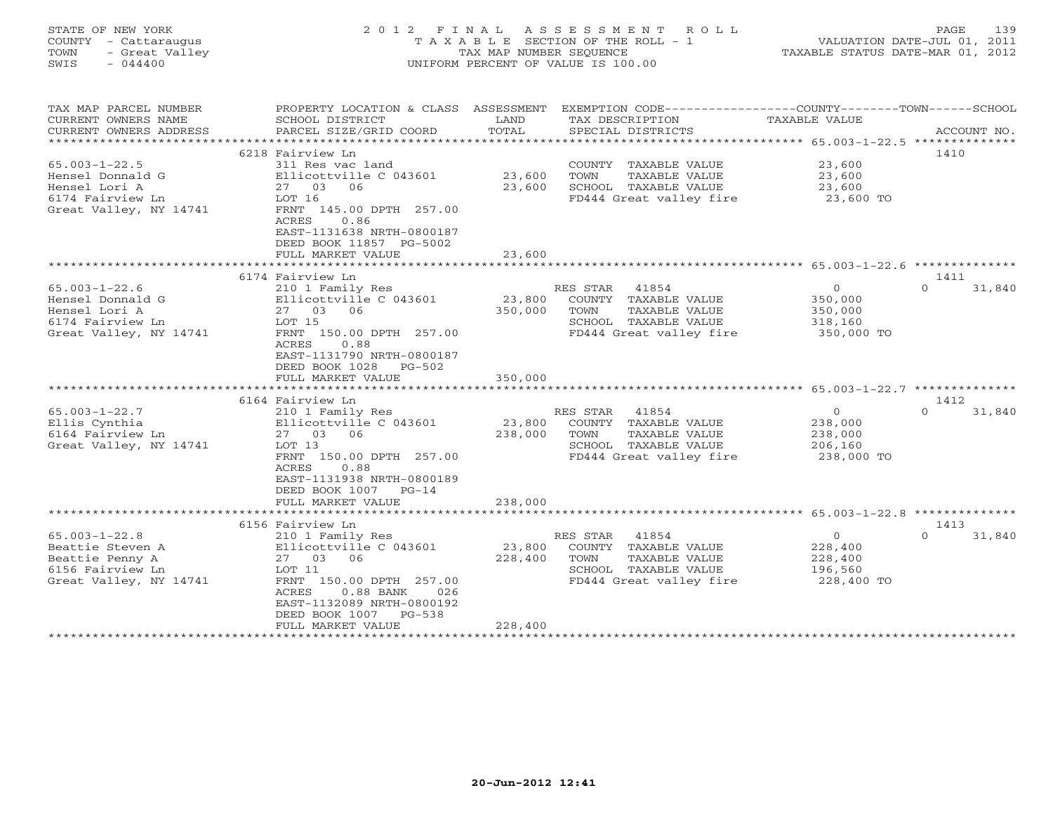| - Cattaraugus<br>COUNTY<br>TOWN<br>- Great Valley<br>$-044400$<br>SWIS | T A X A B L E SECTION OF THE ROLL - 1<br>TAX MAP NUMBER SEQUENCE<br>UNIFORM PERCENT OF VALUE IS 100.00                |                             |                                                                                     | VALUATION DATE-JUL 01, 2011<br>TAXABLE STATUS DATE-MAR 01, 2012 |                            |
|------------------------------------------------------------------------|-----------------------------------------------------------------------------------------------------------------------|-----------------------------|-------------------------------------------------------------------------------------|-----------------------------------------------------------------|----------------------------|
| TAX MAP PARCEL NUMBER<br>CURRENT OWNERS NAME                           | PROPERTY LOCATION & CLASS ASSESSMENT<br>SCHOOL DISTRICT                                                               | LAND                        | EXEMPTION CODE-----------------COUNTY-------TOWN------SCHOOL<br>TAX DESCRIPTION     | TAXABLE VALUE                                                   |                            |
| CURRENT OWNERS ADDRESS                                                 | PARCEL SIZE/GRID COORD                                                                                                | TOTAL<br>*******            | SPECIAL DISTRICTS<br>********************************* 65.003-1-22.5 ************** |                                                                 | ACCOUNT NO.                |
|                                                                        | 6218 Fairview Ln                                                                                                      |                             |                                                                                     |                                                                 | 1410                       |
| $65.003 - 1 - 22.5$                                                    | 311 Res vac land                                                                                                      |                             | COUNTY TAXABLE VALUE                                                                | 23,600                                                          |                            |
| Hensel Donnald G                                                       | Ellicottville C 043601                                                                                                | 23,600                      | TOWN<br>TAXABLE VALUE                                                               | 23,600                                                          |                            |
| Hensel Lori A                                                          | 06<br>27 03                                                                                                           | 23,600                      | SCHOOL TAXABLE VALUE                                                                | 23,600                                                          |                            |
| 6174 Fairview Ln                                                       | LOT 16                                                                                                                |                             | FD444 Great valley fire                                                             | 23,600 TO                                                       |                            |
| Great Valley, NY 14741                                                 | FRNT 145.00 DPTH 257.00<br>ACRES<br>0.86<br>EAST-1131638 NRTH-0800187<br>DEED BOOK 11857 PG-5002<br>FULL MARKET VALUE | 23,600                      |                                                                                     |                                                                 |                            |
|                                                                        |                                                                                                                       | * * * * * * * * * * * * *   |                                                                                     | ****************************** 65.003-1-22.6 **                 |                            |
|                                                                        | 6174 Fairview Ln                                                                                                      |                             |                                                                                     |                                                                 | 1411                       |
| $65.003 - 1 - 22.6$                                                    | 210 1 Family Res                                                                                                      |                             | RES STAR<br>41854                                                                   | $\circ$                                                         | $\Omega$<br>31,840         |
| Hensel Donnald G                                                       | Ellicottville C 043601                                                                                                | 23,800                      | COUNTY TAXABLE VALUE                                                                | 350,000                                                         |                            |
| Hensel Lori A                                                          | 27 03 06                                                                                                              | 350,000                     | TOWN<br>TAXABLE VALUE                                                               | 350,000                                                         |                            |
| 6174 Fairview Ln                                                       | LOT 15                                                                                                                |                             | SCHOOL TAXABLE VALUE                                                                | 318,160                                                         |                            |
| Great Valley, NY 14741                                                 | FRNT 150.00 DPTH 257.00<br>0.88<br>ACRES<br>EAST-1131790 NRTH-0800187<br>DEED BOOK 1028<br>PG-502                     |                             | FD444 Great valley fire                                                             | 350,000 TO                                                      |                            |
|                                                                        | FULL MARKET VALUE<br>********************                                                                             | 350,000                     |                                                                                     |                                                                 |                            |
|                                                                        | 6164 Fairview Ln                                                                                                      |                             |                                                                                     |                                                                 | 1412                       |
| $65.003 - 1 - 22.7$                                                    | 210 1 Family Res                                                                                                      |                             | RES STAR<br>41854                                                                   | $\circ$                                                         | $\Omega$<br>31,840         |
| Ellis Cynthia                                                          | Ellicottville C 043601                                                                                                | 23,800                      | COUNTY TAXABLE VALUE                                                                | 238,000                                                         |                            |
| 6164 Fairview Ln                                                       | 27 03<br>06                                                                                                           | 238,000                     | TOWN<br>TAXABLE VALUE                                                               | 238,000                                                         |                            |
| Great Valley, NY 14741                                                 | LOT 13                                                                                                                |                             | SCHOOL TAXABLE VALUE                                                                | 206,160                                                         |                            |
|                                                                        | FRNT 150.00 DPTH 257.00<br>ACRES<br>0.88<br>EAST-1131938 NRTH-0800189<br>DEED BOOK 1007<br>$PG-14$                    |                             | FD444 Great valley fire                                                             | 238,000 TO                                                      |                            |
|                                                                        | FULL MARKET VALUE<br>*************************                                                                        | 238,000<br>***********      |                                                                                     |                                                                 |                            |
|                                                                        |                                                                                                                       |                             |                                                                                     | ****************************** 65.003-1-22.8 **************     |                            |
| $65.003 - 1 - 22.8$                                                    | 6156 Fairview Ln<br>210 1 Family Res                                                                                  |                             | RES STAR<br>41854                                                                   | $\circ$                                                         | 1413<br>$\Omega$<br>31,840 |
| Beattie Steven A                                                       | Ellicottville C 043601                                                                                                | 23,800                      | COUNTY TAXABLE VALUE                                                                | 228,400                                                         |                            |
| Beattie Penny A                                                        | 27 03 06                                                                                                              | 228,400                     | TAXABLE VALUE<br>TOWN                                                               | 228,400                                                         |                            |
| 6156 Fairview Ln                                                       | LOT 11                                                                                                                |                             | SCHOOL TAXABLE VALUE                                                                | 196,560                                                         |                            |
| Great Valley, NY 14741                                                 | FRNT 150.00 DPTH 257.00<br>$0.88$ BANK<br>ACRES<br>026                                                                |                             | FD444 Great valley fire                                                             | 228,400 TO                                                      |                            |
|                                                                        | EAST-1132089 NRTH-0800192<br>$PG-538$<br>DEED BOOK 1007<br>FULL MARKET VALUE                                          | 228,400                     |                                                                                     |                                                                 |                            |
|                                                                        | *********************                                                                                                 | * * * * * * * * * * * * * * |                                                                                     |                                                                 |                            |

STATE OF NEW YORK 2012 FINAL ASSESSMENT ROLL PAGE 139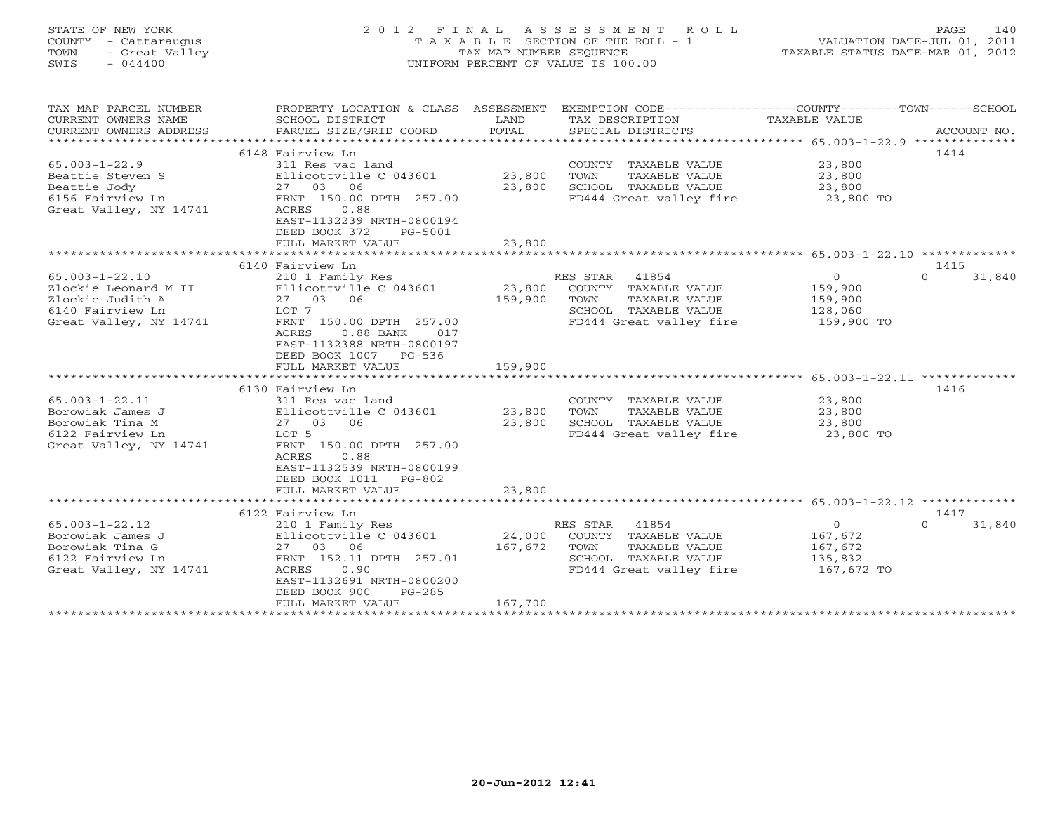| COUNTY - Cattaraugus<br>- Great Valley<br>TOWN<br>$-044400$<br>SWIS                                            | TAXABLE SECTION OF THE ROLL - 1<br>TAX MAP NUMBER SEQUENCE<br>UNIFORM PERCENT OF VALUE IS 100.00                                                                                                                         |                              |                                                                                                                                         | VALUATION DATE-JUL 01, 2011<br>TAXABLE STATUS DATE-MAR 01, 2012 |                            |
|----------------------------------------------------------------------------------------------------------------|--------------------------------------------------------------------------------------------------------------------------------------------------------------------------------------------------------------------------|------------------------------|-----------------------------------------------------------------------------------------------------------------------------------------|-----------------------------------------------------------------|----------------------------|
| TAX MAP PARCEL NUMBER<br>CURRENT OWNERS NAME<br>CURRENT OWNERS ADDRESS                                         | SCHOOL DISTRICT<br>PARCEL SIZE/GRID COORD                                                                                                                                                                                | LAND<br>TOTAL                | PROPERTY LOCATION & CLASS ASSESSMENT EXEMPTION CODE---------------COUNTY-------TOWN------SCHOOL<br>TAX DESCRIPTION<br>SPECIAL DISTRICTS | TAXABLE VALUE                                                   | ACCOUNT NO.                |
|                                                                                                                | 6148 Fairview Ln                                                                                                                                                                                                         |                              |                                                                                                                                         |                                                                 | 1414                       |
| $65.003 - 1 - 22.9$<br>Beattie Steven S<br>Beattie Jody<br>6156 Fairview Ln<br>Great Valley, NY 14741          | 311 Res vac land<br>Ellicottville C 043601<br>27 03 06<br>FRNT 150.00 DPTH 257.00<br>0.88<br>ACRES<br>EAST-1132239 NRTH-0800194<br>DEED BOOK 372<br>PG-5001                                                              | 23,800<br>23,800             | COUNTY TAXABLE VALUE<br>TOWN<br>TAXABLE VALUE<br>SCHOOL TAXABLE VALUE<br>FD444 Great valley fire                                        | 23,800<br>23,800<br>23,800<br>23,800 TO                         |                            |
|                                                                                                                | FULL MARKET VALUE                                                                                                                                                                                                        | 23,800                       |                                                                                                                                         |                                                                 |                            |
|                                                                                                                |                                                                                                                                                                                                                          |                              |                                                                                                                                         |                                                                 |                            |
| $65.003 - 1 - 22.10$<br>Zlockie Leonard M II<br>Zlockie Judith A<br>6140 Fairview Ln<br>Great Valley, NY 14741 | 6140 Fairview Ln<br>210 1 Family Res<br>Ellicottville C 043601<br>27 03 06<br>LOT 7<br>FRNT 150.00 DPTH 257.00<br>ACRES<br>$0.88$ BANK<br>017<br>EAST-1132388 NRTH-0800197<br>DEED BOOK 1007 PG-536<br>FULL MARKET VALUE | 23,800<br>159,900<br>159,900 | RES STAR<br>41854<br>COUNTY TAXABLE VALUE<br>TAXABLE VALUE<br>TOWN<br>SCHOOL TAXABLE VALUE<br>FD444 Great valley fire                   | $\overline{O}$<br>159,900<br>159,900<br>128,060<br>159,900 TO   | 1415<br>31,840<br>$\Omega$ |
|                                                                                                                |                                                                                                                                                                                                                          |                              |                                                                                                                                         | *********************** 65.003-1-22.11 *************            |                            |
| $65.003 - 1 - 22.11$<br>Borowiak James J<br>Borowiak Tina M<br>6122 Fairview Ln<br>Great Valley, NY 14741      | 6130 Fairview Ln<br>311 Res vac land<br>Ellicottville C 043601<br>27 03 06<br>LOT 5<br>FRNT 150.00 DPTH 257.00<br>0.88<br>ACRES<br>EAST-1132539 NRTH-0800199<br>DEED BOOK 1011<br>$PG-802$                               | 23,800<br>23,800             | COUNTY TAXABLE VALUE<br>TOWN<br>TAXABLE VALUE<br>SCHOOL TAXABLE VALUE<br>FD444 Great valley fire                                        | 23,800<br>23,800<br>23,800<br>23,800 TO                         | 1416                       |
|                                                                                                                | FULL MARKET VALUE                                                                                                                                                                                                        | 23,800                       |                                                                                                                                         |                                                                 |                            |
|                                                                                                                | 6122 Fairview Ln                                                                                                                                                                                                         | ************                 |                                                                                                                                         |                                                                 | 1417                       |
| $65.003 - 1 - 22.12$<br>Borowiak James J<br>Borowiak Tina G<br>6122 Fairview Ln<br>Great Valley, NY 14741      | 210 1 Family Res<br>Ellicottville C 043601<br>27 03 06<br>FRNT 152.11 DPTH 257.01<br>ACRES<br>0.90<br>EAST-1132691 NRTH-0800200<br>DEED BOOK 900<br>$PG-285$                                                             | 24,000<br>167,672            | 41854<br>RES STAR<br>COUNTY TAXABLE VALUE<br>TAXABLE VALUE<br>TOWN<br>SCHOOL TAXABLE VALUE<br>FD444 Great valley fire                   | $\circ$<br>167,672<br>167,672<br>135,832<br>167,672 TO          | $\Omega$<br>31,840         |
|                                                                                                                | FULL MARKET VALUE                                                                                                                                                                                                        | 167,700                      |                                                                                                                                         |                                                                 |                            |

STATE OF NEW YORK 2012 FINAL ASSESSMENT ROLL PAGE 140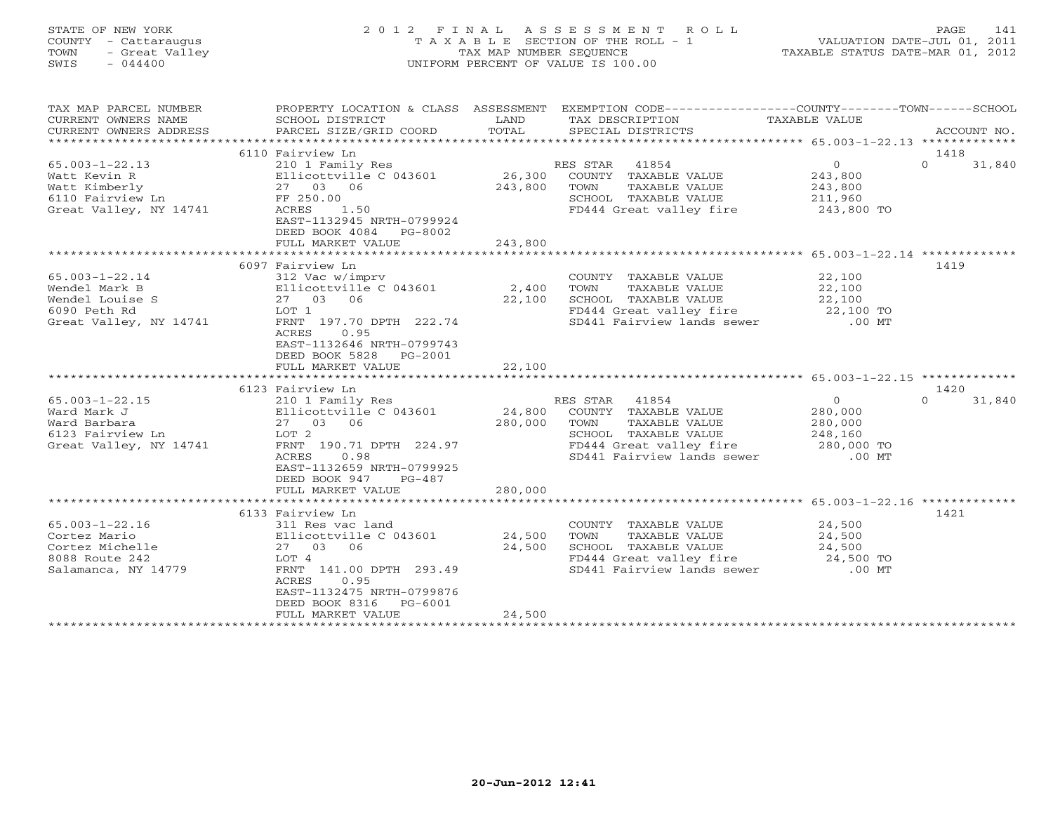| STATE OF NEW YORK<br>COUNTY - Cattaraugus<br>- Great Valley<br>TOWN<br>SWIS<br>$-044400$            | 2 0 1 2<br>F I N A L                                                                                                                                                                      | TAX MAP NUMBER SEQUENCE      | ASSESSMENT<br>ROLL<br>T A X A B L E SECTION OF THE ROLL - 1<br>UNIFORM PERCENT OF VALUE IS 100.00                                                   | TAXABLE STATUS DATE-MAR 01, 2012                                              | 141<br>PAGE<br>VALUATION DATE-JUL 01, 2011 |
|-----------------------------------------------------------------------------------------------------|-------------------------------------------------------------------------------------------------------------------------------------------------------------------------------------------|------------------------------|-----------------------------------------------------------------------------------------------------------------------------------------------------|-------------------------------------------------------------------------------|--------------------------------------------|
| TAX MAP PARCEL NUMBER<br>CURRENT OWNERS NAME<br>CURRENT OWNERS ADDRESS<br>*******************       | PROPERTY LOCATION & CLASS ASSESSMENT<br>SCHOOL DISTRICT<br>PARCEL SIZE/GRID COORD<br>***************************                                                                          | LAND<br>TOTAL<br>*********** | EXEMPTION CODE-----------------COUNTY-------TOWN------SCHOOL<br>TAX DESCRIPTION<br>SPECIAL DISTRICTS                                                | <b>TAXABLE VALUE</b><br>************************ 65.003-1-22.13 ************* | ACCOUNT NO.                                |
|                                                                                                     | 6110 Fairview Ln                                                                                                                                                                          |                              |                                                                                                                                                     |                                                                               | 1418                                       |
| $65.003 - 1 - 22.13$<br>Watt Kevin R<br>Watt Kimberly<br>6110 Fairview Ln<br>Great Valley, NY 14741 | 210 1 Family Res<br>Ellicottville C 043601<br>27 03 06<br>FF 250.00<br>ACRES<br>1.50<br>EAST-1132945 NRTH-0799924<br>DEED BOOK 4084<br>PG-8002                                            | 26,300<br>243,800            | 41854<br>RES STAR<br>COUNTY TAXABLE VALUE<br>TAXABLE VALUE<br>TOWN<br>SCHOOL TAXABLE VALUE<br>FD444 Great valley fire                               | $\circ$<br>243,800<br>243,800<br>211,960<br>243,800 TO                        | $\Omega$<br>31,840                         |
|                                                                                                     | FULL MARKET VALUE<br>*******************                                                                                                                                                  | 243,800                      |                                                                                                                                                     |                                                                               |                                            |
| $65.003 - 1 - 22.14$<br>Wendel Mark B<br>Wendel Louise S<br>6090 Peth Rd<br>Great Valley, NY 14741  | 6097 Fairview Ln<br>312 Vac w/imprv<br>Ellicottville C 043601<br>27 03 06<br>LOT 1<br>FRNT 197.70 DPTH 222.74<br>ACRES<br>0.95<br>EAST-1132646 NRTH-0799743<br>DEED BOOK 5828<br>PG-2001  | 2,400<br>22,100              | COUNTY TAXABLE VALUE<br>TOWN<br>TAXABLE VALUE<br>SCHOOL TAXABLE VALUE<br>FD444 Great valley fire<br>SD441 Fairview lands sewer                      | 22,100<br>22,100<br>22,100<br>22,100 TO<br>$.00$ MT                           | 1419                                       |
|                                                                                                     | FULL MARKET VALUE<br>*************************                                                                                                                                            | 22,100<br>************       | ******************************* 65.003-1-22.15 *************                                                                                        |                                                                               |                                            |
|                                                                                                     | 6123 Fairview Ln                                                                                                                                                                          |                              |                                                                                                                                                     |                                                                               | 1420                                       |
| $65.003 - 1 - 22.15$<br>Ward Mark J<br>Ward Barbara<br>6123 Fairview Ln<br>Great Valley, NY 14741   | 210 1 Family Res<br>Ellicottville C 043601<br>27 03 06<br>LOT 2<br>FRNT 190.71 DPTH 224.97<br>0.98<br>ACRES<br>EAST-1132659 NRTH-0799925                                                  | 24,800<br>280,000            | RES STAR<br>41854<br>COUNTY TAXABLE VALUE<br>TOWN<br>TAXABLE VALUE<br>SCHOOL TAXABLE VALUE<br>FD444 Great valley fire<br>SD441 Fairview lands sewer | $\Omega$<br>280,000<br>280,000<br>248,160<br>280,000 TO<br>$.00$ MT           | $\Omega$<br>31,840                         |
|                                                                                                     | DEED BOOK 947<br>$PG-487$<br>FULL MARKET VALUE                                                                                                                                            | 280,000                      |                                                                                                                                                     |                                                                               |                                            |
|                                                                                                     |                                                                                                                                                                                           |                              |                                                                                                                                                     | **************** 65.003-1-22.16 *************                                 | 1421                                       |
| $65.003 - 1 - 22.16$<br>Cortez Mario<br>Cortez Michelle<br>8088 Route 242<br>Salamanca, NY 14779    | 6133 Fairview Ln<br>311 Res vac land<br>Ellicottville C 043601<br>27 03 06<br>LOT 4<br>FRNT 141.00 DPTH 293.49<br>0.95<br>ACRES<br>EAST-1132475 NRTH-0799876<br>DEED BOOK 8316<br>PG-6001 | 24,500<br>24,500             | COUNTY TAXABLE VALUE<br>TOWN<br>TAXABLE VALUE<br>SCHOOL TAXABLE VALUE<br>FD444 Great valley fire<br>SD441 Fairview lands sewer                      | 24,500<br>24,500<br>24,500<br>24,500 TO<br>$.00$ MT                           |                                            |

\*\*\*\*\*\*\*\*\*\*\*\*\*\*\*\*\*\*\*\*\*\*\*\*\*\*\*\*\*\*\*\*\*\*\*\*\*\*\*\*\*\*\*\*\*\*\*\*\*\*\*\*\*\*\*\*\*\*\*\*\*\*\*\*\*\*\*\*\*\*\*\*\*\*\*\*\*\*\*\*\*\*\*\*\*\*\*\*\*\*\*\*\*\*\*\*\*\*\*\*\*\*\*\*\*\*\*\*\*\*\*\*\*\*\*\*\*\*\*\*\*\*\*\*\*\*\*\*\*\*\*\*

FULL MARKET VALUE 24,500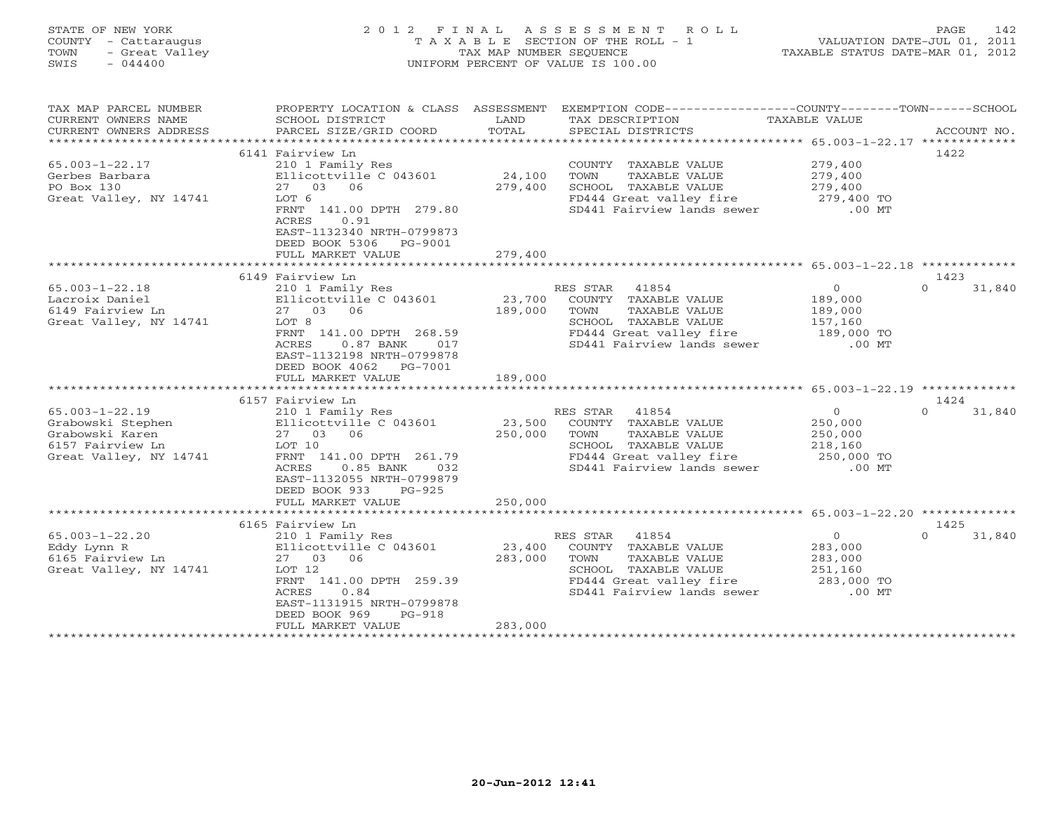# STATE OF NEW YORK 2 0 1 2 F I N A L A S S E S S M E N T R O L L PAGE 142 COUNTY - Cattaraugus T A X A B L E SECTION OF THE ROLL - 1 VALUATION DATE-JUL 01, 2011 TOWN - Great Valley TAX MAP NUMBER SEQUENCE TAXABLE STATUS DATE-MAR 01, 2012 SWIS - 044400 UNIFORM PERCENT OF VALUE IS 100.00

| TAX MAP PARCEL NUMBER<br>CURRENT OWNERS NAME<br>CURRENT OWNERS ADDRESS                                     | PROPERTY LOCATION & CLASS ASSESSMENT<br>SCHOOL DISTRICT<br>PARCEL SIZE/GRID COORD                                                                                                                                            | LAND<br>TOTAL                | EXEMPTION CODE-----------------COUNTY-------TOWN------SCHOOL<br>TAX DESCRIPTION<br>SPECIAL DISTRICTS                                                | TAXABLE VALUE                                                      | ACCOUNT NO.                |
|------------------------------------------------------------------------------------------------------------|------------------------------------------------------------------------------------------------------------------------------------------------------------------------------------------------------------------------------|------------------------------|-----------------------------------------------------------------------------------------------------------------------------------------------------|--------------------------------------------------------------------|----------------------------|
| $65.003 - 1 - 22.17$<br>Gerbes Barbara<br>PO Box 130<br>Great Valley, NY 14741                             | 6141 Fairview Ln<br>210 1 Family Res<br>Ellicottville C 043601<br>27 03 06<br>LOT 6<br>FRNT 141.00 DPTH 279.80<br>0.91<br>ACRES<br>EAST-1132340 NRTH-0799873<br>DEED BOOK 5306<br>PG-9001<br>FULL MARKET VALUE               | 24,100<br>279,400<br>279,400 | COUNTY TAXABLE VALUE<br><b>TAXABLE VALUE</b><br>TOWN<br>SCHOOL TAXABLE VALUE<br>FD444 Great valley fire<br>SD441 Fairview lands sewer               | 279,400<br>279,400<br>279,400<br>279,400 TO<br>$.00$ MT            | 1422                       |
|                                                                                                            |                                                                                                                                                                                                                              |                              |                                                                                                                                                     |                                                                    |                            |
| $65.003 - 1 - 22.18$<br>Lacroix Daniel<br>6149 Fairview Ln<br>Great Valley, NY 14741                       | 6149 Fairview Ln<br>210 1 Family Res<br>Ellicottville C 043601<br>27 03 06<br>LOT 8<br>FRNT 141.00 DPTH 268.59<br>ACRES<br>$0.87$ BANK<br>017<br>EAST-1132198 NRTH-0799878<br>DEED BOOK 4062<br>PG-7001<br>FULL MARKET VALUE | 23,700<br>189,000<br>189,000 | RES STAR<br>41854<br>COUNTY TAXABLE VALUE<br>TOWN<br>TAXABLE VALUE<br>SCHOOL TAXABLE VALUE<br>FD444 Great valley fire<br>SD441 Fairview lands sewer | $\circ$<br>189,000<br>189,000<br>157,160<br>189,000 TO<br>$.00$ MT | 1423<br>31,840<br>$\Omega$ |
|                                                                                                            |                                                                                                                                                                                                                              |                              |                                                                                                                                                     |                                                                    |                            |
| $65.003 - 1 - 22.19$<br>Grabowski Stephen<br>Grabowski Karen<br>6157 Fairview Ln<br>Great Valley, NY 14741 | 6157 Fairview Ln<br>210 1 Family Res<br>Ellicottville C 043601<br>27 03 06<br>LOT 10<br>FRNT 141.00 DPTH 261.79<br>ACRES<br>$0.85$ BANK<br>032<br>EAST-1132055 NRTH-0799879<br>DEED BOOK 933<br>$PG-925$                     | 23,500<br>250,000            | RES STAR<br>41854<br>COUNTY TAXABLE VALUE<br>TAXABLE VALUE<br>TOWN<br>SCHOOL TAXABLE VALUE<br>FD444 Great valley fire<br>SD441 Fairview lands sewer | $\circ$<br>250,000<br>250,000<br>218,160<br>250,000 TO<br>$.00$ MT | 1424<br>$\Omega$<br>31,840 |
|                                                                                                            | FULL MARKET VALUE                                                                                                                                                                                                            | 250,000                      |                                                                                                                                                     |                                                                    |                            |
|                                                                                                            | 6165 Fairview Ln                                                                                                                                                                                                             |                              |                                                                                                                                                     |                                                                    | 1425                       |
| $65.003 - 1 - 22.20$<br>Eddy Lynn R<br>6165 Fairview Ln<br>Great Valley, NY 14741                          | 210 1 Family Res<br>Ellicottville C 043601<br>06<br>27 03<br>LOT 12<br>FRNT 141.00 DPTH 259.39<br>ACRES<br>0.84<br>EAST-1131915 NRTH-0799878<br>DEED BOOK 969<br>$PG-918$<br>FULL MARKET VALUE                               | 23,400<br>283,000<br>283,000 | RES STAR<br>41854<br>COUNTY TAXABLE VALUE<br>TOWN<br>TAXABLE VALUE<br>SCHOOL TAXABLE VALUE<br>FD444 Great valley fire<br>SD441 Fairview lands sewer | $\circ$<br>283,000<br>283,000<br>251,160<br>283,000 TO<br>$.00$ MT | 31,840<br>$\Omega$         |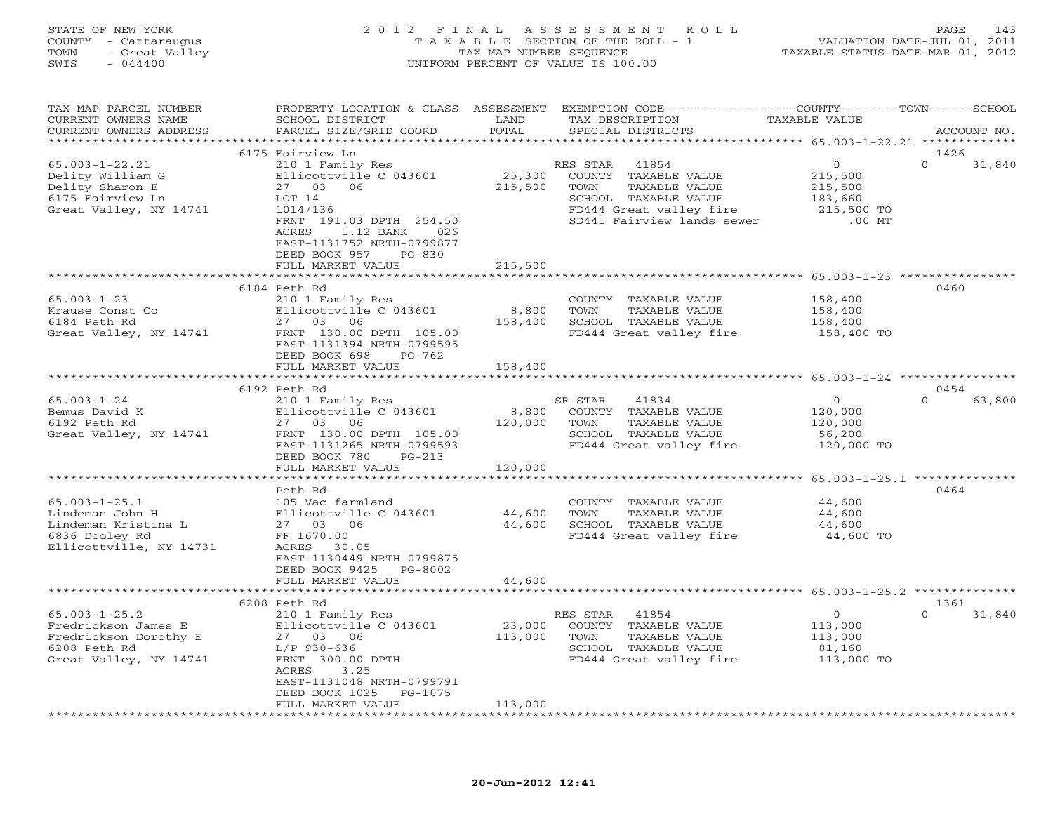### STATE OF NEW YORK 2 0 1 2 F I N A L A S S E S S M E N T R O L L PAGE 143 COUNTY - Cattaraugus T A X A B L E SECTION OF THE ROLL - 1 VALUATION DATE-JUL 01, 2011 TOWN - Great Valley TAX MAP NUMBER SEQUENCE TAXABLE STATUS DATE-MAR 01, 2012 SWIS - 044400 UNIFORM PERCENT OF VALUE IS 100.00

| TAX MAP PARCEL NUMBER<br>CURRENT OWNERS NAME<br>CURRENT OWNERS ADDRESS                                        | PROPERTY LOCATION & CLASS ASSESSMENT<br>SCHOOL DISTRICT<br>PARCEL SIZE/GRID COORD                                                                                      | LAND<br>TOTAL               | EXEMPTION CODE-----------------COUNTY-------TOWN-----SCHOOL<br>TAX DESCRIPTION<br>SPECIAL DISTRICTS                                                 | TAXABLE VALUE                                                      | ACCOUNT NO.                |
|---------------------------------------------------------------------------------------------------------------|------------------------------------------------------------------------------------------------------------------------------------------------------------------------|-----------------------------|-----------------------------------------------------------------------------------------------------------------------------------------------------|--------------------------------------------------------------------|----------------------------|
|                                                                                                               |                                                                                                                                                                        |                             |                                                                                                                                                     |                                                                    |                            |
| $65.003 - 1 - 22.21$<br>Delity William G<br>Delity Sharon E<br>6175 Fairview Ln<br>Great Valley, NY 14741     | 6175 Fairview Ln<br>210 1 Family Res<br>Ellicottville C 043601<br>27 03 06<br>LOT 14<br>1014/136<br>FRNT 191.03 DPTH 254.50                                            | 25,300<br>215,500           | RES STAR<br>41854<br>COUNTY TAXABLE VALUE<br>TOWN<br>TAXABLE VALUE<br>SCHOOL TAXABLE VALUE<br>FD444 Great valley fire<br>SD441 Fairview lands sewer | $\circ$<br>215,500<br>215,500<br>183,660<br>215,500 TO<br>$.00$ MT | 1426<br>$\Omega$<br>31,840 |
|                                                                                                               | 1.12 BANK<br>026<br>ACRES<br>EAST-1131752 NRTH-0799877<br>DEED BOOK 957<br>$PG-830$<br>FULL MARKET VALUE                                                               | 215,500                     |                                                                                                                                                     |                                                                    |                            |
|                                                                                                               | ***************                                                                                                                                                        | * * * * * * * * * * * *     |                                                                                                                                                     | ********************************* 65.003-1-23 ****************     |                            |
| $65.003 - 1 - 23$<br>Krause Const Co<br>6184 Peth Rd<br>Great Valley, NY 14741                                | 6184 Peth Rd<br>210 1 Family Res<br>Ellicottville C 043601<br>27 03 06<br>FRNT 130.00 DPTH 105.00<br>EAST-1131394 NRTH-0799595<br>DEED BOOK 698<br>$PG-762$            | 8,800<br>158,400            | COUNTY TAXABLE VALUE<br>TOWN<br>TAXABLE VALUE<br>SCHOOL TAXABLE VALUE<br>FD444 Great valley fire                                                    | 158,400<br>158,400<br>158,400<br>158,400 TO                        | 0460                       |
|                                                                                                               | FULL MARKET VALUE                                                                                                                                                      | 158,400                     |                                                                                                                                                     |                                                                    |                            |
|                                                                                                               |                                                                                                                                                                        |                             |                                                                                                                                                     |                                                                    |                            |
|                                                                                                               | 6192 Peth Rd                                                                                                                                                           |                             |                                                                                                                                                     |                                                                    | 0454                       |
| $65.003 - 1 - 24$<br>Bemus David K<br>6192 Peth Rd<br>Great Valley, NY 14741                                  | 210 1 Family Res<br>Ellicottville C 043601<br>27 03 06<br>FRNT 130.00 DPTH 105.00<br>EAST-1131265 NRTH-0799593<br>DEED BOOK 780<br>$PG-213$<br>FULL MARKET VALUE       | 8,800<br>120,000<br>120,000 | 41834<br>SR STAR<br>COUNTY TAXABLE VALUE<br>TOWN<br>TAXABLE VALUE<br>SCHOOL TAXABLE VALUE<br>FD444 Great valley fire                                | $\circ$<br>120,000<br>120,000<br>56,200<br>120,000 TO              | $\Omega$<br>63,800         |
|                                                                                                               |                                                                                                                                                                        |                             |                                                                                                                                                     |                                                                    |                            |
| $65.003 - 1 - 25.1$<br>Lindeman John H<br>Lindeman Kristina L<br>6836 Dooley Rd<br>Ellicottville, NY 14731    | Peth Rd<br>105 Vac farmland<br>Ellicottville C 043601<br>27 03 06<br>FF 1670.00<br>ACRES<br>30.05<br>EAST-1130449 NRTH-0799875<br>DEED BOOK 9425<br>PG-8002            | 44,600<br>44,600            | COUNTY TAXABLE VALUE<br>TOWN<br>TAXABLE VALUE<br>SCHOOL TAXABLE VALUE<br>FD444 Great valley fire                                                    | 44,600<br>44,600<br>44,600<br>44,600 TO                            | 0464                       |
|                                                                                                               | FULL MARKET VALUE                                                                                                                                                      | 44,600                      |                                                                                                                                                     |                                                                    |                            |
|                                                                                                               |                                                                                                                                                                        |                             |                                                                                                                                                     |                                                                    |                            |
|                                                                                                               | 6208 Peth Rd                                                                                                                                                           |                             |                                                                                                                                                     |                                                                    | 1361                       |
| $65.003 - 1 - 25.2$<br>Fredrickson James E<br>Fredrickson Dorothy E<br>6208 Peth Rd<br>Great Valley, NY 14741 | 210 1 Family Res<br>Ellicottville C 043601<br>27 03 06<br>$L/P$ 930-636<br>FRNT 300.00 DPTH<br>ACRES<br>3.25<br>EAST-1131048 NRTH-0799791<br>DEED BOOK 1025<br>PG-1075 | 23,000<br>113,000           | RES STAR<br>41854<br>COUNTY TAXABLE VALUE<br>TOWN<br>TAXABLE VALUE<br>SCHOOL TAXABLE VALUE<br>FD444 Great valley fire                               | $\circ$<br>113,000<br>113,000<br>81,160<br>113,000 TO              | 31,840<br>$\Omega$         |
| ************************                                                                                      | FULL MARKET VALUE<br>**************************                                                                                                                        | 113,000<br>**************** |                                                                                                                                                     |                                                                    |                            |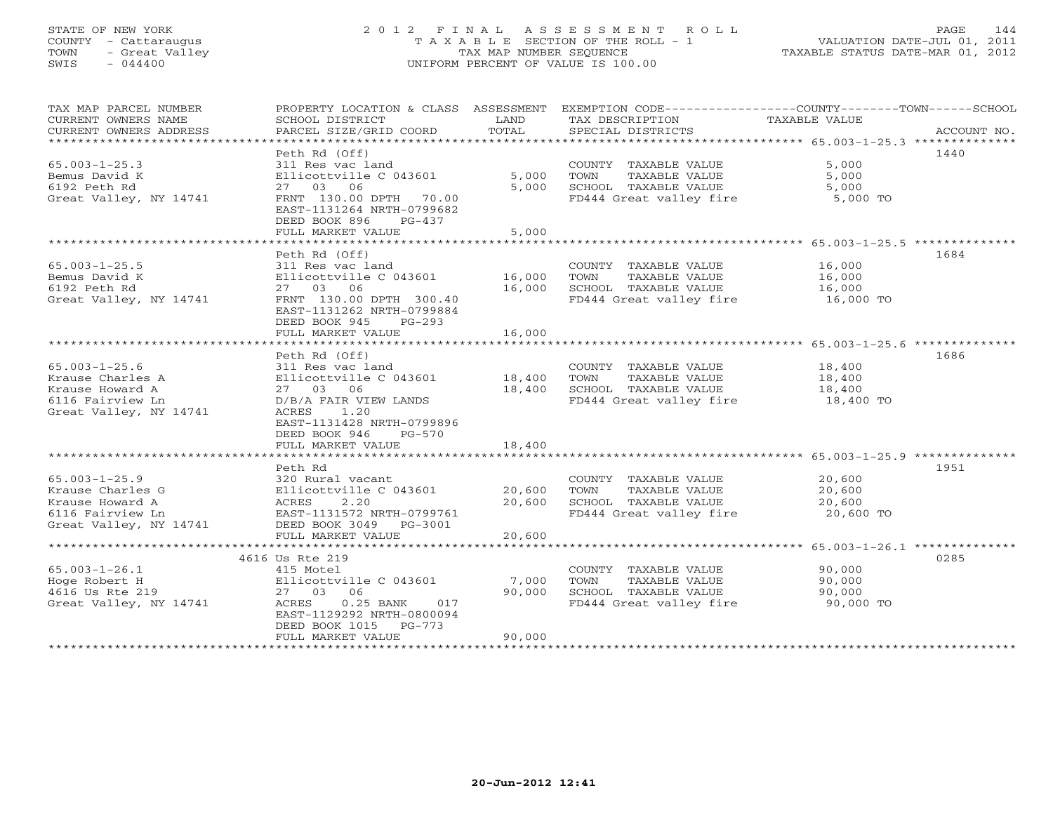#### STATE OF NEW YORK 2 0 1 2 F I N A L A S S E S S M E N T R O L L PAGE 144 COUNTY - Cattaraugus T A X A B L E SECTION OF THE ROLL - 1 VALUATION DATE-JUL 01, 2011 TOWN - Great Valley TAX MAP NUMBER SEQUENCE TAXABLE STATUS DATE-MAR 01, 2012 SWIS - 044400 UNIFORM PERCENT OF VALUE IS 100.00UNIFORM PERCENT OF VALUE IS 100.00

| TAX MAP PARCEL NUMBER<br>CURRENT OWNERS NAME<br>CURRENT OWNERS ADDRESS | PROPERTY LOCATION & CLASS ASSESSMENT<br>SCHOOL DISTRICT<br>PARCEL SIZE/GRID COORD | LAND<br>TOTAL    | EXEMPTION CODE-----------------COUNTY-------TOWN------SCHOOL<br>TAX DESCRIPTION<br>SPECIAL DISTRICTS | TAXABLE VALUE | ACCOUNT NO. |
|------------------------------------------------------------------------|-----------------------------------------------------------------------------------|------------------|------------------------------------------------------------------------------------------------------|---------------|-------------|
|                                                                        |                                                                                   |                  |                                                                                                      |               |             |
|                                                                        | Peth Rd (Off)                                                                     |                  |                                                                                                      |               | 1440        |
| $65.003 - 1 - 25.3$                                                    | 311 Res vac land                                                                  |                  | COUNTY TAXABLE VALUE                                                                                 | 5,000         |             |
| Bemus David K                                                          | Ellicottville C 043601                                                            | 5,000            | TOWN<br>TAXABLE VALUE                                                                                | 5,000         |             |
| 6192 Peth Rd                                                           | 27 03 06                                                                          | 5,000            | SCHOOL TAXABLE VALUE                                                                                 | 5,000         |             |
| Great Valley, NY 14741                                                 | FRNT 130.00 DPTH 70.00<br>EAST-1131264 NRTH-0799682<br>DEED BOOK 896<br>$PG-437$  |                  | FD444 Great valley fire                                                                              | 5,000 TO      |             |
|                                                                        | FULL MARKET VALUE                                                                 | 5,000            |                                                                                                      |               |             |
|                                                                        |                                                                                   |                  |                                                                                                      |               |             |
|                                                                        | Peth Rd (Off)                                                                     |                  |                                                                                                      |               | 1684        |
| $65.003 - 1 - 25.5$                                                    | 311 Res vac land                                                                  |                  | COUNTY TAXABLE VALUE                                                                                 | 16,000        |             |
| Bemus David K                                                          | Ellicottville C 043601                                                            | 16,000           | TOWN<br>TAXABLE VALUE                                                                                | 16,000        |             |
| 6192 Peth Rd                                                           | 27 03 06                                                                          | 16,000           | SCHOOL TAXABLE VALUE                                                                                 | 16,000        |             |
| Great Valley, NY 14741                                                 | FRNT 130.00 DPTH 300.40<br>EAST-1131262 NRTH-0799884<br>DEED BOOK 945<br>$PG-293$ |                  | FD444 Great valley fire                                                                              | 16,000 TO     |             |
|                                                                        | FULL MARKET VALUE                                                                 | 16,000           |                                                                                                      |               |             |
|                                                                        |                                                                                   |                  |                                                                                                      |               |             |
|                                                                        | Peth Rd (Off)                                                                     |                  |                                                                                                      |               | 1686        |
| $65.003 - 1 - 25.6$                                                    | 311 Res vac land                                                                  |                  | COUNTY TAXABLE VALUE                                                                                 | 18,400        |             |
| Krause Charles A<br>Krause Howard A                                    | Ellicottville C 043601<br>27 03<br>06                                             | 18,400<br>18,400 | TOWN<br>TAXABLE VALUE                                                                                | 18,400        |             |
| 6116 Fairview Ln                                                       |                                                                                   |                  | SCHOOL TAXABLE VALUE<br>FD444 Great valley fire                                                      | 18,400        |             |
| Great Valley, NY 14741                                                 | D/B/A FAIR VIEW LANDS<br>ACRES<br>1.20                                            |                  |                                                                                                      | 18,400 TO     |             |
|                                                                        | EAST-1131428 NRTH-0799896                                                         |                  |                                                                                                      |               |             |
|                                                                        | DEED BOOK 946<br>PG-570                                                           |                  |                                                                                                      |               |             |
|                                                                        | FULL MARKET VALUE                                                                 | 18,400           |                                                                                                      |               |             |
|                                                                        |                                                                                   |                  |                                                                                                      |               |             |
|                                                                        | Peth Rd                                                                           |                  |                                                                                                      |               | 1951        |
| $65.003 - 1 - 25.9$                                                    | 320 Rural vacant                                                                  |                  | COUNTY TAXABLE VALUE                                                                                 | 20,600        |             |
| Krause Charles G                                                       | Ellicottville C 043601                                                            | 20,600           | TAXABLE VALUE<br>TOWN                                                                                | 20,600        |             |
| Krause Howard A                                                        | 2.20<br>ACRES                                                                     | 20,600           | SCHOOL TAXABLE VALUE                                                                                 | 20,600        |             |
| 6116 Fairview Ln                                                       | EAST-1131572 NRTH-0799761                                                         |                  | FD444 Great valley fire                                                                              | 20,600 TO     |             |
| Great Valley, NY 14741                                                 | DEED BOOK 3049 PG-3001                                                            |                  |                                                                                                      |               |             |
|                                                                        | FULL MARKET VALUE                                                                 | 20,600           |                                                                                                      |               |             |
|                                                                        |                                                                                   |                  |                                                                                                      |               |             |
|                                                                        | 4616 Us Rte 219                                                                   |                  |                                                                                                      |               | 0285        |
| $65.003 - 1 - 26.1$                                                    | 415 Motel                                                                         |                  | COUNTY TAXABLE VALUE                                                                                 | 90,000        |             |
| Hoge Robert H                                                          | Ellicottville C 043601                                                            | 7,000            | TAXABLE VALUE<br>TOWN                                                                                | 90,000        |             |
| 4616 Us Rte 219                                                        | 27 03<br>06                                                                       | 90,000           | SCHOOL TAXABLE VALUE                                                                                 | 90,000        |             |
| Great Valley, NY 14741                                                 | ACRES<br>$0.25$ BANK<br>017                                                       |                  | FD444 Great valley fire                                                                              | 90,000 TO     |             |
|                                                                        | EAST-1129292 NRTH-0800094                                                         |                  |                                                                                                      |               |             |
|                                                                        | DEED BOOK 1015<br>PG-773                                                          |                  |                                                                                                      |               |             |
|                                                                        | FULL MARKET VALUE                                                                 | 90,000           |                                                                                                      |               |             |
|                                                                        |                                                                                   |                  |                                                                                                      |               |             |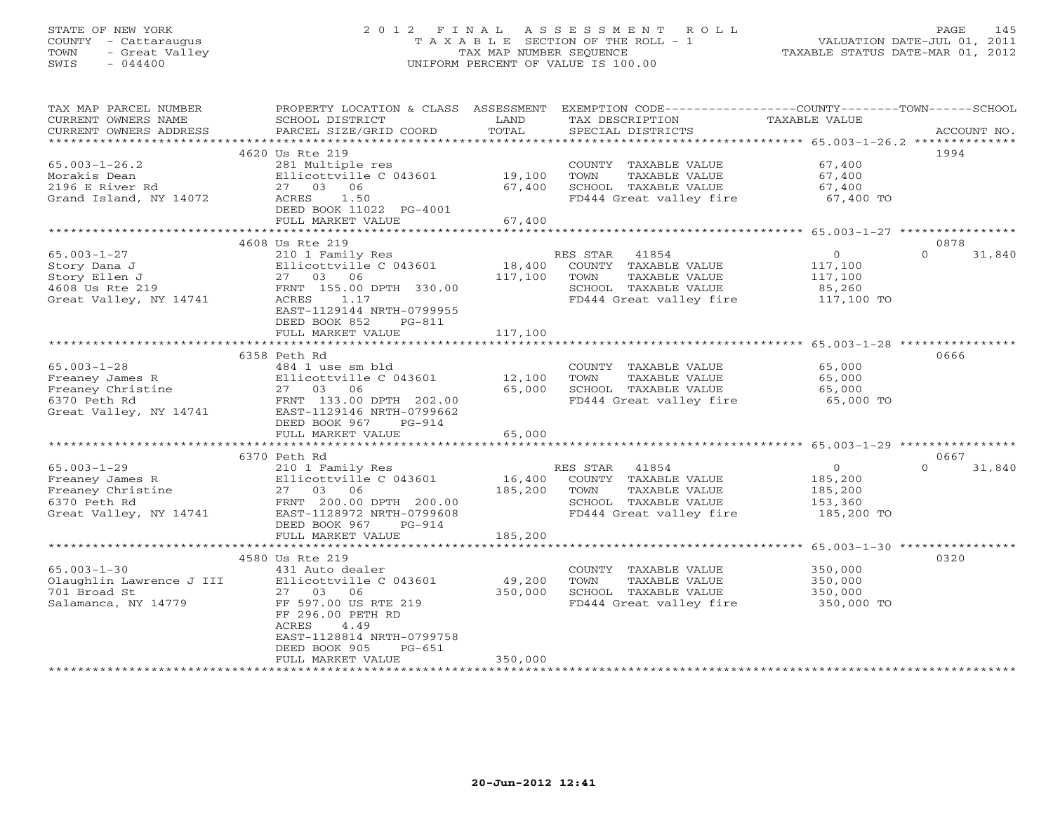### STATE OF NEW YORK 2 0 1 2 F I N A L A S S E S S M E N T R O L L PAGE 145 COUNTY - Cattaraugus T A X A B L E SECTION OF THE ROLL - 1 VALUATION DATE-JUL 01, 2011 TOWN - Great Valley TAX MAP NUMBER SEQUENCE TAXABLE STATUS DATE-MAR 01, 2012 SWIS - 044400 UNIFORM PERCENT OF VALUE IS 100.00

| TAX MAP PARCEL NUMBER<br>CURRENT OWNERS NAME | PROPERTY LOCATION & CLASS ASSESSMENT<br>SCHOOL DISTRICT | LAND             | TAX DESCRIPTION                                 | EXEMPTION CODE-----------------COUNTY-------TOWN------SCHOOL<br>TAXABLE VALUE |        |
|----------------------------------------------|---------------------------------------------------------|------------------|-------------------------------------------------|-------------------------------------------------------------------------------|--------|
| CURRENT OWNERS ADDRESS                       | PARCEL SIZE/GRID COORD                                  | TOTAL            | SPECIAL DISTRICTS                               | ACCOUNT NO.                                                                   |        |
|                                              | 4620 Us Rte 219                                         |                  |                                                 | 1994                                                                          |        |
| $65.003 - 1 - 26.2$                          | 281 Multiple res                                        |                  | COUNTY TAXABLE VALUE                            | 67,400                                                                        |        |
| Morakis Dean                                 | Ellicottville C 043601                                  | 19,100           | TOWN<br>TAXABLE VALUE                           | 67,400                                                                        |        |
| 2196 E River Rd                              | 27 03 06                                                | 67,400           | SCHOOL TAXABLE VALUE                            | 67,400                                                                        |        |
| Grand Island, NY 14072                       | 1.50<br>ACRES                                           |                  | FD444 Great valley fire                         | 67,400 TO                                                                     |        |
|                                              | DEED BOOK 11022 PG-4001                                 |                  |                                                 |                                                                               |        |
|                                              | FULL MARKET VALUE                                       | 67,400           |                                                 |                                                                               |        |
|                                              |                                                         | ***********      |                                                 | ********** 65.003-1-27 ****************                                       |        |
|                                              | 4608 Us Rte 219                                         |                  |                                                 | 0878                                                                          |        |
| $65.003 - 1 - 27$                            | 210 1 Family Res                                        |                  | 41854<br>RES STAR                               | $\circ$<br>$\Omega$                                                           | 31,840 |
| Story Dana J                                 | Ellicottville C 043601                                  | 18,400           | COUNTY TAXABLE VALUE                            | 117,100                                                                       |        |
| Story Ellen J                                | 27 03 06                                                | 117,100          | TOWN<br>TAXABLE VALUE                           | 117,100                                                                       |        |
| 4608 Us Rte 219                              | FRNT 155.00 DPTH 330.00                                 |                  | SCHOOL TAXABLE VALUE                            | 85,260                                                                        |        |
| Great Valley, NY 14741                       | ACRES<br>1.17                                           |                  | FD444 Great valley fire                         | 117,100 TO                                                                    |        |
|                                              | EAST-1129144 NRTH-0799955                               |                  |                                                 |                                                                               |        |
|                                              | DEED BOOK 852<br>$PG-811$                               |                  |                                                 |                                                                               |        |
|                                              | FULL MARKET VALUE                                       | 117,100          |                                                 |                                                                               |        |
|                                              |                                                         |                  |                                                 |                                                                               |        |
|                                              | 6358 Peth Rd                                            |                  |                                                 | 0666                                                                          |        |
| $65.003 - 1 - 28$                            | 484 1 use sm bld                                        |                  | COUNTY TAXABLE VALUE                            | 65,000                                                                        |        |
| Freaney James R<br>Freaney Christine         | Ellicottville C 043601                                  | 12,100<br>65,000 | TOWN<br>TAXABLE VALUE                           | 65,000                                                                        |        |
| 6370 Peth Rd                                 | 27 03 06<br>FRNT 133.00 DPTH 202.00                     |                  | SCHOOL TAXABLE VALUE<br>FD444 Great valley fire | 65,000<br>65,000 TO                                                           |        |
| Great Valley, NY 14741                       | EAST-1129146 NRTH-0799662                               |                  |                                                 |                                                                               |        |
|                                              | DEED BOOK 967<br>$PG-914$                               |                  |                                                 |                                                                               |        |
|                                              | FULL MARKET VALUE                                       | 65,000           |                                                 |                                                                               |        |
|                                              |                                                         |                  |                                                 |                                                                               |        |
|                                              | 6370 Peth Rd                                            |                  |                                                 | 0667                                                                          |        |
| $65.003 - 1 - 29$                            | 210 1 Family Res                                        |                  | RES STAR 41854                                  | $\circ$<br>$\Omega$                                                           | 31,840 |
| Freaney James R                              | Ellicottville C 043601                                  | 16,400           | COUNTY TAXABLE VALUE                            | 185,200                                                                       |        |
| Freaney Christine                            | 27 03 06                                                | 185,200          | TAXABLE VALUE<br>TOWN                           | 185,200                                                                       |        |
| 6370 Peth Rd                                 | FRNT 200.00 DPTH 200.00                                 |                  | SCHOOL TAXABLE VALUE                            | 153,360                                                                       |        |
| Great Valley, NY 14741                       | EAST-1128972 NRTH-0799608                               |                  | FD444 Great valley fire                         | 185,200 TO                                                                    |        |
|                                              | DEED BOOK 967<br>$PG-914$                               |                  |                                                 |                                                                               |        |
|                                              | FULL MARKET VALUE                                       | 185,200          |                                                 |                                                                               |        |
|                                              | ************************                                | *************    |                                                 | ************************* 65.003-1-30 ************                            |        |
|                                              | 4580 Us Rte 219                                         |                  |                                                 | 0320                                                                          |        |
| $65.003 - 1 - 30$                            | 431 Auto dealer                                         |                  | COUNTY TAXABLE VALUE                            | 350,000                                                                       |        |
| Olaughlin Lawrence J III                     | Ellicottville C 043601                                  | 49,200           | TOWN<br>TAXABLE VALUE                           | 350,000                                                                       |        |
| 701 Broad St                                 | 27 03 06                                                | 350,000          | SCHOOL TAXABLE VALUE                            | 350,000                                                                       |        |
| Salamanca, NY 14779                          | FF 597.00 US RTE 219                                    |                  | FD444 Great valley fire                         | 350,000 TO                                                                    |        |
|                                              | FF 296.00 PETH RD                                       |                  |                                                 |                                                                               |        |
|                                              | ACRES<br>4.49<br>EAST-1128814 NRTH-0799758              |                  |                                                 |                                                                               |        |
|                                              | DEED BOOK 905<br>$PG-651$                               |                  |                                                 |                                                                               |        |
|                                              | FULL MARKET VALUE                                       | 350,000          |                                                 |                                                                               |        |
|                                              |                                                         |                  | ***********************                         |                                                                               |        |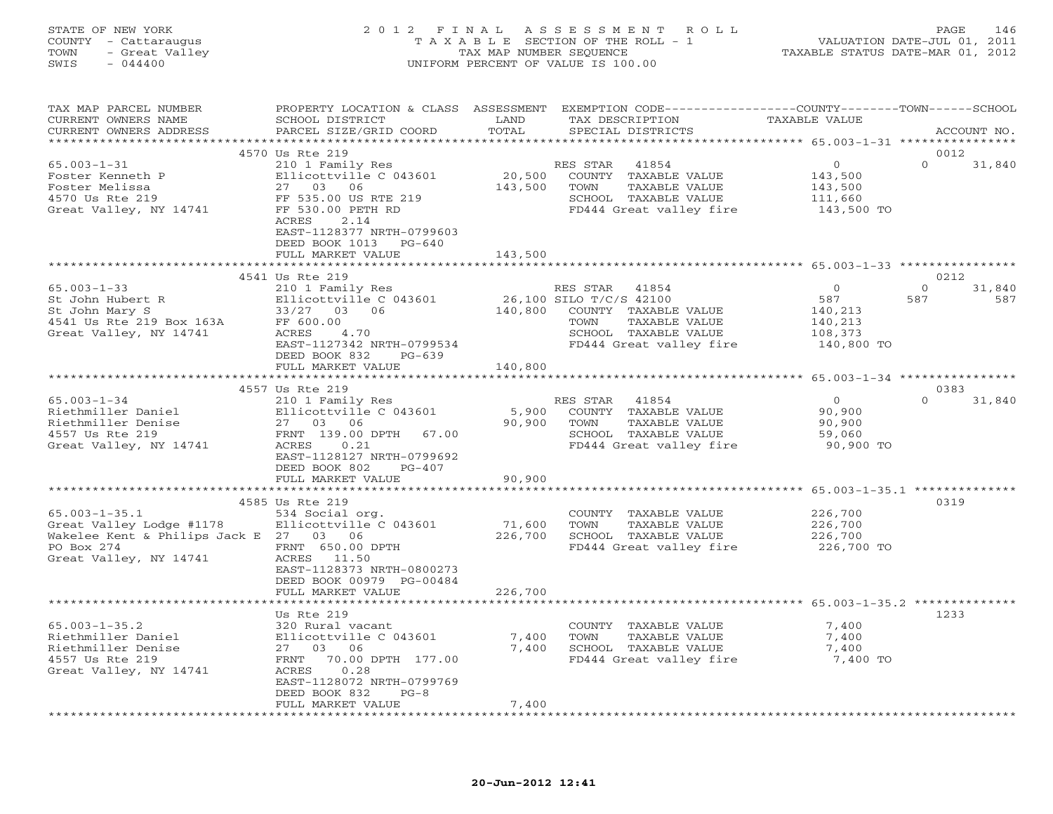### STATE OF NEW YORK 2 0 1 2 F I N A L A S S E S S M E N T R O L L PAGE 146 COUNTY - Cattaraugus T A X A B L E SECTION OF THE ROLL - 1 VALUATION DATE-JUL 01, 2011 TOWN - Great Valley TAX MAP NUMBER SEQUENCE TAXABLE STATUS DATE-MAR 01, 2012 SWIS - 044400 UNIFORM PERCENT OF VALUE IS 100.00

| TAX MAP PARCEL NUMBER<br>CURRENT OWNERS NAME<br>CURRENT OWNERS ADDRESS                                                            | PROPERTY LOCATION & CLASS ASSESSMENT<br>SCHOOL DISTRICT<br>PARCEL SIZE/GRID COORD                                                                                                                                     | LAND<br>TOTAL                | EXEMPTION CODE----------------COUNTY-------TOWN-----SCHOOL<br>TAX DESCRIPTION<br>SPECIAL DISTRICTS                                            | <b>TAXABLE VALUE</b>                                                 | ACCOUNT NO.                              |
|-----------------------------------------------------------------------------------------------------------------------------------|-----------------------------------------------------------------------------------------------------------------------------------------------------------------------------------------------------------------------|------------------------------|-----------------------------------------------------------------------------------------------------------------------------------------------|----------------------------------------------------------------------|------------------------------------------|
| **********************                                                                                                            |                                                                                                                                                                                                                       |                              |                                                                                                                                               |                                                                      |                                          |
| $65.003 - 1 - 31$<br>Foster Kenneth P<br>Foster Melissa<br>4570 Us Rte 219<br>Great Valley, NY 14741                              | 4570 Us Rte 219<br>210 1 Family Res<br>Ellicottville C 043601<br>27 03<br>06<br>FF 535.00 US RTE 219<br>FF 530.00 PETH RD<br>ACRES<br>2.14<br>EAST-1128377 NRTH-0799603<br>DEED BOOK 1013 PG-640<br>FULL MARKET VALUE | 20,500<br>143,500<br>143,500 | RES STAR<br>41854<br>COUNTY TAXABLE VALUE<br>TOWN<br>TAXABLE VALUE<br>SCHOOL TAXABLE VALUE<br>FD444 Great valley fire                         | $\circ$<br>143,500<br>143,500<br>111,660<br>143,500 TO               | 0012<br>$\Omega$<br>31,840               |
|                                                                                                                                   |                                                                                                                                                                                                                       |                              |                                                                                                                                               |                                                                      |                                          |
| $65.003 - 1 - 33$<br>St John Hubert R<br>St John Mary S<br>4541 Us Rte 219 Box 163A<br>Great Valley, NY 14741                     | 4541 Us Rte 219<br>210 1 Family Res<br>Ellicottville C 043601<br>33/27<br>03<br>06<br>FF 600.00<br>ACRES<br>4.70<br>EAST-1127342 NRTH-0799534<br>DEED BOOK 832<br>$PG-639$                                            | 140,800                      | RES STAR 41854<br>26,100 SILO T/C/S 42100<br>COUNTY TAXABLE VALUE<br>TAXABLE VALUE<br>TOWN<br>SCHOOL TAXABLE VALUE<br>FD444 Great valley fire | $\overline{0}$<br>587<br>140,213<br>140,213<br>108,373<br>140,800 TO | 0212<br>$\Omega$<br>31,840<br>587<br>587 |
|                                                                                                                                   | FULL MARKET VALUE                                                                                                                                                                                                     | 140,800                      |                                                                                                                                               |                                                                      |                                          |
|                                                                                                                                   |                                                                                                                                                                                                                       |                              |                                                                                                                                               | ***************** 65.003-1-34 ************                           |                                          |
| $65.003 - 1 - 34$<br>Riethmiller Daniel<br>Riethmiller Denise<br>4557 Us Rte 219<br>Great Valley, NY 14741                        | 4557 Us Rte 219<br>210 1 Family Res<br>Ellicottville C 043601<br>27 03 06<br>FRNT 139.00 DPTH<br>67.00<br>ACRES<br>0.21<br>EAST-1128127 NRTH-0799692<br>DEED BOOK 802<br>$PG-407$<br>FULL MARKET VALUE                | 5,900<br>90,900<br>90,900    | RES STAR<br>41854<br>COUNTY TAXABLE VALUE<br>TAXABLE VALUE<br>TOWN<br>SCHOOL TAXABLE VALUE<br>FD444 Great valley fire                         | $\circ$<br>90,900<br>90,900<br>59,060<br>90,900 TO                   | 0383<br>$\Omega$<br>31,840               |
|                                                                                                                                   |                                                                                                                                                                                                                       |                              |                                                                                                                                               | *********** 65.003-1-35.1 ***************                            |                                          |
| $65.003 - 1 - 35.1$<br>Great Valley Lodge #1178<br>Wakelee Kent & Philips Jack E 27 03 06<br>PO Box 274<br>Great Valley, NY 14741 | 4585 Us Rte 219<br>534 Social org.<br>Ellicottville C 043601<br>FRNT 650.00 DPTH<br>ACRES 11.50<br>EAST-1128373 NRTH-0800273<br>DEED BOOK 00979 PG-00484                                                              | 71,600<br>226,700            | COUNTY TAXABLE VALUE<br>TOWN<br>TAXABLE VALUE<br>SCHOOL TAXABLE VALUE<br>FD444 Great valley fire                                              | 226,700<br>226,700<br>226,700<br>226,700 TO                          | 0319                                     |
|                                                                                                                                   | FULL MARKET VALUE                                                                                                                                                                                                     | 226,700                      |                                                                                                                                               |                                                                      |                                          |
|                                                                                                                                   |                                                                                                                                                                                                                       |                              |                                                                                                                                               |                                                                      |                                          |
| $65.003 - 1 - 35.2$<br>Riethmiller Daniel<br>Riethmiller Denise<br>4557 Us Rte 219<br>Great Valley, NY 14741                      | Us Rte 219<br>320 Rural vacant<br>Ellicottville C 043601<br>06<br>27 03<br>70.00 DPTH 177.00<br>FRNT<br>ACRES<br>0.28<br>EAST-1128072 NRTH-0799769<br>DEED BOOK 832<br>$PG-8$                                         | 7,400<br>7,400               | COUNTY TAXABLE VALUE<br>TOWN<br>TAXABLE VALUE<br>SCHOOL TAXABLE VALUE<br>FD444 Great valley fire                                              | 7,400<br>7,400<br>7,400<br>7,400 TO                                  | 1233                                     |
|                                                                                                                                   | FULL MARKET VALUE                                                                                                                                                                                                     | 7,400                        |                                                                                                                                               |                                                                      |                                          |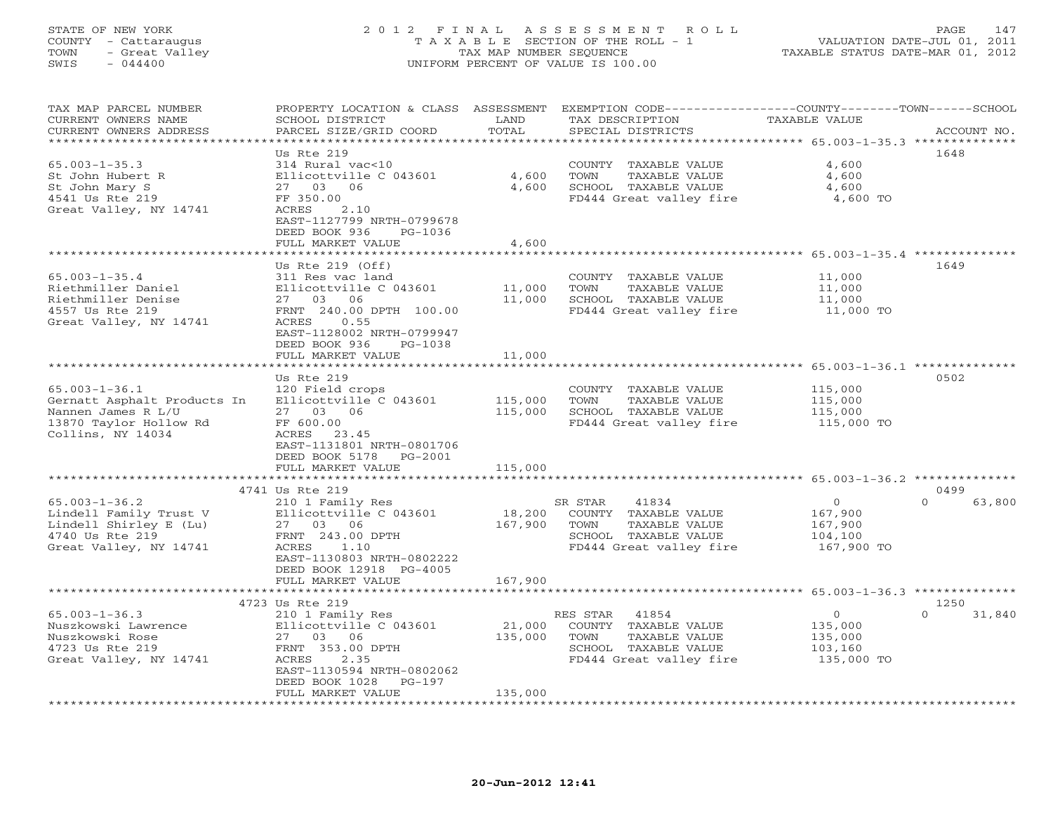### STATE OF NEW YORK 2 0 1 2 F I N A L A S S E S S M E N T R O L L PAGE 147 COUNTY - Cattaraugus T A X A B L E SECTION OF THE ROLL - 1 VALUATION DATE-JUL 01, 2011 TOWN - Great Valley TAX MAP NUMBER SEQUENCE TAXABLE STATUS DATE-MAR 01, 2012 SWIS - 044400 UNIFORM PERCENT OF VALUE IS 100.00UNIFORM PERCENT OF VALUE IS 100.00

| TAX MAP PARCEL NUMBER<br>CURRENT OWNERS NAME<br>CURRENT OWNERS ADDRESS<br>************************                      | PROPERTY LOCATION & CLASS ASSESSMENT<br>SCHOOL DISTRICT<br>PARCEL SIZE/GRID COORD                                                                                                  | LAND<br>TOTAL             | EXEMPTION CODE-----------------COUNTY-------TOWN-----SCHOOL<br>TAX DESCRIPTION<br>SPECIAL DISTRICTS                   | <b>TAXABLE VALUE</b>                                          | ACCOUNT NO.                |
|-------------------------------------------------------------------------------------------------------------------------|------------------------------------------------------------------------------------------------------------------------------------------------------------------------------------|---------------------------|-----------------------------------------------------------------------------------------------------------------------|---------------------------------------------------------------|----------------------------|
| $65.003 - 1 - 35.3$<br>St John Hubert R<br>St John Mary S<br>4541 Us Rte 219<br>Great Valley, NY 14741                  | Us Rte 219<br>314 Rural vac<10<br>Ellicottville C 043601<br>27 03 06<br>FF 350.00<br>ACRES<br>2.10<br>EAST-1127799 NRTH-0799678<br>DEED BOOK 936<br>$PG-1036$<br>FULL MARKET VALUE | 4,600<br>4,600<br>4,600   | COUNTY TAXABLE VALUE<br>TOWN<br>TAXABLE VALUE<br>SCHOOL TAXABLE VALUE<br>FD444 Great valley fire                      | 4,600<br>4,600<br>4,600<br>4,600 TO                           | 1648                       |
|                                                                                                                         |                                                                                                                                                                                    |                           |                                                                                                                       |                                                               |                            |
| $65.003 - 1 - 35.4$<br>Riethmiller Daniel<br>Riethmiller Denise<br>4557 Us Rte 219<br>Great Valley, NY 14741            | Us Rte $219$ (Off)<br>311 Res vac land<br>Ellicottville C 043601<br>27 03 06<br>FRNT 240.00 DPTH 100.00<br>ACRES<br>0.55                                                           | 11,000<br>11,000          | COUNTY TAXABLE VALUE<br>TOWN<br>TAXABLE VALUE<br>SCHOOL TAXABLE VALUE<br>FD444 Great valley fire                      | 11,000<br>11,000<br>11,000<br>11,000 TO                       | 1649                       |
|                                                                                                                         | EAST-1128002 NRTH-0799947<br>DEED BOOK 936<br>$PG-1038$<br>FULL MARKET VALUE<br><b>+++++++++++++++++++</b>                                                                         | 11,000<br>* * * * * * * * |                                                                                                                       | **************** 65.003-1-36.1 **************                 |                            |
|                                                                                                                         | Us Rte 219                                                                                                                                                                         |                           |                                                                                                                       |                                                               | 0502                       |
| $65.003 - 1 - 36.1$<br>Gernatt Asphalt Products In<br>Nannen James R L/U<br>13870 Taylor Hollow Rd<br>Collins, NY 14034 | 120 Field crops<br>Ellicottville C 043601<br>27 03 06<br>FF 600.00<br>ACRES<br>23.45<br>EAST-1131801 NRTH-0801706<br>DEED BOOK 5178<br>PG-2001                                     | 115,000<br>115,000        | COUNTY TAXABLE VALUE<br><b>TOWN</b><br>TAXABLE VALUE<br>SCHOOL TAXABLE VALUE<br>FD444 Great valley fire               | 115,000<br>115,000<br>115,000<br>115,000 TO                   |                            |
|                                                                                                                         | FULL MARKET VALUE                                                                                                                                                                  | 115,000                   |                                                                                                                       |                                                               |                            |
|                                                                                                                         | **********************                                                                                                                                                             | ***********               |                                                                                                                       | ***************************** 65.003-1-36.2 **************    |                            |
|                                                                                                                         | 4741 Us Rte 219                                                                                                                                                                    |                           |                                                                                                                       |                                                               | 0499                       |
| $65.003 - 1 - 36.2$<br>Lindell Family Trust V<br>Lindell Shirley E (Lu)<br>4740 Us Rte 219<br>Great Valley, NY 14741    | 210 1 Family Res<br>Ellicottville C 043601<br>27 03 06<br>FRNT 243.00 DPTH<br>ACRES<br>1.10<br>EAST-1130803 NRTH-0802222<br>DEED BOOK 12918 PG-4005                                | 18,200<br>167,900         | SR STAR<br>41834<br>COUNTY TAXABLE VALUE<br>TOWN<br>TAXABLE VALUE<br>SCHOOL TAXABLE VALUE<br>FD444 Great valley fire  | $\overline{O}$<br>167,900<br>167,900<br>104,100<br>167,900 TO | $\Omega$<br>63,800         |
|                                                                                                                         | FULL MARKET VALUE                                                                                                                                                                  | 167,900                   |                                                                                                                       |                                                               |                            |
|                                                                                                                         |                                                                                                                                                                                    |                           |                                                                                                                       | ******************** 65.003-1-36.3 **************             |                            |
| $65.003 - 1 - 36.3$<br>Nuszkowski Lawrence<br>Nuszkowski Rose<br>4723 Us Rte 219<br>Great Valley, NY 14741              | 4723 Us Rte 219<br>210 1 Family Res<br>Ellicottville C 043601<br>27 03 06<br>FRNT 353.00 DPTH<br>ACRES<br>2.35<br>EAST-1130594 NRTH-0802062<br>DEED BOOK 1028<br>$PG-197$          | 21,000<br>135,000         | 41854<br>RES STAR<br>COUNTY TAXABLE VALUE<br>TOWN<br>TAXABLE VALUE<br>SCHOOL TAXABLE VALUE<br>FD444 Great valley fire | $\circ$<br>135,000<br>135,000<br>103,160<br>135,000 TO        | 1250<br>$\Omega$<br>31,840 |
| *******************                                                                                                     | FULL MARKET VALUE                                                                                                                                                                  | 135,000                   |                                                                                                                       |                                                               |                            |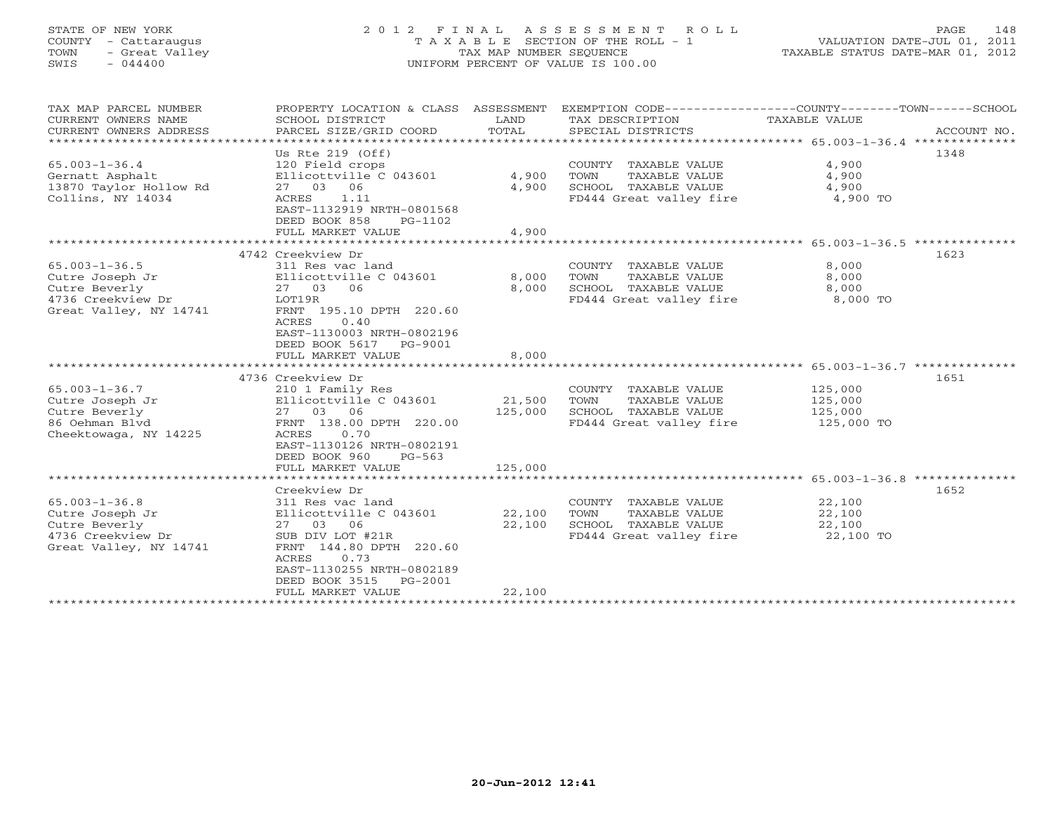# STATE OF NEW YORK 2 0 1 2 F I N A L A S S E S S M E N T R O L L PAGE 148 COUNTY - Cattaraugus T A X A B L E SECTION OF THE ROLL - 1 VALUATION DATE-JUL 01, 2011 TOWN - Great Valley TAX MAP NUMBER SEQUENCE TAXABLE STATUS DATE-MAR 01, 2012 SWIS - 044400 UNIFORM PERCENT OF VALUE IS 100.00

| TAX MAP PARCEL NUMBER<br>CURRENT OWNERS NAME<br>CURRENT OWNERS ADDRESS                                 | PROPERTY LOCATION & CLASS ASSESSMENT<br>SCHOOL DISTRICT<br>PARCEL SIZE/GRID COORD                                                                                                                                     | LAND<br>TOTAL                | TAX DESCRIPTION<br>SPECIAL DISTRICTS                                                             | EXEMPTION CODE-----------------COUNTY-------TOWN------SCHOOL<br>TAXABLE VALUE<br>ACCOUNT NO. |
|--------------------------------------------------------------------------------------------------------|-----------------------------------------------------------------------------------------------------------------------------------------------------------------------------------------------------------------------|------------------------------|--------------------------------------------------------------------------------------------------|----------------------------------------------------------------------------------------------|
| $65.003 - 1 - 36.4$<br>Gernatt Asphalt<br>13870 Taylor Hollow Rd<br>Collins, NY 14034                  | Us Rte $219$ (Off)<br>120 Field crops<br>Ellicottville C 043601<br>27 03 06<br>ACRES<br>1.11<br>EAST-1132919 NRTH-0801568<br>DEED BOOK 858<br>PG-1102<br>FULL MARKET VALUE                                            | 4,900<br>4,900<br>4,900      | COUNTY TAXABLE VALUE<br>TOWN<br>TAXABLE VALUE<br>SCHOOL TAXABLE VALUE<br>FD444 Great valley fire | 1348<br>4,900<br>4,900<br>4,900<br>4,900 TO                                                  |
| $65.003 - 1 - 36.5$<br>Cutre Joseph Jr<br>Cutre Beverly<br>4736 Creekview Dr<br>Great Valley, NY 14741 | 4742 Creekview Dr<br>311 Res vac land<br>Ellicottville C 043601<br>27 03 06<br>LOT19R<br>FRNT 195.10 DPTH 220.60<br>ACRES<br>0.40<br>EAST-1130003 NRTH-0802196<br>DEED BOOK 5617 PG-9001<br>FULL MARKET VALUE         | 8,000<br>8,000<br>8,000      | COUNTY TAXABLE VALUE<br>TOWN<br>TAXABLE VALUE<br>SCHOOL TAXABLE VALUE<br>FD444 Great valley fire | 1623<br>8,000<br>8,000<br>8,000<br>8,000 TO                                                  |
| $65.003 - 1 - 36.7$<br>Cutre Joseph Jr<br>Cutre Beverly<br>86 Oehman Blyd<br>Cheektowaga, NY 14225     | 4736 Creekview Dr<br>210 1 Family Res<br>Ellicottville C 043601<br>27 03 06<br>FRNT 138.00 DPTH 220.00<br>ACRES<br>0.70<br>EAST-1130126 NRTH-0802191<br>DEED BOOK 960<br>$PG-563$<br>FULL MARKET VALUE                | 21,500<br>125,000<br>125,000 | COUNTY TAXABLE VALUE<br>TOWN<br>TAXABLE VALUE<br>SCHOOL TAXABLE VALUE<br>FD444 Great valley fire | 1651<br>125,000<br>125,000<br>125,000<br>125,000 TO                                          |
| $65.003 - 1 - 36.8$<br>Cutre Joseph Jr<br>Cutre Beverly<br>4736 Creekview Dr<br>Great Valley, NY 14741 | Creekview Dr<br>311 Res vac land<br>Ellicottville C 043601<br>27 03 06<br>SUB DIV LOT #21R<br>FRNT 144.80 DPTH 220.60<br>ACRES<br>0.73<br>EAST-1130255 NRTH-0802189<br>DEED BOOK 3515<br>PG-2001<br>FULL MARKET VALUE | 22,100<br>22,100<br>22,100   | COUNTY TAXABLE VALUE<br>TOWN<br>TAXABLE VALUE<br>SCHOOL TAXABLE VALUE<br>FD444 Great valley fire | 1652<br>22,100<br>22,100<br>22,100<br>22,100 TO                                              |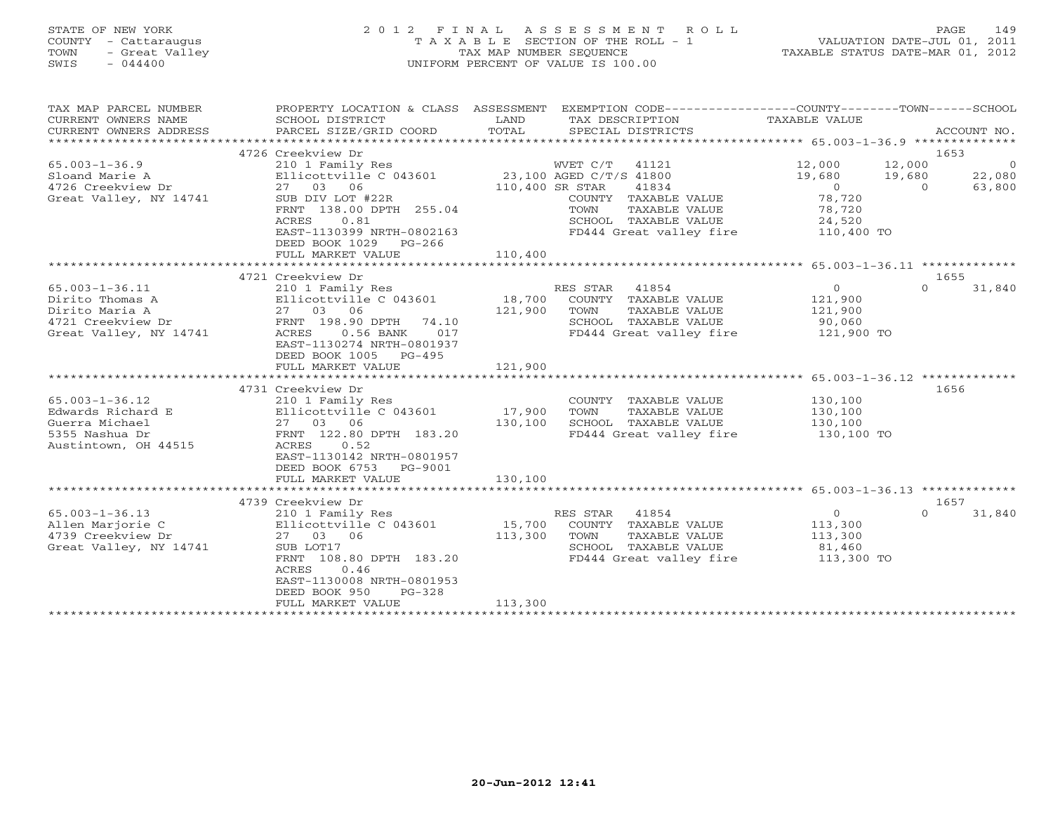# STATE OF NEW YORK 2 0 1 2 F I N A L A S S E S S M E N T R O L L PAGE 149 COUNTY - Cattaraugus T A X A B L E SECTION OF THE ROLL - 1 VALUATION DATE-JUL 01, 2011 TOWN - Great Valley TAX MAP NUMBER SEQUENCE TAXABLE STATUS DATE-MAR 01, 2012 SWIS - 044400 UNIFORM PERCENT OF VALUE IS 100.00

| TAX MAP PARCEL NUMBER<br>CURRENT OWNERS NAME<br>CURRENT OWNERS ADDRESS | PROPERTY LOCATION & CLASS ASSESSMENT<br>SCHOOL DISTRICT<br>PARCEL SIZE/GRID COORD | LAND<br>TOTAL           |                | EXEMPTION CODE-----------------COUNTY-------TOWN------SCHOOL<br>TAX DESCRIPTION TAXABLE VALUE<br>SPECIAL DISTRICTS |                |                  | ACCOUNT NO.    |
|------------------------------------------------------------------------|-----------------------------------------------------------------------------------|-------------------------|----------------|--------------------------------------------------------------------------------------------------------------------|----------------|------------------|----------------|
|                                                                        |                                                                                   |                         |                |                                                                                                                    |                |                  |                |
|                                                                        | 4726 Creekview Dr                                                                 |                         |                |                                                                                                                    |                | 1653             |                |
| $65.003 - 1 - 36.9$                                                    | 210 1 Family Res                                                                  |                         | WVET C/T       | 41121                                                                                                              | 12,000         | 12,000           | $\overline{0}$ |
| Sloand Marie A                                                         | Ellicottville C 043601                                                            | 23,100 AGED C/T/S 41800 |                |                                                                                                                    | 19,680         | 19,680           | 22,080         |
| 4726 Creekview Dr                                                      | 27 03 06                                                                          | 110,400 SR STAR         |                | 41834                                                                                                              | $\bigcirc$     | $\overline{0}$   | 63,800         |
| Great Valley, NY 14741                                                 | SUB DIV LOT #22R                                                                  |                         |                | COUNTY TAXABLE VALUE                                                                                               | 78,720         |                  |                |
|                                                                        | FRNT 138.00 DPTH 255.04                                                           |                         | TOWN           | TAXABLE VALUE                                                                                                      | 78,720         |                  |                |
|                                                                        | 0.81<br>ACRES                                                                     |                         |                | SCHOOL TAXABLE VALUE                                                                                               | 24,520         |                  |                |
|                                                                        | EAST-1130399 NRTH-0802163                                                         |                         |                | FD444 Great valley fire                                                                                            | 110,400 TO     |                  |                |
|                                                                        | DEED BOOK 1029 PG-266                                                             |                         |                |                                                                                                                    |                |                  |                |
|                                                                        | FULL MARKET VALUE                                                                 | 110,400                 |                |                                                                                                                    |                |                  |                |
|                                                                        |                                                                                   |                         |                |                                                                                                                    |                |                  |                |
|                                                                        | 4721 Creekview Dr                                                                 |                         |                |                                                                                                                    |                | 1655             |                |
| $65.003 - 1 - 36.11$                                                   | 210 1 Family Res                                                                  |                         | RES STAR       | 41854                                                                                                              | $\circ$        | $\Omega$         | 31,840         |
| Dirito Thomas A                                                        | Ellicottville C 043601 18,700                                                     |                         |                | COUNTY TAXABLE VALUE                                                                                               | 121,900        |                  |                |
| Dirito Maria A                                                         | Ellicocco -<br>27 03 06<br>-- 198.90                                              | 121,900                 | TOWN           | TAXABLE VALUE                                                                                                      | 121,900        |                  |                |
| 4721 Creekview Dr                                                      | FRNT 198.90 DPTH 74.10                                                            |                         |                | SCHOOL TAXABLE VALUE                                                                                               | 90,060         |                  |                |
| Great Valley, NY 14741                                                 | $0.56$ BANK<br>017<br>ACRES                                                       |                         |                | FD444 Great valley fire                                                                                            | 121,900 TO     |                  |                |
|                                                                        | EAST-1130274 NRTH-0801937                                                         |                         |                |                                                                                                                    |                |                  |                |
|                                                                        | DEED BOOK 1005 PG-495                                                             |                         |                |                                                                                                                    |                |                  |                |
|                                                                        | FULL MARKET VALUE                                                                 | 121,900                 |                |                                                                                                                    |                |                  |                |
|                                                                        |                                                                                   |                         |                |                                                                                                                    |                |                  |                |
|                                                                        | 4731 Creekview Dr                                                                 |                         |                |                                                                                                                    |                | 1656             |                |
| $65.003 - 1 - 36.12$                                                   | 210 1 Family Res                                                                  |                         |                | COUNTY TAXABLE VALUE                                                                                               | 130,100        |                  |                |
| Edwards Richard E                                                      | Ellicottville C 043601                                                            | 17,900                  | TOWN           | TAXABLE VALUE                                                                                                      | 130,100        |                  |                |
| Guerra Michael                                                         | 27 03 06                                                                          | 130,100                 |                | SCHOOL TAXABLE VALUE                                                                                               | 130,100        |                  |                |
| 5355 Nashua Dr                                                         | FRNT 122.80 DPTH 183.20                                                           |                         |                | FD444 Great valley fire 130,100 TO                                                                                 |                |                  |                |
| Austintown, OH 44515                                                   | ACRES<br>0.52                                                                     |                         |                |                                                                                                                    |                |                  |                |
|                                                                        | EAST-1130142 NRTH-0801957                                                         |                         |                |                                                                                                                    |                |                  |                |
|                                                                        | DEED BOOK 6753 PG-9001                                                            |                         |                |                                                                                                                    |                |                  |                |
|                                                                        | FULL MARKET VALUE                                                                 | 130,100                 |                |                                                                                                                    |                |                  |                |
|                                                                        |                                                                                   |                         |                |                                                                                                                    |                |                  |                |
| $65.003 - 1 - 36.13$                                                   | 4739 Creekview Dr<br>210 1 Family Res                                             |                         | RES STAR 41854 |                                                                                                                    | $\overline{0}$ | 1657<br>$\Omega$ | 31,840         |
| Allen Marjorie C                                                       | Ellicottville C 043601                                                            | 15,700                  |                | COUNTY TAXABLE VALUE                                                                                               | 113,300        |                  |                |
| 4739 Creekview Dr                                                      | 27 03 06                                                                          | 113,300                 | TOWN           | TAXABLE VALUE                                                                                                      | 113,300        |                  |                |
| Great Valley, NY 14741                                                 | SUB LOT17                                                                         |                         |                | SCHOOL TAXABLE VALUE                                                                                               | 81,460         |                  |                |
|                                                                        | FRNT 108.80 DPTH 183.20                                                           |                         |                | FD444 Great valley fire 113,300 TO                                                                                 |                |                  |                |
|                                                                        | 0.46<br>ACRES                                                                     |                         |                |                                                                                                                    |                |                  |                |
|                                                                        | EAST-1130008 NRTH-0801953                                                         |                         |                |                                                                                                                    |                |                  |                |
|                                                                        | DEED BOOK 950<br>$PG-328$                                                         |                         |                |                                                                                                                    |                |                  |                |
|                                                                        | FULL MARKET VALUE                                                                 | 113,300                 |                |                                                                                                                    |                |                  |                |
|                                                                        |                                                                                   |                         |                |                                                                                                                    |                |                  |                |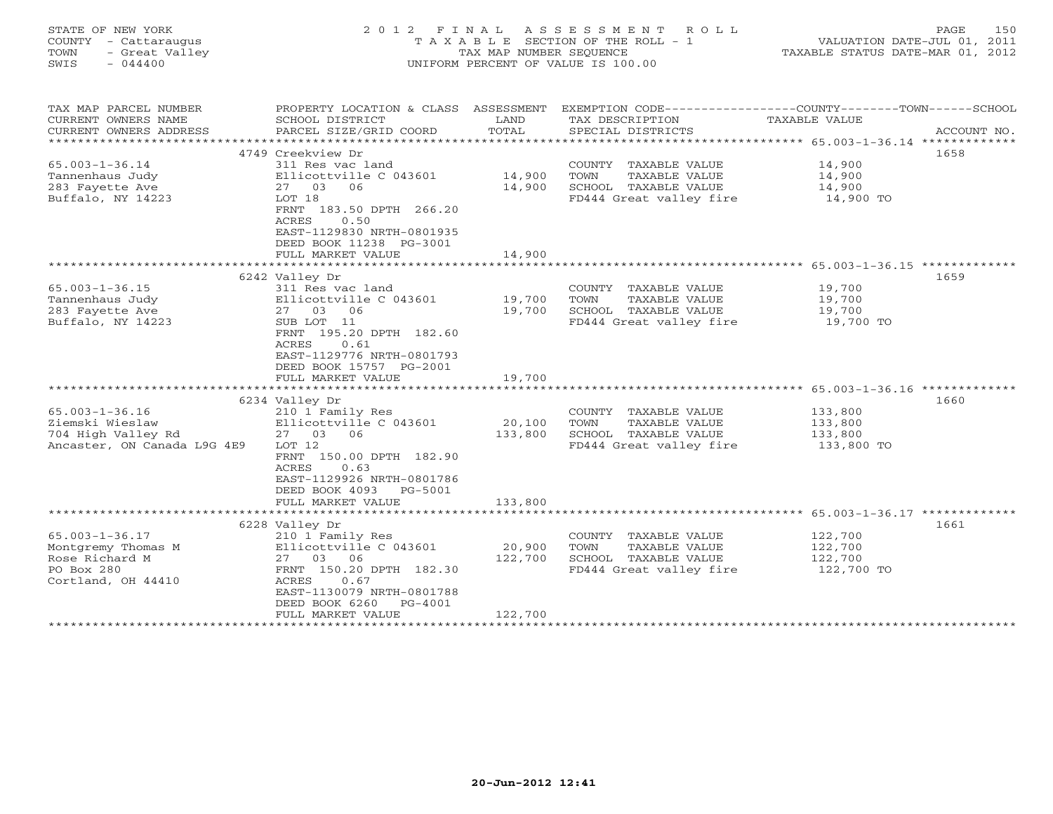| STATE OF NEW YORK<br>COUNTY - Cattaraugus<br>- Great Valley<br>TOWN<br>SWIS<br>$-044400$         | 2012 FINAL                                                                                                                                                                                    | TAX MAP NUMBER SEQUENCE                  | ASSESSMENT<br>ROLL<br>T A X A B L E SECTION OF THE ROLL - 1<br>UNIFORM PERCENT OF VALUE IS 100.00       | TAXABLE STATUS DATE-MAR 01, 2012                      | 150<br>PAGE<br>VALUATION DATE-JUL 01, 2011 |
|--------------------------------------------------------------------------------------------------|-----------------------------------------------------------------------------------------------------------------------------------------------------------------------------------------------|------------------------------------------|---------------------------------------------------------------------------------------------------------|-------------------------------------------------------|--------------------------------------------|
| TAX MAP PARCEL NUMBER<br>CURRENT OWNERS NAME<br>CURRENT OWNERS ADDRESS                           | PROPERTY LOCATION & CLASS ASSESSMENT<br>SCHOOL DISTRICT<br>PARCEL SIZE/GRID COORD                                                                                                             | LAND<br>TOTAL                            | EXEMPTION CODE-----------------COUNTY-------TOWN-----SCHOOL<br>TAX DESCRIPTION<br>SPECIAL DISTRICTS     | TAXABLE VALUE                                         | ACCOUNT NO.                                |
| ***********************                                                                          |                                                                                                                                                                                               |                                          |                                                                                                         |                                                       |                                            |
|                                                                                                  | 4749 Creekview Dr                                                                                                                                                                             |                                          |                                                                                                         |                                                       | 1658                                       |
| $65.003 - 1 - 36.14$<br>Tannenhaus Judy<br>283 Fayette Ave<br>Buffalo, NY 14223                  | 311 Res vac land<br>Ellicottville C 043601<br>27 03<br>06<br>LOT 18<br>FRNT 183.50 DPTH 266.20<br>0.50<br>ACRES                                                                               | 14,900<br>14,900                         | COUNTY TAXABLE VALUE<br>TOWN<br><b>TAXABLE VALUE</b><br>SCHOOL TAXABLE VALUE<br>FD444 Great valley fire | 14,900<br>14,900<br>14,900<br>14,900 TO               |                                            |
|                                                                                                  | EAST-1129830 NRTH-0801935<br>DEED BOOK 11238 PG-3001<br>FULL MARKET VALUE<br>* * * * * * * * * * * * * * * * * *                                                                              | 14,900                                   |                                                                                                         | ************************ 65.003-1-36.15 ************* |                                            |
|                                                                                                  | 6242 Valley Dr                                                                                                                                                                                |                                          |                                                                                                         |                                                       | 1659                                       |
| $65.003 - 1 - 36.15$<br>Tannenhaus Judy<br>283 Fayette Ave<br>Buffalo, NY 14223                  | 311 Res vac land<br>Ellicottville C 043601<br>27 03 06<br>SUB LOT 11<br>FRNT 195.20 DPTH 182.60<br>ACRES<br>0.61<br>EAST-1129776 NRTH-0801793<br>DEED BOOK 15757 PG-2001<br>FULL MARKET VALUE | 19,700<br>19,700<br>19,700<br>********** | COUNTY TAXABLE VALUE<br>TAXABLE VALUE<br>TOWN<br>SCHOOL TAXABLE VALUE<br>FD444 Great valley fire        | 19,700<br>19,700<br>19,700<br>19,700 TO               |                                            |
|                                                                                                  |                                                                                                                                                                                               |                                          |                                                                                                         | **************** 65.003-1-36.16 *************         |                                            |
| $65.003 - 1 - 36.16$<br>Ziemski Wieslaw<br>704 High Valley Rd<br>Ancaster, ON Canada L9G 4E9     | 6234 Valley Dr<br>210 1 Family Res<br>Ellicottville C 043601<br>27 03 06<br>LOT 12<br>FRNT 150.00 DPTH 182.90<br>0.63<br>ACRES<br>EAST-1129926 NRTH-0801786<br>DEED BOOK 4093 PG-5001         | 20,100<br>133,800                        | COUNTY TAXABLE VALUE<br>TOWN<br>TAXABLE VALUE<br>SCHOOL TAXABLE VALUE<br>FD444 Great valley fire        | 133,800<br>133,800<br>133,800<br>133,800 TO           | 1660                                       |
|                                                                                                  | FULL MARKET VALUE                                                                                                                                                                             | 133,800                                  |                                                                                                         |                                                       |                                            |
|                                                                                                  |                                                                                                                                                                                               |                                          |                                                                                                         |                                                       |                                            |
| $65.003 - 1 - 36.17$<br>Montgremy Thomas M<br>Rose Richard M<br>PO Box 280<br>Cortland, OH 44410 | 6228 Valley Dr<br>210 1 Family Res<br>Ellicottville C 043601<br>27 03<br>06<br>FRNT 150.20 DPTH 182.30<br>ACRES<br>0.67<br>EAST-1130079 NRTH-0801788<br>DEED BOOK 6260<br>$PG-4001$           | 20,900<br>122,700                        | COUNTY TAXABLE VALUE<br>TAXABLE VALUE<br>TOWN<br>SCHOOL TAXABLE VALUE<br>FD444 Great valley fire        | 122,700<br>122,700<br>122,700<br>122,700 TO           | 1661                                       |
| +++++++++++++++++++++++++                                                                        | FULL MARKET VALUE                                                                                                                                                                             | 122,700<br>+ + + + + + + + + + + + +     |                                                                                                         |                                                       |                                            |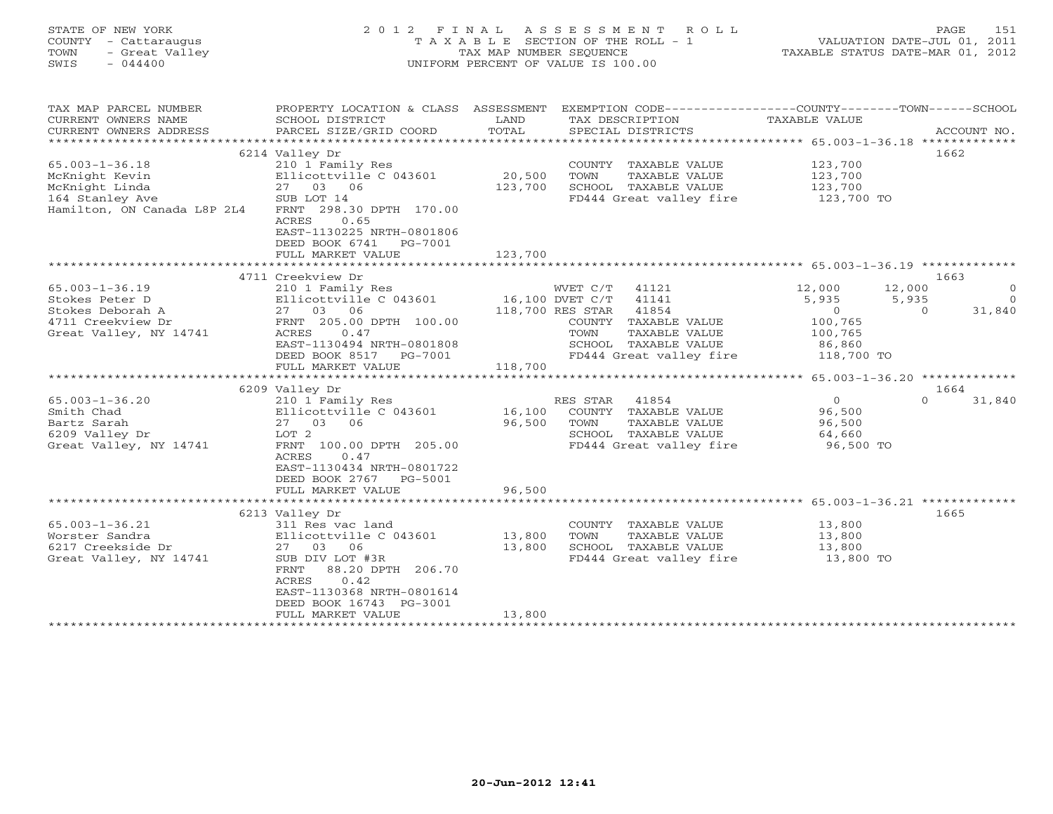### STATE OF NEW YORK 2 0 1 2 F I N A L A S S E S S M E N T R O L L PAGE 151 COUNTY - Cattaraugus T A X A B L E SECTION OF THE ROLL - 1 VALUATION DATE-JUL 01, 2011 TOWN - Great Valley TAX MAP NUMBER SEQUENCE TAXABLE STATUS DATE-MAR 01, 2012 SWIS - 044400 UNIFORM PERCENT OF VALUE IS 100.00

| 6214 Valley Dr<br>1662<br>123,700<br>210 1 Family Res<br>COUNTY TAXABLE VALUE<br>20,500<br>Ellicottville C 043601<br>123,700<br>TOWN<br>TAXABLE VALUE<br>27 03 06<br>123,700<br>SCHOOL TAXABLE VALUE<br>123,700<br>164 Stanley Ave<br>SUB LOT 14<br>FD444 Great valley fire<br>123,700 TO<br>Hamilton, ON Canada L8P 2L4<br>FRNT 298.30 DPTH 170.00<br>0.65<br>ACRES<br>EAST-1130225 NRTH-0801806<br>DEED BOOK 6741<br>PG-7001<br>123,700<br>FULL MARKET VALUE<br>4711 Creekview Dr<br>1663<br>$65.003 - 1 - 36.19$<br>WVET C/T 41121<br>12,000<br>12,000<br>210 1 Family Res<br>$\Omega$<br>16,100 DVET C/T<br>41141<br>5,935<br>5,935<br>Stokes Peter D<br>Ellicottville C 043601<br>$\Omega$<br>27 03 06<br>118,700 RES STAR 41854<br>31,840<br>Stokes Deborah A<br>$\circ$<br>$\Omega$<br>4711 Creekview Dr<br>FRNT 205.00 DPTH 100.00<br>COUNTY TAXABLE VALUE<br>100,765<br>Great Valley, NY 14741<br>ACRES<br>0.47<br>TOWN<br>TAXABLE VALUE<br>100,765<br>EAST-1130494 NRTH-0801808<br>SCHOOL TAXABLE VALUE<br>86,860<br>FD444 Great valley fire<br>118,700 TO<br>DEED BOOK 8517 PG-7001<br>FULL MARKET VALUE<br>118,700<br>1664<br>6209 Valley Dr<br>41854<br>$\overline{0}$<br>31,840<br>$65.003 - 1 - 36.20$<br>210 1 Family Res<br>RES STAR<br>$\Omega$<br>Ellicottville C 043601<br>16,100<br>96,500<br>Smith Chad<br>COUNTY TAXABLE VALUE<br>96,500<br>Bartz Sarah<br>27 03 06<br>TOWN<br>TAXABLE VALUE<br>96,500<br>6209 Valley Dr<br>SCHOOL TAXABLE VALUE<br>LOT 2<br>64,660<br>Great Valley, NY 14741<br>FD444 Great valley fire<br>96,500 TO<br>FRNT 100.00 DPTH 205.00<br>ACRES<br>0.47<br>EAST-1130434 NRTH-0801722<br>DEED BOOK 2767 PG-5001<br>FULL MARKET VALUE<br>96,500<br>1665<br>6213 Valley Dr<br>13,800<br>$65.003 - 1 - 36.21$<br>COUNTY TAXABLE VALUE<br>311 Res vac land<br>13,800<br>Ellicottville C 043601<br>TOWN<br>TAXABLE VALUE<br>Worster Sandra<br>13,800<br>13,800<br>6217 Creekside Dr<br>27 03 06<br>SCHOOL TAXABLE VALUE<br>13,800<br>SUB DIV LOT #3R<br>FD444 Great valley fire<br>13,800 TO<br>Great Valley, NY 14741<br>FRNT<br>88.20 DPTH 206.70<br>ACRES<br>0.42<br>EAST-1130368 NRTH-0801614<br>DEED BOOK 16743 PG-3001<br>13,800<br>FULL MARKET VALUE<br>********************************* | TAX MAP PARCEL NUMBER<br>CURRENT OWNERS NAME<br>CURRENT OWNERS ADDRESS | PROPERTY LOCATION & CLASS ASSESSMENT<br>SCHOOL DISTRICT<br>PARCEL SIZE/GRID COORD | LAND<br>TOTAL | EXEMPTION CODE-----------------COUNTY-------TOWN------SCHOOL<br>TAX DESCRIPTION<br>SPECIAL DISTRICTS | TAXABLE VALUE | ACCOUNT NO. |
|---------------------------------------------------------------------------------------------------------------------------------------------------------------------------------------------------------------------------------------------------------------------------------------------------------------------------------------------------------------------------------------------------------------------------------------------------------------------------------------------------------------------------------------------------------------------------------------------------------------------------------------------------------------------------------------------------------------------------------------------------------------------------------------------------------------------------------------------------------------------------------------------------------------------------------------------------------------------------------------------------------------------------------------------------------------------------------------------------------------------------------------------------------------------------------------------------------------------------------------------------------------------------------------------------------------------------------------------------------------------------------------------------------------------------------------------------------------------------------------------------------------------------------------------------------------------------------------------------------------------------------------------------------------------------------------------------------------------------------------------------------------------------------------------------------------------------------------------------------------------------------------------------------------------------------------------------------------------------------------------------------------------------------------------------------------------------------------------------------------------------------------------------------------------------------------------------------------------------------------------|------------------------------------------------------------------------|-----------------------------------------------------------------------------------|---------------|------------------------------------------------------------------------------------------------------|---------------|-------------|
|                                                                                                                                                                                                                                                                                                                                                                                                                                                                                                                                                                                                                                                                                                                                                                                                                                                                                                                                                                                                                                                                                                                                                                                                                                                                                                                                                                                                                                                                                                                                                                                                                                                                                                                                                                                                                                                                                                                                                                                                                                                                                                                                                                                                                                             |                                                                        |                                                                                   |               |                                                                                                      |               |             |
|                                                                                                                                                                                                                                                                                                                                                                                                                                                                                                                                                                                                                                                                                                                                                                                                                                                                                                                                                                                                                                                                                                                                                                                                                                                                                                                                                                                                                                                                                                                                                                                                                                                                                                                                                                                                                                                                                                                                                                                                                                                                                                                                                                                                                                             |                                                                        |                                                                                   |               |                                                                                                      |               |             |
|                                                                                                                                                                                                                                                                                                                                                                                                                                                                                                                                                                                                                                                                                                                                                                                                                                                                                                                                                                                                                                                                                                                                                                                                                                                                                                                                                                                                                                                                                                                                                                                                                                                                                                                                                                                                                                                                                                                                                                                                                                                                                                                                                                                                                                             | $65.003 - 1 - 36.18$                                                   |                                                                                   |               |                                                                                                      |               |             |
|                                                                                                                                                                                                                                                                                                                                                                                                                                                                                                                                                                                                                                                                                                                                                                                                                                                                                                                                                                                                                                                                                                                                                                                                                                                                                                                                                                                                                                                                                                                                                                                                                                                                                                                                                                                                                                                                                                                                                                                                                                                                                                                                                                                                                                             | McKnight Kevin                                                         |                                                                                   |               |                                                                                                      |               |             |
|                                                                                                                                                                                                                                                                                                                                                                                                                                                                                                                                                                                                                                                                                                                                                                                                                                                                                                                                                                                                                                                                                                                                                                                                                                                                                                                                                                                                                                                                                                                                                                                                                                                                                                                                                                                                                                                                                                                                                                                                                                                                                                                                                                                                                                             | McKnight Linda                                                         |                                                                                   |               |                                                                                                      |               |             |
|                                                                                                                                                                                                                                                                                                                                                                                                                                                                                                                                                                                                                                                                                                                                                                                                                                                                                                                                                                                                                                                                                                                                                                                                                                                                                                                                                                                                                                                                                                                                                                                                                                                                                                                                                                                                                                                                                                                                                                                                                                                                                                                                                                                                                                             |                                                                        |                                                                                   |               |                                                                                                      |               |             |
|                                                                                                                                                                                                                                                                                                                                                                                                                                                                                                                                                                                                                                                                                                                                                                                                                                                                                                                                                                                                                                                                                                                                                                                                                                                                                                                                                                                                                                                                                                                                                                                                                                                                                                                                                                                                                                                                                                                                                                                                                                                                                                                                                                                                                                             |                                                                        |                                                                                   |               |                                                                                                      |               |             |
|                                                                                                                                                                                                                                                                                                                                                                                                                                                                                                                                                                                                                                                                                                                                                                                                                                                                                                                                                                                                                                                                                                                                                                                                                                                                                                                                                                                                                                                                                                                                                                                                                                                                                                                                                                                                                                                                                                                                                                                                                                                                                                                                                                                                                                             |                                                                        |                                                                                   |               |                                                                                                      |               |             |
|                                                                                                                                                                                                                                                                                                                                                                                                                                                                                                                                                                                                                                                                                                                                                                                                                                                                                                                                                                                                                                                                                                                                                                                                                                                                                                                                                                                                                                                                                                                                                                                                                                                                                                                                                                                                                                                                                                                                                                                                                                                                                                                                                                                                                                             |                                                                        |                                                                                   |               |                                                                                                      |               |             |
|                                                                                                                                                                                                                                                                                                                                                                                                                                                                                                                                                                                                                                                                                                                                                                                                                                                                                                                                                                                                                                                                                                                                                                                                                                                                                                                                                                                                                                                                                                                                                                                                                                                                                                                                                                                                                                                                                                                                                                                                                                                                                                                                                                                                                                             |                                                                        |                                                                                   |               |                                                                                                      |               |             |
|                                                                                                                                                                                                                                                                                                                                                                                                                                                                                                                                                                                                                                                                                                                                                                                                                                                                                                                                                                                                                                                                                                                                                                                                                                                                                                                                                                                                                                                                                                                                                                                                                                                                                                                                                                                                                                                                                                                                                                                                                                                                                                                                                                                                                                             |                                                                        |                                                                                   |               |                                                                                                      |               |             |
|                                                                                                                                                                                                                                                                                                                                                                                                                                                                                                                                                                                                                                                                                                                                                                                                                                                                                                                                                                                                                                                                                                                                                                                                                                                                                                                                                                                                                                                                                                                                                                                                                                                                                                                                                                                                                                                                                                                                                                                                                                                                                                                                                                                                                                             |                                                                        |                                                                                   |               |                                                                                                      |               |             |
|                                                                                                                                                                                                                                                                                                                                                                                                                                                                                                                                                                                                                                                                                                                                                                                                                                                                                                                                                                                                                                                                                                                                                                                                                                                                                                                                                                                                                                                                                                                                                                                                                                                                                                                                                                                                                                                                                                                                                                                                                                                                                                                                                                                                                                             |                                                                        |                                                                                   |               |                                                                                                      |               |             |
|                                                                                                                                                                                                                                                                                                                                                                                                                                                                                                                                                                                                                                                                                                                                                                                                                                                                                                                                                                                                                                                                                                                                                                                                                                                                                                                                                                                                                                                                                                                                                                                                                                                                                                                                                                                                                                                                                                                                                                                                                                                                                                                                                                                                                                             |                                                                        |                                                                                   |               |                                                                                                      |               |             |
|                                                                                                                                                                                                                                                                                                                                                                                                                                                                                                                                                                                                                                                                                                                                                                                                                                                                                                                                                                                                                                                                                                                                                                                                                                                                                                                                                                                                                                                                                                                                                                                                                                                                                                                                                                                                                                                                                                                                                                                                                                                                                                                                                                                                                                             |                                                                        |                                                                                   |               |                                                                                                      |               |             |
|                                                                                                                                                                                                                                                                                                                                                                                                                                                                                                                                                                                                                                                                                                                                                                                                                                                                                                                                                                                                                                                                                                                                                                                                                                                                                                                                                                                                                                                                                                                                                                                                                                                                                                                                                                                                                                                                                                                                                                                                                                                                                                                                                                                                                                             |                                                                        |                                                                                   |               |                                                                                                      |               |             |
|                                                                                                                                                                                                                                                                                                                                                                                                                                                                                                                                                                                                                                                                                                                                                                                                                                                                                                                                                                                                                                                                                                                                                                                                                                                                                                                                                                                                                                                                                                                                                                                                                                                                                                                                                                                                                                                                                                                                                                                                                                                                                                                                                                                                                                             |                                                                        |                                                                                   |               |                                                                                                      |               |             |
|                                                                                                                                                                                                                                                                                                                                                                                                                                                                                                                                                                                                                                                                                                                                                                                                                                                                                                                                                                                                                                                                                                                                                                                                                                                                                                                                                                                                                                                                                                                                                                                                                                                                                                                                                                                                                                                                                                                                                                                                                                                                                                                                                                                                                                             |                                                                        |                                                                                   |               |                                                                                                      |               |             |
|                                                                                                                                                                                                                                                                                                                                                                                                                                                                                                                                                                                                                                                                                                                                                                                                                                                                                                                                                                                                                                                                                                                                                                                                                                                                                                                                                                                                                                                                                                                                                                                                                                                                                                                                                                                                                                                                                                                                                                                                                                                                                                                                                                                                                                             |                                                                        |                                                                                   |               |                                                                                                      |               |             |
|                                                                                                                                                                                                                                                                                                                                                                                                                                                                                                                                                                                                                                                                                                                                                                                                                                                                                                                                                                                                                                                                                                                                                                                                                                                                                                                                                                                                                                                                                                                                                                                                                                                                                                                                                                                                                                                                                                                                                                                                                                                                                                                                                                                                                                             |                                                                        |                                                                                   |               |                                                                                                      |               |             |
|                                                                                                                                                                                                                                                                                                                                                                                                                                                                                                                                                                                                                                                                                                                                                                                                                                                                                                                                                                                                                                                                                                                                                                                                                                                                                                                                                                                                                                                                                                                                                                                                                                                                                                                                                                                                                                                                                                                                                                                                                                                                                                                                                                                                                                             |                                                                        |                                                                                   |               |                                                                                                      |               |             |
|                                                                                                                                                                                                                                                                                                                                                                                                                                                                                                                                                                                                                                                                                                                                                                                                                                                                                                                                                                                                                                                                                                                                                                                                                                                                                                                                                                                                                                                                                                                                                                                                                                                                                                                                                                                                                                                                                                                                                                                                                                                                                                                                                                                                                                             |                                                                        |                                                                                   |               |                                                                                                      |               |             |
|                                                                                                                                                                                                                                                                                                                                                                                                                                                                                                                                                                                                                                                                                                                                                                                                                                                                                                                                                                                                                                                                                                                                                                                                                                                                                                                                                                                                                                                                                                                                                                                                                                                                                                                                                                                                                                                                                                                                                                                                                                                                                                                                                                                                                                             |                                                                        |                                                                                   |               |                                                                                                      |               |             |
|                                                                                                                                                                                                                                                                                                                                                                                                                                                                                                                                                                                                                                                                                                                                                                                                                                                                                                                                                                                                                                                                                                                                                                                                                                                                                                                                                                                                                                                                                                                                                                                                                                                                                                                                                                                                                                                                                                                                                                                                                                                                                                                                                                                                                                             |                                                                        |                                                                                   |               |                                                                                                      |               |             |
|                                                                                                                                                                                                                                                                                                                                                                                                                                                                                                                                                                                                                                                                                                                                                                                                                                                                                                                                                                                                                                                                                                                                                                                                                                                                                                                                                                                                                                                                                                                                                                                                                                                                                                                                                                                                                                                                                                                                                                                                                                                                                                                                                                                                                                             |                                                                        |                                                                                   |               |                                                                                                      |               |             |
|                                                                                                                                                                                                                                                                                                                                                                                                                                                                                                                                                                                                                                                                                                                                                                                                                                                                                                                                                                                                                                                                                                                                                                                                                                                                                                                                                                                                                                                                                                                                                                                                                                                                                                                                                                                                                                                                                                                                                                                                                                                                                                                                                                                                                                             |                                                                        |                                                                                   |               |                                                                                                      |               |             |
|                                                                                                                                                                                                                                                                                                                                                                                                                                                                                                                                                                                                                                                                                                                                                                                                                                                                                                                                                                                                                                                                                                                                                                                                                                                                                                                                                                                                                                                                                                                                                                                                                                                                                                                                                                                                                                                                                                                                                                                                                                                                                                                                                                                                                                             |                                                                        |                                                                                   |               |                                                                                                      |               |             |
|                                                                                                                                                                                                                                                                                                                                                                                                                                                                                                                                                                                                                                                                                                                                                                                                                                                                                                                                                                                                                                                                                                                                                                                                                                                                                                                                                                                                                                                                                                                                                                                                                                                                                                                                                                                                                                                                                                                                                                                                                                                                                                                                                                                                                                             |                                                                        |                                                                                   |               |                                                                                                      |               |             |
|                                                                                                                                                                                                                                                                                                                                                                                                                                                                                                                                                                                                                                                                                                                                                                                                                                                                                                                                                                                                                                                                                                                                                                                                                                                                                                                                                                                                                                                                                                                                                                                                                                                                                                                                                                                                                                                                                                                                                                                                                                                                                                                                                                                                                                             |                                                                        |                                                                                   |               |                                                                                                      |               |             |
|                                                                                                                                                                                                                                                                                                                                                                                                                                                                                                                                                                                                                                                                                                                                                                                                                                                                                                                                                                                                                                                                                                                                                                                                                                                                                                                                                                                                                                                                                                                                                                                                                                                                                                                                                                                                                                                                                                                                                                                                                                                                                                                                                                                                                                             |                                                                        |                                                                                   |               |                                                                                                      |               |             |
|                                                                                                                                                                                                                                                                                                                                                                                                                                                                                                                                                                                                                                                                                                                                                                                                                                                                                                                                                                                                                                                                                                                                                                                                                                                                                                                                                                                                                                                                                                                                                                                                                                                                                                                                                                                                                                                                                                                                                                                                                                                                                                                                                                                                                                             |                                                                        |                                                                                   |               |                                                                                                      |               |             |
|                                                                                                                                                                                                                                                                                                                                                                                                                                                                                                                                                                                                                                                                                                                                                                                                                                                                                                                                                                                                                                                                                                                                                                                                                                                                                                                                                                                                                                                                                                                                                                                                                                                                                                                                                                                                                                                                                                                                                                                                                                                                                                                                                                                                                                             |                                                                        |                                                                                   |               |                                                                                                      |               |             |
|                                                                                                                                                                                                                                                                                                                                                                                                                                                                                                                                                                                                                                                                                                                                                                                                                                                                                                                                                                                                                                                                                                                                                                                                                                                                                                                                                                                                                                                                                                                                                                                                                                                                                                                                                                                                                                                                                                                                                                                                                                                                                                                                                                                                                                             |                                                                        |                                                                                   |               |                                                                                                      |               |             |
|                                                                                                                                                                                                                                                                                                                                                                                                                                                                                                                                                                                                                                                                                                                                                                                                                                                                                                                                                                                                                                                                                                                                                                                                                                                                                                                                                                                                                                                                                                                                                                                                                                                                                                                                                                                                                                                                                                                                                                                                                                                                                                                                                                                                                                             |                                                                        |                                                                                   |               |                                                                                                      |               |             |
|                                                                                                                                                                                                                                                                                                                                                                                                                                                                                                                                                                                                                                                                                                                                                                                                                                                                                                                                                                                                                                                                                                                                                                                                                                                                                                                                                                                                                                                                                                                                                                                                                                                                                                                                                                                                                                                                                                                                                                                                                                                                                                                                                                                                                                             |                                                                        |                                                                                   |               |                                                                                                      |               |             |
|                                                                                                                                                                                                                                                                                                                                                                                                                                                                                                                                                                                                                                                                                                                                                                                                                                                                                                                                                                                                                                                                                                                                                                                                                                                                                                                                                                                                                                                                                                                                                                                                                                                                                                                                                                                                                                                                                                                                                                                                                                                                                                                                                                                                                                             |                                                                        |                                                                                   |               |                                                                                                      |               |             |
|                                                                                                                                                                                                                                                                                                                                                                                                                                                                                                                                                                                                                                                                                                                                                                                                                                                                                                                                                                                                                                                                                                                                                                                                                                                                                                                                                                                                                                                                                                                                                                                                                                                                                                                                                                                                                                                                                                                                                                                                                                                                                                                                                                                                                                             |                                                                        |                                                                                   |               |                                                                                                      |               |             |
|                                                                                                                                                                                                                                                                                                                                                                                                                                                                                                                                                                                                                                                                                                                                                                                                                                                                                                                                                                                                                                                                                                                                                                                                                                                                                                                                                                                                                                                                                                                                                                                                                                                                                                                                                                                                                                                                                                                                                                                                                                                                                                                                                                                                                                             |                                                                        |                                                                                   |               |                                                                                                      |               |             |
|                                                                                                                                                                                                                                                                                                                                                                                                                                                                                                                                                                                                                                                                                                                                                                                                                                                                                                                                                                                                                                                                                                                                                                                                                                                                                                                                                                                                                                                                                                                                                                                                                                                                                                                                                                                                                                                                                                                                                                                                                                                                                                                                                                                                                                             |                                                                        |                                                                                   |               |                                                                                                      |               |             |
|                                                                                                                                                                                                                                                                                                                                                                                                                                                                                                                                                                                                                                                                                                                                                                                                                                                                                                                                                                                                                                                                                                                                                                                                                                                                                                                                                                                                                                                                                                                                                                                                                                                                                                                                                                                                                                                                                                                                                                                                                                                                                                                                                                                                                                             |                                                                        |                                                                                   |               |                                                                                                      |               |             |
|                                                                                                                                                                                                                                                                                                                                                                                                                                                                                                                                                                                                                                                                                                                                                                                                                                                                                                                                                                                                                                                                                                                                                                                                                                                                                                                                                                                                                                                                                                                                                                                                                                                                                                                                                                                                                                                                                                                                                                                                                                                                                                                                                                                                                                             |                                                                        |                                                                                   |               |                                                                                                      |               |             |
|                                                                                                                                                                                                                                                                                                                                                                                                                                                                                                                                                                                                                                                                                                                                                                                                                                                                                                                                                                                                                                                                                                                                                                                                                                                                                                                                                                                                                                                                                                                                                                                                                                                                                                                                                                                                                                                                                                                                                                                                                                                                                                                                                                                                                                             |                                                                        |                                                                                   |               |                                                                                                      |               |             |
|                                                                                                                                                                                                                                                                                                                                                                                                                                                                                                                                                                                                                                                                                                                                                                                                                                                                                                                                                                                                                                                                                                                                                                                                                                                                                                                                                                                                                                                                                                                                                                                                                                                                                                                                                                                                                                                                                                                                                                                                                                                                                                                                                                                                                                             |                                                                        |                                                                                   |               |                                                                                                      |               |             |
|                                                                                                                                                                                                                                                                                                                                                                                                                                                                                                                                                                                                                                                                                                                                                                                                                                                                                                                                                                                                                                                                                                                                                                                                                                                                                                                                                                                                                                                                                                                                                                                                                                                                                                                                                                                                                                                                                                                                                                                                                                                                                                                                                                                                                                             |                                                                        |                                                                                   |               |                                                                                                      |               |             |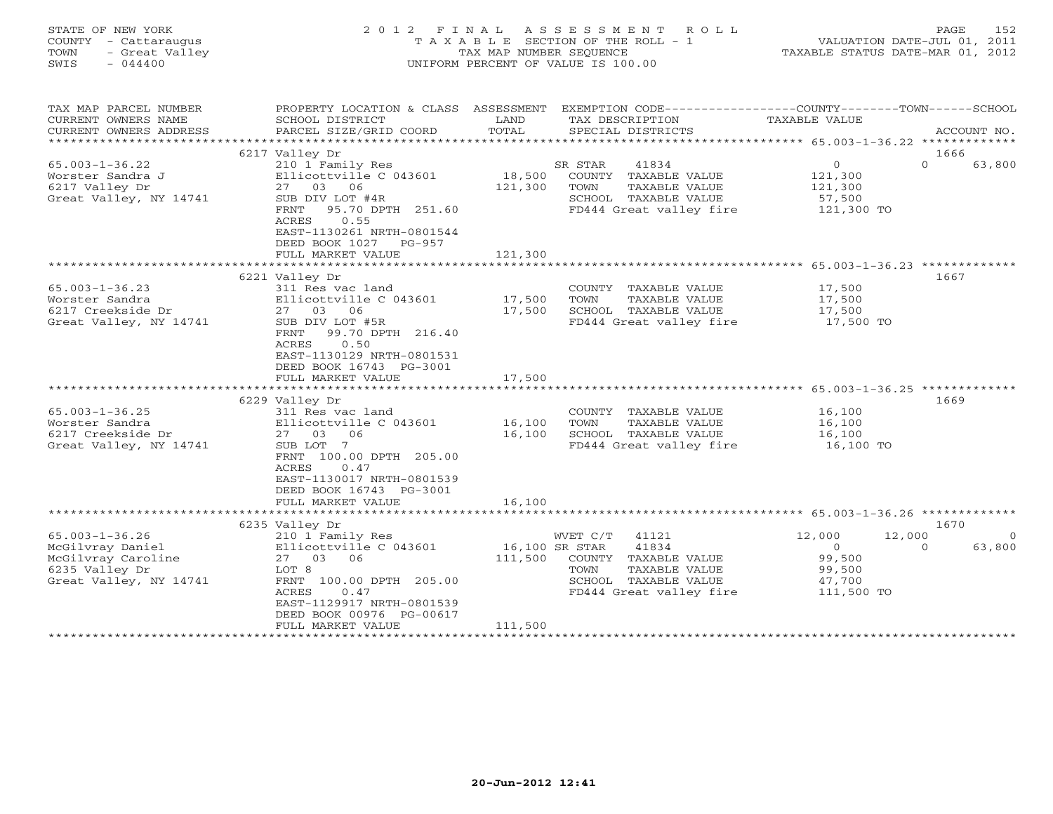| T A X A B L E SECTION OF THE ROLL - 1<br>COUNTY<br>- Cattaraugus<br>- Great Valley<br>TAX MAP NUMBER SEQUENCE<br>TOWN<br>SWIS<br>$-044400$<br>UNIFORM PERCENT OF VALUE IS 100.00 |                                                                                                               |         | VALUATION DATE-JUL 01, 2011<br>TAXABLE STATUS DATE-MAR 01, 2012 |                                                 |                    |
|----------------------------------------------------------------------------------------------------------------------------------------------------------------------------------|---------------------------------------------------------------------------------------------------------------|---------|-----------------------------------------------------------------|-------------------------------------------------|--------------------|
| TAX MAP PARCEL NUMBER                                                                                                                                                            | PROPERTY LOCATION & CLASS ASSESSMENT                                                                          |         | EXEMPTION CODE-----------------COUNTY-------TOWN------SCHOOL    |                                                 |                    |
| CURRENT OWNERS NAME                                                                                                                                                              | SCHOOL DISTRICT                                                                                               | LAND    | TAX DESCRIPTION                                                 | TAXABLE VALUE                                   |                    |
| CURRENT OWNERS ADDRESS<br>***********************                                                                                                                                | PARCEL SIZE/GRID COORD                                                                                        | TOTAL   | SPECIAL DISTRICTS                                               |                                                 | ACCOUNT NO.        |
|                                                                                                                                                                                  | 6217 Valley Dr                                                                                                |         |                                                                 |                                                 | 1666               |
| $65.003 - 1 - 36.22$                                                                                                                                                             | 210 1 Family Res                                                                                              |         | SR STAR<br>41834                                                | $\Omega$                                        | $\Omega$<br>63,800 |
| Worster Sandra J                                                                                                                                                                 | Ellicottville C 043601                                                                                        | 18,500  | COUNTY TAXABLE VALUE                                            | 121,300                                         |                    |
| 6217 Valley Dr                                                                                                                                                                   | 27<br>03<br>06                                                                                                | 121,300 | TOWN<br>TAXABLE VALUE                                           | 121,300                                         |                    |
| Great Valley, NY 14741                                                                                                                                                           | SUB DIV LOT #4R                                                                                               |         | SCHOOL TAXABLE VALUE                                            | 57,500                                          |                    |
|                                                                                                                                                                                  | 95.70 DPTH 251.60<br>FRNT                                                                                     |         | FD444 Great valley fire                                         | 121,300 TO                                      |                    |
|                                                                                                                                                                                  | 0.55<br>ACRES<br>EAST-1130261 NRTH-0801544<br>DEED BOOK 1027<br>PG-957                                        |         |                                                                 |                                                 |                    |
|                                                                                                                                                                                  | FULL MARKET VALUE                                                                                             | 121,300 |                                                                 |                                                 |                    |
|                                                                                                                                                                                  |                                                                                                               |         |                                                                 | ****************** 65.003-1-36.23 ************* |                    |
|                                                                                                                                                                                  | 6221 Valley Dr                                                                                                |         |                                                                 |                                                 | 1667               |
| $65.003 - 1 - 36.23$                                                                                                                                                             | 311 Res vac land                                                                                              |         | COUNTY TAXABLE VALUE                                            | 17,500                                          |                    |
| Worster Sandra                                                                                                                                                                   | Ellicottville C 043601                                                                                        | 17,500  | TOWN<br>TAXABLE VALUE                                           | 17,500                                          |                    |
| 6217 Creekside Dr<br>Great Valley, NY 14741                                                                                                                                      | 27 03<br>06<br>SUB DIV LOT #5R                                                                                | 17,500  | SCHOOL TAXABLE VALUE<br>FD444 Great valley fire                 | 17,500<br>17,500 TO                             |                    |
|                                                                                                                                                                                  | FRNT<br>99.70 DPTH 216.40<br>0.50<br>ACRES<br>EAST-1130129 NRTH-0801531<br>DEED BOOK 16743 PG-3001            |         |                                                                 |                                                 |                    |
|                                                                                                                                                                                  | FULL MARKET VALUE                                                                                             | 17,500  |                                                                 |                                                 |                    |
|                                                                                                                                                                                  |                                                                                                               |         |                                                                 | ********************* 65.003-1-36.25 *******    | 1669               |
| $65.003 - 1 - 36.25$                                                                                                                                                             | 6229 Valley Dr<br>311 Res vac land                                                                            |         | COUNTY TAXABLE VALUE                                            | 16,100                                          |                    |
| Worster Sandra                                                                                                                                                                   | Ellicottville C 043601                                                                                        | 16,100  | TOWN<br>TAXABLE VALUE                                           | 16,100                                          |                    |
| 6217 Creekside Dr                                                                                                                                                                | 27 03<br>06                                                                                                   | 16,100  | SCHOOL TAXABLE VALUE                                            | 16,100                                          |                    |
| Great Valley, NY 14741                                                                                                                                                           | SUB LOT 7<br>FRNT 100.00 DPTH 205.00<br>0.47<br>ACRES<br>EAST-1130017 NRTH-0801539<br>DEED BOOK 16743 PG-3001 |         | FD444 Great valley fire                                         | 16,100 TO                                       |                    |
|                                                                                                                                                                                  | FULL MARKET VALUE                                                                                             | 16,100  |                                                                 |                                                 |                    |
|                                                                                                                                                                                  |                                                                                                               |         | **************************** 65.003-1-36.26 *************       |                                                 | 1670               |
| $65.003 - 1 - 36.26$                                                                                                                                                             | 6235 Valley Dr<br>210 1 Family Res                                                                            |         | WVET C/T<br>41121                                               | 12,000                                          | 12,000             |
| McGilvray Daniel                                                                                                                                                                 | Ellicottville C 043601                                                                                        |         | 16,100 SR STAR<br>41834                                         | $\circ$                                         | 63,800<br>$\Omega$ |
| McGilvray Caroline                                                                                                                                                               | 27<br>03<br>06                                                                                                | 111,500 | COUNTY TAXABLE VALUE                                            | 99,500                                          |                    |
| 6235 Valley Dr                                                                                                                                                                   | LOT 8                                                                                                         |         | TAXABLE VALUE<br>TOWN                                           | 99,500                                          |                    |
| Great Valley, NY 14741                                                                                                                                                           | FRNT 100.00 DPTH 205.00                                                                                       |         | SCHOOL TAXABLE VALUE                                            | 47,700                                          |                    |
|                                                                                                                                                                                  | ACRES<br>0.47                                                                                                 |         | FD444 Great valley fire                                         | 111,500 TO                                      |                    |
|                                                                                                                                                                                  | EAST-1129917 NRTH-0801539<br>DEED BOOK 00976 PG-00617<br>FULL MARKET VALUE                                    | 111,500 |                                                                 |                                                 |                    |
|                                                                                                                                                                                  |                                                                                                               |         |                                                                 |                                                 |                    |

STATE OF NEW YORK 2012 FINAL ASSESSMENT ROLL PAGE 152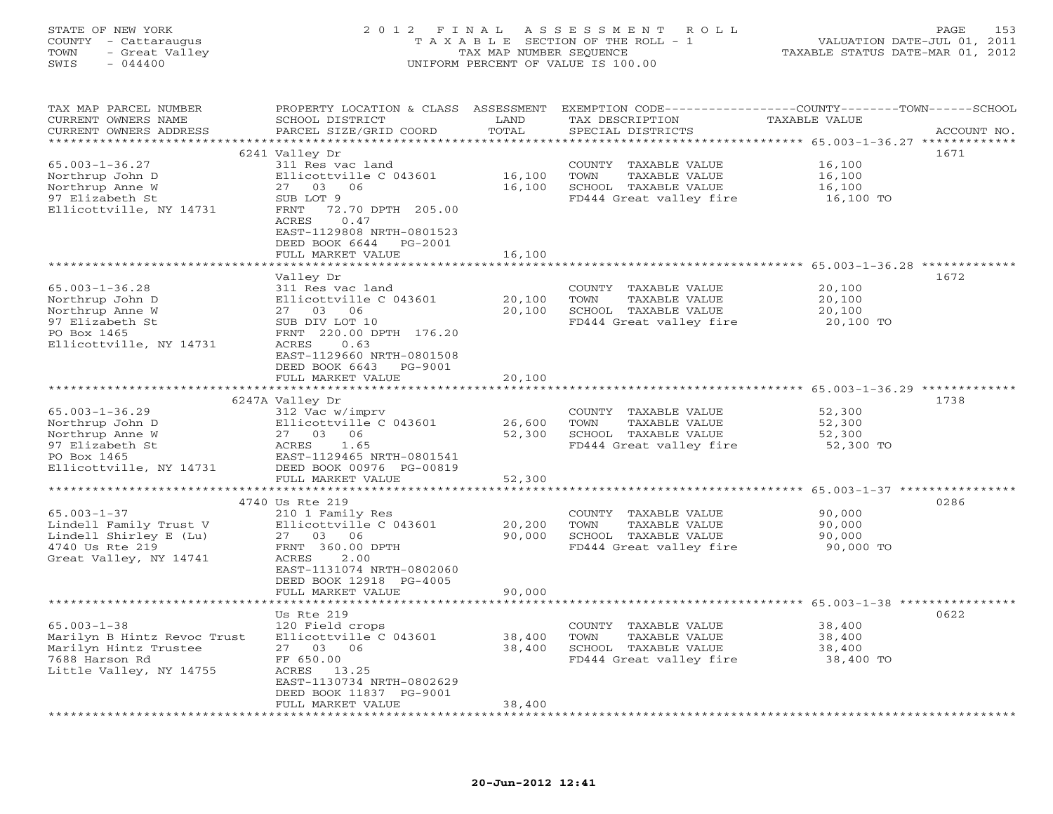#### STATE OF NEW YORK 2 0 1 2 F I N A L A S S E S S M E N T R O L L PAGE 153 COUNTY - Cattaraugus T A X A B L E SECTION OF THE ROLL - 1 VALUATION DATE-JUL 01, 2011 TOWN - Great Valley TAX MAP NUMBER SEQUENCE TAXABLE STATUS DATE-MAR 01, 2012 SWIS - 044400 UNIFORM PERCENT OF VALUE IS 100.00UNIFORM PERCENT OF VALUE IS 100.00

| TAX MAP PARCEL NUMBER<br>CURRENT OWNERS NAME<br>CURRENT OWNERS ADDRESS | PROPERTY LOCATION & CLASS<br>SCHOOL DISTRICT<br>PARCEL SIZE/GRID COORD | ASSESSMENT<br>LAND<br>TOTAL | TAX DESCRIPTION<br>SPECIAL DISTRICTS | EXEMPTION CODE-----------------COUNTY-------TOWN------SCHOOL<br><b>TAXABLE VALUE</b><br>ACCOUNT NO. |
|------------------------------------------------------------------------|------------------------------------------------------------------------|-----------------------------|--------------------------------------|-----------------------------------------------------------------------------------------------------|
|                                                                        |                                                                        | *******                     |                                      | ******** 65.003-1-36.27 *************                                                               |
|                                                                        | 6241 Valley Dr                                                         |                             |                                      | 1671                                                                                                |
|                                                                        |                                                                        |                             |                                      |                                                                                                     |
| $65.003 - 1 - 36.27$                                                   | 311 Res vac land                                                       |                             | COUNTY TAXABLE VALUE                 | 16,100                                                                                              |
| Northrup John D                                                        | Ellicottville C 043601                                                 | 16,100                      | TAXABLE VALUE<br>TOWN                | 16,100                                                                                              |
| Northrup Anne W                                                        | 27<br>03<br>06                                                         | 16,100                      | SCHOOL TAXABLE VALUE                 | 16,100                                                                                              |
| 97 Elizabeth St                                                        | SUB LOT 9                                                              |                             | FD444 Great valley fire              | 16,100 TO                                                                                           |
| Ellicottville, NY 14731                                                | 72.70 DPTH 205.00<br>FRNT                                              |                             |                                      |                                                                                                     |
|                                                                        | ACRES<br>0.47                                                          |                             |                                      |                                                                                                     |
|                                                                        | EAST-1129808 NRTH-0801523                                              |                             |                                      |                                                                                                     |
|                                                                        | DEED BOOK 6644<br>PG-2001                                              |                             |                                      |                                                                                                     |
|                                                                        | FULL MARKET VALUE                                                      | 16,100                      |                                      |                                                                                                     |
|                                                                        |                                                                        |                             |                                      | ***************** 65.003-1-36.28 **************                                                     |
|                                                                        | Valley Dr                                                              |                             |                                      | 1672                                                                                                |
| $65.003 - 1 - 36.28$                                                   | 311 Res vac land                                                       |                             | COUNTY TAXABLE VALUE                 | 20,100                                                                                              |
| Northrup John D                                                        | Ellicottville C 043601                                                 | 20,100                      | TAXABLE VALUE<br>TOWN                | 20,100                                                                                              |
| Northrup Anne W                                                        | 27<br>03<br>06                                                         | 20,100                      | SCHOOL TAXABLE VALUE                 | 20,100                                                                                              |
| 97 Elizabeth St                                                        | SUB DIV LOT 10                                                         |                             | FD444 Great valley fire              | 20,100 TO                                                                                           |
| PO Box 1465                                                            | FRNT 220.00 DPTH 176.20                                                |                             |                                      |                                                                                                     |
| Ellicottville, NY 14731                                                | ACRES<br>0.63                                                          |                             |                                      |                                                                                                     |
|                                                                        | EAST-1129660 NRTH-0801508                                              |                             |                                      |                                                                                                     |
|                                                                        | DEED BOOK 6643<br>PG-9001                                              |                             |                                      |                                                                                                     |
|                                                                        | FULL MARKET VALUE                                                      | 20,100                      |                                      |                                                                                                     |
|                                                                        | **********************                                                 |                             |                                      |                                                                                                     |
|                                                                        | 6247A Valley Dr                                                        |                             |                                      | 1738                                                                                                |
| $65.003 - 1 - 36.29$                                                   | 312 Vac w/imprv                                                        |                             | COUNTY TAXABLE VALUE                 | 52,300                                                                                              |
| Northrup John D                                                        | Ellicottville C 043601                                                 | 26,600                      | <b>TOWN</b><br>TAXABLE VALUE         | 52,300                                                                                              |
| Northrup Anne W                                                        | 27 03<br>06                                                            | 52,300                      | SCHOOL TAXABLE VALUE                 | 52,300                                                                                              |
| 97 Elizabeth St                                                        | ACRES<br>1.65                                                          |                             | FD444 Great valley fire              | 52,300 TO                                                                                           |
| PO Box 1465                                                            | EAST-1129465 NRTH-0801541                                              |                             |                                      |                                                                                                     |
| Ellicottville, NY 14731                                                | DEED BOOK 00976 PG-00819                                               |                             |                                      |                                                                                                     |
|                                                                        | FULL MARKET VALUE                                                      | 52,300                      |                                      |                                                                                                     |
|                                                                        |                                                                        |                             |                                      | ********************* 65.003-1-37 *****************                                                 |
|                                                                        | 4740 Us Rte 219                                                        |                             |                                      | 0286                                                                                                |
| $65.003 - 1 - 37$                                                      | 210 1 Family Res                                                       |                             | COUNTY TAXABLE VALUE                 | 90,000                                                                                              |
| Lindell Family Trust V                                                 | Ellicottville C 043601                                                 | 20,200                      | TOWN<br>TAXABLE VALUE                | 90,000                                                                                              |
| Lindell Shirley E (Lu)                                                 | 27 03 06                                                               | 90,000                      | SCHOOL TAXABLE VALUE                 | 90,000                                                                                              |
| 4740 Us Rte 219                                                        | FRNT 360.00 DPTH                                                       |                             | FD444 Great valley fire              | 90,000 TO                                                                                           |
| Great Valley, NY 14741                                                 | <b>ACRES</b><br>2.00                                                   |                             |                                      |                                                                                                     |
|                                                                        | EAST-1131074 NRTH-0802060                                              |                             |                                      |                                                                                                     |
|                                                                        | DEED BOOK 12918 PG-4005                                                |                             |                                      |                                                                                                     |
|                                                                        | FULL MARKET VALUE                                                      | 90,000                      |                                      |                                                                                                     |
| **************************                                             | *******************                                                    |                             |                                      |                                                                                                     |
|                                                                        | Us Rte 219                                                             |                             |                                      | 0622                                                                                                |
| $65.003 - 1 - 38$                                                      | 120 Field crops                                                        |                             | COUNTY TAXABLE VALUE                 | 38,400                                                                                              |
| Marilyn B Hintz Revoc Trust                                            | Ellicottville C 043601                                                 | 38,400                      | TOWN<br>TAXABLE VALUE                | 38,400                                                                                              |
| Marilyn Hintz Trustee                                                  | 27 03 06                                                               | 38,400                      | SCHOOL TAXABLE VALUE                 | 38,400                                                                                              |
| 7688 Harson Rd                                                         | FF 650.00                                                              |                             | FD444 Great valley fire              | 38,400 TO                                                                                           |
| Little Valley, NY 14755                                                | 13.25<br>ACRES                                                         |                             |                                      |                                                                                                     |
|                                                                        | EAST-1130734 NRTH-0802629                                              |                             |                                      |                                                                                                     |
|                                                                        | DEED BOOK 11837 PG-9001                                                |                             |                                      |                                                                                                     |
|                                                                        | FULL MARKET VALUE                                                      | 38,400                      |                                      |                                                                                                     |
|                                                                        |                                                                        |                             |                                      |                                                                                                     |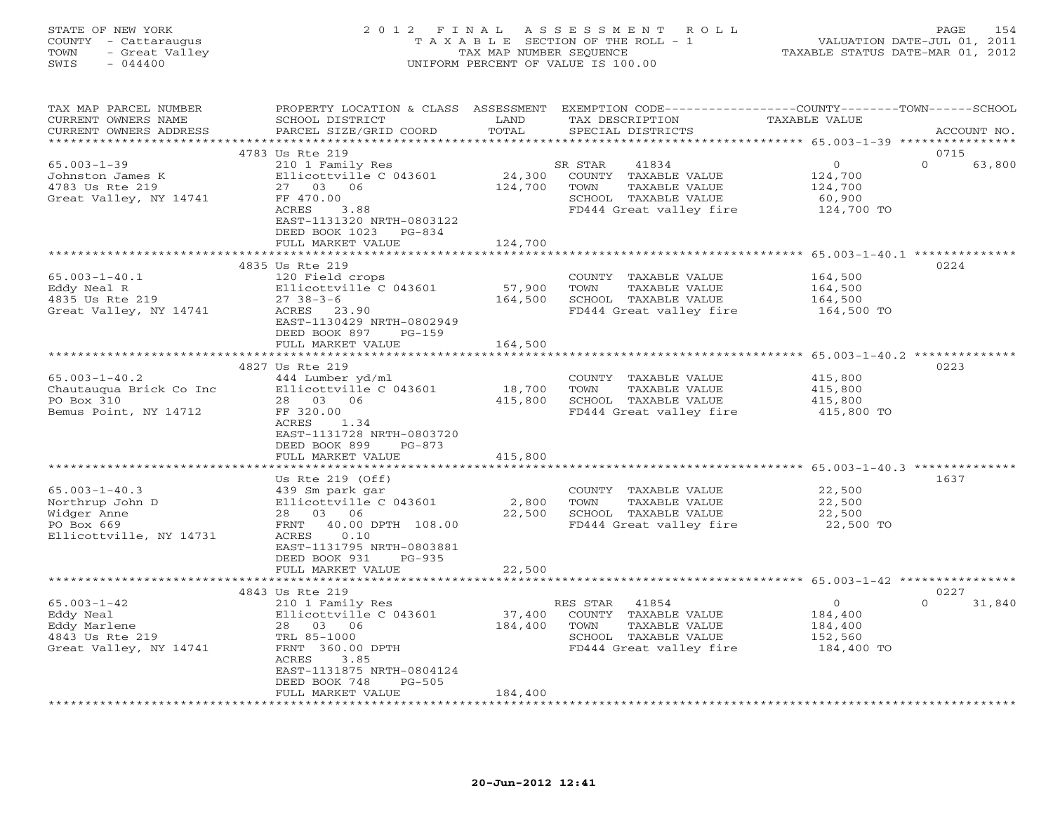### STATE OF NEW YORK 2 0 1 2 F I N A L A S S E S S M E N T R O L L PAGE 154 COUNTY - Cattaraugus T A X A B L E SECTION OF THE ROLL - 1 VALUATION DATE-JUL 01, 2011 TOWN - Great Valley TAX MAP NUMBER SEQUENCE TAXABLE STATUS DATE-MAR 01, 2012 SWIS - 044400 UNIFORM PERCENT OF VALUE IS 100.00

| TAX MAP PARCEL NUMBER                   | PROPERTY LOCATION & CLASS ASSESSMENT                   |                     | EXEMPTION CODE-----------------COUNTY-------TOWN------SCHOOL |                                                            |                    |
|-----------------------------------------|--------------------------------------------------------|---------------------|--------------------------------------------------------------|------------------------------------------------------------|--------------------|
| CURRENT OWNERS NAME                     | SCHOOL DISTRICT                                        | LAND<br>TOTAL       | TAX DESCRIPTION                                              | TAXABLE VALUE                                              |                    |
| CURRENT OWNERS ADDRESS<br>************* | PARCEL SIZE/GRID COORD                                 |                     | SPECIAL DISTRICTS                                            | ********************* 65.003-1-39 ****************         | ACCOUNT NO.        |
|                                         | 4783 Us Rte 219                                        |                     |                                                              |                                                            | 0715               |
| $65.003 - 1 - 39$                       | 210 1 Family Res                                       |                     | SR STAR<br>41834                                             | $\mathsf O$                                                | $\Omega$<br>63,800 |
| Johnston James K                        | Ellicottville C 043601                                 | 24,300              | COUNTY TAXABLE VALUE                                         | 124,700                                                    |                    |
| 4783 Us Rte 219                         | 27 03<br>06                                            | 124,700             | TOWN<br>TAXABLE VALUE                                        | 124,700                                                    |                    |
| Great Valley, NY 14741                  | FF 470.00                                              |                     | SCHOOL TAXABLE VALUE                                         | 60,900                                                     |                    |
|                                         | ACRES<br>3.88                                          |                     | FD444 Great valley fire                                      | 124,700 TO                                                 |                    |
|                                         | EAST-1131320 NRTH-0803122                              |                     |                                                              |                                                            |                    |
|                                         | DEED BOOK 1023<br>PG-834                               |                     |                                                              |                                                            |                    |
|                                         | FULL MARKET VALUE                                      | 124,700             |                                                              |                                                            |                    |
|                                         |                                                        |                     |                                                              |                                                            |                    |
|                                         | 4835 Us Rte 219                                        |                     |                                                              |                                                            | 0224               |
| $65.003 - 1 - 40.1$                     | 120 Field crops                                        |                     | COUNTY TAXABLE VALUE                                         | 164,500                                                    |                    |
| Eddy Neal R                             | Ellicottville C 043601                                 | 57,900              | TAXABLE VALUE<br>TOWN                                        | 164,500                                                    |                    |
| 4835 Us Rte 219                         | $2738-3-6$                                             | 164,500             | SCHOOL TAXABLE VALUE                                         | 164,500                                                    |                    |
| Great Valley, NY 14741                  | ACRES<br>23.90                                         |                     | FD444 Great valley fire                                      | 164,500 TO                                                 |                    |
|                                         | EAST-1130429 NRTH-0802949                              |                     |                                                              |                                                            |                    |
|                                         | DEED BOOK 897<br>$PG-159$                              |                     |                                                              |                                                            |                    |
|                                         | FULL MARKET VALUE                                      | 164,500             |                                                              |                                                            |                    |
|                                         |                                                        |                     |                                                              |                                                            |                    |
|                                         | 4827 Us Rte 219                                        |                     |                                                              |                                                            | 0223               |
| $65.003 - 1 - 40.2$                     | 444 Lumber yd/ml                                       |                     | COUNTY TAXABLE VALUE                                         | 415,800                                                    |                    |
| Chautauqua Brick Co Inc                 | Ellicottville C 043601                                 | 18,700              | TOWN<br>TAXABLE VALUE                                        | 415,800                                                    |                    |
| PO Box 310                              | 28 03 06                                               | 415,800             | SCHOOL TAXABLE VALUE                                         | 415,800                                                    |                    |
| Bemus Point, NY 14712                   | FF 320.00                                              |                     | FD444 Great valley fire                                      | 415,800 TO                                                 |                    |
|                                         | ACRES<br>1.34                                          |                     |                                                              |                                                            |                    |
|                                         | EAST-1131728 NRTH-0803720                              |                     |                                                              |                                                            |                    |
|                                         | DEED BOOK 899<br>$PG-873$                              |                     |                                                              |                                                            |                    |
|                                         | FULL MARKET VALUE                                      | 415,800             |                                                              |                                                            |                    |
|                                         |                                                        | ********            |                                                              | ***************** 65.003-1-40.3 ***************            |                    |
|                                         | Us Rte $219$ (Off)                                     |                     |                                                              |                                                            | 1637               |
| $65.003 - 1 - 40.3$                     | 439 Sm park gar                                        |                     | COUNTY TAXABLE VALUE                                         | 22,500                                                     |                    |
| Northrup John D                         | Ellicottville C 043601                                 | 2,800               | <b>TOWN</b><br>TAXABLE VALUE                                 | 22,500                                                     |                    |
| Widger Anne                             | 28 03 06                                               | 22,500              | SCHOOL TAXABLE VALUE                                         | 22,500                                                     |                    |
| PO Box 669                              | FRNT<br>40.00 DPTH 108.00                              |                     | FD444 Great valley fire                                      | 22,500 TO                                                  |                    |
| Ellicottville, NY 14731                 | ACRES<br>0.10                                          |                     |                                                              |                                                            |                    |
|                                         | EAST-1131795 NRTH-0803881<br>DEED BOOK 931<br>$PG-935$ |                     |                                                              |                                                            |                    |
|                                         | FULL MARKET VALUE                                      | 22,500              |                                                              |                                                            |                    |
|                                         | **********************                                 | * * * * * * * * * * |                                                              | ***************************** 65.003-1-42 **************** |                    |
|                                         | 4843 Us Rte 219                                        |                     |                                                              |                                                            | 0227               |
| $65.003 - 1 - 42$                       | 210 1 Family Res                                       |                     | RES STAR<br>41854                                            | $\mathbf 0$                                                | $\Omega$<br>31,840 |
| Eddy Neal                               | Ellicottville C 043601                                 | 37,400              | COUNTY<br>TAXABLE VALUE                                      | 184,400                                                    |                    |
| Eddy Marlene                            | 28 03 06                                               | 184,400             | TOWN<br>TAXABLE VALUE                                        | 184,400                                                    |                    |
| 4843 Us Rte 219                         | TRL 85-1000                                            |                     | SCHOOL TAXABLE VALUE                                         | 152,560                                                    |                    |
| Great Valley, NY 14741                  | FRNT 360.00 DPTH                                       |                     | FD444 Great valley fire                                      | 184,400 TO                                                 |                    |
|                                         | ACRES<br>3.85                                          |                     |                                                              |                                                            |                    |
|                                         | EAST-1131875 NRTH-0804124                              |                     |                                                              |                                                            |                    |
|                                         | DEED BOOK 748<br>$PG-505$                              |                     |                                                              |                                                            |                    |
|                                         | FULL MARKET VALUE                                      | 184,400             |                                                              |                                                            |                    |
|                                         |                                                        |                     |                                                              |                                                            |                    |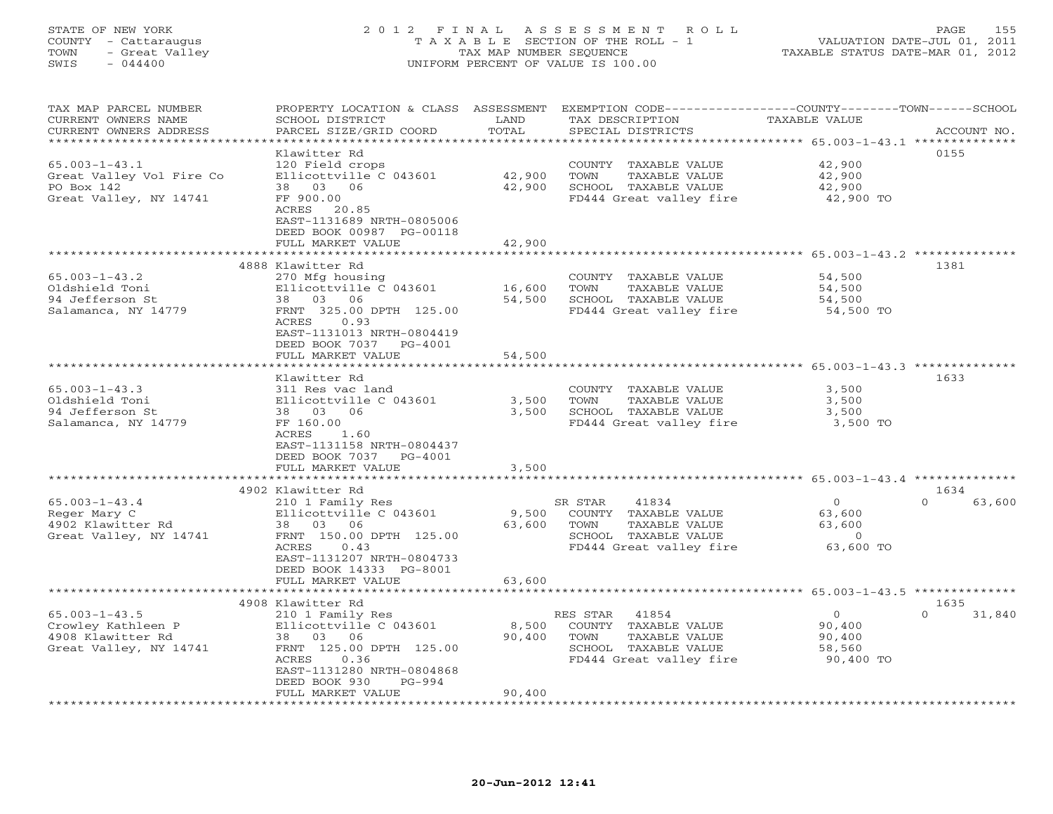### STATE OF NEW YORK 2 0 1 2 F I N A L A S S E S S M E N T R O L L PAGE 155 COUNTY - Cattaraugus T A X A B L E SECTION OF THE ROLL - 1 VALUATION DATE-JUL 01, 2011 TOWN - Great Valley TAX MAP NUMBER SEQUENCE TAXABLE STATUS DATE-MAR 01, 2012 SWIS - 044400 UNIFORM PERCENT OF VALUE IS 100.00UNIFORM PERCENT OF VALUE IS 100.00

| TAX MAP PARCEL NUMBER<br>CURRENT OWNERS NAME<br>CURRENT OWNERS ADDRESS | PROPERTY LOCATION & CLASS ASSESSMENT<br>SCHOOL DISTRICT<br>PARCEL SIZE/GRID COORD | LAND<br>TOTAL | EXEMPTION CODE-----------------COUNTY-------TOWN------SCHOOL<br>TAX DESCRIPTION<br>SPECIAL DISTRICTS | TAXABLE VALUE                                          | ACCOUNT NO.        |
|------------------------------------------------------------------------|-----------------------------------------------------------------------------------|---------------|------------------------------------------------------------------------------------------------------|--------------------------------------------------------|--------------------|
| ***********************                                                |                                                                                   |               |                                                                                                      |                                                        |                    |
|                                                                        | Klawitter Rd                                                                      |               |                                                                                                      |                                                        | 0155               |
| $65.003 - 1 - 43.1$                                                    | 120 Field crops                                                                   |               | COUNTY TAXABLE VALUE                                                                                 | 42,900                                                 |                    |
| Great Valley Vol Fire Co                                               | Ellicottville C 043601                                                            | 42,900        | TOWN<br>TAXABLE VALUE                                                                                | 42,900                                                 |                    |
| PO Box 142                                                             | 38 03 06                                                                          | 42,900        | SCHOOL TAXABLE VALUE                                                                                 | 42,900                                                 |                    |
| Great Valley, NY 14741                                                 | FF 900.00                                                                         |               | FD444 Great valley fire                                                                              | 42,900 TO                                              |                    |
|                                                                        | ACRES 20.85                                                                       |               |                                                                                                      |                                                        |                    |
|                                                                        | EAST-1131689 NRTH-0805006                                                         |               |                                                                                                      |                                                        |                    |
|                                                                        | DEED BOOK 00987 PG-00118                                                          |               |                                                                                                      |                                                        |                    |
|                                                                        | FULL MARKET VALUE                                                                 | 42,900        |                                                                                                      |                                                        |                    |
|                                                                        |                                                                                   |               |                                                                                                      | **************** 65.003-1-43.2 **************          |                    |
|                                                                        | 4888 Klawitter Rd                                                                 |               |                                                                                                      |                                                        | 1381               |
| $65.003 - 1 - 43.2$                                                    | 270 Mfg housing                                                                   |               | COUNTY TAXABLE VALUE                                                                                 | 54,500                                                 |                    |
| Oldshield Toni                                                         | Ellicottville C 043601                                                            | 16,600        | TOWN<br>TAXABLE VALUE                                                                                | 54,500                                                 |                    |
| 94 Jefferson St                                                        | 38 03 06                                                                          | 54,500        | SCHOOL TAXABLE VALUE                                                                                 | 54,500                                                 |                    |
| Salamanca, NY 14779                                                    | FRNT 325.00 DPTH 125.00                                                           |               | FD444 Great valley fire                                                                              | 54,500 TO                                              |                    |
|                                                                        | ACRES<br>0.93                                                                     |               |                                                                                                      |                                                        |                    |
|                                                                        | EAST-1131013 NRTH-0804419                                                         |               |                                                                                                      |                                                        |                    |
|                                                                        | DEED BOOK 7037<br>PG-4001                                                         |               |                                                                                                      |                                                        |                    |
|                                                                        | FULL MARKET VALUE                                                                 | 54,500        |                                                                                                      |                                                        |                    |
|                                                                        | .                                                                                 | ********      |                                                                                                      | ************************* 65.003-1-43.3 ************** |                    |
|                                                                        | Klawitter Rd                                                                      |               |                                                                                                      |                                                        | 1633               |
| $65.003 - 1 - 43.3$                                                    | 311 Res vac land                                                                  |               | COUNTY TAXABLE VALUE                                                                                 | 3,500                                                  |                    |
| Oldshield Toni                                                         | Ellicottville C 043601                                                            | 3,500         | TAXABLE VALUE<br>TOWN                                                                                | 3,500                                                  |                    |
| 94 Jefferson St                                                        | 38 03<br>06                                                                       | 3,500         | SCHOOL TAXABLE VALUE                                                                                 | 3,500                                                  |                    |
| Salamanca, NY 14779                                                    | FF 160.00                                                                         |               | FD444 Great valley fire                                                                              | 3,500 TO                                               |                    |
|                                                                        | 1.60<br>ACRES                                                                     |               |                                                                                                      |                                                        |                    |
|                                                                        | EAST-1131158 NRTH-0804437                                                         |               |                                                                                                      |                                                        |                    |
|                                                                        | DEED BOOK 7037<br>PG-4001                                                         |               |                                                                                                      |                                                        |                    |
|                                                                        | FULL MARKET VALUE                                                                 | 3,500         |                                                                                                      |                                                        |                    |
|                                                                        | ***********************                                                           |               |                                                                                                      |                                                        |                    |
|                                                                        | 4902 Klawitter Rd                                                                 |               |                                                                                                      |                                                        | 1634               |
| $65.003 - 1 - 43.4$                                                    | 210 1 Family Res                                                                  |               | SR STAR<br>41834                                                                                     | $\circ$                                                | $\Omega$<br>63,600 |
| Reger Mary C                                                           | Ellicottville C 043601                                                            | 9,500         | COUNTY TAXABLE VALUE                                                                                 | 63,600                                                 |                    |
| 4902 Klawitter Rd                                                      | 38 03<br>06                                                                       | 63,600        | TOWN<br>TAXABLE VALUE                                                                                | 63,600                                                 |                    |
| Great Valley, NY 14741                                                 | FRNT 150.00 DPTH 125.00                                                           |               | SCHOOL TAXABLE VALUE                                                                                 | $\overline{0}$                                         |                    |
|                                                                        | ACRES<br>0.43                                                                     |               | FD444 Great valley fire                                                                              | 63,600 TO                                              |                    |
|                                                                        | EAST-1131207 NRTH-0804733                                                         |               |                                                                                                      |                                                        |                    |
|                                                                        | DEED BOOK 14333 PG-8001                                                           |               |                                                                                                      |                                                        |                    |
|                                                                        | FULL MARKET VALUE                                                                 | 63,600        |                                                                                                      |                                                        |                    |
|                                                                        | ***********************                                                           |               |                                                                                                      |                                                        |                    |
|                                                                        | 4908 Klawitter Rd                                                                 |               |                                                                                                      |                                                        | 1635               |
| $65.003 - 1 - 43.5$                                                    | 210 1 Family Res                                                                  |               | 41854<br>RES STAR                                                                                    | $\circ$                                                | $\Omega$<br>31,840 |
| Crowley Kathleen P                                                     | Ellicottville C 043601                                                            | 8,500         | COUNTY TAXABLE VALUE                                                                                 | 90,400                                                 |                    |
| 4908 Klawitter Rd                                                      | 38 03 06                                                                          | 90,400        | TOWN<br>TAXABLE VALUE                                                                                | 90,400                                                 |                    |
| Great Valley, NY 14741                                                 | FRNT 125.00 DPTH 125.00                                                           |               | SCHOOL TAXABLE VALUE                                                                                 | 58,560                                                 |                    |
|                                                                        | ACRES<br>0.36                                                                     |               | FD444 Great valley fire                                                                              | 90,400 TO                                              |                    |
|                                                                        | EAST-1131280 NRTH-0804868                                                         |               |                                                                                                      |                                                        |                    |
|                                                                        | DEED BOOK 930<br>PG-994                                                           |               |                                                                                                      |                                                        |                    |
|                                                                        | FULL MARKET VALUE                                                                 | 90,400        |                                                                                                      |                                                        |                    |
| ********************                                                   |                                                                                   |               |                                                                                                      |                                                        |                    |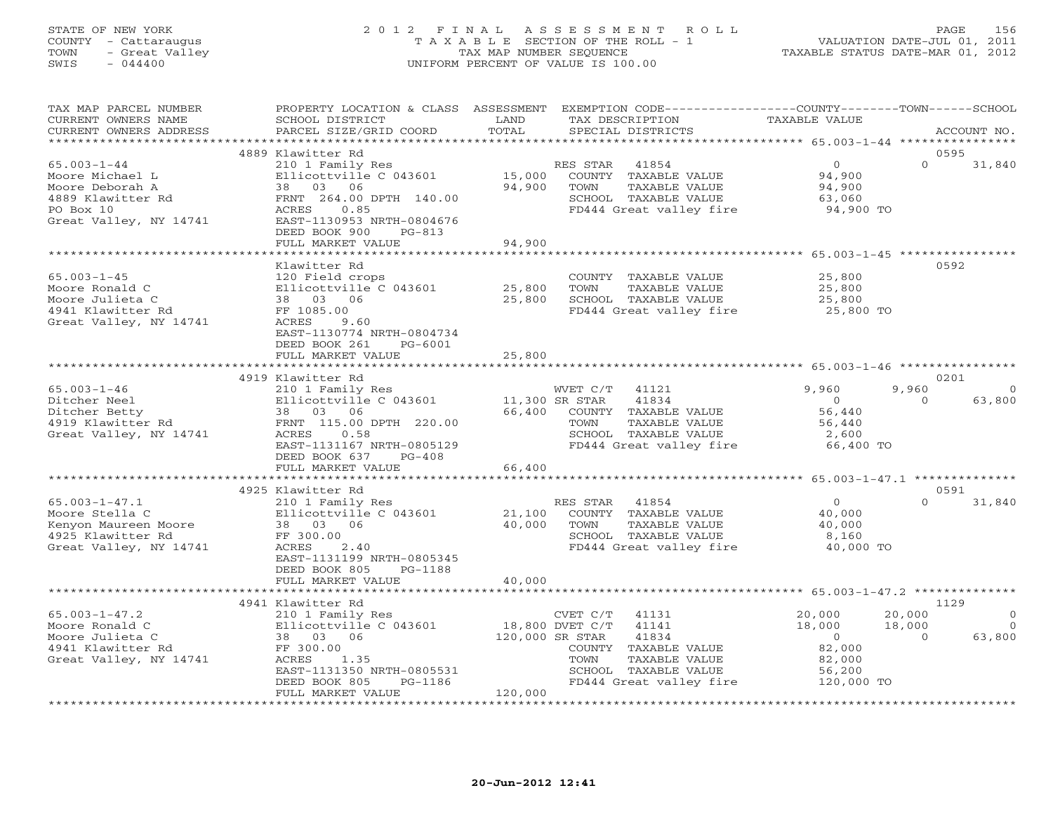### STATE OF NEW YORK 2 0 1 2 F I N A L A S S E S S M E N T R O L L PAGE 156 COUNTY - Cattaraugus T A X A B L E SECTION OF THE ROLL - 1 VALUATION DATE-JUL 01, 2011 TOWN - Great Valley TAX MAP NUMBER SEQUENCE TAXABLE STATUS DATE-MAR 01, 2012 SWIS - 044400 UNIFORM PERCENT OF VALUE IS 100.00

| TAX MAP PARCEL NUMBER<br>CURRENT OWNERS NAME<br>CURRENT OWNERS ADDRESS                                                        | PROPERTY LOCATION & CLASS ASSESSMENT EXEMPTION CODE----------------COUNTY-------TOWN------SCHOOL<br>SCHOOL DISTRICT<br>PARCEL SIZE/GRID COORD | LAND<br>TOTAL  | TAX DESCRIPTION<br>SPECIAL DISTRICTS            | <b>TAXABLE VALUE</b>                                   | ACCOUNT NO.              |
|-------------------------------------------------------------------------------------------------------------------------------|-----------------------------------------------------------------------------------------------------------------------------------------------|----------------|-------------------------------------------------|--------------------------------------------------------|--------------------------|
|                                                                                                                               |                                                                                                                                               |                |                                                 |                                                        |                          |
|                                                                                                                               | 4889 Klawitter Rd                                                                                                                             |                |                                                 |                                                        | 0595                     |
| $65.003 - 1 - 44$                                                                                                             | 210 1 Family Res                                                                                                                              |                | RES STAR<br>41854                               | $\Omega$                                               | $\Omega$<br>31,840       |
| Moore Michael L                                                                                                               | Ellicottville C 043601                                                                                                                        | 15,000         | COUNTY TAXABLE VALUE                            | 94,900                                                 |                          |
| Moore Deborah A<br>4889 Klawitter Rd                                                                                          | 38 03 06<br>FRNT 264.00 DPTH 140.00                                                                                                           | 94,900         | TOWN<br>TAXABLE VALUE<br>SCHOOL TAXABLE VALUE   | 94,900<br>63,060                                       |                          |
| PO Box 10                                                                                                                     | 0.85<br>ACRES                                                                                                                                 |                | FD444 Great valley fire                         | 94,900 TO                                              |                          |
| Great Valley, NY 14741                                                                                                        | EAST-1130953 NRTH-0804676                                                                                                                     |                |                                                 |                                                        |                          |
|                                                                                                                               | DEED BOOK 900<br>PG-813                                                                                                                       |                |                                                 |                                                        |                          |
|                                                                                                                               | FULL MARKET VALUE                                                                                                                             | 94,900         |                                                 |                                                        |                          |
|                                                                                                                               | ************************                                                                                                                      | *************  |                                                 | ************************ 65.003-1-45 ***************** |                          |
|                                                                                                                               | Klawitter Rd                                                                                                                                  |                |                                                 |                                                        | 0592                     |
| $65.003 - 1 - 45$                                                                                                             | 120 Field crops                                                                                                                               |                | COUNTY TAXABLE VALUE                            | 25,800                                                 |                          |
| Moore Ronald C                                                                                                                | Ellicottville C 043601                                                                                                                        | 25,800         | TAXABLE VALUE<br>TOWN                           | 25,800                                                 |                          |
| Moore Julieta C                                                                                                               | 38 03 06                                                                                                                                      | 25,800         | SCHOOL TAXABLE VALUE<br>FD444 Great valley fire | 25,800                                                 |                          |
| 4941 Klawitter Rd<br>Great Valley, NY 14741                                                                                   | FF 1085.00<br>ACRES<br>9.60                                                                                                                   |                |                                                 | 25,800 TO                                              |                          |
|                                                                                                                               | EAST-1130774 NRTH-0804734                                                                                                                     |                |                                                 |                                                        |                          |
|                                                                                                                               | DEED BOOK 261<br>PG-6001                                                                                                                      |                |                                                 |                                                        |                          |
|                                                                                                                               | FULL MARKET VALUE                                                                                                                             | 25,800         |                                                 |                                                        |                          |
|                                                                                                                               |                                                                                                                                               |                |                                                 |                                                        |                          |
|                                                                                                                               | 4919 Klawitter Rd                                                                                                                             |                |                                                 |                                                        | 0201                     |
| $65.003 - 1 - 46$                                                                                                             | 210 1 Family Res                                                                                                                              |                | WVET C/T 41121                                  | 9,960                                                  | 9,960<br>$\circ$         |
| Ditcher Neel<br>Ditcher Betty<br>20.00<br>4919 Klawitter Rd<br>Great Valley, NY 14741<br>220.00<br>ACRES<br>238 058<br>220.00 | Ellicottville C 043601                                                                                                                        | 11,300 SR STAR | 41834                                           | $\overline{0}$                                         | $\Omega$<br>63,800       |
|                                                                                                                               |                                                                                                                                               | 66,400         | COUNTY TAXABLE VALUE                            | 56,440                                                 |                          |
|                                                                                                                               |                                                                                                                                               |                | TOWN<br>TAXABLE VALUE                           | 56,440                                                 |                          |
|                                                                                                                               |                                                                                                                                               |                | SCHOOL TAXABLE VALUE                            | 2,600                                                  |                          |
|                                                                                                                               | EAST-1131167 NRTH-0805129<br>DEED BOOK 637<br>$PG-408$                                                                                        |                | FD444 Great valley fire                         | 66,400 TO                                              |                          |
|                                                                                                                               | FULL MARKET VALUE                                                                                                                             | 66,400         |                                                 |                                                        |                          |
|                                                                                                                               |                                                                                                                                               |                |                                                 |                                                        |                          |
|                                                                                                                               | 4925 Klawitter Rd                                                                                                                             |                |                                                 |                                                        | 0591                     |
| $65.003 - 1 - 47.1$                                                                                                           | 210 1 Family Res                                                                                                                              |                | RES STAR 41854                                  | $\overline{O}$                                         | $\Omega$<br>31,840       |
| Moore Stella C                                                                                                                | Ellicottville C 043601                                                                                                                        | 21,100         | COUNTY TAXABLE VALUE                            | 40,000                                                 |                          |
| Kenyon Maureen Moore 38 03 06                                                                                                 |                                                                                                                                               | 40,000         | TAXABLE VALUE<br>TOWN                           | 40,000                                                 |                          |
| 4925 Klawitter Rd                                                                                                             | FF 300.00                                                                                                                                     |                | SCHOOL TAXABLE VALUE                            | 8,160                                                  |                          |
| Great Valley, NY 14741                                                                                                        | ACRES<br>2.40                                                                                                                                 |                | FD444 Great valley fire                         | 40,000 TO                                              |                          |
|                                                                                                                               | EAST-1131199 NRTH-0805345<br>PG-1188                                                                                                          |                |                                                 |                                                        |                          |
|                                                                                                                               | DEED BOOK 805<br>FULL MARKET VALUE                                                                                                            | 40,000         |                                                 |                                                        |                          |
|                                                                                                                               |                                                                                                                                               |                |                                                 |                                                        |                          |
|                                                                                                                               | 4941 Klawitter Rd                                                                                                                             |                |                                                 |                                                        | 1129                     |
| $65.003 - 1 - 47.2$                                                                                                           | 210 1 Family Res                                                                                                                              |                | CVET C/T<br>41131                               | 20,000                                                 | 20,000<br>$\circ$        |
| Moore Ronald C                                                                                                                | Ellicottville C 043601<br>Ellicottville<br>38     03     06                                                                                   |                | 18,800 DVET C/T<br>41141                        | 18,000                                                 | 18,000<br>$\circ$        |
| Moore Julieta C                                                                                                               |                                                                                                                                               |                | 120,000 SR STAR<br>41834                        | $\overline{0}$                                         | $\overline{0}$<br>63,800 |
| 4941 Klawitter Rd                                                                                                             | FF 300.00                                                                                                                                     |                | COUNTY TAXABLE VALUE                            | 82,000                                                 |                          |
| Great Valley, NY 14741                                                                                                        | ACRES<br>1.35                                                                                                                                 |                | TAXABLE VALUE<br>TOWN                           | 82,000                                                 |                          |
|                                                                                                                               | EAST-1131350 NRTH-0805531                                                                                                                     |                | SCHOOL TAXABLE VALUE                            | 56,200                                                 |                          |
|                                                                                                                               | DEED BOOK 805<br>PG-1186<br>FULL MARKET VALUE                                                                                                 | 120,000        | FD444 Great valley fire                         | 120,000 TO                                             |                          |
|                                                                                                                               |                                                                                                                                               |                |                                                 |                                                        |                          |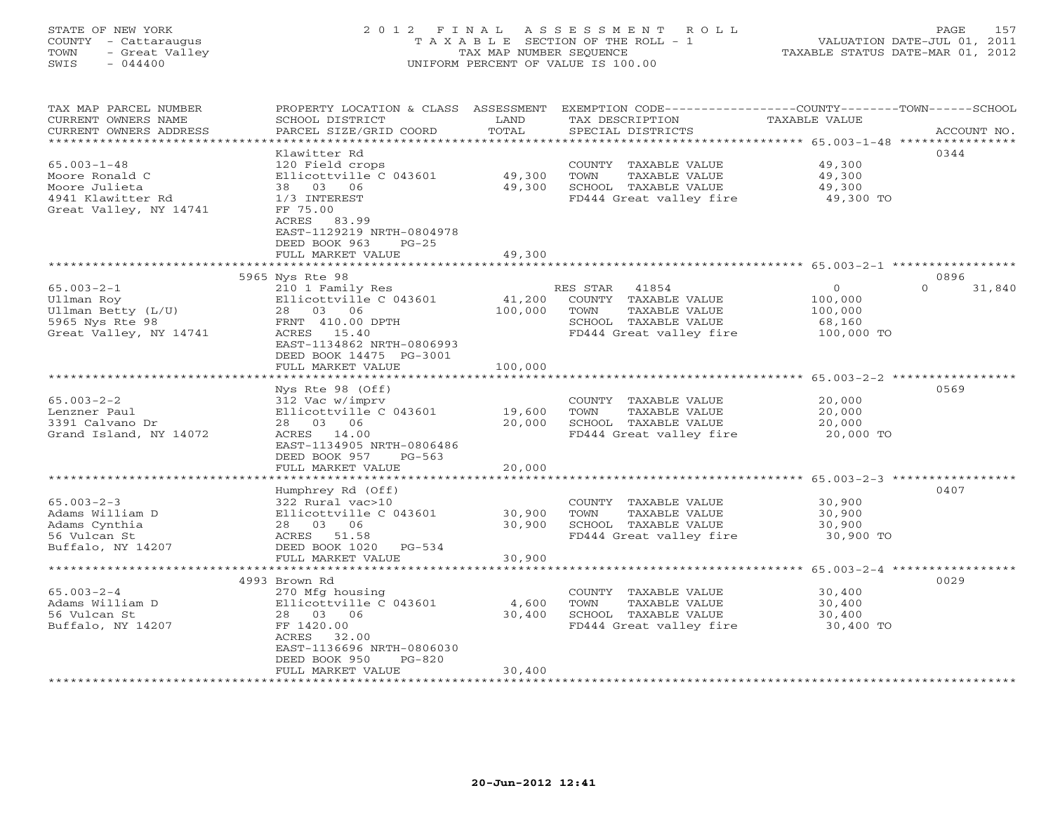### STATE OF NEW YORK 2 0 1 2 F I N A L A S S E S S M E N T R O L L PAGE 157 COUNTY - Cattaraugus T A X A B L E SECTION OF THE ROLL - 1 VALUATION DATE-JUL 01, 2011 TOWN - Great Valley TAX MAP NUMBER SEQUENCE TAXABLE STATUS DATE-MAR 01, 2012 SWIS - 044400 UNIFORM PERCENT OF VALUE IS 100.00UNIFORM PERCENT OF VALUE IS 100.00

| TAX MAP PARCEL NUMBER<br>CURRENT OWNERS NAME<br>CURRENT OWNERS ADDRESS                                                           | PROPERTY LOCATION & CLASS<br>SCHOOL DISTRICT<br>PARCEL SIZE/GRID COORD                                                                                                                           | ASSESSMENT<br>LAND<br>TOTAL                             | TAX DESCRIPTION<br>SPECIAL DISTRICTS                                                                                  | EXEMPTION CODE-----------------COUNTY-------TOWN------SCHOOL<br><b>TAXABLE VALUE</b><br>ACCOUNT NO.         |  |
|----------------------------------------------------------------------------------------------------------------------------------|--------------------------------------------------------------------------------------------------------------------------------------------------------------------------------------------------|---------------------------------------------------------|-----------------------------------------------------------------------------------------------------------------------|-------------------------------------------------------------------------------------------------------------|--|
| *************************<br>$65.003 - 1 - 48$<br>Moore Ronald C<br>Moore Julieta<br>4941 Klawitter Rd<br>Great Valley, NY 14741 | Klawitter Rd<br>120 Field crops<br>Ellicottville C 043601<br>38 03 06<br>1/3 INTEREST<br>FF 75.00<br>ACRES<br>83.99<br>EAST-1129219 NRTH-0804978<br>DEED BOOK 963<br>$PG-25$                     | 49,300<br>49,300                                        | COUNTY TAXABLE VALUE<br>TOWN<br>TAXABLE VALUE<br>SCHOOL TAXABLE VALUE<br>FD444 Great valley fire                      | 0344<br>49,300<br>49,300<br>49,300<br>49,300 TO                                                             |  |
|                                                                                                                                  | FULL MARKET VALUE                                                                                                                                                                                | 49,300                                                  |                                                                                                                       |                                                                                                             |  |
|                                                                                                                                  | 5965 Nys Rte 98                                                                                                                                                                                  |                                                         |                                                                                                                       | 0896                                                                                                        |  |
| $65.003 - 2 - 1$<br>Ullman Roy<br>Ullman Betty (L/U)<br>5965 Nys Rte 98<br>Great Valley, NY 14741                                | 210 1 Family Res<br>Ellicottville C 043601<br>28 03 06<br>FRNT 410.00 DPTH<br>ACRES 15.40<br>EAST-1134862 NRTH-0806993<br>DEED BOOK 14475 PG-3001                                                | 41,200<br>100,000                                       | RES STAR<br>41854<br>COUNTY TAXABLE VALUE<br>TOWN<br>TAXABLE VALUE<br>SCHOOL TAXABLE VALUE<br>FD444 Great valley fire | $\mathbf 0$<br>31,840<br>$\Omega$<br>100,000<br>100,000<br>68,160<br>100,000 TO                             |  |
|                                                                                                                                  | FULL MARKET VALUE                                                                                                                                                                                | 100,000                                                 |                                                                                                                       |                                                                                                             |  |
| $65.003 - 2 - 2$<br>Lenzner Paul<br>3391 Calvano Dr<br>Grand Island, NY 14072                                                    | Nys Rte 98 (Off)<br>312 Vac w/imprv<br>Ellicottville C 043601<br>28 03 06<br>ACRES 14.00<br>EAST-1134905 NRTH-0806486<br>DEED BOOK 957<br>PG-563<br>FULL MARKET VALUE<br>*********************** | 19,600<br>20,000<br>20,000<br>* * * * * * * * * * * * * | COUNTY TAXABLE VALUE<br>TOWN<br>TAXABLE VALUE<br>SCHOOL TAXABLE VALUE<br>FD444 Great valley fire                      | 0569<br>20,000<br>20,000<br>20,000<br>20,000 TO<br>********************************* 65.003-2-3 *********** |  |
|                                                                                                                                  | Humphrey Rd (Off)                                                                                                                                                                                |                                                         |                                                                                                                       | 0407                                                                                                        |  |
| $65.003 - 2 - 3$<br>Adams William D<br>Adams Cynthia<br>56 Vulcan St<br>Buffalo, NY 14207                                        | 322 Rural vac>10<br>Ellicottville C 043601<br>28 03 06<br>ACRES 51.58<br>DEED BOOK 1020 PG-534                                                                                                   | 30,900<br>30,900                                        | COUNTY TAXABLE VALUE<br>TAXABLE VALUE<br>TOWN<br>SCHOOL TAXABLE VALUE<br>FD444 Great valley fire                      | 30,900<br>30,900<br>30,900<br>30,900 TO                                                                     |  |
|                                                                                                                                  | FULL MARKET VALUE                                                                                                                                                                                | 30,900                                                  |                                                                                                                       |                                                                                                             |  |
|                                                                                                                                  | <b>+++++++++++++</b><br>4993 Brown Rd                                                                                                                                                            |                                                         |                                                                                                                       | **************** 65.003-2-4 ***********<br>0029                                                             |  |
| $65.003 - 2 - 4$<br>Adams William D<br>56 Vulcan St<br>Buffalo, NY 14207                                                         | 270 Mfg housing<br>Ellicottville C 043601<br>28 03 06<br>FF 1420.00<br>ACRES<br>32.00<br>EAST-1136696 NRTH-0806030<br>DEED BOOK 950<br>$PG-820$                                                  | 4,600<br>30,400                                         | COUNTY TAXABLE VALUE<br>TAXABLE VALUE<br>TOWN<br>SCHOOL TAXABLE VALUE<br>FD444 Great valley fire                      | 30,400<br>30,400<br>30,400<br>30,400 TO                                                                     |  |
|                                                                                                                                  | FULL MARKET VALUE                                                                                                                                                                                | 30,400                                                  |                                                                                                                       |                                                                                                             |  |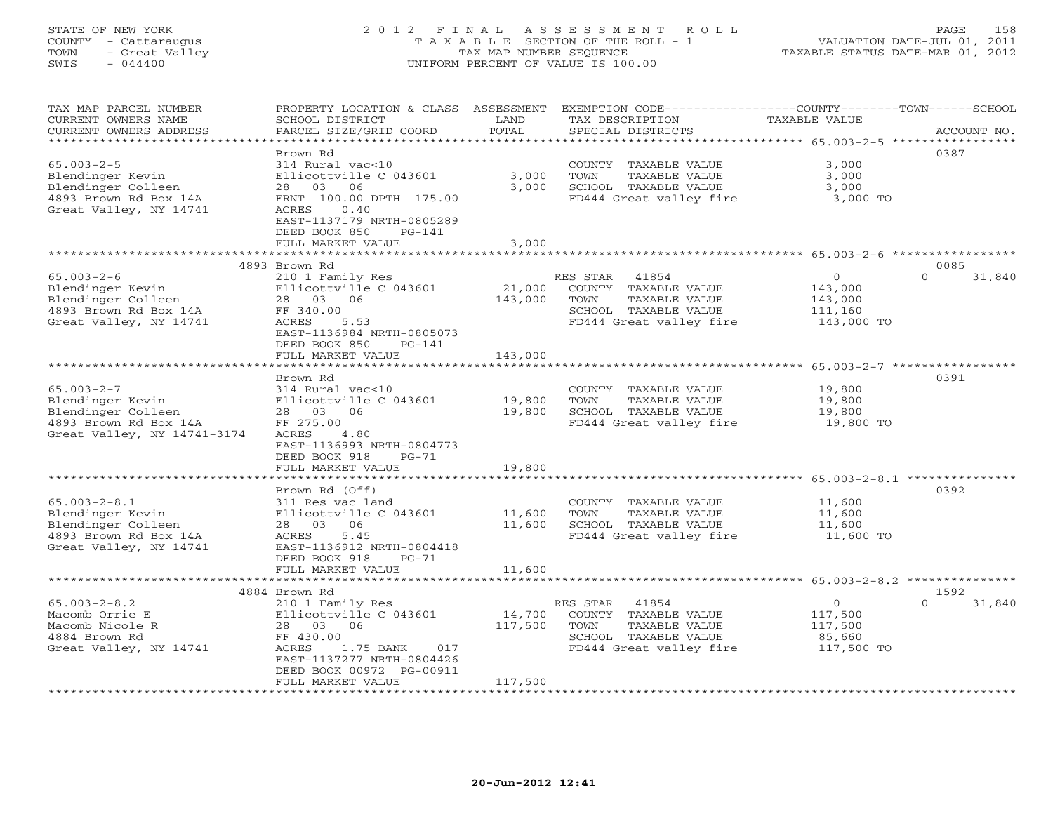# STATE OF NEW YORK 2 0 1 2 F I N A L A S S E S S M E N T R O L L PAGE 158 COUNTY - Cattaraugus T A X A B L E SECTION OF THE ROLL - 1 VALUATION DATE-JUL 01, 2011 TOWN - Great Valley TAX MAP NUMBER SEQUENCE TAXABLE STATUS DATE-MAR 01, 2012 SWIS - 044400 UNIFORM PERCENT OF VALUE IS 100.00

| TAX MAP PARCEL NUMBER<br>CURRENT OWNERS NAME<br>CURRENT OWNERS ADDRESS                                                               | PROPERTY LOCATION & CLASS ASSESSMENT<br>SCHOOL DISTRICT<br>PARCEL SIZE/GRID COORD                                                                                                                   | LAND<br>TOTAL                              | EXEMPTION CODE-----------------COUNTY-------TOWN------SCHOOL<br>TAX DESCRIPTION<br>SPECIAL DISTRICTS                                                               | <b>TAXABLE VALUE</b>                                   | ACCOUNT NO.                |
|--------------------------------------------------------------------------------------------------------------------------------------|-----------------------------------------------------------------------------------------------------------------------------------------------------------------------------------------------------|--------------------------------------------|--------------------------------------------------------------------------------------------------------------------------------------------------------------------|--------------------------------------------------------|----------------------------|
| *******************<br>$65.003 - 2 - 5$<br>Blendinger Kevin<br>Blendinger Colleen<br>4893 Brown Rd Box 14A<br>Great Valley, NY 14741 | Brown Rd<br>314 Rural vac<10<br>Ellicottville C 043601<br>28<br>03<br>06<br>FRNT 100.00 DPTH 175.00<br>ACRES<br>0.40<br>EAST-1137179 NRTH-0805289<br>DEED BOOK 850<br>$PG-141$<br>FULL MARKET VALUE | ***************<br>3,000<br>3,000<br>3,000 | ********************************* 65.003-2-5 *****************<br>COUNTY TAXABLE VALUE<br>TOWN<br>TAXABLE VALUE<br>SCHOOL TAXABLE VALUE<br>FD444 Great valley fire | 3,000<br>3,000<br>3,000<br>3,000 TO                    | 0387                       |
|                                                                                                                                      | ****************************                                                                                                                                                                        |                                            |                                                                                                                                                                    |                                                        |                            |
| $65.003 - 2 - 6$<br>Blendinger Kevin<br>Blendinger Colleen<br>4893 Brown Rd Box 14A<br>Great Valley, NY 14741                        | 4893 Brown Rd<br>210 1 Family Res<br>Ellicottville C 043601<br>28 03 06<br>FF 340.00<br>ACRES<br>5.53<br>EAST-1136984 NRTH-0805073<br>DEED BOOK 850<br>$PG-141$<br>FULL MARKET VALUE                | 21,000<br>143,000<br>143,000               | RES STAR<br>41854<br>COUNTY TAXABLE VALUE<br>TOWN<br>TAXABLE VALUE<br>SCHOOL TAXABLE VALUE<br>FD444 Great valley fire                                              | $\circ$<br>143,000<br>143,000<br>111,160<br>143,000 TO | 0085<br>31,840<br>$\Omega$ |
|                                                                                                                                      |                                                                                                                                                                                                     | ********************                       |                                                                                                                                                                    | ************************ 65.003-2-7 ****************** |                            |
| $65.003 - 2 - 7$<br>Blendinger Kevin<br>Blendinger Colleen<br>4893 Brown Rd Box 14A<br>Great Valley, NY 14741-3174                   | Brown Rd<br>314 Rural vac<10<br>Ellicottville C 043601<br>28<br>03<br>06<br>FF 275.00<br>ACRES<br>4.80<br>EAST-1136993 NRTH-0804773<br>DEED BOOK 918<br>$PG-71$<br>FULL MARKET VALUE                | 19,800<br>19,800<br>19,800                 | COUNTY TAXABLE VALUE<br>TOWN<br>TAXABLE VALUE<br>SCHOOL TAXABLE VALUE<br>FD444 Great valley fire                                                                   | 19,800<br>19,800<br>19,800<br>19,800 TO                | 0391                       |
|                                                                                                                                      |                                                                                                                                                                                                     |                                            |                                                                                                                                                                    | ******** 65.003-2-8.1 **********                       |                            |
| $65.003 - 2 - 8.1$<br>Blendinger Kevin<br>Blendinger Colleen<br>4893 Brown Rd Box 14A<br>Great Valley, NY 14741                      | Brown Rd (Off)<br>311 Res vac land<br>Ellicottville C 043601<br>06<br>28 03<br>ACRES<br>5.45<br>EAST-1136912 NRTH-0804418<br>DEED BOOK 918<br>$PG-71$                                               | 11,600<br>11,600                           | COUNTY TAXABLE VALUE<br>TOWN<br>TAXABLE VALUE<br>SCHOOL TAXABLE VALUE<br>FD444 Great valley fire                                                                   | 11,600<br>11,600<br>11,600<br>11,600 TO                | 0392                       |
|                                                                                                                                      | FULL MARKET VALUE                                                                                                                                                                                   | 11,600                                     |                                                                                                                                                                    |                                                        |                            |
|                                                                                                                                      | 4884 Brown Rd                                                                                                                                                                                       |                                            | ********************************* 65.003-2-8.2 ***************                                                                                                     |                                                        | 1592                       |
| $65.003 - 2 - 8.2$<br>Macomb Orrie E<br>Macomb Nicole R<br>4884 Brown Rd<br>Great Valley, NY 14741                                   | 210 1 Family Res<br>Ellicottville C 043601<br>03<br>06<br>28<br>FF 430.00<br>ACRES<br>1.75 BANK<br>017<br>EAST-1137277 NRTH-0804426<br>DEED BOOK 00972 PG-00911<br>FULL MARKET VALUE                | 14,700<br>117,500<br>117,500               | RES STAR<br>41854<br>COUNTY TAXABLE VALUE<br>TOWN<br>TAXABLE VALUE<br>SCHOOL TAXABLE VALUE<br>FD444 Great valley fire                                              | $\circ$<br>117,500<br>117,500<br>85,660<br>117,500 TO  | $\Omega$<br>31,840         |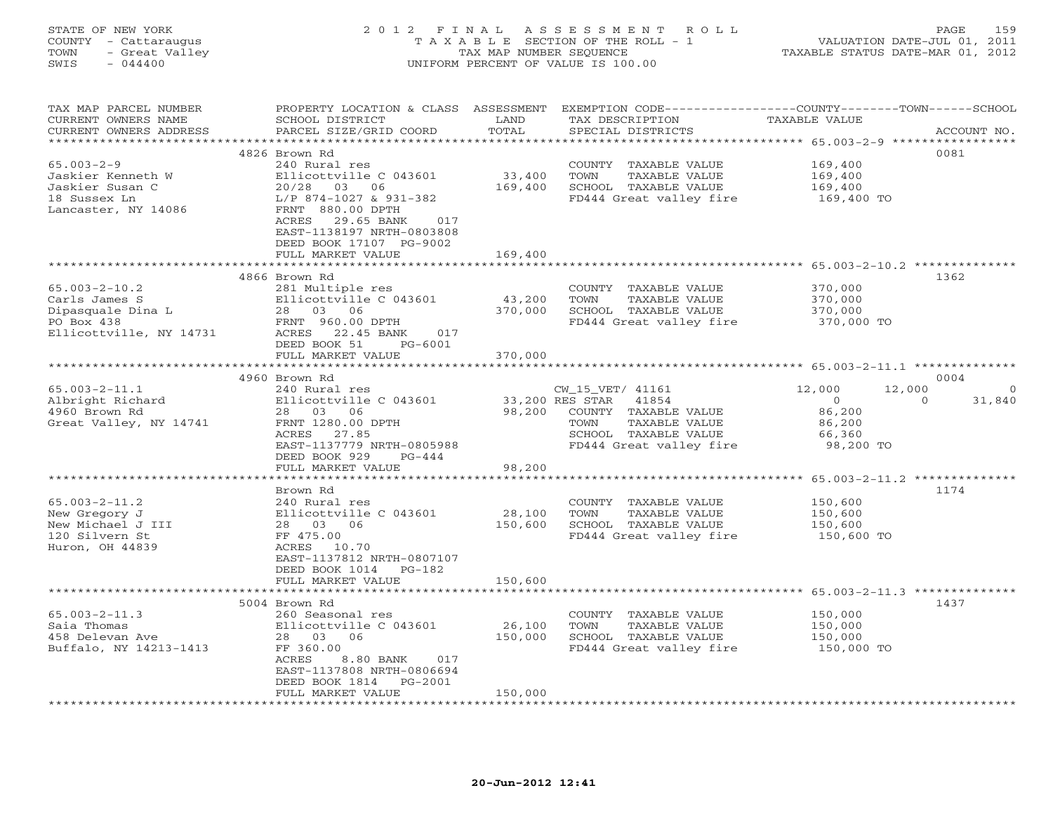### STATE OF NEW YORK 2 0 1 2 F I N A L A S S E S S M E N T R O L L PAGE 159 COUNTY - Cattaraugus T A X A B L E SECTION OF THE ROLL - 1 VALUATION DATE-JUL 01, 2011 TOWN - Great Valley TAX MAP NUMBER SEQUENCE TAXABLE STATUS DATE-MAR 01, 2012 SWIS - 044400 UNIFORM PERCENT OF VALUE IS 100.00UNIFORM PERCENT OF VALUE IS 100.00

| TAX MAP PARCEL NUMBER<br>CURRENT OWNERS NAME     | PROPERTY LOCATION & CLASS ASSESSMENT<br>SCHOOL DISTRICT | LAND    | TAX DESCRIPTION             | EXEMPTION CODE-----------------COUNTY-------TOWN------SCHOOL<br>TAXABLE VALUE |             |
|--------------------------------------------------|---------------------------------------------------------|---------|-----------------------------|-------------------------------------------------------------------------------|-------------|
| CURRENT OWNERS ADDRESS<br>********************** | PARCEL SIZE/GRID COORD                                  | TOTAL   | SPECIAL DISTRICTS           |                                                                               | ACCOUNT NO. |
|                                                  |                                                         |         |                             |                                                                               |             |
|                                                  | 4826 Brown Rd                                           |         |                             | 0081                                                                          |             |
| $65.003 - 2 - 9$                                 | 240 Rural res                                           |         | COUNTY TAXABLE VALUE        | 169,400                                                                       |             |
| Jaskier Kenneth W                                | Ellicottville C 043601                                  | 33,400  | TOWN<br>TAXABLE VALUE       | 169,400                                                                       |             |
| Jaskier Susan C                                  | 20/28 03 06                                             | 169,400 | SCHOOL TAXABLE VALUE        | 169,400                                                                       |             |
| 18 Sussex Ln                                     | L/P 874-1027 & 931-382                                  |         | FD444 Great valley fire     | 169,400 TO                                                                    |             |
| Lancaster, NY 14086                              | FRNT 880.00 DPTH                                        |         |                             |                                                                               |             |
|                                                  | ACRES 29.65 BANK<br>017                                 |         |                             |                                                                               |             |
|                                                  | EAST-1138197 NRTH-0803808                               |         |                             |                                                                               |             |
|                                                  | DEED BOOK 17107 PG-9002                                 |         |                             |                                                                               |             |
|                                                  | FULL MARKET VALUE                                       | 169,400 |                             |                                                                               |             |
|                                                  |                                                         |         |                             |                                                                               |             |
|                                                  | 4866 Brown Rd                                           |         |                             | 1362                                                                          |             |
| $65.003 - 2 - 10.2$                              | 281 Multiple res                                        |         | COUNTY TAXABLE VALUE        | 370,000                                                                       |             |
| Carls James S                                    | Ellicottville C 043601                                  | 43,200  | TAXABLE VALUE<br>TOWN       | 370,000                                                                       |             |
| Dipasquale Dina L                                | 28 03 06                                                | 370,000 | SCHOOL TAXABLE VALUE        | 370,000                                                                       |             |
| PO Box 438                                       | FRNT 960.00 DPTH                                        |         | FD444 Great valley fire     | 370,000 TO                                                                    |             |
| Ellicottville, NY 14731                          | ACRES 22.45 BANK<br>017                                 |         |                             |                                                                               |             |
|                                                  | DEED BOOK 51<br>PG-6001                                 |         |                             |                                                                               |             |
|                                                  | FULL MARKET VALUE                                       | 370,000 |                             |                                                                               |             |
|                                                  |                                                         |         |                             |                                                                               |             |
|                                                  | 4960 Brown Rd                                           |         |                             | 0004                                                                          |             |
| $65.003 - 2 - 11.1$                              | 240 Rural res                                           |         | CW_15_VET/ 41161            | 12,000<br>12,000                                                              | $\bigcirc$  |
| Albright Richard                                 | Ellicottville C 043601                                  |         | 33,200 RES STAR 41854       | $\overline{0}$<br>$\Omega$                                                    | 31,840      |
| 4960 Brown Rd                                    | 28 03 06                                                |         | 98,200 COUNTY TAXABLE VALUE | 86,200                                                                        |             |
| Great Valley, NY 14741                           | FRNT 1280.00 DPTH                                       |         | TOWN<br>TAXABLE VALUE       | 86,200                                                                        |             |
|                                                  | ACRES 27.85                                             |         | SCHOOL TAXABLE VALUE        | 66,360                                                                        |             |
|                                                  | EAST-1137779 NRTH-0805988                               |         | FD444 Great valley fire     | 98,200 TO                                                                     |             |
|                                                  | DEED BOOK 929<br>$PG-444$                               |         |                             |                                                                               |             |
|                                                  | FULL MARKET VALUE                                       | 98,200  |                             |                                                                               |             |
|                                                  | *************************                               |         |                             |                                                                               |             |
|                                                  | Brown Rd                                                |         |                             | 1174                                                                          |             |
| $65.003 - 2 - 11.2$                              | 240 Rural res                                           |         | COUNTY TAXABLE VALUE        | 150,600                                                                       |             |
| New Gregory J                                    | Ellicottville C 043601                                  | 28,100  | TOWN<br>TAXABLE VALUE       | 150,600                                                                       |             |
| New Michael J III                                | 28 03 06                                                | 150,600 | SCHOOL TAXABLE VALUE        | 150,600                                                                       |             |
| 120 Silvern St                                   | FF 475.00                                               |         | FD444 Great valley fire     | 150,600 TO                                                                    |             |
| Huron, OH 44839                                  | ACRES 10.70                                             |         |                             |                                                                               |             |
|                                                  | EAST-1137812 NRTH-0807107                               |         |                             |                                                                               |             |
|                                                  | DEED BOOK 1014 PG-182                                   |         |                             |                                                                               |             |
|                                                  | FULL MARKET VALUE                                       | 150,600 |                             |                                                                               |             |
|                                                  |                                                         |         |                             |                                                                               |             |
|                                                  | 5004 Brown Rd                                           |         |                             | 1437                                                                          |             |
| $65.003 - 2 - 11.3$                              | 260 Seasonal res                                        |         | COUNTY TAXABLE VALUE        | 150,000                                                                       |             |
| Saia Thomas                                      | Ellicottville C 043601                                  | 26,100  | TOWN<br>TAXABLE VALUE       | 150,000                                                                       |             |
| 458 Delevan Ave                                  | 28 03 06                                                | 150,000 | SCHOOL TAXABLE VALUE        | 150,000                                                                       |             |
| Buffalo, NY 14213-1413                           | FF 360.00                                               |         | FD444 Great valley fire     | 150,000 TO                                                                    |             |
|                                                  | ACRES<br>8.80 BANK 017                                  |         |                             |                                                                               |             |
|                                                  | EAST-1137808 NRTH-0806694                               |         |                             |                                                                               |             |
|                                                  | DEED BOOK 1814<br>PG-2001                               |         |                             |                                                                               |             |
|                                                  | FULL MARKET VALUE                                       | 150,000 |                             |                                                                               |             |
|                                                  | *******************                                     |         |                             |                                                                               |             |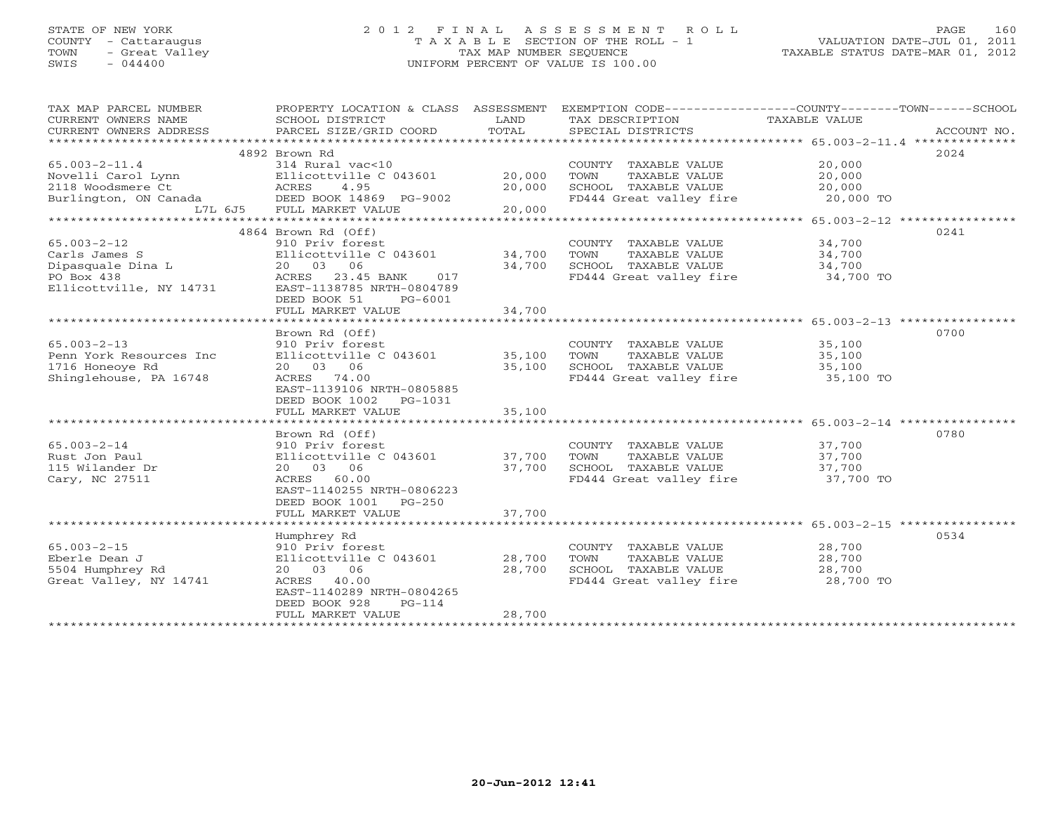### STATE OF NEW YORK 2 0 1 2 F I N A L A S S E S S M E N T R O L L PAGE 160 COUNTY - Cattaraugus T A X A B L E SECTION OF THE ROLL - 1 VALUATION DATE-JUL 01, 2011 TOWN - Great Valley TAX MAP NUMBER SEQUENCE TAXABLE STATUS DATE-MAR 01, 2012 SWIS - 044400 UNIFORM PERCENT OF VALUE IS 100.00

| TAX MAP PARCEL NUMBER<br>CURRENT OWNERS NAME<br>CURRENT OWNERS ADDRESS | PROPERTY LOCATION & CLASS ASSESSMENT<br>SCHOOL DISTRICT<br>PARCEL SIZE/GRID COORD | LAND<br>TOTAL            | EXEMPTION CODE----------------COUNTY-------TOWN------SCHOOL<br>TAX DESCRIPTION<br>SPECIAL DISTRICTS | TAXABLE VALUE                              | ACCOUNT NO. |
|------------------------------------------------------------------------|-----------------------------------------------------------------------------------|--------------------------|-----------------------------------------------------------------------------------------------------|--------------------------------------------|-------------|
|                                                                        |                                                                                   |                          |                                                                                                     |                                            | 2024        |
|                                                                        | 4892 Brown Rd                                                                     |                          |                                                                                                     |                                            |             |
| $65.003 - 2 - 11.4$                                                    | 314 Rural vac<10                                                                  |                          | COUNTY TAXABLE VALUE                                                                                | 20,000                                     |             |
| Novelli Carol Lynn                                                     | Ellicottville C 043601                                                            | 20,000                   | TAXABLE VALUE<br>TOWN                                                                               | 20,000                                     |             |
| 2118 Woodsmere Ct                                                      | ACRES<br>4.95                                                                     | 20,000                   | SCHOOL TAXABLE VALUE                                                                                | 20,000                                     |             |
| Burlington, ON Canada                                                  | DEED BOOK 14869 PG-9002                                                           |                          | FD444 Great valley fire                                                                             | 20,000 TO                                  |             |
| L7L 6J5                                                                | FULL MARKET VALUE                                                                 | 20,000<br>************** |                                                                                                     |                                            |             |
|                                                                        |                                                                                   |                          |                                                                                                     | ************ 65.003-2-12 ***************** |             |
|                                                                        | 4864 Brown Rd (Off)                                                               |                          |                                                                                                     |                                            | 0241        |
| $65.003 - 2 - 12$                                                      | 910 Priv forest                                                                   |                          | COUNTY TAXABLE VALUE                                                                                | 34,700                                     |             |
| Carls James S                                                          | Ellicottville C 043601                                                            | 34,700                   | TOWN<br>TAXABLE VALUE                                                                               | 34,700                                     |             |
| Dipasquale Dina L                                                      | 20 03<br>06                                                                       | 34,700                   | SCHOOL TAXABLE VALUE                                                                                | 34,700                                     |             |
| PO Box 438                                                             | ACRES<br>23.45 BANK<br>017                                                        |                          | FD444 Great valley fire 34,700 TO                                                                   |                                            |             |
| Ellicottville, NY 14731                                                | EAST-1138785 NRTH-0804789                                                         |                          |                                                                                                     |                                            |             |
|                                                                        | DEED BOOK 51<br>PG-6001                                                           |                          |                                                                                                     |                                            |             |
|                                                                        | FULL MARKET VALUE                                                                 | 34,700                   |                                                                                                     |                                            |             |
|                                                                        |                                                                                   |                          |                                                                                                     |                                            |             |
|                                                                        | Brown Rd (Off)                                                                    |                          |                                                                                                     |                                            | 0700        |
| $65.003 - 2 - 13$                                                      | 910 Priv forest                                                                   |                          | COUNTY TAXABLE VALUE                                                                                | 35,100                                     |             |
| Penn York Resources Inc                                                | Ellicottville C 043601                                                            | 35,100                   | TOWN<br>TAXABLE VALUE                                                                               | 35,100                                     |             |
| 1716 Honeoye Rd                                                        | 20 03 06                                                                          | 35,100                   |                                                                                                     | 35,100                                     |             |
| Shinglehouse, PA 16748                                                 | 74.00<br>ACRES                                                                    |                          | SCHOOL TAXABLE VALUE<br>FD444 Great valley fire                                                     | 35,100 TO                                  |             |
|                                                                        | EAST-1139106 NRTH-0805885                                                         |                          |                                                                                                     |                                            |             |
|                                                                        | DEED BOOK 1002<br>PG-1031                                                         |                          |                                                                                                     |                                            |             |
|                                                                        | FULL MARKET VALUE                                                                 | 35,100                   |                                                                                                     |                                            |             |
|                                                                        |                                                                                   |                          |                                                                                                     |                                            |             |
|                                                                        | Brown Rd (Off)                                                                    |                          |                                                                                                     |                                            | 0780        |
| $65.003 - 2 - 14$                                                      | 910 Priv forest                                                                   |                          | COUNTY TAXABLE VALUE                                                                                | 37,700                                     |             |
| Rust Jon Paul                                                          | Ellicottville C 043601                                                            | 37,700                   | TOWN<br>TAXABLE VALUE                                                                               | 37,700                                     |             |
| 115 Wilander Dr                                                        | 20 03 06                                                                          | 37,700                   | SCHOOL TAXABLE VALUE                                                                                | 37,700                                     |             |
| Cary, NC 27511                                                         | ACRES 60.00                                                                       |                          | FD444 Great valley fire                                                                             | 37,700 TO                                  |             |
|                                                                        | EAST-1140255 NRTH-0806223                                                         |                          |                                                                                                     |                                            |             |
|                                                                        | DEED BOOK 1001<br>$PG-250$                                                        |                          |                                                                                                     |                                            |             |
|                                                                        | FULL MARKET VALUE                                                                 | 37,700                   |                                                                                                     |                                            |             |
|                                                                        |                                                                                   |                          |                                                                                                     |                                            |             |
|                                                                        | Humphrey Rd                                                                       |                          |                                                                                                     |                                            | 0534        |
| $65.003 - 2 - 15$                                                      | 910 Priv forest                                                                   |                          | COUNTY TAXABLE VALUE                                                                                | 28,700                                     |             |
| Eberle Dean J                                                          | Ellicottville C 043601                                                            | 28,700                   | TOWN<br>TAXABLE VALUE                                                                               | 28,700                                     |             |
| 5504 Humphrey Rd                                                       | 06                                                                                | 28,700                   | SCHOOL TAXABLE VALUE                                                                                | 28,700                                     |             |
|                                                                        | 20 03                                                                             |                          |                                                                                                     |                                            |             |
| Great Valley, NY 14741                                                 | ACRES 40.00                                                                       |                          | FD444 Great valley fire 28,700 TO                                                                   |                                            |             |
|                                                                        | EAST-1140289 NRTH-0804265                                                         |                          |                                                                                                     |                                            |             |
|                                                                        | DEED BOOK 928<br>$PG-114$                                                         | 28,700                   |                                                                                                     |                                            |             |
| *************************                                              | FULL MARKET VALUE<br>*************************                                    |                          |                                                                                                     |                                            |             |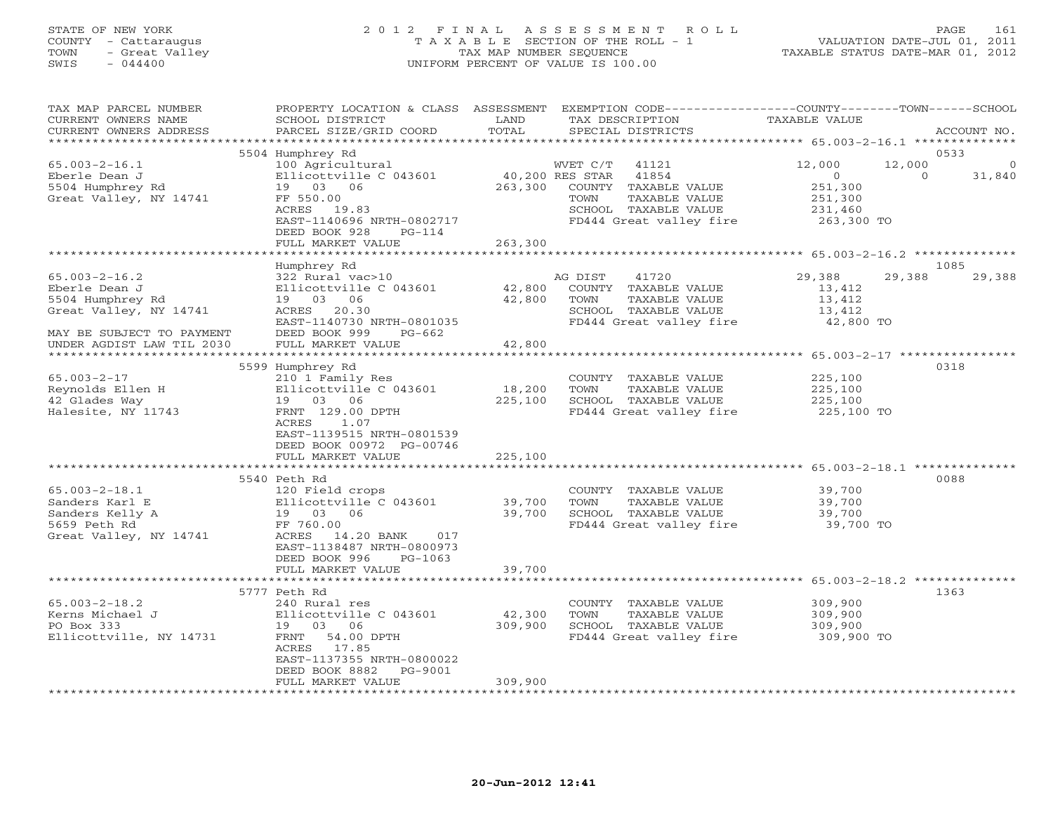### STATE OF NEW YORK 2 0 1 2 F I N A L A S S E S S M E N T R O L L PAGE 161 COUNTY - Cattaraugus T A X A B L E SECTION OF THE ROLL - 1 VALUATION DATE-JUL 01, 2011 TOWN - Great Valley TAX MAP NUMBER SEQUENCE TAXABLE STATUS DATE-MAR 01, 2012 SWIS - 044400 UNIFORM PERCENT OF VALUE IS 100.00

| TAX MAP PARCEL NUMBER<br>CURRENT OWNERS NAME<br>CURRENT OWNERS ADDRESS<br>***********************                                            | PROPERTY LOCATION & CLASS ASSESSMENT<br>SCHOOL DISTRICT<br>PARCEL SIZE/GRID COORD                                                                                                                                       | LAND<br>TOTAL                              | EXEMPTION CODE-----------------COUNTY-------TOWN------SCHOOL<br>TAX DESCRIPTION<br>SPECIAL DISTRICTS                                           | TAXABLE VALUE                                                                                          | ACCOUNT NO.    |
|----------------------------------------------------------------------------------------------------------------------------------------------|-------------------------------------------------------------------------------------------------------------------------------------------------------------------------------------------------------------------------|--------------------------------------------|------------------------------------------------------------------------------------------------------------------------------------------------|--------------------------------------------------------------------------------------------------------|----------------|
| $65.003 - 2 - 16.1$<br>Eberle Dean J<br>5504 Humphrey Rd<br>Great Valley, NY 14741                                                           | 5504 Humphrey Rd<br>100 Agricultural<br>Ellicottville C 043601<br>19 03 06<br>FF 550.00<br>ACRES 19.83<br>EAST-1140696 NRTH-0802717<br>DEED BOOK 928<br>$PG-114$                                                        | 263,300                                    | WVET C/T<br>41121<br>40,200 RES STAR 41854<br>COUNTY TAXABLE VALUE<br>TAXABLE VALUE<br>TOWN<br>SCHOOL TAXABLE VALUE<br>FD444 Great valley fire | 12,000<br>12,000<br>$\circ$<br>$\circ$<br>251,300<br>251,300<br>231,460<br>263,300 TO                  | 0533<br>31,840 |
|                                                                                                                                              | FULL MARKET VALUE                                                                                                                                                                                                       | 263,300                                    |                                                                                                                                                |                                                                                                        |                |
| $65.003 - 2 - 16.2$<br>Eberle Dean J<br>5504 Humphrey Rd<br>Great Valley, NY 14741<br>MAY BE SUBJECT TO PAYMENT<br>UNDER AGDIST LAW TIL 2030 | Humphrey Rd<br>322 Rural vac>10<br>Ellicottville C 043601<br>19 03 06<br>ACRES 20.30<br>EAST-1140730 NRTH-0801035<br>DEED BOOK 999<br>PG-662<br>FULL MARKET VALUE                                                       | 42,800<br>42,800<br>42,800                 | AG DIST<br>41720<br>COUNTY TAXABLE VALUE<br>TOWN<br>TAXABLE VALUE<br>SCHOOL TAXABLE VALUE<br>FD444 Great valley fire                           | 29,388<br>29,388<br>13,412<br>13,412<br>13,412<br>42,800 TO                                            | 1085<br>29,388 |
| $65.003 - 2 - 17$<br>Reynolds Ellen H<br>42 Glades Way<br>Halesite, NY 11743                                                                 | **********************<br>5599 Humphrey Rd<br>210 1 Family Res<br>Ellicottville C 043601<br>19 03 06<br>FRNT 129.00 DPTH<br>ACRES<br>1.07<br>EAST-1139515 NRTH-0801539<br>DEED BOOK 00972 PG-00746<br>FULL MARKET VALUE | **********<br>18,200<br>225,100<br>225,100 | COUNTY TAXABLE VALUE<br>TOWN<br>TAXABLE VALUE<br>SCHOOL TAXABLE VALUE<br>FD444 Great valley fire                                               | ************************ 65.003-2-17 ******************<br>225,100<br>225,100<br>225,100<br>225,100 TO | 0318           |
| $65.003 - 2 - 18.1$<br>Sanders Karl E<br>Sanders Kelly A<br>5659 Peth Rd<br>Great Valley, NY 14741                                           | 5540 Peth Rd<br>120 Field crops<br>Ellicottville C 043601<br>19 03 06<br>FF 760.00<br>ACRES 14.20 BANK<br>017<br>EAST-1138487 NRTH-0800973<br>DEED BOOK 996<br>PG-1063<br>FULL MARKET VALUE                             | 39,700<br>39,700<br>39,700                 | COUNTY TAXABLE VALUE<br>TAXABLE VALUE<br>TOWN<br>SCHOOL TAXABLE VALUE<br>FD444 Great valley fire                                               | 39,700<br>39,700<br>39,700<br>39,700 TO                                                                | 0088           |
| $65.003 - 2 - 18.2$<br>Kerns Michael J<br>PO Box 333<br>Ellicottville, NY 14731                                                              | 5777 Peth Rd<br>240 Rural res<br>Ellicottville C 043601<br>19 03 06<br>FRNT 54.00 DPTH<br>ACRES<br>17.85<br>EAST-1137355 NRTH-0800022<br>DEED BOOK 8882<br>PG-9001<br>FULL MARKET VALUE                                 | 42,300<br>309,900<br>309,900               | COUNTY TAXABLE VALUE<br>TOWN<br>TAXABLE VALUE<br>SCHOOL TAXABLE VALUE<br>FD444 Great valley fire                                               | 309,900<br>309,900<br>309,900<br>309,900 TO                                                            | 1363           |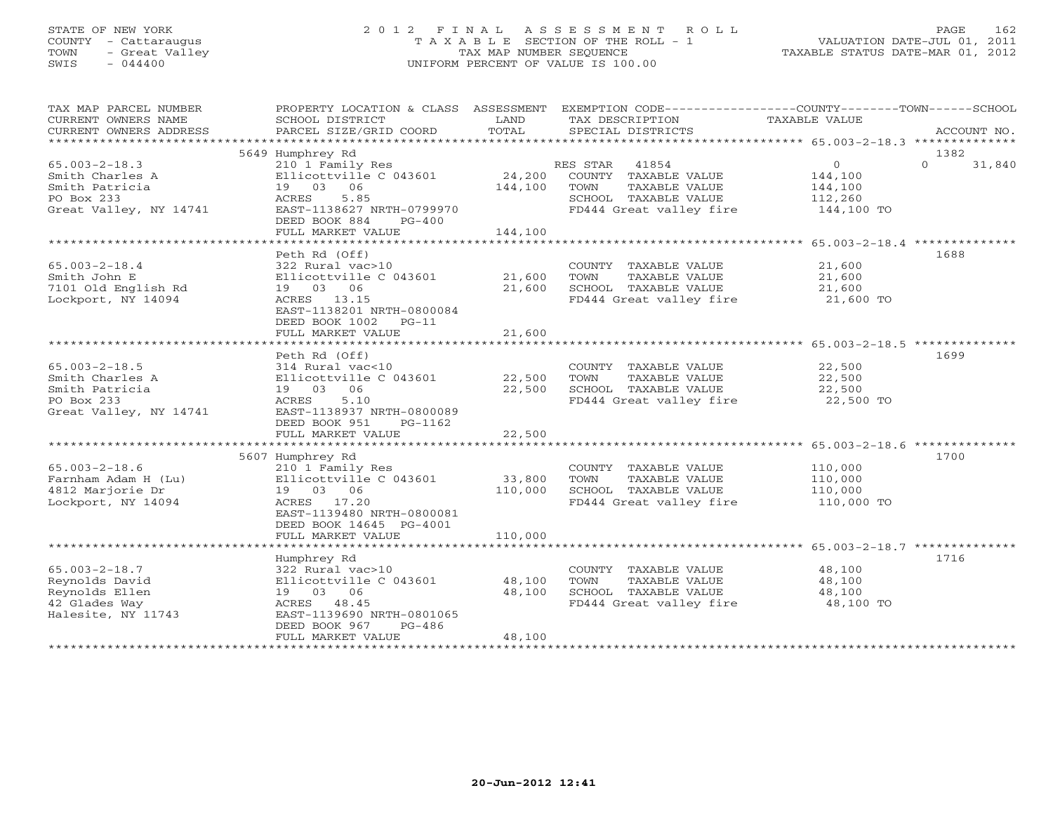# STATE OF NEW YORK 2 0 1 2 F I N A L A S S E S S M E N T R O L L PAGE 162 COUNTY - Cattaraugus T A X A B L E SECTION OF THE ROLL - 1 VALUATION DATE-JUL 01, 2011 TOWN - Great Valley TAX MAP NUMBER SEQUENCE TAXABLE STATUS DATE-MAR 01, 2012 SWIS - 044400 UNIFORM PERCENT OF VALUE IS 100.00

| TAX MAP PARCEL NUMBER<br>CURRENT OWNERS NAME<br>CURRENT OWNERS ADDRESS                           | PROPERTY LOCATION & CLASS ASSESSMENT<br>SCHOOL DISTRICT<br>PARCEL SIZE/GRID COORD                                                                                      | LAND<br>TOTAL                | TAX DESCRIPTION<br>SPECIAL DISTRICTS                                                                               | EXEMPTION CODE----------------COUNTY-------TOWN------SCHOOL<br>TAXABLE VALUE<br>ACCOUNT NO. |  |
|--------------------------------------------------------------------------------------------------|------------------------------------------------------------------------------------------------------------------------------------------------------------------------|------------------------------|--------------------------------------------------------------------------------------------------------------------|---------------------------------------------------------------------------------------------|--|
| *************************                                                                        | 5649 Humphrey Rd                                                                                                                                                       |                              |                                                                                                                    | 1382                                                                                        |  |
| $65.003 - 2 - 18.3$<br>Smith Charles A<br>Smith Patricia<br>PO Box 233<br>Great Valley, NY 14741 | 210 1 Family Res<br>Ellicottville C 043601<br>19 03 06<br>ACRES<br>5.85<br>EAST-1138627 NRTH-0799970<br>DEED BOOK 884<br>$PG-400$<br>FULL MARKET VALUE                 | 24,200<br>144,100<br>144,100 | RES STAR 41854<br>COUNTY TAXABLE VALUE<br>TOWN<br>TAXABLE VALUE<br>SCHOOL TAXABLE VALUE<br>FD444 Great valley fire | $\overline{0}$<br>$\Omega$<br>31,840<br>144,100<br>144,100<br>112,260<br>144,100 TO         |  |
|                                                                                                  | Peth Rd (Off)                                                                                                                                                          |                              |                                                                                                                    | 1688                                                                                        |  |
| $65.003 - 2 - 18.4$<br>Smith John E<br>7101 Old English Rd<br>Lockport, NY 14094                 | 322 Rural vac>10<br>Ellicottville C 043601<br>19 03 06<br>ACRES 13.15<br>EAST-1138201 NRTH-0800084<br>DEED BOOK 1002<br>$PG-11$<br>FULL MARKET VALUE                   | 21,600<br>21,600<br>21,600   | COUNTY TAXABLE VALUE<br>TOWN<br>TAXABLE VALUE<br>SCHOOL TAXABLE VALUE<br>FD444 Great valley fire 21,600 TO         | 21,600<br>21,600<br>21,600                                                                  |  |
|                                                                                                  |                                                                                                                                                                        |                              |                                                                                                                    |                                                                                             |  |
| $65.003 - 2 - 18.5$<br>Smith Charles A<br>Smith Patricia<br>PO Box 233<br>Great Valley, NY 14741 | Peth Rd (Off)<br>314 Rural vac<10<br>Ellicottville C 043601<br>19 03<br>06<br>5.10<br>ACRES<br>EAST-1138937 NRTH-0800089<br>DEED BOOK 951<br>PG-1162                   | 22,500<br>22,500             | COUNTY TAXABLE VALUE<br>TOWN<br>TAXABLE VALUE<br>SCHOOL TAXABLE VALUE<br>FD444 Great valley fire                   | 1699<br>22,500<br>22,500<br>22,500<br>22,500 TO                                             |  |
|                                                                                                  | FULL MARKET VALUE                                                                                                                                                      | 22,500                       |                                                                                                                    |                                                                                             |  |
| $65.003 - 2 - 18.6$<br>Farnham Adam H (Lu)<br>4812 Marjorie Dr<br>Lockport, NY 14094             | 5607 Humphrey Rd<br>210 1 Family Res<br>Ellicottville C 043601<br>19 03 06<br>ACRES 17.20<br>EAST-1139480 NRTH-0800081<br>DEED BOOK 14645 PG-4001<br>FULL MARKET VALUE | 33,800<br>110,000<br>110,000 | COUNTY TAXABLE VALUE<br>TOWN<br>TAXABLE VALUE<br>SCHOOL TAXABLE VALUE<br>FD444 Great valley fire                   | 1700<br>110,000<br>110,000<br>110,000<br>110,000 TO                                         |  |
|                                                                                                  |                                                                                                                                                                        |                              |                                                                                                                    |                                                                                             |  |
| $65.003 - 2 - 18.7$<br>Reynolds David<br>Reynolds Ellen<br>42 Glades Way<br>Halesite, NY 11743   | Humphrey Rd<br>322 Rural vac>10<br>Ellicottville C 043601<br>19 03 06<br>ACRES 48.45<br>EAST-1139690 NRTH-0801065<br>DEED BOOK 967<br>$PG-486$<br>FULL MARKET VALUE    | 48,100<br>48,100<br>48,100   | COUNTY TAXABLE VALUE<br>TOWN<br>TAXABLE VALUE<br>SCHOOL TAXABLE VALUE<br>FD444 Great valley fire                   | 1716<br>48,100<br>48,100<br>48,100<br>48,100 TO                                             |  |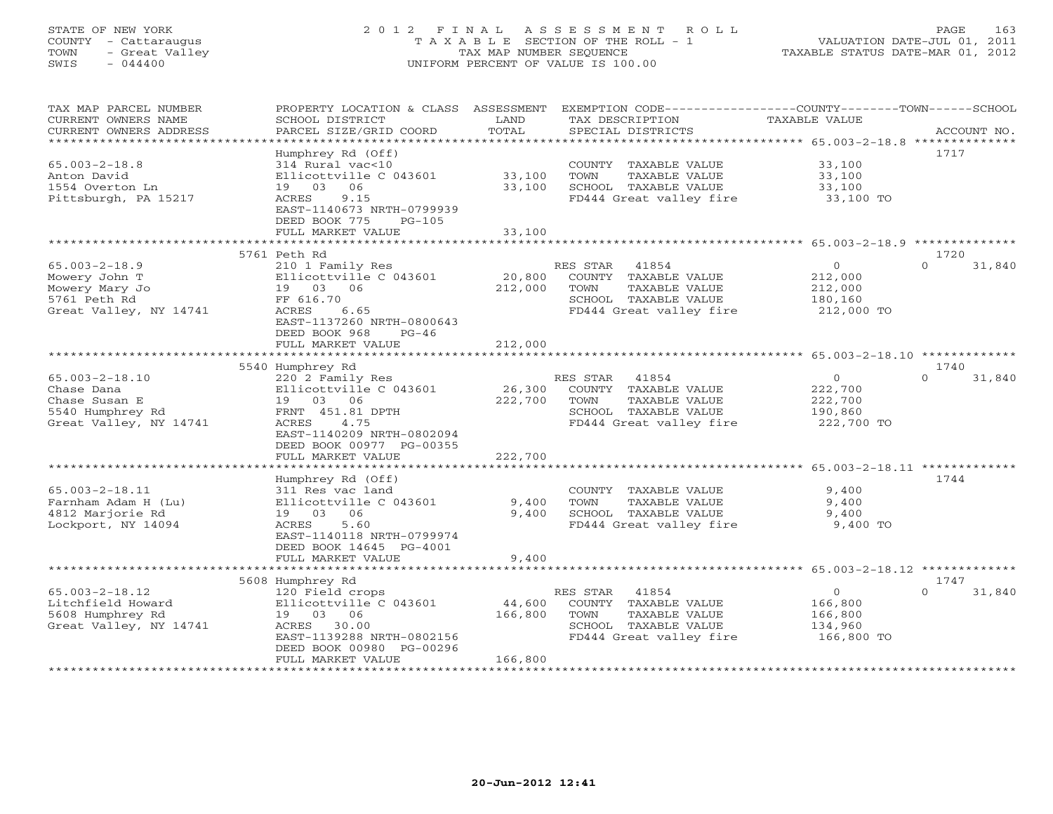# STATE OF NEW YORK 2 0 1 2 F I N A L A S S E S S M E N T R O L L PAGE 163 COUNTY - Cattaraugus T A X A B L E SECTION OF THE ROLL - 1 VALUATION DATE-JUL 01, 2011 TOWN - Great Valley TAX MAP NUMBER SEQUENCE TAXABLE STATUS DATE-MAR 01, 2012 SWIS - 044400 UNIFORM PERCENT OF VALUE IS 100.00

| TAX MAP PARCEL NUMBER  | PROPERTY LOCATION & CLASS ASSESSMENT |                 |                         | EXEMPTION CODE-----------------COUNTY-------TOWN------SCHOOL  |                    |
|------------------------|--------------------------------------|-----------------|-------------------------|---------------------------------------------------------------|--------------------|
| CURRENT OWNERS NAME    | SCHOOL DISTRICT                      | LAND            | TAX DESCRIPTION         | TAXABLE VALUE                                                 |                    |
| CURRENT OWNERS ADDRESS | PARCEL SIZE/GRID COORD               | TOTAL           | SPECIAL DISTRICTS       |                                                               | ACCOUNT NO.        |
| *******************    | ***********************              |                 |                         |                                                               |                    |
|                        | Humphrey Rd (Off)                    |                 |                         |                                                               | 1717               |
| $65.003 - 2 - 18.8$    | 314 Rural vac<10                     |                 | COUNTY TAXABLE VALUE    | 33,100                                                        |                    |
| Anton David            | Ellicottville C 043601               | 33,100          | TOWN<br>TAXABLE VALUE   | 33,100                                                        |                    |
| 1554 Overton Ln        | 19 03 06                             | 33,100          | SCHOOL TAXABLE VALUE    | 33,100                                                        |                    |
| Pittsburgh, PA 15217   | 9.15<br>ACRES                        |                 | FD444 Great valley fire | 33,100 TO                                                     |                    |
|                        | EAST-1140673 NRTH-0799939            |                 |                         |                                                               |                    |
|                        | DEED BOOK 775<br>$PG-105$            |                 |                         |                                                               |                    |
|                        | FULL MARKET VALUE                    | 33,100          |                         |                                                               |                    |
|                        | 5761 Peth Rd                         |                 |                         |                                                               | 1720               |
| $65.003 - 2 - 18.9$    | 210 1 Family Res                     |                 | RES STAR<br>41854       | $\mathbf{O}$                                                  | $\Omega$<br>31,840 |
| Mowery John T          | Ellicottville C 043601               | 20,800          | COUNTY TAXABLE VALUE    | 212,000                                                       |                    |
| Mowery Mary Jo         | 19 03 06                             | 212,000         | TOWN<br>TAXABLE VALUE   | 212,000                                                       |                    |
| 5761 Peth Rd           | FF 616.70                            |                 | SCHOOL TAXABLE VALUE    | 180,160                                                       |                    |
| Great Valley, NY 14741 | ACRES<br>6.65                        |                 | FD444 Great valley fire | 212,000 TO                                                    |                    |
|                        | EAST-1137260 NRTH-0800643            |                 |                         |                                                               |                    |
|                        | DEED BOOK 968<br>$PG-46$             |                 |                         |                                                               |                    |
|                        | FULL MARKET VALUE                    | 212,000         |                         |                                                               |                    |
|                        |                                      | * * * * * * * * |                         | *********************** 65.003-2-18.10 *************          |                    |
|                        | 5540 Humphrey Rd                     |                 |                         |                                                               | 1740               |
| $65.003 - 2 - 18.10$   | 220 2 Family Res                     |                 | RES STAR<br>41854       | $\circ$                                                       | $\Omega$<br>31,840 |
| Chase Dana             | Ellicottville C 043601               | 26,300          | COUNTY TAXABLE VALUE    | 222,700                                                       |                    |
| Chase Susan E          | 19 03 06                             | 222,700         | TAXABLE VALUE<br>TOWN   | 222,700                                                       |                    |
| 5540 Humphrey Rd       | FRNT 451.81 DPTH                     |                 | SCHOOL TAXABLE VALUE    | 190,860                                                       |                    |
| Great Valley, NY 14741 | 4.75<br>ACRES                        |                 | FD444 Great valley fire | 222,700 TO                                                    |                    |
|                        | EAST-1140209 NRTH-0802094            |                 |                         |                                                               |                    |
|                        | DEED BOOK 00977 PG-00355             |                 |                         |                                                               |                    |
|                        | FULL MARKET VALUE                    | 222,700         |                         |                                                               |                    |
|                        |                                      |                 |                         |                                                               |                    |
|                        | Humphrey Rd (Off)                    |                 |                         |                                                               | 1744               |
| $65.003 - 2 - 18.11$   | 311 Res vac land                     |                 | COUNTY TAXABLE VALUE    | 9,400                                                         |                    |
| Farnham Adam H (Lu)    | Ellicottville C 043601               | 9,400           | TOWN<br>TAXABLE VALUE   | 9,400                                                         |                    |
| 4812 Marjorie Rd       | 19 03 06                             | 9,400           | SCHOOL TAXABLE VALUE    | 9,400                                                         |                    |
| Lockport, NY 14094     | ACRES<br>5.60                        |                 | FD444 Great valley fire | 9,400 TO                                                      |                    |
|                        | EAST-1140118 NRTH-0799974            |                 |                         |                                                               |                    |
|                        | DEED BOOK 14645 PG-4001              |                 |                         |                                                               |                    |
|                        | FULL MARKET VALUE                    | 9,400           |                         |                                                               |                    |
|                        |                                      | *************** |                         | ******************************** 65.003-2-18.12 ************* |                    |
|                        | 5608 Humphrey Rd                     |                 |                         |                                                               | 1747               |
| $65.003 - 2 - 18.12$   | 120 Field crops                      |                 | RES STAR<br>41854       | $\circ$                                                       | 31,840<br>$\Omega$ |
| Litchfield Howard      | Ellicottville C 043601               | 44,600          | COUNTY TAXABLE VALUE    | 166,800                                                       |                    |
| 5608 Humphrey Rd       | 19 03 06                             | 166,800         | TAXABLE VALUE<br>TOWN   | 166,800                                                       |                    |
| Great Valley, NY 14741 | ACRES<br>30.00                       |                 | SCHOOL TAXABLE VALUE    | 134,960                                                       |                    |
|                        | EAST-1139288 NRTH-0802156            |                 | FD444 Great valley fire | 166,800 TO                                                    |                    |
|                        | DEED BOOK 00980 PG-00296             |                 |                         |                                                               |                    |
|                        | FULL MARKET VALUE                    | 166,800         |                         |                                                               |                    |
|                        | *************************            |                 |                         |                                                               |                    |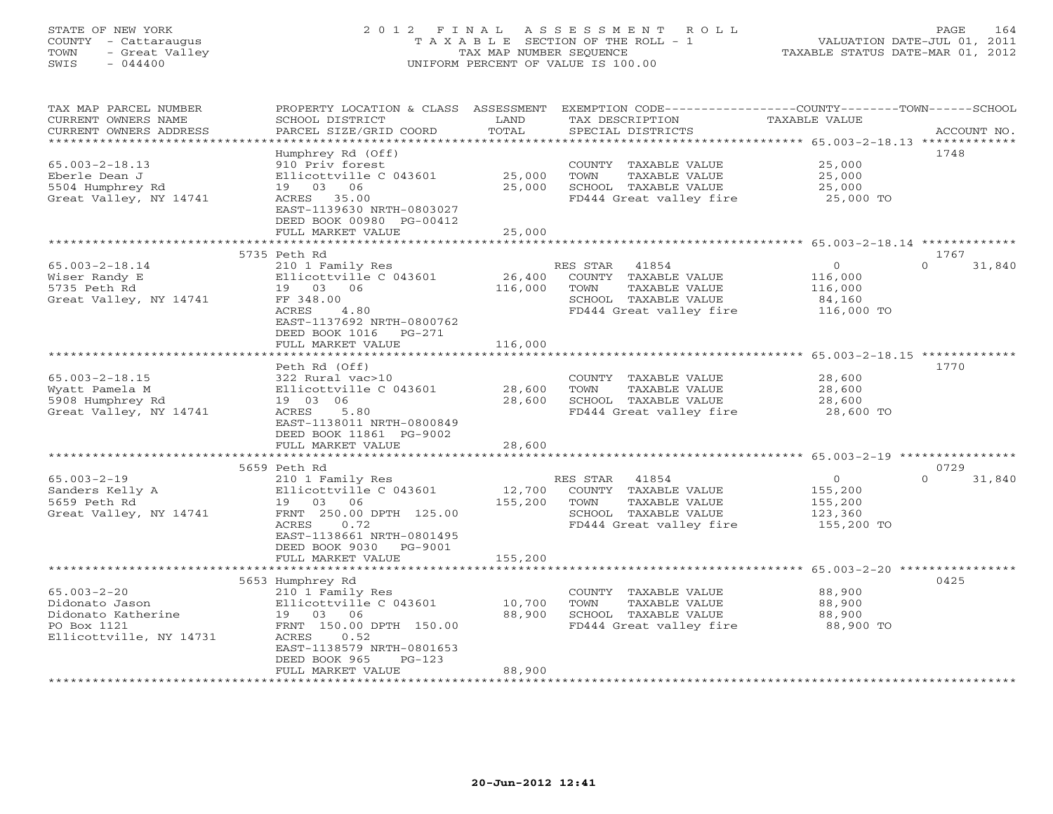### STATE OF NEW YORK 2 0 1 2 F I N A L A S S E S S M E N T R O L L PAGE 164 COUNTY - Cattaraugus T A X A B L E SECTION OF THE ROLL - 1 VALUATION DATE-JUL 01, 2011 TOWN - Great Valley TAX MAP NUMBER SEQUENCE TAXABLE STATUS DATE-MAR 01, 2012 SWIS - 044400 UNIFORM PERCENT OF VALUE IS 100.00UNIFORM PERCENT OF VALUE IS 100.00

| TAX MAP PARCEL NUMBER<br>CURRENT OWNERS NAME<br>CURRENT OWNERS ADDRESS                              | PROPERTY LOCATION & CLASS ASSESSMENT<br>SCHOOL DISTRICT<br>PARCEL SIZE/GRID COORD                                                                                                | LAND<br>TOTAL     | TAX DESCRIPTION<br>SPECIAL DISTRICTS                                                                                  | EXEMPTION CODE-----------------COUNTY-------TOWN------SCHOOL<br><b>TAXABLE VALUE</b> | ACCOUNT NO. |
|-----------------------------------------------------------------------------------------------------|----------------------------------------------------------------------------------------------------------------------------------------------------------------------------------|-------------------|-----------------------------------------------------------------------------------------------------------------------|--------------------------------------------------------------------------------------|-------------|
| *********************                                                                               |                                                                                                                                                                                  |                   |                                                                                                                       |                                                                                      |             |
| $65.003 - 2 - 18.13$<br>Eberle Dean J<br>5504 Humphrey Rd<br>Great Valley, NY 14741                 | Humphrey Rd (Off)<br>910 Priv forest<br>Ellicottville C 043601<br>19 03 06<br>ACRES 35.00<br>EAST-1139630 NRTH-0803027                                                           | 25,000<br>25,000  | COUNTY TAXABLE VALUE<br>TOWN<br>TAXABLE VALUE<br>SCHOOL TAXABLE VALUE<br>FD444 Great valley fire                      | 1748<br>25,000<br>25,000<br>25,000<br>25,000 TO                                      |             |
|                                                                                                     | DEED BOOK 00980 PG-00412<br>FULL MARKET VALUE                                                                                                                                    | 25,000            |                                                                                                                       |                                                                                      |             |
|                                                                                                     |                                                                                                                                                                                  |                   |                                                                                                                       |                                                                                      |             |
| $65.003 - 2 - 18.14$<br>Wiser Randy E<br>5735 Peth Rd<br>Great Valley, NY 14741                     | 5735 Peth Rd<br>210 1 Family Res<br>Ellicottville C 043601<br>19 03 06<br>FF 348.00<br>ACRES<br>4.80<br>EAST-1137692 NRTH-0800762<br>DEED BOOK 1016<br>PG-271                    | 26,400<br>116,000 | RES STAR<br>41854<br>COUNTY TAXABLE VALUE<br>TAXABLE VALUE<br>TOWN<br>SCHOOL TAXABLE VALUE<br>FD444 Great valley fire | 1767<br>$\mathbf{O}$<br>$\Omega$<br>116,000<br>116,000<br>84,160<br>116,000 TO       | 31,840      |
|                                                                                                     | FULL MARKET VALUE                                                                                                                                                                | 116,000           |                                                                                                                       |                                                                                      |             |
|                                                                                                     | *************************                                                                                                                                                        | ***************   |                                                                                                                       | ******************** 65.003-2-18.15 *********                                        |             |
| $65.003 - 2 - 18.15$<br>Wyatt Pamela M<br>5908 Humphrey Rd<br>Great Valley, NY 14741                | Peth Rd (Off)<br>322 Rural vac>10<br>Ellicottville C 043601<br>19 03 06<br>5.80<br>ACRES<br>EAST-1138011 NRTH-0800849<br>DEED BOOK 11861 PG-9002                                 | 28,600<br>28,600  | COUNTY TAXABLE VALUE<br>TAXABLE VALUE<br>TOWN<br>SCHOOL TAXABLE VALUE<br>FD444 Great valley fire                      | 1770<br>28,600<br>28,600<br>28,600<br>28,600 TO                                      |             |
|                                                                                                     | FULL MARKET VALUE                                                                                                                                                                | 28,600            |                                                                                                                       |                                                                                      |             |
|                                                                                                     | 5659 Peth Rd                                                                                                                                                                     |                   |                                                                                                                       | 0729                                                                                 |             |
| $65.003 - 2 - 19$<br>Sanders Kelly A<br>5659 Peth Rd<br>Great Valley, NY 14741                      | 210 1 Family Res<br>Ellicottville C 043601<br>19 03 06<br>FRNT 250.00 DPTH 125.00<br>0.72<br>ACRES<br>EAST-1138661 NRTH-0801495<br>DEED BOOK 9030 PG-9001                        | 12,700<br>155,200 | RES STAR 41854<br>COUNTY TAXABLE VALUE<br>TAXABLE VALUE<br>TOWN<br>SCHOOL TAXABLE VALUE<br>FD444 Great valley fire    | $\overline{O}$<br>$\Omega$<br>155,200<br>155,200<br>123,360<br>155,200 TO            | 31,840      |
|                                                                                                     | FULL MARKET VALUE                                                                                                                                                                | 155,200           |                                                                                                                       |                                                                                      |             |
| $65.003 - 2 - 20$<br>Didonato Jason<br>Didonato Katherine<br>PO Box 1121<br>Ellicottville, NY 14731 | 5653 Humphrey Rd<br>210 1 Family Res<br>Ellicottville C 043601<br>19 03 06<br>FRNT 150.00 DPTH 150.00<br>ACRES<br>0.52<br>EAST-1138579 NRTH-0801653<br>DEED BOOK 965<br>$PG-123$ | 10,700<br>88,900  | COUNTY TAXABLE VALUE<br>TOWN<br>TAXABLE VALUE<br>SCHOOL TAXABLE VALUE<br>FD444 Great valley fire                      | 0425<br>88,900<br>88,900<br>88,900<br>88,900 TO                                      |             |
| *******************                                                                                 | FULL MARKET VALUE                                                                                                                                                                | 88,900            |                                                                                                                       |                                                                                      |             |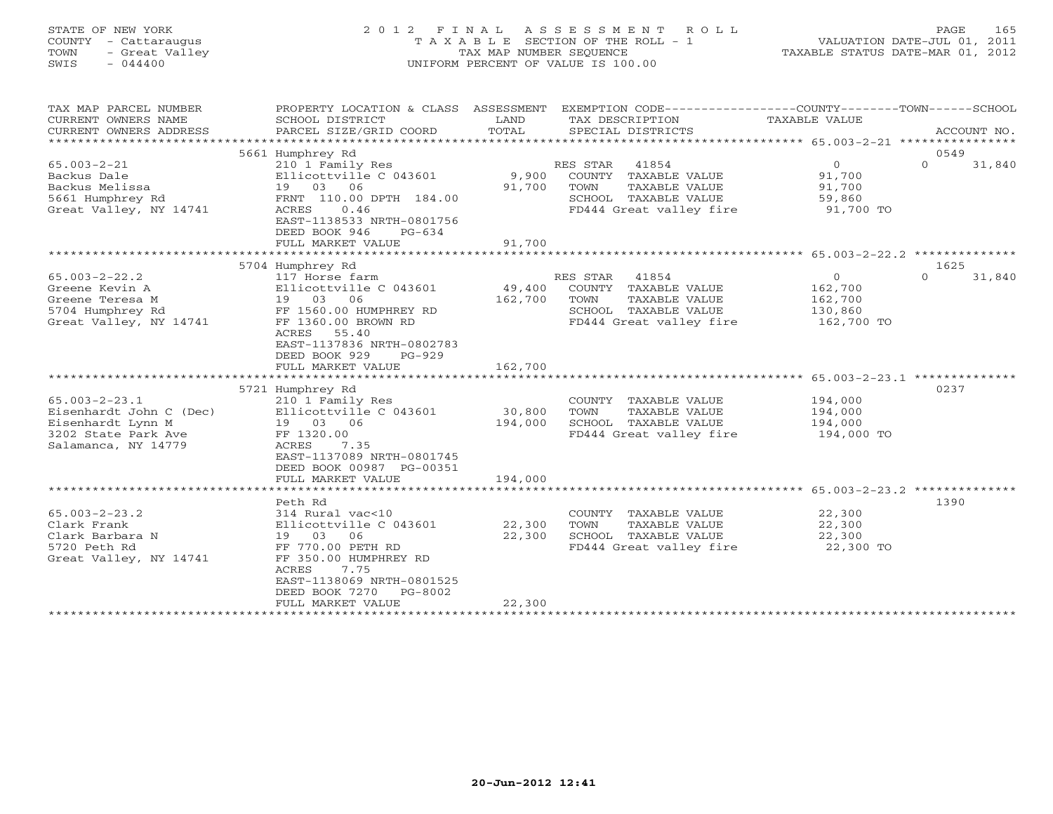### STATE OF NEW YORK 2 0 1 2 F I N A L A S S E S S M E N T R O L L PAGE 165 COUNTY - Cattaraugus T A X A B L E SECTION OF THE ROLL - 1 VALUATION DATE-JUL 01, 2011 TOWN - Great Valley TAX MAP NUMBER SEQUENCE TAXABLE STATUS DATE-MAR 01, 2012 SWIS - 044400 UNIFORM PERCENT OF VALUE IS 100.00

| TAX MAP PARCEL NUMBER                                                                                             | PROPERTY LOCATION & CLASS ASSESSMENT EXEMPTION CODE----------------COUNTY-------TOWN------SCHOOL                                                                               |                   |                                                                                                                       |                                                              |                            |
|-------------------------------------------------------------------------------------------------------------------|--------------------------------------------------------------------------------------------------------------------------------------------------------------------------------|-------------------|-----------------------------------------------------------------------------------------------------------------------|--------------------------------------------------------------|----------------------------|
| CURRENT OWNERS NAME                                                                                               | SCHOOL DISTRICT                                                                                                                                                                | LAND              | TAX DESCRIPTION                                                                                                       | TAXABLE VALUE                                                |                            |
| CURRENT OWNERS ADDRESS                                                                                            | PARCEL SIZE/GRID COORD                                                                                                                                                         | TOTAL             | SPECIAL DISTRICTS                                                                                                     |                                                              | ACCOUNT NO.                |
|                                                                                                                   |                                                                                                                                                                                |                   |                                                                                                                       |                                                              |                            |
| $65.003 - 2 - 21$<br>Backus Dale<br>Backus Melissa<br>5661 Humphrey Rd<br>Great Valley, NY 14741                  | 5661 Humphrey Rd<br>210 1 Family Res<br>Ellicottville C 043601<br>19 03 06<br>FRNT 110.00 DPTH 184.00<br>0.46<br>ACRES<br>EAST-1138533 NRTH-0801756<br>DEED BOOK 946<br>PG-634 | 9,900<br>91,700   | RES STAR<br>41854<br>COUNTY TAXABLE VALUE<br>TOWN<br>TAXABLE VALUE<br>SCHOOL TAXABLE VALUE<br>FD444 Great valley fire | $0 \qquad \qquad$<br>91,700<br>91,700<br>59,860<br>91,700 TO | 0549<br>$\Omega$<br>31,840 |
|                                                                                                                   | FULL MARKET VALUE                                                                                                                                                              | 91,700            |                                                                                                                       |                                                              |                            |
|                                                                                                                   |                                                                                                                                                                                |                   |                                                                                                                       |                                                              |                            |
| $65.003 - 2 - 22.2$<br>Greene Kevin A<br>Greene Teresa M<br>5704 Humphrey Rd<br>Great Valley, NY 14741            | 5704 Humphrey Rd<br>117 Horse farm<br>Ellicottville C 043601<br>19 03 06<br>FF 1560.00 HUMPHREY RD<br>FF 1360.00 BROWN RD<br>ACRES<br>55.40<br>EAST-1137836 NRTH-0802783       | 49,400<br>162,700 | RES STAR<br>41854<br>COUNTY TAXABLE VALUE<br>TOWN<br>TAXABLE VALUE<br>SCHOOL TAXABLE VALUE<br>FD444 Great valley fire | $\circ$<br>162,700<br>162,700<br>130,860<br>162,700 TO       | 1625<br>$\circ$<br>31,840  |
|                                                                                                                   | DEED BOOK 929<br>$PG-929$<br>FULL MARKET VALUE                                                                                                                                 | 162,700           |                                                                                                                       |                                                              |                            |
|                                                                                                                   | 5721 Humphrey Rd                                                                                                                                                               |                   |                                                                                                                       |                                                              | 0237                       |
| $65.003 - 2 - 23.1$<br>Eisenhardt John C (Dec)<br>Eisenhardt Lynn M<br>3202 State Park Ave<br>Salamanca, NY 14779 | 210 1 Family Res<br>Ellicottville C 043601<br>19 03 06<br>FF 1320.00<br>ACRES<br>7.35<br>EAST-1137089 NRTH-0801745<br>DEED BOOK 00987 PG-00351                                 | 30,800<br>194,000 | COUNTY TAXABLE VALUE<br>TOWN<br>TAXABLE VALUE<br>SCHOOL TAXABLE VALUE<br>FD444 Great valley fire 194,000 TO           | 194,000<br>194,000<br>194,000                                |                            |
|                                                                                                                   | FULL MARKET VALUE                                                                                                                                                              | 194,000           |                                                                                                                       |                                                              |                            |
| $65.003 - 2 - 23.2$<br>Clark Frank<br>Clark Barbara N<br>5720 Peth Rd<br>Great Valley, NY 14741                   | Peth Rd<br>314 Rural vac<10<br>Ellicottville C 043601<br>19 03<br>06<br>FF 770.00 PETH RD<br>FF 350.00 HUMPHREY RD<br>7.75<br>ACRES<br>EAST-1138069 NRTH-0801525               | 22,300<br>22,300  | COUNTY TAXABLE VALUE<br>TOWN<br>TAXABLE VALUE<br>SCHOOL TAXABLE VALUE<br>FD444 Great valley fire                      | 22,300<br>22,300<br>22,300<br>22,300 TO                      | 1390                       |
|                                                                                                                   | DEED BOOK 7270<br>PG-8002<br>FULL MARKET VALUE                                                                                                                                 | 22,300            |                                                                                                                       |                                                              |                            |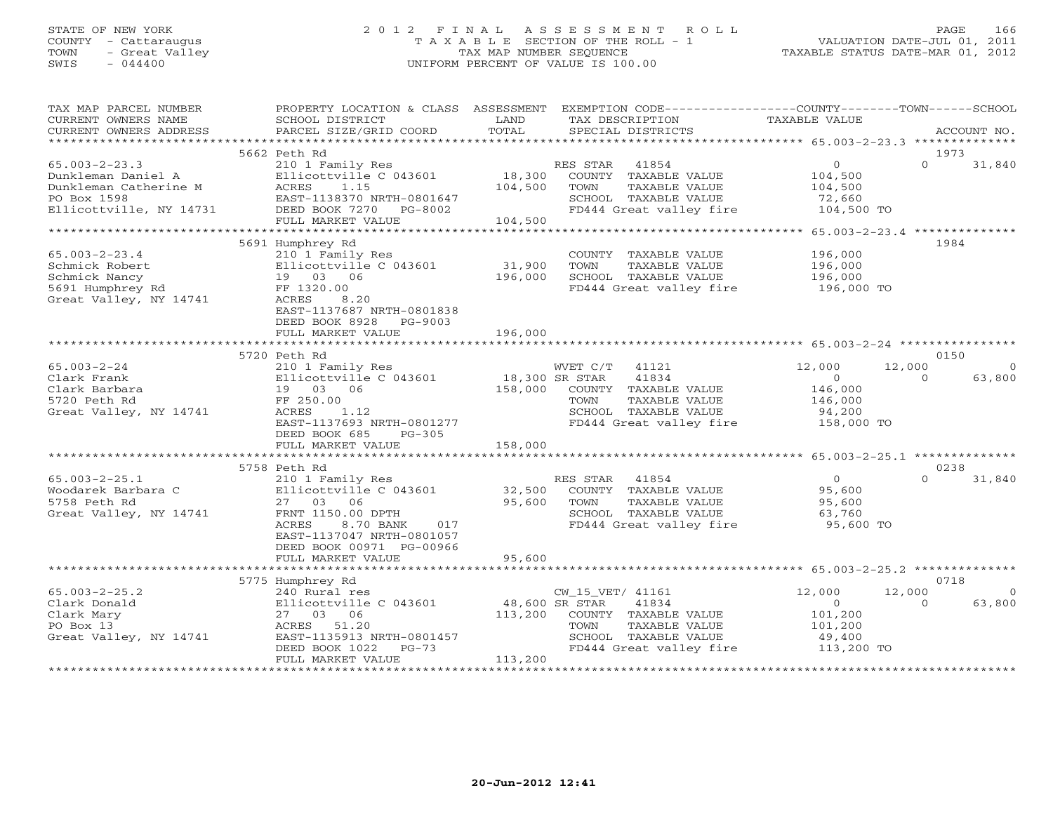### STATE OF NEW YORK 2 0 1 2 F I N A L A S S E S S M E N T R O L L PAGE 166 COUNTY - Cattaraugus T A X A B L E SECTION OF THE ROLL - 1 VALUATION DATE-JUL 01, 2011 TOWN - Great Valley TAX MAP NUMBER SEQUENCE TAXABLE STATUS DATE-MAR 01, 2012 SWIS - 044400 UNIFORM PERCENT OF VALUE IS 100.00UNIFORM PERCENT OF VALUE IS 100.00

| TAX MAP PARCEL NUMBER<br>CURRENT OWNERS NAME                                                            | PROPERTY LOCATION & CLASS ASSESSMENT EXEMPTION CODE----------------COUNTY-------TOWN------SCHOOL<br>SCHOOL DISTRICT<br>PARCEL SIZE/GRID COORD                       | LAND<br>TOTAL             | TAX DESCRIPTION                                                                                                                                | TAXABLE VALUE                                             |                  | ACCOUNT NO.        |
|---------------------------------------------------------------------------------------------------------|---------------------------------------------------------------------------------------------------------------------------------------------------------------------|---------------------------|------------------------------------------------------------------------------------------------------------------------------------------------|-----------------------------------------------------------|------------------|--------------------|
| CURRENT OWNERS ADDRESS                                                                                  |                                                                                                                                                                     |                           | SPECIAL DISTRICTS                                                                                                                              |                                                           |                  |                    |
|                                                                                                         | 5662 Peth Rd                                                                                                                                                        |                           |                                                                                                                                                |                                                           | 1973             |                    |
| $65.003 - 2 - 23.3$<br>Dunkleman Daniel A<br>Dunkleman Daniel A<br>Dunkleman Catherine M<br>PO Box 1598 | 210 1 Family Res<br>Ellicottville C 043601<br>ACRES<br>1.15<br>EAST-1138370 NRTH-0801647<br>Ellicottville, NY 14731 DEED BOOK 7270 PG-8002                          | 18,300<br>104,500         | RES STAR<br>41854<br>COUNTY TAXABLE VALUE<br>TAXABLE VALUE<br>TOWN<br>SCHOOL TAXABLE VALUE<br>FD444 Great valley fire 104,500 TO               | $0 \qquad \qquad$<br>104,500<br>104,500<br>72,660         | $\Omega$         | 31,840             |
|                                                                                                         | FULL MARKET VALUE                                                                                                                                                   | 104,500                   |                                                                                                                                                | ********** 65.003-2-23.4 **************                   |                  |                    |
| $65.003 - 2 - 23.4$<br>Schmick Robert<br>Schmick Nancy<br>5691 Humphrey Rd<br>Great Valley, NY 14741    | 5691 Humphrey Rd<br>210 1 Family Res<br>Ellicottville C 043601<br>19 03 06<br>FF 1320.00<br>ACRES<br>8.20<br>EAST-1137687 NRTH-0801838<br>DEED BOOK 8928<br>PG-9003 | 31,900<br>196,000         | COUNTY TAXABLE VALUE<br>TOWN<br>TAXABLE VALUE<br>SCHOOL TAXABLE VALUE<br>FD444 Great valley fire                                               | 196,000<br>196,000<br>196,000<br>196,000 TO               | 1984             |                    |
|                                                                                                         | FULL MARKET VALUE                                                                                                                                                   | 196,000                   |                                                                                                                                                |                                                           |                  |                    |
|                                                                                                         | 5720 Peth Rd                                                                                                                                                        |                           |                                                                                                                                                |                                                           | 0150             |                    |
| $65.003 - 2 - 24$<br>Clark Frank<br>Clark Barbara<br>5720 Peth Rd<br>Great Valley, NY 14741             | 210 1 Family Res<br>Ellicottville C 043601<br>19 03 06<br>FF 250.00<br>ACRES<br>1.12<br>EAST-1137693 NRTH-0801277<br>DEED BOOK 685<br>PG-305<br>FULL MARKET VALUE   | 18,300 SR STAR<br>158,000 | WVET C/T 41121<br>41834<br>158,000 COUNTY TAXABLE VALUE<br>TOWN<br>TAXABLE VALUE<br>SCHOOL TAXABLE VALUE<br>FD444 Great valley fire 158,000 TO | 12,000<br>$\overline{0}$<br>146,000<br>146,000<br>94,200  | 12,000<br>$\cap$ | $\Omega$<br>63,800 |
|                                                                                                         |                                                                                                                                                                     |                           |                                                                                                                                                |                                                           |                  |                    |
| $65.003 - 2 - 25.1$<br>Woodarek Barbara C<br>5758 Peth Rd<br>Great Valley, NY 14741                     | 5758 Peth Rd<br>210 1 Family Res<br>Ellicottville C 043601<br>27 03 06<br>FRNT 1150.00 DPTH<br>ACRES<br>8.70 BANK<br>017<br>EAST-1137047 NRTH-0801057               | 32,500<br>95,600          | RES STAR 41854<br>COUNTY TAXABLE VALUE<br>TOWN<br>TAXABLE VALUE<br>SCHOOL TAXABLE VALUE<br>FD444 Great valley fire                             | $\overline{0}$<br>95,600<br>95,600<br>63,760<br>95,600 TO | 0238<br>$\cap$   | 31,840             |
|                                                                                                         | DEED BOOK 00971 PG-00966<br>FULL MARKET VALUE<br>***************************<br>5775 Humphrey Rd                                                                    | 95,600                    |                                                                                                                                                |                                                           | 0718             |                    |
| $65.003 - 2 - 25.2$                                                                                     | 240 Rural res                                                                                                                                                       |                           | CW 15 VET/ 41161                                                                                                                               | 12,000                                                    | 12,000           | $\Omega$           |
| Clark Donald<br>Clark Mary<br>PO Box 13<br>Great Valley, NY 14741                                       | Ellicottville C 043601 48,600 SR STAR<br>27 03 06<br>ACRES 51.20<br>EAST-1135913 NRTH-0801457<br>DEED BOOK 1022<br>$PG-73$<br>FULL MARKET VALUE                     | 113,200<br>113,200        | 41834<br>COUNTY TAXABLE VALUE<br>TAXABLE VALUE<br>TOWN<br>SCHOOL TAXABLE VALUE<br>FD444 Great valley fire                                      | 0<br>101,200<br>101,200<br>49,400<br>113,200 TO           | $\Omega$         | 63,800             |
|                                                                                                         |                                                                                                                                                                     |                           |                                                                                                                                                |                                                           |                  |                    |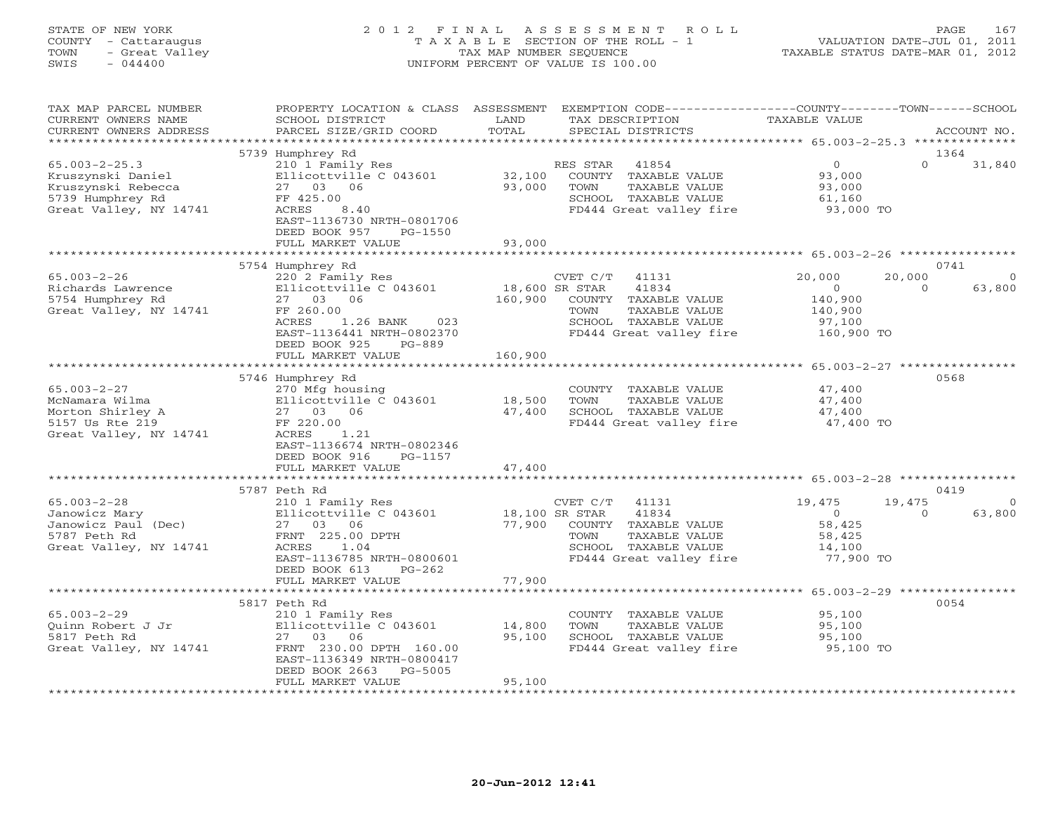#### STATE OF NEW YORK 2 0 1 2 F I N A L A S S E S S M E N T R O L L PAGE 167 COUNTY - Cattaraugus T A X A B L E SECTION OF THE ROLL - 1 VALUATION DATE-JUL 01, 2011 TOWN - Great Valley TAX MAP NUMBER SEQUENCE TAXABLE STATUS DATE-MAR 01, 2012 SWIS - 044400 UNIFORM PERCENT OF VALUE IS 100.00UNIFORM PERCENT OF VALUE IS 100.00

| TAX MAP PARCEL NUMBER<br>CURRENT OWNERS NAME<br>CURRENT OWNERS ADDRESS                                       | PROPERTY LOCATION & CLASS ASSESSMENT<br>SCHOOL DISTRICT<br>PARCEL SIZE/GRID COORD                                                                                                      | LAND<br>TOTAL                        | EXEMPTION CODE-----------------COUNTY-------TOWN------SCHOOL<br>TAX DESCRIPTION<br>SPECIAL DISTRICTS                                             | TAXABLE VALUE                                                              | ACCOUNT NO.                                    |
|--------------------------------------------------------------------------------------------------------------|----------------------------------------------------------------------------------------------------------------------------------------------------------------------------------------|--------------------------------------|--------------------------------------------------------------------------------------------------------------------------------------------------|----------------------------------------------------------------------------|------------------------------------------------|
| *********************                                                                                        |                                                                                                                                                                                        |                                      |                                                                                                                                                  |                                                                            |                                                |
| $65.003 - 2 - 25.3$<br>Kruszynski Daniel<br>Kruszynski Rebecca<br>5739 Humphrey Rd<br>Great Valley, NY 14741 | 5739 Humphrey Rd<br>210 1 Family Res<br>Ellicottville C 043601<br>27 03 06<br>FF 425.00<br>ACRES<br>8.40<br>EAST-1136730 NRTH-0801706<br>DEED BOOK 957<br>PG-1550<br>FULL MARKET VALUE | 32,100<br>93,000<br>93,000           | 41854<br>RES STAR<br>COUNTY TAXABLE VALUE<br>TAXABLE VALUE<br>TOWN<br>SCHOOL TAXABLE VALUE<br>FD444 Great valley fire                            | $\overline{0}$<br>93,000<br>93,000<br>61,160<br>93,000 TO                  | 1364<br>$\Omega$<br>31,840                     |
|                                                                                                              | 5754 Humphrey Rd                                                                                                                                                                       |                                      |                                                                                                                                                  | ********************* 65.003-2-26 *****************                        | 0741                                           |
| $65.003 - 2 - 26$<br>Richards Lawrence<br>5754 Humphrey Rd<br>Great Valley, NY 14741                         | 220 2 Family Res<br>Ellicottville C 043601<br>27 03 06<br>FF 260.00<br>ACRES<br>1.26 BANK<br>023<br>EAST-1136441 NRTH-0802370<br>DEED BOOK 925<br>$PG-889$<br>FULL MARKET VALUE        | 18,600 SR STAR<br>160,900<br>160,900 | CVET C/T<br>41131<br>41834<br>COUNTY TAXABLE VALUE<br>TOWN<br>TAXABLE VALUE<br>SCHOOL TAXABLE VALUE<br>FD444 Great valley fire                   | 20,000<br>20,000<br>$\Omega$<br>140,900<br>140,900<br>97,100<br>160,900 TO | 63,800<br>$\Omega$                             |
|                                                                                                              |                                                                                                                                                                                        |                                      |                                                                                                                                                  |                                                                            |                                                |
| $65.003 - 2 - 27$<br>McNamara Wilma<br>Morton Shirley A<br>5157 Us Rte 219<br>Great Valley, NY 14741         | 5746 Humphrey Rd<br>270 Mfg housing<br>Ellicottville C 043601<br>27 03 06<br>FF 220.00<br>ACRES<br>1.21<br>EAST-1136674 NRTH-0802346<br>DEED BOOK 916<br>PG-1157<br>FULL MARKET VALUE  | 18,500<br>47,400<br>47,400           | COUNTY TAXABLE VALUE<br>TOWN<br>TAXABLE VALUE<br>SCHOOL TAXABLE VALUE<br>FD444 Great valley fire                                                 | 47,400<br>47,400<br>47,400<br>47,400 TO                                    | 0568                                           |
|                                                                                                              |                                                                                                                                                                                        |                                      |                                                                                                                                                  |                                                                            |                                                |
| $65.003 - 2 - 28$<br>Janowicz Mary<br>Janowicz Paul (Dec)<br>5787 Peth Rd<br>Great Valley, NY 14741          | 5787 Peth Rd<br>210 1 Family Res<br>Ellicottville C 043601<br>27 03<br>06<br>FRNT 225.00 DPTH<br>ACRES<br>1.04<br>EAST-1136785 NRTH-0800601<br>DEED BOOK 613<br>$PG-262$               | 77,900                               | CVET C/T<br>41131<br>18,100 SR STAR<br>41834<br>COUNTY TAXABLE VALUE<br>TOWN<br>TAXABLE VALUE<br>SCHOOL TAXABLE VALUE<br>FD444 Great valley fire | 19,475<br>19,475<br>$\circ$<br>58,425<br>58,425<br>14,100<br>77,900 TO     | 0419<br>$\left( \right)$<br>63,800<br>$\Omega$ |
|                                                                                                              | FULL MARKET VALUE<br>*************************                                                                                                                                         | 77,900                               |                                                                                                                                                  |                                                                            |                                                |
| $65.003 - 2 - 29$<br>Ouinn Robert J Jr<br>5817 Peth Rd<br>Great Valley, NY 14741                             | 5817 Peth Rd<br>210 1 Family Res<br>Ellicottville C 043601<br>27 03 06<br>FRNT 230.00 DPTH 160.00<br>EAST-1136349 NRTH-0800417<br>DEED BOOK 2663<br>$PG-5005$<br>FULL MARKET VALUE     | 14,800<br>95,100<br>95,100           | COUNTY TAXABLE VALUE<br>TOWN<br>TAXABLE VALUE<br>SCHOOL TAXABLE VALUE<br>FD444 Great valley fire                                                 | 95,100<br>95,100<br>95,100<br>95,100 TO                                    | 0054                                           |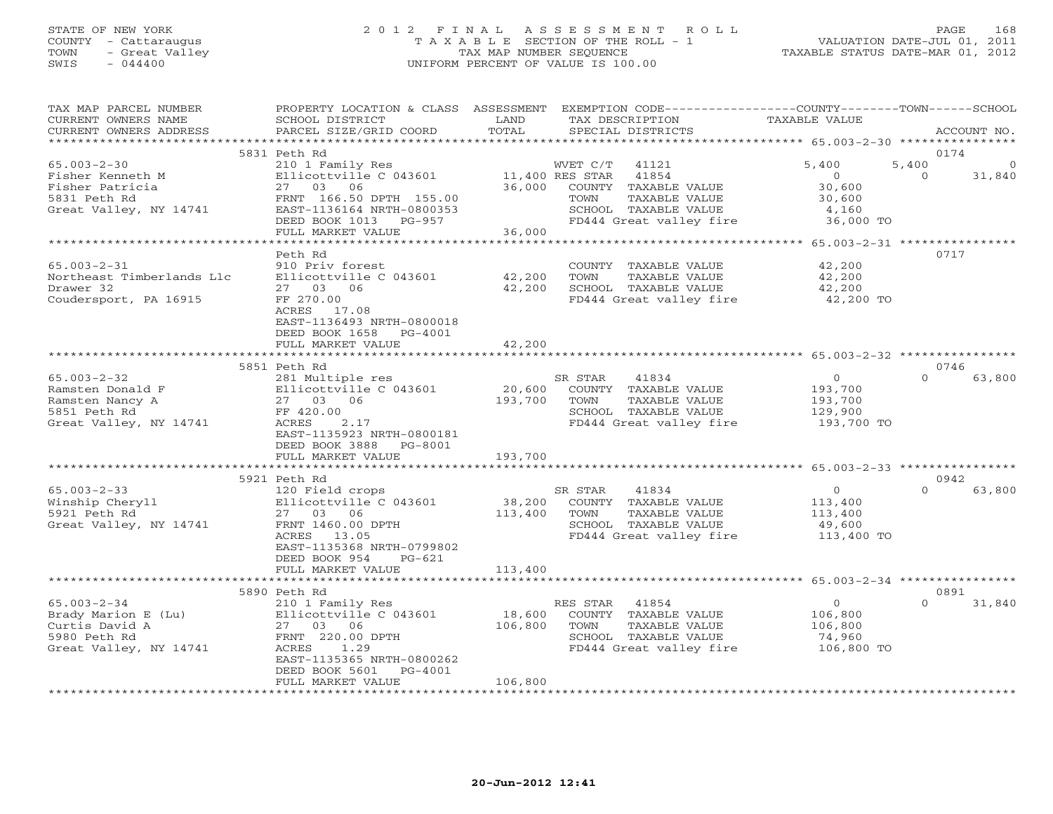### STATE OF NEW YORK 2 0 1 2 F I N A L A S S E S S M E N T R O L L PAGE 168 COUNTY - Cattaraugus T A X A B L E SECTION OF THE ROLL - 1 VALUATION DATE-JUL 01, 2011 TOWN - Great Valley TAX MAP NUMBER SEQUENCE TAXABLE STATUS DATE-MAR 01, 2012 SWIS - 044400 UNIFORM PERCENT OF VALUE IS 100.00

| TAX MAP PARCEL NUMBER<br>CURRENT OWNERS NAME<br>CURRENT OWNERS ADDRESS | PROPERTY LOCATION & CLASS ASSESSMENT<br>SCHOOL DISTRICT<br>PARCEL SIZE/GRID COORD | LAND<br>TOTAL | EXEMPTION CODE-----------------COUNTY-------TOWN------SCHOOL<br>TAX DESCRIPTION<br>SPECIAL DISTRICTS | TAXABLE VALUE  | ACCOUNT NO.        |
|------------------------------------------------------------------------|-----------------------------------------------------------------------------------|---------------|------------------------------------------------------------------------------------------------------|----------------|--------------------|
| *****************                                                      |                                                                                   |               |                                                                                                      |                |                    |
|                                                                        | 5831 Peth Rd                                                                      |               |                                                                                                      |                | 0174               |
| $65.003 - 2 - 30$                                                      | 210 1 Family Res                                                                  |               | WVET C/T<br>41121                                                                                    | 5,400          | 5,400              |
| Fisher Kenneth M                                                       | Ellicottville C 043601                                                            |               | 11,400 RES STAR<br>41854                                                                             | $\overline{O}$ | $\Omega$<br>31,840 |
| Fisher Patricia                                                        | 27 03 06                                                                          | 36,000        | COUNTY TAXABLE VALUE                                                                                 | 30,600         |                    |
| 5831 Peth Rd                                                           | FRNT 166.50 DPTH 155.00                                                           |               | TOWN<br>TAXABLE VALUE                                                                                | 30,600         |                    |
| Great Valley, NY 14741                                                 | EAST-1136164 NRTH-0800353                                                         |               | SCHOOL TAXABLE VALUE                                                                                 | 4,160          |                    |
|                                                                        | DEED BOOK 1013 PG-957                                                             | 36,000        | FD444 Great valley fire                                                                              | 36,000 TO      |                    |
|                                                                        | FULL MARKET VALUE                                                                 |               |                                                                                                      |                |                    |
|                                                                        | Peth Rd                                                                           |               |                                                                                                      |                | 0717               |
| $65.003 - 2 - 31$                                                      | 910 Priv forest                                                                   |               | COUNTY TAXABLE VALUE                                                                                 | 42,200         |                    |
| Northeast Timberlands Llc                                              | Ellicottville C 043601                                                            | 42,200        | TOWN<br>TAXABLE VALUE                                                                                | 42,200         |                    |
| Drawer 32                                                              | 27 03 06                                                                          | 42,200        | SCHOOL TAXABLE VALUE                                                                                 | 42,200         |                    |
|                                                                        | FF 270.00                                                                         |               | FD444 Great valley fire 42,200 TO                                                                    |                |                    |
| Coudersport, PA 16915                                                  | ACRES 17.08                                                                       |               |                                                                                                      |                |                    |
|                                                                        |                                                                                   |               |                                                                                                      |                |                    |
|                                                                        | EAST-1136493 NRTH-0800018                                                         |               |                                                                                                      |                |                    |
|                                                                        | DEED BOOK 1658 PG-4001<br>FULL MARKET VALUE                                       | 42,200        |                                                                                                      |                |                    |
|                                                                        |                                                                                   |               |                                                                                                      |                |                    |
|                                                                        | 5851 Peth Rd                                                                      |               |                                                                                                      |                | 0746               |
| $65.003 - 2 - 32$                                                      | 281 Multiple res                                                                  |               | 41834<br>SR STAR                                                                                     | $\overline{0}$ | $\Omega$<br>63,800 |
| Ramsten Donald F                                                       | Ellicottville C 043601                                                            | 20,600        | COUNTY TAXABLE VALUE                                                                                 | 193,700        |                    |
| Ramsten Nancy A                                                        | 27 03 06                                                                          | 193,700       | TOWN<br>TAXABLE VALUE                                                                                | 193,700        |                    |
| 5851 Peth Rd                                                           | FF 420.00                                                                         |               | SCHOOL TAXABLE VALUE                                                                                 | 129,900        |                    |
| Great Valley, NY 14741                                                 | 2.17<br>ACRES                                                                     |               | FD444 Great valley fire                                                                              | 193,700 TO     |                    |
|                                                                        | EAST-1135923 NRTH-0800181                                                         |               |                                                                                                      |                |                    |
|                                                                        | DEED BOOK 3888 PG-8001                                                            |               |                                                                                                      |                |                    |
|                                                                        | FULL MARKET VALUE                                                                 | 193,700       |                                                                                                      |                |                    |
|                                                                        | ***********************                                                           |               |                                                                                                      |                |                    |
|                                                                        | 5921 Peth Rd                                                                      |               |                                                                                                      |                | 0942               |
| $65.003 - 2 - 33$                                                      | 120 Field crops                                                                   |               | SR STAR<br>41834                                                                                     | $\Omega$       | $\Omega$<br>63,800 |
| Winship Cheryll                                                        | Ellicottville C 043601                                                            | 38,200        | COUNTY TAXABLE VALUE                                                                                 | 113,400        |                    |
| 5921 Peth Rd                                                           | 27 03 06                                                                          | 113,400       | TAXABLE VALUE<br>TOWN                                                                                | 113,400        |                    |
| Great Valley, NY 14741                                                 | FRNT 1460.00 DPTH                                                                 |               | SCHOOL TAXABLE VALUE                                                                                 | 49,600         |                    |
|                                                                        | ACRES 13.05                                                                       |               | FD444 Great valley fire                                                                              | 113,400 TO     |                    |
|                                                                        | EAST-1135368 NRTH-0799802                                                         |               |                                                                                                      |                |                    |
|                                                                        | DEED BOOK 954<br>PG-621                                                           |               |                                                                                                      |                |                    |
|                                                                        | FULL MARKET VALUE                                                                 | 113,400       |                                                                                                      |                |                    |
|                                                                        |                                                                                   |               |                                                                                                      |                |                    |
|                                                                        | 5890 Peth Rd                                                                      |               |                                                                                                      |                | 0891               |
| $65.003 - 2 - 34$                                                      | 210 1 Family Res                                                                  |               | RES STAR<br>41854                                                                                    | $\overline{O}$ | $\Omega$<br>31,840 |
| Brady Marion E (Lu)                                                    | Ellicottville C 043601                                                            | 18,600        | COUNTY TAXABLE VALUE                                                                                 | 106,800        |                    |
| Curtis David A                                                         | 27 03 06                                                                          | 106,800       | TOWN<br>TAXABLE VALUE                                                                                | 106,800        |                    |
| 5980 Peth Rd                                                           | FRNT 220.00 DPTH                                                                  |               | SCHOOL TAXABLE VALUE                                                                                 | 74,960         |                    |
| Great Valley, NY 14741                                                 | ACRES<br>1.29                                                                     |               | FD444 Great valley fire                                                                              | 106,800 TO     |                    |
|                                                                        | EAST-1135365 NRTH-0800262                                                         |               |                                                                                                      |                |                    |
|                                                                        | DEED BOOK 5601<br>PG-4001                                                         |               |                                                                                                      |                |                    |
|                                                                        | FULL MARKET VALUE                                                                 | 106,800       |                                                                                                      |                |                    |
|                                                                        |                                                                                   |               |                                                                                                      |                |                    |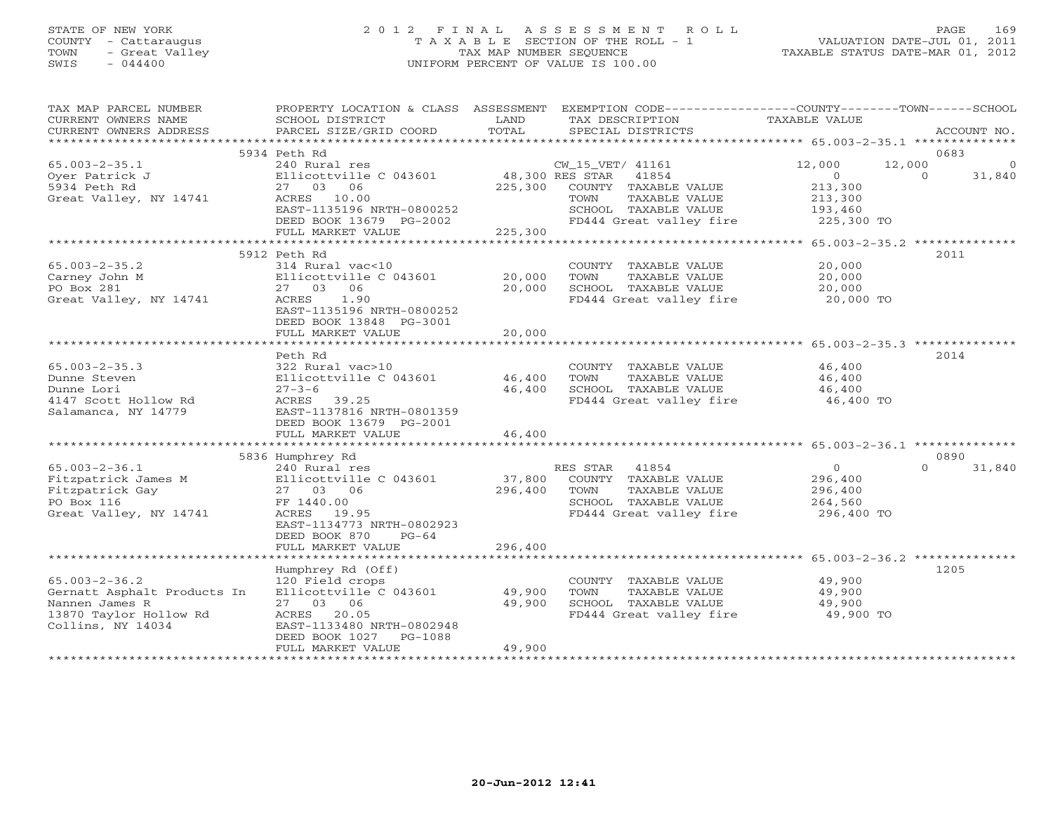# STATE OF NEW YORK 2 0 1 2 F I N A L A S S E S S M E N T R O L L PAGE 169 COUNTY - Cattaraugus T A X A B L E SECTION OF THE ROLL - 1 VALUATION DATE-JUL 01, 2011 TOWN - Great Valley TAX MAP NUMBER SEQUENCE TAXABLE STATUS DATE-MAR 01, 2012 SWIS - 044400 UNIFORM PERCENT OF VALUE IS 100.00

| TAX MAP PARCEL NUMBER<br>CURRENT OWNERS NAME<br>CURRENT OWNERS ADDRESS                                              | PROPERTY LOCATION & CLASS ASSESSMENT<br>SCHOOL DISTRICT<br>PARCEL SIZE/GRID COORD                                                                                           | LAND<br>TOTAL               | EXEMPTION CODE-----------------COUNTY-------TOWN------SCHOOL<br>TAX DESCRIPTION<br>SPECIAL DISTRICTS                  | TAXABLE VALUE                                           | ACCOUNT NO.                             |
|---------------------------------------------------------------------------------------------------------------------|-----------------------------------------------------------------------------------------------------------------------------------------------------------------------------|-----------------------------|-----------------------------------------------------------------------------------------------------------------------|---------------------------------------------------------|-----------------------------------------|
|                                                                                                                     |                                                                                                                                                                             |                             |                                                                                                                       |                                                         |                                         |
|                                                                                                                     | 5934 Peth Rd                                                                                                                                                                |                             |                                                                                                                       |                                                         | 0683                                    |
| $65.003 - 2 - 35.1$<br>Oyer Patrick J<br>5934 Peth Rd<br>Great Valley, NY 14741                                     | 240 Rural res<br>Ellicottville C 043601<br>06<br>27 03<br>ACRES 10.00<br>EAST-1135196 NRTH-0800252                                                                          | 225,300                     | CW_15_VET/ 41161<br>48,300 RES STAR<br>41854<br>COUNTY TAXABLE VALUE<br>TAXABLE VALUE<br>TOWN<br>SCHOOL TAXABLE VALUE | 12,000<br>$\circ$<br>213,300<br>213,300<br>193,460      | 12,000<br>$\circ$<br>$\Omega$<br>31,840 |
|                                                                                                                     | DEED BOOK 13679 PG-2002                                                                                                                                                     |                             | FD444 Great valley fire                                                                                               | 225,300 TO                                              |                                         |
|                                                                                                                     | FULL MARKET VALUE<br>****************************                                                                                                                           | 225,300<br>**************** |                                                                                                                       | ********** 65.003-2-35.2 **************                 |                                         |
|                                                                                                                     | 5912 Peth Rd                                                                                                                                                                |                             |                                                                                                                       |                                                         | 2011                                    |
| $65.003 - 2 - 35.2$<br>Carney John M<br>PO Box 281<br>Great Valley, NY 14741                                        | 314 Rural vac<10<br>Ellicottville C 043601<br>27 03 06<br>1.90<br>ACRES<br>EAST-1135196 NRTH-0800252                                                                        | 20,000<br>20,000            | COUNTY TAXABLE VALUE<br>TOWN<br>TAXABLE VALUE<br>SCHOOL TAXABLE VALUE<br>FD444 Great valley fire                      | 20,000<br>20,000<br>20,000<br>20,000 TO                 |                                         |
|                                                                                                                     | DEED BOOK 13848 PG-3001                                                                                                                                                     |                             |                                                                                                                       |                                                         |                                         |
|                                                                                                                     | FULL MARKET VALUE                                                                                                                                                           | 20,000                      | ******************************* 65.003-2-35.3 **                                                                      |                                                         |                                         |
|                                                                                                                     | Peth Rd                                                                                                                                                                     |                             |                                                                                                                       |                                                         | 2014                                    |
| $65.003 - 2 - 35.3$<br>Dunne Steven<br>Dunne Lori<br>4147 Scott Hollow Rd<br>Salamanca, NY 14779                    | 322 Rural vac>10<br>Ellicottville C 043601<br>$27 - 3 - 6$<br>ACRES<br>39.25<br>EAST-1137816 NRTH-0801359<br>DEED BOOK 13679 PG-2001<br>FULL MARKET VALUE                   | 46,400<br>46,400<br>46,400  | COUNTY TAXABLE VALUE<br>TOWN<br>TAXABLE VALUE<br>SCHOOL TAXABLE VALUE<br>FD444 Great valley fire                      | 46,400<br>46,400<br>46,400<br>46,400 TO                 |                                         |
|                                                                                                                     |                                                                                                                                                                             |                             |                                                                                                                       |                                                         |                                         |
|                                                                                                                     | 5836 Humphrey Rd                                                                                                                                                            |                             |                                                                                                                       |                                                         | 0890                                    |
| $65.003 - 2 - 36.1$<br>Fitzpatrick James M<br>Fitzpatrick Gay<br>PO Box 116<br>Great Valley, NY 14741               | 240 Rural res<br>Ellicottville C 043601<br>27 03 06<br>FF 1440.00<br>ACRES 19.95<br>EAST-1134773 NRTH-0802923<br>DEED BOOK 870<br>$PG-64$                                   | 37,800<br>296,400           | RES STAR<br>41854<br>COUNTY TAXABLE VALUE<br>TOWN<br>TAXABLE VALUE<br>SCHOOL TAXABLE VALUE<br>FD444 Great valley fire | $\Omega$<br>296,400<br>296,400<br>264,560<br>296,400 TO | $\Omega$<br>31,840                      |
|                                                                                                                     | FULL MARKET VALUE                                                                                                                                                           | 296,400                     |                                                                                                                       |                                                         |                                         |
| *************************                                                                                           |                                                                                                                                                                             |                             |                                                                                                                       |                                                         |                                         |
| $65.003 - 2 - 36.2$<br>Gernatt Asphalt Products In<br>Nannen James R<br>13870 Taylor Hollow Rd<br>Collins, NY 14034 | Humphrey Rd (Off)<br>120 Field crops<br>Ellicottville C 043601<br>27 03 06<br>20.05<br>ACRES<br>EAST-1133480 NRTH-0802948<br>DEED BOOK 1027<br>PG-1088<br>FULL MARKET VALUE | 49,900<br>49,900<br>49,900  | COUNTY TAXABLE VALUE<br>TOWN<br>TAXABLE VALUE<br>SCHOOL TAXABLE VALUE<br>FD444 Great valley fire                      | 49,900<br>49,900<br>49,900<br>49,900 TO                 | 1205                                    |
|                                                                                                                     |                                                                                                                                                                             |                             |                                                                                                                       |                                                         |                                         |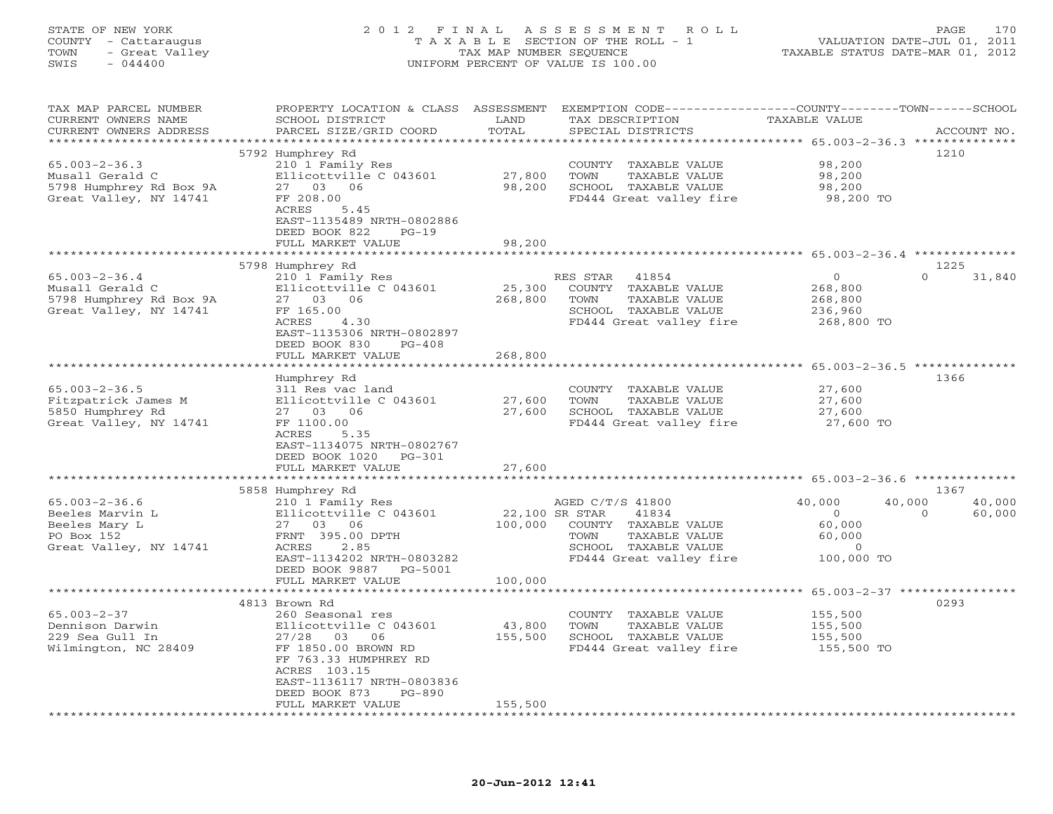| STATE OF NEW YORK<br>COUNTY - Cattaraugus<br>- Great Valley<br>TOWN<br>SWIS<br>$-044400$                   | 2012 FINAL                                                                                                                                                                                                                                                | TAX MAP NUMBER SEQUENCE      | A S S E S S M E N T<br>R O L L<br>T A X A B L E SECTION OF THE ROLL - 1<br>UNIFORM PERCENT OF VALUE IS 100.00                                                          | TAXABLE STATUS DATE-MAR 01, 2012                                       | 170<br>PAGE<br>VALUATION DATE-JUL 01, 2011     |
|------------------------------------------------------------------------------------------------------------|-----------------------------------------------------------------------------------------------------------------------------------------------------------------------------------------------------------------------------------------------------------|------------------------------|------------------------------------------------------------------------------------------------------------------------------------------------------------------------|------------------------------------------------------------------------|------------------------------------------------|
| TAX MAP PARCEL NUMBER<br>CURRENT OWNERS NAME<br>CURRENT OWNERS ADDRESS<br>**********************           | PROPERTY LOCATION & CLASS ASSESSMENT<br>SCHOOL DISTRICT<br>PARCEL SIZE/GRID COORD<br>***********************                                                                                                                                              | LAND<br>TOTAL<br>**********  | EXEMPTION CODE-----------------COUNTY-------TOWN------SCHOOL<br>TAX DESCRIPTION<br>SPECIAL DISTRICTS<br>********************************* 65.003-2-36.3 ************** | TAXABLE VALUE                                                          | ACCOUNT NO.                                    |
| $65.003 - 2 - 36.3$<br>Musall Gerald C<br>5798 Humphrey Rd Box 9A<br>Great Valley, NY 14741                | 5792 Humphrey Rd<br>210 1 Family Res<br>Ellicottville C 043601<br>27 03 06<br>FF 208.00<br>5.45<br>ACRES<br>EAST-1135489 NRTH-0802886<br>DEED BOOK 822<br>$PG-19$                                                                                         | 27,800<br>98,200             | COUNTY TAXABLE VALUE<br>TOWN<br>TAXABLE VALUE<br>SCHOOL TAXABLE VALUE<br>FD444 Great valley fire                                                                       | 98,200<br>98,200<br>98,200<br>98,200 TO                                | 1210                                           |
|                                                                                                            | FULL MARKET VALUE<br>**************************                                                                                                                                                                                                           | 98,200                       |                                                                                                                                                                        |                                                                        |                                                |
| $65.003 - 2 - 36.4$<br>Musall Gerald C<br>5798 Humphrey Rd Box 9A<br>Great Valley, NY 14741                | 5798 Humphrey Rd<br>210 1 Family Res<br>Ellicottville C 043601<br>27 03 06<br>FF 165.00<br>ACRES<br>4.30<br>EAST-1135306 NRTH-0802897<br>DEED BOOK 830<br>$PG-408$                                                                                        | 25,300<br>268,800            | RES STAR<br>41854<br>COUNTY TAXABLE VALUE<br>TOWN<br>TAXABLE VALUE<br>SCHOOL TAXABLE VALUE<br>FD444 Great valley fire                                                  | $\mathbf{O}$<br>268,800<br>268,800<br>236,960<br>268,800 TO            | 1225<br>$\Omega$<br>31,840                     |
|                                                                                                            | FULL MARKET VALUE                                                                                                                                                                                                                                         | 268,800                      |                                                                                                                                                                        | ******* 65.003-2-36.5 *********                                        |                                                |
| $65.003 - 2 - 36.5$<br>Fitzpatrick James M<br>5850 Humphrey Rd<br>Great Valley, NY 14741                   | Humphrey Rd<br>311 Res vac land<br>Ellicottville C 043601<br>27 03 06<br>FF 1100.00<br>5.35<br>ACRES<br>EAST-1134075 NRTH-0802767<br>DEED BOOK 1020<br>PG-301<br>FULL MARKET VALUE                                                                        | 27,600<br>27,600<br>27,600   | COUNTY TAXABLE VALUE<br>TAXABLE VALUE<br>TOWN<br>SCHOOL TAXABLE VALUE<br>FD444 Great valley fire                                                                       | 27,600<br>27,600<br>27,600<br>27,600 TO                                | 1366                                           |
|                                                                                                            |                                                                                                                                                                                                                                                           | *************                | ******************************* 65.003-2-36.6 **************                                                                                                           |                                                                        |                                                |
| $65.003 - 2 - 36.6$<br>Beeles Marvin L<br>Beeles Mary L<br>PO Box 152<br>Great Valley, NY 14741            | 5858 Humphrey Rd<br>210 1 Family Res<br>Ellicottville C 043601<br>27 03 06<br>FRNT 395.00 DPTH<br>ACRES<br>2.85<br>EAST-1134202 NRTH-0803282<br>DEED BOOK 9887<br>PG-5001                                                                                 | 22,100 SR STAR<br>100,000    | AGED C/T/S 41800<br>41834<br>COUNTY TAXABLE VALUE<br>TOWN<br>TAXABLE VALUE<br>SCHOOL TAXABLE VALUE<br>FD444 Great valley fire                                          | 40,000<br>$\Omega$<br>60,000<br>60,000<br>$\overline{0}$<br>100,000 TO | 1367<br>40,000<br>40,000<br>60,000<br>$\Omega$ |
|                                                                                                            | FULL MARKET VALUE<br>4813 Brown Rd                                                                                                                                                                                                                        | 100,000                      |                                                                                                                                                                        |                                                                        | 65.003-2-37 ***************<br>0293            |
| $65.003 - 2 - 37$<br>Dennison Darwin<br>229 Sea Gull In<br>Wilmington, NC 28409<br>*********************** | 260 Seasonal res<br>Ellicottville C 043601<br>27/28<br>03<br>06<br>FF 1850.00 BROWN RD<br>FF 763.33 HUMPHREY RD<br>ACRES 103.15<br>EAST-1136117 NRTH-0803836<br>DEED BOOK 873<br>$PG-890$<br>FULL MARKET VALUE<br>* * * * * * * * * * * * * * * * * * * * | 43,800<br>155,500<br>155,500 | COUNTY TAXABLE VALUE<br>TOWN<br>TAXABLE VALUE<br>SCHOOL TAXABLE VALUE<br>FD444 Great valley fire                                                                       | 155,500<br>155,500<br>155,500<br>155,500 TO                            |                                                |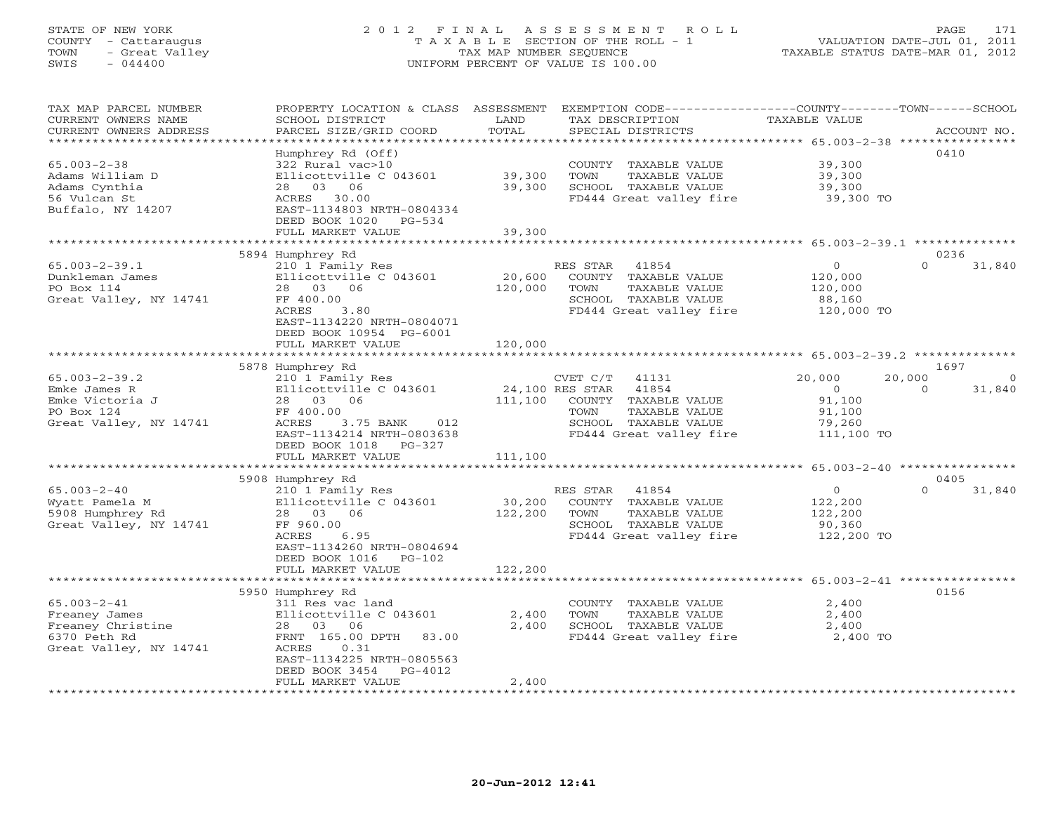### STATE OF NEW YORK 2 0 1 2 F I N A L A S S E S S M E N T R O L L PAGE 171 COUNTY - Cattaraugus T A X A B L E SECTION OF THE ROLL - 1 VALUATION DATE-JUL 01, 2011 TOWN - Great Valley TAX MAP NUMBER SEQUENCE TAXABLE STATUS DATE-MAR 01, 2012 SWIS - 044400 UNIFORM PERCENT OF VALUE IS 100.00UNIFORM PERCENT OF VALUE IS 100.00

| TAX MAP PARCEL NUMBER<br>CURRENT OWNERS NAME<br>CURRENT OWNERS ADDRESS                            | PROPERTY LOCATION & CLASS ASSESSMENT<br>SCHOOL DISTRICT<br>PARCEL SIZE/GRID COORD                                                                                                    | LAND<br>TOTAL                | EXEMPTION CODE-----------------COUNTY-------TOWN------SCHOOL<br>TAX DESCRIPTION<br>SPECIAL DISTRICTS                                              | TAXABLE VALUE                                                 | ACCOUNT NO.                             |
|---------------------------------------------------------------------------------------------------|--------------------------------------------------------------------------------------------------------------------------------------------------------------------------------------|------------------------------|---------------------------------------------------------------------------------------------------------------------------------------------------|---------------------------------------------------------------|-----------------------------------------|
|                                                                                                   | * * * * * * * * * * * * * * * * *                                                                                                                                                    | ************                 | *********************************** 65.003–2–38 ****************                                                                                  |                                                               |                                         |
| $65.003 - 2 - 38$<br>Adams William D<br>Adams Cynthia<br>56 Vulcan St<br>Buffalo, NY 14207        | Humphrey Rd (Off)<br>322 Rural vac>10<br>Ellicottville C 043601<br>28 03 06<br>ACRES 30.00<br>EAST-1134803 NRTH-0804334<br>DEED BOOK 1020<br>PG-534                                  | 39,300<br>39,300             | COUNTY TAXABLE VALUE<br>TOWN<br>TAXABLE VALUE<br>SCHOOL TAXABLE VALUE<br>FD444 Great valley fire                                                  | 39,300<br>39,300<br>39,300<br>39,300 TO                       | 0410                                    |
|                                                                                                   | FULL MARKET VALUE                                                                                                                                                                    | 39,300                       |                                                                                                                                                   |                                                               |                                         |
|                                                                                                   |                                                                                                                                                                                      |                              |                                                                                                                                                   |                                                               |                                         |
|                                                                                                   | 5894 Humphrey Rd                                                                                                                                                                     |                              |                                                                                                                                                   |                                                               | 0236                                    |
| $65.003 - 2 - 39.1$<br>Dunkleman James<br>PO Box 114<br>Great Valley, NY 14741                    | 210 1 Family Res<br>Ellicottville C 043601<br>28 03 06<br>FF 400.00<br>ACRES<br>3.80<br>EAST-1134220 NRTH-0804071<br>DEED BOOK 10954 PG-6001                                         | 20,600<br>120,000            | RES STAR 41854<br>COUNTY TAXABLE VALUE<br>TAXABLE VALUE<br>TOWN<br>SCHOOL TAXABLE VALUE<br>FD444 Great valley fire                                | $\circ$<br>120,000<br>120,000<br>88,160<br>120,000 TO         | $\Omega$<br>31,840                      |
|                                                                                                   | FULL MARKET VALUE                                                                                                                                                                    | 120,000                      |                                                                                                                                                   |                                                               |                                         |
|                                                                                                   |                                                                                                                                                                                      |                              |                                                                                                                                                   |                                                               |                                         |
|                                                                                                   | 5878 Humphrey Rd                                                                                                                                                                     |                              |                                                                                                                                                   |                                                               | 1697                                    |
| $65.003 - 2 - 39.2$<br>Emke James R<br>Emke Victoria J<br>PO Box 124<br>Great Valley, NY 14741    | 210 1 Family Res<br>Ellicottville C 043601<br>28 03 06<br>FF 400.00<br>ACRES<br>3.75 BANK<br>012<br>EAST-1134214 NRTH-0803638                                                        | 111,100                      | 41131<br>CVET C/T<br>24,100 RES STAR<br>41854<br>COUNTY TAXABLE VALUE<br>TAXABLE VALUE<br>TOWN<br>SCHOOL TAXABLE VALUE<br>FD444 Great valley fire | 20,000<br>$\circ$<br>91,100<br>91,100<br>79,260<br>111,100 TO | 20,000<br>$\circ$<br>31,840<br>$\Omega$ |
|                                                                                                   | DEED BOOK 1018 PG-327<br>FULL MARKET VALUE                                                                                                                                           | 111,100                      |                                                                                                                                                   |                                                               |                                         |
|                                                                                                   |                                                                                                                                                                                      |                              |                                                                                                                                                   |                                                               |                                         |
|                                                                                                   | 5908 Humphrey Rd                                                                                                                                                                     |                              |                                                                                                                                                   |                                                               | 0405                                    |
| $65.003 - 2 - 40$<br>Wyatt Pamela M<br>5908 Humphrey Rd<br>Great Valley, NY 14741                 | 210 1 Family Res<br>Ellicottville C 043601<br>28 03 06<br>FF 960.00<br>ACRES<br>6.95<br>EAST-1134260 NRTH-0804694<br>DEED BOOK 1016<br>$PG-102$<br>FULL MARKET VALUE                 | 30,200<br>122,200<br>122,200 | RES STAR<br>41854<br>COUNTY TAXABLE VALUE<br>TAXABLE VALUE<br>TOWN<br>SCHOOL TAXABLE VALUE<br>FD444 Great valley fire                             | $\circ$<br>122,200<br>122,200<br>90,360<br>122,200 TO         | $\Omega$<br>31,840                      |
|                                                                                                   |                                                                                                                                                                                      |                              |                                                                                                                                                   |                                                               |                                         |
| $65.003 - 2 - 41$<br>Freaney James<br>Freaney Christine<br>6370 Peth Rd<br>Great Valley, NY 14741 | 5950 Humphrey Rd<br>311 Res vac land<br>Ellicottville C 043601<br>28 03 06<br>FRNT 165.00 DPTH<br>83.00<br>0.31<br>ACRES<br>EAST-1134225 NRTH-0805563<br>DEED BOOK 3454<br>$PG-4012$ | 2,400<br>2,400               | COUNTY TAXABLE VALUE<br>TOWN<br>TAXABLE VALUE<br>SCHOOL TAXABLE VALUE<br>FD444 Great valley fire                                                  | 2,400<br>2,400<br>2,400<br>2,400 TO                           | 0156                                    |
|                                                                                                   | FULL MARKET VALUE                                                                                                                                                                    | 2,400                        |                                                                                                                                                   |                                                               |                                         |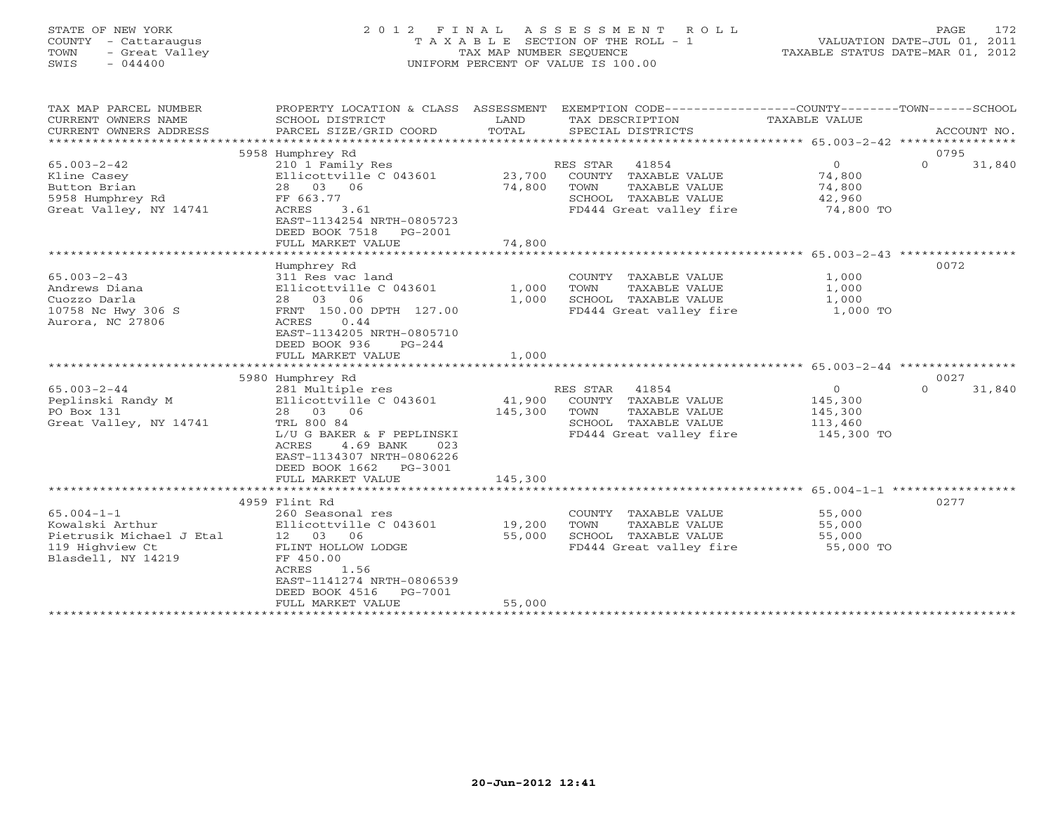#### STATE OF NEW YORK 2 0 1 2 F I N A L A S S E S S M E N T R O L L PAGE 172COUNTY - Cattaraugus T A X A B L E SECTION OF THE ROLL - 1 VALUATION DATE-JUL 01, 2011 TOWN - Great Valley (TAX MAP NUMBER SEQUENCE ) TAXABLE STATUS DATE-MAR 01, 2012<br>SWIS - 044400 - 044400 (TALLE IS 100.00) SWIS - 044400 UNIFORM PERCENT OF VALUE IS 100.00

VALUATION DATE-JUL 01, 2011

| TAX MAP PARCEL NUMBER<br>CURRENT OWNERS NAME<br>CURRENT OWNERS ADDRESS<br>*********************** | PROPERTY LOCATION & CLASS ASSESSMENT<br>SCHOOL DISTRICT<br>PARCEL SIZE/GRID COORD | LAND<br>TOTAL | EXEMPTION CODE-----------------COUNTY-------TOWN------SCHOOL<br>TAX DESCRIPTION<br>SPECIAL DISTRICTS | TAXABLE VALUE  | ACCOUNT NO.        |
|---------------------------------------------------------------------------------------------------|-----------------------------------------------------------------------------------|---------------|------------------------------------------------------------------------------------------------------|----------------|--------------------|
|                                                                                                   | 5958 Humphrey Rd                                                                  |               |                                                                                                      |                | 0795               |
| $65.003 - 2 - 42$                                                                                 | 210 1 Family Res                                                                  |               | 41854<br>RES STAR                                                                                    | $\Omega$       | $\Omega$<br>31,840 |
| Kline Casey                                                                                       | Ellicottville C 043601                                                            | 23,700        | COUNTY TAXABLE VALUE                                                                                 | 74,800         |                    |
| Button Brian                                                                                      | 28 03 06                                                                          | 74,800        | TAXABLE VALUE<br>TOWN                                                                                | 74,800         |                    |
| 5958 Humphrey Rd                                                                                  | FF 663.77                                                                         |               | SCHOOL TAXABLE VALUE                                                                                 | 42,960         |                    |
| Great Valley, NY 14741                                                                            | 3.61<br>ACRES<br>EAST-1134254 NRTH-0805723<br>DEED BOOK 7518<br>PG-2001           |               | FD444 Great valley fire                                                                              | 74,800 TO      |                    |
|                                                                                                   | FULL MARKET VALUE                                                                 | 74,800        |                                                                                                      |                |                    |
|                                                                                                   |                                                                                   |               |                                                                                                      |                |                    |
|                                                                                                   | Humphrey Rd                                                                       |               |                                                                                                      |                | 0072               |
| $65.003 - 2 - 43$                                                                                 | 311 Res vac land                                                                  |               | COUNTY TAXABLE VALUE                                                                                 | 1,000          |                    |
| Andrews Diana                                                                                     | Ellicottville C 043601                                                            | 1,000         | TAXABLE VALUE<br>TOWN                                                                                | 1,000          |                    |
| Cuozzo Darla                                                                                      | 28 03 06                                                                          | 1,000         | SCHOOL TAXABLE VALUE                                                                                 | 1,000          |                    |
| 10758 Nc Hwy 306 S                                                                                | FRNT 150.00 DPTH 127.00                                                           |               | FD444 Great valley fire                                                                              | 1,000 TO       |                    |
| Aurora, NC 27806                                                                                  | 0.44<br>ACRES                                                                     |               |                                                                                                      |                |                    |
|                                                                                                   | EAST-1134205 NRTH-0805710                                                         |               |                                                                                                      |                |                    |
|                                                                                                   | DEED BOOK 936<br>$PG-244$                                                         |               |                                                                                                      |                |                    |
|                                                                                                   | FULL MARKET VALUE                                                                 | 1,000         |                                                                                                      |                |                    |
|                                                                                                   | 5980 Humphrey Rd                                                                  |               |                                                                                                      |                | 0027               |
| $65.003 - 2 - 44$                                                                                 | 281 Multiple res                                                                  |               | RES STAR<br>41854                                                                                    | $\overline{0}$ | $\Omega$<br>31,840 |
| Peplinski Randy M                                                                                 | Ellicottville C 043601                                                            | 41,900        | COUNTY TAXABLE VALUE                                                                                 | 145,300        |                    |
| PO Box 131                                                                                        | 28 03 06                                                                          | 145,300       | TOWN<br>TAXABLE VALUE                                                                                | 145,300        |                    |
| Great Valley, NY 14741                                                                            | TRL 800 84                                                                        |               | SCHOOL TAXABLE VALUE                                                                                 | 113,460        |                    |
|                                                                                                   | L/U G BAKER & F PEPLINSKI                                                         |               | FD444 Great valley fire                                                                              | 145,300 TO     |                    |
|                                                                                                   | 4.69 BANK<br>ACRES<br>023                                                         |               |                                                                                                      |                |                    |
|                                                                                                   |                                                                                   |               |                                                                                                      |                |                    |
|                                                                                                   |                                                                                   |               |                                                                                                      |                |                    |
|                                                                                                   | EAST-1134307 NRTH-0806226                                                         |               |                                                                                                      |                |                    |
|                                                                                                   | DEED BOOK 1662 PG-3001                                                            |               |                                                                                                      |                |                    |
|                                                                                                   | FULL MARKET VALUE                                                                 | 145,300       |                                                                                                      |                |                    |
|                                                                                                   |                                                                                   |               |                                                                                                      |                |                    |
|                                                                                                   | 4959 Flint Rd                                                                     |               |                                                                                                      |                | 0277               |
| $65.004 - 1 - 1$                                                                                  | 260 Seasonal res                                                                  |               | COUNTY TAXABLE VALUE                                                                                 | 55,000         |                    |
| Kowalski Arthur                                                                                   | Ellicottville C 043601                                                            | 19,200        | TOWN<br>TAXABLE VALUE                                                                                | 55,000         |                    |
| Pietrusik Michael J Etal                                                                          | 12 03 06                                                                          | 55,000        | SCHOOL TAXABLE VALUE                                                                                 | 55,000         |                    |
| 119 Highview Ct<br>Blasdell, NY 14219                                                             | FLINT HOLLOW LODGE<br>FF 450.00                                                   |               | FD444 Great valley fire                                                                              | 55,000 TO      |                    |
|                                                                                                   | ACRES<br>1.56                                                                     |               |                                                                                                      |                |                    |
|                                                                                                   | EAST-1141274 NRTH-0806539                                                         |               |                                                                                                      |                |                    |
|                                                                                                   | DEED BOOK 4516<br>PG-7001                                                         |               |                                                                                                      |                |                    |
|                                                                                                   | FULL MARKET VALUE                                                                 | 55,000        |                                                                                                      |                |                    |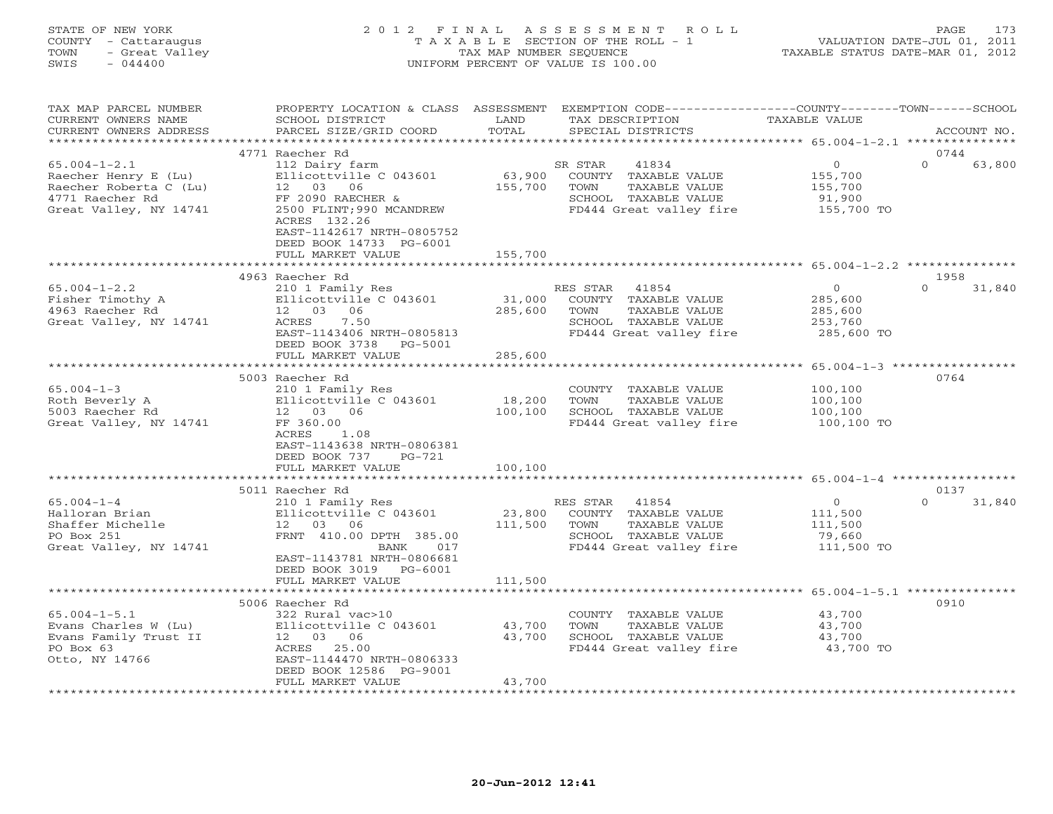| STATE OF NEW YORK<br>COUNTY - Cattaraugus<br>- Great Valley<br>TOWN<br>SWIS<br>$-044400$                          | 2012 FINAL ASSESSMENT ROLL<br>T A X A B L E SECTION OF THE ROLL - 1<br>TAX MAP NUMBER SEQUENCE<br>UNIFORM PERCENT OF VALUE IS 100.00                                                                           | VALUATION DATE-JUL 01, 2011<br>TAXABLE STATUS DATE-MAR 01, 2012                                                                                           | 173<br>PAGE                                                  |                            |
|-------------------------------------------------------------------------------------------------------------------|----------------------------------------------------------------------------------------------------------------------------------------------------------------------------------------------------------------|-----------------------------------------------------------------------------------------------------------------------------------------------------------|--------------------------------------------------------------|----------------------------|
| TAX MAP PARCEL NUMBER<br>CURRENT OWNERS NAME<br>CURRENT OWNERS ADDRESS                                            | SCHOOL DISTRICT<br>PARCEL SIZE/GRID COORD                                                                                                                                                                      | PROPERTY LOCATION & CLASS ASSESSMENT EXEMPTION CODE----------------COUNTY-------TOWN------SCHOOL<br>LAND<br>TAX DESCRIPTION<br>TOTAL<br>SPECIAL DISTRICTS | TAXABLE VALUE                                                | ACCOUNT NO.                |
|                                                                                                                   | 4771 Raecher Rd                                                                                                                                                                                                |                                                                                                                                                           |                                                              | 0744                       |
| $65.004 - 1 - 2.1$<br>Raecher Henry E (Lu)<br>Raecher Roberta C (Lu)<br>4771 Raecher Rd<br>Great Valley, NY 14741 | 112 Dairy farm<br>Ellicottville C 043601<br>12 03 06<br>FF 2090 RAECHER &<br>2500 FLINT;990 MCANDREW<br>ACRES 132.26<br>EAST-1142617 NRTH-0805752<br>DEED BOOK 14733 PG-6001<br>FULL MARKET VALUE              | 41834<br>SR STAR<br>63,900<br>COUNTY TAXABLE VALUE<br>155,700<br>TAXABLE VALUE<br>TOWN<br>SCHOOL TAXABLE VALUE<br>FD444 Great valley fire<br>155,700      | $\overline{0}$<br>155,700<br>155,700<br>91,900<br>155,700 TO | $\Omega$<br>63,800         |
|                                                                                                                   |                                                                                                                                                                                                                |                                                                                                                                                           |                                                              |                            |
| $65.004 - 1 - 2.2$<br>Fisher Timothy A<br>4963 Raecher Rd<br>Great Valley, NY 14741                               | 4963 Raecher Rd<br>210 1 Family Res<br>Ellicottville C 043601<br>12 03 06<br>ACRES<br>7.50<br>EAST-1143406 NRTH-0805813<br>DEED BOOK 3738<br>PG-5001<br>FULL MARKET VALUE                                      | RES STAR<br>41854<br>31,000<br>COUNTY TAXABLE VALUE<br>285,600<br>TOWN<br>TAXABLE VALUE<br>SCHOOL TAXABLE VALUE<br>FD444 Great valley fire<br>285,600     | $\Omega$<br>285,600<br>285,600<br>253,760<br>285,600 TO      | 1958<br>31,840<br>$\Omega$ |
|                                                                                                                   |                                                                                                                                                                                                                |                                                                                                                                                           |                                                              |                            |
| $65.004 - 1 - 3$<br>Roth Beverly A<br>5003 Raecher Rd<br>Great Valley, NY 14741                                   | 5003 Raecher Rd<br>210 1 Family Res<br>Ellicottville C 043601<br>12 03 06<br>FF 360.00<br>ACRES<br>1.08<br>EAST-1143638 NRTH-0806381<br>DEED BOOK 737<br>$PG-721$                                              | COUNTY TAXABLE VALUE<br>18,200<br>TOWN<br>TAXABLE VALUE<br>100,100<br>SCHOOL TAXABLE VALUE<br>FD444 Great valley fire                                     | 100,100<br>100,100<br>100,100<br>100,100 TO                  | 0764                       |
|                                                                                                                   | FULL MARKET VALUE                                                                                                                                                                                              | 100,100                                                                                                                                                   |                                                              |                            |
|                                                                                                                   |                                                                                                                                                                                                                |                                                                                                                                                           |                                                              |                            |
| $65.004 - 1 - 4$<br>Halloran Brian<br>Shaffer Michelle<br>PO Box 251<br>Great Valley, NY 14741                    | 5011 Raecher Rd<br>210 1 Family Res<br>Ellicottville C 043601<br>12<br>03<br>06<br>FRNT 410.00 DPTH 385.00<br>017<br>BANK<br>EAST-1143781 NRTH-0806681<br>DEED BOOK 3019 PG-6001<br>הזדד בידי ההתעור בזו דיורד | RES STAR<br>41854<br>23,800<br>COUNTY TAXABLE VALUE<br>111,500<br>TOWN<br>TAXABLE VALUE<br>SCHOOL TAXABLE VALUE<br>FD444 Great valley fire<br>111 F00     | $\overline{0}$<br>111,500<br>111,500<br>79,660<br>111,500 TO | 0137<br>31,840<br>$\Omega$ |

FULL MARKET VALUE 111,500 \*\*\*\*\*\*\*\*\*\*\*\*\*\*\*\*\*\*\*\*\*\*\*\*\*\*\*\*\*\*\*\*\*\*\*\*\*\*\*\*\*\*\*\*\*\*\*\*\*\*\*\*\*\*\*\*\*\*\*\*\*\*\*\*\*\*\*\*\*\*\*\*\*\*\*\*\*\*\*\*\*\*\*\*\*\*\*\*\*\*\*\*\*\*\*\*\*\*\*\*\*\*\* 65.004-1-5.1 \*\*\*\*\*\*\*\*\*\*\*\*\*\*\* 5006 Raecher Rd 091065.004-1-5.1 322 Rural vac>10 COUNTY TAXABLE VALUE 43,700 Evans Charles W (Lu) Ellicottville C 043601 43,700 TOWN TAXABLE VALUE 43,700 Evans Family Trust II 12 03 06 43,700 SCHOOL TAXABLE VALUE 43,700 PO Box 63 ACRES 25.00 FD444 Great valley fire 43,700 TO Otto, NY 14766 EAST-1144470 NRTH-0806333 DEED BOOK 12586 PG-9001 FULL MARKET VALUE 43,700 \*\*\*\*\*\*\*\*\*\*\*\*\*\*\*\*\*\*\*\*\*\*\*\*\*\*\*\*\*\*\*\*\*\*\*\*\*\*\*\*\*\*\*\*\*\*\*\*\*\*\*\*\*\*\*\*\*\*\*\*\*\*\*\*\*\*\*\*\*\*\*\*\*\*\*\*\*\*\*\*\*\*\*\*\*\*\*\*\*\*\*\*\*\*\*\*\*\*\*\*\*\*\*\*\*\*\*\*\*\*\*\*\*\*\*\*\*\*\*\*\*\*\*\*\*\*\*\*\*\*\*\*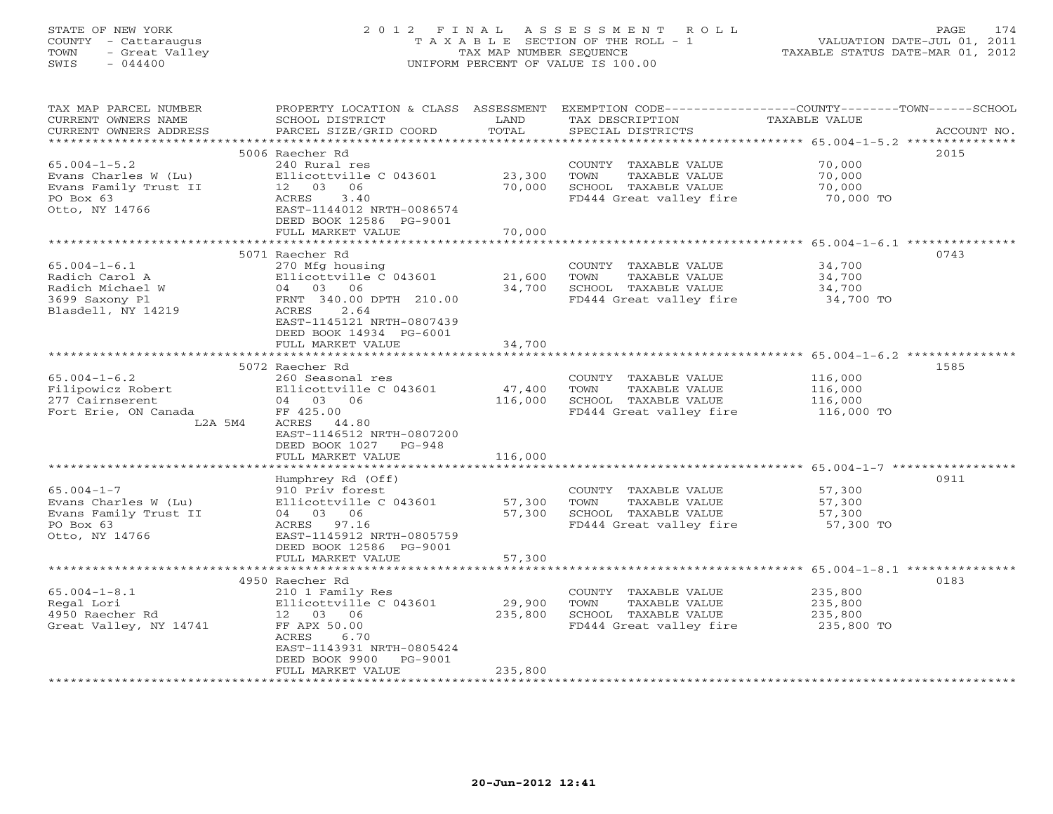# STATE OF NEW YORK 2 0 1 2 F I N A L A S S E S S M E N T R O L L PAGE 174 COUNTY - Cattaraugus T A X A B L E SECTION OF THE ROLL - 1 VALUATION DATE-JUL 01, 2011 TOWN - Great Valley TAX MAP NUMBER SEQUENCE TAXABLE STATUS DATE-MAR 01, 2012 SWIS - 044400 UNIFORM PERCENT OF VALUE IS 100.00

| TAX MAP PARCEL NUMBER  | PROPERTY LOCATION & CLASS ASSESSMENT |         |                                   | EXEMPTION CODE-----------------COUNTY-------TOWN------SCHOOL |
|------------------------|--------------------------------------|---------|-----------------------------------|--------------------------------------------------------------|
| CURRENT OWNERS NAME    | SCHOOL DISTRICT                      | LAND    | TAX DESCRIPTION                   | TAXABLE VALUE                                                |
| CURRENT OWNERS ADDRESS | PARCEL SIZE/GRID COORD               | TOTAL   | SPECIAL DISTRICTS                 | ACCOUNT NO.                                                  |
|                        |                                      |         |                                   |                                                              |
|                        | 5006 Raecher Rd                      |         |                                   | 2015                                                         |
| $65.004 - 1 - 5.2$     | 240 Rural res                        |         | COUNTY TAXABLE VALUE              | 70,000                                                       |
| Evans Charles W (Lu)   | Ellicottville C 043601               | 23,300  | TOWN<br>TAXABLE VALUE             | 70,000                                                       |
| Evans Family Trust II  | 12 03 06                             | 70,000  | SCHOOL TAXABLE VALUE              | 70,000                                                       |
| PO Box 63              | ACRES<br>3.40                        |         | FD444 Great valley fire 70,000 TO |                                                              |
| Otto, NY 14766         | EAST-1144012 NRTH-0086574            |         |                                   |                                                              |
|                        | DEED BOOK 12586 PG-9001              |         |                                   |                                                              |
|                        | FULL MARKET VALUE                    | 70,000  |                                   |                                                              |
|                        |                                      |         |                                   |                                                              |
|                        | 5071 Raecher Rd                      |         |                                   | 0743                                                         |
| $65.004 - 1 - 6.1$     | 270 Mfg housing                      |         | COUNTY TAXABLE VALUE              | 34,700                                                       |
| Radich Carol A         | Ellicottville C 043601               | 21,600  | TOWN<br>TAXABLE VALUE             | 34,700                                                       |
| Radich Michael W       | 04 03 06                             | 34,700  | SCHOOL TAXABLE VALUE              | 34,700                                                       |
| 3699 Saxony Pl         | FRNT 340.00 DPTH 210.00              |         | FD444 Great valley fire 34,700 TO |                                                              |
| Blasdell, NY 14219     | 2.64<br>ACRES                        |         |                                   |                                                              |
|                        | EAST-1145121 NRTH-0807439            |         |                                   |                                                              |
|                        | DEED BOOK 14934 PG-6001              |         |                                   |                                                              |
|                        | FULL MARKET VALUE                    | 34,700  |                                   |                                                              |
|                        |                                      |         |                                   |                                                              |
|                        | 5072 Raecher Rd                      |         |                                   | 1585                                                         |
| $65.004 - 1 - 6.2$     | 260 Seasonal res                     |         | COUNTY TAXABLE VALUE              | 116,000                                                      |
| Filipowicz Robert      | Ellicottville C 043601               | 47,400  | TOWN<br>TAXABLE VALUE             | 116,000                                                      |
| 277 Cairnserent        | 04 03 06                             | 116,000 | SCHOOL TAXABLE VALUE              | 116,000                                                      |
| Fort Erie, ON Canada   | FF 425.00                            |         | FD444 Great valley fire           | 116,000 TO                                                   |
| L2A 5M4                | ACRES 44.80                          |         |                                   |                                                              |
|                        | EAST-1146512 NRTH-0807200            |         |                                   |                                                              |
|                        | DEED BOOK 1027 PG-948                |         |                                   |                                                              |
|                        | FULL MARKET VALUE                    | 116,000 |                                   |                                                              |
|                        | Humphrey Rd (Off)                    |         |                                   | 0911                                                         |
| $65.004 - 1 - 7$       | 910 Priv forest                      |         | COUNTY TAXABLE VALUE              | 57,300                                                       |
| Evans Charles W (Lu)   | Ellicottville C 043601               | 57,300  | TOWN<br>TAXABLE VALUE             | 57,300                                                       |
| Evans Family Trust II  | 04 03 06                             | 57,300  | SCHOOL TAXABLE VALUE              | 57,300                                                       |
| PO Box 63              | ACRES 97.16                          |         | FD444 Great valley fire           | 57,300 TO                                                    |
| Otto, NY 14766         | EAST-1145912 NRTH-0805759            |         |                                   |                                                              |
|                        | DEED BOOK 12586 PG-9001              |         |                                   |                                                              |
|                        | FULL MARKET VALUE                    | 57,300  |                                   |                                                              |
|                        |                                      |         |                                   |                                                              |
|                        | 4950 Raecher Rd                      |         |                                   | 0183                                                         |
| $65.004 - 1 - 8.1$     | 210 1 Family Res                     |         | COUNTY TAXABLE VALUE              | 235,800                                                      |
| Regal Lori             | Ellicottville C 043601               | 29,900  | TOWN<br>TAXABLE VALUE             | 235,800                                                      |
| 4950 Raecher Rd        | 12 03<br>06                          | 235,800 | SCHOOL TAXABLE VALUE              | 235,800                                                      |
| Great Valley, NY 14741 | FF APX 50.00                         |         | FD444 Great valley fire           | 235,800 TO                                                   |
|                        | ACRES<br>6.70                        |         |                                   |                                                              |
|                        | EAST-1143931 NRTH-0805424            |         |                                   |                                                              |
|                        | DEED BOOK 9900<br>PG-9001            |         |                                   |                                                              |
|                        | FULL MARKET VALUE                    | 235,800 |                                   |                                                              |
|                        |                                      |         |                                   |                                                              |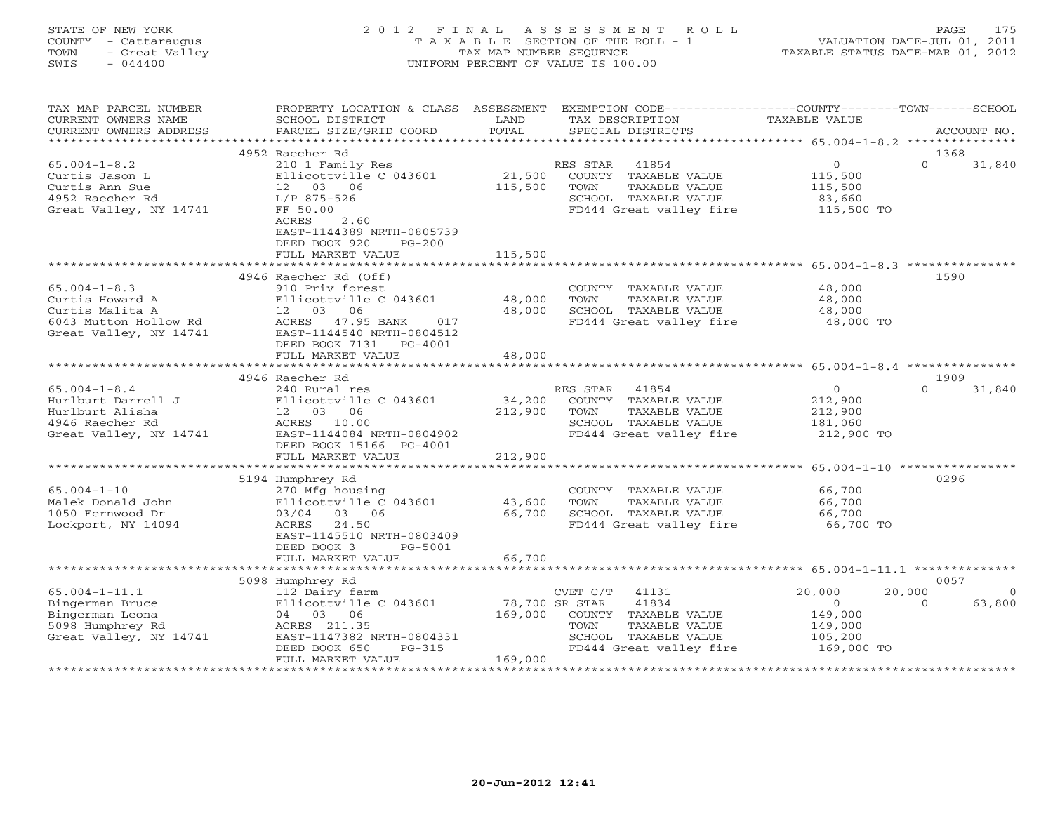| STATE OF NEW YORK<br>COUNTY - Cattaraugus<br>- Great Valley<br>TOWN<br>$-044400$<br>SWIS | 2012<br>F I N A L                                                                   | TAX MAP NUMBER SEQUENCE | ASSESSMENT<br>ROLL<br>T A X A B L E SECTION OF THE ROLL - 1<br>UNIFORM PERCENT OF VALUE IS 100.00    |                                                   | 175<br>PAGE<br>VALUATION DATE-JUL 01, 2011<br>TAXABLE STATUS DATE-MAR 01, 2012 |
|------------------------------------------------------------------------------------------|-------------------------------------------------------------------------------------|-------------------------|------------------------------------------------------------------------------------------------------|---------------------------------------------------|--------------------------------------------------------------------------------|
| TAX MAP PARCEL NUMBER<br>CURRENT OWNERS NAME<br>CURRENT OWNERS ADDRESS                   | PROPERTY LOCATION & CLASS ASSESSMENT<br>SCHOOL DISTRICT<br>PARCEL SIZE/GRID COORD   | LAND<br>TOTAL           | EXEMPTION CODE-----------------COUNTY-------TOWN------SCHOOL<br>TAX DESCRIPTION<br>SPECIAL DISTRICTS | TAXABLE VALUE                                     | ACCOUNT NO.                                                                    |
| **********************                                                                   |                                                                                     |                         |                                                                                                      |                                                   |                                                                                |
|                                                                                          | 4952 Raecher Rd                                                                     |                         |                                                                                                      |                                                   | 1368                                                                           |
| $65.004 - 1 - 8.2$                                                                       | 210 1 Family Res                                                                    |                         | 41854<br>RES STAR                                                                                    | $\circ$                                           | $\Omega$<br>31,840                                                             |
| Curtis Jason L                                                                           | Ellicottville C 043601                                                              | 21,500                  | COUNTY<br>TAXABLE VALUE                                                                              | 115,500                                           |                                                                                |
| Curtis Ann Sue                                                                           | 12<br>03 06                                                                         | 115,500                 | TOWN<br>TAXABLE VALUE                                                                                | 115,500                                           |                                                                                |
| 4952 Raecher Rd                                                                          | L/P 875-526                                                                         |                         | SCHOOL TAXABLE VALUE                                                                                 | 83,660                                            |                                                                                |
| Great Valley, NY 14741                                                                   | FF 50.00<br>2.60<br>ACRES<br>EAST-1144389 NRTH-0805739<br>DEED BOOK 920<br>$PG-200$ |                         | FD444 Great valley fire                                                                              | 115,500 TO                                        |                                                                                |
|                                                                                          | FULL MARKET VALUE                                                                   | 115,500                 |                                                                                                      |                                                   |                                                                                |
|                                                                                          |                                                                                     |                         | ********************************** 65.004-1-8.3 ***************                                      |                                                   |                                                                                |
| $65.004 - 1 - 8.3$                                                                       | 4946 Raecher Rd (Off)<br>910 Priv forest                                            |                         | COUNTY TAXABLE VALUE                                                                                 | 48,000                                            | 1590                                                                           |
| Curtis Howard A                                                                          | Ellicottville C 043601                                                              | 48,000                  | TAXABLE VALUE<br>TOWN                                                                                | 48,000                                            |                                                                                |
| Curtis Malita A                                                                          | 12 <sup>°</sup><br>03<br>06                                                         | 48,000                  | SCHOOL TAXABLE VALUE                                                                                 | 48,000                                            |                                                                                |
| 6043 Mutton Hollow Rd                                                                    | ACRES<br>47.95 BANK<br>017                                                          |                         | FD444 Great valley fire                                                                              | 48,000 TO                                         |                                                                                |
| Great Valley, NY 14741                                                                   | EAST-1144540 NRTH-0804512<br>DEED BOOK 7131<br>PG-4001<br>FULL MARKET VALUE         | 48,000                  |                                                                                                      |                                                   |                                                                                |
|                                                                                          |                                                                                     |                         |                                                                                                      |                                                   |                                                                                |
|                                                                                          | 4946 Raecher Rd                                                                     |                         |                                                                                                      |                                                   | 1909                                                                           |
| $65.004 - 1 - 8.4$                                                                       | 240 Rural res                                                                       |                         | RES STAR<br>41854                                                                                    | $\overline{0}$                                    | $\Omega$<br>31,840                                                             |
| Hurlburt Darrell J                                                                       | Ellicottville C 043601                                                              | 34,200                  | TAXABLE VALUE<br>COUNTY                                                                              | 212,900                                           |                                                                                |
| Hurlburt Alisha                                                                          | 12<br>03<br>06                                                                      | 212,900                 | TOWN<br>TAXABLE VALUE                                                                                | 212,900                                           |                                                                                |
| 4946 Raecher Rd                                                                          | 10.00<br>ACRES                                                                      |                         | SCHOOL TAXABLE VALUE                                                                                 | 181,060                                           |                                                                                |
| Great Valley, NY 14741                                                                   | EAST-1144084 NRTH-0804902<br>DEED BOOK 15166 PG-4001                                |                         | FD444 Great valley fire                                                                              | 212,900 TO                                        |                                                                                |
|                                                                                          | FULL MARKET VALUE<br>* * * * * * * * * * * * * * * * * * *                          | 212,900                 |                                                                                                      | ******************* 65.004-1-10 ***************** |                                                                                |
|                                                                                          | 5194 Humphrey Rd                                                                    |                         |                                                                                                      |                                                   | 0296                                                                           |
| $65.004 - 1 - 10$                                                                        | 270 Mfg housing                                                                     |                         | COUNTY<br>TAXABLE VALUE                                                                              | 66,700                                            |                                                                                |
| Malek Donald John                                                                        | Ellicottville C 043601                                                              | 43,600                  | TOWN<br>TAXABLE VALUE                                                                                | 66,700                                            |                                                                                |
| 1050 Fernwood Dr                                                                         | 03/04<br>03<br>06                                                                   | 66,700                  | SCHOOL TAXABLE VALUE                                                                                 | 66,700                                            |                                                                                |
| Lockport, NY 14094                                                                       | 24.50<br>ACRES                                                                      |                         | FD444 Great valley fire                                                                              | 66,700 TO                                         |                                                                                |
|                                                                                          | EAST-1145510 NRTH-0803409                                                           |                         |                                                                                                      |                                                   |                                                                                |
|                                                                                          | DEED BOOK 3<br>PG-5001                                                              |                         |                                                                                                      |                                                   |                                                                                |
|                                                                                          | FULL MARKET VALUE                                                                   | 66,700                  |                                                                                                      |                                                   |                                                                                |
|                                                                                          |                                                                                     |                         |                                                                                                      | ** 65.004-1-11.1 ****                             |                                                                                |
|                                                                                          | 5098 Humphrey Rd                                                                    |                         |                                                                                                      |                                                   | 0057                                                                           |
| $65.004 - 1 - 11.1$                                                                      | 112 Dairy farm                                                                      |                         | CVET C/T<br>41131                                                                                    | 20,000                                            | 20,000                                                                         |
| Bingerman Bruce                                                                          | Ellicottville C 043601                                                              | 78,700 SR STAR          | 41834                                                                                                | $\circ$                                           | $\Omega$<br>63,800                                                             |
| Bingerman Leona<br>5098 Humphrey Rd                                                      | 04<br>03 06<br>ACRES 211.35                                                         | 169,000                 | COUNTY TAXABLE VALUE<br>TOWN<br>TAXABLE VALUE                                                        | 149,000<br>149,000                                |                                                                                |
| Great Valley, NY 14741                                                                   | EAST-1147382 NRTH-0804331                                                           |                         | SCHOOL<br>TAXABLE VALUE                                                                              | 105,200                                           |                                                                                |
|                                                                                          | DEED BOOK 650<br>$PG-315$                                                           |                         | FD444 Great valley fire                                                                              | 169,000 TO                                        |                                                                                |
|                                                                                          | FULL MARKET VALUE                                                                   | 169,000                 |                                                                                                      |                                                   |                                                                                |

\*\*\*\*\*\*\*\*\*\*\*\*\*\*\*\*\*\*\*\*\*\*\*\*\*\*\*\*\*\*\*\*\*\*\*\*\*\*\*\*\*\*\*\*\*\*\*\*\*\*\*\*\*\*\*\*\*\*\*\*\*\*\*\*\*\*\*\*\*\*\*\*\*\*\*\*\*\*\*\*\*\*\*\*\*\*\*\*\*\*\*\*\*\*\*\*\*\*\*\*\*\*\*\*\*\*\*\*\*\*\*\*\*\*\*\*\*\*\*\*\*\*\*\*\*\*\*\*\*\*\*\*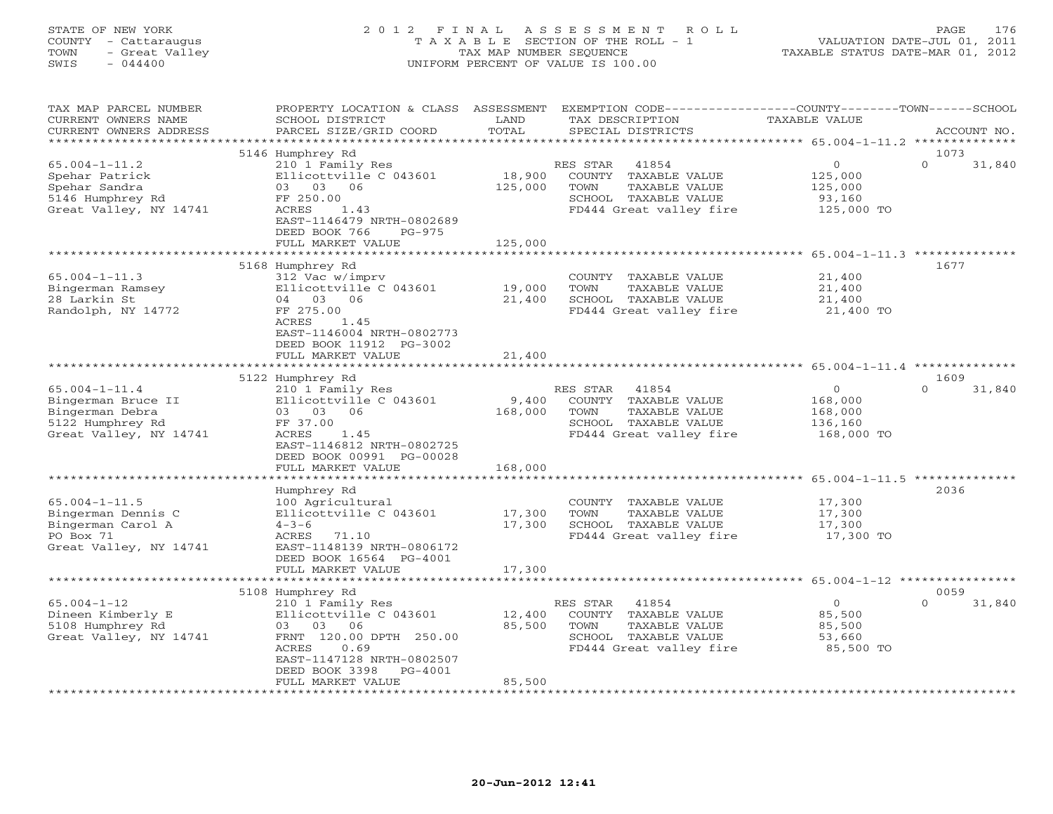#### STATE OF NEW YORK 2 0 1 2 F I N A L A S S E S S M E N T R O L L PAGE 176 COUNTY - Cattaraugus T A X A B L E SECTION OF THE ROLL - 1 VALUATION DATE-JUL 01, 2011 TOWN - Great Valley TAX MAP NUMBER SEQUENCE TAXABLE STATUS DATE-MAR 01, 2012 SWIS - 044400 UNIFORM PERCENT OF VALUE IS 100.00UNIFORM PERCENT OF VALUE IS 100.00

| TAX MAP PARCEL NUMBER<br>CURRENT OWNERS NAME<br>CURRENT OWNERS ADDRESS                                     | PROPERTY LOCATION & CLASS ASSESSMENT<br>SCHOOL DISTRICT<br>PARCEL SIZE/GRID COORD                                                                                                        | LAND<br>TOTAL                | EXEMPTION CODE----------------COUNTY-------TOWN-----SCHOOL<br>TAX DESCRIPTION<br>SPECIAL DISTRICTS                    | <b>TAXABLE VALUE</b>                                   | ACCOUNT NO.                        |
|------------------------------------------------------------------------------------------------------------|------------------------------------------------------------------------------------------------------------------------------------------------------------------------------------------|------------------------------|-----------------------------------------------------------------------------------------------------------------------|--------------------------------------------------------|------------------------------------|
| ***********************                                                                                    |                                                                                                                                                                                          |                              |                                                                                                                       |                                                        |                                    |
| $65.004 - 1 - 11.2$<br>Spehar Patrick<br>Spehar Sandra<br>5146 Humphrey Rd<br>Great Valley, NY 14741       | 5146 Humphrey Rd<br>210 1 Family Res<br>Ellicottville C 043601<br>03 03 06<br>FF 250.00<br>ACRES<br>1.43<br>EAST-1146479 NRTH-0802689<br>DEED BOOK 766<br>$PG-975$<br>FULL MARKET VALUE  | 18,900<br>125,000<br>125,000 | RES STAR<br>41854<br>COUNTY TAXABLE VALUE<br>TOWN<br>TAXABLE VALUE<br>SCHOOL TAXABLE VALUE<br>FD444 Great valley fire | $\circ$<br>125,000<br>125,000<br>93,160<br>125,000 TO  | 1073<br>$\Omega$<br>31,840         |
|                                                                                                            |                                                                                                                                                                                          |                              |                                                                                                                       |                                                        | $65.004 - 1 - 11.3$ ************** |
| $65.004 - 1 - 11.3$<br>Bingerman Ramsey<br>28 Larkin St<br>Randolph, NY 14772                              | 5168 Humphrey Rd<br>312 Vac w/imprv<br>Ellicottville C 043601<br>04 03 06<br>FF 275.00<br>ACRES<br>1.45<br>EAST-1146004 NRTH-0802773<br>DEED BOOK 11912 PG-3002                          | 19,000<br>21,400             | COUNTY<br>TAXABLE VALUE<br>TOWN<br>TAXABLE VALUE<br>SCHOOL TAXABLE VALUE<br>FD444 Great valley fire                   | 21,400<br>21,400<br>21,400<br>21,400 TO                | 1677                               |
|                                                                                                            | FULL MARKET VALUE                                                                                                                                                                        | 21,400                       |                                                                                                                       |                                                        |                                    |
|                                                                                                            | *******************************                                                                                                                                                          |                              |                                                                                                                       |                                                        |                                    |
| $65.004 - 1 - 11.4$<br>Bingerman Bruce II<br>Bingerman Debra<br>5122 Humphrey Rd<br>Great Valley, NY 14741 | 5122 Humphrey Rd<br>210 1 Family Res<br>Ellicottville C 043601<br>03 03<br>06<br>FF 37.00<br>ACRES<br>1.45<br>EAST-1146812 NRTH-0802725<br>DEED BOOK 00991 PG-00028<br>FULL MARKET VALUE | 9,400<br>168,000<br>168,000  | 41854<br>RES STAR<br>COUNTY TAXABLE VALUE<br>TOWN<br>TAXABLE VALUE<br>SCHOOL TAXABLE VALUE<br>FD444 Great valley fire | $\circ$<br>168,000<br>168,000<br>136,160<br>168,000 TO | 1609<br>$\Omega$<br>31,840         |
|                                                                                                            |                                                                                                                                                                                          |                              |                                                                                                                       |                                                        |                                    |
| $65.004 - 1 - 11.5$<br>Bingerman Dennis C<br>Bingerman Carol A<br>PO Box 71<br>Great Valley, NY 14741      | Humphrey Rd<br>100 Agricultural<br>Ellicottville C 043601<br>$4 - 3 - 6$<br>71.10<br>ACRES<br>EAST-1148139 NRTH-0806172<br>DEED BOOK 16564 PG-4001                                       | 17,300<br>17,300             | COUNTY TAXABLE VALUE<br>TOWN<br>TAXABLE VALUE<br>SCHOOL TAXABLE VALUE<br>FD444 Great valley fire                      | 17,300<br>17,300<br>17,300<br>17,300 TO                | 2036                               |
|                                                                                                            | FULL MARKET VALUE                                                                                                                                                                        | 17,300                       |                                                                                                                       |                                                        |                                    |
|                                                                                                            | 5108 Humphrey Rd                                                                                                                                                                         |                              |                                                                                                                       |                                                        | 0059                               |
| $65.004 - 1 - 12$<br>Dineen Kimberly E<br>5108 Humphrey Rd<br>Great Valley, NY 14741                       | 210 1 Family Res<br>Ellicottville C 043601<br>03<br>06<br>03<br>FRNT 120.00 DPTH 250.00<br>ACRES<br>0.69<br>EAST-1147128 NRTH-0802507<br>DEED BOOK 3398<br>PG-4001                       | 12,400<br>85,500             | RES STAR<br>41854<br>COUNTY TAXABLE VALUE<br>TAXABLE VALUE<br>TOWN<br>SCHOOL TAXABLE VALUE<br>FD444 Great valley fire | $\circ$<br>85,500<br>85,500<br>53,660<br>85,500 TO     | $\Omega$<br>31,840                 |
| **********************                                                                                     | FULL MARKET VALUE                                                                                                                                                                        | 85,500                       |                                                                                                                       |                                                        |                                    |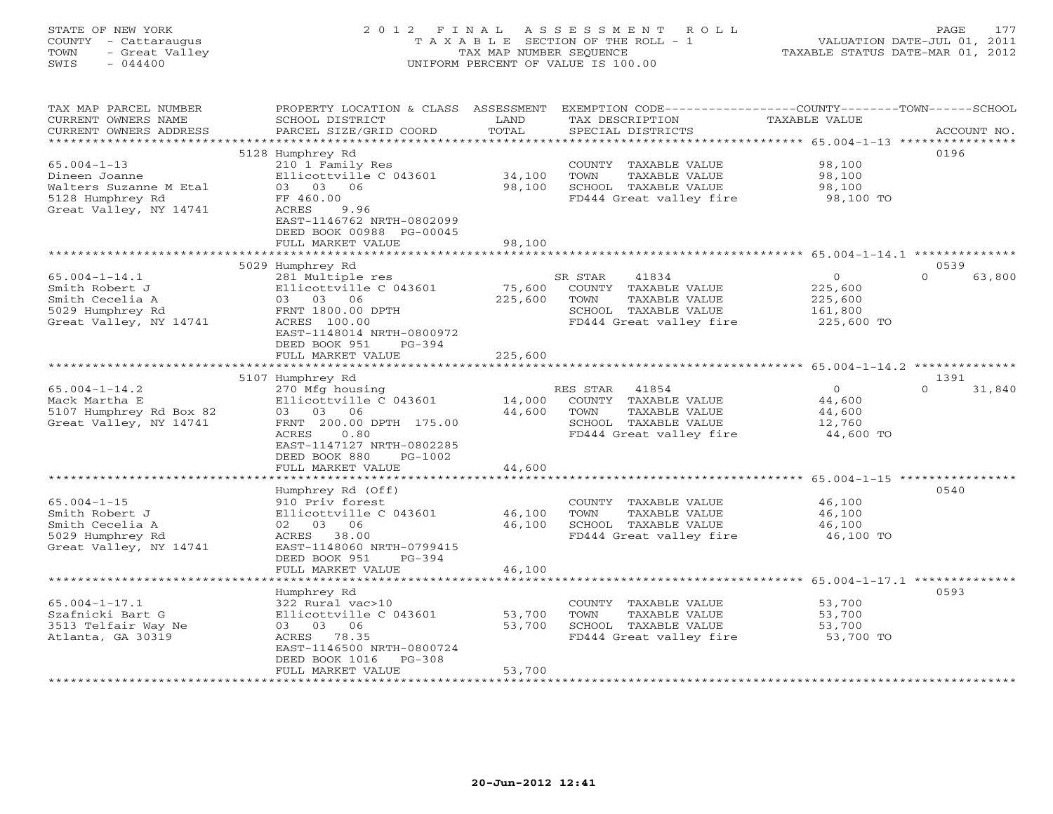### STATE OF NEW YORK 2 0 1 2 F I N A L A S S E S S M E N T R O L L PAGE 177 COUNTY - Cattaraugus T A X A B L E SECTION OF THE ROLL - 1 VALUATION DATE-JUL 01, 2011 TOWN - Great Valley TAX MAP NUMBER SEQUENCE TAXABLE STATUS DATE-MAR 01, 2012 SWIS - 044400 UNIFORM PERCENT OF VALUE IS 100.00UNIFORM PERCENT OF VALUE IS 100.00

| TAX MAP PARCEL NUMBER   |                                                              |                          |                                                                     | PROPERTY LOCATION & CLASS ASSESSMENT EXEMPTION CODE---------------COUNTY-------TOWN------SCHOOL |
|-------------------------|--------------------------------------------------------------|--------------------------|---------------------------------------------------------------------|-------------------------------------------------------------------------------------------------|
| CURRENT OWNERS NAME     | SCHOOL DISTRICT                                              | LAND                     | TAX DESCRIPTION                                                     | TAXABLE VALUE                                                                                   |
| CURRENT OWNERS ADDRESS  | PARCEL SIZE/GRID COORD                                       | TOTAL                    | SPECIAL DISTRICTS                                                   | ACCOUNT NO.                                                                                     |
|                         |                                                              |                          |                                                                     |                                                                                                 |
|                         | 5128 Humphrey Rd                                             |                          |                                                                     | 0196                                                                                            |
| $65.004 - 1 - 13$       | 210 1 Family Res                                             |                          | COUNTY TAXABLE VALUE                                                | 98,100                                                                                          |
| Dineen Joanne           | Ellicottville C 043601                                       | 34,100                   | TAXABLE VALUE<br>TOWN                                               | 98,100                                                                                          |
|                         |                                                              |                          |                                                                     |                                                                                                 |
| Walters Suzanne M Etal  | 03 03 06                                                     | 98,100                   | SCHOOL TAXABLE VALUE                                                | 98,100                                                                                          |
| 5128 Humphrey Rd        | FF 460.00                                                    |                          | FD444 Great valley fire 98,100 TO                                   |                                                                                                 |
| Great Valley, NY 14741  | ACRES<br>9.96                                                |                          |                                                                     |                                                                                                 |
|                         | EAST-1146762 NRTH-0802099                                    |                          |                                                                     |                                                                                                 |
|                         | DEED BOOK 00988 PG-00045                                     |                          |                                                                     |                                                                                                 |
|                         | FULL MARKET VALUE                                            | 98,100                   |                                                                     |                                                                                                 |
|                         |                                                              | *************            |                                                                     | ***********************************65.004-1-14.1 ***************                                |
|                         | 5029 Humphrey Rd                                             |                          |                                                                     | 0539                                                                                            |
| $65.004 - 1 - 14.1$     | 281 Multiple res                                             |                          | SR STAR<br>41834                                                    | $\overline{0}$<br>$\Omega$<br>63,800                                                            |
| Smith Robert J          | Ellicottville C 043601                                       | 75,600                   | COUNTY TAXABLE VALUE                                                | 225,600                                                                                         |
|                         | 03 03 06                                                     |                          | TOWN<br>TAXABLE VALUE                                               |                                                                                                 |
| Smith Cecelia A         |                                                              | 225,600                  |                                                                     | 225,600                                                                                         |
| 5029 Humphrey Rd        | FRNT 1800.00 DPTH                                            |                          | SCHOOL TAXABLE VALUE                                                | 161,800                                                                                         |
| Great Valley, NY 14741  | ACRES 100.00                                                 |                          | FD444 Great valley fire                                             | 225,600 TO                                                                                      |
|                         | EAST-1148014 NRTH-0800972                                    |                          |                                                                     |                                                                                                 |
|                         | DEED BOOK 951<br>PG-394                                      |                          |                                                                     |                                                                                                 |
|                         | FULL MARKET VALUE                                            | 225,600                  |                                                                     |                                                                                                 |
|                         |                                                              |                          |                                                                     |                                                                                                 |
|                         | 5107 Humphrey Rd                                             |                          |                                                                     | 1391                                                                                            |
| $65.004 - 1 - 14.2$     | 270 Mfg housing                                              |                          | RES STAR 41854                                                      | $\overline{0}$<br>$\Omega$<br>31,840                                                            |
| Mack Martha E           | Ellicottville C 043601                                       |                          | 14,000 COUNTY TAXABLE VALUE                                         |                                                                                                 |
| 5107 Humphrey Rd Box 82 | 03 03 06                                                     | 44,600                   | TOWN<br>TAXABLE VALUE                                               | 44,600<br>44,600                                                                                |
| Great Valley, NY 14741  | FRNT 200.00 DPTH 175.00                                      |                          | SCHOOL TAXABLE VALUE                                                | 12,760                                                                                          |
|                         | ACRES<br>0.80                                                |                          | ED444 Great valley fire 12,700<br>FD444 Great valley fire 44,600 TO |                                                                                                 |
|                         |                                                              |                          |                                                                     |                                                                                                 |
|                         | EAST-1147127 NRTH-0802285                                    |                          |                                                                     |                                                                                                 |
|                         | DEED BOOK 880<br>PG-1002                                     |                          |                                                                     |                                                                                                 |
|                         | FULL MARKET VALUE                                            | 44,600                   |                                                                     |                                                                                                 |
|                         |                                                              |                          |                                                                     |                                                                                                 |
|                         | Humphrey Rd (Off)                                            |                          |                                                                     | 0540                                                                                            |
| $65.004 - 1 - 15$       | 910 Priv forest                                              |                          | COUNTY TAXABLE VALUE                                                | 46,100                                                                                          |
| Smith Robert J          | Ellicottville C 043601                                       | 46,100                   | TOWN<br>TAXABLE VALUE                                               | 46,100                                                                                          |
| Smith Cecelia A         | 02 03 06                                                     | 46,100                   | SCHOOL TAXABLE VALUE                                                | 46,100                                                                                          |
| 5029 Humphrey Rd        | ACRES 38.00                                                  |                          | FD444 Great valley fire                                             | 46,100 TO                                                                                       |
| Great Valley, NY 14741  | EAST-1148060 NRTH-0799415                                    |                          |                                                                     |                                                                                                 |
|                         | DEED BOOK 951<br>$PG-394$                                    |                          |                                                                     |                                                                                                 |
|                         |                                                              |                          |                                                                     |                                                                                                 |
|                         | FULL MARKET VALUE<br>* * * * * * * * * * * * * * * * * * * * | 46,100<br>************** |                                                                     |                                                                                                 |
|                         |                                                              |                          |                                                                     |                                                                                                 |
|                         | Humphrey Rd                                                  |                          |                                                                     | 0593                                                                                            |
| $65.004 - 1 - 17.1$     | 322 Rural vac>10                                             |                          | COUNTY TAXABLE VALUE                                                | 53,700                                                                                          |
| Szafnicki Bart G        | Ellicottville C 043601                                       | 53,700                   | TOWN<br>TAXABLE VALUE                                               | 53,700                                                                                          |
| 3513 Telfair Way Ne     | 03 03 06                                                     | 53,700                   | SCHOOL TAXABLE VALUE                                                | 53,700                                                                                          |
| Atlanta, GA 30319       | ACRES 78.35                                                  |                          | SCHOOL TAXABLE VALUE 53,700<br>FD444 Great valley fire 53,700 TO    |                                                                                                 |
|                         | EAST-1146500 NRTH-0800724                                    |                          |                                                                     |                                                                                                 |
|                         | DEED BOOK 1016<br>$PG-308$                                   |                          |                                                                     |                                                                                                 |
|                         | FULL MARKET VALUE                                            | 53,700                   |                                                                     |                                                                                                 |
|                         | *******************                                          |                          |                                                                     |                                                                                                 |
|                         |                                                              |                          |                                                                     |                                                                                                 |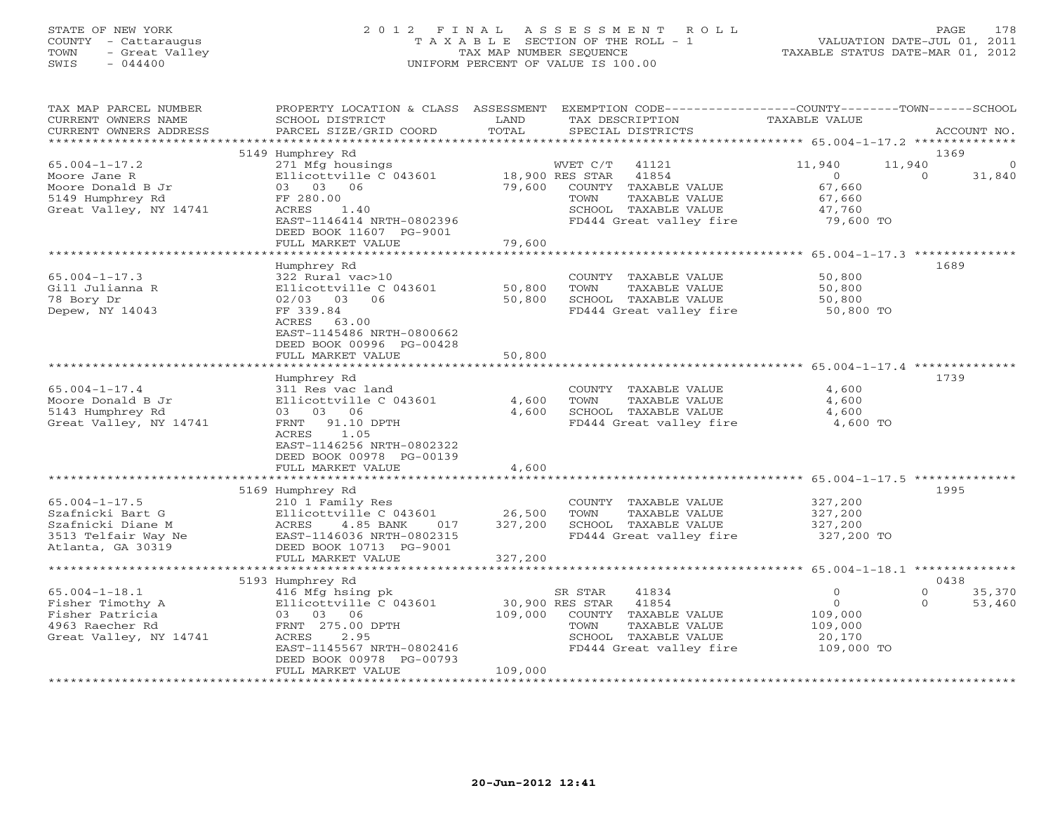### STATE OF NEW YORK 2 0 1 2 F I N A L A S S E S S M E N T R O L L PAGE 178 COUNTY - Cattaraugus T A X A B L E SECTION OF THE ROLL - 1 VALUATION DATE-JUL 01, 2011 TOWN - Great Valley TAX MAP NUMBER SEQUENCE TAXABLE STATUS DATE-MAR 01, 2012 SWIS - 044400 UNIFORM PERCENT OF VALUE IS 100.00UNIFORM PERCENT OF VALUE IS 100.00

| TAX MAP PARCEL NUMBER<br>CURRENT OWNERS NAME<br>CURRENT OWNERS ADDRESS                                   | PROPERTY LOCATION & CLASS ASSESSMENT<br>SCHOOL DISTRICT<br>PARCEL SIZE/GRID COORD                                                                                | LAND<br>TOTAL           | EXEMPTION CODE-----------------COUNTY-------TOWN------SCHOOL<br>TAX DESCRIPTION<br>SPECIAL DISTRICTS                                             | TAXABLE VALUE                                                         | ACCOUNT NO.                              |
|----------------------------------------------------------------------------------------------------------|------------------------------------------------------------------------------------------------------------------------------------------------------------------|-------------------------|--------------------------------------------------------------------------------------------------------------------------------------------------|-----------------------------------------------------------------------|------------------------------------------|
| ***********************                                                                                  |                                                                                                                                                                  |                         |                                                                                                                                                  |                                                                       |                                          |
| $65.004 - 1 - 17.2$                                                                                      | 5149 Humphrey Rd<br>271 Mfg housings                                                                                                                             |                         | 41121<br>WVET C/T                                                                                                                                | 11,940<br>11,940                                                      | 1369<br>0                                |
| Moore Jane R<br>Moore Donald B Jr<br>5149 Humphrey Rd<br>Great Valley, NY 14741                          | Ellicottville C 043601<br>03 03 06<br>FF 280.00<br>ACRES<br>1.40<br>EAST-1146414 NRTH-0802396                                                                    | 79,600                  | 41854<br>18,900 RES STAR<br>COUNTY<br>TAXABLE VALUE<br>TOWN<br>TAXABLE VALUE<br>SCHOOL TAXABLE VALUE<br>FD444 Great valley fire                  | $\circ$<br>67,660<br>67,660<br>47,760<br>79,600 TO                    | 31,840<br>$\Omega$                       |
|                                                                                                          | DEED BOOK 11607 PG-9001<br>FULL MARKET VALUE                                                                                                                     | 79,600                  |                                                                                                                                                  |                                                                       |                                          |
|                                                                                                          |                                                                                                                                                                  |                         |                                                                                                                                                  |                                                                       | 1689                                     |
| $65.004 - 1 - 17.3$<br>Gill Julianna R<br>78 Bory Dr<br>Depew, NY 14043                                  | Humphrey Rd<br>322 Rural vac>10<br>Ellicottville C 043601<br>02/03 03 06<br>FF 339.84<br>63.00<br>ACRES<br>EAST-1145486 NRTH-0800662<br>DEED BOOK 00996 PG-00428 | 50,800<br>50,800        | COUNTY TAXABLE VALUE<br>TOWN<br>TAXABLE VALUE<br>SCHOOL TAXABLE VALUE<br>FD444 Great valley fire                                                 | 50,800<br>50,800<br>50,800<br>50,800 TO                               |                                          |
|                                                                                                          | FULL MARKET VALUE                                                                                                                                                | 50,800                  |                                                                                                                                                  |                                                                       |                                          |
|                                                                                                          |                                                                                                                                                                  |                         |                                                                                                                                                  |                                                                       |                                          |
| $65.004 - 1 - 17.4$<br>Moore Donald B Jr<br>5143 Humphrey Rd<br>Great Valley, NY 14741                   | Humphrey Rd<br>311 Res vac land<br>Ellicottville C 043601<br>03 03 06<br>FRNT<br>91.10 DPTH<br>ACRES<br>1.05<br>EAST-1146256 NRTH-0802322                        | 4,600<br>4,600          | COUNTY TAXABLE VALUE<br>TOWN<br>TAXABLE VALUE<br>SCHOOL TAXABLE VALUE<br>FD444 Great valley fire                                                 | 4,600<br>4,600<br>4,600<br>4,600 TO                                   | 1739                                     |
|                                                                                                          | DEED BOOK 00978 PG-00139<br>FULL MARKET VALUE                                                                                                                    | 4,600                   |                                                                                                                                                  |                                                                       |                                          |
|                                                                                                          | 5169 Humphrey Rd                                                                                                                                                 | * * * * * * * * * * * * |                                                                                                                                                  |                                                                       | 1995                                     |
| $65.004 - 1 - 17.5$<br>Szafnicki Bart G<br>Szafnicki Diane M<br>3513 Telfair Way Ne<br>Atlanta, GA 30319 | 210 1 Family Res<br>Ellicottville C 043601<br>ACRES<br>4.85 BANK<br>017<br>EAST-1146036 NRTH-0802315<br>DEED BOOK 10713 PG-9001                                  | 26,500<br>327,200       | COUNTY TAXABLE VALUE<br>TAXABLE VALUE<br>TOWN<br>SCHOOL TAXABLE VALUE<br>FD444 Great valley fire                                                 | 327,200<br>327,200<br>327,200<br>327,200 TO                           |                                          |
|                                                                                                          | FULL MARKET VALUE                                                                                                                                                | 327,200                 |                                                                                                                                                  |                                                                       |                                          |
|                                                                                                          | 5193 Humphrey Rd                                                                                                                                                 |                         |                                                                                                                                                  |                                                                       | 0438                                     |
| $65.004 - 1 - 18.1$<br>Fisher Timothy A<br>Fisher Patricia<br>4963 Raecher Rd<br>Great Valley, NY 14741  | 416 Mfg hsing pk<br>Ellicottville C 043601<br>03 03 06<br>FRNT 275.00 DPTH<br>ACRES<br>2.95<br>EAST-1145567 NRTH-0802416<br>DEED BOOK 00978 PG-00793             | 109,000<br>109,000      | SR STAR<br>41834<br>30,900 RES STAR<br>41854<br>COUNTY TAXABLE VALUE<br>TAXABLE VALUE<br>TOWN<br>SCHOOL TAXABLE VALUE<br>FD444 Great valley fire | $\mathbf{0}$<br>$\circ$<br>109,000<br>109,000<br>20,170<br>109,000 TO | $\Omega$<br>35,370<br>$\Omega$<br>53,460 |
|                                                                                                          | FULL MARKET VALUE                                                                                                                                                |                         |                                                                                                                                                  |                                                                       |                                          |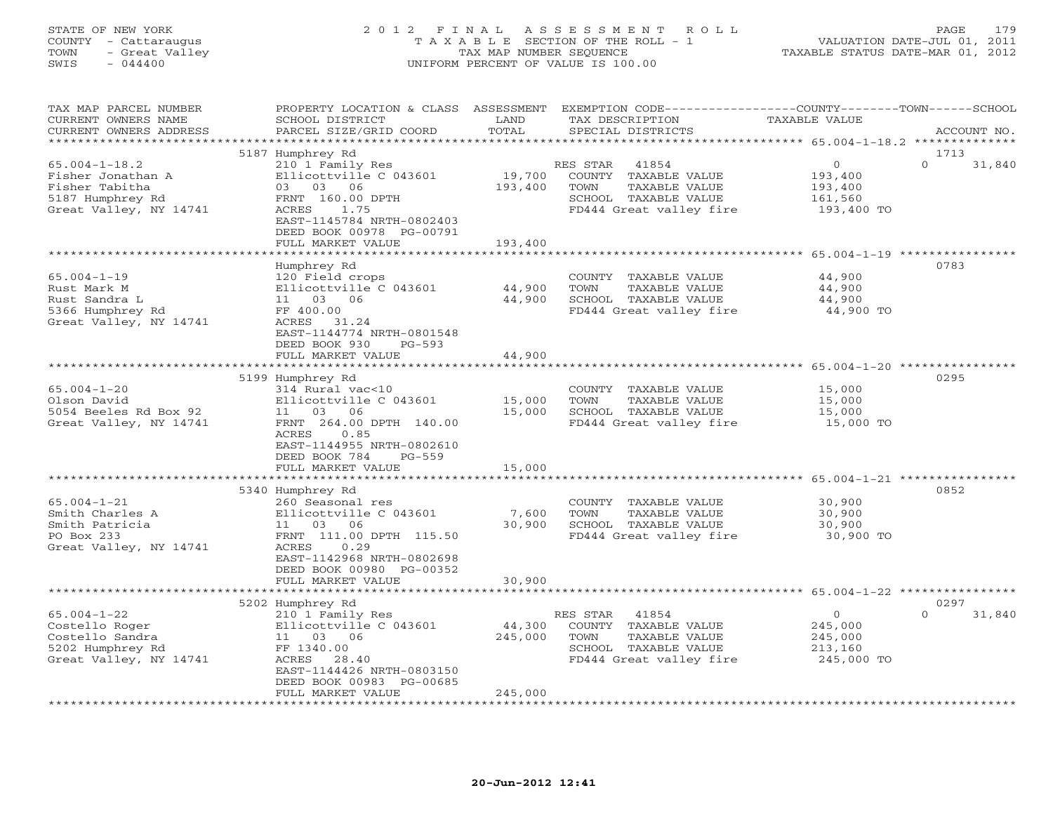### STATE OF NEW YORK 2 0 1 2 F I N A L A S S E S S M E N T R O L L PAGE 179 COUNTY - Cattaraugus T A X A B L E SECTION OF THE ROLL - 1 VALUATION DATE-JUL 01, 2011 TOWN - Great Valley TAX MAP NUMBER SEQUENCE TAXABLE STATUS DATE-MAR 01, 2012 SWIS - 044400 UNIFORM PERCENT OF VALUE IS 100.00UNIFORM PERCENT OF VALUE IS 100.00

| TAX MAP PARCEL NUMBER<br>CURRENT OWNERS NAME<br>CURRENT OWNERS ADDRESS                                   | PROPERTY LOCATION & CLASS ASSESSMENT<br>SCHOOL DISTRICT<br>PARCEL SIZE/GRID COORD                                                                                                     | LAND<br>TOTAL                | EXEMPTION CODE----------------COUNTY-------TOWN-----SCHOOL<br>TAX DESCRIPTION<br>SPECIAL DISTRICTS                    | <b>TAXABLE VALUE</b>                                        | ACCOUNT NO.                |
|----------------------------------------------------------------------------------------------------------|---------------------------------------------------------------------------------------------------------------------------------------------------------------------------------------|------------------------------|-----------------------------------------------------------------------------------------------------------------------|-------------------------------------------------------------|----------------------------|
| *******************                                                                                      |                                                                                                                                                                                       |                              |                                                                                                                       |                                                             |                            |
| $65.004 - 1 - 18.2$<br>Fisher Jonathan A<br>Fisher Tabitha<br>5187 Humphrey Rd<br>Great Valley, NY 14741 | 5187 Humphrey Rd<br>210 1 Family Res<br>Ellicottville C 043601<br>03 03 06<br>FRNT 160.00 DPTH<br>1.75<br>ACRES<br>EAST-1145784 NRTH-0802403<br>DEED BOOK 00978 PG-00791              | 19,700<br>193,400            | 41854<br>RES STAR<br>COUNTY TAXABLE VALUE<br>TOWN<br>TAXABLE VALUE<br>SCHOOL TAXABLE VALUE<br>FD444 Great valley fire | $\circ$<br>193,400<br>193,400<br>161,560<br>193,400 TO      | 1713<br>$\Omega$<br>31,840 |
|                                                                                                          | FULL MARKET VALUE                                                                                                                                                                     | 193,400                      |                                                                                                                       |                                                             |                            |
| $65.004 - 1 - 19$<br>Rust Mark M<br>Rust Sandra L<br>5366 Humphrey Rd<br>Great Valley, NY 14741          | Humphrey Rd<br>120 Field crops<br>Ellicottville C 043601<br>11 03<br>06<br>FF 400.00<br>31.24<br>ACRES<br>EAST-1144774 NRTH-0801548<br>DEED BOOK 930<br>$PG-593$                      | 44,900<br>44,900             | COUNTY TAXABLE VALUE<br>TOWN<br>TAXABLE VALUE<br>SCHOOL TAXABLE VALUE<br>FD444 Great valley fire                      | 44,900<br>44,900<br>44,900<br>44,900 TO                     | 0783                       |
|                                                                                                          | FULL MARKET VALUE                                                                                                                                                                     | 44,900                       |                                                                                                                       |                                                             |                            |
|                                                                                                          |                                                                                                                                                                                       |                              |                                                                                                                       |                                                             |                            |
| $65.004 - 1 - 20$<br>Olson David<br>5054 Beeles Rd Box 92<br>Great Valley, NY 14741                      | 5199 Humphrey Rd<br>314 Rural vac<10<br>Ellicottville C 043601<br>11 03 06<br>FRNT 264.00 DPTH 140.00<br>ACRES<br>0.85<br>EAST-1144955 NRTH-0802610<br>DEED BOOK 784<br>$PG-559$      | 15,000<br>15,000             | COUNTY TAXABLE VALUE<br>TOWN<br>TAXABLE VALUE<br>SCHOOL TAXABLE VALUE<br>FD444 Great valley fire                      | 15,000<br>15,000<br>15,000<br>15,000 TO                     | 0295                       |
|                                                                                                          | FULL MARKET VALUE                                                                                                                                                                     | 15,000                       |                                                                                                                       |                                                             |                            |
|                                                                                                          | 5340 Humphrey Rd                                                                                                                                                                      |                              |                                                                                                                       |                                                             | 0852                       |
| $65.004 - 1 - 21$<br>Smith Charles A<br>Smith Patricia<br>PO Box 233<br>Great Valley, NY 14741           | 260 Seasonal res<br>Ellicottville C 043601<br>11 03 06<br>FRNT 111.00 DPTH 115.50<br>ACRES<br>0.29<br>EAST-1142968 NRTH-0802698<br>DEED BOOK 00980 PG-00352<br>FULL MARKET VALUE      | 7,600<br>30,900<br>30,900    | COUNTY TAXABLE VALUE<br>TOWN<br>TAXABLE VALUE<br>SCHOOL TAXABLE VALUE<br>FD444 Great valley fire                      | 30,900<br>30,900<br>30,900<br>30,900 TO                     |                            |
|                                                                                                          |                                                                                                                                                                                       |                              |                                                                                                                       |                                                             |                            |
| $65.004 - 1 - 22$<br>Costello Roger<br>Costello Sandra<br>5202 Humphrey Rd<br>Great Valley, NY 14741     | 5202 Humphrey Rd<br>210 1 Family Res<br>Ellicottville C 043601<br>11 03 06<br>FF 1340.00<br>ACRES 28.40<br>EAST-1144426 NRTH-0803150<br>DEED BOOK 00983 PG-00685<br>FULL MARKET VALUE | 44,300<br>245,000<br>245,000 | 41854<br>RES STAR<br>COUNTY TAXABLE VALUE<br>TOWN<br>TAXABLE VALUE<br>SCHOOL TAXABLE VALUE<br>FD444 Great valley fire | $\mathbf{O}$<br>245,000<br>245,000<br>213,160<br>245,000 TO | 0297<br>$\Omega$<br>31,840 |
|                                                                                                          |                                                                                                                                                                                       |                              |                                                                                                                       |                                                             |                            |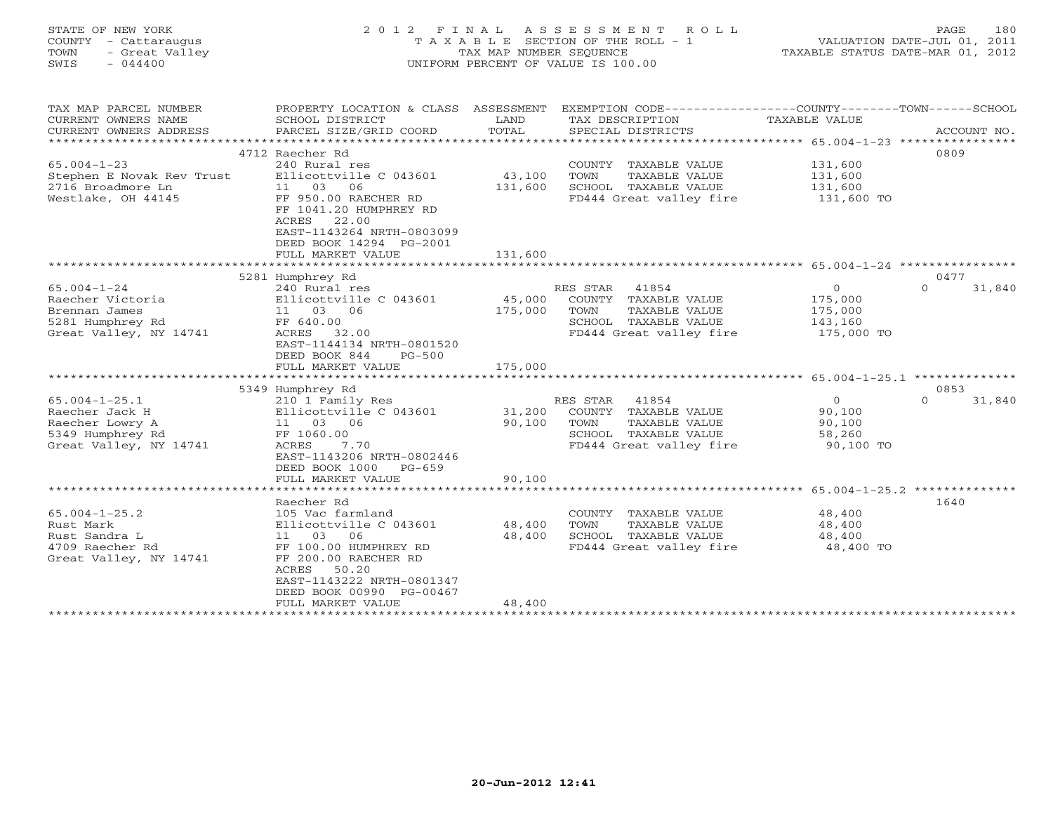### STATE OF NEW YORK 2 0 1 2 F I N A L A S S E S S M E N T R O L L PAGE 180 COUNTY - Cattaraugus T A X A B L E SECTION OF THE ROLL - 1 VALUATION DATE-JUL 01, 2011 TOWN - Great Valley TAX MAP NUMBER SEQUENCE TAXABLE STATUS DATE-MAR 01, 2012 SWIS - 044400 UNIFORM PERCENT OF VALUE IS 100.00

| TAX MAP PARCEL NUMBER     | PROPERTY LOCATION & CLASS                                                                                                | ASSESSMENT | EXEMPTION CODE-----------------COUNTY-------TOWN------SCHOOL |                |                    |
|---------------------------|--------------------------------------------------------------------------------------------------------------------------|------------|--------------------------------------------------------------|----------------|--------------------|
| CURRENT OWNERS NAME       | SCHOOL DISTRICT                                                                                                          | LAND       | TAX DESCRIPTION                                              | TAXABLE VALUE  |                    |
| CURRENT OWNERS ADDRESS    | PARCEL SIZE/GRID COORD                                                                                                   | TOTAL      | SPECIAL DISTRICTS                                            |                | ACCOUNT NO.        |
|                           |                                                                                                                          |            |                                                              |                |                    |
|                           | 4712 Raecher Rd                                                                                                          |            |                                                              |                | 0809               |
| $65.004 - 1 - 23$         | 240 Rural res                                                                                                            |            | COUNTY TAXABLE VALUE                                         | 131,600        |                    |
| Stephen E Novak Rev Trust | Ellicottville C 043601                                                                                                   | 43,100     | TOWN<br>TAXABLE VALUE                                        | 131,600        |                    |
| 2716 Broadmore Ln         | 11 03<br>06                                                                                                              | 131,600    | SCHOOL TAXABLE VALUE                                         | 131,600        |                    |
| Westlake, OH 44145        | FF 950.00 RAECHER RD<br>FF 1041.20 HUMPHREY RD<br>22.00<br>ACRES<br>EAST-1143264 NRTH-0803099<br>DEED BOOK 14294 PG-2001 |            | FD444 Great valley fire                                      | 131,600 TO     |                    |
|                           | FULL MARKET VALUE                                                                                                        | 131,600    |                                                              |                |                    |
|                           |                                                                                                                          |            |                                                              |                |                    |
|                           | 5281 Humphrey Rd                                                                                                         |            |                                                              |                | 0477               |
| $65.004 - 1 - 24$         | 240 Rural res                                                                                                            |            | RES STAR 41854                                               | $\overline{O}$ | $\Omega$<br>31,840 |
| Raecher Victoria          | Ellicottville C 043601                                                                                                   | 45,000     | COUNTY TAXABLE VALUE                                         | 175,000        |                    |
| Brennan James             | 11 03 06                                                                                                                 | 175,000    | TOWN<br>TAXABLE VALUE                                        | 175,000        |                    |
| 5281 Humphrey Rd          | FF 640.00                                                                                                                |            | SCHOOL TAXABLE VALUE                                         | 143,160        |                    |
| Great Valley, NY 14741    | ACRES 32.00<br>EAST-1144134 NRTH-0801520<br>DEED BOOK 844<br>$PG-500$<br>FULL MARKET VALUE                               | 175,000    | FD444 Great valley fire                                      | 175,000 TO     |                    |
|                           |                                                                                                                          |            |                                                              |                |                    |
|                           | 5349 Humphrey Rd                                                                                                         |            |                                                              |                | 0853               |
| $65.004 - 1 - 25.1$       | 210 1 Family Res                                                                                                         |            | 41854<br>RES STAR                                            | $\overline{O}$ | $\Omega$<br>31,840 |
| Raecher Jack H            | Ellicottville C 043601                                                                                                   | 31,200     | COUNTY TAXABLE VALUE                                         | 90,100         |                    |
| Raecher Lowry A           | 11 03 06                                                                                                                 | 90,100     | TOWN<br>TAXABLE VALUE                                        | 90,100         |                    |
| 5349 Humphrey Rd          | FF 1060.00                                                                                                               |            | SCHOOL TAXABLE VALUE                                         | 58,260         |                    |
| Great Valley, NY 14741    | 7.70<br>ACRES<br>EAST-1143206 NRTH-0802446<br>DEED BOOK 1000 PG-659                                                      |            | FD444 Great valley fire                                      | 90,100 TO      |                    |
|                           | FULL MARKET VALUE                                                                                                        | 90,100     |                                                              |                |                    |
|                           |                                                                                                                          |            |                                                              |                |                    |
|                           | Raecher Rd                                                                                                               |            |                                                              |                | 1640               |
| $65.004 - 1 - 25.2$       | 105 Vac farmland                                                                                                         |            | COUNTY TAXABLE VALUE                                         | 48,400         |                    |
| Rust Mark                 | Ellicottville C 043601                                                                                                   | 48,400     | TOWN<br>TAXABLE VALUE                                        | 48,400         |                    |
| Rust Sandra L             | 11 03<br>06                                                                                                              | 48,400     | SCHOOL TAXABLE VALUE                                         | 48,400         |                    |
| 4709 Raecher Rd           | FF 100.00 HUMPHREY RD                                                                                                    |            | FD444 Great valley fire                                      | 48,400 TO      |                    |
| Great Valley, NY 14741    | FF 200.00 RAECHER RD<br>50.20<br>ACRES<br>EAST-1143222 NRTH-0801347<br>DEED BOOK 00990 PG-00467                          |            |                                                              |                |                    |
|                           | FULL MARKET VALUE                                                                                                        | 48,400     |                                                              |                |                    |
|                           |                                                                                                                          |            |                                                              |                |                    |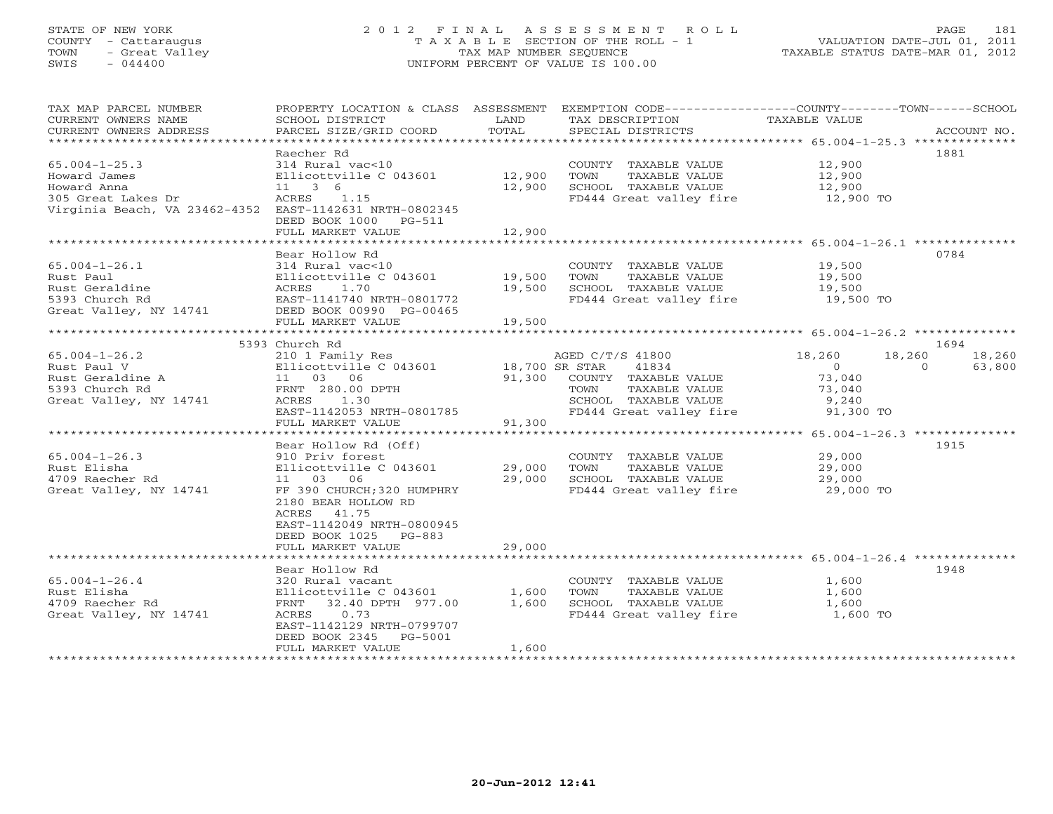# STATE OF NEW YORK 2 0 1 2 F I N A L A S S E S S M E N T R O L L PAGE 181 COUNTY - Cattaraugus T A X A B L E SECTION OF THE ROLL - 1 VALUATION DATE-JUL 01, 2011 TOWN - Great Valley TAX MAP NUMBER SEQUENCE TAXABLE STATUS DATE-MAR 01, 2012 SWIS - 044400 UNIFORM PERCENT OF VALUE IS 100.00

| TAX MAP PARCEL NUMBER<br>CURRENT OWNERS NAME<br>CURRENT OWNERS ADDRESS                                                                                                      | PROPERTY LOCATION & CLASS ASSESSMENT<br>SCHOOL DISTRICT<br>PARCEL SIZE/GRID COORD                                                                                                                                                 | LAND<br>TOTAL                      | EXEMPTION CODE-----------------COUNTY-------TOWN------SCHOOL<br>TAX DESCRIPTION<br>SPECIAL DISTRICTS                                                                                  | TAXABLE VALUE                                                                          | ACCOUNT NO.                                            |
|-----------------------------------------------------------------------------------------------------------------------------------------------------------------------------|-----------------------------------------------------------------------------------------------------------------------------------------------------------------------------------------------------------------------------------|------------------------------------|---------------------------------------------------------------------------------------------------------------------------------------------------------------------------------------|----------------------------------------------------------------------------------------|--------------------------------------------------------|
| $65.004 - 1 - 25.3$<br>Howard James<br>Howard Anna<br>305 Great Lakes Dr<br>Virginia Beach, VA 23462-4352 EAST-1142631 NRTH-0802345                                         | Raecher Rd<br>314 Rural vac<10<br>Ellicottville C 043601<br>11 3 6<br>ACRES 1.15<br>DEED BOOK 1000 PG-511                                                                                                                         | 12,900<br>12,900                   | COUNTY TAXABLE VALUE<br>TOWN<br>TAXABLE VALUE<br>SCHOOL TAXABLE VALUE<br>FD444 Great valley fire 12,900 TO                                                                            | 12,900<br>12,900<br>12,900                                                             | 1881                                                   |
|                                                                                                                                                                             | FULL MARKET VALUE                                                                                                                                                                                                                 | 12,900                             |                                                                                                                                                                                       |                                                                                        |                                                        |
| $65.004 - 1 - 26.1$                                                                                                                                                         | Bear Hollow Rd<br>314 Rural vac<10                                                                                                                                                                                                | 19,500                             | COUNTY TAXABLE VALUE<br>TOWN<br>TAXABLE VALUE                                                                                                                                         | 19,500<br>19,500                                                                       | 0784                                                   |
| Rust Paul Must Geraldine Ellicottville C 043601<br>Rust Geraldine ACRES 1.70<br>5393 Church Rd EAST-1141740 NRTH-0801772<br>Great Valley, NY 14741 DEED BOOK 00990 PG-00465 | FULL MARKET VALUE                                                                                                                                                                                                                 | 19,500<br>19,500                   | SCHOOL TAXABLE VALUE<br>FD444 Great valley fire                                                                                                                                       | 19,500<br>$19,500$ TO                                                                  |                                                        |
|                                                                                                                                                                             |                                                                                                                                                                                                                                   |                                    |                                                                                                                                                                                       |                                                                                        |                                                        |
| $65.004 - 1 - 26.2$<br>Rust Paul V<br>Rust Geraldine A<br>5393 Church Rd<br>Great Valley, NY 14741<br>$65.004 - 1 - 26.3$<br>Rust Elisha                                    | 5393 Church Rd<br>210 1 Family Res<br>Ellicottville C 043601<br>11 03 06<br>FRNT 280.00 DPTH<br>ACRES 1.30<br>EAST-1142053 NRTH-0801785<br>FULL MARKET VALUE<br>Bear Hollow Rd (Off)<br>910 Priv forest<br>Ellicottville C 043601 | 18,700 SR STAR<br>91,300<br>29,000 | AGED C/T/S 41800<br>41834<br>91,300 COUNTY TAXABLE VALUE<br>TAXABLE VALUE<br>TOWN<br>SCHOOL TAXABLE VALUE<br>FD444 Great valley fire<br>COUNTY TAXABLE VALUE<br>TAXABLE VALUE<br>TOWN | 18,260<br>$\overline{0}$<br>73,040<br>73,040<br>9,240<br>91,300 TO<br>29,000<br>29,000 | 1694<br>18,260<br>18,260<br>$\Omega$<br>63,800<br>1915 |
| 4709 Raecher Rd<br>Great Valley, NY 14741                                                                                                                                   | 11 03 06<br>FF 390 CHURCH; 320 HUMPHRY<br>2180 BEAR HOLLOW RD<br>ACRES 41.75<br>EAST-1142049 NRTH-0800945<br>DEED BOOK 1025 PG-883<br>FULL MARKET VALUE                                                                           | 29,000<br>29,000                   | SCHOOL TAXABLE VALUE<br>FD444 Great valley fire 29,000 TO                                                                                                                             | 29,000                                                                                 |                                                        |
|                                                                                                                                                                             | Bear Hollow Rd                                                                                                                                                                                                                    |                                    |                                                                                                                                                                                       |                                                                                        | 1948                                                   |
| $65.004 - 1 - 26.4$<br>Rust Elisha<br>4709 Raecher Rd<br>Great Valley, NY 14741                                                                                             | 320 Rural vacant<br>Ellicottville C $043601$ 1,600<br>FRNT 32.40 DPTH 977.00<br>0.73<br>ACRES<br>EAST-1142129 NRTH-0799707<br>DEED BOOK 2345 PG-5001<br>FULL MARKET VALUE                                                         | 1,600<br>1,600                     | COUNTY TAXABLE VALUE<br>TOWN<br>TAXABLE VALUE<br>SCHOOL TAXABLE VALUE<br>FD444 Great valley fire                                                                                      | 1,600<br>1,600<br>1,600<br>1,600 TO                                                    |                                                        |
|                                                                                                                                                                             |                                                                                                                                                                                                                                   |                                    |                                                                                                                                                                                       |                                                                                        |                                                        |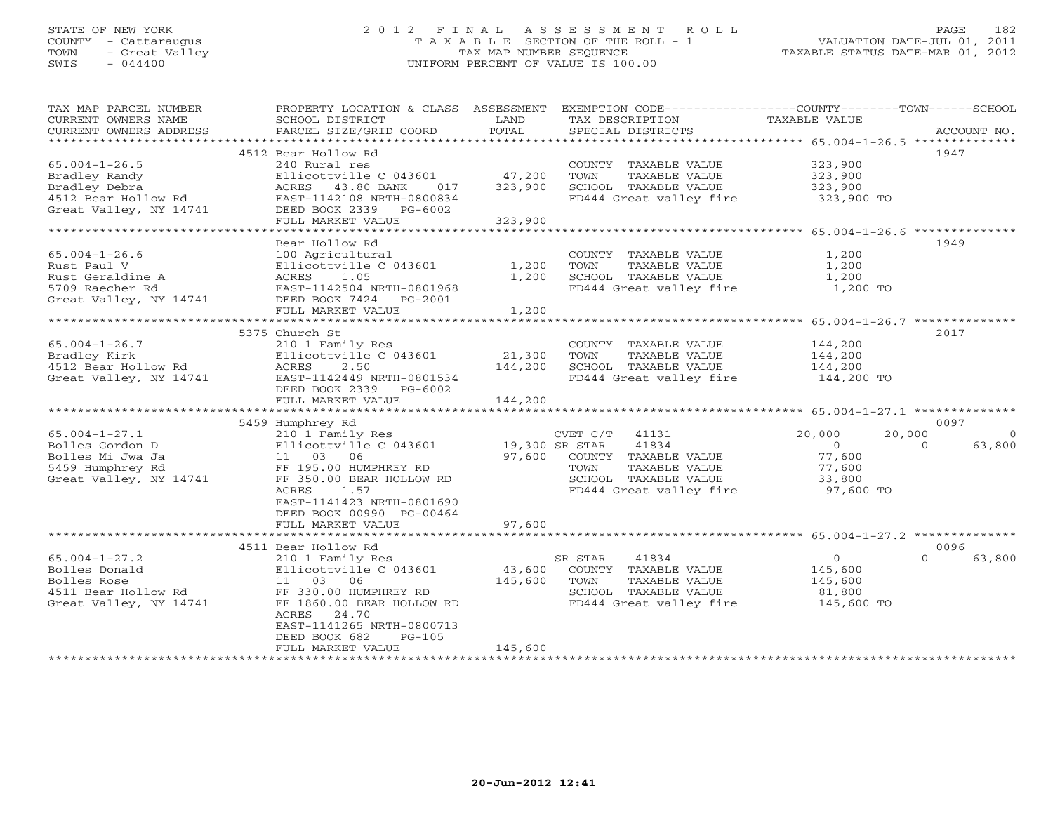## STATE OF NEW YORK 2 0 1 2 F I N A L A S S E S S M E N T R O L L PAGE 182 COUNTY - Cattaraugus T A X A B L E SECTION OF THE ROLL - 1 VALUATION DATE-JUL 01, 2011 TOWN - Great Valley TAX MAP NUMBER SEQUENCE TAXABLE STATUS DATE-MAR 01, 2012 SWIS - 044400 UNIFORM PERCENT OF VALUE IS 100.00

| TAX MAP PARCEL NUMBER<br>CURRENT OWNERS NAME<br>CURRENT OWNERS ADDRESS                              | PROPERTY LOCATION & CLASS ASSESSMENT<br>SCHOOL DISTRICT<br>PARCEL SIZE/GRID COORD                                     | LAND<br>TOTAL  | EXEMPTION CODE----------------COUNTY-------TOWN------SCHOOL<br>TAX DESCRIPTION<br>SPECIAL DISTRICTS | TAXABLE VALUE                       | ACCOUNT NO.        |
|-----------------------------------------------------------------------------------------------------|-----------------------------------------------------------------------------------------------------------------------|----------------|-----------------------------------------------------------------------------------------------------|-------------------------------------|--------------------|
|                                                                                                     |                                                                                                                       |                |                                                                                                     |                                     |                    |
| $65.004 - 1 - 26.5$<br>Bradley Randy                                                                | 4512 Bear Hollow Rd<br>240 Rural res<br>Ellicottville C 043601                                                        | 47,200         | COUNTY TAXABLE VALUE<br>TOWN<br>TAXABLE VALUE                                                       | 323,900<br>323,900                  | 1947               |
| Bradley Debra                                                                                       | ACRES 43.80 BANK<br>017                                                                                               | 323,900        | SCHOOL TAXABLE VALUE                                                                                | 323,900                             |                    |
| 4512 Bear Hollow Rd<br>Great Valley, NY 14741                                                       | EAST-1142108 NRTH-0800834<br>DEED BOOK 2339<br>PG-6002<br>FULL MARKET VALUE                                           | 323,900        | FD444 Great valley fire                                                                             | 323,900 TO                          |                    |
| **********************                                                                              |                                                                                                                       |                |                                                                                                     |                                     |                    |
|                                                                                                     | Bear Hollow Rd                                                                                                        |                |                                                                                                     |                                     | 1949               |
| $65.004 - 1 - 26.6$<br>Rust Paul V<br>Rust Geraldine A<br>5709 Raecher Rd<br>Great Valley, NY 14741 | 100 Agricultural<br>Ellicottville C 043601<br>ACRES<br>1.05<br>EAST-1142504 NRTH-0801968<br>DEED BOOK 7424<br>PG-2001 | 1,200<br>1,200 | COUNTY TAXABLE VALUE<br>TOWN<br>TAXABLE VALUE<br>SCHOOL TAXABLE VALUE<br>FD444 Great valley fire    | 1,200<br>1,200<br>1,200<br>1,200 TO |                    |
|                                                                                                     | FULL MARKET VALUE                                                                                                     | 1,200          |                                                                                                     |                                     |                    |
|                                                                                                     |                                                                                                                       |                |                                                                                                     |                                     |                    |
|                                                                                                     | 5375 Church St                                                                                                        |                |                                                                                                     |                                     | 2017               |
| $65.004 - 1 - 26.7$                                                                                 | 210 1 Family Res                                                                                                      |                | COUNTY TAXABLE VALUE                                                                                | 144,200                             |                    |
| Bradley Kirk                                                                                        | Ellicottville C 043601                                                                                                | 21,300         | TOWN<br>TAXABLE VALUE                                                                               | 144,200                             |                    |
| 4512 Bear Hollow Rd                                                                                 | ACRES<br>2.50                                                                                                         | 144,200        | SCHOOL TAXABLE VALUE                                                                                | 144,200                             |                    |
| Great Valley, NY 14741                                                                              | EAST-1142449 NRTH-0801534<br>DEED BOOK 2339<br>PG-6002                                                                |                | FD444 Great valley fire                                                                             | 144,200 TO                          |                    |
|                                                                                                     | FULL MARKET VALUE                                                                                                     | 144,200        |                                                                                                     |                                     |                    |
|                                                                                                     | 5459 Humphrey Rd                                                                                                      |                |                                                                                                     |                                     | 0097               |
| $65.004 - 1 - 27.1$                                                                                 | 210 1 Family Res                                                                                                      |                | 41131<br>CVET C/T                                                                                   | 20,000<br>20,000                    | $\Omega$           |
| Bolles Gordon D                                                                                     | Ellicottville C 043601                                                                                                |                | 41834<br>19,300 SR STAR                                                                             | $\Omega$<br>$\Omega$                | 63,800             |
| Bolles Mi Jwa Ja                                                                                    | 11  03  06                                                                                                            | 97,600         | COUNTY TAXABLE VALUE                                                                                | 77,600                              |                    |
| 5459 Humphrey Rd                                                                                    | FF 195.00 HUMPHREY RD                                                                                                 |                | TAXABLE VALUE<br>TOWN                                                                               | 77,600                              |                    |
| Great Valley, NY 14741                                                                              | FF 350.00 BEAR HOLLOW RD                                                                                              |                | SCHOOL TAXABLE VALUE                                                                                | 33,800                              |                    |
|                                                                                                     | ACRES<br>1.57                                                                                                         |                | FD444 Great valley fire                                                                             | 97,600 TO                           |                    |
|                                                                                                     | EAST-1141423 NRTH-0801690<br>DEED BOOK 00990 PG-00464                                                                 |                |                                                                                                     |                                     |                    |
|                                                                                                     | FULL MARKET VALUE                                                                                                     | 97,600         |                                                                                                     |                                     |                    |
|                                                                                                     | 4511 Bear Hollow Rd                                                                                                   |                |                                                                                                     |                                     | 0096               |
| $65.004 - 1 - 27.2$                                                                                 | 210 1 Family Res                                                                                                      |                | 41834<br>SR STAR                                                                                    | $\circ$                             | $\Omega$<br>63,800 |
| Bolles Donald                                                                                       | Ellicottville C 043601                                                                                                | 43,600         | COUNTY TAXABLE VALUE                                                                                | 145,600                             |                    |
| Bolles Rose                                                                                         | 11 03 06                                                                                                              | 145,600        | TOWN<br>TAXABLE VALUE                                                                               | 145,600                             |                    |
| 4511 Bear Hollow Rd                                                                                 | FF 330.00 HUMPHREY RD                                                                                                 |                | SCHOOL TAXABLE VALUE                                                                                | 81,800                              |                    |
| Great Valley, NY 14741                                                                              | FF 1860.00 BEAR HOLLOW RD                                                                                             |                | FD444 Great valley fire                                                                             | 145,600 TO                          |                    |
|                                                                                                     | ACRES<br>24.70<br>EAST-1141265 NRTH-0800713<br>DEED BOOK 682<br>$PG-105$                                              |                |                                                                                                     |                                     |                    |
|                                                                                                     | FULL MARKET VALUE                                                                                                     | 145,600        |                                                                                                     |                                     |                    |
|                                                                                                     |                                                                                                                       |                |                                                                                                     |                                     |                    |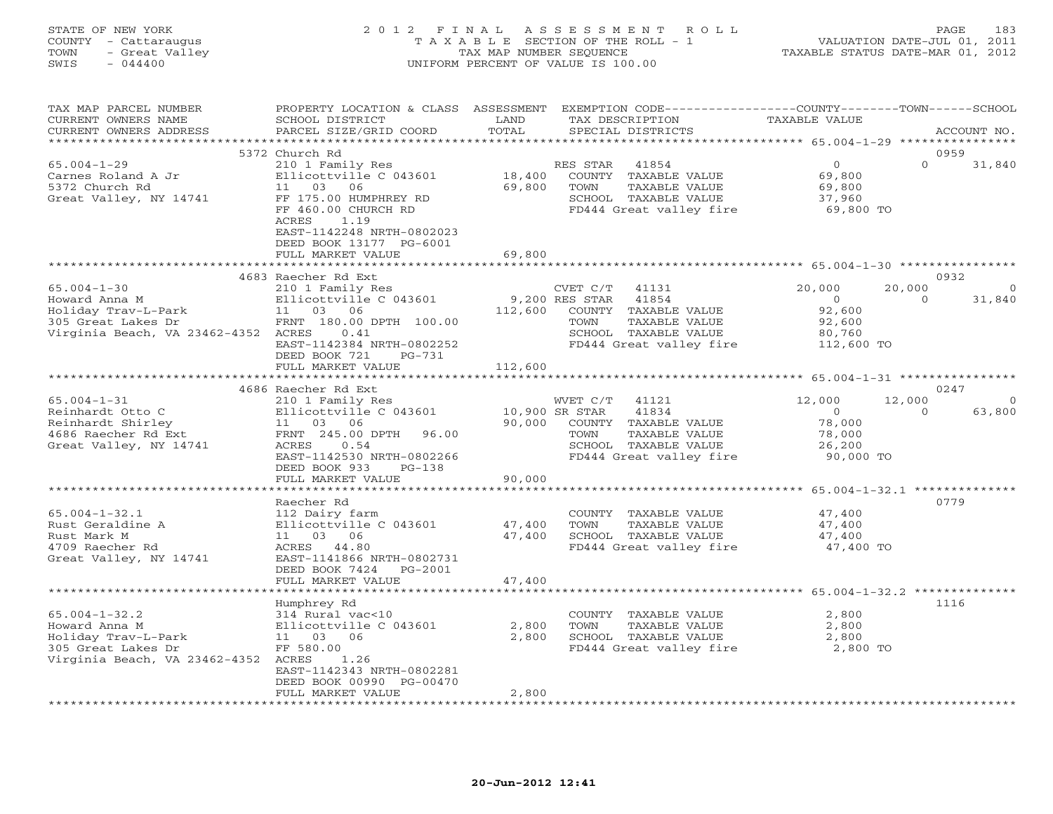### STATE OF NEW YORK 2 0 1 2 F I N A L A S S E S S M E N T R O L L PAGE 183 COUNTY - Cattaraugus T A X A B L E SECTION OF THE ROLL - 1 VALUATION DATE-JUL 01, 2011 TOWN - Great Valley TAX MAP NUMBER SEQUENCE TAXABLE STATUS DATE-MAR 01, 2012 SWIS - 044400 UNIFORM PERCENT OF VALUE IS 100.00

| TAX MAP PARCEL NUMBER<br>CURRENT OWNERS NAME<br>CURRENT OWNERS ADDRESS                                                   | PROPERTY LOCATION & CLASS ASSESSMENT EXEMPTION CODE----------------COUNTY-------TOWN------SCHOOL<br>SCHOOL DISTRICT<br>PARCEL SIZE/GRID COORD                  | LAND<br>TOTAL              | TAX DESCRIPTION            | SPECIAL DISTRICTS                                                                                          | <b>TAXABLE VALUE</b>                                                |                    | ACCOUNT NO.              |
|--------------------------------------------------------------------------------------------------------------------------|----------------------------------------------------------------------------------------------------------------------------------------------------------------|----------------------------|----------------------------|------------------------------------------------------------------------------------------------------------|---------------------------------------------------------------------|--------------------|--------------------------|
|                                                                                                                          |                                                                                                                                                                |                            |                            |                                                                                                            |                                                                     |                    |                          |
|                                                                                                                          | 5372 Church Rd                                                                                                                                                 |                            |                            |                                                                                                            |                                                                     |                    | 0959                     |
| $65.004 - 1 - 29$<br>Carnes Roland A Jr<br>5372 Church Rd<br>Great Valley, NY 14741                                      | 210 1 Family Res<br>Ellicottville C 043601<br>11 03<br>06<br>FF 175.00 HUMPHREY RD                                                                             | 18,400<br>69,800           | RES STAR<br>TOWN           | 41854<br>COUNTY TAXABLE VALUE<br>TAXABLE VALUE<br>SCHOOL TAXABLE VALUE                                     | $\circ$<br>69,800<br>69,800<br>37,960                               | $\Omega$           | 31,840                   |
|                                                                                                                          | FF 460.00 CHURCH RD<br>ACRES<br>1.19<br>EAST-1142248 NRTH-0802023<br>DEED BOOK 13177 PG-6001<br>FULL MARKET VALUE                                              | 69,800                     |                            | FD444 Great valley fire                                                                                    | 69,800 TO                                                           |                    |                          |
|                                                                                                                          | ***************************                                                                                                                                    | ************               |                            |                                                                                                            |                                                                     |                    |                          |
| $65.004 - 1 - 30$<br>Howard Anna M<br>Holiday Trav-L-Park                                                                | 4683 Raecher Rd Ext<br>210 1 Family Res<br>Ellicottville C 043601<br>11 03 06                                                                                  | 112,600                    | CVET C/T<br>9,200 RES STAR | 41131<br>41854<br>COUNTY TAXABLE VALUE                                                                     | 20,000<br>$\overline{0}$<br>92,600                                  | 20,000<br>$\cap$   | 0932<br>$\cap$<br>31,840 |
| 305 Great Lakes Dr<br>Virginia Beach, VA 23462-4352 ACRES                                                                | FRNT 180.00 DPTH 100.00<br>0.41<br>EAST-1142384 NRTH-0802252<br>DEED BOOK 721<br>PG-731                                                                        |                            | TOWN                       | TAXABLE VALUE<br>SCHOOL TAXABLE VALUE<br>FD444 Great valley fire                                           | 92,600<br>80,760<br>112,600 TO                                      |                    |                          |
|                                                                                                                          | FULL MARKET VALUE                                                                                                                                              | 112,600                    |                            |                                                                                                            |                                                                     |                    |                          |
|                                                                                                                          |                                                                                                                                                                |                            |                            |                                                                                                            |                                                                     |                    |                          |
|                                                                                                                          | 4686 Raecher Rd Ext                                                                                                                                            |                            |                            |                                                                                                            |                                                                     |                    | 0247                     |
| $65.004 - 1 - 31$<br>Reinhardt Otto C<br>Reinhardt Shirley<br>4686 Raecher Rd Ext<br>Great Valley, NY 14741              | 210 1 Family Res<br>Ellicottville C 043601<br>11 03 06<br>FRNT 245.00 DPTH<br>96.00<br>ACRES<br>0.54<br>EAST-1142530 NRTH-0802266<br>DEED BOOK 933<br>$PG-138$ | 10,900 SR STAR<br>90,000   | WVET C/T<br>TOWN           | 41121<br>41834<br>COUNTY TAXABLE VALUE<br>TAXABLE VALUE<br>SCHOOL TAXABLE VALUE<br>FD444 Great valley fire | 12,000<br>$\overline{O}$<br>78,000<br>78,000<br>26,200<br>90,000 TO | 12,000<br>$\Omega$ | $\Omega$<br>63,800       |
|                                                                                                                          | FULL MARKET VALUE                                                                                                                                              | 90,000                     |                            |                                                                                                            |                                                                     |                    |                          |
|                                                                                                                          | ********************<br>Raecher Rd                                                                                                                             |                            |                            |                                                                                                            | ***************** 65.004-1-32.1 ***************                     |                    | 0779                     |
| $65.004 - 1 - 32.1$<br>Rust Geraldine A<br>Rust Mark M<br>4709 Raecher Rd<br>Great Valley, NY 14741                      | 112 Dairy farm<br>Ellicottville C 043601<br>11 03 06<br>ACRES 44.80<br>EAST-1141866 NRTH-0802731<br>DEED BOOK 7424<br>PG-2001<br>FULL MARKET VALUE             | 47,400<br>47,400<br>47,400 | TOWN                       | COUNTY TAXABLE VALUE<br>TAXABLE VALUE<br>SCHOOL TAXABLE VALUE<br>FD444 Great valley fire                   | 47,400<br>47,400<br>47,400<br>47,400 TO                             |                    |                          |
|                                                                                                                          |                                                                                                                                                                |                            |                            |                                                                                                            |                                                                     |                    |                          |
| $65.004 - 1 - 32.2$<br>Howard Anna M<br>Holiday Trav-L-Park<br>305 Great Lakes Dr<br>Virginia Beach, VA 23462-4352 ACRES | Humphrey Rd<br>314 Rural vac<10<br>Ellicottville C 043601<br>11 03 06<br>FF 580.00<br>1.26<br>EAST-1142343 NRTH-0802281<br>DEED BOOK 00990 PG-00470            | 2,800<br>2,800             | TOWN                       | COUNTY TAXABLE VALUE<br>TAXABLE VALUE<br>SCHOOL TAXABLE VALUE<br>FD444 Great valley fire                   | 2,800<br>2,800<br>2,800<br>2,800 TO                                 |                    | 1116                     |
|                                                                                                                          | FULL MARKET VALUE                                                                                                                                              | 2,800                      |                            |                                                                                                            |                                                                     |                    |                          |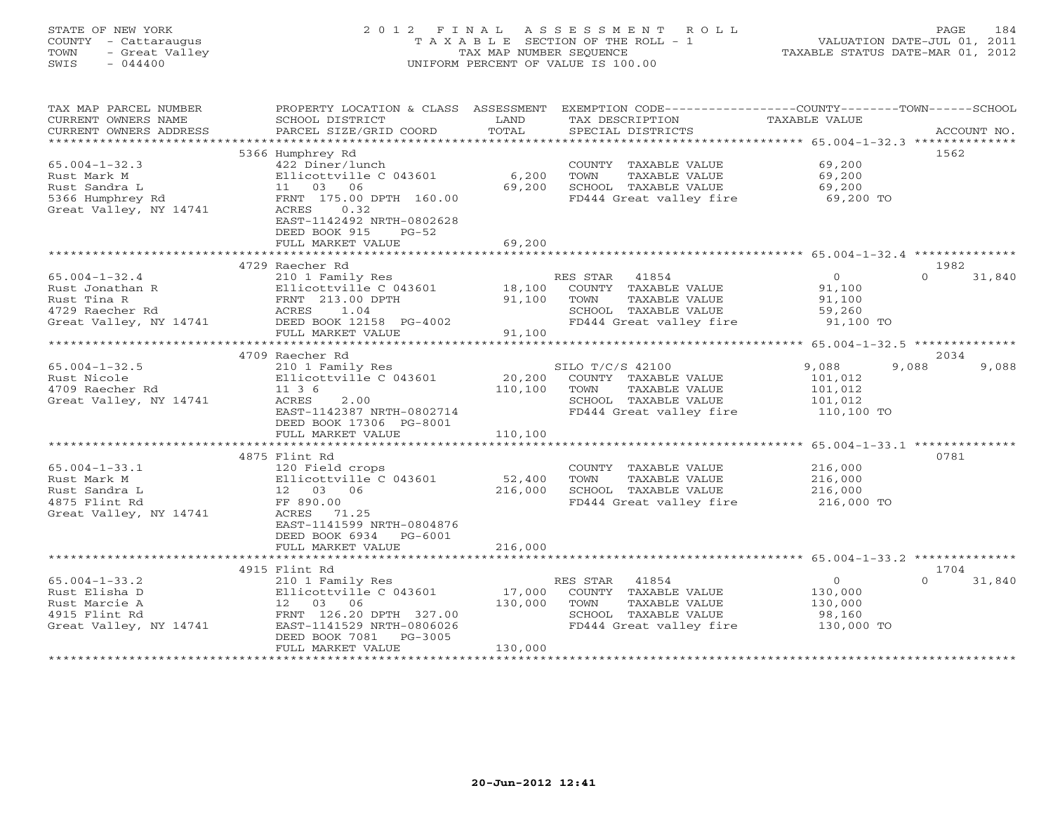## STATE OF NEW YORK 2 0 1 2 F I N A L A S S E S S M E N T R O L L PAGE 184 COUNTY - Cattaraugus T A X A B L E SECTION OF THE ROLL - 1 VALUATION DATE-JUL 01, 2011 TOWN - Great Valley TAX MAP NUMBER SEQUENCE TAXABLE STATUS DATE-MAR 01, 2012 SWIS - 044400 UNIFORM PERCENT OF VALUE IS 100.00

| TAX MAP PARCEL NUMBER<br>CURRENT OWNERS NAME<br>CURRENT OWNERS ADDRESS | PROPERTY LOCATION & CLASS ASSESSMENT<br>SCHOOL DISTRICT<br>PARCEL SIZE/GRID COORD | LAND<br>TOTAL | EXEMPTION CODE-----------------COUNTY-------TOWN------SCHOOL<br>TAX DESCRIPTION<br>SPECIAL DISTRICTS | TAXABLE VALUE | ACCOUNT NO.        |
|------------------------------------------------------------------------|-----------------------------------------------------------------------------------|---------------|------------------------------------------------------------------------------------------------------|---------------|--------------------|
| ***********************                                                |                                                                                   |               |                                                                                                      |               |                    |
|                                                                        | 5366 Humphrey Rd                                                                  |               |                                                                                                      |               | 1562               |
| $65.004 - 1 - 32.3$                                                    | 422 Diner/lunch                                                                   |               | COUNTY TAXABLE VALUE                                                                                 | 69,200        |                    |
| Rust Mark M                                                            | Ellicottville C 043601                                                            | 6,200         | TOWN<br>TAXABLE VALUE                                                                                | 69,200        |                    |
| Rust Sandra L                                                          | 11 03 06                                                                          | 69,200        | SCHOOL TAXABLE VALUE                                                                                 | 69,200        |                    |
| 5366 Humphrey Rd                                                       | FRNT 175.00 DPTH 160.00                                                           |               | FD444 Great valley fire                                                                              | 69,200 TO     |                    |
| Great Valley, NY 14741                                                 | ACRES<br>0.32<br>EAST-1142492 NRTH-0802628<br>DEED BOOK 915<br>$PG-52$            |               |                                                                                                      |               |                    |
|                                                                        | FULL MARKET VALUE                                                                 | 69,200        |                                                                                                      |               |                    |
|                                                                        |                                                                                   |               |                                                                                                      |               |                    |
|                                                                        | 4729 Raecher Rd                                                                   |               |                                                                                                      |               | 1982               |
| $65.004 - 1 - 32.4$                                                    | 210 1 Family Res                                                                  |               | RES STAR 41854                                                                                       | $\circ$       | $\Omega$<br>31,840 |
| Rust Jonathan R                                                        | Ellicottville C 043601                                                            | 18,100        | COUNTY TAXABLE VALUE                                                                                 | 91,100        |                    |
| Rust Tina R                                                            | FRNT 213.00 DPTH                                                                  | 91,100        | TOWN<br>TAXABLE VALUE                                                                                | 91,100        |                    |
| 4729 Raecher Rd                                                        | ACRES<br>1.04                                                                     |               | SCHOOL TAXABLE VALUE                                                                                 | 59,260        |                    |
| Great Valley, NY 14741                                                 | DEED BOOK 12158 PG-4002                                                           |               | FD444 Great valley fire                                                                              | 91,100 TO     |                    |
|                                                                        | FULL MARKET VALUE                                                                 | 91,100        |                                                                                                      |               |                    |
|                                                                        |                                                                                   |               |                                                                                                      |               |                    |
|                                                                        | 4709 Raecher Rd                                                                   |               |                                                                                                      |               | 2034               |
| $65.004 - 1 - 32.5$                                                    | 210 1 Family Res                                                                  |               | SILO T/C/S 42100                                                                                     | 9,088         | 9,088<br>9,088     |
| Rust Nicole                                                            | Ellicottville C 043601                                                            | 20,200        | COUNTY TAXABLE VALUE                                                                                 | 101,012       |                    |
| 4709 Raecher Rd                                                        | 11 3 6                                                                            | 110,100       | TAXABLE VALUE<br>TOWN                                                                                | 101,012       |                    |
| Great Valley, NY 14741                                                 | ACRES<br>2.00                                                                     |               | SCHOOL TAXABLE VALUE                                                                                 | 101,012       |                    |
|                                                                        | EAST-1142387 NRTH-0802714                                                         |               | FD444 Great valley fire                                                                              | 110,100 TO    |                    |
|                                                                        | DEED BOOK 17306 PG-8001                                                           |               |                                                                                                      |               |                    |
|                                                                        | FULL MARKET VALUE                                                                 | 110,100       |                                                                                                      |               |                    |
|                                                                        |                                                                                   |               |                                                                                                      |               |                    |
|                                                                        | 4875 Flint Rd                                                                     |               |                                                                                                      |               | 0781               |
| $65.004 - 1 - 33.1$                                                    | 120 Field crops                                                                   |               | COUNTY TAXABLE VALUE                                                                                 | 216,000       |                    |
| Rust Mark M                                                            | Ellicottville C 043601                                                            | 52,400        | TAXABLE VALUE<br>TOWN                                                                                | 216,000       |                    |
| Rust Sandra L                                                          | 12  03  06                                                                        | 216,000       | SCHOOL TAXABLE VALUE                                                                                 | 216,000       |                    |
| 4875 Flint Rd                                                          | FF 890.00                                                                         |               | FD444 Great valley fire                                                                              | 216,000 TO    |                    |
| Great Valley, NY 14741                                                 | ACRES 71.25                                                                       |               |                                                                                                      |               |                    |
|                                                                        | EAST-1141599 NRTH-0804876                                                         |               |                                                                                                      |               |                    |
|                                                                        | DEED BOOK 6934<br>PG-6001                                                         |               |                                                                                                      |               |                    |
|                                                                        | FULL MARKET VALUE                                                                 | 216,000       |                                                                                                      |               |                    |
|                                                                        |                                                                                   |               |                                                                                                      |               |                    |
|                                                                        | 4915 Flint Rd                                                                     |               |                                                                                                      |               | 1704               |
| $65.004 - 1 - 33.2$                                                    | 210 1 Family Res                                                                  |               | 41854<br>RES STAR                                                                                    | $\circ$       | $\Omega$<br>31,840 |
| Rust Elisha D                                                          | Ellicottville C 043601                                                            | 17,000        | COUNTY TAXABLE VALUE                                                                                 | 130,000       |                    |
| Rust Marcie A                                                          | 12 03 06                                                                          | 130,000       | TAXABLE VALUE<br>TOWN                                                                                | 130,000       |                    |
| 4915 Flint Rd                                                          | FRNT 126.20 DPTH 327.00                                                           |               | SCHOOL TAXABLE VALUE                                                                                 | 98,160        |                    |
| Great Valley, NY 14741                                                 | EAST-1141529 NRTH-0806026                                                         |               | FD444 Great valley fire                                                                              | 130,000 TO    |                    |
|                                                                        | DEED BOOK 7081<br>PG-3005                                                         |               |                                                                                                      |               |                    |
|                                                                        | FULL MARKET VALUE                                                                 | 130,000       |                                                                                                      |               |                    |
|                                                                        |                                                                                   |               |                                                                                                      |               |                    |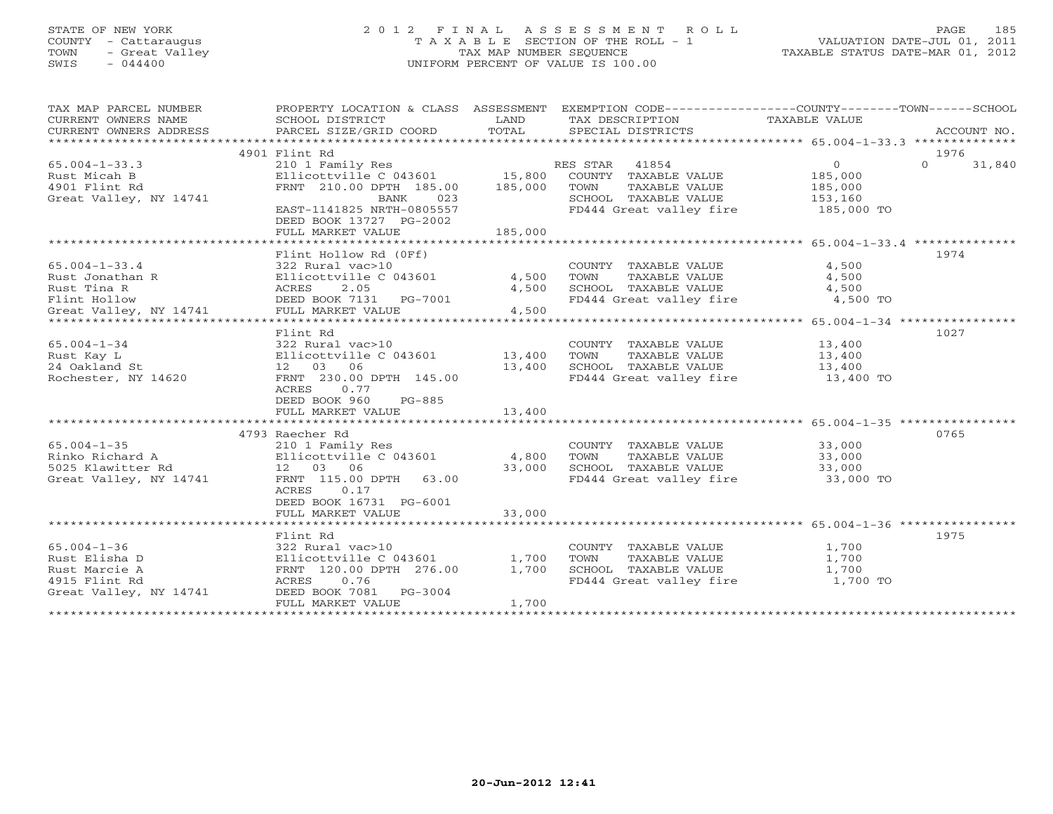## STATE OF NEW YORK 2 0 1 2 F I N A L A S S E S S M E N T R O L L PAGE 185 COUNTY - Cattaraugus T A X A B L E SECTION OF THE ROLL - 1 VALUATION DATE-JUL 01, 2011 TOWN - Great Valley TAX MAP NUMBER SEQUENCE TAXABLE STATUS DATE-MAR 01, 2012 SWIS - 044400 UNIFORM PERCENT OF VALUE IS 100.00

| TAX MAP PARCEL NUMBER<br>CURRENT OWNERS ADDRESS | PROPERTY LOCATION & CLASS ASSESSMENT EXEMPTION CODE---------------COUNTY-------TOWN------SCHOOL |        |                                                                  |                |                    |
|-------------------------------------------------|-------------------------------------------------------------------------------------------------|--------|------------------------------------------------------------------|----------------|--------------------|
|                                                 |                                                                                                 |        |                                                                  |                |                    |
|                                                 | 4901 Flint Rd                                                                                   |        |                                                                  |                | 1976               |
| $65.004 - 1 - 33.3$                             | 210 1 Family Res<br>Ellicottville C 043601 15,800 COUNTY TAXABLE VALUE                          |        |                                                                  | $\overline{O}$ | $\Omega$<br>31,840 |
| Rust Micah B                                    |                                                                                                 |        |                                                                  | 185,000        |                    |
| 4901 Flint Rd                                   | FRNT 210.00 DPTH 185.00 185,000                                                                 |        | TAXABLE VALUE<br>TOWN                                            | 185,000        |                    |
| Great Valley, NY 14741                          | BANK 023<br>EAST-1141825 NRTH-0805557                                                           |        | SCHOOL TAXABLE VALUE 153,160                                     |                |                    |
|                                                 |                                                                                                 |        | FD444 Great valley fire                                          | 185,000 TO     |                    |
|                                                 | DEED BOOK 13727 PG-2002                                                                         |        |                                                                  |                |                    |
|                                                 |                                                                                                 |        |                                                                  |                |                    |
|                                                 |                                                                                                 |        |                                                                  |                |                    |
|                                                 | Flint Hollow Rd (OFf)                                                                           |        |                                                                  |                | 1974               |
| $65.004 - 1 - 33.4$                             | 322 Rural vac>10<br>322 Rural vac>10<br>Ellicottville C 043601              4,500               |        | COUNTY TAXABLE VALUE                                             | 4,500          |                    |
| Rust Jonathan R                                 |                                                                                                 |        | TAXABLE VALUE<br>TOWN                                            | 4,500          |                    |
| Rust Tina R                                     |                                                                                                 | 4,500  | SCHOOL TAXABLE VALUE                                             | 4,500          |                    |
| Flint Hollow                                    | 322 Rurai vac>10<br>Ellicottville C 043601<br>ACRES 2.05<br>DEED BOOK 7131 PG-7001              |        | FD444 Great valley fire                                          | 4,500 TO       |                    |
| Great Valley, NY 14741                          | FULL MARKET VALUE                                                                               | 4,500  |                                                                  |                |                    |
|                                                 |                                                                                                 |        |                                                                  |                |                    |
|                                                 | Flint Rd                                                                                        |        |                                                                  |                | 1027               |
| $65.004 - 1 - 34$                               | 322 Rural vac>10                                                                                |        | COUNTY TAXABLE VALUE 13,400                                      |                |                    |
| Rust Kay L                                      | Ellicottville C $043601$ 13,400                                                                 |        | TOWN<br>TAXABLE VALUE                                            | 13,400         |                    |
| 24 Oakland St                                   | 12 03 06                                                                                        | 13,400 | SCHOOL TAXABLE VALUE                                             | 13,400         |                    |
| Rochester, NY 14620                             | FRNT 230.00 DPTH 145.00                                                                         |        | FD444 Great valley fire 13,400 TO                                |                |                    |
|                                                 | ACRES 0.77                                                                                      |        |                                                                  |                |                    |
|                                                 | DEED BOOK 960<br>PG-885                                                                         |        |                                                                  |                |                    |
|                                                 | FULL MARKET VALUE                                                                               | 13,400 |                                                                  |                |                    |
|                                                 |                                                                                                 |        |                                                                  |                |                    |
|                                                 | 4793 Raecher Rd                                                                                 |        |                                                                  |                | 0765               |
| $65.004 - 1 - 35$                               | 210 1 Family Res                                                                                |        | COUNTY TAXABLE VALUE 33,000                                      |                |                    |
| Rinko Richard A                                 | 210 1 Family Res<br>Ellicottville C 043601                4,800                                 |        | TAXABLE VALUE 33,000<br>TOWN                                     |                |                    |
| 5025 Klawitter Rd                               | $\frac{12}{2}$ 03 06                                                                            | 33,000 | SCHOOL TAXABLE VALUE 33,000<br>FD444 Great valley fire 33,000 TO |                |                    |
| Great Valley, NY 14741                          | FRNT 115.00 DPTH 63.00                                                                          |        |                                                                  |                |                    |
|                                                 | 0.17<br>ACRES                                                                                   |        |                                                                  |                |                    |
|                                                 | DEED BOOK 16731 PG-6001                                                                         |        |                                                                  |                |                    |
|                                                 | FULL MARKET VALUE                                                                               | 33,000 |                                                                  |                |                    |
|                                                 |                                                                                                 |        |                                                                  |                |                    |
|                                                 | Flint Rd                                                                                        |        |                                                                  |                | 1975               |
| $65.004 - 1 - 36$                               | 322 Rural vac>10                                                                                |        | COUNTY TAXABLE VALUE 1,700                                       |                |                    |
| Rust Elisha D                                   | Ellicottville C 043601 1,700<br>FRNT 120.00 DPTH 276.00 1,700                                   |        | TOWN<br>TAXABLE VALUE                                            | 1,700          |                    |
| Rust Marcie A                                   | FRNT 120.00 DPTH 276.00                                                                         |        | SCHOOL TAXABLE VALUE                                             | 1,700          |                    |
| 4915 Flint Rd                                   | ACRES 0.76                                                                                      |        | FD444 Great valley fire 1,700 TO                                 |                |                    |
| Great Valley, NY 14741                          | DEED BOOK 7081 PG-3004                                                                          |        |                                                                  |                |                    |
|                                                 | FULL MARKET VALUE                                                                               | 1,700  |                                                                  |                |                    |
|                                                 |                                                                                                 |        |                                                                  |                |                    |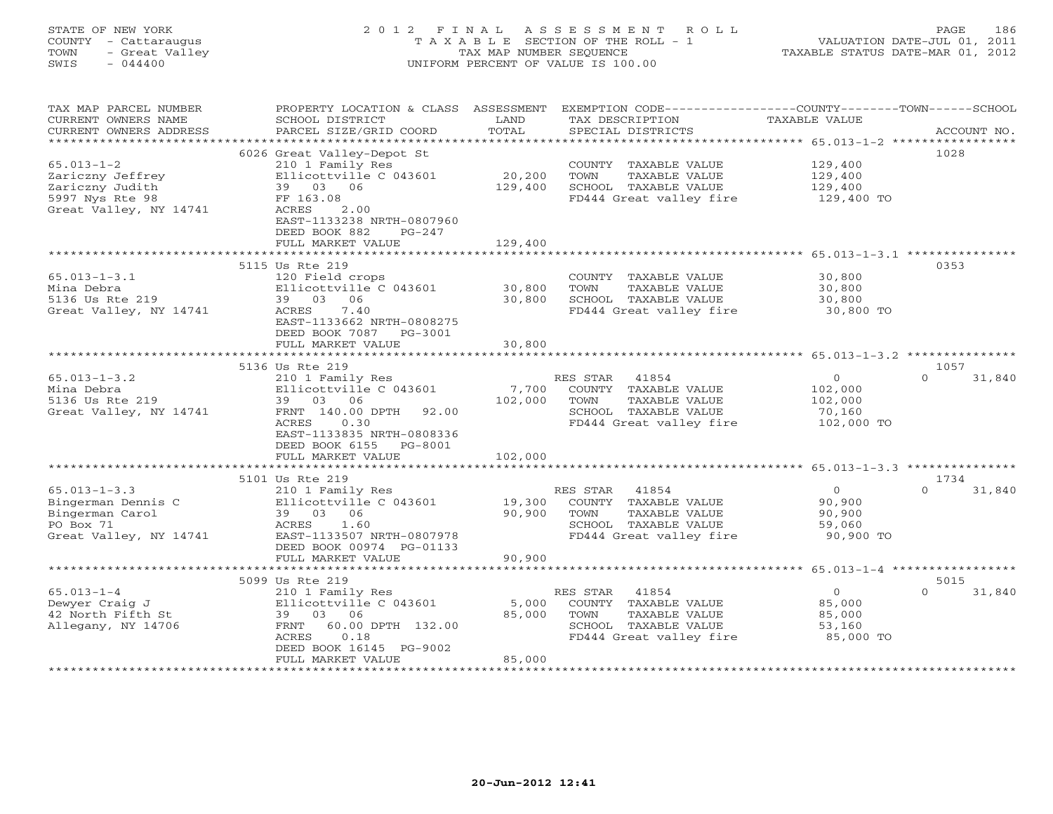## STATE OF NEW YORK 2 0 1 2 F I N A L A S S E S S M E N T R O L L PAGE 186 COUNTY - Cattaraugus T A X A B L E SECTION OF THE ROLL - 1 VALUATION DATE-JUL 01, 2011 TOWN - Great Valley TAX MAP NUMBER SEQUENCE TAXABLE STATUS DATE-MAR 01, 2012 SWIS - 044400 UNIFORM PERCENT OF VALUE IS 100.00

| TAX MAP PARCEL NUMBER<br>CURRENT OWNERS NAME<br>CURRENT OWNERS ADDRESS                               | PROPERTY LOCATION & CLASS<br>SCHOOL DISTRICT<br>PARCEL SIZE/GRID COORD                                                                                                                                            | ASSESSMENT<br>LAND<br>TOTAL     | EXEMPTION CODE-----------------COUNTY-------TOWN------SCHOOL<br>TAX DESCRIPTION<br>SPECIAL DISTRICTS                                                                     | TAXABLE VALUE                                                | ACCOUNT NO.                |
|------------------------------------------------------------------------------------------------------|-------------------------------------------------------------------------------------------------------------------------------------------------------------------------------------------------------------------|---------------------------------|--------------------------------------------------------------------------------------------------------------------------------------------------------------------------|--------------------------------------------------------------|----------------------------|
| $65.013 - 1 - 2$<br>Zariczny Jeffrey<br>Zariczny Judith<br>5997 Nys Rte 98<br>Great Valley, NY 14741 | 6026 Great Valley-Depot St<br>210 1 Family Res<br>Ellicottville C 043601<br>39 03 06<br>FF 163.08<br>ACRES<br>2.00<br>EAST-1133238 NRTH-0807960<br>DEED BOOK 882<br>$PG-247$                                      | **********<br>20,200<br>129,400 | ************************************** 65.013-1-2 ******************<br>COUNTY TAXABLE VALUE<br>TOWN<br>TAXABLE VALUE<br>SCHOOL TAXABLE VALUE<br>FD444 Great valley fire | 129,400<br>129,400<br>129,400<br>129,400 TO                  | 1028                       |
|                                                                                                      | FULL MARKET VALUE                                                                                                                                                                                                 | 129,400                         |                                                                                                                                                                          |                                                              |                            |
| $65.013 - 1 - 3.1$<br>Mina Debra<br>5136 Us Rte 219<br>Great Valley, NY 14741                        | ******************<br>5115 Us Rte 219<br>120 Field crops<br>Ellicottville C 043601<br>39 03 06<br>7.40<br>ACRES<br>EAST-1133662 NRTH-0808275<br>DEED BOOK 7087<br>PG-3001                                         | 30,800<br>30,800                | ********************************* 65.013-1-3.1 ***************<br>COUNTY TAXABLE VALUE<br>TOWN<br>TAXABLE VALUE<br>SCHOOL TAXABLE VALUE<br>FD444 Great valley fire       | 30,800<br>30,800<br>30,800<br>30,800 TO                      | 0353                       |
|                                                                                                      | FULL MARKET VALUE<br>*************************                                                                                                                                                                    | 30,800<br>*********             | ********************************** 65.013-1-3.2 ***************                                                                                                          |                                                              |                            |
|                                                                                                      | 5136 Us Rte 219                                                                                                                                                                                                   |                                 |                                                                                                                                                                          |                                                              | 1057                       |
| $65.013 - 1 - 3.2$<br>Mina Debra<br>5136 Us Rte 219<br>Great Valley, NY 14741                        | 210 1 Family Res<br>Ellicottville C 043601<br>39 03 06<br>FRNT 140.00 DPTH 92.00<br><b>ACRES</b><br>0.30<br>EAST-1133835 NRTH-0808336<br>DEED BOOK 6155<br>PG-8001<br>FULL MARKET VALUE                           | 7,700<br>102,000<br>102,000     | 41854<br>RES STAR<br>COUNTY TAXABLE VALUE<br>TAXABLE VALUE<br>TOWN<br>SCHOOL TAXABLE VALUE<br>FD444 Great valley fire                                                    | $\overline{O}$<br>102,000<br>102,000<br>70,160<br>102,000 TO | 31,840<br>$\Omega$         |
|                                                                                                      |                                                                                                                                                                                                                   |                                 |                                                                                                                                                                          |                                                              |                            |
| $65.013 - 1 - 3.3$<br>Bingerman Dennis C<br>Bingerman Carol<br>PO Box 71<br>Great Valley, NY 14741   | 5101 Us Rte 219<br>210 1 Family Res<br>Ellicottville C 043601<br>39 03 06<br>1.60<br>ACRES<br>EAST-1133507 NRTH-0807978<br>DEED BOOK 00974 PG-01133<br>FULL MARKET VALUE<br>* * * * * * * * * * * * * * * * * * * | 19,300<br>90,900<br>90,900      | RES STAR<br>41854<br>COUNTY TAXABLE VALUE<br>TAXABLE VALUE<br>TOWN<br>SCHOOL TAXABLE VALUE<br>FD444 Great valley fire                                                    | $\circ$<br>90,900<br>90,900<br>59,060<br>90,900 TO           | 1734<br>$\Omega$<br>31,840 |
|                                                                                                      | 5099 Us Rte 219                                                                                                                                                                                                   |                                 |                                                                                                                                                                          | ********** 65.013-1-4 ******************                     | 5015                       |
| $65.013 - 1 - 4$<br>Dewyer Craig J<br>42 North Fifth St<br>Allegany, NY 14706                        | 210 1 Family Res<br>Ellicottville C 043601<br>39 03 06<br>60.00 DPTH 132.00<br>FRNT<br>0.18<br>ACRES<br>DEED BOOK 16145 PG-9002<br>FULL MARKET VALUE                                                              | 5,000<br>85,000<br>85,000       | RES STAR<br>41854<br>COUNTY TAXABLE VALUE<br>TOWN<br>TAXABLE VALUE<br>SCHOOL TAXABLE VALUE<br>FD444 Great valley fire                                                    | $\mathbf{O}$<br>85,000<br>85,000<br>53,160<br>85,000 TO      | 31,840<br>$\Omega$         |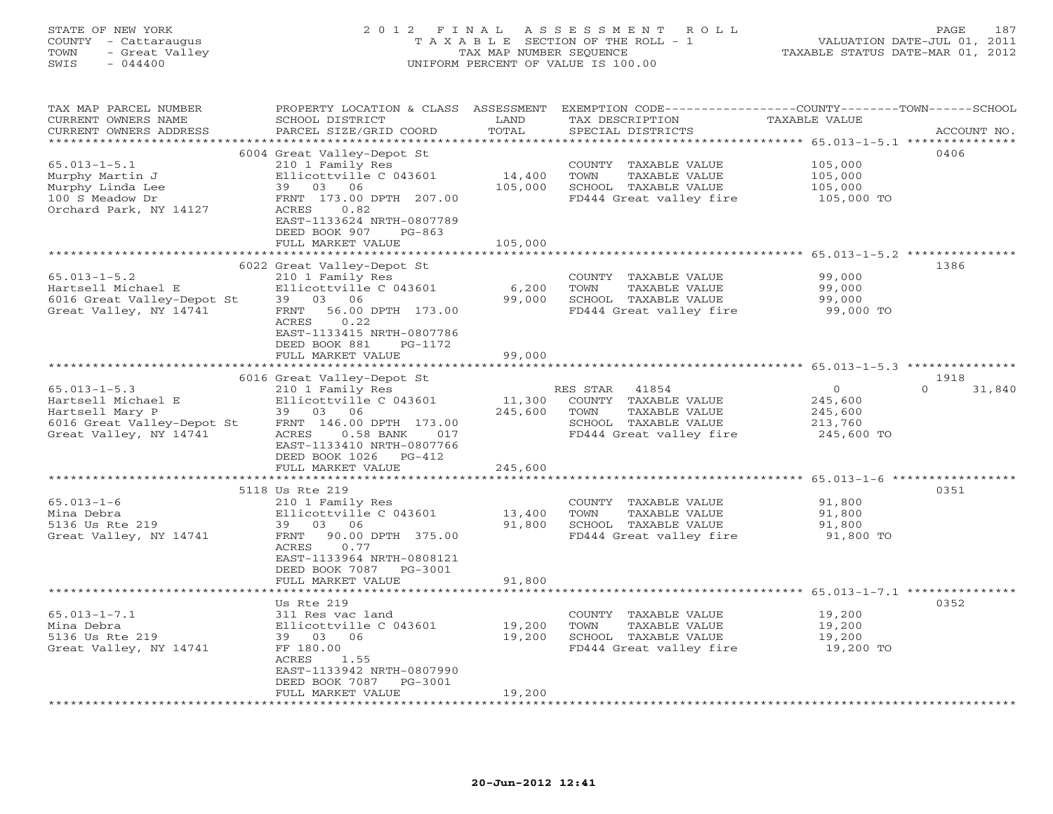#### STATE OF NEW YORK 2 0 1 2 F I N A L A S S E S S M E N T R O L L PAGE 187 COUNTY - Cattaraugus T A X A B L E SECTION OF THE ROLL - 1 VALUATION DATE-JUL 01, 2011 TOWN - Great Valley TAX MAP NUMBER SEQUENCE TAXABLE STATUS DATE-MAR 01, 2012 SWIS - 044400 UNIFORM PERCENT OF VALUE IS 100.00UNIFORM PERCENT OF VALUE IS 100.00

| TAX MAP PARCEL NUMBER                                                                                                                              |                             |         | PROPERTY LOCATION & CLASS ASSESSMENT EXEMPTION CODE----------------COUNTY-------TOWN------SCHOOL |                     |                    |
|----------------------------------------------------------------------------------------------------------------------------------------------------|-----------------------------|---------|--------------------------------------------------------------------------------------------------|---------------------|--------------------|
| CURRENT OWNERS NAME                                                                                                                                | SCHOOL DISTRICT             | LAND    | TAX DESCRIPTION                                                                                  | TAXABLE VALUE       |                    |
| CURRENT OWNERS ADDRESS                                                                                                                             | PARCEL SIZE/GRID COORD      | TOTAL   | SPECIAL DISTRICTS                                                                                |                     | ACCOUNT NO.        |
|                                                                                                                                                    |                             |         |                                                                                                  |                     |                    |
|                                                                                                                                                    | 6004 Great Valley-Depot St  |         |                                                                                                  |                     | 0406               |
| $65.013 - 1 - 5.1$                                                                                                                                 | 210 1 Family Res            |         | COUNTY TAXABLE VALUE                                                                             | 105,000             |                    |
| Murphy Martin J                                                                                                                                    | Ellicottville C 043601      | 14,400  | TOWN<br>TAXABLE VALUE                                                                            | 105,000             |                    |
| Murphy Linda Lee                                                                                                                                   | 39 03 06                    | 105,000 | SCHOOL TAXABLE VALUE                                                                             | 105,000             |                    |
| 100 S Meadow Dr                                                                                                                                    | FRNT 173.00 DPTH 207.00     |         | FD444 Great valley fire                                                                          | 105,000 TO          |                    |
|                                                                                                                                                    |                             |         |                                                                                                  |                     |                    |
| Orchard Park, NY 14127                                                                                                                             | ACRES<br>0.82               |         |                                                                                                  |                     |                    |
|                                                                                                                                                    | EAST-1133624 NRTH-0807789   |         |                                                                                                  |                     |                    |
|                                                                                                                                                    | DEED BOOK 907<br>$PG-863$   |         |                                                                                                  |                     |                    |
|                                                                                                                                                    | FULL MARKET VALUE           | 105,000 |                                                                                                  |                     |                    |
|                                                                                                                                                    |                             |         |                                                                                                  |                     |                    |
|                                                                                                                                                    | 6022 Great Valley-Depot St  |         |                                                                                                  |                     | 1386               |
| $65.013 - 1 - 5.2$                                                                                                                                 | 210 1 Family Res            |         | COUNTY TAXABLE VALUE                                                                             | 99,000              |                    |
|                                                                                                                                                    |                             | 6,200   | TOWN<br>TAXABLE VALUE                                                                            | 99,000              |                    |
|                                                                                                                                                    |                             | 99,000  | SCHOOL TAXABLE VALUE                                                                             | 99,000              |                    |
| ob.u.b.i.b.z.<br>Hartsell Michael E Bilicottville C 043601<br>6016 Great Valley-Depot St 39 03 06<br>Great Valley, NY 14741 FRNT 56.00 DPTH 173.00 |                             |         | FD444 Great valley fire 99,000 TO                                                                |                     |                    |
|                                                                                                                                                    | ACRES<br>0.22               |         |                                                                                                  |                     |                    |
|                                                                                                                                                    | EAST-1133415 NRTH-0807786   |         |                                                                                                  |                     |                    |
|                                                                                                                                                    | DEED BOOK 881<br>PG-1172    |         |                                                                                                  |                     |                    |
|                                                                                                                                                    | FULL MARKET VALUE           | 99,000  |                                                                                                  |                     |                    |
|                                                                                                                                                    |                             |         |                                                                                                  |                     |                    |
|                                                                                                                                                    |                             |         |                                                                                                  |                     |                    |
|                                                                                                                                                    | 6016 Great Valley-Depot St  |         |                                                                                                  |                     | 1918               |
| $65.013 - 1 - 5.3$                                                                                                                                 | 210 1 Family Res            |         | RES STAR 41854                                                                                   | $\overline{0}$      | $\Omega$<br>31,840 |
| Hartsell Michael E                                                                                                                                 | Ellicottville C 043601      | 11,300  | COUNTY TAXABLE VALUE                                                                             | 245,600             |                    |
| Hartsell Mary P                                                                                                                                    | 39 03 06                    | 245,600 | TOWN<br>TAXABLE VALUE                                                                            | 245,600             |                    |
| 6016 Great Valley-Depot St                                                                                                                         | FRNT 146.00 DPTH 173.00     |         | SCHOOL TAXABLE VALUE                                                                             | 213,760             |                    |
| Great Valley, NY 14741                                                                                                                             | $0.58$ BANK<br>ACRES<br>017 |         | FD444 Great valley fire                                                                          | 245,600 TO          |                    |
|                                                                                                                                                    | EAST-1133410 NRTH-0807766   |         |                                                                                                  |                     |                    |
|                                                                                                                                                    | DEED BOOK 1026 PG-412       |         |                                                                                                  |                     |                    |
|                                                                                                                                                    | FULL MARKET VALUE           | 245,600 |                                                                                                  |                     |                    |
|                                                                                                                                                    |                             |         |                                                                                                  |                     |                    |
|                                                                                                                                                    | 5118 Us Rte 219             |         |                                                                                                  |                     | 0351               |
| $65.013 - 1 - 6$                                                                                                                                   | 210 1 Family Res            |         | COUNTY TAXABLE VALUE                                                                             | 91,800              |                    |
| Mina Debra                                                                                                                                         | Ellicottville C 043601      | 13,400  | TOWN<br>TAXABLE VALUE                                                                            | 91,800              |                    |
| 5136 Us Rte 219                                                                                                                                    | 39 03 06                    | 91,800  | SCHOOL TAXABLE VALUE                                                                             | 91,800              |                    |
| Great Valley, NY 14741                                                                                                                             | FRNT 90.00 DPTH 375.00      |         | FD444 Great valley fire                                                                          | 91,800 TO           |                    |
|                                                                                                                                                    |                             |         |                                                                                                  |                     |                    |
|                                                                                                                                                    | ACRES<br>0.77               |         |                                                                                                  |                     |                    |
|                                                                                                                                                    | EAST-1133964 NRTH-0808121   |         |                                                                                                  |                     |                    |
|                                                                                                                                                    | DEED BOOK 7087 PG-3001      |         |                                                                                                  |                     |                    |
|                                                                                                                                                    | FULL MARKET VALUE           | 91,800  |                                                                                                  |                     |                    |
|                                                                                                                                                    |                             |         |                                                                                                  |                     |                    |
|                                                                                                                                                    | Us Rte 219                  |         |                                                                                                  |                     | 0352               |
| $65.013 - 1 - 7.1$                                                                                                                                 | 311 Res vac land            |         | COUNTY TAXABLE VALUE                                                                             | 19,200              |                    |
| Mina Debra                                                                                                                                         | Ellicottville C 043601      | 19,200  | TOWN<br>TAXABLE VALUE                                                                            | 19,200              |                    |
| 5136 Us Rte 219                                                                                                                                    | 39 03 06                    | 19,200  | SCHOOL TAXABLE VALUE                                                                             |                     |                    |
| Great Valley, NY 14741                                                                                                                             | FF 180.00                   |         | FD444 Great valley fire                                                                          | 19,200<br>19,200 TO |                    |
|                                                                                                                                                    | ACRES<br>1.55               |         |                                                                                                  |                     |                    |
|                                                                                                                                                    | EAST-1133942 NRTH-0807990   |         |                                                                                                  |                     |                    |
|                                                                                                                                                    | DEED BOOK 7087<br>PG-3001   |         |                                                                                                  |                     |                    |
|                                                                                                                                                    | FULL MARKET VALUE           | 19,200  |                                                                                                  |                     |                    |
|                                                                                                                                                    |                             |         |                                                                                                  |                     |                    |
|                                                                                                                                                    |                             |         |                                                                                                  |                     |                    |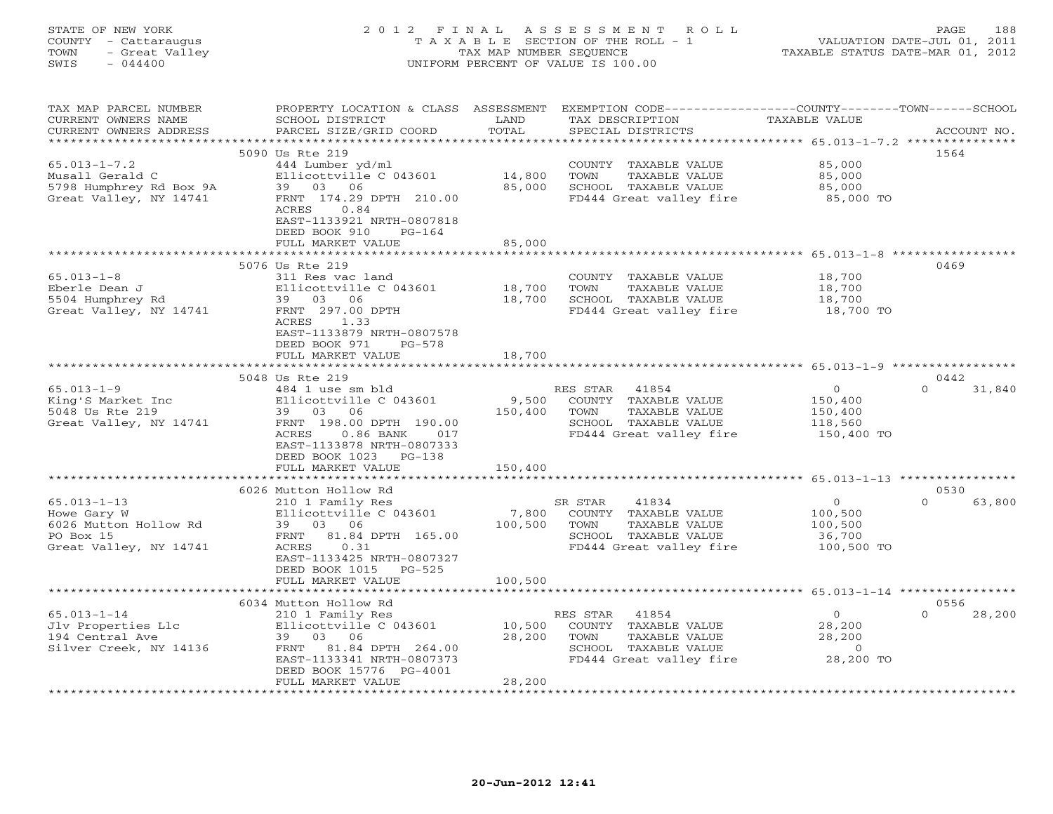| STATE OF NEW YORK<br>COUNTY - Cattaraugus<br>TOWN<br>- Great Valley<br>SWIS<br>$-044400$            | 2012 FINAL                                                                                                                                                                                                             | TAX MAP NUMBER SEQUENCE     | A S S E S S M E N T<br>R O L L<br>T A X A B L E SECTION OF THE ROLL - 1<br>UNIFORM PERCENT OF VALUE IS 100.00         | TAXABLE STATUS DATE-MAR 01, 2012                        | 188<br>PAGE<br>VALUATION DATE-JUL 01, 2011 |
|-----------------------------------------------------------------------------------------------------|------------------------------------------------------------------------------------------------------------------------------------------------------------------------------------------------------------------------|-----------------------------|-----------------------------------------------------------------------------------------------------------------------|---------------------------------------------------------|--------------------------------------------|
| TAX MAP PARCEL NUMBER<br>CURRENT OWNERS NAME<br>CURRENT OWNERS ADDRESS<br>************************* | PROPERTY LOCATION & CLASS ASSESSMENT<br>SCHOOL DISTRICT<br>PARCEL SIZE/GRID COORD                                                                                                                                      | LAND<br>TOTAL               | EXEMPTION CODE-----------------COUNTY-------TOWN------SCHOOL<br>TAX DESCRIPTION<br>SPECIAL DISTRICTS                  | TAXABLE VALUE                                           | ACCOUNT NO.                                |
| $65.013 - 1 - 7.2$<br>Musall Gerald C<br>5798 Humphrey Rd Box 9A<br>Great Valley, NY 14741          | 5090 Us Rte 219<br>444 Lumber yd/ml<br>Ellicottville C 043601<br>03 06<br>39<br>FRNT 174.29 DPTH 210.00<br>ACRES<br>0.84<br>EAST-1133921 NRTH-0807818<br>DEED BOOK 910<br>$PG-164$                                     | 14,800<br>85,000            | COUNTY TAXABLE VALUE<br>TOWN<br>TAXABLE VALUE<br>SCHOOL TAXABLE VALUE<br>FD444 Great valley fire                      | 85,000<br>85,000<br>85,000<br>85,000 TO                 | 1564                                       |
|                                                                                                     | FULL MARKET VALUE                                                                                                                                                                                                      | 85,000                      |                                                                                                                       | *********************** 65.013-1-8 ***************      |                                            |
| $65.013 - 1 - 8$<br>Eberle Dean J<br>5504 Humphrey Rd<br>Great Valley, NY 14741                     | 5076 Us Rte 219<br>311 Res vac land<br>Ellicottville C 043601<br>39<br>03 06<br>FRNT 297.00 DPTH<br>1.33<br>ACRES<br>EAST-1133879 NRTH-0807578<br>DEED BOOK 971<br>$PG-578$<br>FULL MARKET VALUE                       | 18,700<br>18,700<br>18,700  | COUNTY TAXABLE VALUE<br>TOWN<br>TAXABLE VALUE<br>SCHOOL TAXABLE VALUE<br>FD444 Great valley fire                      | 18,700<br>18,700<br>18,700<br>18,700 TO                 | 0469                                       |
|                                                                                                     | ************************                                                                                                                                                                                               |                             |                                                                                                                       |                                                         |                                            |
| $65.013 - 1 - 9$<br>King'S Market Inc<br>5048 Us Rte 219<br>Great Valley, NY 14741                  | 5048 Us Rte 219<br>484 1 use sm bld<br>Ellicottville C 043601<br>39 03<br>06<br>FRNT 198.00 DPTH 190.00<br>$0.86$ BANK<br>ACRES<br>017<br>EAST-1133878 NRTH-0807333<br>DEED BOOK 1023<br>$PG-138$<br>FULL MARKET VALUE | 9,500<br>150,400<br>150,400 | RES STAR<br>41854<br>COUNTY TAXABLE VALUE<br>TOWN<br>TAXABLE VALUE<br>SCHOOL TAXABLE VALUE<br>FD444 Great valley fire | $\Omega$<br>150,400<br>150,400<br>118,560<br>150,400 TO | 0442<br>$\Omega$<br>31,840                 |
|                                                                                                     |                                                                                                                                                                                                                        |                             |                                                                                                                       |                                                         |                                            |
| $65.013 - 1 - 13$<br>Howe Gary W<br>6026 Mutton Hollow Rd<br>PO Box 15<br>Great Valley, NY 14741    | 6026 Mutton Hollow Rd<br>210 1 Family Res<br>Ellicottville C 043601<br>39<br>03<br>-06<br>FRNT<br>81.84 DPTH 165.00<br>ACRES<br>0.31<br>EAST-1133425 NRTH-0807327                                                      | 7,800<br>100,500            | SR STAR<br>41834<br>COUNTY TAXABLE VALUE<br>TAXABLE VALUE<br>TOWN<br>SCHOOL TAXABLE VALUE<br>FD444 Great valley fire  | $\circ$<br>100,500<br>100,500<br>36,700<br>100,500 TO   | 0530<br>$\Omega$<br>63,800                 |
|                                                                                                     | DEED BOOK 1015<br>$PG-525$<br>FULL MARKET VALUE                                                                                                                                                                        | 100,500                     |                                                                                                                       |                                                         |                                            |
|                                                                                                     |                                                                                                                                                                                                                        |                             |                                                                                                                       | ******************** 65.013-1-14 **********             |                                            |
| $65.013 - 1 - 14$<br>Jlv Properties Llc<br>194 Central Ave<br>Silver Creek, NY 14136                | 6034 Mutton Hollow Rd<br>210 1 Family Res<br>Ellicottville C 043601<br>03<br>06<br>39<br>${\tt FRNT}$<br>81.84 DPTH 264.00<br>EAST-1133341 NRTH-0807373<br>DEED BOOK 15776 PG-4001<br>FULL MARKET VALUE                | 10,500<br>28,200<br>28,200  | 41854<br>RES STAR<br>COUNTY TAXABLE VALUE<br>TOWN<br>TAXABLE VALUE<br>SCHOOL TAXABLE VALUE<br>FD444 Great valley fire | $\Omega$<br>28,200<br>28,200<br>$\circ$<br>28,200 TO    | 0556<br>28,200<br>$\Omega$                 |

\*\*\*\*\*\*\*\*\*\*\*\*\*\*\*\*\*\*\*\*\*\*\*\*\*\*\*\*\*\*\*\*\*\*\*\*\*\*\*\*\*\*\*\*\*\*\*\*\*\*\*\*\*\*\*\*\*\*\*\*\*\*\*\*\*\*\*\*\*\*\*\*\*\*\*\*\*\*\*\*\*\*\*\*\*\*\*\*\*\*\*\*\*\*\*\*\*\*\*\*\*\*\*\*\*\*\*\*\*\*\*\*\*\*\*\*\*\*\*\*\*\*\*\*\*\*\*\*\*\*\*\*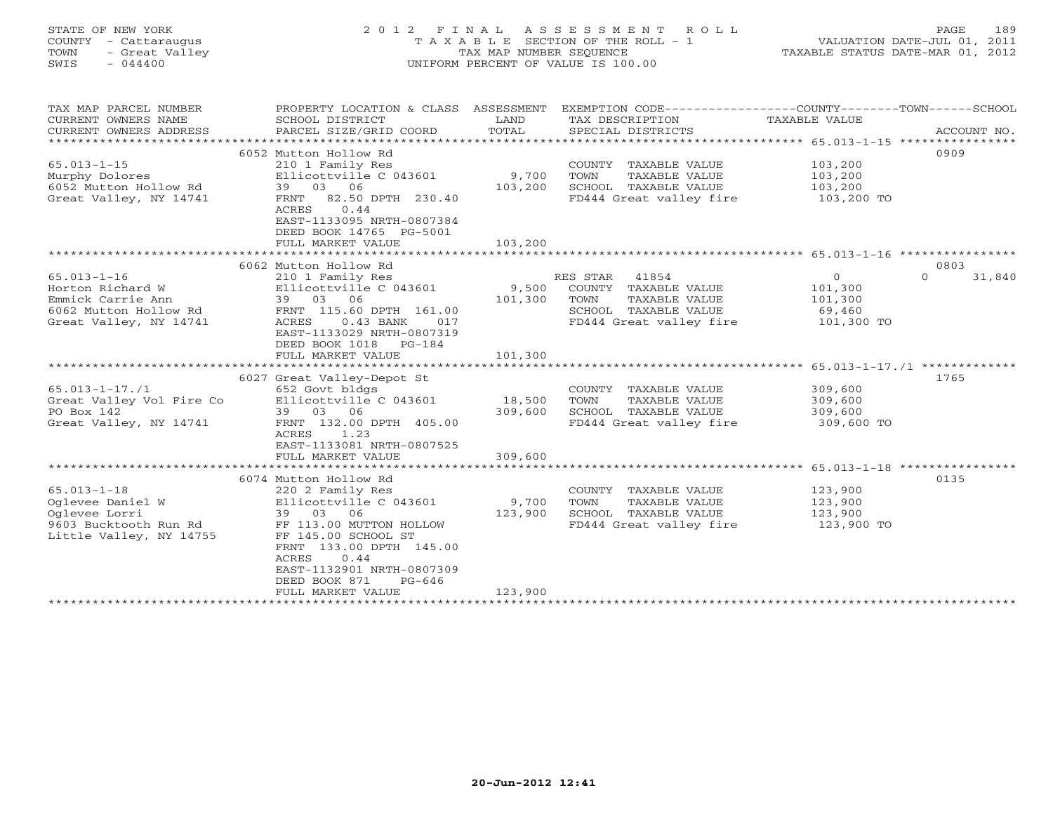# STATE OF NEW YORK 2 0 1 2 F I N A L A S S E S S M E N T R O L L PAGE 189 COUNTY - Cattaraugus T A X A B L E SECTION OF THE ROLL - 1 VALUATION DATE-JUL 01, 2011 TOWN - Great Valley TAX MAP NUMBER SEQUENCE TAXABLE STATUS DATE-MAR 01, 2012 SWIS - 044400 UNIFORM PERCENT OF VALUE IS 100.00

| TAX MAP PARCEL NUMBER    | PROPERTY LOCATION & CLASS ASSESSMENT |                | EXEMPTION CODE-----------------COUNTY-------TOWN------SCHOOL   |               |                    |
|--------------------------|--------------------------------------|----------------|----------------------------------------------------------------|---------------|--------------------|
| CURRENT OWNERS NAME      | SCHOOL DISTRICT                      | LAND           | TAX DESCRIPTION                                                | TAXABLE VALUE |                    |
| CURRENT OWNERS ADDRESS   | PARCEL SIZE/GRID COORD               | TOTAL          | SPECIAL DISTRICTS                                              |               | ACCOUNT NO.        |
|                          |                                      |                |                                                                |               |                    |
|                          | 6052 Mutton Hollow Rd                |                |                                                                |               | 0909               |
| $65.013 - 1 - 15$        | 210 1 Family Res                     |                | COUNTY TAXABLE VALUE                                           | 103,200       |                    |
| Murphy Dolores           | Ellicottville C 043601               | 9,700          | TOWN<br>TAXABLE VALUE                                          | 103,200       |                    |
| 6052 Mutton Hollow Rd    | 39 03 06                             | 103,200        | SCHOOL TAXABLE VALUE                                           | 103,200       |                    |
| Great Valley, NY 14741   | FRNT 82.50 DPTH 230.40               |                | FD444 Great valley fire                                        | 103,200 TO    |                    |
|                          | ACRES<br>0.44                        |                |                                                                |               |                    |
|                          | EAST-1133095 NRTH-0807384            |                |                                                                |               |                    |
|                          | DEED BOOK 14765 PG-5001              |                |                                                                |               |                    |
|                          | FULL MARKET VALUE                    | 103,200        |                                                                |               |                    |
|                          |                                      |                |                                                                |               |                    |
|                          |                                      |                |                                                                |               | 0803               |
|                          | 6062 Mutton Hollow Rd                |                |                                                                |               |                    |
| $65.013 - 1 - 16$        | 210 1 Family Res                     |                | 41854<br>RES STAR                                              | $\circ$       | $\Omega$<br>31,840 |
| Horton Richard W         | Ellicottville C 043601               | 9,500          | COUNTY TAXABLE VALUE                                           | 101,300       |                    |
| Emmick Carrie Ann        | 39 03 06                             | 101,300        | TOWN<br>TAXABLE VALUE                                          | 101,300       |                    |
| 6062 Mutton Hollow Rd    | FRNT 115.60 DPTH 161.00              |                | SCHOOL TAXABLE VALUE                                           | 69,460        |                    |
| Great Valley, NY 14741   | ACRES<br>$0.43$ BANK<br>017          |                | FD444 Great valley fire                                        | 101,300 TO    |                    |
|                          | EAST-1133029 NRTH-0807319            |                |                                                                |               |                    |
|                          | DEED BOOK 1018<br>PG-184             |                |                                                                |               |                    |
|                          | FULL MARKET VALUE                    | 101,300        |                                                                |               |                    |
|                          |                                      |                |                                                                |               |                    |
|                          | 6027 Great Valley-Depot St           |                |                                                                |               | 1765               |
| $65.013 - 1 - 17.71$     | 652 Govt bldgs                       |                | COUNTY TAXABLE VALUE                                           | 309,600       |                    |
| Great Valley Vol Fire Co | Ellicottville C 043601               | 18,500         | TOWN<br>TAXABLE VALUE                                          | 309,600       |                    |
| PO Box 142               | 39 03 06                             | 309,600        | SCHOOL TAXABLE VALUE                                           | 309,600       |                    |
| Great Valley, NY 14741   | FRNT 132.00 DPTH 405.00              |                | FD444 Great valley fire                                        | 309,600 TO    |                    |
|                          | 1.23<br>ACRES                        |                |                                                                |               |                    |
|                          | EAST-1133081 NRTH-0807525            |                |                                                                |               |                    |
|                          | FULL MARKET VALUE                    | 309,600        |                                                                |               |                    |
|                          |                                      | ************** | ******************************** 65.013-1-18 ***************** |               |                    |
|                          | 6074 Mutton Hollow Rd                |                |                                                                |               | 0135               |
| $65.013 - 1 - 18$        | 220 2 Family Res                     |                | COUNTY TAXABLE VALUE                                           | 123,900       |                    |
| Oglevee Daniel W         | Ellicottville C 043601               | 9,700          | TOWN<br>TAXABLE VALUE                                          | 123,900       |                    |
| Oglevee Lorri            | 39 03 06                             | 123,900        | SCHOOL TAXABLE VALUE                                           | 123,900       |                    |
| 9603 Bucktooth Run Rd    | FF 113.00 MUTTON HOLLOW              |                | FD444 Great valley fire                                        | 123,900 TO    |                    |
| Little Valley, NY 14755  | FF 145.00 SCHOOL ST                  |                |                                                                |               |                    |
|                          | FRNT 133.00 DPTH 145.00              |                |                                                                |               |                    |
|                          | <b>ACRES</b><br>0.44                 |                |                                                                |               |                    |
|                          | EAST-1132901 NRTH-0807309            |                |                                                                |               |                    |
|                          | DEED BOOK 871<br>$PG-646$            |                |                                                                |               |                    |
|                          | FULL MARKET VALUE                    | 123,900        |                                                                |               |                    |
|                          |                                      |                |                                                                |               |                    |
|                          |                                      |                |                                                                |               |                    |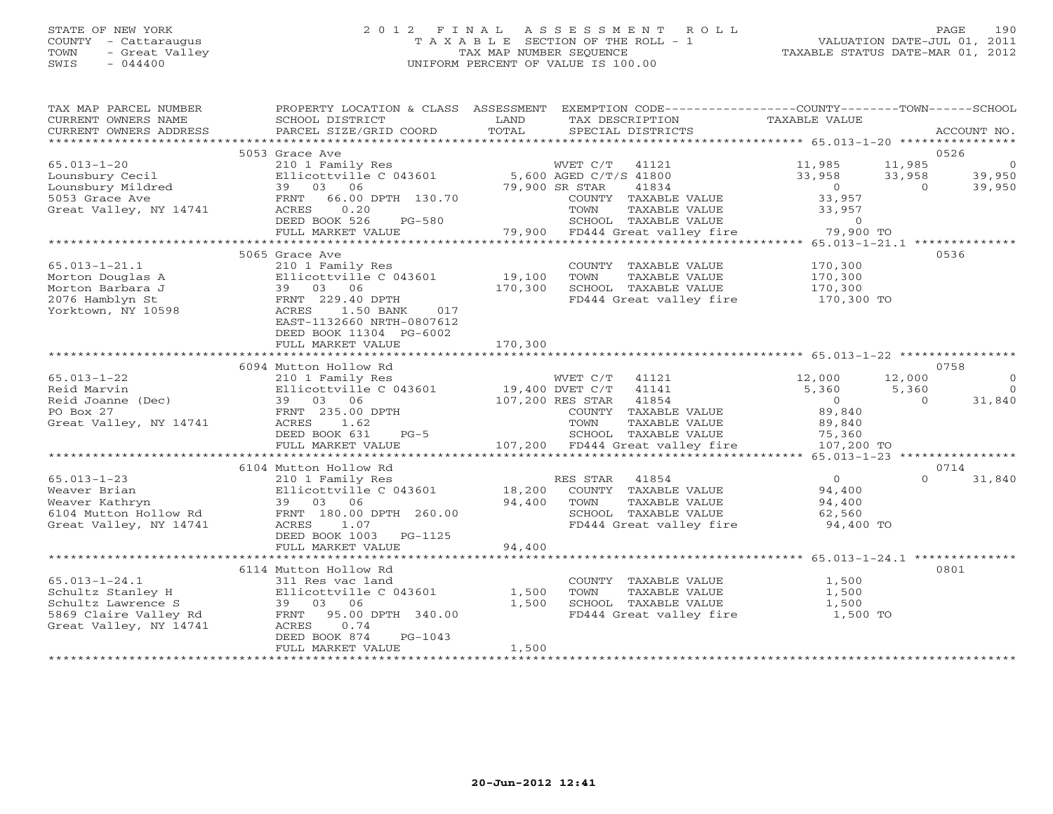## STATE OF NEW YORK 2 0 1 2 F I N A L A S S E S S M E N T R O L L PAGE 190 COUNTY - Cattaraugus T A X A B L E SECTION OF THE ROLL - 1 VALUATION DATE-JUL 01, 2011 TOWN - Great Valley TAX MAP NUMBER SEQUENCE TAXABLE STATUS DATE-MAR 01, 2012 SWIS - 044400 UNIFORM PERCENT OF VALUE IS 100.00

| TAX MAP PARCEL NUMBER                               | PROPERTY LOCATION & CLASS ASSESSMENT |                                 | EXEMPTION CODE-----------------COUNTY-------TOWN------SCHOOL |
|-----------------------------------------------------|--------------------------------------|---------------------------------|--------------------------------------------------------------|
| CURRENT OWNERS NAME                                 | SCHOOL DISTRICT                      | TAX DESCRIPTION<br>LAND         | <b>TAXABLE VALUE</b>                                         |
| CURRENT OWNERS ADDRESS<br>************************* | PARCEL SIZE/GRID COORD               | TOTAL<br>SPECIAL DISTRICTS      | ACCOUNT NO.                                                  |
|                                                     | 5053 Grace Ave                       |                                 | 0526                                                         |
| $65.013 - 1 - 20$                                   | 210 1 Family Res                     | WVET C/T<br>41121               | 11,985<br>11,985<br>$\circ$                                  |
| Lounsbury Cecil                                     | Ellicottville C 043601               | 5,600 AGED C/T/S 41800          | 33,958<br>33,958<br>39,950                                   |
| Lounsbury Mildred                                   | 39 03 06                             | 79,900 SR STAR<br>41834         | $\overline{O}$<br>39,950<br>$\Omega$                         |
| 5053 Grace Ave                                      | FRNT<br>66.00 DPTH 130.70            | COUNTY TAXABLE VALUE            | 33,957                                                       |
| Great Valley, NY 14741                              | ACRES<br>0.20                        | TAXABLE VALUE<br>TOWN           | 33,957                                                       |
|                                                     | DEED BOOK 526<br>$PG-580$            | SCHOOL TAXABLE VALUE            | $\Omega$                                                     |
|                                                     | FULL MARKET VALUE                    | 79,900 FD444 Great valley fire  | 79,900 TO                                                    |
|                                                     | ************************             |                                 |                                                              |
|                                                     | 5065 Grace Ave                       |                                 | 0536                                                         |
| $65.013 - 1 - 21.1$                                 | 210 1 Family Res                     | COUNTY TAXABLE VALUE            | 170,300                                                      |
| Morton Douglas A                                    | Ellicottville C 043601               | 19,100<br>TAXABLE VALUE<br>TOWN | 170,300                                                      |
| Morton Barbara J                                    | 39 03 06                             | 170,300<br>SCHOOL TAXABLE VALUE | 170,300                                                      |
| 2076 Hamblyn St                                     | FRNT 229.40 DPTH                     | FD444 Great valley fire         | 170,300 TO                                                   |
| Yorktown, NY 10598                                  | ACRES<br>1.50 BANK<br>017            |                                 |                                                              |
|                                                     | EAST-1132660 NRTH-0807612            |                                 |                                                              |
|                                                     | DEED BOOK 11304 PG-6002              |                                 |                                                              |
|                                                     | FULL MARKET VALUE                    | 170,300                         |                                                              |
|                                                     |                                      |                                 |                                                              |
|                                                     | 6094 Mutton Hollow Rd                |                                 | 0758                                                         |
| $65.013 - 1 - 22$                                   | 210 1 Family Res                     | WVET C/T<br>41121               | 12,000<br>12,000<br>$\Omega$                                 |
| Reid Marvin                                         | Ellicottville C 043601               | 19,400 DVET C/T<br>41141        | 5,360<br>5,360<br>$\Omega$                                   |
| Reid Joanne (Dec)                                   | 39 03 06                             | 41854<br>107,200 RES STAR       | 31,840<br>$\overline{O}$<br>$\Omega$                         |
| PO Box 27                                           | FRNT 235.00 DPTH                     | COUNTY TAXABLE VALUE            | 89,840                                                       |
| Great Valley, NY 14741                              | ACRES<br>1.62                        | TAXABLE VALUE<br>TOWN           | 89,840                                                       |
|                                                     | DEED BOOK 631<br>$PG-5$              | SCHOOL TAXABLE VALUE            | 75,360                                                       |
|                                                     | FULL MARKET VALUE                    | 107,200 FD444 Great valley fire | 107,200 TO                                                   |
|                                                     | 6104 Mutton Hollow Rd                |                                 | 0714                                                         |
| $65.013 - 1 - 23$                                   | 210 1 Family Res                     | 41854<br>RES STAR               | 31,840<br>$\overline{0}$<br>$\Omega$                         |
| Weaver Brian                                        | Ellicottville C 043601               | 18,200<br>COUNTY TAXABLE VALUE  | 94,400                                                       |
| Weaver Kathryn                                      | 39 03 06                             | 94,400<br>TAXABLE VALUE<br>TOWN | 94,400                                                       |
| 6104 Mutton Hollow Rd                               | FRNT 180.00 DPTH 260.00              | SCHOOL TAXABLE VALUE            | 62,560                                                       |
| Great Valley, NY 14741                              | ACRES<br>1.07                        | FD444 Great valley fire         | 94,400 TO                                                    |
|                                                     | DEED BOOK 1003<br>PG-1125            |                                 |                                                              |
|                                                     | FULL MARKET VALUE                    | 94,400                          |                                                              |
| **********************                              | ****************************         |                                 |                                                              |
|                                                     | 6114 Mutton Hollow Rd                |                                 | 0801                                                         |
| $65.013 - 1 - 24.1$                                 | 311 Res vac land                     | COUNTY TAXABLE VALUE            | 1,500                                                        |
| Schultz Stanley H                                   | Ellicottville C 043601               | TAXABLE VALUE<br>1,500<br>TOWN  | 1,500                                                        |
| Schultz Lawrence S                                  | 39 03<br>06                          | 1,500<br>SCHOOL TAXABLE VALUE   | 1,500                                                        |
| 5869 Claire Valley Rd                               | 95.00 DPTH 340.00<br>FRNT            | FD444 Great valley fire         | 1,500 TO                                                     |
| Great Valley, NY 14741                              | ACRES<br>0.74                        |                                 |                                                              |
|                                                     | DEED BOOK 874<br>$PG-1043$           |                                 |                                                              |
|                                                     | FULL MARKET VALUE                    | 1,500                           |                                                              |
|                                                     |                                      |                                 |                                                              |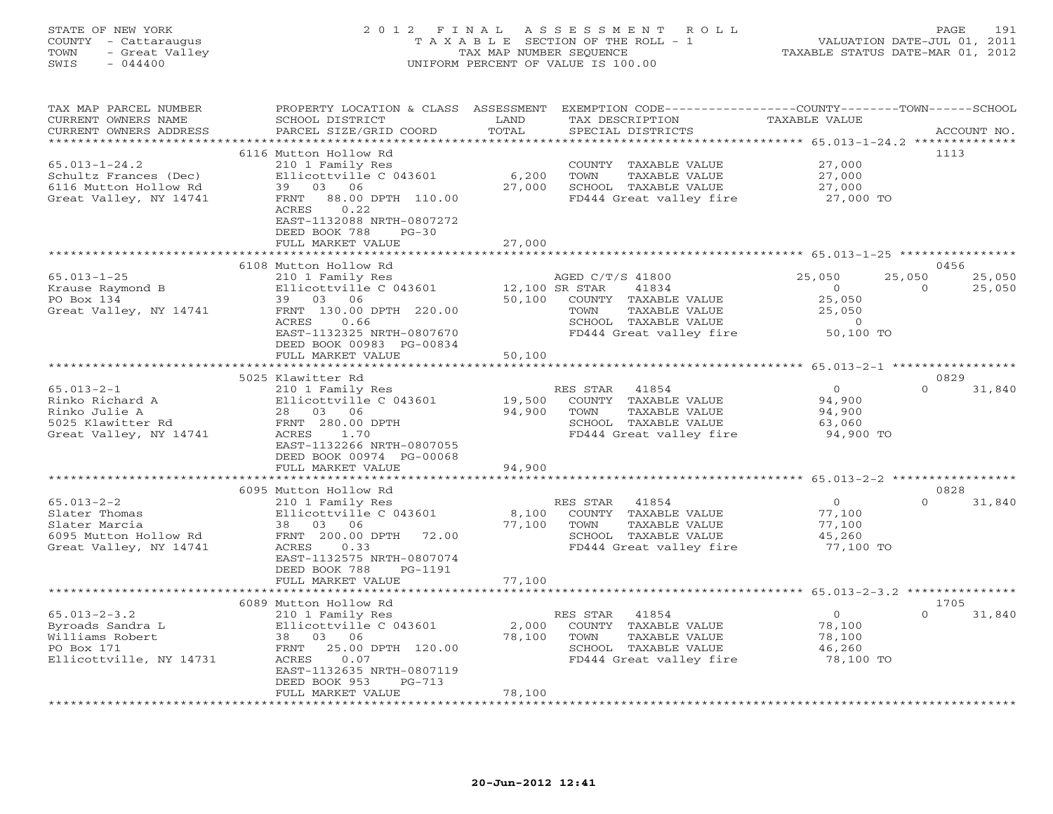## STATE OF NEW YORK 2 0 1 2 F I N A L A S S E S S M E N T R O L L PAGE 191 COUNTY - Cattaraugus T A X A B L E SECTION OF THE ROLL - 1 VALUATION DATE-JUL 01, 2011 TOWN - Great Valley TAX MAP NUMBER SEQUENCE TAXABLE STATUS DATE-MAR 01, 2012 SWIS - 044400 UNIFORM PERCENT OF VALUE IS 100.00

| TAX MAP PARCEL NUMBER<br>CURRENT OWNERS NAME<br>CURRENT OWNERS ADDRESS                                | PROPERTY LOCATION & CLASS<br>SCHOOL DISTRICT<br>PARCEL SIZE/GRID COORD                                                                                                                                                        | ASSESSMENT<br>LAND<br>TOTAL            | EXEMPTION CODE----------------COUNTY-------TOWN-----SCHOOL<br>TAX DESCRIPTION<br>SPECIAL DISTRICTS                                              | <b>TAXABLE VALUE</b>                                           | ACCOUNT NO.                            |
|-------------------------------------------------------------------------------------------------------|-------------------------------------------------------------------------------------------------------------------------------------------------------------------------------------------------------------------------------|----------------------------------------|-------------------------------------------------------------------------------------------------------------------------------------------------|----------------------------------------------------------------|----------------------------------------|
| $65.013 - 1 - 24.2$<br>Schultz Frances (Dec)<br>6116 Mutton Hollow Rd<br>Great Valley, NY 14741       | + + + + + + + + + + + + + + + + + +<br>6116 Mutton Hollow Rd<br>210 1 Family Res<br>Ellicottville C 043601<br>39 03 06<br>88.00 DPTH 110.00<br>FRNT<br>0.22<br>ACRES<br>EAST-1132088 NRTH-0807272<br>DEED BOOK 788<br>$PG-30$ | * * * * * * * * * *<br>6,200<br>27,000 | COUNTY TAXABLE VALUE<br>TAXABLE VALUE<br>TOWN<br>SCHOOL TAXABLE VALUE<br>FD444 Great valley fire                                                | 27,000<br>27,000<br>27,000<br>27,000 TO                        | 1113                                   |
|                                                                                                       | FULL MARKET VALUE<br>***********************                                                                                                                                                                                  | 27,000<br>* * * * * * * * * * *        |                                                                                                                                                 | ************************** 65.013-1-25 ****************        |                                        |
|                                                                                                       | 6108 Mutton Hollow Rd                                                                                                                                                                                                         |                                        |                                                                                                                                                 |                                                                | 0456                                   |
| $65.013 - 1 - 25$<br>Krause Raymond B<br>PO Box 134<br>Great Valley, NY 14741                         | 210 1 Family Res<br>Ellicottville C 043601<br>39 03<br>06<br>FRNT 130.00 DPTH 220.00<br>0.66<br>ACRES<br>EAST-1132325 NRTH-0807670<br>DEED BOOK 00983 PG-00834                                                                | 50,100                                 | AGED C/T/S 41800<br>12,100 SR STAR<br>41834<br>COUNTY TAXABLE VALUE<br>TOWN<br>TAXABLE VALUE<br>SCHOOL TAXABLE VALUE<br>FD444 Great valley fire | 25,050<br>$\circ$<br>25,050<br>25,050<br>$\Omega$<br>50,100 TO | 25,050<br>25,050<br>$\Omega$<br>25,050 |
|                                                                                                       | FULL MARKET VALUE                                                                                                                                                                                                             | 50,100                                 |                                                                                                                                                 |                                                                |                                        |
|                                                                                                       | 5025 Klawitter Rd                                                                                                                                                                                                             |                                        |                                                                                                                                                 |                                                                | 0829                                   |
| $65.013 - 2 - 1$<br>Rinko Richard A<br>Rinko Julie A<br>5025 Klawitter Rd<br>Great Valley, NY 14741   | 210 1 Family Res<br>Ellicottville C 043601<br>28 03 06<br>FRNT 280.00 DPTH<br>ACRES<br>1.70<br>EAST-1132266 NRTH-0807055<br>DEED BOOK 00974 PG-00068                                                                          | 19,500<br>94,900                       | 41854<br>RES STAR<br>COUNTY TAXABLE VALUE<br>TAXABLE VALUE<br>TOWN<br>SCHOOL TAXABLE VALUE<br>FD444 Great valley fire                           | $\circ$<br>94,900<br>94,900<br>63,060<br>94,900 TO             | $\Omega$<br>31,840                     |
|                                                                                                       | FULL MARKET VALUE                                                                                                                                                                                                             | 94,900                                 |                                                                                                                                                 |                                                                |                                        |
|                                                                                                       | **********************                                                                                                                                                                                                        | *************                          | ***************************** 65.013-2-2 ***********                                                                                            |                                                                |                                        |
| $65.013 - 2 - 2$<br>Slater Thomas<br>Slater Marcia<br>6095 Mutton Hollow Rd<br>Great Valley, NY 14741 | 6095 Mutton Hollow Rd<br>210 1 Family Res<br>Ellicottville C 043601<br>38 03 06<br>FRNT 200.00 DPTH<br>72.00<br>ACRES<br>0.33<br>EAST-1132575 NRTH-0807074<br>DEED BOOK 788<br>PG-1191                                        | 8,100<br>77,100                        | 41854<br>RES STAR<br>COUNTY TAXABLE VALUE<br>TOWN<br>TAXABLE VALUE<br>SCHOOL TAXABLE VALUE<br>FD444 Great valley fire                           | $\overline{O}$<br>77,100<br>77,100<br>45,260<br>77,100 TO      | 0828<br>$\Omega$<br>31,840             |
|                                                                                                       | FULL MARKET VALUE                                                                                                                                                                                                             | 77,100                                 |                                                                                                                                                 |                                                                |                                        |
|                                                                                                       |                                                                                                                                                                                                                               |                                        |                                                                                                                                                 |                                                                |                                        |
| $65.013 - 2 - 3.2$<br>Byroads Sandra L<br>Williams Robert<br>PO Box 171<br>Ellicottville, NY 14731    | 6089 Mutton Hollow Rd<br>210 1 Family Res<br>Ellicottville C 043601<br>38 03 06<br>FRNT<br>25.00 DPTH 120.00<br>ACRES<br>0.07<br>EAST-1132635 NRTH-0807119<br>DEED BOOK 953<br>$PG-713$                                       | 2,000<br>78,100                        | 41854<br>RES STAR<br>COUNTY TAXABLE VALUE<br>TOWN<br>TAXABLE VALUE<br>SCHOOL TAXABLE VALUE<br>FD444 Great valley fire                           | $\Omega$<br>78,100<br>78,100<br>46,260<br>78,100 TO            | 1705<br>$\Omega$<br>31,840             |
|                                                                                                       | FULL MARKET VALUE                                                                                                                                                                                                             | 78,100                                 |                                                                                                                                                 |                                                                |                                        |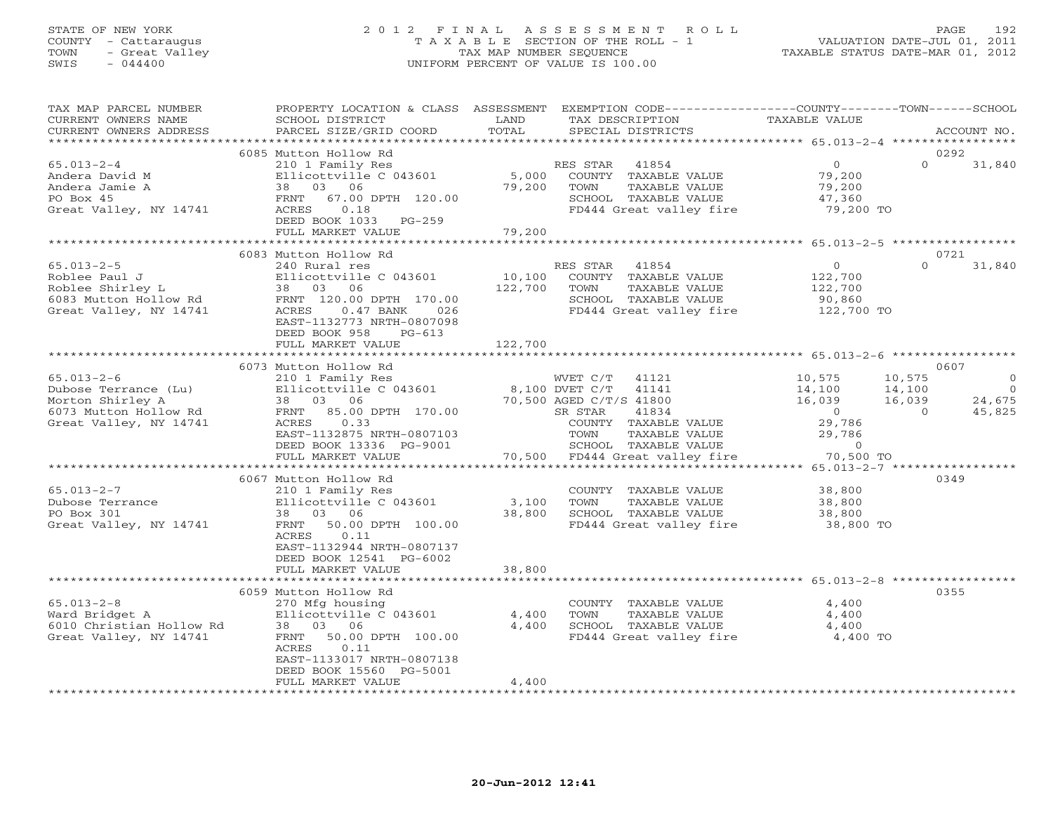## STATE OF NEW YORK 2 0 1 2 F I N A L A S S E S S M E N T R O L L PAGE 192 COUNTY - Cattaraugus T A X A B L E SECTION OF THE ROLL - 1 VALUATION DATE-JUL 01, 2011 TOWN - Great Valley TAX MAP NUMBER SEQUENCE TAXABLE STATUS DATE-MAR 01, 2012 SWIS - 044400 UNIFORM PERCENT OF VALUE IS 100.00

| TAX MAP PARCEL NUMBER<br>CURRENT OWNERS NAME<br>CURRENT OWNERS ADDRESS                                          | PROPERTY LOCATION & CLASS ASSESSMENT<br>SCHOOL DISTRICT<br>PARCEL SIZE/GRID COORD                                                                                                                   | LAND<br>TAX DESCRIPTION<br>TOTAL<br>SPECIAL DISTRICTS                                                                                                                                                     | EXEMPTION CODE-----------------COUNTY-------TOWN------SCHOOL<br>TAXABLE VALUE<br>ACCOUNT NO.                                                                                         |
|-----------------------------------------------------------------------------------------------------------------|-----------------------------------------------------------------------------------------------------------------------------------------------------------------------------------------------------|-----------------------------------------------------------------------------------------------------------------------------------------------------------------------------------------------------------|--------------------------------------------------------------------------------------------------------------------------------------------------------------------------------------|
| *******************                                                                                             |                                                                                                                                                                                                     |                                                                                                                                                                                                           |                                                                                                                                                                                      |
| $65.013 - 2 - 4$<br>Andera David M<br>Andera Jamie A<br>PO Box 45<br>Great Valley, NY 14741                     | 6085 Mutton Hollow Rd<br>210 1 Family Res<br>Ellicottville C 043601<br>38 03 06<br>FRNT 67.00 DPTH 120.00<br>ACRES<br>0.18<br>DEED BOOK 1033 PG-259<br>FULL MARKET VALUE                            | RES STAR<br>41854<br>5,000<br>COUNTY TAXABLE VALUE<br>79,200<br>TOWN<br>TAXABLE VALUE<br>SCHOOL TAXABLE VALUE<br>FD444 Great valley fire<br>79,200                                                        | 0292<br>$\circ$<br>$\Omega$<br>31,840<br>79,200<br>79,200<br>47,360<br>79,200 TO                                                                                                     |
|                                                                                                                 |                                                                                                                                                                                                     |                                                                                                                                                                                                           |                                                                                                                                                                                      |
| $65.013 - 2 - 5$<br>Roblee Paul J<br>Roblee Shirley L<br>6083 Mutton Hollow Rd<br>Great Valley, NY 14741        | 6083 Mutton Hollow Rd<br>240 Rural res<br>Ellicottville C 043601<br>38 03<br>06<br>FRNT 120.00 DPTH 170.00<br>ACRES<br>$0.47$ BANK<br>026<br>EAST-1132773 NRTH-0807098<br>DEED BOOK 958<br>$PG-613$ | RES STAR<br>41854<br>10,100<br>COUNTY TAXABLE VALUE<br>122,700<br>TOWN<br>TAXABLE VALUE<br>SCHOOL TAXABLE VALUE<br>FD444 Great valley fire                                                                | 0721<br>$\Omega$<br>$\circ$<br>31,840<br>122,700<br>122,700<br>90,860<br>122,700 TO                                                                                                  |
|                                                                                                                 | FULL MARKET VALUE                                                                                                                                                                                   | 122,700                                                                                                                                                                                                   |                                                                                                                                                                                      |
|                                                                                                                 | 6073 Mutton Hollow Rd                                                                                                                                                                               |                                                                                                                                                                                                           | 0607                                                                                                                                                                                 |
| $65.013 - 2 - 6$<br>Dubose Terrance (Lu)<br>Morton Shirley A<br>6073 Mutton Hollow Rd<br>Great Valley, NY 14741 | 210 1 Family Res<br>Ellicottville C 043601<br>03 06<br>38<br>FRNT<br>85.00 DPTH 170.00<br>0.33<br>ACRES<br>EAST-1132875 NRTH-0807103<br>DEED BOOK 13336 PG-9001<br>FULL MARKET VALUE                | WVET C/T<br>41121<br>8,100 DVET C/T<br>41141<br>70,500 AGED C/T/S 41800<br>SR STAR<br>41834<br>COUNTY TAXABLE VALUE<br>TOWN<br>TAXABLE VALUE<br>SCHOOL TAXABLE VALUE<br>70,500<br>FD444 Great valley fire | 10,575<br>10,575<br>$\Omega$<br>14,100<br>14,100<br>$\overline{0}$<br>16,039<br>16,039<br>24,675<br>$\overline{0}$<br>$\Omega$<br>45,825<br>29,786<br>29,786<br>$\circ$<br>70,500 TO |
|                                                                                                                 |                                                                                                                                                                                                     |                                                                                                                                                                                                           | ***** 65.013-2-7 *****                                                                                                                                                               |
| $65.013 - 2 - 7$<br>Dubose Terrance<br>PO Box 301<br>Great Valley, NY 14741                                     | 6067 Mutton Hollow Rd<br>210 1 Family Res<br>Ellicottville C 043601<br>03 06<br>38<br>50.00 DPTH 100.00<br>FRNT<br>ACRES<br>0.11<br>EAST-1132944 NRTH-0807137<br>DEED BOOK 12541 PG-6002            | COUNTY TAXABLE VALUE<br>3,100<br>TOWN<br>TAXABLE VALUE<br>38,800<br>SCHOOL TAXABLE VALUE<br>FD444 Great valley fire                                                                                       | 0349<br>38,800<br>38,800<br>38,800<br>38,800 TO                                                                                                                                      |
|                                                                                                                 | FULL MARKET VALUE                                                                                                                                                                                   | 38,800                                                                                                                                                                                                    |                                                                                                                                                                                      |
| $65.013 - 2 - 8$<br>Ward Bridget A<br>6010 Christian Hollow Rd<br>Great Valley, NY 14741                        | 6059 Mutton Hollow Rd<br>270 Mfg housing<br>Ellicottville C 043601<br>03 06<br>38<br>50.00 DPTH 100.00<br>FRNT<br>ACRES<br>0.11<br>EAST-1133017 NRTH-0807138<br>DEED BOOK 15560 PG-5001             | COUNTY TAXABLE VALUE<br>4,400<br>TAXABLE VALUE<br>TOWN<br>4,400<br>SCHOOL TAXABLE VALUE<br>FD444 Great valley fire                                                                                        | 0355<br>4,400<br>4,400<br>4,400<br>4,400 TO                                                                                                                                          |
|                                                                                                                 | FULL MARKET VALUE                                                                                                                                                                                   | 4,400                                                                                                                                                                                                     |                                                                                                                                                                                      |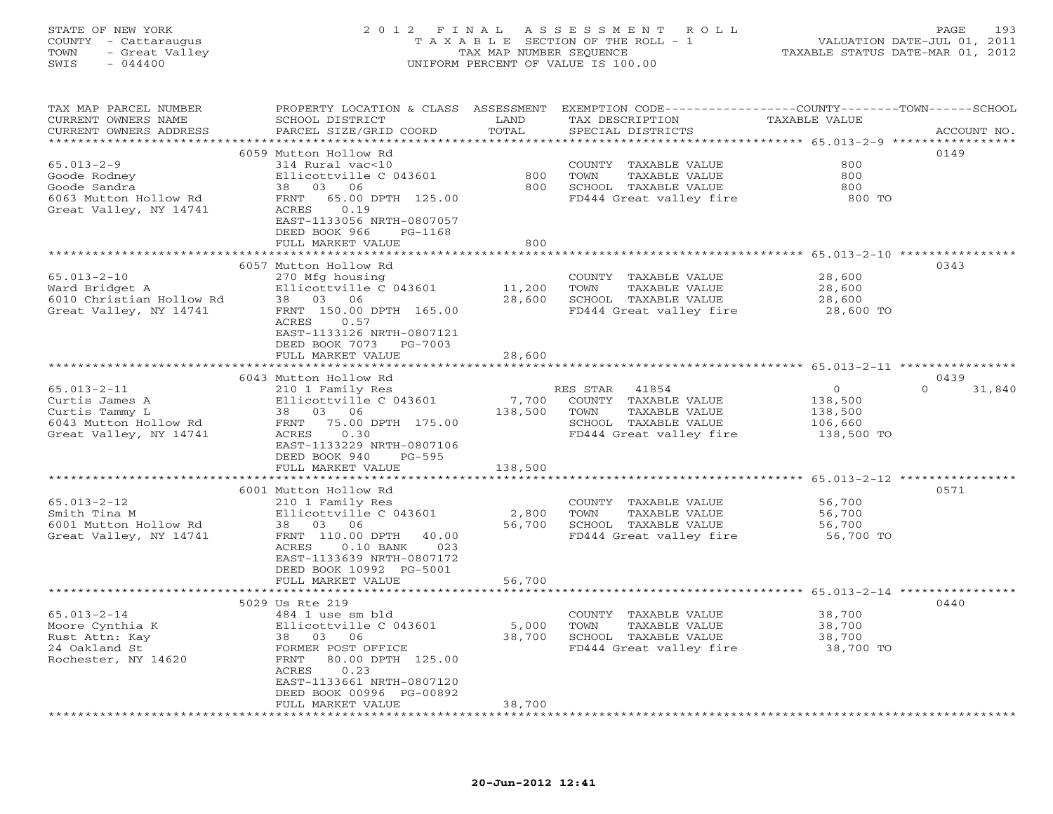## STATE OF NEW YORK 2 0 1 2 F I N A L A S S E S S M E N T R O L L PAGE 193 COUNTY - Cattaraugus T A X A B L E SECTION OF THE ROLL - 1 VALUATION DATE-JUL 01, 2011 TOWN - Great Valley TAX MAP NUMBER SEQUENCE TAXABLE STATUS DATE-MAR 01, 2012 SWIS - 044400 UNIFORM PERCENT OF VALUE IS 100.00

| TAX MAP PARCEL NUMBER<br>CURRENT OWNERS NAME<br>CURRENT OWNERS ADDRESS                                   | PROPERTY LOCATION & CLASS ASSESSMENT<br>SCHOOL DISTRICT<br>PARCEL SIZE/GRID COORD                                                                                                                               | LAND<br>TOTAL               | EXEMPTION CODE-----------------COUNTY-------TOWN-----SCHOOL<br>TAX DESCRIPTION<br>SPECIAL DISTRICTS                   | TAXABLE VALUE                                          | ACCOUNT NO.        |
|----------------------------------------------------------------------------------------------------------|-----------------------------------------------------------------------------------------------------------------------------------------------------------------------------------------------------------------|-----------------------------|-----------------------------------------------------------------------------------------------------------------------|--------------------------------------------------------|--------------------|
| **********************                                                                                   |                                                                                                                                                                                                                 |                             |                                                                                                                       |                                                        |                    |
| $65.013 - 2 - 9$<br>Goode Rodney<br>Goode Sandra<br>6063 Mutton Hollow Rd<br>Great Valley, NY 14741      | 6059 Mutton Hollow Rd<br>314 Rural vac<10<br>Ellicottville C 043601<br>38 03<br>06<br>65.00 DPTH 125.00<br>FRNT<br>ACRES<br>0.19                                                                                | 800<br>800                  | TAXABLE VALUE<br>COUNTY<br>TOWN<br>TAXABLE VALUE<br>SCHOOL TAXABLE VALUE<br>FD444 Great valley fire                   | 800<br>800<br>800<br>800 TO                            | 0149               |
|                                                                                                          | EAST-1133056 NRTH-0807057<br>DEED BOOK 966<br>PG-1168<br>FULL MARKET VALUE                                                                                                                                      | 800                         |                                                                                                                       |                                                        |                    |
|                                                                                                          |                                                                                                                                                                                                                 |                             |                                                                                                                       |                                                        |                    |
| $65.013 - 2 - 10$<br>Ward Bridget A<br>6010 Christian Hollow Rd<br>Great Valley, NY 14741                | 6057 Mutton Hollow Rd<br>270 Mfg housing<br>Ellicottville C 043601<br>38 03 06<br>FRNT 150.00 DPTH 165.00<br>ACRES<br>0.57<br>EAST-1133126 NRTH-0807121<br>DEED BOOK 7073<br>PG-7003                            | 11,200<br>28,600            | COUNTY TAXABLE VALUE<br>TOWN<br>TAXABLE VALUE<br>SCHOOL TAXABLE VALUE<br>FD444 Great valley fire                      | 28,600<br>28,600<br>28,600<br>28,600 TO                | 0343               |
|                                                                                                          | FULL MARKET VALUE                                                                                                                                                                                               | 28,600                      |                                                                                                                       |                                                        |                    |
|                                                                                                          |                                                                                                                                                                                                                 |                             |                                                                                                                       | ********** 65.013-2-11 *****                           |                    |
|                                                                                                          |                                                                                                                                                                                                                 |                             |                                                                                                                       |                                                        | 0439               |
| $65.013 - 2 - 11$<br>Curtis James A<br>Curtis Tammy L<br>6043 Mutton Hollow Rd<br>Great Valley, NY 14741 | 6043 Mutton Hollow Rd<br>210 1 Family Res<br>Ellicottville C 043601<br>03 06<br>38<br>75.00 DPTH 175.00<br>FRNT<br>0.30<br>ACRES<br>EAST-1133229 NRTH-0807106<br>DEED BOOK 940<br>$PG-595$<br>FULL MARKET VALUE | 7,700<br>138,500<br>138,500 | 41854<br>RES STAR<br>COUNTY TAXABLE VALUE<br>TOWN<br>TAXABLE VALUE<br>SCHOOL TAXABLE VALUE<br>FD444 Great valley fire | $\circ$<br>138,500<br>138,500<br>106,660<br>138,500 TO | $\Omega$<br>31,840 |
|                                                                                                          |                                                                                                                                                                                                                 |                             |                                                                                                                       |                                                        |                    |
| $65.013 - 2 - 12$<br>Smith Tina M<br>6001 Mutton Hollow Rd<br>Great Valley, NY 14741                     | 6001 Mutton Hollow Rd<br>210 1 Family Res<br>Ellicottville C 043601<br>38<br>03<br>06<br>FRNT 110.00 DPTH<br>40.00<br>ACRES<br>$0.10$ BANK<br>023<br>EAST-1133639 NRTH-0807172<br>DEED BOOK 10992 PG-5001       | 2,800<br>56,700             | COUNTY TAXABLE VALUE<br>TOWN<br>TAXABLE VALUE<br>SCHOOL TAXABLE VALUE<br>FD444 Great valley fire                      | 56,700<br>56,700<br>56,700<br>56,700 TO                | 0571               |
|                                                                                                          | FULL MARKET VALUE                                                                                                                                                                                               | 56,700                      |                                                                                                                       |                                                        |                    |
|                                                                                                          |                                                                                                                                                                                                                 |                             |                                                                                                                       | ******************* 65.013-2-14 ************           |                    |
| $65.013 - 2 - 14$                                                                                        | 5029 Us Rte 219<br>484 1 use sm bld                                                                                                                                                                             |                             | COUNTY TAXABLE VALUE                                                                                                  | 38,700                                                 | 0440               |
| Moore Cynthia K<br>Rust Attn: Kay<br>24 Oakland St<br>Rochester, NY 14620                                | Ellicottville C 043601<br>38 03<br>06<br>FORMER POST OFFICE<br>80.00 DPTH 125.00<br>FRNT<br>ACRES<br>0.23<br>EAST-1133661 NRTH-0807120<br>DEED BOOK 00996 PG-00892                                              | 5,000<br>38,700             | TOWN<br>TAXABLE VALUE<br>SCHOOL TAXABLE VALUE<br>FD444 Great valley fire                                              | 38,700<br>38,700<br>38,700 TO                          |                    |
|                                                                                                          | FULL MARKET VALUE                                                                                                                                                                                               | 38,700                      |                                                                                                                       |                                                        |                    |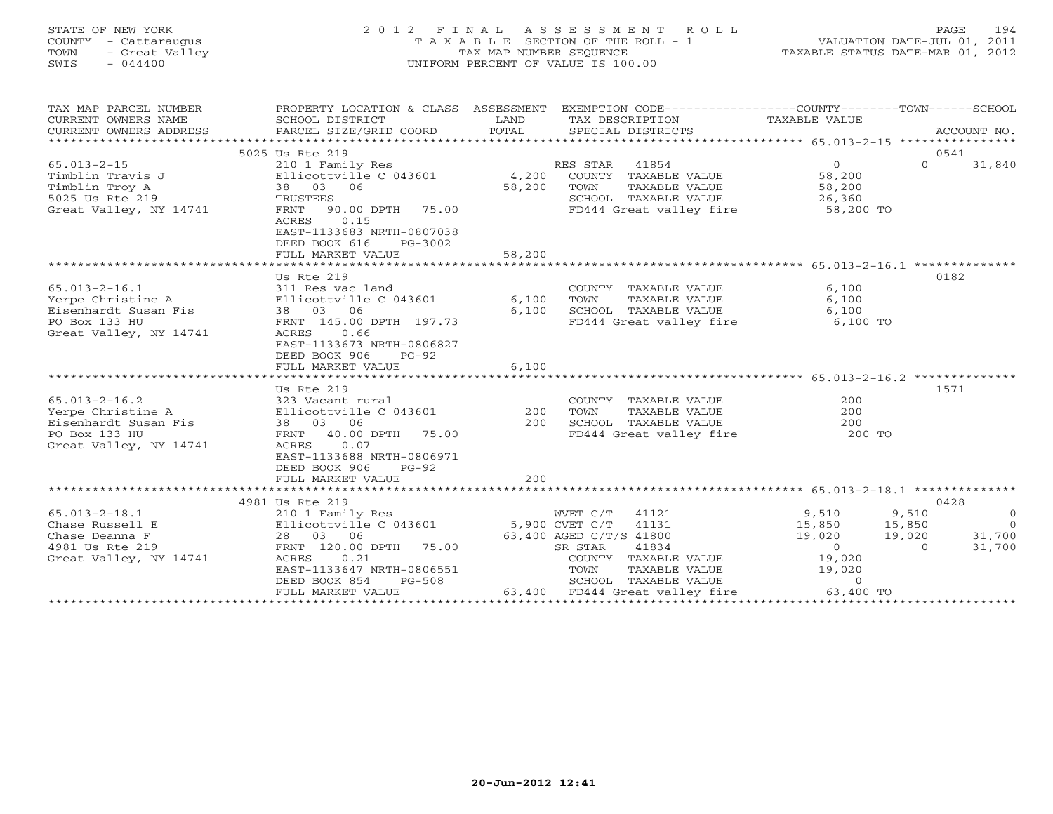## STATE OF NEW YORK 2 0 1 2 F I N A L A S S E S S M E N T R O L L PAGE 194 COUNTY - Cattaraugus T A X A B L E SECTION OF THE ROLL - 1 VALUATION DATE-JUL 01, 2011 TOWN - Great Valley TAX MAP NUMBER SEQUENCE TAXABLE STATUS DATE-MAR 01, 2012 SWIS - 044400 UNIFORM PERCENT OF VALUE IS 100.00

| TAX MAP PARCEL NUMBER<br>CURRENT OWNERS NAME<br>CURRENT OWNERS ADDRESS                                           | PROPERTY LOCATION & CLASS ASSESSMENT<br>SCHOOL DISTRICT<br>PARCEL SIZE/GRID COORD                   | LAND<br>TOTAL | TAX DESCRIPTION TAXABLE VALUE SPECIAL DISTRICTS | EXEMPTION CODE-----------------COUNTY-------TOWN------SCHOOL | ACCOUNT NO.              |
|------------------------------------------------------------------------------------------------------------------|-----------------------------------------------------------------------------------------------------|---------------|-------------------------------------------------|--------------------------------------------------------------|--------------------------|
|                                                                                                                  | 5025 Us Rte 219                                                                                     |               |                                                 |                                                              | 0541                     |
| $65.013 - 2 - 15$                                                                                                | 210 1 Family Res                                                                                    |               | RES STAR 41854                                  | $\overline{0}$                                               | $\Omega$<br>31,840       |
| Timblin Travis J                                                                                                 | Ellicottville C $043601$ 4,200                                                                      |               | COUNTY TAXABLE VALUE                            | 58,200                                                       |                          |
| Timblin Troy A                                                                                                   | Ellicottville<br>38 03 06<br>TRUSTEES                                                               | 58,200        | TOWN<br>TAXABLE VALUE                           | 58,200                                                       |                          |
| 5025 Us Rte 219                                                                                                  |                                                                                                     |               | SCHOOL TAXABLE VALUE                            | 26,360                                                       |                          |
|                                                                                                                  | 90.00 DPTH 75.00                                                                                    |               |                                                 |                                                              |                          |
| Great Valley, NY 14741                                                                                           | FRNT<br>0.15<br>ACRES<br>EAST-1133683 NRTH-0807038<br>DEED BOOK 616<br>PG-3002<br>FULL MARKET VALUE | 58,200        |                                                 | FD444 Great valley fire 58,200 TO                            |                          |
|                                                                                                                  |                                                                                                     |               |                                                 |                                                              |                          |
|                                                                                                                  | Us Rte 219                                                                                          |               |                                                 |                                                              | 0182                     |
| $65.013 - 2 - 16.1$                                                                                              | 311 Res vac land                                                                                    |               | COUNTY TAXABLE VALUE                            | 6,100                                                        |                          |
|                                                                                                                  |                                                                                                     |               | TAXABLE VALUE<br>TOWN                           | 6,100                                                        |                          |
|                                                                                                                  |                                                                                                     | 6,100         | SCHOOL TAXABLE VALUE                            | 6,100                                                        |                          |
| PO Box 133 HU                                                                                                    | FRNT 145.00 DPTH 197.73                                                                             |               |                                                 | FD444 Great valley fire 6,100 TO                             |                          |
| Great Valley, NY 14741                                                                                           | 0.66<br>ACRES                                                                                       |               |                                                 |                                                              |                          |
|                                                                                                                  | EAST-1133673 NRTH-0806827                                                                           |               |                                                 |                                                              |                          |
|                                                                                                                  | DEED BOOK 906<br>PG-92                                                                              |               |                                                 |                                                              |                          |
|                                                                                                                  | FULL MARKET VALUE                                                                                   | 6.100         |                                                 |                                                              |                          |
|                                                                                                                  |                                                                                                     |               |                                                 |                                                              |                          |
|                                                                                                                  | Us Rte 219                                                                                          |               |                                                 |                                                              | 1571                     |
| $65.013 - 2 - 16.2$                                                                                              | 323 Vacant rural                                                                                    |               | COUNTY TAXABLE VALUE                            | 200                                                          |                          |
|                                                                                                                  |                                                                                                     | 200           | TOWN<br>TAXABLE VALUE                           | 200                                                          |                          |
|                                                                                                                  |                                                                                                     | 200           |                                                 |                                                              |                          |
| Yerpe Christine A Bllicottville C 043601<br>Eisenhardt Susan Fis 38 03 06<br>PO Box 133 HU FRNT 40.00 DPTH 75.00 |                                                                                                     |               |                                                 | SCHOOL TAXABLE VALUE 200<br>FD444 Great valley fire 200 TO   |                          |
| Great Valley, NY 14741                                                                                           | 0.07<br>ACRES                                                                                       |               |                                                 |                                                              |                          |
|                                                                                                                  | EAST-1133688 NRTH-0806971                                                                           |               |                                                 |                                                              |                          |
|                                                                                                                  | DEED BOOK 906<br>$PG-92$                                                                            |               |                                                 |                                                              |                          |
|                                                                                                                  | FULL MARKET VALUE                                                                                   | 200           |                                                 |                                                              |                          |
|                                                                                                                  |                                                                                                     |               |                                                 |                                                              |                          |
|                                                                                                                  | 4981 Us Rte 219                                                                                     |               |                                                 |                                                              | 0428                     |
| $65.013 - 2 - 18.1$                                                                                              | 210 1 Family Res                                                                                    |               | WVET C/T 41121                                  | 9,510<br>15,850                                              | 9,510<br>$\overline{0}$  |
| Chase Russell E                                                                                                  |                                                                                                     |               |                                                 |                                                              | 15,850<br>$\overline{0}$ |
| Chase Deanna F                                                                                                   |                                                                                                     |               |                                                 | 19,020                                                       | 31,700<br>19,020         |
| 4981 Us Rte 219                                                                                                  | FRNT 120.00 DPTH 75.00                                                                              |               | 41834<br>SR STAR                                | $\begin{bmatrix} 0 \\ 0 \end{bmatrix}$                       | 31,700<br>$\overline{0}$ |
| Great Valley, NY 14741                                                                                           | 0.21<br>ACRES                                                                                       |               | COUNTY TAXABLE VALUE                            | 19,020                                                       |                          |
|                                                                                                                  | EAST-1133647 NRTH-0806551                                                                           |               | TOWN<br>TAXABLE VALUE                           | 19,020                                                       |                          |
|                                                                                                                  | DEED BOOK 854<br>PG-508                                                                             |               | SCHOOL TAXABLE VALUE                            | $\Omega$                                                     |                          |
|                                                                                                                  | FULL MARKET VALUE                                                                                   |               |                                                 |                                                              |                          |
|                                                                                                                  |                                                                                                     |               |                                                 |                                                              |                          |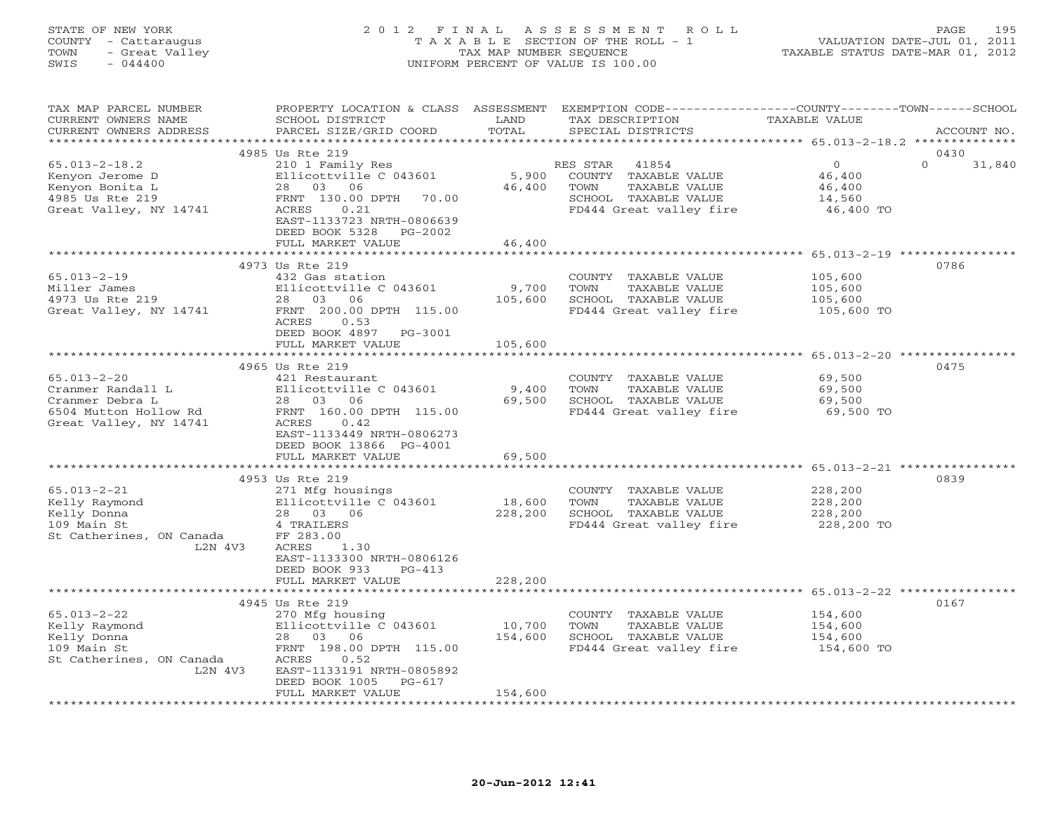#### STATE OF NEW YORK 2 0 1 2 F I N A L A S S E S S M E N T R O L L PAGE 195 COUNTY - Cattaraugus T A X A B L E SECTION OF THE ROLL - 1 VALUATION DATE-JUL 01, 2011 TOWN - Great Valley TAX MAP NUMBER SEQUENCE TAXABLE STATUS DATE-MAR 01, 2012 SWIS - 044400 UNIFORM PERCENT OF VALUE IS 100.00

| TAX MAP PARCEL NUMBER<br>CURRENT OWNERS NAME<br>CURRENT OWNERS ADDRESS                                       | PROPERTY LOCATION & CLASS ASSESSMENT<br>SCHOOL DISTRICT<br>PARCEL SIZE/GRID COORD                                                                                                                    | LAND<br>TOTAL                | EXEMPTION CODE-----------------COUNTY-------TOWN------SCHOOL<br>TAX DESCRIPTION<br>SPECIAL DISTRICTS                     | <b>TAXABLE VALUE</b>                               | ACCOUNT NO.                |
|--------------------------------------------------------------------------------------------------------------|------------------------------------------------------------------------------------------------------------------------------------------------------------------------------------------------------|------------------------------|--------------------------------------------------------------------------------------------------------------------------|----------------------------------------------------|----------------------------|
|                                                                                                              |                                                                                                                                                                                                      |                              |                                                                                                                          |                                                    |                            |
| $65.013 - 2 - 18.2$<br>Kenyon Jerome D<br>Kenyon Bonita L<br>4985 Us Rte 219<br>Great Valley, NY 14741       | 4985 Us Rte 219<br>210 1 Family Res<br>Ellicottville C 043601<br>28 03 06<br>FRNT 130.00 DPTH<br>70.00<br>ACRES<br>0.21<br>EAST-1133723 NRTH-0806639<br>DEED BOOK 5328<br>PG-2002                    | 5,900<br>46,400              | RES STAR<br>41854<br>COUNTY<br>TAXABLE VALUE<br>TOWN<br>TAXABLE VALUE<br>SCHOOL TAXABLE VALUE<br>FD444 Great valley fire | $\circ$<br>46,400<br>46,400<br>14,560<br>46,400 TO | 0430<br>$\Omega$<br>31,840 |
|                                                                                                              | FULL MARKET VALUE                                                                                                                                                                                    | 46,400<br>**************     |                                                                                                                          | ********************* 65.013-2-19 ************     |                            |
| $65.013 - 2 - 19$<br>Miller James<br>4973 Us Rte 219<br>Great Valley, NY 14741                               | 4973 Us Rte 219<br>432 Gas station<br>Ellicottville C 043601<br>28 03<br>06<br>FRNT 200.00 DPTH 115.00<br>ACRES<br>0.53                                                                              | 9,700<br>105,600             | COUNTY TAXABLE VALUE<br>TAXABLE VALUE<br>TOWN<br>SCHOOL TAXABLE VALUE<br>FD444 Great valley fire                         | 105,600<br>105,600<br>105,600<br>105,600 TO        | 0786                       |
|                                                                                                              | DEED BOOK 4897<br>PG-3001<br>FULL MARKET VALUE                                                                                                                                                       | 105,600                      |                                                                                                                          |                                                    |                            |
|                                                                                                              |                                                                                                                                                                                                      |                              |                                                                                                                          | ********** 65.013-2-20 ***********                 |                            |
| $65.013 - 2 - 20$<br>Cranmer Randall L<br>Cranmer Debra L<br>6504 Mutton Hollow Rd<br>Great Valley, NY 14741 | 4965 Us Rte 219<br>421 Restaurant<br>Ellicottville C 043601<br>28 03 06<br>FRNT 160.00 DPTH 115.00<br>0.42<br>ACRES<br>EAST-1133449 NRTH-0806273<br>DEED BOOK 13866 PG-4001<br>FULL MARKET VALUE     | 9,400<br>69,500<br>69,500    | COUNTY TAXABLE VALUE<br>TOWN<br>TAXABLE VALUE<br>SCHOOL TAXABLE VALUE<br>FD444 Great valley fire                         | 69,500<br>69,500<br>69,500<br>69,500 TO            | 0475                       |
|                                                                                                              |                                                                                                                                                                                                      |                              |                                                                                                                          |                                                    |                            |
| $65.013 - 2 - 21$<br>Kelly Raymond<br>Kelly Donna<br>109 Main St<br>St Catherines, ON Canada<br>L2N 4V3      | 4953 Us Rte 219<br>271 Mfg housings<br>Ellicottville C 043601<br>28  03  06<br>4 TRAILERS<br>FF 283.00<br>ACRES<br>1.30<br>EAST-1133300 NRTH-0806126<br>DEED BOOK 933<br>$PG-413$                    | 18,600<br>228,200            | COUNTY TAXABLE VALUE<br>TAXABLE VALUE<br>TOWN<br>SCHOOL TAXABLE VALUE<br>FD444 Great valley fire                         | 228,200<br>228,200<br>228,200<br>228,200 TO        | 0839                       |
|                                                                                                              | FULL MARKET VALUE                                                                                                                                                                                    | 228,200                      |                                                                                                                          | *************** 65.013-2-22 ****                   |                            |
| $65.013 - 2 - 22$<br>Kelly Raymond<br>Kelly Donna<br>109 Main St<br>St Catherines, ON Canada<br>L2N 4V3      | 4945 Us Rte 219<br>270 Mfg housing<br>Ellicottville C 043601<br>28 03 06<br>FRNT 198.00 DPTH 115.00<br>ACRES<br>0.52<br>EAST-1133191 NRTH-0805892<br>DEED BOOK 1005<br>$PG-617$<br>FULL MARKET VALUE | 10,700<br>154,600<br>154,600 | COUNTY TAXABLE VALUE<br>TAXABLE VALUE<br>TOWN<br>SCHOOL TAXABLE VALUE<br>FD444 Great valley fire                         | 154,600<br>154,600<br>154,600<br>154,600 TO        | 0167                       |
|                                                                                                              |                                                                                                                                                                                                      |                              |                                                                                                                          |                                                    |                            |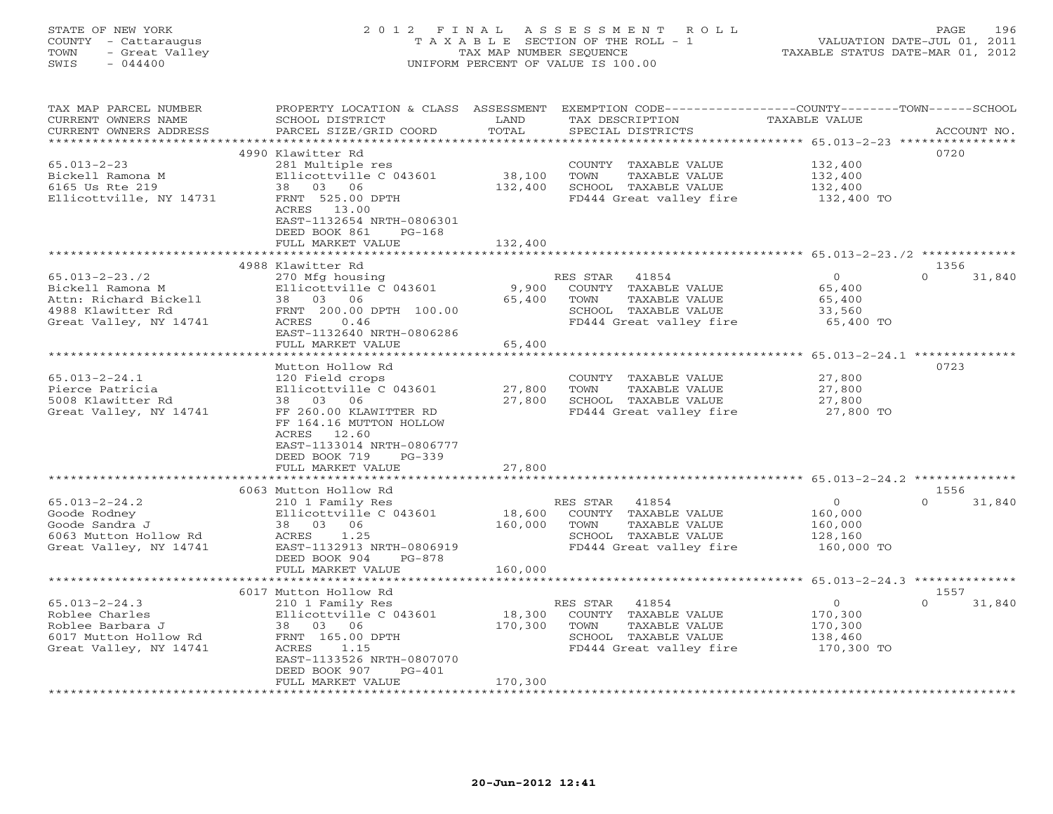## STATE OF NEW YORK 2 0 1 2 F I N A L A S S E S S M E N T R O L L PAGE 196 COUNTY - Cattaraugus T A X A B L E SECTION OF THE ROLL - 1 VALUATION DATE-JUL 01, 2011 TOWN - Great Valley TAX MAP NUMBER SEQUENCE TAXABLE STATUS DATE-MAR 01, 2012 SWIS - 044400 UNIFORM PERCENT OF VALUE IS 100.00

| TAX MAP PARCEL NUMBER<br>CURRENT OWNERS NAME<br>CURRENT OWNERS ADDRESS<br>*********************                  | PROPERTY LOCATION & CLASS<br>SCHOOL DISTRICT<br>PARCEL SIZE/GRID COORD                                                                                                                                                                | ASSESSMENT<br>LAND<br>TOTAL  | EXEMPTION CODE-----------------COUNTY-------TOWN------SCHOOL<br>TAX DESCRIPTION<br>SPECIAL DISTRICTS                            | TAXABLE VALUE                                          | ACCOUNT NO.                |
|------------------------------------------------------------------------------------------------------------------|---------------------------------------------------------------------------------------------------------------------------------------------------------------------------------------------------------------------------------------|------------------------------|---------------------------------------------------------------------------------------------------------------------------------|--------------------------------------------------------|----------------------------|
| $65.013 - 2 - 23$<br>Bickell Ramona M<br>6165 Us Rte 219<br>Ellicottville, NY 14731                              | 4990 Klawitter Rd<br>281 Multiple res<br>Ellicottville C 043601<br>38<br>03 06<br>FRNT 525.00 DPTH<br>ACRES 13.00<br>EAST-1132654 NRTH-0806301<br>DEED BOOK 861<br>$PG-168$<br>FULL MARKET VALUE<br>***************************       | 38,100<br>132,400<br>132,400 | COUNTY TAXABLE VALUE<br>TOWN<br>TAXABLE VALUE<br>SCHOOL TAXABLE VALUE<br>FD444 Great valley fire                                | 132,400<br>132,400<br>132,400<br>132,400 TO            | 0720                       |
|                                                                                                                  | 4988 Klawitter Rd                                                                                                                                                                                                                     |                              |                                                                                                                                 |                                                        | 1356                       |
| $65.013 - 2 - 23.72$<br>Bickell Ramona M<br>Attn: Richard Bickell<br>4988 Klawitter Rd<br>Great Valley, NY 14741 | 270 Mfg housing<br>Ellicottville C 043601<br>03<br>06<br>38<br>FRNT 200.00 DPTH 100.00<br>ACRES<br>0.46<br>EAST-1132640 NRTH-0806286<br>FULL MARKET VALUE                                                                             | 9,900<br>65,400<br>65,400    | RES STAR<br>41854<br>COUNTY TAXABLE VALUE<br><b>TAXABLE VALUE</b><br>TOWN<br>SCHOOL TAXABLE VALUE<br>FD444 Great valley fire    | $\circ$<br>65,400<br>65,400<br>33,560<br>65,400 TO     | $\Omega$<br>31,840         |
|                                                                                                                  |                                                                                                                                                                                                                                       |                              |                                                                                                                                 | ******** 65.013-2-24.1 *********                       |                            |
| $65.013 - 2 - 24.1$<br>Pierce Patricia<br>5008 Klawitter Rd<br>Great Valley, NY 14741                            | Mutton Hollow Rd<br>120 Field crops<br>Ellicottville C 043601<br>03<br>06<br>38<br>FF 260.00 KLAWITTER RD<br>FF 164.16 MUTTON HOLLOW<br>ACRES<br>12.60<br>EAST-1133014 NRTH-0806777<br>DEED BOOK 719<br>$PG-339$<br>FULL MARKET VALUE | 27,800<br>27,800<br>27,800   | COUNTY<br>TAXABLE VALUE<br>TOWN<br><b>TAXABLE VALUE</b><br>SCHOOL TAXABLE VALUE<br>FD444 Great valley fire                      | 27,800<br>27,800<br>27,800<br>27,800 TO                | 0723                       |
|                                                                                                                  |                                                                                                                                                                                                                                       |                              | ****************************** 65.013-2-24.2 **************                                                                     |                                                        |                            |
| $65.013 - 2 - 24.2$<br>Goode Rodney<br>Goode Sandra J<br>6063 Mutton Hollow Rd<br>Great Valley, NY 14741         | 6063 Mutton Hollow Rd<br>210 1 Family Res<br>Ellicottville C 043601<br>06<br>38<br>03<br>ACRES<br>1.25<br>EAST-1132913 NRTH-0806919<br>DEED BOOK 904<br>$PG-878$                                                                      | 18,600<br>160,000            | 41854<br>RES STAR<br>COUNTY TAXABLE VALUE<br>TOWN<br>TAXABLE VALUE<br>SCHOOL TAXABLE VALUE<br>FD444 Great valley fire           | $\circ$<br>160,000<br>160,000<br>128,160<br>160,000 TO | 1556<br>$\Omega$<br>31,840 |
|                                                                                                                  | FULL MARKET VALUE                                                                                                                                                                                                                     | 160,000                      |                                                                                                                                 |                                                        |                            |
|                                                                                                                  | 6017 Mutton Hollow Rd                                                                                                                                                                                                                 |                              |                                                                                                                                 | ************* 65.013-2-24.3 ***************            | 1557                       |
| $65.013 - 2 - 24.3$<br>Roblee Charles<br>Roblee Barbara J<br>6017 Mutton Hollow Rd<br>Great Valley, NY 14741     | 210 1 Family Res<br>Ellicottville C 043601<br>38<br>03 06<br>FRNT 165.00 DPTH<br>ACRES<br>1.15<br>EAST-1133526 NRTH-0807070<br>DEED BOOK 907<br>$PG-401$                                                                              | 18,300<br>170,300            | RES STAR<br>41854<br>COUNTY<br>TAXABLE VALUE<br>TOWN<br><b>TAXABLE VALUE</b><br>SCHOOL TAXABLE VALUE<br>FD444 Great valley fire | $\circ$<br>170,300<br>170,300<br>138,460<br>170,300 TO | $\Omega$<br>31,840         |
|                                                                                                                  | FULL MARKET VALUE                                                                                                                                                                                                                     | 170,300                      |                                                                                                                                 |                                                        |                            |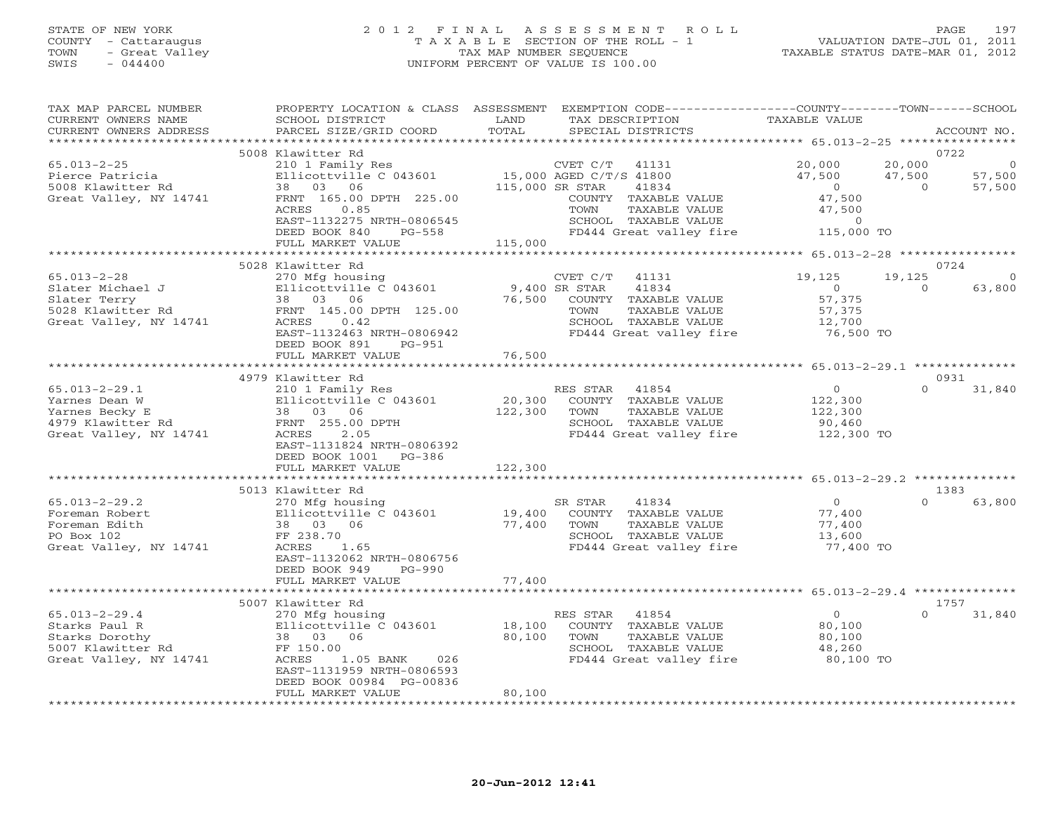#### STATE OF NEW YORK 2 0 1 2 F I N A L A S S E S S M E N T R O L L PAGE 197 COUNTY - Cattaraugus T A X A B L E SECTION OF THE ROLL - 1 VALUATION DATE-JUL 01, 2011 TOWN - Great Valley TAX MAP NUMBER SEQUENCE TAXABLE STATUS DATE-MAR 01, 2012 SWIS - 044400 UNIFORM PERCENT OF VALUE IS 100.00UNIFORM PERCENT OF VALUE IS 100.00

| TAX MAP PARCEL NUMBER<br>CURRENT OWNERS NAME<br>CURRENT OWNERS ADDRESS | PROPERTY LOCATION & CLASS ASSESSMENT<br>SCHOOL DISTRICT<br>PARCEL SIZE/GRID COORD | LAND<br>TOTAL                   | EXEMPTION CODE-----------------COUNTY-------TOWN------SCHOOL<br>TAX DESCRIPTION<br>SPECIAL DISTRICTS | TAXABLE VALUE                                         |                | ACCOUNT NO. |
|------------------------------------------------------------------------|-----------------------------------------------------------------------------------|---------------------------------|------------------------------------------------------------------------------------------------------|-------------------------------------------------------|----------------|-------------|
| **********************                                                 |                                                                                   |                                 |                                                                                                      |                                                       |                |             |
|                                                                        | 5008 Klawitter Rd                                                                 |                                 |                                                                                                      |                                                       |                | 0722        |
| $65.013 - 2 - 25$                                                      | 210 1 Family Res                                                                  |                                 | CVET C/T 41131                                                                                       | 20,000                                                | 20,000         |             |
| Pierce Patricia                                                        | Ellicottville C 043601                                                            |                                 | 15,000 AGED C/T/S 41800                                                                              | 47,500                                                | 47,500         | 57,500      |
| 5008 Klawitter Rd                                                      | 38 03 06                                                                          |                                 | 115,000 SR STAR<br>41834                                                                             | $\overline{0}$                                        | $\overline{0}$ | 57,500      |
| Great Valley, NY 14741                                                 | FRNT 165.00 DPTH 225.00                                                           |                                 | COUNTY TAXABLE VALUE                                                                                 | 47,500                                                |                |             |
|                                                                        | ACRES<br>0.85                                                                     |                                 | TOWN<br>TAXABLE VALUE                                                                                | 47,500                                                |                |             |
|                                                                        | EAST-1132275 NRTH-0806545<br>DEED BOOK 840<br>PG-558                              |                                 | SCHOOL TAXABLE VALUE<br>FD444 Great valley fire 115,000 TO                                           | $\circ$                                               |                |             |
|                                                                        | FULL MARKET VALUE                                                                 | 115,000                         |                                                                                                      |                                                       |                |             |
|                                                                        | ************************                                                          |                                 | *******************************                                                                      | ************* 65.013-2-28 *****************           |                |             |
|                                                                        | 5028 Klawitter Rd                                                                 |                                 |                                                                                                      |                                                       |                | 0724        |
| $65.013 - 2 - 28$                                                      | 270 Mfg housing                                                                   |                                 | CVET $C/T$ 41131                                                                                     | 19,125                                                | 19,125         | $\circ$     |
| Slater Michael J                                                       | Ellicottville C 043601                                                            |                                 | 9,400 SR STAR<br>41834                                                                               | $\overline{0}$                                        | $\Omega$       | 63,800      |
| Slater Terry                                                           | 38 03 06                                                                          | 76,500                          | COUNTY TAXABLE VALUE                                                                                 | 57,375                                                |                |             |
| 5028 Klawitter Rd                                                      | FRNT 145.00 DPTH 125.00                                                           |                                 | TOWN<br>TAXABLE VALUE                                                                                | 57,375                                                |                |             |
| Great Valley, NY 14741                                                 | ACRES<br>0.42                                                                     |                                 | SCHOOL TAXABLE VALUE                                                                                 | 12,700                                                |                |             |
|                                                                        | EAST-1132463 NRTH-0806942                                                         |                                 | FD444 Great valley fire                                                                              | 76,500 TO                                             |                |             |
|                                                                        | DEED BOOK 891<br>$PG-951$                                                         |                                 |                                                                                                      |                                                       |                |             |
|                                                                        | FULL MARKET VALUE<br>*************************                                    | 76,500<br>********************* |                                                                                                      | ************************ 65.013-2-29.1 ************** |                |             |
|                                                                        | 4979 Klawitter Rd                                                                 |                                 |                                                                                                      |                                                       |                | 0931        |
| $65.013 - 2 - 29.1$                                                    | 210 1 Family Res                                                                  |                                 | RES STAR 41854                                                                                       | $\overline{0}$                                        | $\Omega$       | 31,840      |
| Yarnes Dean W                                                          | Ellicottville C 043601                                                            | 20,300                          | COUNTY TAXABLE VALUE                                                                                 | 122,300                                               |                |             |
| Yarnes Becky E                                                         | 38 03 06                                                                          | 122,300                         | TOWN<br>TAXABLE VALUE                                                                                | 122,300                                               |                |             |
| 4979 Klawitter Rd                                                      | FRNT 255.00 DPTH                                                                  |                                 | SCHOOL TAXABLE VALUE                                                                                 | 90,460                                                |                |             |
| Great Valley, NY 14741                                                 | ACRES<br>2.05                                                                     |                                 | FD444 Great valley fire                                                                              | 122,300 TO                                            |                |             |
|                                                                        | EAST-1131824 NRTH-0806392                                                         |                                 |                                                                                                      |                                                       |                |             |
|                                                                        | DEED BOOK 1001<br>$PG-386$                                                        |                                 |                                                                                                      |                                                       |                |             |
|                                                                        | FULL MARKET VALUE                                                                 | 122,300                         |                                                                                                      |                                                       |                |             |
|                                                                        |                                                                                   |                                 |                                                                                                      |                                                       |                |             |
|                                                                        | 5013 Klawitter Rd                                                                 |                                 |                                                                                                      |                                                       |                | 1383        |
| $65.013 - 2 - 29.2$                                                    | 270 Mfg housing                                                                   |                                 | 41834<br>SR STAR                                                                                     | $\overline{O}$                                        | $\Omega$       | 63,800      |
| Foreman Robert<br>Foreman Edith                                        | Ellicottville C 043601<br>38 03 06                                                | 19,400<br>77,400                | COUNTY TAXABLE VALUE<br>TOWN<br>TAXABLE VALUE                                                        | 77,400<br>77,400                                      |                |             |
| PO Box 102                                                             | FF 238.70                                                                         |                                 | SCHOOL TAXABLE VALUE                                                                                 | 13,600                                                |                |             |
| Great Valley, NY 14741                                                 | ACRES<br>1.65                                                                     |                                 | FD444 Great valley fire                                                                              | 77,400 TO                                             |                |             |
|                                                                        | EAST-1132062 NRTH-0806756                                                         |                                 |                                                                                                      |                                                       |                |             |
|                                                                        | DEED BOOK 949<br>$PG-990$                                                         |                                 |                                                                                                      |                                                       |                |             |
|                                                                        | FULL MARKET VALUE                                                                 | 77,400                          |                                                                                                      |                                                       |                |             |
|                                                                        |                                                                                   |                                 |                                                                                                      |                                                       |                |             |
|                                                                        | 5007 Klawitter Rd                                                                 |                                 |                                                                                                      |                                                       |                | 1757        |
| $65.013 - 2 - 29.4$                                                    | 270 Mfg housing                                                                   |                                 | RES STAR<br>41854                                                                                    | $\overline{0}$                                        | $\Omega$       | 31,840      |
| Starks Paul R                                                          | Ellicottville C 043601                                                            | 18,100                          | COUNTY TAXABLE VALUE                                                                                 | 80,100                                                |                |             |
| Starks Dorothy                                                         | 38 03 06                                                                          | 80,100                          | TOWN<br>TAXABLE VALUE                                                                                | 80,100                                                |                |             |
| 5007 Klawitter Rd                                                      | FF 150.00<br>ACRES                                                                |                                 | SCHOOL TAXABLE VALUE<br>FD444 Great valley fire                                                      | 48,260                                                |                |             |
| Great Valley, NY 14741                                                 | 1.05 BANK 026<br>EAST-1131959 NRTH-0806593                                        |                                 |                                                                                                      | 80,100 TO                                             |                |             |
|                                                                        | DEED BOOK 00984 PG-00836                                                          |                                 |                                                                                                      |                                                       |                |             |
|                                                                        | FULL MARKET VALUE                                                                 | 80,100                          |                                                                                                      |                                                       |                |             |
|                                                                        |                                                                                   |                                 |                                                                                                      |                                                       |                |             |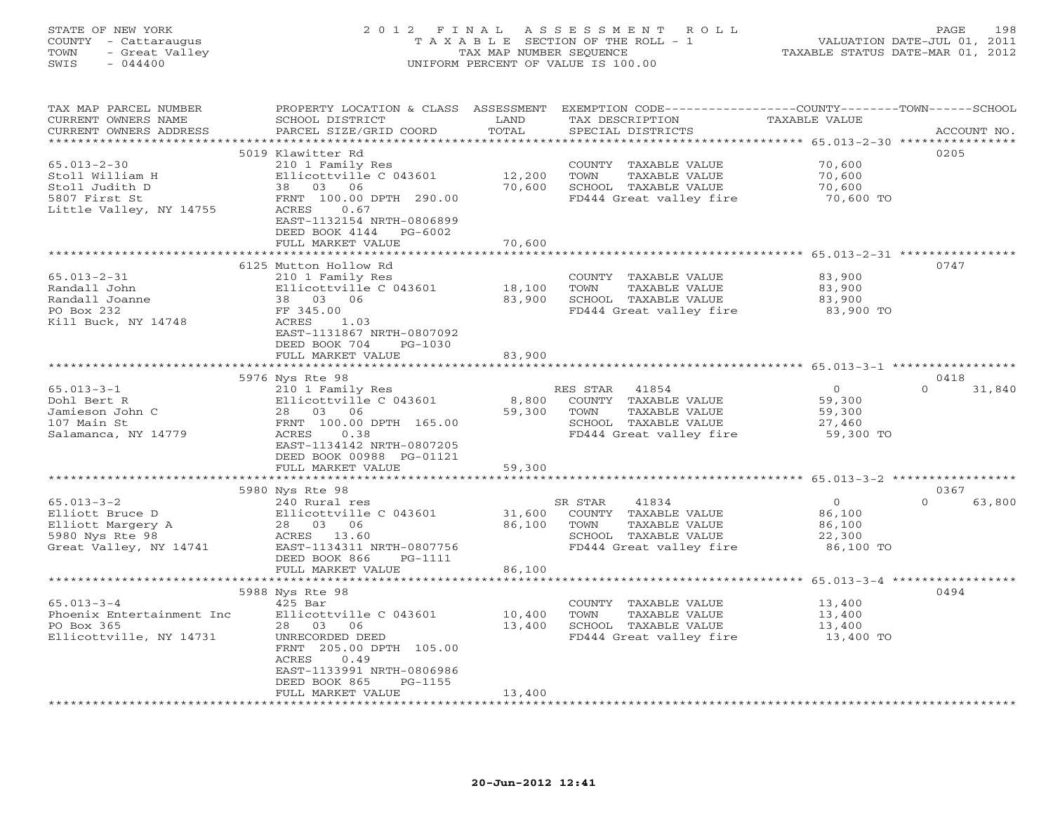## STATE OF NEW YORK 2 0 1 2 F I N A L A S S E S S M E N T R O L L PAGE 198 COUNTY - Cattaraugus T A X A B L E SECTION OF THE ROLL - 1 VALUATION DATE-JUL 01, 2011 TOWN - Great Valley TAX MAP NUMBER SEQUENCE TAXABLE STATUS DATE-MAR 01, 2012 SWIS - 044400 UNIFORM PERCENT OF VALUE IS 100.00

| TAX MAP PARCEL NUMBER<br>CURRENT OWNERS NAME     | PROPERTY LOCATION & CLASS ASSESSMENT<br>SCHOOL DISTRICT | LAND   | EXEMPTION CODE----------------COUNTY-------TOWN------SCHOOL<br>TAX DESCRIPTION | TAXABLE VALUE |                    |
|--------------------------------------------------|---------------------------------------------------------|--------|--------------------------------------------------------------------------------|---------------|--------------------|
| CURRENT OWNERS ADDRESS<br>********************** | PARCEL SIZE/GRID COORD                                  | TOTAL  | SPECIAL DISTRICTS                                                              |               | ACCOUNT NO.        |
|                                                  |                                                         |        |                                                                                |               |                    |
|                                                  | 5019 Klawitter Rd                                       |        |                                                                                |               | 0205               |
| $65.013 - 2 - 30$                                | 210 1 Family Res                                        |        | COUNTY TAXABLE VALUE                                                           | 70,600        |                    |
| Stoll William H                                  | Ellicottville C 043601                                  | 12,200 | TOWN<br>TAXABLE VALUE                                                          | 70,600        |                    |
| Stoll Judith D                                   | 38 03 06                                                | 70,600 | SCHOOL TAXABLE VALUE                                                           | 70,600        |                    |
| 5807 First St                                    | FRNT 100.00 DPTH 290.00                                 |        | FD444 Great valley fire                                                        | 70,600 TO     |                    |
| Little Valley, NY 14755                          | 0.67<br>ACRES                                           |        |                                                                                |               |                    |
|                                                  | EAST-1132154 NRTH-0806899                               |        |                                                                                |               |                    |
|                                                  | DEED BOOK 4144<br>PG-6002                               |        |                                                                                |               |                    |
|                                                  | FULL MARKET VALUE                                       | 70,600 |                                                                                |               |                    |
|                                                  |                                                         |        |                                                                                |               |                    |
|                                                  | 6125 Mutton Hollow Rd                                   |        |                                                                                |               | 0747               |
| $65.013 - 2 - 31$                                | 210 1 Family Res                                        |        | COUNTY TAXABLE VALUE                                                           | 83,900        |                    |
| Randall John                                     | Ellicottville C 043601                                  | 18,100 | TOWN<br>TAXABLE VALUE                                                          | 83,900        |                    |
| Randall Joanne                                   | 38 03 06                                                | 83,900 | SCHOOL TAXABLE VALUE                                                           | 83,900        |                    |
| PO Box 232                                       | FF 345.00                                               |        | FD444 Great valley fire                                                        | 83,900 TO     |                    |
|                                                  |                                                         |        |                                                                                |               |                    |
| Kill Buck, NY 14748                              | ACRES<br>1.03                                           |        |                                                                                |               |                    |
|                                                  | EAST-1131867 NRTH-0807092                               |        |                                                                                |               |                    |
|                                                  | DEED BOOK 704<br>$PG-1030$                              |        |                                                                                |               |                    |
|                                                  | FULL MARKET VALUE                                       | 83,900 |                                                                                |               |                    |
|                                                  |                                                         |        |                                                                                |               |                    |
|                                                  | 5976 Nys Rte 98                                         |        |                                                                                |               | 0418               |
| $65.013 - 3 - 1$                                 | 210 1 Family Res                                        |        | RES STAR 41854                                                                 | $\Omega$      | $\Omega$<br>31,840 |
| Dohl Bert R                                      | Ellicottville C 043601                                  | 8,800  | COUNTY TAXABLE VALUE                                                           | 59,300        |                    |
| Jamieson John C                                  | 28 03 06                                                | 59,300 | TOWN<br>TAXABLE VALUE                                                          | 59,300        |                    |
| 107 Main St                                      | FRNT 100.00 DPTH 165.00                                 |        | SCHOOL TAXABLE VALUE                                                           | 27,460        |                    |
| Salamanca, NY 14779                              | ACRES<br>0.38                                           |        | FD444 Great valley fire                                                        | 59,300 TO     |                    |
|                                                  | EAST-1134142 NRTH-0807205                               |        |                                                                                |               |                    |
|                                                  | DEED BOOK 00988 PG-01121                                |        |                                                                                |               |                    |
|                                                  | FULL MARKET VALUE                                       | 59,300 |                                                                                |               |                    |
|                                                  |                                                         |        |                                                                                |               |                    |
|                                                  | 5980 Nys Rte 98                                         |        |                                                                                |               | 0367               |
| $65.013 - 3 - 2$                                 | 240 Rural res                                           |        | 41834<br>SR STAR                                                               | $\circ$       | $\Omega$<br>63,800 |
| Elliott Bruce D                                  | Ellicottville C 043601                                  | 31,600 | COUNTY TAXABLE VALUE                                                           | 86,100        |                    |
|                                                  | 28 03 06                                                |        | TOWN<br>TAXABLE VALUE                                                          |               |                    |
| Elliott Margery A                                |                                                         | 86,100 | SCHOOL TAXABLE VALUE                                                           | 86,100        |                    |
| 5980 Nys Rte 98                                  | ACRES 13.60                                             |        |                                                                                | 22,300        |                    |
| Great Valley, NY 14741                           | EAST-1134311 NRTH-0807756                               |        | FD444 Great valley fire                                                        | 86,100 TO     |                    |
|                                                  | DEED BOOK 866<br>PG-1111                                |        |                                                                                |               |                    |
|                                                  | FULL MARKET VALUE                                       | 86,100 |                                                                                |               |                    |
|                                                  | **************************                              |        |                                                                                |               |                    |
|                                                  | 5988 Nys Rte 98                                         |        |                                                                                |               | 0494               |
| $65.013 - 3 - 4$                                 | $425$ Bar                                               |        | COUNTY TAXABLE VALUE                                                           | 13,400        |                    |
| Phoenix Entertainment Inc                        | Ellicottville C 043601                                  | 10,400 | TOWN<br>TAXABLE VALUE                                                          | 13,400        |                    |
| PO Box 365                                       | 28 03<br>06                                             | 13,400 | SCHOOL TAXABLE VALUE                                                           | 13,400        |                    |
| Ellicottville, NY 14731                          | UNRECORDED DEED                                         |        | FD444 Great valley fire                                                        | 13,400 TO     |                    |
|                                                  | FRNT 205.00 DPTH 105.00                                 |        |                                                                                |               |                    |
|                                                  | ACRES<br>0.49                                           |        |                                                                                |               |                    |
|                                                  | EAST-1133991 NRTH-0806986                               |        |                                                                                |               |                    |
|                                                  | DEED BOOK 865<br>PG-1155                                |        |                                                                                |               |                    |
|                                                  | FULL MARKET VALUE                                       | 13,400 |                                                                                |               |                    |
|                                                  | ********************                                    |        |                                                                                |               |                    |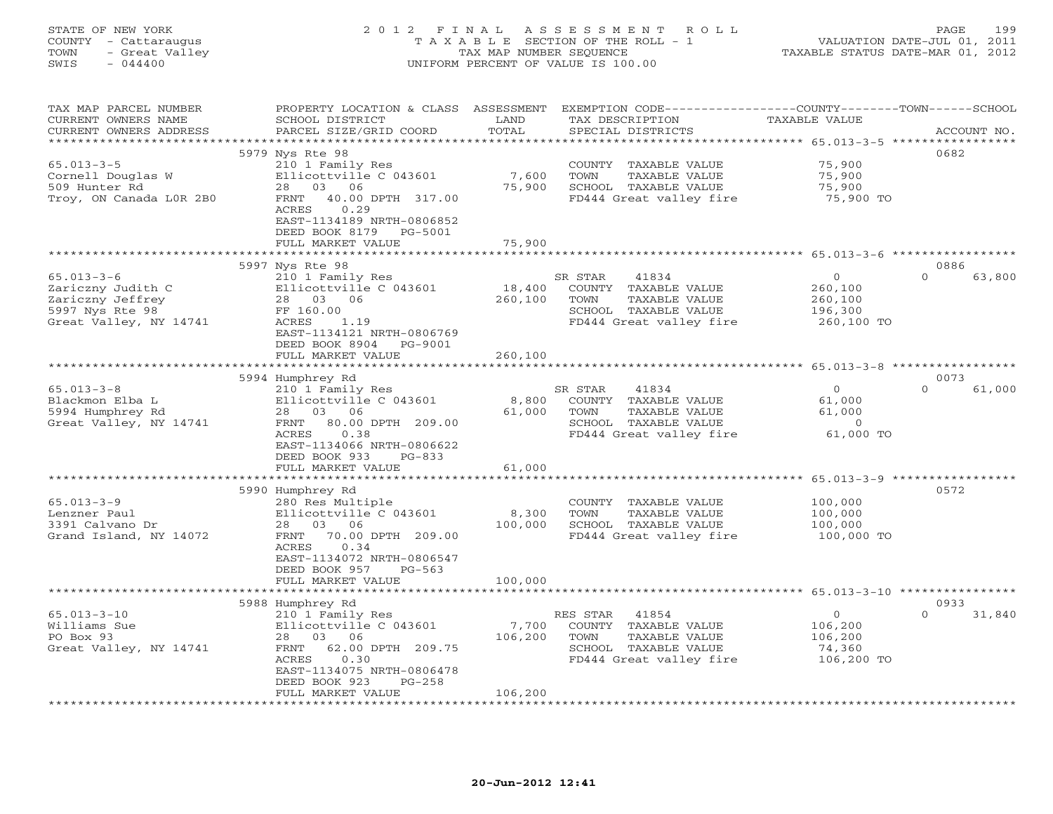## STATE OF NEW YORK 2 0 1 2 F I N A L A S S E S S M E N T R O L L PAGE 199 COUNTY - Cattaraugus T A X A B L E SECTION OF THE ROLL - 1 VALUATION DATE-JUL 01, 2011 TOWN - Great Valley TAX MAP NUMBER SEQUENCE TAXABLE STATUS DATE-MAR 01, 2012 SWIS - 044400 UNIFORM PERCENT OF VALUE IS 100.00

| TAX MAP PARCEL NUMBER<br>CURRENT OWNERS NAME<br>CURRENT OWNERS ADDRESS | PROPERTY LOCATION & CLASS<br>SCHOOL DISTRICT<br>PARCEL SIZE/GRID COORD | ASSESSMENT<br>LAND<br>TOTAL | EXEMPTION CODE-----------------COUNTY-------TOWN-----SCHOOL<br>TAX DESCRIPTION<br>SPECIAL DISTRICTS | TAXABLE VALUE                                                     | ACCOUNT NO.        |
|------------------------------------------------------------------------|------------------------------------------------------------------------|-----------------------------|-----------------------------------------------------------------------------------------------------|-------------------------------------------------------------------|--------------------|
| * * * * * * * * * * * * * * * * * *                                    |                                                                        | * * * * * * * * * *         | ********************************** 65.013-3-5 *****************                                     |                                                                   |                    |
|                                                                        | 5979 Nys Rte 98                                                        |                             |                                                                                                     |                                                                   | 0682               |
| $65.013 - 3 - 5$                                                       | 210 1 Family Res                                                       |                             | COUNTY TAXABLE VALUE                                                                                | 75,900                                                            |                    |
| Cornell Douglas W                                                      | Ellicottville C 043601                                                 | 7,600                       | TAXABLE VALUE<br>TOWN                                                                               | 75,900                                                            |                    |
| 509 Hunter Rd                                                          | 28 03 06                                                               | 75,900                      | SCHOOL TAXABLE VALUE                                                                                | 75,900                                                            |                    |
| Troy, ON Canada LOR 2B0                                                | FRNT<br>40.00 DPTH 317.00                                              |                             | FD444 Great valley fire                                                                             | 75,900 TO                                                         |                    |
|                                                                        | ACRES<br>0.29                                                          |                             |                                                                                                     |                                                                   |                    |
|                                                                        | EAST-1134189 NRTH-0806852                                              |                             |                                                                                                     |                                                                   |                    |
|                                                                        | DEED BOOK 8179<br>PG-5001                                              |                             |                                                                                                     |                                                                   |                    |
|                                                                        | FULL MARKET VALUE                                                      | 75,900<br>*******           |                                                                                                     |                                                                   |                    |
|                                                                        |                                                                        |                             |                                                                                                     | ********************* 65.013-3-6 ************                     |                    |
|                                                                        | 5997 Nys Rte 98                                                        |                             |                                                                                                     |                                                                   | 0886               |
| $65.013 - 3 - 6$                                                       | 210 1 Family Res                                                       |                             | SR STAR<br>41834                                                                                    | $\mathbf{0}$                                                      | $\Omega$<br>63,800 |
| Zariczny Judith C                                                      | Ellicottville C 043601                                                 | 18,400                      | COUNTY TAXABLE VALUE                                                                                | 260,100                                                           |                    |
| Zariczny Jeffrey                                                       | 28 03<br>06                                                            | 260,100                     | TOWN<br>TAXABLE VALUE                                                                               | 260,100                                                           |                    |
| 5997 Nys Rte 98                                                        | FF 160.00                                                              |                             | SCHOOL TAXABLE VALUE                                                                                | 196,300                                                           |                    |
| Great Valley, NY 14741                                                 | ACRES<br>1.19                                                          |                             | FD444 Great valley fire                                                                             | 260,100 TO                                                        |                    |
|                                                                        | EAST-1134121 NRTH-0806769                                              |                             |                                                                                                     |                                                                   |                    |
|                                                                        | DEED BOOK 8904<br>PG-9001                                              |                             |                                                                                                     |                                                                   |                    |
|                                                                        | FULL MARKET VALUE                                                      | 260,100                     |                                                                                                     |                                                                   |                    |
|                                                                        |                                                                        |                             |                                                                                                     |                                                                   |                    |
|                                                                        | 5994 Humphrey Rd                                                       |                             |                                                                                                     |                                                                   | 0073               |
| $65.013 - 3 - 8$                                                       | 210 1 Family Res                                                       |                             | SR STAR<br>41834                                                                                    | $\mathbf{0}$                                                      | $\Omega$<br>61,000 |
| Blackmon Elba L                                                        | Ellicottville C 043601                                                 | 8,800                       | COUNTY TAXABLE VALUE                                                                                | 61,000                                                            |                    |
| 5994 Humphrey Rd                                                       | 28 03<br>06                                                            | 61,000                      | TOWN<br>TAXABLE VALUE                                                                               | 61,000                                                            |                    |
| Great Valley, NY 14741                                                 | 80.00 DPTH 209.00<br>FRNT                                              |                             | SCHOOL TAXABLE VALUE                                                                                | $\circ$                                                           |                    |
|                                                                        | ACRES<br>0.38                                                          |                             | FD444 Great valley fire                                                                             | 61,000 TO                                                         |                    |
|                                                                        | EAST-1134066 NRTH-0806622                                              |                             |                                                                                                     |                                                                   |                    |
|                                                                        | DEED BOOK 933<br>$PG-833$                                              |                             |                                                                                                     |                                                                   |                    |
|                                                                        | FULL MARKET VALUE                                                      | 61,000                      |                                                                                                     |                                                                   |                    |
|                                                                        |                                                                        |                             |                                                                                                     |                                                                   |                    |
|                                                                        | 5990 Humphrey Rd                                                       |                             |                                                                                                     |                                                                   | 0572               |
| $65.013 - 3 - 9$                                                       | 280 Res Multiple                                                       |                             | COUNTY TAXABLE VALUE                                                                                | 100,000                                                           |                    |
| Lenzner Paul                                                           | Ellicottville C 043601                                                 | 8,300                       | TAXABLE VALUE<br>TOWN                                                                               | 100,000                                                           |                    |
| 3391 Calvano Dr                                                        | 28<br>03<br>06                                                         | 100,000                     | SCHOOL TAXABLE VALUE                                                                                | 100,000                                                           |                    |
| Grand Island, NY 14072                                                 | FRNT<br>70.00 DPTH 209.00                                              |                             | FD444 Great valley fire                                                                             | 100,000 TO                                                        |                    |
|                                                                        | 0.34<br>ACRES                                                          |                             |                                                                                                     |                                                                   |                    |
|                                                                        | EAST-1134072 NRTH-0806547                                              |                             |                                                                                                     |                                                                   |                    |
|                                                                        | DEED BOOK 957<br>$PG-563$                                              |                             |                                                                                                     |                                                                   |                    |
|                                                                        | FULL MARKET VALUE                                                      | 100,000                     |                                                                                                     |                                                                   |                    |
|                                                                        |                                                                        | * * * * * * * * * * * * * * |                                                                                                     | ******************************    65.013-3-10    **************** |                    |
|                                                                        | 5988 Humphrey Rd                                                       |                             |                                                                                                     |                                                                   | 0933               |
| $65.013 - 3 - 10$                                                      | 210 1 Family Res                                                       |                             | 41854<br>RES STAR                                                                                   | $\mathbf 0$                                                       | $\Omega$<br>31,840 |
| Williams Sue                                                           | Ellicottville C 043601                                                 | 7,700                       | COUNTY TAXABLE VALUE                                                                                | 106,200                                                           |                    |
| PO Box 93                                                              | 28 03<br>06                                                            | 106,200                     | TOWN<br>TAXABLE VALUE                                                                               | 106,200                                                           |                    |
| Great Valley, NY 14741                                                 | FRNT<br>62.00 DPTH 209.75                                              |                             | SCHOOL TAXABLE VALUE                                                                                | 74,360                                                            |                    |
|                                                                        | ACRES<br>0.30                                                          |                             | FD444 Great valley fire                                                                             | 106,200 TO                                                        |                    |
|                                                                        | EAST-1134075 NRTH-0806478                                              |                             |                                                                                                     |                                                                   |                    |
|                                                                        | DEED BOOK 923<br>$PG-258$                                              |                             |                                                                                                     |                                                                   |                    |
|                                                                        | FULL MARKET VALUE                                                      | 106,200                     |                                                                                                     |                                                                   |                    |
|                                                                        |                                                                        |                             |                                                                                                     |                                                                   |                    |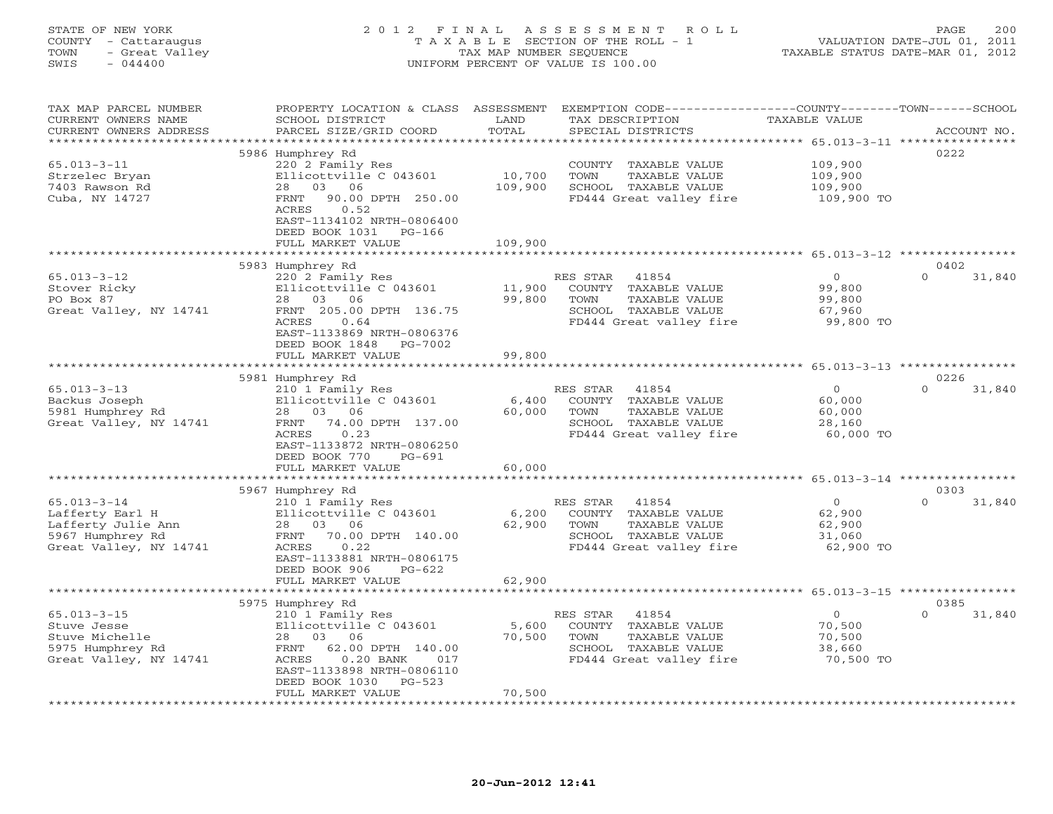## STATE OF NEW YORK 2 0 1 2 F I N A L A S S E S S M E N T R O L L PAGE 200 COUNTY - Cattaraugus T A X A B L E SECTION OF THE ROLL - 1 VALUATION DATE-JUL 01, 2011 TOWN - Great Valley TAX MAP NUMBER SEQUENCE TAXABLE STATUS DATE-MAR 01, 2012 SWIS - 044400 UNIFORM PERCENT OF VALUE IS 100.00

| TAX MAP PARCEL NUMBER<br>CURRENT OWNERS NAME<br>CURRENT OWNERS ADDRESS | PROPERTY LOCATION & CLASS ASSESSMENT<br>SCHOOL DISTRICT<br>PARCEL SIZE/GRID COORD | LAND<br>TOTAL            | EXEMPTION CODE----------------COUNTY-------TOWN-----SCHOOL<br>TAX DESCRIPTION<br>SPECIAL DISTRICTS | TAXABLE VALUE                                | ACCOUNT NO.        |
|------------------------------------------------------------------------|-----------------------------------------------------------------------------------|--------------------------|----------------------------------------------------------------------------------------------------|----------------------------------------------|--------------------|
| ******************                                                     |                                                                                   |                          |                                                                                                    |                                              |                    |
|                                                                        | 5986 Humphrey Rd                                                                  |                          |                                                                                                    |                                              | 0222               |
| $65.013 - 3 - 11$                                                      | 220 2 Family Res                                                                  |                          | COUNTY TAXABLE VALUE                                                                               | 109,900                                      |                    |
| Strzelec Bryan                                                         | Ellicottville C 043601                                                            | 10,700                   | TAXABLE VALUE<br>TOWN                                                                              | 109,900                                      |                    |
| 7403 Rawson Rd                                                         | 28 03 06                                                                          | 109,900                  | SCHOOL TAXABLE VALUE                                                                               | 109,900                                      |                    |
| Cuba, NY 14727                                                         | <b>FRNT</b><br>90.00 DPTH 250.00                                                  |                          | FD444 Great valley fire                                                                            | 109,900 TO                                   |                    |
|                                                                        | ACRES<br>0.52                                                                     |                          |                                                                                                    |                                              |                    |
|                                                                        | EAST-1134102 NRTH-0806400                                                         |                          |                                                                                                    |                                              |                    |
|                                                                        | DEED BOOK 1031<br>$PG-166$                                                        |                          |                                                                                                    |                                              |                    |
|                                                                        | FULL MARKET VALUE<br>****************************                                 | 109,900<br>************* | ******************************** 65.013-3-12 ****************                                      |                                              |                    |
|                                                                        | 5983 Humphrey Rd                                                                  |                          |                                                                                                    |                                              | 0402               |
| $65.013 - 3 - 12$                                                      | 220 2 Family Res                                                                  |                          | RES STAR<br>41854                                                                                  | $\circ$                                      | $\Omega$<br>31,840 |
| Stover Ricky                                                           | Ellicottville C 043601                                                            | 11,900                   | COUNTY TAXABLE VALUE                                                                               | 99,800                                       |                    |
| PO Box 87                                                              | 28 03 06                                                                          | 99,800                   | TOWN<br>TAXABLE VALUE                                                                              | 99,800                                       |                    |
| Great Valley, NY 14741                                                 | FRNT 205.00 DPTH 136.75                                                           |                          | SCHOOL TAXABLE VALUE                                                                               | 67,960                                       |                    |
|                                                                        | 0.64<br>ACRES                                                                     |                          | FD444 Great valley fire                                                                            | 99,800 TO                                    |                    |
|                                                                        | EAST-1133869 NRTH-0806376                                                         |                          |                                                                                                    |                                              |                    |
|                                                                        | DEED BOOK 1848<br>PG-7002                                                         |                          |                                                                                                    |                                              |                    |
|                                                                        | FULL MARKET VALUE                                                                 | 99,800                   |                                                                                                    |                                              |                    |
|                                                                        | ************************                                                          | *************            | ********************************** 65.013-3-13 ****************                                    |                                              |                    |
|                                                                        | 5981 Humphrey Rd                                                                  |                          |                                                                                                    |                                              | 0226               |
| $65.013 - 3 - 13$                                                      | 210 1 Family Res                                                                  |                          | RES STAR<br>41854                                                                                  | $\circ$                                      | $\Omega$<br>31,840 |
| Backus Joseph                                                          | Ellicottville C 043601                                                            | 6,400                    | COUNTY TAXABLE VALUE                                                                               | 60,000                                       |                    |
| 5981 Humphrey Rd                                                       | 28 03 06                                                                          | 60,000                   | TOWN<br>TAXABLE VALUE                                                                              | 60,000                                       |                    |
| Great Valley, NY 14741                                                 | FRNT<br>74.00 DPTH 137.00                                                         |                          | SCHOOL TAXABLE VALUE                                                                               | 28,160                                       |                    |
|                                                                        | ACRES<br>0.23                                                                     |                          | FD444 Great valley fire                                                                            | 60,000 TO                                    |                    |
|                                                                        | EAST-1133872 NRTH-0806250                                                         |                          |                                                                                                    |                                              |                    |
|                                                                        | DEED BOOK 770<br>$PG-691$                                                         |                          |                                                                                                    |                                              |                    |
|                                                                        | FULL MARKET VALUE                                                                 | 60,000                   |                                                                                                    |                                              |                    |
|                                                                        |                                                                                   | ************             |                                                                                                    | ********************* 65.013-3-14 ********** |                    |
|                                                                        | 5967 Humphrey Rd                                                                  |                          |                                                                                                    |                                              | 0303               |
| $65.013 - 3 - 14$                                                      | 210 1 Family Res                                                                  |                          | RES STAR<br>41854                                                                                  | $\circ$                                      | 31,840<br>$\Omega$ |
| Lafferty Earl H                                                        | Ellicottville C 043601                                                            | 6,200                    | COUNTY TAXABLE VALUE                                                                               | 62,900                                       |                    |
| Lafferty Julie Ann                                                     | 28 03 06                                                                          | 62,900                   | TAXABLE VALUE<br>TOWN<br>SCHOOL TAXABLE VALUE                                                      | 62,900                                       |                    |
| 5967 Humphrey Rd<br>Great Valley, NY 14741                             | 70.00 DPTH 140.00<br>FRNT<br>0.22<br>ACRES                                        |                          | FD444 Great valley fire                                                                            | 31,060<br>62,900 TO                          |                    |
|                                                                        | EAST-1133881 NRTH-0806175                                                         |                          |                                                                                                    |                                              |                    |
|                                                                        | DEED BOOK 906<br>$PG-622$                                                         |                          |                                                                                                    |                                              |                    |
|                                                                        | FULL MARKET VALUE                                                                 | 62,900                   |                                                                                                    |                                              |                    |
|                                                                        |                                                                                   |                          |                                                                                                    |                                              |                    |
|                                                                        | 5975 Humphrey Rd                                                                  |                          |                                                                                                    |                                              | 0385               |
| $65.013 - 3 - 15$                                                      | 210 1 Family Res                                                                  |                          | RES STAR<br>41854                                                                                  | $\circ$                                      | 31,840<br>$\Omega$ |
| Stuve Jesse                                                            | Ellicottville C 043601                                                            | 5,600                    | COUNTY TAXABLE VALUE                                                                               | 70,500                                       |                    |
| Stuve Michelle                                                         | 28 03 06                                                                          | 70,500                   | TOWN<br>TAXABLE VALUE                                                                              | 70,500                                       |                    |
| 5975 Humphrey Rd                                                       | 62.00 DPTH 140.00<br>FRNT                                                         |                          | SCHOOL TAXABLE VALUE                                                                               | 38,660                                       |                    |
| Great Valley, NY 14741                                                 | $0.20$ BANK<br>ACRES<br>017                                                       |                          | FD444 Great valley fire                                                                            | 70,500 TO                                    |                    |
|                                                                        | EAST-1133898 NRTH-0806110                                                         |                          |                                                                                                    |                                              |                    |
|                                                                        | DEED BOOK 1030<br>$PG-523$                                                        |                          |                                                                                                    |                                              |                    |
|                                                                        | FULL MARKET VALUE                                                                 | 70,500                   |                                                                                                    |                                              |                    |
|                                                                        |                                                                                   |                          |                                                                                                    |                                              |                    |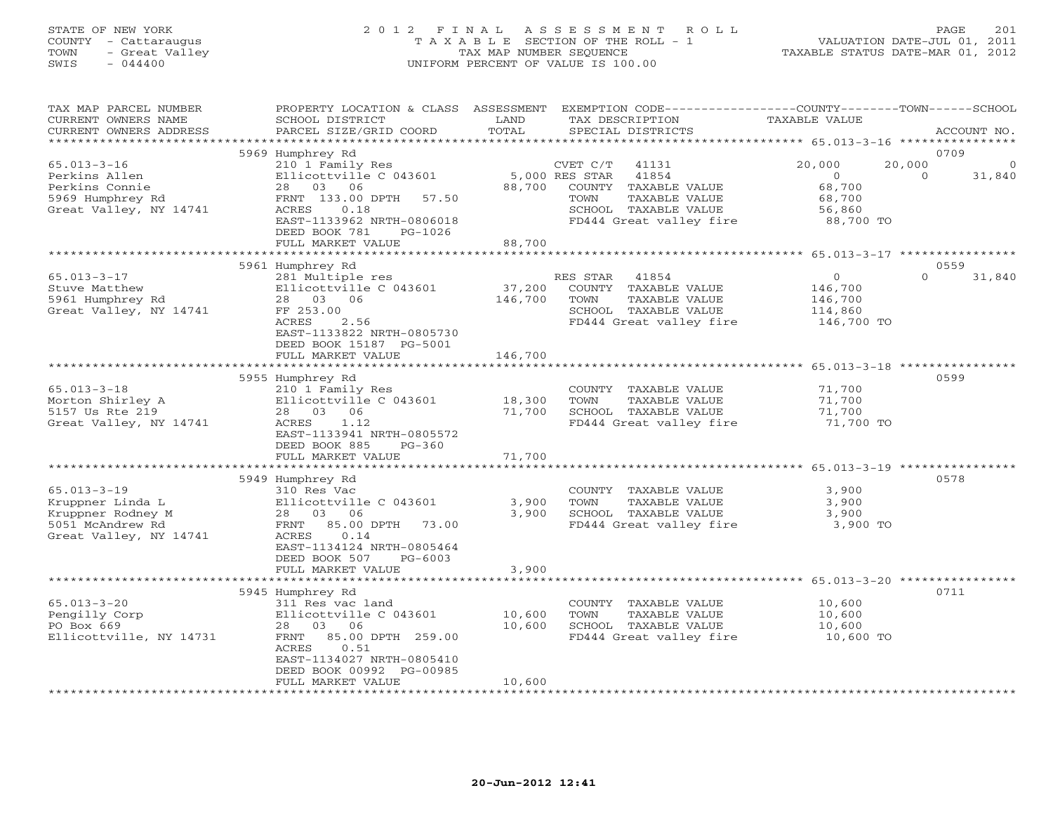## STATE OF NEW YORK 2 0 1 2 F I N A L A S S E S S M E N T R O L L PAGE 201 COUNTY - Cattaraugus T A X A B L E SECTION OF THE ROLL - 1 VALUATION DATE-JUL 01, 2011 TOWN - Great Valley TAX MAP NUMBER SEQUENCE TAXABLE STATUS DATE-MAR 01, 2012 SWIS - 044400 UNIFORM PERCENT OF VALUE IS 100.00

| TAX MAP PARCEL NUMBER<br>CURRENT OWNERS NAME<br>CURRENT OWNERS ADDRESS                                   | PROPERTY LOCATION & CLASS ASSESSMENT<br>SCHOOL DISTRICT<br>PARCEL SIZE/GRID COORD                                                                                                          | LAND<br>TOTAL                | TAX DESCRIPTION<br>SPECIAL DISTRICTS                                                                                                                | EXEMPTION CODE-----------------COUNTY-------TOWN------SCHOOL<br>TAXABLE VALUE | ACCOUNT NO.                       |
|----------------------------------------------------------------------------------------------------------|--------------------------------------------------------------------------------------------------------------------------------------------------------------------------------------------|------------------------------|-----------------------------------------------------------------------------------------------------------------------------------------------------|-------------------------------------------------------------------------------|-----------------------------------|
|                                                                                                          | 5969 Humphrey Rd                                                                                                                                                                           |                              |                                                                                                                                                     |                                                                               | 0709                              |
| $65.013 - 3 - 16$<br>Perkins Allen<br>Perkins Connie<br>5969 Humphrey Rd<br>Great Valley, NY 14741       | 210 1 Family Res<br>Ellicottville C 043601<br>28<br>03<br>06<br>FRNT 133.00 DPTH<br>57.50<br>ACRES<br>0.18<br>EAST-1133962 NRTH-0806018<br>DEED BOOK 781<br>$PG-1026$<br>FULL MARKET VALUE | 88,700<br>88,700             | 41131<br>CVET C/T<br>5,000 RES STAR<br>41854<br>COUNTY<br>TAXABLE VALUE<br>TAXABLE VALUE<br>TOWN<br>SCHOOL TAXABLE VALUE<br>FD444 Great valley fire | 20,000<br>$\circ$<br>68,700<br>68,700<br>56,860<br>88,700 TO                  | 20,000<br>0<br>$\Omega$<br>31,840 |
|                                                                                                          |                                                                                                                                                                                            |                              |                                                                                                                                                     | ********* 65.013-3-17 ****************                                        |                                   |
|                                                                                                          | 5961 Humphrey Rd                                                                                                                                                                           |                              |                                                                                                                                                     |                                                                               | 0559                              |
| $65.013 - 3 - 17$<br>Stuve Matthew<br>5961 Humphrey Rd<br>Great Valley, NY 14741                         | 281 Multiple res<br>Ellicottville C 043601<br>28<br>03 06<br>FF 253.00<br>ACRES<br>2.56<br>EAST-1133822 NRTH-0805730<br>DEED BOOK 15187 PG-5001<br>FULL MARKET VALUE                       | 37,200<br>146,700<br>146,700 | RES STAR<br>41854<br>COUNTY TAXABLE VALUE<br>TOWN<br>TAXABLE VALUE<br>SCHOOL TAXABLE VALUE<br>FD444 Great valley fire                               | $\mathbf{O}$<br>146,700<br>146,700<br>114,860<br>146,700 TO                   | $\Omega$<br>31,840                |
|                                                                                                          |                                                                                                                                                                                            | * * * * * * * * * * *        |                                                                                                                                                     |                                                                               | $65.013 - 3 - 18$ ************    |
| $65.013 - 3 - 18$<br>Morton Shirley A<br>5157 Us Rte 219<br>Great Valley, NY 14741                       | 5955 Humphrey Rd<br>210 1 Family Res<br>Ellicottville C 043601<br>28 03 06<br>ACRES<br>1.12<br>EAST-1133941 NRTH-0805572<br>DEED BOOK 885<br>$PG-360$                                      | 18,300<br>71,700             | COUNTY TAXABLE VALUE<br>TOWN<br>TAXABLE VALUE<br>SCHOOL TAXABLE VALUE<br>FD444 Great valley fire                                                    | 71,700<br>71,700<br>71,700<br>71,700 TO                                       | 0599                              |
|                                                                                                          | FULL MARKET VALUE                                                                                                                                                                          | 71,700                       |                                                                                                                                                     |                                                                               |                                   |
| $65.013 - 3 - 19$<br>Kruppner Linda L<br>Kruppner Rodney M<br>5051 McAndrew Rd<br>Great Valley, NY 14741 | 5949 Humphrey Rd<br>310 Res Vac<br>Ellicottville C 043601<br>28 03 06<br>85.00 DPTH<br>FRNT<br>73.00<br><b>ACRES</b><br>0.14<br>EAST-1134124 NRTH-0805464<br>DEED BOOK 507<br>$PG-6003$    | 3,900<br>3,900               | COUNTY TAXABLE VALUE<br>TAXABLE VALUE<br>TOWN<br>SCHOOL TAXABLE VALUE<br>FD444 Great valley fire                                                    | 3,900<br>3,900<br>3,900<br>3,900 TO                                           | 0578                              |
|                                                                                                          | FULL MARKET VALUE                                                                                                                                                                          | 3,900                        |                                                                                                                                                     |                                                                               |                                   |
|                                                                                                          | 5945 Humphrey Rd                                                                                                                                                                           |                              |                                                                                                                                                     | ***************** 65.013-3-20 *****************                               | 0711                              |
| $65.013 - 3 - 20$<br>Pengilly Corp<br>PO Box 669<br>Ellicottville, NY 14731                              | 311 Res vac land<br>Ellicottville C 043601<br>28<br>03<br>06<br>FRNT<br>85.00 DPTH 259.00<br>0.51<br>ACRES<br>EAST-1134027 NRTH-0805410<br>DEED BOOK 00992 PG-00985<br>FULL MARKET VALUE   | 10,600<br>10,600<br>10,600   | COUNTY TAXABLE VALUE<br>TOWN<br>TAXABLE VALUE<br>SCHOOL TAXABLE VALUE<br>FD444 Great valley fire                                                    | 10,600<br>10,600<br>10,600<br>10,600 TO                                       |                                   |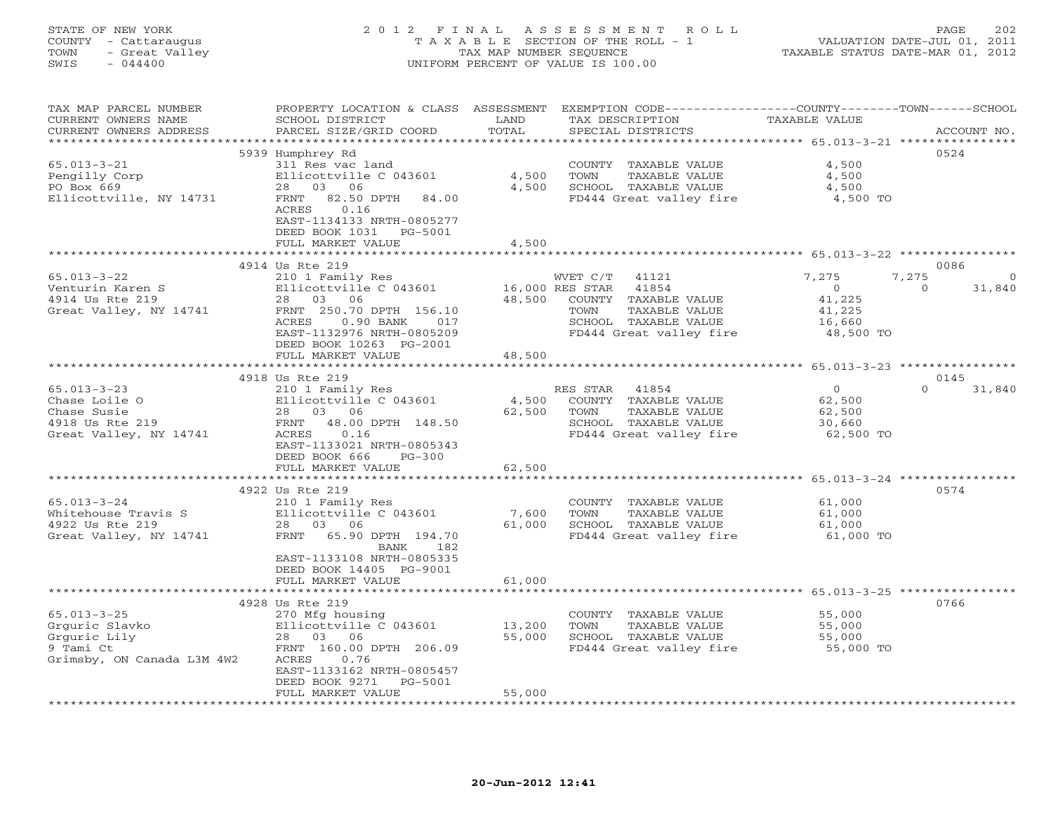| STATE OF NEW YORK<br>COUNTY<br>- Cattaraugus<br>- Great Valley<br>TOWN<br>$-044400$<br>SWIS | 2 0 1 2<br>TAXABLE                                                           | FTNAL<br>TAX MAP NUMBER SEOUENCE | A S S E S S M E N T<br>R O L L<br>SECTION OF THE ROLL - 1<br>UNIFORM PERCENT OF VALUE IS 100.00 | VALUATION DATE-JUL 01, 2011<br>TAXABLE STATUS DATE-MAR 01, 2012 | 202<br>PAGE               |
|---------------------------------------------------------------------------------------------|------------------------------------------------------------------------------|----------------------------------|-------------------------------------------------------------------------------------------------|-----------------------------------------------------------------|---------------------------|
| TAX MAP PARCEL NUMBER<br>CURRENT OWNERS NAME<br>CURRENT OWNERS ADDRESS                      | PROPERTY LOCATION & CLASS<br>SCHOOL DISTRICT<br>PARCEL SIZE/GRID COORD TOTAL | ASSESSMENT<br>LAND               | EXEMPTION CODE--<br>TAX DESCRIPTION<br>SPECIAL DISTRICTS                                        | ----------COUNTY-------TOWN-----<br>TAXABLE VALUE               | $-SCHOOT.$<br>ACCOUNT NO. |
|                                                                                             | 5939 Humphrey Rd                                                             |                                  |                                                                                                 |                                                                 | 0524                      |
| 65.013-3-21                                                                                 | 311 Res vac land                                                             |                                  | TAXABLE VALUE<br>COUNTY                                                                         | 4,500                                                           |                           |
| Pengilly Corp                                                                               | Ellicottville C 043601                                                       | 4,500                            | TOWN<br>TAXABLE VALUE                                                                           | 4,500                                                           |                           |
| PO Box 669                                                                                  | 03<br>06<br>28                                                               | 4,500                            | SCHOOL<br>TAXABLE VALUE                                                                         | 4,500                                                           |                           |
| Ellicottville, NY 14731                                                                     | 82.50 DPTH<br>FRNT<br>84.00<br>0.16<br>ACRES                                 |                                  | FD444 Great valley fire                                                                         | 4,500 TO                                                        |                           |

|                                                                                                | EAST-1134133 NRTH-0805277<br>DEED BOOK 1031<br>PG-5001<br>FULL MARKET VALUE                                                                                                                         | 4,500<br>**************                                                                                                                                            |                                                                                              |
|------------------------------------------------------------------------------------------------|-----------------------------------------------------------------------------------------------------------------------------------------------------------------------------------------------------|--------------------------------------------------------------------------------------------------------------------------------------------------------------------|----------------------------------------------------------------------------------------------|
|                                                                                                | 4914 Us Rte 219                                                                                                                                                                                     |                                                                                                                                                                    | ************************************* 65.013-3-22 *****************<br>0086                  |
| $65.013 - 3 - 22$<br>Venturin Karen S<br>4914 Us Rte 219<br>Great Valley, NY 14741             | 210 1 Family Res<br>Ellicottville C 043601<br>28 03 06<br>FRNT 250.70 DPTH 156.10<br>ACRES<br>$0.90$ BANK<br>017<br>EAST-1132976 NRTH-0805209<br>DEED BOOK 10263 PG-2001<br>FULL MARKET VALUE       | WVET C/T 41121<br>41854<br>16,000 RES STAR<br>48,500<br>COUNTY TAXABLE VALUE<br>TOWN<br>TAXABLE VALUE<br>SCHOOL TAXABLE VALUE<br>FD444 Great valley fire<br>48,500 | 7,275<br>7,275<br>$\circ$<br>31,840<br>$\Omega$<br>41,225<br>41,225<br>16,660<br>48,500 TO   |
|                                                                                                |                                                                                                                                                                                                     |                                                                                                                                                                    |                                                                                              |
| $65.013 - 3 - 23$<br>Chase Loile O<br>Chase Susie<br>4918 Us Rte 219<br>Great Valley, NY 14741 | 4918 Us Rte 219<br>210 1 Family Res<br>Ellicottville C 043601<br>28 03 06<br>FRNT<br>48.00 DPTH 148.50<br>0.16<br>ACRES<br>EAST-1133021 NRTH-0805343<br>DEED BOOK 666<br>$PG-300$                   | RES STAR<br>41854<br>4,500<br>COUNTY TAXABLE VALUE<br>62,500<br>TOWN<br>TAXABLE VALUE<br>SCHOOL TAXABLE VALUE<br>FD444 Great valley fire                           | 0145<br>$\circ$<br>$\Omega$<br>31,840<br>62,500<br>62,500<br>30,660<br>62,500 TO             |
|                                                                                                | FULL MARKET VALUE                                                                                                                                                                                   | 62,500<br>********************                                                                                                                                     | $**********************65.013-3-24***$                                                       |
| $65.013 - 3 - 24$<br>Whitehouse Travis S<br>4922 Us Rte 219<br>Great Valley, NY 14741          | 4922 Us Rte 219<br>210 1 Family Res<br>Ellicottville C 043601<br>28 03 06<br>FRNT 65.90 DPTH 194.70<br>182<br>BANK<br>EAST-1133108 NRTH-0805335<br>DEED BOOK 14405 PG-9001                          | COUNTY TAXABLE VALUE<br>7,600<br>TOWN<br>TAXABLE VALUE<br>61,000<br>SCHOOL TAXABLE VALUE<br>FD444 Great valley fire                                                | 0574<br>61,000<br>61,000<br>61,000<br>61,000 TO                                              |
|                                                                                                | FULL MARKET VALUE                                                                                                                                                                                   | 61,000                                                                                                                                                             |                                                                                              |
| $65.013 - 3 - 25$<br>Grquric Slavko<br>Grguric Lily<br>9 Tami Ct<br>Grimsby, ON Canada L3M 4W2 | 4928 Us Rte 219<br>270 Mfg housing<br>Ellicottville C 043601<br>28 03 06<br>FRNT 160.00 DPTH 206.09<br>0.76<br>ACRES<br>EAST-1133162 NRTH-0805457<br>DEED BOOK 9271<br>PG-5001<br>FULL MARKET VALUE | COUNTY TAXABLE VALUE<br>13,200<br>TOWN<br>TAXABLE VALUE<br>55,000<br>SCHOOL TAXABLE VALUE<br>FD444 Great valley fire<br>55,000                                     | ****************** 65.013-3-25 **********<br>0766<br>55,000<br>55,000<br>55,000<br>55,000 TO |
|                                                                                                |                                                                                                                                                                                                     |                                                                                                                                                                    |                                                                                              |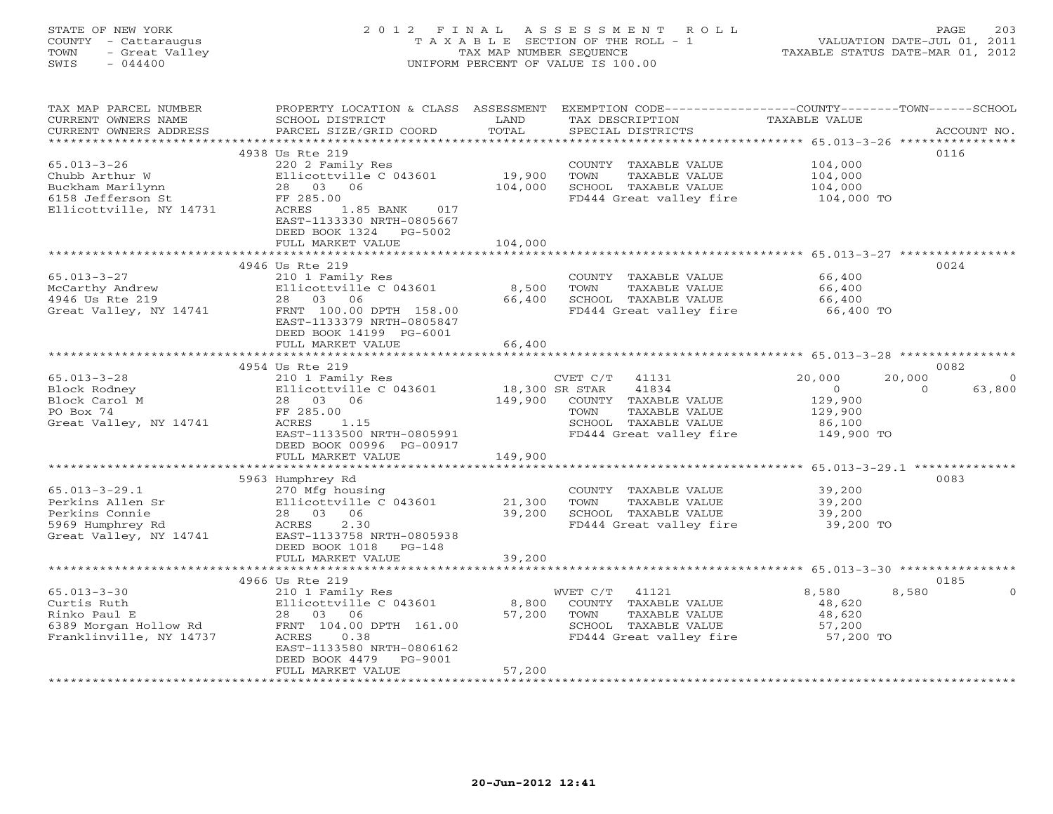## STATE OF NEW YORK 2 0 1 2 F I N A L A S S E S S M E N T R O L L PAGE 203 COUNTY - Cattaraugus T A X A B L E SECTION OF THE ROLL - 1 VALUATION DATE-JUL 01, 2011 TOWN - Great Valley TAX MAP NUMBER SEQUENCE TAXABLE STATUS DATE-MAR 01, 2012 SWIS - 044400 UNIFORM PERCENT OF VALUE IS 100.00

| TAX MAP PARCEL NUMBER                         | PROPERTY LOCATION & CLASS                  | ASSESSMENT     | EXEMPTION CODE-----------------COUNTY-------TOWN-----SCHOOL |                              |                    |
|-----------------------------------------------|--------------------------------------------|----------------|-------------------------------------------------------------|------------------------------|--------------------|
| CURRENT OWNERS NAME<br>CURRENT OWNERS ADDRESS | SCHOOL DISTRICT<br>PARCEL SIZE/GRID COORD  | LAND<br>TOTAL  | TAX DESCRIPTION<br>SPECIAL DISTRICTS                        | TAXABLE VALUE                | ACCOUNT NO.        |
|                                               |                                            |                |                                                             |                              |                    |
|                                               | 4938 Us Rte 219                            |                |                                                             |                              | 0116               |
| $65.013 - 3 - 26$                             | 220 2 Family Res                           |                | COUNTY TAXABLE VALUE                                        | 104,000                      |                    |
| Chubb Arthur W                                | Ellicottville C 043601                     | 19,900         | TOWN<br>TAXABLE VALUE                                       | 104,000                      |                    |
| Buckham Marilynn                              | 28<br>03<br>06                             | 104,000        | SCHOOL TAXABLE VALUE                                        | 104,000                      |                    |
| 6158 Jefferson St                             | FF 285.00                                  |                | FD444 Great valley fire                                     | 104,000 TO                   |                    |
| Ellicottville, NY 14731                       | ACRES<br>1.85 BANK<br>017                  |                |                                                             |                              |                    |
|                                               | EAST-1133330 NRTH-0805667                  |                |                                                             |                              |                    |
|                                               | DEED BOOK 1324<br>PG-5002                  |                |                                                             |                              |                    |
|                                               | FULL MARKET VALUE                          | 104,000        |                                                             |                              |                    |
|                                               |                                            |                |                                                             |                              |                    |
|                                               | 4946 Us Rte 219                            |                |                                                             |                              | 0024               |
| $65.013 - 3 - 27$                             | 210 1 Family Res                           |                | COUNTY TAXABLE VALUE                                        | 66,400                       |                    |
| McCarthy Andrew                               | Ellicottville C 043601                     | 8,500          | TOWN<br>TAXABLE VALUE                                       | 66,400                       |                    |
| 4946 Us Rte 219                               | 03<br>28<br>06                             | 66,400         | SCHOOL TAXABLE VALUE                                        | 66,400                       |                    |
| Great Valley, NY 14741                        | FRNT 100.00 DPTH 158.00                    |                | FD444 Great valley fire                                     | 66,400 TO                    |                    |
|                                               | EAST-1133379 NRTH-0805847                  |                |                                                             |                              |                    |
|                                               | DEED BOOK 14199 PG-6001                    |                |                                                             |                              |                    |
|                                               | FULL MARKET VALUE                          | 66,400         |                                                             |                              |                    |
|                                               | ***************************                |                |                                                             |                              |                    |
|                                               | 4954 Us Rte 219                            |                |                                                             |                              | 0082               |
| $65.013 - 3 - 28$                             | 210 1 Family Res                           |                | CVET C/T<br>41131                                           | 20,000                       | 20,000<br>$\Omega$ |
| Block Rodney                                  | Ellicottville C 043601                     | 18,300 SR STAR | 41834                                                       | $\circ$                      | 63,800<br>$\Omega$ |
| Block Carol M<br>PO Box 74                    | 28 03<br>06<br>FF 285.00                   | 149,900        | COUNTY TAXABLE VALUE<br>TOWN<br>TAXABLE VALUE               | 129,900<br>129,900           |                    |
| Great Valley, NY 14741                        | 1.15<br>ACRES                              |                | SCHOOL TAXABLE VALUE                                        | 86,100                       |                    |
|                                               | EAST-1133500 NRTH-0805991                  |                | FD444 Great valley fire                                     | 149,900 TO                   |                    |
|                                               | DEED BOOK 00996 PG-00917                   |                |                                                             |                              |                    |
|                                               | FULL MARKET VALUE                          | 149,900        |                                                             |                              |                    |
|                                               |                                            |                |                                                             | **** 65.013-3-29.1 ********* |                    |
|                                               | 5963 Humphrey Rd                           |                |                                                             |                              | 0083               |
| $65.013 - 3 - 29.1$                           | 270 Mfg housing                            |                | COUNTY TAXABLE VALUE                                        | 39,200                       |                    |
| Perkins Allen Sr                              | Ellicottville C 043601                     | 21,300         | TOWN<br>TAXABLE VALUE                                       | 39,200                       |                    |
| Perkins Connie                                | 28 03<br>06                                | 39,200         | SCHOOL TAXABLE VALUE                                        | 39,200                       |                    |
| 5969 Humphrey Rd                              | 2.30<br>ACRES                              |                | FD444 Great valley fire                                     | 39,200 TO                    |                    |
| Great Valley, NY 14741                        | EAST-1133758 NRTH-0805938                  |                |                                                             |                              |                    |
|                                               | DEED BOOK 1018<br>PG-148                   |                |                                                             |                              |                    |
|                                               | FULL MARKET VALUE                          | 39,200         |                                                             |                              |                    |
|                                               | *********************                      |                |                                                             |                              |                    |
|                                               | 4966 Us Rte 219                            |                |                                                             |                              | 0185               |
| $65.013 - 3 - 30$                             | 210 1 Family Res                           |                | 41121<br>WVET C/T                                           | 8,580                        | 8,580<br>$\Omega$  |
| Curtis Ruth                                   | Ellicottville C 043601                     | 8,800          | TAXABLE VALUE<br>COUNTY                                     | 48,620                       |                    |
| Rinko Paul E                                  | 28 03 06                                   | 57,200         | TOWN<br>TAXABLE VALUE                                       | 48,620                       |                    |
| 6389 Morgan Hollow Rd                         | FRNT 104.00 DPTH 161.00                    |                | SCHOOL TAXABLE VALUE                                        | 57,200                       |                    |
| Franklinville, NY 14737                       | ACRES<br>0.38<br>EAST-1133580 NRTH-0806162 |                | FD444 Great valley fire                                     | 57,200 TO                    |                    |
|                                               | DEED BOOK 4479<br>PG-9001                  |                |                                                             |                              |                    |
|                                               | FULL MARKET VALUE                          | 57,200         |                                                             |                              |                    |
|                                               |                                            |                |                                                             |                              |                    |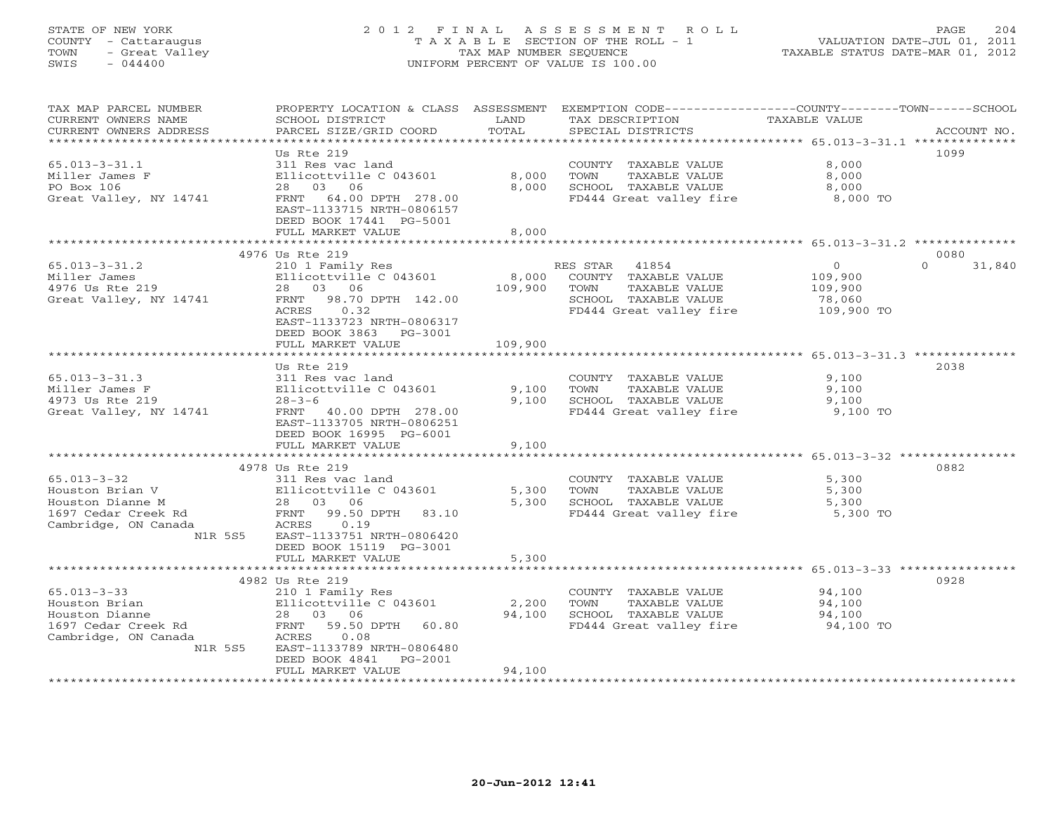# STATE OF NEW YORK 2 0 1 2 F I N A L A S S E S S M E N T R O L L PAGE 204 COUNTY - Cattaraugus T A X A B L E SECTION OF THE ROLL - 1 VALUATION DATE-JUL 01, 2011 TOWN - Great Valley TAX MAP NUMBER SEQUENCE TAXABLE STATUS DATE-MAR 01, 2012 SWIS - 044400 UNIFORM PERCENT OF VALUE IS 100.00

| TAX MAP PARCEL NUMBER<br>CURRENT OWNERS NAME | PROPERTY LOCATION & CLASS ASSESSMENT<br>SCHOOL DISTRICT | LAND                    | EXEMPTION CODE-----------------COUNTY-------TOWN------SCHOOL<br>TAX DESCRIPTION | TAXABLE VALUE  |                    |
|----------------------------------------------|---------------------------------------------------------|-------------------------|---------------------------------------------------------------------------------|----------------|--------------------|
| CURRENT OWNERS ADDRESS                       | PARCEL SIZE/GRID COORD                                  | TOTAL<br>************** | SPECIAL DISTRICTS                                                               |                | ACCOUNT NO.        |
|                                              | Us Rte 219                                              |                         |                                                                                 |                | 1099               |
| $65.013 - 3 - 31.1$                          | 311 Res vac land                                        |                         | COUNTY TAXABLE VALUE                                                            | 8,000          |                    |
|                                              |                                                         | 8,000                   | TOWN<br>TAXABLE VALUE                                                           |                |                    |
| Miller James F<br>PO Box 106                 | Ellicottville C 043601<br>28 03 06                      | 8,000                   | SCHOOL TAXABLE VALUE                                                            | 8,000<br>8,000 |                    |
|                                              |                                                         |                         |                                                                                 |                |                    |
| Great Valley, NY 14741                       | FRNT 64.00 DPTH 278.00<br>EAST-1133715 NRTH-0806157     |                         | FD444 Great valley fire                                                         | 8,000 TO       |                    |
|                                              | DEED BOOK 17441 PG-5001                                 |                         |                                                                                 |                |                    |
|                                              | FULL MARKET VALUE                                       | 8,000                   |                                                                                 |                |                    |
|                                              | 4976 Us Rte 219                                         |                         |                                                                                 |                | 0080               |
| $65.013 - 3 - 31.2$                          | 210 1 Family Res                                        |                         | RES STAR 41854                                                                  | $\overline{0}$ | $\Omega$<br>31,840 |
| Miller James                                 | Ellicottville C 043601                                  | 8,000                   | COUNTY TAXABLE VALUE                                                            | 109,900        |                    |
| 4976 Us Rte 219                              | 28 03 06                                                | 109,900                 | TOWN<br>TAXABLE VALUE                                                           | 109,900        |                    |
| Great Valley, NY 14741                       | FRNT 98.70 DPTH 142.00                                  |                         | SCHOOL TAXABLE VALUE                                                            | 78,060         |                    |
|                                              | ACRES<br>0.32                                           |                         | FD444 Great valley fire                                                         | 109,900 TO     |                    |
|                                              | EAST-1133723 NRTH-0806317                               |                         |                                                                                 |                |                    |
|                                              | DEED BOOK 3863 PG-3001                                  |                         |                                                                                 |                |                    |
|                                              | FULL MARKET VALUE                                       | 109,900                 |                                                                                 |                |                    |
|                                              | ********************                                    |                         |                                                                                 |                |                    |
|                                              | Us Rte 219                                              |                         |                                                                                 |                | 2038               |
| $65.013 - 3 - 31.3$                          | 311 Res vac land                                        |                         | COUNTY TAXABLE VALUE                                                            | 9,100          |                    |
| Miller James F                               | Ellicottville C 043601                                  | 9,100                   | TOWN<br>TAXABLE VALUE                                                           | 9,100          |                    |
| 4973 Us Rte 219                              | $28 - 3 - 6$                                            | 9.100                   | SCHOOL TAXABLE VALUE                                                            | 9,100          |                    |
| Great Valley, NY 14741                       | FRNT 40.00 DPTH 278.00                                  |                         | FD444 Great valley fire                                                         | 9,100 TO       |                    |
|                                              | EAST-1133705 NRTH-0806251                               |                         |                                                                                 |                |                    |
|                                              | DEED BOOK 16995 PG-6001                                 |                         |                                                                                 |                |                    |
|                                              | FULL MARKET VALUE                                       | 9,100                   |                                                                                 |                |                    |
|                                              |                                                         |                         |                                                                                 |                |                    |
|                                              | 4978 Us Rte 219                                         |                         |                                                                                 |                | 0882               |
| $65.013 - 3 - 32$                            | 311 Res vac land                                        |                         | COUNTY TAXABLE VALUE                                                            | 5,300          |                    |
| Houston Brian V                              | Ellicottville C 043601                                  | 5,300                   | TOWN<br>TAXABLE VALUE                                                           | 5,300          |                    |
| Houston Dianne M                             | 28 03 06                                                | 5,300                   | SCHOOL TAXABLE VALUE                                                            | 5,300          |                    |
| 1697 Cedar Creek Rd                          | FRNT 99.50 DPTH 83.10                                   |                         | FD444 Great valley fire                                                         | 5,300 TO       |                    |
| Cambridge, ON Canada                         | ACRES<br>0.19                                           |                         |                                                                                 |                |                    |
| N1R 5S5                                      | EAST-1133751 NRTH-0806420                               |                         |                                                                                 |                |                    |
|                                              | DEED BOOK 15119 PG-3001                                 |                         |                                                                                 |                |                    |
|                                              | FULL MARKET VALUE                                       | 5,300                   |                                                                                 |                |                    |
|                                              |                                                         |                         | ********************************* 65.013–3–33 ****************                  |                |                    |
|                                              | 4982 Us Rte 219                                         |                         |                                                                                 |                | 0928               |
| $65.013 - 3 - 33$                            | 210 1 Family Res                                        |                         | COUNTY TAXABLE VALUE                                                            | 94,100         |                    |
| Houston Brian                                | Ellicottville C 043601                                  | 2,200                   | TOWN<br>TAXABLE VALUE                                                           | 94,100         |                    |
| Houston Dianne                               | 28 03 06                                                | 94,100                  | SCHOOL TAXABLE VALUE                                                            | 94,100         |                    |
| 1697 Cedar Creek Rd                          | FRNT<br>59.50 DPTH 60.80                                |                         | FD444 Great valley fire 94,100 TO                                               |                |                    |
| Cambridge, ON Canada                         | 0.08<br>ACRES                                           |                         |                                                                                 |                |                    |
| N1R 5S5                                      | EAST-1133789 NRTH-0806480<br>PG-2001                    |                         |                                                                                 |                |                    |
|                                              | DEED BOOK 4841<br>FULL MARKET VALUE                     | 94,100                  |                                                                                 |                |                    |
|                                              |                                                         |                         |                                                                                 |                |                    |
|                                              |                                                         |                         |                                                                                 |                |                    |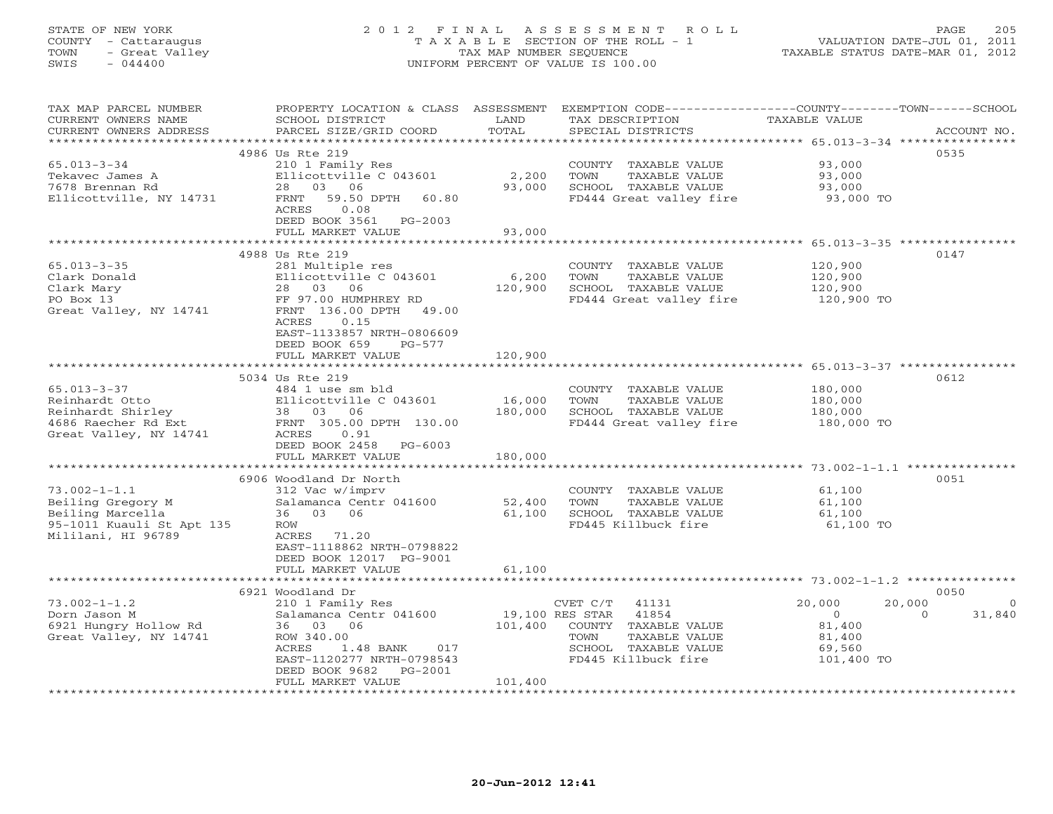## STATE OF NEW YORK 2 0 1 2 F I N A L A S S E S S M E N T R O L L PAGE 205 COUNTY - Cattaraugus T A X A B L E SECTION OF THE ROLL - 1 VALUATION DATE-JUL 01, 2011 TOWN - Great Valley TAX MAP NUMBER SEQUENCE TAXABLE STATUS DATE-MAR 01, 2012 SWIS - 044400 UNIFORM PERCENT OF VALUE IS 100.00

| TAX MAP PARCEL NUMBER<br>CURRENT OWNERS NAME<br>CURRENT OWNERS ADDRESS                                         | PROPERTY LOCATION & CLASS ASSESSMENT<br>SCHOOL DISTRICT<br>PARCEL SIZE/GRID COORD                                                                                                                         | LAND<br>TOTAL                         | EXEMPTION CODE-----------------COUNTY-------TOWN------SCHOOL<br>TAX DESCRIPTION<br>SPECIAL DISTRICTS                       | <b>TAXABLE VALUE</b>                                                                       | ACCOUNT NO.       |
|----------------------------------------------------------------------------------------------------------------|-----------------------------------------------------------------------------------------------------------------------------------------------------------------------------------------------------------|---------------------------------------|----------------------------------------------------------------------------------------------------------------------------|--------------------------------------------------------------------------------------------|-------------------|
| ***********************                                                                                        |                                                                                                                                                                                                           |                                       |                                                                                                                            |                                                                                            |                   |
| $65.013 - 3 - 34$<br>Tekavec James A<br>7678 Brennan Rd<br>Ellicottville, NY 14731                             | 4986 Us Rte 219<br>210 1 Family Res<br>Ellicottville C 043601<br>28 03 06<br>59.50 DPTH<br>60.80<br>FRNT<br>ACRES<br>0.08<br>DEED BOOK 3561 PG-2003                                                       | 2,200<br>93,000                       | COUNTY TAXABLE VALUE<br>TOWN<br>TAXABLE VALUE<br>SCHOOL TAXABLE VALUE<br>FD444 Great valley fire                           | 93,000<br>93,000<br>93,000<br>93,000 TO                                                    | 0535              |
|                                                                                                                | FULL MARKET VALUE                                                                                                                                                                                         | 93,000                                |                                                                                                                            |                                                                                            |                   |
|                                                                                                                |                                                                                                                                                                                                           |                                       |                                                                                                                            | ************************ 65.013-3-35 ****************                                      |                   |
| $65.013 - 3 - 35$<br>Clark Donald<br>Clark Mary<br>PO Box 13<br>Great Valley, NY 14741                         | 4988 Us Rte 219<br>281 Multiple res<br>Ellicottville C 043601<br>28 03 06<br>FF 97.00 HUMPHREY RD<br>FRNT 136.00 DPTH<br>49.00<br>0.15<br>ACRES<br>EAST-1133857 NRTH-0806609<br>DEED BOOK 659<br>$PG-577$ | 6,200<br>120,900                      | COUNTY TAXABLE VALUE<br>TOWN<br>TAXABLE VALUE<br>SCHOOL TAXABLE VALUE<br>FD444 Great valley fire                           | 120,900<br>120,900<br>120,900<br>120,900 TO                                                | 0147              |
|                                                                                                                | FULL MARKET VALUE                                                                                                                                                                                         | 120,900                               |                                                                                                                            |                                                                                            |                   |
|                                                                                                                |                                                                                                                                                                                                           |                                       |                                                                                                                            |                                                                                            |                   |
| $65.013 - 3 - 37$<br>Reinhardt Otto<br>Reinhardt Shirley<br>4686 Raecher Rd Ext<br>Great Valley, NY 14741      | 5034 Us Rte 219<br>484 1 use sm bld<br>Ellicottville C 043601<br>38 03<br>06<br>FRNT 305.00 DPTH 130.00<br>ACRES<br>0.91<br>DEED BOOK 2458 PG-6003<br>FULL MARKET VALUE                                   | 16,000<br>180,000<br>180,000          | COUNTY TAXABLE VALUE<br>TOWN<br>TAXABLE VALUE<br>SCHOOL TAXABLE VALUE<br>FD444 Great valley fire                           | 180,000<br>180,000<br>180,000<br>180,000 TO                                                | 0612              |
|                                                                                                                | 6906 Woodland Dr North                                                                                                                                                                                    |                                       |                                                                                                                            |                                                                                            | 0051              |
| $73.002 - 1 - 1.1$<br>Beiling Gregory M<br>Beiling Marcella<br>95-1011 Kuauli St Apt 135<br>Mililani, HI 96789 | 312 Vac w/imprv<br>Salamanca Centr 041600<br>36 03 06<br>ROW<br>ACRES 71.20<br>EAST-1118862 NRTH-0798822<br>DEED BOOK 12017 PG-9001                                                                       | 52,400<br>61,100                      | COUNTY TAXABLE VALUE<br>TOWN<br>TAXABLE VALUE<br>SCHOOL TAXABLE VALUE<br>FD445 Killbuck fire                               | 61,100<br>61,100<br>61,100<br>61,100 TO                                                    |                   |
|                                                                                                                | FULL MARKET VALUE                                                                                                                                                                                         | 61,100                                |                                                                                                                            |                                                                                            |                   |
|                                                                                                                |                                                                                                                                                                                                           |                                       |                                                                                                                            |                                                                                            | 0050              |
| $73.002 - 1 - 1.2$<br>Dorn Jason M<br>6921 Hungry Hollow Rd<br>Great Valley, NY 14741                          | 6921 Woodland Dr<br>210 1 Family Res<br>Salamanca Centr 041600<br>36 03 06<br>ROW 340.00<br>ACRES<br>1.48 BANK<br>017<br>EAST-1120277 NRTH-0798543<br>DEED BOOK 9682<br>PG-2001<br>FULL MARKET VALUE      | 19,100 RES STAR<br>101,400<br>101,400 | CVET C/T<br>41131<br>41854<br>COUNTY TAXABLE VALUE<br>TOWN<br>TAXABLE VALUE<br>SCHOOL TAXABLE VALUE<br>FD445 Killbuck fire | 20,000<br>20,000<br>$\overline{0}$<br>$\Omega$<br>81,400<br>81,400<br>69,560<br>101,400 TO | $\circ$<br>31,840 |
| ********************                                                                                           |                                                                                                                                                                                                           |                                       |                                                                                                                            |                                                                                            |                   |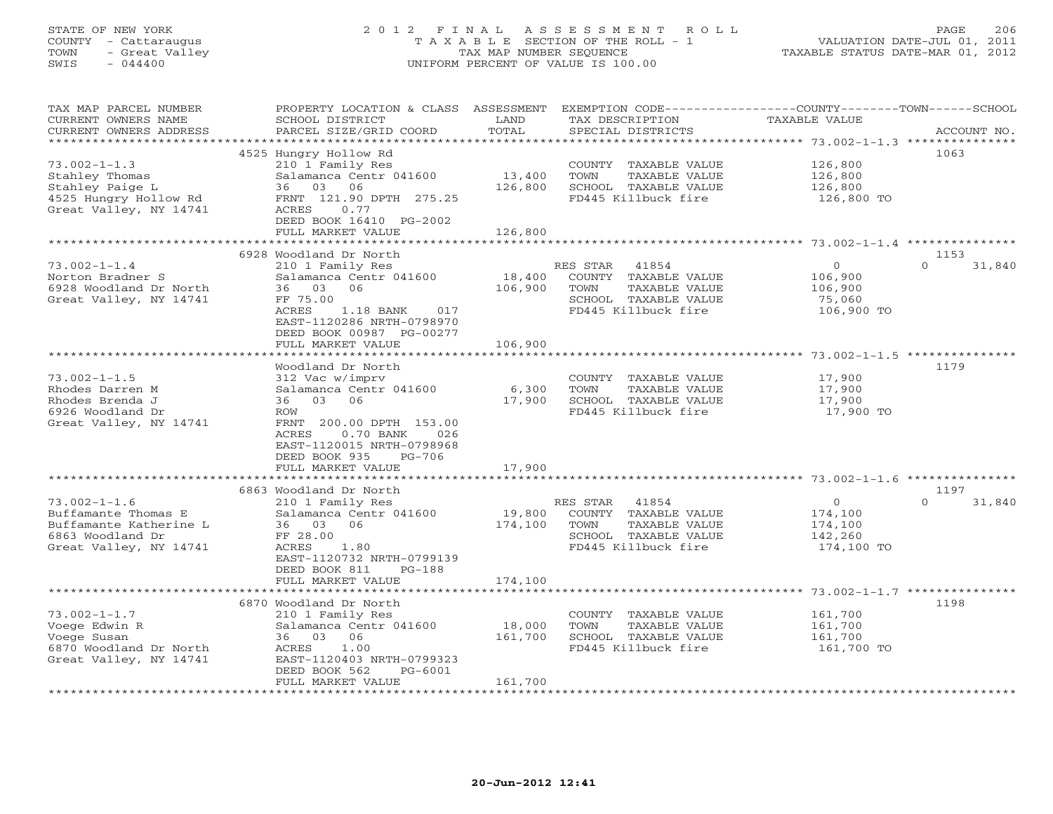## STATE OF NEW YORK 2 0 1 2 F I N A L A S S E S S M E N T R O L L PAGE 206 COUNTY - Cattaraugus T A X A B L E SECTION OF THE ROLL - 1 VALUATION DATE-JUL 01, 2011 TOWN - Great Valley TAX MAP NUMBER SEQUENCE TAXABLE STATUS DATE-MAR 01, 2012 SWIS - 044400 UNIFORM PERCENT OF VALUE IS 100.00

| TAX MAP PARCEL NUMBER<br>CURRENT OWNERS NAME<br>CURRENT OWNERS ADDRESS                                                               | PROPERTY LOCATION & CLASS ASSESSMENT<br>SCHOOL DISTRICT<br>PARCEL SIZE/GRID COORD                                                                                                                        | LAND<br>TOTAL                | EXEMPTION CODE-----------------COUNTY-------TOWN------SCHOOL<br>TAX DESCRIPTION<br>SPECIAL DISTRICTS              | <b>TAXABLE VALUE</b>                                   | ACCOUNT NO.                |
|--------------------------------------------------------------------------------------------------------------------------------------|----------------------------------------------------------------------------------------------------------------------------------------------------------------------------------------------------------|------------------------------|-------------------------------------------------------------------------------------------------------------------|--------------------------------------------------------|----------------------------|
| **********************<br>$73.002 - 1 - 1.3$<br>Stahley Thomas<br>Stahley Paige L<br>4525 Hungry Hollow Rd<br>Great Valley, NY 14741 | 4525 Hungry Hollow Rd<br>210 1 Family Res<br>Salamanca Centr 041600<br>36 03<br>06<br>FRNT 121.90 DPTH 275.25<br>ACRES<br>0.77<br>DEED BOOK 16410 PG-2002<br>FULL MARKET VALUE                           | 13,400<br>126,800<br>126,800 | COUNTY TAXABLE VALUE<br>TOWN<br>TAXABLE VALUE<br>SCHOOL TAXABLE VALUE<br>FD445 Killbuck fire                      | 126,800<br>126,800<br>126,800<br>126,800 TO            | 1063                       |
|                                                                                                                                      | 6928 Woodland Dr North                                                                                                                                                                                   |                              |                                                                                                                   |                                                        | 1153                       |
| $73.002 - 1 - 1.4$<br>Norton Bradner S<br>6928 Woodland Dr North<br>Great Valley, NY 14741                                           | 210 1 Family Res<br>Salamanca Centr 041600<br>03<br>06<br>36<br>FF 75.00<br>ACRES<br>1.18 BANK<br>017<br>EAST-1120286 NRTH-0798970<br>DEED BOOK 00987 PG-00277<br>FULL MARKET VALUE                      | 18,400<br>106,900<br>106,900 | RES STAR<br>41854<br>COUNTY TAXABLE VALUE<br>TOWN<br>TAXABLE VALUE<br>SCHOOL TAXABLE VALUE<br>FD445 Killbuck fire | $\circ$<br>106,900<br>106,900<br>75,060<br>106,900 TO  | $\Omega$<br>31,840         |
|                                                                                                                                      |                                                                                                                                                                                                          |                              |                                                                                                                   |                                                        |                            |
| $73.002 - 1 - 1.5$<br>Rhodes Darren M<br>Rhodes Brenda J<br>6926 Woodland Dr<br>Great Valley, NY 14741                               | Woodland Dr North<br>312 Vac w/imprv<br>Salamanca Centr 041600<br>36 03<br>06<br>ROW<br>FRNT 200.00 DPTH 153.00<br>$0.70$ BANK<br>026<br>ACRES<br>EAST-1120015 NRTH-0798968<br>DEED BOOK 935<br>$PG-706$ | 6,300<br>17,900              | COUNTY TAXABLE VALUE<br>TOWN<br>TAXABLE VALUE<br>SCHOOL TAXABLE VALUE<br>FD445 Killbuck fire                      | 17,900<br>17,900<br>17,900<br>17,900 TO                | 1179                       |
|                                                                                                                                      | FULL MARKET VALUE<br>**********************                                                                                                                                                              | 17,900                       |                                                                                                                   |                                                        |                            |
| $73.002 - 1 - 1.6$<br>Buffamante Thomas E<br>Buffamante Katherine L<br>6863 Woodland Dr<br>Great Valley, NY 14741                    | 6863 Woodland Dr North<br>210 1 Family Res<br>Salamanca Centr 041600<br>06<br>36 03<br>FF 28.00<br>ACRES<br>1.80<br>EAST-1120732 NRTH-0799139<br>DEED BOOK 811<br>$PG-188$                               | 19,800<br>174,100            | 41854<br>RES STAR<br>COUNTY TAXABLE VALUE<br>TOWN<br>TAXABLE VALUE<br>SCHOOL TAXABLE VALUE<br>FD445 Killbuck fire | $\circ$<br>174,100<br>174,100<br>142,260<br>174,100 TO | 1197<br>$\Omega$<br>31,840 |
|                                                                                                                                      | FULL MARKET VALUE                                                                                                                                                                                        | 174,100                      |                                                                                                                   |                                                        |                            |
| $73.002 - 1 - 1.7$<br>Voege Edwin R<br>Voege Susan<br>6870 Woodland Dr North<br>Great Valley, NY 14741<br>*****************          | 6870 Woodland Dr North<br>210 1 Family Res<br>Salamanca Centr 041600<br>36 03<br>06<br>ACRES<br>1.00<br>EAST-1120403 NRTH-0799323<br>DEED BOOK 562<br>$PG-6001$<br>FULL MARKET VALUE                     | 18,000<br>161,700<br>161,700 | COUNTY TAXABLE VALUE<br>TOWN<br>TAXABLE VALUE<br>SCHOOL TAXABLE VALUE<br>FD445 Killbuck fire                      | 161,700<br>161,700<br>161,700<br>161,700 TO            | 1198                       |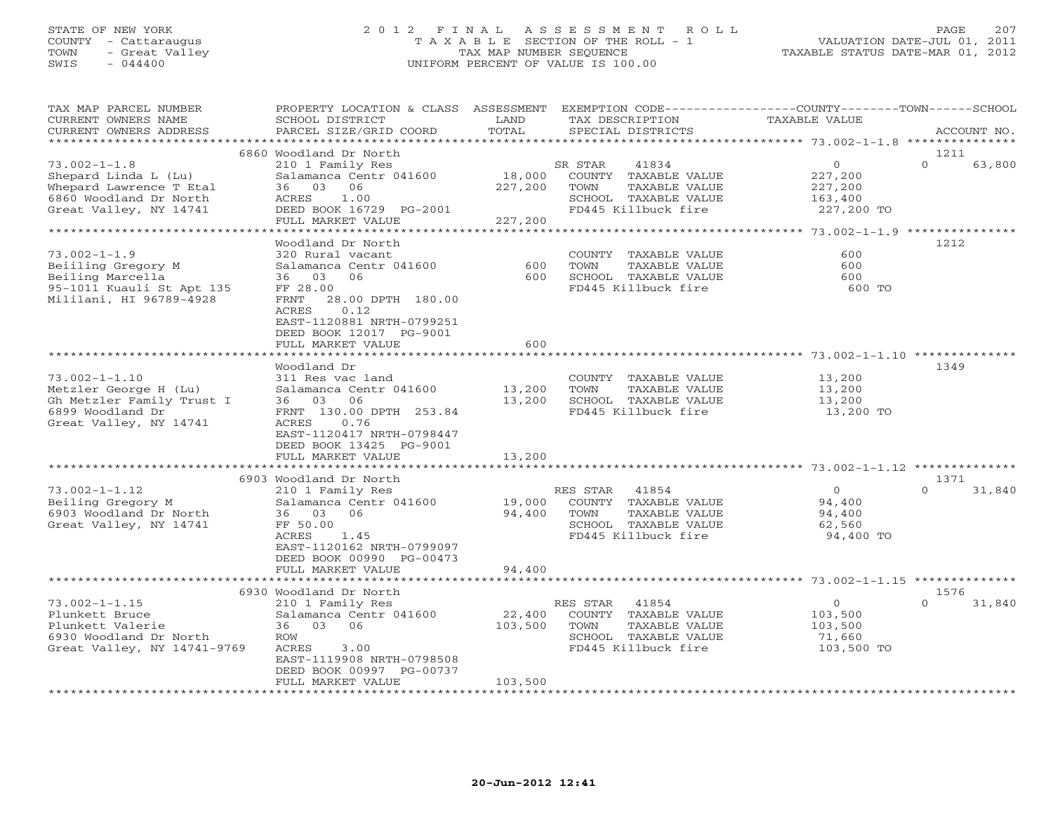#### STATE OF NEW YORK 2 0 1 2 F I N A L A S S E S S M E N T R O L L PAGE 207 COUNTY - Cattaraugus T A X A B L E SECTION OF THE ROLL - 1 VALUATION DATE-JUL 01, 2011 TOWN - Great Valley TAX MAP NUMBER SEQUENCE TAXABLE STATUS DATE-MAR 01, 2012 SWIS - 044400 UNIFORM PERCENT OF VALUE IS 100.00UNIFORM PERCENT OF VALUE IS 100.00

| TAX MAP PARCEL NUMBER<br>CURRENT OWNERS NAME<br>CURRENT OWNERS ADDRESS                                                    | PROPERTY LOCATION & CLASS ASSESSMENT<br>SCHOOL DISTRICT<br>PARCEL SIZE/GRID COORD                                                                                                                                     | LAND<br>TOTAL                | EXEMPTION CODE-----------------COUNTY-------TOWN------SCHOOL<br>TAX DESCRIPTION<br>SPECIAL DISTRICTS              | TAXABLE VALUE                                                 | ACCOUNT NO.                |
|---------------------------------------------------------------------------------------------------------------------------|-----------------------------------------------------------------------------------------------------------------------------------------------------------------------------------------------------------------------|------------------------------|-------------------------------------------------------------------------------------------------------------------|---------------------------------------------------------------|----------------------------|
| **********************                                                                                                    |                                                                                                                                                                                                                       |                              |                                                                                                                   |                                                               |                            |
|                                                                                                                           | 6860 Woodland Dr North                                                                                                                                                                                                |                              |                                                                                                                   |                                                               | 1211                       |
| $73.002 - 1 - 1.8$<br>Shepard Linda L (Lu)<br>Whepard Lawrence T Etal<br>6860 Woodland Dr North<br>Great Valley, NY 14741 | 210 1 Family Res<br>Salamanca Centr 041600<br>36 03<br>06<br>ACRES<br>1.00<br>DEED BOOK 16729 PG-2001<br>FULL MARKET VALUE                                                                                            | 18,000<br>227,200<br>227,200 | 41834<br>SR STAR<br>COUNTY TAXABLE VALUE<br>TOWN<br>TAXABLE VALUE<br>SCHOOL TAXABLE VALUE<br>FD445 Killbuck fire  | $\overline{0}$<br>227,200<br>227,200<br>163,400<br>227,200 TO | $\Omega$<br>63,800         |
|                                                                                                                           | *******************                                                                                                                                                                                                   | **************************   |                                                                                                                   | ************* 73.002-1-1.9 ***************                    |                            |
| $73.002 - 1 - 1.9$<br>Beiiling Gregory M<br>Beiling Marcella<br>95-1011 Kuauli St Apt 135<br>Mililani, HI 96789-4928      | Woodland Dr North<br>320 Rural vacant<br>Salamanca Centr 041600<br>06<br>36 03<br>FF 28.00<br>FRNT<br>28.00 DPTH 180.00<br>0.12<br>ACRES<br>EAST-1120881 NRTH-0799251<br>DEED BOOK 12017 PG-9001<br>FULL MARKET VALUE | 600<br>600<br>600            | COUNTY TAXABLE VALUE<br>TAXABLE VALUE<br>TOWN<br>SCHOOL TAXABLE VALUE<br>FD445 Killbuck fire                      | 600<br>600<br>600<br>600 TO                                   | 1212                       |
|                                                                                                                           |                                                                                                                                                                                                                       | *****************            |                                                                                                                   |                                                               |                            |
| $73.002 - 1 - 1.10$<br>Metzler George H (Lu)<br>Gh Metzler Family Trust I<br>6899 Woodland Dr<br>Great Valley, NY 14741   | Woodland Dr<br>311 Res vac land<br>Salamanca Centr 041600<br>36 03 06<br>FRNT 130.00 DPTH 253.84<br>ACRES<br>0.76<br>EAST-1120417 NRTH-0798447<br>DEED BOOK 13425 PG-9001<br>FULL MARKET VALUE                        | 13,200<br>13,200<br>13,200   | COUNTY TAXABLE VALUE<br>TOWN<br>TAXABLE VALUE<br>SCHOOL TAXABLE VALUE<br>FD445 Killbuck fire                      | 13,200<br>13,200<br>13,200<br>13,200 TO                       | 1349                       |
|                                                                                                                           |                                                                                                                                                                                                                       |                              |                                                                                                                   |                                                               |                            |
| $73.002 - 1 - 1.12$<br>Beiling Gregory M<br>6903 Woodland Dr North<br>Great Valley, NY 14741                              | 6903 Woodland Dr North<br>210 1 Family Res<br>Salamanca Centr 041600<br>36 03 06<br>FF 50.00<br>ACRES<br>1.45<br>EAST-1120162 NRTH-0799097<br>DEED BOOK 00990 PG-00473<br>FULL MARKET VALUE                           | 19,000<br>94,400<br>94,400   | RES STAR<br>41854<br>COUNTY TAXABLE VALUE<br>TOWN<br>TAXABLE VALUE<br>SCHOOL TAXABLE VALUE<br>FD445 Killbuck fire | $\circ$<br>94,400<br>94,400<br>62,560<br>94,400 TO            | 1371<br>$\Omega$<br>31,840 |
|                                                                                                                           |                                                                                                                                                                                                                       |                              |                                                                                                                   |                                                               |                            |
|                                                                                                                           | 6930 Woodland Dr North                                                                                                                                                                                                |                              |                                                                                                                   |                                                               | 1576                       |
| $73.002 - 1 - 1.15$<br>Plunkett Bruce<br>Plunkett Valerie<br>6930 Woodland Dr North<br>Great Valley, NY 14741-9769        | 210 1 Family Res<br>Salamanca Centr 041600<br>36 03 06<br>ROW<br>ACRES<br>3.00<br>EAST-1119908 NRTH-0798508<br>DEED BOOK 00997 PG-00737                                                                               | 22,400<br>103,500            | RES STAR<br>41854<br>COUNTY TAXABLE VALUE<br>TOWN<br>TAXABLE VALUE<br>SCHOOL TAXABLE VALUE<br>FD445 Killbuck fire | $\overline{0}$<br>103,500<br>103,500<br>71,660<br>103,500 TO  | $\Omega$<br>31,840         |
|                                                                                                                           | FULL MARKET VALUE                                                                                                                                                                                                     | 103,500                      |                                                                                                                   |                                                               |                            |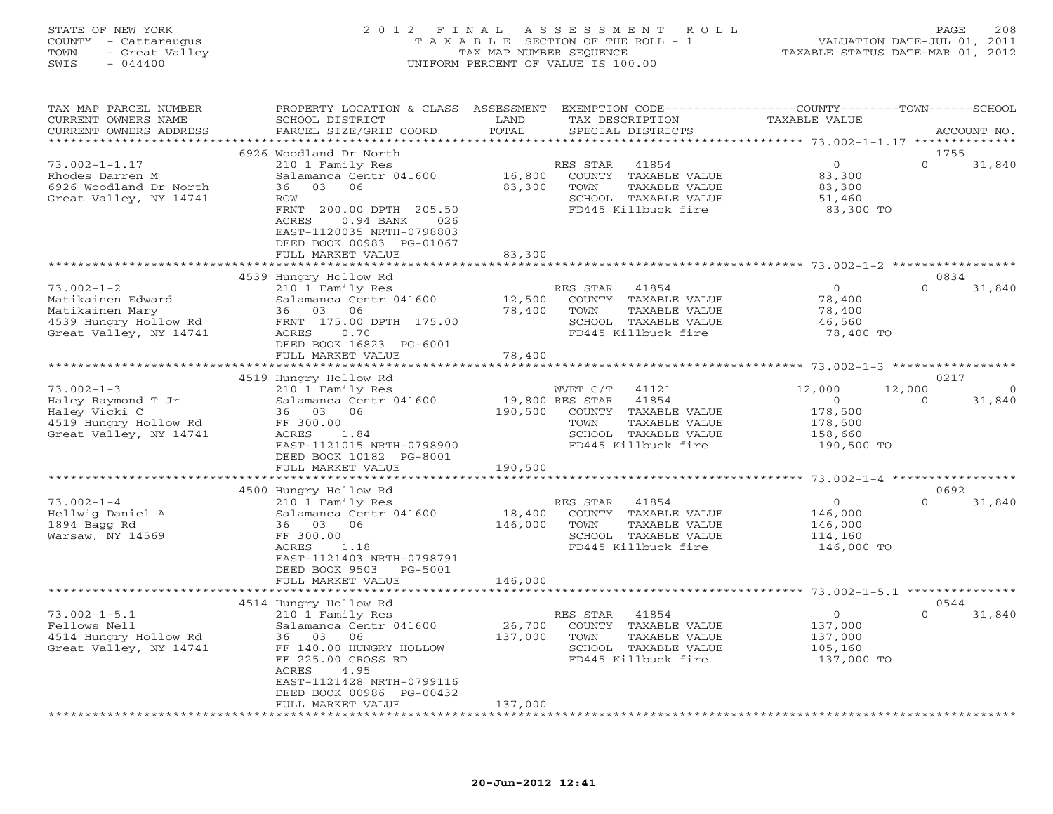## STATE OF NEW YORK 2 0 1 2 F I N A L A S S E S S M E N T R O L L PAGE 208 COUNTY - Cattaraugus T A X A B L E SECTION OF THE ROLL - 1 VALUATION DATE-JUL 01, 2011 TOWN - Great Valley TAX MAP NUMBER SEQUENCE TAXABLE STATUS DATE-MAR 01, 2012 SWIS - 044400 UNIFORM PERCENT OF VALUE IS 100.00

| TAX MAP PARCEL NUMBER<br>CURRENT OWNERS NAME<br>CURRENT OWNERS ADDRESS                                      | PROPERTY LOCATION & CLASS<br>SCHOOL DISTRICT<br>PARCEL SIZE/GRID COORD                                                                                                                                              | ASSESSMENT<br>LAND<br>TOTAL  | TAX DESCRIPTION<br>SPECIAL DISTRICTS                                                                                        | EXEMPTION CODE----------------COUNTY-------TOWN-----SCHOOL<br>TAXABLE VALUE |                  | ACCOUNT NO. |
|-------------------------------------------------------------------------------------------------------------|---------------------------------------------------------------------------------------------------------------------------------------------------------------------------------------------------------------------|------------------------------|-----------------------------------------------------------------------------------------------------------------------------|-----------------------------------------------------------------------------|------------------|-------------|
| **********************                                                                                      |                                                                                                                                                                                                                     |                              |                                                                                                                             |                                                                             |                  |             |
| $73.002 - 1 - 1.17$<br>Rhodes Darren M<br>6926 Woodland Dr North<br>Great Valley, NY 14741                  | 6926 Woodland Dr North<br>210 1 Family Res<br>Salamanca Centr 041600<br>03<br>06<br>36<br>ROW<br>FRNT 200.00 DPTH 205.50<br>ACRES<br>$0.94$ BANK<br>026<br>EAST-1120035 NRTH-0798803<br>DEED BOOK 00983 PG-01067    | 16,800<br>83,300             | RES STAR<br>41854<br>COUNTY<br>TAXABLE VALUE<br><b>TOWN</b><br>TAXABLE VALUE<br>SCHOOL TAXABLE VALUE<br>FD445 Killbuck fire | $\mathbf{0}$<br>83,300<br>83,300<br>51,460<br>83,300 TO                     | 1755<br>$\Omega$ | 31,840      |
|                                                                                                             | FULL MARKET VALUE                                                                                                                                                                                                   | 83,300                       |                                                                                                                             |                                                                             |                  |             |
|                                                                                                             |                                                                                                                                                                                                                     |                              |                                                                                                                             |                                                                             |                  |             |
| $73.002 - 1 - 2$<br>Matikainen Edward<br>Matikainen Mary<br>4539 Hungry Hollow Rd<br>Great Valley, NY 14741 | 4539 Hungry Hollow Rd<br>210 1 Family Res<br>Salamanca Centr 041600<br>03 06<br>36<br>FRNT 175.00 DPTH 175.00<br>ACRES<br>0.70<br>DEED BOOK 16823 PG-6001                                                           | 12,500<br>78,400             | RES STAR<br>41854<br>COUNTY TAXABLE VALUE<br>TOWN<br>TAXABLE VALUE<br>SCHOOL TAXABLE VALUE<br>FD445 Killbuck fire           | $\overline{0}$<br>78,400<br>78,400<br>46,560<br>78,400 TO                   | 0834<br>$\Omega$ | 31,840      |
|                                                                                                             | FULL MARKET VALUE                                                                                                                                                                                                   | 78,400                       |                                                                                                                             |                                                                             |                  |             |
|                                                                                                             | *****************                                                                                                                                                                                                   |                              |                                                                                                                             |                                                                             |                  |             |
| $73.002 - 1 - 3$                                                                                            | 4519 Hungry Hollow Rd<br>210 1 Family Res                                                                                                                                                                           |                              | WVET C/T<br>41121                                                                                                           | 12,000                                                                      | 0217<br>12,000   | $\Omega$    |
| Haley Raymond T Jr<br>Haley Vicki C<br>4519 Hungry Hollow Rd<br>Great Valley, NY 14741                      | Salamanca Centr 041600<br>03<br>36<br>06<br>FF 300.00<br>ACRES<br>1.84<br>EAST-1121015 NRTH-0798900<br>DEED BOOK 10182 PG-8001<br>FULL MARKET VALUE<br>* * * * * * * * * * * * * * * * *                            | 190,500<br>190,500           | 41854<br>19,800 RES STAR<br>COUNTY<br>TAXABLE VALUE<br>TOWN<br>TAXABLE VALUE<br>SCHOOL TAXABLE VALUE<br>FD445 Killbuck fire | $\Omega$<br>178,500<br>178,500<br>158,660<br>190,500 TO                     | $\Omega$         | 31,840      |
|                                                                                                             |                                                                                                                                                                                                                     |                              | ***************************                                                                                                 | ************ 73.002-1-4 *****************                                   | 0692             |             |
| $73.002 - 1 - 4$<br>Hellwig Daniel A<br>1894 Bagg Rd<br>Warsaw, NY 14569                                    | 4500 Hungry Hollow Rd<br>210 1 Family Res<br>Salamanca Centr 041600<br>06<br>36<br>03<br>FF 300.00<br>ACRES<br>1.18<br>EAST-1121403 NRTH-0798791<br>DEED BOOK 9503<br>PG-5001                                       | 18,400<br>146,000            | RES STAR<br>41854<br>COUNTY TAXABLE VALUE<br>TAXABLE VALUE<br>TOWN<br>SCHOOL TAXABLE VALUE<br>FD445 Killbuck fire           | $\circ$<br>146,000<br>146,000<br>114,160<br>146,000 TO                      | $\Omega$         | 31,840      |
|                                                                                                             | FULL MARKET VALUE                                                                                                                                                                                                   | 146,000                      |                                                                                                                             |                                                                             |                  |             |
|                                                                                                             | 4514 Hungry Hollow Rd                                                                                                                                                                                               |                              |                                                                                                                             |                                                                             | 0544             |             |
| $73.002 - 1 - 5.1$<br>Fellows Nell<br>4514 Hungry Hollow Rd<br>Great Valley, NY 14741                       | 210 1 Family Res<br>Salamanca Centr 041600<br>03<br>06<br>36<br>FF 140.00 HUNGRY HOLLOW<br>FF 225.00 CROSS RD<br><b>ACRES</b><br>4.95<br>EAST-1121428 NRTH-0799116<br>DEED BOOK 00986 PG-00432<br>FULL MARKET VALUE | 26,700<br>137,000<br>137,000 | 41854<br>RES STAR<br>COUNTY TAXABLE VALUE<br>TOWN<br>TAXABLE VALUE<br>SCHOOL TAXABLE VALUE<br>FD445 Killbuck fire           | $\mathbf 0$<br>137,000<br>137,000<br>105,160<br>137,000 TO                  | $\Omega$         | 31,840      |
|                                                                                                             |                                                                                                                                                                                                                     |                              |                                                                                                                             |                                                                             |                  |             |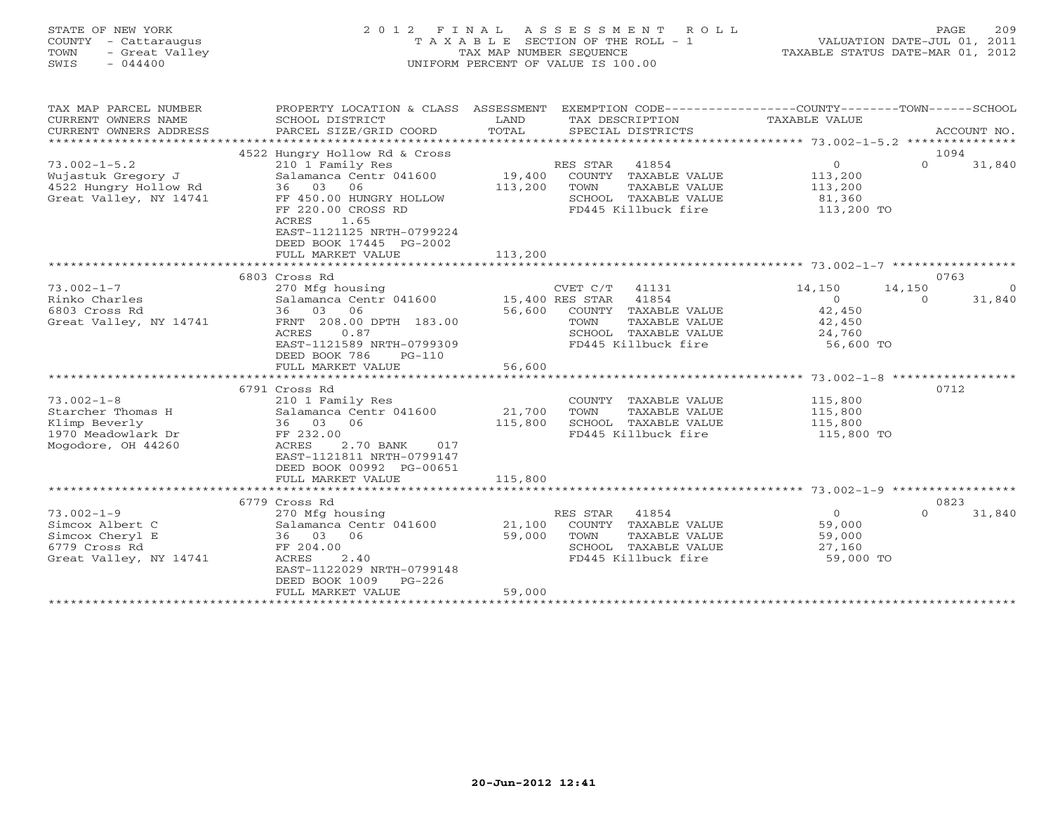## STATE OF NEW YORK 2 0 1 2 F I N A L A S S E S S M E N T R O L L PAGE 209 COUNTY - Cattaraugus T A X A B L E SECTION OF THE ROLL - 1 VALUATION DATE-JUL 01, 2011 TOWN - Great Valley TAX MAP NUMBER SEQUENCE TAXABLE STATUS DATE-MAR 01, 2012 SWIS - 044400 UNIFORM PERCENT OF VALUE IS 100.00

| TAX MAP PARCEL NUMBER<br>CURRENT OWNERS NAME    | PROPERTY LOCATION & CLASS ASSESSMENT<br>SCHOOL DISTRICT | LAND              | EXEMPTION CODE-----------------COUNTY-------TOWN------SCHOOL<br>TAX DESCRIPTION | TAXABLE VALUE     |             |                |
|-------------------------------------------------|---------------------------------------------------------|-------------------|---------------------------------------------------------------------------------|-------------------|-------------|----------------|
| CURRENT OWNERS ADDRESS                          | PARCEL SIZE/GRID COORD                                  | TOTAL             | SPECIAL DISTRICTS                                                               |                   | ACCOUNT NO. |                |
|                                                 |                                                         |                   |                                                                                 |                   |             |                |
|                                                 | 4522 Hungry Hollow Rd & Cross                           |                   |                                                                                 |                   | 1094        |                |
| $73.002 - 1 - 5.2$                              | 210 1 Family Res                                        |                   | 41854<br>RES STAR                                                               | $\circ$           | $\Omega$    | 31,840         |
| Wujastuk Gregory J                              | Salamanca Centr 041600<br>36 03<br>06                   | 19,400<br>113,200 | COUNTY TAXABLE VALUE                                                            | 113,200           |             |                |
| 4522 Hungry Hollow Rd<br>Great Valley, NY 14741 | FF 450.00 HUNGRY HOLLOW                                 |                   | TOWN<br>TAXABLE VALUE<br>SCHOOL TAXABLE VALUE                                   | 113,200<br>81,360 |             |                |
|                                                 | FF 220.00 CROSS RD                                      |                   | FD445 Killbuck fire                                                             | 113,200 TO        |             |                |
|                                                 | 1.65<br>ACRES                                           |                   |                                                                                 |                   |             |                |
|                                                 | EAST-1121125 NRTH-0799224                               |                   |                                                                                 |                   |             |                |
|                                                 | DEED BOOK 17445 PG-2002                                 |                   |                                                                                 |                   |             |                |
|                                                 | FULL MARKET VALUE                                       | 113,200           |                                                                                 |                   |             |                |
|                                                 |                                                         |                   |                                                                                 |                   |             |                |
|                                                 | 6803 Cross Rd                                           |                   |                                                                                 |                   | 0763        |                |
| $73.002 - 1 - 7$                                | 270 Mfg housing                                         |                   | 41131<br>CVET C/T                                                               | 14,150            | 14,150      | $\overline{0}$ |
| Rinko Charles                                   | Salamanca Centr 041600 15,400 RES STAR                  |                   | 41854                                                                           | $\Omega$          | $\Omega$    | 31,840         |
| 6803 Cross Rd                                   | 36 03<br>06                                             | 56,600            | COUNTY TAXABLE VALUE                                                            | 42,450            |             |                |
| Great Valley, NY 14741                          | FRNT 208.00 DPTH 183.00                                 |                   | TAXABLE VALUE<br>TOWN                                                           | 42,450            |             |                |
|                                                 | ACRES<br>0.87                                           |                   | SCHOOL TAXABLE VALUE                                                            | 24,760            |             |                |
|                                                 | EAST-1121589 NRTH-0799309                               |                   | FD445 Killbuck fire                                                             | 56,600 TO         |             |                |
|                                                 | DEED BOOK 786<br>$PG-110$                               |                   |                                                                                 |                   |             |                |
|                                                 | FULL MARKET VALUE                                       | 56,600            |                                                                                 |                   |             |                |
|                                                 | 6791 Cross Rd                                           |                   |                                                                                 |                   | 0712        |                |
| $73.002 - 1 - 8$                                | 210 1 Family Res                                        |                   | COUNTY TAXABLE VALUE                                                            | 115,800           |             |                |
| Starcher Thomas H                               | Salamanca Centr 041600                                  | 21,700            | TOWN<br>TAXABLE VALUE                                                           | 115,800           |             |                |
| Klimp Beverly                                   | 36 03<br>06                                             | 115,800           | SCHOOL TAXABLE VALUE                                                            | 115,800           |             |                |
| 1970 Meadowlark Dr                              | FF 232.00                                               |                   | FD445 Killbuck fire                                                             | 115,800 TO        |             |                |
| Mogodore, OH 44260                              | ACRES<br>2.70 BANK<br>017                               |                   |                                                                                 |                   |             |                |
|                                                 | EAST-1121811 NRTH-0799147                               |                   |                                                                                 |                   |             |                |
|                                                 | DEED BOOK 00992 PG-00651                                |                   |                                                                                 |                   |             |                |
|                                                 | FULL MARKET VALUE                                       | 115,800           |                                                                                 |                   |             |                |
|                                                 |                                                         |                   |                                                                                 |                   |             |                |
|                                                 | 6779 Cross Rd                                           |                   |                                                                                 |                   | 0823        |                |
| $73.002 - 1 - 9$                                | 270 Mfg housing                                         |                   | RES STAR 41854                                                                  | $\Omega$          | $\Omega$    | 31,840         |
| Simcox Albert C                                 | Salamanca Centr 041600                                  | 21,100            | COUNTY TAXABLE VALUE                                                            | 59,000            |             |                |
| Simcox Cheryl E                                 | 06<br>36 03                                             | 59,000            | TOWN<br>TAXABLE VALUE                                                           | 59,000            |             |                |
| 6779 Cross Rd                                   | FF 204.00                                               |                   | SCHOOL TAXABLE VALUE                                                            | 27,160            |             |                |
| Great Valley, NY 14741                          | 2.40<br>ACRES<br>EAST-1122029 NRTH-0799148              |                   | FD445 Killbuck fire                                                             | 59,000 TO         |             |                |
|                                                 | DEED BOOK 1009<br>$PG-226$                              |                   |                                                                                 |                   |             |                |
|                                                 | FULL MARKET VALUE                                       | 59,000            |                                                                                 |                   |             |                |
|                                                 |                                                         |                   |                                                                                 |                   |             |                |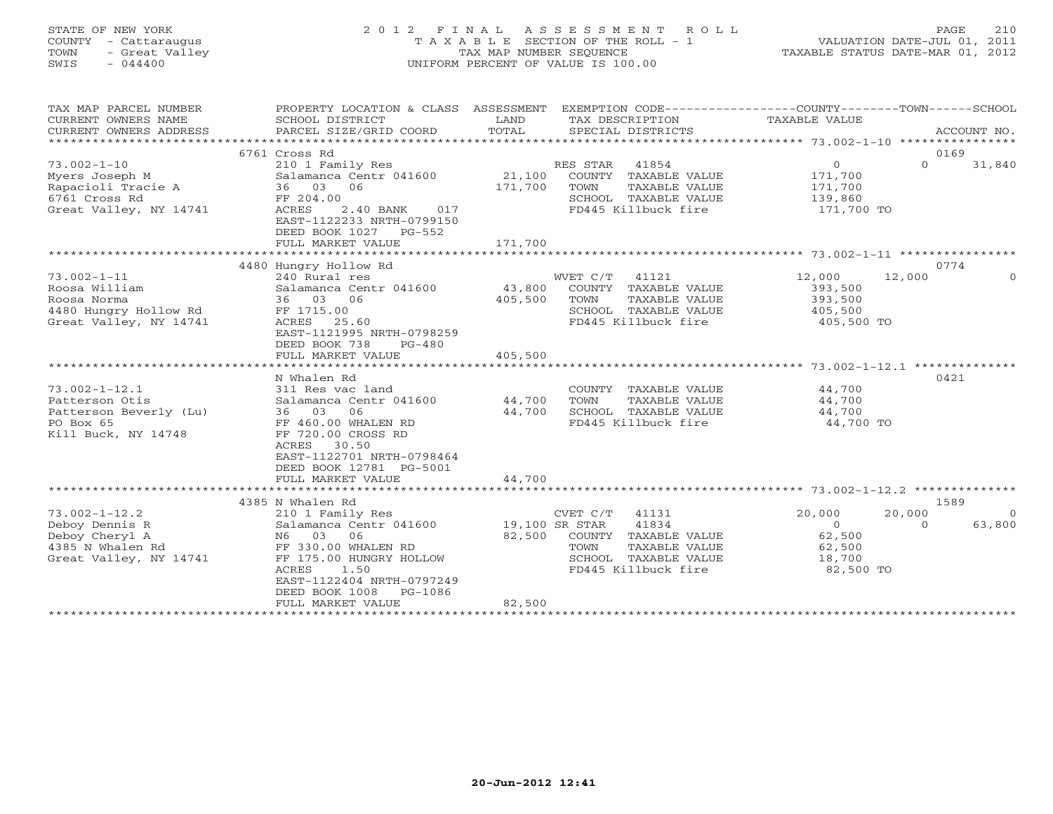## STATE OF NEW YORK 2 0 1 2 F I N A L A S S E S S M E N T R O L L PAGE 210 COUNTY - Cattaraugus T A X A B L E SECTION OF THE ROLL - 1 VALUATION DATE-JUL 01, 2011 TOWN - Great Valley TAX MAP NUMBER SEQUENCE TAXABLE STATUS DATE-MAR 01, 2012 SWIS - 044400 UNIFORM PERCENT OF VALUE IS 100.00

| TAX MAP PARCEL NUMBER<br>CURRENT OWNERS NAME<br>CURRENT OWNERS ADDRESS | PROPERTY LOCATION & CLASS ASSESSMENT<br>SCHOOL DISTRICT<br>PARCEL SIZE/GRID COORD | LAND<br>TOTAL  | EXEMPTION CODE-----------------COUNTY-------TOWN------SCHOOL<br>TAX DESCRIPTION<br>SPECIAL DISTRICTS | TAXABLE VALUE  | ACCOUNT NO.              |
|------------------------------------------------------------------------|-----------------------------------------------------------------------------------|----------------|------------------------------------------------------------------------------------------------------|----------------|--------------------------|
|                                                                        |                                                                                   |                |                                                                                                      |                |                          |
|                                                                        | 6761 Cross Rd                                                                     |                |                                                                                                      |                | 0169                     |
| $73.002 - 1 - 10$                                                      | 210 1 Family Res                                                                  |                | RES STAR<br>41854                                                                                    | $\circ$        | $\Omega$<br>31,840       |
| Myers Joseph M                                                         | Salamanca Centr 041600                                                            | 21,100         | COUNTY TAXABLE VALUE                                                                                 | 171,700        |                          |
| Rapacioli Tracie A                                                     | 36 03<br>06                                                                       | 171,700        | TOWN<br>TAXABLE VALUE                                                                                | 171,700        |                          |
| 6761 Cross Rd                                                          | FF 204.00                                                                         |                | SCHOOL TAXABLE VALUE                                                                                 | 139,860        |                          |
| Great Valley, NY 14741                                                 | 2.40 BANK<br>ACRES<br>017                                                         |                | FD445 Killbuck fire                                                                                  | 171,700 TO     |                          |
|                                                                        | EAST-1122233 NRTH-0799150                                                         |                |                                                                                                      |                |                          |
|                                                                        | DEED BOOK 1027 PG-552                                                             |                |                                                                                                      |                |                          |
|                                                                        | FULL MARKET VALUE                                                                 | 171,700        |                                                                                                      |                |                          |
|                                                                        |                                                                                   |                |                                                                                                      |                |                          |
|                                                                        | 4480 Hungry Hollow Rd                                                             |                |                                                                                                      |                | 0774                     |
| $73.002 - 1 - 11$                                                      | 240 Rural res                                                                     |                | WVET C/T<br>41121                                                                                    | 12,000         | 12,000<br>$\Omega$       |
| Roosa William                                                          | Salamanca Centr 041600                                                            | 43,800         | COUNTY TAXABLE VALUE                                                                                 | 393,500        |                          |
| Roosa Norma                                                            | 36 03 06                                                                          | 405,500        | TOWN<br>TAXABLE VALUE                                                                                | 393,500        |                          |
| 4480 Hungry Hollow Rd                                                  | FF 1715.00                                                                        |                | SCHOOL TAXABLE VALUE                                                                                 | 405,500        |                          |
| Great Valley, NY 14741                                                 | ACRES<br>25.60                                                                    |                | FD445 Killbuck fire                                                                                  | 405,500 TO     |                          |
|                                                                        | EAST-1121995 NRTH-0798259                                                         |                |                                                                                                      |                |                          |
|                                                                        | DEED BOOK 738<br>$PG-480$                                                         |                |                                                                                                      |                |                          |
|                                                                        | FULL MARKET VALUE                                                                 | 405,500        |                                                                                                      |                |                          |
|                                                                        |                                                                                   |                |                                                                                                      |                |                          |
|                                                                        | N Whalen Rd                                                                       |                |                                                                                                      |                | 0421                     |
| $73.002 - 1 - 12.1$                                                    | 311 Res vac land                                                                  |                | COUNTY TAXABLE VALUE                                                                                 | 44,700         |                          |
| Patterson Otis                                                         | Salamanca Centr 041600                                                            | 44,700         | TOWN<br>TAXABLE VALUE                                                                                | 44,700         |                          |
| Patterson Beverly (Lu)                                                 | 36 03<br>06                                                                       | 44,700         | SCHOOL TAXABLE VALUE                                                                                 | 44,700         |                          |
| PO Box 65                                                              | FF 460.00 WHALEN RD                                                               |                | FD445 Killbuck fire                                                                                  | 44,700 TO      |                          |
| Kill Buck, NY 14748                                                    | FF 720.00 CROSS RD                                                                |                |                                                                                                      |                |                          |
|                                                                        | ACRES<br>30.50                                                                    |                |                                                                                                      |                |                          |
|                                                                        | EAST-1122701 NRTH-0798464                                                         |                |                                                                                                      |                |                          |
|                                                                        | DEED BOOK 12781 PG-5001                                                           |                |                                                                                                      |                |                          |
|                                                                        | FULL MARKET VALUE                                                                 | 44,700         |                                                                                                      |                |                          |
|                                                                        |                                                                                   |                |                                                                                                      |                |                          |
|                                                                        | 4385 N Whalen Rd                                                                  |                |                                                                                                      |                | 1589                     |
| $73.002 - 1 - 12.2$                                                    | 210 1 Family Res                                                                  |                | CVET C/T<br>41131                                                                                    | 20,000         | 20,000<br>$\overline{0}$ |
| Deboy Dennis R                                                         | Salamanca Centr 041600                                                            | 19,100 SR STAR | 41834                                                                                                | $\overline{0}$ | $\Omega$<br>63,800       |
| Deboy Cheryl A                                                         | N6 03<br>06                                                                       | 82,500         | COUNTY TAXABLE VALUE                                                                                 | 62,500         |                          |
| 4385 N Whalen Rd                                                       | FF 330.00 WHALEN RD                                                               |                | TAXABLE VALUE<br>TOWN                                                                                | 62,500         |                          |
| Great Valley, NY 14741                                                 | FF 175.00 HUNGRY HOLLOW                                                           |                | SCHOOL TAXABLE VALUE                                                                                 | 18,700         |                          |
|                                                                        | ACRES<br>1.50                                                                     |                | FD445 Killbuck fire                                                                                  | 82,500 TO      |                          |
|                                                                        | EAST-1122404 NRTH-0797249                                                         |                |                                                                                                      |                |                          |
|                                                                        | DEED BOOK 1008<br>PG-1086                                                         |                |                                                                                                      |                |                          |
|                                                                        | FULL MARKET VALUE                                                                 | 82,500         |                                                                                                      |                |                          |
|                                                                        |                                                                                   |                |                                                                                                      |                |                          |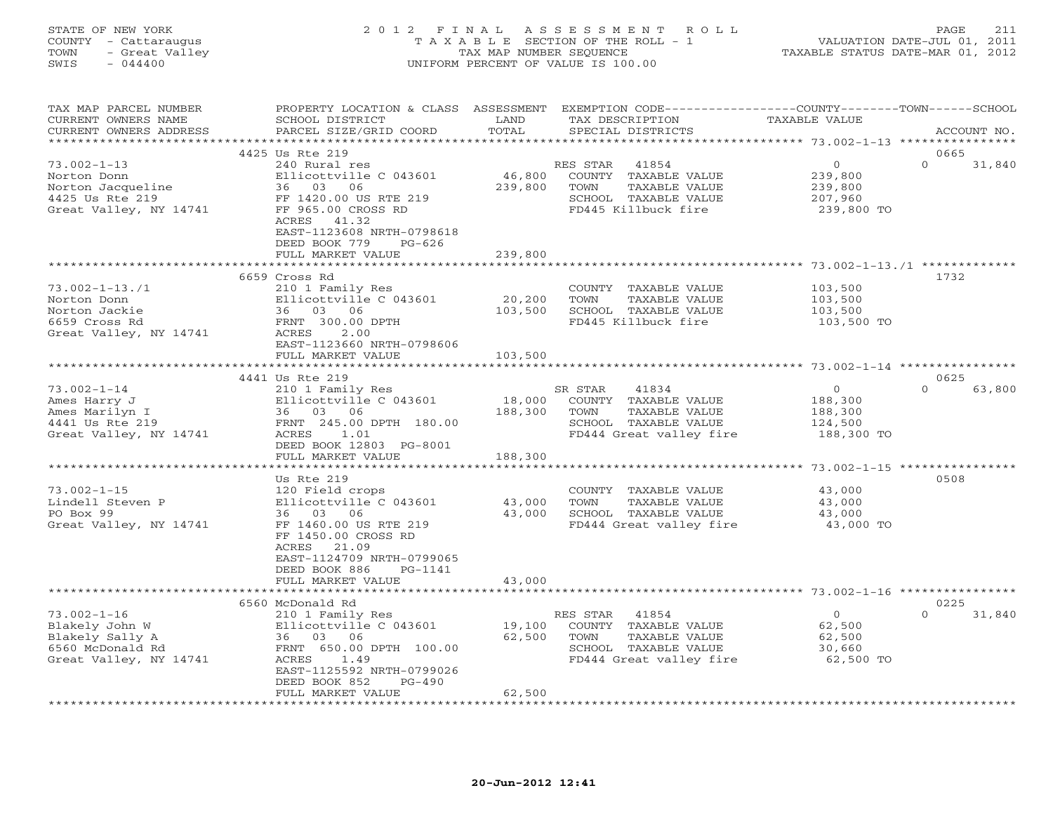#### STATE OF NEW YORK 2 0 1 2 F I N A L A S S E S S M E N T R O L L PAGE 211 COUNTY - Cattaraugus T A X A B L E SECTION OF THE ROLL - 1 VALUATION DATE-JUL 01, 2011 TOWN - Great Valley TAX MAP NUMBER SEQUENCE TAXABLE STATUS DATE-MAR 01, 2012 SWIS - 044400 UNIFORM PERCENT OF VALUE IS 100.00

| TAX MAP PARCEL NUMBER<br>CURRENT OWNERS NAME                                                         | PROPERTY LOCATION & CLASS ASSESSMENT<br>SCHOOL DISTRICT                                                                                                                                           | LAND<br>TOTAL                | EXEMPTION CODE----------------COUNTY-------TOWN------SCHOOL<br>TAX DESCRIPTION                                        | <b>TAXABLE VALUE</b>                                   |                            |
|------------------------------------------------------------------------------------------------------|---------------------------------------------------------------------------------------------------------------------------------------------------------------------------------------------------|------------------------------|-----------------------------------------------------------------------------------------------------------------------|--------------------------------------------------------|----------------------------|
| CURRENT OWNERS ADDRESS                                                                               | PARCEL SIZE/GRID COORD                                                                                                                                                                            |                              | SPECIAL DISTRICTS                                                                                                     |                                                        | ACCOUNT NO.                |
|                                                                                                      | 4425 Us Rte 219                                                                                                                                                                                   |                              |                                                                                                                       |                                                        | 0665                       |
| $73.002 - 1 - 13$<br>Norton Donn<br>Norton Jacqueline<br>4425 Us Rte 219<br>Great Valley, NY 14741   | 240 Rural res<br>Ellicottville C 043601<br>36 03 06<br>FF 1420.00 US RTE 219<br>FF 965.00 CROSS RD<br>ACRES 41.32                                                                                 | 46,800<br>239,800            | RES STAR<br>41854<br>COUNTY TAXABLE VALUE<br>TOWN<br>TAXABLE VALUE<br>SCHOOL TAXABLE VALUE<br>FD445 Killbuck fire     | $\circ$<br>239,800<br>239,800<br>207,960<br>239,800 TO | $\Omega$<br>31,840         |
|                                                                                                      | EAST-1123608 NRTH-0798618<br>DEED BOOK 779<br>$PG-626$<br>FULL MARKET VALUE                                                                                                                       | 239,800                      |                                                                                                                       |                                                        |                            |
|                                                                                                      |                                                                                                                                                                                                   |                              |                                                                                                                       |                                                        | 1732                       |
| $73.002 - 1 - 13.71$<br>Norton Donn<br>Norton Jackie<br>6659 Cross Rd<br>Great Valley, NY 14741      | 6659 Cross Rd<br>210 1 Family Res<br>Ellicottville C 043601<br>36 03 06<br>FRNT 300.00 DPTH<br>ACRES<br>2.00<br>EAST-1123660 NRTH-0798606<br>FULL MARKET VALUE                                    | 20,200<br>103,500<br>103,500 | COUNTY TAXABLE VALUE<br>TOWN<br>TAXABLE VALUE<br>SCHOOL TAXABLE VALUE<br>FD445 Killbuck fire                          | 103,500<br>103,500<br>103,500<br>103,500 TO            |                            |
|                                                                                                      |                                                                                                                                                                                                   |                              |                                                                                                                       |                                                        |                            |
|                                                                                                      | 4441 Us Rte 219                                                                                                                                                                                   |                              |                                                                                                                       |                                                        | 0625                       |
| $73.002 - 1 - 14$<br>Ames Harry J<br>Ames Marilyn I<br>4441 Us Rte 219<br>Great Valley, NY 14741     | 210 1 Family Res<br>Ellicottville C 043601<br>36 03 06<br>FRNT 245.00 DPTH 180.00<br>ACRES<br>1.01<br>DEED BOOK 12803 PG-8001<br>FULL MARKET VALUE                                                | 18,000<br>188,300<br>188,300 | 41834<br>SR STAR<br>COUNTY TAXABLE VALUE<br>TOWN<br>TAXABLE VALUE<br>SCHOOL TAXABLE VALUE<br>FD444 Great valley fire  | $\circ$<br>188,300<br>188,300<br>124,500<br>188,300 TO | $\Omega$<br>63,800         |
|                                                                                                      |                                                                                                                                                                                                   |                              |                                                                                                                       |                                                        |                            |
| $73.002 - 1 - 15$<br>Lindell Steven P<br>PO Box 99<br>Great Valley, NY 14741                         | Us Rte 219<br>120 Field crops<br>Ellicottville C 043601<br>36<br>03 06<br>FF 1460.00 US RTE 219<br>FF 1450.00 CROSS RD<br>ACRES<br>21.09<br>EAST-1124709 NRTH-0799065<br>DEED BOOK 886<br>PG-1141 | 43,000<br>43,000             | COUNTY TAXABLE VALUE<br>TOWN<br>TAXABLE VALUE<br>SCHOOL TAXABLE VALUE<br>FD444 Great valley fire                      | 43,000<br>43,000<br>43,000<br>43,000 TO                | 0508                       |
|                                                                                                      | FULL MARKET VALUE                                                                                                                                                                                 | 43,000                       |                                                                                                                       |                                                        |                            |
|                                                                                                      |                                                                                                                                                                                                   |                              |                                                                                                                       |                                                        |                            |
| $73.002 - 1 - 16$<br>Blakely John W<br>Blakely Sally A<br>6560 McDonald Rd<br>Great Valley, NY 14741 | 6560 McDonald Rd<br>210 1 Family Res<br>Ellicottville C 043601<br>36 03 06<br>FRNT 650.00 DPTH 100.00<br>ACRES<br>1.49<br>EAST-1125592 NRTH-0799026<br>DEED BOOK 852<br>$PG-490$                  | 19,100<br>62,500             | 41854<br>RES STAR<br>COUNTY TAXABLE VALUE<br>TOWN<br>TAXABLE VALUE<br>SCHOOL TAXABLE VALUE<br>FD444 Great valley fire | $\circ$<br>62,500<br>62,500<br>30,660<br>62,500 TO     | 0225<br>31,840<br>$\Omega$ |
| ***********************                                                                              | FULL MARKET VALUE                                                                                                                                                                                 | 62,500                       |                                                                                                                       |                                                        |                            |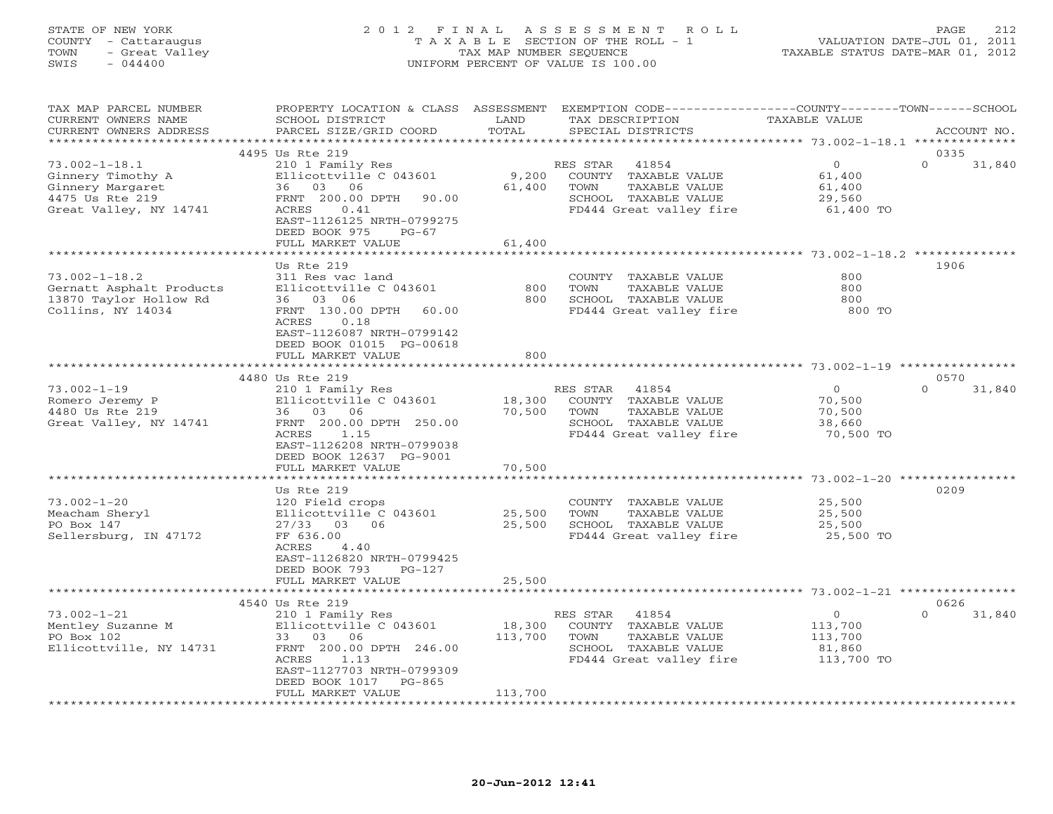## STATE OF NEW YORK 2 0 1 2 F I N A L A S S E S S M E N T R O L L PAGE 212 COUNTY - Cattaraugus T A X A B L E SECTION OF THE ROLL - 1 VALUATION DATE-JUL 01, 2011 TOWN - Great Valley TAX MAP NUMBER SEQUENCE TAXABLE STATUS DATE-MAR 01, 2012 SWIS - 044400 UNIFORM PERCENT OF VALUE IS 100.00

| TAX MAP PARCEL NUMBER<br>CURRENT OWNERS NAME<br>CURRENT OWNERS ADDRESS                                    | PROPERTY LOCATION & CLASS ASSESSMENT EXEMPTION CODE----------------COUNTY-------TOWN------SCHOOL<br>SCHOOL DISTRICT<br>PARCEL SIZE/GRID COORD                                                       | LAND<br>TOTAL                 | TAX DESCRIPTION<br>SPECIAL DISTRICTS                                                                                  | TAXABLE VALUE                                                | ACCOUNT NO.                |
|-----------------------------------------------------------------------------------------------------------|-----------------------------------------------------------------------------------------------------------------------------------------------------------------------------------------------------|-------------------------------|-----------------------------------------------------------------------------------------------------------------------|--------------------------------------------------------------|----------------------------|
| **************                                                                                            |                                                                                                                                                                                                     |                               |                                                                                                                       |                                                              |                            |
| $73.002 - 1 - 18.1$<br>Ginnery Timothy A<br>Ginnery Margaret<br>4475 Us Rte 219<br>Great Valley, NY 14741 | 4495 Us Rte 219<br>210 1 Family Res<br>Ellicottville C 043601<br>36 03 06<br>FRNT 200.00 DPTH<br>90.00<br>ACRES<br>0.41<br>EAST-1126125 NRTH-0799275<br>DEED BOOK 975<br>$PG-67$                    | 9,200<br>61,400               | RES STAR<br>41854<br>COUNTY TAXABLE VALUE<br>TOWN<br>TAXABLE VALUE<br>SCHOOL TAXABLE VALUE<br>FD444 Great valley fire | $\overline{0}$<br>61,400<br>61,400<br>29,560<br>61,400 TO    | 0335<br>$\Omega$<br>31,840 |
|                                                                                                           | FULL MARKET VALUE                                                                                                                                                                                   | 61,400                        |                                                                                                                       |                                                              |                            |
| $73.002 - 1 - 18.2$<br>Gernatt Asphalt Products<br>13870 Taylor Hollow Rd<br>Collins, NY 14034            | Us Rte 219<br>311 Res vac land<br>Ellicottville C 043601<br>36 03 06<br>FRNT 130.00 DPTH<br>60.00<br>ACRES<br>0.18<br>EAST-1126087 NRTH-0799142                                                     | 800<br>800                    | COUNTY TAXABLE VALUE<br>TOWN<br>TAXABLE VALUE<br>SCHOOL TAXABLE VALUE<br>FD444 Great valley fire                      | 800<br>800<br>800<br>800 TO                                  | 1906                       |
|                                                                                                           | DEED BOOK 01015 PG-00618<br>FULL MARKET VALUE                                                                                                                                                       | 800                           |                                                                                                                       |                                                              |                            |
|                                                                                                           | 4480 Us Rte 219                                                                                                                                                                                     |                               |                                                                                                                       |                                                              | 0570                       |
| $73.002 - 1 - 19$<br>Romero Jeremy P<br>4480 Us Rte 219<br>Great Valley, NY 14741                         | 210 1 Family Res<br>Ellicottville C 043601<br>36 03 06<br>FRNT 200.00 DPTH 250.00<br>1.15<br>ACRES<br>EAST-1126208 NRTH-0799038<br>DEED BOOK 12637 PG-9001                                          | 18,300<br>70,500              | RES STAR 41854<br>COUNTY TAXABLE VALUE<br>TOWN<br>TAXABLE VALUE<br>SCHOOL TAXABLE VALUE<br>FD444 Great valley fire    | $\overline{0}$<br>70,500<br>70,500<br>38,660<br>70,500 TO    | $\Omega$<br>31,840         |
|                                                                                                           | FULL MARKET VALUE                                                                                                                                                                                   | 70,500                        |                                                                                                                       |                                                              |                            |
|                                                                                                           | Us Rte 219                                                                                                                                                                                          |                               |                                                                                                                       |                                                              | 0209                       |
| $73.002 - 1 - 20$<br>Meacham Sheryl<br>PO Box 147<br>Sellersburg, IN 47172                                | 120 Field crops<br>Ellicottville C 043601<br>27/33 03 06<br>FF 636.00<br>ACRES<br>4.40<br>EAST-1126820 NRTH-0799425<br>DEED BOOK 793<br>PG-127<br>FULL MARKET VALUE                                 | 25,500<br>25,500<br>25,500    | COUNTY TAXABLE VALUE<br>TAXABLE VALUE<br>TOWN<br>SCHOOL TAXABLE VALUE<br>FD444 Great valley fire                      | 25,500<br>25,500<br>25,500<br>25,500 TO                      |                            |
|                                                                                                           |                                                                                                                                                                                                     | * * * * * * * * * * * * * * * |                                                                                                                       |                                                              |                            |
| $73.002 - 1 - 21$<br>Mentley Suzanne M<br>PO Box 102<br>Ellicottville, NY 14731                           | 4540 Us Rte 219<br>210 1 Family Res<br>Ellicottville C 043601<br>33 03 06<br>FRNT 200.00 DPTH 246.00<br>ACRES<br>1.13<br>EAST-1127703 NRTH-0799309<br>DEED BOOK 1017<br>PG-865<br>FULL MARKET VALUE | 18,300<br>113,700<br>113,700  | 41854<br>RES STAR<br>COUNTY TAXABLE VALUE<br>TOWN<br>TAXABLE VALUE<br>SCHOOL TAXABLE VALUE<br>FD444 Great valley fire | $\overline{O}$<br>113,700<br>113,700<br>81,860<br>113,700 TO | 0626<br>$\Omega$<br>31,840 |
|                                                                                                           |                                                                                                                                                                                                     |                               |                                                                                                                       |                                                              |                            |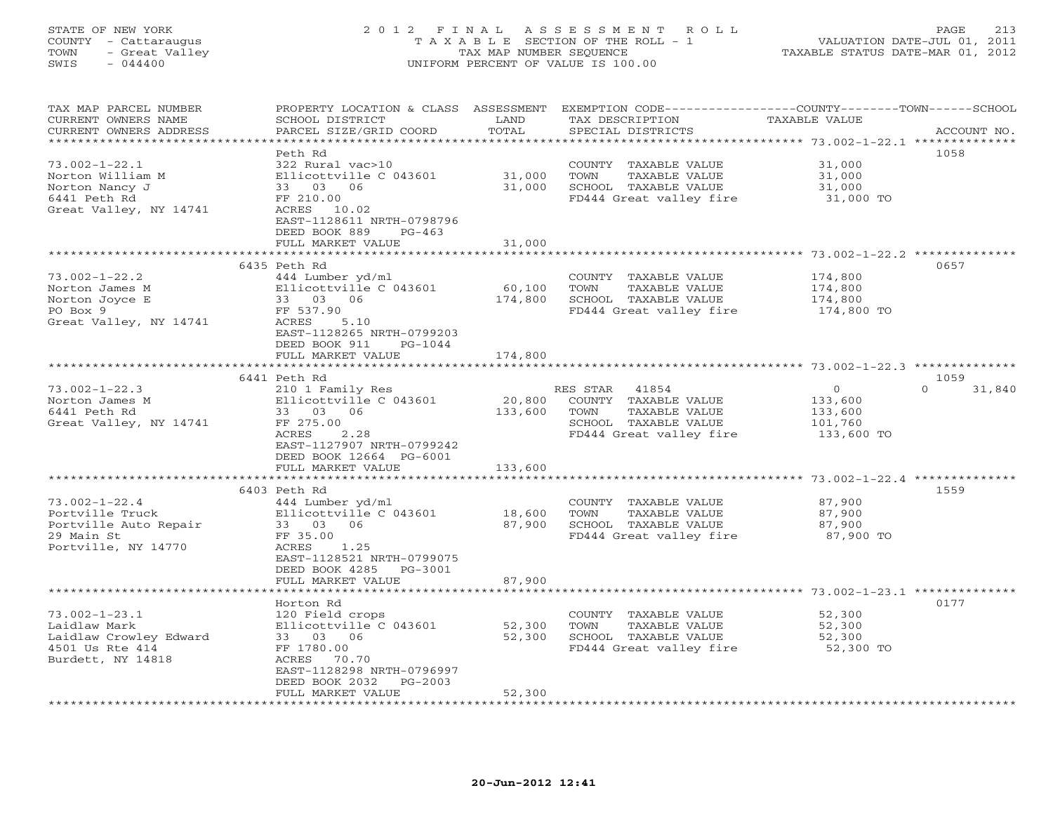## STATE OF NEW YORK 2 0 1 2 F I N A L A S S E S S M E N T R O L L PAGE 213 COUNTY - Cattaraugus T A X A B L E SECTION OF THE ROLL - 1 VALUATION DATE-JUL 01, 2011 TOWN - Great Valley TAX MAP NUMBER SEQUENCE TAXABLE STATUS DATE-MAR 01, 2012 SWIS - 044400 UNIFORM PERCENT OF VALUE IS 100.00

| 1058<br>Peth Rd<br>$73.002 - 1 - 22.1$<br>322 Rural vac>10<br>31,000<br>COUNTY TAXABLE VALUE<br>Norton William M<br>Ellicottville C 043601<br>31,000<br>TOWN<br>TAXABLE VALUE<br>31,000<br>Norton Nancy J<br>33 03 06<br>31,000<br>SCHOOL TAXABLE VALUE<br>31,000<br>6441 Peth Rd<br>FF 210.00<br>FD444 Great valley fire<br>31,000 TO<br>Great Valley, NY 14741<br>ACRES 10.02<br>EAST-1128611 NRTH-0798796<br>DEED BOOK 889<br>$PG-463$<br>FULL MARKET VALUE<br>31,000<br>**********<br>0657<br>6435 Peth Rd<br>$73.002 - 1 - 22.2$<br>444 Lumber yd/ml<br>174,800<br>COUNTY TAXABLE VALUE<br>Ellicottville C 043601<br>60,100<br>TOWN<br>TAXABLE VALUE<br>174,800<br>Norton James M<br>Norton Joyce E<br>33 03 06<br>174,800<br>SCHOOL TAXABLE VALUE<br>174,800<br>FF 537.90<br>FD444 Great valley fire<br>PO Box 9<br>174,800 TO<br>Great Valley, NY 14741<br>5.10<br>ACRES<br>EAST-1128265 NRTH-0799203<br>DEED BOOK 911<br>PG-1044<br>174,800<br>FULL MARKET VALUE<br>**********<br>************************* 73.002-1-22.3 **************<br>6441 Peth Rd<br>1059<br>$\mathbf{0}$<br>$\Omega$<br>$73.002 - 1 - 22.3$<br>210 1 Family Res<br>31,840<br>RES STAR<br>41854<br>Ellicottville C 043601<br>20,800<br>COUNTY<br>TAXABLE VALUE<br>133,600<br>Norton James M<br>6441 Peth Rd<br>33 03 06<br>133,600<br>TOWN<br>TAXABLE VALUE<br>133,600<br>Great Valley, NY 14741<br>FF 275.00<br>SCHOOL TAXABLE VALUE<br>101,760<br>ACRES<br>2.28<br>FD444 Great valley fire<br>133,600 TO<br>EAST-1127907 NRTH-0799242<br>DEED BOOK 12664 PG-6001<br>133,600<br>FULL MARKET VALUE<br>************<br>**********************<br>****************************** 73.002-1-22.4 **************<br>1559<br>6403 Peth Rd<br>$73.002 - 1 - 22.4$<br>444 Lumber yd/ml<br>87,900<br>COUNTY TAXABLE VALUE<br>18,600<br>Portville Truck<br>Ellicottville C 043601<br>TAXABLE VALUE<br>87,900<br>TOWN<br>Portville Auto Repair<br>33 03<br>06<br>87,900<br>SCHOOL TAXABLE VALUE<br>87,900<br>FF 35.00<br>29 Main St<br>FD444 Great valley fire<br>87,900 TO<br>Portville, NY 14770<br>ACRES<br>1.25<br>EAST-1128521 NRTH-0799075<br>DEED BOOK 4285<br>PG-3001<br>FULL MARKET VALUE<br>87,900<br>************* 73.002-1-23.1 ********<br>0177<br>Horton Rd<br>$73.002 - 1 - 23.1$<br>120 Field crops<br>52,300<br>COUNTY TAXABLE VALUE<br>Laidlaw Mark<br>Ellicottville C 043601<br>52,300<br>TOWN<br>TAXABLE VALUE<br>52,300<br>Laidlaw Crowley Edward<br>33 03 06<br>52,300<br>SCHOOL TAXABLE VALUE<br>52,300<br>4501 Us Rte 414<br>FF 1780.00<br>FD444 Great valley fire<br>52,300 TO<br>Burdett, NY 14818<br>ACRES<br>70.70<br>EAST-1128298 NRTH-0796997<br>DEED BOOK 2032<br>$PG-2003$<br>52,300<br>FULL MARKET VALUE | TAX MAP PARCEL NUMBER<br>CURRENT OWNERS NAME<br>CURRENT OWNERS ADDRESS | PROPERTY LOCATION & CLASS ASSESSMENT<br>SCHOOL DISTRICT<br>PARCEL SIZE/GRID COORD | LAND<br>TOTAL<br>************* | EXEMPTION CODE----------------COUNTY-------TOWN-----SCHOOL<br>TAX DESCRIPTION<br>SPECIAL DISTRICTS | TAXABLE VALUE | ACCOUNT NO. |
|---------------------------------------------------------------------------------------------------------------------------------------------------------------------------------------------------------------------------------------------------------------------------------------------------------------------------------------------------------------------------------------------------------------------------------------------------------------------------------------------------------------------------------------------------------------------------------------------------------------------------------------------------------------------------------------------------------------------------------------------------------------------------------------------------------------------------------------------------------------------------------------------------------------------------------------------------------------------------------------------------------------------------------------------------------------------------------------------------------------------------------------------------------------------------------------------------------------------------------------------------------------------------------------------------------------------------------------------------------------------------------------------------------------------------------------------------------------------------------------------------------------------------------------------------------------------------------------------------------------------------------------------------------------------------------------------------------------------------------------------------------------------------------------------------------------------------------------------------------------------------------------------------------------------------------------------------------------------------------------------------------------------------------------------------------------------------------------------------------------------------------------------------------------------------------------------------------------------------------------------------------------------------------------------------------------------------------------------------------------------------------------------------------------------------------------------------------------------------------------------------------------------------------------------------------------------------------------------------------------------------------------------------------------------------------------------------------------|------------------------------------------------------------------------|-----------------------------------------------------------------------------------|--------------------------------|----------------------------------------------------------------------------------------------------|---------------|-------------|
|                                                                                                                                                                                                                                                                                                                                                                                                                                                                                                                                                                                                                                                                                                                                                                                                                                                                                                                                                                                                                                                                                                                                                                                                                                                                                                                                                                                                                                                                                                                                                                                                                                                                                                                                                                                                                                                                                                                                                                                                                                                                                                                                                                                                                                                                                                                                                                                                                                                                                                                                                                                                                                                                                                               |                                                                        |                                                                                   |                                |                                                                                                    |               |             |
|                                                                                                                                                                                                                                                                                                                                                                                                                                                                                                                                                                                                                                                                                                                                                                                                                                                                                                                                                                                                                                                                                                                                                                                                                                                                                                                                                                                                                                                                                                                                                                                                                                                                                                                                                                                                                                                                                                                                                                                                                                                                                                                                                                                                                                                                                                                                                                                                                                                                                                                                                                                                                                                                                                               |                                                                        |                                                                                   |                                |                                                                                                    |               |             |
|                                                                                                                                                                                                                                                                                                                                                                                                                                                                                                                                                                                                                                                                                                                                                                                                                                                                                                                                                                                                                                                                                                                                                                                                                                                                                                                                                                                                                                                                                                                                                                                                                                                                                                                                                                                                                                                                                                                                                                                                                                                                                                                                                                                                                                                                                                                                                                                                                                                                                                                                                                                                                                                                                                               |                                                                        |                                                                                   |                                |                                                                                                    |               |             |
|                                                                                                                                                                                                                                                                                                                                                                                                                                                                                                                                                                                                                                                                                                                                                                                                                                                                                                                                                                                                                                                                                                                                                                                                                                                                                                                                                                                                                                                                                                                                                                                                                                                                                                                                                                                                                                                                                                                                                                                                                                                                                                                                                                                                                                                                                                                                                                                                                                                                                                                                                                                                                                                                                                               |                                                                        |                                                                                   |                                |                                                                                                    |               |             |
|                                                                                                                                                                                                                                                                                                                                                                                                                                                                                                                                                                                                                                                                                                                                                                                                                                                                                                                                                                                                                                                                                                                                                                                                                                                                                                                                                                                                                                                                                                                                                                                                                                                                                                                                                                                                                                                                                                                                                                                                                                                                                                                                                                                                                                                                                                                                                                                                                                                                                                                                                                                                                                                                                                               |                                                                        |                                                                                   |                                |                                                                                                    |               |             |
|                                                                                                                                                                                                                                                                                                                                                                                                                                                                                                                                                                                                                                                                                                                                                                                                                                                                                                                                                                                                                                                                                                                                                                                                                                                                                                                                                                                                                                                                                                                                                                                                                                                                                                                                                                                                                                                                                                                                                                                                                                                                                                                                                                                                                                                                                                                                                                                                                                                                                                                                                                                                                                                                                                               |                                                                        |                                                                                   |                                |                                                                                                    |               |             |
|                                                                                                                                                                                                                                                                                                                                                                                                                                                                                                                                                                                                                                                                                                                                                                                                                                                                                                                                                                                                                                                                                                                                                                                                                                                                                                                                                                                                                                                                                                                                                                                                                                                                                                                                                                                                                                                                                                                                                                                                                                                                                                                                                                                                                                                                                                                                                                                                                                                                                                                                                                                                                                                                                                               |                                                                        |                                                                                   |                                |                                                                                                    |               |             |
|                                                                                                                                                                                                                                                                                                                                                                                                                                                                                                                                                                                                                                                                                                                                                                                                                                                                                                                                                                                                                                                                                                                                                                                                                                                                                                                                                                                                                                                                                                                                                                                                                                                                                                                                                                                                                                                                                                                                                                                                                                                                                                                                                                                                                                                                                                                                                                                                                                                                                                                                                                                                                                                                                                               |                                                                        |                                                                                   |                                |                                                                                                    |               |             |
|                                                                                                                                                                                                                                                                                                                                                                                                                                                                                                                                                                                                                                                                                                                                                                                                                                                                                                                                                                                                                                                                                                                                                                                                                                                                                                                                                                                                                                                                                                                                                                                                                                                                                                                                                                                                                                                                                                                                                                                                                                                                                                                                                                                                                                                                                                                                                                                                                                                                                                                                                                                                                                                                                                               |                                                                        |                                                                                   |                                |                                                                                                    |               |             |
|                                                                                                                                                                                                                                                                                                                                                                                                                                                                                                                                                                                                                                                                                                                                                                                                                                                                                                                                                                                                                                                                                                                                                                                                                                                                                                                                                                                                                                                                                                                                                                                                                                                                                                                                                                                                                                                                                                                                                                                                                                                                                                                                                                                                                                                                                                                                                                                                                                                                                                                                                                                                                                                                                                               |                                                                        |                                                                                   |                                |                                                                                                    |               |             |
|                                                                                                                                                                                                                                                                                                                                                                                                                                                                                                                                                                                                                                                                                                                                                                                                                                                                                                                                                                                                                                                                                                                                                                                                                                                                                                                                                                                                                                                                                                                                                                                                                                                                                                                                                                                                                                                                                                                                                                                                                                                                                                                                                                                                                                                                                                                                                                                                                                                                                                                                                                                                                                                                                                               |                                                                        |                                                                                   |                                |                                                                                                    |               |             |
|                                                                                                                                                                                                                                                                                                                                                                                                                                                                                                                                                                                                                                                                                                                                                                                                                                                                                                                                                                                                                                                                                                                                                                                                                                                                                                                                                                                                                                                                                                                                                                                                                                                                                                                                                                                                                                                                                                                                                                                                                                                                                                                                                                                                                                                                                                                                                                                                                                                                                                                                                                                                                                                                                                               |                                                                        |                                                                                   |                                |                                                                                                    |               |             |
|                                                                                                                                                                                                                                                                                                                                                                                                                                                                                                                                                                                                                                                                                                                                                                                                                                                                                                                                                                                                                                                                                                                                                                                                                                                                                                                                                                                                                                                                                                                                                                                                                                                                                                                                                                                                                                                                                                                                                                                                                                                                                                                                                                                                                                                                                                                                                                                                                                                                                                                                                                                                                                                                                                               |                                                                        |                                                                                   |                                |                                                                                                    |               |             |
|                                                                                                                                                                                                                                                                                                                                                                                                                                                                                                                                                                                                                                                                                                                                                                                                                                                                                                                                                                                                                                                                                                                                                                                                                                                                                                                                                                                                                                                                                                                                                                                                                                                                                                                                                                                                                                                                                                                                                                                                                                                                                                                                                                                                                                                                                                                                                                                                                                                                                                                                                                                                                                                                                                               |                                                                        |                                                                                   |                                |                                                                                                    |               |             |
|                                                                                                                                                                                                                                                                                                                                                                                                                                                                                                                                                                                                                                                                                                                                                                                                                                                                                                                                                                                                                                                                                                                                                                                                                                                                                                                                                                                                                                                                                                                                                                                                                                                                                                                                                                                                                                                                                                                                                                                                                                                                                                                                                                                                                                                                                                                                                                                                                                                                                                                                                                                                                                                                                                               |                                                                        |                                                                                   |                                |                                                                                                    |               |             |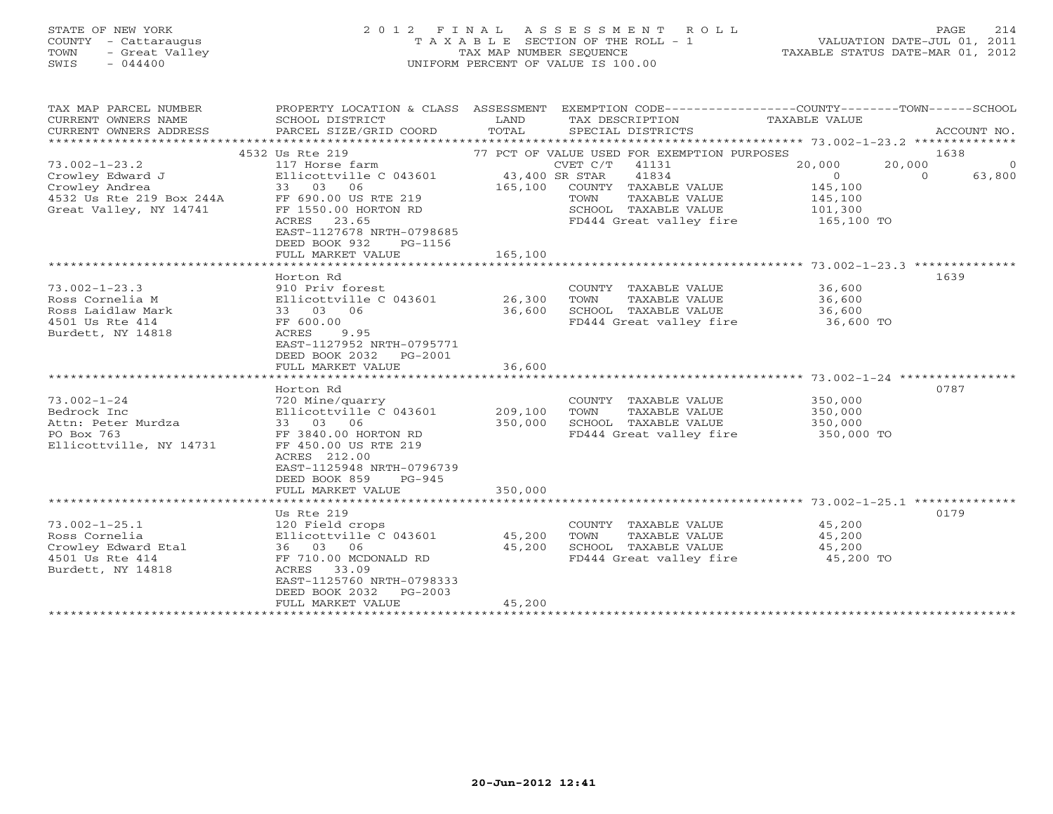## STATE OF NEW YORK 2 0 1 2 F I N A L A S S E S S M E N T R O L L PAGE 214 COUNTY - Cattaraugus T A X A B L E SECTION OF THE ROLL - 1 VALUATION DATE-JUL 01, 2011 TOWN - Great Valley TAX MAP NUMBER SEQUENCE TAXABLE STATUS DATE-MAR 01, 2012 SWIS - 044400 UNIFORM PERCENT OF VALUE IS 100.00

| TAX MAP PARCEL NUMBER<br>CURRENT OWNERS NAME<br>CURRENT OWNERS ADDRESS | PROPERTY LOCATION & CLASS ASSESSMENT EXEMPTION CODE---------------COUNTY-------TOWN------SCHOOL<br>SCHOOL DISTRICT<br>PARCEL SIZE/GRID COORD | LAND<br>TOTAL  | TAX DESCRIPTION<br>SPECIAL DISTRICTS        | TAXABLE VALUE    | ACCOUNT NO.        |
|------------------------------------------------------------------------|----------------------------------------------------------------------------------------------------------------------------------------------|----------------|---------------------------------------------|------------------|--------------------|
|                                                                        |                                                                                                                                              |                |                                             |                  |                    |
|                                                                        | 4532 Us Rte 219                                                                                                                              |                | 77 PCT OF VALUE USED FOR EXEMPTION PURPOSES |                  | 1638               |
| $73.002 - 1 - 23.2$                                                    | 117 Horse farm                                                                                                                               |                | CVET C/T<br>41131                           | 20,000<br>20,000 | $\Omega$           |
| Crowley Edward J                                                       | Ellicottville C 043601                                                                                                                       | 43,400 SR STAR | 41834                                       | $\Omega$         | 63,800<br>$\Omega$ |
| Crowley Andrea                                                         | 33 03<br>06                                                                                                                                  | 165,100        | COUNTY TAXABLE VALUE                        | 145,100          |                    |
| 4532 Us Rte 219 Box 244A                                               | FF 690.00 US RTE 219                                                                                                                         |                | TOWN<br>TAXABLE VALUE                       | 145,100          |                    |
| Great Valley, NY 14741                                                 | FF 1550.00 HORTON RD                                                                                                                         |                | SCHOOL TAXABLE VALUE                        | 101,300          |                    |
|                                                                        | 23.65<br>ACRES<br>EAST-1127678 NRTH-0798685<br>DEED BOOK 932<br>PG-1156<br>FULL MARKET VALUE                                                 | 165,100        | FD444 Great valley fire                     | 165,100 TO       |                    |
|                                                                        |                                                                                                                                              |                |                                             |                  |                    |
|                                                                        | Horton Rd                                                                                                                                    |                |                                             |                  | 1639               |
| $73.002 - 1 - 23.3$                                                    | 910 Priv forest                                                                                                                              |                | COUNTY TAXABLE VALUE                        | 36,600           |                    |
| Ross Cornelia M                                                        | Ellicottville C 043601                                                                                                                       | 26,300         | TAXABLE VALUE<br>TOWN                       | 36,600           |                    |
| Ross Laidlaw Mark                                                      | 33 03 06                                                                                                                                     | 36,600         | SCHOOL TAXABLE VALUE                        | 36,600           |                    |
| 4501 Us Rte 414                                                        | FF 600.00                                                                                                                                    |                | FD444 Great valley fire                     | — 36,600 то      |                    |
| Burdett, NY 14818                                                      | ACRES<br>9.95<br>EAST-1127952 NRTH-0795771<br>DEED BOOK 2032    PG-2001<br>FULL MARKET VALUE                                                 | 36,600         |                                             |                  |                    |
|                                                                        |                                                                                                                                              |                |                                             |                  |                    |
|                                                                        | Horton Rd                                                                                                                                    |                |                                             |                  | 0787               |
| $73.002 - 1 - 24$                                                      | 720 Mine/quarry                                                                                                                              |                | COUNTY TAXABLE VALUE                        | 350,000          |                    |
| Bedrock Inc                                                            | Ellicottville C 043601                                                                                                                       | 209,100        | TOWN<br>TAXABLE VALUE                       | 350,000          |                    |
| Attn: Peter Murdza                                                     | 33 03 06                                                                                                                                     | 350,000        | SCHOOL TAXABLE VALUE                        | 350,000          |                    |
| PO Box 763                                                             | FF 3840.00 HORTON RD                                                                                                                         |                | FD444 Great valley fire                     | 350,000 TO       |                    |
| Ellicottville, NY 14731                                                | FF 450.00 US RTE 219<br>ACRES 212.00<br>EAST-1125948 NRTH-0796739<br>DEED BOOK 859<br>$PG-945$<br>FULL MARKET VALUE                          | 350,000        |                                             |                  |                    |
|                                                                        |                                                                                                                                              |                |                                             |                  |                    |
|                                                                        | Us Rte 219                                                                                                                                   |                |                                             |                  | 0179               |
| $73.002 - 1 - 25.1$                                                    | 120 Field crops                                                                                                                              |                | COUNTY TAXABLE VALUE                        | 45,200           |                    |
| Ross Cornelia                                                          | Ellicottville C 043601                                                                                                                       | 45,200         | TOWN<br>TAXABLE VALUE                       | 45,200           |                    |
| Crowley Edward Etal                                                    | 36 03<br>06                                                                                                                                  | 45,200         | SCHOOL TAXABLE VALUE                        | 45,200           |                    |
| 4501 Us Rte 414<br>Burdett, NY 14818                                   | FF 710.00 MCDONALD RD<br>ACRES 33.09<br>EAST-1125760 NRTH-0798333<br>DEED BOOK 2032<br>$PG-2003$                                             |                | FD444 Great valley fire                     | 45,200 TO        |                    |
|                                                                        | FULL MARKET VALUE                                                                                                                            | 45,200         |                                             |                  |                    |
|                                                                        |                                                                                                                                              |                |                                             |                  |                    |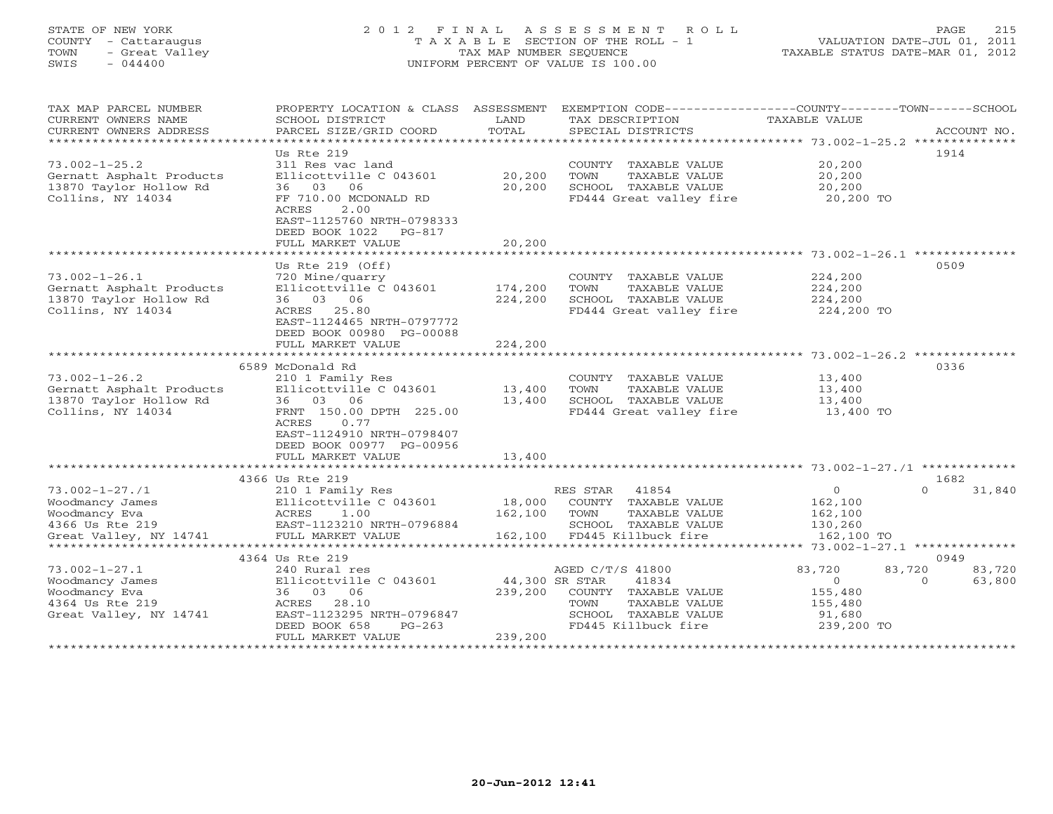#### STATE OF NEW YORK 2 0 1 2 F I N A L A S S E S S M E N T R O L L PAGE 215 COUNTY - Cattaraugus T A X A B L E SECTION OF THE ROLL - 1 VALUATION DATE-JUL 01, 2011 TOWN - Great Valley TAX MAP NUMBER SEQUENCE TAXABLE STATUS DATE-MAR 01, 2012 SWIS - 044400 UNIFORM PERCENT OF VALUE IS 100.00UNIFORM PERCENT OF VALUE IS 100.00

| Us Rte 219<br>1914<br>$73.002 - 1 - 25.2$<br>311 Res vac land<br>20,200<br>COUNTY TAXABLE VALUE<br>20,200<br>Gernatt Asphalt Products<br>Ellicottville C 043601<br>TOWN<br>TAXABLE VALUE<br>20,200<br>13870 Taylor Hollow Rd<br>20,200<br>SCHOOL TAXABLE VALUE<br>20,200<br>36 03 06<br>Collins, NY 14034<br>FF 710.00 MCDONALD RD<br>FD444 Great valley fire<br>20,200 TO<br>2.00<br>ACRES<br>EAST-1125760 NRTH-0798333<br>DEED BOOK 1022<br>PG-817<br>FULL MARKET VALUE<br>20,200<br>***************************** 73.002-1-26.1 **************<br>********<br>0509<br>Us Rte $219$ (Off)<br>$73.002 - 1 - 26.1$<br>COUNTY TAXABLE VALUE<br>224,200<br>720 Mine/quarry<br>Ellicottville C 043601<br>174,200<br>TOWN<br>TAXABLE VALUE<br>224,200<br>Gernatt Asphalt Products<br>13870 Taylor Hollow Rd<br>36 03 06<br>224,200<br>SCHOOL TAXABLE VALUE<br>224,200<br>Collins, NY 14034<br>ACRES 25.80<br>FD444 Great valley fire<br>224,200 TO<br>EAST-1124465 NRTH-0797772<br>DEED BOOK 00980 PG-00088<br>FULL MARKET VALUE<br>224,200<br>6589 McDonald Rd<br>0336<br>$73.002 - 1 - 26.2$<br>210 1 Family Res<br>COUNTY TAXABLE VALUE<br>13,400<br>Gernatt Asphalt Products<br>Ellicottville C 043601<br>13,400<br>TOWN<br>TAXABLE VALUE<br>13,400<br>13870 Taylor Hollow Rd<br>36 03 06<br>13,400<br>SCHOOL TAXABLE VALUE<br>13,400<br>Collins, NY 14034<br>FRNT 150.00 DPTH 225.00<br>FD444 Great valley fire<br>13,400 TO<br>ACRES<br>0.77<br>EAST-1124910 NRTH-0798407<br>DEED BOOK 00977 PG-00956<br>FULL MARKET VALUE<br>13,400<br>4366 Us Rte 219<br>1682<br>$73.002 - 1 - 27.1$<br>RES STAR<br>41854<br>$\overline{0}$<br>31,840<br>210 1 Family Res<br>$\Omega$<br>Woodmancy James<br>Ellicottville C 043601<br>18,000<br>COUNTY TAXABLE VALUE<br>162,100<br>162,100<br>Woodmancy Eva<br>ACRES<br>1.00<br>TOWN<br>TAXABLE VALUE<br>162,100<br>4366 Us Rte 219<br>EAST-1123210 NRTH-0796884<br>SCHOOL TAXABLE VALUE<br>130,260<br>Great Valley, NY 14741<br>FD445 Killbuck fire<br>FULL MARKET VALUE<br>162,100<br>162,100 TO<br>4364 Us Rte 219<br>0949<br>$73.002 - 1 - 27.1$<br>240 Rural res<br>AGED C/T/S 41800<br>83,720<br>83,720<br>83,720<br>Woodmancy James<br>Ellicottville C 043601<br>44,300 SR STAR<br>41834<br>$\overline{0}$<br>$\Omega$<br>63,800<br>Woodmancy Eva<br>36 03 06<br>239,200<br>COUNTY TAXABLE VALUE<br>155,480<br>4364 Us Rte 219<br>ACRES 28.10<br>TOWN<br>TAXABLE VALUE<br>155,480<br>Great Valley, NY 14741<br>EAST-1123295 NRTH-0796847<br>SCHOOL TAXABLE VALUE<br>91,680<br>DEED BOOK 658<br>$PG-263$<br>FD445 Killbuck fire<br>239,200 TO<br>239,200<br>FULL MARKET VALUE | TAX MAP PARCEL NUMBER<br>CURRENT OWNERS NAME<br>CURRENT OWNERS ADDRESS<br>****************************** | PROPERTY LOCATION & CLASS ASSESSMENT<br>SCHOOL DISTRICT<br>PARCEL SIZE/GRID COORD | LAND<br>TOTAL | EXEMPTION CODE-----------------COUNTY-------TOWN------SCHOOL<br>TAX DESCRIPTION<br>SPECIAL DISTRICTS | TAXABLE VALUE | ACCOUNT NO. |
|-------------------------------------------------------------------------------------------------------------------------------------------------------------------------------------------------------------------------------------------------------------------------------------------------------------------------------------------------------------------------------------------------------------------------------------------------------------------------------------------------------------------------------------------------------------------------------------------------------------------------------------------------------------------------------------------------------------------------------------------------------------------------------------------------------------------------------------------------------------------------------------------------------------------------------------------------------------------------------------------------------------------------------------------------------------------------------------------------------------------------------------------------------------------------------------------------------------------------------------------------------------------------------------------------------------------------------------------------------------------------------------------------------------------------------------------------------------------------------------------------------------------------------------------------------------------------------------------------------------------------------------------------------------------------------------------------------------------------------------------------------------------------------------------------------------------------------------------------------------------------------------------------------------------------------------------------------------------------------------------------------------------------------------------------------------------------------------------------------------------------------------------------------------------------------------------------------------------------------------------------------------------------------------------------------------------------------------------------------------------------------------------------------------------------------------------------------------------------------------------------------------------------------------------------------------------------------------------------------------------------|----------------------------------------------------------------------------------------------------------|-----------------------------------------------------------------------------------|---------------|------------------------------------------------------------------------------------------------------|---------------|-------------|
|                                                                                                                                                                                                                                                                                                                                                                                                                                                                                                                                                                                                                                                                                                                                                                                                                                                                                                                                                                                                                                                                                                                                                                                                                                                                                                                                                                                                                                                                                                                                                                                                                                                                                                                                                                                                                                                                                                                                                                                                                                                                                                                                                                                                                                                                                                                                                                                                                                                                                                                                                                                                                         |                                                                                                          |                                                                                   |               |                                                                                                      |               |             |
|                                                                                                                                                                                                                                                                                                                                                                                                                                                                                                                                                                                                                                                                                                                                                                                                                                                                                                                                                                                                                                                                                                                                                                                                                                                                                                                                                                                                                                                                                                                                                                                                                                                                                                                                                                                                                                                                                                                                                                                                                                                                                                                                                                                                                                                                                                                                                                                                                                                                                                                                                                                                                         |                                                                                                          |                                                                                   |               |                                                                                                      |               |             |
|                                                                                                                                                                                                                                                                                                                                                                                                                                                                                                                                                                                                                                                                                                                                                                                                                                                                                                                                                                                                                                                                                                                                                                                                                                                                                                                                                                                                                                                                                                                                                                                                                                                                                                                                                                                                                                                                                                                                                                                                                                                                                                                                                                                                                                                                                                                                                                                                                                                                                                                                                                                                                         |                                                                                                          |                                                                                   |               |                                                                                                      |               |             |
|                                                                                                                                                                                                                                                                                                                                                                                                                                                                                                                                                                                                                                                                                                                                                                                                                                                                                                                                                                                                                                                                                                                                                                                                                                                                                                                                                                                                                                                                                                                                                                                                                                                                                                                                                                                                                                                                                                                                                                                                                                                                                                                                                                                                                                                                                                                                                                                                                                                                                                                                                                                                                         |                                                                                                          |                                                                                   |               |                                                                                                      |               |             |
|                                                                                                                                                                                                                                                                                                                                                                                                                                                                                                                                                                                                                                                                                                                                                                                                                                                                                                                                                                                                                                                                                                                                                                                                                                                                                                                                                                                                                                                                                                                                                                                                                                                                                                                                                                                                                                                                                                                                                                                                                                                                                                                                                                                                                                                                                                                                                                                                                                                                                                                                                                                                                         |                                                                                                          |                                                                                   |               |                                                                                                      |               |             |
|                                                                                                                                                                                                                                                                                                                                                                                                                                                                                                                                                                                                                                                                                                                                                                                                                                                                                                                                                                                                                                                                                                                                                                                                                                                                                                                                                                                                                                                                                                                                                                                                                                                                                                                                                                                                                                                                                                                                                                                                                                                                                                                                                                                                                                                                                                                                                                                                                                                                                                                                                                                                                         |                                                                                                          |                                                                                   |               |                                                                                                      |               |             |
|                                                                                                                                                                                                                                                                                                                                                                                                                                                                                                                                                                                                                                                                                                                                                                                                                                                                                                                                                                                                                                                                                                                                                                                                                                                                                                                                                                                                                                                                                                                                                                                                                                                                                                                                                                                                                                                                                                                                                                                                                                                                                                                                                                                                                                                                                                                                                                                                                                                                                                                                                                                                                         |                                                                                                          |                                                                                   |               |                                                                                                      |               |             |
|                                                                                                                                                                                                                                                                                                                                                                                                                                                                                                                                                                                                                                                                                                                                                                                                                                                                                                                                                                                                                                                                                                                                                                                                                                                                                                                                                                                                                                                                                                                                                                                                                                                                                                                                                                                                                                                                                                                                                                                                                                                                                                                                                                                                                                                                                                                                                                                                                                                                                                                                                                                                                         |                                                                                                          |                                                                                   |               |                                                                                                      |               |             |
|                                                                                                                                                                                                                                                                                                                                                                                                                                                                                                                                                                                                                                                                                                                                                                                                                                                                                                                                                                                                                                                                                                                                                                                                                                                                                                                                                                                                                                                                                                                                                                                                                                                                                                                                                                                                                                                                                                                                                                                                                                                                                                                                                                                                                                                                                                                                                                                                                                                                                                                                                                                                                         |                                                                                                          |                                                                                   |               |                                                                                                      |               |             |
|                                                                                                                                                                                                                                                                                                                                                                                                                                                                                                                                                                                                                                                                                                                                                                                                                                                                                                                                                                                                                                                                                                                                                                                                                                                                                                                                                                                                                                                                                                                                                                                                                                                                                                                                                                                                                                                                                                                                                                                                                                                                                                                                                                                                                                                                                                                                                                                                                                                                                                                                                                                                                         |                                                                                                          |                                                                                   |               |                                                                                                      |               |             |
|                                                                                                                                                                                                                                                                                                                                                                                                                                                                                                                                                                                                                                                                                                                                                                                                                                                                                                                                                                                                                                                                                                                                                                                                                                                                                                                                                                                                                                                                                                                                                                                                                                                                                                                                                                                                                                                                                                                                                                                                                                                                                                                                                                                                                                                                                                                                                                                                                                                                                                                                                                                                                         |                                                                                                          |                                                                                   |               |                                                                                                      |               |             |
|                                                                                                                                                                                                                                                                                                                                                                                                                                                                                                                                                                                                                                                                                                                                                                                                                                                                                                                                                                                                                                                                                                                                                                                                                                                                                                                                                                                                                                                                                                                                                                                                                                                                                                                                                                                                                                                                                                                                                                                                                                                                                                                                                                                                                                                                                                                                                                                                                                                                                                                                                                                                                         |                                                                                                          |                                                                                   |               |                                                                                                      |               |             |
|                                                                                                                                                                                                                                                                                                                                                                                                                                                                                                                                                                                                                                                                                                                                                                                                                                                                                                                                                                                                                                                                                                                                                                                                                                                                                                                                                                                                                                                                                                                                                                                                                                                                                                                                                                                                                                                                                                                                                                                                                                                                                                                                                                                                                                                                                                                                                                                                                                                                                                                                                                                                                         |                                                                                                          |                                                                                   |               |                                                                                                      |               |             |
|                                                                                                                                                                                                                                                                                                                                                                                                                                                                                                                                                                                                                                                                                                                                                                                                                                                                                                                                                                                                                                                                                                                                                                                                                                                                                                                                                                                                                                                                                                                                                                                                                                                                                                                                                                                                                                                                                                                                                                                                                                                                                                                                                                                                                                                                                                                                                                                                                                                                                                                                                                                                                         |                                                                                                          |                                                                                   |               |                                                                                                      |               |             |
|                                                                                                                                                                                                                                                                                                                                                                                                                                                                                                                                                                                                                                                                                                                                                                                                                                                                                                                                                                                                                                                                                                                                                                                                                                                                                                                                                                                                                                                                                                                                                                                                                                                                                                                                                                                                                                                                                                                                                                                                                                                                                                                                                                                                                                                                                                                                                                                                                                                                                                                                                                                                                         |                                                                                                          |                                                                                   |               |                                                                                                      |               |             |
|                                                                                                                                                                                                                                                                                                                                                                                                                                                                                                                                                                                                                                                                                                                                                                                                                                                                                                                                                                                                                                                                                                                                                                                                                                                                                                                                                                                                                                                                                                                                                                                                                                                                                                                                                                                                                                                                                                                                                                                                                                                                                                                                                                                                                                                                                                                                                                                                                                                                                                                                                                                                                         |                                                                                                          |                                                                                   |               |                                                                                                      |               |             |
|                                                                                                                                                                                                                                                                                                                                                                                                                                                                                                                                                                                                                                                                                                                                                                                                                                                                                                                                                                                                                                                                                                                                                                                                                                                                                                                                                                                                                                                                                                                                                                                                                                                                                                                                                                                                                                                                                                                                                                                                                                                                                                                                                                                                                                                                                                                                                                                                                                                                                                                                                                                                                         |                                                                                                          |                                                                                   |               |                                                                                                      |               |             |
|                                                                                                                                                                                                                                                                                                                                                                                                                                                                                                                                                                                                                                                                                                                                                                                                                                                                                                                                                                                                                                                                                                                                                                                                                                                                                                                                                                                                                                                                                                                                                                                                                                                                                                                                                                                                                                                                                                                                                                                                                                                                                                                                                                                                                                                                                                                                                                                                                                                                                                                                                                                                                         |                                                                                                          |                                                                                   |               |                                                                                                      |               |             |
|                                                                                                                                                                                                                                                                                                                                                                                                                                                                                                                                                                                                                                                                                                                                                                                                                                                                                                                                                                                                                                                                                                                                                                                                                                                                                                                                                                                                                                                                                                                                                                                                                                                                                                                                                                                                                                                                                                                                                                                                                                                                                                                                                                                                                                                                                                                                                                                                                                                                                                                                                                                                                         |                                                                                                          |                                                                                   |               |                                                                                                      |               |             |
|                                                                                                                                                                                                                                                                                                                                                                                                                                                                                                                                                                                                                                                                                                                                                                                                                                                                                                                                                                                                                                                                                                                                                                                                                                                                                                                                                                                                                                                                                                                                                                                                                                                                                                                                                                                                                                                                                                                                                                                                                                                                                                                                                                                                                                                                                                                                                                                                                                                                                                                                                                                                                         |                                                                                                          |                                                                                   |               |                                                                                                      |               |             |
|                                                                                                                                                                                                                                                                                                                                                                                                                                                                                                                                                                                                                                                                                                                                                                                                                                                                                                                                                                                                                                                                                                                                                                                                                                                                                                                                                                                                                                                                                                                                                                                                                                                                                                                                                                                                                                                                                                                                                                                                                                                                                                                                                                                                                                                                                                                                                                                                                                                                                                                                                                                                                         |                                                                                                          |                                                                                   |               |                                                                                                      |               |             |
|                                                                                                                                                                                                                                                                                                                                                                                                                                                                                                                                                                                                                                                                                                                                                                                                                                                                                                                                                                                                                                                                                                                                                                                                                                                                                                                                                                                                                                                                                                                                                                                                                                                                                                                                                                                                                                                                                                                                                                                                                                                                                                                                                                                                                                                                                                                                                                                                                                                                                                                                                                                                                         |                                                                                                          |                                                                                   |               |                                                                                                      |               |             |
|                                                                                                                                                                                                                                                                                                                                                                                                                                                                                                                                                                                                                                                                                                                                                                                                                                                                                                                                                                                                                                                                                                                                                                                                                                                                                                                                                                                                                                                                                                                                                                                                                                                                                                                                                                                                                                                                                                                                                                                                                                                                                                                                                                                                                                                                                                                                                                                                                                                                                                                                                                                                                         |                                                                                                          |                                                                                   |               |                                                                                                      |               |             |
|                                                                                                                                                                                                                                                                                                                                                                                                                                                                                                                                                                                                                                                                                                                                                                                                                                                                                                                                                                                                                                                                                                                                                                                                                                                                                                                                                                                                                                                                                                                                                                                                                                                                                                                                                                                                                                                                                                                                                                                                                                                                                                                                                                                                                                                                                                                                                                                                                                                                                                                                                                                                                         |                                                                                                          |                                                                                   |               |                                                                                                      |               |             |
|                                                                                                                                                                                                                                                                                                                                                                                                                                                                                                                                                                                                                                                                                                                                                                                                                                                                                                                                                                                                                                                                                                                                                                                                                                                                                                                                                                                                                                                                                                                                                                                                                                                                                                                                                                                                                                                                                                                                                                                                                                                                                                                                                                                                                                                                                                                                                                                                                                                                                                                                                                                                                         |                                                                                                          |                                                                                   |               |                                                                                                      |               |             |
|                                                                                                                                                                                                                                                                                                                                                                                                                                                                                                                                                                                                                                                                                                                                                                                                                                                                                                                                                                                                                                                                                                                                                                                                                                                                                                                                                                                                                                                                                                                                                                                                                                                                                                                                                                                                                                                                                                                                                                                                                                                                                                                                                                                                                                                                                                                                                                                                                                                                                                                                                                                                                         |                                                                                                          |                                                                                   |               |                                                                                                      |               |             |
|                                                                                                                                                                                                                                                                                                                                                                                                                                                                                                                                                                                                                                                                                                                                                                                                                                                                                                                                                                                                                                                                                                                                                                                                                                                                                                                                                                                                                                                                                                                                                                                                                                                                                                                                                                                                                                                                                                                                                                                                                                                                                                                                                                                                                                                                                                                                                                                                                                                                                                                                                                                                                         |                                                                                                          |                                                                                   |               |                                                                                                      |               |             |
|                                                                                                                                                                                                                                                                                                                                                                                                                                                                                                                                                                                                                                                                                                                                                                                                                                                                                                                                                                                                                                                                                                                                                                                                                                                                                                                                                                                                                                                                                                                                                                                                                                                                                                                                                                                                                                                                                                                                                                                                                                                                                                                                                                                                                                                                                                                                                                                                                                                                                                                                                                                                                         |                                                                                                          |                                                                                   |               |                                                                                                      |               |             |
|                                                                                                                                                                                                                                                                                                                                                                                                                                                                                                                                                                                                                                                                                                                                                                                                                                                                                                                                                                                                                                                                                                                                                                                                                                                                                                                                                                                                                                                                                                                                                                                                                                                                                                                                                                                                                                                                                                                                                                                                                                                                                                                                                                                                                                                                                                                                                                                                                                                                                                                                                                                                                         |                                                                                                          |                                                                                   |               |                                                                                                      |               |             |
|                                                                                                                                                                                                                                                                                                                                                                                                                                                                                                                                                                                                                                                                                                                                                                                                                                                                                                                                                                                                                                                                                                                                                                                                                                                                                                                                                                                                                                                                                                                                                                                                                                                                                                                                                                                                                                                                                                                                                                                                                                                                                                                                                                                                                                                                                                                                                                                                                                                                                                                                                                                                                         |                                                                                                          |                                                                                   |               |                                                                                                      |               |             |
|                                                                                                                                                                                                                                                                                                                                                                                                                                                                                                                                                                                                                                                                                                                                                                                                                                                                                                                                                                                                                                                                                                                                                                                                                                                                                                                                                                                                                                                                                                                                                                                                                                                                                                                                                                                                                                                                                                                                                                                                                                                                                                                                                                                                                                                                                                                                                                                                                                                                                                                                                                                                                         |                                                                                                          |                                                                                   |               |                                                                                                      |               |             |
|                                                                                                                                                                                                                                                                                                                                                                                                                                                                                                                                                                                                                                                                                                                                                                                                                                                                                                                                                                                                                                                                                                                                                                                                                                                                                                                                                                                                                                                                                                                                                                                                                                                                                                                                                                                                                                                                                                                                                                                                                                                                                                                                                                                                                                                                                                                                                                                                                                                                                                                                                                                                                         |                                                                                                          |                                                                                   |               |                                                                                                      |               |             |
|                                                                                                                                                                                                                                                                                                                                                                                                                                                                                                                                                                                                                                                                                                                                                                                                                                                                                                                                                                                                                                                                                                                                                                                                                                                                                                                                                                                                                                                                                                                                                                                                                                                                                                                                                                                                                                                                                                                                                                                                                                                                                                                                                                                                                                                                                                                                                                                                                                                                                                                                                                                                                         |                                                                                                          |                                                                                   |               |                                                                                                      |               |             |
|                                                                                                                                                                                                                                                                                                                                                                                                                                                                                                                                                                                                                                                                                                                                                                                                                                                                                                                                                                                                                                                                                                                                                                                                                                                                                                                                                                                                                                                                                                                                                                                                                                                                                                                                                                                                                                                                                                                                                                                                                                                                                                                                                                                                                                                                                                                                                                                                                                                                                                                                                                                                                         |                                                                                                          |                                                                                   |               |                                                                                                      |               |             |
|                                                                                                                                                                                                                                                                                                                                                                                                                                                                                                                                                                                                                                                                                                                                                                                                                                                                                                                                                                                                                                                                                                                                                                                                                                                                                                                                                                                                                                                                                                                                                                                                                                                                                                                                                                                                                                                                                                                                                                                                                                                                                                                                                                                                                                                                                                                                                                                                                                                                                                                                                                                                                         |                                                                                                          |                                                                                   |               |                                                                                                      |               |             |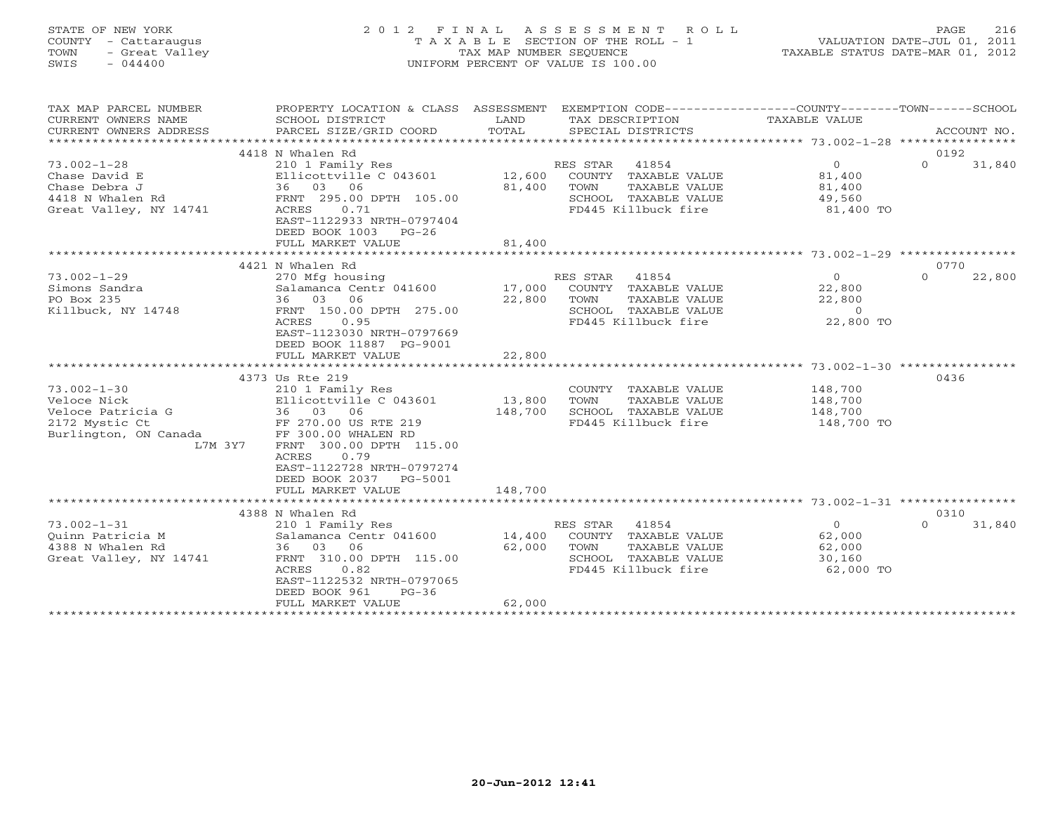## STATE OF NEW YORK 2 0 1 2 F I N A L A S S E S S M E N T R O L L PAGE 216 COUNTY - Cattaraugus T A X A B L E SECTION OF THE ROLL - 1 VALUATION DATE-JUL 01, 2011 TOWN - Great Valley TAX MAP NUMBER SEQUENCE TAXABLE STATUS DATE-MAR 01, 2012 SWIS - 044400 UNIFORM PERCENT OF VALUE IS 100.00

| TAX MAP PARCEL NUMBER<br>CURRENT OWNERS NAME<br>CURRENT OWNERS ADDRESS<br>********************** | PROPERTY LOCATION & CLASS ASSESSMENT<br>SCHOOL DISTRICT<br>PARCEL SIZE/GRID COORD | LAND<br>TOTAL | EXEMPTION CODE-----------------COUNTY-------TOWN------SCHOOL<br>TAX DESCRIPTION<br>SPECIAL DISTRICTS | TAXABLE VALUE  | ACCOUNT NO.        |
|--------------------------------------------------------------------------------------------------|-----------------------------------------------------------------------------------|---------------|------------------------------------------------------------------------------------------------------|----------------|--------------------|
| 4418 N Whalen Rd<br>0192                                                                         |                                                                                   |               |                                                                                                      |                |                    |
| $73.002 - 1 - 28$                                                                                | 210 1 Family Res                                                                  |               | RES STAR<br>41854                                                                                    | $\circ$        | 31,840<br>$\Omega$ |
| Chase David E                                                                                    | Ellicottville C 043601                                                            | 12,600        | COUNTY TAXABLE VALUE                                                                                 | 81,400         |                    |
| Chase Debra J                                                                                    | 36 03 06                                                                          | 81,400        | TAXABLE VALUE<br>TOWN                                                                                | 81,400         |                    |
| 4418 N Whalen Rd                                                                                 | FRNT 295.00 DPTH 105.00                                                           |               | SCHOOL TAXABLE VALUE                                                                                 | 49,560         |                    |
| Great Valley, NY 14741                                                                           | 0.71                                                                              |               | FD445 Killbuck fire                                                                                  | 81,400 TO      |                    |
|                                                                                                  | ACRES<br>EAST-1122933 NRTH-0797404                                                |               |                                                                                                      |                |                    |
|                                                                                                  |                                                                                   |               |                                                                                                      |                |                    |
|                                                                                                  | DEED BOOK 1003<br>$PG-26$                                                         |               |                                                                                                      |                |                    |
|                                                                                                  | FULL MARKET VALUE                                                                 | 81,400        |                                                                                                      |                |                    |
|                                                                                                  |                                                                                   |               |                                                                                                      |                |                    |
|                                                                                                  | 4421 N Whalen Rd                                                                  |               |                                                                                                      |                | 0770               |
| $73.002 - 1 - 29$                                                                                | 270 Mfg housing                                                                   |               | RES STAR<br>41854                                                                                    | $\overline{0}$ | $\Omega$<br>22,800 |
| Simons Sandra                                                                                    | Salamanca Centr 041600                                                            | 17,000        | COUNTY TAXABLE VALUE                                                                                 | 22,800         |                    |
| PO Box 235                                                                                       | 36 03 06                                                                          | 22,800        | TOWN<br>TAXABLE VALUE                                                                                | 22,800         |                    |
| Killbuck, NY 14748                                                                               | FRNT 150.00 DPTH 275.00                                                           |               | SCHOOL TAXABLE VALUE                                                                                 | $\overline{0}$ |                    |
|                                                                                                  | ACRES<br>0.95                                                                     |               | FD445 Killbuck fire                                                                                  | 22,800 TO      |                    |
|                                                                                                  | EAST-1123030 NRTH-0797669                                                         |               |                                                                                                      |                |                    |
|                                                                                                  | DEED BOOK 11887 PG-9001                                                           |               |                                                                                                      |                |                    |
|                                                                                                  | FULL MARKET VALUE                                                                 | 22,800        |                                                                                                      |                |                    |
|                                                                                                  |                                                                                   |               |                                                                                                      |                |                    |
|                                                                                                  | 4373 Us Rte 219                                                                   |               |                                                                                                      |                | 0436               |
| $73.002 - 1 - 30$                                                                                | 210 1 Family Res                                                                  |               | COUNTY TAXABLE VALUE                                                                                 | 148,700        |                    |
| Veloce Nick                                                                                      | Ellicottville C 043601                                                            | 13,800        | TOWN<br>TAXABLE VALUE                                                                                | 148,700        |                    |
| Veloce Patricia G                                                                                | 36 03 06                                                                          | 148,700       | SCHOOL TAXABLE VALUE                                                                                 | 148,700        |                    |
| 2172 Mystic Ct                                                                                   | FF 270.00 US RTE 219                                                              |               | FD445 Killbuck fire                                                                                  | 148,700 TO     |                    |
| Burlington, ON Canada                                                                            | FF 300.00 WHALEN RD                                                               |               |                                                                                                      |                |                    |
| L7M 3Y7                                                                                          | FRNT 300.00 DPTH 115.00                                                           |               |                                                                                                      |                |                    |
|                                                                                                  | 0.79<br>ACRES                                                                     |               |                                                                                                      |                |                    |
|                                                                                                  | EAST-1122728 NRTH-0797274                                                         |               |                                                                                                      |                |                    |
|                                                                                                  | DEED BOOK 2037 PG-5001                                                            |               |                                                                                                      |                |                    |
|                                                                                                  | FULL MARKET VALUE                                                                 | 148,700       |                                                                                                      |                |                    |
|                                                                                                  |                                                                                   |               |                                                                                                      |                |                    |
|                                                                                                  | 4388 N Whalen Rd                                                                  |               |                                                                                                      |                | 0310               |
| $73.002 - 1 - 31$                                                                                | 210 1 Family Res                                                                  |               | 41854<br>RES STAR                                                                                    | $\overline{O}$ | $\Omega$<br>31,840 |
| Ouinn Patricia M                                                                                 | Salamanca Centr 041600                                                            | 14,400        | COUNTY TAXABLE VALUE                                                                                 | 62,000         |                    |
| 4388 N Whalen Rd                                                                                 | 36 03 06                                                                          | 62,000        | TOWN<br>TAXABLE VALUE                                                                                | 62,000         |                    |
| Great Valley, NY 14741                                                                           | FRNT 310.00 DPTH 115.00                                                           |               | SCHOOL TAXABLE VALUE                                                                                 | 30,160         |                    |
|                                                                                                  | ACRES<br>0.82                                                                     |               | FD445 Killbuck fire                                                                                  | 62,000 TO      |                    |
|                                                                                                  | EAST-1122532 NRTH-0797065                                                         |               |                                                                                                      |                |                    |
|                                                                                                  | DEED BOOK 961<br>$PG-36$                                                          |               |                                                                                                      |                |                    |
|                                                                                                  | FULL MARKET VALUE                                                                 | 62,000        |                                                                                                      |                |                    |
|                                                                                                  |                                                                                   |               |                                                                                                      |                |                    |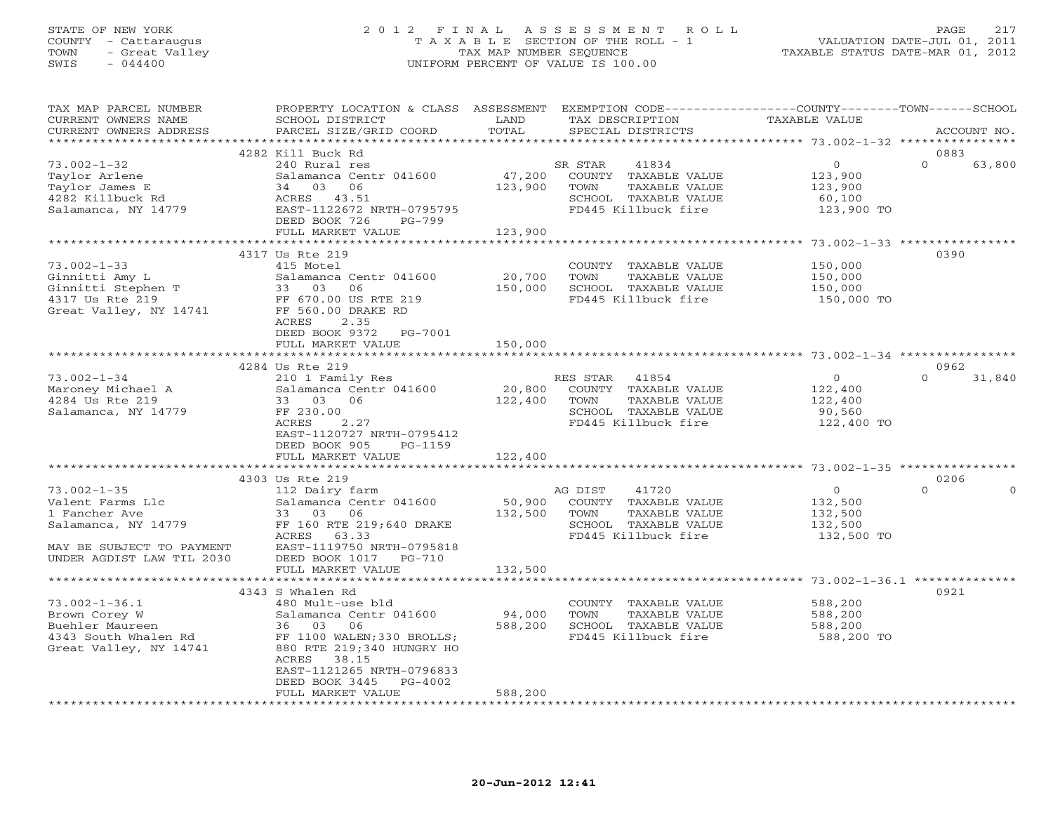### STATE OF NEW YORK 2 0 1 2 F I N A L A S S E S S M E N T R O L L PAGE 217 COUNTY - Cattaraugus T A X A B L E SECTION OF THE ROLL - 1 VALUATION DATE-JUL 01, 2011 TOWN - Great Valley TAX MAP NUMBER SEQUENCE TAXABLE STATUS DATE-MAR 01, 2012 SWIS - 044400 UNIFORM PERCENT OF VALUE IS 100.00UNIFORM PERCENT OF VALUE IS 100.00

| TAX MAP PARCEL NUMBER<br>CURRENT OWNERS NAME<br>CURRENT OWNERS ADDRESS | PROPERTY LOCATION & CLASS ASSESSMENT<br>SCHOOL DISTRICT<br>PARCEL SIZE/GRID COORD | LAND<br>TOTAL             | EXEMPTION CODE-----------------COUNTY-------TOWN------SCHOOL<br>TAX DESCRIPTION<br>SPECIAL DISTRICTS | <b>TAXABLE VALUE</b>                                       | ACCOUNT NO.                  |
|------------------------------------------------------------------------|-----------------------------------------------------------------------------------|---------------------------|------------------------------------------------------------------------------------------------------|------------------------------------------------------------|------------------------------|
|                                                                        | * * * * * * * * * * * * * * * * * * * *                                           | *********                 |                                                                                                      | ********************** 73.002-1-32 ****************        |                              |
|                                                                        | 4282 Kill Buck Rd                                                                 |                           |                                                                                                      |                                                            | 0883                         |
| $73.002 - 1 - 32$                                                      | 240 Rural res                                                                     |                           | SR STAR<br>41834                                                                                     | $\circ$                                                    | $\Omega$<br>63,800           |
| Taylor Arlene                                                          | Salamanca Centr 041600                                                            | 47,200                    | COUNTY TAXABLE VALUE                                                                                 | 123,900                                                    |                              |
| Taylor James E                                                         | 34 03<br>06                                                                       | 123,900                   | TOWN<br>TAXABLE VALUE                                                                                | 123,900                                                    |                              |
| 4282 Killbuck Rd                                                       | ACRES<br>43.51                                                                    |                           | SCHOOL TAXABLE VALUE                                                                                 | 60,100                                                     |                              |
| Salamanca, NY 14779                                                    | EAST-1122672 NRTH-0795795                                                         |                           | FD445 Killbuck fire                                                                                  | 123,900 TO                                                 |                              |
|                                                                        | DEED BOOK 726<br>$PG-799$                                                         |                           |                                                                                                      |                                                            |                              |
|                                                                        | FULL MARKET VALUE<br>******************************                               | 123,900<br>************** |                                                                                                      |                                                            |                              |
|                                                                        | 4317 Us Rte 219                                                                   |                           |                                                                                                      |                                                            | 0390                         |
| $73.002 - 1 - 33$                                                      | 415 Motel                                                                         |                           | COUNTY TAXABLE VALUE                                                                                 | 150,000                                                    |                              |
| Ginnitti Amy L                                                         | Salamanca Centr 041600                                                            | 20,700                    | TOWN<br>TAXABLE VALUE                                                                                | 150,000                                                    |                              |
| Ginnitti Stephen T                                                     | 33<br>03<br>06                                                                    | 150,000                   | SCHOOL TAXABLE VALUE                                                                                 | 150,000                                                    |                              |
| 4317 Us Rte 219                                                        | FF 670.00 US RTE 219                                                              |                           | FD445 Killbuck fire                                                                                  | 150,000 TO                                                 |                              |
| Great Valley, NY 14741                                                 | FF 560.00 DRAKE RD                                                                |                           |                                                                                                      |                                                            |                              |
|                                                                        | 2.35<br>ACRES                                                                     |                           |                                                                                                      |                                                            |                              |
|                                                                        | DEED BOOK 9372<br>PG-7001                                                         |                           |                                                                                                      |                                                            |                              |
|                                                                        | FULL MARKET VALUE                                                                 | 150,000                   |                                                                                                      |                                                            |                              |
|                                                                        | ***************************                                                       |                           |                                                                                                      |                                                            |                              |
|                                                                        | 4284 Us Rte 219                                                                   |                           |                                                                                                      |                                                            | 0962                         |
| $73.002 - 1 - 34$                                                      | 210 1 Family Res                                                                  |                           | RES STAR<br>41854                                                                                    | $\overline{0}$                                             | $\Omega$<br>31,840           |
| Maroney Michael A                                                      | Salamanca Centr 041600                                                            | 20,800                    | COUNTY TAXABLE VALUE                                                                                 | 122,400                                                    |                              |
| 4284 Us Rte 219                                                        | 33 03 06                                                                          | 122,400                   | TAXABLE VALUE<br>TOWN                                                                                | 122,400                                                    |                              |
| Salamanca, NY 14779                                                    | FF 230.00                                                                         |                           | SCHOOL TAXABLE VALUE                                                                                 | 90,560                                                     |                              |
|                                                                        | ACRES<br>2.27                                                                     |                           | FD445 Killbuck fire                                                                                  | 122,400 TO                                                 |                              |
|                                                                        | EAST-1120727 NRTH-0795412                                                         |                           |                                                                                                      |                                                            |                              |
|                                                                        | DEED BOOK 905<br>$PG-1159$                                                        |                           |                                                                                                      |                                                            |                              |
|                                                                        | FULL MARKET VALUE                                                                 | 122,400<br>**********     |                                                                                                      |                                                            |                              |
|                                                                        |                                                                                   |                           |                                                                                                      | **************************** 73.002-1-35 ***************** |                              |
| $73.002 - 1 - 35$                                                      | 4303 Us Rte 219<br>112 Dairy farm                                                 |                           | AG DIST<br>41720                                                                                     | $\circ$                                                    | 0206<br>$\Omega$<br>$\Omega$ |
| Valent Farms Llc                                                       | Salamanca Centr 041600                                                            | 50,900                    | COUNTY TAXABLE VALUE                                                                                 | 132,500                                                    |                              |
| 1 Fancher Ave                                                          | 33 03 06                                                                          | 132,500                   | TOWN<br>TAXABLE VALUE                                                                                | 132,500                                                    |                              |
| Salamanca, NY 14779                                                    | FF 160 RTE 219;640 DRAKE                                                          |                           | SCHOOL TAXABLE VALUE                                                                                 | 132,500                                                    |                              |
|                                                                        | 63.33<br>ACRES                                                                    |                           | FD445 Killbuck fire                                                                                  | 132,500 TO                                                 |                              |
| MAY BE SUBJECT TO PAYMENT                                              | EAST-1119750 NRTH-0795818                                                         |                           |                                                                                                      |                                                            |                              |
| UNDER AGDIST LAW TIL 2030                                              | DEED BOOK 1017<br>PG-710                                                          |                           |                                                                                                      |                                                            |                              |
|                                                                        | FULL MARKET VALUE                                                                 | 132,500                   |                                                                                                      |                                                            |                              |
|                                                                        |                                                                                   |                           |                                                                                                      |                                                            |                              |
|                                                                        | 4343 S Whalen Rd                                                                  |                           |                                                                                                      |                                                            | 0921                         |
| $73.002 - 1 - 36.1$                                                    | 480 Mult-use bld                                                                  |                           | COUNTY TAXABLE VALUE                                                                                 | 588,200                                                    |                              |
| Brown Corey W                                                          | Salamanca Centr 041600                                                            | 94,000                    | TOWN<br>TAXABLE VALUE                                                                                | 588,200                                                    |                              |
| Buehler Maureen                                                        | 36 03<br>06                                                                       | 588,200                   | SCHOOL TAXABLE VALUE                                                                                 | 588,200                                                    |                              |
| 4343 South Whalen Rd                                                   | FF 1100 WALEN; 330 BROLLS;                                                        |                           | FD445 Killbuck fire                                                                                  | 588,200 TO                                                 |                              |
| Great Valley, NY 14741                                                 | 880 RTE 219;340 HUNGRY HO                                                         |                           |                                                                                                      |                                                            |                              |
|                                                                        | ACRES<br>38.15                                                                    |                           |                                                                                                      |                                                            |                              |
|                                                                        | EAST-1121265 NRTH-0796833                                                         |                           |                                                                                                      |                                                            |                              |
|                                                                        | DEED BOOK 3445<br>PG-4002<br>FULL MARKET VALUE                                    | 588,200                   |                                                                                                      |                                                            |                              |
|                                                                        |                                                                                   |                           |                                                                                                      |                                                            |                              |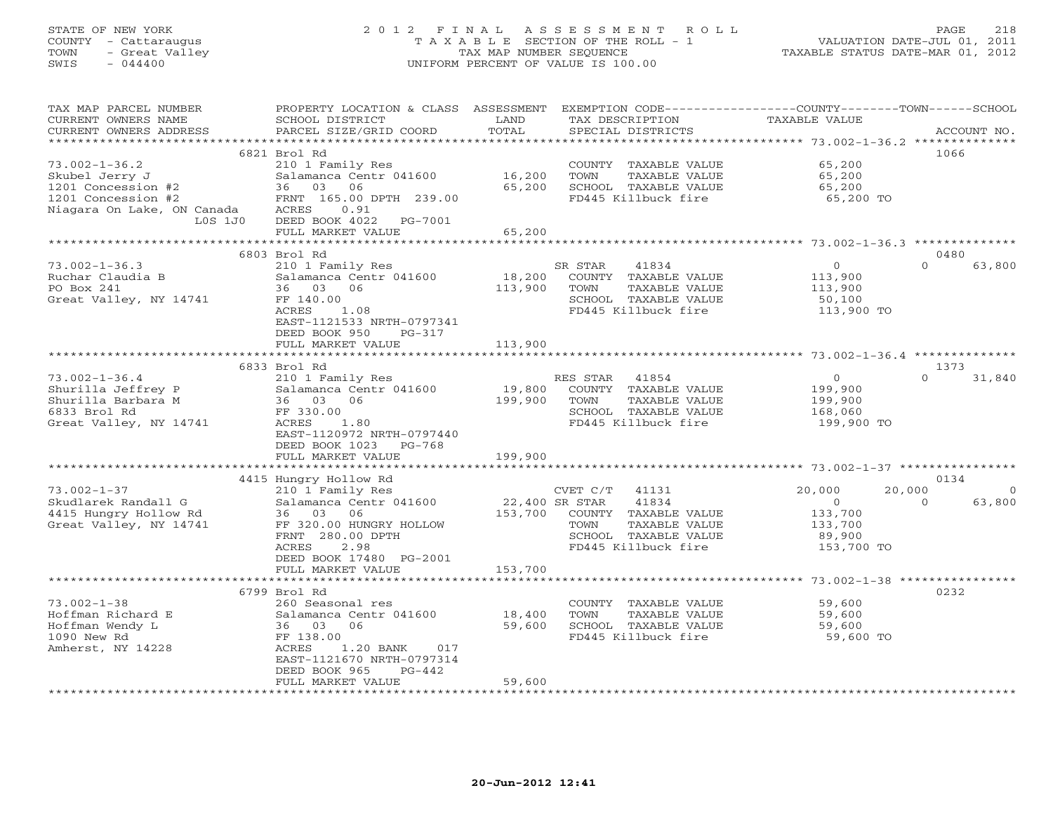# STATE OF NEW YORK 2 0 1 2 F I N A L A S S E S S M E N T R O L L PAGE 218 COUNTY - Cattaraugus T A X A B L E SECTION OF THE ROLL - 1 VALUATION DATE-JUL 01, 2011 TOWN - Great Valley TAX MAP NUMBER SEQUENCE TAXABLE STATUS DATE-MAR 01, 2012 SWIS - 044400 UNIFORM PERCENT OF VALUE IS 100.00

| TAX MAP PARCEL NUMBER<br>CURRENT OWNERS NAME     | PROPERTY LOCATION & CLASS ASSESSMENT<br>SCHOOL DISTRICT | LAND<br>TOTAL  | EXEMPTION CODE-----------------COUNTY-------TOWN------SCHOOL<br>TAX DESCRIPTION | TAXABLE VALUE |                    |
|--------------------------------------------------|---------------------------------------------------------|----------------|---------------------------------------------------------------------------------|---------------|--------------------|
| CURRENT OWNERS ADDRESS<br>********************** | PARCEL SIZE/GRID COORD                                  |                | SPECIAL DISTRICTS                                                               |               | ACCOUNT NO.        |
|                                                  | 6821 Brol Rd                                            |                |                                                                                 |               | 1066               |
| $73.002 - 1 - 36.2$                              | 210 1 Family Res                                        |                | COUNTY TAXABLE VALUE                                                            | 65,200        |                    |
| Skubel Jerry J                                   | Salamanca Centr 041600                                  | 16,200         | TOWN<br>TAXABLE VALUE                                                           | 65,200        |                    |
| 1201 Concession #2                               | 36 03 06                                                | 65,200         | SCHOOL TAXABLE VALUE                                                            | 65,200        |                    |
| 1201 Concession #2                               | FRNT 165.00 DPTH 239.00                                 |                | FD445 Killbuck fire                                                             | 65,200 TO     |                    |
| Niagara On Lake, ON Canada                       | ACRES<br>0.91                                           |                |                                                                                 |               |                    |
| L0S 1J0                                          | DEED BOOK 4022 PG-7001                                  |                |                                                                                 |               |                    |
|                                                  | FULL MARKET VALUE                                       | 65,200         |                                                                                 |               |                    |
|                                                  |                                                         |                |                                                                                 |               |                    |
|                                                  | 6803 Brol Rd                                            |                |                                                                                 |               | 0480               |
| $73.002 - 1 - 36.3$                              | 210 1 Family Res                                        |                | SR STAR<br>41834                                                                | $\circ$       | $\Omega$<br>63,800 |
| Ruchar Claudia B                                 | Salamanca Centr 041600                                  | 18,200         | COUNTY TAXABLE VALUE                                                            | 113,900       |                    |
| PO Box 241                                       | 36 03 06                                                | 113,900        | TAXABLE VALUE<br>TOWN                                                           | 113,900       |                    |
| Great Valley, NY 14741                           | FF 140.00                                               |                | SCHOOL TAXABLE VALUE                                                            | 50,100        |                    |
|                                                  | ACRES<br>1.08                                           |                | FD445 Killbuck fire                                                             | 113,900 TO    |                    |
|                                                  | EAST-1121533 NRTH-0797341                               |                |                                                                                 |               |                    |
|                                                  | DEED BOOK 950<br>PG-317                                 |                |                                                                                 |               |                    |
|                                                  | FULL MARKET VALUE                                       | 113,900        |                                                                                 |               |                    |
|                                                  |                                                         |                |                                                                                 |               |                    |
|                                                  | 6833 Brol Rd                                            |                |                                                                                 |               | 1373               |
| $73.002 - 1 - 36.4$                              | 210 1 Family Res                                        |                | RES STAR<br>41854                                                               | $\circ$       | $\Omega$<br>31,840 |
| Shurilla Jeffrey P                               | Salamanca Centr 041600                                  | 19,800         | COUNTY TAXABLE VALUE                                                            | 199,900       |                    |
| Shurilla Barbara M                               | 36 03 06                                                | 199,900        | TOWN<br>TAXABLE VALUE                                                           | 199,900       |                    |
| 6833 Brol Rd                                     | FF 330.00                                               |                | SCHOOL TAXABLE VALUE                                                            | 168,060       |                    |
| Great Valley, NY 14741                           | ACRES<br>1.80                                           |                | FD445 Killbuck fire                                                             | 199,900 TO    |                    |
|                                                  | EAST-1120972 NRTH-0797440                               |                |                                                                                 |               |                    |
|                                                  | DEED BOOK 1023 PG-768                                   |                |                                                                                 |               |                    |
|                                                  | FULL MARKET VALUE                                       | 199,900        |                                                                                 |               |                    |
|                                                  |                                                         |                |                                                                                 |               | 0134               |
| $73.002 - 1 - 37$                                | 4415 Hungry Hollow Rd<br>210 1 Family Res               |                | 41131<br>CVET C/T                                                               | 20,000        | 20,000<br>$\Omega$ |
| Skudlarek Randall G                              | Salamanca Centr 041600                                  | 22,400 SR STAR | 41834                                                                           | $\Omega$      | 63,800<br>$\Omega$ |
| 4415 Hungry Hollow Rd                            | 36 03 06                                                |                | 153,700 COUNTY TAXABLE VALUE                                                    | 133,700       |                    |
| Great Valley, NY 14741                           | FF 320.00 HUNGRY HOLLOW                                 |                | TAXABLE VALUE<br>TOWN                                                           | 133,700       |                    |
|                                                  | FRNT 280.00 DPTH                                        |                | SCHOOL TAXABLE VALUE                                                            | 89,900        |                    |
|                                                  | <b>ACRES</b><br>2.98                                    |                | FD445 Killbuck fire                                                             | 153,700 TO    |                    |
|                                                  | DEED BOOK 17480 PG-2001                                 |                |                                                                                 |               |                    |
|                                                  | FULL MARKET VALUE                                       | 153,700        |                                                                                 |               |                    |
|                                                  |                                                         |                |                                                                                 |               |                    |
|                                                  | 6799 Brol Rd                                            |                |                                                                                 |               | 0232               |
| $73.002 - 1 - 38$                                | 260 Seasonal res                                        |                | COUNTY TAXABLE VALUE                                                            | 59,600        |                    |
| Hoffman Richard E                                | Salamanca Centr 041600                                  | 18,400         | TOWN<br>TAXABLE VALUE                                                           | 59,600        |                    |
| Hoffman Wendy L                                  | 36 03 06                                                | 59,600         | SCHOOL TAXABLE VALUE                                                            | 59,600        |                    |
| 1090 New Rd                                      | FF 138.00                                               |                | FD445 Killbuck fire                                                             | 59,600 TO     |                    |
| Amherst, NY 14228                                | ACRES<br>1.20 BANK<br>017                               |                |                                                                                 |               |                    |
|                                                  | EAST-1121670 NRTH-0797314                               |                |                                                                                 |               |                    |
|                                                  | DEED BOOK 965<br>$PG-442$                               |                |                                                                                 |               |                    |
|                                                  | FULL MARKET VALUE                                       | 59,600         |                                                                                 |               |                    |
|                                                  |                                                         |                |                                                                                 |               |                    |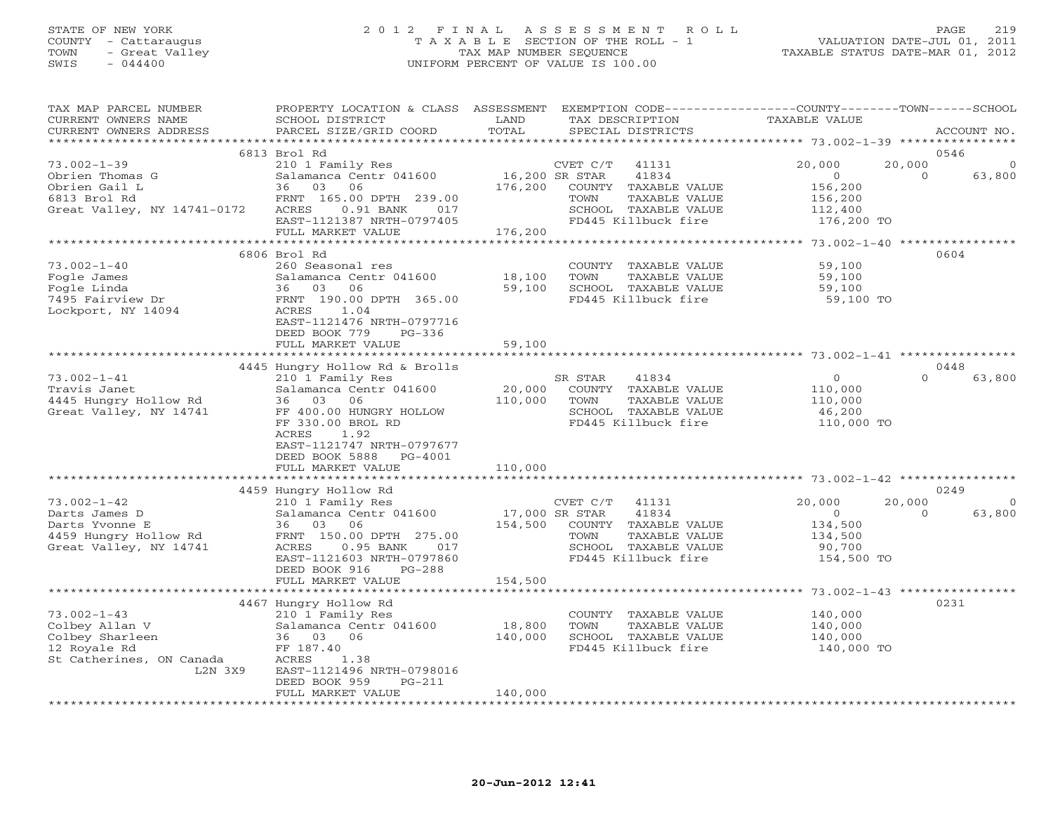# STATE OF NEW YORK 2 0 1 2 F I N A L A S S E S S M E N T R O L L PAGE 219 COUNTY - Cattaraugus T A X A B L E SECTION OF THE ROLL - 1 VALUATION DATE-JUL 01, 2011 TOWN - Great Valley TAX MAP NUMBER SEQUENCE TAXABLE STATUS DATE-MAR 01, 2012 SWIS - 044400 UNIFORM PERCENT OF VALUE IS 100.00

| TAX MAP PARCEL NUMBER<br>CURRENT OWNERS NAME | PROPERTY LOCATION & CLASS ASSESSMENT<br>SCHOOL DISTRICT | LAND                      | EXEMPTION CODE----------------COUNTY-------TOWN-----SCHOOL<br>TAX DESCRIPTION | TAXABLE VALUE             |                       |
|----------------------------------------------|---------------------------------------------------------|---------------------------|-------------------------------------------------------------------------------|---------------------------|-----------------------|
| CURRENT OWNERS ADDRESS                       | PARCEL SIZE/GRID COORD                                  | TOTAL                     | SPECIAL DISTRICTS                                                             |                           | ACCOUNT NO.           |
|                                              | 6813 Brol Rd                                            |                           |                                                                               |                           | 0546                  |
| $73.002 - 1 - 39$                            |                                                         |                           |                                                                               | 20,000                    | 20,000<br>$\mathbf 0$ |
|                                              | 210 1 Family Res                                        |                           | CVET C/T<br>41131                                                             |                           | $\Omega$              |
| Obrien Thomas G                              | Salamanca Centr 041600                                  | 16,200 SR STAR<br>176,200 | 41834                                                                         | $\overline{0}$<br>156,200 | 63,800                |
| Obrien Gail L<br>6813 Brol Rd                | 36 03<br>06<br>FRNT 165.00 DPTH 239.00                  |                           | COUNTY TAXABLE VALUE<br>TOWN                                                  |                           |                       |
|                                              | ACRES<br>0.91 BANK<br>017                               |                           | TAXABLE VALUE<br>SCHOOL TAXABLE VALUE                                         | 156,200                   |                       |
| Great Valley, NY 14741-0172                  |                                                         |                           | FD445 Killbuck fire                                                           | 112,400                   |                       |
|                                              | EAST-1121387 NRTH-0797405<br>FULL MARKET VALUE          | 176,200                   |                                                                               | 176,200 TO                |                       |
|                                              |                                                         |                           |                                                                               |                           |                       |
|                                              | 6806 Brol Rd                                            |                           |                                                                               |                           | 0604                  |
| $73.002 - 1 - 40$                            | 260 Seasonal res                                        |                           | COUNTY TAXABLE VALUE                                                          | 59,100                    |                       |
| Fogle James                                  | Salamanca Centr 041600                                  | 18,100                    | TOWN<br>TAXABLE VALUE                                                         | 59,100                    |                       |
| Fogle Linda                                  | 36 03<br>06                                             | 59,100                    | SCHOOL TAXABLE VALUE                                                          | 59,100                    |                       |
| 7495 Fairview Dr                             | FRNT 190.00 DPTH 365.00                                 |                           | FD445 Killbuck fire                                                           | 59,100 TO                 |                       |
| Lockport, NY 14094                           | ACRES 1.04                                              |                           |                                                                               |                           |                       |
|                                              | EAST-1121476 NRTH-0797716                               |                           |                                                                               |                           |                       |
|                                              | DEED BOOK 779<br>$PG-336$                               |                           |                                                                               |                           |                       |
|                                              | FULL MARKET VALUE                                       | 59,100                    |                                                                               |                           |                       |
|                                              |                                                         |                           |                                                                               |                           |                       |
|                                              | 4445 Hungry Hollow Rd & Brolls                          |                           |                                                                               |                           | 0448                  |
| $73.002 - 1 - 41$                            | 210 1 Family Res                                        |                           | SR STAR<br>41834                                                              | $\overline{0}$            | $\Omega$<br>63,800    |
| Travis Janet                                 | Salamanca Centr 041600                                  | 20,000                    | COUNTY TAXABLE VALUE                                                          | 110,000                   |                       |
| 4445 Hungry Hollow Rd                        | 36 03 06                                                | 110,000                   | TOWN<br>TAXABLE VALUE                                                         | 110,000                   |                       |
| Great Valley, NY 14741                       | FF 400.00 HUNGRY HOLLOW                                 |                           | SCHOOL TAXABLE VALUE                                                          | 46,200                    |                       |
|                                              | FF 330.00 BROL RD                                       |                           | FD445 Killbuck fire                                                           | 110,000 TO                |                       |
|                                              | ACRES<br>1.92                                           |                           |                                                                               |                           |                       |
|                                              | EAST-1121747 NRTH-0797677                               |                           |                                                                               |                           |                       |
|                                              | DEED BOOK 5888 PG-4001                                  |                           |                                                                               |                           |                       |
|                                              | FULL MARKET VALUE                                       | 110,000                   |                                                                               |                           |                       |
|                                              |                                                         |                           |                                                                               |                           |                       |
|                                              | 4459 Hungry Hollow Rd                                   |                           |                                                                               |                           | 0249                  |
| $73.002 - 1 - 42$                            | 210 1 Family Res                                        |                           | CVET C/T<br>41131                                                             | 20,000                    | 20,000<br>$\Omega$    |
| Darts James D                                | Salamanca Centr 041600                                  | 17,000 SR STAR            | 41834                                                                         | $\overline{0}$            | $\Omega$<br>63,800    |
| Darts Yvonne E                               | 36 03 06                                                |                           | 154,500 COUNTY TAXABLE VALUE                                                  | 134,500                   |                       |
| 4459 Hungry Hollow Rd                        | FRNT 150.00 DPTH 275.00                                 |                           | TOWN<br>TAXABLE VALUE                                                         | 134,500                   |                       |
| Great Valley, NY 14741                       | ACRES<br>$0.95$ BANK<br>017                             |                           | SCHOOL TAXABLE VALUE                                                          | 90,700                    |                       |
|                                              | EAST-1121603 NRTH-0797860                               |                           | FD445 Killbuck fire                                                           | 154,500 TO                |                       |
|                                              | DEED BOOK 916<br>$PG-288$                               |                           |                                                                               |                           |                       |
|                                              | FULL MARKET VALUE                                       | 154,500                   |                                                                               |                           |                       |
|                                              |                                                         |                           |                                                                               |                           |                       |
|                                              | 4467 Hungry Hollow Rd                                   |                           |                                                                               |                           | 0231                  |
| $73.002 - 1 - 43$                            | 210 1 Family Res                                        |                           | COUNTY TAXABLE VALUE                                                          | 140,000                   |                       |
| Colbey Allan V                               | Salamanca Centr 041600                                  | 18,800                    | TAXABLE VALUE<br>TOWN                                                         | 140,000                   |                       |
| Colbey Sharleen                              | 36 03 06                                                | 140,000                   | SCHOOL TAXABLE VALUE                                                          | 140,000                   |                       |
| 12 Royale Rd                                 | FF 187.40                                               |                           | FD445 Killbuck fire                                                           | 140,000 TO                |                       |
| St Catherines, ON Canada                     | ACRES<br>1.38                                           |                           |                                                                               |                           |                       |
| L2N 3X9                                      | EAST-1121496 NRTH-0798016                               |                           |                                                                               |                           |                       |
|                                              | DEED BOOK 959<br>$PG-211$                               |                           |                                                                               |                           |                       |
|                                              | FULL MARKET VALUE                                       | 140,000                   |                                                                               |                           |                       |
|                                              |                                                         |                           |                                                                               |                           |                       |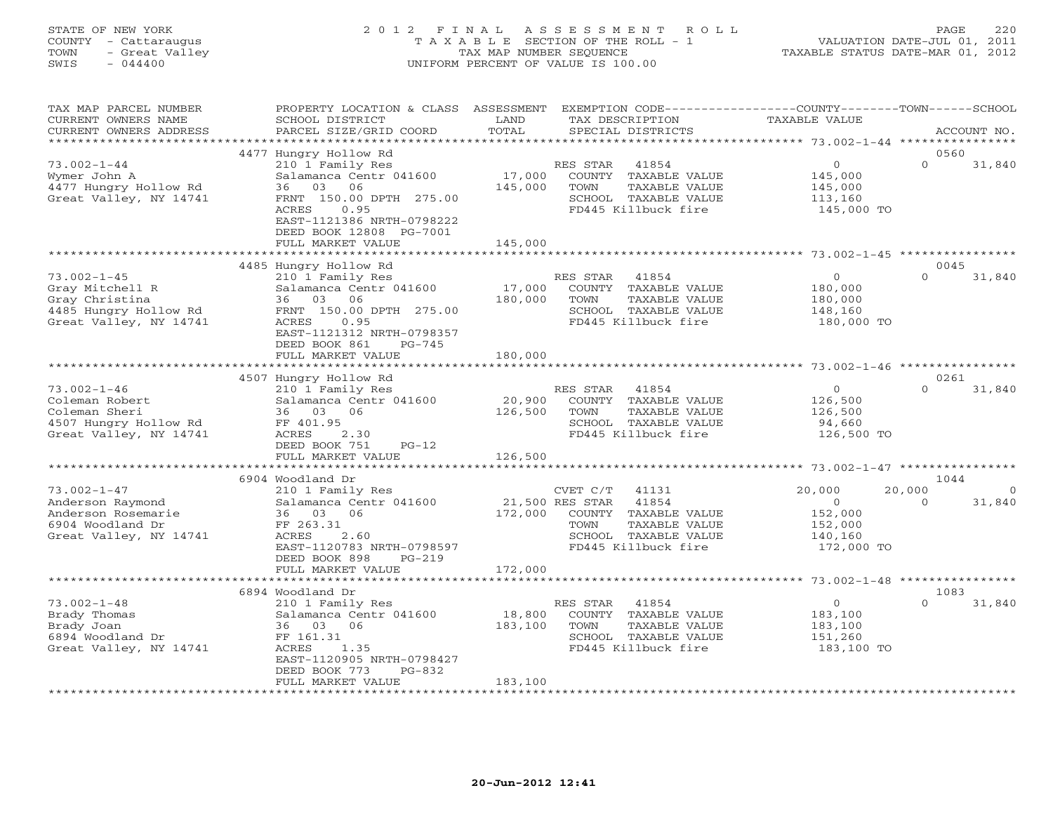# STATE OF NEW YORK 2 0 1 2 F I N A L A S S E S S M E N T R O L L PAGE 220 COUNTY - Cattaraugus T A X A B L E SECTION OF THE ROLL - 1 VALUATION DATE-JUL 01, 2011 TOWN - Great Valley TAX MAP NUMBER SEQUENCE TAXABLE STATUS DATE-MAR 01, 2012 SWIS - 044400 UNIFORM PERCENT OF VALUE IS 100.00

| TAX MAP PARCEL NUMBER<br>CURRENT OWNERS NAME<br>CURRENT OWNERS ADDRESS                                    | PROPERTY LOCATION & CLASS ASSESSMENT<br>SCHOOL DISTRICT<br>PARCEL SIZE/GRID COORD                                                                                                                                | LAND<br>TAX DESCRIPTION<br>TOTAL<br>SPECIAL DISTRICTS                                                                                                    | EXEMPTION CODE----------------COUNTY-------TOWN-----SCHOOL<br>TAXABLE VALUE<br>ACCOUNT NO.                    |
|-----------------------------------------------------------------------------------------------------------|------------------------------------------------------------------------------------------------------------------------------------------------------------------------------------------------------------------|----------------------------------------------------------------------------------------------------------------------------------------------------------|---------------------------------------------------------------------------------------------------------------|
| *********************                                                                                     |                                                                                                                                                                                                                  |                                                                                                                                                          |                                                                                                               |
| $73.002 - 1 - 44$<br>Wymer John A<br>4477 Hungry Hollow Rd<br>Great Valley, NY 14741                      | 4477 Hungry Hollow Rd<br>210 1 Family Res<br>Salamanca Centr 041600<br>03<br>06<br>36<br>FRNT 150.00 DPTH 275.00<br>ACRES<br>0.95<br>EAST-1121386 NRTH-0798222<br>DEED BOOK 12808 PG-7001<br>FULL MARKET VALUE   | RES STAR<br>41854<br>17,000<br>COUNTY TAXABLE VALUE<br>145,000<br>TOWN<br>TAXABLE VALUE<br>SCHOOL TAXABLE VALUE<br>FD445 Killbuck fire<br>145,000        | 0560<br>$\circ$<br>$\Omega$<br>31,840<br>145,000<br>145,000<br>113,160<br>145,000 TO                          |
|                                                                                                           |                                                                                                                                                                                                                  | ************                                                                                                                                             |                                                                                                               |
| $73.002 - 1 - 45$<br>Gray Mitchell R<br>Gray Christina<br>4485 Hungry Hollow Rd<br>Great Valley, NY 14741 | 4485 Hungry Hollow Rd<br>210 1 Family Res<br>Salamanca Centr 041600<br>03<br>06<br>36<br>FRNT 150.00 DPTH 275.00<br>0.95<br>ACRES<br>EAST-1121312 NRTH-0798357<br>DEED BOOK 861<br>$PG-745$<br>FULL MARKET VALUE | RES STAR<br>41854<br>17,000<br>COUNTY TAXABLE VALUE<br>180,000<br>TAXABLE VALUE<br>TOWN<br>SCHOOL TAXABLE VALUE<br>FD445 Killbuck fire<br>180,000        | 0045<br>$\circ$<br>$\Omega$<br>31,840<br>180,000<br>180,000<br>148,160<br>180,000 TO                          |
|                                                                                                           |                                                                                                                                                                                                                  | *************                                                                                                                                            | ******************************* 73.002-1-46 ***************                                                   |
|                                                                                                           | 4507 Hungry Hollow Rd                                                                                                                                                                                            |                                                                                                                                                          | 0261                                                                                                          |
| $73.002 - 1 - 46$<br>Coleman Robert<br>Coleman Sheri<br>4507 Hungry Hollow Rd<br>Great Valley, NY 14741   | 210 1 Family Res<br>Salamanca Centr 041600<br>36 03<br>06<br>FF 401.95<br>ACRES<br>2.30<br>DEED BOOK 751<br>$PG-12$<br>FULL MARKET VALUE                                                                         | RES STAR<br>41854<br>20,900<br>COUNTY TAXABLE VALUE<br>126,500<br>TOWN<br>TAXABLE VALUE<br>SCHOOL TAXABLE VALUE<br>FD445 Killbuck fire<br>126,500        | $\circ$<br>$\Omega$<br>31,840<br>126,500<br>126,500<br>94,660<br>126,500 TO                                   |
|                                                                                                           | *********************                                                                                                                                                                                            |                                                                                                                                                          |                                                                                                               |
|                                                                                                           | 6904 Woodland Dr                                                                                                                                                                                                 |                                                                                                                                                          | 1044                                                                                                          |
| $73.002 - 1 - 47$<br>Anderson Raymond<br>Anderson Rosemarie<br>6904 Woodland Dr<br>Great Valley, NY 14741 | 210 1 Family Res<br>Salamanca Centr 041600<br>36 03 06<br>FF 263.31<br>2.60<br>ACRES<br>EAST-1120783 NRTH-0798597<br>DEED BOOK 898<br>$PG-219$                                                                   | CVET C/T<br>41131<br>41854<br>21,500 RES STAR<br>172,000<br>COUNTY TAXABLE VALUE<br>TOWN<br>TAXABLE VALUE<br>SCHOOL TAXABLE VALUE<br>FD445 Killbuck fire | 20,000<br>20,000<br>$\Omega$<br>$\Omega$<br>31,840<br>$\Omega$<br>152,000<br>152,000<br>140,160<br>172,000 TO |
|                                                                                                           | FULL MARKET VALUE<br>**********************                                                                                                                                                                      | 172,000                                                                                                                                                  |                                                                                                               |
|                                                                                                           | 6894 Woodland Dr                                                                                                                                                                                                 |                                                                                                                                                          | 1083                                                                                                          |
| $73.002 - 1 - 48$<br>Brady Thomas<br>Brady Joan<br>6894 Woodland Dr<br>Great Valley, NY 14741             | 210 1 Family Res<br>Salamanca Centr 041600<br>36 03<br>06<br>FF 161.31<br>ACRES<br>1.35<br>EAST-1120905 NRTH-0798427<br>DEED BOOK 773<br>$PG-832$<br>FULL MARKET VALUE                                           | RES STAR<br>41854<br>18,800<br>COUNTY TAXABLE VALUE<br>183,100<br>TAXABLE VALUE<br>TOWN<br>SCHOOL TAXABLE VALUE<br>FD445 Killbuck fire<br>183,100        | $\Omega$<br>$\Omega$<br>31,840<br>183,100<br>183,100<br>151,260<br>183,100 TO                                 |
|                                                                                                           |                                                                                                                                                                                                                  |                                                                                                                                                          |                                                                                                               |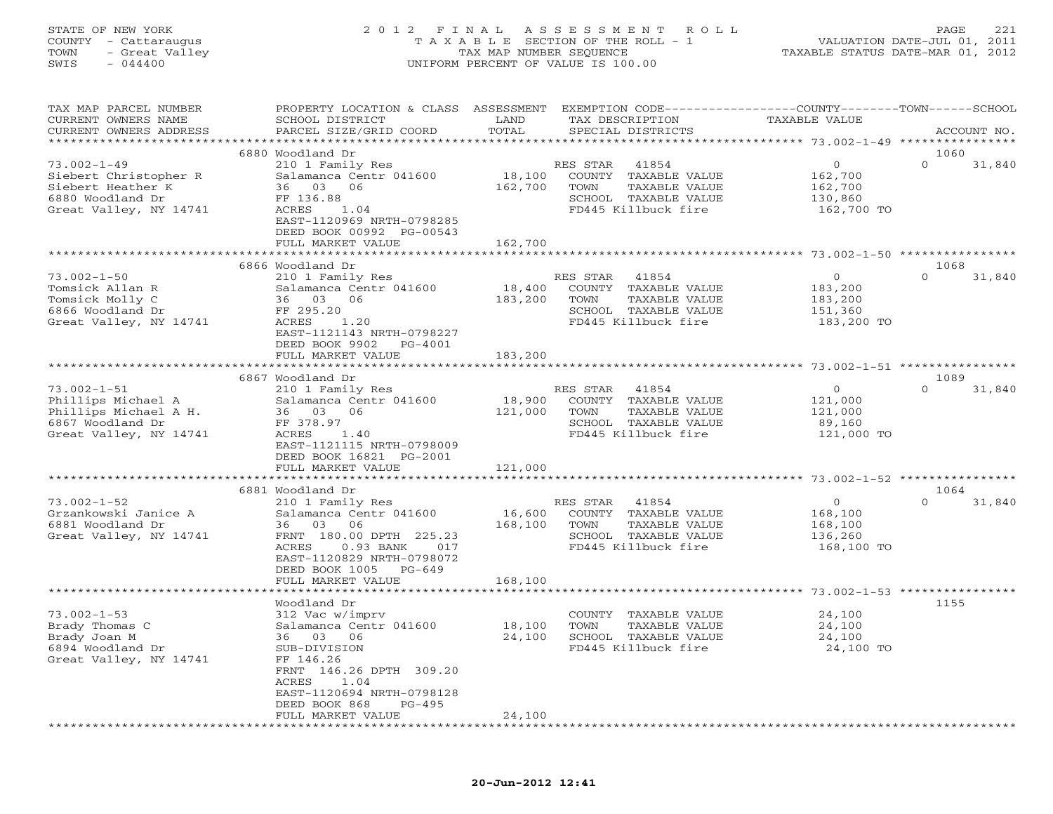# STATE OF NEW YORK 2 0 1 2 F I N A L A S S E S S M E N T R O L L PAGE 221 COUNTY - Cattaraugus T A X A B L E SECTION OF THE ROLL - 1 VALUATION DATE-JUL 01, 2011 TOWN - Great Valley TAX MAP NUMBER SEQUENCE TAXABLE STATUS DATE-MAR 01, 2012 SWIS - 044400 UNIFORM PERCENT OF VALUE IS 100.00

| TAX MAP PARCEL NUMBER<br>CURRENT OWNERS NAME<br>CURRENT OWNERS ADDRESS                                         | PROPERTY LOCATION & CLASS ASSESSMENT<br>SCHOOL DISTRICT<br>PARCEL SIZE/GRID COORD                                                                                                                       | LAND<br>TOTAL                | EXEMPTION CODE-----------------COUNTY-------TOWN------SCHOOL<br>TAX DESCRIPTION<br>SPECIAL DISTRICTS              | <b>TAXABLE VALUE</b>                                         | ACCOUNT NO.                |
|----------------------------------------------------------------------------------------------------------------|---------------------------------------------------------------------------------------------------------------------------------------------------------------------------------------------------------|------------------------------|-------------------------------------------------------------------------------------------------------------------|--------------------------------------------------------------|----------------------------|
|                                                                                                                |                                                                                                                                                                                                         |                              |                                                                                                                   |                                                              |                            |
| $73.002 - 1 - 49$<br>Siebert Christopher R<br>Siebert Heather K<br>6880 Woodland Dr<br>Great Valley, NY 14741  | 6880 Woodland Dr<br>210 1 Family Res<br>Salamanca Centr 041600<br>36 03<br>06<br>FF 136.88<br>ACRES<br>1.04<br>EAST-1120969 NRTH-0798285<br>DEED BOOK 00992 PG-00543                                    | 18,100<br>162,700            | RES STAR<br>41854<br>COUNTY TAXABLE VALUE<br>TOWN<br>TAXABLE VALUE<br>SCHOOL TAXABLE VALUE<br>FD445 Killbuck fire | $\circ$<br>162,700<br>162,700<br>130,860<br>162,700 TO       | 1060<br>$\Omega$<br>31,840 |
|                                                                                                                | FULL MARKET VALUE                                                                                                                                                                                       | 162,700                      |                                                                                                                   |                                                              |                            |
|                                                                                                                |                                                                                                                                                                                                         |                              |                                                                                                                   |                                                              |                            |
| $73.002 - 1 - 50$<br>Tomsick Allan R<br>Tomsick Molly C<br>6866 Woodland Dr<br>Great Valley, NY 14741          | 6866 Woodland Dr<br>210 1 Family Res<br>Salamanca Centr 041600<br>36 03 06<br>FF 295.20<br>ACRES<br>1.20<br>EAST-1121143 NRTH-0798227<br>DEED BOOK 9902<br>PG-4001<br>FULL MARKET VALUE                 | 18,400<br>183,200<br>183,200 | RES STAR<br>41854<br>COUNTY TAXABLE VALUE<br>TOWN<br>TAXABLE VALUE<br>SCHOOL TAXABLE VALUE<br>FD445 Killbuck fire | $\circ$<br>183,200<br>183,200<br>151,360<br>183,200 TO       | 1068<br>$\Omega$<br>31,840 |
|                                                                                                                |                                                                                                                                                                                                         |                              |                                                                                                                   |                                                              |                            |
| $73.002 - 1 - 51$<br>Phillips Michael A<br>Phillips Michael A H.<br>6867 Woodland Dr<br>Great Valley, NY 14741 | 6867 Woodland Dr<br>210 1 Family Res<br>Salamanca Centr 041600<br>36 03 06<br>FF 378.97<br>ACRES<br>1.40<br>EAST-1121115 NRTH-0798009<br>DEED BOOK 16821 PG-2001                                        | 18,900<br>121,000            | 41854<br>RES STAR<br>COUNTY TAXABLE VALUE<br>TOWN<br>TAXABLE VALUE<br>SCHOOL TAXABLE VALUE<br>FD445 Killbuck fire | $\overline{O}$<br>121,000<br>121,000<br>89,160<br>121,000 TO | 1089<br>$\Omega$<br>31,840 |
|                                                                                                                | FULL MARKET VALUE                                                                                                                                                                                       | 121,000<br>********          |                                                                                                                   | *********** 73.002-1-52 ************                         |                            |
|                                                                                                                | 6881 Woodland Dr                                                                                                                                                                                        |                              |                                                                                                                   |                                                              | 1064                       |
| $73.002 - 1 - 52$<br>Grzankowski Janice A<br>6881 Woodland Dr<br>Great Valley, NY 14741                        | 210 1 Family Res<br>Salamanca Centr 041600<br>36 03<br>06<br>FRNT 180.00 DPTH 225.23<br>ACRES<br>0.93 BANK<br>017<br>EAST-1120829 NRTH-0798072<br>DEED BOOK 1005<br>$PG-649$<br>FULL MARKET VALUE       | 16,600<br>168,100<br>168,100 | RES STAR<br>41854<br>COUNTY TAXABLE VALUE<br>TOWN<br>TAXABLE VALUE<br>SCHOOL TAXABLE VALUE<br>FD445 Killbuck fire | $\circ$<br>168,100<br>168,100<br>136,260<br>168,100 TO       | $\Omega$<br>31,840         |
|                                                                                                                |                                                                                                                                                                                                         | ***************              |                                                                                                                   |                                                              |                            |
| $73.002 - 1 - 53$<br>Brady Thomas C<br>Brady Joan M<br>6894 Woodland Dr<br>Great Valley, NY 14741              | Woodland Dr<br>312 Vac w/imprv<br>Salamanca Centr 041600<br>36 03 06<br>SUB-DIVISION<br>FF 146.26<br>FRNT 146.26 DPTH 309.20<br>1.04<br>ACRES<br>EAST-1120694 NRTH-0798128<br>$PG-495$<br>DEED BOOK 868 | 18,100<br>24,100             | COUNTY TAXABLE VALUE<br>TOWN<br>TAXABLE VALUE<br>SCHOOL TAXABLE VALUE<br>FD445 Killbuck fire                      | 24,100<br>24,100<br>24,100<br>24,100 TO                      | 1155                       |
| *********************                                                                                          | FULL MARKET VALUE<br>***********************                                                                                                                                                            | 24,100<br>*************      |                                                                                                                   |                                                              |                            |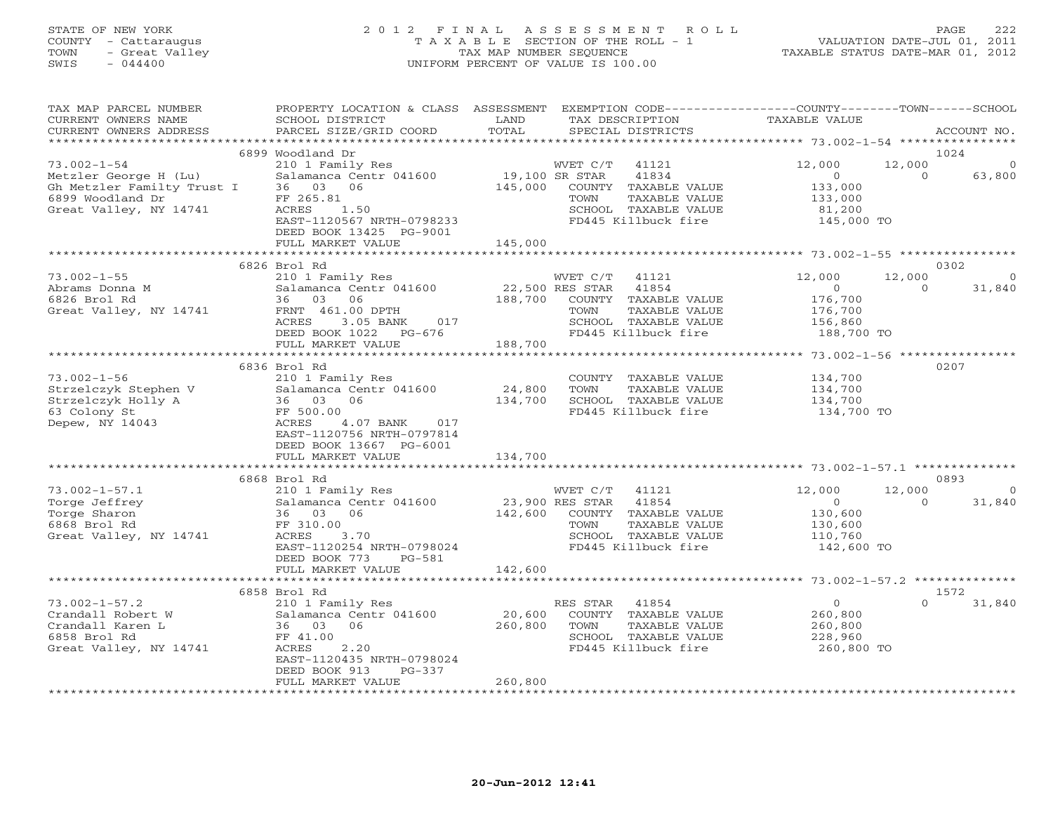# STATE OF NEW YORK 2 0 1 2 F I N A L A S S E S S M E N T R O L L PAGE 222 COUNTY - Cattaraugus T A X A B L E SECTION OF THE ROLL - 1 VALUATION DATE-JUL 01, 2011 TOWN - Great Valley TAX MAP NUMBER SEQUENCE TAXABLE STATUS DATE-MAR 01, 2012 SWIS - 044400 UNIFORM PERCENT OF VALUE IS 100.00

| TAX MAP PARCEL NUMBER<br>CURRENT OWNERS NAME<br>CURRENT OWNERS ADDRESS | PROPERTY LOCATION & CLASS ASSESSMENT EXEMPTION CODE---------------COUNTY-------TOWN------SCHOOL<br>SCHOOL DISTRICT<br>PARCEL SIZE/GRID COORD | LAND<br>TOTAL   | TAX DESCRIPTION<br>SPECIAL DISTRICTS          | TAXABLE VALUE         |          | ACCOUNT NO.  |
|------------------------------------------------------------------------|----------------------------------------------------------------------------------------------------------------------------------------------|-----------------|-----------------------------------------------|-----------------------|----------|--------------|
|                                                                        |                                                                                                                                              |                 |                                               |                       |          |              |
|                                                                        | 6899 Woodland Dr                                                                                                                             |                 |                                               |                       |          | 1024         |
| $73.002 - 1 - 54$                                                      | 210 1 Family Res                                                                                                                             |                 | WVET C/T<br>41121                             | 12,000                | 12,000   | $\mathbf 0$  |
| Metzler George H (Lu)                                                  | Salamanca Centr 041600                                                                                                                       | 19,100 SR STAR  | 41834                                         | $\overline{O}$        | $\Omega$ | 63,800       |
| Gh Metzler Familty Trust I 36 03 06                                    |                                                                                                                                              | 145,000         | COUNTY TAXABLE VALUE                          | 133,000               |          |              |
| 6899 Woodland Dr                                                       | FF 265.81                                                                                                                                    |                 | TOWN<br>TAXABLE VALUE                         | 133,000               |          |              |
| Great Valley, NY 14741                                                 | ACRES<br>1.50                                                                                                                                |                 | SCHOOL TAXABLE VALUE                          | 81,200                |          |              |
|                                                                        | EAST-1120567 NRTH-0798233                                                                                                                    |                 | FD445 Killbuck fire                           | 145,000 TO            |          |              |
|                                                                        | DEED BOOK 13425 PG-9001                                                                                                                      |                 |                                               |                       |          |              |
|                                                                        | FULL MARKET VALUE                                                                                                                            | 145,000         |                                               |                       |          |              |
|                                                                        |                                                                                                                                              |                 |                                               |                       |          |              |
|                                                                        | 6826 Brol Rd                                                                                                                                 |                 |                                               |                       |          | 0302         |
| $73.002 - 1 - 55$                                                      | 210 1 Family Res                                                                                                                             |                 | WVET C/T<br>41121                             | 12,000                | 12,000   | $\mathbf{0}$ |
| Abrams Donna M                                                         | Salamanca Centr 041600                                                                                                                       | 22,500 RES STAR | 41854                                         | $\overline{0}$        | $\Omega$ | 31,840       |
| 6826 Brol Rd                                                           | 36 03 06                                                                                                                                     | 188,700         | COUNTY TAXABLE VALUE                          | 176,700               |          |              |
| Great Valley, NY 14741                                                 | FRNT 461.00 DPTH                                                                                                                             |                 | TOWN<br>TAXABLE VALUE                         | 176,700               |          |              |
|                                                                        | ACRES<br>3.05 BANK<br>017                                                                                                                    |                 | SCHOOL TAXABLE VALUE                          | 156,860<br>188,700 TO |          |              |
|                                                                        | DEED BOOK 1022 PG-676                                                                                                                        |                 | FD445 Killbuck fire                           |                       |          |              |
|                                                                        | FULL MARKET VALUE                                                                                                                            | 188,700         |                                               |                       |          |              |
|                                                                        |                                                                                                                                              |                 |                                               |                       |          |              |
|                                                                        | 6836 Brol Rd                                                                                                                                 |                 |                                               |                       |          | 0207         |
| $73.002 - 1 - 56$                                                      | 210 1 Family Res                                                                                                                             |                 | COUNTY TAXABLE VALUE                          | 134,700               |          |              |
| Strzelczyk Stephen V                                                   | Salamanca Centr 041600                                                                                                                       | 24,800          | TAXABLE VALUE<br>TOWN                         | 134,700               |          |              |
| Strzelczyk Holly A                                                     | 36 03 06                                                                                                                                     | 134,700         | SCHOOL TAXABLE VALUE                          | 134,700               |          |              |
| 63 Colony St                                                           | FF 500.00                                                                                                                                    |                 | FD445 Killbuck fire                           | 134,700 TO            |          |              |
| Depew, NY 14043                                                        | ACRES<br>4.07 BANK 017                                                                                                                       |                 |                                               |                       |          |              |
|                                                                        | EAST-1120756 NRTH-0797814                                                                                                                    |                 |                                               |                       |          |              |
|                                                                        | DEED BOOK 13667 PG-6001                                                                                                                      |                 |                                               |                       |          |              |
|                                                                        | FULL MARKET VALUE                                                                                                                            | 134,700         |                                               |                       |          |              |
|                                                                        |                                                                                                                                              |                 |                                               |                       |          |              |
|                                                                        | 6868 Brol Rd                                                                                                                                 |                 |                                               |                       |          | 0893         |
| $73.002 - 1 - 57.1$                                                    | 210 1 Family Res                                                                                                                             |                 | 41121<br>WVET C/T                             | 12,000                | 12,000   | $\Omega$     |
| Torge Jeffrey                                                          | Salamanca Centr 041600                                                                                                                       | 23,900 RES STAR | 41854                                         | $\overline{0}$        | $\Omega$ | 31,840       |
| Torge Sharon                                                           | 36 03 06                                                                                                                                     | 142,600         | COUNTY TAXABLE VALUE                          | 130,600               |          |              |
| 6868 Brol Rd                                                           | FF 310.00                                                                                                                                    |                 | TOWN<br>TAXABLE VALUE                         | 130,600               |          |              |
| Great Valley, NY 14741                                                 | ACRES<br>3.70                                                                                                                                |                 | SCHOOL TAXABLE VALUE                          | 110,760               |          |              |
|                                                                        | EAST-1120254 NRTH-0798024                                                                                                                    |                 | FD445 Killbuck fire                           | 142,600 TO            |          |              |
|                                                                        | DEED BOOK 773<br>PG-581                                                                                                                      |                 |                                               |                       |          |              |
|                                                                        | FULL MARKET VALUE                                                                                                                            | 142,600         |                                               |                       |          |              |
|                                                                        | 6858 Brol Rd                                                                                                                                 |                 |                                               |                       |          | 1572         |
| $73.002 - 1 - 57.2$                                                    |                                                                                                                                              |                 | 41854                                         | $\overline{0}$        | $\Omega$ | 31,840       |
| Crandall Robert W                                                      | 210 1 Family Res<br>Salamanca Centr 041600                                                                                                   | 20,600          | RES STAR<br>COUNTY TAXABLE VALUE              | 260,800               |          |              |
| Crandall Karen L                                                       |                                                                                                                                              |                 |                                               |                       |          |              |
| 6858 Brol Rd                                                           | 36 03 06<br>FF 41.00                                                                                                                         | 260,800         | TOWN<br>TAXABLE VALUE<br>SCHOOL TAXABLE VALUE | 260,800<br>228,960    |          |              |
| Great Valley, NY 14741                                                 | 2.20<br>ACRES                                                                                                                                |                 | FD445 Killbuck fire                           | 260,800 TO            |          |              |
|                                                                        | EAST-1120435 NRTH-0798024                                                                                                                    |                 |                                               |                       |          |              |
|                                                                        | DEED BOOK 913<br>$PG-337$                                                                                                                    |                 |                                               |                       |          |              |
|                                                                        | FULL MARKET VALUE                                                                                                                            | 260,800         |                                               |                       |          |              |
|                                                                        |                                                                                                                                              |                 |                                               |                       |          |              |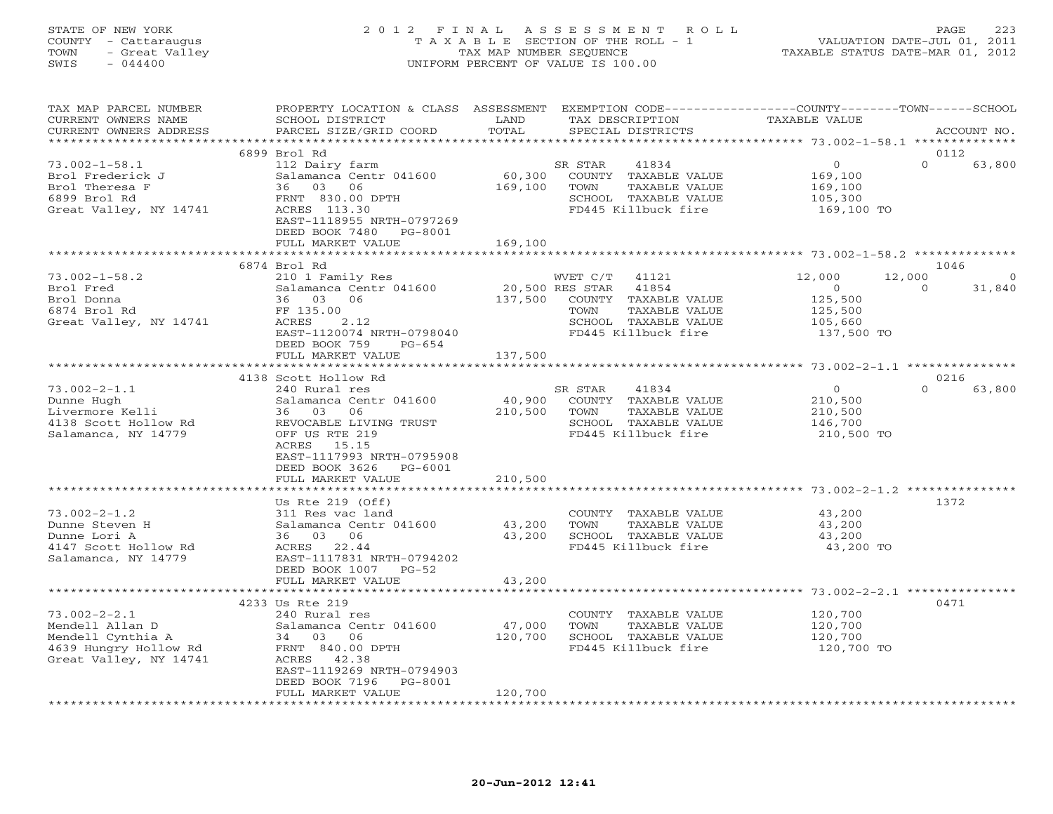# STATE OF NEW YORK 2 0 1 2 F I N A L A S S E S S M E N T R O L L PAGE 223 COUNTY - Cattaraugus T A X A B L E SECTION OF THE ROLL - 1 VALUATION DATE-JUL 01, 2011 TOWN - Great Valley TAX MAP NUMBER SEQUENCE TAXABLE STATUS DATE-MAR 01, 2012 SWIS - 044400 UNIFORM PERCENT OF VALUE IS 100.00

| TAX MAP PARCEL NUMBER<br>CURRENT OWNERS NAME                                                                  | PROPERTY LOCATION & CLASS ASSESSMENT<br>SCHOOL DISTRICT                                                                                                                 | LAND                             |                  | TAX DESCRIPTION                                                                               | EXEMPTION CODE----------------COUNTY-------TOWN------SCHOOL<br>TAXABLE VALUE |                    |                    |
|---------------------------------------------------------------------------------------------------------------|-------------------------------------------------------------------------------------------------------------------------------------------------------------------------|----------------------------------|------------------|-----------------------------------------------------------------------------------------------|------------------------------------------------------------------------------|--------------------|--------------------|
| CURRENT OWNERS ADDRESS<br>***********************                                                             | PARCEL SIZE/GRID COORD                                                                                                                                                  | TOTAL                            |                  | SPECIAL DISTRICTS                                                                             |                                                                              |                    | ACCOUNT NO.        |
|                                                                                                               | 6899 Brol Rd                                                                                                                                                            |                                  |                  |                                                                                               |                                                                              |                    | 0112               |
| $73.002 - 1 - 58.1$<br>Brol Frederick J<br>Brol Theresa F<br>6899 Brol Rd<br>Great Valley, NY 14741           | 112 Dairy farm<br>Salamanca Centr 041600<br>36 03 06<br>FRNT 830.00 DPTH<br>ACRES 113.30<br>EAST-1118955 NRTH-0797269<br>DEED BOOK 7480<br>PG-8001<br>FULL MARKET VALUE | 60,300<br>169,100<br>169,100     | SR STAR<br>TOWN  | 41834<br>COUNTY TAXABLE VALUE<br>TAXABLE VALUE<br>SCHOOL TAXABLE VALUE<br>FD445 Killbuck fire | $\overline{0}$<br>169,100<br>169,100<br>105,300<br>169,100 TO                | $\Omega$           | 63,800             |
|                                                                                                               |                                                                                                                                                                         |                                  |                  |                                                                                               |                                                                              |                    |                    |
|                                                                                                               | 6874 Brol Rd                                                                                                                                                            |                                  |                  |                                                                                               |                                                                              |                    | 1046               |
| $73.002 - 1 - 58.2$<br>Brol Fred<br>Brol Donna<br>6874 Brol Rd<br>Great Valley, NY 14741                      | 210 1 Family Res<br>Salamanca Centr 041600<br>36 03 06<br>FF 135.00<br>ACRES<br>2.12<br>EAST-1120074 NRTH-0798040<br>DEED BOOK 759<br>PG-654                            | 20,500 RES STAR 41854<br>137,500 | WVET C/T<br>TOWN | 41121<br>COUNTY TAXABLE VALUE<br>TAXABLE VALUE<br>SCHOOL TAXABLE VALUE<br>FD445 Killbuck fire | 12,000<br>$\overline{0}$<br>125,500<br>125,500<br>105,660<br>137,500 TO      | 12,000<br>$\Omega$ | $\Omega$<br>31,840 |
|                                                                                                               | FULL MARKET VALUE                                                                                                                                                       | 137,500                          |                  |                                                                                               |                                                                              |                    |                    |
|                                                                                                               |                                                                                                                                                                         |                                  |                  |                                                                                               |                                                                              |                    |                    |
| $73.002 - 2 - 1.1$<br>Dunne Hugh<br>Livermore Kelli                                                           | 4138 Scott Hollow Rd<br>240 Rural res<br>Salamanca Centr 041600<br>36 03<br>06                                                                                          | 40,900<br>210,500                | SR STAR<br>TOWN  | 41834<br>COUNTY TAXABLE VALUE<br>TAXABLE VALUE                                                | $\overline{0}$<br>210,500<br>210,500                                         |                    | 0216<br>63,800     |
| 4138 Scott Hollow Rd<br>Salamanca, NY 14779                                                                   | REVOCABLE LIVING TRUST<br>OFF US RTE 219<br>ACRES 15.15<br>EAST-1117993 NRTH-0795908<br>DEED BOOK 3626 PG-6001<br>FULL MARKET VALUE                                     | 210,500                          |                  | SCHOOL TAXABLE VALUE<br>FD445 Killbuck fire                                                   | 146,700<br>210,500 TO                                                        |                    |                    |
|                                                                                                               |                                                                                                                                                                         |                                  |                  |                                                                                               |                                                                              |                    |                    |
|                                                                                                               | Us Rte $219$ (Off)                                                                                                                                                      |                                  |                  |                                                                                               |                                                                              |                    | 1372               |
| $73.002 - 2 - 1.2$<br>Dunne Steven H<br>Dunne Lori A<br>4147 Scott Hollow Rd<br>Salamanca, NY 14779           | 311 Res vac land<br>Salamanca Centr 041600<br>36 03 06<br>ACRES 22.44<br>EAST-1117831 NRTH-0794202<br>DEED BOOK 1007 PG-52                                              | 43,200<br>43,200                 | TOWN             | COUNTY TAXABLE VALUE<br>TAXABLE VALUE<br>SCHOOL TAXABLE VALUE<br>FD445 Killbuck fire          | 43,200<br>43,200<br>43,200<br>43,200 TO                                      |                    |                    |
|                                                                                                               | FULL MARKET VALUE                                                                                                                                                       | 43,200                           |                  |                                                                                               |                                                                              |                    |                    |
|                                                                                                               |                                                                                                                                                                         |                                  |                  |                                                                                               |                                                                              |                    |                    |
| $73.002 - 2 - 2.1$<br>Mendell Allan D<br>Mendell Cynthia A<br>4639 Hungry Hollow Rd<br>Great Valley, NY 14741 | 4233 Us Rte 219<br>240 Rural res<br>Salamanca Centr 041600<br>34 03 06<br>Rd FRNT 840.00 DPTH<br>ACRES 42.38<br>EAST-1119269 NRTH-0794903<br>DEED BOOK 7196<br>PG-8001  | 47,000<br>120,700                | TOWN             | COUNTY TAXABLE VALUE<br>TAXABLE VALUE<br>SCHOOL TAXABLE VALUE<br>FD445 Killbuck fire          | 120,700<br>120,700<br>120,700<br>120,700 TO                                  |                    | 0471               |
|                                                                                                               | FULL MARKET VALUE                                                                                                                                                       | 120,700                          |                  | ***************************                                                                   |                                                                              |                    |                    |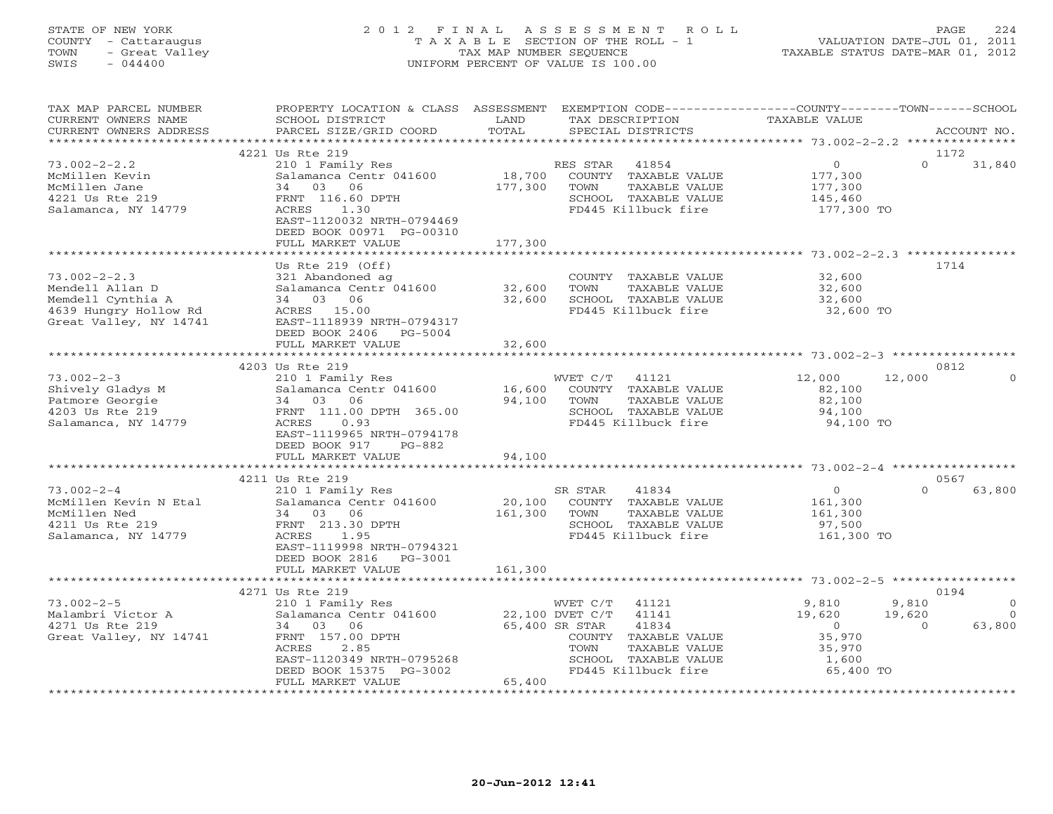### STATE OF NEW YORK 2 0 1 2 F I N A L A S S E S S M E N T R O L L PAGE 224 COUNTY - Cattaraugus T A X A B L E SECTION OF THE ROLL - 1 VALUATION DATE-JUL 01, 2011 TOWN - Great Valley TAX MAP NUMBER SEQUENCE TAXABLE STATUS DATE-MAR 01, 2012 SWIS - 044400 UNIFORM PERCENT OF VALUE IS 100.00UNIFORM PERCENT OF VALUE IS 100.00

| TAX MAP PARCEL NUMBER<br>CURRENT OWNERS NAME<br>CURRENT OWNERS ADDRESS<br>******************                  | PROPERTY LOCATION & CLASS ASSESSMENT EXEMPTION CODE---------------COUNTY-------TOWN------SCHOOL<br>SCHOOL DISTRICT<br>PARCEL SIZE/GRID COORD<br>                                | LAND<br>TOTAL                  | TAX DESCRIPTION<br>SPECIAL DISTRICTS                                                                                                                                     | <b>TAXABLE VALUE</b>                                                  |                             | ACCOUNT NO.                              |
|---------------------------------------------------------------------------------------------------------------|---------------------------------------------------------------------------------------------------------------------------------------------------------------------------------|--------------------------------|--------------------------------------------------------------------------------------------------------------------------------------------------------------------------|-----------------------------------------------------------------------|-----------------------------|------------------------------------------|
|                                                                                                               | 4221 Us Rte 219                                                                                                                                                                 |                                |                                                                                                                                                                          |                                                                       | 1172                        |                                          |
| $73.002 - 2 - 2.2$<br>McMillen Kevin<br>McMillen Jane<br>4221 Us Rte 219<br>Salamanca, NY 14779               | 210 1 Family Res<br>Salamanca Centr 041600<br>34 03 06<br>FRNT 116.60 DPTH<br>ACRES<br>1.30<br>EAST-1120032 NRTH-0794469<br>DEED BOOK 00971 PG-00310<br>FULL MARKET VALUE       | 18,700<br>177,300<br>177,300   | 41854<br>RES STAR<br>COUNTY TAXABLE VALUE<br>TOWN<br>TAXABLE VALUE<br>SCHOOL TAXABLE VALUE<br>FD445 Killbuck fire                                                        | $\circ$<br>177,300<br>177,300<br>145,460<br>177,300 TO                | $\Omega$                    | 31,840                                   |
|                                                                                                               |                                                                                                                                                                                 |                                |                                                                                                                                                                          |                                                                       |                             |                                          |
| $73.002 - 2 - 2.3$<br>Mendell Allan D<br>Memdell Cynthia A<br>4639 Hungry Hollow Rd<br>Great Valley, NY 14741 | Us Rte $219$ (Off)<br>321 Abandoned ag<br>Salamanca Centr 041600<br>34 03 06<br>ACRES 15.00<br>EAST-1118939 NRTH-0794317<br>DEED BOOK 2406 PG-5004                              | 32,600<br>32,600               | COUNTY TAXABLE VALUE<br>TOWN<br>TAXABLE VALUE<br>SCHOOL TAXABLE VALUE<br>FD445 Killbuck fire                                                                             | 32,600<br>32,600<br>32,600<br>$32,600$ TO                             | 1714                        |                                          |
|                                                                                                               | FULL MARKET VALUE                                                                                                                                                               | 32,600                         |                                                                                                                                                                          |                                                                       |                             |                                          |
|                                                                                                               | 4203 Us Rte 219                                                                                                                                                                 |                                |                                                                                                                                                                          |                                                                       | 0812                        |                                          |
| $73.002 - 2 - 3$<br>Shively Gladys M<br>Patmore Georgie<br>4203 Us Rte 219<br>Salamanca, NY 14779             | 210 1 Family Res<br>Salamanca Centr 041600<br>34 03 06<br>FRNT 111.00 DPTH 365.00<br>ACRES<br>0.93<br>EAST-1119965 NRTH-0794178<br>DEED BOOK 917<br>PG-882<br>FULL MARKET VALUE | 16,600<br>94,100<br>94,100     | WVET C/T 41121<br>COUNTY TAXABLE VALUE<br>TOWN<br>TAXABLE VALUE<br>SCHOOL TAXABLE VALUE<br>FD445 Killbuck fire                                                           | 12,000<br>82,100<br>82,100<br>94,100<br>94,100 TO                     | 12,000                      | $\Omega$                                 |
|                                                                                                               |                                                                                                                                                                                 |                                |                                                                                                                                                                          |                                                                       |                             |                                          |
|                                                                                                               | 4211 Us Rte 219                                                                                                                                                                 |                                |                                                                                                                                                                          |                                                                       | 0567                        |                                          |
| $73.002 - 2 - 4$<br>McMillen Kevin N Etal<br>McMillen Ned<br>4211 Us Rte 219<br>Salamanca, NY 14779           | 210 1 Family Res<br>Salamanca Centr 041600<br>34 03 06<br>FRNT 213.30 DPTH<br>ACRES<br>1.95<br>EAST-1119998 NRTH-0794321<br>DEED BOOK 2816    PG-3001                           | 20,100<br>161,300              | SR STAR<br>41834<br>COUNTY TAXABLE VALUE<br>TOWN<br>TAXABLE VALUE<br>SCHOOL TAXABLE VALUE<br>FD445 Killbuck fire                                                         | $\overline{0}$<br>161,300<br>161,300<br>97,500<br>161,300 TO          | $\Omega$                    | 63,800                                   |
|                                                                                                               | FULL MARKET VALUE                                                                                                                                                               | 161,300                        |                                                                                                                                                                          |                                                                       |                             |                                          |
|                                                                                                               | 4271 Us Rte 219                                                                                                                                                                 |                                |                                                                                                                                                                          |                                                                       | 0194                        |                                          |
| $73.002 - 2 - 5$<br>Malambri Victor A<br>4271 Us Rte 219<br>Great Valley, NY 14741                            | 210 1 Family Res<br>Salamanca Centr 041600<br>34 03 06<br>FRNT 157.00 DPTH<br>2.85<br>ACRES<br>EAST-1120349 NRTH-0795268<br>DEED BOOK 15375 PG-3002                             |                                | WVET C/T<br>41121<br>22,100 DVET C/T<br>41141<br>65,400 SR STAR<br>41834<br>COUNTY TAXABLE VALUE<br>TAXABLE VALUE<br>TOWN<br>SCHOOL TAXABLE VALUE<br>FD445 Killbuck fire | 9,810<br>19,620<br>$\Omega$<br>35,970<br>35,970<br>1,600<br>65,400 TO | 9,810<br>19,620<br>$\Omega$ | $\mathbf{0}$<br>$\overline{0}$<br>63,800 |
| ************************                                                                                      | FULL MARKET VALUE<br>**************************                                                                                                                                 | 65,400<br>******************** |                                                                                                                                                                          |                                                                       |                             |                                          |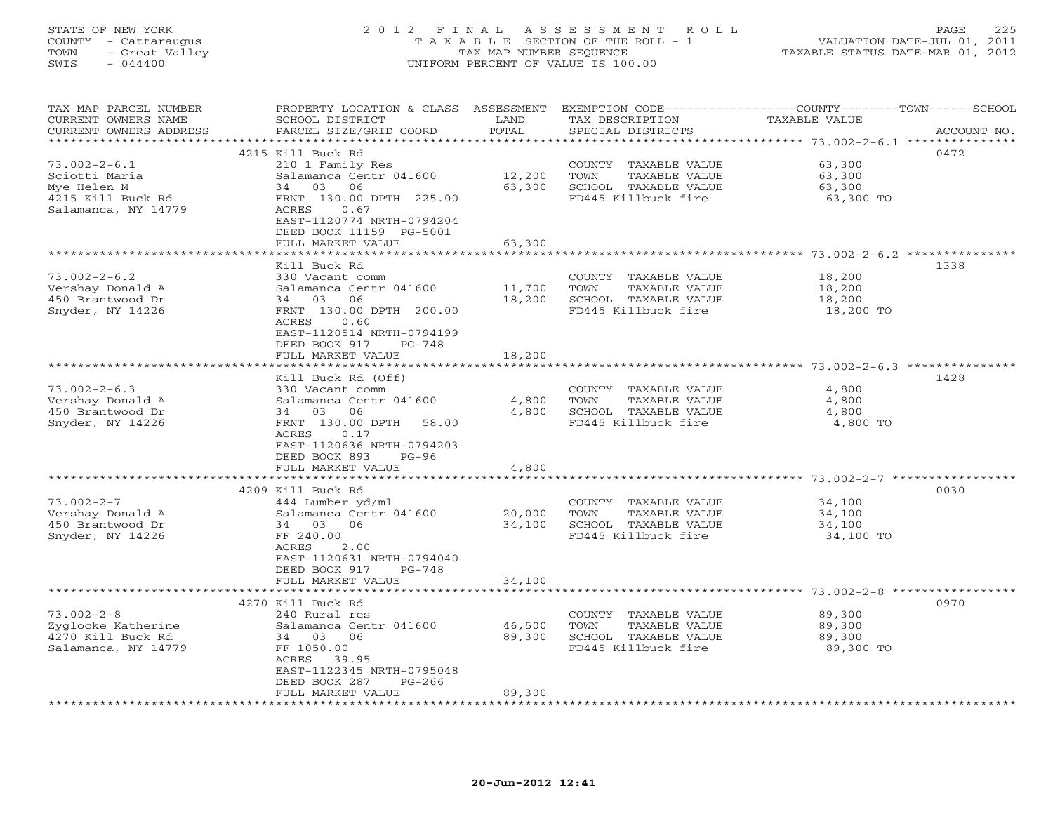# STATE OF NEW YORK 2 0 1 2 F I N A L A S S E S S M E N T R O L L PAGE 225 COUNTY - Cattaraugus T A X A B L E SECTION OF THE ROLL - 1 VALUATION DATE-JUL 01, 2011 TOWN - Great Valley TAX MAP NUMBER SEQUENCE TAXABLE STATUS DATE-MAR 01, 2012 SWIS - 044400 UNIFORM PERCENT OF VALUE IS 100.00

| TAX MAP PARCEL NUMBER<br>CURRENT OWNERS NAME<br>CURRENT OWNERS ADDRESS | PROPERTY LOCATION & CLASS ASSESSMENT<br>SCHOOL DISTRICT<br>PARCEL SIZE/GRID COORD | LAND<br>TOTAL | TAX DESCRIPTION<br>SPECIAL DISTRICTS          | EXEMPTION CODE-----------------COUNTY-------TOWN------SCHOOL<br><b>TAXABLE VALUE</b> | ACCOUNT NO. |
|------------------------------------------------------------------------|-----------------------------------------------------------------------------------|---------------|-----------------------------------------------|--------------------------------------------------------------------------------------|-------------|
| *****************                                                      |                                                                                   | ************  |                                               |                                                                                      |             |
|                                                                        | 4215 Kill Buck Rd                                                                 |               |                                               |                                                                                      | 0472        |
| $73.002 - 2 - 6.1$                                                     | 210 1 Family Res                                                                  |               | COUNTY TAXABLE VALUE                          | 63,300                                                                               |             |
| Sciotti Maria                                                          | Salamanca Centr 041600                                                            | 12,200        | TOWN<br>TAXABLE VALUE                         | 63,300                                                                               |             |
| Mye Helen M                                                            | 03<br>06<br>34                                                                    | 63,300        | SCHOOL TAXABLE VALUE                          | 63,300                                                                               |             |
| 4215 Kill Buck Rd                                                      | FRNT 130.00 DPTH 225.00                                                           |               | FD445 Killbuck fire                           | 63,300 TO                                                                            |             |
| Salamanca, NY 14779                                                    | ACRES<br>0.67                                                                     |               |                                               |                                                                                      |             |
|                                                                        | EAST-1120774 NRTH-0794204                                                         |               |                                               |                                                                                      |             |
|                                                                        | DEED BOOK 11159 PG-5001                                                           |               |                                               |                                                                                      |             |
|                                                                        | FULL MARKET VALUE                                                                 | 63,300        |                                               |                                                                                      |             |
|                                                                        |                                                                                   | ********      |                                               | ***************************** 73.002-2-6.2 ***************                           |             |
|                                                                        | Kill Buck Rd                                                                      |               |                                               |                                                                                      | 1338        |
| $73.002 - 2 - 6.2$                                                     | 330 Vacant comm                                                                   |               | COUNTY TAXABLE VALUE                          | 18,200                                                                               |             |
| Vershay Donald A                                                       | Salamanca Centr 041600                                                            | 11,700        | TOWN<br>TAXABLE VALUE                         | 18,200                                                                               |             |
| 450 Brantwood Dr                                                       | 34 03<br>06                                                                       | 18,200        | SCHOOL TAXABLE VALUE                          | 18,200                                                                               |             |
| Snyder, NY 14226                                                       | FRNT 130.00 DPTH 200.00                                                           |               | FD445 Killbuck fire                           | 18,200 TO                                                                            |             |
|                                                                        | ACRES<br>0.60                                                                     |               |                                               |                                                                                      |             |
|                                                                        | EAST-1120514 NRTH-0794199                                                         |               |                                               |                                                                                      |             |
|                                                                        | DEED BOOK 917<br>$PG-748$                                                         |               |                                               |                                                                                      |             |
|                                                                        | FULL MARKET VALUE<br>********************                                         | 18,200        |                                               |                                                                                      |             |
|                                                                        |                                                                                   |               |                                               |                                                                                      | 1428        |
| $73.002 - 2 - 6.3$                                                     | Kill Buck Rd (Off)<br>330 Vacant comm                                             |               |                                               | 4,800                                                                                |             |
| Vershay Donald A                                                       | Salamanca Centr 041600                                                            | 4,800         | COUNTY TAXABLE VALUE<br>TAXABLE VALUE<br>TOWN | 4,800                                                                                |             |
| 450 Brantwood Dr                                                       | 03<br>06<br>34                                                                    | 4,800         | SCHOOL TAXABLE VALUE                          | 4,800                                                                                |             |
| Snyder, NY 14226                                                       | FRNT 130.00 DPTH<br>58.00                                                         |               | FD445 Killbuck fire                           | 4,800 TO                                                                             |             |
|                                                                        | ACRES<br>0.17                                                                     |               |                                               |                                                                                      |             |
|                                                                        | EAST-1120636 NRTH-0794203                                                         |               |                                               |                                                                                      |             |
|                                                                        | DEED BOOK 893<br>$PG-96$                                                          |               |                                               |                                                                                      |             |
|                                                                        | FULL MARKET VALUE                                                                 | 4,800         |                                               |                                                                                      |             |
|                                                                        |                                                                                   |               |                                               | *************** 73.002-2-7 ***********                                               |             |
|                                                                        | 4209 Kill Buck Rd                                                                 |               |                                               |                                                                                      | 0030        |
| $73.002 - 2 - 7$                                                       | 444 Lumber yd/ml                                                                  |               | COUNTY TAXABLE VALUE                          | 34,100                                                                               |             |
| Vershay Donald A                                                       | Salamanca Centr 041600                                                            | 20,000        | TAXABLE VALUE<br>TOWN                         | 34,100                                                                               |             |
| 450 Brantwood Dr                                                       | 34 03<br>06                                                                       | 34,100        | SCHOOL TAXABLE VALUE                          | 34,100                                                                               |             |
| Snyder, NY 14226                                                       | FF 240.00                                                                         |               | FD445 Killbuck fire                           | 34,100 TO                                                                            |             |
|                                                                        | ACRES<br>2.00                                                                     |               |                                               |                                                                                      |             |
|                                                                        | EAST-1120631 NRTH-0794040                                                         |               |                                               |                                                                                      |             |
|                                                                        | DEED BOOK 917<br>PG-748                                                           |               |                                               |                                                                                      |             |
|                                                                        | FULL MARKET VALUE                                                                 | 34,100        |                                               |                                                                                      |             |
|                                                                        | 4270 Kill Buck Rd                                                                 |               |                                               |                                                                                      | 0970        |
| $73.002 - 2 - 8$                                                       | 240 Rural res                                                                     |               |                                               | 89,300                                                                               |             |
| Zyglocke Katherine                                                     | Salamanca Centr 041600                                                            | 46,500        | COUNTY TAXABLE VALUE<br>TAXABLE VALUE<br>TOWN | 89,300                                                                               |             |
| 4270 Kill Buck Rd                                                      | 34 03 06                                                                          | 89,300        | SCHOOL TAXABLE VALUE                          | 89,300                                                                               |             |
| Salamanca, NY 14779                                                    | FF 1050.00                                                                        |               | FD445 Killbuck fire                           | 89,300 TO                                                                            |             |
|                                                                        | ACRES<br>39.95                                                                    |               |                                               |                                                                                      |             |
|                                                                        | EAST-1122345 NRTH-0795048                                                         |               |                                               |                                                                                      |             |
|                                                                        | DEED BOOK 287<br>$PG-266$                                                         |               |                                               |                                                                                      |             |
|                                                                        | FULL MARKET VALUE                                                                 | 89,300        |                                               |                                                                                      |             |
|                                                                        |                                                                                   |               |                                               |                                                                                      |             |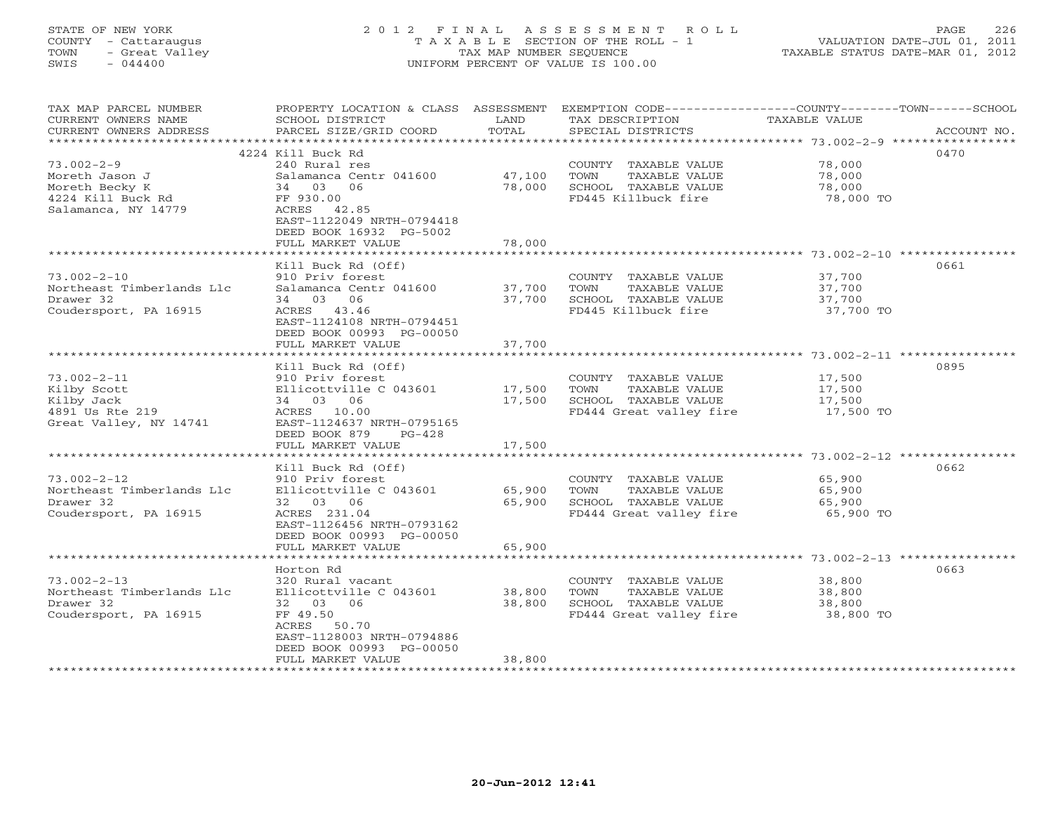### STATE OF NEW YORK 2 0 1 2 F I N A L A S S E S S M E N T R O L L PAGE 226 COUNTY - Cattaraugus T A X A B L E SECTION OF THE ROLL - 1 VALUATION DATE-JUL 01, 2011 TOWN - Great Valley (TAX MAP NUMBER SEQUENCE TAXABLE STATUS DATE-MAR 01, 2012 TOWN - 044400 SWIS - 044400 UNIFORM PERCENT OF VALUE IS 100.00

TAX MAP PARCEL NUMBER PROPERTY LOCATION & CLASS ASSESSMENT EXEMPTION CODE-----------------COUNTY-------TOWN------SCHOOL<br>CURRENT OWNERS NAME SCHOOL DISTRICT LAND TAX DESC \*\*\*\*\*\*\*\*\*\*\*\*\*\*\*\*\*\*\*\*\*\*\*\*\*\*\*\*\*\*\*\*\*\*\*\*\*\*\*\*\*\*\*\*\*\*\*\*\*\*\*\*\*\*\*\*\*\*\*\*\*\*\*\*\*\*\*\*\*\*\*\*\*\*\*\*\*\*\*\*\*\*\*\*\*\*\*\*\*\*\*\*\*\*\*\*\*\*\*\*\*\*\* 73.002-2-9 \*\*\*\*\*\*\*\*\*\*\*\*\*\*\*\*\*

|                                                                                            | 4224 Kill Buck Rd                                                                                                                                                            |                            |                                                                                                  |                                         | 0470 |
|--------------------------------------------------------------------------------------------|------------------------------------------------------------------------------------------------------------------------------------------------------------------------------|----------------------------|--------------------------------------------------------------------------------------------------|-----------------------------------------|------|
| 73.002-2-9<br>Moreth Jason J<br>Moreth Becky K<br>4224 Kill Buck Rd<br>Salamanca, NY 14779 | 240 Rural res<br>Salamanca Centr 041600<br>03 06<br>34<br>FF 930.00<br>ACRES 42.85<br>EAST-1122049 NRTH-0794418<br>DEED BOOK 16932 PG-5002<br>FULL MARKET VALUE              | 47,100<br>78,000<br>78,000 | COUNTY TAXABLE VALUE<br>TOWN<br>TAXABLE VALUE<br>SCHOOL TAXABLE VALUE<br>FD445 Killbuck fire     | 78,000<br>78,000<br>78,000<br>78,000 TO |      |
| 73.002-2-10<br>Northeast Timberlands Llc<br>Drawer 32<br>Coudersport, PA 16915             | Kill Buck Rd (Off)<br>910 Priv forest<br>Salamanca Centr 041600<br>34 03 06<br>ACRES 43.46<br>EAST-1124108 NRTH-0794451<br>DEED BOOK 00993 PG-00050<br>FULL MARKET VALUE     | 37,700<br>37,700<br>37,700 | COUNTY TAXABLE VALUE<br>TOWN<br>TAXABLE VALUE<br>SCHOOL TAXABLE VALUE<br>FD445 Killbuck fire     | 37,700<br>37,700<br>37,700<br>37,700 TO | 0661 |
| 73.002-2-11<br>Kilby Scott<br>Kilby Jack<br>4891 Us Rte 219<br>Great Valley, NY 14741      | Kill Buck Rd (Off)<br>910 Priv forest<br>Ellicottville C 043601<br>34 03 06<br>ACRES 10.00<br>EAST-1124637 NRTH-0795165<br>DEED BOOK 879<br>$PG-428$<br>FULL MARKET VALUE    | 17,500<br>17,500<br>17,500 | COUNTY TAXABLE VALUE<br>TOWN<br>TAXABLE VALUE<br>SCHOOL TAXABLE VALUE<br>FD444 Great valley fire | 17,500<br>17,500<br>17,500<br>17,500 TO | 0895 |
| 73.002-2-12<br>Northeast Timberlands Llc<br>Drawer 32<br>Coudersport, PA 16915             | Kill Buck Rd (Off)<br>910 Priv forest<br>Ellicottville C 043601<br>32 03 06<br>ACRES 231.04<br>EAST-1126456 NRTH-0793162<br>DEED BOOK 00993 PG-00050<br>FULL MARKET VALUE    | 65,900<br>65,900<br>65,900 | COUNTY TAXABLE VALUE<br>TOWN<br>TAXABLE VALUE<br>SCHOOL TAXABLE VALUE<br>FD444 Great valley fire | 65,900<br>65,900<br>65,900<br>65,900 TO | 0662 |
| 73.002-2-13<br>Northeast Timberlands Llc<br>Drawer 32<br>Coudersport, PA 16915             | Horton Rd<br>320 Rural vacant<br>Ellicottville C 043601<br>32 03 06<br>FF 49.50<br>ACRES 50.70<br>EAST-1128003 NRTH-0794886<br>DEED BOOK 00993 PG-00050<br>FULL MARKET VALUE | 38,800<br>38,800<br>38,800 | COUNTY TAXABLE VALUE<br>TOWN<br>TAXABLE VALUE<br>SCHOOL TAXABLE VALUE<br>FD444 Great valley fire | 38,800<br>38,800<br>38,800<br>38,800 TO | 0663 |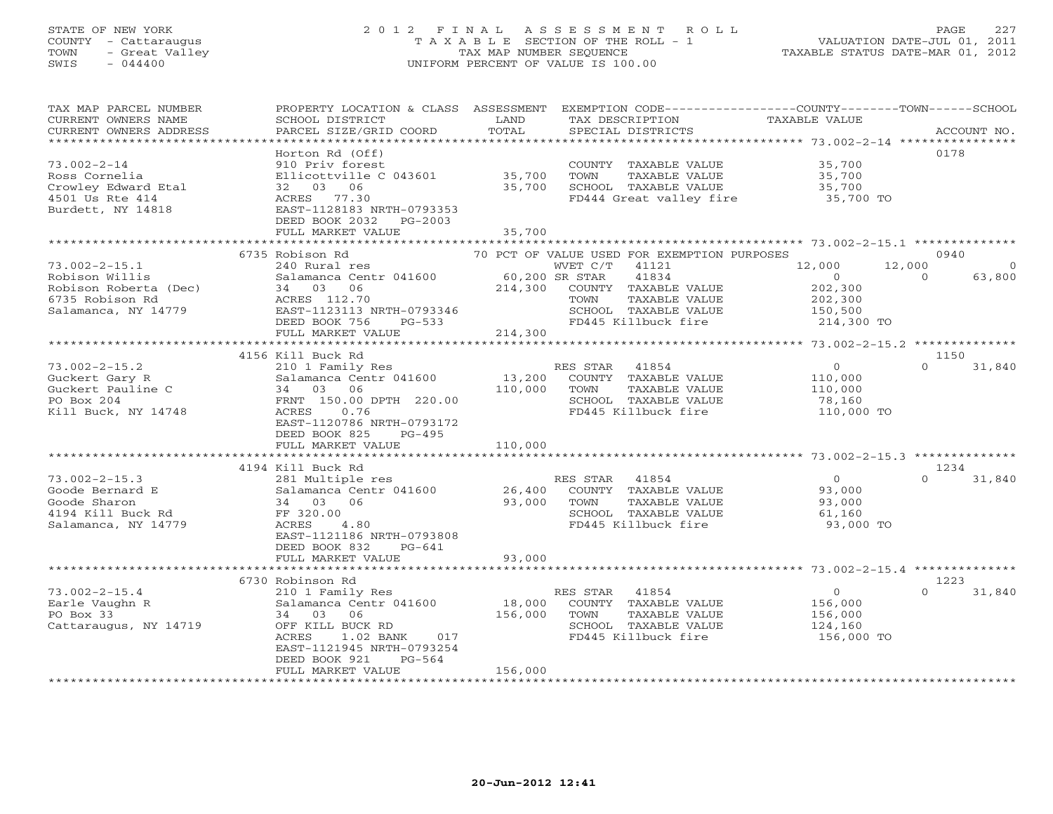### STATE OF NEW YORK 2 0 1 2 F I N A L A S S E S S M E N T R O L L PAGE 227 COUNTY - Cattaraugus T A X A B L E SECTION OF THE ROLL - 1 VALUATION DATE-JUL 01, 2011 TOWN - Great Valley TAX MAP NUMBER SEQUENCE TAXABLE STATUS DATE-MAR 01, 2012 SWIS - 044400 UNIFORM PERCENT OF VALUE IS 100.00UNIFORM PERCENT OF VALUE IS 100.00

| TAX MAP PARCEL NUMBER<br>CURRENT OWNERS NAME<br>CURRENT OWNERS ADDRESS<br>**********************         | PROPERTY LOCATION & CLASS ASSESSMENT<br>SCHOOL DISTRICT<br>PARCEL SIZE/GRID COORD                                                                                                                            | LAND<br>TOTAL                | SPECIAL DISTRICTS      | TAX DESCRIPTION                                                                                                                | EXEMPTION CODE-----------------COUNTY-------TOWN------SCHOOL<br>TAXABLE VALUE |                    | ACCOUNT NO.    |
|----------------------------------------------------------------------------------------------------------|--------------------------------------------------------------------------------------------------------------------------------------------------------------------------------------------------------------|------------------------------|------------------------|--------------------------------------------------------------------------------------------------------------------------------|-------------------------------------------------------------------------------|--------------------|----------------|
| $73.002 - 2 - 14$<br>Ross Cornelia<br>Crowley Edward Etal<br>4501 Us Rte 414<br>Burdett, NY 14818        | Horton Rd (Off)<br>910 Priv forest<br>Ellicottville C 043601<br>32 03 06<br>ACRES 77.30<br>EAST-1128183 NRTH-0793353<br>DEED BOOK 2032<br>PG-2003<br>FULL MARKET VALUE                                       | 35,700<br>35,700<br>35,700   | TOWN                   | COUNTY TAXABLE VALUE<br>TAXABLE VALUE<br>SCHOOL TAXABLE VALUE<br>FD444 Great valley fire                                       | 35,700<br>35,700<br>35,700<br>35,700 TO                                       |                    | 0178           |
|                                                                                                          |                                                                                                                                                                                                              |                              |                        |                                                                                                                                |                                                                               |                    |                |
| $73.002 - 2 - 15.1$<br>Robison Willis<br>Robison Roberta (Dec)<br>6735 Robison Rd<br>Salamanca, NY 14779 | 6735 Robison Rd<br>240 Rural res<br>Salamanca Centr 041600<br>06<br>34 03<br>ACRES 112.70<br>EAST-1123113 NRTH-0793346                                                                                       | 60,200 SR STAR<br>214,300    | WVET C/T<br>TOWN       | 70 PCT OF VALUE USED FOR EXEMPTION PURPOSES<br>41121<br>41834<br>COUNTY TAXABLE VALUE<br>TAXABLE VALUE<br>SCHOOL TAXABLE VALUE | 12,000<br>$\overline{0}$<br>202,300<br>202,300<br>150,500                     | 12,000<br>$\Omega$ | 0940<br>63,800 |
|                                                                                                          | DEED BOOK 756<br>$PG-533$<br>FULL MARKET VALUE                                                                                                                                                               | 214,300                      |                        | FD445 Killbuck fire                                                                                                            | 214,300 TO                                                                    |                    |                |
|                                                                                                          | 4156 Kill Buck Rd                                                                                                                                                                                            |                              |                        |                                                                                                                                |                                                                               |                    | 1150           |
| $73.002 - 2 - 15.2$<br>Guckert Gary R<br>Guckert Pauline C<br>PO Box 204<br>Kill Buck, NY 14748          | 210 1 Family Res<br>Salamanca Centr 041600<br>34 03<br>06<br>FRNT 150.00 DPTH 220.00<br>0.76<br>ACRES<br>EAST-1120786 NRTH-0793172<br>DEED BOOK 825<br>$PG-495$<br>FULL MARKET VALUE                         | 13,200<br>110,000<br>110,000 | RES STAR<br>TOWN       | 41854<br>COUNTY TAXABLE VALUE<br>TAXABLE VALUE<br>SCHOOL TAXABLE VALUE<br>FD445 Killbuck fire                                  | $0 \qquad \qquad$<br>110,000<br>110,000<br>78,160<br>110,000 TO               | $\Omega$           | 31,840         |
|                                                                                                          |                                                                                                                                                                                                              |                              |                        |                                                                                                                                |                                                                               |                    |                |
| $73.002 - 2 - 15.3$<br>Goode Bernard E<br>Goode Sharon<br>4194 Kill Buck Rd<br>Salamanca, NY 14779       | 4194 Kill Buck Rd<br>281 Multiple res<br>Salamanca Centr 041600<br>34 03<br>06<br>FF 320.00<br>ACRES<br>4.80<br>EAST-1121186 NRTH-0793808<br>DEED BOOK 832<br>$PG-641$                                       | 26,400<br>93,000             | RES STAR 41854<br>TOWN | COUNTY TAXABLE VALUE<br>TAXABLE VALUE<br>SCHOOL TAXABLE VALUE<br>FD445 Killbuck fire                                           | $\overline{0}$<br>93,000<br>93,000<br>61,160<br>93,000 TO                     | $\Omega$           | 1234<br>31,840 |
|                                                                                                          | FULL MARKET VALUE                                                                                                                                                                                            | 93,000                       |                        |                                                                                                                                |                                                                               |                    |                |
|                                                                                                          |                                                                                                                                                                                                              |                              |                        |                                                                                                                                |                                                                               |                    | 1223           |
| $73.002 - 2 - 15.4$<br>Earle Vaughn R<br>PO Box 33<br>Cattaraugus, NY 14719                              | 6730 Robinson Rd<br>210 1 Family Res<br>Salamanca Centr 041600<br>34 03 06<br>OFF KILL BUCK RD<br>ACRES<br>$1.02$ BANK<br>017<br>EAST-1121945 NRTH-0793254<br>DEED BOOK 921<br>$PG-564$<br>FULL MARKET VALUE | 18,000<br>156,000<br>156,000 | RES STAR 41854<br>TOWN | COUNTY TAXABLE VALUE<br>TAXABLE VALUE<br>SCHOOL TAXABLE VALUE<br>FD445 Killbuck fire                                           | $\Omega$<br>156,000<br>156,000<br>124,160<br>156,000 TO                       | $\cap$             | 31,840         |
|                                                                                                          |                                                                                                                                                                                                              |                              |                        |                                                                                                                                |                                                                               |                    |                |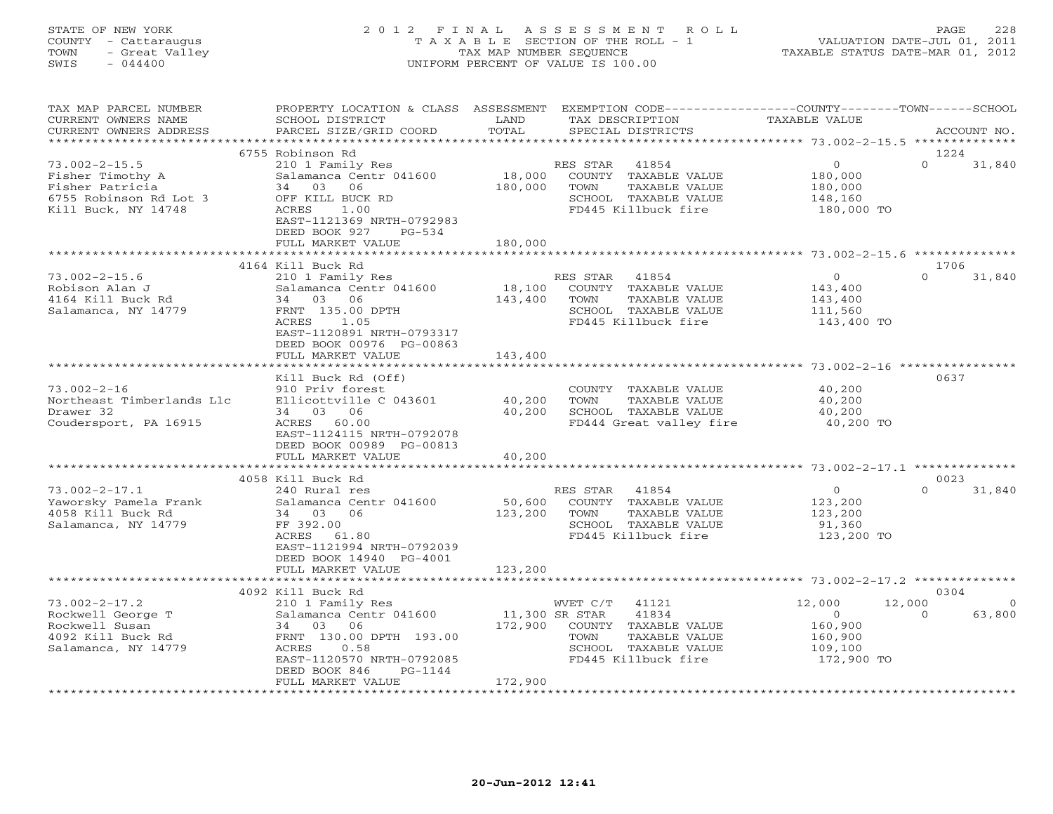# STATE OF NEW YORK 2 0 1 2 F I N A L A S S E S S M E N T R O L L PAGE 228 COUNTY - Cattaraugus T A X A B L E SECTION OF THE ROLL - 1 VALUATION DATE-JUL 01, 2011 TOWN - Great Valley TAX MAP NUMBER SEQUENCE TAXABLE STATUS DATE-MAR 01, 2012 SWIS - 044400 UNIFORM PERCENT OF VALUE IS 100.00

| TAX MAP PARCEL NUMBER<br>CURRENT OWNERS NAME | PROPERTY LOCATION & CLASS ASSESSMENT<br>SCHOOL DISTRICT | LAND           | EXEMPTION CODE-----------------COUNTY-------TOWN------SCHOOL<br>TAX DESCRIPTION | <b>TAXABLE VALUE</b>                                   |          |             |
|----------------------------------------------|---------------------------------------------------------|----------------|---------------------------------------------------------------------------------|--------------------------------------------------------|----------|-------------|
| CURRENT OWNERS ADDRESS                       | PARCEL SIZE/GRID COORD                                  | TOTAL          | SPECIAL DISTRICTS                                                               |                                                        |          | ACCOUNT NO. |
|                                              |                                                         |                |                                                                                 |                                                        |          |             |
|                                              | 6755 Robinson Rd                                        |                |                                                                                 |                                                        | 1224     |             |
| $73.002 - 2 - 15.5$                          | 210 1 Family Res                                        |                | RES STAR<br>41854                                                               | $\overline{0}$                                         | $\Omega$ | 31,840      |
| Fisher Timothy A                             | Salamanca Centr 041600                                  | 18,000         | COUNTY TAXABLE VALUE                                                            | 180,000                                                |          |             |
| Fisher Patricia                              | 34 03 06                                                | 180,000        | TOWN<br>TAXABLE VALUE                                                           | 180,000                                                |          |             |
| 6755 Robinson Rd Lot 3                       | OFF KILL BUCK RD                                        |                | SCHOOL TAXABLE VALUE                                                            | 148,160                                                |          |             |
| Kill Buck, NY 14748                          | ACRES<br>1.00                                           |                | FD445 Killbuck fire                                                             | 180,000 TO                                             |          |             |
|                                              | EAST-1121369 NRTH-0792983                               |                |                                                                                 |                                                        |          |             |
|                                              | DEED BOOK 927<br>$PG-534$                               |                |                                                                                 |                                                        |          |             |
|                                              | FULL MARKET VALUE                                       | 180,000        |                                                                                 |                                                        |          |             |
|                                              |                                                         | *********      |                                                                                 | ************************ 73.002-2-15.6 *************** |          |             |
|                                              | 4164 Kill Buck Rd                                       |                |                                                                                 |                                                        | 1706     |             |
| $73.002 - 2 - 15.6$                          | 210 1 Family Res                                        |                | RES STAR<br>41854                                                               | $\overline{0}$                                         | $\Omega$ | 31,840      |
| Robison Alan J                               | Salamanca Centr 041600                                  | 18,100         | COUNTY TAXABLE VALUE                                                            | 143,400                                                |          |             |
| 4164 Kill Buck Rd                            | 34 03 06                                                | 143,400        | TAXABLE VALUE<br>TOWN                                                           | 143,400                                                |          |             |
| Salamanca, NY 14779                          | FRNT 135.00 DPTH                                        |                | SCHOOL TAXABLE VALUE                                                            | 111,560                                                |          |             |
|                                              | ACRES<br>1.05                                           |                | FD445 Killbuck fire                                                             | 143,400 TO                                             |          |             |
|                                              | EAST-1120891 NRTH-0793317                               |                |                                                                                 |                                                        |          |             |
|                                              | DEED BOOK 00976 PG-00863                                |                |                                                                                 |                                                        |          |             |
|                                              | FULL MARKET VALUE                                       | 143,400        |                                                                                 |                                                        |          |             |
|                                              |                                                         |                |                                                                                 |                                                        |          |             |
|                                              | Kill Buck Rd (Off)                                      |                |                                                                                 |                                                        | 0637     |             |
| $73.002 - 2 - 16$                            | 910 Priv forest                                         |                | COUNTY TAXABLE VALUE                                                            | 40,200                                                 |          |             |
| Northeast Timberlands Llc                    | Ellicottville C 043601                                  | 40,200         | TOWN<br>TAXABLE VALUE                                                           | 40,200                                                 |          |             |
| Drawer 32                                    | 34 03 06                                                | 40,200         | SCHOOL TAXABLE VALUE                                                            | 40,200                                                 |          |             |
| Coudersport, PA 16915                        | ACRES 60.00                                             |                | FD444 Great valley fire                                                         | 40,200 TO                                              |          |             |
|                                              | EAST-1124115 NRTH-0792078                               |                |                                                                                 |                                                        |          |             |
|                                              | DEED BOOK 00989 PG-00813                                |                |                                                                                 |                                                        |          |             |
|                                              | FULL MARKET VALUE                                       | 40,200         |                                                                                 |                                                        |          |             |
|                                              |                                                         |                |                                                                                 |                                                        |          |             |
|                                              | 4058 Kill Buck Rd                                       |                |                                                                                 |                                                        | 0023     |             |
| $73.002 - 2 - 17.1$                          | 240 Rural res                                           |                | RES STAR 41854                                                                  | $\overline{0}$                                         | $\Omega$ | 31,840      |
| Yaworsky Pamela Frank                        | Salamanca Centr 041600                                  | 50,600         | COUNTY TAXABLE VALUE                                                            | 123,200                                                |          |             |
| 4058 Kill Buck Rd                            | 34 03 06                                                | 123,200        | TOWN<br>TAXABLE VALUE                                                           | 123,200                                                |          |             |
| Salamanca, NY 14779                          | FF 392.00                                               |                | SCHOOL TAXABLE VALUE                                                            | 91,360                                                 |          |             |
|                                              | ACRES 61.80                                             |                | FD445 Killbuck fire                                                             | 123,200 TO                                             |          |             |
|                                              | EAST-1121994 NRTH-0792039                               |                |                                                                                 |                                                        |          |             |
|                                              | DEED BOOK 14940 PG-4001                                 |                |                                                                                 |                                                        |          |             |
|                                              | FULL MARKET VALUE                                       | 123,200        |                                                                                 |                                                        |          |             |
|                                              | 4092 Kill Buck Rd                                       |                |                                                                                 |                                                        | 0304     |             |
| $73.002 - 2 - 17.2$                          |                                                         |                | 41121<br>WVET C/T                                                               | 12,000                                                 | 12,000   | $\Omega$    |
| Rockwell George T                            | 210 1 Family Res<br>Salamanca Centr 041600              | 11,300 SR STAR | 41834                                                                           | $\overline{O}$                                         | $\Omega$ | 63,800      |
| Rockwell Susan                               | 34 03 06                                                | 172,900        | COUNTY TAXABLE VALUE                                                            | 160,900                                                |          |             |
| 4092 Kill Buck Rd                            | FRNT 130.00 DPTH 193.00                                 |                | TOWN<br>TAXABLE VALUE                                                           | 160,900                                                |          |             |
| Salamanca, NY 14779                          | 0.58<br>ACRES                                           |                | SCHOOL TAXABLE VALUE                                                            | 109,100                                                |          |             |
|                                              | EAST-1120570 NRTH-0792085                               |                | FD445 Killbuck fire                                                             | 172,900 TO                                             |          |             |
|                                              | DEED BOOK 846<br>PG-1144                                |                |                                                                                 |                                                        |          |             |
|                                              | FULL MARKET VALUE                                       | 172,900        |                                                                                 |                                                        |          |             |
|                                              |                                                         |                |                                                                                 |                                                        |          |             |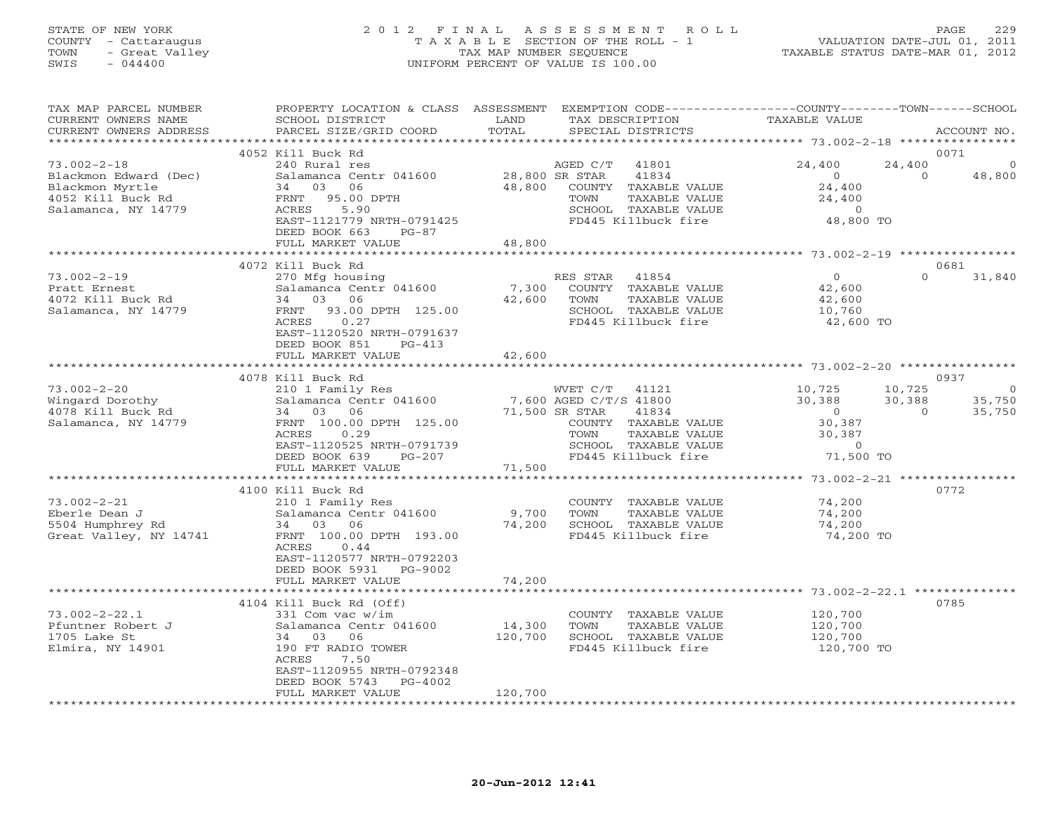## STATE OF NEW YORK 2 0 1 2 F I N A L A S S E S S M E N T R O L L PAGE 229 COUNTY - Cattaraugus T A X A B L E SECTION OF THE ROLL - 1 VALUATION DATE-JUL 01, 2011 TOWN - Great Valley TAX MAP NUMBER SEQUENCE TAXABLE STATUS DATE-MAR 01, 2012 SWIS - 044400 UNIFORM PERCENT OF VALUE IS 100.00

| TAX MAP PARCEL NUMBER<br>CURRENT OWNERS NAME | PROPERTY LOCATION & CLASS ASSESSMENT<br>SCHOOL DISTRICT  | LAND                                    | EXEMPTION CODE-----------------COUNTY-------TOWN-----SCHOOL<br>TAX DESCRIPTION | <b>TAXABLE VALUE</b>                         |                          |
|----------------------------------------------|----------------------------------------------------------|-----------------------------------------|--------------------------------------------------------------------------------|----------------------------------------------|--------------------------|
| CURRENT OWNERS ADDRESS                       | PARCEL SIZE/GRID COORD                                   | TOTAL                                   | SPECIAL DISTRICTS                                                              |                                              | ACCOUNT NO.              |
| ***********************                      |                                                          |                                         |                                                                                |                                              | 0071                     |
| $73.002 - 2 - 18$                            | 4052 Kill Buck Rd<br>240 Rural res                       |                                         | AGED C/T<br>41801                                                              | 24,400                                       | 24,400                   |
| Blackmon Edward (Dec)                        | Salamanca Centr 041600                                   |                                         | 28,800 SR STAR<br>41834                                                        | $\Omega$                                     | $\Omega$<br>48,800       |
| Blackmon Myrtle                              | 34 03<br>06                                              | 48,800                                  | COUNTY TAXABLE VALUE                                                           | 24,400                                       |                          |
| 4052 Kill Buck Rd                            | 95.00 DPTH<br>FRNT                                       |                                         | TOWN<br>TAXABLE VALUE                                                          | 24,400                                       |                          |
| Salamanca, NY 14779                          | ACRES<br>5.90                                            |                                         | SCHOOL TAXABLE VALUE                                                           | $\overline{0}$                               |                          |
|                                              | EAST-1121779 NRTH-0791425                                |                                         | FD445 Killbuck fire                                                            | 48,800 TO                                    |                          |
|                                              | DEED BOOK 663<br>$PG-87$                                 |                                         |                                                                                |                                              |                          |
|                                              | FULL MARKET VALUE                                        | 48,800                                  |                                                                                |                                              |                          |
|                                              |                                                          | *********                               |                                                                                | *********** 73.002-2-19 ****************     |                          |
|                                              | 4072 Kill Buck Rd                                        |                                         |                                                                                | $\Omega$                                     | 0681<br>$\Omega$         |
| $73.002 - 2 - 19$                            | 270 Mfg housing<br>Salamanca Centr 041600                | 7,300                                   | RES STAR<br>41854<br>COUNTY TAXABLE VALUE                                      | 42,600                                       | 31,840                   |
| Pratt Ernest<br>4072 Kill Buck Rd            | 34 03<br>06                                              | 42,600                                  | TOWN<br>TAXABLE VALUE                                                          | 42,600                                       |                          |
| Salamanca, NY 14779                          | 93.00 DPTH 125.00<br>FRNT                                |                                         | SCHOOL TAXABLE VALUE                                                           | 10,760                                       |                          |
|                                              | ACRES<br>0.27                                            |                                         | FD445 Killbuck fire                                                            | 42,600 TO                                    |                          |
|                                              | EAST-1120520 NRTH-0791637                                |                                         |                                                                                |                                              |                          |
|                                              | DEED BOOK 851<br>$PG-413$                                |                                         |                                                                                |                                              |                          |
|                                              | FULL MARKET VALUE                                        | 42,600                                  |                                                                                |                                              |                          |
|                                              | ***************************                              |                                         |                                                                                |                                              |                          |
|                                              | 4078 Kill Buck Rd                                        |                                         |                                                                                |                                              | 0937                     |
| $73.002 - 2 - 20$                            | 210 1 Family Res                                         |                                         | WVET C/T 41121                                                                 | 10,725                                       | 10,725<br>$\overline{0}$ |
| Wingard Dorothy                              | Salamanca Centr 041600                                   |                                         | 7,600 AGED C/T/S 41800                                                         | 30,388                                       | 35,750<br>30,388         |
| 4078 Kill Buck Rd                            | 34<br>03<br>06                                           |                                         | 71,500 SR STAR<br>41834                                                        | $\Omega$                                     | 35,750<br>$\Omega$       |
| Salamanca, NY 14779                          | FRNT 100.00 DPTH 125.00<br>ACRES<br>0.29                 |                                         | COUNTY TAXABLE VALUE<br>TAXABLE VALUE<br>TOWN                                  | 30,387<br>30,387                             |                          |
|                                              | EAST-1120525 NRTH-0791739                                |                                         | SCHOOL TAXABLE VALUE                                                           | $\overline{0}$                               |                          |
|                                              | DEED BOOK 639<br>$PG-207$                                |                                         | FD445 Killbuck fire                                                            | 71,500 TO                                    |                          |
|                                              | FULL MARKET VALUE                                        | 71,500                                  |                                                                                |                                              |                          |
|                                              | **********************                                   | * * * * * * * * * * * * * * * * * * * * |                                                                                | ************** 73.002-2-21 ***************** |                          |
|                                              | 4100 Kill Buck Rd                                        |                                         |                                                                                |                                              | 0772                     |
| $73.002 - 2 - 21$                            | 210 1 Family Res                                         |                                         | COUNTY TAXABLE VALUE                                                           | 74,200                                       |                          |
| Eberle Dean J                                | Salamanca Centr 041600                                   | 9,700                                   | TAXABLE VALUE<br>TOWN                                                          | 74,200                                       |                          |
| 5504 Humphrey Rd                             | 34 03<br>06                                              | 74,200                                  | SCHOOL TAXABLE VALUE                                                           | 74,200                                       |                          |
| Great Valley, NY 14741                       | FRNT 100.00 DPTH 193.00                                  |                                         | FD445 Killbuck fire                                                            | 74,200 TO                                    |                          |
|                                              | ACRES<br>0.44                                            |                                         |                                                                                |                                              |                          |
|                                              | EAST-1120577 NRTH-0792203<br>DEED BOOK 5931<br>PG-9002   |                                         |                                                                                |                                              |                          |
|                                              | FULL MARKET VALUE                                        | 74,200                                  |                                                                                |                                              |                          |
|                                              | ***********************                                  | *************                           |                                                                                |                                              |                          |
|                                              | 4104 Kill Buck Rd (Off)                                  |                                         |                                                                                |                                              | 0785                     |
| $73.002 - 2 - 22.1$                          | 331 Com vac w/im                                         |                                         | COUNTY TAXABLE VALUE                                                           | 120,700                                      |                          |
| Pfuntner Robert J                            | Salamanca Centr 041600                                   | 14,300                                  | TAXABLE VALUE<br>TOWN                                                          | 120,700                                      |                          |
| 1705 Lake St                                 | 34<br>03 06                                              | 120,700                                 | SCHOOL TAXABLE VALUE                                                           | 120,700                                      |                          |
| Elmira, NY 14901                             | 190 FT RADIO TOWER                                       |                                         | FD445 Killbuck fire                                                            | 120,700 TO                                   |                          |
|                                              | 7.50<br>ACRES                                            |                                         |                                                                                |                                              |                          |
|                                              | EAST-1120955 NRTH-0792348<br>DEED BOOK 5743<br>$PG-4002$ |                                         |                                                                                |                                              |                          |
|                                              | FULL MARKET VALUE                                        | 120,700                                 |                                                                                |                                              |                          |
|                                              |                                                          |                                         |                                                                                |                                              |                          |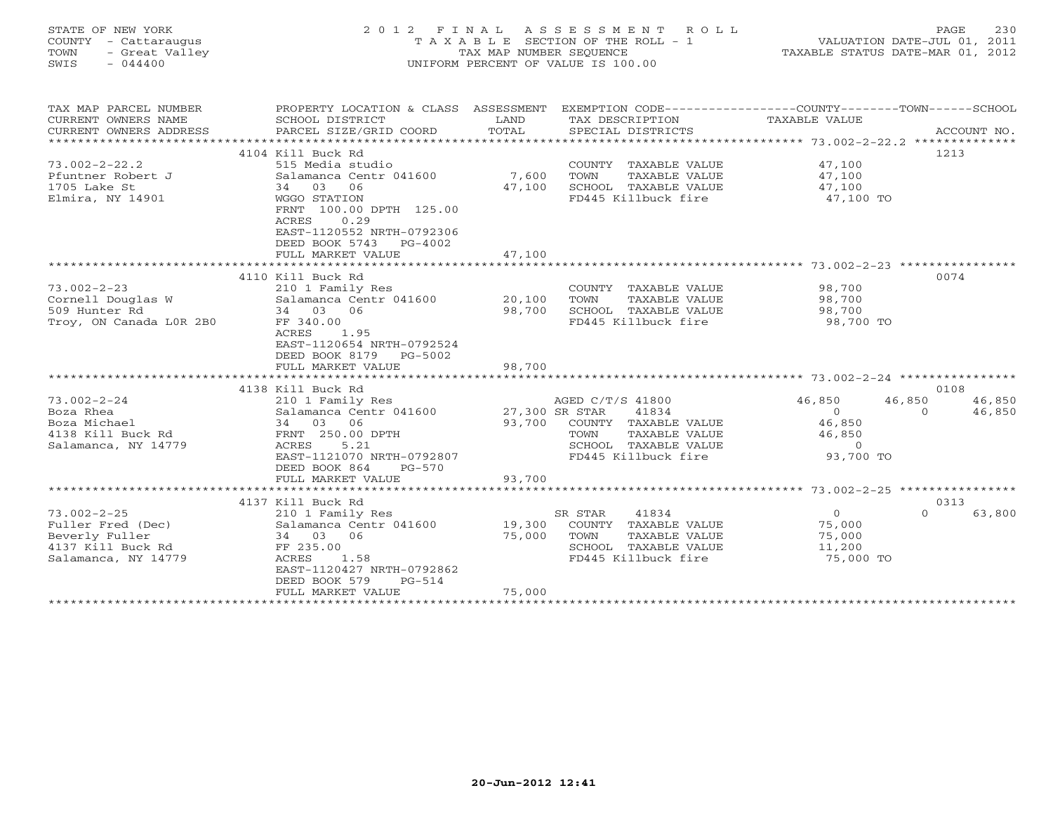# STATE OF NEW YORK 2 0 1 2 F I N A L A S S E S S M E N T R O L L PAGE 230 COUNTY - Cattaraugus T A X A B L E SECTION OF THE ROLL - 1 VALUATION DATE-JUL 01, 2011 TOWN - Great Valley TAX MAP NUMBER SEQUENCE TAXABLE STATUS DATE-MAR 01, 2012 SWIS - 044400 UNIFORM PERCENT OF VALUE IS 100.00

| TAX MAP PARCEL NUMBER<br>CURRENT OWNERS NAME<br>CURRENT OWNERS ADDRESS | PROPERTY LOCATION & CLASS ASSESSMENT<br>SCHOOL DISTRICT<br>PARCEL SIZE/GRID COORD                                                           | LAND<br>TOTAL | EXEMPTION CODE-----------------COUNTY-------TOWN------SCHOOL<br>TAX DESCRIPTION<br>SPECIAL DISTRICTS | TAXABLE VALUE  |          | ACCOUNT NO. |
|------------------------------------------------------------------------|---------------------------------------------------------------------------------------------------------------------------------------------|---------------|------------------------------------------------------------------------------------------------------|----------------|----------|-------------|
|                                                                        |                                                                                                                                             |               |                                                                                                      |                |          |             |
|                                                                        | 4104 Kill Buck Rd                                                                                                                           |               |                                                                                                      |                | 1213     |             |
| $73.002 - 2 - 22.2$                                                    | 515 Media studio                                                                                                                            |               | COUNTY TAXABLE VALUE                                                                                 | 47,100         |          |             |
| Pfuntner Robert J                                                      | Salamanca Centr 041600                                                                                                                      | 7,600         | TAXABLE VALUE<br>TOWN                                                                                | 47,100         |          |             |
| 1705 Lake St                                                           | 34 03<br>06                                                                                                                                 | 47,100        | SCHOOL TAXABLE VALUE                                                                                 | 47,100         |          |             |
| Elmira, NY 14901                                                       | <b>WGGO STATION</b><br>FRNT 100.00 DPTH 125.00<br>0.29<br>ACRES<br>EAST-1120552 NRTH-0792306<br>DEED BOOK 5743 PG-4002<br>FULL MARKET VALUE | 47,100        | FD445 Killbuck fire                                                                                  | 47,100 TO      |          |             |
|                                                                        |                                                                                                                                             |               |                                                                                                      |                |          |             |
|                                                                        |                                                                                                                                             |               |                                                                                                      |                |          |             |
|                                                                        | 4110 Kill Buck Rd                                                                                                                           |               |                                                                                                      |                | 0074     |             |
| $73.002 - 2 - 23$                                                      | 210 1 Family Res                                                                                                                            |               | COUNTY TAXABLE VALUE                                                                                 | 98,700         |          |             |
| Cornell Douglas W                                                      | Salamanca Centr 041600 20,100                                                                                                               |               | TAXABLE VALUE<br>TOWN                                                                                | 98,700         |          |             |
| 509 Hunter Rd                                                          | 34 03 06                                                                                                                                    | 98,700        | SCHOOL TAXABLE VALUE                                                                                 | 98,700         |          |             |
| Troy, ON Canada LOR 2B0                                                | FF 340.00                                                                                                                                   |               | FD445 Killbuck fire                                                                                  | 98,700 TO      |          |             |
|                                                                        | ACRES<br>1.95                                                                                                                               |               |                                                                                                      |                |          |             |
|                                                                        | EAST-1120654 NRTH-0792524                                                                                                                   |               |                                                                                                      |                |          |             |
|                                                                        | DEED BOOK 8179<br>PG-5002                                                                                                                   |               |                                                                                                      |                |          |             |
|                                                                        | FULL MARKET VALUE                                                                                                                           | 98,700        |                                                                                                      |                |          |             |
|                                                                        |                                                                                                                                             |               |                                                                                                      |                |          |             |
|                                                                        | 4138 Kill Buck Rd                                                                                                                           |               |                                                                                                      |                | 0108     |             |
| $73.002 - 2 - 24$                                                      | 210 1 Family Res $AGED C/T/S$<br>Salamanca Centr 041600 27,300 SR STAR                                                                      |               | AGED C/T/S 41800                                                                                     | 46,850         | 46,850   | 46,850      |
| Boza Rhea                                                              |                                                                                                                                             |               | 41834                                                                                                | $\overline{O}$ | $\Omega$ | 46,850      |
| Boza Michael                                                           | 34 03 06                                                                                                                                    |               | 93,700 COUNTY TAXABLE VALUE                                                                          | 46,850         |          |             |
| 4138 Kill Buck Rd                                                      | FRNT 250.00 DPTH                                                                                                                            |               | TOWN<br>TAXABLE VALUE                                                                                | 46,850         |          |             |
| Salamanca, NY 14779                                                    | 5.21<br>ACRES                                                                                                                               |               | SCHOOL TAXABLE VALUE                                                                                 | $\Omega$       |          |             |
|                                                                        | EAST-1121070 NRTH-0792807                                                                                                                   |               | FD445 Killbuck fire                                                                                  | 93,700 TO      |          |             |
|                                                                        | DEED BOOK 864<br>PG-570                                                                                                                     |               |                                                                                                      |                |          |             |
|                                                                        | FULL MARKET VALUE                                                                                                                           | 93,700        |                                                                                                      |                |          |             |
|                                                                        |                                                                                                                                             |               |                                                                                                      |                |          |             |
|                                                                        | 4137 Kill Buck Rd                                                                                                                           |               |                                                                                                      |                | 0313     |             |
| $73.002 - 2 - 25$                                                      | 210 1 Family Res                                                                                                                            |               | SR STAR<br>41834                                                                                     | $\overline{0}$ | $\Omega$ | 63,800      |
| Fuller Fred (Dec)                                                      | Salamanca Centr 041600                                                                                                                      |               | 19,300 COUNTY TAXABLE VALUE                                                                          | 75,000         |          |             |
| Beverly Fuller                                                         | 34 03 06                                                                                                                                    | 75,000        | TOWN<br>TAXABLE VALUE                                                                                | 75,000         |          |             |
| 4137 Kill Buck Rd                                                      | FF 235.00                                                                                                                                   |               | SCHOOL TAXABLE VALUE                                                                                 | 11,200         |          |             |
| Salamanca, NY 14779                                                    | ACRES<br>1.58                                                                                                                               |               | FD445 Killbuck fire                                                                                  | 75,000 TO      |          |             |
|                                                                        | EAST-1120427 NRTH-0792862                                                                                                                   |               |                                                                                                      |                |          |             |
|                                                                        | DEED BOOK 579<br>$PG-514$                                                                                                                   |               |                                                                                                      |                |          |             |
|                                                                        | FULL MARKET VALUE                                                                                                                           | 75,000        |                                                                                                      |                |          |             |
|                                                                        |                                                                                                                                             |               |                                                                                                      |                |          |             |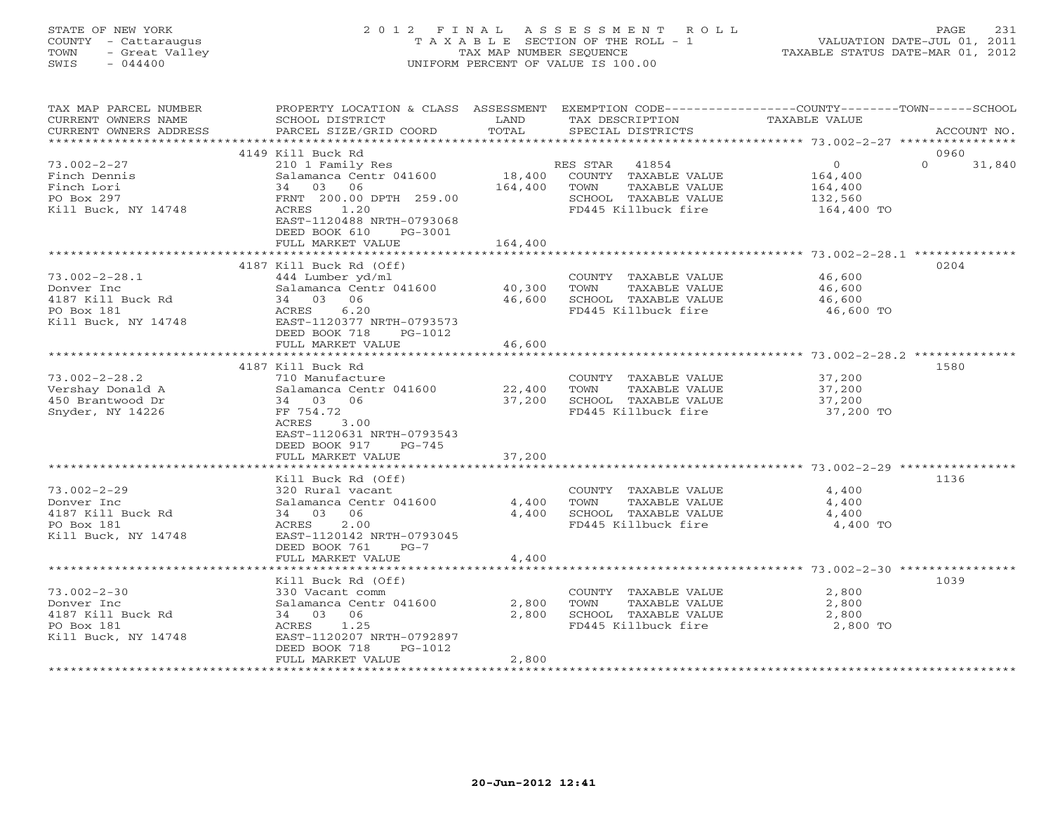### STATE OF NEW YORK 2 0 1 2 F I N A L A S S E S S M E N T R O L L PAGE 231 COUNTY - Cattaraugus T A X A B L E SECTION OF THE ROLL - 1 VALUATION DATE-JUL 01, 2011 TOWN - Great Valley TAX MAP NUMBER SEQUENCE TAXABLE STATUS DATE-MAR 01, 2012 SWIS - 044400 UNIFORM PERCENT OF VALUE IS 100.00UNIFORM PERCENT OF VALUE IS 100.00

| TAX MAP PARCEL NUMBER<br>CURRENT OWNERS NAME    | PROPERTY LOCATION & CLASS ASSESSMENT EXEMPTION CODE----------------COUNTY-------TOWN------SCHOOL<br>SCHOOL DISTRICT | LAND                   | TAX DESCRIPTION                               | TAXABLE VALUE      |                    |
|-------------------------------------------------|---------------------------------------------------------------------------------------------------------------------|------------------------|-----------------------------------------------|--------------------|--------------------|
| CURRENT OWNERS ADDRESS<br>********************* | PARCEL SIZE/GRID COORD                                                                                              | TOTAL                  | SPECIAL DISTRICTS                             |                    | ACCOUNT NO.        |
|                                                 | 4149 Kill Buck Rd                                                                                                   |                        |                                               |                    | 0960               |
| $73.002 - 2 - 27$                               | 210 1 Family Res                                                                                                    |                        | RES STAR 41854                                | $\overline{0}$     | $\Omega$<br>31,840 |
| Finch Dennis<br>Finch Lori                      | Salamanca Centr 041600<br>03 06<br>34                                                                               | 18,400<br>164,400      | COUNTY TAXABLE VALUE<br>TAXABLE VALUE<br>TOWN | 164,400<br>164,400 |                    |
| PO Box 297                                      | FRNT 200.00 DPTH 259.00                                                                                             |                        | SCHOOL TAXABLE VALUE                          | 132,560            |                    |
| Kill Buck, NY 14748                             | ACRES 1.20                                                                                                          |                        | FD445 Killbuck fire                           | 164,400 TO         |                    |
|                                                 | EAST-1120488 NRTH-0793068<br>DEED BOOK 610<br>PG-3001<br>FULL MARKET VALUE                                          | 164,400                |                                               |                    |                    |
|                                                 |                                                                                                                     |                        |                                               |                    |                    |
|                                                 | 4187 Kill Buck Rd (Off)                                                                                             |                        |                                               |                    | 0204               |
| $73.002 - 2 - 28.1$                             | 444 Lumber yd/ml                                                                                                    |                        | COUNTY TAXABLE VALUE                          | 46,600             |                    |
| Donver Inc<br>4187 Kill Buck Rd                 | Salamanca Centr 041600<br>34 03 06                                                                                  | 40,300<br>46,600       | TOWN<br>TAXABLE VALUE<br>SCHOOL TAXABLE VALUE | 46,600<br>46,600   |                    |
| PO Box 181                                      | ACRES<br>6.20                                                                                                       |                        | FD445 Killbuck fire                           | 46,600 TO          |                    |
| Kill Buck, NY 14748                             | EAST-1120377 NRTH-0793573<br>DEED BOOK 718<br>PG-1012                                                               |                        |                                               |                    |                    |
|                                                 | FULL MARKET VALUE<br>***********************                                                                        | 46,600<br>************ |                                               |                    |                    |
|                                                 | 4187 Kill Buck Rd                                                                                                   |                        |                                               |                    | 1580               |
| $73.002 - 2 - 28.2$                             | 710 Manufacture                                                                                                     |                        | COUNTY TAXABLE VALUE                          | 37,200             |                    |
| Vershay Donald A                                | Salamanca Centr 041600                                                                                              | 22,400                 | TOWN<br>TAXABLE VALUE                         | 37,200             |                    |
| 450 Brantwood Dr                                | 34 03 06                                                                                                            | 37,200                 | SCHOOL TAXABLE VALUE                          | 37,200             |                    |
| Snyder, NY 14226                                | FF 754.72                                                                                                           |                        | FD445 Killbuck fire                           | 37,200 TO          |                    |
|                                                 | ACRES<br>3.00                                                                                                       |                        |                                               |                    |                    |
|                                                 | EAST-1120631 NRTH-0793543                                                                                           |                        |                                               |                    |                    |
|                                                 | DEED BOOK 917<br>$PG-745$<br>FULL MARKET VALUE                                                                      | 37,200                 |                                               |                    |                    |
|                                                 |                                                                                                                     |                        |                                               |                    |                    |
|                                                 | Kill Buck Rd (Off)                                                                                                  |                        |                                               |                    | 1136               |
| $73.002 - 2 - 29$                               | 320 Rural vacant                                                                                                    |                        | COUNTY TAXABLE VALUE                          | 4,400              |                    |
| Donver Inc                                      | Salamanca Centr 041600                                                                                              | 4,400                  | TOWN<br>TAXABLE VALUE                         | 4,400              |                    |
| 4187 Kill Buck Rd<br>PO Box 181                 | 34 03 06<br>ACRES<br>2.00                                                                                           | 4,400                  | SCHOOL TAXABLE VALUE<br>FD445 Killbuck fire   | 4,400<br>4,400 TO  |                    |
| Kill Buck, NY 14748                             | EAST-1120142 NRTH-0793045                                                                                           |                        |                                               |                    |                    |
|                                                 | DEED BOOK 761<br>$PG-7$                                                                                             |                        |                                               |                    |                    |
|                                                 | FULL MARKET VALUE                                                                                                   | 4,400                  |                                               |                    |                    |
|                                                 | *************************                                                                                           | **************         |                                               |                    |                    |
|                                                 | Kill Buck Rd (Off)                                                                                                  |                        |                                               |                    | 1039               |
| $73.002 - 2 - 30$                               | 330 Vacant comm                                                                                                     |                        | COUNTY TAXABLE VALUE                          | 2,800              |                    |
| Donver Inc                                      | Salamanca Centr 041600                                                                                              | 2,800                  | TOWN<br>TAXABLE VALUE                         | 2,800              |                    |
| 4187 Kill Buck Rd                               | 34 03 06                                                                                                            | 2,800                  | SCHOOL TAXABLE VALUE                          | 2,800              |                    |
| PO Box 181<br>Kill Buck, NY 14748               | ACRES<br>1.25<br>EAST-1120207 NRTH-0792897                                                                          |                        | FD445 Killbuck fire                           | 2,800 TO           |                    |
|                                                 | DEED BOOK 718<br>PG-1012                                                                                            |                        |                                               |                    |                    |
|                                                 | FULL MARKET VALUE                                                                                                   | 2,800                  |                                               |                    |                    |
|                                                 |                                                                                                                     |                        |                                               |                    |                    |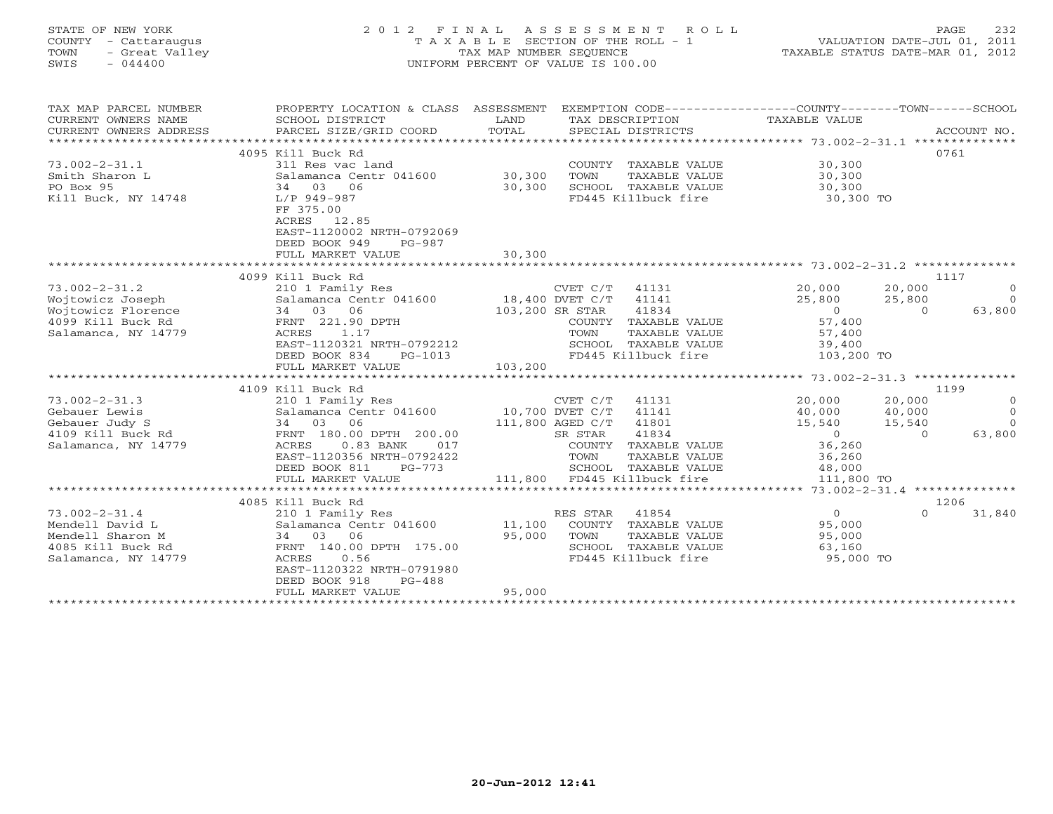# STATE OF NEW YORK 2 0 1 2 F I N A L A S S E S S M E N T R O L L PAGE 232 COUNTY - Cattaraugus T A X A B L E SECTION OF THE ROLL - 1 VALUATION DATE-JUL 01, 2011 TOWN - Great Valley TAX MAP NUMBER SEQUENCE TAXABLE STATUS DATE-MAR 01, 2012 SWIS - 044400 UNIFORM PERCENT OF VALUE IS 100.00

| TAX MAP PARCEL NUMBER<br>CURRENT OWNERS NAME<br>CURRENT OWNERS ADDRESS<br>********************* | PROPERTY LOCATION & CLASS ASSESSMENT<br>SCHOOL DISTRICT<br>PARCEL SIZE/GRID COORD | LAND<br>TOTAL   |                  | TAX DESCRIPTION<br>SPECIAL DISTRICTS | EXEMPTION CODE-----------------COUNTY-------TOWN------SCHOOL<br>TAXABLE VALUE |          | ACCOUNT NO.    |
|-------------------------------------------------------------------------------------------------|-----------------------------------------------------------------------------------|-----------------|------------------|--------------------------------------|-------------------------------------------------------------------------------|----------|----------------|
|                                                                                                 | 4095 Kill Buck Rd                                                                 |                 |                  |                                      |                                                                               |          | 0761           |
|                                                                                                 |                                                                                   |                 |                  |                                      |                                                                               |          |                |
| $73.002 - 2 - 31.1$                                                                             | 311 Res vac land                                                                  |                 |                  | COUNTY TAXABLE VALUE                 | 30,300                                                                        |          |                |
| Smith Sharon L                                                                                  | Salamanca Centr 041600                                                            | 30,300          | TOWN             | TAXABLE VALUE                        | 30,300                                                                        |          |                |
| PO Box 95                                                                                       | 34 03<br>06                                                                       | 30,300          |                  | SCHOOL TAXABLE VALUE                 | 30,300                                                                        |          |                |
| Kill Buck, NY 14748                                                                             | L/P 949-987                                                                       |                 |                  | FD445 Killbuck fire                  | 30,300 TO                                                                     |          |                |
|                                                                                                 | FF 375.00                                                                         |                 |                  |                                      |                                                                               |          |                |
|                                                                                                 | 12.85<br>ACRES                                                                    |                 |                  |                                      |                                                                               |          |                |
|                                                                                                 | EAST-1120002 NRTH-0792069                                                         |                 |                  |                                      |                                                                               |          |                |
|                                                                                                 | DEED BOOK 949<br>$PG-987$                                                         |                 |                  |                                      |                                                                               |          |                |
|                                                                                                 | FULL MARKET VALUE                                                                 | 30,300          |                  |                                      |                                                                               |          |                |
|                                                                                                 |                                                                                   |                 |                  |                                      |                                                                               |          |                |
|                                                                                                 | 4099 Kill Buck Rd                                                                 |                 |                  |                                      |                                                                               | 1117     |                |
| $73.002 - 2 - 31.2$                                                                             | 210 1 Family Res                                                                  |                 | CVET C/T         | 41131                                | 20,000                                                                        | 20,000   | $\Omega$       |
| Wojtowicz Joseph                                                                                | Salamanca Centr 041600 18,400 DVET C/T                                            |                 |                  | 41141                                | 25,800                                                                        | 25,800   | $\Omega$       |
| Wojtowicz Florence                                                                              | 34 03 06                                                                          | 103,200 SR STAR |                  | 41834                                | $\overline{0}$                                                                | $\Omega$ | 63,800         |
| 4099 Kill Buck Rd                                                                               | FRNT 221.90 DPTH                                                                  |                 |                  | COUNTY TAXABLE VALUE                 | 57,400                                                                        |          |                |
| Salamanca, NY 14779                                                                             | ACRES<br>1.17                                                                     |                 | TOWN             | TAXABLE VALUE                        | 57,400                                                                        |          |                |
|                                                                                                 | EAST-1120321 NRTH-0792212                                                         |                 |                  | SCHOOL TAXABLE VALUE                 | 39,400                                                                        |          |                |
|                                                                                                 | DEED BOOK 834<br>PG-1013                                                          |                 |                  | FD445 Killbuck fire                  | 103,200 TO                                                                    |          |                |
|                                                                                                 | FULL MARKET VALUE                                                                 | 103,200         |                  |                                      |                                                                               |          |                |
|                                                                                                 |                                                                                   |                 |                  |                                      |                                                                               |          |                |
|                                                                                                 | 4109 Kill Buck Rd                                                                 |                 |                  |                                      |                                                                               |          | 1199           |
| $73.002 - 2 - 31.3$                                                                             | 210 1 Family Res                                                                  |                 | CVET C/T         | 41131                                | 20,000                                                                        | 20,000   | $\overline{0}$ |
| Gebauer Lewis                                                                                   | Salamanca Centr 041600                                                            | 10,700 DVET C/T |                  | 41141                                | 40,000                                                                        | 40,000   | $\Omega$       |
| Gebauer Judy S                                                                                  | 34 03 06                                                                          |                 | 111,800 AGED C/T | 41801                                | 15,540                                                                        | 15,540   | $\Omega$       |
| 4109 Kill Buck Rd                                                                               | FRNT 180.00 DPTH 200.00                                                           |                 | SR STAR          | 41834                                | $\overline{0}$                                                                | $\Omega$ | 63,800         |
| Salamanca, NY 14779                                                                             | $0.83$ BANK<br>ACRES<br>017                                                       |                 |                  | COUNTY TAXABLE VALUE                 | 36,260                                                                        |          |                |
|                                                                                                 | EAST-1120356 NRTH-0792422                                                         |                 | TOWN             | TAXABLE VALUE                        | 36,260                                                                        |          |                |
|                                                                                                 | DEED BOOK 811<br>$PG-773$                                                         |                 |                  | SCHOOL TAXABLE VALUE                 | 48,000                                                                        |          |                |
|                                                                                                 | FULL MARKET VALUE                                                                 |                 |                  | 111,800 FD445 Killbuck fire          | 111,800 TO                                                                    |          |                |
|                                                                                                 |                                                                                   |                 |                  |                                      |                                                                               |          |                |
|                                                                                                 | 4085 Kill Buck Rd                                                                 |                 |                  |                                      |                                                                               |          | 1206           |
| $73.002 - 2 - 31.4$                                                                             | 210 1 Family Res                                                                  |                 | RES STAR         | 41854                                | $\Omega$                                                                      | $\Omega$ | 31,840         |
| Mendell David L                                                                                 | Salamanca Centr 041600                                                            | 11,100          |                  | COUNTY TAXABLE VALUE                 | 95,000                                                                        |          |                |
| Mendell Sharon M                                                                                | 34 03 06                                                                          | 95,000          | TOWN             | TAXABLE VALUE                        | 95,000                                                                        |          |                |
| 4085 Kill Buck Rd                                                                               | FRNT 140.00 DPTH 175.00                                                           |                 |                  | SCHOOL TAXABLE VALUE                 | 63,160                                                                        |          |                |
| Salamanca, NY 14779                                                                             | 0.56<br>ACRES                                                                     |                 |                  | FD445 Killbuck fire                  | 95,000 TO                                                                     |          |                |
|                                                                                                 | EAST-1120322 NRTH-0791980                                                         |                 |                  |                                      |                                                                               |          |                |
|                                                                                                 | DEED BOOK 918<br>$PG-488$                                                         |                 |                  |                                      |                                                                               |          |                |
|                                                                                                 | FULL MARKET VALUE                                                                 | 95,000          |                  |                                      |                                                                               |          |                |
|                                                                                                 |                                                                                   |                 |                  |                                      |                                                                               |          |                |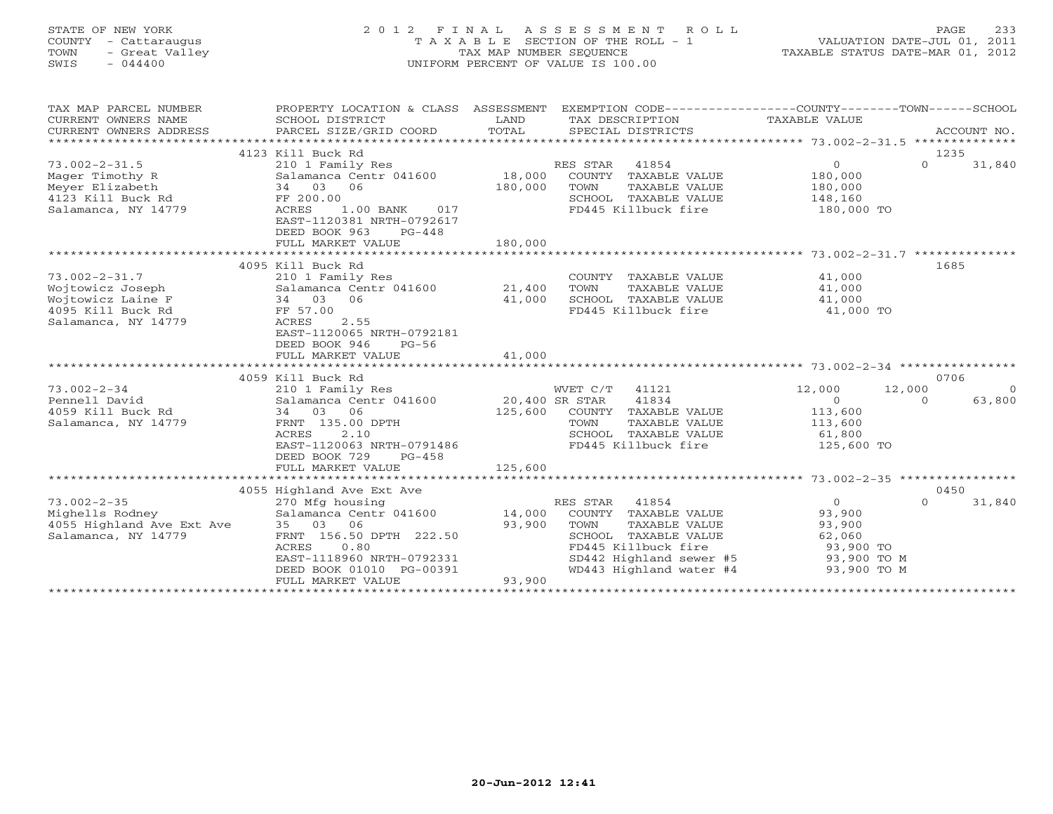### STATE OF NEW YORK 2 0 1 2 F I N A L A S S E S S M E N T R O L L PAGE 233 COUNTY - Cattaraugus T A X A B L E SECTION OF THE ROLL - 1 VALUATION DATE-JUL 01, 2011 TOWN - Great Valley TAX MAP NUMBER SEQUENCE TAXABLE STATUS DATE-MAR 01, 2012 SWIS - 044400 UNIFORM PERCENT OF VALUE IS 100.00UNIFORM PERCENT OF VALUE IS 100.00

| TAX MAP PARCEL NUMBER<br>CURRENT OWNERS NAME<br>CURRENT OWNERS ADDRESS | PROPERTY LOCATION & CLASS ASSESSMENT<br>SCHOOL DISTRICT<br>PARCEL SIZE/GRID COORD     | LAND<br>TOTAL           |                | TAX DESCRIPTION<br>SPECIAL DISTRICTS               | EXEMPTION CODE-----------------COUNTY-------TOWN------SCHOOL<br>TAXABLE VALUE |          | ACCOUNT NO.    |
|------------------------------------------------------------------------|---------------------------------------------------------------------------------------|-------------------------|----------------|----------------------------------------------------|-------------------------------------------------------------------------------|----------|----------------|
|                                                                        | 4123 Kill Buck Rd                                                                     |                         |                |                                                    |                                                                               | 1235     |                |
| $73.002 - 2 - 31.5$                                                    | 210 1 Family Res                                                                      |                         | RES STAR 41854 |                                                    | $\circ$                                                                       | $\Omega$ | 31,840         |
| Mager Timothy R                                                        | Salamanca Centr 041600 18,000                                                         |                         |                | COUNTY TAXABLE VALUE                               | 180,000                                                                       |          |                |
| Meyer Elizabeth                                                        | 34 03 06                                                                              | 180,000                 | TOWN           | TAXABLE VALUE                                      | 180,000                                                                       |          |                |
| 4123 Kill Buck Rd                                                      | FF 200.00                                                                             |                         |                | SCHOOL TAXABLE VALUE                               | 148,160                                                                       |          |                |
| Salamanca, NY 14779                                                    | ACRES<br>$1.00$ BANK<br>017<br>EAST-1120381 NRTH-0792617<br>DEED BOOK 963<br>$PG-448$ |                         |                | FD445 Killbuck fire                                | 180,000 TO                                                                    |          |                |
|                                                                        | FULL MARKET VALUE                                                                     | 180,000                 |                |                                                    |                                                                               |          |                |
|                                                                        |                                                                                       | *********************** |                |                                                    | ******************** 73.002-2-31.7 **************                             |          |                |
|                                                                        | 4095 Kill Buck Rd                                                                     |                         |                |                                                    |                                                                               | 1685     |                |
| $73.002 - 2 - 31.7$                                                    | 210 1 Family Res                                                                      |                         |                | COUNTY TAXABLE VALUE                               | 41,000                                                                        |          |                |
| Wojtowicz Joseph                                                       | Salamanca Centr 041600                                                                | 21,400                  | TOWN           | TAXABLE VALUE                                      | 41,000                                                                        |          |                |
| Wojtowicz Laine F                                                      | 06<br>34 03                                                                           | 41,000                  |                | SCHOOL TAXABLE VALUE                               | 41,000                                                                        |          |                |
| 4095 Kill Buck Rd                                                      | FF 57.00                                                                              |                         |                | FD445 Killbuck fire                                | 41,000 TO                                                                     |          |                |
| Salamanca, NY 14779                                                    | ACRES<br>2.55                                                                         |                         |                |                                                    |                                                                               |          |                |
|                                                                        | EAST-1120065 NRTH-0792181<br>DEED BOOK 946<br>$PG-56$                                 |                         |                |                                                    |                                                                               |          |                |
|                                                                        | FULL MARKET VALUE                                                                     | 41,000                  |                |                                                    |                                                                               |          |                |
|                                                                        |                                                                                       |                         |                |                                                    |                                                                               |          |                |
|                                                                        | 4059 Kill Buck Rd                                                                     |                         |                |                                                    |                                                                               | 0706     |                |
| $73.002 - 2 - 34$                                                      | 210 1 Family Res                                                                      |                         | WVET C/T 41121 |                                                    | 12,000                                                                        | 12,000   | $\overline{0}$ |
| Pennell David                                                          | Salamanca Centr 041600                                                                | 20,400 SR STAR          |                | 41834                                              | $\overline{O}$                                                                | $\Omega$ | 63,800         |
| 4059 Kill Buck Rd                                                      | 34 03<br>06                                                                           | 125,600                 |                | COUNTY TAXABLE VALUE                               | 113,600                                                                       |          |                |
| Salamanca, NY 14779                                                    | FRNT 135.00 DPTH                                                                      |                         | TOWN           | TAXABLE VALUE                                      | 113,600                                                                       |          |                |
|                                                                        | ACRES<br>2.10                                                                         |                         |                | SCHOOL TAXABLE VALUE                               | 61,800                                                                        |          |                |
|                                                                        | EAST-1120063 NRTH-0791486                                                             |                         |                | FD445 Killbuck fire                                | 125,600 TO                                                                    |          |                |
|                                                                        | DEED BOOK 729<br>$PG-458$                                                             |                         |                |                                                    |                                                                               |          |                |
|                                                                        | FULL MARKET VALUE                                                                     | 125,600                 |                |                                                    |                                                                               |          |                |
|                                                                        |                                                                                       |                         |                |                                                    |                                                                               |          |                |
|                                                                        | 4055 Highland Ave Ext Ave                                                             |                         |                |                                                    |                                                                               | 0450     |                |
| $73.002 - 2 - 35$                                                      | 270 Mfg housing                                                                       |                         | RES STAR       | 41854                                              | $\Omega$                                                                      | $\Omega$ | 31,840         |
| Mighells Rodney                                                        | Salamanca Centr 041600 14,000                                                         |                         |                | COUNTY TAXABLE VALUE                               | 93,900                                                                        |          |                |
| 4055 Highland Ave Ext Ave                                              | 35 03<br>06                                                                           | 93,900                  | TOWN           | TAXABLE VALUE                                      | 93,900                                                                        |          |                |
| Salamanca, NY 14779                                                    | FRNT 156.50 DPTH 222.50                                                               |                         |                | SCHOOL TAXABLE VALUE                               | 62,060                                                                        |          |                |
|                                                                        | ACRES<br>0.80<br>EAST-1118960 NRTH-0792331                                            |                         |                | FD445 Killbuck fire                                | 93,900 TO                                                                     |          |                |
|                                                                        | DEED BOOK 01010 PG-00391                                                              |                         |                | SD442 Highland sewer #5<br>WD443 Highland water #4 | 93,900 TO M<br>93,900 TO M                                                    |          |                |
|                                                                        | FULL MARKET VALUE                                                                     | 93,900                  |                |                                                    |                                                                               |          |                |
|                                                                        |                                                                                       |                         |                |                                                    |                                                                               |          |                |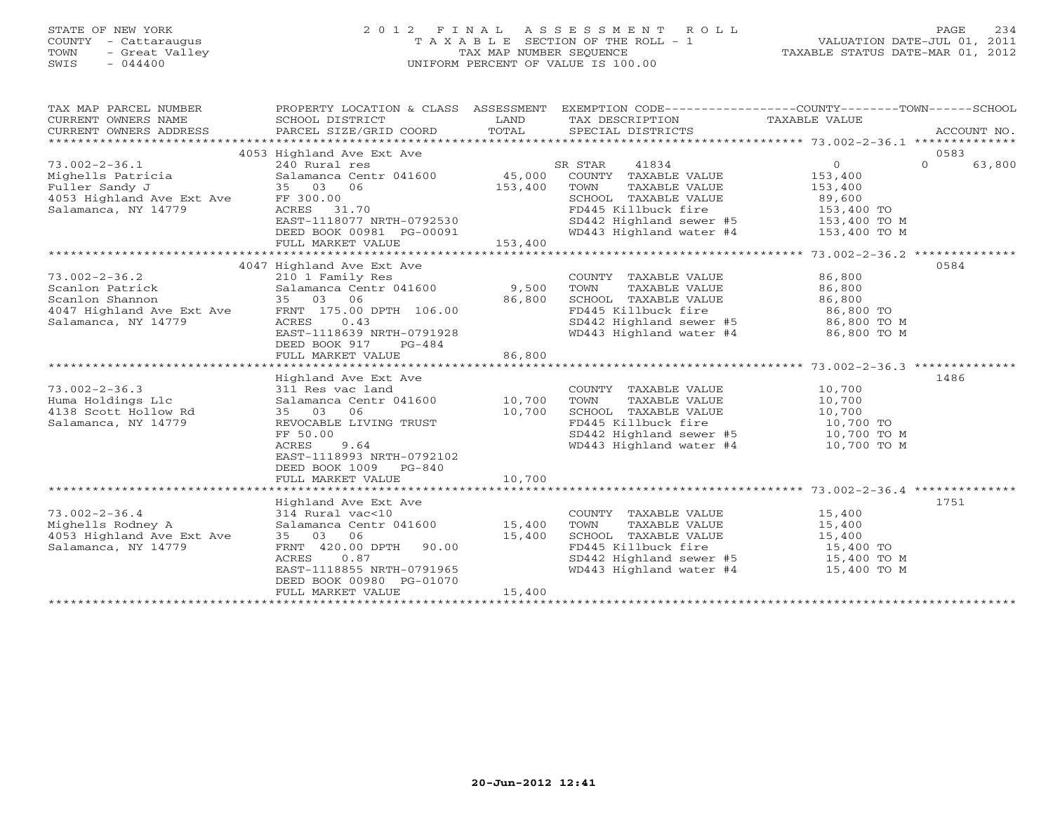# STATE OF NEW YORK 2 0 1 2 F I N A L A S S E S S M E N T R O L L PAGE 234 COUNTY - Cattaraugus T A X A B L E SECTION OF THE ROLL - 1 VALUATION DATE-JUL 01, 2011 TOWN - Great Valley TAX MAP NUMBER SEQUENCE TAXABLE STATUS DATE-MAR 01, 2012 SWIS - 044400 UNIFORM PERCENT OF VALUE IS 100.00

| TAX MAP PARCEL NUMBER<br>CURRENT OWNERS NAME<br>CURRENT OWNERS ADDRESS | PROPERTY LOCATION & CLASS ASSESSMENT<br>SCHOOL DISTRICT<br>PARCEL SIZE/GRID COORD | LAND<br>TOTAL | EXEMPTION CODE-----------------COUNTY-------TOWN------SCHOOL<br>TAX DESCRIPTION<br>SPECIAL DISTRICTS | TAXABLE VALUE | ACCOUNT NO.        |
|------------------------------------------------------------------------|-----------------------------------------------------------------------------------|---------------|------------------------------------------------------------------------------------------------------|---------------|--------------------|
|                                                                        | 4053 Highland Ave Ext Ave                                                         |               |                                                                                                      |               | 0583               |
| $73.002 - 2 - 36.1$                                                    | 240 Rural res                                                                     |               | SR STAR<br>41834                                                                                     | $\circ$       | $\Omega$<br>63,800 |
| Mighells Patricia                                                      | Salamanca Centr 041600                                                            | 45,000        | COUNTY TAXABLE VALUE                                                                                 | 153,400       |                    |
| Fuller Sandy J                                                         | 35 03<br>06                                                                       | 153,400       | TOWN<br>TAXABLE VALUE                                                                                | 153,400       |                    |
| 4053 Highland Ave Ext Ave                                              | FF 300.00                                                                         |               | SCHOOL TAXABLE VALUE                                                                                 | 89,600        |                    |
| Salamanca, NY 14779                                                    | ACRES 31.70                                                                       |               | FD445 Killbuck fire                                                                                  | 153,400 TO    |                    |
|                                                                        | EAST-1118077 NRTH-0792530                                                         |               | SD442 Highland sewer #5                                                                              | 153,400 TO M  |                    |
|                                                                        | DEED BOOK 00981 PG-00091                                                          |               | WD443 Highland water #4                                                                              | 153,400 TO M  |                    |
|                                                                        | FULL MARKET VALUE                                                                 | 153,400       |                                                                                                      |               |                    |
|                                                                        |                                                                                   |               |                                                                                                      |               |                    |
|                                                                        | 4047 Highland Ave Ext Ave                                                         |               |                                                                                                      |               | 0584               |
| $73.002 - 2 - 36.2$                                                    | 210 1 Family Res                                                                  |               | COUNTY TAXABLE VALUE                                                                                 | 86,800        |                    |
| Scanlon Patrick                                                        | Salamanca Centr 041600                                                            | 9,500         | TOWN<br>TAXABLE VALUE                                                                                | 86,800        |                    |
| Scanlon Shannon                                                        | 35 03 06                                                                          | 86,800        | SCHOOL TAXABLE VALUE                                                                                 | 86,800        |                    |
| 4047 Highland Ave Ext Ave                                              | FRNT 175.00 DPTH 106.00                                                           |               | FD445 Killbuck fire                                                                                  | 86,800 TO     |                    |
|                                                                        | ACRES<br>0.43                                                                     |               |                                                                                                      |               |                    |
| Salamanca, NY 14779                                                    |                                                                                   |               | SD442 Highland sewer #5<br>WD443 Highland water #4                                                   | 86,800 TO M   |                    |
|                                                                        | EAST-1118639 NRTH-0791928<br>DEED BOOK 917                                        |               |                                                                                                      | 86,800 TO M   |                    |
|                                                                        | PG-484                                                                            | 86,800        |                                                                                                      |               |                    |
|                                                                        | FULL MARKET VALUE                                                                 |               |                                                                                                      |               |                    |
|                                                                        |                                                                                   |               |                                                                                                      |               |                    |
|                                                                        | Highland Ave Ext Ave                                                              |               |                                                                                                      |               | 1486               |
| $73.002 - 2 - 36.3$                                                    | 311 Res vac land                                                                  |               | COUNTY TAXABLE VALUE                                                                                 | 10,700        |                    |
| Huma Holdings Llc                                                      | Salamanca Centr 041600                                                            | 10,700        | TOWN<br>TAXABLE VALUE                                                                                | 10,700        |                    |
| 4138 Scott Hollow Rd                                                   | 35 03 06                                                                          | 10,700        | SCHOOL TAXABLE VALUE                                                                                 | 10,700        |                    |
| Salamanca, NY 14779                                                    | REVOCABLE LIVING TRUST                                                            |               | FD445 Killbuck fire                                                                                  | 10,700 TO     |                    |
|                                                                        | FF 50.00                                                                          |               | SD442 Highland sewer #5                                                                              | 10,700 TO M   |                    |
|                                                                        | ACRES<br>9.64                                                                     |               | WD443 Highland water #4                                                                              | 10,700 TO M   |                    |
|                                                                        | EAST-1118993 NRTH-0792102                                                         |               |                                                                                                      |               |                    |
|                                                                        | DEED BOOK 1009<br>PG-840                                                          |               |                                                                                                      |               |                    |
|                                                                        | FULL MARKET VALUE                                                                 | 10,700        |                                                                                                      |               |                    |
|                                                                        |                                                                                   |               |                                                                                                      |               |                    |
|                                                                        | Highland Ave Ext Ave                                                              |               |                                                                                                      |               | 1751               |
| $73.002 - 2 - 36.4$                                                    | 314 Rural vac<10                                                                  |               | COUNTY TAXABLE VALUE                                                                                 | 15,400        |                    |
| Mighells Rodney A                                                      | Salamanca Centr 041600                                                            | 15,400        | TOWN<br>TAXABLE VALUE                                                                                | 15,400        |                    |
| 4053 Highland Ave Ext Ave                                              | 35 03 06                                                                          | 15,400        | SCHOOL TAXABLE VALUE                                                                                 | 15,400        |                    |
| Salamanca, NY 14779                                                    | FRNT 420.00 DPTH<br>90.00                                                         |               | FD445 Killbuck fire                                                                                  | 15,400 TO     |                    |
|                                                                        | 0.87<br>ACRES                                                                     |               | SD442 Highland sewer #5                                                                              | 15,400 TO M   |                    |
|                                                                        | EAST-1118855 NRTH-0791965                                                         |               | WD443 Highland water #4                                                                              | 15,400 TO M   |                    |
|                                                                        | DEED BOOK 00980 PG-01070                                                          |               |                                                                                                      |               |                    |
|                                                                        | FULL MARKET VALUE                                                                 | 15,400        |                                                                                                      |               |                    |
|                                                                        |                                                                                   |               |                                                                                                      |               |                    |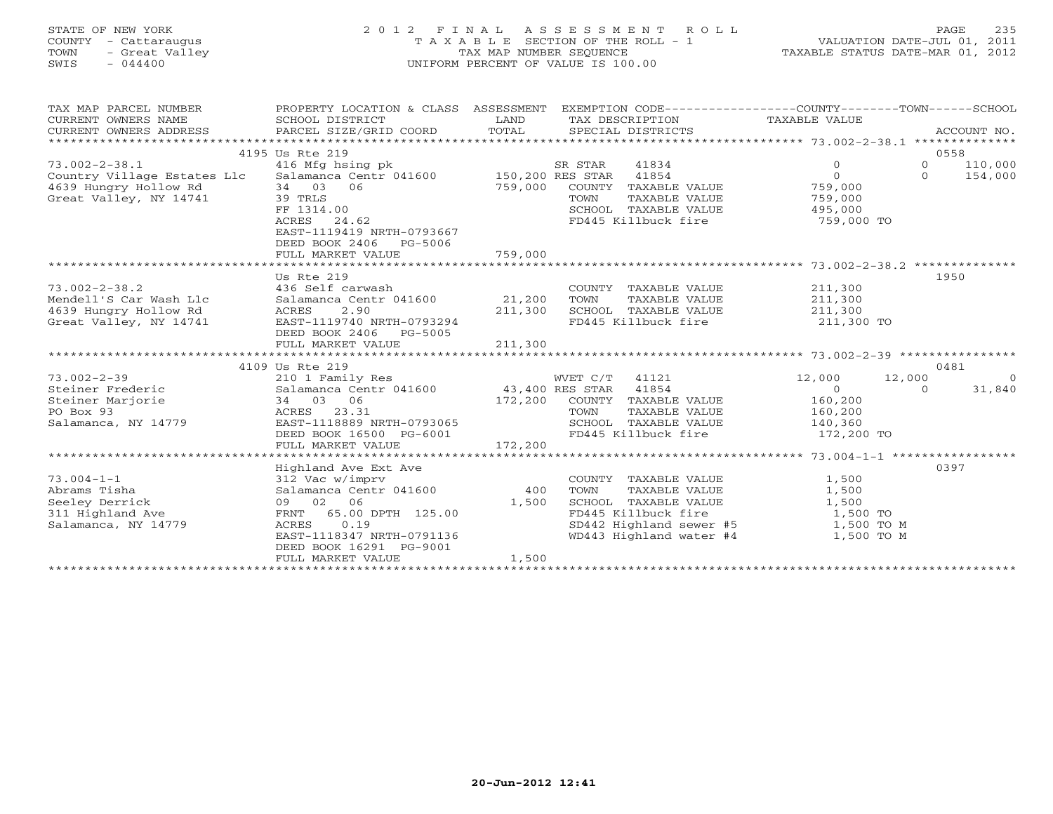### STATE OF NEW YORK 2 0 1 2 F I N A L A S S E S S M E N T R O L L PAGE 235 COUNTY - Cattaraugus T A X A B L E SECTION OF THE ROLL - 1 VALUATION DATE-JUL 01, 2011 TOWN - Great Valley TAX MAP NUMBER SEQUENCE TAXABLE STATUS DATE-MAR 01, 2012 SWIS - 044400 UNIFORM PERCENT OF VALUE IS 100.00UNIFORM PERCENT OF VALUE IS 100.00

| TAX MAP PARCEL NUMBER<br>CURRENT OWNERS NAME<br>CURRENT OWNERS ADDRESS                                                                                        | PROPERTY LOCATION & CLASS ASSESSMENT<br>SCHOOL DISTRICT<br>PARCEL SIZE/GRID COORD                                                                                                | LAND<br>TOTAL | TAX DESCRIPTION TAXABLE VALUE<br>SPECIAL DISTRICTS                                                                                                            | EXEMPTION CODE----------------COUNTY-------TOWN------SCHOOL       | ACCOUNT NO.        |
|---------------------------------------------------------------------------------------------------------------------------------------------------------------|----------------------------------------------------------------------------------------------------------------------------------------------------------------------------------|---------------|---------------------------------------------------------------------------------------------------------------------------------------------------------------|-------------------------------------------------------------------|--------------------|
|                                                                                                                                                               | 4195 Us Rte 219                                                                                                                                                                  |               |                                                                                                                                                               |                                                                   | 0558               |
| 73.002-2-38.1 416 Mfg hsing pk R STAR<br>Country Village Estates Llc Salamanca Centr 041600 150,200 RES STAR<br>4639 Hungry Hollow Rd<br>2000 Willey NY 14741 | 34 03 06<br>39 TRLS<br>FF 1314.00                                                                                                                                                | 759,000       | 41834<br>41854<br>COUNTY TAXABLE VALUE<br>TOWN<br>TAXABLE VALUE<br>SCHOOL TAXABLE VALUE 495,000                                                               | $\Omega$<br>$\circ$<br>$\Omega$<br>$\Omega$<br>759,000<br>759,000 | 110,000<br>154,000 |
|                                                                                                                                                               | ACRES<br>24.62<br>EAST-1119419 NRTH-0793667<br>DEED BOOK 2406 PG-5006<br>FULL MARKET VALUE                                                                                       | 759,000       | FD445 Killbuck fire 759,000 TO                                                                                                                                |                                                                   |                    |
|                                                                                                                                                               | Us Rte 219                                                                                                                                                                       |               |                                                                                                                                                               |                                                                   | 1950               |
| $73.002 - 2 - 38.2$<br>Mendell'S Car Wash Llc<br>4639 Hungry Hollow Rd<br>Great Valley, NY 14741                                                              | 436 Self carwash<br>Salamanca Centr 041600 21,200<br>ACRES<br>2.90<br>EAST-1119740 NRTH-0793294<br>DEED BOOK 2406 PG-5005<br>4109 Us Rte 219                                     | 211,300       | COUNTY TAXABLE VALUE<br>TOWN<br>TAXABLE VALUE<br>SCHOOL TAXABLE VALUE 211,300<br>FD445 Killbuck fire 211,300 TO                                               | 211,300<br>211,300                                                | 0481               |
| $73.002 - 2 - 39$                                                                                                                                             |                                                                                                                                                                                  |               | WVET C/T 41121                                                                                                                                                | 12,000<br>12,000                                                  | $\overline{0}$     |
| Steiner Frederic<br>Steiner Marjorie<br>PO Box 93<br>Salamanca, NY 14779                                                                                      | 34 03 06<br>ACRES 23.31<br>EAST-1118889 NRTH-0793065<br>DEED BOOK 16500 PG-6001                                                                                                  |               | 172,200 COUNTY TAXABLE VALUE<br>TOWN<br>TAXABLE VALUE<br>SCHOOL TAXABLE VALUE<br>FD445 Killbuck fire 172,200 TO                                               | $\overline{0}$<br>$\Omega$<br>160,200<br>160,200<br>140,360       | 31,840             |
|                                                                                                                                                               |                                                                                                                                                                                  |               |                                                                                                                                                               |                                                                   |                    |
|                                                                                                                                                               |                                                                                                                                                                                  |               |                                                                                                                                                               |                                                                   |                    |
| $73.004 - 1 - 1$<br>Abrams Tisha<br>Seeley Derrick<br>311 Highland Ave<br>Salamanca, NY 14779                                                                 | Highland Ave Ext Ave<br>312 Vac w/imprv<br>Salamanca Centr 041600<br>09 02 06<br>FRNT 65.00 DPTH 125.00<br>0.19<br>ACRES<br>EAST-1118347 NRTH-0791136<br>DEED BOOK 16291 PG-9001 | 400<br>1,500  | COUNTY TAXABLE VALUE<br>TOWN<br>TAXABLE VALUE<br>SCHOOL TAXABLE VALUE<br>FD445 Killbuck fire<br>SD442 Highland sewer #5 1,500 TO M<br>WD443 Highland water #4 | 1,500<br>1,500<br>1,500<br>1,500 TO<br>1,500 TO M                 | 0397               |
|                                                                                                                                                               | FULL MARKET VALUE                                                                                                                                                                | 1,500         |                                                                                                                                                               |                                                                   |                    |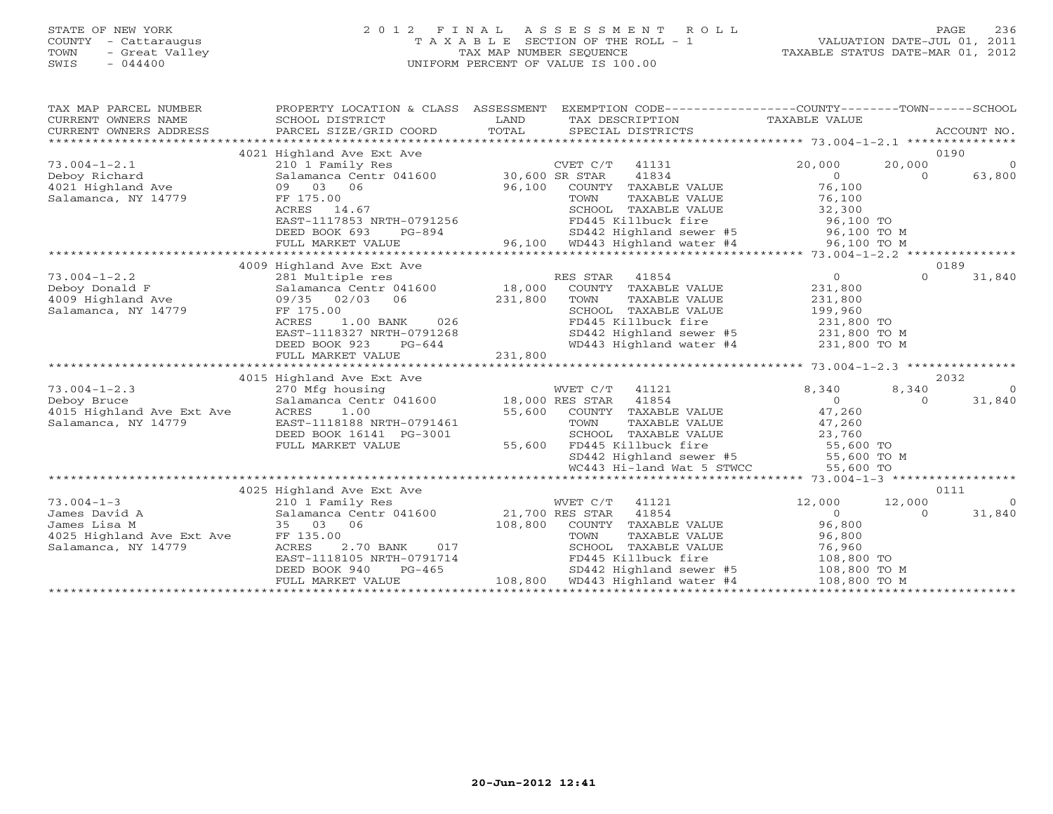# STATE OF NEW YORK 2 0 1 2 F I N A L A S S E S S M E N T R O L L PAGE 236 COUNTY - Cattaraugus T A X A B L E SECTION OF THE ROLL - 1 VALUATION DATE-JUL 01, 2011 TOWN - Great Valley TAX MAP NUMBER SEQUENCE TAXABLE STATUS DATE-MAR 01, 2012 SWIS - 044400 UNIFORM PERCENT OF VALUE IS 100.00

| TAX MAP PARCEL NUMBER<br>CURRENT OWNERS NAME<br>CURRENT OWNERS ADDRESS | PROPERTY LOCATION & CLASS ASSESSMENT<br>SCHOOL DISTRICT<br>PARCEL SIZE/GRID COORD | LAND<br>TOTAL |                  | EXEMPTION CODE-----------------COUNTY-------TOWN-----SCHOOL<br>TAX DESCRIPTION<br>SPECIAL DISTRICTS | TAXABLE VALUE    |          | ACCOUNT NO.    |
|------------------------------------------------------------------------|-----------------------------------------------------------------------------------|---------------|------------------|-----------------------------------------------------------------------------------------------------|------------------|----------|----------------|
|                                                                        |                                                                                   |               |                  |                                                                                                     |                  |          |                |
|                                                                        | 4021 Highland Ave Ext Ave                                                         |               |                  |                                                                                                     |                  |          | 0190           |
| $73.004 - 1 - 2.1$                                                     | 210 1 Family Res                                                                  |               | $CVET C/T$ 41131 |                                                                                                     | 20,000           | 20,000   | $\overline{0}$ |
| Deboy Richard                                                          | Salamanca Centr 041600 30,600 SR STAR                                             |               |                  | 41834                                                                                               | $\Omega$         | $\Omega$ | 63,800         |
| 4021 Highland Ave                                                      | 03 06<br>09                                                                       | 96,100        |                  | COUNTY TAXABLE VALUE                                                                                | 76,100           |          |                |
| Salamanca, NY 14779                                                    | FF 175.00                                                                         |               | TOWN             | TAXABLE VALUE                                                                                       | 76,100           |          |                |
|                                                                        | ACRES 14.67                                                                       |               |                  | SCHOOL TAXABLE VALUE                                                                                | 32,300           |          |                |
|                                                                        | EAST-1117853 NRTH-0791256                                                         |               |                  | FD445 Killbuck fire                                                                                 | 96,100 TO        |          |                |
|                                                                        | DEED BOOK 693<br>PG-894                                                           |               |                  | SD442 Highland sewer #5 96,100 TO M                                                                 |                  |          |                |
|                                                                        | FULL MARKET VALUE<br>**************************************                       |               |                  | 96,100 WD443 Highland water #4                                                                      | 96,100 TO M      |          |                |
|                                                                        | 4009 Highland Ave Ext Ave                                                         |               |                  |                                                                                                     |                  | 0189     |                |
| $73.004 - 1 - 2.2$                                                     | 281 Multiple res                                                                  |               | RES STAR         | 41854                                                                                               | $\overline{0}$   | $\Omega$ | 31,840         |
| Deboy Donald F                                                         | Salamanca Centr 041600                                                            | 18,000        |                  | COUNTY TAXABLE VALUE                                                                                | 231,800          |          |                |
| 4009 Highland Ave                                                      | 09/35 02/03<br>06                                                                 | 231,800       | TOWN             | TAXABLE VALUE                                                                                       | 231,800          |          |                |
| Salamanca, NY 14779                                                    | FF 175.00                                                                         |               |                  | SCHOOL TAXABLE VALUE                                                                                | 199,960          |          |                |
|                                                                        | 1.00 BANK<br>ACRES<br>026                                                         |               |                  | FD445 Killbuck fire                                                                                 | 231,800 TO       |          |                |
|                                                                        | EAST-1118327 NRTH-0791268                                                         |               |                  | SD442 Highland sewer #5 231,800 TO M                                                                |                  |          |                |
|                                                                        | DEED BOOK 923<br>$PG-644$                                                         |               |                  | WD443 Highland water #4                                                                             | 231,800 TO M     |          |                |
|                                                                        | FULL MARKET VALUE                                                                 | 231,800       |                  |                                                                                                     |                  |          |                |
|                                                                        |                                                                                   |               |                  |                                                                                                     |                  |          |                |
|                                                                        | 4015 Highland Ave Ext Ave                                                         |               |                  |                                                                                                     |                  |          | 2032           |
| $73.004 - 1 - 2.3$                                                     | 270 Mfg housing                                                                   |               | WVET C/T         | 41121                                                                                               | 8,340            | 8,340    | $\Omega$       |
| Deboy Bruce                                                            | Salamanca Centr 041600 18,000 RES STAR                                            |               |                  | 41854                                                                                               | $\overline{0}$   | $\Omega$ | 31,840         |
| 4015 Highland Ave Ext Ave                                              | ACRES<br>1.00                                                                     | 55,600        |                  | COUNTY TAXABLE VALUE                                                                                | 47,260           |          |                |
| Salamanca, NY 14779                                                    | EAST-1118188 NRTH-0791461                                                         |               | TOWN             | TAXABLE VALUE                                                                                       | 47,260           |          |                |
|                                                                        | DEED BOOK 16141 PG-3001                                                           |               |                  | SCHOOL TAXABLE VALUE                                                                                | 23,760           |          |                |
|                                                                        | FULL MARKET VALUE                                                                 | 55,600        |                  | FD445 Killbuck fire                                                                                 | $55,600$ TO      |          |                |
|                                                                        |                                                                                   |               |                  | SD442 Highland sewer #5                                                                             | 55,600 TO M      |          |                |
|                                                                        |                                                                                   |               |                  | WC443 Hi-land Wat 5 STWCC                                                                           | 55,600 TO        |          |                |
|                                                                        |                                                                                   |               |                  |                                                                                                     |                  |          |                |
|                                                                        | 4025 Highland Ave Ext Ave                                                         |               |                  |                                                                                                     |                  |          | 0111           |
| $73.004 - 1 - 3$                                                       | 210 1 Family Res                                                                  |               | WVET C/T         | 41121                                                                                               | 12,000           | 12,000   | $\Omega$       |
| James David A                                                          | Salamanca Centr 041600 21,700 RES STAR                                            |               |                  | 41854                                                                                               | $\Omega$         | $\Omega$ | 31,840         |
| James Lisa M                                                           | 35 03 06<br>FF 135.00                                                             | 108,800       | TOWN             | COUNTY TAXABLE VALUE<br>TAXABLE VALUE                                                               | 96,800<br>96,800 |          |                |
| 4025 Highland Ave Ext Ave<br>Salamanca, NY 14779                       | ACRES<br>2.70 BANK<br>017                                                         |               |                  | SCHOOL TAXABLE VALUE                                                                                | 76,960           |          |                |
|                                                                        | EAST-1118105 NRTH-0791714                                                         |               |                  | FD445 Killbuck fire                                                                                 | 108,800 TO       |          |                |
|                                                                        | DEED BOOK 940<br>$PG-465$                                                         |               |                  | SD442 Highland sewer #5                                                                             | 108,800 TO M     |          |                |
|                                                                        | FULL MARKET VALUE                                                                 |               |                  | 108,800 WD443 Highland water #4                                                                     | 108,800 TO M     |          |                |
|                                                                        |                                                                                   |               |                  |                                                                                                     |                  |          |                |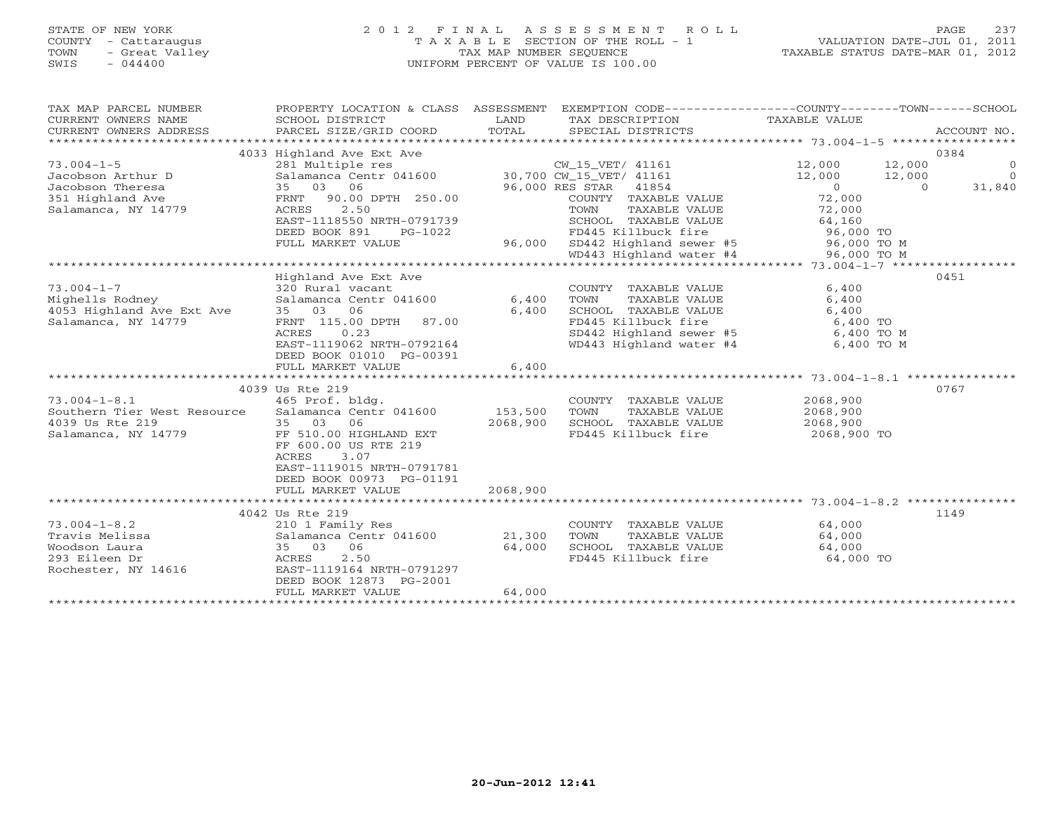### STATE OF NEW YORK 2 0 1 2 F I N A L A S S E S S M E N T R O L L PAGE 237 COUNTY - Cattaraugus T A X A B L E SECTION OF THE ROLL - 1 VALUATION DATE-JUL 01, 2011 TOWN - Great Valley TAX MAP NUMBER SEQUENCE TAXABLE STATUS DATE-MAR 01, 2012 SWIS - 044400 UNIFORM PERCENT OF VALUE IS 100.00UNIFORM PERCENT OF VALUE IS 100.00

| TAX MAP PARCEL NUMBER<br>CURRENT OWNERS NAME<br>CURRENT OWNERS ADDRESS | SCHOOL DISTRICT<br>PARCEL SIZE/GRID COORD         | LAND<br>TOTAL | PROPERTY LOCATION & CLASS ASSESSMENT EXEMPTION CODE----------------COUNTY-------TOWN------SCHOOL<br>TAX DESCRIPTION<br>SPECIAL DISTRICTS | TAXABLE VALUE              | ACCOUNT NO.    |
|------------------------------------------------------------------------|---------------------------------------------------|---------------|------------------------------------------------------------------------------------------------------------------------------------------|----------------------------|----------------|
|                                                                        |                                                   |               |                                                                                                                                          |                            |                |
|                                                                        | 4033 Highland Ave Ext Ave                         |               |                                                                                                                                          |                            | 0384           |
| $73.004 - 1 - 5$                                                       | 281 Multiple res                                  |               | CW_15_VET/ 41161                                                                                                                         | 12,000<br>12,000           | $\overline{0}$ |
| Jacobson Arthur D                                                      | Salamanca Centr 041600                            |               | 30,700 CW_15_VET/ 41161                                                                                                                  | 12,000<br>12,000           | $\Omega$       |
| Jacobson Theresa                                                       | 35 03<br>06                                       |               | 96,000 RES STAR 41854                                                                                                                    | $\overline{0}$<br>$\Omega$ | 31,840         |
| 351 Highland Ave                                                       | 90.00 DPTH 250.00<br>FRNT                         |               | COUNTY TAXABLE VALUE                                                                                                                     | 72,000                     |                |
| Salamanca, NY 14779                                                    | 2.50<br>ACRES                                     |               | TOWN<br>TAXABLE VALUE                                                                                                                    | 72,000                     |                |
|                                                                        | EAST-1118550 NRTH-0791739                         |               | SCHOOL TAXABLE VALUE                                                                                                                     | 64,160                     |                |
|                                                                        | DEED BOOK 891<br>PG-1022                          |               | FD445 Killbuck fire                                                                                                                      | 96,000 TO                  |                |
|                                                                        | FULL MARKET VALUE                                 | 96,000        | SD442 Highland sewer #5                                                                                                                  | 96,000 TO M                |                |
|                                                                        |                                                   |               | WD443 Highland water #4                                                                                                                  | 96,000 TO M                |                |
|                                                                        |                                                   |               |                                                                                                                                          |                            |                |
|                                                                        | Highland Ave Ext Ave                              |               |                                                                                                                                          |                            | 0451           |
| $73.004 - 1 - 7$                                                       | 320 Rural vacant                                  |               | COUNTY TAXABLE VALUE                                                                                                                     | 6,400                      |                |
| Mighells Rodney                                                        | Salamanca Centr 041600                            | 6,400         | TAXABLE VALUE<br>TOWN                                                                                                                    | 6,400                      |                |
| 4053 Highland Ave Ext Ave                                              | 35 03<br>06                                       | 6,400         | SCHOOL TAXABLE VALUE                                                                                                                     | 6,400                      |                |
| Salamanca, NY 14779                                                    | FRNT 115.00 DPTH<br>87.00                         |               | FD445 Killbuck fire                                                                                                                      | 6,400 TO                   |                |
|                                                                        | 0.23<br>ACRES                                     |               | SD442 Highland sewer #5                                                                                                                  | 6,400 TO M                 |                |
|                                                                        | EAST-1119062 NRTH-0792164                         |               | WD443 Highland water #4                                                                                                                  | 6,400 TO M                 |                |
|                                                                        | DEED BOOK 01010 PG-00391                          |               |                                                                                                                                          |                            |                |
|                                                                        | FULL MARKET VALUE<br>**************************** | 6,400         |                                                                                                                                          |                            |                |
|                                                                        |                                                   |               |                                                                                                                                          |                            |                |
|                                                                        | 4039 Us Rte 219                                   |               |                                                                                                                                          |                            | 0767           |
| $73.004 - 1 - 8.1$<br>Southern Tier West Resource                      | 465 Prof. bldg.<br>Salamanca Centr 041600         | 153,500       | COUNTY TAXABLE VALUE<br>TAXABLE VALUE                                                                                                    | 2068,900<br>2068,900       |                |
| 4039 Us Rte 219                                                        | 06                                                | 2068,900      | TOWN                                                                                                                                     |                            |                |
| Salamanca, NY 14779                                                    | 35 03<br>FF 510.00 HIGHLAND EXT                   |               | SCHOOL TAXABLE VALUE<br>FD445 Killbuck fire                                                                                              | 2068,900<br>2068,900 TO    |                |
|                                                                        | FF 600.00 US RTE 219                              |               |                                                                                                                                          |                            |                |
|                                                                        | 3.07<br><b>ACRES</b>                              |               |                                                                                                                                          |                            |                |
|                                                                        | EAST-1119015 NRTH-0791781                         |               |                                                                                                                                          |                            |                |
|                                                                        | DEED BOOK 00973 PG-01191                          |               |                                                                                                                                          |                            |                |
|                                                                        | FULL MARKET VALUE                                 | 2068,900      |                                                                                                                                          |                            |                |
|                                                                        |                                                   |               |                                                                                                                                          |                            |                |
|                                                                        | 4042 Us Rte 219                                   |               |                                                                                                                                          |                            | 1149           |
| $73.004 - 1 - 8.2$                                                     | 210 1 Family Res                                  |               | COUNTY TAXABLE VALUE                                                                                                                     | 64,000                     |                |
| Travis Melissa                                                         | Salamanca Centr 041600                            | 21,300        | TOWN<br>TAXABLE VALUE                                                                                                                    | 64,000                     |                |
| Woodson Laura                                                          | 35 03<br>06                                       | 64,000        | SCHOOL TAXABLE VALUE                                                                                                                     | 64,000                     |                |
| 293 Eileen Dr                                                          | 2.50<br>ACRES                                     |               | FD445 Killbuck fire                                                                                                                      | 64,000 TO                  |                |
| Rochester, NY 14616                                                    | EAST-1119164 NRTH-0791297                         |               |                                                                                                                                          |                            |                |
|                                                                        | DEED BOOK 12873 PG-2001                           |               |                                                                                                                                          |                            |                |
|                                                                        | FULL MARKET VALUE                                 | 64,000        |                                                                                                                                          |                            |                |
|                                                                        |                                                   |               |                                                                                                                                          |                            |                |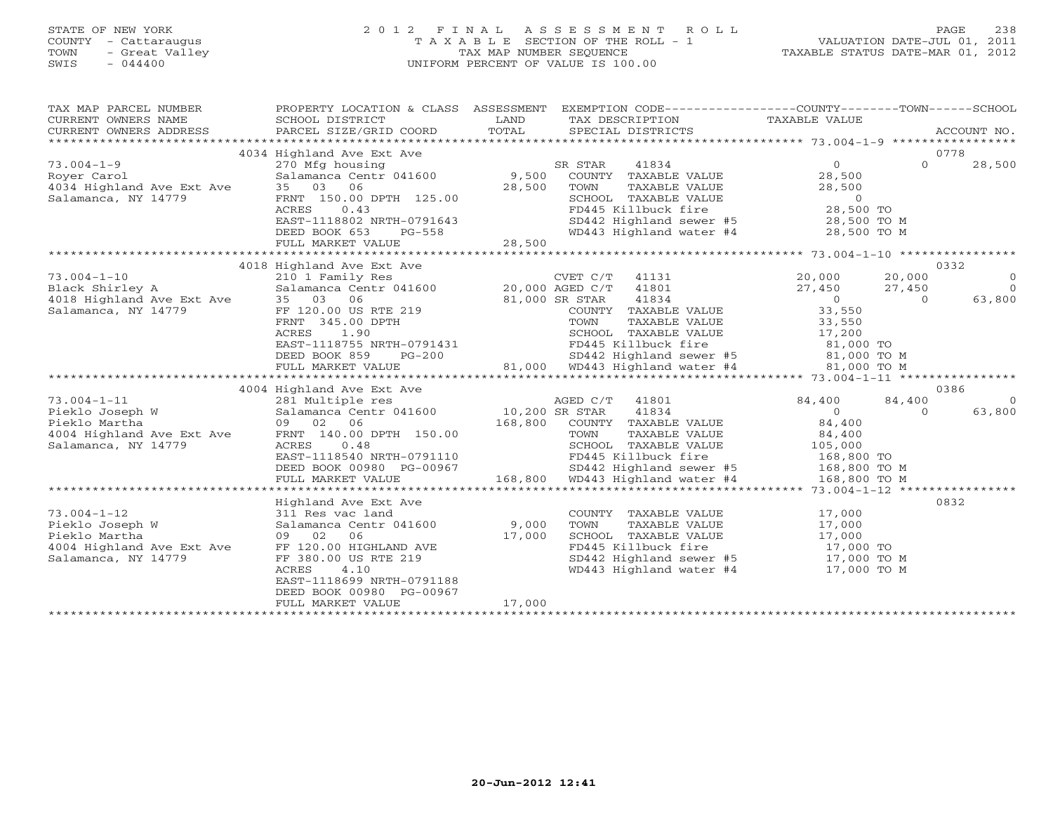# STATE OF NEW YORK 2 0 1 2 F I N A L A S S E S S M E N T R O L L PAGE 238 COUNTY - Cattaraugus T A X A B L E SECTION OF THE ROLL - 1 VALUATION DATE-JUL 01, 2011 TOWN - Great Valley TAX MAP NUMBER SEQUENCE TAXABLE STATUS DATE-MAR 01, 2012 SWIS - 044400 UNIFORM PERCENT OF VALUE IS 100.00

| TAX MAP PARCEL NUMBER<br>CURRENT OWNERS NAME<br>CURRENT OWNERS ADDRESS                                         | PROPERTY LOCATION & CLASS ASSESSMENT<br>SCHOOL DISTRICT                                                                                                                                                                                        | LAND                     |                              |                                | EXEMPTION CODE-----------------COUNTY-------TOWN------SCHOOL<br>TAX DESCRIPTION TAXABLE VALUE                                                              |                |                |
|----------------------------------------------------------------------------------------------------------------|------------------------------------------------------------------------------------------------------------------------------------------------------------------------------------------------------------------------------------------------|--------------------------|------------------------------|--------------------------------|------------------------------------------------------------------------------------------------------------------------------------------------------------|----------------|----------------|
|                                                                                                                | 4034 Highland Ave Ext Ave                                                                                                                                                                                                                      |                          |                              |                                |                                                                                                                                                            |                | 0778           |
| $73.004 - 1 - 9$                                                                                               | 270 Mfg housing                                                                                                                                                                                                                                |                          | SR STAR<br>41834             |                                | $\overline{0}$                                                                                                                                             | $\Omega$       | 28,500         |
|                                                                                                                | $\frac{270 \text{ mJ}}{9,500}$ Salamanca Centr 041600 $\frac{9,500}{29,500}$                                                                                                                                                                   |                          | COUNTY TAXABLE VALUE         |                                | 28,500                                                                                                                                                     |                |                |
|                                                                                                                |                                                                                                                                                                                                                                                | 28,500                   | TOWN                         | TAXABLE VALUE                  | 28,500                                                                                                                                                     |                |                |
| Salamanca, NY 14779                                                                                            | FRNT 150.00 DPTH 125.00                                                                                                                                                                                                                        |                          |                              |                                |                                                                                                                                                            |                |                |
|                                                                                                                | ACRES<br>0.43                                                                                                                                                                                                                                  |                          |                              |                                |                                                                                                                                                            |                |                |
|                                                                                                                | EAST-1118802 NRTH-0791643                                                                                                                                                                                                                      |                          |                              |                                | CONSULTABLE VALUE<br>CHOOL TAXABLE VALUE<br>FD445 Killbuck fire<br>SD442 Highland sewer #5<br>WD443 Highland water #4<br>28,500 TO M<br>28,500 TO M        |                |                |
|                                                                                                                | DEED BOOK 653<br>$PG-558$                                                                                                                                                                                                                      |                          |                              |                                |                                                                                                                                                            |                |                |
|                                                                                                                | FULL MARKET VALUE                                                                                                                                                                                                                              |                          |                              |                                |                                                                                                                                                            |                |                |
|                                                                                                                |                                                                                                                                                                                                                                                |                          |                              |                                |                                                                                                                                                            |                |                |
|                                                                                                                | 4018 Highland Ave Ext Ave                                                                                                                                                                                                                      |                          |                              |                                |                                                                                                                                                            |                | 0332           |
| $73.004 - 1 - 10$                                                                                              |                                                                                                                                                                                                                                                |                          |                              |                                |                                                                                                                                                            | 20,000         | $\overline{0}$ |
| Black Shirley A                                                                                                |                                                                                                                                                                                                                                                |                          |                              |                                |                                                                                                                                                            | 27,450         | $\overline{0}$ |
|                                                                                                                |                                                                                                                                                                                                                                                |                          | 41834                        |                                |                                                                                                                                                            | $\overline{0}$ | 63,800         |
| 4018 Highland Ave Ext Ave 35 03 06<br>Salamanca, NY 14779 FF 120.00 US RTE 219                                 |                                                                                                                                                                                                                                                | 81,000 SR STAR<br>COUNTY | COUNTY TAXABLE VALUE         |                                | $\begin{array}{c} 0 \ 33,550 \end{array}$                                                                                                                  |                |                |
|                                                                                                                |                                                                                                                                                                                                                                                |                          |                              |                                |                                                                                                                                                            |                |                |
|                                                                                                                |                                                                                                                                                                                                                                                |                          |                              |                                |                                                                                                                                                            |                |                |
|                                                                                                                |                                                                                                                                                                                                                                                |                          |                              |                                |                                                                                                                                                            |                |                |
|                                                                                                                |                                                                                                                                                                                                                                                |                          |                              |                                |                                                                                                                                                            |                |                |
|                                                                                                                | FRNT 345.00 DPTH<br>ACRES 1.90<br>EAST-1118755 NRTH-0791431<br>DEED BOOK 859 PG-200<br>FULL MARKET VALUE 21,000 TO M<br>FULL MARKET VALUE 21,000 FG-200<br>FULL MARKET VALUE 21,000 FG-200<br>FULL MARKET VALUE 21,000 FG-200<br>FULL MARKET V |                          |                              |                                |                                                                                                                                                            |                |                |
|                                                                                                                |                                                                                                                                                                                                                                                |                          |                              |                                |                                                                                                                                                            |                |                |
|                                                                                                                | 4004 Highland Ave Ext Ave                                                                                                                                                                                                                      |                          |                              |                                |                                                                                                                                                            |                | 0386           |
| $73.004 - 1 - 11$                                                                                              | 281 Multiple res AGED C/T<br>Salamanca Centr 041600 10,200 SR STAR                                                                                                                                                                             |                          | AGED C/T 41801               |                                | 84,400                                                                                                                                                     | 84,400         | $\overline{0}$ |
| Pieklo Joseph W<br>Pieklo Marti                                                                                |                                                                                                                                                                                                                                                |                          | 41834                        |                                | $\overline{0}$                                                                                                                                             | $\Omega$       | 63,800         |
| Pieklo Martha                                                                                                  | 09 02 06                                                                                                                                                                                                                                       |                          | 168,800 COUNTY TAXABLE VALUE |                                | 84,400                                                                                                                                                     |                |                |
| rieklo Martha<br>4004 Highland Ave Ext Ave                                                                     | FRNT 140.00 DPTH 150.00                                                                                                                                                                                                                        |                          | TOWN                         | TAXABLE VALUE<br>TAXABLE VALUE | 84,400                                                                                                                                                     |                |                |
| Salamanca, NY 14779                                                                                            | ACRES<br>0.48                                                                                                                                                                                                                                  |                          |                              |                                | SCHOOL TAXABLE VALUE 105,000                                                                                                                               |                |                |
|                                                                                                                |                                                                                                                                                                                                                                                |                          |                              |                                |                                                                                                                                                            |                |                |
|                                                                                                                | EAST-1118540 NRTH-0791110 FD445 Killbuck fire 168,800 TO<br>DEED BOOK 00980 PG-00967 SD442 Highland sewer #5 168,800 TO M<br>FULL MARKET VALUE 168,800 WD443 Highland water #4 168,800 TO M                                                    |                          |                              |                                |                                                                                                                                                            |                |                |
|                                                                                                                |                                                                                                                                                                                                                                                |                          |                              |                                |                                                                                                                                                            |                |                |
|                                                                                                                |                                                                                                                                                                                                                                                |                          |                              |                                |                                                                                                                                                            |                |                |
|                                                                                                                | Highland Ave Ext Ave                                                                                                                                                                                                                           |                          |                              |                                |                                                                                                                                                            |                | 0832           |
| $73.004 - 1 - 12$                                                                                              | 311 Res vac land                                                                                                                                                                                                                               |                          |                              |                                | COUNTY TAXABLE VALUE 17,000<br>TOWN TAXABLE VALUE 17,000                                                                                                   |                |                |
| Pieklo Joseph W                                                                                                | Salamanca Centr 041600 9,000                                                                                                                                                                                                                   |                          |                              |                                |                                                                                                                                                            |                |                |
| Pieklo Martha                                                                                                  | 09 02<br>06                                                                                                                                                                                                                                    | 17,000                   |                              |                                | SCHOOL TAXABLE VALUE<br>FD445 Killbuck fire<br>SD442 Highland sewer #5<br>WD443 Highland water #4<br>T7,000 TO M<br>WD443 Highland water #4<br>17,000 TO M |                |                |
| Plekio martina<br>4004 Highland Ave Ext Ave FF 120.00 HIGHLAND AVE<br>Salamanca, NY 14779 FF 380.00 US RTE 219 |                                                                                                                                                                                                                                                |                          |                              |                                |                                                                                                                                                            |                |                |
|                                                                                                                |                                                                                                                                                                                                                                                |                          |                              |                                |                                                                                                                                                            |                |                |
|                                                                                                                | ACRES<br>4.10                                                                                                                                                                                                                                  |                          |                              |                                |                                                                                                                                                            |                |                |
|                                                                                                                | EAST-1118699 NRTH-0791188                                                                                                                                                                                                                      |                          |                              |                                |                                                                                                                                                            |                |                |
|                                                                                                                | DEED BOOK 00980 PG-00967                                                                                                                                                                                                                       |                          |                              |                                |                                                                                                                                                            |                |                |
|                                                                                                                | FULL MARKET VALUE                                                                                                                                                                                                                              | 17,000                   |                              |                                |                                                                                                                                                            |                |                |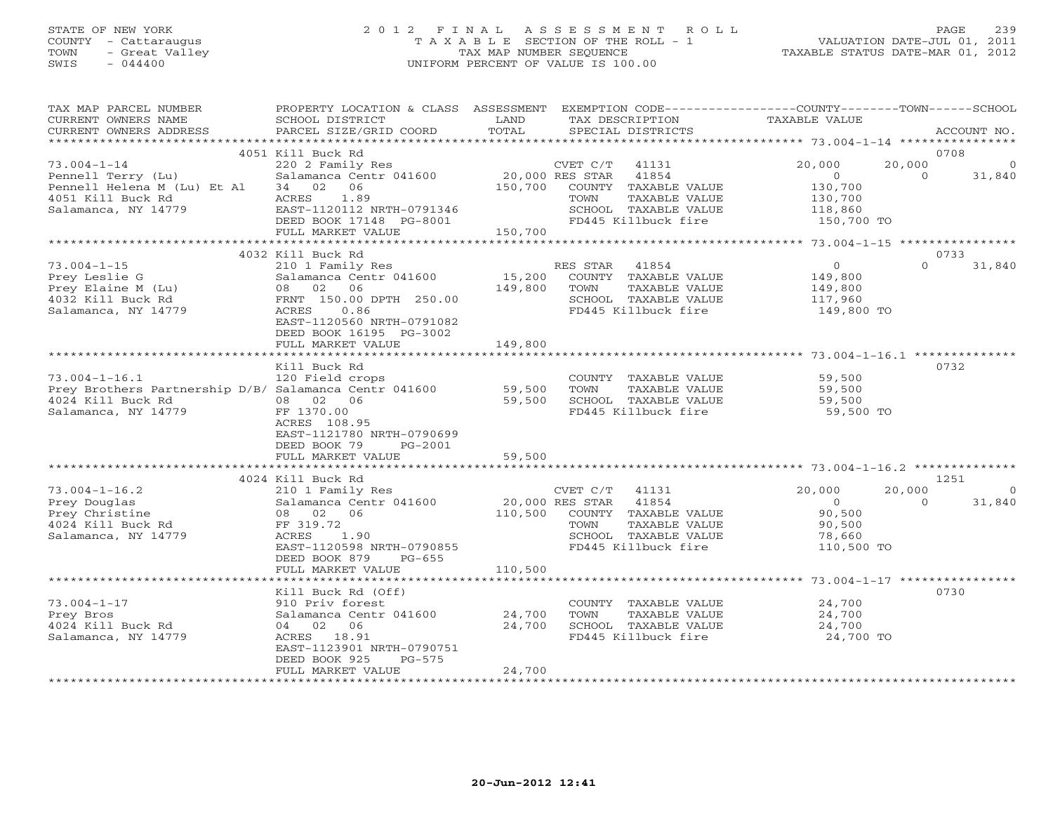### STATE OF NEW YORK 2 0 1 2 F I N A L A S S E S S M E N T R O L L PAGE 239 COUNTY - Cattaraugus T A X A B L E SECTION OF THE ROLL - 1 VALUATION DATE-JUL 01, 2011 TOWN - Great Valley TAX MAP NUMBER SEQUENCE TAXABLE STATUS DATE-MAR 01, 2012 SWIS - 044400 UNIFORM PERCENT OF VALUE IS 100.00UNIFORM PERCENT OF VALUE IS 100.00

| TAX MAP PARCEL NUMBER<br>CURRENT OWNERS NAME<br>CURRENT OWNERS ADDRESS                                                   | PROPERTY LOCATION & CLASS ASSESSMENT<br>SCHOOL DISTRICT<br>PARCEL SIZE/GRID COORD                                                                                   | LAND<br>TOTAL             | EXEMPTION CODE-----------------COUNTY-------TOWN------SCHOOL<br>TAX DESCRIPTION<br>SPECIAL DISTRICTS                                                 | TAXABLE VALUE                                                 | ACCOUNT NO.                              |
|--------------------------------------------------------------------------------------------------------------------------|---------------------------------------------------------------------------------------------------------------------------------------------------------------------|---------------------------|------------------------------------------------------------------------------------------------------------------------------------------------------|---------------------------------------------------------------|------------------------------------------|
| *************************                                                                                                |                                                                                                                                                                     |                           |                                                                                                                                                      |                                                               |                                          |
|                                                                                                                          | 4051 Kill Buck Rd                                                                                                                                                   |                           |                                                                                                                                                      |                                                               | 0708                                     |
| $73.004 - 1 - 14$<br>Pennell Terry (Lu)<br>Pennell Helena M (Lu) Et Al<br>4051 Kill Buck Rd                              | 220 2 Family Res<br>Salamanca Centr 041600<br>06<br>34 02<br>1.89<br>ACRES                                                                                          | 150,700                   | CVET C/T<br>41131<br>20,000 RES STAR<br>41854<br>COUNTY TAXABLE VALUE<br>TOWN<br>TAXABLE VALUE                                                       | 20,000<br>$\circ$<br>130,700<br>130,700                       | 20,000<br>$\Omega$<br>31,840             |
| Salamanca, NY 14779                                                                                                      | EAST-1120112 NRTH-0791346<br>DEED BOOK 17148 PG-8001<br>FULL MARKET VALUE                                                                                           | 150,700                   | SCHOOL TAXABLE VALUE<br>FD445 Killbuck fire                                                                                                          | 118,860<br>150,700 TO                                         |                                          |
|                                                                                                                          |                                                                                                                                                                     |                           |                                                                                                                                                      |                                                               |                                          |
| $73.004 - 1 - 15$                                                                                                        | 4032 Kill Buck Rd<br>210 1 Family Res                                                                                                                               |                           | RES STAR<br>41854                                                                                                                                    | $\circ$                                                       | 0733<br>$\Omega$<br>31,840               |
| Prey Leslie G<br>Prey Elaine M (Lu)<br>4032 Kill Buck Rd<br>Salamanca, NY 14779                                          | Salamanca Centr 041600<br>08 02 06<br>FRNT 150.00 DPTH 250.00<br>ACRES<br>0.86<br>EAST-1120560 NRTH-0791082<br>DEED BOOK 16195 PG-3002                              | 15,200<br>149,800         | COUNTY TAXABLE VALUE<br>TOWN<br>TAXABLE VALUE<br>SCHOOL TAXABLE VALUE<br>FD445 Killbuck fire                                                         | 149,800<br>149,800<br>117,960<br>149,800 TO                   |                                          |
|                                                                                                                          | FULL MARKET VALUE                                                                                                                                                   | 149,800                   |                                                                                                                                                      |                                                               |                                          |
|                                                                                                                          | Kill Buck Rd                                                                                                                                                        |                           |                                                                                                                                                      |                                                               | 0732                                     |
| $73.004 - 1 - 16.1$<br>Prey Brothers Partnership D/B/ Salamanca Centr 041600<br>4024 Kill Buck Rd<br>Salamanca, NY 14779 | 120 Field crops<br>08 02 06<br>FF 1370.00<br>ACRES 108.95<br>EAST-1121780 NRTH-0790699<br>DEED BOOK 79<br>$PG-2001$                                                 | 59,500<br>59,500          | COUNTY TAXABLE VALUE<br>TOWN<br>TAXABLE VALUE<br>SCHOOL TAXABLE VALUE<br>FD445 Killbuck fire                                                         | 59,500<br>59,500<br>59,500<br>59,500 TO                       |                                          |
|                                                                                                                          | FULL MARKET VALUE                                                                                                                                                   | 59,500                    |                                                                                                                                                      |                                                               |                                          |
|                                                                                                                          |                                                                                                                                                                     | * * * * * * * * * * * * * |                                                                                                                                                      |                                                               |                                          |
|                                                                                                                          | 4024 Kill Buck Rd                                                                                                                                                   |                           |                                                                                                                                                      |                                                               | 1251                                     |
| $73.004 - 1 - 16.2$<br>Prey Douglas<br>Prey Christine<br>4024 Kill Buck Rd<br>Salamanca, NY 14779                        | 210 1 Family Res<br>Salamanca Centr 041600<br>08 02 06<br>FF 319.72<br>ACRES<br>1.90<br>EAST-1120598 NRTH-0790855<br>DEED BOOK 879<br>$PG-655$<br>FULL MARKET VALUE | 110,500<br>110,500        | CVET C/T<br>41131<br>20,000 RES STAR<br>41854<br>COUNTY TAXABLE VALUE<br><b>TOWN</b><br>TAXABLE VALUE<br>SCHOOL TAXABLE VALUE<br>FD445 Killbuck fire | 20,000<br>$\circ$<br>90,500<br>90,500<br>78,660<br>110,500 TO | 20,000<br>$\Omega$<br>31,840<br>$\Omega$ |
|                                                                                                                          |                                                                                                                                                                     |                           |                                                                                                                                                      |                                                               |                                          |
| $73.004 - 1 - 17$<br>Prey Bros<br>4024 Kill Buck Rd<br>Salamanca, NY 14779                                               | Kill Buck Rd (Off)<br>910 Priv forest<br>Salamanca Centr 041600<br>04 02 06<br>ACRES 18.91<br>EAST-1123901 NRTH-0790751<br>DEED BOOK 925<br>$PG-575$                | 24,700<br>24,700          | COUNTY TAXABLE VALUE<br>TOWN<br>TAXABLE VALUE<br>SCHOOL TAXABLE VALUE<br>FD445 Killbuck fire                                                         | 24,700<br>24,700<br>24,700<br>24,700 TO                       | 0730                                     |
| ***********************                                                                                                  | FULL MARKET VALUE                                                                                                                                                   | 24,700                    |                                                                                                                                                      |                                                               |                                          |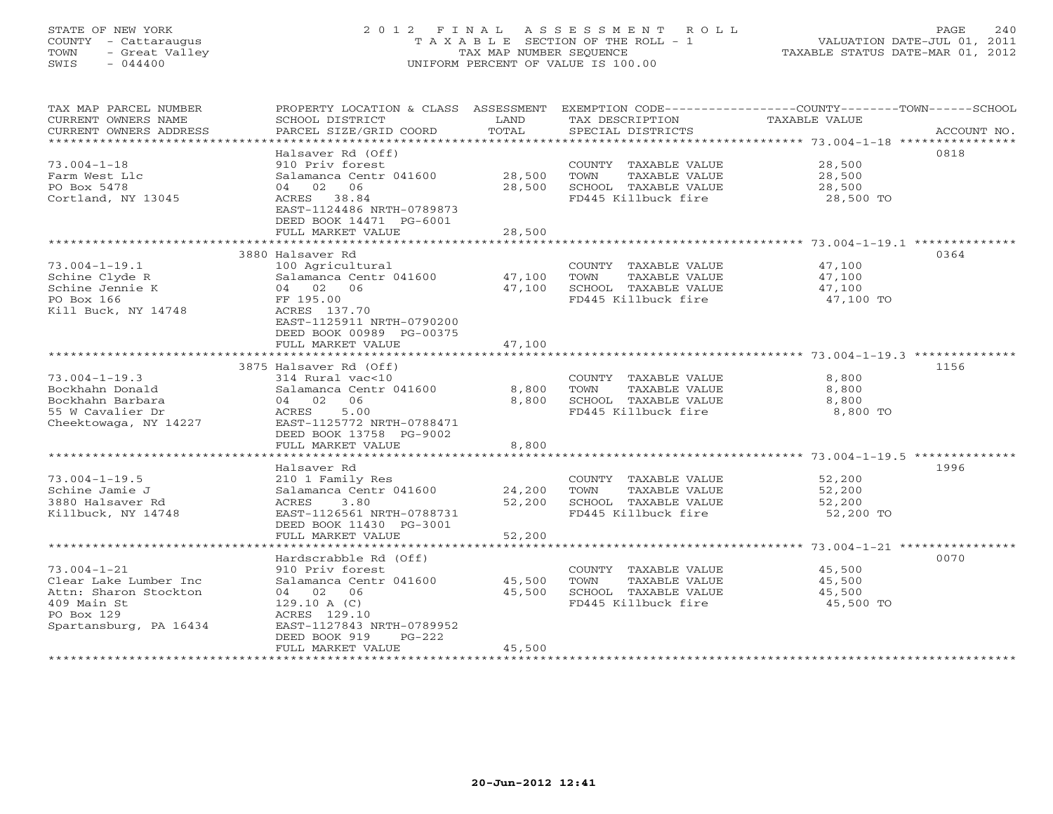# STATE OF NEW YORK 2 0 1 2 F I N A L A S S E S S M E N T R O L L PAGE 240 COUNTY - Cattaraugus T A X A B L E SECTION OF THE ROLL - 1 VALUATION DATE-JUL 01, 2011 TOWN - Great Valley TAX MAP NUMBER SEQUENCE TAXABLE STATUS DATE-MAR 01, 2012 SWIS - 044400 UNIFORM PERCENT OF VALUE IS 100.00

| TAX MAP PARCEL NUMBER<br>CURRENT OWNERS NAME<br>CURRENT OWNERS ADDRESS | PROPERTY LOCATION & CLASS ASSESSMENT<br>SCHOOL DISTRICT<br>PARCEL SIZE/GRID COORD | LAND<br>TOTAL   | TAX DESCRIPTION<br>SPECIAL DISTRICTS        | EXEMPTION CODE----------------COUNTY-------TOWN------SCHOOL<br><b>TAXABLE VALUE</b><br>ACCOUNT NO. |
|------------------------------------------------------------------------|-----------------------------------------------------------------------------------|-----------------|---------------------------------------------|----------------------------------------------------------------------------------------------------|
| ********************                                                   |                                                                                   |                 |                                             |                                                                                                    |
|                                                                        | Halsaver Rd (Off)                                                                 |                 |                                             | 0818                                                                                               |
| $73.004 - 1 - 18$                                                      | 910 Priv forest                                                                   |                 | COUNTY TAXABLE VALUE                        | 28,500                                                                                             |
| Farm West Llc                                                          | Salamanca Centr 041600                                                            | 28,500          | TOWN<br>TAXABLE VALUE                       | 28,500                                                                                             |
| PO Box 5478                                                            | 04 02<br>06                                                                       | 28,500          | SCHOOL TAXABLE VALUE                        | 28,500                                                                                             |
| Cortland, NY 13045                                                     | ACRES 38.84<br>EAST-1124486 NRTH-0789873                                          |                 | FD445 Killbuck fire                         | 28,500 TO                                                                                          |
|                                                                        | DEED BOOK 14471 PG-6001                                                           |                 |                                             |                                                                                                    |
|                                                                        | FULL MARKET VALUE                                                                 | 28,500          |                                             |                                                                                                    |
|                                                                        | ***********************                                                           | ***********     |                                             | ************************* 73.004-1-19.1 **************                                             |
|                                                                        | 3880 Halsaver Rd                                                                  |                 |                                             | 0364                                                                                               |
| $73.004 - 1 - 19.1$                                                    | 100 Agricultural                                                                  |                 | COUNTY TAXABLE VALUE                        | 47,100                                                                                             |
| Schine Clyde R                                                         | Salamanca Centr 041600                                                            | 47,100          | TOWN<br>TAXABLE VALUE                       | 47,100                                                                                             |
| Schine Jennie K<br>PO Box 166                                          | 04 02 06                                                                          | 47,100          | SCHOOL TAXABLE VALUE                        | 47,100                                                                                             |
| Kill Buck, NY 14748                                                    | FF 195.00<br>ACRES 137.70                                                         |                 | FD445 Killbuck fire                         | 47,100 TO                                                                                          |
|                                                                        | EAST-1125911 NRTH-0790200                                                         |                 |                                             |                                                                                                    |
|                                                                        | DEED BOOK 00989 PG-00375                                                          |                 |                                             |                                                                                                    |
|                                                                        | FULL MARKET VALUE                                                                 | 47,100          |                                             |                                                                                                    |
|                                                                        |                                                                                   |                 |                                             |                                                                                                    |
|                                                                        | 3875 Halsaver Rd (Off)                                                            |                 |                                             | 1156                                                                                               |
| $73.004 - 1 - 19.3$                                                    | 314 Rural vac<10                                                                  |                 | COUNTY TAXABLE VALUE                        | 8,800                                                                                              |
| Bockhahn Donald                                                        | Salamanca Centr 041600                                                            | 8,800           | TAXABLE VALUE<br>TOWN                       | 8,800                                                                                              |
| Bockhahn Barbara<br>55 W Cavalier Dr                                   | 04 02 06<br>5.00<br>ACRES                                                         | 8,800           | SCHOOL TAXABLE VALUE<br>FD445 Killbuck fire | 8,800<br>8,800 TO                                                                                  |
| Cheektowaga, NY 14227                                                  | EAST-1125772 NRTH-0788471                                                         |                 |                                             |                                                                                                    |
|                                                                        | DEED BOOK 13758 PG-9002                                                           |                 |                                             |                                                                                                    |
|                                                                        | FULL MARKET VALUE                                                                 | 8,800           |                                             |                                                                                                    |
|                                                                        |                                                                                   |                 |                                             |                                                                                                    |
|                                                                        | Halsaver Rd                                                                       |                 |                                             | 1996                                                                                               |
| $73.004 - 1 - 19.5$                                                    | 210 1 Family Res                                                                  |                 | COUNTY TAXABLE VALUE                        | 52,200                                                                                             |
| Schine Jamie J                                                         | Salamanca Centr 041600                                                            | 24,200          | TOWN<br>TAXABLE VALUE                       | 52,200                                                                                             |
| 3880 Halsaver Rd<br>Killbuck, NY 14748                                 | 3.80<br><b>ACRES</b><br>EAST-1126561 NRTH-0788731                                 | 52,200          | SCHOOL TAXABLE VALUE<br>FD445 Killbuck fire | 52,200<br>52,200 TO                                                                                |
|                                                                        | DEED BOOK 11430 PG-3001                                                           |                 |                                             |                                                                                                    |
|                                                                        | FULL MARKET VALUE                                                                 | 52,200          |                                             |                                                                                                    |
|                                                                        | ************************                                                          | *************** |                                             | ************************************* 73.004-1-21 ****************                                 |
|                                                                        | Hardscrabble Rd (Off)                                                             |                 |                                             | 0070                                                                                               |
| $73.004 - 1 - 21$                                                      | 910 Priv forest                                                                   |                 | COUNTY TAXABLE VALUE                        | 45,500                                                                                             |
| Clear Lake Lumber Inc                                                  | Salamanca Centr 041600                                                            | 45,500          | TOWN<br>TAXABLE VALUE                       | 45,500                                                                                             |
| Attn: Sharon Stockton                                                  | 04 02 06                                                                          | 45,500          | SCHOOL TAXABLE VALUE                        | 45,500                                                                                             |
| 409 Main St                                                            | 129.10 A(C)                                                                       |                 | FD445 Killbuck fire                         | 45,500 TO                                                                                          |
| PO Box 129<br>Spartansburg, PA 16434                                   | ACRES 129.10<br>EAST-1127843 NRTH-0789952                                         |                 |                                             |                                                                                                    |
|                                                                        | DEED BOOK 919<br>$PG-222$                                                         |                 |                                             |                                                                                                    |
|                                                                        | FULL MARKET VALUE                                                                 | 45,500          |                                             |                                                                                                    |
|                                                                        |                                                                                   |                 |                                             |                                                                                                    |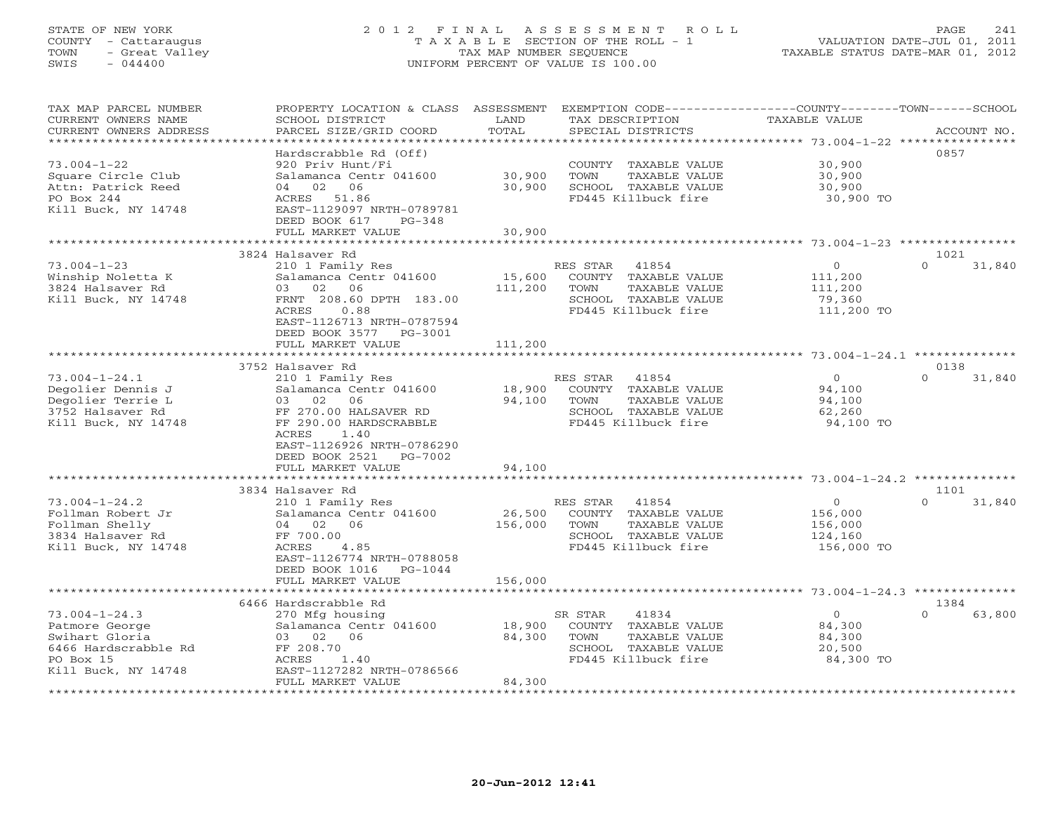# STATE OF NEW YORK 2 0 1 2 F I N A L A S S E S S M E N T R O L L PAGE 241 COUNTY - Cattaraugus T A X A B L E SECTION OF THE ROLL - 1 VALUATION DATE-JUL 01, 2011 TOWN - Great Valley TAX MAP NUMBER SEQUENCE TAXABLE STATUS DATE-MAR 01, 2012 SWIS - 044400 UNIFORM PERCENT OF VALUE IS 100.00

| TAX MAP PARCEL NUMBER                         | PROPERTY LOCATION & CLASS                 | ASSESSMENT<br>LAND | EXEMPTION CODE-----------------COUNTY-------TOWN-----SCHOOL | <b>TAXABLE VALUE</b>                 |                    |
|-----------------------------------------------|-------------------------------------------|--------------------|-------------------------------------------------------------|--------------------------------------|--------------------|
| CURRENT OWNERS NAME<br>CURRENT OWNERS ADDRESS | SCHOOL DISTRICT<br>PARCEL SIZE/GRID COORD | TOTAL              | TAX DESCRIPTION<br>SPECIAL DISTRICTS                        |                                      | ACCOUNT NO.        |
| **********************                        |                                           |                    |                                                             |                                      |                    |
|                                               | Hardscrabble Rd (Off)                     |                    |                                                             |                                      | 0857               |
| $73.004 - 1 - 22$                             | 920 Priv Hunt/Fi                          |                    | COUNTY TAXABLE VALUE                                        | 30,900                               |                    |
| Square Circle Club                            | Salamanca Centr 041600                    | 30,900             | TOWN<br>TAXABLE VALUE                                       | 30,900                               |                    |
| Attn: Patrick Reed                            | 02 06<br>04                               | 30,900             | SCHOOL TAXABLE VALUE                                        | 30,900                               |                    |
| PO Box 244                                    | ACRES<br>51.86                            |                    | FD445 Killbuck fire                                         | 30,900 TO                            |                    |
| Kill Buck, NY 14748                           | EAST-1129097 NRTH-0789781                 |                    |                                                             |                                      |                    |
|                                               | DEED BOOK 617<br>$PG-348$                 |                    |                                                             |                                      |                    |
|                                               | FULL MARKET VALUE                         | 30,900             |                                                             |                                      |                    |
|                                               |                                           |                    |                                                             |                                      |                    |
|                                               | 3824 Halsaver Rd                          |                    |                                                             |                                      | 1021               |
| $73.004 - 1 - 23$                             | 210 1 Family Res                          |                    | 41854<br>RES STAR                                           | $\overline{0}$                       | $\Omega$<br>31,840 |
| Winship Noletta K                             | Salamanca Centr 041600                    | 15,600             | COUNTY TAXABLE VALUE                                        | 111,200                              |                    |
| 3824 Halsaver Rd                              | 06<br>03<br>02                            | 111,200            | TOWN<br>TAXABLE VALUE                                       | 111,200                              |                    |
| Kill Buck, NY 14748                           | FRNT 208.60 DPTH 183.00                   |                    | SCHOOL TAXABLE VALUE                                        | 79,360                               |                    |
|                                               | 0.88<br>ACRES                             |                    | FD445 Killbuck fire                                         | 111,200 TO                           |                    |
|                                               | EAST-1126713 NRTH-0787594                 |                    |                                                             |                                      |                    |
|                                               | DEED BOOK 3577<br>PG-3001                 |                    |                                                             |                                      |                    |
|                                               | FULL MARKET VALUE                         | 111,200            |                                                             |                                      |                    |
|                                               |                                           |                    |                                                             |                                      |                    |
|                                               | 3752 Halsaver Rd                          |                    |                                                             |                                      | 0138               |
| $73.004 - 1 - 24.1$                           | 210 1 Family Res                          |                    | RES STAR<br>41854                                           | $\Omega$                             | $\Omega$<br>31,840 |
| Degolier Dennis J                             | Salamanca Centr 041600                    | 18,900             | COUNTY TAXABLE VALUE                                        | 94,100                               |                    |
| Degolier Terrie L                             | 03<br>02<br>06                            | 94,100             | TOWN<br>TAXABLE VALUE                                       | 94,100                               |                    |
| 3752 Halsaver Rd                              | FF 270.00 HALSAVER RD                     |                    | SCHOOL TAXABLE VALUE                                        | 62,260                               |                    |
| Kill Buck, NY 14748                           | FF 290.00 HARDSCRABBLE                    |                    | FD445 Killbuck fire                                         | 94,100 TO                            |                    |
|                                               | ACRES<br>1.40                             |                    |                                                             |                                      |                    |
|                                               | EAST-1126926 NRTH-0786290                 |                    |                                                             |                                      |                    |
|                                               | DEED BOOK 2521<br>PG-7002                 |                    |                                                             |                                      |                    |
|                                               | FULL MARKET VALUE                         | 94,100             |                                                             |                                      |                    |
|                                               |                                           |                    |                                                             |                                      |                    |
|                                               | 3834 Halsaver Rd                          |                    |                                                             |                                      | 1101               |
| $73.004 - 1 - 24.2$                           | 210 1 Family Res                          |                    | RES STAR<br>41854                                           | $\circ$                              | 31,840<br>$\Omega$ |
| Follman Robert Jr                             | Salamanca Centr 041600                    | 26,500             | COUNTY TAXABLE VALUE                                        | 156,000                              |                    |
| Follman Shelly                                | 04 02<br>06                               | 156,000            | TOWN<br>TAXABLE VALUE                                       | 156,000                              |                    |
| 3834 Halsaver Rd                              | FF 700.00                                 |                    | SCHOOL TAXABLE VALUE                                        | 124,160                              |                    |
| Kill Buck, NY 14748                           | 4.85<br>ACRES                             |                    | FD445 Killbuck fire                                         | 156,000 TO                           |                    |
|                                               | EAST-1126774 NRTH-0788058                 |                    |                                                             |                                      |                    |
|                                               | DEED BOOK 1016<br>PG-1044                 |                    |                                                             |                                      |                    |
|                                               | FULL MARKET VALUE                         | 156,000            |                                                             |                                      |                    |
|                                               |                                           |                    |                                                             | ******** 73.004-1-24.3 ************* |                    |
|                                               | 6466 Hardscrabble Rd                      |                    |                                                             |                                      | 1384               |
| $73.004 - 1 - 24.3$                           | 270 Mfg housing                           |                    | 41834<br>SR STAR                                            | $\circ$                              | $\cap$<br>63,800   |
| Patmore George                                | Salamanca Centr 041600                    | 18,900             | COUNTY TAXABLE VALUE                                        | 84,300                               |                    |
| Swihart Gloria                                | 06<br>03 02                               | 84,300             | TOWN<br>TAXABLE VALUE                                       | 84,300                               |                    |
| 6466 Hardscrabble Rd                          | FF 208.70                                 |                    | SCHOOL TAXABLE VALUE                                        | 20,500                               |                    |
| PO Box 15                                     | ACRES<br>1.40                             |                    | FD445 Killbuck fire                                         | 84,300 TO                            |                    |
| Kill Buck, NY 14748                           | EAST-1127282 NRTH-0786566                 |                    |                                                             |                                      |                    |
|                                               | FULL MARKET VALUE                         | 84,300             |                                                             |                                      |                    |
|                                               |                                           |                    |                                                             |                                      |                    |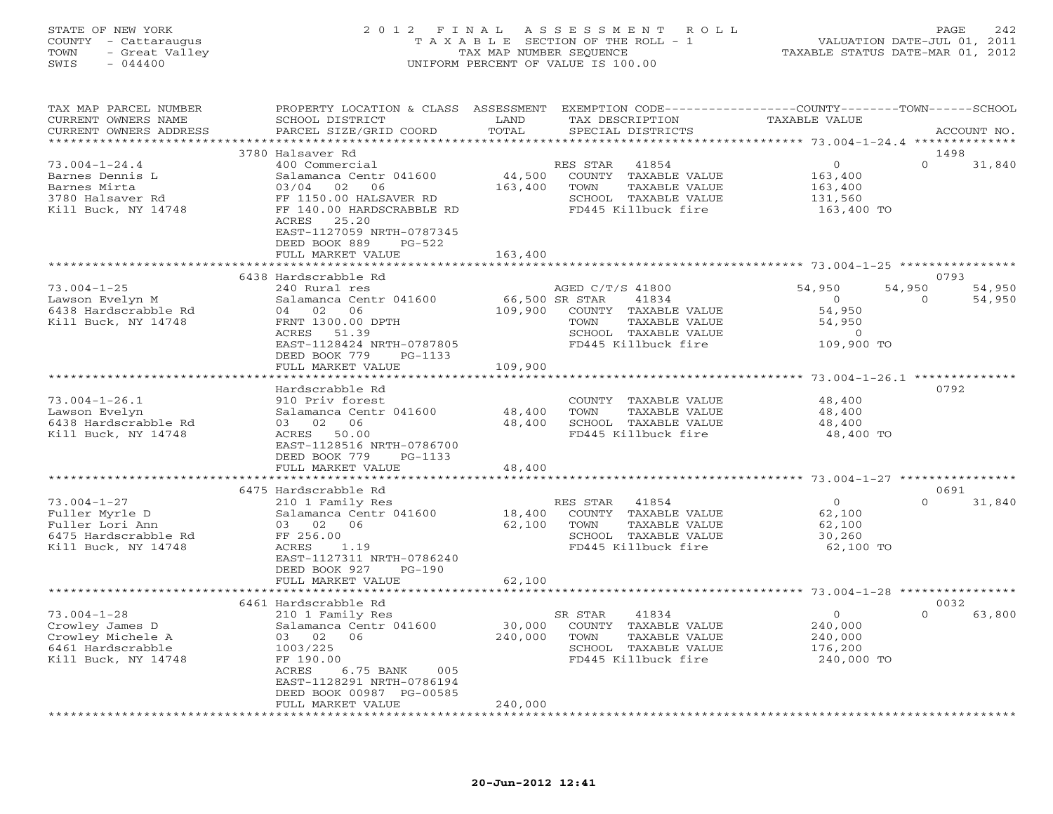### STATE OF NEW YORK 2 0 1 2 F I N A L A S S E S S M E N T R O L L PAGE 242 COUNTY - Cattaraugus T A X A B L E SECTION OF THE ROLL - 1 VALUATION DATE-JUL 01, 2011 TOWN - Great Valley TAX MAP NUMBER SEQUENCE TAXABLE STATUS DATE-MAR 01, 2012 SWIS - 044400 UNIFORM PERCENT OF VALUE IS 100.00

| TAX MAP PARCEL NUMBER<br>CURRENT OWNERS NAME<br>CURRENT OWNERS ADDRESS | PROPERTY LOCATION & CLASS ASSESSMENT<br>SCHOOL DISTRICT<br>PARCEL SIZE/GRID COORD             | LAND<br>TOTAL               | EXEMPTION CODE-----------------COUNTY-------TOWN------SCHOOL<br>TAX DESCRIPTION<br>SPECIAL DISTRICTS | <b>TAXABLE VALUE</b>             | ACCOUNT NO.                |
|------------------------------------------------------------------------|-----------------------------------------------------------------------------------------------|-----------------------------|------------------------------------------------------------------------------------------------------|----------------------------------|----------------------------|
| *********************                                                  | ****************************                                                                  |                             |                                                                                                      |                                  |                            |
| $73.004 - 1 - 24.4$<br>Barnes Dennis L                                 | 3780 Halsaver Rd<br>400 Commercial<br>Salamanca Centr 041600                                  | 44,500                      | RES STAR<br>41854<br>COUNTY TAXABLE VALUE                                                            | $\circ$<br>163,400               | 1498<br>$\Omega$<br>31,840 |
| Barnes Mirta<br>3780 Halsaver Rd<br>Kill Buck, NY 14748                | 03/04<br>02<br>06<br>FF 1150.00 HALSAVER RD<br>FF 140.00 HARDSCRABBLE RD                      | 163,400                     | TOWN<br>TAXABLE VALUE<br>SCHOOL TAXABLE VALUE<br>FD445 Killbuck fire                                 | 163,400<br>131,560<br>163,400 TO |                            |
|                                                                        | 25.20<br>ACRES<br>EAST-1127059 NRTH-0787345<br>DEED BOOK 889<br>$PG-522$<br>FULL MARKET VALUE | 163,400                     |                                                                                                      |                                  |                            |
|                                                                        | * * * * * * * * * * * * * * * * * * *                                                         |                             |                                                                                                      |                                  |                            |
|                                                                        | 6438 Hardscrabble Rd                                                                          |                             |                                                                                                      |                                  | 0793                       |
| $73.004 - 1 - 25$                                                      | 240 Rural res                                                                                 |                             | AGED C/T/S 41800                                                                                     | 54,950                           | 54,950<br>54,950           |
| Lawson Evelyn M                                                        | Salamanca Centr 041600                                                                        | 66,500 SR STAR              | 41834                                                                                                | $\overline{0}$                   | $\mathbf{0}$<br>54,950     |
| 6438 Hardscrabble Rd                                                   | 06<br>04 02                                                                                   | 109,900                     | COUNTY TAXABLE VALUE                                                                                 | 54,950                           |                            |
| Kill Buck, NY 14748                                                    | FRNT 1300.00 DPTH                                                                             |                             | TOWN<br>TAXABLE VALUE                                                                                | 54,950                           |                            |
|                                                                        | ACRES 51.39                                                                                   |                             | SCHOOL TAXABLE VALUE                                                                                 | $\overline{0}$                   |                            |
|                                                                        | EAST-1128424 NRTH-0787805                                                                     |                             | FD445 Killbuck fire                                                                                  | 109,900 TO                       |                            |
|                                                                        | DEED BOOK 779<br>PG-1133                                                                      |                             |                                                                                                      |                                  |                            |
|                                                                        | FULL MARKET VALUE                                                                             | 109,900                     |                                                                                                      |                                  |                            |
|                                                                        | *******************                                                                           |                             |                                                                                                      |                                  |                            |
|                                                                        | Hardscrabble Rd                                                                               |                             |                                                                                                      |                                  | 0792                       |
| $73.004 - 1 - 26.1$<br>Lawson Evelyn                                   | 910 Priv forest<br>Salamanca Centr 041600                                                     | 48,400                      | COUNTY TAXABLE VALUE<br>TOWN<br>TAXABLE VALUE                                                        | 48,400<br>48,400                 |                            |
| 6438 Hardscrabble Rd                                                   | 03 02 06                                                                                      | 48,400                      | SCHOOL TAXABLE VALUE                                                                                 | 48,400                           |                            |
| Kill Buck, NY 14748                                                    | ACRES 50.00                                                                                   |                             | FD445 Killbuck fire                                                                                  | 48,400 TO                        |                            |
|                                                                        | EAST-1128516 NRTH-0786700                                                                     |                             |                                                                                                      |                                  |                            |
|                                                                        | DEED BOOK 779<br>PG-1133                                                                      |                             |                                                                                                      |                                  |                            |
|                                                                        | FULL MARKET VALUE                                                                             | 48,400                      |                                                                                                      |                                  |                            |
|                                                                        |                                                                                               |                             |                                                                                                      |                                  |                            |
|                                                                        | 6475 Hardscrabble Rd                                                                          |                             |                                                                                                      |                                  | 0691                       |
| $73.004 - 1 - 27$                                                      | 210 1 Family Res                                                                              |                             | RES STAR<br>41854                                                                                    | $\overline{0}$                   | $\Omega$<br>31,840         |
| Fuller Myrle D                                                         | Salamanca Centr 041600                                                                        | 18,400                      | COUNTY TAXABLE VALUE                                                                                 | 62,100                           |                            |
| Fuller Lori Ann                                                        | 03 02<br>06                                                                                   | 62,100                      | TAXABLE VALUE<br>TOWN                                                                                | 62,100                           |                            |
| 6475 Hardscrabble Rd                                                   | FF 256.00                                                                                     |                             | SCHOOL TAXABLE VALUE                                                                                 | 30,260                           |                            |
| Kill Buck, NY 14748                                                    | ACRES<br>1.19                                                                                 |                             | FD445 Killbuck fire                                                                                  | 62,100 TO                        |                            |
|                                                                        | EAST-1127311 NRTH-0786240<br>DEED BOOK 927<br>$PG-190$                                        |                             |                                                                                                      |                                  |                            |
|                                                                        | FULL MARKET VALUE                                                                             | 62,100                      |                                                                                                      |                                  |                            |
|                                                                        |                                                                                               |                             |                                                                                                      | ****** 73.004-1-28 *****         |                            |
|                                                                        | 6461 Hardscrabble Rd                                                                          |                             |                                                                                                      |                                  | 0032                       |
| $73.004 - 1 - 28$                                                      | 210 1 Family Res                                                                              |                             | 41834<br>SR STAR                                                                                     | $\circ$                          | $\Omega$<br>63,800         |
| Crowley James D                                                        | Salamanca Centr 041600                                                                        | 30,000                      | COUNTY TAXABLE VALUE                                                                                 | 240,000                          |                            |
| Crowley Michele A                                                      | 03 02 06                                                                                      | 240,000                     | TOWN<br>TAXABLE VALUE                                                                                | 240,000                          |                            |
| 6461 Hardscrabble                                                      | 1003/225                                                                                      |                             | SCHOOL TAXABLE VALUE                                                                                 | 176,200                          |                            |
| Kill Buck, NY 14748                                                    | FF 190.00                                                                                     |                             | FD445 Killbuck fire                                                                                  | 240,000 TO                       |                            |
|                                                                        | ACRES<br>6.75 BANK<br>005                                                                     |                             |                                                                                                      |                                  |                            |
|                                                                        | EAST-1128291 NRTH-0786194                                                                     |                             |                                                                                                      |                                  |                            |
|                                                                        | DEED BOOK 00987 PG-00585                                                                      |                             |                                                                                                      |                                  |                            |
| ***********************                                                | FULL MARKET VALUE<br>*************************                                                | 240,000<br>**************** |                                                                                                      |                                  |                            |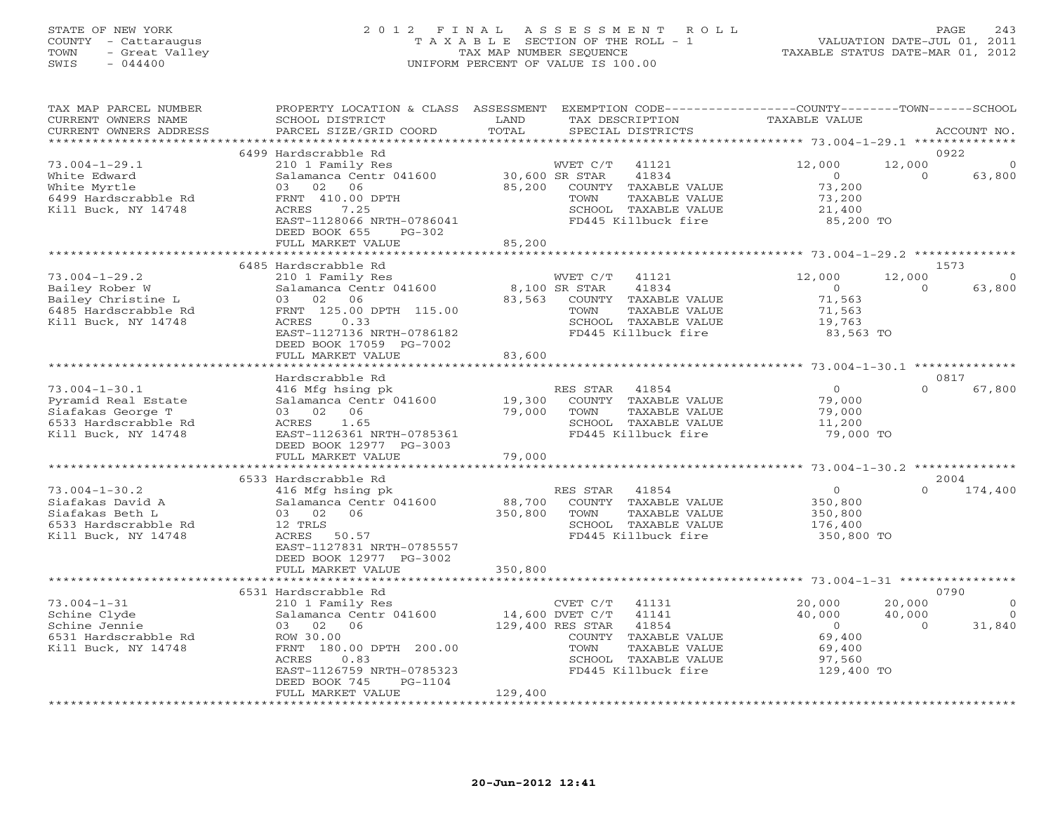# STATE OF NEW YORK 2 0 1 2 F I N A L A S S E S S M E N T R O L L PAGE 243 COUNTY - Cattaraugus T A X A B L E SECTION OF THE ROLL - 1 VALUATION DATE-JUL 01, 2011 TOWN - Great Valley TAX MAP NUMBER SEQUENCE TAXABLE STATUS DATE-MAR 01, 2012 SWIS - 044400 UNIFORM PERCENT OF VALUE IS 100.00

| TAX MAP PARCEL NUMBER<br>CURRENT OWNERS NAME<br>CURRENT OWNERS ADDRESS<br>********************** | PROPERTY LOCATION & CLASS ASSESSMENT<br>SCHOOL DISTRICT<br>PARCEL SIZE/GRID COORD | LAND<br>TOTAL                |                  | TAX DESCRIPTION<br>SPECIAL DISTRICTS | EXEMPTION CODE-----------------COUNTY-------TOWN-----SCHOOL<br>TAXABLE VALUE |          | ACCOUNT NO.    |
|--------------------------------------------------------------------------------------------------|-----------------------------------------------------------------------------------|------------------------------|------------------|--------------------------------------|------------------------------------------------------------------------------|----------|----------------|
|                                                                                                  |                                                                                   |                              |                  |                                      |                                                                              |          |                |
|                                                                                                  | 6499 Hardscrabble Rd                                                              |                              |                  |                                      |                                                                              |          | 0922           |
| $73.004 - 1 - 29.1$                                                                              | 210 1 Family Res                                                                  |                              | WVET C/T         | 41121                                | 12,000                                                                       | 12,000   |                |
| White Edward                                                                                     | Salamanca Centr 041600                                                            |                              | 30,600 SR STAR   | 41834                                | $\circ$                                                                      | $\circ$  | 63,800         |
| White Myrtle                                                                                     | 02<br>06<br>0.3                                                                   | 85,200                       |                  | COUNTY TAXABLE VALUE                 | 73,200                                                                       |          |                |
| 6499 Hardscrabble Rd                                                                             | FRNT 410.00 DPTH                                                                  |                              | TOWN             | TAXABLE VALUE                        | 73,200                                                                       |          |                |
| Kill Buck, NY 14748                                                                              | ACRES<br>7.25                                                                     |                              |                  | SCHOOL TAXABLE VALUE                 | 21,400                                                                       |          |                |
|                                                                                                  | EAST-1128066 NRTH-0786041                                                         |                              |                  | FD445 Killbuck fire                  | 85,200 TO                                                                    |          |                |
|                                                                                                  | DEED BOOK 655<br>$PG-302$                                                         |                              |                  |                                      |                                                                              |          |                |
|                                                                                                  | FULL MARKET VALUE                                                                 | 85,200                       |                  |                                      |                                                                              |          |                |
|                                                                                                  |                                                                                   |                              |                  |                                      |                                                                              |          |                |
|                                                                                                  | 6485 Hardscrabble Rd                                                              |                              |                  |                                      |                                                                              |          | 1573           |
| $73.004 - 1 - 29.2$                                                                              | 210 1 Family Res                                                                  |                              | WVET C/T         | 41121                                | 12,000                                                                       | 12,000   | $\circ$        |
| Bailey Rober W                                                                                   | Salamanca Centr 041600                                                            |                              | 8,100 SR STAR    | 41834                                | $\Omega$                                                                     | $\Omega$ | 63,800         |
| Bailey Christine L                                                                               | 02<br>06<br>03                                                                    | 83,563                       |                  | COUNTY TAXABLE VALUE                 | 71,563                                                                       |          |                |
| 6485 Hardscrabble Rd                                                                             | FRNT 125.00 DPTH 115.00                                                           |                              | TOWN             | TAXABLE VALUE                        | 71,563                                                                       |          |                |
| Kill Buck, NY 14748                                                                              | 0.33<br>ACRES                                                                     |                              |                  | SCHOOL TAXABLE VALUE                 | 19,763                                                                       |          |                |
|                                                                                                  | EAST-1127136 NRTH-0786182                                                         |                              |                  | FD445 Killbuck fire                  | 83,563 TO                                                                    |          |                |
|                                                                                                  | DEED BOOK 17059 PG-7002                                                           |                              |                  |                                      |                                                                              |          |                |
|                                                                                                  | FULL MARKET VALUE                                                                 | 83,600                       |                  |                                      |                                                                              |          |                |
|                                                                                                  | * * * * * * * * * * * * * * * * *                                                 | *******                      |                  |                                      | ********* 73.004-1-30.1 **************                                       |          |                |
|                                                                                                  | Hardscrabble Rd                                                                   |                              |                  |                                      |                                                                              |          | 0817           |
| $73.004 - 1 - 30.1$                                                                              | 416 Mfg hsing pk                                                                  |                              | RES STAR         | 41854                                | $\mathbf{O}$                                                                 | $\Omega$ | 67,800         |
| Pyramid Real Estate                                                                              | Salamanca Centr 041600                                                            | 19,300                       | COUNTY           | TAXABLE VALUE                        | 79,000                                                                       |          |                |
| Siafakas George T                                                                                | 03<br>02<br>06                                                                    | 79,000                       | TOWN             | TAXABLE VALUE                        | 79,000                                                                       |          |                |
| 6533 Hardscrabble Rd                                                                             | 1.65<br>ACRES                                                                     |                              |                  | SCHOOL TAXABLE VALUE                 | 11,200                                                                       |          |                |
| Kill Buck, NY 14748                                                                              | EAST-1126361 NRTH-0785361                                                         |                              |                  | FD445 Killbuck fire                  | 79,000 TO                                                                    |          |                |
|                                                                                                  | DEED BOOK 12977 PG-3003                                                           |                              |                  |                                      |                                                                              |          |                |
|                                                                                                  |                                                                                   |                              |                  |                                      |                                                                              |          |                |
|                                                                                                  | FULL MARKET VALUE                                                                 | 79,000<br>****************** |                  |                                      | ****************** 73.004-1-30.2 **************                              |          |                |
|                                                                                                  |                                                                                   |                              |                  |                                      |                                                                              |          |                |
|                                                                                                  | 6533 Hardscrabble Rd                                                              |                              |                  |                                      |                                                                              | $\Omega$ | 2004           |
| $73.004 - 1 - 30.2$                                                                              | 416 Mfg hsing pk                                                                  |                              | RES STAR         | 41854                                | $\circ$                                                                      |          | 174,400        |
| Siafakas David A                                                                                 | Salamanca Centr 041600                                                            | 88,700                       |                  | COUNTY TAXABLE VALUE                 | 350,800                                                                      |          |                |
| Siafakas Beth L                                                                                  | 03<br>02<br>06                                                                    | 350,800                      | TOWN             | TAXABLE VALUE                        | 350,800                                                                      |          |                |
| 6533 Hardscrabble Rd                                                                             | 12 TRLS                                                                           |                              |                  | SCHOOL TAXABLE VALUE                 | 176,400                                                                      |          |                |
| Kill Buck, NY 14748                                                                              | ACRES<br>50.57                                                                    |                              |                  | FD445 Killbuck fire                  | 350,800 TO                                                                   |          |                |
|                                                                                                  | EAST-1127831 NRTH-0785557                                                         |                              |                  |                                      |                                                                              |          |                |
|                                                                                                  | DEED BOOK 12977 PG-3002                                                           |                              |                  |                                      |                                                                              |          |                |
|                                                                                                  | FULL MARKET VALUE                                                                 | 350,800                      |                  |                                      |                                                                              |          |                |
|                                                                                                  | ***********************                                                           |                              |                  |                                      |                                                                              |          |                |
|                                                                                                  | 6531 Hardscrabble Rd                                                              |                              |                  |                                      |                                                                              |          | 0790           |
| $73.004 - 1 - 31$                                                                                | 210 1 Family Res                                                                  |                              | CVET C/T         | 41131                                | 20,000                                                                       | 20,000   | $\overline{0}$ |
| Schine Clyde                                                                                     | Salamanca Centr 041600                                                            |                              | 14,600 DVET C/T  | 41141                                | 40,000                                                                       | 40,000   | $\Omega$       |
| Schine Jennie                                                                                    | 02<br>06<br>03                                                                    |                              | 129,400 RES STAR | 41854                                | $\overline{O}$                                                               | $\Omega$ | 31,840         |
| 6531 Hardscrabble Rd                                                                             | ROW 30.00                                                                         |                              | COUNTY           | TAXABLE VALUE                        | 69,400                                                                       |          |                |
| Kill Buck, NY 14748                                                                              | FRNT 180.00 DPTH 200.00                                                           |                              | TOWN             | TAXABLE VALUE                        | 69,400                                                                       |          |                |
|                                                                                                  | ACRES<br>0.83                                                                     |                              |                  | SCHOOL TAXABLE VALUE                 | 97,560                                                                       |          |                |
|                                                                                                  | EAST-1126759 NRTH-0785323                                                         |                              |                  | FD445 Killbuck fire                  | 129,400 TO                                                                   |          |                |
|                                                                                                  | DEED BOOK 745<br>PG-1104                                                          |                              |                  |                                      |                                                                              |          |                |
|                                                                                                  | FULL MARKET VALUE                                                                 | 129,400                      |                  |                                      |                                                                              |          |                |
|                                                                                                  | ***********************                                                           | ********************         |                  |                                      |                                                                              |          |                |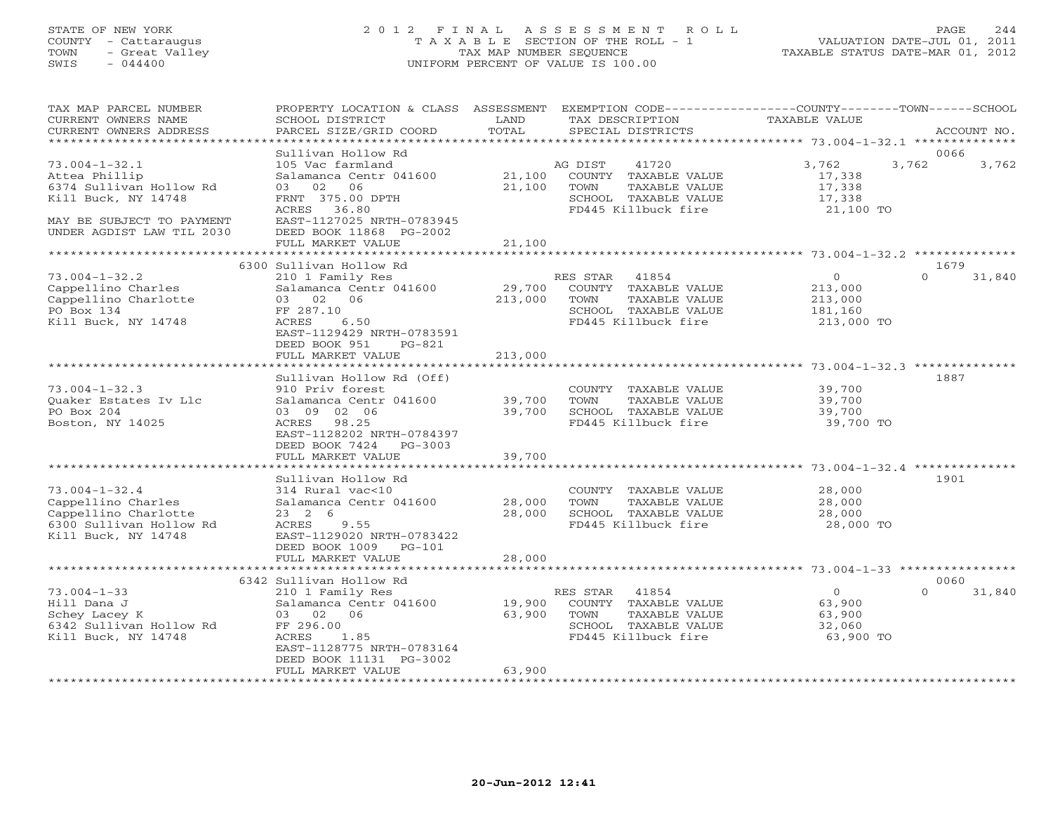### STATE OF NEW YORK 2 0 1 2 F I N A L A S S E S S M E N T R O L L PAGE 244 COUNTY - Cattaraugus T A X A B L E SECTION OF THE ROLL - 1 VALUATION DATE-JUL 01, 2011 TOWN - Great Valley TAX MAP NUMBER SEQUENCE TAXABLE STATUS DATE-MAR 01, 2012 SWIS - 044400 UNIFORM PERCENT OF VALUE IS 100.00UNIFORM PERCENT OF VALUE IS 100.00

| TAX MAP PARCEL NUMBER<br>CURRENT OWNERS NAME<br>CURRENT OWNERS ADDRESS                                                                           | PROPERTY LOCATION & CLASS ASSESSMENT<br>SCHOOL DISTRICT<br>PARCEL SIZE/GRID COORD                                                                                                                  | LAND<br>TOTAL                     | EXEMPTION CODE-----------------COUNTY-------TOWN-----SCHOOL<br>TAX DESCRIPTION<br>SPECIAL DISTRICTS               | <b>TAXABLE VALUE</b>                                          | ACCOUNT NO.        |
|--------------------------------------------------------------------------------------------------------------------------------------------------|----------------------------------------------------------------------------------------------------------------------------------------------------------------------------------------------------|-----------------------------------|-------------------------------------------------------------------------------------------------------------------|---------------------------------------------------------------|--------------------|
| **********************                                                                                                                           |                                                                                                                                                                                                    |                                   |                                                                                                                   |                                                               |                    |
| $73.004 - 1 - 32.1$<br>Attea Phillip<br>6374 Sullivan Hollow Rd<br>Kill Buck, NY 14748<br>MAY BE SUBJECT TO PAYMENT<br>UNDER AGDIST LAW TIL 2030 | Sullivan Hollow Rd<br>105 Vac farmland<br>Salamanca Centr 041600<br>02<br>06<br>03<br>FRNT 375.00 DPTH<br>ACRES 36.80<br>EAST-1127025 NRTH-0783945<br>DEED BOOK 11868 PG-2002<br>FULL MARKET VALUE | 21,100<br>21,100<br>21,100        | AG DIST<br>41720<br>COUNTY TAXABLE VALUE<br>TAXABLE VALUE<br>TOWN<br>SCHOOL TAXABLE VALUE<br>FD445 Killbuck fire  | 3,762<br>3,762<br>17,338<br>17,338<br>17,338<br>21,100 TO     | 0066<br>3,762      |
|                                                                                                                                                  |                                                                                                                                                                                                    |                                   |                                                                                                                   |                                                               |                    |
|                                                                                                                                                  | 6300 Sullivan Hollow Rd                                                                                                                                                                            |                                   |                                                                                                                   |                                                               | 1679               |
| $73.004 - 1 - 32.2$<br>Cappellino Charles<br>Cappellino Charlotte<br>PO Box 134<br>Kill Buck, NY 14748                                           | 210 1 Family Res<br>Salamanca Centr 041600<br>03 02 06<br>FF 287.10<br>ACRES<br>6.50<br>EAST-1129429 NRTH-0783591<br>DEED BOOK 951<br>$PG-821$                                                     | 29,700<br>213,000                 | RES STAR<br>41854<br>COUNTY TAXABLE VALUE<br>TOWN<br>TAXABLE VALUE<br>SCHOOL TAXABLE VALUE<br>FD445 Killbuck fire | $\overline{O}$<br>213,000<br>213,000<br>181,160<br>213,000 TO | $\Omega$<br>31,840 |
|                                                                                                                                                  | FULL MARKET VALUE<br>* * * * * * * * * * * * * * * * * *                                                                                                                                           | 213,000                           |                                                                                                                   |                                                               |                    |
| $73.004 - 1 - 32.3$<br>Quaker Estates Iv Llc<br>PO Box 204<br>Boston, NY 14025                                                                   | Sullivan Hollow Rd (Off)<br>910 Priv forest<br>Salamanca Centr 041600<br>03 09 02 06<br>98.25<br>ACRES<br>EAST-1128202 NRTH-0784397<br>DEED BOOK 7424<br>PG-3003                                   | 39,700<br>39,700                  | COUNTY TAXABLE VALUE<br>TAXABLE VALUE<br>TOWN<br>SCHOOL TAXABLE VALUE<br>FD445 Killbuck fire                      | 39,700<br>39,700<br>39,700<br>39,700 TO                       | 1887               |
|                                                                                                                                                  | FULL MARKET VALUE<br>.                                                                                                                                                                             | 39,700<br>* * * * * * * * * * * * |                                                                                                                   |                                                               |                    |
| $73.004 - 1 - 32.4$<br>Cappellino Charles<br>Cappellino Charlotte<br>6300 Sullivan Hollow Rd<br>Kill Buck, NY 14748                              | Sullivan Hollow Rd<br>314 Rural vac<10<br>Salamanca Centr 041600<br>$23 \t2 \t6$<br>ACRES<br>9.55<br>EAST-1129020 NRTH-0783422<br>DEED BOOK 1009<br>$PG-101$                                       | 28,000<br>28,000                  | COUNTY TAXABLE VALUE<br>TAXABLE VALUE<br>TOWN<br>SCHOOL TAXABLE VALUE<br>FD445 Killbuck fire                      | 28,000<br>28,000<br>28,000<br>28,000 TO                       | 1901               |
|                                                                                                                                                  | FULL MARKET VALUE<br>*******************                                                                                                                                                           | 28,000                            |                                                                                                                   |                                                               |                    |
|                                                                                                                                                  | 6342 Sullivan Hollow Rd                                                                                                                                                                            |                                   |                                                                                                                   |                                                               | 0060               |
| $73.004 - 1 - 33$<br>Hill Dana J<br>Schey Lacey K<br>6342 Sullivan Hollow Rd<br>Kill Buck, NY 14748                                              | 210 1 Family Res<br>Salamanca Centr 041600<br>03 02 06<br>FF 296.00<br>1.85<br>ACRES<br>EAST-1128775 NRTH-0783164<br>DEED BOOK 11131 PG-3002<br>FULL MARKET VALUE                                  | 19,900<br>63,900<br>63,900        | 41854<br>RES STAR<br>COUNTY TAXABLE VALUE<br>TOWN<br>TAXABLE VALUE<br>SCHOOL TAXABLE VALUE<br>FD445 Killbuck fire | $\circ$<br>63,900<br>63,900<br>32,060<br>63,900 TO            | $\Omega$<br>31,840 |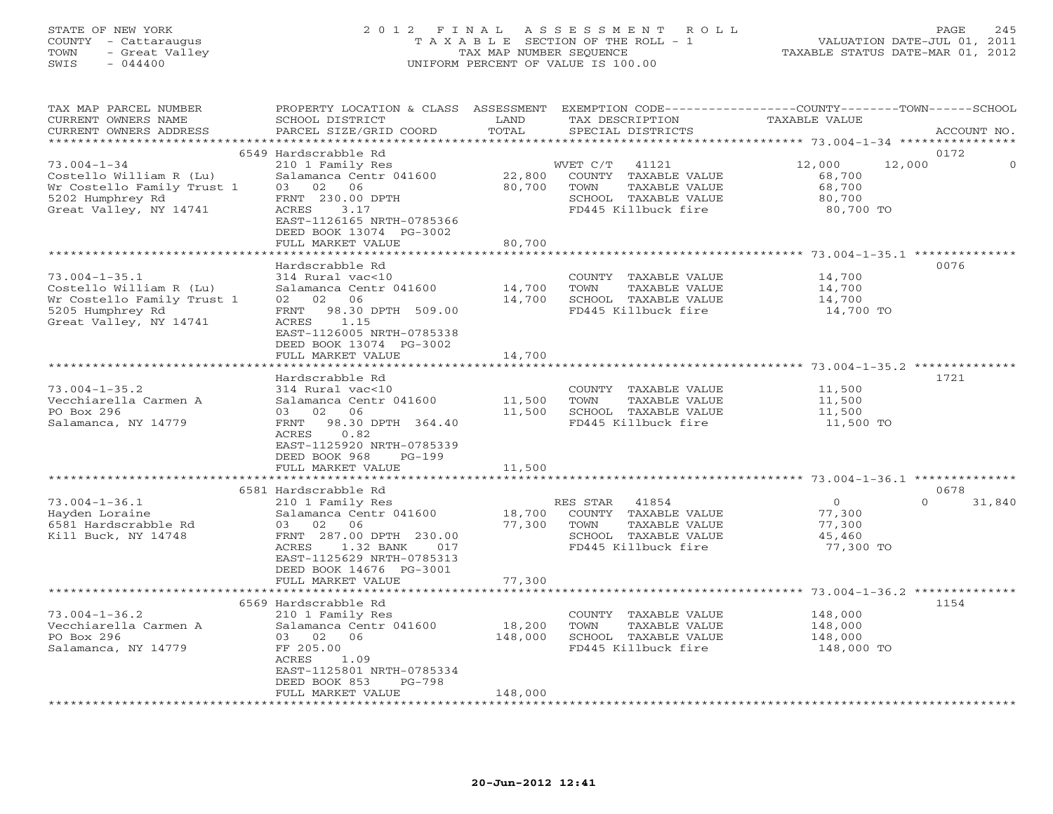## STATE OF NEW YORK 2 0 1 2 F I N A L A S S E S S M E N T R O L L PAGE 245 COUNTY - Cattaraugus T A X A B L E SECTION OF THE ROLL - 1 VALUATION DATE-JUL 01, 2011 TOWN - Great Valley TAX MAP NUMBER SEQUENCE TAXABLE STATUS DATE-MAR 01, 2012 SWIS - 044400 UNIFORM PERCENT OF VALUE IS 100.00

| TAX MAP PARCEL NUMBER<br>CURRENT OWNERS NAME<br>CURRENT OWNERS ADDRESS   | PROPERTY LOCATION & CLASS<br>SCHOOL DISTRICT<br>PARCEL SIZE/GRID COORD                                   | ASSESSMENT<br>LAND<br>TOTAL | TAX DESCRIPTION<br>SPECIAL DISTRICTS                                 | EXEMPTION CODE----------------COUNTY-------TOWN------SCHOOL<br>TAXABLE VALUE | ACCOUNT NO.        |
|--------------------------------------------------------------------------|----------------------------------------------------------------------------------------------------------|-----------------------------|----------------------------------------------------------------------|------------------------------------------------------------------------------|--------------------|
| *********************                                                    | + + + + + + + + + + + + + + + + + + +                                                                    | *******************         |                                                                      |                                                                              |                    |
| $73.004 - 1 - 34$<br>Costello William R (Lu)                             | 6549 Hardscrabble Rd<br>210 1 Family Res<br>Salamanca Centr 041600                                       | 22,800                      | WVET C/T<br>41121<br>COUNTY<br>TAXABLE VALUE                         | 12,000<br>12,000<br>68,700                                                   | 0172<br>$\Omega$   |
| Wr Costello Family Trust 1<br>5202 Humphrey Rd<br>Great Valley, NY 14741 | 03 02<br>06<br>FRNT 230.00 DPTH<br>ACRES<br>3.17<br>EAST-1126165 NRTH-0785366<br>DEED BOOK 13074 PG-3002 | 80,700                      | TOWN<br>TAXABLE VALUE<br>SCHOOL TAXABLE VALUE<br>FD445 Killbuck fire | 68,700<br>80,700<br>80,700 TO                                                |                    |
|                                                                          | FULL MARKET VALUE                                                                                        | 80,700                      |                                                                      |                                                                              |                    |
|                                                                          |                                                                                                          |                             |                                                                      |                                                                              |                    |
|                                                                          | Hardscrabble Rd                                                                                          |                             |                                                                      |                                                                              | 0076               |
| $73.004 - 1 - 35.1$                                                      | 314 Rural vac<10                                                                                         |                             | COUNTY TAXABLE VALUE                                                 | 14,700                                                                       |                    |
| Costello William R (Lu)                                                  | Salamanca Centr 041600                                                                                   | 14,700                      | TOWN<br>TAXABLE VALUE                                                | 14,700                                                                       |                    |
| Wr Costello Family Trust 1                                               | 02<br>06<br>02                                                                                           | 14,700                      | SCHOOL TAXABLE VALUE                                                 | 14,700                                                                       |                    |
| 5205 Humphrey Rd<br>Great Valley, NY 14741                               | 98.30 DPTH 509.00<br>FRNT<br>1.15<br>ACRES<br>EAST-1126005 NRTH-0785338<br>DEED BOOK 13074 PG-3002       |                             | FD445 Killbuck fire                                                  | 14,700 TO                                                                    |                    |
|                                                                          | FULL MARKET VALUE                                                                                        | 14,700                      |                                                                      |                                                                              |                    |
|                                                                          | ***********************                                                                                  |                             |                                                                      |                                                                              |                    |
|                                                                          | Hardscrabble Rd                                                                                          |                             |                                                                      |                                                                              | 1721               |
| $73.004 - 1 - 35.2$                                                      | 314 Rural vac<10                                                                                         |                             | COUNTY TAXABLE VALUE                                                 | 11,500                                                                       |                    |
| Vecchiarella Carmen A                                                    | Salamanca Centr 041600                                                                                   | 11,500                      | TOWN<br>TAXABLE VALUE                                                | 11,500                                                                       |                    |
| PO Box 296                                                               | 06<br>03<br>02                                                                                           | 11,500                      | SCHOOL TAXABLE VALUE                                                 | 11,500                                                                       |                    |
| Salamanca, NY 14779                                                      | FRNT<br>98.30 DPTH 364.40<br>ACRES<br>0.82<br>EAST-1125920 NRTH-0785339                                  |                             | FD445 Killbuck fire                                                  | 11,500 TO                                                                    |                    |
|                                                                          | DEED BOOK 968<br>$PG-199$                                                                                |                             |                                                                      |                                                                              |                    |
|                                                                          | FULL MARKET VALUE                                                                                        | 11,500                      |                                                                      |                                                                              |                    |
|                                                                          |                                                                                                          |                             |                                                                      |                                                                              |                    |
|                                                                          | 6581 Hardscrabble Rd                                                                                     |                             |                                                                      |                                                                              | 0678               |
| $73.004 - 1 - 36.1$                                                      | 210 1 Family Res                                                                                         |                             | RES STAR<br>41854                                                    | $\circ$                                                                      | $\Omega$<br>31,840 |
| Hayden Loraine                                                           | Salamanca Centr 041600                                                                                   | 18,700                      | COUNTY TAXABLE VALUE                                                 | 77,300                                                                       |                    |
| 6581 Hardscrabble Rd                                                     | 06<br>03 02<br>FRNT 287.00 DPTH 230.00                                                                   | 77,300                      | TOWN<br>TAXABLE VALUE<br>SCHOOL TAXABLE VALUE                        | 77,300<br>45,460                                                             |                    |
| Kill Buck, NY 14748                                                      | ACRES<br>1.32 BANK<br>017                                                                                |                             | FD445 Killbuck fire                                                  | 77,300 TO                                                                    |                    |
|                                                                          | EAST-1125629 NRTH-0785313<br>DEED BOOK 14676 PG-3001                                                     |                             |                                                                      |                                                                              |                    |
|                                                                          | FULL MARKET VALUE                                                                                        | 77,300                      |                                                                      |                                                                              |                    |
|                                                                          |                                                                                                          |                             |                                                                      |                                                                              |                    |
|                                                                          | 6569 Hardscrabble Rd                                                                                     |                             |                                                                      |                                                                              | 1154               |
| $73.004 - 1 - 36.2$                                                      | 210 1 Family Res                                                                                         |                             | COUNTY TAXABLE VALUE                                                 | 148,000                                                                      |                    |
| Vecchiarella Carmen A                                                    | Salamanca Centr 041600                                                                                   | 18,200                      | TOWN<br>TAXABLE VALUE                                                | 148,000                                                                      |                    |
| PO Box 296                                                               | 03 02<br>06                                                                                              | 148,000                     | SCHOOL TAXABLE VALUE                                                 | 148,000                                                                      |                    |
| Salamanca, NY 14779                                                      | FF 205.00<br>ACRES<br>1.09<br>EAST-1125801 NRTH-0785334                                                  |                             | FD445 Killbuck fire                                                  | 148,000 TO                                                                   |                    |
|                                                                          | DEED BOOK 853<br>$PG-798$                                                                                |                             |                                                                      |                                                                              |                    |
|                                                                          | FULL MARKET VALUE                                                                                        | 148,000                     |                                                                      |                                                                              |                    |
| ***********************                                                  |                                                                                                          |                             |                                                                      |                                                                              |                    |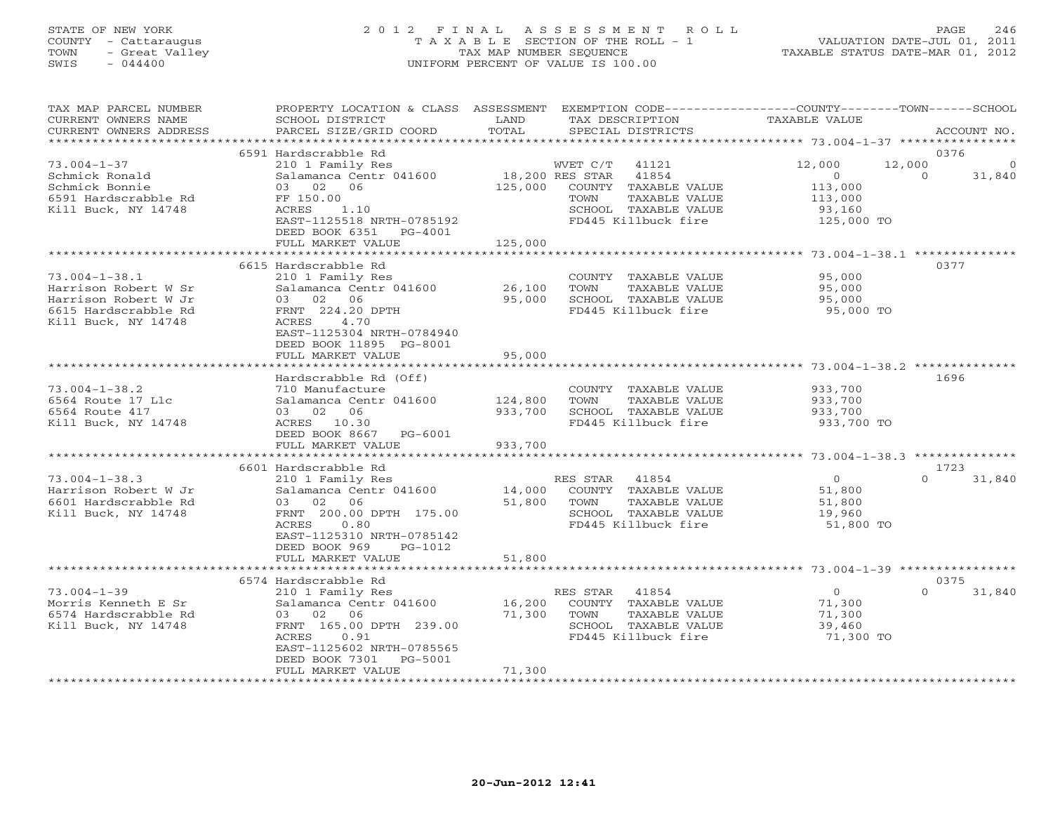# STATE OF NEW YORK 2 0 1 2 F I N A L A S S E S S M E N T R O L L PAGE 246 COUNTY - Cattaraugus T A X A B L E SECTION OF THE ROLL - 1 VALUATION DATE-JUL 01, 2011 TOWN - Great Valley TAX MAP NUMBER SEQUENCE TAXABLE STATUS DATE-MAR 01, 2012 SWIS - 044400 UNIFORM PERCENT OF VALUE IS 100.00

| TAX MAP PARCEL NUMBER<br>CURRENT OWNERS NAME<br>CURRENT OWNERS ADDRESS                                             | PROPERTY LOCATION & CLASS ASSESSMENT<br>SCHOOL DISTRICT<br>PARCEL SIZE/GRID COORD                                                                                                    | LAND<br>TOTAL                 | TAX DESCRIPTION<br>SPECIAL DISTRICTS                                                                                       | EXEMPTION CODE-----------------COUNTY-------TOWN------SCHOOL<br>TAXABLE VALUE | ACCOUNT NO.                |
|--------------------------------------------------------------------------------------------------------------------|--------------------------------------------------------------------------------------------------------------------------------------------------------------------------------------|-------------------------------|----------------------------------------------------------------------------------------------------------------------------|-------------------------------------------------------------------------------|----------------------------|
| *************************                                                                                          |                                                                                                                                                                                      |                               |                                                                                                                            |                                                                               |                            |
|                                                                                                                    | 6591 Hardscrabble Rd                                                                                                                                                                 |                               |                                                                                                                            |                                                                               | 0376                       |
| $73.004 - 1 - 37$<br>Schmick Ronald<br>Schmick Bonnie<br>6591 Hardscrabble Rd<br>Kill Buck, NY 14748               | 210 1 Family Res<br>Salamanca Centr 041600<br>03 02 06<br>FF 150.00<br>ACRES<br>1.10<br>EAST-1125518 NRTH-0785192<br>DEED BOOK 6351<br>PG-4001                                       | 18,200 RES STAR<br>125,000    | WVET C/T<br>41121<br>41854<br>COUNTY TAXABLE VALUE<br>TAXABLE VALUE<br>TOWN<br>SCHOOL TAXABLE VALUE<br>FD445 Killbuck fire | 12,000<br>12,000<br>$\Omega$<br>113,000<br>113,000<br>93,160<br>125,000 TO    | 0<br>$\Omega$<br>31,840    |
|                                                                                                                    | FULL MARKET VALUE                                                                                                                                                                    | 125,000                       |                                                                                                                            |                                                                               |                            |
|                                                                                                                    | *************************                                                                                                                                                            |                               |                                                                                                                            |                                                                               |                            |
| $73.004 - 1 - 38.1$<br>Harrison Robert W Sr<br>Harrison Robert W Jr<br>6615 Hardscrabble Rd<br>Kill Buck, NY 14748 | 6615 Hardscrabble Rd<br>210 1 Family Res<br>Salamanca Centr 041600<br>03 02 06<br>FRNT 224.20 DPTH<br>ACRES<br>4.70<br>EAST-1125304 NRTH-0784940<br>DEED BOOK 11895 PG-8001          | 26,100<br>95,000              | COUNTY TAXABLE VALUE<br>TAXABLE VALUE<br>TOWN<br>SCHOOL TAXABLE VALUE<br>FD445 Killbuck fire                               | 95,000<br>95,000<br>95,000<br>95,000 TO                                       | 0377                       |
|                                                                                                                    | FULL MARKET VALUE                                                                                                                                                                    | 95,000                        |                                                                                                                            |                                                                               |                            |
|                                                                                                                    |                                                                                                                                                                                      |                               |                                                                                                                            |                                                                               |                            |
| $73.004 - 1 - 38.2$<br>6564 Route 17 Llc<br>6564 Route 417<br>Kill Buck, NY 14748                                  | Hardscrabble Rd (Off)<br>710 Manufacture<br>Salamanca Centr 041600<br>03 02 06<br>ACRES 10.30<br>DEED BOOK 8667<br>PG-6001<br>FULL MARKET VALUE                                      | 124,800<br>933,700<br>933,700 | COUNTY TAXABLE VALUE<br>TOWN<br>TAXABLE VALUE<br>SCHOOL TAXABLE VALUE<br>FD445 Killbuck fire                               | 933,700<br>933,700<br>933,700<br>933,700 TO                                   | 1696                       |
|                                                                                                                    |                                                                                                                                                                                      |                               |                                                                                                                            |                                                                               |                            |
|                                                                                                                    | 6601 Hardscrabble Rd                                                                                                                                                                 |                               |                                                                                                                            |                                                                               | 1723                       |
| $73.004 - 1 - 38.3$<br>Harrison Robert W Jr<br>6601 Hardscrabble Rd<br>Kill Buck, NY 14748                         | 210 1 Family Res<br>Salamanca Centr 041600<br>03 02 06<br>FRNT 200.00 DPTH 175.00<br>0.80<br>ACRES<br>EAST-1125310 NRTH-0785142<br>DEED BOOK 969<br>PG-1012                          | 14,000<br>51,800              | RES STAR<br>41854<br>COUNTY TAXABLE VALUE<br>TOWN<br>TAXABLE VALUE<br>SCHOOL TAXABLE VALUE<br>FD445 Killbuck fire          | $\overline{O}$<br>51,800<br>51,800<br>19,960<br>51,800 TO                     | $\Omega$<br>31,840         |
|                                                                                                                    | FULL MARKET VALUE                                                                                                                                                                    | 51,800                        |                                                                                                                            |                                                                               |                            |
|                                                                                                                    | ********************                                                                                                                                                                 |                               |                                                                                                                            | ****************************** 73.004-1-39 ****************                   |                            |
| $73.004 - 1 - 39$<br>Morris Kenneth E Sr<br>6574 Hardscrabble Rd<br>Kill Buck, NY 14748                            | 6574 Hardscrabble Rd<br>210 1 Family Res<br>Salamanca Centr 041600<br>03 02 06<br>FRNT 165.00 DPTH 239.00<br>ACRES<br>0.91<br>EAST-1125602 NRTH-0785565<br>DEED BOOK 7301<br>PG-5001 | 16,200<br>71,300<br>71,300    | RES STAR<br>41854<br>COUNTY TAXABLE VALUE<br>TAXABLE VALUE<br>TOWN<br>SCHOOL TAXABLE VALUE<br>FD445 Killbuck fire          | $\overline{0}$<br>71,300<br>71,300<br>39,460<br>71,300 TO                     | 0375<br>$\Omega$<br>31,840 |
|                                                                                                                    | FULL MARKET VALUE                                                                                                                                                                    |                               | ******************************                                                                                             |                                                                               |                            |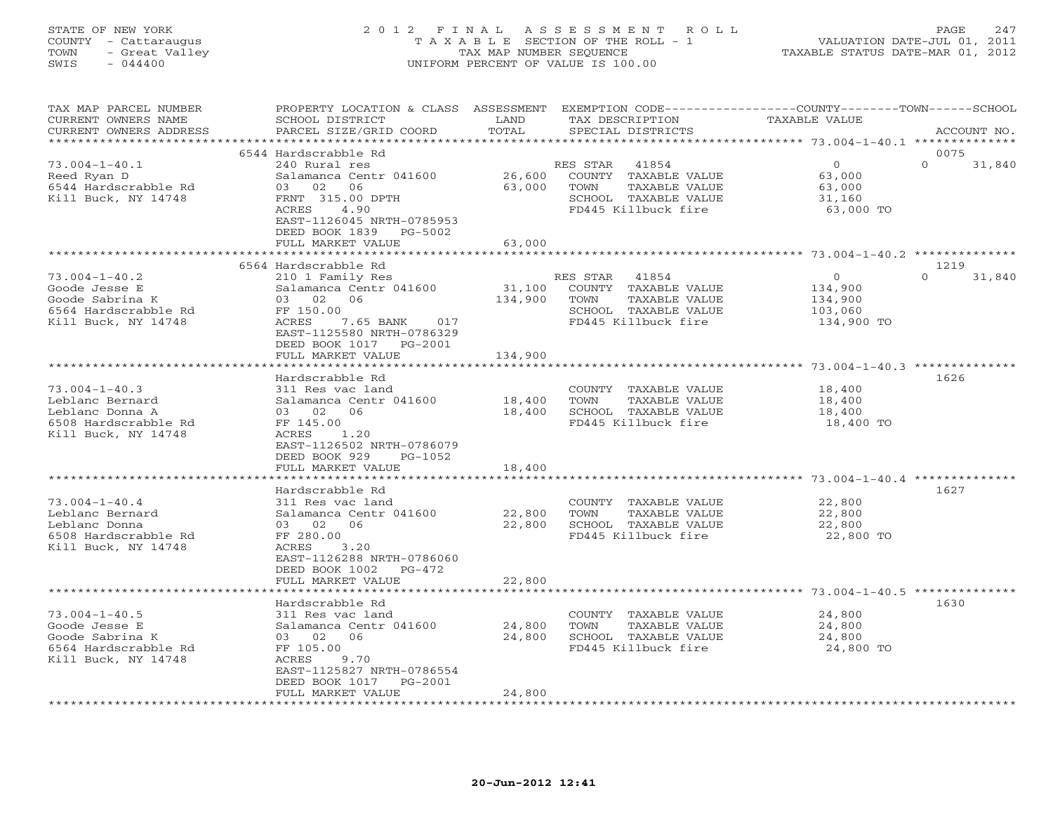# STATE OF NEW YORK 2 0 1 2 F I N A L A S S E S S M E N T R O L L PAGE 247 COUNTY - Cattaraugus T A X A B L E SECTION OF THE ROLL - 1 VALUATION DATE-JUL 01, 2011 TOWN - Great Valley TAX MAP NUMBER SEQUENCE TAXABLE STATUS DATE-MAR 01, 2012 SWIS - 044400 UNIFORM PERCENT OF VALUE IS 100.00

| TAX MAP PARCEL NUMBER<br>CURRENT OWNERS NAME                                                             | PROPERTY LOCATION & CLASS ASSESSMENT<br>SCHOOL DISTRICT                                                                                                                                  | LAND                       | TAX DESCRIPTION                                                                                                   | EXEMPTION CODE----------------COUNTY-------TOWN-----SCHOOL<br>TAXABLE VALUE |             |
|----------------------------------------------------------------------------------------------------------|------------------------------------------------------------------------------------------------------------------------------------------------------------------------------------------|----------------------------|-------------------------------------------------------------------------------------------------------------------|-----------------------------------------------------------------------------|-------------|
| CURRENT OWNERS ADDRESS<br>*********************                                                          | PARCEL SIZE/GRID COORD                                                                                                                                                                   | TOTAL                      | SPECIAL DISTRICTS                                                                                                 |                                                                             | ACCOUNT NO. |
|                                                                                                          | 6544 Hardscrabble Rd                                                                                                                                                                     |                            |                                                                                                                   |                                                                             | 0075        |
| $73.004 - 1 - 40.1$<br>Reed Ryan D<br>6544 Hardscrabble Rd<br>Kill Buck, NY 14748                        | 240 Rural res<br>Salamanca Centr 041600<br>03 02<br>06<br>FRNT 315.00 DPTH<br>4.90<br>ACRES<br>EAST-1126045 NRTH-0785953                                                                 | 26,600<br>63,000           | RES STAR<br>41854<br>COUNTY TAXABLE VALUE<br>TOWN<br>TAXABLE VALUE<br>SCHOOL TAXABLE VALUE<br>FD445 Killbuck fire | $\Omega$<br>$\Omega$<br>63,000<br>63,000<br>31,160<br>63,000 TO             | 31,840      |
|                                                                                                          | DEED BOOK 1839<br>PG-5002                                                                                                                                                                |                            |                                                                                                                   |                                                                             |             |
|                                                                                                          | FULL MARKET VALUE<br>***********************                                                                                                                                             | 63,000                     |                                                                                                                   |                                                                             |             |
|                                                                                                          | 6564 Hardscrabble Rd                                                                                                                                                                     |                            |                                                                                                                   |                                                                             | 1219        |
| $73.004 - 1 - 40.2$<br>Goode Jesse E<br>Goode Sabrina K<br>6564 Hardscrabble Rd<br>Kill Buck, NY 14748   | 210 1 Family Res<br>Salamanca Centr 041600<br>03 02<br>06<br>FF 150.00<br>ACRES<br>7.65 BANK<br>017<br>EAST-1125580 NRTH-0786329<br>DEED BOOK 1017 PG-2001                               | 31,100<br>134,900          | RES STAR<br>41854<br>COUNTY TAXABLE VALUE<br>TOWN<br>TAXABLE VALUE<br>SCHOOL TAXABLE VALUE<br>FD445 Killbuck fire | $\circ$<br>$\Omega$<br>134,900<br>134,900<br>103,060<br>134,900 TO          | 31,840      |
|                                                                                                          | FULL MARKET VALUE                                                                                                                                                                        | 134,900                    |                                                                                                                   |                                                                             |             |
|                                                                                                          | *********************                                                                                                                                                                    | ***********                |                                                                                                                   |                                                                             |             |
| $73.004 - 1 - 40.3$<br>Leblanc Bernard<br>Leblanc Donna A<br>6508 Hardscrabble Rd<br>Kill Buck, NY 14748 | Hardscrabble Rd<br>311 Res vac land<br>Salamanca Centr 041600<br>03 02<br>06<br>FF 145.00<br>ACRES<br>1.20<br>EAST-1126502 NRTH-0786079<br>DEED BOOK 929<br>PG-1052                      | 18,400<br>18,400           | COUNTY TAXABLE VALUE<br>TAXABLE VALUE<br>TOWN<br>SCHOOL TAXABLE VALUE<br>FD445 Killbuck fire                      | 18,400<br>18,400<br>18,400<br>18,400 TO                                     | 1626        |
|                                                                                                          | FULL MARKET VALUE                                                                                                                                                                        | 18,400                     |                                                                                                                   |                                                                             |             |
|                                                                                                          |                                                                                                                                                                                          |                            |                                                                                                                   |                                                                             |             |
| $73.004 - 1 - 40.4$<br>Leblanc Bernard<br>Leblanc Donna<br>6508 Hardscrabble Rd<br>Kill Buck, NY 14748   | Hardscrabble Rd<br>311 Res vac land<br>Salamanca Centr 041600<br>03 02<br>06<br>FF 280.00<br>ACRES<br>3.20<br>EAST-1126288 NRTH-0786060<br>DEED BOOK 1002<br>PG-472<br>FULL MARKET VALUE | 22,800<br>22,800<br>22,800 | COUNTY TAXABLE VALUE<br>TOWN<br>TAXABLE VALUE<br>SCHOOL TAXABLE VALUE<br>FD445 Killbuck fire                      | 22,800<br>22,800<br>22,800<br>22,800 TO                                     | 1627        |
|                                                                                                          | ***********************                                                                                                                                                                  |                            |                                                                                                                   |                                                                             |             |
| $73.004 - 1 - 40.5$<br>Goode Jesse E<br>Goode Sabrina K<br>6564 Hardscrabble Rd<br>Kill Buck, NY 14748   | Hardscrabble Rd<br>311 Res vac land<br>Salamanca Centr 041600<br>03 02<br>06<br>FF 105.00<br>ACRES<br>9.70<br>EAST-1125827 NRTH-0786554<br>DEED BOOK 1017<br>PG-2001                     | 24,800<br>24,800           | COUNTY TAXABLE VALUE<br>TOWN<br>TAXABLE VALUE<br>SCHOOL TAXABLE VALUE<br>FD445 Killbuck fire                      | 24,800<br>24,800<br>24,800<br>24,800 TO                                     | 1630        |
|                                                                                                          | FULL MARKET VALUE                                                                                                                                                                        | 24,800                     |                                                                                                                   |                                                                             |             |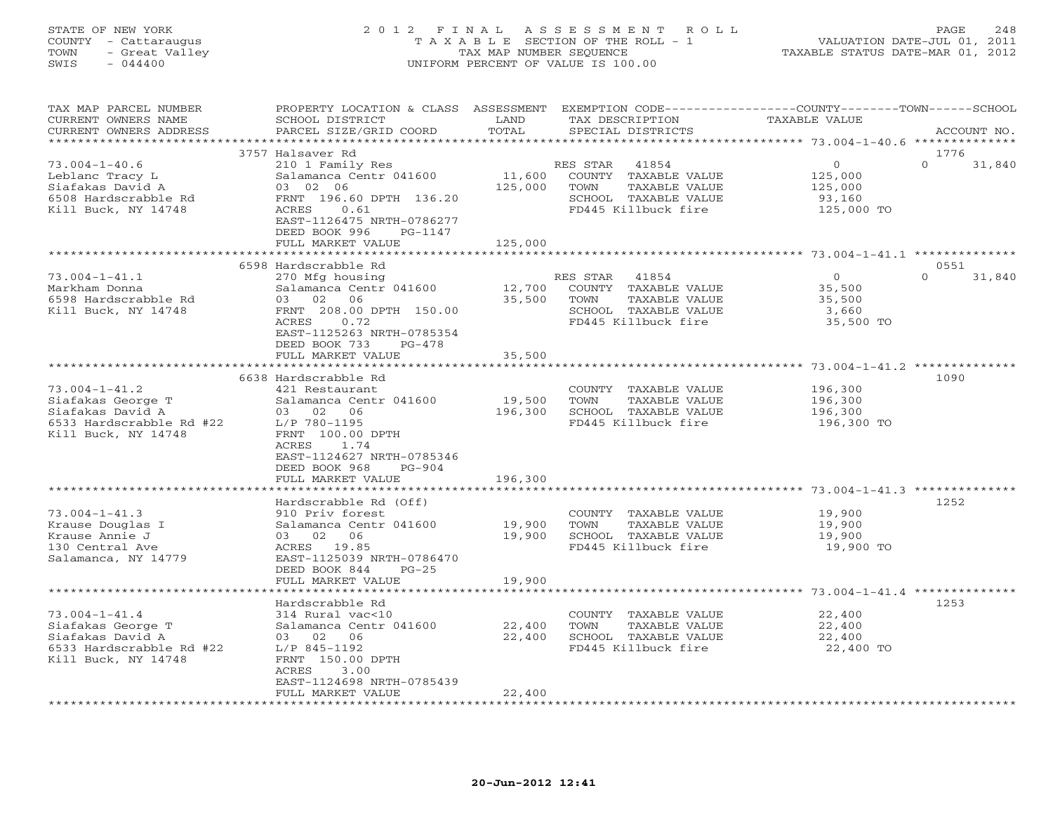# STATE OF NEW YORK 2 0 1 2 F I N A L A S S E S S M E N T R O L L PAGE 248 COUNTY - Cattaraugus T A X A B L E SECTION OF THE ROLL - 1 VALUATION DATE-JUL 01, 2011 TOWN - Great Valley TAX MAP NUMBER SEQUENCE TAXABLE STATUS DATE-MAR 01, 2012 SWIS - 044400 UNIFORM PERCENT OF VALUE IS 100.00

| TAX MAP PARCEL NUMBER<br>CURRENT OWNERS NAME<br>CURRENT OWNERS ADDRESS                                          | PROPERTY LOCATION & CLASS ASSESSMENT EXEMPTION CODE---------------COUNTY-------TOWN------SCHOOL<br>SCHOOL DISTRICT<br>PARCEL SIZE/GRID COORD                                    | LAND<br>TOTAL     | TAX DESCRIPTION<br>SPECIAL DISTRICTS                                                                              | <b>TAXABLE VALUE</b>                                  | ACCOUNT NO.                |
|-----------------------------------------------------------------------------------------------------------------|---------------------------------------------------------------------------------------------------------------------------------------------------------------------------------|-------------------|-------------------------------------------------------------------------------------------------------------------|-------------------------------------------------------|----------------------------|
| **********************                                                                                          |                                                                                                                                                                                 |                   |                                                                                                                   |                                                       |                            |
| $73.004 - 1 - 40.6$<br>Leblanc Tracy L<br>Siafakas David A<br>6508 Hardscrabble Rd<br>Kill Buck, NY 14748       | 3757 Halsaver Rd<br>210 1 Family Res<br>Salamanca Centr 041600<br>03 02 06<br>FRNT 196.60 DPTH 136.20<br>0.61<br>ACRES<br>EAST-1126475 NRTH-0786277<br>DEED BOOK 996<br>PG-1147 | 11,600<br>125,000 | RES STAR<br>41854<br>COUNTY TAXABLE VALUE<br>TOWN<br>TAXABLE VALUE<br>SCHOOL TAXABLE VALUE<br>FD445 Killbuck fire | $\circ$<br>125,000<br>125,000<br>93,160<br>125,000 TO | 1776<br>$\Omega$<br>31,840 |
|                                                                                                                 | FULL MARKET VALUE                                                                                                                                                               | 125,000           |                                                                                                                   |                                                       |                            |
|                                                                                                                 | 6598 Hardscrabble Rd                                                                                                                                                            |                   |                                                                                                                   |                                                       | 0551                       |
| $73.004 - 1 - 41.1$<br>Markham Donna<br>6598 Hardscrabble Rd<br>Kill Buck, NY 14748                             | 270 Mfg housing<br>Salamanca Centr 041600<br>03 02 06<br>FRNT 208.00 DPTH 150.00<br>ACRES<br>0.72<br>EAST-1125263 NRTH-0785354<br>DEED BOOK 733<br>$PG-478$                     | 12,700<br>35,500  | RES STAR 41854<br>COUNTY TAXABLE VALUE<br>TOWN<br>TAXABLE VALUE<br>SCHOOL TAXABLE VALUE<br>FD445 Killbuck fire    | $\circ$<br>35,500<br>35,500<br>3,660<br>35,500 TO     | $\Omega$<br>31,840         |
|                                                                                                                 | FULL MARKET VALUE<br>************************                                                                                                                                   | 35,500            |                                                                                                                   |                                                       |                            |
|                                                                                                                 | 6638 Hardscrabble Rd                                                                                                                                                            |                   |                                                                                                                   |                                                       | 1090                       |
| $73.004 - 1 - 41.2$<br>Siafakas George T<br>Siafakas David A<br>6533 Hardscrabble Rd #22<br>Kill Buck, NY 14748 | 421 Restaurant<br>Salamanca Centr 041600<br>03 02 06<br>L/P 780-1195<br>FRNT 100.00 DPTH<br>1.74<br>ACRES<br>EAST-1124627 NRTH-0785346<br>DEED BOOK 968<br>$PG-904$             | 19,500<br>196,300 | COUNTY TAXABLE VALUE<br>TAXABLE VALUE<br>TOWN<br>SCHOOL TAXABLE VALUE<br>FD445 Killbuck fire                      | 196,300<br>196,300<br>196,300<br>196,300 TO           |                            |
|                                                                                                                 | FULL MARKET VALUE<br>************************                                                                                                                                   | 196,300           |                                                                                                                   |                                                       |                            |
| $73.004 - 1 - 41.3$<br>Krause Douglas I<br>Krause Annie J<br>130 Central Ave<br>Salamanca, NY 14779             | Hardscrabble Rd (Off)<br>910 Priv forest<br>Salamanca Centr 041600<br>03 02 06<br>ACRES 19.85<br>EAST-1125039 NRTH-0786470<br>DEED BOOK 844<br>$PG-25$                          | 19,900<br>19,900  | COUNTY TAXABLE VALUE<br>TOWN<br>TAXABLE VALUE<br>SCHOOL TAXABLE VALUE<br>FD445 Killbuck fire                      | 19,900<br>19,900<br>19,900<br>19,900 TO               | 1252                       |
|                                                                                                                 | FULL MARKET VALUE                                                                                                                                                               | 19,900            |                                                                                                                   |                                                       |                            |
| $73.004 - 1 - 41.4$<br>Siafakas George T<br>Siafakas David A<br>6533 Hardscrabble Rd #22<br>Kill Buck, NY 14748 | Hardscrabble Rd<br>314 Rural vac<10<br>Salamanca Centr 041600<br>03 02 06<br>L/P 845-1192<br>FRNT 150.00 DPTH<br>ACRES<br>3.00                                                  | 22,400<br>22,400  | COUNTY TAXABLE VALUE<br>TAXABLE VALUE<br>TOWN<br>SCHOOL TAXABLE VALUE<br>FD445 Killbuck fire                      | 22,400<br>22,400<br>22,400<br>22,400 TO               | 1253                       |
|                                                                                                                 | EAST-1124698 NRTH-0785439<br>FULL MARKET VALUE                                                                                                                                  | 22,400            | *************************                                                                                         |                                                       |                            |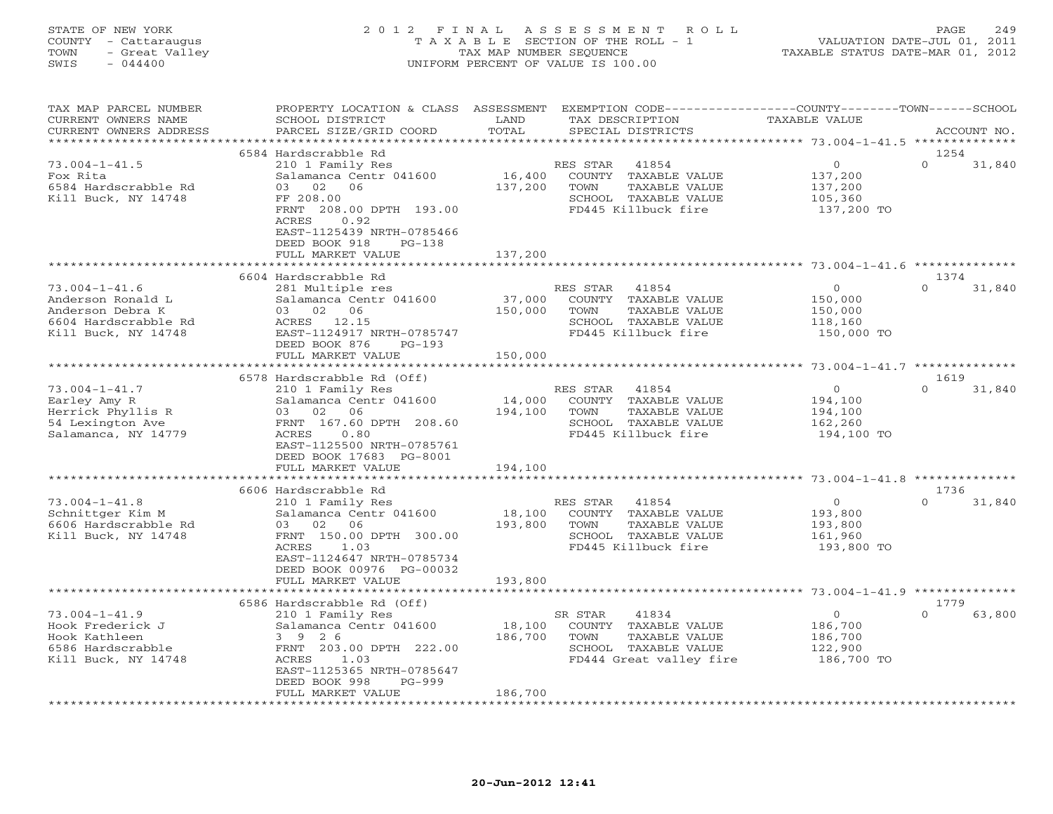# STATE OF NEW YORK 2 0 1 2 F I N A L A S S E S S M E N T R O L L PAGE 249 COUNTY - Cattaraugus T A X A B L E SECTION OF THE ROLL - 1 VALUATION DATE-JUL 01, 2011 TOWN - Great Valley TAX MAP NUMBER SEQUENCE TAXABLE STATUS DATE-MAR 01, 2012 SWIS - 044400 UNIFORM PERCENT OF VALUE IS 100.00

| TAX MAP PARCEL NUMBER<br>CURRENT OWNERS NAME<br>CURRENT OWNERS ADDRESS                                      | PROPERTY LOCATION & CLASS ASSESSMENT EXEMPTION CODE----------------COUNTY-------TOWN------SCHOOL<br>SCHOOL DISTRICT<br>PARCEL SIZE/GRID COORD                                          | LAND<br>TOTAL                | TAX DESCRIPTION<br>SPECIAL DISTRICTS                                                                                 | TAXABLE VALUE                                                 | ACCOUNT NO.                |
|-------------------------------------------------------------------------------------------------------------|----------------------------------------------------------------------------------------------------------------------------------------------------------------------------------------|------------------------------|----------------------------------------------------------------------------------------------------------------------|---------------------------------------------------------------|----------------------------|
| **********************                                                                                      |                                                                                                                                                                                        |                              |                                                                                                                      |                                                               |                            |
| $73.004 - 1 - 41.5$<br>Fox Rita<br>6584 Hardscrabble Rd<br>Kill Buck, NY 14748                              | 6584 Hardscrabble Rd<br>210 1 Family Res<br>Salamanca Centr 041600<br>03 02<br>06<br>FF 208.00<br>FRNT 208.00 DPTH 193.00<br>ACRES<br>0.92                                             | 16,400<br>137,200            | RES STAR<br>41854<br>COUNTY TAXABLE VALUE<br>TOWN<br>TAXABLE VALUE<br>SCHOOL TAXABLE VALUE<br>FD445 Killbuck fire    | $\overline{0}$<br>137,200<br>137,200<br>105,360<br>137,200 TO | 1254<br>$\Omega$<br>31,840 |
|                                                                                                             | EAST-1125439 NRTH-0785466<br>DEED BOOK 918<br>$PG-138$<br>FULL MARKET VALUE                                                                                                            | 137,200                      |                                                                                                                      |                                                               |                            |
|                                                                                                             | 6604 Hardscrabble Rd                                                                                                                                                                   |                              |                                                                                                                      |                                                               | 1374                       |
| $73.004 - 1 - 41.6$<br>Anderson Ronald L<br>Anderson Debra K<br>6604 Hardscrabble Rd<br>Kill Buck, NY 14748 | 281 Multiple res<br>Salamanca Centr 041600<br>03 02 06<br>ACRES 12.15<br>EAST-1124917 NRTH-0785747<br>DEED BOOK 876<br>$PG-193$<br>FULL MARKET VALUE                                   | 37,000<br>150,000<br>150,000 | RES STAR<br>41854<br>COUNTY TAXABLE VALUE<br>TOWN<br>TAXABLE VALUE<br>SCHOOL TAXABLE VALUE<br>FD445 Killbuck fire    | $\circ$<br>150,000<br>150,000<br>118,160<br>150,000 TO        | $\Omega$<br>31,840         |
|                                                                                                             |                                                                                                                                                                                        |                              |                                                                                                                      |                                                               |                            |
|                                                                                                             | 6578 Hardscrabble Rd (Off)                                                                                                                                                             |                              |                                                                                                                      |                                                               | 1619                       |
| $73.004 - 1 - 41.7$<br>Earley Amy R<br>Herrick Phyllis R<br>54 Lexington Ave<br>Salamanca, NY 14779         | 210 1 Family Res<br>Salamanca Centr 041600<br>03 02 06<br>FRNT 167.60 DPTH 208.60<br>ACRES<br>0.80<br>EAST-1125500 NRTH-0785761<br>DEED BOOK 17683 PG-8001                             | 14,000<br>194,100            | RES STAR<br>41854<br>COUNTY TAXABLE VALUE<br>TOWN<br>TAXABLE VALUE<br>SCHOOL TAXABLE VALUE<br>FD445 Killbuck fire    | $\circ$<br>194,100<br>194,100<br>162,260<br>194,100 TO        | $\cap$<br>31,840           |
|                                                                                                             | FULL MARKET VALUE                                                                                                                                                                      | 194,100                      |                                                                                                                      |                                                               |                            |
|                                                                                                             |                                                                                                                                                                                        |                              |                                                                                                                      |                                                               |                            |
| $73.004 - 1 - 41.8$<br>Schnittger Kim M<br>6606 Hardscrabble Rd<br>Kill Buck, NY 14748                      | 6606 Hardscrabble Rd<br>210 1 Family Res<br>Salamanca Centr 041600<br>03 02<br>06<br>FRNT 150.00 DPTH 300.00<br>ACRES<br>1.03<br>EAST-1124647 NRTH-0785734<br>DEED BOOK 00976 PG-00032 | 18,100<br>193,800            | RES STAR<br>41854<br>COUNTY TAXABLE VALUE<br>TOWN<br>TAXABLE VALUE<br>SCHOOL TAXABLE VALUE<br>FD445 Killbuck fire    | $\overline{O}$<br>193,800<br>193,800<br>161,960<br>193,800 TO | 1736<br>$\Omega$<br>31,840 |
|                                                                                                             | FULL MARKET VALUE<br>************************                                                                                                                                          | 193,800                      |                                                                                                                      |                                                               |                            |
|                                                                                                             | 6586 Hardscrabble Rd (Off)                                                                                                                                                             |                              |                                                                                                                      |                                                               | 1779                       |
| $73.004 - 1 - 41.9$<br>Hook Frederick J<br>Hook Kathleen<br>6586 Hardscrabble<br>Kill Buck, NY 14748        | 210 1 Family Res<br>Salamanca Centr 041600<br>3 9 2 6<br>FRNT 203.00 DPTH 222.00<br>ACRES<br>1.03<br>EAST-1125365 NRTH-0785647                                                         | 18,100<br>186,700            | 41834<br>SR STAR<br>COUNTY TAXABLE VALUE<br>TOWN<br>TAXABLE VALUE<br>SCHOOL TAXABLE VALUE<br>FD444 Great valley fire | $\overline{O}$<br>186,700<br>186,700<br>122,900<br>186,700 TO | $\Omega$<br>63,800         |
|                                                                                                             | DEED BOOK 998<br>PG-999<br>FULL MARKET VALUE                                                                                                                                           | 186,700                      |                                                                                                                      |                                                               |                            |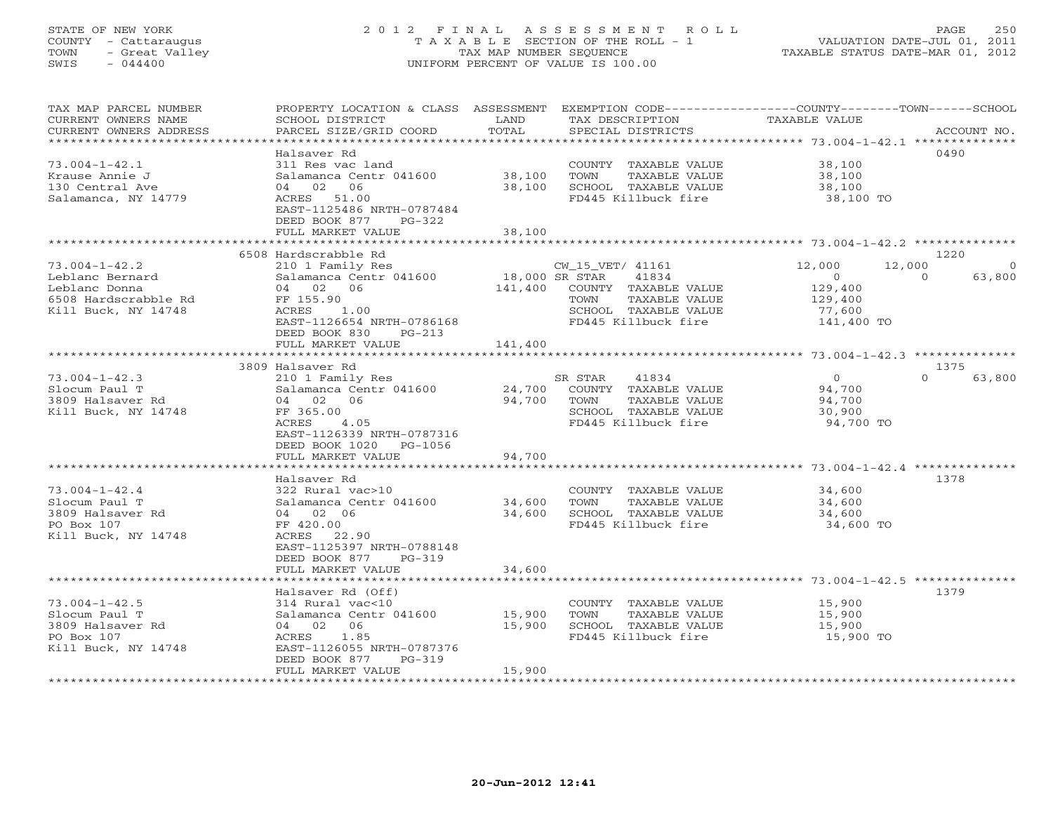### STATE OF NEW YORK 2 0 1 2 F I N A L A S S E S S M E N T R O L L PAGE 250 COUNTY - Cattaraugus T A X A B L E SECTION OF THE ROLL - 1 VALUATION DATE-JUL 01, 2011 TOWN - Great Valley TAX MAP NUMBER SEQUENCE TAXABLE STATUS DATE-MAR 01, 2012 SWIS - 044400 UNIFORM PERCENT OF VALUE IS 100.00UNIFORM PERCENT OF VALUE IS 100.00

| TAX MAP PARCEL NUMBER<br>CURRENT OWNERS NAME<br>CURRENT OWNERS ADDRESS<br>*********************        | PROPERTY LOCATION & CLASS ASSESSMENT<br>SCHOOL DISTRICT<br>PARCEL SIZE/GRID COORD                                                                                      | LAND<br>TOTAL                        | EXEMPTION CODE-----------------COUNTY-------TOWN------SCHOOL<br>TAX DESCRIPTION<br>SPECIAL DISTRICTS                      | TAXABLE VALUE                                                                                 | ACCOUNT NO.        |
|--------------------------------------------------------------------------------------------------------|------------------------------------------------------------------------------------------------------------------------------------------------------------------------|--------------------------------------|---------------------------------------------------------------------------------------------------------------------------|-----------------------------------------------------------------------------------------------|--------------------|
| $73.004 - 1 - 42.1$<br>Krause Annie J<br>130 Central Ave<br>Salamanca, NY 14779                        | Halsaver Rd<br>311 Res vac land<br>Salamanca Centr 041600<br>04 02 06<br>ACRES 51.00<br>EAST-1125486 NRTH-0787484<br>DEED BOOK 877<br>PG-322                           | 38,100<br>38,100                     | COUNTY TAXABLE VALUE<br>TOWN<br>TAXABLE VALUE<br>SCHOOL TAXABLE VALUE<br>FD445 Killbuck fire                              | 38,100<br>38,100<br>38,100<br>38,100 TO                                                       | 0490               |
|                                                                                                        | FULL MARKET VALUE                                                                                                                                                      | 38,100                               |                                                                                                                           |                                                                                               |                    |
|                                                                                                        | 6508 Hardscrabble Rd                                                                                                                                                   |                                      |                                                                                                                           |                                                                                               | 1220               |
| $73.004 - 1 - 42.2$<br>Leblanc Bernard<br>Leblanc Donna<br>6508 Hardscrabble Rd<br>Kill Buck, NY 14748 | 210 1 Family Res<br>Salamanca Centr 041600<br>06<br>04 02<br>FF 155.90<br>ACRES<br>1.00<br>EAST-1126654 NRTH-0786168<br>DEED BOOK 830<br>$PG-213$<br>FULL MARKET VALUE | 18,000 SR STAR<br>141,400<br>141,400 | CW_15_VET/ 41161<br>41834<br>COUNTY TAXABLE VALUE<br>TOWN<br>TAXABLE VALUE<br>SCHOOL TAXABLE VALUE<br>FD445 Killbuck fire | 12,000<br>12,000<br>$\circ$<br>129,400<br>129,400<br>77,600<br>141,400 TO                     | 63,800<br>$\Omega$ |
|                                                                                                        | ***********************                                                                                                                                                |                                      |                                                                                                                           |                                                                                               |                    |
|                                                                                                        | 3809 Halsaver Rd                                                                                                                                                       |                                      |                                                                                                                           |                                                                                               | 1375               |
| $73.004 - 1 - 42.3$<br>Slocum Paul T<br>3809 Halsaver Rd<br>Kill Buck, NY 14748                        | 210 1 Family Res<br>Salamanca Centr 041600<br>04 02<br>06<br>FF 365.00<br>ACRES<br>4.05<br>EAST-1126339 NRTH-0787316<br>DEED BOOK 1020<br>PG-1056                      | 24,700<br>94,700                     | SR STAR<br>41834<br>COUNTY TAXABLE VALUE<br>TOWN<br>TAXABLE VALUE<br>SCHOOL TAXABLE VALUE<br>FD445 Killbuck fire          | $\Omega$<br>94,700<br>94,700<br>30,900<br>94,700 TO                                           | $\cap$<br>63,800   |
|                                                                                                        | FULL MARKET VALUE                                                                                                                                                      | 94,700                               |                                                                                                                           |                                                                                               |                    |
| $73.004 - 1 - 42.4$<br>Slocum Paul T<br>3809 Halsaver Rd<br>PO Box 107<br>Kill Buck, NY 14748          | *****************<br>Halsaver Rd<br>322 Rural vac>10<br>Salamanca Centr 041600<br>04 02 06<br>FF 420.00<br>ACRES<br>22.90<br>EAST-1125397 NRTH-0788148                 | *******<br>34,600<br>34,600          | COUNTY TAXABLE VALUE<br>TOWN<br>TAXABLE VALUE<br>SCHOOL TAXABLE VALUE<br>FD445 Killbuck fire                              | ********************* 73.004-1-42.4 **************<br>34,600<br>34,600<br>34,600<br>34,600 TO | 1378               |
|                                                                                                        | DEED BOOK 877<br>$PG-319$<br>FULL MARKET VALUE                                                                                                                         | 34,600                               |                                                                                                                           |                                                                                               |                    |
|                                                                                                        |                                                                                                                                                                        |                                      |                                                                                                                           | ************************************** 73.004-1-42.5 ***************                          |                    |
| $73.004 - 1 - 42.5$<br>Slocum Paul T<br>3809 Halsaver Rd<br>PO Box 107<br>Kill Buck, NY 14748          | Halsaver Rd (Off)<br>$314$ Rural vac<10<br>Salamanca Centr 041600<br>06<br>04 02<br>ACRES<br>1.85<br>EAST-1126055 NRTH-0787376<br>DEED BOOK 877<br>$PG-319$            | 15,900<br>15,900                     | COUNTY TAXABLE VALUE<br>TAXABLE VALUE<br>TOWN<br>SCHOOL TAXABLE VALUE<br>FD445 Killbuck fire                              | 15,900<br>15,900<br>15,900<br>15,900 TO                                                       | 1379               |
| *****************                                                                                      | FULL MARKET VALUE                                                                                                                                                      | 15,900                               |                                                                                                                           |                                                                                               |                    |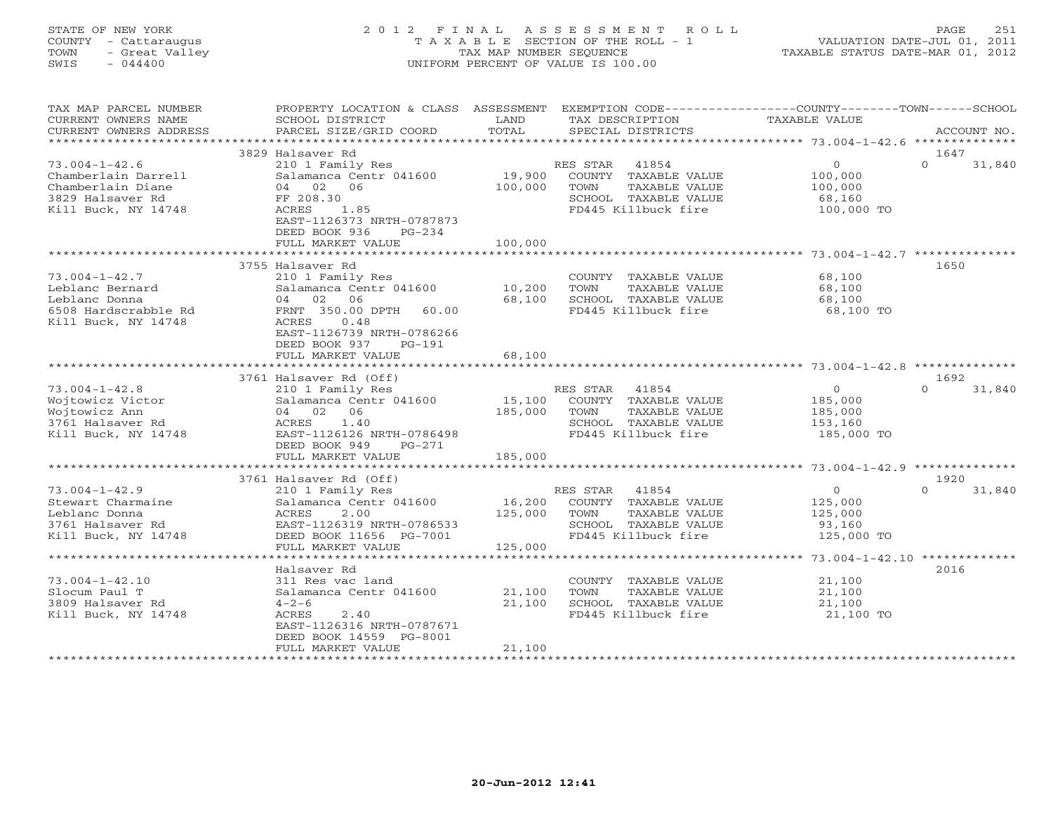### STATE OF NEW YORK 2 0 1 2 F I N A L A S S E S S M E N T R O L L PAGE 251 COUNTY - Cattaraugus T A X A B L E SECTION OF THE ROLL - 1 VALUATION DATE-JUL 01, 2011 TOWN - Great Valley TAX MAP NUMBER SEQUENCE TAXABLE STATUS DATE-MAR 01, 2012 SWIS - 044400 UNIFORM PERCENT OF VALUE IS 100.00UNIFORM PERCENT OF VALUE IS 100.00

| TAX MAP PARCEL NUMBER<br>CURRENT OWNERS NAME<br>CURRENT OWNERS ADDRESS                                     | PROPERTY LOCATION & CLASS ASSESSMENT<br>SCHOOL DISTRICT<br>PARCEL SIZE/GRID COORD                                                                                                   | LAND<br>TOTAL                | EXEMPTION CODE-----------------COUNTY-------TOWN-----SCHOOL<br>TAX DESCRIPTION<br>SPECIAL DISTRICTS               | TAXABLE VALUE                                                 | ACCOUNT NO.                |
|------------------------------------------------------------------------------------------------------------|-------------------------------------------------------------------------------------------------------------------------------------------------------------------------------------|------------------------------|-------------------------------------------------------------------------------------------------------------------|---------------------------------------------------------------|----------------------------|
| *********************                                                                                      |                                                                                                                                                                                     |                              |                                                                                                                   |                                                               |                            |
| $73.004 - 1 - 42.6$<br>Chamberlain Darrell<br>Chamberlain Diane<br>3829 Halsaver Rd<br>Kill Buck, NY 14748 | 3829 Halsaver Rd<br>210 1 Family Res<br>Salamanca Centr 041600<br>02 06<br>04<br>FF 208.30<br>ACRES<br>1.85<br>EAST-1126373 NRTH-0787873<br>DEED BOOK 936<br>$PG-234$               | 19,900<br>100,000            | 41854<br>RES STAR<br>COUNTY TAXABLE VALUE<br>TOWN<br>TAXABLE VALUE<br>SCHOOL TAXABLE VALUE<br>FD445 Killbuck fire | $\circ$<br>100,000<br>100,000<br>68,160<br>100,000 TO         | 1647<br>$\Omega$<br>31,840 |
|                                                                                                            | FULL MARKET VALUE                                                                                                                                                                   | 100,000                      |                                                                                                                   |                                                               |                            |
| $73.004 - 1 - 42.7$<br>Leblanc Bernard                                                                     | 3755 Halsaver Rd<br>210 1 Family Res<br>Salamanca Centr 041600                                                                                                                      | 10,200                       | COUNTY TAXABLE VALUE<br>TOWN<br>TAXABLE VALUE                                                                     | 68,100<br>68,100                                              | 1650                       |
| Leblanc Donna<br>6508 Hardscrabble Rd<br>Kill Buck, NY 14748                                               | 04 02<br>06<br>FRNT 350.00 DPTH<br>60.00<br><b>ACRES</b><br>0.48<br>EAST-1126739 NRTH-0786266<br>DEED BOOK 937<br>$PG-191$<br>FULL MARKET VALUE                                     | 68,100<br>68,100             | SCHOOL TAXABLE VALUE<br>FD445 Killbuck fire                                                                       | 68,100<br>68,100 TO                                           |                            |
|                                                                                                            |                                                                                                                                                                                     |                              |                                                                                                                   |                                                               |                            |
| $73.004 - 1 - 42.8$<br>Wojtowicz Victor<br>Wojtowicz Ann<br>3761 Halsaver Rd<br>Kill Buck, NY 14748        | 3761 Halsaver Rd (Off)<br>210 1 Family Res<br>Salamanca Centr 041600<br>04 02<br>06<br>1.40<br>ACRES<br>EAST-1126126 NRTH-0786498<br>DEED BOOK 949<br>$PG-271$<br>FULL MARKET VALUE | 15,100<br>185,000<br>185,000 | RES STAR<br>41854<br>COUNTY TAXABLE VALUE<br>TOWN<br>TAXABLE VALUE<br>SCHOOL TAXABLE VALUE<br>FD445 Killbuck fire | $\overline{0}$<br>185,000<br>185,000<br>153,160<br>185,000 TO | 1692<br>$\Omega$<br>31,840 |
|                                                                                                            | ****************************                                                                                                                                                        |                              |                                                                                                                   |                                                               |                            |
| $73.004 - 1 - 42.9$<br>Stewart Charmaine<br>Leblanc Donna<br>3761 Halsaver Rd<br>Kill Buck, NY 14748       | 3761 Halsaver Rd (Off)<br>210 1 Family Res<br>Salamanca Centr 041600<br>ACRES<br>2.00<br>EAST-1126319 NRTH-0786533<br>DEED BOOK 11656 PG-7001<br>FULL MARKET VALUE                  | 16,200<br>125,000<br>125,000 | RES STAR<br>41854<br>COUNTY TAXABLE VALUE<br>TOWN<br>TAXABLE VALUE<br>SCHOOL TAXABLE VALUE<br>FD445 Killbuck fire | $\circ$<br>125,000<br>125,000<br>93,160<br>125,000 TO         | 1920<br>$\Omega$<br>31,840 |
|                                                                                                            | *************************************                                                                                                                                               |                              |                                                                                                                   |                                                               |                            |
| $73.004 - 1 - 42.10$<br>Slocum Paul T<br>3809 Halsaver Rd<br>Kill Buck, NY 14748                           | Halsaver Rd<br>311 Res vac land<br>Salamanca Centr 041600<br>$4 - 2 - 6$<br>ACRES<br>2.40<br>EAST-1126316 NRTH-0787671<br>DEED BOOK 14559 PG-8001<br>FULL MARKET VALUE              | 21,100<br>21,100<br>21,100   | COUNTY TAXABLE VALUE<br>TOWN<br>TAXABLE VALUE<br>SCHOOL TAXABLE VALUE<br>FD445 Killbuck fire                      | 21,100<br>21,100<br>21,100<br>21,100 TO                       | 2016                       |
|                                                                                                            |                                                                                                                                                                                     |                              |                                                                                                                   |                                                               |                            |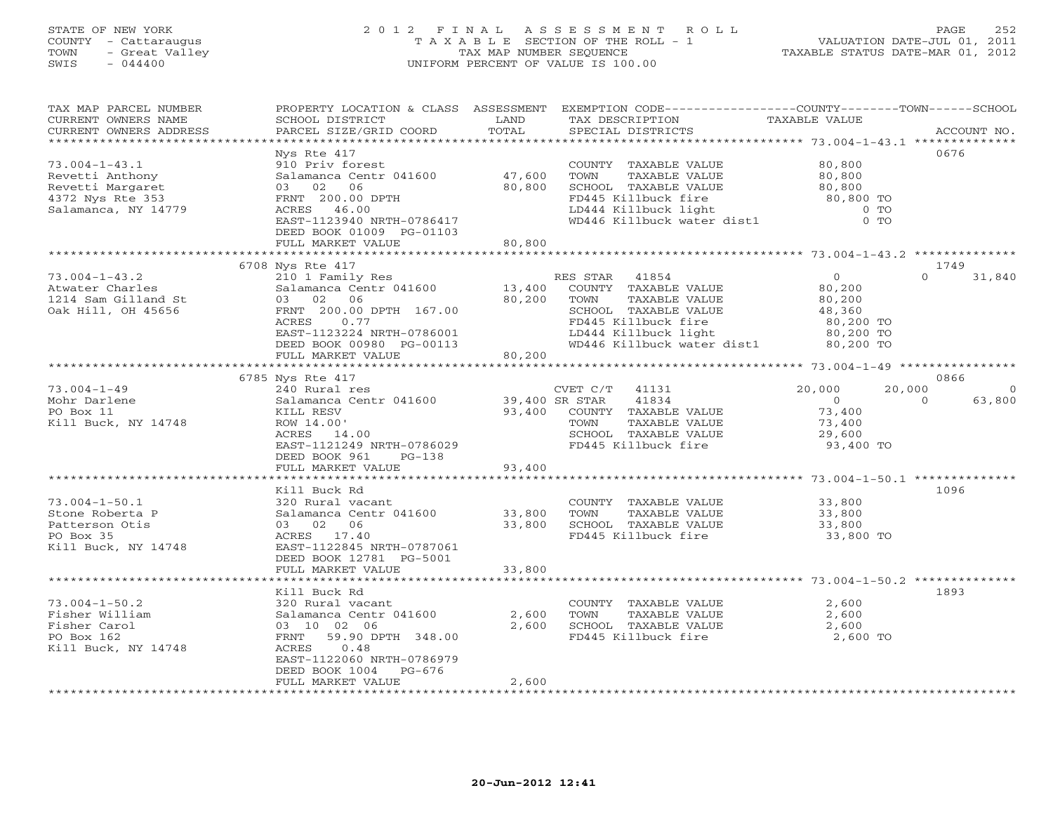# STATE OF NEW YORK 2 0 1 2 F I N A L A S S E S S M E N T R O L L PAGE 252 COUNTY - Cattaraugus T A X A B L E SECTION OF THE ROLL - 1 VALUATION DATE-JUL 01, 2011 TOWN - Great Valley TAX MAP NUMBER SEQUENCE TAXABLE STATUS DATE-MAR 01, 2012 SWIS - 044400 UNIFORM PERCENT OF VALUE IS 100.00

| TAX MAP PARCEL NUMBER  |                                                                                   |                 |                                                                                                  | PROPERTY LOCATION & CLASS ASSESSMENT EXEMPTION CODE----------------COUNTY-------TOWN------SCHOOL |                |
|------------------------|-----------------------------------------------------------------------------------|-----------------|--------------------------------------------------------------------------------------------------|--------------------------------------------------------------------------------------------------|----------------|
| CURRENT OWNERS NAME    | SCHOOL DISTRICT                                                                   | LAND            | TAX DESCRIPTION                                                                                  | TAXABLE VALUE                                                                                    |                |
| CURRENT OWNERS ADDRESS | PARCEL SIZE/GRID COORD                                                            | TOTAL           | SPECIAL DISTRICTS                                                                                |                                                                                                  | ACCOUNT NO.    |
|                        |                                                                                   |                 |                                                                                                  |                                                                                                  |                |
|                        | Nys Rte 417                                                                       |                 |                                                                                                  | 0676                                                                                             |                |
| $73.004 - 1 - 43.1$    | 910 Priv forest                                                                   |                 | COUNTY TAXABLE VALUE 80,800                                                                      |                                                                                                  |                |
| Revetti Anthony        | Salamanca Centr 041600                                                            | 47,600          | TOWN<br>TAXABLE VALUE                                                                            | 80,800                                                                                           |                |
|                        |                                                                                   | 80,800          | SCHOOL TAXABLE VALUE                                                                             | 80,800                                                                                           |                |
| Revetti Margaret       | 03 02 06                                                                          |                 |                                                                                                  |                                                                                                  |                |
| 4372 Nys Rte 353       | FRNT 200.00 DPTH                                                                  |                 | FD445 Killbuck fire<br>FD445 Killbuck Lire<br>LD444 Killbuck light<br>WD446 Killbuck water dist1 | 80,800 TO                                                                                        |                |
| Salamanca, NY 14779    | ACRES 46.00                                                                       |                 |                                                                                                  | $0$ TO                                                                                           |                |
|                        | EAST-1123940 NRTH-0786417                                                         |                 |                                                                                                  | $0$ TO                                                                                           |                |
|                        | DEED BOOK 01009 PG-01103                                                          |                 |                                                                                                  |                                                                                                  |                |
|                        | FULL MARKET VALUE                                                                 | 80,800          |                                                                                                  |                                                                                                  |                |
|                        |                                                                                   |                 |                                                                                                  |                                                                                                  |                |
|                        | 6708 Nys Rte 417                                                                  |                 |                                                                                                  | 1749                                                                                             |                |
| $73.004 - 1 - 43.2$    | 210 1 Family Res                                                                  |                 | RES STAR 41854                                                                                   | $\Omega$<br>$\overline{0}$                                                                       | 31,840         |
| Atwater Charles        | Salamanca Centr 041600<br>03 02 06<br>FRNT 200.00 DPTH 167.00                     | 13,400          | COUNTY TAXABLE VALUE                                                                             |                                                                                                  |                |
| 1214 Sam Gilland St    |                                                                                   | 80,200          | TAXABLE VALUE<br>TOWN                                                                            | 80,200<br>80,200                                                                                 |                |
| Oak Hill, OH 45656     |                                                                                   |                 | SCHOOL TAXABLE VALUE                                                                             | 48,360                                                                                           |                |
|                        | 0.77<br>ACRES                                                                     |                 | FD445 Killbuck fire<br>LD444 Killbuck light                                                      |                                                                                                  |                |
|                        | EAST-1123224 NRTH-0786001                                                         |                 |                                                                                                  | 80,200 TO<br>80,200 TO                                                                           |                |
|                        |                                                                                   |                 |                                                                                                  |                                                                                                  |                |
|                        | DEED BOOK 00980 PG-00113                                                          | $0113$ $80,200$ | WD446 Killbuck water dist1 80,200 TO                                                             |                                                                                                  |                |
|                        | FULL MARKET VALUE                                                                 |                 |                                                                                                  |                                                                                                  |                |
|                        |                                                                                   |                 |                                                                                                  |                                                                                                  |                |
|                        | 6785 Nys Rte 417                                                                  |                 |                                                                                                  | 0866                                                                                             |                |
| $73.004 - 1 - 49$      | 240 Rural res                                                                     |                 | CVET $C/T$ 41131                                                                                 | 20,000<br>20,000                                                                                 | $\overline{0}$ |
| Mohr Darlene           | Salamanca Centr 041600                                                            |                 | 39,400 SR STAR 41834                                                                             | $\begin{smallmatrix}&&0\0&73\end{smallmatrix}$ ,400<br>$\Omega$                                  | 63,800         |
| PO Box 11              | KILL RESV                                                                         | 93,400          | COUNTY TAXABLE VALUE                                                                             |                                                                                                  |                |
| Kill Buck, NY 14748    | ROW 14.00'                                                                        |                 | TOWN<br>TAXABLE VALUE                                                                            | 73,400                                                                                           |                |
|                        | ACRES 14.00                                                                       |                 | SCHOOL TAXABLE VALUE 29,600                                                                      |                                                                                                  |                |
|                        | EAST-1121249 NRTH-0786029                                                         |                 | FD445 Killbuck fire                                                                              | 93,400 TO                                                                                        |                |
|                        | DEED BOOK 961<br>PG-138                                                           |                 |                                                                                                  |                                                                                                  |                |
|                        | FULL MARKET VALUE                                                                 | 93,400          |                                                                                                  |                                                                                                  |                |
|                        |                                                                                   |                 |                                                                                                  |                                                                                                  |                |
|                        | Kill Buck Rd                                                                      |                 |                                                                                                  | 1096                                                                                             |                |
| $73.004 - 1 - 50.1$    | 320 Rural vacant                                                                  |                 | COUNTY TAXABLE VALUE                                                                             | 33,800                                                                                           |                |
|                        | Salamanca Centr 041600 33,800                                                     |                 | TAXABLE VALUE<br>TOWN                                                                            | 33,800                                                                                           |                |
| Stone Roberta P        |                                                                                   |                 |                                                                                                  |                                                                                                  |                |
| Patterson Otis         | 03 02 06                                                                          | 33,800          | SCHOOL TAXABLE VALUE                                                                             | 33,800                                                                                           |                |
| PO Box 35              | ACRES 17.40                                                                       |                 | FD445 Killbuck fire                                                                              | 33,800 TO                                                                                        |                |
| Kill Buck, NY 14748    | EAST-1122845 NRTH-0787061                                                         |                 |                                                                                                  |                                                                                                  |                |
|                        | DEED BOOK 12781 PG-5001                                                           |                 |                                                                                                  |                                                                                                  |                |
|                        | FULL MARKET VALUE                                                                 | 33,800          |                                                                                                  |                                                                                                  |                |
|                        |                                                                                   |                 |                                                                                                  |                                                                                                  |                |
|                        | Kill Buck Rd                                                                      |                 |                                                                                                  | 1893                                                                                             |                |
| $73.004 - 1 - 50.2$    | 320 Rural vacant                                                                  |                 | COUNTY TAXABLE VALUE                                                                             | 2,600                                                                                            |                |
| Fisher William         |                                                                                   |                 | TOWN<br>TAXABLE VALUE                                                                            | 2,600                                                                                            |                |
| Fisher Carol           | Salamanca Centr 041600 2,600<br>03 10 02 06 2,600<br>FRNT 59.90 DPTH 348.00 2,600 | 2,600           | SCHOOL TAXABLE VALUE                                                                             | 2,600<br>2,600                                                                                   |                |
| PO Box 162             |                                                                                   |                 | FD445 Killbuck fire                                                                              | 2,600 TO                                                                                         |                |
| Kill Buck, NY 14748    | ACRES 0.48                                                                        |                 |                                                                                                  |                                                                                                  |                |
|                        | EAST-1122060 NRTH-0786979                                                         |                 |                                                                                                  |                                                                                                  |                |
|                        | DEED BOOK 1004 PG-676                                                             |                 |                                                                                                  |                                                                                                  |                |
|                        | FULL MARKET VALUE                                                                 | 2,600           |                                                                                                  |                                                                                                  |                |
|                        |                                                                                   |                 |                                                                                                  |                                                                                                  |                |
|                        |                                                                                   |                 |                                                                                                  |                                                                                                  |                |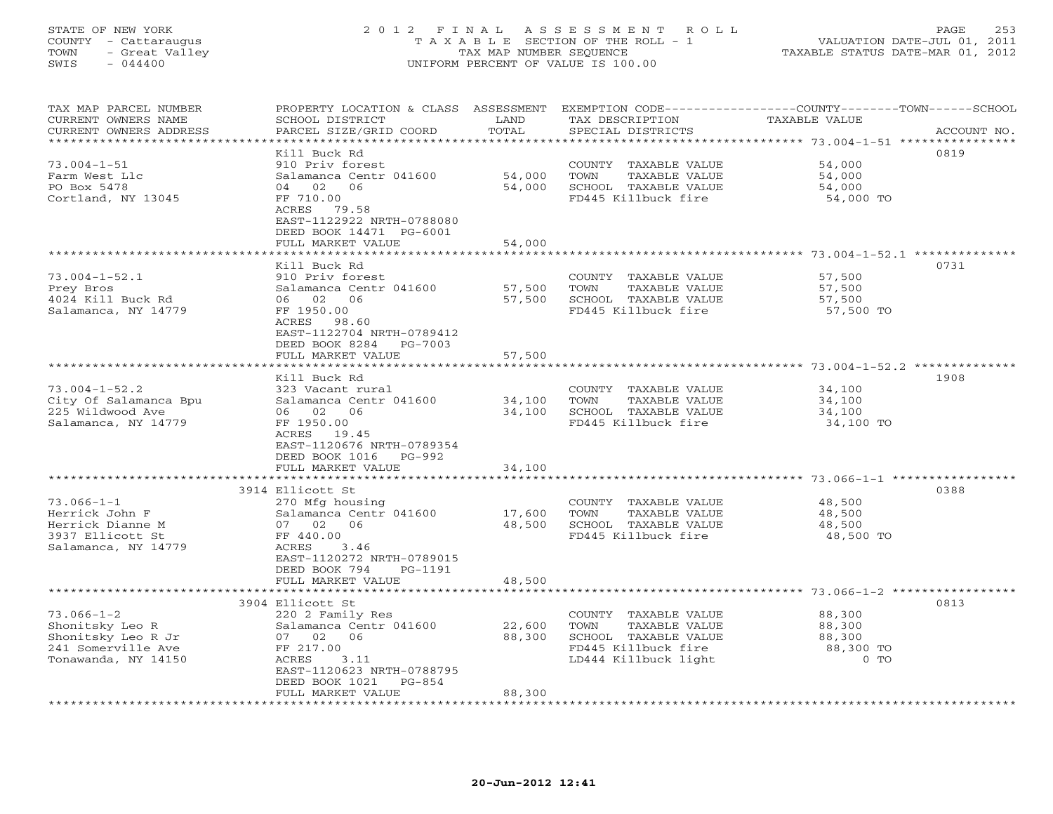#### STATE OF NEW YORK 2 0 1 2 F I N A L A S S E S S M E N T R O L L PAGE 253 COUNTY - Cattaraugus T A X A B L E SECTION OF THE ROLL - 1 VALUATION DATE-JUL 01, 2011 TOWN - Great Valley TAX MAP NUMBER SEQUENCE TAXABLE STATUS DATE-MAR 01, 2012 SWIS - 044400 UNIFORM PERCENT OF VALUE IS 100.00UNIFORM PERCENT OF VALUE IS 100.00

| TAX MAP PARCEL NUMBER<br>CURRENT OWNERS NAME<br>CURRENT OWNERS ADDRESS | PROPERTY LOCATION & CLASS ASSESSMENT<br>SCHOOL DISTRICT<br>PARCEL SIZE/GRID COORD | LAND<br>TOTAL    | EXEMPTION CODE-----------------COUNTY-------TOWN-----SCHOOL<br>TAX DESCRIPTION<br>SPECIAL DISTRICTS | <b>TAXABLE VALUE</b>                               | ACCOUNT NO. |
|------------------------------------------------------------------------|-----------------------------------------------------------------------------------|------------------|-----------------------------------------------------------------------------------------------------|----------------------------------------------------|-------------|
| *************************                                              |                                                                                   |                  |                                                                                                     |                                                    |             |
|                                                                        | Kill Buck Rd                                                                      |                  |                                                                                                     |                                                    | 0819        |
| $73.004 - 1 - 51$                                                      | 910 Priv forest                                                                   |                  | <b>COUNTY</b><br>TAXABLE VALUE                                                                      | 54,000                                             |             |
| Farm West Llc                                                          | Salamanca Centr 041600                                                            | 54,000           | TOWN<br>TAXABLE VALUE                                                                               | 54,000                                             |             |
| PO Box 5478                                                            | 02<br>06<br>04                                                                    | 54,000           | SCHOOL TAXABLE VALUE                                                                                | 54,000                                             |             |
| Cortland, NY 13045                                                     | FF 710.00                                                                         |                  | FD445 Killbuck fire                                                                                 | 54,000 TO                                          |             |
|                                                                        | ACRES 79.58                                                                       |                  |                                                                                                     |                                                    |             |
|                                                                        | EAST-1122922 NRTH-0788080                                                         |                  |                                                                                                     |                                                    |             |
|                                                                        | DEED BOOK 14471 PG-6001<br>FULL MARKET VALUE                                      | 54,000           |                                                                                                     |                                                    |             |
|                                                                        |                                                                                   |                  |                                                                                                     | ********************* 73.004-1-52.1 ************** |             |
|                                                                        | Kill Buck Rd                                                                      |                  |                                                                                                     |                                                    | 0731        |
| $73.004 - 1 - 52.1$                                                    | 910 Priv forest                                                                   |                  | COUNTY<br>TAXABLE VALUE                                                                             | 57,500                                             |             |
| Prey Bros                                                              | Salamanca Centr 041600                                                            | 57,500           | TOWN<br>TAXABLE VALUE                                                                               | 57,500                                             |             |
| 4024 Kill Buck Rd                                                      | 06 02<br>06                                                                       | 57,500           | SCHOOL TAXABLE VALUE                                                                                | 57,500                                             |             |
| Salamanca, NY 14779                                                    | FF 1950.00                                                                        |                  | FD445 Killbuck fire                                                                                 | 57,500 TO                                          |             |
|                                                                        | ACRES<br>98.60                                                                    |                  |                                                                                                     |                                                    |             |
|                                                                        | EAST-1122704 NRTH-0789412                                                         |                  |                                                                                                     |                                                    |             |
|                                                                        | DEED BOOK 8284<br>PG-7003                                                         |                  |                                                                                                     |                                                    |             |
|                                                                        | FULL MARKET VALUE                                                                 | 57,500           |                                                                                                     |                                                    |             |
|                                                                        |                                                                                   |                  |                                                                                                     |                                                    |             |
|                                                                        | Kill Buck Rd                                                                      |                  |                                                                                                     |                                                    | 1908        |
| $73.004 - 1 - 52.2$                                                    | 323 Vacant rural                                                                  |                  | COUNTY TAXABLE VALUE                                                                                | 34,100                                             |             |
| City Of Salamanca Bpu                                                  | Salamanca Centr 041600                                                            | 34,100           | <b>TOWN</b><br>TAXABLE VALUE                                                                        | 34,100                                             |             |
| 225 Wildwood Ave                                                       | 06 02<br>06                                                                       | 34,100           | SCHOOL TAXABLE VALUE                                                                                | 34,100                                             |             |
| Salamanca, NY 14779                                                    | FF 1950.00                                                                        |                  | FD445 Killbuck fire                                                                                 | 34,100 TO                                          |             |
|                                                                        | ACRES<br>19.45<br>EAST-1120676 NRTH-0789354                                       |                  |                                                                                                     |                                                    |             |
|                                                                        | DEED BOOK 1016<br>PG-992                                                          |                  |                                                                                                     |                                                    |             |
|                                                                        | FULL MARKET VALUE                                                                 | 34,100           |                                                                                                     |                                                    |             |
|                                                                        | ***********************                                                           | ************     |                                                                                                     |                                                    |             |
|                                                                        | 3914 Ellicott St                                                                  |                  |                                                                                                     |                                                    | 0388        |
| $73.066 - 1 - 1$                                                       | 270 Mfg housing                                                                   |                  | COUNTY TAXABLE VALUE                                                                                | 48,500                                             |             |
| Herrick John F                                                         | Salamanca Centr 041600                                                            | 17,600           | TAXABLE VALUE<br>TOWN                                                                               | 48,500                                             |             |
| Herrick Dianne M                                                       | 07 02<br>06                                                                       | 48,500           | SCHOOL TAXABLE VALUE                                                                                | 48,500                                             |             |
| 3937 Ellicott St                                                       | FF 440.00                                                                         |                  | FD445 Killbuck fire                                                                                 | 48,500 TO                                          |             |
| Salamanca, NY 14779                                                    | ACRES<br>3.46                                                                     |                  |                                                                                                     |                                                    |             |
|                                                                        | EAST-1120272 NRTH-0789015                                                         |                  |                                                                                                     |                                                    |             |
|                                                                        | DEED BOOK 794<br>PG-1191                                                          |                  |                                                                                                     |                                                    |             |
|                                                                        | FULL MARKET VALUE                                                                 | 48,500           |                                                                                                     |                                                    |             |
|                                                                        |                                                                                   |                  |                                                                                                     | ********* 73.066-1-2 *:                            |             |
|                                                                        | 3904 Ellicott St                                                                  |                  |                                                                                                     |                                                    | 0813        |
| $73.066 - 1 - 2$                                                       | 220 2 Family Res                                                                  |                  | COUNTY TAXABLE VALUE<br>TOWN<br><b>TAXABLE VALUE</b>                                                | 88,300<br>88,300                                   |             |
| Shonitsky Leo R<br>Shonitsky Leo R Jr                                  | Salamanca Centr 041600<br>07 02<br>06                                             | 22,600<br>88,300 | SCHOOL TAXABLE VALUE                                                                                | 88,300                                             |             |
| 241 Somerville Ave                                                     | FF 217.00                                                                         |                  | FD445 Killbuck fire                                                                                 | 88,300 TO                                          |             |
| Tonawanda, NY 14150                                                    | ACRES<br>3.11                                                                     |                  | LD444 Killbuck light                                                                                | $0$ TO                                             |             |
|                                                                        | EAST-1120623 NRTH-0788795                                                         |                  |                                                                                                     |                                                    |             |
|                                                                        | DEED BOOK 1021<br>$PG-854$                                                        |                  |                                                                                                     |                                                    |             |
|                                                                        | FULL MARKET VALUE                                                                 | 88,300           |                                                                                                     |                                                    |             |
|                                                                        |                                                                                   |                  |                                                                                                     |                                                    |             |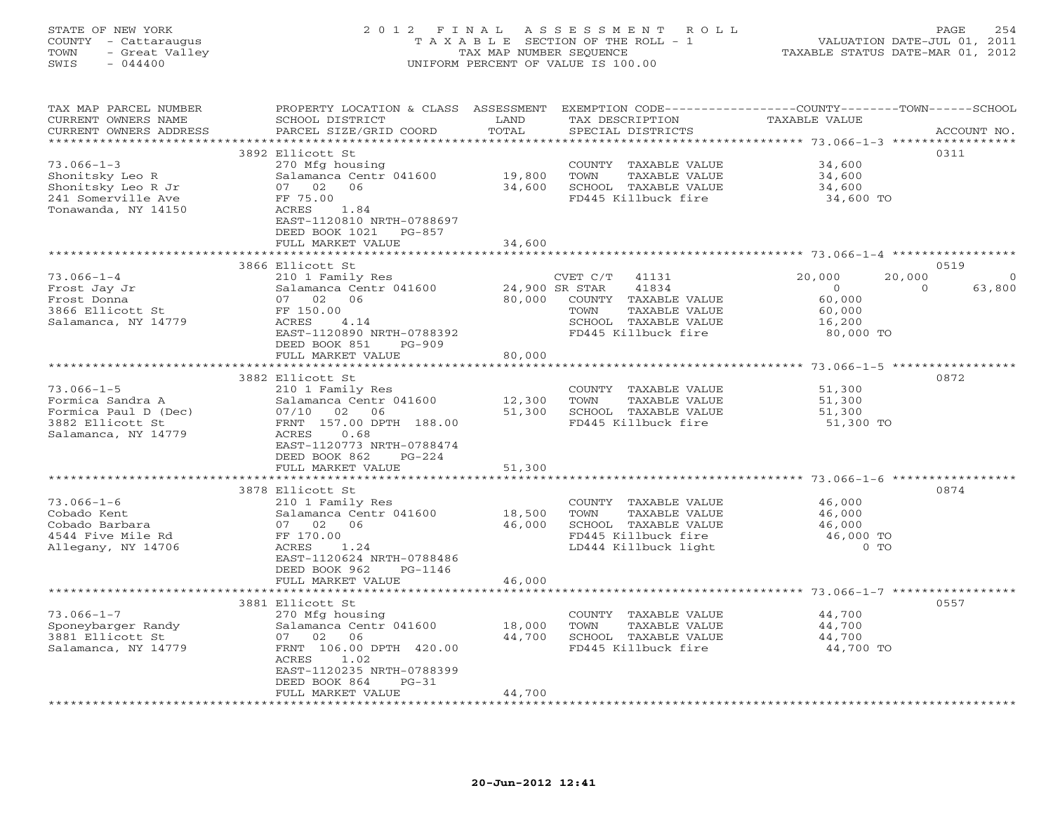# STATE OF NEW YORK 2 0 1 2 F I N A L A S S E S S M E N T R O L L PAGE 254 COUNTY - Cattaraugus T A X A B L E SECTION OF THE ROLL - 1 VALUATION DATE-JUL 01, 2011 TOWN - Great Valley TAX MAP NUMBER SEQUENCE TAXABLE STATUS DATE-MAR 01, 2012 SWIS - 044400 UNIFORM PERCENT OF VALUE IS 100.00

| ***********************<br>0311<br>3892 Ellicott St<br>$73.066 - 1 - 3$<br>270 Mfg housing<br>34,600<br>COUNTY TAXABLE VALUE<br>Salamanca Centr 041600<br>19,800<br>34,600<br>Shonitsky Leo R<br>TOWN<br>TAXABLE VALUE<br>Shonitsky Leo R Jr<br>07 02<br>06<br>34,600<br>SCHOOL TAXABLE VALUE<br>34,600<br>241 Somerville Ave<br>FD445 Killbuck fire<br>FF 75.00<br>34,600 TO<br>Tonawanda, NY 14150<br>1.84<br>ACRES<br>EAST-1120810 NRTH-0788697<br>DEED BOOK 1021<br>PG-857<br>FULL MARKET VALUE<br>34,600<br>*********<br>0519<br>3866 Ellicott St<br>$73.066 - 1 - 4$<br>20,000<br>210 1 Family Res<br>20,000<br>CVET C/T<br>41131<br>Salamanca Centr 041600<br>41834<br>63,800<br>Frost Jay Jr<br>24,900 SR STAR<br>$\Omega$<br>$\Omega$<br>07 02 06<br>80,000<br>COUNTY TAXABLE VALUE<br>60,000<br>Frost Donna<br>3866 Ellicott St<br>FF 150.00<br>TOWN<br>TAXABLE VALUE<br>60,000<br>Salamanca, NY 14779<br>ACRES<br>4.14<br>SCHOOL TAXABLE VALUE<br>16,200<br>FD445 Killbuck fire<br>EAST-1120890 NRTH-0788392<br>80,000 TO<br>DEED BOOK 851<br>$PG-909$<br>80,000<br>FULL MARKET VALUE<br>3882 Ellicott St<br>0872<br>$73.066 - 1 - 5$<br>210 1 Family Res<br>51,300<br>COUNTY TAXABLE VALUE<br>Formica Sandra A<br>Salamanca Centr 041600<br>12,300<br>TOWN<br>TAXABLE VALUE<br>51,300<br>07/10 02 06<br>51,300<br>Formica Paul D (Dec)<br>SCHOOL TAXABLE VALUE<br>51,300<br>3882 Ellicott St<br>FRNT 157.00 DPTH 188.00<br>FD445 Killbuck fire<br>51,300 TO<br>Salamanca, NY 14779<br>ACRES<br>0.68<br>EAST-1120773 NRTH-0788474<br>DEED BOOK 862<br>$PG-224$<br>FULL MARKET VALUE<br>51,300<br>3878 Ellicott St<br>0874<br>$73.066 - 1 - 6$<br>210 1 Family Res<br>COUNTY TAXABLE VALUE<br>46,000<br>Cobado Kent<br>Salamanca Centr 041600<br>18,500<br>TOWN<br>TAXABLE VALUE<br>46,000<br>46,000<br>SCHOOL TAXABLE VALUE<br>46,000<br>Cobado Barbara<br>07 02<br>06<br>4544 Five Mile Rd<br>FF 170.00<br>FD445 Killbuck fire<br>46,000 TO<br>LD444 Killbuck light<br>$0$ TO<br>Allegany, NY 14706<br>ACRES<br>1.24<br>EAST-1120624 NRTH-0788486<br>DEED BOOK 962<br>PG-1146<br>FULL MARKET VALUE<br>46,000<br>3881 Ellicott St<br>0557<br>$73.066 - 1 - 7$<br>44,700<br>270 Mfg housing<br>COUNTY TAXABLE VALUE<br>Sponeybarger Randy<br>Salamanca Centr 041600<br>18,000<br>TOWN<br>TAXABLE VALUE<br>44,700<br>3881 Ellicott St<br>44,700<br>07 02 06<br>SCHOOL TAXABLE VALUE<br>44,700<br>FD445 Killbuck fire<br>Salamanca, NY 14779<br>FRNT 106.00 DPTH 420.00<br>44,700 TO<br>1.02<br>ACRES<br>EAST-1120235 NRTH-0788399<br>DEED BOOK 864<br>$PG-31$<br>44,700<br>FULL MARKET VALUE | TAX MAP PARCEL NUMBER<br>CURRENT OWNERS NAME | PROPERTY LOCATION & CLASS ASSESSMENT EXEMPTION CODE----------------COUNTY-------TOWN------SCHOOL<br>SCHOOL DISTRICT | LAND  | TAX DESCRIPTION   | TAXABLE VALUE |             |
|-------------------------------------------------------------------------------------------------------------------------------------------------------------------------------------------------------------------------------------------------------------------------------------------------------------------------------------------------------------------------------------------------------------------------------------------------------------------------------------------------------------------------------------------------------------------------------------------------------------------------------------------------------------------------------------------------------------------------------------------------------------------------------------------------------------------------------------------------------------------------------------------------------------------------------------------------------------------------------------------------------------------------------------------------------------------------------------------------------------------------------------------------------------------------------------------------------------------------------------------------------------------------------------------------------------------------------------------------------------------------------------------------------------------------------------------------------------------------------------------------------------------------------------------------------------------------------------------------------------------------------------------------------------------------------------------------------------------------------------------------------------------------------------------------------------------------------------------------------------------------------------------------------------------------------------------------------------------------------------------------------------------------------------------------------------------------------------------------------------------------------------------------------------------------------------------------------------------------------------------------------------------------------------------------------------------------------------------------------------------------------------------------------------------------------------------------------------------------------------------------------------------------------------------------------------------------------------------------------|----------------------------------------------|---------------------------------------------------------------------------------------------------------------------|-------|-------------------|---------------|-------------|
|                                                                                                                                                                                                                                                                                                                                                                                                                                                                                                                                                                                                                                                                                                                                                                                                                                                                                                                                                                                                                                                                                                                                                                                                                                                                                                                                                                                                                                                                                                                                                                                                                                                                                                                                                                                                                                                                                                                                                                                                                                                                                                                                                                                                                                                                                                                                                                                                                                                                                                                                                                                                       | CURRENT OWNERS ADDRESS                       | PARCEL SIZE/GRID COORD                                                                                              | TOTAL | SPECIAL DISTRICTS |               | ACCOUNT NO. |
|                                                                                                                                                                                                                                                                                                                                                                                                                                                                                                                                                                                                                                                                                                                                                                                                                                                                                                                                                                                                                                                                                                                                                                                                                                                                                                                                                                                                                                                                                                                                                                                                                                                                                                                                                                                                                                                                                                                                                                                                                                                                                                                                                                                                                                                                                                                                                                                                                                                                                                                                                                                                       |                                              |                                                                                                                     |       |                   |               |             |
|                                                                                                                                                                                                                                                                                                                                                                                                                                                                                                                                                                                                                                                                                                                                                                                                                                                                                                                                                                                                                                                                                                                                                                                                                                                                                                                                                                                                                                                                                                                                                                                                                                                                                                                                                                                                                                                                                                                                                                                                                                                                                                                                                                                                                                                                                                                                                                                                                                                                                                                                                                                                       |                                              |                                                                                                                     |       |                   |               |             |
|                                                                                                                                                                                                                                                                                                                                                                                                                                                                                                                                                                                                                                                                                                                                                                                                                                                                                                                                                                                                                                                                                                                                                                                                                                                                                                                                                                                                                                                                                                                                                                                                                                                                                                                                                                                                                                                                                                                                                                                                                                                                                                                                                                                                                                                                                                                                                                                                                                                                                                                                                                                                       |                                              |                                                                                                                     |       |                   |               |             |
|                                                                                                                                                                                                                                                                                                                                                                                                                                                                                                                                                                                                                                                                                                                                                                                                                                                                                                                                                                                                                                                                                                                                                                                                                                                                                                                                                                                                                                                                                                                                                                                                                                                                                                                                                                                                                                                                                                                                                                                                                                                                                                                                                                                                                                                                                                                                                                                                                                                                                                                                                                                                       |                                              |                                                                                                                     |       |                   |               |             |
|                                                                                                                                                                                                                                                                                                                                                                                                                                                                                                                                                                                                                                                                                                                                                                                                                                                                                                                                                                                                                                                                                                                                                                                                                                                                                                                                                                                                                                                                                                                                                                                                                                                                                                                                                                                                                                                                                                                                                                                                                                                                                                                                                                                                                                                                                                                                                                                                                                                                                                                                                                                                       |                                              |                                                                                                                     |       |                   |               |             |
|                                                                                                                                                                                                                                                                                                                                                                                                                                                                                                                                                                                                                                                                                                                                                                                                                                                                                                                                                                                                                                                                                                                                                                                                                                                                                                                                                                                                                                                                                                                                                                                                                                                                                                                                                                                                                                                                                                                                                                                                                                                                                                                                                                                                                                                                                                                                                                                                                                                                                                                                                                                                       |                                              |                                                                                                                     |       |                   |               |             |
|                                                                                                                                                                                                                                                                                                                                                                                                                                                                                                                                                                                                                                                                                                                                                                                                                                                                                                                                                                                                                                                                                                                                                                                                                                                                                                                                                                                                                                                                                                                                                                                                                                                                                                                                                                                                                                                                                                                                                                                                                                                                                                                                                                                                                                                                                                                                                                                                                                                                                                                                                                                                       |                                              |                                                                                                                     |       |                   |               |             |
|                                                                                                                                                                                                                                                                                                                                                                                                                                                                                                                                                                                                                                                                                                                                                                                                                                                                                                                                                                                                                                                                                                                                                                                                                                                                                                                                                                                                                                                                                                                                                                                                                                                                                                                                                                                                                                                                                                                                                                                                                                                                                                                                                                                                                                                                                                                                                                                                                                                                                                                                                                                                       |                                              |                                                                                                                     |       |                   |               |             |
|                                                                                                                                                                                                                                                                                                                                                                                                                                                                                                                                                                                                                                                                                                                                                                                                                                                                                                                                                                                                                                                                                                                                                                                                                                                                                                                                                                                                                                                                                                                                                                                                                                                                                                                                                                                                                                                                                                                                                                                                                                                                                                                                                                                                                                                                                                                                                                                                                                                                                                                                                                                                       |                                              |                                                                                                                     |       |                   |               |             |
|                                                                                                                                                                                                                                                                                                                                                                                                                                                                                                                                                                                                                                                                                                                                                                                                                                                                                                                                                                                                                                                                                                                                                                                                                                                                                                                                                                                                                                                                                                                                                                                                                                                                                                                                                                                                                                                                                                                                                                                                                                                                                                                                                                                                                                                                                                                                                                                                                                                                                                                                                                                                       |                                              |                                                                                                                     |       |                   |               |             |
|                                                                                                                                                                                                                                                                                                                                                                                                                                                                                                                                                                                                                                                                                                                                                                                                                                                                                                                                                                                                                                                                                                                                                                                                                                                                                                                                                                                                                                                                                                                                                                                                                                                                                                                                                                                                                                                                                                                                                                                                                                                                                                                                                                                                                                                                                                                                                                                                                                                                                                                                                                                                       |                                              |                                                                                                                     |       |                   |               |             |
|                                                                                                                                                                                                                                                                                                                                                                                                                                                                                                                                                                                                                                                                                                                                                                                                                                                                                                                                                                                                                                                                                                                                                                                                                                                                                                                                                                                                                                                                                                                                                                                                                                                                                                                                                                                                                                                                                                                                                                                                                                                                                                                                                                                                                                                                                                                                                                                                                                                                                                                                                                                                       |                                              |                                                                                                                     |       |                   |               |             |
|                                                                                                                                                                                                                                                                                                                                                                                                                                                                                                                                                                                                                                                                                                                                                                                                                                                                                                                                                                                                                                                                                                                                                                                                                                                                                                                                                                                                                                                                                                                                                                                                                                                                                                                                                                                                                                                                                                                                                                                                                                                                                                                                                                                                                                                                                                                                                                                                                                                                                                                                                                                                       |                                              |                                                                                                                     |       |                   |               |             |
|                                                                                                                                                                                                                                                                                                                                                                                                                                                                                                                                                                                                                                                                                                                                                                                                                                                                                                                                                                                                                                                                                                                                                                                                                                                                                                                                                                                                                                                                                                                                                                                                                                                                                                                                                                                                                                                                                                                                                                                                                                                                                                                                                                                                                                                                                                                                                                                                                                                                                                                                                                                                       |                                              |                                                                                                                     |       |                   |               |             |
|                                                                                                                                                                                                                                                                                                                                                                                                                                                                                                                                                                                                                                                                                                                                                                                                                                                                                                                                                                                                                                                                                                                                                                                                                                                                                                                                                                                                                                                                                                                                                                                                                                                                                                                                                                                                                                                                                                                                                                                                                                                                                                                                                                                                                                                                                                                                                                                                                                                                                                                                                                                                       |                                              |                                                                                                                     |       |                   |               |             |
|                                                                                                                                                                                                                                                                                                                                                                                                                                                                                                                                                                                                                                                                                                                                                                                                                                                                                                                                                                                                                                                                                                                                                                                                                                                                                                                                                                                                                                                                                                                                                                                                                                                                                                                                                                                                                                                                                                                                                                                                                                                                                                                                                                                                                                                                                                                                                                                                                                                                                                                                                                                                       |                                              |                                                                                                                     |       |                   |               |             |
|                                                                                                                                                                                                                                                                                                                                                                                                                                                                                                                                                                                                                                                                                                                                                                                                                                                                                                                                                                                                                                                                                                                                                                                                                                                                                                                                                                                                                                                                                                                                                                                                                                                                                                                                                                                                                                                                                                                                                                                                                                                                                                                                                                                                                                                                                                                                                                                                                                                                                                                                                                                                       |                                              |                                                                                                                     |       |                   |               |             |
|                                                                                                                                                                                                                                                                                                                                                                                                                                                                                                                                                                                                                                                                                                                                                                                                                                                                                                                                                                                                                                                                                                                                                                                                                                                                                                                                                                                                                                                                                                                                                                                                                                                                                                                                                                                                                                                                                                                                                                                                                                                                                                                                                                                                                                                                                                                                                                                                                                                                                                                                                                                                       |                                              |                                                                                                                     |       |                   |               |             |
|                                                                                                                                                                                                                                                                                                                                                                                                                                                                                                                                                                                                                                                                                                                                                                                                                                                                                                                                                                                                                                                                                                                                                                                                                                                                                                                                                                                                                                                                                                                                                                                                                                                                                                                                                                                                                                                                                                                                                                                                                                                                                                                                                                                                                                                                                                                                                                                                                                                                                                                                                                                                       |                                              |                                                                                                                     |       |                   |               |             |
|                                                                                                                                                                                                                                                                                                                                                                                                                                                                                                                                                                                                                                                                                                                                                                                                                                                                                                                                                                                                                                                                                                                                                                                                                                                                                                                                                                                                                                                                                                                                                                                                                                                                                                                                                                                                                                                                                                                                                                                                                                                                                                                                                                                                                                                                                                                                                                                                                                                                                                                                                                                                       |                                              |                                                                                                                     |       |                   |               |             |
|                                                                                                                                                                                                                                                                                                                                                                                                                                                                                                                                                                                                                                                                                                                                                                                                                                                                                                                                                                                                                                                                                                                                                                                                                                                                                                                                                                                                                                                                                                                                                                                                                                                                                                                                                                                                                                                                                                                                                                                                                                                                                                                                                                                                                                                                                                                                                                                                                                                                                                                                                                                                       |                                              |                                                                                                                     |       |                   |               |             |
|                                                                                                                                                                                                                                                                                                                                                                                                                                                                                                                                                                                                                                                                                                                                                                                                                                                                                                                                                                                                                                                                                                                                                                                                                                                                                                                                                                                                                                                                                                                                                                                                                                                                                                                                                                                                                                                                                                                                                                                                                                                                                                                                                                                                                                                                                                                                                                                                                                                                                                                                                                                                       |                                              |                                                                                                                     |       |                   |               |             |
|                                                                                                                                                                                                                                                                                                                                                                                                                                                                                                                                                                                                                                                                                                                                                                                                                                                                                                                                                                                                                                                                                                                                                                                                                                                                                                                                                                                                                                                                                                                                                                                                                                                                                                                                                                                                                                                                                                                                                                                                                                                                                                                                                                                                                                                                                                                                                                                                                                                                                                                                                                                                       |                                              |                                                                                                                     |       |                   |               |             |
|                                                                                                                                                                                                                                                                                                                                                                                                                                                                                                                                                                                                                                                                                                                                                                                                                                                                                                                                                                                                                                                                                                                                                                                                                                                                                                                                                                                                                                                                                                                                                                                                                                                                                                                                                                                                                                                                                                                                                                                                                                                                                                                                                                                                                                                                                                                                                                                                                                                                                                                                                                                                       |                                              |                                                                                                                     |       |                   |               |             |
|                                                                                                                                                                                                                                                                                                                                                                                                                                                                                                                                                                                                                                                                                                                                                                                                                                                                                                                                                                                                                                                                                                                                                                                                                                                                                                                                                                                                                                                                                                                                                                                                                                                                                                                                                                                                                                                                                                                                                                                                                                                                                                                                                                                                                                                                                                                                                                                                                                                                                                                                                                                                       |                                              |                                                                                                                     |       |                   |               |             |
|                                                                                                                                                                                                                                                                                                                                                                                                                                                                                                                                                                                                                                                                                                                                                                                                                                                                                                                                                                                                                                                                                                                                                                                                                                                                                                                                                                                                                                                                                                                                                                                                                                                                                                                                                                                                                                                                                                                                                                                                                                                                                                                                                                                                                                                                                                                                                                                                                                                                                                                                                                                                       |                                              |                                                                                                                     |       |                   |               |             |
|                                                                                                                                                                                                                                                                                                                                                                                                                                                                                                                                                                                                                                                                                                                                                                                                                                                                                                                                                                                                                                                                                                                                                                                                                                                                                                                                                                                                                                                                                                                                                                                                                                                                                                                                                                                                                                                                                                                                                                                                                                                                                                                                                                                                                                                                                                                                                                                                                                                                                                                                                                                                       |                                              |                                                                                                                     |       |                   |               |             |
|                                                                                                                                                                                                                                                                                                                                                                                                                                                                                                                                                                                                                                                                                                                                                                                                                                                                                                                                                                                                                                                                                                                                                                                                                                                                                                                                                                                                                                                                                                                                                                                                                                                                                                                                                                                                                                                                                                                                                                                                                                                                                                                                                                                                                                                                                                                                                                                                                                                                                                                                                                                                       |                                              |                                                                                                                     |       |                   |               |             |
|                                                                                                                                                                                                                                                                                                                                                                                                                                                                                                                                                                                                                                                                                                                                                                                                                                                                                                                                                                                                                                                                                                                                                                                                                                                                                                                                                                                                                                                                                                                                                                                                                                                                                                                                                                                                                                                                                                                                                                                                                                                                                                                                                                                                                                                                                                                                                                                                                                                                                                                                                                                                       |                                              |                                                                                                                     |       |                   |               |             |
|                                                                                                                                                                                                                                                                                                                                                                                                                                                                                                                                                                                                                                                                                                                                                                                                                                                                                                                                                                                                                                                                                                                                                                                                                                                                                                                                                                                                                                                                                                                                                                                                                                                                                                                                                                                                                                                                                                                                                                                                                                                                                                                                                                                                                                                                                                                                                                                                                                                                                                                                                                                                       |                                              |                                                                                                                     |       |                   |               |             |
|                                                                                                                                                                                                                                                                                                                                                                                                                                                                                                                                                                                                                                                                                                                                                                                                                                                                                                                                                                                                                                                                                                                                                                                                                                                                                                                                                                                                                                                                                                                                                                                                                                                                                                                                                                                                                                                                                                                                                                                                                                                                                                                                                                                                                                                                                                                                                                                                                                                                                                                                                                                                       |                                              |                                                                                                                     |       |                   |               |             |
|                                                                                                                                                                                                                                                                                                                                                                                                                                                                                                                                                                                                                                                                                                                                                                                                                                                                                                                                                                                                                                                                                                                                                                                                                                                                                                                                                                                                                                                                                                                                                                                                                                                                                                                                                                                                                                                                                                                                                                                                                                                                                                                                                                                                                                                                                                                                                                                                                                                                                                                                                                                                       |                                              |                                                                                                                     |       |                   |               |             |
|                                                                                                                                                                                                                                                                                                                                                                                                                                                                                                                                                                                                                                                                                                                                                                                                                                                                                                                                                                                                                                                                                                                                                                                                                                                                                                                                                                                                                                                                                                                                                                                                                                                                                                                                                                                                                                                                                                                                                                                                                                                                                                                                                                                                                                                                                                                                                                                                                                                                                                                                                                                                       |                                              |                                                                                                                     |       |                   |               |             |
|                                                                                                                                                                                                                                                                                                                                                                                                                                                                                                                                                                                                                                                                                                                                                                                                                                                                                                                                                                                                                                                                                                                                                                                                                                                                                                                                                                                                                                                                                                                                                                                                                                                                                                                                                                                                                                                                                                                                                                                                                                                                                                                                                                                                                                                                                                                                                                                                                                                                                                                                                                                                       |                                              |                                                                                                                     |       |                   |               |             |
|                                                                                                                                                                                                                                                                                                                                                                                                                                                                                                                                                                                                                                                                                                                                                                                                                                                                                                                                                                                                                                                                                                                                                                                                                                                                                                                                                                                                                                                                                                                                                                                                                                                                                                                                                                                                                                                                                                                                                                                                                                                                                                                                                                                                                                                                                                                                                                                                                                                                                                                                                                                                       |                                              |                                                                                                                     |       |                   |               |             |
|                                                                                                                                                                                                                                                                                                                                                                                                                                                                                                                                                                                                                                                                                                                                                                                                                                                                                                                                                                                                                                                                                                                                                                                                                                                                                                                                                                                                                                                                                                                                                                                                                                                                                                                                                                                                                                                                                                                                                                                                                                                                                                                                                                                                                                                                                                                                                                                                                                                                                                                                                                                                       |                                              |                                                                                                                     |       |                   |               |             |
|                                                                                                                                                                                                                                                                                                                                                                                                                                                                                                                                                                                                                                                                                                                                                                                                                                                                                                                                                                                                                                                                                                                                                                                                                                                                                                                                                                                                                                                                                                                                                                                                                                                                                                                                                                                                                                                                                                                                                                                                                                                                                                                                                                                                                                                                                                                                                                                                                                                                                                                                                                                                       |                                              |                                                                                                                     |       |                   |               |             |
|                                                                                                                                                                                                                                                                                                                                                                                                                                                                                                                                                                                                                                                                                                                                                                                                                                                                                                                                                                                                                                                                                                                                                                                                                                                                                                                                                                                                                                                                                                                                                                                                                                                                                                                                                                                                                                                                                                                                                                                                                                                                                                                                                                                                                                                                                                                                                                                                                                                                                                                                                                                                       |                                              |                                                                                                                     |       |                   |               |             |
|                                                                                                                                                                                                                                                                                                                                                                                                                                                                                                                                                                                                                                                                                                                                                                                                                                                                                                                                                                                                                                                                                                                                                                                                                                                                                                                                                                                                                                                                                                                                                                                                                                                                                                                                                                                                                                                                                                                                                                                                                                                                                                                                                                                                                                                                                                                                                                                                                                                                                                                                                                                                       |                                              |                                                                                                                     |       |                   |               |             |
|                                                                                                                                                                                                                                                                                                                                                                                                                                                                                                                                                                                                                                                                                                                                                                                                                                                                                                                                                                                                                                                                                                                                                                                                                                                                                                                                                                                                                                                                                                                                                                                                                                                                                                                                                                                                                                                                                                                                                                                                                                                                                                                                                                                                                                                                                                                                                                                                                                                                                                                                                                                                       |                                              |                                                                                                                     |       |                   |               |             |
|                                                                                                                                                                                                                                                                                                                                                                                                                                                                                                                                                                                                                                                                                                                                                                                                                                                                                                                                                                                                                                                                                                                                                                                                                                                                                                                                                                                                                                                                                                                                                                                                                                                                                                                                                                                                                                                                                                                                                                                                                                                                                                                                                                                                                                                                                                                                                                                                                                                                                                                                                                                                       |                                              |                                                                                                                     |       |                   |               |             |
|                                                                                                                                                                                                                                                                                                                                                                                                                                                                                                                                                                                                                                                                                                                                                                                                                                                                                                                                                                                                                                                                                                                                                                                                                                                                                                                                                                                                                                                                                                                                                                                                                                                                                                                                                                                                                                                                                                                                                                                                                                                                                                                                                                                                                                                                                                                                                                                                                                                                                                                                                                                                       |                                              |                                                                                                                     |       |                   |               |             |
|                                                                                                                                                                                                                                                                                                                                                                                                                                                                                                                                                                                                                                                                                                                                                                                                                                                                                                                                                                                                                                                                                                                                                                                                                                                                                                                                                                                                                                                                                                                                                                                                                                                                                                                                                                                                                                                                                                                                                                                                                                                                                                                                                                                                                                                                                                                                                                                                                                                                                                                                                                                                       |                                              |                                                                                                                     |       |                   |               |             |
|                                                                                                                                                                                                                                                                                                                                                                                                                                                                                                                                                                                                                                                                                                                                                                                                                                                                                                                                                                                                                                                                                                                                                                                                                                                                                                                                                                                                                                                                                                                                                                                                                                                                                                                                                                                                                                                                                                                                                                                                                                                                                                                                                                                                                                                                                                                                                                                                                                                                                                                                                                                                       |                                              |                                                                                                                     |       |                   |               |             |
|                                                                                                                                                                                                                                                                                                                                                                                                                                                                                                                                                                                                                                                                                                                                                                                                                                                                                                                                                                                                                                                                                                                                                                                                                                                                                                                                                                                                                                                                                                                                                                                                                                                                                                                                                                                                                                                                                                                                                                                                                                                                                                                                                                                                                                                                                                                                                                                                                                                                                                                                                                                                       |                                              |                                                                                                                     |       |                   |               |             |
|                                                                                                                                                                                                                                                                                                                                                                                                                                                                                                                                                                                                                                                                                                                                                                                                                                                                                                                                                                                                                                                                                                                                                                                                                                                                                                                                                                                                                                                                                                                                                                                                                                                                                                                                                                                                                                                                                                                                                                                                                                                                                                                                                                                                                                                                                                                                                                                                                                                                                                                                                                                                       |                                              |                                                                                                                     |       |                   |               |             |
|                                                                                                                                                                                                                                                                                                                                                                                                                                                                                                                                                                                                                                                                                                                                                                                                                                                                                                                                                                                                                                                                                                                                                                                                                                                                                                                                                                                                                                                                                                                                                                                                                                                                                                                                                                                                                                                                                                                                                                                                                                                                                                                                                                                                                                                                                                                                                                                                                                                                                                                                                                                                       |                                              |                                                                                                                     |       |                   |               |             |
|                                                                                                                                                                                                                                                                                                                                                                                                                                                                                                                                                                                                                                                                                                                                                                                                                                                                                                                                                                                                                                                                                                                                                                                                                                                                                                                                                                                                                                                                                                                                                                                                                                                                                                                                                                                                                                                                                                                                                                                                                                                                                                                                                                                                                                                                                                                                                                                                                                                                                                                                                                                                       |                                              |                                                                                                                     |       |                   |               |             |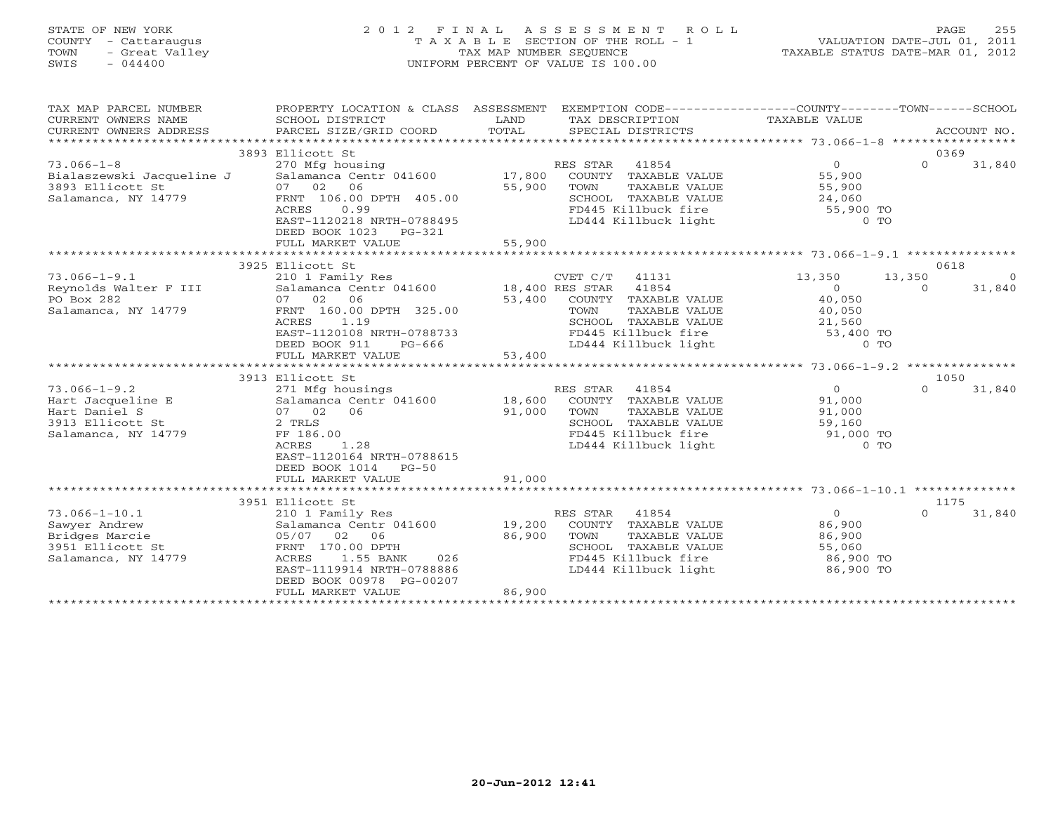#### STATE OF NEW YORK 2 0 1 2 F I N A L A S S E S S M E N T R O L L PAGE 255 COUNTY - Cattaraugus T A X A B L E SECTION OF THE ROLL - 1 VALUATION DATE-JUL 01, 2011 TOWN - Great Valley TAX MAP NUMBER SEQUENCE TAXABLE STATUS DATE-MAR 01, 2012 SWIS - 044400 UNIFORM PERCENT OF VALUE IS 100.00UNIFORM PERCENT OF VALUE IS 100.00

| TAX MAP PARCEL NUMBER     | PROPERTY LOCATION & CLASS ASSESSMENT         |        | EXEMPTION CODE-----------------COUNTY-------TOWN------SCHOOL |                |          |             |
|---------------------------|----------------------------------------------|--------|--------------------------------------------------------------|----------------|----------|-------------|
| CURRENT OWNERS NAME       | SCHOOL DISTRICT                              | LAND   | TAX DESCRIPTION                                              | TAXABLE VALUE  |          |             |
| CURRENT OWNERS ADDRESS    | PARCEL SIZE/GRID COORD                       | TOTAL  | SPECIAL DISTRICTS                                            |                |          | ACCOUNT NO. |
|                           |                                              |        |                                                              |                |          |             |
|                           | 3893 Ellicott St                             |        |                                                              |                | 0369     |             |
| $73.066 - 1 - 8$          | 270 Mfg housing                              |        | RES STAR<br>41854                                            | $\overline{0}$ | $\Omega$ | 31,840      |
| Bialaszewski Jacqueline J | Salamanca Centr 041600                       | 17,800 | COUNTY TAXABLE VALUE                                         | 55,900         |          |             |
| 3893 Ellicott St          | 07 02<br>06                                  | 55,900 | TOWN<br>TAXABLE VALUE                                        | 55,900         |          |             |
| Salamanca, NY 14779       | FRNT 106.00 DPTH 405.00                      |        | SCHOOL TAXABLE VALUE                                         | 24,060         |          |             |
|                           | 0.99<br>ACRES                                |        | FD445 Killbuck fire                                          | 55,900 TO      |          |             |
|                           | EAST-1120218 NRTH-0788495                    |        | LD444 Killbuck light                                         | $0$ TO         |          |             |
|                           | DEED BOOK 1023 PG-321                        |        |                                                              |                |          |             |
|                           |                                              |        |                                                              |                |          |             |
|                           |                                              |        |                                                              |                |          |             |
|                           | 3925 Ellicott St                             |        |                                                              |                | 0618     |             |
| $73.066 - 1 - 9.1$        | 210 1 Family Res                             |        | CVET C/T 41131                                               | 13,350         | 13,350   | $\bigcirc$  |
| Reynolds Walter F III     | Salamanca Centr 041600 18,400 RES STAR 41854 |        |                                                              | $\overline{0}$ | $\Omega$ | 31,840      |
| PO Box 282                | 07 02 06                                     | 53,400 | COUNTY TAXABLE VALUE                                         | 40,050         |          |             |
| Salamanca, NY 14779       | FRNT 160.00 DPTH 325.00                      |        | TOWN<br>TAXABLE VALUE                                        | 40,050         |          |             |
|                           | 1.19<br>ACRES                                |        | SCHOOL TAXABLE VALUE                                         | 21,560         |          |             |
|                           | EAST-1120108 NRTH-0788733                    |        | FD445 Killbuck fire                                          | 53,400 TO      |          |             |
|                           | DEED BOOK 911<br>PG-666                      |        | LD444 Killbuck light                                         | $0$ TO         |          |             |
|                           | FULL MARKET VALUE                            | 53,400 |                                                              |                |          |             |
|                           |                                              |        |                                                              |                |          |             |
|                           | 3913 Ellicott St                             |        |                                                              |                | 1050     |             |
| $73.066 - 1 - 9.2$        | 271 Mfg housings                             |        | RES STAR<br>41854                                            | $\overline{0}$ | $\Omega$ | 31,840      |
| Hart Jacqueline E         | Salamanca Centr 041600 18,600                |        | COUNTY TAXABLE VALUE                                         | 91,000         |          |             |
| Hart Daniel S             | 07 02 06                                     | 91,000 | TOWN<br>TAXABLE VALUE                                        | 91,000         |          |             |
| 3913 Ellicott St          | 2 TRLS                                       |        | SCHOOL TAXABLE VALUE                                         | 59,160         |          |             |
| Salamanca, NY 14779       | FF 186.00                                    |        | FD445 Killbuck fire                                          | $91,000$ TO    |          |             |
|                           | 1.28<br>ACRES                                |        | LD444 Killbuck light                                         | $0$ TO         |          |             |
|                           | EAST-1120164 NRTH-0788615                    |        |                                                              |                |          |             |
|                           | DEED BOOK 1014<br>$PG-50$                    |        |                                                              |                |          |             |
|                           | FULL MARKET VALUE                            | 91,000 |                                                              |                |          |             |
|                           |                                              |        |                                                              |                |          |             |
|                           | 3951 Ellicott St                             |        |                                                              |                | 1175     |             |
| $73.066 - 1 - 10.1$       | 210 1 Family Res                             |        | RES STAR 41854                                               | $\overline{0}$ | $\Omega$ | 31,840      |
| Sawyer Andrew             | Salamanca Centr 041600                       | 19,200 | COUNTY TAXABLE VALUE                                         | 86,900         |          |             |
| Bridges Marcie            | 05/07 02 06                                  | 86,900 | TOWN<br>TAXABLE VALUE                                        | 86,900         |          |             |
| 3951 Ellicott St          | FRNT 170.00 DPTH                             |        | SCHOOL TAXABLE VALUE                                         | 55,060         |          |             |
| Salamanca, NY 14779       | 026<br>ACRES<br>1.55 BANK                    |        | FD445 Killbuck fire                                          | 86,900 TO      |          |             |
|                           | EAST-1119914 NRTH-0788886                    |        | LD444 Killbuck light                                         | 86,900 TO      |          |             |
|                           | DEED BOOK 00978 PG-00207                     |        |                                                              |                |          |             |
|                           | FULL MARKET VALUE                            | 86,900 |                                                              |                |          |             |
|                           |                                              |        |                                                              |                |          |             |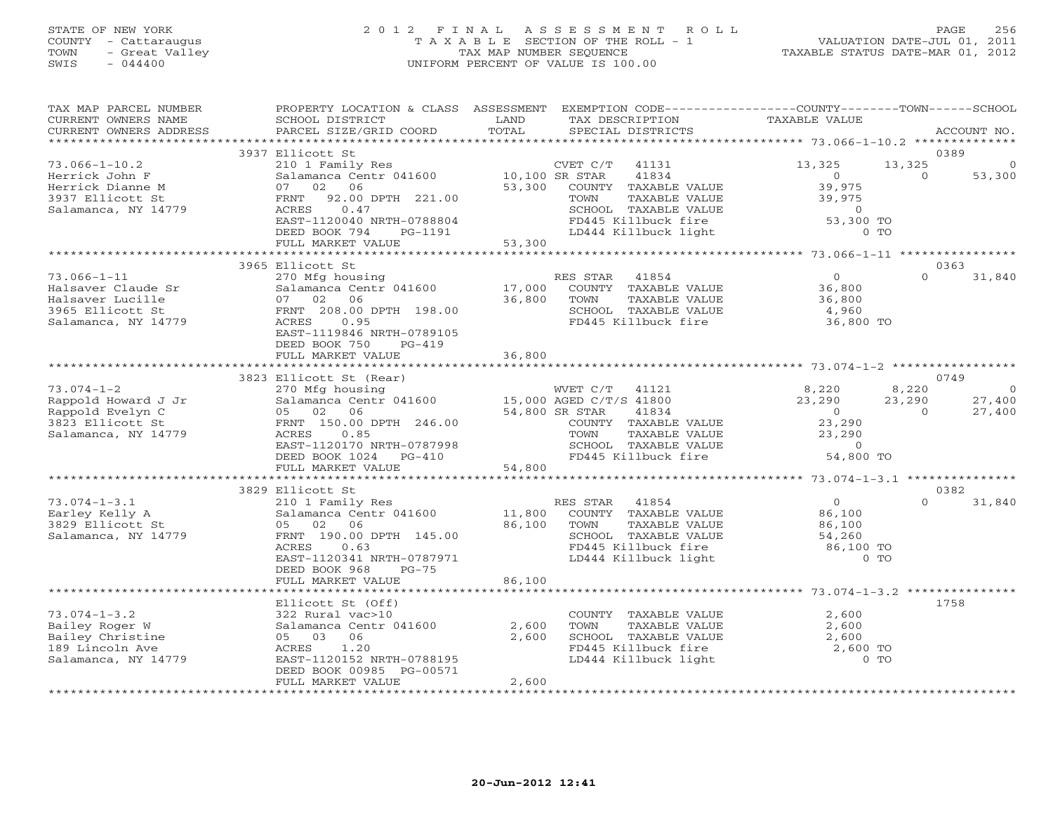### STATE OF NEW YORK 2 0 1 2 F I N A L A S S E S S M E N T R O L L PAGE 256 COUNTY - Cattaraugus T A X A B L E SECTION OF THE ROLL - 1 VALUATION DATE-JUL 01, 2011 TOWN - Great Valley TAX MAP NUMBER SEQUENCE TAXABLE STATUS DATE-MAR 01, 2012 SWIS - 044400 UNIFORM PERCENT OF VALUE IS 100.00

| TAX MAP PARCEL NUMBER<br>CURRENT OWNERS NAME<br>CURRENT OWNERS ADDRESS                                 | PROPERTY LOCATION & CLASS ASSESSMENT<br>SCHOOL DISTRICT<br>PARCEL SIZE/GRID COORD                                                                                                      | LAND<br>TOTAL              | EXEMPTION CODE-----------------COUNTY-------TOWN------SCHOOL<br>TAX DESCRIPTION<br>SPECIAL DISTRICTS                                                  | <b>TAXABLE VALUE</b>                                                                 |                             | ACCOUNT NO.             |
|--------------------------------------------------------------------------------------------------------|----------------------------------------------------------------------------------------------------------------------------------------------------------------------------------------|----------------------------|-------------------------------------------------------------------------------------------------------------------------------------------------------|--------------------------------------------------------------------------------------|-----------------------------|-------------------------|
| **********************                                                                                 |                                                                                                                                                                                        |                            |                                                                                                                                                       |                                                                                      |                             |                         |
| $73.066 - 1 - 10.2$<br>Herrick John F                                                                  | 3937 Ellicott St<br>210 1 Family Res<br>Salamanca Centr 041600                                                                                                                         | 10,100 SR STAR             | CVET C/T<br>41131<br>41834                                                                                                                            | 13,325<br>$\Omega$                                                                   | 13,325<br>$\Omega$          | 0389<br>53,300          |
| Herrick Dianne M<br>3937 Ellicott St<br>Salamanca, NY 14779                                            | 06<br>02<br>07<br>92.00 DPTH 221.00<br>FRNT<br>0.47<br>ACRES                                                                                                                           | 53,300                     | COUNTY TAXABLE VALUE<br>TOWN<br>TAXABLE VALUE<br>SCHOOL TAXABLE VALUE<br>FD445 Killbuck fire                                                          | 39,975<br>39,975<br>$\circ$                                                          |                             |                         |
|                                                                                                        | EAST-1120040 NRTH-0788804<br>DEED BOOK 794<br>PG-1191<br>FULL MARKET VALUE                                                                                                             | 53,300                     | LD444 Killbuck light                                                                                                                                  | 53,300 TO<br>$0$ TO                                                                  |                             |                         |
|                                                                                                        |                                                                                                                                                                                        |                            |                                                                                                                                                       |                                                                                      |                             |                         |
| $73.066 - 1 - 11$<br>Halsaver Claude Sr<br>Halsaver Lucille<br>3965 Ellicott St<br>Salamanca, NY 14779 | 3965 Ellicott St<br>270 Mfg housing<br>Salamanca Centr 041600<br>07 02<br>06<br>FRNT 208.00 DPTH 198.00<br>ACRES<br>0.95<br>EAST-1119846 NRTH-0789105<br>DEED BOOK 750<br>$PG-419$     | 17,000<br>36,800           | RES STAR<br>41854<br>COUNTY TAXABLE VALUE<br>TOWN<br>TAXABLE VALUE<br>SCHOOL TAXABLE VALUE<br>FD445 Killbuck fire                                     | $\overline{0}$<br>36,800<br>36,800<br>4,960<br>36,800 TO                             | $\Omega$                    | 0363<br>31,840          |
|                                                                                                        | FULL MARKET VALUE                                                                                                                                                                      | 36,800                     |                                                                                                                                                       |                                                                                      |                             |                         |
|                                                                                                        |                                                                                                                                                                                        |                            |                                                                                                                                                       |                                                                                      |                             |                         |
|                                                                                                        | 3823 Ellicott St (Rear)                                                                                                                                                                |                            |                                                                                                                                                       |                                                                                      |                             | 0749                    |
| $73.074 - 1 - 2$<br>Rappold Howard J Jr<br>Rappold Evelyn C<br>3823 Ellicott St<br>Salamanca, NY 14779 | 270 Mfg housing<br>Salamanca Centr 041600<br>05 02<br>06<br>FRNT 150.00 DPTH 246.00<br>ACRES<br>0.85<br>EAST-1120170 NRTH-0787998<br>DEED BOOK 1024<br>$PG-410$                        | 54,800 SR STAR             | 41121<br>WVET C/T<br>15,000 AGED C/T/S 41800<br>41834<br>COUNTY TAXABLE VALUE<br>TOWN<br>TAXABLE VALUE<br>SCHOOL TAXABLE VALUE<br>FD445 Killbuck fire | 8,220<br>23,290<br>$\overline{O}$<br>23,290<br>23,290<br>$\overline{0}$<br>54,800 TO | 8,220<br>23,290<br>$\Omega$ | - 0<br>27,400<br>27,400 |
|                                                                                                        | FULL MARKET VALUE                                                                                                                                                                      | 54,800                     |                                                                                                                                                       |                                                                                      |                             |                         |
|                                                                                                        |                                                                                                                                                                                        |                            |                                                                                                                                                       |                                                                                      |                             |                         |
|                                                                                                        | 3829 Ellicott St                                                                                                                                                                       |                            |                                                                                                                                                       |                                                                                      | $\Omega$                    | 0382                    |
| $73.074 - 1 - 3.1$<br>Earley Kelly A<br>3829 Ellicott St<br>Salamanca, NY 14779                        | 210 1 Family Res<br>Salamanca Centr 041600<br>02<br>06<br>05<br>FRNT 190.00 DPTH 145.00<br>ACRES<br>0.63<br>EAST-1120341 NRTH-0787971<br>DEED BOOK 968<br>$PG-75$<br>FULL MARKET VALUE | 11,800<br>86,100<br>86,100 | 41854<br>RES STAR<br>COUNTY TAXABLE VALUE<br>TAXABLE VALUE<br>TOWN<br>SCHOOL TAXABLE VALUE<br>FD445 Killbuck fire<br>LD444 Killbuck light             | $\overline{0}$<br>86,100<br>86,100<br>54,260<br>86,100 TO<br>$0$ TO                  |                             | 31,840                  |
|                                                                                                        |                                                                                                                                                                                        |                            |                                                                                                                                                       |                                                                                      |                             |                         |
| $73.074 - 1 - 3.2$<br>Bailey Roger W<br>Bailey Christine<br>189 Lincoln Ave<br>Salamanca, NY 14779     | Ellicott St (Off)<br>322 Rural vac>10<br>Salamanca Centr 041600<br>05 03<br>06<br>ACRES<br>1.20<br>EAST-1120152 NRTH-0788195<br>DEED BOOK 00985 PG-00571                               | 2,600<br>2,600             | COUNTY TAXABLE VALUE<br>TOWN<br>TAXABLE VALUE<br>SCHOOL TAXABLE VALUE<br>FD445 Killbuck fire<br>LD444 Killbuck light                                  | 2,600<br>2,600<br>2,600<br>2,600 TO<br>$0$ TO                                        |                             | 1758                    |
|                                                                                                        | FULL MARKET VALUE                                                                                                                                                                      | 2,600                      |                                                                                                                                                       |                                                                                      |                             |                         |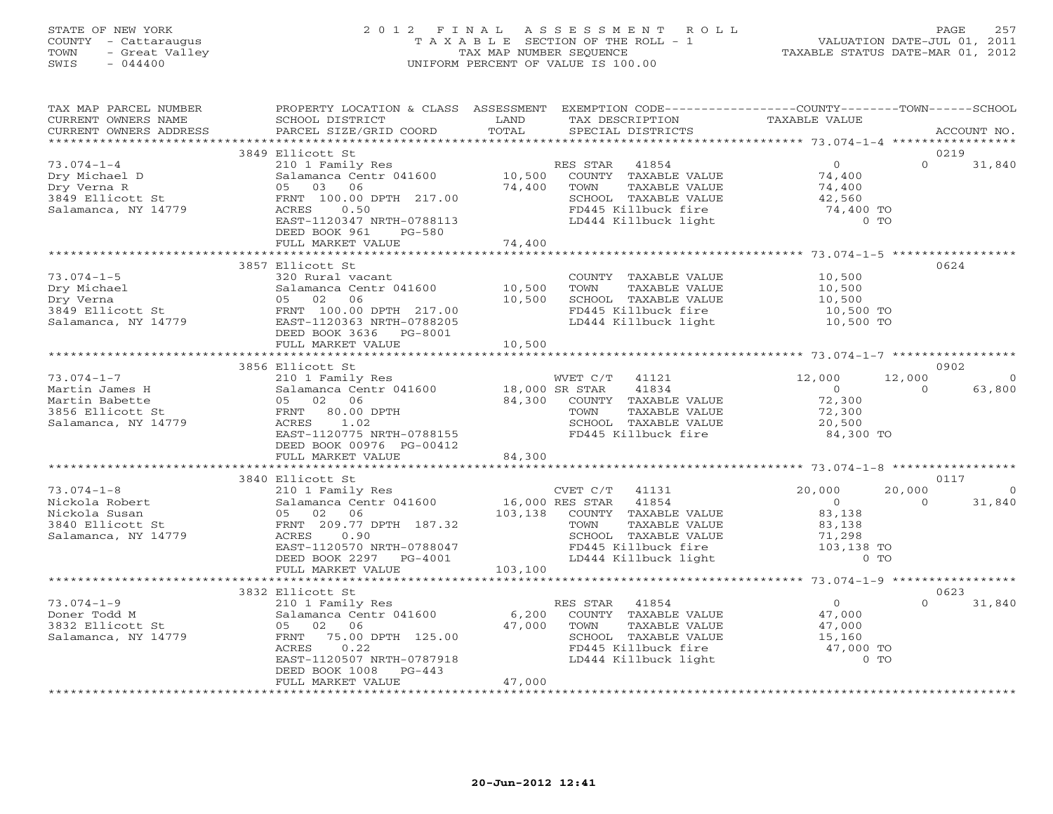#### STATE OF NEW YORK 2 0 1 2 F I N A L A S S E S S M E N T R O L L PAGE 257 COUNTY - Cattaraugus T A X A B L E SECTION OF THE ROLL - 1 VALUATION DATE-JUL 01, 2011 TOWN - Great Valley TAX MAP NUMBER SEQUENCE TAXABLE STATUS DATE-MAR 01, 2012 SWIS - 044400 UNIFORM PERCENT OF VALUE IS 100.00UNIFORM PERCENT OF VALUE IS 100.00

| SCHOOL DISTRICT<br>PARCEL SIZE/GRID COORD                                                                                                                                                                           | LAND<br>TOTAL                                                                                                          | TAX DESCRIPTION<br>SPECIAL DISTRICTS                                                                                          | TAXABLE VALUE                                                                                                                                                                                                                                                                                                                                                                                                                                                                                                               |                                                                                                                                                                                                                   | ACCOUNT NO.                                                                                                                                                                                                                                                                                                                     |
|---------------------------------------------------------------------------------------------------------------------------------------------------------------------------------------------------------------------|------------------------------------------------------------------------------------------------------------------------|-------------------------------------------------------------------------------------------------------------------------------|-----------------------------------------------------------------------------------------------------------------------------------------------------------------------------------------------------------------------------------------------------------------------------------------------------------------------------------------------------------------------------------------------------------------------------------------------------------------------------------------------------------------------------|-------------------------------------------------------------------------------------------------------------------------------------------------------------------------------------------------------------------|---------------------------------------------------------------------------------------------------------------------------------------------------------------------------------------------------------------------------------------------------------------------------------------------------------------------------------|
|                                                                                                                                                                                                                     |                                                                                                                        |                                                                                                                               |                                                                                                                                                                                                                                                                                                                                                                                                                                                                                                                             |                                                                                                                                                                                                                   |                                                                                                                                                                                                                                                                                                                                 |
| 210 1 Family Res<br>05 03 06<br>FRNT 100.00 DPTH 217.00<br>0.50<br>ACRES<br>EAST-1120347 NRTH-0788113<br>DEED BOOK 961<br>PG-580                                                                                    | 74,400                                                                                                                 | 41854<br>COUNTY TAXABLE VALUE<br>TAXABLE VALUE<br>TOWN<br>SCHOOL TAXABLE VALUE<br>FD445 Killbuck fire<br>LD444 Killbuck light | $\circ$<br>74,400<br>74,400<br>42,560                                                                                                                                                                                                                                                                                                                                                                                                                                                                                       | $\Omega$                                                                                                                                                                                                          | 31,840                                                                                                                                                                                                                                                                                                                          |
|                                                                                                                                                                                                                     |                                                                                                                        |                                                                                                                               |                                                                                                                                                                                                                                                                                                                                                                                                                                                                                                                             |                                                                                                                                                                                                                   |                                                                                                                                                                                                                                                                                                                                 |
| 3857 Ellicott St<br>320 Rural vacant<br>Salamanca Centr 041600<br>05 02<br>06<br>FRNT 100.00 DPTH 217.00<br>EAST-1120363 NRTH-0788205<br>DEED BOOK 3636 PG-8001                                                     | 10,500<br>10,500                                                                                                       | COUNTY TAXABLE VALUE<br>TOWN<br>TAXABLE VALUE<br>SCHOOL TAXABLE VALUE                                                         | 10,500<br>10,500<br>10,500                                                                                                                                                                                                                                                                                                                                                                                                                                                                                                  | 0624                                                                                                                                                                                                              |                                                                                                                                                                                                                                                                                                                                 |
|                                                                                                                                                                                                                     |                                                                                                                        |                                                                                                                               |                                                                                                                                                                                                                                                                                                                                                                                                                                                                                                                             |                                                                                                                                                                                                                   |                                                                                                                                                                                                                                                                                                                                 |
|                                                                                                                                                                                                                     |                                                                                                                        |                                                                                                                               |                                                                                                                                                                                                                                                                                                                                                                                                                                                                                                                             |                                                                                                                                                                                                                   |                                                                                                                                                                                                                                                                                                                                 |
| 210 1 Family Res<br>05 02 06<br>FRNT 80.00 DPTH<br>ACRES<br>1.02<br>DEED BOOK 00976 PG-00412<br>FULL MARKET VALUE                                                                                                   | 84,300                                                                                                                 | 41834<br>COUNTY TAXABLE VALUE<br>TOWN<br>TAXABLE VALUE                                                                        | 12,000<br>$\overline{O}$<br>72,300<br>72,300<br>20,500                                                                                                                                                                                                                                                                                                                                                                                                                                                                      | $\Omega$                                                                                                                                                                                                          | - 0<br>63,800                                                                                                                                                                                                                                                                                                                   |
|                                                                                                                                                                                                                     |                                                                                                                        |                                                                                                                               |                                                                                                                                                                                                                                                                                                                                                                                                                                                                                                                             |                                                                                                                                                                                                                   |                                                                                                                                                                                                                                                                                                                                 |
| 210 1 Family Res<br>Salamanca Centr 041600<br>Salamanca Cen<br>05   02   06<br>FRNT  209.77<br>FRNT 209.77 DPTH 187.32<br>ACRES<br>0.90<br>EAST-1120570 NRTH-0788047<br>DEED BOOK 2297 PG-4001<br>FULL MARKET VALUE |                                                                                                                        | 41131<br>TOWN<br>TAXABLE VALUE                                                                                                | 20,000<br>$\bigcirc$<br>83,138<br>83,138<br>71,298                                                                                                                                                                                                                                                                                                                                                                                                                                                                          | $\Omega$                                                                                                                                                                                                          | $\overline{0}$<br>31,840                                                                                                                                                                                                                                                                                                        |
|                                                                                                                                                                                                                     |                                                                                                                        |                                                                                                                               |                                                                                                                                                                                                                                                                                                                                                                                                                                                                                                                             |                                                                                                                                                                                                                   |                                                                                                                                                                                                                                                                                                                                 |
| 210 1 Family Res<br>Salamanca Centr 041600<br>05 02 06<br>FRNT 75.00 DPTH 125.00<br>0.22<br>ACRES<br>EAST-1120507 NRTH-0787918<br>DEED BOOK 1008<br>PG-443<br>FULL MARKET VALUE                                     | 47,000<br>47,000                                                                                                       | COUNTY TAXABLE VALUE<br>TOWN<br>TAXABLE VALUE                                                                                 | $\overline{0}$<br>47,000<br>47,000<br>15,160                                                                                                                                                                                                                                                                                                                                                                                                                                                                                | $\Omega$                                                                                                                                                                                                          | 31,840                                                                                                                                                                                                                                                                                                                          |
|                                                                                                                                                                                                                     | 3849 Ellicott St<br>FULL MARKET VALUE<br>FULL MARKET VALUE<br>3856 Ellicott St<br>3840 Ellicott St<br>3832 Ellicott St | 10,500<br>EAST-1120775 NRTH-0788155                                                                                           | RES STAR<br>$\frac{210}{1}$ $\frac{1}{2}$ $\frac{1}{2}$ $\frac{1}{2}$ $\frac{1}{2}$ $\frac{1}{2}$ $\frac{1}{2}$ $\frac{1}{2}$ $\frac{1}{2}$ $\frac{1}{2}$ $\frac{1}{2}$ $\frac{1}{2}$ $\frac{1}{2}$ $\frac{1}{2}$ $\frac{1}{2}$ $\frac{1}{2}$ $\frac{1}{2}$ $\frac{1}{2}$ $\frac{1}{2}$ $\frac{1}{2}$ $\frac{1}{2}$ $\frac{1}{2}$<br>74,400<br>WVET C/T 41121<br>Salamanca Centr 041600 18,000 SR STAR<br>84,300<br>CVET C/T<br>16,000 RES STAR 41854<br>103,138 COUNTY TAXABLE VALUE<br>103,100<br>RES STAR 41854<br>6,200 | FD445 Killbuck fire<br>LD444 Killbuck light<br>SCHOOL TAXABLE VALUE<br>FD445 Killbuck fire<br>SCHOOL TAXABLE VALUE<br>LD444 Killbuck light<br>SCHOOL TAXABLE VALUE<br>FD445 Killbuck fire<br>LD444 Killbuck light | PROPERTY LOCATION & CLASS ASSESSMENT EXEMPTION CODE---------------COUNTY-------TOWN------SCHOOL<br>0219<br>74,400 TO<br><b>CONTINUES OF THE OF THE OF THE OF THE OF</b><br>10,500 TO<br>10,500 TO<br>0902<br>12,000<br>84,300 TO<br>0117<br>20,000<br>FD445 Killbuck fire $103,138$ TO<br>$0$ TO<br>0623<br>47,000 TO<br>$0$ TO |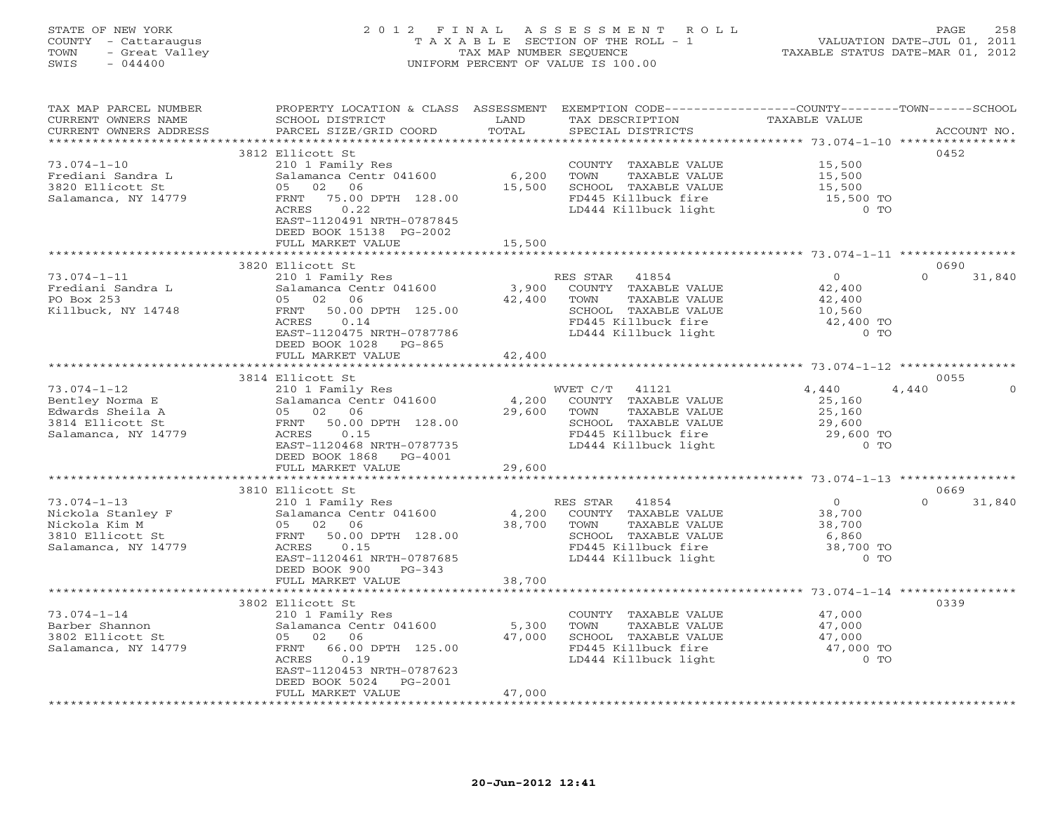# STATE OF NEW YORK 2 0 1 2 F I N A L A S S E S S M E N T R O L L PAGE 258 COUNTY - Cattaraugus T A X A B L E SECTION OF THE ROLL - 1 VALUATION DATE-JUL 01, 2011 TOWN - Great Valley TAX MAP NUMBER SEQUENCE TAXABLE STATUS DATE-MAR 01, 2012 SWIS - 044400 UNIFORM PERCENT OF VALUE IS 100.00

| TAX MAP PARCEL NUMBER  |                                                                                                            |        | PROPERTY LOCATION & CLASS ASSESSMENT EXEMPTION CODE---------------COUNTY-------TOWN-----SCHOOL |                                            |                    |
|------------------------|------------------------------------------------------------------------------------------------------------|--------|------------------------------------------------------------------------------------------------|--------------------------------------------|--------------------|
| CURRENT OWNERS NAME    | SCHOOL DISTRICT                                                                                            | LAND   | TAX DESCRIPTION                                                                                | TAXABLE VALUE                              |                    |
| CURRENT OWNERS ADDRESS | PARCEL SIZE/GRID COORD                                                                                     | TOTAL  | SPECIAL DISTRICTS                                                                              |                                            | ACCOUNT NO.        |
|                        |                                                                                                            |        |                                                                                                | ****************** 73.074-1-10 *********** |                    |
|                        | 3812 Ellicott St                                                                                           |        |                                                                                                |                                            | 0452               |
| $73.074 - 1 - 10$      | 210 1 Family Res                                                                                           |        | COUNTY TAXABLE VALUE 15,500                                                                    |                                            |                    |
| Frediani Sandra L      | Salamanca Centr 041600                                                                                     | 6,200  | TOWN<br>TAXABLE VALUE                                                                          | 15,500                                     |                    |
| 3820 Ellicott St       |                                                                                                            |        | SCHOOL TAXABLE VALUE                                                                           |                                            |                    |
| Salamanca, NY 14779    | 05 02 06 15,500<br>FRNT 75.00 DPTH 128.00 15,500                                                           |        | FD445 Killbuck fire                                                                            | 15,500<br>15,500 TO                        |                    |
|                        | ACRES<br>0.22                                                                                              |        | LD444 Killbuck light                                                                           | $0$ TO                                     |                    |
|                        | EAST-1120491 NRTH-0787845                                                                                  |        |                                                                                                |                                            |                    |
|                        |                                                                                                            |        |                                                                                                |                                            |                    |
|                        | DEED BOOK 15138 PG-2002                                                                                    |        |                                                                                                |                                            |                    |
|                        | FULL MARKET VALUE                                                                                          | 15,500 |                                                                                                |                                            |                    |
|                        |                                                                                                            |        |                                                                                                |                                            |                    |
|                        | 3820 Ellicott St                                                                                           |        |                                                                                                |                                            | 0690               |
| $73.074 - 1 - 11$      |                                                                                                            |        |                                                                                                | $\begin{array}{c} 0 \\ 42,400 \end{array}$ | $\Omega$<br>31,840 |
| Frediani Sandra L      |                                                                                                            |        |                                                                                                |                                            |                    |
| PO Box 253             | 05 02 06 42,400 TOWN<br>FRNT 50.00 DPTH 125.00 42,400 SCHOOL<br>ACRES 0.14 FD445 K                         |        | TAXABLE VALUE                                                                                  | 42,400                                     |                    |
| Killbuck, NY 14748     |                                                                                                            |        | SCHOOL TAXABLE VALUE                                                                           | $\frac{1}{10}$ , 560                       |                    |
|                        |                                                                                                            |        | FD445 Killbuck fire<br>LD444 Killbuck light                                                    | 42,400 TO                                  |                    |
|                        | EAST-1120475 NRTH-0787786                                                                                  |        |                                                                                                | $0$ TO                                     |                    |
|                        | DEED BOOK 1028 PG-865                                                                                      |        |                                                                                                |                                            |                    |
|                        | FULL MARKET VALUE                                                                                          | 42,400 |                                                                                                |                                            |                    |
|                        |                                                                                                            |        |                                                                                                |                                            |                    |
|                        | 3814 Ellicott St                                                                                           |        |                                                                                                |                                            | 0055               |
| $73.074 - 1 - 12$      |                                                                                                            |        |                                                                                                | 4,440                                      | 4,440<br>$\Omega$  |
| Bentley Norma E        | 210 1 Family Res<br>210 1 Family Res<br>Salamanca Centr 041600                4,200   COUNTY TAXABLE VALUE |        |                                                                                                | 25,160                                     |                    |
| Edwards Sheila A       |                                                                                                            | 29,600 | TOWN<br>TAXABLE VALUE                                                                          | 25,160                                     |                    |
|                        |                                                                                                            |        |                                                                                                |                                            |                    |
|                        |                                                                                                            |        |                                                                                                |                                            |                    |
| 3814 Ellicott St       | FRNT 50.00 DPTH 128.00                                                                                     |        |                                                                                                |                                            |                    |
| Salamanca, NY 14779    | 0.15                                                                                                       |        | SCHOOL TAXABLE VALUE 29,600<br>FD445 Killbuck fire 29,600 TO                                   |                                            |                    |
|                        | Salamanca --<br>05 02 06<br>FRNT 50.00<br>ACRES 0.1<br>-- 1120468<br>EAST-1120468 NRTH-0787735             |        | FD445 Killbuck fire<br>LD444 Killbuck light                                                    | $0$ TO                                     |                    |
|                        | DEED BOOK 1868 PG-4001                                                                                     |        |                                                                                                |                                            |                    |
|                        | FULL MARKET VALUE                                                                                          | 29,600 |                                                                                                |                                            |                    |
|                        |                                                                                                            |        |                                                                                                |                                            |                    |
|                        | 3810 Ellicott St                                                                                           |        |                                                                                                |                                            | 0669               |
| $73.074 - 1 - 13$      | 210 1 Family Res                                                                                           |        | RES STAR 41854                                                                                 | $\overline{0}$                             | $\Omega$<br>31,840 |
| Nickola Stanley F      |                                                                                                            |        |                                                                                                | 38,700                                     |                    |
| Nickola Kim M          | Salamanca Centr 041600 4,200 COUNTY TAXABLE VALUE<br>Calamanca Centr 041600 30.700 movement mayable VALUE  |        | TAXABLE VALUE                                                                                  | 38,700                                     |                    |
| 3810 Ellicott St       |                                                                                                            |        |                                                                                                |                                            |                    |
| Salamanca, NY 14779    |                                                                                                            |        |                                                                                                |                                            |                    |
|                        | EAST-1120461 NRTH-0787685                                                                                  |        | LD444 Killbuck light                                                                           | $0$ TO                                     |                    |
|                        | DEED BOOK 900<br>PG-343                                                                                    |        |                                                                                                |                                            |                    |
|                        | FULL MARKET VALUE                                                                                          | 38,700 |                                                                                                |                                            |                    |
|                        |                                                                                                            |        |                                                                                                |                                            |                    |
|                        | 3802 Ellicott St                                                                                           |        |                                                                                                |                                            | 0339               |
| $73.074 - 1 - 14$      | 210 1 Family Res                                                                                           |        | COUNTY TAXABLE VALUE                                                                           | 47,000                                     |                    |
| Barber Shannon         | Salamanca Centr 041600 5,300                                                                               |        | TOWN<br>TAXABLE VALUE                                                                          |                                            |                    |
| 3802 Ellicott St       | 05 02 06                                                                                                   | 47,000 | SCHOOL TAXABLE VALUE                                                                           | 47,000<br>47,000                           |                    |
| Salamanca, NY 14779    | FRNT 66.00 DPTH 125.00                                                                                     |        |                                                                                                |                                            |                    |
|                        | 0.19<br>ACRES                                                                                              |        | FD445 Killbuck fire 47,000 TO<br>LD444 Killbuck light 0 TO                                     |                                            |                    |
|                        | EAST-1120453 NRTH-0787623                                                                                  |        |                                                                                                |                                            |                    |
|                        | DEED BOOK 5024 PG-2001                                                                                     |        |                                                                                                |                                            |                    |
|                        | FULL MARKET VALUE                                                                                          | 47,000 |                                                                                                |                                            |                    |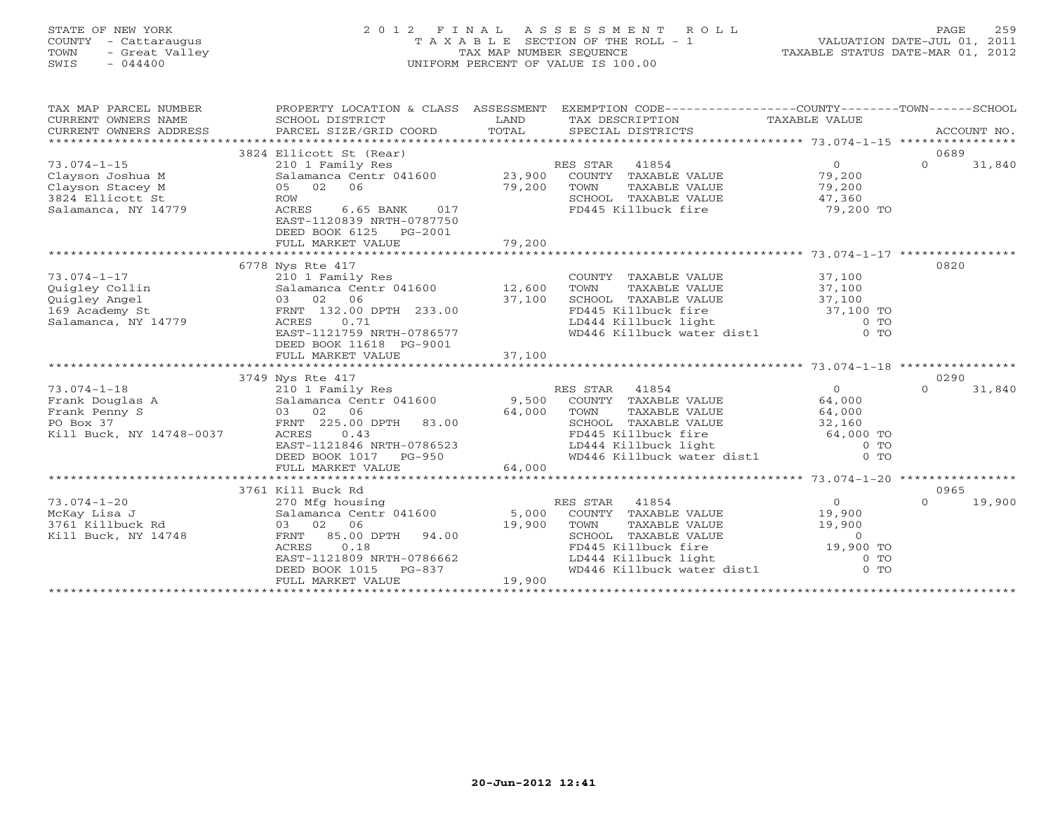#### STATE OF NEW YORK 2 0 1 2 F I N A L A S S E S S M E N T R O L L PAGE 259 COUNTY - Cattaraugus T A X A B L E SECTION OF THE ROLL - 1 VALUATION DATE-JUL 01, 2011 TOWN - Great Valley TAX MAP NUMBER SEQUENCE TAXABLE STATUS DATE-MAR 01, 2012 SWIS - 044400 UNIFORM PERCENT OF VALUE IS 100.00UNIFORM PERCENT OF VALUE IS 100.00

| TAX MAP PARCEL NUMBER<br>CURRENT OWNERS NAME<br>CURRENT OWNERS ADDRESS<br>******************** | PROPERTY LOCATION & CLASS ASSESSMENT<br>SCHOOL DISTRICT<br>PARCEL SIZE/GRID COORD   | LAND<br>TAX DESCRIPTION<br>TOTAL<br>SPECIAL DISTRICTS | EXEMPTION CODE-----------------COUNTY-------TOWN------SCHOOL<br>TAXABLE VALUE<br>ACCOUNT NO. |
|------------------------------------------------------------------------------------------------|-------------------------------------------------------------------------------------|-------------------------------------------------------|----------------------------------------------------------------------------------------------|
|                                                                                                | 3824 Ellicott St (Rear)                                                             |                                                       | 0689                                                                                         |
| $73.074 - 1 - 15$                                                                              | 210 1 Family Res                                                                    | RES STAR<br>41854                                     | $\Omega$<br>$\Omega$<br>31,840                                                               |
| Clayson Joshua M                                                                               | Salamanca Centr 041600 23,900                                                       | COUNTY TAXABLE VALUE                                  | 79,200                                                                                       |
| Clayson Stacey M                                                                               | 02<br>06<br>05                                                                      | 79,200<br>TOWN<br>TAXABLE VALUE                       | 79,200                                                                                       |
| 3824 Ellicott St                                                                               | <b>ROW</b>                                                                          | SCHOOL TAXABLE VALUE                                  | 47,360                                                                                       |
| Salamanca, NY 14779                                                                            | ACRES<br>6.65 BANK<br>017<br>EAST-1120839 NRTH-0787750<br>DEED BOOK 6125<br>PG-2001 | FD445 Killbuck fire                                   | 79,200 TO                                                                                    |
|                                                                                                | FULL MARKET VALUE                                                                   | 79,200                                                |                                                                                              |
|                                                                                                |                                                                                     |                                                       |                                                                                              |
|                                                                                                | 6778 Nys Rte 417                                                                    |                                                       | 0820                                                                                         |
| $73.074 - 1 - 17$                                                                              | 210 1 Family Res                                                                    | COUNTY TAXABLE VALUE                                  | 37,100                                                                                       |
| Quigley Collin                                                                                 | Salamanca Centr 041600                                                              | 12,600<br>TOWN<br>TAXABLE VALUE                       | 37,100                                                                                       |
| Quigley Angel<br>169 Academy St                                                                | 03 02<br>06<br>FRNT 132.00 DPTH 233.00                                              | 37,100<br>SCHOOL TAXABLE VALUE<br>FD445 Killbuck fire | 37,100<br>37,100 TO                                                                          |
| Salamanca, NY 14779                                                                            | ACRES<br>0.71                                                                       | LD444 Killbuck light                                  | $0$ TO                                                                                       |
|                                                                                                | EAST-1121759 NRTH-0786577<br>DEED BOOK 11618 PG-9001                                | WD446 Killbuck water dist1                            | $0$ TO                                                                                       |
|                                                                                                | FULL MARKET VALUE                                                                   | 37,100                                                |                                                                                              |
|                                                                                                |                                                                                     |                                                       |                                                                                              |
|                                                                                                | 3749 Nys Rte 417                                                                    |                                                       | 0290                                                                                         |
| $73.074 - 1 - 18$                                                                              | 210 1 Family Res                                                                    | RES STAR<br>41854                                     | $\circ$<br>$\Omega$<br>31,840                                                                |
| Frank Douglas A                                                                                | Salamanca Centr 041600                                                              | 9,500<br>COUNTY TAXABLE VALUE                         | 64,000                                                                                       |
| Frank Penny S                                                                                  | 02<br>06<br>03                                                                      | 64,000<br>TOWN<br>TAXABLE VALUE                       | 64,000                                                                                       |
| PO Box 37                                                                                      | FRNT 225.00 DPTH<br>83.00                                                           | SCHOOL TAXABLE VALUE                                  | 32,160                                                                                       |
| Kill Buck, NY 14748-0037                                                                       | ACRES<br>0.43                                                                       | FD445 Killbuck fire                                   | 64,000 TO                                                                                    |
|                                                                                                | EAST-1121846 NRTH-0786523                                                           | LD444 Killbuck light                                  | $0$ TO                                                                                       |
|                                                                                                | DEED BOOK 1017 PG-950                                                               | WD446 Killbuck water dist1<br>64,000                  | $0$ TO                                                                                       |
|                                                                                                | FULL MARKET VALUE                                                                   |                                                       |                                                                                              |
|                                                                                                | 3761 Kill Buck Rd                                                                   |                                                       | 0965                                                                                         |
| $73.074 - 1 - 20$                                                                              | 270 Mfg housing                                                                     | RES STAR<br>41854                                     | $\overline{0}$<br>19,900<br>$\Omega$                                                         |
| McKay Lisa J                                                                                   | Salamanca Centr 041600                                                              | 5,000<br>COUNTY TAXABLE VALUE                         | 19,900                                                                                       |
| 3761 Killbuck Rd                                                                               | 03 02<br>06                                                                         | 19,900<br>TOWN<br>TAXABLE VALUE                       | 19,900                                                                                       |
| Kill Buck, NY 14748                                                                            | 85.00 DPTH<br>94.00<br>FRNT                                                         | SCHOOL TAXABLE VALUE                                  | $\circ$                                                                                      |
|                                                                                                | ACRES<br>0.18                                                                       | FD445 Killbuck fire                                   | 19,900 TO                                                                                    |
|                                                                                                | EAST-1121809 NRTH-0786662                                                           | LD444 Killbuck light                                  | $0$ TO                                                                                       |
|                                                                                                | DEED BOOK 1015<br>PG-837                                                            | WD446 Killbuck water dist1                            | $0$ TO                                                                                       |
|                                                                                                | FULL MARKET VALUE                                                                   | 19,900                                                |                                                                                              |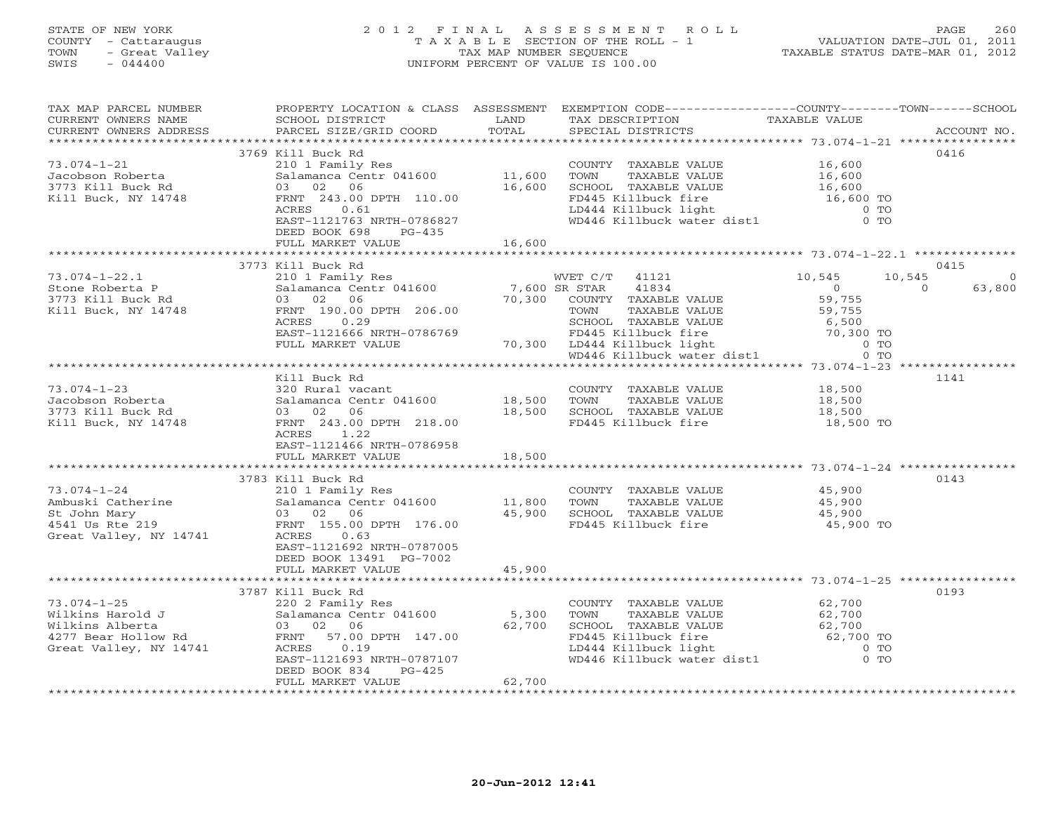# STATE OF NEW YORK 2 0 1 2 F I N A L A S S E S S M E N T R O L L PAGE 260 COUNTY - Cattaraugus T A X A B L E SECTION OF THE ROLL - 1 VALUATION DATE-JUL 01, 2011 TOWN - Great Valley TAX MAP NUMBER SEQUENCE TAXABLE STATUS DATE-MAR 01, 2012 SWIS - 044400 UNIFORM PERCENT OF VALUE IS 100.00

| TAX MAP PARCEL NUMBER<br>CURRENT OWNERS NAME<br>CURRENT OWNERS ADDRESS                                    | SCHOOL DISTRICT<br>PARCEL SIZE/GRID COORD                                                                                                                                                              | LAND<br>TOTAL                     | PROPERTY LOCATION & CLASS ASSESSMENT EXEMPTION CODE----------------COUNTY-------TOWN------SCHOOL<br>TAX DESCRIPTION<br>SPECIAL DISTRICTS                                                                                                                                                                   | TAXABLE VALUE                                                | ACCOUNT NO.        |
|-----------------------------------------------------------------------------------------------------------|--------------------------------------------------------------------------------------------------------------------------------------------------------------------------------------------------------|-----------------------------------|------------------------------------------------------------------------------------------------------------------------------------------------------------------------------------------------------------------------------------------------------------------------------------------------------------|--------------------------------------------------------------|--------------------|
| $73.074 - 1 - 21$<br>Jacobson Roberta<br>3773 Kill Buck Rd<br>Kill Buck, NY 14748                         | 3769 Kill Buck Rd<br>210 1 Family Res<br>Salamanca Centr 041600<br>03 02 06<br>FRNT 243.00 DPTH 110.00<br>ACRES<br>0.61<br>EAST-1121763 NRTH-0786827<br>DEED BOOK 698<br>$PG-435$<br>FULL MARKET VALUE | 11,600<br>16,600<br>16,600        | COUNTY TAXABLE VALUE<br>TOWN<br>TAXABLE VALUE<br>SCHOOL TAXABLE VALUE<br>FD445 Killbuck fire<br>LD444 Killbuck light<br>WD446 Killbuck water dist1                                                                                                                                                         | 16,600<br>16,600<br>16,600<br>16,600 TO<br>$0$ TO<br>$0$ TO  | 0416               |
|                                                                                                           | 3773 Kill Buck Rd                                                                                                                                                                                      |                                   |                                                                                                                                                                                                                                                                                                            |                                                              | 0415               |
| $73.074 - 1 - 22.1$<br>Stone Roberta P<br>3773 Kill Buck Rd<br>Kill Buck, NY 14748                        | 210 1 Family Res<br>Salamanca Centr 041600<br>03 02 06<br>FRNT 190.00 DPTH 206.00<br>0.29<br>ACRES<br>EAST-1121666 NRTH-0786769<br>FULL MARKET VALUE                                                   | 7,600 SR STAR<br>70,300<br>70,300 | WVET C/T 41121<br>41834<br>COUNTY TAXABLE VALUE<br>TOWN<br>TAXABLE VALUE<br>$\begin{tabular}{ll} $\mathsf{r}\cup445$ Killbuck fire & 6,500$ \\ \mathsf{LD444~Killbuck life & 70,300 TO \\ \mathsf{WD446~Killbuck water dist1} & 0~\mathsf{TO} \\ \mathsf{*********************************} \end{tabular}$ | 10,545<br>10,545<br>$\overline{0}$<br>59,755<br>59,755       | 63,800<br>$\Omega$ |
|                                                                                                           | Kill Buck Rd                                                                                                                                                                                           |                                   |                                                                                                                                                                                                                                                                                                            |                                                              | 1141               |
| $73.074 - 1 - 23$<br>Jacobson Roberta<br>3773 Kill Buck Rd<br>Kill Buck, NY 14748                         | 320 Rural vacant<br>Salamanca Centr 041600<br>03 02 06<br>FRNT 243.00 DPTH 218.00<br>ACRES 1.22<br>EAST-1121466 NRTH-0786958<br>FULL MARKET VALUE                                                      | 18,500<br>18,500<br>18,500        | COUNTY TAXABLE VALUE<br>TOWN<br>TAXABLE VALUE<br>SCHOOL TAXABLE VALUE<br>FD445 Killbuck fire                                                                                                                                                                                                               | 18,500<br>18,500<br>18,500<br>18,500 TO                      |                    |
|                                                                                                           | 3783 Kill Buck Rd                                                                                                                                                                                      |                                   |                                                                                                                                                                                                                                                                                                            |                                                              | 0143               |
| $73.074 - 1 - 24$<br>Ambuski Catherine<br>St John Mary<br>4541 Us Rte 219<br>Great Valley, NY 14741       | 210 1 Family Res<br>Salamanca Centr 041600<br>03 02 06<br>FRNT 155.00 DPTH 176.00<br>ACRES<br>0.63<br>EAST-1121692 NRTH-0787005<br>DEED BOOK 13491 PG-7002                                             | 11,800<br>45,900                  | COUNTY TAXABLE VALUE<br>TAXABLE VALUE<br>TOWN<br>SCHOOL TAXABLE VALUE<br>FD445 Killbuck fire                                                                                                                                                                                                               | 45,900<br>45,900<br>45,900<br>45,900 TO                      |                    |
|                                                                                                           | FULL MARKET VALUE                                                                                                                                                                                      | 45,900                            |                                                                                                                                                                                                                                                                                                            |                                                              |                    |
| $73.074 - 1 - 25$<br>Wilkins Harold J<br>Wilkins Alberta<br>4277 Bear Hollow Rd<br>Great Valley, NY 14741 | 3787 Kill Buck Rd<br>220 2 Family Res<br>Salamanca Centr 041600<br>03 02 06<br>FRNT 57.00 DPTH 147.00<br>0.19<br>ACRES<br>EAST-1121693 NRTH-0787107<br>DEED BOOK 834<br>$PG-425$<br>FULL MARKET VALUE  | 5,300<br>62,700<br>62,700         | COUNTY TAXABLE VALUE<br>TOWN<br>TAXABLE VALUE<br>SCHOOL TAXABLE VALUE<br>FD445 Killbuck fire<br>LD444 Killbuck light<br>wD446 Killbuck water dist1                                                                                                                                                         | 62,700<br>62,700<br>62,700<br>62,700 TO<br>$0$ TO<br>$00$ TO | 0193               |
|                                                                                                           |                                                                                                                                                                                                        |                                   |                                                                                                                                                                                                                                                                                                            |                                                              |                    |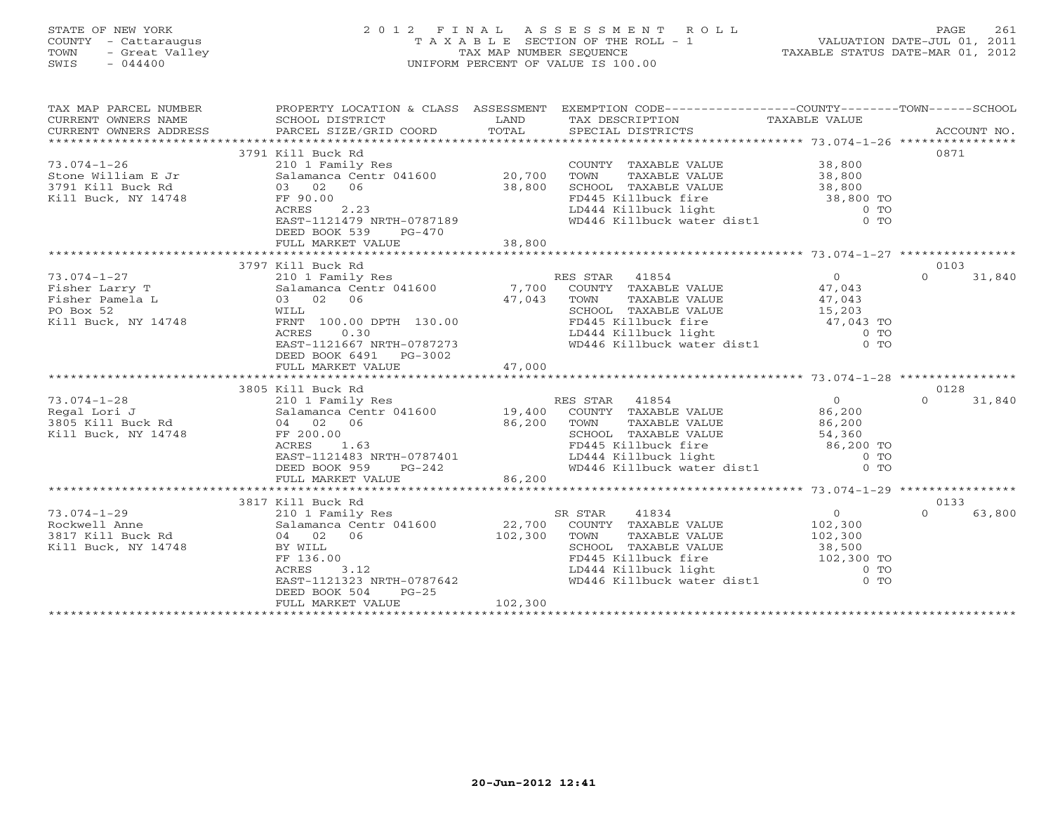# STATE OF NEW YORK 2 0 1 2 F I N A L A S S E S S M E N T R O L L PAGE 261 COUNTY - Cattaraugus T A X A B L E SECTION OF THE ROLL - 1 VALUATION DATE-JUL 01, 2011 TOWN - Great Valley TAX MAP NUMBER SEQUENCE TAXABLE STATUS DATE-MAR 01, 2012 SWIS - 044400 UNIFORM PERCENT OF VALUE IS 100.00

| TAX MAP PARCEL NUMBER<br>CURRENT OWNERS NAME<br>CURRENT OWNERS NAME SCHOOL DISTRICT – ------ ------ ------- TAX DESCRIPTION TAXABLE VALUE<br>CURRENT OWNERS ADDRESS PARCEL SIZE/GRID COORD TOTAL SPECIAL DISTRICTS ACCOUNT NO.<br>****************************** |                                                                 |         | PROPERTY LOCATION & CLASS ASSESSMENT EXEMPTION CODE----------------COUNTY-------TOWN------SCHOOL                                                                                                                               |                |                    |
|------------------------------------------------------------------------------------------------------------------------------------------------------------------------------------------------------------------------------------------------------------------|-----------------------------------------------------------------|---------|--------------------------------------------------------------------------------------------------------------------------------------------------------------------------------------------------------------------------------|----------------|--------------------|
|                                                                                                                                                                                                                                                                  | 3791 Kill Buck Rd                                               |         |                                                                                                                                                                                                                                |                | 0871               |
| $73.074 - 1 - 26$                                                                                                                                                                                                                                                | 210 1 Family Res                                                |         | COUNTY TAXABLE VALUE                                                                                                                                                                                                           | 38,800         |                    |
|                                                                                                                                                                                                                                                                  |                                                                 |         | TOWN                                                                                                                                                                                                                           |                |                    |
|                                                                                                                                                                                                                                                                  | Salamanca Centr 041600 20,700<br>03 02 06 38,800<br>FF 90.00    |         |                                                                                                                                                                                                                                |                |                    |
| Kill Buck, NY 14748                                                                                                                                                                                                                                              | FF 90.00                                                        |         |                                                                                                                                                                                                                                |                |                    |
|                                                                                                                                                                                                                                                                  | 2.23<br>ACRES                                                   |         |                                                                                                                                                                                                                                |                |                    |
|                                                                                                                                                                                                                                                                  | EAST-1121479 NRTH-0787189                                       |         | FD445 Killbuck fire<br>LD444 Killbuck light<br>WD446 Killbuck water dist1 0 TO<br>WD446 Killbuck water dist1 0 TO                                                                                                              |                |                    |
|                                                                                                                                                                                                                                                                  | DEED BOOK 539<br>PG-470                                         |         |                                                                                                                                                                                                                                |                |                    |
|                                                                                                                                                                                                                                                                  |                                                                 |         |                                                                                                                                                                                                                                |                |                    |
|                                                                                                                                                                                                                                                                  |                                                                 |         |                                                                                                                                                                                                                                |                |                    |
|                                                                                                                                                                                                                                                                  | 3797 Kill Buck Rd                                               |         |                                                                                                                                                                                                                                |                | 0103               |
| $73.074 - 1 - 27$                                                                                                                                                                                                                                                |                                                                 |         | RES STAR 41854                                                                                                                                                                                                                 | $\overline{0}$ | $\Omega$<br>31,840 |
| Fisher Larry T                                                                                                                                                                                                                                                   | 210 1 Family Res<br>Salamanca Centr 041600 7,700                |         | COUNTY TAXABLE VALUE 47,043                                                                                                                                                                                                    |                |                    |
| Fisher Pamela L                                                                                                                                                                                                                                                  | 03 02 06                                                        | 47,043  | TOWN                                                                                                                                                                                                                           |                |                    |
| PO Box 52                                                                                                                                                                                                                                                        | WILL                                                            |         |                                                                                                                                                                                                                                |                |                    |
| Kill Buck, NY 14748                                                                                                                                                                                                                                              | FRNT 100.00 DPTH 130.00                                         |         |                                                                                                                                                                                                                                |                |                    |
|                                                                                                                                                                                                                                                                  |                                                                 |         |                                                                                                                                                                                                                                |                |                    |
|                                                                                                                                                                                                                                                                  | ACRES 0.30<br>EAST-1121667 NRTH-0787273                         |         | FD445 Killbuck fire<br>LD444 Killbuck light<br>WD446 Killbuck water dist1 0 TO<br>WD446 Killbuck water dist1 0 TO                                                                                                              |                |                    |
|                                                                                                                                                                                                                                                                  | DEED BOOK 6491 PG-3002                                          |         |                                                                                                                                                                                                                                |                |                    |
|                                                                                                                                                                                                                                                                  |                                                                 |         |                                                                                                                                                                                                                                |                |                    |
|                                                                                                                                                                                                                                                                  |                                                                 |         |                                                                                                                                                                                                                                |                |                    |
|                                                                                                                                                                                                                                                                  | 3805 Kill Buck Rd                                               |         |                                                                                                                                                                                                                                |                | 0128               |
|                                                                                                                                                                                                                                                                  |                                                                 |         | RES STAR 41854                                                                                                                                                                                                                 | $\Omega$       | $\Omega$<br>31,840 |
|                                                                                                                                                                                                                                                                  |                                                                 |         | COUNTY TAXABLE VALUE 86,200                                                                                                                                                                                                    |                |                    |
|                                                                                                                                                                                                                                                                  |                                                                 |         | TOWN<br>TAXABLE VALUE                                                                                                                                                                                                          | 86,200         |                    |
|                                                                                                                                                                                                                                                                  |                                                                 |         | SCHOOL TAXABLE VALUE 54,360                                                                                                                                                                                                    |                |                    |
|                                                                                                                                                                                                                                                                  |                                                                 |         |                                                                                                                                                                                                                                |                |                    |
|                                                                                                                                                                                                                                                                  |                                                                 |         | FD445 Killbuck fire<br>ID444 Killbuck light<br>WD446 Killbuck water dist1 0 TO                                                                                                                                                 |                |                    |
|                                                                                                                                                                                                                                                                  | $PG-242$                                                        |         |                                                                                                                                                                                                                                |                |                    |
|                                                                                                                                                                                                                                                                  | FULL MARKET VALUE                                               | 86,200  |                                                                                                                                                                                                                                |                |                    |
|                                                                                                                                                                                                                                                                  |                                                                 |         |                                                                                                                                                                                                                                |                |                    |
|                                                                                                                                                                                                                                                                  | 3817 Kill Buck Rd                                               |         |                                                                                                                                                                                                                                |                | 0133               |
|                                                                                                                                                                                                                                                                  |                                                                 |         | SR STAR<br>41834                                                                                                                                                                                                               | $\overline{0}$ | $\Omega$<br>63,800 |
|                                                                                                                                                                                                                                                                  |                                                                 |         | COUNTY TAXABLE VALUE 102,300                                                                                                                                                                                                   |                |                    |
|                                                                                                                                                                                                                                                                  |                                                                 |         | TOWN<br>TAXABLE VALUE                                                                                                                                                                                                          | 102, 300       |                    |
| Kill Buck, NY 14748                                                                                                                                                                                                                                              | BY WILL                                                         |         | SCHOOL TAXABLE VALUE                                                                                                                                                                                                           | 38,500         |                    |
|                                                                                                                                                                                                                                                                  | BY WILL<br>FF 136.00<br>ACRES 3.12<br>EAST-1121323 NRTH-0787642 |         | extract the contract of the contract of the contract of the contract of the contract of the contract of the contract of the contract of the contract of the contract of the contract of the contract of the contract of the co |                |                    |
|                                                                                                                                                                                                                                                                  |                                                                 |         |                                                                                                                                                                                                                                |                |                    |
|                                                                                                                                                                                                                                                                  |                                                                 |         |                                                                                                                                                                                                                                |                |                    |
|                                                                                                                                                                                                                                                                  | DEED BOOK 504<br>$PG-25$                                        |         |                                                                                                                                                                                                                                |                |                    |
|                                                                                                                                                                                                                                                                  | FULL MARKET VALUE                                               | 102,300 |                                                                                                                                                                                                                                |                |                    |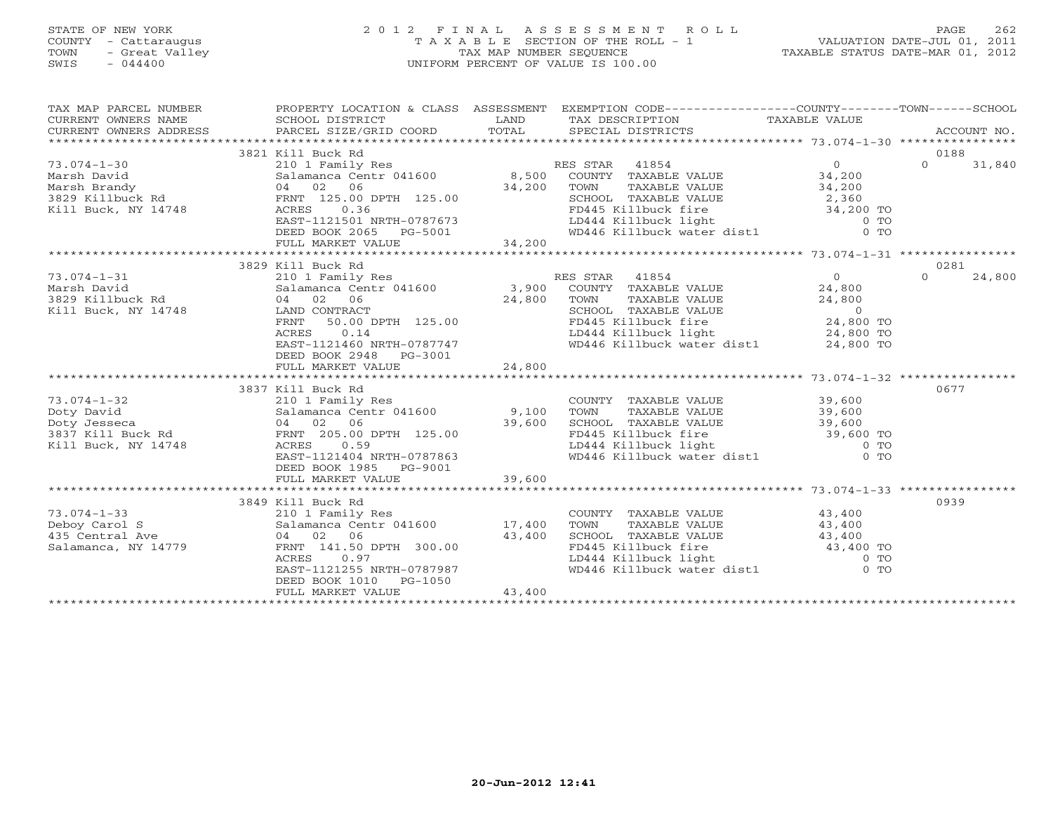## STATE OF NEW YORK 2 0 1 2 F I N A L A S S E S S M E N T R O L L PAGE 262 COUNTY - Cattaraugus T A X A B L E SECTION OF THE ROLL - 1 VALUATION DATE-JUL 01, 2011 TOWN - Great Valley TAX MAP NUMBER SEQUENCE TAXABLE STATUS DATE-MAR 01, 2012 SWIS - 044400 UNIFORM PERCENT OF VALUE IS 100.00

| CURRENT OWNERS NAME<br>CURRENT OWNERS ADDRESS                                                                                                                                                                                                                                                                                                                                                            |        |
|----------------------------------------------------------------------------------------------------------------------------------------------------------------------------------------------------------------------------------------------------------------------------------------------------------------------------------------------------------------------------------------------------------|--------|
| 0188<br>3821 Kill Buck Rd                                                                                                                                                                                                                                                                                                                                                                                |        |
| $\begin{array}{cccc} 73.074-1-30 & 3821 \; \text{Kill}\; \text{Buck}\; \text{Rd} & 210 & 1 \; \text{Family}\; \text{Res} & \text{RES}\; \text{STAR} & 41854 & 0 \\ 2101 \; \text{Family}\; \text{Res} & 8,500 \; \text{COUNTYY}\; \text{TXABLE VALUE} & 34,200 \\ \text{Marsh}\; \text{Brandy} & 04 & 02 & 06 & 34,200 \; \text{TOMN}\; \text{TXABLE VALUE} & 34,200 \\ 3829 \; \text{Kill}$<br>$\Omega$ | 31,840 |
|                                                                                                                                                                                                                                                                                                                                                                                                          |        |
|                                                                                                                                                                                                                                                                                                                                                                                                          |        |
|                                                                                                                                                                                                                                                                                                                                                                                                          |        |
|                                                                                                                                                                                                                                                                                                                                                                                                          |        |
| TOWN TAXABLE VALUE<br>TOWN TAXABLE VALUE<br>SCHOOL TAXABLE VALUE<br>TOPH45 Killbuck fire<br>LD444 Killbuck light<br>WD446 Killbuck water dist1 0 TO                                                                                                                                                                                                                                                      |        |
|                                                                                                                                                                                                                                                                                                                                                                                                          |        |
|                                                                                                                                                                                                                                                                                                                                                                                                          |        |
|                                                                                                                                                                                                                                                                                                                                                                                                          |        |
| 3829 Kill Buck Rd<br>0281                                                                                                                                                                                                                                                                                                                                                                                |        |
| $\Omega$                                                                                                                                                                                                                                                                                                                                                                                                 | 24,800 |
|                                                                                                                                                                                                                                                                                                                                                                                                          |        |
|                                                                                                                                                                                                                                                                                                                                                                                                          |        |
|                                                                                                                                                                                                                                                                                                                                                                                                          |        |
|                                                                                                                                                                                                                                                                                                                                                                                                          |        |
|                                                                                                                                                                                                                                                                                                                                                                                                          |        |
| EAST-1121460 NRTH-0787747<br>WD446 Killbuck water dist1 24,800 TO                                                                                                                                                                                                                                                                                                                                        |        |
| DEED BOOK 2948 PG-3001                                                                                                                                                                                                                                                                                                                                                                                   |        |
| 24,800<br>FULL MARKET VALUE                                                                                                                                                                                                                                                                                                                                                                              |        |
|                                                                                                                                                                                                                                                                                                                                                                                                          |        |
| 0677<br>3837 Kill Buck Rd                                                                                                                                                                                                                                                                                                                                                                                |        |
| 73.074-1-32<br>Doty David<br>Doty Jesseca and the Salamanca Centr 041600 9,100<br>Doty Jesseca and the Salamanca Centr 041600 9,100<br>3837 Kill Buck, NY 14748 ACRES<br>ARES 0.59<br>ACRES 113.101.113.101.113.101.113.101.129.79263                                                                                                                                                                    |        |
|                                                                                                                                                                                                                                                                                                                                                                                                          |        |
|                                                                                                                                                                                                                                                                                                                                                                                                          |        |
|                                                                                                                                                                                                                                                                                                                                                                                                          |        |
|                                                                                                                                                                                                                                                                                                                                                                                                          |        |
| COUNTY TAXABLE VALUE<br>TOWN TAXABLE VALUE 39,600<br>SCHOOL TAXABLE VALUE 39,600<br>FD445 Killbuck fire 39,600<br>LD444 Killbuck light 0 TO<br>WD446 Killbuck water dist1 0 TO<br>EAST-1121404 NRTH-0787863                                                                                                                                                                                              |        |
| DEED BOOK 1985 PG-9001                                                                                                                                                                                                                                                                                                                                                                                   |        |
|                                                                                                                                                                                                                                                                                                                                                                                                          |        |
|                                                                                                                                                                                                                                                                                                                                                                                                          |        |
| 0939                                                                                                                                                                                                                                                                                                                                                                                                     |        |
|                                                                                                                                                                                                                                                                                                                                                                                                          |        |
|                                                                                                                                                                                                                                                                                                                                                                                                          |        |
|                                                                                                                                                                                                                                                                                                                                                                                                          |        |
|                                                                                                                                                                                                                                                                                                                                                                                                          |        |
| COUNTY TAXABLE VALUE<br>TOWN TAXABLE VALUE<br>SCHOOL TAXABLE VALUE<br>FD445 Killbuck fire<br>LD444 Killbuck light<br>WD446 Killbuck water dist1 0 TO                                                                                                                                                                                                                                                     |        |
| EAST-1121255 NRTH-0787987                                                                                                                                                                                                                                                                                                                                                                                |        |
| DEED BOOK 1010 PG-1050<br>43,400                                                                                                                                                                                                                                                                                                                                                                         |        |
| FULL MARKET VALUE                                                                                                                                                                                                                                                                                                                                                                                        |        |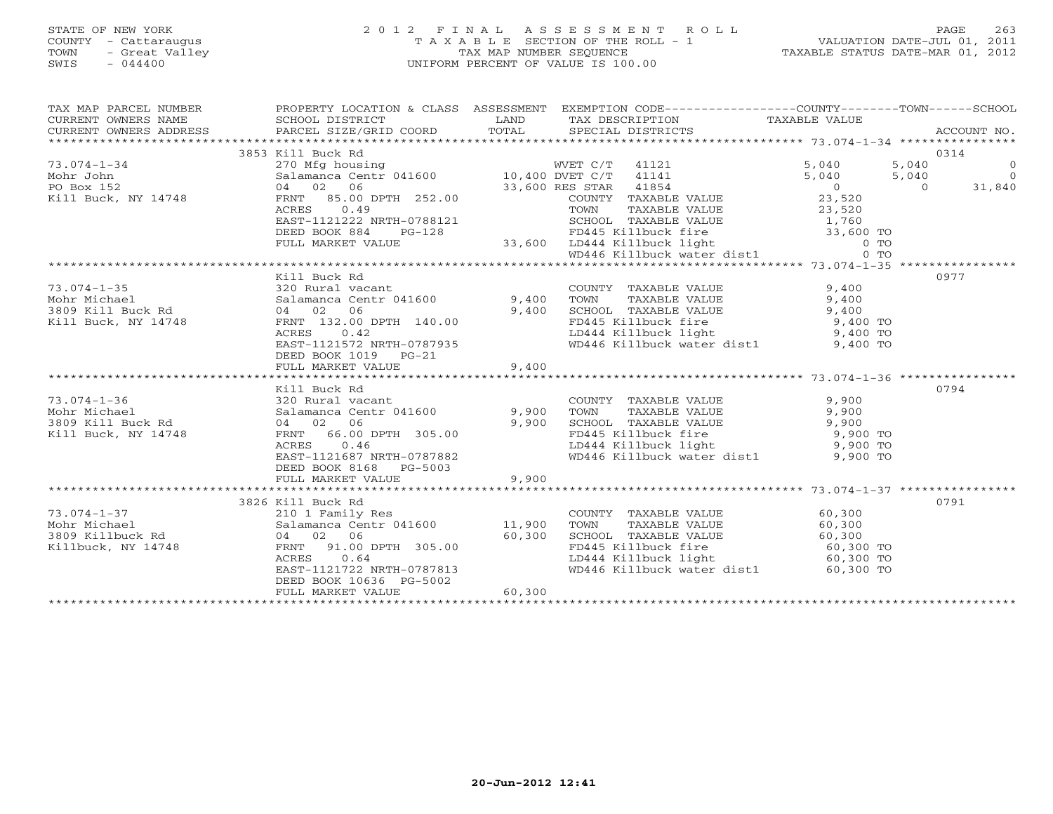# STATE OF NEW YORK 2 0 1 2 F I N A L A S S E S S M E N T R O L L PAGE 263 COUNTY - Cattaraugus T A X A B L E SECTION OF THE ROLL - 1 VALUATION DATE-JUL 01, 2011 TOWN - Great Valley TAX MAP NUMBER SEQUENCE TAXABLE STATUS DATE-MAR 01, 2012 SWIS - 044400 UNIFORM PERCENT OF VALUE IS 100.00

| $\begin{tabular}{lllllllllll} \textsc{rank} & & & & & & & \textsc{PROPERTY LOCATION & & & & & & \textsc{SSESSMENT} & & & \textsc{EXEMPTION COD} & & & & \textsc{COMPT1}-\textsc{---}-\textsc{---} & & \textsc{---}-\textsc{---} & & \textsc{---}-\textsc{---} & & \textsc{---}-\textsc{---} & & \textsc{---}-\textsc{---} & & \textsc{---}-\textsc{---} & & \textsc{---}-\textsc{---} & & \textsc{---}-\textsc{---} & & \textsc{---}-\textsc{---} & & \textsc{---}-\textsc{---} & & \textsc$ |                                                          |       |                                                                                                                                                                                                                                                       |      |  |
|----------------------------------------------------------------------------------------------------------------------------------------------------------------------------------------------------------------------------------------------------------------------------------------------------------------------------------------------------------------------------------------------------------------------------------------------------------------------------------------------|----------------------------------------------------------|-------|-------------------------------------------------------------------------------------------------------------------------------------------------------------------------------------------------------------------------------------------------------|------|--|
|                                                                                                                                                                                                                                                                                                                                                                                                                                                                                              |                                                          |       |                                                                                                                                                                                                                                                       |      |  |
|                                                                                                                                                                                                                                                                                                                                                                                                                                                                                              |                                                          |       |                                                                                                                                                                                                                                                       |      |  |
|                                                                                                                                                                                                                                                                                                                                                                                                                                                                                              |                                                          |       |                                                                                                                                                                                                                                                       |      |  |
|                                                                                                                                                                                                                                                                                                                                                                                                                                                                                              | 3853 Kill Buck Rd                                        |       |                                                                                                                                                                                                                                                       | 0314 |  |
|                                                                                                                                                                                                                                                                                                                                                                                                                                                                                              |                                                          |       |                                                                                                                                                                                                                                                       |      |  |
|                                                                                                                                                                                                                                                                                                                                                                                                                                                                                              |                                                          |       |                                                                                                                                                                                                                                                       |      |  |
|                                                                                                                                                                                                                                                                                                                                                                                                                                                                                              |                                                          |       |                                                                                                                                                                                                                                                       |      |  |
|                                                                                                                                                                                                                                                                                                                                                                                                                                                                                              |                                                          |       |                                                                                                                                                                                                                                                       |      |  |
|                                                                                                                                                                                                                                                                                                                                                                                                                                                                                              |                                                          |       |                                                                                                                                                                                                                                                       |      |  |
|                                                                                                                                                                                                                                                                                                                                                                                                                                                                                              |                                                          |       |                                                                                                                                                                                                                                                       |      |  |
|                                                                                                                                                                                                                                                                                                                                                                                                                                                                                              |                                                          |       |                                                                                                                                                                                                                                                       |      |  |
|                                                                                                                                                                                                                                                                                                                                                                                                                                                                                              |                                                          |       |                                                                                                                                                                                                                                                       |      |  |
|                                                                                                                                                                                                                                                                                                                                                                                                                                                                                              |                                                          |       |                                                                                                                                                                                                                                                       |      |  |
|                                                                                                                                                                                                                                                                                                                                                                                                                                                                                              |                                                          |       |                                                                                                                                                                                                                                                       | 0977 |  |
|                                                                                                                                                                                                                                                                                                                                                                                                                                                                                              |                                                          |       |                                                                                                                                                                                                                                                       |      |  |
|                                                                                                                                                                                                                                                                                                                                                                                                                                                                                              |                                                          |       |                                                                                                                                                                                                                                                       |      |  |
|                                                                                                                                                                                                                                                                                                                                                                                                                                                                                              |                                                          |       | COUNTY TAXABLE VALUE<br>TOWN TAXABLE VALUE 9,400<br>SCHOOL TAXABLE VALUE 9,400<br>FD445 Killbuck fire 9,400 TO<br>LD444 Killbuck light 9,400 TO<br>9,400 TO                                                                                           |      |  |
|                                                                                                                                                                                                                                                                                                                                                                                                                                                                                              |                                                          |       |                                                                                                                                                                                                                                                       |      |  |
|                                                                                                                                                                                                                                                                                                                                                                                                                                                                                              |                                                          |       |                                                                                                                                                                                                                                                       |      |  |
|                                                                                                                                                                                                                                                                                                                                                                                                                                                                                              | EAST-1121572 NRTH-0787935                                |       | WD446 Killbuck water dist1 9,400 TO                                                                                                                                                                                                                   |      |  |
|                                                                                                                                                                                                                                                                                                                                                                                                                                                                                              | DEED BOOK 1019 PG-21                                     |       |                                                                                                                                                                                                                                                       |      |  |
|                                                                                                                                                                                                                                                                                                                                                                                                                                                                                              | FULL MARKET VALUE                                        | 9,400 |                                                                                                                                                                                                                                                       |      |  |
|                                                                                                                                                                                                                                                                                                                                                                                                                                                                                              |                                                          |       |                                                                                                                                                                                                                                                       |      |  |
|                                                                                                                                                                                                                                                                                                                                                                                                                                                                                              | Kill Buck Rd                                             |       |                                                                                                                                                                                                                                                       | 0794 |  |
| 73.074-1-36<br>Mohr Michael 320 Rural vacant<br>3809 Kill Buck Rd 64 02 06 9,900<br>811 Buck, NY 14748 FRNT 66.00 DPTH 305.00<br>8,900<br>8,900<br>8,900<br>8,900<br>8,900<br>8,900<br>8,900<br>8,900<br>8,900<br>8,900<br>8,900<br>8,900<br>8,900<br>8,900<br>8,                                                                                                                                                                                                                            |                                                          |       | COUNTY TAXABLE VALUE<br>TOWN TAXABLE VALUE<br>SCHOOL TAXABLE VALUE<br>FD445 Killbuck fire<br>LD444 Killbuck light<br>WD446 Killbuck water dist1<br>9,900 TO<br>WD446 Killbuck water dist1<br>9,900 TO                                                 |      |  |
|                                                                                                                                                                                                                                                                                                                                                                                                                                                                                              |                                                          |       |                                                                                                                                                                                                                                                       |      |  |
|                                                                                                                                                                                                                                                                                                                                                                                                                                                                                              |                                                          |       |                                                                                                                                                                                                                                                       |      |  |
|                                                                                                                                                                                                                                                                                                                                                                                                                                                                                              |                                                          |       |                                                                                                                                                                                                                                                       |      |  |
|                                                                                                                                                                                                                                                                                                                                                                                                                                                                                              |                                                          |       |                                                                                                                                                                                                                                                       |      |  |
|                                                                                                                                                                                                                                                                                                                                                                                                                                                                                              |                                                          |       |                                                                                                                                                                                                                                                       |      |  |
|                                                                                                                                                                                                                                                                                                                                                                                                                                                                                              | DEED BOOK 8168 PG-5003                                   |       |                                                                                                                                                                                                                                                       |      |  |
|                                                                                                                                                                                                                                                                                                                                                                                                                                                                                              | FULL MARKET VALUE                                        | 9,900 |                                                                                                                                                                                                                                                       |      |  |
|                                                                                                                                                                                                                                                                                                                                                                                                                                                                                              |                                                          |       |                                                                                                                                                                                                                                                       |      |  |
|                                                                                                                                                                                                                                                                                                                                                                                                                                                                                              |                                                          |       |                                                                                                                                                                                                                                                       | 0791 |  |
|                                                                                                                                                                                                                                                                                                                                                                                                                                                                                              |                                                          |       |                                                                                                                                                                                                                                                       |      |  |
|                                                                                                                                                                                                                                                                                                                                                                                                                                                                                              |                                                          |       |                                                                                                                                                                                                                                                       |      |  |
|                                                                                                                                                                                                                                                                                                                                                                                                                                                                                              |                                                          |       |                                                                                                                                                                                                                                                       |      |  |
|                                                                                                                                                                                                                                                                                                                                                                                                                                                                                              |                                                          |       |                                                                                                                                                                                                                                                       |      |  |
|                                                                                                                                                                                                                                                                                                                                                                                                                                                                                              |                                                          |       | COUNTY TAXABLE VALUE<br>TOWN TAXABLE VALUE<br>SCHOOL TAXABLE VALUE<br>SCHOOL TAXABLE VALUE<br>FOA45 Killbuck light<br>LD444 Killbuck light<br>WD446 Killbuck ustor digit<br>SO, 300 TO<br>SO, 300 TO<br>SO, 300 TO<br>SO, 300 TO<br>SO, 300 TO<br>SO, |      |  |
|                                                                                                                                                                                                                                                                                                                                                                                                                                                                                              | EAST-1121722 NRTH-0787813                                |       | WD446 Killbuck water dist1 60,300 TO                                                                                                                                                                                                                  |      |  |
|                                                                                                                                                                                                                                                                                                                                                                                                                                                                                              |                                                          |       |                                                                                                                                                                                                                                                       |      |  |
|                                                                                                                                                                                                                                                                                                                                                                                                                                                                                              | EAST-1121722 NR1n-0.0.<br>DEED BOOK 10636 PG-5002 60,300 |       |                                                                                                                                                                                                                                                       |      |  |
|                                                                                                                                                                                                                                                                                                                                                                                                                                                                                              |                                                          |       |                                                                                                                                                                                                                                                       |      |  |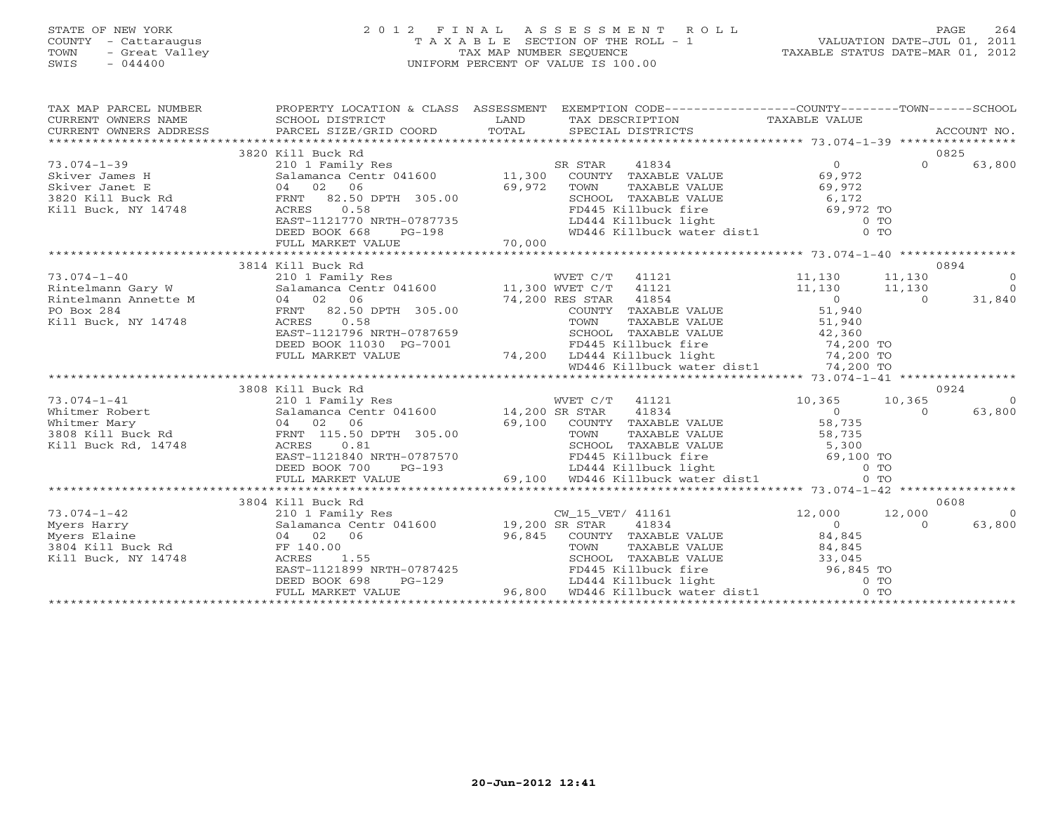#### STATE OF NEW YORK 2 0 1 2 F I N A L A S S E S S M E N T R O L L PAGE 264 COUNTY - Cattaraugus T A X A B L E SECTION OF THE ROLL - 1 VALUATION DATE-JUL 01, 2011 TOWN - Great Valley TAX MAP NUMBER SEQUENCE TAXABLE STATUS DATE-MAR 01, 2012 SWIS - 044400 UNIFORM PERCENT OF VALUE IS 100.00UNIFORM PERCENT OF VALUE IS 100.00

| TAX MAP PARCEL NUMBER                                                                                                                                                      | PROPERTY LOCATION & CLASS ASSESSMENT EXEMPTION CODE----------------COUNTY-------TOWN------SCHOOL                                                                                                                                 |        |                       |                                                                                                                                                                                                  |                          |          |           |
|----------------------------------------------------------------------------------------------------------------------------------------------------------------------------|----------------------------------------------------------------------------------------------------------------------------------------------------------------------------------------------------------------------------------|--------|-----------------------|--------------------------------------------------------------------------------------------------------------------------------------------------------------------------------------------------|--------------------------|----------|-----------|
|                                                                                                                                                                            |                                                                                                                                                                                                                                  |        |                       |                                                                                                                                                                                                  |                          |          |           |
|                                                                                                                                                                            | 3820 Kill Buck Rd                                                                                                                                                                                                                |        |                       |                                                                                                                                                                                                  |                          |          | 0825      |
| $73.074 - 1 - 39$                                                                                                                                                          | 210 1 Family Res<br>Salamanca Centr 041600 11,300                                                                                                                                                                                |        | SR STAR               | 41834                                                                                                                                                                                            | $\Omega$                 | $\Omega$ | 63,800    |
| 19.014-1-39<br>Skiver James H Salamaca Centr 041600<br>Skiver James H Salamaca Centr 041600<br>Skiver James H Salamaca Centr 041600<br>3820 Kill Buck, NY 14748 ACRES 0.58 |                                                                                                                                                                                                                                  |        |                       | COUNTY TAXABLE VALUE 69,972                                                                                                                                                                      |                          |          |           |
|                                                                                                                                                                            |                                                                                                                                                                                                                                  | 69,972 |                       | TOWN TAXABLE VALUE<br>SCHOOL TAXABLE VALUE<br>FD445 Killbuck fire<br>LD444 Killbuck light<br>WD446 Killbuck water dist1 0 TO                                                                     |                          |          |           |
|                                                                                                                                                                            |                                                                                                                                                                                                                                  |        |                       |                                                                                                                                                                                                  |                          |          |           |
|                                                                                                                                                                            |                                                                                                                                                                                                                                  |        |                       |                                                                                                                                                                                                  |                          |          |           |
|                                                                                                                                                                            | EAST-1121770 NRTH-0787735<br>DEED BOOK 668 PG-198                                                                                                                                                                                |        |                       |                                                                                                                                                                                                  |                          |          |           |
|                                                                                                                                                                            | DEED BOOK 668                                                                                                                                                                                                                    |        |                       |                                                                                                                                                                                                  |                          |          |           |
|                                                                                                                                                                            |                                                                                                                                                                                                                                  |        |                       |                                                                                                                                                                                                  |                          |          |           |
|                                                                                                                                                                            | 3814 Kill Buck Rd                                                                                                                                                                                                                |        |                       |                                                                                                                                                                                                  |                          |          | 0894      |
| $73.074 - 1 - 40$                                                                                                                                                          | 210 1 Family Res<br>Salamanca Centr 041600 11,300 WVET C/T 41121<br>04 02 06                                                                                                                                                     |        |                       | WVET C/T 41121 11,130                                                                                                                                                                            |                          | 11,130   | $\Omega$  |
|                                                                                                                                                                            |                                                                                                                                                                                                                                  |        |                       |                                                                                                                                                                                                  |                          | 11,130   | $\bigcap$ |
|                                                                                                                                                                            |                                                                                                                                                                                                                                  |        | 74,200 RES STAR 41854 |                                                                                                                                                                                                  | 11, 130<br>$11,130$<br>0 | $\cap$   | 31,840    |
| 73.074-1-40 210 1 Family<br>Rintelmann Gary W Salamanca Cer<br>Rintelmann Annette M 04 02 06<br>PO Box 284 FRNT 82.50<br>Kill Buck, NY 14748 ACRES 0.58                    | 82.50 DPTH 305.00                                                                                                                                                                                                                |        |                       | COUNTY TAXABLE VALUE 51,940                                                                                                                                                                      |                          |          |           |
|                                                                                                                                                                            | 0.58                                                                                                                                                                                                                             |        |                       |                                                                                                                                                                                                  |                          |          |           |
|                                                                                                                                                                            | EAST-1121796 NRTH-0787659                                                                                                                                                                                                        |        |                       |                                                                                                                                                                                                  |                          |          |           |
|                                                                                                                                                                            | DEED BOOK 11030 PG-7001                                                                                                                                                                                                          |        |                       |                                                                                                                                                                                                  |                          |          |           |
|                                                                                                                                                                            | FULL MARKET VALUE                                                                                                                                                                                                                |        |                       |                                                                                                                                                                                                  |                          |          |           |
|                                                                                                                                                                            |                                                                                                                                                                                                                                  |        |                       | TOWN TAXABLE VALUE<br>TOWN TAXABLE VALUE<br>SCHOOL TAXABLE VALUE<br>G-7001 74,200 LD444 Killbuck light 74,200 TO<br>WD446 Killbuck water dist1 74,200 TO<br>WD446 Killbuck water dist1 74,200 TO |                          |          |           |
|                                                                                                                                                                            |                                                                                                                                                                                                                                  |        |                       |                                                                                                                                                                                                  |                          |          |           |
|                                                                                                                                                                            | 3808 Kill Buck Rd                                                                                                                                                                                                                |        |                       |                                                                                                                                                                                                  |                          |          | 0924      |
| $73.074 - 1 - 41$                                                                                                                                                          | 210 1 Family Res                                                                                                                                                                                                                 |        | WVET C/T 41121        |                                                                                                                                                                                                  | 10,365                   | 10,365   | $\Omega$  |
|                                                                                                                                                                            |                                                                                                                                                                                                                                  |        |                       |                                                                                                                                                                                                  |                          | $\Omega$ | 63,800    |
|                                                                                                                                                                            |                                                                                                                                                                                                                                  |        |                       |                                                                                                                                                                                                  |                          |          |           |
|                                                                                                                                                                            |                                                                                                                                                                                                                                  |        |                       |                                                                                                                                                                                                  |                          |          |           |
|                                                                                                                                                                            |                                                                                                                                                                                                                                  |        |                       |                                                                                                                                                                                                  |                          |          |           |
|                                                                                                                                                                            |                                                                                                                                                                                                                                  |        |                       |                                                                                                                                                                                                  |                          |          |           |
|                                                                                                                                                                            |                                                                                                                                                                                                                                  |        |                       |                                                                                                                                                                                                  |                          |          |           |
|                                                                                                                                                                            | EAST-1121840 NRTH-0787570<br>EED BOOK 700 PG-193 beed at the compact of the compact of the compact of the compact of the compact of the compact of the compact of the compact of the compact of the compact of the compact of th |        |                       |                                                                                                                                                                                                  |                          |          |           |
|                                                                                                                                                                            | 3804 Kill Buck Rd                                                                                                                                                                                                                |        |                       |                                                                                                                                                                                                  |                          |          | 0608      |
| $73.074 - 1 - 42$                                                                                                                                                          |                                                                                                                                                                                                                                  |        | CW_15_VET/ 41161      |                                                                                                                                                                                                  | $12,000$ $12,000$        |          | $\cap$    |
| 73.074-1-42<br>Myers Harry Salamanca<br>Myers Elaine 04 02<br>3804 Kill Buck Rd FF 140.00<br>Kill Buck, NY 14748 ACRES                                                     |                                                                                                                                                                                                                                  |        |                       | 41834                                                                                                                                                                                            | $\Omega$                 | $\Omega$ | 63,800    |
|                                                                                                                                                                            | 96,845<br>04 02 06                                                                                                                                                                                                               |        |                       | COUNTY TAXABLE VALUE 84,845                                                                                                                                                                      |                          |          |           |
|                                                                                                                                                                            |                                                                                                                                                                                                                                  |        |                       |                                                                                                                                                                                                  |                          |          |           |
|                                                                                                                                                                            |                                                                                                                                                                                                                                  |        |                       |                                                                                                                                                                                                  |                          |          |           |
|                                                                                                                                                                            |                                                                                                                                                                                                                                  |        |                       |                                                                                                                                                                                                  |                          |          |           |
|                                                                                                                                                                            |                                                                                                                                                                                                                                  |        |                       |                                                                                                                                                                                                  |                          |          |           |
|                                                                                                                                                                            |                                                                                                                                                                                                                                  |        |                       |                                                                                                                                                                                                  |                          |          |           |
|                                                                                                                                                                            |                                                                                                                                                                                                                                  |        |                       |                                                                                                                                                                                                  |                          |          |           |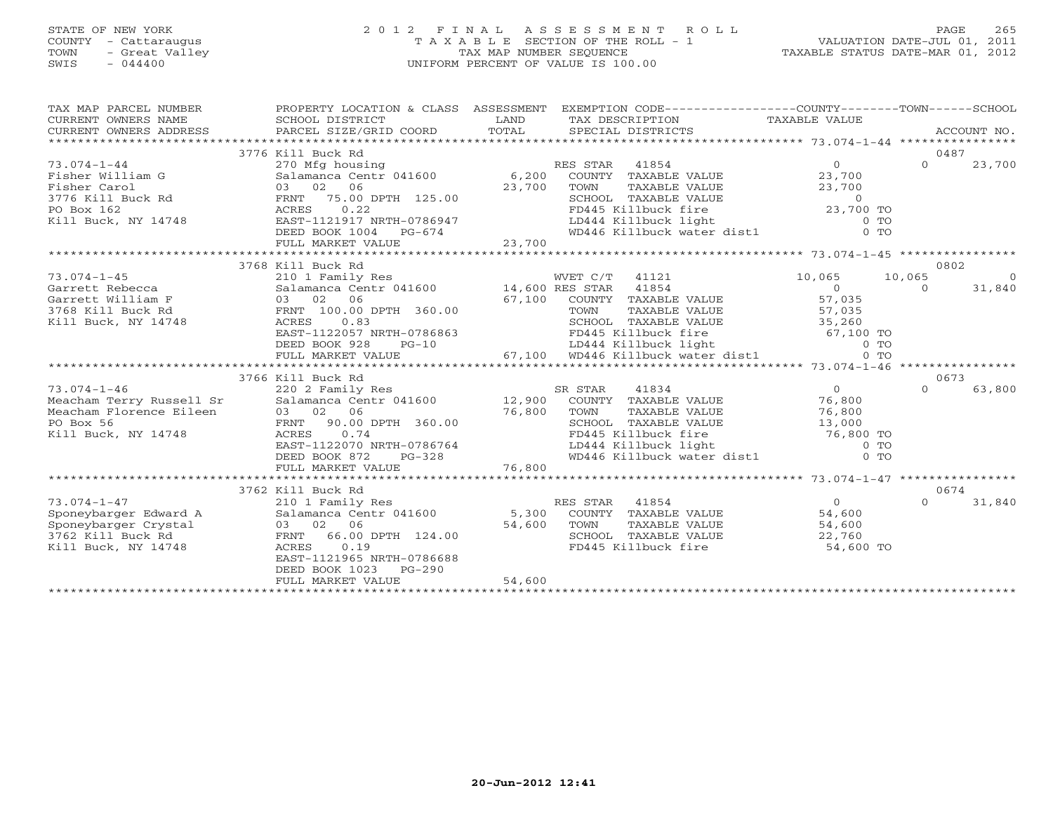# STATE OF NEW YORK 2 0 1 2 F I N A L A S S E S S M E N T R O L L PAGE 265 COUNTY - Cattaraugus T A X A B L E SECTION OF THE ROLL - 1 VALUATION DATE-JUL 01, 2011 TOWN - Great Valley TAX MAP NUMBER SEQUENCE TAXABLE STATUS DATE-MAR 01, 2012 SWIS - 044400 UNIFORM PERCENT OF VALUE IS 100.00

| TAX MAP PARCEL NUMBER<br>CURRENT OWNERS NAME<br>CURRENT OWNERS ADDRESS                                          | PROPERTY LOCATION & CLASS ASSESSMENT<br>SCHOOL DISTRICT<br>PARCEL SIZE/GRID COORD                                                                                                                                  | LAND<br>TOTAL                   | EXEMPTION CODE-----------------COUNTY-------TOWN------SCHOOL<br>TAX DESCRIPTION TAXABLE VALUE<br>SPECIAL DISTRICTS                                                                                            |                              |                            | ACCOUNT NO.        |
|-----------------------------------------------------------------------------------------------------------------|--------------------------------------------------------------------------------------------------------------------------------------------------------------------------------------------------------------------|---------------------------------|---------------------------------------------------------------------------------------------------------------------------------------------------------------------------------------------------------------|------------------------------|----------------------------|--------------------|
| $73.074 - 1 - 44$<br>Fisher William G<br>Fisher Carol<br>3776 Kill Buck Rd<br>PO Box 162<br>Kill Buck, NY 14748 | 3776 Kill Buck Rd<br>270 Mfg housing<br>Salamanca Centr 041600 6,200<br>03 02<br>06<br>75.00 DPTH 125.00<br>FRNT<br>0.22<br>ACRES<br>EAST-1121917 NRTH-0786947<br>DEED BOOK 1004<br>PG-674<br>FULL MARKET VALUE    | 23,700<br>23,700                | RES STAR 41854<br>ES STAR 41854<br>COUNTY TAXABLE VALUE<br>COWN TAXABLE VALUE<br>TOWN TAXABLE VALUE<br>SCHOOL TAXABLE VALUE<br>FD445 Killbuck fire<br>LD444 Killbuck light<br>WD446 Killbuck water dist1 0 TO | $\Omega$<br>23,700           | 0487<br>$\Omega$           | 23,700             |
|                                                                                                                 |                                                                                                                                                                                                                    |                                 |                                                                                                                                                                                                               |                              |                            |                    |
| $73.074 - 1 - 45$<br>Garrett Rebecca                                                                            | 3768 Kill Buck Rd<br>210 1 Family Res<br>Salamanca Centr 041600 14,600 RES STAR                                                                                                                                    |                                 | WVET C/T 41121<br>41854                                                                                                                                                                                       | 10,065<br>$\Omega$           | 0802<br>10,065<br>$\Omega$ | $\Omega$<br>31,840 |
| Garrett William F<br>3768 Kill Buck Rd<br>Kill Buck, NY 14748                                                   | 03 02 06<br>FRNT 100.00 DPTH 360.00<br>0.83<br>ACRES<br>EAST-1122057 NRTH-0786863<br>DEED BOOK 928<br>$PG-10$<br>FULL MARKET VALUE                                                                                 | $57,100$<br>$\overline{57,100}$ | COUNTY TAXABLE VALUE<br>TOWN<br>TAXABLE VALUE<br>SCHOOL TAXABLE VALUE<br>CONCORRECTED MANUSCRIPS (1994)<br>FD444 Killbuck light 67,100 TO<br>67,100 WD446 Killbuck water dist1 0 TO                           | 57,035<br>57,035<br>35,260   |                            |                    |
|                                                                                                                 |                                                                                                                                                                                                                    |                                 |                                                                                                                                                                                                               |                              |                            |                    |
| $73.074 - 1 - 46$<br>Meacham Terry Russell Sr<br>Meacham Florence Eileen<br>PO Box 56<br>Kill Buck, NY 14748    | 3766 Kill Buck Rd<br>220 2 Family Res<br>Salamanca Centr 041600 12,900<br>03 02<br>06<br>90.00 DPTH 360.00<br>FRNT<br>ACRES<br>0.74<br>EAST-1122070 NRTH-0786764<br>DEED BOOK 872<br>$PG-328$<br>FULL MARKET VALUE | 76,800<br>76,800                | SR STAR<br>41834<br>COUNTY TAXABLE VALUE<br>TOWN<br>TAXABLE VALUE<br>SCHOOL TAXABLE VALUE<br>FD445 Killbuck fire<br>LD444 Killbuck light<br>WD446 Killbuck water dist1 0 TO                                   | $\Omega$<br>76,800<br>76,800 | 0673<br>$\Omega$           | 63,800             |
|                                                                                                                 | 3762 Kill Buck Rd                                                                                                                                                                                                  |                                 |                                                                                                                                                                                                               |                              | 0674                       |                    |
| $73.074 - 1 - 47$<br>Sponeybarger Edward A<br>Sponeybarger Crystal<br>3762 Kill Buck Rd<br>Kill Buck, NY 14748  | 210 1 Family Res<br>Salamanca Centr 041600 5,300<br>03 02 06<br>FRNT 66.00<br>FRNT 66.00 DPTH 124.00<br>0.19<br>ACRES<br>EAST-1121965 NRTH-0786688<br>DEED BOOK 1023<br>$PG-290$<br>FULL MARKET VALUE              | 54,600<br>54,600                | RES STAR 41854<br>COUNTY TAXABLE VALUE<br>TOWN<br>TAXABLE VALUE<br>SCHOOL TAXABLE VALUE 22,760<br>FD445 Killbuck fire 54,600 TO                                                                               | $\Omega$<br>54,600<br>54,600 | $\Omega$                   | 31,840             |
|                                                                                                                 |                                                                                                                                                                                                                    |                                 |                                                                                                                                                                                                               |                              |                            |                    |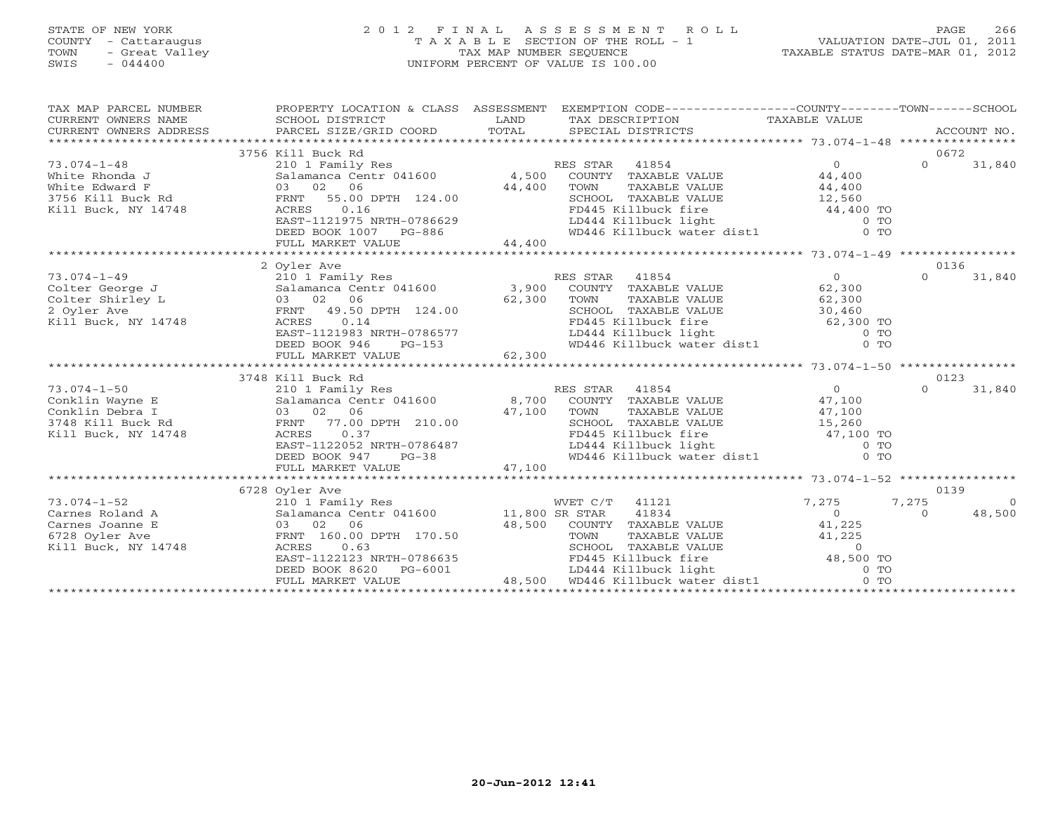# STATE OF NEW YORK 2 0 1 2 F I N A L A S S E S S M E N T R O L L PAGE 266 COUNTY - Cattaraugus T A X A B L E SECTION OF THE ROLL - 1 VALUATION DATE-JUL 01, 2011 TOWN - Great Valley TAX MAP NUMBER SEQUENCE TAXABLE STATUS DATE-MAR 01, 2012 SWIS - 044400 UNIFORM PERCENT OF VALUE IS 100.00

|                                                                                                                                                                                                                                        | 3756 Kill Buck Rd                                                                                                                                                                                                                   |                                                                                                                                                           |                | 0672                       |
|----------------------------------------------------------------------------------------------------------------------------------------------------------------------------------------------------------------------------------------|-------------------------------------------------------------------------------------------------------------------------------------------------------------------------------------------------------------------------------------|-----------------------------------------------------------------------------------------------------------------------------------------------------------|----------------|----------------------------|
| 73.074-1-48<br>White Rhonda J<br>White Edward F<br>3756 Kill Buck Rd<br>Kill Buck, NY 14748<br>RNT 55.00 DPTH 124.00<br>RNT 55.00 DPTH 124.00<br>RNT 55.00 DPTH 124.00<br>RNT 55.00 DPTH 124.00                                        |                                                                                                                                                                                                                                     |                                                                                                                                                           | $\overline{0}$ | $\Omega$<br>31,840         |
|                                                                                                                                                                                                                                        |                                                                                                                                                                                                                                     | COUNTY TAXABLE VALUE 44,400                                                                                                                               |                |                            |
|                                                                                                                                                                                                                                        |                                                                                                                                                                                                                                     |                                                                                                                                                           |                |                            |
|                                                                                                                                                                                                                                        |                                                                                                                                                                                                                                     |                                                                                                                                                           |                |                            |
|                                                                                                                                                                                                                                        |                                                                                                                                                                                                                                     |                                                                                                                                                           |                |                            |
|                                                                                                                                                                                                                                        |                                                                                                                                                                                                                                     | TOWN TAXABLE VALUE<br>SCHOOL TAXABLE VALUE<br>FD445 Killbuck fire<br>LD444 Killbuck light<br>WD446 Killbuck water dist1 0 TO                              |                |                            |
|                                                                                                                                                                                                                                        |                                                                                                                                                                                                                                     |                                                                                                                                                           |                |                            |
|                                                                                                                                                                                                                                        | 33 02 06 44,400<br>FRNT 55.00 DPTH 124.00<br>ACRES 0.16<br>EAST-1121975 NRTH-0786629<br>DEED BOOK 1007 PG-886<br>FULL MARKET VALUE                                                                                                  |                                                                                                                                                           |                |                            |
|                                                                                                                                                                                                                                        |                                                                                                                                                                                                                                     |                                                                                                                                                           |                |                            |
|                                                                                                                                                                                                                                        | 2 Oyler Ave                                                                                                                                                                                                                         |                                                                                                                                                           |                | 0136                       |
| 73.074-1-49<br>Colter George J<br>Colter Shirley L<br>Colter Shirley L<br>2 Oyler Ave BRIT 24.00<br>2 Oyler Ave FRNT 49.50 DPTH 124.00<br>Kill Buck, NY 14748<br>COLTER 110.14<br>RES 110.14<br>ACRES 110.14<br>TRNT 49.50 DPTH 124.00 |                                                                                                                                                                                                                                     | ES STAR 41854 0<br>COUNTY TAXABLE VALUE 62,300<br>RES STAR 41854                                                                                          |                | $\Omega$<br>31,840         |
|                                                                                                                                                                                                                                        |                                                                                                                                                                                                                                     |                                                                                                                                                           |                |                            |
|                                                                                                                                                                                                                                        |                                                                                                                                                                                                                                     |                                                                                                                                                           |                |                            |
|                                                                                                                                                                                                                                        |                                                                                                                                                                                                                                     |                                                                                                                                                           |                |                            |
|                                                                                                                                                                                                                                        |                                                                                                                                                                                                                                     |                                                                                                                                                           |                |                            |
|                                                                                                                                                                                                                                        |                                                                                                                                                                                                                                     |                                                                                                                                                           |                |                            |
|                                                                                                                                                                                                                                        | EAST-1121983 NRTH-0786577<br>DEED BOOK 946 PG-153<br>FULL MARKET VALUE 62,300                                                                                                                                                       | TOWN TAXABLE VALUE 62,300<br>SCHOOL TAXABLE VALUE 62,300<br>FD445 Killbuck fire 62,300 TO<br>LD444 Killbuck light 0 TO<br>WD446 Killbuck water dist1 0 TO |                |                            |
|                                                                                                                                                                                                                                        |                                                                                                                                                                                                                                     |                                                                                                                                                           |                |                            |
|                                                                                                                                                                                                                                        |                                                                                                                                                                                                                                     |                                                                                                                                                           |                |                            |
|                                                                                                                                                                                                                                        |                                                                                                                                                                                                                                     |                                                                                                                                                           |                | 0123<br>$\Omega$<br>31,840 |
|                                                                                                                                                                                                                                        |                                                                                                                                                                                                                                     | ES STAR 41854 (0)<br>COUNTY TAXABLE VALUE (47,100)                                                                                                        |                |                            |
|                                                                                                                                                                                                                                        |                                                                                                                                                                                                                                     |                                                                                                                                                           |                |                            |
|                                                                                                                                                                                                                                        |                                                                                                                                                                                                                                     |                                                                                                                                                           |                |                            |
|                                                                                                                                                                                                                                        |                                                                                                                                                                                                                                     |                                                                                                                                                           |                |                            |
|                                                                                                                                                                                                                                        |                                                                                                                                                                                                                                     |                                                                                                                                                           |                |                            |
|                                                                                                                                                                                                                                        |                                                                                                                                                                                                                                     | TOWN TAXABLE VALUE 47,100<br>SCHOOL TAXABLE VALUE 15,260<br>FD445 Killbuck fire 47,100 TO<br>LD444 Killbuck light 0 TO<br>WD446 Killbuck water dist1 0 TO |                |                            |
|                                                                                                                                                                                                                                        |                                                                                                                                                                                                                                     |                                                                                                                                                           |                |                            |
|                                                                                                                                                                                                                                        |                                                                                                                                                                                                                                     |                                                                                                                                                           |                |                            |
|                                                                                                                                                                                                                                        | 6728 Oyler Ave                                                                                                                                                                                                                      |                                                                                                                                                           |                | 0139                       |
|                                                                                                                                                                                                                                        |                                                                                                                                                                                                                                     | WVET C/T 41121                                                                                                                                            | 7,275          | 7,275<br>$\bigcirc$        |
|                                                                                                                                                                                                                                        |                                                                                                                                                                                                                                     | 41834                                                                                                                                                     | $\Omega$       | 48,500<br>$\Omega$         |
|                                                                                                                                                                                                                                        |                                                                                                                                                                                                                                     |                                                                                                                                                           |                |                            |
|                                                                                                                                                                                                                                        |                                                                                                                                                                                                                                     |                                                                                                                                                           |                |                            |
|                                                                                                                                                                                                                                        |                                                                                                                                                                                                                                     |                                                                                                                                                           |                |                            |
|                                                                                                                                                                                                                                        |                                                                                                                                                                                                                                     |                                                                                                                                                           |                |                            |
|                                                                                                                                                                                                                                        |                                                                                                                                                                                                                                     |                                                                                                                                                           |                |                            |
|                                                                                                                                                                                                                                        | THE SUGAR BUCK COUNTY TAXABLE VALUE<br>THE SUGAR BUCK, NY 14748 PRINT 160.00 DPTH 170.50 48,500 COUNTY TAXABLE VALUE<br>28 Oyler Ave FRNT 160.00 DPTH 170.50 TOWN TAXABLE VALUE 41,225<br>28 Oyler Ave FRNT 160.00 DPTH 170.50 TOWN |                                                                                                                                                           |                |                            |
|                                                                                                                                                                                                                                        |                                                                                                                                                                                                                                     |                                                                                                                                                           |                |                            |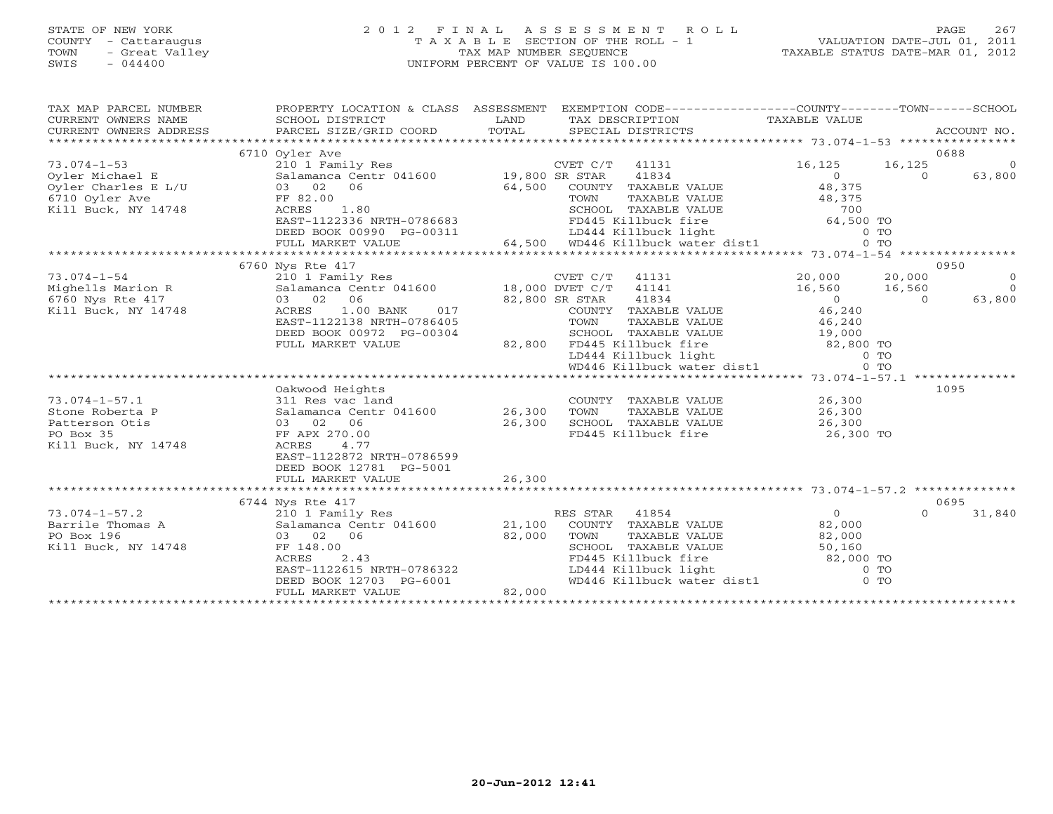#### STATE OF NEW YORK 2 0 1 2 F I N A L A S S E S S M E N T R O L L PAGE 267 COUNTY - Cattaraugus T A X A B L E SECTION OF THE ROLL - 1 VALUATION DATE-JUL 01, 2011 TOWN - Great Valley TAX MAP NUMBER SEQUENCE TAXABLE STATUS DATE-MAR 01, 2012 SWIS - 044400 UNIFORM PERCENT OF VALUE IS 100.00UNIFORM PERCENT OF VALUE IS 100.00

| TAX MAP PARCEL NUMBER<br>$\begin{tabular}{lllllll} \multicolumn{2}{c}{\textbf{CURRENT}} & \multicolumn{2}{c}{\textbf{WMERS}} & \multicolumn{2}{c}{\textbf{NAME}} & \multicolumn{2}{c}{\textbf{CURRENT}} & \multicolumn{2}{c}{\textbf{WMERS}} & \multicolumn{2}{c}{\textbf{NAME}} & \multicolumn{2}{c}{\textbf{NAME}} & \multicolumn{2}{c}{\textbf{NAME}} & \multicolumn{2}{c}{\textbf{NAME}} & \multicolumn{2}{c}{\textbf{NAME}} & \multicolumn{2}{c}{\textbf{NAME}} & \multicolumn{2}{$ | PROPERTY LOCATION & CLASS ASSESSMENT EXEMPTION CODE----------------COUNTY-------TOWN------SCHOOL |        |                |                                                            |                                                                                                                              |          |                |
|------------------------------------------------------------------------------------------------------------------------------------------------------------------------------------------------------------------------------------------------------------------------------------------------------------------------------------------------------------------------------------------------------------------------------------------------------------------------------------------|--------------------------------------------------------------------------------------------------|--------|----------------|------------------------------------------------------------|------------------------------------------------------------------------------------------------------------------------------|----------|----------------|
|                                                                                                                                                                                                                                                                                                                                                                                                                                                                                          |                                                                                                  |        |                |                                                            |                                                                                                                              |          |                |
|                                                                                                                                                                                                                                                                                                                                                                                                                                                                                          | 6710 Oyler Ave                                                                                   |        |                |                                                            |                                                                                                                              |          | 0688           |
| $73.074 - 1 - 53$                                                                                                                                                                                                                                                                                                                                                                                                                                                                        | 210 1 Family Res                                                                                 |        | CVET C/T 41131 |                                                            | 16, 125                                                                                                                      | 16,125   | $\overline{0}$ |
|                                                                                                                                                                                                                                                                                                                                                                                                                                                                                          |                                                                                                  |        |                | 41834                                                      | $\begin{array}{c}\n0 \\ 48\n\end{array}$                                                                                     | $\Omega$ | 63,800         |
| Oyler Michael E and Salamanca Centr <sup>o</sup> 041600 19,800 SR STAR<br>Oyler Charles E L/U 03 02 06 64,500 COUNTY<br>6710 Oyler Ave FF 82.00 FC RE                                                                                                                                                                                                                                                                                                                                    |                                                                                                  |        |                | COUNTY TAXABLE VALUE                                       |                                                                                                                              |          |                |
|                                                                                                                                                                                                                                                                                                                                                                                                                                                                                          |                                                                                                  |        |                |                                                            |                                                                                                                              |          |                |
| Kill Buck, NY 14748                                                                                                                                                                                                                                                                                                                                                                                                                                                                      |                                                                                                  |        |                |                                                            |                                                                                                                              |          |                |
|                                                                                                                                                                                                                                                                                                                                                                                                                                                                                          |                                                                                                  |        |                |                                                            |                                                                                                                              |          |                |
|                                                                                                                                                                                                                                                                                                                                                                                                                                                                                          |                                                                                                  |        |                |                                                            |                                                                                                                              |          |                |
|                                                                                                                                                                                                                                                                                                                                                                                                                                                                                          |                                                                                                  |        |                |                                                            |                                                                                                                              |          |                |
|                                                                                                                                                                                                                                                                                                                                                                                                                                                                                          |                                                                                                  |        |                |                                                            |                                                                                                                              |          |                |
|                                                                                                                                                                                                                                                                                                                                                                                                                                                                                          | 6760 Nys Rte 417                                                                                 |        |                |                                                            |                                                                                                                              |          | 0950           |
| $73.074 - 1 - 54$<br>73.074-1-54<br>Mighells Marion R<br>6760 Nys Rte 417                                                                                                                                                                                                                                                                                                                                                                                                                | $210$ 1 Family Res<br>Salamanca Centr 041600 18,000 DVET C/T 41141                               |        |                |                                                            | $\begin{array}{cc} 20,000 & 20,000 \ 16,560 & 16,560 \ 0 & 0 \end{array}$                                                    |          | $\overline{0}$ |
|                                                                                                                                                                                                                                                                                                                                                                                                                                                                                          |                                                                                                  |        |                |                                                            |                                                                                                                              |          | $\bigcirc$     |
|                                                                                                                                                                                                                                                                                                                                                                                                                                                                                          | 03 02 06                                                                                         |        | 82,800 SR STAR | 41834                                                      |                                                                                                                              |          | 63,800         |
| Kill Buck, NY 14748                                                                                                                                                                                                                                                                                                                                                                                                                                                                      | $1.00$ BANK<br>ACRES<br>017                                                                      |        |                | COUNTY TAXABLE VALUE $46,240$                              |                                                                                                                              |          |                |
|                                                                                                                                                                                                                                                                                                                                                                                                                                                                                          | EAST-1122138 NRTH-0786405                                                                        |        |                | TOWN TAXABLE VALUE 46, 240<br>SCHOOL TAXABLE VALUE 19, 000 |                                                                                                                              |          |                |
|                                                                                                                                                                                                                                                                                                                                                                                                                                                                                          | DEED BOOK 00972 PG-00304                                                                         |        |                |                                                            |                                                                                                                              |          |                |
|                                                                                                                                                                                                                                                                                                                                                                                                                                                                                          | FULL MARKET VALUE                                                                                |        |                |                                                            |                                                                                                                              |          |                |
|                                                                                                                                                                                                                                                                                                                                                                                                                                                                                          |                                                                                                  |        |                |                                                            | 82,800 FD445 Killbuck fire 62,800 TO<br>LD444 Killbuck light 62,800 TO<br>WD446 Killbuck water dist1 0 TO                    |          |                |
|                                                                                                                                                                                                                                                                                                                                                                                                                                                                                          |                                                                                                  |        |                |                                                            |                                                                                                                              |          |                |
|                                                                                                                                                                                                                                                                                                                                                                                                                                                                                          |                                                                                                  |        |                |                                                            |                                                                                                                              |          |                |
|                                                                                                                                                                                                                                                                                                                                                                                                                                                                                          | Oakwood Heights                                                                                  |        |                |                                                            |                                                                                                                              |          | 1095           |
| $73.074 - 1 - 57.1$                                                                                                                                                                                                                                                                                                                                                                                                                                                                      | 311 Res vac land                                                                                 |        |                | COUNTY TAXABLE VALUE 26,300                                |                                                                                                                              |          |                |
| Stone Roberta P                                                                                                                                                                                                                                                                                                                                                                                                                                                                          | Salamanca Centr 041600 26,300                                                                    |        | TOWN           | TAXABLE VALUE                                              | 26,300<br>26,300                                                                                                             |          |                |
| Patterson Otis                                                                                                                                                                                                                                                                                                                                                                                                                                                                           | 03 02 06                                                                                         | 26,300 |                |                                                            |                                                                                                                              |          |                |
| PO Box 35                                                                                                                                                                                                                                                                                                                                                                                                                                                                                | FF APX 270.00                                                                                    |        |                |                                                            |                                                                                                                              |          |                |
| Kill Buck, NY 14748                                                                                                                                                                                                                                                                                                                                                                                                                                                                      | ACRES<br>4.77                                                                                    |        |                |                                                            |                                                                                                                              |          |                |
|                                                                                                                                                                                                                                                                                                                                                                                                                                                                                          | EAST-1122872 NRTH-0786599                                                                        |        |                |                                                            |                                                                                                                              |          |                |
|                                                                                                                                                                                                                                                                                                                                                                                                                                                                                          | DEED BOOK 12781 PG-5001                                                                          |        |                |                                                            |                                                                                                                              |          |                |
|                                                                                                                                                                                                                                                                                                                                                                                                                                                                                          | FULL MARKET VALUE                                                                                | 26,300 |                |                                                            |                                                                                                                              |          |                |
|                                                                                                                                                                                                                                                                                                                                                                                                                                                                                          |                                                                                                  |        |                |                                                            |                                                                                                                              |          |                |
|                                                                                                                                                                                                                                                                                                                                                                                                                                                                                          | 6744 Nys Rte 417                                                                                 |        |                |                                                            |                                                                                                                              |          | 0695           |
| $73.074 - 1 - 57.2$                                                                                                                                                                                                                                                                                                                                                                                                                                                                      | 210 1 Family Res                                                                                 |        | RES STAR 41854 |                                                            | $\overline{0}$                                                                                                               | $\Omega$ | 31,840         |
| Barrile Thomas A                                                                                                                                                                                                                                                                                                                                                                                                                                                                         | Salamanca Centr 041600 21,100 COUNTY TAXABLE VALUE                                               |        |                |                                                            | 82,000                                                                                                                       |          |                |
| PO Box 196                                                                                                                                                                                                                                                                                                                                                                                                                                                                               | 03 02 06                                                                                         | 82,000 | TOWN           | TAXABLE VALUE 82,000                                       |                                                                                                                              |          |                |
| Kill Buck, NY 14748                                                                                                                                                                                                                                                                                                                                                                                                                                                                      | FF 148.00                                                                                        |        |                |                                                            | SCHOOL TAXABLE VALUE 50,160<br>FD445 Killbuck fire 82,000 TO<br>LD444 Killbuck light 0 TO<br>WD446 Killbuck water dist1 0 TO |          |                |
|                                                                                                                                                                                                                                                                                                                                                                                                                                                                                          | 2.43<br>ACRES                                                                                    |        |                |                                                            |                                                                                                                              |          |                |
|                                                                                                                                                                                                                                                                                                                                                                                                                                                                                          | EAST-1122615 NRTH-0786322                                                                        |        |                |                                                            |                                                                                                                              |          |                |
|                                                                                                                                                                                                                                                                                                                                                                                                                                                                                          | DEED BOOK 12703 PG-6001<br>FIILL MARKET VALUE 82,000                                             |        |                |                                                            |                                                                                                                              |          |                |
|                                                                                                                                                                                                                                                                                                                                                                                                                                                                                          |                                                                                                  |        |                |                                                            |                                                                                                                              |          |                |
|                                                                                                                                                                                                                                                                                                                                                                                                                                                                                          |                                                                                                  |        |                |                                                            |                                                                                                                              |          |                |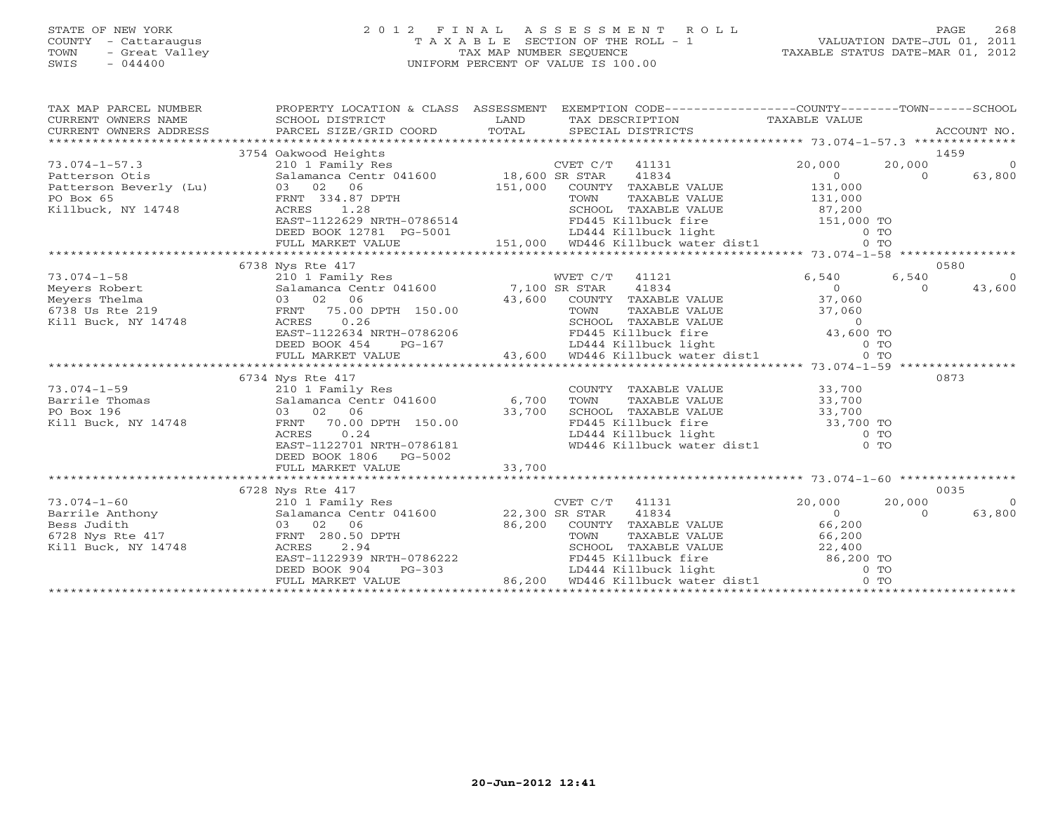## STATE OF NEW YORK 2 0 1 2 F I N A L A S S E S S M E N T R O L L PAGE 268 COUNTY - Cattaraugus T A X A B L E SECTION OF THE ROLL - 1 VALUATION DATE-JUL 01, 2011 TOWN - Great Valley TAX MAP NUMBER SEQUENCE TAXABLE STATUS DATE-MAR 01, 2012 SWIS - 044400 UNIFORM PERCENT OF VALUE IS 100.00

| TAX MAP PARCEL NUMBER                                   | PROPERTY LOCATION & CLASS ASSESSMENT EXEMPTION CODE-----------------COUNTY-------TOWN------SCHOOL                                                                                                                                                                                                                                                                                                          |        |                                                                                                                                                                                          |                                                   |                          |
|---------------------------------------------------------|------------------------------------------------------------------------------------------------------------------------------------------------------------------------------------------------------------------------------------------------------------------------------------------------------------------------------------------------------------------------------------------------------------|--------|------------------------------------------------------------------------------------------------------------------------------------------------------------------------------------------|---------------------------------------------------|--------------------------|
|                                                         | 3754 Oakwood Heights                                                                                                                                                                                                                                                                                                                                                                                       |        | CVET C/T 41131                                                                                                                                                                           | 20,000<br>20,000                                  | 1459<br>$\overline{0}$   |
|                                                         | VET C/T<br>Patterson Otis<br>Patterson Beverly (Lu)<br>Po Box 65<br>FRNT 334.87 DPTH<br>RILDuck, NY 14748<br>Po Box 65<br>FRNT 334.87 DPTH<br>COUNTY<br>RILDuck, NY 14748<br>RILDUCK, NY 14748<br>PO BOX 65<br>PO BOX 65<br>PO BOX 65<br>PO BOX 65<br>PO ACR                                                                                                                                               |        | 41834<br>COUNTY TAXABLE VALUE 131,000                                                                                                                                                    | $\overline{0}$<br>$\Omega$                        | 63,800                   |
|                                                         |                                                                                                                                                                                                                                                                                                                                                                                                            |        |                                                                                                                                                                                          |                                                   |                          |
|                                                         | 6738 Nys Rte 417                                                                                                                                                                                                                                                                                                                                                                                           |        |                                                                                                                                                                                          |                                                   | 0580                     |
| $73.074 - 1 - 58$<br>Meyers Robert                      |                                                                                                                                                                                                                                                                                                                                                                                                            |        |                                                                                                                                                                                          | 6,540<br>6,540<br>$\overline{0}$<br>$\Omega$      | $\overline{0}$<br>43,600 |
| Meyers Thelma<br>6738 Us Rte 219<br>Kill Buck, NY 14748 | 6/38 Nys Rte 41/<br>210 1 Family Res<br>31 Salamanca Centr 041600 7,100 SR STAR 41834<br>03 02 06 43,600 COUNTY TAXABLE<br>14748 ACRES 0.26 5CHOOL TAXABLE<br>219<br>219 FRNT 75.00 DPTH 150.00<br>219 FRNT 75.00 DPTH 150.00<br>26 EAST-1122634 NRTH-0786206<br>EED BOOK 454 PG-167 LD444 Killbuck light 6 TO LAXABLE VALUE<br>21,000 CONNITIAXABLE VALUE<br>21,000 CONNITIAXABLE VALUE 37,000<br>237,000 |        | COUNTY TAXABLE VALUE 37,060                                                                                                                                                              |                                                   |                          |
|                                                         |                                                                                                                                                                                                                                                                                                                                                                                                            |        |                                                                                                                                                                                          |                                                   |                          |
|                                                         | 6734 Nys Rte 417<br>73.074-1-59<br>Barrile Thomas<br>PO Box 196<br>Family Res<br>Salamanca Centr 041600 6,700<br>PO Box 196<br>CO 33,700<br>FRNT 70.00 DPTH 150.00<br>CO 33,700<br>RENT 70.00 DPTH 150.00<br>EAST-1122701 NRTH-0786181                                                                                                                                                                     |        | COUNTY TAXABLE VALUE 33,700<br>TOWN TAXABLE VALUE 33,700<br>SCHOOL TAXABLE VALUE 33,700<br>FD445 Killbuck fire 33,700 TO<br>LD444 Killbuck light 0 TO<br>WD446 Killbuck water dist1 0 TO |                                                   | 0873                     |
|                                                         | DEED BOOK 1806 PG-5002<br>FULL MARKET VALUE                                                                                                                                                                                                                                                                                                                                                                | 33,700 |                                                                                                                                                                                          |                                                   |                          |
|                                                         | 6728 Nys Rte 417                                                                                                                                                                                                                                                                                                                                                                                           |        |                                                                                                                                                                                          |                                                   | 0035                     |
| $73.074 - 1 - 60$                                       | 210 1 Family Res<br>3 Judith 1011y<br>1 Buck, NY 14748 (ACRES 2.94<br>1 Buck, NY 14748 (ACRES 2.94<br>EAST-1122939 NRTH-0786222<br>EED BOOK 904 PG-303 (BOUNTY TAXABLE VALUE 66,200<br>EED BOOK 904 PG-303 (BOOK 304 PG-303 (BD444 Killbuck light 0 TO<br>22,4                                                                                                                                             |        | CVET C/T 41131 20,00<br>SR STAR 41834                                                                                                                                                    | 20,000<br>20,000<br>$0 \qquad \qquad$<br>$\Omega$ | $\overline{0}$<br>63,800 |
|                                                         |                                                                                                                                                                                                                                                                                                                                                                                                            |        |                                                                                                                                                                                          |                                                   |                          |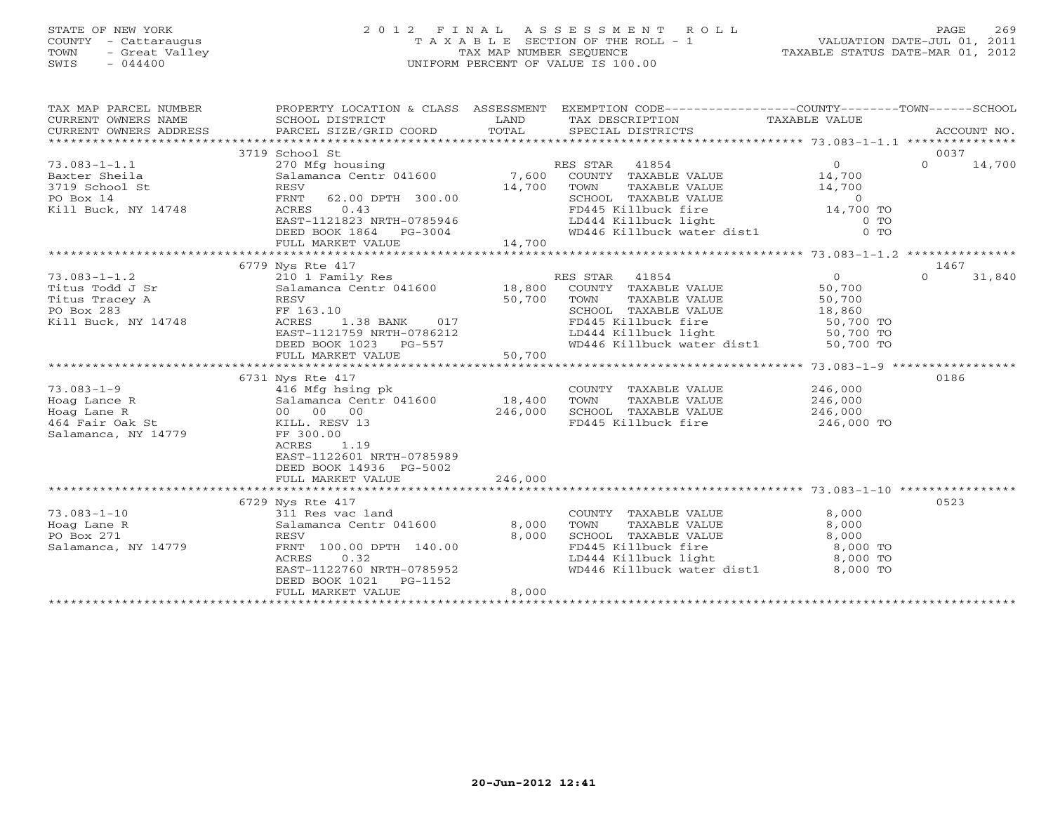# STATE OF NEW YORK 2 0 1 2 F I N A L A S S E S S M E N T R O L L PAGE 269 COUNTY - Cattaraugus T A X A B L E SECTION OF THE ROLL - 1 VALUATION DATE-JUL 01, 2011 TOWN - Great Valley TAX MAP NUMBER SEQUENCE TAXABLE STATUS DATE-MAR 01, 2012 SWIS - 044400 UNIFORM PERCENT OF VALUE IS 100.00

| TAX MAP PARCEL NUMBER<br>CURRENT OWNERS NAME<br>CURRENT OWNERS ADDRESS | PROPERTY LOCATION & CLASS ASSESSMENT<br>SCHOOL DISTRICT<br>PARCEL SIZE/GRID COORD | LAND<br>TOTAL |                | TAX DESCRIPTION TAXABLE VALUE SPECIAL DISTRICTS | EXEMPTION CODE-----------------COUNTY-------TOWN------SCHOOL                                     |          | ACCOUNT NO. |
|------------------------------------------------------------------------|-----------------------------------------------------------------------------------|---------------|----------------|-------------------------------------------------|--------------------------------------------------------------------------------------------------|----------|-------------|
|                                                                        | 3719 School St                                                                    |               |                |                                                 |                                                                                                  | 0037     |             |
| $73.083 - 1 - 1.1$                                                     | 270 Mfg housing                                                                   |               | RES STAR 41854 |                                                 | $\Omega$                                                                                         | $\Omega$ | 14,700      |
| Baxter Sheila                                                          | Salamanca Centr 041600 7,600                                                      |               |                | COUNTY TAXABLE VALUE                            | 14,700                                                                                           |          |             |
| 3719 School St                                                         | RESV                                                                              | 14,700        | TOWN           | TAXABLE VALUE                                   | 14,700                                                                                           |          |             |
| PO Box 14                                                              | FRNT 62.00 DPTH 300.00                                                            |               |                |                                                 |                                                                                                  |          |             |
| Kill Buck, NY 14748                                                    | ACRES<br>0.43                                                                     |               |                |                                                 | SCHOOL TAXABLE VALUE 0<br>FD445 Killbuck fire 14,700 TO                                          |          |             |
|                                                                        | EAST-1121823 NRTH-0785946                                                         |               |                |                                                 |                                                                                                  |          |             |
|                                                                        | DEED BOOK 1864 PG-3004                                                            |               |                |                                                 |                                                                                                  |          |             |
|                                                                        | FULL MARKET VALUE                                                                 | 14,700        |                |                                                 |                                                                                                  |          |             |
|                                                                        |                                                                                   |               |                |                                                 |                                                                                                  |          |             |
|                                                                        | 6779 Nys Rte 417                                                                  |               |                |                                                 |                                                                                                  | 1467     |             |
| $73.083 - 1 - 1.2$                                                     |                                                                                   |               |                |                                                 | $0 \qquad \qquad$                                                                                | $\Omega$ | 31,840      |
| Titus Todd J Sr                                                        |                                                                                   |               |                |                                                 | 50,700                                                                                           |          |             |
| Titus Tracey A                                                         | RESV                                                                              | 50,700        | TOWN           | TAXABLE VALUE                                   | 50,700                                                                                           |          |             |
| PO Box 283                                                             | FF 163.10                                                                         |               |                |                                                 |                                                                                                  |          |             |
| Kill Buck, NY 14748                                                    | 1.38 BANK 017<br>ACRES                                                            |               |                |                                                 | SCHOOL TAXABLE VALUE $18,860$<br>FD445 Killbuck fire 50,700 TO<br>LD444 Killbuck light 50,700 TO |          |             |
|                                                                        | EAST-1121759 NRTH-0786212                                                         |               |                |                                                 |                                                                                                  |          |             |
|                                                                        | DEED BOOK 1023 PG-557                                                             |               |                | WD446 Killbuck water dist1                      | 50,700 TO                                                                                        |          |             |
|                                                                        | FULL MARKET VALUE                                                                 | 50,700        |                |                                                 |                                                                                                  |          |             |
|                                                                        |                                                                                   |               |                |                                                 |                                                                                                  |          |             |
|                                                                        |                                                                                   |               |                |                                                 |                                                                                                  | 0186     |             |
|                                                                        | 6731 Nys Rte 417<br>416 Mfg hsing pk                                              |               |                |                                                 |                                                                                                  |          |             |
| $73.083 - 1 - 9$                                                       | Salamanca Centr 041600 18,400                                                     |               | TOWN           | COUNTY TAXABLE VALUE<br>TAXABLE VALUE           | 246,000                                                                                          |          |             |
| Hoag Lance R                                                           |                                                                                   |               |                |                                                 | 246,000                                                                                          |          |             |
| Hoag Lane R                                                            | 00 00 00                                                                          | 246,000       |                | SCHOOL TAXABLE VALUE 246,000                    |                                                                                                  |          |             |
| 464 Fair Oak St                                                        | KILL. RESV 13                                                                     |               |                | FD445 Killbuck fire                             | 246,000 TO                                                                                       |          |             |
| Salamanca, NY 14779                                                    | FF 300.00                                                                         |               |                |                                                 |                                                                                                  |          |             |
|                                                                        | ACRES<br>1.19                                                                     |               |                |                                                 |                                                                                                  |          |             |
|                                                                        | EAST-1122601 NRTH-0785989                                                         |               |                |                                                 |                                                                                                  |          |             |
|                                                                        | DEED BOOK 14936 PG-5002                                                           |               |                |                                                 |                                                                                                  |          |             |
|                                                                        | FULL MARKET VALUE                                                                 | 246,000       |                |                                                 |                                                                                                  |          |             |
|                                                                        |                                                                                   |               |                |                                                 |                                                                                                  |          |             |
|                                                                        | 6729 Nys Rte 417                                                                  |               |                |                                                 |                                                                                                  | 0523     |             |
| $73.083 - 1 - 10$                                                      | 311 Res vac land                                                                  |               |                | COUNTY TAXABLE VALUE                            | 8,000                                                                                            |          |             |
| Hoag Lane R                                                            | Salamanca Centr 041600                                                            | 8,000         | TOWN           | TAXABLE VALUE                                   | 8,000                                                                                            |          |             |
| PO Box 271                                                             | <b>RESV</b>                                                                       | 8,000         |                | SCHOOL TAXABLE VALUE                            | 8,000                                                                                            |          |             |
| Salamanca, NY 14779                                                    | FRNT 100.00 DPTH 140.00                                                           |               |                | FD445 Killbuck fire                             | 8,000 TO<br>8,000 TO<br>8,000 TO                                                                 |          |             |
|                                                                        | ACRES<br>0.32                                                                     |               |                | LD444 Killbuck light                            |                                                                                                  |          |             |
|                                                                        | EAST-1122760 NRTH-0785952                                                         |               |                |                                                 | WD446 Killbuck water dist1 8,000 TO                                                              |          |             |
|                                                                        | DEED BOOK 1021<br>PG-1152                                                         |               |                |                                                 |                                                                                                  |          |             |
|                                                                        | FULL MARKET VALUE                                                                 | 8,000         |                |                                                 |                                                                                                  |          |             |
|                                                                        |                                                                                   |               |                |                                                 |                                                                                                  |          |             |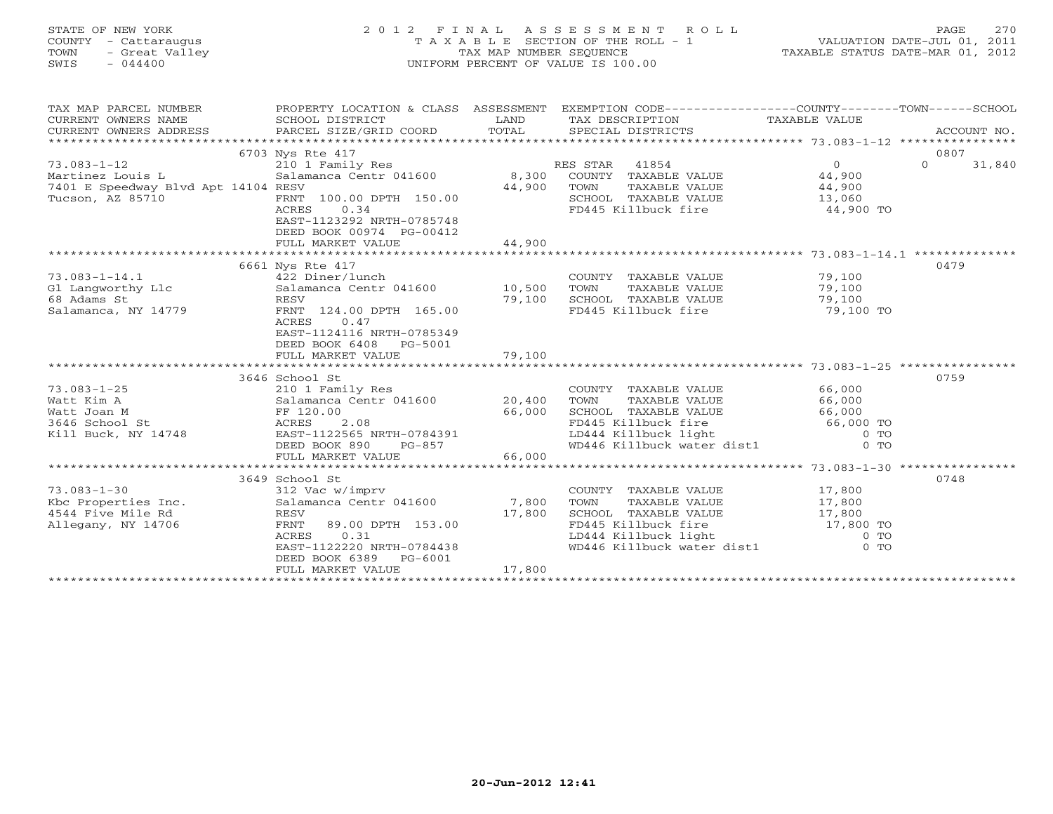# STATE OF NEW YORK 2 0 1 2 F I N A L A S S E S S M E N T R O L L PAGE 270 COUNTY - Cattaraugus T A X A B L E SECTION OF THE ROLL - 1 VALUATION DATE-JUL 01, 2011 TOWN - Great Valley TAX MAP NUMBER SEQUENCE TAXABLE STATUS DATE-MAR 01, 2012 SWIS - 044400 UNIFORM PERCENT OF VALUE IS 100.00

| TAX MAP PARCEL NUMBER<br>CURRENT OWNERS NAME<br>$\begin{tabular}{lllllll} \multicolumn{2}{c}{\textbf{CURRENT}} & \multicolumn{2}{c}{\textbf{WMERS}} & \multicolumn{2}{c}{\textbf{NAME}} & \multicolumn{2}{c}{\textbf{SCHOOL}} & \multicolumn{2}{c}{\textbf{LAND}} & \multicolumn{2}{c}{\textbf{TAX} \textbf{DESCRIPTION}} & \multicolumn{2}{c}{\textbf{TAXABLE VALUE}} & \multicolumn{2}{c}{\textbf{NALUE}} \\ & & & & & & & \multicolumn{2}{c}{\textbf{CURRENT}} & \multicolumn{2}{c}{\textbf{NACCUIT NO}} & \multicolumn{2}{c}{\text$<br>CURRENT OWNERS ADDRESS | PROPERTY LOCATION & CLASS ASSESSMENT       |        | EXEMPTION CODE----------------COUNTY-------TOWN------SCHOOL                                                                  |                                                   |                    |
|-------------------------------------------------------------------------------------------------------------------------------------------------------------------------------------------------------------------------------------------------------------------------------------------------------------------------------------------------------------------------------------------------------------------------------------------------------------------------------------------------------------------------------------------------------------------|--------------------------------------------|--------|------------------------------------------------------------------------------------------------------------------------------|---------------------------------------------------|--------------------|
|                                                                                                                                                                                                                                                                                                                                                                                                                                                                                                                                                                   |                                            |        |                                                                                                                              |                                                   |                    |
|                                                                                                                                                                                                                                                                                                                                                                                                                                                                                                                                                                   | 6703 Nys Rte 417                           |        |                                                                                                                              |                                                   | 0807               |
| $73.083 - 1 - 12$                                                                                                                                                                                                                                                                                                                                                                                                                                                                                                                                                 | 210 1 Family Res                           |        | RES STAR 41854                                                                                                               | $\Omega$                                          | $\Omega$<br>31,840 |
| Martinez Louis L                                                                                                                                                                                                                                                                                                                                                                                                                                                                                                                                                  | $Salamanca$ Centr 041600 $8,300$           |        | COUNTY TAXABLE VALUE 44,900                                                                                                  |                                                   |                    |
| 7401 E Speedway Blvd Apt 14104 RESV                                                                                                                                                                                                                                                                                                                                                                                                                                                                                                                               |                                            | 44,900 | TOWN<br>TAXABLE VALUE                                                                                                        | 44,900                                            |                    |
| Tucson, AZ 85710                                                                                                                                                                                                                                                                                                                                                                                                                                                                                                                                                  | FRNT 100.00 DPTH 150.00                    |        | SCHOOL TAXABLE VALUE                                                                                                         | 13,060                                            |                    |
|                                                                                                                                                                                                                                                                                                                                                                                                                                                                                                                                                                   | ACRES<br>0.34                              |        | SCHOOL TAXABLE VALUE<br>FD445 Killbuck fire                                                                                  | 44,900 TO                                         |                    |
|                                                                                                                                                                                                                                                                                                                                                                                                                                                                                                                                                                   | EAST-1123292 NRTH-0785748                  |        |                                                                                                                              |                                                   |                    |
|                                                                                                                                                                                                                                                                                                                                                                                                                                                                                                                                                                   | DEED BOOK 00974 PG-00412                   |        |                                                                                                                              |                                                   |                    |
|                                                                                                                                                                                                                                                                                                                                                                                                                                                                                                                                                                   | FULL MARKET VALUE                          | 44,900 |                                                                                                                              |                                                   |                    |
|                                                                                                                                                                                                                                                                                                                                                                                                                                                                                                                                                                   |                                            |        |                                                                                                                              | ******************** 73.083-1-14.1 ************** |                    |
|                                                                                                                                                                                                                                                                                                                                                                                                                                                                                                                                                                   | 6661 Nys Rte 417                           |        |                                                                                                                              |                                                   | 0479               |
| $73.083 - 1 - 14.1$                                                                                                                                                                                                                                                                                                                                                                                                                                                                                                                                               | 422 Diner/lunch                            |        | COUNTY TAXABLE VALUE                                                                                                         | 79,100                                            |                    |
| Gl Langworthy Llc                                                                                                                                                                                                                                                                                                                                                                                                                                                                                                                                                 | Salamanca Centr 041600 10,500              |        | TOWN<br>TAXABLE VALUE                                                                                                        | 79,100                                            |                    |
| 68 Adams St                                                                                                                                                                                                                                                                                                                                                                                                                                                                                                                                                       | RESV                                       | 79,100 | SCHOOL TAXABLE VALUE                                                                                                         | 79,100                                            |                    |
| Salamanca, NY 14779                                                                                                                                                                                                                                                                                                                                                                                                                                                                                                                                               | FRNT 124.00 DPTH 165.00                    |        | FD445 Killbuck fire 39,100 TO                                                                                                |                                                   |                    |
|                                                                                                                                                                                                                                                                                                                                                                                                                                                                                                                                                                   | ACRES<br>0.47                              |        |                                                                                                                              |                                                   |                    |
|                                                                                                                                                                                                                                                                                                                                                                                                                                                                                                                                                                   | EAST-1124116 NRTH-0785349                  |        |                                                                                                                              |                                                   |                    |
|                                                                                                                                                                                                                                                                                                                                                                                                                                                                                                                                                                   | DEED BOOK 6408 PG-5001                     |        |                                                                                                                              |                                                   |                    |
|                                                                                                                                                                                                                                                                                                                                                                                                                                                                                                                                                                   | FULL MARKET VALUE                          | 79,100 |                                                                                                                              |                                                   |                    |
|                                                                                                                                                                                                                                                                                                                                                                                                                                                                                                                                                                   |                                            |        |                                                                                                                              |                                                   |                    |
|                                                                                                                                                                                                                                                                                                                                                                                                                                                                                                                                                                   | 3646 School St                             |        |                                                                                                                              |                                                   | 0759               |
| $73.083 - 1 - 25$                                                                                                                                                                                                                                                                                                                                                                                                                                                                                                                                                 | 210 1 Family Res                           |        | COUNTY TAXABLE VALUE                                                                                                         | 66,000                                            |                    |
| Watt Kim A                                                                                                                                                                                                                                                                                                                                                                                                                                                                                                                                                        | Salamanca Centr 041600 20,400              |        | TOWN<br>TAXABLE VALUE                                                                                                        | 66,000                                            |                    |
| Watt Joan M                                                                                                                                                                                                                                                                                                                                                                                                                                                                                                                                                       | FF 120.00                                  | 66,000 |                                                                                                                              |                                                   |                    |
| 3646 School St<br>Kill Buck, NY 14748                                                                                                                                                                                                                                                                                                                                                                                                                                                                                                                             | ACRES<br>2.08<br>EAST-1122565 NRTH-0784391 |        | SCHOOL TAXABLE VALUE 66,000<br>FD445 Killbuck fire 66,000 TO<br>LD444 Killbuck light 0 TO<br>WD446 Killbuck water dist1 0 TO |                                                   |                    |
|                                                                                                                                                                                                                                                                                                                                                                                                                                                                                                                                                                   | DEED BOOK 890<br>$PG-857$                  |        |                                                                                                                              |                                                   |                    |
|                                                                                                                                                                                                                                                                                                                                                                                                                                                                                                                                                                   | FULL MARKET VALUE                          | 66,000 |                                                                                                                              |                                                   |                    |
|                                                                                                                                                                                                                                                                                                                                                                                                                                                                                                                                                                   |                                            |        |                                                                                                                              |                                                   |                    |
|                                                                                                                                                                                                                                                                                                                                                                                                                                                                                                                                                                   | 3649 School St                             |        |                                                                                                                              |                                                   | 0748               |
| $73.083 - 1 - 30$                                                                                                                                                                                                                                                                                                                                                                                                                                                                                                                                                 | 312 Vac w/imprv                            |        |                                                                                                                              |                                                   |                    |
| Kbc Properties Inc.                                                                                                                                                                                                                                                                                                                                                                                                                                                                                                                                               | Salamanca Centr 041600                     | 7,800  | COUNTY TAXABLE VALUE<br>TOWN     TAXABLE VALUE                                                                               | 17,800<br>17,800                                  |                    |
| 4544 Five Mile Rd                                                                                                                                                                                                                                                                                                                                                                                                                                                                                                                                                 | RESV                                       | 17,800 | SCHOOL TAXABLE VALUE 17,800                                                                                                  |                                                   |                    |
| Allegany, NY 14706                                                                                                                                                                                                                                                                                                                                                                                                                                                                                                                                                | FRNT<br>89.00 DPTH 153.00                  |        |                                                                                                                              |                                                   |                    |
|                                                                                                                                                                                                                                                                                                                                                                                                                                                                                                                                                                   | 0.31<br>ACRES                              |        |                                                                                                                              |                                                   |                    |
|                                                                                                                                                                                                                                                                                                                                                                                                                                                                                                                                                                   | EAST-1122220 NRTH-0784438                  |        | FD445 Killbuck fire 17,800 TO<br>LD444 Killbuck light 0 TO<br>WD446 Killbuck water dist1 0 TO                                |                                                   |                    |
|                                                                                                                                                                                                                                                                                                                                                                                                                                                                                                                                                                   | DEED BOOK 6389<br>$PG-6001$                |        |                                                                                                                              |                                                   |                    |
|                                                                                                                                                                                                                                                                                                                                                                                                                                                                                                                                                                   | FULL MARKET VALUE                          | 17,800 |                                                                                                                              |                                                   |                    |
|                                                                                                                                                                                                                                                                                                                                                                                                                                                                                                                                                                   |                                            |        |                                                                                                                              |                                                   |                    |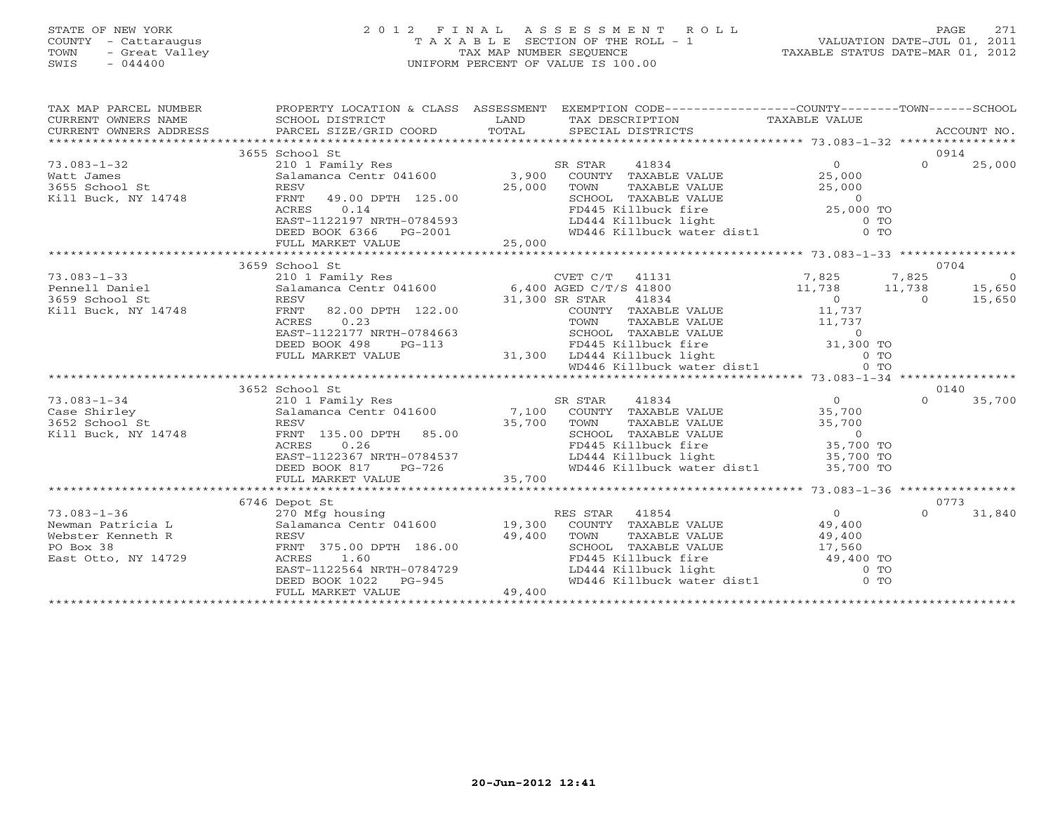#### STATE OF NEW YORK 2 0 1 2 F I N A L A S S E S S M E N T R O L L PAGE 271 COUNTY - Cattaraugus T A X A B L E SECTION OF THE ROLL - 1 VALUATION DATE-JUL 01, 2011 TOWN - Great Valley TAX MAP NUMBER SEQUENCE TAXABLE STATUS DATE-MAR 01, 2012 SWIS - 044400 UNIFORM PERCENT OF VALUE IS 100.00UNIFORM PERCENT OF VALUE IS 100.00

| TAX MAP PARCEL NUMBER<br>CURRENT OWNERS NAME<br>CURRENT OWNERS NAME SCHOOL DISTRICT – ------ ------- ------- TAX DESCRIPTION TAXABLE VALUE<br>CURRENT OWNERS ADDRESS PARCEL SIZE/GRID COORD TOTAL SPECIAL DISTRICTS ACCOUNT NO.<br>*****************************<br>CURRENT OWNERS NAME<br>CURRENT OWNERS ADDRESS |                                                                                |        | PROPERTY LOCATION & CLASS ASSESSMENT EXEMPTION CODE---------------COUNTY-------TOWN-----SCHOOL                                                                                                                                                                                                                                                                                                                                  |        |          |        |
|-------------------------------------------------------------------------------------------------------------------------------------------------------------------------------------------------------------------------------------------------------------------------------------------------------------------|--------------------------------------------------------------------------------|--------|---------------------------------------------------------------------------------------------------------------------------------------------------------------------------------------------------------------------------------------------------------------------------------------------------------------------------------------------------------------------------------------------------------------------------------|--------|----------|--------|
|                                                                                                                                                                                                                                                                                                                   |                                                                                |        |                                                                                                                                                                                                                                                                                                                                                                                                                                 |        |          |        |
|                                                                                                                                                                                                                                                                                                                   | 3655 School St                                                                 |        |                                                                                                                                                                                                                                                                                                                                                                                                                                 |        | 0914     |        |
| $73.083 - 1 - 32$                                                                                                                                                                                                                                                                                                 | 210 1 Family Res                                                               |        | R STAR 41834 0<br>COUNTY TAXABLE VALUE 25,000<br>TOWN TRYANTE WALUE 25,000<br>SR STAR                                                                                                                                                                                                                                                                                                                                           |        | $\Omega$ | 25,000 |
| Watt James                                                                                                                                                                                                                                                                                                        | Salamanca Centr 041600 3,900                                                   |        |                                                                                                                                                                                                                                                                                                                                                                                                                                 |        |          |        |
| 3655 School St                                                                                                                                                                                                                                                                                                    | RESV                                                                           | 25,000 |                                                                                                                                                                                                                                                                                                                                                                                                                                 |        |          |        |
| Kill Buck, NY 14748                                                                                                                                                                                                                                                                                               |                                                                                |        |                                                                                                                                                                                                                                                                                                                                                                                                                                 |        |          |        |
|                                                                                                                                                                                                                                                                                                                   |                                                                                |        | FOWN TAXABLE VALUE<br>SCHOOL TAXABLE VALUE<br>FD445 Killbuck fire<br>LD444 Killbuck light 0 TO<br>WD446 Killbuck water dist1 0 TO                                                                                                                                                                                                                                                                                               |        |          |        |
|                                                                                                                                                                                                                                                                                                                   |                                                                                |        |                                                                                                                                                                                                                                                                                                                                                                                                                                 |        |          |        |
|                                                                                                                                                                                                                                                                                                                   |                                                                                |        |                                                                                                                                                                                                                                                                                                                                                                                                                                 |        |          |        |
|                                                                                                                                                                                                                                                                                                                   |                                                                                |        | 33 SCHOOL DC 25,000 TO<br>32 SCHOOL TAXABLE VALUE 25,000 TO<br>ACRES 0.14 FD445 Killbuck fire 25,000 TO<br>EAST-1122197 NRTH-0784593 DEED BOOK 6366 PG-2001 VD446 Killbuck water dist1 0 TO<br>FULL MARKET VALUE 25,000<br>FULL MARKET V                                                                                                                                                                                        |        |          |        |
|                                                                                                                                                                                                                                                                                                                   |                                                                                |        |                                                                                                                                                                                                                                                                                                                                                                                                                                 |        |          |        |
|                                                                                                                                                                                                                                                                                                                   | 3659 School St                                                                 |        |                                                                                                                                                                                                                                                                                                                                                                                                                                 |        | 0704     |        |
| 73.083-1-33<br>Pennell Daniel<br>3659 School St                                                                                                                                                                                                                                                                   |                                                                                |        | 210 1 Family Res<br>Salamanca Centr 041600 6,400 AGED C/T/S 41800 11,738 11,738 15,650<br>RESV 31,300 SR STAR 41834 0 0 15,650                                                                                                                                                                                                                                                                                                  |        |          |        |
|                                                                                                                                                                                                                                                                                                                   |                                                                                |        |                                                                                                                                                                                                                                                                                                                                                                                                                                 |        |          |        |
|                                                                                                                                                                                                                                                                                                                   |                                                                                |        |                                                                                                                                                                                                                                                                                                                                                                                                                                 |        |          |        |
| Kill Buck, NY 14748                                                                                                                                                                                                                                                                                               | FRNT<br>82.00 DPTH 122.00                                                      |        | COUNTY TAXABLE VALUE 11,737                                                                                                                                                                                                                                                                                                                                                                                                     |        |          |        |
|                                                                                                                                                                                                                                                                                                                   | 0.23<br>ACRES                                                                  |        |                                                                                                                                                                                                                                                                                                                                                                                                                                 |        |          |        |
|                                                                                                                                                                                                                                                                                                                   | EAST-1122177 NRTH-0784663                                                      |        |                                                                                                                                                                                                                                                                                                                                                                                                                                 |        |          |        |
|                                                                                                                                                                                                                                                                                                                   | DEED BOOK 498<br>$PG-113$                                                      |        |                                                                                                                                                                                                                                                                                                                                                                                                                                 |        |          |        |
|                                                                                                                                                                                                                                                                                                                   | FULL MARKET VALUE                                                              |        | ------<br>TOWN TAXABLE VALUE<br>-0784663<br>PG-113<br>PG-113<br>31,300 LD444 Killbuck light<br>WD446 Killbuck water dist1<br>WD446 Killbuck water dist1<br>0 TO                                                                                                                                                                                                                                                                 |        |          |        |
|                                                                                                                                                                                                                                                                                                                   |                                                                                |        |                                                                                                                                                                                                                                                                                                                                                                                                                                 |        |          |        |
|                                                                                                                                                                                                                                                                                                                   |                                                                                |        |                                                                                                                                                                                                                                                                                                                                                                                                                                 |        |          |        |
|                                                                                                                                                                                                                                                                                                                   | 3652 School St                                                                 |        | $\begin{tabular}{lcccc} \texttt{210}1 & \texttt{ram1ly Res} & \texttt{SR STAR} & \texttt{41834} & \texttt{0} \\ \texttt{Salamanca Centr 041600} & \texttt{7,100} & \texttt{COUNTY} & \texttt{TAXABLE VALUE} & \texttt{35,700} \\ \texttt{RESV} & \texttt{35.00} & \texttt{DPTH} & \texttt{85.00} & \texttt{35,700} & \texttt{TOWN} & \texttt{TAXABLE VALUE} & \texttt{35,700} \\ \texttt{RNT} & \texttt{135.00} & \texttt{DPTH$ |        | 0140     |        |
| $73.083 - 1 - 34$                                                                                                                                                                                                                                                                                                 |                                                                                |        |                                                                                                                                                                                                                                                                                                                                                                                                                                 |        | $\cap$   | 35,700 |
| Case Shirley                                                                                                                                                                                                                                                                                                      |                                                                                |        |                                                                                                                                                                                                                                                                                                                                                                                                                                 |        |          |        |
| 3652 School St                                                                                                                                                                                                                                                                                                    |                                                                                |        |                                                                                                                                                                                                                                                                                                                                                                                                                                 |        |          |        |
| Kill Buck, NY 14748                                                                                                                                                                                                                                                                                               |                                                                                |        |                                                                                                                                                                                                                                                                                                                                                                                                                                 |        |          |        |
|                                                                                                                                                                                                                                                                                                                   |                                                                                |        |                                                                                                                                                                                                                                                                                                                                                                                                                                 |        |          |        |
|                                                                                                                                                                                                                                                                                                                   |                                                                                |        |                                                                                                                                                                                                                                                                                                                                                                                                                                 |        |          |        |
|                                                                                                                                                                                                                                                                                                                   |                                                                                |        |                                                                                                                                                                                                                                                                                                                                                                                                                                 |        |          |        |
|                                                                                                                                                                                                                                                                                                                   |                                                                                |        |                                                                                                                                                                                                                                                                                                                                                                                                                                 |        |          |        |
|                                                                                                                                                                                                                                                                                                                   |                                                                                |        |                                                                                                                                                                                                                                                                                                                                                                                                                                 |        |          |        |
|                                                                                                                                                                                                                                                                                                                   | 6746 Depot St                                                                  |        |                                                                                                                                                                                                                                                                                                                                                                                                                                 |        |          | 0773   |
| $73.083 - 1 - 36$                                                                                                                                                                                                                                                                                                 |                                                                                |        |                                                                                                                                                                                                                                                                                                                                                                                                                                 |        | $\Omega$ | 31,840 |
| Newman Patricia L                                                                                                                                                                                                                                                                                                 |                                                                                |        |                                                                                                                                                                                                                                                                                                                                                                                                                                 |        |          |        |
| Webster Kenneth R                                                                                                                                                                                                                                                                                                 | RESV                                                                           | 49,400 | TOWN<br>TAXABLE VALUE                                                                                                                                                                                                                                                                                                                                                                                                           | 49,400 |          |        |
| PO Box 38                                                                                                                                                                                                                                                                                                         |                                                                                |        |                                                                                                                                                                                                                                                                                                                                                                                                                                 |        |          |        |
| East Otto, NY 14729                                                                                                                                                                                                                                                                                               | RESV<br>FRNT 375.00 DPTH 186.00                                                |        |                                                                                                                                                                                                                                                                                                                                                                                                                                 |        |          |        |
|                                                                                                                                                                                                                                                                                                                   |                                                                                |        |                                                                                                                                                                                                                                                                                                                                                                                                                                 |        |          |        |
|                                                                                                                                                                                                                                                                                                                   |                                                                                |        | SCHOOL TAXABLE VALUE 17,560<br>FD445 Killbuck fire 49,400 TO<br>LD444 Killbuck light 0 TO<br>WD446 Killbuck water dist1 0 TO                                                                                                                                                                                                                                                                                                    |        |          |        |
|                                                                                                                                                                                                                                                                                                                   | EAST-1122564 NRTH-0784729<br>DEED BOOK 1022 PG-945<br>FULL MARKET VALUE 49,400 |        |                                                                                                                                                                                                                                                                                                                                                                                                                                 |        |          |        |
|                                                                                                                                                                                                                                                                                                                   |                                                                                |        |                                                                                                                                                                                                                                                                                                                                                                                                                                 |        |          |        |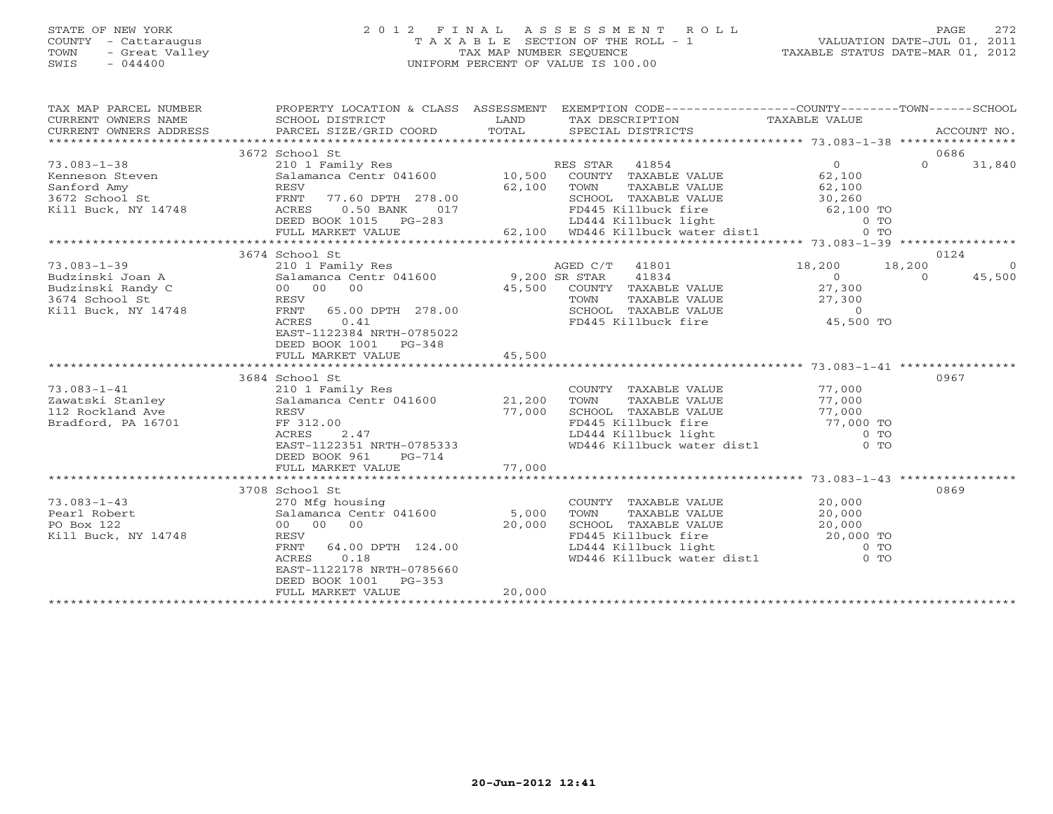#### STATE OF NEW YORK 2 0 1 2 F I N A L A S S E S S M E N T R O L L PAGE 272 COUNTY - Cattaraugus T A X A B L E SECTION OF THE ROLL - 1 VALUATION DATE-JUL 01, 2011 TOWN - Great Valley TAX MAP NUMBER SEQUENCE TAXABLE STATUS DATE-MAR 01, 2012 SWIS - 044400 UNIFORM PERCENT OF VALUE IS 100.00UNIFORM PERCENT OF VALUE IS 100.00

|                                                                                                                  |                                                                                                                                                                                                                                                                                                                                       |                                                                                                                                                                                                                             |                                                                                                                                                                                                                                                                                                                 | 0686                                                                                                                                                                                                                                                                                                                                                                                                                                                                                                                                                                                                                                                                                                                                                                                                                                                                                                                    |
|------------------------------------------------------------------------------------------------------------------|---------------------------------------------------------------------------------------------------------------------------------------------------------------------------------------------------------------------------------------------------------------------------------------------------------------------------------------|-----------------------------------------------------------------------------------------------------------------------------------------------------------------------------------------------------------------------------|-----------------------------------------------------------------------------------------------------------------------------------------------------------------------------------------------------------------------------------------------------------------------------------------------------------------|-------------------------------------------------------------------------------------------------------------------------------------------------------------------------------------------------------------------------------------------------------------------------------------------------------------------------------------------------------------------------------------------------------------------------------------------------------------------------------------------------------------------------------------------------------------------------------------------------------------------------------------------------------------------------------------------------------------------------------------------------------------------------------------------------------------------------------------------------------------------------------------------------------------------------|
|                                                                                                                  |                                                                                                                                                                                                                                                                                                                                       |                                                                                                                                                                                                                             |                                                                                                                                                                                                                                                                                                                 | $\Omega$<br>31,840                                                                                                                                                                                                                                                                                                                                                                                                                                                                                                                                                                                                                                                                                                                                                                                                                                                                                                      |
|                                                                                                                  |                                                                                                                                                                                                                                                                                                                                       |                                                                                                                                                                                                                             |                                                                                                                                                                                                                                                                                                                 |                                                                                                                                                                                                                                                                                                                                                                                                                                                                                                                                                                                                                                                                                                                                                                                                                                                                                                                         |
|                                                                                                                  |                                                                                                                                                                                                                                                                                                                                       |                                                                                                                                                                                                                             |                                                                                                                                                                                                                                                                                                                 | 0124                                                                                                                                                                                                                                                                                                                                                                                                                                                                                                                                                                                                                                                                                                                                                                                                                                                                                                                    |
| EAST-1122384 NRTH-0785022<br>DEED BOOK 1001 PG-348                                                               |                                                                                                                                                                                                                                                                                                                                       |                                                                                                                                                                                                                             |                                                                                                                                                                                                                                                                                                                 | $\bigcirc$<br>45,500                                                                                                                                                                                                                                                                                                                                                                                                                                                                                                                                                                                                                                                                                                                                                                                                                                                                                                    |
|                                                                                                                  |                                                                                                                                                                                                                                                                                                                                       |                                                                                                                                                                                                                             |                                                                                                                                                                                                                                                                                                                 |                                                                                                                                                                                                                                                                                                                                                                                                                                                                                                                                                                                                                                                                                                                                                                                                                                                                                                                         |
|                                                                                                                  |                                                                                                                                                                                                                                                                                                                                       |                                                                                                                                                                                                                             |                                                                                                                                                                                                                                                                                                                 |                                                                                                                                                                                                                                                                                                                                                                                                                                                                                                                                                                                                                                                                                                                                                                                                                                                                                                                         |
| DEED BOOK 961 PG-714                                                                                             |                                                                                                                                                                                                                                                                                                                                       |                                                                                                                                                                                                                             |                                                                                                                                                                                                                                                                                                                 | 0967                                                                                                                                                                                                                                                                                                                                                                                                                                                                                                                                                                                                                                                                                                                                                                                                                                                                                                                    |
|                                                                                                                  |                                                                                                                                                                                                                                                                                                                                       |                                                                                                                                                                                                                             |                                                                                                                                                                                                                                                                                                                 |                                                                                                                                                                                                                                                                                                                                                                                                                                                                                                                                                                                                                                                                                                                                                                                                                                                                                                                         |
|                                                                                                                  |                                                                                                                                                                                                                                                                                                                                       |                                                                                                                                                                                                                             |                                                                                                                                                                                                                                                                                                                 | 0869                                                                                                                                                                                                                                                                                                                                                                                                                                                                                                                                                                                                                                                                                                                                                                                                                                                                                                                    |
| 270 Mfg housing<br>RESV<br>ACRES 0.18<br>EAST-1122178 NRTH-0785660<br>DEED BOOK 1001 PG-353<br>FULL MARKET VALUE | 20,000                                                                                                                                                                                                                                                                                                                                |                                                                                                                                                                                                                             |                                                                                                                                                                                                                                                                                                                 |                                                                                                                                                                                                                                                                                                                                                                                                                                                                                                                                                                                                                                                                                                                                                                                                                                                                                                                         |
|                                                                                                                  | 3672 School St<br>3674 School St<br>Budzinski Joan A<br>Budzinski Randy C<br>Budzinski Randy C<br>3674 School St<br>Kill Buck, NY 14748<br>RESV<br>RESV<br>RESV<br>RESV<br>RESV<br>RESV<br>RESV<br>RENT<br>COLORED AGES<br>FULL MARKET VALUE<br>3684 School St<br>112 Rockland Ave RESV<br>Rradford, PA 16701 FF 31<br>3708 School St | 73.083-1-38<br>Kenneson Steven<br>Sanford Amy<br>3672 School St<br>Xill Buck, NY 14748<br>Sanford Amy<br>RESV<br>FRNT 77.60 DPTH 278.00<br>Xill Buck, NY 14748<br>ACRES 0.50 BANK 017<br>DEED BOOK 1015<br>PG-283<br>45,500 | FRNT 65.00 DPTH 278.00<br>ACRES 0.41<br>scnool st<br>210 1 Family Res<br>Salamanca Centr 041600 21,200<br>RESV 77,000<br>RESV 77,000<br>ACRES 2.47<br>EAST-1122351 NRTH-0785333<br>$\begin{array}{ll}\n\text{Salamanca Centr} & 041600 & 5,000 \\ 00 & 00 & 00 & 20,000\n\end{array}$<br>FRNT 64.00 DPTH 124.00 | PROPERTY LOCATION & CLASS ASSESSMENT EXEMPTION CODE----------------COUNTY-------TOWN------SCHOOL<br>210 1 Family Res<br>210 1 Family Res<br>Salamanca Centr 041600 10,500 COUNTY TAXABLE VALUE 62,100<br>A A A SUBSE CONSIDER A CONSIDER MANAGEMENT MANAGEMENT SCALL AND TRAVEL SCALL CONSIDERT AND SCALL CONSIDERT MANAGEMENT SCALL CONSIDERT AND SCALL CONSIDERT AND SCALL CONSIDER SCALL CONSIDER SCALL CONSIDER SCALL CONSIDER SCAL<br>210 1 Family Res<br>210 1 Family Res<br>3134 18,200<br>200 18,200<br>200 18,200<br>200 18,200<br>COUNTY TAXABLE VALUE<br>TOWN TAXABLE VALUE 77,000<br>SCHOOL TAXABLE VALUE 77,000<br>FD445 Killbuck fire 77,000 TO<br>LD444 Killbuck light 0 TO<br>WD446 Killbuck water dist1 0 TO<br>COUNTY TAXABLE VALUE 20,000<br>TOWN TAXABLE VALUE<br>TOWN TAXABLE VALUE<br>SCHOOL TAXABLE VALUE<br>FD445 Killbuck fire<br>LD444 Killbuck light 0 TO<br>WD446 Killbuck water dist1 0 TO |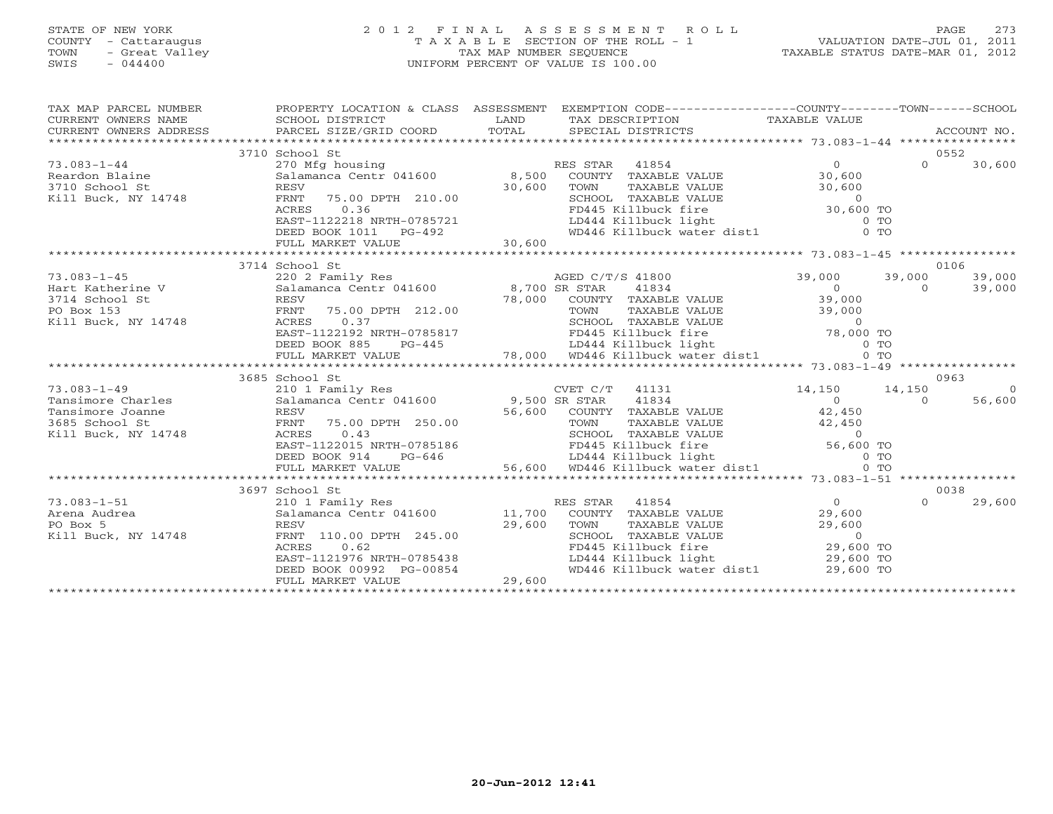#### STATE OF NEW YORK 2 0 1 2 F I N A L A S S E S S M E N T R O L L PAGE 273 COUNTY - Cattaraugus T A X A B L E SECTION OF THE ROLL - 1 VALUATION DATE-JUL 01, 2011 TOWN - Great Valley TAX MAP NUMBER SEQUENCE TAXABLE STATUS DATE-MAR 01, 2012 SWIS - 044400 UNIFORM PERCENT OF VALUE IS 100.00UNIFORM PERCENT OF VALUE IS 100.00

| TAX MAP PARCEL NUMBER<br>CURRENT OWNERS NAME<br>CURRENT OWNERS ADDRESS | SCHOOL DISTRICT<br>PARCEL SIZE/GRID COORD TOTAL                | LAND                 | PROPERTY LOCATION & CLASS ASSESSMENT EXEMPTION CODE---------------COUNTY-------TOWN------SCHOOL<br>TAX DESCRIPTION TAXABLE VALUE<br>SPECIAL DISTRICTS                                                                                             |                 |          | ACCOUNT NO. |
|------------------------------------------------------------------------|----------------------------------------------------------------|----------------------|---------------------------------------------------------------------------------------------------------------------------------------------------------------------------------------------------------------------------------------------------|-----------------|----------|-------------|
|                                                                        | 3710 School St                                                 |                      |                                                                                                                                                                                                                                                   |                 |          | 0552        |
| $73.083 - 1 - 44$                                                      |                                                                |                      |                                                                                                                                                                                                                                                   | $\overline{0}$  | $\Omega$ | 30,600      |
| Reardon Blaine                                                         |                                                                |                      |                                                                                                                                                                                                                                                   | 30,600          |          |             |
| 3710 School St                                                         | RESV                                                           | 30,600               | COWN TAXABLE VALUE<br>TOWN TAXABLE VALUE<br>SCHOOL TAXABLE VALUE<br>FD445 Killbuck fire<br>LD444 Killbuck light 0 TO<br>WD446 Killbuck water dist1 0 TO                                                                                           |                 |          |             |
| Kill Buck, NY 14748                                                    | FRNT<br>75.00 DPTH 210.00                                      |                      |                                                                                                                                                                                                                                                   |                 |          |             |
|                                                                        | ACRES                                                          |                      |                                                                                                                                                                                                                                                   |                 |          |             |
|                                                                        | EAST-1122218 NRTH-0785721                                      |                      |                                                                                                                                                                                                                                                   |                 |          |             |
|                                                                        | DEED BOOK 1011<br>$PG-492$                                     |                      |                                                                                                                                                                                                                                                   |                 |          |             |
|                                                                        | FULL MARKET VALUE                                              | 30,600               |                                                                                                                                                                                                                                                   |                 |          |             |
|                                                                        |                                                                |                      |                                                                                                                                                                                                                                                   |                 |          |             |
|                                                                        | 3714 School St                                                 |                      |                                                                                                                                                                                                                                                   |                 |          | 0106        |
| $73.083 - 1 - 45$                                                      | 220 2 Family Res<br>Salamanca Centr 041600 8,700 SR STAR 41834 |                      |                                                                                                                                                                                                                                                   | 39,000 39,000   |          | 39,000      |
| Hart Katherine V<br>Hart Katherine V                                   |                                                                |                      |                                                                                                                                                                                                                                                   | $\frac{1}{2}$ 0 | $\cap$   | 39,000      |
| 3714 School St                                                         |                                                                |                      |                                                                                                                                                                                                                                                   |                 |          |             |
| PO Box 153                                                             |                                                                |                      |                                                                                                                                                                                                                                                   |                 |          |             |
| Kill Buck, NY 14748                                                    | ACRES<br>0.37                                                  |                      | ESV 78,000 COUNTY TAXABLE VALUE 39,000<br>FRNT 75.00 DPTH 212.00 78,000 TOWN TAXABLE VALUE 39,000<br>ACRES 0.37 SCHOOL TAXABLE VALUE 0                                                                                                            |                 |          |             |
|                                                                        | EAST-1122192 NRTH-0785817                                      |                      |                                                                                                                                                                                                                                                   |                 |          |             |
|                                                                        | DEED BOOK 885<br>PG-445                                        |                      |                                                                                                                                                                                                                                                   |                 |          |             |
|                                                                        | FULL MARKET VALUE                                              |                      | 212.00<br>TOWN TAXABLE VALUE<br>SCHOOL TAXABLE VALUE<br>POPS 17 FOM TAXABLE VALUE<br>POPS 17 FOM TAXABLE VALUE<br>POPS 19,000 TO<br>POPS 11 FOM TAXABLE VALUE<br>POPS 11 FOM TAXABLE VALUE<br>POPS 11 FOM TAXABLE VALUE<br>26,000 TO<br>POPS 11 F |                 |          |             |
|                                                                        |                                                                |                      |                                                                                                                                                                                                                                                   |                 |          |             |
|                                                                        | 3685 School St                                                 |                      |                                                                                                                                                                                                                                                   |                 |          | 0963        |
| $73.083 - 1 - 49$                                                      | 210 1 Family Res                                               |                      | CVET C/T 41131                                                                                                                                                                                                                                    | 14,150 14,150   |          | $\bigcirc$  |
| Tansimore Charles                                                      | 210 1 Family Res<br>Salamanca Centr 041600 9,500 SR STAR       |                      | 41834                                                                                                                                                                                                                                             | $\overline{0}$  | $\Omega$ | 56,600      |
| Tansimore Joanne                                                       | RESV                                                           |                      | 56,600 COUNTY TAXABLE VALUE 42,450                                                                                                                                                                                                                |                 |          |             |
| 3685 School St                                                         | FRNT 75.00 DPTH 250.00                                         |                      |                                                                                                                                                                                                                                                   |                 |          |             |
| Kill Buck, NY 14748                                                    | 0.43<br>ACRES                                                  |                      |                                                                                                                                                                                                                                                   |                 |          |             |
|                                                                        | EAST-1122015 NRTH-0785186                                      |                      |                                                                                                                                                                                                                                                   |                 |          |             |
|                                                                        | DEED BOOK 914                                                  | $PG-646$<br>$56,600$ |                                                                                                                                                                                                                                                   |                 |          |             |
|                                                                        | FULL MARKET VALUE                                              |                      | TOWN TAXABLE VALUE<br>TOWN TAXABLE VALUE<br>SCHOOL TAXABLE VALUE<br>FD445 Killbuck fire<br>LD444 Killbuck light<br>56,600 WD446 Killbuck water dist1<br>0 TO                                                                                      |                 |          |             |
|                                                                        | *******************************                                |                      |                                                                                                                                                                                                                                                   |                 |          |             |
|                                                                        | 3697 School St                                                 |                      |                                                                                                                                                                                                                                                   |                 |          | 0038        |
| $73.083 - 1 - 51$                                                      | 210 1 Family Res                                               |                      | RES STAR 41854                                                                                                                                                                                                                                    | $\overline{0}$  | $\Omega$ | 29,600      |
| Arena Audrea                                                           |                                                                |                      | Salamanca Centr 041600 11,700 COUNTY TAXABLE VALUE                                                                                                                                                                                                | 29,600          |          |             |
| PO Box 5                                                               | RESV                                                           | 29,600               | TOWN<br>TAXABLE VALUE                                                                                                                                                                                                                             | 29,600          |          |             |
| Kill Buck, NY 14748                                                    | FRNT 110.00 DPTH 245.00                                        |                      |                                                                                                                                                                                                                                                   | $\sim$ 0        |          |             |
|                                                                        | 0.62<br>ACRES                                                  |                      |                                                                                                                                                                                                                                                   | $29,600$ TO     |          |             |
|                                                                        | EAST-1121976 NRTH-0785438                                      |                      | LD444 Killbuck light                                                                                                                                                                                                                              |                 |          |             |
|                                                                        | DEED BOOK 00992 PG-00854                                       |                      | WD446 Killbuck water dist1                                                                                                                                                                                                                        | 29,600 TO       |          |             |
|                                                                        | FULL MARKET VALUE                                              | 29,600               |                                                                                                                                                                                                                                                   |                 |          |             |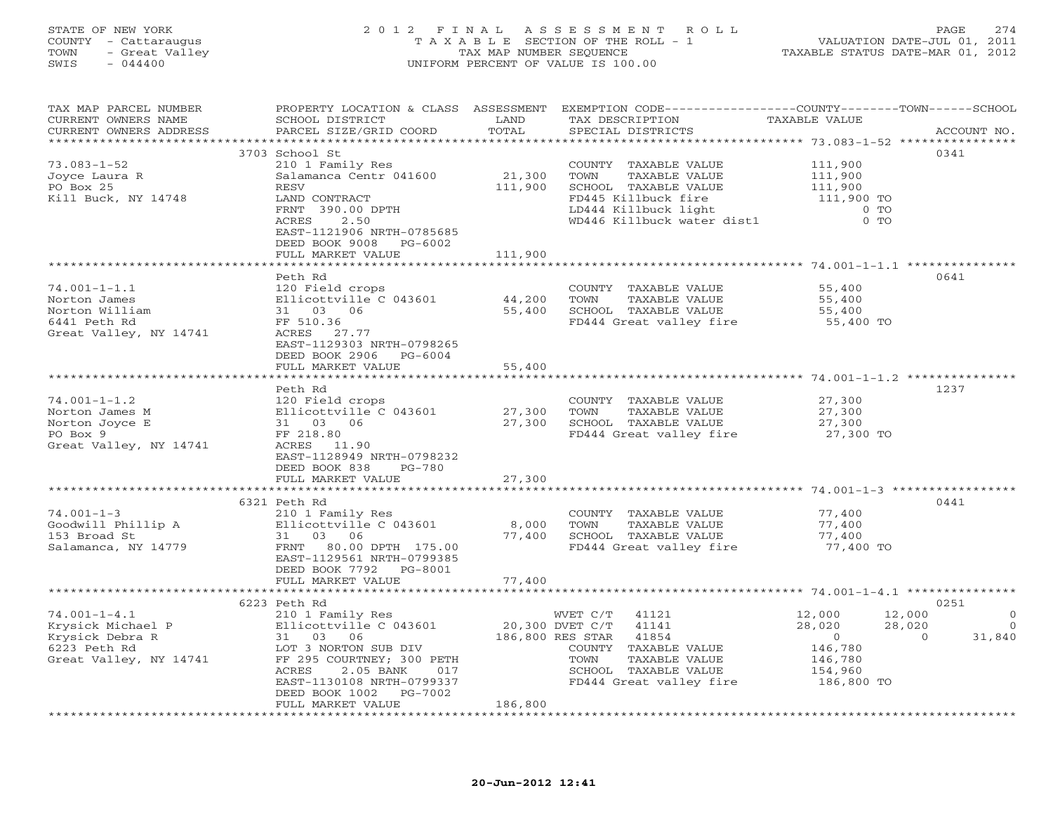# STATE OF NEW YORK 2 0 1 2 F I N A L A S S E S S M E N T R O L L PAGE 274 COUNTY - Cattaraugus T A X A B L E SECTION OF THE ROLL - 1 VALUATION DATE-JUL 01, 2011 TOWN - Great Valley TAX MAP NUMBER SEQUENCE TAXABLE STATUS DATE-MAR 01, 2012 SWIS - 044400 UNIFORM PERCENT OF VALUE IS 100.00

| TAX MAP PARCEL NUMBER<br>CURRENT OWNERS NAME<br>CURRENT OWNERS ADDRESS | PROPERTY LOCATION & CLASS ASSESSMENT EXEMPTION CODE---------------COUNTY-------TOWN------SCHOOL<br>SCHOOL DISTRICT<br>PARCEL SIZE/GRID COORD | LAND<br>TOTAL   | TAX DESCRIPTION<br>SPECIAL DISTRICTS | TAXABLE VALUE  | ACCOUNT NO.            |
|------------------------------------------------------------------------|----------------------------------------------------------------------------------------------------------------------------------------------|-----------------|--------------------------------------|----------------|------------------------|
|                                                                        |                                                                                                                                              |                 |                                      |                |                        |
|                                                                        | 3703 School St                                                                                                                               |                 |                                      |                | 0341                   |
|                                                                        |                                                                                                                                              |                 |                                      |                |                        |
| $73.083 - 1 - 52$                                                      | 210 1 Family Res                                                                                                                             |                 | COUNTY TAXABLE VALUE                 | 111,900        |                        |
| Joyce Laura R                                                          | Salamanca Centr 041600                                                                                                                       | 21,300          | TOWN<br>TAXABLE VALUE                | 111,900        |                        |
| PO Box 25                                                              | RESV                                                                                                                                         | 111,900         | SCHOOL TAXABLE VALUE                 | 111,900        |                        |
| Kill Buck, NY 14748                                                    | LAND CONTRACT                                                                                                                                |                 | FD445 Killbuck fire                  | 111,900 TO     |                        |
|                                                                        | FRNT 390.00 DPTH                                                                                                                             |                 | LD444 Killbuck light                 | $0$ TO         |                        |
|                                                                        | 2.50<br>ACRES                                                                                                                                |                 | WD446 Killbuck water dist1           | $0$ TO         |                        |
|                                                                        | EAST-1121906 NRTH-0785685                                                                                                                    |                 |                                      |                |                        |
|                                                                        | DEED BOOK 9008 PG-6002                                                                                                                       |                 |                                      |                |                        |
|                                                                        | FULL MARKET VALUE                                                                                                                            | 111,900         |                                      |                |                        |
|                                                                        |                                                                                                                                              |                 |                                      |                |                        |
|                                                                        |                                                                                                                                              |                 |                                      |                |                        |
|                                                                        | Peth Rd                                                                                                                                      |                 |                                      |                | 0641                   |
| $74.001 - 1 - 1.1$                                                     | 120 Field crops                                                                                                                              |                 | COUNTY TAXABLE VALUE                 | 55,400         |                        |
| Norton James                                                           | Ellicottville C 043601                                                                                                                       | 44,200          | TOWN<br>TAXABLE VALUE                | 55,400         |                        |
| Norton William                                                         | 31 03 06                                                                                                                                     | 55,400          | SCHOOL TAXABLE VALUE                 | 55,400         |                        |
| 6441 Peth Rd                                                           | FF 510.36                                                                                                                                    |                 | FD444 Great valley fire              | 55,400 TO      |                        |
| Great Valley, NY 14741                                                 | ACRES 27.77                                                                                                                                  |                 |                                      |                |                        |
|                                                                        | EAST-1129303 NRTH-0798265                                                                                                                    |                 |                                      |                |                        |
|                                                                        | DEED BOOK 2906 PG-6004                                                                                                                       |                 |                                      |                |                        |
|                                                                        | FULL MARKET VALUE                                                                                                                            | 55,400          |                                      |                |                        |
|                                                                        |                                                                                                                                              |                 |                                      |                |                        |
|                                                                        |                                                                                                                                              |                 |                                      |                |                        |
|                                                                        | Peth Rd                                                                                                                                      |                 |                                      |                | 1237                   |
| $74.001 - 1 - 1.2$                                                     | 120 Field crops                                                                                                                              |                 | COUNTY TAXABLE VALUE                 | 27,300         |                        |
| Norton James M                                                         | Ellicottville C 043601                                                                                                                       | 27,300          | TOWN<br>TAXABLE VALUE                | 27,300         |                        |
| Norton Joyce E                                                         | 31 03 06                                                                                                                                     | 27,300          | SCHOOL TAXABLE VALUE                 | 27,300         |                        |
| PO Box 9                                                               | FF 218.80                                                                                                                                    |                 | FD444 Great valley fire 27,300 TO    |                |                        |
| Great Valley, NY 14741                                                 | ACRES 11.90                                                                                                                                  |                 |                                      |                |                        |
|                                                                        | EAST-1128949 NRTH-0798232                                                                                                                    |                 |                                      |                |                        |
|                                                                        | DEED BOOK 838<br>PG-780                                                                                                                      |                 |                                      |                |                        |
|                                                                        | FULL MARKET VALUE                                                                                                                            | 27,300          |                                      |                |                        |
|                                                                        |                                                                                                                                              |                 |                                      |                |                        |
|                                                                        |                                                                                                                                              |                 |                                      |                |                        |
|                                                                        | 6321 Peth Rd                                                                                                                                 |                 |                                      |                | 0441                   |
| $74.001 - 1 - 3$                                                       | 210 1 Family Res                                                                                                                             |                 | COUNTY TAXABLE VALUE                 | 77,400         |                        |
| Goodwill Phillip A                                                     | Ellicottville C 043601                                                                                                                       | 8,000           | TOWN<br>TAXABLE VALUE                | 77,400         |                        |
| 153 Broad St                                                           | 31 03 06                                                                                                                                     | 77,400          | SCHOOL TAXABLE VALUE                 | 77,400         |                        |
| Salamanca, NY 14779                                                    | FRNT 80.00 DPTH 175.00                                                                                                                       |                 | FD444 Great valley fire              | 77,400 TO      |                        |
|                                                                        | EAST-1129561 NRTH-0799385                                                                                                                    |                 |                                      |                |                        |
|                                                                        | DEED BOOK 7792 PG-8001                                                                                                                       |                 |                                      |                |                        |
|                                                                        | FULL MARKET VALUE                                                                                                                            | 77,400          |                                      |                |                        |
|                                                                        |                                                                                                                                              |                 |                                      |                |                        |
|                                                                        | 6223 Peth Rd                                                                                                                                 |                 |                                      |                | 0251                   |
| $74.001 - 1 - 4.1$                                                     | 210 1 Family Res                                                                                                                             |                 | WVET C/T<br>41121                    | 12,000         | 12,000<br>$\mathbf{0}$ |
| Krysick Michael P                                                      | Ellicottville C 043601                                                                                                                       | 20,300 DVET C/T | 41141                                | 28,020         | 28,020<br>$\Omega$     |
| Krysick Debra R                                                        | 31 03 06                                                                                                                                     |                 | 186,800 RES STAR<br>41854            | $\overline{0}$ | 31,840<br>$\Omega$     |
|                                                                        |                                                                                                                                              |                 |                                      |                |                        |
| 6223 Peth Rd                                                           | LOT 3 NORTON SUB DIV                                                                                                                         |                 | COUNTY TAXABLE VALUE                 | 146,780        |                        |
| Great Valley, NY 14741                                                 | FF 295 COURTNEY; 300 PETH                                                                                                                    |                 | TAXABLE VALUE<br>TOWN                | 146,780        |                        |
|                                                                        | ACRES<br>2.05 BANK<br>017                                                                                                                    |                 | SCHOOL TAXABLE VALUE                 | 154,960        |                        |
|                                                                        | EAST-1130108 NRTH-0799337                                                                                                                    |                 | FD444 Great valley fire 186,800 TO   |                |                        |
|                                                                        | DEED BOOK 1002<br>PG-7002                                                                                                                    |                 |                                      |                |                        |
|                                                                        | FULL MARKET VALUE                                                                                                                            | 186,800         |                                      |                |                        |
|                                                                        |                                                                                                                                              |                 |                                      |                |                        |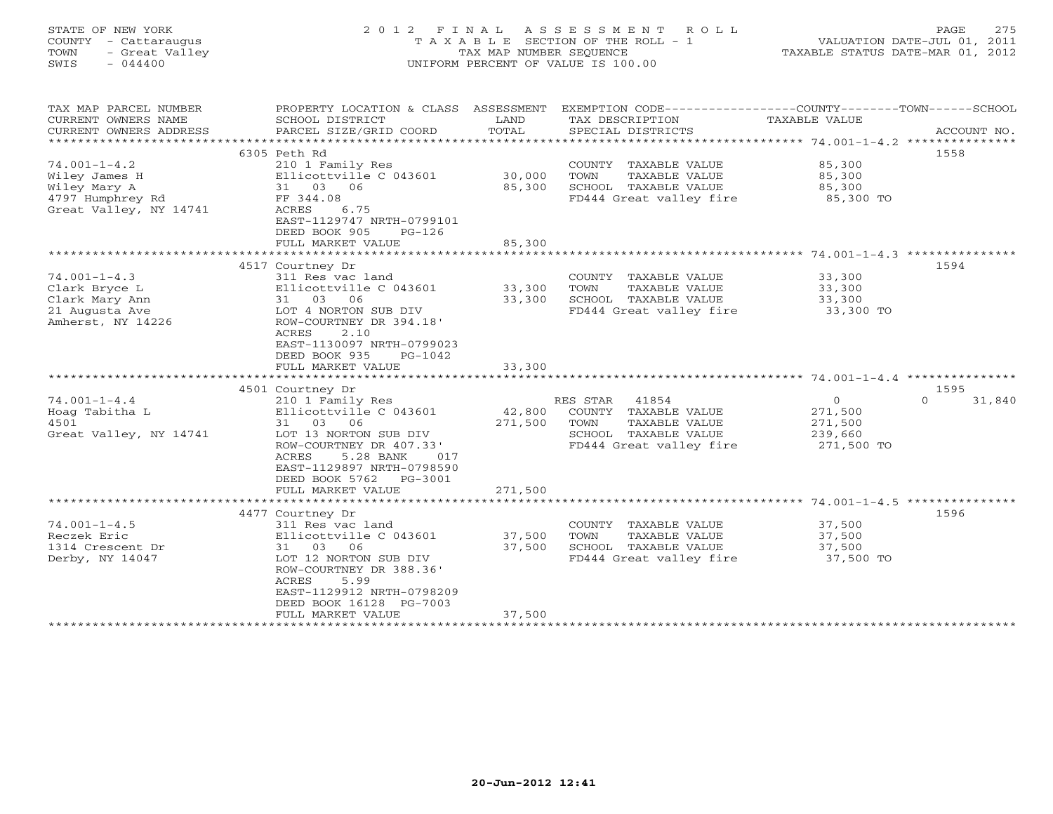#### STATE OF NEW YORK 2 0 1 2 F I N A L A S S E S S M E N T R O L L PAGE 275 COUNTY - Cattaraugus T A X A B L E SECTION OF THE ROLL - 1 VALUATION DATE-JUL 01, 2011 TOWN - Great Valley TAX MAP NUMBER SEQUENCE TAXABLE STATUS DATE-MAR 01, 2012 SWIS - 044400 UNIFORM PERCENT OF VALUE IS 100.00UNIFORM PERCENT OF VALUE IS 100.00

| TAX MAP PARCEL NUMBER<br>CURRENT OWNERS NAME<br>CURRENT OWNERS ADDRESS<br>********************** | PROPERTY LOCATION & CLASS ASSESSMENT<br>SCHOOL DISTRICT<br>PARCEL SIZE/GRID COORD | LAND<br>TOTAL | TAX DESCRIPTION<br>SPECIAL DISTRICTS | EXEMPTION CODE----------------COUNTY-------TOWN------SCHOOL<br>TAXABLE VALUE<br>ACCOUNT NO. |        |
|--------------------------------------------------------------------------------------------------|-----------------------------------------------------------------------------------|---------------|--------------------------------------|---------------------------------------------------------------------------------------------|--------|
|                                                                                                  |                                                                                   |               |                                      | 1558                                                                                        |        |
|                                                                                                  | 6305 Peth Rd                                                                      |               |                                      |                                                                                             |        |
| $74.001 - 1 - 4.2$                                                                               | 210 1 Family Res                                                                  |               | COUNTY TAXABLE VALUE                 | 85,300                                                                                      |        |
| Wiley James H                                                                                    | Ellicottville C 043601                                                            | 30,000        | TOWN<br>TAXABLE VALUE                | 85,300                                                                                      |        |
| Wiley Mary A                                                                                     | 31 03 06                                                                          | 85,300        | SCHOOL TAXABLE VALUE                 | 85,300                                                                                      |        |
| 4797 Humphrey Rd                                                                                 | FF 344.08                                                                         |               | FD444 Great valley fire              | 85,300 TO                                                                                   |        |
| Great Valley, NY 14741                                                                           | ACRES<br>6.75                                                                     |               |                                      |                                                                                             |        |
|                                                                                                  | EAST-1129747 NRTH-0799101                                                         |               |                                      |                                                                                             |        |
|                                                                                                  | DEED BOOK 905<br>$PG-126$                                                         |               |                                      |                                                                                             |        |
|                                                                                                  | FULL MARKET VALUE                                                                 | 85,300        |                                      |                                                                                             |        |
|                                                                                                  |                                                                                   |               |                                      |                                                                                             |        |
|                                                                                                  | 4517 Courtney Dr                                                                  |               |                                      | 1594                                                                                        |        |
| $74.001 - 1 - 4.3$                                                                               | 311 Res vac land                                                                  |               | COUNTY TAXABLE VALUE                 | 33,300                                                                                      |        |
| Clark Bryce L                                                                                    | Ellicottville C 043601                                                            | 33,300        | TOWN<br>TAXABLE VALUE                | 33,300                                                                                      |        |
| Clark Mary Ann                                                                                   | 31 03 06                                                                          | 33,300        | SCHOOL TAXABLE VALUE                 | 33,300                                                                                      |        |
| 21 Augusta Ave                                                                                   | LOT 4 NORTON SUB DIV                                                              |               | FD444 Great valley fire              | 33,300 TO                                                                                   |        |
| Amherst, NY 14226                                                                                | ROW-COURTNEY DR 394.18'                                                           |               |                                      |                                                                                             |        |
|                                                                                                  | ACRES<br>2.10                                                                     |               |                                      |                                                                                             |        |
|                                                                                                  | EAST-1130097 NRTH-0799023                                                         |               |                                      |                                                                                             |        |
|                                                                                                  | DEED BOOK 935<br>$PG-1042$                                                        |               |                                      |                                                                                             |        |
|                                                                                                  | FULL MARKET VALUE                                                                 | 33,300        |                                      |                                                                                             |        |
|                                                                                                  |                                                                                   |               |                                      |                                                                                             |        |
|                                                                                                  | 4501 Courtney Dr                                                                  |               |                                      | 1595                                                                                        |        |
| $74.001 - 1 - 4.4$                                                                               | 210 1 Family Res                                                                  |               | RES STAR 41854                       | $\overline{0}$<br>$\Omega$                                                                  | 31,840 |
| Hoag Tabitha L                                                                                   | Ellicottville C 043601                                                            | 42,800        | COUNTY TAXABLE VALUE                 | 271,500                                                                                     |        |
| 4501                                                                                             | 31 03<br>06                                                                       | 271,500       | TOWN<br>TAXABLE VALUE                | 271,500                                                                                     |        |
| Great Valley, NY 14741                                                                           | LOT 13 NORTON SUB DIV                                                             |               | SCHOOL TAXABLE VALUE                 | 239,660                                                                                     |        |
|                                                                                                  |                                                                                   |               | FD444 Great valley fire              |                                                                                             |        |
|                                                                                                  | ROW-COURTNEY DR 407.33'                                                           |               |                                      | 271,500 TO                                                                                  |        |
|                                                                                                  | ACRES<br>5.28 BANK<br>017                                                         |               |                                      |                                                                                             |        |
|                                                                                                  | EAST-1129897 NRTH-0798590                                                         |               |                                      |                                                                                             |        |
|                                                                                                  | DEED BOOK 5762<br>PG-3001                                                         |               |                                      |                                                                                             |        |
|                                                                                                  | FULL MARKET VALUE                                                                 | 271,500       |                                      |                                                                                             |        |
|                                                                                                  |                                                                                   |               |                                      |                                                                                             |        |
|                                                                                                  | 4477 Courtney Dr                                                                  |               |                                      | 1596                                                                                        |        |
| $74.001 - 1 - 4.5$                                                                               | 311 Res vac land                                                                  |               | COUNTY TAXABLE VALUE                 | 37,500                                                                                      |        |
| Reczek Eric                                                                                      | Ellicottville C 043601                                                            | 37,500        | TOWN<br>TAXABLE VALUE                | 37,500                                                                                      |        |
| 1314 Crescent Dr                                                                                 | 31 03<br>06                                                                       | 37,500        | SCHOOL TAXABLE VALUE                 | 37,500                                                                                      |        |
| Derby, NY 14047                                                                                  | LOT 12 NORTON SUB DIV                                                             |               | FD444 Great valley fire              | 37,500 TO                                                                                   |        |
|                                                                                                  | ROW-COURTNEY DR 388.36'                                                           |               |                                      |                                                                                             |        |
|                                                                                                  | ACRES<br>5.99                                                                     |               |                                      |                                                                                             |        |
|                                                                                                  | EAST-1129912 NRTH-0798209                                                         |               |                                      |                                                                                             |        |
|                                                                                                  | DEED BOOK 16128 PG-7003                                                           |               |                                      |                                                                                             |        |
|                                                                                                  | FULL MARKET VALUE                                                                 | 37,500        |                                      |                                                                                             |        |
|                                                                                                  | **********************                                                            |               |                                      |                                                                                             |        |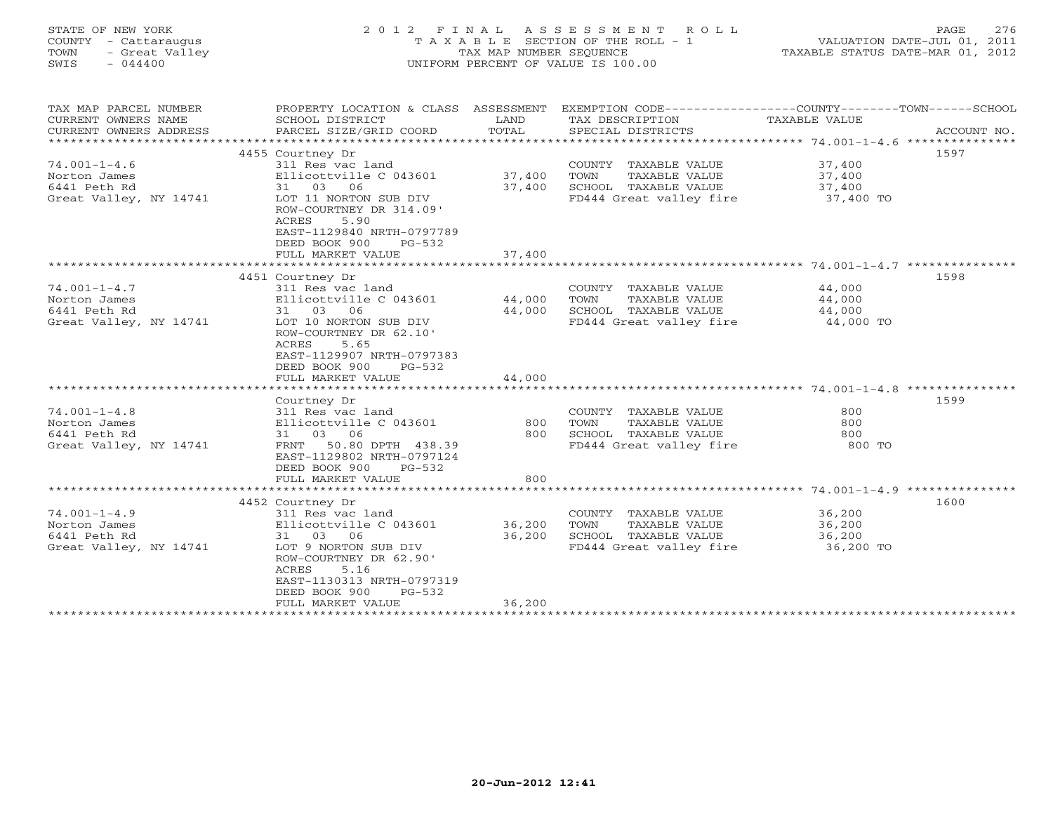| STATE OF NEW YORK<br>COUNTY - Cattaraugus<br>- Great Valley<br>TOWN<br>SWIS<br>$-044400$ | 2012 FINAL                                                                                                                                                                                                                            | TAX MAP NUMBER SEQUENCE    | ASSESSMENT<br>ROLL<br>T A X A B L E SECTION OF THE ROLL - 1<br>UNIFORM PERCENT OF VALUE IS 100.00       | TAXABLE STATUS DATE-MAR 01, 2012                  | 276<br>PAGE<br>VALUATION DATE-JUL 01, 2011 |
|------------------------------------------------------------------------------------------|---------------------------------------------------------------------------------------------------------------------------------------------------------------------------------------------------------------------------------------|----------------------------|---------------------------------------------------------------------------------------------------------|---------------------------------------------------|--------------------------------------------|
| TAX MAP PARCEL NUMBER<br>CURRENT OWNERS NAME<br>CURRENT OWNERS ADDRESS                   | PROPERTY LOCATION & CLASS ASSESSMENT<br>SCHOOL DISTRICT<br>PARCEL SIZE/GRID COORD                                                                                                                                                     | LAND<br>TOTAL              | EXEMPTION CODE-----------------COUNTY-------TOWN------SCHOOL<br>TAX DESCRIPTION<br>SPECIAL DISTRICTS    | TAXABLE VALUE                                     | ACCOUNT NO.                                |
| $74.001 - 1 - 4.6$<br>Norton James<br>6441 Peth Rd<br>Great Valley, NY 14741             | 4455 Courtney Dr<br>311 Res vac land<br>Ellicottville C 043601<br>31 03 06<br>LOT 11 NORTON SUB DIV<br>ROW-COURTNEY DR 314.09'<br><b>ACRES</b><br>5.90<br>EAST-1129840 NRTH-0797789<br>DEED BOOK 900<br>$PG-532$<br>FULL MARKET VALUE | 37,400<br>37,400<br>37,400 | COUNTY TAXABLE VALUE<br>TAXABLE VALUE<br>TOWN<br>SCHOOL TAXABLE VALUE<br>FD444 Great valley fire        | 37,400<br>37,400<br>37,400<br>37,400 TO           | 1597                                       |
|                                                                                          | **********************                                                                                                                                                                                                                | *************              |                                                                                                         | ************* 74.001-1-4.7 ***                    |                                            |
| $74.001 - 1 - 4.7$<br>Norton James<br>6441 Peth Rd<br>Great Valley, NY 14741             | 4451 Courtney Dr<br>311 Res vac land<br>Ellicottville C 043601<br>06<br>31 03<br>LOT 10 NORTON SUB DIV<br>ROW-COURTNEY DR 62.10'<br>ACRES<br>5.65<br>EAST-1129907 NRTH-0797383<br>DEED BOOK 900<br>$PG-532$<br>FULL MARKET VALUE      | 44,000<br>44,000<br>44,000 | COUNTY TAXABLE VALUE<br>TAXABLE VALUE<br>TOWN<br>SCHOOL TAXABLE VALUE<br>FD444 Great valley fire        | 44,000<br>44,000<br>44,000<br>44,000 TO           | 1598                                       |
|                                                                                          | Courtney Dr                                                                                                                                                                                                                           |                            |                                                                                                         |                                                   | 1599                                       |
| $74.001 - 1 - 4.8$<br>Norton James<br>6441 Peth Rd<br>Great Valley, NY 14741             | 311 Res vac land<br>Ellicottville C 043601<br>31 03 06<br>50.80 DPTH 438.39<br>FRNT<br>EAST-1129802 NRTH-0797124<br>DEED BOOK 900<br>$PG-532$<br>FULL MARKET VALUE                                                                    | 800<br>800<br>800          | COUNTY TAXABLE VALUE<br>TAXABLE VALUE<br>TOWN<br>SCHOOL TAXABLE VALUE<br>FD444 Great valley fire        | 800<br>800<br>800<br>800 TO                       |                                            |
|                                                                                          |                                                                                                                                                                                                                                       | ***********                |                                                                                                         | ******************** 74.001-1-4.9 *************** |                                            |
| $74.001 - 1 - 4.9$<br>Norton James<br>6441 Peth Rd<br>Great Valley, NY 14741             | 4452 Courtney Dr<br>311 Res vac land<br>Ellicottville C 043601<br>31 03 06<br>LOT 9 NORTON SUB DIV<br>ROW-COURTNEY DR 62.90'<br>ACRES<br>5.16<br>EAST-1130313 NRTH-0797319<br>DEED BOOK 900<br>$PG-532$<br>FULL MARKET VALUE          | 36,200<br>36,200<br>36,200 | COUNTY TAXABLE VALUE<br><b>TAXABLE VALUE</b><br>TOWN<br>SCHOOL TAXABLE VALUE<br>FD444 Great valley fire | 36,200<br>36,200<br>36,200<br>36,200 TO           | 1600                                       |
|                                                                                          |                                                                                                                                                                                                                                       |                            |                                                                                                         |                                                   |                                            |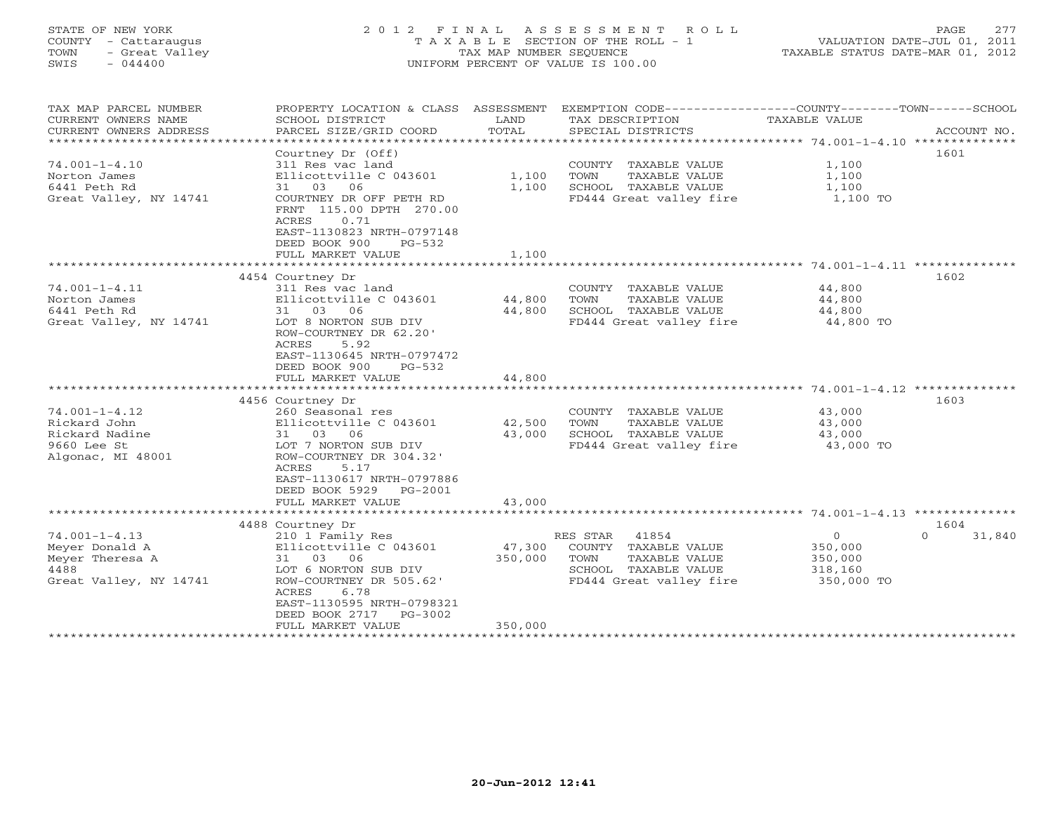#### STATE OF NEW YORK 2 0 1 2 F I N A L A S S E S S M E N T R O L L PAGE 277 COUNTY - Cattaraugus T A X A B L E SECTION OF THE ROLL - 1 VALUATION DATE-JUL 01, 2011 TOWN - Great Valley TAX MAP NUMBER SEQUENCE TAXABLE STATUS DATE-MAR 01, 2012 SWIS - 044400 UNIFORM PERCENT OF VALUE IS 100.00UNIFORM PERCENT OF VALUE IS 100.00

| TAX MAP PARCEL NUMBER<br>CURRENT OWNERS NAME<br>CURRENT OWNERS ADDRESS<br>************************* | PROPERTY LOCATION & CLASS ASSESSMENT<br>SCHOOL DISTRICT<br>PARCEL SIZE/GRID COORD                                                                                                                                                                          | LAND<br>TOTAL                | EXEMPTION CODE-----------------COUNTY-------TOWN------SCHOOL<br>TAX DESCRIPTION<br>SPECIAL DISTRICTS                                                    | TAXABLE VALUE                                              | ACCOUNT NO.                |
|-----------------------------------------------------------------------------------------------------|------------------------------------------------------------------------------------------------------------------------------------------------------------------------------------------------------------------------------------------------------------|------------------------------|---------------------------------------------------------------------------------------------------------------------------------------------------------|------------------------------------------------------------|----------------------------|
| $74.001 - 1 - 4.10$<br>Norton James<br>6441 Peth Rd<br>Great Valley, NY 14741                       | Courtney Dr (Off)<br>311 Res vac land<br>Ellicottville C 043601<br>06<br>31 03<br>COURTNEY DR OFF PETH RD<br>FRNT 115.00 DPTH 270.00<br><b>ACRES</b><br>0.71<br>EAST-1130823 NRTH-0797148<br>DEED BOOK 900<br>$PG-532$<br>FULL MARKET VALUE                | 1,100<br>1,100<br>1,100      | COUNTY<br>TAXABLE VALUE<br>TOWN<br>TAXABLE VALUE<br>SCHOOL TAXABLE VALUE<br>FD444 Great valley fire                                                     | 1,100<br>1,100<br>1,100<br>1,100 TO                        | 1601                       |
|                                                                                                     |                                                                                                                                                                                                                                                            | **********                   |                                                                                                                                                         | *************** 74.001-1-4.11 ***************              |                            |
| $74.001 - 1 - 4.11$<br>Norton James<br>6441 Peth Rd<br>Great Valley, NY 14741                       | 4454 Courtney Dr<br>311 Res vac land<br>Ellicottville C 043601<br>31 03 06<br>LOT 8 NORTON SUB DIV<br>ROW-COURTNEY DR 62.20'<br>ACRES<br>5.92<br>EAST-1130645 NRTH-0797472<br>DEED BOOK 900<br>$PG-532$<br>FULL MARKET VALUE                               | 44,800<br>44,800<br>44,800   | COUNTY TAXABLE VALUE<br>TOWN<br>TAXABLE VALUE<br>SCHOOL TAXABLE VALUE<br>FD444 Great valley fire                                                        | 44,800<br>44,800<br>44,800<br>44,800 TO                    | 1602                       |
|                                                                                                     | *******************                                                                                                                                                                                                                                        |                              |                                                                                                                                                         | ************ 74.001-1-4.12 **                              |                            |
| $74.001 - 1 - 4.12$<br>Rickard John<br>Rickard Nadine<br>9660 Lee St<br>Algonac, MI 48001           | 4456 Courtney Dr<br>260 Seasonal res<br>Ellicottville C 043601<br>31 03 06<br>LOT 7 NORTON SUB DIV<br>ROW-COURTNEY DR 304.32'<br>ACRES<br>5.17<br>EAST-1130617 NRTH-0797886<br>DEED BOOK 5929<br>PG-2001                                                   | 42,500<br>43,000             | COUNTY TAXABLE VALUE<br>TOWN<br>TAXABLE VALUE<br>SCHOOL TAXABLE VALUE<br>FD444 Great valley fire                                                        | 43,000<br>43,000<br>43,000<br>43,000 TO                    | 1603                       |
|                                                                                                     | FULL MARKET VALUE<br>*************************                                                                                                                                                                                                             | 43,000<br>*************      |                                                                                                                                                         |                                                            |                            |
| $74.001 - 1 - 4.13$<br>Meyer Donald A<br>Meyer Theresa A<br>4488<br>Great Valley, NY 14741          | 4488 Courtney Dr<br>210 1 Family Res<br>Ellicottville C 043601<br>31 03 06<br>LOT 6 NORTON SUB DIV<br>ROW-COURTNEY DR 505.62'<br>ACRES<br>6.78<br>EAST-1130595 NRTH-0798321<br>DEED BOOK 2717<br>$PG-3002$<br>FULL MARKET VALUE<br>*********************** | 47,300<br>350,000<br>350,000 | 41854<br>RES STAR<br>COUNTY TAXABLE VALUE<br>TOWN<br>TAXABLE VALUE<br>SCHOOL TAXABLE VALUE<br>FD444 Great valley fire<br>****************************** | $\mathbf 0$<br>350,000<br>350,000<br>318,160<br>350,000 TO | 1604<br>31,840<br>$\Omega$ |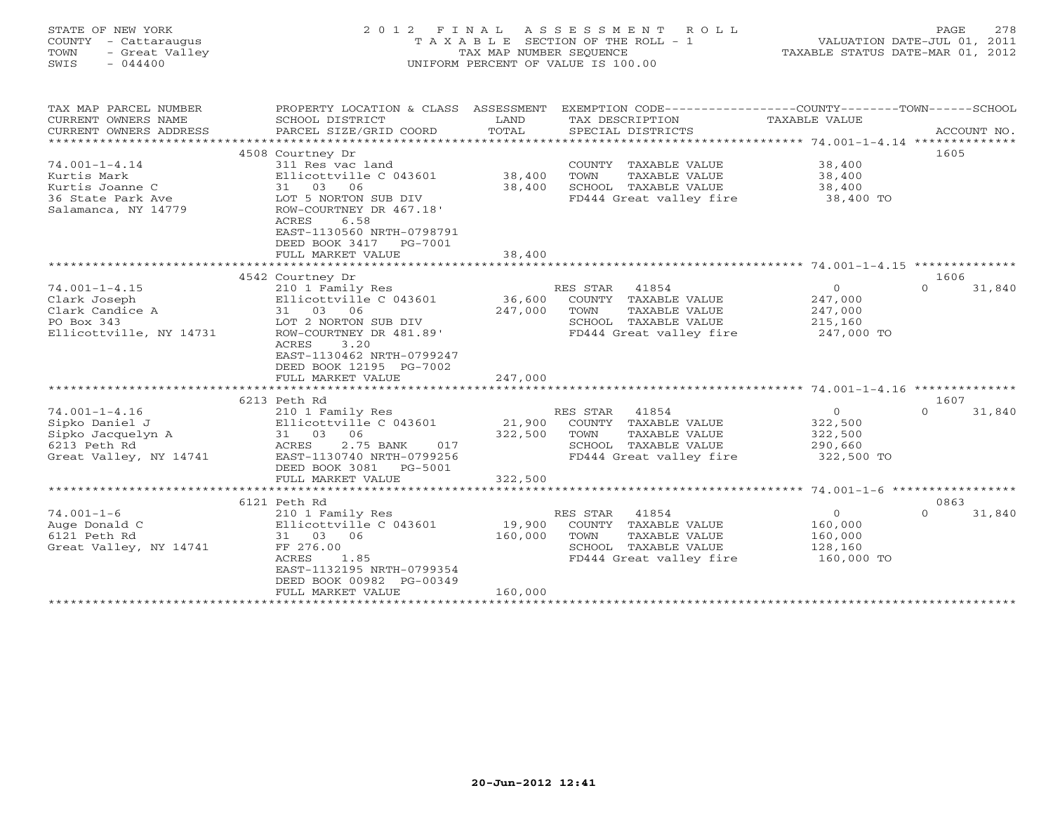| STATE OF NEW YORK<br>COUNTY - Cattaraugus<br>TOWN<br>- Great Valley<br>SWIS<br>$-044400$             | 2 0 1 2<br>F I N A L                                                                                                                                                                                                                | TAX MAP NUMBER SEQUENCE                                     | ASSESSMENT<br>ROLL<br>T A X A B L E SECTION OF THE ROLL - 1<br>UNIFORM PERCENT OF VALUE IS 100.00                     | TAXABLE STATUS DATE-MAR 01, 2012                              | 278<br>PAGE<br>VALUATION DATE-JUL 01, 2011 |
|------------------------------------------------------------------------------------------------------|-------------------------------------------------------------------------------------------------------------------------------------------------------------------------------------------------------------------------------------|-------------------------------------------------------------|-----------------------------------------------------------------------------------------------------------------------|---------------------------------------------------------------|--------------------------------------------|
| TAX MAP PARCEL NUMBER<br>CURRENT OWNERS NAME<br>CURRENT OWNERS ADDRESS<br>**********************     | PROPERTY LOCATION & CLASS ASSESSMENT<br>SCHOOL DISTRICT<br>PARCEL SIZE/GRID COORD                                                                                                                                                   | LAND<br>TOTAL                                               | EXEMPTION CODE-----------------COUNTY-------TOWN-----SCHOOL<br>TAX DESCRIPTION<br>SPECIAL DISTRICTS                   | TAXABLE VALUE                                                 | ACCOUNT NO.                                |
| $74.001 - 1 - 4.14$<br>Kurtis Mark<br>Kurtis Joanne C<br>36 State Park Ave<br>Salamanca, NY 14779    | 4508 Courtney Dr<br>311 Res vac land<br>Ellicottville C 043601<br>31<br>03<br>06<br>LOT 5 NORTON SUB DIV<br>ROW-COURTNEY DR 467.18'<br>ACRES<br>6.58<br>EAST-1130560 NRTH-0798791<br>DEED BOOK 3417<br>PG-7001<br>FULL MARKET VALUE | 38,400<br>38,400<br>38,400                                  | COUNTY TAXABLE VALUE<br>TAXABLE VALUE<br>TOWN<br>SCHOOL TAXABLE VALUE<br>FD444 Great valley fire                      | 38,400<br>38,400<br>38,400<br>38,400 TO                       | 1605                                       |
|                                                                                                      |                                                                                                                                                                                                                                     | **********                                                  | ************************************ 74.001-1-4.15 ***************                                                    |                                                               |                                            |
| $74.001 - 1 - 4.15$<br>Clark Joseph<br>Clark Candice A<br>PO Box 343<br>Ellicottville, NY 14731      | 4542 Courtney Dr<br>210 1 Family Res<br>Ellicottville C 043601<br>31<br>03 06<br>LOT 2 NORTON SUB DIV<br>ROW-COURTNEY DR 481.89'<br>3.20<br>ACRES<br>EAST-1130462 NRTH-0799247<br>DEED BOOK 12195 PG-7002<br>FULL MARKET VALUE      | 36,600<br>247,000<br>247,000                                | RES STAR<br>41854<br>COUNTY TAXABLE VALUE<br>TAXABLE VALUE<br>TOWN<br>SCHOOL TAXABLE VALUE<br>FD444 Great valley fire | $\overline{0}$<br>247,000<br>247,000<br>215,160<br>247,000 TO | 1606<br>$\Omega$<br>31,840                 |
|                                                                                                      | 6213 Peth Rd                                                                                                                                                                                                                        |                                                             |                                                                                                                       | *********** 74.001-1-4.16 *********                           | 1607                                       |
| $74.001 - 1 - 4.16$<br>Sipko Daniel J<br>Sipko Jacquelyn A<br>6213 Peth Rd<br>Great Valley, NY 14741 | 210 1 Family Res<br>Ellicottville C 043601<br>31 03<br>06<br>ACRES<br>2.75 BANK<br>017<br>EAST-1130740 NRTH-0799256<br>DEED BOOK 3081<br>PG-5001                                                                                    | 21,900<br>322,500                                           | RES STAR<br>41854<br>COUNTY TAXABLE VALUE<br>TAXABLE VALUE<br>TOWN<br>SCHOOL TAXABLE VALUE<br>FD444 Great valley fire | $\overline{0}$<br>322,500<br>322,500<br>290,660<br>322,500 TO | 31,840<br>$\Omega$                         |
|                                                                                                      | FULL MARKET VALUE<br>*********************                                                                                                                                                                                          | 322,500                                                     |                                                                                                                       |                                                               |                                            |
|                                                                                                      | 6121 Peth Rd                                                                                                                                                                                                                        |                                                             |                                                                                                                       |                                                               | 0863                                       |
| $74.001 - 1 - 6$<br>Auge Donald C<br>6121 Peth Rd<br>Great Valley, NY 14741                          | 210 1 Family Res<br>Ellicottville C 043601<br>31 03 06<br>FF 276.00<br>ACRES<br>1.85<br>EAST-1132195 NRTH-0799354<br>DEED BOOK 00982 PG-00349<br>FULL MARKET VALUE                                                                  | 19,900<br>160,000<br>160,000<br>* * * * * * * * * * * * * * | RES STAR<br>41854<br>COUNTY TAXABLE VALUE<br>TOWN<br>TAXABLE VALUE<br>SCHOOL TAXABLE VALUE<br>FD444 Great valley fire | $\overline{0}$<br>160,000<br>160,000<br>128,160<br>160,000 TO | $\Omega$<br>31,840                         |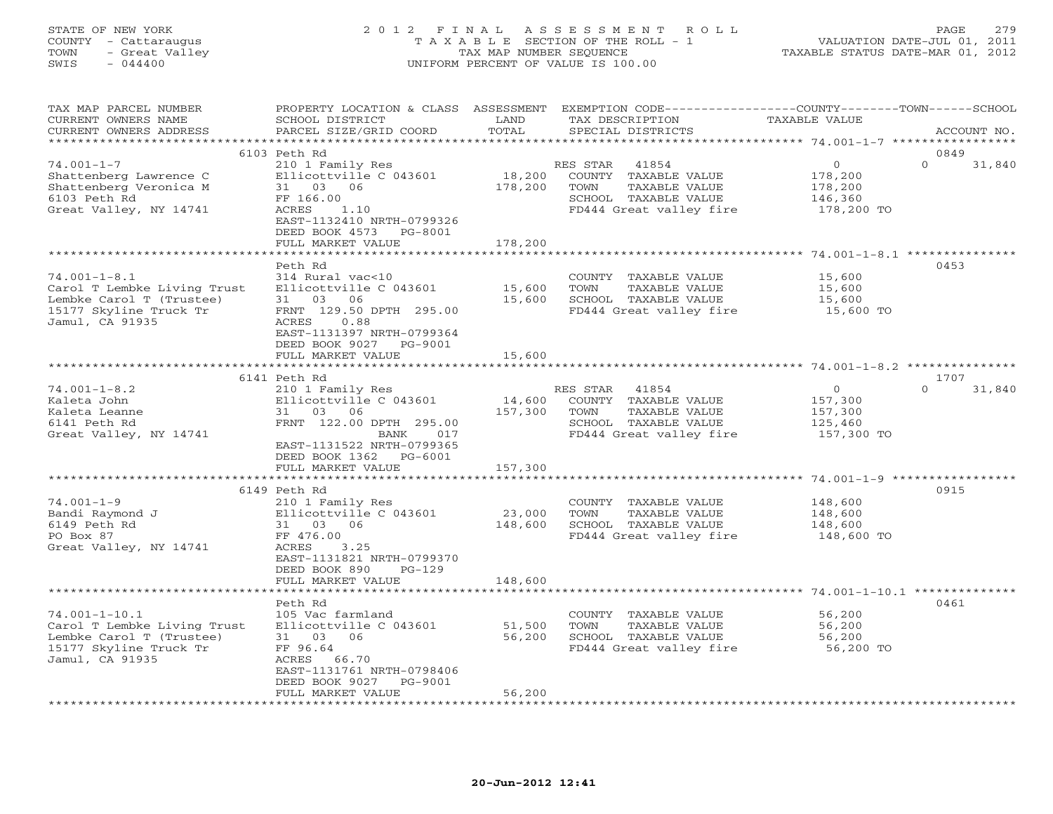#### STATE OF NEW YORK 2 0 1 2 F I N A L A S S E S S M E N T R O L L PAGE 279 COUNTY - Cattaraugus T A X A B L E SECTION OF THE ROLL - 1 VALUATION DATE-JUL 01, 2011 TOWN - Great Valley TAX MAP NUMBER SEQUENCE TAXABLE STATUS DATE-MAR 01, 2012 SWIS - 044400 UNIFORM PERCENT OF VALUE IS 100.00UNIFORM PERCENT OF VALUE IS 100.00

| TAX MAP PARCEL NUMBER<br>CURRENT OWNERS NAME<br>CURRENT OWNERS ADDRESS                                                      | PROPERTY LOCATION & CLASS ASSESSMENT<br>SCHOOL DISTRICT<br>PARCEL SIZE/GRID COORD                                                                                    | LAND<br>TOTAL               | EXEMPTION CODE-----------------COUNTY-------TOWN------SCHOOL<br>TAX DESCRIPTION<br>SPECIAL DISTRICTS                  | TAXABLE VALUE                                          | ACCOUNT NO.        |
|-----------------------------------------------------------------------------------------------------------------------------|----------------------------------------------------------------------------------------------------------------------------------------------------------------------|-----------------------------|-----------------------------------------------------------------------------------------------------------------------|--------------------------------------------------------|--------------------|
| **********************                                                                                                      |                                                                                                                                                                      |                             |                                                                                                                       |                                                        |                    |
|                                                                                                                             | 6103 Peth Rd                                                                                                                                                         |                             |                                                                                                                       |                                                        | 0849               |
| $74.001 - 1 - 7$<br>Shattenberg Lawrence C<br>Shattenberg Veronica M<br>6103 Peth Rd<br>Great Valley, NY 14741              | 210 1 Family Res<br>Ellicottville C 043601<br>31 03 06<br>FF 166.00<br>ACRES<br>1.10<br>EAST-1132410 NRTH-0799326<br>DEED BOOK 4573 PG-8001                          | 18,200<br>178,200           | RES STAR<br>41854<br>COUNTY TAXABLE VALUE<br>TAXABLE VALUE<br>TOWN<br>SCHOOL TAXABLE VALUE<br>FD444 Great valley fire | $\circ$<br>178,200<br>178,200<br>146,360<br>178,200 TO | $\Omega$<br>31,840 |
|                                                                                                                             | FULL MARKET VALUE                                                                                                                                                    | 178,200                     |                                                                                                                       |                                                        |                    |
|                                                                                                                             | *******************                                                                                                                                                  | ***********                 |                                                                                                                       |                                                        |                    |
| $74.001 - 1 - 8.1$<br>Carol T Lembke Living Trust<br>Lembke Carol T (Trustee)<br>15177 Skyline Truck Tr<br>Jamul, CA 91935  | Peth Rd<br>314 Rural vac<10<br>Ellicottville C 043601<br>31 03 06<br>FRNT 129.50 DPTH 295.00<br>ACRES<br>0.88<br>EAST-1131397 NRTH-0799364<br>DEED BOOK 9027 PG-9001 | 15,600<br>15,600            | COUNTY TAXABLE VALUE<br>TAXABLE VALUE<br>TOWN<br>SCHOOL TAXABLE VALUE<br>FD444 Great valley fire                      | 15,600<br>15,600<br>15,600<br>15,600 TO                | 0453               |
|                                                                                                                             | FULL MARKET VALUE                                                                                                                                                    | 15,600                      |                                                                                                                       |                                                        |                    |
|                                                                                                                             |                                                                                                                                                                      |                             |                                                                                                                       |                                                        |                    |
|                                                                                                                             | 6141 Peth Rd                                                                                                                                                         |                             |                                                                                                                       |                                                        | 1707               |
| $74.001 - 1 - 8.2$<br>Kaleta John<br>Kaleta Leanne<br>6141 Peth Rd<br>Great Valley, NY 14741                                | 210 1 Family Res<br>Ellicottville C 043601<br>31 03 06<br>FRNT 122.00 DPTH 295.00<br>017<br>BANK<br>EAST-1131522 NRTH-0799365<br>DEED BOOK 1362 PG-6001              | 14,600<br>157,300           | RES STAR 41854<br>COUNTY TAXABLE VALUE<br>TAXABLE VALUE<br>TOWN<br>SCHOOL TAXABLE VALUE<br>FD444 Great valley fire    | $\circ$<br>157,300<br>157,300<br>125,460<br>157,300 TO | $\Omega$<br>31,840 |
|                                                                                                                             | FULL MARKET VALUE                                                                                                                                                    | 157,300                     |                                                                                                                       |                                                        |                    |
|                                                                                                                             |                                                                                                                                                                      |                             |                                                                                                                       |                                                        |                    |
|                                                                                                                             | 6149 Peth Rd                                                                                                                                                         |                             |                                                                                                                       |                                                        | 0915               |
| $74.001 - 1 - 9$<br>Bandi Raymond J<br>6149 Peth Rd<br>PO Box 87<br>Great Valley, NY 14741                                  | 210 1 Family Res<br>Ellicottville C 043601<br>31 03 06<br>FF 476.00<br>ACRES<br>3.25<br>EAST-1131821 NRTH-0799370<br>DEED BOOK 890<br>$PG-129$                       | 23,000<br>148,600           | COUNTY TAXABLE VALUE<br>TOWN<br>TAXABLE VALUE<br>SCHOOL TAXABLE VALUE<br>FD444 Great valley fire                      | 148,600<br>148,600<br>148,600<br>148,600 TO            |                    |
|                                                                                                                             | FULL MARKET VALUE                                                                                                                                                    | 148,600                     |                                                                                                                       |                                                        |                    |
|                                                                                                                             | ********************                                                                                                                                                 | * * * * * * * * * * * * * * |                                                                                                                       |                                                        |                    |
| $74.001 - 1 - 10.1$<br>Carol T Lembke Living Trust<br>Lembke Carol T (Trustee)<br>15177 Skyline Truck Tr<br>Jamul, CA 91935 | Peth Rd<br>105 Vac farmland<br>Ellicottville C 043601<br>31 03 06<br>FF 96.64<br>ACRES 66.70<br>EAST-1131761 NRTH-0798406<br>DEED BOOK 9027<br>PG-9001               | 51,500<br>56,200            | COUNTY TAXABLE VALUE<br>TOWN<br>TAXABLE VALUE<br>SCHOOL TAXABLE VALUE<br>FD444 Great valley fire                      | 56,200<br>56,200<br>56,200<br>56,200 TO                | 0461               |
|                                                                                                                             | FULL MARKET VALUE                                                                                                                                                    | 56,200                      |                                                                                                                       |                                                        |                    |
|                                                                                                                             | *******************                                                                                                                                                  |                             |                                                                                                                       |                                                        |                    |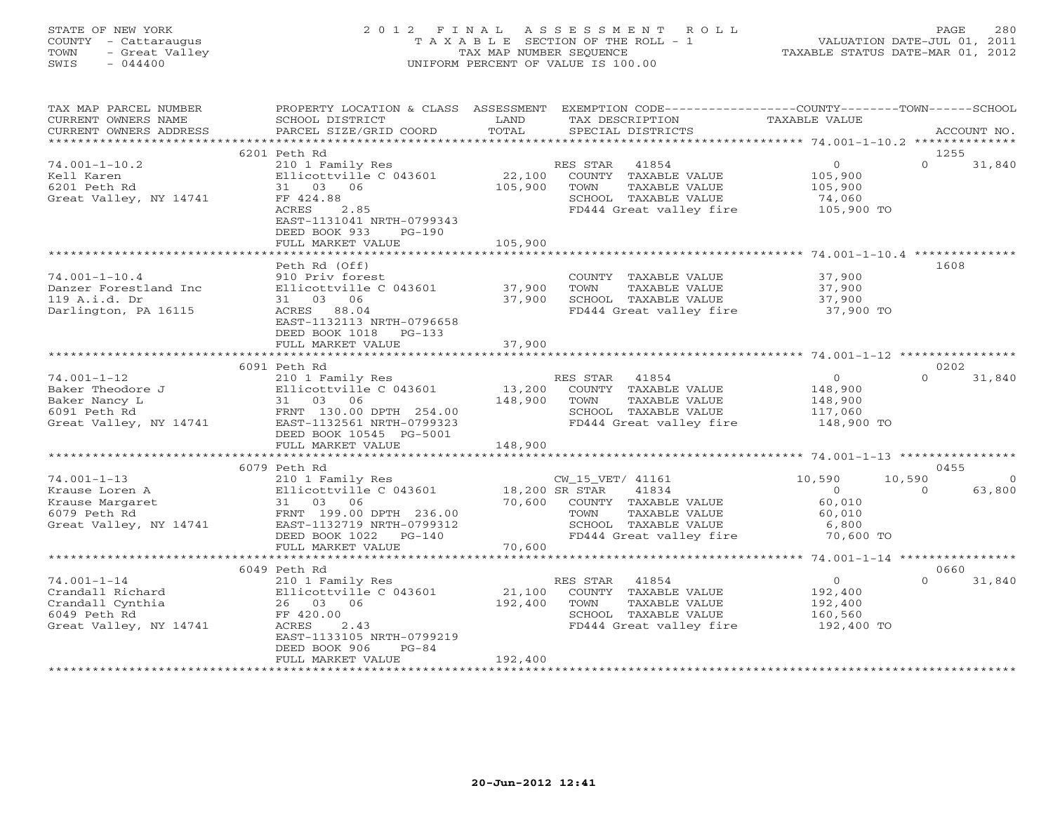## STATE OF NEW YORK 2 0 1 2 F I N A L A S S E S S M E N T R O L L PAGE 280 COUNTY - Cattaraugus T A X A B L E SECTION OF THE ROLL - 1 VALUATION DATE-JUL 01, 2011 TOWN - Great Valley TAX MAP NUMBER SEQUENCE TAXABLE STATUS DATE-MAR 01, 2012 SWIS - 044400 UNIFORM PERCENT OF VALUE IS 100.00

| TAX MAP PARCEL NUMBER  |                              |                | PROPERTY LOCATION & CLASS ASSESSMENT EXEMPTION CODE---------------COUNTY-------TOWN------SCHOOL |                |                    |
|------------------------|------------------------------|----------------|-------------------------------------------------------------------------------------------------|----------------|--------------------|
| CURRENT OWNERS NAME    | SCHOOL DISTRICT              | LAND           | TAX DESCRIPTION                                                                                 | TAXABLE VALUE  |                    |
| CURRENT OWNERS ADDRESS | PARCEL SIZE/GRID COORD       | TOTAL          | SPECIAL DISTRICTS                                                                               |                | ACCOUNT NO.        |
|                        |                              |                |                                                                                                 |                |                    |
|                        | 6201 Peth Rd                 |                |                                                                                                 |                | 1255               |
| $74.001 - 1 - 10.2$    | 210 1 Family Res             |                | RES STAR 41854                                                                                  | $\circ$        | $\Omega$<br>31,840 |
| Kell Karen             | Ellicottville C 043601       | 22,100         | COUNTY TAXABLE VALUE                                                                            | 105,900        |                    |
| 6201 Peth Rd           | 31 03 06                     | 105,900        | TOWN<br>TAXABLE VALUE                                                                           | 105,900        |                    |
| Great Valley, NY 14741 | FF 424.88                    |                | SCHOOL TAXABLE VALUE                                                                            | 74,060         |                    |
|                        | ACRES<br>2.85                |                | FD444 Great valley fire                                                                         | 105,900 TO     |                    |
|                        | EAST-1131041 NRTH-0799343    |                |                                                                                                 |                |                    |
|                        | DEED BOOK 933<br>$PG-190$    |                |                                                                                                 |                |                    |
|                        | FULL MARKET VALUE            | 105,900        |                                                                                                 |                |                    |
|                        |                              |                |                                                                                                 |                |                    |
|                        | Peth Rd (Off)                |                |                                                                                                 |                | 1608               |
| $74.001 - 1 - 10.4$    | 910 Priv forest              |                | COUNTY TAXABLE VALUE                                                                            | 37,900         |                    |
| Danzer Forestland Inc  | Ellicottville C 043601       | 37,900         | TOWN<br>TAXABLE VALUE                                                                           | 37,900         |                    |
| 119 A.i.d. Dr          | 31 03 06                     | 37,900         | SCHOOL TAXABLE VALUE                                                                            | 37,900         |                    |
| Darlington, PA 16115   | ACRES 88.04                  |                | FD444 Great valley fire                                                                         | 37,900 TO      |                    |
|                        | EAST-1132113 NRTH-0796658    |                |                                                                                                 |                |                    |
|                        | DEED BOOK 1018<br>PG-133     |                |                                                                                                 |                |                    |
|                        | FULL MARKET VALUE            | 37,900         |                                                                                                 |                |                    |
|                        |                              |                |                                                                                                 |                |                    |
|                        | 6091 Peth Rd                 |                |                                                                                                 |                | 0202               |
| $74.001 - 1 - 12$      | 210 1 Family Res             |                | RES STAR<br>41854                                                                               | $\circ$        | $\cap$<br>31,840   |
| Baker Theodore J       | Ellicottville C 043601       | 13,200         | COUNTY TAXABLE VALUE                                                                            | 148,900        |                    |
| Baker Nancy L          | 31 03 06                     | 148,900        | TOWN<br>TAXABLE VALUE                                                                           | 148,900        |                    |
| 6091 Peth Rd           | FRNT 130.00 DPTH 254.00      |                | SCHOOL TAXABLE VALUE                                                                            | 117,060        |                    |
| Great Valley, NY 14741 | EAST-1132561 NRTH-0799323    |                | FD444 Great valley fire                                                                         | 148,900 TO     |                    |
|                        | DEED BOOK 10545 PG-5001      |                |                                                                                                 |                |                    |
|                        | FULL MARKET VALUE            | 148,900        |                                                                                                 |                |                    |
|                        |                              |                |                                                                                                 |                |                    |
|                        | 6079 Peth Rd                 |                |                                                                                                 |                | 0455               |
| $74.001 - 1 - 13$      | 210 1 Family Res             |                | CW_15_VET/ 41161                                                                                | 10,590         | 10,590<br>$\Omega$ |
| Krause Loren A         | Ellicottville C 043601       | 18,200 SR STAR | 41834                                                                                           | $\overline{0}$ | 63,800<br>$\Omega$ |
| Krause Margaret        | 31 03 06                     | 70,600         | COUNTY TAXABLE VALUE                                                                            | 60,010         |                    |
| 6079 Peth Rd           | FRNT 199.00 DPTH 236.00      |                | TOWN<br>TAXABLE VALUE                                                                           | 60,010         |                    |
| Great Valley, NY 14741 | EAST-1132719 NRTH-0799312    |                | SCHOOL TAXABLE VALUE                                                                            | 6,800          |                    |
|                        | DEED BOOK 1022<br>$PG-140$   |                | FD444 Great valley fire                                                                         | 70,600 TO      |                    |
|                        | FULL MARKET VALUE            | 70,600         |                                                                                                 |                |                    |
|                        | **************************** |                |                                                                                                 |                |                    |
|                        | 6049 Peth Rd                 |                |                                                                                                 |                | 0660               |
| $74.001 - 1 - 14$      | 210 1 Family Res             |                | 41854<br>RES STAR                                                                               | $\overline{0}$ | 31,840<br>$\Omega$ |
| Crandall Richard       | Ellicottville C 043601       | 21,100         | COUNTY TAXABLE VALUE                                                                            | 192,400        |                    |
| Crandall Cynthia       | 26 03 06                     | 192,400        | TAXABLE VALUE<br>TOWN                                                                           | 192,400        |                    |
| 6049 Peth Rd           | FF 420.00                    |                | SCHOOL TAXABLE VALUE                                                                            | 160,560        |                    |
| Great Valley, NY 14741 | ACRES<br>2.43                |                | FD444 Great valley fire                                                                         | 192,400 TO     |                    |
|                        | EAST-1133105 NRTH-0799219    |                |                                                                                                 |                |                    |
|                        | DEED BOOK 906<br>$PG-84$     |                |                                                                                                 |                |                    |
|                        | FULL MARKET VALUE            | 192,400        |                                                                                                 |                |                    |
|                        | ***************************  |                |                                                                                                 |                |                    |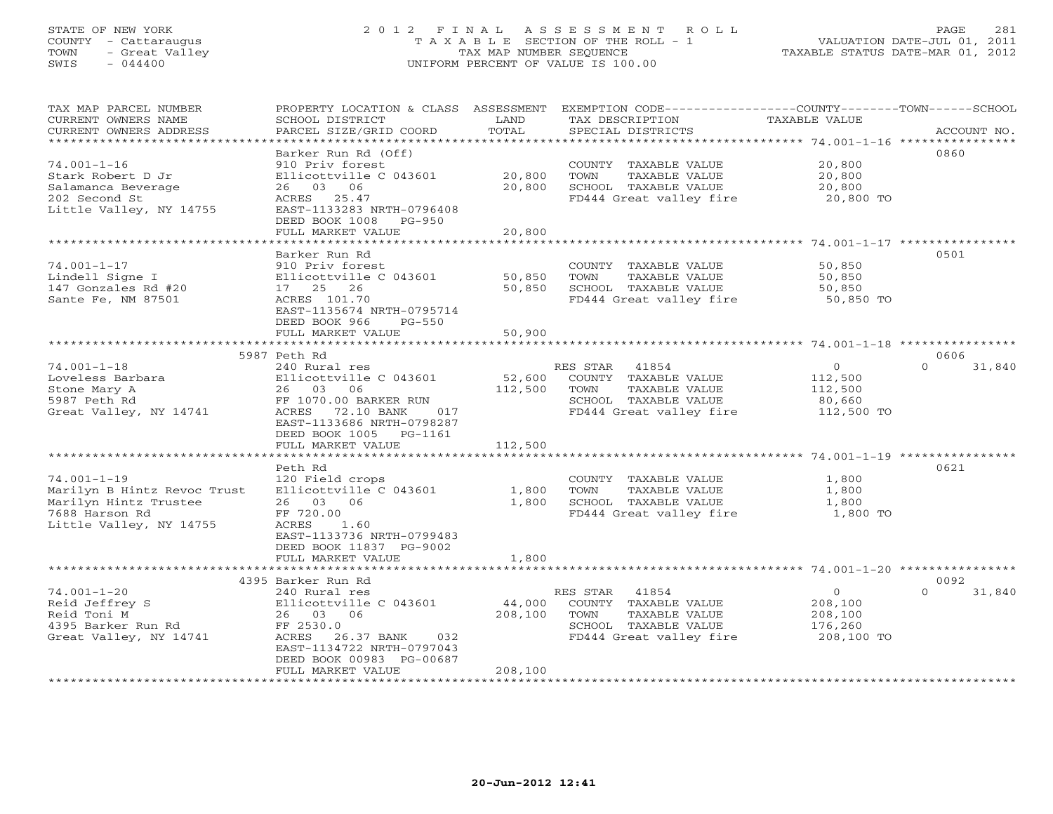# STATE OF NEW YORK 2 0 1 2 F I N A L A S S E S S M E N T R O L L PAGE 281 COUNTY - Cattaraugus T A X A B L E SECTION OF THE ROLL - 1 VALUATION DATE-JUL 01, 2011 TOWN - Great Valley TAX MAP NUMBER SEQUENCE TAXABLE STATUS DATE-MAR 01, 2012 SWIS - 044400 UNIFORM PERCENT OF VALUE IS 100.00

| TAX MAP PARCEL NUMBER<br>CURRENT OWNERS NAME<br>CURRENT OWNERS ADDRESS<br>******************************               | PROPERTY LOCATION & CLASS ASSESSMENT<br>SCHOOL DISTRICT<br>PARCEL SIZE/GRID COORD                                                                                                   | LAND<br>TOTAL                | EXEMPTION CODE-----------------COUNTY-------TOWN------SCHOOL<br>TAX DESCRIPTION<br>SPECIAL DISTRICTS                  | TAXABLE VALUE                                                | ACCOUNT NO.        |
|------------------------------------------------------------------------------------------------------------------------|-------------------------------------------------------------------------------------------------------------------------------------------------------------------------------------|------------------------------|-----------------------------------------------------------------------------------------------------------------------|--------------------------------------------------------------|--------------------|
| $74.001 - 1 - 16$<br>Stark Robert D Jr<br>Salamanca Beverage<br>202 Second St<br>Little Valley, NY 14755               | Barker Run Rd (Off)<br>910 Priv forest<br>Ellicottville C 043601<br>26 03 06<br>ACRES 25.47<br>EAST-1133283 NRTH-0796408<br>DEED BOOK 1008 PG-950<br>FULL MARKET VALUE              | 20,800<br>20,800<br>20,800   | COUNTY TAXABLE VALUE<br>TOWN<br>TAXABLE VALUE<br>SCHOOL TAXABLE VALUE<br>FD444 Great valley fire                      | 20,800<br>20,800<br>20,800<br>20,800 TO                      | 0860               |
|                                                                                                                        |                                                                                                                                                                                     |                              |                                                                                                                       |                                                              |                    |
| $74.001 - 1 - 17$<br>Lindell Signe I<br>147 Gonzales Rd #20<br>Sante Fe, NM 87501                                      | Barker Run Rd<br>910 Priv forest<br>Ellicottville C 043601<br>17 25 26<br>ACRES 101.70<br>EAST-1135674 NRTH-0795714<br>DEED BOOK 966<br>$PG-550$                                    | 50,850<br>50,850             | COUNTY TAXABLE VALUE<br>TAXABLE VALUE<br>TOWN<br>SCHOOL TAXABLE VALUE<br>FD444 Great valley fire                      | 50,850<br>50,850<br>50,850<br>50,850 TO                      | 0501               |
|                                                                                                                        | FULL MARKET VALUE                                                                                                                                                                   | 50,900                       |                                                                                                                       |                                                              |                    |
|                                                                                                                        |                                                                                                                                                                                     |                              |                                                                                                                       |                                                              |                    |
|                                                                                                                        | 5987 Peth Rd                                                                                                                                                                        |                              |                                                                                                                       |                                                              | 0606               |
| $74.001 - 1 - 18$<br>Loveless Barbara<br>Stone Mary A<br>5987 Peth Rd<br>Great Valley, NY 14741                        | 240 Rural res<br>Ellicottville C 043601<br>26 03 06<br>FF 1070.00 BARKER RUN<br>ACRES 72.10 BANK<br>017<br>EAST-1133686 NRTH-0798287<br>DEED BOOK 1005 PG-1161<br>FULL MARKET VALUE | 52,600<br>112,500<br>112,500 | RES STAR<br>41854<br>COUNTY TAXABLE VALUE<br>TAXABLE VALUE<br>TOWN<br>SCHOOL TAXABLE VALUE<br>FD444 Great valley fire | $\overline{O}$<br>112,500<br>112,500<br>80,660<br>112,500 TO | $\Omega$<br>31,840 |
|                                                                                                                        |                                                                                                                                                                                     |                              |                                                                                                                       |                                                              |                    |
| $74.001 - 1 - 19$<br>Marilyn B Hintz Revoc Trust<br>Marilyn Hintz Trustee<br>7688 Harson Rd<br>Little Valley, NY 14755 | Peth Rd<br>120 Field crops<br>Ellicottville C 043601<br>26 03 06<br>FF 720.00<br>ACRES<br>1.60<br>EAST-1133736 NRTH-0799483<br>DEED BOOK 11837 PG-9002<br>FULL MARKET VALUE         | 1,800<br>1,800<br>1,800      | COUNTY TAXABLE VALUE<br>TOWN<br>TAXABLE VALUE<br>SCHOOL TAXABLE VALUE<br>FD444 Great valley fire                      | 1,800<br>1,800<br>1,800<br>1,800 TO                          | 0621               |
|                                                                                                                        | 4395 Barker Run Rd                                                                                                                                                                  |                              |                                                                                                                       |                                                              | 0092               |
| $74.001 - 1 - 20$<br>Reid Jeffrey S<br>Reid Toni M<br>4395 Barker Run Rd<br>Great Valley, NY 14741                     | 240 Rural res<br>Ellicottville C 043601<br>26 03 06<br>FF 2530.0<br>ACRES<br>26.37 BANK<br>032<br>EAST-1134722 NRTH-0797043<br>DEED BOOK 00983 PG-00687<br>FULL MARKET VALUE        | 44,000<br>208,100<br>208,100 | RES STAR<br>41854<br>COUNTY TAXABLE VALUE<br>TOWN<br>TAXABLE VALUE<br>SCHOOL TAXABLE VALUE<br>FD444 Great valley fire | $\circ$<br>208,100<br>208,100<br>176,260<br>208,100 TO       | 31,840<br>$\Omega$ |
|                                                                                                                        |                                                                                                                                                                                     |                              |                                                                                                                       |                                                              |                    |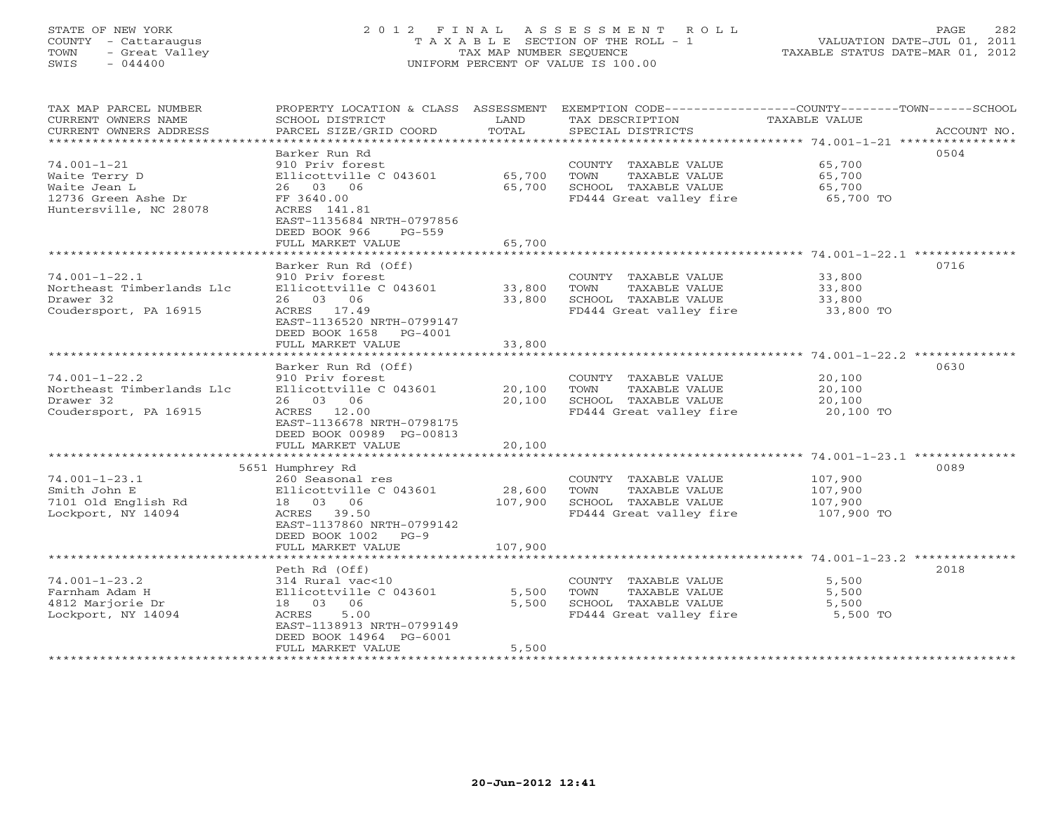# STATE OF NEW YORK 2 0 1 2 F I N A L A S S E S S M E N T R O L L PAGE 282 COUNTY - Cattaraugus T A X A B L E SECTION OF THE ROLL - 1 VALUATION DATE-JUL 01, 2011 TOWN - Great Valley TAX MAP NUMBER SEQUENCE TAXABLE STATUS DATE-MAR 01, 2012 SWIS - 044400 UNIFORM PERCENT OF VALUE IS 100.00

| TAX MAP PARCEL NUMBER<br>CURRENT OWNERS NAME<br>CURRENT OWNERS ADDRESS | PROPERTY LOCATION & CLASS ASSESSMENT<br>SCHOOL DISTRICT<br>PARCEL SIZE/GRID COORD    | LAND<br>TOTAL | TAX DESCRIPTION<br>SPECIAL DISTRICTS            | EXEMPTION CODE-----------------COUNTY-------TOWN------SCHOOL<br>TAXABLE VALUE<br>ACCOUNT NO. |
|------------------------------------------------------------------------|--------------------------------------------------------------------------------------|---------------|-------------------------------------------------|----------------------------------------------------------------------------------------------|
|                                                                        |                                                                                      |               |                                                 |                                                                                              |
|                                                                        | Barker Run Rd                                                                        |               |                                                 | 0504                                                                                         |
| $74.001 - 1 - 21$                                                      | 910 Priv forest                                                                      |               | COUNTY TAXABLE VALUE                            | 65,700                                                                                       |
| Waite Terry D                                                          | Ellicottville C 043601                                                               | 65,700        | TOWN<br>TAXABLE VALUE                           | 65,700                                                                                       |
| Waite Jean L<br>12736 Green Ashe Dr                                    | 26 03 06                                                                             | 65,700        | SCHOOL TAXABLE VALUE<br>FD444 Great valley fire | 65,700<br>65,700 TO                                                                          |
| Huntersville, NC 28078                                                 | FF 3640.00<br>ACRES 141.81<br>EAST-1135684 NRTH-0797856<br>DEED BOOK 966<br>$PG-559$ |               |                                                 |                                                                                              |
|                                                                        | FULL MARKET VALUE                                                                    | 65,700        |                                                 |                                                                                              |
|                                                                        |                                                                                      |               |                                                 |                                                                                              |
|                                                                        | Barker Run Rd (Off)                                                                  |               |                                                 | 0716                                                                                         |
| $74.001 - 1 - 22.1$<br>Northeast Timberlands Llc                       | 910 Priv forest<br>Ellicottville C 043601                                            | 33,800        | COUNTY TAXABLE VALUE<br>TAXABLE VALUE<br>TOWN   | 33,800<br>33,800                                                                             |
| Drawer 32                                                              | 26 03 06                                                                             | 33,800        | SCHOOL TAXABLE VALUE                            | 33,800                                                                                       |
| Coudersport, PA 16915                                                  | ACRES 17.49                                                                          |               | FD444 Great valley fire                         | 33,800 TO                                                                                    |
|                                                                        | EAST-1136520 NRTH-0799147<br>DEED BOOK 1658<br>PG-4001                               |               |                                                 |                                                                                              |
|                                                                        | FULL MARKET VALUE<br>* * * * * * * * * * * * * * * * * * * *                         | 33,800        |                                                 |                                                                                              |
|                                                                        | Barker Run Rd (Off)                                                                  |               |                                                 | 0630                                                                                         |
| $74.001 - 1 - 22.2$                                                    | 910 Priv forest                                                                      |               | COUNTY TAXABLE VALUE                            | 20,100                                                                                       |
| Northeast Timberlands Llc                                              | Ellicottville C 043601                                                               | 20,100        | TOWN<br>TAXABLE VALUE                           | 20,100                                                                                       |
| Drawer 32                                                              | 26 03 06                                                                             | 20,100        | SCHOOL TAXABLE VALUE                            | 20,100                                                                                       |
| Coudersport, PA 16915                                                  | ACRES 12.00                                                                          |               | FD444 Great valley fire                         | 20,100 TO                                                                                    |
|                                                                        | EAST-1136678 NRTH-0798175                                                            |               |                                                 |                                                                                              |
|                                                                        | DEED BOOK 00989 PG-00813                                                             |               |                                                 |                                                                                              |
|                                                                        | FULL MARKET VALUE                                                                    | 20,100        |                                                 |                                                                                              |
|                                                                        | 5651 Humphrey Rd                                                                     |               |                                                 | 0089                                                                                         |
| $74.001 - 1 - 23.1$                                                    | 260 Seasonal res                                                                     |               | COUNTY TAXABLE VALUE                            | 107,900                                                                                      |
| Smith John E                                                           | Ellicottville C 043601                                                               | 28,600        | TOWN<br>TAXABLE VALUE                           | 107,900                                                                                      |
| 7101 Old English Rd                                                    | 18  03  06                                                                           | 107,900       | SCHOOL TAXABLE VALUE                            | 107,900                                                                                      |
| Lockport, NY 14094                                                     | ACRES 39.50                                                                          |               | FD444 Great valley fire                         | 107,900 TO                                                                                   |
|                                                                        | EAST-1137860 NRTH-0799142<br>DEED BOOK 1002 PG-9                                     |               |                                                 |                                                                                              |
|                                                                        | FULL MARKET VALUE                                                                    | 107,900       |                                                 |                                                                                              |
|                                                                        |                                                                                      |               |                                                 | 2018                                                                                         |
| $74.001 - 1 - 23.2$                                                    | Peth Rd (Off)<br>314 Rural vac<10                                                    |               | COUNTY TAXABLE VALUE                            | 5,500                                                                                        |
| Farnham Adam H                                                         | Ellicottville C 043601                                                               | 5,500         | TOWN<br>TAXABLE VALUE                           | 5,500                                                                                        |
| 4812 Marjorie Dr                                                       | 18 03 06                                                                             | 5,500         | SCHOOL TAXABLE VALUE                            | 5,500                                                                                        |
| Lockport, NY 14094                                                     | ACRES<br>5.00                                                                        |               | FD444 Great valley fire                         | 5,500 TO                                                                                     |
|                                                                        | EAST-1138913 NRTH-0799149                                                            |               |                                                 |                                                                                              |
|                                                                        | DEED BOOK 14964 PG-6001                                                              |               |                                                 |                                                                                              |
|                                                                        | FULL MARKET VALUE                                                                    | 5,500         |                                                 |                                                                                              |
|                                                                        |                                                                                      |               |                                                 |                                                                                              |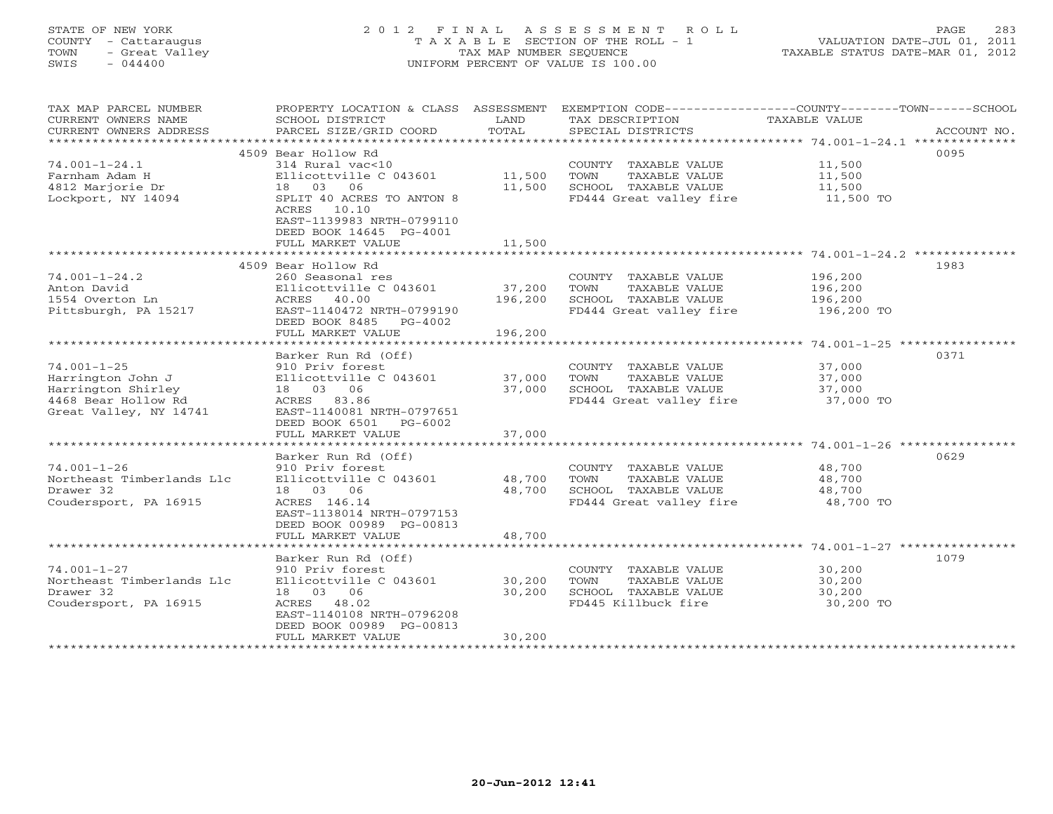# STATE OF NEW YORK 2 0 1 2 F I N A L A S S E S S M E N T R O L L PAGE 283 COUNTY - Cattaraugus T A X A B L E SECTION OF THE ROLL - 1 VALUATION DATE-JUL 01, 2011 TOWN - Great Valley TAX MAP NUMBER SEQUENCE TAXABLE STATUS DATE-MAR 01, 2012 SWIS - 044400 UNIFORM PERCENT OF VALUE IS 100.00

| TAX MAP PARCEL NUMBER<br>CURRENT OWNERS NAME<br>CURRENT OWNERS ADDRESS | PROPERTY LOCATION & CLASS ASSESSMENT<br>SCHOOL DISTRICT<br>PARCEL SIZE/GRID COORD | LAND<br>TOTAL | EXEMPTION CODE-----------------COUNTY-------TOWN------SCHOOL<br>TAX DESCRIPTION<br>SPECIAL DISTRICTS | TAXABLE VALUE | ACCOUNT NO. |
|------------------------------------------------------------------------|-----------------------------------------------------------------------------------|---------------|------------------------------------------------------------------------------------------------------|---------------|-------------|
| ***********************                                                |                                                                                   |               |                                                                                                      |               |             |
|                                                                        | 4509 Bear Hollow Rd                                                               |               |                                                                                                      |               | 0095        |
| $74.001 - 1 - 24.1$                                                    | 314 Rural vac<10                                                                  |               | COUNTY TAXABLE VALUE                                                                                 | 11,500        |             |
| Farnham Adam H                                                         | Ellicottville C 043601                                                            | 11,500        | TOWN<br>TAXABLE VALUE                                                                                | 11,500        |             |
| 4812 Marjorie Dr                                                       | 18 03 06                                                                          | 11,500        | SCHOOL TAXABLE VALUE                                                                                 | 11,500        |             |
| Lockport, NY 14094                                                     | SPLIT 40 ACRES TO ANTON 8<br>ACRES 10.10                                          |               | FD444 Great valley fire                                                                              | 11,500 TO     |             |
|                                                                        | EAST-1139983 NRTH-0799110<br>DEED BOOK 14645 PG-4001                              |               |                                                                                                      |               |             |
|                                                                        | FULL MARKET VALUE                                                                 | 11,500        |                                                                                                      |               |             |
|                                                                        |                                                                                   |               |                                                                                                      |               |             |
|                                                                        | 4509 Bear Hollow Rd                                                               |               |                                                                                                      |               | 1983        |
| $74.001 - 1 - 24.2$                                                    | 260 Seasonal res                                                                  |               | COUNTY TAXABLE VALUE                                                                                 | 196,200       |             |
| Anton David                                                            | Ellicottville C 043601                                                            | 37,200        | TOWN<br>TAXABLE VALUE                                                                                | 196,200       |             |
| 1554 Overton Ln                                                        | ACRES<br>40.00                                                                    | 196,200       | SCHOOL TAXABLE VALUE                                                                                 | 196,200       |             |
| Pittsburgh, PA 15217                                                   | EAST-1140472 NRTH-0799190                                                         |               | FD444 Great valley fire                                                                              | 196,200 TO    |             |
|                                                                        | DEED BOOK 8485<br>$PG-4002$                                                       |               |                                                                                                      |               |             |
|                                                                        | FULL MARKET VALUE                                                                 | 196,200       |                                                                                                      |               |             |
|                                                                        |                                                                                   |               |                                                                                                      |               |             |
|                                                                        | Barker Run Rd (Off)                                                               |               |                                                                                                      |               | 0371        |
| $74.001 - 1 - 25$                                                      | 910 Priv forest                                                                   |               | COUNTY TAXABLE VALUE                                                                                 | 37,000        |             |
| Harrington John J                                                      | Ellicottville C 043601                                                            | 37,000        | TOWN<br>TAXABLE VALUE                                                                                | 37,000        |             |
| Harrington Shirley                                                     | 18  03  06                                                                        | 37,000        | SCHOOL TAXABLE VALUE                                                                                 | 37,000        |             |
| 4468 Bear Hollow Rd                                                    | ACRES 83.86                                                                       |               | FD444 Great valley fire                                                                              | 37,000 TO     |             |
| Great Valley, NY 14741                                                 | EAST-1140081 NRTH-0797651                                                         |               |                                                                                                      |               |             |
|                                                                        | DEED BOOK 6501<br>$PG-6002$                                                       |               |                                                                                                      |               |             |
|                                                                        | FULL MARKET VALUE                                                                 | 37,000        |                                                                                                      |               |             |
|                                                                        | *******************                                                               | ************  |                                                                                                      |               |             |
|                                                                        | Barker Run Rd (Off)                                                               |               |                                                                                                      |               | 0629        |
| $74.001 - 1 - 26$                                                      | 910 Priv forest                                                                   |               | COUNTY TAXABLE VALUE                                                                                 | 48,700        |             |
| Northeast Timberlands Llc                                              | Ellicottville C 043601                                                            | 48,700        | TAXABLE VALUE<br>TOWN                                                                                | 48,700        |             |
| Drawer 32                                                              | 18 03 06                                                                          | 48,700        | SCHOOL TAXABLE VALUE                                                                                 | 48,700        |             |
| Coudersport, PA 16915                                                  | ACRES 146.14                                                                      |               | FD444 Great valley fire                                                                              | 48,700 TO     |             |
|                                                                        | EAST-1138014 NRTH-0797153                                                         |               |                                                                                                      |               |             |
|                                                                        | DEED BOOK 00989 PG-00813                                                          |               |                                                                                                      |               |             |
|                                                                        | FULL MARKET VALUE                                                                 | 48,700        |                                                                                                      |               |             |
|                                                                        |                                                                                   |               |                                                                                                      |               |             |
|                                                                        | Barker Run Rd (Off)                                                               |               |                                                                                                      |               | 1079        |
| $74.001 - 1 - 27$                                                      | 910 Priv forest                                                                   |               | COUNTY TAXABLE VALUE                                                                                 | 30,200        |             |
| Northeast Timberlands Llc                                              | Ellicottville C 043601                                                            | 30,200        | TOWN<br>TAXABLE VALUE                                                                                | 30,200        |             |
| Drawer 32                                                              | 18 03 06                                                                          | 30,200        | SCHOOL TAXABLE VALUE                                                                                 | 30,200        |             |
| Coudersport, PA 16915                                                  | ACRES 48.02                                                                       |               | FD445 Killbuck fire                                                                                  | 30,200 TO     |             |
|                                                                        | EAST-1140108 NRTH-0796208                                                         |               |                                                                                                      |               |             |
|                                                                        | DEED BOOK 00989 PG-00813                                                          |               |                                                                                                      |               |             |
|                                                                        | FULL MARKET VALUE                                                                 | 30,200        |                                                                                                      |               |             |
|                                                                        |                                                                                   |               |                                                                                                      |               |             |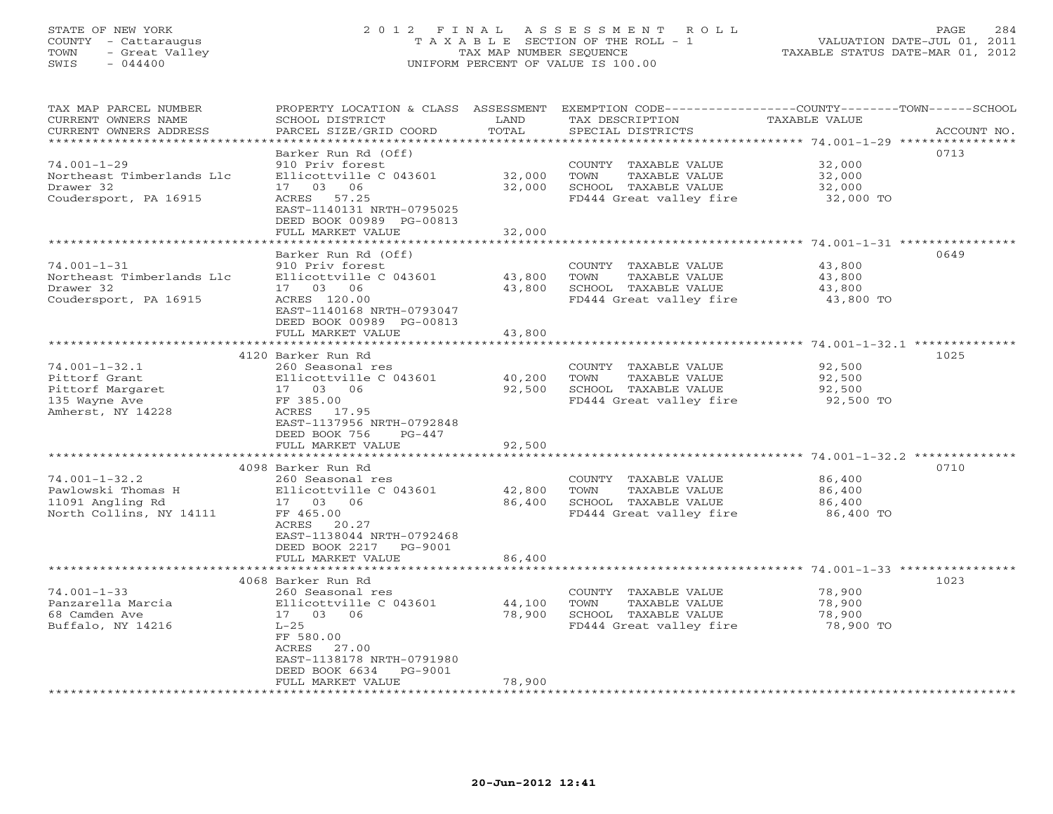# STATE OF NEW YORK 2 0 1 2 F I N A L A S S E S S M E N T R O L L PAGE 284 COUNTY - Cattaraugus T A X A B L E SECTION OF THE ROLL - 1 VALUATION DATE-JUL 01, 2011 TOWN - Great Valley TAX MAP NUMBER SEQUENCE TAXABLE STATUS DATE-MAR 01, 2012 SWIS - 044400 UNIFORM PERCENT OF VALUE IS 100.00

| TAX MAP PARCEL NUMBER<br>CURRENT OWNERS NAME<br>CURRENT OWNERS ADDRESS                         | PROPERTY LOCATION & CLASS ASSESSMENT<br>SCHOOL DISTRICT<br>PARCEL SIZE/GRID COORD                                                                                                          | LAND<br>TOTAL              | EXEMPTION CODE-----------------COUNTY-------TOWN-----SCHOOL<br>TAX DESCRIPTION<br>SPECIAL DISTRICTS | TAXABLE VALUE                                                | ACCOUNT NO. |
|------------------------------------------------------------------------------------------------|--------------------------------------------------------------------------------------------------------------------------------------------------------------------------------------------|----------------------------|-----------------------------------------------------------------------------------------------------|--------------------------------------------------------------|-------------|
| ******************                                                                             | Barker Run Rd (Off)                                                                                                                                                                        |                            |                                                                                                     |                                                              | 0713        |
| $74.001 - 1 - 29$<br>Northeast Timberlands Llc<br>Drawer 32<br>Coudersport, PA 16915           | 910 Priv forest<br>Ellicottville C 043601<br>17 03 06<br>ACRES 57.25<br>EAST-1140131 NRTH-0795025<br>DEED BOOK 00989 PG-00813                                                              | 32,000<br>32,000           | COUNTY TAXABLE VALUE<br>TOWN<br>TAXABLE VALUE<br>SCHOOL TAXABLE VALUE<br>FD444 Great valley fire    | 32,000<br>32,000<br>32,000<br>32,000 TO                      |             |
|                                                                                                | FULL MARKET VALUE                                                                                                                                                                          | 32,000                     |                                                                                                     | ******************************* 74.001-1-31 **************** |             |
|                                                                                                | Barker Run Rd (Off)                                                                                                                                                                        |                            |                                                                                                     |                                                              | 0649        |
| $74.001 - 1 - 31$<br>Northeast Timberlands Llc<br>Drawer 32<br>Coudersport, PA 16915           | 910 Priv forest<br>Ellicottville C 043601<br>17 03 06<br>ACRES 120.00<br>EAST-1140168 NRTH-0793047<br>DEED BOOK 00989 PG-00813                                                             | 43,800<br>43,800           | COUNTY TAXABLE VALUE<br>TAXABLE VALUE<br>TOWN<br>SCHOOL TAXABLE VALUE<br>FD444 Great valley fire    | 43,800<br>43,800<br>43,800<br>43,800 TO                      |             |
|                                                                                                | FULL MARKET VALUE<br>************************                                                                                                                                              | 43,800<br>************     |                                                                                                     |                                                              |             |
|                                                                                                | 4120 Barker Run Rd                                                                                                                                                                         |                            |                                                                                                     |                                                              | 1025        |
| $74.001 - 1 - 32.1$<br>Pittorf Grant<br>Pittorf Margaret<br>135 Wayne Ave<br>Amherst, NY 14228 | 260 Seasonal res<br>Ellicottville C 043601<br>17 03 06<br>FF 385.00<br>ACRES<br>17.95<br>EAST-1137956 NRTH-0792848<br>DEED BOOK 756<br>$PG-447$                                            | 40,200<br>92,500           | COUNTY TAXABLE VALUE<br>TAXABLE VALUE<br>TOWN<br>SCHOOL TAXABLE VALUE<br>FD444 Great valley fire    | 92,500<br>92,500<br>92,500<br>92,500 TO                      |             |
|                                                                                                | FULL MARKET VALUE<br>************************                                                                                                                                              | 92,500<br>*************    |                                                                                                     |                                                              |             |
| $74.001 - 1 - 32.2$<br>Pawlowski Thomas H<br>11091 Angling Rd<br>North Collins, NY 14111       | 4098 Barker Run Rd<br>260 Seasonal res<br>Ellicottville C 043601<br>17 03 06<br>FF 465.00<br>ACRES<br>20.27<br>EAST-1138044 NRTH-0792468<br>DEED BOOK 2217<br>PG-9001<br>FULL MARKET VALUE | 42,800<br>86,400<br>86,400 | COUNTY TAXABLE VALUE<br>TOWN<br>TAXABLE VALUE<br>SCHOOL TAXABLE VALUE<br>FD444 Great valley fire    | 86,400<br>86,400<br>86,400<br>86,400 TO                      | 0710        |
|                                                                                                | * * * * * * * * * * * * * * * * * * *                                                                                                                                                      | ***********                |                                                                                                     | ******************** 74.001-1-33 ****************            |             |
| $74.001 - 1 - 33$<br>Panzarella Marcia<br>68 Camden Ave<br>Buffalo, NY 14216                   | 4068 Barker Run Rd<br>260 Seasonal res<br>Ellicottville C 043601<br>17 03 06<br>$L-25$<br>FF 580.00<br>ACRES<br>27.00<br>EAST-1138178 NRTH-0791980<br>DEED BOOK 6634<br>PG-9001            | 44,100<br>78,900           | COUNTY TAXABLE VALUE<br>TOWN<br>TAXABLE VALUE<br>SCHOOL TAXABLE VALUE<br>FD444 Great valley fire    | 78,900<br>78,900<br>78,900<br>78,900 TO                      | 1023        |
|                                                                                                | FULL MARKET VALUE                                                                                                                                                                          | 78,900                     |                                                                                                     |                                                              |             |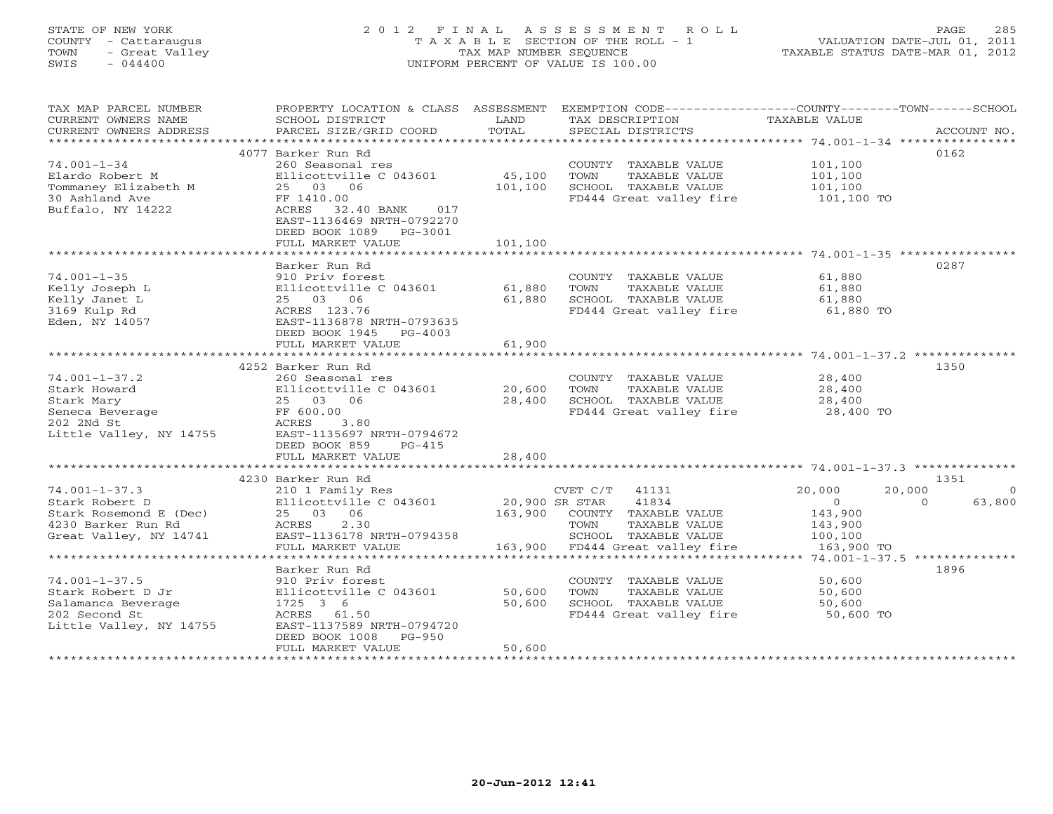# STATE OF NEW YORK 2 0 1 2 F I N A L A S S E S S M E N T R O L L PAGE 285 COUNTY - Cattaraugus T A X A B L E SECTION OF THE ROLL - 1 VALUATION DATE-JUL 01, 2011 TOWN - Great Valley TAX MAP NUMBER SEQUENCE TAXABLE STATUS DATE-MAR 01, 2012 SWIS - 044400 UNIFORM PERCENT OF VALUE IS 100.00

| TAX MAP PARCEL NUMBER<br>CURRENT OWNERS NAME<br>CURRENT OWNERS ADDRESS | PROPERTY LOCATION & CLASS ASSESSMENT<br>SCHOOL DISTRICT<br>PARCEL SIZE/GRID COORD | LAND<br>TOTAL  | EXEMPTION CODE-----------------COUNTY-------TOWN------SCHOOL<br>TAX DESCRIPTION<br>SPECIAL DISTRICTS | TAXABLE VALUE  | ACCOUNT NO.            |
|------------------------------------------------------------------------|-----------------------------------------------------------------------------------|----------------|------------------------------------------------------------------------------------------------------|----------------|------------------------|
|                                                                        |                                                                                   |                |                                                                                                      |                |                        |
|                                                                        | 4077 Barker Run Rd                                                                |                |                                                                                                      |                | 0162                   |
| $74.001 - 1 - 34$                                                      | 260 Seasonal res                                                                  |                | COUNTY TAXABLE VALUE                                                                                 | 101,100        |                        |
| Elardo Robert M                                                        | Ellicottville C 043601                                                            | 45,100         | TOWN<br>TAXABLE VALUE                                                                                | 101,100        |                        |
| Tommaney Elizabeth M                                                   | 25 03 06                                                                          | 101,100        | SCHOOL TAXABLE VALUE                                                                                 | 101,100        |                        |
| 30 Ashland Ave                                                         | FF 1410.00                                                                        |                | FD444 Great valley fire                                                                              | 101,100 TO     |                        |
| Buffalo, NY 14222                                                      | ACRES<br>32.40 BANK<br>017                                                        |                |                                                                                                      |                |                        |
|                                                                        | EAST-1136469 NRTH-0792270                                                         |                |                                                                                                      |                |                        |
|                                                                        |                                                                                   |                |                                                                                                      |                |                        |
|                                                                        | DEED BOOK 1089 PG-3001                                                            |                |                                                                                                      |                |                        |
|                                                                        | FULL MARKET VALUE                                                                 | 101,100        |                                                                                                      |                |                        |
|                                                                        |                                                                                   |                |                                                                                                      |                |                        |
|                                                                        | Barker Run Rd                                                                     |                |                                                                                                      |                | 0287                   |
| $74.001 - 1 - 35$                                                      | 910 Priv forest                                                                   |                | COUNTY TAXABLE VALUE                                                                                 | 61,880         |                        |
| Kelly Joseph L                                                         | Ellicottville C 043601                                                            | 61,880         | TAXABLE VALUE<br>TOWN                                                                                | 61,880         |                        |
| Kelly Janet L                                                          | 25 03 06                                                                          | 61,880         | SCHOOL TAXABLE VALUE                                                                                 | 61,880         |                        |
| 3169 Kulp Rd                                                           | ACRES 123.76                                                                      |                | FD444 Great valley fire                                                                              | 61,880 TO      |                        |
| Eden, NY 14057                                                         | EAST-1136878 NRTH-0793635                                                         |                |                                                                                                      |                |                        |
|                                                                        | DEED BOOK 1945 PG-4003                                                            |                |                                                                                                      |                |                        |
|                                                                        | FULL MARKET VALUE                                                                 | 61,900         |                                                                                                      |                |                        |
|                                                                        |                                                                                   |                |                                                                                                      |                |                        |
|                                                                        | 4252 Barker Run Rd                                                                |                |                                                                                                      |                | 1350                   |
| $74.001 - 1 - 37.2$                                                    | 260 Seasonal res                                                                  |                | COUNTY TAXABLE VALUE                                                                                 | 28,400         |                        |
| Stark Howard                                                           | Ellicottville C 043601                                                            | 20,600         | TAXABLE VALUE<br>TOWN                                                                                | 28,400         |                        |
| Stark Mary                                                             | 25 03 06                                                                          | 28,400         | SCHOOL TAXABLE VALUE                                                                                 | 28,400         |                        |
| Seneca Beverage                                                        | FF 600.00                                                                         |                | FD444 Great valley fire                                                                              | 28,400 TO      |                        |
| 202 2Nd St                                                             | ACRES<br>3.80                                                                     |                |                                                                                                      |                |                        |
| Little Valley, NY 14755                                                | EAST-1135697 NRTH-0794672                                                         |                |                                                                                                      |                |                        |
|                                                                        | DEED BOOK 859<br>$PG-415$                                                         |                |                                                                                                      |                |                        |
|                                                                        | FULL MARKET VALUE                                                                 | 28,400         |                                                                                                      |                |                        |
|                                                                        |                                                                                   |                |                                                                                                      |                |                        |
|                                                                        | 4230 Barker Run Rd                                                                |                |                                                                                                      |                | 1351                   |
| $74.001 - 1 - 37.3$                                                    | 210 1 Family Res                                                                  |                | CVET C/T 41131                                                                                       | 20,000         | 20,000<br>$\mathbf{0}$ |
| Stark Robert D                                                         | Ellicottville C 043601                                                            | 20,900 SR STAR | 41834                                                                                                | $\overline{O}$ | 63,800<br>$\Omega$     |
| Stark Rosemond E (Dec)                                                 | 25 03 06                                                                          | 163,900        | COUNTY TAXABLE VALUE                                                                                 | 143,900        |                        |
| 4230 Barker Run Rd                                                     | ACRES<br>2.30                                                                     |                | TOWN<br>TAXABLE VALUE                                                                                | 143,900        |                        |
| Great Valley, NY 14741                                                 | EAST-1136178 NRTH-0794358                                                         |                | SCHOOL TAXABLE VALUE                                                                                 | 100,100        |                        |
|                                                                        | FULL MARKET VALUE                                                                 |                | 163,900 FD444 Great valley fire                                                                      | 163,900 TO     |                        |
|                                                                        |                                                                                   |                |                                                                                                      |                |                        |
|                                                                        | Barker Run Rd                                                                     |                |                                                                                                      |                | 1896                   |
| $74.001 - 1 - 37.5$                                                    | 910 Priv forest                                                                   |                | COUNTY TAXABLE VALUE                                                                                 | 50,600         |                        |
| Stark Robert D Jr                                                      | Ellicottville C 043601                                                            | 50,600         | TOWN<br>TAXABLE VALUE                                                                                | 50,600         |                        |
| Salamanca Beverage                                                     | 1725 3 6                                                                          | 50,600         | SCHOOL TAXABLE VALUE                                                                                 | 50,600         |                        |
| 202 Second St                                                          | ACRES 61.50                                                                       |                | FD444 Great valley fire 50,600 TO                                                                    |                |                        |
| Little Valley, NY 14755                                                | EAST-1137589 NRTH-0794720                                                         |                |                                                                                                      |                |                        |
|                                                                        | DEED BOOK 1008<br>PG-950                                                          |                |                                                                                                      |                |                        |
|                                                                        | FULL MARKET VALUE                                                                 | 50,600         |                                                                                                      |                |                        |
|                                                                        |                                                                                   |                |                                                                                                      |                |                        |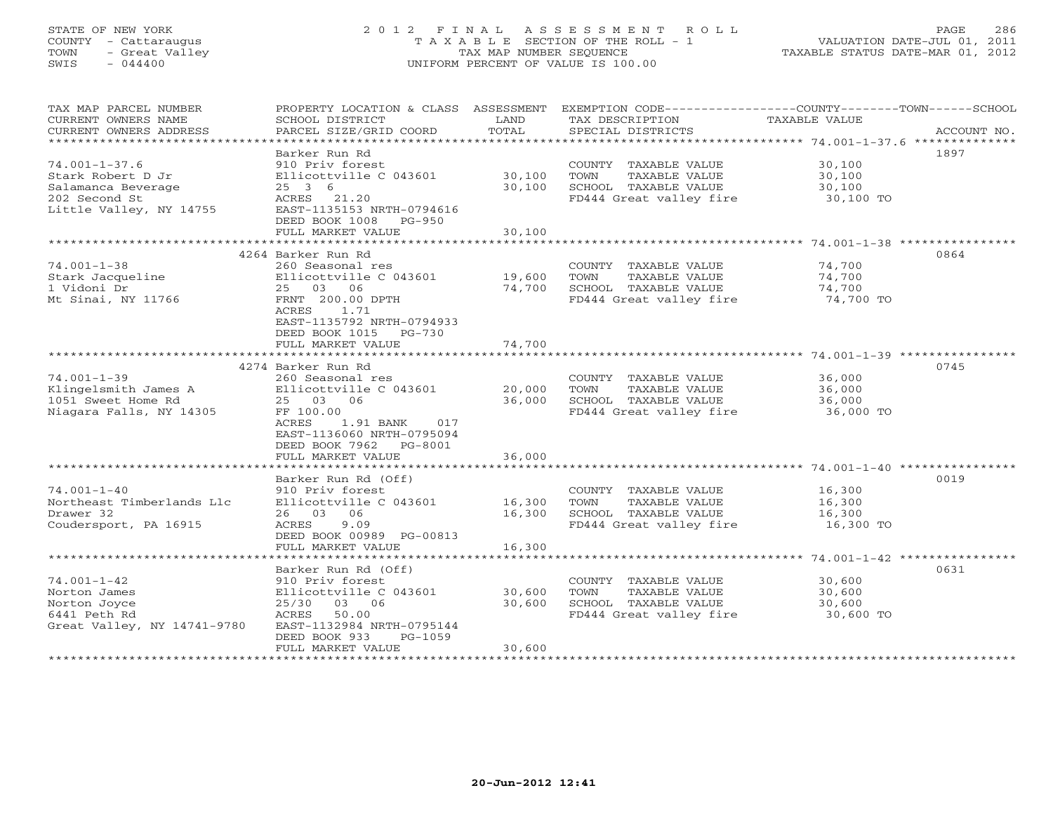### STATE OF NEW YORK 2 0 1 2 F I N A L A S S E S S M E N T R O L L PAGE 286COUNTY - Cattaraugus T A X A B L E SECTION OF THE ROLL - 1<br>
TOWN - Great Valley TAX MAP NUMBER SEQUENCE<br>
SWIS - 044400 SWIS - 044400 UNIFORM PERCENT OF VALUE IS 100.00

| TAX MAP PARCEL NUMBER<br>CURRENT OWNERS NAME | SCHOOL DISTRICT                               | LAND   | PROPERTY LOCATION & CLASS ASSESSMENT EXEMPTION CODE---------------COUNTY-------TOWN------SCHOOL<br>TAX DESCRIPTION | TAXABLE VALUE |             |
|----------------------------------------------|-----------------------------------------------|--------|--------------------------------------------------------------------------------------------------------------------|---------------|-------------|
| CURRENT OWNERS ADDRESS                       | PARCEL SIZE/GRID COORD                        | TOTAL  | SPECIAL DISTRICTS                                                                                                  |               | ACCOUNT NO. |
|                                              |                                               |        |                                                                                                                    |               |             |
|                                              | Barker Run Rd                                 |        |                                                                                                                    |               | 1897        |
| 74.001-1-37.6                                | 910 Priv forest                               |        | COUNTY TAXABLE VALUE                                                                                               | 30,100        |             |
| Stark Robert D Jr                            | Ellicottville C 043601                        | 30,100 | TOWN<br>TAXABLE VALUE                                                                                              | 30,100        |             |
| Salamanca Beverage                           | 25 3 6                                        | 30,100 | SCHOOL TAXABLE VALUE                                                                                               | 30,100        |             |
| 202 Second St                                | ACRES 21.20                                   |        | FD444 Great valley fire                                                                                            | 30,100 TO     |             |
| Little Valley, NY 14755                      | EAST-1135153 NRTH-0794616                     |        |                                                                                                                    |               |             |
|                                              | DEED BOOK 1008<br>PG-950                      |        |                                                                                                                    |               |             |
|                                              | FULL MARKET VALUE                             | 30,100 |                                                                                                                    |               |             |
|                                              |                                               |        |                                                                                                                    |               |             |
|                                              | 4264 Barker Run Rd                            |        |                                                                                                                    |               | 0864        |
| 74.001-1-38                                  | 260 Seasonal res                              |        | COUNTY TAXABLE VALUE                                                                                               | 74,700        |             |
|                                              |                                               |        |                                                                                                                    |               |             |
| Stark Jacqueline                             | Ellicottville C 043601                        | 19,600 | TOWN<br>TAXABLE VALUE                                                                                              | 74,700        |             |
| 1 Vidoni Dr                                  | 25 03 06                                      | 74,700 | SCHOOL TAXABLE VALUE                                                                                               | 74,700        |             |
| Mt Sinai, NY 11766                           | FRNT 200.00 DPTH                              |        | FD444 Great valley fire                                                                                            | 74,700 TO     |             |
|                                              | ACRES<br>1.71                                 |        |                                                                                                                    |               |             |
|                                              | EAST-1135792 NRTH-0794933                     |        |                                                                                                                    |               |             |
|                                              | DEED BOOK 1015 PG-730                         |        |                                                                                                                    |               |             |
|                                              | FULL MARKET VALUE                             | 74,700 |                                                                                                                    |               |             |
|                                              |                                               |        |                                                                                                                    |               |             |
|                                              | 4274 Barker Run Rd                            |        |                                                                                                                    |               | 0745        |
| 74.001-1-39                                  | 260 Seasonal res                              |        | COUNTY TAXABLE VALUE                                                                                               | 36,000        |             |
| Klingelsmith James A                         | Ellicottville C 043601                        | 20,000 | TOWN<br>TAXABLE VALUE                                                                                              | 36,000        |             |
| 1051 Sweet Home Rd                           | 25 03 06                                      | 36,000 | SCHOOL TAXABLE VALUE                                                                                               | 36,000        |             |
| Niagara Falls, NY 14305                      | FF 100.00                                     |        | FD444 Great valley fire                                                                                            | 36,000 TO     |             |
|                                              | ACRES<br>1.91 BANK<br>017                     |        |                                                                                                                    |               |             |
|                                              | EAST-1136060 NRTH-0795094                     |        |                                                                                                                    |               |             |
|                                              | DEED BOOK 7962 PG-8001                        |        |                                                                                                                    |               |             |
|                                              | FULL MARKET VALUE                             | 36,000 |                                                                                                                    |               |             |
|                                              |                                               |        |                                                                                                                    |               |             |
|                                              | Barker Run Rd (Off)                           |        |                                                                                                                    |               | 0019        |
| 74.001-1-40                                  | 910 Priv forest                               |        | COUNTY TAXABLE VALUE                                                                                               | 16,300        |             |
| Northeast Timberlands Llc<br>Drawer 32       | Ellicottville C 043601                        | 16,300 | TAXABLE VALUE<br>TOWN                                                                                              | 16,300        |             |
|                                              | 26 03 06                                      | 16,300 | SCHOOL TAXABLE VALUE                                                                                               | 16,300        |             |
| Coudersport, PA 16915                        | ACRES<br>9.09                                 |        | FD444 Great valley fire                                                                                            | 16,300 TO     |             |
|                                              | DEED BOOK 00989 PG-00813<br>FULL MARKET VALUE | 16,300 |                                                                                                                    |               |             |
|                                              |                                               |        |                                                                                                                    |               |             |
|                                              | Barker Run Rd (Off)                           |        |                                                                                                                    |               | 0631        |
| 74.001-1-42                                  | 910 Priv forest                               |        | COUNTY TAXABLE VALUE                                                                                               | 30,600        |             |
|                                              |                                               |        |                                                                                                                    |               |             |
| Norton James                                 | Ellicottville C 043601                        | 30,600 | TAXABLE VALUE<br>TOWN                                                                                              | 30,600        |             |
| Norton Joyce                                 | 25/30<br>03 06                                | 30,600 | SCHOOL TAXABLE VALUE                                                                                               | 30,600        |             |
| 6441 Peth Rd                                 | ACRES 50.00                                   |        | FD444 Great valley fire                                                                                            | 30,600 TO     |             |
| Great Valley, NY 14741-9780                  | EAST-1132984 NRTH-0795144                     |        |                                                                                                                    |               |             |
|                                              | DEED BOOK 933<br>PG-1059                      |        |                                                                                                                    |               |             |
|                                              | FULL MARKET VALUE                             | 30,600 |                                                                                                                    |               |             |
|                                              |                                               |        |                                                                                                                    |               |             |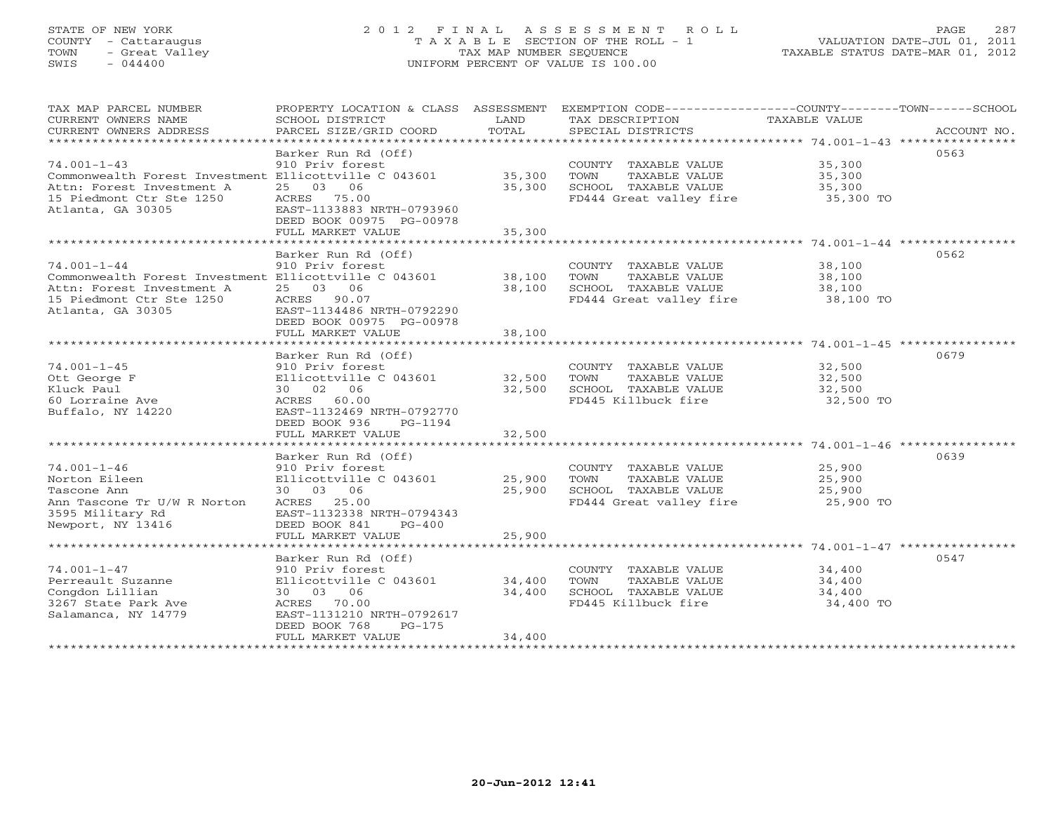#### STATE OF NEW YORK 2 0 1 2 F I N A L A S S E S S M E N T R O L L PAGE 287 COUNTY - Cattaraugus T A X A B L E SECTION OF THE ROLL - 1 VALUATION DATE-JUL 01, 2011 TOWN - Great Valley TAX MAP NUMBER SEQUENCE TAXABLE STATUS DATE-MAR 01, 2012 SWIS - 044400 UNIFORM PERCENT OF VALUE IS 100.00UNIFORM PERCENT OF VALUE IS 100.00

| TAX MAP PARCEL NUMBER<br>CURRENT OWNERS NAME<br>CURRENT OWNERS ADDRESS                                                                                                        | PROPERTY LOCATION & CLASS ASSESSMENT<br>SCHOOL DISTRICT<br>PARCEL SIZE/GRID COORD                                                                                          | LAND<br>TOTAL              | EXEMPTION CODE-----------------COUNTY-------TOWN------SCHOOL<br>TAX DESCRIPTION<br>SPECIAL DISTRICTS       | TAXABLE VALUE                           | ACCOUNT NO. |
|-------------------------------------------------------------------------------------------------------------------------------------------------------------------------------|----------------------------------------------------------------------------------------------------------------------------------------------------------------------------|----------------------------|------------------------------------------------------------------------------------------------------------|-----------------------------------------|-------------|
| $74.001 - 1 - 43$<br>Commonwealth Forest Investment Ellicottville C 043601<br>Attn: Forest Investment A<br>15 Piedmont Ctr Ste 1250<br>Atlanta, GA 30305                      | Barker Run Rd (Off)<br>910 Priv forest<br>25 03 06<br>ACRES 75.00<br>EAST-1133883 NRTH-0793960<br>DEED BOOK 00975 PG-00978<br>FULL MARKET VALUE                            | 35,300<br>35,300<br>35,300 | COUNTY TAXABLE VALUE<br>TOWN<br>TAXABLE VALUE<br>SCHOOL TAXABLE VALUE<br>FD444 Great valley fire           | 35,300<br>35,300<br>35,300<br>35,300 TO | 0563        |
| $74.001 - 1 - 44$<br>Commonwealth Forest Investment Ellicottville C 043601<br>Attn: Forest Investment A<br>15 Piedmont Ctr Ste 1250<br>Atlanta, GA 30305<br>Atlanta, GA 30305 | Barker Run Rd (Off)<br>910 Priv forest<br>25 03 06<br>ACRES 90.07<br>EAST-1134486 NRTH-0792290<br>DEED BOOK 00975 PG-00978<br>FULL MARKET VALUE                            | 38,100<br>38,100<br>38,100 | COUNTY TAXABLE VALUE<br>TOWN<br>TAXABLE VALUE<br>SCHOOL TAXABLE VALUE<br>FD444 Great valley fire 38,100 TO | 38,100<br>38,100<br>38,100              | 0562        |
| $74.001 - 1 - 45$<br>Ott George F<br>Kluck Paul<br>60 Lorraine Ave<br>Buffalo, NY 14220                                                                                       | Barker Run Rd (Off)<br>910 Priv forest<br>Ellicottville C 043601<br>30 02 06<br>ACRES 60.00<br>EAST-1132469 NRTH-0792770<br>DEED BOOK 936<br>PG-1194<br>FULL MARKET VALUE  | 32,500<br>32,500<br>32,500 | COUNTY TAXABLE VALUE<br>TOWN<br>TAXABLE VALUE<br>SCHOOL TAXABLE VALUE<br>FD445 Killbuck fire               | 32,500<br>32,500<br>32,500<br>32,500 TO | 0679        |
| $74.001 - 1 - 46$<br>Norton Eileen<br>Tascone Ann<br>Ann Tascone Tr U/W R Norton<br>3595 Military Rd<br>Newport, NY 13416                                                     | Barker Run Rd (Off)<br>910 Priv forest<br>Ellicottville C 043601<br>30 03 06<br>ACRES 25.00<br>EAST-1132338 NRTH-0794343<br>DEED BOOK 841<br>$PG-400$<br>FULL MARKET VALUE | 25,900<br>25,900<br>25,900 | COUNTY TAXABLE VALUE<br>TOWN<br>TAXABLE VALUE<br>SCHOOL TAXABLE VALUE<br>FD444 Great valley fire           | 25,900<br>25,900<br>25,900<br>25,900 TO | 0639        |
| $74.001 - 1 - 47$<br>Perreault Suzanne<br>Congdon Lillian<br>3267 State Park Ave<br>Salamanca, NY 14779                                                                       | Barker Run Rd (Off)<br>910 Priv forest<br>Ellicottville C 043601<br>30 03 06<br>ACRES 70.00<br>EAST-1131210 NRTH-0792617<br>DEED BOOK 768<br>$PG-175$<br>FULL MARKET VALUE | 34,400<br>34,400<br>34,400 | COUNTY TAXABLE VALUE<br>TAXABLE VALUE<br>TOWN<br>SCHOOL TAXABLE VALUE<br>FD445 Killbuck fire               | 34,400<br>34,400<br>34,400<br>34,400 TO | 0547        |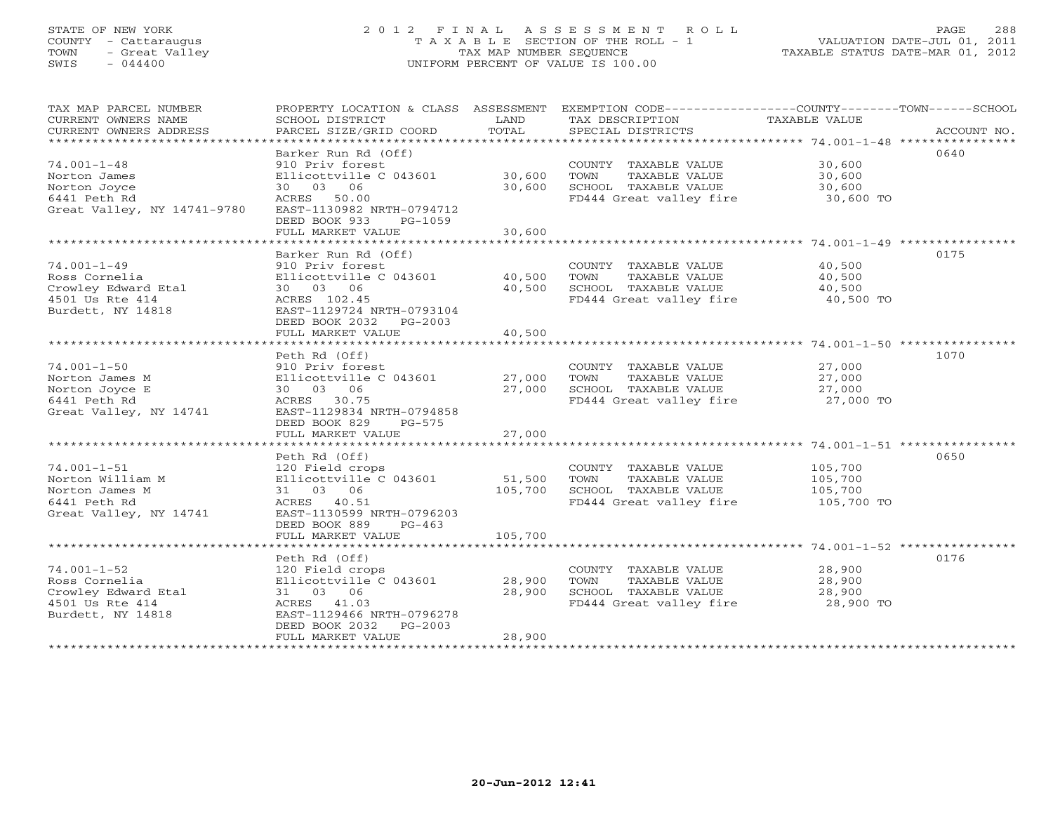#### STATE OF NEW YORK 2 0 1 2 F I N A L A S S E S S M E N T R O L L PAGE 288 COUNTY - Cattaraugus T A X A B L E SECTION OF THE ROLL - 1 VALUATION DATE-JUL 01, 2011 TOWN - Great Valley TAX MAP NUMBER SEQUENCE TAXABLE STATUS DATE-MAR 01, 2012 SWIS - 044400 UNIFORM PERCENT OF VALUE IS 100.00UNIFORM PERCENT OF VALUE IS 100.00

| TAX MAP PARCEL NUMBER       |                           |         | PROPERTY LOCATION & CLASS ASSESSMENT EXEMPTION CODE---------------COUNTY-------TOWN------SCHOOL |               |             |
|-----------------------------|---------------------------|---------|-------------------------------------------------------------------------------------------------|---------------|-------------|
| CURRENT OWNERS NAME         | SCHOOL DISTRICT           | LAND    | TAX DESCRIPTION                                                                                 | TAXABLE VALUE |             |
| CURRENT OWNERS ADDRESS      | PARCEL SIZE/GRID COORD    | TOTAL   | SPECIAL DISTRICTS                                                                               |               | ACCOUNT NO. |
|                             |                           |         |                                                                                                 |               |             |
|                             | Barker Run Rd (Off)       |         |                                                                                                 |               | 0640        |
| $74.001 - 1 - 48$           | 910 Priv forest           |         | COUNTY TAXABLE VALUE                                                                            | 30,600        |             |
| Norton James                | Ellicottville C 043601    | 30,600  | TAXABLE VALUE<br>TOWN                                                                           | 30,600        |             |
| Norton Joyce                | 30 03 06                  | 30,600  | SCHOOL TAXABLE VALUE                                                                            | 30,600        |             |
| 6441 Peth Rd                | ACRES 50.00               |         | FD444 Great valley fire                                                                         | 30,600 TO     |             |
| Great Valley, NY 14741-9780 | EAST-1130982 NRTH-0794712 |         |                                                                                                 |               |             |
|                             | DEED BOOK 933<br>PG-1059  |         |                                                                                                 |               |             |
|                             | FULL MARKET VALUE         | 30,600  |                                                                                                 |               |             |
|                             |                           |         |                                                                                                 |               |             |
|                             | Barker Run Rd (Off)       |         |                                                                                                 |               | 0175        |
| $74.001 - 1 - 49$           | 910 Priv forest           |         | COUNTY TAXABLE VALUE                                                                            | 40,500        |             |
| Ross Cornelia               | Ellicottville C 043601    | 40,500  | TAXABLE VALUE<br>TOWN                                                                           | 40,500        |             |
| Crowley Edward Etal         | 30 03 06                  | 40,500  | SCHOOL TAXABLE VALUE                                                                            | 40,500        |             |
| 4501 Us Rte 414             | ACRES 102.45              |         | FD444 Great valley fire                                                                         | 40,500 TO     |             |
| Burdett, NY 14818           | EAST-1129724 NRTH-0793104 |         |                                                                                                 |               |             |
|                             | DEED BOOK 2032 PG-2003    |         |                                                                                                 |               |             |
|                             | FULL MARKET VALUE         | 40,500  |                                                                                                 |               |             |
|                             |                           |         |                                                                                                 |               |             |
|                             | Peth Rd (Off)             |         |                                                                                                 |               | 1070        |
| $74.001 - 1 - 50$           | 910 Priv forest           |         | COUNTY TAXABLE VALUE                                                                            | 27,000        |             |
| Norton James M              | Ellicottville C 043601    | 27,000  | TOWN<br>TAXABLE VALUE                                                                           | 27,000        |             |
|                             | 30 03 06                  | 27,000  | SCHOOL TAXABLE VALUE                                                                            | 27,000        |             |
| Norton Joyce E              | ACRES 30.75               |         | FD444 Great valley fire                                                                         | 27,000 TO     |             |
| 6441 Peth Rd                |                           |         |                                                                                                 |               |             |
| Great Valley, NY 14741      | EAST-1129834 NRTH-0794858 |         |                                                                                                 |               |             |
|                             | DEED BOOK 829<br>$PG-575$ |         |                                                                                                 |               |             |
|                             | FULL MARKET VALUE         | 27,000  |                                                                                                 |               |             |
|                             |                           |         |                                                                                                 |               |             |
|                             | Peth Rd (Off)             |         |                                                                                                 |               | 0650        |
| $74.001 - 1 - 51$           | 120 Field crops           |         | COUNTY TAXABLE VALUE                                                                            | 105,700       |             |
| Norton William M            | Ellicottville C 043601    | 51,500  | TOWN<br>TAXABLE VALUE                                                                           | 105,700       |             |
| Norton James M              | 31 03 06                  | 105,700 | SCHOOL TAXABLE VALUE                                                                            | 105,700       |             |
| 6441 Peth Rd                | ACRES 40.51               |         | FD444 Great valley fire                                                                         | 105,700 TO    |             |
| Great Valley, NY 14741      | EAST-1130599 NRTH-0796203 |         |                                                                                                 |               |             |
|                             | DEED BOOK 889<br>$PG-463$ |         |                                                                                                 |               |             |
|                             | FULL MARKET VALUE         | 105,700 |                                                                                                 |               |             |
|                             |                           |         |                                                                                                 |               |             |
|                             | Peth Rd (Off)             |         |                                                                                                 |               | 0176        |
| $74.001 - 1 - 52$           | 120 Field crops           |         | COUNTY TAXABLE VALUE                                                                            | 28,900        |             |
| Ross Cornelia               | Ellicottville C 043601    | 28,900  | TOWN<br>TAXABLE VALUE                                                                           | 28,900        |             |
| Crowley Edward Etal         | 31 03 06                  | 28,900  | SCHOOL TAXABLE VALUE                                                                            | 28,900        |             |
| 4501 Us Rte 414             | ACRES 41.03               |         | FD444 Great valley fire                                                                         | 28,900 TO     |             |
| Burdett, NY 14818           | EAST-1129466 NRTH-0796278 |         |                                                                                                 |               |             |
|                             | DEED BOOK 2032<br>PG-2003 |         |                                                                                                 |               |             |
|                             | FULL MARKET VALUE         | 28,900  |                                                                                                 |               |             |
|                             |                           |         |                                                                                                 |               |             |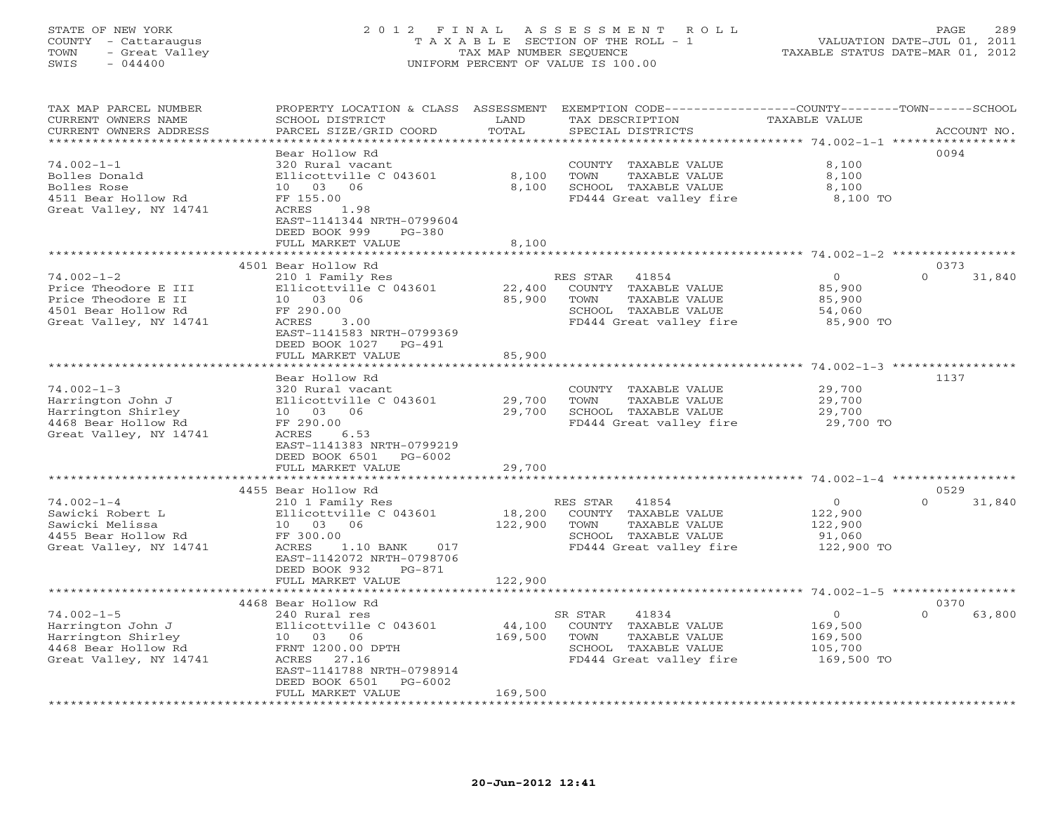### STATE OF NEW YORK 2 0 1 2 F I N A L A S S E S S M E N T R O L L PAGE 289 COUNTY - Cattaraugus T A X A B L E SECTION OF THE ROLL - 1 VALUATION DATE-JUL 01, 2011 TOWN - Great Valley TAX MAP NUMBER SEQUENCE TAXABLE STATUS DATE-MAR 01, 2012 SWIS - 044400 UNIFORM PERCENT OF VALUE IS 100.00UNIFORM PERCENT OF VALUE IS 100.00

| TAX MAP PARCEL NUMBER<br>CURRENT OWNERS NAME<br>CURRENT OWNERS ADDRESS                                                      | PROPERTY LOCATION & CLASS ASSESSMENT<br>SCHOOL DISTRICT<br>PARCEL SIZE/GRID COORD                                                                                  | LAND<br>TOTAL     | EXEMPTION CODE-----------------COUNTY-------TOWN-----SCHOOL<br>TAX DESCRIPTION<br>SPECIAL DISTRICTS                   | TAXABLE VALUE                                                 | ACCOUNT NO.        |
|-----------------------------------------------------------------------------------------------------------------------------|--------------------------------------------------------------------------------------------------------------------------------------------------------------------|-------------------|-----------------------------------------------------------------------------------------------------------------------|---------------------------------------------------------------|--------------------|
| **********************<br>$74.002 - 1 - 1$<br>Bolles Donald<br>Bolles Rose<br>4511 Bear Hollow Rd<br>Great Valley, NY 14741 | Bear Hollow Rd<br>320 Rural vacant<br>Ellicottville C 043601<br>10 03 06<br>FF 155.00<br>ACRES<br>1.98<br>EAST-1141344 NRTH-0799604                                | 8,100<br>8,100    | COUNTY TAXABLE VALUE<br>TOWN<br>TAXABLE VALUE<br>SCHOOL TAXABLE VALUE<br>FD444 Great valley fire                      | 8,100<br>8,100<br>8,100<br>8,100 TO                           | 0094               |
|                                                                                                                             | DEED BOOK 999<br>$PG-380$<br>FULL MARKET VALUE<br>*********************                                                                                            | 8,100             |                                                                                                                       |                                                               |                    |
|                                                                                                                             | 4501 Bear Hollow Rd                                                                                                                                                |                   |                                                                                                                       |                                                               | 0373               |
| $74.002 - 1 - 2$<br>Price Theodore E III<br>Price Theodore E II<br>4501 Bear Hollow Rd<br>Great Valley, NY 14741            | 210 1 Family Res<br>Ellicottville C 043601<br>10 03 06<br>FF 290.00<br>ACRES<br>3.00<br>EAST-1141583 NRTH-0799369<br>DEED BOOK 1027<br>PG-491                      | 22,400<br>85,900  | RES STAR<br>41854<br>COUNTY TAXABLE VALUE<br>TOWN<br>TAXABLE VALUE<br>SCHOOL TAXABLE VALUE<br>FD444 Great valley fire | $\overline{O}$<br>85,900<br>85,900<br>54,060<br>85,900 TO     | $\Omega$<br>31,840 |
|                                                                                                                             | FULL MARKET VALUE                                                                                                                                                  | 85,900            |                                                                                                                       |                                                               |                    |
|                                                                                                                             |                                                                                                                                                                    | *******           |                                                                                                                       | ********* 74.002-1-3 *************                            |                    |
| $74.002 - 1 - 3$<br>Harrington John J<br>Harrington Shirley<br>4468 Bear Hollow Rd<br>Great Valley, NY 14741                | Bear Hollow Rd<br>320 Rural vacant<br>Ellicottville C 043601<br>10 03 06<br>FF 290.00<br>6.53<br>ACRES<br>EAST-1141383 NRTH-0799219<br>DEED BOOK 6501<br>$PG-6002$ | 29,700<br>29,700  | COUNTY TAXABLE VALUE<br>TAXABLE VALUE<br>TOWN<br>SCHOOL TAXABLE VALUE<br>FD444 Great valley fire                      | 29,700<br>29,700<br>29,700<br>29,700 TO                       | 1137               |
|                                                                                                                             | FULL MARKET VALUE                                                                                                                                                  | 29,700            |                                                                                                                       |                                                               |                    |
|                                                                                                                             |                                                                                                                                                                    |                   |                                                                                                                       |                                                               |                    |
|                                                                                                                             | 4455 Bear Hollow Rd                                                                                                                                                |                   |                                                                                                                       |                                                               | 0529               |
| $74.002 - 1 - 4$<br>Sawicki Robert L<br>Sawicki Melissa<br>4455 Bear Hollow Rd<br>Great Valley, NY 14741                    | 210 1 Family Res<br>Ellicottville C 043601<br>10 03 06<br>FF 300.00<br>ACRES<br>1.10 BANK<br>017<br>EAST-1142072 NRTH-0798706<br>DEED BOOK 932<br>PG-871           | 18,200<br>122,900 | RES STAR<br>41854<br>COUNTY TAXABLE VALUE<br>TOWN<br>TAXABLE VALUE<br>SCHOOL TAXABLE VALUE<br>FD444 Great valley fire | $\circ$<br>122,900<br>122,900<br>91,060<br>122,900 TO         | $\Omega$<br>31,840 |
|                                                                                                                             | FULL MARKET VALUE                                                                                                                                                  | 122,900           |                                                                                                                       |                                                               |                    |
|                                                                                                                             |                                                                                                                                                                    |                   |                                                                                                                       |                                                               |                    |
|                                                                                                                             | 4468 Bear Hollow Rd                                                                                                                                                |                   |                                                                                                                       |                                                               | 0370               |
| $74.002 - 1 - 5$<br>Harrington John J<br>Harrington Shirley<br>4468 Bear Hollow Rd<br>Great Valley, NY 14741                | 240 Rural res<br>Ellicottville C 043601<br>10 03 06<br>FRNT 1200.00 DPTH<br>ACRES<br>27.16<br>EAST-1141788 NRTH-0798914<br>DEED BOOK 6501<br>PG-6002               | 44,100<br>169,500 | SR STAR<br>41834<br>COUNTY TAXABLE VALUE<br>TOWN<br>TAXABLE VALUE<br>SCHOOL TAXABLE VALUE<br>FD444 Great valley fire  | $\overline{O}$<br>169,500<br>169,500<br>105,700<br>169,500 TO | $\Omega$<br>63,800 |
| *********************                                                                                                       | FULL MARKET VALUE                                                                                                                                                  | 169,500           |                                                                                                                       |                                                               |                    |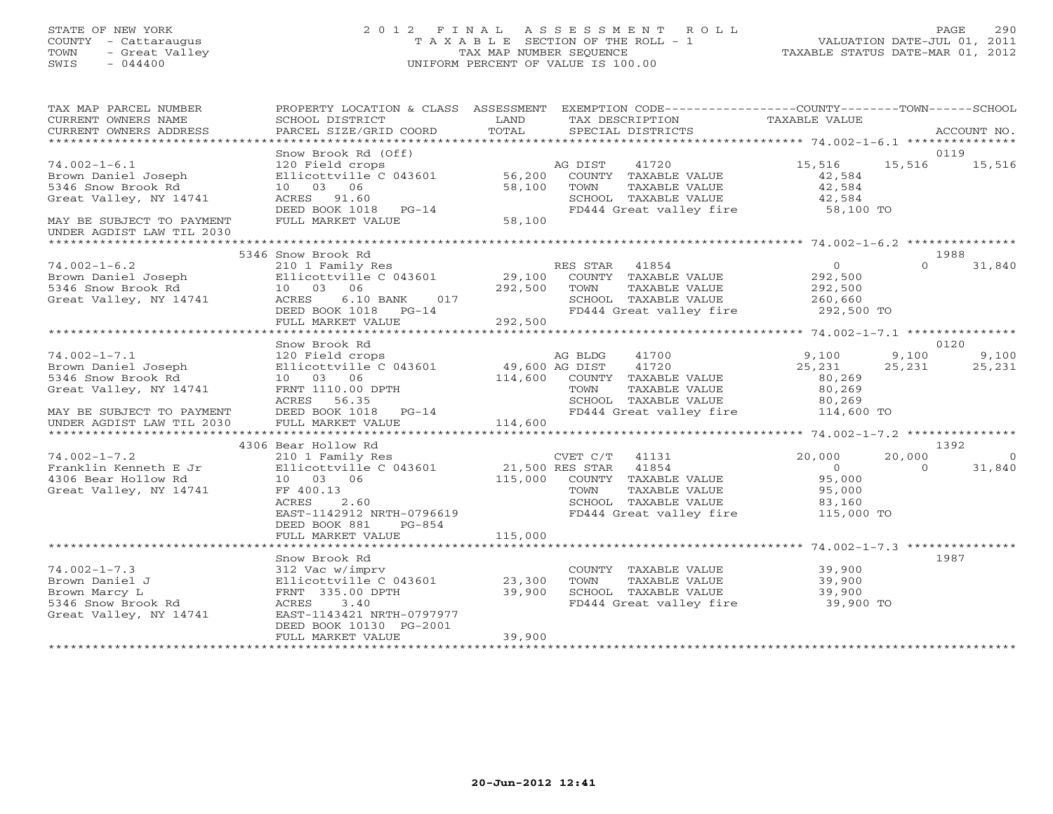# STATE OF NEW YORK 2 0 1 2 F I N A L A S S E S S M E N T R O L L PAGE 290 COUNTY - Cattaraugus T A X A B L E SECTION OF THE ROLL - 1 VALUATION DATE-JUL 01, 2011 TOWN - Great Valley TAX MAP NUMBER SEQUENCE TAXABLE STATUS DATE-MAR 01, 2012 SWIS - 044400 UNIFORM PERCENT OF VALUE IS 100.00

| TAX MAP PARCEL NUMBER<br>CURRENT OWNERS NAME<br>CURRENT OWNERS ADDRESS                                                                              | SCHOOL DISTRICT<br>PARCEL SIZE/GRID COORD                                                                                                                                                     | LAND<br>TOTAL                                           | PROPERTY LOCATION & CLASS ASSESSMENT EXEMPTION CODE----------------COUNTY-------TOWN------SCHOOL<br>TAX DESCRIPTION<br>SPECIAL DISTRICTS                       | TAXABLE VALUE                                                                       |                                 | ACCOUNT NO.              |
|-----------------------------------------------------------------------------------------------------------------------------------------------------|-----------------------------------------------------------------------------------------------------------------------------------------------------------------------------------------------|---------------------------------------------------------|----------------------------------------------------------------------------------------------------------------------------------------------------------------|-------------------------------------------------------------------------------------|---------------------------------|--------------------------|
|                                                                                                                                                     |                                                                                                                                                                                               |                                                         |                                                                                                                                                                |                                                                                     |                                 |                          |
| $74.002 - 1 - 6.1$<br>Brown Daniel Joseph<br>5346 Snow Brook Rd<br>Great Valley, NY 14741<br>MAY BE SUBJECT TO PAYMENT<br>UNDER AGDIST LAW TIL 2030 | Snow Brook Rd (Off)<br>120 Field crops<br>Ellicottville C 043601 56,200<br>10 03 06<br>ACRES 91.60<br>DEED BOOK 1018 PG-14<br>FULL MARKET VALUE                                               | 58,100<br>58,100                                        | AG DIST 41720<br>COUNTY TAXABLE VALUE<br>TOWN<br>TAXABLE VALUE<br>SCHOOL TAXABLE VALUE<br>FD444 Great valley fire 58,100 TO                                    | 15,516<br>42,584<br>42,584<br>42,584                                                | 0119<br>15,516                  | 15,516                   |
|                                                                                                                                                     |                                                                                                                                                                                               |                                                         |                                                                                                                                                                |                                                                                     |                                 |                          |
| $74.002 - 1 - 6.2$<br>Brown Daniel Joseph<br>5346 Snow Brook Rd<br>Great Valley, NY 14741                                                           | 5346 Snow Brook Rd<br>210 1 Family Res<br>10 03 06<br>017<br>6.10 BANK<br>ACRES<br>DEED BOOK 1018 PG-14<br>FULL MARKET VALUE                                                                  | 292,500<br>an di Kabupatén<br>Kabupatèn Suma<br>292,500 | RES STAR 41854<br>TOWN<br>TAXABLE VALUE<br>FD444 Great valley fire                                                                                             | $\overline{0}$<br>292,500<br>292,500                                                | 1988<br>$\Omega$                | 31,840                   |
|                                                                                                                                                     |                                                                                                                                                                                               |                                                         |                                                                                                                                                                |                                                                                     |                                 |                          |
| $74.002 - 1 - 7.1$<br>Brown Daniel Joseph<br>5346 Snow Brook Rd<br>Great Valley, NY 14741<br>MAY BE SUBJECT TO PAYMENT<br>UNDER AGDIST LAW TIL 2030 | Snow Brook Rd<br>120 Field crops<br>Ellicottville C 043601 49,600 AG DIST<br>10 03 06<br>FRNT 1110.00 DPTH<br>ACRES 56.35<br>DEED BOOK 1018 PG-14<br>FULL MARKET VALUE<br>4306 Bear Hollow Rd | 114,600                                                 | 41700<br>AG BLDG<br>41720<br>114,600 COUNTY TAXABLE VALUE<br>TOWN<br>TAXABLE VALUE<br>SCHOOL TAXABLE VALUE 80,269<br>FD444 Great valley fire 114,600 TO        | 9,100<br>25,231<br>80,269<br>80,269                                                 | 0120<br>9,100<br>25,231<br>1392 | 9,100<br>25,231          |
| $74.002 - 1 - 7.2$<br>Franklin Kenneth E Jr<br>4306 Bear Hollow Rd<br>Great Valley, NY 14741                                                        | 210 1 Family Res<br>Ellicottville C 043601<br>10 03 06<br>FF 400.13<br>2.60<br>ACRES<br>EAST-1142912 NRTH-0796619<br>DEED BOOK 881<br>PG-854<br>FULL MARKET VALUE                             | 115,000                                                 | CVET C/T 41131<br>21,500 RES STAR 41854<br>115,000 COUNTY TAXABLE VALUE<br>TAXABLE VALUE<br>TOWN<br>SCHOOL TAXABLE VALUE<br>FD444 Great valley fire 115,000 TO | 20,000<br>$\begin{array}{c} 0 \\ 95.000 \end{array}$<br>95,000<br>$83,160$<br>$-00$ | 20,000<br>$\Omega$              | $\overline{0}$<br>31,840 |
|                                                                                                                                                     | Snow Brook Rd                                                                                                                                                                                 |                                                         |                                                                                                                                                                |                                                                                     | 1987                            |                          |
| $74.002 - 1 - 7.3$<br>Brown Daniel J<br>Brown Marcy L<br>5346 Snow Brook Rd<br>Great Valley, NY 14741                                               | 312 Vac w/imprv<br>Ellicottville C $043601$ 23,300<br>FRNT 335.00 DPTH<br>ACRES<br>3.40<br>EAST-1143421 NRTH-0797977<br>DEED BOOK 10130 PG-2001<br>FULL MARKET VALUE                          | 39,900<br>39,900                                        | COUNTY TAXABLE VALUE 39,900<br>TOWN<br>TAXABLE VALUE<br>SCHOOL TAXABLE VALUE<br>SCHOOL TAXABLE VALUE 39,900<br>FD444 Great valley fire 39,900 TO               | 39,900<br>39,900                                                                    |                                 |                          |
|                                                                                                                                                     |                                                                                                                                                                                               |                                                         |                                                                                                                                                                |                                                                                     |                                 |                          |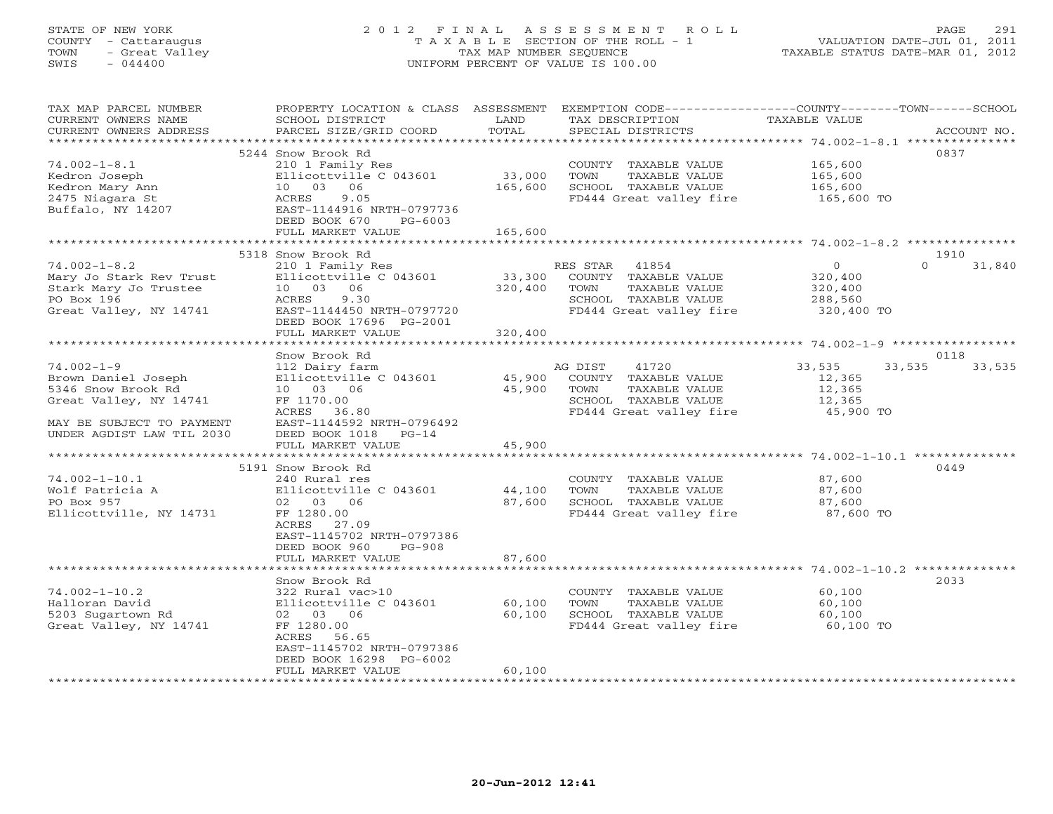# STATE OF NEW YORK 2 0 1 2 F I N A L A S S E S S M E N T R O L L PAGE 291 COUNTY - Cattaraugus T A X A B L E SECTION OF THE ROLL - 1 VALUATION DATE-JUL 01, 2011 TOWN - Great Valley TAX MAP NUMBER SEQUENCE TAXABLE STATUS DATE-MAR 01, 2012 SWIS - 044400 UNIFORM PERCENT OF VALUE IS 100.00

| TAX MAP PARCEL NUMBER                                           |                                 |         | PROPERTY LOCATION & CLASS ASSESSMENT EXEMPTION CODE----------------COUNTY-------TOWN------SCHOOL |                |                  |
|-----------------------------------------------------------------|---------------------------------|---------|--------------------------------------------------------------------------------------------------|----------------|------------------|
| CURRENT OWNERS NAME                                             | SCHOOL DISTRICT                 | LAND    | TAX DESCRIPTION                                                                                  | TAXABLE VALUE  |                  |
| CURRENT OWNERS ADDRESS                                          | PARCEL SIZE/GRID COORD          | TOTAL   | SPECIAL DISTRICTS                                                                                |                | ACCOUNT NO.      |
|                                                                 |                                 |         |                                                                                                  |                |                  |
|                                                                 | 5244 Snow Brook Rd              |         |                                                                                                  |                | 0837             |
| $74.002 - 1 - 8.1$                                              | 210 1 Family Res                |         | COUNTY TAXABLE VALUE                                                                             | 165,600        |                  |
| Kedron Joseph                                                   | Ellicottville $C$ 043601 33,000 |         | TAXABLE VALUE<br>TOWN                                                                            | 165,600        |                  |
| Kedron Mary Ann                                                 | 10 03 06                        | 165,600 | SCHOOL TAXABLE VALUE                                                                             | 165,600        |                  |
| 2475 Niagara St                                                 | ACRES<br>9.05                   |         | FD444 Great valley fire 165,600 TO                                                               |                |                  |
| Buffalo, NY 14207                                               | EAST-1144916 NRTH-0797736       |         |                                                                                                  |                |                  |
|                                                                 | DEED BOOK 670<br>PG-6003        |         |                                                                                                  |                |                  |
|                                                                 | FULL MARKET VALUE               | 165,600 |                                                                                                  |                |                  |
|                                                                 |                                 |         |                                                                                                  |                |                  |
|                                                                 | 5318 Snow Brook Rd              |         |                                                                                                  |                | 1910<br>$\Omega$ |
| $74.002 - 1 - 8.2$                                              | 210 1 Family Res                |         | RES STAR 41854                                                                                   | $\overline{O}$ | 31,840           |
|                                                                 | Ellicottville $C$ 043601 33,300 |         | COUNTY TAXABLE VALUE                                                                             | 320,400        |                  |
| Mary Jo Stark Rev Trust<br>Stark Mary Jo Trustee<br>Po Port 106 | 10 03 06                        | 320,400 | TOWN<br>TAXABLE VALUE                                                                            | 320,400        |                  |
| PO Box 196                                                      | ACRES<br>9.30                   |         | SCHOOL TAXABLE VALUE 288,560<br>FD444 Great valley fire 320,400 TO                               |                |                  |
| Great Valley, NY 14741                                          | EAST-1144450 NRTH-0797720       |         | FD444 Great valley fire                                                                          |                |                  |
|                                                                 | DEED BOOK 17696 PG-2001         | 320,400 |                                                                                                  |                |                  |
|                                                                 | FULL MARKET VALUE               |         |                                                                                                  |                |                  |
|                                                                 | Snow Brook Rd                   |         |                                                                                                  |                | 0118             |
| $74.002 - 1 - 9$                                                | 112 Dairy farm                  |         | AG DIST<br>41720                                                                                 | 33,535         | 33,535<br>33,535 |
| Brown Daniel Joseph                                             | Ellicottville C 043601 45,900   |         | COUNTY TAXABLE VALUE                                                                             | 12,365         |                  |
| 5346 Snow Brook Rd                                              | 10 03 06                        | 45,900  | TOWN<br>TAXABLE VALUE                                                                            | 12,365         |                  |
| Great Valley, NY 14741                                          | FF 1170.00                      |         | SCHOOL TAXABLE VALUE                                                                             | 12,365         |                  |
|                                                                 | ACRES 36.80                     |         | FD444 Great valley fire                                                                          | 45,900 TO      |                  |
| MAY BE SUBJECT TO PAYMENT                                       | EAST-1144592 NRTH-0796492       |         |                                                                                                  |                |                  |
| UNDER AGDIST LAW TIL 2030                                       | DEED BOOK 1018<br>$PG-14$       |         |                                                                                                  |                |                  |
|                                                                 | FULL MARKET VALUE               | 45,900  |                                                                                                  |                |                  |
|                                                                 |                                 |         |                                                                                                  |                |                  |
|                                                                 | 5191 Snow Brook Rd              |         |                                                                                                  |                | 0449             |
| $74.002 - 1 - 10.1$                                             | 240 Rural res                   |         | COUNTY TAXABLE VALUE 87,600                                                                      |                |                  |
| Wolf Patricia A                                                 | Ellicottville C 043601 44,100   |         | TOWN<br>TAXABLE VALUE                                                                            | 87,600         |                  |
| PO Box 957                                                      | 02 03 06                        | 87,600  | SCHOOL TAXABLE VALUE                                                                             | 87,600         |                  |
| Ellicottville, NY 14731                                         | FF 1280.00                      |         | FD444 Great valley fire                                                                          | 87,600 TO      |                  |
|                                                                 | ACRES 27.09                     |         |                                                                                                  |                |                  |
|                                                                 | EAST-1145702 NRTH-0797386       |         |                                                                                                  |                |                  |
|                                                                 | DEED BOOK 960<br>$PG-908$       |         |                                                                                                  |                |                  |
|                                                                 | FULL MARKET VALUE               | 87,600  |                                                                                                  |                |                  |
|                                                                 |                                 |         |                                                                                                  |                |                  |
|                                                                 | Snow Brook Rd                   |         |                                                                                                  |                | 2033             |
| $74.002 - 1 - 10.2$                                             | $322$ Rural vac > 10            |         | COUNTY TAXABLE VALUE                                                                             | 60,100         |                  |
| Halloran David                                                  | Ellicottville C 043601 60,100   |         | TOWN<br>TAXABLE VALUE                                                                            | 60,100         |                  |
| 5203 Sugartown Rd                                               | 02 03 06                        | 60,100  | SCHOOL TAXABLE VALUE                                                                             | 60,100         |                  |
| Great Valley, NY 14741                                          | FF 1280.00                      |         | FD444 Great valley fire 60,100 TO                                                                |                |                  |
|                                                                 | ACRES 56.65                     |         |                                                                                                  |                |                  |
|                                                                 | EAST-1145702 NRTH-0797386       |         |                                                                                                  |                |                  |
|                                                                 | DEED BOOK 16298 PG-6002         |         |                                                                                                  |                |                  |
|                                                                 | FULL MARKET VALUE               | 60,100  |                                                                                                  |                |                  |
|                                                                 |                                 |         |                                                                                                  |                |                  |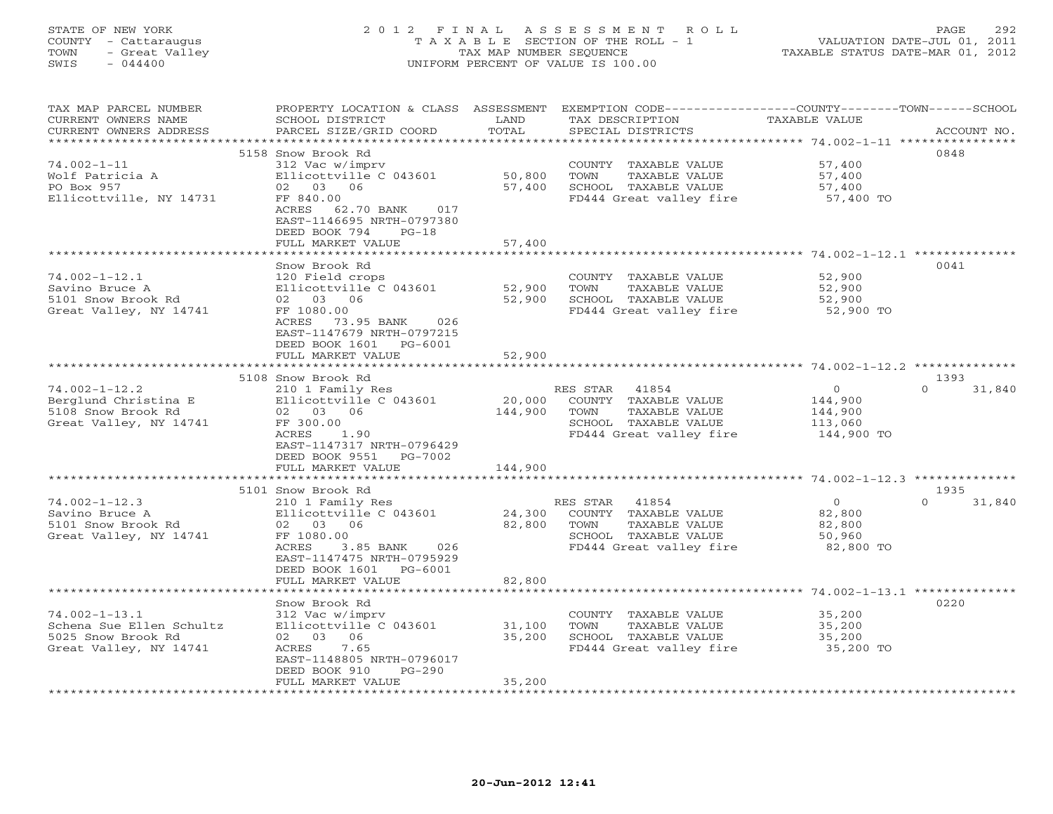# STATE OF NEW YORK 2 0 1 2 F I N A L A S S E S S M E N T R O L L PAGE 292 COUNTY - Cattaraugus T A X A B L E SECTION OF THE ROLL - 1 VALUATION DATE-JUL 01, 2011 TOWN - Great Valley TAX MAP NUMBER SEQUENCE TAXABLE STATUS DATE-MAR 01, 2012 SWIS - 044400 UNIFORM PERCENT OF VALUE IS 100.00

| TAX MAP PARCEL NUMBER    |                            |                             | PROPERTY LOCATION & CLASS ASSESSMENT EXEMPTION CODE-----------------COUNTY-------TOWN------SCHOOL |                                                      |                    |
|--------------------------|----------------------------|-----------------------------|---------------------------------------------------------------------------------------------------|------------------------------------------------------|--------------------|
| CURRENT OWNERS NAME      | SCHOOL DISTRICT            | LAND                        | TAX DESCRIPTION                                                                                   | TAXABLE VALUE                                        |                    |
| CURRENT OWNERS ADDRESS   | PARCEL SIZE/GRID COORD     | TOTAL                       | SPECIAL DISTRICTS                                                                                 |                                                      | ACCOUNT NO.        |
|                          |                            |                             |                                                                                                   |                                                      |                    |
|                          | 5158 Snow Brook Rd         |                             |                                                                                                   |                                                      | 0848               |
| $74.002 - 1 - 11$        | 312 Vac w/imprv            |                             | COUNTY TAXABLE VALUE                                                                              | 57,400                                               |                    |
| Wolf Patricia A          | Ellicottville C 043601     | 50,800                      | TOWN<br>TAXABLE VALUE                                                                             |                                                      |                    |
|                          |                            |                             |                                                                                                   | 57,400                                               |                    |
| PO Box 957               | 02 03 06                   | 57,400                      | SCHOOL TAXABLE VALUE                                                                              | 57,400                                               |                    |
| Ellicottville, NY 14731  | FF 840.00                  |                             | FD444 Great valley fire                                                                           | 57,400 TO                                            |                    |
|                          | ACRES 62.70 BANK 017       |                             |                                                                                                   |                                                      |                    |
|                          | EAST-1146695 NRTH-0797380  |                             |                                                                                                   |                                                      |                    |
|                          | DEED BOOK 794<br>$PG-18$   |                             |                                                                                                   |                                                      |                    |
|                          | FULL MARKET VALUE          | 57,400                      |                                                                                                   |                                                      |                    |
|                          | ********************       | * * * * * * * * * * * * * * |                                                                                                   |                                                      |                    |
|                          | Snow Brook Rd              |                             |                                                                                                   |                                                      | 0041               |
| $74.002 - 1 - 12.1$      | 120 Field crops            |                             | COUNTY TAXABLE VALUE                                                                              | 52,900                                               |                    |
| Savino Bruce A           | Ellicottville C 043601     |                             | TAXABLE VALUE<br>TOWN                                                                             |                                                      |                    |
|                          |                            | 52,900                      |                                                                                                   | 52,900                                               |                    |
| 5101 Snow Brook Rd       | 02 03 06                   | 52,900                      | SCHOOL TAXABLE VALUE                                                                              | 52,900                                               |                    |
| Great Valley, NY 14741   | FF 1080.00                 |                             | FD444 Great valley fire                                                                           | 52,900 TO                                            |                    |
|                          | ACRES<br>73.95 BANK<br>026 |                             |                                                                                                   |                                                      |                    |
|                          | EAST-1147679 NRTH-0797215  |                             |                                                                                                   |                                                      |                    |
|                          | DEED BOOK 1601 PG-6001     |                             |                                                                                                   |                                                      |                    |
|                          | FULL MARKET VALUE          | 52,900                      |                                                                                                   |                                                      |                    |
|                          | ***********************    | * * * * * * * * * * * * * * |                                                                                                   |                                                      |                    |
|                          | 5108 Snow Brook Rd         |                             |                                                                                                   |                                                      | 1393               |
| $74.002 - 1 - 12.2$      | 210 1 Family Res           |                             | RES STAR 41854                                                                                    | $\circ$                                              | $\Omega$<br>31,840 |
|                          |                            |                             |                                                                                                   |                                                      |                    |
| Berglund Christina E     | Ellicottville C 043601     | 20,000                      | COUNTY TAXABLE VALUE                                                                              | 144,900                                              |                    |
| 5108 Snow Brook Rd       | 02 03 06                   | 144,900                     | TOWN<br>TAXABLE VALUE                                                                             | 144,900                                              |                    |
| Great Valley, NY 14741   | FF 300.00                  |                             | SCHOOL TAXABLE VALUE                                                                              | 113,060                                              |                    |
|                          | ACRES<br>1.90              |                             | FD444 Great valley fire                                                                           | 144,900 TO                                           |                    |
|                          | EAST-1147317 NRTH-0796429  |                             |                                                                                                   |                                                      |                    |
|                          | DEED BOOK 9551<br>PG-7002  |                             |                                                                                                   |                                                      |                    |
|                          | FULL MARKET VALUE          | 144,900                     |                                                                                                   |                                                      |                    |
|                          |                            | ***********                 |                                                                                                   | *********************** 74.002-1-12.3 ************** |                    |
|                          | 5101 Snow Brook Rd         |                             |                                                                                                   |                                                      | 1935               |
| $74.002 - 1 - 12.3$      | 210 1 Family Res           |                             | RES STAR<br>41854                                                                                 | $\overline{0}$                                       | $\Omega$<br>31,840 |
|                          |                            |                             |                                                                                                   |                                                      |                    |
| Savino Bruce A           | Ellicottville C 043601     | 24,300                      | COUNTY TAXABLE VALUE                                                                              | 82,800                                               |                    |
| 5101 Snow Brook Rd       | 02 03 06                   | 82,800                      | TAXABLE VALUE<br>TOWN                                                                             | 82,800                                               |                    |
| Great Valley, NY 14741   | FF 1080.00                 |                             | SCHOOL TAXABLE VALUE                                                                              | 50,960                                               |                    |
|                          | ACRES<br>3.85 BANK<br>026  |                             | FD444 Great valley fire                                                                           | 82,800 TO                                            |                    |
|                          | EAST-1147475 NRTH-0795929  |                             |                                                                                                   |                                                      |                    |
|                          | DEED BOOK 1601 PG-6001     |                             |                                                                                                   |                                                      |                    |
|                          | FULL MARKET VALUE          | 82,800                      |                                                                                                   |                                                      |                    |
|                          |                            |                             |                                                                                                   | *********************** 74.002-1-13.1 ************** |                    |
|                          | Snow Brook Rd              |                             |                                                                                                   |                                                      | 0220               |
| $74.002 - 1 - 13.1$      | 312 Vac w/imprv            |                             | COUNTY TAXABLE VALUE                                                                              | 35,200                                               |                    |
|                          |                            |                             |                                                                                                   |                                                      |                    |
| Schena Sue Ellen Schultz | Ellicottville C 043601     | 31,100                      | TOWN<br>TAXABLE VALUE                                                                             | 35,200                                               |                    |
| 5025 Snow Brook Rd       | 02 03 06                   | 35,200                      | SCHOOL TAXABLE VALUE                                                                              | 35,200                                               |                    |
| Great Valley, NY 14741   | 7.65<br><b>ACRES</b>       |                             | FD444 Great valley fire                                                                           | 35,200 TO                                            |                    |
|                          | EAST-1148805 NRTH-0796017  |                             |                                                                                                   |                                                      |                    |
|                          | DEED BOOK 910<br>PG-290    |                             |                                                                                                   |                                                      |                    |
|                          | FULL MARKET VALUE          | 35,200                      |                                                                                                   |                                                      |                    |
|                          |                            |                             |                                                                                                   |                                                      |                    |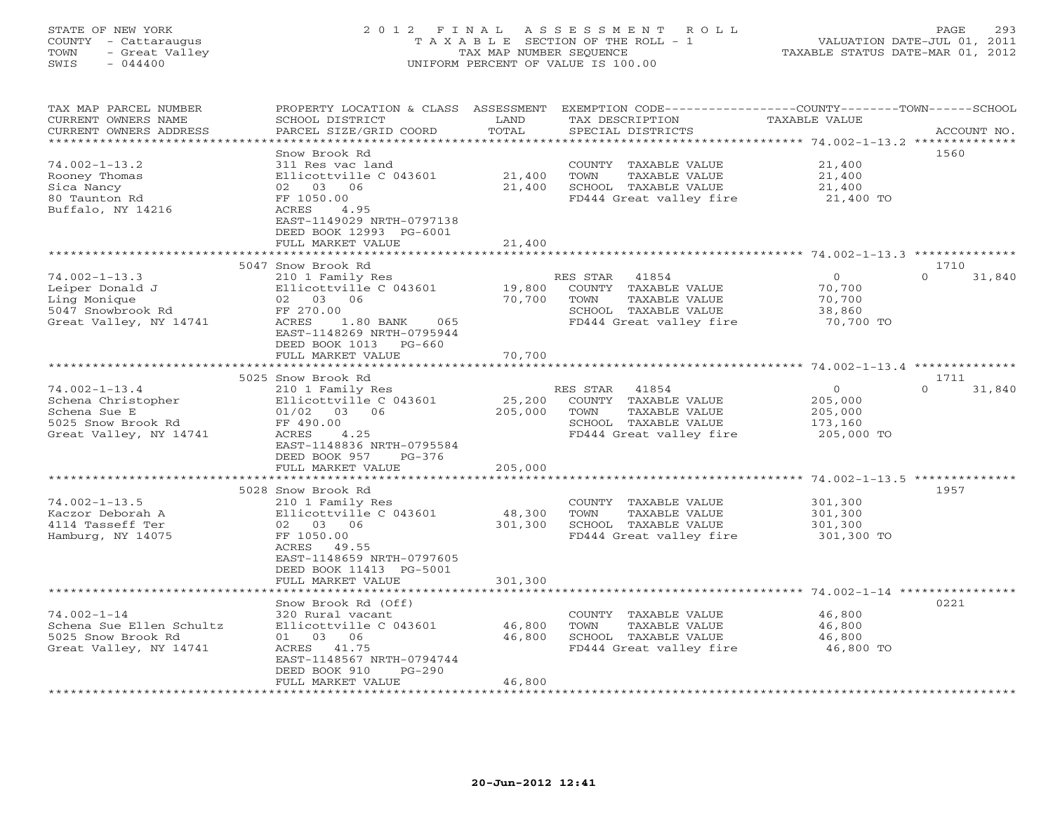# STATE OF NEW YORK 2 0 1 2 F I N A L A S S E S S M E N T R O L L PAGE 293 COUNTY - Cattaraugus T A X A B L E SECTION OF THE ROLL - 1 VALUATION DATE-JUL 01, 2011 TOWN - Great Valley TAX MAP NUMBER SEQUENCE TAXABLE STATUS DATE-MAR 01, 2012 SWIS - 044400 UNIFORM PERCENT OF VALUE IS 100.00

| TAX MAP PARCEL NUMBER<br>CURRENT OWNERS NAME | PROPERTY LOCATION & CLASS ASSESSMENT<br>SCHOOL DISTRICT | LAND                   | EXEMPTION CODE-----------------COUNTY-------TOWN------SCHOOL<br>TAX DESCRIPTION | <b>TAXABLE VALUE</b>                                  |                    |
|----------------------------------------------|---------------------------------------------------------|------------------------|---------------------------------------------------------------------------------|-------------------------------------------------------|--------------------|
| CURRENT OWNERS ADDRESS                       | PARCEL SIZE/GRID COORD                                  | TOTAL                  | SPECIAL DISTRICTS                                                               |                                                       | ACCOUNT NO.        |
| *********************                        | **********************                                  |                        |                                                                                 |                                                       |                    |
|                                              | Snow Brook Rd                                           |                        |                                                                                 |                                                       | 1560               |
| $74.002 - 1 - 13.2$                          | 311 Res vac land                                        |                        | COUNTY TAXABLE VALUE                                                            | 21,400                                                |                    |
| Rooney Thomas                                | Ellicottville C 043601                                  | 21,400                 | TAXABLE VALUE<br>TOWN                                                           | 21,400                                                |                    |
| Sica Nancy                                   | 02 03 06                                                | 21,400                 | SCHOOL TAXABLE VALUE                                                            | 21,400                                                |                    |
| 80 Taunton Rd<br>Buffalo, NY 14216           | FF 1050.00<br>ACRES<br>4.95                             |                        | FD444 Great valley fire                                                         | 21,400 TO                                             |                    |
|                                              | EAST-1149029 NRTH-0797138                               |                        |                                                                                 |                                                       |                    |
|                                              | DEED BOOK 12993 PG-6001                                 |                        |                                                                                 |                                                       |                    |
|                                              | FULL MARKET VALUE                                       | 21,400                 |                                                                                 |                                                       |                    |
|                                              |                                                         | *******                |                                                                                 | ************************ 74.002-1-13.3 ************** |                    |
|                                              | 5047 Snow Brook Rd                                      |                        |                                                                                 |                                                       | 1710               |
| $74.002 - 1 - 13.3$                          | 210 1 Family Res                                        |                        | RES STAR<br>41854                                                               | $\circ$                                               | $\Omega$<br>31,840 |
| Leiper Donald J                              | Ellicottville C 043601                                  | 19,800                 | COUNTY TAXABLE VALUE                                                            | 70,700                                                |                    |
| Ling Monique                                 | 02 03 06                                                | 70,700                 | TOWN<br><b>TAXABLE VALUE</b>                                                    | 70,700                                                |                    |
| 5047 Snowbrook Rd                            | FF 270.00                                               |                        | SCHOOL TAXABLE VALUE                                                            | 38,860                                                |                    |
| Great Valley, NY 14741                       | 1.80 BANK<br>ACRES<br>065                               |                        | FD444 Great valley fire                                                         | 70,700 TO                                             |                    |
|                                              | EAST-1148269 NRTH-0795944                               |                        |                                                                                 |                                                       |                    |
|                                              | DEED BOOK 1013<br>$PG-660$                              |                        |                                                                                 |                                                       |                    |
|                                              | FULL MARKET VALUE                                       | 70,700                 |                                                                                 |                                                       |                    |
|                                              |                                                         | *******                |                                                                                 | *************** 74.002-1-13.4 ***************         |                    |
|                                              | 5025 Snow Brook Rd                                      |                        |                                                                                 |                                                       | 1711               |
| $74.002 - 1 - 13.4$                          | 210 1 Family Res                                        |                        | 41854<br>RES STAR                                                               | $\circ$                                               | $\Omega$<br>31,840 |
| Schena Christopher                           | Ellicottville C 043601                                  | 25,200                 | COUNTY TAXABLE VALUE                                                            | 205,000                                               |                    |
| Schena Sue E                                 | $01/02$ 03 06                                           | 205,000                | TOWN<br>TAXABLE VALUE                                                           | 205,000                                               |                    |
| 5025 Snow Brook Rd                           | FF 490.00                                               |                        | SCHOOL TAXABLE VALUE                                                            | 173,160                                               |                    |
| Great Valley, NY 14741                       | ACRES<br>4.25                                           |                        | FD444 Great valley fire                                                         | 205,000 TO                                            |                    |
|                                              | EAST-1148836 NRTH-0795584                               |                        |                                                                                 |                                                       |                    |
|                                              | DEED BOOK 957<br>$PG-376$                               |                        |                                                                                 |                                                       |                    |
|                                              | FULL MARKET VALUE                                       | 205,000<br>*********** |                                                                                 | ************************ 74.002-1-13.5 ************** |                    |
|                                              | 5028 Snow Brook Rd                                      |                        |                                                                                 |                                                       | 1957               |
| $74.002 - 1 - 13.5$                          | 210 1 Family Res                                        |                        | COUNTY TAXABLE VALUE                                                            | 301,300                                               |                    |
| Kaczor Deborah A                             | Ellicottville C 043601                                  | 48,300                 | <b>TAXABLE VALUE</b><br>TOWN                                                    | 301,300                                               |                    |
| 4114 Tasseff Ter                             | 02 03 06                                                | 301,300                | SCHOOL TAXABLE VALUE                                                            | 301,300                                               |                    |
| Hamburg, NY 14075                            | FF 1050.00                                              |                        | FD444 Great valley fire                                                         | 301,300 TO                                            |                    |
|                                              | ACRES<br>49.55                                          |                        |                                                                                 |                                                       |                    |
|                                              | EAST-1148659 NRTH-0797605                               |                        |                                                                                 |                                                       |                    |
|                                              | DEED BOOK 11413 PG-5001                                 |                        |                                                                                 |                                                       |                    |
|                                              | FULL MARKET VALUE                                       | 301,300                |                                                                                 |                                                       |                    |
|                                              |                                                         |                        |                                                                                 |                                                       |                    |
|                                              | Snow Brook Rd (Off)                                     |                        |                                                                                 |                                                       | 0221               |
| $74.002 - 1 - 14$                            | 320 Rural vacant                                        |                        | COUNTY TAXABLE VALUE                                                            | 46,800                                                |                    |
| Schena Sue Ellen Schultz                     | Ellicottville C 043601                                  | 46,800                 | TOWN<br>TAXABLE VALUE                                                           | 46,800                                                |                    |
| 5025 Snow Brook Rd                           | 01 03 06                                                | 46,800                 | SCHOOL TAXABLE VALUE                                                            | 46,800                                                |                    |
| Great Valley, NY 14741                       | ACRES 41.75                                             |                        | FD444 Great valley fire                                                         | 46,800 TO                                             |                    |
|                                              | EAST-1148567 NRTH-0794744                               |                        |                                                                                 |                                                       |                    |
|                                              | DEED BOOK 910<br>$PG-290$                               |                        |                                                                                 |                                                       |                    |
|                                              | FULL MARKET VALUE                                       | 46,800                 |                                                                                 |                                                       |                    |
|                                              |                                                         |                        |                                                                                 |                                                       |                    |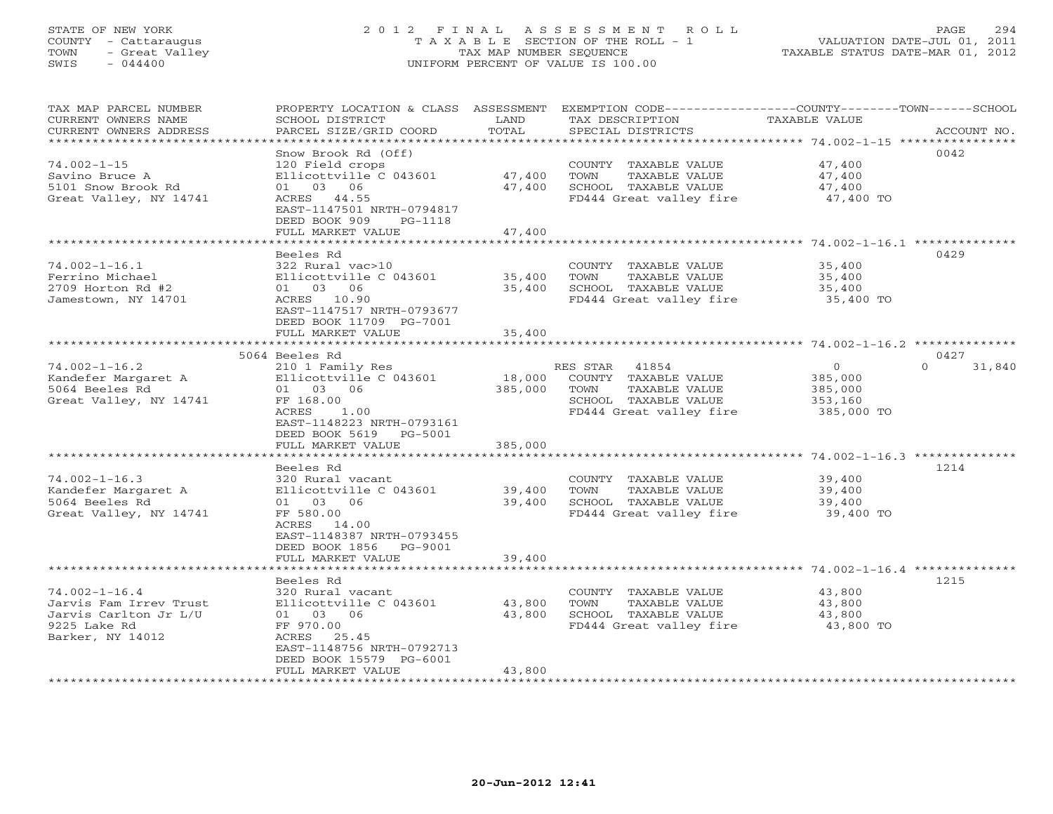# STATE OF NEW YORK 2 0 1 2 F I N A L A S S E S S M E N T R O L L PAGE 294 COUNTY - Cattaraugus T A X A B L E SECTION OF THE ROLL - 1 VALUATION DATE-JUL 01, 2011 TOWN - Great Valley TAX MAP NUMBER SEQUENCE TAXABLE STATUS DATE-MAR 01, 2012 SWIS - 044400 UNIFORM PERCENT OF VALUE IS 100.00

| TAX MAP PARCEL NUMBER<br>CURRENT OWNERS NAME<br>CURRENT OWNERS ADDRESS                                        | PROPERTY LOCATION & CLASS ASSESSMENT<br>SCHOOL DISTRICT<br>PARCEL SIZE/GRID COORD                                                                                         | LAND<br>TOTAL                | TAX DESCRIPTION<br>SPECIAL DISTRICTS                                                                                  | EXEMPTION CODE-----------------COUNTY-------TOWN------SCHOOL<br>TAXABLE VALUE<br>ACCOUNT NO. |
|---------------------------------------------------------------------------------------------------------------|---------------------------------------------------------------------------------------------------------------------------------------------------------------------------|------------------------------|-----------------------------------------------------------------------------------------------------------------------|----------------------------------------------------------------------------------------------|
| **********************<br>$74.002 - 1 - 15$<br>Savino Bruce A<br>5101 Snow Brook Rd<br>Great Valley, NY 14741 | Snow Brook Rd (Off)<br>120 Field crops<br>Ellicottville C 043601<br>01 03 06<br>ACRES 44.55<br>EAST-1147501 NRTH-0794817<br>DEED BOOK 909<br>PG-1118<br>FULL MARKET VALUE | 47,400<br>47,400<br>47,400   | COUNTY TAXABLE VALUE<br>TOWN<br>TAXABLE VALUE<br>SCHOOL TAXABLE VALUE<br>FD444 Great valley fire                      | 0042<br>47,400<br>47,400<br>47,400<br>47,400 TO                                              |
|                                                                                                               |                                                                                                                                                                           |                              |                                                                                                                       |                                                                                              |
| $74.002 - 1 - 16.1$<br>Ferrino Michael<br>2709 Horton Rd #2<br>Jamestown, NY 14701                            | Beeles Rd<br>322 Rural vac>10<br>Ellicottville C 043601<br>01 03 06<br>ACRES 10.90<br>EAST-1147517 NRTH-0793677<br>DEED BOOK 11709 PG-7001                                | 35,400<br>35,400             | COUNTY TAXABLE VALUE<br>TOWN<br>TAXABLE VALUE<br>SCHOOL TAXABLE VALUE<br>FD444 Great valley fire                      | 0429<br>35,400<br>35,400<br>35,400<br>35,400 TO                                              |
|                                                                                                               | FULL MARKET VALUE                                                                                                                                                         | 35,400                       |                                                                                                                       |                                                                                              |
|                                                                                                               | *****************************                                                                                                                                             |                              |                                                                                                                       |                                                                                              |
|                                                                                                               | 5064 Beeles Rd                                                                                                                                                            |                              |                                                                                                                       | 0427                                                                                         |
| $74.002 - 1 - 16.2$<br>Kandefer Margaret A<br>5064 Beeles Rd<br>Great Valley, NY 14741                        | 210 1 Family Res<br>Ellicottville C 043601<br>01 03 06<br>FF 168.00<br>ACRES<br>1.00<br>EAST-1148223 NRTH-0793161<br>DEED BOOK 5619 PG-5001<br>FULL MARKET VALUE          | 18,000<br>385,000<br>385,000 | RES STAR<br>41854<br>COUNTY TAXABLE VALUE<br>TOWN<br>TAXABLE VALUE<br>SCHOOL TAXABLE VALUE<br>FD444 Great valley fire | $\circ$<br>$\Omega$<br>31,840<br>385,000<br>385,000<br>353,160<br>385,000 TO                 |
|                                                                                                               |                                                                                                                                                                           |                              |                                                                                                                       |                                                                                              |
| $74.002 - 1 - 16.3$<br>Kandefer Margaret A<br>5064 Beeles Rd<br>Great Valley, NY 14741                        | Beeles Rd<br>320 Rural vacant<br>Ellicottville C 043601<br>01 03 06<br>FF 580.00<br>ACRES<br>14.00<br>EAST-1148387 NRTH-0793455<br>DEED BOOK 1856 PG-9001                 | 39,400<br>39,400             | COUNTY TAXABLE VALUE<br>TAXABLE VALUE<br>TOWN<br>SCHOOL TAXABLE VALUE<br>FD444 Great valley fire                      | 1214<br>39,400<br>39,400<br>39,400<br>39,400 TO                                              |
|                                                                                                               | FULL MARKET VALUE                                                                                                                                                         | 39,400                       |                                                                                                                       | ********************************** 74.002-1-16.4 *******                                     |
| $74.002 - 1 - 16.4$<br>Jarvis Fam Irrev Trust<br>Jarvis Carlton Jr L/U<br>9225 Lake Rd<br>Barker, NY 14012    | Beeles Rd<br>320 Rural vacant<br>Ellicottville C 043601<br>01 03 06<br>FF 970.00<br>ACRES 25.45<br>EAST-1148756 NRTH-0792713<br>DEED BOOK 15579 PG-6001                   | 43,800<br>43,800             | COUNTY TAXABLE VALUE<br>TAXABLE VALUE<br>TOWN<br>SCHOOL TAXABLE VALUE<br>FD444 Great valley fire                      | 1215<br>43,800<br>43,800<br>43,800<br>43,800 TO                                              |
|                                                                                                               | FULL MARKET VALUE                                                                                                                                                         | 43,800                       |                                                                                                                       |                                                                                              |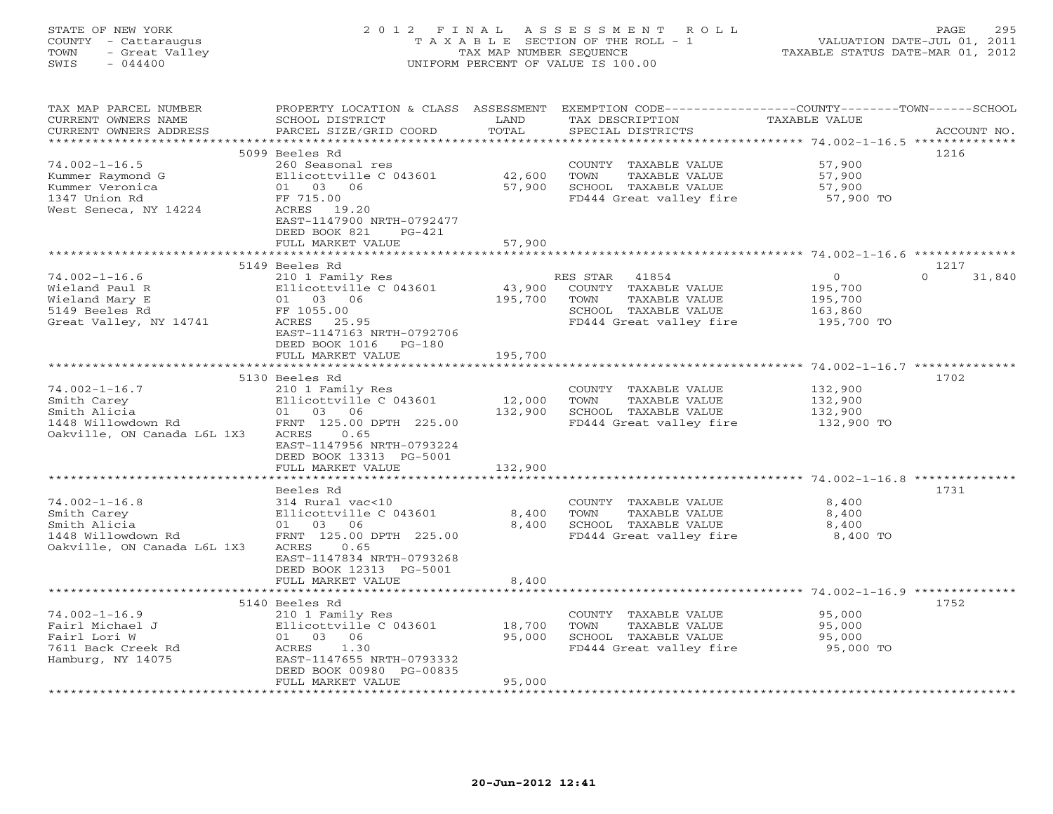# STATE OF NEW YORK 2 0 1 2 F I N A L A S S E S S M E N T R O L L PAGE 295 COUNTY - Cattaraugus T A X A B L E SECTION OF THE ROLL - 1 VALUATION DATE-JUL 01, 2011 TOWN - Great Valley TAX MAP NUMBER SEQUENCE TAXABLE STATUS DATE-MAR 01, 2012 SWIS - 044400 UNIFORM PERCENT OF VALUE IS 100.00

| TAX MAP PARCEL NUMBER<br>CURRENT OWNERS NAME<br>CURRENT OWNERS ADDRESS                                  | PROPERTY LOCATION & CLASS<br>SCHOOL DISTRICT<br>PARCEL SIZE/GRID COORD                                                                       | ASSESSMENT<br>LAND<br>TOTAL | EXEMPTION CODE-----------------COUNTY-------TOWN------SCHOOL<br>TAX DESCRIPTION<br>SPECIAL DISTRICTS                  | TAXABLE VALUE                                          | ACCOUNT NO.                |
|---------------------------------------------------------------------------------------------------------|----------------------------------------------------------------------------------------------------------------------------------------------|-----------------------------|-----------------------------------------------------------------------------------------------------------------------|--------------------------------------------------------|----------------------------|
| ***********************                                                                                 |                                                                                                                                              |                             |                                                                                                                       |                                                        |                            |
| $74.002 - 1 - 16.5$<br>Kummer Raymond G<br>Kummer Veronica<br>1347 Union Rd                             | 5099 Beeles Rd<br>260 Seasonal res<br>Ellicottville C 043601<br>01<br>03 06<br>FF 715.00                                                     | 42,600<br>57,900            | COUNTY TAXABLE VALUE<br>TOWN<br>TAXABLE VALUE<br>SCHOOL TAXABLE VALUE<br>FD444 Great valley fire                      | 57,900<br>57,900<br>57,900<br>57,900 TO                | 1216                       |
| West Seneca, NY 14224                                                                                   | ACRES 19.20<br>EAST-1147900 NRTH-0792477<br>DEED BOOK 821<br>$PG-421$<br>FULL MARKET VALUE                                                   | 57,900                      |                                                                                                                       |                                                        |                            |
|                                                                                                         |                                                                                                                                              |                             |                                                                                                                       | *********************** 74.002-1-16.6 **************   |                            |
| $74.002 - 1 - 16.6$<br>Wieland Paul R<br>Wieland Mary E<br>5149 Beeles Rd<br>Great Valley, NY 14741     | 5149 Beeles Rd<br>210 1 Family Res<br>Ellicottville C 043601<br>01 03 06<br>FF 1055.00<br>ACRES 25.95<br>EAST-1147163 NRTH-0792706           | 43,900<br>195,700           | RES STAR<br>41854<br>COUNTY TAXABLE VALUE<br>TAXABLE VALUE<br>TOWN<br>SCHOOL TAXABLE VALUE<br>FD444 Great valley fire | $\circ$<br>195,700<br>195,700<br>163,860<br>195,700 TO | 1217<br>$\Omega$<br>31,840 |
|                                                                                                         | DEED BOOK 1016<br>PG-180<br>FULL MARKET VALUE<br>****************************                                                                | 195,700                     |                                                                                                                       |                                                        |                            |
|                                                                                                         | 5130 Beeles Rd                                                                                                                               |                             |                                                                                                                       |                                                        | 1702                       |
| $74.002 - 1 - 16.7$<br>Smith Carey<br>Smith Alicia<br>1448 Willowdown Rd<br>Oakville, ON Canada L6L 1X3 | 210 1 Family Res<br>Ellicottville C 043601<br>03 06<br>01<br>FRNT 125.00 DPTH 225.00<br>ACRES<br>0.65<br>EAST-1147956 NRTH-0793224           | 12,000<br>132,900           | COUNTY TAXABLE VALUE<br>TOWN<br>TAXABLE VALUE<br>SCHOOL TAXABLE VALUE<br>FD444 Great valley fire                      | 132,900<br>132,900<br>132,900<br>132,900 TO            |                            |
|                                                                                                         | DEED BOOK 13313 PG-5001<br>FULL MARKET VALUE                                                                                                 | 132,900                     |                                                                                                                       |                                                        |                            |
|                                                                                                         |                                                                                                                                              |                             |                                                                                                                       |                                                        |                            |
| $74.002 - 1 - 16.8$                                                                                     | Beeles Rd<br>314 Rural vac<10                                                                                                                |                             | COUNTY TAXABLE VALUE                                                                                                  | 8,400                                                  | 1731                       |
| Smith Carey<br>Smith Alicia<br>1448 Willowdown Rd<br>Oakville, ON Canada L6L 1X3                        | Ellicottville C 043601<br>01<br>03<br>06<br>FRNT 125.00 DPTH 225.00<br>ACRES<br>0.65<br>EAST-1147834 NRTH-0793268<br>DEED BOOK 12313 PG-5001 | 8,400<br>8,400              | TOWN<br>TAXABLE VALUE<br>SCHOOL TAXABLE VALUE<br>FD444 Great valley fire                                              | 8,400<br>8,400<br>8,400 TO                             |                            |
|                                                                                                         | FULL MARKET VALUE<br>***************************                                                                                             | 8,400                       |                                                                                                                       | *********************** 74.002-1-16.9 **************   |                            |
|                                                                                                         | 5140 Beeles Rd                                                                                                                               |                             |                                                                                                                       |                                                        | 1752                       |
| $74.002 - 1 - 16.9$<br>Fairl Michael J<br>Fairl Lori W<br>7611 Back Creek Rd<br>Hamburg, NY 14075       | 210 1 Family Res<br>Ellicottville C 043601<br>01<br>03 06<br>ACRES<br>1.30<br>EAST-1147655 NRTH-0793332<br>DEED BOOK 00980 PG-00835          | 18,700<br>95,000            | COUNTY TAXABLE VALUE<br>TOWN<br>TAXABLE VALUE<br>SCHOOL TAXABLE VALUE<br>FD444 Great valley fire                      | 95,000<br>95,000<br>95,000<br>95,000 TO                |                            |
|                                                                                                         | FULL MARKET VALUE<br>* * * * * * * * * * * * * * * * * *                                                                                     | 95,000                      |                                                                                                                       |                                                        |                            |
|                                                                                                         |                                                                                                                                              |                             |                                                                                                                       |                                                        |                            |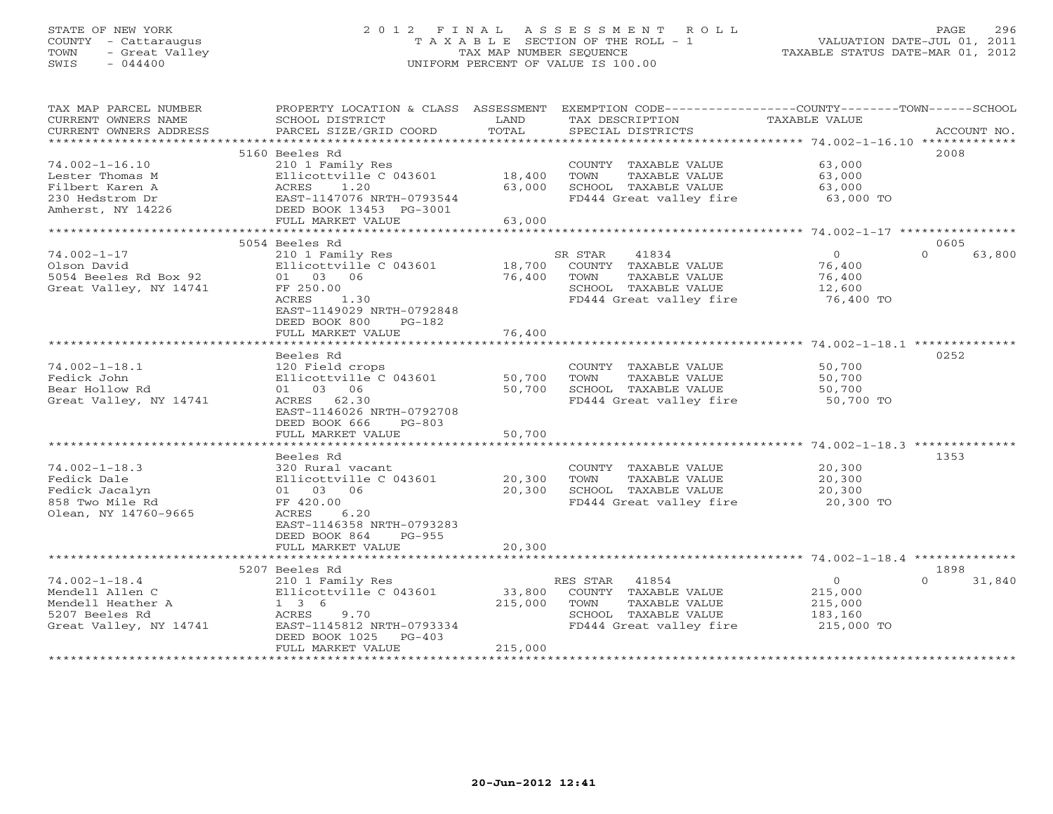# STATE OF NEW YORK 2 0 1 2 F I N A L A S S E S S M E N T R O L L PAGE 296 COUNTY - Cattaraugus T A X A B L E SECTION OF THE ROLL - 1 VALUATION DATE-JUL 01, 2011 TOWN - Great Valley TAX MAP NUMBER SEQUENCE TAXABLE STATUS DATE-MAR 01, 2012 SWIS - 044400 UNIFORM PERCENT OF VALUE IS 100.00

| TAX MAP PARCEL NUMBER  |                           |         | PROPERTY LOCATION & CLASS ASSESSMENT EXEMPTION CODE----------------COUNTY-------TOWN------SCHOOL |                |                    |
|------------------------|---------------------------|---------|--------------------------------------------------------------------------------------------------|----------------|--------------------|
| CURRENT OWNERS NAME    | SCHOOL DISTRICT           | LAND    | TAX DESCRIPTION                                                                                  | TAXABLE VALUE  |                    |
| CURRENT OWNERS ADDRESS | PARCEL SIZE/GRID COORD    | TOTAL   | SPECIAL DISTRICTS                                                                                |                | ACCOUNT NO.        |
|                        |                           |         |                                                                                                  |                |                    |
|                        | 5160 Beeles Rd            |         |                                                                                                  |                | 2008               |
| $74.002 - 1 - 16.10$   | 210 1 Family Res          |         | COUNTY TAXABLE VALUE                                                                             | 63,000         |                    |
| Lester Thomas M        | Ellicottville C 043601    | 18,400  | TOWN<br>TAXABLE VALUE                                                                            | 63,000         |                    |
| Filbert Karen A        | ACRES<br>1.20             | 63,000  | SCHOOL TAXABLE VALUE                                                                             | 63,000         |                    |
| 230 Hedstrom Dr        | EAST-1147076 NRTH-0793544 |         | FD444 Great valley fire                                                                          | 63,000 TO      |                    |
| Amherst, NY 14226      | DEED BOOK 13453 PG-3001   |         |                                                                                                  |                |                    |
|                        | FULL MARKET VALUE         | 63,000  |                                                                                                  |                |                    |
|                        |                           |         |                                                                                                  |                |                    |
|                        | 5054 Beeles Rd            |         |                                                                                                  |                | 0605               |
| $74.002 - 1 - 17$      | 210 1 Family Res          |         | SR STAR<br>41834                                                                                 | $\overline{0}$ | $\Omega$<br>63,800 |
| Olson David            | Ellicottville C 043601    |         | 18,700 COUNTY TAXABLE VALUE                                                                      | 76,400         |                    |
| 5054 Beeles Rd Box 92  | 01 03 06                  | 76,400  | TAXABLE VALUE<br>TOWN                                                                            | 76,400         |                    |
| Great Valley, NY 14741 | FF 250.00                 |         | SCHOOL TAXABLE VALUE                                                                             | 12,600         |                    |
|                        | ACRES<br>1.30             |         | FD444 Great valley fire                                                                          | 76,400 TO      |                    |
|                        | EAST-1149029 NRTH-0792848 |         |                                                                                                  |                |                    |
|                        | DEED BOOK 800<br>$PG-182$ |         |                                                                                                  |                |                    |
|                        | FULL MARKET VALUE         | 76,400  |                                                                                                  |                |                    |
|                        |                           |         |                                                                                                  |                |                    |
|                        | Beeles Rd                 |         |                                                                                                  |                | 0252               |
| $74.002 - 1 - 18.1$    | 120 Field crops           |         | COUNTY TAXABLE VALUE                                                                             | 50,700         |                    |
| Fedick John            | Ellicottville C 043601    | 50,700  | TAXABLE VALUE<br>TOWN                                                                            | 50,700         |                    |
| Bear Hollow Rd         | 01 03 06                  | 50,700  | SCHOOL TAXABLE VALUE                                                                             | 50,700         |                    |
| Great Valley, NY 14741 | ACRES 62.30               |         | FD444 Great valley fire                                                                          | 50,700 TO      |                    |
|                        | EAST-1146026 NRTH-0792708 |         |                                                                                                  |                |                    |
|                        | DEED BOOK 666<br>$PG-803$ |         |                                                                                                  |                |                    |
|                        | FULL MARKET VALUE         | 50,700  |                                                                                                  |                |                    |
|                        |                           |         |                                                                                                  |                |                    |
|                        | Beeles Rd                 |         |                                                                                                  |                | 1353               |
| $74.002 - 1 - 18.3$    | 320 Rural vacant          |         | COUNTY TAXABLE VALUE                                                                             | 20,300         |                    |
| Fedick Dale            | Ellicottville C 043601    | 20,300  | TOWN<br>TAXABLE VALUE                                                                            | 20,300         |                    |
| Fedick Jacalyn         | 01 03 06                  | 20,300  | SCHOOL TAXABLE VALUE                                                                             | 20,300         |                    |
| 858 Two Mile Rd        | FF 420.00                 |         | FD444 Great valley fire                                                                          | 20,300 TO      |                    |
| Olean, NY 14760-9665   | ACRES<br>6.20             |         |                                                                                                  |                |                    |
|                        | EAST-1146358 NRTH-0793283 |         |                                                                                                  |                |                    |
|                        | DEED BOOK 864<br>PG-955   |         |                                                                                                  |                |                    |
|                        | FULL MARKET VALUE         | 20,300  |                                                                                                  |                |                    |
|                        |                           |         |                                                                                                  |                |                    |
|                        | 5207 Beeles Rd            |         |                                                                                                  |                | 1898               |
| $74.002 - 1 - 18.4$    | 210 1 Family Res          |         | RES STAR 41854                                                                                   | $\overline{0}$ | $\Omega$<br>31,840 |
| Mendell Allen C        | Ellicottville C 043601    | 33,800  | COUNTY TAXABLE VALUE                                                                             | 215,000        |                    |
| Mendell Heather A      | $1 \quad 3 \quad 6$       | 215,000 | TAXABLE VALUE<br>TOWN                                                                            | 215,000        |                    |
| 5207 Beeles Rd         | ACRES<br>9.70             |         | SCHOOL TAXABLE VALUE                                                                             | 183,160        |                    |
| Great Valley, NY 14741 | EAST-1145812 NRTH-0793334 |         | FD444 Great valley fire                                                                          | 215,000 TO     |                    |
|                        | DEED BOOK 1025 PG-403     |         |                                                                                                  |                |                    |
|                        | FULL MARKET VALUE         | 215,000 |                                                                                                  |                |                    |
|                        |                           |         |                                                                                                  |                |                    |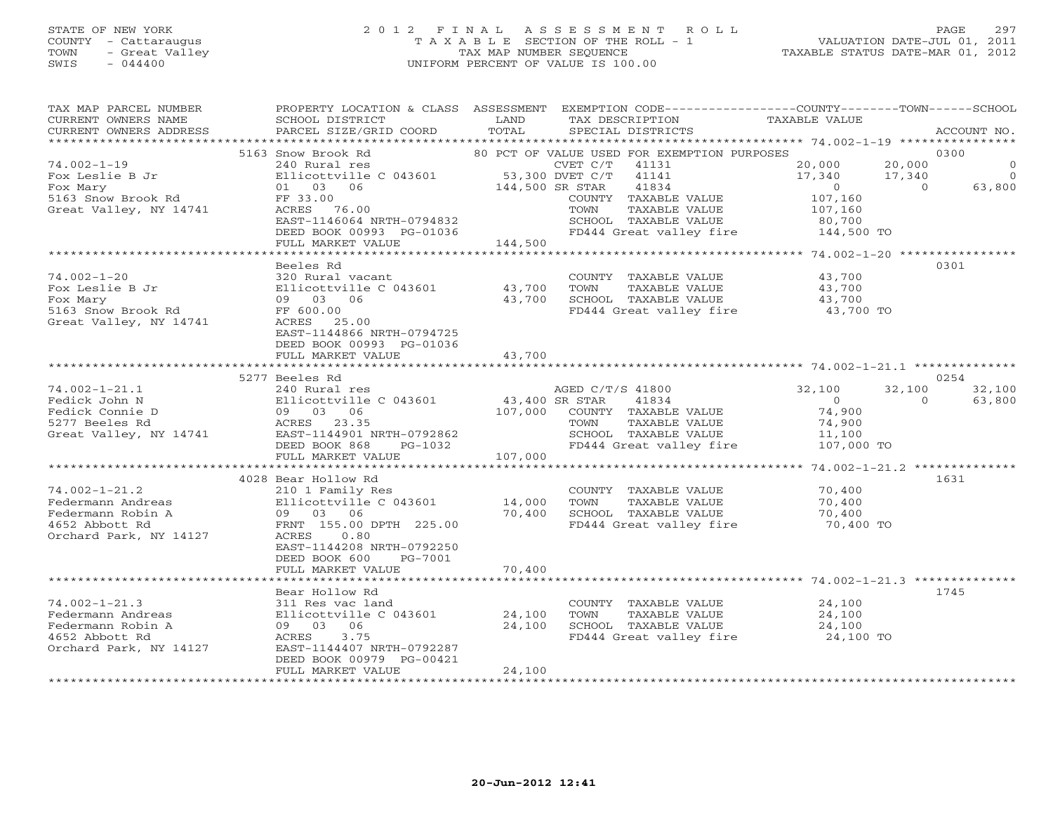### STATE OF NEW YORK 2 0 1 2 F I N A L A S S E S S M E N T R O L L PAGE 297 COUNTY - Cattaraugus T A X A B L E SECTION OF THE ROLL - 1 VALUATION DATE-JUL 01, 2011 TOWN - Great Valley TAX MAP NUMBER SEQUENCE TAXABLE STATUS DATE-MAR 01, 2012 SWIS - 044400 UNIFORM PERCENT OF VALUE IS 100.00UNIFORM PERCENT OF VALUE IS 100.00

| TAX MAP PARCEL NUMBER<br>CURRENT OWNERS NAME<br>CURRENT OWNERS ADDRESS | PROPERTY LOCATION & CLASS ASSESSMENT<br>SCHOOL DISTRICT<br>PARCEL SIZE/GRID COORD | LAND<br>TOTAL   | TAX DESCRIPTION<br>SPECIAL DISTRICTS                 | EXEMPTION CODE-----------------COUNTY-------TOWN------SCHOOL<br>TAXABLE VALUE | ACCOUNT NO.         |
|------------------------------------------------------------------------|-----------------------------------------------------------------------------------|-----------------|------------------------------------------------------|-------------------------------------------------------------------------------|---------------------|
|                                                                        |                                                                                   |                 |                                                      |                                                                               |                     |
| $74.002 - 1 - 19$                                                      | 5163 Snow Brook Rd                                                                |                 | 80 PCT OF VALUE USED FOR EXEMPTION PURPOSES<br>41131 | 20,000                                                                        | 0300<br>$\mathbf 0$ |
|                                                                        | 240 Rural res                                                                     | 53,300 DVET C/T | CVET C/T<br>41141                                    | 20,000                                                                        | $\Omega$            |
| Fox Leslie B Jr<br>Fox Mary                                            | Ellicottville C 043601<br>01 03 06                                                | 144,500 SR STAR | 41834                                                | 17,340<br>17,340<br>$\overline{0}$<br>$\Omega$                                | 63,800              |
| 5163 Snow Brook Rd                                                     | FF 33.00                                                                          |                 | COUNTY TAXABLE VALUE                                 | 107,160                                                                       |                     |
| Great Valley, NY 14741                                                 | ACRES 76.00                                                                       |                 | TOWN<br>TAXABLE VALUE                                | 107,160                                                                       |                     |
|                                                                        | EAST-1146064 NRTH-0794832                                                         |                 | SCHOOL TAXABLE VALUE                                 | 80,700                                                                        |                     |
|                                                                        | DEED BOOK 00993 PG-01036                                                          |                 | FD444 Great valley fire                              | 144,500 TO                                                                    |                     |
|                                                                        | FULL MARKET VALUE                                                                 | 144,500         |                                                      |                                                                               |                     |
|                                                                        |                                                                                   |                 |                                                      |                                                                               |                     |
|                                                                        | Beeles Rd                                                                         |                 |                                                      |                                                                               | 0301                |
| $74.002 - 1 - 20$                                                      | 320 Rural vacant                                                                  |                 | COUNTY TAXABLE VALUE                                 | 43,700                                                                        |                     |
| Fox Leslie B Jr                                                        | Ellicottville C 043601                                                            | 43,700          | TOWN<br>TAXABLE VALUE                                | 43,700                                                                        |                     |
| Fox Mary                                                               | 09 03 06                                                                          | 43,700          | SCHOOL TAXABLE VALUE                                 | 43,700                                                                        |                     |
| 5163 Snow Brook Rd                                                     | FF 600.00                                                                         |                 | FD444 Great valley fire 43,700 TO                    |                                                                               |                     |
| Great Valley, NY 14741                                                 | ACRES 25.00                                                                       |                 |                                                      |                                                                               |                     |
|                                                                        | EAST-1144866 NRTH-0794725                                                         |                 |                                                      |                                                                               |                     |
|                                                                        | DEED BOOK 00993 PG-01036                                                          |                 |                                                      |                                                                               |                     |
|                                                                        | FULL MARKET VALUE                                                                 | 43,700          |                                                      |                                                                               |                     |
|                                                                        |                                                                                   |                 |                                                      |                                                                               |                     |
|                                                                        | 5277 Beeles Rd                                                                    |                 |                                                      |                                                                               | 0254                |
| $74.002 - 1 - 21.1$                                                    | 240 Rural res                                                                     |                 | AGED C/T/S 41800                                     | 32,100<br>32,100                                                              | 32,100              |
| Fedick John N                                                          | Ellicottville C 043601                                                            | 43,400 SR STAR  | 41834                                                | $\Omega$<br>$\cap$                                                            | 63,800              |
| Fedick Connie D                                                        | 09 03 06                                                                          | 107,000         | COUNTY TAXABLE VALUE                                 | 74,900                                                                        |                     |
| 5277 Beeles Rd                                                         | ACRES 23.35                                                                       |                 | TOWN<br>TAXABLE VALUE                                | 74,900                                                                        |                     |
| Great Valley, NY 14741                                                 | EAST-1144901 NRTH-0792862                                                         |                 | SCHOOL TAXABLE VALUE                                 | 11,100                                                                        |                     |
|                                                                        | DEED BOOK 868<br>PG-1032                                                          |                 | FD444 Great valley fire                              | 107,000 TO                                                                    |                     |
|                                                                        | FULL MARKET VALUE                                                                 | 107,000         |                                                      |                                                                               |                     |
|                                                                        | *************************                                                         | ************    |                                                      | *********** 74.002-1-21.2 **************                                      |                     |
|                                                                        | 4028 Bear Hollow Rd                                                               |                 |                                                      |                                                                               | 1631                |
| $74.002 - 1 - 21.2$                                                    | 210 1 Family Res                                                                  |                 | COUNTY TAXABLE VALUE                                 | 70,400                                                                        |                     |
| Federmann Andreas                                                      | Ellicottville C 043601                                                            | 14,000          | TOWN<br>TAXABLE VALUE                                | 70,400                                                                        |                     |
| Federmann Robin A                                                      | 09 03 06                                                                          | 70,400          | SCHOOL TAXABLE VALUE                                 | 70,400                                                                        |                     |
| 4652 Abbott Rd                                                         | FRNT 155.00 DPTH 225.00                                                           |                 | FD444 Great valley fire                              | 70,400 TO                                                                     |                     |
| Orchard Park, NY 14127                                                 | ACRES<br>0.80                                                                     |                 |                                                      |                                                                               |                     |
|                                                                        | EAST-1144208 NRTH-0792250                                                         |                 |                                                      |                                                                               |                     |
|                                                                        | DEED BOOK 600<br>PG-7001                                                          |                 |                                                      |                                                                               |                     |
|                                                                        | FULL MARKET VALUE                                                                 | 70,400          |                                                      |                                                                               |                     |
|                                                                        |                                                                                   |                 |                                                      |                                                                               |                     |
|                                                                        | Bear Hollow Rd                                                                    |                 |                                                      |                                                                               | 1745                |
| $74.002 - 1 - 21.3$                                                    | 311 Res vac land                                                                  |                 | COUNTY TAXABLE VALUE                                 | 24,100                                                                        |                     |
| Federmann Andreas                                                      | Ellicottville C 043601                                                            | 24,100          | TOWN<br>TAXABLE VALUE                                | 24,100                                                                        |                     |
| Federmann Robin A                                                      | 09 03 06                                                                          | 24,100          | SCHOOL TAXABLE VALUE                                 | 24,100                                                                        |                     |
| 4652 Abbott Rd                                                         | ACRES<br>3.75                                                                     |                 | FD444 Great valley fire                              | 24,100 TO                                                                     |                     |
| Orchard Park, NY 14127                                                 | EAST-1144407 NRTH-0792287                                                         |                 |                                                      |                                                                               |                     |
|                                                                        | DEED BOOK 00979 PG-00421                                                          | 24,100          |                                                      |                                                                               |                     |
|                                                                        | FULL MARKET VALUE                                                                 |                 |                                                      |                                                                               |                     |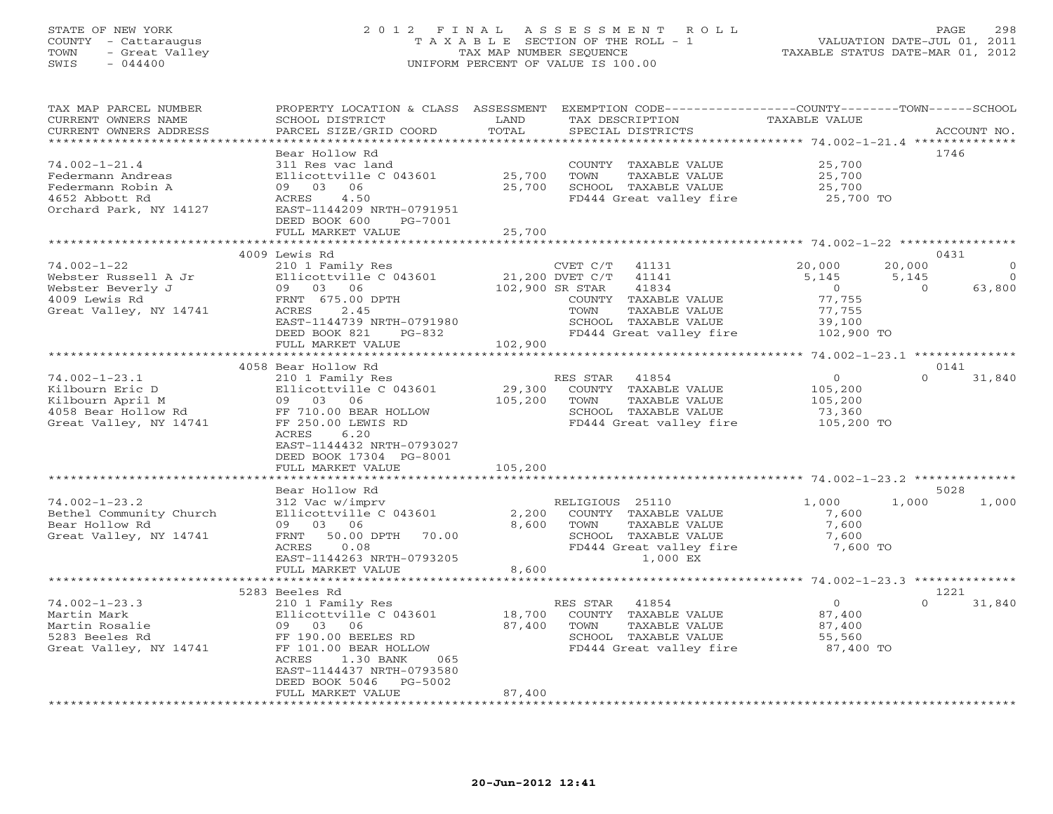# STATE OF NEW YORK 2 0 1 2 F I N A L A S S E S S M E N T R O L L PAGE 298 COUNTY - Cattaraugus T A X A B L E SECTION OF THE ROLL - 1 VALUATION DATE-JUL 01, 2011 TOWN - Great Valley TAX MAP NUMBER SEQUENCE TAXABLE STATUS DATE-MAR 01, 2012 SWIS - 044400 UNIFORM PERCENT OF VALUE IS 100.00

| TAX MAP PARCEL NUMBER<br>CURRENT OWNERS NAME | PROPERTY LOCATION & CLASS ASSESSMENT<br>SCHOOL DISTRICT | LAND              | EXEMPTION CODE----------------COUNTY-------TOWN------SCHOOL<br>TAX DESCRIPTION | TAXABLE VALUE                                    |                    |
|----------------------------------------------|---------------------------------------------------------|-------------------|--------------------------------------------------------------------------------|--------------------------------------------------|--------------------|
| CURRENT OWNERS ADDRESS                       | PARCEL SIZE/GRID COORD                                  | TOTAL<br>******** | SPECIAL DISTRICTS                                                              |                                                  | ACCOUNT NO.        |
|                                              |                                                         |                   |                                                                                |                                                  |                    |
|                                              | Bear Hollow Rd                                          |                   |                                                                                |                                                  | 1746               |
| $74.002 - 1 - 21.4$                          | 311 Res vac land                                        |                   | COUNTY TAXABLE VALUE                                                           | 25,700                                           |                    |
| Federmann Andreas                            | Ellicottville C 043601                                  | 25,700            | TAXABLE VALUE<br>TOWN                                                          | 25,700                                           |                    |
| Federmann Robin A                            | 09 03<br>06                                             | 25,700            | SCHOOL TAXABLE VALUE                                                           | 25,700                                           |                    |
| 4652 Abbott Rd                               | ACRES<br>4.50                                           |                   | FD444 Great valley fire                                                        | 25,700 TO                                        |                    |
| Orchard Park, NY 14127                       | EAST-1144209 NRTH-0791951                               |                   |                                                                                |                                                  |                    |
|                                              | DEED BOOK 600<br>PG-7001                                |                   |                                                                                |                                                  |                    |
|                                              | FULL MARKET VALUE                                       | 25,700            |                                                                                |                                                  |                    |
|                                              |                                                         |                   | *********************                                                          | ********************* 74.002-1-22 ************** |                    |
|                                              | 4009 Lewis Rd                                           |                   |                                                                                |                                                  | 0431               |
| $74.002 - 1 - 22$                            | 210 1 Family Res                                        |                   | CVET C/T<br>41131                                                              | 20,000                                           | 20,000<br>$\Omega$ |
| Webster Russell A Jr                         | Ellicottville C 043601                                  |                   | 21,200 DVET C/T<br>41141                                                       | 5,145                                            | 5,145<br>$\circ$   |
| Webster Beverly J                            | 09 03 06                                                |                   | 41834<br>102,900 SR STAR                                                       | $\circ$                                          | 63,800<br>$\Omega$ |
| 4009 Lewis Rd                                | FRNT 675.00 DPTH                                        |                   | COUNTY TAXABLE VALUE                                                           | 77,755                                           |                    |
| Great Valley, NY 14741                       | ACRES<br>2.45                                           |                   | TOWN<br>TAXABLE VALUE                                                          | 77,755                                           |                    |
|                                              | EAST-1144739 NRTH-0791980                               |                   | SCHOOL TAXABLE VALUE                                                           | 39,100                                           |                    |
|                                              | DEED BOOK 821<br>$PG-832$                               |                   | FD444 Great valley fire                                                        | 102,900 TO                                       |                    |
|                                              | FULL MARKET VALUE                                       | 102,900           |                                                                                |                                                  |                    |
|                                              |                                                         |                   |                                                                                |                                                  |                    |
|                                              | 4058 Bear Hollow Rd                                     |                   |                                                                                |                                                  | 0141               |
| $74.002 - 1 - 23.1$                          | 210 1 Family Res                                        |                   | RES STAR<br>41854                                                              | $\circ$                                          | 31,840<br>$\Omega$ |
| Kilbourn Eric D                              | Ellicottville C 043601                                  | 29,300            | COUNTY TAXABLE VALUE                                                           | 105,200                                          |                    |
| Kilbourn April M                             | 09 03 06                                                | 105,200           | TOWN<br>TAXABLE VALUE                                                          | 105,200                                          |                    |
| 4058 Bear Hollow Rd                          | FF 710.00 BEAR HOLLOW                                   |                   | SCHOOL TAXABLE VALUE                                                           | 73,360                                           |                    |
| Great Valley, NY 14741                       | FF 250.00 LEWIS RD                                      |                   | FD444 Great valley fire                                                        | 105,200 TO                                       |                    |
|                                              | ACRES<br>6.20                                           |                   |                                                                                |                                                  |                    |
|                                              | EAST-1144432 NRTH-0793027                               |                   |                                                                                |                                                  |                    |
|                                              | DEED BOOK 17304 PG-8001                                 |                   |                                                                                |                                                  |                    |
|                                              | FULL MARKET VALUE                                       | 105,200           |                                                                                |                                                  |                    |
|                                              | ***********************                                 |                   |                                                                                |                                                  |                    |
|                                              | Bear Hollow Rd                                          |                   |                                                                                |                                                  | 5028               |
| $74.002 - 1 - 23.2$                          | 312 Vac w/imprv                                         |                   | RELIGIOUS 25110                                                                | 1,000                                            | 1,000<br>1,000     |
| Bethel Community Church                      | Ellicottville C 043601                                  | 2,200             | COUNTY TAXABLE VALUE                                                           | 7,600                                            |                    |
| Bear Hollow Rd                               | 09 03 06                                                | 8,600             | TOWN<br>TAXABLE VALUE                                                          | 7,600                                            |                    |
| Great Valley, NY 14741                       | 50.00 DPTH<br>70.00<br>FRNT                             |                   | SCHOOL TAXABLE VALUE                                                           | 7,600                                            |                    |
|                                              | ACRES<br>0.08                                           |                   | FD444 Great valley fire                                                        | 7,600 TO                                         |                    |
|                                              | EAST-1144263 NRTH-0793205                               |                   | 1,000 EX                                                                       |                                                  |                    |
|                                              | FULL MARKET VALUE<br>*************                      | 8,600             |                                                                                |                                                  |                    |
|                                              |                                                         |                   |                                                                                | ***************** 74.002-1-23.3 **************   |                    |
|                                              | 5283 Beeles Rd                                          |                   |                                                                                |                                                  | 1221               |
| $74.002 - 1 - 23.3$                          | 210 1 Family Res                                        |                   | RES STAR<br>41854                                                              | $\circ$                                          | 31,840<br>U        |
| Martin Mark                                  | Ellicottville C 043601                                  | 18,700            | COUNTY TAXABLE VALUE                                                           | 87,400                                           |                    |
| Martin Rosalie                               | 09<br>03<br>06                                          | 87,400            | TOWN<br>TAXABLE VALUE                                                          | 87,400                                           |                    |
| 5283 Beeles Rd                               | FF 190.00 BEELES RD                                     |                   | SCHOOL TAXABLE VALUE                                                           | 55,560                                           |                    |
| Great Valley, NY 14741                       | FF 101.00 BEAR HOLLOW                                   |                   | FD444 Great valley fire                                                        | 87,400 TO                                        |                    |
|                                              | ACRES<br>1.30 BANK<br>065                               |                   |                                                                                |                                                  |                    |
|                                              | EAST-1144437 NRTH-0793580                               |                   |                                                                                |                                                  |                    |
|                                              | PG-5002<br>DEED BOOK 5046                               |                   |                                                                                |                                                  |                    |
| **********************                       | FULL MARKET VALUE                                       | 87,400            | *******************************                                                |                                                  |                    |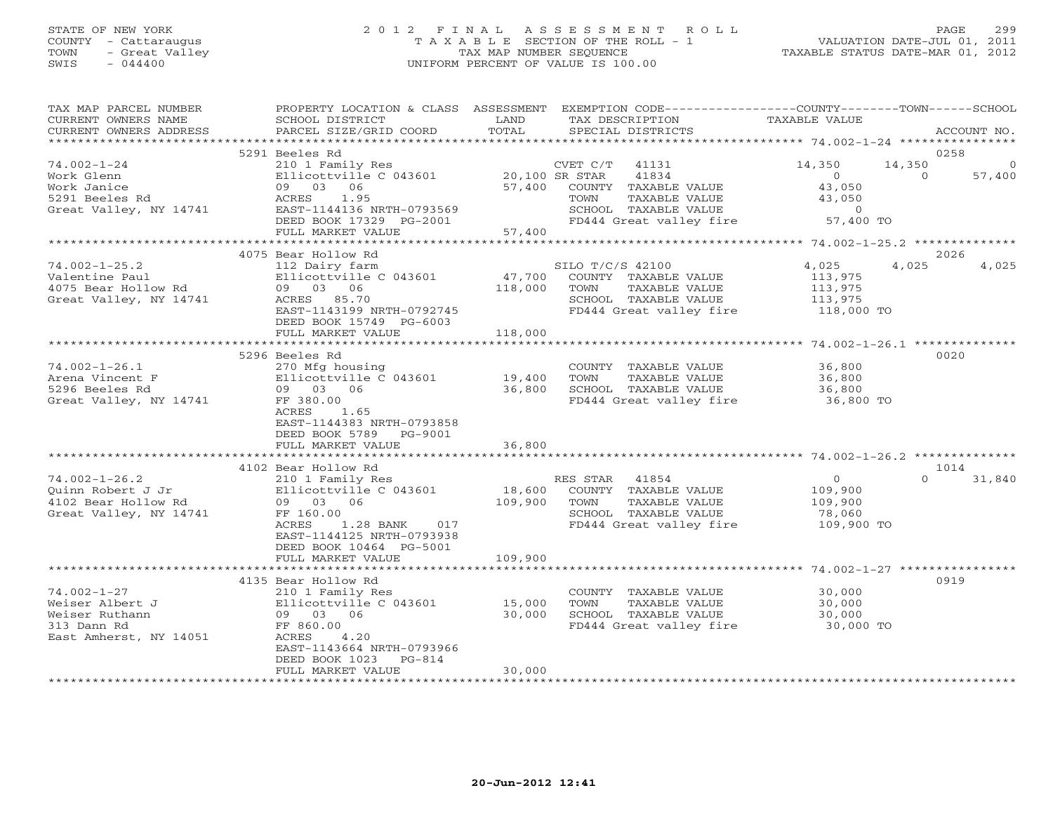## STATE OF NEW YORK 2 0 1 2 F I N A L A S S E S S M E N T R O L L PAGE 299 COUNTY - Cattaraugus T A X A B L E SECTION OF THE ROLL - 1 VALUATION DATE-JUL 01, 2011 TOWN - Great Valley TAX MAP NUMBER SEQUENCE TAXABLE STATUS DATE-MAR 01, 2012 SWIS - 044400 UNIFORM PERCENT OF VALUE IS 100.00UNIFORM PERCENT OF VALUE IS 100.00

| TAX MAP PARCEL NUMBER<br>CURRENT OWNERS NAME<br>CURRENT OWNERS ADDRESS | PROPERTY LOCATION & CLASS ASSESSMENT<br>SCHOOL DISTRICT<br>PARCEL SIZE/GRID COORD | LAND<br>TOTAL  | EXEMPTION CODE-----------------COUNTY-------TOWN------SCHOOL<br>TAX DESCRIPTION<br>SPECIAL DISTRICTS | TAXABLE VALUE  | ACCOUNT NO.        |
|------------------------------------------------------------------------|-----------------------------------------------------------------------------------|----------------|------------------------------------------------------------------------------------------------------|----------------|--------------------|
|                                                                        |                                                                                   |                |                                                                                                      |                |                    |
|                                                                        | 5291 Beeles Rd                                                                    |                |                                                                                                      |                | 0258               |
| $74.002 - 1 - 24$                                                      | 210 1 Family Res                                                                  |                | CVET C/T<br>41131                                                                                    | 14,350         | 14,350<br>$\circ$  |
| Work Glenn                                                             | Ellicottville C 043601                                                            | 20,100 SR STAR | 41834                                                                                                | $\circ$        | 57,400<br>$\Omega$ |
| Work Janice                                                            | 09 03 06                                                                          |                | 57,400 COUNTY TAXABLE VALUE                                                                          | 43,050         |                    |
| 5291 Beeles Rd                                                         | ACRES<br>1.95                                                                     |                | TAXABLE VALUE<br>TOWN                                                                                | 43,050         |                    |
| Great Valley, NY 14741                                                 | EAST-1144136 NRTH-0793569                                                         |                | SCHOOL TAXABLE VALUE                                                                                 | $\overline{0}$ |                    |
|                                                                        | DEED BOOK 17329 PG-2001                                                           |                | FD444 Great valley fire                                                                              | 57,400 TO      |                    |
|                                                                        | FULL MARKET VALUE                                                                 | 57,400         |                                                                                                      |                |                    |
|                                                                        |                                                                                   |                |                                                                                                      |                |                    |
|                                                                        | 4075 Bear Hollow Rd                                                               |                |                                                                                                      |                | 2026               |
| $74.002 - 1 - 25.2$                                                    | 112 Dairy farm                                                                    |                | SILO T/C/S 42100                                                                                     | 4,025          | 4,025<br>4,025     |
| Valentine Paul                                                         | Ellicottville C 043601                                                            | 47,700         | COUNTY TAXABLE VALUE                                                                                 | 113,975        |                    |
| 4075 Bear Hollow Rd                                                    | 09 03 06                                                                          | 118,000        | TOWN<br>TAXABLE VALUE                                                                                | 113,975        |                    |
| Great Valley, NY 14741                                                 | ACRES 85.70                                                                       |                | SCHOOL TAXABLE VALUE                                                                                 | 113,975        |                    |
|                                                                        | EAST-1143199 NRTH-0792745                                                         |                | FD444 Great valley fire 118,000 TO                                                                   |                |                    |
|                                                                        |                                                                                   |                |                                                                                                      |                |                    |
|                                                                        | DEED BOOK 15749 PG-6003                                                           |                |                                                                                                      |                |                    |
|                                                                        | FULL MARKET VALUE                                                                 | 118,000        |                                                                                                      |                |                    |
|                                                                        |                                                                                   |                |                                                                                                      |                |                    |
|                                                                        | 5296 Beeles Rd                                                                    |                |                                                                                                      |                | 0020               |
| $74.002 - 1 - 26.1$                                                    | 270 Mfg housing                                                                   |                | COUNTY TAXABLE VALUE 36,800                                                                          |                |                    |
| Arena Vincent F                                                        | Ellicottville C 043601                                                            | 19,400         | TOWN<br>TAXABLE VALUE                                                                                | 36,800         |                    |
| 5296 Beeles Rd                                                         | 09 03 06                                                                          | 36,800         | SCHOOL TAXABLE VALUE                                                                                 | 36,800         |                    |
| Great Valley, NY 14741                                                 | FF 380.00                                                                         |                | FD444 Great valley fire                                                                              | 36,800 TO      |                    |
|                                                                        | ACRES<br>1.65                                                                     |                |                                                                                                      |                |                    |
|                                                                        | EAST-1144383 NRTH-0793858                                                         |                |                                                                                                      |                |                    |
|                                                                        | DEED BOOK 5789 PG-9001                                                            |                |                                                                                                      |                |                    |
|                                                                        | FULL MARKET VALUE                                                                 | 36,800         |                                                                                                      |                |                    |
|                                                                        |                                                                                   |                |                                                                                                      |                |                    |
|                                                                        | 4102 Bear Hollow Rd                                                               |                |                                                                                                      |                | 1014               |
| $74.002 - 1 - 26.2$                                                    | 210 1 Family Res                                                                  |                | RES STAR 41854                                                                                       | $\overline{0}$ | $\Omega$<br>31,840 |
| Ouinn Robert J Jr                                                      | Ellicottville C 043601                                                            |                | 18,600 COUNTY TAXABLE VALUE                                                                          | 109,900        |                    |
| 4102 Bear Hollow Rd                                                    | 09 03 06                                                                          | 109,900        | TOWN<br>TAXABLE VALUE                                                                                | 109,900        |                    |
| Great Valley, NY 14741                                                 | FF 160.00                                                                         |                | SCHOOL TAXABLE VALUE                                                                                 | 78,060         |                    |
|                                                                        | <b>ACRES</b><br>1.28 BANK 017                                                     |                | FD444 Great valley fire                                                                              | 109,900 TO     |                    |
|                                                                        | EAST-1144125 NRTH-0793938                                                         |                |                                                                                                      |                |                    |
|                                                                        |                                                                                   |                |                                                                                                      |                |                    |
|                                                                        | DEED BOOK 10464 PG-5001                                                           |                |                                                                                                      |                |                    |
|                                                                        | FULL MARKET VALUE                                                                 | 109,900        |                                                                                                      |                |                    |
|                                                                        |                                                                                   |                |                                                                                                      |                |                    |
|                                                                        | 4135 Bear Hollow Rd                                                               |                |                                                                                                      |                | 0919               |
| $74.002 - 1 - 27$                                                      | 210 1 Family Res                                                                  |                | COUNTY TAXABLE VALUE                                                                                 | 30,000         |                    |
| Weiser Albert J                                                        | Ellicottville C 043601                                                            | 15,000         | TAXABLE VALUE<br>TOWN                                                                                | 30,000         |                    |
| Weiser Ruthann                                                         | 09 03 06                                                                          | 30,000         | SCHOOL TAXABLE VALUE                                                                                 | 30,000         |                    |
| 313 Dann Rd                                                            | FF 860.00                                                                         |                | FD444 Great valley fire                                                                              | 30,000 TO      |                    |
| East Amherst, NY 14051                                                 | ACRES<br>4.20                                                                     |                |                                                                                                      |                |                    |
|                                                                        | EAST-1143664 NRTH-0793966                                                         |                |                                                                                                      |                |                    |
|                                                                        | DEED BOOK 1023 PG-814                                                             |                |                                                                                                      |                |                    |
|                                                                        | FULL MARKET VALUE                                                                 | 30,000         |                                                                                                      |                |                    |
|                                                                        |                                                                                   |                |                                                                                                      |                |                    |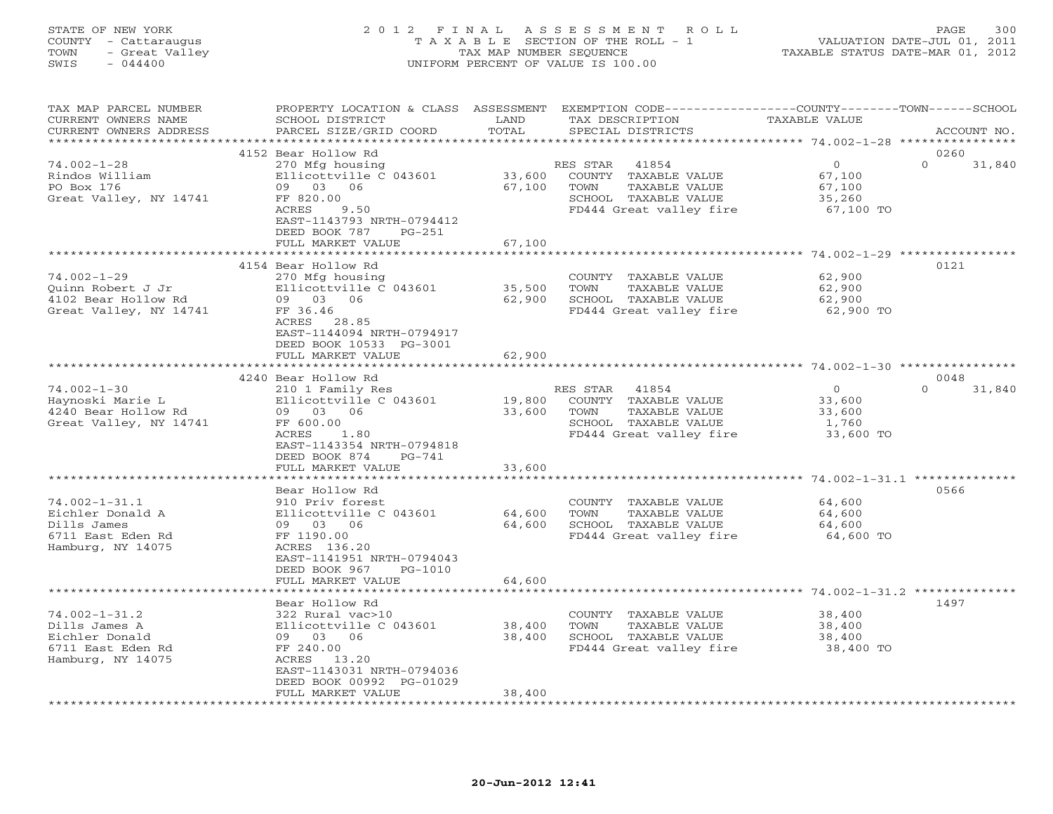### STATE OF NEW YORK 2 0 1 2 F I N A L A S S E S S M E N T R O L L PAGE 300 COUNTY - Cattaraugus T A X A B L E SECTION OF THE ROLL - 1 VALUATION DATE-JUL 01, 2011 TOWN - Great Valley TAX MAP NUMBER SEQUENCE TAXABLE STATUS DATE-MAR 01, 2012 SWIS - 044400 UNIFORM PERCENT OF VALUE IS 100.00UNIFORM PERCENT OF VALUE IS 100.00

| TAX MAP PARCEL NUMBER<br>CURRENT OWNERS NAME<br>CURRENT OWNERS ADDRESS                           | PROPERTY LOCATION & CLASS ASSESSMENT<br>SCHOOL DISTRICT<br>PARCEL SIZE/GRID COORD                                                                                    | LAND<br>TOTAL              | EXEMPTION CODE-----------------COUNTY-------TOWN-----SCHOOL<br>TAX DESCRIPTION<br>SPECIAL DISTRICTS                   | <b>TAXABLE VALUE</b>                                                                        | ACCOUNT NO.                |
|--------------------------------------------------------------------------------------------------|----------------------------------------------------------------------------------------------------------------------------------------------------------------------|----------------------------|-----------------------------------------------------------------------------------------------------------------------|---------------------------------------------------------------------------------------------|----------------------------|
| **********************                                                                           |                                                                                                                                                                      |                            |                                                                                                                       |                                                                                             |                            |
| $74.002 - 1 - 28$<br>Rindos William<br>PO Box 176<br>Great Valley, NY 14741                      | 4152 Bear Hollow Rd<br>270 Mfg housing<br>Ellicottville C 043601<br>09 03 06<br>FF 820.00<br>ACRES<br>9.50<br>EAST-1143793 NRTH-0794412<br>DEED BOOK 787<br>$PG-251$ | 33,600<br>67,100           | 41854<br>RES STAR<br>COUNTY TAXABLE VALUE<br>TOWN<br>TAXABLE VALUE<br>SCHOOL TAXABLE VALUE<br>FD444 Great valley fire | $\circ$<br>67,100<br>67,100<br>35,260<br>67,100 TO                                          | 0260<br>$\Omega$<br>31,840 |
|                                                                                                  | FULL MARKET VALUE                                                                                                                                                    | 67,100                     |                                                                                                                       |                                                                                             |                            |
| $74.002 - 1 - 29$<br>Quinn Robert J Jr<br>4102 Bear Hollow Rd<br>Great Valley, NY 14741          | 4154 Bear Hollow Rd<br>270 Mfg housing<br>Ellicottville C 043601<br>09 03 06<br>FF 36.46<br>ACRES 28.85<br>EAST-1144094 NRTH-0794917                                 | 35,500<br>62,900           | COUNTY TAXABLE VALUE<br>TOWN<br>TAXABLE VALUE<br>SCHOOL TAXABLE VALUE<br>FD444 Great valley fire                      | ******************* 74.002-1-29 ****************<br>62,900<br>62,900<br>62,900<br>62,900 TO | 0121                       |
|                                                                                                  | DEED BOOK 10533 PG-3001<br>FULL MARKET VALUE                                                                                                                         | 62,900                     |                                                                                                                       |                                                                                             |                            |
|                                                                                                  | 4240 Bear Hollow Rd                                                                                                                                                  |                            |                                                                                                                       |                                                                                             | 0048                       |
| $74.002 - 1 - 30$<br>Haynoski Marie L<br>4240 Bear Hollow Rd<br>Great Valley, NY 14741           | 210 1 Family Res<br>Ellicottville C 043601<br>09 03 06<br>FF 600.00<br>ACRES<br>1.80<br>EAST-1143354 NRTH-0794818<br>DEED BOOK 874<br>$PG-741$                       | 19,800<br>33,600           | RES STAR<br>41854<br>COUNTY TAXABLE VALUE<br>TOWN<br>TAXABLE VALUE<br>SCHOOL TAXABLE VALUE<br>FD444 Great valley fire | $\circ$<br>33,600<br>33,600<br>1,760<br>33,600 TO                                           | $\Omega$<br>31,840         |
|                                                                                                  | FULL MARKET VALUE                                                                                                                                                    | 33,600                     |                                                                                                                       |                                                                                             |                            |
|                                                                                                  | ************************                                                                                                                                             | * * * * * * * * * * * *    |                                                                                                                       |                                                                                             |                            |
| $74.002 - 1 - 31.1$<br>Eichler Donald A<br>Dills James<br>6711 East Eden Rd<br>Hamburg, NY 14075 | Bear Hollow Rd<br>910 Priv forest<br>Ellicottville C 043601<br>09 03 06<br>FF 1190.00<br>ACRES 136.20<br>EAST-1141951 NRTH-0794043<br>DEED BOOK 967<br>PG-1010       | 64,600<br>64,600           | COUNTY TAXABLE VALUE<br>TAXABLE VALUE<br>TOWN<br>SCHOOL TAXABLE VALUE<br>FD444 Great valley fire                      | 64,600<br>64,600<br>64,600<br>64,600 TO                                                     | 0566                       |
|                                                                                                  | FULL MARKET VALUE                                                                                                                                                    | 64,600                     |                                                                                                                       |                                                                                             |                            |
| $74.002 - 1 - 31.2$                                                                              | ******************<br>Bear Hollow Rd<br>322 Rural vac>10                                                                                                             |                            | COUNTY TAXABLE VALUE                                                                                                  | *********** 74.002-1-31.2 *********<br>38,400                                               | 1497                       |
| Dills James A<br>Eichler Donald<br>6711 East Eden Rd<br>Hamburg, NY 14075                        | Ellicottville C 043601<br>09 03 06<br>FF 240.00<br>ACRES 13.20<br>EAST-1143031 NRTH-0794036<br>DEED BOOK 00992 PG-01029<br>FULL MARKET VALUE                         | 38,400<br>38,400<br>38,400 | TOWN<br>TAXABLE VALUE<br>SCHOOL TAXABLE VALUE<br>FD444 Great valley fire                                              | 38,400<br>38,400<br>38,400 TO                                                               |                            |
| * * * * * * * * * * * * * * * * * * *                                                            |                                                                                                                                                                      |                            |                                                                                                                       |                                                                                             |                            |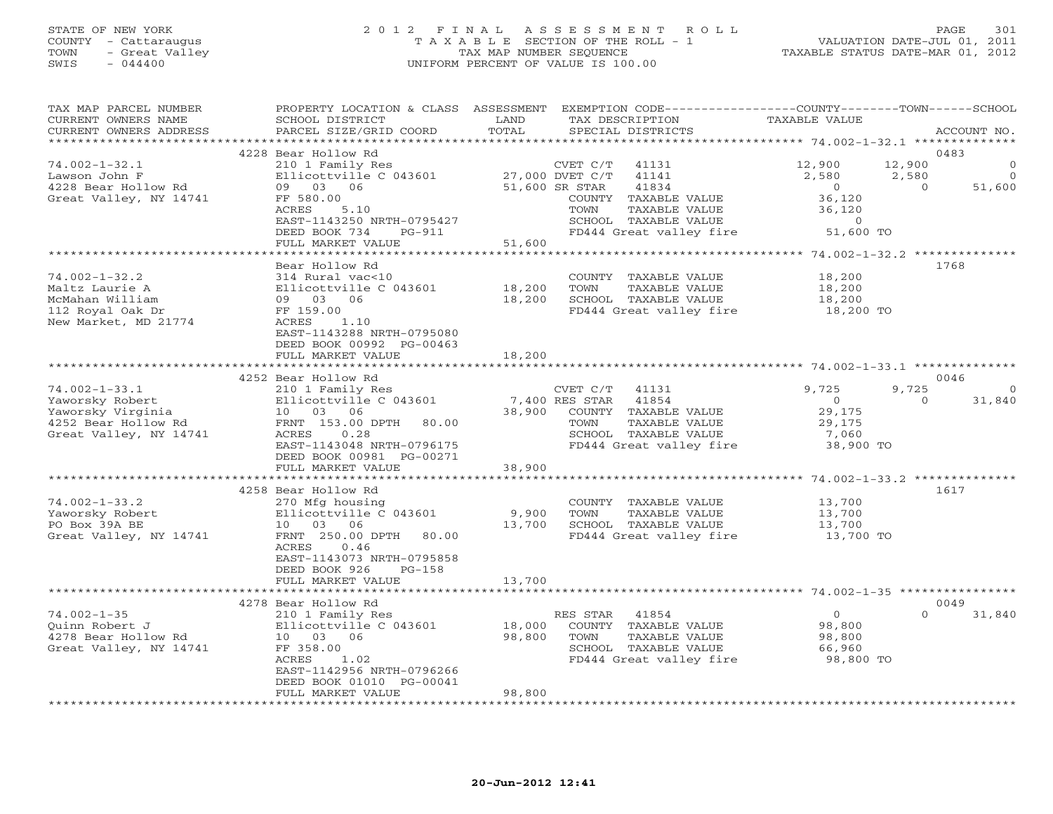#### STATE OF NEW YORK 2 0 1 2 F I N A L A S S E S S M E N T R O L L PAGE 301 COUNTY - Cattaraugus T A X A B L E SECTION OF THE ROLL - 1 VALUATION DATE-JUL 01, 2011 TOWN - Great Valley TAX MAP NUMBER SEQUENCE TAXABLE STATUS DATE-MAR 01, 2012 SWIS - 044400 UNIFORM PERCENT OF VALUE IS 100.00UNIFORM PERCENT OF VALUE IS 100.00

| TAX MAP PARCEL NUMBER<br>CURRENT OWNERS NAME<br>CURRENT OWNERS ADDRESS | PROPERTY LOCATION & CLASS ASSESSMENT<br>SCHOOL DISTRICT<br>PARCEL SIZE/GRID COORD           | LAND<br>TOTAL | EXEMPTION CODE-----------------COUNTY-------TOWN-----SCHOOL<br>TAX DESCRIPTION<br>SPECIAL DISTRICTS | TAXABLE VALUE                                 | ACCOUNT NO.                                     |
|------------------------------------------------------------------------|---------------------------------------------------------------------------------------------|---------------|-----------------------------------------------------------------------------------------------------|-----------------------------------------------|-------------------------------------------------|
| **********************                                                 |                                                                                             |               |                                                                                                     |                                               |                                                 |
| $74.002 - 1 - 32.1$<br>Lawson John F                                   | 4228 Bear Hollow Rd<br>210 1 Family Res<br>Ellicottville C 043601                           |               | CVET C/T<br>41131<br>27,000 DVET C/T<br>41141                                                       | 12,900<br>2,580                               | 0483<br>12,900<br>$\Omega$<br>2,580<br>$\Omega$ |
| 4228 Bear Hollow Rd<br>Great Valley, NY 14741                          | 09 03 06<br>FF 580.00<br>ACRES<br>5.10<br>EAST-1143250 NRTH-0795427                         |               | 51,600 SR STAR<br>41834<br>COUNTY TAXABLE VALUE<br>TOWN<br>TAXABLE VALUE<br>SCHOOL TAXABLE VALUE    | $\overline{O}$<br>36,120<br>36,120<br>$\circ$ | 51,600<br>$\Omega$                              |
|                                                                        | DEED BOOK 734<br>PG-911<br>FULL MARKET VALUE                                                | 51,600        | FD444 Great valley fire                                                                             | 51,600 TO                                     |                                                 |
|                                                                        |                                                                                             |               |                                                                                                     |                                               |                                                 |
|                                                                        | Bear Hollow Rd                                                                              |               |                                                                                                     |                                               | 1768                                            |
| $74.002 - 1 - 32.2$                                                    | 314 Rural vac<10                                                                            |               | COUNTY TAXABLE VALUE                                                                                | 18,200                                        |                                                 |
| Maltz Laurie A                                                         | Ellicottville C 043601                                                                      | 18,200        | TAXABLE VALUE<br>TOWN                                                                               | 18,200                                        |                                                 |
| McMahan William                                                        | 09 03 06                                                                                    | 18,200        | SCHOOL TAXABLE VALUE                                                                                | 18,200                                        |                                                 |
| 112 Royal Oak Dr                                                       | FF 159.00                                                                                   |               | FD444 Great valley fire                                                                             | 18,200 TO                                     |                                                 |
| New Market, MD 21774                                                   | 1.10<br>ACRES<br>EAST-1143288 NRTH-0795080<br>DEED BOOK 00992 PG-00463<br>FULL MARKET VALUE | 18,200        |                                                                                                     |                                               |                                                 |
|                                                                        | *************************                                                                   |               |                                                                                                     |                                               |                                                 |
|                                                                        | 4252 Bear Hollow Rd                                                                         |               |                                                                                                     |                                               | 0046                                            |
| $74.002 - 1 - 33.1$                                                    | 210 1 Family Res                                                                            |               | CVET $C/T$ 41131                                                                                    | 9,725                                         | 9,725<br>$\circ$                                |
| Yaworsky Robert                                                        | Ellicottville C 043601                                                                      |               | 7,400 RES STAR<br>41854                                                                             | $\circ$                                       | 31,840<br>$\Omega$                              |
| Yaworsky Virginia                                                      | 10 03 06                                                                                    | 38,900        | COUNTY TAXABLE VALUE                                                                                | 29,175                                        |                                                 |
| 4252 Bear Hollow Rd                                                    | FRNT 153.00 DPTH<br>80.00                                                                   |               | TOWN<br>TAXABLE VALUE                                                                               | 29,175                                        |                                                 |
| Great Valley, NY 14741                                                 | ACRES<br>0.28                                                                               |               | SCHOOL TAXABLE VALUE                                                                                | 7,060                                         |                                                 |
|                                                                        | EAST-1143048 NRTH-0796175                                                                   |               | FD444 Great valley fire                                                                             | 38,900 TO                                     |                                                 |
|                                                                        | DEED BOOK 00981 PG-00271                                                                    |               |                                                                                                     |                                               |                                                 |
|                                                                        | FULL MARKET VALUE<br>***********************                                                | 38,900        |                                                                                                     |                                               |                                                 |
|                                                                        | 4258 Bear Hollow Rd                                                                         |               |                                                                                                     |                                               | 1617                                            |
| $74.002 - 1 - 33.2$                                                    | 270 Mfg housing                                                                             |               | COUNTY TAXABLE VALUE                                                                                | 13,700                                        |                                                 |
| Yaworsky Robert                                                        | Ellicottville C 043601                                                                      | 9,900         | TOWN<br>TAXABLE VALUE                                                                               | 13,700                                        |                                                 |
| PO Box 39A BE                                                          | 10 03 06                                                                                    | 13,700        | SCHOOL TAXABLE VALUE                                                                                | 13,700                                        |                                                 |
| Great Valley, NY 14741                                                 | FRNT 250.00 DPTH<br>80.00                                                                   |               | FD444 Great valley fire                                                                             | 13,700 TO                                     |                                                 |
|                                                                        | ACRES<br>0.46<br>EAST-1143073 NRTH-0795858                                                  |               |                                                                                                     |                                               |                                                 |
|                                                                        | DEED BOOK 926<br>$PG-158$                                                                   |               |                                                                                                     |                                               |                                                 |
|                                                                        | FULL MARKET VALUE                                                                           | 13,700        |                                                                                                     |                                               |                                                 |
|                                                                        | **************************                                                                  |               |                                                                                                     |                                               |                                                 |
|                                                                        | 4278 Bear Hollow Rd                                                                         |               |                                                                                                     |                                               | 0049                                            |
| $74.002 - 1 - 35$                                                      | 210 1 Family Res                                                                            |               | RES STAR<br>41854                                                                                   | $\circ$                                       | $\Omega$<br>31,840                              |
| Ouinn Robert J                                                         | Ellicottville C 043601                                                                      | 18,000        | COUNTY TAXABLE VALUE                                                                                | 98,800                                        |                                                 |
| 4278 Bear Hollow Rd                                                    | 10 03 06                                                                                    | 98,800        | TOWN<br>TAXABLE VALUE                                                                               | 98,800                                        |                                                 |
| Great Valley, NY 14741                                                 | FF 358.00                                                                                   |               | SCHOOL TAXABLE VALUE                                                                                | 66,960                                        |                                                 |
|                                                                        | ACRES<br>1.02<br>EAST-1142956 NRTH-0796266                                                  |               | FD444 Great valley fire                                                                             | 98,800 TO                                     |                                                 |
|                                                                        | DEED BOOK 01010 PG-00041                                                                    |               |                                                                                                     |                                               |                                                 |
|                                                                        | FULL MARKET VALUE                                                                           | 98,800        |                                                                                                     |                                               |                                                 |
|                                                                        |                                                                                             |               |                                                                                                     |                                               |                                                 |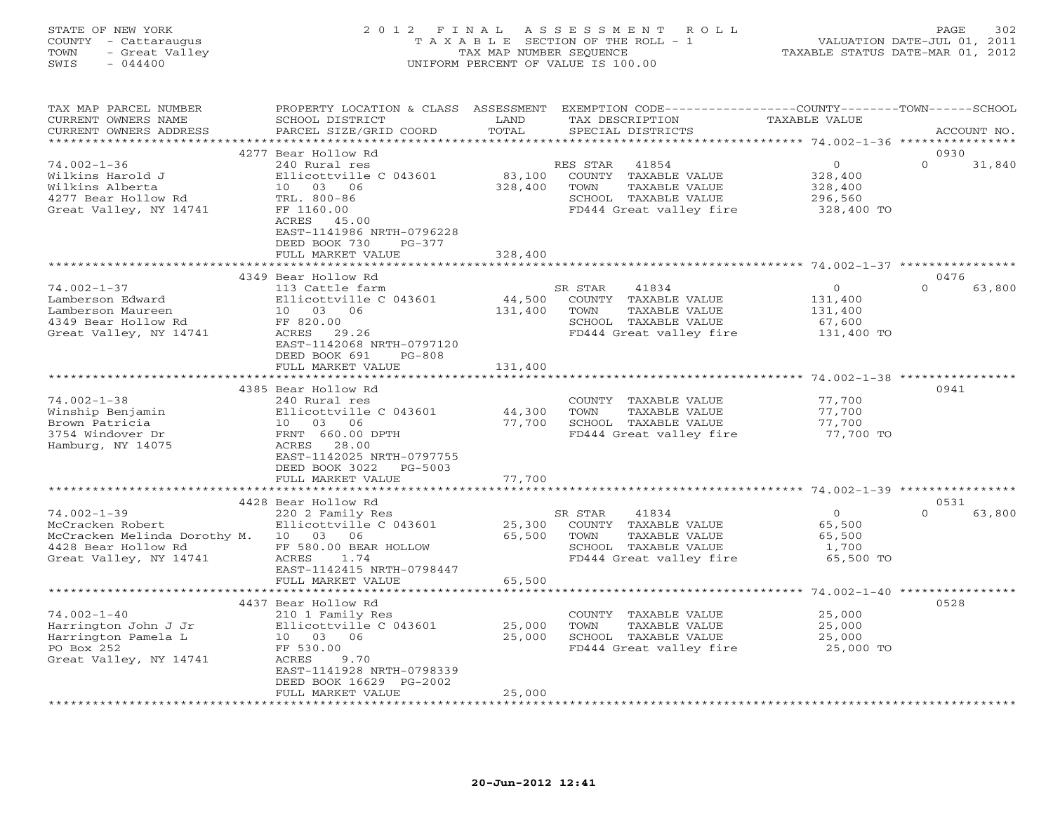#### STATE OF NEW YORK 2 0 1 2 F I N A L A S S E S S M E N T R O L L PAGE 302 COUNTY - Cattaraugus T A X A B L E SECTION OF THE ROLL - 1 VALUATION DATE-JUL 01, 2011 TOWN - Great Valley TAX MAP NUMBER SEQUENCE TAXABLE STATUS DATE-MAR 01, 2012 SWIS - 044400 UNIFORM PERCENT OF VALUE IS 100.00UNIFORM PERCENT OF VALUE IS 100.00

| TAX MAP PARCEL NUMBER<br>CURRENT OWNERS NAME<br>CURRENT OWNERS ADDRESS                                    | PROPERTY LOCATION & CLASS<br>SCHOOL DISTRICT<br>PARCEL SIZE/GRID COORD                                                                                       | ASSESSMENT<br>LAND<br>TOTAL | EXEMPTION CODE----------------COUNTY-------TOWN-----SCHOOL<br>TAX DESCRIPTION<br>SPECIAL DISTRICTS                    | TAXABLE VALUE                                          | ACCOUNT NO.        |
|-----------------------------------------------------------------------------------------------------------|--------------------------------------------------------------------------------------------------------------------------------------------------------------|-----------------------------|-----------------------------------------------------------------------------------------------------------------------|--------------------------------------------------------|--------------------|
|                                                                                                           |                                                                                                                                                              | ********                    |                                                                                                                       | ******************* 74.002-1-36 *****************      |                    |
|                                                                                                           | 4277 Bear Hollow Rd                                                                                                                                          |                             |                                                                                                                       |                                                        | 0930               |
| $74.002 - 1 - 36$<br>Wilkins Harold J<br>Wilkins Alberta<br>4277 Bear Hollow Rd<br>Great Valley, NY 14741 | 240 Rural res<br>Ellicottville C 043601<br>10 03 06<br>TRL. 800-86<br>FF 1160.00<br>ACRES<br>45.00<br>EAST-1141986 NRTH-0796228<br>DEED BOOK 730<br>$PG-377$ | 83,100<br>328,400           | RES STAR<br>41854<br>COUNTY TAXABLE VALUE<br>TOWN<br>TAXABLE VALUE<br>SCHOOL TAXABLE VALUE<br>FD444 Great valley fire | $\circ$<br>328,400<br>328,400<br>296,560<br>328,400 TO | $\Omega$<br>31,840 |
|                                                                                                           | FULL MARKET VALUE                                                                                                                                            | 328,400                     |                                                                                                                       |                                                        |                    |
|                                                                                                           |                                                                                                                                                              |                             |                                                                                                                       |                                                        |                    |
|                                                                                                           | 4349 Bear Hollow Rd                                                                                                                                          |                             |                                                                                                                       |                                                        | 0476               |
| $74.002 - 1 - 37$                                                                                         | 113 Cattle farm                                                                                                                                              |                             | SR STAR<br>41834                                                                                                      | $\Omega$                                               | $\Omega$<br>63,800 |
| Lamberson Edward                                                                                          | Ellicottville C 043601                                                                                                                                       | 44,500                      | COUNTY TAXABLE VALUE                                                                                                  | 131,400                                                |                    |
| Lamberson Maureen                                                                                         | 10 03 06                                                                                                                                                     | 131,400                     | TOWN<br>TAXABLE VALUE                                                                                                 | 131,400                                                |                    |
| 4349 Bear Hollow Rd                                                                                       | FF 820.00                                                                                                                                                    |                             | SCHOOL TAXABLE VALUE                                                                                                  | 67,600                                                 |                    |
| Great Valley, NY 14741                                                                                    | ACRES<br>29.26<br>EAST-1142068 NRTH-0797120<br>DEED BOOK 691<br>$PG-808$                                                                                     |                             | FD444 Great valley fire                                                                                               | 131,400 TO                                             |                    |
|                                                                                                           | FULL MARKET VALUE                                                                                                                                            | 131,400                     |                                                                                                                       |                                                        |                    |
|                                                                                                           | ******************                                                                                                                                           |                             |                                                                                                                       | ****************************** 74.002-1-38 *********   |                    |
|                                                                                                           | 4385 Bear Hollow Rd                                                                                                                                          |                             |                                                                                                                       |                                                        | 0941               |
| $74.002 - 1 - 38$                                                                                         | 240 Rural res                                                                                                                                                |                             | COUNTY TAXABLE VALUE                                                                                                  | 77,700                                                 |                    |
| Winship Benjamin                                                                                          | Ellicottville C 043601                                                                                                                                       | 44,300                      | TOWN<br>TAXABLE VALUE                                                                                                 | 77,700                                                 |                    |
| Brown Patricia                                                                                            | 10 03 06                                                                                                                                                     | 77,700                      | SCHOOL TAXABLE VALUE                                                                                                  | 77,700                                                 |                    |
| 3754 Windover Dr                                                                                          | FRNT 660.00 DPTH                                                                                                                                             |                             | FD444 Great valley fire                                                                                               | 77,700 TO                                              |                    |
| Hamburg, NY 14075                                                                                         | 28.00<br>ACRES<br>EAST-1142025 NRTH-0797755                                                                                                                  |                             |                                                                                                                       |                                                        |                    |
|                                                                                                           | DEED BOOK 3022<br>PG-5003                                                                                                                                    |                             |                                                                                                                       |                                                        |                    |
|                                                                                                           | FULL MARKET VALUE                                                                                                                                            | 77,700                      |                                                                                                                       |                                                        |                    |
|                                                                                                           |                                                                                                                                                              |                             |                                                                                                                       |                                                        |                    |
|                                                                                                           | 4428 Bear Hollow Rd                                                                                                                                          |                             |                                                                                                                       |                                                        | 0531               |
| $74.002 - 1 - 39$                                                                                         | 220 2 Family Res                                                                                                                                             |                             | SR STAR<br>41834                                                                                                      | $\circ$                                                | $\Omega$<br>63,800 |
| McCracken Robert                                                                                          | Ellicottville C 043601                                                                                                                                       | 25,300                      | COUNTY TAXABLE VALUE                                                                                                  | 65,500                                                 |                    |
| McCracken Melinda Dorothy M. 10 03                                                                        | 06                                                                                                                                                           | 65,500                      | TOWN<br>TAXABLE VALUE                                                                                                 | 65,500                                                 |                    |
| 4428 Bear Hollow Rd                                                                                       | FF 580.00 BEAR HOLLOW                                                                                                                                        |                             | SCHOOL TAXABLE VALUE                                                                                                  | 1,700                                                  |                    |
| Great Valley, NY 14741                                                                                    | ACRES<br>1.74                                                                                                                                                |                             | FD444 Great valley fire                                                                                               | 65,500 TO                                              |                    |
|                                                                                                           | EAST-1142415 NRTH-0798447                                                                                                                                    |                             |                                                                                                                       |                                                        |                    |
|                                                                                                           | FULL MARKET VALUE                                                                                                                                            | 65,500                      |                                                                                                                       |                                                        |                    |
|                                                                                                           |                                                                                                                                                              |                             |                                                                                                                       |                                                        |                    |
|                                                                                                           | 4437 Bear Hollow Rd                                                                                                                                          |                             |                                                                                                                       |                                                        | 0528               |
| $74.002 - 1 - 40$                                                                                         | 210 1 Family Res                                                                                                                                             |                             | COUNTY<br>TAXABLE VALUE                                                                                               | 25,000                                                 |                    |
| Harrington John J Jr                                                                                      | Ellicottville C 043601                                                                                                                                       | 25,000                      | TOWN<br>TAXABLE VALUE                                                                                                 | 25,000                                                 |                    |
| Harrington Pamela L                                                                                       | 10 03 06                                                                                                                                                     | 25,000                      | SCHOOL TAXABLE VALUE                                                                                                  | 25,000                                                 |                    |
| PO Box 252                                                                                                | FF 530.00                                                                                                                                                    |                             | FD444 Great valley fire                                                                                               | 25,000 TO                                              |                    |
| Great Valley, NY 14741                                                                                    | ACRES<br>9.70                                                                                                                                                |                             |                                                                                                                       |                                                        |                    |
|                                                                                                           | EAST-1141928 NRTH-0798339                                                                                                                                    |                             |                                                                                                                       |                                                        |                    |
|                                                                                                           | DEED BOOK 16629 PG-2002<br>FULL MARKET VALUE                                                                                                                 | 25,000                      |                                                                                                                       |                                                        |                    |
|                                                                                                           |                                                                                                                                                              |                             |                                                                                                                       |                                                        |                    |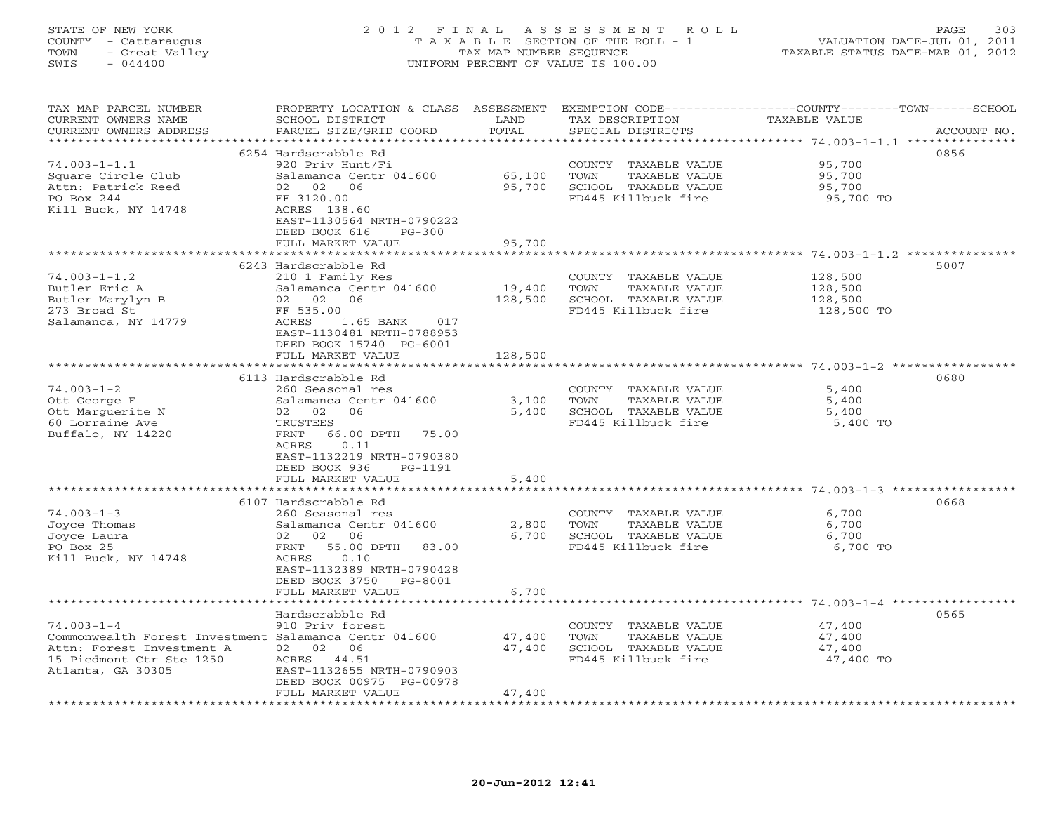## STATE OF NEW YORK 2 0 1 2 F I N A L A S S E S S M E N T R O L L PAGE 303 COUNTY - Cattaraugus T A X A B L E SECTION OF THE ROLL - 1 VALUATION DATE-JUL 01, 2011 TOWN - Great Valley TAX MAP NUMBER SEQUENCE TAXABLE STATUS DATE-MAR 01, 2012 SWIS - 044400 UNIFORM PERCENT OF VALUE IS 100.00UNIFORM PERCENT OF VALUE IS 100.00

| TAX MAP PARCEL NUMBER                                 |                             |               |                       | PROPERTY LOCATION & CLASS ASSESSMENT EXEMPTION CODE---------------COUNTY-------TOWN------SCHOOL |
|-------------------------------------------------------|-----------------------------|---------------|-----------------------|-------------------------------------------------------------------------------------------------|
| CURRENT OWNERS NAME                                   | SCHOOL DISTRICT             | LAND          | TAX DESCRIPTION       | TAXABLE VALUE                                                                                   |
| CURRENT OWNERS ADDRESS                                | PARCEL SIZE/GRID COORD      | TOTAL         | SPECIAL DISTRICTS     | ACCOUNT NO.                                                                                     |
|                                                       |                             |               |                       |                                                                                                 |
|                                                       | 6254 Hardscrabble Rd        |               |                       | 0856                                                                                            |
| $74.003 - 1 - 1.1$                                    | 920 Priv Hunt/Fi            |               | COUNTY TAXABLE VALUE  | 95,700                                                                                          |
| Square Circle Club                                    | Salamanca Centr 041600      | 65,100        | TOWN<br>TAXABLE VALUE | 95,700                                                                                          |
| Attn: Patrick Reed                                    | 02 02 06                    | 95,700        | SCHOOL TAXABLE VALUE  | 95,700                                                                                          |
|                                                       |                             |               |                       |                                                                                                 |
| PO Box 244                                            | FF 3120.00                  |               | FD445 Killbuck fire   | 95,700 TO                                                                                       |
| Kill Buck, NY 14748                                   | ACRES 138.60                |               |                       |                                                                                                 |
|                                                       | EAST-1130564 NRTH-0790222   |               |                       |                                                                                                 |
|                                                       | DEED BOOK 616<br>$PG-300$   |               |                       |                                                                                                 |
|                                                       | FULL MARKET VALUE           | 95,700        |                       |                                                                                                 |
|                                                       |                             |               |                       |                                                                                                 |
|                                                       | 6243 Hardscrabble Rd        |               |                       | 5007                                                                                            |
| $74.003 - 1 - 1.2$                                    | 210 1 Family Res            |               | COUNTY TAXABLE VALUE  | 128,500                                                                                         |
| Butler Eric A                                         | Salamanca Centr 041600      | 19,400        | TOWN<br>TAXABLE VALUE | 128,500                                                                                         |
| Butler Marylyn B                                      | 02 02 06                    | 128,500       | SCHOOL TAXABLE VALUE  | 128,500                                                                                         |
| 273 Broad St                                          | FF 535.00                   |               | FD445 Killbuck fire   | 128,500 TO                                                                                      |
| Salamanca, NY 14779                                   | ACRES<br>017<br>1.65 BANK   |               |                       |                                                                                                 |
|                                                       | EAST-1130481 NRTH-0788953   |               |                       |                                                                                                 |
|                                                       | DEED BOOK 15740 PG-6001     |               |                       |                                                                                                 |
|                                                       | FULL MARKET VALUE           | 128,500       |                       |                                                                                                 |
|                                                       |                             |               |                       |                                                                                                 |
|                                                       |                             |               |                       |                                                                                                 |
|                                                       | 6113 Hardscrabble Rd        |               |                       | 0680                                                                                            |
| $74.003 - 1 - 2$                                      | 260 Seasonal res            |               | COUNTY TAXABLE VALUE  | 5,400                                                                                           |
| Ott George F                                          | Salamanca Centr 041600      | 3,100         | TOWN<br>TAXABLE VALUE | 5,400                                                                                           |
| Ott Marguerite N                                      | 02 02<br>06                 | 5,400         | SCHOOL TAXABLE VALUE  | 5,400                                                                                           |
| 60 Lorraine Ave                                       | TRUSTEES                    |               | FD445 Killbuck fire   | 5,400 TO                                                                                        |
| Buffalo, NY 14220                                     | 66.00 DPTH 75.00<br>FRNT    |               |                       |                                                                                                 |
|                                                       | 0.11<br>ACRES               |               |                       |                                                                                                 |
|                                                       | EAST-1132219 NRTH-0790380   |               |                       |                                                                                                 |
|                                                       | DEED BOOK 936<br>PG-1191    |               |                       |                                                                                                 |
|                                                       | FULL MARKET VALUE           | 5,400         |                       |                                                                                                 |
|                                                       |                             |               |                       |                                                                                                 |
|                                                       | 6107 Hardscrabble Rd        |               |                       | 0668                                                                                            |
| $74.003 - 1 - 3$                                      | 260 Seasonal res            |               | COUNTY TAXABLE VALUE  | 6,700                                                                                           |
| Joyce Thomas                                          | Salamanca Centr 041600      | 2,800         | TOWN<br>TAXABLE VALUE | 6,700                                                                                           |
| Joyce Laura                                           | 02<br>02<br>06              | 6,700         | SCHOOL TAXABLE VALUE  | 6,700                                                                                           |
| PO Box 25                                             | 55.00 DPTH<br>FRNT<br>83.00 |               | FD445 Killbuck fire   | 6,700 TO                                                                                        |
|                                                       | ACRES<br>0.10               |               |                       |                                                                                                 |
| Kill Buck, NY 14748                                   |                             |               |                       |                                                                                                 |
|                                                       | EAST-1132389 NRTH-0790428   |               |                       |                                                                                                 |
|                                                       | DEED BOOK 3750<br>PG-8001   |               |                       |                                                                                                 |
|                                                       | FULL MARKET VALUE           | 6,700         |                       |                                                                                                 |
|                                                       | *************************   | ************* |                       | ************************************* 74.003-1-4 ******************                             |
|                                                       | Hardscrabble Rd             |               |                       | 0565                                                                                            |
| $74.003 - 1 - 4$                                      | 910 Priv forest             |               | COUNTY TAXABLE VALUE  | 47,400                                                                                          |
| Commonwealth Forest Investment Salamanca Centr 041600 |                             | 47,400        | TOWN<br>TAXABLE VALUE | 47,400                                                                                          |
| Attn: Forest Investment A                             | 02 02 06                    | 47,400        | SCHOOL TAXABLE VALUE  | 47,400                                                                                          |
| 15 Piedmont Ctr Ste 1250                              | ACRES 44.51                 |               | FD445 Killbuck fire   | 47,400 TO                                                                                       |
| Atlanta, GA 30305                                     | EAST-1132655 NRTH-0790903   |               |                       |                                                                                                 |
|                                                       | DEED BOOK 00975 PG-00978    |               |                       |                                                                                                 |
|                                                       | FULL MARKET VALUE           | 47,400        |                       |                                                                                                 |
|                                                       |                             |               |                       |                                                                                                 |
|                                                       |                             |               |                       |                                                                                                 |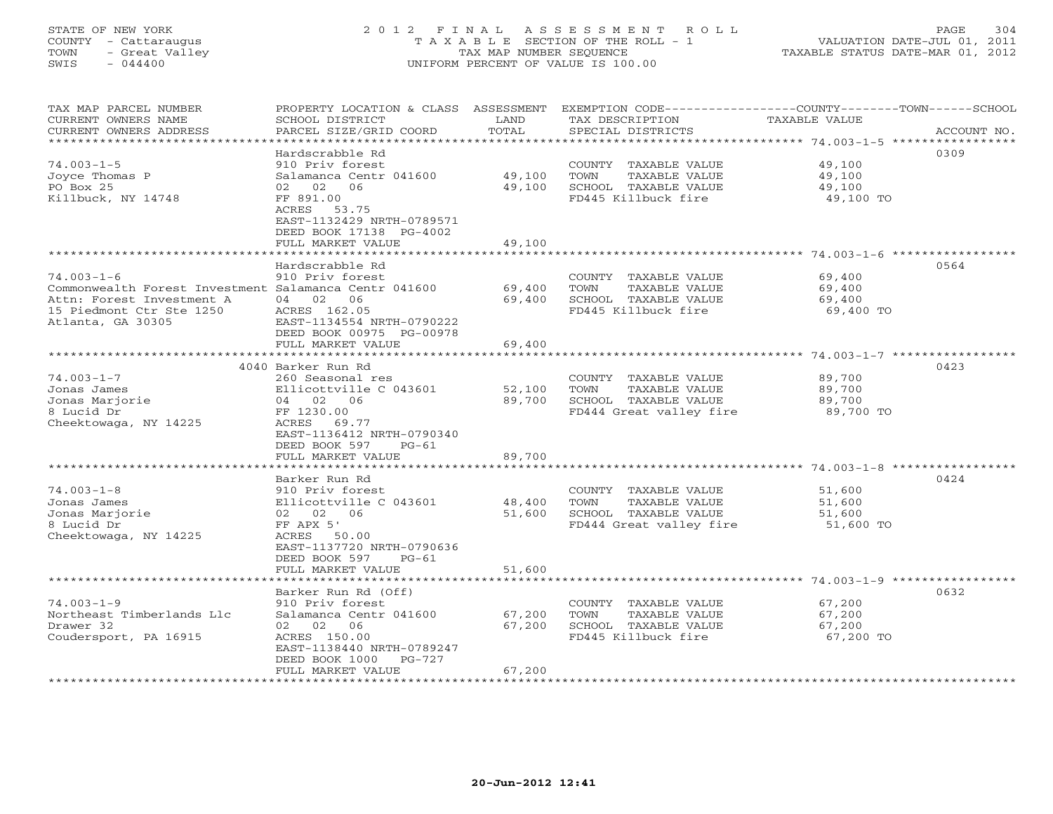# STATE OF NEW YORK 2 0 1 2 F I N A L A S S E S S M E N T R O L L PAGE 304 COUNTY - Cattaraugus T A X A B L E SECTION OF THE ROLL - 1 VALUATION DATE-JUL 01, 2011 TOWN - Great Valley TAX MAP NUMBER SEQUENCE TAXABLE STATUS DATE-MAR 01, 2012 SWIS - 044400 UNIFORM PERCENT OF VALUE IS 100.00

| TAX MAP PARCEL NUMBER<br>CURRENT OWNERS NAME<br>CURRENT OWNERS ADDRESS                                                                                  | PROPERTY LOCATION & CLASS ASSESSMENT<br>SCHOOL DISTRICT<br>PARCEL SIZE/GRID COORD                                                                                                          | LAND<br>TOTAL              | TAX DESCRIPTION<br>SPECIAL DISTRICTS                                                             | EXEMPTION CODE-----------------COUNTY-------TOWN-----SCHOOL<br><b>TAXABLE VALUE</b> | ACCOUNT NO. |
|---------------------------------------------------------------------------------------------------------------------------------------------------------|--------------------------------------------------------------------------------------------------------------------------------------------------------------------------------------------|----------------------------|--------------------------------------------------------------------------------------------------|-------------------------------------------------------------------------------------|-------------|
| **********************<br>$74.003 - 1 - 5$<br>Joyce Thomas P<br>PO Box 25<br>Killbuck, NY 14748                                                         | Hardscrabble Rd<br>910 Priv forest<br>Salamanca Centr 041600<br>02<br>02<br>06<br>FF 891.00<br>ACRES 53.75<br>EAST-1132429 NRTH-0789571<br>DEED BOOK 17138 PG-4002<br>FULL MARKET VALUE    | 49,100<br>49,100<br>49,100 | COUNTY TAXABLE VALUE<br>TOWN<br>TAXABLE VALUE<br>SCHOOL TAXABLE VALUE<br>FD445 Killbuck fire     | 49,100<br>49,100<br>49,100<br>49,100 TO<br>$74.003 - 1 - 6$                         | 0309        |
| $74.003 - 1 - 6$<br>Commonwealth Forest Investment Salamanca Centr 041600<br>Attn: Forest Investment A<br>15 Piedmont Ctr Ste 1250<br>Atlanta, GA 30305 | Hardscrabble Rd<br>910 Priv forest<br>04 02 06<br>ACRES 162.05<br>EAST-1134554 NRTH-0790222<br>DEED BOOK 00975 PG-00978<br>FULL MARKET VALUE                                               | 69,400<br>69,400<br>69,400 | COUNTY TAXABLE VALUE<br>TOWN<br>TAXABLE VALUE<br>SCHOOL TAXABLE VALUE<br>FD445 Killbuck fire     | 69,400<br>69,400<br>69,400<br>69,400 TO                                             | 0564        |
|                                                                                                                                                         | *******************                                                                                                                                                                        |                            |                                                                                                  | ********* 74.003-1-7 *                                                              |             |
| $74.003 - 1 - 7$<br>Jonas James<br>Jonas Marjorie<br>8 Lucid Dr<br>Cheektowaga, NY 14225                                                                | 4040 Barker Run Rd<br>260 Seasonal res<br>Ellicottville C 043601<br>04 02 06<br>FF 1230.00<br>ACRES<br>69.77<br>EAST-1136412 NRTH-0790340<br>DEED BOOK 597<br>$PG-61$<br>FULL MARKET VALUE | 52,100<br>89,700<br>89,700 | COUNTY TAXABLE VALUE<br>TOWN<br>TAXABLE VALUE<br>SCHOOL TAXABLE VALUE<br>FD444 Great valley fire | 89,700<br>89,700<br>89,700<br>89,700 TO                                             | 0423        |
|                                                                                                                                                         | ******************                                                                                                                                                                         | ************               |                                                                                                  |                                                                                     |             |
| $74.003 - 1 - 8$<br>Jonas James<br>Jonas Marjorie<br>8 Lucid Dr<br>Cheektowaga, NY 14225                                                                | Barker Run Rd<br>910 Priv forest<br>Ellicottville C 043601<br>02 02<br>06<br>FF APX 5'<br>ACRES 50.00<br>EAST-1137720 NRTH-0790636<br>DEED BOOK 597<br>$PG-61$                             | 48,400<br>51,600           | COUNTY TAXABLE VALUE<br>TOWN<br>TAXABLE VALUE<br>SCHOOL TAXABLE VALUE<br>FD444 Great valley fire | 51,600<br>51,600<br>51,600<br>51,600 TO                                             | 0424        |
|                                                                                                                                                         | FULL MARKET VALUE                                                                                                                                                                          | 51,600                     |                                                                                                  |                                                                                     |             |
| $74.003 - 1 - 9$<br>Northeast Timberlands Llc<br>Drawer 32<br>Coudersport, PA 16915                                                                     | ******************<br>Barker Run Rd (Off)<br>910 Priv forest<br>Salamanca Centr 041600<br>02<br>06<br>02<br>ACRES 150.00<br>EAST-1138440 NRTH-0789247<br>DEED BOOK 1000<br>$PG-727$        | 67,200<br>67,200           | COUNTY TAXABLE VALUE<br>TOWN<br>TAXABLE VALUE<br>SCHOOL TAXABLE VALUE<br>FD445 Killbuck fire     | 67,200<br>67,200<br>67,200<br>67,200 TO                                             | 0632        |
| **********************                                                                                                                                  | FULL MARKET VALUE                                                                                                                                                                          | 67,200                     |                                                                                                  |                                                                                     |             |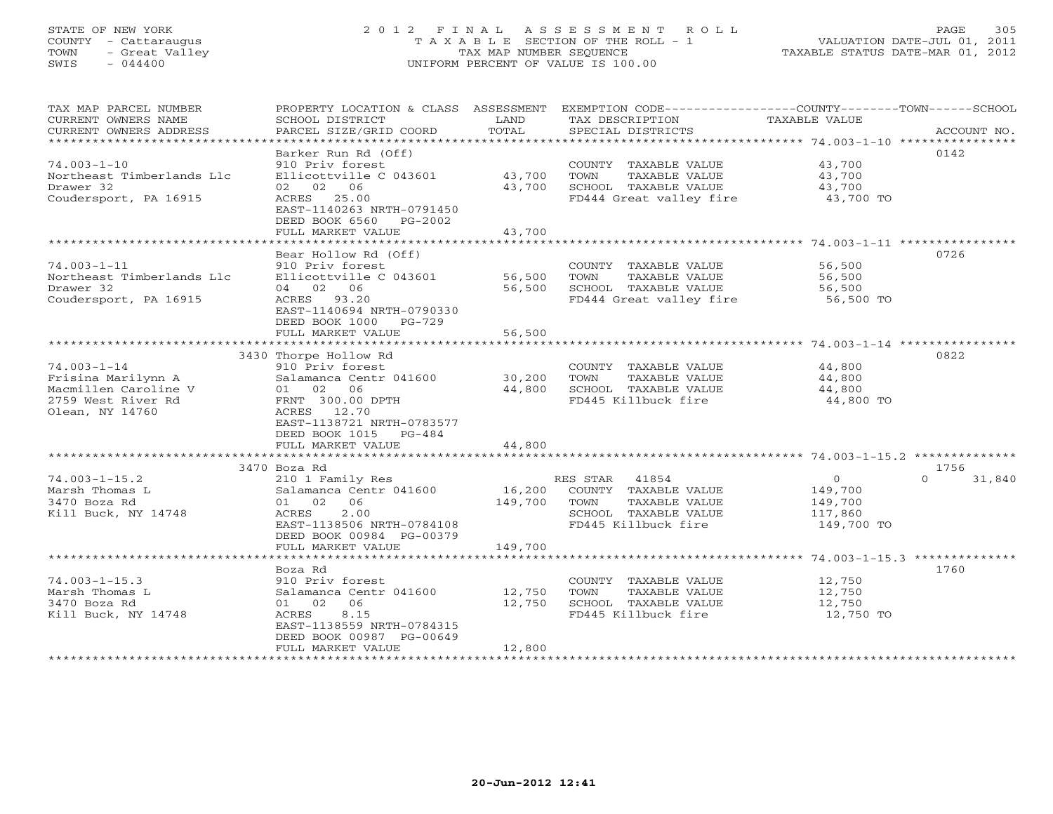## STATE OF NEW YORK 2 0 1 2 F I N A L A S S E S S M E N T R O L L PAGE 305 COUNTY - Cattaraugus T A X A B L E SECTION OF THE ROLL - 1 VALUATION DATE-JUL 01, 2011 TOWN - Great Valley TAX MAP NUMBER SEQUENCE TAXABLE STATUS DATE-MAR 01, 2012 SWIS - 044400 UNIFORM PERCENT OF VALUE IS 100.00UNIFORM PERCENT OF VALUE IS 100.00

| TAX MAP PARCEL NUMBER<br>CURRENT OWNERS NAME<br>CURRENT OWNERS ADDRESS | PROPERTY LOCATION & CLASS ASSESSMENT<br>SCHOOL DISTRICT<br>PARCEL SIZE/GRID COORD | LAND<br>TOTAL    | EXEMPTION CODE-----------------COUNTY-------TOWN------SCHOOL<br>TAX DESCRIPTION<br>SPECIAL DISTRICTS | TAXABLE VALUE       | ACCOUNT NO.        |
|------------------------------------------------------------------------|-----------------------------------------------------------------------------------|------------------|------------------------------------------------------------------------------------------------------|---------------------|--------------------|
| $74.003 - 1 - 10$                                                      | Barker Run Rd (Off)<br>910 Priv forest                                            |                  | COUNTY TAXABLE VALUE                                                                                 | 43,700              | 0142               |
| Northeast Timberlands Llc<br>Drawer 32                                 | Ellicottville C 043601<br>02 02 06                                                | 43,700<br>43,700 | TOWN<br>TAXABLE VALUE<br>SCHOOL TAXABLE VALUE                                                        | 43,700<br>43,700    |                    |
| Coudersport, PA 16915                                                  | ACRES 25.00<br>EAST-1140263 NRTH-0791450<br>DEED BOOK 6560<br>PG-2002             |                  | FD444 Great valley fire                                                                              | 43,700 TO           |                    |
|                                                                        | FULL MARKET VALUE                                                                 | 43,700           |                                                                                                      |                     |                    |
|                                                                        | Bear Hollow Rd (Off)                                                              |                  |                                                                                                      |                     | 0726               |
| $74.003 - 1 - 11$                                                      | 910 Priv forest                                                                   |                  | COUNTY TAXABLE VALUE                                                                                 | 56,500              |                    |
| Northeast Timberlands Llc                                              | Ellicottville C 043601                                                            | 56,500           | TOWN<br>TAXABLE VALUE                                                                                | 56,500              |                    |
| Drawer 32                                                              | 04 02 06                                                                          | 56,500           | SCHOOL TAXABLE VALUE                                                                                 | 56,500              |                    |
| Coudersport, PA 16915                                                  | ACRES 93.20                                                                       |                  | FD444 Great valley fire                                                                              | 56,500 TO           |                    |
|                                                                        | EAST-1140694 NRTH-0790330<br>DEED BOOK 1000<br>PG-729                             |                  |                                                                                                      |                     |                    |
|                                                                        | FULL MARKET VALUE                                                                 | 56,500           |                                                                                                      |                     |                    |
|                                                                        |                                                                                   |                  |                                                                                                      |                     |                    |
|                                                                        | 3430 Thorpe Hollow Rd                                                             |                  |                                                                                                      |                     | 0822               |
| $74.003 - 1 - 14$                                                      | 910 Priv forest                                                                   |                  | COUNTY TAXABLE VALUE                                                                                 | 44,800              |                    |
| Frisina Marilynn A<br>Macmillen Caroline V                             | Salamanca Centr 041600<br>06<br>01 02                                             | 30,200<br>44,800 | TOWN<br>TAXABLE VALUE<br>SCHOOL TAXABLE VALUE                                                        | 44,800<br>44,800    |                    |
| 2759 West River Rd                                                     | FRNT 300.00 DPTH                                                                  |                  | FD445 Killbuck fire                                                                                  | 44,800 TO           |                    |
| Olean, NY 14760                                                        | ACRES 12.70                                                                       |                  |                                                                                                      |                     |                    |
|                                                                        | EAST-1138721 NRTH-0783577                                                         |                  |                                                                                                      |                     |                    |
|                                                                        | DEED BOOK 1015<br>$PG-484$                                                        |                  |                                                                                                      |                     |                    |
|                                                                        | FULL MARKET VALUE                                                                 | 44,800           |                                                                                                      |                     |                    |
|                                                                        |                                                                                   |                  |                                                                                                      |                     |                    |
|                                                                        | 3470 Boza Rd                                                                      |                  |                                                                                                      |                     | 1756               |
| $74.003 - 1 - 15.2$                                                    | 210 1 Family Res                                                                  |                  | RES STAR 41854                                                                                       | $\overline{O}$      | 31,840<br>$\Omega$ |
| Marsh Thomas L                                                         | Salamanca Centr 041600                                                            | 16,200           | COUNTY TAXABLE VALUE                                                                                 | 149,700             |                    |
| 3470 Boza Rd                                                           | 01 02<br>06                                                                       | 149,700          | TAXABLE VALUE<br>TOWN                                                                                | 149,700             |                    |
| Kill Buck, NY 14748                                                    | 2.00<br>ACRES                                                                     |                  | SCHOOL TAXABLE VALUE                                                                                 | 117,860             |                    |
|                                                                        | EAST-1138506 NRTH-0784108                                                         |                  | FD445 Killbuck fire                                                                                  | 149,700 TO          |                    |
|                                                                        | DEED BOOK 00984 PG-00379                                                          |                  |                                                                                                      |                     |                    |
|                                                                        | FULL MARKET VALUE                                                                 | 149,700          |                                                                                                      |                     |                    |
|                                                                        |                                                                                   |                  |                                                                                                      |                     |                    |
|                                                                        | Boza Rd                                                                           |                  |                                                                                                      |                     | 1760               |
| $74.003 - 1 - 15.3$                                                    | 910 Priv forest                                                                   |                  | COUNTY TAXABLE VALUE                                                                                 | 12,750              |                    |
| Marsh Thomas L<br>3470 Boza Rd                                         | Salamanca Centr 041600<br>01 02<br>06                                             | 12,750           | TOWN<br>TAXABLE VALUE<br>SCHOOL TAXABLE VALUE                                                        | 12,750              |                    |
| Kill Buck, NY 14748                                                    | 8.15<br>ACRES                                                                     | 12,750           | FD445 Killbuck fire                                                                                  | 12,750<br>12,750 TO |                    |
|                                                                        | EAST-1138559 NRTH-0784315                                                         |                  |                                                                                                      |                     |                    |
|                                                                        | DEED BOOK 00987 PG-00649                                                          |                  |                                                                                                      |                     |                    |
|                                                                        | FULL MARKET VALUE                                                                 | 12,800           |                                                                                                      |                     |                    |
| *******************                                                    |                                                                                   |                  |                                                                                                      |                     |                    |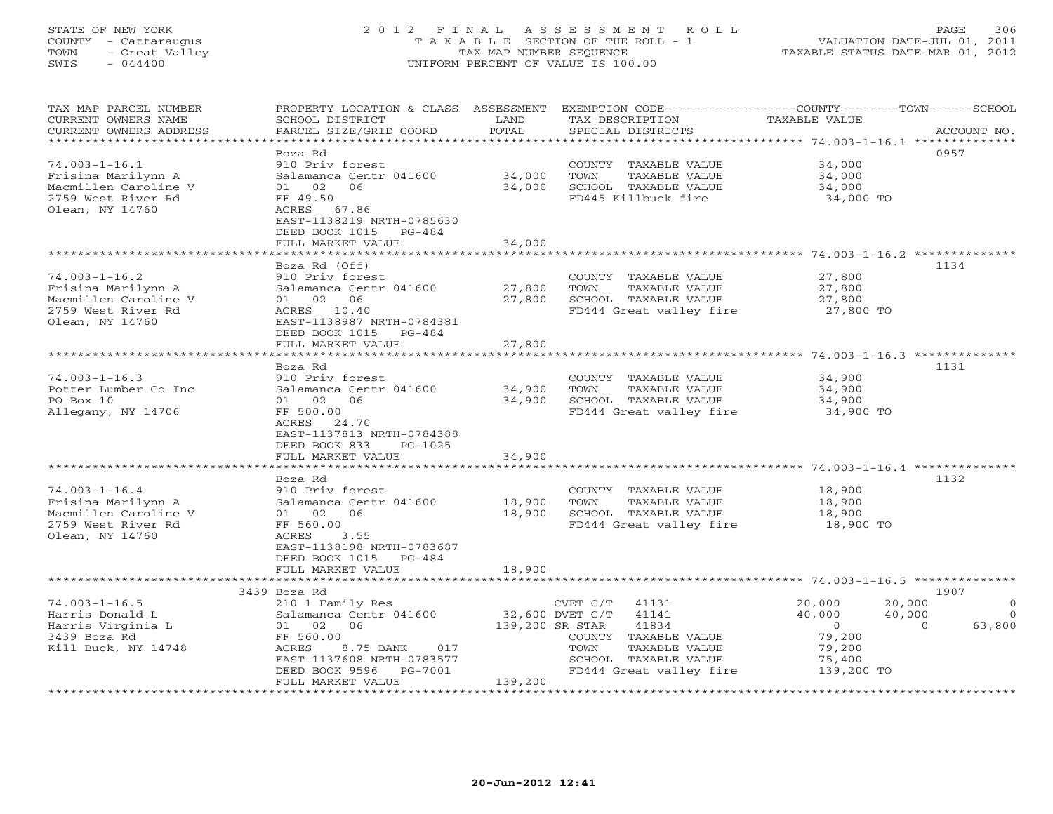# STATE OF NEW YORK 2 0 1 2 F I N A L A S S E S S M E N T R O L L PAGE 306 COUNTY - Cattaraugus T A X A B L E SECTION OF THE ROLL - 1 VALUATION DATE-JUL 01, 2011 TOWN - Great Valley TAX MAP NUMBER SEQUENCE TAXABLE STATUS DATE-MAR 01, 2012 SWIS - 044400 UNIFORM PERCENT OF VALUE IS 100.00

| TAX MAP PARCEL NUMBER<br>CURRENT OWNERS NAME<br>CURRENT OWNERS ADDRESS<br>************************         | PROPERTY LOCATION & CLASS ASSESSMENT<br>SCHOOL DISTRICT<br>PARCEL SIZE/GRID COORD                                                                                                                     | LAND<br>TOTAL              | TAX DESCRIPTION<br>SPECIAL DISTRICTS                                                                                                                       | EXEMPTION CODE-----------------COUNTY-------TOWN------SCHOOL<br><b>TAXABLE VALUE</b>                                                   | ACCOUNT NO.                                        |
|------------------------------------------------------------------------------------------------------------|-------------------------------------------------------------------------------------------------------------------------------------------------------------------------------------------------------|----------------------------|------------------------------------------------------------------------------------------------------------------------------------------------------------|----------------------------------------------------------------------------------------------------------------------------------------|----------------------------------------------------|
| $74.003 - 1 - 16.1$<br>Frisina Marilynn A<br>Macmillen Caroline V<br>2759 West River Rd<br>Olean, NY 14760 | Boza Rd<br>910 Priv forest<br>Salamanca Centr 041600<br>02<br>01<br>06<br>FF 49.50<br>ACRES 67.86<br>EAST-1138219 NRTH-0785630<br>DEED BOOK 1015<br>$PG-484$<br>FULL MARKET VALUE                     | 34,000<br>34,000<br>34,000 | COUNTY TAXABLE VALUE<br>TOWN<br>TAXABLE VALUE<br>SCHOOL TAXABLE VALUE<br>FD445 Killbuck fire                                                               | 34,000<br>34,000<br>34,000<br>34,000 TO                                                                                                | 0957                                               |
| $74.003 - 1 - 16.2$<br>Frisina Marilynn A<br>Macmillen Caroline V<br>2759 West River Rd<br>Olean, NY 14760 | Boza Rd (Off)<br>910 Priv forest<br>Salamanca Centr 041600<br>01 02<br>06<br>ACRES 10.40<br>EAST-1138987 NRTH-0784381<br>DEED BOOK 1015<br>PG-484<br>FULL MARKET VALUE                                | 27,800<br>27,800<br>27,800 | COUNTY TAXABLE VALUE<br>TOWN<br>TAXABLE VALUE<br>SCHOOL TAXABLE VALUE<br>FD444 Great valley fire                                                           | 27,800<br>27,800<br>27,800<br>27,800 TO                                                                                                | 1134                                               |
| $74.003 - 1 - 16.3$<br>Potter Lumber Co Inc<br>PO Box 10<br>Allegany, NY 14706                             | Boza Rd<br>910 Priv forest<br>Salamanca Centr 041600<br>02<br>06<br>01<br>FF 500.00<br>ACRES<br>24.70<br>EAST-1137813 NRTH-0784388<br>DEED BOOK 833<br>$PG-1025$<br>FULL MARKET VALUE                 | 34,900<br>34,900<br>34,900 | COUNTY TAXABLE VALUE<br>TAXABLE VALUE<br>TOWN<br>SCHOOL TAXABLE VALUE<br>FD444 Great valley fire                                                           | 34,900<br>34,900<br>34,900<br>34,900 TO                                                                                                | 1131                                               |
| $74.003 - 1 - 16.4$<br>Frisina Marilynn A<br>Macmillen Caroline V<br>2759 West River Rd<br>Olean, NY 14760 | Boza Rd<br>910 Priv forest<br>Salamanca Centr 041600<br>02<br>06<br>01<br>FF 560.00<br>ACRES<br>3.55<br>EAST-1138198 NRTH-0783687<br>DEED BOOK 1015<br>PG-484<br>FULL MARKET VALUE                    | 18,900<br>18,900<br>18,900 | COUNTY TAXABLE VALUE<br>TOWN<br>TAXABLE VALUE<br>SCHOOL TAXABLE VALUE<br>FD444 Great valley fire                                                           | 18,900<br>18,900<br>18,900<br>18,900 TO                                                                                                | 1132                                               |
| $74.003 - 1 - 16.5$<br>Harris Donald L<br>Harris Virginia L<br>3439 Boza Rd<br>Kill Buck, NY 14748         | 3439 Boza Rd<br>210 1 Family Res<br>Salamanca Centr 041600<br>02<br>06<br>01<br>FF 560.00<br>ACRES<br>8.75 BANK<br>017<br>EAST-1137608 NRTH-0783577<br>DEED BOOK 9596<br>PG-7001<br>FULL MARKET VALUE | 139,200 SR STAR<br>139,200 | CVET C/T<br>41131<br>32,600 DVET C/T<br>41141<br>41834<br>COUNTY TAXABLE VALUE<br>TOWN<br>TAXABLE VALUE<br>SCHOOL TAXABLE VALUE<br>FD444 Great valley fire | 20,000<br>20,000<br>40,000<br>40,000<br>$\circ$<br>$\Omega$<br>79,200<br>79,200<br>75,400<br>139,200 TO<br>*************************** | 1907<br>$\overline{0}$<br>$\overline{0}$<br>63,800 |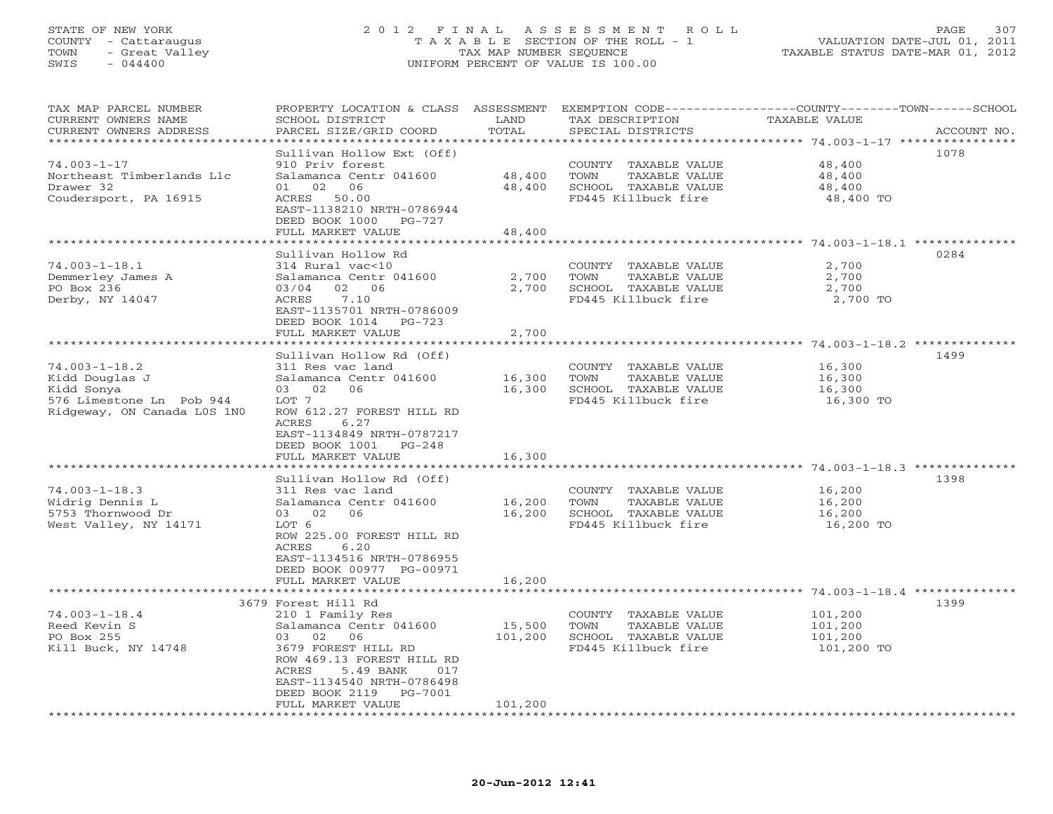### STATE OF NEW YORK 2 0 1 2 F I N A L A S S E S S M E N T R O L L PAGE 307 COUNTY - Cattaraugus T A X A B L E SECTION OF THE ROLL - 1 VALUATION DATE-JUL 01, 2011 TOWN - Great Valley TAX MAP NUMBER SEQUENCE TAXABLE STATUS DATE-MAR 01, 2012 SWIS - 044400 UNIFORM PERCENT OF VALUE IS 100.00UNIFORM PERCENT OF VALUE IS 100.00

| TAX MAP PARCEL NUMBER<br>CURRENT OWNERS NAME<br>CURRENT OWNERS ADDRESS                                         | PROPERTY LOCATION & CLASS ASSESSMENT<br>SCHOOL DISTRICT<br>PARCEL SIZE/GRID COORD                                                                                                                                               | LAND<br>TOTAL              | TAX DESCRIPTION<br>SPECIAL DISTRICTS                                                         | EXEMPTION CODE-----------------COUNTY-------TOWN------SCHOOL<br><b>TAXABLE VALUE</b><br>ACCOUNT NO. |
|----------------------------------------------------------------------------------------------------------------|---------------------------------------------------------------------------------------------------------------------------------------------------------------------------------------------------------------------------------|----------------------------|----------------------------------------------------------------------------------------------|-----------------------------------------------------------------------------------------------------|
|                                                                                                                |                                                                                                                                                                                                                                 | ******                     |                                                                                              | ********* 74.003-1-17 ***                                                                           |
| $74.003 - 1 - 17$<br>Northeast Timberlands Llc<br>Drawer 32<br>Coudersport, PA 16915                           | Sullivan Hollow Ext (Off)<br>910 Priv forest<br>Salamanca Centr 041600<br>02<br>06<br>01<br>ACRES<br>50.00<br>EAST-1138210 NRTH-0786944<br>DEED BOOK 1000 PG-727                                                                | 48,400<br>48,400           | COUNTY TAXABLE VALUE<br>TOWN<br>TAXABLE VALUE<br>SCHOOL TAXABLE VALUE<br>FD445 Killbuck fire | 1078<br>48,400<br>48,400<br>48,400<br>48,400 TO                                                     |
|                                                                                                                | FULL MARKET VALUE                                                                                                                                                                                                               | 48,400                     |                                                                                              |                                                                                                     |
|                                                                                                                | Sullivan Hollow Rd                                                                                                                                                                                                              |                            |                                                                                              | ************** 74.003-1-18.1 ***************<br>0284                                                |
| $74.003 - 1 - 18.1$<br>Demmerley James A<br>PO Box 236<br>Derby, NY 14047                                      | 314 Rural vac<10<br>Salamanca Centr 041600<br>02<br>06<br>03/04<br>7.10<br>ACRES<br>EAST-1135701 NRTH-0786009<br>DEED BOOK 1014<br>$PG-723$                                                                                     | 2,700<br>2,700             | COUNTY TAXABLE VALUE<br>TOWN<br>TAXABLE VALUE<br>SCHOOL TAXABLE VALUE<br>FD445 Killbuck fire | 2,700<br>2,700<br>2,700<br>2,700 TO                                                                 |
|                                                                                                                | FULL MARKET VALUE<br>***********************                                                                                                                                                                                    | 2,700                      |                                                                                              | $74.003 - 1 - 18.2$ **************                                                                  |
| $74.003 - 1 - 18.2$<br>Kidd Douglas J<br>Kidd Sonya<br>576 Limestone Ln Pob 944<br>Ridgeway, ON Canada LOS 1NO | Sullivan Hollow Rd (Off)<br>311 Res vac land<br>Salamanca Centr 041600<br>06<br>03<br>02<br>LOT 7<br>ROW 612.27 FOREST HILL RD<br>ACRES<br>6.27<br>EAST-1134849 NRTH-0787217<br>DEED BOOK 1001<br>$PG-248$<br>FULL MARKET VALUE | 16,300<br>16,300<br>16,300 | COUNTY TAXABLE VALUE<br>TOWN<br>TAXABLE VALUE<br>SCHOOL TAXABLE VALUE<br>FD445 Killbuck fire | 1499<br>16,300<br>16,300<br>16,300<br>16,300 TO                                                     |
|                                                                                                                |                                                                                                                                                                                                                                 |                            |                                                                                              |                                                                                                     |
| $74.003 - 1 - 18.3$<br>Widrig Dennis L<br>5753 Thornwood Dr<br>West Valley, NY 14171                           | Sullivan Hollow Rd (Off)<br>311 Res vac land<br>Salamanca Centr 041600<br>02<br>06<br>03<br>LOT 6<br>ROW 225.00 FOREST HILL RD<br>ACRES<br>6.20<br>EAST-1134516 NRTH-0786955<br>DEED BOOK 00977 PG-00971                        | 16,200<br>16,200           | COUNTY TAXABLE VALUE<br>TOWN<br>TAXABLE VALUE<br>SCHOOL TAXABLE VALUE<br>FD445 Killbuck fire | 1398<br>16,200<br>16,200<br>16,200<br>16,200 TO                                                     |
|                                                                                                                | FULL MARKET VALUE                                                                                                                                                                                                               | 16,200                     |                                                                                              |                                                                                                     |
|                                                                                                                | 3679 Forest Hill Rd                                                                                                                                                                                                             |                            |                                                                                              | 1399                                                                                                |
| $74.003 - 1 - 18.4$<br>Reed Kevin S<br>PO Box 255<br>Kill Buck, NY 14748                                       | 210 1 Family Res<br>Salamanca Centr 041600<br>03<br>02<br>- 06<br>3679 FOREST HILL RD<br>ROW 469.13 FOREST HILL RD<br>5.49 BANK<br>ACRES<br>017<br>EAST-1134540 NRTH-0786498                                                    | 15,500<br>101,200          | COUNTY TAXABLE VALUE<br>TOWN<br>TAXABLE VALUE<br>SCHOOL TAXABLE VALUE<br>FD445 Killbuck fire | 101,200<br>101,200<br>101,200<br>101,200 TO                                                         |
|                                                                                                                | DEED BOOK 2119<br>PG-7001<br>FULL MARKET VALUE                                                                                                                                                                                  | 101,200                    |                                                                                              |                                                                                                     |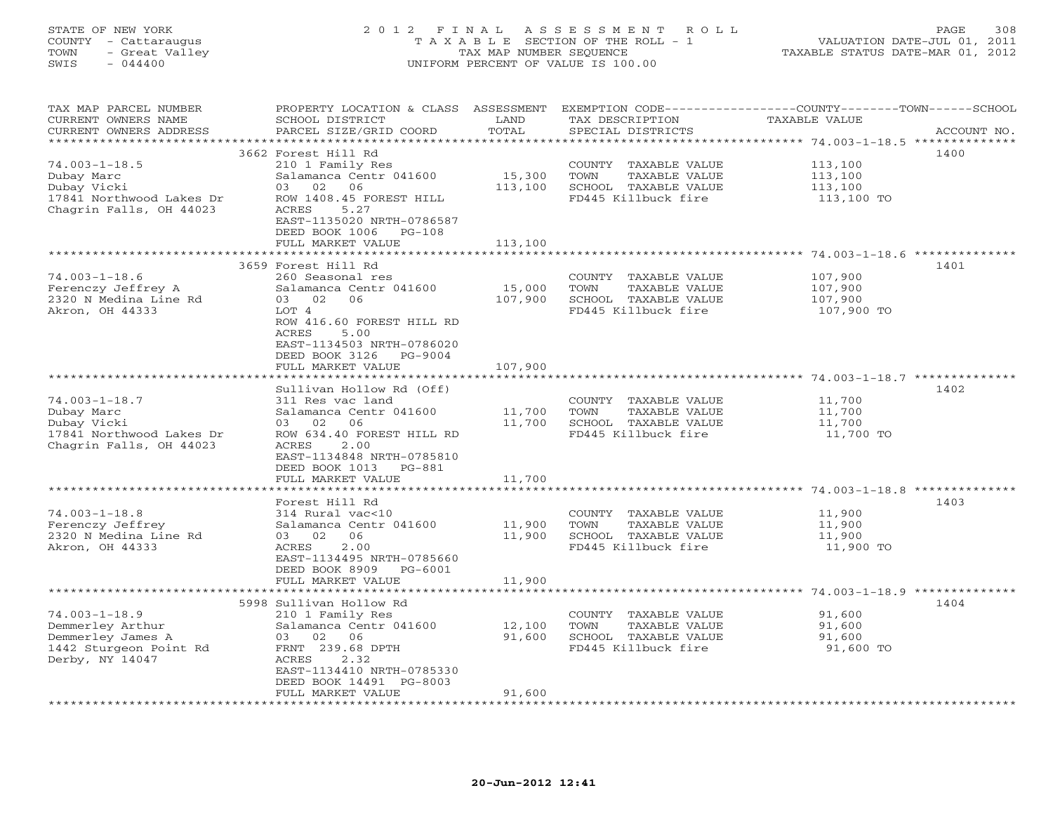### STATE OF NEW YORK 2 0 1 2 F I N A L A S S E S S M E N T R O L L PAGE 308 COUNTY - Cattaraugus T A X A B L E SECTION OF THE ROLL - 1 VALUATION DATE-JUL 01, 2011 TOWN - Great Valley TAX MAP NUMBER SEQUENCE TAXABLE STATUS DATE-MAR 01, 2012 SWIS - 044400 UNIFORM PERCENT OF VALUE IS 100.00UNIFORM PERCENT OF VALUE IS 100.00

| TAX MAP PARCEL NUMBER<br>CURRENT OWNERS NAME<br>CURRENT OWNERS ADDRESS | PROPERTY LOCATION & CLASS ASSESSMENT<br>SCHOOL DISTRICT<br>PARCEL SIZE/GRID COORD | LAND<br>TOTAL     | TAX DESCRIPTION<br>SPECIAL DISTRICTS | EXEMPTION CODE----------------COUNTY-------TOWN------SCHOOL<br><b>TAXABLE VALUE</b><br>ACCOUNT NO. |
|------------------------------------------------------------------------|-----------------------------------------------------------------------------------|-------------------|--------------------------------------|----------------------------------------------------------------------------------------------------|
| *******************                                                    |                                                                                   | * * * * * * * * * |                                      | ************ 74.003-1-18.5 ***************                                                         |
|                                                                        | 3662 Forest Hill Rd                                                               |                   |                                      | 1400                                                                                               |
| $74.003 - 1 - 18.5$                                                    | 210 1 Family Res                                                                  |                   | COUNTY TAXABLE VALUE                 | 113,100                                                                                            |
| Dubay Marc                                                             | Salamanca Centr 041600                                                            | 15,300            | <b>TOWN</b><br>TAXABLE VALUE         | 113,100                                                                                            |
| Dubay Vicki                                                            | 03 02<br>06                                                                       | 113,100           | SCHOOL TAXABLE VALUE                 | 113,100                                                                                            |
| 17841 Northwood Lakes Dr                                               | ROW 1408.45 FOREST HILL                                                           |                   | FD445 Killbuck fire                  | 113,100 TO                                                                                         |
| Chagrin Falls, OH 44023                                                | ACRES<br>5.27                                                                     |                   |                                      |                                                                                                    |
|                                                                        | EAST-1135020 NRTH-0786587                                                         |                   |                                      |                                                                                                    |
|                                                                        | DEED BOOK 1006<br>$PG-108$<br>FULL MARKET VALUE                                   | 113,100           |                                      |                                                                                                    |
|                                                                        | ***********************                                                           | ***********       |                                      |                                                                                                    |
|                                                                        | 3659 Forest Hill Rd                                                               |                   |                                      | 1401                                                                                               |
| $74.003 - 1 - 18.6$                                                    | 260 Seasonal res                                                                  |                   | COUNTY TAXABLE VALUE                 | 107,900                                                                                            |
| Ferenczy Jeffrey A                                                     | Salamanca Centr 041600                                                            | 15,000            | TOWN<br>TAXABLE VALUE                | 107,900                                                                                            |
| 2320 N Medina Line Rd                                                  | 03 02<br>06                                                                       | 107,900           | SCHOOL TAXABLE VALUE                 | 107,900                                                                                            |
| Akron, OH 44333                                                        | LOT 4                                                                             |                   | FD445 Killbuck fire                  | 107,900 TO                                                                                         |
|                                                                        | ROW 416.60 FOREST HILL RD                                                         |                   |                                      |                                                                                                    |
|                                                                        | ACRES<br>5.00                                                                     |                   |                                      |                                                                                                    |
|                                                                        | EAST-1134503 NRTH-0786020                                                         |                   |                                      |                                                                                                    |
|                                                                        | DEED BOOK 3126<br>PG-9004<br>FULL MARKET VALUE                                    | 107,900           |                                      |                                                                                                    |
|                                                                        |                                                                                   | ********          |                                      | ***************************** 74.003-1-18.7 **********                                             |
|                                                                        | Sullivan Hollow Rd (Off)                                                          |                   |                                      | 1402                                                                                               |
| $74.003 - 1 - 18.7$                                                    | 311 Res vac land                                                                  |                   | COUNTY TAXABLE VALUE                 | 11,700                                                                                             |
| Dubay Marc                                                             | Salamanca Centr 041600                                                            | 11,700            | TOWN<br>TAXABLE VALUE                | 11,700                                                                                             |
| Dubay Vicki                                                            | 06<br>03 02                                                                       | 11,700            | SCHOOL TAXABLE VALUE                 | 11,700                                                                                             |
| 17841 Northwood Lakes Dr                                               | ROW 634.40 FOREST HILL RD                                                         |                   | FD445 Killbuck fire                  | 11,700 TO                                                                                          |
| Chagrin Falls, OH 44023                                                | ACRES<br>2.00                                                                     |                   |                                      |                                                                                                    |
|                                                                        | EAST-1134848 NRTH-0785810                                                         |                   |                                      |                                                                                                    |
|                                                                        | DEED BOOK 1013<br>PG-881                                                          | 11,700            |                                      |                                                                                                    |
|                                                                        | FULL MARKET VALUE                                                                 |                   |                                      |                                                                                                    |
|                                                                        | Forest Hill Rd                                                                    |                   |                                      | 1403                                                                                               |
| $74.003 - 1 - 18.8$                                                    | 314 Rural vac<10                                                                  |                   | COUNTY TAXABLE VALUE                 | 11,900                                                                                             |
| Ferenczy Jeffrey                                                       | Salamanca Centr 041600                                                            | 11,900            | TOWN<br>TAXABLE VALUE                | 11,900                                                                                             |
| 2320 N Medina Line Rd                                                  | 06<br>03 02                                                                       | 11,900            | SCHOOL TAXABLE VALUE                 | 11,900                                                                                             |
| Akron, OH 44333                                                        | ACRES<br>2.00                                                                     |                   | FD445 Killbuck fire                  | 11,900 TO                                                                                          |
|                                                                        | EAST-1134495 NRTH-0785660                                                         |                   |                                      |                                                                                                    |
|                                                                        | DEED BOOK 8909<br>PG-6001                                                         |                   |                                      |                                                                                                    |
|                                                                        | FULL MARKET VALUE                                                                 | 11,900            |                                      |                                                                                                    |
|                                                                        | 5998 Sullivan Hollow Rd                                                           |                   |                                      | 1404                                                                                               |
| $74.003 - 1 - 18.9$                                                    | 210 1 Family Res                                                                  |                   | COUNTY TAXABLE VALUE                 | 91,600                                                                                             |
| Demmerley Arthur                                                       | Salamanca Centr 041600                                                            | 12,100            | TOWN<br>TAXABLE VALUE                | 91,600                                                                                             |
| Demmerley James A                                                      | 03 02 06                                                                          | 91,600            | SCHOOL TAXABLE VALUE                 | 91,600                                                                                             |
| 1442 Sturgeon Point Rd                                                 | FRNT 239.68 DPTH                                                                  |                   | FD445 Killbuck fire                  | 91,600 TO                                                                                          |
| Derby, NY 14047                                                        | ACRES<br>2.32                                                                     |                   |                                      |                                                                                                    |
|                                                                        | EAST-1134410 NRTH-0785330                                                         |                   |                                      |                                                                                                    |
|                                                                        | DEED BOOK 14491 PG-8003                                                           |                   |                                      |                                                                                                    |
|                                                                        | FULL MARKET VALUE                                                                 | 91,600            |                                      |                                                                                                    |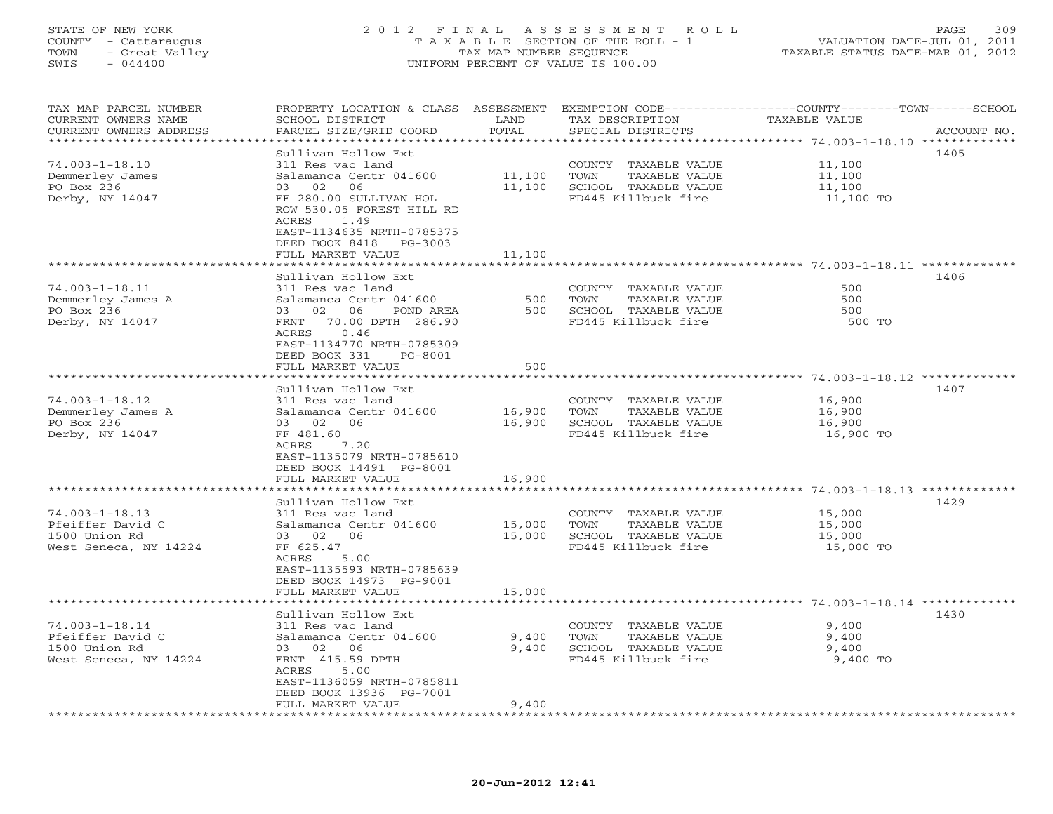### STATE OF NEW YORK 2 0 1 2 F I N A L A S S E S S M E N T R O L L PAGE 309 COUNTY - Cattaraugus T A X A B L E SECTION OF THE ROLL - 1 VALUATION DATE-JUL 01, 2011 TOWN - Great Valley TAX MAP NUMBER SEQUENCE TAXABLE STATUS DATE-MAR 01, 2012 SWIS - 044400 UNIFORM PERCENT OF VALUE IS 100.00UNIFORM PERCENT OF VALUE IS 100.00

| TAX MAP PARCEL NUMBER<br>CURRENT OWNERS NAME<br>CURRENT OWNERS ADDRESS | PROPERTY LOCATION & CLASS ASSESSMENT<br>SCHOOL DISTRICT<br>PARCEL SIZE/GRID COORD                                              | LAND<br>TOTAL    | TAX DESCRIPTION<br>SPECIAL DISTRICTS          | EXEMPTION CODE-----------------COUNTY-------TOWN------SCHOOL<br><b>TAXABLE VALUE</b><br>ACCOUNT NO. |
|------------------------------------------------------------------------|--------------------------------------------------------------------------------------------------------------------------------|------------------|-----------------------------------------------|-----------------------------------------------------------------------------------------------------|
|                                                                        |                                                                                                                                | ******           |                                               | ********* 74.003-1-18.10 *************                                                              |
| $74.003 - 1 - 18.10$                                                   | Sullivan Hollow Ext<br>311 Res vac land                                                                                        |                  | COUNTY TAXABLE VALUE                          | 1405<br>11,100                                                                                      |
| Demmerley James<br>PO Box 236                                          | Salamanca Centr 041600<br>02<br>06<br>03                                                                                       | 11,100<br>11,100 | TOWN<br>TAXABLE VALUE<br>SCHOOL TAXABLE VALUE | 11,100<br>11,100                                                                                    |
| Derby, NY 14047                                                        | FF 280.00 SULLIVAN HOL<br>ROW 530.05 FOREST HILL RD<br>ACRES<br>1.49<br>EAST-1134635 NRTH-0785375<br>DEED BOOK 8418<br>PG-3003 |                  | FD445 Killbuck fire                           | 11,100 TO                                                                                           |
|                                                                        | FULL MARKET VALUE                                                                                                              | 11,100           |                                               |                                                                                                     |
|                                                                        |                                                                                                                                | *******          |                                               | ************************* 74.003-1-18.11 *************                                              |
|                                                                        | Sullivan Hollow Ext                                                                                                            |                  |                                               | 1406                                                                                                |
| $74.003 - 1 - 18.11$                                                   | 311 Res vac land                                                                                                               |                  | COUNTY TAXABLE VALUE                          | 500                                                                                                 |
| Demmerley James A                                                      | Salamanca Centr 041600                                                                                                         | 500              | TOWN<br>TAXABLE VALUE                         | 500                                                                                                 |
| PO Box 236<br>Derby, NY 14047                                          | 02 06<br>03<br>POND AREA<br>FRNT 70.00 DPTH 286.90                                                                             | 500              | SCHOOL TAXABLE VALUE<br>FD445 Killbuck fire   | 500<br>500 TO                                                                                       |
|                                                                        | 0.46<br>ACRES<br>EAST-1134770 NRTH-0785309<br>DEED BOOK 331<br>PG-8001                                                         |                  |                                               |                                                                                                     |
|                                                                        | FULL MARKET VALUE                                                                                                              | 500              |                                               |                                                                                                     |
|                                                                        |                                                                                                                                | *********        |                                               | ************************************* 74.003-1-18.12 *************                                  |
|                                                                        | Sullivan Hollow Ext                                                                                                            |                  |                                               | 1407                                                                                                |
| $74.003 - 1 - 18.12$                                                   | 311 Res vac land                                                                                                               |                  | COUNTY TAXABLE VALUE                          | 16,900                                                                                              |
| Demmerley James A                                                      | Salamanca Centr 041600                                                                                                         | 16,900           | TOWN<br>TAXABLE VALUE                         | 16,900                                                                                              |
| PO Box 236                                                             | 03 02 06                                                                                                                       | 16,900           | SCHOOL TAXABLE VALUE                          | 16,900                                                                                              |
| Derby, NY 14047                                                        | FF 481.60                                                                                                                      |                  | FD445 Killbuck fire                           | 16,900 TO                                                                                           |
|                                                                        | ACRES<br>7.20<br>EAST-1135079 NRTH-0785610                                                                                     |                  |                                               |                                                                                                     |
|                                                                        | DEED BOOK 14491 PG-8001                                                                                                        |                  |                                               |                                                                                                     |
|                                                                        | FULL MARKET VALUE                                                                                                              | 16,900           |                                               |                                                                                                     |
|                                                                        | * * * * * * * * * * * * * *                                                                                                    | *********        |                                               | ****************************** 74.003-1-18.13 *************                                         |
|                                                                        | Sullivan Hollow Ext                                                                                                            |                  |                                               | 1429                                                                                                |
| $74.003 - 1 - 18.13$                                                   | 311 Res vac land                                                                                                               |                  | COUNTY TAXABLE VALUE                          | 15,000                                                                                              |
| Pfeiffer David C                                                       | Salamanca Centr 041600                                                                                                         | 15,000           | TOWN<br>TAXABLE VALUE                         | 15,000                                                                                              |
| 1500 Union Rd                                                          | 03 02<br>06                                                                                                                    | 15,000           | SCHOOL TAXABLE VALUE                          | 15,000                                                                                              |
| West Seneca, NY 14224                                                  | FF 625.47                                                                                                                      |                  | FD445 Killbuck fire                           | 15,000 TO                                                                                           |
|                                                                        | 5.00<br>ACRES                                                                                                                  |                  |                                               |                                                                                                     |
|                                                                        | EAST-1135593 NRTH-0785639                                                                                                      |                  |                                               |                                                                                                     |
|                                                                        | DEED BOOK 14973 PG-9001                                                                                                        |                  |                                               |                                                                                                     |
|                                                                        | FULL MARKET VALUE                                                                                                              | 15,000           |                                               |                                                                                                     |
| ************************                                               | ********************                                                                                                           |                  |                                               |                                                                                                     |
|                                                                        | Sullivan Hollow Ext                                                                                                            |                  |                                               | 1430                                                                                                |
| $74.003 - 1 - 18.14$<br>Pfeiffer David C                               | 311 Res vac land<br>Salamanca Centr 041600                                                                                     | 9,400            | COUNTY TAXABLE VALUE<br>TOWN<br>TAXABLE VALUE | 9,400<br>9,400                                                                                      |
| 1500 Union Rd                                                          | 02<br>06<br>03                                                                                                                 | 9,400            | SCHOOL TAXABLE VALUE                          | 9,400                                                                                               |
| West Seneca, NY 14224                                                  | FRNT 415.59 DPTH                                                                                                               |                  | FD445 Killbuck fire                           | 9,400 TO                                                                                            |
|                                                                        | ACRES<br>5.00                                                                                                                  |                  |                                               |                                                                                                     |
|                                                                        | EAST-1136059 NRTH-0785811                                                                                                      |                  |                                               |                                                                                                     |
|                                                                        | DEED BOOK 13936 PG-7001                                                                                                        |                  |                                               |                                                                                                     |
|                                                                        | FULL MARKET VALUE                                                                                                              | 9,400            |                                               |                                                                                                     |
|                                                                        |                                                                                                                                |                  |                                               |                                                                                                     |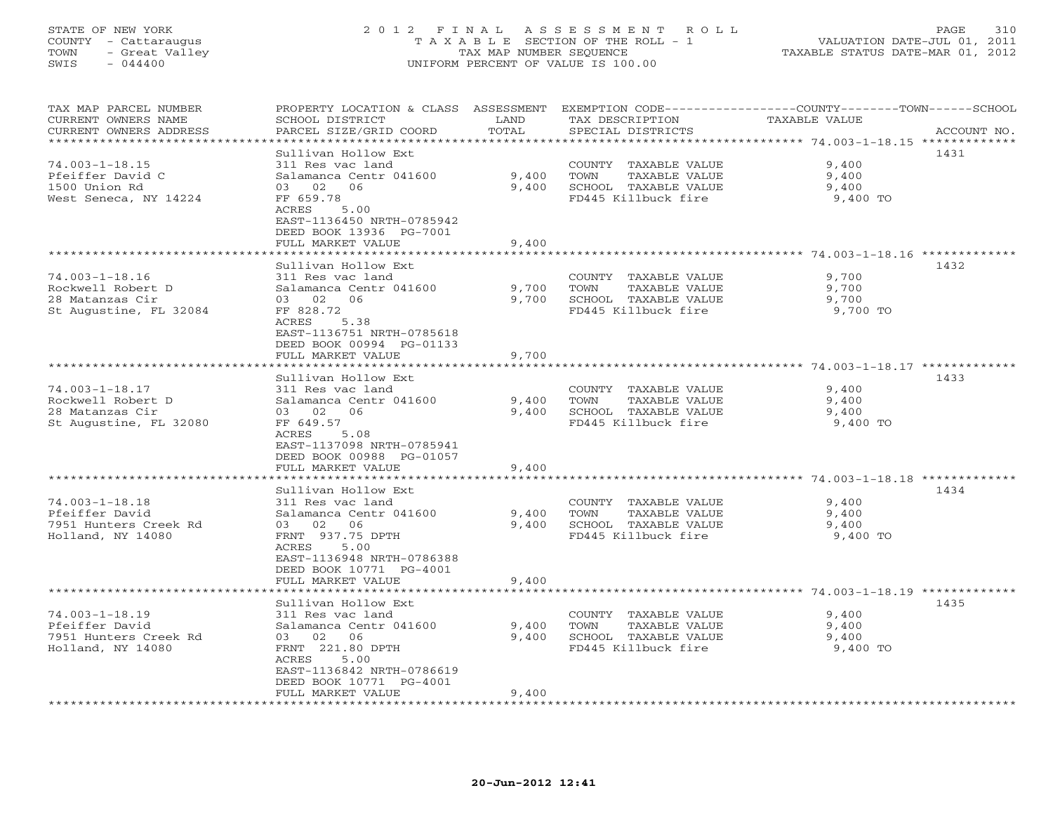### STATE OF NEW YORK 2 0 1 2 F I N A L A S S E S S M E N T R O L L PAGE 310 COUNTY - Cattaraugus T A X A B L E SECTION OF THE ROLL - 1 VALUATION DATE-JUL 01, 2011 TOWN - Great Valley TAX MAP NUMBER SEQUENCE TAXABLE STATUS DATE-MAR 01, 2012 SWIS - 044400 UNIFORM PERCENT OF VALUE IS 100.00UNIFORM PERCENT OF VALUE IS 100.00

| TAX MAP PARCEL NUMBER<br>CURRENT OWNERS NAME<br>CURRENT OWNERS ADDRESS                 | PROPERTY LOCATION & CLASS<br>SCHOOL DISTRICT<br>PARCEL SIZE/GRID COORD                                                                                                           | ASSESSMENT<br>LAND<br>TOTAL | TAX DESCRIPTION<br>SPECIAL DISTRICTS                                                         | EXEMPTION CODE-----------------COUNTY-------TOWN------SCHOOL<br>TAXABLE VALUE<br>ACCOUNT NO. |
|----------------------------------------------------------------------------------------|----------------------------------------------------------------------------------------------------------------------------------------------------------------------------------|-----------------------------|----------------------------------------------------------------------------------------------|----------------------------------------------------------------------------------------------|
| **************                                                                         |                                                                                                                                                                                  | * * * * * * * * :           |                                                                                              |                                                                                              |
| $74.003 - 1 - 18.15$<br>Pfeiffer David C<br>1500 Union Rd<br>West Seneca, NY 14224     | Sullivan Hollow Ext<br>311 Res vac land<br>Salamanca Centr 041600<br>02<br>06<br>03<br>FF 659.78<br>ACRES<br>5.00                                                                | 9,400<br>9,400              | COUNTY TAXABLE VALUE<br>TOWN<br>TAXABLE VALUE<br>SCHOOL TAXABLE VALUE<br>FD445 Killbuck fire | 1431<br>9,400<br>9,400<br>9,400<br>9,400 TO                                                  |
|                                                                                        | EAST-1136450 NRTH-0785942<br>DEED BOOK 13936 PG-7001<br>FULL MARKET VALUE                                                                                                        | 9,400                       |                                                                                              | ********* 74.003-1-18.16 ************                                                        |
|                                                                                        | Sullivan Hollow Ext                                                                                                                                                              |                             |                                                                                              | 1432                                                                                         |
| $74.003 - 1 - 18.16$<br>Rockwell Robert D<br>28 Matanzas Cir<br>St Augustine, FL 32084 | 311 Res vac land<br>Salamanca Centr 041600<br>03 02<br>06<br>FF 828.72<br>ACRES<br>5.38                                                                                          | 9,700<br>9,700              | COUNTY TAXABLE VALUE<br>TOWN<br>TAXABLE VALUE<br>SCHOOL TAXABLE VALUE<br>FD445 Killbuck fire | 9,700<br>9,700<br>9,700<br>9,700 TO                                                          |
|                                                                                        | EAST-1136751 NRTH-0785618<br>DEED BOOK 00994 PG-01133<br>FULL MARKET VALUE<br>************************                                                                           | 9,700                       |                                                                                              |                                                                                              |
|                                                                                        | Sullivan Hollow Ext                                                                                                                                                              |                             |                                                                                              | 1433                                                                                         |
| $74.003 - 1 - 18.17$<br>Rockwell Robert D<br>28 Matanzas Cir<br>St Augustine, FL 32080 | 311 Res vac land<br>Salamanca Centr 041600<br>02<br>03<br>06<br>FF 649.57<br>5.08<br>ACRES<br>EAST-1137098 NRTH-0785941<br>DEED BOOK 00988 PG-01057                              | 9,400<br>9,400              | COUNTY TAXABLE VALUE<br>TOWN<br>TAXABLE VALUE<br>SCHOOL TAXABLE VALUE<br>FD445 Killbuck fire | 9,400<br>9,400<br>9,400<br>9,400 TO                                                          |
|                                                                                        | FULL MARKET VALUE                                                                                                                                                                | 9,400                       |                                                                                              |                                                                                              |
|                                                                                        | **********************                                                                                                                                                           |                             |                                                                                              |                                                                                              |
| $74.003 - 1 - 18.18$<br>Pfeiffer David<br>7951 Hunters Creek Rd<br>Holland, NY 14080   | Sullivan Hollow Ext<br>311 Res vac land<br>Salamanca Centr 041600<br>02<br>06<br>03<br>FRNT 937.75 DPTH<br>ACRES<br>5.00<br>EAST-1136948 NRTH-0786388<br>DEED BOOK 10771 PG-4001 | 9,400<br>9,400              | COUNTY TAXABLE VALUE<br>TAXABLE VALUE<br>TOWN<br>SCHOOL TAXABLE VALUE<br>FD445 Killbuck fire | 1434<br>9,400<br>9,400<br>9,400<br>9,400 TO                                                  |
|                                                                                        | FULL MARKET VALUE                                                                                                                                                                | 9,400                       |                                                                                              | ***************** 74.003-1-18.19 ********                                                    |
| $74.003 - 1 - 18.19$<br>Pfeiffer David<br>7951 Hunters Creek Rd<br>Holland, NY 14080   | Sullivan Hollow Ext<br>311 Res vac land<br>Salamanca Centr 041600<br>02<br>06<br>03<br>FRNT 221.80 DPTH<br>ACRES<br>5.00<br>EAST-1136842 NRTH-0786619<br>DEED BOOK 10771 PG-4001 | 9,400<br>9,400              | COUNTY TAXABLE VALUE<br>TOWN<br>TAXABLE VALUE<br>SCHOOL TAXABLE VALUE<br>FD445 Killbuck fire | 1435<br>9,400<br>9,400<br>9,400<br>9,400 TO                                                  |
|                                                                                        | FULL MARKET VALUE                                                                                                                                                                | 9,400                       |                                                                                              |                                                                                              |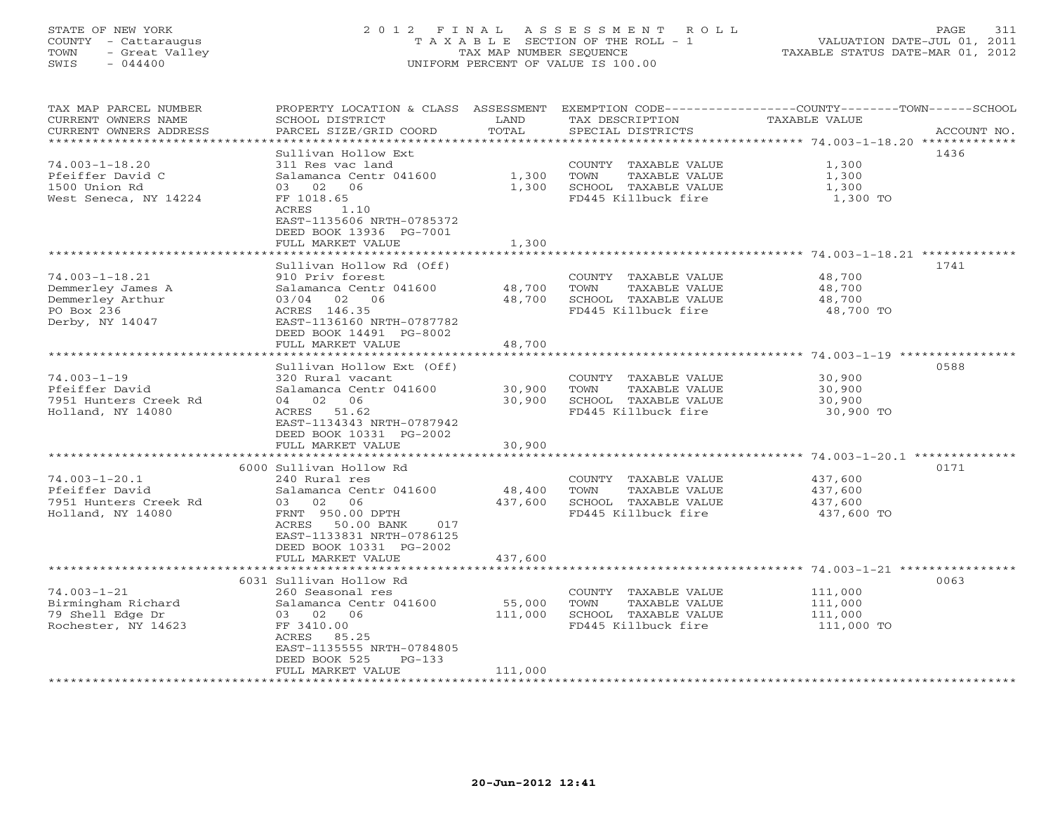## STATE OF NEW YORK 2 0 1 2 F I N A L A S S E S S M E N T R O L L PAGE 311 COUNTY - Cattaraugus T A X A B L E SECTION OF THE ROLL - 1 VALUATION DATE-JUL 01, 2011 TOWN - Great Valley TAX MAP NUMBER SEQUENCE TAXABLE STATUS DATE-MAR 01, 2012 SWIS - 044400 UNIFORM PERCENT OF VALUE IS 100.00UNIFORM PERCENT OF VALUE IS 100.00

| TAX MAP PARCEL NUMBER<br>CURRENT OWNERS NAME | PROPERTY LOCATION & CLASS ASSESSMENT<br>SCHOOL DISTRICT    | LAND                          | EXEMPTION CODE-----------------COUNTY-------TOWN------SCHOOL<br>TAX DESCRIPTION | TAXABLE VALUE     |             |
|----------------------------------------------|------------------------------------------------------------|-------------------------------|---------------------------------------------------------------------------------|-------------------|-------------|
| CURRENT OWNERS ADDRESS                       | PARCEL SIZE/GRID COORD                                     | TOTAL                         | SPECIAL DISTRICTS                                                               |                   | ACCOUNT NO. |
| * * * * * * * * * * * * * * * * * * *        |                                                            | * * * * * * * * * * * * * * * |                                                                                 |                   |             |
|                                              | Sullivan Hollow Ext                                        |                               |                                                                                 |                   | 1436        |
| $74.003 - 1 - 18.20$                         | 311 Res vac land                                           |                               | COUNTY TAXABLE VALUE                                                            | 1,300             |             |
| Pfeiffer David C                             | Salamanca Centr 041600                                     | 1,300                         | TAXABLE VALUE<br>TOWN                                                           | 1,300             |             |
| 1500 Union Rd<br>West Seneca, NY 14224       | 03 02 06<br>FF 1018.65                                     | 1,300                         | SCHOOL TAXABLE VALUE<br>FD445 Killbuck fire                                     | 1,300<br>1,300 TO |             |
|                                              | ACRES<br>1.10                                              |                               |                                                                                 |                   |             |
|                                              | EAST-1135606 NRTH-0785372                                  |                               |                                                                                 |                   |             |
|                                              | DEED BOOK 13936 PG-7001                                    |                               |                                                                                 |                   |             |
|                                              | FULL MARKET VALUE                                          | 1,300                         |                                                                                 |                   |             |
|                                              | *********************                                      |                               |                                                                                 |                   |             |
|                                              | Sullivan Hollow Rd (Off)                                   |                               |                                                                                 |                   | 1741        |
| $74.003 - 1 - 18.21$                         | 910 Priv forest                                            |                               | COUNTY TAXABLE VALUE                                                            | 48,700            |             |
| Demmerley James A                            | Salamanca Centr 041600                                     | 48,700                        | TOWN<br>TAXABLE VALUE                                                           | 48,700            |             |
| Demmerley Arthur                             | 03/04 02 06                                                | 48,700                        | SCHOOL TAXABLE VALUE                                                            | 48,700            |             |
| PO Box 236                                   | ACRES 146.35                                               |                               | FD445 Killbuck fire                                                             | 48,700 TO         |             |
| Derby, NY 14047                              | EAST-1136160 NRTH-0787782                                  |                               |                                                                                 |                   |             |
|                                              | DEED BOOK 14491 PG-8002                                    |                               |                                                                                 |                   |             |
|                                              | FULL MARKET VALUE<br>************************************* | 48,700                        |                                                                                 |                   |             |
|                                              |                                                            |                               |                                                                                 |                   |             |
| $74.003 - 1 - 19$                            | Sullivan Hollow Ext (Off)<br>320 Rural vacant              |                               | COUNTY TAXABLE VALUE                                                            | 30,900            | 0588        |
| Pfeiffer David                               | Salamanca Centr 041600                                     | 30,900                        | TOWN<br>TAXABLE VALUE                                                           | 30,900            |             |
| 7951 Hunters Creek Rd                        | 04 02 06                                                   | 30,900                        | SCHOOL TAXABLE VALUE                                                            | 30,900            |             |
| Holland, NY 14080                            | ACRES 51.62                                                |                               | FD445 Killbuck fire                                                             | 30,900 TO         |             |
|                                              | EAST-1134343 NRTH-0787942                                  |                               |                                                                                 |                   |             |
|                                              | DEED BOOK 10331 PG-2002                                    |                               |                                                                                 |                   |             |
|                                              | FULL MARKET VALUE                                          | 30,900                        |                                                                                 |                   |             |
|                                              | ***************************                                | **************                |                                                                                 |                   |             |
|                                              | 6000 Sullivan Hollow Rd                                    |                               |                                                                                 |                   | 0171        |
| $74.003 - 1 - 20.1$                          | 240 Rural res                                              |                               | COUNTY TAXABLE VALUE                                                            | 437,600           |             |
| Pfeiffer David                               | Salamanca Centr 041600                                     | 48,400                        | TOWN<br>TAXABLE VALUE                                                           | 437,600           |             |
| 7951 Hunters Creek Rd                        | 03 02<br>06                                                | 437,600                       | SCHOOL TAXABLE VALUE                                                            | 437,600           |             |
| Holland, NY 14080                            | FRNT 950.00 DPTH                                           |                               | FD445 Killbuck fire                                                             | 437,600 TO        |             |
|                                              | ACRES 50.00 BANK<br>017                                    |                               |                                                                                 |                   |             |
|                                              | EAST-1133831 NRTH-0786125                                  |                               |                                                                                 |                   |             |
|                                              | DEED BOOK 10331 PG-2002<br>FULL MARKET VALUE               | 437,600                       |                                                                                 |                   |             |
|                                              |                                                            |                               |                                                                                 |                   |             |
|                                              | 6031 Sullivan Hollow Rd                                    |                               |                                                                                 |                   | 0063        |
| $74.003 - 1 - 21$                            | 260 Seasonal res                                           |                               | COUNTY TAXABLE VALUE                                                            | 111,000           |             |
| Birmingham Richard                           | Salamanca Centr 041600                                     | 55,000                        | TOWN<br>TAXABLE VALUE                                                           | 111,000           |             |
| 79 Shell Edge Dr                             | 03 02 06                                                   | 111,000                       | SCHOOL TAXABLE VALUE                                                            | 111,000           |             |
| Rochester, NY 14623                          | FF 3410.00                                                 |                               | FD445 Killbuck fire                                                             | 111,000 TO        |             |
|                                              | ACRES 85.25                                                |                               |                                                                                 |                   |             |
|                                              | EAST-1135555 NRTH-0784805                                  |                               |                                                                                 |                   |             |
|                                              | DEED BOOK 525<br>$PG-133$                                  |                               |                                                                                 |                   |             |
|                                              | FULL MARKET VALUE                                          | 111,000                       | *****************************                                                   |                   |             |
|                                              |                                                            |                               |                                                                                 |                   |             |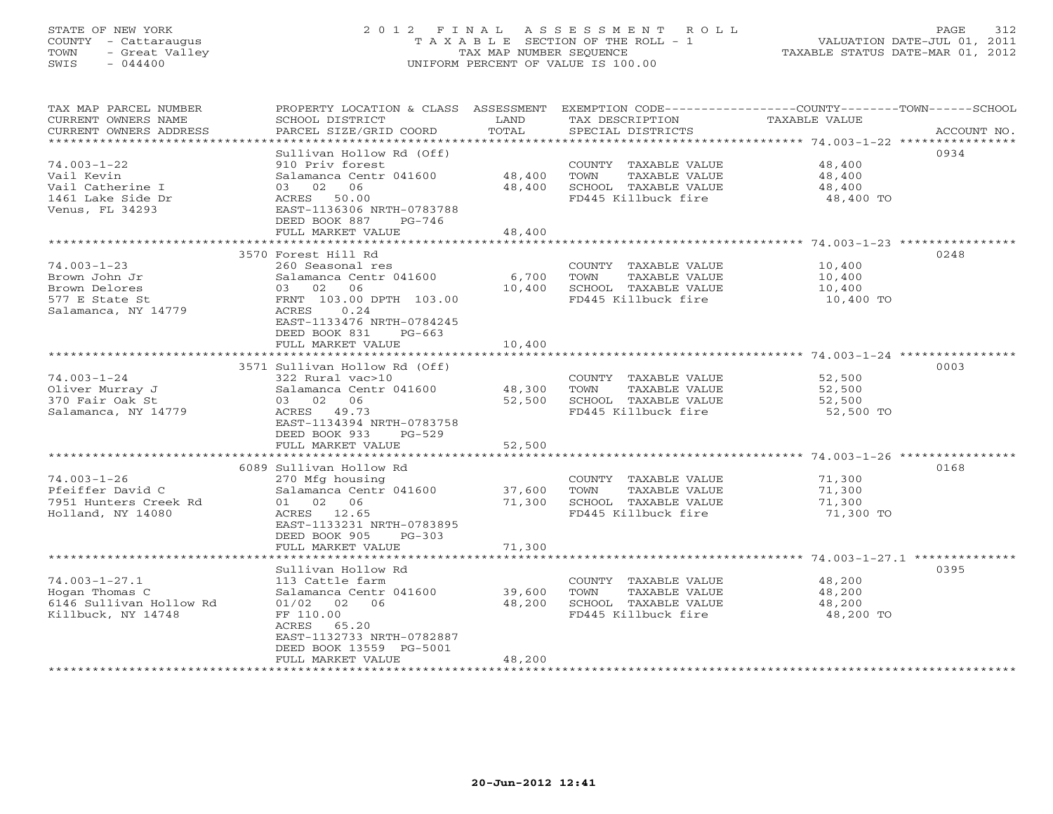## STATE OF NEW YORK 2 0 1 2 F I N A L A S S E S S M E N T R O L L PAGE 312 COUNTY - Cattaraugus T A X A B L E SECTION OF THE ROLL - 1 VALUATION DATE-JUL 01, 2011 TOWN - Great Valley TAX MAP NUMBER SEQUENCE TAXABLE STATUS DATE-MAR 01, 2012 SWIS - 044400 UNIFORM PERCENT OF VALUE IS 100.00UNIFORM PERCENT OF VALUE IS 100.00

| TAX MAP PARCEL NUMBER<br>CURRENT OWNERS NAME<br>CURRENT OWNERS ADDRESS | PROPERTY LOCATION & CLASS ASSESSMENT<br>SCHOOL DISTRICT<br>PARCEL SIZE/GRID COORD | LAND<br>TOTAL       | EXEMPTION CODE-----------------COUNTY-------TOWN------SCHOOL<br>TAX DESCRIPTION<br>SPECIAL DISTRICTS | TAXABLE VALUE | ACCOUNT NO. |
|------------------------------------------------------------------------|-----------------------------------------------------------------------------------|---------------------|------------------------------------------------------------------------------------------------------|---------------|-------------|
|                                                                        |                                                                                   |                     |                                                                                                      |               |             |
|                                                                        | Sullivan Hollow Rd (Off)                                                          |                     |                                                                                                      |               | 0934        |
| $74.003 - 1 - 22$                                                      | 910 Priv forest                                                                   |                     | COUNTY TAXABLE VALUE                                                                                 | 48,400        |             |
| Vail Kevin                                                             | Salamanca Centr 041600                                                            | 48,400              | TOWN<br>TAXABLE VALUE                                                                                | 48,400        |             |
| Vail Catherine I                                                       | 06<br>03 02                                                                       | 48,400              | SCHOOL TAXABLE VALUE                                                                                 | 48,400        |             |
| 1461 Lake Side Dr                                                      | ACRES 50.00                                                                       |                     | FD445 Killbuck fire                                                                                  | 48,400 TO     |             |
| Venus, FL 34293                                                        | EAST-1136306 NRTH-0783788                                                         |                     |                                                                                                      |               |             |
|                                                                        | DEED BOOK 887<br>PG-746                                                           |                     |                                                                                                      |               |             |
|                                                                        | FULL MARKET VALUE                                                                 | 48,400              |                                                                                                      |               |             |
|                                                                        |                                                                                   |                     |                                                                                                      |               |             |
|                                                                        | 3570 Forest Hill Rd                                                               |                     |                                                                                                      |               | 0248        |
| $74.003 - 1 - 23$                                                      | 260 Seasonal res                                                                  |                     | COUNTY TAXABLE VALUE                                                                                 | 10,400        |             |
| Brown John Jr                                                          | Salamanca Centr 041600                                                            | 6,700               | TAXABLE VALUE<br>TOWN                                                                                | 10,400        |             |
| Brown Delores                                                          | 03 02 06                                                                          | 10,400              | SCHOOL TAXABLE VALUE                                                                                 | 10,400        |             |
| 577 E State St                                                         | FRNT 103.00 DPTH 103.00                                                           |                     | FD445 Killbuck fire                                                                                  | 10,400 TO     |             |
| Salamanca, NY 14779                                                    | 0.24<br>ACRES                                                                     |                     |                                                                                                      |               |             |
|                                                                        | EAST-1133476 NRTH-0784245                                                         |                     |                                                                                                      |               |             |
|                                                                        | DEED BOOK 831<br>$PG-663$                                                         |                     |                                                                                                      |               |             |
|                                                                        | FULL MARKET VALUE                                                                 | 10,400              |                                                                                                      |               |             |
|                                                                        | ***************************                                                       |                     |                                                                                                      |               |             |
|                                                                        | 3571 Sullivan Hollow Rd (Off)                                                     |                     |                                                                                                      |               | 0003        |
| $74.003 - 1 - 24$                                                      | 322 Rural vac>10                                                                  |                     | COUNTY TAXABLE VALUE                                                                                 | 52,500        |             |
| Oliver Murray J                                                        | Salamanca Centr 041600                                                            | 48,300              | TOWN<br>TAXABLE VALUE                                                                                | 52,500        |             |
| 370 Fair Oak St                                                        | 03 02 06                                                                          | 52,500              | SCHOOL TAXABLE VALUE                                                                                 | 52,500        |             |
| Salamanca, NY 14779                                                    | ACRES 49.73                                                                       |                     | FD445 Killbuck fire                                                                                  | 52,500 TO     |             |
|                                                                        | EAST-1134394 NRTH-0783758                                                         |                     |                                                                                                      |               |             |
|                                                                        | DEED BOOK 933<br>$PG-529$                                                         |                     |                                                                                                      |               |             |
|                                                                        | FULL MARKET VALUE                                                                 | 52,500              |                                                                                                      |               |             |
|                                                                        | ******************************                                                    |                     |                                                                                                      |               |             |
|                                                                        | 6089 Sullivan Hollow Rd                                                           |                     |                                                                                                      |               | 0168        |
| $74.003 - 1 - 26$                                                      | 270 Mfg housing                                                                   |                     | COUNTY TAXABLE VALUE                                                                                 | 71,300        |             |
| Pfeiffer David C                                                       | Salamanca Centr 041600                                                            | 37,600              | TOWN<br>TAXABLE VALUE                                                                                | 71,300        |             |
| 7951 Hunters Creek Rd                                                  | 01 02 06                                                                          | 71,300              | SCHOOL TAXABLE VALUE                                                                                 | 71,300        |             |
| Holland, NY 14080                                                      | ACRES 12.65                                                                       |                     | FD445 Killbuck fire                                                                                  | 71,300 TO     |             |
|                                                                        | EAST-1133231 NRTH-0783895                                                         |                     |                                                                                                      |               |             |
|                                                                        | DEED BOOK 905<br>$PG-303$                                                         |                     |                                                                                                      |               |             |
|                                                                        | FULL MARKET VALUE                                                                 | 71,300              |                                                                                                      |               |             |
|                                                                        |                                                                                   |                     |                                                                                                      |               |             |
|                                                                        | Sullivan Hollow Rd                                                                |                     |                                                                                                      |               | 0395        |
| $74.003 - 1 - 27.1$                                                    | 113 Cattle farm                                                                   |                     | COUNTY TAXABLE VALUE                                                                                 | 48,200        |             |
| Hogan Thomas C                                                         | Salamanca Centr 041600                                                            | 39,600              | TOWN<br>TAXABLE VALUE                                                                                | 48,200        |             |
| 6146 Sullivan Hollow Rd                                                | $01/02$ 02 06<br>FF 110.00                                                        | 48,200              | SCHOOL TAXABLE VALUE<br>FD445 Killbuck fire                                                          | 48,200        |             |
| Killbuck, NY 14748                                                     | ACRES<br>65.20                                                                    |                     |                                                                                                      | 48,200 TO     |             |
|                                                                        | EAST-1132733 NRTH-0782887                                                         |                     |                                                                                                      |               |             |
|                                                                        | DEED BOOK 13559 PG-5001                                                           |                     |                                                                                                      |               |             |
|                                                                        | FULL MARKET VALUE                                                                 | 48,200              |                                                                                                      |               |             |
|                                                                        |                                                                                   | ******************* |                                                                                                      |               |             |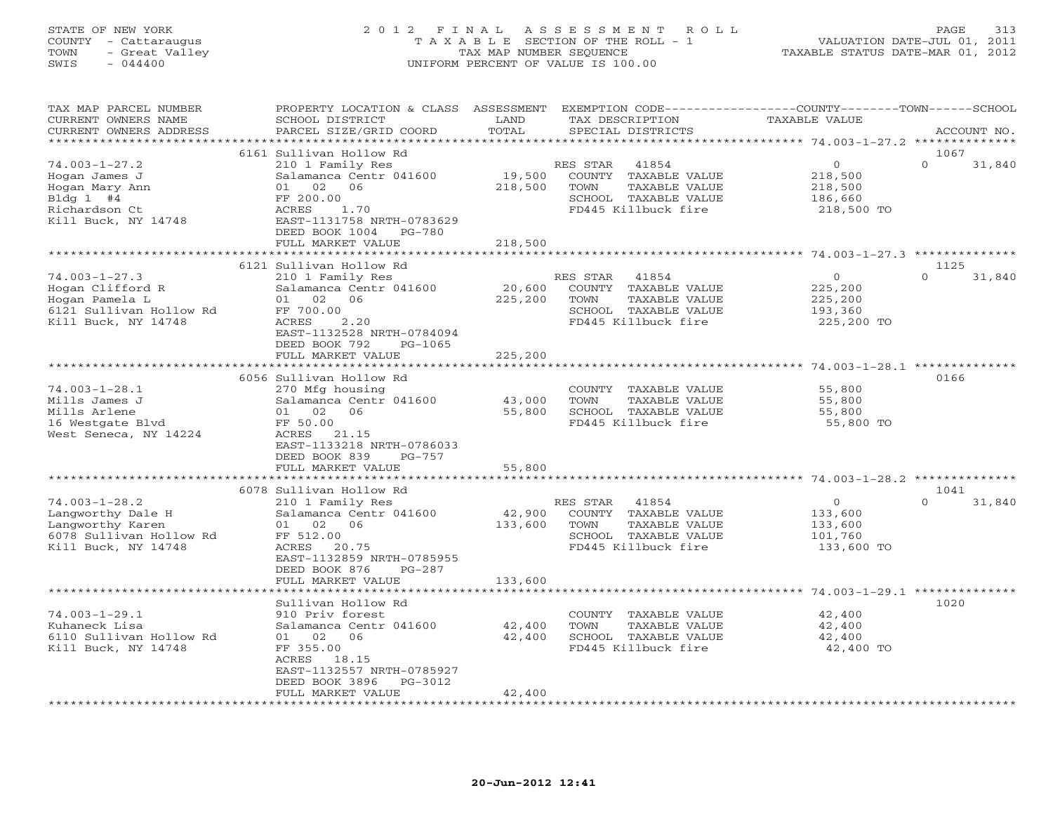### STATE OF NEW YORK 2 0 1 2 F I N A L A S S E S S M E N T R O L L PAGE 313 COUNTY - Cattaraugus T A X A B L E SECTION OF THE ROLL - 1 VALUATION DATE-JUL 01, 2011 TOWN - Great Valley TAX MAP NUMBER SEQUENCE TAXABLE STATUS DATE-MAR 01, 2012 SWIS - 044400 UNIFORM PERCENT OF VALUE IS 100.00UNIFORM PERCENT OF VALUE IS 100.00

| TAX MAP PARCEL NUMBER<br>CURRENT OWNERS NAME                                                                   | PROPERTY LOCATION & CLASS ASSESSMENT<br>SCHOOL DISTRICT                                                                                                                | LAND                         | TAX DESCRIPTION                                                                                                   | EXEMPTION CODE-----------------COUNTY-------TOWN------SCHOOL<br>TAXABLE VALUE |                    |
|----------------------------------------------------------------------------------------------------------------|------------------------------------------------------------------------------------------------------------------------------------------------------------------------|------------------------------|-------------------------------------------------------------------------------------------------------------------|-------------------------------------------------------------------------------|--------------------|
| CURRENT OWNERS ADDRESS<br>***********************                                                              | PARCEL SIZE/GRID COORD                                                                                                                                                 | TOTAL                        | SPECIAL DISTRICTS                                                                                                 |                                                                               | ACCOUNT NO.        |
|                                                                                                                | 6161 Sullivan Hollow Rd                                                                                                                                                |                              |                                                                                                                   |                                                                               | 1067               |
| $74.003 - 1 - 27.2$<br>Hogan James J<br>Hogan Mary Ann<br>B1dq 1 #4<br>Richardson Ct<br>Kill Buck, NY 14748    | 210 1 Family Res<br>Salamanca Centr 041600<br>01 02 06<br>FF 200.00<br>1.70<br>ACRES<br>EAST-1131758 NRTH-0783629<br>DEED BOOK 1004<br>PG-780<br>FULL MARKET VALUE     | 19,500<br>218,500<br>218,500 | RES STAR<br>41854<br>COUNTY TAXABLE VALUE<br>TOWN<br>TAXABLE VALUE<br>SCHOOL TAXABLE VALUE<br>FD445 Killbuck fire | $\overline{0}$<br>218,500<br>218,500<br>186,660<br>218,500 TO                 | $\Omega$<br>31,840 |
|                                                                                                                |                                                                                                                                                                        |                              |                                                                                                                   |                                                                               |                    |
|                                                                                                                | 6121 Sullivan Hollow Rd                                                                                                                                                |                              |                                                                                                                   |                                                                               | 1125               |
| $74.003 - 1 - 27.3$<br>Hogan Clifford R<br>Hogan Pamela L<br>6121 Sullivan Hollow Rd<br>Kill Buck, NY 14748    | 210 1 Family Res<br>Salamanca Centr 041600<br>01 02 06<br>FF 700.00<br>2.20<br>ACRES<br>EAST-1132528 NRTH-0784094<br>DEED BOOK 792<br>PG-1065                          | 20,600<br>225,200            | RES STAR<br>41854<br>COUNTY TAXABLE VALUE<br>TOWN<br>TAXABLE VALUE<br>SCHOOL TAXABLE VALUE<br>FD445 Killbuck fire | $\circ$<br>225,200<br>225,200<br>193,360<br>225,200 TO                        | $\Omega$<br>31,840 |
|                                                                                                                | FULL MARKET VALUE                                                                                                                                                      | 225,200                      |                                                                                                                   |                                                                               |                    |
|                                                                                                                |                                                                                                                                                                        |                              |                                                                                                                   |                                                                               |                    |
| $74.003 - 1 - 28.1$<br>Mills James J<br>Mills Arlene<br>16 Westgate Blvd<br>West Seneca, NY 14224              | 6056 Sullivan Hollow Rd<br>270 Mfg housing<br>Salamanca Centr 041600<br>01 02<br>06<br>FF 50.00<br>ACRES 21.15<br>EAST-1133218 NRTH-0786033<br>DEED BOOK 839<br>PG-757 | 43,000<br>55,800             | COUNTY TAXABLE VALUE<br>TOWN<br>TAXABLE VALUE<br>SCHOOL TAXABLE VALUE<br>FD445 Killbuck fire                      | 55,800<br>55,800<br>55,800<br>55,800 TO                                       | 0166               |
|                                                                                                                | FULL MARKET VALUE                                                                                                                                                      | 55,800                       |                                                                                                                   |                                                                               |                    |
|                                                                                                                |                                                                                                                                                                        |                              |                                                                                                                   |                                                                               |                    |
|                                                                                                                | 6078 Sullivan Hollow Rd                                                                                                                                                |                              |                                                                                                                   |                                                                               | 1041               |
| $74.003 - 1 - 28.2$<br>Langworthy Dale H<br>Langworthy Karen<br>6078 Sullivan Hollow Rd<br>Kill Buck, NY 14748 | 210 1 Family Res<br>Salamanca Centr 041600<br>01 02 06<br>FF 512.00<br>ACRES 20.75<br>EAST-1132859 NRTH-0785955<br>DEED BOOK 876<br>PG-287                             | 42,900<br>133,600            | RES STAR<br>41854<br>COUNTY TAXABLE VALUE<br>TOWN<br>TAXABLE VALUE<br>SCHOOL TAXABLE VALUE<br>FD445 Killbuck fire | $\overline{0}$<br>133,600<br>133,600<br>101,760<br>133,600 TO                 | $\Omega$<br>31,840 |
|                                                                                                                | FULL MARKET VALUE                                                                                                                                                      | 133,600                      |                                                                                                                   |                                                                               |                    |
| $74.003 - 1 - 29.1$                                                                                            | Sullivan Hollow Rd<br>910 Priv forest                                                                                                                                  |                              | COUNTY TAXABLE VALUE                                                                                              | 42,400                                                                        | 1020               |
| Kuhaneck Lisa<br>6110 Sullivan Hollow Rd<br>Kill Buck, NY 14748                                                | Salamanca Centr 041600<br>01 02 06<br>FF 355.00<br>ACRES 18.15<br>EAST-1132557 NRTH-0785927<br>DEED BOOK 3896<br>PG-3012<br>FULL MARKET VALUE                          | 42,400<br>42,400<br>42,400   | TOWN<br>TAXABLE VALUE<br>SCHOOL TAXABLE VALUE<br>FD445 Killbuck fire                                              | 42,400<br>42,400<br>42,400 TO                                                 |                    |
|                                                                                                                |                                                                                                                                                                        |                              | *****************************                                                                                     |                                                                               |                    |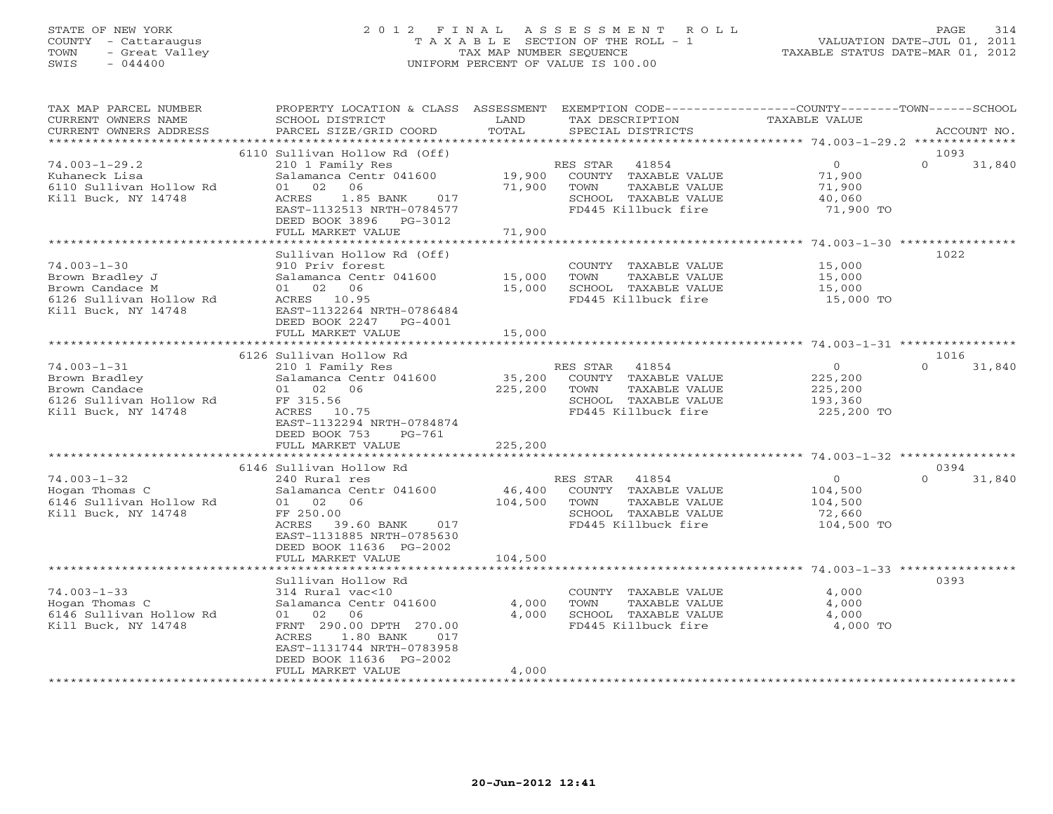# STATE OF NEW YORK 2 0 1 2 F I N A L A S S E S S M E N T R O L L PAGE 314 COUNTY - Cattaraugus T A X A B L E SECTION OF THE ROLL - 1 VALUATION DATE-JUL 01, 2011 TOWN - Great Valley TAX MAP NUMBER SEQUENCE TAXABLE STATUS DATE-MAR 01, 2012 SWIS - 044400 UNIFORM PERCENT OF VALUE IS 100.00

| TAX MAP PARCEL NUMBER<br>CURRENT OWNERS NAME                                                                                                                                                   | PROPERTY LOCATION & CLASS ASSESSMENT<br>SCHOOL DISTRICT                                                                                                                                                                                                                                                                                                                      | LAND                                    | TAX DESCRIPTION                                                                                                                                                                                                                         | EXEMPTION CODE-----------------COUNTY-------TOWN------SCHOOL<br>TAXABLE VALUE                                                                                                             |
|------------------------------------------------------------------------------------------------------------------------------------------------------------------------------------------------|------------------------------------------------------------------------------------------------------------------------------------------------------------------------------------------------------------------------------------------------------------------------------------------------------------------------------------------------------------------------------|-----------------------------------------|-----------------------------------------------------------------------------------------------------------------------------------------------------------------------------------------------------------------------------------------|-------------------------------------------------------------------------------------------------------------------------------------------------------------------------------------------|
| CURRENT OWNERS ADDRESS                                                                                                                                                                         | PARCEL SIZE/GRID COORD                                                                                                                                                                                                                                                                                                                                                       | TOTAL                                   | SPECIAL DISTRICTS                                                                                                                                                                                                                       | ACCOUNT NO.                                                                                                                                                                               |
|                                                                                                                                                                                                |                                                                                                                                                                                                                                                                                                                                                                              |                                         |                                                                                                                                                                                                                                         |                                                                                                                                                                                           |
| $74.003 - 1 - 29.2$<br>Kuhaneck Lisa<br>6110 Sullivan Hollow Rd<br>Kill Buck, NY 14748                                                                                                         | 6110 Sullivan Hollow Rd (Off)<br>210 1 Family Res<br>Salamanca Centr 041600<br>01 02 06<br>ACRES 1.85 BANK<br>017<br>EAST-1132513 NRTH-0784577<br>DEED BOOK 3896 PG-3012<br>FULL MARKET VALUE                                                                                                                                                                                | 19,900<br>71,900<br>71,900              | RES STAR<br>41854<br>COUNTY TAXABLE VALUE<br>TOWN<br>TAXABLE VALUE<br>SCHOOL TAXABLE VALUE<br>FD445 Killbuck fire                                                                                                                       | 1093<br>$\overline{0}$<br>$\Omega$<br>31,840<br>71,900<br>71,900<br>40,060<br>71,900 TO                                                                                                   |
|                                                                                                                                                                                                |                                                                                                                                                                                                                                                                                                                                                                              |                                         |                                                                                                                                                                                                                                         |                                                                                                                                                                                           |
| $74.003 - 1 - 30$<br>Brown Bradley J<br>Brown Candace M<br>6126 Sullivan Hollow Rd<br>Kill Buck, NY 14748                                                                                      | Sullivan Hollow Rd (Off)<br>910 Priv forest<br>Salamanca Centr 041600<br>01 02 06<br>ACRES 10.95<br>EAST-1132264 NRTH-0786484<br>DEED BOOK 2247<br>PG-4001                                                                                                                                                                                                                   | 15,000<br>15,000                        | COUNTY TAXABLE VALUE<br>TOWN<br>TAXABLE VALUE<br>SCHOOL TAXABLE VALUE<br>FD445 Killbuck fire                                                                                                                                            | 1022<br>15,000<br>15,000<br>15,000<br>15,000 TO                                                                                                                                           |
|                                                                                                                                                                                                | FULL MARKET VALUE                                                                                                                                                                                                                                                                                                                                                            | 15,000                                  |                                                                                                                                                                                                                                         |                                                                                                                                                                                           |
|                                                                                                                                                                                                |                                                                                                                                                                                                                                                                                                                                                                              |                                         |                                                                                                                                                                                                                                         |                                                                                                                                                                                           |
| $74.003 - 1 - 31$<br>Brown Bradley<br>Brown Candace<br>6126 Sullivan Hollow Rd<br>Kill Buck, NY 14748<br>$74.003 - 1 - 32$<br>Hogan Thomas C<br>6146 Sullivan Hollow Rd<br>Kill Buck, NY 14748 | 6126 Sullivan Hollow Rd<br>210 1 Family Res<br>Salamanca Centr 041600<br>01 02 06<br>FF 315.56<br>ACRES 10.75<br>EAST-1132294 NRTH-0784874<br>DEED BOOK 753<br>PG-761<br>FULL MARKET VALUE<br>6146 Sullivan Hollow Rd<br>240 Rural res<br>Salamanca Centr 041600<br>01 02 06<br>FF 250.00<br>ACRES<br>39.60 BANK 017<br>EAST-1131885 NRTH-0785630<br>DEED BOOK 11636 PG-2002 | 35,200<br>225,200<br>225,200<br>104,500 | RES STAR 41854<br>COUNTY TAXABLE VALUE<br>TOWN<br>TAXABLE VALUE<br>SCHOOL TAXABLE VALUE<br>FD445 Killbuck fire<br>RES STAR 41854<br>46,400 COUNTY TAXABLE VALUE<br>TAXABLE VALUE<br>TOWN<br>SCHOOL TAXABLE VALUE<br>FD445 Killbuck fire | 1016<br>$\overline{O}$<br>$\Omega$<br>31,840<br>225,200<br>225,200<br>193,360<br>225,200 TO<br>0394<br>$\Omega$<br>31,840<br>$\overline{O}$<br>104,500<br>104,500<br>72,660<br>104,500 TO |
|                                                                                                                                                                                                | FULL MARKET VALUE                                                                                                                                                                                                                                                                                                                                                            | 104,500                                 |                                                                                                                                                                                                                                         |                                                                                                                                                                                           |
|                                                                                                                                                                                                | Sullivan Hollow Rd                                                                                                                                                                                                                                                                                                                                                           |                                         |                                                                                                                                                                                                                                         | 0393                                                                                                                                                                                      |
| $74.003 - 1 - 33$<br>Hogan Thomas C<br>6146 Sullivan Hollow Rd<br>Kill Buck, NY 14748                                                                                                          | 314 Rural vac<10<br>Salamanca Centr 041600<br>01 02 06<br>FRNT 290.00 DPTH 270.00<br>ACRES<br>1.80 BANK<br>017<br>EAST-1131744 NRTH-0783958<br>DEED BOOK 11636 PG-2002<br>FULL MARKET VALUE                                                                                                                                                                                  | 4,000<br>4,000<br>4,000                 | COUNTY TAXABLE VALUE<br>TOWN<br>TAXABLE VALUE<br>SCHOOL TAXABLE VALUE<br>FD445 Killbuck fire                                                                                                                                            | 4,000<br>4,000<br>4,000<br>4,000 TO                                                                                                                                                       |
|                                                                                                                                                                                                |                                                                                                                                                                                                                                                                                                                                                                              |                                         |                                                                                                                                                                                                                                         |                                                                                                                                                                                           |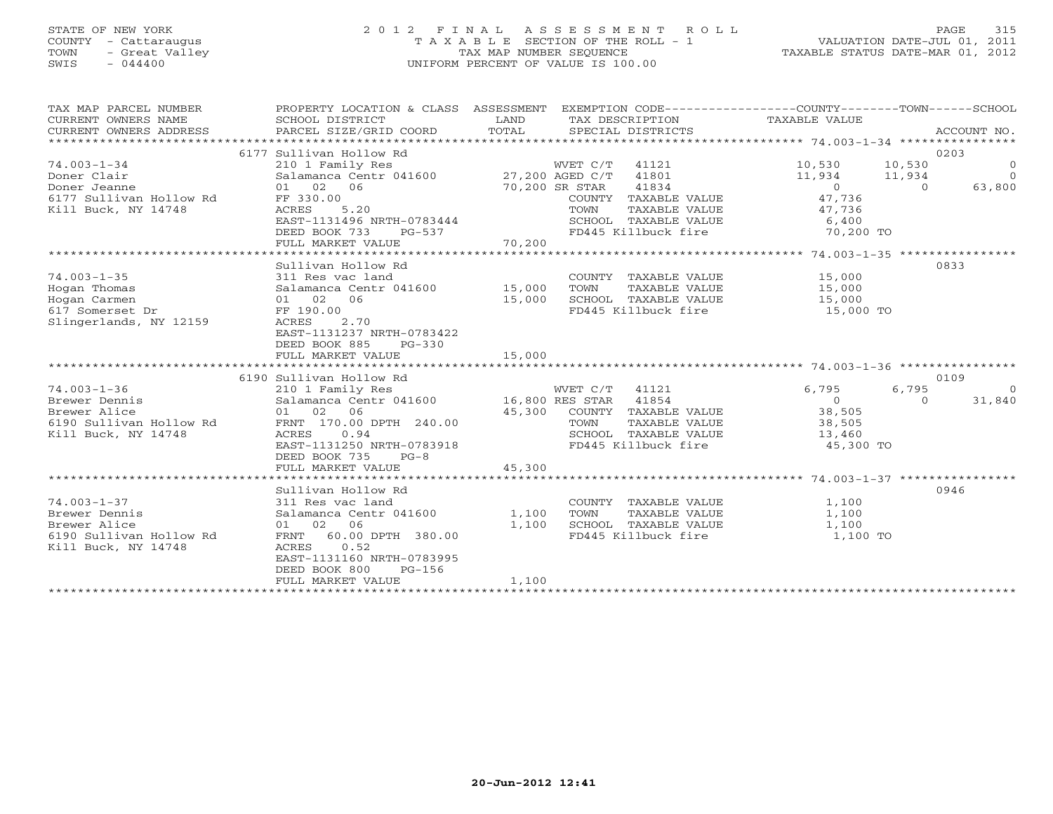### STATE OF NEW YORK 2 0 1 2 F I N A L A S S E S S M E N T R O L L PAGE 315 COUNTY - Cattaraugus T A X A B L E SECTION OF THE ROLL - 1 VALUATION DATE-JUL 01, 2011 TOWN - Great Valley TAX MAP NUMBER SEQUENCE TAXABLE STATUS DATE-MAR 01, 2012 SWIS - 044400 UNIFORM PERCENT OF VALUE IS 100.00UNIFORM PERCENT OF VALUE IS 100.00

| TAX MAP PARCEL NUMBER<br>CURRENT OWNERS NAME<br>CURRENT OWNERS ADDRESS | PROPERTY LOCATION & CLASS ASSESSMENT<br>SCHOOL DISTRICT<br>PARCEL SIZE/GRID COORD | LAND<br>TOTAL  |                | EXEMPTION CODE-----------------COUNTY-------TOWN------SCHOOL<br>TAX DESCRIPTION TAXABLE VALUE<br>SPECIAL DISTRICTS |                |                | ACCOUNT NO.               |
|------------------------------------------------------------------------|-----------------------------------------------------------------------------------|----------------|----------------|--------------------------------------------------------------------------------------------------------------------|----------------|----------------|---------------------------|
|                                                                        | 6177 Sullivan Hollow Rd                                                           |                |                |                                                                                                                    |                |                | 0203                      |
| $74.003 - 1 - 34$                                                      |                                                                                   |                | WVET C/T 41121 |                                                                                                                    | 10,530         |                |                           |
|                                                                        | 210 1 Family Res<br>Salamanca Centr 041600 27,200 AGED C/T 41801                  |                |                |                                                                                                                    | 11,934 11,934  | 10,530         | $\circ$<br>$\overline{0}$ |
| Doner Clair                                                            |                                                                                   |                |                | 41834                                                                                                              |                | $\overline{0}$ |                           |
| Doner Jeanne                                                           | 01 02 06                                                                          | 70,200 SR STAR |                |                                                                                                                    | $\overline{0}$ |                | 63,800                    |
| 6177 Sullivan Hollow Rd<br>Kill Buck, NY 14748                         | FF 330.00<br>ACRES<br>5.20                                                        |                |                | COUNTY TAXABLE VALUE                                                                                               | 47,736         |                |                           |
|                                                                        |                                                                                   |                | TOWN           | TAXABLE VALUE<br>SCHOOL TAXABLE VALUE 6,400                                                                        | 47,736         |                |                           |
|                                                                        | EAST-1131496 NRTH-0783444<br>DEED BOOK 733                                        |                |                |                                                                                                                    | 70,200 TO      |                |                           |
|                                                                        | PG-537<br>FULL MARKET VALUE                                                       | 70,200         |                | FD445 Killbuck fire                                                                                                |                |                |                           |
|                                                                        |                                                                                   |                |                |                                                                                                                    |                |                |                           |
|                                                                        | Sullivan Hollow Rd                                                                |                |                |                                                                                                                    |                |                | 0833                      |
| $74.003 - 1 - 35$                                                      | 311 Res vac land                                                                  |                |                | COUNTY TAXABLE VALUE                                                                                               | 15,000         |                |                           |
|                                                                        | Salamanca Centr 041600 15,000                                                     |                | TOWN           | TAXABLE VALUE                                                                                                      | 15,000         |                |                           |
| Hogan Thomas<br>Hogan Carmen                                           | 01 02 06                                                                          | 15,000         |                | SCHOOL TAXABLE VALUE                                                                                               | 15,000         |                |                           |
| 617 Somerset Dr                                                        | FF 190.00                                                                         |                |                | FD445 Killbuck fire                                                                                                | 15,000 TO      |                |                           |
| Slingerlands, NY 12159                                                 | 2.70<br>ACRES                                                                     |                |                |                                                                                                                    |                |                |                           |
|                                                                        | EAST-1131237 NRTH-0783422                                                         |                |                |                                                                                                                    |                |                |                           |
|                                                                        | DEED BOOK 885<br>$PG-330$                                                         |                |                |                                                                                                                    |                |                |                           |
|                                                                        | FULL MARKET VALUE                                                                 | 15,000         |                |                                                                                                                    |                |                |                           |
|                                                                        |                                                                                   |                |                |                                                                                                                    |                |                |                           |
|                                                                        | 6190 Sullivan Hollow Rd                                                           |                |                |                                                                                                                    |                |                | 0109                      |
| $74.003 - 1 - 36$                                                      |                                                                                   |                |                |                                                                                                                    | 6,795          | 6,795          | $\bigcirc$                |
| Brewer Dennis                                                          | 210 1 Family Res<br>Salamanca Centr 041600 16,800 RES STAR 41854                  |                |                |                                                                                                                    | $\sim$ 0       | $\Omega$       | 31,840                    |
| Brewer Alice                                                           | 01 02<br>06                                                                       | 45,300         |                | COUNTY TAXABLE VALUE 38,505                                                                                        |                |                |                           |
| 6190 Sullivan Hollow Rd                                                | FRNT 170.00 DPTH 240.00                                                           |                | TOWN           | TAXABLE VALUE                                                                                                      | 38,505         |                |                           |
| Kill Buck, NY 14748                                                    | ACRES<br>0.94                                                                     |                |                | SCHOOL TAXABLE VALUE                                                                                               | 13,460         |                |                           |
|                                                                        | EAST-1131250 NRTH-0783918                                                         |                |                | FD445 Killbuck fire 45,300 TO                                                                                      |                |                |                           |
|                                                                        | DEED BOOK 735<br>$PG-8$                                                           |                |                |                                                                                                                    |                |                |                           |
|                                                                        | FULL MARKET VALUE                                                                 | 45,300         |                |                                                                                                                    |                |                |                           |
|                                                                        |                                                                                   |                |                |                                                                                                                    |                |                |                           |
|                                                                        | Sullivan Hollow Rd                                                                |                |                |                                                                                                                    |                |                | 0946                      |
| $74.003 - 1 - 37$                                                      | 311 Res vac land                                                                  |                |                | COUNTY TAXABLE VALUE                                                                                               | 1,100          |                |                           |
| Brewer Dennis                                                          | Salamanca Centr 041600 1,100                                                      |                | TOWN           | TAXABLE VALUE                                                                                                      | 1,100          |                |                           |
| Brewer Alice                                                           | 01 02 06                                                                          | 1,100          |                | SCHOOL TAXABLE VALUE                                                                                               | 1,100          |                |                           |
| 6190 Sullivan Hollow Rd                                                | FRNT 60.00 DPTH 380.00                                                            |                |                | FD445 Killbuck fire                                                                                                | 1,100 TO       |                |                           |
| Kill Buck, NY 14748                                                    | 0.52<br>ACRES                                                                     |                |                |                                                                                                                    |                |                |                           |
|                                                                        | EAST-1131160 NRTH-0783995                                                         |                |                |                                                                                                                    |                |                |                           |
|                                                                        | DEED BOOK 800<br>$PG-156$                                                         |                |                |                                                                                                                    |                |                |                           |
|                                                                        | FULL MARKET VALUE                                                                 | 1,100          |                |                                                                                                                    |                |                |                           |
|                                                                        |                                                                                   |                |                |                                                                                                                    |                |                |                           |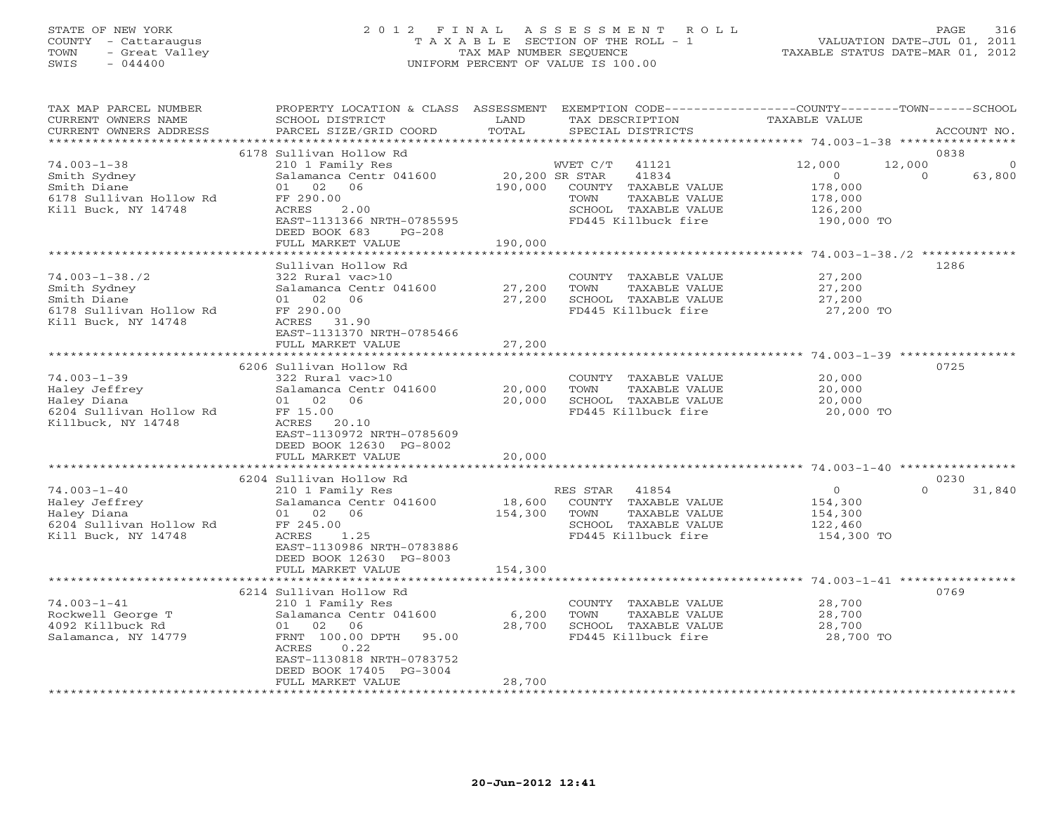# STATE OF NEW YORK 2 0 1 2 F I N A L A S S E S S M E N T R O L L PAGE 316 COUNTY - Cattaraugus T A X A B L E SECTION OF THE ROLL - 1 VALUATION DATE-JUL 01, 2011 TOWN - Great Valley TAX MAP NUMBER SEQUENCE TAXABLE STATUS DATE-MAR 01, 2012 SWIS - 044400 UNIFORM PERCENT OF VALUE IS 100.00

| TAX MAP PARCEL NUMBER<br>CURRENT OWNERS NAME<br>CURRENT OWNERS ADDRESS                                | PROPERTY LOCATION & CLASS ASSESSMENT<br>SCHOOL DISTRICT<br>PARCEL SIZE/GRID COORD                                                                                                                                  | LAND<br>TOTAL                                         | TAX DESCRIPTION<br>SPECIAL DISTRICTS                                                                                       | EXEMPTION CODE----------------COUNTY-------TOWN------SCHOOL<br>TAXABLE VALUE | ACCOUNT NO.                            |
|-------------------------------------------------------------------------------------------------------|--------------------------------------------------------------------------------------------------------------------------------------------------------------------------------------------------------------------|-------------------------------------------------------|----------------------------------------------------------------------------------------------------------------------------|------------------------------------------------------------------------------|----------------------------------------|
| *************************                                                                             |                                                                                                                                                                                                                    |                                                       |                                                                                                                            |                                                                              |                                        |
| $74.003 - 1 - 38$<br>Smith Sydney<br>Smith Diane<br>6178 Sullivan Hollow Rd<br>Kill Buck, NY 14748    | 6178 Sullivan Hollow Rd<br>210 1 Family Res<br>Salamanca Centr 041600<br>01 02 06<br>FF 290.00<br>ACRES<br>2.00<br>EAST-1131366 NRTH-0785595<br>DEED BOOK 683<br>$PG-208$<br>FULL MARKET VALUE                     | 20,200 SR STAR<br>190,000<br>190,000                  | WVET C/T<br>41121<br>41834<br>COUNTY TAXABLE VALUE<br>TAXABLE VALUE<br>TOWN<br>SCHOOL TAXABLE VALUE<br>FD445 Killbuck fire | 12,000<br>12,000<br>$\Omega$<br>178,000<br>178,000<br>126,200<br>190,000 TO  | 0838<br>$\Omega$<br>$\Omega$<br>63,800 |
|                                                                                                       |                                                                                                                                                                                                                    | * * * * * * * * * * * * * *                           |                                                                                                                            |                                                                              |                                        |
| $74.003 - 1 - 38.72$<br>Smith Sydney<br>Smith Diane<br>6178 Sullivan Hollow Rd<br>Kill Buck, NY 14748 | Sullivan Hollow Rd<br>322 Rural vac>10<br>Salamanca Centr 041600<br>01 02<br>06<br>FF 290.00<br>ACRES 31.90<br>EAST-1131370 NRTH-0785466                                                                           | 27,200<br>27,200                                      | COUNTY TAXABLE VALUE<br>TOWN<br>TAXABLE VALUE<br>SCHOOL TAXABLE VALUE<br>FD445 Killbuck fire                               | 27,200<br>27,200<br>27,200<br>27,200 TO                                      | 1286                                   |
|                                                                                                       | FULL MARKET VALUE                                                                                                                                                                                                  | 27,200                                                |                                                                                                                            |                                                                              |                                        |
| $74.003 - 1 - 39$<br>Haley Jeffrey<br>Haley Diana<br>6204 Sullivan Hollow Rd<br>Killbuck, NY 14748    | 6206 Sullivan Hollow Rd<br>322 Rural vac>10<br>Salamanca Centr 041600<br>01 02 06<br>FF 15.00<br>ACRES<br>20.10<br>EAST-1130972 NRTH-0785609<br>DEED BOOK 12630 PG-8002<br>FULL MARKET VALUE                       | 20,000<br>20,000<br>20,000<br>* * * * * * * * * * * * | COUNTY TAXABLE VALUE<br>TOWN<br>TAXABLE VALUE<br>SCHOOL TAXABLE VALUE<br>FD445 Killbuck fire                               | 20,000<br>20,000<br>20,000<br>20,000 TO                                      | 0725                                   |
|                                                                                                       | 6204 Sullivan Hollow Rd                                                                                                                                                                                            |                                                       |                                                                                                                            |                                                                              | 0230                                   |
| $74.003 - 1 - 40$<br>Haley Jeffrey<br>Haley Diana<br>6204 Sullivan Hollow Rd<br>Kill Buck, NY 14748   | 210 1 Family Res<br>Salamanca Centr 041600<br>01 02 06<br>FF 245.00<br>ACRES<br>1.25<br>EAST-1130986 NRTH-0783886<br>DEED BOOK 12630 PG-8003                                                                       | 18,600<br>154,300                                     | RES STAR<br>41854<br>COUNTY TAXABLE VALUE<br>TOWN<br>TAXABLE VALUE<br>SCHOOL TAXABLE VALUE<br>FD445 Killbuck fire          | $\overline{0}$<br>154,300<br>154,300<br>122,460<br>154,300 TO                | $\Omega$<br>31,840                     |
|                                                                                                       | FULL MARKET VALUE                                                                                                                                                                                                  | 154,300                                               |                                                                                                                            |                                                                              |                                        |
| $74.003 - 1 - 41$<br>Rockwell George T<br>4092 Killbuck Rd<br>Salamanca, NY 14779                     | 6214 Sullivan Hollow Rd<br>210 1 Family Res<br>Salamanca Centr 041600<br>02<br>06<br>01<br>FRNT 100.00 DPTH<br>95.00<br>ACRES<br>0.22<br>EAST-1130818 NRTH-0783752<br>DEED BOOK 17405 PG-3004<br>FULL MARKET VALUE | 6,200<br>28,700<br>28,700                             | COUNTY TAXABLE VALUE<br>TOWN<br>TAXABLE VALUE<br>SCHOOL TAXABLE VALUE<br>FD445 Killbuck fire                               | 28,700<br>28,700<br>28,700<br>28,700 TO                                      | 0769                                   |
|                                                                                                       |                                                                                                                                                                                                                    |                                                       |                                                                                                                            |                                                                              |                                        |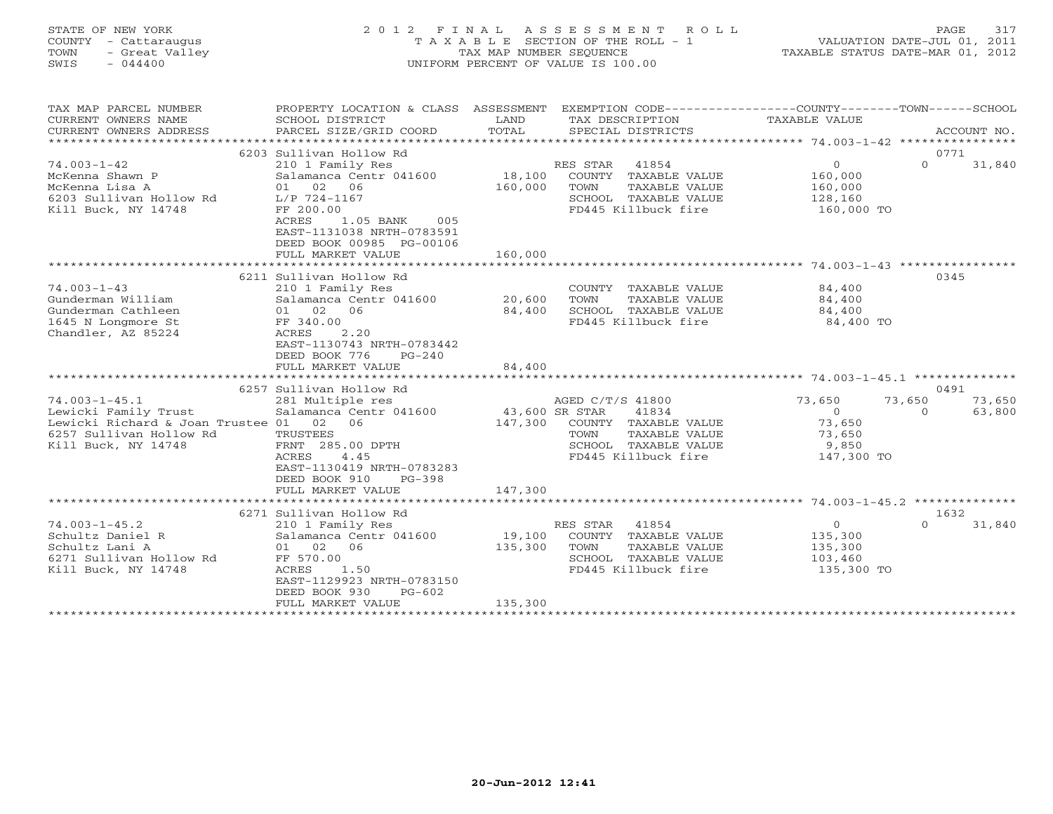| STATE OF NEW YORK<br>TOWN<br>SWIS | COUNTY - Cattaraugus<br>- Great Valley<br>$-044400$ | 2012 FINAL ASSESSMENT ROLL<br>T A X A B L E SECTION OF THE ROLL - 1<br>TAX MAP NUMBER SEOUENCE<br>UNIFORM PERCENT OF VALUE IS 100.00 | VALUATION DATE-JUL 01, 2011<br>TAXABLE STATUS DATE-MAR 01, 2012 | PAGE | 317 |
|-----------------------------------|-----------------------------------------------------|--------------------------------------------------------------------------------------------------------------------------------------|-----------------------------------------------------------------|------|-----|
|                                   |                                                     |                                                                                                                                      |                                                                 |      |     |

TAX MAP PARCEL NUMBER PROPERTY LOCATION & CLASS ASSESSMENT EXEMPTION CODE------------------COUNTY--------TOWN------SCHOOL

| CURRENT OWNERS NAME                                 | SCHOOL DISTRICT                            | LAND           | TAX DESCRIPTION                       | TAXABLE VALUE         |                    |
|-----------------------------------------------------|--------------------------------------------|----------------|---------------------------------------|-----------------------|--------------------|
| CURRENT OWNERS ADDRESS<br>************************* | PARCEL SIZE/GRID COORD                     | TOTAL          | SPECIAL DISTRICTS                     |                       | ACCOUNT NO.        |
|                                                     |                                            |                |                                       |                       |                    |
|                                                     | 6203 Sullivan Hollow Rd                    |                |                                       | $\circ$               | 0771<br>$\Omega$   |
| $74.003 - 1 - 42$                                   | 210 1 Family Res<br>Salamanca Centr 041600 | 18,100         | RES STAR<br>41854                     | 160,000               | 31,840             |
| McKenna Shawn P                                     | 01 02 06                                   | 160,000        | COUNTY TAXABLE VALUE<br>TAXABLE VALUE | 160,000               |                    |
| McKenna Lisa A<br>6203 Sullivan Hollow Rd           | L/P 724-1167                               |                | TOWN<br>SCHOOL TAXABLE VALUE          |                       |                    |
| Kill Buck, NY 14748                                 | FF 200.00                                  |                | FD445 Killbuck fire                   | 128,160<br>160,000 TO |                    |
|                                                     | 1.05 BANK<br>ACRES<br>005                  |                |                                       |                       |                    |
|                                                     | EAST-1131038 NRTH-0783591                  |                |                                       |                       |                    |
|                                                     | DEED BOOK 00985 PG-00106                   |                |                                       |                       |                    |
|                                                     | FULL MARKET VALUE                          | 160,000        |                                       |                       |                    |
|                                                     |                                            |                |                                       |                       |                    |
|                                                     | 6211 Sullivan Hollow Rd                    |                |                                       |                       | 0345               |
| $74.003 - 1 - 43$                                   | 210 1 Family Res                           |                | COUNTY<br>TAXABLE VALUE               | 84,400                |                    |
| Gunderman William                                   | Salamanca Centr 041600                     | 20,600         | TAXABLE VALUE<br>TOWN                 | 84,400                |                    |
| Gunderman Cathleen                                  | 01 02 06                                   | 84,400         | SCHOOL TAXABLE VALUE                  | 84,400                |                    |
| 1645 N Longmore St                                  | FF 340.00                                  |                | FD445 Killbuck fire                   | 84,400 TO             |                    |
| Chandler, AZ 85224                                  | 2.20<br>ACRES                              |                |                                       |                       |                    |
|                                                     | EAST-1130743 NRTH-0783442                  |                |                                       |                       |                    |
|                                                     | DEED BOOK 776<br>$PG-240$                  |                |                                       |                       |                    |
|                                                     | FULL MARKET VALUE                          | 84,400         |                                       |                       |                    |
|                                                     |                                            |                |                                       |                       |                    |
|                                                     | 6257 Sullivan Hollow Rd                    |                |                                       |                       | 0491               |
| $74.003 - 1 - 45.1$                                 | 281 Multiple res                           |                | AGED C/T/S 41800                      | 73,650                | 73,650<br>73,650   |
| Lewicki Family Trust                                | Salamanca Centr 041600                     | 43,600 SR STAR | 41834                                 | $\Omega$              | $\Omega$<br>63,800 |
| Lewicki Richard & Joan Trustee 01                   | 02<br>06                                   | 147,300        | COUNTY TAXABLE VALUE                  | 73,650                |                    |
| 6257 Sullivan Hollow Rd                             | TRUSTEES                                   |                | TAXABLE VALUE<br>TOWN                 | 73,650                |                    |
| Kill Buck, NY 14748                                 | FRNT 285.00 DPTH                           |                | SCHOOL TAXABLE VALUE                  | 9,850                 |                    |
|                                                     | 4.45<br>ACRES                              |                | FD445 Killbuck fire                   | 147,300 TO            |                    |
|                                                     | EAST-1130419 NRTH-0783283                  |                |                                       |                       |                    |
|                                                     | DEED BOOK 910<br>$PG-398$                  |                |                                       |                       |                    |
|                                                     | FULL MARKET VALUE                          | 147,300        |                                       |                       |                    |
|                                                     |                                            |                |                                       |                       |                    |
|                                                     | 6271 Sullivan Hollow Rd                    |                |                                       |                       | 1632               |
| $74.003 - 1 - 45.2$                                 | 210 1 Family Res                           |                | 41854<br>RES STAR                     | $\circ$               | $\cap$<br>31,840   |
| Schultz Daniel R                                    | Salamanca Centr 041600                     | 19,100         | COUNTY TAXABLE VALUE                  | 135,300               |                    |
| Schultz Lani A                                      | 01 02<br>06                                | 135,300        | TOWN<br>TAXABLE VALUE                 | 135,300               |                    |
| 6271 Sullivan Hollow Rd                             | FF 570.00                                  |                | SCHOOL TAXABLE VALUE                  | 103,460               |                    |
| Kill Buck, NY 14748                                 | ACRES<br>1.50                              |                | FD445 Killbuck fire                   | 135,300 TO            |                    |
|                                                     | EAST-1129923 NRTH-0783150                  |                |                                       |                       |                    |
|                                                     | DEED BOOK 930<br>$PG-602$                  |                |                                       |                       |                    |
|                                                     | FULL MARKET VALUE                          | 135,300        |                                       |                       |                    |
|                                                     |                                            |                |                                       |                       |                    |
|                                                     |                                            |                |                                       |                       |                    |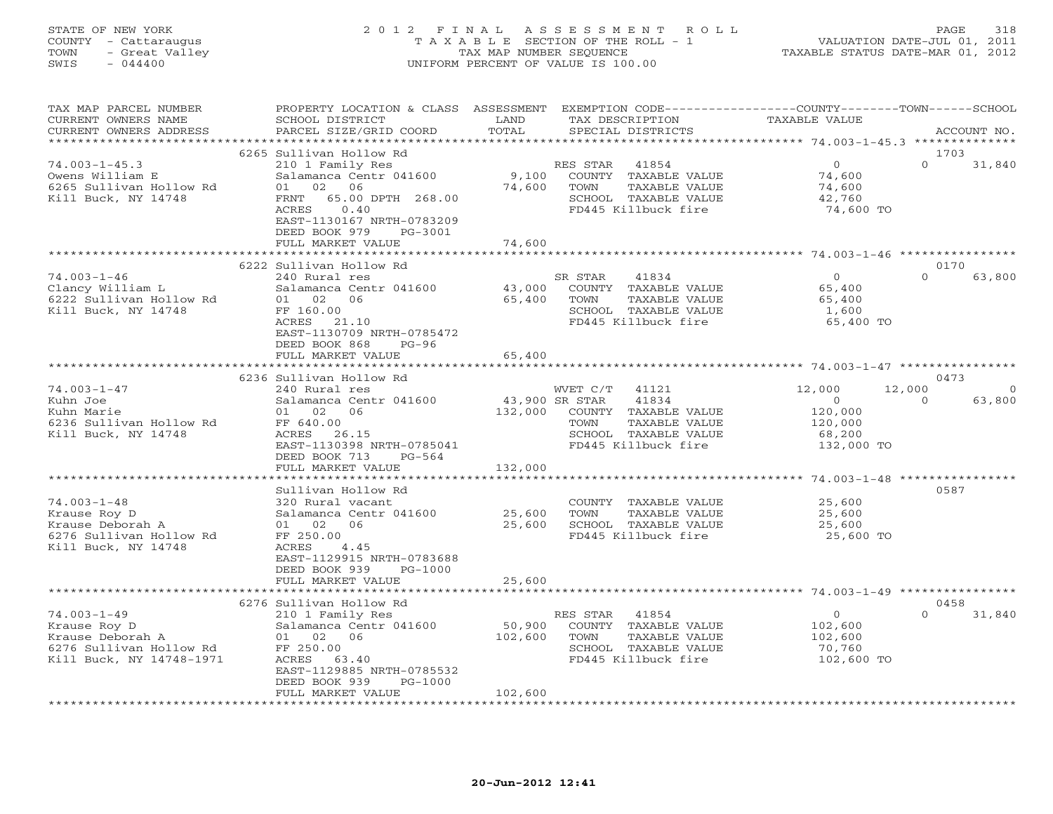# STATE OF NEW YORK 2 0 1 2 F I N A L A S S E S S M E N T R O L L PAGE 318 COUNTY - Cattaraugus T A X A B L E SECTION OF THE ROLL - 1 VALUATION DATE-JUL 01, 2011 TOWN - Great Valley TAX MAP NUMBER SEQUENCE TAXABLE STATUS DATE-MAR 01, 2012 SWIS - 044400 UNIFORM PERCENT OF VALUE IS 100.00

| TAX MAP PARCEL NUMBER<br>CURRENT OWNERS NAME<br>CURRENT OWNERS ADDRESS                                                                                                                | PROPERTY LOCATION & CLASS ASSESSMENT EXEMPTION CODE----------------COUNTY-------TOWN------SCHOOL<br>SCHOOL DISTRICT<br>PARCEL SIZE/GRID COORD                                         | LAND<br>TOTAL     | TAX DESCRIPTION<br>SPECIAL DISTRICTS                                                                                            | TAXABLE VALUE                                                                    | ACCOUNT NO.                                |
|---------------------------------------------------------------------------------------------------------------------------------------------------------------------------------------|---------------------------------------------------------------------------------------------------------------------------------------------------------------------------------------|-------------------|---------------------------------------------------------------------------------------------------------------------------------|----------------------------------------------------------------------------------|--------------------------------------------|
|                                                                                                                                                                                       |                                                                                                                                                                                       |                   |                                                                                                                                 |                                                                                  |                                            |
| $74.003 - 1 - 45.3$<br>Owens William E<br>6265 Sullivan Hollow Rd<br>Kill Buck, NY 14748                                                                                              | 6265 Sullivan Hollow Rd<br>210 1 Family Res<br>Salamanca Centr 041600<br>01 02 06<br>FRNT 65.00 DPTH 268.00<br>0.40<br>ACRES<br>EAST-1130167 NRTH-0783209<br>DEED BOOK 979<br>PG-3001 | 74,600            | RES STAR<br>41854<br>9,100 COUNTY TAXABLE VALUE<br>TOWN<br>TAXABLE VALUE<br>SCHOOL TAXABLE VALUE<br>FD445 Killbuck fire         | $\Omega$<br>74,600<br>74,600<br>42,760<br>74,600 TO                              | 1703<br>$\Omega$<br>31,840                 |
|                                                                                                                                                                                       | FULL MARKET VALUE                                                                                                                                                                     | 74,600            |                                                                                                                                 |                                                                                  |                                            |
|                                                                                                                                                                                       |                                                                                                                                                                                       |                   |                                                                                                                                 |                                                                                  |                                            |
|                                                                                                                                                                                       | 6222 Sullivan Hollow Rd                                                                                                                                                               |                   |                                                                                                                                 |                                                                                  | 0170                                       |
| 74.003-1-46<br>Clancy William L<br>Clancy William L<br>Compared Salamanca Center 160.00                                                                                               | 240 Rural res<br>Salamanca Centr 041600<br>ACRES 21.10<br>EAST-1130709 NRTH-0785472<br>DEED BOOK 868<br>$PG-96$                                                                       | 43,000<br>65,400  | SR STAR<br>41834<br>COUNTY TAXABLE VALUE<br>TOWN<br>TAXABLE VALUE<br>SCHOOL TAXABLE VALUE<br>FD445 Killbuck fire                | $\overline{0}$<br>65,400<br>65,400<br>1,600<br>65,400 TO                         | $\Omega$<br>63,800                         |
|                                                                                                                                                                                       | FULL MARKET VALUE                                                                                                                                                                     | 65,400            |                                                                                                                                 |                                                                                  |                                            |
|                                                                                                                                                                                       |                                                                                                                                                                                       |                   |                                                                                                                                 |                                                                                  |                                            |
| $74.003 - 1 - 47$                                                                                                                                                                     | 6236 Sullivan Hollow Rd                                                                                                                                                               |                   |                                                                                                                                 |                                                                                  | 0473                                       |
| Kuhn Joe<br>Kuhn Marie<br>Kuhn Marie<br>6236 Sullivan Hollow Rd<br>Kill Buck, NY 14748<br>Kill Buck, NY 14748                                                                         | 240 Rural res<br>Salamanca Centr 041600<br>01 02 06<br>FF 640.00<br>ACRES 26.15<br>EAST-1130398 NRTH-0785041                                                                          | 43,900 SR STAR    | WVET C/T 41121<br>41834<br>132,000 COUNTY TAXABLE VALUE<br>TAXABLE VALUE<br>TOWN<br>SCHOOL TAXABLE VALUE<br>FD445 Killbuck fire | 12,000<br>12,000<br>$\overline{0}$<br>120,000<br>120,000<br>68,200<br>132,000 TO | $\overline{0}$<br>$\overline{0}$<br>63,800 |
|                                                                                                                                                                                       | DEED BOOK 713<br>PG-564                                                                                                                                                               |                   |                                                                                                                                 |                                                                                  |                                            |
|                                                                                                                                                                                       | FULL MARKET VALUE                                                                                                                                                                     | 132,000           |                                                                                                                                 |                                                                                  |                                            |
|                                                                                                                                                                                       | Sullivan Hollow Rd                                                                                                                                                                    |                   |                                                                                                                                 |                                                                                  | 0587                                       |
| $74.003 - 1 - 48$<br>Alause Koy D<br>Krause Deborah A<br>CORC I II<br>6276 Sullivan Hollow Rd<br>Kill Buck, NY 14748                                                                  | 320 Rural vacant<br>Salamanca Centr 041600<br>01 02 06<br>FF 250.00<br>ACRES<br>4.45<br>EAST-1129915 NRTH-0783688<br>DEED BOOK 939<br>PG-1000                                         | 25,600<br>25,600  | COUNTY TAXABLE VALUE<br>TOWN<br>TAXABLE VALUE<br>SCHOOL TAXABLE VALUE<br>FD445 Killbuck fire                                    | 25,600<br>25,600<br>25,600<br>25,600 TO                                          |                                            |
|                                                                                                                                                                                       | FULL MARKET VALUE                                                                                                                                                                     | 25,600            |                                                                                                                                 |                                                                                  |                                            |
|                                                                                                                                                                                       |                                                                                                                                                                                       |                   |                                                                                                                                 |                                                                                  |                                            |
| $74.003 - 1 - 49$<br>74.003-1-49 210 1 Family<br>Krause Roy D Salamanca Cen<br>Krause Deborah A 01 02 06<br>6276 Sullivan Hollow Rd FF 250.00<br>Kill Buck, NY 14748-1971 ACRES 63.40 | 6276 Sullivan Hollow Rd<br>210 1 Family Res<br>Salamanca Centr 041600<br>63.40<br>EAST-1129885 NRTH-0785532<br>DEED BOOK 939<br>PG-1000                                               | 50,900<br>102,600 | RES STAR 41854<br>COUNTY TAXABLE VALUE<br>TOWN<br>TAXABLE VALUE<br>SCHOOL TAXABLE VALUE<br>FD445 Killbuck fire                  | $\overline{0}$<br>102,600<br>102,600<br>70,760<br>102,600 TO                     | 0458<br>31,840                             |
|                                                                                                                                                                                       | FULL MARKET VALUE                                                                                                                                                                     | 102,600           |                                                                                                                                 |                                                                                  |                                            |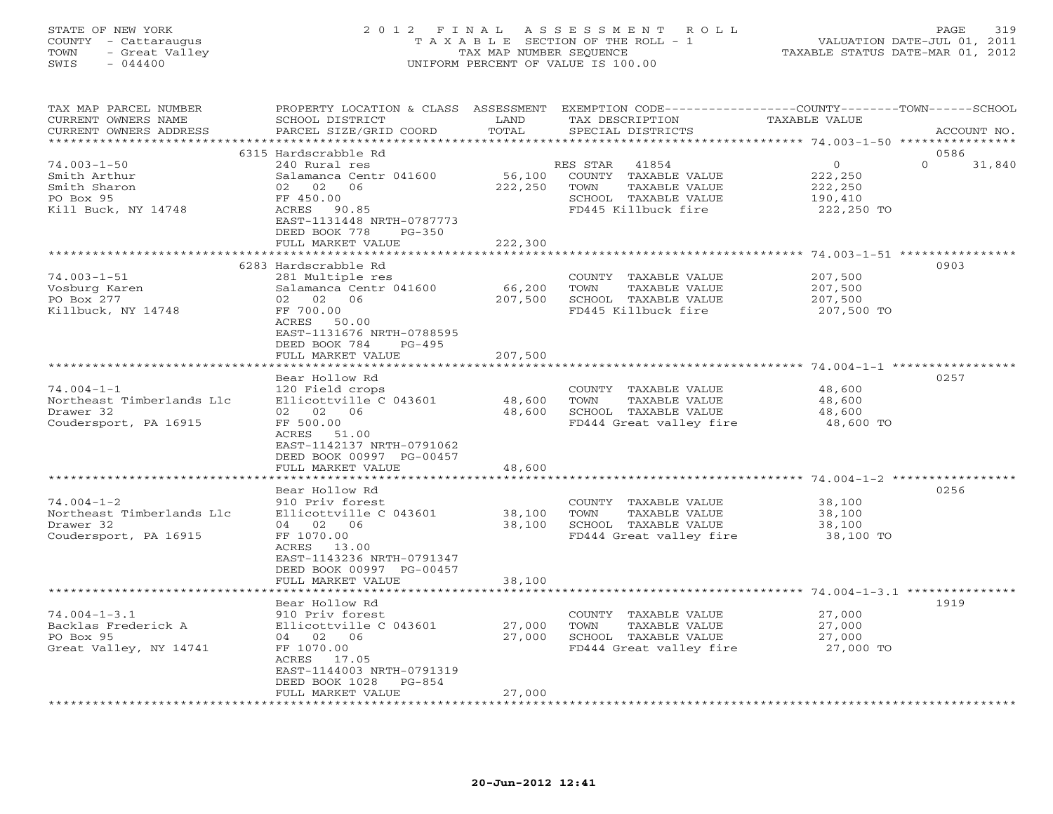### STATE OF NEW YORK 2 0 1 2 F I N A L A S S E S S M E N T R O L L PAGE 319 COUNTY - Cattaraugus T A X A B L E SECTION OF THE ROLL - 1 VALUATION DATE-JUL 01, 2011 TOWN - Great Valley TAX MAP NUMBER SEQUENCE TAXABLE STATUS DATE-MAR 01, 2012 SWIS - 044400 UNIFORM PERCENT OF VALUE IS 100.00UNIFORM PERCENT OF VALUE IS 100.00

| TAX MAP PARCEL NUMBER<br>CURRENT OWNERS NAME<br>CURRENT OWNERS ADDRESS                                                                                                     | PROPERTY LOCATION & CLASS ASSESSMENT<br>SCHOOL DISTRICT<br>PARCEL SIZE/GRID COORD                                                                                                                                                                                                                                  | LAND<br>TOTAL                                  | EXEMPTION CODE-----------------COUNTY-------TOWN------SCHOOL<br>TAX DESCRIPTION<br>SPECIAL DISTRICTS                                                                                                 | <b>TAXABLE VALUE</b>                                                                                                            | ACCOUNT NO.                |
|----------------------------------------------------------------------------------------------------------------------------------------------------------------------------|--------------------------------------------------------------------------------------------------------------------------------------------------------------------------------------------------------------------------------------------------------------------------------------------------------------------|------------------------------------------------|------------------------------------------------------------------------------------------------------------------------------------------------------------------------------------------------------|---------------------------------------------------------------------------------------------------------------------------------|----------------------------|
|                                                                                                                                                                            |                                                                                                                                                                                                                                                                                                                    | *******                                        |                                                                                                                                                                                                      | ************ 74.003-1-50 ************                                                                                           |                            |
| $74.003 - 1 - 50$<br>Smith Arthur<br>Smith Sharon<br>PO Box 95<br>Kill Buck, NY 14748                                                                                      | 6315 Hardscrabble Rd<br>240 Rural res<br>Salamanca Centr 041600<br>02 02<br>06<br>FF 450.00<br>ACRES<br>90.85<br>EAST-1131448 NRTH-0787773<br>DEED BOOK 778<br>$PG-350$                                                                                                                                            | 56,100<br>222,250                              | RES STAR<br>41854<br>COUNTY TAXABLE VALUE<br>TOWN<br>TAXABLE VALUE<br>SCHOOL TAXABLE VALUE<br>FD445 Killbuck fire                                                                                    | $\circ$<br>222,250<br>222,250<br>190,410<br>222,250 TO                                                                          | 0586<br>$\Omega$<br>31,840 |
|                                                                                                                                                                            | FULL MARKET VALUE                                                                                                                                                                                                                                                                                                  | 222,300                                        |                                                                                                                                                                                                      |                                                                                                                                 |                            |
| $74.003 - 1 - 51$<br>Vosburg Karen<br>PO Box 277<br>Killbuck, NY 14748                                                                                                     | ***********************<br>6283 Hardscrabble Rd<br>281 Multiple res<br>Salamanca Centr 041600<br>06<br>02 02<br>FF 700.00<br>ACRES<br>50.00<br>EAST-1131676 NRTH-0788595                                                                                                                                           | **********<br>66,200<br>207,500                | COUNTY TAXABLE VALUE<br>TOWN<br>TAXABLE VALUE<br>SCHOOL TAXABLE VALUE<br>FD445 Killbuck fire                                                                                                         | *********************** 74.003-1-51 *****************<br>207,500<br>207,500<br>207,500<br>207,500 TO                            | 0903                       |
|                                                                                                                                                                            | DEED BOOK 784<br>$PG-495$<br>FULL MARKET VALUE                                                                                                                                                                                                                                                                     | 207,500                                        |                                                                                                                                                                                                      |                                                                                                                                 |                            |
| $74.004 - 1 - 1$<br>Northeast Timberlands Llc<br>Drawer 32<br>Coudersport, PA 16915<br>$74.004 - 1 - 2$<br>Northeast Timberlands Llc<br>Drawer 32<br>Coudersport, PA 16915 | Bear Hollow Rd<br>120 Field crops<br>Ellicottville C 043601<br>02 02<br>06<br>FF 500.00<br>ACRES<br>51.00<br>EAST-1142137 NRTH-0791062<br>DEED BOOK 00997 PG-00457<br>FULL MARKET VALUE<br>***************<br>Bear Hollow Rd<br>910 Priv forest<br>Ellicottville C 043601<br>04 02 06<br>FF 1070.00<br>ACRES 13.00 | 48,600<br>48,600<br>48,600<br>38,100<br>38,100 | COUNTY TAXABLE VALUE<br>TAXABLE VALUE<br>TOWN<br>SCHOOL TAXABLE VALUE<br>FD444 Great valley fire<br>COUNTY TAXABLE VALUE<br>TAXABLE VALUE<br>TOWN<br>SCHOOL TAXABLE VALUE<br>FD444 Great valley fire | 48,600<br>48,600<br>48,600<br>48,600 TO<br>****************** 74.004-1-2 ***********<br>38,100<br>38,100<br>38,100<br>38,100 TO | 0257<br>0256               |
|                                                                                                                                                                            | EAST-1143236 NRTH-0791347<br>DEED BOOK 00997 PG-00457<br>FULL MARKET VALUE<br>****************                                                                                                                                                                                                                     | 38,100                                         |                                                                                                                                                                                                      |                                                                                                                                 |                            |
| $74.004 - 1 - 3.1$<br>Backlas Frederick A<br>PO Box 95<br>Great Valley, NY 14741                                                                                           | Bear Hollow Rd<br>910 Priv forest<br>Ellicottville C 043601<br>04 02 06<br>FF 1070.00<br>ACRES<br>17.05<br>EAST-1144003 NRTH-0791319<br>DEED BOOK 1028<br>$PG-854$<br>FULL MARKET VALUE                                                                                                                            | 27,000<br>27,000<br>27,000                     | COUNTY TAXABLE VALUE<br>TAXABLE VALUE<br>TOWN<br>SCHOOL TAXABLE VALUE<br>FD444 Great valley fire                                                                                                     | 27,000<br>27,000<br>27,000<br>27,000 TO                                                                                         | 1919                       |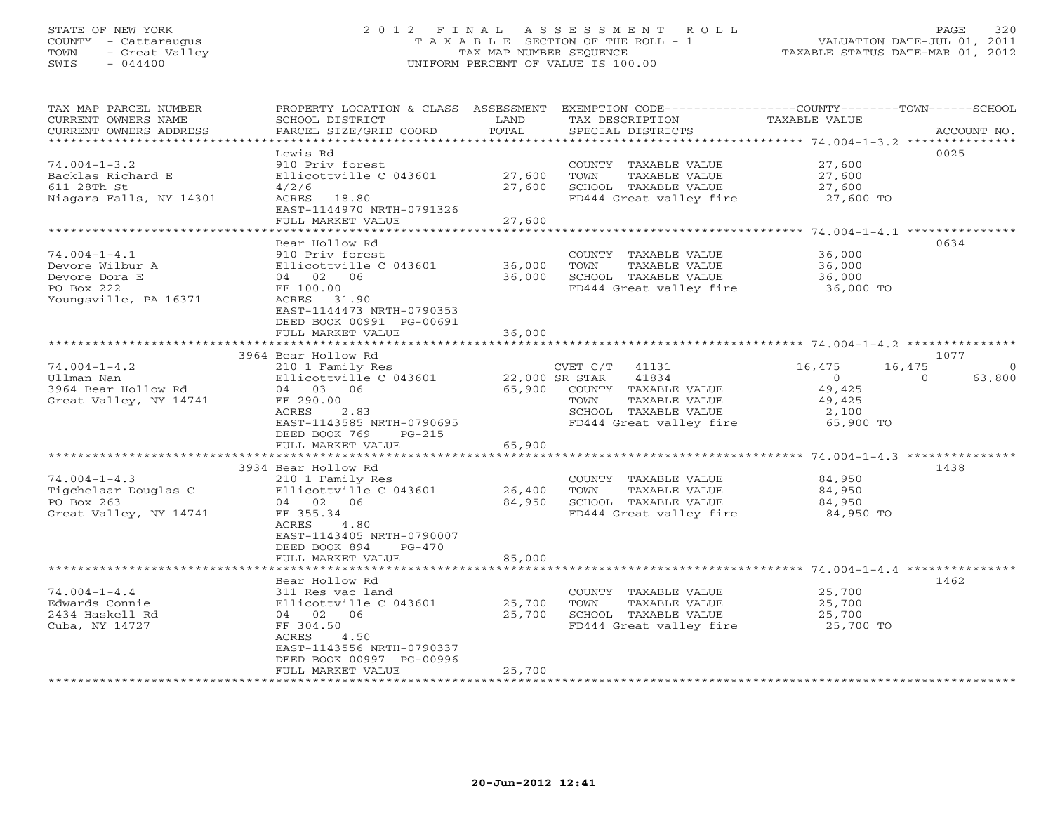# STATE OF NEW YORK 2 0 1 2 F I N A L A S S E S S M E N T R O L L PAGE 320 COUNTY - Cattaraugus T A X A B L E SECTION OF THE ROLL - 1 VALUATION DATE-JUL 01, 2011 TOWN - Great Valley TAX MAP NUMBER SEQUENCE TAXABLE STATUS DATE-MAR 01, 2012 SWIS - 044400 UNIFORM PERCENT OF VALUE IS 100.00

| *************************<br>0025<br>Lewis Rd<br>$74.004 - 1 - 3.2$<br>910 Priv forest<br>27,600<br>COUNTY TAXABLE VALUE<br>Backlas Richard E<br>Ellicottville C 043601<br>27,600<br>TOWN<br>TAXABLE VALUE<br>27,600<br>611 28Th St<br>27,600<br>SCHOOL TAXABLE VALUE<br>4/2/6<br>27,600<br>Niagara Falls, NY 14301<br>ACRES 18.80<br>FD444 Great valley fire<br>27,600 TO<br>EAST-1144970 NRTH-0791326<br>27,600<br>FULL MARKET VALUE<br>********<br>********** 74.004-1-4.1 ***************<br>*****************<br>Bear Hollow Rd<br>0634<br>$74.004 - 1 - 4.1$<br>36,000<br>910 Priv forest<br>COUNTY TAXABLE VALUE<br>Devore Wilbur A<br>36,000<br>TAXABLE VALUE<br>36,000<br>Ellicottville C 043601<br>TOWN<br>36,000<br>Devore Dora E<br>04 02 06<br>SCHOOL TAXABLE VALUE<br>36,000<br>PO Box 222<br>FD444 Great valley fire<br>FF 100.00<br>36,000 TO<br>Youngsville, PA 16371<br>ACRES 31.90<br>EAST-1144473 NRTH-0790353<br>DEED BOOK 00991 PG-00691<br>FULL MARKET VALUE<br>36,000<br>********<br>********************* 74.004-1-4.2 ***************<br>3964 Bear Hollow Rd<br>1077<br>$74.004 - 1 - 4.2$<br>16,475<br>16,475<br>210 1 Family Res<br>CVET C/T<br>41131<br>$\circ$<br>22,000 SR STAR<br>41834<br>$\circ$<br>Ullman Nan<br>Ellicottville C 043601<br>63,800<br>$\Omega$<br>65,900<br>3964 Bear Hollow Rd<br>04 03 06<br>COUNTY TAXABLE VALUE<br>49,425<br>Great Valley, NY 14741<br>FF 290.00<br>TOWN<br>TAXABLE VALUE<br>49,425<br>SCHOOL TAXABLE VALUE<br>ACRES<br>2.83<br>2,100<br>FD444 Great valley fire<br>EAST-1143585 NRTH-0790695<br>65,900 TO<br>DEED BOOK 769<br>$PG-215$<br>65,900<br>FULL MARKET VALUE<br>3934 Bear Hollow Rd<br>1438<br>$74.004 - 1 - 4.3$<br>84,950<br>210 1 Family Res<br>COUNTY TAXABLE VALUE<br>Tigchelaar Douglas C<br>26,400<br>Ellicottville C 043601<br>TOWN<br>TAXABLE VALUE<br>84,950<br>PO Box 263<br>84,950<br>04 02 06<br>SCHOOL TAXABLE VALUE<br>84,950<br>Great Valley, NY 14741<br>FF 355.34<br>FD444 Great valley fire<br>84,950 TO<br>ACRES<br>4.80<br>EAST-1143405 NRTH-0790007<br>DEED BOOK 894<br>$PG-470$<br>85,000<br>FULL MARKET VALUE<br>1462<br>Bear Hollow Rd<br>$74.004 - 1 - 4.4$<br>25,700<br>311 Res vac land<br>COUNTY TAXABLE VALUE<br>Edwards Connie<br>Ellicottville C 043601<br>25,700<br>TOWN<br>TAXABLE VALUE<br>25,700<br>2434 Haskell Rd<br>25,700<br>SCHOOL TAXABLE VALUE<br>25,700<br>04. 02.<br>06<br>Cuba, NY 14727<br>FF 304.50<br>FD444 Great valley fire<br>25,700 TO<br>ACRES<br>4.50<br>EAST-1143556 NRTH-0790337<br>DEED BOOK 00997 PG-00996<br>25,700<br>FULL MARKET VALUE | TAX MAP PARCEL NUMBER<br>CURRENT OWNERS NAME<br>CURRENT OWNERS ADDRESS | PROPERTY LOCATION & CLASS ASSESSMENT<br>SCHOOL DISTRICT<br>PARCEL SIZE/GRID COORD | LAND<br>TOTAL | TAX DESCRIPTION<br>SPECIAL DISTRICTS | EXEMPTION CODE-----------------COUNTY-------TOWN------SCHOOL<br>TAXABLE VALUE<br>ACCOUNT NO. |
|--------------------------------------------------------------------------------------------------------------------------------------------------------------------------------------------------------------------------------------------------------------------------------------------------------------------------------------------------------------------------------------------------------------------------------------------------------------------------------------------------------------------------------------------------------------------------------------------------------------------------------------------------------------------------------------------------------------------------------------------------------------------------------------------------------------------------------------------------------------------------------------------------------------------------------------------------------------------------------------------------------------------------------------------------------------------------------------------------------------------------------------------------------------------------------------------------------------------------------------------------------------------------------------------------------------------------------------------------------------------------------------------------------------------------------------------------------------------------------------------------------------------------------------------------------------------------------------------------------------------------------------------------------------------------------------------------------------------------------------------------------------------------------------------------------------------------------------------------------------------------------------------------------------------------------------------------------------------------------------------------------------------------------------------------------------------------------------------------------------------------------------------------------------------------------------------------------------------------------------------------------------------------------------------------------------------------------------------------------------------------------------------------------------------------------------------------------------------------------------------------------------------------------------------------------------------------------------|------------------------------------------------------------------------|-----------------------------------------------------------------------------------|---------------|--------------------------------------|----------------------------------------------------------------------------------------------|
|                                                                                                                                                                                                                                                                                                                                                                                                                                                                                                                                                                                                                                                                                                                                                                                                                                                                                                                                                                                                                                                                                                                                                                                                                                                                                                                                                                                                                                                                                                                                                                                                                                                                                                                                                                                                                                                                                                                                                                                                                                                                                                                                                                                                                                                                                                                                                                                                                                                                                                                                                                                      |                                                                        |                                                                                   |               |                                      |                                                                                              |
|                                                                                                                                                                                                                                                                                                                                                                                                                                                                                                                                                                                                                                                                                                                                                                                                                                                                                                                                                                                                                                                                                                                                                                                                                                                                                                                                                                                                                                                                                                                                                                                                                                                                                                                                                                                                                                                                                                                                                                                                                                                                                                                                                                                                                                                                                                                                                                                                                                                                                                                                                                                      |                                                                        |                                                                                   |               |                                      |                                                                                              |
|                                                                                                                                                                                                                                                                                                                                                                                                                                                                                                                                                                                                                                                                                                                                                                                                                                                                                                                                                                                                                                                                                                                                                                                                                                                                                                                                                                                                                                                                                                                                                                                                                                                                                                                                                                                                                                                                                                                                                                                                                                                                                                                                                                                                                                                                                                                                                                                                                                                                                                                                                                                      |                                                                        |                                                                                   |               |                                      |                                                                                              |
|                                                                                                                                                                                                                                                                                                                                                                                                                                                                                                                                                                                                                                                                                                                                                                                                                                                                                                                                                                                                                                                                                                                                                                                                                                                                                                                                                                                                                                                                                                                                                                                                                                                                                                                                                                                                                                                                                                                                                                                                                                                                                                                                                                                                                                                                                                                                                                                                                                                                                                                                                                                      |                                                                        |                                                                                   |               |                                      |                                                                                              |
|                                                                                                                                                                                                                                                                                                                                                                                                                                                                                                                                                                                                                                                                                                                                                                                                                                                                                                                                                                                                                                                                                                                                                                                                                                                                                                                                                                                                                                                                                                                                                                                                                                                                                                                                                                                                                                                                                                                                                                                                                                                                                                                                                                                                                                                                                                                                                                                                                                                                                                                                                                                      |                                                                        |                                                                                   |               |                                      |                                                                                              |
|                                                                                                                                                                                                                                                                                                                                                                                                                                                                                                                                                                                                                                                                                                                                                                                                                                                                                                                                                                                                                                                                                                                                                                                                                                                                                                                                                                                                                                                                                                                                                                                                                                                                                                                                                                                                                                                                                                                                                                                                                                                                                                                                                                                                                                                                                                                                                                                                                                                                                                                                                                                      |                                                                        |                                                                                   |               |                                      |                                                                                              |
|                                                                                                                                                                                                                                                                                                                                                                                                                                                                                                                                                                                                                                                                                                                                                                                                                                                                                                                                                                                                                                                                                                                                                                                                                                                                                                                                                                                                                                                                                                                                                                                                                                                                                                                                                                                                                                                                                                                                                                                                                                                                                                                                                                                                                                                                                                                                                                                                                                                                                                                                                                                      |                                                                        |                                                                                   |               |                                      |                                                                                              |
|                                                                                                                                                                                                                                                                                                                                                                                                                                                                                                                                                                                                                                                                                                                                                                                                                                                                                                                                                                                                                                                                                                                                                                                                                                                                                                                                                                                                                                                                                                                                                                                                                                                                                                                                                                                                                                                                                                                                                                                                                                                                                                                                                                                                                                                                                                                                                                                                                                                                                                                                                                                      |                                                                        |                                                                                   |               |                                      |                                                                                              |
|                                                                                                                                                                                                                                                                                                                                                                                                                                                                                                                                                                                                                                                                                                                                                                                                                                                                                                                                                                                                                                                                                                                                                                                                                                                                                                                                                                                                                                                                                                                                                                                                                                                                                                                                                                                                                                                                                                                                                                                                                                                                                                                                                                                                                                                                                                                                                                                                                                                                                                                                                                                      |                                                                        |                                                                                   |               |                                      |                                                                                              |
|                                                                                                                                                                                                                                                                                                                                                                                                                                                                                                                                                                                                                                                                                                                                                                                                                                                                                                                                                                                                                                                                                                                                                                                                                                                                                                                                                                                                                                                                                                                                                                                                                                                                                                                                                                                                                                                                                                                                                                                                                                                                                                                                                                                                                                                                                                                                                                                                                                                                                                                                                                                      |                                                                        |                                                                                   |               |                                      |                                                                                              |
|                                                                                                                                                                                                                                                                                                                                                                                                                                                                                                                                                                                                                                                                                                                                                                                                                                                                                                                                                                                                                                                                                                                                                                                                                                                                                                                                                                                                                                                                                                                                                                                                                                                                                                                                                                                                                                                                                                                                                                                                                                                                                                                                                                                                                                                                                                                                                                                                                                                                                                                                                                                      |                                                                        |                                                                                   |               |                                      |                                                                                              |
|                                                                                                                                                                                                                                                                                                                                                                                                                                                                                                                                                                                                                                                                                                                                                                                                                                                                                                                                                                                                                                                                                                                                                                                                                                                                                                                                                                                                                                                                                                                                                                                                                                                                                                                                                                                                                                                                                                                                                                                                                                                                                                                                                                                                                                                                                                                                                                                                                                                                                                                                                                                      |                                                                        |                                                                                   |               |                                      |                                                                                              |
|                                                                                                                                                                                                                                                                                                                                                                                                                                                                                                                                                                                                                                                                                                                                                                                                                                                                                                                                                                                                                                                                                                                                                                                                                                                                                                                                                                                                                                                                                                                                                                                                                                                                                                                                                                                                                                                                                                                                                                                                                                                                                                                                                                                                                                                                                                                                                                                                                                                                                                                                                                                      |                                                                        |                                                                                   |               |                                      |                                                                                              |
|                                                                                                                                                                                                                                                                                                                                                                                                                                                                                                                                                                                                                                                                                                                                                                                                                                                                                                                                                                                                                                                                                                                                                                                                                                                                                                                                                                                                                                                                                                                                                                                                                                                                                                                                                                                                                                                                                                                                                                                                                                                                                                                                                                                                                                                                                                                                                                                                                                                                                                                                                                                      |                                                                        |                                                                                   |               |                                      |                                                                                              |
|                                                                                                                                                                                                                                                                                                                                                                                                                                                                                                                                                                                                                                                                                                                                                                                                                                                                                                                                                                                                                                                                                                                                                                                                                                                                                                                                                                                                                                                                                                                                                                                                                                                                                                                                                                                                                                                                                                                                                                                                                                                                                                                                                                                                                                                                                                                                                                                                                                                                                                                                                                                      |                                                                        |                                                                                   |               |                                      |                                                                                              |
|                                                                                                                                                                                                                                                                                                                                                                                                                                                                                                                                                                                                                                                                                                                                                                                                                                                                                                                                                                                                                                                                                                                                                                                                                                                                                                                                                                                                                                                                                                                                                                                                                                                                                                                                                                                                                                                                                                                                                                                                                                                                                                                                                                                                                                                                                                                                                                                                                                                                                                                                                                                      |                                                                        |                                                                                   |               |                                      |                                                                                              |
|                                                                                                                                                                                                                                                                                                                                                                                                                                                                                                                                                                                                                                                                                                                                                                                                                                                                                                                                                                                                                                                                                                                                                                                                                                                                                                                                                                                                                                                                                                                                                                                                                                                                                                                                                                                                                                                                                                                                                                                                                                                                                                                                                                                                                                                                                                                                                                                                                                                                                                                                                                                      |                                                                        |                                                                                   |               |                                      |                                                                                              |
|                                                                                                                                                                                                                                                                                                                                                                                                                                                                                                                                                                                                                                                                                                                                                                                                                                                                                                                                                                                                                                                                                                                                                                                                                                                                                                                                                                                                                                                                                                                                                                                                                                                                                                                                                                                                                                                                                                                                                                                                                                                                                                                                                                                                                                                                                                                                                                                                                                                                                                                                                                                      |                                                                        |                                                                                   |               |                                      |                                                                                              |
|                                                                                                                                                                                                                                                                                                                                                                                                                                                                                                                                                                                                                                                                                                                                                                                                                                                                                                                                                                                                                                                                                                                                                                                                                                                                                                                                                                                                                                                                                                                                                                                                                                                                                                                                                                                                                                                                                                                                                                                                                                                                                                                                                                                                                                                                                                                                                                                                                                                                                                                                                                                      |                                                                        |                                                                                   |               |                                      |                                                                                              |
|                                                                                                                                                                                                                                                                                                                                                                                                                                                                                                                                                                                                                                                                                                                                                                                                                                                                                                                                                                                                                                                                                                                                                                                                                                                                                                                                                                                                                                                                                                                                                                                                                                                                                                                                                                                                                                                                                                                                                                                                                                                                                                                                                                                                                                                                                                                                                                                                                                                                                                                                                                                      |                                                                        |                                                                                   |               |                                      |                                                                                              |
|                                                                                                                                                                                                                                                                                                                                                                                                                                                                                                                                                                                                                                                                                                                                                                                                                                                                                                                                                                                                                                                                                                                                                                                                                                                                                                                                                                                                                                                                                                                                                                                                                                                                                                                                                                                                                                                                                                                                                                                                                                                                                                                                                                                                                                                                                                                                                                                                                                                                                                                                                                                      |                                                                        |                                                                                   |               |                                      |                                                                                              |
|                                                                                                                                                                                                                                                                                                                                                                                                                                                                                                                                                                                                                                                                                                                                                                                                                                                                                                                                                                                                                                                                                                                                                                                                                                                                                                                                                                                                                                                                                                                                                                                                                                                                                                                                                                                                                                                                                                                                                                                                                                                                                                                                                                                                                                                                                                                                                                                                                                                                                                                                                                                      |                                                                        |                                                                                   |               |                                      |                                                                                              |
|                                                                                                                                                                                                                                                                                                                                                                                                                                                                                                                                                                                                                                                                                                                                                                                                                                                                                                                                                                                                                                                                                                                                                                                                                                                                                                                                                                                                                                                                                                                                                                                                                                                                                                                                                                                                                                                                                                                                                                                                                                                                                                                                                                                                                                                                                                                                                                                                                                                                                                                                                                                      |                                                                        |                                                                                   |               |                                      |                                                                                              |
|                                                                                                                                                                                                                                                                                                                                                                                                                                                                                                                                                                                                                                                                                                                                                                                                                                                                                                                                                                                                                                                                                                                                                                                                                                                                                                                                                                                                                                                                                                                                                                                                                                                                                                                                                                                                                                                                                                                                                                                                                                                                                                                                                                                                                                                                                                                                                                                                                                                                                                                                                                                      |                                                                        |                                                                                   |               |                                      |                                                                                              |
|                                                                                                                                                                                                                                                                                                                                                                                                                                                                                                                                                                                                                                                                                                                                                                                                                                                                                                                                                                                                                                                                                                                                                                                                                                                                                                                                                                                                                                                                                                                                                                                                                                                                                                                                                                                                                                                                                                                                                                                                                                                                                                                                                                                                                                                                                                                                                                                                                                                                                                                                                                                      |                                                                        |                                                                                   |               |                                      |                                                                                              |
|                                                                                                                                                                                                                                                                                                                                                                                                                                                                                                                                                                                                                                                                                                                                                                                                                                                                                                                                                                                                                                                                                                                                                                                                                                                                                                                                                                                                                                                                                                                                                                                                                                                                                                                                                                                                                                                                                                                                                                                                                                                                                                                                                                                                                                                                                                                                                                                                                                                                                                                                                                                      |                                                                        |                                                                                   |               |                                      |                                                                                              |
|                                                                                                                                                                                                                                                                                                                                                                                                                                                                                                                                                                                                                                                                                                                                                                                                                                                                                                                                                                                                                                                                                                                                                                                                                                                                                                                                                                                                                                                                                                                                                                                                                                                                                                                                                                                                                                                                                                                                                                                                                                                                                                                                                                                                                                                                                                                                                                                                                                                                                                                                                                                      |                                                                        |                                                                                   |               |                                      |                                                                                              |
|                                                                                                                                                                                                                                                                                                                                                                                                                                                                                                                                                                                                                                                                                                                                                                                                                                                                                                                                                                                                                                                                                                                                                                                                                                                                                                                                                                                                                                                                                                                                                                                                                                                                                                                                                                                                                                                                                                                                                                                                                                                                                                                                                                                                                                                                                                                                                                                                                                                                                                                                                                                      |                                                                        |                                                                                   |               |                                      |                                                                                              |
|                                                                                                                                                                                                                                                                                                                                                                                                                                                                                                                                                                                                                                                                                                                                                                                                                                                                                                                                                                                                                                                                                                                                                                                                                                                                                                                                                                                                                                                                                                                                                                                                                                                                                                                                                                                                                                                                                                                                                                                                                                                                                                                                                                                                                                                                                                                                                                                                                                                                                                                                                                                      |                                                                        |                                                                                   |               |                                      |                                                                                              |
|                                                                                                                                                                                                                                                                                                                                                                                                                                                                                                                                                                                                                                                                                                                                                                                                                                                                                                                                                                                                                                                                                                                                                                                                                                                                                                                                                                                                                                                                                                                                                                                                                                                                                                                                                                                                                                                                                                                                                                                                                                                                                                                                                                                                                                                                                                                                                                                                                                                                                                                                                                                      |                                                                        |                                                                                   |               |                                      |                                                                                              |
|                                                                                                                                                                                                                                                                                                                                                                                                                                                                                                                                                                                                                                                                                                                                                                                                                                                                                                                                                                                                                                                                                                                                                                                                                                                                                                                                                                                                                                                                                                                                                                                                                                                                                                                                                                                                                                                                                                                                                                                                                                                                                                                                                                                                                                                                                                                                                                                                                                                                                                                                                                                      |                                                                        |                                                                                   |               |                                      |                                                                                              |
|                                                                                                                                                                                                                                                                                                                                                                                                                                                                                                                                                                                                                                                                                                                                                                                                                                                                                                                                                                                                                                                                                                                                                                                                                                                                                                                                                                                                                                                                                                                                                                                                                                                                                                                                                                                                                                                                                                                                                                                                                                                                                                                                                                                                                                                                                                                                                                                                                                                                                                                                                                                      |                                                                        |                                                                                   |               |                                      |                                                                                              |
|                                                                                                                                                                                                                                                                                                                                                                                                                                                                                                                                                                                                                                                                                                                                                                                                                                                                                                                                                                                                                                                                                                                                                                                                                                                                                                                                                                                                                                                                                                                                                                                                                                                                                                                                                                                                                                                                                                                                                                                                                                                                                                                                                                                                                                                                                                                                                                                                                                                                                                                                                                                      |                                                                        |                                                                                   |               |                                      |                                                                                              |
|                                                                                                                                                                                                                                                                                                                                                                                                                                                                                                                                                                                                                                                                                                                                                                                                                                                                                                                                                                                                                                                                                                                                                                                                                                                                                                                                                                                                                                                                                                                                                                                                                                                                                                                                                                                                                                                                                                                                                                                                                                                                                                                                                                                                                                                                                                                                                                                                                                                                                                                                                                                      |                                                                        |                                                                                   |               |                                      |                                                                                              |
|                                                                                                                                                                                                                                                                                                                                                                                                                                                                                                                                                                                                                                                                                                                                                                                                                                                                                                                                                                                                                                                                                                                                                                                                                                                                                                                                                                                                                                                                                                                                                                                                                                                                                                                                                                                                                                                                                                                                                                                                                                                                                                                                                                                                                                                                                                                                                                                                                                                                                                                                                                                      |                                                                        |                                                                                   |               |                                      |                                                                                              |
|                                                                                                                                                                                                                                                                                                                                                                                                                                                                                                                                                                                                                                                                                                                                                                                                                                                                                                                                                                                                                                                                                                                                                                                                                                                                                                                                                                                                                                                                                                                                                                                                                                                                                                                                                                                                                                                                                                                                                                                                                                                                                                                                                                                                                                                                                                                                                                                                                                                                                                                                                                                      |                                                                        |                                                                                   |               |                                      |                                                                                              |
|                                                                                                                                                                                                                                                                                                                                                                                                                                                                                                                                                                                                                                                                                                                                                                                                                                                                                                                                                                                                                                                                                                                                                                                                                                                                                                                                                                                                                                                                                                                                                                                                                                                                                                                                                                                                                                                                                                                                                                                                                                                                                                                                                                                                                                                                                                                                                                                                                                                                                                                                                                                      |                                                                        |                                                                                   |               |                                      |                                                                                              |
|                                                                                                                                                                                                                                                                                                                                                                                                                                                                                                                                                                                                                                                                                                                                                                                                                                                                                                                                                                                                                                                                                                                                                                                                                                                                                                                                                                                                                                                                                                                                                                                                                                                                                                                                                                                                                                                                                                                                                                                                                                                                                                                                                                                                                                                                                                                                                                                                                                                                                                                                                                                      |                                                                        |                                                                                   |               |                                      |                                                                                              |
|                                                                                                                                                                                                                                                                                                                                                                                                                                                                                                                                                                                                                                                                                                                                                                                                                                                                                                                                                                                                                                                                                                                                                                                                                                                                                                                                                                                                                                                                                                                                                                                                                                                                                                                                                                                                                                                                                                                                                                                                                                                                                                                                                                                                                                                                                                                                                                                                                                                                                                                                                                                      |                                                                        |                                                                                   |               |                                      |                                                                                              |
|                                                                                                                                                                                                                                                                                                                                                                                                                                                                                                                                                                                                                                                                                                                                                                                                                                                                                                                                                                                                                                                                                                                                                                                                                                                                                                                                                                                                                                                                                                                                                                                                                                                                                                                                                                                                                                                                                                                                                                                                                                                                                                                                                                                                                                                                                                                                                                                                                                                                                                                                                                                      |                                                                        |                                                                                   |               |                                      |                                                                                              |
|                                                                                                                                                                                                                                                                                                                                                                                                                                                                                                                                                                                                                                                                                                                                                                                                                                                                                                                                                                                                                                                                                                                                                                                                                                                                                                                                                                                                                                                                                                                                                                                                                                                                                                                                                                                                                                                                                                                                                                                                                                                                                                                                                                                                                                                                                                                                                                                                                                                                                                                                                                                      |                                                                        |                                                                                   |               |                                      |                                                                                              |
|                                                                                                                                                                                                                                                                                                                                                                                                                                                                                                                                                                                                                                                                                                                                                                                                                                                                                                                                                                                                                                                                                                                                                                                                                                                                                                                                                                                                                                                                                                                                                                                                                                                                                                                                                                                                                                                                                                                                                                                                                                                                                                                                                                                                                                                                                                                                                                                                                                                                                                                                                                                      |                                                                        |                                                                                   |               |                                      |                                                                                              |
|                                                                                                                                                                                                                                                                                                                                                                                                                                                                                                                                                                                                                                                                                                                                                                                                                                                                                                                                                                                                                                                                                                                                                                                                                                                                                                                                                                                                                                                                                                                                                                                                                                                                                                                                                                                                                                                                                                                                                                                                                                                                                                                                                                                                                                                                                                                                                                                                                                                                                                                                                                                      |                                                                        |                                                                                   |               |                                      |                                                                                              |
|                                                                                                                                                                                                                                                                                                                                                                                                                                                                                                                                                                                                                                                                                                                                                                                                                                                                                                                                                                                                                                                                                                                                                                                                                                                                                                                                                                                                                                                                                                                                                                                                                                                                                                                                                                                                                                                                                                                                                                                                                                                                                                                                                                                                                                                                                                                                                                                                                                                                                                                                                                                      |                                                                        |                                                                                   |               |                                      |                                                                                              |
|                                                                                                                                                                                                                                                                                                                                                                                                                                                                                                                                                                                                                                                                                                                                                                                                                                                                                                                                                                                                                                                                                                                                                                                                                                                                                                                                                                                                                                                                                                                                                                                                                                                                                                                                                                                                                                                                                                                                                                                                                                                                                                                                                                                                                                                                                                                                                                                                                                                                                                                                                                                      |                                                                        |                                                                                   |               |                                      |                                                                                              |
|                                                                                                                                                                                                                                                                                                                                                                                                                                                                                                                                                                                                                                                                                                                                                                                                                                                                                                                                                                                                                                                                                                                                                                                                                                                                                                                                                                                                                                                                                                                                                                                                                                                                                                                                                                                                                                                                                                                                                                                                                                                                                                                                                                                                                                                                                                                                                                                                                                                                                                                                                                                      |                                                                        |                                                                                   |               |                                      |                                                                                              |
|                                                                                                                                                                                                                                                                                                                                                                                                                                                                                                                                                                                                                                                                                                                                                                                                                                                                                                                                                                                                                                                                                                                                                                                                                                                                                                                                                                                                                                                                                                                                                                                                                                                                                                                                                                                                                                                                                                                                                                                                                                                                                                                                                                                                                                                                                                                                                                                                                                                                                                                                                                                      |                                                                        |                                                                                   |               |                                      |                                                                                              |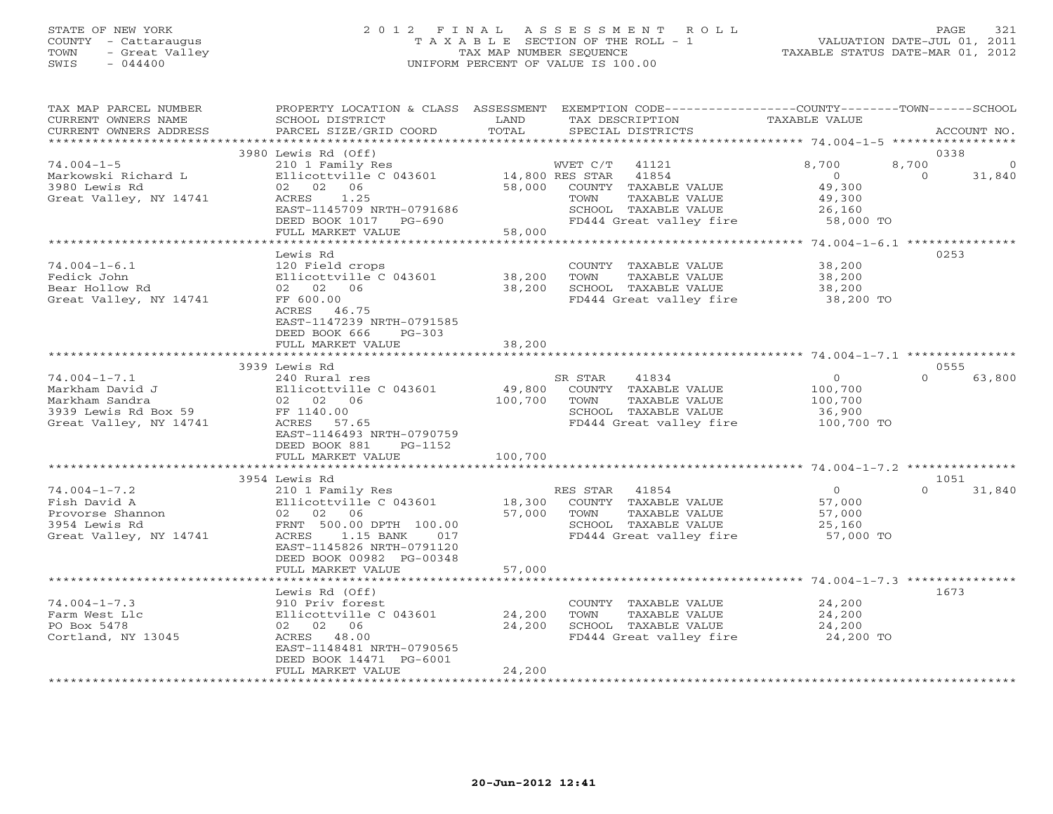## STATE OF NEW YORK 2 0 1 2 F I N A L A S S E S S M E N T R O L L PAGE 321 COUNTY - Cattaraugus T A X A B L E SECTION OF THE ROLL - 1 VALUATION DATE-JUL 01, 2011 TOWN - Great Valley TAX MAP NUMBER SEQUENCE TAXABLE STATUS DATE-MAR 01, 2012 SWIS - 044400 UNIFORM PERCENT OF VALUE IS 100.00UNIFORM PERCENT OF VALUE IS 100.00

| TAX MAP PARCEL NUMBER<br>CURRENT OWNERS NAME<br>CURRENT OWNERS ADDRESS | PROPERTY LOCATION & CLASS ASSESSMENT<br>SCHOOL DISTRICT<br>PARCEL SIZE/GRID COORD  | LAND<br>TOTAL | EXEMPTION CODE-----------------COUNTY-------TOWN------SCHOOL<br>TAX DESCRIPTION<br>SPECIAL DISTRICTS | TAXABLE VALUE                                        | ACCOUNT NO.        |
|------------------------------------------------------------------------|------------------------------------------------------------------------------------|---------------|------------------------------------------------------------------------------------------------------|------------------------------------------------------|--------------------|
| ***********************                                                |                                                                                    |               |                                                                                                      |                                                      | *****************  |
| $74.004 - 1 - 5$                                                       | 3980 Lewis Rd (Off)<br>210 1 Family Res                                            |               | WVET C/T<br>41121                                                                                    | 8,700<br>8,700                                       | 0338<br>$\Omega$   |
| Markowski Richard L<br>3980 Lewis Rd                                   | Ellicottville C 043601<br>02 02 06                                                 | 58,000        | 14,800 RES STAR<br>41854<br>COUNTY TAXABLE VALUE                                                     | $\circ$<br>49,300                                    | $\Omega$<br>31,840 |
| Great Valley, NY 14741                                                 | ACRES<br>1.25                                                                      |               | TOWN<br>TAXABLE VALUE                                                                                | 49,300                                               |                    |
|                                                                        | EAST-1145709 NRTH-0791686<br>DEED BOOK 1017 PG-690                                 |               | SCHOOL TAXABLE VALUE<br>FD444 Great valley fire                                                      | 26,160<br>58,000 TO                                  |                    |
|                                                                        | FULL MARKET VALUE                                                                  | 58,000        |                                                                                                      |                                                      |                    |
|                                                                        |                                                                                    |               |                                                                                                      |                                                      |                    |
|                                                                        | Lewis Rd                                                                           |               |                                                                                                      |                                                      | 0253               |
| $74.004 - 1 - 6.1$                                                     | 120 Field crops                                                                    |               | COUNTY TAXABLE VALUE                                                                                 | 38,200                                               |                    |
| Fedick John                                                            | Ellicottville C 043601                                                             | 38,200        | TAXABLE VALUE<br>TOWN                                                                                | 38,200                                               |                    |
| Bear Hollow Rd                                                         | 02 02 06                                                                           | 38,200        | SCHOOL TAXABLE VALUE                                                                                 | 38,200                                               |                    |
| Great Valley, NY 14741                                                 | FF 600.00<br>ACRES 46.75<br>EAST-1147239 NRTH-0791585<br>DEED BOOK 666<br>$PG-303$ |               | FD444 Great valley fire                                                                              | 38,200 TO                                            |                    |
|                                                                        | FULL MARKET VALUE                                                                  | 38,200        |                                                                                                      |                                                      |                    |
|                                                                        |                                                                                    |               |                                                                                                      |                                                      |                    |
|                                                                        | 3939 Lewis Rd                                                                      |               |                                                                                                      |                                                      | 0555               |
| $74.004 - 1 - 7.1$                                                     | 240 Rural res                                                                      |               | SR STAR<br>41834                                                                                     | $\circ$                                              | $\cap$<br>63,800   |
| Markham David J                                                        | Ellicottville C 043601                                                             | 49,800        | COUNTY TAXABLE VALUE                                                                                 | 100,700                                              |                    |
| Markham Sandra                                                         | 02 02 06                                                                           | 100,700       | TOWN<br>TAXABLE VALUE                                                                                | 100,700                                              |                    |
| 3939 Lewis Rd Box 59                                                   | FF 1140.00                                                                         |               | SCHOOL TAXABLE VALUE                                                                                 | 36,900                                               |                    |
| Great Valley, NY 14741                                                 | ACRES<br>57.65<br>EAST-1146493 NRTH-0790759                                        |               | FD444 Great valley fire                                                                              | 100,700 TO                                           |                    |
|                                                                        | DEED BOOK 881<br>PG-1152                                                           | 100,700       |                                                                                                      |                                                      |                    |
|                                                                        | FULL MARKET VALUE                                                                  | *********     |                                                                                                      | *********************** 74.004-1-7.2 *************** |                    |
|                                                                        | 3954 Lewis Rd                                                                      |               |                                                                                                      |                                                      | 1051               |
| $74.004 - 1 - 7.2$                                                     | 210 1 Family Res                                                                   |               | RES STAR<br>41854                                                                                    | $\overline{O}$                                       | $\Omega$<br>31,840 |
| Fish David A                                                           | Ellicottville C 043601                                                             | 18,300        | COUNTY TAXABLE VALUE                                                                                 | 57,000                                               |                    |
| Provorse Shannon                                                       | 02 02 06                                                                           | 57,000        | TAXABLE VALUE<br>TOWN                                                                                | 57,000                                               |                    |
| 3954 Lewis Rd                                                          | FRNT 500.00 DPTH 100.00                                                            |               | SCHOOL TAXABLE VALUE                                                                                 | 25,160                                               |                    |
| Great Valley, NY 14741                                                 | 1.15 BANK<br>ACRES<br>017                                                          |               | FD444 Great valley fire                                                                              | 57,000 TO                                            |                    |
|                                                                        | EAST-1145826 NRTH-0791120                                                          |               |                                                                                                      |                                                      |                    |
|                                                                        | DEED BOOK 00982 PG-00348                                                           |               |                                                                                                      |                                                      |                    |
|                                                                        | FULL MARKET VALUE                                                                  | 57,000        |                                                                                                      |                                                      |                    |
|                                                                        |                                                                                    |               |                                                                                                      |                                                      |                    |
|                                                                        | Lewis Rd (Off)                                                                     |               |                                                                                                      |                                                      | 1673               |
| $74.004 - 1 - 7.3$                                                     | 910 Priv forest                                                                    |               | COUNTY TAXABLE VALUE                                                                                 | 24,200                                               |                    |
| Farm West Llc                                                          | Ellicottville C 043601                                                             | 24,200        | TOWN<br>TAXABLE VALUE                                                                                | 24,200                                               |                    |
| PO Box 5478                                                            | 02 02 06                                                                           | 24,200        | SCHOOL TAXABLE VALUE                                                                                 | 24,200                                               |                    |
| Cortland, NY 13045                                                     | ACRES 48.00                                                                        |               | FD444 Great valley fire                                                                              | 24,200 TO                                            |                    |
|                                                                        | EAST-1148481 NRTH-0790565                                                          |               |                                                                                                      |                                                      |                    |
|                                                                        | DEED BOOK 14471 PG-6001                                                            |               |                                                                                                      |                                                      |                    |
| **********************                                                 | FULL MARKET VALUE                                                                  | 24,200        |                                                                                                      |                                                      |                    |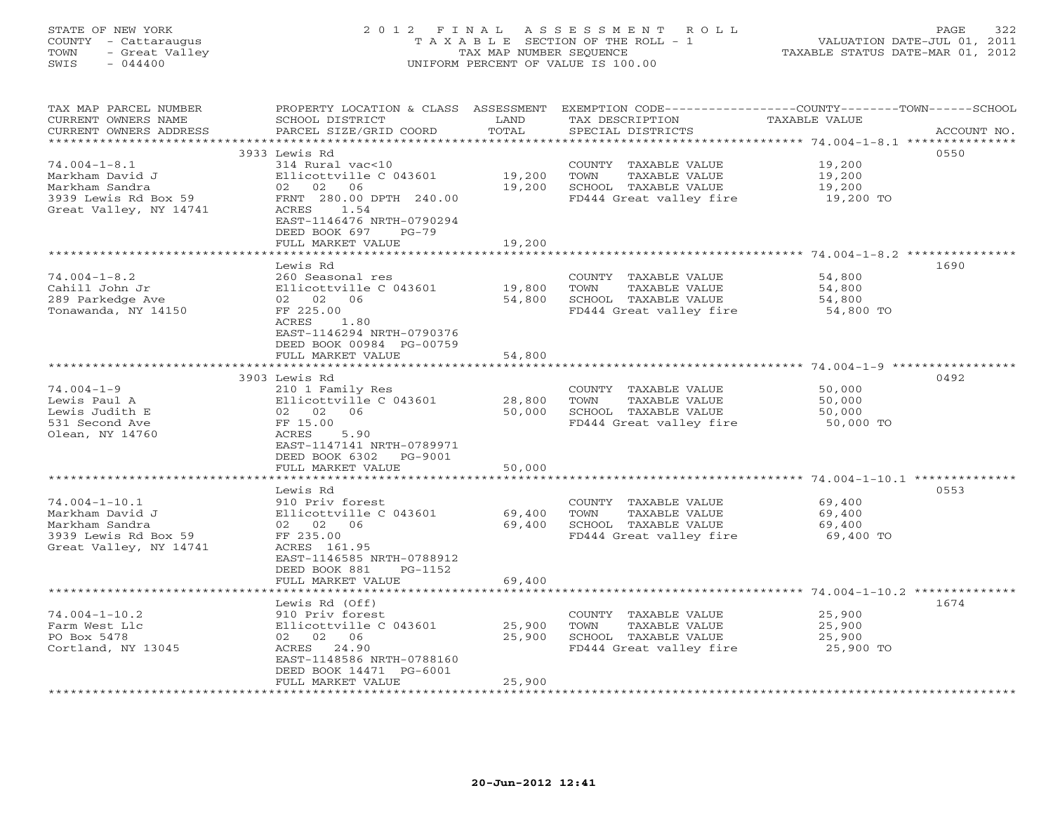## STATE OF NEW YORK 2 0 1 2 F I N A L A S S E S S M E N T R O L L PAGE 322 COUNTY - Cattaraugus T A X A B L E SECTION OF THE ROLL - 1 VALUATION DATE-JUL 01, 2011 TOWN - Great Valley TAX MAP NUMBER SEQUENCE TAXABLE STATUS DATE-MAR 01, 2012 SWIS - 044400 UNIFORM PERCENT OF VALUE IS 100.00UNIFORM PERCENT OF VALUE IS 100.00

| Farm West Llc<br>PO Box 5478<br>Cortland, NY 13045       | Ellicottville C 043601<br>02 02 06<br>ACRES 24.90<br>EAST-1148586 NRTH-0788160<br>DEED BOOK 14471 PG-6001<br>FULL MARKET VALUE | 25,900<br>25,900<br>25,900 | TAXABLE VALUE<br>TOWN<br>SCHOOL TAXABLE VALUE<br>FD444 Great valley fire | 25,900<br>25,900<br>25,900 TO                                                                                      |
|----------------------------------------------------------|--------------------------------------------------------------------------------------------------------------------------------|----------------------------|--------------------------------------------------------------------------|--------------------------------------------------------------------------------------------------------------------|
| $74.004 - 1 - 10.2$                                      | Lewis Rd (Off)<br>910 Priv forest                                                                                              |                            | COUNTY TAXABLE VALUE                                                     | 1674<br>25,900                                                                                                     |
|                                                          | FULL MARKET VALUE                                                                                                              | 69,400<br>********         |                                                                          |                                                                                                                    |
| 3939 Lewis Rd Box 59<br>Great Valley, NY 14741           | FF 235.00<br>ACRES 161.95<br>EAST-1146585 NRTH-0788912<br>DEED BOOK 881<br>PG-1152                                             |                            | FD444 Great valley fire                                                  | 69,400 TO                                                                                                          |
| $74.004 - 1 - 10.1$<br>Markham David J<br>Markham Sandra | 910 Priv forest<br>Ellicottville C 043601<br>02 02 06                                                                          | 69,400<br>69,400           | COUNTY TAXABLE VALUE<br>TOWN<br>TAXABLE VALUE<br>SCHOOL TAXABLE VALUE    | 69,400<br>69,400<br>69,400                                                                                         |
|                                                          | Lewis Rd                                                                                                                       |                            |                                                                          | 0553                                                                                                               |
|                                                          | ***********************                                                                                                        | *************              |                                                                          |                                                                                                                    |
| Olean, NY 14760                                          | ACRES<br>5.90<br>EAST-1147141 NRTH-0789971<br>DEED BOOK 6302<br>PG-9001<br>FULL MARKET VALUE                                   | 50,000                     |                                                                          |                                                                                                                    |
| Lewis Judith E<br>531 Second Ave                         | 02 02 06<br>FF 15.00                                                                                                           | 50,000                     | SCHOOL TAXABLE VALUE<br>FD444 Great valley fire                          | 50,000<br>50,000 TO                                                                                                |
| Lewis Paul A                                             | Ellicottville C 043601                                                                                                         | 28,800                     | TAXABLE VALUE<br>TOWN                                                    | 50,000                                                                                                             |
| $74.004 - 1 - 9$                                         | 3903 Lewis Rd<br>210 1 Family Res                                                                                              |                            | COUNTY TAXABLE VALUE                                                     | 0492<br>50,000                                                                                                     |
|                                                          |                                                                                                                                |                            |                                                                          |                                                                                                                    |
|                                                          | ACRES<br>1.80<br>EAST-1146294 NRTH-0790376<br>DEED BOOK 00984 PG-00759<br>FULL MARKET VALUE                                    | 54,800                     |                                                                          |                                                                                                                    |
| Tonawanda, NY 14150                                      | FF 225.00                                                                                                                      |                            | FD444 Great valley fire                                                  | 54,800 TO                                                                                                          |
| Cahill John Jr<br>289 Parkedge Ave                       | Ellicottville C 043601<br>02 02 06                                                                                             | 19,800<br>54,800           | TAXABLE VALUE<br>TOWN<br>SCHOOL TAXABLE VALUE                            | 54,800<br>54,800                                                                                                   |
| $74.004 - 1 - 8.2$                                       | Lewis Rd<br>260 Seasonal res                                                                                                   |                            | COUNTY TAXABLE VALUE                                                     | 1690<br>54,800                                                                                                     |
|                                                          |                                                                                                                                |                            |                                                                          |                                                                                                                    |
| Great Valley, NY 14741                                   | ACRES<br>1.54<br>EAST-1146476 NRTH-0790294<br>DEED BOOK 697<br>$PG-79$<br>FULL MARKET VALUE                                    | 19,200                     |                                                                          |                                                                                                                    |
| 3939 Lewis Rd Box 59                                     | FRNT 280.00 DPTH 240.00                                                                                                        |                            | FD444 Great valley fire                                                  | 19,200 TO                                                                                                          |
| Markham Sandra                                           | 02 02 06                                                                                                                       | 19,200                     | SCHOOL TAXABLE VALUE                                                     | 19,200                                                                                                             |
| $74.004 - 1 - 8.1$<br>Markham David J                    | 314 Rural vac<10<br>Ellicottville C 043601                                                                                     | 19,200                     | COUNTY TAXABLE VALUE<br>TOWN<br>TAXABLE VALUE                            | 19,200<br>19,200                                                                                                   |
|                                                          | 3933 Lewis Rd                                                                                                                  |                            |                                                                          | 0550                                                                                                               |
|                                                          |                                                                                                                                |                            |                                                                          |                                                                                                                    |
| CURRENT OWNERS ADDRESS                                   | PARCEL SIZE/GRID COORD                                                                                                         | TOTAL                      | SPECIAL DISTRICTS                                                        | ACCOUNT NO.                                                                                                        |
| TAX MAP PARCEL NUMBER<br>CURRENT OWNERS NAME             | SCHOOL DISTRICT                                                                                                                | LAND                       | TAX DESCRIPTION                                                          | PROPERTY LOCATION & CLASS ASSESSMENT EXEMPTION CODE-----------------COUNTY-------TOWN------SCHOOL<br>TAXABLE VALUE |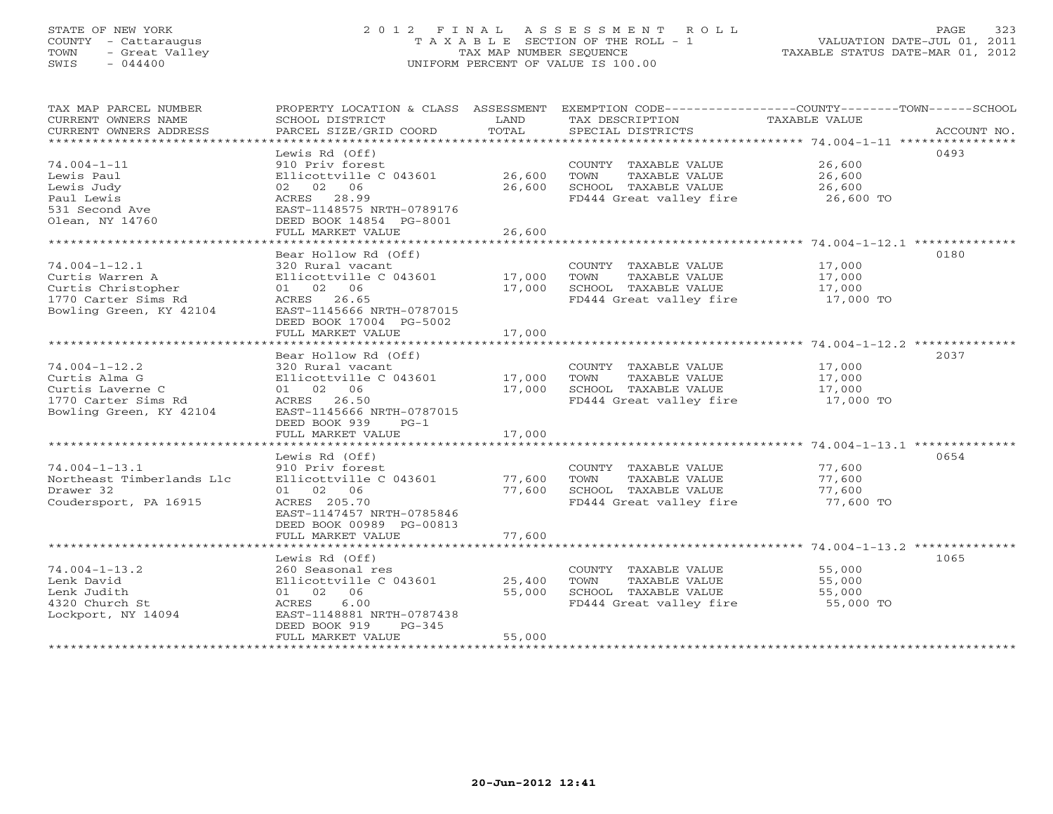## STATE OF NEW YORK 2 0 1 2 F I N A L A S S E S S M E N T R O L L PAGE 323 COUNTY - Cattaraugus T A X A B L E SECTION OF THE ROLL - 1 VALUATION DATE-JUL 01, 2011 TOWN - Great Valley TAX MAP NUMBER SEQUENCE TAXABLE STATUS DATE-MAR 01, 2012 SWIS - 044400 UNIFORM PERCENT OF VALUE IS 100.00UNIFORM PERCENT OF VALUE IS 100.00

| TAX MAP PARCEL NUMBER<br>CURRENT OWNERS NAME<br>CURRENT OWNERS ADDRESS                                         | PROPERTY LOCATION & CLASS ASSESSMENT<br>SCHOOL DISTRICT<br>PARCEL SIZE/GRID COORD                                                                                   | LAND<br>TOTAL              | EXEMPTION CODE-----------------COUNTY-------TOWN------SCHOOL<br>TAX DESCRIPTION<br>SPECIAL DISTRICTS | <b>TAXABLE VALUE</b>                    | ACCOUNT NO. |
|----------------------------------------------------------------------------------------------------------------|---------------------------------------------------------------------------------------------------------------------------------------------------------------------|----------------------------|------------------------------------------------------------------------------------------------------|-----------------------------------------|-------------|
| $74.004 - 1 - 11$<br>Lewis Paul<br>Lewis Judy<br>Paul Lewis<br>531 Second Ave<br>Olean, NY 14760               | Lewis Rd (Off)<br>910 Priv forest<br>Ellicottville C 043601<br>02 02 06<br>ACRES 28.99<br>EAST-1148575 NRTH-0789176<br>DEED BOOK 14854 PG-8001<br>FULL MARKET VALUE | 26,600<br>26,600<br>26,600 | COUNTY TAXABLE VALUE<br>TAXABLE VALUE<br>TOWN<br>SCHOOL TAXABLE VALUE<br>FD444 Great valley fire     | 26,600<br>26,600<br>26,600<br>26,600 TO | 0493        |
|                                                                                                                | Bear Hollow Rd (Off)                                                                                                                                                |                            |                                                                                                      |                                         | 0180        |
| $74.004 - 1 - 12.1$<br>Curtis Warren A<br>Curtis Christopher<br>1770 Carter Sims Rd<br>Bowling Green, KY 42104 | 320 Rural vacant<br>Ellicottville C 043601<br>01 02 06<br>ACRES 26.65<br>EAST-1145666 NRTH-0787015                                                                  | 17,000<br>17,000           | COUNTY TAXABLE VALUE<br>TAXABLE VALUE<br>TOWN<br>SCHOOL TAXABLE VALUE<br>FD444 Great valley fire     | 17,000<br>17,000<br>17,000<br>17,000 TO |             |
|                                                                                                                | DEED BOOK 17004 PG-5002<br>FULL MARKET VALUE                                                                                                                        | 17,000                     |                                                                                                      |                                         |             |
|                                                                                                                | Bear Hollow Rd (Off)                                                                                                                                                |                            |                                                                                                      |                                         | 2037        |
| $74.004 - 1 - 12.2$<br>Curtis Alma G<br>Curtis Laverne C<br>1770 Carter Sims Rd<br>Bowling Green, KY 42104     | 320 Rural vacant<br>Ellicottville C 043601<br>01 02 06<br>ACRES 26.50<br>EAST-1145666 NRTH-0787015<br>DEED BOOK 939<br>$PG-1$                                       | 17,000<br>17,000           | COUNTY TAXABLE VALUE<br>TOWN<br>TAXABLE VALUE<br>SCHOOL TAXABLE VALUE<br>FD444 Great valley fire     | 17,000<br>17,000<br>17,000<br>17,000 TO |             |
|                                                                                                                | FULL MARKET VALUE                                                                                                                                                   | 17,000                     |                                                                                                      |                                         |             |
| * * * * * * * * * * * * * * * * * *                                                                            | ********************<br>Lewis Rd (Off)                                                                                                                              | *************              |                                                                                                      |                                         | 0654        |
| $74.004 - 1 - 13.1$<br>Northeast Timberlands Llc<br>Drawer 32<br>Coudersport, PA 16915                         | 910 Priv forest<br>Ellicottville C 043601<br>01 02 06<br>ACRES 205.70<br>EAST-1147457 NRTH-0785846<br>DEED BOOK 00989 PG-00813                                      | 77,600<br>77,600           | COUNTY TAXABLE VALUE<br>TOWN<br>TAXABLE VALUE<br>SCHOOL TAXABLE VALUE<br>FD444 Great valley fire     | 77,600<br>77,600<br>77,600<br>77,600 TO |             |
|                                                                                                                | FULL MARKET VALUE                                                                                                                                                   | 77,600                     |                                                                                                      |                                         |             |
| $74.004 - 1 - 13.2$<br>Lenk David<br>Lenk Judith<br>4320 Church St<br>Lockport, NY 14094                       | Lewis Rd (Off)<br>260 Seasonal res<br>Ellicottville C 043601<br>01 02 06<br>6.00<br>ACRES<br>EAST-1148881 NRTH-0787438<br>DEED BOOK 919<br>$PG-345$                 | 25,400<br>55,000           | COUNTY TAXABLE VALUE<br>TOWN<br>TAXABLE VALUE<br>SCHOOL TAXABLE VALUE<br>FD444 Great valley fire     | 55,000<br>55,000<br>55,000<br>55,000 TO | 1065        |
|                                                                                                                | FULL MARKET VALUE<br>*********************                                                                                                                          | 55,000                     |                                                                                                      |                                         |             |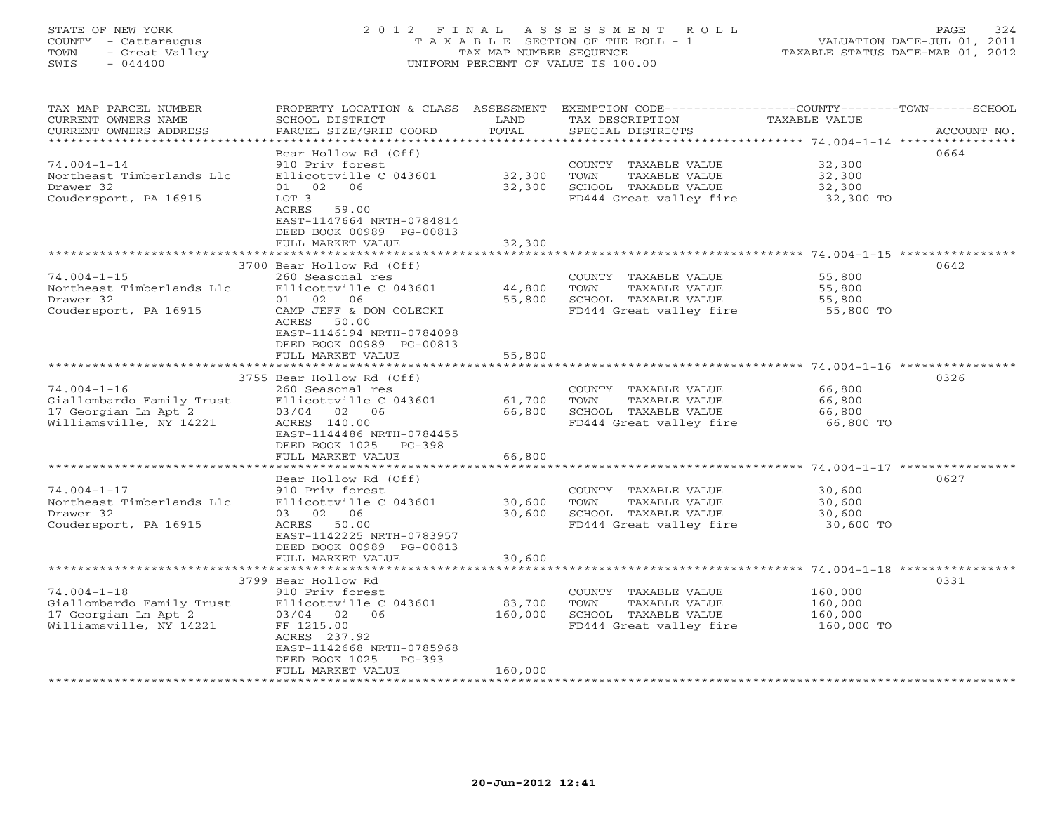## STATE OF NEW YORK 2 0 1 2 F I N A L A S S E S S M E N T R O L L PAGE 324 COUNTY - Cattaraugus T A X A B L E SECTION OF THE ROLL - 1 VALUATION DATE-JUL 01, 2011 TOWN - Great Valley TAX MAP NUMBER SEQUENCE TAXABLE STATUS DATE-MAR 01, 2012 SWIS - 044400 UNIFORM PERCENT OF VALUE IS 100.00

| TAX MAP PARCEL NUMBER<br>CURRENT OWNERS NAME<br>CURRENT OWNERS ADDRESS                                         | PROPERTY LOCATION & CLASS ASSESSMENT<br>SCHOOL DISTRICT<br>PARCEL SIZE/GRID COORD                                                                                                         | LAND<br>TOTAL              | EXEMPTION CODE-----------------COUNTY-------TOWN------SCHOOL<br>TAX DESCRIPTION<br>SPECIAL DISTRICTS | <b>TAXABLE VALUE</b>                        | ACCOUNT NO. |
|----------------------------------------------------------------------------------------------------------------|-------------------------------------------------------------------------------------------------------------------------------------------------------------------------------------------|----------------------------|------------------------------------------------------------------------------------------------------|---------------------------------------------|-------------|
| ******<br>********** 74.004-1-14 ****<br>Bear Hollow Rd (Off)<br>0664                                          |                                                                                                                                                                                           |                            |                                                                                                      |                                             |             |
| $74.004 - 1 - 14$<br>Northeast Timberlands Llc<br>Drawer 32<br>Coudersport, PA 16915                           | 910 Priv forest<br>Ellicottville C 043601<br>01 02 06<br>LOT 3<br>ACRES<br>59.00<br>EAST-1147664 NRTH-0784814                                                                             | 32,300<br>32,300           | COUNTY TAXABLE VALUE<br>TAXABLE VALUE<br>TOWN<br>SCHOOL TAXABLE VALUE<br>FD444 Great valley fire     | 32,300<br>32,300<br>32,300<br>32,300 TO     |             |
|                                                                                                                | DEED BOOK 00989 PG-00813<br>FULL MARKET VALUE                                                                                                                                             | 32,300                     |                                                                                                      |                                             |             |
| ************************************** 74.004-1-15 *****************                                           |                                                                                                                                                                                           |                            |                                                                                                      |                                             |             |
| $74.004 - 1 - 15$<br>Northeast Timberlands Llc<br>Drawer 32<br>Coudersport, PA 16915                           | 3700 Bear Hollow Rd (Off)<br>260 Seasonal res<br>Ellicottville C 043601<br>01 02<br>06<br>CAMP JEFF & DON COLECKI<br>ACRES<br>50.00                                                       | 44,800<br>55,800           | COUNTY TAXABLE VALUE<br>TOWN<br>TAXABLE VALUE<br>SCHOOL TAXABLE VALUE<br>FD444 Great valley fire     | 55,800<br>55,800<br>55,800<br>55,800 TO     | 0642        |
|                                                                                                                | EAST-1146194 NRTH-0784098<br>DEED BOOK 00989 PG-00813<br>FULL MARKET VALUE                                                                                                                | 55,800                     |                                                                                                      |                                             |             |
|                                                                                                                |                                                                                                                                                                                           |                            |                                                                                                      | ******** 74.004-1-16 **************         |             |
| $74.004 - 1 - 16$<br>Giallombardo Family Trust<br>17 Georgian Ln Apt 2<br>Williamsville, NY 14221              | 3755 Bear Hollow Rd (Off)<br>260 Seasonal res<br>Ellicottville C 043601<br>03/04<br>02 06<br>ACRES 140.00<br>EAST-1144486 NRTH-0784455<br>DEED BOOK 1025<br>$PG-398$<br>FULL MARKET VALUE | 61,700<br>66,800<br>66,800 | COUNTY TAXABLE VALUE<br>TOWN<br>TAXABLE VALUE<br>SCHOOL TAXABLE VALUE<br>FD444 Great valley fire     | 66,800<br>66,800<br>66,800<br>66,800 TO     | 0326        |
|                                                                                                                |                                                                                                                                                                                           |                            |                                                                                                      |                                             |             |
| $74.004 - 1 - 17$<br>Northeast Timberlands Llc<br>Drawer 32<br>Coudersport, PA 16915                           | Bear Hollow Rd (Off)<br>910 Priv forest<br>Ellicottville C 043601<br>02<br>06<br>03<br>ACRES<br>50.00<br>EAST-1142225 NRTH-0783957<br>DEED BOOK 00989 PG-00813                            | 30,600<br>30,600           | COUNTY TAXABLE VALUE<br>TAXABLE VALUE<br>TOWN<br>SCHOOL TAXABLE VALUE<br>FD444 Great valley fire     | 30,600<br>30,600<br>30,600<br>30,600 TO     | 0627        |
|                                                                                                                | FULL MARKET VALUE                                                                                                                                                                         | 30,600                     |                                                                                                      |                                             |             |
| **************************<br>*********<br>************************************* 74.004-1-18 ***************** |                                                                                                                                                                                           |                            |                                                                                                      |                                             |             |
| $74.004 - 1 - 18$<br>Giallombardo Family Trust<br>17 Georgian Ln Apt 2<br>Williamsville, NY 14221              | 3799 Bear Hollow Rd<br>910 Priv forest<br>Ellicottville C 043601<br>03/04 02<br>06<br>FF 1215.00<br>ACRES 237.92<br>EAST-1142668 NRTH-0785968<br>DEED BOOK 1025<br>$PG-393$               | 83,700<br>160,000          | COUNTY TAXABLE VALUE<br>TOWN<br>TAXABLE VALUE<br>SCHOOL TAXABLE VALUE<br>FD444 Great valley fire     | 160,000<br>160,000<br>160,000<br>160,000 TO | 0331        |
|                                                                                                                | FULL MARKET VALUE                                                                                                                                                                         | 160,000                    |                                                                                                      |                                             |             |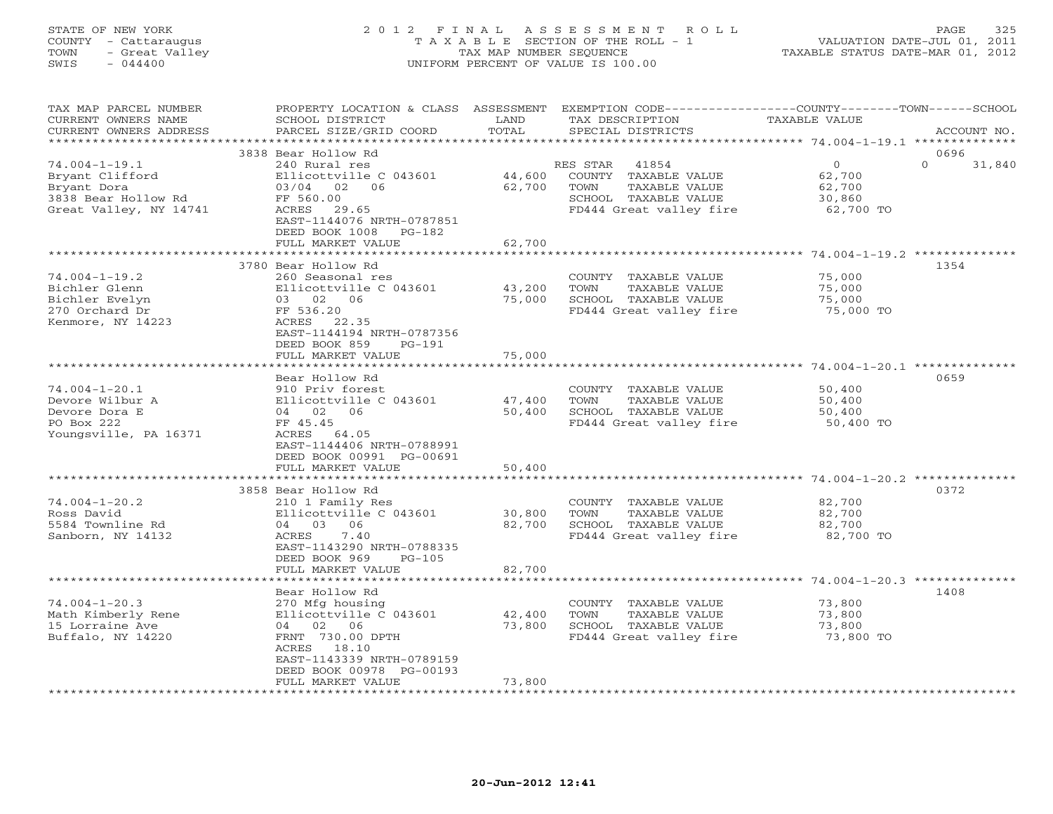# STATE OF NEW YORK 2 0 1 2 F I N A L A S S E S S M E N T R O L L PAGE 325 COUNTY - Cattaraugus T A X A B L E SECTION OF THE ROLL - 1 VALUATION DATE-JUL 01, 2011 TOWN - Great Valley TAX MAP NUMBER SEQUENCE TAXABLE STATUS DATE-MAR 01, 2012 SWIS - 044400 UNIFORM PERCENT OF VALUE IS 100.00UNIFORM PERCENT OF VALUE IS 100.00

| TAX MAP PARCEL NUMBER<br>CURRENT OWNERS NAME<br>CURRENT OWNERS ADDRESS                                 | PROPERTY LOCATION & CLASS ASSESSMENT<br>SCHOOL DISTRICT<br>PARCEL SIZE/GRID COORD                                                                                                           | LAND<br>TOTAL              | EXEMPTION CODE---<br>TAX DESCRIPTION<br>SPECIAL DISTRICTS                                                             | -------COUNTY-------TOWN------SCHOOL<br><b>TAXABLE VALUE</b><br>ACCOUNT NO.      |
|--------------------------------------------------------------------------------------------------------|---------------------------------------------------------------------------------------------------------------------------------------------------------------------------------------------|----------------------------|-----------------------------------------------------------------------------------------------------------------------|----------------------------------------------------------------------------------|
| *********************                                                                                  |                                                                                                                                                                                             |                            |                                                                                                                       |                                                                                  |
| $74.004 - 1 - 19.1$<br>Bryant Clifford<br>Bryant Dora<br>3838 Bear Hollow Rd<br>Great Valley, NY 14741 | 3838 Bear Hollow Rd<br>240 Rural res<br>Ellicottville C 043601<br>03/04<br>02<br>06<br>FF 560.00<br>ACRES<br>29.65<br>EAST-1144076 NRTH-0787851<br>DEED BOOK 1008<br>PG-182                 | 44,600<br>62,700           | RES STAR<br>41854<br>COUNTY TAXABLE VALUE<br>TOWN<br>TAXABLE VALUE<br>SCHOOL TAXABLE VALUE<br>FD444 Great valley fire | 0696<br>$\circ$<br>$\Omega$<br>31,840<br>62,700<br>62,700<br>30,860<br>62,700 TO |
|                                                                                                        | FULL MARKET VALUE                                                                                                                                                                           | 62,700                     |                                                                                                                       | ********************* 74.004-1-19.2 **************                               |
| $74.004 - 1 - 19.2$<br>Bichler Glenn<br>Bichler Evelyn<br>270 Orchard Dr<br>Kenmore, NY 14223          | 3780 Bear Hollow Rd<br>260 Seasonal res<br>Ellicottville C 043601<br>03 02 06<br>FF 536.20<br>ACRES<br>22.35<br>EAST-1144194 NRTH-0787356<br>DEED BOOK 859<br>$PG-191$                      | 43,200<br>75,000           | COUNTY TAXABLE VALUE<br>TOWN<br>TAXABLE VALUE<br>SCHOOL TAXABLE VALUE<br>FD444 Great valley fire                      | 1354<br>75,000<br>75,000<br>75,000<br>75,000 TO                                  |
|                                                                                                        | FULL MARKET VALUE                                                                                                                                                                           | 75,000                     |                                                                                                                       |                                                                                  |
|                                                                                                        |                                                                                                                                                                                             |                            |                                                                                                                       | $74.004 - 1 - 20.1$ **************                                               |
| $74.004 - 1 - 20.1$<br>Devore Wilbur A<br>Devore Dora E<br>PO Box 222<br>Youngsville, PA 16371         | Bear Hollow Rd<br>910 Priv forest<br>Ellicottville C 043601<br>04 02<br>06<br>FF 45.45<br>ACRES 64.05<br>EAST-1144406 NRTH-0788991<br>DEED BOOK 00991 PG-00691                              | 47,400<br>50,400           | COUNTY TAXABLE VALUE<br>TOWN<br>TAXABLE VALUE<br>SCHOOL TAXABLE VALUE<br>FD444 Great valley fire                      | 0659<br>50,400<br>50,400<br>50,400<br>50,400 TO                                  |
|                                                                                                        | FULL MARKET VALUE                                                                                                                                                                           | 50,400                     |                                                                                                                       |                                                                                  |
| $74.004 - 1 - 20.2$<br>Ross David<br>5584 Townline Rd<br>Sanborn, NY 14132                             | 3858 Bear Hollow Rd<br>210 1 Family Res<br>Ellicottville C 043601<br>04 03 06<br>7.40<br>ACRES<br>EAST-1143290 NRTH-0788335<br>DEED BOOK 969<br>$PG-105$<br>FULL MARKET VALUE               | 30,800<br>82,700<br>82,700 | COUNTY TAXABLE VALUE<br>TOWN<br>TAXABLE VALUE<br>SCHOOL TAXABLE VALUE<br>FD444 Great valley fire                      | 0372<br>82,700<br>82,700<br>82,700<br>82,700 TO                                  |
|                                                                                                        |                                                                                                                                                                                             |                            |                                                                                                                       | ********** 74.004-1-20.3 ***                                                     |
| $74.004 - 1 - 20.3$<br>Math Kimberly Rene<br>15 Lorraine Ave<br>Buffalo, NY 14220                      | Bear Hollow Rd<br>270 Mfg housing<br>Ellicottville C 043601<br>02 06<br>04<br>FRNT 730.00 DPTH<br>ACRES 18.10<br>EAST-1143339 NRTH-0789159<br>DEED BOOK 00978 PG-00193<br>FULL MARKET VALUE | 42,400<br>73,800<br>73,800 | COUNTY TAXABLE VALUE<br>TOWN<br>TAXABLE VALUE<br>SCHOOL TAXABLE VALUE<br>FD444 Great valley fire                      | 1408<br>73,800<br>73,800<br>73,800<br>73,800 TO                                  |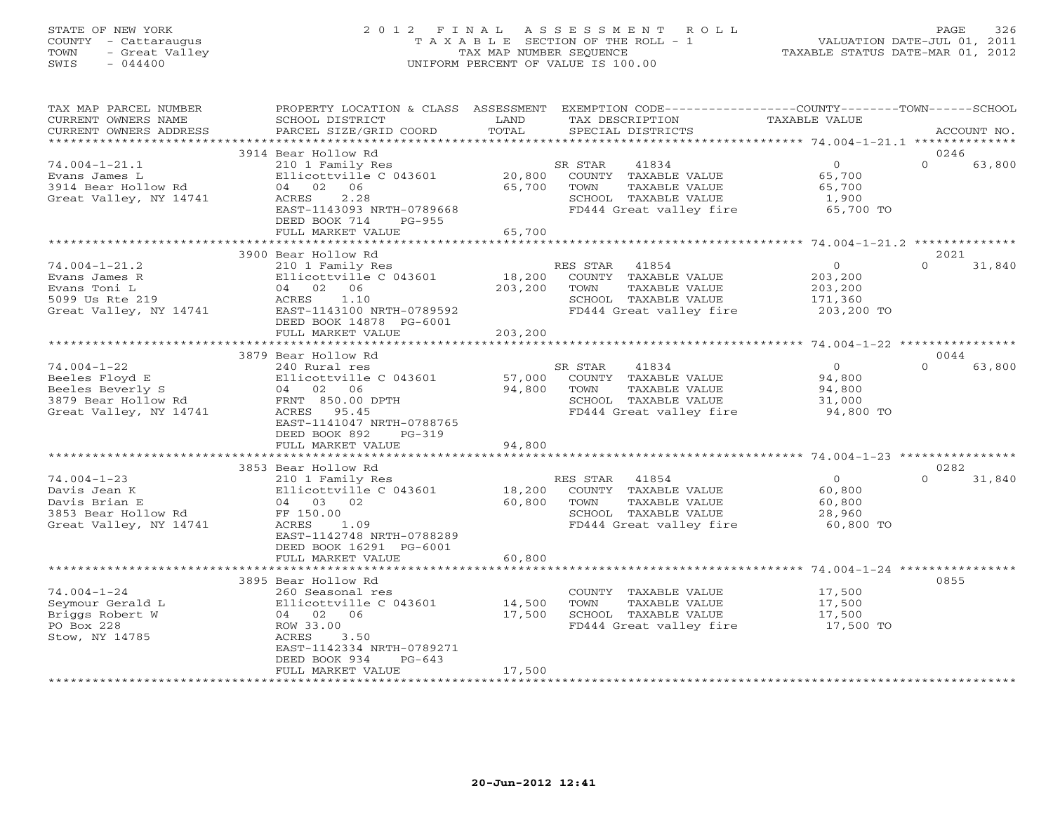# STATE OF NEW YORK 2 0 1 2 F I N A L A S S E S S M E N T R O L L PAGE 326 COUNTY - Cattaraugus T A X A B L E SECTION OF THE ROLL - 1 VALUATION DATE-JUL 01, 2011 TOWN - Great Valley TAX MAP NUMBER SEQUENCE TAXABLE STATUS DATE-MAR 01, 2012 SWIS - 044400 UNIFORM PERCENT OF VALUE IS 100.00

| TAX MAP PARCEL NUMBER<br>CURRENT OWNERS NAME<br>CURRENT OWNERS ADDRESS                                   | PROPERTY LOCATION & CLASS ASSESSMENT<br>SCHOOL DISTRICT<br>PARCEL SIZE/GRID COORD                                                                                           | LAND<br>TOTAL              | EXEMPTION CODE-----------------COUNTY-------TOWN------SCHOOL<br>TAX DESCRIPTION<br>SPECIAL DISTRICTS                  | TAXABLE VALUE                                             | ACCOUNT NO.                |
|----------------------------------------------------------------------------------------------------------|-----------------------------------------------------------------------------------------------------------------------------------------------------------------------------|----------------------------|-----------------------------------------------------------------------------------------------------------------------|-----------------------------------------------------------|----------------------------|
| **********************                                                                                   |                                                                                                                                                                             |                            |                                                                                                                       |                                                           |                            |
| $74.004 - 1 - 21.1$<br>Evans James L<br>3914 Bear Hollow Rd<br>Great Valley, NY 14741                    | 3914 Bear Hollow Rd<br>210 1 Family Res<br>Ellicottville C 043601<br>04 02 06<br>2.28<br>ACRES<br>EAST-1143093 NRTH-0789668<br>DEED BOOK 714<br>PG-955<br>FULL MARKET VALUE | 20,800<br>65,700<br>65,700 | SR STAR<br>41834<br>COUNTY TAXABLE VALUE<br>TAXABLE VALUE<br>TOWN<br>SCHOOL TAXABLE VALUE<br>FD444 Great valley fire  | $\overline{0}$<br>65,700<br>65,700<br>1,900<br>65,700 TO  | 0246<br>$\Omega$<br>63,800 |
|                                                                                                          |                                                                                                                                                                             |                            |                                                                                                                       |                                                           |                            |
|                                                                                                          | 3900 Bear Hollow Rd                                                                                                                                                         |                            |                                                                                                                       | $\circ$                                                   | 2021<br>$\Omega$           |
| $74.004 - 1 - 21.2$<br>Evans James R<br>Evans Toni L<br>5099 Us Rte 219<br>Great Valley, NY 14741        | 210 1 Family Res<br>Ellicottville C 043601<br>04 02 06<br>ACRES<br>1.10<br>EAST-1143100 NRTH-0789592<br>DEED BOOK 14878 PG-6001                                             | 18,200<br>203,200          | RES STAR<br>41854<br>COUNTY TAXABLE VALUE<br>TAXABLE VALUE<br>TOWN<br>SCHOOL TAXABLE VALUE<br>FD444 Great valley fire | 203,200<br>203,200<br>171,360<br>203,200 TO               | 31,840                     |
|                                                                                                          | FULL MARKET VALUE<br>************************                                                                                                                               | 203,200                    |                                                                                                                       |                                                           |                            |
|                                                                                                          | 3879 Bear Hollow Rd                                                                                                                                                         |                            |                                                                                                                       |                                                           | 0044                       |
| $74.004 - 1 - 22$<br>Beeles Floyd E<br>Beeles Beverly S<br>3879 Bear Hollow Rd<br>Great Valley, NY 14741 | 240 Rural res<br>Ellicottville C 043601<br>04 02 06<br>FRNT 850.00 DPTH<br>ACRES 95.45<br>EAST-1141047 NRTH-0788765<br>DEED BOOK 892<br>$PG-319$<br>FULL MARKET VALUE       | 57,000<br>94,800<br>94,800 | SR STAR<br>41834<br>COUNTY TAXABLE VALUE<br>TAXABLE VALUE<br>TOWN<br>SCHOOL TAXABLE VALUE<br>FD444 Great valley fire  | $\overline{0}$<br>94,800<br>94,800<br>31,000<br>94,800 TO | $\Omega$<br>63,800         |
|                                                                                                          | 3853 Bear Hollow Rd                                                                                                                                                         |                            |                                                                                                                       |                                                           | 0282                       |
| $74.004 - 1 - 23$<br>Davis Jean K<br>Davis Brian E<br>3853 Bear Hollow Rd<br>Great Valley, NY 14741      | 210 1 Family Res<br>Ellicottville C 043601<br>04 03 02<br>FF 150.00<br>ACRES<br>1.09<br>EAST-1142748 NRTH-0788289<br>DEED BOOK 16291 PG-6001                                | 18,200<br>60,800           | RES STAR 41854<br>COUNTY TAXABLE VALUE<br>TAXABLE VALUE<br>TOWN<br>SCHOOL TAXABLE VALUE<br>FD444 Great valley fire    | $\overline{0}$<br>60,800<br>60,800<br>28,960<br>60,800 TO | $\Omega$<br>31,840         |
|                                                                                                          | FULL MARKET VALUE                                                                                                                                                           | 60,800                     |                                                                                                                       |                                                           |                            |
|                                                                                                          | 3895 Bear Hollow Rd                                                                                                                                                         |                            |                                                                                                                       |                                                           | 0855                       |
| $74.004 - 1 - 24$<br>Seymour Gerald L<br>Briggs Robert W<br>PO Box 228<br>Stow, NY 14785                 | 260 Seasonal res<br>Ellicottville C 043601<br>04 02 06<br>ROW 33.00<br>ACRES<br>3.50<br>EAST-1142334 NRTH-0789271<br>DEED BOOK 934<br>$PG-643$                              | 14,500<br>17,500           | COUNTY TAXABLE VALUE<br>TOWN<br>TAXABLE VALUE<br>SCHOOL TAXABLE VALUE<br>FD444 Great valley fire                      | 17,500<br>17,500<br>17,500<br>17,500 TO                   |                            |
|                                                                                                          | FULL MARKET VALUE                                                                                                                                                           | 17,500                     |                                                                                                                       |                                                           |                            |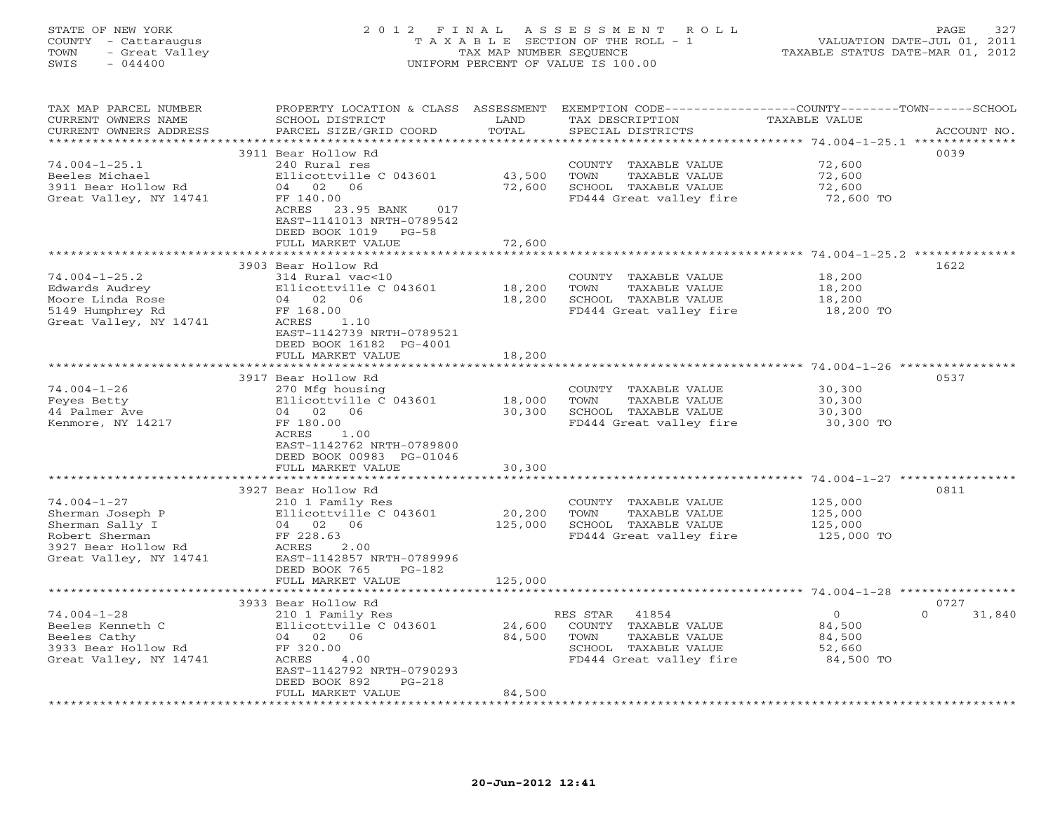# STATE OF NEW YORK 2 0 1 2 F I N A L A S S E S S M E N T R O L L PAGE 327 COUNTY - Cattaraugus T A X A B L E SECTION OF THE ROLL - 1 VALUATION DATE-JUL 01, 2011 TOWN - Great Valley TAX MAP NUMBER SEQUENCE TAXABLE STATUS DATE-MAR 01, 2012 SWIS - 044400 UNIFORM PERCENT OF VALUE IS 100.00UNIFORM PERCENT OF VALUE IS 100.00

| TAX MAP PARCEL NUMBER<br>CURRENT OWNERS NAME<br>CURRENT OWNERS ADDRESS | PROPERTY LOCATION & CLASS ASSESSMENT<br>SCHOOL DISTRICT<br>PARCEL SIZE/GRID COORD | LAND<br>TOTAL          | TAX DESCRIPTION<br>SPECIAL DISTRICTS | EXEMPTION CODE-----------------COUNTY-------TOWN------SCHOOL<br>TAXABLE VALUE | ACCOUNT NO. |
|------------------------------------------------------------------------|-----------------------------------------------------------------------------------|------------------------|--------------------------------------|-------------------------------------------------------------------------------|-------------|
| **********************                                                 |                                                                                   |                        |                                      |                                                                               |             |
|                                                                        | 3911 Bear Hollow Rd                                                               |                        |                                      |                                                                               | 0039        |
| $74.004 - 1 - 25.1$                                                    | 240 Rural res                                                                     |                        | COUNTY TAXABLE VALUE                 | 72,600                                                                        |             |
| Beeles Michael                                                         | Ellicottville C 043601                                                            | 43,500                 | TOWN<br>TAXABLE VALUE                | 72,600                                                                        |             |
| 3911 Bear Hollow Rd                                                    | 04 02 06                                                                          | 72,600                 | SCHOOL TAXABLE VALUE                 | 72,600                                                                        |             |
| Great Valley, NY 14741                                                 | FF 140.00                                                                         |                        | FD444 Great valley fire              | 72,600 TO                                                                     |             |
|                                                                        | ACRES 23.95 BANK<br>017                                                           |                        |                                      |                                                                               |             |
|                                                                        | EAST-1141013 NRTH-0789542                                                         |                        |                                      |                                                                               |             |
|                                                                        | DEED BOOK 1019 PG-58                                                              |                        |                                      |                                                                               |             |
|                                                                        | FULL MARKET VALUE                                                                 | 72,600                 |                                      |                                                                               |             |
|                                                                        |                                                                                   | *********              |                                      |                                                                               |             |
|                                                                        | 3903 Bear Hollow Rd                                                               |                        |                                      |                                                                               | 1622        |
| $74.004 - 1 - 25.2$                                                    | 314 Rural vac<10                                                                  |                        | COUNTY TAXABLE VALUE                 | 18,200                                                                        |             |
| Edwards Audrey                                                         | Ellicottville C 043601                                                            | 18,200                 | TAXABLE VALUE<br>TOWN                | 18,200                                                                        |             |
| Moore Linda Rose                                                       | 04 02 06                                                                          | 18,200                 | SCHOOL TAXABLE VALUE                 | 18,200                                                                        |             |
| 5149 Humphrey Rd                                                       | FF 168.00                                                                         |                        | FD444 Great valley fire              | 18,200 TO                                                                     |             |
| Great Valley, NY 14741                                                 | ACRES<br>1.10                                                                     |                        |                                      |                                                                               |             |
|                                                                        | EAST-1142739 NRTH-0789521                                                         |                        |                                      |                                                                               |             |
|                                                                        | DEED BOOK 16182 PG-4001                                                           |                        |                                      |                                                                               |             |
|                                                                        | FULL MARKET VALUE<br>***********************                                      | 18,200<br>************ |                                      |                                                                               |             |
|                                                                        | 3917 Bear Hollow Rd                                                               |                        |                                      |                                                                               | 0537        |
| $74.004 - 1 - 26$                                                      | 270 Mfg housing                                                                   |                        | COUNTY TAXABLE VALUE                 | 30,300                                                                        |             |
| Feyes Betty                                                            | Ellicottville C 043601                                                            | 18,000                 | TAXABLE VALUE<br>TOWN                | 30,300                                                                        |             |
| 44 Palmer Ave                                                          | 04 02 06                                                                          | 30,300                 | SCHOOL TAXABLE VALUE                 | 30,300                                                                        |             |
| Kenmore, NY 14217                                                      | FF 180.00                                                                         |                        | FD444 Great valley fire              | 30,300 TO                                                                     |             |
|                                                                        | ACRES<br>1.00                                                                     |                        |                                      |                                                                               |             |
|                                                                        | EAST-1142762 NRTH-0789800                                                         |                        |                                      |                                                                               |             |
|                                                                        | DEED BOOK 00983 PG-01046                                                          |                        |                                      |                                                                               |             |
|                                                                        | FULL MARKET VALUE                                                                 | 30,300                 |                                      |                                                                               |             |
|                                                                        |                                                                                   |                        |                                      |                                                                               |             |
|                                                                        | 3927 Bear Hollow Rd                                                               |                        |                                      |                                                                               | 0811        |
| $74.004 - 1 - 27$                                                      | 210 1 Family Res                                                                  |                        | COUNTY TAXABLE VALUE                 | 125,000                                                                       |             |
| Sherman Joseph P                                                       | Ellicottville C 043601                                                            | 20,200                 | TOWN<br>TAXABLE VALUE                | 125,000                                                                       |             |
| Sherman Sally I                                                        | 04 02 06                                                                          | 125,000                | SCHOOL TAXABLE VALUE                 | 125,000                                                                       |             |
| Robert Sherman                                                         | FF 228.63                                                                         |                        | FD444 Great valley fire              | 125,000 TO                                                                    |             |
| 3927 Bear Hollow Rd                                                    | 2.00<br>ACRES                                                                     |                        |                                      |                                                                               |             |
| Great Valley, NY 14741                                                 | EAST-1142857 NRTH-0789996<br>DEED BOOK 765<br>$PG-182$                            |                        |                                      |                                                                               |             |
|                                                                        | FULL MARKET VALUE                                                                 | 125,000                |                                      |                                                                               |             |
|                                                                        |                                                                                   |                        |                                      |                                                                               |             |
|                                                                        | 3933 Bear Hollow Rd                                                               |                        |                                      |                                                                               | 0727        |
| $74.004 - 1 - 28$                                                      | 210 1 Family Res                                                                  |                        | RES STAR<br>41854                    | $\circ$<br>$\Omega$                                                           | 31,840      |
| Beeles Kenneth C                                                       | Ellicottville C 043601                                                            | 24,600                 | COUNTY TAXABLE VALUE                 | 84,500                                                                        |             |
| Beeles Cathy                                                           | 04 02 06                                                                          | 84,500                 | TOWN<br>TAXABLE VALUE                | 84,500                                                                        |             |
| 3933 Bear Hollow Rd                                                    | FF 320.00                                                                         |                        | SCHOOL TAXABLE VALUE                 | 52,660                                                                        |             |
| Great Valley, NY 14741                                                 | ACRES<br>4.00                                                                     |                        | FD444 Great valley fire              | 84,500 TO                                                                     |             |
|                                                                        | EAST-1142792 NRTH-0790293                                                         |                        |                                      |                                                                               |             |
|                                                                        | DEED BOOK 892<br>$PG-218$                                                         |                        |                                      |                                                                               |             |
|                                                                        | FULL MARKET VALUE                                                                 | 84,500                 |                                      |                                                                               |             |
|                                                                        |                                                                                   |                        |                                      |                                                                               |             |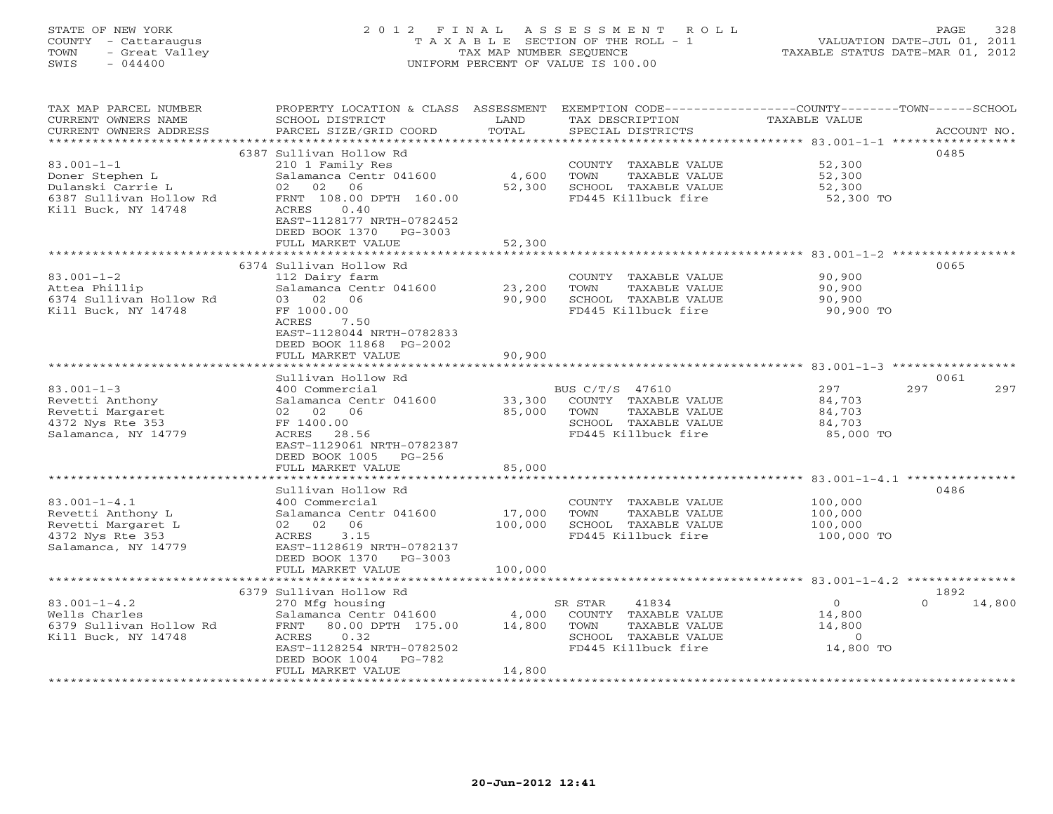# STATE OF NEW YORK 2 0 1 2 F I N A L A S S E S S M E N T R O L L PAGE 328 COUNTY - Cattaraugus T A X A B L E SECTION OF THE ROLL - 1 VALUATION DATE-JUL 01, 2011 TOWN - Great Valley TAX MAP NUMBER SEQUENCE TAXABLE STATUS DATE-MAR 01, 2012 SWIS - 044400 UNIFORM PERCENT OF VALUE IS 100.00

| TAX MAP PARCEL NUMBER<br>CURRENT OWNERS NAME<br>CURRENT OWNERS ADDRESS                                                               | PROPERTY LOCATION & CLASS ASSESSMENT<br>SCHOOL DISTRICT<br>PARCEL SIZE/GRID COORD                                                                                                          | LAND<br>TOTAL                 | EXEMPTION CODE-----------------COUNTY-------TOWN-----SCHOOL<br>TAX DESCRIPTION<br>SPECIAL DISTRICTS              | TAXABLE VALUE                                        | ACCOUNT NO.        |
|--------------------------------------------------------------------------------------------------------------------------------------|--------------------------------------------------------------------------------------------------------------------------------------------------------------------------------------------|-------------------------------|------------------------------------------------------------------------------------------------------------------|------------------------------------------------------|--------------------|
| **********************<br>$83.001 - 1 - 1$<br>Doner Stephen L<br>Dulanski Carrie L<br>6387 Sullivan Hollow Rd<br>Kill Buck, NY 14748 | 6387 Sullivan Hollow Rd<br>210 1 Family Res<br>Salamanca Centr 041600<br>02 02<br>06<br>FRNT 108.00 DPTH 160.00<br>0.40<br>ACRES<br>EAST-1128177 NRTH-0782452<br>DEED BOOK 1370<br>PG-3003 | 4,600<br>52,300               | COUNTY TAXABLE VALUE<br>TOWN<br>TAXABLE VALUE<br>SCHOOL TAXABLE VALUE<br>FD445 Killbuck fire                     | 52,300<br>52,300<br>52,300<br>52,300 TO              | 0485               |
|                                                                                                                                      | FULL MARKET VALUE                                                                                                                                                                          | 52,300                        |                                                                                                                  |                                                      |                    |
| $83.001 - 1 - 2$<br>Attea Phillip<br>6374 Sullivan Hollow Rd<br>Kill Buck, NY 14748                                                  | 6374 Sullivan Hollow Rd<br>112 Dairy farm<br>Salamanca Centr 041600<br>03 02 06<br>FF 1000.00<br>ACRES<br>7.50<br>EAST-1128044 NRTH-0782833<br>DEED BOOK 11868 PG-2002                     | 23,200<br>90,900              | COUNTY TAXABLE VALUE<br>TOWN<br>TAXABLE VALUE<br>SCHOOL TAXABLE VALUE<br>FD445 Killbuck fire                     | 90,900<br>90,900<br>90,900<br>90,900 TO              | 0065               |
|                                                                                                                                      | FULL MARKET VALUE<br>* * * * * * * * * * * * * * * * * * *                                                                                                                                 | 90,900<br>******************* | ********************************** 83.001-1-3 **                                                                 |                                                      |                    |
|                                                                                                                                      | Sullivan Hollow Rd                                                                                                                                                                         |                               |                                                                                                                  |                                                      | 0061               |
| $83.001 - 1 - 3$<br>Revetti Anthony<br>Revetti Margaret<br>4372 Nys Rte 353<br>Salamanca, NY 14779                                   | 400 Commercial<br>Salamanca Centr 041600<br>02 02 06<br>FF 1400.00<br>ACRES 28.56<br>EAST-1129061 NRTH-0782387<br>DEED BOOK 1005 PG-256                                                    | 33,300<br>85,000<br>85,000    | BUS C/T/S 47610<br>COUNTY TAXABLE VALUE<br>TOWN<br>TAXABLE VALUE<br>SCHOOL TAXABLE VALUE<br>FD445 Killbuck fire  | 297<br>84,703<br>84,703<br>84,703<br>85,000 TO       | 297<br>297         |
|                                                                                                                                      | FULL MARKET VALUE                                                                                                                                                                          |                               |                                                                                                                  |                                                      |                    |
| $83.001 - 1 - 4.1$<br>Revetti Anthony L<br>Revetti Margaret L<br>4372 Nys Rte 353<br>Salamanca, NY 14779                             | Sullivan Hollow Rd<br>400 Commercial<br>Salamanca Centr 041600<br>06<br>02 02<br>3.15<br>ACRES<br>EAST-1128619 NRTH-0782137<br>DEED BOOK 1370 PG-3003<br>FULL MARKET VALUE                 | 17,000<br>100,000<br>100,000  | COUNTY TAXABLE VALUE<br>TOWN<br>TAXABLE VALUE<br>SCHOOL TAXABLE VALUE<br>FD445 Killbuck fire                     | 100,000<br>100,000<br>100,000<br>100,000 TO          | 0486               |
|                                                                                                                                      | 6379 Sullivan Hollow Rd                                                                                                                                                                    |                               |                                                                                                                  |                                                      | 1892               |
| $83.001 - 1 - 4.2$<br>Wells Charles<br>6379 Sullivan Hollow Rd<br>Kill Buck, NY 14748                                                | 270 Mfg housing<br>Salamanca Centr 041600<br>FRNT 80.00 DPTH 175.00<br>ACRES<br>0.32<br>EAST-1128254 NRTH-0782502<br>DEED BOOK 1004<br>PG-782<br>FULL MARKET VALUE                         | 4,000<br>14,800<br>14,800     | 41834<br>SR STAR<br>COUNTY TAXABLE VALUE<br>TOWN<br>TAXABLE VALUE<br>SCHOOL TAXABLE VALUE<br>FD445 Killbuck fire | $\circ$<br>14,800<br>14,800<br>$\Omega$<br>14,800 TO | 14,800<br>$\Omega$ |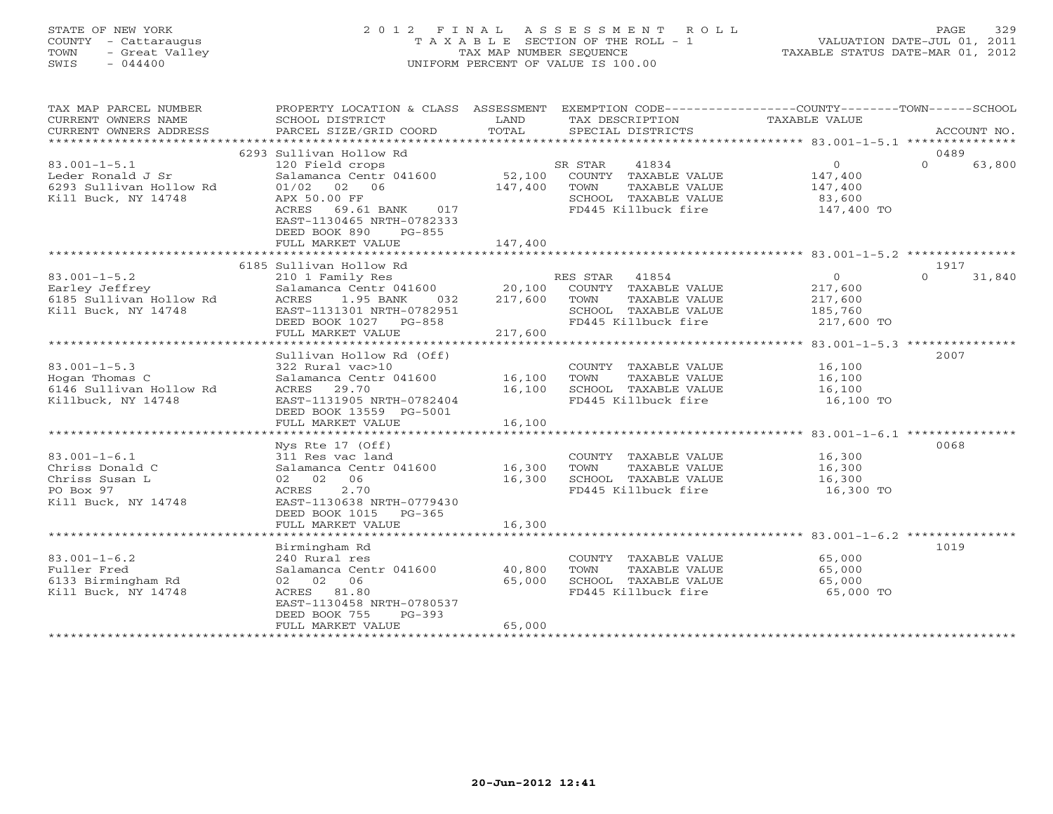# STATE OF NEW YORK 2 0 1 2 F I N A L A S S E S S M E N T R O L L PAGE 329 COUNTY - Cattaraugus T A X A B L E SECTION OF THE ROLL - 1 VALUATION DATE-JUL 01, 2011 TOWN - Great Valley TAX MAP NUMBER SEQUENCE TAXABLE STATUS DATE-MAR 01, 2012 SWIS - 044400 UNIFORM PERCENT OF VALUE IS 100.00UNIFORM PERCENT OF VALUE IS 100.00

| TAX MAP PARCEL NUMBER<br>CURRENT OWNERS NAME<br>CURRENT OWNERS ADDRESS                      | PROPERTY LOCATION & CLASS ASSESSMENT<br>SCHOOL DISTRICT<br>PARCEL SIZE/GRID COORD                                                                                                                                      | LAND<br>TOTAL              | EXEMPTION CODE-----------------COUNTY-------TOWN------SCHOOL<br>TAX DESCRIPTION<br>SPECIAL DISTRICTS             | TAXABLE VALUE                                                 | ACCOUNT NO.                |
|---------------------------------------------------------------------------------------------|------------------------------------------------------------------------------------------------------------------------------------------------------------------------------------------------------------------------|----------------------------|------------------------------------------------------------------------------------------------------------------|---------------------------------------------------------------|----------------------------|
|                                                                                             |                                                                                                                                                                                                                        |                            |                                                                                                                  |                                                               |                            |
| $83.001 - 1 - 5.1$<br>Leder Ronald J Sr<br>6293 Sullivan Hollow Rd<br>Kill Buck, NY 14748   | 6293 Sullivan Hollow Rd<br>120 Field crops<br>Salamanca Centr 041600 52,100<br>$01/02$ 02 06<br>APX 50.00 FF<br>69.61 BANK 017<br>ACRES<br>EAST-1130465 NRTH-0782333<br>DEED BOOK 890<br>$PG-855$<br>FULL MARKET VALUE | 147,400<br>147,400         | 41834<br>SR STAR<br>COUNTY TAXABLE VALUE<br>TOWN<br>TAXABLE VALUE<br>SCHOOL TAXABLE VALUE<br>FD445 Killbuck fire | $\overline{0}$<br>147,400<br>147,400<br>83,600<br>147,400 TO  | 0489<br>$\cap$<br>63,800   |
|                                                                                             |                                                                                                                                                                                                                        |                            |                                                                                                                  |                                                               |                            |
| $83.001 - 1 - 5.2$<br>Earley Jeffrey<br>6185 Sullivan Hollow Rd<br>Kill Buck, NY 14748      | 6185 Sullivan Hollow Rd<br>210 1 Family Res<br>Salamanca Centr 041600 20,100<br>ACRES 1.95 BANK 032 217,600<br>ACRES<br>1.95 BANK<br>032<br>EAST-1131301 NRTH-0782951<br>DEED BOOK 1027 PG-858<br>FULL MARKET VALUE    | 217,600<br>217,600         | RES STAR 41854<br>COUNTY TAXABLE VALUE<br>TAXABLE VALUE<br>TOWN<br>SCHOOL TAXABLE VALUE<br>FD445 Killbuck fire   | $\overline{0}$<br>217,600<br>217,600<br>185,760<br>217,600 TO | 1917<br>31,840<br>$\Omega$ |
|                                                                                             |                                                                                                                                                                                                                        |                            |                                                                                                                  |                                                               |                            |
| $83.001 - 1 - 5.3$<br>Hogan Thomas C<br>6146 Sullivan Hollow Rd<br>Killbuck, NY 14748       | Sullivan Hollow Rd (Off)<br>322 Rural vac>10<br>Salamanca Centr 041600 16,100<br>ACRES 29.70<br>EAST-1131905 NRTH-0782404<br>DEED BOOK 13559 PG-5001<br>FULL MARKET VALUE                                              | 16,100<br>16,100           | COUNTY TAXABLE VALUE<br>TOWN<br>TAXABLE VALUE<br>SCHOOL TAXABLE VALUE<br>FD445 Killbuck fire                     | 16,100<br>16,100<br>16,100<br>16,100 TO                       | 2007                       |
|                                                                                             |                                                                                                                                                                                                                        |                            |                                                                                                                  |                                                               |                            |
| $83.001 - 1 - 6.1$<br>Chriss Donald C<br>Chriss Susan L<br>PO Box 97<br>Kill Buck, NY 14748 | Nys Rte 17 (Off)<br>311 Res vac land<br>Salamanca Centr 041600<br>02 02 06<br>ACRES<br>2.70<br>EAST-1130638 NRTH-0779430<br>DEED BOOK 1015<br>PG-365<br>FULL MARKET VALUE                                              | 16,300<br>16,300<br>16,300 | COUNTY TAXABLE VALUE<br>TAXABLE VALUE<br>TOWN<br>SCHOOL TAXABLE VALUE<br>FD445 Killbuck fire                     | 16,300<br>16,300<br>16,300<br>16,300 TO                       | 0068                       |
|                                                                                             |                                                                                                                                                                                                                        |                            |                                                                                                                  |                                                               |                            |
| $83.001 - 1 - 6.2$<br>Fuller Fred<br>6133 Birmingham Rd<br>Kill Buck, NY 14748              | Birmingham Rd<br>240 Rural res<br>Salamanca Centr 041600<br>02 02 06<br>ACRES 81.80<br>EAST-1130458 NRTH-0780537<br>DEED BOOK 755<br>$PG-393$<br>FULL MARKET VALUE                                                     | 40,800<br>65,000<br>65,000 | COUNTY TAXABLE VALUE<br>TOWN<br>TAXABLE VALUE<br>SCHOOL TAXABLE VALUE<br>FD445 Killbuck fire                     | 65,000<br>65,000<br>65,000<br>65,000 TO                       | 1019                       |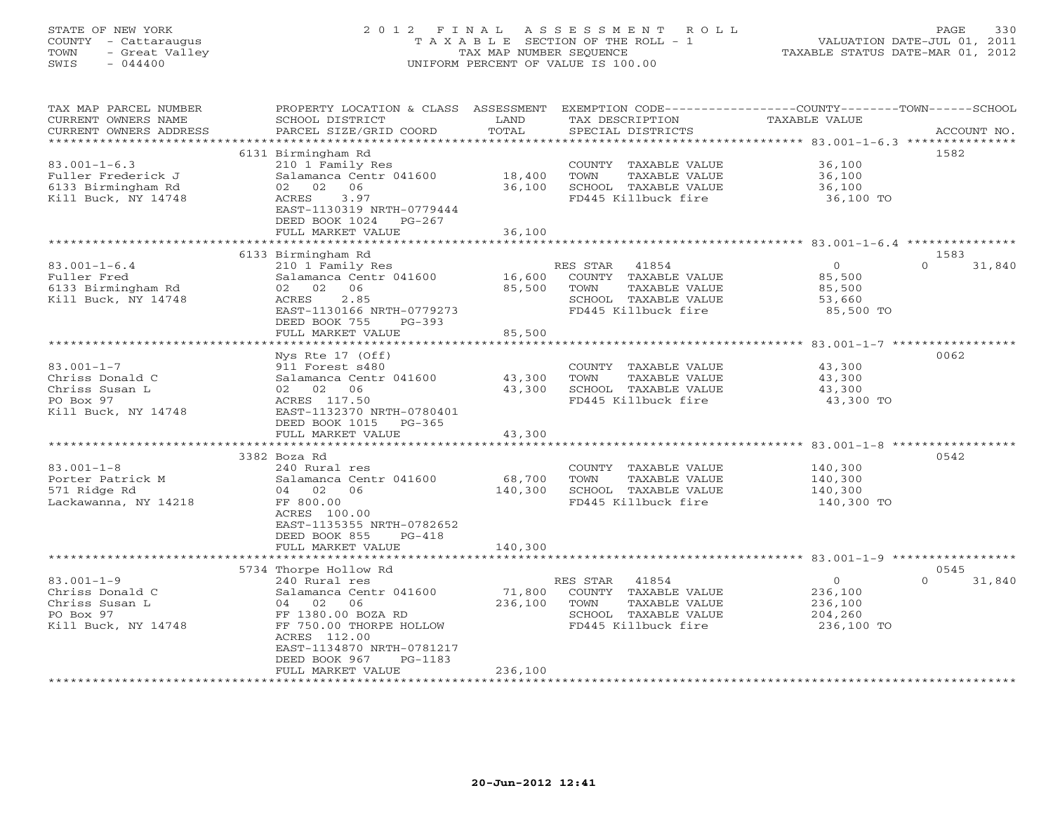# STATE OF NEW YORK 2 0 1 2 F I N A L A S S E S S M E N T R O L L PAGE 330 COUNTY - Cattaraugus T A X A B L E SECTION OF THE ROLL - 1 VALUATION DATE-JUL 01, 2011 TOWN - Great Valley TAX MAP NUMBER SEQUENCE TAXABLE STATUS DATE-MAR 01, 2012 SWIS - 044400 UNIFORM PERCENT OF VALUE IS 100.00UNIFORM PERCENT OF VALUE IS 100.00

| TAX MAP PARCEL NUMBER<br>CURRENT OWNERS NAME<br>CURRENT OWNERS ADDRESS<br>********************** | PROPERTY LOCATION & CLASS ASSESSMENT<br>SCHOOL DISTRICT<br>PARCEL SIZE/GRID COORD                                                                                                                                                | LAND<br>TOTAL                | TAX DESCRIPTION<br>SPECIAL DISTRICTS                                                                              | EXEMPTION CODE-----------------COUNTY-------TOWN-----SCHOOL<br><b>TAXABLE VALUE</b> | ACCOUNT NO.                |
|--------------------------------------------------------------------------------------------------|----------------------------------------------------------------------------------------------------------------------------------------------------------------------------------------------------------------------------------|------------------------------|-------------------------------------------------------------------------------------------------------------------|-------------------------------------------------------------------------------------|----------------------------|
| $83.001 - 1 - 6.3$<br>Fuller Frederick J<br>6133 Birmingham Rd<br>Kill Buck, NY 14748            | 6131 Birmingham Rd<br>210 1 Family Res<br>Salamanca Centr 041600<br>06<br>02 02<br>3.97<br>ACRES<br>EAST-1130319 NRTH-0779444<br>DEED BOOK 1024 PG-267<br>FULL MARKET VALUE                                                      | 18,400<br>36,100<br>36,100   | COUNTY TAXABLE VALUE<br>TOWN<br>TAXABLE VALUE<br>SCHOOL TAXABLE VALUE<br>FD445 Killbuck fire                      | 36,100<br>36,100<br>36,100<br>36,100 TO                                             | 1582                       |
|                                                                                                  |                                                                                                                                                                                                                                  |                              |                                                                                                                   |                                                                                     |                            |
| $83.001 - 1 - 6.4$<br>Fuller Fred<br>6133 Birmingham Rd<br>Kill Buck, NY 14748                   | 6133 Birmingham Rd<br>210 1 Family Res<br>Salamanca Centr 041600<br>02 02 06<br>ACRES<br>2.85<br>EAST-1130166 NRTH-0779273                                                                                                       | 16,600<br>85,500             | RES STAR<br>41854<br>COUNTY TAXABLE VALUE<br>TOWN<br>TAXABLE VALUE<br>SCHOOL TAXABLE VALUE<br>FD445 Killbuck fire | $\overline{0}$<br>85,500<br>85,500<br>53,660<br>85,500 TO                           | 1583<br>$\Omega$<br>31,840 |
|                                                                                                  | DEED BOOK 755<br>$PG-393$<br>FULL MARKET VALUE<br>************************                                                                                                                                                       | 85,500                       |                                                                                                                   |                                                                                     |                            |
| $83.001 - 1 - 7$<br>Chriss Donald C<br>Chriss Susan L<br>PO Box 97<br>Kill Buck, NY 14748        | Nys Rte 17 (Off)<br>911 Forest s480<br>Salamanca Centr 041600<br>02 02 06<br>ACRES 117.50<br>EAST-1132370 NRTH-0780401<br>DEED BOOK 1015 PG-365<br>FULL MARKET VALUE                                                             | 43,300<br>43,300<br>43,300   | COUNTY TAXABLE VALUE<br>TOWN<br>TAXABLE VALUE<br>SCHOOL TAXABLE VALUE<br>FD445 Killbuck fire                      | 43,300<br>43,300<br>43,300<br>43,300 TO                                             | 0062                       |
| $83.001 - 1 - 8$<br>Porter Patrick M<br>571 Ridge Rd<br>Lackawanna, NY 14218                     | 3382 Boza Rd<br>240 Rural res<br>Salamanca Centr 041600<br>04 02 06<br>FF 800.00<br>ACRES 100.00<br>EAST-1135355 NRTH-0782652<br>DEED BOOK 855<br>$PG-418$<br>FULL MARKET VALUE                                                  | 68,700<br>140,300<br>140,300 | COUNTY TAXABLE VALUE<br>TOWN<br>TAXABLE VALUE<br>SCHOOL TAXABLE VALUE<br>FD445 Killbuck fire                      | 140,300<br>140,300<br>140,300<br>140,300 TO                                         | 0542                       |
|                                                                                                  |                                                                                                                                                                                                                                  |                              |                                                                                                                   |                                                                                     |                            |
| $83.001 - 1 - 9$<br>Chriss Donald C<br>Chriss Susan L<br>PO Box 97<br>Kill Buck, NY 14748        | 5734 Thorpe Hollow Rd<br>240 Rural res<br>Salamanca Centr 041600<br>04 02<br>06<br>FF 1380.00 BOZA RD<br>FF 750.00 THORPE HOLLOW<br>ACRES 112.00<br>EAST-1134870 NRTH-0781217<br>DEED BOOK 967<br>$PG-1183$<br>FULL MARKET VALUE | 71,800<br>236,100<br>236,100 | RES STAR 41854<br>COUNTY TAXABLE VALUE<br>TOWN<br>TAXABLE VALUE<br>SCHOOL TAXABLE VALUE<br>FD445 Killbuck fire    | $\overline{O}$<br>236,100<br>236,100<br>204,260<br>236,100 TO                       | 0545<br>$\Omega$<br>31,840 |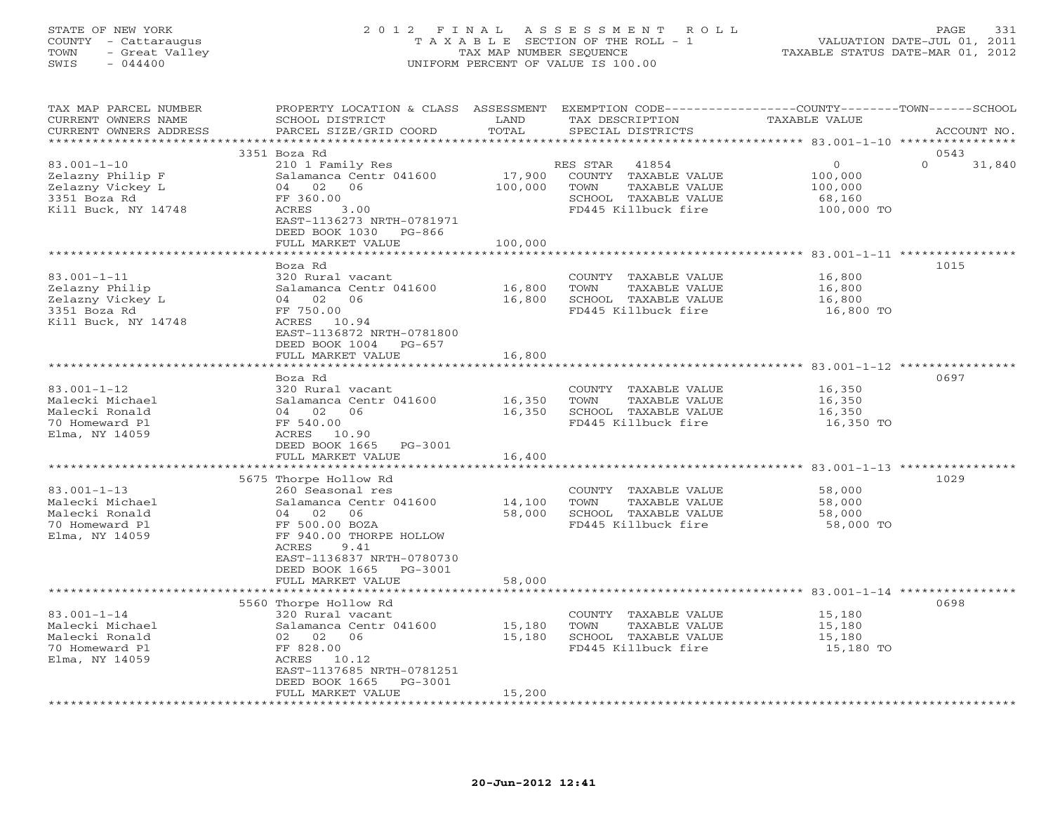# STATE OF NEW YORK 2 0 1 2 F I N A L A S S E S S M E N T R O L L PAGE 331 COUNTY - Cattaraugus T A X A B L E SECTION OF THE ROLL - 1 VALUATION DATE-JUL 01, 2011 TOWN - Great Valley TAX MAP NUMBER SEQUENCE TAXABLE STATUS DATE-MAR 01, 2012 SWIS - 044400 UNIFORM PERCENT OF VALUE IS 100.00UNIFORM PERCENT OF VALUE IS 100.00

| TAX MAP PARCEL NUMBER<br>CURRENT OWNERS NAME<br>CURRENT OWNERS ADDRESS | PROPERTY LOCATION & CLASS ASSESSMENT EXEMPTION CODE---------------COUNTY-------TOWN-----SCHOOL<br>SCHOOL DISTRICT<br>PARCEL SIZE/GRID COORD | LAND<br>TOTAL | TAX DESCRIPTION<br>SPECIAL DISTRICTS | <b>TAXABLE VALUE</b> | ACCOUNT NO.        |
|------------------------------------------------------------------------|---------------------------------------------------------------------------------------------------------------------------------------------|---------------|--------------------------------------|----------------------|--------------------|
| ***********************                                                |                                                                                                                                             |               |                                      |                      |                    |
|                                                                        | 3351 Boza Rd                                                                                                                                |               |                                      |                      | 0543               |
| $83.001 - 1 - 10$                                                      | 210 1 Family Res                                                                                                                            |               | 41854<br>RES STAR                    | $\Omega$             | $\Omega$<br>31,840 |
| Zelazny Philip F                                                       | Salamanca Centr 041600                                                                                                                      | 17,900        | COUNTY TAXABLE VALUE                 | 100,000              |                    |
| Zelazny Vickey L                                                       | 04 02<br>06                                                                                                                                 | 100,000       | TOWN<br>TAXABLE VALUE                | 100,000              |                    |
| 3351 Boza Rd                                                           | FF 360.00                                                                                                                                   |               | SCHOOL TAXABLE VALUE                 | 68,160               |                    |
| Kill Buck, NY 14748                                                    | 3.00<br>ACRES                                                                                                                               |               | FD445 Killbuck fire                  | 100,000 TO           |                    |
|                                                                        | EAST-1136273 NRTH-0781971                                                                                                                   |               |                                      |                      |                    |
|                                                                        | DEED BOOK 1030 PG-866                                                                                                                       |               |                                      |                      |                    |
|                                                                        | FULL MARKET VALUE                                                                                                                           | 100,000       |                                      |                      |                    |
|                                                                        |                                                                                                                                             |               |                                      |                      |                    |
|                                                                        | Boza Rd                                                                                                                                     |               |                                      |                      | 1015               |
| $83.001 - 1 - 11$                                                      | 320 Rural vacant                                                                                                                            |               | COUNTY TAXABLE VALUE                 | 16,800               |                    |
| Zelazny Philip                                                         | Salamanca Centr 041600                                                                                                                      | 16,800        | TOWN<br>TAXABLE VALUE                | 16,800               |                    |
| Zelazny Vickey L                                                       | 04 02<br>06                                                                                                                                 | 16,800        | SCHOOL TAXABLE VALUE                 | 16,800               |                    |
| 3351 Boza Rd                                                           | FF 750.00                                                                                                                                   |               | FD445 Killbuck fire                  | 16,800 TO            |                    |
| Kill Buck, NY 14748                                                    | ACRES 10.94                                                                                                                                 |               |                                      |                      |                    |
|                                                                        | EAST-1136872 NRTH-0781800                                                                                                                   |               |                                      |                      |                    |
|                                                                        | DEED BOOK 1004 PG-657                                                                                                                       |               |                                      |                      |                    |
|                                                                        | FULL MARKET VALUE                                                                                                                           | 16,800        |                                      |                      |                    |
|                                                                        |                                                                                                                                             |               |                                      |                      |                    |
|                                                                        | Boza Rd                                                                                                                                     |               |                                      |                      | 0697               |
| $83.001 - 1 - 12$                                                      | 320 Rural vacant                                                                                                                            |               | COUNTY TAXABLE VALUE                 | 16,350               |                    |
| Malecki Michael                                                        | Salamanca Centr 041600                                                                                                                      | 16,350        | TOWN<br>TAXABLE VALUE                | 16,350               |                    |
| Malecki Ronald                                                         | 04 02<br>06                                                                                                                                 | 16,350        | SCHOOL TAXABLE VALUE                 | 16,350               |                    |
| 70 Homeward Pl                                                         | FF 540.00                                                                                                                                   |               | FD445 Killbuck fire                  | 16,350 TO            |                    |
| Elma, NY 14059                                                         | ACRES 10.90                                                                                                                                 |               |                                      |                      |                    |
|                                                                        | DEED BOOK 1665 PG-3001                                                                                                                      |               |                                      |                      |                    |
|                                                                        | FULL MARKET VALUE                                                                                                                           | 16,400        |                                      |                      |                    |
|                                                                        |                                                                                                                                             |               |                                      |                      |                    |
|                                                                        | 5675 Thorpe Hollow Rd                                                                                                                       |               |                                      |                      | 1029               |
| $83.001 - 1 - 13$                                                      | 260 Seasonal res                                                                                                                            |               | COUNTY TAXABLE VALUE                 | 58,000               |                    |
| Malecki Michael                                                        | Salamanca Centr 041600                                                                                                                      | 14,100        | TOWN<br>TAXABLE VALUE                | 58,000               |                    |
| Malecki Ronald                                                         | 06<br>04 02                                                                                                                                 | 58,000        | SCHOOL TAXABLE VALUE                 | 58,000               |                    |
| 70 Homeward Pl                                                         | FF 500.00 BOZA                                                                                                                              |               | FD445 Killbuck fire                  | 58,000 TO            |                    |
| Elma, NY 14059                                                         | FF 940.00 THORPE HOLLOW                                                                                                                     |               |                                      |                      |                    |
|                                                                        | ACRES<br>9.41                                                                                                                               |               |                                      |                      |                    |
|                                                                        | EAST-1136837 NRTH-0780730                                                                                                                   |               |                                      |                      |                    |
|                                                                        | DEED BOOK 1665<br>PG-3001                                                                                                                   |               |                                      |                      |                    |
|                                                                        | FULL MARKET VALUE                                                                                                                           | 58,000        |                                      |                      |                    |
|                                                                        |                                                                                                                                             |               |                                      |                      |                    |
|                                                                        | 5560 Thorpe Hollow Rd                                                                                                                       |               |                                      |                      | 0698               |
| $83.001 - 1 - 14$                                                      | 320 Rural vacant                                                                                                                            |               | COUNTY TAXABLE VALUE                 | 15,180               |                    |
| Malecki Michael                                                        | Salamanca Centr 041600                                                                                                                      | 15,180        | TOWN<br>TAXABLE VALUE                | 15,180               |                    |
| Malecki Ronald                                                         | 02 02<br>06                                                                                                                                 | 15,180        | SCHOOL TAXABLE VALUE                 | 15,180               |                    |
| 70 Homeward Pl                                                         | FF 828.00                                                                                                                                   |               | FD445 Killbuck fire                  | 15,180 TO            |                    |
| Elma, NY 14059                                                         | ACRES<br>10.12                                                                                                                              |               |                                      |                      |                    |
|                                                                        | EAST-1137685 NRTH-0781251                                                                                                                   |               |                                      |                      |                    |
|                                                                        | DEED BOOK 1665<br>PG-3001                                                                                                                   |               |                                      |                      |                    |
|                                                                        | FULL MARKET VALUE                                                                                                                           | 15,200        |                                      |                      |                    |
|                                                                        |                                                                                                                                             |               |                                      |                      |                    |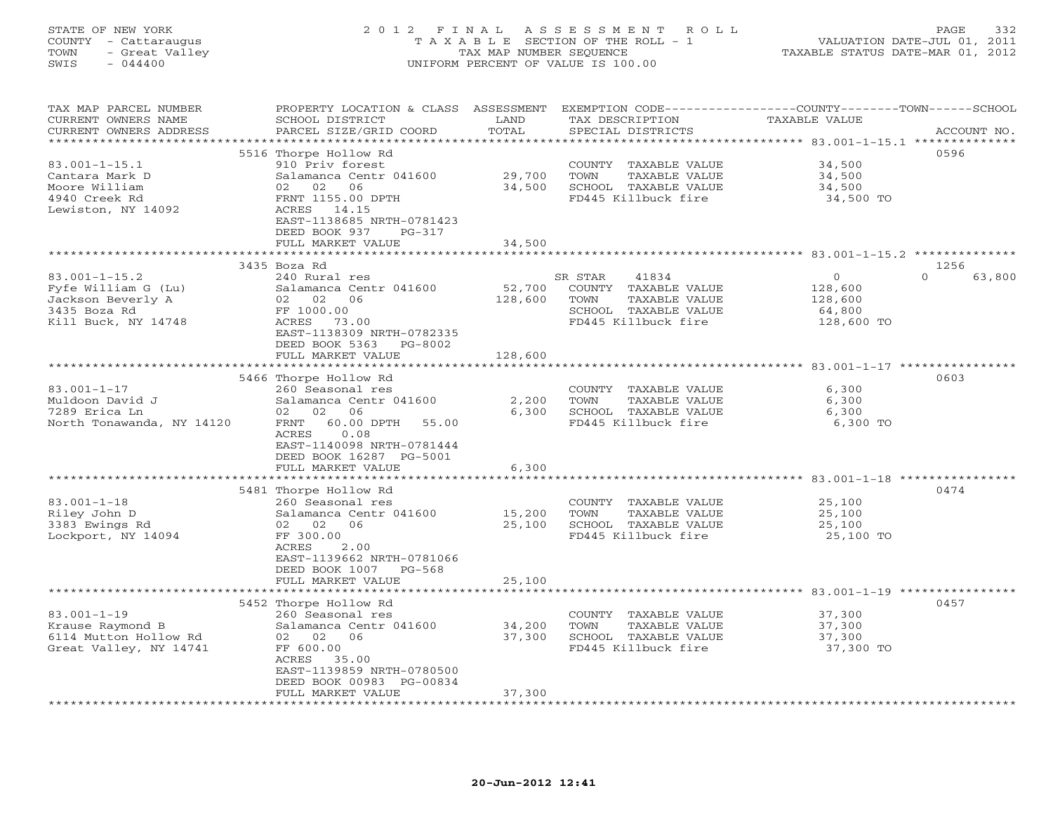# STATE OF NEW YORK 2 0 1 2 F I N A L A S S E S S M E N T R O L L PAGE 332 COUNTY - Cattaraugus T A X A B L E SECTION OF THE ROLL - 1 VALUATION DATE-JUL 01, 2011 TOWN - Great Valley TAX MAP NUMBER SEQUENCE TAXABLE STATUS DATE-MAR 01, 2012 SWIS - 044400 UNIFORM PERCENT OF VALUE IS 100.00UNIFORM PERCENT OF VALUE IS 100.00

| TAX MAP PARCEL NUMBER                | PROPERTY LOCATION & CLASS ASSESSMENT EXEMPTION CODE----------------COUNTY-------TOWN------SCHOOL |                  |         |                                             |                      |                     |                  |
|--------------------------------------|--------------------------------------------------------------------------------------------------|------------------|---------|---------------------------------------------|----------------------|---------------------|------------------|
| CURRENT OWNERS NAME                  | SCHOOL DISTRICT                                                                                  | LAND             |         | TAX DESCRIPTION                             | <b>TAXABLE VALUE</b> |                     |                  |
| CURRENT OWNERS ADDRESS               | PARCEL SIZE/GRID COORD                                                                           | TOTAL            |         | SPECIAL DISTRICTS                           |                      |                     | ACCOUNT NO.      |
|                                      |                                                                                                  |                  |         |                                             |                      |                     |                  |
|                                      | 5516 Thorpe Hollow Rd                                                                            |                  |         |                                             |                      |                     | 0596             |
| $83.001 - 1 - 15.1$                  | 910 Priv forest                                                                                  |                  |         | COUNTY TAXABLE VALUE                        |                      | 34,500              |                  |
| Cantara Mark D                       | Salamanca Centr 041600                                                                           | 29,700           | TOWN    | TAXABLE VALUE                               |                      | 34,500              |                  |
| Moore William                        | 06<br>02<br>02                                                                                   | 34,500           |         | SCHOOL TAXABLE VALUE                        |                      | 34,500              |                  |
| 4940 Creek Rd                        | FRNT 1155.00 DPTH                                                                                |                  |         | FD445 Killbuck fire                         |                      | 34,500 TO           |                  |
| Lewiston, NY 14092                   | ACRES 14.15<br>EAST-1138685 NRTH-0781423                                                         |                  |         |                                             |                      |                     |                  |
|                                      | DEED BOOK 937<br>$PG-317$                                                                        |                  |         |                                             |                      |                     |                  |
|                                      | FULL MARKET VALUE                                                                                | 34,500           |         |                                             |                      |                     |                  |
|                                      | ************************                                                                         | **************** |         |                                             |                      |                     |                  |
|                                      | 3435 Boza Rd                                                                                     |                  |         |                                             |                      |                     | 1256             |
| $83.001 - 1 - 15.2$                  | 240 Rural res                                                                                    |                  | SR STAR | 41834                                       |                      | $\Omega$            | $\cap$<br>63,800 |
| Fyfe William G (Lu)                  | Salamanca Centr 041600                                                                           | 52,700           |         | COUNTY TAXABLE VALUE                        |                      | 128,600             |                  |
| Jackson Beverly A                    | 02 02<br>06                                                                                      | 128,600          | TOWN    | TAXABLE VALUE                               |                      | 128,600             |                  |
| 3435 Boza Rd                         | FF 1000.00                                                                                       |                  |         | SCHOOL TAXABLE VALUE                        |                      | 64,800              |                  |
| Kill Buck, NY 14748                  | ACRES 73.00                                                                                      |                  |         | FD445 Killbuck fire                         |                      | 128,600 TO          |                  |
|                                      | EAST-1138309 NRTH-0782335                                                                        |                  |         |                                             |                      |                     |                  |
|                                      | DEED BOOK 5363<br>PG-8002                                                                        |                  |         |                                             |                      |                     |                  |
|                                      | FULL MARKET VALUE                                                                                | 128,600          |         |                                             |                      |                     |                  |
|                                      | ***********************                                                                          |                  |         |                                             |                      |                     |                  |
|                                      | 5466 Thorpe Hollow Rd                                                                            |                  |         |                                             |                      |                     | 0603             |
| $83.001 - 1 - 17$                    | 260 Seasonal res                                                                                 |                  |         | COUNTY TAXABLE VALUE                        |                      | 6,300               |                  |
| Muldoon David J                      | Salamanca Centr 041600                                                                           | 2,200            | TOWN    | TAXABLE VALUE                               |                      | 6,300               |                  |
| 7289 Erica Ln                        | 02 02 06                                                                                         | 6,300            |         | SCHOOL TAXABLE VALUE                        |                      | 6,300               |                  |
| North Tonawanda, NY 14120            | 60.00 DPTH<br>FRNT<br>55.00                                                                      |                  |         | FD445 Killbuck fire                         |                      | 6,300 TO            |                  |
|                                      | <b>ACRES</b><br>0.08                                                                             |                  |         |                                             |                      |                     |                  |
|                                      | EAST-1140098 NRTH-0781444                                                                        |                  |         |                                             |                      |                     |                  |
|                                      | DEED BOOK 16287 PG-5001                                                                          |                  |         |                                             |                      |                     |                  |
|                                      | FULL MARKET VALUE<br>********************                                                        | 6,300            |         |                                             |                      |                     |                  |
|                                      |                                                                                                  | ***************  |         |                                             |                      |                     |                  |
|                                      | 5481 Thorpe Hollow Rd                                                                            |                  |         |                                             |                      |                     | 0474             |
| $83.001 - 1 - 18$                    | 260 Seasonal res                                                                                 |                  |         | COUNTY TAXABLE VALUE                        |                      | 25,100              |                  |
| Riley John D                         | Salamanca Centr 041600                                                                           | 15,200           | TOWN    | TAXABLE VALUE                               |                      | 25,100              |                  |
| 3383 Ewings Rd<br>Lockport, NY 14094 | 02 02 06<br>FF 300.00                                                                            | 25,100           |         | SCHOOL TAXABLE VALUE<br>FD445 Killbuck fire |                      | 25,100<br>25,100 TO |                  |
|                                      | 2.00<br>ACRES                                                                                    |                  |         |                                             |                      |                     |                  |
|                                      | EAST-1139662 NRTH-0781066                                                                        |                  |         |                                             |                      |                     |                  |
|                                      | DEED BOOK 1007 PG-568                                                                            |                  |         |                                             |                      |                     |                  |
|                                      | FULL MARKET VALUE                                                                                | 25,100           |         |                                             |                      |                     |                  |
|                                      |                                                                                                  |                  |         |                                             |                      |                     |                  |
|                                      | 5452 Thorpe Hollow Rd                                                                            |                  |         |                                             |                      |                     | 0457             |
| $83.001 - 1 - 19$                    | 260 Seasonal res                                                                                 |                  |         | COUNTY TAXABLE VALUE                        |                      | 37,300              |                  |
| Krause Raymond B                     | Salamanca Centr 041600                                                                           | 34,200           | TOWN    | TAXABLE VALUE                               |                      | 37,300              |                  |
| 6114 Mutton Hollow Rd                | 02 02 06                                                                                         | 37,300           |         | SCHOOL TAXABLE VALUE                        |                      | 37,300              |                  |
| Great Valley, NY 14741               | FF 600.00                                                                                        |                  |         | FD445 Killbuck fire                         |                      | 37,300 TO           |                  |
|                                      | ACRES 35.00                                                                                      |                  |         |                                             |                      |                     |                  |
|                                      | EAST-1139859 NRTH-0780500                                                                        |                  |         |                                             |                      |                     |                  |
|                                      | DEED BOOK 00983 PG-00834                                                                         |                  |         |                                             |                      |                     |                  |
|                                      | FULL MARKET VALUE                                                                                | 37,300           |         |                                             |                      |                     |                  |
|                                      |                                                                                                  |                  |         |                                             |                      |                     |                  |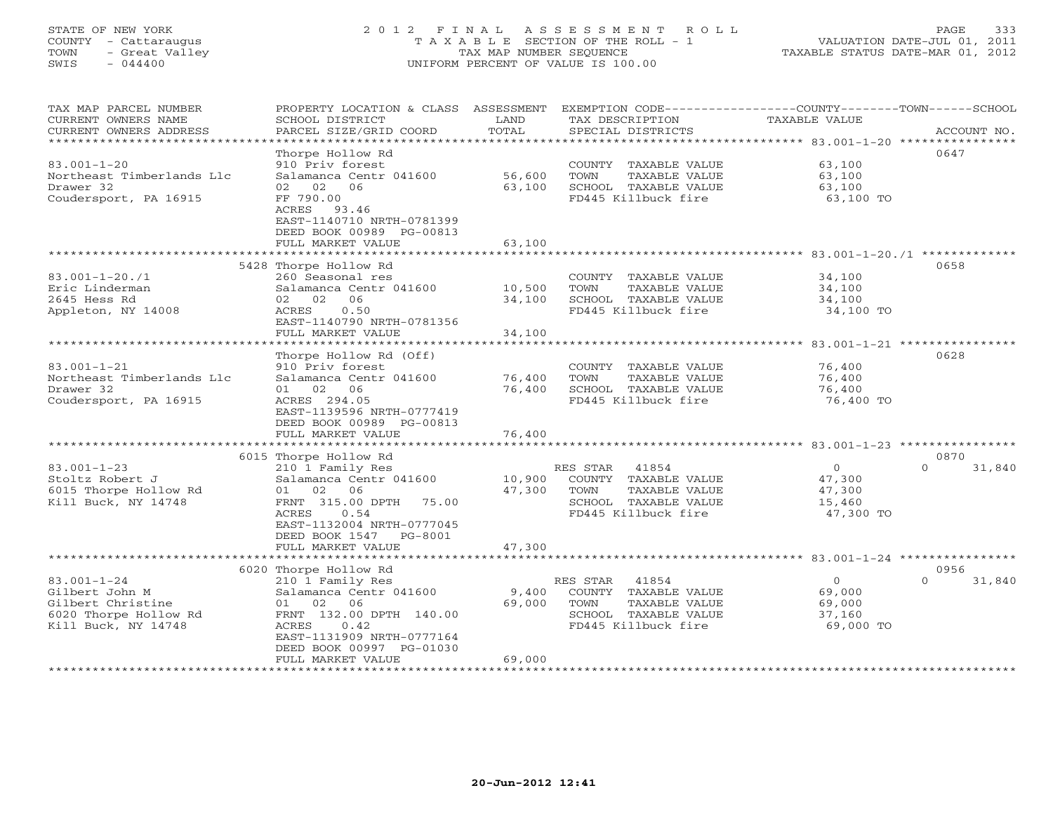# STATE OF NEW YORK 2 0 1 2 F I N A L A S S E S S M E N T R O L L PAGE 333 COUNTY - Cattaraugus T A X A B L E SECTION OF THE ROLL - 1 VALUATION DATE-JUL 01, 2011 TOWN - Great Valley TAX MAP NUMBER SEQUENCE TAXABLE STATUS DATE-MAR 01, 2012 SWIS - 044400 UNIFORM PERCENT OF VALUE IS 100.00UNIFORM PERCENT OF VALUE IS 100.00

| TAX MAP PARCEL NUMBER<br>CURRENT OWNERS NAME<br>CURRENT OWNERS ADDRESS | PROPERTY LOCATION & CLASS ASSESSMENT<br>SCHOOL DISTRICT<br>PARCEL SIZE/GRID COORD | LAND<br>TOTAL         | TAX DESCRIPTION<br>SPECIAL DISTRICTS                                  | EXEMPTION CODE-----------------COUNTY-------TOWN------SCHOOL<br>TAXABLE VALUE<br>ACCOUNT NO. |        |
|------------------------------------------------------------------------|-----------------------------------------------------------------------------------|-----------------------|-----------------------------------------------------------------------|----------------------------------------------------------------------------------------------|--------|
| ************************                                               |                                                                                   |                       |                                                                       |                                                                                              |        |
| $83.001 - 1 - 20$                                                      | Thorpe Hollow Rd<br>910 Priv forest                                               |                       | COUNTY TAXABLE VALUE                                                  | 0647<br>63,100                                                                               |        |
| Northeast Timberlands Llc<br>Drawer 32                                 | Salamanca Centr 041600<br>02<br>06<br>02                                          | 56,600<br>63,100      | TOWN<br>TAXABLE VALUE<br>SCHOOL TAXABLE VALUE                         | 63,100<br>63,100                                                                             |        |
| Coudersport, PA 16915                                                  | FF 790.00<br>ACRES 93.46<br>EAST-1140710 NRTH-0781399<br>DEED BOOK 00989 PG-00813 |                       | FD445 Killbuck fire                                                   | 63,100 TO                                                                                    |        |
|                                                                        | FULL MARKET VALUE<br>*******************                                          | 63,100<br>*********** |                                                                       |                                                                                              |        |
|                                                                        | 5428 Thorpe Hollow Rd                                                             |                       |                                                                       | 0658                                                                                         |        |
| $83.001 - 1 - 20.71$<br>Eric Linderman<br>2645 Hess Rd                 | 260 Seasonal res<br>Salamanca Centr 041600<br>02 02<br>06                         | 10,500<br>34,100      | COUNTY TAXABLE VALUE<br>TAXABLE VALUE<br>TOWN<br>SCHOOL TAXABLE VALUE | 34,100<br>34,100<br>34,100                                                                   |        |
| Appleton, NY 14008                                                     | 0.50<br>ACRES<br>EAST-1140790 NRTH-0781356<br>FULL MARKET VALUE                   | 34,100                | FD445 Killbuck fire                                                   | 34,100 TO                                                                                    |        |
|                                                                        |                                                                                   |                       |                                                                       |                                                                                              |        |
|                                                                        | Thorpe Hollow Rd (Off)                                                            |                       |                                                                       | 0628                                                                                         |        |
| $83.001 - 1 - 21$                                                      | 910 Priv forest                                                                   |                       | COUNTY TAXABLE VALUE                                                  | 76,400                                                                                       |        |
| Northeast Timberlands Llc<br>Drawer 32                                 | Salamanca Centr 041600<br>01 02 06                                                | 76,400<br>76,400      | TAXABLE VALUE<br>TOWN<br>SCHOOL TAXABLE VALUE                         | 76,400<br>76,400                                                                             |        |
| Coudersport, PA 16915                                                  | ACRES 294.05                                                                      |                       | FD445 Killbuck fire                                                   | 76,400 TO                                                                                    |        |
|                                                                        | EAST-1139596 NRTH-0777419<br>DEED BOOK 00989 PG-00813<br>FULL MARKET VALUE        | 76,400                |                                                                       |                                                                                              |        |
|                                                                        |                                                                                   |                       |                                                                       |                                                                                              |        |
|                                                                        | 6015 Thorpe Hollow Rd                                                             |                       |                                                                       | 0870                                                                                         |        |
| $83.001 - 1 - 23$                                                      | 210 1 Family Res                                                                  |                       | 41854<br>RES STAR                                                     | $\circ$<br>$\Omega$                                                                          | 31,840 |
| Stoltz Robert J                                                        | Salamanca Centr 041600                                                            | 10,900                | COUNTY TAXABLE VALUE                                                  | 47,300                                                                                       |        |
| 6015 Thorpe Hollow Rd<br>Kill Buck, NY 14748                           | 01 02 06<br>FRNT 315.00 DPTH<br>75.00                                             | 47,300                | TOWN<br>TAXABLE VALUE<br>SCHOOL TAXABLE VALUE                         | 47,300<br>15,460                                                                             |        |
|                                                                        | ACRES<br>0.54<br>EAST-1132004 NRTH-0777045<br>DEED BOOK 1547<br>PG-8001           |                       | FD445 Killbuck fire                                                   | 47,300 TO                                                                                    |        |
|                                                                        | FULL MARKET VALUE                                                                 | 47,300                |                                                                       |                                                                                              |        |
|                                                                        |                                                                                   |                       |                                                                       |                                                                                              |        |
|                                                                        | 6020 Thorpe Hollow Rd                                                             |                       |                                                                       | 0956                                                                                         |        |
| $83.001 - 1 - 24$                                                      | 210 1 Family Res                                                                  |                       | RES STAR<br>41854                                                     | $\circ$<br>$\Omega$                                                                          | 31,840 |
| Gilbert John M                                                         | Salamanca Centr 041600                                                            | 9,400                 | COUNTY TAXABLE VALUE                                                  | 69,000                                                                                       |        |
| Gilbert Christine<br>6020 Thorpe Hollow Rd                             | 01<br>02 06<br>FRNT 132.00 DPTH 140.00                                            | 69,000                | TOWN<br>TAXABLE VALUE<br>SCHOOL TAXABLE VALUE                         | 69,000<br>37,160                                                                             |        |
| Kill Buck, NY 14748                                                    | ACRES<br>0.42                                                                     |                       | FD445 Killbuck fire                                                   | 69,000 TO                                                                                    |        |
|                                                                        | EAST-1131909 NRTH-0777164                                                         |                       |                                                                       |                                                                                              |        |
|                                                                        | DEED BOOK 00997 PG-01030                                                          |                       |                                                                       |                                                                                              |        |
|                                                                        | FULL MARKET VALUE                                                                 | 69,000                |                                                                       |                                                                                              |        |
|                                                                        |                                                                                   |                       |                                                                       |                                                                                              |        |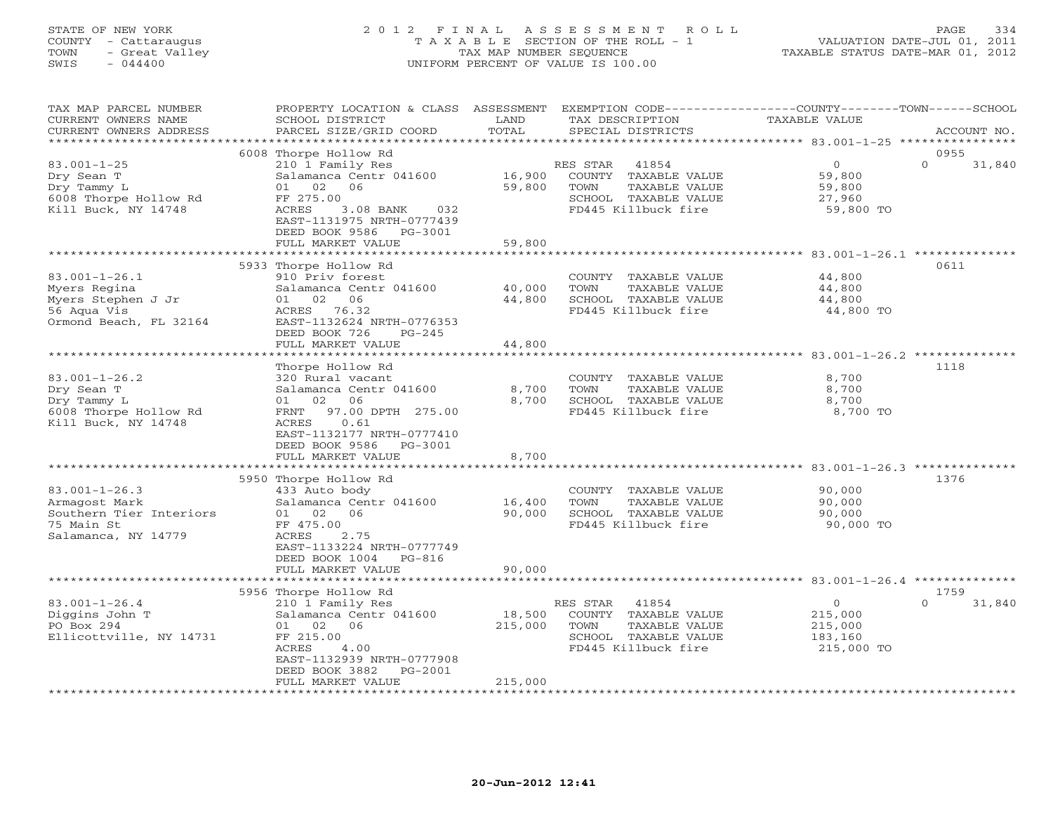# STATE OF NEW YORK 2 0 1 2 F I N A L A S S E S S M E N T R O L L PAGE 334 COUNTY - Cattaraugus T A X A B L E SECTION OF THE ROLL - 1 VALUATION DATE-JUL 01, 2011 TOWN - Great Valley TAX MAP NUMBER SEQUENCE TAXABLE STATUS DATE-MAR 01, 2012 SWIS - 044400 UNIFORM PERCENT OF VALUE IS 100.00

| TAX MAP PARCEL NUMBER<br>CURRENT OWNERS NAME<br>CURRENT OWNERS ADDRESS                               | PROPERTY LOCATION & CLASS ASSESSMENT<br>SCHOOL DISTRICT<br>PARCEL SIZE/GRID COORD                                                                                                                           | LAND<br>TOTAL                | TAX DESCRIPTION<br>SPECIAL DISTRICTS                                                                              | EXEMPTION CODE-----------------COUNTY-------TOWN------SCHOOL<br>TAXABLE VALUE | ACCOUNT NO.                |
|------------------------------------------------------------------------------------------------------|-------------------------------------------------------------------------------------------------------------------------------------------------------------------------------------------------------------|------------------------------|-------------------------------------------------------------------------------------------------------------------|-------------------------------------------------------------------------------|----------------------------|
| *********************                                                                                | ******************                                                                                                                                                                                          |                              |                                                                                                                   |                                                                               |                            |
| $83.001 - 1 - 25$<br>Dry Sean T<br>Dry Tammy L<br>6008 Thorpe Hollow Rd<br>Kill Buck, NY 14748       | 6008 Thorpe Hollow Rd<br>210 1 Family Res<br>Salamanca Centr 041600<br>01 02<br>06<br>FF 275.00<br>ACRES<br>3.08 BANK<br>032<br>EAST-1131975 NRTH-0777439<br>DEED BOOK 9586<br>PG-3001<br>FULL MARKET VALUE | 16,900<br>59,800<br>59,800   | RES STAR<br>41854<br>COUNTY TAXABLE VALUE<br>TOWN<br>TAXABLE VALUE<br>SCHOOL TAXABLE VALUE<br>FD445 Killbuck fire | $\circ$<br>59,800<br>59,800<br>27,960<br>59,800 TO                            | 0955<br>$\Omega$<br>31,840 |
|                                                                                                      |                                                                                                                                                                                                             |                              |                                                                                                                   |                                                                               |                            |
| $83.001 - 1 - 26.1$<br>Myers Regina<br>Myers Stephen J Jr<br>56 Aqua Vis<br>Ormond Beach, FL 32164   | 5933 Thorpe Hollow Rd<br>910 Priv forest<br>Salamanca Centr 041600<br>01 02 06<br>ACRES 76.32<br>EAST-1132624 NRTH-0776353<br>DEED BOOK 726<br>$PG-245$                                                     | 40,000<br>44,800             | COUNTY TAXABLE VALUE<br>TOWN<br>TAXABLE VALUE<br>SCHOOL TAXABLE VALUE<br>FD445 Killbuck fire                      | 44,800<br>44,800<br>44,800<br>44,800 TO                                       | 0611                       |
|                                                                                                      | FULL MARKET VALUE                                                                                                                                                                                           | 44,800                       |                                                                                                                   |                                                                               |                            |
| $83.001 - 1 - 26.2$<br>Dry Sean T<br>Dry Tammy L<br>6008 Thorpe Hollow Rd<br>Kill Buck, NY 14748     | Thorpe Hollow Rd<br>320 Rural vacant<br>Salamanca Centr 041600<br>01 02<br>06<br>97.00 DPTH 275.00<br>FRNT<br>0.61<br>ACRES<br>EAST-1132177 NRTH-0777410<br>DEED BOOK 9586<br>PG-3001<br>FULL MARKET VALUE  | 8,700<br>8,700<br>8,700      | COUNTY TAXABLE VALUE<br>TOWN<br>TAXABLE VALUE<br>SCHOOL TAXABLE VALUE<br>FD445 Killbuck fire                      | 8,700<br>8,700<br>8,700<br>8,700 TO                                           | 1118                       |
|                                                                                                      |                                                                                                                                                                                                             |                              |                                                                                                                   |                                                                               |                            |
| $83.001 - 1 - 26.3$<br>Armagost Mark<br>Southern Tier Interiors<br>75 Main St<br>Salamanca, NY 14779 | 5950 Thorpe Hollow Rd<br>433 Auto body<br>Salamanca Centr 041600<br>01 02 06<br>FF 475.00<br>ACRES<br>2.75<br>EAST-1133224 NRTH-0777749<br>$PG-816$<br>DEED BOOK 1004                                       | 16,400<br>90,000             | COUNTY TAXABLE VALUE<br>TOWN<br>TAXABLE VALUE<br>SCHOOL TAXABLE VALUE<br>FD445 Killbuck fire                      | 90,000<br>90,000<br>90,000<br>90,000 TO                                       | 1376                       |
|                                                                                                      | FULL MARKET VALUE                                                                                                                                                                                           | 90,000                       |                                                                                                                   |                                                                               |                            |
|                                                                                                      | 5956 Thorpe Hollow Rd                                                                                                                                                                                       |                              |                                                                                                                   |                                                                               | 1759                       |
| $83.001 - 1 - 26.4$<br>Diggins John T<br>PO Box 294<br>Ellicottville, NY 14731                       | 210 1 Family Res<br>Salamanca Centr 041600<br>01 02 06<br>FF 215.00<br>ACRES<br>4.00<br>EAST-1132939 NRTH-0777908<br>DEED BOOK 3882<br>PG-2001<br>FULL MARKET VALUE                                         | 18,500<br>215,000<br>215,000 | RES STAR<br>41854<br>COUNTY TAXABLE VALUE<br>TOWN<br>TAXABLE VALUE<br>SCHOOL TAXABLE VALUE<br>FD445 Killbuck fire | $\circ$<br>215,000<br>215,000<br>183,160<br>215,000 TO                        | $\Omega$<br>31,840         |
| ***********************                                                                              |                                                                                                                                                                                                             |                              |                                                                                                                   |                                                                               |                            |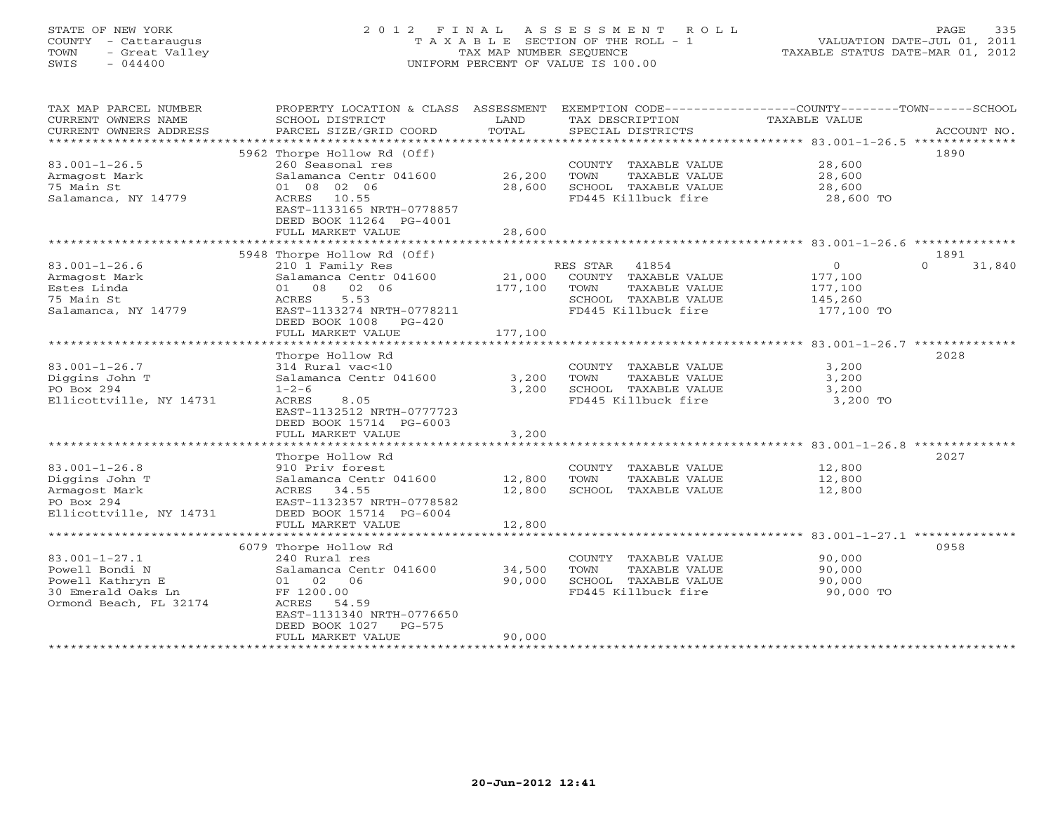# STATE OF NEW YORK 2 0 1 2 F I N A L A S S E S S M E N T R O L L PAGE 335 COUNTY - Cattaraugus T A X A B L E SECTION OF THE ROLL - 1 VALUATION DATE-JUL 01, 2011 TOWN - Great Valley TAX MAP NUMBER SEQUENCE TAXABLE STATUS DATE-MAR 01, 2012 SWIS - 044400 UNIFORM PERCENT OF VALUE IS 100.00UNIFORM PERCENT OF VALUE IS 100.00

| TAX MAP PARCEL NUMBER<br>CURRENT OWNERS NAME      | PROPERTY LOCATION & CLASS ASSESSMENT<br>SCHOOL DISTRICT | LAND<br>TOTAL    | TAX DESCRIPTION                               | EXEMPTION CODE-----------------COUNTY-------TOWN------SCHOOL<br>TAXABLE VALUE<br>ACCOUNT NO. |
|---------------------------------------------------|---------------------------------------------------------|------------------|-----------------------------------------------|----------------------------------------------------------------------------------------------|
| CURRENT OWNERS ADDRESS<br>*********************** | PARCEL SIZE/GRID COORD                                  |                  | SPECIAL DISTRICTS                             |                                                                                              |
|                                                   | 5962 Thorpe Hollow Rd (Off)                             |                  |                                               | 1890                                                                                         |
| $83.001 - 1 - 26.5$                               | 260 Seasonal res                                        |                  | COUNTY TAXABLE VALUE                          | 28,600                                                                                       |
| Armagost Mark                                     | Salamanca Centr 041600                                  | 26,200           | TOWN<br>TAXABLE VALUE                         | 28,600                                                                                       |
| 75 Main St                                        | 01 08 02 06                                             | 28,600           | SCHOOL TAXABLE VALUE                          | 28,600                                                                                       |
| Salamanca, NY 14779                               | ACRES 10.55                                             |                  | FD445 Killbuck fire                           | 28,600 TO                                                                                    |
|                                                   | EAST-1133165 NRTH-0778857                               |                  |                                               |                                                                                              |
|                                                   | DEED BOOK 11264 PG-4001                                 |                  |                                               |                                                                                              |
|                                                   | FULL MARKET VALUE                                       | 28,600           |                                               |                                                                                              |
|                                                   |                                                         |                  |                                               |                                                                                              |
|                                                   | 5948 Thorpe Hollow Rd (Off)                             |                  |                                               | 1891                                                                                         |
| $83.001 - 1 - 26.6$                               | 210 1 Family Res                                        |                  | RES STAR 41854                                | $\overline{0}$<br>$\Omega$<br>31,840                                                         |
| Armagost Mark                                     | Salamanca Centr 041600                                  | 21,000           | COUNTY TAXABLE VALUE                          | 177,100                                                                                      |
| Estes Linda                                       | 01 08 02 06                                             | 177,100          | TAXABLE VALUE<br>TOWN                         | 177,100                                                                                      |
| 75 Main St                                        | ACRES<br>5.53                                           |                  | SCHOOL TAXABLE VALUE                          | 145,260                                                                                      |
| Salamanca, NY 14779                               | EAST-1133274 NRTH-0778211                               |                  | FD445 Killbuck fire                           | 177,100 TO                                                                                   |
|                                                   | DEED BOOK 1008<br>$PG-420$                              |                  |                                               |                                                                                              |
|                                                   | FULL MARKET VALUE                                       | 177,100          |                                               |                                                                                              |
|                                                   |                                                         |                  |                                               |                                                                                              |
|                                                   | Thorpe Hollow Rd                                        |                  |                                               | 2028                                                                                         |
| $83.001 - 1 - 26.7$<br>Diggins John T             | 314 Rural vac<10<br>Salamanca Centr 041600              | 3,200            | COUNTY TAXABLE VALUE<br>TOWN<br>TAXABLE VALUE | 3,200<br>3,200                                                                               |
| PO Box 294                                        | $1 - 2 - 6$                                             | 3,200            | SCHOOL TAXABLE VALUE                          | 3,200                                                                                        |
| Ellicottville, NY 14731                           | 8.05<br>ACRES                                           |                  | FD445 Killbuck fire                           | 3,200 TO                                                                                     |
|                                                   | EAST-1132512 NRTH-0777723                               |                  |                                               |                                                                                              |
|                                                   | DEED BOOK 15714 PG-6003                                 |                  |                                               |                                                                                              |
|                                                   | FULL MARKET VALUE                                       | 3,200            |                                               |                                                                                              |
|                                                   |                                                         |                  |                                               |                                                                                              |
|                                                   | Thorpe Hollow Rd                                        |                  |                                               | 2027                                                                                         |
| $83.001 - 1 - 26.8$                               | 910 Priv forest                                         |                  | COUNTY TAXABLE VALUE                          | 12,800                                                                                       |
| Diggins John T                                    | Salamanca Centr 041600                                  | 12,800           | TOWN<br>TAXABLE VALUE                         | 12,800                                                                                       |
| Armagost Mark                                     | ACRES 34.55                                             | 12,800           | SCHOOL TAXABLE VALUE                          | 12,800                                                                                       |
| PO Box 294                                        | EAST-1132357 NRTH-0778582                               |                  |                                               |                                                                                              |
| Ellicottville, NY 14731                           | DEED BOOK 15714 PG-6004                                 |                  |                                               |                                                                                              |
|                                                   | FULL MARKET VALUE                                       | 12,800           |                                               |                                                                                              |
|                                                   |                                                         |                  |                                               |                                                                                              |
|                                                   | 6079 Thorpe Hollow Rd                                   |                  |                                               | 0958                                                                                         |
| $83.001 - 1 - 27.1$                               | 240 Rural res                                           |                  | COUNTY TAXABLE VALUE                          | 90,000                                                                                       |
| Powell Bondi N                                    | Salamanca Centr 041600                                  | 34,500<br>90,000 | TOWN<br>TAXABLE VALUE                         | 90,000                                                                                       |
| Powell Kathryn E<br>30 Emerald Oaks Ln            | 01 02 06<br>FF 1200.00                                  |                  | SCHOOL TAXABLE VALUE<br>FD445 Killbuck fire   | 90,000<br>90,000 TO                                                                          |
| Ormond Beach, FL 32174                            | ACRES<br>54.59                                          |                  |                                               |                                                                                              |
|                                                   | EAST-1131340 NRTH-0776650                               |                  |                                               |                                                                                              |
|                                                   | DEED BOOK 1027<br>$PG-575$                              |                  |                                               |                                                                                              |
|                                                   | FULL MARKET VALUE                                       | 90,000           |                                               |                                                                                              |
|                                                   |                                                         |                  |                                               |                                                                                              |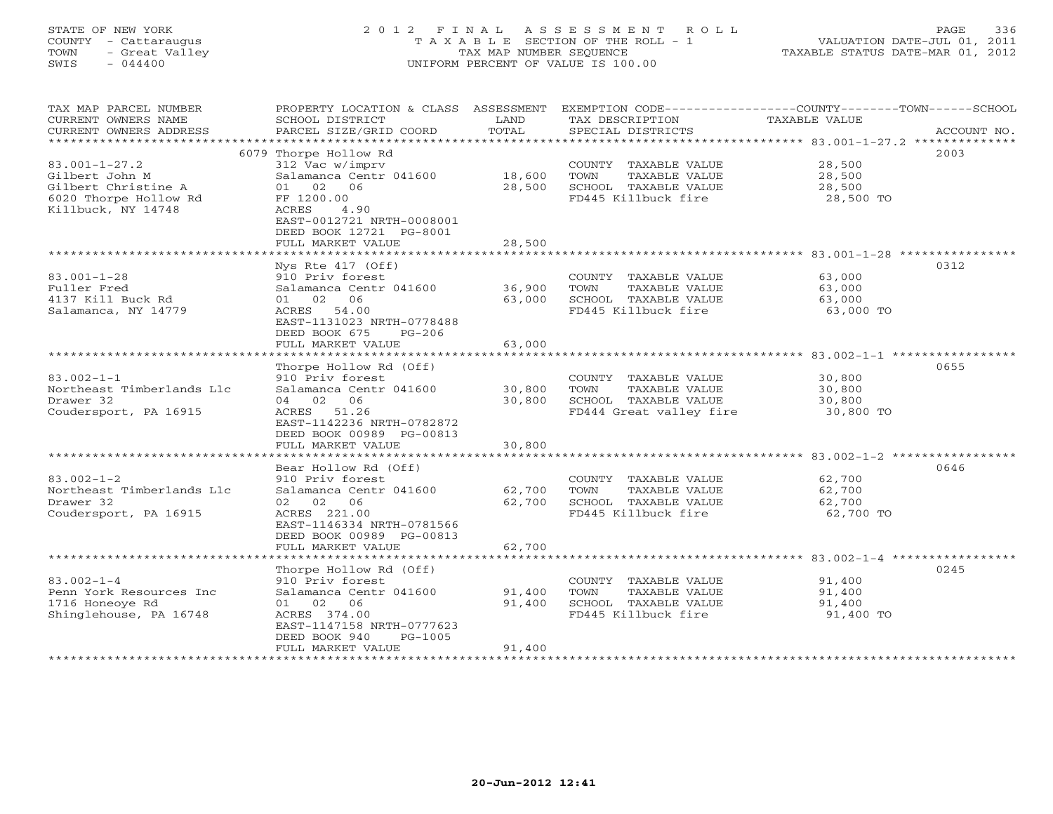# STATE OF NEW YORK 2 0 1 2 F I N A L A S S E S S M E N T R O L L PAGE 336 COUNTY - Cattaraugus T A X A B L E SECTION OF THE ROLL - 1 VALUATION DATE-JUL 01, 2011 TOWN - Great Valley TAX MAP NUMBER SEQUENCE TAXABLE STATUS DATE-MAR 01, 2012 SWIS - 044400 UNIFORM PERCENT OF VALUE IS 100.00

| TAX MAP PARCEL NUMBER<br>CURRENT OWNERS NAME<br>CURRENT OWNERS ADDRESS | PROPERTY LOCATION & CLASS ASSESSMENT<br>SCHOOL DISTRICT<br>PARCEL SIZE/GRID COORD | LAND<br>TOTAL    | EXEMPTION CODE-----------------COUNTY-------TOWN------SCHOOL<br>TAX DESCRIPTION<br>SPECIAL DISTRICTS | <b>TAXABLE VALUE</b> | ACCOUNT NO. |
|------------------------------------------------------------------------|-----------------------------------------------------------------------------------|------------------|------------------------------------------------------------------------------------------------------|----------------------|-------------|
| *************************                                              |                                                                                   |                  |                                                                                                      |                      |             |
|                                                                        | 6079 Thorpe Hollow Rd                                                             |                  |                                                                                                      |                      | 2003        |
| $83.001 - 1 - 27.2$                                                    | 312 Vac w/imprv                                                                   |                  | COUNTY TAXABLE VALUE                                                                                 | 28,500               |             |
| Gilbert John M                                                         | Salamanca Centr 041600                                                            | 18,600           | TOWN<br>TAXABLE VALUE                                                                                | 28,500               |             |
| Gilbert Christine A                                                    | 01<br>02<br>- 06                                                                  | 28,500           | SCHOOL TAXABLE VALUE                                                                                 | 28,500               |             |
| 6020 Thorpe Hollow Rd                                                  | FF 1200.00                                                                        |                  | FD445 Killbuck fire                                                                                  | 28,500 TO            |             |
| Killbuck, NY 14748                                                     | ACRES<br>4.90                                                                     |                  |                                                                                                      |                      |             |
|                                                                        | EAST-0012721 NRTH-0008001<br>DEED BOOK 12721 PG-8001                              |                  |                                                                                                      |                      |             |
|                                                                        | FULL MARKET VALUE                                                                 | 28,500           |                                                                                                      |                      |             |
|                                                                        |                                                                                   |                  |                                                                                                      |                      |             |
|                                                                        | Nys Rte $417$ (Off)                                                               |                  |                                                                                                      |                      | 0312        |
| $83.001 - 1 - 28$                                                      | 910 Priv forest                                                                   |                  | COUNTY TAXABLE VALUE                                                                                 | 63,000               |             |
| Fuller Fred                                                            | Salamanca Centr 041600                                                            | 36,900           | TOWN<br>TAXABLE VALUE                                                                                | 63,000               |             |
| 4137 Kill Buck Rd                                                      | $01 \t 02$<br>06                                                                  | 63,000           | SCHOOL TAXABLE VALUE                                                                                 | 63,000               |             |
| Salamanca, NY 14779                                                    | 54.00<br>ACRES                                                                    |                  | FD445 Killbuck fire                                                                                  | 63,000 TO            |             |
|                                                                        | EAST-1131023 NRTH-0778488                                                         |                  |                                                                                                      |                      |             |
|                                                                        | DEED BOOK 675<br>$PG-206$                                                         |                  |                                                                                                      |                      |             |
|                                                                        | FULL MARKET VALUE                                                                 | 63,000           |                                                                                                      |                      |             |
| ************************                                               |                                                                                   |                  |                                                                                                      |                      |             |
|                                                                        | Thorpe Hollow Rd (Off)                                                            |                  |                                                                                                      |                      | 0655        |
| $83.002 - 1 - 1$                                                       | 910 Priv forest                                                                   |                  | COUNTY TAXABLE VALUE                                                                                 | 30,800               |             |
| Northeast Timberlands Llc<br>Drawer 32                                 | Salamanca Centr 041600<br>04 02 06                                                | 30,800<br>30,800 | TOWN<br><b>TAXABLE VALUE</b><br>SCHOOL TAXABLE VALUE                                                 | 30,800<br>30,800     |             |
| Coudersport, PA 16915                                                  | ACRES<br>51.26                                                                    |                  | FD444 Great valley fire                                                                              | 30,800 TO            |             |
|                                                                        | EAST-1142236 NRTH-0782872                                                         |                  |                                                                                                      |                      |             |
|                                                                        | DEED BOOK 00989 PG-00813                                                          |                  |                                                                                                      |                      |             |
|                                                                        | FULL MARKET VALUE                                                                 | 30,800           |                                                                                                      |                      |             |
|                                                                        |                                                                                   |                  |                                                                                                      |                      |             |
|                                                                        | Bear Hollow Rd (Off)                                                              |                  |                                                                                                      |                      | 0646        |
| $83.002 - 1 - 2$                                                       | 910 Priv forest                                                                   |                  | COUNTY TAXABLE VALUE                                                                                 | 62,700               |             |
| Northeast Timberlands Llc                                              | Salamanca Centr 041600                                                            | 62,700           | TAXABLE VALUE<br>TOWN                                                                                | 62,700               |             |
| Drawer 32                                                              | 02 02<br>06                                                                       | 62,700           | SCHOOL TAXABLE VALUE                                                                                 | 62,700               |             |
| Coudersport, PA 16915                                                  | ACRES 221.00                                                                      |                  | FD445 Killbuck fire                                                                                  | 62,700 TO            |             |
|                                                                        | EAST-1146334 NRTH-0781566                                                         |                  |                                                                                                      |                      |             |
|                                                                        | DEED BOOK 00989 PG-00813                                                          |                  |                                                                                                      |                      |             |
|                                                                        | FULL MARKET VALUE                                                                 | 62,700           |                                                                                                      |                      |             |
|                                                                        | Thorpe Hollow Rd (Off)                                                            |                  |                                                                                                      |                      | 0245        |
| $83.002 - 1 - 4$                                                       | 910 Priv forest                                                                   |                  | COUNTY TAXABLE VALUE                                                                                 | 91,400               |             |
| Penn York Resources Inc                                                | Salamanca Centr 041600                                                            | 91,400           | TOWN<br>TAXABLE VALUE                                                                                | 91,400               |             |
| 1716 Honeove Rd                                                        | 02<br>06<br>01                                                                    | 91,400           | SCHOOL TAXABLE VALUE                                                                                 | 91,400               |             |
| Shinglehouse, PA 16748                                                 | ACRES 374.00                                                                      |                  | FD445 Killbuck fire                                                                                  | 91,400 TO            |             |
|                                                                        | EAST-1147158 NRTH-0777623                                                         |                  |                                                                                                      |                      |             |
|                                                                        | DEED BOOK 940<br>$PG-1005$                                                        |                  |                                                                                                      |                      |             |
|                                                                        | FULL MARKET VALUE                                                                 | 91,400           |                                                                                                      |                      |             |
|                                                                        |                                                                                   |                  |                                                                                                      |                      |             |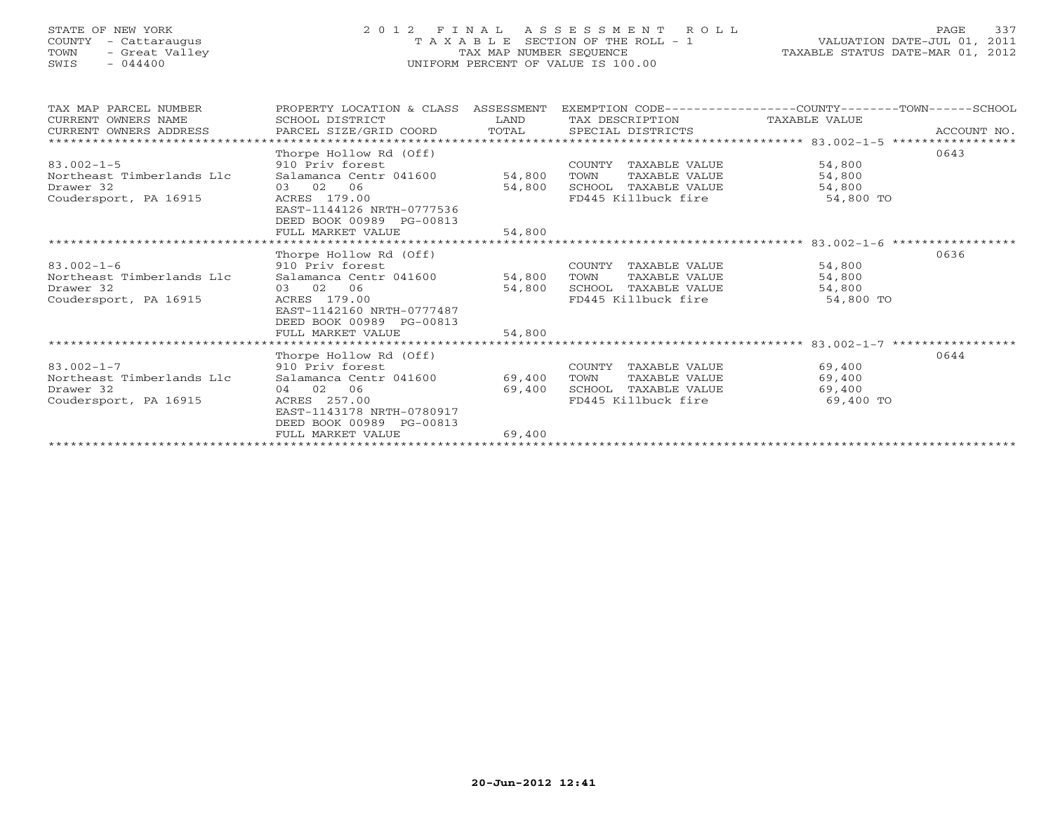### STATE OF NEW YORK 2 0 1 2 F I N A L A S S E S S M E N T R O L L PAGE 337COUNTY - Cattaraugus T A X A B L E SECTION OF THE ROLL - 1 VALUATION DATE-JUL 01, 2011 TOWN - Great Valley TAX MAP NUMBER SEQUENCE TAXABLE STATUS DATE-MAR 01, 2012<br>SWIS - 044400 - 2012 SWIS - 044400 SWIS - 044400 UNIFORM PERCENT OF VALUE IS 100.00

| TAX MAP PARCEL NUMBER     | PROPERTY LOCATION & CLASS                        | ASSESSMENT | EXEMPTION CODE-----------------COUNTY-------TOWN-----SCHOOL |                                |                  |
|---------------------------|--------------------------------------------------|------------|-------------------------------------------------------------|--------------------------------|------------------|
| CURRENT OWNERS NAME       | SCHOOL DISTRICT                                  | LAND       | TAX DESCRIPTION                                             | TAXABLE VALUE                  |                  |
| CURRENT OWNERS ADDRESS    | PARCEL SIZE/GRID COORD                           | TOTAL      | SPECIAL DISTRICTS                                           |                                | ACCOUNT NO.      |
|                           |                                                  |            |                                                             | $***********$ 83.002-1-5       | **************** |
|                           | Thorpe Hollow Rd (Off)                           |            |                                                             |                                | 0643             |
| $83.002 - 1 - 5$          | 910 Priv forest                                  |            | TAXABLE VALUE<br>COUNTY                                     | 54,800                         |                  |
| Northeast Timberlands Llc | Salamanca Centr 041600                           | 54,800     | TAXABLE VALUE<br>TOWN                                       | 54,800                         |                  |
| Drawer 32                 | 02 06<br>03                                      | 54,800     | SCHOOL<br>TAXABLE VALUE                                     | 54,800                         |                  |
| Coudersport, PA 16915     | ACRES 179.00                                     |            | FD445 Killbuck fire                                         | 54,800 TO                      |                  |
|                           | EAST-1144126 NRTH-0777536                        |            |                                                             |                                |                  |
|                           | DEED BOOK 00989 PG-00813                         |            |                                                             |                                |                  |
|                           | FULL MARKET VALUE                                | 54,800     |                                                             |                                |                  |
|                           |                                                  |            |                                                             | $******$ 83.002-1-6            |                  |
|                           | Thorpe Hollow Rd (Off)                           |            |                                                             |                                | 0636             |
| $83.002 - 1 - 6$          | 910 Priv forest                                  |            | COUNTY<br>TAXABLE VALUE                                     | 54,800                         |                  |
| Northeast Timberlands Llc | Salamanca Centr 041600                           | 54,800     | TAXABLE VALUE<br>TOWN                                       | 54,800                         |                  |
| Drawer 32                 | 03 02<br>06                                      | 54,800     | SCHOOL<br>TAXABLE VALUE                                     | 54,800                         |                  |
| Coudersport, PA 16915     | ACRES 179.00                                     |            | FD445 Killbuck fire                                         | 54,800 TO                      |                  |
|                           | EAST-1142160 NRTH-0777487                        |            |                                                             |                                |                  |
|                           | DEED BOOK 00989 PG-00813                         |            |                                                             |                                |                  |
|                           | FULL MARKET VALUE                                | 54,800     |                                                             |                                |                  |
|                           |                                                  |            |                                                             | **** 83.002-1-7 ************** |                  |
|                           | Thorpe Hollow Rd (Off)                           |            |                                                             |                                | 0644             |
| $83.002 - 1 - 7$          | 910 Priv forest                                  |            | COUNTY<br>TAXABLE VALUE                                     | 69,400                         |                  |
| Northeast Timberlands Llc | Salamanca Centr 041600                           | 69,400     | TAXABLE VALUE<br>TOWN                                       | 69,400                         |                  |
| Drawer 32                 | 04 02<br>06                                      | 69,400     | SCHOOL<br>TAXABLE VALUE                                     | 69,400                         |                  |
| Coudersport, PA 16915     | ACRES 257.00                                     |            | FD445 Killbuck fire                                         | 69,400 TO                      |                  |
|                           | EAST-1143178 NRTH-0780917                        |            |                                                             |                                |                  |
|                           | DEED BOOK 00989<br>PG-00813<br>FULL MARKET VALUE | 69,400     |                                                             |                                |                  |
|                           |                                                  |            |                                                             |                                |                  |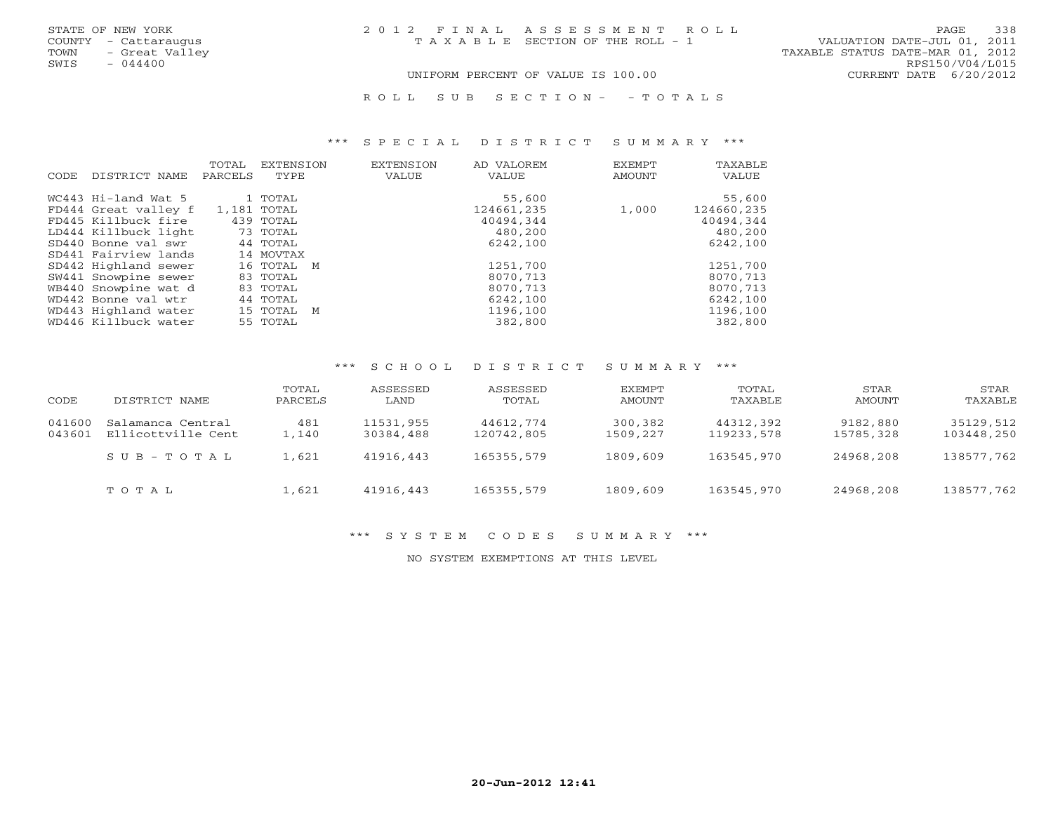R O L L S U B S E C T I O N - - T O T A L S

#### \*\*\* S P E C I A L D I S T R I C T S U M M A R Y \*\*\*

| CODE. | DISTRICT NAME        | TOTAL<br>PARCELS | <b>EXTENSION</b><br>TYPE | <b>EXTENSION</b><br>VALUE | AD VALOREM<br>VALUE | EXEMPT<br>AMOUNT | TAXABLE<br>VALUE |
|-------|----------------------|------------------|--------------------------|---------------------------|---------------------|------------------|------------------|
|       | WC443 Hi-land Wat 5  |                  | 1 TOTAL                  |                           | 55,600              |                  | 55,600           |
|       | FD444 Great valley f |                  | 1,181 TOTAL              |                           | 124661,235          | 1,000            | 124660,235       |
|       | FD445 Killbuck fire  |                  | 439 TOTAL                |                           | 40494,344           |                  | 40494,344        |
|       | LD444 Killbuck light |                  | 73 TOTAL                 |                           | 480,200             |                  | 480,200          |
|       | SD440 Bonne val swr  |                  | 44 TOTAL                 |                           | 6242,100            |                  | 6242,100         |
|       | SD441 Fairview lands |                  | 14 MOVTAX                |                           |                     |                  |                  |
|       | SD442 Highland sewer |                  | 16 TOTAL M               |                           | 1251,700            |                  | 1251,700         |
|       | SW441 Snowpine sewer |                  | 83 TOTAL                 |                           | 8070,713            |                  | 8070,713         |
|       | WB440 Snowpine wat d |                  | 83 TOTAL                 |                           | 8070,713            |                  | 8070,713         |
|       | WD442 Bonne val wtr  |                  | 44 TOTAL                 |                           | 6242,100            |                  | 6242,100         |
|       | WD443 Highland water |                  | 15 TOTAL M               |                           | 1196,100            |                  | 1196,100         |
|       | WD446 Killbuck water |                  | 55 TOTAL                 |                           | 382,800             |                  | 382,800          |

#### \*\*\* S C H O O L D I S T R I C T S U M M A R Y \*\*\*

| CODE             | DISTRICT NAME                           | TOTAL<br>PARCELS | ASSESSED<br>LAND       | ASSESSED<br>TOTAL       | EXEMPT<br>AMOUNT    | TOTAL<br>TAXABLE        | STAR<br>AMOUNT        | STAR<br>TAXABLE         |
|------------------|-----------------------------------------|------------------|------------------------|-------------------------|---------------------|-------------------------|-----------------------|-------------------------|
| 041600<br>043601 | Salamanca Central<br>Ellicottville Cent | 481<br>1,140     | 11531,955<br>30384,488 | 44612,774<br>120742,805 | 300,382<br>1509,227 | 44312,392<br>119233,578 | 9182,880<br>15785,328 | 35129,512<br>103448,250 |
|                  | SUB-TOTAL                               | 1,621            | 41916,443              | 165355,579              | 1809,609            | 163545,970              | 24968,208             | 138577,762              |
|                  | TOTAL                                   | 1,621            | 41916,443              | 165355,579              | 1809,609            | 163545,970              | 24968,208             | 138577.762              |

# \*\*\* S Y S T E M C O D E S S U M M A R Y \*\*\*

NO SYSTEM EXEMPTIONS AT THIS LEVEL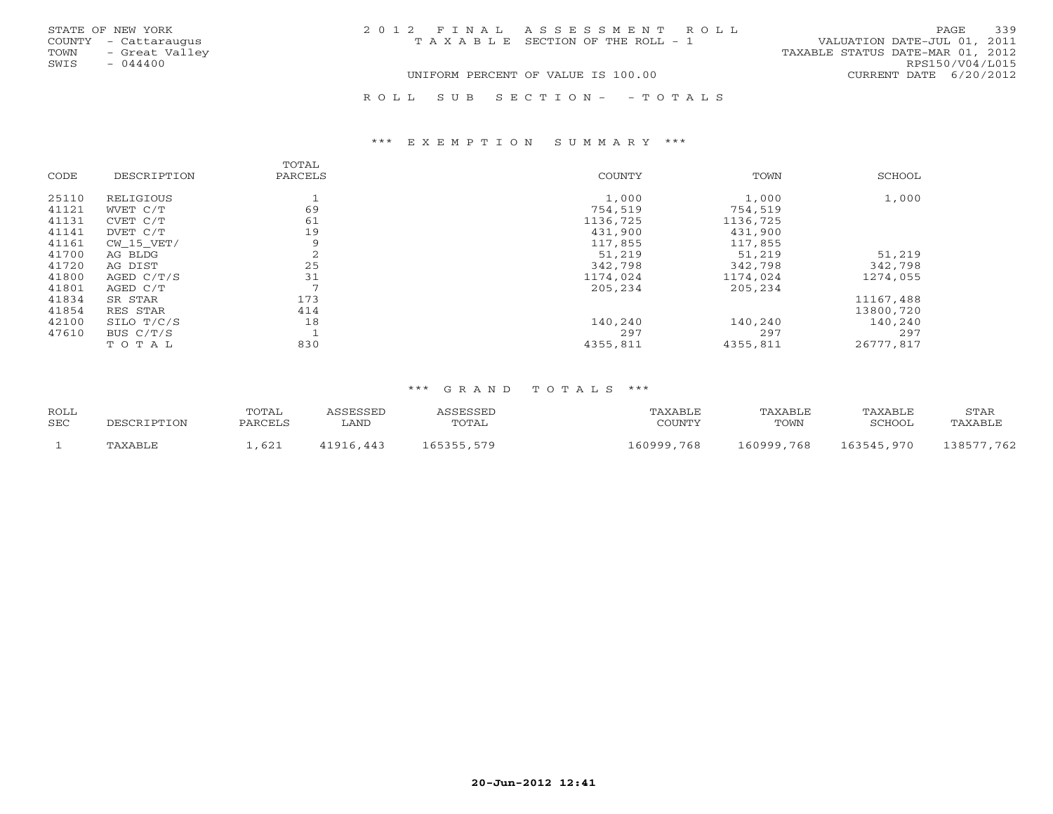| STATE OF NEW YORK      | 2012 FINAL ASSESSMENT ROLL            | 339<br>PAGE                      |
|------------------------|---------------------------------------|----------------------------------|
| COUNTY - Cattaraugus   | T A X A B L E SECTION OF THE ROLL - 1 | VALUATION DATE-JUL 01, 2011      |
| TOWN<br>- Great Valley |                                       | TAXABLE STATUS DATE-MAR 01, 2012 |
| SWIS<br>$-044400$      |                                       | RPS150/V04/L015                  |
|                        | UNIFORM PERCENT OF VALUE IS 100.00    | CURRENT DATE 6/20/2012           |
|                        |                                       |                                  |

R O L L S U B S E C T I O N - - T O T A L S

#### \*\*\* E X E M P T I O N S U M M A R Y \*\*\*

| CODE  | DESCRIPTION    | TOTAL<br>PARCELS | COUNTY   | TOWN     | SCHOOL    |
|-------|----------------|------------------|----------|----------|-----------|
| 25110 | RELIGIOUS      |                  | 1,000    | 1,000    | 1,000     |
| 41121 | WVET C/T       | 69               | 754,519  | 754,519  |           |
| 41131 | CVET C/T       | 61               | 1136,725 | 1136,725 |           |
| 41141 | DVET C/T       | 19               | 431,900  | 431,900  |           |
| 41161 | $CW$ 15 $VET/$ | 9                | 117,855  | 117,855  |           |
| 41700 | AG BLDG        | 2                | 51,219   | 51,219   | 51,219    |
| 41720 | AG DIST        | 25               | 342,798  | 342,798  | 342,798   |
| 41800 | AGED C/T/S     | 31               | 1174,024 | 1174,024 | 1274,055  |
| 41801 | AGED C/T       | $\mathcal{L}$    | 205,234  | 205,234  |           |
| 41834 | SR STAR        | 173              |          |          | 11167,488 |
| 41854 | RES STAR       | 414              |          |          | 13800,720 |
| 42100 | SILO T/C/S     | 18               | 140,240  | 140,240  | 140,240   |
| 47610 | BUS C/T/S      |                  | 297      | 297      | 297       |
|       | TOTAL          | 830              | 4355,811 | 4355,811 | 26777,817 |

| <b>ROLL</b> |         | TOTAL   | J C C F C C F L | 1 CCFCCFT  | TAXABLE    | TAXABLE    | TAXABLE    | STAR           |
|-------------|---------|---------|-----------------|------------|------------|------------|------------|----------------|
| <b>SEC</b>  |         | PARCELS | ∟AND            | TOTAL      | COUNTY     | TOWN       | SCHOOL     | TAXABLE        |
|             | TAXABLE | ,621    | 41916,443       | 165355,579 | 160999,768 | 160999,768 | 163545,970 | ⊥38577<br>,762 |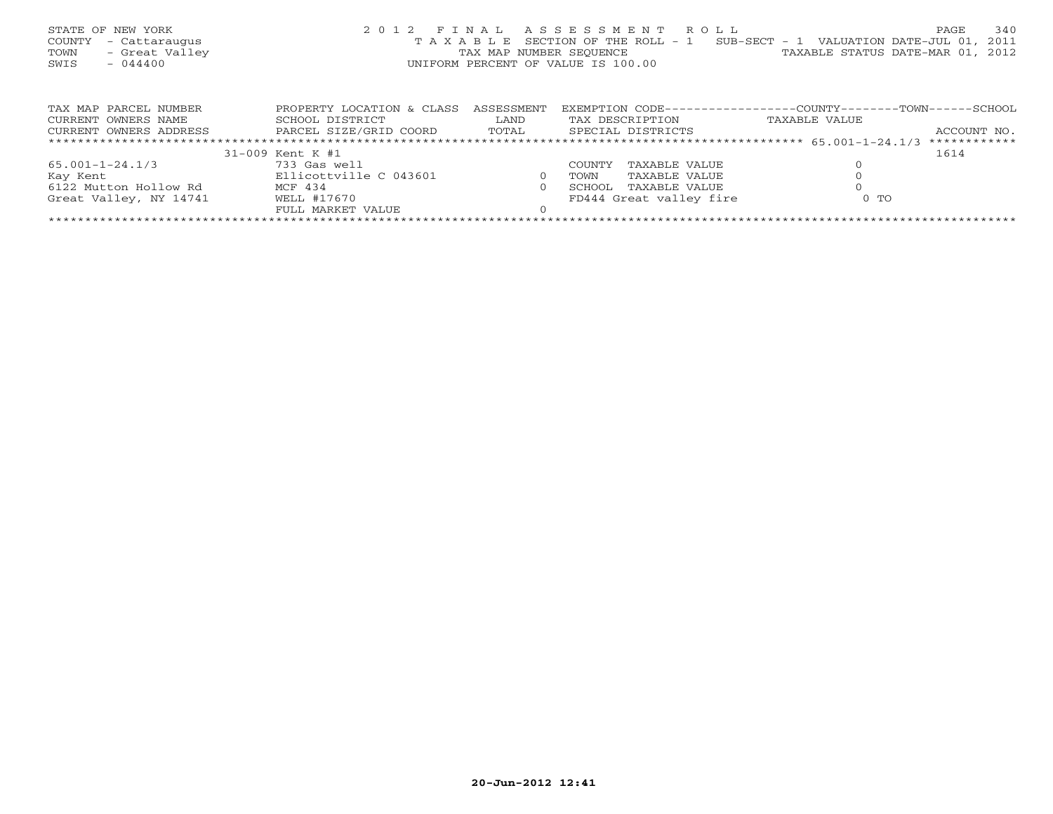| STATE OF NEW YORK<br>COUNTY<br>- Cattaraugus<br>- Great Valley<br>TOWN<br>SWIS<br>$-044400$ | 2012 FINAL ASSESSMENT ROLL<br>TAXABLE | TAX MAP NUMBER SEOUENCE<br>UNIFORM PERCENT OF VALUE IS 100.00 |                  | SECTION OF THE ROLL - 1 | SUB-SECT - 1 VALUATION DATE-JUL 01, 2011<br>TAXABLE STATUS DATE-MAR 01, 2012 | 340<br>PAGE  |
|---------------------------------------------------------------------------------------------|---------------------------------------|---------------------------------------------------------------|------------------|-------------------------|------------------------------------------------------------------------------|--------------|
| TAX MAP PARCEL NUMBER                                                                       | PROPERTY LOCATION & CLASS             | ASSESSMENT                                                    | EXEMPTION CODE-- |                         | ---------------COUNTY-------TOWN-----                                        | --SCHOOL     |
| CURRENT OWNERS NAME                                                                         | SCHOOL DISTRICT                       | LAND                                                          |                  | TAX DESCRIPTION         | TAXABLE VALUE                                                                |              |
| CURRENT OWNERS ADDRESS                                                                      | PARCEL SIZE/GRID COORD TOTAL          |                                                               |                  | SPECIAL DISTRICTS       |                                                                              | ACCOUNT NO.  |
|                                                                                             |                                       |                                                               |                  |                         |                                                                              | ************ |
|                                                                                             | 31-009 Kent K #1                      |                                                               |                  |                         |                                                                              | 1614         |
| 65.001-1-24.1/3                                                                             | 733 Gas well                          |                                                               | COUNTY           | TAXABLE VALUE           |                                                                              |              |
| Kay Kent                                                                                    | Ellicottville C 043601                | $\Omega$                                                      | TOWN             | TAXABLE VALUE           |                                                                              |              |
| 6122 Mutton Hollow Rd                                                                       | MCF 434                               |                                                               | SCHOOL           | TAXABLE VALUE           |                                                                              |              |

Great Valley, NY 14741 WELL #17670 FD444 Great valley fire 0 TO FULL MARKET VALUE 0 \*\*\*\*\*\*\*\*\*\*\*\*\*\*\*\*\*\*\*\*\*\*\*\*\*\*\*\*\*\*\*\*\*\*\*\*\*\*\*\*\*\*\*\*\*\*\*\*\*\*\*\*\*\*\*\*\*\*\*\*\*\*\*\*\*\*\*\*\*\*\*\*\*\*\*\*\*\*\*\*\*\*\*\*\*\*\*\*\*\*\*\*\*\*\*\*\*\*\*\*\*\*\*\*\*\*\*\*\*\*\*\*\*\*\*\*\*\*\*\*\*\*\*\*\*\*\*\*\*\*\*\*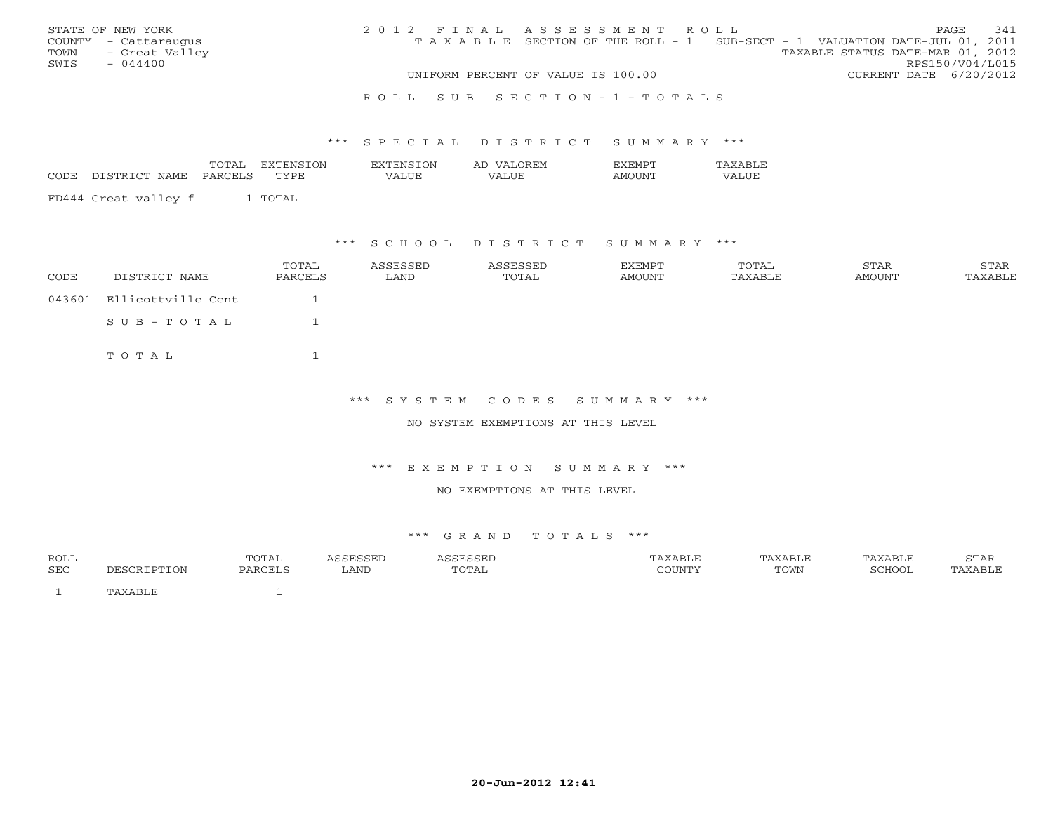|      | STATE OF NEW YORK    | 2012 FINAL ASSESSMENT ROLL |                                                                                |  |                                  |                        | PAGE | 341 |
|------|----------------------|----------------------------|--------------------------------------------------------------------------------|--|----------------------------------|------------------------|------|-----|
|      | COUNTY - Cattaraugus |                            | T A X A B L E SECTION OF THE ROLL - 1 SUB-SECT - 1 VALUATION DATE-JUL 01, 2011 |  |                                  |                        |      |     |
|      | TOWN - Great Valley  |                            |                                                                                |  | TAXABLE STATUS DATE-MAR 01, 2012 |                        |      |     |
| SWIS | $-044400$            |                            |                                                                                |  |                                  | RPS150/V04/L015        |      |     |
|      |                      |                            | UNIFORM PERCENT OF VALUE IS 100.00                                             |  |                                  | CURRENT DATE 6/20/2012 |      |     |
|      |                      |                            |                                                                                |  |                                  |                        |      |     |

#### R O L L S U B S E C T I O N - 1 - T O T A L S

#### \*\*\* S P E C I A L D I S T R I C T S U M M A R Y \*\*\*

|      |                                                                                                                                           | <b>TOTA</b><br>. 9 1 1 1 1 1 | OΝ          | $\sqrt{N}$<br>. | ำ⊌н'M<br>2 A.L |     |
|------|-------------------------------------------------------------------------------------------------------------------------------------------|------------------------------|-------------|-----------------|----------------|-----|
| CODE | NAME.<br>$\sim$<br>CTD<br>the contract of the contract of the contract of the contract of the contract of the contract of the contract of | ≀ס ∧פ                        | <b>TVDF</b> | 'ALUE           | $\sqrt{ }$     | JUF |
|      |                                                                                                                                           |                              |             |                 |                |     |

FD444 Great valley f 1 TOTAL

### \*\*\* S C H O O L D I S T R I C T S U M M A R Y \*\*\*

| CODE | DISTRICT NAME             | TOTAL<br>PARCELS | ASSESSED<br>LAND | ASSESSED<br>TOTAL | EXEMPT<br>AMOUNT | TOTAL<br>TAXABLE | STAR<br>AMOUNT | STAR<br>TAXABLE |
|------|---------------------------|------------------|------------------|-------------------|------------------|------------------|----------------|-----------------|
|      | 043601 Ellicottville Cent |                  |                  |                   |                  |                  |                |                 |
|      | $SUB - TO T AL$           |                  |                  |                   |                  |                  |                |                 |
|      | TOTAL                     |                  |                  |                   |                  |                  |                |                 |

## \*\*\* S Y S T E M C O D E S S U M M A R Y \*\*\*

#### NO SYSTEM EXEMPTIONS AT THIS LEVEL

#### \*\*\* E X E M P T I O N S U M M A R Y \*\*\*

#### NO EXEMPTIONS AT THIS LEVEL

| ROLL |               | TOTAL   | 0.000000<br>- - - - - - - -<br>ᆸᇦᇦᆈ | ASSESSED | 'AXABLE | TAXABLE | TAXABLE | <b>CTAR</b><br>י ⊥ב∠ ⊥י |
|------|---------------|---------|-------------------------------------|----------|---------|---------|---------|-------------------------|
| SEC  | <b>IPTION</b> | PARCELS | LAND                                | TOTAL    | COUNTY  | TOWN    | SCHOOL  | PAXABLE                 |
|      | ™AXABL⊾       |         |                                     |          |         |         |         |                         |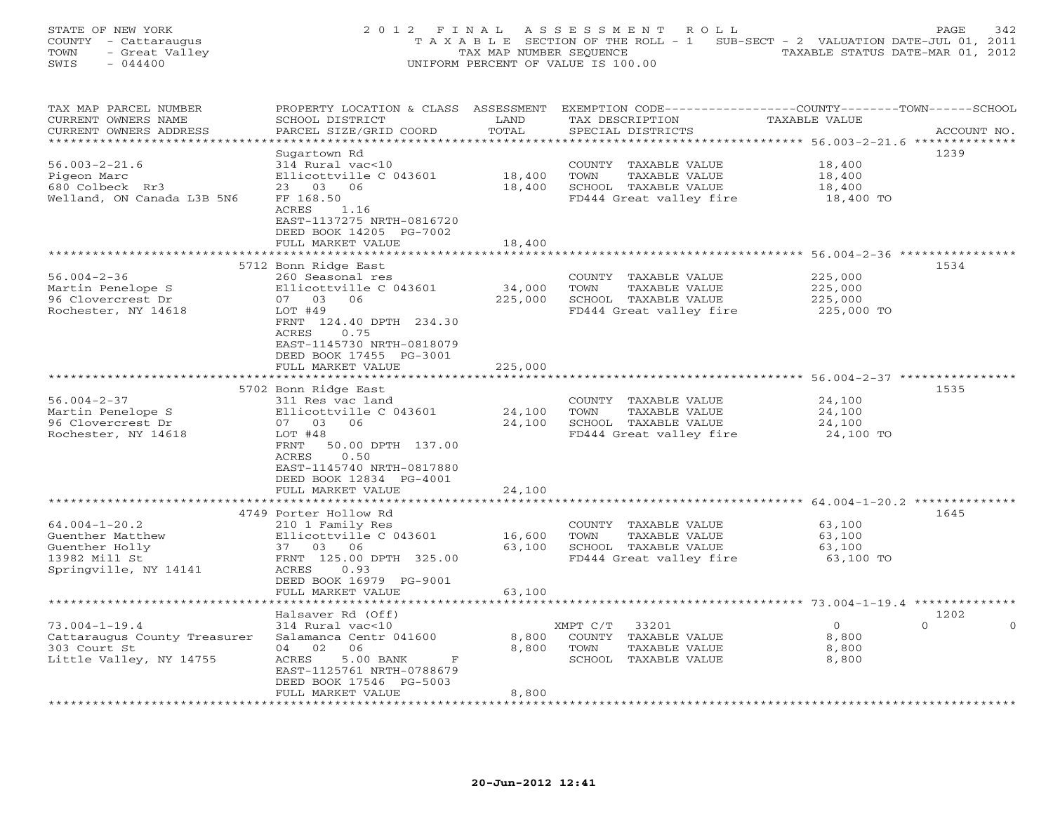| STATE OF NEW YORK<br>COUNTY - Cattaraugus<br>- Great Valley<br>TOWN<br>SWIS<br>$-044400$            | 2012 FINAL                                                                                                                                                                                                            | TAX MAP NUMBER SEQUENCE      | ASSESSMENT<br>ROLL<br>T A X A B L E SECTION OF THE ROLL - 1<br>UNIFORM PERCENT OF VALUE IS 100.00   | SUB-SECT - 2 VALUATION DATE-JUL 01, 2011<br>TAXABLE STATUS DATE-MAR 01, 2012                                              | PAGE<br>342      |
|-----------------------------------------------------------------------------------------------------|-----------------------------------------------------------------------------------------------------------------------------------------------------------------------------------------------------------------------|------------------------------|-----------------------------------------------------------------------------------------------------|---------------------------------------------------------------------------------------------------------------------------|------------------|
| TAX MAP PARCEL NUMBER<br>CURRENT OWNERS NAME<br>CURRENT OWNERS ADDRESS<br>**********************    | PROPERTY LOCATION & CLASS ASSESSMENT<br>SCHOOL DISTRICT<br>PARCEL SIZE/GRID COORD                                                                                                                                     | LAND<br>TOTAL<br>**********  | TAX DESCRIPTION<br>SPECIAL DISTRICTS                                                                | EXEMPTION CODE-----------------COUNTY-------TOWN------SCHOOL<br>TAXABLE VALUE<br>*********** 56.003-2-21.6 ************** | ACCOUNT NO.      |
| $56.003 - 2 - 21.6$<br>Pigeon Marc<br>680 Colbeck Rr3<br>Welland, ON Canada L3B 5N6                 | Sugartown Rd<br>314 Rural vac<10<br>Ellicottville C 043601<br>03<br>06<br>23<br>FF 168.50<br>ACRES<br>1.16<br>EAST-1137275 NRTH-0816720<br>DEED BOOK 14205 PG-7002<br>FULL MARKET VALUE                               | 18,400<br>18,400<br>18,400   | COUNTY<br>TAXABLE VALUE<br>TAXABLE VALUE<br>TOWN<br>SCHOOL TAXABLE VALUE<br>FD444 Great valley fire | 18,400<br>18,400<br>18,400<br>18,400 TO                                                                                   | 1239             |
|                                                                                                     |                                                                                                                                                                                                                       |                              |                                                                                                     |                                                                                                                           |                  |
| $56.004 - 2 - 36$<br>Martin Penelope S<br>96 Clovercrest Dr<br>Rochester, NY 14618                  | 5712 Bonn Ridge East<br>260 Seasonal res<br>Ellicottville C 043601<br>07 03<br>06<br>LOT #49<br>FRNT 124.40 DPTH 234.30<br>ACRES<br>0.75<br>EAST-1145730 NRTH-0818079<br>DEED BOOK 17455 PG-3001<br>FULL MARKET VALUE | 34,000<br>225,000<br>225,000 | COUNTY<br>TAXABLE VALUE<br>TOWN<br>TAXABLE VALUE<br>SCHOOL TAXABLE VALUE<br>FD444 Great valley fire | 225,000<br>225,000<br>225,000<br>225,000 TO                                                                               | 1534             |
|                                                                                                     |                                                                                                                                                                                                                       |                              |                                                                                                     | ******************************** 56.004-2-37 ****************                                                             |                  |
| $56.004 - 2 - 37$<br>Martin Penelope S<br>96 Clovercrest Dr<br>Rochester, NY 14618                  | 5702 Bonn Ridge East<br>311 Res vac land<br>Ellicottville C 043601<br>03<br>06<br>07<br>LOT #48<br>FRNT<br>50.00 DPTH 137.00<br>0.50<br>ACRES<br>EAST-1145740 NRTH-0817880<br>DEED BOOK 12834 PG-4001                 | 24,100<br>24,100             | COUNTY<br>TAXABLE VALUE<br>TAXABLE VALUE<br>TOWN<br>SCHOOL TAXABLE VALUE<br>FD444 Great valley fire | 24,100<br>24,100<br>24,100<br>24,100 TO                                                                                   | 1535             |
|                                                                                                     | FULL MARKET VALUE<br>******************                                                                                                                                                                               | 24,100                       |                                                                                                     |                                                                                                                           |                  |
| $64.004 - 1 - 20.2$<br>Guenther Matthew<br>Guenther Holly<br>13982 Mill St<br>Springville, NY 14141 | 4749 Porter Hollow Rd<br>210 1 Family Res<br>Ellicottville C 043601<br>03<br>37<br>06<br>FRNT 125.00 DPTH 325.00<br>ACRES<br>0.93<br>DEED BOOK 16979 PG-9001<br>FULL MARKET VALUE                                     | 16,600<br>63,100<br>63,100   | COUNTY<br>TAXABLE VALUE<br>TOWN<br>TAXABLE VALUE<br>SCHOOL TAXABLE VALUE<br>FD444 Great valley fire | **************** 64.004-1-20.2 **************<br>63,100<br>63,100<br>63,100<br>63,100 TO                                  | 1645             |
|                                                                                                     |                                                                                                                                                                                                                       |                              |                                                                                                     | ************ 73.004-1-19.4 ************                                                                                   |                  |
| $73.004 - 1 - 19.4$<br>Cattaraugus County Treasurer<br>303 Court St<br>Little Valley, NY 14755      | Halsaver Rd (Off)<br>314 Rural vac<10<br>Salamanca Centr 041600<br>02<br>06<br>04<br>ACRES<br>5.00 BANK<br>$\mathbf F$<br>EAST-1125761 NRTH-0788679<br>DEED BOOK 17546 PG-5003                                        | 8,800<br>8,800               | XMPT C/T<br>33201<br>COUNTY<br>TAXABLE VALUE<br>TOWN<br>TAXABLE VALUE<br>SCHOOL TAXABLE VALUE       | $\circ$<br>8,800<br>8,800<br>8,800                                                                                        | 1202<br>$\Omega$ |

\*\*\*\*\*\*\*\*\*\*\*\*\*\*\*\*\*\*\*\*\*\*\*\*\*\*\*\*\*\*\*\*\*\*\*\*\*\*\*\*\*\*\*\*\*\*\*\*\*\*\*\*\*\*\*\*\*\*\*\*\*\*\*\*\*\*\*\*\*\*\*\*\*\*\*\*\*\*\*\*\*\*\*\*\*\*\*\*\*\*\*\*\*\*\*\*\*\*\*\*\*\*\*\*\*\*\*\*\*\*\*\*\*\*\*\*\*\*\*\*\*\*\*\*\*\*\*\*\*\*\*\*

FULL MARKET VALUE 8,800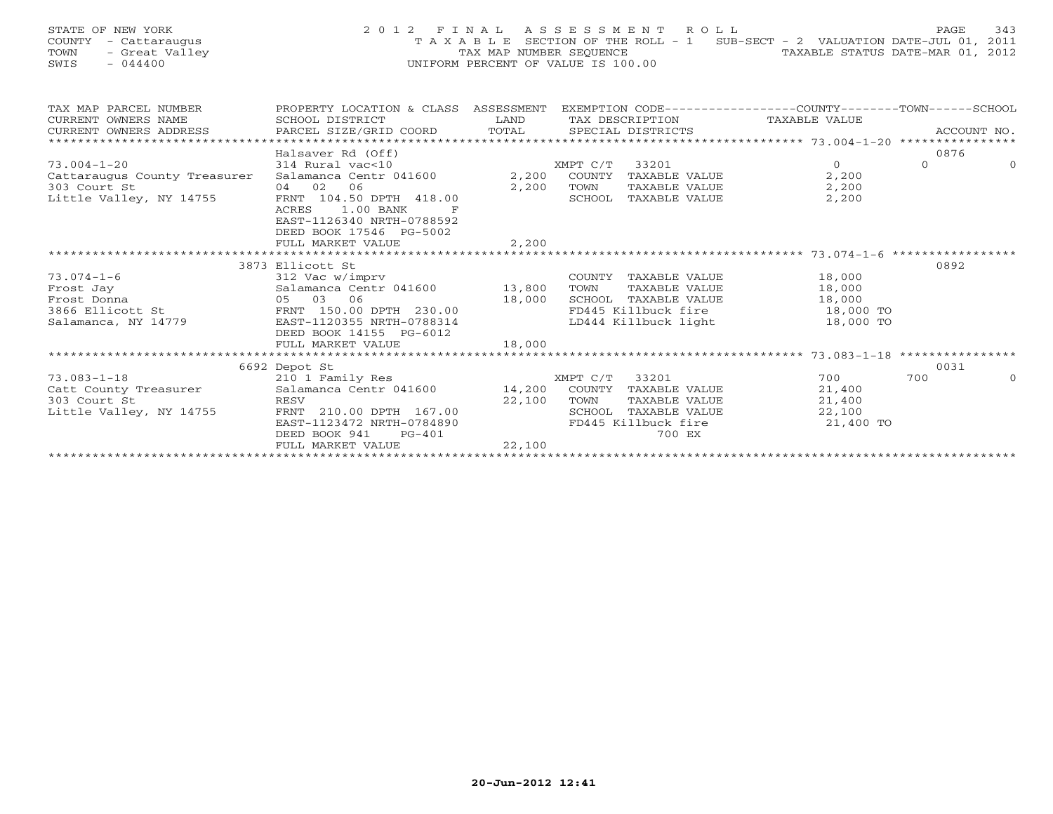|      | STATE OF NEW YORK    | 2012 FINAL ASSESSMENT ROLL         |                                                                                |                                  | PAGE | 343 |
|------|----------------------|------------------------------------|--------------------------------------------------------------------------------|----------------------------------|------|-----|
|      | COUNTY - Cattaraugus |                                    | T A X A B L E SECTION OF THE ROLL - 1 SUB-SECT - 2 VALUATION DATE-JUL 01, 2011 |                                  |      |     |
| TOWN | - Great Valley       |                                    | TAX MAP NUMBER SEOUENCE                                                        | TAXABLE STATUS DATE-MAR 01, 2012 |      |     |
| SWIS | $-044400$            | UNIFORM PERCENT OF VALUE IS 100.00 |                                                                                |                                  |      |     |
|      |                      |                                    |                                                                                |                                  |      |     |

| TAX MAP PARCEL NUMBER                   | PROPERTY LOCATION & CLASS ASSESSMENT EXEMPTION CODE---------------COUNTY-------TOWN-----SCHOOL                                                                                                                                                                |        |      |                             |                                  |          |          |
|-----------------------------------------|---------------------------------------------------------------------------------------------------------------------------------------------------------------------------------------------------------------------------------------------------------------|--------|------|-----------------------------|----------------------------------|----------|----------|
|                                         |                                                                                                                                                                                                                                                               |        |      |                             |                                  |          |          |
|                                         |                                                                                                                                                                                                                                                               |        |      |                             |                                  |          |          |
|                                         |                                                                                                                                                                                                                                                               |        |      |                             |                                  |          |          |
|                                         | Halsaver Rd (Off)                                                                                                                                                                                                                                             |        |      |                             |                                  | 0876     |          |
| $73.004 - 1 - 20$                       | $314 \text{ Rural vac} < 10$ $314 \text{ Rural vac} < 10$ $314 \text{ natural vac} < 10$ $314 \text{ Natural area} < 100$ $314 \text{ Natural area} < 100$ $314 \text{ Natural area} < 100$ $314 \text{ Natural area} < 100$ $314 \text{ Natural area} < 100$ |        |      |                             | $\Omega$                         | $\Omega$ | $\Omega$ |
| Cattaraugus County Treasurer            |                                                                                                                                                                                                                                                               |        |      | TAXABLE VALUE               | 2,200                            |          |          |
| 303 Court St                            | 04 02 06                                                                                                                                                                                                                                                      | 2,200  | TOWN | TAXABLE VALUE               | 2,200                            |          |          |
| 303 Court St<br>Little Valley, NY 14755 | FRNT 104.50 DPTH 418.00                                                                                                                                                                                                                                       |        |      | SCHOOL TAXABLE VALUE        | 2,200                            |          |          |
|                                         | ACRES 1.00 BANK                                                                                                                                                                                                                                               |        |      |                             |                                  |          |          |
|                                         | EAST-1126340 NRTH-0788592                                                                                                                                                                                                                                     |        |      |                             |                                  |          |          |
|                                         | DEED BOOK 17546 PG-5002                                                                                                                                                                                                                                       |        |      |                             |                                  |          |          |
|                                         | FULL MARKET VALUE                                                                                                                                                                                                                                             | 2,200  |      |                             |                                  |          |          |
|                                         |                                                                                                                                                                                                                                                               |        |      |                             |                                  |          |          |
|                                         | 3873 Ellicott St                                                                                                                                                                                                                                              |        |      |                             |                                  | 0892     |          |
|                                         |                                                                                                                                                                                                                                                               |        |      |                             |                                  |          |          |
|                                         |                                                                                                                                                                                                                                                               |        |      |                             |                                  |          |          |
|                                         |                                                                                                                                                                                                                                                               |        |      |                             |                                  |          |          |
|                                         |                                                                                                                                                                                                                                                               |        |      |                             | FD445 Killbuck fire 50 18,000 TO |          |          |
| Salamanca, NY 14779                     | EAST-1120355 NRTH-0788314                                                                                                                                                                                                                                     |        |      |                             | LD444 Killbuck light 18,000 TO   |          |          |
|                                         | DEED BOOK 14155 PG-6012                                                                                                                                                                                                                                       |        |      |                             |                                  |          |          |
|                                         |                                                                                                                                                                                                                                                               |        |      |                             |                                  |          |          |
|                                         |                                                                                                                                                                                                                                                               |        |      |                             |                                  |          |          |
|                                         | 6692 Depot St                                                                                                                                                                                                                                                 |        |      |                             |                                  | 0031     |          |
|                                         |                                                                                                                                                                                                                                                               |        |      |                             | 700 — 100                        | 700      | $\Omega$ |
|                                         |                                                                                                                                                                                                                                                               |        |      |                             | 21,400                           |          |          |
| 303 Court St                            | RESV                                                                                                                                                                                                                                                          | 22,100 | TOWN | TAXABLE VALUE 21,400        |                                  |          |          |
| Little Valley, NY 14755                 | FRNT 210.00 DPTH 167.00                                                                                                                                                                                                                                       |        |      | SCHOOL TAXABLE VALUE 22,100 |                                  |          |          |
|                                         | EAST-1123472 NRTH-0784890                                                                                                                                                                                                                                     |        |      | FD445 Killbuck fire         | 21,400 TO                        |          |          |
|                                         | DEED BOOK 941<br>$PG-401$                                                                                                                                                                                                                                     |        |      | 700 EX                      |                                  |          |          |
|                                         | FULL MARKET VALUE                                                                                                                                                                                                                                             | 22,100 |      |                             |                                  |          |          |
|                                         |                                                                                                                                                                                                                                                               |        |      |                             |                                  |          |          |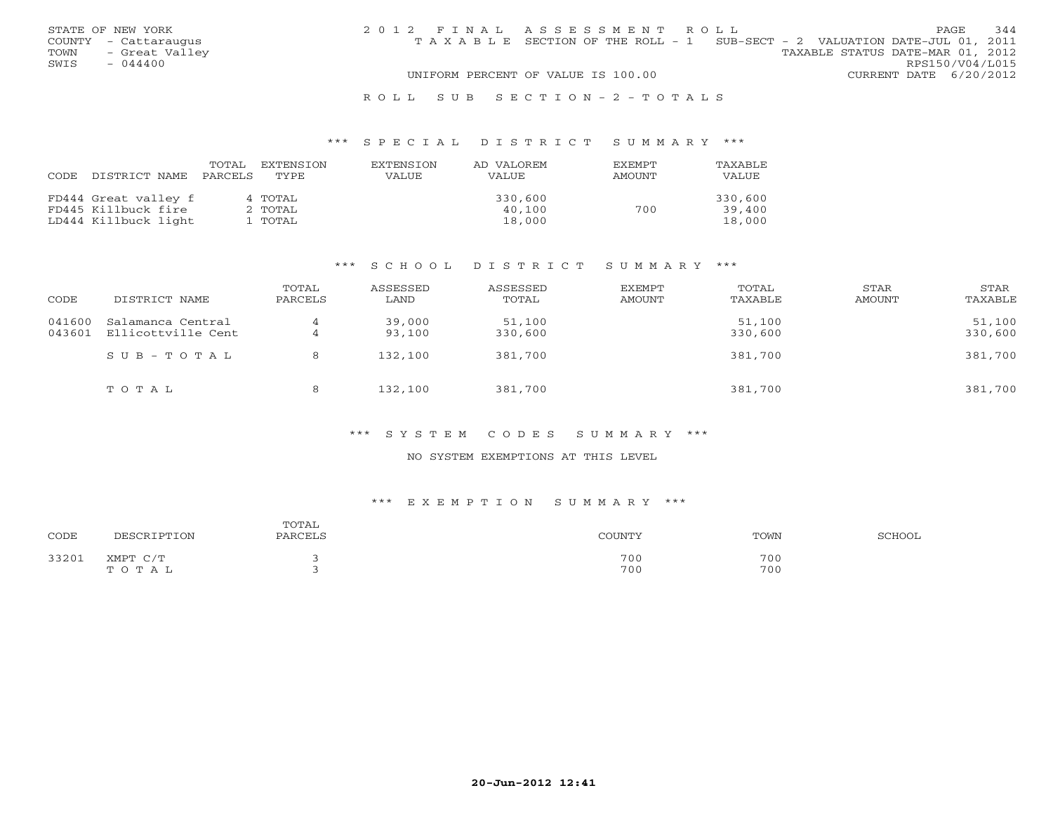|      | STATE OF NEW YORK    | 2012 FINAL ASSESSMENT ROLL |                                                                                |                                  |                        | PAGE | 344 |
|------|----------------------|----------------------------|--------------------------------------------------------------------------------|----------------------------------|------------------------|------|-----|
|      | COUNTY - Cattaraugus |                            | T A X A B L E SECTION OF THE ROLL - 1 SUB-SECT - 2 VALUATION DATE-JUL 01, 2011 |                                  |                        |      |     |
|      | TOWN - Great Valley  |                            |                                                                                | TAXABLE STATUS DATE-MAR 01, 2012 |                        |      |     |
| SWIS | $-044400$            |                            |                                                                                |                                  | RPS150/V04/L015        |      |     |
|      |                      |                            | UNIFORM PERCENT OF VALUE IS 100.00                                             |                                  | CURRENT DATE 6/20/2012 |      |     |
|      |                      |                            |                                                                                |                                  |                        |      |     |

#### R O L L S U B S E C T I O N - 2 - T O T A L S

#### \*\*\* S P E C I A L D I S T R I C T S U M M A R Y \*\*\*

| CODE | DISTRICT NAME        | TOTAL<br>PARCELS | <b>EXTENSION</b><br>TYPE | <b>EXTENSION</b><br><b>VALUE</b> | AD VALOREM<br><b>VALUE</b> | EXEMPT<br>AMOUNT | <b>TAXABLE</b><br>VALUE |
|------|----------------------|------------------|--------------------------|----------------------------------|----------------------------|------------------|-------------------------|
|      | FD444 Great valley f |                  | 4 TOTAL                  |                                  | 330,600                    |                  | 330,600                 |
|      | FD445 Killbuck fire  |                  | 2 TOTAL                  |                                  | 40,100                     | 700              | 39,400                  |
|      | LD444 Killbuck light |                  | l TOTAL                  |                                  | 18,000                     |                  | 18,000                  |

#### \*\*\* S C H O O L D I S T R I C T S U M M A R Y \*\*\*

| CODE             | DISTRICT NAME                           | TOTAL<br>PARCELS | ASSESSED<br>LAND | ASSESSED<br>TOTAL | EXEMPT<br>AMOUNT | TOTAL<br>TAXABLE  | STAR<br>AMOUNT | STAR<br>TAXABLE   |
|------------------|-----------------------------------------|------------------|------------------|-------------------|------------------|-------------------|----------------|-------------------|
| 041600<br>043601 | Salamanca Central<br>Ellicottville Cent | 4                | 39,000<br>93,100 | 51,100<br>330,600 |                  | 51,100<br>330,600 |                | 51,100<br>330,600 |
|                  | $SUB - TO T AL$                         | 8                | 132,100          | 381,700           |                  | 381,700           |                | 381,700           |
|                  | TOTAL                                   | 8                | 132,100          | 381,700           |                  | 381,700           |                | 381,700           |

## \*\*\* S Y S T E M C O D E S S U M M A R Y \*\*\*

#### NO SYSTEM EXEMPTIONS AT THIS LEVEL

#### \*\*\* E X E M P T I O N S U M M A R Y \*\*\*

| CODE  | DFSCRIPTON                                                              | TOTAL<br>PARCELS | <b>OUNTY</b> | TOWN       | SCHOOL |
|-------|-------------------------------------------------------------------------|------------------|--------------|------------|--------|
| 33201 | XMPT<br>$\sim$ / $\sim$<br>the contract of the contract of the<br>TOTAL |                  | 700<br>700   | 700<br>700 |        |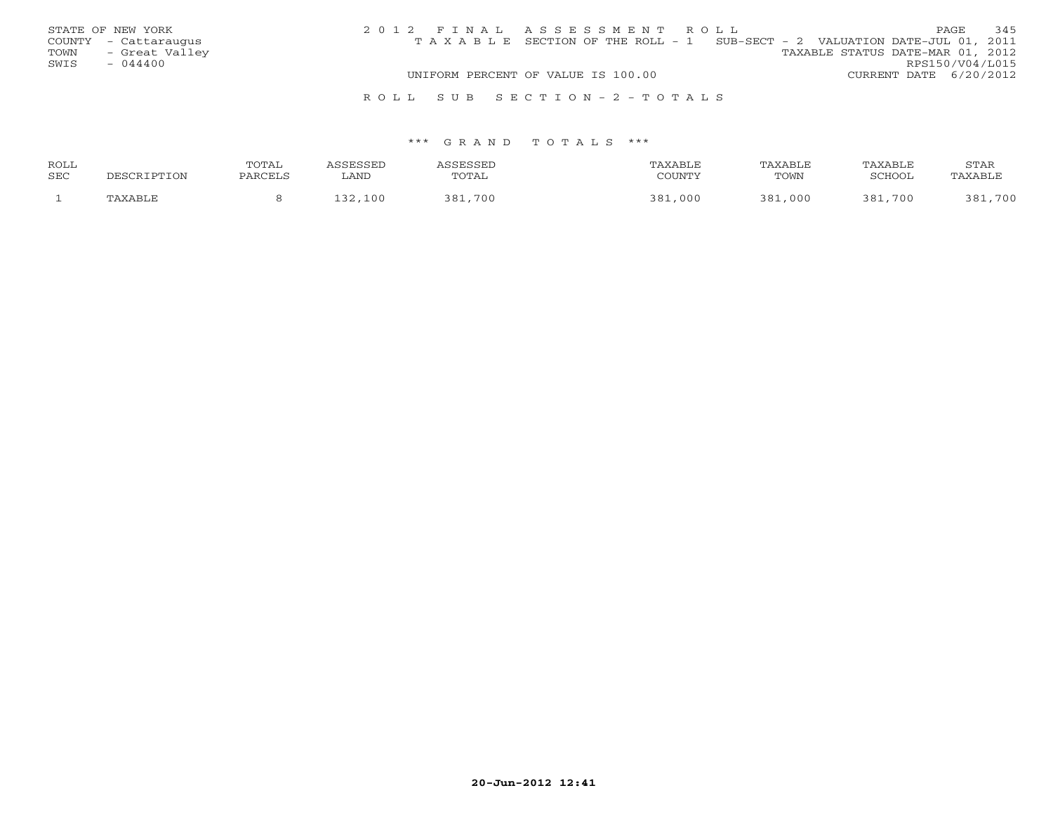| STATE OF NEW YORK      | 2012 FINAL ASSESSMENT ROLL                                                     | 345<br>PAGE                      |
|------------------------|--------------------------------------------------------------------------------|----------------------------------|
| COUNTY - Cattaraugus   | T A X A B L E SECTION OF THE ROLL - 1 SUB-SECT - 2 VALUATION DATE-JUL 01, 2011 |                                  |
| TOWN<br>- Great Valley |                                                                                | TAXABLE STATUS DATE-MAR 01, 2012 |
| SWIS<br>$-044400$      |                                                                                | RPS150/V04/L015                  |
|                        | UNIFORM PERCENT OF VALUE IS 100.00                                             | CURRENT DATE 6/20/2012           |
|                        | ROLL SUB SECTION-2-TOTALS                                                      |                                  |

| ROLL | <b>OTAL</b> |      |                |          | ⊓∧ ∨∧ יחד  | <b>AXABLI</b> | STAR |
|------|-------------|------|----------------|----------|------------|---------------|------|
| SEC  |             | LAND | TAL            | CCTINTAT | TOWN       | וממדימי       |      |
|      |             | n r  | $700-$<br>. סי | 000      | D с<br>nnn | ∶ Ω ≀<br>700  |      |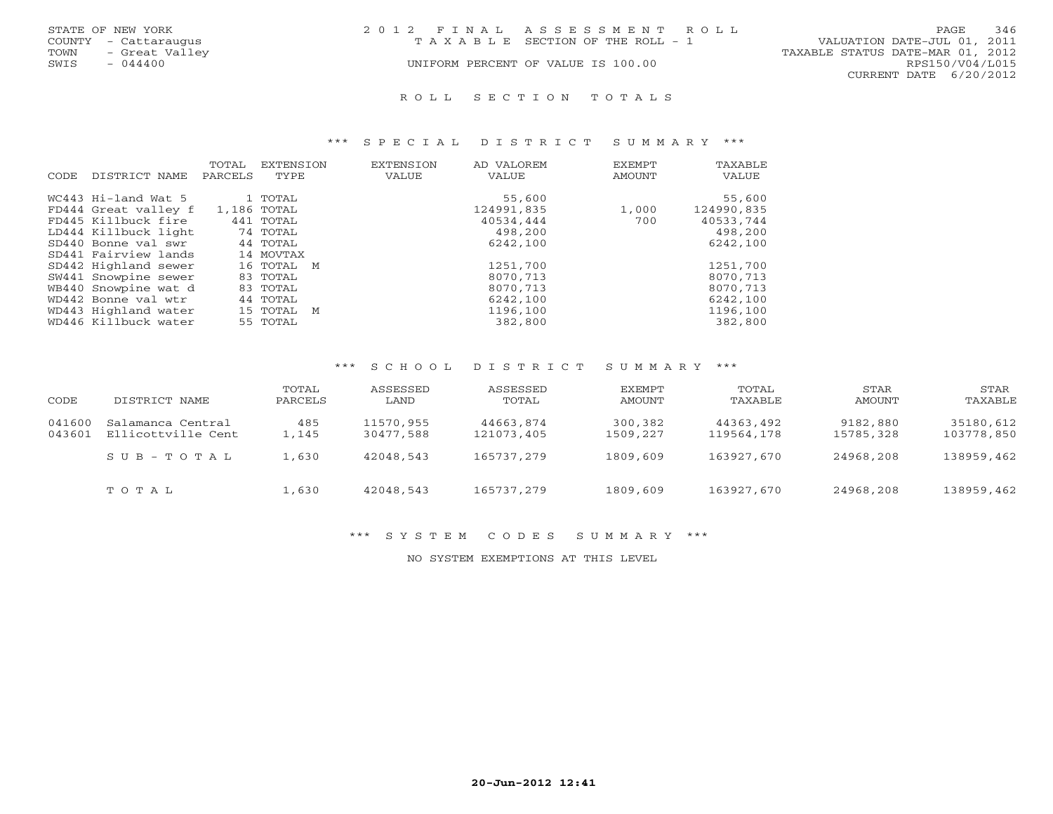| STATE OF NEW YORK      | 2012 FINAL ASSESSMENT ROLL            | 346<br>PAGE.                     |
|------------------------|---------------------------------------|----------------------------------|
| COUNTY - Cattaraugus   | T A X A B L E SECTION OF THE ROLL - 1 | VALUATION DATE-JUL 01, 2011      |
| TOWN<br>- Great Valley |                                       | TAXABLE STATUS DATE-MAR 01, 2012 |
| $-044400$<br>SWIS      | UNIFORM PERCENT OF VALUE IS 100.00    | RPS150/V04/L015                  |
|                        |                                       | CURRENT DATE 6/20/2012           |

#### R O L L S E C T I O N T O T A L S

#### \*\*\* S P E C I A L D I S T R I C T S U M M A R Y \*\*\*

| CODE. | DISTRICT NAME        | TOTAL<br>PARCELS | <b>EXTENSION</b><br>TYPE | <b>EXTENSION</b><br><b>VALUE</b> | AD VALOREM<br>VALUE | EXEMPT<br>AMOUNT | TAXABLE<br>VALUE |
|-------|----------------------|------------------|--------------------------|----------------------------------|---------------------|------------------|------------------|
|       | WC443 Hi-land Wat 5  |                  | 1 TOTAL                  |                                  | 55,600              |                  | 55,600           |
|       | FD444 Great valley f | 1,186 TOTAL      |                          |                                  | 124991,835          | 1,000            | 124990,835       |
|       | FD445 Killbuck fire  |                  | 441 TOTAL                |                                  | 40534,444           | 700              | 40533,744        |
|       | LD444 Killbuck light |                  | 74 TOTAL                 |                                  | 498,200             |                  | 498,200          |
|       | SD440 Bonne val swr  |                  | 44 TOTAL                 |                                  | 6242,100            |                  | 6242,100         |
|       | SD441 Fairview lands |                  | 14 MOVTAX                |                                  |                     |                  |                  |
|       | SD442 Highland sewer |                  | 16 TOTAL M               |                                  | 1251,700            |                  | 1251,700         |
|       | SW441 Snowpine sewer |                  | 83 TOTAL                 |                                  | 8070,713            |                  | 8070,713         |
|       | WB440 Snowpine wat d |                  | 83 TOTAL                 |                                  | 8070,713            |                  | 8070,713         |
|       | WD442 Bonne val wtr  |                  | 44 TOTAL                 |                                  | 6242,100            |                  | 6242,100         |
|       | WD443 Highland water |                  | 15 TOTAL M               |                                  | 1196,100            |                  | 1196,100         |
|       | WD446 Killbuck water |                  | 55 TOTAL                 |                                  | 382,800             |                  | 382,800          |

#### \*\*\* S C H O O L D I S T R I C T S U M M A R Y \*\*\*

| CODE             | DISTRICT NAME                           | TOTAL<br>PARCELS | ASSESSED<br>LAND       | ASSESSED<br>TOTAL       | <b>EXEMPT</b><br><b>AMOUNT</b> | TOTAL<br>TAXABLE        | STAR<br>AMOUNT        | STAR<br>TAXABLE         |
|------------------|-----------------------------------------|------------------|------------------------|-------------------------|--------------------------------|-------------------------|-----------------------|-------------------------|
| 041600<br>043601 | Salamanca Central<br>Ellicottville Cent | 485<br>1,145     | 11570,955<br>30477,588 | 44663,874<br>121073,405 | 300,382<br>1509,227            | 44363,492<br>119564,178 | 9182,880<br>15785,328 | 35180,612<br>103778,850 |
|                  | $SUB - TO T AL$                         | 1,630            | 42048,543              | 165737,279              | 1809,609                       | 163927,670              | 24968,208             | 138959,462              |
|                  | TOTAL                                   | 1,630            | 42048,543              | 165737,279              | 1809,609                       | 163927,670              | 24968,208             | 138959,462              |

#### \*\*\* S Y S T E M C O D E S S U M M A R Y \*\*\*

NO SYSTEM EXEMPTIONS AT THIS LEVEL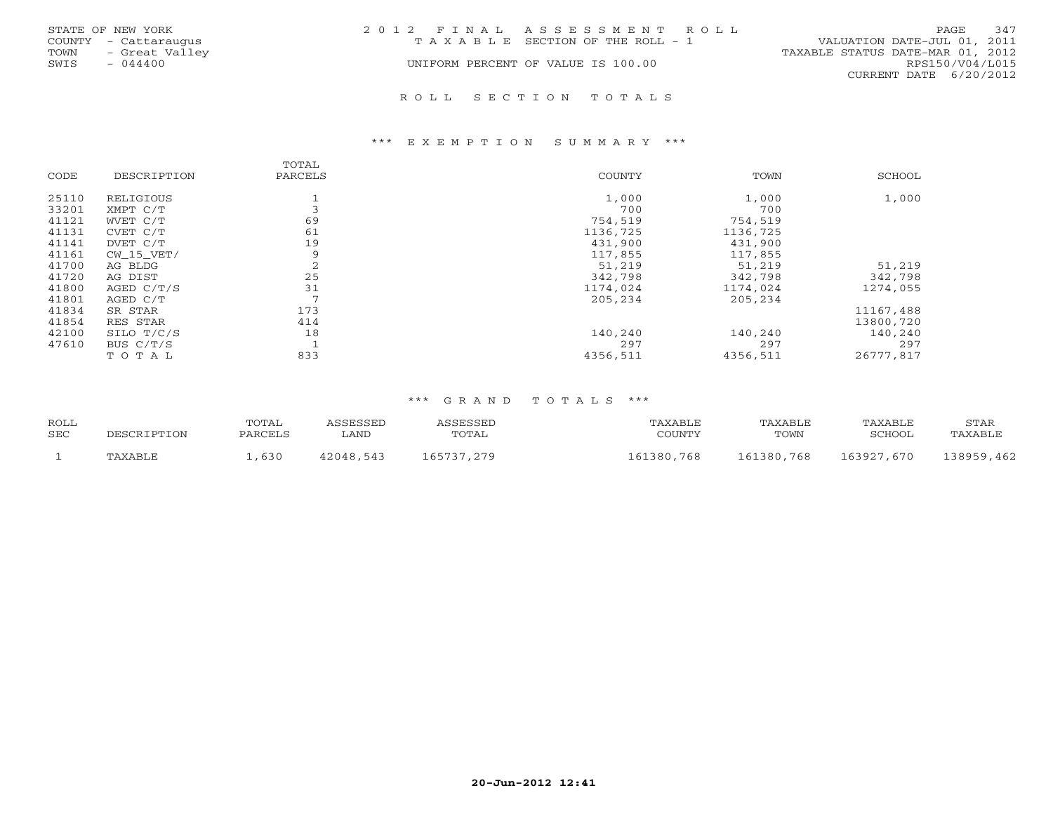|      | STATE OF NEW YORK    | 2012 FINAL ASSESSMENT ROLL |                                       |                                  | PAGE            | 347 |
|------|----------------------|----------------------------|---------------------------------------|----------------------------------|-----------------|-----|
|      | COUNTY - Cattaraugus |                            | T A X A B L E SECTION OF THE ROLL - 1 | VALUATION DATE-JUL 01, 2011      |                 |     |
| TOWN | - Great Valley       |                            |                                       | TAXABLE STATUS DATE-MAR 01, 2012 |                 |     |
| SWIS | - 044400             |                            | UNIFORM PERCENT OF VALUE IS 100.00    |                                  | RPS150/V04/L015 |     |
|      |                      |                            |                                       | CURRENT DATE 6/20/2012           |                 |     |
|      |                      |                            |                                       |                                  |                 |     |

#### R O L L S E C T I O N T O T A L S

#### \*\*\* E X E M P T I O N S U M M A R Y \*\*\*

| CODE  | DESCRIPTION  | TOTAL<br>PARCELS | COUNTY   | TOWN     | SCHOOL    |
|-------|--------------|------------------|----------|----------|-----------|
| 25110 | RELIGIOUS    |                  | 1,000    | 1,000    | 1,000     |
| 33201 | XMPT C/T     |                  | 700      | 700      |           |
| 41121 | WVET C/T     | 69               | 754,519  | 754,519  |           |
| 41131 | CVET C/T     | 61               | 1136,725 | 1136,725 |           |
| 41141 | DVET C/T     | 19               | 431,900  | 431,900  |           |
| 41161 | CW 15 VET/   | 9                | 117,855  | 117,855  |           |
| 41700 | AG BLDG      | 2                | 51,219   | 51,219   | 51,219    |
| 41720 | AG DIST      | 25               | 342,798  | 342,798  | 342,798   |
| 41800 | AGED $C/T/S$ | 31               | 1174,024 | 1174,024 | 1274,055  |
| 41801 | AGED C/T     | $\mathcal{L}$    | 205,234  | 205,234  |           |
| 41834 | SR STAR      | 173              |          |          | 11167,488 |
| 41854 | RES STAR     | 414              |          |          | 13800,720 |
| 42100 | SILO T/C/S   | 18               | 140,240  | 140,240  | 140,240   |
| 47610 | BUS $C/T/S$  |                  | 297      | 297      | 297       |
|       | TOTAL        | 833              | 4356,511 | 4356,511 | 26777.817 |

| <b>ROLL</b><br><b>SEC</b> | DESCRIPTION | TOTAL<br>PARCELS | <i><b>ASSESSED</b></i><br>∟AND | ASSESSED<br>TOTAL | TAXABLE<br>COUNTY | TAXABLE<br>TOWN | TAXABLE<br>SCHOOL | STAR<br>TAXABLE |
|---------------------------|-------------|------------------|--------------------------------|-------------------|-------------------|-----------------|-------------------|-----------------|
|                           | TAXABLE     | . 630            | 42048,543                      | 165737,279        | 161380,768        | 161380,768      | 163927,670        | 138959,462      |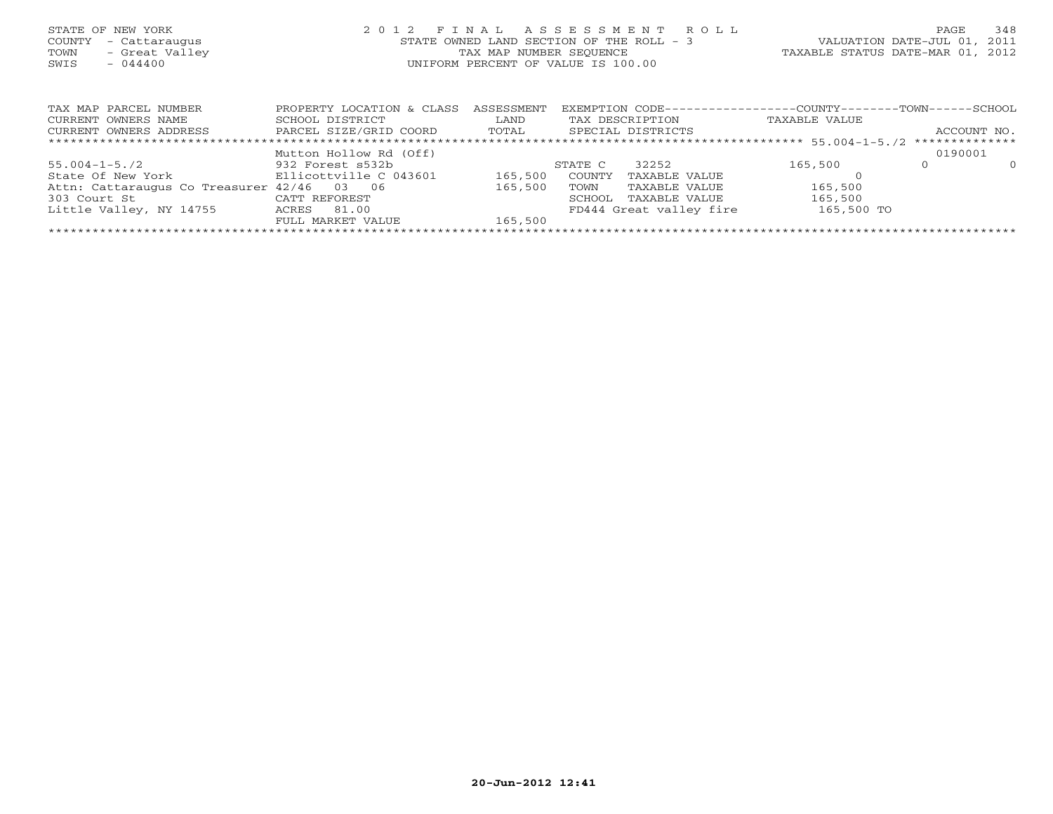| STATE OF NEW YORK<br>COUNTY<br>- Cattaraugus<br>- Great Valley<br>TOWN<br>SWIS<br>- 044400 | FINAL ASSESSMENT ROLL<br>2012<br>STATE OWNED LAND SECTION OF THE ROLL - 3<br>TAX MAP NUMBER SEQUENCE<br>UNIFORM PERCENT OF VALUE IS 100.00 |            |         |                   | TAXABLE STATUS DATE-MAR 01, 2012                             | PAGE<br>VALUATION DATE-JUL 01, 2011 | 348         |
|--------------------------------------------------------------------------------------------|--------------------------------------------------------------------------------------------------------------------------------------------|------------|---------|-------------------|--------------------------------------------------------------|-------------------------------------|-------------|
|                                                                                            |                                                                                                                                            |            |         |                   |                                                              |                                     |             |
| TAX MAP PARCEL NUMBER                                                                      | PROPERTY LOCATION & CLASS                                                                                                                  | ASSESSMENT |         |                   | EXEMPTION CODE-----------------COUNTY-------TOWN------SCHOOL |                                     |             |
| CURRENT OWNERS NAME                                                                        | SCHOOL DISTRICT                                                                                                                            | LAND       |         | TAX DESCRIPTION   | TAXABLE VALUE                                                |                                     |             |
| CURRENT OWNERS ADDRESS                                                                     | PARCEL SIZE/GRID COORD TOTAL                                                                                                               |            |         | SPECIAL DISTRICTS |                                                              |                                     | ACCOUNT NO. |
|                                                                                            |                                                                                                                                            |            |         |                   |                                                              |                                     |             |
|                                                                                            | Mutton Hollow Rd (Off)                                                                                                                     |            |         |                   |                                                              | 0190001                             |             |
| 55.004-1-5./2                                                                              | 932 Forest s532b                                                                                                                           |            | STATE C | 32252             | 165,500                                                      | $\circ$                             | $\Omega$    |
| State Of New York The Bllicottville C 043601                                               |                                                                                                                                            | 165,500    | COUNTY  | TAXABLE VALUE     |                                                              |                                     |             |
| Attn: Cattaraugus Co Treasurer 42/46 03 06                                                 |                                                                                                                                            | 165,500    | TOWN    | TAXABLE VALUE     | 165,500                                                      |                                     |             |

FULL MARKET VALUE 165,500 \*\*\*\*\*\*\*\*\*\*\*\*\*\*\*\*\*\*\*\*\*\*\*\*\*\*\*\*\*\*\*\*\*\*\*\*\*\*\*\*\*\*\*\*\*\*\*\*\*\*\*\*\*\*\*\*\*\*\*\*\*\*\*\*\*\*\*\*\*\*\*\*\*\*\*\*\*\*\*\*\*\*\*\*\*\*\*\*\*\*\*\*\*\*\*\*\*\*\*\*\*\*\*\*\*\*\*\*\*\*\*\*\*\*\*\*\*\*\*\*\*\*\*\*\*\*\*\*\*\*\*\*

303 Court St CATT REFOREST SCHOOL TAXABLE VALUE 165,500 Little Valley, NY 14755 ACRES 81.00 FD444 Great valley fire 165,500 TO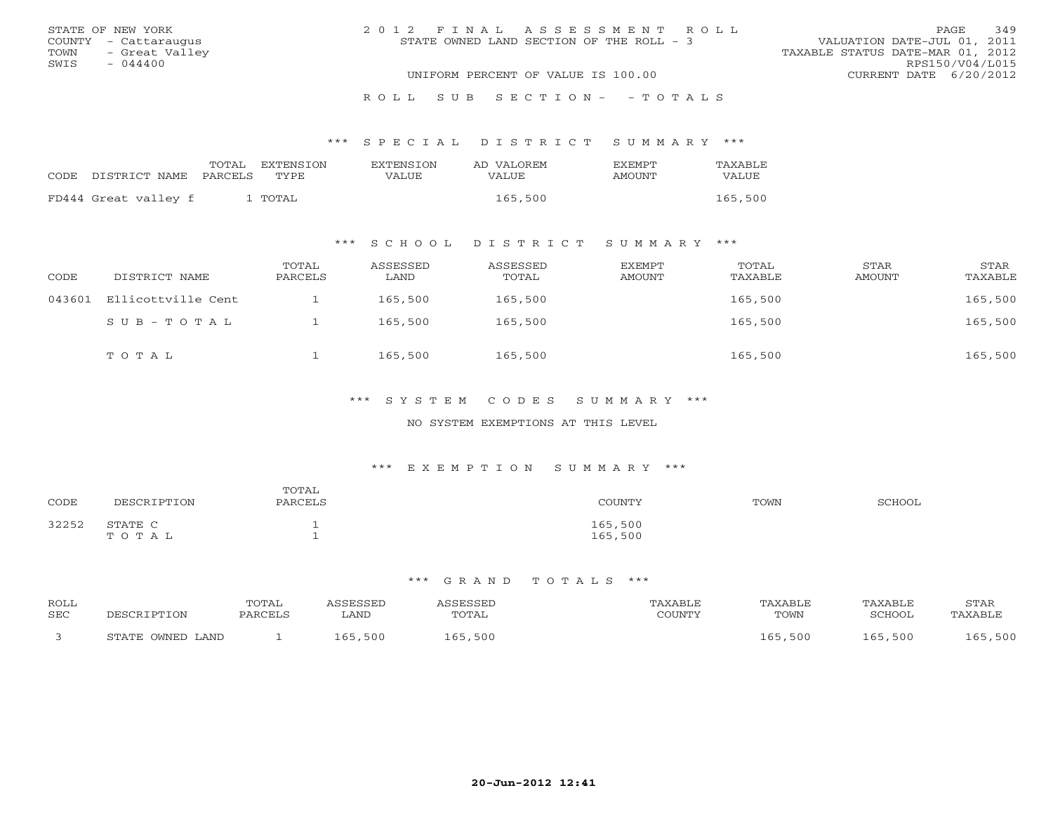| STATE OF NEW YORK      | 2012 FINAL ASSESSMENT ROLL               | 349<br>PAGE                      |
|------------------------|------------------------------------------|----------------------------------|
| COUNTY - Cattaraugus   | STATE OWNED LAND SECTION OF THE ROLL - 3 | VALUATION DATE-JUL 01, 2011      |
| TOWN<br>- Great Valley |                                          | TAXABLE STATUS DATE-MAR 01, 2012 |
| SWIS<br>$-044400$      |                                          | RPS150/V04/L015                  |
|                        | UNIFORM PERCENT OF VALUE IS 100.00       | CURRENT DATE $6/20/2012$         |
|                        | ROLL SUB SECTION- - TOTALS               |                                  |

#### \*\*\* S P E C I A L D I S T R I C T S U M M A R Y \*\*\*

|                            | TOTAL | EXTENSTON | EXTENSION | AD VALOREM | EXEMPT | TAXABLE      |
|----------------------------|-------|-----------|-----------|------------|--------|--------------|
| CODE DISTRICT NAME PARCELS |       | TYPE      | VALUE     | VALUE      | AMOUNT | <b>VALUE</b> |
| FD444 Great valley f       |       | . TOTAL   |           | 165,500    |        | 165,500      |

## \*\*\* S C H O O L D I S T R I C T S U M M A R Y \*\*\*

| CODE   | DISTRICT NAME      | TOTAL<br>PARCELS | ASSESSED<br>LAND | ASSESSED<br>TOTAL | EXEMPT<br>AMOUNT | TOTAL<br>TAXABLE | STAR<br>AMOUNT | STAR<br>TAXABLE |
|--------|--------------------|------------------|------------------|-------------------|------------------|------------------|----------------|-----------------|
| 043601 | Ellicottville Cent |                  | 165,500          | 165,500           |                  | 165,500          |                | 165,500         |
|        | SUB-TOTAL          |                  | 165,500          | 165,500           |                  | 165,500          |                | 165,500         |
|        | TOTAL              |                  | 165,500          | 165,500           |                  | 165,500          |                | 165,500         |

## \*\*\* S Y S T E M C O D E S S U M M A R Y \*\*\*

#### NO SYSTEM EXEMPTIONS AT THIS LEVEL

#### \*\*\* E X E M P T I O N S U M M A R Y \*\*\*

| CODE  | DESCRIPTION      | TOTAL<br>PARCELS | COUNTY             | TOWN | SCHOOL |
|-------|------------------|------------------|--------------------|------|--------|
| 32252 | STATE C<br>TOTAL |                  | 165,500<br>165,500 |      |        |

| ROLL<br>SEC | DESCR 1          | TOTAL<br>PARCELS | <i><b>SSESSED</b></i><br>LAND | TOTAL       | TAXABLE<br>COUNTY | <b>TAXABLE</b><br>TOWN | TAXABLE<br>SCHOOL | STAR<br>"AXABLE |
|-------------|------------------|------------------|-------------------------------|-------------|-------------------|------------------------|-------------------|-----------------|
|             | STATE OWNED LAND |                  | 165,500                       | ,500<br>165 |                   | 500, 165               | 165,500           | 165,500         |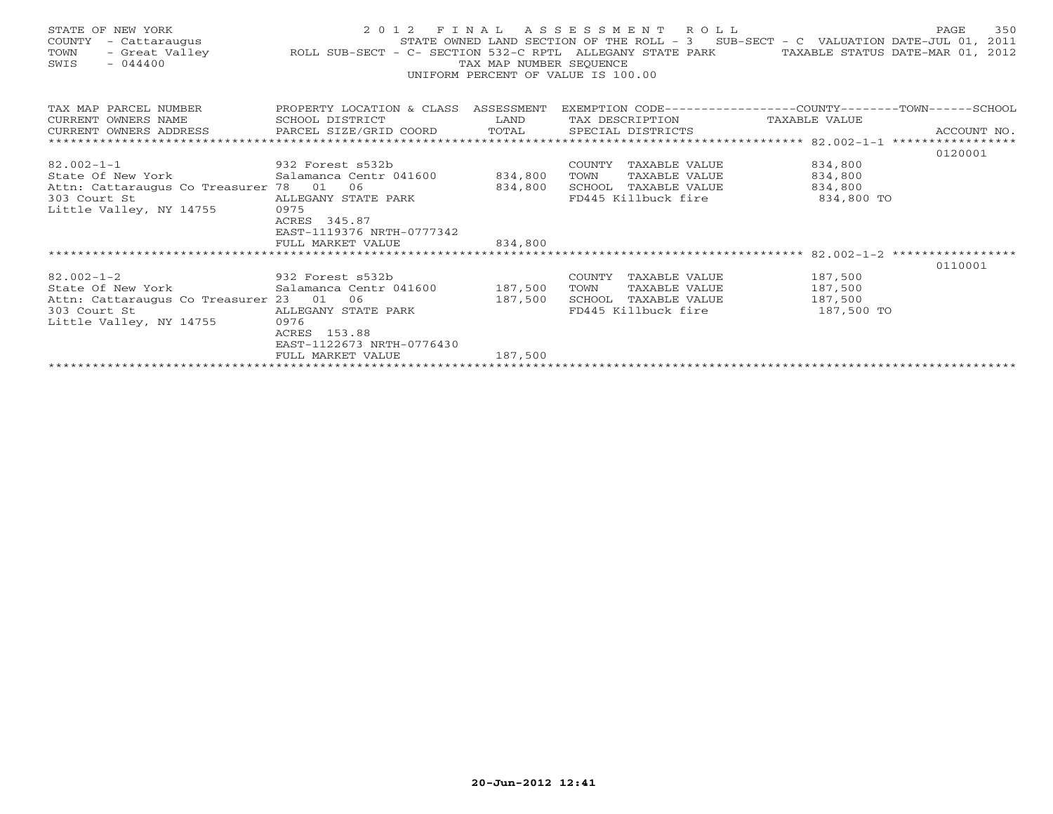| STATE OF NEW YORK<br>SWIS<br>$-044400$                                                                                                                                    |                                                                                                                                 | TAX MAP NUMBER SEOUENCE | 2012 FINAL ASSESSMENT ROLL<br>UNIFORM PERCENT OF VALUE IS 100.00                                |                                             | 350<br>PAGE |
|---------------------------------------------------------------------------------------------------------------------------------------------------------------------------|---------------------------------------------------------------------------------------------------------------------------------|-------------------------|-------------------------------------------------------------------------------------------------|---------------------------------------------|-------------|
| TAX MAP PARCEL NUMBER THE PROPERTY LOCATION & CLASS ASSESSMENT EXEMPTION CODE--------------COUNTY-------TOWN------SCHOOL<br>CURRENT OWNERS NAME<br>CURRENT OWNERS ADDRESS | SCHOOL DISTRICT                                                                                                                 |                         | TAX DESCRIPTION TAXABLE VALUE                                                                   |                                             |             |
|                                                                                                                                                                           |                                                                                                                                 |                         |                                                                                                 |                                             | 0120001     |
| $82.002 - 1 - 1$<br>932 Forest s532b<br>State Of New York<br>Attn: Cattaraugus Co Treasurer 78 01 06<br>303 Court St<br>Little Valley, NY 14755                           | Salamanca Centr 041600 834,800<br>ALLEGANY STATE PARK<br>0975<br>ACRES 345.87<br>EAST-1119376 NRTH-0777342<br>FULL MARKET VALUE | 834,800<br>834,800      | COUNTY<br>TAXABLE VALUE<br>TOWN<br>TAXABLE VALUE<br>SCHOOL TAXABLE VALUE<br>FD445 Killbuck fire | 834,800<br>834,800<br>834,800<br>834,800 TO |             |
|                                                                                                                                                                           |                                                                                                                                 |                         |                                                                                                 |                                             |             |
| $82.002 - 1 - 2$<br>932 Forest s532b<br>Attn: Cattaraugus Co Treasurer 23 01<br>303 Court St<br>Little Valley, NY 14755                                                   | 06<br>ALLEGANY STATE PARK<br>0976<br>ACRES 153.88<br>EAST-1122673 NRTH-0776430                                                  | 187,500                 | COUNTY TAXABLE VALUE<br>TOWN<br>TAXABLE VALUE<br>SCHOOL TAXABLE VALUE<br>FD445 Killbuck fire    | 187,500<br>187,500<br>187,500<br>187,500 TO | 0110001     |
|                                                                                                                                                                           | FULL MARKET VALUE                                                                                                               | 187,500                 |                                                                                                 |                                             |             |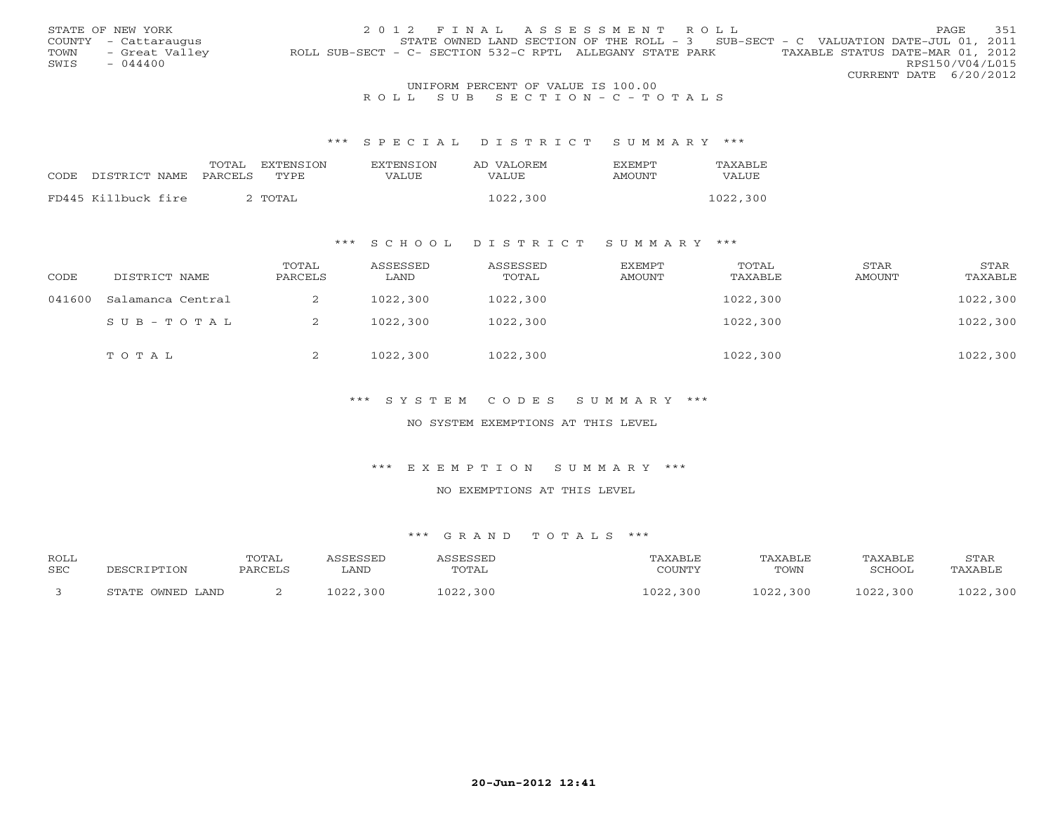|                                    | STATE OF NEW YORK    | 2012 FINAL ASSESSMENT ROLL                                                                    | <b>PAGE</b>     | 351 |  |  |  |  |
|------------------------------------|----------------------|-----------------------------------------------------------------------------------------------|-----------------|-----|--|--|--|--|
|                                    | COUNTY - Cattaraugus | STATE OWNED LAND SECTION OF THE ROLL - 3 SUB-SECT - C VALUATION DATE-JUL 01, 2011             |                 |     |  |  |  |  |
| TOWN                               | - Great Valley       | TAXABLE STATUS DATE-MAR 01, 2012<br>ROLL SUB-SECT - C- SECTION 532-C RPTL ALLEGANY STATE PARK |                 |     |  |  |  |  |
| SWIS                               | $-044400$            |                                                                                               | RPS150/V04/L015 |     |  |  |  |  |
|                                    |                      | CURRENT DATE 6/20/2012                                                                        |                 |     |  |  |  |  |
| UNIFORM PERCENT OF VALUE IS 100.00 |                      |                                                                                               |                 |     |  |  |  |  |

# R O L L S U B S E C T I O N - C - T O T A L S

#### \*\*\* S P E C I A L D I S T R I C T S U M M A R Y \*\*\*

|      |                     | TOTAL   | EXTENSTON | <b>EXTENSION</b> | AD VALOREM | <b>FXFMPT</b> | TAXABLE  |
|------|---------------------|---------|-----------|------------------|------------|---------------|----------|
| CODE | DISTRICT NAME       | PARCELS | TYPE.     | VALUE            | VALUE.     | AMOUNT        | VALUE    |
|      |                     |         |           |                  |            |               |          |
|      | FD445 Killbuck fire |         | 2 TOTAL   |                  | 1022,300   |               | 1022,300 |

### \*\*\* S C H O O L D I S T R I C T S U M M A R Y \*\*\*

| CODE   | DISTRICT NAME     | TOTAL<br>PARCELS | ASSESSED<br>LAND | ASSESSED<br>TOTAL | EXEMPT<br>AMOUNT | TOTAL<br>TAXABLE | STAR<br>AMOUNT | STAR<br>TAXABLE |
|--------|-------------------|------------------|------------------|-------------------|------------------|------------------|----------------|-----------------|
| 041600 | Salamanca Central | ∠                | 1022,300         | 1022,300          |                  | 1022,300         |                | 1022,300        |
|        | SUB-TOTAL         | ∠                | 1022,300         | 1022,300          |                  | 1022,300         |                | 1022,300        |
|        | TOTAL             | ∠                | 1022,300         | 1022,300          |                  | 1022,300         |                | 1022,300        |

## \*\*\* S Y S T E M C O D E S S U M M A R Y \*\*\*

#### NO SYSTEM EXEMPTIONS AT THIS LEVEL

#### \*\*\* E X E M P T I O N S U M M A R Y \*\*\*

#### NO EXEMPTIONS AT THIS LEVEL

| <b>ROLL</b><br><b>SEC</b> |                  | TOTAL<br>PARCELS | <i><b>\SSESSED</b></i><br>LAND | ASSESSED<br>TOTAL | TAXABLE<br>COUNTY | TAXABLE<br>TOWN | TAXABLE<br>SCHOOL | STAR<br>TAXABLE |
|---------------------------|------------------|------------------|--------------------------------|-------------------|-------------------|-----------------|-------------------|-----------------|
|                           | STATE OWNED LAND |                  | 1022,300                       | 1022,300          | 1022,300          | 1022,300        | 1022,300          | 1022,300        |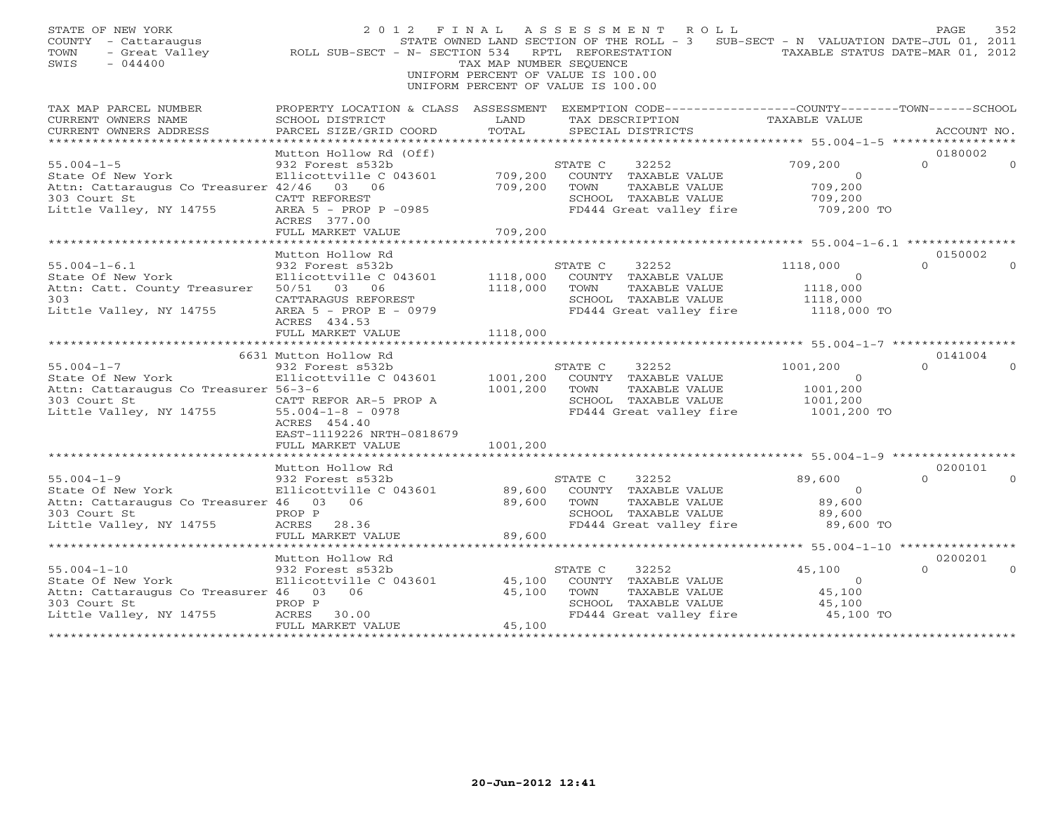| STATE OF NEW YORK<br>COUNTY - Cattaraugus<br>- Great Valley<br>TOWN<br>$-044400$<br>SWIS                                    | ROLL SUB-SECT - N- SECTION 534 RPTL REFORESTATION                                                                                            | TAX MAP NUMBER SEQUENCE<br>UNIFORM PERCENT OF VALUE IS 100.00<br>UNIFORM PERCENT OF VALUE IS 100.00 |                 | 2012 FINAL ASSESSMENT ROLL                                                                        | STATE OWNED LAND SECTION OF THE ROLL - 3 SUB-SECT - N VALUATION DATE-JUL 01, 2011<br>TAXABLE STATUS DATE-MAR 01, 2012 | PAGE                | 352      |
|-----------------------------------------------------------------------------------------------------------------------------|----------------------------------------------------------------------------------------------------------------------------------------------|-----------------------------------------------------------------------------------------------------|-----------------|---------------------------------------------------------------------------------------------------|-----------------------------------------------------------------------------------------------------------------------|---------------------|----------|
| TAX MAP PARCEL NUMBER<br>CURRENT OWNERS NAME                                                                                | PROPERTY LOCATION & CLASS ASSESSMENT EXEMPTION CODE---------------COUNTY-------TOWN------SCHOOL<br>SCHOOL DISTRICT                           | LAND                                                                                                |                 | TAX DESCRIPTION                                                                                   | TAXABLE VALUE                                                                                                         |                     |          |
| CURRENT OWNERS ADDRESS                                                                                                      | PARCEL SIZE/GRID COORD                                                                                                                       | TOTAL                                                                                               |                 | SPECIAL DISTRICTS                                                                                 |                                                                                                                       | ACCOUNT NO.         |          |
|                                                                                                                             | Mutton Hollow Rd (Off)                                                                                                                       |                                                                                                     |                 |                                                                                                   |                                                                                                                       | 0180002             |          |
| $55.004 - 1 - 5$<br>State Of New York<br>Attn: Cattaraugus Co Treasurer 42/46<br>303 Court St<br>Little Valley, NY 14755    | 932 Forest s532b<br>Ellicottville C 043601<br>03 06<br>CATT REFOREST<br>AREA 5 - PROP P -0985                                                | 709,200<br>709,200                                                                                  | STATE C<br>TOWN | 32252<br>COUNTY TAXABLE VALUE<br>TAXABLE VALUE<br>SCHOOL TAXABLE VALUE<br>FD444 Great valley fire | 709,200<br>$\Omega$<br>709,200<br>709,200<br>709,200 TO                                                               | $\Omega$            |          |
|                                                                                                                             | ACRES 377.00                                                                                                                                 |                                                                                                     |                 |                                                                                                   |                                                                                                                       |                     |          |
|                                                                                                                             | FULL MARKET VALUE                                                                                                                            | 709,200                                                                                             |                 |                                                                                                   |                                                                                                                       |                     |          |
|                                                                                                                             | Mutton Hollow Rd                                                                                                                             |                                                                                                     |                 |                                                                                                   |                                                                                                                       | 0150002             |          |
| $55.004 - 1 - 6.1$<br>State Of New York<br>Attn: Catt. County Treasurer<br>303<br>Little Valley, NY 14755                   | 932 Forest s532b<br>Ellicottville C 043601<br>50/51 03 06<br>CATTARAGUS REFOREST<br>AREA 5 - PROP E - 0979                                   | 1118,000<br>1118,000                                                                                | STATE C<br>TOWN | 32252<br>COUNTY TAXABLE VALUE<br>TAXABLE VALUE<br>SCHOOL TAXABLE VALUE<br>FD444 Great valley fire | 1118,000<br>$\circ$<br>1118,000<br>1118,000<br>1118,000 TO                                                            | $\cap$              |          |
|                                                                                                                             | ACRES 434.53<br>FULL MARKET VALUE                                                                                                            | 1118,000                                                                                            |                 |                                                                                                   |                                                                                                                       |                     |          |
|                                                                                                                             | 6631 Mutton Hollow Rd                                                                                                                        |                                                                                                     |                 |                                                                                                   |                                                                                                                       | 0141004             |          |
| $55.004 - 1 - 7$<br>State Of New York<br>Attn: Cattaraugus Co Treasurer 56-3-6<br>303 Court St<br>Little Valley, NY 14755   | 932 Forest s532b<br>Ellicottville C 043601<br>CATT REFOR AR-5 PROP A<br>$55.004 - 1 - 8 - 0978$<br>ACRES 454.40<br>EAST-1119226 NRTH-0818679 | 1001,200<br>1001,200                                                                                | STATE C<br>TOWN | 32252<br>COUNTY TAXABLE VALUE<br>TAXABLE VALUE<br>SCHOOL TAXABLE VALUE<br>FD444 Great valley fire | 1001,200<br>$\circ$<br>1001,200<br>1001,200<br>1001,200 TO                                                            | $\Omega$            |          |
|                                                                                                                             | FULL MARKET VALUE                                                                                                                            | 1001,200                                                                                            |                 |                                                                                                   |                                                                                                                       |                     |          |
|                                                                                                                             | Mutton Hollow Rd                                                                                                                             |                                                                                                     |                 |                                                                                                   |                                                                                                                       | 0200101             |          |
| $55.004 - 1 - 9$<br>State Of New York<br>Attn: Cattaraugus Co Treasurer 46 03 06<br>303 Court St<br>Little Valley, NY 14755 | 932 Forest s532b<br>Ellicottville C 043601<br>PROP P<br>ACRES<br>28.36<br>FULL MARKET VALUE                                                  | 89,600<br>89,600<br>89,600                                                                          | STATE C<br>TOWN | 32252<br>COUNTY TAXABLE VALUE<br>TAXABLE VALUE<br>SCHOOL TAXABLE VALUE<br>FD444 Great valley fire | 89,600<br>$\circ$<br>89,600<br>89,600<br>89,600 TO                                                                    | $\Omega$            |          |
|                                                                                                                             | ********************                                                                                                                         |                                                                                                     |                 |                                                                                                   |                                                                                                                       |                     |          |
| $55.004 - 1 - 10$                                                                                                           | Mutton Hollow Rd<br>932 Forest s532b                                                                                                         |                                                                                                     | STATE C         | 32252                                                                                             | 45,100                                                                                                                | 0200201<br>$\Omega$ | $\Omega$ |
| State Of New York<br>Attn: Cattaraugus Co Treasurer 46 03 06<br>303 Court St<br>Little Valley, NY 14755                     | Ellicottville C 043601<br>PROP P<br>ACRES 30.00                                                                                              | 45,100<br>45,100                                                                                    | TOWN            | COUNTY TAXABLE VALUE<br>TAXABLE VALUE<br>SCHOOL TAXABLE VALUE<br>FD444 Great valley fire          | $\mathbf{0}$<br>45,100<br>45,100<br>45,100 TO                                                                         |                     |          |
|                                                                                                                             | FULL MARKET VALUE                                                                                                                            | 45,100                                                                                              |                 |                                                                                                   |                                                                                                                       |                     |          |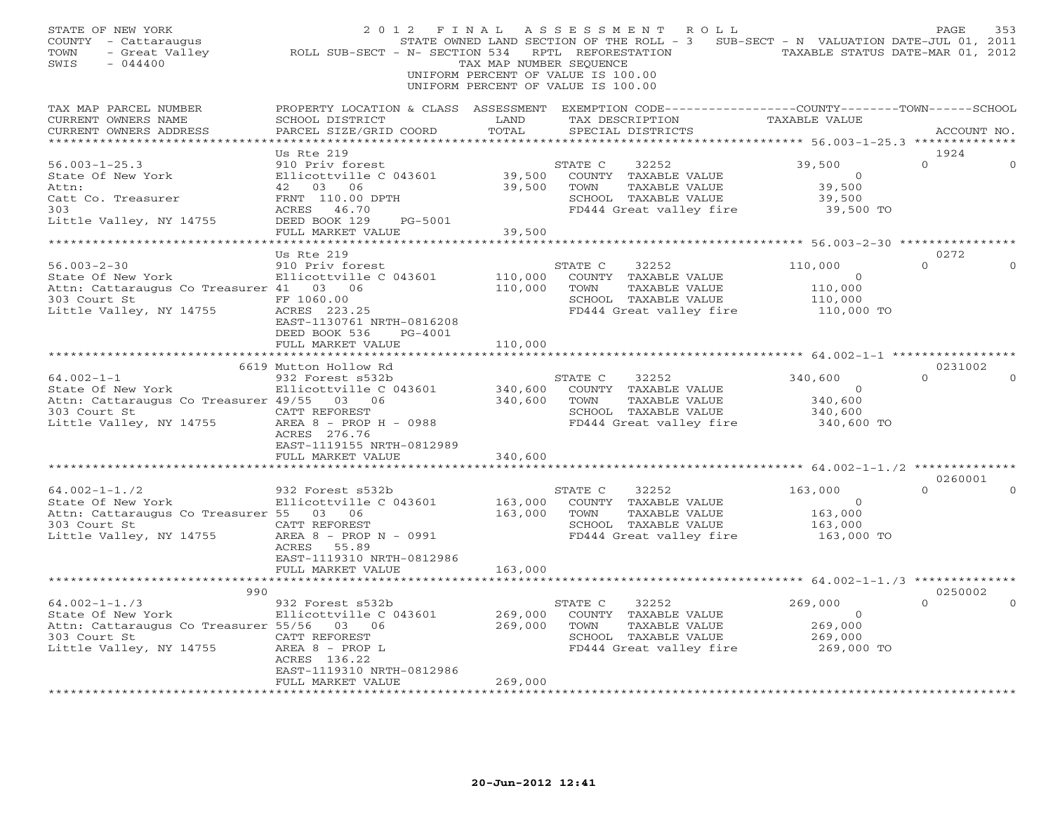| STATE OF NEW YORK<br>COUNTY - Cattaraugus<br>TOWN<br>- Great Valley<br>SWIS<br>$-044400$                                          | 2012 FINAL<br>ROLL SUB-SECT - N- SECTION 534                                                                                                                | TAX MAP NUMBER SEQUENCE       | A S S E S S M E N T<br>R O L L<br>STATE OWNED LAND SECTION OF THE ROLL - 3 SUB-SECT - N VALUATION DATE-JUL 01, 2011<br>RPTL REFORESTATION<br>UNIFORM PERCENT OF VALUE IS 100.00<br>UNIFORM PERCENT OF VALUE IS 100.00 | TAXABLE STATUS DATE-MAR 01, 2012                              | PAGE<br>353         |
|-----------------------------------------------------------------------------------------------------------------------------------|-------------------------------------------------------------------------------------------------------------------------------------------------------------|-------------------------------|-----------------------------------------------------------------------------------------------------------------------------------------------------------------------------------------------------------------------|---------------------------------------------------------------|---------------------|
| TAX MAP PARCEL NUMBER<br>CURRENT OWNERS NAME<br>CURRENT OWNERS ADDRESS                                                            | SCHOOL DISTRICT<br>PARCEL SIZE/GRID COORD                                                                                                                   | LAND<br>TOTAL                 | PROPERTY LOCATION & CLASS ASSESSMENT EXEMPTION CODE----------------COUNTY-------TOWN------SCHOOL<br>TAX DESCRIPTION<br>SPECIAL DISTRICTS                                                                              | TAXABLE VALUE                                                 | ACCOUNT NO.         |
|                                                                                                                                   | Us Rte 219                                                                                                                                                  |                               |                                                                                                                                                                                                                       |                                                               | 1924                |
| $56.003 - 1 - 25.3$<br>State Of New York<br>Attn:<br>Catt Co. Treasurer<br>303<br>Little Valley, NY 14755                         | 910 Priv forest<br>Ellicottville C 043601<br>42 03 06<br>FRNT 110.00 DPTH<br>ACRES 46.70<br>DEED BOOK 129<br>PG-5001<br>FULL MARKET VALUE                   | 39,500<br>39,500<br>39,500    | STATE C<br>32252<br>COUNTY TAXABLE VALUE<br>TOWN<br>TAXABLE VALUE<br>SCHOOL TAXABLE VALUE<br>FD444 Great valley fire                                                                                                  | 39,500<br>$\Omega$<br>39,500<br>39,500<br>39,500 TO           | $\Omega$            |
|                                                                                                                                   |                                                                                                                                                             |                               |                                                                                                                                                                                                                       |                                                               |                     |
| $56.003 - 2 - 30$<br>State Of New York<br>Attn: Cattaraugus Co Treasurer 41 03 06<br>303 Court St<br>Little Valley, NY 14755      | Us Rte 219<br>910 Priv forest<br>Ellicottville C 043601<br>FF 1060.00<br>ACRES 223.25<br>EAST-1130761 NRTH-0816208<br>DEED BOOK 536<br>PG-4001              | 110,000<br>110,000            | STATE C<br>32252<br>COUNTY TAXABLE VALUE<br>TAXABLE VALUE<br>TOWN<br>SCHOOL TAXABLE VALUE<br>FD444 Great valley fire                                                                                                  | 110,000<br>$\overline{0}$<br>110,000<br>110,000<br>110,000 TO | 0272<br>$\Omega$    |
|                                                                                                                                   | FULL MARKET VALUE                                                                                                                                           | 110,000                       |                                                                                                                                                                                                                       | ******************** 64.002-1-1 ***************               |                     |
| $64.002 - 1 - 1$<br>State Of New York<br>Attn: Cattaraugus Co Treasurer 49/55 03 06<br>303 Court St<br>Little Valley, NY 14755    | 6619 Mutton Hollow Rd<br>932 Forest s532b<br>Ellicottville C 043601<br>CATT REFOREST<br>AREA 8 - PROP H - 0988<br>ACRES 276.76<br>EAST-1119155 NRTH-0812989 | 340,600<br>340,600            | STATE C<br>32252<br>COUNTY TAXABLE VALUE<br>TOWN<br>TAXABLE VALUE<br>SCHOOL TAXABLE VALUE<br>FD444 Great valley fire                                                                                                  | 340,600<br>$\overline{0}$<br>340,600<br>340,600<br>340,600 TO | 0231002<br>$\Omega$ |
|                                                                                                                                   | FULL MARKET VALUE                                                                                                                                           | 340,600                       |                                                                                                                                                                                                                       | ********** 64.002-1-1./2 **************                       |                     |
|                                                                                                                                   |                                                                                                                                                             |                               |                                                                                                                                                                                                                       |                                                               | 0260001             |
| $64.002 - 1 - 1.72$<br>State Of New York<br>Attn: Cattaraugus Co Treasurer 55 03 06<br>303 Court St<br>Little Valley, NY 14755    | 932 Forest s532b<br>Ellicottville C 043601<br>CATT REFOREST<br>AREA 8 - PROP N - 0991<br>ACRES 55.89<br>EAST-1119310 NRTH-0812986                           | 163,000<br>163,000            | STATE C<br>32252<br>COUNTY TAXABLE VALUE<br>TAXABLE VALUE<br>TOWN<br>SCHOOL TAXABLE VALUE<br>FD444 Great valley fire                                                                                                  | 163,000<br>$\circ$<br>163,000<br>163,000<br>163,000 TO        | $\Omega$            |
|                                                                                                                                   | FULL MARKET VALUE                                                                                                                                           | 163,000                       |                                                                                                                                                                                                                       |                                                               |                     |
| 990                                                                                                                               |                                                                                                                                                             |                               |                                                                                                                                                                                                                       |                                                               | 0250002             |
| $64.002 - 1 - 1.73$<br>State Of New York<br>Attn: Cattaraugus Co Treasurer 55/56 03 06<br>303 Court St<br>Little Valley, NY 14755 | 932 Forest s532b<br>Ellicottville C 043601<br>CATT REFOREST<br>AREA 8 - PROP L<br>ACRES 136.22<br>EAST-1119310 NRTH-0812986<br>FULL MARKET VALUE            | 269,000<br>269,000<br>269,000 | STATE C<br>32252<br>COUNTY TAXABLE VALUE<br>TAXABLE VALUE<br>TOWN<br>SCHOOL TAXABLE VALUE<br>FD444 Great valley fire                                                                                                  | 269,000<br>$\overline{O}$<br>269,000<br>269,000<br>269,000 TO | $\Omega$            |
|                                                                                                                                   | **********************                                                                                                                                      | ***************               |                                                                                                                                                                                                                       |                                                               |                     |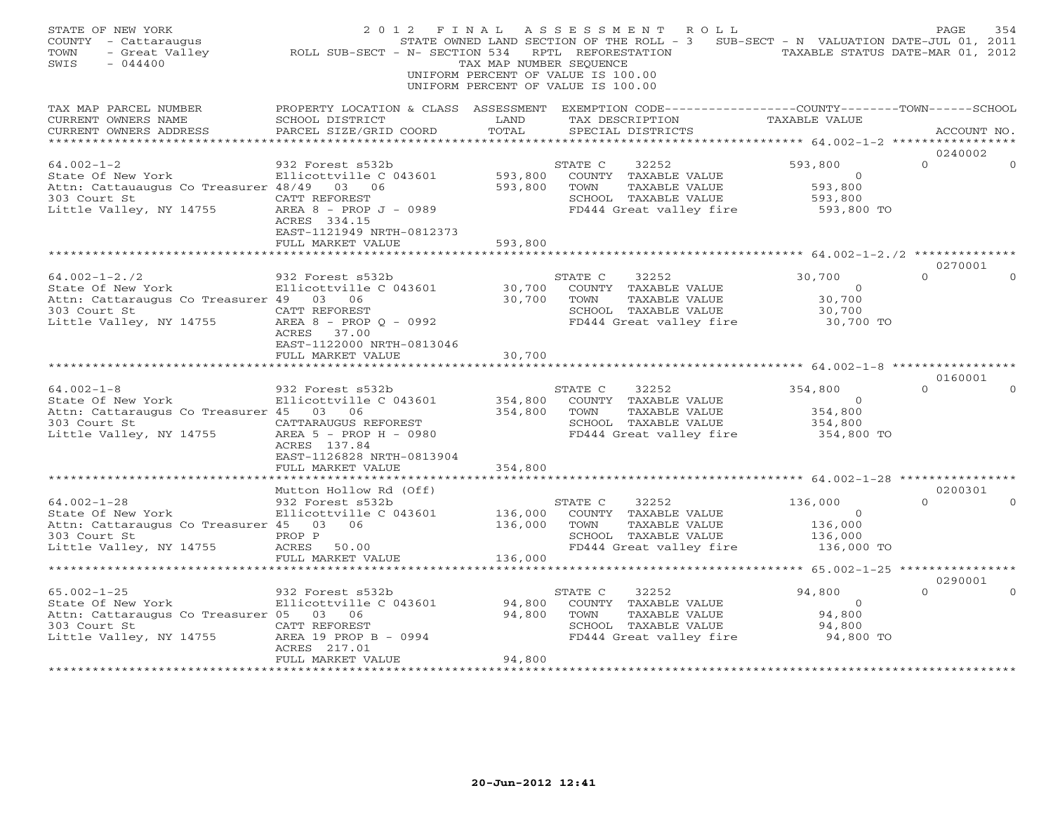| STATE OF NEW YORK<br>COUNTY - Cattaraugus<br>- Great Valley<br>TOWN<br>$-044400$<br>SWIS                                     | 2012 FINAL<br>STATE OWNED LANI<br>ROLL SUB-SECT - N- SECTION 534                                                                                               | TAX MAP NUMBER SEQUENCE       | A S S E S S M E N T<br>ROLL<br>STATE OWNED LAND SECTION OF THE ROLL - 3 SUB-SECT - N VALUATION DATE-JUL 01, 2011<br>RPTL REFORESTATION<br>UNIFORM PERCENT OF VALUE IS 100.00<br>UNIFORM PERCENT OF VALUE IS 100.00 | TAXABLE STATUS DATE-MAR 01, 2012                              | PAGE<br>354         |
|------------------------------------------------------------------------------------------------------------------------------|----------------------------------------------------------------------------------------------------------------------------------------------------------------|-------------------------------|--------------------------------------------------------------------------------------------------------------------------------------------------------------------------------------------------------------------|---------------------------------------------------------------|---------------------|
| TAX MAP PARCEL NUMBER<br>CURRENT OWNERS NAME<br>CURRENT OWNERS ADDRESS                                                       | PROPERTY LOCATION & CLASS ASSESSMENT EXEMPTION CODE---------------COUNTY-------TOWN------SCHOOL<br>SCHOOL DISTRICT<br>PARCEL SIZE/GRID COORD                   | LAND<br>TOTAL                 | TAX DESCRIPTION<br>SPECIAL DISTRICTS                                                                                                                                                                               | TAXABLE VALUE                                                 | ACCOUNT NO.         |
|                                                                                                                              |                                                                                                                                                                |                               |                                                                                                                                                                                                                    |                                                               | 0240002             |
| $64.002 - 1 - 2$<br>State Of New York<br>Attn: Cattauaugus Co Treasurer 48/49 03 06                                          | 932 Forest s532b<br>Ellicottville C 043601<br>ACRES 334.15<br>EAST-1121949 NRTH-0812373                                                                        | 593,800<br>593,800            | STATE C<br>32252<br>COUNTY TAXABLE VALUE<br>TOWN<br>TAXABLE VALUE<br>SCHOOL TAXABLE VALUE<br>FD444 Great valley fire                                                                                               | 593,800<br>$\overline{0}$<br>593,800<br>593,800<br>593,800 TO | $\Omega$            |
|                                                                                                                              | FULL MARKET VALUE                                                                                                                                              | 593,800                       | ********************************* 64.002-1-2./2 ************                                                                                                                                                       |                                                               |                     |
| $64.002 - 1 - 2.72$<br>Attn: Cattaraugus Co Treasurer 49 03 06<br>303 Court St<br>Little Valley, NY 14755                    | 932 Forest s532b<br>CATT REFOREST<br>AREA 8 - PROP Q - 0992<br>ACRES 37.00                                                                                     | 30,700<br>30,700              | STATE C<br>32252<br>COUNTY TAXABLE VALUE<br>TAXABLE VALUE<br>TOWN<br>SCHOOL TAXABLE VALUE<br>FD444 Great valley fire                                                                                               | 30,700<br>$\overline{0}$<br>30,700<br>30,700<br>30,700 TO     | 0270001<br>$\Omega$ |
|                                                                                                                              | EAST-1122000 NRTH-0813046<br>FULL MARKET VALUE                                                                                                                 | 30,700                        |                                                                                                                                                                                                                    |                                                               |                     |
| $64.002 - 1 - 8$<br>State Of New York<br>Attn: Cattaraugus Co Treasurer 45 03 06<br>303 Court St<br>Little Valley, NY 14755  | 932 Forest s532b<br>Ellicottville C 043601<br>CATTARAUGUS REFOREST<br>AREA 5 - PROP H - 0980<br>ACRES 137.84<br>EAST-1126828 NRTH-0813904<br>FULL MARKET VALUE | 354,800<br>354,800<br>354,800 | 32252<br>STATE C<br>COUNTY TAXABLE VALUE<br>TAXABLE VALUE<br>TOWN<br>SCHOOL TAXABLE VALUE<br>FD444 Great valley fire                                                                                               | 354,800<br>$\overline{0}$<br>354,800<br>354,800<br>354,800 TO | 0160001<br>$\Omega$ |
|                                                                                                                              |                                                                                                                                                                |                               |                                                                                                                                                                                                                    |                                                               |                     |
| $64.002 - 1 - 28$<br>State Of New York<br>Attn: Cattaraugus Co Treasurer 45 03 06<br>303 Court St<br>Little Valley, NY 14755 | Mutton Hollow Rd (Off)<br>932 Forest s532b<br>Ellicottville C 043601<br>PROP P<br>ACRES<br>50.00<br>FULL MARKET VALUE                                          | 136,000<br>136,000<br>136,000 | STATE C<br>32252<br>COUNTY TAXABLE VALUE<br>TOWN<br>TAXABLE VALUE<br>SCHOOL TAXABLE VALUE<br>FD444 Great valley fire                                                                                               | 136,000<br>$\Omega$<br>136,000<br>136,000<br>136,000 TO       | 0200301<br>$\Omega$ |
|                                                                                                                              |                                                                                                                                                                |                               |                                                                                                                                                                                                                    |                                                               |                     |
| $65.002 - 1 - 25$<br>State Of New York<br>Attn: Cattaraugus Co Treasurer 05 03 06<br>303 Court St<br>Little Valley, NY 14755 | 932 Forest s532b<br>Ellicottville C 043601<br>CATT REFOREST<br>AREA 19 PROP B - 0994<br>ACRES 217.01<br>FULL MARKET VALUE                                      | 94,800<br>94,800<br>94,800    | STATE C<br>32252<br>COUNTY TAXABLE VALUE<br>TOWN<br>TAXABLE VALUE<br>SCHOOL TAXABLE VALUE<br>FD444 Great valley fire                                                                                               | 94,800<br>$\overline{0}$<br>94,800<br>94,800<br>94,800 TO     | 0290001<br>$\Omega$ |
|                                                                                                                              |                                                                                                                                                                |                               |                                                                                                                                                                                                                    |                                                               |                     |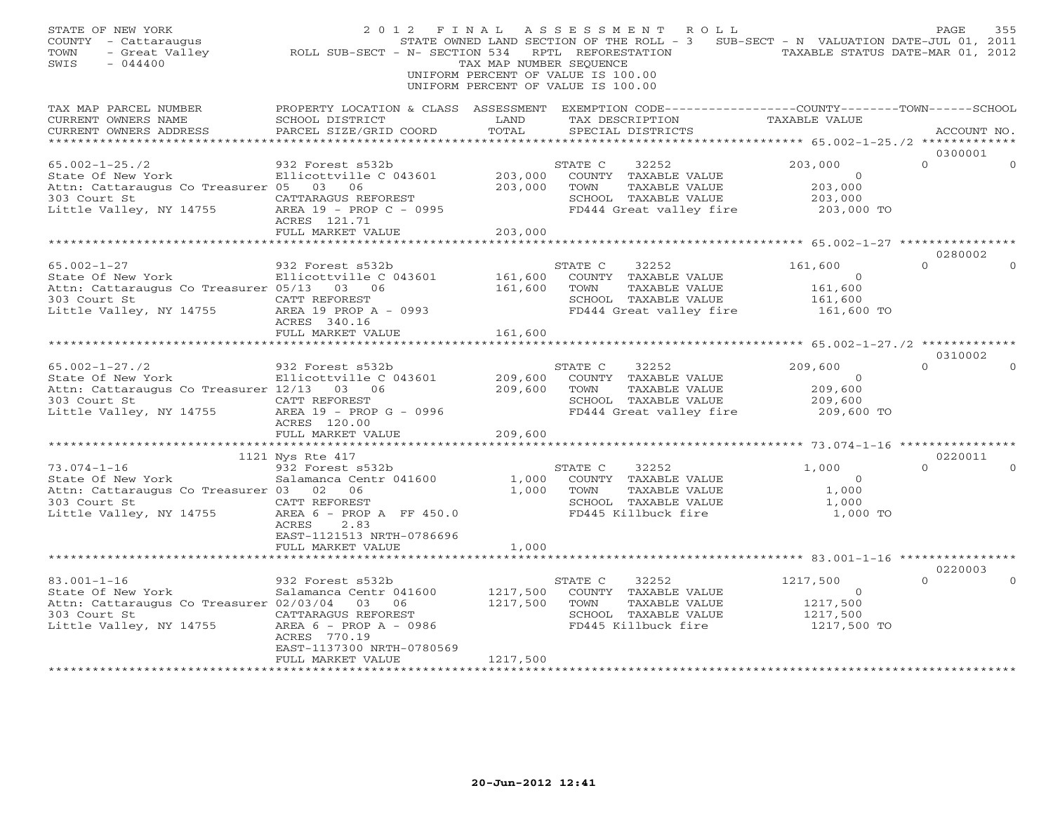| STATE OF NEW YORK<br>COUNTY - Cattaraugus<br>- Great Valley<br>TOWN<br>$-044400$<br>SWIS                                                                                                                                                | 2 0 1 2 F I N A L A S S E S S M E N T R O L L<br>STATE OWNED LAND SECTION OF THE ROLL - 3 SUB-SECT - N VALUATION DATE-JUL 01, 2011<br>ROLL SUB-SECT - N- SECTION 534 RPTL REFORESTATION TAXABLE STATUS DATE-MAR 01, 2012 | TAX MAP NUMBER SEQUENCE          | UNIFORM PERCENT OF VALUE IS 100.00<br>UNIFORM PERCENT OF VALUE IS 100.00                                                                       |                                                                                   |                     |          |
|-----------------------------------------------------------------------------------------------------------------------------------------------------------------------------------------------------------------------------------------|--------------------------------------------------------------------------------------------------------------------------------------------------------------------------------------------------------------------------|----------------------------------|------------------------------------------------------------------------------------------------------------------------------------------------|-----------------------------------------------------------------------------------|---------------------|----------|
| TAX MAP PARCEL NUMBER<br>CURRENT OWNERS NAME<br>CURRENT OWNERS ADDRESS                                                                                                                                                                  | SCHOOL DISTRICT<br>PARCEL SIZE/GRID COORD                                                                                                                                                                                | LAND<br>TOTAL                    | PROPERTY LOCATION & CLASS ASSESSMENT EXEMPTION CODE----------------COUNTY-------TOWN------SCHOOL<br>TAX DESCRIPTION<br>SPECIAL DISTRICTS       | TAXABLE VALUE                                                                     | ACCOUNT NO.         |          |
|                                                                                                                                                                                                                                         |                                                                                                                                                                                                                          |                                  |                                                                                                                                                |                                                                                   | 0300001             |          |
| $65.002 - 1 - 25.72$<br>State Of New York<br>Attn: Cattaraugus Co Treasurer 05 03 06<br>303 Court St<br>14755<br>Little Valley, NY 14755                                                                                                | 932 Forest s532b<br>Ellicottville C 043601 203,000 COUNTY TAXABLE VALUE<br>05      03       06<br>CATTARAGUS   REFOREST<br>CATTARAGUS REFOREST<br>AREA 19 - PROP C - 0995<br>ACRES 121.71                                | 203,000                          | 32252<br>STATE C<br>TOWN<br>TAXABLE VALUE<br>SCHOOL TAXABLE VALUE<br>FD444 Great valley fire                                                   | 203,000<br>$\begin{array}{c} 0 \ 203\,,000 \ 203\,,000 \end{array}$<br>203,000 TO | $\Omega$            | $\Omega$ |
|                                                                                                                                                                                                                                         | FULL MARKET VALUE                                                                                                                                                                                                        | 203,000                          |                                                                                                                                                |                                                                                   |                     |          |
|                                                                                                                                                                                                                                         |                                                                                                                                                                                                                          |                                  |                                                                                                                                                |                                                                                   | 0280002             |          |
| $65.002 - 1 - 27$<br>65.002-1-27<br>State Of New York<br>Attn: Cattaraugus Co Treasurer 05/13 03 06<br>303 Court St<br>Little Valley, NY 14755 AREA 19 PROP A - 0993                                                                    | 932 Forest s532b<br>Ellicottville C 043601 161,600<br>ACRES 340.16                                                                                                                                                       | 161,600                          | STATE C<br>32252<br>COUNTY TAXABLE VALUE 0<br>TOWN TAXABLE VALUE 161,600<br>SCHOOL TAXABLE VALUE 161,600<br>FD444 Great valley fire 161,600 TO | 161,600                                                                           | $\Omega$            |          |
|                                                                                                                                                                                                                                         | FULL MARKET VALUE                                                                                                                                                                                                        | 161,600                          |                                                                                                                                                | ********* 65.002-1-27./2 ************                                             |                     |          |
| $65.002 - 1 - 27.72$                                                                                                                                                                                                                    | 932 Forest s532b                                                                                                                                                                                                         |                                  | STATE C<br>32252                                                                                                                               | 209,600                                                                           | 0310002<br>$\Omega$ |          |
| Attn: Cattaraugus Co Treasurer 12/13 03 06<br>303 Court St<br>Little Valley, NY 14755 AREA 19 - PROP G                                                                                                                                  | CATT REFOREST<br>AREA 19 - PROP G - 0996<br>ACRES 120.00                                                                                                                                                                 | 209,600<br>209,600<br>209,600    | COUNTY TAXABLE VALUE<br>TOWN<br>TAXABLE VALUE<br>SCHOOL TAXABLE VALUE<br>FD444 Great valley fire 209,600 TO                                    | $\overline{a}$<br>209,600<br>209,600                                              |                     |          |
|                                                                                                                                                                                                                                         | FULL MARKET VALUE                                                                                                                                                                                                        |                                  |                                                                                                                                                |                                                                                   |                     |          |
|                                                                                                                                                                                                                                         |                                                                                                                                                                                                                          |                                  |                                                                                                                                                |                                                                                   | 0220011             |          |
| 1121 Nys Rte 41/<br>73.074-1-16 932 Forest s532b<br>State Of New York Salamanca Centr 041600 1,000 COUNT<br>State Of New York Salamanca Centr 041600 1,000 COUNT<br>CALL CALL PREFOREST SCHOO COUNT<br>14755<br>Little Valley, NY 14755 | AREA 6 - PROP A FF $450.0$<br>ACRES<br>2.83<br>EAST-1121513 NRTH-0786696<br>FULL MARKET VALUE                                                                                                                            | 1,000                            | STATE C<br>32252<br>COUNTY TAXABLE VALUE<br>TAXABLE VALUE<br>SCHOOL TAXABLE VALUE<br>FD445 Killbuck fire                                       | 1,000<br>$\overline{0}$<br>1,000<br>1,000<br>1,000 TO                             | $\Omega$            |          |
|                                                                                                                                                                                                                                         |                                                                                                                                                                                                                          |                                  |                                                                                                                                                |                                                                                   | 0220003             |          |
| $83.001 - 1 - 16$<br>State Of New York<br>Attn: Cattaraugus Co Treasurer 02/03/04 03 06<br>303 Court St<br>Little Valley, NY 14755                                                                                                      | 932 Forest s532b<br>Salamanca Centr 041600<br>CATTARAGUS REFOREST<br>AREA 6 - PROP A - 0986<br>ACRES 770.19<br>EAST-1137300 NRTH-0780569<br>FULL MARKET VALUE                                                            | 1217,500<br>1217,500<br>1217,500 | 32252<br>STATE C<br>COUNTY TAXABLE VALUE<br>TAXABLE VALUE<br>TOWN<br>SCHOOL TAXABLE VALUE<br>FD445 Killbuck fire                               | 1217,500<br>$\begin{array}{r} 0 \\ 1217,500 \\ 1217,500 \\ 1217,500 \end{array}$  | $\Omega$            | $\Omega$ |
|                                                                                                                                                                                                                                         |                                                                                                                                                                                                                          | ***************                  |                                                                                                                                                |                                                                                   |                     |          |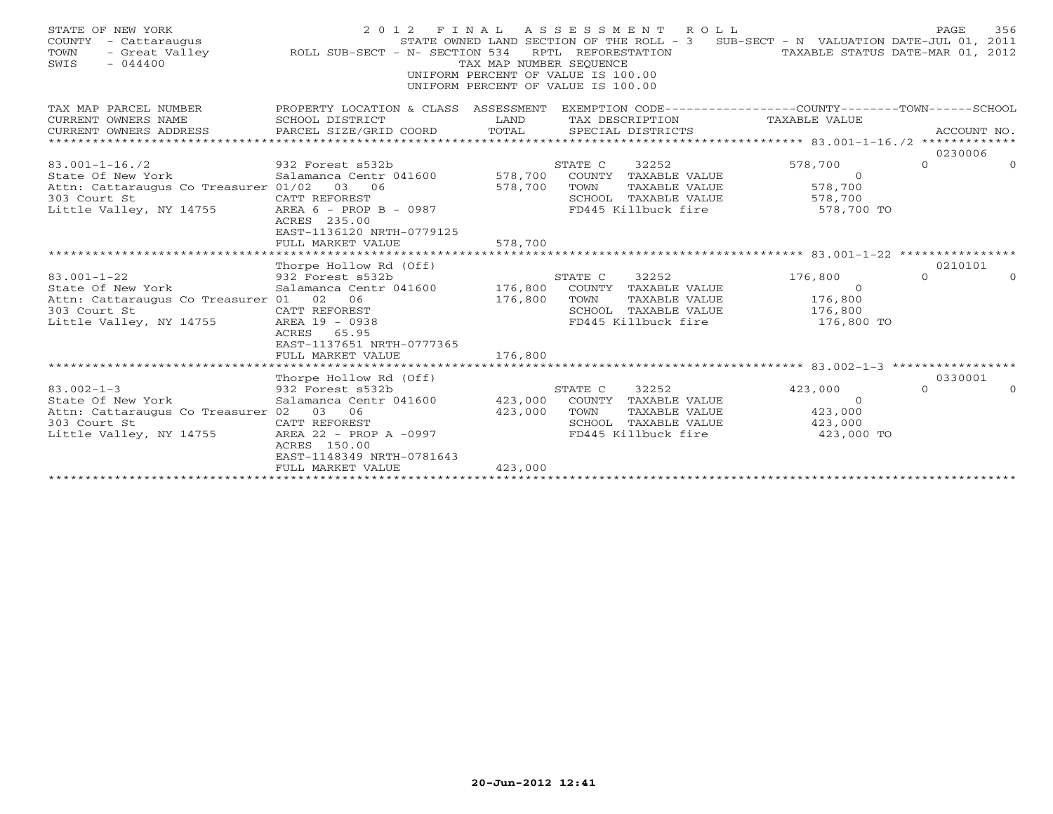| STATE OF NEW YORK<br>COUNTY - Cattaraugus<br>TOWN<br>$-044400$<br>SWIS |                                                      | TAX MAP NUMBER SEQUENCE<br>UNIFORM PERCENT OF VALUE IS 100.00<br>UNIFORM PERCENT OF VALUE IS 100.00 | RPTL REFORESTATION | 2012 FINAL ASSESSMENT ROLL | STATE OWNED LAND SECTION OF THE ROLL - 3 SUB-SECT - N VALUATION DATE-JUL 01, 2011<br>TAXABLE STATUS DATE-MAR 01, 2012 | PAGE                         | 356      |
|------------------------------------------------------------------------|------------------------------------------------------|-----------------------------------------------------------------------------------------------------|--------------------|----------------------------|-----------------------------------------------------------------------------------------------------------------------|------------------------------|----------|
| TAX MAP PARCEL NUMBER                                                  | PROPERTY LOCATION & CLASS ASSESSMENT                 |                                                                                                     |                    |                            | EXEMPTION CODE-----------------COUNTY-------TOWN------SCHOOL                                                          |                              |          |
| CURRENT OWNERS NAME                                                    | SCHOOL DISTRICT<br><b>Example 19</b> LAND            |                                                                                                     |                    | TAX DESCRIPTION            | <b>TAXABLE VALUE</b>                                                                                                  |                              |          |
| CURRENT OWNERS ADDRESS                                                 | PARCEL SIZE/GRID COORD                               | TOTAL                                                                                               |                    | SPECIAL DISTRICTS          |                                                                                                                       | ACCOUNT NO.                  |          |
|                                                                        |                                                      |                                                                                                     |                    |                            |                                                                                                                       | 0230006                      |          |
| $83.001 - 1 - 16.72$                                                   | 932 Forest s532b                                     |                                                                                                     | STATE C            | 32252                      | 578,700                                                                                                               | $\Omega$                     | $\Omega$ |
| State Of New York                                                      | Salamanca Centr 041600 578,700                       |                                                                                                     |                    | COUNTY TAXABLE VALUE       | $\Omega$                                                                                                              |                              |          |
| Attn: Cattaraugus Co Treasurer 01/02 03 06                             |                                                      | 578,700                                                                                             | TOWN               | TAXABLE VALUE              | 578,700                                                                                                               |                              |          |
| 303 Court St                                                           | CATT REFOREST                                        |                                                                                                     |                    | SCHOOL TAXABLE VALUE       | 578,700                                                                                                               |                              |          |
| Little Valley, NY 14755<br>RREA $6$ - PROP B - 0987                    |                                                      |                                                                                                     |                    | FD445 Killbuck fire        | 578,700 TO                                                                                                            |                              |          |
|                                                                        | ACRES 235.00                                         |                                                                                                     |                    |                            |                                                                                                                       |                              |          |
|                                                                        | EAST-1136120 NRTH-0779125                            |                                                                                                     |                    |                            |                                                                                                                       |                              |          |
|                                                                        | FULL MARKET VALUE                                    | 578,700                                                                                             |                    |                            |                                                                                                                       |                              |          |
|                                                                        | Thorpe Hollow Rd (Off)                               |                                                                                                     |                    |                            |                                                                                                                       | 0210101                      |          |
| $83.001 - 1 - 22$                                                      |                                                      |                                                                                                     | STATE C            | 32252                      | 176,800                                                                                                               | $\Omega$                     | $\Omega$ |
| State Of New York                                                      | 932 Forest s532b 8<br>Salamanca Centr 041600 176,800 |                                                                                                     |                    | COUNTY TAXABLE VALUE       | $\Omega$                                                                                                              |                              |          |
| Attn: Cattaraugus Co Treasurer 01 02                                   | 06                                                   | 176,800                                                                                             | TOWN               | TAXABLE VALUE              | 176,800                                                                                                               |                              |          |
| 303 Court St                                                           | CATT REFOREST                                        |                                                                                                     |                    | SCHOOL TAXABLE VALUE       | 176,800                                                                                                               |                              |          |
| Little Valley, NY 14755                                                | AREA 19 - 0938                                       |                                                                                                     |                    | FD445 Killbuck fire        | 176,800 TO                                                                                                            |                              |          |
|                                                                        | ACRES 65.95                                          |                                                                                                     |                    |                            |                                                                                                                       |                              |          |
|                                                                        | EAST-1137651 NRTH-0777365                            |                                                                                                     |                    |                            |                                                                                                                       |                              |          |
|                                                                        | FULL MARKET VALUE                                    | 176,800                                                                                             |                    |                            |                                                                                                                       |                              |          |
|                                                                        |                                                      |                                                                                                     |                    |                            |                                                                                                                       |                              |          |
|                                                                        | Thorpe Hollow Rd (Off)                               |                                                                                                     |                    |                            |                                                                                                                       | 0330001                      |          |
| $83.002 - 1 - 3$                                                       | 932 Forest s532b                                     | ؛<br>423,000                                                                                        | STATE C            | 32252                      | 423,000                                                                                                               | $\Omega$                     | $\Omega$ |
| State Of New York                                                      | Salamanca Centr 041600                               |                                                                                                     |                    | COUNTY TAXABLE VALUE       | $\Omega$<br>423,000                                                                                                   |                              |          |
| Attn: Cattaraugus Co Treasurer 02 03 06<br>303 Court St                | CATT REFOREST                                        | 423,000                                                                                             | TOWN               | TAXABLE VALUE              |                                                                                                                       |                              |          |
| Little Valley, NY 14755                                                | AREA 22 - PROP A -0997                               |                                                                                                     |                    |                            | FD445 Killbuck fire 323,000 TO                                                                                        | SCHOOL TAXABLE VALUE 423,000 |          |
|                                                                        | ACRES 150.00                                         |                                                                                                     |                    |                            |                                                                                                                       |                              |          |
|                                                                        | EAST-1148349 NRTH-0781643                            |                                                                                                     |                    |                            |                                                                                                                       |                              |          |
|                                                                        | FULL MARKET VALUE                                    | 423,000                                                                                             |                    |                            |                                                                                                                       |                              |          |
|                                                                        |                                                      |                                                                                                     |                    |                            |                                                                                                                       |                              |          |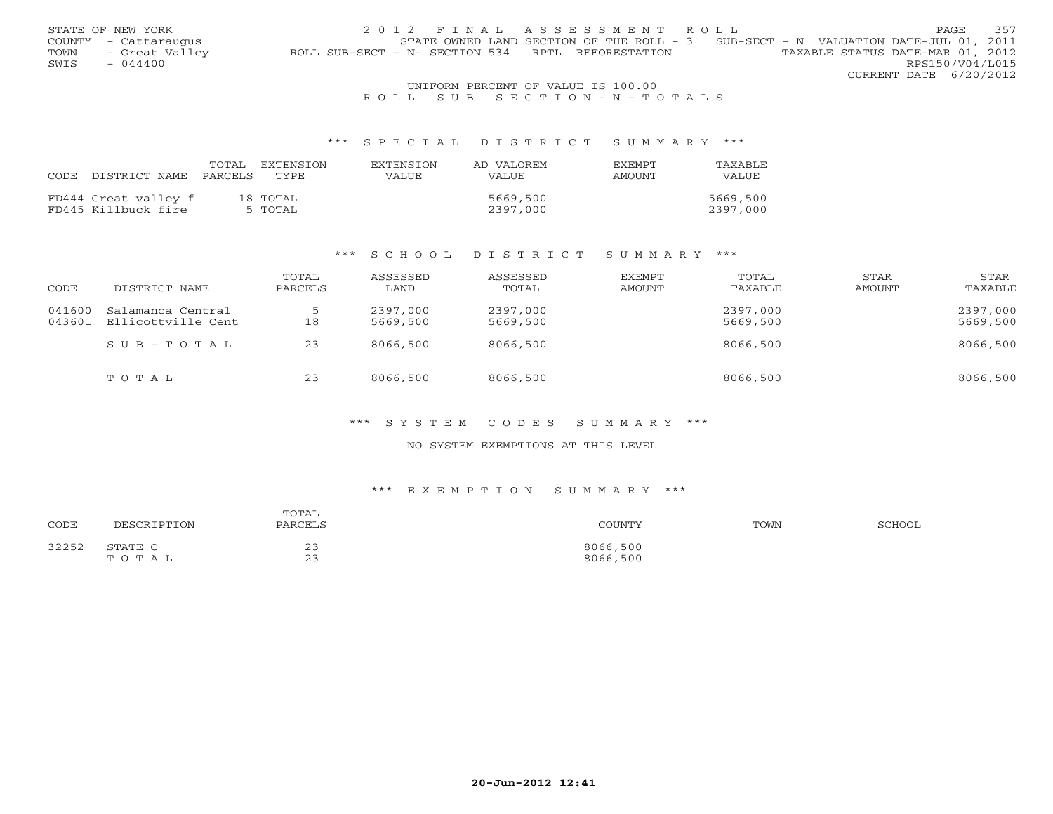|      | STATE OF NEW YORK    | 2012 FINAL ASSESSMENT ROLL                                                            | PAGE.                  | 357 |
|------|----------------------|---------------------------------------------------------------------------------------|------------------------|-----|
|      | COUNTY - Cattaraugus | STATE OWNED LAND SECTION OF THE ROLL - $3$ SUB-SECT - N VALUATION DATE-JUL 01, 2011   |                        |     |
| TOWN | - Great Valley       | TAXABLE STATUS DATE-MAR 01, 2012<br>ROLL SUB-SECT - N- SECTION 534 RPTL REFORESTATION |                        |     |
| SWIS | $-044400$            |                                                                                       | RPS150/V04/L015        |     |
|      |                      |                                                                                       | CURRENT DATE 6/20/2012 |     |
|      |                      | UNIFORM PERCENT OF VALUE IS 100.00                                                    |                        |     |

# R O L L S U B S E C T I O N - N - T O T A L S

#### \*\*\* S P E C I A L D I S T R I C T S U M M A R Y \*\*\*

| CODE. | DISTRICT NAME        | TOTAL<br>PARCELS | EXTENSION<br>TYPE. | EXTENSION<br>VALUE. | AD VALOREM<br>VALUE. | <b>FXFMPT</b><br>AMOUNT | TAXABLE<br>VALUE |
|-------|----------------------|------------------|--------------------|---------------------|----------------------|-------------------------|------------------|
|       |                      |                  |                    |                     |                      |                         |                  |
|       | FD444 Great valley f |                  | 18 TOTAL           |                     | 5669,500             |                         | 5669,500         |
|       | FD445 Killbuck fire  |                  | 5 TOTAL            |                     | 2397,000             |                         | 2397,000         |

#### \*\*\* S C H O O L D I S T R I C T S U M M A R Y \*\*\*

| CODE             | DISTRICT NAME                           | TOTAL<br>PARCELS | ASSESSED<br>LAND     | ASSESSED<br>TOTAL    | EXEMPT<br>AMOUNT | TOTAL<br>TAXABLE     | STAR<br>AMOUNT | STAR<br>TAXABLE      |
|------------------|-----------------------------------------|------------------|----------------------|----------------------|------------------|----------------------|----------------|----------------------|
| 041600<br>043601 | Salamanca Central<br>Ellicottville Cent | 18               | 2397,000<br>5669,500 | 2397,000<br>5669,500 |                  | 2397,000<br>5669,500 |                | 2397,000<br>5669,500 |
|                  | SUB-TOTAL                               | 23               | 8066,500             | 8066,500             |                  | 8066,500             |                | 8066,500             |
|                  | TOTAL                                   | 23               | 8066,500             | 8066,500             |                  | 8066,500             |                | 8066,500             |

#### \*\*\* S Y S T E M C O D E S S U M M A R Y \*\*\*

### NO SYSTEM EXEMPTIONS AT THIS LEVEL

#### \*\*\* E X E M P T I O N S U M M A R Y \*\*\*

| CODE  | DESCRIPTION      | TOTAL<br>PARCELS                                          | COUNTY               | TOWN | SCHOOL |
|-------|------------------|-----------------------------------------------------------|----------------------|------|--------|
| 32252 | STATE C<br>TOTAL | $\sim$ $\sim$<br><b>س سه</b><br>$\sim$ $\sim$<br><u>_</u> | 8066,500<br>8066,500 |      |        |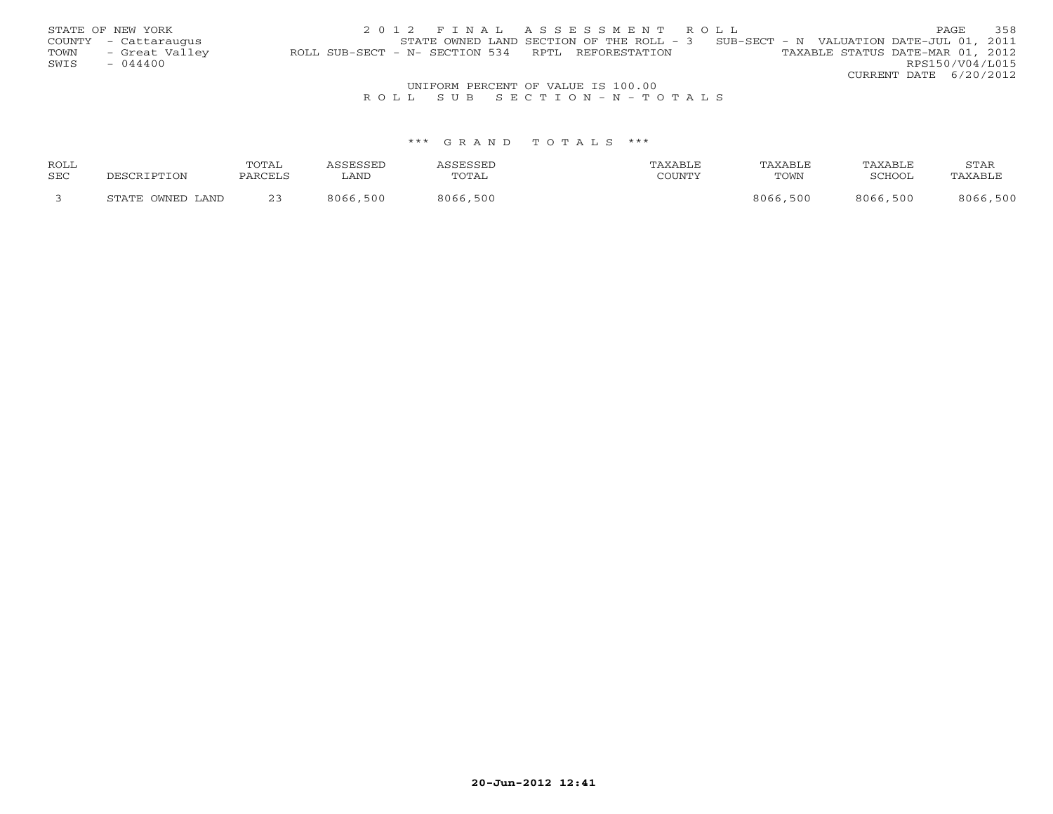|      | STATE OF NEW YORK                  | 2012 FINAL ASSESSMENT ROLL                                                            | PAGE            | 358 |  |  |  |  |  |
|------|------------------------------------|---------------------------------------------------------------------------------------|-----------------|-----|--|--|--|--|--|
|      | COUNTY - Cattaraugus               | STATE OWNED LAND SECTION OF THE ROLL $-3$ SUB-SECT - N VALUATION DATE-JUL 01, 2011    |                 |     |  |  |  |  |  |
| TOWN | - Great Valley                     | TAXABLE STATUS DATE-MAR 01, 2012<br>ROLL SUB-SECT - N- SECTION 534 RPTL REFORESTATION |                 |     |  |  |  |  |  |
| SWIS | $-044400$                          |                                                                                       | RPS150/V04/L015 |     |  |  |  |  |  |
|      |                                    | CURRENT DATE 6/20/2012                                                                |                 |     |  |  |  |  |  |
|      | UNIFORM PERCENT OF VALUE IS 100.00 |                                                                                       |                 |     |  |  |  |  |  |
|      |                                    | ROLL SUB SECTION-N-TOTALS                                                             |                 |     |  |  |  |  |  |

| <b>ROLL</b> |                     | TOTAL |                    |             | <b>XARI</b> | <b>TAXABLF</b>     |              | STAF |
|-------------|---------------------|-------|--------------------|-------------|-------------|--------------------|--------------|------|
| <b>SEC</b>  |                     |       | LAND               | TOTAL       | ∨ידותדזר∩   | TOWN               | ∴ ור∩ה בי    |      |
|             | OWNED LAND<br>תח∆חד |       | 500<br>$0 \cap 66$ | 3065<br>506 |             | 500<br>$R \cap 66$ | ,500<br>0066 | 500  |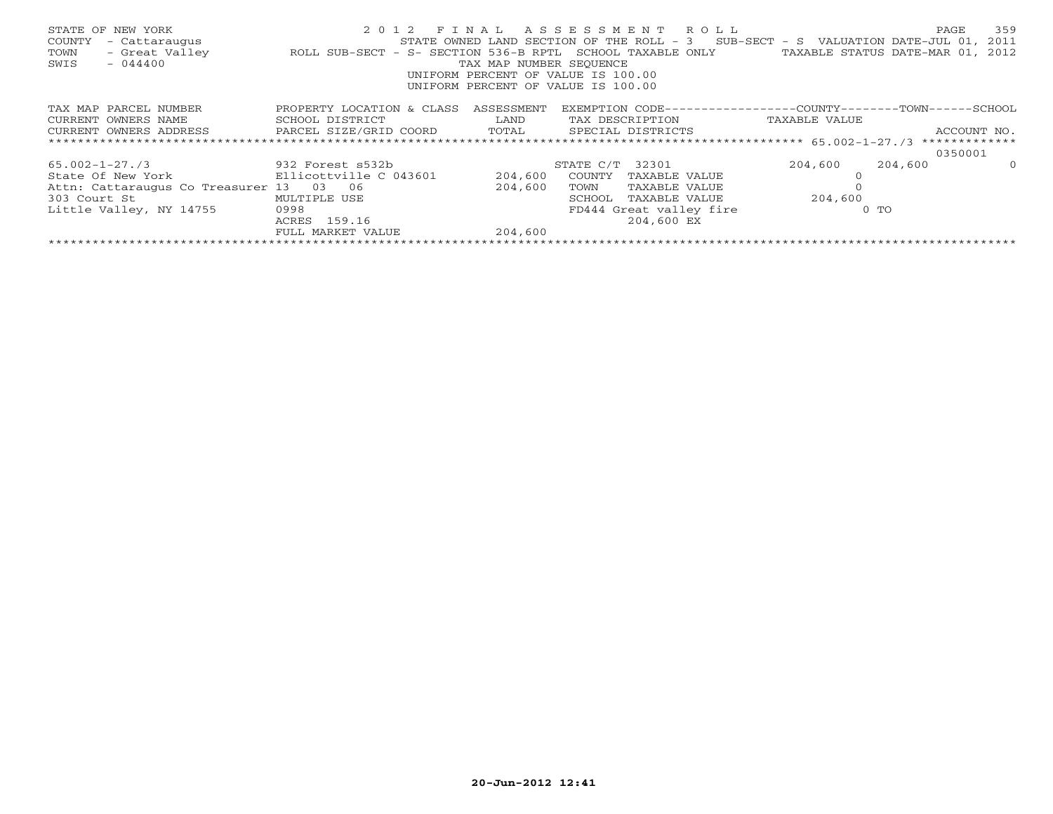| STATE OF NEW YORK<br>COUNTY<br>- Cattaraugus<br>- Great Valley<br>TOWN<br>$-044400$<br>SWIS | ROLL SUB-SECT - S- SECTION 536-B RPTL SCHOOL TAXABLE ONLY | TAX MAP NUMBER SEOUENCE | 2012 FINAL ASSESSMENT ROLL<br>STATE OWNED LAND SECTION OF THE ROLL - 3 SUB-SECT - S VALUATION DATE-JUL 01, 2011<br>UNIFORM PERCENT OF VALUE IS 100.00<br>UNIFORM PERCENT OF VALUE IS 100.00 | TAXABLE STATUS DATE-MAR 01, 2012 | 359<br>PAGE |
|---------------------------------------------------------------------------------------------|-----------------------------------------------------------|-------------------------|---------------------------------------------------------------------------------------------------------------------------------------------------------------------------------------------|----------------------------------|-------------|
| TAX MAP PARCEL NUMBER                                                                       | PROPERTY LOCATION & CLASS                                 | ASSESSMENT              | EXEMPTION CODE-----------------COUNTY-------TOWN------SCHOOL                                                                                                                                |                                  |             |
| CURRENT OWNERS NAME                                                                         | SCHOOL DISTRICT                                           | LAND                    | TAX DESCRIPTION                                                                                                                                                                             | TAXABLE VALUE                    |             |
| CURRENT OWNERS ADDRESS BARCEL SIZE/GRID COORD TOTAL SPECIAL DISTRICTS                       |                                                           |                         |                                                                                                                                                                                             |                                  | ACCOUNT NO. |
|                                                                                             |                                                           |                         |                                                                                                                                                                                             |                                  |             |
|                                                                                             |                                                           |                         |                                                                                                                                                                                             |                                  | 0350001     |
| $65.002 - 1 - 27.73$                                                                        | 932 Forest s532b                                          |                         | STATE C/T 32301                                                                                                                                                                             | 204,600<br>204,600               | $\Omega$    |
| State Of New York Bllicottville C 043601                                                    |                                                           | 204,600                 | COUNTY TAXABLE VALUE                                                                                                                                                                        |                                  |             |
| Attn: Cattaraugus Co Treasurer 13 03 06                                                     |                                                           | 204,600                 | TOWN<br>TAXABLE VALUE                                                                                                                                                                       |                                  |             |
| 303 Court St                                                                                | MULTIPLE USE                                              |                         | SCHOOL<br>TAXABLE VALUE                                                                                                                                                                     | 204,600                          |             |
| Little Valley, NY 14755                                                                     | 0998                                                      |                         | FD444 Great valley fire                                                                                                                                                                     | $0$ TO                           |             |
|                                                                                             | ACRES 159.16                                              |                         | 204,600 EX                                                                                                                                                                                  |                                  |             |
|                                                                                             | FULL MARKET VALUE                                         | 204,600                 |                                                                                                                                                                                             |                                  |             |
|                                                                                             |                                                           |                         |                                                                                                                                                                                             |                                  |             |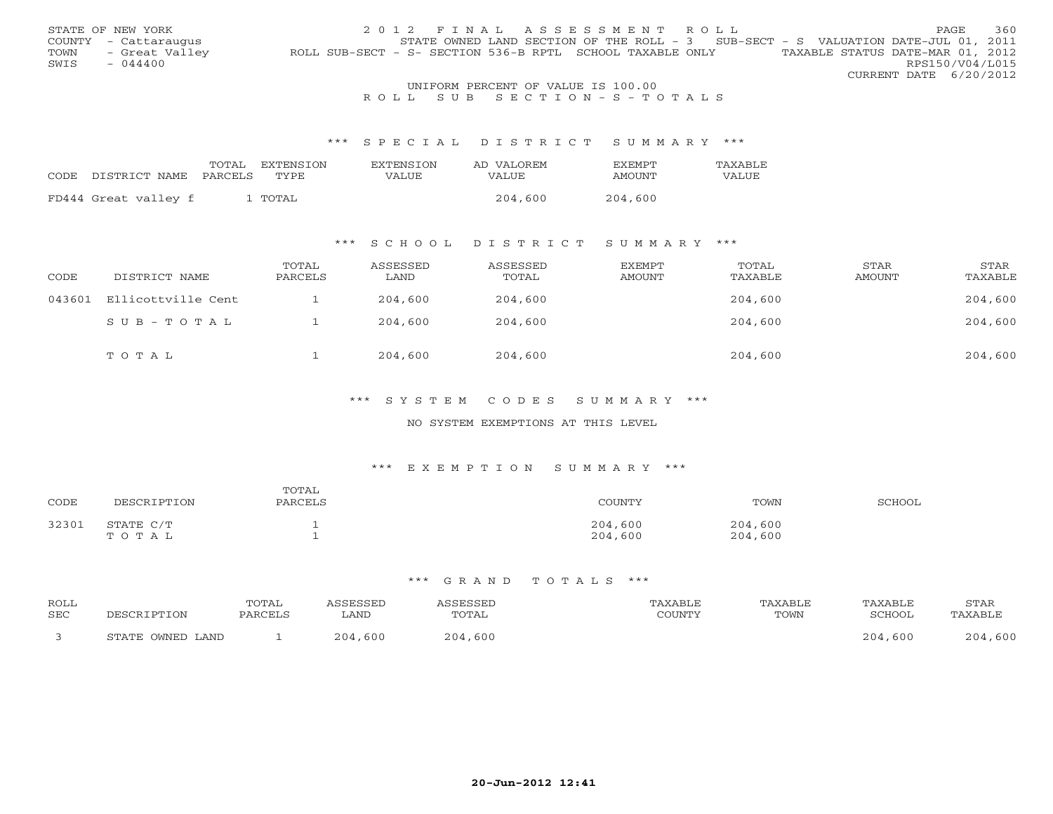|      | STATE OF NEW YORK    |                                                           | 2012 FINAL ASSESSMENT ROLL         |  |  |                                                                                   |                        | <b>PAGE</b> | 360 |
|------|----------------------|-----------------------------------------------------------|------------------------------------|--|--|-----------------------------------------------------------------------------------|------------------------|-------------|-----|
|      | COUNTY - Cattaraugus |                                                           |                                    |  |  | STATE OWNED LAND SECTION OF THE ROLL - 3 SUB-SECT - S VALUATION DATE-JUL 01, 2011 |                        |             |     |
| TOWN | - Great Valley       | ROLL SUB-SECT - S- SECTION 536-B RPTL SCHOOL TAXABLE ONLY |                                    |  |  | TAXABLE STATUS DATE-MAR 01, 2012                                                  |                        |             |     |
| SWIS | $-044400$            |                                                           |                                    |  |  |                                                                                   | RPS150/V04/L015        |             |     |
|      |                      |                                                           |                                    |  |  |                                                                                   | CURRENT DATE 6/20/2012 |             |     |
|      |                      |                                                           | UNIFORM PERCENT OF VALUE IS 100.00 |  |  |                                                                                   |                        |             |     |

# R O L L S U B S E C T I O N - S - T O T A L S

#### \*\*\* S P E C I A L D I S T R I C T S U M M A R Y \*\*\*

|      |                       | TOTAL | EXTENSTON | <b>EXTENSION</b> | AD VALOREM | <b>FXFMPT</b> | <b>TAXABLF</b> |
|------|-----------------------|-------|-----------|------------------|------------|---------------|----------------|
| CODE | DISTRICT NAME PARCELS |       | TYPE.     | <b>VALUE</b>     | VALUE      | AMOUNT        | VALUE          |
|      |                       |       |           |                  |            |               |                |
|      | FD444 Great valley f  |       | . TOTAL   |                  | 204,600    | 204,600       |                |

# \*\*\* S C H O O L D I S T R I C T S U M M A R Y \*\*\*

| CODE   | DISTRICT NAME      | TOTAL<br>PARCELS | ASSESSED<br>LAND | ASSESSED<br>TOTAL | EXEMPT<br>AMOUNT | TOTAL<br>TAXABLE | STAR<br>AMOUNT | STAR<br>TAXABLE |
|--------|--------------------|------------------|------------------|-------------------|------------------|------------------|----------------|-----------------|
| 043601 | Ellicottville Cent |                  | 204,600          | 204,600           |                  | 204,600          |                | 204,600         |
|        | $SUB - TO T AL$    |                  | 204,600          | 204,600           |                  | 204,600          |                | 204,600         |
|        | TOTAL              |                  | 204,600          | 204,600           |                  | 204,600          |                | 204,600         |

## \*\*\* S Y S T E M C O D E S S U M M A R Y \*\*\*

#### NO SYSTEM EXEMPTIONS AT THIS LEVEL

#### \*\*\* E X E M P T I O N S U M M A R Y \*\*\*

| CODE  | DESCRIPTION        | TOTAL<br>PARCELS | COUNTY             | TOWN               | SCHOOL |
|-------|--------------------|------------------|--------------------|--------------------|--------|
| 32301 | STATE C/T<br>TOTAL |                  | 204,600<br>204,600 | 204,600<br>204,600 |        |

| ROLL<br>SEC | ופיאחרי          | TOTAL<br>PARCELS | <i>SSESSED</i><br>LAND | <i><b>\SSESSEL</b></i><br><b>TOTAL</b> | 'AXABLE<br>COUNTY | TAXABLE<br>TOWN | TAXABLE<br>SCHOOL | STAR<br>TAXABLE |
|-------------|------------------|------------------|------------------------|----------------------------------------|-------------------|-----------------|-------------------|-----------------|
|             | STATE OWNED LAND |                  | 204,600                | ,600<br>204                            |                   |                 | 204,600           | ,600<br>204.    |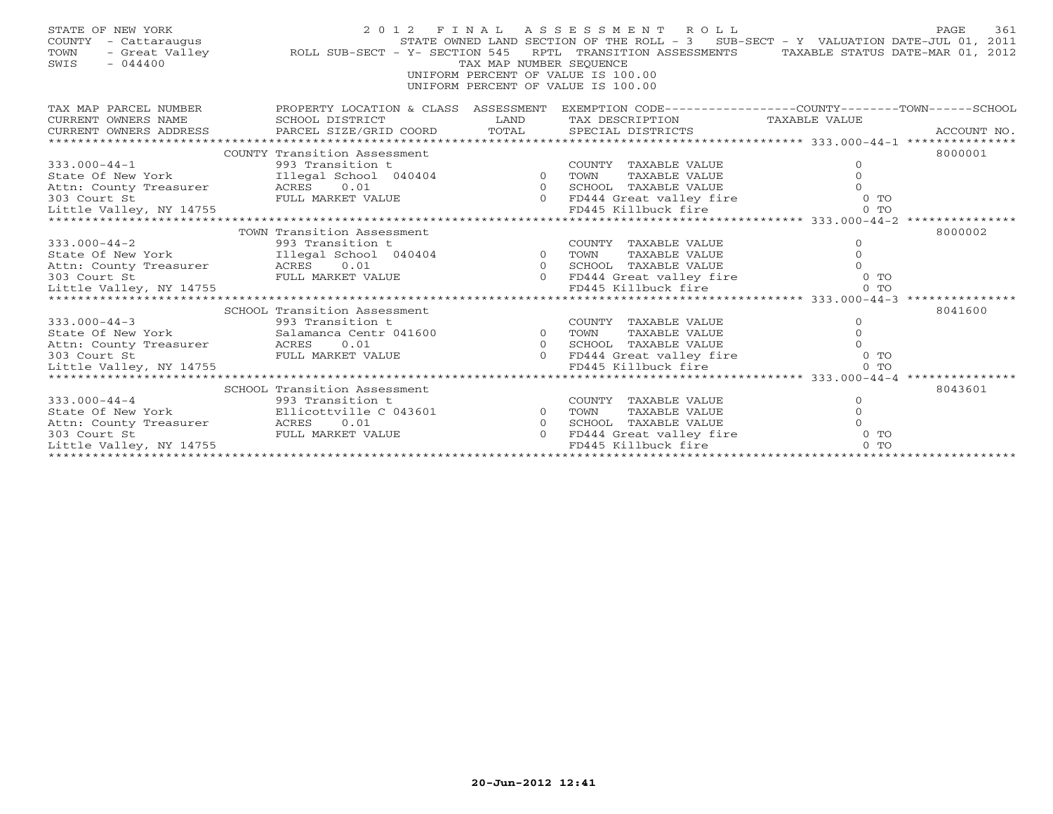| STATE OF NEW YORK<br>COUNTY - Cattaraugus<br>- Great Valley<br>TOWN<br>SWIS<br>$-044400$                                                                                                                                                                                                                                                                                                                                                                                                                               | STATE OWNED LANI<br>ROLL SUB-SECT - Y- SECTION 545 | TAX MAP NUMBER SEQUENCE | 2012 FINAL ASSESSMENT ROLL<br>UNIFORM PERCENT OF VALUE IS 100.00<br>UNIFORM PERCENT OF VALUE IS 100.00 | PAGE<br>STATE OWNED LAND SECTION OF THE ROLL - 3 SUB-SECT - Y VALUATION DATE-JUL 01, 2011<br>RPTL TRANSITION ASSESSMENTS TAXABLE STATUS DATE-MAR 01, 2012 | 361     |
|------------------------------------------------------------------------------------------------------------------------------------------------------------------------------------------------------------------------------------------------------------------------------------------------------------------------------------------------------------------------------------------------------------------------------------------------------------------------------------------------------------------------|----------------------------------------------------|-------------------------|--------------------------------------------------------------------------------------------------------|-----------------------------------------------------------------------------------------------------------------------------------------------------------|---------|
| TAX MAP PARCEL NUMBER                                                                                                                                                                                                                                                                                                                                                                                                                                                                                                  |                                                    |                         |                                                                                                        | PROPERTY LOCATION & CLASS ASSESSMENT EXEMPTION CODE----------------COUNTY-------TOWN------SCHOOL                                                          |         |
| CURRENT OWNERS NAME                                                                                                                                                                                                                                                                                                                                                                                                                                                                                                    | SCHOOL DISTRICT                                    | LAND                    | TAX DESCRIPTION TAXABLE VALUE                                                                          |                                                                                                                                                           |         |
| $\begin{minipage}{.45\textwidth} \begin{minipage}{.45\textwidth} \begin{minipage}{.45\textwidth} \begin{minipage}{.45\textwidth} \begin{minipage}{.45\textwidth} \begin{minipage}{.45\textwidth} \begin{minipage}{.45\textwidth} \begin{minipage}{.45\textwidth} \begin{minipage}{.45\textwidth} \begin{minipage}{.45\textwidth} \begin{minipage}{.45\textwidth} \begin{minipage}{.45\textwidth} \begin{minipage}{.45\textwidth} \begin{minipage}{.45\textwidth} \begin{minipage}{.45\textwidth} \begin{minipage}{.45$ |                                                    |                         |                                                                                                        |                                                                                                                                                           |         |
| 333.000-44-1<br>State Of New York 11legal School 040404 0 TOWNTY TAXABLE VALUE<br>Attn: County Treasurer ACRES 0.01 040404 0 TOWN TAXABLE VALUE 0<br>303 Court St FULL MARKET VALUE 0 FD444 Great valley fire 0 TO<br>10 FD444 Great v                                                                                                                                                                                                                                                                                 |                                                    |                         |                                                                                                        |                                                                                                                                                           |         |
|                                                                                                                                                                                                                                                                                                                                                                                                                                                                                                                        |                                                    |                         |                                                                                                        |                                                                                                                                                           | 8000001 |
|                                                                                                                                                                                                                                                                                                                                                                                                                                                                                                                        |                                                    |                         |                                                                                                        |                                                                                                                                                           |         |
|                                                                                                                                                                                                                                                                                                                                                                                                                                                                                                                        |                                                    |                         |                                                                                                        |                                                                                                                                                           |         |
|                                                                                                                                                                                                                                                                                                                                                                                                                                                                                                                        |                                                    |                         |                                                                                                        |                                                                                                                                                           |         |
|                                                                                                                                                                                                                                                                                                                                                                                                                                                                                                                        |                                                    |                         |                                                                                                        |                                                                                                                                                           |         |
|                                                                                                                                                                                                                                                                                                                                                                                                                                                                                                                        |                                                    |                         |                                                                                                        |                                                                                                                                                           |         |
|                                                                                                                                                                                                                                                                                                                                                                                                                                                                                                                        | TOWN Transition Assessment                         |                         |                                                                                                        |                                                                                                                                                           | 8000002 |
| $333.000 - 44 - 2$                                                                                                                                                                                                                                                                                                                                                                                                                                                                                                     | 993 Transition t                                   |                         | COUNTY TAXABLE VALUE                                                                                   | $\circ$                                                                                                                                                   |         |
| State Of New York [11egal School 040404 0 TOWN                                                                                                                                                                                                                                                                                                                                                                                                                                                                         |                                                    |                         | TAXABLE VALUE                                                                                          | $\Omega$                                                                                                                                                  |         |
| Attn: County Treasurer ACRES 0.01                                                                                                                                                                                                                                                                                                                                                                                                                                                                                      |                                                    |                         |                                                                                                        | $\Omega$                                                                                                                                                  |         |
| 303 Court St                                                                                                                                                                                                                                                                                                                                                                                                                                                                                                           |                                                    |                         |                                                                                                        | $0$ TO                                                                                                                                                    |         |
| Little Valley, NY 14755                                                                                                                                                                                                                                                                                                                                                                                                                                                                                                |                                                    |                         |                                                                                                        | 0 <sub>T</sub>                                                                                                                                            |         |
|                                                                                                                                                                                                                                                                                                                                                                                                                                                                                                                        |                                                    |                         |                                                                                                        |                                                                                                                                                           |         |
| SCHOOL Transition Assessment<br>333.000-44-3<br>State Of New York<br>313.000-44-3<br>SCHOOL Transition the salamanca Centr 041600<br>30 SCHOOL SCHOOL SCHOOL COUNT<br>30 SCHOOL ACRES<br>30 OLD SCHOOL SCHOOL SCHOOL                                                                                                                                                                                                                                                                                                   |                                                    |                         |                                                                                                        |                                                                                                                                                           | 8041600 |
|                                                                                                                                                                                                                                                                                                                                                                                                                                                                                                                        |                                                    |                         | COUNTY TAXABLE VALUE                                                                                   | $\Omega$<br>$\Omega$                                                                                                                                      |         |
|                                                                                                                                                                                                                                                                                                                                                                                                                                                                                                                        |                                                    |                         | TAXABLE VALUE<br>SCHOOL TAXABLE VALUE                                                                  |                                                                                                                                                           |         |
| 303 Court St                                                                                                                                                                                                                                                                                                                                                                                                                                                                                                           | FULL MARKET VALUE                                  |                         | 0 FD444 Great valley fire                                                                              | $0$ TO                                                                                                                                                    |         |
| Little Valley, NY 14755                                                                                                                                                                                                                                                                                                                                                                                                                                                                                                |                                                    |                         | FD445 Killbuck fire                                                                                    | 0 <sub>0</sub>                                                                                                                                            |         |
|                                                                                                                                                                                                                                                                                                                                                                                                                                                                                                                        |                                                    |                         |                                                                                                        |                                                                                                                                                           |         |
|                                                                                                                                                                                                                                                                                                                                                                                                                                                                                                                        | SCHOOL Transition Assessment                       |                         |                                                                                                        |                                                                                                                                                           | 8043601 |
| $333.000 - 44 - 4$                                                                                                                                                                                                                                                                                                                                                                                                                                                                                                     |                                                    |                         | COUNTY<br>TAXABLE VALUE                                                                                | $\circ$                                                                                                                                                   |         |
| State Of New York                                                                                                                                                                                                                                                                                                                                                                                                                                                                                                      | 993 Transition t<br>Ellicottville C 043601 0       |                         | TAXABLE VALUE<br>TOWN                                                                                  | $\circ$                                                                                                                                                   |         |
|                                                                                                                                                                                                                                                                                                                                                                                                                                                                                                                        |                                                    | $\Omega$                | SCHOOL TAXABLE VALUE                                                                                   | $\Omega$                                                                                                                                                  |         |
|                                                                                                                                                                                                                                                                                                                                                                                                                                                                                                                        |                                                    | $\Omega$                | FD444 Great valley fire                                                                                | $0$ TO                                                                                                                                                    |         |
| Little Valley, NY 14755                                                                                                                                                                                                                                                                                                                                                                                                                                                                                                |                                                    |                         | FD445 Killbuck fire                                                                                    | $0$ TO                                                                                                                                                    |         |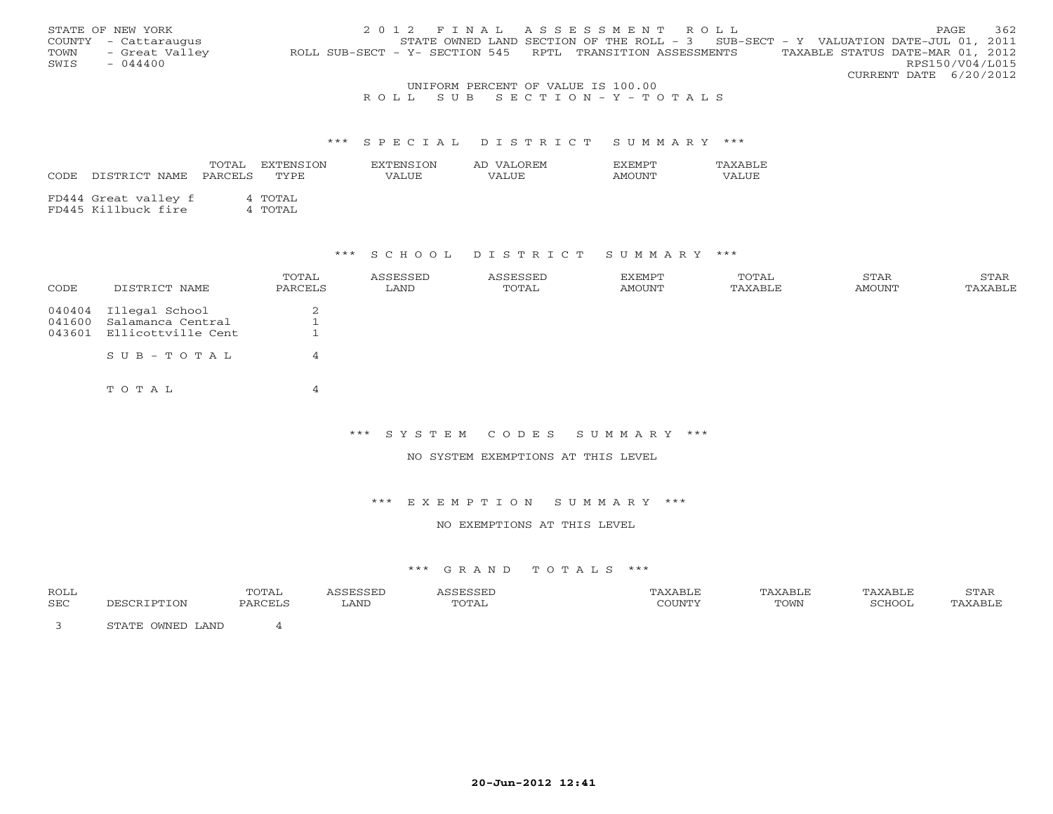|      | STATE OF NEW YORK    |                                                            | 2012 FINAL ASSESSMENT ROLL                                                          |  |  |                                  |                        | <b>PAGE</b> | 362 |
|------|----------------------|------------------------------------------------------------|-------------------------------------------------------------------------------------|--|--|----------------------------------|------------------------|-------------|-----|
|      | COUNTY - Cattaraugus |                                                            | STATE OWNED LAND SECTION OF THE ROLL - $3$ SUB-SECT - Y VALUATION DATE-JUL 01, 2011 |  |  |                                  |                        |             |     |
| TOWN | - Great Valley       | ROLL SUB-SECT - Y- SECTION 545 RPTL TRANSITION ASSESSMENTS |                                                                                     |  |  | TAXABLE STATUS DATE-MAR 01, 2012 |                        |             |     |
| SWIS | $-044400$            |                                                            |                                                                                     |  |  |                                  | RPS150/V04/L015        |             |     |
|      |                      |                                                            |                                                                                     |  |  |                                  | CURRENT DATE 6/20/2012 |             |     |
|      |                      |                                                            | UNIFORM PERCENT OF VALUE IS 100.00                                                  |  |  |                                  |                        |             |     |

## R O L L S U B S E C T I O N - Y - T O T A L S

#### \*\*\* S P E C I A L D I S T R I C T S U M M A R Y \*\*\*

| CODE | DISTRICT NAME                               | TOTAL<br>PARCELS | EXTENSTON<br>TYPE. | EXTENSTON<br>VALUE | AD VALOREM<br>VALUE | <b>EXEMPT</b><br>AMOUNT | TAXABLE<br>VALUE |
|------|---------------------------------------------|------------------|--------------------|--------------------|---------------------|-------------------------|------------------|
|      | FD444 Great valley f<br>FD445 Killbuck fire |                  | 4 TOTAL<br>4 TOTAL |                    |                     |                         |                  |

### \*\*\* S C H O O L D I S T R I C T S U M M A R Y \*\*\*

| CODE   | DISTRICT NAME             | TOTAL<br>PARCELS | ASSESSED<br>LAND | ASSESSED<br>TOTAL | EXEMPT<br>AMOUNT | TOTAL<br>TAXABLE | STAR<br>AMOUNT | STAR<br>TAXABLE |
|--------|---------------------------|------------------|------------------|-------------------|------------------|------------------|----------------|-----------------|
|        | 040404 Illegal School     | 2                |                  |                   |                  |                  |                |                 |
| 041600 | Salamanca Central         |                  |                  |                   |                  |                  |                |                 |
| 043601 | Ellicottville Cent        |                  |                  |                   |                  |                  |                |                 |
|        | $S \cup B - T \cup T A L$ | 4                |                  |                   |                  |                  |                |                 |
|        | TOTAL                     | 4                |                  |                   |                  |                  |                |                 |

## \*\*\* S Y S T E M C O D E S S U M M A R Y \*\*\*

NO SYSTEM EXEMPTIONS AT THIS LEVEL

#### \*\*\* E X E M P T I O N S U M M A R Y \*\*\*

### NO EXEMPTIONS AT THIS LEVEL

| <b>ROLL</b> |                            | 'OTAL |      |                       |      |       | , 1111 |
|-------------|----------------------------|-------|------|-----------------------|------|-------|--------|
| SEC         | ON                         |       | LAND | ገጠጣል<br>- - - - - - - | TOWN | CTTOC |        |
|             | T.AND<br>. <i>. .</i><br>. |       |      |                       |      |       |        |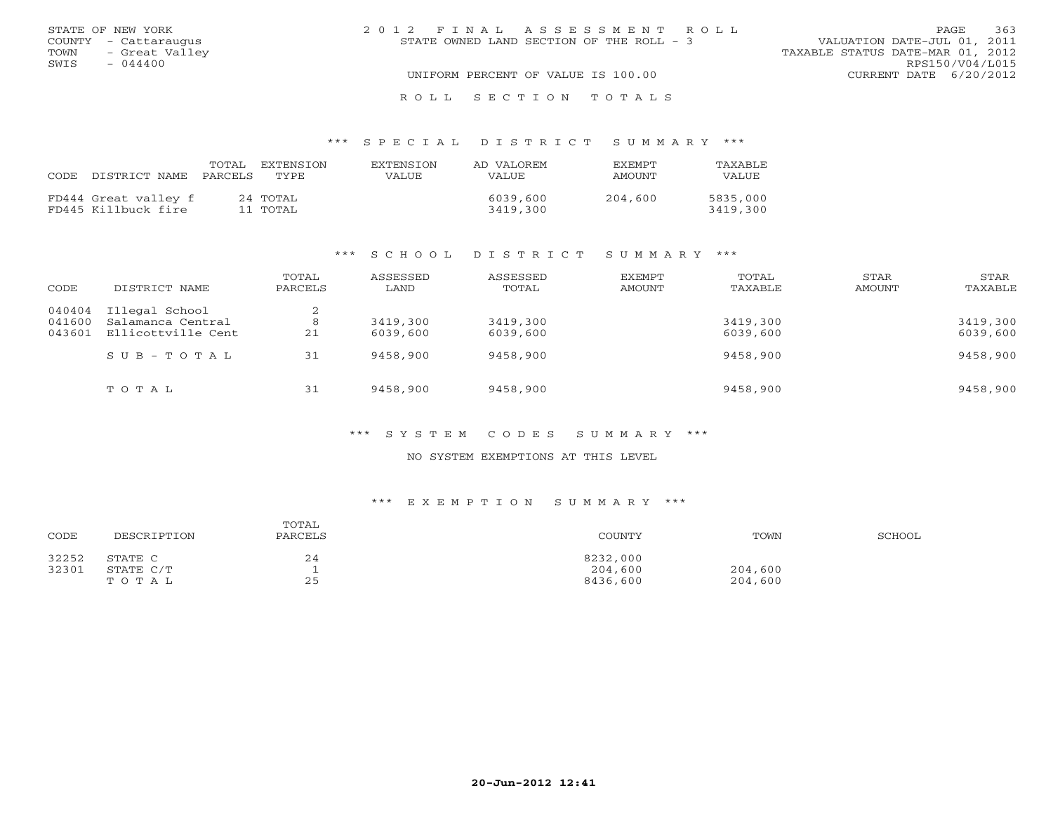|      | STATE OF NEW YORK    | 2012 FINAL ASSESSMENT ROLL               | 363<br>PAGE                      |
|------|----------------------|------------------------------------------|----------------------------------|
|      | COUNTY - Cattaraugus | STATE OWNED LAND SECTION OF THE ROLL - 3 | VALUATION DATE-JUL 01, 2011      |
| TOWN | - Great Valley       |                                          | TAXABLE STATUS DATE-MAR 01, 2012 |
| SWIS | $-044400$            |                                          | RPS150/V04/L015                  |
|      |                      | UNIFORM PERCENT OF VALUE IS 100.00       | CURRENT DATE 6/20/2012           |
|      |                      | ROLL SECTION TOTALS                      |                                  |

### \*\*\* S P E C I A L D I S T R I C T S U M M A R Y \*\*\*

| CODE. | DISTRICT NAME                               | TOTAL<br>PARCELS | EXTENSION<br>TYPE    | EXTENSION<br>VALUE. | AD VALOREM<br>VALUE. | <b>EXEMPT</b><br>AMOUNT | TAXABLE<br>VALUE     |
|-------|---------------------------------------------|------------------|----------------------|---------------------|----------------------|-------------------------|----------------------|
|       | FD444 Great valley f<br>FD445 Killbuck fire |                  | 24 TOTAL<br>11 TOTAL |                     | 6039,600<br>3419,300 | 204,600                 | 5835,000<br>3419,300 |

### \*\*\* S C H O O L D I S T R I C T S U M M A R Y \*\*\*

| CODE   | DISTRICT NAME       | TOTAL<br>PARCELS | ASSESSED<br>LAND | ASSESSED<br>TOTAL | EXEMPT<br>AMOUNT | TOTAL<br>TAXABLE | STAR<br>AMOUNT | STAR<br>TAXABLE |
|--------|---------------------|------------------|------------------|-------------------|------------------|------------------|----------------|-----------------|
| 040404 | Illegal School      | $\bigcirc$<br>∠  |                  |                   |                  |                  |                |                 |
| 041600 | Salamanca Central   | 8                | 3419,300         | 3419,300          |                  | 3419,300         |                | 3419,300        |
| 043601 | Ellicottville Cent  | 21               | 6039,600         | 6039,600          |                  | 6039,600         |                | 6039,600        |
|        | $S$ U B - T O T A L | 31               | 9458,900         | 9458,900          |                  | 9458,900         |                | 9458,900        |
|        | TOTAL               | 31               | 9458,900         | 9458,900          |                  | 9458,900         |                | 9458,900        |

### \*\*\* S Y S T E M C O D E S S U M M A R Y \*\*\*

#### NO SYSTEM EXEMPTIONS AT THIS LEVEL

### \*\*\* E X E M P T I O N S U M M A R Y \*\*\*

| CODE  | DESCRIPTION | TOTAL<br>PARCELS | COUNTY   | TOWN    | SCHOOL |
|-------|-------------|------------------|----------|---------|--------|
| 32252 | STATE C     | 24               | 8232,000 |         |        |
| 32301 | STATE C/T   |                  | 204,600  | 204,600 |        |
|       | TOTAL       | 25               | 8436,600 | 204,600 |        |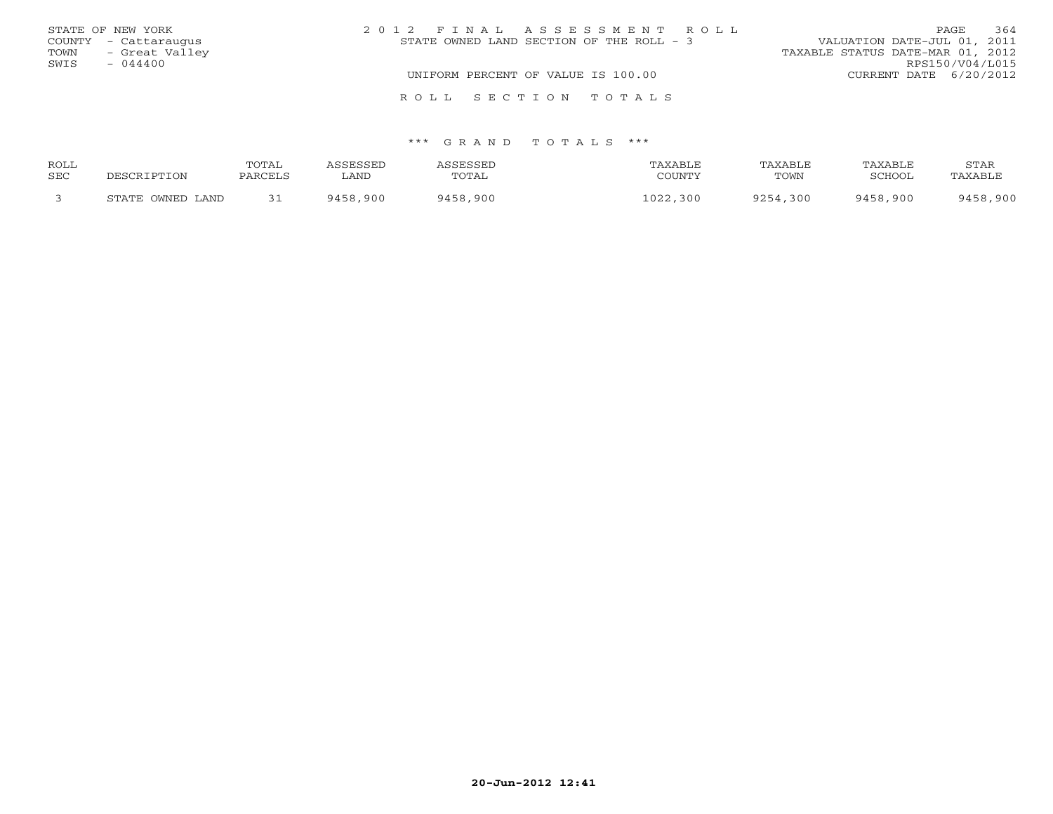|      | STATE OF NEW YORK    |  |  | 2012 FINAL ASSESSMENT ROLL               |                                  | PAGE            | 364 |
|------|----------------------|--|--|------------------------------------------|----------------------------------|-----------------|-----|
|      | COUNTY - Cattaraugus |  |  | STATE OWNED LAND SECTION OF THE ROLL - 3 | VALUATION DATE-JUL 01, 2011      |                 |     |
| TOWN | - Great Valley       |  |  |                                          | TAXABLE STATUS DATE-MAR 01, 2012 |                 |     |
| SWIS | $-044400$            |  |  |                                          |                                  | RPS150/V04/L015 |     |
|      |                      |  |  | UNIFORM PERCENT OF VALUE IS 100.00       | CURRENT DATE 6/20/2012           |                 |     |
|      |                      |  |  | ROLL SECTION TOTALS                      |                                  |                 |     |

| <b>ROLL</b> |                            | TOTAL   | SSESSED     | <i><b>\SSESSED</b></i> | TAXABLE      | TAXABLE  | TAXABLE  | STAR     |
|-------------|----------------------------|---------|-------------|------------------------|--------------|----------|----------|----------|
| SEC         | ם השפח                     | PARCELS | <b>LAND</b> | TOTAL                  | COUNTY       | TOWN     | SCHOOL   | TAXABLE  |
|             | OWNED LAND<br><b>STATE</b> | 31      | 9458,900    | 9458,900               | 1022<br>,300 | 9254,300 | 9458,900 | 9458,900 |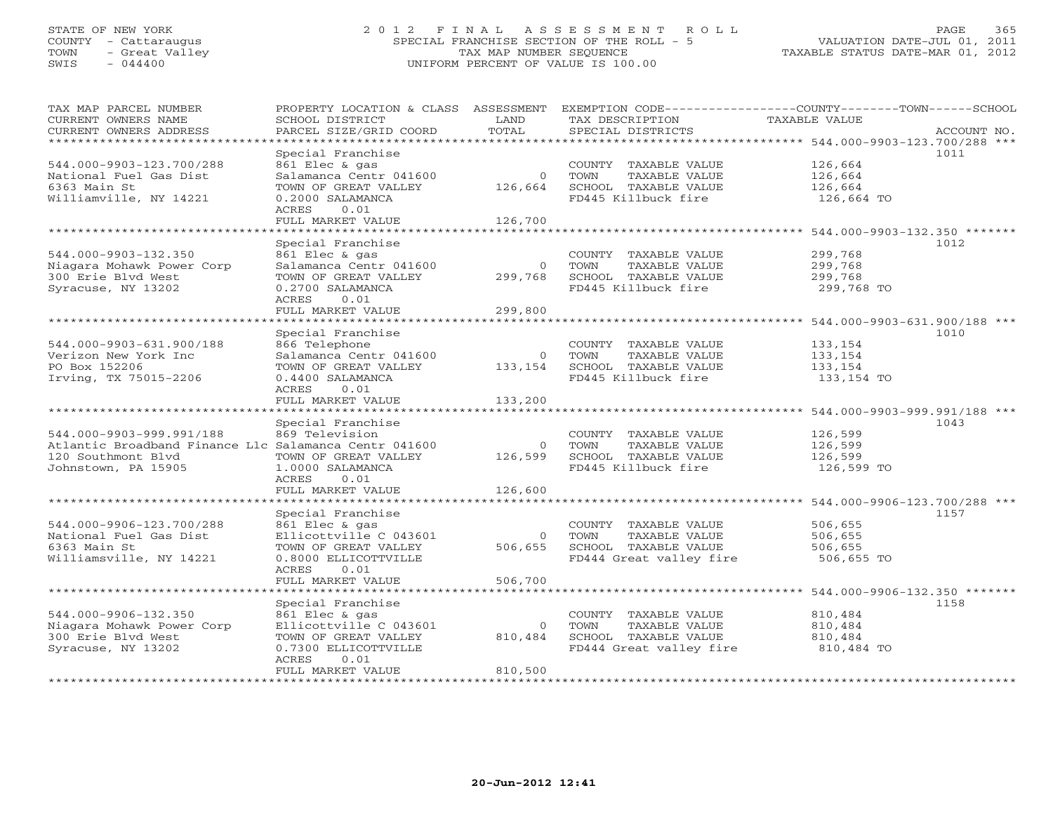## STATE OF NEW YORK 2 0 1 2 F I N A L A S S E S S M E N T R O L L PAGE 365 COUNTY - Cattaraugus SPECIAL FRANCHISE SECTION OF THE ROLL - 5 VALUATION DATE-JUL 01, 2011 TOWN - Great Valley TAX MAP NUMBER SEQUENCE TAXABLE STATUS DATE-MAR 01, 2012 SWIS - 044400 UNIFORM PERCENT OF VALUE IS 100.00UNIFORM PERCENT OF VALUE IS 100.00

| TAX MAP PARCEL NUMBER<br>CURRENT OWNERS NAME          | PROPERTY LOCATION & CLASS ASSESSMENT<br>SCHOOL DISTRICT | LAND     | TAX DESCRIPTION         | EXEMPTION CODE-----------------COUNTY-------TOWN------SCHOOL<br>TAXABLE VALUE |  |
|-------------------------------------------------------|---------------------------------------------------------|----------|-------------------------|-------------------------------------------------------------------------------|--|
| CURRENT OWNERS ADDRESS<br>**********************      | PARCEL SIZE/GRID COORD                                  | TOTAL    | SPECIAL DISTRICTS       | ACCOUNT NO.                                                                   |  |
|                                                       |                                                         |          |                         |                                                                               |  |
| 544.000-9903-123.700/288                              | Special Franchise<br>861 Elec & gas                     |          | COUNTY TAXABLE VALUE    | 1011<br>126,664                                                               |  |
| National Fuel Gas Dist                                | Salamanca Centr 041600                                  | $\circ$  | TOWN<br>TAXABLE VALUE   | 126,664                                                                       |  |
| 6363 Main St                                          | TOWN OF GREAT VALLEY                                    | 126,664  | SCHOOL TAXABLE VALUE    | 126,664                                                                       |  |
| Williamville, NY 14221                                | 0.2000 SALAMANCA                                        |          | FD445 Killbuck fire     | 126,664 TO                                                                    |  |
|                                                       | 0.01<br>ACRES                                           |          |                         |                                                                               |  |
|                                                       | FULL MARKET VALUE                                       | 126,700  |                         |                                                                               |  |
| **********************                                | *********************                                   |          |                         |                                                                               |  |
|                                                       | Special Franchise                                       |          |                         | 1012                                                                          |  |
| 544.000-9903-132.350                                  | 861 Elec & gas                                          |          | COUNTY TAXABLE VALUE    | 299,768                                                                       |  |
| Niagara Mohawk Power Corp                             | Salamanca Centr 041600                                  | $\Omega$ | TAXABLE VALUE<br>TOWN   | 299,768                                                                       |  |
| 300 Erie Blvd West                                    | TOWN OF GREAT VALLEY                                    | 299,768  | SCHOOL TAXABLE VALUE    | 299,768                                                                       |  |
| Syracuse, NY 13202                                    | 0.2700 SALAMANCA                                        |          | FD445 Killbuck fire     | 299,768 TO                                                                    |  |
|                                                       | 0.01<br>ACRES                                           |          |                         |                                                                               |  |
|                                                       | FULL MARKET VALUE                                       | 299,800  |                         |                                                                               |  |
|                                                       |                                                         |          |                         |                                                                               |  |
|                                                       | Special Franchise                                       |          |                         | 1010                                                                          |  |
| 544.000-9903-631.900/188                              | 866 Telephone                                           |          | COUNTY TAXABLE VALUE    | 133,154                                                                       |  |
| Verizon New York Inc                                  | Salamanca Centr 041600                                  | $\circ$  | TOWN<br>TAXABLE VALUE   | 133,154                                                                       |  |
| PO Box 152206                                         | TOWN OF GREAT VALLEY                                    | 133,154  | SCHOOL TAXABLE VALUE    | 133,154                                                                       |  |
| Irving, TX 75015-2206                                 | 0.4400 SALAMANCA<br>ACRES<br>0.01                       |          | FD445 Killbuck fire     | 133,154 TO                                                                    |  |
|                                                       | FULL MARKET VALUE                                       | 133,200  |                         |                                                                               |  |
| *********************                                 |                                                         |          |                         |                                                                               |  |
|                                                       | Special Franchise                                       |          |                         | 1043                                                                          |  |
| 544.000-9903-999.991/188                              | 869 Television                                          |          | COUNTY TAXABLE VALUE    | 126,599                                                                       |  |
| Atlantic Broadband Finance Llc Salamanca Centr 041600 |                                                         | $\circ$  | TOWN<br>TAXABLE VALUE   | 126,599                                                                       |  |
| 120 Southmont Blvd                                    | TOWN OF GREAT VALLEY                                    | 126,599  | SCHOOL TAXABLE VALUE    | 126,599                                                                       |  |
| Johnstown, PA 15905                                   | 1.0000 SALAMANCA                                        |          | FD445 Killbuck fire     | 126,599 TO                                                                    |  |
|                                                       | <b>ACRES</b><br>0.01                                    |          |                         |                                                                               |  |
|                                                       | FULL MARKET VALUE                                       | 126,600  |                         |                                                                               |  |
|                                                       | *******************                                     |          |                         | 544.000-9906-123.700/288 ***                                                  |  |
|                                                       | Special Franchise                                       |          |                         | 1157                                                                          |  |
| 544.000-9906-123.700/288                              | 861 Elec & gas                                          |          | COUNTY TAXABLE VALUE    | 506,655                                                                       |  |
| National Fuel Gas Dist                                | Ellicottville C 043601                                  | $\Omega$ | TAXABLE VALUE<br>TOWN   | 506,655                                                                       |  |
| 6363 Main St                                          | TOWN OF GREAT VALLEY                                    | 506,655  | SCHOOL TAXABLE VALUE    | 506,655                                                                       |  |
| Williamsville, NY 14221                               | 0.8000 ELLICOTTVILLE<br>ACRES<br>0.01                   |          | FD444 Great valley fire | 506,655 TO                                                                    |  |
|                                                       | FULL MARKET VALUE                                       | 506,700  |                         |                                                                               |  |
|                                                       |                                                         |          |                         | ********************* 544.000-9906-132.350 *******                            |  |
|                                                       | Special Franchise                                       |          |                         | 1158                                                                          |  |
| 544.000-9906-132.350                                  | 861 Elec & gas                                          |          | COUNTY TAXABLE VALUE    | 810,484                                                                       |  |
| Niagara Mohawk Power Corp                             | Ellicottville C 043601                                  | $\Omega$ | TOWN<br>TAXABLE VALUE   | 810,484                                                                       |  |
| 300 Erie Blvd West                                    | TOWN OF GREAT VALLEY                                    | 810,484  | SCHOOL TAXABLE VALUE    | 810,484                                                                       |  |
| Syracuse, NY 13202                                    | 0.7300 ELLICOTTVILLE                                    |          | FD444 Great valley fire | 810,484 TO                                                                    |  |
|                                                       | ACRES<br>0.01                                           |          |                         |                                                                               |  |
|                                                       | FULL MARKET VALUE                                       | 810,500  |                         |                                                                               |  |
| *****************************                         |                                                         |          |                         |                                                                               |  |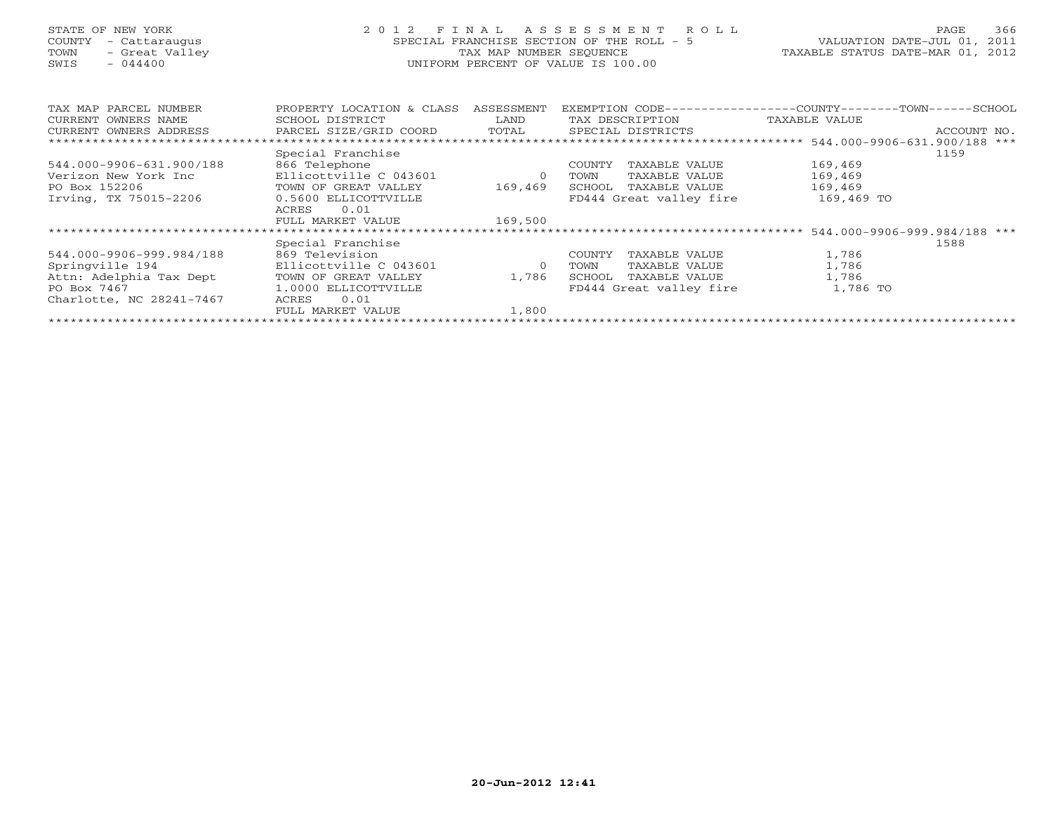## STATE OF NEW YORK 2 0 1 2 F I N A L A S S E S S M E N T R O L L PAGE 366 COUNTY - Cattaraugus SPECIAL FRANCHISE SECTION OF THE ROLL - 5 VALUATION DATE-JUL 01, 2011 TOWN - Great Valley TAX MAP NUMBER SEQUENCE TAXABLE STATUS DATE-MAR 01, 2012 SWIS - 044400 UNIFORM PERCENT OF VALUE IS 100.00UNIFORM PERCENT OF VALUE IS 100.00

| TAX MAP PARCEL NUMBER<br>CURRENT OWNERS NAME | PROPERTY LOCATION & CLASS<br>SCHOOL DISTRICT | ASSESSMENT<br>LAND | EXEMPTION CODE---<br>TAX DESCRIPTION | --------------COUNTY--------TOWN-----SCHOOL<br>TAXABLE VALUE |             |
|----------------------------------------------|----------------------------------------------|--------------------|--------------------------------------|--------------------------------------------------------------|-------------|
| CURRENT OWNERS ADDRESS                       | PARCEL SIZE/GRID COORD                       | TOTAL              | SPECIAL DISTRICTS                    |                                                              | ACCOUNT NO. |
|                                              |                                              |                    |                                      |                                                              |             |
|                                              | Special Franchise                            |                    |                                      |                                                              | 1159        |
| 544.000-9906-631.900/188                     | 866 Telephone                                |                    | COUNTY<br>TAXABLE VALUE              | 169,469                                                      |             |
| Verizon New York Inc                         | Ellicottville C 043601                       | $\Omega$           | TOWN<br>TAXABLE VALUE                | 169,469                                                      |             |
| PO Box 152206                                | TOWN OF GREAT VALLEY                         | 169,469            | SCHOOL<br>TAXABLE VALUE              | 169,469                                                      |             |
| Irving, TX 75015-2206                        | 0.5600 ELLICOTTVILLE                         |                    | FD444 Great valley fire              | 169,469 TO                                                   |             |
|                                              | 0.01<br>ACRES                                |                    |                                      |                                                              |             |
|                                              | FULL MARKET VALUE                            | 169,500            |                                      |                                                              |             |
|                                              |                                              |                    |                                      |                                                              |             |
|                                              | Special Franchise                            |                    |                                      |                                                              | 1588        |
| 544.000-9906-999.984/188                     | 869 Television                               |                    | COUNTY<br>TAXABLE VALUE              | 1,786                                                        |             |
| Springville 194                              | Ellicottville C 043601                       | $\circ$            | TAXABLE VALUE<br>TOWN                | 1,786                                                        |             |
| Attn: Adelphia Tax Dept                      | TOWN OF GREAT VALLEY                         | 1,786              | SCHOOL<br>TAXABLE VALUE              | 1,786                                                        |             |
| PO Box 7467                                  | 1.0000 ELLICOTTVILLE                         |                    | FD444 Great valley fire              | 1,786 TO                                                     |             |
| Charlotte, NC 28241-7467                     | 0.01<br>ACRES                                |                    |                                      |                                                              |             |
|                                              | FULL MARKET VALUE                            | 1,800              |                                      |                                                              |             |
|                                              |                                              |                    |                                      |                                                              |             |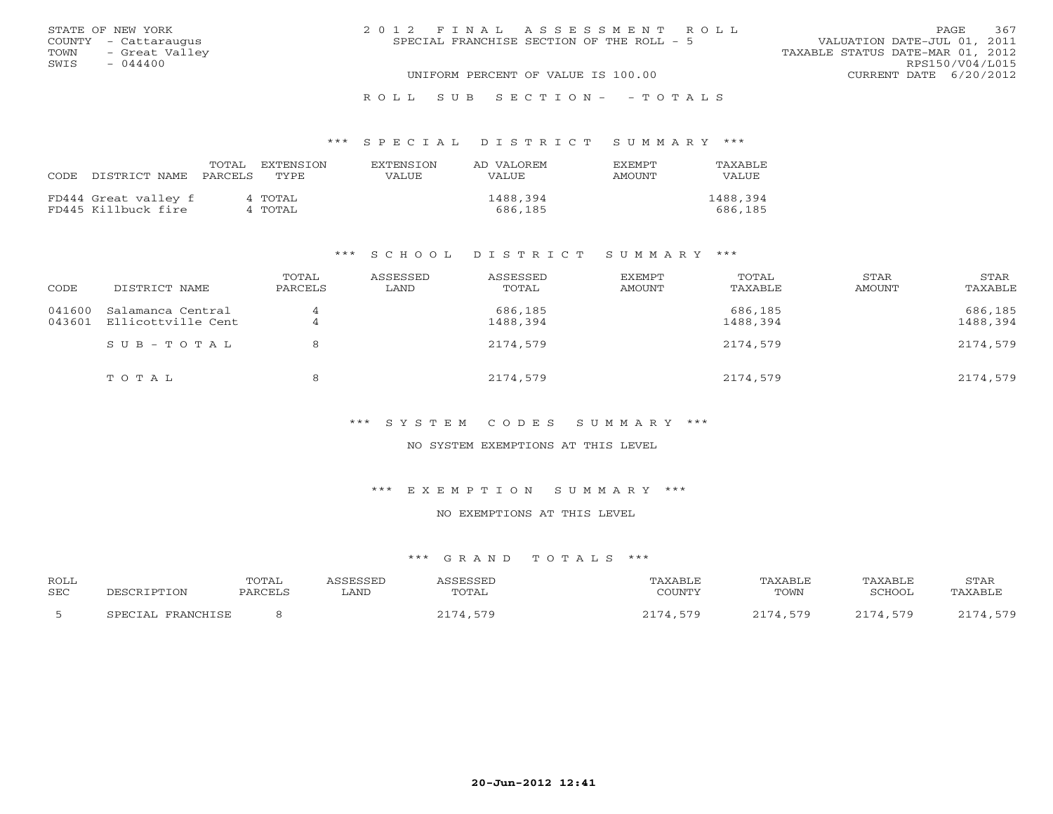|      | STATE OF NEW YORK    | 2012 FINAL ASSESSMENT ROLL                                               | PAGE                   | 367 |
|------|----------------------|--------------------------------------------------------------------------|------------------------|-----|
|      | COUNTY - Cattaraugus | VALUATION DATE-JUL 01, 2011<br>SPECIAL FRANCHISE SECTION OF THE ROLL - 5 |                        |     |
| TOWN | - Great Valley       | TAXABLE STATUS DATE-MAR 01, 2012                                         |                        |     |
| SWIS | $-044400$            |                                                                          | RPS150/V04/L015        |     |
|      |                      | UNIFORM PERCENT OF VALUE IS 100.00                                       | CURRENT DATE 6/20/2012 |     |
|      |                      |                                                                          |                        |     |

### R O L L S U B S E C T I O N - - T O T A L S

### \*\*\* S P E C I A L D I S T R I C T S U M M A R Y \*\*\*

|      |                      | TOTAL   | EXTENSTON | <b>EXTENSION</b> | AD VALOREM | <b>EXEMPT</b> | TAXABLE  |
|------|----------------------|---------|-----------|------------------|------------|---------------|----------|
| CODE | DISTRICT NAME        | PARCELS | TYPE.     | VALUE            | VALUE      | AMOUNT        | VALUE    |
|      |                      |         |           |                  |            |               |          |
|      | FD444 Great valley f |         | 4 TOTAL   |                  | 1488,394   |               | 1488,394 |
|      | FD445 Killbuck fire  |         | 4 TOTAL   |                  | 686,185    |               | 686,185  |

### \*\*\* S C H O O L D I S T R I C T S U M M A R Y \*\*\*

| CODE                                  | DISTRICT NAME      | TOTAL<br>PARCELS | ASSESSED<br>LAND | ASSESSED<br>TOTAL   | EXEMPT<br>AMOUNT | TOTAL<br>TAXABLE    | STAR<br>AMOUNT | STAR<br>TAXABLE     |
|---------------------------------------|--------------------|------------------|------------------|---------------------|------------------|---------------------|----------------|---------------------|
| 041600<br>Salamanca Central<br>043601 | Ellicottville Cent | 4<br>4           |                  | 686,185<br>1488,394 |                  | 686,185<br>1488,394 |                | 686,185<br>1488,394 |
|                                       | SUB-TOTAL          | 8                |                  | 2174,579            |                  | 2174,579            |                | 2174,579            |
|                                       | TOTAL              | 8                |                  | 2174,579            |                  | 2174,579            |                | 2174,579            |

### \*\*\* S Y S T E M C O D E S S U M M A R Y \*\*\*

### NO SYSTEM EXEMPTIONS AT THIS LEVEL

### \*\*\* E X E M P T I O N S U M M A R Y \*\*\*

### NO EXEMPTIONS AT THIS LEVEL

| <b>ROLL</b><br><b>SEC</b> | DESCRIPTION          | TOTAL<br>PARCELS | ASSESSED<br>LAND | <b>ASSESSED</b><br>TOTAL | TAXABLE<br>COUNTY | TAXABLE<br>TOWN | TAXABLE<br>SCHOOL | STAR<br>TAXABLE |
|---------------------------|----------------------|------------------|------------------|--------------------------|-------------------|-----------------|-------------------|-----------------|
|                           | FRANCHISE<br>SPECIAL |                  |                  | 2174,579                 | 2174,579          | 2174,579        | 2174,579          | 2174,579        |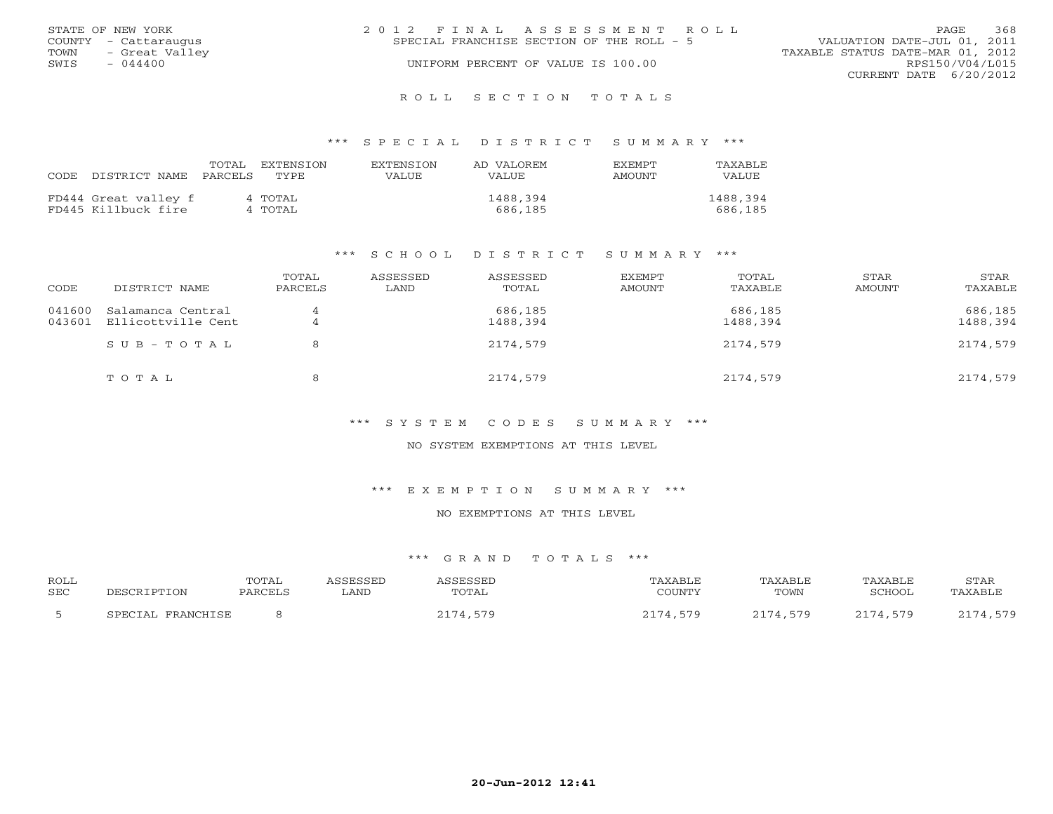|      | STATE OF NEW YORK    | 2012 FINAL ASSESSMENT ROLL |                                           |                                  |                        | <b>PAGE</b> | 368 |
|------|----------------------|----------------------------|-------------------------------------------|----------------------------------|------------------------|-------------|-----|
|      | COUNTY - Cattaraugus |                            | SPECIAL FRANCHISE SECTION OF THE ROLL - 5 | VALUATION DATE-JUL 01, 2011      |                        |             |     |
| TOWN | - Great Valley       |                            |                                           | TAXABLE STATUS DATE-MAR 01, 2012 |                        |             |     |
| SWIS | $-044400$            |                            | UNIFORM PERCENT OF VALUE IS 100.00        |                                  | RPS150/V04/L015        |             |     |
|      |                      |                            |                                           |                                  | CURRENT DATE 6/20/2012 |             |     |
|      |                      |                            |                                           |                                  |                        |             |     |

#### R O L L S E C T I O N T O T A L S

### \*\*\* S P E C I A L D I S T R I C T S U M M A R Y \*\*\*

|      |                      | TOTAL   | EXTENSTON | <b>EXTENSION</b> | AD VALOREM | <b>EXEMPT</b> | TAXABLE  |
|------|----------------------|---------|-----------|------------------|------------|---------------|----------|
| CODE | DISTRICT NAME        | PARCELS | TYPE.     | VALUE            | VALUE      | AMOUNT        | VALUE    |
|      |                      |         |           |                  |            |               |          |
|      | FD444 Great valley f |         | 4 TOTAL   |                  | 1488,394   |               | 1488,394 |
|      | FD445 Killbuck fire  |         | 4 TOTAL   |                  | 686,185    |               | 686,185  |

### \*\*\* S C H O O L D I S T R I C T S U M M A R Y \*\*\*

| CODE                                  | DISTRICT NAME      | TOTAL<br>PARCELS | ASSESSED<br>LAND | ASSESSED<br>TOTAL   | EXEMPT<br>AMOUNT | TOTAL<br>TAXABLE    | STAR<br>AMOUNT | STAR<br>TAXABLE     |
|---------------------------------------|--------------------|------------------|------------------|---------------------|------------------|---------------------|----------------|---------------------|
| 041600<br>Salamanca Central<br>043601 | Ellicottville Cent | 4<br>4           |                  | 686,185<br>1488,394 |                  | 686,185<br>1488,394 |                | 686,185<br>1488,394 |
|                                       | SUB-TOTAL          | 8                |                  | 2174,579            |                  | 2174,579            |                | 2174,579            |
|                                       | TOTAL              | 8                |                  | 2174,579            |                  | 2174,579            |                | 2174,579            |

### \*\*\* S Y S T E M C O D E S S U M M A R Y \*\*\*

### NO SYSTEM EXEMPTIONS AT THIS LEVEL

### \*\*\* E X E M P T I O N S U M M A R Y \*\*\*

### NO EXEMPTIONS AT THIS LEVEL

| <b>ROLL</b><br><b>SEC</b> | DESCRIPTION          | TOTAL<br>PARCELS | ASSESSED<br>LAND | <b>ASSESSED</b><br>TOTAL | TAXABLE<br>COUNTY | TAXABLE<br>TOWN | TAXABLE<br>SCHOOL | STAR<br>TAXABLE |
|---------------------------|----------------------|------------------|------------------|--------------------------|-------------------|-----------------|-------------------|-----------------|
|                           | FRANCHISE<br>SPECIAL |                  |                  | 2174,579                 | 2174,579          | 2174,579        | 2174,579          | 2174,579        |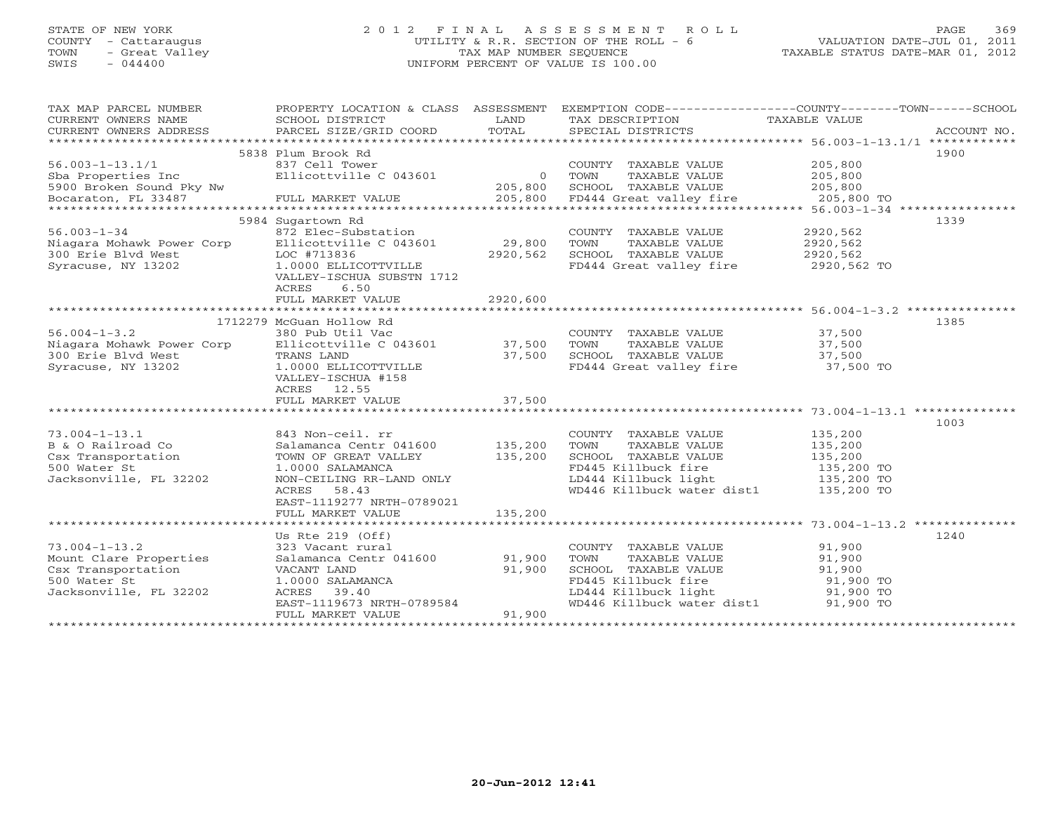## STATE OF NEW YORK 2 0 1 2 F I N A L A S S E S S M E N T R O L L PAGE 369 COUNTY - Cattaraugus UTILITY & R.R. SECTION OF THE ROLL - 6 VALUATION DATE-JUL 01, 2011 TOWN - Great Valley TAX MAP NUMBER SEQUENCE TAXABLE STATUS DATE-MAR 01, 2012 SWIS - 044400 UNIFORM PERCENT OF VALUE IS 100.00UNIFORM PERCENT OF VALUE IS 100.00

| TAX MAP PARCEL NUMBER     |                           |                | PROPERTY LOCATION & CLASS ASSESSMENT EXEMPTION CODE---------------COUNTY-------TOWN------SCHOOL |               |             |
|---------------------------|---------------------------|----------------|-------------------------------------------------------------------------------------------------|---------------|-------------|
| CURRENT OWNERS NAME       | SCHOOL DISTRICT           | LAND           | TAX DESCRIPTION                                                                                 | TAXABLE VALUE |             |
| CURRENT OWNERS ADDRESS    | PARCEL SIZE/GRID COORD    | TOTAL          | SPECIAL DISTRICTS                                                                               |               | ACCOUNT NO. |
|                           |                           |                |                                                                                                 |               |             |
|                           | 5838 Plum Brook Rd        |                |                                                                                                 |               | 1900        |
| $56.003 - 1 - 13.1/1$     | 837 Cell Tower            |                | COUNTY TAXABLE VALUE                                                                            | 205,800       |             |
| Sba Properties Inc        | Ellicottville C 043601    | $\overline{0}$ | TOWN<br>TAXABLE VALUE                                                                           | 205,800       |             |
| 5900 Broken Sound Pky Nw  |                           | 205,800        | SCHOOL TAXABLE VALUE                                                                            | 205,800       |             |
| Bocaraton, FL 33487       | FULL MARKET VALUE         | 205,800        | FD444 Great valley fire                                                                         | 205,800 TO    |             |
|                           |                           |                |                                                                                                 |               |             |
|                           | 5984 Sugartown Rd         |                |                                                                                                 |               | 1339        |
| $56.003 - 1 - 34$         | 872 Elec-Substation       |                | COUNTY TAXABLE VALUE                                                                            | 2920,562      |             |
| Niagara Mohawk Power Corp | Ellicottville C 043601    | 29,800         | TOWN<br>TAXABLE VALUE                                                                           | 2920,562      |             |
| 300 Erie Blvd West        | LOC #713836               | 2920,562       | SCHOOL TAXABLE VALUE                                                                            | 2920,562      |             |
| Syracuse, NY 13202        | 1.0000 ELLICOTTVILLE      |                | FD444 Great valley fire                                                                         | 2920,562 TO   |             |
|                           | VALLEY-ISCHUA SUBSTN 1712 |                |                                                                                                 |               |             |
|                           | 6.50<br>ACRES             |                |                                                                                                 |               |             |
|                           | FULL MARKET VALUE         | 2920,600       |                                                                                                 |               |             |
|                           |                           |                |                                                                                                 |               |             |
|                           | 1712279 McGuan Hollow Rd  |                |                                                                                                 |               | 1385        |
| $56.004 - 1 - 3.2$        | 380 Pub Util Vac          |                | COUNTY TAXABLE VALUE                                                                            | 37,500        |             |
| Niagara Mohawk Power Corp | Ellicottville C 043601    | 37,500         | TOWN<br>TAXABLE VALUE                                                                           | 37,500        |             |
| 300 Erie Blvd West        |                           | 37,500         | SCHOOL TAXABLE VALUE                                                                            | 37,500        |             |
|                           | TRANS LAND                |                |                                                                                                 |               |             |
| Syracuse, NY 13202        | 1.0000 ELLICOTTVILLE      |                | FD444 Great valley fire                                                                         | 37,500 TO     |             |
|                           | VALLEY-ISCHUA #158        |                |                                                                                                 |               |             |
|                           | ACRES 12.55               |                |                                                                                                 |               |             |
|                           | FULL MARKET VALUE         | 37,500         |                                                                                                 |               |             |
|                           |                           |                |                                                                                                 |               |             |
|                           |                           |                |                                                                                                 |               | 1003        |
| $73.004 - 1 - 13.1$       | 843 Non-ceil. rr          |                | COUNTY TAXABLE VALUE                                                                            | 135,200       |             |
| B & O Railroad Co         | Salamanca Centr 041600    | 135,200        | TOWN<br>TAXABLE VALUE                                                                           | 135,200       |             |
| Csx Transportation        | TOWN OF GREAT VALLEY      | 135,200        | SCHOOL TAXABLE VALUE                                                                            | 135,200       |             |
| 500 Water St              | 1.0000 SALAMANCA          |                | FD445 Killbuck fire                                                                             | 135,200 TO    |             |
| Jacksonville, FL 32202    | NON-CEILING RR-LAND ONLY  |                | LD444 Killbuck light                                                                            | 135,200 TO    |             |
|                           | ACRES<br>58.43            |                | WD446 Killbuck water dist1                                                                      | 135,200 TO    |             |
|                           | EAST-1119277 NRTH-0789021 |                |                                                                                                 |               |             |
|                           | FULL MARKET VALUE         | 135,200        |                                                                                                 |               |             |
|                           |                           |                |                                                                                                 |               |             |
|                           | Us Rte $219$ (Off)        |                |                                                                                                 |               | 1240        |
| $73.004 - 1 - 13.2$       | 323 Vacant rural          |                | COUNTY TAXABLE VALUE                                                                            | 91,900        |             |
| Mount Clare Properties    | Salamanca Centr 041600    | 91,900         | TOWN<br>TAXABLE VALUE                                                                           | 91,900        |             |
| Csx Transportation        | VACANT LAND               | 91,900         | SCHOOL TAXABLE VALUE                                                                            | 91,900        |             |
| 500 Water St              | 1.0000 SALAMANCA          |                | FD445 Killbuck fire                                                                             | 91,900 TO     |             |
| Jacksonville, FL 32202    | ACRES 39.40               |                | LD444 Killbuck light                                                                            | 91,900 TO     |             |
|                           | EAST-1119673 NRTH-0789584 |                | WD446 Killbuck water dist1                                                                      | 91,900 TO     |             |
|                           | FULL MARKET VALUE         | 91,900         |                                                                                                 |               |             |
|                           |                           |                |                                                                                                 |               |             |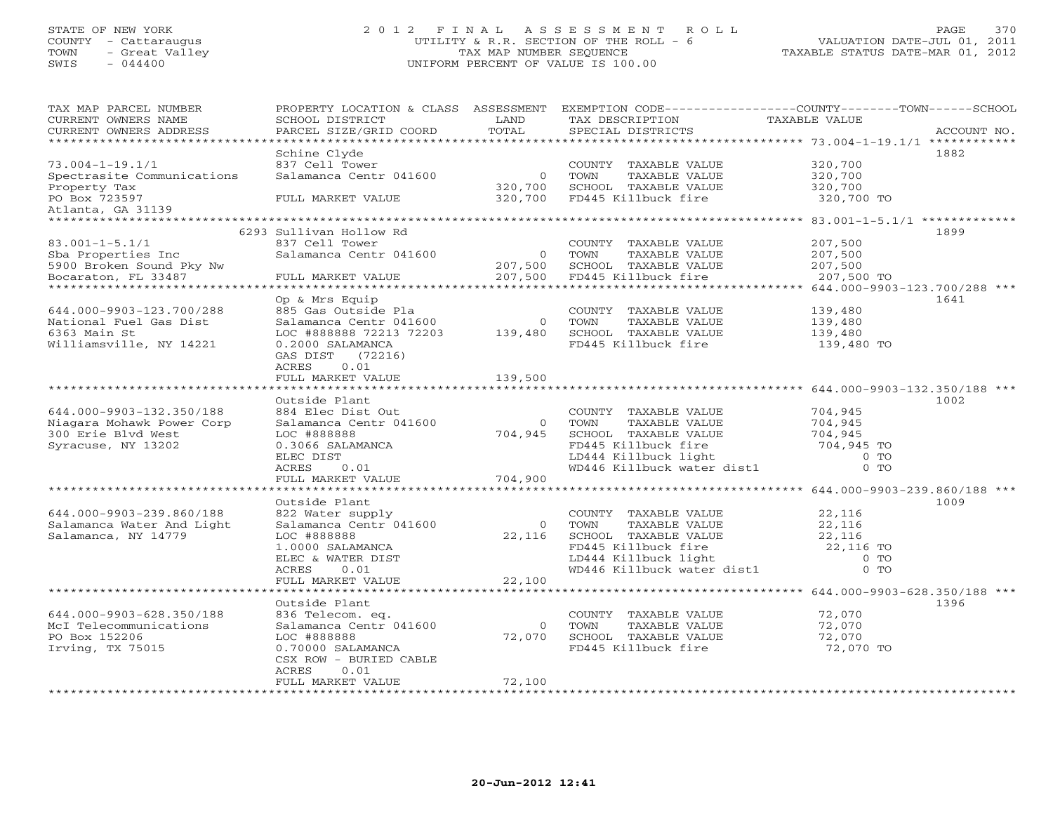## STATE OF NEW YORK 2 0 1 2 F I N A L A S S E S S M E N T R O L L PAGE 370 COUNTY - Cattaraugus UTILITY & R.R. SECTION OF THE ROLL - 6 VALUATION DATE-JUL 01, 2011 TOWN - Great Valley TAX MAP NUMBER SEQUENCE TAXABLE STATUS DATE-MAR 01, 2012 SWIS - 044400 UNIFORM PERCENT OF VALUE IS 100.00UNIFORM PERCENT OF VALUE IS 100.00

| * * * * * * *<br>********* 73.004-1-19.1/1 ************<br>Schine Clyde<br>1882<br>$73.004 - 1 - 19.1/1$<br>837 Cell Tower<br>320,700<br>COUNTY TAXABLE VALUE<br>Spectrasite Communications<br>Salamanca Centr 041600<br>TOWN<br>TAXABLE VALUE<br>320,700<br>$\Omega$<br>Property Tax<br>320,700<br>SCHOOL TAXABLE VALUE<br>320,700<br>320,700<br>FD445 Killbuck fire<br>320,700 TO<br>PO Box 723597<br>FULL MARKET VALUE<br>Atlanta, GA 31139<br>******************<br>1899<br>6293 Sullivan Hollow Rd<br>$83.001 - 1 - 5.1/1$<br>837 Cell Tower<br>207,500<br>COUNTY TAXABLE VALUE<br>Salamanca Centr 041600<br>207,500<br>Sba Properties Inc<br>$\Omega$<br>TOWN<br>TAXABLE VALUE<br>207,500<br>SCHOOL TAXABLE VALUE<br>207,500<br>5900 Broken Sound Pky Nw<br>Bocaraton, FL 33487<br>207,500<br>FD445 Killbuck fire<br>207,500 TO<br>FULL MARKET VALUE<br>********************<br>644.000-9903-123.700/288 ***<br>1641<br>Op & Mrs Equip<br>885 Gas Outside Pla<br>644.000-9903-123.700/288<br>COUNTY TAXABLE VALUE<br>139,480<br>Salamanca Centr 041600<br>$\mathbf{0}$<br>TOWN<br>TAXABLE VALUE<br>139,480<br>National Fuel Gas Dist<br>6363 Main St<br>LOC #888888 72213 72203<br>SCHOOL TAXABLE VALUE<br>139,480<br>139,480<br>Williamsville, NY 14221<br>FD445 Killbuck fire<br>0.2000 SALAMANCA<br>139,480 TO<br>GAS DIST<br>(72216)<br>0.01<br>ACRES<br>139,500<br>FULL MARKET VALUE<br>********** 644.000-9903-132.350/188 ***<br>Outside Plant<br>1002<br>644.000-9903-132.350/188<br>704,945<br>884 Elec Dist Out<br>COUNTY TAXABLE VALUE<br>Niagara Mohawk Power Corp<br>Salamanca Centr 041600<br>TAXABLE VALUE<br>704,945<br>TOWN<br>$\circ$<br>SCHOOL TAXABLE VALUE<br>300 Erie Blvd West<br>LOC #888888<br>704,945<br>704,945<br>0.3066 SALAMANCA<br>FD445 Killbuck fire<br>704,945 TO<br>Syracuse, NY 13202<br>ELEC DIST<br>LD444 Killbuck light<br>$0$ TO<br>WD446 Killbuck water dist1<br>ACRES<br>0.01<br>$0$ TO<br>704,900<br>FULL MARKET VALUE<br>* * * * * * * * * * * * * * * * *<br>***** 644.000-9903-239.860/188 ***<br>1009<br>Outside Plant<br>644.000-9903-239.860/188<br>22,116<br>822 Water supply<br>COUNTY TAXABLE VALUE<br>Salamanca Centr 041600<br>TAXABLE VALUE<br>22,116<br>Salamanca Water And Light<br>$\circ$<br>TOWN<br>Salamanca, NY 14779<br>LOC #888888<br>22,116<br>SCHOOL TAXABLE VALUE<br>22,116<br>FD445 Killbuck fire<br>1.0000 SALAMANCA<br>22,116 TO<br>LD444 Killbuck light<br>$0$ TO<br>ELEC & WATER DIST<br>WD446 Killbuck water dist1<br>$0$ TO<br>ACRES<br>0.01<br>FULL MARKET VALUE<br>22,100<br>644.000-9903-628.350/188 ***<br>Outside Plant<br>1396<br>644.000-9903-628.350/188<br>836 Telecom. eq.<br>COUNTY TAXABLE VALUE<br>72,070<br>McI Telecommunications<br>TAXABLE VALUE<br>Salamanca Centr 041600<br>$\circ$<br>TOWN<br>72,070<br>PO Box 152206<br>72,070<br>LOC #888888<br>72,070<br>SCHOOL TAXABLE VALUE<br>Irving, TX 75015<br>FD445 Killbuck fire<br>0.70000 SALAMANCA<br>72,070 TO<br>CSX ROW - BURIED CABLE<br>ACRES<br>0.01<br>72,100<br>FULL MARKET VALUE<br>******************* | TAX MAP PARCEL NUMBER<br>CURRENT OWNERS NAME | PROPERTY LOCATION & CLASS<br>SCHOOL DISTRICT | ASSESSMENT<br>LAND<br>TOTAL | TAX DESCRIPTION   | EXEMPTION CODE-----------------COUNTY-------TOWN------SCHOOL<br>TAXABLE VALUE<br>ACCOUNT NO. |
|--------------------------------------------------------------------------------------------------------------------------------------------------------------------------------------------------------------------------------------------------------------------------------------------------------------------------------------------------------------------------------------------------------------------------------------------------------------------------------------------------------------------------------------------------------------------------------------------------------------------------------------------------------------------------------------------------------------------------------------------------------------------------------------------------------------------------------------------------------------------------------------------------------------------------------------------------------------------------------------------------------------------------------------------------------------------------------------------------------------------------------------------------------------------------------------------------------------------------------------------------------------------------------------------------------------------------------------------------------------------------------------------------------------------------------------------------------------------------------------------------------------------------------------------------------------------------------------------------------------------------------------------------------------------------------------------------------------------------------------------------------------------------------------------------------------------------------------------------------------------------------------------------------------------------------------------------------------------------------------------------------------------------------------------------------------------------------------------------------------------------------------------------------------------------------------------------------------------------------------------------------------------------------------------------------------------------------------------------------------------------------------------------------------------------------------------------------------------------------------------------------------------------------------------------------------------------------------------------------------------------------------------------------------------------------------------------------------------------------------------------------------------------------------------------------------------------------------------------------------------------------------------------------------------------------------------------------------------------------------------------------------------------------------------------------------------|----------------------------------------------|----------------------------------------------|-----------------------------|-------------------|----------------------------------------------------------------------------------------------|
|                                                                                                                                                                                                                                                                                                                                                                                                                                                                                                                                                                                                                                                                                                                                                                                                                                                                                                                                                                                                                                                                                                                                                                                                                                                                                                                                                                                                                                                                                                                                                                                                                                                                                                                                                                                                                                                                                                                                                                                                                                                                                                                                                                                                                                                                                                                                                                                                                                                                                                                                                                                                                                                                                                                                                                                                                                                                                                                                                                                                                                                                    | CURRENT OWNERS ADDRESS                       | PARCEL SIZE/GRID COORD                       |                             | SPECIAL DISTRICTS |                                                                                              |
|                                                                                                                                                                                                                                                                                                                                                                                                                                                                                                                                                                                                                                                                                                                                                                                                                                                                                                                                                                                                                                                                                                                                                                                                                                                                                                                                                                                                                                                                                                                                                                                                                                                                                                                                                                                                                                                                                                                                                                                                                                                                                                                                                                                                                                                                                                                                                                                                                                                                                                                                                                                                                                                                                                                                                                                                                                                                                                                                                                                                                                                                    |                                              |                                              |                             |                   |                                                                                              |
|                                                                                                                                                                                                                                                                                                                                                                                                                                                                                                                                                                                                                                                                                                                                                                                                                                                                                                                                                                                                                                                                                                                                                                                                                                                                                                                                                                                                                                                                                                                                                                                                                                                                                                                                                                                                                                                                                                                                                                                                                                                                                                                                                                                                                                                                                                                                                                                                                                                                                                                                                                                                                                                                                                                                                                                                                                                                                                                                                                                                                                                                    |                                              |                                              |                             |                   |                                                                                              |
|                                                                                                                                                                                                                                                                                                                                                                                                                                                                                                                                                                                                                                                                                                                                                                                                                                                                                                                                                                                                                                                                                                                                                                                                                                                                                                                                                                                                                                                                                                                                                                                                                                                                                                                                                                                                                                                                                                                                                                                                                                                                                                                                                                                                                                                                                                                                                                                                                                                                                                                                                                                                                                                                                                                                                                                                                                                                                                                                                                                                                                                                    |                                              |                                              |                             |                   |                                                                                              |
|                                                                                                                                                                                                                                                                                                                                                                                                                                                                                                                                                                                                                                                                                                                                                                                                                                                                                                                                                                                                                                                                                                                                                                                                                                                                                                                                                                                                                                                                                                                                                                                                                                                                                                                                                                                                                                                                                                                                                                                                                                                                                                                                                                                                                                                                                                                                                                                                                                                                                                                                                                                                                                                                                                                                                                                                                                                                                                                                                                                                                                                                    |                                              |                                              |                             |                   |                                                                                              |
|                                                                                                                                                                                                                                                                                                                                                                                                                                                                                                                                                                                                                                                                                                                                                                                                                                                                                                                                                                                                                                                                                                                                                                                                                                                                                                                                                                                                                                                                                                                                                                                                                                                                                                                                                                                                                                                                                                                                                                                                                                                                                                                                                                                                                                                                                                                                                                                                                                                                                                                                                                                                                                                                                                                                                                                                                                                                                                                                                                                                                                                                    |                                              |                                              |                             |                   |                                                                                              |
|                                                                                                                                                                                                                                                                                                                                                                                                                                                                                                                                                                                                                                                                                                                                                                                                                                                                                                                                                                                                                                                                                                                                                                                                                                                                                                                                                                                                                                                                                                                                                                                                                                                                                                                                                                                                                                                                                                                                                                                                                                                                                                                                                                                                                                                                                                                                                                                                                                                                                                                                                                                                                                                                                                                                                                                                                                                                                                                                                                                                                                                                    |                                              |                                              |                             |                   |                                                                                              |
|                                                                                                                                                                                                                                                                                                                                                                                                                                                                                                                                                                                                                                                                                                                                                                                                                                                                                                                                                                                                                                                                                                                                                                                                                                                                                                                                                                                                                                                                                                                                                                                                                                                                                                                                                                                                                                                                                                                                                                                                                                                                                                                                                                                                                                                                                                                                                                                                                                                                                                                                                                                                                                                                                                                                                                                                                                                                                                                                                                                                                                                                    |                                              |                                              |                             |                   |                                                                                              |
|                                                                                                                                                                                                                                                                                                                                                                                                                                                                                                                                                                                                                                                                                                                                                                                                                                                                                                                                                                                                                                                                                                                                                                                                                                                                                                                                                                                                                                                                                                                                                                                                                                                                                                                                                                                                                                                                                                                                                                                                                                                                                                                                                                                                                                                                                                                                                                                                                                                                                                                                                                                                                                                                                                                                                                                                                                                                                                                                                                                                                                                                    |                                              |                                              |                             |                   |                                                                                              |
|                                                                                                                                                                                                                                                                                                                                                                                                                                                                                                                                                                                                                                                                                                                                                                                                                                                                                                                                                                                                                                                                                                                                                                                                                                                                                                                                                                                                                                                                                                                                                                                                                                                                                                                                                                                                                                                                                                                                                                                                                                                                                                                                                                                                                                                                                                                                                                                                                                                                                                                                                                                                                                                                                                                                                                                                                                                                                                                                                                                                                                                                    |                                              |                                              |                             |                   |                                                                                              |
|                                                                                                                                                                                                                                                                                                                                                                                                                                                                                                                                                                                                                                                                                                                                                                                                                                                                                                                                                                                                                                                                                                                                                                                                                                                                                                                                                                                                                                                                                                                                                                                                                                                                                                                                                                                                                                                                                                                                                                                                                                                                                                                                                                                                                                                                                                                                                                                                                                                                                                                                                                                                                                                                                                                                                                                                                                                                                                                                                                                                                                                                    |                                              |                                              |                             |                   |                                                                                              |
|                                                                                                                                                                                                                                                                                                                                                                                                                                                                                                                                                                                                                                                                                                                                                                                                                                                                                                                                                                                                                                                                                                                                                                                                                                                                                                                                                                                                                                                                                                                                                                                                                                                                                                                                                                                                                                                                                                                                                                                                                                                                                                                                                                                                                                                                                                                                                                                                                                                                                                                                                                                                                                                                                                                                                                                                                                                                                                                                                                                                                                                                    |                                              |                                              |                             |                   |                                                                                              |
|                                                                                                                                                                                                                                                                                                                                                                                                                                                                                                                                                                                                                                                                                                                                                                                                                                                                                                                                                                                                                                                                                                                                                                                                                                                                                                                                                                                                                                                                                                                                                                                                                                                                                                                                                                                                                                                                                                                                                                                                                                                                                                                                                                                                                                                                                                                                                                                                                                                                                                                                                                                                                                                                                                                                                                                                                                                                                                                                                                                                                                                                    |                                              |                                              |                             |                   |                                                                                              |
|                                                                                                                                                                                                                                                                                                                                                                                                                                                                                                                                                                                                                                                                                                                                                                                                                                                                                                                                                                                                                                                                                                                                                                                                                                                                                                                                                                                                                                                                                                                                                                                                                                                                                                                                                                                                                                                                                                                                                                                                                                                                                                                                                                                                                                                                                                                                                                                                                                                                                                                                                                                                                                                                                                                                                                                                                                                                                                                                                                                                                                                                    |                                              |                                              |                             |                   |                                                                                              |
|                                                                                                                                                                                                                                                                                                                                                                                                                                                                                                                                                                                                                                                                                                                                                                                                                                                                                                                                                                                                                                                                                                                                                                                                                                                                                                                                                                                                                                                                                                                                                                                                                                                                                                                                                                                                                                                                                                                                                                                                                                                                                                                                                                                                                                                                                                                                                                                                                                                                                                                                                                                                                                                                                                                                                                                                                                                                                                                                                                                                                                                                    |                                              |                                              |                             |                   |                                                                                              |
|                                                                                                                                                                                                                                                                                                                                                                                                                                                                                                                                                                                                                                                                                                                                                                                                                                                                                                                                                                                                                                                                                                                                                                                                                                                                                                                                                                                                                                                                                                                                                                                                                                                                                                                                                                                                                                                                                                                                                                                                                                                                                                                                                                                                                                                                                                                                                                                                                                                                                                                                                                                                                                                                                                                                                                                                                                                                                                                                                                                                                                                                    |                                              |                                              |                             |                   |                                                                                              |
|                                                                                                                                                                                                                                                                                                                                                                                                                                                                                                                                                                                                                                                                                                                                                                                                                                                                                                                                                                                                                                                                                                                                                                                                                                                                                                                                                                                                                                                                                                                                                                                                                                                                                                                                                                                                                                                                                                                                                                                                                                                                                                                                                                                                                                                                                                                                                                                                                                                                                                                                                                                                                                                                                                                                                                                                                                                                                                                                                                                                                                                                    |                                              |                                              |                             |                   |                                                                                              |
|                                                                                                                                                                                                                                                                                                                                                                                                                                                                                                                                                                                                                                                                                                                                                                                                                                                                                                                                                                                                                                                                                                                                                                                                                                                                                                                                                                                                                                                                                                                                                                                                                                                                                                                                                                                                                                                                                                                                                                                                                                                                                                                                                                                                                                                                                                                                                                                                                                                                                                                                                                                                                                                                                                                                                                                                                                                                                                                                                                                                                                                                    |                                              |                                              |                             |                   |                                                                                              |
|                                                                                                                                                                                                                                                                                                                                                                                                                                                                                                                                                                                                                                                                                                                                                                                                                                                                                                                                                                                                                                                                                                                                                                                                                                                                                                                                                                                                                                                                                                                                                                                                                                                                                                                                                                                                                                                                                                                                                                                                                                                                                                                                                                                                                                                                                                                                                                                                                                                                                                                                                                                                                                                                                                                                                                                                                                                                                                                                                                                                                                                                    |                                              |                                              |                             |                   |                                                                                              |
|                                                                                                                                                                                                                                                                                                                                                                                                                                                                                                                                                                                                                                                                                                                                                                                                                                                                                                                                                                                                                                                                                                                                                                                                                                                                                                                                                                                                                                                                                                                                                                                                                                                                                                                                                                                                                                                                                                                                                                                                                                                                                                                                                                                                                                                                                                                                                                                                                                                                                                                                                                                                                                                                                                                                                                                                                                                                                                                                                                                                                                                                    |                                              |                                              |                             |                   |                                                                                              |
|                                                                                                                                                                                                                                                                                                                                                                                                                                                                                                                                                                                                                                                                                                                                                                                                                                                                                                                                                                                                                                                                                                                                                                                                                                                                                                                                                                                                                                                                                                                                                                                                                                                                                                                                                                                                                                                                                                                                                                                                                                                                                                                                                                                                                                                                                                                                                                                                                                                                                                                                                                                                                                                                                                                                                                                                                                                                                                                                                                                                                                                                    |                                              |                                              |                             |                   |                                                                                              |
|                                                                                                                                                                                                                                                                                                                                                                                                                                                                                                                                                                                                                                                                                                                                                                                                                                                                                                                                                                                                                                                                                                                                                                                                                                                                                                                                                                                                                                                                                                                                                                                                                                                                                                                                                                                                                                                                                                                                                                                                                                                                                                                                                                                                                                                                                                                                                                                                                                                                                                                                                                                                                                                                                                                                                                                                                                                                                                                                                                                                                                                                    |                                              |                                              |                             |                   |                                                                                              |
|                                                                                                                                                                                                                                                                                                                                                                                                                                                                                                                                                                                                                                                                                                                                                                                                                                                                                                                                                                                                                                                                                                                                                                                                                                                                                                                                                                                                                                                                                                                                                                                                                                                                                                                                                                                                                                                                                                                                                                                                                                                                                                                                                                                                                                                                                                                                                                                                                                                                                                                                                                                                                                                                                                                                                                                                                                                                                                                                                                                                                                                                    |                                              |                                              |                             |                   |                                                                                              |
|                                                                                                                                                                                                                                                                                                                                                                                                                                                                                                                                                                                                                                                                                                                                                                                                                                                                                                                                                                                                                                                                                                                                                                                                                                                                                                                                                                                                                                                                                                                                                                                                                                                                                                                                                                                                                                                                                                                                                                                                                                                                                                                                                                                                                                                                                                                                                                                                                                                                                                                                                                                                                                                                                                                                                                                                                                                                                                                                                                                                                                                                    |                                              |                                              |                             |                   |                                                                                              |
|                                                                                                                                                                                                                                                                                                                                                                                                                                                                                                                                                                                                                                                                                                                                                                                                                                                                                                                                                                                                                                                                                                                                                                                                                                                                                                                                                                                                                                                                                                                                                                                                                                                                                                                                                                                                                                                                                                                                                                                                                                                                                                                                                                                                                                                                                                                                                                                                                                                                                                                                                                                                                                                                                                                                                                                                                                                                                                                                                                                                                                                                    |                                              |                                              |                             |                   |                                                                                              |
|                                                                                                                                                                                                                                                                                                                                                                                                                                                                                                                                                                                                                                                                                                                                                                                                                                                                                                                                                                                                                                                                                                                                                                                                                                                                                                                                                                                                                                                                                                                                                                                                                                                                                                                                                                                                                                                                                                                                                                                                                                                                                                                                                                                                                                                                                                                                                                                                                                                                                                                                                                                                                                                                                                                                                                                                                                                                                                                                                                                                                                                                    |                                              |                                              |                             |                   |                                                                                              |
|                                                                                                                                                                                                                                                                                                                                                                                                                                                                                                                                                                                                                                                                                                                                                                                                                                                                                                                                                                                                                                                                                                                                                                                                                                                                                                                                                                                                                                                                                                                                                                                                                                                                                                                                                                                                                                                                                                                                                                                                                                                                                                                                                                                                                                                                                                                                                                                                                                                                                                                                                                                                                                                                                                                                                                                                                                                                                                                                                                                                                                                                    |                                              |                                              |                             |                   |                                                                                              |
|                                                                                                                                                                                                                                                                                                                                                                                                                                                                                                                                                                                                                                                                                                                                                                                                                                                                                                                                                                                                                                                                                                                                                                                                                                                                                                                                                                                                                                                                                                                                                                                                                                                                                                                                                                                                                                                                                                                                                                                                                                                                                                                                                                                                                                                                                                                                                                                                                                                                                                                                                                                                                                                                                                                                                                                                                                                                                                                                                                                                                                                                    |                                              |                                              |                             |                   |                                                                                              |
|                                                                                                                                                                                                                                                                                                                                                                                                                                                                                                                                                                                                                                                                                                                                                                                                                                                                                                                                                                                                                                                                                                                                                                                                                                                                                                                                                                                                                                                                                                                                                                                                                                                                                                                                                                                                                                                                                                                                                                                                                                                                                                                                                                                                                                                                                                                                                                                                                                                                                                                                                                                                                                                                                                                                                                                                                                                                                                                                                                                                                                                                    |                                              |                                              |                             |                   |                                                                                              |
|                                                                                                                                                                                                                                                                                                                                                                                                                                                                                                                                                                                                                                                                                                                                                                                                                                                                                                                                                                                                                                                                                                                                                                                                                                                                                                                                                                                                                                                                                                                                                                                                                                                                                                                                                                                                                                                                                                                                                                                                                                                                                                                                                                                                                                                                                                                                                                                                                                                                                                                                                                                                                                                                                                                                                                                                                                                                                                                                                                                                                                                                    |                                              |                                              |                             |                   |                                                                                              |
|                                                                                                                                                                                                                                                                                                                                                                                                                                                                                                                                                                                                                                                                                                                                                                                                                                                                                                                                                                                                                                                                                                                                                                                                                                                                                                                                                                                                                                                                                                                                                                                                                                                                                                                                                                                                                                                                                                                                                                                                                                                                                                                                                                                                                                                                                                                                                                                                                                                                                                                                                                                                                                                                                                                                                                                                                                                                                                                                                                                                                                                                    |                                              |                                              |                             |                   |                                                                                              |
|                                                                                                                                                                                                                                                                                                                                                                                                                                                                                                                                                                                                                                                                                                                                                                                                                                                                                                                                                                                                                                                                                                                                                                                                                                                                                                                                                                                                                                                                                                                                                                                                                                                                                                                                                                                                                                                                                                                                                                                                                                                                                                                                                                                                                                                                                                                                                                                                                                                                                                                                                                                                                                                                                                                                                                                                                                                                                                                                                                                                                                                                    |                                              |                                              |                             |                   |                                                                                              |
|                                                                                                                                                                                                                                                                                                                                                                                                                                                                                                                                                                                                                                                                                                                                                                                                                                                                                                                                                                                                                                                                                                                                                                                                                                                                                                                                                                                                                                                                                                                                                                                                                                                                                                                                                                                                                                                                                                                                                                                                                                                                                                                                                                                                                                                                                                                                                                                                                                                                                                                                                                                                                                                                                                                                                                                                                                                                                                                                                                                                                                                                    |                                              |                                              |                             |                   |                                                                                              |
|                                                                                                                                                                                                                                                                                                                                                                                                                                                                                                                                                                                                                                                                                                                                                                                                                                                                                                                                                                                                                                                                                                                                                                                                                                                                                                                                                                                                                                                                                                                                                                                                                                                                                                                                                                                                                                                                                                                                                                                                                                                                                                                                                                                                                                                                                                                                                                                                                                                                                                                                                                                                                                                                                                                                                                                                                                                                                                                                                                                                                                                                    |                                              |                                              |                             |                   |                                                                                              |
|                                                                                                                                                                                                                                                                                                                                                                                                                                                                                                                                                                                                                                                                                                                                                                                                                                                                                                                                                                                                                                                                                                                                                                                                                                                                                                                                                                                                                                                                                                                                                                                                                                                                                                                                                                                                                                                                                                                                                                                                                                                                                                                                                                                                                                                                                                                                                                                                                                                                                                                                                                                                                                                                                                                                                                                                                                                                                                                                                                                                                                                                    |                                              |                                              |                             |                   |                                                                                              |
|                                                                                                                                                                                                                                                                                                                                                                                                                                                                                                                                                                                                                                                                                                                                                                                                                                                                                                                                                                                                                                                                                                                                                                                                                                                                                                                                                                                                                                                                                                                                                                                                                                                                                                                                                                                                                                                                                                                                                                                                                                                                                                                                                                                                                                                                                                                                                                                                                                                                                                                                                                                                                                                                                                                                                                                                                                                                                                                                                                                                                                                                    |                                              |                                              |                             |                   |                                                                                              |
|                                                                                                                                                                                                                                                                                                                                                                                                                                                                                                                                                                                                                                                                                                                                                                                                                                                                                                                                                                                                                                                                                                                                                                                                                                                                                                                                                                                                                                                                                                                                                                                                                                                                                                                                                                                                                                                                                                                                                                                                                                                                                                                                                                                                                                                                                                                                                                                                                                                                                                                                                                                                                                                                                                                                                                                                                                                                                                                                                                                                                                                                    |                                              |                                              |                             |                   |                                                                                              |
|                                                                                                                                                                                                                                                                                                                                                                                                                                                                                                                                                                                                                                                                                                                                                                                                                                                                                                                                                                                                                                                                                                                                                                                                                                                                                                                                                                                                                                                                                                                                                                                                                                                                                                                                                                                                                                                                                                                                                                                                                                                                                                                                                                                                                                                                                                                                                                                                                                                                                                                                                                                                                                                                                                                                                                                                                                                                                                                                                                                                                                                                    |                                              |                                              |                             |                   |                                                                                              |
|                                                                                                                                                                                                                                                                                                                                                                                                                                                                                                                                                                                                                                                                                                                                                                                                                                                                                                                                                                                                                                                                                                                                                                                                                                                                                                                                                                                                                                                                                                                                                                                                                                                                                                                                                                                                                                                                                                                                                                                                                                                                                                                                                                                                                                                                                                                                                                                                                                                                                                                                                                                                                                                                                                                                                                                                                                                                                                                                                                                                                                                                    |                                              |                                              |                             |                   |                                                                                              |
|                                                                                                                                                                                                                                                                                                                                                                                                                                                                                                                                                                                                                                                                                                                                                                                                                                                                                                                                                                                                                                                                                                                                                                                                                                                                                                                                                                                                                                                                                                                                                                                                                                                                                                                                                                                                                                                                                                                                                                                                                                                                                                                                                                                                                                                                                                                                                                                                                                                                                                                                                                                                                                                                                                                                                                                                                                                                                                                                                                                                                                                                    |                                              |                                              |                             |                   |                                                                                              |
|                                                                                                                                                                                                                                                                                                                                                                                                                                                                                                                                                                                                                                                                                                                                                                                                                                                                                                                                                                                                                                                                                                                                                                                                                                                                                                                                                                                                                                                                                                                                                                                                                                                                                                                                                                                                                                                                                                                                                                                                                                                                                                                                                                                                                                                                                                                                                                                                                                                                                                                                                                                                                                                                                                                                                                                                                                                                                                                                                                                                                                                                    |                                              |                                              |                             |                   |                                                                                              |
|                                                                                                                                                                                                                                                                                                                                                                                                                                                                                                                                                                                                                                                                                                                                                                                                                                                                                                                                                                                                                                                                                                                                                                                                                                                                                                                                                                                                                                                                                                                                                                                                                                                                                                                                                                                                                                                                                                                                                                                                                                                                                                                                                                                                                                                                                                                                                                                                                                                                                                                                                                                                                                                                                                                                                                                                                                                                                                                                                                                                                                                                    |                                              |                                              |                             |                   |                                                                                              |
|                                                                                                                                                                                                                                                                                                                                                                                                                                                                                                                                                                                                                                                                                                                                                                                                                                                                                                                                                                                                                                                                                                                                                                                                                                                                                                                                                                                                                                                                                                                                                                                                                                                                                                                                                                                                                                                                                                                                                                                                                                                                                                                                                                                                                                                                                                                                                                                                                                                                                                                                                                                                                                                                                                                                                                                                                                                                                                                                                                                                                                                                    |                                              |                                              |                             |                   |                                                                                              |
|                                                                                                                                                                                                                                                                                                                                                                                                                                                                                                                                                                                                                                                                                                                                                                                                                                                                                                                                                                                                                                                                                                                                                                                                                                                                                                                                                                                                                                                                                                                                                                                                                                                                                                                                                                                                                                                                                                                                                                                                                                                                                                                                                                                                                                                                                                                                                                                                                                                                                                                                                                                                                                                                                                                                                                                                                                                                                                                                                                                                                                                                    |                                              |                                              |                             |                   |                                                                                              |
|                                                                                                                                                                                                                                                                                                                                                                                                                                                                                                                                                                                                                                                                                                                                                                                                                                                                                                                                                                                                                                                                                                                                                                                                                                                                                                                                                                                                                                                                                                                                                                                                                                                                                                                                                                                                                                                                                                                                                                                                                                                                                                                                                                                                                                                                                                                                                                                                                                                                                                                                                                                                                                                                                                                                                                                                                                                                                                                                                                                                                                                                    |                                              |                                              |                             |                   |                                                                                              |
|                                                                                                                                                                                                                                                                                                                                                                                                                                                                                                                                                                                                                                                                                                                                                                                                                                                                                                                                                                                                                                                                                                                                                                                                                                                                                                                                                                                                                                                                                                                                                                                                                                                                                                                                                                                                                                                                                                                                                                                                                                                                                                                                                                                                                                                                                                                                                                                                                                                                                                                                                                                                                                                                                                                                                                                                                                                                                                                                                                                                                                                                    |                                              |                                              |                             |                   |                                                                                              |
|                                                                                                                                                                                                                                                                                                                                                                                                                                                                                                                                                                                                                                                                                                                                                                                                                                                                                                                                                                                                                                                                                                                                                                                                                                                                                                                                                                                                                                                                                                                                                                                                                                                                                                                                                                                                                                                                                                                                                                                                                                                                                                                                                                                                                                                                                                                                                                                                                                                                                                                                                                                                                                                                                                                                                                                                                                                                                                                                                                                                                                                                    |                                              |                                              |                             |                   |                                                                                              |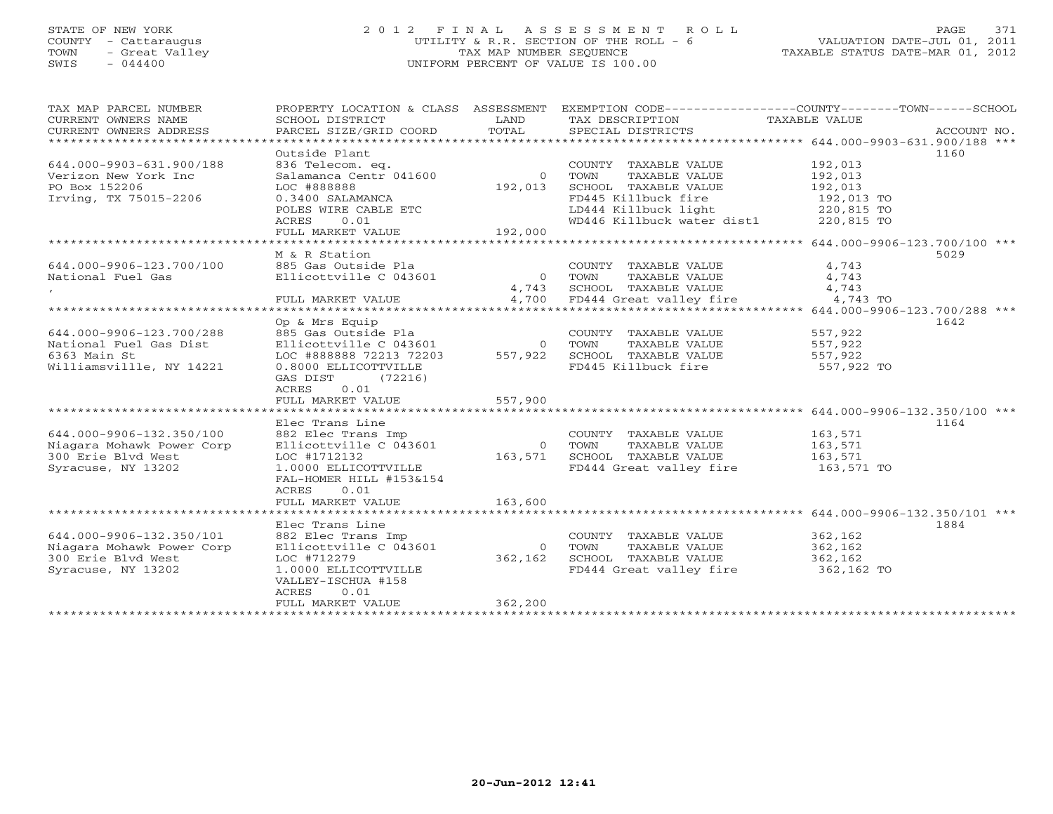## STATE OF NEW YORK 2 0 1 2 F I N A L A S S E S S M E N T R O L L PAGE 371 COUNTY - Cattaraugus UTILITY & R.R. SECTION OF THE ROLL - 6 VALUATION DATE-JUL 01, 2011 TOWN - Great Valley TAX MAP NUMBER SEQUENCE TAXABLE STATUS DATE-MAR 01, 2012 SWIS - 044400 UNIFORM PERCENT OF VALUE IS 100.00UNIFORM PERCENT OF VALUE IS 100.00

| TAX MAP PARCEL NUMBER<br>CURRENT OWNERS NAME<br>CURRENT OWNERS ADDRESS | PROPERTY LOCATION & CLASS ASSESSMENT<br>SCHOOL DISTRICT<br>PARCEL SIZE/GRID COORD   | LAND<br>TOTAL  | EXEMPTION CODE-----------------COUNTY-------TOWN------SCHOOL<br>TAX DESCRIPTION<br>SPECIAL DISTRICTS | TAXABLE VALUE<br>ACCOUNT NO. |
|------------------------------------------------------------------------|-------------------------------------------------------------------------------------|----------------|------------------------------------------------------------------------------------------------------|------------------------------|
|                                                                        |                                                                                     |                |                                                                                                      |                              |
|                                                                        | Outside Plant                                                                       |                |                                                                                                      | 1160                         |
| 644.000-9903-631.900/188                                               | 836 Telecom. eq.                                                                    |                | COUNTY TAXABLE VALUE                                                                                 | 192,013                      |
| Verizon New York Inc                                                   | Salamanca Centr 041600                                                              | $\overline{0}$ | TAXABLE VALUE<br>TOWN                                                                                | 192,013                      |
| PO Box 152206                                                          | LOC #888888                                                                         | 192,013        | SCHOOL TAXABLE VALUE                                                                                 | 192,013                      |
| Irving, TX 75015-2206                                                  | $0.3400$ SALAMANCA                                                                  |                | FD445 Killbuck fire                                                                                  | 192,013 TO<br>220,815 TO     |
|                                                                        | 0.3400 SALAMANCA<br>POLES WIRE CABLE ETC<br>ACRES 0.01<br>FULL MARKET VALUE 192,000 |                | LD444 Killbuck light                                                                                 |                              |
|                                                                        |                                                                                     |                | $WD446$ Killbuck water dist1 220,815 TO                                                              |                              |
|                                                                        |                                                                                     |                |                                                                                                      |                              |
|                                                                        |                                                                                     |                |                                                                                                      |                              |
|                                                                        | M & R Station                                                                       |                |                                                                                                      | 5029                         |
| 644.000-9906-123.700/100                                               | 885 Gas Outside Pla                                                                 |                | COUNTY TAXABLE VALUE                                                                                 | 4,743                        |
| National Fuel Gas                                                      | 885 Gas Outside Pla<br>Ellicottville C 043601                                       |                | $0$ TOWN<br>TAXABLE VALUE                                                                            | 4,743                        |
|                                                                        |                                                                                     | 4,743          | SCHOOL TAXABLE VALUE                                                                                 | 4,743                        |
|                                                                        | FULL MARKET VALUE                                                                   |                | 4,700 FD444 Great valley fire                                                                        | 4,743 TO                     |
|                                                                        |                                                                                     |                |                                                                                                      |                              |
|                                                                        | Op & Mrs Equip                                                                      |                |                                                                                                      | 1642                         |
| 644.000-9906-123.700/288                                               |                                                                                     |                | COUNTY TAXABLE VALUE                                                                                 | 557,922                      |
| National Fuel Gas Dist                                                 | 885 Gas Outside Pla<br>Ellicottville C 043601                                       | $\overline{0}$ | TOWN<br>TAXABLE VALUE                                                                                | 557,922                      |
| 6363 Main St                                                           | LOC #888888 72213 72203                                                             | 557,922        | SCHOOL TAXABLE VALUE                                                                                 | 557,922                      |
| Williamsvillle, NY 14221                                               | 0.8000 ELLICOTTVILLE                                                                |                | FD445 Killbuck fire                                                                                  | 557,922 TO                   |
|                                                                        | GAS DIST<br>(72216)                                                                 |                |                                                                                                      |                              |
|                                                                        | ACRES 0.01                                                                          |                |                                                                                                      |                              |
|                                                                        | FULL MARKET VALUE                                                                   | 557,900        |                                                                                                      |                              |
|                                                                        |                                                                                     |                |                                                                                                      |                              |
|                                                                        | Elec Trans Line                                                                     |                |                                                                                                      | 1164                         |
| 644.000-9906-132.350/100                                               | 882 Elec Trans Imp                                                                  |                | COUNTY TAXABLE VALUE 163,571                                                                         |                              |
| Niagara Mohawk Power Corp                                              | Ellicottville C 043601                                                              |                | 0 TOWN<br>TAXABLE VALUE                                                                              |                              |
| 300 Erie Blyd West                                                     | LOC #1712132                                                                        |                | 163,571 SCHOOL TAXABLE VALUE                                                                         | 163,571<br>163,571           |
| Syracuse, NY 13202                                                     | 1.0000 ELLICOTTVILLE                                                                |                | FD444 Great valley fire 163,571 TO                                                                   |                              |
|                                                                        | FAL-HOMER HILL #153&154                                                             |                |                                                                                                      |                              |
|                                                                        | 0.01<br>ACRES                                                                       |                |                                                                                                      |                              |
|                                                                        | FULL MARKET VALUE                                                                   | 163,600        |                                                                                                      |                              |
|                                                                        |                                                                                     |                |                                                                                                      |                              |
|                                                                        | Elec Trans Line                                                                     |                |                                                                                                      | 1884                         |
| 644.000-9906-132.350/101                                               | 882 Elec Trans Imp                                                                  |                | COUNTY TAXABLE VALUE                                                                                 | 362,162                      |
| Niagara Mohawk Power Corp                                              | 882 Elec Trans Imp<br>Ellicottville C 043601                                        |                | 0 TOWN<br>TAXABLE VALUE                                                                              | 362,162                      |
| 300 Erie Blyd West                                                     | LOC #712279                                                                         | 362,162        | SCHOOL TAXABLE VALUE                                                                                 | 362,162                      |
| Syracuse, NY 13202                                                     | 1.0000 ELLICOTTVILLE                                                                |                | FD444 Great valley fire                                                                              | 362,162 TO                   |
|                                                                        | VALLEY-ISCHUA #158                                                                  |                |                                                                                                      |                              |
|                                                                        | ACRES<br>0.01                                                                       |                |                                                                                                      |                              |
|                                                                        | FULL MARKET VALUE                                                                   | 362,200        |                                                                                                      |                              |
|                                                                        |                                                                                     |                |                                                                                                      |                              |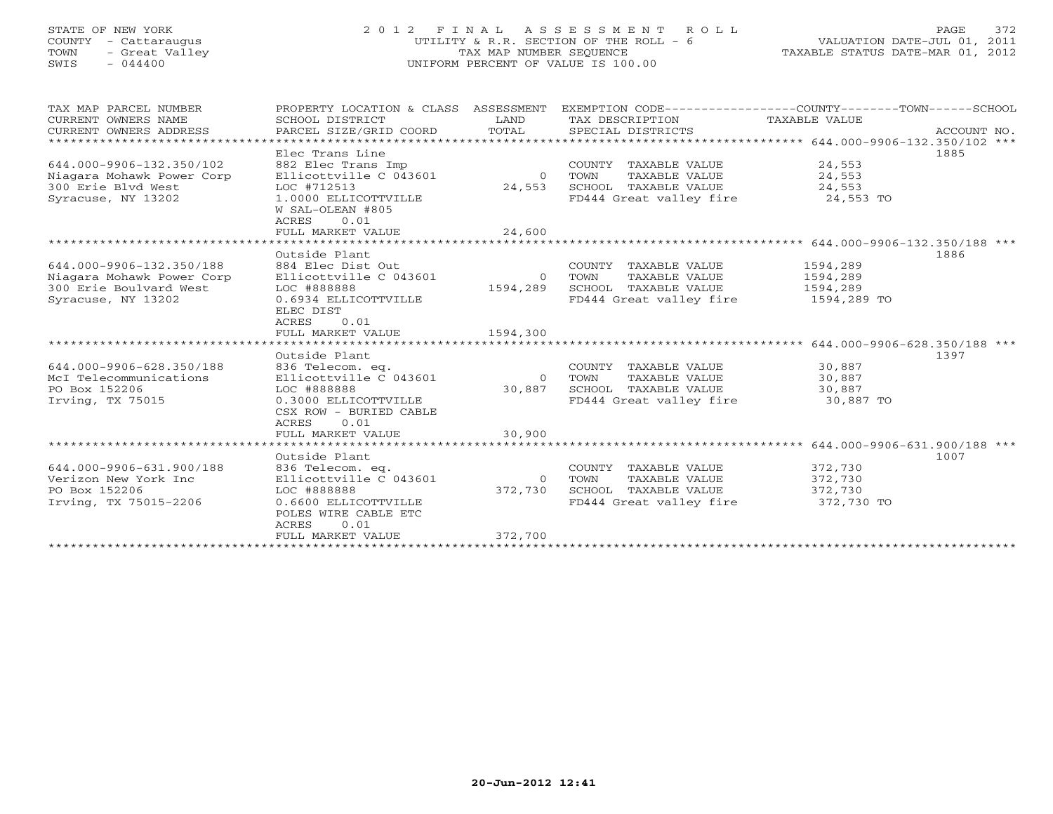## STATE OF NEW YORK 2 0 1 2 F I N A L A S S E S S M E N T R O L L PAGE 372 COUNTY - Cattaraugus UTILITY & R.R. SECTION OF THE ROLL - 6 VALUATION DATE-JUL 01, 2011 TOWN - Great Valley TAX MAP NUMBER SEQUENCE TAXABLE STATUS DATE-MAR 01, 2012 SWIS - 044400 UNIFORM PERCENT OF VALUE IS 100.00UNIFORM PERCENT OF VALUE IS 100.00

| TAX MAP PARCEL NUMBER<br>CURRENT OWNERS NAME<br>CURRENT OWNERS ADDRESS | PROPERTY LOCATION & CLASS<br>SCHOOL DISTRICT<br>PARCEL SIZE/GRID COORD | ASSESSMENT<br>LAND<br>TOTAL | EXEMPTION CODE-----------------COUNTY-------TOWN------SCHOOL<br>TAX DESCRIPTION<br>SPECIAL DISTRICTS | TAXABLE VALUE | ACCOUNT NO. |
|------------------------------------------------------------------------|------------------------------------------------------------------------|-----------------------------|------------------------------------------------------------------------------------------------------|---------------|-------------|
|                                                                        | Elec Trans Line                                                        |                             |                                                                                                      |               | 1885        |
| 644.000-9906-132.350/102                                               | 882 Elec Trans Imp                                                     |                             | COUNTY TAXABLE VALUE                                                                                 | 24,553        |             |
| Niagara Mohawk Power Corp                                              | Ellicottville C 043601                                                 |                             | 0 TOWN<br>TAXABLE VALUE                                                                              | 24,553        |             |
| 300 Erie Blvd West                                                     | LOC #712513                                                            | 24,553                      | SCHOOL TAXABLE VALUE                                                                                 | 24,553        |             |
| Syracuse, NY 13202                                                     | 1.0000 ELLICOTTVILLE<br>W SAL-OLEAN #805                               |                             | FD444 Great valley fire 24,553 TO                                                                    |               |             |
|                                                                        | 0.01<br>ACRES                                                          |                             |                                                                                                      |               |             |
|                                                                        | FULL MARKET VALUE                                                      | 24,600                      |                                                                                                      |               |             |
|                                                                        |                                                                        |                             |                                                                                                      |               |             |
|                                                                        | Outside Plant                                                          |                             |                                                                                                      |               | 1886        |
| 644.000-9906-132.350/188                                               | 884 Elec Dist Out                                                      |                             | COUNTY TAXABLE VALUE                                                                                 | 1594,289      |             |
| Niagara Mohawk Power Corp                                              | Ellicottville C 043601                                                 | $\overline{0}$              | TOWN<br>TAXABLE VALUE                                                                                | 1594,289      |             |
| 300 Erie Boulvard West                                                 | LOC #888888                                                            | 1594,289                    | SCHOOL TAXABLE VALUE                                                                                 | 1594,289      |             |
| Syracuse, NY 13202                                                     | 0.6934 ELLICOTTVILLE<br>ELEC DIST                                      |                             | FD444 Great valley fire                                                                              | 1594,289 TO   |             |
|                                                                        | 0.01<br>ACRES                                                          |                             |                                                                                                      |               |             |
|                                                                        | FULL MARKET VALUE                                                      | 1594,300                    |                                                                                                      |               |             |
|                                                                        | Outside Plant                                                          |                             |                                                                                                      |               | 1397        |
| 644.000-9906-628.350/188                                               | 836 Telecom. eq.                                                       |                             | COUNTY TAXABLE VALUE                                                                                 | 30,887        |             |
| McI Telecommunications                                                 | Ellicottville C 043601                                                 |                             | 0 TOWN<br>TAXABLE VALUE                                                                              | 30,887        |             |
| PO Box 152206                                                          | LOC #888888                                                            | 30,887                      | SCHOOL TAXABLE VALUE                                                                                 | 30,887        |             |
| Irving, TX 75015                                                       | 0.3000 ELLICOTTVILLE                                                   |                             | FD444 Great valley fire                                                                              | 30,887 TO     |             |
|                                                                        | CSX ROW - BURIED CABLE<br>0.01<br>ACRES                                |                             |                                                                                                      |               |             |
|                                                                        | FULL MARKET VALUE                                                      | 30,900                      |                                                                                                      |               |             |
|                                                                        |                                                                        |                             |                                                                                                      |               |             |
|                                                                        | Outside Plant                                                          |                             |                                                                                                      |               | 1007        |
| 644.000-9906-631.900/188                                               | 836 Telecom. eq.                                                       |                             | COUNTY TAXABLE VALUE                                                                                 | 372,730       |             |
| Verizon New York Inc                                                   | Ellicottville C 043601                                                 | $\Omega$                    | TAXABLE VALUE<br>TOWN                                                                                | 372,730       |             |
| PO Box 152206                                                          | LOC #888888                                                            | 372,730                     | SCHOOL TAXABLE VALUE                                                                                 | 372,730       |             |
| Irving, TX 75015-2206                                                  | 0.6600 ELLICOTTVILLE<br>POLES WIRE CABLE ETC<br>ACRES<br>0.01          |                             | FD444 Great valley fire                                                                              | 372,730 TO    |             |
|                                                                        | FULL MARKET VALUE                                                      | 372,700                     |                                                                                                      |               |             |
|                                                                        |                                                                        |                             |                                                                                                      |               |             |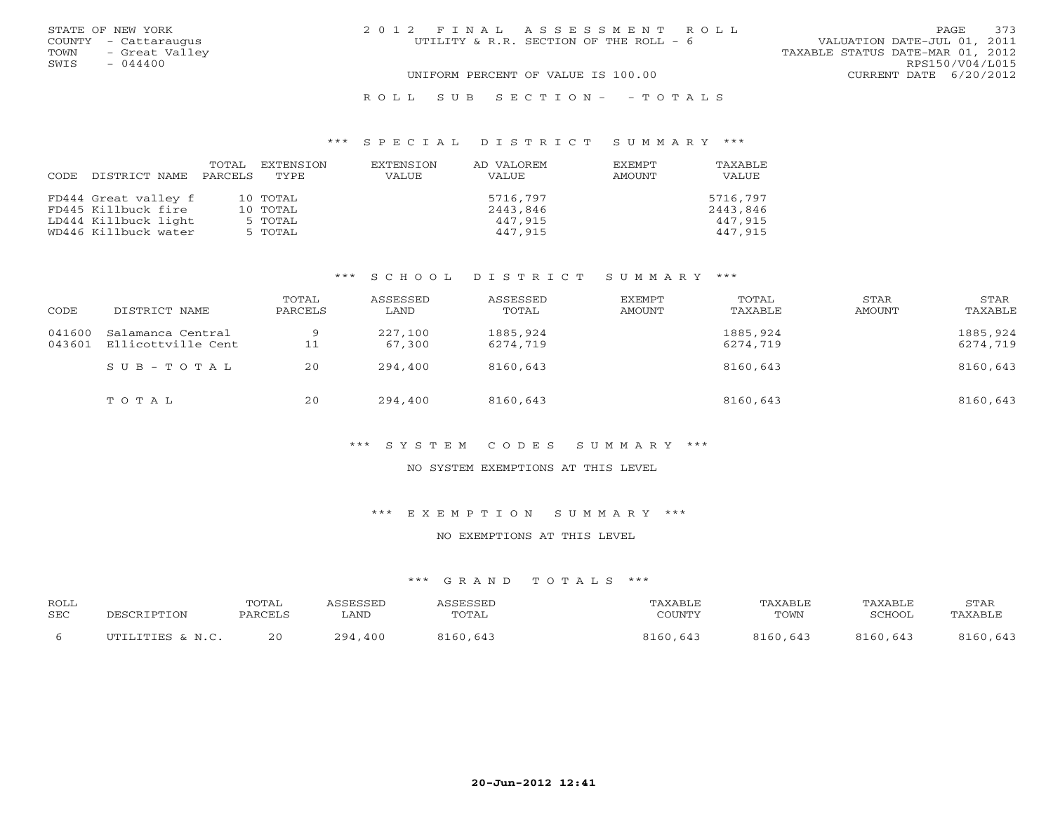|      | STATE OF NEW YORK    | 2012 FINAL ASSESSMENT ROLL |                                        |                                  | <b>PAGE</b>     | 373 |
|------|----------------------|----------------------------|----------------------------------------|----------------------------------|-----------------|-----|
|      | COUNTY - Cattaraugus |                            | UTILITY & R.R. SECTION OF THE ROLL - 6 | VALUATION DATE-JUL 01, 2011      |                 |     |
| TOWN | - Great Valley       |                            |                                        | TAXABLE STATUS DATE-MAR 01, 2012 |                 |     |
| SWIS | $-044400$            |                            |                                        |                                  | RPS150/V04/L015 |     |
|      |                      |                            | UNIFORM PERCENT OF VALUE IS 100.00     | CURRENT DATE 6/20/2012           |                 |     |
|      |                      |                            |                                        |                                  |                 |     |

#### R O L L S U B S E C T I O N - - T O T A L S

#### \*\*\* S P E C I A L D I S T R I C T S U M M A R Y \*\*\*

|                            | TOTAL EXTENSION | EXTENSION | AD VALOREM | EXEMPT | TAXABLE  |
|----------------------------|-----------------|-----------|------------|--------|----------|
| CODE DISTRICT NAME PARCELS | TYPE.           | VALUE     | VALUE      | AMOUNT | VALUE    |
|                            |                 |           |            |        |          |
| FD444 Great valley f       | 10 TOTAL        |           | 5716,797   |        | 5716,797 |
| FD445 Killbuck fire        | 10 TOTAL        |           | 2443,846   |        | 2443,846 |
| LD444 Killbuck light       | 5 TOTAL         |           | 447,915    |        | 447,915  |
| WD446 Killbuck water       | 5 TOTAL         |           | 447,915    |        | 447,915  |

### \*\*\* S C H O O L D I S T R I C T S U M M A R Y \*\*\*

| CODE   | DISTRICT NAME                                  | TOTAL<br>PARCELS | ASSESSED<br>LAND  | ASSESSED<br>TOTAL    | EXEMPT<br>AMOUNT | TOTAL<br>TAXABLE     | STAR<br>AMOUNT | STAR<br>TAXABLE      |
|--------|------------------------------------------------|------------------|-------------------|----------------------|------------------|----------------------|----------------|----------------------|
| 041600 | Salamanca Central<br>043601 Ellicottville Cent | 9<br>11          | 227,100<br>67,300 | 1885,924<br>6274,719 |                  | 1885,924<br>6274,719 |                | 1885,924<br>6274,719 |
|        | $SUB - TO T AL$                                | 20               | 294,400           | 8160,643             |                  | 8160,643             |                | 8160,643             |
|        | TOTAL                                          | 20               | 294,400           | 8160,643             |                  | 8160,643             |                | 8160,643             |

### \*\*\* S Y S T E M C O D E S S U M M A R Y \*\*\*

#### NO SYSTEM EXEMPTIONS AT THIS LEVEL

\*\*\* E X E M P T I O N S U M M A R Y \*\*\*

#### NO EXEMPTIONS AT THIS LEVEL

| <b>ROLL</b><br>SEC | DESCRIPTION      | TOTAL<br>PARCELS | <i>CC</i> FCCFD<br>LAND | <i><b>\SSESSED</b></i><br>TOTAL | TAXABLE<br>COUNTY | TAXABLE<br>TOWN | TAXABLE<br>SCHOOL | STAR<br>TAXABLE |
|--------------------|------------------|------------------|-------------------------|---------------------------------|-------------------|-----------------|-------------------|-----------------|
|                    | UTILITIES & N.C. | 20               | ,400<br>294,            | 8160,643                        | 8160,643          | 8160,643        | 8160,643          | 8160,643        |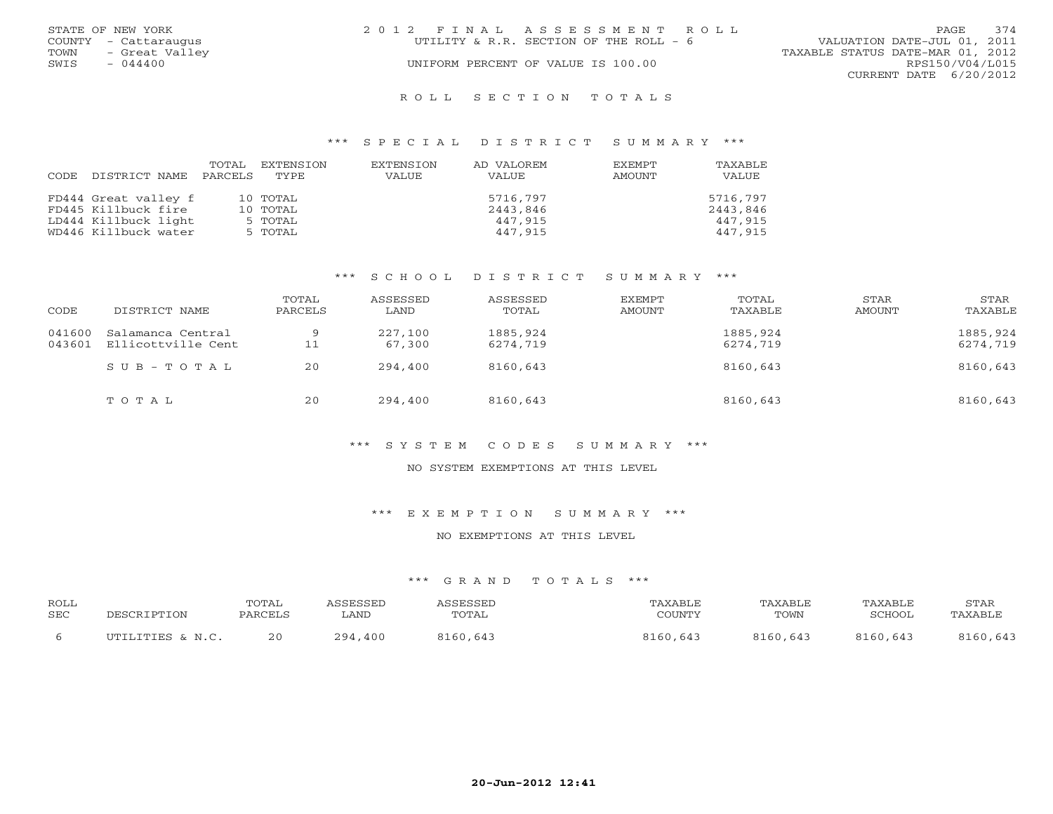| STATE OF NEW YORK      | 2012 FINAL ASSESSMENT ROLL             | 374<br>PAGE                      |
|------------------------|----------------------------------------|----------------------------------|
| COUNTY - Cattaraugus   | UTILITY & R.R. SECTION OF THE ROLL - 6 | VALUATION DATE-JUL 01, 2011      |
| - Great Valley<br>TOWN |                                        | TAXABLE STATUS DATE-MAR 01, 2012 |
| $-044400$<br>SWIS      | UNIFORM PERCENT OF VALUE IS 100.00     | RPS150/V04/L015                  |
|                        |                                        | CURRENT DATE 6/20/2012           |
|                        |                                        |                                  |

### R O L L S E C T I O N T O T A L S

### \*\*\* S P E C I A L D I S T R I C T S U M M A R Y \*\*\*

| CODE | DISTRICT NAME        | TOTAL<br>PARCELS | EXTENSION<br>TYPE | EXTENSION<br>VALUE | AD VALOREM<br>VALUE | <b>EXEMPT</b><br>AMOUNT | <b>TAXABLE</b><br>VALUE |
|------|----------------------|------------------|-------------------|--------------------|---------------------|-------------------------|-------------------------|
|      | FD444 Great valley f |                  | 10 TOTAL          |                    | 5716,797            |                         | 5716,797                |
|      | FD445 Killbuck fire  |                  | 10 TOTAL          |                    | 2443,846            |                         | 2443,846                |
|      | LD444 Killbuck light |                  | 5 TOTAL           |                    | 447,915             |                         | 447,915                 |
|      | WD446 Killbuck water |                  | 5 TOTAL           |                    | 447,915             |                         | 447,915                 |

### \*\*\* S C H O O L D I S T R I C T S U M M A R Y \*\*\*

| CODE             | DISTRICT NAME                           | TOTAL<br>PARCELS | ASSESSED<br>LAND  | ASSESSED<br>TOTAL    | EXEMPT<br>AMOUNT | TOTAL<br>TAXABLE     | STAR<br>AMOUNT | STAR<br>TAXABLE      |
|------------------|-----------------------------------------|------------------|-------------------|----------------------|------------------|----------------------|----------------|----------------------|
| 041600<br>043601 | Salamanca Central<br>Ellicottville Cent | 9<br>11          | 227,100<br>67,300 | 1885,924<br>6274,719 |                  | 1885,924<br>6274,719 |                | 1885,924<br>6274,719 |
|                  | $SUB - TO T AL$                         | 20               | 294,400           | 8160,643             |                  | 8160,643             |                | 8160,643             |
|                  | TOTAL                                   | 20               | 294,400           | 8160,643             |                  | 8160,643             |                | 8160,643             |

### \*\*\* S Y S T E M C O D E S S U M M A R Y \*\*\*

#### NO SYSTEM EXEMPTIONS AT THIS LEVEL

\*\*\* E X E M P T I O N S U M M A R Y \*\*\*

### NO EXEMPTIONS AT THIS LEVEL

| <b>ROLL</b> | DESCRIPTION      | TOTAL   | <i><b>CCTCCTT</b></i> | ASSESSED | <b><i>TAXABLE</i></b> | TAXABLE  | TAXABLE  | STAR     |
|-------------|------------------|---------|-----------------------|----------|-----------------------|----------|----------|----------|
| SEC         |                  | PARCELS | <b>LAND</b>           | TOTAL    | COUNTY                | TOWN     | SCHOOL   | TAXABLE  |
|             | UTILITIES & N.C. | 20      | 294,<br>,400          | 8160,643 | 8160,643              | 8160,643 | 8160,643 | 8160,643 |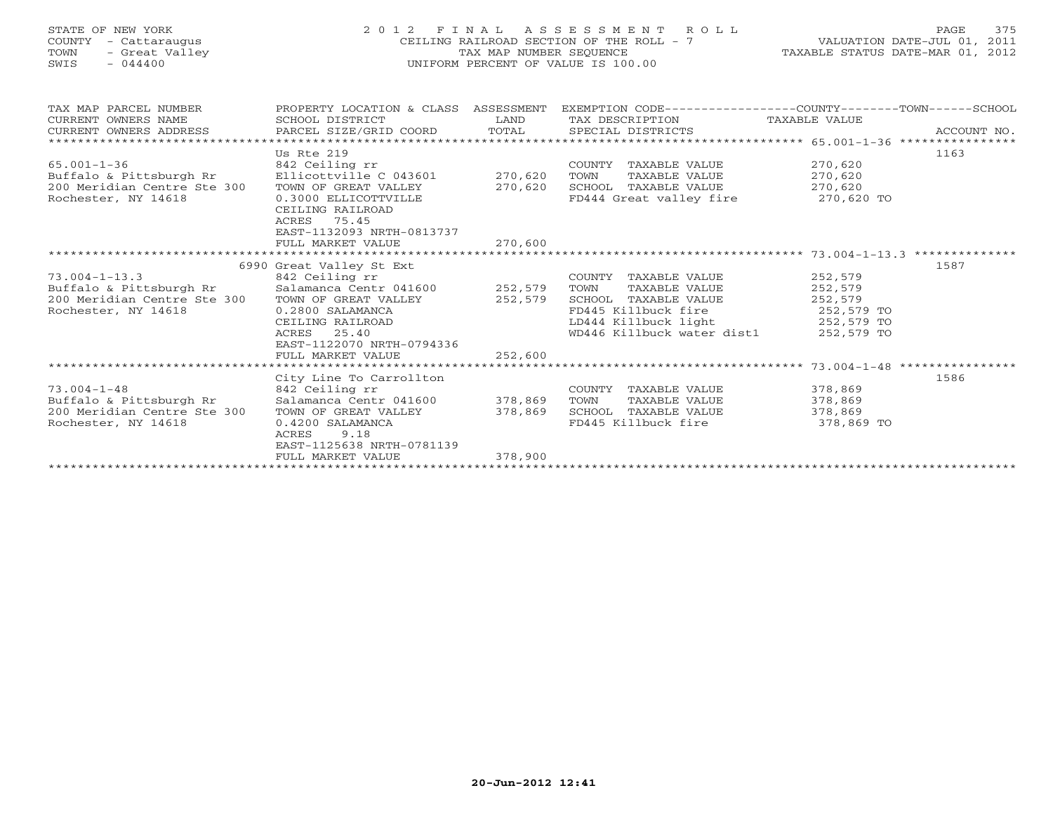## STATE OF NEW YORK 2 0 1 2 F I N A L A S S E S S M E N T R O L L PAGE 375 COUNTY - Cattaraugus CEILING RAILROAD SECTION OF THE ROLL - 7 VALUATION DATE-JUL 01, 2011 TOWN - Great Valley TAX MAP NUMBER SEQUENCE TAXABLE STATUS DATE-MAR 01, 2012 SWIS - 044400 UNIFORM PERCENT OF VALUE IS 100.00UNIFORM PERCENT OF VALUE IS 100.00

| TAX MAP PARCEL NUMBER<br>CURRENT OWNERS NAME<br>CURRENT OWNERS ADDRESS<br>.CURRENT OWNERS ADDRESS PARCEL SIZE/GRID COORD TOTAL SPECIAL DISTRICTS (1990) ACCOUNT NO ACCOUNT NO ACCOUNT ACTES | PROPERTY LOCATION & CLASS ASSESSMENT<br>SCHOOL DISTRICT | LAND    | EXEMPTION CODE-----------------COUNTY-------TOWN------SCHOOL<br>TAX DESCRIPTION TAXABLE VALUE |            |      |  |  |
|---------------------------------------------------------------------------------------------------------------------------------------------------------------------------------------------|---------------------------------------------------------|---------|-----------------------------------------------------------------------------------------------|------------|------|--|--|
|                                                                                                                                                                                             | Us Rte 219                                              |         |                                                                                               |            | 1163 |  |  |
| $65.001 - 1 - 36$                                                                                                                                                                           | 842 Ceiling rr                                          |         | COUNTY TAXABLE VALUE                                                                          | 270,620    |      |  |  |
| Buffalo & Pittsburgh Rr                                                                                                                                                                     | Ellicottville C 043601 270,620                          |         | TOWN<br>TAXABLE VALUE                                                                         | 270,620    |      |  |  |
| 200 Meridian Centre Ste 300                                                                                                                                                                 | TOWN OF GREAT VALLEY                                    | 270,620 | SCHOOL TAXABLE VALUE                                                                          | 270,620    |      |  |  |
| Rochester, NY 14618                                                                                                                                                                         | 0.3000 ELLICOTTVILLE                                    |         | FD444 Great valley fire                                                                       | 270,620 TO |      |  |  |
|                                                                                                                                                                                             | CEILING RAILROAD                                        |         |                                                                                               |            |      |  |  |
|                                                                                                                                                                                             | 75.45<br>ACRES                                          |         |                                                                                               |            |      |  |  |
|                                                                                                                                                                                             | EAST-1132093 NRTH-0813737                               |         |                                                                                               |            |      |  |  |
|                                                                                                                                                                                             | FULL MARKET VALUE                                       | 270,600 |                                                                                               |            |      |  |  |
|                                                                                                                                                                                             |                                                         |         |                                                                                               |            |      |  |  |
|                                                                                                                                                                                             | 6990 Great Valley St Ext                                |         |                                                                                               |            | 1587 |  |  |
| $73.004 - 1 - 13.3$                                                                                                                                                                         | 842 Ceiling rr<br>Salamanca Centr 041600 252,579        |         | COUNTY TAXABLE VALUE                                                                          | 252,579    |      |  |  |
| Buffalo & Pittsburgh Rr                                                                                                                                                                     |                                                         |         | TOWN<br>TAXABLE VALUE                                                                         | 252,579    |      |  |  |
| 200 Meridian Centre Ste 300                                                                                                                                                                 | TOWN OF GREAT VALLEY 252,579                            |         | SCHOOL TAXABLE VALUE                                                                          | 252,579    |      |  |  |
| Rochester, NY 14618                                                                                                                                                                         | 0.2800 SALAMANCA                                        |         | FD445 Killbuck fire                                                                           | 252,579 TO |      |  |  |
|                                                                                                                                                                                             | CEILING RAILROAD                                        |         | LD444 Killbuck light 252,579 TO                                                               |            |      |  |  |
|                                                                                                                                                                                             | ACRES 25.40                                             |         | WD446 Killbuck water dist1 252,579 TO                                                         |            |      |  |  |
|                                                                                                                                                                                             | EAST-1122070 NRTH-0794336                               |         |                                                                                               |            |      |  |  |
|                                                                                                                                                                                             | FULL MARKET VALUE                                       | 252,600 |                                                                                               |            |      |  |  |
|                                                                                                                                                                                             |                                                         |         |                                                                                               |            |      |  |  |
| $73.004 - 1 - 48$                                                                                                                                                                           | City Line To Carrollton                                 |         | COUNTY TAXABLE VALUE                                                                          | 378,869    | 1586 |  |  |
| Buffalo & Pittsburgh Rr                                                                                                                                                                     | 842 Ceiling rr                                          |         | TOWN<br>TAXABLE VALUE                                                                         | 378,869    |      |  |  |
| 200 Meridian Centre Ste 300                                                                                                                                                                 | TOWN OF GREAT VALLEY                                    | 378,869 | SCHOOL TAXABLE VALUE                                                                          | 378,869    |      |  |  |
| Rochester, NY 14618                                                                                                                                                                         | 0.4200 SALAMANCA                                        |         | FD445 Killbuck fire                                                                           | 378,869 TO |      |  |  |
|                                                                                                                                                                                             | ACRES<br>9.18                                           |         |                                                                                               |            |      |  |  |
|                                                                                                                                                                                             | EAST-1125638 NRTH-0781139                               |         |                                                                                               |            |      |  |  |
|                                                                                                                                                                                             | FULL MARKET VALUE                                       | 378,900 |                                                                                               |            |      |  |  |
|                                                                                                                                                                                             |                                                         |         |                                                                                               |            |      |  |  |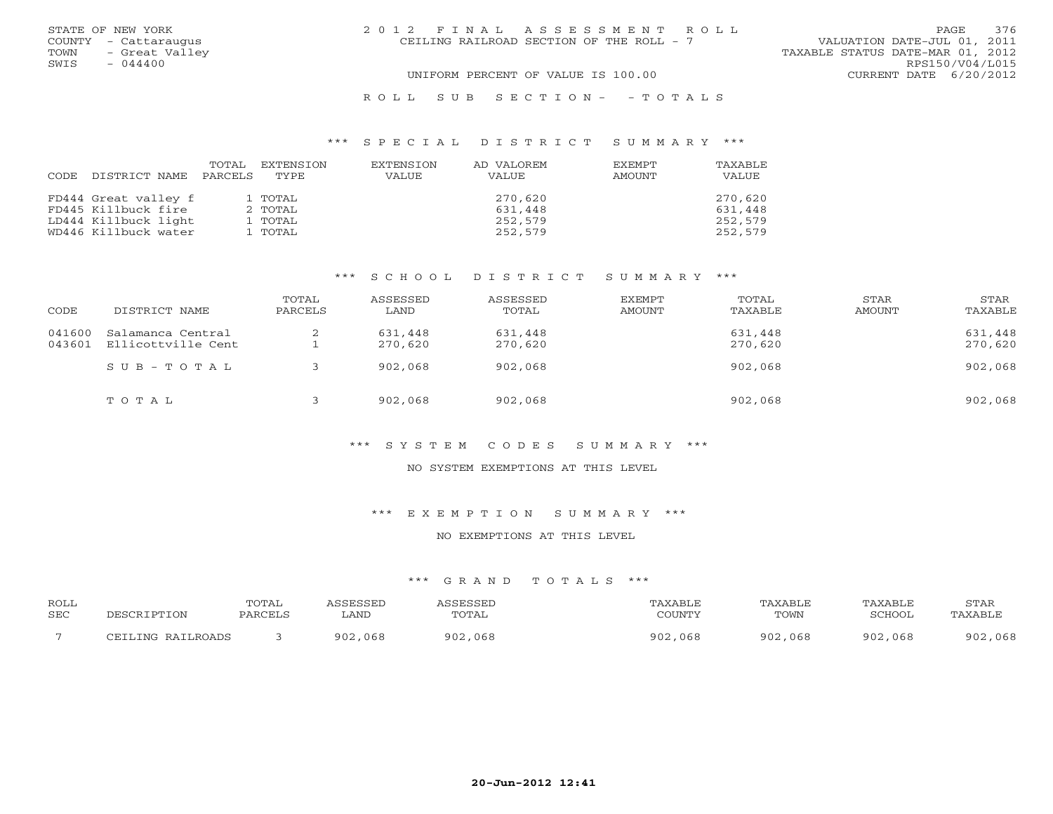|      | STATE OF NEW YORK    | 2012 FINAL ASSESSMENT ROLL                                              | 376<br>PAGE.           |
|------|----------------------|-------------------------------------------------------------------------|------------------------|
|      | COUNTY - Cattaraugus | CEILING RAILROAD SECTION OF THE ROLL - 7<br>VALUATION DATE-JUL 01, 2011 |                        |
| TOWN | - Great Valley       | TAXABLE STATUS DATE-MAR 01, 2012                                        |                        |
| SWIS | $-044400$            |                                                                         | RPS150/V04/L015        |
|      |                      | UNIFORM PERCENT OF VALUE IS 100.00                                      | CURRENT DATE 6/20/2012 |
|      |                      | ROLL SUB SECTION- - TOTALS                                              |                        |

### \*\*\* S P E C I A L D I S T R I C T S U M M A R Y \*\*\*

| CODE | DISTRICT NAME        | TOTAL<br>PARCELS | EXTENSION<br>TYPE | EXTENSION<br>VALUE | AD VALOREM<br>VALUE | <b>EXEMPT</b><br>AMOUNT | TAXABLE<br>VALUE |
|------|----------------------|------------------|-------------------|--------------------|---------------------|-------------------------|------------------|
|      |                      |                  |                   |                    |                     |                         |                  |
|      | FD444 Great valley f |                  | 1 TOTAL           |                    | 270,620             |                         | 270,620          |
|      | FD445 Killbuck fire  |                  | 2 TOTAL           |                    | 631,448             |                         | 631,448          |
|      | LD444 Killbuck light |                  | 1 TOTAL           |                    | 252,579             |                         | 252,579          |
|      | WD446 Killbuck water |                  | 1 TOTAL           |                    | 252,579             |                         | 252,579          |

### \*\*\* S C H O O L D I S T R I C T S U M M A R Y \*\*\*

| CODE             | DISTRICT NAME                           | TOTAL<br>PARCELS | ASSESSED<br>LAND   | ASSESSED<br>TOTAL  | EXEMPT<br>AMOUNT | TOTAL<br>TAXABLE   | STAR<br>AMOUNT | STAR<br>TAXABLE    |
|------------------|-----------------------------------------|------------------|--------------------|--------------------|------------------|--------------------|----------------|--------------------|
| 041600<br>043601 | Salamanca Central<br>Ellicottville Cent |                  | 631,448<br>270,620 | 631,448<br>270,620 |                  | 631,448<br>270,620 |                | 631,448<br>270,620 |
|                  | SUB-TOTAL                               |                  | 902,068            | 902,068            |                  | 902,068            |                | 902,068            |
|                  | TOTAL                                   |                  | 902,068            | 902,068            |                  | 902,068            |                | 902,068            |

### \*\*\* S Y S T E M C O D E S S U M M A R Y \*\*\*

#### NO SYSTEM EXEMPTIONS AT THIS LEVEL

\*\*\* E X E M P T I O N S U M M A R Y \*\*\*

### NO EXEMPTIONS AT THIS LEVEL

| ROLL<br>SEC | DESCRIPTION       | <b>TOTAI</b><br>PARCELS | SSESSED<br>LAND | <b>ACCECCEL</b><br>TOTAL | 'AXABLE<br>COUNTY | TAXABLE<br>TOWN | TAXABI F<br>SCHOOL | <b>STAR</b><br>TAXABLE |
|-------------|-------------------|-------------------------|-----------------|--------------------------|-------------------|-----------------|--------------------|------------------------|
|             | CEILING RAILROADS |                         | 902<br>,068     | 902<br>068               | ,068<br>902,      | 902,068         | 902,068            | ,068<br>902            |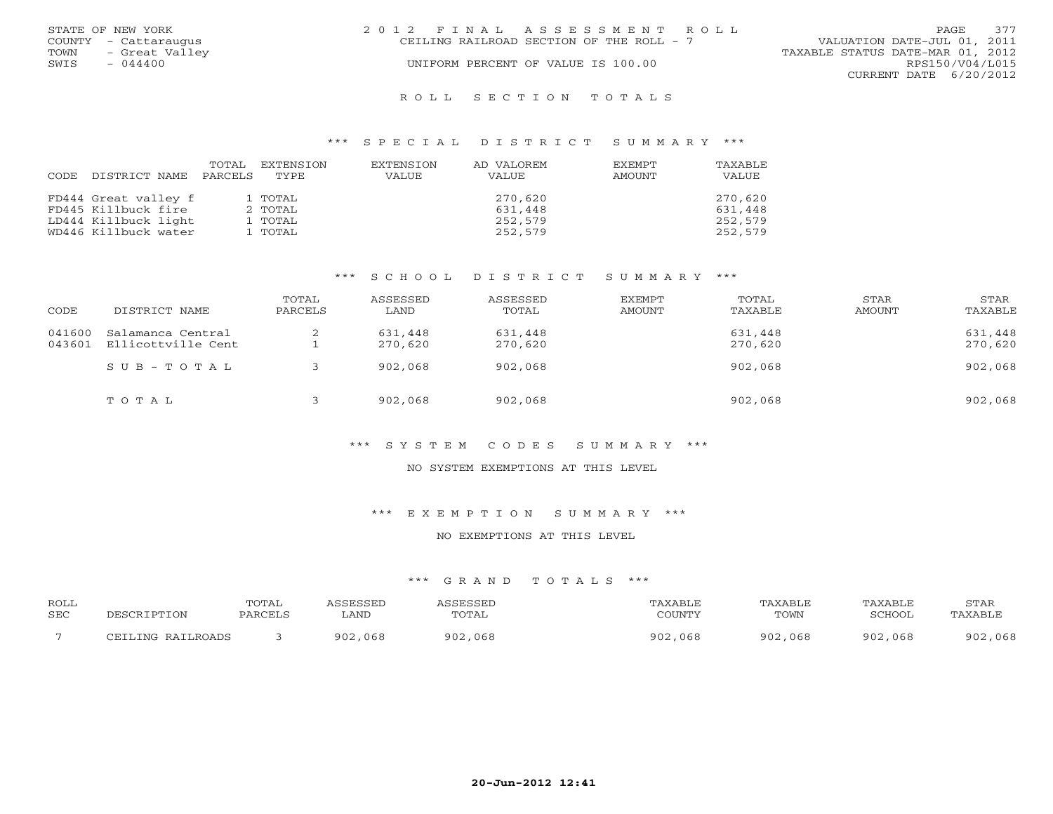|      | STATE OF NEW YORK    | 2012 FINAL ASSESSMENT ROLL                                              | PAGE.           | 377 |
|------|----------------------|-------------------------------------------------------------------------|-----------------|-----|
|      | COUNTY - Cattaraugus | VALUATION DATE-JUL 01, 2011<br>CEILING RAILROAD SECTION OF THE ROLL - 7 |                 |     |
| TOWN | - Great Valley       | TAXABLE STATUS DATE-MAR 01, 2012                                        |                 |     |
| SWIS | $-044400$            | UNIFORM PERCENT OF VALUE IS 100.00                                      | RPS150/V04/L015 |     |
|      |                      | CURRENT DATE 6/20/2012                                                  |                 |     |
|      |                      |                                                                         |                 |     |

#### R O L L S E C T I O N T O T A L S

### \*\*\* S P E C I A L D I S T R I C T S U M M A R Y \*\*\*

| CODE | DISTRICT NAME        | TOTAL<br>PARCELS | EXTENSION<br>TYPE | EXTENSION<br>VALUE | AD VALOREM<br>VALUE | <b>EXEMPT</b><br>AMOUNT | <b>TAXABLE</b><br>VALUE |
|------|----------------------|------------------|-------------------|--------------------|---------------------|-------------------------|-------------------------|
|      | FD444 Great valley f |                  | 1 TOTAL           |                    | 270,620             |                         | 270,620                 |
|      | FD445 Killbuck fire  |                  | 2 TOTAL           |                    | 631,448             |                         | 631,448                 |
|      | LD444 Killbuck light |                  | 1 TOTAL           |                    | 252,579             |                         | 252,579                 |
|      | WD446 Killbuck water |                  | 1 TOTAL           |                    | 252,579             |                         | 252,579                 |

### \*\*\* S C H O O L D I S T R I C T S U M M A R Y \*\*\*

| CODE             | DISTRICT NAME                           | TOTAL<br>PARCELS | ASSESSED<br>LAND   | ASSESSED<br>TOTAL  | EXEMPT<br>AMOUNT | TOTAL<br>TAXABLE   | STAR<br>AMOUNT | STAR<br>TAXABLE    |
|------------------|-----------------------------------------|------------------|--------------------|--------------------|------------------|--------------------|----------------|--------------------|
| 041600<br>043601 | Salamanca Central<br>Ellicottville Cent | ∠                | 631,448<br>270,620 | 631,448<br>270,620 |                  | 631,448<br>270,620 |                | 631,448<br>270,620 |
|                  | $SUB - TO T AL$                         |                  | 902,068            | 902,068            |                  | 902,068            |                | 902,068            |
|                  | TOTAL                                   |                  | 902,068            | 902,068            |                  | 902,068            |                | 902,068            |

### \*\*\* S Y S T E M C O D E S S U M M A R Y \*\*\*

#### NO SYSTEM EXEMPTIONS AT THIS LEVEL

\*\*\* E X E M P T I O N S U M M A R Y \*\*\*

#### NO EXEMPTIONS AT THIS LEVEL

| ROLL<br>SEC | DESCRIPTION       | TOTAL<br>PARCELS | <i><b>\SSESSED</b></i><br>LAND | ASSESSED<br>TOTAL | TAXABLE<br>COUNTY | TAXABLE<br>TOWN | TAXABLE<br>SCHOOL | STAR<br>TAXABLE |
|-------------|-------------------|------------------|--------------------------------|-------------------|-------------------|-----------------|-------------------|-----------------|
|             | CEILING RAILROADS |                  | 902,068                        | 902,068           | 902,068           | 902,068         | 902,068           | 902,068         |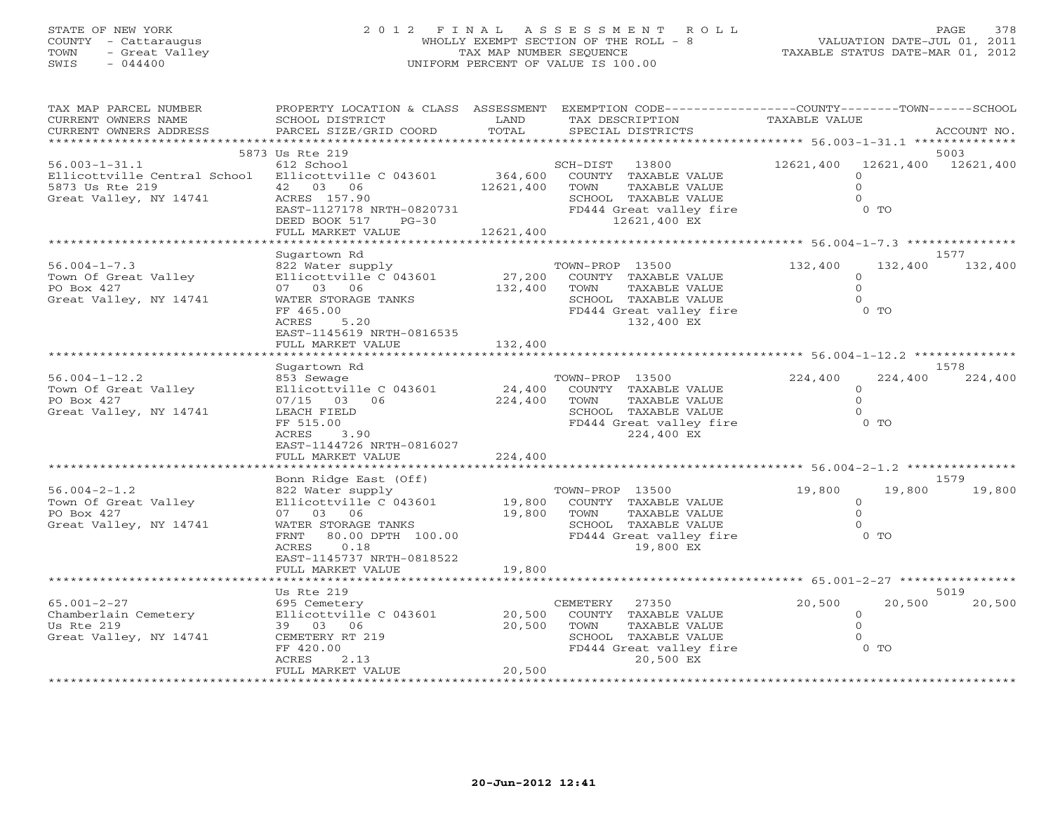## STATE OF NEW YORK 2 0 1 2 F I N A L A S S E S S M E N T R O L L PAGE 378 COUNTY - Cattaraugus WHOLLY EXEMPT SECTION OF THE ROLL - 8 VALUATION DATE-JUL 01, 2011 TOWN - Great Valley TAX MAP NUMBER SEQUENCE TAXABLE STATUS DATE-MAR 01, 2012 SWIS - 044400 UNIFORM PERCENT OF VALUE IS 100.00UNIFORM PERCENT OF VALUE IS 100.00

| TAX MAP PARCEL NUMBER<br>CURRENT OWNERS NAME<br>CURRENT OWNERS ADDRESS                                                  | SCHOOL DISTRICT<br>PARCEL SIZE/GRID COORD                                                                                                                                      | LAND<br>TOTAL                     | PROPERTY LOCATION & CLASS ASSESSMENT EXEMPTION CODE----------------COUNTY-------TOWN------SCHOOL<br>TAX DESCRIPTION<br>SPECIAL DISTRICTS | TAXABLE VALUE                                        | ACCOUNT NO.                 |
|-------------------------------------------------------------------------------------------------------------------------|--------------------------------------------------------------------------------------------------------------------------------------------------------------------------------|-----------------------------------|------------------------------------------------------------------------------------------------------------------------------------------|------------------------------------------------------|-----------------------------|
| ***********************                                                                                                 |                                                                                                                                                                                |                                   |                                                                                                                                          |                                                      |                             |
| $56.003 - 1 - 31.1$<br>Ellicottville Central School Ellicottville C 043601<br>5873 Us Rte 219<br>Great Valley, NY 14741 | 5873 Us Rte 219<br>612 School<br>42 03 06<br>ACRES 157.90<br>EAST-1127178 NRTH-0820731<br>DEED BOOK 517 PG-30<br>FULL MARKET VALUE                                             | 364,600<br>12621,400<br>12621,400 | SCH-DIST 13800<br>COUNTY TAXABLE VALUE<br>TOWN<br>TAXABLE VALUE<br>SCHOOL TAXABLE VALUE<br>FD444 Great valley fire<br>12621,400 EX       | 12621,400<br>$\Omega$<br>$\Omega$<br>$0$ TO          | 5003<br>12621,400 12621,400 |
|                                                                                                                         |                                                                                                                                                                                |                                   |                                                                                                                                          |                                                      |                             |
| $56.004 - 1 - 7.3$<br>Town Of Great Valley<br>PO Box 427<br>Great Valley, NY 14741                                      | Sugartown Rd<br>822 Water supply<br>Ellicottville C 043601<br>07 03 06<br>WATER STORAGE TANKS<br>FF 465.00<br>5.20<br>ACRES<br>EAST-1145619 NRTH-0816535                       | 27,200<br>132,400                 | TOWN-PROP 13500<br>COUNTY TAXABLE VALUE<br>TOWN<br>TAXABLE VALUE<br>SCHOOL TAXABLE VALUE<br>FD444 Great valley fire<br>132,400 EX        | 132,400<br>$\Omega$<br>$\Omega$<br>$0$ TO            | 1577<br>132,400<br>132,400  |
|                                                                                                                         | FULL MARKET VALUE                                                                                                                                                              | 132,400                           |                                                                                                                                          |                                                      |                             |
| $56.004 - 1 - 12.2$<br>Town Of Great Valley<br>PO Box 427<br>Great Valley, NY 14741                                     | Sugartown Rd<br>853 Sewage<br>Ellicottville C 043601<br>07/15 03 06<br>LEACH FIELD<br>FF 515.00<br>ACRES<br>3.90<br>EAST-1144726 NRTH-0816027<br>FULL MARKET VALUE             | 24,400<br>224,400<br>224,400      | TOWN-PROP 13500<br>COUNTY TAXABLE VALUE<br>TOWN<br>TAXABLE VALUE<br>SCHOOL TAXABLE VALUE<br>FD444 Great valley fire<br>224,400 EX        | 224,400<br>$\circ$<br>$\Omega$<br>$\Omega$<br>$0$ TO | 1578<br>224,400<br>224,400  |
|                                                                                                                         | *********************                                                                                                                                                          |                                   |                                                                                                                                          |                                                      |                             |
| $56.004 - 2 - 1.2$<br>Town Of Great Valley<br>PO Box 427<br>Great Valley, NY 14741                                      | Bonn Ridge East (Off)<br>822 Water supply<br>Ellicottville C 043601<br>07 03 06<br>WATER STORAGE TANKS<br>FRNT 80.00 DPTH 100.00<br>0.18<br>ACRES<br>EAST-1145737 NRTH-0818522 | 19,800                            | TOWN-PROP 13500<br>19,800 COUNTY TAXABLE VALUE<br>TAXABLE VALUE<br>TOWN<br>SCHOOL TAXABLE VALUE<br>FD444 Great valley fire<br>19,800 EX  | 19,800<br>$\circ$<br>$\Omega$<br>$0$ TO              | 1579<br>19,800<br>19,800    |
|                                                                                                                         | FULL MARKET VALUE                                                                                                                                                              | 19,800                            |                                                                                                                                          |                                                      |                             |
|                                                                                                                         | Us Rte 219                                                                                                                                                                     |                                   |                                                                                                                                          |                                                      | 5019                        |
| $65.001 - 2 - 27$<br>Chamberlain Cemetery<br>Us Rte 219<br>Great Valley, NY 14741                                       | 695 Cemetery<br>Ellicottville C 043601<br>39 03 06<br>CEMETERY RT 219<br>FF 420.00<br>ACRES<br>2.13<br>FULL MARKET VALUE                                                       | 20,500<br>20,500<br>20,500        | CEMETERY<br>27350<br>COUNTY TAXABLE VALUE<br>TOWN<br>TAXABLE VALUE<br>SCHOOL TAXABLE VALUE<br>FD444 Great valley fire<br>20,500 EX       | 20,500<br>$\circ$<br>$\Omega$<br>$\Omega$<br>$0$ TO  | 20,500<br>20,500            |
| ***********************                                                                                                 |                                                                                                                                                                                |                                   |                                                                                                                                          |                                                      |                             |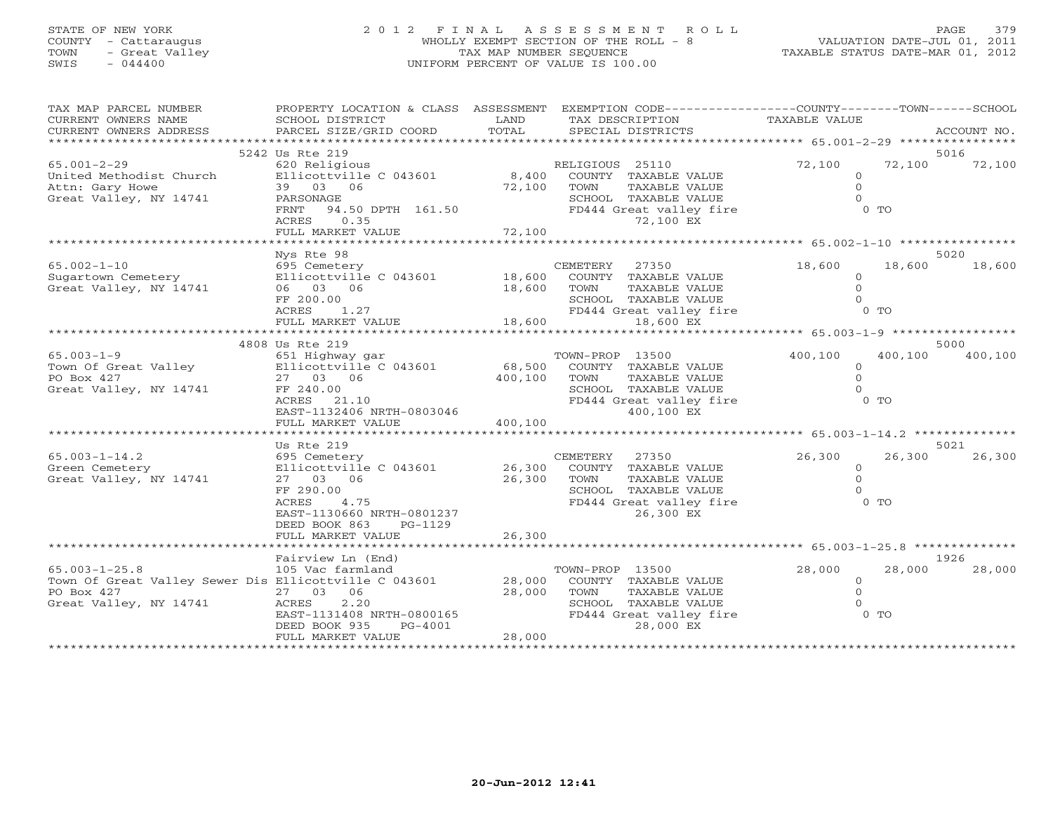# STATE OF NEW YORK 2 0 1 2 F I N A L A S S E S S M E N T R O L L PAGE 379 COUNTY - Cattaraugus WHOLLY EXEMPT SECTION OF THE ROLL - 8 VALUATION DATE-JUL 01, 2011 TOWN - Great Valley TAX MAP NUMBER SEQUENCE TAXABLE STATUS DATE-MAR 01, 2012 SWIS - 044400 UNIFORM PERCENT OF VALUE IS 100.00

| TAX MAP PARCEL NUMBER                                 | PROPERTY LOCATION & CLASS ASSESSMENT EXEMPTION CODE---------------COUNTY-------TOWN------SCHOOL |                           |                         |                |                                       |
|-------------------------------------------------------|-------------------------------------------------------------------------------------------------|---------------------------|-------------------------|----------------|---------------------------------------|
| CURRENT OWNERS NAME                                   | SCHOOL DISTRICT                                                                                 | LAND                      | TAX DESCRIPTION         | TAXABLE VALUE  |                                       |
| CURRENT OWNERS ADDRESS                                | PARCEL SIZE/GRID COORD                                                                          | TOTAL                     | SPECIAL DISTRICTS       |                | ACCOUNT NO.                           |
| *************************                             | ****************************                                                                    |                           |                         |                |                                       |
|                                                       | 5242 Us Rte 219                                                                                 |                           |                         |                | 5016                                  |
| $65.001 - 2 - 29$                                     | 620 Religious                                                                                   |                           | RELIGIOUS 25110         | 72,100         | 72,100<br>72,100                      |
| United Methodist Church                               | Ellicottville C 043601                                                                          | 8,400                     | COUNTY TAXABLE VALUE    | $\circ$        |                                       |
| Attn: Gary Howe                                       | 39 03 06                                                                                        | 72,100                    | TOWN<br>TAXABLE VALUE   | $\Omega$       |                                       |
| Great Valley, NY 14741                                | PARSONAGE                                                                                       |                           | SCHOOL TAXABLE VALUE    | $\Omega$       |                                       |
|                                                       | FRNT<br>94.50 DPTH 161.50                                                                       |                           | FD444 Great valley fire | 0 <sub>T</sub> |                                       |
|                                                       | ACRES 0.35                                                                                      |                           | 72,100 EX               |                |                                       |
|                                                       | FULL MARKET VALUE                                                                               | 72,100                    |                         |                |                                       |
|                                                       | ************************************                                                            |                           |                         |                |                                       |
|                                                       | Nys Rte 98                                                                                      |                           |                         |                | 5020                                  |
| $65.002 - 1 - 10$                                     | 695 Cemetery                                                                                    |                           | CEMETERY 27350          | 18,600         | 18,600<br>18,600                      |
| Sugartown Cemetery                                    | Ellicottville C 043601                                                                          | 18,600                    | COUNTY TAXABLE VALUE    | $\circ$        |                                       |
| Great Valley, NY 14741                                | 06 03 06                                                                                        | 18,600                    | TOWN<br>TAXABLE VALUE   | $\Omega$       |                                       |
|                                                       | FF 200.00                                                                                       |                           | SCHOOL TAXABLE VALUE    |                |                                       |
|                                                       | ACRES<br>1.27                                                                                   |                           | FD444 Great valley fire | 0 TO           |                                       |
|                                                       | FULL MARKET VALUE                                                                               | 18,600                    | 18,600 EX               |                |                                       |
|                                                       | <b>+++++++++++++++++++++++++++++</b>                                                            | * * * * * * * * * * * * * |                         |                | ******* 65.003-1-9 ****************** |
|                                                       |                                                                                                 |                           |                         |                | 5000                                  |
| $65.003 - 1 - 9$                                      | 4808 Us Rte 219                                                                                 |                           |                         | 400,100        |                                       |
|                                                       | 651 Highway gar                                                                                 |                           | TOWN-PROP 13500         |                | 400,100<br>400,100                    |
| Town Of Great Valley                                  | Ellicottville C 043601                                                                          | 68,500                    | COUNTY TAXABLE VALUE    | $\mathbf{O}$   |                                       |
| PO Box 427                                            | 27 03 06                                                                                        | 400,100                   | TAXABLE VALUE<br>TOWN   | $\Omega$       |                                       |
| Great Valley, NY 14741                                | FF 240.00                                                                                       |                           | SCHOOL TAXABLE VALUE    | $\Omega$       |                                       |
|                                                       | ACRES<br>21.10                                                                                  |                           | FD444 Great valley fire | $0$ TO         |                                       |
|                                                       | EAST-1132406 NRTH-0803046                                                                       |                           | 400,100 EX              |                |                                       |
|                                                       | FULL MARKET VALUE<br>******************************                                             | 400,100                   |                         |                |                                       |
|                                                       |                                                                                                 |                           |                         |                |                                       |
|                                                       | Us Rte 219                                                                                      |                           |                         |                | 5021                                  |
| $65.003 - 1 - 14.2$                                   | 695 Cemetery                                                                                    |                           | CEMETERY 27350          | 26,300         | 26,300<br>26,300                      |
| Green Cemetery                                        | Ellicottville C 043601                                                                          | 26,300                    | COUNTY TAXABLE VALUE    | $\circ$        |                                       |
| Great Valley, NY 14741                                | 27 03 06                                                                                        | 26,300                    | TAXABLE VALUE<br>TOWN   | $\Omega$       |                                       |
|                                                       | FF 290.00                                                                                       |                           | SCHOOL TAXABLE VALUE    | $\Omega$       |                                       |
|                                                       | 4.75<br>ACRES                                                                                   |                           | FD444 Great valley fire | 0 <sub>T</sub> |                                       |
|                                                       | EAST-1130660 NRTH-0801237                                                                       |                           | 26,300 EX               |                |                                       |
|                                                       | DEED BOOK 863<br>PG-1129                                                                        |                           |                         |                |                                       |
|                                                       | FULL MARKET VALUE                                                                               | 26,300                    |                         |                |                                       |
|                                                       |                                                                                                 |                           |                         |                |                                       |
|                                                       | Fairview Ln (End)                                                                               |                           |                         |                | 1926                                  |
| $65.003 - 1 - 25.8$                                   | 105 Vac farmland                                                                                |                           | TOWN-PROP 13500         | 28,000         | 28,000<br>28,000                      |
| Town Of Great Valley Sewer Dis Ellicottville C 043601 |                                                                                                 | 28,000                    | COUNTY TAXABLE VALUE    | $\circ$        |                                       |
| PO Box 427                                            | 27 03 06                                                                                        | 28,000                    | TOWN<br>TAXABLE VALUE   | $\Omega$       |                                       |
| Great Valley, NY 14741                                | 2.20<br>ACRES                                                                                   |                           | SCHOOL TAXABLE VALUE    |                |                                       |
|                                                       | EAST-1131408 NRTH-0800165                                                                       |                           | FD444 Great valley fire | $0$ TO         |                                       |
|                                                       | DEED BOOK 935<br>PG-4001                                                                        |                           | 28,000 EX               |                |                                       |
|                                                       | FULL MARKET VALUE                                                                               | 28,000                    |                         |                |                                       |
|                                                       |                                                                                                 |                           |                         |                |                                       |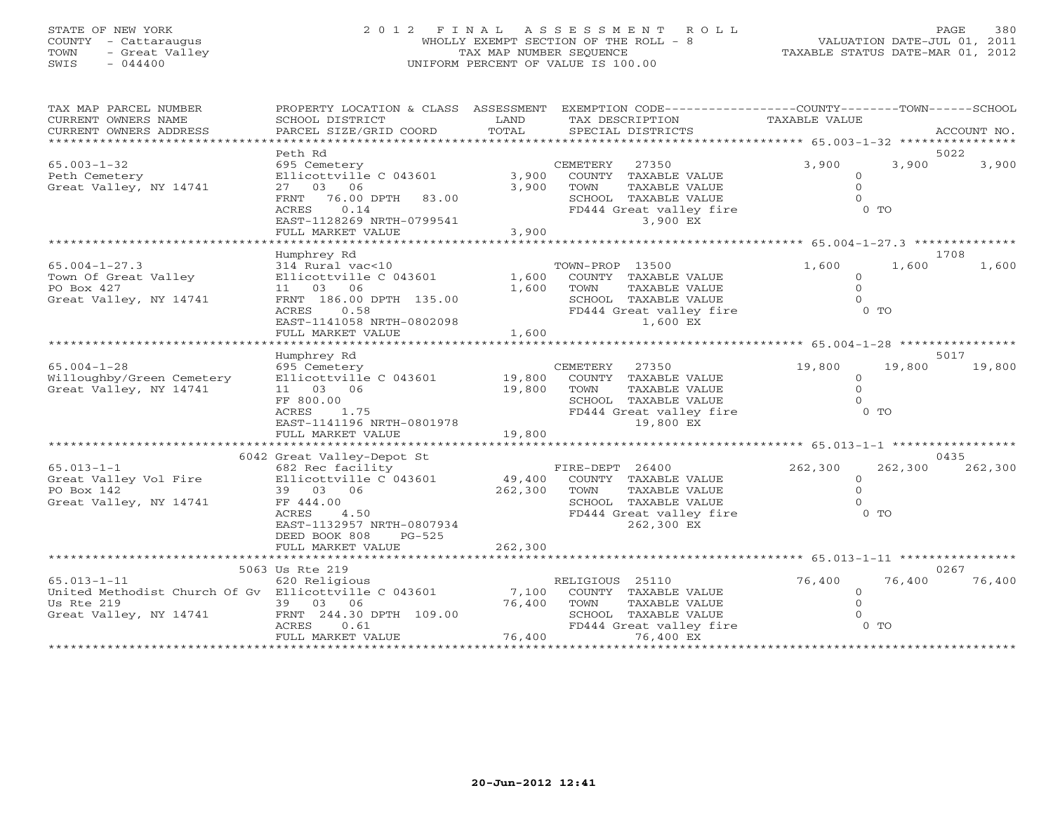## STATE OF NEW YORK 2 0 1 2 F I N A L A S S E S S M E N T R O L L PAGE 380 COUNTY - Cattaraugus WHOLLY EXEMPT SECTION OF THE ROLL - 8 VALUATION DATE-JUL 01, 2011 TOWN - Great Valley TAX MAP NUMBER SEQUENCE TAXABLE STATUS DATE-MAR 01, 2012 SWIS - 044400 UNIFORM PERCENT OF VALUE IS 100.00UNIFORM PERCENT OF VALUE IS 100.00

| TAX MAP PARCEL NUMBER<br>CURRENT OWNERS NAME                                                                      | SCHOOL DISTRICT                                                                                                                                                       | LAND                         | PROPERTY LOCATION & CLASS ASSESSMENT EXEMPTION CODE---------------COUNTY-------TOWN------SCHOOL<br>TAX DESCRIPTION                 | TAXABLE VALUE                                     |                  |                |
|-------------------------------------------------------------------------------------------------------------------|-----------------------------------------------------------------------------------------------------------------------------------------------------------------------|------------------------------|------------------------------------------------------------------------------------------------------------------------------------|---------------------------------------------------|------------------|----------------|
| CURRENT OWNERS ADDRESS                                                                                            | PARCEL SIZE/GRID COORD                                                                                                                                                | TOTAL                        | SPECIAL DISTRICTS                                                                                                                  |                                                   |                  | ACCOUNT NO.    |
|                                                                                                                   |                                                                                                                                                                       |                              |                                                                                                                                    |                                                   |                  |                |
| $65.003 - 1 - 32$<br>Peth Cemetery<br>Great Valley, NY 14741                                                      | Peth Rd<br>695 Cemetery<br>Ellicottville C 043601<br>27 03 06<br>76.00 DPTH 83.00<br>FRNT<br>ACRES<br>0.14<br>EAST-1128269 NRTH-0799541<br>FULL MARKET VALUE          | 3,900<br>3,900<br>3,900      | CEMETERY<br>27350<br>COUNTY TAXABLE VALUE<br>TOWN<br>TAXABLE VALUE<br>SCHOOL TAXABLE VALUE<br>FD444 Great valley fire<br>3,900 EX  | 3,900<br>$\circ$<br>$\Omega$<br>$0$ TO            | 3,900            | 5022<br>3,900  |
|                                                                                                                   |                                                                                                                                                                       |                              |                                                                                                                                    |                                                   |                  |                |
| $65.004 - 1 - 27.3$<br>Town Of Great Valley<br>PO Box 427<br>Great Valley, NY 14741                               | Humphrey Rd<br>314 Rural vac<10<br>Ellicottville C 043601<br>11  03  06<br>FRNT 186.00 DPTH 135.00<br>ACRES<br>0.58<br>EAST-1141058 NRTH-0802098<br>FULL MARKET VALUE | 1,600<br>1,600<br>1,600      | TOWN-PROP 13500<br>COUNTY TAXABLE VALUE<br>TAXABLE VALUE<br>TOWN<br>SCHOOL TAXABLE VALUE<br>FD444 Great valley fire<br>1,600 EX    | 1,600<br>$\circ$<br>$\Omega$<br>$\Omega$          | 1,600<br>$0$ TO  | 1708<br>1,600  |
|                                                                                                                   | Humphrey Rd                                                                                                                                                           |                              |                                                                                                                                    |                                                   |                  | 5017           |
| $65.004 - 1 - 28$<br>Willoughby/Green Cemetery<br>Great Valley, NY 14741                                          | 695 Cemetery<br>Ellicottville C 043601<br>11 03 06<br>FF 800.00<br>ACRES<br>1.75<br>EAST-1141196 NRTH-0801978                                                         | 19,800<br>19,800             | CEMETERY<br>27350<br>COUNTY TAXABLE VALUE<br>TAXABLE VALUE<br>TOWN<br>SCHOOL TAXABLE VALUE<br>FD444 Great valley fire<br>19,800 EX | 19,800<br>$\Omega$<br>$\Omega$<br>0 <sub>T</sub>  | 19,800           | 19,800         |
|                                                                                                                   | FULL MARKET VALUE                                                                                                                                                     | 19,800                       |                                                                                                                                    |                                                   |                  |                |
|                                                                                                                   | 6042 Great Valley-Depot St                                                                                                                                            |                              |                                                                                                                                    |                                                   |                  | 0435           |
| $65.013 - 1 - 1$<br>PO Box 142<br>Great Valley, NY 14741                                                          | 682 Rec facility<br>39 03 06<br>FF 444.00<br>4.50<br>ACRES<br>EAST-1132957 NRTH-0807934<br>DEED BOOK 808<br>PG-525<br>FULL MARKET VALUE                               | 49,400<br>262,300<br>262,300 | FIRE-DEPT 26400<br>COUNTY TAXABLE VALUE<br>TOWN<br>TAXABLE VALUE<br>SCHOOL TAXABLE VALUE<br>FD444 Great valley fire<br>262,300 EX  | 262,300<br>$\Omega$<br>$\Omega$<br>0 <sub>T</sub> | 262,300          | 262,300        |
|                                                                                                                   |                                                                                                                                                                       |                              |                                                                                                                                    |                                                   |                  |                |
| $65.013 - 1 - 11$<br>United Methodist Church Of Gv Ellicottville C 043601<br>Us Rte 219<br>Great Valley, NY 14741 | 5063 Us Rte 219<br>620 Religious<br>39 03 06<br>FRNT 244.30 DPTH 109.00<br>ACRES<br>0.61<br>FULL MARKET VALUE                                                         | 7,100<br>76,400<br>76,400    | RELIGIOUS 25110<br>COUNTY TAXABLE VALUE<br>TOWN<br>TAXABLE VALUE<br>SCHOOL TAXABLE VALUE<br>FD444 Great valley fire<br>76,400 EX   | 76,400<br>$\Omega$<br>$\cap$                      | 76,400<br>$0$ TO | 0267<br>76,400 |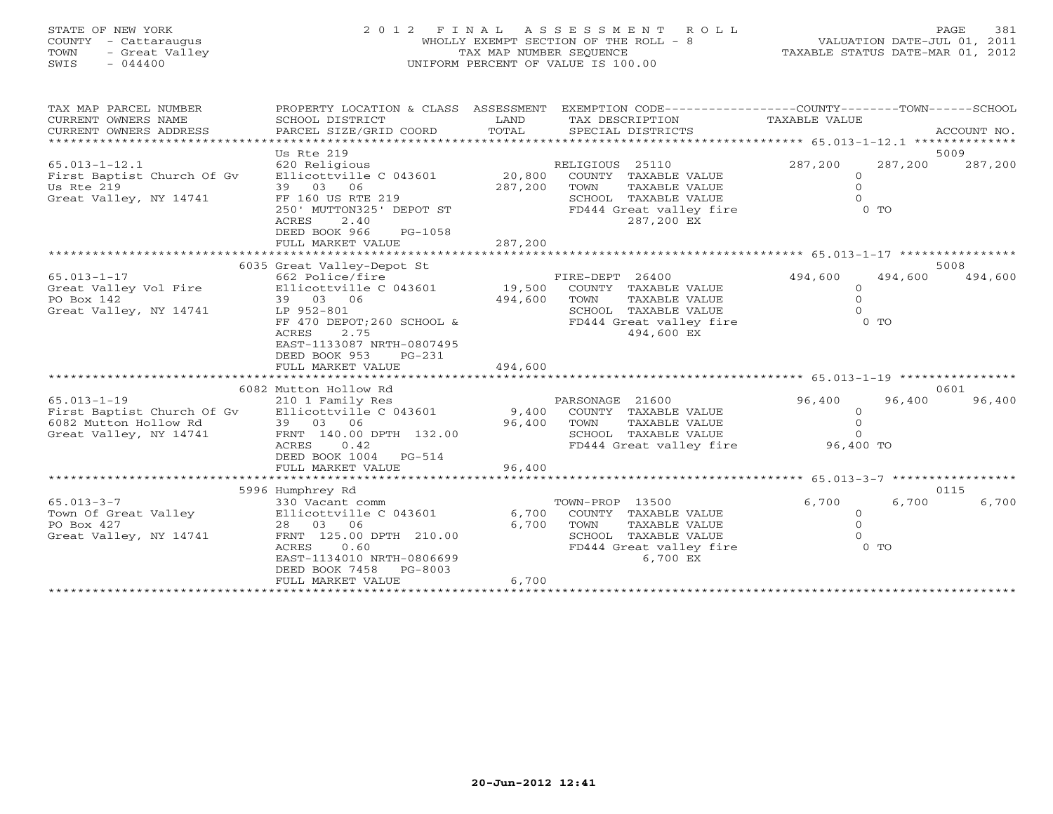## STATE OF NEW YORK 2 0 1 2 F I N A L A S S E S S M E N T R O L L PAGE 381 COUNTY - Cattaraugus WHOLLY EXEMPT SECTION OF THE ROLL - 8 VALUATION DATE-JUL 01, 2011 TOWN - Great Valley TAX MAP NUMBER SEQUENCE TAXABLE STATUS DATE-MAR 01, 2012 SWIS - 044400 UNIFORM PERCENT OF VALUE IS 100.00UNIFORM PERCENT OF VALUE IS 100.00

| TAX MAP PARCEL NUMBER                                                        | PROPERTY LOCATION & CLASS ASSESSMENT EXEMPTION CODE---------------COUNTY-------TOWN------SCHOOL |         |                             |                |         |             |
|------------------------------------------------------------------------------|-------------------------------------------------------------------------------------------------|---------|-----------------------------|----------------|---------|-------------|
| CURRENT OWNERS NAME                                                          | SCHOOL DISTRICT                                                                                 | LAND    | TAX DESCRIPTION             | TAXABLE VALUE  |         |             |
| CURRENT OWNERS ADDRESS                                                       | PARCEL SIZE/GRID COORD                                                                          | TOTAL   | SPECIAL DISTRICTS           |                |         | ACCOUNT NO. |
|                                                                              |                                                                                                 |         |                             |                |         |             |
|                                                                              | Us Rte 219                                                                                      |         |                             |                |         | 5009        |
| $65.013 - 1 - 12.1$                                                          | 620 Religious                                                                                   |         | RELIGIOUS 25110             | 287,200        | 287,200 | 287,200     |
| First Baptist Church Of Gv                                                   | Ellicottville C 043601                                                                          |         | 20,800 COUNTY TAXABLE VALUE | $\circ$        |         |             |
| Us Rte 219                                                                   | 39 03 06                                                                                        | 287,200 | TOWN<br>TAXABLE VALUE       | $\Omega$       |         |             |
| Great Valley, NY 14741                                                       | FF 160 US RTE 219                                                                               |         | SCHOOL TAXABLE VALUE        |                |         |             |
|                                                                              | 250' MUTTON325' DEPOT ST                                                                        |         | FD444 Great valley fire     |                | $0$ To  |             |
|                                                                              | 2.40<br>ACRES                                                                                   |         | 287,200 EX                  |                |         |             |
|                                                                              | DEED BOOK 966<br>PG-1058                                                                        |         |                             |                |         |             |
|                                                                              | FULL MARKET VALUE                                                                               | 287,200 |                             |                |         |             |
|                                                                              |                                                                                                 |         |                             |                |         |             |
|                                                                              | 6035 Great Valley-Depot St                                                                      |         |                             |                |         | 5008        |
| $65.013 - 1 - 17$                                                            | 662 Police/fire                                                                                 |         | FIRE-DEPT 26400             | 494,600        | 494,600 | 494,600     |
| Great Valley Vol Fire Bllicottville C 043601                                 |                                                                                                 |         | 19,500 COUNTY TAXABLE VALUE | $\circ$        |         |             |
| PO Box 142                                                                   | 39 03 06                                                                                        | 494,600 | TOWN<br>TAXABLE VALUE       | $\Omega$       |         |             |
| Great Valley, NY 14741                                                       | LP 952-801                                                                                      |         | SCHOOL TAXABLE VALUE        |                |         |             |
|                                                                              | FF 470 DEPOT; 260 SCHOOL &                                                                      |         | FD444 Great valley fire     |                | $0$ TO  |             |
|                                                                              | ACRES<br>2.75                                                                                   |         | 494,600 EX                  |                |         |             |
|                                                                              | EAST-1133087 NRTH-0807495                                                                       |         |                             |                |         |             |
|                                                                              | DEED BOOK 953<br>PG-231                                                                         |         |                             |                |         |             |
|                                                                              | FULL MARKET VALUE                                                                               | 494,600 |                             |                |         |             |
|                                                                              |                                                                                                 |         |                             |                |         |             |
|                                                                              | 6082 Mutton Hollow Rd                                                                           |         |                             |                |         | 0601        |
| $65.013 - 1 - 19$                                                            | 210 1 Family Res                                                                                |         | PARSONAGE 21600             | 96,400         | 96,400  | 96,400      |
| First Baptist Church Of Gv Ellicottville C 043601 9,400 COUNTY TAXABLE VALUE |                                                                                                 |         |                             | $\circ$        |         |             |
| 6082 Mutton Hollow Rd                                                        | 39 03 06                                                                                        | 96,400  | TOWN<br>TAXABLE VALUE       | $\circ$        |         |             |
| Great Valley, NY 14741                                                       | FRNT 140.00 DPTH 132.00                                                                         |         | SCHOOL TAXABLE VALUE        | $\Omega$       |         |             |
|                                                                              | 0.42<br>ACRES                                                                                   |         | FD444 Great valley fire     | 96,400 TO      |         |             |
|                                                                              | DEED BOOK 1004 PG-514                                                                           | 96,400  |                             |                |         |             |
|                                                                              | FULL MARKET VALUE                                                                               |         |                             |                |         |             |
|                                                                              | 5996 Humphrey Rd                                                                                |         |                             |                |         | 0115        |
| $65.013 - 3 - 7$                                                             | 330 Vacant comm                                                                                 |         | TOWN-PROP 13500             | 6,700          | 6,700   | 6,700       |
| Town Of Great Valley Bllicottville C 043601 6,700                            |                                                                                                 |         | COUNTY TAXABLE VALUE        | $\circ$        |         |             |
| PO Box 427                                                                   | 28 03 06                                                                                        | 6,700   | TOWN<br>TAXABLE VALUE       | $\overline{0}$ |         |             |
| Great Valley, NY 14741                                                       | FRNT 125.00 DPTH 210.00                                                                         |         | SCHOOL TAXABLE VALUE        |                |         |             |
|                                                                              | 0.60<br>ACRES                                                                                   |         | FD444 Great valley fire     |                | $0$ TO  |             |
|                                                                              | EAST-1134010 NRTH-0806699                                                                       |         | 6,700 EX                    |                |         |             |
|                                                                              | DEED BOOK 7458<br>PG-8003                                                                       |         |                             |                |         |             |
|                                                                              | FULL MARKET VALUE                                                                               | 6,700   |                             |                |         |             |
|                                                                              |                                                                                                 |         |                             |                |         |             |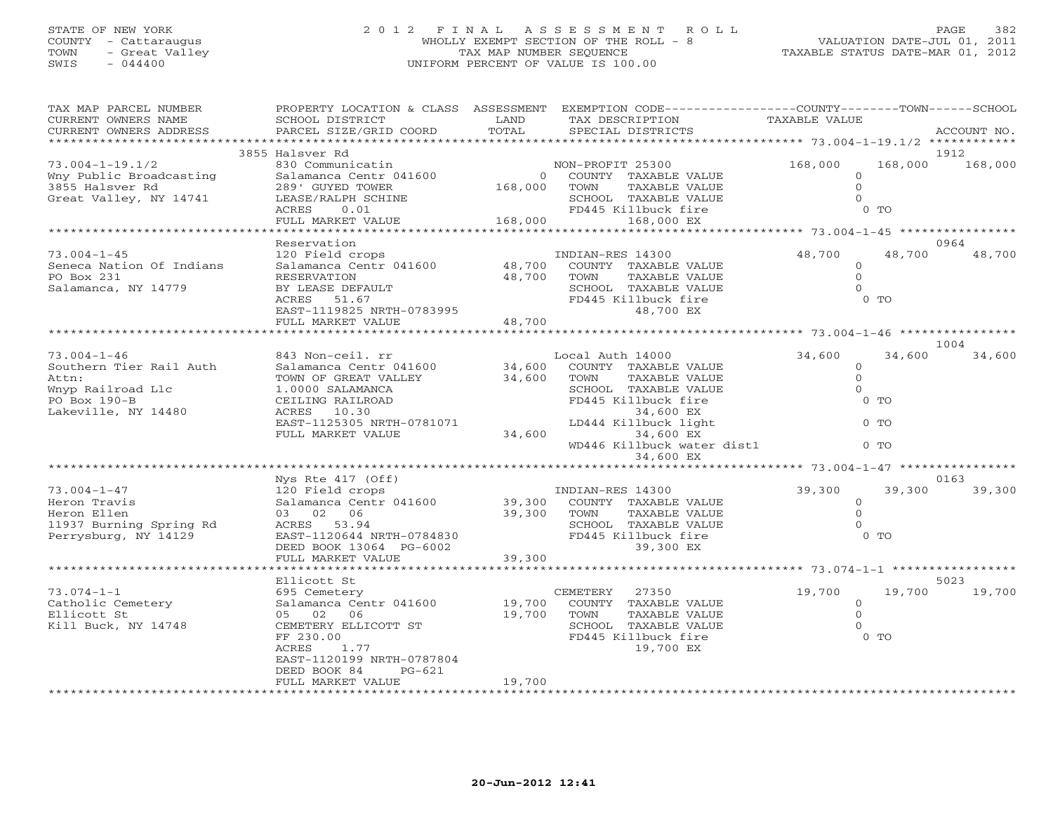## STATE OF NEW YORK 2 0 1 2 F I N A L A S S E S S M E N T R O L L PAGE 382 COUNTY - Cattaraugus WHOLLY EXEMPT SECTION OF THE ROLL - 8 VALUATION DATE-JUL 01, 2011 TOWN - Great Valley TAX MAP NUMBER SEQUENCE TAXABLE STATUS DATE-MAR 01, 2012 SWIS - 044400 UNIFORM PERCENT OF VALUE IS 100.00UNIFORM PERCENT OF VALUE IS 100.00

| TAX MAP PARCEL NUMBER<br>CURRENT OWNERS NAME<br>CURRENT OWNERS ADDRESS                                                                                                                                                   | SCHOOL DISTRICT<br>PARCEL SIZE/GRID COORD                                                                                                                                                                                                                                                                                          | LAND<br>TOTAL              | PROPERTY LOCATION & CLASS ASSESSMENT EXEMPTION CODE---------------COUNTY-------TOWN------SCHOOL<br>TAX DESCRIPTION<br>SPECIAL DISTRICTS                                                                                                                                                                                                                      | TAXABLE VALUE                                                                                                                                                           | ACCOUNT NO.                                  |
|--------------------------------------------------------------------------------------------------------------------------------------------------------------------------------------------------------------------------|------------------------------------------------------------------------------------------------------------------------------------------------------------------------------------------------------------------------------------------------------------------------------------------------------------------------------------|----------------------------|--------------------------------------------------------------------------------------------------------------------------------------------------------------------------------------------------------------------------------------------------------------------------------------------------------------------------------------------------------------|-------------------------------------------------------------------------------------------------------------------------------------------------------------------------|----------------------------------------------|
| *************************                                                                                                                                                                                                |                                                                                                                                                                                                                                                                                                                                    |                            |                                                                                                                                                                                                                                                                                                                                                              |                                                                                                                                                                         |                                              |
|                                                                                                                                                                                                                          | 3855 Halsver Rd                                                                                                                                                                                                                                                                                                                    |                            |                                                                                                                                                                                                                                                                                                                                                              |                                                                                                                                                                         | 1912                                         |
| $73.004 - 1 - 19.1/2$<br>Wny Public Broadcasting<br>3855 Halsver Rd<br>Great Valley, NY 14741                                                                                                                            | 830 Communicatin<br>Salamanca Centr 041600<br>289' GUYED TOWER<br>LEASE/RALPH SCHINE<br>ACRES<br>0.01                                                                                                                                                                                                                              | 168,000<br>168,000         | NON-PROFIT 25300<br>0 COUNTY TAXABLE VALUE<br>TAXABLE VALUE<br>TOWN<br>SCHOOL TAXABLE VALUE<br>FD445 Killbuck fire                                                                                                                                                                                                                                           | 168,000<br>$\Omega$<br>$\mathbf{O}$<br>0 <sub>T</sub>                                                                                                                   | 168,000<br>168,000                           |
|                                                                                                                                                                                                                          | FULL MARKET VALUE<br>**********************                                                                                                                                                                                                                                                                                        | *****************          | 168,000 EX                                                                                                                                                                                                                                                                                                                                                   |                                                                                                                                                                         |                                              |
|                                                                                                                                                                                                                          |                                                                                                                                                                                                                                                                                                                                    |                            | ************************************ 73.004-1-45 *****************                                                                                                                                                                                                                                                                                           |                                                                                                                                                                         |                                              |
| $73.004 - 1 - 45$                                                                                                                                                                                                        | Reservation                                                                                                                                                                                                                                                                                                                        |                            |                                                                                                                                                                                                                                                                                                                                                              | 48,700                                                                                                                                                                  | 0964<br>48,700<br>48,700                     |
| Seneca Nation Of Indians<br>PO Box 231<br>Salamanca, NY 14779                                                                                                                                                            | 120 Field crops<br>Salamanca Centr 041600<br>RESERVATION<br>BY LEASE DEFAULT<br>ACRES<br>51.67<br>EAST-1119825 NRTH-0783995<br>FULL MARKET VALUE                                                                                                                                                                                   | 48,700<br>48,700<br>48,700 | INDIAN-RES 14300<br>COUNTY TAXABLE VALUE<br>TAXABLE VALUE<br>TOWN<br>SCHOOL TAXABLE VALUE<br>FD445 Killbuck fire<br>48,700 EX                                                                                                                                                                                                                                | $\circ$<br>$\Omega$<br>$\Omega$<br>$0$ TO                                                                                                                               |                                              |
|                                                                                                                                                                                                                          |                                                                                                                                                                                                                                                                                                                                    |                            |                                                                                                                                                                                                                                                                                                                                                              |                                                                                                                                                                         |                                              |
|                                                                                                                                                                                                                          |                                                                                                                                                                                                                                                                                                                                    |                            |                                                                                                                                                                                                                                                                                                                                                              |                                                                                                                                                                         | 1004                                         |
| $73.004 - 1 - 46$<br>Southern Tier Rail Auth<br>Attn:<br>Wnyp Railroad Llc<br>PO Box 190-B<br>Lakeville, NY 14480<br>$73.004 - 1 - 47$<br>Heron Travis<br>Heron Ellen<br>11937 Burning Spring Rd<br>Perrysburg, NY 14129 | 843 Non-ceil. rr<br>Salamanca Centr 041600<br>TOWN OF GREAT VALLEY<br>1.0000 SALAMANCA<br>CEILING RAILROAD<br>ACRES 10.30<br>EAST-1125305 NRTH-0781071<br>FULL MARKET VALUE<br>Nys Rte $417$ (Off)<br>120 Field crops<br>Salamanca Centr 041600<br>03 02 06<br>ACRES 53.94<br>EAST-1120644 NRTH-0784830<br>DEED BOOK 13064 PG-6002 | 34,600<br>34,600<br>34,600 | Local Auth 14000<br>COUNTY TAXABLE VALUE<br>TOWN<br>TAXABLE VALUE<br>SCHOOL TAXABLE VALUE<br>FD445 Killbuck fire<br>34,600 EX<br>LD444 Killbuck light<br>34,600 EX<br>WD446 Killbuck water dist1<br>34,600 EX<br>INDIAN-RES 14300<br>39,300 COUNTY TAXABLE VALUE<br>39,300 TOWN<br>TAXABLE VALUE<br>SCHOOL TAXABLE VALUE<br>FD445 Killbuck fire<br>39,300 EX | 34,600<br>$\circ$<br>$\mathbf{O}$<br>$\Omega$<br>$0$ TO<br>$0$ TO<br>$0$ TO<br>************ 73.004-1-47 ***********<br>39,300<br>$\Omega$<br>$\Omega$<br>0 <sub>0</sub> | 34,600<br>34,600<br>0163<br>39,300<br>39,300 |
|                                                                                                                                                                                                                          | FULL MARKET VALUE<br>.                                                                                                                                                                                                                                                                                                             | 39,300                     | *************************                                                                                                                                                                                                                                                                                                                                    |                                                                                                                                                                         |                                              |
|                                                                                                                                                                                                                          | Ellicott St                                                                                                                                                                                                                                                                                                                        |                            |                                                                                                                                                                                                                                                                                                                                                              | ************** 73.074-1-1 ******************                                                                                                                            | 5023                                         |
| $73.074 - 1 - 1$<br>Catholic Cemetery<br>Ellicott St<br>Kill Buck, NY 14748                                                                                                                                              | 695 Cemetery<br>Salamanca Centr 041600<br>05 02 06<br>CEMETERY ELLICOTT ST<br>FF 230.00<br>ACRES<br>1.77<br>EAST-1120199 NRTH-0787804<br>DEED BOOK 84<br>$PG-621$                                                                                                                                                                  | 19,700<br>19,700           | CEMETERY<br>27350<br>COUNTY TAXABLE VALUE<br>TOWN<br>TAXABLE VALUE<br>SCHOOL TAXABLE VALUE<br>FD445 Killbuck fire<br>19,700 EX                                                                                                                                                                                                                               | 19,700<br>$\Omega$<br>$\Omega$<br>$0$ TO                                                                                                                                | 19,700<br>19,700                             |
|                                                                                                                                                                                                                          | FULL MARKET VALUE                                                                                                                                                                                                                                                                                                                  | 19,700                     |                                                                                                                                                                                                                                                                                                                                                              |                                                                                                                                                                         |                                              |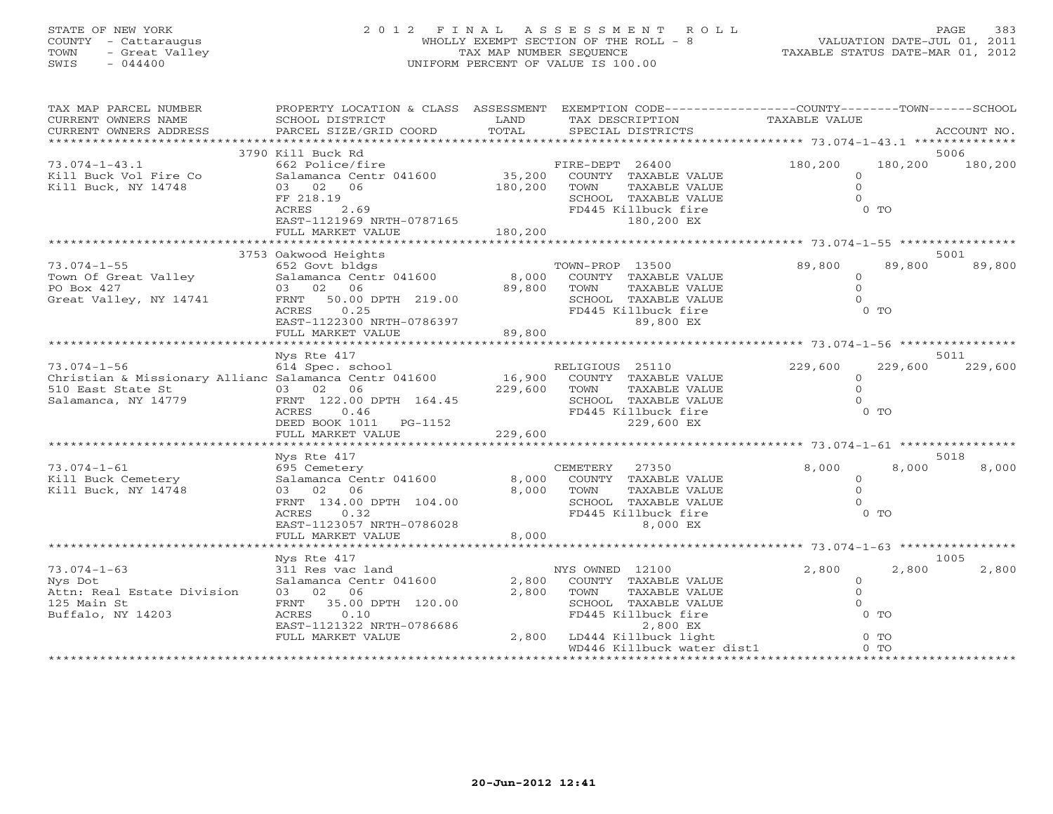## STATE OF NEW YORK 2 0 1 2 F I N A L A S S E S S M E N T R O L L PAGE 383 COUNTY - Cattaraugus WHOLLY EXEMPT SECTION OF THE ROLL - 8 VALUATION DATE-JUL 01, 2011 TOWN - Great Valley TAX MAP NUMBER SEQUENCE TAXABLE STATUS DATE-MAR 01, 2012 SWIS - 044400 UNIFORM PERCENT OF VALUE IS 100.00UNIFORM PERCENT OF VALUE IS 100.00

| TAX MAP PARCEL NUMBER<br>CURRENT OWNERS NAME<br>CURRENT OWNERS ADDRESS                                                 | PROPERTY LOCATION & CLASS ASSESSMENT<br>SCHOOL DISTRICT<br>PARCEL SIZE/GRID COORD                                                                                                                                                                                                                                                                            | LAND<br>TOTAL                | EXEMPTION CODE-----------------COUNTY-------TOWN------SCHOOL<br>TAX DESCRIPTION<br>SPECIAL DISTRICTS                                                      | TAXABLE VALUE                                     |                           | ACCOUNT NO.     |
|------------------------------------------------------------------------------------------------------------------------|--------------------------------------------------------------------------------------------------------------------------------------------------------------------------------------------------------------------------------------------------------------------------------------------------------------------------------------------------------------|------------------------------|-----------------------------------------------------------------------------------------------------------------------------------------------------------|---------------------------------------------------|---------------------------|-----------------|
|                                                                                                                        |                                                                                                                                                                                                                                                                                                                                                              |                              |                                                                                                                                                           |                                                   |                           |                 |
| $73.074 - 1 - 43.1$<br>Kill Buck Vol Fire Co<br>Kill Buck, NY 14748                                                    | 3790 Kill Buck Rd<br>662 Police/fire<br>Salamanca Centr 041600<br>03 02 06<br>FF 218.19<br>ACRES<br>2.69<br>EAST-1121969 NRTH-0787165<br>FULL MARKET VALUE                                                                                                                                                                                                   | 180,200<br>180,200           | FIRE-DEPT 26400<br>35,200 COUNTY TAXABLE VALUE<br>TAXABLE VALUE<br>TOWN<br>SCHOOL TAXABLE VALUE<br>FD445 Killbuck fire<br>180,200 EX                      | 180,200<br>$\circ$<br>$\Omega$<br>$\cap$          | 180,200<br>0 <sub>T</sub> | 5006<br>180,200 |
|                                                                                                                        |                                                                                                                                                                                                                                                                                                                                                              |                              |                                                                                                                                                           |                                                   |                           |                 |
| $73.074 - 1 - 55$<br>Town Of Great Valley<br>PO Box 427<br>Great Valley, NY 14741                                      | 3753 Oakwood Heights<br>652 Govt bldgs<br>TC 652 Govt bldgs for the form of the form of the form of the form of the form of the form of the form of the fo<br>B,000 for the form of the form of the form of the form of the form of the form of the form of the form of the<br>03 02 06<br>FRNT 50.00 DPTH 219.00<br>ACRES 0.25<br>EAST-1122300 NRTH-0786397 | 89,800                       | TOWN-PROP 13500<br>COUNTY TAXABLE VALUE<br>TAXABLE VALUE<br>TOWN<br>SCHOOL TAXABLE VALUE<br>FD445 Killbuck fire<br>89,800 EX                              | 89,800<br>$\circ$<br>$\Omega$<br>$\Omega$         | 89,800<br>$0$ TO          | 5001<br>89,800  |
|                                                                                                                        | FULL MARKET VALUE                                                                                                                                                                                                                                                                                                                                            | 89,800                       |                                                                                                                                                           |                                                   |                           |                 |
|                                                                                                                        | Nys Rte 417                                                                                                                                                                                                                                                                                                                                                  |                              |                                                                                                                                                           |                                                   |                           | 5011            |
| $73.074 - 1 - 56$<br>Christian & Missionary Allianc Salamanca Centr 041600<br>510 East State St<br>Salamanca, NY 14779 | 614 Spec. school<br>$(03 \t 02 \t 06$<br>FRNT 122.00<br>FRNT 122.00 DPTH 164.45<br>ACRES 0.46<br>DEED BOOK 1011    PG-1152<br>FULL MARKET VALUE                                                                                                                                                                                                              | 16,900<br>229,600<br>229,600 | RELIGIOUS 25110<br>COUNTY TAXABLE VALUE<br>TOWN<br>TAXABLE VALUE<br>SCHOOL TAXABLE VALUE<br>FD445 Killbuck fire<br>229,600 EX                             | 229,600<br>$\circ$<br>$\Omega$<br>$\Omega$        | 229,600<br>$0$ TO         | 229,600         |
|                                                                                                                        | Nys Rte 417                                                                                                                                                                                                                                                                                                                                                  |                              |                                                                                                                                                           |                                                   |                           | 5018            |
| $73.074 - 1 - 61$<br>Kill Buck Cemetery<br>Kill Buck, NY 14748                                                         | 695 Cemetery<br>Salamanca Centr 041600<br>03 02 06<br>FRNT 134.00 DPTH 104.00<br>ACRES<br>0.32<br>EAST-1123057 NRTH-0786028<br>FULL MARKET VALUE                                                                                                                                                                                                             | 8,000<br>8,000<br>8,000      | CEMETERY 27350<br>COUNTY TAXABLE VALUE<br>TOWN<br>TAXABLE VALUE<br>SCHOOL TAXABLE VALUE<br>FD445 Killbuck fire<br>8,000 EX                                | 8,000<br>$\circ$<br>$\Omega$<br>$\Omega$          | 8,000<br>$0$ TO           | 8,000           |
|                                                                                                                        |                                                                                                                                                                                                                                                                                                                                                              |                              |                                                                                                                                                           |                                                   |                           |                 |
| $73.074 - 1 - 63$<br>Nys Dot<br>Attn: Real Estate Division<br>125 Main St<br>Buffalo, NY 14203                         | Nys Rte 417<br>311 Res vac land<br>Salamanca Centr 041600<br>03 02 06<br>FRNT 35.00 DPTH 120.00<br>0.10<br>ACRES<br>EAST-1121322 NRTH-0786686<br>FULL MARKET VALUE                                                                                                                                                                                           | 2,800<br>2,800               | NYS OWNED 12100<br>COUNTY TAXABLE VALUE<br>TOWN<br>TAXABLE VALUE<br>SCHOOL TAXABLE VALUE<br>FD445 Killbuck fire<br>2,800 EX<br>2,800 LD444 Killbuck light | 2,800<br>$\circ$<br>$\circ$<br>$\Omega$<br>$0$ TO | 2,800<br>$0$ TO           | 1005<br>2,800   |
|                                                                                                                        |                                                                                                                                                                                                                                                                                                                                                              |                              | WD446 Killbuck water dist1                                                                                                                                |                                                   | $0$ TO                    |                 |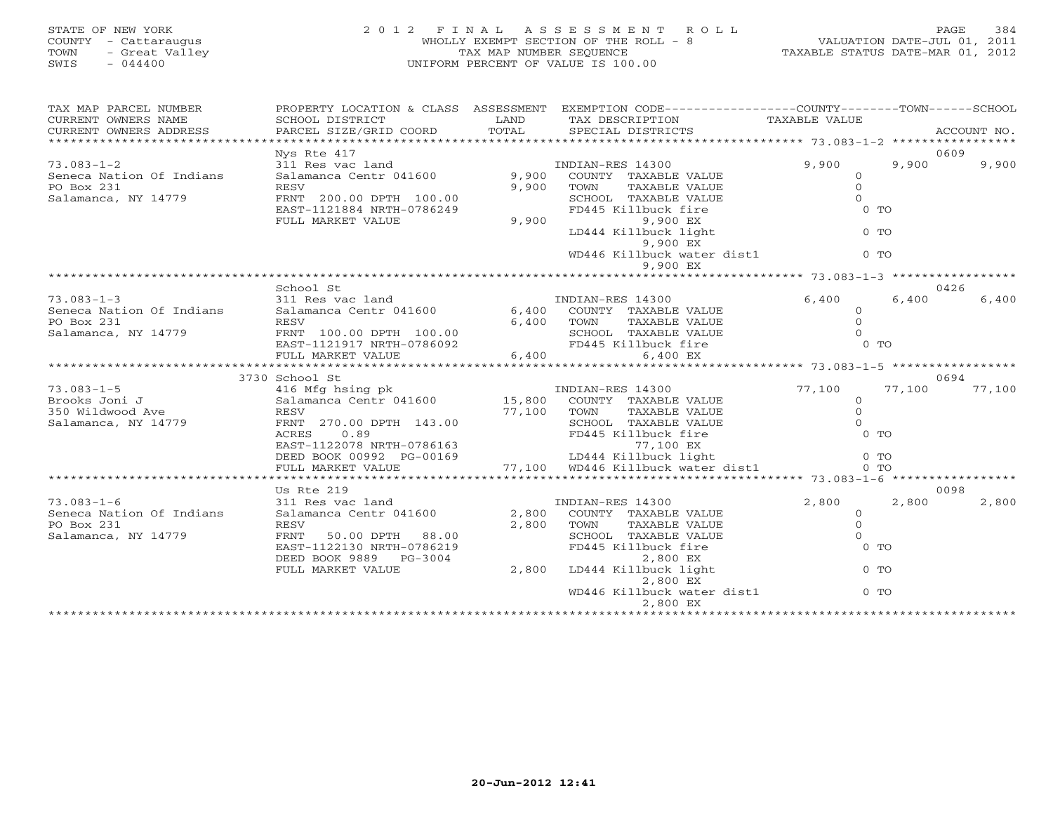## STATE OF NEW YORK 2 0 1 2 F I N A L A S S E S S M E N T R O L L PAGE 384 COUNTY - Cattaraugus WHOLLY EXEMPT SECTION OF THE ROLL - 8 VALUATION DATE-JUL 01, 2011 TOWN - Great Valley TAX MAP NUMBER SEQUENCE TAXABLE STATUS DATE-MAR 01, 2012 SWIS - 044400 UNIFORM PERCENT OF VALUE IS 100.00UNIFORM PERCENT OF VALUE IS 100.00

| TAX MAP PARCEL NUMBER    | PROPERTY LOCATION & CLASS ASSESSMENT               |                                 | EXEMPTION CODE-----------------COUNTY-------TOWN------SCHOOL                    |                        |        |             |
|--------------------------|----------------------------------------------------|---------------------------------|---------------------------------------------------------------------------------|------------------------|--------|-------------|
| CURRENT OWNERS NAME      | SCHOOL DISTRICT                                    | LAND                            | TAX DESCRIPTION                                                                 | TAXABLE VALUE          |        |             |
| CURRENT OWNERS ADDRESS   | PARCEL SIZE/GRID COORD                             | TOTAL                           | SPECIAL DISTRICTS                                                               |                        |        | ACCOUNT NO. |
|                          |                                                    |                                 |                                                                                 |                        |        |             |
|                          | Nys Rte 417                                        |                                 |                                                                                 |                        |        | 0609        |
| $73.083 - 1 - 2$         | 311 Res vac land                                   |                                 | INDIAN-RES 14300                                                                | 9,900                  | 9,900  | 9,900       |
| Seneca Nation Of Indians | Salamanca Centr 041600                             | 9,900                           | COUNTY TAXABLE VALUE                                                            | $\Omega$               |        |             |
| PO Box 231               | RESV                                               | 9,900                           | TOWN<br>TAXABLE VALUE                                                           | $\Omega$               |        |             |
| Salamanca, NY 14779      | FRNT 200.00 DPTH 100.00                            |                                 | SCHOOL TAXABLE VALUE                                                            | $\Omega$               |        |             |
|                          | EAST-1121884 NRTH-0786249                          |                                 | FD445 Killbuck fire                                                             | $0$ TO                 |        |             |
|                          | FULL MARKET VALUE                                  | 9,900                           | 9,900 EX                                                                        |                        |        |             |
|                          |                                                    |                                 | LD444 Killbuck light                                                            | $0$ TO                 |        |             |
|                          |                                                    |                                 | 9,900 EX                                                                        |                        |        |             |
|                          |                                                    |                                 | WD446 Killbuck water dist1                                                      | $0$ TO                 |        |             |
|                          |                                                    |                                 | 9,900 EX                                                                        |                        |        |             |
|                          |                                                    |                                 |                                                                                 |                        |        |             |
|                          | School St                                          |                                 |                                                                                 |                        |        | 0426        |
| $73.083 - 1 - 3$         | 311 Res vac land                                   |                                 | INDIAN-RES 14300                                                                | 6,400                  | 6,400  | 6,400       |
| Seneca Nation Of Indians | Salamanca Centr 041600                             |                                 | 6,400 COUNTY TAXABLE VALUE                                                      | $\Omega$               |        |             |
| PO Box 231               | RESV                                               |                                 | 6,400 TOWN<br>TAXABLE VALUE                                                     | $\Omega$               |        |             |
| Salamanca, NY 14779      | FRNT 100.00 DPTH 100.00                            |                                 | SCHOOL TAXABLE VALUE                                                            | $\cap$                 |        |             |
|                          | EAST-1121917 NRTH-0786092                          |                                 | FD445 Killbuck fire                                                             | $0$ TO                 |        |             |
|                          | FULL MARKET VALUE                                  | $3.30092$<br>$5.100$<br>$6.100$ | 6,400<br>6,400 EX                                                               |                        |        |             |
|                          |                                                    |                                 |                                                                                 |                        |        |             |
|                          | 3730 School St                                     |                                 |                                                                                 |                        |        | 0694        |
| $73.083 - 1 - 5$         | 416 Mfg hsing pk                                   |                                 | INDIAN-RES 14300                                                                | 77,100                 | 77,100 | 77,100      |
| Brooks Joni J            | Salamanca Centr 041600 15,800 COUNTY TAXABLE VALUE |                                 |                                                                                 | $\Omega$               |        |             |
| 350 Wildwood Ave         | RESV                                               | 77,100                          | TOWN<br>TAXABLE VALUE                                                           | $\circ$                |        |             |
| Salamanca, NY 14779      | FRNT 270.00 DPTH 143.00                            |                                 | SCHOOL TAXABLE VALUE                                                            | $\Omega$               |        |             |
|                          | ACRES<br>0.89                                      |                                 | FD445 Killbuck fire                                                             | 0 <sub>0</sub>         |        |             |
|                          | EAST-1122078 NRTH-0786163                          |                                 | 77,100 EX                                                                       |                        |        |             |
|                          |                                                    |                                 |                                                                                 | $0$ TO                 |        |             |
|                          |                                                    |                                 | DEED BOOK 00992 PG-00169<br>FULL MARKET VALUE 77,100 WD446 Killbuck water dist1 | 0 <sub>0</sub>         |        |             |
|                          | ******************************                     |                                 |                                                                                 |                        |        |             |
|                          | Us Rte 219                                         |                                 |                                                                                 |                        |        | 0098        |
| $73.083 - 1 - 6$         | 311 Res vac land                                   |                                 | INDIAN-RES 14300                                                                | 2,800                  | 2,800  | 2,800       |
| Seneca Nation Of Indians | Salamanca Centr 041600                             | 2,800                           | COUNTY TAXABLE VALUE                                                            | $\Omega$               |        |             |
| PO Box 231               | RESV                                               | 2,800                           | TOWN<br>TAXABLE VALUE                                                           | $\Omega$               |        |             |
| Salamanca, NY 14779      | FRNT<br>50.00 DPTH 88.00                           |                                 | SCHOOL TAXABLE VALUE                                                            | $\Omega$               |        |             |
|                          | EAST-1122130 NRTH-0786219                          |                                 | FD445 Killbuck fire                                                             | $0$ TO                 |        |             |
|                          | DEED BOOK 9889 PG-3004                             |                                 | 2,800 EX                                                                        |                        |        |             |
|                          | FULL MARKET VALUE                                  | 2,800                           | LD444 Killbuck light                                                            | $0$ TO                 |        |             |
|                          |                                                    |                                 | 2,800 EX                                                                        |                        |        |             |
|                          |                                                    |                                 | WD446 Killbuck water dist1                                                      | $0$ TO                 |        |             |
|                          |                                                    |                                 | 2,800 EX                                                                        |                        |        |             |
|                          |                                                    |                                 |                                                                                 | ********************** |        |             |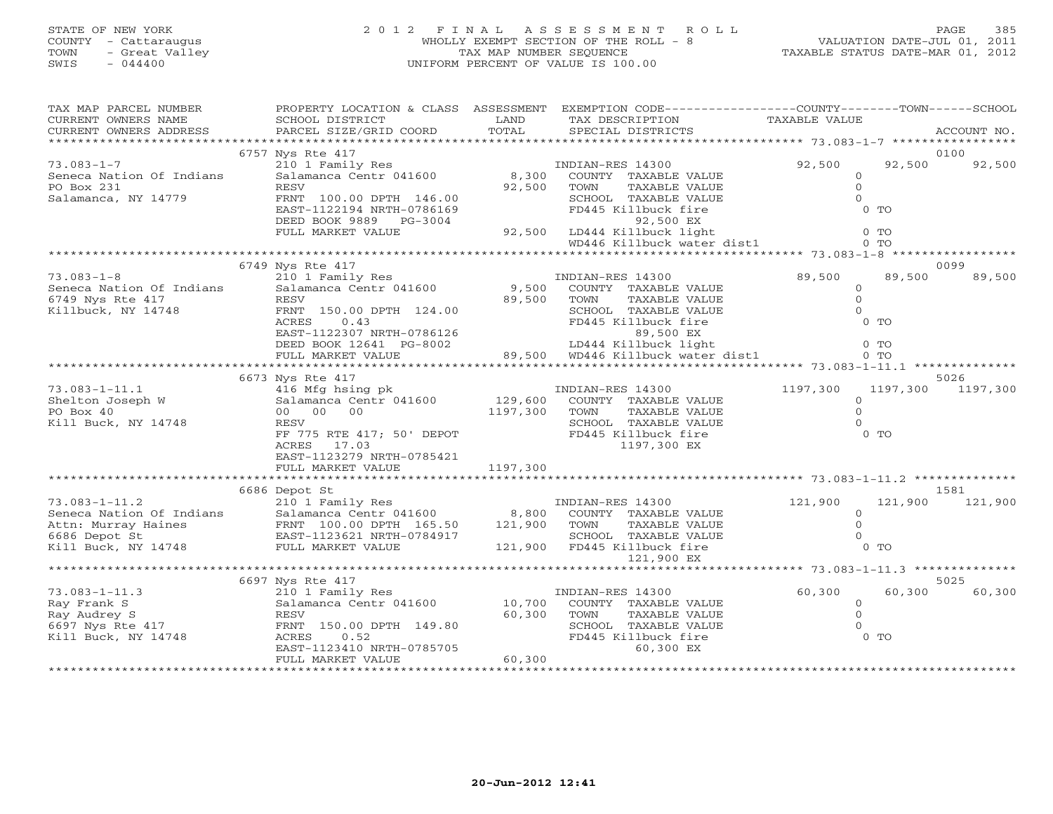## STATE OF NEW YORK 2 0 1 2 F I N A L A S S E S S M E N T R O L L PAGE 385 COUNTY - Cattaraugus WHOLLY EXEMPT SECTION OF THE ROLL - 8 VALUATION DATE-JUL 01, 2011 TOWN - Great Valley TAX MAP NUMBER SEQUENCE TAXABLE STATUS DATE-MAR 01, 2012 SWIS - 044400 UNIFORM PERCENT OF VALUE IS 100.00UNIFORM PERCENT OF VALUE IS 100.00

| TAX MAP PARCEL NUMBER                            |                                                                                                                                                                                       |              | PROPERTY LOCATION & CLASS ASSESSMENT EXEMPTION CODE----------------COUNTY-------TOWN------SCHOOL                                                                                        |                |         |                   |
|--------------------------------------------------|---------------------------------------------------------------------------------------------------------------------------------------------------------------------------------------|--------------|-----------------------------------------------------------------------------------------------------------------------------------------------------------------------------------------|----------------|---------|-------------------|
| CURRENT OWNERS NAME                              | SCHOOL DISTRICT                                                                                                                                                                       | LAND         | TAX DESCRIPTION                                                                                                                                                                         | TAXABLE VALUE  |         |                   |
|                                                  | .CURRENT OWNERS ADDRESS PARCEL SIZE/GRID COORD TOTAL SPECIAL DISTRICTS ACCOUNT NO ACCOUNT NO ACCOUNT NO ARRENT                                                                        |              |                                                                                                                                                                                         |                |         |                   |
|                                                  | 6757 Nys Rte 417                                                                                                                                                                      |              |                                                                                                                                                                                         |                |         | 0100              |
| $73.083 - 1 - 7$                                 |                                                                                                                                                                                       |              | INDIAN-RES 14300                                                                                                                                                                        | 92,500         | 92,500  | 92,500            |
| Seneca Nation Of Indians                         | 210 1 Family Res<br>Salamanca Centr 041600 8,300                                                                                                                                      |              | COUNTY TAXABLE VALUE                                                                                                                                                                    | $\Omega$       |         |                   |
| PO Box 231                                       | RESV                                                                                                                                                                                  | 92,500       | TOWN<br>TAXABLE VALUE                                                                                                                                                                   | $\circ$        |         |                   |
| Salamanca, NY 14779                              | FRNT 100.00 DPTH 146.00                                                                                                                                                               |              | SCHOOL TAXABLE VALUE                                                                                                                                                                    | $\Omega$       |         |                   |
|                                                  |                                                                                                                                                                                       |              |                                                                                                                                                                                         |                |         |                   |
|                                                  |                                                                                                                                                                                       |              |                                                                                                                                                                                         |                |         |                   |
|                                                  |                                                                                                                                                                                       |              |                                                                                                                                                                                         |                |         |                   |
|                                                  |                                                                                                                                                                                       |              |                                                                                                                                                                                         |                |         |                   |
|                                                  |                                                                                                                                                                                       |              |                                                                                                                                                                                         |                |         |                   |
|                                                  | 6749 Nys Rte 417                                                                                                                                                                      |              |                                                                                                                                                                                         |                |         | 0099              |
| $73.083 - 1 - 8$                                 | Nys Nou and The Timbran and Timbran and the Salamanca Centr 041600<br>Salamanca Centr 041600 9,500 COUNTY TAXABLI                                                                     |              |                                                                                                                                                                                         | 89,500         | 89,500  | 89,500            |
| Seneca Nation Of Indians                         |                                                                                                                                                                                       |              | COUNTY TAXABLE VALUE                                                                                                                                                                    | $\circ$        |         |                   |
| 6749 Nys Rte 417                                 | RESV                                                                                                                                                                                  | 89,500       | TOWN<br>TAXABLE VALUE                                                                                                                                                                   | $\circ$        |         |                   |
| Killbuck, NY 14748                               | FRNT 150.00 DPTH 124.00                                                                                                                                                               |              | SCHOOL TAXABLE VALUE<br>FRNT 150.00 DPTH 124.00<br>ACRES 0.43<br>EAST-1122307 NRTH-0786126<br>DEED BOOK 12641 PG-8002 189,500 EX<br>FULL MARKET VALUE 89,500 WD446 Killbuck water dist1 | $\Omega$       |         |                   |
|                                                  |                                                                                                                                                                                       |              |                                                                                                                                                                                         | $0$ TO         |         |                   |
|                                                  |                                                                                                                                                                                       |              |                                                                                                                                                                                         | $0$ TO         |         |                   |
|                                                  |                                                                                                                                                                                       |              |                                                                                                                                                                                         | $0$ TO         |         |                   |
|                                                  |                                                                                                                                                                                       |              |                                                                                                                                                                                         |                |         |                   |
|                                                  | 6673 Nys Rte 417                                                                                                                                                                      |              |                                                                                                                                                                                         |                |         | 5026              |
| $73.083 - 1 - 11.1$                              | 416 Mfg hsing pk                                                                                                                                                                      |              | INDIAN-RES 14300                                                                                                                                                                        | 1197,300       |         | 1197,300 1197,300 |
| 73.083-1-11.1<br>Shelton Joseph W<br>Do Berr     | Salamanca Centr $041600$ 129,600                                                                                                                                                      |              | COUNTY TAXABLE VALUE                                                                                                                                                                    | $\Omega$       |         |                   |
| PO Box 40                                        | 00 00 00<br>1197,300                                                                                                                                                                  |              | TOWN<br>TAXABLE VALUE                                                                                                                                                                   | $\Omega$       |         |                   |
| Kill Buck, NY 14748                              | RESV                                                                                                                                                                                  |              | SCHOOL TAXABLE VALUE                                                                                                                                                                    | $\Omega$       |         |                   |
|                                                  | RESV<br>FF 775 RTE 417; 50' DEPOT                                                                                                                                                     |              | FD445 Killbuck fire                                                                                                                                                                     | 0 <sub>T</sub> |         |                   |
|                                                  | ACRES 17.03                                                                                                                                                                           |              | 1197,300 EX                                                                                                                                                                             |                |         |                   |
|                                                  | EAST-1123279 NRTH-0785421                                                                                                                                                             |              |                                                                                                                                                                                         |                |         |                   |
|                                                  |                                                                                                                                                                                       |              |                                                                                                                                                                                         |                |         |                   |
|                                                  |                                                                                                                                                                                       |              |                                                                                                                                                                                         |                |         |                   |
|                                                  | 6686 Depot St                                                                                                                                                                         |              |                                                                                                                                                                                         |                |         | 1581              |
|                                                  |                                                                                                                                                                                       |              | INDIAN-RES 14300 121,900                                                                                                                                                                |                | 121,900 | 121,900           |
|                                                  | 73.083-1-11.2<br>Seneca Nation Of Indians<br>Attn: Murray Haines<br>6686 Depot St<br>Kill Buck, NY 14748<br>FRNT 100.00 DPTH 165.50<br>EAST-1123621 NRTH-0784917<br>FULL MARKET VALUE |              |                                                                                                                                                                                         | $\circ$        |         |                   |
|                                                  |                                                                                                                                                                                       | 121,900 TOWN | TAXABLE VALUE                                                                                                                                                                           | $\Omega$       |         |                   |
|                                                  |                                                                                                                                                                                       |              | SCHOOL TAXABLE VALUE                                                                                                                                                                    | $\Omega$       |         |                   |
|                                                  |                                                                                                                                                                                       |              | 121,900 FD445 Killbuck fire                                                                                                                                                             | $0$ TO         |         |                   |
|                                                  |                                                                                                                                                                                       |              |                                                                                                                                                                                         |                |         |                   |
|                                                  | 6697 Nys Rte 417                                                                                                                                                                      |              |                                                                                                                                                                                         |                |         | 5025              |
| $73.083 - 1 - 11.3$                              |                                                                                                                                                                                       |              | INDIAN-RES 14300                                                                                                                                                                        | 60,300         | 60,300  | 60,300            |
| Ray Frank S                                      | x <sub>1</sub> x .cc +1,<br>210 1 Family Res 11<br>Salamanca Centr 041600 10,700                                                                                                      |              | COUNTY TAXABLE VALUE                                                                                                                                                                    | $\circ$        |         |                   |
| Ray Audrey S<br>6697 Nys Rte 417<br>Kill Purl II | RESV                                                                                                                                                                                  | 60,300       | TOWN<br>TAXABLE VALUE                                                                                                                                                                   | $\circ$        |         |                   |
|                                                  | FRNT 150.00 DPTH 149.80                                                                                                                                                               |              | SCHOOL TAXABLE VALUE                                                                                                                                                                    | $\Omega$       |         |                   |
| Kill Buck, NY 14748                              | ACRES<br>0.52                                                                                                                                                                         |              | FD445 Killbuck fire                                                                                                                                                                     | 0 <sub>T</sub> |         |                   |
|                                                  | EAST-1123410 NRTH-0785705                                                                                                                                                             |              | 60,300 EX                                                                                                                                                                               |                |         |                   |
|                                                  | FULL MARKET VALUE                                                                                                                                                                     | 60,300       |                                                                                                                                                                                         |                |         |                   |
|                                                  |                                                                                                                                                                                       |              |                                                                                                                                                                                         |                |         |                   |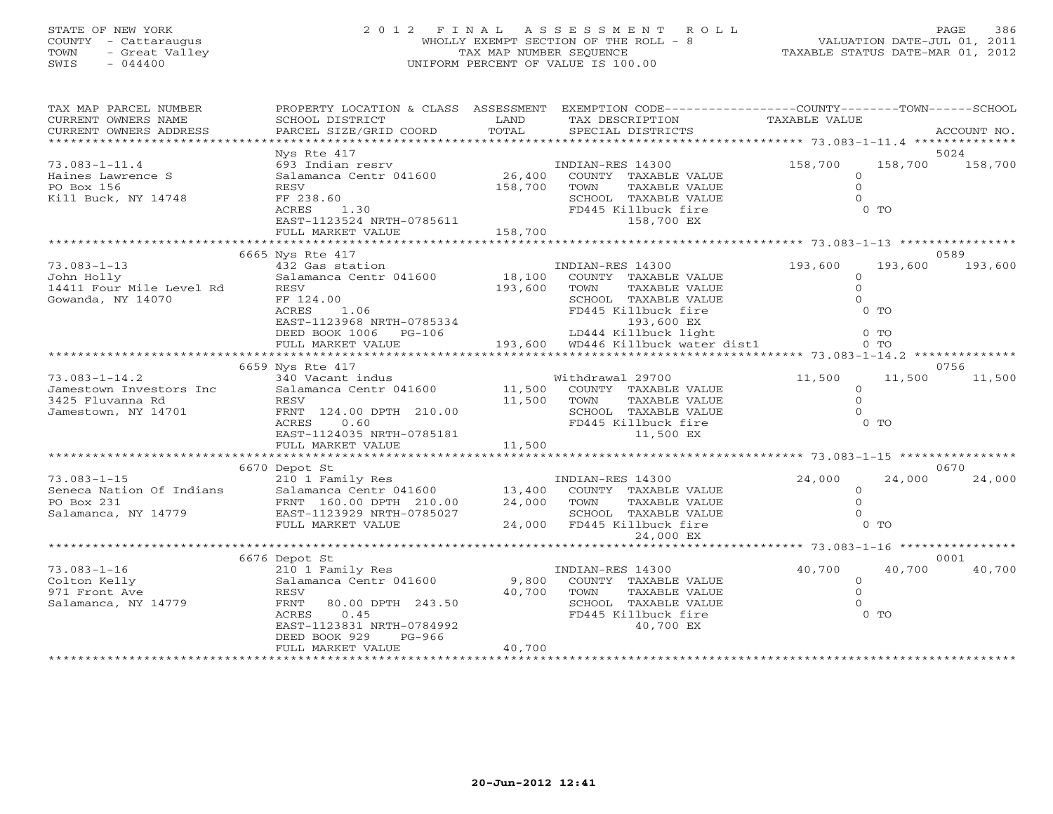## STATE OF NEW YORK 2 0 1 2 F I N A L A S S E S S M E N T R O L L PAGE 386 COUNTY - Cattaraugus WHOLLY EXEMPT SECTION OF THE ROLL - 8 VALUATION DATE-JUL 01, 2011 TOWN - Great Valley TAX MAP NUMBER SEQUENCE TAXABLE STATUS DATE-MAR 01, 2012 SWIS - 044400 UNIFORM PERCENT OF VALUE IS 100.00UNIFORM PERCENT OF VALUE IS 100.00

| TAX MAP PARCEL NUMBER<br>CURRENT OWNERS NAME                                              | PROPERTY LOCATION & CLASS ASSESSMENT<br>SCHOOL DISTRICT                                                                                                   | LAND                      | EXEMPTION CODE-----------------COUNTY-------TOWN------SCHOOL<br>TAX DESCRIPTION                                                                        | TAXABLE VALUE                                                             |                |
|-------------------------------------------------------------------------------------------|-----------------------------------------------------------------------------------------------------------------------------------------------------------|---------------------------|--------------------------------------------------------------------------------------------------------------------------------------------------------|---------------------------------------------------------------------------|----------------|
| CURRENT OWNERS ADDRESS                                                                    | PARCEL SIZE/GRID COORD                                                                                                                                    | TOTAL                     | SPECIAL DISTRICTS                                                                                                                                      |                                                                           | ACCOUNT NO.    |
| ******************************                                                            | Nys Rte 417                                                                                                                                               |                           |                                                                                                                                                        |                                                                           | 5024           |
| $73.083 - 1 - 11.4$<br>Haines Lawrence S<br>PO Box 156                                    | 693 Indian resrv<br>Salamanca Centr 041600<br>RESV                                                                                                        | 26,400<br>158,700         | INDIAN-RES 14300<br>COUNTY TAXABLE VALUE<br>TAXABLE VALUE<br>TOWN                                                                                      | 158,700<br>158,700<br>$\Omega$<br>$\Omega$                                | 158,700        |
| Kill Buck, NY 14748                                                                       | FF 238.60<br>1.30<br>ACRES<br>EAST-1123524 NRTH-0785611<br>FULL MARKET VALUE                                                                              | 158,700                   | SCHOOL TAXABLE VALUE<br>FD445 Killbuck fire<br>158,700 EX                                                                                              | $\Omega$<br>$0$ TO                                                        |                |
|                                                                                           | *************************                                                                                                                                 |                           |                                                                                                                                                        |                                                                           |                |
|                                                                                           | 6665 Nys Rte 417                                                                                                                                          |                           |                                                                                                                                                        |                                                                           | 0589           |
| $73.083 - 1 - 13$<br>John Holly<br>14411 Four Mile Level Rd<br>Gowanda, NY 14070          | 432 Gas station<br>Salamanca Centr 041600<br>RESV<br>FF 124.00<br>1.06<br>ACRES<br>EAST-1123968 NRTH-0785334<br>DEED BOOK 1006 PG-106                     | 18,100<br>193,600         | INDIAN-RES 14300<br>COUNTY TAXABLE VALUE<br>TOWN<br>TAXABLE VALUE<br>SCHOOL TAXABLE VALUE<br>FD445 Killbuck fire<br>193,600 EX<br>LD444 Killbuck light | 193,600<br>193,600<br>$\Omega$<br>$\circ$<br>$\Omega$<br>$0$ To<br>$0$ TO | 193,600        |
|                                                                                           | FULL MARKET VALUE                                                                                                                                         |                           | 193,600 WD446 Killbuck water dist1                                                                                                                     | $0$ TO                                                                    |                |
|                                                                                           | 6659 Nys Rte 417                                                                                                                                          |                           |                                                                                                                                                        |                                                                           | 0756           |
| $73.083 - 1 - 14.2$<br>Jamestown Investors Inc<br>3425 Fluvanna Rd<br>Jamestown, NY 14701 | 340 Vacant indus<br>Salamanca Centr 041600<br>RESV<br>FRNT 124.00 DPTH 210.00<br>ACRES<br>0.60<br>EAST-1124035 NRTH-0785181                               | 11,500<br>11,500          | Withdrawal 29700<br>COUNTY TAXABLE VALUE<br>TAXABLE VALUE<br>TOWN<br>SCHOOL TAXABLE VALUE<br>FD445 Killbuck fire<br>11,500 EX                          | 11,500<br>11,500<br>$\circ$<br>$\Omega$<br>0 <sub>0</sub>                 | 11,500         |
|                                                                                           | FULL MARKET VALUE                                                                                                                                         | 11,500                    |                                                                                                                                                        |                                                                           |                |
|                                                                                           |                                                                                                                                                           |                           |                                                                                                                                                        |                                                                           |                |
|                                                                                           | 6670 Depot St                                                                                                                                             |                           |                                                                                                                                                        |                                                                           | 0670           |
| $73.083 - 1 - 15$<br>Seneca Nation Of Indians<br>PO Box 231<br>Salamanca, NY 14779        | 210 1 Family Res<br>Salamanca Centr 041600<br>FRNT 160.00 DPTH 210.00<br>EAST-1123929 NRTH-0785027<br>FULL MARKET VALUE                                   | 24,000                    | INDIAN-RES 14300<br>13,400 COUNTY TAXABLE VALUE<br>TAXABLE VALUE<br>TOWN<br>SCHOOL TAXABLE VALUE<br>24,000 FD445 Killbuck fire<br>24,000 EX            | 24,000<br>24,000<br>$\circ$<br>$\Omega$<br>$\Omega$<br>$0$ TO             | 24,000         |
|                                                                                           |                                                                                                                                                           |                           |                                                                                                                                                        |                                                                           |                |
| $73.083 - 1 - 16$                                                                         | 6676 Depot St<br>210 1 Family Res                                                                                                                         |                           | INDIAN-RES 14300                                                                                                                                       | 40,700<br>40,700                                                          | 0001<br>40,700 |
| Colton Kelly<br>971 Front Ave<br>Salamanca, NY 14779                                      | Salamanca Centr 041600<br>RESV<br>80.00 DPTH 243.50<br>FRNT<br>ACRES<br>0.45<br>EAST-1123831 NRTH-0784992<br>DEED BOOK 929<br>PG-966<br>FULL MARKET VALUE | 9,800<br>40,700<br>40,700 | COUNTY TAXABLE VALUE<br>TOWN<br>TAXABLE VALUE<br>SCHOOL TAXABLE VALUE<br>FD445 Killbuck fire<br>40,700 EX                                              | $\overline{0}$<br>$\Omega$<br>$\circ$<br>$0$ TO                           |                |
|                                                                                           |                                                                                                                                                           |                           |                                                                                                                                                        |                                                                           |                |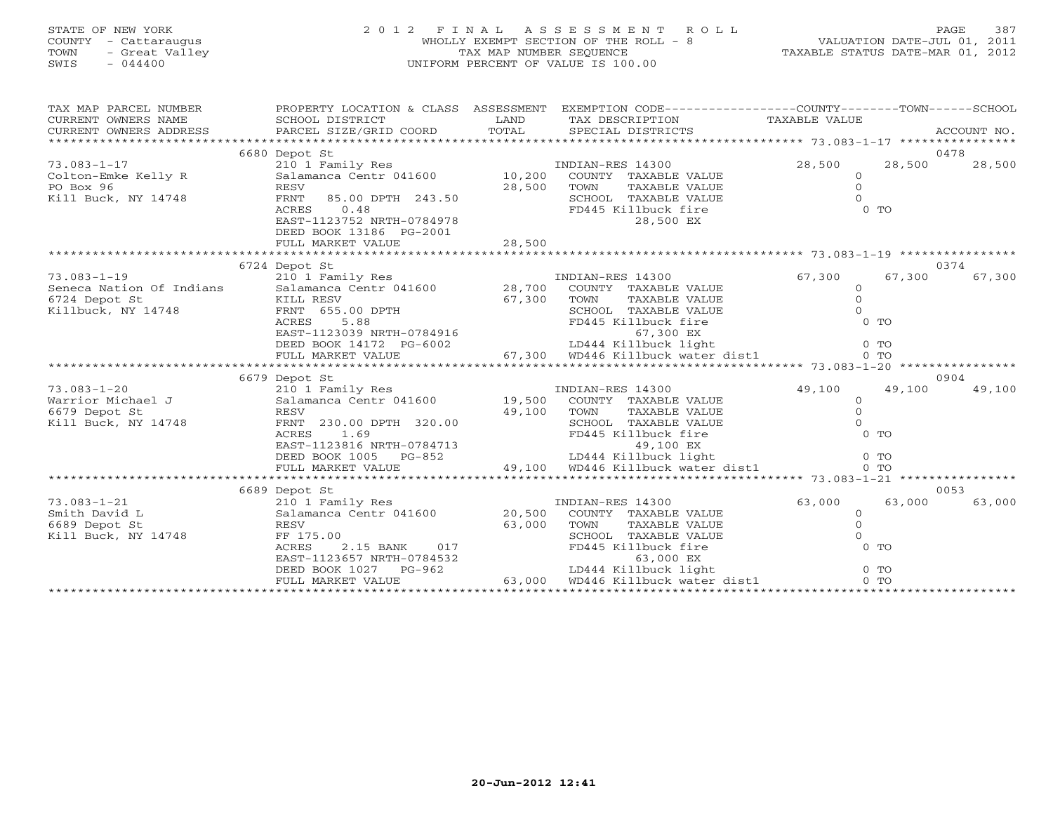### STATE OF NEW YORK 2 0 1 2 F I N A L A S S E S S M E N T R O L L PAGE 387COUNTY - Cattaraugus WHOLLY EXEMPT SECTION OF THE ROLL - 8 VALUATION DATE-JUL 01, 2011 TOWN - Great Valley (TAX MAP NUMBER SEQUENCE ) TAXABLE STATUS DATE-MAR 01, 2012<br>SWIS - 044400 - 044400 (TALLE IS 100.00) SWIS - 044400 UNIFORM PERCENT OF VALUE IS 100.00

VALUATION DATE-JUL 01, 2011

| TAX MAP PARCEL NUMBER<br>CURRENT OWNERS NAME<br>CURRENT OWNERS ADDRESS | PROPERTY LOCATION & CLASS ASSESSMENT<br>SCHOOL DISTRICT<br>PARCEL SIZE/GRID COORD | LAND<br>TOTAL | EXEMPTION CODE-----------------COUNTY-------TOWN------SCHOOL<br>TAX DESCRIPTION<br>SPECIAL DISTRICTS | TAXABLE VALUE | ACCOUNT NO.    |        |
|------------------------------------------------------------------------|-----------------------------------------------------------------------------------|---------------|------------------------------------------------------------------------------------------------------|---------------|----------------|--------|
|                                                                        |                                                                                   |               |                                                                                                      |               |                |        |
|                                                                        | 6680 Depot St                                                                     |               |                                                                                                      |               | 0478           |        |
| $73.083 - 1 - 17$                                                      | 210 1 Family Res                                                                  |               | INDIAN-RES 14300                                                                                     | 28,500        | 28,500         | 28,500 |
| Colton-Emke Kelly R                                                    | Salamanca Centr 041600                                                            | 10,200        | COUNTY TAXABLE VALUE                                                                                 | $\Omega$      |                |        |
| PO Box 96                                                              | RESV                                                                              | 28,500        | TOWN<br>TAXABLE VALUE                                                                                | $\circ$       |                |        |
| Kill Buck, NY 14748                                                    | 85.00 DPTH 243.50<br>FRNT                                                         |               | SCHOOL<br>TAXABLE VALUE                                                                              | $\Omega$      |                |        |
|                                                                        | <b>ACRES</b><br>0.48                                                              |               | FD445 Killbuck fire                                                                                  | $0$ TO        |                |        |
|                                                                        | EAST-1123752 NRTH-0784978                                                         |               | 28,500 EX                                                                                            |               |                |        |
|                                                                        | DEED BOOK 13186 PG-2001                                                           |               |                                                                                                      |               |                |        |
|                                                                        | FULL MARKET VALUE                                                                 | 28,500        |                                                                                                      |               |                |        |
|                                                                        |                                                                                   |               |                                                                                                      |               |                |        |
|                                                                        | 6724 Depot St                                                                     |               |                                                                                                      |               | 0374           |        |
| $73.083 - 1 - 19$                                                      | 210 1 Family Res                                                                  |               | INDIAN-RES 14300                                                                                     | 67,300        | 67,300         | 67,300 |
| Seneca Nation Of Indians                                               | Salamanca Centr 041600                                                            | 28,700        | COUNTY TAXABLE VALUE                                                                                 | $\Omega$      |                |        |
| 6724 Depot St                                                          | KILL RESV                                                                         | 67,300        | TOWN<br>TAXABLE VALUE                                                                                | $\Omega$      |                |        |
| Killbuck, NY 14748                                                     | FRNT 655.00 DPTH                                                                  |               | SCHOOL TAXABLE VALUE                                                                                 | $\Omega$      |                |        |
|                                                                        | ACRES<br>5.88                                                                     |               | FD445 Killbuck fire                                                                                  | $0$ TO        |                |        |
|                                                                        | EAST-1123039 NRTH-0784916                                                         |               | 67,300 EX                                                                                            |               |                |        |
|                                                                        | DEED BOOK 14172 PG-6002                                                           |               | LD444 Killbuck light                                                                                 | $0$ TO        |                |        |
|                                                                        | FULL MARKET VALUE<br>************************                                     |               | 67,300 WD446 Killbuck water dist1                                                                    | $0$ TO        |                |        |
|                                                                        |                                                                                   |               |                                                                                                      |               |                |        |
| $73.083 - 1 - 20$                                                      | 6679 Depot St<br>210 1 Family Res                                                 |               | INDIAN-RES 14300                                                                                     | 49,100        | 0904<br>49,100 | 49,100 |
| Warrior Michael J                                                      | Salamanca Centr 041600                                                            | 19,500        | COUNTY TAXABLE VALUE                                                                                 | $\circ$       |                |        |
| 6679 Depot St                                                          | RESV                                                                              | 49,100        | TOWN<br>TAXABLE VALUE                                                                                | $\Omega$      |                |        |
| Kill Buck, NY 14748                                                    | FRNT 230.00 DPTH 320.00                                                           |               | SCHOOL<br>TAXABLE VALUE                                                                              | $\cap$        |                |        |
|                                                                        | <b>ACRES</b><br>1.69                                                              |               | FD445 Killbuck fire                                                                                  | $0$ TO        |                |        |
|                                                                        | EAST-1123816 NRTH-0784713                                                         |               | 49,100 EX                                                                                            |               |                |        |
|                                                                        | DEED BOOK 1005<br>PG-852                                                          |               | LD444 Killbuck light                                                                                 | $0$ TO        |                |        |
|                                                                        | FULL MARKET VALUE                                                                 |               | 49,100 WD446 Killbuck water dist1                                                                    | $0$ TO        |                |        |
|                                                                        |                                                                                   |               |                                                                                                      |               |                |        |
|                                                                        | 6689 Depot St                                                                     |               |                                                                                                      |               | 0053           |        |
| $73.083 - 1 - 21$                                                      | 210 1 Family Res                                                                  |               | INDIAN-RES 14300                                                                                     | 63,000        | 63,000         | 63,000 |
| Smith David L                                                          | Salamanca Centr 041600                                                            | 20,500        | COUNTY TAXABLE VALUE                                                                                 | $\circ$       |                |        |
| 6689 Depot St                                                          | <b>RESV</b>                                                                       | 63,000        | TOWN<br><b>TAXABLE VALUE</b>                                                                         | $\Omega$      |                |        |
| Kill Buck, NY 14748                                                    | FF 175.00                                                                         |               | SCHOOL TAXABLE VALUE                                                                                 | $\Omega$      |                |        |
|                                                                        | ACRES<br>$2.15$ BANK<br>017                                                       |               | FD445 Killbuck fire                                                                                  | $0$ TO        |                |        |
|                                                                        | EAST-1123657 NRTH-0784532                                                         |               | 63,000 EX                                                                                            |               |                |        |
|                                                                        | DEED BOOK 1027<br>PG-962                                                          |               | LD444 Killbuck light                                                                                 | $0$ TO        |                |        |
|                                                                        | FULL MARKET VALUE                                                                 | 63,000        | WD446 Killbuck water dist1                                                                           | $0$ TO        |                |        |
|                                                                        |                                                                                   |               |                                                                                                      |               |                |        |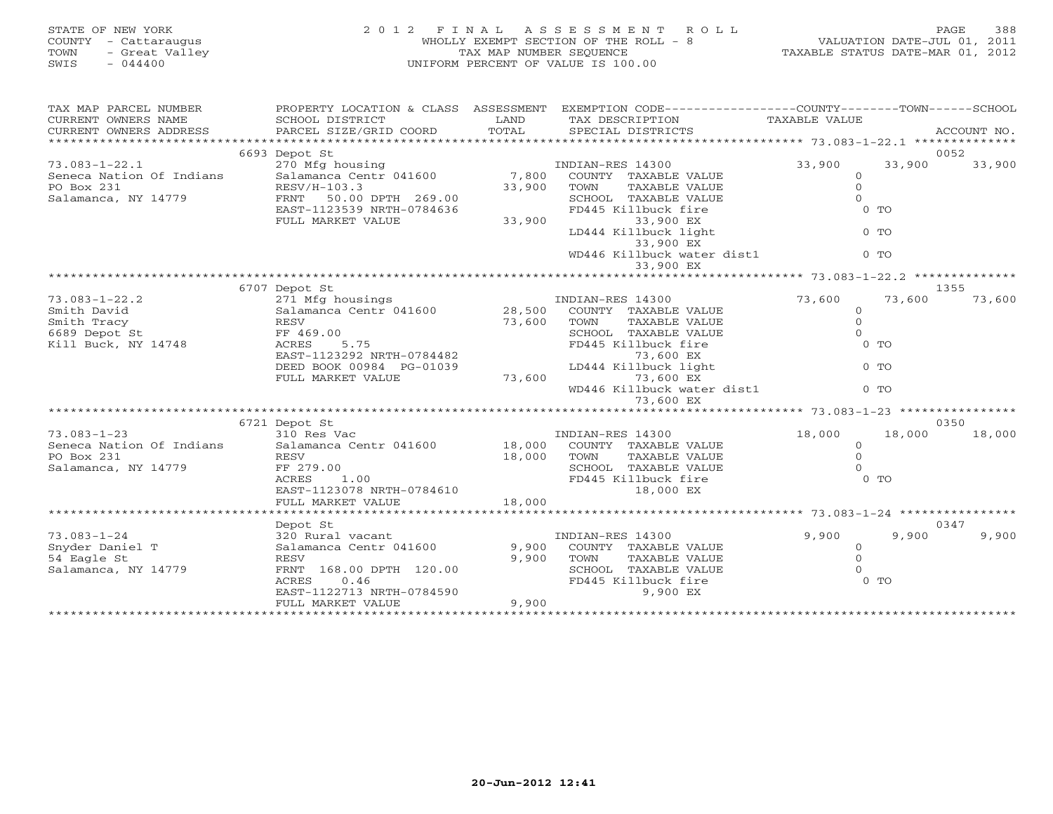| STATE OF NEW YORK<br>COUNTY - Cattaraugus<br>TOWN<br>- Great Valley<br>SWIS<br>$-044400$  | 2 0 1 2<br>FINAL                                                                                                                                                                | TAX MAP NUMBER SEQUENCE    | A S S E S S M E N T<br>R O L L<br>WHOLLY EXEMPT SECTION OF THE ROLL - 8<br>UNIFORM PERCENT OF VALUE IS 100.00                                                                                                 | TAXABLE STATUS DATE-MAR 01, 2012                                        | 388<br>PAGE<br>VALUATION DATE-JUL 01, 2011 |
|-------------------------------------------------------------------------------------------|---------------------------------------------------------------------------------------------------------------------------------------------------------------------------------|----------------------------|---------------------------------------------------------------------------------------------------------------------------------------------------------------------------------------------------------------|-------------------------------------------------------------------------|--------------------------------------------|
| TAX MAP PARCEL NUMBER<br>CURRENT OWNERS NAME<br>CURRENT OWNERS ADDRESS                    | PROPERTY LOCATION & CLASS ASSESSMENT EXEMPTION CODE---------------COUNTY-------TOWN------SCHOOL<br>SCHOOL DISTRICT<br>PARCEL SIZE/GRID COORD                                    | LAND<br>TOTAL              | TAX DESCRIPTION<br>SPECIAL DISTRICTS                                                                                                                                                                          | TAXABLE VALUE                                                           | ACCOUNT NO.                                |
|                                                                                           | 6693 Depot St                                                                                                                                                                   |                            |                                                                                                                                                                                                               |                                                                         | 0052                                       |
| $73.083 - 1 - 22.1$<br>Seneca Nation Of Indians<br>PO Box 231<br>Salamanca, NY 14779      | 270 Mfg housing<br>Salamanca Centr 041600<br>RESV/H-103.3<br>50.00 DPTH 269.00<br>FRNT<br>EAST-1123539 NRTH-0784636<br>FULL MARKET VALUE                                        | 7,800<br>33,900<br>33,900  | INDIAN-RES 14300<br>COUNTY TAXABLE VALUE<br>TOWN<br>TAXABLE VALUE<br>SCHOOL TAXABLE VALUE<br>FD445 Killbuck fire<br>33,900 EX<br>LD444 Killbuck light<br>33,900 EX<br>WD446 Killbuck water dist1<br>33,900 EX | 33,900<br>$\circ$<br>$\circ$<br>$\Omega$<br>$0$ TO<br>$0$ TO<br>$0$ TO  | 33,900<br>33,900                           |
|                                                                                           |                                                                                                                                                                                 |                            |                                                                                                                                                                                                               |                                                                         |                                            |
| $73.083 - 1 - 22.2$<br>Smith David<br>Smith Tracy<br>6689 Depot St<br>Kill Buck, NY 14748 | 6707 Depot St<br>271 Mfg housings<br>Salamanca Centr 041600<br>RESV<br>FF 469.00<br>ACRES<br>5.75<br>EAST-1123292 NRTH-0784482<br>DEED BOOK 00984 PG-01039<br>FULL MARKET VALUE | 28,500<br>73,600<br>73,600 | INDIAN-RES 14300<br>COUNTY TAXABLE VALUE<br>TOWN<br>TAXABLE VALUE<br>SCHOOL TAXABLE VALUE<br>FD445 Killbuck fire<br>73,600 EX<br>LD444 Killbuck light<br>73,600 EX<br>WD446 Killbuck water dist1<br>73,600 EX | 73,600<br>$\circ$<br>$\Omega$<br>$\Omega$<br>$0$ TO<br>$0$ TO<br>$0$ TO | 1355<br>73,600<br>73,600                   |
|                                                                                           |                                                                                                                                                                                 |                            |                                                                                                                                                                                                               | **************************** 73.083-1-23 **********                     |                                            |
| $73.083 - 1 - 23$<br>Seneca Nation Of Indians<br>PO Box 231<br>Salamanca, NY 14779        | 6721 Depot St<br>310 Res Vac<br>Salamanca Centr 041600<br>RESV<br>FF 279.00<br>ACRES<br>1.00<br>EAST-1123078 NRTH-0784610<br>FULL MARKET VALUE                                  | 18,000<br>18,000<br>18,000 | INDIAN-RES 14300<br>COUNTY TAXABLE VALUE<br>TAXABLE VALUE<br>TOWN<br>SCHOOL TAXABLE VALUE<br>FD445 Killbuck fire<br>18,000 EX                                                                                 | 18,000<br>$\Omega$<br>$\Omega$<br>$\Omega$<br>$0$ TO                    | 0350<br>18,000<br>18,000                   |
|                                                                                           |                                                                                                                                                                                 |                            |                                                                                                                                                                                                               |                                                                         |                                            |
| $73.083 - 1 - 24$<br>Snyder Daniel T<br>54 Eagle St<br>Salamanca, NY 14779                | Depot St<br>320 Rural vacant<br>Salamanca Centr 041600<br><b>RESV</b><br>FRNT 168.00 DPTH 120.00                                                                                | 9,900<br>9,900             | INDIAN-RES 14300<br>COUNTY TAXABLE VALUE<br>TOWN<br>TAXABLE VALUE<br>SCHOOL TAXABLE VALUE                                                                                                                     | 9,900<br>$\circ$<br>$\Omega$<br>$\Omega$                                | 0347<br>9,900<br>9,900                     |

\*\*\*\*\*\*\*\*\*\*\*\*\*\*\*\*\*\*\*\*\*\*\*\*\*\*\*\*\*\*\*\*\*\*\*\*\*\*\*\*\*\*\*\*\*\*\*\*\*\*\*\*\*\*\*\*\*\*\*\*\*\*\*\*\*\*\*\*\*\*\*\*\*\*\*\*\*\*\*\*\*\*\*\*\*\*\*\*\*\*\*\*\*\*\*\*\*\*\*\*\*\*\*\*\*\*\*\*\*\*\*\*\*\*\*\*\*\*\*\*\*\*\*\*\*\*\*\*\*\*\*\*

EAST-1122713 NRTH-0784590 9,900 BX<br>FULL MARKET VALUE 9,900

FULL MARKET VALUE

 ${\tt FRNT} \quad 168.00 \text{ DPTH} \quad 120.00 \qquad \qquad {\tt SCHOOL} \quad {\tt TAXABLE} \text{ VALUE} \qquad \qquad 0$ ACRES 0.46 FD445 Killbuck fire 0 TO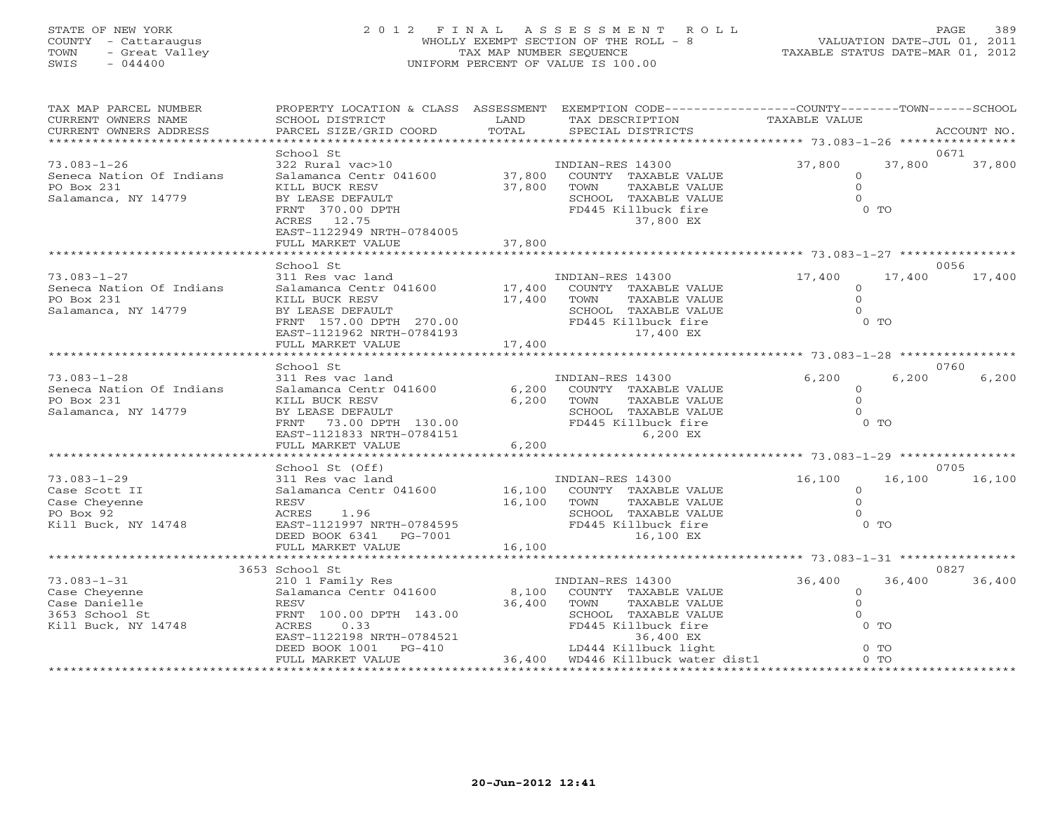## STATE OF NEW YORK 2 0 1 2 F I N A L A S S E S S M E N T R O L L PAGE 389 COUNTY - Cattaraugus WHOLLY EXEMPT SECTION OF THE ROLL - 8 VALUATION DATE-JUL 01, 2011 TOWN - Great Valley TAX MAP NUMBER SEQUENCE TAXABLE STATUS DATE-MAR 01, 2012 SWIS - 044400 UNIFORM PERCENT OF VALUE IS 100.00UNIFORM PERCENT OF VALUE IS 100.00

| TAX MAP PARCEL NUMBER<br>CURRENT OWNERS NAME<br>CURRENT OWNERS ADDRESS                       | PROPERTY LOCATION & CLASS ASSESSMENT<br>SCHOOL DISTRICT<br>PARCEL SIZE/GRID COORD                                                                                                  | LAND<br>TOTAL              | EXEMPTION CODE----------------COUNTY-------TOWN------SCHOOL<br>TAX DESCRIPTION<br>SPECIAL DISTRICTS                                                   | TAXABLE VALUE                                 |                            | ACCOUNT NO.    |
|----------------------------------------------------------------------------------------------|------------------------------------------------------------------------------------------------------------------------------------------------------------------------------------|----------------------------|-------------------------------------------------------------------------------------------------------------------------------------------------------|-----------------------------------------------|----------------------------|----------------|
| **********************                                                                       |                                                                                                                                                                                    |                            |                                                                                                                                                       |                                               |                            |                |
| $73.083 - 1 - 26$<br>Seneca Nation Of Indians<br>PO Box 231<br>Salamanca, NY 14779           | School St<br>322 Rural vac>10<br>Salamanca Centr 041600<br>KILL BUCK RESV<br>BY LEASE DEFAULT<br>FRNT 370.00 DPTH<br>ACRES 12.75<br>EAST-1122949 NRTH-0784005<br>FULL MARKET VALUE | 37,800<br>37,800<br>37,800 | INDIAN-RES 14300<br>COUNTY TAXABLE VALUE<br>TOWN<br>TAXABLE VALUE<br>SCHOOL TAXABLE VALUE<br>FD445 Killbuck fire<br>37,800 EX                         | 37,800<br>$\Omega$<br>$\circ$<br>$\circ$      | 37,800<br>$0$ TO           | 0671<br>37,800 |
|                                                                                              | School St                                                                                                                                                                          |                            |                                                                                                                                                       |                                               |                            | 0056           |
| $73.083 - 1 - 27$<br>Seneca Nation Of Indians<br>PO Box 231<br>Salamanca, NY 14779           | 311 Res vac land<br>Salamanca Centr 041600 17,400<br>KILL BUCK RESV<br>BY LEASE DEFAULT<br>FRNT 157.00 DPTH 270.00<br>EAST-1121962 NRTH-0784193<br>FULL MARKET VALUE               | 17,400<br>17,400           | INDIAN-RES 14300<br>COUNTY TAXABLE VALUE<br>TOWN<br>TAXABLE VALUE<br>SCHOOL TAXABLE VALUE<br>FD445 Killbuck fire<br>17,400 EX                         | 17,400<br>$\circ$<br>$\circ$<br>$\Omega$      | 17,400<br>$0$ TO           | 17,400         |
|                                                                                              | School St                                                                                                                                                                          |                            |                                                                                                                                                       |                                               |                            | 0760           |
| $73.083 - 1 - 28$<br>Seneca Nation Of Indians<br>PO Box 231<br>Salamanca, NY 14779           | 311 Res vac land<br>Salamanca Centr 041600<br>KILL BUCK RESV<br>BY LEASE DEFAULT<br>FRNT<br>73.00 DPTH 130.00<br>EAST-1121833 NRTH-0784151<br>FULL MARKET VALUE                    | 6,200<br>6,200<br>6,200    | INDIAN-RES 14300<br>COUNTY TAXABLE VALUE<br>TOWN<br>TAXABLE VALUE<br>SCHOOL TAXABLE VALUE<br>FD445 Killbuck fire<br>6,200 EX                          | 6,200<br>$\circ$<br>$\circ$<br>$\Omega$       | 6,200<br>$0$ TO            | 6,200          |
|                                                                                              | School St (Off)                                                                                                                                                                    |                            |                                                                                                                                                       |                                               |                            | 0705           |
| $73.083 - 1 - 29$<br>Case Scott II<br>Case Cheyenne<br>PO Box 92<br>Kill Buck, NY 14748      | 311 Res vac land<br>Salamanca Centr 041600<br>RESV<br>ACRES<br>1.96<br>EAST-1121997 NRTH-0784595<br>DEED BOOK 6341<br>PG-7001                                                      | 16,100<br>16,100           | INDIAN-RES 14300<br>COUNTY TAXABLE VALUE<br>TOWN<br>TAXABLE VALUE<br>SCHOOL TAXABLE VALUE<br>FD445 Killbuck fire<br>16,100 EX                         | 16,100<br>$\mathbf{0}$<br>$\circ$<br>$\Omega$ | 16,100<br>$0$ TO           | 16,100         |
|                                                                                              | FULL MARKET VALUE<br>* * * * * * * * * *                                                                                                                                           | 16,100                     |                                                                                                                                                       |                                               |                            |                |
| $73.083 - 1 - 31$<br>Case Cheyenne<br>Case Danielle<br>3653 School St<br>Kill Buck, NY 14748 | 3653 School St<br>210 1 Family Res<br>Salamanca Centr 041600<br><b>RESV</b><br>FRNT 100.00 DPTH 143.00<br>0.33<br>ACRES<br>EAST-1122198 NRTH-0784521<br>DEED BOOK 1001<br>$PG-410$ | 8,100<br>36,400            | INDIAN-RES 14300<br>COUNTY TAXABLE VALUE<br>TOWN<br>TAXABLE VALUE<br>SCHOOL TAXABLE VALUE<br>FD445 Killbuck fire<br>36,400 EX<br>LD444 Killbuck light | 36,400<br>$\circ$<br>$\circ$<br>$\Omega$      | 36,400<br>$0$ TO<br>$0$ TO | 0827<br>36,400 |
|                                                                                              | FULL MARKET VALUE                                                                                                                                                                  |                            | 36,400 WD446 Killbuck water dist1                                                                                                                     |                                               | 0 <sub>0</sub>             |                |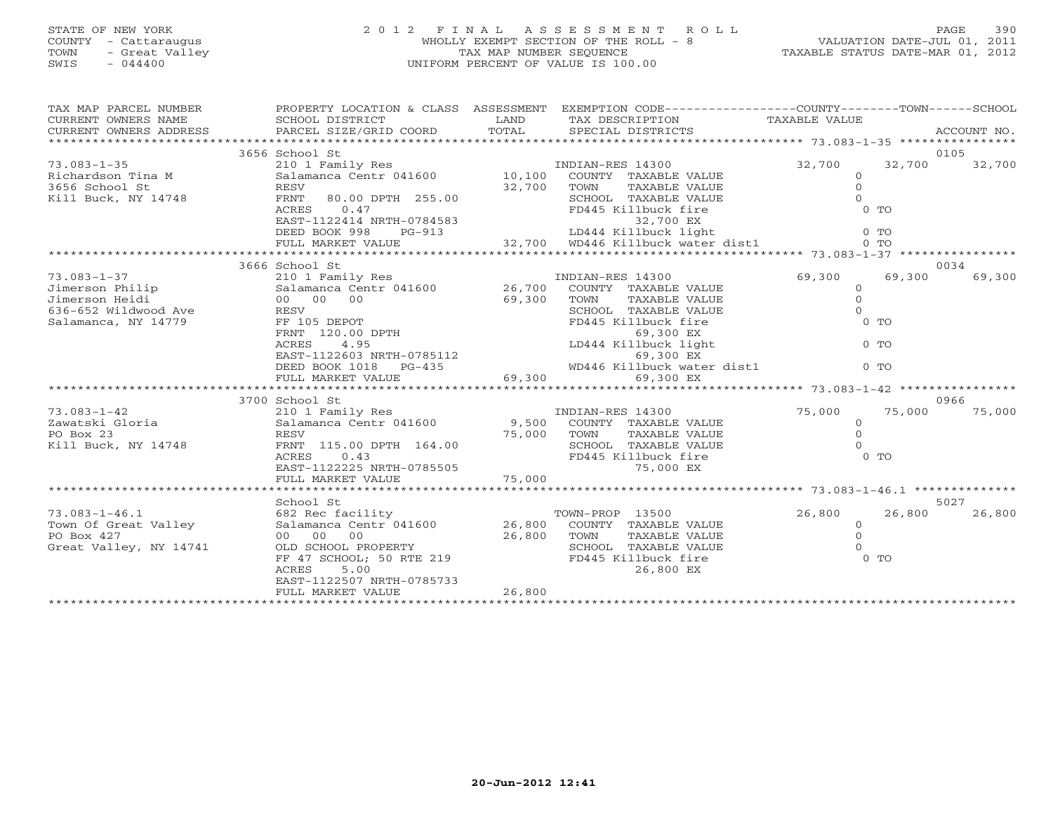## STATE OF NEW YORK 2 0 1 2 F I N A L A S S E S S M E N T R O L L PAGE 390 COUNTY - Cattaraugus WHOLLY EXEMPT SECTION OF THE ROLL - 8 VALUATION DATE-JUL 01, 2011 TOWN - Great Valley TAX MAP NUMBER SEQUENCE TAXABLE STATUS DATE-MAR 01, 2012 SWIS - 044400 UNIFORM PERCENT OF VALUE IS 100.00UNIFORM PERCENT OF VALUE IS 100.00

| TAX MAP PARCEL NUMBER                                                                                                                                                                                                                                                                                                                                                                                                                                     | PROPERTY LOCATION & CLASS ASSESSMENT EXEMPTION CODE----------------COUNTY-------TOWN------SCHOOL                                                                                                                                                    |        |                                             |          |                  |
|-----------------------------------------------------------------------------------------------------------------------------------------------------------------------------------------------------------------------------------------------------------------------------------------------------------------------------------------------------------------------------------------------------------------------------------------------------------|-----------------------------------------------------------------------------------------------------------------------------------------------------------------------------------------------------------------------------------------------------|--------|---------------------------------------------|----------|------------------|
|                                                                                                                                                                                                                                                                                                                                                                                                                                                           | 3656 School St                                                                                                                                                                                                                                      |        |                                             |          | 0105             |
| $73.083 - 1 - 35$                                                                                                                                                                                                                                                                                                                                                                                                                                         | 210 1 Family Res                                                                                                                                                                                                                                    |        | INDIAN-RES 14300                            | 32,700   | 32,700<br>32,700 |
|                                                                                                                                                                                                                                                                                                                                                                                                                                                           |                                                                                                                                                                                                                                                     |        | COUNTY TAXABLE VALUE                        | $\circ$  |                  |
|                                                                                                                                                                                                                                                                                                                                                                                                                                                           |                                                                                                                                                                                                                                                     |        | TOWN<br>TAXABLE VALUE                       | $\circ$  |                  |
| Richardson Tina M<br>3656 School St RESV 32,700<br>Rill Buck, NY 14748 FRNT 80.00 DPTH 255.00                                                                                                                                                                                                                                                                                                                                                             |                                                                                                                                                                                                                                                     |        | SCHOOL TAXABLE VALUE                        | $\Omega$ |                  |
|                                                                                                                                                                                                                                                                                                                                                                                                                                                           | 0.47<br>ACRES                                                                                                                                                                                                                                       |        | FD445 Killbuck fire                         | $0$ TO   |                  |
|                                                                                                                                                                                                                                                                                                                                                                                                                                                           |                                                                                                                                                                                                                                                     |        |                                             |          |                  |
|                                                                                                                                                                                                                                                                                                                                                                                                                                                           |                                                                                                                                                                                                                                                     |        |                                             |          |                  |
|                                                                                                                                                                                                                                                                                                                                                                                                                                                           |                                                                                                                                                                                                                                                     |        |                                             |          |                  |
|                                                                                                                                                                                                                                                                                                                                                                                                                                                           |                                                                                                                                                                                                                                                     |        |                                             |          |                  |
|                                                                                                                                                                                                                                                                                                                                                                                                                                                           | 3666 School St                                                                                                                                                                                                                                      |        |                                             |          | 0034             |
| $\begin{array}{lllllll} \text{73.083--1-37} & & & & & \text{210 1 Family Res} \\ \text{Jimerson Philip} & & & & & \text{Salamanca Centr 041600} & & & & \text{26,700}\end{array} & & & & \text{INDIAN-RES 14300} \\ \text{Jimerson Heidi} & & & & \text{Salamanca Centr 041600} & & & \text{26,700}\end{array} \quad \begin{array}{lllllllll} \text{INDIAN-RES 14300} & & & \text{INDIAN-RES 14300} \\ \text{COMNTY} & \text{TAXABLE VALUE} & & & \text{$ |                                                                                                                                                                                                                                                     |        |                                             | 69,300   | 69,300<br>69,300 |
|                                                                                                                                                                                                                                                                                                                                                                                                                                                           |                                                                                                                                                                                                                                                     |        |                                             | $\circ$  |                  |
|                                                                                                                                                                                                                                                                                                                                                                                                                                                           |                                                                                                                                                                                                                                                     |        |                                             | $\circ$  |                  |
| 636-652 Wildwood Ave RESV                                                                                                                                                                                                                                                                                                                                                                                                                                 |                                                                                                                                                                                                                                                     |        |                                             | $\Omega$ |                  |
| Salamanca, NY 14779                                                                                                                                                                                                                                                                                                                                                                                                                                       |                                                                                                                                                                                                                                                     |        |                                             | $0$ TO   |                  |
|                                                                                                                                                                                                                                                                                                                                                                                                                                                           |                                                                                                                                                                                                                                                     |        |                                             |          |                  |
|                                                                                                                                                                                                                                                                                                                                                                                                                                                           |                                                                                                                                                                                                                                                     |        |                                             | $0$ TO   |                  |
|                                                                                                                                                                                                                                                                                                                                                                                                                                                           | % ACRES<br>FF 105 DEPOT<br>FRINT 120.00 DPTH<br>ACRES 4.95<br>EAST-1122603 NRTH-0785112<br>DEED BOOK 1018 PG-435<br>FINE MARKET VALUE<br>FINE MARKET VALUE<br>FINE 1. MARKET VALUE<br>FINE 1. MARKET VALUE<br>FINE 1. MARKET VALUE<br>FINE 1. MARKE |        |                                             |          |                  |
|                                                                                                                                                                                                                                                                                                                                                                                                                                                           |                                                                                                                                                                                                                                                     |        |                                             | $0$ TO   |                  |
|                                                                                                                                                                                                                                                                                                                                                                                                                                                           |                                                                                                                                                                                                                                                     |        |                                             |          |                  |
|                                                                                                                                                                                                                                                                                                                                                                                                                                                           |                                                                                                                                                                                                                                                     |        |                                             |          |                  |
|                                                                                                                                                                                                                                                                                                                                                                                                                                                           | 3700 School St                                                                                                                                                                                                                                      |        |                                             |          | 0966             |
| $73.083 - 1 - 42$                                                                                                                                                                                                                                                                                                                                                                                                                                         | 210 1 Family Res                         INDIAN-RES 14300<br>Salamanca Centr 041600           9,500   COUNTY TAXABLE VALUE                                                                                                                          |        |                                             | 75,000   | 75,000<br>75,000 |
| Zawatski Gloria<br>Zawatski Gloria                                                                                                                                                                                                                                                                                                                                                                                                                        |                                                                                                                                                                                                                                                     |        |                                             | $\circ$  |                  |
|                                                                                                                                                                                                                                                                                                                                                                                                                                                           | RESV                                                                                                                                                                                                                                                | 75,000 | TOWN<br>TAXABLE VALUE                       | $\Omega$ |                  |
| Kill Buck, NY 14748                                                                                                                                                                                                                                                                                                                                                                                                                                       | FRNT 115.00 DPTH 164.00                                                                                                                                                                                                                             |        | SCHOOL TAXABLE VALUE                        | $\cap$   |                  |
|                                                                                                                                                                                                                                                                                                                                                                                                                                                           | 0.43<br>ACRES<br>EAST-1122225 NRTH-0785505                                                                                                                                                                                                          |        | FD445 Killbuck fire<br>75,000 EX            | $0$ TO   |                  |
|                                                                                                                                                                                                                                                                                                                                                                                                                                                           |                                                                                                                                                                                                                                                     |        |                                             |          |                  |
|                                                                                                                                                                                                                                                                                                                                                                                                                                                           |                                                                                                                                                                                                                                                     |        |                                             |          |                  |
|                                                                                                                                                                                                                                                                                                                                                                                                                                                           | School St                                                                                                                                                                                                                                           |        |                                             |          | 5027             |
|                                                                                                                                                                                                                                                                                                                                                                                                                                                           |                                                                                                                                                                                                                                                     |        |                                             | 26,800   | 26,800<br>26,800 |
|                                                                                                                                                                                                                                                                                                                                                                                                                                                           |                                                                                                                                                                                                                                                     |        |                                             | $\circ$  |                  |
|                                                                                                                                                                                                                                                                                                                                                                                                                                                           |                                                                                                                                                                                                                                                     |        |                                             | $\Omega$ |                  |
| Great Valley, NY 14741                                                                                                                                                                                                                                                                                                                                                                                                                                    |                                                                                                                                                                                                                                                     |        |                                             | $\Omega$ |                  |
|                                                                                                                                                                                                                                                                                                                                                                                                                                                           | OLD SCHOOL PROPERTY<br>FF 47 SCHOOL; 50 RTE 219                                                                                                                                                                                                     |        | SCHOOL TAXABLE VALUE<br>FD445 Killbuck fire | $0$ TO   |                  |
|                                                                                                                                                                                                                                                                                                                                                                                                                                                           | ACRES<br>5.00                                                                                                                                                                                                                                       |        | 26,800 EX                                   |          |                  |
|                                                                                                                                                                                                                                                                                                                                                                                                                                                           | EAST-1122507 NRTH-0785733                                                                                                                                                                                                                           |        |                                             |          |                  |
|                                                                                                                                                                                                                                                                                                                                                                                                                                                           | FULL MARKET VALUE                                                                                                                                                                                                                                   | 26,800 |                                             |          |                  |
|                                                                                                                                                                                                                                                                                                                                                                                                                                                           |                                                                                                                                                                                                                                                     |        |                                             |          |                  |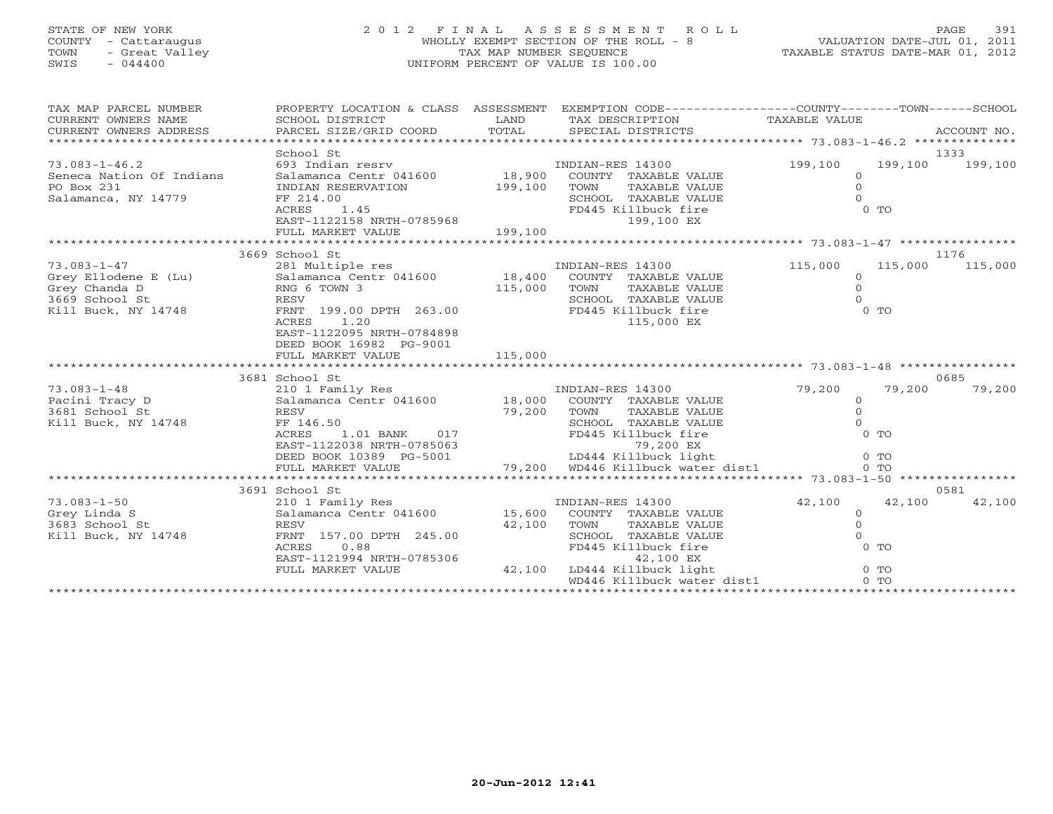## STATE OF NEW YORK 2 0 1 2 F I N A L A S S E S S M E N T R O L L PAGE 391 COUNTY - Cattaraugus WHOLLY EXEMPT SECTION OF THE ROLL - 8 VALUATION DATE-JUL 01, 2011 TOWN - Great Valley TAX MAP NUMBER SEQUENCE TAXABLE STATUS DATE-MAR 01, 2012 SWIS - 044400 UNIFORM PERCENT OF VALUE IS 100.00UNIFORM PERCENT OF VALUE IS 100.00

| TAX MAP PARCEL NUMBER<br>CURRENT OWNERS NAME<br>CURRENT OWNERS ADDRESS |                                                                                   |         | PROPERTY LOCATION & CLASS ASSESSMENT EXEMPTION CODE---------------COUNTY-------TOWN------SCHOOL |                |                 |         |
|------------------------------------------------------------------------|-----------------------------------------------------------------------------------|---------|-------------------------------------------------------------------------------------------------|----------------|-----------------|---------|
|                                                                        | School St                                                                         |         |                                                                                                 |                | 1333            |         |
| $73.083 - 1 - 46.2$                                                    | 693 Indian resrv                                                                  |         | INDIAN-RES 14300                                                                                | 199,100        | 199,100 199,100 |         |
| Seneca Nation Of Indians                                               | Salamanca Centr 041600 18,900 COUNTY TAXABLE VALUE                                |         |                                                                                                 | $\mathbf{0}$   |                 |         |
| PO Box 231                                                             | INDIAN RESERVATION                                                                | 199,100 | TOWN<br>TAXABLE VALUE                                                                           | $\overline{0}$ |                 |         |
| Salamanca, NY 14779                                                    | FF 214.00                                                                         |         | SCHOOL TAXABLE VALUE                                                                            | $\Omega$       |                 |         |
|                                                                        |                                                                                   |         | FD445 Killbuck fire                                                                             |                | $0$ TO          |         |
|                                                                        |                                                                                   |         | 199,100 EX                                                                                      |                |                 |         |
|                                                                        | FF 214.00<br>ACRES 1.45<br>EAST-1122158 NRTH-0785968<br>FULL MARKET VALUE 199,100 |         |                                                                                                 |                |                 |         |
|                                                                        |                                                                                   |         |                                                                                                 |                |                 |         |
|                                                                        | 3669 School St                                                                    |         |                                                                                                 |                | 1176            |         |
| 73.083-1-47<br>Grey Ellodene E (Lu)<br>Clienda D                       | 281 Multiple res                                                                  |         | INDIAN-RES 14300                                                                                | 115,000        | 115,000         | 115,000 |
|                                                                        | Salamanca Centr 041600 18,400 COUNTY TAXABLE VALUE                                |         |                                                                                                 | $\circ$        |                 |         |
|                                                                        | RNG 6 TOWN 3                                                                      | 115,000 | TOWN<br>TAXABLE VALUE                                                                           | $\Omega$       |                 |         |
| 3669 School St                                                         | RESV                                                                              |         | SCHOOL TAXABLE VALUE                                                                            | $\Omega$       |                 |         |
| 748<br>748<br>Kill Buck, NY 14748                                      | FRNT 199.00 DPTH 263.00                                                           |         | FD445 Killbuck fire                                                                             |                | $0$ TO          |         |
|                                                                        | ACRES 1.20                                                                        |         | 115,000 EX                                                                                      |                |                 |         |
|                                                                        | EAST-1122095 NRTH-0784898                                                         |         |                                                                                                 |                |                 |         |
|                                                                        | DEED BOOK 16982 PG-9001                                                           |         |                                                                                                 |                |                 |         |
|                                                                        |                                                                                   |         |                                                                                                 |                |                 |         |
|                                                                        |                                                                                   |         |                                                                                                 |                |                 |         |
|                                                                        | 3681 School St                                                                    |         |                                                                                                 |                | 0685            |         |
| $73.083 - 1 - 48$                                                      | 210 1 Family Res                                                                  |         | INDIAN-RES 14300                                                                                | 79,200         | 79,200          | 79,200  |
| Pacini Tracy D                                                         | Salamanca Centr 041600 18,000 COUNTY TAXABLE VALUE                                |         |                                                                                                 | $\circ$        |                 |         |
| 3681 School St                                                         | RESV                                                                              |         | TAXABLE VALUE<br>TOWN                                                                           | $\overline{0}$ |                 |         |
| Kill Buck, NY 14748                                                    | FF 146.50                                                                         | 79,200  | SCHOOL TAXABLE VALUE                                                                            | $\Omega$       |                 |         |
|                                                                        | 1.01 BANK 017<br>ACRES                                                            |         | FD445 Killbuck fire                                                                             |                | $0$ TO          |         |
|                                                                        | EAST-1122038 NRTH-0785063                                                         |         | 79,200 EX<br>LD444 Killbuck light<br>79,200   WD446 Killbuck water dist1                        |                |                 |         |
|                                                                        | DEED BOOK 10389 PG-5001                                                           |         |                                                                                                 |                | $0$ TO          |         |
|                                                                        | FULL MARKET VALUE                                                                 |         |                                                                                                 |                | 0 <sub>0</sub>  |         |
|                                                                        |                                                                                   |         |                                                                                                 |                |                 |         |
|                                                                        | 3691 School St                                                                    |         |                                                                                                 |                | 0581            |         |
| $73.083 - 1 - 50$                                                      | 210 1 Family Res                                                                  |         | INDIAN-RES 14300                                                                                | 42,100         | 42,100          | 42,100  |
| Grey Linda S                                                           | Salamanca Centr 041600 15,600                                                     |         | COUNTY TAXABLE VALUE                                                                            | $\overline{0}$ |                 |         |
| 3683 School St                                                         | RESV                                                                              | 42,100  | TOWN TAXABLE VALUE                                                                              | $\overline{0}$ |                 |         |
| Kill Buck, NY 14748                                                    | FRNT 157.00 DPTH 245.00                                                           |         | SCHOOL TAXABLE VALUE                                                                            | $\Omega$       |                 |         |
|                                                                        | 0.88<br>ACRES                                                                     |         | FD445 Killbuck fire                                                                             |                | $0$ TO          |         |
|                                                                        | EAST-1121994 NRTH-0785306                                                         |         | 42,100 EX                                                                                       |                |                 |         |
|                                                                        | FULL MARKET VALUE                                                                 |         | 42,100 LD444 Killbuck light                                                                     |                | $0$ TO          |         |
|                                                                        |                                                                                   |         |                                                                                                 |                |                 |         |
|                                                                        |                                                                                   |         |                                                                                                 |                |                 |         |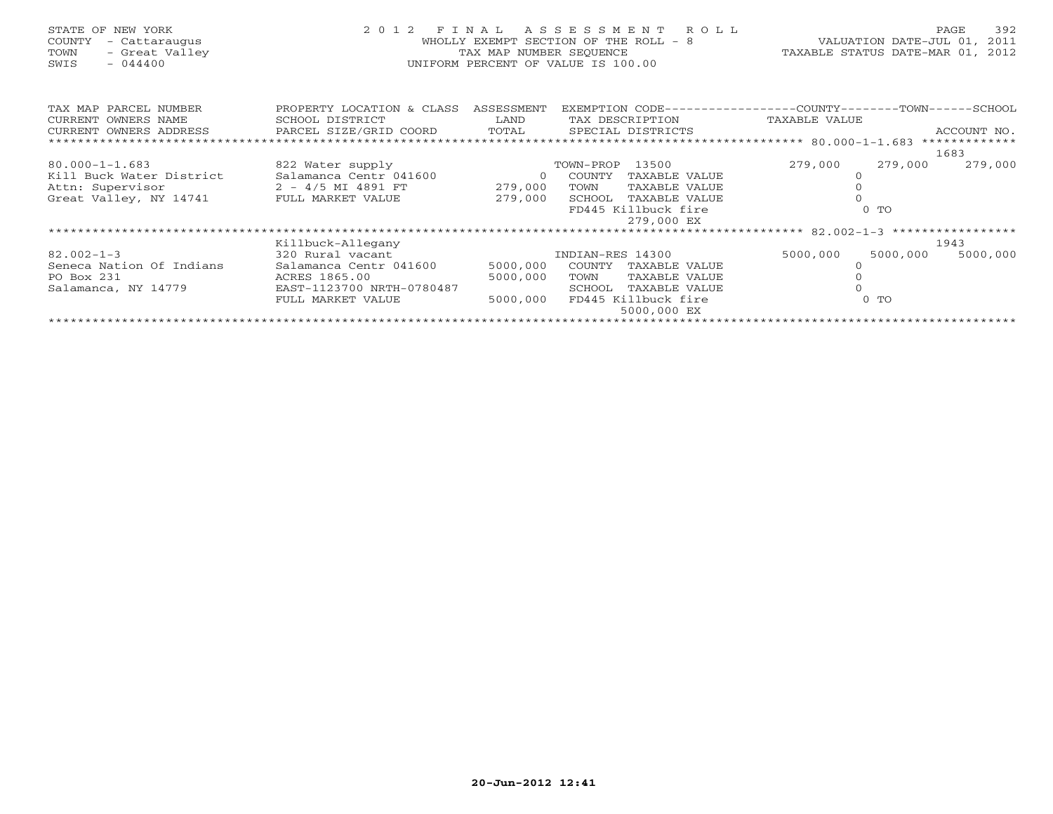## STATE OF NEW YORK 2 0 1 2 F I N A L A S S E S S M E N T R O L L PAGE 392 COUNTY - Cattaraugus WHOLLY EXEMPT SECTION OF THE ROLL - 8 VALUATION DATE-JUL 01, 2011 TOWN - Great Valley TAX MAP NUMBER SEQUENCE TAXABLE STATUS DATE-MAR 01, 2012 SWIS - 044400 UNIFORM PERCENT OF VALUE IS 100.00

TAX MAP PARCEL NUMBER PROPERTY LOCATION & CLASS ASSESSMENT EXEMPTION CODE----------------COUNTY-------TOWN------SCHOOL CURRENT OWNERS NAME SCHOOL DISTRICT LAND TAX DESCRIPTION TAXABLE VALUECURRENT OWNERS ADDRESS PARCEL SIZE/GRID COORD TOTAL SPECIAL DISTRICTS ACCOUNT NO. \*\*\*\*\*\*\*\*\*\*\*\*\*\*\*\*\*\*\*\*\*\*\*\*\*\*\*\*\*\*\*\*\*\*\*\*\*\*\*\*\*\*\*\*\*\*\*\*\*\*\*\*\*\*\*\*\*\*\*\*\*\*\*\*\*\*\*\*\*\*\*\*\*\*\*\*\*\*\*\*\*\*\*\*\*\*\*\*\*\*\*\*\*\*\*\*\*\*\*\*\*\*\* 80.000-1-1.683 \*\*\*\*\*\*\*\*\*\*\*\*\* 1683279,000 279,000 80.000-1-1.683 822 Water supply TOWN-PROP 13500 279,000 279,000 279,000 Kill Buck Water District Salamanca Centr 041600 0 COUNTY TAXABLE VALUE 0Attn: Supervisor 2 - 4/5 MI 4891 FT 279,000 TOWN TAXABLE VALUE 0 Great Valley, NY 14741 FULL MARKET VALUE 279,000 SCHOOL TAXABLE VALUE 0 FD445 Killbuck fire 0 TO 279,000 EX \*\*\*\*\*\*\*\*\*\*\*\*\*\*\*\*\*\*\*\*\*\*\*\*\*\*\*\*\*\*\*\*\*\*\*\*\*\*\*\*\*\*\*\*\*\*\*\*\*\*\*\*\*\*\*\*\*\*\*\*\*\*\*\*\*\*\*\*\*\*\*\*\*\*\*\*\*\*\*\*\*\*\*\*\*\*\*\*\*\*\*\*\*\*\*\*\*\*\*\*\*\*\* 82.002-1-3 \*\*\*\*\*\*\*\*\*\*\*\*\*\*\*\*\* Killbuck-Allegany 1943 82.002-1-3 320 Rural vacant INDIAN-RES 14300 5000,000 5000,000 5000,000 Seneca Nation Of Indians Salamanca Centr 041600 5000,000 COUNTY TAXABLE VALUE 0 PO Box 231 ACRES 1865.00 5000,000 TOWN TAXABLE VALUE 0 Salamanca, NY 14779 EAST-1123700 NRTH-0780487 SCHOOL TAXABLE VALUE 0 FULL MARKET VALUE 5000,000 FD445 Killbuck fire 6 0 TO 5000,000 EX \*\*\*\*\*\*\*\*\*\*\*\*\*\*\*\*\*\*\*\*\*\*\*\*\*\*\*\*\*\*\*\*\*\*\*\*\*\*\*\*\*\*\*\*\*\*\*\*\*\*\*\*\*\*\*\*\*\*\*\*\*\*\*\*\*\*\*\*\*\*\*\*\*\*\*\*\*\*\*\*\*\*\*\*\*\*\*\*\*\*\*\*\*\*\*\*\*\*\*\*\*\*\*\*\*\*\*\*\*\*\*\*\*\*\*\*\*\*\*\*\*\*\*\*\*\*\*\*\*\*\*\*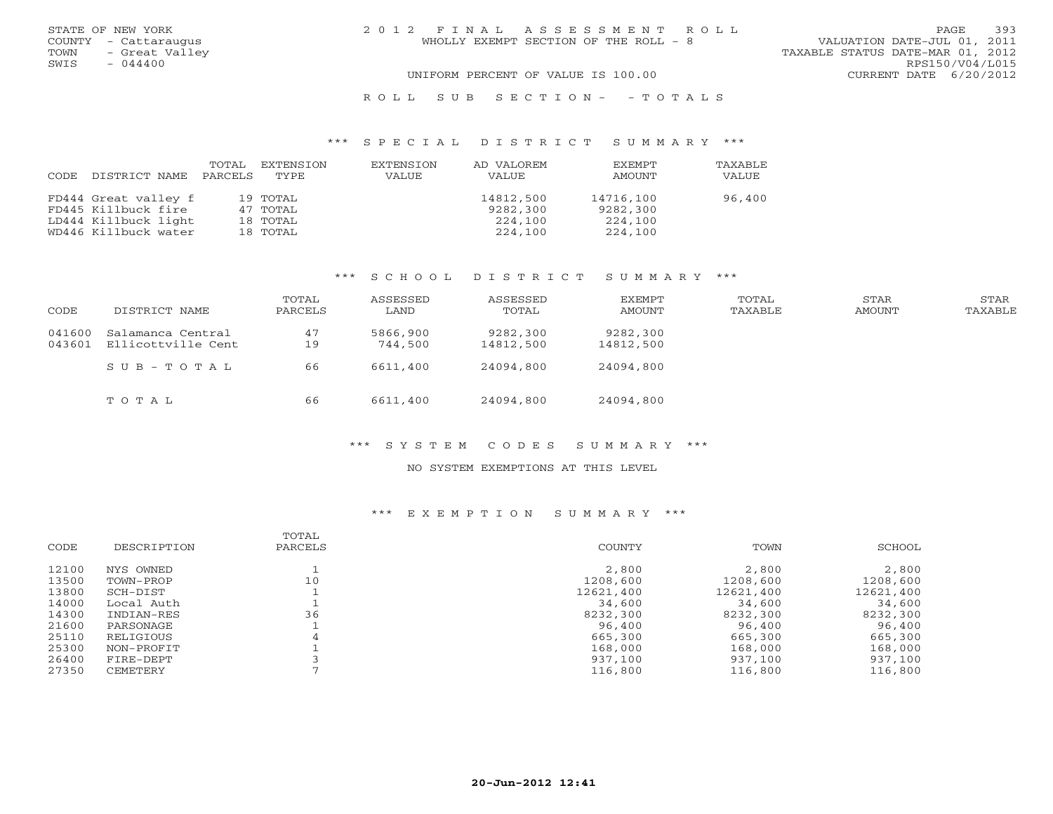| STATE OF NEW YORK<br>COUNTY - Cattaraugus<br>- Great Valley<br>TOWN | 2012 FINAL ASSESSMENT ROLL<br>WHOLLY EXEMPT SECTION OF THE ROLL - 8 | 393<br><b>PAGE</b><br>VALUATION DATE-JUL 01, 2011<br>TAXABLE STATUS DATE-MAR 01, 2012 |
|---------------------------------------------------------------------|---------------------------------------------------------------------|---------------------------------------------------------------------------------------|
| SWIS<br>$-044400$                                                   | UNIFORM PERCENT OF VALUE IS 100.00                                  | RPS150/V04/L015<br>CURRENT DATE 6/20/2012                                             |

#### R O L L S U B S E C T I O N - - T O T A L S

#### \*\*\* S P E C I A L D I S T R I C T S U M M A R Y \*\*\*

| CODE | DISTRICT NAME        | TOTAL<br>PARCELS | EXTENSION<br>TYPE. | EXTENSION<br>VALUE | AD VALOREM<br>VALUE | <b>EXEMPT</b><br>AMOUNT | <b>TAXABLF</b><br>VALUE |
|------|----------------------|------------------|--------------------|--------------------|---------------------|-------------------------|-------------------------|
|      |                      |                  |                    |                    |                     |                         |                         |
|      | FD444 Great valley f |                  | 19 TOTAL           |                    | 14812,500           | 14716,100               | 96,400                  |
|      | FD445 Killbuck fire  |                  | 47 TOTAL           |                    | 9282,300            | 9282,300                |                         |
|      | LD444 Killbuck light |                  | 18 ТОТАL           |                    | 224,100             | 224,100                 |                         |
|      | WD446 Killbuck water |                  | 18 TOTAL           |                    | 224,100             | 224,100                 |                         |

### \*\*\* S C H O O L D I S T R I C T S U M M A R Y \*\*\*

| CODE             | DISTRICT NAME                           | TOTAL<br>PARCELS | ASSESSED<br>LAND    | ASSESSED<br>TOTAL     | EXEMPT<br>AMOUNT      | TOTAL<br>TAXABLE | STAR<br>AMOUNT | STAR<br>TAXABLE |
|------------------|-----------------------------------------|------------------|---------------------|-----------------------|-----------------------|------------------|----------------|-----------------|
| 041600<br>043601 | Salamanca Central<br>Ellicottville Cent | 47<br>19         | 5866,900<br>744,500 | 9282,300<br>14812,500 | 9282,300<br>14812,500 |                  |                |                 |
|                  | SUB-TOTAL                               | 66               | 6611,400            | 24094,800             | 24094,800             |                  |                |                 |
|                  | TOTAL                                   | 66               | 6611,400            | 24094,800             | 24094,800             |                  |                |                 |

### \*\*\* S Y S T E M C O D E S S U M M A R Y \*\*\*

#### NO SYSTEM EXEMPTIONS AT THIS LEVEL

### \*\*\* E X E M P T I O N S U M M A R Y \*\*\*

|       |             | TOTAL   |           |           |           |
|-------|-------------|---------|-----------|-----------|-----------|
| CODE  | DESCRIPTION | PARCELS | COUNTY    | TOWN      | SCHOOL    |
| 12100 | NYS OWNED   |         | 2,800     | 2,800     | 2,800     |
| 13500 | TOWN-PROP   | 10      | 1208,600  | 1208,600  | 1208,600  |
| 13800 | SCH-DIST    |         | 12621,400 | 12621,400 | 12621,400 |
| 14000 | Local Auth  |         | 34,600    | 34,600    | 34,600    |
| 14300 | INDIAN-RES  | 36      | 8232,300  | 8232,300  | 8232,300  |
| 21600 | PARSONAGE   |         | 96,400    | 96,400    | 96,400    |
| 25110 | RELIGIOUS   | 4       | 665,300   | 665,300   | 665,300   |
| 25300 | NON-PROFIT  |         | 168,000   | 168,000   | 168,000   |
| 26400 | FIRE-DEPT   |         | 937,100   | 937,100   | 937,100   |
| 27350 | CEMETERY    |         | 116,800   | 116,800   | 116,800   |
|       |             |         |           |           |           |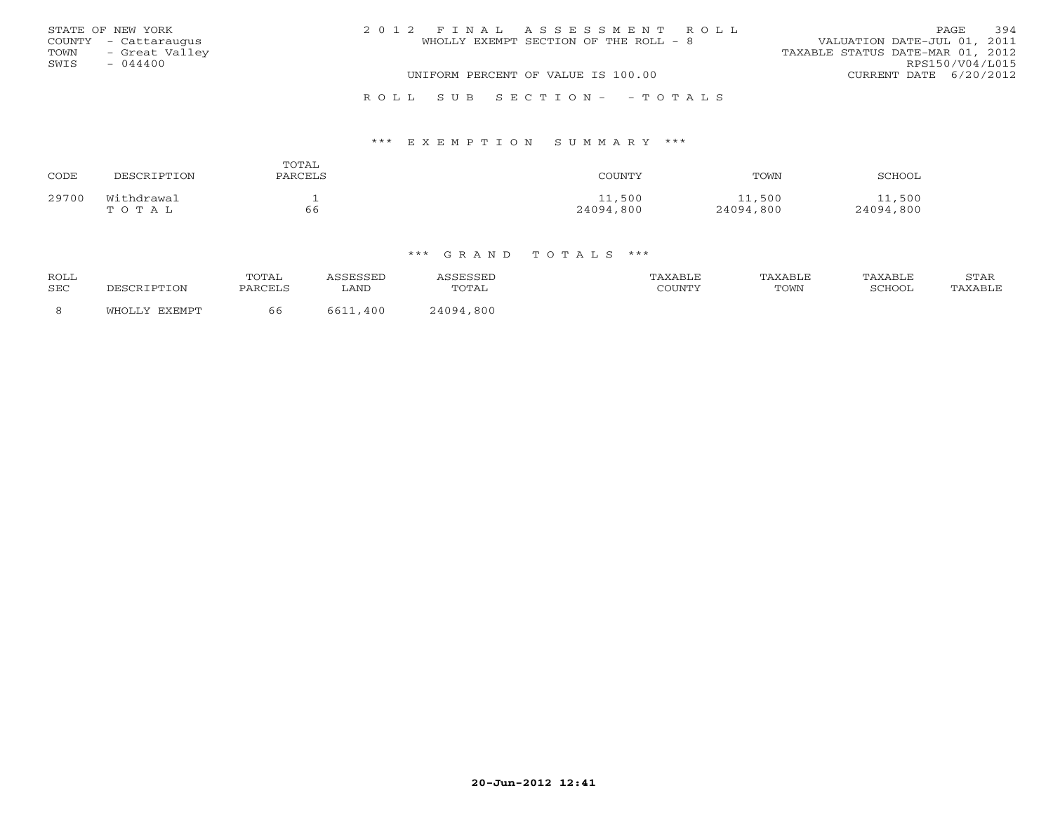|      | STATE OF NEW YORK    | 2012 FINAL ASSESSMENT ROLL            | 394<br>PAGE.                     |
|------|----------------------|---------------------------------------|----------------------------------|
|      | COUNTY - Cattaraugus | WHOLLY EXEMPT SECTION OF THE ROLL - 8 | VALUATION DATE-JUL 01, 2011      |
| TOWN | - Great Valley       |                                       | TAXABLE STATUS DATE-MAR 01, 2012 |
| SWIS | $-044400$            |                                       | RPS150/V04/L015                  |
|      |                      | UNIFORM PERCENT OF VALUE IS 100.00    | CURRENT DATE 6/20/2012           |
|      |                      |                                       |                                  |

R O L L S U B S E C T I O N - - T O T A L S

### \*\*\* E X E M P T I O N S U M M A R Y \*\*\*

| CODE  | DESCRIPTION         | TOTAL<br>PARCELS | COUNTY              | TOWN                | SCHOOL              |
|-------|---------------------|------------------|---------------------|---------------------|---------------------|
| 29700 | Withdrawal<br>TOTAL | 66               | 11,500<br>24094,800 | 11,500<br>24094,800 | 11,500<br>24094,800 |

| <b>ROLL</b><br>SEC | DESCRIPTION   | TOTAL<br>PARCELS | <b>SSESSED</b><br>∟AND | <i><b>\SSESSED</b></i><br>TOTAL | TAXABLE<br>COUNTY | TAXABLE<br>TOWN | TAXABLE<br><b>SCHOOL</b> | STAR<br>TAXABLE |
|--------------------|---------------|------------------|------------------------|---------------------------------|-------------------|-----------------|--------------------------|-----------------|
| 8                  | WHOLLY EXEMPT | 66               | 6611<br>400            | 24094,800                       |                   |                 |                          |                 |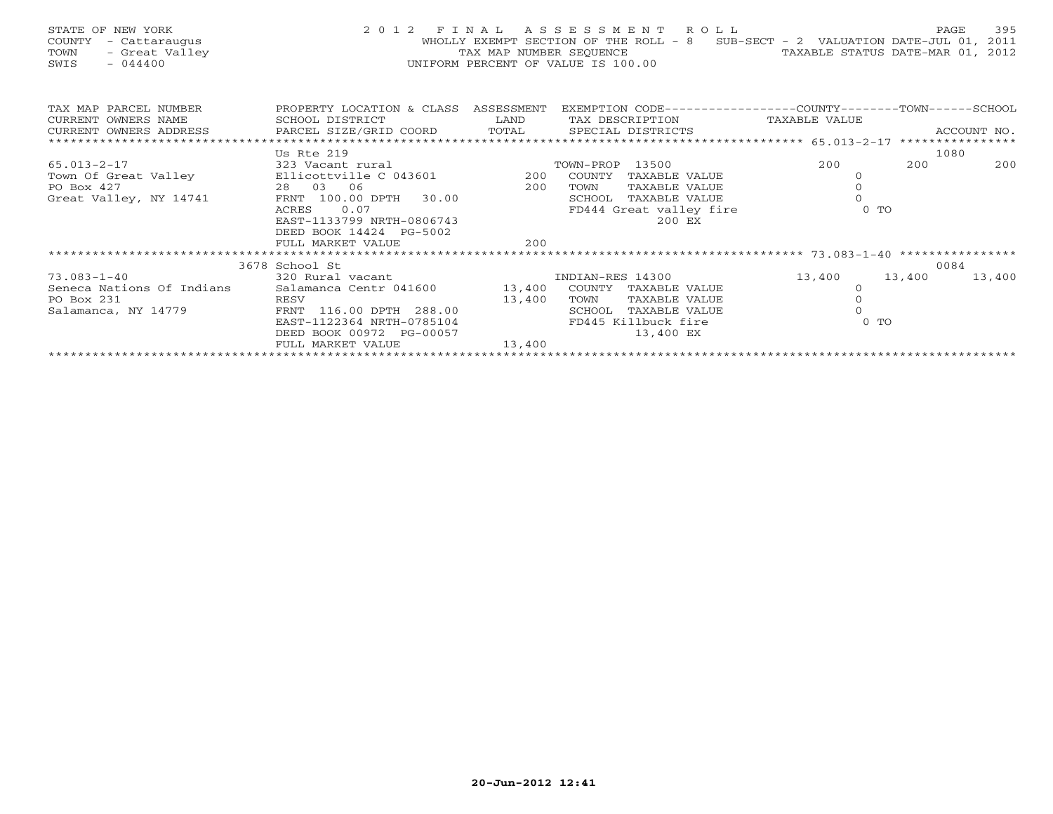| STATE OF NEW YORK<br>COUNTY - Cattaraugus<br>- Great Valley<br>TOWN<br>$-044400$<br>SWIS                                                                                                                         |                                                                                                                                                  | UNIFORM PERCENT OF VALUE IS 100.00 |      |                         | 2012 FINAL ASSESSMENT ROLL<br>WHOLLY EXEMPT SECTION OF THE ROLL - 8 SUB-SECT - 2 VALUATION DATE-JUL 01, 2011<br>TAX MAP NUMBER SEQUENCE TAN TAXABLE STATUS DATE-MAR 01, 2012 |        | 395<br>PAGE |
|------------------------------------------------------------------------------------------------------------------------------------------------------------------------------------------------------------------|--------------------------------------------------------------------------------------------------------------------------------------------------|------------------------------------|------|-------------------------|------------------------------------------------------------------------------------------------------------------------------------------------------------------------------|--------|-------------|
| TAX MAP PARCEL NUMBER<br>CURRENT OWNERS NAME                                                                                                                                                                     | PROPERTY LOCATION & CLASS ASSESSMENT EXEMPTION CODE---------------COUNTY-------TOWN------SCHOOL<br>SCHOOL DISTRICT<br><b>Example 19 The LAND</b> |                                    |      |                         | TAX DESCRIPTION TAXABLE VALUE                                                                                                                                                |        |             |
| CURRENT OWNERS ADDRESS FORCEL SIZE/GRID COORD FOTAL SECIAL DISTRICTS RECOUNT NO.<br>TERRENT OWNERS ADDRESS PARCEL SIZE/GRID COORD TOTAL SPECIAL DISTRICTS FOR RECOUNT NO.                                        |                                                                                                                                                  |                                    |      |                         |                                                                                                                                                                              |        |             |
|                                                                                                                                                                                                                  |                                                                                                                                                  |                                    |      |                         |                                                                                                                                                                              |        |             |
|                                                                                                                                                                                                                  | Us Rte 219                                                                                                                                       |                                    |      |                         |                                                                                                                                                                              |        | 1080        |
| 15.013-2-17<br>Town Of Great Valley<br>PO Box 427<br>Great Valley, NY 14741<br>Creat Valley, NY 14741<br>FRAMEL COLORER 200 COUNTY TAXABLE VALUE<br>FRAMEL VALUE<br>FRAMEL VALUE<br>FRAMEL VALUE<br>TRAMEL VALUE |                                                                                                                                                  |                                    |      |                         | 200                                                                                                                                                                          | 200    | 200         |
|                                                                                                                                                                                                                  |                                                                                                                                                  |                                    |      |                         | $\circ$                                                                                                                                                                      |        |             |
|                                                                                                                                                                                                                  |                                                                                                                                                  |                                    |      |                         |                                                                                                                                                                              |        |             |
|                                                                                                                                                                                                                  |                                                                                                                                                  |                                    |      |                         |                                                                                                                                                                              |        |             |
|                                                                                                                                                                                                                  | 0.07<br>ACRES                                                                                                                                    |                                    |      | FD444 Great valley fire |                                                                                                                                                                              | $0$ TO |             |
|                                                                                                                                                                                                                  | EAST-1133799 NRTH-0806743                                                                                                                        |                                    |      | 200 EX                  |                                                                                                                                                                              |        |             |
|                                                                                                                                                                                                                  | DEED BOOK 14424 PG-5002                                                                                                                          | 200                                |      |                         |                                                                                                                                                                              |        |             |
|                                                                                                                                                                                                                  | FULL MARKET VALUE                                                                                                                                |                                    |      |                         |                                                                                                                                                                              |        |             |
|                                                                                                                                                                                                                  | 3678 School St                                                                                                                                   |                                    |      |                         |                                                                                                                                                                              |        | 0084        |
| 73.083-1-40                                                                                                                                                                                                      | 320 Rural vacant                                                                                                                                 |                                    |      | INDIAN-RES 14300        | 13,400 13,400                                                                                                                                                                |        | 13,400      |
| Seneca Nations Of Indians                                                                                                                                                                                        | Salamanca Centr 041600 13,400 COUNTY TAXABLE VALUE                                                                                               |                                    |      |                         | $\circ$                                                                                                                                                                      |        |             |
| PO Box 231                                                                                                                                                                                                       |                                                                                                                                                  |                                    | TOWN | TAXABLE VALUE           |                                                                                                                                                                              |        |             |
| Salamanca, NY 14779                                                                                                                                                                                              | RESV 116.00 DPTH 288.00 13,400                                                                                                                   |                                    |      | SCHOOL TAXABLE VALUE    |                                                                                                                                                                              |        |             |
|                                                                                                                                                                                                                  | EAST-1122364 NRTH-0785104 FD445 Killbuck fire                                                                                                    |                                    |      |                         |                                                                                                                                                                              | $0$ TO |             |
|                                                                                                                                                                                                                  | DEED BOOK 00972 PG-00057                                                                                                                         |                                    |      | 13,400 EX               |                                                                                                                                                                              |        |             |
|                                                                                                                                                                                                                  | FULL MARKET VALUE                                                                                                                                | 13,400                             |      |                         |                                                                                                                                                                              |        |             |
|                                                                                                                                                                                                                  |                                                                                                                                                  |                                    |      |                         |                                                                                                                                                                              |        |             |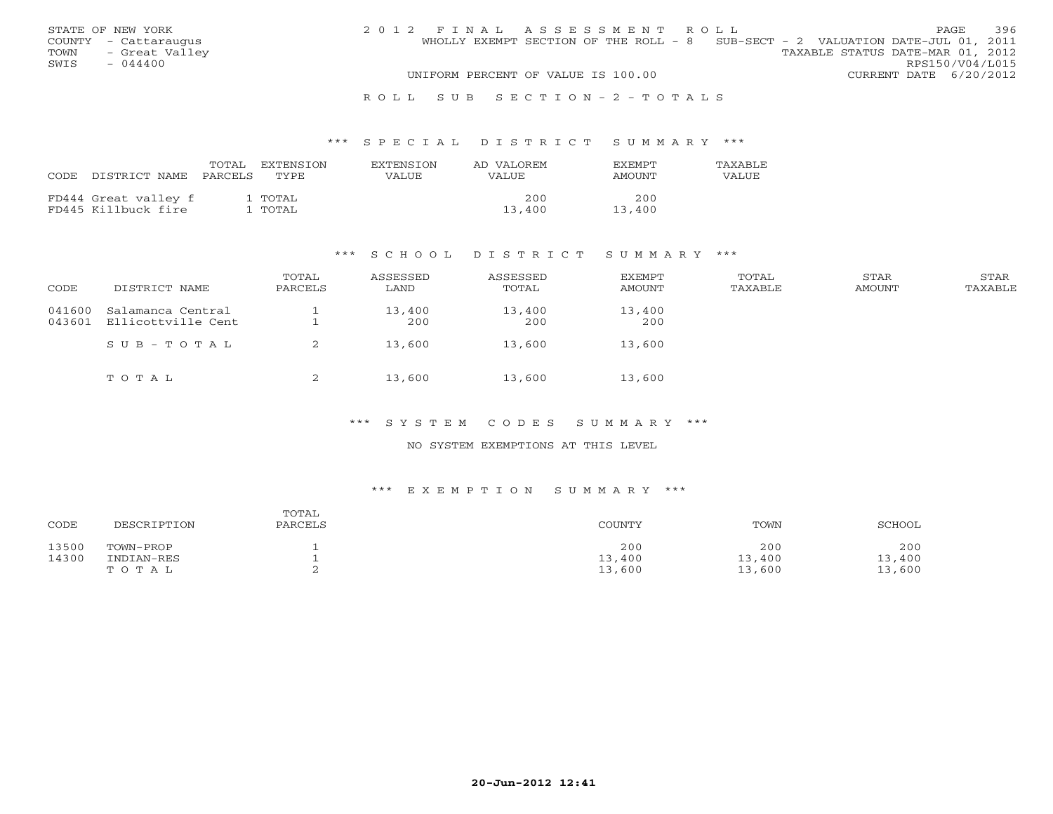| STATE OF NEW YORK      | 2012 FINAL ASSESSMENT ROLL                                                     | 396<br><b>PAGE</b>               |
|------------------------|--------------------------------------------------------------------------------|----------------------------------|
| COUNTY - Cattaraugus   | WHOLLY EXEMPT SECTION OF THE ROLL - 8 SUB-SECT - 2 VALUATION DATE-JUL 01, 2011 |                                  |
| TOWN<br>- Great Valley |                                                                                | TAXABLE STATUS DATE-MAR 01, 2012 |
| SWIS<br>$-044400$      |                                                                                | RPS150/V04/L015                  |
|                        | UNIFORM PERCENT OF VALUE IS 100.00                                             | CURRENT DATE 6/20/2012           |
|                        |                                                                                |                                  |

#### R O L L S U B S E C T I O N - 2 - T O T A L S

### \*\*\* S P E C I A L D I S T R I C T S U M M A R Y \*\*\*

| CODE | DISTRICT NAME                               | TOTAL<br>PARCELS | EXTENSTON<br>TYPE. | <b>EXTENSION</b><br>VALUE | AD VALOREM<br>VALUE | <b>EXEMPT</b><br>AMOUNT | <b>TAXABLE</b><br>VALUE |
|------|---------------------------------------------|------------------|--------------------|---------------------------|---------------------|-------------------------|-------------------------|
|      | FD444 Great valley f<br>FD445 Killbuck fire |                  | l TOTAL<br>. TOTAL |                           | 200<br>13,400       | 200<br>13,400           |                         |

### \*\*\* S C H O O L D I S T R I C T S U M M A R Y \*\*\*

| CODE             | DISTRICT NAME                           | TOTAL<br>PARCELS | ASSESSED<br>LAND | ASSESSED<br>TOTAL | <b>EXEMPT</b><br>AMOUNT | TOTAL<br>TAXABLE | STAR<br>AMOUNT | STAR<br>TAXABLE |
|------------------|-----------------------------------------|------------------|------------------|-------------------|-------------------------|------------------|----------------|-----------------|
| 041600<br>043601 | Salamanca Central<br>Ellicottville Cent |                  | 13,400<br>200    | 13,400<br>200     | 13,400<br>200           |                  |                |                 |
|                  | SUB-TOTAL                               | 2                | 13,600           | 13,600            | 13,600                  |                  |                |                 |
|                  | TOTAL                                   | ▵                | 13,600           | 13,600            | 13,600                  |                  |                |                 |

### \*\*\* S Y S T E M C O D E S S U M M A R Y \*\*\*

### NO SYSTEM EXEMPTIONS AT THIS LEVEL

### \*\*\* E X E M P T I O N S U M M A R Y \*\*\*

| CODE  | DESCRIPTION | TOTAL<br>PARCELS | COUNTY | TOWN   | SCHOOL |
|-------|-------------|------------------|--------|--------|--------|
| 13500 | TOWN-PROP   |                  | 200    | 200    | 200    |
| 14300 | INDIAN-RES  |                  | 13,400 | 13,400 | 13,400 |
|       | TOTAL       |                  | 13,600 | 13,600 | 13,600 |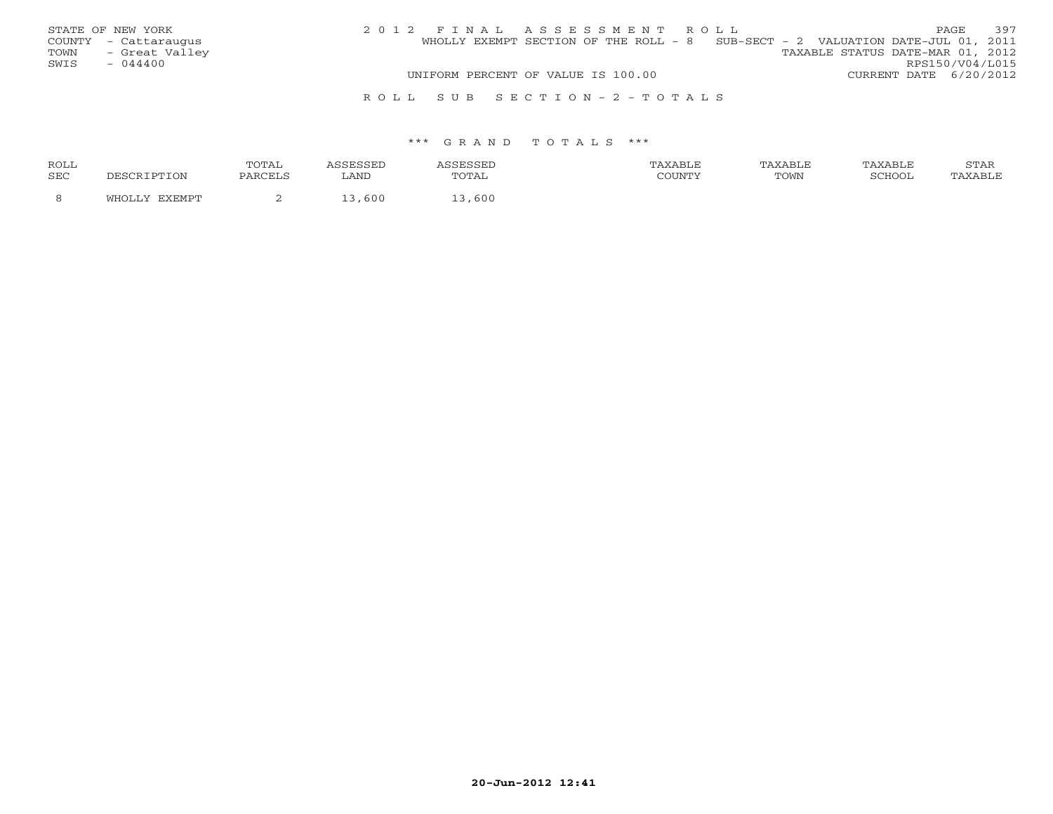| STATE OF NEW YORK    |                |  | 2012 FINAL ASSESSMENT ROLL         |  |  |                                                                                |                        | PAGE.           | 397 |
|----------------------|----------------|--|------------------------------------|--|--|--------------------------------------------------------------------------------|------------------------|-----------------|-----|
| COUNTY - Cattaraugus |                |  |                                    |  |  | WHOLLY EXEMPT SECTION OF THE ROLL - 8 SUB-SECT - 2 VALUATION DATE-JUL 01, 2011 |                        |                 |     |
| TOWN                 | - Great Valley |  |                                    |  |  | TAXABLE STATUS DATE-MAR 01, 2012                                               |                        |                 |     |
| SWIS<br>$-044400$    |                |  |                                    |  |  |                                                                                |                        | RPS150/V04/L015 |     |
|                      |                |  | UNIFORM PERCENT OF VALUE IS 100.00 |  |  |                                                                                | CURRENT DATE 6/20/2012 |                 |     |
|                      |                |  | ROLL SUB SECTION-2-TOTALS          |  |  |                                                                                |                        |                 |     |

#### \*\*\* G R A N D T O T A L S \*\*\*

| ROLL       |                          | <b>TOTA1</b><br>سدید ب | ---- | .     | XABLE  | AXABLF | AXABLF | $C$ m $\lambda$ T<br>STAR |
|------------|--------------------------|------------------------|------|-------|--------|--------|--------|---------------------------|
| <b>SEC</b> | <b>DESCRIPTION</b>       | PARCELS                | LAND |       | COUNTY | TOWN   | CCTTOO | AXABLE                    |
|            | <b>TYEMDT</b><br>77OL 1. |                        | 600  | , 600 |        |        |        |                           |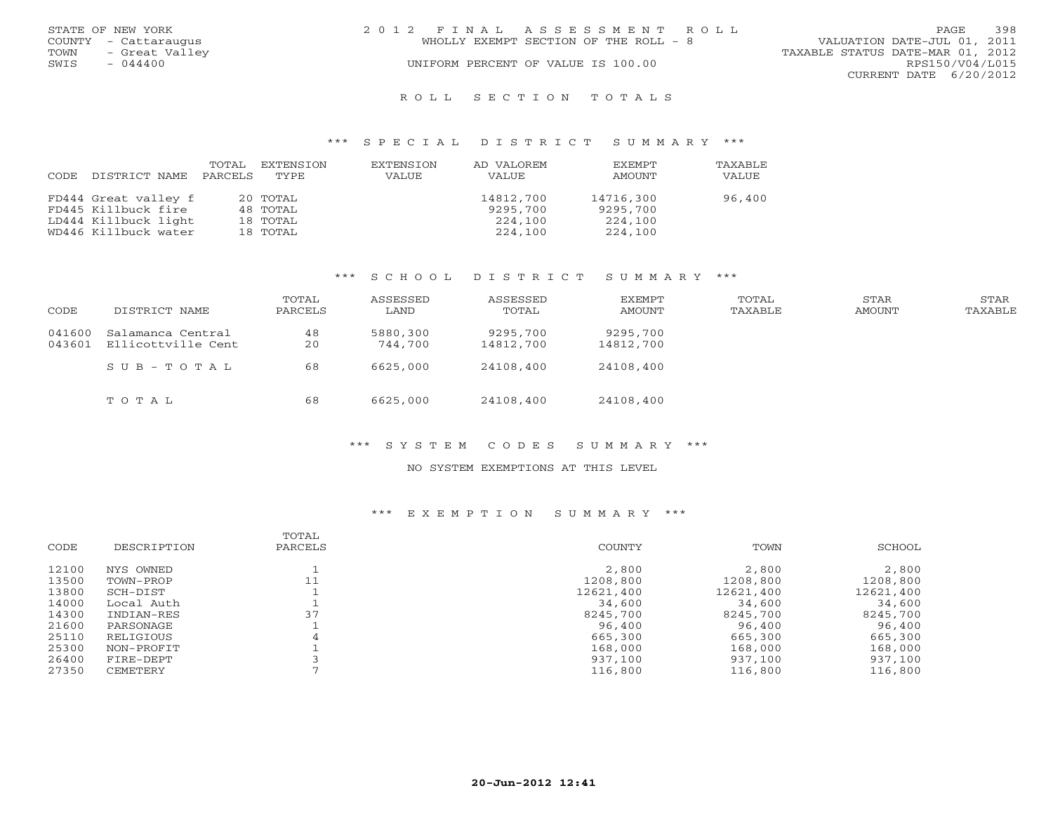|      | STATE OF NEW YORK    | 2012 FINAL ASSESSMENT ROLL                                           | PAGE                   | 398 |
|------|----------------------|----------------------------------------------------------------------|------------------------|-----|
|      | COUNTY - Cattaraugus | VALUATION DATE-JUL 01, 2011<br>WHOLLY EXEMPT SECTION OF THE ROLL - 8 |                        |     |
| TOWN | - Great Valley       | TAXABLE STATUS DATE-MAR 01, 2012                                     |                        |     |
| SWIS | $-044400$            | UNIFORM PERCENT OF VALUE IS 100.00                                   | RPS150/V04/L015        |     |
|      |                      |                                                                      | CURRENT DATE 6/20/2012 |     |
|      |                      | ROLL SECTION TOTALS                                                  |                        |     |

### \*\*\* S P E C I A L D I S T R I C T S U M M A R Y \*\*\*

| CODE. | DISTRICT NAME        | TOTAL<br>PARCELS | EXTENSION<br>TYPE | EXTENSION<br>VALUE | AD VALOREM<br>VALUE | <b>EXEMPT</b><br>AMOUNT | TAXABLF<br>VALUE |
|-------|----------------------|------------------|-------------------|--------------------|---------------------|-------------------------|------------------|
|       | FD444 Great valley f |                  | 20 TOTAL          |                    | 14812,700           | 14716,300               | 96,400           |
|       | FD445 Killbuck fire  |                  | 48 TOTAL          |                    | 9295,700            | 9295,700                |                  |
|       | LD444 Killbuck light |                  | 18 TOTAL          |                    | 224,100             | 224,100                 |                  |
|       | WD446 Killbuck water |                  | 18 TOTAL          |                    | 224,100             | 224,100                 |                  |

### \*\*\* S C H O O L D I S T R I C T S U M M A R Y \*\*\*

| CODE             | DISTRICT NAME                           | TOTAL<br>PARCELS | ASSESSED<br>LAND    | ASSESSED<br>TOTAL     | EXEMPT<br>AMOUNT      | TOTAL<br>TAXABLE | STAR<br>AMOUNT | STAR<br>TAXABLE |
|------------------|-----------------------------------------|------------------|---------------------|-----------------------|-----------------------|------------------|----------------|-----------------|
| 041600<br>043601 | Salamanca Central<br>Ellicottville Cent | 48<br>20         | 5880,300<br>744.700 | 9295,700<br>14812,700 | 9295,700<br>14812,700 |                  |                |                 |
|                  | SUB-TOTAL                               | 68               | 6625,000            | 24108,400             | 24108,400             |                  |                |                 |
|                  | TOTAL                                   | 68               | 6625,000            | 24108,400             | 24108,400             |                  |                |                 |

# \*\*\* S Y S T E M C O D E S S U M M A R Y \*\*\*

#### NO SYSTEM EXEMPTIONS AT THIS LEVEL

# \*\*\* E X E M P T I O N S U M M A R Y \*\*\*

|       |             | TOTAL   |           |           |           |
|-------|-------------|---------|-----------|-----------|-----------|
| CODE  | DESCRIPTION | PARCELS | COUNTY    | TOWN      | SCHOOL    |
| 12100 | NYS OWNED   |         | 2,800     | 2,800     | 2,800     |
| 13500 | TOWN-PROP   | 11      | 1208,800  | 1208,800  | 1208,800  |
| 13800 | SCH-DIST    |         | 12621,400 | 12621,400 | 12621,400 |
| 14000 | Local Auth  |         | 34,600    | 34,600    | 34,600    |
| 14300 | INDIAN-RES  | 37      | 8245,700  | 8245,700  | 8245,700  |
| 21600 | PARSONAGE   |         | 96,400    | 96,400    | 96,400    |
| 25110 | RELIGIOUS   | 4       | 665,300   | 665,300   | 665,300   |
| 25300 | NON-PROFIT  |         | 168,000   | 168,000   | 168,000   |
| 26400 | FIRE-DEPT   |         | 937,100   | 937,100   | 937,100   |
| 27350 | CEMETERY    |         | 116,800   | 116,800   | 116,800   |
|       |             |         |           |           |           |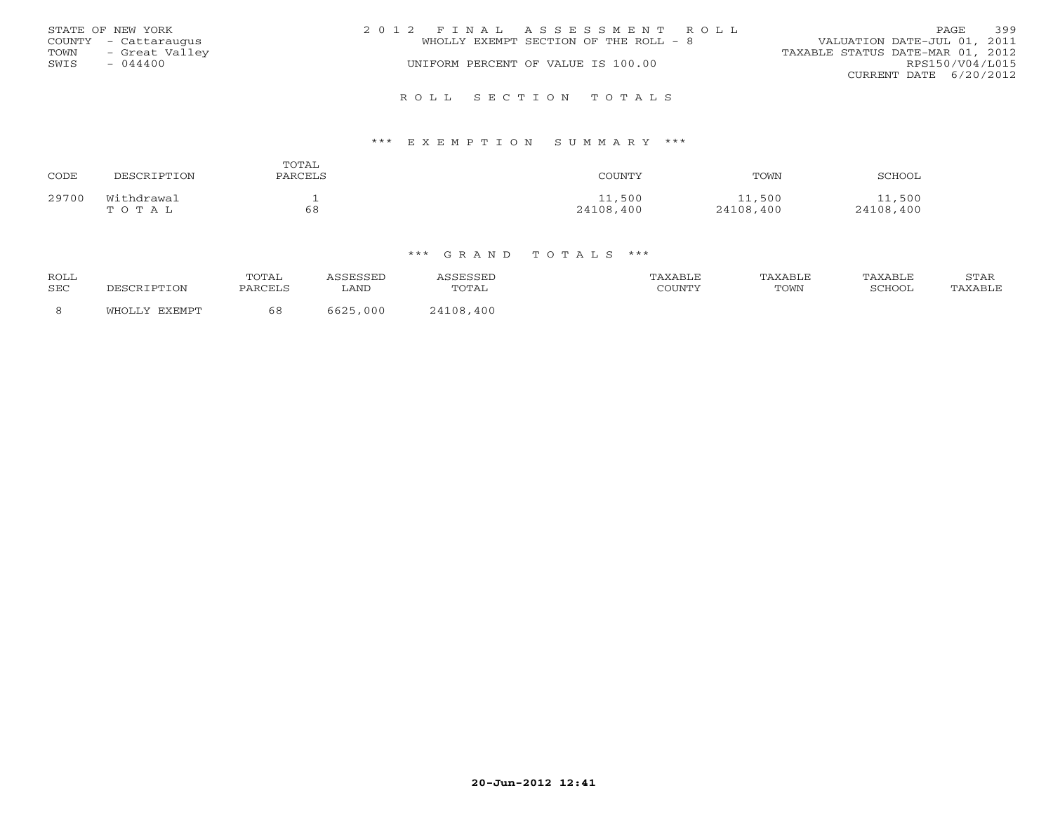| STATE OF NEW YORK<br>COUNTY - Cattaraugus<br>- Great Valley<br>TOWN<br>$-044400$<br>SWIS | 2012 FINAL ASSESSMENT ROLL<br>WHOLLY EXEMPT SECTION OF THE ROLL - 8<br>UNIFORM PERCENT OF VALUE IS 100.00 | 399<br>PAGE.<br>VALUATION DATE-JUL 01, 2011<br>TAXABLE STATUS DATE-MAR 01, 2012<br>RPS150/V04/L015<br>CURRENT DATE 6/20/2012 |
|------------------------------------------------------------------------------------------|-----------------------------------------------------------------------------------------------------------|------------------------------------------------------------------------------------------------------------------------------|
|                                                                                          | ROLL SECTION TOTALS                                                                                       |                                                                                                                              |

### \*\*\* E X E M P T I O N S U M M A R Y \*\*\*

| CODE  | DESCRIPTION | TOTAL<br>PARCELS | COUNTY    | TOWN      | SCHOOL    |
|-------|-------------|------------------|-----------|-----------|-----------|
| 29700 | Withdrawal  | -                | 11,500    | 11,500    | .,500     |
|       | тотаь       | 68               | 24108,400 | 24108,400 | 24108,400 |

### \*\*\* G R A N D T O T A L S \*\*\*

| <b>ROLL</b><br>SEC | DESCRIPTION   | TOTAL<br>PARCELS | ACCRCCRP<br>LAND | <i><b>SSESSED</b></i><br>TOTAL | TAXABLE<br>COUNTY | TAXABLE<br>TOWN | TAXABLE<br>SCHOOL | STAR<br>TAXABLE |
|--------------------|---------------|------------------|------------------|--------------------------------|-------------------|-----------------|-------------------|-----------------|
| -8                 | WHOLLY EXEMPT | 68               | 6625,000         | 24108,400                      |                   |                 |                   |                 |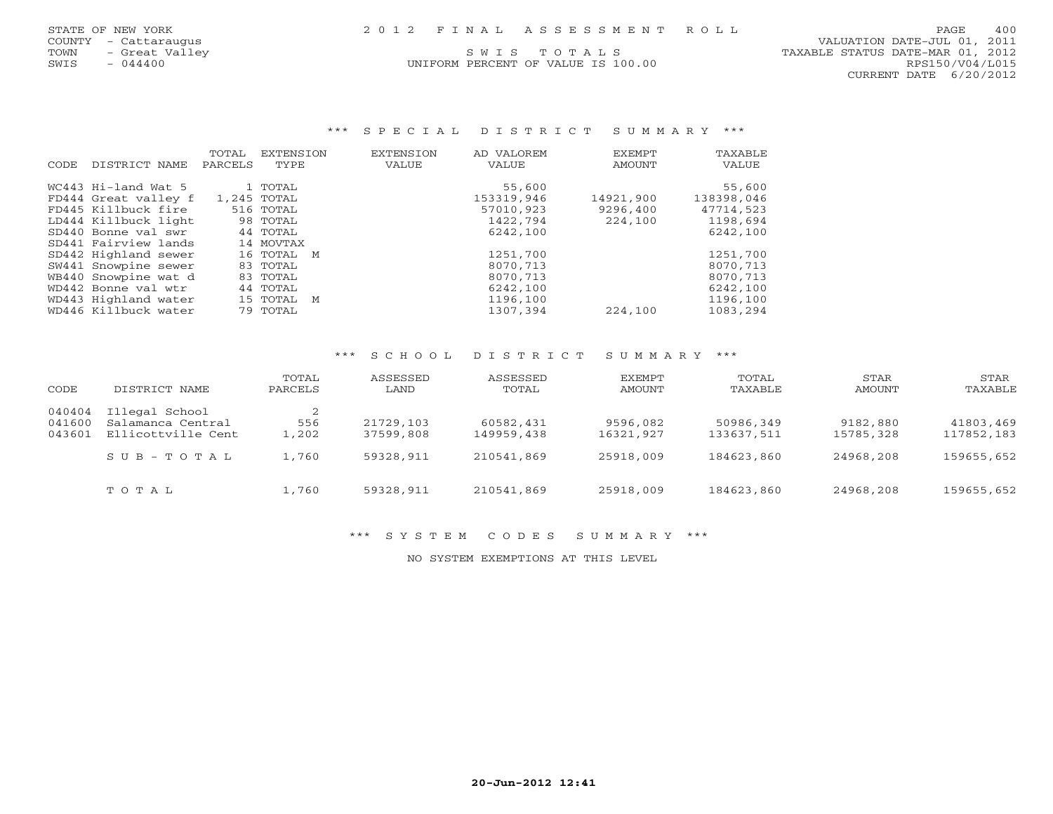## STATE OF NEW YORK 2 0 1 2 F I N A L A S S E S S M E N T R O L L PAGE 400

UNIFORM PERCENT OF VALUE IS 100.00

 COUNTY - Cattaraugus VALUATION DATE-JUL 01, 2011 TOWN - Great Valley (SWISTONISM IS MOVE AND STON STONG SWISTOWN - Great Valley (SWISTOWN - Great Valley (SWISTONIFORM PERCENT OF VALUE IS 100.00 (SWISTONIC MARRIE STATUS DATE-MAR 01, 2012) CURRENT DATE 6/20/2012

#### \*\*\* S P E C I A L D I S T R I C T S U M M A R Y \*\*\*

| CODE | DISTRICT NAME        | TOTAL<br>PARCELS | EXTENSION<br>TYPE | EXTENSION<br>VALUE | AD VALOREM<br>VALUE | EXEMPT<br>AMOUNT | TAXABLE<br>VALUE |
|------|----------------------|------------------|-------------------|--------------------|---------------------|------------------|------------------|
|      | WC443 Hi-land Wat 5  |                  | 1 TOTAL           |                    | 55,600              |                  | 55,600           |
|      | FD444 Great valley f |                  | $1.245$ TOTAL     |                    | 153319,946          | 14921,900        | 138398,046       |
|      | FD445 Killbuck fire  |                  | 516 TOTAL         |                    | 57010,923           | 9296,400         | 47714,523        |
|      | LD444 Killbuck light |                  | 98 TOTAL          |                    | 1422,794            | 224,100          | 1198,694         |
|      | SD440 Bonne val swr  |                  | 44 TOTAL          |                    | 6242,100            |                  | 6242,100         |
|      | SD441 Fairview lands |                  | 14 MOVTAX         |                    |                     |                  |                  |
|      | SD442 Highland sewer |                  | 16 TOTAL M        |                    | 1251,700            |                  | 1251,700         |
|      | SW441 Snowpine sewer |                  | 83 TOTAL          |                    | 8070,713            |                  | 8070,713         |
|      | WB440 Snowpine wat d |                  | 83 TOTAL          |                    | 8070,713            |                  | 8070,713         |
|      | WD442 Bonne val wtr  |                  | 44 TOTAL          |                    | 6242,100            |                  | 6242,100         |
|      | WD443 Highland water |                  | 15 TOTAL M        |                    | 1196,100            |                  | 1196,100         |
|      | WD446 Killbuck water |                  | 79 TOTAL          |                    | 1307,394            | 224,100          | 1083,294         |
|      |                      |                  |                   |                    |                     |                  |                  |

### \*\*\* S C H O O L D I S T R I C T S U M M A R Y \*\*\*

| CODE   | DISTRICT NAME           | TOTAL<br>PARCELS | ASSESSED<br>LAND | ASSESSED<br>TOTAL | EXEMPT<br>AMOUNT | TOTAL<br>TAXABLE | STAR<br>AMOUNT | STAR<br>TAXABLE |
|--------|-------------------------|------------------|------------------|-------------------|------------------|------------------|----------------|-----------------|
| 040404 | Illegal School          |                  |                  |                   |                  |                  |                |                 |
| 041600 | Salamanca Central       | 556              | 21729,103        | 60582,431         | 9596,082         | 50986,349        | 9182,880       | 41803,469       |
| 043601 | Ellicottville Cent      | 1,202            | 37599,808        | 149959,438        | 16321,927        | 133637,511       | 15785,328      | 117852,183      |
|        | $S \cup B - T \cup T A$ | 1,760            | 59328,911        | 210541,869        | 25918,009        | 184623,860       | 24968,208      | 159655,652      |
|        | TOTAL                   | 1,760            | 59328,911        | 210541,869        | 25918,009        | 184623,860       | 24968,208      | 159655,652      |

\*\*\* S Y S T E M C O D E S S U M M A R Y \*\*\*

NO SYSTEM EXEMPTIONS AT THIS LEVEL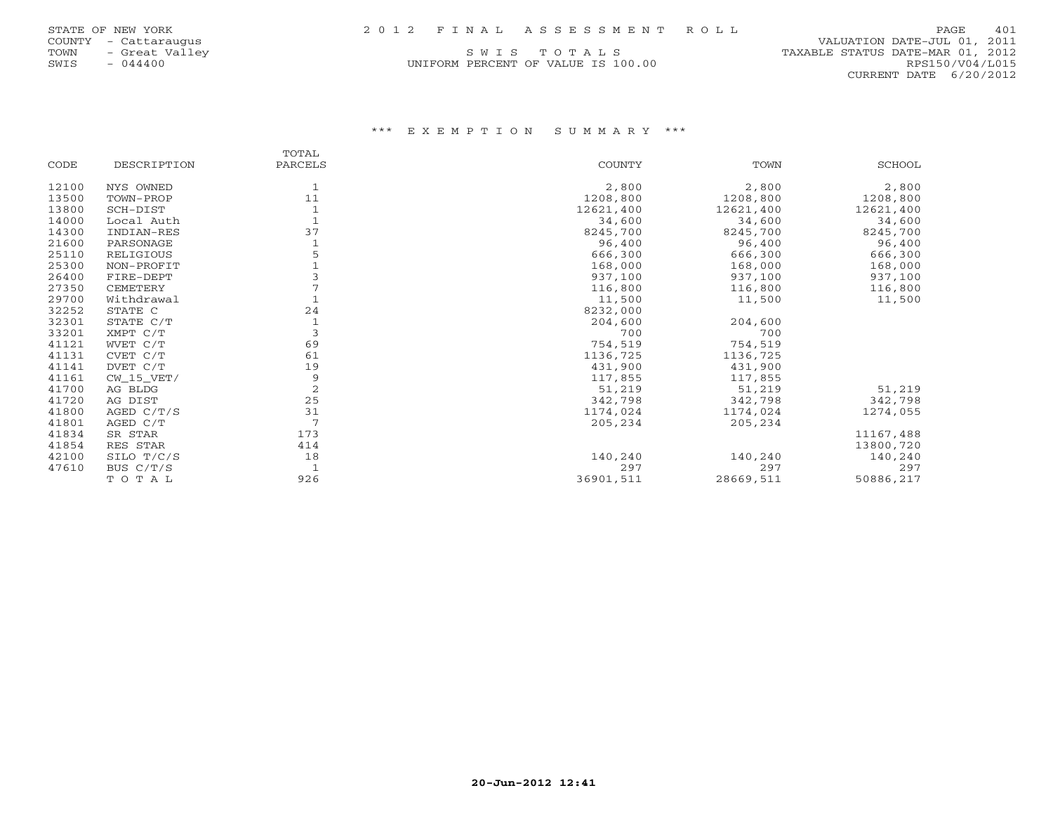UNIFORM PERCENT OF VALUE IS 100.00

 COUNTY - Cattaraugus VALUATION DATE-JUL 01, 2011 TOWN - Great Valley (SWISTONIES) SWISTON SWIS - TOWN - Great Valley (SWISTONIES) SWISTON SWISTON (SWISTONIES NATE-MAR 01, 2012<br>SWISTON - 044400 (SWISTONIES NATE-MAR 01, 2012) UNIFORM PERCENT OF VALUE IS 100.00 CURRENT DATE 6/20/2012

### \*\*\* E X E M P T I O N S U M M A R Y \*\*\*

|       |              | TOTAL          |               |           |               |
|-------|--------------|----------------|---------------|-----------|---------------|
| CODE  | DESCRIPTION  | PARCELS        | <b>COUNTY</b> | TOWN      | <b>SCHOOL</b> |
| 12100 | NYS OWNED    |                | 2,800         | 2,800     | 2,800         |
| 13500 | TOWN-PROP    | 11             | 1208,800      | 1208,800  | 1208,800      |
| 13800 | SCH-DIST     |                | 12621,400     | 12621,400 | 12621,400     |
| 14000 | Local Auth   |                | 34,600        | 34,600    | 34,600        |
| 14300 | INDIAN-RES   | 37             | 8245,700      | 8245,700  | 8245,700      |
| 21600 | PARSONAGE    |                | 96,400        | 96,400    | 96,400        |
| 25110 | RELIGIOUS    |                | 666,300       | 666,300   | 666,300       |
| 25300 | NON-PROFIT   |                | 168,000       | 168,000   | 168,000       |
| 26400 | FIRE-DEPT    |                | 937,100       | 937,100   | 937,100       |
| 27350 | CEMETERY     |                | 116,800       | 116,800   | 116,800       |
| 29700 | Withdrawal   |                | 11,500        | 11,500    | 11,500        |
| 32252 | STATE C      | 24             | 8232,000      |           |               |
| 32301 | STATE C/T    |                | 204,600       | 204,600   |               |
| 33201 | XMPT C/T     | 3              | 700           | 700       |               |
| 41121 | WVET C/T     | 69             | 754,519       | 754,519   |               |
| 41131 | CVET C/T     | 61             | 1136,725      | 1136,725  |               |
| 41141 | DVET C/T     | 19             | 431,900       | 431,900   |               |
| 41161 | $CW_15_VET/$ | 9              | 117,855       | 117,855   |               |
| 41700 | AG BLDG      | $\overline{c}$ | 51,219        | 51,219    | 51,219        |
| 41720 | AG DIST      | 25             | 342,798       | 342,798   | 342,798       |
| 41800 | AGED $C/T/S$ | 31             | 1174,024      | 1174,024  | 1274,055      |
| 41801 | AGED C/T     | 7              | 205,234       | 205,234   |               |
| 41834 | SR STAR      | 173            |               |           | 11167,488     |
| 41854 | RES STAR     | 414            |               |           | 13800,720     |
| 42100 | SILO T/C/S   | 18             | 140,240       | 140,240   | 140,240       |
| 47610 | BUS C/T/S    | $\mathbf{1}$   | 297           | 297       | 297           |
|       | TOTAL        | 926            | 36901,511     | 28669,511 | 50886,217     |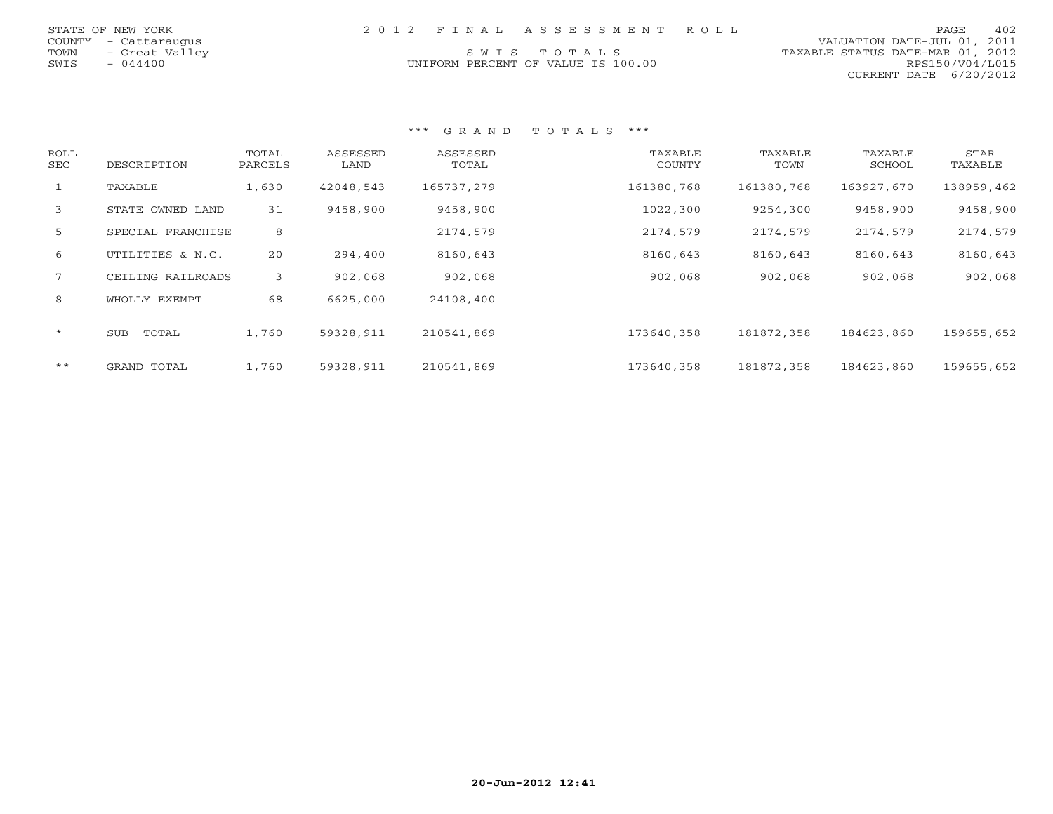| STATE OF NEW YORK      | 2012 FINAL ASSESSMENT ROLL         | 402<br>PAGE.                     |
|------------------------|------------------------------------|----------------------------------|
| COUNTY - Cattaraugus   |                                    | VALUATION DATE-JUL 01, 2011      |
| - Great Valley<br>TOWN | SWIS TOTALS                        | TAXABLE STATUS DATE-MAR 01, 2012 |
| SWIS<br>- 044400       | UNIFORM PERCENT OF VALUE IS 100.00 | RPS150/V04/L015                  |
|                        |                                    | CURRENT DATE 6/20/2012           |

### \*\*\* G R A N D T O T A L S \*\*\*

| ROLL<br>SEC | DESCRIPTION       | TOTAL<br>PARCELS | ASSESSED<br>LAND | ASSESSED<br>TOTAL | TAXABLE<br><b>COUNTY</b> | TAXABLE<br>TOWN | TAXABLE<br>SCHOOL | STAR<br>TAXABLE |
|-------------|-------------------|------------------|------------------|-------------------|--------------------------|-----------------|-------------------|-----------------|
| 1           | TAXABLE           | 1,630            | 42048,543        | 165737,279        | 161380,768               | 161380,768      | 163927,670        | 138959,462      |
| 3           | STATE OWNED LAND  | 31               | 9458,900         | 9458,900          | 1022,300                 | 9254,300        | 9458,900          | 9458,900        |
| 5           | SPECIAL FRANCHISE | 8                |                  | 2174,579          | 2174,579                 | 2174,579        | 2174,579          | 2174,579        |
| 6           | UTILITIES & N.C.  | 20               | 294,400          | 8160,643          | 8160,643                 | 8160,643        | 8160,643          | 8160,643        |
| $7^{\circ}$ | CEILING RAILROADS | 3                | 902,068          | 902,068           | 902,068                  | 902,068         | 902,068           | 902,068         |
| 8           | WHOLLY EXEMPT     | 68               | 6625,000         | 24108,400         |                          |                 |                   |                 |
| $\star$     | TOTAL<br>SUB      | 1,760            | 59328,911        | 210541,869        | 173640,358               | 181872,358      | 184623,860        | 159655,652      |
| $***$       | GRAND TOTAL       | 1,760            | 59328,911        | 210541,869        | 173640,358               | 181872,358      | 184623,860        | 159655,652      |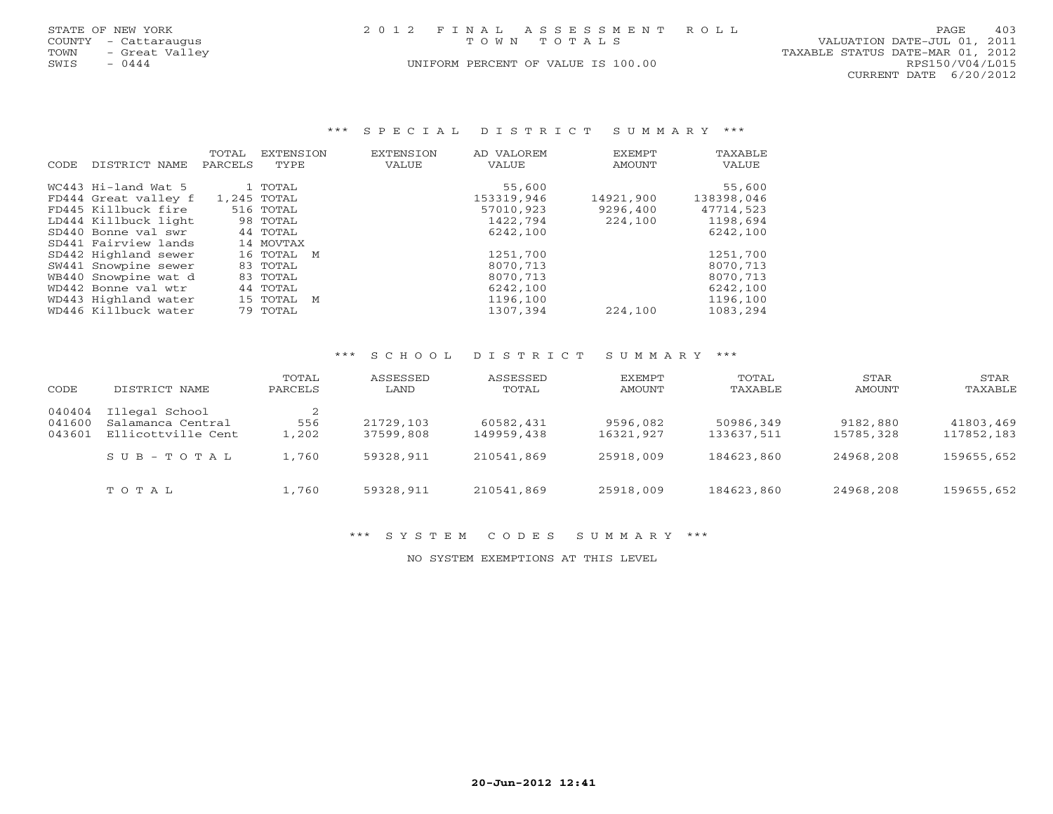|      | STATE OF NEW YORK    | 2012 FINAL ASSESSMENT ROLL         |             |                                  | PAGE                   | 403 |
|------|----------------------|------------------------------------|-------------|----------------------------------|------------------------|-----|
|      | COUNTY - Cattaraugus |                                    | TOWN TOTALS | VALUATION DATE-JUL 01, 2011      |                        |     |
| TOWN | - Great Valley       |                                    |             | TAXABLE STATUS DATE-MAR 01, 2012 |                        |     |
| SWIS | $-0444$              | UNIFORM PERCENT OF VALUE IS 100.00 |             |                                  | RPS150/V04/L015        |     |
|      |                      |                                    |             |                                  | CURRENT DATE 6/20/2012 |     |

### \*\*\* S P E C I A L D I S T R I C T S U M M A R Y \*\*\*

| CODE | DISTRICT NAME        | TOTAL<br>PARCELS | EXTENSION<br>TYPE | <b>EXTENSION</b><br>VALUE | AD VALOREM<br>VALUE | EXEMPT<br>AMOUNT | TAXABLE<br>VALUE |
|------|----------------------|------------------|-------------------|---------------------------|---------------------|------------------|------------------|
|      | WC443 Hi-land Wat 5  |                  | 1 TOTAL           |                           | 55,600              |                  | 55,600           |
|      | FD444 Great valley f |                  | 1,245 TOTAL       |                           | 153319,946          | 14921,900        | 138398,046       |
|      | FD445 Killbuck fire  |                  | 516 TOTAL         |                           | 57010,923           | 9296,400         | 47714,523        |
|      | LD444 Killbuck light |                  | 98 TOTAL          |                           | 1422,794            | 224,100          | 1198,694         |
|      | SD440 Bonne val swr  |                  | 44 TOTAL          |                           | 6242,100            |                  | 6242,100         |
|      | SD441 Fairview lands |                  | 14 MOVTAX         |                           |                     |                  |                  |
|      | SD442 Highland sewer |                  | 16 TOTAL M        |                           | 1251,700            |                  | 1251,700         |
|      | SW441 Snowpine sewer |                  | 83 TOTAL          |                           | 8070,713            |                  | 8070,713         |
|      | WB440 Snowpine wat d |                  | 83 TOTAL          |                           | 8070,713            |                  | 8070,713         |
|      | WD442 Bonne val wtr  |                  | 44 TOTAL          |                           | 6242,100            |                  | 6242,100         |
|      | WD443 Highland water |                  | 15 TOTAL M        |                           | 1196,100            |                  | 1196,100         |
|      | WD446 Killbuck water |                  | 79 TOTAL          |                           | 1307,394            | 224,100          | 1083,294         |
|      |                      |                  |                   |                           |                     |                  |                  |

## \*\*\* S C H O O L D I S T R I C T S U M M A R Y \*\*\*

| CODE                       | DISTRICT NAME                                             | TOTAL<br>PARCELS | ASSESSED<br>LAND       | ASSESSED<br>TOTAL       | EXEMPT<br>AMOUNT      | TOTAL<br>TAXABLE        | STAR<br>AMOUNT        | STAR<br>TAXABLE         |
|----------------------------|-----------------------------------------------------------|------------------|------------------------|-------------------------|-----------------------|-------------------------|-----------------------|-------------------------|
| 040404<br>041600<br>043601 | Illegal School<br>Salamanca Central<br>Ellicottville Cent | 556<br>1,202     | 21729,103<br>37599,808 | 60582,431<br>149959,438 | 9596,082<br>16321,927 | 50986,349<br>133637,511 | 9182,880<br>15785,328 | 41803,469<br>117852,183 |
|                            | $S \cup B - T \cup T A L$                                 | 1,760            | 59328,911              | 210541,869              | 25918,009             | 184623,860              | 24968,208             | 159655,652              |
|                            | TOTAL                                                     | 1,760            | 59328,911              | 210541,869              | 25918,009             | 184623,860              | 24968,208             | 159655,652              |

### \*\*\* S Y S T E M C O D E S S U M M A R Y \*\*\*

NO SYSTEM EXEMPTIONS AT THIS LEVEL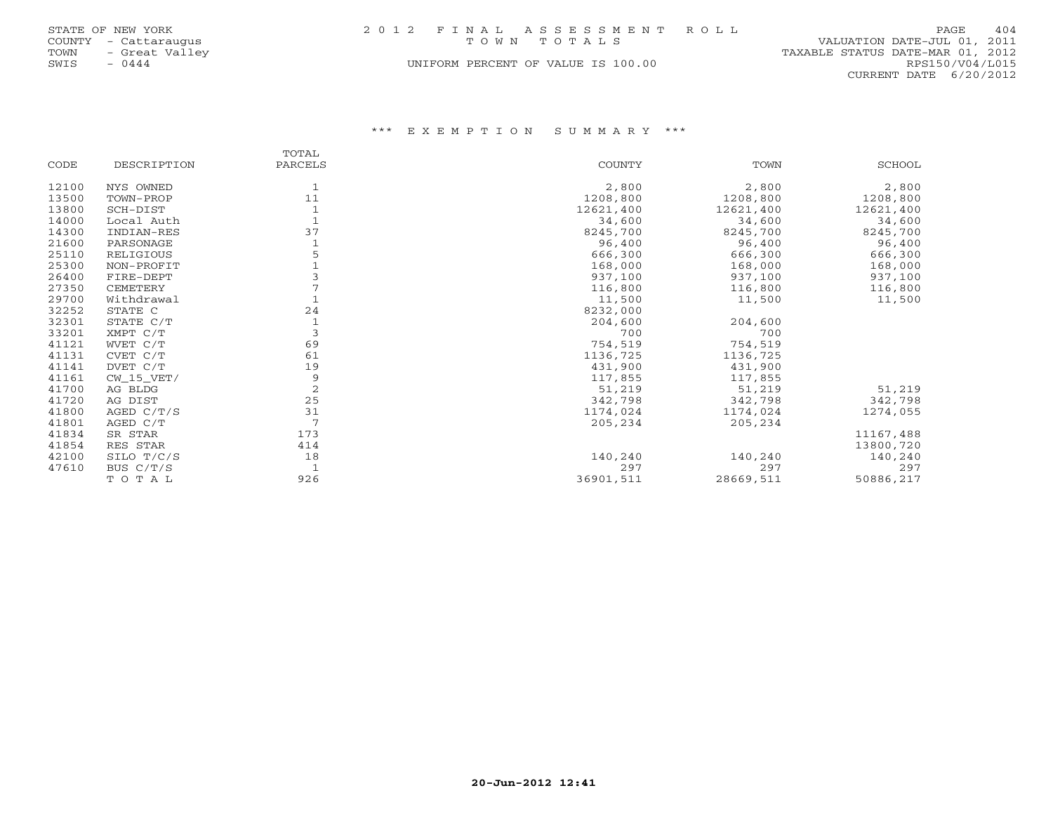|      | STATE OF NEW YORK    | 2012 FINAL ASSESSMENT ROLL         | PAGE                             | 404 |
|------|----------------------|------------------------------------|----------------------------------|-----|
|      | COUNTY - Cattaraugus | TOWN TOTALS                        | VALUATION DATE-JUL 01, 2011      |     |
|      | TOWN - Great Valley  |                                    | TAXABLE STATUS DATE-MAR 01, 2012 |     |
| SWIS | $-0444$              | UNIFORM PERCENT OF VALUE IS 100.00 | RPS150/V04/L015                  |     |
|      |                      |                                    | CURRENT DATE $6/20/2012$         |     |

\*\*\* E X E M P T I O N S U M M A R Y \*\*\*

|       |             | TOTAL   |           |           |           |
|-------|-------------|---------|-----------|-----------|-----------|
| CODE  | DESCRIPTION | PARCELS | COUNTY    | TOWN      | SCHOOL    |
| 12100 | NYS OWNED   |         | 2,800     | 2,800     | 2,800     |
| 13500 | TOWN-PROP   | 11      | 1208,800  | 1208,800  | 1208,800  |
| 13800 | SCH-DIST    |         | 12621,400 | 12621,400 | 12621,400 |
| 14000 | Local Auth  |         | 34,600    | 34,600    | 34,600    |
| 14300 | INDIAN-RES  | 37      | 8245,700  | 8245,700  | 8245,700  |
| 21600 | PARSONAGE   |         | 96,400    | 96,400    | 96,400    |
| 25110 | RELIGIOUS   |         | 666,300   | 666,300   | 666,300   |
| 25300 | NON-PROFIT  |         | 168,000   | 168,000   | 168,000   |
| 26400 | FIRE-DEPT   |         | 937,100   | 937,100   | 937,100   |
| 27350 | CEMETERY    |         | 116,800   | 116,800   | 116,800   |
| 29700 | Withdrawal  |         | 11,500    | 11,500    | 11,500    |
| 32252 | STATE C     | 24      | 8232,000  |           |           |
| 32301 | STATE C/T   |         | 204,600   | 204,600   |           |
| 33201 | XMPT C/T    | 3       | 700       | 700       |           |
| 41121 | WVET C/T    | 69      | 754,519   | 754,519   |           |
| 41131 | CVET C/T    | 61      | 1136,725  | 1136,725  |           |
| 41141 | DVET C/T    | 19      | 431,900   | 431,900   |           |
| 41161 | CW 15 VET/  | 9       | 117,855   | 117,855   |           |
| 41700 | AG BLDG     | 2       | 51,219    | 51,219    | 51,219    |
| 41720 | AG DIST     | 25      | 342,798   | 342,798   | 342,798   |
| 41800 | AGED C/T/S  | 31      | 1174,024  | 1174,024  | 1274,055  |
| 41801 | AGED C/T    | 7       | 205,234   | 205,234   |           |
| 41834 | SR STAR     | 173     |           |           | 11167,488 |
| 41854 | RES STAR    | 414     |           |           | 13800,720 |
| 42100 | SILO T/C/S  | 18      | 140,240   | 140,240   | 140,240   |
| 47610 | BUS C/T/S   |         | 297       | 297       | 297       |
|       | TOTAL       | 926     | 36901,511 | 28669,511 | 50886,217 |